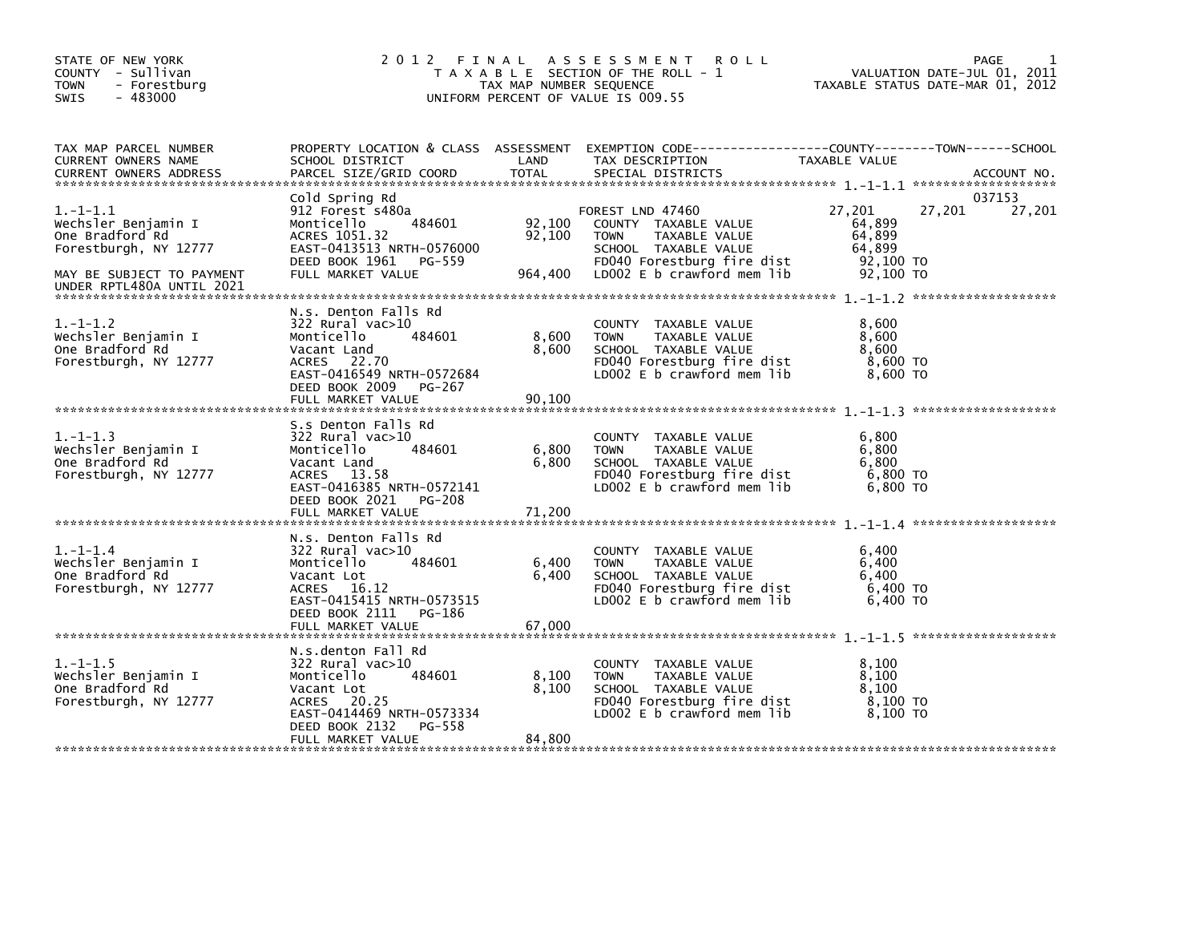| STATE OF NEW YORK<br>COUNTY - Sullivan<br><b>TOWN</b><br>- Forestburg<br>$-483000$<br>SWIS                                              |                                                                                                                                                                           | TAX MAP NUMBER SEQUENCE  | 2012 FINAL ASSESSMENT ROLL<br>T A X A B L E SECTION OF THE ROLL - 1<br>UNIFORM PERCENT OF VALUE IS 009.55                                                              | PAGE<br>VALUATION DATE-JUL 01, 2011<br>TAXABLE STATUS DATE-MAR 01, 2012    | 1                |
|-----------------------------------------------------------------------------------------------------------------------------------------|---------------------------------------------------------------------------------------------------------------------------------------------------------------------------|--------------------------|------------------------------------------------------------------------------------------------------------------------------------------------------------------------|----------------------------------------------------------------------------|------------------|
| TAX MAP PARCEL NUMBER<br>CURRENT OWNERS NAME                                                                                            | SCHOOL DISTRICT<br>PARCEL SIZE/GRID COORD TOTAL                                                                                                                           |                          | PROPERTY LOCATION & CLASS ASSESSMENT EXEMPTION CODE----------------COUNTY-------TOWN------SCHOOL<br>TAX DESCRIPTION                                                    | TAXABLE VALUE                                                              |                  |
| $1.-1-1.1$<br>Wechsler Benjamin I<br>One Bradford Rd<br>Forestburgh, NY 12777<br>MAY BE SUBJECT TO PAYMENT<br>UNDER RPTL480A UNTIL 2021 | Cold Spring Rd<br>912 Forest s480a<br>484601<br>Monticello<br>ACRES 1051.32<br>EAST-0413513 NRTH-0576000<br>DEED BOOK 1961 PG-559<br>FULL MARKET VALUE                    | 92,100                   | FOREST LND 47460<br>92,100 COUNTY TAXABLE VALUE<br>TAXABLE VALUE<br>TOWN<br>SCHOOL TAXABLE VALUE<br>FD040 Forestburg fire dist<br>964,400   LD002 E b crawford mem lib | 27,201<br>27,201<br>64,899<br>64,899<br>64,899<br>92,100 TO<br>$92,100$ TO | 037153<br>27,201 |
| $1.-1-1.2$<br>Wechsler Benjamin I<br>One Bradford Rd<br>Forestburgh, NY 12777                                                           | N.S. Denton Falls Rd<br>322 Rural vac>10<br>484601<br>Monticello<br>Vacant Land<br>ACRES 22.70<br>EAST-0416549 NRTH-0572684<br>DEED BOOK 2009 PG-267<br>FULL MARKET VALUE | 8,600<br>8,600<br>90,100 | COUNTY TAXABLE VALUE<br><b>TOWN</b><br>TAXABLE VALUE<br>SCHOOL TAXABLE VALUE<br>FD040 Forestburg fire dist<br>LD002 E b crawford mem lib                               | 8,600<br>8,600<br>8,600<br>8,600 TO<br>— 8.600 то                          |                  |
| $1.-1-1.3$<br>Wechsler Benjamin I<br>One Bradford Rd<br>Forestburgh, NY 12777                                                           | S.s Denton Falls Rd<br>322 Rural vac>10<br>484601<br>Monticello<br>Vacant Land<br>ACRES 13.58<br>EAST-0416385 NRTH-0572141<br>DEED BOOK 2021 PG-208                       | 6,800<br>6,800           | COUNTY TAXABLE VALUE<br><b>TOWN</b><br>TAXABLE VALUE<br>SCHOOL TAXABLE VALUE<br>FD040 Forestburg fire dist<br>LD002 E b crawford mem lib                               | 6,800<br>6,800<br>6,800<br>6,800 TO<br>6,800 TO                            |                  |
| $1. - 1 - 1.4$<br>Wechsler Benjamin I<br>One Bradford Rd<br>Forestburgh, NY 12777                                                       | N.S. Denton Falls Rd<br>322 Rural vac>10<br>484601<br>Monticello<br>Vacant Lot<br>ACRES 16.12<br>EAST-0415415 NRTH-0573515<br>DEED BOOK 2111 PG-186                       | 6,400<br>6,400           | COUNTY TAXABLE VALUE<br><b>TOWN</b><br>TAXABLE VALUE<br>SCHOOL TAXABLE VALUE<br>FD040 Forestburg fire dist<br>LD002 E b crawford mem lib                               | 6,400<br>6,400<br>6.400<br>6,400 TO<br>6,400 TO                            |                  |
| $1.-1-1.5$<br>Wechsler Benjamin I<br>One Bradford Rd<br>Forestburgh, NY 12777                                                           | N.s.denton Fall Rd<br>322 Rural vac>10<br>484601<br>Monticello<br>Vacant Lot<br>ACRES 20.25<br>EAST-0414469 NRTH-0573334<br>DEED BOOK 2132 PG-558<br>FULL MARKET VALUE    | 8,100<br>8,100<br>84,800 | COUNTY TAXABLE VALUE<br><b>TOWN</b><br>TAXABLE VALUE<br>SCHOOL TAXABLE VALUE<br>FD040 Forestburg fire dist<br>LD002 E b crawford mem lib                               | 8,100<br>8,100<br>8,100<br>8,100 TO<br>8,100 то                            |                  |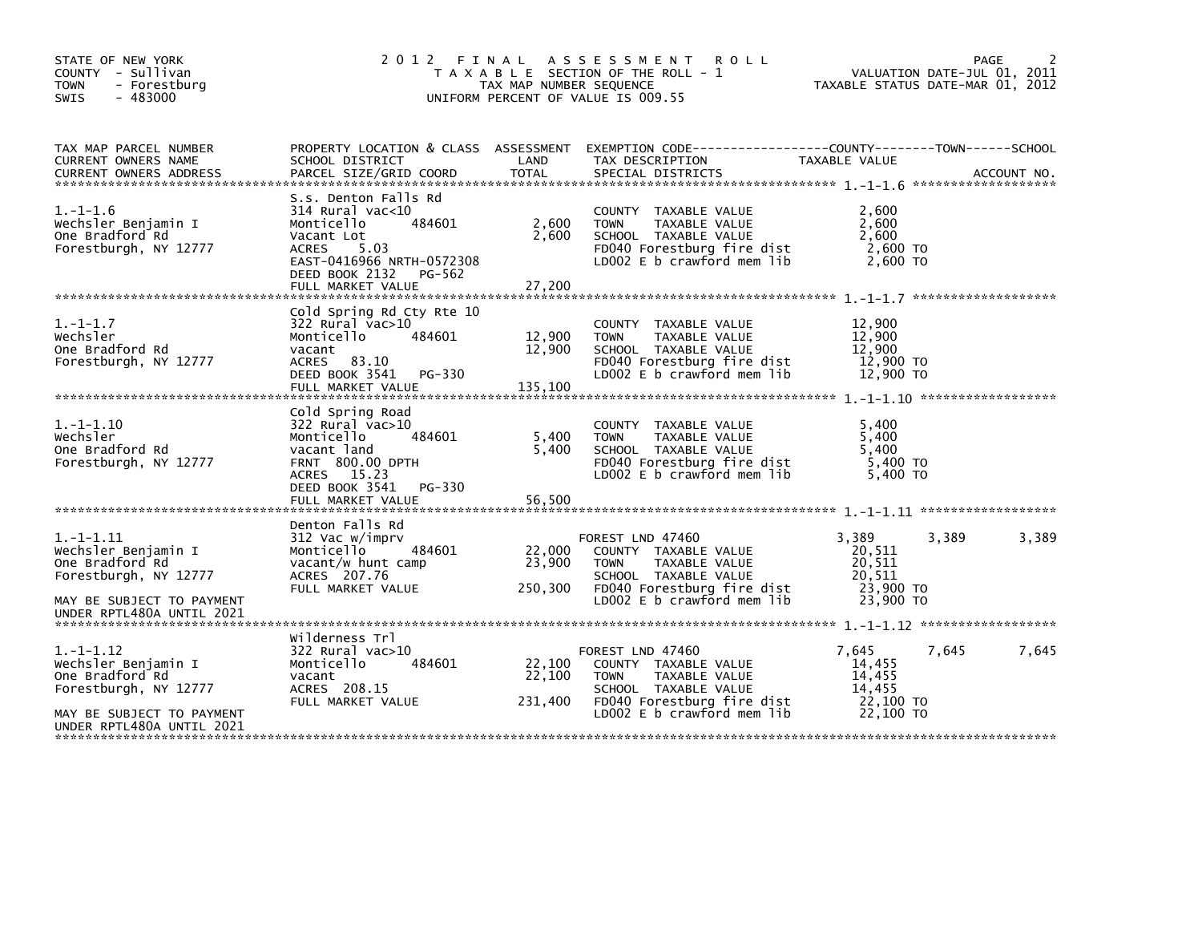| STATE OF NEW YORK<br>COUNTY - Sullivan<br><b>TOWN</b><br>- Forestburg<br>$-483000$<br>SWIS                     |                                                                                                                                                                                        | TAX MAP NUMBER SEQUENCE     | 2012 FINAL ASSESSMENT<br><b>ROLL</b><br>T A X A B L E SECTION OF THE ROLL - 1<br>UNIFORM PERCENT OF VALUE IS 009.55                                          | TAXABLE STATUS DATE-MAR 01, 2012                              | PAGE<br>VALUATION DATE-JUL 01, 2011 |       |
|----------------------------------------------------------------------------------------------------------------|----------------------------------------------------------------------------------------------------------------------------------------------------------------------------------------|-----------------------------|--------------------------------------------------------------------------------------------------------------------------------------------------------------|---------------------------------------------------------------|-------------------------------------|-------|
| TAX MAP PARCEL NUMBER<br>CURRENT OWNERS NAME                                                                   | PROPERTY LOCATION & CLASS ASSESSMENT<br>SCHOOL DISTRICT                                                                                                                                | LAND                        | EXEMPTION CODE-----------------COUNTY-------TOWN------SCHOOL<br>TAX DESCRIPTION                                                                              | TAXABLE VALUE                                                 |                                     |       |
| $1. - 1 - 1.6$<br>Wechsler Benjamin I<br>One Bradford Rd<br>Forestburgh, NY 12777                              | S.s. Denton Falls Rd<br>$314$ Rural vac<10<br>Monticello<br>484601<br>Vacant Lot<br><b>ACRES</b><br>5.03<br>EAST-0416966 NRTH-0572308<br>DEED BOOK 2132<br>PG-562<br>FULL MARKET VALUE | 2,600<br>2,600<br>27,200    | COUNTY TAXABLE VALUE<br>TAXABLE VALUE<br><b>TOWN</b><br>SCHOOL TAXABLE VALUE<br>FD040 Forestburg fire dist<br>LD002 E b crawford mem lib                     | 2.600<br>2,600<br>2,600<br>2,600 TO<br>2,600 TO               |                                     |       |
| $1. - 1 - 1.7$<br>Wechsler<br>One Bradford Rd<br>Forestburgh, NY 12777                                         | Cold Spring Rd Cty Rte 10<br>322 Rural vac>10<br>Monticello<br>484601<br>vacant<br>ACRES 83.10<br>DEED BOOK 3541<br>PG-330<br>FULL MARKET VALUE                                        | 12,900<br>12,900<br>135,100 | COUNTY TAXABLE VALUE<br><b>TOWN</b><br>TAXABLE VALUE<br>SCHOOL TAXABLE VALUE<br>FD040 Forestburg fire dist<br>LD002 E b crawford mem lib                     | 12,900<br>12,900<br>12,900<br>12,900 TO<br>12,900 TO          |                                     |       |
| $1. -1 - 1.10$<br>wechsler<br>One Bradford Rd<br>Forestburgh, NY 12777                                         | Cold Spring Road<br>322 Rural vac>10<br>Monticello<br>484601<br>vacant land<br><b>FRNT 800.00 DPTH</b><br>ACRES 15.23<br>DEED BOOK 3541<br>PG-330<br>FULL MARKET VALUE                 | 5,400<br>5.400<br>56,500    | COUNTY TAXABLE VALUE<br>TAXABLE VALUE<br><b>TOWN</b><br>SCHOOL TAXABLE VALUE<br>FD040 Forestburg fire dist<br>LD002 E b crawford mem lib                     | 5,400<br>5,400<br>5.400<br>5,400 TO<br>5.400 TO               |                                     |       |
| $1. -1 - 1.11$<br>Wechsler Benjamin I<br>One Bradford Rd<br>Forestburgh, NY 12777<br>MAY BE SUBJECT TO PAYMENT | Denton Falls Rd<br>312 Vac w/imprv<br>484601<br>Monticello<br>vacant/w hunt camp<br>ACRES 207.76<br>FULL MARKET VALUE                                                                  | 22,000<br>23,900<br>250,300 | FOREST LND 47460<br>COUNTY TAXABLE VALUE<br>TAXABLE VALUE<br><b>TOWN</b><br>SCHOOL TAXABLE VALUE<br>FD040 Forestburg fire dist<br>LD002 E b crawford mem lib | 3,389<br>20.511<br>20,511<br>20,511<br>23,900 TO<br>23,900 TO | 3.389                               | 3,389 |
| UNDER RPTL480A UNTIL 2021                                                                                      |                                                                                                                                                                                        |                             |                                                                                                                                                              |                                                               |                                     |       |
| $1. -1 - 1.12$<br>Wechsler Benjamin I<br>One Bradford Rd<br>Forestburgh, NY 12777                              | Wilderness Trl<br>$322$ Rural vac $>10$<br>Monticello<br>484601<br>vacant<br>ACRES 208.15<br>FULL MARKET VALUE                                                                         | 22,100<br>22,100<br>231,400 | FOREST LND 47460<br>COUNTY TAXABLE VALUE<br>TAXABLE VALUE<br><b>TOWN</b><br>SCHOOL TAXABLE VALUE<br>FD040 Forestburg fire dist                               | 7,645<br>14,455<br>14,455<br>14.455<br>22,100 TO              | 7,645                               | 7,645 |
| MAY BE SUBJECT TO PAYMENT<br>UNDER RPTL480A UNTIL 2021                                                         |                                                                                                                                                                                        |                             | LD002 E b crawford mem lib                                                                                                                                   | 22,100 TO                                                     |                                     |       |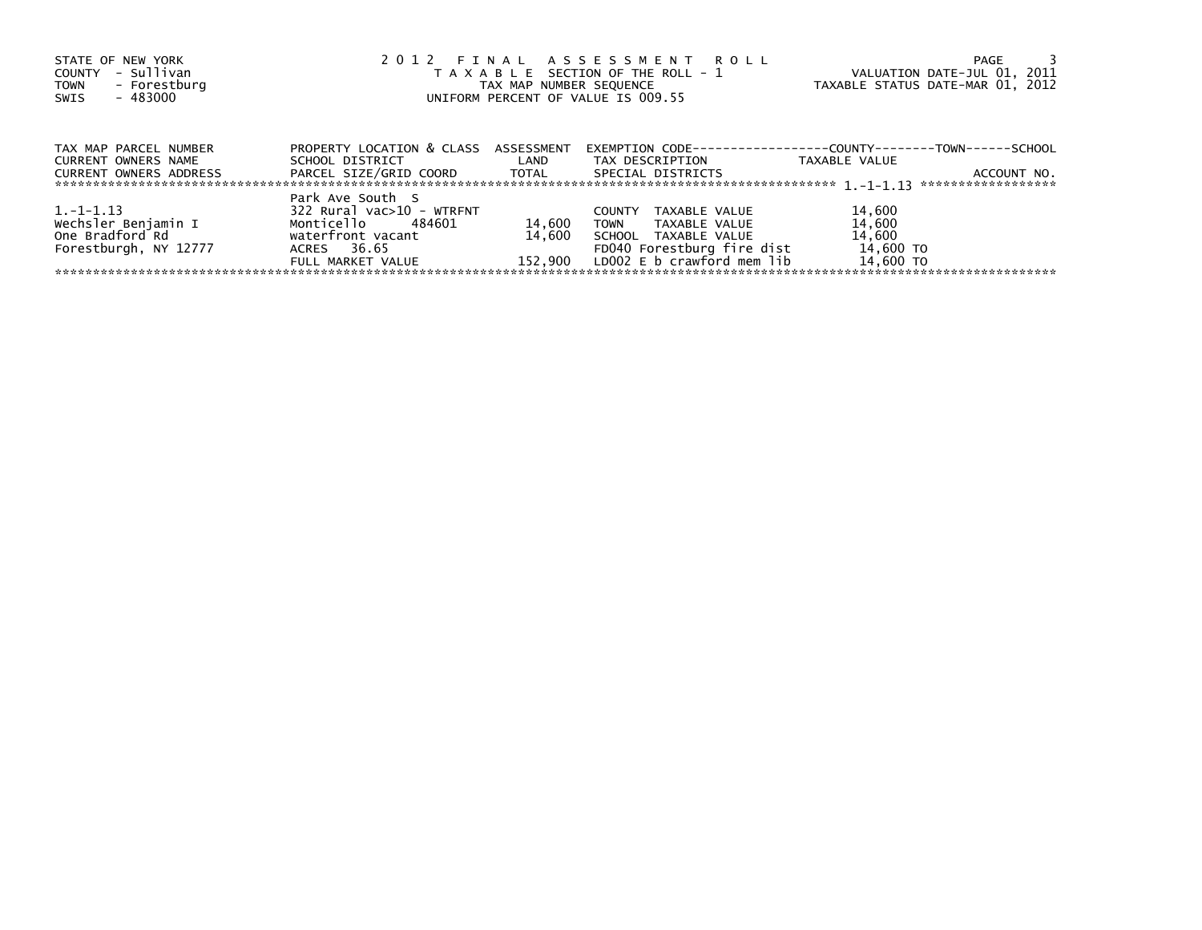| STATE OF NEW YORK<br>- Sullivan<br>COUNTY<br>- Forestburg<br><b>TOWN</b><br>- 483000<br>SWIS | 2012 FINAL ASSESSMENT ROLL<br>T A X A B L E SECTION OF THE ROLL - 1<br>TAX MAP NUMBER SEQUENCE<br>UNIFORM PERCENT OF VALUE IS 009.55 | VALUATION DATE-JUL 01, 2011<br>TAXABLE STATUS DATE-MAR 01, 2012 | PAGE                                                                                                                                                       |                                                      |             |
|----------------------------------------------------------------------------------------------|--------------------------------------------------------------------------------------------------------------------------------------|-----------------------------------------------------------------|------------------------------------------------------------------------------------------------------------------------------------------------------------|------------------------------------------------------|-------------|
| TAX MAP PARCEL NUMBER<br>CURRENT OWNERS NAME<br>CURRENT OWNERS ADDRESS                       | PROPERTY LOCATION & CLASS ASSESSMENT<br>SCHOOL DISTRICT<br>PARCEL SIZE/GRID COORD TOTAL                                              | <b>Example 12</b>                                               | EXEMPTION        CODE-----------------COUNTY--------TOWN------SCHOOL<br>TAX DESCRIPTION<br>SPECIAL DISTRICTS                                               | TAXABLE VALUE                                        | ACCOUNT NO. |
| 1. -1-1.13<br>Wechsler Benjamin I<br>One Bradford Rd<br>Forestburgh, NY 12777                | Park Ave South S<br>322 Rural vac>10 - WTRFNT<br>Monticello 484601<br>waterfront vacant<br>ACRES 36.65<br>FULL MARKET VALUE          | 14,600<br>14.600                                                | TAXABLE VALUE<br><b>COUNTY</b><br><b>TOWN</b><br>TAXABLE VALUE<br>SCHOOL TAXABLE VALUE<br>FD040 Forestburg fire dist<br>152.900 LDOO2 E b crawford mem lib | 14,600<br>14,600<br>14,600<br>14,600 TO<br>14.600 TO |             |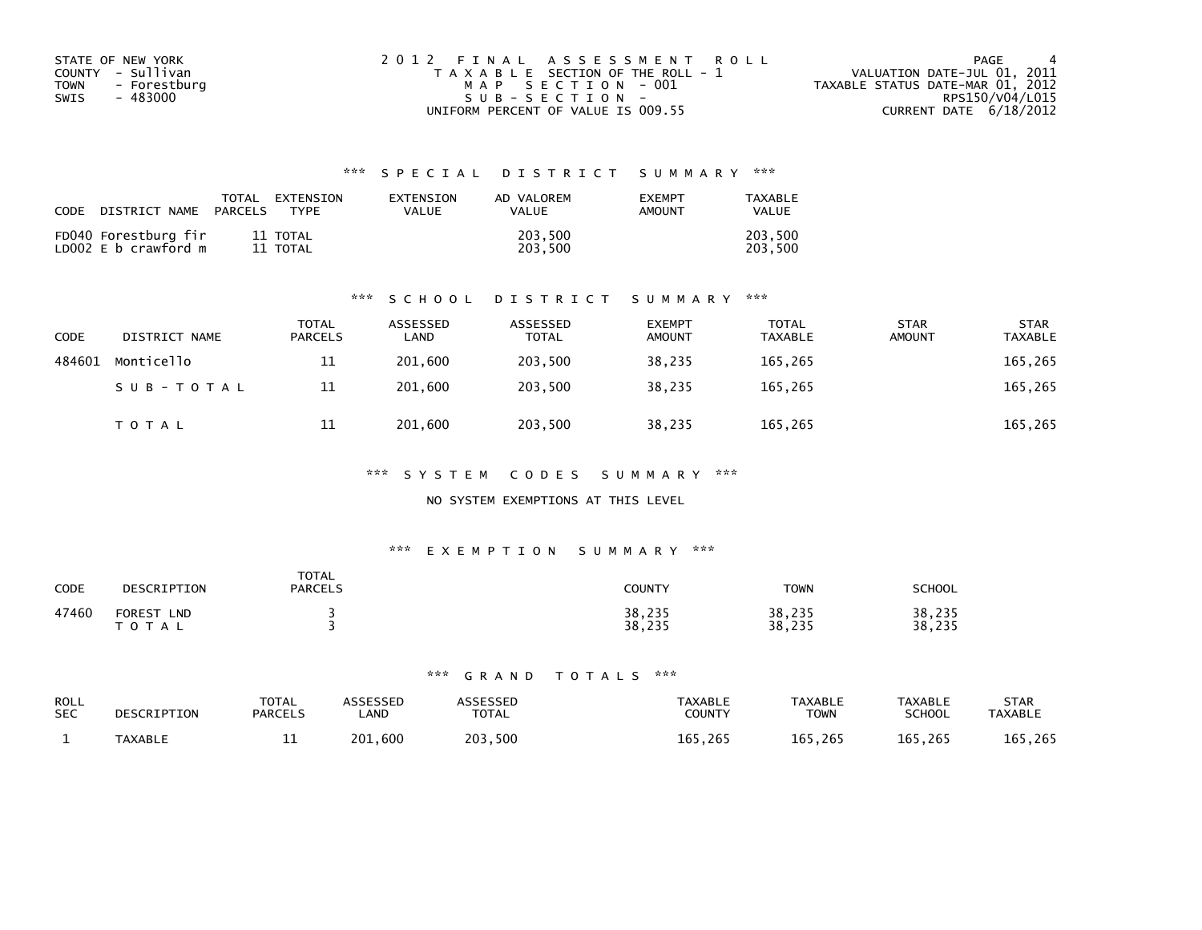| STATE OF NEW YORK           | 2012 FINAL ASSESSMENT ROLL            | PAGE                             |
|-----------------------------|---------------------------------------|----------------------------------|
| COUNTY - Sullivan           | T A X A B L E SECTION OF THE ROLL - 1 | VALUATION DATE-JUL 01, 2011      |
| <b>TOWN</b><br>- Forestburg | MAP SECTION - 001                     | TAXABLE STATUS DATE-MAR 01, 2012 |
| SWIS<br>- 483000            | $SUB - SECTION -$                     | RPS150/V04/L015                  |
|                             | UNIFORM PERCENT OF VALUE IS 009.55    | CURRENT DATE 6/18/2012           |

| CODE | DISTRICT NAME                                | PARCELS | TOTAL EXTENSION<br><b>TYPF</b> | EXTENSION<br>VALUE | AD VALOREM<br><b>VALUE</b> | <b>EXEMPT</b><br>AMOUNT | TAXABLE<br>VALUE   |
|------|----------------------------------------------|---------|--------------------------------|--------------------|----------------------------|-------------------------|--------------------|
|      | FD040 Forestburg fir<br>LD002 E b crawford m |         | 11 TOTAL<br>11 TOTAL           |                    | 203.500<br>203.500         |                         | 203,500<br>203.500 |

#### \*\*\* S C H O O L D I S T R I C T S U M M A R Y \*\*\*

| <b>CODE</b> | DISTRICT NAME | <b>TOTAL</b><br>PARCELS | ASSESSED<br>∟AND | ASSESSED<br><b>TOTAL</b> | <b>EXEMPT</b><br><b>AMOUNT</b> | <b>TOTAL</b><br><b>TAXABLE</b> | <b>STAR</b><br><b>AMOUNT</b> | <b>STAR</b><br><b>TAXABLE</b> |
|-------------|---------------|-------------------------|------------------|--------------------------|--------------------------------|--------------------------------|------------------------------|-------------------------------|
| 484601      | Monticello    | 11                      | 201.600          | 203.500                  | 38.235                         | 165,265                        |                              | 165,265                       |
|             | SUB-TOTAL     | 11                      | 201.600          | 203.500                  | 38.235                         | 165,265                        |                              | 165,265                       |
|             | <b>TOTAL</b>  | 11                      | 201,600          | 203,500                  | 38,235                         | 165,265                        |                              | 165,265                       |

\*\*\* S Y S T E M C O D E S S U M M A R Y \*\*\*

### NO SYSTEM EXEMPTIONS AT THIS LEVEL

#### \*\*\* E X E M P T I O N S U M M A R Y \*\*\*

| CODE  | DESCRIPTION                                 | <b>TOTAL</b><br><b>PARCELS</b> | <b>COUNTY</b>    | <b>TOWN</b>      | <b>SCHOOL</b>    |
|-------|---------------------------------------------|--------------------------------|------------------|------------------|------------------|
| 47460 | <b>FOREST</b><br><b>LND</b><br><b>TOTAL</b> |                                | 38,235<br>38,235 | 38,235<br>38,235 | 38,235<br>38,235 |

| ROLL<br><b>SEC</b> | DESCRIPTION    | TOTAL<br><b>PARCELS</b> | <b>\SSESSED</b><br>.AND | <b>\SSESSED</b><br><b>TOTAL</b> | TAXABLE<br>COUNTY | <b>TAXABLE</b><br><b>TOWN</b> | <b>TAXABLE</b><br><b>SCHOOL</b> | <b>STAR</b><br><b>TAXABLE</b> |
|--------------------|----------------|-------------------------|-------------------------|---------------------------------|-------------------|-------------------------------|---------------------------------|-------------------------------|
|                    | <b>TAXABLE</b> | --                      | .600<br>201.            | 203.500                         | 165.265           | 165,265                       | 165,265                         | 165,265                       |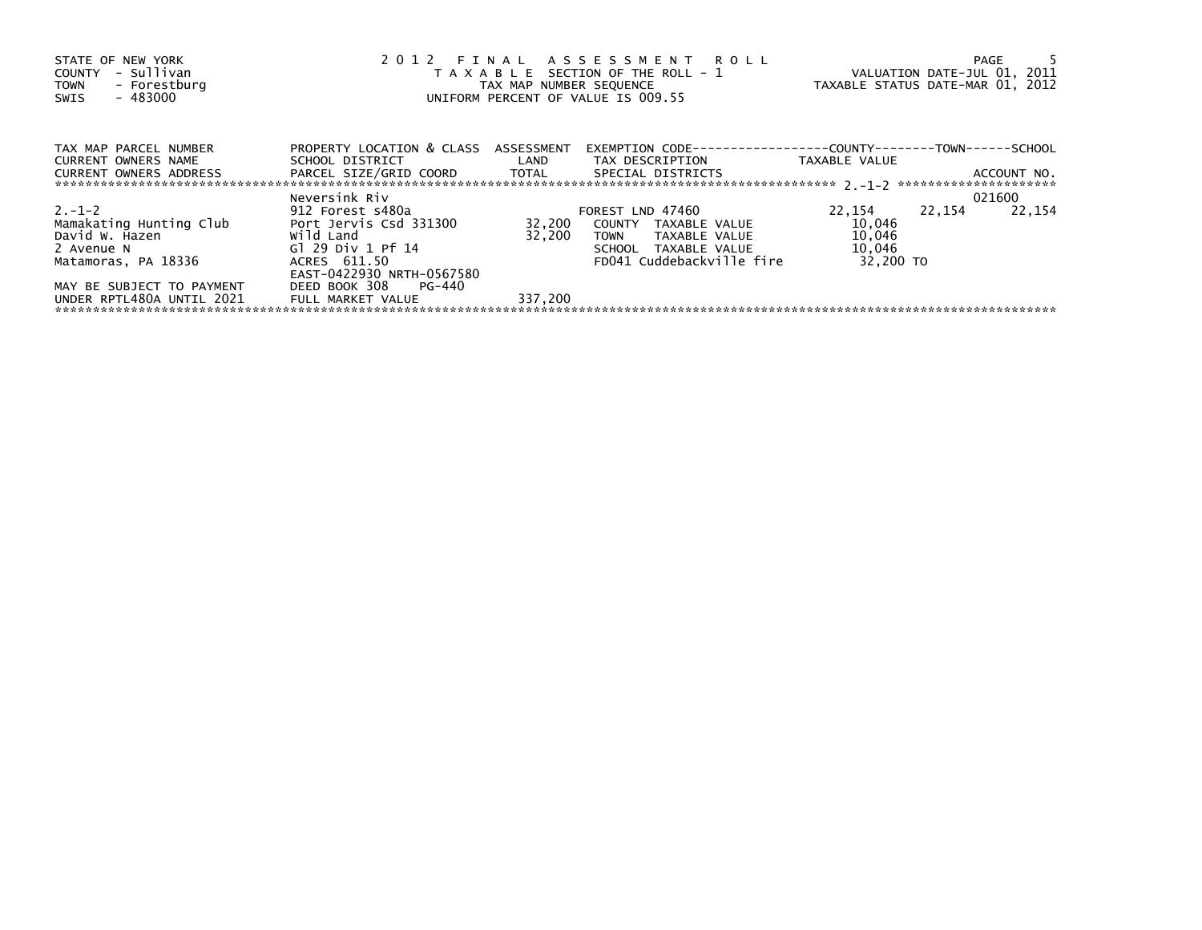| STATE OF NEW YORK<br>COUNTY - Sullivan<br>- Forestburg<br>TOWN<br>- 483000<br>SWIS                                       | 2012 FINAL ASSESSMENT ROLL<br>TAX MAP NUMBER SEQUENCE<br>UNIFORM PERCENT OF VALUE IS 009.55  | T A X A B L E SECTION OF THE ROLL - 1 VALUATION DATE-JUL 01, 2011<br>TAXABLE STATUS DATE-MAR 01, 2012 |                                                                                                                            | PAGE                                              |        |             |
|--------------------------------------------------------------------------------------------------------------------------|----------------------------------------------------------------------------------------------|-------------------------------------------------------------------------------------------------------|----------------------------------------------------------------------------------------------------------------------------|---------------------------------------------------|--------|-------------|
| TAX MAP PARCEL NUMBER                                                                                                    | PROPERTY LOCATION & CLASS ASSESSMENT                                                         |                                                                                                       | EXEMPTION        CODE-----------------COUNTY--------TOWN------SCHOOL                                                       |                                                   |        |             |
| CURRENT OWNERS NAME<br><b>CURRENT OWNERS ADDRESS</b>                                                                     | PARCEL SIZE/GRID COORD TOTAL SPECIAL DISTRICTS                                               |                                                                                                       | SCHOOL DISTRICT                          LAND         TAX DESCRIPTION                    TAXABLE VALUE                     |                                                   |        | ACCOUNT NO. |
|                                                                                                                          | Neversink Riv                                                                                |                                                                                                       |                                                                                                                            |                                                   |        | 021600      |
| $2. -1 - 2$<br>Mamakating Hunting Club<br>Mamakating Hunting Club<br>David W. Hazen<br>2 Avenue N<br>Matamoras, PA 18336 | 912 Forest s480a<br>Port Jervis Csd 331300<br>wild Land<br>Gl 29 Div 1 Pf 14<br>ACRES 611.50 | 32,200                                                                                                | FOREST LND 47460<br>32,200 COUNTY TAXABLE VALUE<br>TOWN TAXABLE VALUE<br>SCHOOL TAXABLE VALUE<br>FD041 Cuddebackville fire | 22,154<br>10,046<br>10,046<br>10,046<br>32.200 TO | 22,154 | 22,154      |
| MAY BE SUBJECT TO PAYMENT<br>UNDER RPTL480A UNTIL 2021                                                                   | EAST-0422930 NRTH-0567580<br>DEED BOOK 308 PG-440<br>FULL MARKET VALUE                       | 337,200                                                                                               |                                                                                                                            |                                                   |        |             |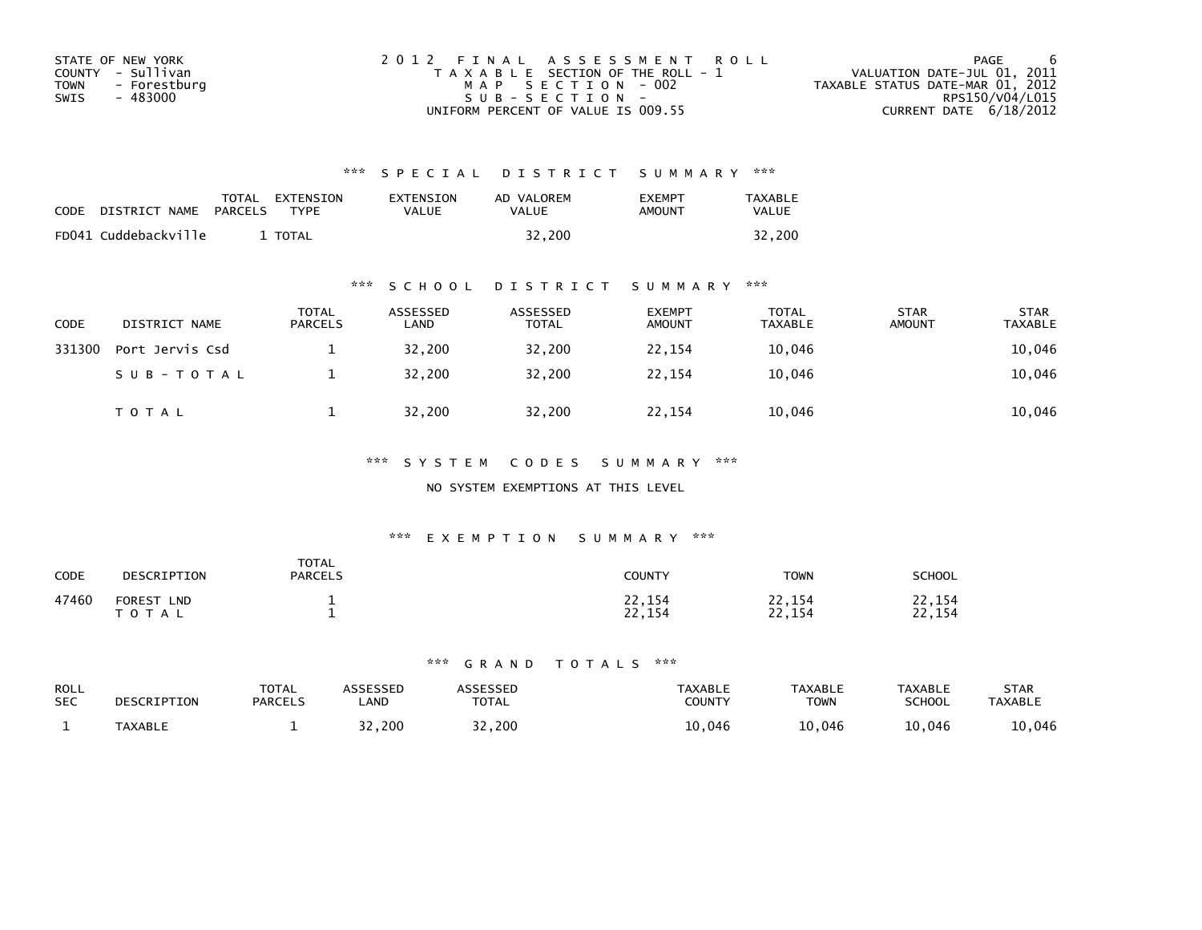| STATE OF NEW YORK    | 2012 FINAL ASSESSMENT ROLL            | PAGE                             |
|----------------------|---------------------------------------|----------------------------------|
| COUNTY - Sullivan    | T A X A B L E SECTION OF THE ROLL - 1 | VALUATION DATE-JUL 01, 2011      |
| - Forestburg<br>TOWN | MAP SECTION - 002                     | TAXABLE STATUS DATE-MAR 01, 2012 |
| - 483000<br>SWIS     | SUB-SECTION-                          | RPS150/V04/L015                  |
|                      | UNIFORM PERCENT OF VALUE IS 009.55    | CURRENT DATE 6/18/2012           |

| <b>CODE</b> | DISTRICT NAME        | TOTAL<br>PARCELS | EXTENSION<br><b>TYPF</b> | EXTENSION<br>VALUE | AD VALOREM<br>VALUE | <b>EXEMPT</b><br>AMOUNT | <b>TAXABLE</b><br><b>VALUE</b> |
|-------------|----------------------|------------------|--------------------------|--------------------|---------------------|-------------------------|--------------------------------|
|             | FD041 Cuddebackville |                  | <b>TOTAL</b>             |                    | 32,200              |                         | 32,200                         |

# \*\*\* S C H O O L D I S T R I C T S U M M A R Y \*\*\*

| <b>CODE</b> | DISTRICT NAME   | <b>TOTAL</b><br>PARCELS | ASSESSED<br>LAND | ASSESSED<br><b>TOTAL</b> | <b>EXEMPT</b><br><b>AMOUNT</b> | <b>TOTAL</b><br><b>TAXABLE</b> | <b>STAR</b><br><b>AMOUNT</b> | <b>STAR</b><br><b>TAXABLE</b> |
|-------------|-----------------|-------------------------|------------------|--------------------------|--------------------------------|--------------------------------|------------------------------|-------------------------------|
| 331300      | Port Jervis Csd |                         | 32,200           | 32.200                   | 22,154                         | 10,046                         |                              | 10,046                        |
|             | SUB-TOTAL       |                         | 32,200           | 32,200                   | 22,154                         | 10,046                         |                              | 10,046                        |
|             | <b>TOTAL</b>    |                         | 32,200           | 32,200                   | 22,154                         | 10,046                         |                              | 10,046                        |

# \*\*\* S Y S T E M C O D E S S U M M A R Y \*\*\*

### NO SYSTEM EXEMPTIONS AT THIS LEVEL

# \*\*\* E X E M P T I O N S U M M A R Y \*\*\*

| CODE  | DESCRIPTION                                | <b>TOTAL</b><br>PARCELS | COUNTY           | <b>TOWN</b>                        | <b>SCHOOL</b>    |
|-------|--------------------------------------------|-------------------------|------------------|------------------------------------|------------------|
| 47460 | <b>FOREST</b><br><b>LND</b><br>тот<br>ัA ∟ |                         | 22,154<br>22,154 | 22,154<br>າາ<br>.154<br><u>_ _</u> | 22,154<br>22,154 |

| ROLL       | DESCRIPTION    | <b>TOTAL</b>   | ASSESSED    | ASSESSED     | <b>TAXABLE</b> | <b>TAXABLE</b> | <b>TAXABLE</b> | <b>STAR</b>    |
|------------|----------------|----------------|-------------|--------------|----------------|----------------|----------------|----------------|
| <b>SEC</b> |                | <b>PARCELS</b> | <b>_AND</b> | <b>TOTAL</b> | <b>COUNTY</b>  | <b>TOWN</b>    | SCHOOL         | <b>TAXABLE</b> |
|            | <b>TAXABLE</b> |                | 32,200      | 32,200       | 046.∟          | 10,046         | 10,046         | 10,046         |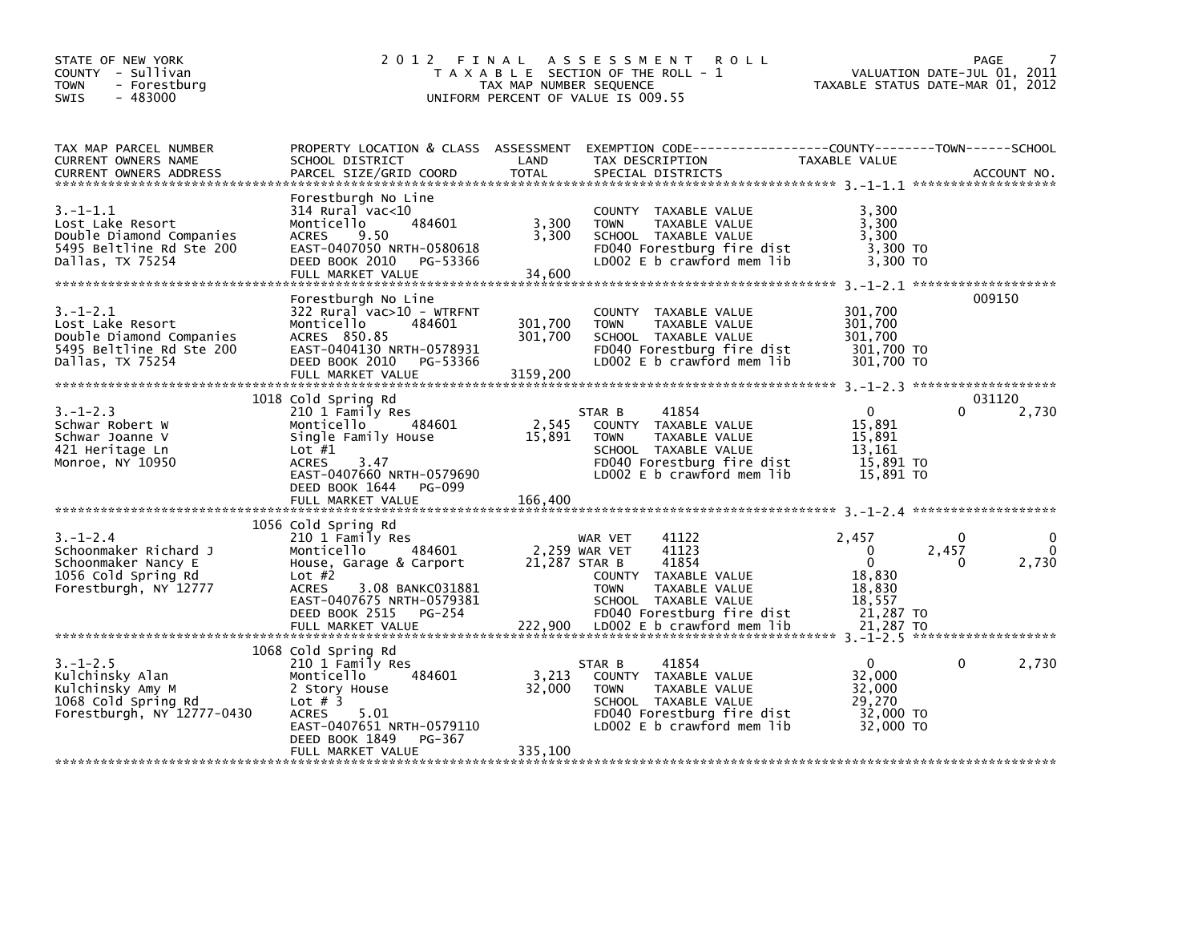| STATE OF NEW YORK<br>COUNTY - Sullivan<br><b>TOWN</b><br>- Forestburg<br>$-483000$<br>SWIS                     | 2 0 1 2                                                                                                                                                                                                                  | FINAL<br>TAX MAP NUMBER SEQUENCE | A S S E S S M E N T<br><b>ROLL</b><br>T A X A B L E SECTION OF THE ROLL - 1<br>UNIFORM PERCENT OF VALUE IS 009.55                                                                                       | TAXABLE STATUS DATE-MAR 01, 2012                                                          |                            | PAGE<br>VALUATION DATE-JUL 01, 2011 |
|----------------------------------------------------------------------------------------------------------------|--------------------------------------------------------------------------------------------------------------------------------------------------------------------------------------------------------------------------|----------------------------------|---------------------------------------------------------------------------------------------------------------------------------------------------------------------------------------------------------|-------------------------------------------------------------------------------------------|----------------------------|-------------------------------------|
| TAX MAP PARCEL NUMBER<br>CURRENT OWNERS NAME<br><b>CURRENT OWNERS ADDRESS</b>                                  | SCHOOL DISTRICT<br>PARCEL SIZE/GRID COORD                                                                                                                                                                                | LAND<br><b>TOTAL</b>             | PROPERTY LOCATION & CLASS ASSESSMENT EXEMPTION CODE---------------COUNTY-------TOWN------SCHOOL<br>TAX DESCRIPTION<br>SPECIAL DISTRICTS                                                                 | TAXABLE VALUE                                                                             |                            | ACCOUNT NO.                         |
| $3. - 1 - 1.1$<br>Lost Lake Resort<br>Double Diamond Companies<br>5495 Beltline Rd Ste 200<br>Dallas, TX 75254 | Forestburgh No Line<br>$314$ Rural vac< $10$<br>484601<br>Monticello<br>9.50<br><b>ACRES</b><br>EAST-0407050 NRTH-0580618<br>DEED BOOK 2010<br>PG-53366<br>FULL MARKET VALUE                                             | 3,300<br>3,300<br>34,600         | COUNTY TAXABLE VALUE<br><b>TOWN</b><br>TAXABLE VALUE<br>SCHOOL TAXABLE VALUE<br>FD040 Forestburg fire dist<br>LD002 $E$ b crawford mem $lib$                                                            | 3,300<br>3,300<br>3,300<br>3,300 TO<br>3.300 TO                                           |                            |                                     |
| $3. - 1 - 2.1$<br>Lost Lake Resort<br>Double Diamond Companies<br>5495 Beltline Rd Ste 200<br>Dallas, TX 75254 | Forestburgh No Line<br>322 Rural vac>10 - WTRFNT<br>Monticello<br>484601<br>ACRES 850.85<br>EAST-0404130 NRTH-0578931<br>DEED BOOK 2010<br>PG-53366<br>FULL MARKET VALUE                                                 | 301,700<br>301,700<br>3159,200   | COUNTY TAXABLE VALUE<br><b>TOWN</b><br>TAXABLE VALUE<br>SCHOOL TAXABLE VALUE<br>FD040 Forestburg fire dist<br>LD002 E b crawford mem lib                                                                | 301,700<br>301,700<br>301,700<br>301,700 TO<br>301,700 TO                                 |                            | 009150                              |
| $3. - 1 - 2.3$<br>Schwar Robert W<br>Schwar Joanne V<br>421 Heritage Ln<br>Monroe, NY 10950                    | 1018 Cold Spring Rd<br>210 1 Family Res<br>Monticello<br>484601<br>Single Family House<br>Lot $#1$<br><b>ACRES</b><br>3.47<br>EAST-0407660 NRTH-0579690<br>DEED BOOK 1644<br>PG-099                                      | 2,545<br>15,891                  | 41854<br>STAR B<br>COUNTY TAXABLE VALUE<br>TAXABLE VALUE<br><b>TOWN</b><br>SCHOOL TAXABLE VALUE<br>FD040 Forestburg fire dist<br>LD002 E b crawford mem lib                                             | $\Omega$<br>15,891<br>15.891<br>13.161<br>15,891 TO<br>15,891 TO                          | <sup>0</sup>               | 031120<br>2,730                     |
|                                                                                                                | FULL MARKET VALUE                                                                                                                                                                                                        | 166,400                          |                                                                                                                                                                                                         |                                                                                           |                            |                                     |
| $3. - 1 - 2.4$<br>Schoonmaker Richard J<br>Schoonmaker Nancy E<br>1056 Cold Spring Rd<br>Forestburgh, NY 12777 | 1056 Cold Spring Rd<br>210 1 Family Res<br>484601<br>Monticello<br>House, Garage & Carport<br>Lot $#2$<br><b>ACRES</b><br>3.08 BANKC031881<br>EAST-0407675 NRTH-0579381<br>DEED BOOK 2515<br>PG-254<br>FULL MARKET VALUE | 21,287 STAR B                    | 41122<br>WAR VET<br>2,259 WAR VET<br>41123<br>41854<br>COUNTY TAXABLE VALUE<br><b>TOWN</b><br>TAXABLE VALUE<br>SCHOOL TAXABLE VALUE<br>FD040 Forestburg fire dist<br>222,900 LD002 E b crawford mem lib | 2,457<br>$\mathbf{0}$<br>$\Omega$<br>18,830<br>18,830<br>18,557<br>21,287 TO<br>21,287 TO | $\mathbf{0}$<br>2,457<br>0 | 0<br>0<br>2,730                     |
|                                                                                                                |                                                                                                                                                                                                                          |                                  |                                                                                                                                                                                                         |                                                                                           |                            |                                     |
| $3. - 1 - 2.5$<br>Kulchinsky Alan<br>Kulchinsky Amy M<br>1068 Cold Spring Rd<br>Forestburgh, NY 12777-0430     | 1068 Cold Spring Rd<br>210 1 Family Res<br>484601<br>Monticello<br>2 Story House<br>Lot $#$ 3<br>5.01<br><b>ACRES</b><br>EAST-0407651 NRTH-0579110                                                                       | 3,213<br>32,000                  | 41854<br>STAR B<br>COUNTY TAXABLE VALUE<br><b>TOWN</b><br>TAXABLE VALUE<br>SCHOOL TAXABLE VALUE<br>FD040 Forestburg fire dist<br>LD002 $E$ b crawford mem $lib$                                         | $\Omega$<br>32,000<br>32,000<br>29,270<br>32,000 TO<br>32,000 TO                          | 0                          | 2,730                               |
|                                                                                                                | PG-367<br>DEED BOOK 1849<br>FULL MARKET VALUE                                                                                                                                                                            | 335,100                          |                                                                                                                                                                                                         |                                                                                           |                            |                                     |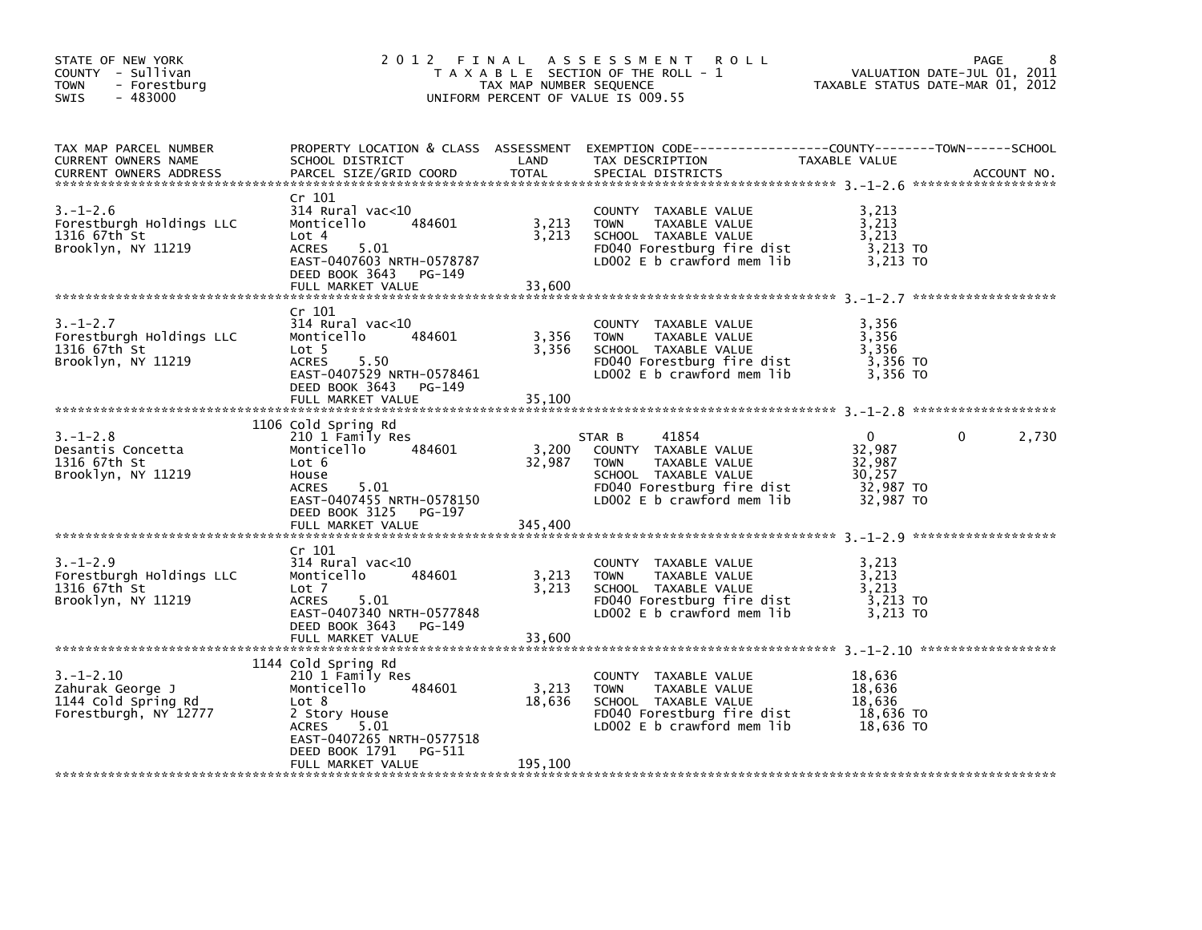| STATE OF NEW YORK<br>COUNTY - Sullivan<br><b>TOWN</b><br>- Forestburg<br>$-483000$<br><b>SWIS</b> | 2012 FINAL                                                                                                                                                        | TAX MAP NUMBER SEQUENCE  | A S S E S S M E N T<br><b>ROLL</b><br>T A X A B L E SECTION OF THE ROLL - 1<br>UNIFORM PERCENT OF VALUE IS 009.55                                           | TAXABLE STATUS DATE-MAR 01, 2012                                     | 8<br>PAGE<br>VALUATION DATE-JUL 01, 2011 |
|---------------------------------------------------------------------------------------------------|-------------------------------------------------------------------------------------------------------------------------------------------------------------------|--------------------------|-------------------------------------------------------------------------------------------------------------------------------------------------------------|----------------------------------------------------------------------|------------------------------------------|
| TAX MAP PARCEL NUMBER<br>CURRENT OWNERS NAME<br><b>CURRENT OWNERS ADDRESS</b>                     | SCHOOL DISTRICT<br>PARCEL SIZE/GRID COORD                                                                                                                         | LAND<br>TOTAL            | PROPERTY LOCATION & CLASS ASSESSMENT EXEMPTION CODE---------------COUNTY-------TOWN-----SCHOOL<br>TAX DESCRIPTION<br>SPECIAL DISTRICTS                      | TAXABLE VALUE                                                        | ACCOUNT NO.                              |
| $3. - 1 - 2.6$<br>Forestburgh Holdings LLC<br>1316 67th St<br>Brooklyn, NY 11219                  | Cr 101<br>$314$ Rural vac<10<br>Monticello<br>484601<br>Lot 4<br>5.01<br><b>ACRES</b><br>EAST-0407603 NRTH-0578787<br>DEED BOOK 3643 PG-149<br>FULL MARKET VALUE  | 3,213<br>3,213<br>33,600 | COUNTY TAXABLE VALUE<br><b>TOWN</b><br>TAXABLE VALUE<br>SCHOOL TAXABLE VALUE<br>FD040 Forestburg fire dist<br>LD002 $E$ b crawford mem $lib$                | 3,213<br>3,213<br>3,213<br>3,213 TO<br>3,213 TO                      |                                          |
|                                                                                                   |                                                                                                                                                                   |                          |                                                                                                                                                             |                                                                      |                                          |
| $3. - 1 - 2.7$<br>Forestburgh Holdings LLC<br>1316 67th St<br>Brooklyn, NY 11219                  | Cr 101<br>314 Rural vac<10<br>Monticello<br>484601<br>Lot 5<br><b>ACRES</b><br>5.50<br>EAST-0407529 NRTH-0578461<br>DEED BOOK 3643<br>PG-149<br>FULL MARKET VALUE | 3,356<br>3,356<br>35,100 | COUNTY TAXABLE VALUE<br>TAXABLE VALUE<br><b>TOWN</b><br>SCHOOL TAXABLE VALUE<br>FD040 Forestburg fire dist<br>LD002 E b crawford mem lib                    | 3,356<br>3.356<br>3,356<br>3,356 TO<br>3.356 TO                      |                                          |
|                                                                                                   |                                                                                                                                                                   |                          |                                                                                                                                                             |                                                                      |                                          |
| 3. –1–2.8<br>Desantis Concetta<br>1316 67th St<br>Brooklyn, NY 11219                              | 1106 Cold Spring Rd<br>210 1 Family Res<br>484601<br>Monticello<br>Lot 6<br>House<br>5.01<br><b>ACRES</b><br>EAST-0407455 NRTH-0578150<br>DEED BOOK 3125 PG-197   | 3,200<br>32,987          | 41854<br>STAR B<br>COUNTY TAXABLE VALUE<br>TAXABLE VALUE<br><b>TOWN</b><br>SCHOOL TAXABLE VALUE<br>FD040 Forestburg fire dist<br>LD002 E b crawford mem lib | $\mathbf{0}$<br>32,987<br>32,987<br>30,257<br>32,987 TO<br>32,987 TO | 2,730<br>0                               |
|                                                                                                   | FULL MARKET VALUE                                                                                                                                                 | 345,400                  |                                                                                                                                                             |                                                                      |                                          |
| $3. - 1 - 2.9$<br>Forestburgh Holdings LLC<br>1316 67th St<br>Brooklyn, NY 11219                  | Cr 101<br>314 Rural vac<10<br>Monticello<br>484601<br>Lot 7<br>5.01<br><b>ACRES</b><br>EAST-0407340 NRTH-0577848<br>DEED BOOK 3643<br>PG-149<br>FULL MARKET VALUE | 3,213<br>3,213<br>33,600 | COUNTY TAXABLE VALUE<br>TAXABLE VALUE<br><b>TOWN</b><br>SCHOOL TAXABLE VALUE<br>FD040 Forestburg fire dist<br>LD002 E b crawford mem lib                    | 3,213<br>3,213<br>3.213<br>3,213 TO<br>3,213 TO                      |                                          |
|                                                                                                   | 1144 Cold Spring Rd                                                                                                                                               |                          |                                                                                                                                                             |                                                                      |                                          |
| $3. - 1 - 2.10$<br>Zahurak George J<br>1144 Cold Spring Rd<br>Forestburgh, NY 12777               | 210 1 Family Res<br>Monticello<br>484601<br>Lot 8<br>2 Story House<br>5.01<br>ACRES<br>EAST-0407265 NRTH-0577518<br>DEED BOOK 1791<br>PG-511                      | 3,213<br>18,636          | COUNTY TAXABLE VALUE<br><b>TOWN</b><br>TAXABLE VALUE<br>SCHOOL TAXABLE VALUE<br>FD040 Forestburg fire dist<br>LD002 E b crawford mem lib                    | 18,636<br>18,636<br>18,636<br>18,636 TO<br>18,636 TO                 |                                          |
|                                                                                                   | FULL MARKET VALUE                                                                                                                                                 | 195,100                  |                                                                                                                                                             |                                                                      |                                          |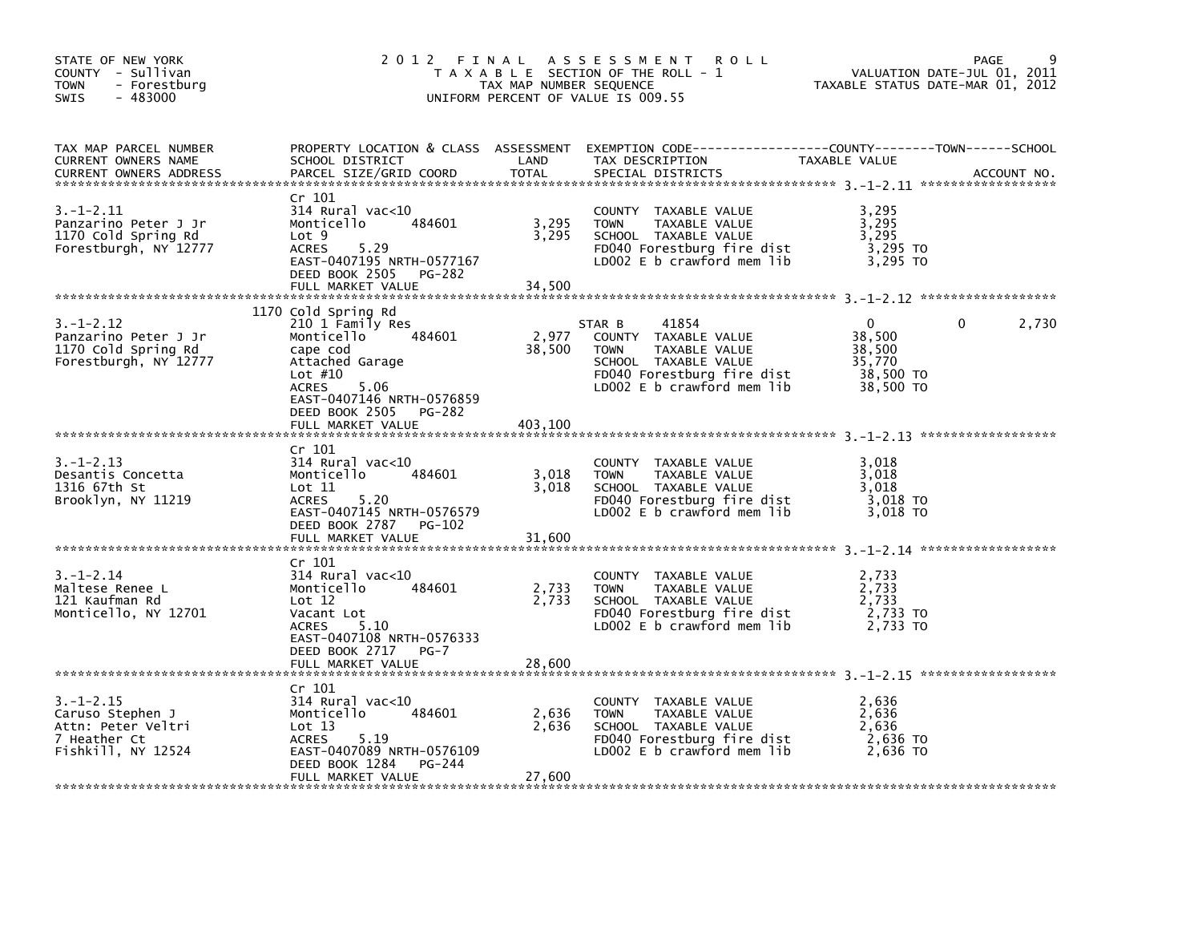| STATE OF NEW YORK<br>COUNTY - Sullivan<br>- Forestburg<br>TOWN<br>$-483000$<br>SWIS             | 2012 FINAL                                                                                                                                                                                                        | TAX MAP NUMBER SEQUENCE    | A S S E S S M E N T<br>R O L L<br>T A X A B L E SECTION OF THE ROLL - 1<br>UNIFORM PERCENT OF VALUE IS 009.55                                               | TAXABLE STATUS DATE-MAR 01, 2012                          | PAGE<br>VALUATION DATE-JUL 01, 2011 |
|-------------------------------------------------------------------------------------------------|-------------------------------------------------------------------------------------------------------------------------------------------------------------------------------------------------------------------|----------------------------|-------------------------------------------------------------------------------------------------------------------------------------------------------------|-----------------------------------------------------------|-------------------------------------|
| TAX MAP PARCEL NUMBER<br>CURRENT OWNERS NAME<br><b>CURRENT OWNERS ADDRESS</b>                   | SCHOOL DISTRICT<br>PARCEL SIZE/GRID COORD                                                                                                                                                                         | LAND<br><b>TOTAL</b>       | PROPERTY LOCATION & CLASS ASSESSMENT EXEMPTION CODE---------------COUNTY-------TOWN------SCHOOL<br>TAX DESCRIPTION<br>SPECIAL DISTRICTS                     | TAXABLE VALUE                                             | ACCOUNT NO.                         |
| 3. –1–2.11<br>Panzarino Peter J Jr<br>1170 Cold Spring Rd<br>Forestburgh, NY 12777              | Cr 101<br>$314$ Rural vac< $10$<br>484601<br>Monticello<br>Lot 9<br><b>ACRES</b><br>5.29<br>EAST-0407195 NRTH-0577167<br>DEED BOOK 2505<br>PG-282<br>FULL MARKET VALUE                                            | 3,295<br>3,295<br>34,500   | <b>COUNTY</b><br>TAXABLE VALUE<br>TAXABLE VALUE<br><b>TOWN</b><br>SCHOOL TAXABLE VALUE<br>FD040 Forestburg fire dist<br>LD002 E b crawford mem lib          | 3,295<br>3,295<br>3,295<br>$3,295$ TO<br>3,295 TO         |                                     |
| 3. –1–2.12<br>Panzarino Peter J Jr<br>1170 Cold Spring Rd<br>Forestburgh, NY 12777              | 1170 Cold Spring Rd<br>210 1 Family Res<br>484601<br>Monticello<br>cape cod<br>Attached Garage<br>Lot $#10$<br><b>ACRES</b><br>5.06<br>EAST-0407146 NRTH-0576859<br>DEED BOOK 2505<br>PG-282<br>FULL MARKET VALUE | 2,977<br>38,500<br>403,100 | 41854<br>STAR B<br>COUNTY TAXABLE VALUE<br>TAXABLE VALUE<br><b>TOWN</b><br>SCHOOL TAXABLE VALUE<br>FD040 Forestburg fire dist<br>LD002 E b crawford mem lib | 0<br>38,500<br>38,500<br>35,770<br>38,500 TO<br>38,500 TO | 2,730<br>0                          |
| $3. - 1 - 2.13$<br>Desantis Concetta<br>1316 67th St<br>Brooklyn, NY 11219                      | Cr 101<br>$314$ Rural vac< $10$<br>484601<br>Monticello<br>Lot 11<br>5.20<br>ACRES<br>EAST-0407145 NRTH-0576579<br>DEED BOOK 2787<br>PG-102                                                                       | 3,018<br>3.018             | COUNTY TAXABLE VALUE<br><b>TOWN</b><br>TAXABLE VALUE<br>SCHOOL TAXABLE VALUE<br>FD040 Forestburg fire dist<br>LD002 E b crawford mem lib                    | 3,018<br>3,018<br>3.018<br>3,018 TO<br>3,018 TO           |                                     |
|                                                                                                 | FULL MARKET VALUE                                                                                                                                                                                                 | 31,600                     |                                                                                                                                                             |                                                           |                                     |
| $3. - 1 - 2.14$<br>Maltese Renee L<br>121 Kaufman Rd<br>Monticello, NY 12701                    | Cr 101<br>314 Rural vac<10<br>Monticello<br>484601<br>Lot 12<br>Vacant Lot<br><b>ACRES</b><br>5.10<br>EAST-0407108 NRTH-0576333                                                                                   | 2,733<br>2,733             | <b>COUNTY</b><br>TAXABLE VALUE<br>TAXABLE VALUE<br><b>TOWN</b><br>SCHOOL TAXABLE VALUE<br>FD040 Forestburg fire dist<br>LD002 $E$ b crawford mem lib        | 2,733<br>2,733<br>2,733<br>2,733 TO<br>2,733 TO           |                                     |
|                                                                                                 | DEED BOOK 2717<br>$PG-7$<br>FULL MARKET VALUE                                                                                                                                                                     | 28,600                     |                                                                                                                                                             |                                                           |                                     |
| $3. - 1 - 2.15$<br>Caruso Stephen J<br>Attn: Peter Veltri<br>7 Heather Ct<br>Fishkill, NY 12524 | Cr 101<br>$314$ Rural vac< $10$<br>Monticello<br>484601<br>Lot 13<br>5.19<br><b>ACRES</b><br>EAST-0407089 NRTH-0576109<br>DEED BOOK 1284<br>PG-244<br>FULL MARKET VALUE                                           | 2,636<br>2,636<br>27,600   | COUNTY TAXABLE VALUE<br><b>TOWN</b><br>TAXABLE VALUE<br>SCHOOL TAXABLE VALUE<br>FD040 Forestburg fire dist<br>LD002 $E$ b crawford mem lib                  | 2,636<br>2,636<br>2,636<br>2,636 TO<br>2,636 TO           |                                     |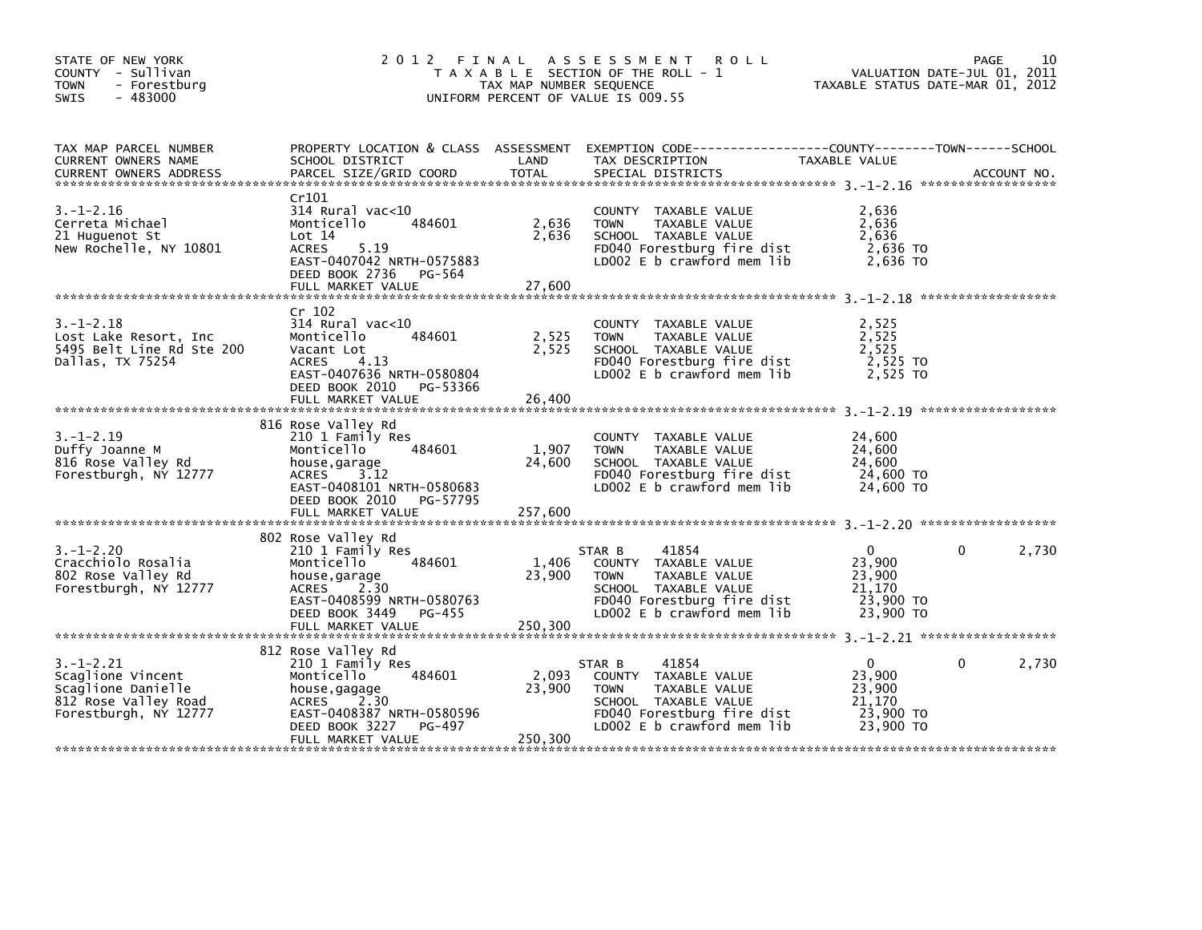| STATE OF NEW YORK<br>COUNTY - Sullivan<br><b>TOWN</b><br>- Forestburg<br>$-483000$<br>SWIS                  |                                                                                                                                                                              | TAX MAP NUMBER SEQUENCE    | 2012 FINAL ASSESSMENT<br><b>ROLL</b><br>T A X A B L E SECTION OF THE ROLL - 1<br>UNIFORM PERCENT OF VALUE IS 009.55                                         | TAXABLE STATUS DATE-MAR 01, 2012                                     | 10<br>PAGE<br>VALUATION DATE-JUL 01, 2011 |
|-------------------------------------------------------------------------------------------------------------|------------------------------------------------------------------------------------------------------------------------------------------------------------------------------|----------------------------|-------------------------------------------------------------------------------------------------------------------------------------------------------------|----------------------------------------------------------------------|-------------------------------------------|
| TAX MAP PARCEL NUMBER<br>CURRENT OWNERS NAME<br><b>CURRENT OWNERS ADDRESS</b>                               | PROPERTY LOCATION & CLASS ASSESSMENT<br>SCHOOL DISTRICT<br>PARCEL SIZE/GRID COORD                                                                                            | LAND<br>TOTAL              | EXEMPTION CODE-----------------COUNTY-------TOWN------SCHOOL<br>TAX DESCRIPTION<br>SPECIAL DISTRICTS                                                        | TAXABLE VALUE                                                        | ACCOUNT NO.                               |
| $3. - 1 - 2.16$<br>Cerreta Michael<br>21 Huguenot St<br>New Rochelle, NY 10801                              | Cr101<br>$314$ Rural vac< $10$<br>484601<br>Monticello<br>Lot 14<br>5.19<br>ACRES<br>EAST-0407042 NRTH-0575883<br>DEED BOOK 2736 PG-564<br>FULL MARKET VALUE                 | 2,636<br>2,636<br>27,600   | COUNTY TAXABLE VALUE<br>TAXABLE VALUE<br><b>TOWN</b><br>SCHOOL TAXABLE VALUE<br>FD040 Forestburg fire dist<br>LD002 E b crawford mem lib                    | 2,636<br>2,636<br>2,636<br>2,636 TO<br>2,636 TO                      |                                           |
| $3. - 1 - 2.18$<br>Lost Lake Resort, Inc<br>5495 Belt Line Rd Ste 200<br>Dallas, TX 75254                   | Cr 102<br>314 Rural vac<10<br>484601<br>Monticello<br>Vacant Lot<br>ACRES<br>4.13<br>EAST-0407636 NRTH-0580804<br>DEED BOOK 2010 PG-53366<br>FULL MARKET VALUE               | 2,525<br>2,525<br>26,400   | COUNTY TAXABLE VALUE<br>TAXABLE VALUE<br><b>TOWN</b><br>SCHOOL TAXABLE VALUE<br>FD040 Forestburg fire dist<br>LD002 E b crawford mem lib                    | 2,525<br>2,525<br>2,525<br>2,525 TO<br>2,525 TO                      |                                           |
| $3. - 1 - 2.19$<br>Duffy Joanne M<br>816 Rose Valley Rd<br>Forestburgh, NY 12777                            | 816 Rose Valley Rd<br>210 1 Family Res<br>484601<br>Monticello<br>house,garage<br>ACRES<br>3.12<br>EAST-0408101 NRTH-0580683<br>DEED BOOK 2010 PG-57795<br>FULL MARKET VALUE | 1,907<br>24,600<br>257,600 | COUNTY TAXABLE VALUE<br>TAXABLE VALUE<br><b>TOWN</b><br>SCHOOL TAXABLE VALUE<br>FD040 Forestburg fire dist<br>LD002 E b crawford mem lib                    | 24,600<br>24,600<br>24,600<br>24,600 TO<br>24,600 TO                 |                                           |
| $3. - 1 - 2.20$<br>Cracchiolo Rosalia<br>802 Rose Valley Rd<br>Forestburgh, NY 12777                        | 802 Rose Valley Rd<br>210 1 Family Res<br>Monticello<br>484601<br>house,garage<br>ACRES 2.30<br>EAST-0408599 NRTH-0580763<br>DEED BOOK 3449 PG-455                           | 1,406<br>23,900            | 41854<br>STAR B<br>COUNTY TAXABLE VALUE<br><b>TOWN</b><br>TAXABLE VALUE<br>SCHOOL TAXABLE VALUE<br>FD040 Forestburg fire dist<br>LD002 E b crawford mem lib | $\Omega$<br>23,900<br>23,900<br>21,170<br>23,900 TO<br>23,900 TO     | 0<br>2,730                                |
| $3. - 1 - 2.21$<br>Scaglione Vincent<br>Scaglione Danielle<br>812 Rose Valley Road<br>Forestburgh, NY 12777 | 812 Rose Valley Rd<br>210 1 Family Res<br>484601<br>Monticello<br>house,gagage<br>ACRES 2.30<br>EAST-0408387 NRTH-0580596<br>DEED BOOK 3227<br>PG-497<br>FULL MARKET VALUE   | 2,093<br>23,900<br>250,300 | 41854<br>STAR B<br>COUNTY TAXABLE VALUE<br>TAXABLE VALUE<br>TOWN<br>SCHOOL TAXABLE VALUE<br>FD040 Forestburg fire dist<br>LD002 E b crawford mem lib        | $\mathbf{0}$<br>23,900<br>23,900<br>21,170<br>23,900 TO<br>23,900 TO | $\mathbf{0}$<br>2,730                     |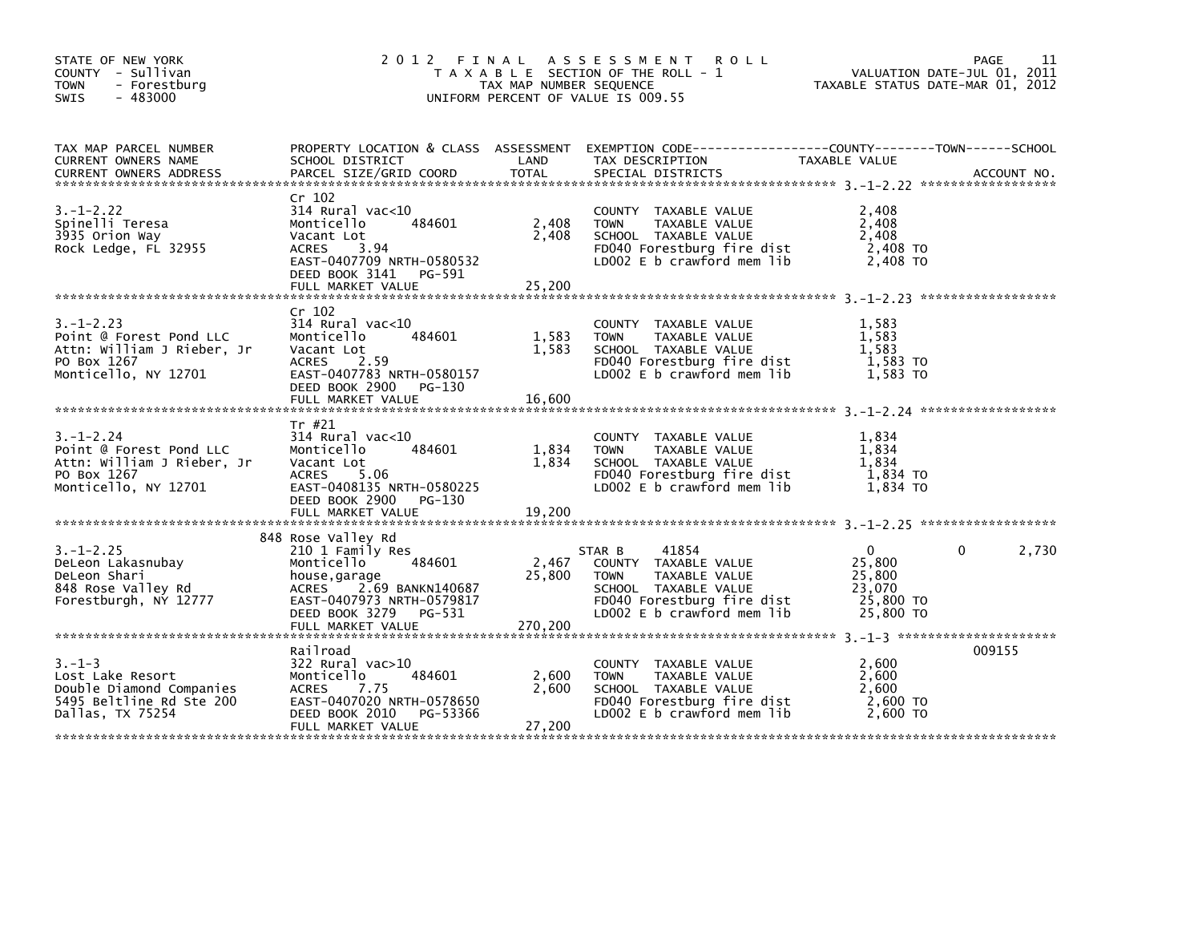| STATE OF NEW YORK<br>COUNTY - Sullivan<br><b>TOWN</b><br>- Forestburg<br>$-483000$<br><b>SWIS</b>               | 2012 FINAL                                                                                                                                                                                | TAX MAP NUMBER SEQUENCE    | ASSESSMENT ROLL<br>T A X A B L E SECTION OF THE ROLL - 1<br>UNIFORM PERCENT OF VALUE IS 009.55                                                              | TAXABLE STATUS DATE-MAR 01, 2012                                     | PAGE<br>11<br>VALUATION DATE-JUL 01, 2011 |
|-----------------------------------------------------------------------------------------------------------------|-------------------------------------------------------------------------------------------------------------------------------------------------------------------------------------------|----------------------------|-------------------------------------------------------------------------------------------------------------------------------------------------------------|----------------------------------------------------------------------|-------------------------------------------|
| TAX MAP PARCEL NUMBER<br>CURRENT OWNERS NAME                                                                    | SCHOOL DISTRICT                                                                                                                                                                           | LAND                       | PROPERTY LOCATION & CLASS ASSESSMENT EXEMPTION CODE----------------COUNTY-------TOWN------SCHOOL<br>TAX DESCRIPTION                                         | TAXABLE VALUE                                                        |                                           |
| $3. - 1 - 2.22$<br>Spinelli Teresa<br>3935 Orion Way<br>Rock Ledge, FL 32955                                    | Cr 102<br>$314$ Rural vac< $10$<br>484601<br>Monticello<br>Vacant Lot<br><b>ACRES</b><br>3.94<br>EAST-0407709 NRTH-0580532<br>DEED BOOK 3141<br>PG-591<br>FULL MARKET VALUE               | 2,408<br>2,408<br>25,200   | COUNTY TAXABLE VALUE<br><b>TOWN</b><br>TAXABLE VALUE<br>SCHOOL TAXABLE VALUE<br>FD040 Forestburg fire dist<br>LD002 E b crawford mem lib                    | 2,408<br>2,408<br>2,408<br>2,408 TO<br>2,408 TO                      |                                           |
| $3. - 1 - 2.23$<br>Point @ Forest Pond LLC<br>Attn: William J Rieber, Jr<br>PO Box 1267<br>Monticello, NY 12701 | $Cr$ 102<br>314 Rural vac<10<br>Monticello<br>484601<br>Vacant Lot<br>2.59<br>ACRES<br>EAST-0407783 NRTH-0580157<br>DEED BOOK 2900<br>PG-130<br>FULL MARKET VALUE                         | 1,583<br>1,583<br>16,600   | COUNTY TAXABLE VALUE<br><b>TOWN</b><br>TAXABLE VALUE<br>SCHOOL TAXABLE VALUE<br>FD040 Forestburg fire dist<br>LD002 E b crawford mem lib                    | 1,583<br>1,583<br>1,583<br>1,583 TO<br>1,583 TO                      |                                           |
| $3. - 1 - 2.24$<br>Point @ Forest Pond LLC<br>Attn: William J Rieber, Jr<br>PO Box 1267<br>Monticello, NY 12701 | Tr #21<br>$314$ Rural vac<10<br>Monticello<br>484601<br>Vacant Lot<br>5.06<br>ACRES<br>EAST-0408135 NRTH-0580225<br>DEED BOOK 2900<br>PG-130<br>FULL MARKET VALUE                         | 1,834<br>1,834<br>19,200   | COUNTY TAXABLE VALUE<br>TAXABLE VALUE<br><b>TOWN</b><br>SCHOOL TAXABLE VALUE<br>FD040 Forestburg fire dist<br>LD002 E b crawford mem lib                    | 1,834<br>1,834<br>1,834<br>1,834 TO<br>1,834 TO                      |                                           |
| $3. - 1 - 2.25$<br>DeLeon Lakasnubay<br>DeLeon Shari<br>848 Rose Valley Rd<br>Forestburgh, NY 12777             | 848 Rose Valley Rd<br>210 1 Family Res<br>484601<br>Monticello<br>house,garage<br>2.69 BANKN140687<br>ACRES<br>EAST-0407973 NRTH-0579817<br>DEED BOOK 3279<br>PG-531<br>FULL MARKET VALUE | 2,467<br>25,800<br>270,200 | 41854<br>STAR B<br>COUNTY TAXABLE VALUE<br><b>TOWN</b><br>TAXABLE VALUE<br>SCHOOL TAXABLE VALUE<br>FD040 Forestburg fire dist<br>LD002 E b crawford mem lib | $\mathbf{0}$<br>25,800<br>25,800<br>23,070<br>25,800 TO<br>25,800 TO | 2,730<br>0                                |
| $3. - 1 - 3$<br>Lost Lake Resort<br>Double Diamond Companies<br>5495 Beltline Rd Ste 200<br>Dallas, TX 75254    | Railroad<br>322 Rural vac>10<br>484601<br>Monticello<br>7.75<br>ACRES<br>EAST-0407020 NRTH-0578650<br>DEED BOOK 2010<br>PG-53366<br>FULL MARKET VALUE                                     | 2,600<br>2,600<br>27,200   | COUNTY TAXABLE VALUE<br><b>TOWN</b><br>TAXABLE VALUE<br>SCHOOL TAXABLE VALUE<br>FD040 Forestburg fire dist<br>LD002 E b crawford mem lib                    | 2,600<br>2,600<br>2,600<br>2,600 TO<br>2.600 TO                      | 009155                                    |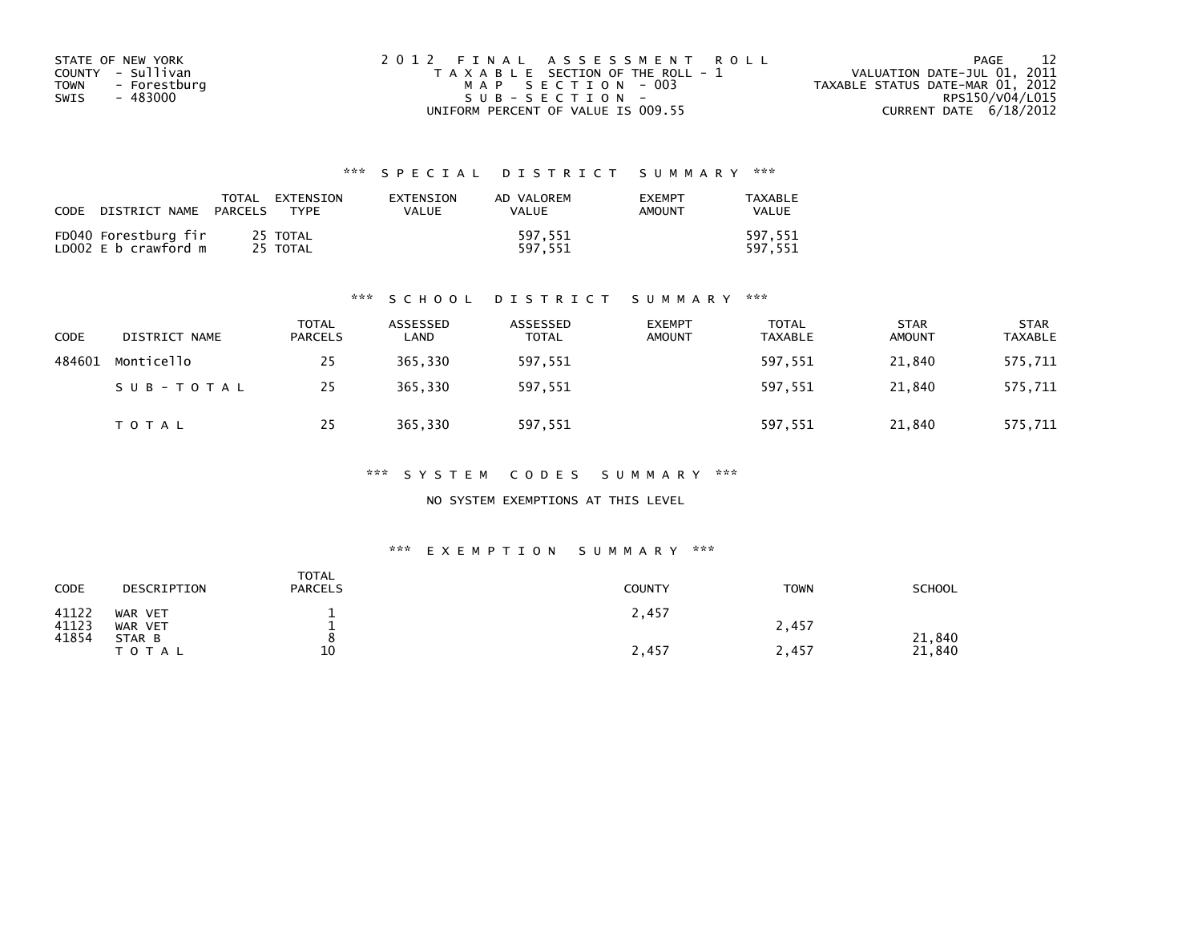| STATE OF NEW YORK           | 2012 FINAL ASSESSMENT ROLL            | - 12<br>PAGE                     |
|-----------------------------|---------------------------------------|----------------------------------|
| COUNTY - Sullivan           | T A X A B L E SECTION OF THE ROLL - 1 | VALUATION DATE-JUL 01, 2011      |
| <b>TOWN</b><br>- Forestburg | MAP SECTION - 003                     | TAXABLE STATUS DATE-MAR 01, 2012 |
| SWIS<br>- 483000            | $SUB - SECTION -$                     | RPS150/V04/L015                  |
|                             | UNIFORM PERCENT OF VALUE IS 009.55    | CURRENT DATE 6/18/2012           |

| CODE                                         | DISTRICT NAME PARCELS |                      | TOTAL EXTENSION<br>TYPF | EXTENSION<br>VALUE | AD VALOREM<br>VALUE | <b>EXEMPT</b><br><b>AMOUNT</b> | TAXABLE<br>VALUE   |
|----------------------------------------------|-----------------------|----------------------|-------------------------|--------------------|---------------------|--------------------------------|--------------------|
| FD040 Forestburg fir<br>LD002 E b crawford m |                       | 25 TOTAL<br>25 TOTAL |                         |                    | 597.551<br>597.551  |                                | 597.551<br>597.551 |

#### \*\*\* S C H O O L D I S T R I C T S U M M A R Y \*\*\*

| <b>CODE</b> | DISTRICT NAME | TOTAL<br>PARCELS | ASSESSED<br>∟AND | ASSESSED<br><b>TOTAL</b> | <b>EXEMPT</b><br><b>AMOUNT</b> | <b>TOTAL</b><br><b>TAXABLE</b> | <b>STAR</b><br><b>AMOUNT</b> | <b>STAR</b><br><b>TAXABLE</b> |
|-------------|---------------|------------------|------------------|--------------------------|--------------------------------|--------------------------------|------------------------------|-------------------------------|
| 484601      | Monticello    | 25               | 365,330          | 597,551                  |                                | 597,551                        | 21.840                       | 575,711                       |
|             | SUB-TOTAL     | 25               | 365,330          | 597,551                  |                                | 597,551                        | 21,840                       | 575,711                       |
|             | T O T A L     | 25               | 365,330          | 597,551                  |                                | 597,551                        | 21,840                       | 575,711                       |

#### \*\*\* S Y S T E M C O D E S S U M M A R Y \*\*\*

### NO SYSTEM EXEMPTIONS AT THIS LEVEL

#### \*\*\* E X E M P T I O N S U M M A R Y \*\*\*

| CODE           | DESCRIPTION         | <b>TOTAL</b><br><b>PARCELS</b> | <b>COUNTY</b> | <b>TOWN</b> | SCHOOL           |
|----------------|---------------------|--------------------------------|---------------|-------------|------------------|
| 41122<br>41123 | WAR VET<br>WAR VET  | -                              | 2,457         | 2,457       |                  |
| 41854          | STAR B<br>T O T A L | 10                             | 2,457         | 2,457       | 21,840<br>21,840 |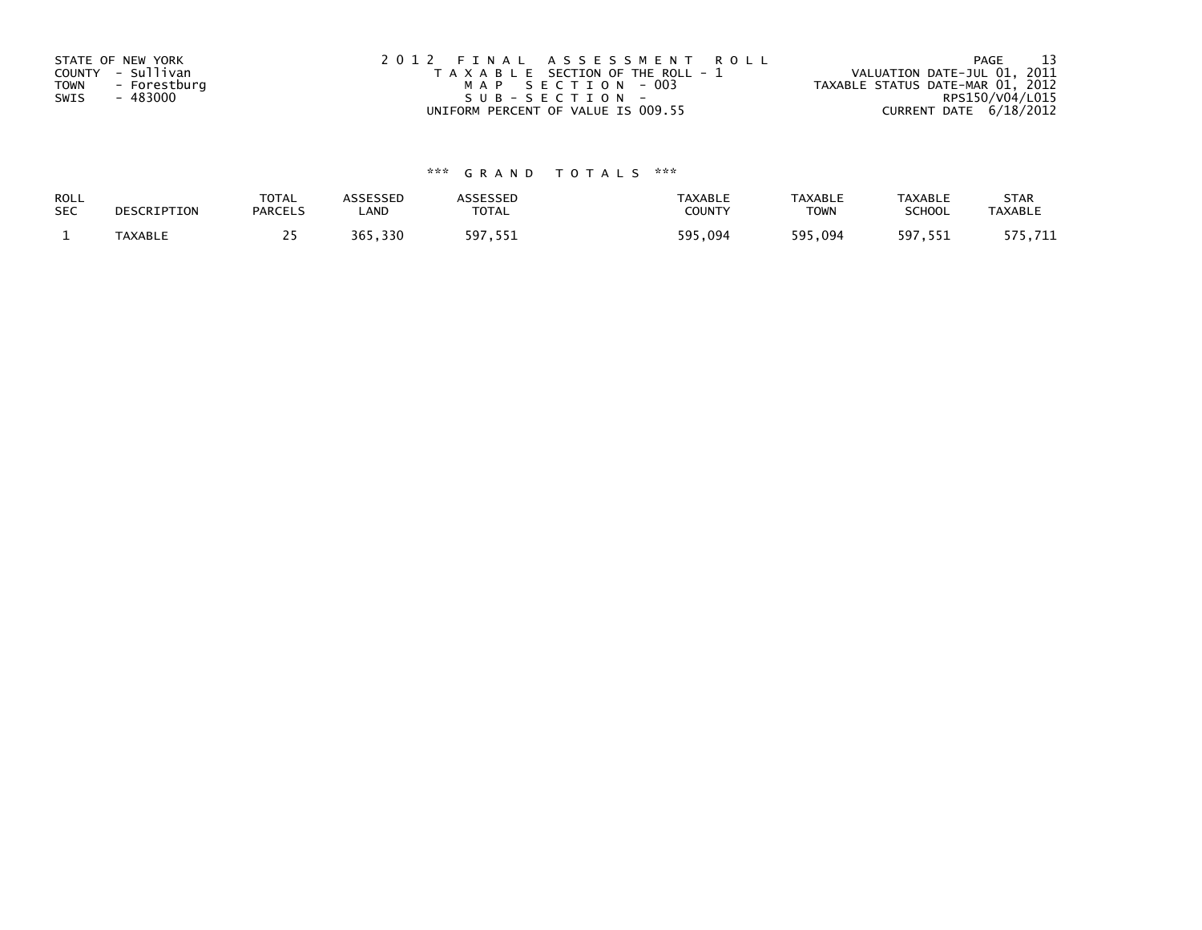| STATE OF NEW YORK           | 2012 FINAL ASSESSMENT ROLL            | - 13<br>PAGE                     |
|-----------------------------|---------------------------------------|----------------------------------|
| COUNTY - Sullivan           | T A X A B L E SECTION OF THE ROLL - 1 | VALUATION DATE-JUL 01, 2011      |
| <b>TOWN</b><br>- Forestburg | MAP SECTION - 003                     | TAXABLE STATUS DATE-MAR 01, 2012 |
| SWIS<br>- 483000            | SUB-SECTION-                          | RPS150/V04/L015                  |
|                             | UNIFORM PERCENT OF VALUE IS 009.55    | CURRENT DATE 6/18/2012           |

| <b>ROLL</b> | DESCRIPTION    | <b>TOTAL</b>   | ASSESSED | <b>ASSESSED</b> | <b>TAXABLE</b> | <b>TAXABLE</b> | <b>TAXABLE</b> | <b>STAR</b>    |
|-------------|----------------|----------------|----------|-----------------|----------------|----------------|----------------|----------------|
| <b>SEC</b>  |                | <b>PARCELS</b> | ∟AND     | TOTAL           | COUNT          | TOWN           | <b>SCHOOL</b>  | <b>TAXABLE</b> |
|             | <b>TAXABLE</b> |                | 365,330  | 597,551         | 595.094        | 595,094        | 597,551        | 575,711        |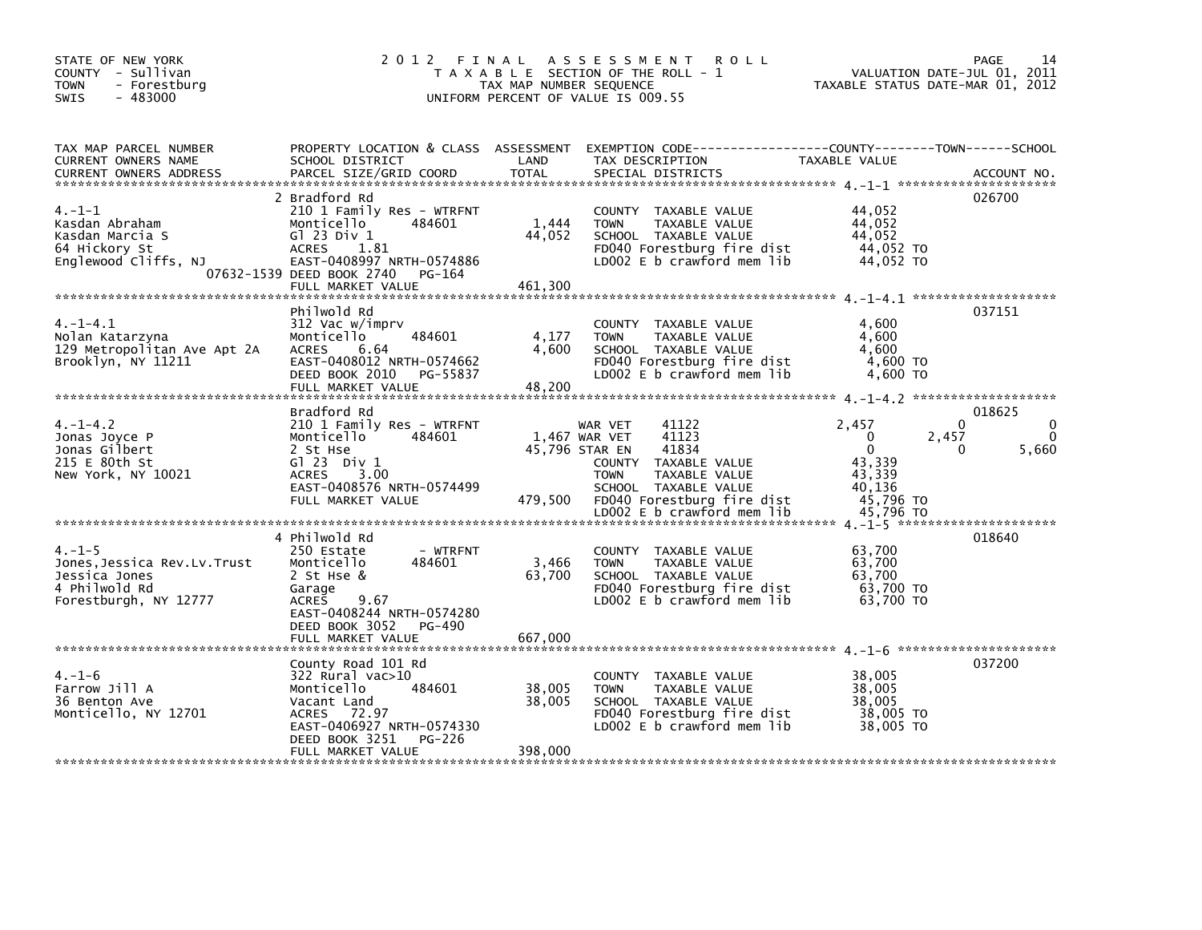| TAX MAP PARCEL NUMBER<br>PROPERTY LOCATION & CLASS ASSESSMENT EXEMPTION CODE---------------COUNTY-------TOWN-----SCHOOL<br>LAND<br>TAXABLE VALUE<br>CURRENT OWNERS NAME<br>SCHOOL DISTRICT<br>TAX DESCRIPTION<br>TOTAL<br>PARCEL SIZE/GRID COORD<br>SPECIAL DISTRICTS<br><b>CURRENT OWNERS ADDRESS</b><br>ACCOUNT NO.<br>2 Bradford Rd<br>026700<br>$4. -1 - 1$<br>210 1 Family Res - WTRFNT<br>44,052<br>COUNTY TAXABLE VALUE<br>1,444<br>44,052<br>484601<br>Kasdan Abraham<br>Monticello<br><b>TOWN</b><br>TAXABLE VALUE<br>44,052<br>Kasdan Marcia S<br>G1 23 Div 1<br>44,052<br>SCHOOL TAXABLE VALUE<br>FD040 Forestburg fire dist<br>44,052 TO<br>64 Hickory St<br><b>ACRES</b><br>1.81<br>Englewood Cliffs, NJ<br>EAST-0408997 NRTH-0574886<br>LD002 E b crawford mem lib<br>44,052 TO<br>07632-1539 DEED BOOK 2740 PG-164<br>461,300<br>FULL MARKET VALUE<br>037151<br>Philwold Rd<br>$4. -1 - 4.1$<br>312 Vac w/imprv<br>4,600<br>COUNTY TAXABLE VALUE<br>Monticello<br>484601<br>4,177<br>TAXABLE VALUE<br>4,600<br>Nolan Katarzyna<br><b>TOWN</b><br>4,600<br>129 Metropolitan Ave Apt 2A<br>ACRES<br>6.64<br>SCHOOL TAXABLE VALUE<br>4,600<br>EAST-0408012 NRTH-0574662<br>Brooklyn, NY 11211<br>FD040 Forestburg fire dist<br>4,600 TO<br>DEED BOOK 2010 PG-55837<br>LD002 E b crawford mem lib<br>4,600 TO<br>48,200<br>FULL MARKET VALUE<br>Bradford Rd<br>018625<br>$\mathbf{0}$<br>0<br>$4. -1 - 4.2$<br>210 1 Family Res - WTRFNT<br>41122<br>2.457<br>WAR VET<br>41123<br>$\Omega$<br>$\mathbf{0}$<br>Jonas Joyce P<br>Monticello<br>484601<br>1,467 WAR VET<br>2,457<br>$\Omega$<br>Jonas Gilbert<br>2 St Hse<br>45,796 STAR EN<br>41834<br>5,660 | STATE OF NEW YORK<br>COUNTY - Sullivan<br>- Forestburg<br>TOWN<br>$-483000$<br><b>SWIS</b> | 2 0 1 2<br>FINAL | TAX MAP NUMBER SEQUENCE | A S S E S S M E N T<br><b>ROLL</b><br>T A X A B L E SECTION OF THE ROLL - 1<br>UNIFORM PERCENT OF VALUE IS 009.55 | VALUATION DATE-JUL 01, 2011<br>TAXABLE STATUS DATE-MAR 01, 2012 | PAGE<br>14 |
|-----------------------------------------------------------------------------------------------------------------------------------------------------------------------------------------------------------------------------------------------------------------------------------------------------------------------------------------------------------------------------------------------------------------------------------------------------------------------------------------------------------------------------------------------------------------------------------------------------------------------------------------------------------------------------------------------------------------------------------------------------------------------------------------------------------------------------------------------------------------------------------------------------------------------------------------------------------------------------------------------------------------------------------------------------------------------------------------------------------------------------------------------------------------------------------------------------------------------------------------------------------------------------------------------------------------------------------------------------------------------------------------------------------------------------------------------------------------------------------------------------------------------------------------------------------------------------------------------------------------------------------------------------------------------|--------------------------------------------------------------------------------------------|------------------|-------------------------|-------------------------------------------------------------------------------------------------------------------|-----------------------------------------------------------------|------------|
|                                                                                                                                                                                                                                                                                                                                                                                                                                                                                                                                                                                                                                                                                                                                                                                                                                                                                                                                                                                                                                                                                                                                                                                                                                                                                                                                                                                                                                                                                                                                                                                                                                                                       |                                                                                            |                  |                         |                                                                                                                   |                                                                 |            |
|                                                                                                                                                                                                                                                                                                                                                                                                                                                                                                                                                                                                                                                                                                                                                                                                                                                                                                                                                                                                                                                                                                                                                                                                                                                                                                                                                                                                                                                                                                                                                                                                                                                                       |                                                                                            |                  |                         |                                                                                                                   |                                                                 |            |
|                                                                                                                                                                                                                                                                                                                                                                                                                                                                                                                                                                                                                                                                                                                                                                                                                                                                                                                                                                                                                                                                                                                                                                                                                                                                                                                                                                                                                                                                                                                                                                                                                                                                       |                                                                                            |                  |                         |                                                                                                                   |                                                                 |            |
| 43,339<br>New York, NY 10021<br><b>ACRES</b><br>3.00<br><b>TOWN</b><br>TAXABLE VALUE<br>EAST-0408576 NRTH-0574499<br>SCHOOL TAXABLE VALUE<br>40,136<br>479,500<br>FD040 Forestburg fire dist<br>45,796 TO<br>FULL MARKET VALUE<br>LD002 E b crawford mem lib<br>45,796 TO                                                                                                                                                                                                                                                                                                                                                                                                                                                                                                                                                                                                                                                                                                                                                                                                                                                                                                                                                                                                                                                                                                                                                                                                                                                                                                                                                                                             | 215 E 80th St                                                                              | $G1 23$ Div $1$  |                         | COUNTY TAXABLE VALUE                                                                                              | 43,339                                                          |            |
| 4 Philwold Rd<br>018640<br>63,700<br>$4. - 1 - 5$<br>250 Estate<br>- WTRFNT<br>COUNTY TAXABLE VALUE<br>3,466<br>63,700<br>Jones, Jessica Rev.Lv.Trust<br>Monticello<br>484601<br>TAXABLE VALUE<br><b>TOWN</b><br>63.700<br>63,700<br>Jessica Jones<br>2 St Hse &<br>SCHOOL TAXABLE VALUE<br>4 Philwold Rd<br>FD040 Forestburg fire dist<br>63,700 TO<br>Garage<br>Forestburgh, NY 12777<br>9.67<br>LD002 E b crawford mem lib<br>63,700 TO<br>ACRES<br>EAST-0408244 NRTH-0574280<br>DEED BOOK 3052 PG-490<br>667,000<br>FULL MARKET VALUE                                                                                                                                                                                                                                                                                                                                                                                                                                                                                                                                                                                                                                                                                                                                                                                                                                                                                                                                                                                                                                                                                                                             |                                                                                            |                  |                         |                                                                                                                   |                                                                 |            |
| 037200<br>County Road 101 Rd<br>$4. - 1 - 6$<br>38,005<br>322 Rural vac>10<br>COUNTY TAXABLE VALUE<br>484601<br>Farrow Jill A<br>38,005<br>38,005<br>Monticello<br>TAXABLE VALUE<br><b>TOWN</b><br>38,005<br>36 Benton Ave<br>Vacant Land<br>SCHOOL TAXABLE VALUE<br>38,005<br>Monticello, NY 12701<br>ACRES 72.97<br>FD040 Forestburg fire dist<br>38,005 TO<br>EAST-0406927 NRTH-0574330<br>LD002 E b crawford mem lib<br>38,005 TO<br>DEED BOOK 3251 PG-226<br>398,000<br>FULL MARKET VALUE                                                                                                                                                                                                                                                                                                                                                                                                                                                                                                                                                                                                                                                                                                                                                                                                                                                                                                                                                                                                                                                                                                                                                                        |                                                                                            |                  |                         |                                                                                                                   |                                                                 |            |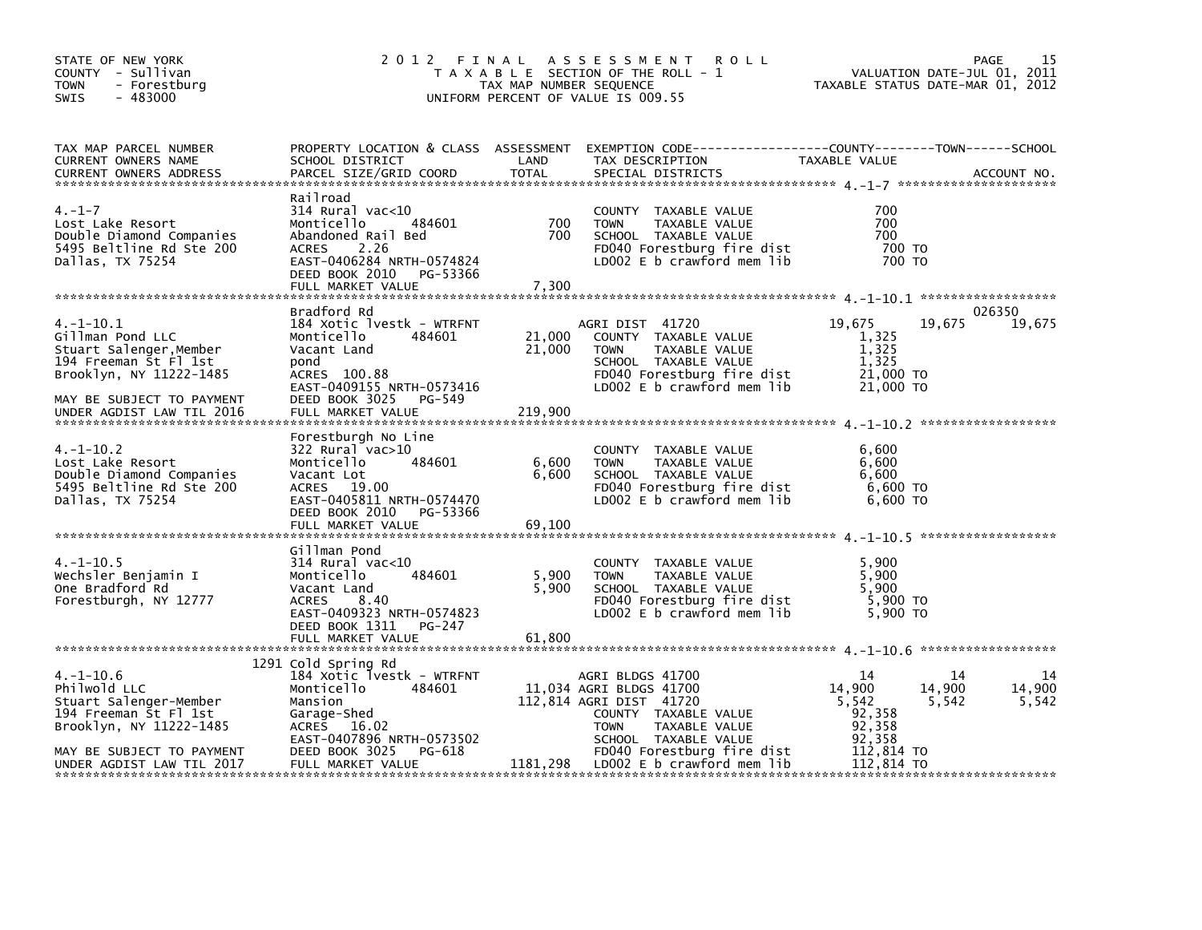| STATE OF NEW YORK<br>COUNTY - Sullivan<br><b>TOWN</b><br>- Forestburg<br>$-483000$<br><b>SWIS</b>                                                                           | 2 0 1 2                                                                                                                                                                            | FINAL<br>TAX MAP NUMBER SEQUENCE | A S S E S S M E N T<br><b>ROLL</b><br>T A X A B L E SECTION OF THE ROLL - 1<br>UNIFORM PERCENT OF VALUE IS 009.55                                                                    | VALUATION DATE-JUL 01, 2011<br>TAXABLE STATUS DATE-MAR 01, 2012                            | 15<br>PAGE            |
|-----------------------------------------------------------------------------------------------------------------------------------------------------------------------------|------------------------------------------------------------------------------------------------------------------------------------------------------------------------------------|----------------------------------|--------------------------------------------------------------------------------------------------------------------------------------------------------------------------------------|--------------------------------------------------------------------------------------------|-----------------------|
| TAX MAP PARCEL NUMBER<br><b>CURRENT OWNERS NAME</b><br><b>CURRENT OWNERS ADDRESS</b>                                                                                        | SCHOOL DISTRICT<br>PARCEL SIZE/GRID COORD                                                                                                                                          | LAND<br><b>TOTAL</b>             | PROPERTY LOCATION & CLASS ASSESSMENT EXEMPTION CODE----------------COUNTY-------TOWN------SCHOOL<br>TAX DESCRIPTION<br>SPECIAL DISTRICTS                                             | TAXABLE VALUE                                                                              | ACCOUNT NO.           |
| $4. - 1 - 7$<br>Lost Lake Resort<br>Double Diamond Companies<br>5495 Beltline Rd Ste 200<br>Dallas, TX 75254                                                                | Railroad<br>314 Rural vac<10<br>Monticello<br>484601<br>Abandoned Rail Bed<br>2.26<br><b>ACRES</b><br>EAST-0406284 NRTH-0574824<br>DEED BOOK 2010 PG-53366<br>FULL MARKET VALUE    | 700<br>700<br>7,300              | COUNTY TAXABLE VALUE<br><b>TOWN</b><br>TAXABLE VALUE<br>SCHOOL TAXABLE VALUE<br>FD040 Forestburg fire dist<br>LD002 E b crawford mem lib                                             | 700<br>700<br>700<br>700 TO<br>700 TO                                                      |                       |
| $4. -1 - 10.1$<br>Gillman Pond LLC<br>Stuart Salenger, Member<br>194 Freeman St Fl 1st<br>Brooklyn, NY 11222-1485<br>MAY BE SUBJECT TO PAYMENT<br>UNDER AGDIST LAW TIL 2016 | Bradford Rd<br>184 Xotic lvestk - WTRFNT<br>Monticello<br>484601<br>Vacant Land<br>pond<br>ACRES 100.88<br>EAST-0409155 NRTH-0573416<br>DEED BOOK 3025 PG-549<br>FULL MARKET VALUE | 21,000<br>21,000<br>219,900      | AGRI DIST 41720<br>COUNTY TAXABLE VALUE<br>TAXABLE VALUE<br><b>TOWN</b><br>SCHOOL TAXABLE VALUE<br>FD040 Forestburg fire dist<br>LD002 E b crawford mem lib                          | 19,675<br>19,675<br>1,325<br>1,325<br>1,325<br>21,000 TO<br>21,000 TO                      | 026350<br>19,675      |
| $4. -1 - 10.2$<br>Lost Lake Resort<br>Double Diamond Companies<br>5495 Beltline Rd Ste 200<br>Dallas, TX 75254                                                              | Forestburgh No Line<br>322 Rural vac>10<br>484601<br>Monticello<br>Vacant Lot<br>ACRES 19.00<br>EAST-0405811 NRTH-0574470<br>DEED BOOK 2010 PG-53366<br>FULL MARKET VALUE          | 6,600<br>6,600<br>69,100         | COUNTY TAXABLE VALUE<br><b>TOWN</b><br>TAXABLE VALUE<br>SCHOOL TAXABLE VALUE<br>FD040 Forestburg fire dist<br>LD002 E b crawford mem lib                                             | 6,600<br>6,600<br>6,600<br>6,600 TO<br>6.600 TO                                            |                       |
| $4.-1-10.5$<br>Wechsler Benjamin I<br>One Bradford Rd<br>Forestburgh, NY 12777                                                                                              | Gillman Pond<br>314 Rural vac<10<br>484601<br>Monticello<br>Vacant Land<br>ACRES<br>8.40<br>EAST-0409323 NRTH-0574823<br>DEED BOOK 1311<br>PG-247<br>FULL MARKET VALUE             | 5,900<br>5,900<br>61,800         | COUNTY TAXABLE VALUE<br><b>TOWN</b><br>TAXABLE VALUE<br>SCHOOL TAXABLE VALUE<br>FD040 Forestburg fire dist<br>LD002 E b crawford mem lib                                             | 5,900<br>5,900<br>5.900<br>5,900 TO<br>5,900 TO                                            |                       |
| $4. -1 - 10.6$<br>Philwold LLC<br>Stuart Salenger-Member<br>194 Freeman St Fl 1st<br>Brooklyn, NY 11222-1485<br>MAY BE SUBJECT TO PAYMENT                                   | 1291 Cold Spring Rd<br>184 Xotic lvestk - WTRFNT<br>484601<br>Monticello<br>Mansion<br>Garage-Shed<br>ACRES 16.02<br>EAST-0407896 NRTH-0573502<br>DEED BOOK 3025<br>PG-618         |                                  | AGRI BLDGS 41700<br>11,034 AGRI BLDGS 41700<br>112,814 AGRI DIST 41720<br>COUNTY TAXABLE VALUE<br><b>TOWN</b><br>TAXABLE VALUE<br>SCHOOL TAXABLE VALUE<br>FD040 Forestburg fire dist | 14<br>14<br>14,900<br>14,900<br>5,542<br>5,542<br>92,358<br>92,358<br>92,358<br>112,814 TO | 14<br>14,900<br>5,542 |
| UNDER AGDIST LAW TIL 2017                                                                                                                                                   | FULL MARKET VALUE                                                                                                                                                                  | 1181,298                         | LD002 E b crawford mem lib                                                                                                                                                           | 112,814 TO                                                                                 |                       |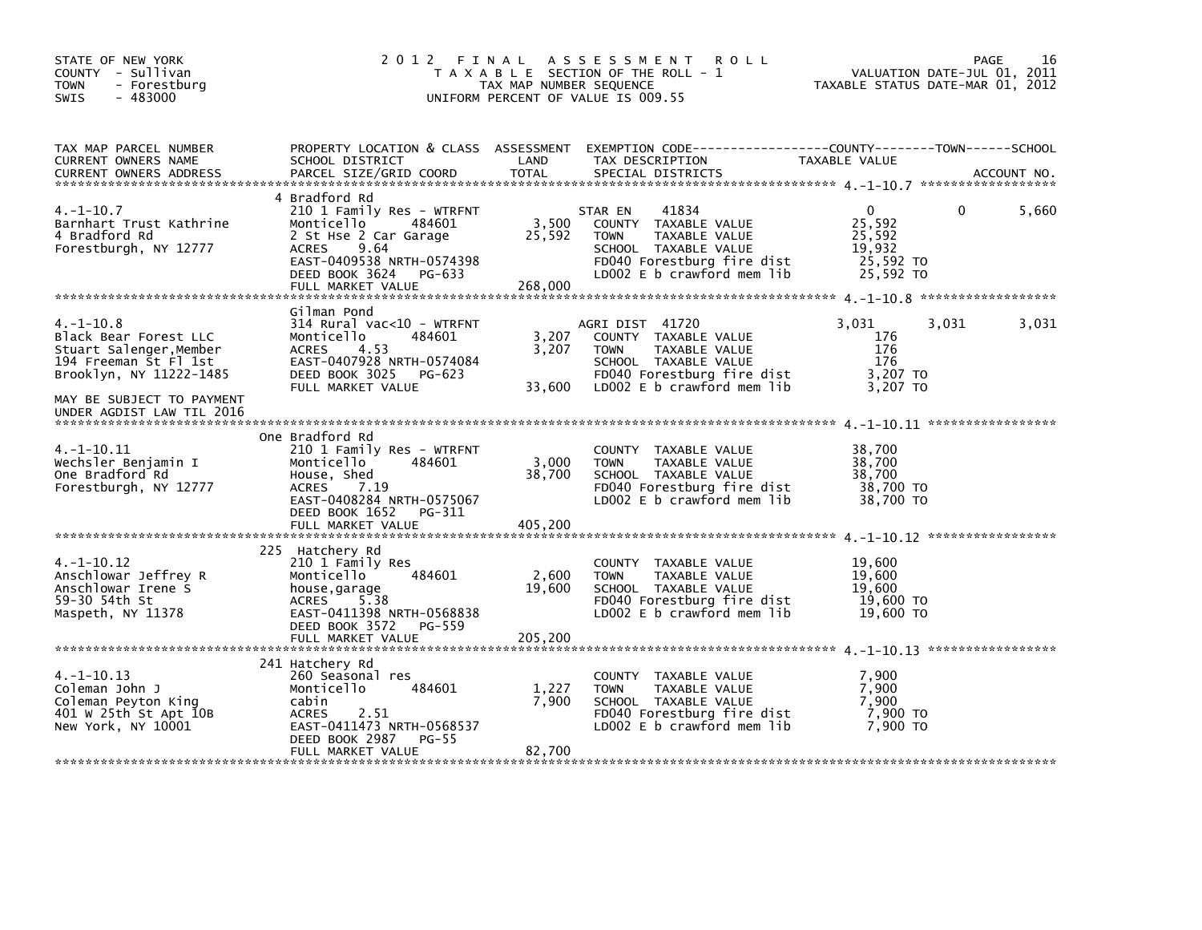| STATE OF NEW YORK<br>COUNTY - Sullivan<br><b>TOWN</b><br>- Forestburg<br>$-483000$<br><b>SWIS</b>                                                                                | 2012 FINAL                                                                                                                                                                                     | TAX MAP NUMBER SEQUENCE    | A S S E S S M E N T<br><b>ROLL</b><br>T A X A B L E SECTION OF THE ROLL - 1<br>UNIFORM PERCENT OF VALUE IS 009.55                                            | VALUATION DATE-JUL 01, 2011<br>TAXABLE STATUS DATE-MAR 01, 2012     | PAGE     | 16          |
|----------------------------------------------------------------------------------------------------------------------------------------------------------------------------------|------------------------------------------------------------------------------------------------------------------------------------------------------------------------------------------------|----------------------------|--------------------------------------------------------------------------------------------------------------------------------------------------------------|---------------------------------------------------------------------|----------|-------------|
| TAX MAP PARCEL NUMBER<br>CURRENT OWNERS NAME<br><b>CURRENT OWNERS ADDRESS</b>                                                                                                    | PROPERTY LOCATION & CLASS ASSESSMENT<br>SCHOOL DISTRICT<br>PARCEL SIZE/GRID COORD                                                                                                              | LAND<br><b>TOTAL</b>       | EXEMPTION CODE-----------------COUNTY-------TOWN------SCHOOL<br>TAX DESCRIPTION<br>SPECIAL DISTRICTS                                                         | TAXABLE VALUE                                                       |          | ACCOUNT NO. |
| $4. -1 - 10.7$<br>Barnhart Trust Kathrine<br>4 Bradford Rd<br>Forestburgh, NY 12777                                                                                              | 4 Bradford Rd<br>210 1 Family Res - WTRFNT<br>Monticello<br>484601<br>2 St Hse 2 Car Garage<br>9.64<br><b>ACRES</b><br>EAST-0409538 NRTH-0574398<br>DEED BOOK 3624 PG-633<br>FULL MARKET VALUE | 3,500<br>25,592<br>268,000 | 41834<br>STAR EN<br>COUNTY TAXABLE VALUE<br>TAXABLE VALUE<br><b>TOWN</b><br>SCHOOL TAXABLE VALUE<br>FD040 Forestburg fire dist<br>LD002 E b crawford mem lib | $\mathbf 0$<br>25,592<br>25,592<br>19,932<br>25,592 TO<br>25,592 TO | $\Omega$ | 5,660       |
| $4. -1 - 10.8$<br>Black Bear Forest LLC<br>Stuart Salenger, Member<br>194 Freeman St Fl 1st<br>Brooklyn, NY 11222-1485<br>MAY BE SUBJECT TO PAYMENT<br>UNDER AGDIST LAW TIL 2016 | Gilman Pond<br>314 Rural vac<10 - WTRFNT<br>Monticello<br>484601<br><b>ACRES</b><br>4.53<br>EAST-0407928 NRTH-0574084<br>DEED BOOK 3025 PG-623<br>FULL MARKET VALUE                            | 3,207<br>3,207<br>33,600   | AGRI DIST 41720<br>COUNTY TAXABLE VALUE<br>TAXABLE VALUE<br><b>TOWN</b><br>SCHOOL TAXABLE VALUE<br>FD040 Forestburg fire dist<br>LD002 E b crawford mem lib  | 3,031<br>176<br>176<br>176<br>3,207 TO<br>3,207 TO                  | 3,031    | 3,031       |
| $4. -1 - 10.11$<br>Wechsler Benjamin I<br>One Bradford Rd<br>Forestburgh, NY 12777                                                                                               | One Bradford Rd<br>210 1 Family Res - WTRFNT<br>Monticello<br>484601<br>House, Shed<br><b>ACRES</b><br>7.19<br>EAST-0408284 NRTH-0575067<br>DEED BOOK 1652<br>PG-311<br>FULL MARKET VALUE      | 3,000<br>38,700<br>405,200 | COUNTY TAXABLE VALUE<br><b>TOWN</b><br>TAXABLE VALUE<br>SCHOOL TAXABLE VALUE<br>FD040 Forestburg fire dist<br>LD002 E b crawford mem lib                     | 38,700<br>38,700<br>38,700<br>38,700 TO<br>38,700 TO                |          |             |
| $4. -1 - 10.12$<br>Anschlowar Jeffrey R<br>Anschlowar Irene S<br>59-30 54th St<br>Maspeth, NY 11378                                                                              | 225 Hatchery Rd<br>210 1 Family Res<br>484601<br>Monticello<br>house, garage<br>ACRES<br>5.38<br>EAST-0411398 NRTH-0568838<br>DEED BOOK 3572<br>PG-559<br>FULL MARKET VALUE                    | 2,600<br>19,600<br>205,200 | COUNTY TAXABLE VALUE<br>TAXABLE VALUE<br><b>TOWN</b><br>SCHOOL TAXABLE VALUE<br>FD040 Forestburg fire dist<br>LD002 $E$ b crawford mem lib                   | 19,600<br>19,600<br>19,600<br>19,600 TO<br>19,600 TO                |          |             |
| $4. -1 - 10.13$<br>Coleman John J<br>Coleman Peyton King<br>401 W 25th St Apt 10B<br>New York, NY 10001                                                                          | 241 Hatchery Rd<br>260 Seasonal res<br>Monticello<br>484601<br>cabin<br><b>ACRES</b><br>2.51<br>EAST-0411473 NRTH-0568537<br>DEED BOOK 2987<br>PG-55<br>FULL MARKET VALUE                      | 1,227<br>7,900<br>82,700   | COUNTY TAXABLE VALUE<br>TAXABLE VALUE<br><b>TOWN</b><br>SCHOOL TAXABLE VALUE<br>FD040 Forestburg fire dist<br>LD002 E b crawford mem lib                     | 7,900<br>7,900<br>7.900<br>7,900 то<br>7,900 TO                     |          |             |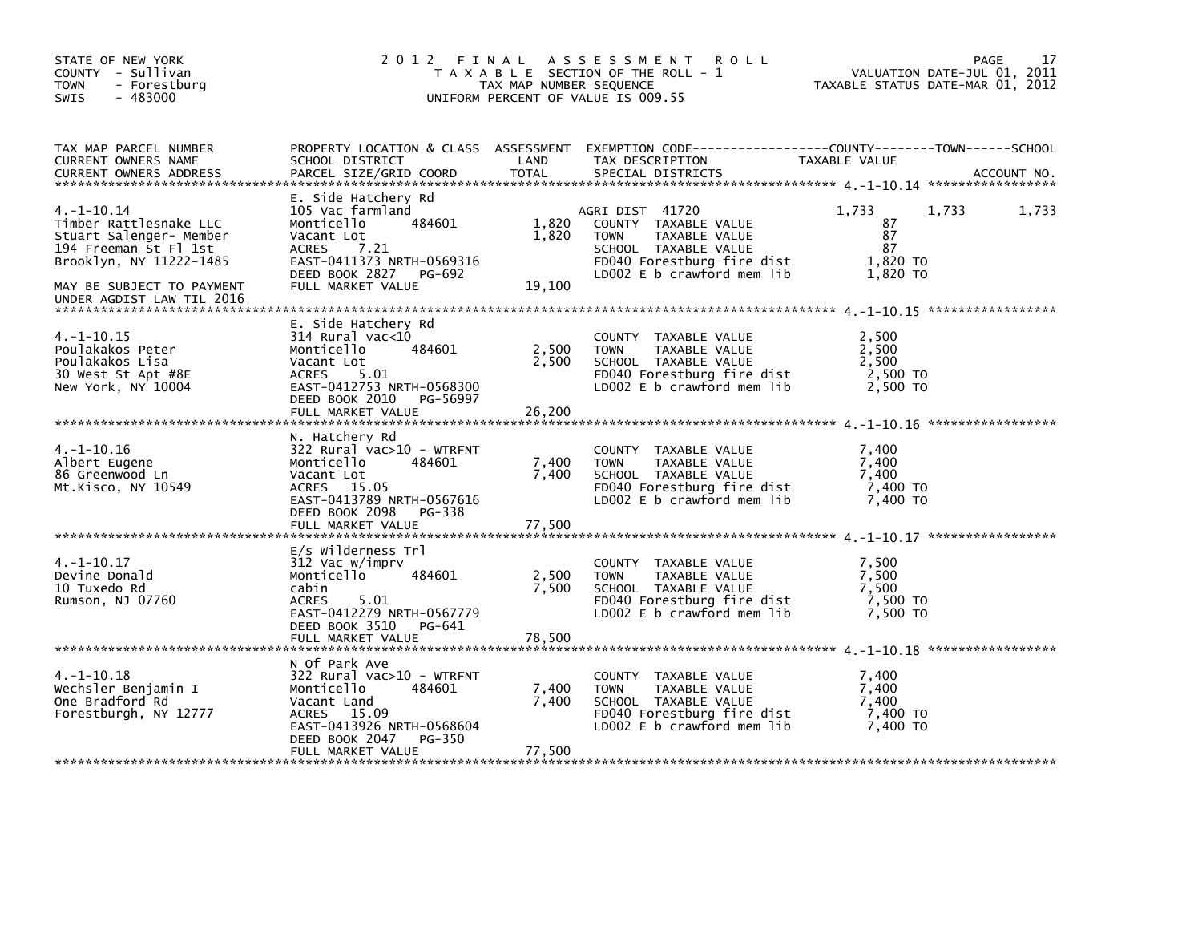| STATE OF NEW YORK<br>COUNTY - Sullivan<br><b>TOWN</b><br>- Forestburg<br>$-483000$<br><b>SWIS</b>                                                                                  | 2012 FINAL                                                                                                                                                                     | TAX MAP NUMBER SEQUENCE  | A S S E S S M E N T<br><b>ROLL</b><br>T A X A B L E SECTION OF THE ROLL - 1<br>UNIFORM PERCENT OF VALUE IS 009.55                                           | VALUATION DATE-JUL 01, 2011<br>TAXABLE STATUS DATE-MAR 01, 2012 | 17<br>PAGE  |
|------------------------------------------------------------------------------------------------------------------------------------------------------------------------------------|--------------------------------------------------------------------------------------------------------------------------------------------------------------------------------|--------------------------|-------------------------------------------------------------------------------------------------------------------------------------------------------------|-----------------------------------------------------------------|-------------|
| TAX MAP PARCEL NUMBER<br>CURRENT OWNERS NAME<br><b>CURRENT OWNERS ADDRESS</b>                                                                                                      | SCHOOL DISTRICT<br>PARCEL SIZE/GRID COORD                                                                                                                                      | LAND<br><b>TOTAL</b>     | PROPERTY LOCATION & CLASS ASSESSMENT EXEMPTION CODE-----------------COUNTY-------TOWN------SCHOOL<br>TAX DESCRIPTION<br>SPECIAL DISTRICTS                   | TAXABLE VALUE                                                   | ACCOUNT NO. |
| $4. -1 - 10.14$<br>Timber Rattlesnake LLC<br>Stuart Salenger- Member<br>194 Freeman St Fl 1st<br>Brooklyn, NY 11222-1485<br>MAY BE SUBJECT TO PAYMENT<br>UNDER AGDIST LAW TIL 2016 | E. Side Hatchery Rd<br>105 Vac farmland<br>484601<br>Monticello<br>Vacant Lot<br>7.21<br>ACRES<br>EAST-0411373 NRTH-0569316<br>DEED BOOK 2827 PG-692<br>FULL MARKET VALUE      | 1,820<br>1,820<br>19,100 | AGRI DIST 41720<br>COUNTY TAXABLE VALUE<br><b>TOWN</b><br>TAXABLE VALUE<br>SCHOOL TAXABLE VALUE<br>FD040 Forestburg fire dist<br>LD002 E b crawford mem lib | 1,733<br>1,733<br>87<br>87<br>87<br>1,820 TO<br>1,820 TO        | 1,733       |
| $4. -1 - 10.15$<br>Poulakakos Peter<br>Poulakakos Lisa<br>30 West St Apt #8E<br>New York, NY 10004                                                                                 | E. Side Hatchery Rd<br>314 Rural vac<10<br>484601<br>Monticello<br>Vacant Lot<br>ACRES<br>5.01<br>EAST-0412753 NRTH-0568300<br>DEED BOOK 2010<br>PG-56997<br>FULL MARKET VALUE | 2,500<br>2,500<br>26,200 | COUNTY TAXABLE VALUE<br><b>TOWN</b><br>TAXABLE VALUE<br>SCHOOL TAXABLE VALUE<br>FD040 Forestburg fire dist<br>LD002 E b crawford mem lib                    | 2,500<br>2,500<br>2,500<br>2,500 TO<br>2,500 TO                 |             |
| 4.-1-10.16<br>Albert Eugene<br>86 Greenwood Ln<br>Mt.Kisco, NY 10549                                                                                                               | N. Hatchery Rd<br>322 Rural vac>10 - WTRFNT<br>Monticello<br>484601<br>Vacant Lot<br>ACRES 15.05<br>EAST-0413789 NRTH-0567616<br>DEED BOOK 2098<br>PG-338<br>FULL MARKET VALUE | 7,400<br>7,400<br>77,500 | COUNTY TAXABLE VALUE<br><b>TOWN</b><br>TAXABLE VALUE<br>SCHOOL TAXABLE VALUE<br>FD040 Forestburg fire dist<br>LD002 E b crawford mem lib                    | 7,400<br>7,400<br>7,400<br>7,400 TO<br>7,400 TO                 |             |
| $4. -1 - 10.17$<br>Devine Donald<br>10 Tuxedo Rd<br>Rumson, NJ 07760                                                                                                               | E/s Wilderness Trl<br>312 Vac w/imprv<br>Monticello<br>484601<br>cabin<br>5.01<br><b>ACRES</b><br>EAST-0412279 NRTH-0567779<br>DEED BOOK 3510<br>PG-641<br>FULL MARKET VALUE   | 2,500<br>7,500<br>78,500 | COUNTY TAXABLE VALUE<br>TAXABLE VALUE<br><b>TOWN</b><br>SCHOOL TAXABLE VALUE<br>FD040 Forestburg fire dist<br>LD002 E b crawford mem lib                    | 7,500<br>7,500<br>7,500<br>7,500 TO<br>7,500 TO                 |             |
| $4. -1 - 10.18$<br>Wechsler Benjamin I<br>One Bradford Rd<br>Forestburgh, NY 12777                                                                                                 | N Of Park Ave<br>322 Rural vac>10 - WTRFNT<br>Monticello<br>484601<br>Vacant Land<br>ACRES 15.09<br>EAST-0413926 NRTH-0568604<br>PG-350<br>DEED BOOK 2047<br>FULL MARKET VALUE | 7,400<br>7,400<br>77,500 | COUNTY TAXABLE VALUE<br>TAXABLE VALUE<br><b>TOWN</b><br>SCHOOL TAXABLE VALUE<br>FD040 Forestburg fire dist<br>LD002 E b crawford mem lib                    | 7,400<br>7,400<br>7.400<br>7,400 TO<br>7,400 TO                 |             |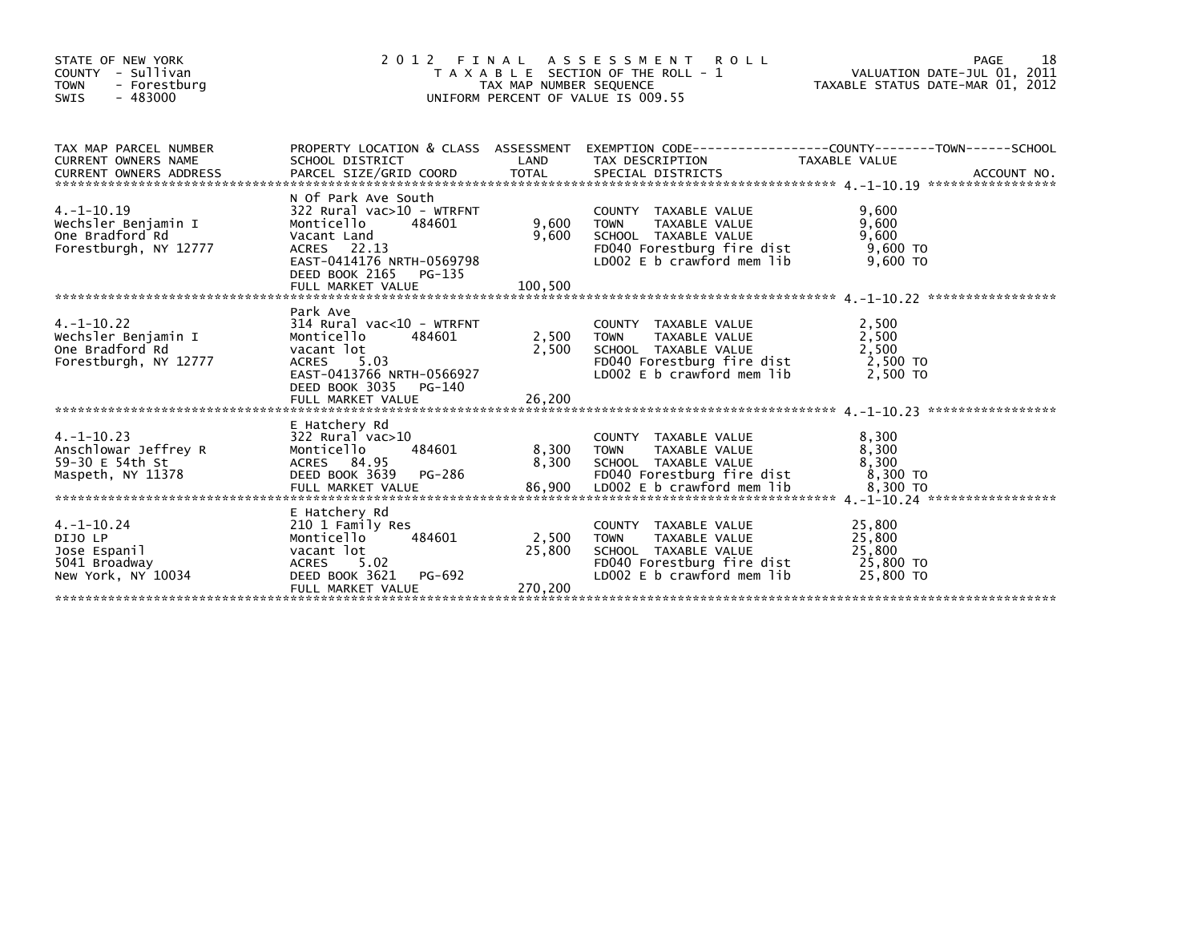| STATE OF NEW YORK<br>- Sullivan<br>COUNTY<br><b>TOWN</b><br>- Forestburg<br>$-483000$<br><b>SWIS</b> | 2 0 1 2                                                                                                                                                                             | FINAL<br>TAX MAP NUMBER SEQUENCE | ASSESSMENT ROLL<br>T A X A B L E SECTION OF THE ROLL - 1<br>UNIFORM PERCENT OF VALUE IS 009.55                                                      | PAGE<br>18<br>VALUATION DATE-JUL 01, 2011<br>TAXABLE STATUS DATE-MAR 01, 2012                                      |
|------------------------------------------------------------------------------------------------------|-------------------------------------------------------------------------------------------------------------------------------------------------------------------------------------|----------------------------------|-----------------------------------------------------------------------------------------------------------------------------------------------------|--------------------------------------------------------------------------------------------------------------------|
| TAX MAP PARCEL NUMBER<br><b>CURRENT OWNERS NAME</b>                                                  | SCHOOL DISTRICT                                                                                                                                                                     | LAND                             | TAX DESCRIPTION                                                                                                                                     | PROPERTY LOCATION & CLASS ASSESSMENT EXEMPTION CODE-----------------COUNTY-------TOWN------SCHOOL<br>TAXABLE VALUE |
| $4. -1 - 10.19$<br>Wechsler Benjamin I<br>One Bradford Rd<br>Forestburgh, NY 12777                   | N Of Park Ave South<br>$322$ Rural vac $>10$ - WTRFNT<br>Monticello<br>484601<br>Vacant Land<br>ACRES 22.13<br>EAST-0414176 NRTH-0569798<br>DEED BOOK 2165<br>PG-135                | 9,600<br>9,600                   | COUNTY TAXABLE VALUE<br><b>TOWN</b><br><b>TAXABLE VALUE</b><br>SCHOOL TAXABLE VALUE<br>FD040 Forestburg fire dist<br>LD002 $E$ b crawford mem $lib$ | 9.600<br>9,600<br>9,600<br>$9,600$ TO<br>$9.600$ TO                                                                |
| $4. -1 - 10.22$<br>Wechsler Benjamin I<br>One Bradford Rd<br>Forestburgh, NY 12777                   | Park Ave<br>$314$ Rural vac<10 - WTRFNT<br>484601<br>Monticello<br>vacant lot<br><b>ACRES</b><br>5.03<br>EAST-0413766 NRTH-0566927<br>DEED BOOK 3035<br>PG-140<br>FULL MARKET VALUE | 2,500<br>2,500<br>26,200         | COUNTY TAXABLE VALUE<br><b>TOWN</b><br>TAXABLE VALUE<br>SCHOOL TAXABLE VALUE<br>FD040 Forestburg fire dist<br>LD002 E b crawford mem lib            | 2,500<br>2,500<br>2,500<br>2,500 TO<br>2.500 TO                                                                    |
| $4. -1 - 10.23$<br>Anschlowar Jeffrey R<br>59-30 E 54th St<br>Maspeth, NY 11378                      | E Hatchery Rd<br>$322$ Rural vac $>10$<br>Monticello<br>484601<br>ACRES 84.95<br>DEED BOOK 3639<br>PG-286                                                                           | 8,300<br>8,300                   | COUNTY TAXABLE VALUE<br>TAXABLE VALUE<br><b>TOWN</b><br>SCHOOL TAXABLE VALUE<br>FD040 Forestburg fire dist                                          | 8,300<br>8,300<br>8,300<br>8.300 TO                                                                                |
| $4. -1 - 10.24$<br>DIJO LP<br>Jose Espanil<br>5041 Broadway<br>New York, NY 10034                    | E Hatchery Rd<br>210 1 Family Res<br>Monticello<br>484601<br>vacant lot<br><b>ACRES</b><br>5.02<br>DEED BOOK 3621<br>PG-692<br>FULL MARKET VALUE                                    | 2,500<br>25,800<br>270.200       | COUNTY TAXABLE VALUE<br><b>TAXABLE VALUE</b><br><b>TOWN</b><br>SCHOOL TAXABLE VALUE<br>FD040 Forestburg fire dist<br>$LD002 E b$ crawford mem lib   | 25,800<br>25,800<br>25,800<br>25,800 TO<br>25,800 TO                                                               |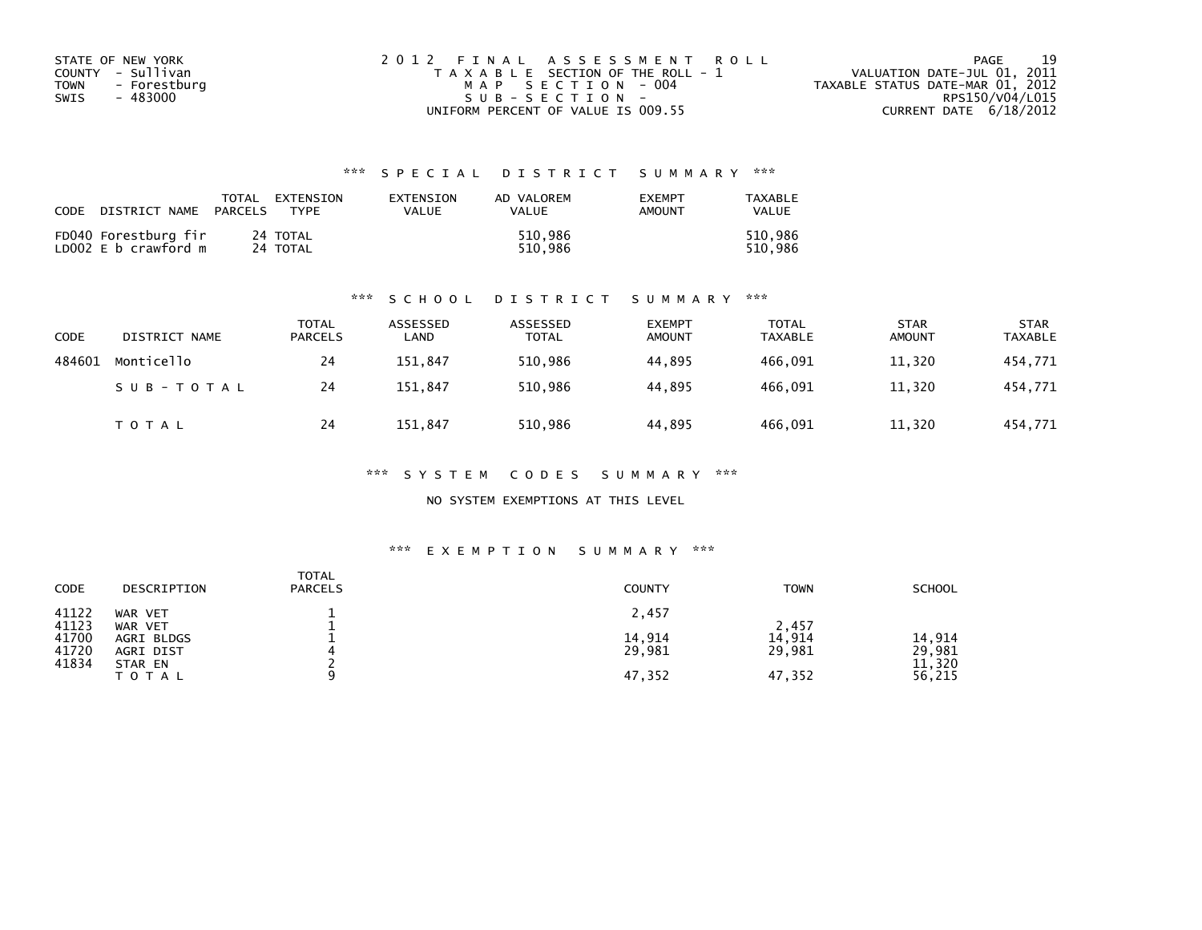| STATE OF NEW YORK    | 2012 FINAL ASSESSMENT ROLL            | 19<br>PAGE                       |
|----------------------|---------------------------------------|----------------------------------|
| COUNTY - Sullivan    | T A X A B L E SECTION OF THE ROLL - 1 | VALUATION DATE-JUL 01, 2011      |
| TOWN<br>- Forestburg | MAP SECTION - 004                     | TAXABLE STATUS DATE-MAR 01, 2012 |
| - 483000<br>SWIS     | $SUB - SECTION -$                     | RPS150/V04/L015                  |
|                      | UNIFORM PERCENT OF VALUE IS 009.55    | CURRENT DATE $6/18/2012$         |

| CODE | DISTRICT NAME                                | TOTAL<br>PARCELS | EXTENSION<br><b>TYPF</b> | EXTENSION<br>VALUE | AD VALOREM<br>VALUE | <b>EXEMPT</b><br>AMOUNT | TAXABLE<br>VALUE   |
|------|----------------------------------------------|------------------|--------------------------|--------------------|---------------------|-------------------------|--------------------|
|      | FD040 Forestburg fir<br>LD002 E b crawford m |                  | 24 TOTAL<br>24 TOTAL     |                    | 510.986<br>510.986  |                         | 510.986<br>510.986 |

#### \*\*\* S C H O O L D I S T R I C T S U M M A R Y \*\*\*

| <b>CODE</b> | DISTRICT NAME | TOTAL<br><b>PARCELS</b> | ASSESSED<br>LAND | ASSESSED<br><b>TOTAL</b> | <b>EXEMPT</b><br><b>AMOUNT</b> | TOTAL<br>TAXABLE | <b>STAR</b><br><b>AMOUNT</b> | <b>STAR</b><br><b>TAXABLE</b> |
|-------------|---------------|-------------------------|------------------|--------------------------|--------------------------------|------------------|------------------------------|-------------------------------|
| 484601      | Monticello    | 24                      | 151,847          | 510,986                  | 44,895                         | 466,091          | 11,320                       | 454,771                       |
|             | SUB-TOTAL     | 24                      | 151.847          | 510.986                  | 44.895                         | 466.091          | 11,320                       | 454,771                       |
|             | T O T A L     | 24                      | 151.847          | 510,986                  | 44,895                         | 466,091          | 11,320                       | 454,771                       |

#### \*\*\* S Y S T E M C O D E S S U M M A R Y \*\*\*

#### NO SYSTEM EXEMPTIONS AT THIS LEVEL

#### \*\*\* E X E M P T I O N S U M M A R Y \*\*\*

| <b>CODE</b>    | DESCRIPTION             | <b>TOTAL</b><br><b>PARCELS</b> | <b>COUNTY</b>    | <b>TOWN</b>      | <b>SCHOOL</b>    |
|----------------|-------------------------|--------------------------------|------------------|------------------|------------------|
| 41122<br>41123 | WAR VET<br>WAR VET      |                                | 2,457            | 2,457            |                  |
| 41700<br>41720 | AGRI BLDGS<br>AGRI DIST |                                | 14,914<br>29,981 | 14,914<br>29,981 | 14,914<br>29,981 |
| 41834          | STAR EN<br><b>TOTAL</b> |                                | 47,352           | 47,352           | 11,320<br>56,215 |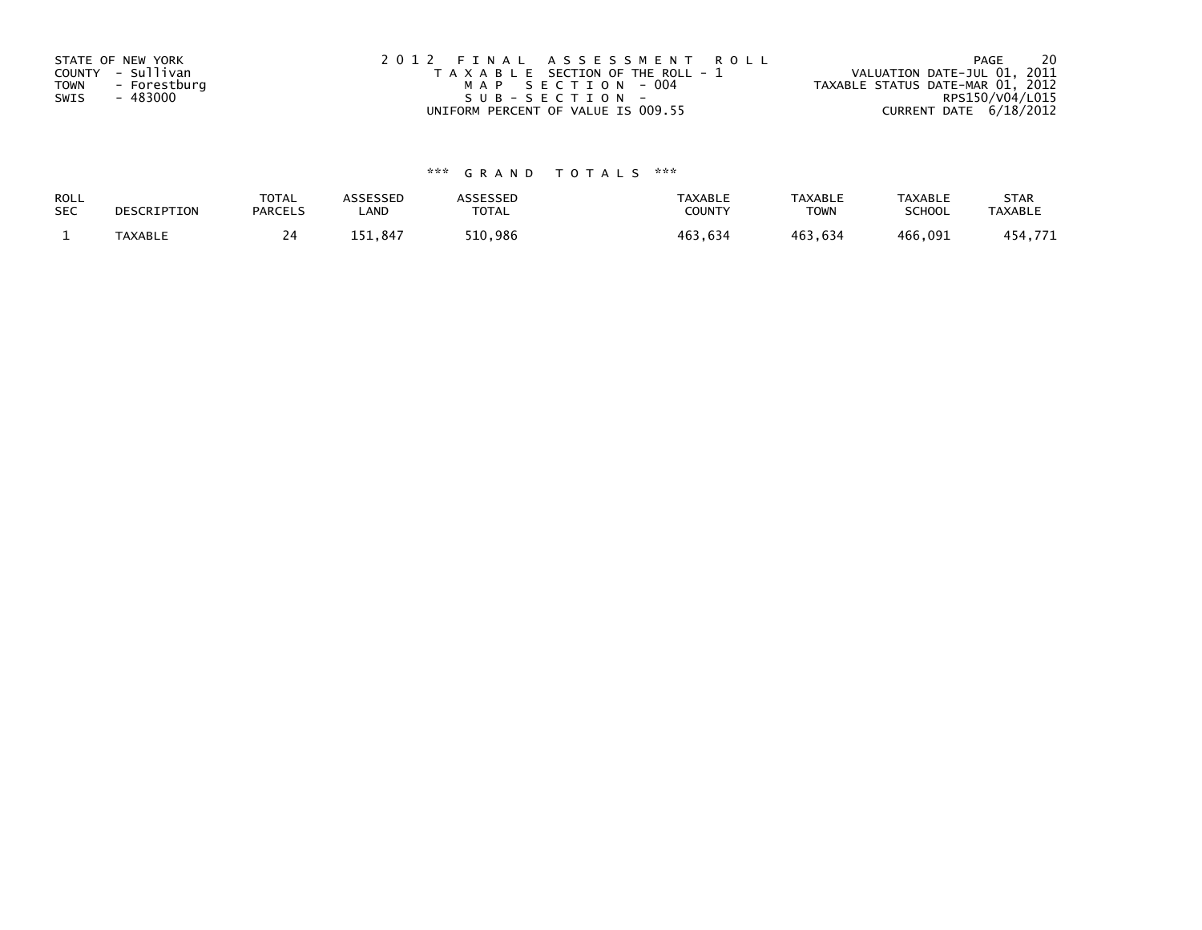| STATE OF NEW YORK           | 2012 FINAL ASSESSMENT ROLL            | -20<br>PAGE                      |
|-----------------------------|---------------------------------------|----------------------------------|
| COUNTY - Sullivan           | T A X A B L E SECTION OF THE ROLL - 1 | VALUATION DATE-JUL 01, 2011      |
| <b>TOWN</b><br>- Forestburg | MAP SECTION - 004                     | TAXABLE STATUS DATE-MAR 01, 2012 |
| - 483000<br>SWIS            | SUB-SECTION-                          | RPS150/V04/L015                  |
|                             | UNIFORM PERCENT OF VALUE IS 009.55    | CURRENT DATE 6/18/2012           |

| <b>ROLL</b> | DESCRIPTION    | <b>TOTAL</b>   | ASSESSED | <b>ASSESSED</b> | <b>TAXABLE</b> | <b>TAXABLE</b> | <b>TAXABLE</b> | <b>STAR</b>    |
|-------------|----------------|----------------|----------|-----------------|----------------|----------------|----------------|----------------|
| <b>SEC</b>  |                | <b>PARCELS</b> | LAND     | TOTAL           | COUNT          | <b>TOWN</b>    | <b>SCHOOL</b>  | <b>TAXABLE</b> |
|             | <b>TAXABLE</b> |                | 151.847  | 510,986         | 463.634        | 463.634        | 466.091        | 454.771        |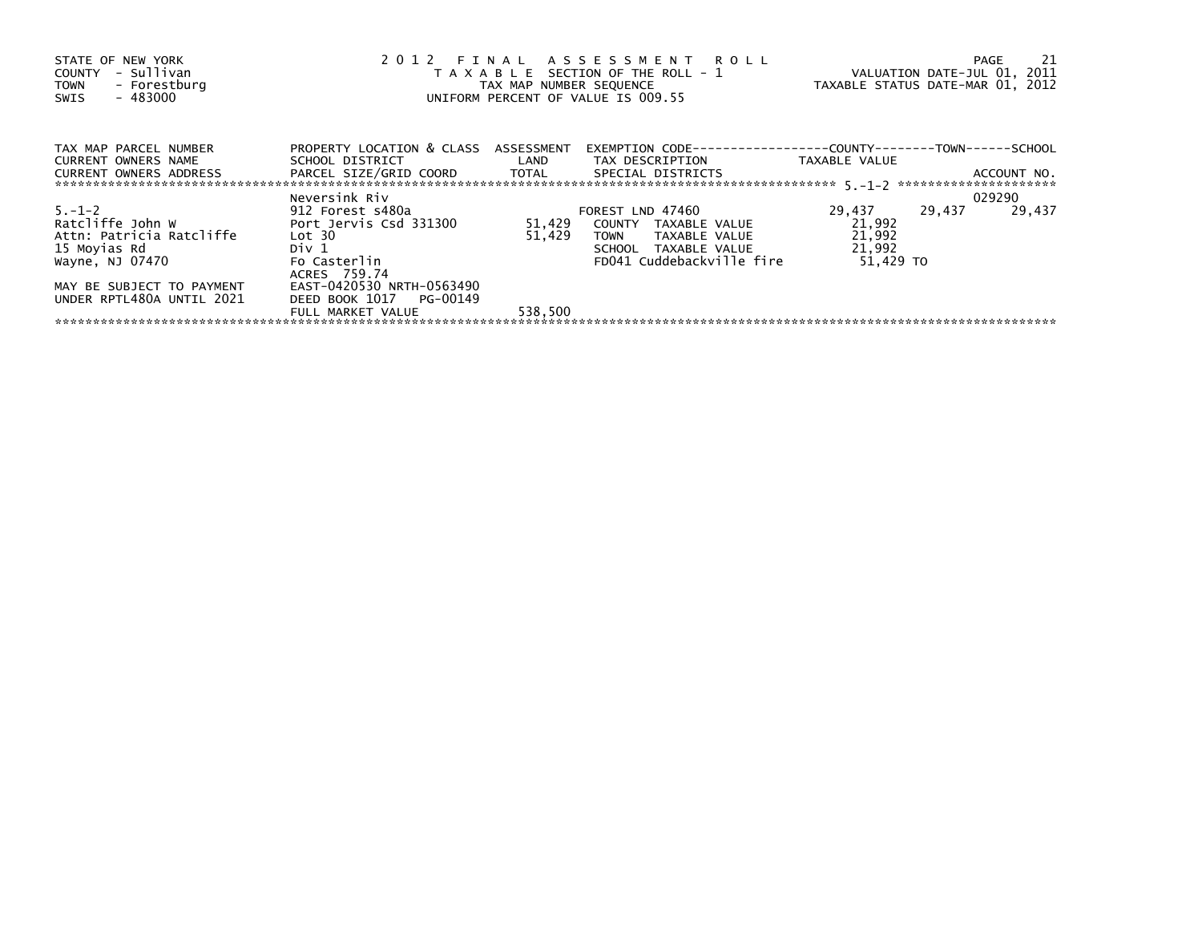| STATE OF NEW YORK<br>COUNTY - Sullivan<br>- Forestburg<br><b>TOWN</b><br>- 483000<br>SWIS       |                                                                                                                |                  | 2012 FINAL ASSESSMENT ROLL<br>T A X A B L E SECTION OF THE ROLL - 1 VALUATION DATE-JUL 01, 2011<br>TAX MAP NUMBER SEQUENCE<br>UNIFORM PERCENT OF VALUE IS 009.55 | TAXABLE STATUS DATE-MAR 01, 2012                  |        | PAGE             | 21 |
|-------------------------------------------------------------------------------------------------|----------------------------------------------------------------------------------------------------------------|------------------|------------------------------------------------------------------------------------------------------------------------------------------------------------------|---------------------------------------------------|--------|------------------|----|
| TAX MAP PARCEL NUMBER<br>CURRENT OWNERS NAME<br>CURRENT OWNERS ADDRESS                          | PROPERTY LOCATION & CLASS ASSESSMENT<br>SCHOOL DISTRICT LAND<br>PARCEL SIZE/GRID COORD TOTAL SPECIAL DISTRICTS |                  | EXEMPTION        CODE-----------------COUNTY--------TOWN------SCHOOL<br>TAX DESCRIPTION                                                                          | TAXABLE VALUE                                     |        | ACCOUNT NO.      |    |
|                                                                                                 |                                                                                                                |                  |                                                                                                                                                                  |                                                   |        |                  |    |
| $5. - 1 - 2$<br>Ratcliffe John W<br>Attn: Patricia Ratcliffe<br>15 Moyias Rd<br>Wayne, NJ 07470 | Neversink Riv<br>912 Forest s480a<br>Port Jervis Csd 331300<br>Lot 30<br>Div 1<br>Fo Casterlin                 | 51,429<br>51,429 | FOREST LND 47460<br>COUNTY TAXABLE VALUE<br>TAXABLE VALUE<br><b>TOWN</b><br>SCHOOL TAXABLE VALUE<br>FD041 Cuddebackville fire                                    | 29,437<br>21,992<br>21,992<br>21,992<br>51.429 TO | 29,437 | 029290<br>29,437 |    |
| MAY BE SUBJECT TO PAYMENT<br>UNDER RPTL480A UNTIL 2021                                          | ACRES 759.74<br>EAST-0420530 NRTH-0563490<br>DEED BOOK 1017 PG-00149<br>FULL MARKET VALUE                      | 538,500          |                                                                                                                                                                  |                                                   |        |                  |    |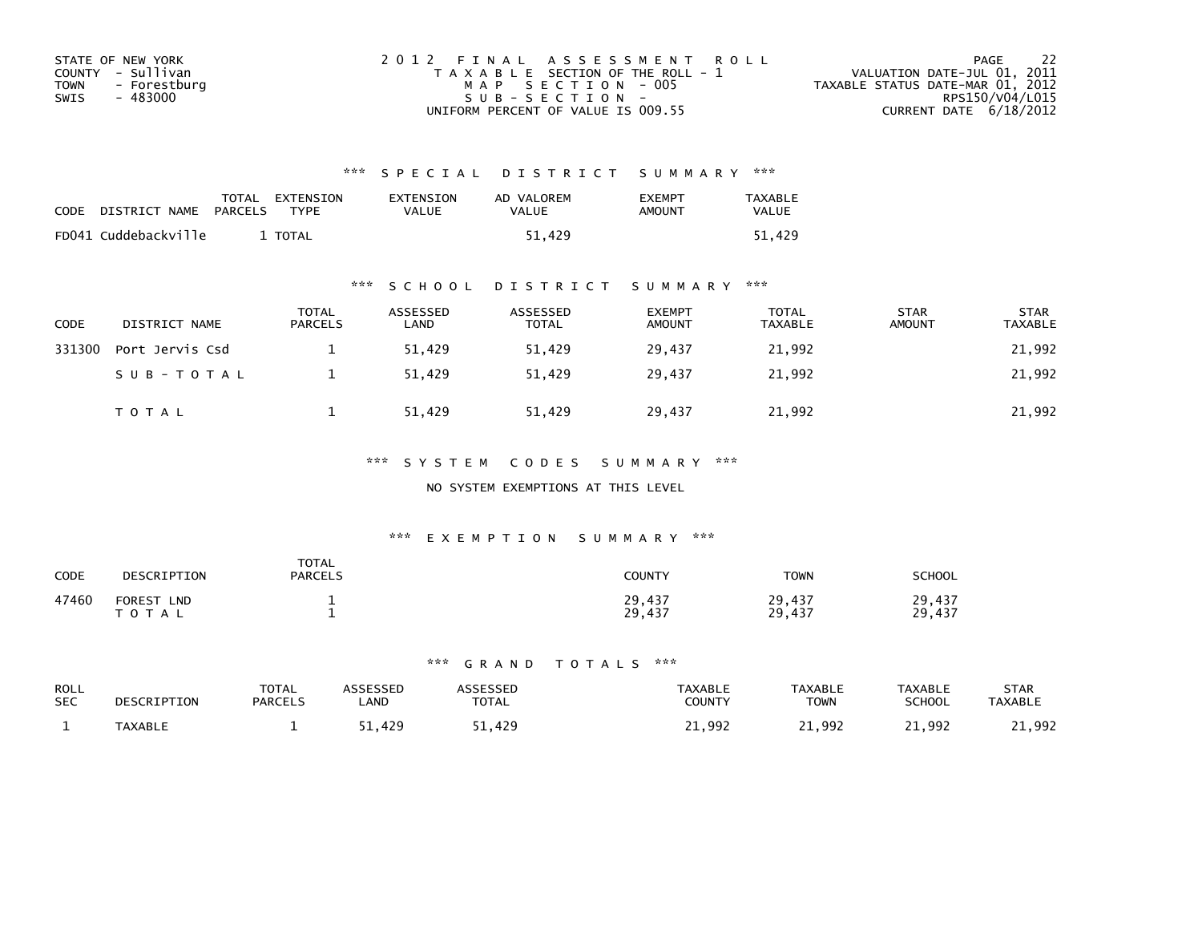| STATE OF NEW YORK           | 2012 FINAL ASSESSMENT ROLL            | - 22<br>PAGE                     |
|-----------------------------|---------------------------------------|----------------------------------|
| COUNTY - Sullivan           | T A X A B L E SECTION OF THE ROLL - 1 | VALUATION DATE-JUL 01, 2011      |
| <b>TOWN</b><br>- Forestburg | MAP SECTION - 005                     | TAXABLE STATUS DATE-MAR 01, 2012 |
| SWIS<br>- 483000            | SUB-SECTION-                          | RPS150/V04/L015                  |
|                             | UNIFORM PERCENT OF VALUE IS 009.55    | CURRENT DATE $6/18/2012$         |

| <b>CODE</b> | DISTRICT NAME        | PARCELS | TOTAL EXTENSION<br><b>TYPF</b> | EXTENSION<br>VALUE | AD VALOREM<br>VALUE | <b>EXEMPT</b><br>AMOUNT | <b>TAXABLE</b><br><b>VALUE</b> |
|-------------|----------------------|---------|--------------------------------|--------------------|---------------------|-------------------------|--------------------------------|
|             | FD041 Cuddebackville |         | <b>TOTAL</b>                   |                    | 51.429              |                         | 51.429                         |

# \*\*\* S C H O O L D I S T R I C T S U M M A R Y \*\*\*

| <b>CODE</b> | DISTRICT NAME   | <b>TOTAL</b><br><b>PARCELS</b> | ASSESSED<br>LAND | ASSESSED<br><b>TOTAL</b> | <b>EXEMPT</b><br><b>AMOUNT</b> | TOTAL<br><b>TAXABLE</b> | <b>STAR</b><br><b>AMOUNT</b> | <b>STAR</b><br><b>TAXABLE</b> |
|-------------|-----------------|--------------------------------|------------------|--------------------------|--------------------------------|-------------------------|------------------------------|-------------------------------|
| 331300      | Port Jervis Csd |                                | 51.429           | 51.429                   | 29.437                         | 21,992                  |                              | 21,992                        |
|             | SUB-TOTAL       |                                | 51,429           | 51.429                   | 29.437                         | 21,992                  |                              | 21,992                        |
|             | <b>TOTAL</b>    |                                | 51,429           | 51,429                   | 29,437                         | 21,992                  |                              | 21,992                        |

# \*\*\* S Y S T E M C O D E S S U M M A R Y \*\*\*

### NO SYSTEM EXEMPTIONS AT THIS LEVEL

# \*\*\* E X E M P T I O N S U M M A R Y \*\*\*

| <b>CODE</b> | DESCRIPTION                        | <b>TOTAL</b><br><b>PARCELS</b> | <b>COUNTY</b>    | <b>TOWN</b>      | SCHOOL           |
|-------------|------------------------------------|--------------------------------|------------------|------------------|------------------|
| 47460       | <b>FOREST</b><br><b>LND</b><br>тот |                                | 29,437<br>29,437 | 29,437<br>29,437 | 29,437<br>29,437 |

| <b>ROLL</b> | DESCRIPTION    | TOTAL          | <b>ASSESSED</b> | ASSESSED     | <b>TAXABLE</b> | <b>TAXABLE</b> | <b>TAXABLE</b> | STAR           |
|-------------|----------------|----------------|-----------------|--------------|----------------|----------------|----------------|----------------|
| <b>SEC</b>  |                | <b>PARCELS</b> | _AND            | <b>TOTAL</b> | <b>COUNTY</b>  | <b>TOWN</b>    | SCHOOL         | <b>TAXABLE</b> |
|             | <b>TAXABLE</b> |                | 1.429خ          | 51,429       | .,992          | 21,992         | 21,992         | 21,992         |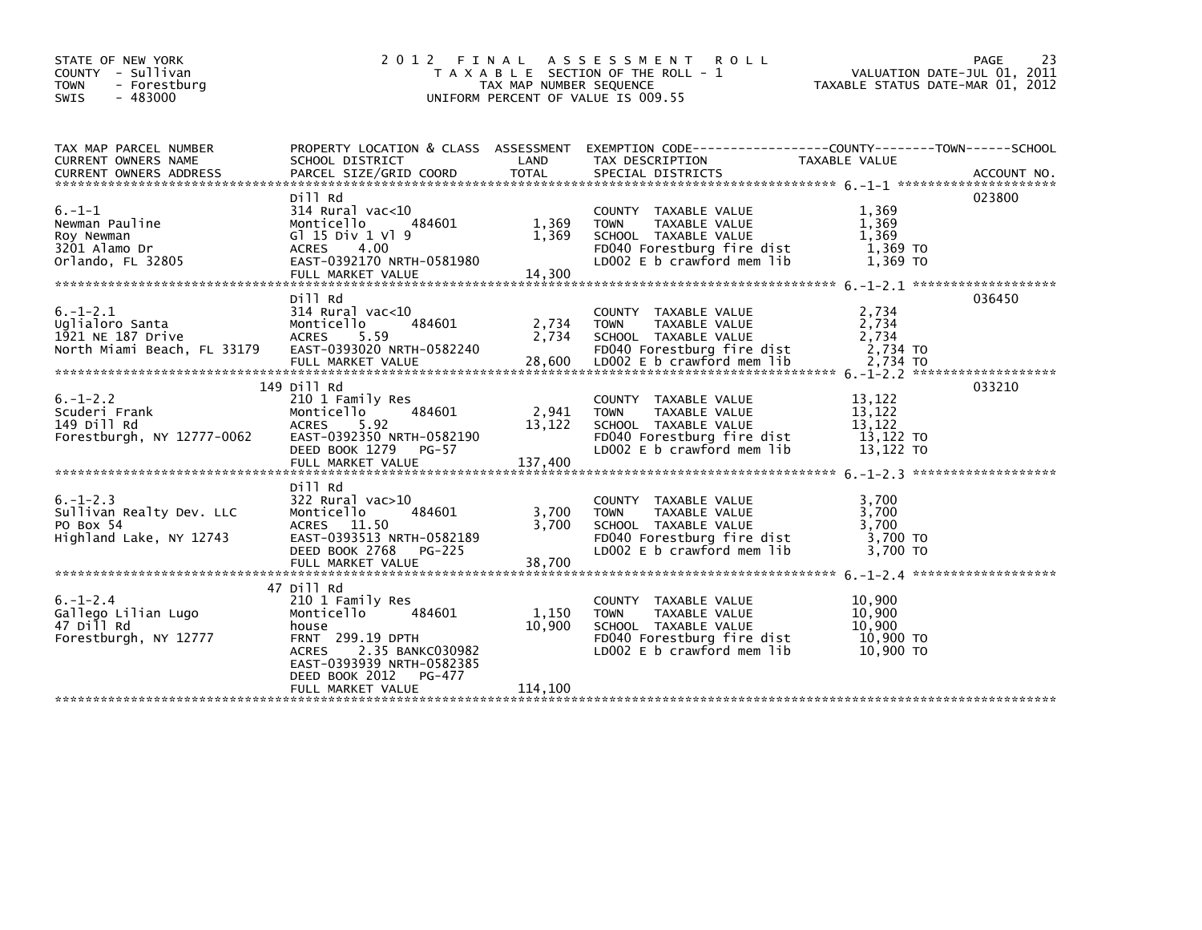| STATE OF NEW YORK<br>COUNTY - Sullivan<br><b>TOWN</b><br>- Forestburg<br><b>SWIS</b><br>$-483000$ | 2 0 1 2                                                                                                                                              | FINAL<br>TAX MAP NUMBER SEQUENCE | ASSESSMENT ROLL<br>T A X A B L E SECTION OF THE ROLL - 1<br>UNIFORM PERCENT OF VALUE IS 009.55                                                  | VALUATION DATE-JUL 01, 2011<br>TAXABLE STATUS DATE-MAR 01, 2012 | 23<br>PAGE |
|---------------------------------------------------------------------------------------------------|------------------------------------------------------------------------------------------------------------------------------------------------------|----------------------------------|-------------------------------------------------------------------------------------------------------------------------------------------------|-----------------------------------------------------------------|------------|
| TAX MAP PARCEL NUMBER<br>CURRENT OWNERS NAME<br>CURRENT OWNERS ADDRESS                            | SCHOOL DISTRICT                                                                                                                                      | LAND                             | PROPERTY LOCATION & CLASS ASSESSMENT EXEMPTION CODE----------------COUNTY-------TOWN------SCHOOL<br>TAX DESCRIPTION                             | TAXABLE VALUE                                                   |            |
| $6. - 1 - 1$<br>Newman Pauline<br>Roy Newman<br>3201 Alamo Dr<br>Orlando, FL 32805                | Dill Rd<br>$314$ Rural vac<10<br>Monticello<br>484601<br>G1 15 Div 1 V1 9<br>ACRES 4.00<br>EAST-0392170 NRTH-0581980<br>FULL MARKET VALUE            | 1,369<br>1,369<br>14,300         | COUNTY TAXABLE VALUE<br>TAXABLE VALUE<br><b>TOWN</b><br>SCHOOL TAXABLE VALUE<br>FD040 Forestburg fire dist<br>LD002 E b crawford mem lib        | 1,369<br>1,369<br>1,369<br>1,369 TO<br>1.369 TO                 | 023800     |
| $6. - 1 - 2.1$<br>Uglialoro Santa<br>1921 NE 187 Drive<br>North Miami Beach, FL 33179             | Dill Rd<br>$314$ Rural vac< $10$<br>Monticello<br>484601<br>ACRES 5.59<br>EAST-0393020 NRTH-0582240<br>FULL MARKET VALUE                             | 2,734<br>2,734                   | COUNTY TAXABLE VALUE<br>TAXABLE VALUE<br><b>TOWN</b><br>SCHOOL TAXABLE VALUE<br>FD040 Forestburg fire dist<br>28,600 LD002 E b crawford mem lib | 2,734<br>2,734<br>2,734<br>2,734 TO<br>2.734 TO                 | 036450     |
| $6. - 1 - 2.2$<br>Scuderi Frank<br>149 Dill Rd<br>Forestburgh, NY 12777-0062                      | 149 Dill Rd<br>210 1 Family Res<br>Monticello<br>484601<br>ACRES 5.92<br>EAST-0392350 NRTH-0582190<br>DEED BOOK 1279 PG-57<br>FULL MARKET VALUE      | 2,941<br>13,122<br>137,400       | COUNTY TAXABLE VALUE<br>TAXABLE VALUE<br><b>TOWN</b><br>SCHOOL TAXABLE VALUE<br>FD040 Forestburg fire dist<br>LD002 E b crawford mem lib        | 13,122<br>13,122<br>13,122<br>13,122 TO<br>13,122 TO            | 033210     |
| $6. - 1 - 2.3$<br>Sullivan Realty Dev. LLC<br>PO Box 54<br>Highland Lake, NY 12743                | Dill Rd<br>322 Rural vac>10<br>484601<br>Monticello<br>ACRES 11.50<br>EAST-0393513 NRTH-0582189<br>DEED BOOK 2768 PG-225<br>FULL MARKET VALUE        | 3,700<br>3,700<br>38,700         | COUNTY TAXABLE VALUE<br><b>TOWN</b><br>TAXABLE VALUE<br>SCHOOL TAXABLE VALUE<br>FD040 Forestburg fire dist<br>LD002 E b crawford mem lib        | 3,700<br>3,700<br>3,700<br>3.700 TO<br>3.700 TO                 |            |
| $6. - 1 - 2.4$<br>Gallego Lilian Lugo<br>47 Dill Rd<br>Forestburgh, NY 12777                      | 47 Dill Rd<br>210 1 Family Res<br>484601<br>Monticello<br>house<br>FRNT 299.19 DPTH<br>2.35 BANKC030982<br><b>ACRES</b><br>EAST-0393939 NRTH-0582385 | 1,150<br>10,900                  | COUNTY TAXABLE VALUE<br>TAXABLE VALUE<br><b>TOWN</b><br>SCHOOL TAXABLE VALUE<br>FD040 Forestburg fire dist<br>LD002 $E$ b crawford mem $lib$    | 10,900<br>10,900<br>10,900<br>10,900 TO<br>10,900 TO            |            |
|                                                                                                   | DEED BOOK 2012<br>PG-477<br>FULL MARKET VALUE                                                                                                        | 114,100                          |                                                                                                                                                 |                                                                 |            |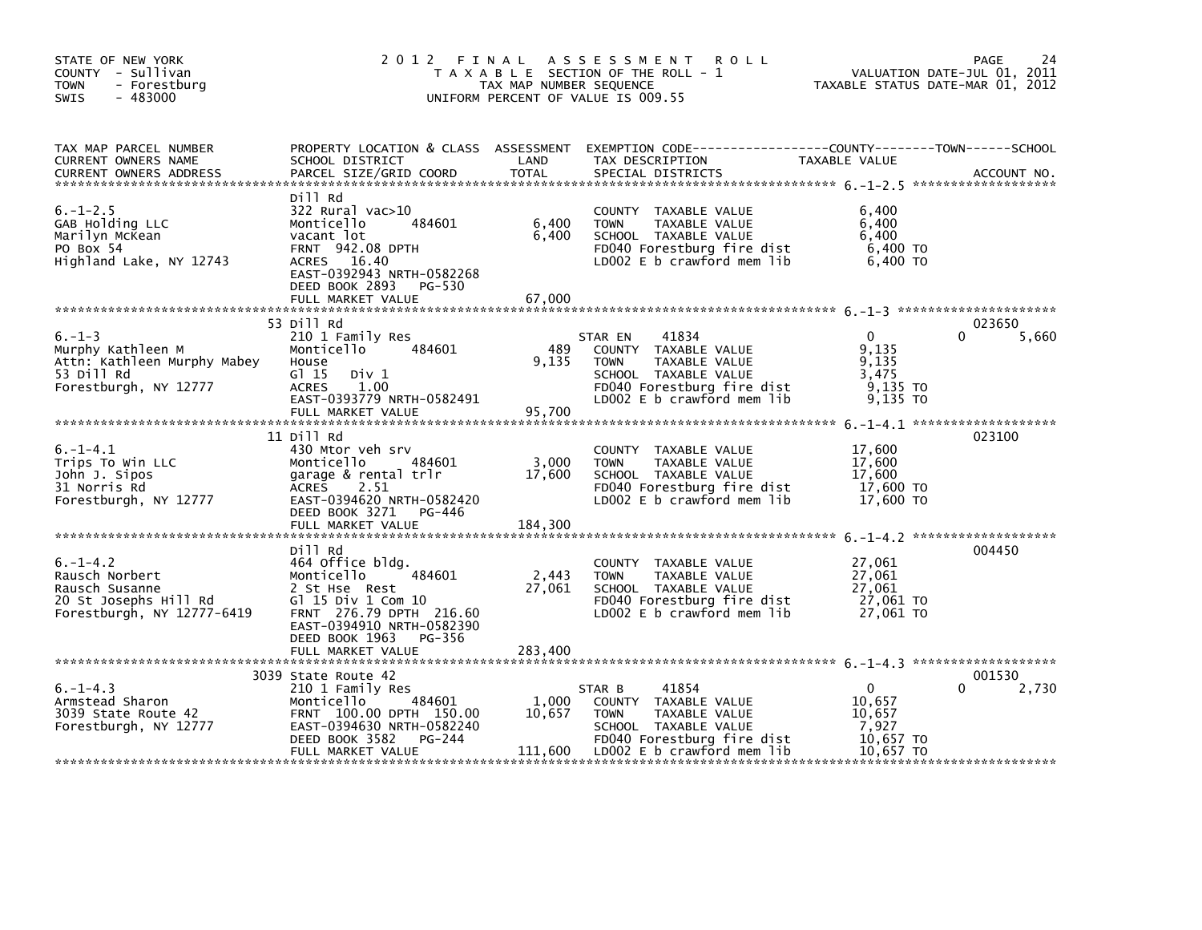| STATE OF NEW YORK<br>COUNTY - Sullivan<br>TOWN<br>- Forestburg<br>$-483000$<br>SWIS                                          |                                                                                                                                                                             | TAX MAP NUMBER SEQUENCE | 2012 FINAL ASSESSMENT ROLL<br>T A X A B L E SECTION OF THE ROLL - 1<br>UNIFORM PERCENT OF VALUE IS 009.55                                                             | VALUATION DATE-JUL 01, 2011<br>TAXABLE STATUS DATE-MAR 01, 2012     | PAGE<br>24           |
|------------------------------------------------------------------------------------------------------------------------------|-----------------------------------------------------------------------------------------------------------------------------------------------------------------------------|-------------------------|-----------------------------------------------------------------------------------------------------------------------------------------------------------------------|---------------------------------------------------------------------|----------------------|
| TAX MAP PARCEL NUMBER<br>CURRENT OWNERS NAME<br><b>CURRENT OWNERS ADDRESS</b>                                                | SCHOOL DISTRICT<br>PARCEL SIZE/GRID COORD                                                                                                                                   | LAND<br>TOTAL           | PROPERTY LOCATION & CLASS ASSESSMENT EXEMPTION CODE----------------COUNTY-------TOWN------SCHOOL<br>TAX DESCRIPTION<br>SPECIAL DISTRICTS                              | TAXABLE VALUE                                                       | ACCOUNT NO.          |
| $6. - 1 - 2.5$<br>GAB Holding LLC<br>Marilyn McKean<br>PO Box 54<br>Highland Lake, NY 12743                                  | Dill Rd<br>322 Rural vac>10<br>Monticello<br>484601<br>vacant lot<br>FRNT 942.08 DPTH<br>ACRES 16.40<br>EAST-0392943 NRTH-0582268<br>DEED BOOK 2893<br>PG-530               | 6,400<br>6,400          | COUNTY TAXABLE VALUE<br><b>TOWN</b><br>TAXABLE VALUE<br>SCHOOL TAXABLE VALUE<br>FD040 Forestburg fire dist<br>LD002 E b crawford mem lib                              | 6,400<br>6,400<br>6.400<br>6,400 TO<br>6,400 TO                     |                      |
|                                                                                                                              |                                                                                                                                                                             |                         |                                                                                                                                                                       |                                                                     |                      |
| $6. - 1 - 3$<br>Murphy Kathleen M<br>Attn: Kathleen Murphy Mabey<br>53 Dill Rd<br>Forestburgh, NY 12777                      | 53 Dill Rd<br>210 1 Family Res<br>484601<br>Monticello<br>House<br>G1 15<br>Div 1<br>1.00<br><b>ACRES</b><br>EAST-0393779 NRTH-0582491                                      | 489<br>9,135            | 41834<br>STAR EN<br>COUNTY TAXABLE VALUE<br>TAXABLE VALUE<br><b>TOWN</b><br>SCHOOL TAXABLE VALUE<br>FD040 Forestburg fire dist<br>LD002 E b crawford mem lib          | $\Omega$<br>9,135<br>9,135<br>3,475<br>9,135 то<br>9,135 TO         | 023650<br>0<br>5,660 |
|                                                                                                                              | FULL MARKET VALUE                                                                                                                                                           | 95,700                  |                                                                                                                                                                       |                                                                     |                      |
| $6. -1 - 4.1$<br>Trips To Win LLC<br>John J. Sipos<br>31 Norris Rd<br>Forestburgh, NY 12777                                  | 11 Dill Rd<br>430 Mtor veh srv<br>484601<br>Monticello<br>garage & rental trlr<br><b>ACRES</b><br>2.51<br>EAST-0394620 NRTH-0582420<br>DEED BOOK 3271 PG-446                | 3,000<br>17,600         | COUNTY TAXABLE VALUE<br><b>TOWN</b><br>TAXABLE VALUE<br>SCHOOL TAXABLE VALUE<br>FD040 Forestburg fire dist<br>LD002 E b crawford mem lib                              | 17,600<br>17,600<br>17,600<br>17,600 TO<br>17,600 TO                | 023100               |
|                                                                                                                              |                                                                                                                                                                             |                         |                                                                                                                                                                       |                                                                     |                      |
| $6. -1 - 4.2$<br>Rausch Norbert<br>nuuscu susanne<br>20 St Josephs Hill Rd<br>Forestburgh, NY 12777-6419                     | Dill Rd<br>464 Office bldg.<br>484601<br>Monticello<br>2 St Hse Rest<br>Gl 15 Div 1 Com 10<br>FRNT 276.79 DPTH 216.60<br>EAST-0394910 NRTH-0582390<br>DEED BOOK 1963 PG-356 | 2,443<br>27,061         | COUNTY TAXABLE VALUE<br><b>TOWN</b><br>TAXABLE VALUE<br>SCHOOL TAXABLE VALUE<br>FD040 Forestburg fire dist<br>LDOO2 E b crawford mem lib                              | 27,061<br>27,061<br>27.061<br>$27,061$ TO<br>27.061 TO              | 004450               |
|                                                                                                                              | FULL MARKET VALUE                                                                                                                                                           | 283,400                 |                                                                                                                                                                       |                                                                     |                      |
| $6. -1 - 4.3$<br>Armstead Sharon<br>Armstead Sharon<br>3039 State Route 42<br>Forestburgh, NY 12777<br>Forestburgh, NY 12777 | 3039 State Route 42<br>210 1 Family Res<br>484601<br>Monticello<br>FRNT 100.00 DPTH 150.00<br>EAST-0394630 NRTH-0582240<br>DEED BOOK 3582<br>PG-244<br>FULL MARKET VALUE    | 1,000<br>10,657         | 41854<br>STAR B<br>COUNTY TAXABLE VALUE<br><b>TOWN</b><br>TAXABLE VALUE<br>SCHOOL TAXABLE VALUE<br>FD040 Forestburg fire dist<br>$111,600$ LD002 E b crawford mem lib | $\mathbf{0}$<br>10,657<br>10.657<br>7,927<br>10,657 TO<br>10.657 TO | 001530<br>2,730      |
|                                                                                                                              |                                                                                                                                                                             |                         |                                                                                                                                                                       |                                                                     |                      |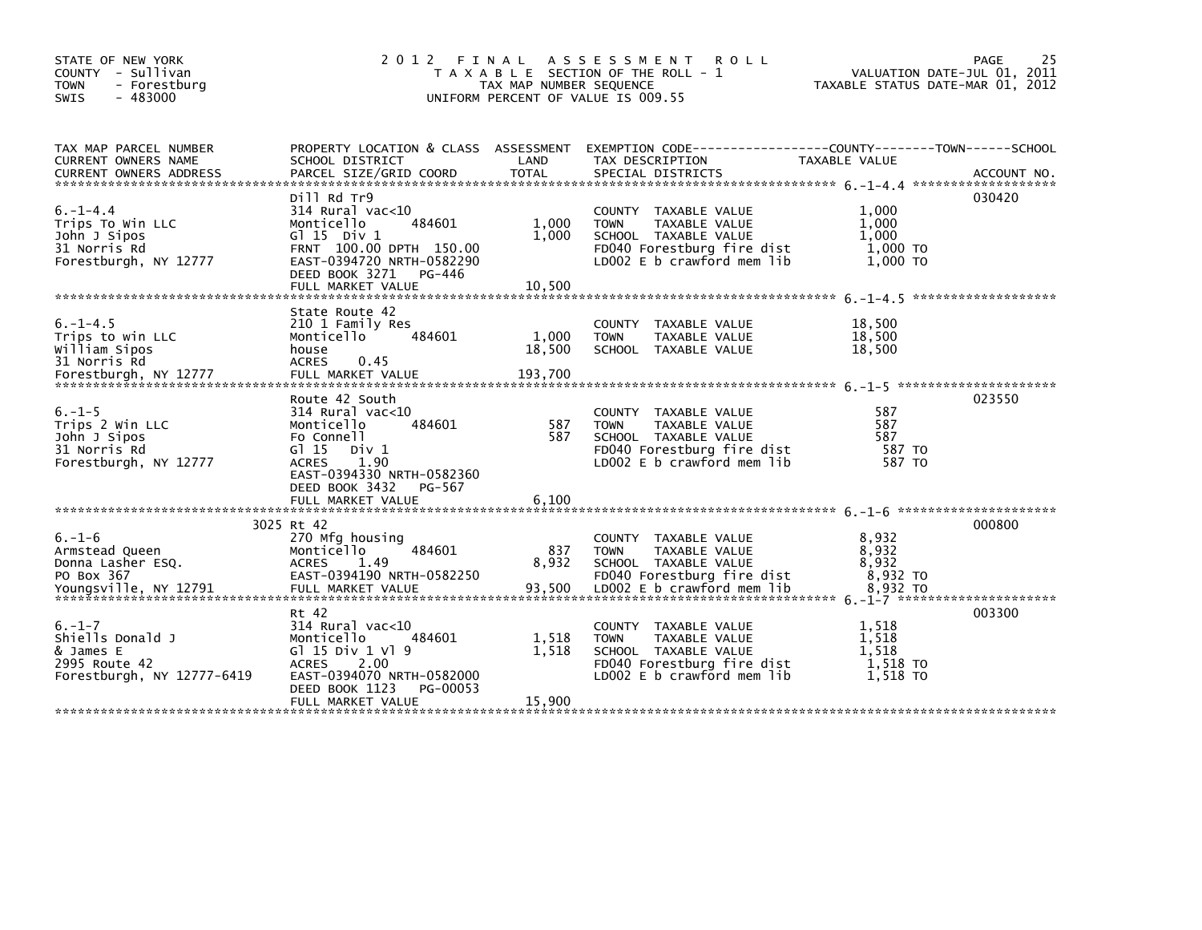| STATE OF NEW YORK<br>COUNTY - Sullivan<br><b>TOWN</b><br>- Forestburg<br>$-483000$<br><b>SWIS</b> | 2 0 1 2<br>FINAL                                                                                                                                                                | TAX MAP NUMBER SEQUENCE  | A S S E S S M E N T<br><b>ROLL</b><br>T A X A B L E SECTION OF THE ROLL - 1<br>UNIFORM PERCENT OF VALUE IS 009.55                                    | VALUATION DATE-JUL 01, 2011<br>TAXABLE STATUS DATE-MAR 01, 2012 | PAGE<br>25 |
|---------------------------------------------------------------------------------------------------|---------------------------------------------------------------------------------------------------------------------------------------------------------------------------------|--------------------------|------------------------------------------------------------------------------------------------------------------------------------------------------|-----------------------------------------------------------------|------------|
|                                                                                                   |                                                                                                                                                                                 |                          |                                                                                                                                                      |                                                                 |            |
| TAX MAP PARCEL NUMBER<br>CURRENT OWNERS NAME                                                      | SCHOOL DISTRICT                                                                                                                                                                 | LAND                     | PROPERTY LOCATION & CLASS ASSESSMENT EXEMPTION CODE----------------COUNTY-------TOWN------SCHOOL<br>TAX DESCRIPTION                                  | TAXABLE VALUE                                                   |            |
|                                                                                                   |                                                                                                                                                                                 |                          |                                                                                                                                                      |                                                                 |            |
| $6. -1 - 4.4$<br>Trips To Win LLC<br>John J Sipos<br>31 Norris Rd<br>Forestburgh, NY 12777        | Dill Rd Tr9<br>$314$ Rural vac< $10$<br>484601<br>Monticello<br>G $\overline{1}$ 15 Div 1<br>FRNT 100.00 DPTH 150.00<br>EAST-0394720 NRTH-0582290<br>DEED BOOK 3271<br>PG-446   | 1,000<br>1,000<br>10,500 | COUNTY TAXABLE VALUE<br>TAXABLE VALUE<br><b>TOWN</b><br>SCHOOL TAXABLE VALUE<br>FD040 Forestburg fire dist<br>LD002 E b crawford mem lib             | 1,000<br>1,000<br>1,000<br>1,000 TO<br>1,000 TO                 | 030420     |
|                                                                                                   | FULL MARKET VALUE                                                                                                                                                               |                          |                                                                                                                                                      |                                                                 |            |
| $6. -1 - 4.5$<br>Trips to win LLC<br>William Sipos<br>31 Norris Rd                                | State Route 42<br>210 1 Family Res<br>484601<br>Monticello<br>house<br><b>ACRES</b><br>0.45                                                                                     | 1,000<br>18,500          | COUNTY TAXABLE VALUE<br>TAXABLE VALUE<br><b>TOWN</b><br>SCHOOL TAXABLE VALUE                                                                         | 18,500<br>18,500<br>18.500                                      |            |
| $6. - 1 - 5$<br>Trips 2 Win LLC<br>John J Sipos<br>31 Norris Rd<br>Forestburgh, NY 12777          | Route 42 South<br>$314$ Rural vac< $10$<br>Monticello<br>484601<br>Fo Connell<br>$G1 15$ Div 1<br>1.90<br><b>ACRES</b><br>EAST-0394330 NRTH-0582360<br>DEED BOOK 3432<br>PG-567 | 587<br>587               | TAXABLE VALUE<br><b>COUNTY</b><br><b>TOWN</b><br>TAXABLE VALUE<br>SCHOOL TAXABLE VALUE<br>FD040 Forestburg fire dist<br>$LD002 E b$ crawford mem lib | 587<br>587<br>587<br>587 TO<br>587 TO                           | 023550     |
|                                                                                                   | FULL MARKET VALUE                                                                                                                                                               | 6.100                    |                                                                                                                                                      |                                                                 |            |
| $6. - 1 - 6$<br>Armstead Queen<br>Donna Lasher ESQ.<br>PO Box 367                                 | 3025 Rt 42<br>270 Mfg housing<br>484601<br>Monticello<br><b>ACRES</b><br>1.49<br>EAST-0394190 NRTH-0582250                                                                      | 837<br>8,932             | COUNTY TAXABLE VALUE<br>TAXABLE VALUE<br><b>TOWN</b><br>SCHOOL TAXABLE VALUE<br>FD040 Forestburg fire dist                                           | 8,932<br>8,932<br>8,932<br>8,932 TO                             | 000800     |
|                                                                                                   | Rt 42                                                                                                                                                                           |                          |                                                                                                                                                      |                                                                 | 003300     |
| $6. - 1 - 7$<br>Shiells Donald J<br>& James E<br>2995 Route 42<br>Forestburgh, NY 12777-6419      | $314$ Rural vac< $10$<br>484601<br>Monticello<br>G $15 \text{ Div } 1 \text{ V}$ 9<br>2.00<br><b>ACRES</b><br>EAST-0394070 NRTH-0582000                                         | 1,518<br>1,518           | COUNTY TAXABLE VALUE<br><b>TOWN</b><br>TAXABLE VALUE<br>SCHOOL TAXABLE VALUE<br>FD040 Forestburg fire dist<br>LD002 E b crawford mem lib             | 1,518<br>1,518<br>1.518<br>1,518 TO<br>1.518 TO                 |            |
|                                                                                                   | DEED BOOK 1123<br>PG-00053<br>FULL MARKET VALUE                                                                                                                                 | 15,900                   |                                                                                                                                                      |                                                                 |            |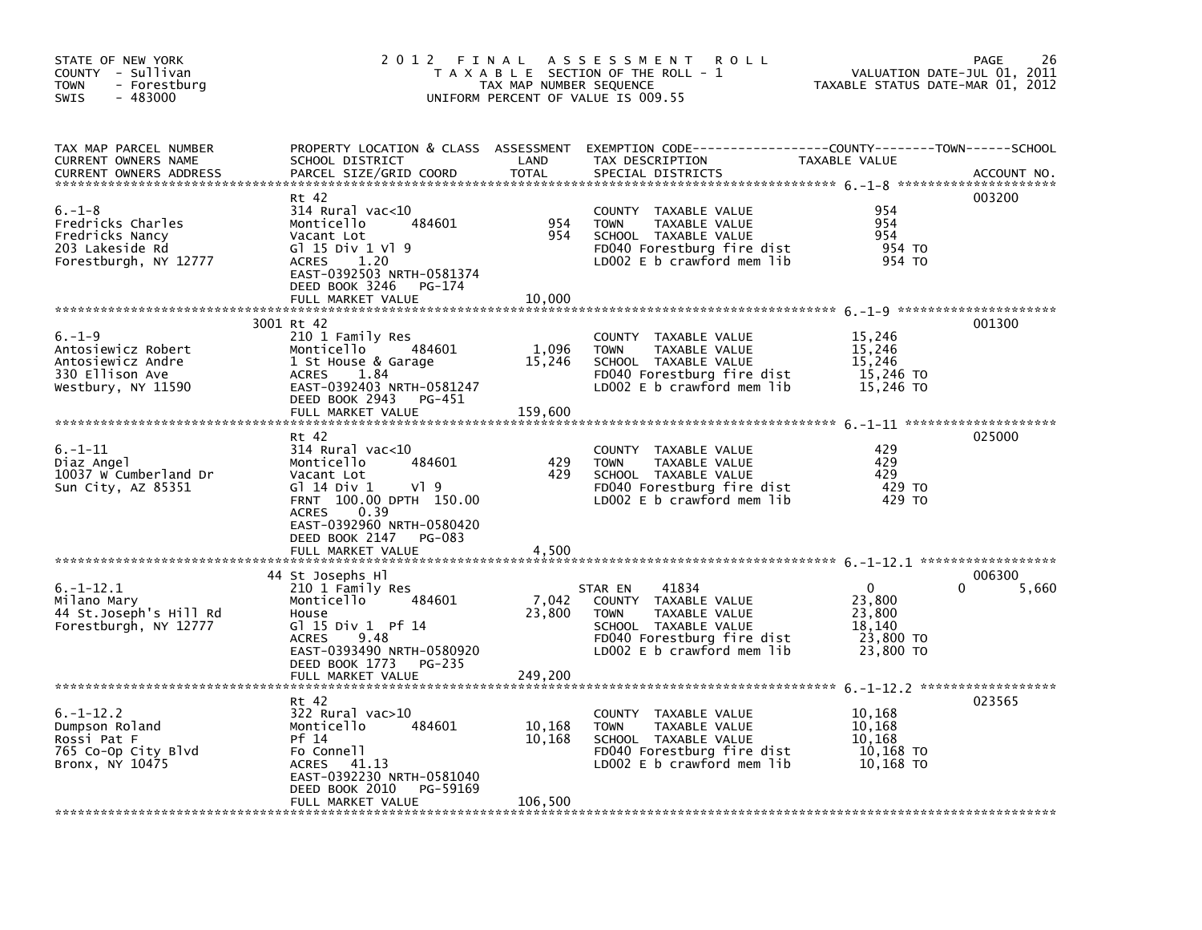| STATE OF NEW YORK<br>COUNTY - Sullivan<br><b>TOWN</b><br>- Forestburg<br>$-483000$<br><b>SWIS</b> |                                                                                                                                                                                                                        | TAX MAP NUMBER SEQUENCE     | 2012 FINAL ASSESSMENT ROLL<br>T A X A B L E SECTION OF THE ROLL - 1<br>UNIFORM PERCENT OF VALUE IS 009.55                                                    | VALUATION DATE-JUL 01, 2011<br>TAXABLE STATUS DATE-MAR 01, 2012           | 26<br>PAGE      |
|---------------------------------------------------------------------------------------------------|------------------------------------------------------------------------------------------------------------------------------------------------------------------------------------------------------------------------|-----------------------------|--------------------------------------------------------------------------------------------------------------------------------------------------------------|---------------------------------------------------------------------------|-----------------|
| TAX MAP PARCEL NUMBER<br>CURRENT OWNERS NAME<br><b>CURRENT OWNERS ADDRESS</b>                     | SCHOOL DISTRICT<br>PARCEL SIZE/GRID COORD                                                                                                                                                                              | LAND<br><b>TOTAL</b>        | PROPERTY LOCATION & CLASS ASSESSMENT EXEMPTION CODE----------------COUNTY-------TOWN------SCHOOL<br>TAX DESCRIPTION<br>SPECIAL DISTRICTS                     | <b>TAXABLE VALUE</b>                                                      | ACCOUNT NO.     |
| $6. - 1 - 8$<br>Fredricks Charles<br>Fredricks Nancy<br>203 Lakeside Rd<br>Forestburgh, NY 12777  | Rt 42<br>$314$ Rural vac< $10$<br>484601<br>Monticello<br>Vacant Lot<br>G1 15 Div 1 V1 9<br>1.20<br><b>ACRES</b><br>EAST-0392503 NRTH-0581374<br>DEED BOOK 3246<br>PG-174<br>FULL MARKET VALUE                         | 954<br>954<br>10,000        | COUNTY TAXABLE VALUE<br><b>TOWN</b><br>TAXABLE VALUE<br>SCHOOL TAXABLE VALUE<br>FD040 Forestburg fire dist<br>LD002 E b crawford mem lib                     | 954<br>954<br>954<br>954 TO<br>954 TO                                     | 003200          |
| $6. - 1 - 9$<br>Antosiewicz Robert<br>Antosiewicz Andre<br>330 Ellison Ave<br>Westbury, NY 11590  | 3001 Rt 42<br>210 1 Family Res<br>484601<br>Monticello<br>1 St House & Garage<br>1.84<br><b>ACRES</b><br>EAST-0392403 NRTH-0581247<br>DEED BOOK 2943 PG-451<br>FULL MARKET VALUE                                       | 1,096<br>15,246<br>159,600  | COUNTY TAXABLE VALUE<br>TAXABLE VALUE<br><b>TOWN</b><br>SCHOOL TAXABLE VALUE<br>FD040 Forestburg fire dist<br>LD002 E b crawford mem lib                     | 15,246<br>15,246<br>15,246<br>15,246 TO<br>15,246 TO                      | 001300          |
| $6. - 1 - 11$<br>Diaz Angel<br>10037 W Cumberland Dr<br>Sun City, AZ 85351                        | Rt 42<br>$314$ Rural vac<10<br>484601<br>Monticello<br>Vacant Lot<br>G1 14 Div 1<br>VI 9<br>FRNT 100.00 DPTH 150.00<br>0.39<br><b>ACRES</b><br>EAST-0392960 NRTH-0580420<br>DEED BOOK 2147 PG-083<br>FULL MARKET VALUE | 429<br>429<br>4,500         | COUNTY TAXABLE VALUE<br>TAXABLE VALUE<br><b>TOWN</b><br>SCHOOL TAXABLE VALUE<br>FD040 Forestburg fire dist<br>LD002 E b crawford mem lib                     | 429<br>429<br>429<br>429 TO<br>429 TO                                     | 025000          |
| $6. -1 - 12.1$<br>Milano Mary<br>44 St.Joseph's Hill Rd<br>Forestburgh, NY 12777                  | 44 St Josephs Hl<br>210 1 Family Res<br>Monticello<br>484601<br>House<br>G1 15 Div 1 Pf 14<br>9.48<br><b>ACRES</b><br>EAST-0393490 NRTH-0580920<br>DEED BOOK 1773 PG-235<br>FULL MARKET VALUE                          | 7,042<br>23,800<br>249,200  | 41834<br>STAR EN<br>COUNTY TAXABLE VALUE<br>TAXABLE VALUE<br><b>TOWN</b><br>SCHOOL TAXABLE VALUE<br>FD040 Forestburg fire dist<br>LD002 E b crawford mem lib | $\mathbf{0}$<br>0<br>23,800<br>23,800<br>18,140<br>23,800 TO<br>23,800 TO | 006300<br>5,660 |
| $6. -1 - 12.2$<br>Dumpson Roland<br>Rossi Pat F<br>765 Co-Op City Blvd<br>Bronx, NY 10475         | Rt 42<br>$322$ Rural vac $>10$<br>484601<br>Monticello<br>Pf 14<br>Fo Connell<br>ACRES 41.13<br>EAST-0392230 NRTH-0581040<br>DEED BOOK 2010<br>PG-59169<br>FULL MARKET VALUE                                           | 10,168<br>10,168<br>106,500 | COUNTY TAXABLE VALUE<br>TAXABLE VALUE<br><b>TOWN</b><br>SCHOOL TAXABLE VALUE<br>FD040 Forestburg fire dist<br>LD002 E b crawford mem lib                     | 10,168<br>10,168<br>10,168<br>10,168 TO<br>10,168 TO                      | 023565          |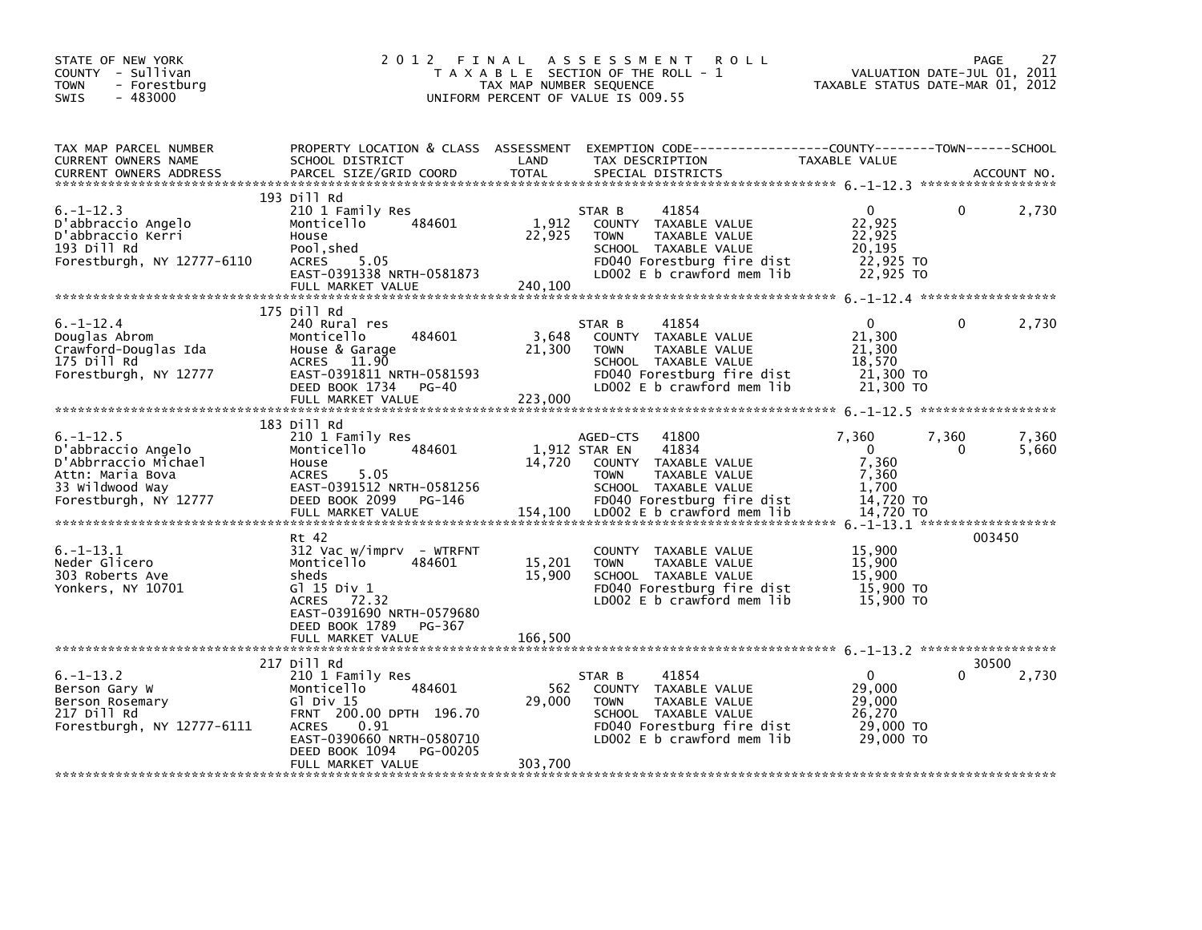| STATE OF NEW YORK<br>COUNTY - Sullivan<br>- Forestburg<br><b>TOWN</b><br>$-483000$<br>SWIS                                    | 2012 FINAL                                                                                                                                                                                              | TAX MAP NUMBER SEQUENCE     | A S S E S S M E N T<br>R O L L<br>T A X A B L E SECTION OF THE ROLL - 1<br>UNIFORM PERCENT OF VALUE IS 009.55                                                                           | TAXABLE STATUS DATE-MAR 01, 2012                                          | 27<br><b>PAGE</b><br>VALUATION DATE-JUL 01, 2011 |
|-------------------------------------------------------------------------------------------------------------------------------|---------------------------------------------------------------------------------------------------------------------------------------------------------------------------------------------------------|-----------------------------|-----------------------------------------------------------------------------------------------------------------------------------------------------------------------------------------|---------------------------------------------------------------------------|--------------------------------------------------|
| TAX MAP PARCEL NUMBER<br>CURRENT OWNERS NAME<br><b>CURRENT OWNERS ADDRESS</b>                                                 | SCHOOL DISTRICT<br>PARCEL SIZE/GRID COORD                                                                                                                                                               | LAND<br><b>TOTAL</b>        | PROPERTY LOCATION & CLASS ASSESSMENT EXEMPTION CODE---------------COUNTY-------TOWN-----SCHOOL<br>TAX DESCRIPTION<br>SPECIAL DISTRICTS                                                  | TAXABLE VALUE                                                             | ACCOUNT NO.                                      |
| $6. -1 - 12.3$<br>D'abbraccio Angelo<br>D'abbraccio Kerri<br>193 Dill Rd<br>Forestburgh, NY 12777-6110                        | 193 Dill Rd<br>210 1 Family Res<br>Monticello<br>484601<br>House<br>Pool, shed<br>5.05<br>ACRES<br>EAST-0391338 NRTH-0581873<br>FULL MARKET VALUE                                                       | 1,912<br>22,925<br>240,100  | 41854<br>STAR B<br>COUNTY TAXABLE VALUE<br><b>TOWN</b><br>TAXABLE VALUE<br>SCHOOL TAXABLE VALUE<br>FD040 Forestburg fire dist<br>LD002 E b crawford mem lib                             | 0<br>22,925<br>22,925<br>20,195<br>22,925 TO<br>22,925 TO                 | $\mathbf{0}$<br>2,730                            |
| $6. - 1 - 12.4$<br>Douglas Abrom<br>Crawford-Douglas Ida<br>175 Dill Rd<br>Forestburgh, NY 12777                              | 175 Dill Rd<br>240 Rural res<br>Monticello<br>484601<br>House & Garage<br>ACRES 11.90<br>EAST-0391811 NRTH-0581593<br>DEED BOOK 1734<br>PG-40<br>FULL MARKET VALUE                                      | 3,648<br>21,300<br>223,000  | STAR B<br>41854<br>COUNTY TAXABLE VALUE<br><b>TOWN</b><br>TAXABLE VALUE<br>SCHOOL TAXABLE VALUE<br>FD040 Forestburg fire dist<br>LD002 E b crawford mem lib                             | $\mathbf{0}$<br>21,300<br>21,300<br>18,570<br>21,300 TO<br>21,300 TO      | $\mathbf{0}$<br>2,730                            |
| $6. - 1 - 12.5$<br>D'abbraccio Angelo<br>D'Abbrraccio Michael<br>Attn: Maria Bova<br>33 Wildwood Way<br>Forestburgh, NY 12777 | 183 Dill Rd<br>210 1 Family Res<br>484601<br>Monticello<br>House<br><b>ACRES</b><br>5.05<br>EAST-0391512 NRTH-0581256<br>DEED BOOK 2099 PG-146<br>FULL MARKET VALUE                                     | 14,720<br>154,100           | 41800<br>AGED-CTS<br>1,912 STAR EN<br>41834<br>COUNTY TAXABLE VALUE<br>TAXABLE VALUE<br><b>TOWN</b><br>SCHOOL TAXABLE VALUE<br>FD040 Forestburg fire dist<br>LD002 E b crawford mem lib | 7,360<br>$\mathbf 0$<br>7,360<br>7,360<br>1,700<br>14,720 TO<br>14,720 TO | 7,360<br>7,360<br>5,660<br>$\Omega$              |
| $6. - 1 - 13.1$<br>Neder Glicero<br>303 Roberts Ave<br>Yonkers, NY 10701                                                      | Rt 42<br>$312$ Vac w/imprv - WTRFNT<br>Monticello<br>484601<br>sheds<br>G1 15 Div 1<br>72.32<br><b>ACRES</b><br>EAST-0391690 NRTH-0579680<br>DEED BOOK 1789<br>PG-367<br>FULL MARKET VALUE              | 15,201<br>15,900<br>166,500 | COUNTY TAXABLE VALUE<br>TAXABLE VALUE<br><b>TOWN</b><br>SCHOOL TAXABLE VALUE<br>FD040 Forestburg fire dist<br>LD002 E b crawford mem lib                                                | 15,900<br>15,900<br>15,900<br>15,900 TO<br>15,900 TO                      | 003450                                           |
| 6. – 1–13.2<br>Berson Gary W<br>Berson Rosemary<br>217 Dill Rd<br>Forestburgh, NY 12777-6111                                  | 217 Dill Rd<br>210 1 Family Res<br>484601<br>Monticello<br>GI Div 15<br>FRNT 200.00 DPTH 196.70<br><b>ACRES</b><br>0.91<br>EAST-0390660 NRTH-0580710<br>DEED BOOK 1094<br>PG-00205<br>FULL MARKET VALUE | 562<br>29,000<br>303,700    | 41854<br>STAR B<br>COUNTY TAXABLE VALUE<br><b>TOWN</b><br>TAXABLE VALUE<br>SCHOOL TAXABLE VALUE<br>FD040 Forestburg fire dist<br>LD002 E b crawford mem lib                             | $\Omega$<br>29,000<br>29,000<br>26,270<br>29,000 TO<br>29,000 TO          | 30500<br>2,730                                   |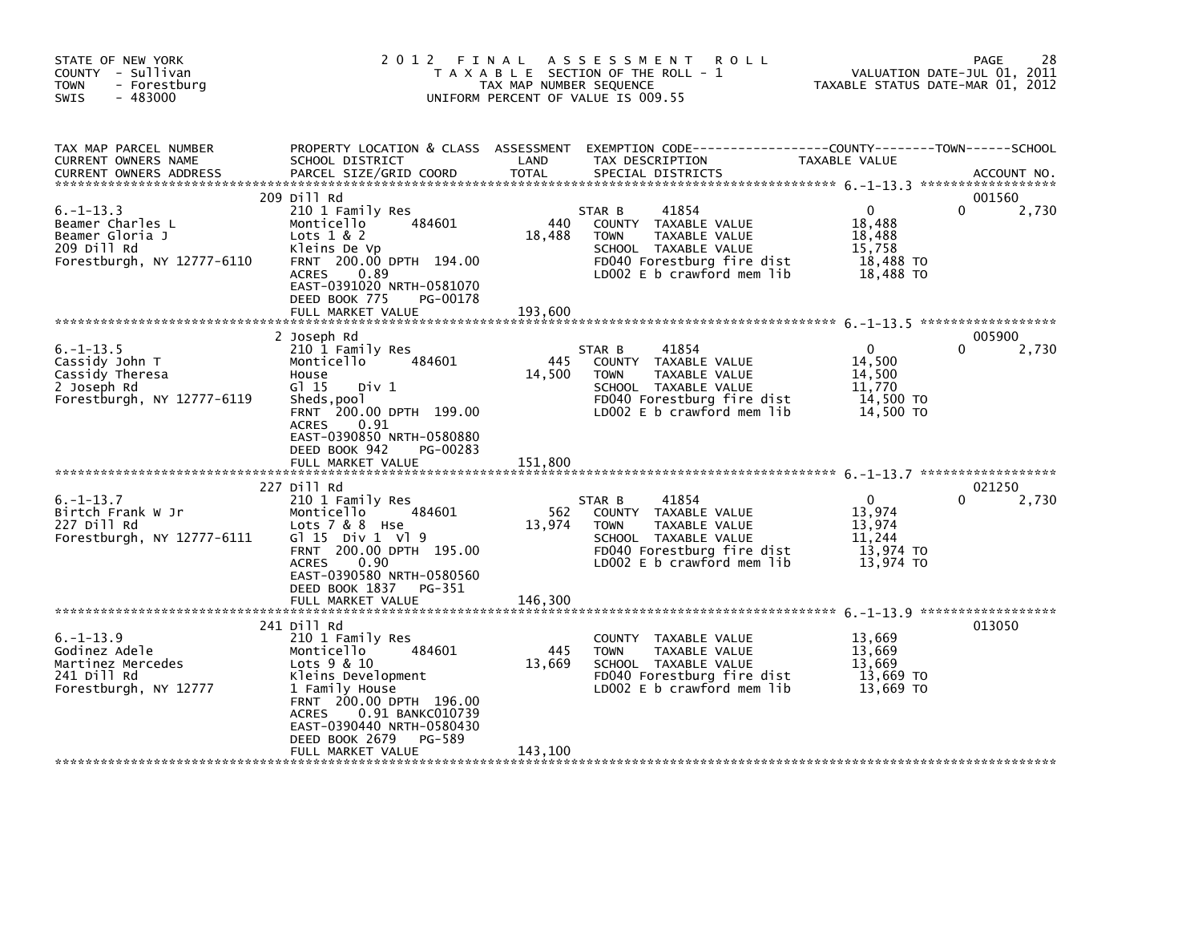| STATE OF NEW YORK<br>COUNTY - Sullivan<br>- Forestburg<br><b>TOWN</b><br>$-483000$<br>SWIS         | 2 0 1 2                                                                                                                                                                                                                                      | FINAL<br>TAX MAP NUMBER SEQUENCE | A S S E S S M E N T<br><b>ROLL</b><br>T A X A B L E SECTION OF THE ROLL - 1<br>UNIFORM PERCENT OF VALUE IS 009.55                                             | TAXABLE STATUS DATE-MAR 01, 2012                                     | 28<br>PAGE<br>VALUATION DATE-JUL 01, 2011 |
|----------------------------------------------------------------------------------------------------|----------------------------------------------------------------------------------------------------------------------------------------------------------------------------------------------------------------------------------------------|----------------------------------|---------------------------------------------------------------------------------------------------------------------------------------------------------------|----------------------------------------------------------------------|-------------------------------------------|
| TAX MAP PARCEL NUMBER<br>CURRENT OWNERS NAME<br><b>CURRENT OWNERS ADDRESS</b>                      | PROPERTY LOCATION & CLASS ASSESSMENT<br>SCHOOL DISTRICT<br>PARCEL SIZE/GRID COORD                                                                                                                                                            | LAND<br><b>TOTAL</b>             | EXEMPTION CODE-----------------COUNTY-------TOWN------SCHOOL<br>TAX DESCRIPTION<br>SPECIAL DISTRICTS                                                          | TAXABLE VALUE                                                        | ACCOUNT NO.                               |
| $6. -1 - 13.3$<br>Beamer Charles L<br>Beamer Gloria J<br>209 Dill Rd<br>Forestburgh, NY 12777-6110 | 209 Dill Rd<br>210 1 Family Res<br>484601<br>Monticello<br>Lots $1 & 2$<br>Kleins De Vp<br>FRNT 200.00 DPTH 194.00<br><b>ACRES</b><br>0.89<br>EAST-0391020 NRTH-0581070<br>DEED BOOK 775<br>PG-00178<br>FULL MARKET VALUE                    | 440<br>18,488<br>193,600         | 41854<br>STAR B<br>COUNTY TAXABLE VALUE<br><b>TOWN</b><br>TAXABLE VALUE<br>SCHOOL TAXABLE VALUE<br>FD040 Forestburg fire dist<br>LD002 $E$ b crawford mem lib | $\mathbf{0}$<br>18,488<br>18,488<br>15,758<br>18,488 TO<br>18,488 TO | 001560<br>0<br>2,730                      |
| $6. -1 - 13.5$<br>Cassidy John T<br>Cassidy Theresa<br>2 Joseph Rd<br>Forestburgh, NY 12777-6119   | 2 Joseph Rd<br>210 1 Family Res<br>Monticello<br>484601<br>House<br>G1 15<br>Div 1<br>Sheds, pool<br>FRNT 200.00 DPTH 199.00<br><b>ACRES</b><br>0.91<br>EAST-0390850 NRTH-0580880<br>DEED BOOK 942<br>PG-00283                               | 445<br>14,500                    | STAR B<br>41854<br>COUNTY TAXABLE VALUE<br><b>TOWN</b><br>TAXABLE VALUE<br>SCHOOL TAXABLE VALUE<br>FD040 Forestburg fire dist<br>LD002 E b crawford mem lib   | $\Omega$<br>14,500<br>14,500<br>11,770<br>14,500 TO<br>14,500 TO     | 005900<br>2,730                           |
|                                                                                                    | FULL MARKET VALUE                                                                                                                                                                                                                            | 151,800                          |                                                                                                                                                               |                                                                      |                                           |
| $6. -1 - 13.7$<br>Birtch Frank W Jr<br>227 Dill Rd<br>Forestburgh, NY 12777-6111                   | 227 Dill Rd<br>210 1 Family Res<br>484601<br>Monticello<br>Lots 7 & 8 Hse<br>G $115$ Div $1 \sqrt{9}$<br>FRNT 200.00 DPTH 195.00<br>0.90<br><b>ACRES</b><br>EAST-0390580 NRTH-0580560<br>DEED BOOK 1837<br>PG-351<br>FULL MARKET VALUE       | 562<br>13,974<br>146,300         | 41854<br>STAR B<br>COUNTY TAXABLE VALUE<br>TAXABLE VALUE<br><b>TOWN</b><br>SCHOOL TAXABLE VALUE<br>FD040 Forestburg fire dist<br>LD002 $E$ b crawford mem lib | $\mathbf{0}$<br>13,974<br>13,974<br>11,244<br>13,974 TO<br>13,974 TO | 021250<br>2,730<br><sup>n</sup>           |
|                                                                                                    | 241 Dill Rd                                                                                                                                                                                                                                  |                                  |                                                                                                                                                               |                                                                      | 013050                                    |
| $6. -1 - 13.9$<br>Godinez Adele<br>Martinez Mercedes<br>241 Dill Rd<br>Forestburgh, NY 12777       | 210 1 Family Res<br>484601<br>Monticello<br>Lots 9 & 10<br>Kleins Development<br>1 Family House<br>FRNT 200.00 DPTH 196.00<br>0.91 BANKC010739<br><b>ACRES</b><br>EAST-0390440 NRTH-0580430<br>DEED BOOK 2679<br>PG-589<br>FULL MARKET VALUE | 445<br>13,669<br>143,100         | COUNTY TAXABLE VALUE<br><b>TOWN</b><br>TAXABLE VALUE<br>SCHOOL TAXABLE VALUE<br>FD040 Forestburg fire dist<br>LD002 E b crawford mem lib                      | 13,669<br>13,669<br>13,669<br>13,669 TO<br>13,669 TO                 |                                           |
|                                                                                                    |                                                                                                                                                                                                                                              |                                  |                                                                                                                                                               |                                                                      |                                           |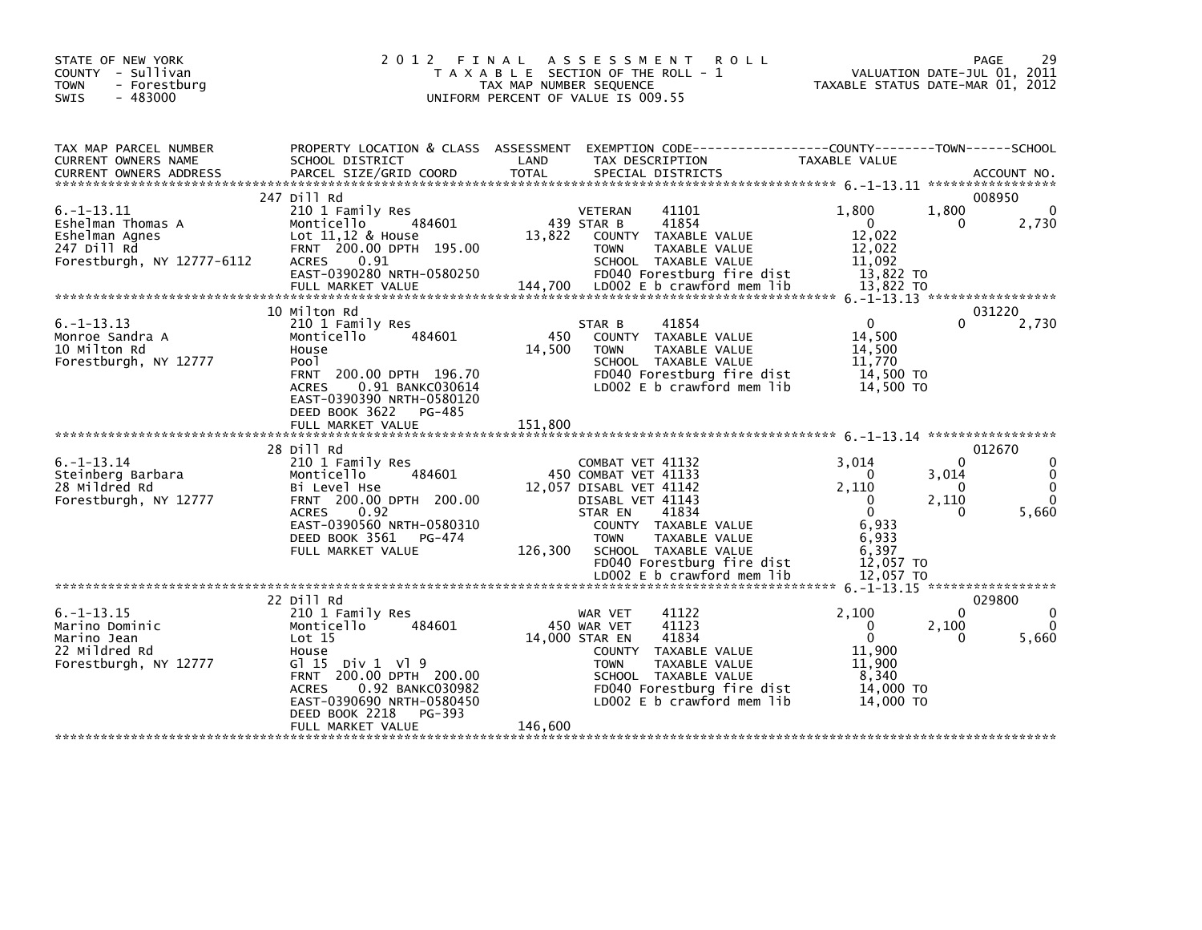| STATE OF NEW YORK<br>COUNTY - Sullivan<br><b>TOWN</b><br>- Forestburg<br>$-483000$<br><b>SWIS</b>   | 2 0 1 2                                                                                                                                                                                                                            | FINAL<br>TAX MAP NUMBER SEQUENCE | <b>ROLL</b><br>A S S E S S M E N T<br>T A X A B L E SECTION OF THE ROLL - 1<br>UNIFORM PERCENT OF VALUE IS 009.55                                                                                                                                       |                                                                                                         | 29<br>PAGE<br>VALUATION DATE-JUL 01, 2011<br>TAXABLE STATUS DATE-MAR 01, 2012                           |
|-----------------------------------------------------------------------------------------------------|------------------------------------------------------------------------------------------------------------------------------------------------------------------------------------------------------------------------------------|----------------------------------|---------------------------------------------------------------------------------------------------------------------------------------------------------------------------------------------------------------------------------------------------------|---------------------------------------------------------------------------------------------------------|---------------------------------------------------------------------------------------------------------|
| TAX MAP PARCEL NUMBER<br>CURRENT OWNERS NAME                                                        | PROPERTY LOCATION & CLASS ASSESSMENT<br>SCHOOL DISTRICT                                                                                                                                                                            | LAND                             | EXEMPTION        CODE-----------------COUNTY-------TOWN------SCHOOL<br>TAX DESCRIPTION                                                                                                                                                                  | TAXABLE VALUE                                                                                           |                                                                                                         |
| $6. -1 - 13.11$<br>Eshelman Thomas A<br>Eshelman Agnes<br>247 Dill Rd<br>Forestburgh, NY 12777-6112 | 247 Dill Rd<br>210 1 Family Res<br>Monticello<br>484601<br>Lot $11,12$ & House<br>FRNT 200.00 DPTH 195.00<br>0.91<br><b>ACRES</b><br>EAST-0390280 NRTH-0580250<br>FULL MARKET VALUE                                                | 13,822<br>144,700                | 41101<br><b>VETERAN</b><br>41854<br>439 STAR B<br>COUNTY TAXABLE VALUE<br><b>TOWN</b><br>TAXABLE VALUE<br>SCHOOL TAXABLE VALUE<br>FD040 Forestburg fire dist<br>LDOO2 E b crawford mem lib                                                              | 1.800<br>$\Omega$<br>12.022<br>12,022<br>11,092<br>13,822 TO<br>13.822 TO                               | 008950<br>$\Omega$<br>1,800<br>2,730<br>0                                                               |
| $6. -1 - 13.13$<br>Monroe Sandra A<br>10 Milton Rd<br>Forestburgh, NY 12777                         | 10 Milton Rd<br>210 1 Family Res<br>484601<br>Monticello<br>House<br>Poo <sub>1</sub><br>FRNT 200.00 DPTH 196.70<br>0.91 BANKC030614<br><b>ACRES</b><br>EAST-0390390 NRTH-0580120<br>DEED BOOK 3622<br>PG-485<br>FULL MARKET VALUE | 450<br>14,500<br>151.800         | 41854<br>STAR B<br>COUNTY TAXABLE VALUE<br>TAXABLE VALUE<br><b>TOWN</b><br>SCHOOL TAXABLE VALUE<br>FD040 Forestburg fire dist<br>LD002 E b crawford mem lib                                                                                             | $\mathbf{0}$<br>14,500<br>14.500<br>11,770<br>14,500 TO<br>14,500 TO                                    | 031220<br>2,730<br>0                                                                                    |
| $6. -1 - 13.14$<br>Steinberg Barbara<br>28 Mildred Rd<br>Forestburgh, NY 12777                      | 28 Dill Rd<br>210 1 Family Res<br>484601<br>Monticello<br>Bi Level Hse<br>FRNT 200.00 DPTH 200.00<br><b>ACRES</b><br>0.92<br>EAST-0390560 NRTH-0580310<br>DEED BOOK 3561<br>PG-474<br>FULL MARKET VALUE                            | 126,300                          | COMBAT VET 41132<br>450 COMBAT VET 41133<br>12,057 DISABL VET 41142<br>DISABL VET 41143<br>STAR EN<br>41834<br>COUNTY TAXABLE VALUE<br><b>TOWN</b><br>TAXABLE VALUE<br>SCHOOL TAXABLE VALUE<br>FD040 Forestburg fire dist<br>LD002 E b crawford mem lib | 3.014<br>0<br>2,110<br>0<br>$\mathbf{0}$<br>6.933<br>6,933<br>6,397<br>12,057 TO                        | 012670<br>$\Omega$<br>$\Omega$<br>0<br>3,014<br>0<br>$\Omega$<br>2,110<br>$\Omega$<br>5,660<br>$\Omega$ |
| $6. -1 - 13.15$<br>Marino Dominic<br>Marino Jean<br>22 Mildred Rd<br>Forestburgh, NY 12777          | 22 Dill Rd<br>210 1 Family Res<br>Monticello<br>484601<br>Lot 15<br>House<br>G1 15 Div 1 V1 9<br>200.00 DPTH 200.00<br><b>FRNT</b><br>0.92 BANKC030982<br><b>ACRES</b><br>EAST-0390690 NRTH-0580450<br>DEED BOOK 2218<br>PG-393    |                                  | 41122<br>WAR VET<br>41123<br>450 WAR VET<br>41834<br>14,000 STAR EN<br>COUNTY TAXABLE VALUE<br>TAXABLE VALUE<br><b>TOWN</b><br>SCHOOL TAXABLE VALUE<br>FD040 Forestburg fire dist<br>LD002 E b crawford mem lib                                         | 12,057 TO<br>2.100<br>$\mathbf 0$<br>$\mathbf 0$<br>11,900<br>11.900<br>8,340<br>14,000 TO<br>14,000 TO | 029800<br>$\mathbf{0}$<br>$\Omega$<br>2,100<br>$\Omega$<br>0<br>5,660                                   |
|                                                                                                     | FULL MARKET VALUE                                                                                                                                                                                                                  | 146.600                          |                                                                                                                                                                                                                                                         |                                                                                                         |                                                                                                         |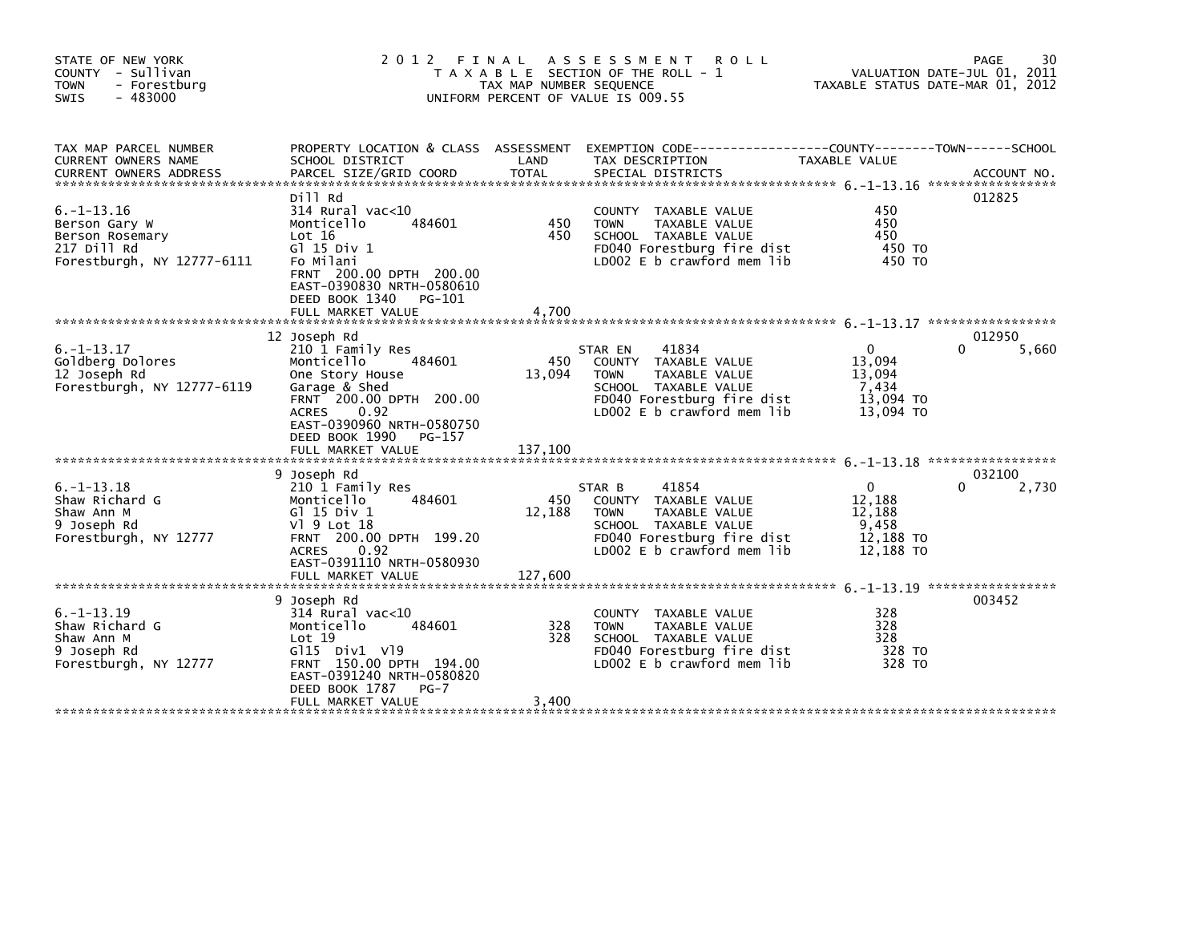| STATE OF NEW YORK<br>COUNTY - Sullivan<br>- Forestburg<br><b>TOWN</b><br>$-483000$<br>SWIS       | 2 0 1 2                                                                                                                                                                                                       | FINAL<br>TAX MAP NUMBER SEQUENCE | A S S E S S M E N T<br><b>ROLL</b><br>T A X A B L E SECTION OF THE ROLL -<br>UNIFORM PERCENT OF VALUE IS 009.55                                                               | VALUATION DATE-JUL 01, 2011<br>TAXABLE STATUS DATE-MAR 01, 2012     | 30<br><b>PAGE</b> |
|--------------------------------------------------------------------------------------------------|---------------------------------------------------------------------------------------------------------------------------------------------------------------------------------------------------------------|----------------------------------|-------------------------------------------------------------------------------------------------------------------------------------------------------------------------------|---------------------------------------------------------------------|-------------------|
| TAX MAP PARCEL NUMBER<br>CURRENT OWNERS NAME                                                     | PROPERTY LOCATION & CLASS ASSESSMENT<br>SCHOOL DISTRICT                                                                                                                                                       | LAND                             | EXEMPTION CODE---<br>TAX DESCRIPTION                                                                                                                                          | -------------COUNTY--------TOWN------SCHOOL<br><b>TAXABLE VALUE</b> |                   |
| $6. -1 - 13.16$<br>Berson Gary W<br>Berson Rosemary<br>217 Dill Rd<br>Forestburgh, NY 12777-6111 | Dill Rd<br>$314$ Rural vac< $10$<br>484601<br>Monticello<br>Lot 16<br>G1 15 Div 1<br>Fo Milani<br>FRNT 200.00 DPTH 200.00<br>EAST-0390830 NRTH-0580610<br>DEED BOOK 1340<br>PG-101                            | 450<br>450                       | <b>COUNTY</b><br>TAXABLE VALUE<br>TAXABLE VALUE<br><b>TOWN</b><br>SCHOOL TAXABLE VALUE<br>FD040 Forestburg fire dist<br>LD002 E b crawford mem lib                            | 450<br>450<br>450<br>450 TO<br>450 TO                               | 012825            |
|                                                                                                  | 12 Joseph Rd                                                                                                                                                                                                  |                                  |                                                                                                                                                                               |                                                                     | 012950            |
| $6. - 1 - 13.17$<br>Goldberg Dolores<br>12 Joseph Rd<br>Forestburgh, NY 12777-6119               | 210 1 Family Res<br>Monticello<br>484601<br>One Story House<br>Garage & Shed<br>FRNT 200.00 DPTH 200.00<br><b>ACRES</b><br>0.92<br>EAST-0390960 NRTH-0580750<br>DEED BOOK 1990<br>PG-157<br>FULL MARKET VALUE | 450<br>13,094<br>137,100         | 41834<br>STAR EN<br>TAXABLE VALUE<br><b>COUNTY</b><br><b>TOWN</b><br><b>TAXABLE VALUE</b><br>SCHOOL TAXABLE VALUE<br>FD040 Forestburg fire dist<br>LD002 E b crawford mem lib | $\Omega$<br>13,094<br>13.094<br>7,434<br>13,094 TO<br>13,094 TO     | 0<br>5,660        |
|                                                                                                  | 9 Joseph Rd                                                                                                                                                                                                   |                                  |                                                                                                                                                                               |                                                                     | 032100            |
| $6. -1 - 13.18$<br>Shaw Richard G<br>Shaw Ann M<br>9 Joseph Rd<br>Forestburgh, NY 12777          | 210 1 Family Res<br>484601<br>Monticello<br>G1 15 Div 1<br>V1 9 Lot 18<br>FRNT 200.00 DPTH 199.20<br>0.92<br><b>ACRES</b><br>EAST-0391110 NRTH-0580930                                                        | 450<br>12,188                    | 41854<br>STAR B<br>TAXABLE VALUE<br><b>COUNTY</b><br><b>TOWN</b><br><b>TAXABLE VALUE</b><br>SCHOOL TAXABLE VALUE<br>FD040 Forestburg fire dist<br>LD002 E b crawford mem lib  | $\Omega$<br>12,188<br>12,188<br>9,458<br>12,188 TO<br>12,188 TO     | 0<br>2,730        |
|                                                                                                  | FULL MARKET VALUE                                                                                                                                                                                             | 127,600                          |                                                                                                                                                                               |                                                                     |                   |
| $6. -1 - 13.19$<br>Shaw Richard G<br>Shaw Ann M<br>9 Joseph Rd<br>Forestburgh, NY 12777          | 9 Joseph Rd<br>$314$ Rural vac<10<br>Monticello<br>484601<br>Lot 19<br>G115 Div1 V19<br>FRNT 150.00 DPTH 194.00<br>EAST-0391240 NRTH-0580820<br>DEED BOOK 1787<br>$PG-7$                                      | 328<br>328                       | TAXABLE VALUE<br><b>COUNTY</b><br><b>TOWN</b><br><b>TAXABLE VALUE</b><br>SCHOOL TAXABLE VALUE<br>FD040 Forestburg fire dist<br>LD002 E b crawford mem lib                     | 328<br>328<br>328<br>328 TO<br>328 TO                               | 003452            |
|                                                                                                  | FULL MARKET VALUE                                                                                                                                                                                             | 3.400                            |                                                                                                                                                                               |                                                                     |                   |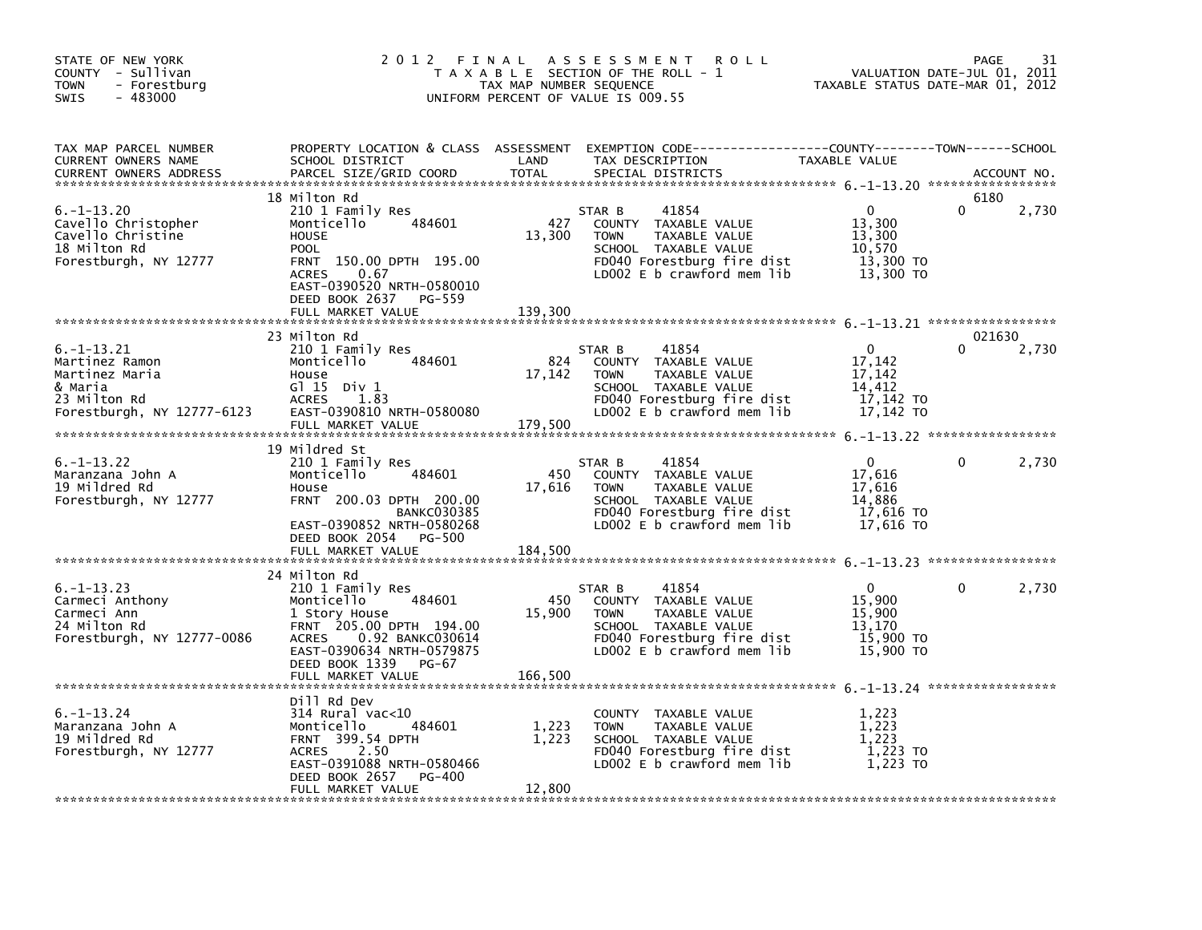| STATE OF NEW YORK<br>COUNTY - Sullivan<br><b>TOWN</b><br>- Forestburg<br>$-483000$<br>SWIS                   | 2 0 1 2<br>FINAL                                                                                                                                                                                    | TAX MAP NUMBER SEQUENCE  | A S S E S S M E N T<br><b>ROLL</b><br>T A X A B L E SECTION OF THE ROLL - 1<br>UNIFORM PERCENT OF VALUE IS 009.55                                           | VALUATION DATE-JUL 01, 2011<br>TAXABLE STATUS DATE-MAR 01, 2012      | <b>PAGE</b>        | 31          |
|--------------------------------------------------------------------------------------------------------------|-----------------------------------------------------------------------------------------------------------------------------------------------------------------------------------------------------|--------------------------|-------------------------------------------------------------------------------------------------------------------------------------------------------------|----------------------------------------------------------------------|--------------------|-------------|
| TAX MAP PARCEL NUMBER<br>CURRENT OWNERS NAME<br><b>CURRENT OWNERS ADDRESS</b>                                | SCHOOL DISTRICT<br>PARCEL SIZE/GRID COORD                                                                                                                                                           | LAND<br><b>TOTAL</b>     | PROPERTY LOCATION & CLASS ASSESSMENT EXEMPTION CODE---------------COUNTY-------TOWN-----SCHOOL<br>TAX DESCRIPTION<br>SPECIAL DISTRICTS                      | TAXABLE VALUE                                                        |                    | ACCOUNT NO. |
| $6. - 1 - 13.20$<br>Cavello Christopher<br>Cavello Christine<br>18 Milton Rd<br>Forestburgh, NY 12777        | 18 Milton Rd<br>210 1 Family Res<br>484601<br>Monticello<br><b>HOUSE</b><br><b>POOL</b><br>FRNT 150.00 DPTH 195.00<br><b>ACRES</b><br>0.67<br>EAST-0390520 NRTH-0580010<br>DEED BOOK 2637<br>PG-559 | 427<br>13,300            | 41854<br>STAR B<br>COUNTY TAXABLE VALUE<br><b>TOWN</b><br>TAXABLE VALUE<br>SCHOOL TAXABLE VALUE<br>FD040 Forestburg fire dist<br>LD002 E b crawford mem lib | $\mathbf{0}$<br>13,300<br>13,300<br>10,570<br>13,300 TO<br>13,300 TO | 6180<br>0          | 2,730       |
|                                                                                                              | FULL MARKET VALUE                                                                                                                                                                                   | 139,300                  |                                                                                                                                                             |                                                                      |                    |             |
| $6. -1 - 13.21$<br>Martinez Ramon<br>Martinez Maria<br>& Maria<br>23 Milton Rd<br>Forestburgh, NY 12777-6123 | 23 Milton Rd<br>210 1 Family Res<br>484601<br>Monticello<br>House<br>$G1 15$ Div $1$<br><b>ACRES</b><br>1.83<br>EAST-0390810 NRTH-0580080<br>FULL MARKET VALUE                                      | 824<br>17,142<br>179,500 | 41854<br>STAR B<br>COUNTY TAXABLE VALUE<br><b>TOWN</b><br>TAXABLE VALUE<br>SCHOOL TAXABLE VALUE<br>FD040 Forestburg fire dist<br>LD002 E b crawford mem lib | $\Omega$<br>17,142<br>17,142<br>14,412<br>17,142 TO<br>17,142 TO     | 021630<br>$\Omega$ | 2,730       |
|                                                                                                              |                                                                                                                                                                                                     |                          |                                                                                                                                                             |                                                                      |                    |             |
| $6. -1 - 13.22$<br>Maranzana John A<br>19 Mildred Rd<br>Forestburgh, NY 12777                                | 19 Mildred St<br>210 1 Family Res<br>Monticello<br>484601<br>House<br>FRNT 200.03 DPTH 200.00<br><b>BANKC030385</b><br>EAST-0390852 NRTH-0580268<br>DEED BOOK 2054<br>PG-500<br>FULL MARKET VALUE   | 450<br>17,616<br>184,500 | 41854<br>STAR B<br>COUNTY TAXABLE VALUE<br>TAXABLE VALUE<br><b>TOWN</b><br>SCHOOL TAXABLE VALUE<br>FD040 Forestburg fire dist<br>LD002 E b crawford mem lib | $\Omega$<br>17,616<br>17,616<br>14,886<br>$17,616$ TO<br>17.616 TO   | $\mathbf{0}$       | 2,730       |
|                                                                                                              |                                                                                                                                                                                                     |                          |                                                                                                                                                             |                                                                      |                    |             |
| $6. -1 - 13.23$<br>Carmeci Anthony<br>Carmeci Ann<br>24 Milton Rd<br>Forestburgh, NY 12777-0086              | 24 Milton Rd<br>210 1 Family Res<br>484601<br>Monticello<br>1 Story House<br>FRNT 205.00 DPTH 194.00<br>0.92 BANKC030614<br><b>ACRES</b><br>EAST-0390634 NRTH-0579875<br>DEED BOOK 1339<br>PG-67    | 450<br>15,900            | 41854<br>STAR B<br>COUNTY TAXABLE VALUE<br><b>TOWN</b><br>TAXABLE VALUE<br>SCHOOL TAXABLE VALUE<br>FD040 Forestburg fire dist<br>LD002 E b crawford mem lib | $\Omega$<br>15,900<br>15,900<br>13.170<br>15,900 TO<br>15,900 TO     | 0                  | 2,730       |
|                                                                                                              | FULL MARKET VALUE                                                                                                                                                                                   | 166,500                  |                                                                                                                                                             |                                                                      |                    |             |
| $6. - 1 - 13.24$<br>Maranzana John A<br>19 Mildred Rd<br>Forestburgh, NY 12777                               | Dill Rd Dev<br>314 Rural vac<10<br>Monticello<br>484601<br>FRNT 399.54 DPTH<br><b>ACRES</b><br>2.50<br>EAST-0391088 NRTH-0580466<br>DEED BOOK 2657<br><b>PG-400</b><br>FULL MARKET VALUE            | 1,223<br>1,223<br>12,800 | COUNTY TAXABLE VALUE<br>TAXABLE VALUE<br><b>TOWN</b><br>SCHOOL TAXABLE VALUE<br>FD040 Forestburg fire dist<br>LD002 $E$ b crawford mem lib                  | 1,223<br>1,223<br>1,223<br>1,223 TO<br>1,223 TO                      |                    |             |
|                                                                                                              |                                                                                                                                                                                                     |                          |                                                                                                                                                             |                                                                      |                    |             |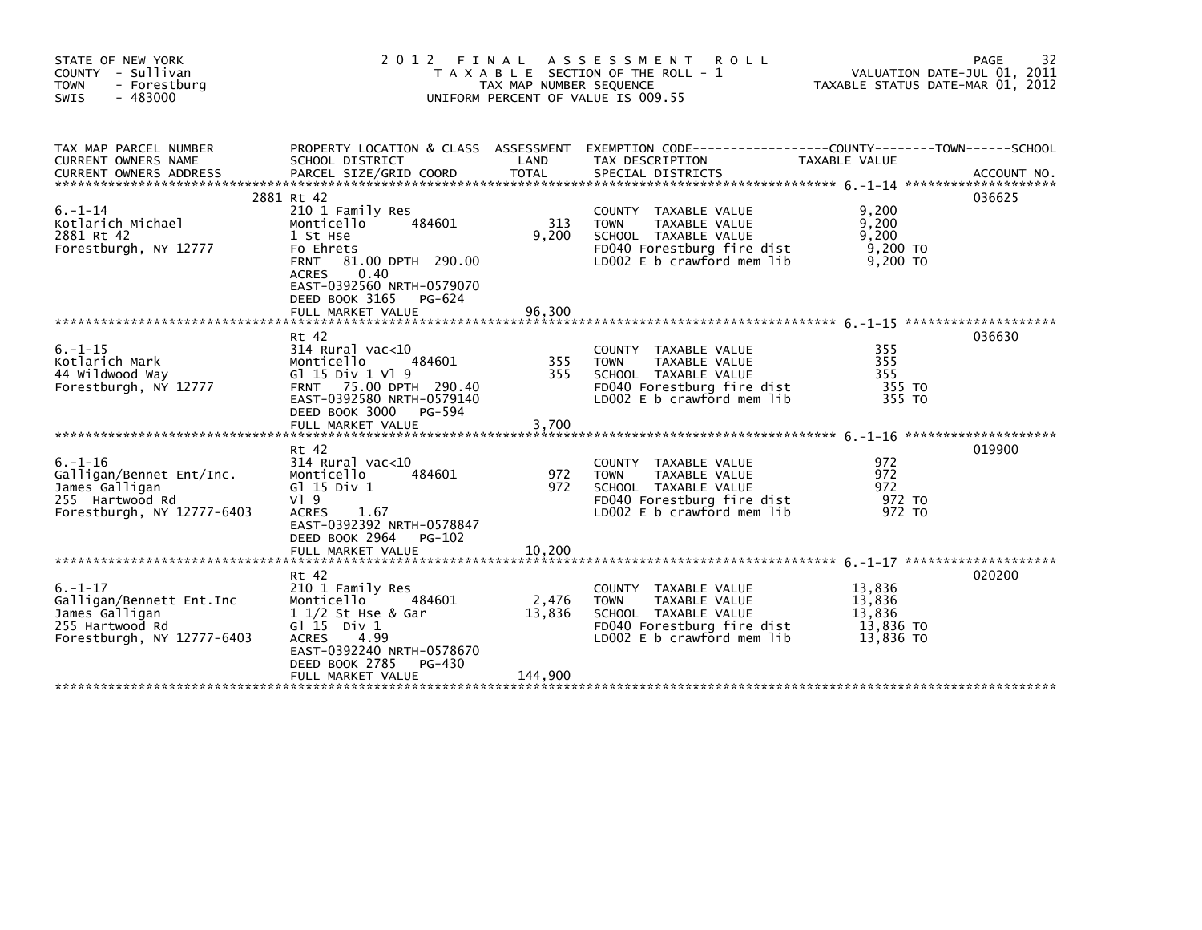| STATE OF NEW YORK<br>COUNTY - Sullivan<br>- Forestburg<br><b>TOWN</b><br>$-483000$<br><b>SWIS</b>            | 2 0 1 2                                                                                                                                                                                                      | FINAL<br>TAX MAP NUMBER SEQUENCE | ASSESSMENT ROLL<br>T A X A B L E SECTION OF THE ROLL - 1<br>UNIFORM PERCENT OF VALUE IS 009.55                                           | VALUATION DATE-JUL 01, 2011<br>TAXABLE STATUS DATE-MAR 01, 2012 | 32<br>PAGE |
|--------------------------------------------------------------------------------------------------------------|--------------------------------------------------------------------------------------------------------------------------------------------------------------------------------------------------------------|----------------------------------|------------------------------------------------------------------------------------------------------------------------------------------|-----------------------------------------------------------------|------------|
| TAX MAP PARCEL NUMBER<br>CURRENT OWNERS NAME                                                                 | PROPERTY LOCATION & CLASS ASSESSMENT<br>SCHOOL DISTRICT                                                                                                                                                      | LAND                             | TAX DESCRIPTION                                                                                                                          | <b>TAXABLE VALUE</b>                                            |            |
| $6. - 1 - 14$<br>Kotlarich Michael<br>2881 Rt 42<br>Forestburgh, NY 12777                                    | 2881 Rt 42<br>210 1 Family Res<br>484601<br>Monticello<br>1 St Hse<br>Fo Ehrets<br>FRNT 81.00 DPTH 290.00<br>0.40<br><b>ACRES</b><br>EAST-0392560 NRTH-0579070<br>DEED BOOK 3165 PG-624<br>FULL MARKET VALUE | 313<br>9,200<br>96.300           | COUNTY TAXABLE VALUE<br><b>TOWN</b><br>TAXABLE VALUE<br>SCHOOL TAXABLE VALUE<br>FD040 Forestburg fire dist<br>LD002 E b crawford mem lib | 9,200<br>9,200<br>9,200<br>9,200 TO<br>9,200 TO                 | 036625     |
| $6. - 1 - 15$<br>Kotlarich Mark<br>44 Wildwood Way<br>Forestburgh, NY 12777                                  | Rt 42<br>$314$ Rural vac< $10$<br>Monticello<br>484601<br>G $15 \text{ Div } 1 \text{ V}$ 9<br>FRNT 75.00 DPTH 290.40<br>EAST-0392580 NRTH-0579140<br>DEED BOOK 3000<br>PG-594<br>FULL MARKET VALUE          | 355<br>355<br>3,700              | COUNTY TAXABLE VALUE<br><b>TOWN</b><br>TAXABLE VALUE<br>SCHOOL TAXABLE VALUE<br>FD040 Forestburg fire dist<br>LD002 E b crawford mem lib | 355<br>355<br>355<br>355 TO<br>355 TO                           | 036630     |
| $6. - 1 - 16$<br>Galligan/Bennet Ent/Inc.<br>James Galligan<br>255 Hartwood Rd<br>Forestburgh, NY 12777-6403 | Rt 42<br>$314$ Rural vac<10<br>Monticello<br>484601<br>$G$ ] 15 Div 1<br>$V$ ] 9<br><b>ACRES</b><br>1.67<br>EAST-0392392 NRTH-0578847<br>DEED BOOK 2964 PG-102<br>FULL MARKET VALUE                          | 972<br>972<br>10.200             | COUNTY TAXABLE VALUE<br><b>TOWN</b><br>TAXABLE VALUE<br>SCHOOL TAXABLE VALUE<br>FD040 Forestburg fire dist<br>LD002 E b crawford mem lib | 972<br>972<br>972<br>972 TO<br>972 TO                           | 019900     |
| $6. - 1 - 17$<br>Galligan/Bennett Ent.Inc<br>James Galligan<br>255 Hartwood Rd<br>Forestburgh, NY 12777-6403 | Rt 42<br>210 1 Family Res<br>Monticello<br>484601<br>1 1/2 St Hse & Gar<br>G $\overline{1}$ 15 Div 1<br><b>ACRES</b><br>4.99<br>EAST-0392240 NRTH-0578670<br>DEED BOOK 2785<br>PG-430<br>FULL MARKET VALUE   | 2,476<br>13,836<br>144,900       | COUNTY TAXABLE VALUE<br>TAXABLE VALUE<br><b>TOWN</b><br>SCHOOL TAXABLE VALUE<br>FD040 Forestburg fire dist<br>LD002 E b crawford mem lib | 13,836<br>13,836<br>13,836<br>13,836 TO<br>13.836 TO            | 020200     |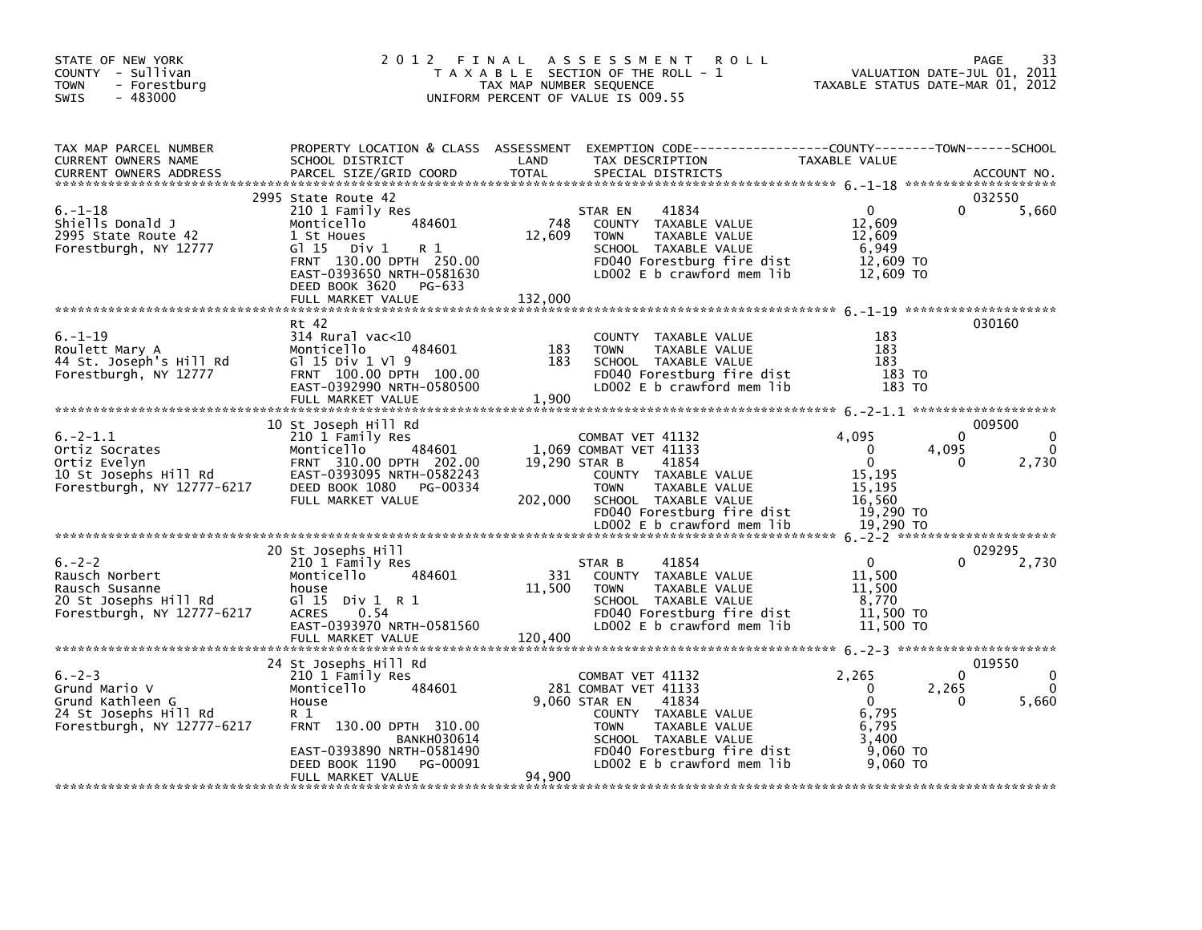| STATE OF NEW YORK<br>COUNTY - Sullivan<br><b>TOWN</b><br>- Forestburg<br>$-483000$<br><b>SWIS</b>       | 2 0 1 2                                                                                                                                                                                                            | FINAL<br>TAX MAP NUMBER SEQUENCE | A S S E S S M E N T<br><b>ROLL</b><br>T A X A B L E SECTION OF THE ROLL - 1<br>UNIFORM PERCENT OF VALUE IS 009.55                                                                                              |                                                                                       | 33<br>PAGE<br>VALUATION DATE-JUL 01, 2011<br>TAXABLE STATUS DATE-MAR 01, 2012 |
|---------------------------------------------------------------------------------------------------------|--------------------------------------------------------------------------------------------------------------------------------------------------------------------------------------------------------------------|----------------------------------|----------------------------------------------------------------------------------------------------------------------------------------------------------------------------------------------------------------|---------------------------------------------------------------------------------------|-------------------------------------------------------------------------------|
| TAX MAP PARCEL NUMBER<br>CURRENT OWNERS NAME<br><b>CURRENT OWNERS ADDRESS</b>                           | PROPERTY LOCATION & CLASS ASSESSMENT<br>SCHOOL DISTRICT<br>PARCEL SIZE/GRID COORD                                                                                                                                  | LAND<br><b>TOTAL</b>             | TAX DESCRIPTION<br>SPECIAL DISTRICTS                                                                                                                                                                           | TAXABLE VALUE                                                                         | ACCOUNT NO.                                                                   |
| $6. - 1 - 18$<br>Shiells Donald J<br>2995 State Route 42<br>Forestburgh, NY 12777                       | 2995 State Route 42<br>210 1 Family Res<br>Monticello<br>484601<br>1 St Houes<br>$G1 15$ Div 1<br>R 1<br>FRNT 130.00 DPTH 250.00<br>EAST-0393650 NRTH-0581630<br>DEED BOOK 3620 PG-633<br>FULL MARKET VALUE        | 748<br>12,609<br>132,000         | 41834<br>STAR EN<br>COUNTY TAXABLE VALUE<br><b>TOWN</b><br>TAXABLE VALUE<br>SCHOOL TAXABLE VALUE<br>FD040 Forestburg fire dist<br>LD002 E b crawford mem lib                                                   | $\Omega$<br>12,609<br>12.609<br>6,949<br>12,609 TO<br>12,609 TO                       | 032550<br>0<br>5,660                                                          |
| $6. - 1 - 19$<br>Roulett Mary A<br>44 St. Joseph's Hill Rd<br>Forestburgh, NY 12777                     | Rt 42<br>$314$ Rural vac<10<br>484601<br>Monticello<br>G $1$ 15 Div 1 V $1$ 9<br>FRNT 100.00 DPTH 100.00<br>EAST-0392990 NRTH-0580500<br>FULL MARKET VALUE                                                         | 183<br>183<br>1,900              | COUNTY TAXABLE VALUE<br><b>TOWN</b><br>TAXABLE VALUE<br>SCHOOL TAXABLE VALUE<br>FD040 Forestburg fire dist<br>LD002 E b crawford mem lib                                                                       | 183<br>183<br>183<br>183 TO<br>183 TO                                                 | 030160                                                                        |
| $6. -2 - 1.1$<br>Ortiz Socrates<br>Ortiz Evelyn<br>10 St Josephs Hill Rd<br>Forestburgh, NY 12777-6217  | 10 St Joseph Hill Rd<br>210 1 Family Res<br>Monticello<br>484601<br>FRNT 310.00 DPTH 202.00<br>EAST-0393095 NRTH-0582243<br>DEED BOOK 1080<br>PG-00334<br>FULL MARKET VALUE                                        | 19,290 STAR B<br>202,000         | COMBAT VET 41132<br>1,069 COMBAT VET 41133<br>41854<br>COUNTY TAXABLE VALUE<br>TAXABLE VALUE<br><b>TOWN</b><br>SCHOOL TAXABLE VALUE<br>FD040 Forestburg fire dist<br>LD002 E b crawford mem lib                | 4.095<br>$\Omega$<br>$\Omega$<br>15,195<br>15.195<br>16,560<br>19,290 TO<br>19.290 TO | 009500<br>$\Omega$<br>4,095<br>2,730<br>0                                     |
| $6. -2 - 2$<br>Rausch Norbert<br>Rausch Susanne<br>20 St Josephs Hill Rd<br>Forestburgh, NY 12777-6217  | 20 St Josephs Hill<br>210 1 Family Res<br>Monticello<br>484601<br>house<br>G1 15 Div 1 R 1<br>0.54<br><b>ACRES</b><br>EAST-0393970 NRTH-0581560<br>FULL MARKET VALUE                                               | 331<br>11,500<br>120,400         | 41854<br>STAR B<br>COUNTY TAXABLE VALUE<br><b>TOWN</b><br>TAXABLE VALUE<br>SCHOOL TAXABLE VALUE<br>FD040 Forestburg fire dist<br>LD002 E b crawford mem lib                                                    | $\mathbf{0}$<br>11,500<br>11,500<br>8,770<br>11,500 TO<br>11,500 TO                   | 029295<br>2,730                                                               |
| $6. -2 - 3$<br>Grund Mario V<br>Grund Kathleen G<br>24 St Josephs Hill Rd<br>Forestburgh, NY 12777-6217 | 24 St Josephs Hill Rd<br>210 1 Family Res<br>484601<br>Monticello<br>House<br>R 1<br>FRNT 130.00 DPTH 310.00<br><b>BANKH030614</b><br>EAST-0393890 NRTH-0581490<br>DEED BOOK 1190<br>PG-00091<br>FULL MARKET VALUE | 94.900                           | COMBAT VET 41132<br>281 COMBAT VET 41133<br>9,060 STAR EN<br>41834<br>COUNTY TAXABLE VALUE<br>TAXABLE VALUE<br><b>TOWN</b><br>SCHOOL TAXABLE VALUE<br>FD040 Forestburg fire dist<br>LD002 E b crawford mem lib | 2,265<br>$\Omega$<br>$\Omega$<br>6,795<br>6,795<br>3,400<br>9,060 TO<br>9,060 TO      | 019550<br>$\Omega$<br>2,265<br>5,660<br><sup>0</sup>                          |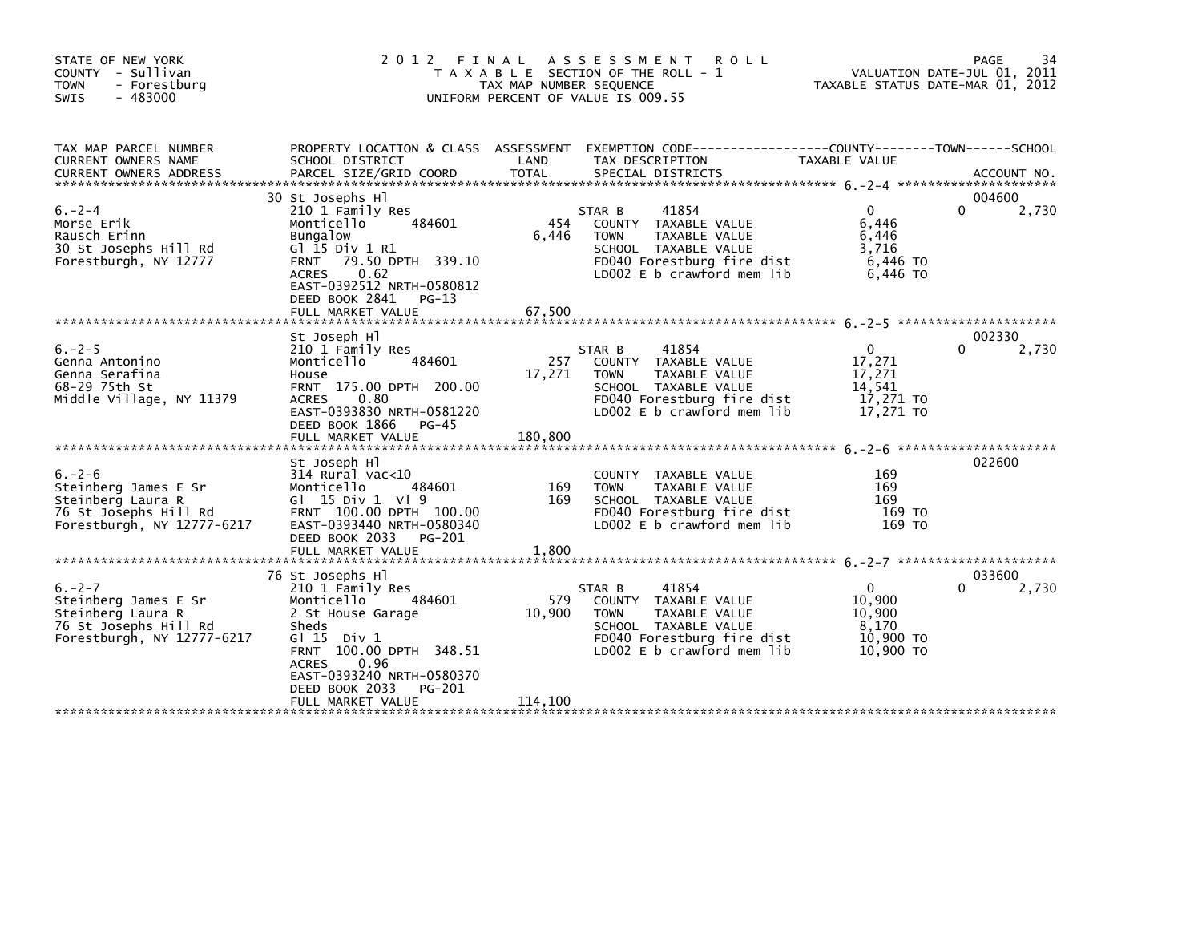| STATE OF NEW YORK<br>COUNTY - Sullivan<br>- Forestburg<br><b>TOWN</b><br><b>SWIS</b><br>- 483000                | 2 0 1 2                                                                                                                                                                                                                                                  | FINAL<br>TAX MAP NUMBER SEQUENCE | A S S E S S M E N T<br><b>ROLL</b><br>T A X A B L E SECTION OF THE ROLL - 1<br>UNIFORM PERCENT OF VALUE IS 009.55                                           |                                                                      | 34<br>PAGE<br>VALUATION DATE-JUL 01, 2011<br>TAXABLE STATUS DATE-MAR 01, 2012 |
|-----------------------------------------------------------------------------------------------------------------|----------------------------------------------------------------------------------------------------------------------------------------------------------------------------------------------------------------------------------------------------------|----------------------------------|-------------------------------------------------------------------------------------------------------------------------------------------------------------|----------------------------------------------------------------------|-------------------------------------------------------------------------------|
| TAX MAP PARCEL NUMBER<br>CURRENT OWNERS NAME<br><b>CURRENT OWNERS ADDRESS</b>                                   | PROPERTY LOCATION & CLASS ASSESSMENT<br>SCHOOL DISTRICT<br>PARCEL SIZE/GRID COORD                                                                                                                                                                        | LAND<br><b>TOTAL</b>             | EXEMPTION CODE-----------------COUNTY-------TOWN------SCHOOL<br>TAX DESCRIPTION<br>SPECIAL DISTRICTS                                                        | TAXABLE VALUE                                                        | ACCOUNT NO.                                                                   |
| $6. -2 - 4$<br>Morse Erik<br>Rausch Erinn<br>30 St Josephs Hill Rd<br>Forestburgh, NY 12777                     | 30 St Josephs Hl<br>210 1 Family Res<br>Monticello<br>484601<br><b>Bungalow</b><br>G $\overline{1}$ 15 Div 1 R1<br>79.50 DPTH 339.10<br><b>FRNT</b><br><b>ACRES</b><br>0.62<br>EAST-0392512 NRTH-0580812<br>DEED BOOK 2841<br>PG-13<br>FULL MARKET VALUE | 454<br>6,446<br>67,500           | 41854<br>STAR B<br>COUNTY TAXABLE VALUE<br><b>TOWN</b><br>TAXABLE VALUE<br>SCHOOL TAXABLE VALUE<br>FD040 Forestburg fire dist<br>LD002 E b crawford mem lib | $\Omega$<br>6,446<br>6,446<br>3,716<br>6,446 TO<br>6,446 TO          | 004600<br>2,730<br>0                                                          |
|                                                                                                                 |                                                                                                                                                                                                                                                          |                                  |                                                                                                                                                             |                                                                      |                                                                               |
| $6. -2 - 5$<br>Genna Antonino<br>Genna Serafina<br>68-29 75th St<br>Middle Village, NY 11379                    | St Joseph Hl<br>210 1 Family Res<br>Monticello<br>484601<br>House<br>FRNT 175.00 DPTH 200.00<br>0.80<br><b>ACRES</b><br>EAST-0393830 NRTH-0581220<br>DEED BOOK 1866<br>$PG-45$<br>FULL MARKET VALUE                                                      | 257<br>17,271<br>180,800         | 41854<br>STAR B<br>COUNTY TAXABLE VALUE<br><b>TOWN</b><br>TAXABLE VALUE<br>SCHOOL TAXABLE VALUE<br>FD040 Forestburg fire dist<br>LD002 E b crawford mem lib | $\mathbf{0}$<br>17,271<br>17,271<br>14,541<br>17,271 TO<br>17,271 TO | 002330<br>2,730<br>0                                                          |
| $6. -2 - 6$<br>Steinberg James E Sr<br>Steinberg Laura R<br>76 St Josephs Hill Rd<br>Forestburgh, NY 12777-6217 | St Joseph Hl<br>$314$ Rural vac< $10$<br>Monticello<br>484601<br>G1 15 Div 1 V1 9<br>FRNT 100.00 DPTH 100.00<br>EAST-0393440 NRTH-0580340<br>DEED BOOK 2033<br>PG-201<br>FULL MARKET VALUE                                                               | 169<br>169<br>1.800              | COUNTY TAXABLE VALUE<br>TAXABLE VALUE<br><b>TOWN</b><br>SCHOOL TAXABLE VALUE<br>FD040 Forestburg fire dist<br>LD002 E b crawford mem lib                    | 169<br>169<br>169<br>169 TO<br>169 TO                                | 022600                                                                        |
| $6. -2 - 7$<br>Steinberg James E Sr<br>Steinberg Laura R<br>76 St Josephs Hill Rd<br>Forestburgh, NY 12777-6217 | 76 St Josephs Hl<br>210 1 Family Res<br>Monticello<br>484601<br>2 St House Garage<br>Sheds<br>$G1$ 15 Div 1<br>FRNT 100.00 DPTH 348.51<br>0.96<br><b>ACRES</b><br>EAST-0393240 NRTH-0580370<br>DEED BOOK 2033<br>PG-201<br>FULL MARKET VALUE             | 579<br>10,900<br>114,100         | 41854<br>STAR B<br>COUNTY TAXABLE VALUE<br>TAXABLE VALUE<br><b>TOWN</b><br>SCHOOL TAXABLE VALUE<br>FD040 Forestburg fire dist<br>LD002 E b crawford mem lib | $\mathbf{0}$<br>10,900<br>10,900<br>8,170<br>10,900 TO<br>10,900 TO  | 033600<br>0<br>2,730                                                          |
|                                                                                                                 |                                                                                                                                                                                                                                                          |                                  |                                                                                                                                                             |                                                                      |                                                                               |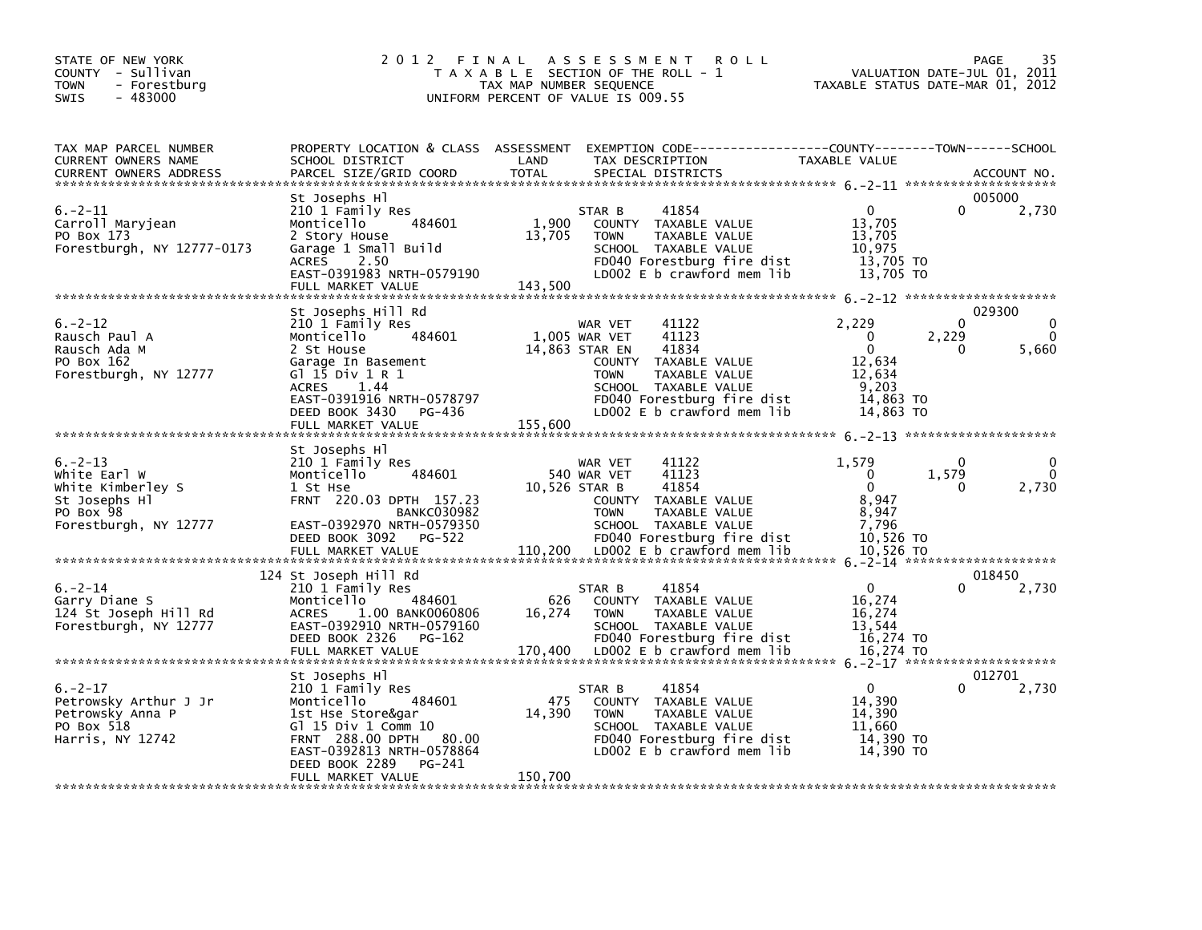| STATE OF NEW YORK<br>COUNTY - Sullivan<br><b>TOWN</b><br>- Forestburg<br>$-483000$<br><b>SWIS</b>        | 2 0 1 2                                                                                                                                                                                               | FINAL<br>TAX MAP NUMBER SEQUENCE | <b>ROLL</b><br>A S S E S S M E N T<br>T A X A B L E SECTION OF THE ROLL - 1<br>UNIFORM PERCENT OF VALUE IS 009.55                                                                                                 | TAXABLE STATUS DATE-MAR 01, 2012                                                         | PAGE<br>VALUATION DATE-JUL 01, 2011 | 35                            |
|----------------------------------------------------------------------------------------------------------|-------------------------------------------------------------------------------------------------------------------------------------------------------------------------------------------------------|----------------------------------|-------------------------------------------------------------------------------------------------------------------------------------------------------------------------------------------------------------------|------------------------------------------------------------------------------------------|-------------------------------------|-------------------------------|
| TAX MAP PARCEL NUMBER<br>CURRENT OWNERS NAME<br><b>CURRENT OWNERS ADDRESS</b>                            | PROPERTY LOCATION & CLASS ASSESSMENT<br>SCHOOL DISTRICT<br>PARCEL SIZE/GRID COORD                                                                                                                     | LAND<br><b>TOTAL</b>             | TAX DESCRIPTION<br>SPECIAL DISTRICTS                                                                                                                                                                              | TAXABLE VALUE                                                                            |                                     | ACCOUNT NO.                   |
| $6. -2 - 11$<br>Carroll Maryjean<br>PO Box 173<br>Forestburgh, NY 12777-0173                             | St Josephs Hl<br>210 1 Family Res<br>484601<br>Monticello<br>2 Story House<br>Garage 1 Small Build<br><b>ACRES</b><br>2.50<br>EAST-0391983 NRTH-0579190<br>FULL MARKET VALUE                          | 1,900<br>13,705<br>143,500       | 41854<br>STAR B<br>COUNTY TAXABLE VALUE<br>TAXABLE VALUE<br><b>TOWN</b><br>SCHOOL TAXABLE VALUE<br>FD040 Forestburg fire dist<br>LD002 E b crawford mem lib                                                       | $\Omega$<br>13,705<br>13,705<br>10,975<br>13,705 TO<br>13,705 TO                         | 0                                   | 005000<br>2,730               |
|                                                                                                          | St Josephs Hill Rd                                                                                                                                                                                    |                                  |                                                                                                                                                                                                                   |                                                                                          |                                     | 029300                        |
| $6. -2 - 12$<br>Rausch Paul A<br>Rausch Ada M<br>PO Box 162<br>Forestburgh, NY 12777                     | 210 1 Family Res<br>484601<br>Monticello<br>2 St House<br>Garage In Basement<br>G1 15 Div 1 R 1<br><b>ACRES</b><br>1.44<br>EAST-0391916 NRTH-0578797<br>DEED BOOK 3430<br>PG-436<br>FULL MARKET VALUE | 155,600                          | 41122<br>WAR VET<br>41123<br>1,005 WAR VET<br>41834<br>14,863 STAR EN<br>COUNTY TAXABLE VALUE<br><b>TOWN</b><br>TAXABLE VALUE<br>SCHOOL TAXABLE VALUE<br>FD040 Forestburg fire dist<br>LD002 E b crawford mem lib | 2,229<br>$\Omega$<br>$\mathbf{0}$<br>12,634<br>12,634<br>9,203<br>14,863 TO<br>14,863 TO | 0<br>2,229<br>0                     | $\Omega$<br>$\Omega$<br>5,660 |
|                                                                                                          | St Josephs HI                                                                                                                                                                                         |                                  |                                                                                                                                                                                                                   |                                                                                          |                                     |                               |
| $6. -2 - 13$<br>white Earl W<br>White Kimberley S<br>St Josephs Hl<br>PO Box 98<br>Forestburgh, NY 12777 | 210 1 Family Res<br>484601<br>Monticello<br>1 St Hse<br>FRNT 220.03 DPTH 157.23<br><b>BANKC030982</b><br>EAST-0392970 NRTH-0579350<br>DEED BOOK 3092<br>PG-522<br>FULL MARKET VALUE                   | 110,200                          | 41122<br>WAR VET<br>540 WAR VET<br>41123<br>41854<br>10,526 STAR B<br>COUNTY TAXABLE VALUE<br><b>TOWN</b><br>TAXABLE VALUE<br>SCHOOL TAXABLE VALUE<br>FD040 Forestburg fire dist<br>LD002 E b crawford mem lib    | 1,579<br>$\Omega$<br>$\mathbf{0}$<br>8,947<br>8,947<br>7,796<br>10,526 TO<br>10,526 TO   | 0<br>1,579<br>0                     | 0<br>$\Omega$<br>2,730        |
|                                                                                                          | 124 St Joseph Hill Rd                                                                                                                                                                                 |                                  |                                                                                                                                                                                                                   |                                                                                          |                                     | 018450                        |
| $6. -2 - 14$<br>Garry Diane S<br>124 St Joseph Hill Rd<br>Forestburgh, NY 12777                          | 210 1 Family Res<br>Monticello<br>484601<br>1.00 BANK0060806<br><b>ACRES</b><br>EAST-0392910 NRTH-0579160<br>DEED BOOK 2326<br>PG-162<br>FULL MARKET VALUE                                            | 626<br>16,274<br>170,400         | 41854<br>STAR B<br>COUNTY TAXABLE VALUE<br><b>TOWN</b><br>TAXABLE VALUE<br>SCHOOL TAXABLE VALUE<br>FD040 Forestburg fire dist<br>LD002 E b crawford mem lib                                                       | $\mathbf{0}$<br>16,274<br>16,274<br>13,544<br>16,274 TO<br>16,274 TO                     | ŋ                                   | 2,730                         |
|                                                                                                          |                                                                                                                                                                                                       |                                  |                                                                                                                                                                                                                   |                                                                                          | 6. - 2 - 17 *********************   | 012701                        |
| $6. -2 - 17$<br>Petrowsky Arthur J Jr<br>Petrowsky Anna P<br>PO Box 518<br>Harris, NY 12742              | St Josephs Hl<br>210 1 Family Res<br>484601<br>Monticello<br>1st Hse Store&gar<br>G] 15 Div 1 Comm 10<br><b>FRNT 288.00 DPTH</b><br>80.00<br>EAST-0392813 NRTH-0578864<br>DEED BOOK 2289<br>PG-241    | 475<br>14,390                    | 41854<br>STAR B<br>COUNTY TAXABLE VALUE<br><b>TOWN</b><br>TAXABLE VALUE<br>SCHOOL TAXABLE VALUE<br>FD040 Forestburg fire dist<br>LDOO2 E b crawford mem lib                                                       | $\Omega$<br>14,390<br>14,390<br>11.660<br>14,390 TO<br>14,390 TO                         | O                                   | 2,730                         |
|                                                                                                          | FULL MARKET VALUE                                                                                                                                                                                     | 150,700                          |                                                                                                                                                                                                                   |                                                                                          |                                     |                               |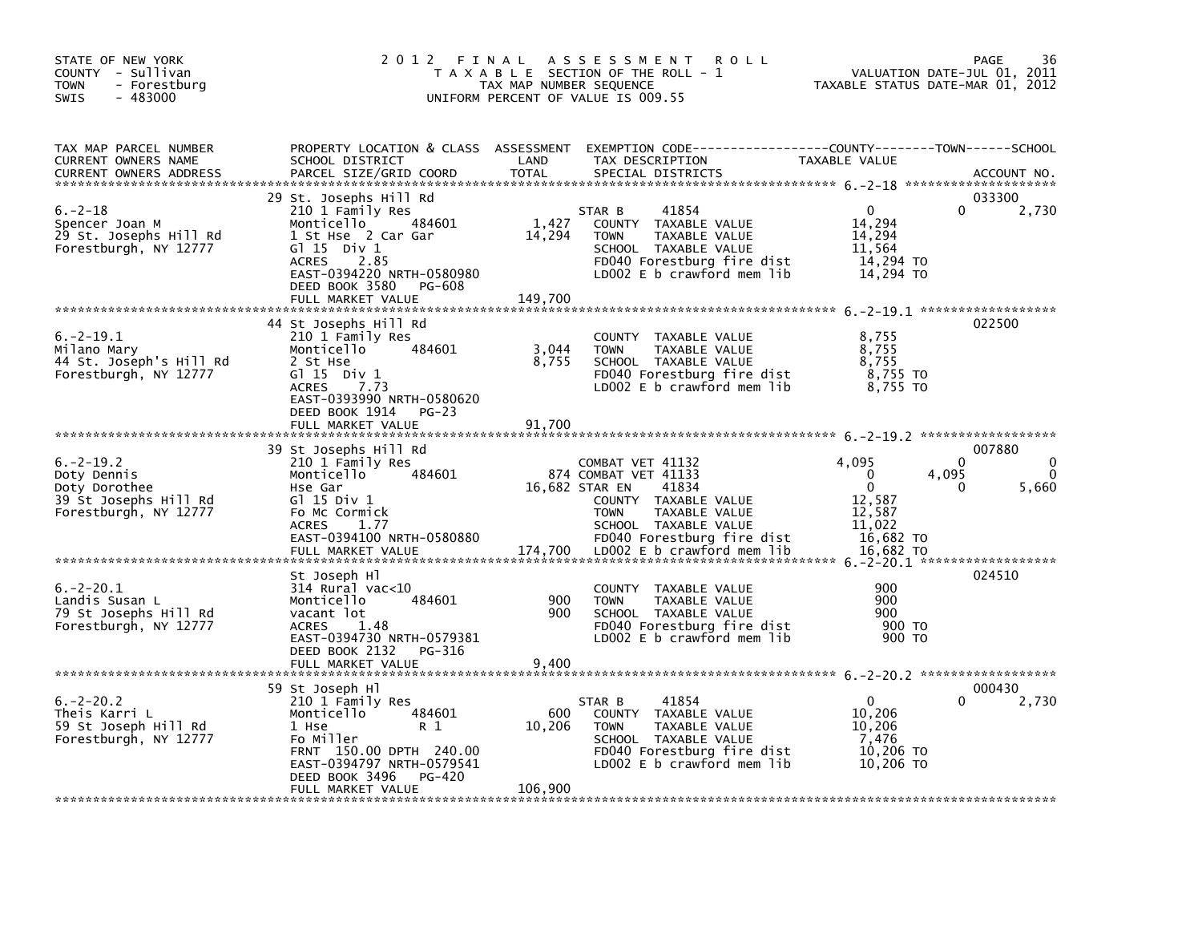| STATE OF NEW YORK<br>COUNTY - Sullivan<br>- Forestburg<br><b>TOWN</b><br>$-483000$<br><b>SWIS</b> | 2 0 1 2<br>FINAL                                                                                                                                                                                                  | TAX MAP NUMBER SEQUENCE    | A S S E S S M E N T<br><b>ROLL</b><br>T A X A B L E SECTION OF THE ROLL - 1<br>UNIFORM PERCENT OF VALUE IS 009.55                                                                             | VALUATION DATE-JUL 01, 2011<br>TAXABLE STATUS DATE-MAR 01, 2012                                                 | 36<br><b>PAGE</b>                |
|---------------------------------------------------------------------------------------------------|-------------------------------------------------------------------------------------------------------------------------------------------------------------------------------------------------------------------|----------------------------|-----------------------------------------------------------------------------------------------------------------------------------------------------------------------------------------------|-----------------------------------------------------------------------------------------------------------------|----------------------------------|
| TAX MAP PARCEL NUMBER<br>CURRENT OWNERS NAME<br><b>CURRENT OWNERS ADDRESS</b>                     | PROPERTY LOCATION & CLASS ASSESSMENT<br>SCHOOL DISTRICT<br>PARCEL SIZE/GRID COORD                                                                                                                                 | LAND<br><b>TOTAL</b>       | EXEMPTION CODE-----------------COUNTY-------TOWN------SCHOOL<br>TAX DESCRIPTION<br>SPECIAL DISTRICTS                                                                                          | TAXABLE VALUE                                                                                                   | ACCOUNT NO.                      |
| $6. -2 - 18$<br>Spencer Joan M<br>29 St. Josephs Hill Rd<br>Forestburgh, NY 12777                 | 29 St. Josephs Hill Rd<br>210 1 Family Res<br>484601<br>Monticello<br>1 St Hse 2 Car Gar<br>$G1 15$ Div $1$<br>2.85<br><b>ACRES</b><br>EAST-0394220 NRTH-0580980<br>DEED BOOK 3580<br>PG-608<br>FULL MARKET VALUE | 1,427<br>14,294<br>149.700 | 41854<br>STAR B<br>COUNTY TAXABLE VALUE<br>TAXABLE VALUE<br><b>TOWN</b><br>SCHOOL TAXABLE VALUE<br>FD040 Forestburg fire dist<br>LD002 E b crawford mem lib                                   | $\Omega$<br>0<br>14,294<br>14,294<br>11,564<br>14,294 TO<br>14,294 TO                                           | 033300<br>2,730                  |
| $6. -2 - 19.1$<br>Milano Mary<br>44 St. Joseph's Hill Rd<br>Forestburgh, NY 12777                 | 44 St Josephs Hill Rd<br>210 1 Family Res<br>Monticello<br>484601<br>2 St Hse<br>$G1 15$ Div $1$<br>7.73<br><b>ACRES</b><br>EAST-0393990 NRTH-0580620<br>DEED BOOK 1914<br>PG-23<br>FULL MARKET VALUE             | 3,044<br>8,755<br>91,700   | COUNTY TAXABLE VALUE<br>TAXABLE VALUE<br><b>TOWN</b><br>SCHOOL TAXABLE VALUE<br>FD040 Forestburg fire dist<br>LD002 E b crawford mem lib                                                      | 8,755<br>8,755<br>8,755<br>$8,755$ TO<br>8.755 TO                                                               | 022500                           |
| $6. -2 - 19.2$<br>Doty Dennis<br>Doty Dorothee<br>39 St Josephs Hill Rd<br>Forestburgh, NY 12777  | 39 St Josephs Hill Rd<br>210 1 Family Res<br>Monticello<br>484601<br>Hse Gar<br>G1 15 Div 1<br>Fo Mc Cormick<br><b>ACRES</b><br>1.77<br>EAST-0394100 NRTH-0580880<br>FULL MARKET VALUE                            | 16,682 STAR EN<br>174,700  | COMBAT VET 41132<br>874 COMBAT VET 41133<br>41834<br>COUNTY TAXABLE VALUE<br>TAXABLE VALUE<br><b>TOWN</b><br>SCHOOL TAXABLE VALUE<br>FD040 Forestburg fire dist<br>LD002 E b crawford mem lib | 4,095<br>$\Omega$<br>$\Omega$<br>4,095<br>$\Omega$<br>0<br>12,587<br>12,587<br>11,022<br>16,682 TO<br>16,682 TO | 007880<br>0<br>$\Omega$<br>5,660 |
| $6. -2 - 20.1$<br>Landis Susan L<br>79 St Josephs Hill Rd<br>Forestburgh, NY 12777                | St Joseph Hl<br>314 Rural vac<10<br>Monticello<br>484601<br>vacant lot<br><b>ACRES</b><br>1.48<br>EAST-0394730 NRTH-0579381<br>DEED BOOK 2132 PG-316<br>FULL MARKET VALUE                                         | 900<br>900<br>9,400        | COUNTY TAXABLE VALUE<br>TAXABLE VALUE<br><b>TOWN</b><br>SCHOOL TAXABLE VALUE<br>FD040 Forestburg fire dist<br>LD002 E b crawford mem lib                                                      | 900<br>900<br>900<br>900 TO<br>900 TO                                                                           | 024510                           |
| $6. -2 - 20.2$<br>Theis Karri L<br>59 St Joseph Hill Rd<br>Forestburgh, NY 12777                  | 59 St Joseph Hl<br>210 1 Family Res<br>484601<br>Monticello<br>R 1<br>1 Hse<br>Fo Miller<br>FRNT 150.00 DPTH 240.00<br>EAST-0394797 NRTH-0579541<br>DEED BOOK 3496<br>PG-420<br>FULL MARKET VALUE                 | 600<br>10,206<br>106,900   | 41854<br>STAR B<br>COUNTY TAXABLE VALUE<br>TAXABLE VALUE<br><b>TOWN</b><br>SCHOOL TAXABLE VALUE<br>FD040 Forestburg fire dist<br>LD002 $E$ b crawford mem lib                                 | $\mathbf{0}$<br>10,206<br>10,206<br>7,476<br>10,206 TO<br>10,206 TO                                             | 000430<br>2,730                  |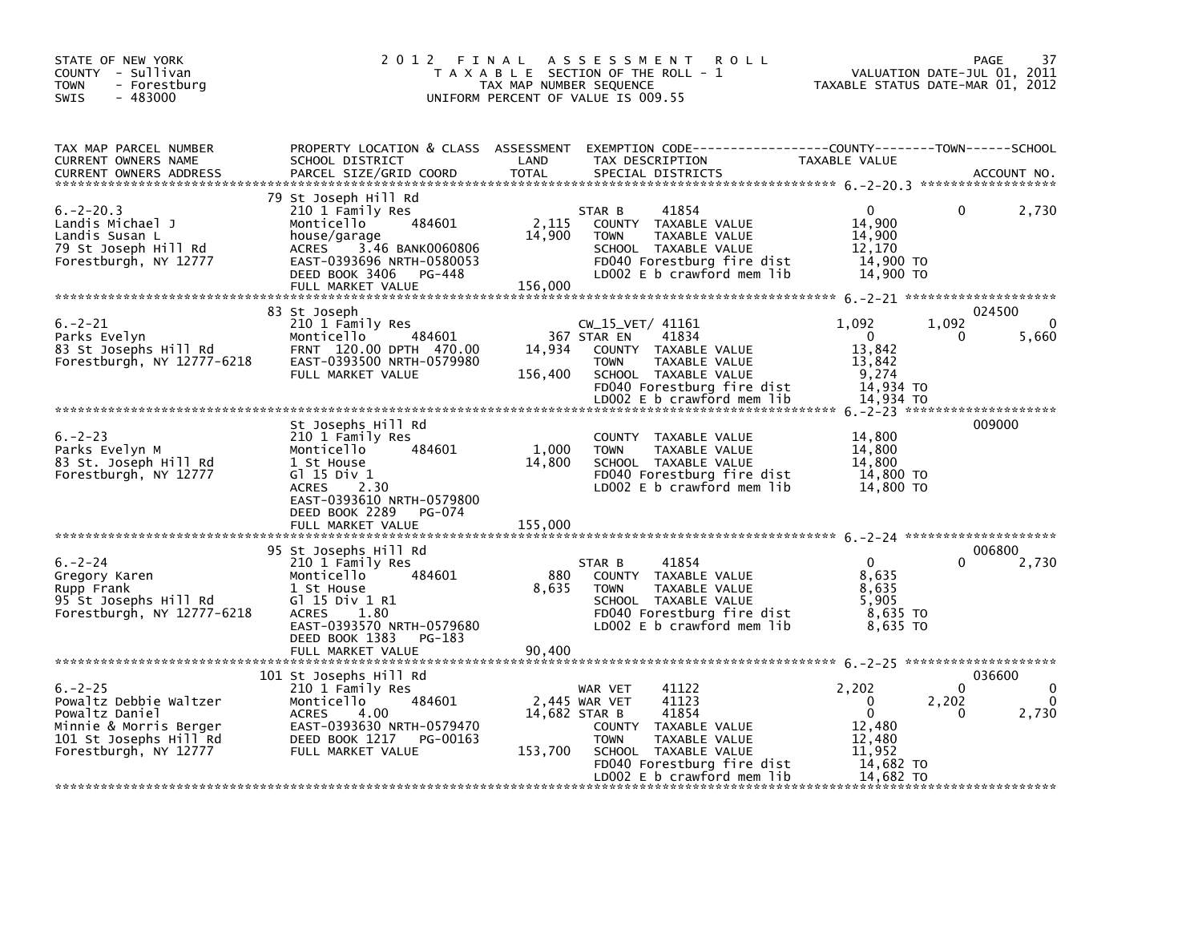| STATE OF NEW YORK<br>COUNTY - Sullivan<br><b>TOWN</b><br>- Forestburg<br>$-483000$<br><b>SWIS</b>                                     | 2012 FINAL                                                                                                                                                                                      | TAX MAP NUMBER SEQUENCE    | A S S E S S M E N T<br><b>ROLL</b><br>T A X A B L E SECTION OF THE ROLL - 1<br>UNIFORM PERCENT OF VALUE IS 009.55                                                                                 | TAXABLE STATUS DATE-MAR 01, 2012                                                         | PAGE<br>VALUATION DATE-JUL 01, 2011 | 37                                |
|---------------------------------------------------------------------------------------------------------------------------------------|-------------------------------------------------------------------------------------------------------------------------------------------------------------------------------------------------|----------------------------|---------------------------------------------------------------------------------------------------------------------------------------------------------------------------------------------------|------------------------------------------------------------------------------------------|-------------------------------------|-----------------------------------|
| TAX MAP PARCEL NUMBER<br>CURRENT OWNERS NAME<br><b>CURRENT OWNERS ADDRESS</b>                                                         | SCHOOL DISTRICT<br>PARCEL SIZE/GRID COORD                                                                                                                                                       | LAND<br><b>TOTAL</b>       | PROPERTY LOCATION & CLASS ASSESSMENT EXEMPTION CODE----------------COUNTY-------TOWN------SCHOOL<br>TAX DESCRIPTION<br>SPECIAL DISTRICTS                                                          | TAXABLE VALUE                                                                            |                                     | ACCOUNT NO.                       |
| $6. -2 - 20.3$<br>Landis Michael J<br>Landis Susan L<br>79 St Joseph Hill Rd<br>Forestburgh, NY 12777                                 | 79 St Joseph Hill Rd<br>210 1 Family Res<br>484601<br>Monticello<br>house/garage<br>3.46 BANK0060806<br><b>ACRES</b><br>EAST-0393696 NRTH-0580053<br>DEED BOOK 3406 PG-448<br>FULL MARKET VALUE | 2,115<br>14,900<br>156,000 | 41854<br>STAR B<br>COUNTY TAXABLE VALUE<br>TAXABLE VALUE<br><b>TOWN</b><br>SCHOOL TAXABLE VALUE<br>FD040 Forestburg fire dist<br>LD002 E b crawford mem lib                                       | $\mathbf{0}$<br>14,900<br>14,900<br>12,170<br>14.900 TO<br>14,900 TO                     | 0                                   | 2,730                             |
| $6. -2 - 21$<br>Parks Evelyn<br>83 St Josephs Hill Rd<br>Forestburgh, NY 12777-6218                                                   | 83 St Joseph<br>210 1 Family Res<br>484601<br>Monticello<br>FRNT 120.00 DPTH 470.00<br>EAST-0393500 NRTH-0579980<br>FULL MARKET VALUE                                                           | 14,934<br>156,400          | CW_15_VET/ 41161<br>367 STAR EN<br>41834<br>COUNTY TAXABLE VALUE<br>TAXABLE VALUE<br><b>TOWN</b><br>SCHOOL TAXABLE VALUE<br>FD040 Forestburg fire dist<br>LD002 E b crawford mem lib              | 1,092<br>$\Omega$<br>13,842<br>13,842<br>9.274<br>14,934 TO<br>14,934 TO                 | 1,092<br>0                          | 024500<br>$\Omega$<br>5,660       |
| $6. -2 - 23$<br>Parks Evelyn M<br>83 St. Joseph Hill Rd<br>Forestburgh, NY 12777                                                      | St Josephs Hill Rd<br>210 1 Family Res<br>Monticello<br>484601<br>1 St House<br>G $1$ 15 Div 1<br>2.30<br>ACRES<br>EAST-0393610 NRTH-0579800<br>DEED BOOK 2289<br>PG-074<br>FULL MARKET VALUE   | 1.000<br>14,800<br>155,000 | COUNTY TAXABLE VALUE<br>TAXABLE VALUE<br><b>TOWN</b><br>SCHOOL TAXABLE VALUE<br>FD040 Forestburg fire dist<br>LD002 E b crawford mem lib                                                          | 14,800<br>14,800<br>14,800<br>14,800 TO<br>14,800 TO                                     |                                     | 009000                            |
|                                                                                                                                       | 95 St Josephs Hill Rd                                                                                                                                                                           |                            |                                                                                                                                                                                                   |                                                                                          |                                     | 006800                            |
| $6. -2 - 24$<br>Gregory Karen<br>Rupp Frank<br>95 St Josephs Hill Rd<br>Forestburgh, NY 12777-6218                                    | 210 1 Family Res<br>Monticello<br>484601<br>1 St House<br>G1 15 Div 1 R1<br>ACRES 1.80<br>EAST-0393570 NRTH-0579680<br>DEED BOOK 1383<br>PG-183<br>FULL MARKET VALUE                            | 880<br>8,635<br>90,400     | STAR B<br>41854<br>COUNTY TAXABLE VALUE<br>TAXABLE VALUE<br><b>TOWN</b><br>SCHOOL TAXABLE VALUE<br>FD040 Forestburg fire dist<br>LD002 E b crawford mem lib                                       | $\Omega$<br>8,635<br>8.635<br>5.905<br>8,635 TO<br>8,635 TO                              | $\Omega$                            | 2,730                             |
|                                                                                                                                       | 101 St Josephs Hill Rd                                                                                                                                                                          |                            |                                                                                                                                                                                                   |                                                                                          |                                     | 036600                            |
| $6. -2 - 25$<br>Powaltz Debbie Waltzer<br>Powaltz Daniel<br>Minnie & Morris Berger<br>101 St Josephs Hill Rd<br>Forestburgh, NY 12777 | 210 1 Family Res<br>484601<br>Monticello<br><b>ACRES</b><br>4.00<br>EAST-0393630 NRTH-0579470<br>DEED BOOK 1217 PG-00163<br>FULL MARKET VALUE                                                   | 14,682 STAR B<br>153,700   | 41122<br>WAR VET<br>2,445 WAR VET<br>41123<br>41854<br>COUNTY TAXABLE VALUE<br><b>TOWN</b><br>TAXABLE VALUE<br>SCHOOL TAXABLE VALUE<br>FD040 Forestburg fire dist<br>LD002 $E$ b crawford mem lib | 2,202<br>$\Omega$<br>$\mathbf 0$<br>12,480<br>12,480<br>11.952<br>14,682 TO<br>14,682 TO | 0<br>2,202<br>o                     | $\Omega$<br>$\mathbf{0}$<br>2,730 |
|                                                                                                                                       |                                                                                                                                                                                                 |                            |                                                                                                                                                                                                   |                                                                                          |                                     |                                   |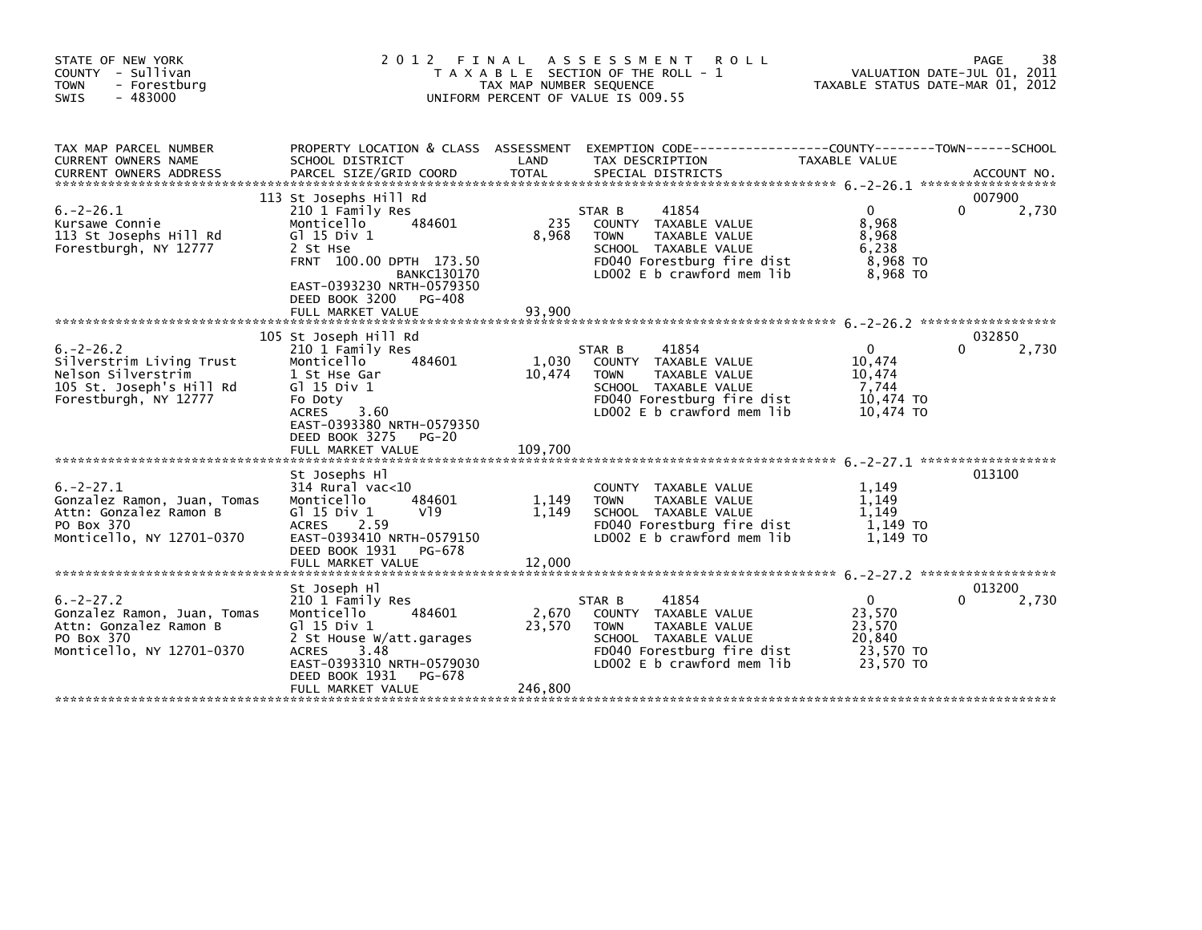| STATE OF NEW YORK<br>COUNTY - Sullivan<br><b>TOWN</b><br>- Forestburg<br>$-483000$<br><b>SWIS</b>                     | 2012 FINAL                                                                                                                                                                                           | TAX MAP NUMBER SEQUENCE    | A S S E S S M E N T<br><b>ROLL</b><br>T A X A B L E SECTION OF THE ROLL - 1<br>UNIFORM PERCENT OF VALUE IS 009.55                                           | TAXABLE STATUS DATE-MAR 01, 2012                                     | 38<br>PAGE<br>VALUATION DATE-JUL 01, 2011 |
|-----------------------------------------------------------------------------------------------------------------------|------------------------------------------------------------------------------------------------------------------------------------------------------------------------------------------------------|----------------------------|-------------------------------------------------------------------------------------------------------------------------------------------------------------|----------------------------------------------------------------------|-------------------------------------------|
| TAX MAP PARCEL NUMBER<br>CURRENT OWNERS NAME                                                                          | PROPERTY LOCATION & CLASS ASSESSMENT<br>SCHOOL DISTRICT                                                                                                                                              | LAND                       | EXEMPTION        CODE-----------------COUNTY--------TOWN------SCHOOL<br>TAX DESCRIPTION                                                                     | TAXABLE VALUE                                                        |                                           |
| $6. -2 - 26.1$<br>Kursawe Connie<br>113 St Josephs Hill Rd<br>Forestburgh, NY 12777                                   | 113 St Josephs Hill Rd<br>210 1 Family Res<br>484601<br>Monticello<br>$G1$ 15 Div 1<br>2 St Hse                                                                                                      | 235<br>8.968               | 41854<br>STAR B<br>COUNTY TAXABLE VALUE<br><b>TAXABLE VALUE</b><br><b>TOWN</b><br>SCHOOL TAXABLE VALUE                                                      | $\mathbf{0}$<br>8,968<br>8,968<br>6,238                              | 007900<br>$\Omega$<br>2,730               |
|                                                                                                                       | FRNT 100.00 DPTH 173.50<br><b>BANKC130170</b><br>EAST-0393230 NRTH-0579350<br>DEED BOOK 3200<br>PG-408<br>FULL MARKET VALUE                                                                          | 93,900                     | FD040 Forestburg fire dist<br>LD002 E b crawford mem lib                                                                                                    | 8,968 TO<br>8,968 TO                                                 |                                           |
| $6. -2 - 26.2$<br>Silverstrim Living Trust<br>Nelson Silverstrim<br>105 St. Joseph's Hill Rd<br>Forestburgh, NY 12777 | 105 St Joseph Hill Rd<br>210 1 Family Res<br>Monticello<br>484601<br>1 St Hse Gar<br>$G$ ] 15 Div 1<br>Fo Doty<br>3.60<br><b>ACRES</b><br>EAST-0393380 NRTH-0579350<br>$PG-20$                       | 1,030<br>10,474            | STAR B<br>41854<br>COUNTY TAXABLE VALUE<br><b>TOWN</b><br>TAXABLE VALUE<br>SCHOOL TAXABLE VALUE<br>FD040 Forestburg fire dist<br>LD002 E b crawford mem lib | $\mathbf{0}$<br>10,474<br>10,474<br>7,744<br>10,474 TO<br>10,474 TO  | 032850<br>0<br>2,730                      |
|                                                                                                                       | DEED BOOK 3275<br>FULL MARKET VALUE                                                                                                                                                                  | 109,700                    |                                                                                                                                                             |                                                                      |                                           |
| $6. -2 - 27.1$<br>Gonzalez Ramon, Juan, Tomas<br>Attn: Gonzalez Ramon B<br>PO Box 370<br>Monticello, NY 12701-0370    | St Josephs Hl<br>$314$ Rural vac<10<br>Monticello<br>484601<br>G $\overline{1}$ 15 Div 1<br>V19<br><b>ACRES</b><br>2.59<br>EAST-0393410 NRTH-0579150<br>DEED BOOK 1931<br>PG-678                     | 1,149<br>1,149             | COUNTY TAXABLE VALUE<br>TAXABLE VALUE<br><b>TOWN</b><br>SCHOOL TAXABLE VALUE<br>FD040 Forestburg fire dist<br>LD002 E b crawford mem lib                    | 1,149<br>1,149<br>1,149<br>1.149 TO<br>1.149 TO                      | 013100                                    |
|                                                                                                                       | FULL MARKET VALUE                                                                                                                                                                                    | 12,000                     |                                                                                                                                                             |                                                                      |                                           |
| $6. -2 - 27.2$<br>Gonzalez Ramon, Juan, Tomas<br>Attn: Gonzalez Ramon B<br>PO Box 370<br>Monticello, NY 12701-0370    | St Joseph Hl<br>210 1 Family Res<br>Monticello<br>484601<br>$G1$ 15 Div 1<br>2 St House W/att.garages<br>3.48<br>ACRES<br>EAST-0393310 NRTH-0579030<br>DEED BOOK 1931<br>PG-678<br>FULL MARKET VALUE | 2,670<br>23,570<br>246,800 | 41854<br>STAR B<br>COUNTY TAXABLE VALUE<br><b>TOWN</b><br>TAXABLE VALUE<br>SCHOOL TAXABLE VALUE<br>FD040 Forestburg fire dist<br>LD002 E b crawford mem lib | $\mathbf{0}$<br>23,570<br>23,570<br>20,840<br>23.570 TO<br>23,570 TO | 013200<br>2,730<br>0                      |
|                                                                                                                       |                                                                                                                                                                                                      |                            |                                                                                                                                                             |                                                                      |                                           |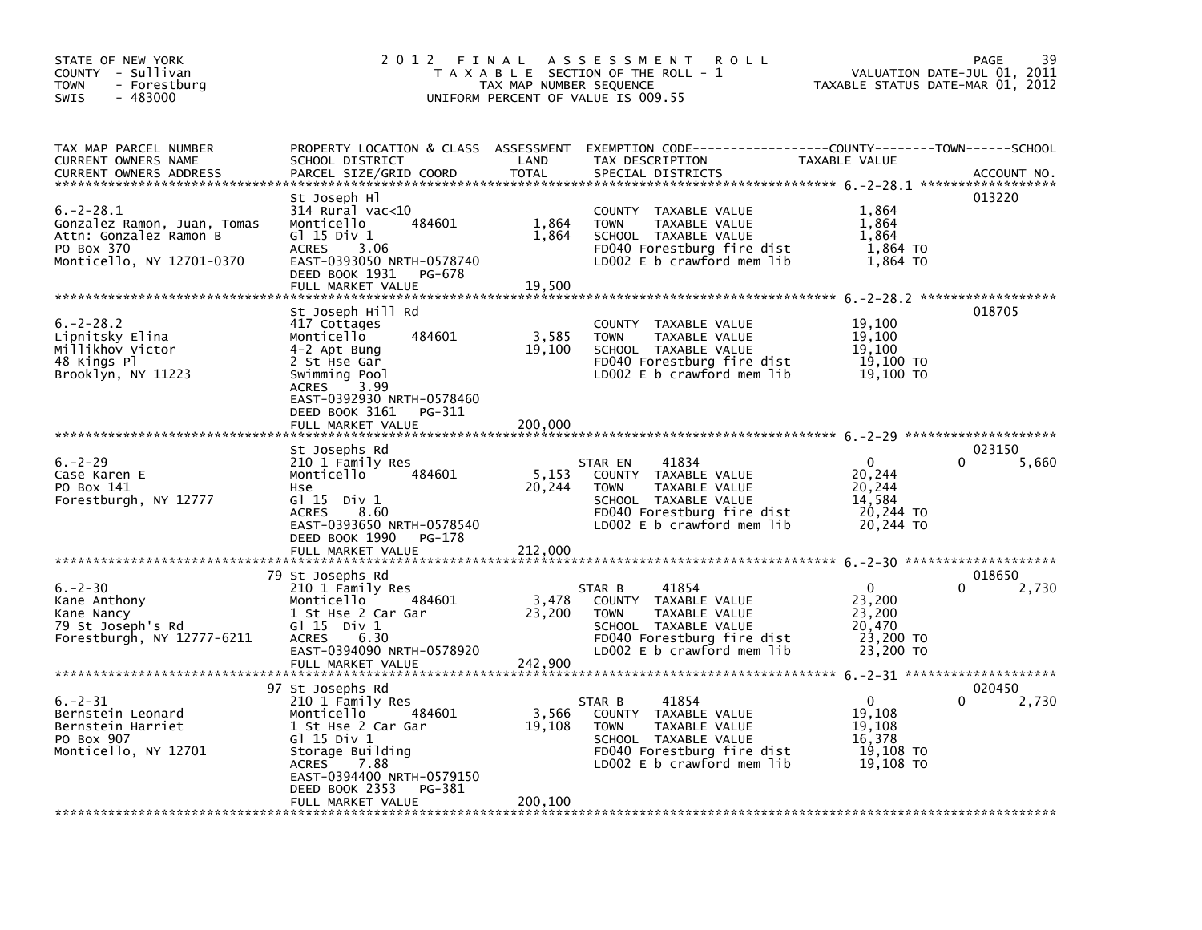| STATE OF NEW YORK<br>COUNTY - Sullivan<br><b>TOWN</b><br>- Forestburg<br>$-483000$<br><b>SWIS</b>                                                    | 2012 FINAL                                                                                                                                                                                                               | TAX MAP NUMBER SEQUENCE    | A S S E S S M E N T<br><b>ROLL</b><br>T A X A B L E SECTION OF THE ROLL - 1<br>UNIFORM PERCENT OF VALUE IS 009.55                                            | VALUATION DATE-JUL 01, 2011<br>TAXABLE STATUS DATE-MAR 01, 2012      | 39<br>PAGE                  |
|------------------------------------------------------------------------------------------------------------------------------------------------------|--------------------------------------------------------------------------------------------------------------------------------------------------------------------------------------------------------------------------|----------------------------|--------------------------------------------------------------------------------------------------------------------------------------------------------------|----------------------------------------------------------------------|-----------------------------|
| TAX MAP PARCEL NUMBER<br>CURRENT OWNERS NAME<br><b>CURRENT OWNERS ADDRESS</b>                                                                        | SCHOOL DISTRICT<br>PARCEL SIZE/GRID COORD                                                                                                                                                                                | LAND<br><b>TOTAL</b>       | PROPERTY LOCATION & CLASS ASSESSMENT EXEMPTION CODE---------------COUNTY-------TOWN------SCHOOL<br>TAX DESCRIPTION<br>SPECIAL DISTRICTS                      | TAXABLE VALUE                                                        | ACCOUNT NO.                 |
| $6. -2 - 28.1$<br>Gonzalez Ramon, Juan, Tomas<br>Attn: Gonzalez Ramon B<br>PO Box 370<br>Monticello, NY 12701-0370<br>****************************** | St Joseph Hl<br>314 Rural vac<10<br>484601<br>Monticello<br>$G1$ 15 Div 1<br>3.06<br><b>ACRES</b><br>EAST-0393050 NRTH-0578740<br>DEED BOOK 1931 PG-678<br>FULL MARKET VALUE                                             | 1,864<br>1,864<br>19,500   | COUNTY TAXABLE VALUE<br><b>TAXABLE VALUE</b><br><b>TOWN</b><br>SCHOOL TAXABLE VALUE<br>FD040 Forestburg fire dist<br>LD002 E b crawford mem lib              | 1,864<br>1,864<br>1,864<br>1,864 TO<br>1,864 TO                      | 013220                      |
| $6. -2 - 28.2$<br>Lipnitsky Elina<br>Millikhov Victor<br>48 Kings Pl<br>Brooklyn, NY 11223                                                           | St Joseph Hill Rd<br>417 Cottages<br>Monticello<br>484601<br>4-2 Apt Bung<br>2 St Hse Gar<br>Swimming Pool<br>3.99<br><b>ACRES</b><br>EAST-0392930 NRTH-0578460<br>DEED BOOK 3161<br>PG-311                              | 3,585<br>19,100            | COUNTY TAXABLE VALUE<br>TAXABLE VALUE<br><b>TOWN</b><br>SCHOOL TAXABLE VALUE<br>FD040 Forestburg fire dist<br>LD002 E b crawford mem lib                     | 19,100<br>19,100<br>19,100<br>19,100 TO<br>19,100 TO                 | 018705                      |
|                                                                                                                                                      | FULL MARKET VALUE                                                                                                                                                                                                        | 200,000                    |                                                                                                                                                              |                                                                      |                             |
| $6. -2 - 29$<br>Case Karen E<br>PO Box 141<br>Forestburgh, NY 12777                                                                                  | St Josephs Rd<br>210 1 Family Res<br>Monticello<br>484601<br>Hse<br>$G1$ 15 Div 1<br>8.60<br><b>ACRES</b><br>EAST-0393650 NRTH-0578540<br>DEED BOOK 1990<br>PG-178<br>FULL MARKET VALUE                                  | 5,153<br>20,244<br>212,000 | STAR EN<br>41834<br>COUNTY TAXABLE VALUE<br>TAXABLE VALUE<br><b>TOWN</b><br>SCHOOL TAXABLE VALUE<br>FD040 Forestburg fire dist<br>LD002 E b crawford mem lib | $\mathbf{0}$<br>20,244<br>20,244<br>14,584<br>20,244 TO<br>20,244 TO | 023150<br>5,660<br>$\Omega$ |
|                                                                                                                                                      |                                                                                                                                                                                                                          |                            |                                                                                                                                                              | $6. -2 - 30$ **********************                                  |                             |
| $6. -2 - 30$<br>Kane Anthony<br>Kane Nancy<br>79 St Joseph's Rd<br>Forestburgh, NY 12777-6211                                                        | 79 St Josephs Rd<br>210 1 Family Res<br>Monticello<br>484601<br>1 St Hse 2 Car Gar<br>$G1 15$ Div $1$<br><b>ACRES</b><br>6.30<br>EAST-0394090 NRTH-0578920<br>FULL MARKET VALUE                                          | 3,478<br>23,200<br>242,900 | 41854<br>STAR B<br>COUNTY TAXABLE VALUE<br>TAXABLE VALUE<br><b>TOWN</b><br>SCHOOL TAXABLE VALUE<br>FD040 Forestburg fire dist<br>LD002 E b crawford mem lib  | $\mathbf{0}$<br>23,200<br>23,200<br>20,470<br>23,200 TO<br>23,200 TO | 018650<br>2,730<br>0        |
| $6. -2 - 31$<br>Bernstein Leonard<br>Bernstein Harriet<br>PO Box 907<br>Monticello, NY 12701                                                         | 97 St Josephs Rd<br>210 1 Family Res<br>Monticello<br>484601<br>1 St Hse 2 Car Gar<br>G1 15 Div 1<br>Storage Building<br><b>ACRES</b><br>7.88<br>EAST-0394400 NRTH-0579150<br>DEED BOOK 2353 PG-381<br>FULL MARKET VALUE | 3,566<br>19,108<br>200,100 | 41854<br>STAR B<br>COUNTY TAXABLE VALUE<br>TAXABLE VALUE<br><b>TOWN</b><br>SCHOOL TAXABLE VALUE<br>FD040 Forestburg fire dist<br>LD002 E b crawford mem lib  | $\mathbf{0}$<br>19,108<br>19,108<br>16,378<br>19,108 TO<br>19,108 TO | 020450<br>$\Omega$<br>2,730 |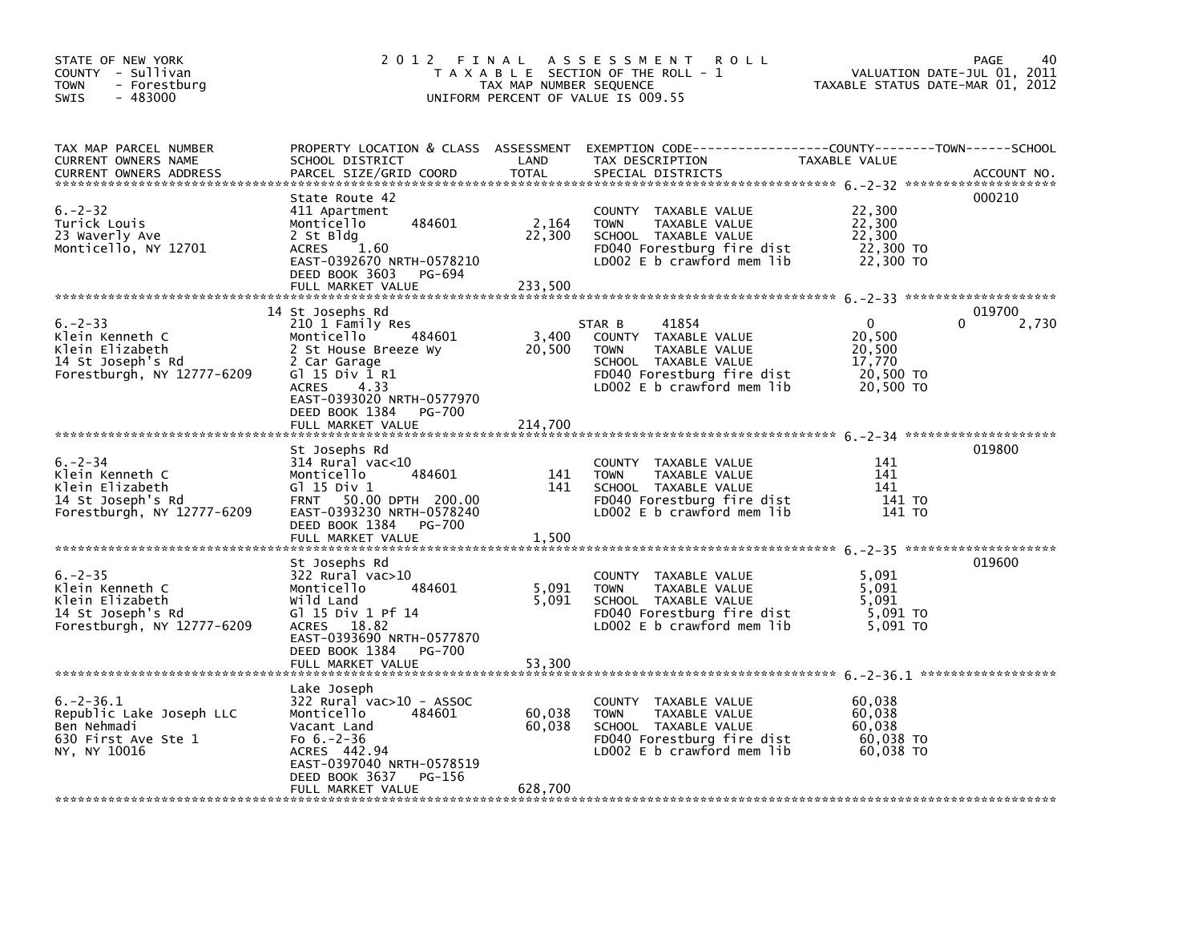| STATE OF NEW YORK<br>COUNTY - Sullivan<br>- Forestburg<br>TOWN<br>$-483000$<br><b>SWIS</b>            |                                                                                                                                                                                                   | TAX MAP NUMBER SEQUENCE     | 2012 FINAL ASSESSMENT<br><b>ROLL</b><br>T A X A B L E SECTION OF THE ROLL - 1<br>UNIFORM PERCENT OF VALUE IS 009.55                                             | TAXABLE STATUS DATE-MAR 01, 2012                                     | PAGE<br>40<br>VALUATION DATE-JUL 01, 2011 |
|-------------------------------------------------------------------------------------------------------|---------------------------------------------------------------------------------------------------------------------------------------------------------------------------------------------------|-----------------------------|-----------------------------------------------------------------------------------------------------------------------------------------------------------------|----------------------------------------------------------------------|-------------------------------------------|
| TAX MAP PARCEL NUMBER<br>CURRENT OWNERS NAME<br><b>CURRENT OWNERS ADDRESS</b>                         | PROPERTY LOCATION & CLASS ASSESSMENT<br>SCHOOL DISTRICT<br>PARCEL SIZE/GRID COORD                                                                                                                 | LAND<br><b>TOTAL</b>        | EXEMPTION CODE-----------------COUNTY-------TOWN------SCHOOL<br>TAX DESCRIPTION<br>SPECIAL DISTRICTS                                                            | TAXABLE VALUE                                                        | ACCOUNT NO.                               |
| $6. -2 - 32$<br>Turick Louis<br>23 Waverly Ave<br>Monticello, NY 12701                                | State Route 42<br>411 Apartment<br>484601<br>Monticello<br>2 St Bldg<br>1.60<br><b>ACRES</b><br>EAST-0392670 NRTH-0578210<br>DEED BOOK 3603<br>PG-694                                             | 2,164<br>22,300             | COUNTY TAXABLE VALUE<br>TAXABLE VALUE<br><b>TOWN</b><br>SCHOOL TAXABLE VALUE<br>FD040 Forestburg fire dist<br>LD002 E b crawford mem lib                        | 22,300<br>22,300<br>22,300<br>22,300 TO<br>22,300 TO                 | 000210                                    |
| $6. -2 - 33$<br>Klein Kenneth C<br>Klein Elizabeth<br>14 St Joseph's Rd<br>Forestburgh, NY 12777-6209 | 14 St Josephs Rd<br>210 1 Family Res<br>Monticello<br>484601<br>2 St House Breeze Wy<br>2 Car Garage<br>G1 15 Div 1 R1<br>ACRES 4.33<br>EAST-0393020 NRTH-0577970<br>DEED BOOK 1384<br>PG-700     | 3,400<br>20,500             | STAR B<br>41854<br>COUNTY TAXABLE VALUE<br>TAXABLE VALUE<br><b>TOWN</b><br>SCHOOL TAXABLE VALUE<br>FD040 Forestburg fire dist<br>LD002 $E$ b crawford mem $lib$ | $\mathbf{0}$<br>20,500<br>20,500<br>17,770<br>20,500 TO<br>20,500 TO | 019700<br>0<br>2,730                      |
|                                                                                                       | FULL MARKET VALUE                                                                                                                                                                                 | 214,700                     |                                                                                                                                                                 |                                                                      |                                           |
| $6. -2 - 34$<br>Klein Kenneth C<br>Klein Elizabeth<br>14 St Joseph's Rd<br>Forestburgh, NY 12777-6209 | St Josephs Rd<br>$314$ Rural vac<10<br>Monticello<br>484601<br>G1 15 Div 1<br>FRNT 50.00 DPTH 200.00<br>EAST-0393230 NRTH-0578240<br>DEED BOOK 1384<br><b>PG-700</b><br>FULL MARKET VALUE         | 141<br>141<br>1,500         | COUNTY TAXABLE VALUE<br>TAXABLE VALUE<br><b>TOWN</b><br>SCHOOL TAXABLE VALUE<br>FD040 Forestburg fire dist<br>LD002 E b crawford mem lib                        | 141<br>141<br>141<br>141 TO<br>141 TO                                | 019800                                    |
| $6. -2 - 35$<br>Klein Kenneth C<br>Klein Elizabeth<br>14 St Joseph's Rd<br>Forestburgh, NY 12777-6209 | St Josephs Rd<br>322 Rural vac>10<br>Monticello<br>484601<br>Wild Land<br>G1 15 Div 1 Pf 14<br>ACRES 18.82<br>EAST-0393690 NRTH-0577870<br>DEED BOOK 1384<br>PG-700<br>FULL MARKET VALUE          | 5,091<br>5,091<br>53,300    | COUNTY TAXABLE VALUE<br><b>TOWN</b><br>TAXABLE VALUE<br>SCHOOL TAXABLE VALUE<br>FD040 Forestburg fire dist<br>LDOO2 E b crawford mem lib                        | 5,091<br>5.091<br>5,091<br>5,091 TO<br>5,091 TO                      | 019600                                    |
| $6. -2 - 36.1$<br>Republic Lake Joseph LLC<br>Ben Nehmadi<br>630 First Ave Ste 1<br>NY, NY 10016      | Lake Joseph<br>$322$ Rural vac $>10$ - ASSOC<br>484601<br>Monticello<br>Vacant Land<br>Fo $6.-2-36$<br>ACRES 442.94<br>EAST-0397040 NRTH-0578519<br>DEED BOOK 3637<br>PG-156<br>FULL MARKET VALUE | 60,038<br>60,038<br>628,700 | COUNTY TAXABLE VALUE<br><b>TOWN</b><br>TAXABLE VALUE<br>SCHOOL TAXABLE VALUE<br>FD040 Forestburg fire dist<br>LD002 E b crawford mem lib                        | 60.038<br>60,038<br>60,038<br>60,038 TO<br>60,038 TO                 |                                           |
|                                                                                                       |                                                                                                                                                                                                   |                             |                                                                                                                                                                 |                                                                      |                                           |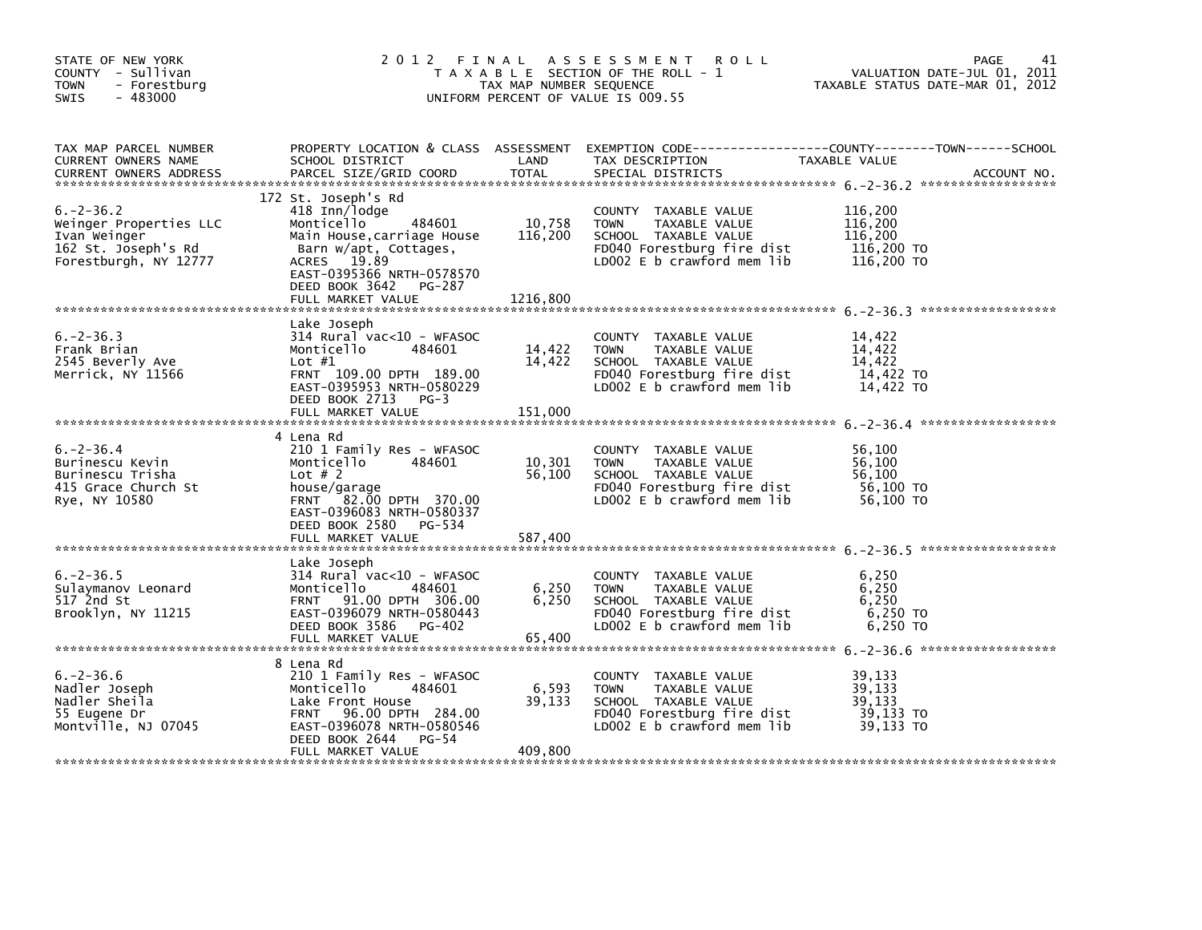| STATE OF NEW YORK<br>COUNTY - Sullivan<br><b>TOWN</b><br>- Forestburg<br>$-483000$<br>SWIS               | 2012 FINAL                                                                                                                                                                                                       | TAX MAP NUMBER SEQUENCE       | A S S E S S M E N T<br><b>ROLL</b><br>T A X A B L E SECTION OF THE ROLL - 1<br>UNIFORM PERCENT OF VALUE IS 009.55                        | 41<br>PAGE<br>VALUATION DATE-JUL 01, 2011<br>TAXABLE STATUS DATE-MAR 01, 2012                                                    |
|----------------------------------------------------------------------------------------------------------|------------------------------------------------------------------------------------------------------------------------------------------------------------------------------------------------------------------|-------------------------------|------------------------------------------------------------------------------------------------------------------------------------------|----------------------------------------------------------------------------------------------------------------------------------|
| TAX MAP PARCEL NUMBER<br>CURRENT OWNERS NAME<br><b>CURRENT OWNERS ADDRESS</b>                            | SCHOOL DISTRICT<br>PARCEL SIZE/GRID COORD                                                                                                                                                                        | LAND<br><b>TOTAL</b>          | TAX DESCRIPTION<br>SPECIAL DISTRICTS                                                                                                     | PROPERTY LOCATION & CLASS ASSESSMENT EXEMPTION CODE----------------COUNTY-------TOWN------SCHOOL<br>TAXABLE VALUE<br>ACCOUNT NO. |
| $6. -2 - 36.2$<br>Weinger Properties LLC<br>Ivan Weinger<br>162 St. Joseph's Rd<br>Forestburgh, NY 12777 | 172 St. Joseph's Rd<br>418 Inn/lodge<br>Monticello<br>484601<br>Main House, carriage House<br>Barn w/apt, Cottages,<br>ACRES 19.89<br>EAST-0395366 NRTH-0578570<br>DEED BOOK 3642<br>PG-287<br>FULL MARKET VALUE | 10,758<br>116,200<br>1216,800 | COUNTY TAXABLE VALUE<br><b>TOWN</b><br>TAXABLE VALUE<br>SCHOOL TAXABLE VALUE<br>FD040 Forestburg fire dist<br>LD002 E b crawford mem lib | 116,200<br>116,200<br>116,200<br>116,200 TO<br>116,200 TO                                                                        |
| $6. -2 - 36.3$<br>Frank Brian<br>2545 Beverly Ave<br>Merrick, NY 11566                                   | Lake Joseph<br>314 Rural vac<10 - WFASOC<br>Monticello<br>484601<br>Lot $#1$<br>FRNT 109.00 DPTH 189.00<br>EAST-0395953 NRTH-0580229<br>DEED BOOK 2713 PG-3<br>FULL MARKET VALUE                                 | 14,422<br>14,422<br>151,000   | COUNTY TAXABLE VALUE<br><b>TOWN</b><br>TAXABLE VALUE<br>SCHOOL TAXABLE VALUE<br>FD040 Forestburg fire dist<br>LD002 E b crawford mem lib | 14,422<br>14,422<br>14,422<br>14,422 TO<br>14,422 TO                                                                             |
| $6. -2 - 36.4$<br>Burinescu Kevin<br>Burinescu Trisha<br>415 Grace Church St<br>Rye, NY 10580            | 4 Lena Rd<br>210 1 Family Res - WFASOC<br>Monticello<br>484601<br>Lot $# 2$<br>house/garage<br>FRNT 82.00 DPTH 370.00<br>EAST-0396083 NRTH-0580337<br>DEED BOOK 2580 PG-534                                      | 10,301<br>56,100              | COUNTY TAXABLE VALUE<br><b>TOWN</b><br>TAXABLE VALUE<br>SCHOOL TAXABLE VALUE<br>FD040 Forestburg fire dist<br>LD002 E b crawford mem lib | 56,100<br>56,100<br>56,100<br>56,100 TO<br>56,100 TO                                                                             |
| $6. -2 - 36.5$<br>Sulaymanov Leonard<br>517 2nd St<br>Brooklyn, NY 11215                                 | Lake Joseph<br>314 Rural vac<10 - WFASOC<br>Monticello<br>484601<br>FRNT 91.00 DPTH 306.00<br>EAST-0396079 NRTH-0580443<br>DEED BOOK 3586 PG-402<br>FULL MARKET VALUE                                            | 6,250<br>6,250<br>65,400      | COUNTY TAXABLE VALUE<br><b>TOWN</b><br>TAXABLE VALUE<br>SCHOOL TAXABLE VALUE<br>FD040 Forestburg fire dist<br>LD002 E b crawford mem lib | 6,250<br>6,250<br>6,250<br>6,250 TO<br>6,250 TO                                                                                  |
| $6. -2 - 36.6$<br>Nadler Joseph<br>Nadler Sheila<br>55 Eugene Dr<br>Montville, NJ 07045                  | 8 Lena Rd<br>210 1 Family Res - WFASOC<br>Monticello<br>484601<br>Lake Front House<br>96.00 DPTH 284.00<br><b>FRNT</b><br>EAST-0396078 NRTH-0580546<br>DEED BOOK 2644<br>PG-54<br>FULL MARKET VALUE              | 6,593<br>39,133<br>409,800    | COUNTY TAXABLE VALUE<br>TOWN<br>TAXABLE VALUE<br>SCHOOL TAXABLE VALUE<br>FD040 Forestburg fire dist<br>LD002 E b crawford mem lib        | 39,133<br>39,133<br>39,133<br>39,133 TO<br>39,133 TO                                                                             |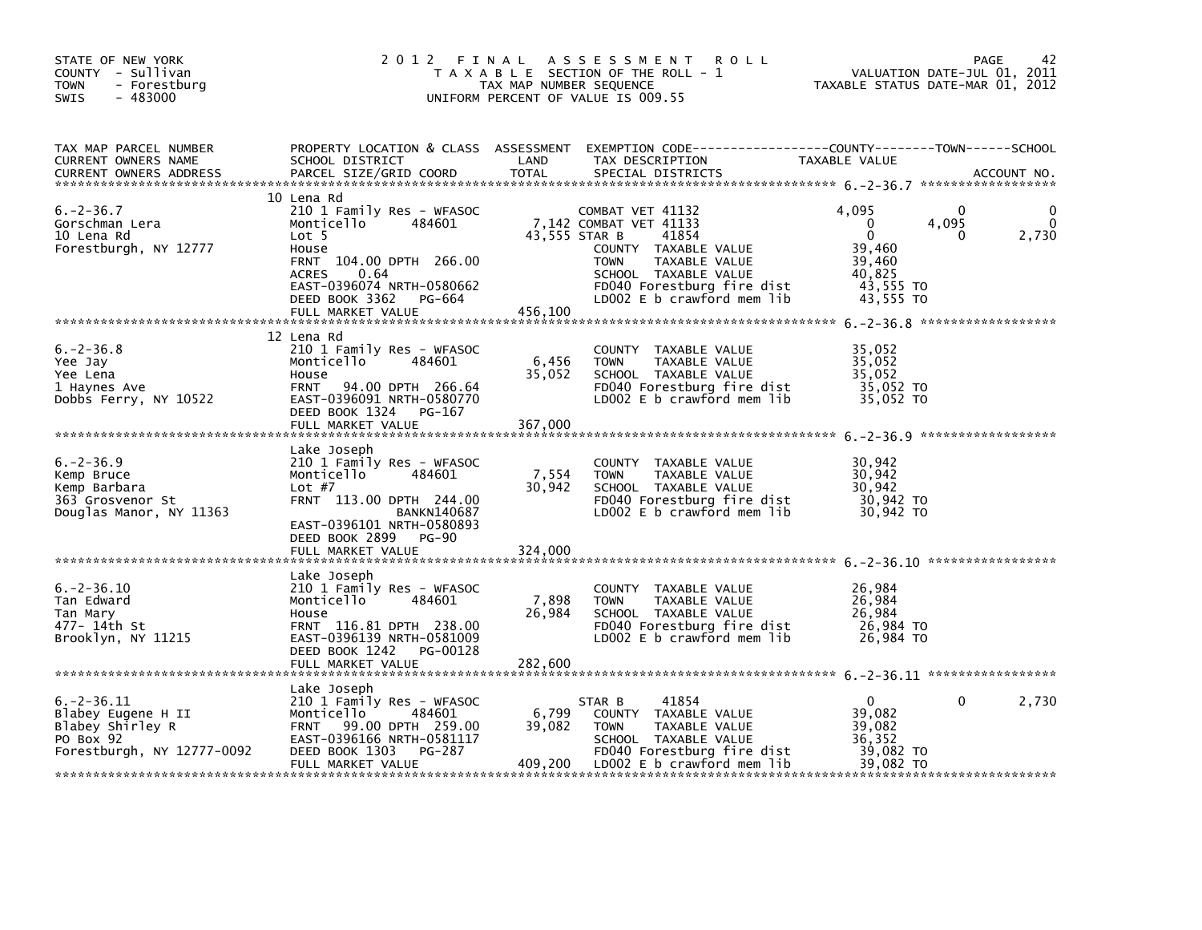| STATE OF NEW YORK<br>COUNTY - Sullivan<br><b>TOWN</b><br>- Forestburg<br>$-483000$<br><b>SWIS</b>    | 2 0 1 2                                                                                                                                                                                                            | FINAL<br>TAX MAP NUMBER SEQUENCE | A S S E S S M E N T<br><b>ROLL</b><br>T A X A B L E SECTION OF THE ROLL - 1<br>UNIFORM PERCENT OF VALUE IS 009.55                                                                                                | TAXABLE STATUS DATE-MAR 01, 2012                                                                   | 42<br>PAGE<br>VALUATION DATE-JUL 01, 2011 |
|------------------------------------------------------------------------------------------------------|--------------------------------------------------------------------------------------------------------------------------------------------------------------------------------------------------------------------|----------------------------------|------------------------------------------------------------------------------------------------------------------------------------------------------------------------------------------------------------------|----------------------------------------------------------------------------------------------------|-------------------------------------------|
| TAX MAP PARCEL NUMBER<br>CURRENT OWNERS NAME<br><b>CURRENT OWNERS ADDRESS</b>                        | SCHOOL DISTRICT<br>PARCEL SIZE/GRID COORD                                                                                                                                                                          | LAND<br><b>TOTAL</b>             | PROPERTY LOCATION & CLASS ASSESSMENT EXEMPTION CODE---------------COUNTY-------TOWN-----SCHOOL<br>TAX DESCRIPTION<br>SPECIAL DISTRICTS                                                                           | TAXABLE VALUE                                                                                      | ACCOUNT NO.                               |
| $6. -2 - 36.7$<br>Gorschman Lera<br>10 Lena Rd<br>Forestburgh, NY 12777                              | 10 Lena Rd<br>210 1 Family Res - WFASOC<br>Monticello<br>484601<br>Lot 5<br>House<br>FRNT 104.00 DPTH 266.00<br><b>ACRES</b><br>0.64<br>EAST-0396074 NRTH-0580662<br>DEED BOOK 3362<br>PG-664<br>FULL MARKET VALUE | 456,100                          | COMBAT VET 41132<br>7,142 COMBAT VET 41133<br>43,555 STAR B<br>41854<br>COUNTY TAXABLE VALUE<br><b>TOWN</b><br>TAXABLE VALUE<br>SCHOOL TAXABLE VALUE<br>FD040 Forestburg fire dist<br>LD002 E b crawford mem lib | 4.095<br>4,095<br>$\Omega$<br>$\mathbf{0}$<br>39,460<br>39,460<br>40,825<br>43,555 TO<br>43,555 TO | 0<br>2,730<br>0                           |
| $6. -2 - 36.8$<br>Yee Jay<br>Yee Lena<br>1 Haynes Ave<br>Dobbs Ferry, NY 10522                       | 12 Lena Rd<br>210 1 Family Res - WFASOC<br>Monticello<br>484601<br>House<br><b>FRNT</b><br>94.00 DPTH 266.64<br>EAST-0396091 NRTH-0580770<br>DEED BOOK 1324<br>PG-167<br>FULL MARKET VALUE                         | 6,456<br>35,052<br>367,000       | COUNTY TAXABLE VALUE<br><b>TOWN</b><br>TAXABLE VALUE<br>SCHOOL TAXABLE VALUE<br>FD040 Forestburg fire dist<br>LD002 $E$ b crawford mem $lib$                                                                     | 35,052<br>35,052<br>35.052<br>35,052 TO<br>35,052 TO                                               |                                           |
| $6. -2 - 36.9$<br>Kemp Bruce<br>Kemp Barbara<br>363 Grosvenor St<br>Douglas Manor, NY 11363          | Lake Joseph<br>210 1 Family Res - WFASOC<br>Monticello<br>484601<br>Lot $#7$<br>FRNT 113.00 DPTH 244.00<br><b>BANKN140687</b><br>EAST-0396101 NRTH-0580893<br>DEED BOOK 2899<br>PG-90<br>FULL MARKET VALUE         | 7,554<br>30,942<br>324,000       | COUNTY TAXABLE VALUE<br>TAXABLE VALUE<br><b>TOWN</b><br>SCHOOL TAXABLE VALUE<br>FD040 Forestburg fire dist<br>LD002 E b crawford mem lib                                                                         | 30,942<br>30,942<br>30,942<br>30,942 TO<br>30,942 TO                                               |                                           |
| $6. -2 - 36.10$<br>Tan Edward<br>Tan Mary<br>477– 14th St<br>Brooklyn, NY 11215                      | Lake Joseph<br>210 1 Family Res - WFASOC<br>Monticello<br>484601<br>House<br>FRNT 116.81 DPTH 238.00<br>EAST-0396139 NRTH-0581009<br>DEED BOOK 1242 PG-00128<br>FULL MARKET VALUE                                  | 7,898<br>26,984<br>282,600       | COUNTY TAXABLE VALUE<br><b>TOWN</b><br>TAXABLE VALUE<br>SCHOOL TAXABLE VALUE<br>FD040 Forestburg fire dist<br>LD002 $E$ b crawford mem $lib$                                                                     | 26,984<br>26,984<br>26,984<br>26,984 TO<br>26,984 TO                                               |                                           |
| $6. -2 - 36.11$<br>Blabey Eugene H II<br>Blabey Shirley R<br>PO Box 92<br>Forestburgh, NY 12777-0092 | Lake Joseph<br>210 1 Family Res - WFASOC<br>Monticello<br>484601<br>99.00 DPTH 259.00<br><b>FRNT</b><br>EAST-0396166 NRTH-0581117<br>DEED BOOK 1303<br>PG-287<br>FULL MARKET VALUE                                 | 6,799<br>39,082<br>409,200       | 41854<br>STAR B<br>COUNTY TAXABLE VALUE<br><b>TOWN</b><br>TAXABLE VALUE<br>SCHOOL TAXABLE VALUE<br>FD040 Forestburg fire dist<br>LD002 E b crawford mem lib                                                      | $\Omega$<br>39,082<br>39,082<br>36,352<br>39,082 TO<br>39,082 TO                                   | $\mathbf{0}$<br>2,730                     |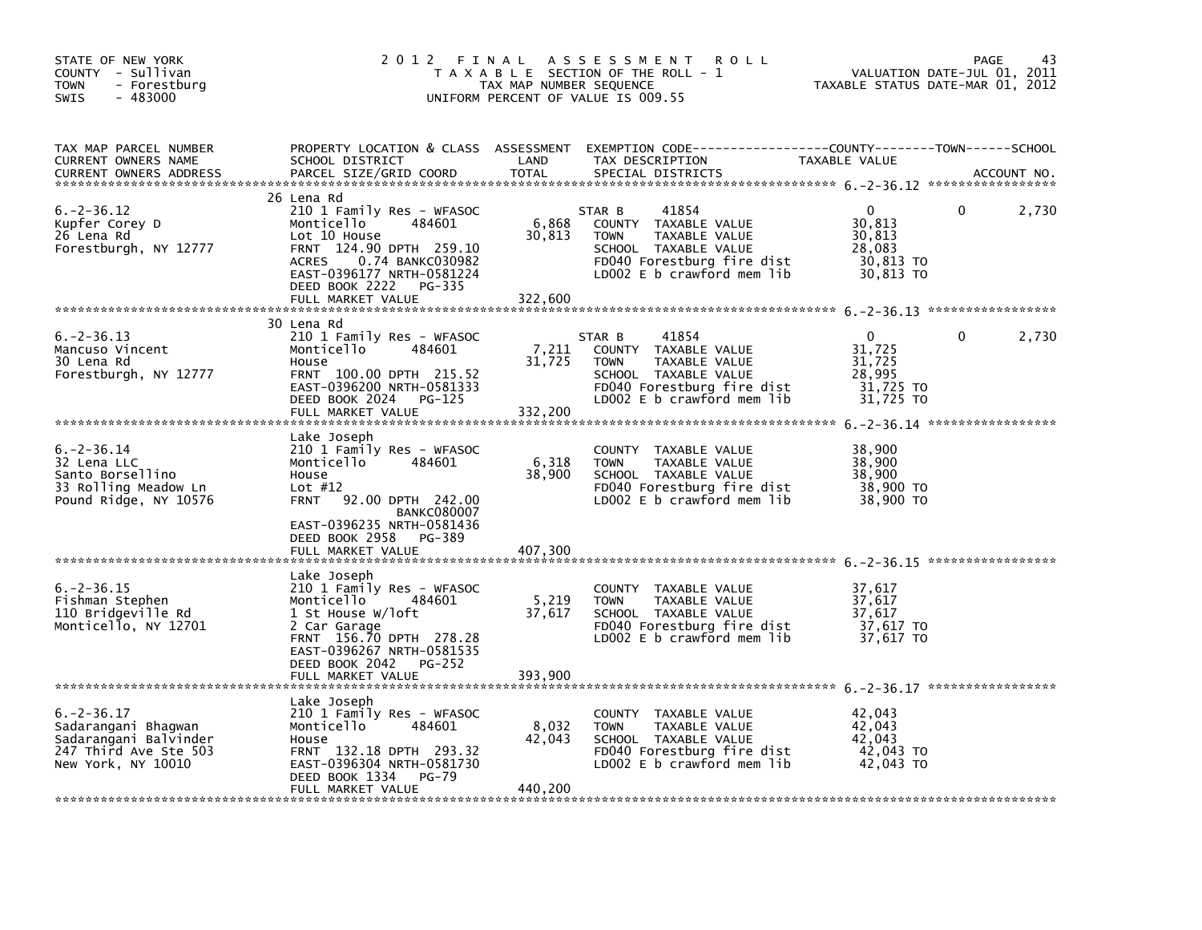| STATE OF NEW YORK<br>COUNTY - Sullivan<br><b>TOWN</b><br>- Forestburg<br><b>SWIS</b><br>- 483000               | 2 0 1 2                                                                                                                                                                                                                        | FINAL<br>TAX MAP NUMBER SEQUENCE | A S S E S S M E N T<br>R O L L<br>T A X A B L E SECTION OF THE ROLL - 1<br>UNIFORM PERCENT OF VALUE IS 009.55                                               | TAXABLE STATUS DATE-MAR 01, 2012                                 | PAGE<br>43<br>VALUATION DATE-JUL 01, 2011 |
|----------------------------------------------------------------------------------------------------------------|--------------------------------------------------------------------------------------------------------------------------------------------------------------------------------------------------------------------------------|----------------------------------|-------------------------------------------------------------------------------------------------------------------------------------------------------------|------------------------------------------------------------------|-------------------------------------------|
| TAX MAP PARCEL NUMBER<br>CURRENT OWNERS NAME<br><b>CURRENT OWNERS ADDRESS</b>                                  | PROPERTY LOCATION & CLASS ASSESSMENT<br>SCHOOL DISTRICT<br>PARCEL SIZE/GRID COORD                                                                                                                                              | LAND<br><b>TOTAL</b>             | TAX DESCRIPTION<br>SPECIAL DISTRICTS                                                                                                                        | TAXABLE VALUE                                                    | ACCOUNT NO.                               |
| $6. -2 - 36.12$<br>Kupfer Corey D<br>26 Lena Rd<br>Forestburgh, NY 12777                                       | 26 Lena Rd<br>210 1 Family Res - WFASOC<br>484601<br>Monticello<br>Lot 10 House<br>FRNT 124.90 DPTH 259.10<br>0.74 BANKC030982<br><b>ACRES</b><br>EAST-0396177 NRTH-0581224<br>DEED BOOK 2222<br>PG-335<br>FULL MARKET VALUE   | 6,868<br>30,813                  | 41854<br>STAR B<br>COUNTY TAXABLE VALUE<br><b>TOWN</b><br>TAXABLE VALUE<br>SCHOOL TAXABLE VALUE<br>FD040 Forestburg fire dist<br>LD002 E b crawford mem lib | $\Omega$<br>30,813<br>30,813<br>28,083<br>30,813 TO<br>30,813 TO | 2,730<br>0                                |
|                                                                                                                |                                                                                                                                                                                                                                | 322,600                          |                                                                                                                                                             |                                                                  |                                           |
| $6. -2 - 36.13$<br>Mancuso Vincent<br>30 Lena Rd<br>Forestburgh, NY 12777                                      | 30 Lena Rd<br>210 1 Family Res - WFASOC<br>Monticello<br>484601<br>House<br>FRNT 100.00 DPTH 215.52<br>EAST-0396200 NRTH-0581333<br>DEED BOOK 2024<br>PG-125<br>FULL MARKET VALUE                                              | 7,211<br>31,725<br>332,200       | 41854<br>STAR B<br>COUNTY TAXABLE VALUE<br>TAXABLE VALUE<br><b>TOWN</b><br>SCHOOL TAXABLE VALUE<br>FD040 Forestburg fire dist<br>LD002 E b crawford mem lib | $\Omega$<br>31,725<br>31,725<br>28,995<br>31,725 TO<br>31,725 TO | 2,730<br>0                                |
| $6. -2 - 36.14$<br>32 Lena LLC<br>Santo Borsellino<br>33 Rolling Meadow Ln<br>Pound Ridge, NY 10576            | Lake Joseph<br>210 1 Family Res - WFASOC<br>Monticello<br>484601<br>House<br>Lot $#12$<br>92.00 DPTH 242.00<br><b>FRNT</b><br><b>BANKC080007</b><br>EAST-0396235 NRTH-0581436<br>DEED BOOK 2958<br>PG-389<br>FULL MARKET VALUE | 6,318<br>38,900<br>407,300       | COUNTY TAXABLE VALUE<br><b>TOWN</b><br>TAXABLE VALUE<br>SCHOOL TAXABLE VALUE<br>FD040 Forestburg fire dist<br>LD002 E b crawford mem lib                    | 38,900<br>38,900<br>38,900<br>38,900 TO<br>38,900 TO             |                                           |
| $6. -2 - 36.15$<br>Fishman Stephen<br>110 Bridgeville Rd<br>Monticello, NY 12701                               | Lake Joseph<br>210 1 Family Res - WFASOC<br>Monticello<br>484601<br>1 St House W/loft<br>2 Car Garage<br>FRNT 156.70 DPTH 278.28<br>EAST-0396267 NRTH-0581535<br>DEED BOOK 2042<br><b>PG-252</b><br>FULL MARKET VALUE          | 5,219<br>37,617<br>393,900       | COUNTY<br>TAXABLE VALUE<br><b>TOWN</b><br>TAXABLE VALUE<br>SCHOOL TAXABLE VALUE<br>FD040 Forestburg fire dist<br>LD002 $E$ b crawford mem lib               | 37,617<br>37,617<br>37,617<br>37,617 TO<br>37,617 TO             |                                           |
| $6. -2 - 36.17$<br>Sadarangani Bhagwan<br>Sadarangani Balvinder<br>247 Third Ave Ste 503<br>New York, NY 10010 | Lake Joseph<br>210 1 Family Res - WFASOC<br>Monticello<br>484601<br>House<br>FRNT 132.18 DPTH 293.32<br>EAST-0396304 NRTH-0581730<br>DEED BOOK 1334<br><b>PG-79</b><br>FULL MARKET VALUE                                       | 8,032<br>42,043<br>440,200       | COUNTY<br>TAXABLE VALUE<br><b>TOWN</b><br>TAXABLE VALUE<br>SCHOOL TAXABLE VALUE<br>FD040 Forestburg fire dist<br>LD002 $E$ b crawford mem lib               | 42,043<br>42,043<br>42.043<br>42,043 TO<br>42,043 TO             |                                           |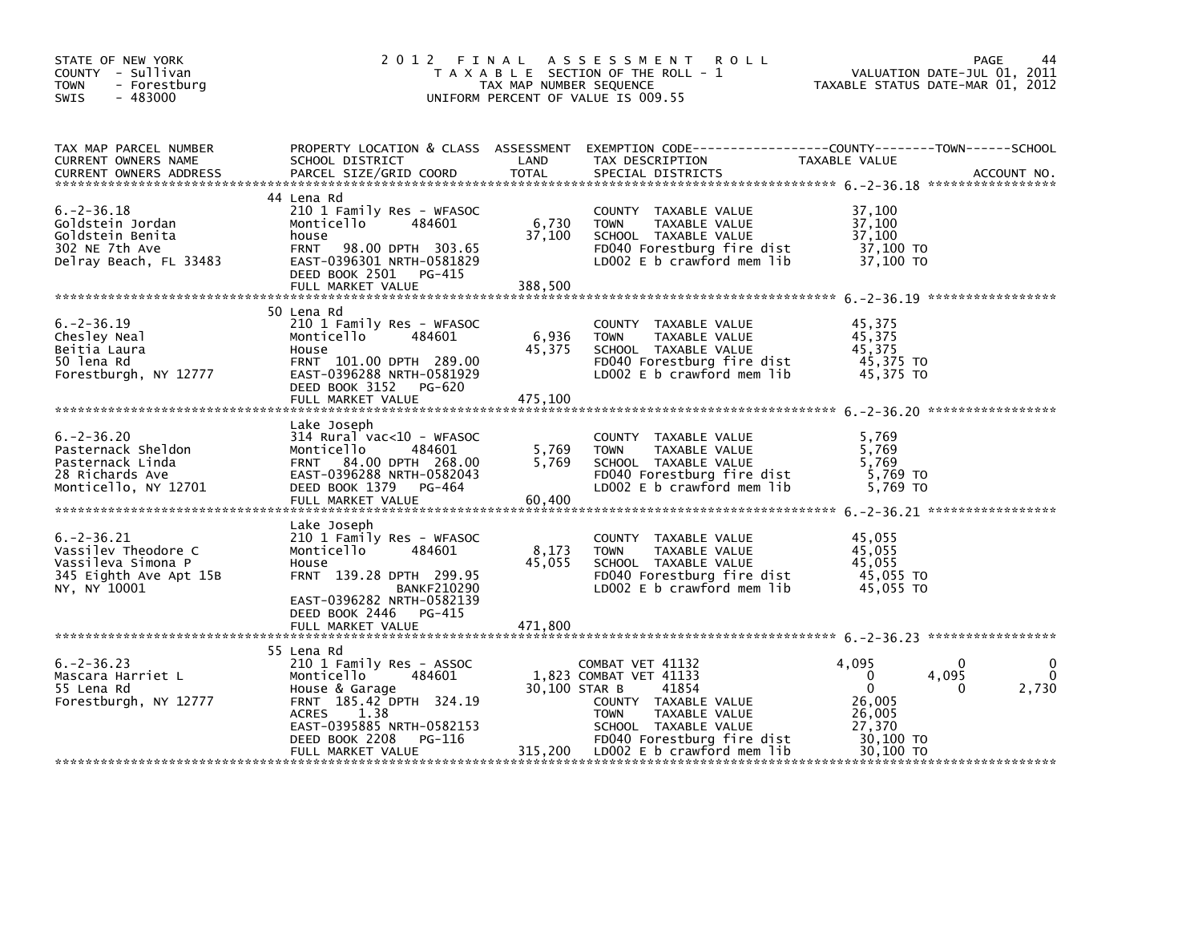| STATE OF NEW YORK<br>COUNTY - Sullivan<br><b>TOWN</b><br>- Forestburg<br>$-483000$<br><b>SWIS</b>      | 2012 FINAL                                                                                                                                                                                            |                            | ASSESSMENT ROLL<br>T A X A B L E SECTION OF THE ROLL - 1<br>T A X A B L E SECTION OF THE ROLL - 1<br>UNIFORM PERCENT OF VALUE IS 009.55                                                    | VALUATION DATE-JUL 01, 2011<br>TAXABLE STATUS DATE-MAR 01, 2012                             | PAGE<br>44               |
|--------------------------------------------------------------------------------------------------------|-------------------------------------------------------------------------------------------------------------------------------------------------------------------------------------------------------|----------------------------|--------------------------------------------------------------------------------------------------------------------------------------------------------------------------------------------|---------------------------------------------------------------------------------------------|--------------------------|
| TAX MAP PARCEL NUMBER<br>CURRENT OWNERS NAME<br>CURRENT OWNERS ADDRESS                                 | SCHOOL DISTRICT<br>PARCEL SIZE/GRID COORD                                                                                                                                                             | LAND<br>TOTAL              | PROPERTY LOCATION & CLASS ASSESSMENT EXEMPTION CODE---------------COUNTY-------TOWN-----SCHOOL<br>TAX DESCRIPTION<br>SPECIAL DISTRICTS                                                     | TAXABLE VALUE                                                                               | ACCOUNT NO.              |
| $6. -2 - 36.18$<br>Goldstein Jordan<br>Goldstein Benita<br>302 NE 7th Ave<br>Delray Beach, FL 33483    | 44 Lena Rd<br>210 1 Family Res - WFASOC<br>Monticello 484601<br>house<br>FRNT 98.00 DPTH 303.65<br>EAST-0396301 NRTH-0581829<br>DEED BOOK 2501 PG-415<br>FULL MARKET VALUE                            | 6,730<br>37,100<br>388,500 | COUNTY TAXABLE VALUE<br>TOWN TAXABLE VALUE 37,100<br>SCHOOL TAXABLE VALUE 37,100<br>FD040 Forestburg fire dist 37,100 TO<br>LD002 E b crawford mem lib                                     | 37,100<br>37,100 TO                                                                         |                          |
| $6. -2 - 36.19$<br>Chesley Neal<br>Beitia Laura<br>50 lena Rd<br>Forestburgh, NY 12777                 | 50 Lena Rd<br>210 1 Family Res - WFASOC<br>Monticello 484601<br>House<br>FRNT 101.00 DPTH 289.00<br>EAST-0396288 NRTH-0581929<br>DEED BOOK 3152 PG-620<br>FULL MARKET VALUE                           | 6,936<br>45,375<br>475,100 | COUNTY TAXABLE VALUE<br>TOWN TAXABLE VALUE 45,375<br>SCHOOL TAXABLE VALUE 45,375<br>FDO40 Forestburg fire dist 45,375 TO<br>LDOO2 E b crawford mem lib                                     | 45,375<br>45,375<br>45,375 TO                                                               |                          |
| $6. -2 - 36.20$<br>Pasternack Sheldon<br>Pasternack Linda<br>28 Richards Ave<br>Monticello, NY 12701   | Lake Joseph<br>$314$ Rural vac<10 - WFASOC<br>Monticello<br>484601<br>FRNT 84.00 DPTH 268.00<br>EAST-0396288 NRTH-0582043<br>DEED BOOK 1379 PG-464<br>FULL MARKET VALUE                               | 5,769<br>5,769<br>60,400   | COUNTY TAXABLE VALUE 5,769<br>TOWN TAXABLE VALUE 5,769<br>SCHOOL TAXABLE VALUE 5,769<br>FDO40 Forestburg fire dist 5,769 TO<br>LDO02 E b crawford mem lib 5,769 TO<br>SCHOOL TAXABLE VALUE |                                                                                             |                          |
| $6. -2 - 36.21$<br>Vassilev Theodore C<br>Vassileva Simona P<br>345 Eighth Ave Apt 15B<br>NY, NY 10001 | Lake Joseph<br>210 1 Family Res - WFASOC<br>Monticello<br>484601<br>House<br>FRNT 139.28 DPTH 299.95<br><b>BANKF210290</b><br>EAST-0396282 NRTH-0582139<br>DEED BOOK 2446 PG-415<br>FULL MARKET VALUE | 8,173<br>45,055<br>471,800 | COUNTY TAXABLE VALUE<br>TOWN TAXABLE VALUE 45,055<br>SCHOOL TAXABLE VALUE 45,055<br>FD040 Forestburg fire dist 45,055 TO<br>LD002 E b crawford mem lib 45,055 TO                           | 45,055<br>45,055                                                                            |                          |
| $6. -2 - 36.23$<br>Mascara Harriet L<br>55 Lena Rd<br>Forestburgh, NY 12777                            | 55 Lena Rd<br>210 1 Family Res - ASSOC<br>Monticello<br>484601<br>House & Garage<br>FRNT 185.42 DPTH 324.19<br>ACRES<br>1.38<br>EAST-0395885 NRTH-0582153<br>DEED BOOK 2208<br>PG-116                 | 30,100 STAR B              | COMBAT VET 41132<br>1,823 COMBAT VET 41133<br>41854<br>COUNTY TAXABLE VALUE<br>TAXABLE VALUE<br><b>TOWN</b><br>SCHOOL TAXABLE VALUE<br>FD040 Forestburg fire dist                          | 4,095<br>$\overline{\mathbf{0}}$<br>$\mathbf{0}$<br>26,005<br>26,005<br>27,370<br>30,100 TO | 0<br>4,095<br>2,730<br>0 |
|                                                                                                        | FULL MARKET VALUE                                                                                                                                                                                     |                            | 315,200 LD002 E b crawford mem lib                                                                                                                                                         | 30,100 TO                                                                                   |                          |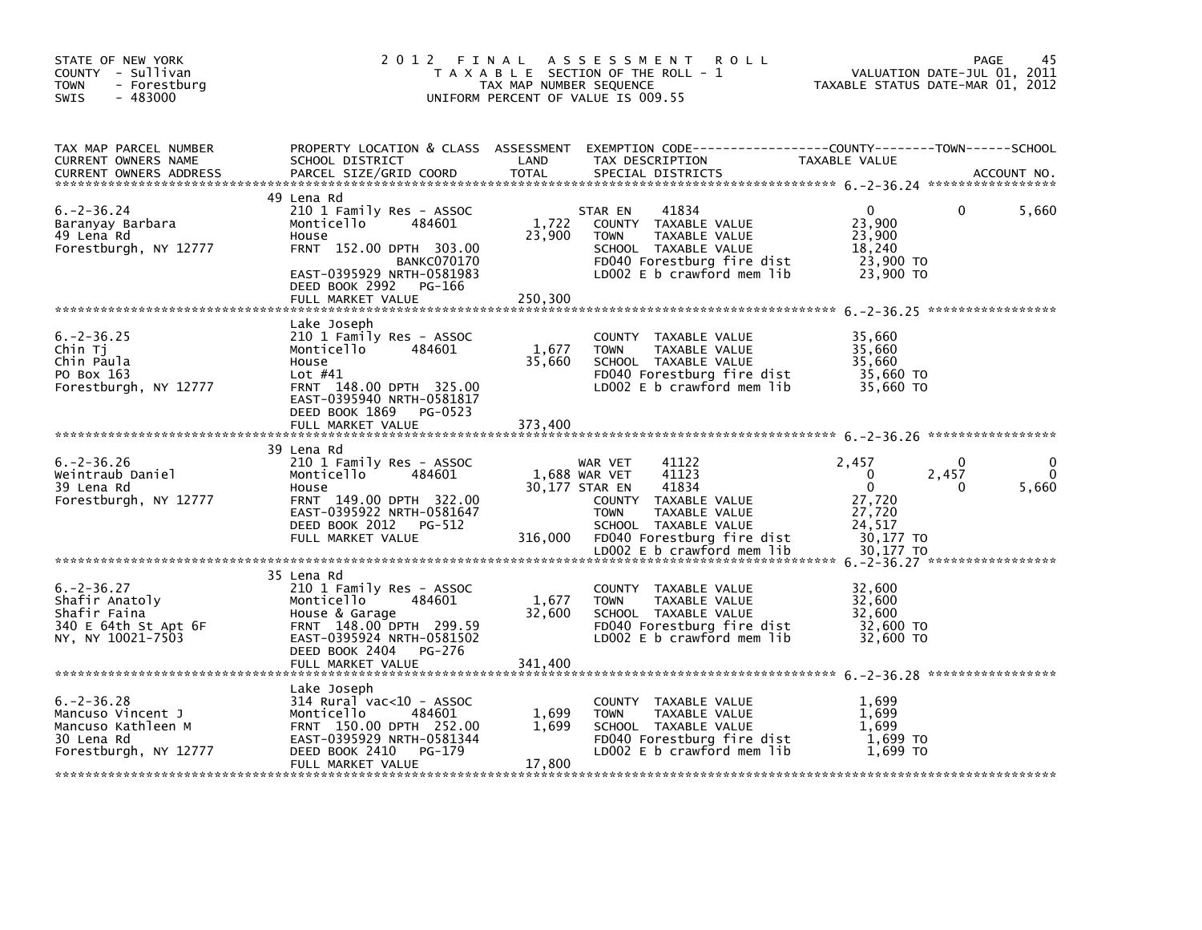| STATE OF NEW YORK<br>COUNTY - Sullivan<br><b>TOWN</b><br>- Forestburg<br>$-483000$<br>SWIS        | 2 0 1 2                                                                                                                                                                                                | FINAL<br>TAX MAP NUMBER SEQUENCE | A S S E S S M E N T<br><b>ROLL</b><br>T A X A B L E SECTION OF THE ROLL - 1<br>UNIFORM PERCENT OF VALUE IS 009.55                                                                                                 | VALUATION DATE-JUL 01, 2011<br>TAXABLE STATUS DATE-MAR 01, 2012                                   | PAGE<br>45        |
|---------------------------------------------------------------------------------------------------|--------------------------------------------------------------------------------------------------------------------------------------------------------------------------------------------------------|----------------------------------|-------------------------------------------------------------------------------------------------------------------------------------------------------------------------------------------------------------------|---------------------------------------------------------------------------------------------------|-------------------|
| TAX MAP PARCEL NUMBER<br>CURRENT OWNERS NAME<br><b>CURRENT OWNERS ADDRESS</b>                     | PROPERTY LOCATION & CLASS ASSESSMENT<br>SCHOOL DISTRICT<br>PARCEL SIZE/GRID COORD                                                                                                                      | LAND<br><b>TOTAL</b>             | TAX DESCRIPTION<br>SPECIAL DISTRICTS                                                                                                                                                                              | TAXABLE VALUE                                                                                     | ACCOUNT NO.       |
| $6. -2 - 36.24$<br>Baranyay Barbara<br>49 Lena Rd<br>Forestburgh, NY 12777                        | 49 Lena Rd<br>210 1 Family Res - ASSOC<br>Monticello<br>484601<br>House<br>FRNT 152.00 DPTH 303.00<br><b>BANKC070170</b><br>EAST-0395929 NRTH-0581983<br>DEED BOOK 2992<br>PG-166<br>FULL MARKET VALUE | 1,722<br>23,900<br>250,300       | STAR EN<br>41834<br>COUNTY TAXABLE VALUE<br><b>TOWN</b><br>TAXABLE VALUE<br>SCHOOL TAXABLE VALUE<br>FD040 Forestburg fire dist<br>LD002 E b crawford mem lib                                                      | $\Omega$<br>23,900<br>23,900<br>18.240<br>23,900 TO<br>23,900 TO                                  | 5,660<br>0        |
| $6. -2 - 36.25$<br>Chin Ti<br>Chin Paula<br>PO Box 163<br>Forestburgh, NY 12777                   | Lake Joseph<br>210 1 Family Res - ASSOC<br>Monticello<br>484601<br>House<br>Lot $#41$<br>FRNT 148.00 DPTH 325.00<br>EAST-0395940 NRTH-0581817<br>DEED BOOK 1869<br>PG-0523<br>FULL MARKET VALUE        | 1,677<br>35,660<br>373,400       | <b>COUNTY</b><br>TAXABLE VALUE<br>TAXABLE VALUE<br><b>TOWN</b><br>SCHOOL TAXABLE VALUE<br>FD040 Forestburg fire dist<br>LD002 E b crawford mem lib                                                                | 35,660<br>35,660<br>35,660<br>35,660 TO<br>35,660 TO                                              |                   |
| $6. -2 - 36.26$<br>Weintraub Daniel<br>39 Lena Rd<br>Forestburgh, NY 12777                        | 39 Lena Rd<br>210 1 Family Res - ASSOC<br>Monticello<br>484601<br>House<br>FRNT 149.00 DPTH 322.00<br>EAST-0395922 NRTH-0581647<br>DEED BOOK 2012<br>PG-512<br>FULL MARKET VALUE                       | 316,000                          | 41122<br>WAR VET<br>41123<br>1,688 WAR VET<br>30,177 STAR EN<br>41834<br>COUNTY TAXABLE VALUE<br>TAXABLE VALUE<br><b>TOWN</b><br>SCHOOL TAXABLE VALUE<br>FD040 Forestburg fire dist<br>LD002 E b crawford mem lib | 2,457<br>$\Omega$<br>2,457<br>$\mathbf 0$<br>27,720<br>27,720<br>24,517<br>30,177 TO<br>30.177 TO | 0<br>5,660<br>0   |
| $6. -2 - 36.27$<br>Shafir Anatoly<br>Shafir Faina<br>340 E 64th St Apt 6F<br>NY, NY 10021-7503    | 35 Lena Rd<br>210 1 Family Res - ASSOC<br>Monticello<br>484601<br>House & Garage<br>FRNT 148.00 DPTH 299.59<br>EAST-0395924 NRTH-0581502<br>DEED BOOK 2404 PG-276<br>FULL MARKET VALUE                 | 1,677<br>32,600<br>341,400       | <b>COUNTY</b><br>TAXABLE VALUE<br>TAXABLE VALUE<br><b>TOWN</b><br>SCHOOL TAXABLE VALUE<br>FD040 Forestburg fire dist<br>LD002 E b crawford mem lib                                                                | 32,600<br>32,600<br>32,600<br>32,600 TO<br>32,600 TO                                              | ***************** |
| $6. -2 - 36.28$<br>Mancuso Vincent J<br>Mancuso Kathleen M<br>30 Lena Rd<br>Forestburgh, NY 12777 | Lake Joseph<br>$314$ Rural vac< $10$ - ASSOC<br>Monticello<br>484601<br>FRNT 150.00 DPTH 252.00<br>EAST-0395929 NRTH-0581344<br>DEED BOOK 2410<br>PG-179<br>FULL MARKET VALUE                          | 1,699<br>1,699<br>17,800         | COUNTY TAXABLE VALUE<br>TAXABLE VALUE<br><b>TOWN</b><br>SCHOOL TAXABLE VALUE<br>FD040 Forestburg fire dist<br>LD002 E b crawford mem lib                                                                          | 1.699<br>1,699<br>1.699<br>1,699 TO<br>1.699 TO                                                   |                   |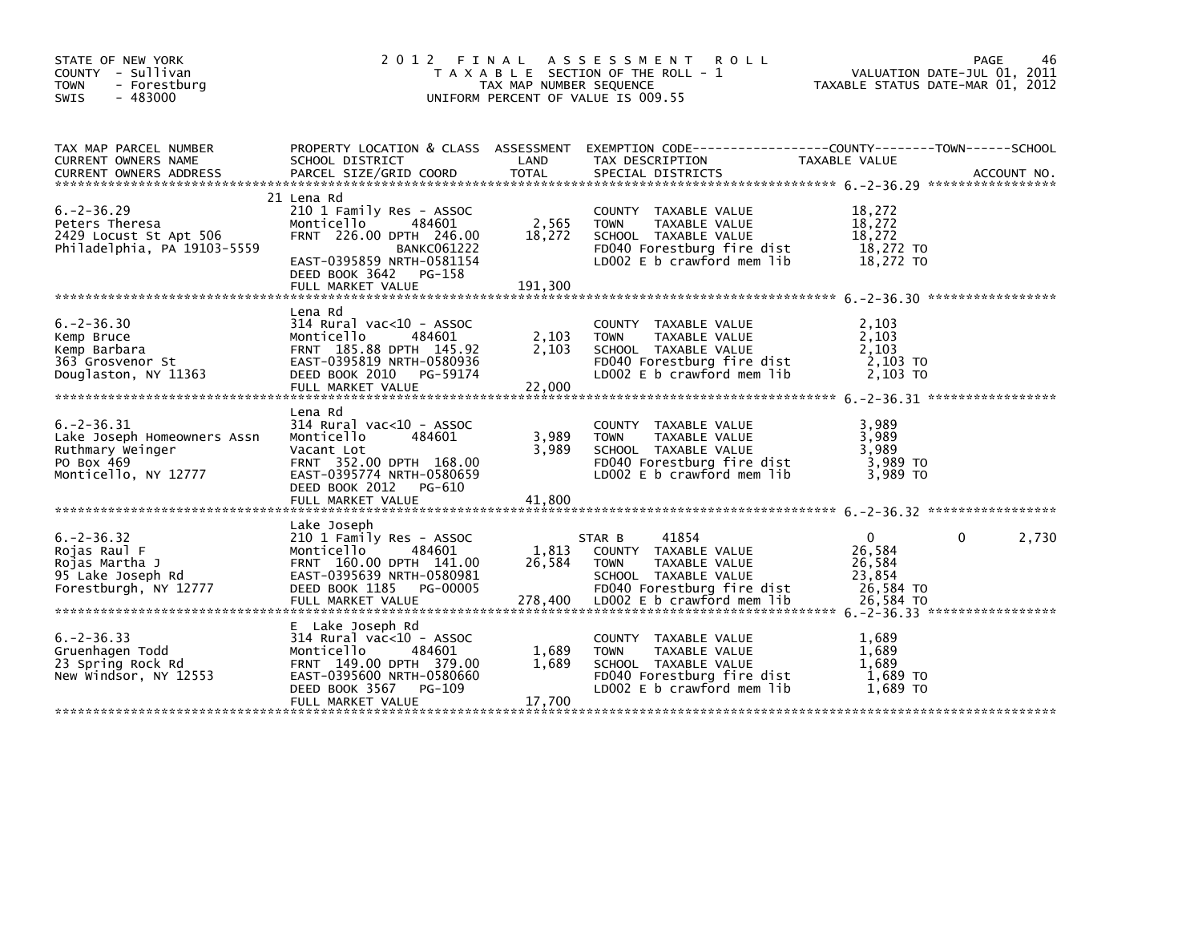| STATE OF NEW YORK<br>COUNTY - Sullivan<br><b>TOWN</b><br>- Forestburg<br>$-483000$<br>SWIS               | 2 0 1 2                                                                                                                                                                                       | TAX MAP NUMBER SEQUENCE    | FINAL ASSESSMENT ROLL<br>T A X A B L E SECTION OF THE ROLL - 1<br>UNIFORM PERCENT OF VALUE IS 009.55                                     | VALUATION DATE-JUL 01, 2011<br>TAXABLE STATUS DATE-MAR 01, 2012 | <b>PAGE</b>  | 46          |
|----------------------------------------------------------------------------------------------------------|-----------------------------------------------------------------------------------------------------------------------------------------------------------------------------------------------|----------------------------|------------------------------------------------------------------------------------------------------------------------------------------|-----------------------------------------------------------------|--------------|-------------|
| TAX MAP PARCEL NUMBER<br>CURRENT OWNERS NAME<br><b>CURRENT OWNERS ADDRESS</b>                            | SCHOOL DISTRICT<br>PARCEL SIZE/GRID COORD                                                                                                                                                     | LAND<br><b>TOTAL</b>       | PROPERTY LOCATION & CLASS ASSESSMENT EXEMPTION CODE---------------COUNTY-------TOWN------SCHOOL<br>TAX DESCRIPTION<br>SPECIAL DISTRICTS  | TAXABLE VALUE                                                   |              | ACCOUNT NO. |
| $6. -2 - 36.29$<br>Peters Theresa<br>2429 Locust St Apt 506<br>Philadelphia, PA 19103-5559               | 21 Lena Rd<br>210 1 Family Res - ASSOC<br>484601<br>Monticello<br>FRNT 226.00 DPTH 246.00<br><b>BANKC061222</b><br>EAST-0395859 NRTH-0581154<br>DEED BOOK 3642<br>PG-158<br>FULL MARKET VALUE | 2,565<br>18,272<br>191,300 | COUNTY TAXABLE VALUE<br>TAXABLE VALUE<br><b>TOWN</b><br>SCHOOL TAXABLE VALUE<br>FD040 Forestburg fire dist<br>LD002 E b crawford mem lib | 18,272<br>18,272<br>18,272<br>18,272 TO<br>18,272 TO            |              |             |
| $6. -2 - 36.30$<br>Kemp Bruce<br>Kemp Barbara<br>363 Grosvenor St<br>Douglaston, NY 11363                | Lena Rd<br>$314$ Rural vac< $10$ - ASSOC<br>Monticello<br>484601<br>FRNT 185.88 DPTH 145.92<br>EAST-0395819 NRTH-0580936<br>DEED BOOK 2010<br>PG-59174<br>FULL MARKET VALUE                   | 2,103<br>2,103<br>22,000   | COUNTY TAXABLE VALUE<br><b>TOWN</b><br>TAXABLE VALUE<br>SCHOOL TAXABLE VALUE<br>FD040 Forestburg fire dist<br>LD002 E b crawford mem lib | 2.103<br>2,103<br>2,103<br>2,103 TO<br>2,103 TO                 |              |             |
| $6. -2 - 36.31$<br>Lake Joseph Homeowners Assn<br>Ruthmary Weinger<br>PO Box 469<br>Monticello, NY 12777 | Lena Rd<br>314 Rural vac<10 - ASSOC<br>Monticello<br>484601<br>Vacant Lot<br>FRNT 352.00 DPTH 168.00<br>EAST-0395774 NRTH-0580659<br>DEED BOOK 2012<br>PG-610<br>FULL MARKET VALUE            | 3,989<br>3.989<br>41,800   | COUNTY TAXABLE VALUE<br><b>TOWN</b><br>TAXABLE VALUE<br>SCHOOL TAXABLE VALUE<br>FD040 Forestburg fire dist<br>LD002 E b crawford mem lib | 3,989<br>3,989<br>3.989<br>3,989 TO<br>3,989 TO                 |              |             |
| $6. -2 - 36.32$<br>Rojas Raul F<br>Rojas Martha J<br>95 Lake Joseph Rd<br>Forestburgh, NY 12777          | Lake Joseph<br>210 1 Family Res - ASSOC<br>Monticello<br>484601<br>FRNT 160.00 DPTH 141.00<br>EAST-0395639 NRTH-0580981<br>DEED BOOK 1185<br>PG-00005                                         | 1,813<br>26,584            | 41854<br>STAR B<br>COUNTY TAXABLE VALUE<br><b>TOWN</b><br>TAXABLE VALUE<br>SCHOOL TAXABLE VALUE<br>FD040 Forestburg fire dist            | $\overline{0}$<br>26,584<br>26,584<br>23,854<br>26,584 TO       | $\mathbf{0}$ | 2,730       |
| $6. -2 - 36.33$<br>Gruenhagen Todd<br>23 Spring Rock Rd<br>New Windsor, NY 12553                         | E Lake Joseph Rd<br>$314$ Rural vac< $10$ - ASSOC<br>484601<br>Monticello<br>FRNT 149.00 DPTH 379.00<br>EAST-0395600 NRTH-0580660<br>DEED BOOK 3567<br>PG-109<br>FULL MARKET VALUE            | 1,689<br>1.689<br>17,700   | COUNTY TAXABLE VALUE<br><b>TOWN</b><br>TAXABLE VALUE<br>SCHOOL TAXABLE VALUE<br>FD040 Forestburg fire dist<br>LD002 E b crawford mem lib | 1,689<br>1,689<br>1.689<br>$1,689$ TO<br>1.689 TO               |              |             |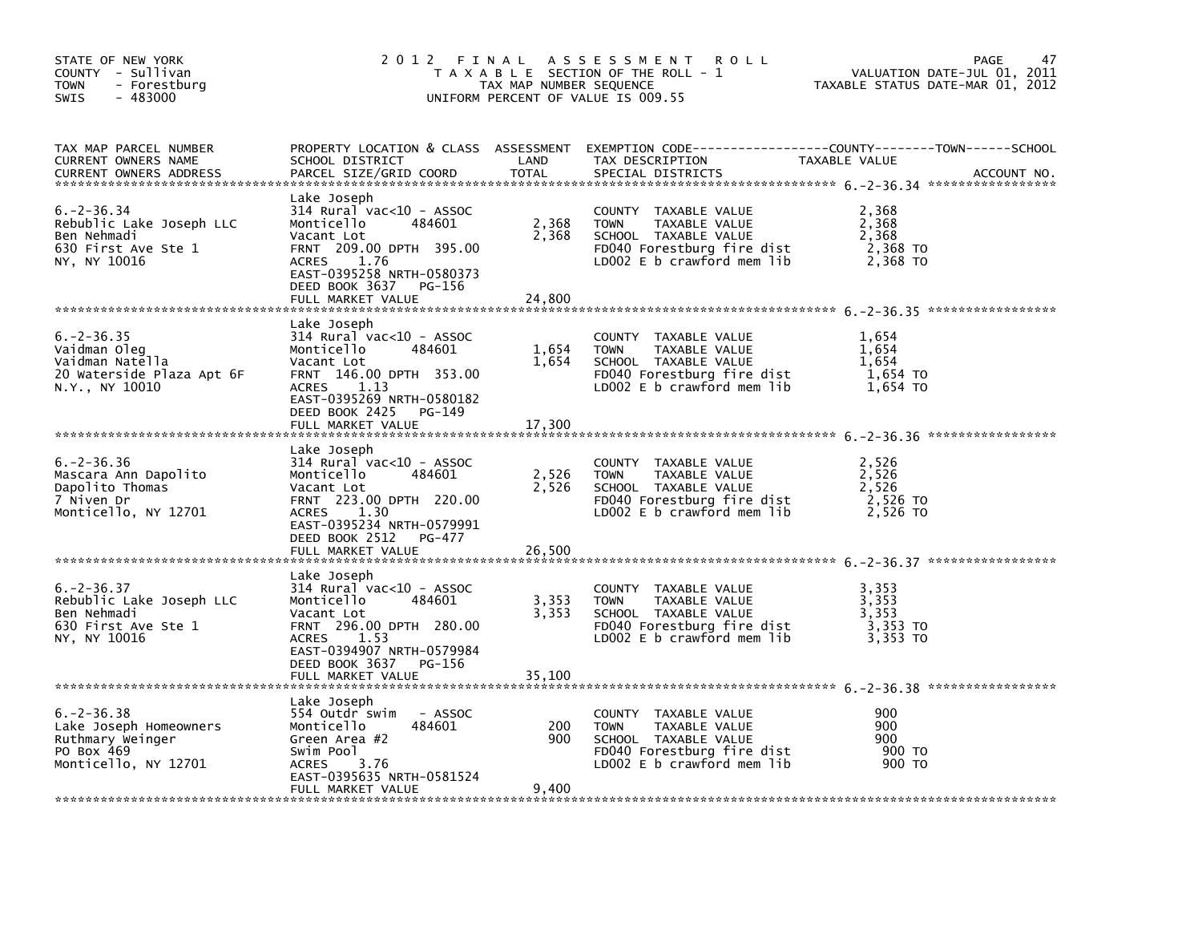| STATE OF NEW YORK<br>COUNTY - Sullivan<br><b>TOWN</b><br>- Forestburg<br>$-483000$<br><b>SWIS</b>   |                                                                                                                                                                                                                     | TAX MAP NUMBER SEQUENCE  | 2012 FINAL ASSESSMENT<br><b>ROLL</b><br>T A X A B L E SECTION OF THE ROLL - 1<br>UNIFORM PERCENT OF VALUE IS 009.55                          | TAXABLE STATUS DATE-MAR 01, 2012                | 47<br>PAGE<br>VALUATION DATE-JUL 01, 2011 |
|-----------------------------------------------------------------------------------------------------|---------------------------------------------------------------------------------------------------------------------------------------------------------------------------------------------------------------------|--------------------------|----------------------------------------------------------------------------------------------------------------------------------------------|-------------------------------------------------|-------------------------------------------|
| TAX MAP PARCEL NUMBER<br>CURRENT OWNERS NAME<br><b>CURRENT OWNERS ADDRESS</b>                       | SCHOOL DISTRICT<br>PARCEL SIZE/GRID COORD                                                                                                                                                                           | LAND<br><b>TOTAL</b>     | PROPERTY LOCATION & CLASS ASSESSMENT EXEMPTION CODE---------------COUNTY-------TOWN------SCHOOL<br>TAX DESCRIPTION<br>SPECIAL DISTRICTS      | TAXABLE VALUE                                   | ACCOUNT NO.                               |
| $6. -2 - 36.34$<br>Rebublic Lake Joseph LLC<br>Ben Nehmadi<br>630 First Ave Ste 1<br>NY, NY 10016   | Lake Joseph<br>314 Rural vac<10 - ASSOC<br>Monticello<br>484601<br>Vacant Lot<br>FRNT 209.00 DPTH 395.00<br>ACRES 1.76<br>EAST-0395258 NRTH-0580373<br>DEED BOOK 3637 PG-156<br>FULL MARKET VALUE                   | 2,368<br>2,368<br>24.800 | COUNTY TAXABLE VALUE<br><b>TOWN</b><br>TAXABLE VALUE<br>SCHOOL TAXABLE VALUE<br>FD040 Forestburg fire dist<br>LD002 $E$ b crawford mem $lib$ | 2,368<br>2,368<br>2,368<br>2,368 TO<br>2,368 TO |                                           |
| $6. -2 - 36.35$<br>Vaidman Oleg<br>Vaidman Natella<br>20 Waterside Plaza Apt 6F<br>N.Y., NY 10010   | Lake Joseph<br>$314$ Rural vac< $10$ - ASSOC<br>Monticello<br>484601<br>Vacant Lot<br>FRNT 146.00 DPTH 353.00<br>1.13<br><b>ACRES</b><br>EAST-0395269 NRTH-0580182<br>DEED BOOK 2425<br>PG-149<br>FULL MARKET VALUE | 1,654<br>1,654<br>17,300 | COUNTY TAXABLE VALUE<br><b>TOWN</b><br>TAXABLE VALUE<br>SCHOOL TAXABLE VALUE<br>FD040 Forestburg fire dist<br>LD002 E b crawford mem lib     | 1,654<br>1,654<br>1,654<br>1,654 TO<br>1,654 TO |                                           |
| $6. -2 - 36.36$<br>Mascara Ann Dapolito<br>Dapolito Thomas<br>7 Niven Dr<br>Monticello, NY 12701    | Lake Joseph<br>314 Rural vac<10 - ASSOC<br>Monticello<br>484601<br>Vacant Lot<br>FRNT 223.00 DPTH 220.00<br>1.30<br>ACRES<br>EAST-0395234 NRTH-0579991<br>DEED BOOK 2512<br>PG-477<br>FULL MARKET VALUE             | 2,526<br>2,526<br>26,500 | COUNTY TAXABLE VALUE<br><b>TOWN</b><br>TAXABLE VALUE<br>SCHOOL TAXABLE VALUE<br>FD040 Forestburg fire dist<br>LD002 E b crawford mem lib     | 2,526<br>2,526<br>2,526<br>2,526 TO<br>2,526 TO |                                           |
| $6. -2 - 36.37$<br>Rebublic Lake Joseph LLC<br>Ben Nehmadi<br>630 First Ave Ste 1<br>NY, NY 10016   | Lake Joseph<br>$314$ Rural vac< $10$ - ASSOC<br>Monticello<br>484601<br>Vacant Lot<br>FRNT 296.00 DPTH 280.00<br>1.53<br><b>ACRES</b><br>EAST-0394907 NRTH-0579984<br>DEED BOOK 3637<br>PG-156<br>FULL MARKET VALUE | 3,353<br>3,353<br>35,100 | COUNTY TAXABLE VALUE<br><b>TOWN</b><br>TAXABLE VALUE<br>SCHOOL TAXABLE VALUE<br>FD040 Forestburg fire dist<br>LDOO2 E b crawford mem lib     | 3,353<br>3,353<br>3,353<br>3,353 TO<br>3,353 TO |                                           |
| $6. -2 - 36.38$<br>Lake Joseph Homeowners<br>Ruthmary Weinger<br>PO Box 469<br>Monticello, NY 12701 | Lake Joseph<br>554 Outdr swim<br>- ASSOC<br>Monticello<br>484601<br>Green Area #2<br>Swim Pool<br>3.76<br><b>ACRES</b><br>EAST-0395635 NRTH-0581524<br>FULL MARKET VALUE                                            | 200<br>900<br>9,400      | COUNTY TAXABLE VALUE<br><b>TOWN</b><br>TAXABLE VALUE<br>SCHOOL TAXABLE VALUE<br>FD040 Forestburg fire dist<br>LD002 E b crawford mem lib     | 900<br>900<br>900<br>900 TO<br>900 TO           |                                           |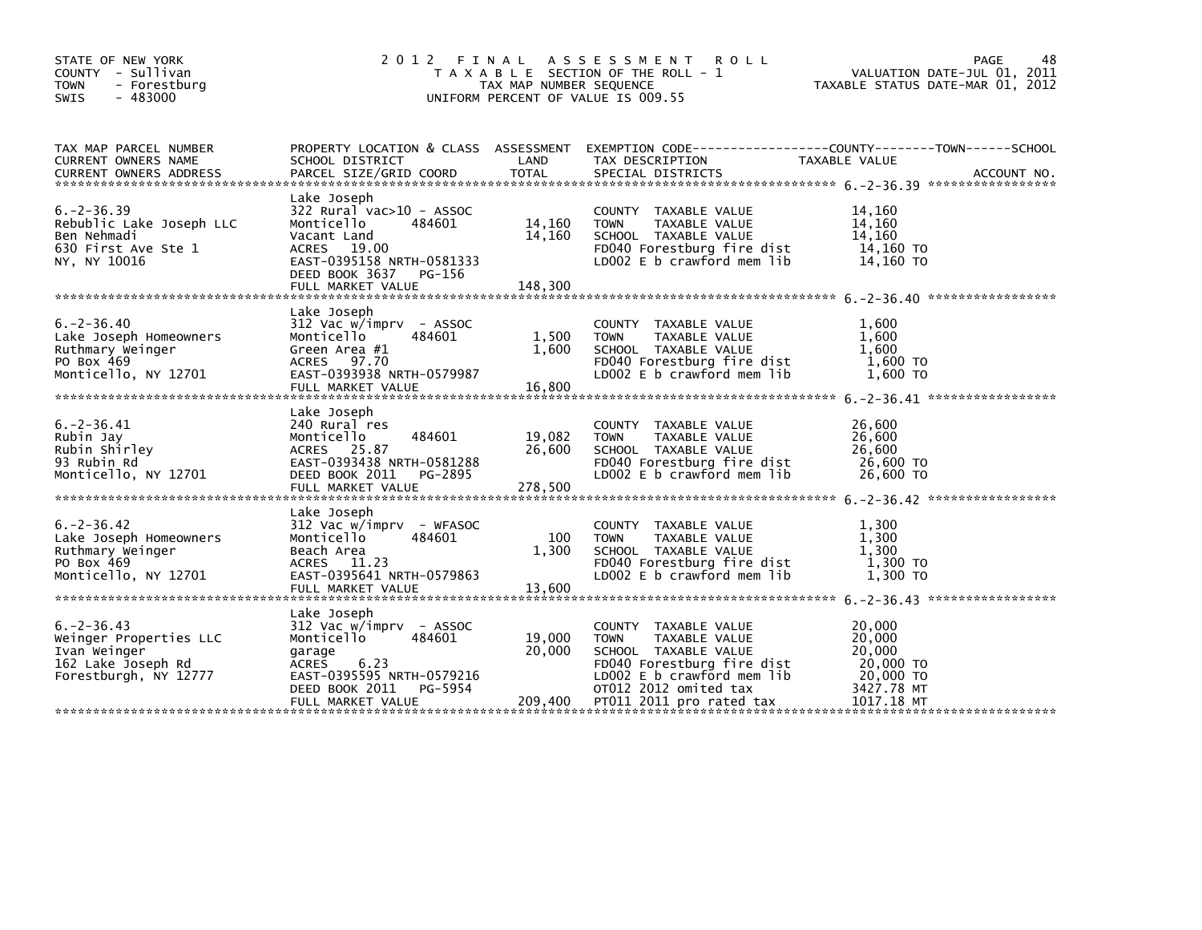| STATE OF NEW YORK<br>COUNTY - Sullivan<br>- Forestburg<br>TOWN<br>$-483000$<br><b>SWIS</b>               | 2 0 1 2                                                                                                                                                                     | FINAL<br>TAX MAP NUMBER SEQUENCE | A S S E S S M E N T<br><b>ROLL</b><br>T A X A B L E SECTION OF THE ROLL - 1<br>UNIFORM PERCENT OF VALUE IS 009.55                                                                             | 48<br>PAGE<br>VALUATION DATE-JUL 01, 2011<br>TAXABLE STATUS DATE-MAR 01, 2012                                     |  |
|----------------------------------------------------------------------------------------------------------|-----------------------------------------------------------------------------------------------------------------------------------------------------------------------------|----------------------------------|-----------------------------------------------------------------------------------------------------------------------------------------------------------------------------------------------|-------------------------------------------------------------------------------------------------------------------|--|
| TAX MAP PARCEL NUMBER<br>CURRENT OWNERS NAME                                                             | SCHOOL DISTRICT                                                                                                                                                             | LAND                             | TAX DESCRIPTION                                                                                                                                                                               | PROPERTY LOCATION & CLASS ASSESSMENT EXEMPTION CODE----------------COUNTY-------TOWN------SCHOOL<br>TAXABLE VALUE |  |
| $6. -2 - 36.39$<br>Rebublic Lake Joseph LLC<br>Ben Nehmadi<br>630 First Ave Ste 1<br>NY, NY 10016        | Lake Joseph<br>322 Rural vac>10 - ASSOC<br>Monticello<br>484601<br>Vacant Land<br>ACRES 19.00<br>EAST-0395158 NRTH-0581333<br>DEED BOOK 3637<br>PG-156<br>FULL MARKET VALUE | 14,160<br>14,160<br>148,300      | COUNTY TAXABLE VALUE<br>TAXABLE VALUE<br><b>TOWN</b><br>SCHOOL TAXABLE VALUE<br>FD040 Forestburg fire dist<br>LD002 E b crawford mem lib                                                      | 14,160<br>14,160<br>14,160<br>14,160 TO<br>14,160 TO                                                              |  |
| $6. -2 - 36.40$<br>Lake Joseph Homeowners<br>Ruthmary Weinger<br>PO Box 469<br>Monticello, NY 12701      | Lake Joseph<br>312 Vac w/imprv - ASSOC<br>Monticello<br>484601<br>Green Area #1<br>97.70<br>ACRES<br>EAST-0393938 NRTH-0579987<br>FULL MARKET VALUE                         | 1,500<br>1,600<br>16,800         | COUNTY TAXABLE VALUE<br><b>TOWN</b><br>TAXABLE VALUE<br>SCHOOL TAXABLE VALUE<br>FD040 Forestburg fire dist<br>LD002 E b crawford mem lib                                                      | 1,600<br>1,600<br>1,600<br>1,600 TO<br>1,600 TO                                                                   |  |
| $6. -2 - 36.41$<br>Rubin Jay<br>Rubin Shirley<br>93 Rubin Rd<br>Monticello, NY 12701                     | Lake Joseph<br>240 Rural res<br>484601<br>Monticello<br>ACRES 25.87<br>EAST-0393438 NRTH-0581288<br>DEED BOOK 2011<br>PG-2895<br>FULL MARKET VALUE                          | 19,082<br>26,600<br>278,500      | <b>COUNTY</b><br>TAXABLE VALUE<br><b>TOWN</b><br>TAXABLE VALUE<br>SCHOOL TAXABLE VALUE<br>FD040 Forestburg fire dist<br>LD002 $E$ b crawford mem $lib$                                        | 26,600<br>26,600<br>26,600<br>26,600 TO<br>26,600 TO                                                              |  |
| $6. -2 - 36.42$<br>Lake Joseph Homeowners<br>Ruthmary Weinger<br>PO Box 469<br>Monticello, NY 12701      | Lake Joseph<br>312 Vac w/imprv - WFASOC<br>Monticello<br>484601<br>Beach Area<br>ACRES 11.23<br>EAST-0395641 NRTH-0579863<br>FULL MARKET VALUE                              | 100<br>1,300<br>13,600           | COUNTY TAXABLE VALUE<br><b>TOWN</b><br>TAXABLE VALUE<br>SCHOOL TAXABLE VALUE<br>FD040 Forestburg fire dist<br>LD002 E b crawford mem lib                                                      | 1,300<br>1,300<br>1,300<br>1,300 TO<br>1,300 TO                                                                   |  |
| $6. -2 - 36.43$<br>Weinger Properties LLC<br>Ivan Weinger<br>162 Lake Joseph Rd<br>Forestburgh, NY 12777 | Lake Joseph<br>312 Vac w/imprv - ASSOC<br>Monticello<br>484601<br>garage<br>6.23<br>ACRES<br>EAST-0395595 NRTH-0579216<br>DEED BOOK 2011<br>PG-5954<br>FULL MARKET VALUE    | 19,000<br>20,000<br>209,400      | COUNTY TAXABLE VALUE<br><b>TOWN</b><br>TAXABLE VALUE<br>SCHOOL TAXABLE VALUE<br>FD040 Forestburg fire dist<br>LD002 E b crawford mem lib<br>OT012 2012 omited tax<br>PT011 2011 pro rated tax | 20,000<br>20,000<br>20,000<br>20,000 TO<br>20,000 TO<br>3427.78 MT<br>1017.18 MT                                  |  |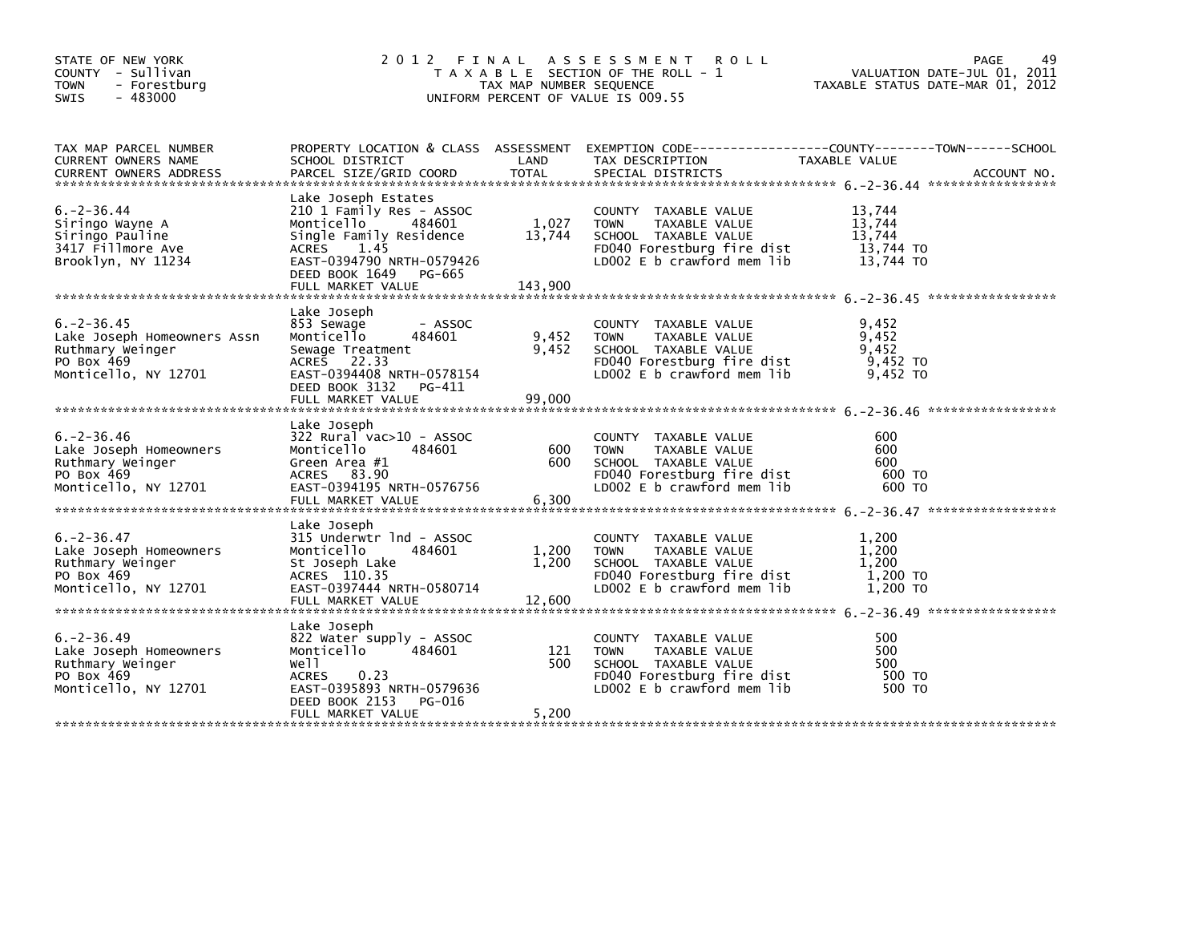| STATE OF NEW YORK<br>COUNTY - Sullivan<br><b>TOWN</b><br>- Forestburg<br>$-483000$<br>SWIS               | 2012                                                                                                                                                                                              | FINAL<br>TAX MAP NUMBER SEQUENCE | A S S E S S M E N T<br><b>ROLL</b><br>T A X A B L E SECTION OF THE ROLL - 1<br>UNIFORM PERCENT OF VALUE IS 009.55                            | PAGE<br>VALUATION DATE-JUL 01, 2011<br>TAXABLE STATUS DATE-MAR 01, 2012 | 49          |
|----------------------------------------------------------------------------------------------------------|---------------------------------------------------------------------------------------------------------------------------------------------------------------------------------------------------|----------------------------------|----------------------------------------------------------------------------------------------------------------------------------------------|-------------------------------------------------------------------------|-------------|
| TAX MAP PARCEL NUMBER<br>CURRENT OWNERS NAME<br><b>CURRENT OWNERS ADDRESS</b>                            | PROPERTY LOCATION & CLASS ASSESSMENT<br>SCHOOL DISTRICT<br>PARCEL SIZE/GRID COORD                                                                                                                 | LAND<br><b>TOTAL</b>             | EXEMPTION CODE-----------------COUNTY-------TOWN------SCHOOL<br>TAX DESCRIPTION<br>SPECIAL DISTRICTS                                         | TAXABLE VALUE                                                           | ACCOUNT NO. |
| $6. -2 - 36.44$<br>Siringo Wayne A<br>Siringo Pauline<br>3417 Fillmore Ave<br>Brooklyn, NY 11234         | Lake Joseph Estates<br>210 1 Family Res - ASSOC<br>Monticello<br>484601<br>Single Family Residence<br>ACRES<br>1.45<br>EAST-0394790 NRTH-0579426<br>DEED BOOK 1649<br>PG-665<br>FULL MARKET VALUE | 1,027<br>13,744<br>143,900       | COUNTY TAXABLE VALUE<br><b>TOWN</b><br>TAXABLE VALUE<br>SCHOOL TAXABLE VALUE<br>FD040 Forestburg fire dist<br>LD002 E b crawford mem lib     | 13,744<br>13,744<br>13,744<br>13,744 TO<br>13,744 TO                    |             |
| $6. -2 - 36.45$<br>Lake Joseph Homeowners Assn<br>Ruthmary Weinger<br>PO Box 469<br>Monticello, NY 12701 | Lake Joseph<br>853 Sewage<br>- ASSOC<br>Monticello<br>484601<br>Sewage Treatment<br>ACRES 22.33<br>EAST-0394408 NRTH-0578154<br>DEED BOOK 3132 PG-411<br>FULL MARKET VALUE                        | 9,452<br>9,452<br>99,000         | COUNTY TAXABLE VALUE<br><b>TOWN</b><br>TAXABLE VALUE<br>SCHOOL TAXABLE VALUE<br>FD040 Forestburg fire dist<br>LD002 $E$ b crawford mem lib   | 9,452<br>9,452<br>9,452<br>9,452 TO<br>9,452 TO                         |             |
| $6. - 2 - 36.46$<br>Lake Joseph Homeowners<br>Ruthmary Weinger<br>PO Box 469<br>Monticello, NY 12701     | Lake Joseph<br>322 Rural vac>10 - ASSOC<br>Monticello<br>484601<br>Green Area #1<br>ACRES 83.90<br>EAST-0394195 NRTH-0576756<br>FULL MARKET VALUE                                                 | 600<br>600<br>6,300              | COUNTY TAXABLE VALUE<br>TAXABLE VALUE<br><b>TOWN</b><br>SCHOOL TAXABLE VALUE<br>FD040 Forestburg fire dist<br>LD002 E b crawford mem lib     | 600<br>600<br>600<br>600 TO<br>600 TO                                   |             |
| $6. -2 - 36.47$<br>Lake Joseph Homeowners<br>Ruthmary Weinger<br>PO Box 469<br>Monticello, NY 12701      | Lake Joseph<br>315 Underwtr 1nd - ASSOC<br>Monticello<br>484601<br>St Joseph Lake<br>ACRES 110.35<br>EAST-0397444 NRTH-0580714<br>FULL MARKET VALUE                                               | 1,200<br>1,200<br>12,600         | COUNTY TAXABLE VALUE<br>TAXABLE VALUE<br><b>TOWN</b><br>SCHOOL TAXABLE VALUE<br>FD040 Forestburg fire dist<br>LD002 $E$ b crawford mem $lib$ | 1,200<br>1,200<br>1,200<br>1,200 TO<br>1,200 TO                         |             |
| $6. -2 - 36.49$<br>Lake Joseph Homeowners<br>Ruthmary Weinger<br>PO Box 469<br>Monticello, NY 12701      | Lake Joseph<br>822 Water supply - ASSOC<br>Monticello<br>484601<br>Well<br><b>ACRES</b><br>0.23<br>EAST-0395893 NRTH-0579636<br>DEED BOOK 2153<br>PG-016<br>FULL MARKET VALUE                     | 121<br>500<br>5,200              | COUNTY TAXABLE VALUE<br><b>TOWN</b><br>TAXABLE VALUE<br>SCHOOL TAXABLE VALUE<br>FD040 Forestburg fire dist<br>LD002 E b crawford mem lib     | 500<br>500<br>500<br>500 TO<br>500 TO                                   |             |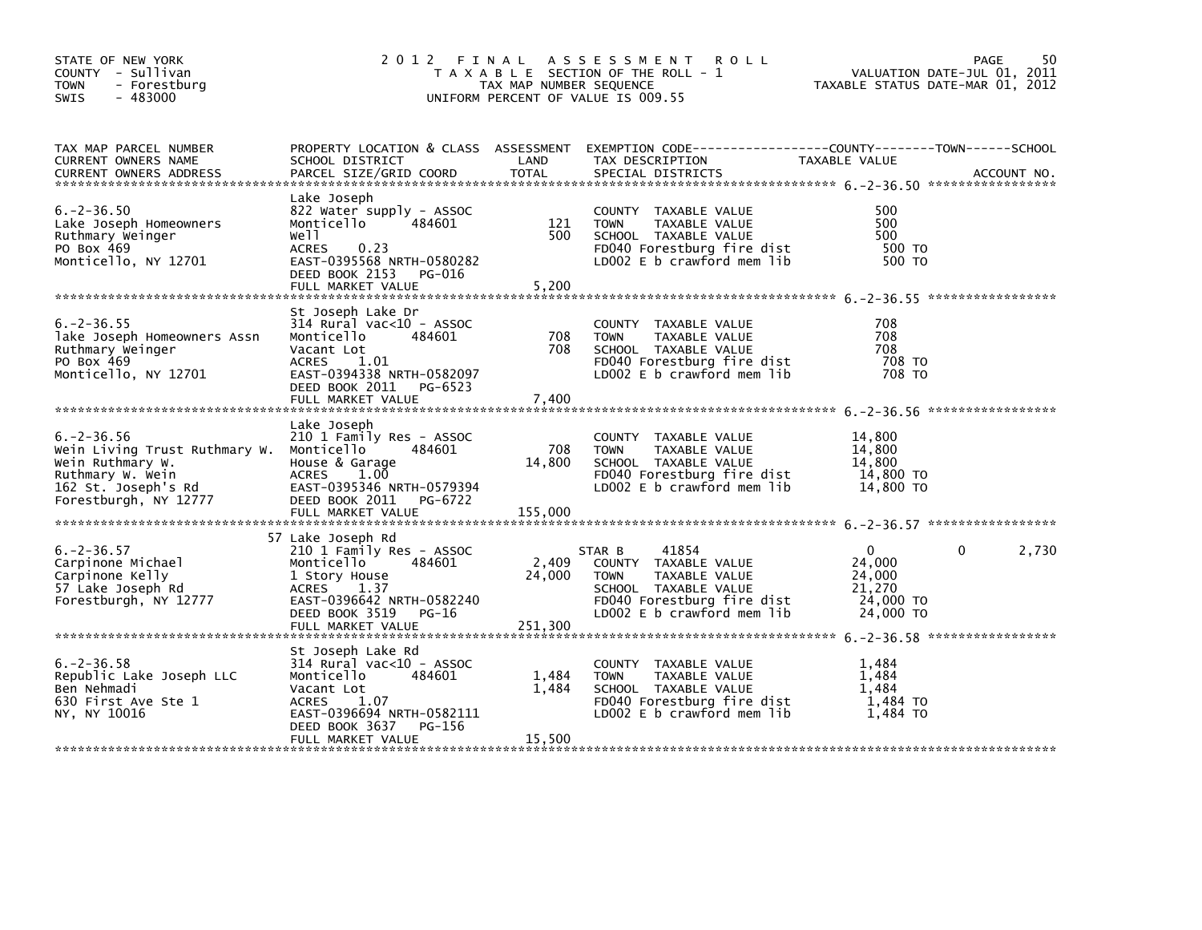| STATE OF NEW YORK<br>COUNTY - Sullivan<br>- Forestburg<br><b>TOWN</b><br>- 483000<br><b>SWIS</b>                                                                                                                                                                                                                                    |                                                                                                                                                                                 | TAX MAP NUMBER SEQUENCE  | 2012 FINAL ASSESSMENT ROLL<br>T A X A B L E SECTION OF THE ROLL - 1<br>UNIFORM PERCENT OF VALUE IS 009.55                                                                                 | VALUATION DATE-JUL 01, 2011<br>TAXABLE STATUS DATE-MAR 01, 2012  | 50<br>PAGE            |
|-------------------------------------------------------------------------------------------------------------------------------------------------------------------------------------------------------------------------------------------------------------------------------------------------------------------------------------|---------------------------------------------------------------------------------------------------------------------------------------------------------------------------------|--------------------------|-------------------------------------------------------------------------------------------------------------------------------------------------------------------------------------------|------------------------------------------------------------------|-----------------------|
| TAX MAP PARCEL NUMBER<br>CURRENT OWNERS NAME<br><b>CURRENT OWNERS ADDRESS</b>                                                                                                                                                                                                                                                       | SCHOOL DISTRICT<br>PARCEL SIZE/GRID COORD                                                                                                                                       | LAND<br><b>TOTAL</b>     | PROPERTY LOCATION & CLASS ASSESSMENT EXEMPTION CODE---------------COUNTY-------TOWN------SCHOOL<br>TAX DESCRIPTION<br>SPECIAL DISTRICTS                                                   | TAXABLE VALUE                                                    | ACCOUNT NO.           |
| $6. -2 - 36.50$<br>Lake Joseph Homeowners<br>Ruthmary Weinger<br>PO Box 469<br>Monticello, NY 12701                                                                                                                                                                                                                                 | Lake Joseph<br>822 Water supply - ASSOC<br>Monticello<br>484601<br>well<br>ACRES 0.23<br>EAST-0395568 NRTH-0580282<br>DEED BOOK 2153 PG-016                                     | 121<br>500               | COUNTY TAXABLE VALUE<br><b>TOWN</b><br>TAXABLE VALUE<br>SCHOOL TAXABLE VALUE<br>FD040 Forestburg fire dist<br>LD002 E b crawford mem lib                                                  | 500<br>500<br>500<br>500 TO<br>500 TO                            |                       |
| $6. -2 - 36.55$<br>lake Joseph Homeowners Assn<br>Ruthmary Weinger<br>PO Box 469<br>Monticello, NY 12701                                                                                                                                                                                                                            | St Joseph Lake Dr<br>314 Rural vac<10 - ASSOC<br>Monticello<br>484601<br>Vacant Lot<br>ACRES 1.01<br>EAST-0394338 NRTH-0582097<br>DEED BOOK 2011 PG-6523                        | 708<br>708               | COUNTY TAXABLE VALUE<br><b>TOWN</b><br>TAXABLE VALUE<br>SCHOOL TAXABLE VALUE<br>FD040 Forestburg fire dist<br>LD002 E b crawford mem lib                                                  | 708<br>708<br>708<br>708 TO<br>708 TO                            |                       |
| $6. -2 - 36.56$<br>Wein Living Trust Ruthmary W. Monticello<br>Wein Ruthmary W.<br>Ruthmary W. Wein<br>Ruthmary W. Wein<br>162 St. Joseph's Rd<br>162 St. Joseph's Rd<br>162 St. Joseph's Rd<br>1777<br>184 DEAST-0395346 NRTH-0579394<br>184 DEAST-0395346 NRTH-0579394<br>184 DEAST-0395346 NRTH-0579394<br>Forestburgh, NY 12777 | Lake Joseph<br>210 1 Family Res - ASSOC<br>484601<br>DEED BOOK 2011 PG-6722                                                                                                     | 708<br>14,800            | COUNTY TAXABLE VALUE<br><b>TOWN</b><br>TAXABLE VALUE<br>SCHOOL TAXABLE VALUE<br>FD040 Forestburg fire dist<br>LD002 E b crawford mem lib                                                  | 14,800<br>14,800<br>14,800<br>14,800 TO<br>14,800 TO             |                       |
| $6. -2 - 36.57$<br>Carpinone Michael<br>Carpinone Kelly<br>57 Lake Joseph Rd<br>Forestburgh, NY 12777                                                                                                                                                                                                                               | 57 Lake Joseph Rd<br>210 1 Family Res - ASSOC<br>484601<br>Monticello<br>1 Story House<br>ACRES 1.37<br>EAST-0396642 NRTH-0582240<br>DEED BOOK 3519 PG-16                       | 2,409<br>24,000          | 41854<br>STAR B<br>COUNTY TAXABLE VALUE<br><b>TOWN</b><br>TAXABLE VALUE<br>SCHOOL TAXABLE VALUE<br>FD040 Forestburg fire dist<br>LP003 5 b snawford mom lib<br>LD002 E b crawford mem lib | $\Omega$<br>24,000<br>24,000<br>21,270<br>24,000 TO<br>24,000 TO | $\mathbf{0}$<br>2,730 |
| $6. -2 - 36.58$<br>Republic Lake Joseph LLC<br>Ben Nehmadi<br>630 First Ave Ste 1<br>NY, NY 10016                                                                                                                                                                                                                                   | St Joseph Lake Rd<br>314 Rural vac<10 - ASSOC<br>Monticello<br>484601<br>Vacant Lot<br>ACRES 1.07<br>EAST-0396694 NRTH-0582111<br>DEED BOOK 3637<br>PG-156<br>FULL MARKET VALUE | 1,484<br>1,484<br>15,500 | COUNTY TAXABLE VALUE<br><b>TOWN</b><br>TAXABLE VALUE<br>SCHOOL TAXABLE VALUE<br>FD040 Forestburg fire dist<br>LD002 E b crawford mem lib                                                  | 1,484<br>1.484<br>1,484<br>1,484 то<br>1.484 TO                  |                       |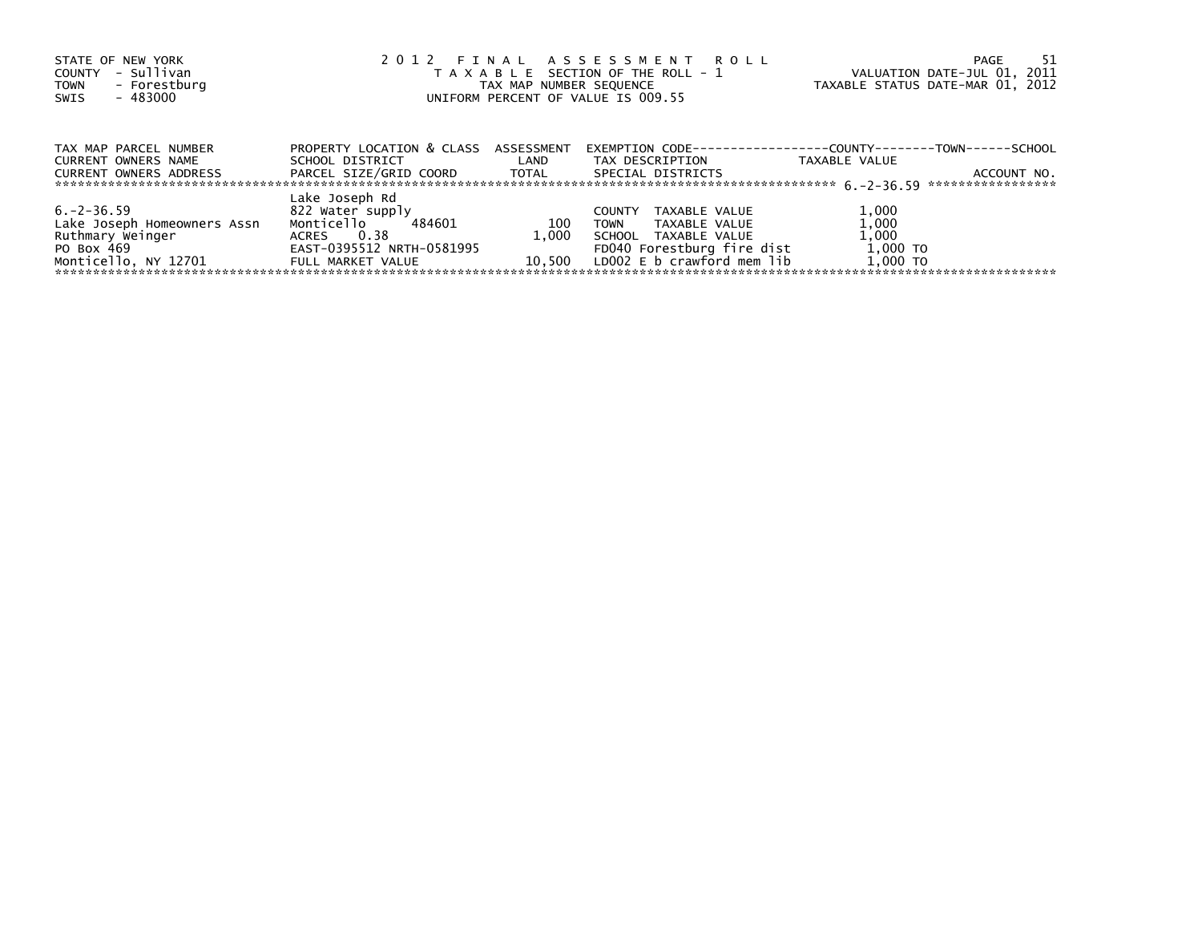| STATE OF NEW YORK<br>- Sullivan<br><b>COUNTY</b><br>- Forestburg<br><b>TOWN</b><br>- 483000<br>SWIS      | 2012 FINAL ASSESSMENT ROLL<br>T A X A B L E SECTION OF THE ROLL - 1<br>TAX MAP NUMBER SEQUENCE<br>UNIFORM PERCENT OF VALUE IS 009.55 | PAGE<br>VALUATION DATE-JUL 01, 2011<br>TAXABLE STATUS DATE-MAR 01, 2012 | 51                                                                                                                                                 |                                                 |             |
|----------------------------------------------------------------------------------------------------------|--------------------------------------------------------------------------------------------------------------------------------------|-------------------------------------------------------------------------|----------------------------------------------------------------------------------------------------------------------------------------------------|-------------------------------------------------|-------------|
| TAX MAP PARCEL NUMBER<br>CURRENT OWNERS NAME<br>CURRENT OWNERS ADDRESS                                   | PROPERTY LOCATION & CLASS ASSESSMENT<br>SCHOOL DISTRICT<br>PARCEL SIZE/GRID COORD TOTAL                                              | <b>Example 12</b>                                                       | EXEMPTION        CODE-----------------COUNTY--------TOWN------SCHOOL<br>TAX DESCRIPTION<br>SPECIAL DISTRICTS                                       | TAXABLE VALUE                                   | ACCOUNT NO. |
|                                                                                                          |                                                                                                                                      |                                                                         |                                                                                                                                                    |                                                 |             |
| $6. -2 - 36.59$<br>Lake Joseph Homeowners Assn<br>Ruthmary Weinger<br>PO Box 469<br>Monticello, NY 12701 | Lake Joseph Rd<br>822 Water supply<br>Monticello<br>484601<br>ACRES 0.38<br>EAST-0395512 NRTH-0581995<br>FULL MARKET VALUE           | 100<br>1.000<br>10.500                                                  | TAXABLE VALUE<br><b>COUNTY</b><br><b>TOWN</b><br>TAXABLE VALUE<br>SCHOOL TAXABLE VALUE<br>FD040 Forestburg fire dist<br>LDOO2 E b crawford mem lib | 1,000<br>1,000<br>1,000<br>1,000 TO<br>1,000 TO |             |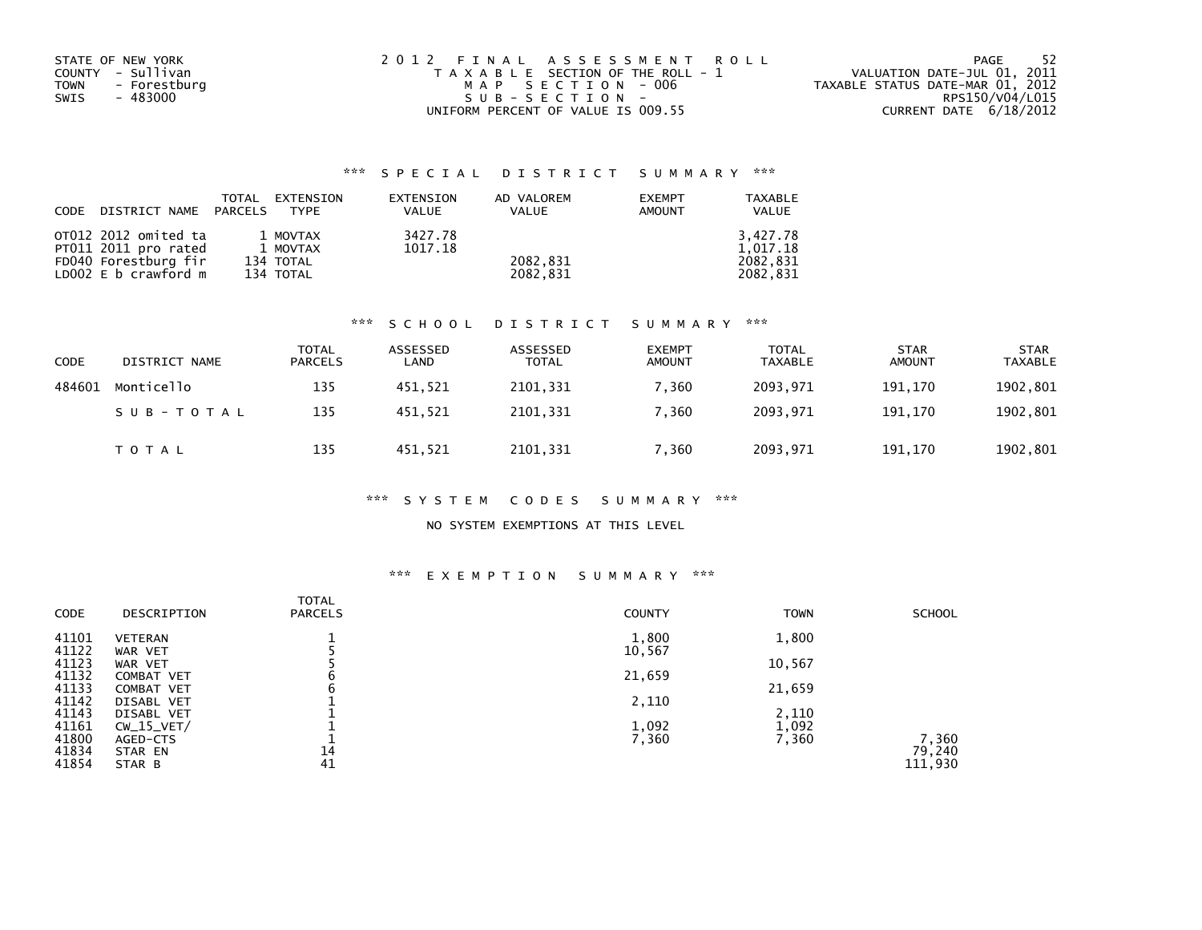| STATE OF NEW YORK           | 2012 FINAL ASSESSMENT ROLL            | - 52<br>PAGE                     |
|-----------------------------|---------------------------------------|----------------------------------|
| COUNTY - Sullivan           | T A X A B L E SECTION OF THE ROLL - 1 | VALUATION DATE-JUL 01, 2011      |
| <b>TOWN</b><br>- Forestburg | MAP SECTION - 006                     | TAXABLE STATUS DATE-MAR 01, 2012 |
| SWIS<br>- 483000            | $SUB - SECTION -$                     | RPS150/V04/L015                  |
|                             | UNIFORM PERCENT OF VALUE IS 009.55    | CURRENT DATE 6/18/2012           |

| CODE DISTRICT NAME PARCELS | TOTAL | EXTENSION<br><b>TYPF</b> | EXTENSION<br><b>VALUE</b> | AD VALOREM<br>VALUE | <b>EXEMPT</b><br><b>AMOUNT</b> | TAXABLE<br><b>VALUE</b> |
|----------------------------|-------|--------------------------|---------------------------|---------------------|--------------------------------|-------------------------|
| OT012 2012 omited ta       |       | 1 MOVTAX                 | 3427.78                   |                     |                                | 3.427.78                |
| PT011 2011 pro rated       |       | 1 MOVTAX                 | 1017.18                   |                     |                                | 1.017.18                |
| FD040 Forestburg fir       |       | 134 TOTAL                |                           | 2082.831            |                                | 2082.831                |
| LD002 E b crawford m       |       | 134 TOTAL                |                           | 2082.831            |                                | 2082.831                |

#### \*\*\* S C H O O L D I S T R I C T S U M M A R Y \*\*\*

| CODE   | DISTRICT NAME | <b>TOTAL</b><br><b>PARCELS</b> | ASSESSED<br>LAND | ASSESSED<br><b>TOTAL</b> | <b>EXEMPT</b><br><b>AMOUNT</b> | <b>TOTAL</b><br><b>TAXABLE</b> | <b>STAR</b><br><b>AMOUNT</b> | <b>STAR</b><br><b>TAXABLE</b> |
|--------|---------------|--------------------------------|------------------|--------------------------|--------------------------------|--------------------------------|------------------------------|-------------------------------|
| 484601 | Monticello    | 135                            | 451,521          | 2101,331                 | 7,360                          | 2093,971                       | 191.170                      | 1902,801                      |
|        | SUB-TOTAL     | 135                            | 451.521          | 2101.331                 | 7.360                          | 2093.971                       | 191.170                      | 1902,801                      |
|        | T O T A L     | 135                            | 451,521          | 2101,331                 | 7,360                          | 2093,971                       | 191,170                      | 1902,801                      |

#### \*\*\* S Y S T E M C O D E S S U M M A R Y \*\*\*

### NO SYSTEM EXEMPTIONS AT THIS LEVEL

# \*\*\* E X E M P T I O N S U M M A R Y \*\*\*

| CODE  | DESCRIPTION       | TOTAL<br><b>PARCELS</b> | <b>COUNTY</b> | <b>TOWN</b> | <b>SCHOOL</b>   |
|-------|-------------------|-------------------------|---------------|-------------|-----------------|
| 41101 | <b>VETERAN</b>    |                         | 1,800         | 1,800       |                 |
| 41122 | WAR VET           |                         | 10,567        |             |                 |
| 41123 | WAR VET           |                         |               | 10,567      |                 |
| 41132 | <b>COMBAT VET</b> | c                       | 21,659        |             |                 |
| 41133 | <b>COMBAT VET</b> | b                       |               | 21,659      |                 |
| 41142 | DISABL VET        |                         | 2,110         |             |                 |
| 41143 | DISABL VET        |                         |               | 2,110       |                 |
| 41161 | $CW_15_VET/$      |                         | 1,092         | 1,092       |                 |
| 41800 | AGED-CTS          |                         | 7,360         | 7,360       | 7,360<br>79,240 |
| 41834 | STAR EN           | 14                      |               |             |                 |
| 41854 | STAR B            | 41                      |               |             | 111,930         |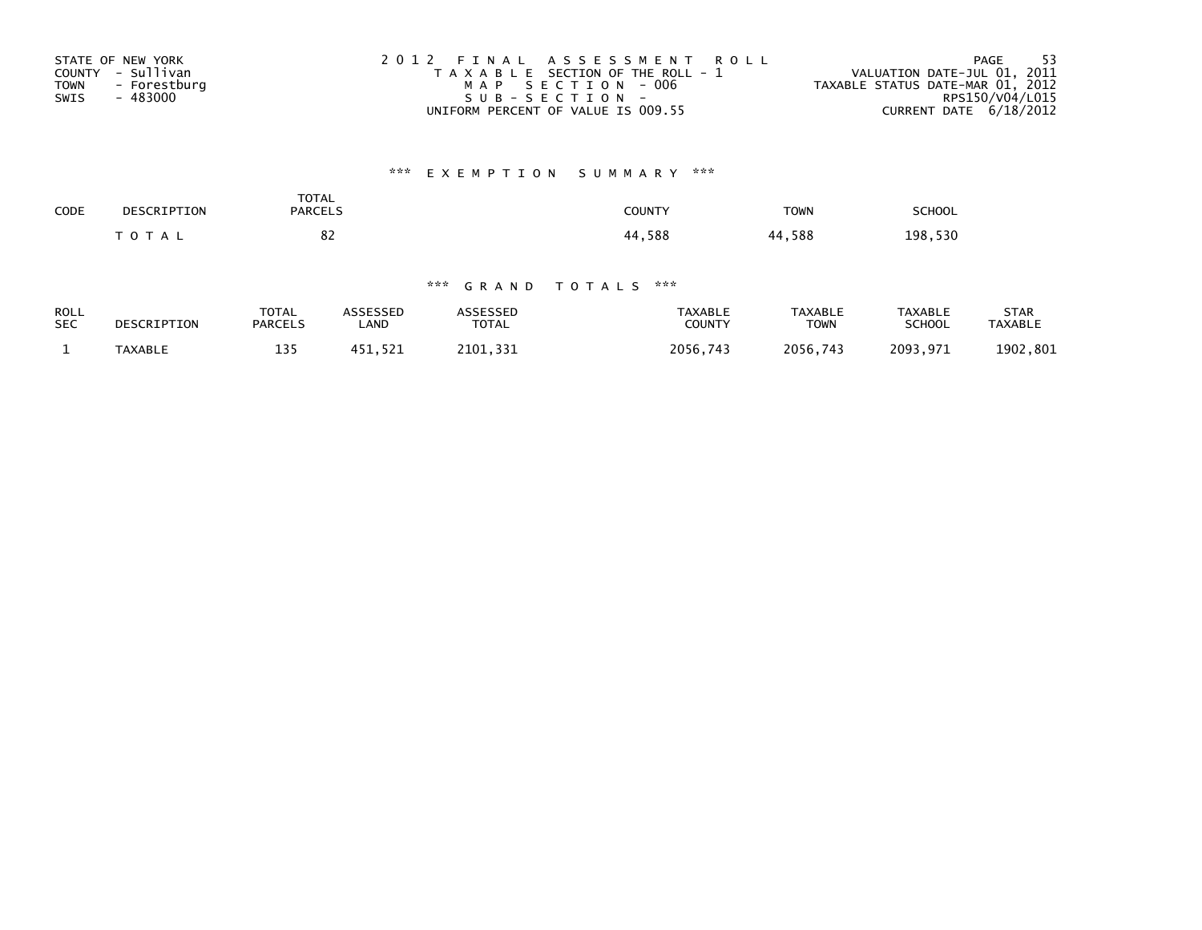| STATE OF NEW YORK           | 2012 FINAL ASSESSMENT ROLL            | - 53<br>PAGE                     |
|-----------------------------|---------------------------------------|----------------------------------|
| COUNTY - Sullivan           | T A X A B L E SECTION OF THE ROLL - 1 | VALUATION DATE-JUL 01, 2011      |
| - Forestburg<br><b>TOWN</b> | MAP SECTION - 006                     | TAXABLE STATUS DATE-MAR 01, 2012 |
| - 483000<br>SWIS            | SUB-SECTION-                          | RPS150/V04/L015                  |
|                             | UNIFORM PERCENT OF VALUE IS 009.55    | CURRENT DATE 6/18/2012           |

# \*\*\* E X E M P T I O N S U M M A R Y \*\*\*

| CODE | DESCRIPTION | <b>TOTAL</b><br><b>PARCELS</b> | <b>COUNTY</b> | <b>TOWN</b> | <b>SCHOOL</b> |
|------|-------------|--------------------------------|---------------|-------------|---------------|
|      | $T$ O T A L | o٠<br>٥۷<br>$\sim$             | 44,588        | 44,588      | 198,530       |

| <b>ROLL</b> | DESCRIPTION    | <b>TOTAL</b>   | ASSESSED | <b>ASSESSED</b> | TAXABLE       | <b>TAXABLE</b> | <b>TAXABLE</b> | STAR           |
|-------------|----------------|----------------|----------|-----------------|---------------|----------------|----------------|----------------|
| <b>SEC</b>  |                | <b>PARCELS</b> | LAND     | <b>TOTAL</b>    | <b>COUNTY</b> | TOWN           | <b>SCHOOL</b>  | <b>TAXABLE</b> |
|             | <b>TAXABLE</b> | 135            | 451.521  | 2101.331        | 2056.743      | 2056,743       | 2093,971       | 1902,801       |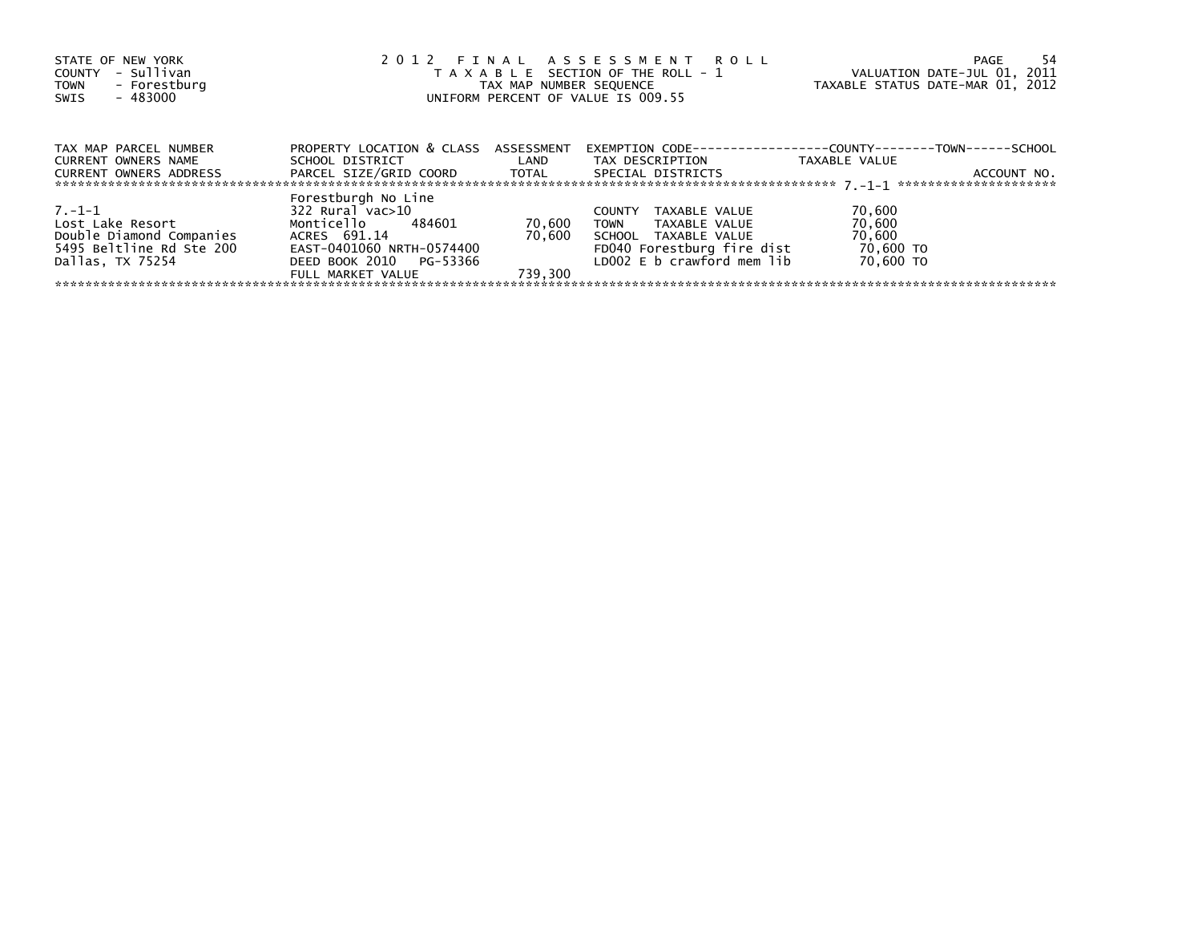| STATE OF NEW YORK<br>- Sullivan<br>COUNTY<br>- Forestburg<br><b>TOWN</b><br>- 483000<br>SWIS | 2012 FINAL ASSESSMENT ROLL<br>T A X A B L E SECTION OF THE ROLL - 1<br>TAX MAP NUMBER SEQUENCE<br>UNIFORM PERCENT OF VALUE IS 009.55 |                  |                                                                      | VALUATION DATE-JUL 01, 2011<br>TAXABLE STATUS DATE-MAR 01, 2012 | -54<br>PAGE |
|----------------------------------------------------------------------------------------------|--------------------------------------------------------------------------------------------------------------------------------------|------------------|----------------------------------------------------------------------|-----------------------------------------------------------------|-------------|
|                                                                                              |                                                                                                                                      |                  |                                                                      |                                                                 |             |
| TAX MAP PARCEL NUMBER                                                                        | PROPERTY LOCATION & CLASS ASSESSMENT                                                                                                 |                  | EXEMPTION        CODE-----------------COUNTY--------TOWN------SCHOOL |                                                                 |             |
| CURRENT OWNERS NAME                                                                          | SCHOOL DISTRICT                                                                                                                      | <b>Example 1</b> | TAX DESCRIPTION                                                      | TAXABLE VALUE                                                   |             |
| <b>CURRENT OWNERS ADDRESS</b>                                                                | PARCEL SIZE/GRID COORD TOTAL                                                                                                         |                  | SPECIAL DISTRICTS                                                    |                                                                 | ACCOUNT NO. |
|                                                                                              | Forestburgh No Line                                                                                                                  |                  |                                                                      |                                                                 |             |
| $7 - 1 - 1$                                                                                  | 322 Rural vac>10                                                                                                                     |                  | TAXABLE VALUE<br><b>COUNTY</b>                                       | 70,600                                                          |             |
| Lost Lake Resort                                                                             | Monticello 484601                                                                                                                    | 70,600           | TOWN<br>TAXABLE VALUE                                                | 70,600                                                          |             |
| Double Diamond Companies                                                                     | ACRES 691.14                                                                                                                         | 70.600           | SCHOOL TAXABLE VALUE                                                 | 70,600                                                          |             |
| 5495 Beltline Rd Ste 200                                                                     | EAST-0401060 NRTH-0574400                                                                                                            |                  | FD040 Forestburg fire dist                                           | 70,600 TO                                                       |             |
| Dallas, TX 75254                                                                             | DEED BOOK 2010 PG-53366                                                                                                              |                  | LD002 E b crawford mem lib                                           | 70,600 TO                                                       |             |
|                                                                                              | FULL MARKET VALUE                                                                                                                    | 739.300          |                                                                      |                                                                 |             |
|                                                                                              |                                                                                                                                      |                  |                                                                      |                                                                 |             |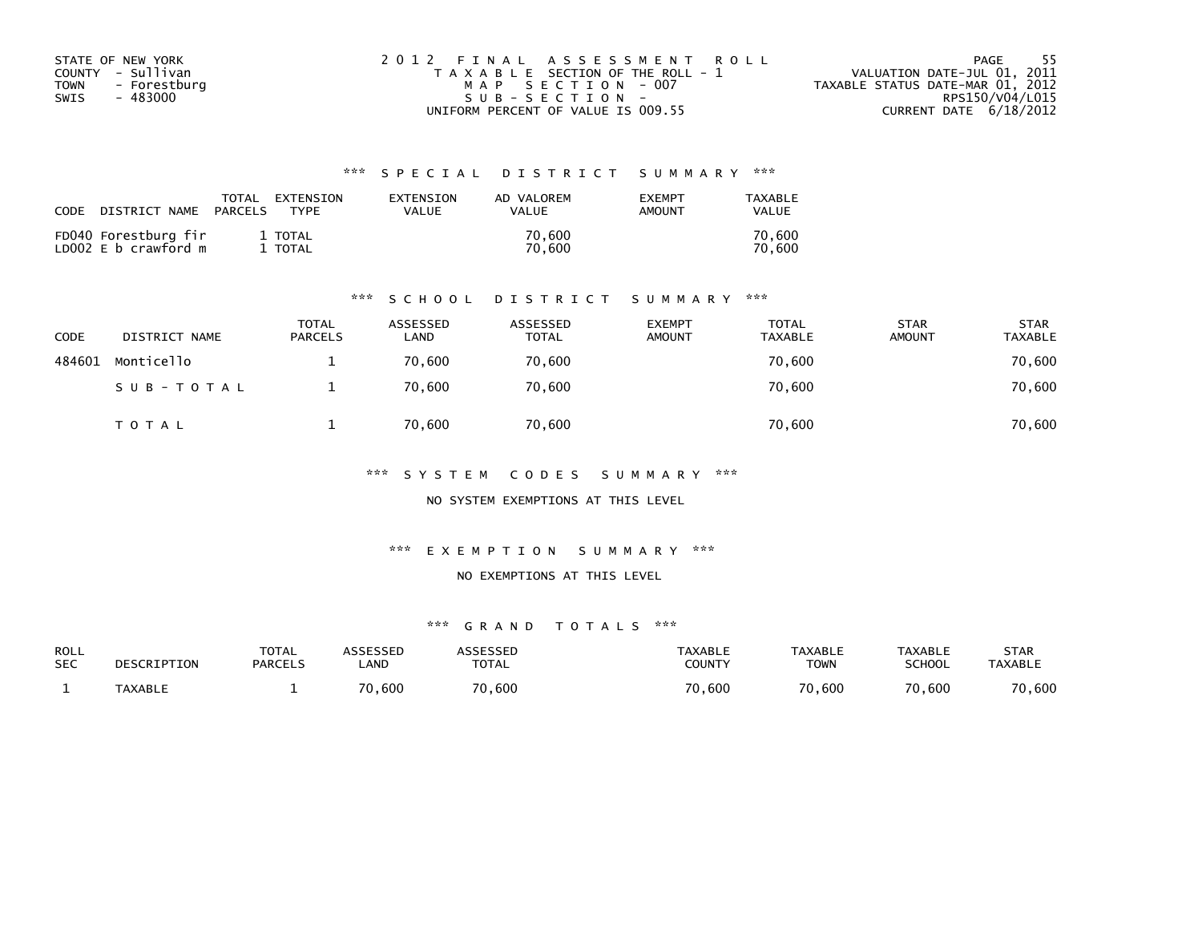| STATE OF NEW YORK    | 2012 FINAL ASSESSMENT ROLL            | - 55<br>PAGE                     |
|----------------------|---------------------------------------|----------------------------------|
| COUNTY - Sullivan    | T A X A B L E SECTION OF THE ROLL - 1 | VALUATION DATE-JUL 01, 2011      |
| TOWN<br>- Forestburg | MAP SECTION - 007                     | TAXABLE STATUS DATE-MAR 01, 2012 |
| - 483000<br>SWIS     | SUB-SECTION-                          | RPS150/V04/L015                  |
|                      | UNIFORM PERCENT OF VALUE IS 009.55    | CURRENT DATE $6/18/2012$         |

| CODE | DISTRICT NAME                                | TOTAL<br>PARCELS | EXTENSION<br><b>TYPF</b> | EXTENSION<br>VALUE | AD VALOREM<br><b>VALUE</b> | <b>EXEMPT</b><br>AMOUNT | TAXABLE<br>VALUE |
|------|----------------------------------------------|------------------|--------------------------|--------------------|----------------------------|-------------------------|------------------|
|      | FD040 Forestburg fir<br>LD002 E b crawford m |                  | 1 TOTAL<br>TOTAL         |                    | 70.600<br>70.600           |                         | 70.600<br>70.600 |

#### \*\*\* S C H O O L D I S T R I C T S U M M A R Y \*\*\*

| CODE   | DISTRICT NAME | <b>TOTAL</b><br><b>PARCELS</b> | ASSESSED<br>LAND | ASSESSED<br><b>TOTAL</b> | <b>EXEMPT</b><br><b>AMOUNT</b> | <b>TOTAL</b><br><b>TAXABLE</b> | <b>STAR</b><br><b>AMOUNT</b> | <b>STAR</b><br><b>TAXABLE</b> |
|--------|---------------|--------------------------------|------------------|--------------------------|--------------------------------|--------------------------------|------------------------------|-------------------------------|
| 484601 | Monticello    |                                | 70.600           | 70,600                   |                                | 70,600                         |                              | 70,600                        |
|        | SUB-TOTAL     |                                | 70,600           | 70,600                   |                                | 70,600                         |                              | 70,600                        |
|        | T O T A L     |                                | 70,600           | 70,600                   |                                | 70,600                         |                              | 70,600                        |

\*\*\* S Y S T E M C O D E S S U M M A R Y \*\*\*

NO SYSTEM EXEMPTIONS AT THIS LEVEL

\*\*\* E X E M P T I O N S U M M A R Y \*\*\*

#### NO EXEMPTIONS AT THIS LEVEL

| ROLL       | DESCRIPTION    | <b>TOTAL</b>   | ASSESSED    | <b>ASSESSED</b> | TAXABLE | <b>TAXABLE</b> | <b>TAXABLE</b> | STAR           |
|------------|----------------|----------------|-------------|-----------------|---------|----------------|----------------|----------------|
| <b>SEC</b> |                | <b>PARCELS</b> | <b>_AND</b> | <b>TOTAL</b>    | COUNTY  | <b>TOWN</b>    | <b>SCHOOL</b>  | <b>TAXABLE</b> |
|            | <b>TAXABLE</b> |                | 70,600      | 70,600          | 70,600  | 70,600         | 70,600         | 70,600         |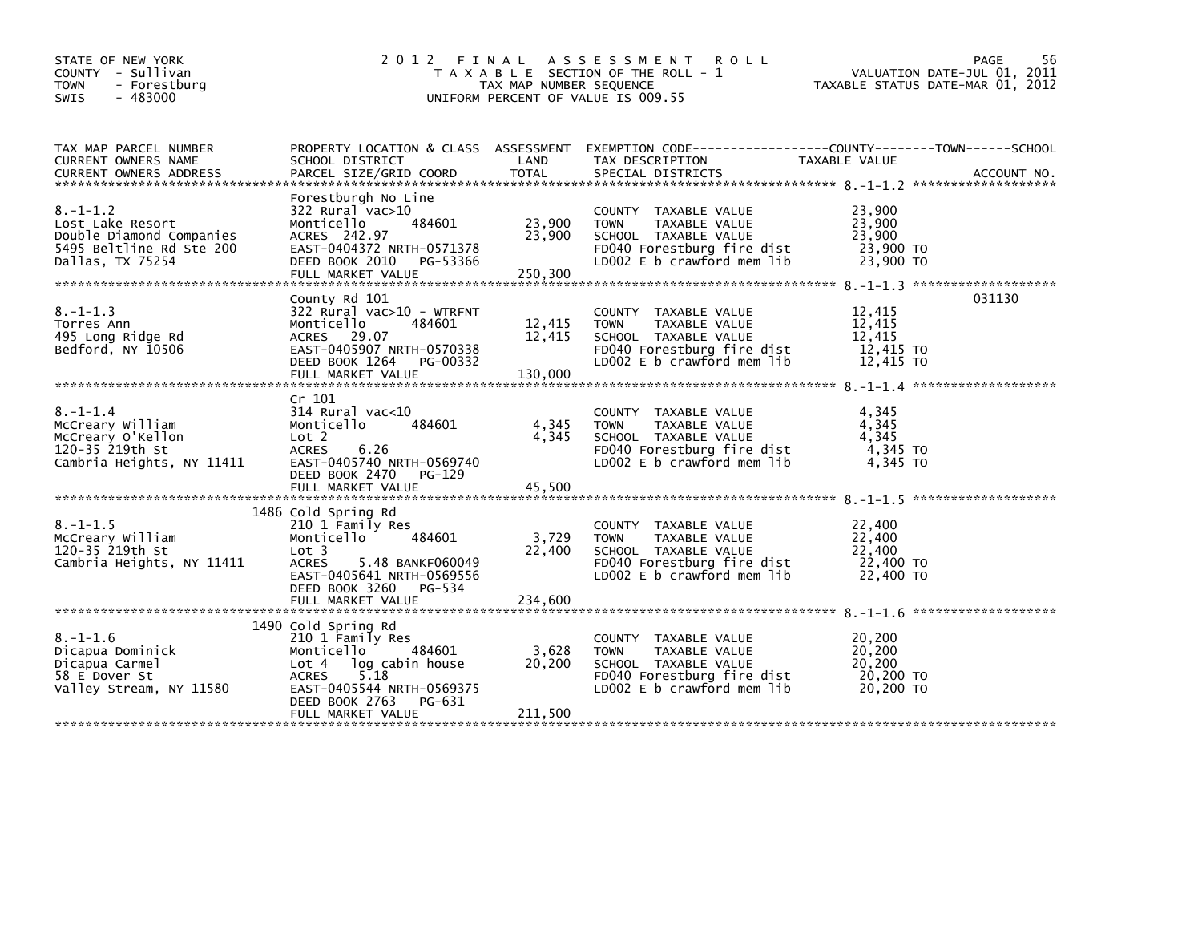| STATE OF NEW YORK<br>COUNTY - Sullivan<br>- Forestburg<br><b>TOWN</b><br>$-483000$<br><b>SWIS</b>              | 2 0 1 2<br>FINAL                                                                                                                                                                                      | TAX MAP NUMBER SEQUENCE     | A S S E S S M E N T<br><b>ROLL</b><br>T A X A B L E SECTION OF THE ROLL - 1<br>UNIFORM PERCENT OF VALUE IS 009.55                                  | VALUATION DATE-JUL 01, 2011<br>TAXABLE STATUS DATE-MAR 01, 2012 | PAGE<br>56 |
|----------------------------------------------------------------------------------------------------------------|-------------------------------------------------------------------------------------------------------------------------------------------------------------------------------------------------------|-----------------------------|----------------------------------------------------------------------------------------------------------------------------------------------------|-----------------------------------------------------------------|------------|
| TAX MAP PARCEL NUMBER<br>CURRENT OWNERS NAME                                                                   | SCHOOL DISTRICT                                                                                                                                                                                       | LAND                        | PROPERTY LOCATION & CLASS ASSESSMENT EXEMPTION CODE---------------COUNTY-------TOWN------SCHOOL<br>TAX DESCRIPTION                                 | TAXABLE VALUE                                                   |            |
| $8. - 1 - 1.2$<br>Lost Lake Resort<br>Double Diamond Companies<br>5495 Beltline Rd Ste 200<br>Dallas, TX 75254 | Forestburgh No Line<br>322 Rural vac>10<br>484601<br>Monticello<br>ACRES 242.97<br>EAST-0404372 NRTH-0571378<br>DEED BOOK 2010 PG-53366<br>FULL MARKET VALUE                                          | 23,900<br>23,900<br>250,300 | COUNTY TAXABLE VALUE<br><b>TOWN</b><br>TAXABLE VALUE<br>SCHOOL TAXABLE VALUE<br>FD040 Forestburg fire dist<br>LD002 $E$ b crawford mem $lib$       | 23,900<br>23,900<br>23,900<br>23,900 TO<br>23,900 TO            |            |
| $8. - 1 - 1.3$<br>Torres Ann<br>495 Long Ridge Rd<br>Bedford, NY 10506                                         | County Rd 101<br>322 Rural vac>10 - WTRFNT<br>Monticello<br>484601<br>ACRES 29.07<br>EAST-0405907 NRTH-0570338<br>DEED BOOK 1264 PG-00332                                                             | 12,415<br>12,415            | COUNTY TAXABLE VALUE<br><b>TOWN</b><br>TAXABLE VALUE<br>SCHOOL TAXABLE VALUE<br>FD040 Forestburg fire dist<br>LD002 E b crawford mem lib           | 12,415<br>12.415<br>12.415<br>12,415 TO<br>12,415 TO            | 031130     |
| $8. - 1 - 1.4$<br>McCreary William<br>McCreary O'Kellon<br>120-35 219th St<br>Cambria Heights, NY 11411        | Cr 101<br>$314$ Rural vac<10<br>484601<br>Monticello<br>Lot 2<br>6.26<br><b>ACRES</b><br>EAST-0405740 NRTH-0569740<br>DEED BOOK 2470<br>PG-129<br>FULL MARKET VALUE                                   | 4,345<br>4,345<br>45,500    | COUNTY TAXABLE VALUE<br>TAXABLE VALUE<br><b>TOWN</b><br>SCHOOL TAXABLE VALUE<br>FD040 Forestburg fire dist<br>LD002 E b crawford mem lib           | 4,345<br>4,345<br>4.345<br>4,345 TO<br>4.345 TO                 |            |
| $8. - 1 - 1.5$<br>McCreary William<br>120-35 219th St<br>Cambria Heights, NY 11411                             | 1486 Cold Spring Rd<br>210 1 Family Res<br>Monticello<br>484601<br>Lot <sub>3</sub><br>5.48 BANKF060049<br><b>ACRES</b><br>EAST-0405641 NRTH-0569556<br>DEED BOOK 3260<br>PG-534<br>FULL MARKET VALUE | 3,729<br>22,400<br>234,600  | <b>COUNTY</b><br>TAXABLE VALUE<br>TAXABLE VALUE<br><b>TOWN</b><br>SCHOOL TAXABLE VALUE<br>FD040 Forestburg fire dist<br>LD002 E b crawford mem lib | 22,400<br>22,400<br>22,400<br>22,400 TO<br>22,400 TO            |            |
| $8. - 1 - 1.6$<br>Dicapua Dominick<br>Dicapua Carmel<br>58 E Dover St<br>Valley Stream, NY 11580               | 1490 Cold Spring Rd<br>210 1 Family Res<br>484601<br>Monticello<br>Lot 4 log cabin house<br>5.18<br><b>ACRES</b><br>EAST-0405544 NRTH-0569375<br>DEED BOOK 2763<br>PG-631<br>FULL MARKET VALUE        | 3,628<br>20,200<br>211,500  | COUNTY TAXABLE VALUE<br>TAXABLE VALUE<br><b>TOWN</b><br>SCHOOL TAXABLE VALUE<br>FD040 Forestburg fire dist<br>LD002 E b crawford mem lib           | 20,200<br>20,200<br>20,200<br>20,200 TO<br>20,200 TO            |            |
|                                                                                                                |                                                                                                                                                                                                       |                             |                                                                                                                                                    |                                                                 |            |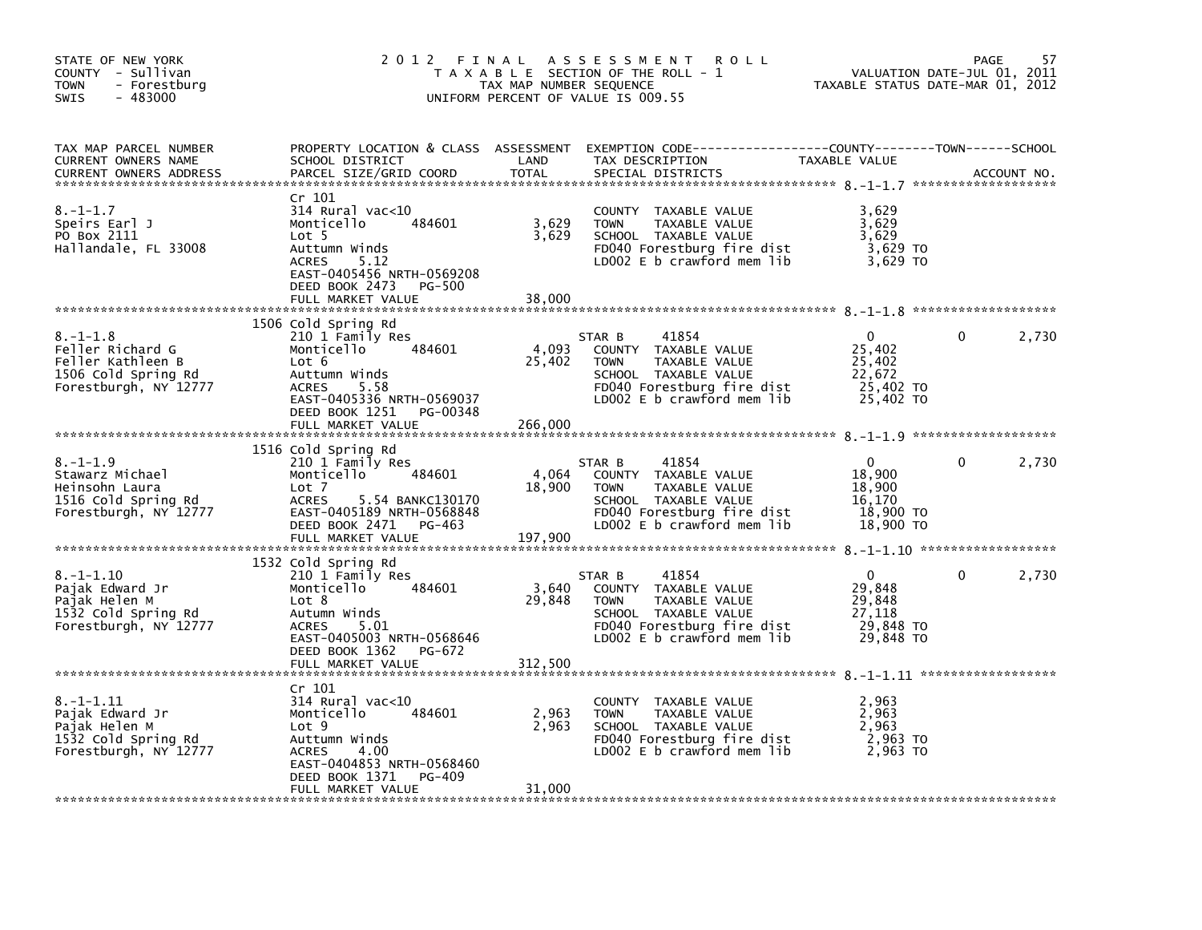| STATE OF NEW YORK<br>COUNTY - Sullivan<br><b>TOWN</b><br>- Forestburg<br>$-483000$<br><b>SWIS</b>       | 2012 FINAL                                                                                                                                                                                     | TAX MAP NUMBER SEQUENCE    | A S S E S S M E N T<br><b>ROLL</b><br>T A X A B L E SECTION OF THE ROLL - 1<br>UNIFORM PERCENT OF VALUE IS 009.55                                           | TAXABLE STATUS DATE-MAR 01, 2012                                     | PAGE<br>VALUATION DATE-JUL 01, 2011 | 57          |
|---------------------------------------------------------------------------------------------------------|------------------------------------------------------------------------------------------------------------------------------------------------------------------------------------------------|----------------------------|-------------------------------------------------------------------------------------------------------------------------------------------------------------|----------------------------------------------------------------------|-------------------------------------|-------------|
| TAX MAP PARCEL NUMBER<br>CURRENT OWNERS NAME<br>CURRENT OWNERS ADDRESS                                  | SCHOOL DISTRICT<br>PARCEL SIZE/GRID COORD                                                                                                                                                      | LAND<br>TOTAL              | PROPERTY LOCATION & CLASS ASSESSMENT EXEMPTION CODE---------------COUNTY-------TOWN-----SCHOOL<br>TAX DESCRIPTION<br>SPECIAL DISTRICTS                      | TAXABLE VALUE                                                        |                                     | ACCOUNT NO. |
| $8. - 1 - 1.7$<br>Speirs Earl J<br>PO Box 2111<br>Hallandale, FL 33008                                  | Cr 101<br>314 Rural vac<10<br>484601<br>Monticello<br>Lot 5<br>Auttumn Winds<br><b>ACRES</b><br>5.12<br>EAST-0405456 NRTH-0569208<br>DEED BOOK 2473<br>PG-500                                  | 3,629<br>3,629             | COUNTY TAXABLE VALUE<br><b>TOWN</b><br>TAXABLE VALUE<br>SCHOOL TAXABLE VALUE<br>FD040 Forestburg fire dist<br>LD002 E b crawford mem lib                    | 3,629<br>3,629<br>3,629<br>3,629 TO<br>3,629 TO                      |                                     |             |
|                                                                                                         | FULL MARKET VALUE                                                                                                                                                                              | 38,000                     |                                                                                                                                                             |                                                                      |                                     |             |
| $8. - 1 - 1.8$<br>Feller Richard G<br>Feller Kathleen B<br>1506 Cold Spring Rd<br>Forestburgh, NY 12777 | 1506 Cold Spring Rd<br>210 1 Family Res<br>Monticello<br>484601<br>Lot 6<br>Auttumn Winds<br><b>ACRES</b><br>5.58<br>EAST-0405336 NRTH-0569037<br>DEED BOOK 1251 PG-00348                      | 4,093<br>25,402            | 41854<br>STAR B<br>COUNTY TAXABLE VALUE<br><b>TOWN</b><br>TAXABLE VALUE<br>SCHOOL TAXABLE VALUE<br>FD040 Forestburg fire dist<br>LD002 E b crawford mem lib | $\Omega$<br>25,402<br>25,402<br>22,672<br>25,402 TO<br>25,402 TO     | 0                                   | 2,730       |
|                                                                                                         | FULL MARKET VALUE                                                                                                                                                                              | 266,000                    |                                                                                                                                                             |                                                                      |                                     |             |
|                                                                                                         |                                                                                                                                                                                                |                            |                                                                                                                                                             |                                                                      |                                     |             |
| $8. - 1 - 1.9$<br>Stawarz Michael<br>Heinsohn Laura<br>1516 Cold Spring Rd<br>Forestburgh, NY 12777     | 1516 Cold Spring Rd<br>210 1 Family Res<br>Monticello<br>484601<br>Lot 7<br><b>ACRES</b><br>5.54 BANKC130170<br>EAST-0405189 NRTH-0568848<br>DEED BOOK 2471 PG-463<br>FULL MARKET VALUE        | 4,064<br>18,900<br>197,900 | 41854<br>STAR B<br>COUNTY TAXABLE VALUE<br>TAXABLE VALUE<br><b>TOWN</b><br>SCHOOL TAXABLE VALUE<br>FD040 Forestburg fire dist<br>LD002 E b crawford mem lib | $\mathbf{0}$<br>18,900<br>18,900<br>16,170<br>18,900 TO<br>18,900 TO | $\Omega$                            | 2,730       |
|                                                                                                         |                                                                                                                                                                                                |                            |                                                                                                                                                             |                                                                      |                                     |             |
| $8. - 1 - 1.10$<br>Pajak Edward Jr<br>Pajak Helen M<br>1532 Cold Spring Rd<br>Forestburgh, NY 12777     | 1532 Cold Spring Rd<br>210 1 Family Res<br>484601<br>Monticello<br>Lot 8<br>Autumn Winds<br>5.01<br><b>ACRES</b><br>EAST-0405003 NRTH-0568646<br>DEED BOOK 1362<br>PG-672<br>FULL MARKET VALUE | 3,640<br>29,848<br>312.500 | 41854<br>STAR B<br>COUNTY TAXABLE VALUE<br>TAXABLE VALUE<br><b>TOWN</b><br>SCHOOL TAXABLE VALUE<br>FD040 Forestburg fire dist<br>LD002 E b crawford mem lib | $\Omega$<br>29,848<br>29,848<br>27,118<br>29,848 TO<br>29,848 TO     | $\Omega$                            | 2,730       |
|                                                                                                         |                                                                                                                                                                                                |                            |                                                                                                                                                             |                                                                      |                                     |             |
| $8. - 1 - 1.11$<br>Pajak Edward Jr<br>Pajak Helen M<br>1532 Cold Spring Rd<br>Forestburgh, NY 12777     | Cr 101<br>$314$ Rural vac<10<br>Monticello<br>484601<br>Lot <sub>9</sub><br>Auttumn Winds<br>-4.00<br><b>ACRES</b><br>EAST-0404853 NRTH-0568460<br>DEED BOOK 1371<br>PG-409                    | 2,963<br>2,963             | COUNTY TAXABLE VALUE<br><b>TOWN</b><br>TAXABLE VALUE<br>SCHOOL TAXABLE VALUE<br>FD040 Forestburg fire dist<br>LD002 E b crawford mem lib                    | 2,963<br>2,963<br>2,963<br>2,963 TO<br>2,963 TO                      |                                     |             |
|                                                                                                         | FULL MARKET VALUE                                                                                                                                                                              | 31.000                     |                                                                                                                                                             |                                                                      |                                     |             |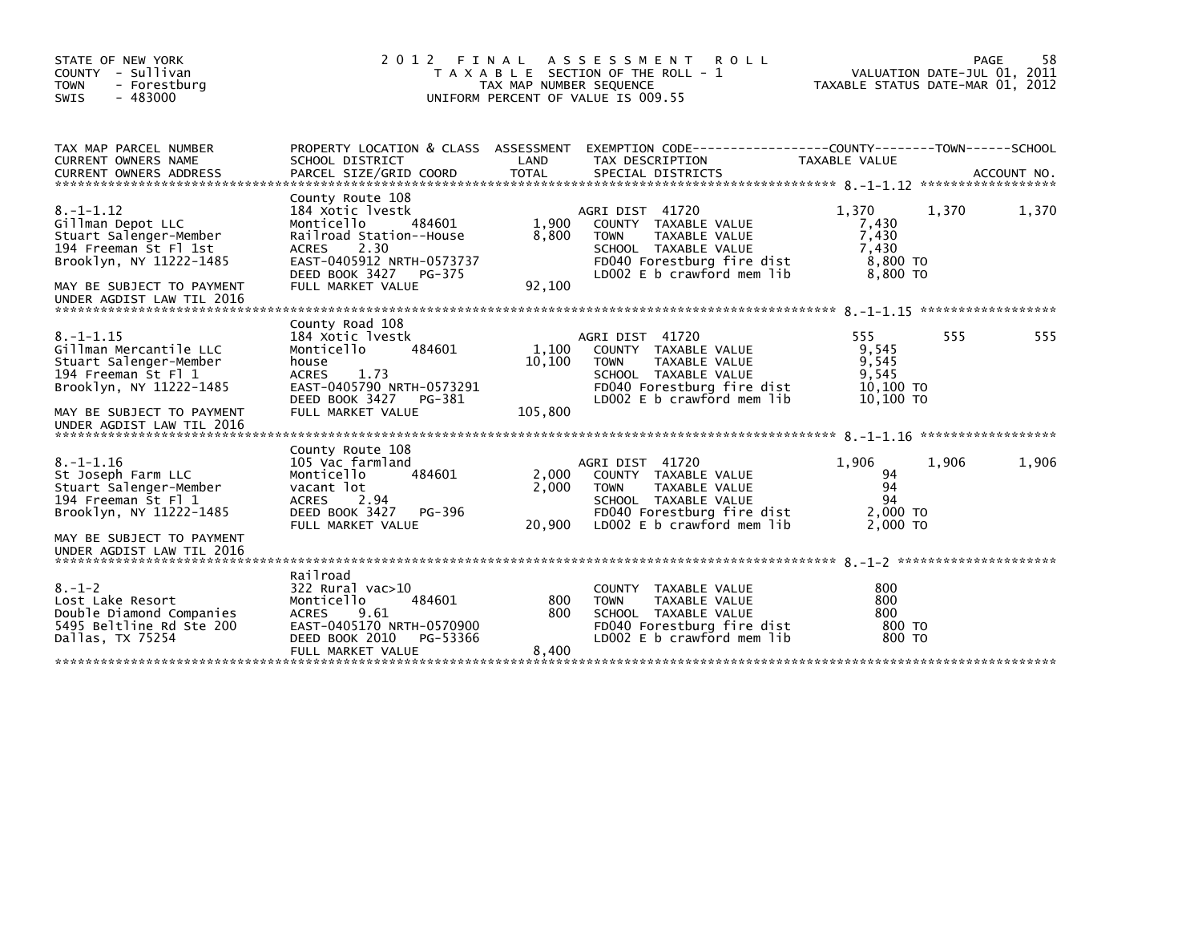| STATE OF NEW YORK<br>COUNTY - Sullivan<br><b>TOWN</b><br>- Forestburg<br>$-483000$<br><b>SWIS</b>                                                                               | 2012 FINAL<br>T A X A B L E SECTION OF THE ROLL - 1<br>TAX MAP NUMBER SEQUENCE<br>UNIFORM PERCENT OF VALUE IS 009.55                                                                       | VALUATION DATE-JUL 01, 2011<br>TAXABLE STATUS DATE-MAR 01, 2012 |                                                                                                                                                             | 58<br>PAGE                                               |       |             |
|---------------------------------------------------------------------------------------------------------------------------------------------------------------------------------|--------------------------------------------------------------------------------------------------------------------------------------------------------------------------------------------|-----------------------------------------------------------------|-------------------------------------------------------------------------------------------------------------------------------------------------------------|----------------------------------------------------------|-------|-------------|
| TAX MAP PARCEL NUMBER<br>CURRENT OWNERS NAME<br><b>CURRENT OWNERS ADDRESS</b>                                                                                                   | SCHOOL DISTRICT<br>PARCEL SIZE/GRID COORD                                                                                                                                                  | LAND<br>TOTAL                                                   | PROPERTY LOCATION & CLASS ASSESSMENT EXEMPTION CODE----------------COUNTY-------TOWN-----SCHOOL<br>TAX DESCRIPTION<br>SPECIAL DISTRICTS                     | TAXABLE VALUE                                            |       | ACCOUNT NO. |
| $8. - 1 - 1.12$<br>Gillman Depot LLC<br>Stuart Salenger-Member<br>194 Freeman St Fl 1st<br>Brooklyn, NY 11222-1485<br>MAY BE SUBJECT TO PAYMENT<br>UNDER AGDIST LAW TIL 2016    | County Route 108<br>184 Xotic lyestk<br>Monticello<br>484601<br>Railroad Station--House<br>2.30<br><b>ACRES</b><br>EAST-0405912 NRTH-0573737<br>DEED BOOK 3427 PG-375<br>FULL MARKET VALUE | 1,900<br>8,800<br>92,100                                        | AGRI DIST 41720<br>COUNTY TAXABLE VALUE<br>TAXABLE VALUE<br><b>TOWN</b><br>SCHOOL TAXABLE VALUE<br>FD040 Forestburg fire dist<br>LD002 E b crawford mem lib | 1.370<br>7,430<br>7,430<br>7.430<br>8,800 TO<br>8,800 TO | 1,370 | 1,370       |
| $8. - 1 - 1.15$<br>Gillman Mercantile LLC<br>Stuart Salenger-Member<br>194 Freeman St Fl 1<br>Brooklyn, NY 11222-1485<br>MAY BE SUBJECT TO PAYMENT<br>UNDER AGDIST LAW TIL 2016 | County Road 108<br>184 Xotic lyestk<br>484601<br>Monticello<br>house<br><b>ACRES</b><br>1.73<br>EAST-0405790 NRTH-0573291<br>DEED BOOK 3427<br>PG-381<br>FULL MARKET VALUE                 | 1,100<br>10,100<br>105,800                                      | AGRI DIST 41720<br>COUNTY TAXABLE VALUE<br>TAXABLE VALUE<br><b>TOWN</b><br>SCHOOL TAXABLE VALUE<br>FD040 Forestburg fire dist<br>LD002 E b crawford mem lib | 555<br>9,545<br>9,545<br>9,545<br>10,100 TO<br>10,100 TO | 555   | 555         |
| $8. - 1 - 1.16$<br>St Joseph Farm LLC<br>Stuart Salenger-Member<br>194 Freeman St Fl 1<br>Brooklyn, NY 11222-1485<br>MAY BE SUBJECT TO PAYMENT<br>UNDER AGDIST LAW TIL 2016     | County Route 108<br>105 Vac farmland<br>484601<br>Monticello<br>vacant lot<br><b>ACRES</b><br>2.94<br>DEED BOOK 3427<br>PG-396<br>FULL MARKET VALUE                                        | 2,000<br>2,000<br>20,900                                        | AGRI DIST 41720<br>COUNTY TAXABLE VALUE<br>TAXABLE VALUE<br><b>TOWN</b><br>SCHOOL TAXABLE VALUE<br>FD040 Forestburg fire dist<br>LD002 E b crawford mem lib | 1,906<br>94<br>94<br>94<br>2,000 TO<br>2,000 TO          | 1,906 | 1,906       |
| $8. - 1 - 2$<br>Lost Lake Resort<br>Double Diamond Companies<br>5495 Beltline Rd Ste 200<br>Dallas, TX 75254                                                                    | Railroad<br>$322$ Rural vac $>10$<br>484601<br>Monticello<br><b>ACRES</b><br>9.61<br>EAST-0405170 NRTH-0570900<br>DEED BOOK 2010<br>PG-53366<br>FULL MARKET VALUE                          | 800<br>800<br>8,400                                             | <b>COUNTY</b><br>TAXABLE VALUE<br><b>TOWN</b><br>TAXABLE VALUE<br>SCHOOL TAXABLE VALUE<br>FD040 Forestburg fire dist<br>LD002 E b crawford mem lib          | 800<br>800<br>800<br>800 TO<br>800 TO                    |       |             |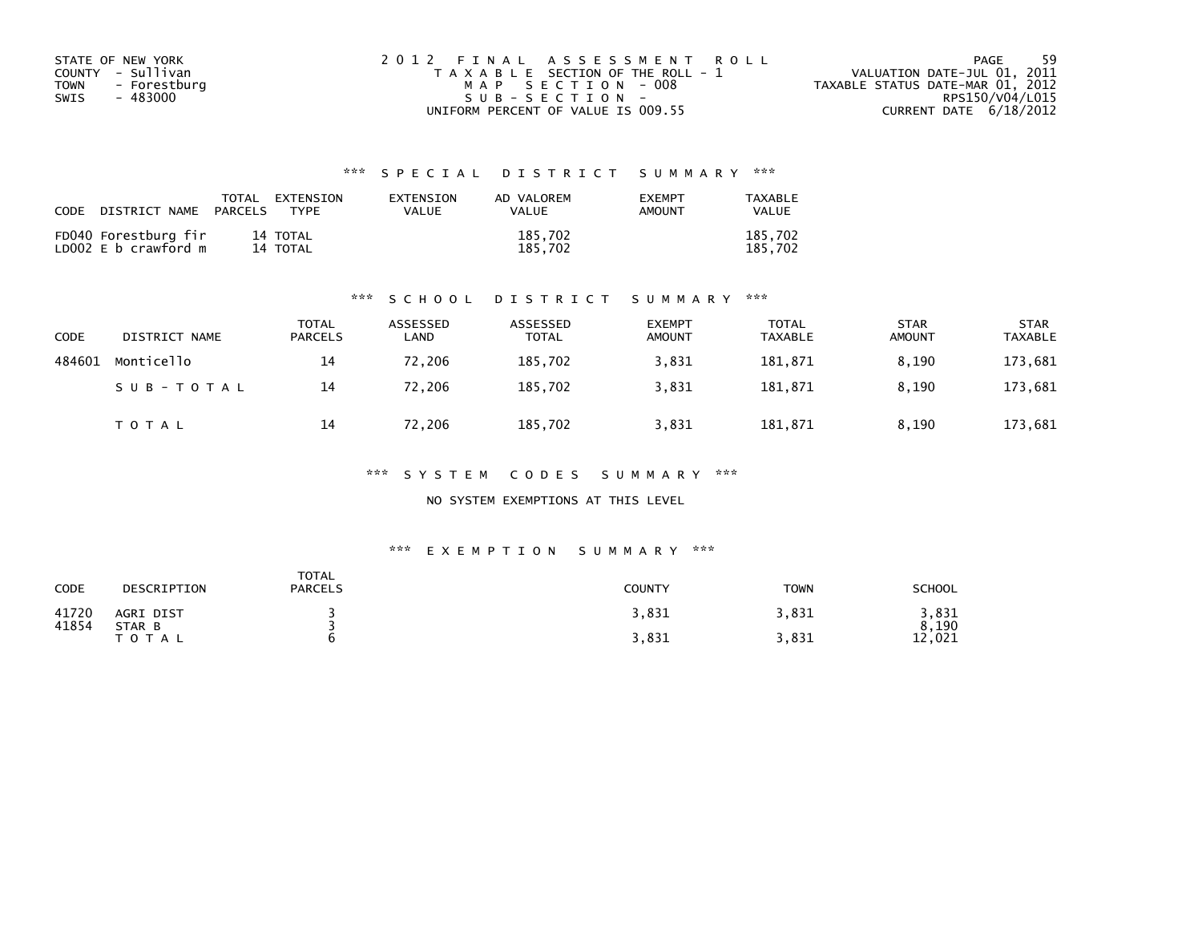| STATE OF NEW YORK           | 2012 FINAL ASSESSMENT ROLL            | -59<br>PAGE                      |
|-----------------------------|---------------------------------------|----------------------------------|
| COUNTY - Sullivan           | T A X A B L E SECTION OF THE ROLL - 1 | VALUATION DATE-JUL 01, 2011      |
| <b>TOWN</b><br>- Forestburg | MAP SECTION - 008                     | TAXABLE STATUS DATE-MAR 01, 2012 |
| SWIS<br>- 483000            | $SUB - SECTION -$                     | RPS150/V04/L015                  |
|                             | UNIFORM PERCENT OF VALUE IS 009.55    | CURRENT DATE 6/18/2012           |

| CODE | DISTRICT NAME                                | PARCELS | TOTAL EXTENSION<br>TYPF | EXTENSION<br>VALUE | AD VALOREM<br><b>VALUE</b> | <b>EXEMPT</b><br>AMOUNT | TAXABLE<br><b>VALUE</b> |
|------|----------------------------------------------|---------|-------------------------|--------------------|----------------------------|-------------------------|-------------------------|
|      | FD040 Forestburg fir<br>LD002 E b crawford m |         | 14 TOTAL<br>14 TOTAL    |                    | 185,702<br>185.702         |                         | 185,702<br>185.702      |

#### \*\*\* S C H O O L D I S T R I C T S U M M A R Y \*\*\*

| CODE   | DISTRICT NAME | <b>TOTAL</b><br><b>PARCELS</b> | ASSESSED<br>LAND | ASSESSED<br><b>TOTAL</b> | <b>EXEMPT</b><br><b>AMOUNT</b> | <b>TOTAL</b><br><b>TAXABLE</b> | <b>STAR</b><br><b>AMOUNT</b> | <b>STAR</b><br><b>TAXABLE</b> |
|--------|---------------|--------------------------------|------------------|--------------------------|--------------------------------|--------------------------------|------------------------------|-------------------------------|
| 484601 | Monticello    | 14                             | 72,206           | 185,702                  | 3,831                          | 181,871                        | 8.190                        | 173,681                       |
|        | SUB-TOTAL     | 14                             | 72,206           | 185,702                  | 3,831                          | 181,871                        | 8,190                        | 173,681                       |
|        | T O T A L     | 14                             | 72,206           | 185,702                  | 3,831                          | 181,871                        | 8,190                        | 173,681                       |

\*\*\* S Y S T E M C O D E S S U M M A R Y \*\*\*

NO SYSTEM EXEMPTIONS AT THIS LEVEL

#### \*\*\* E X E M P T I O N S U M M A R Y \*\*\*

| <b>CODE</b>    | DESCRIPTION         | TOTAL<br><b>PARCELS</b> | <b>COUNTY</b> | <b>TOWN</b> | <b>SCHOOL</b>  |
|----------------|---------------------|-------------------------|---------------|-------------|----------------|
| 41720<br>41854 | AGRI DIST<br>STAR B |                         | 3,831         | 3,831       | 3,831<br>8,190 |
|                | T O T A L           |                         | 3,831         | 3,831       | 12,021         |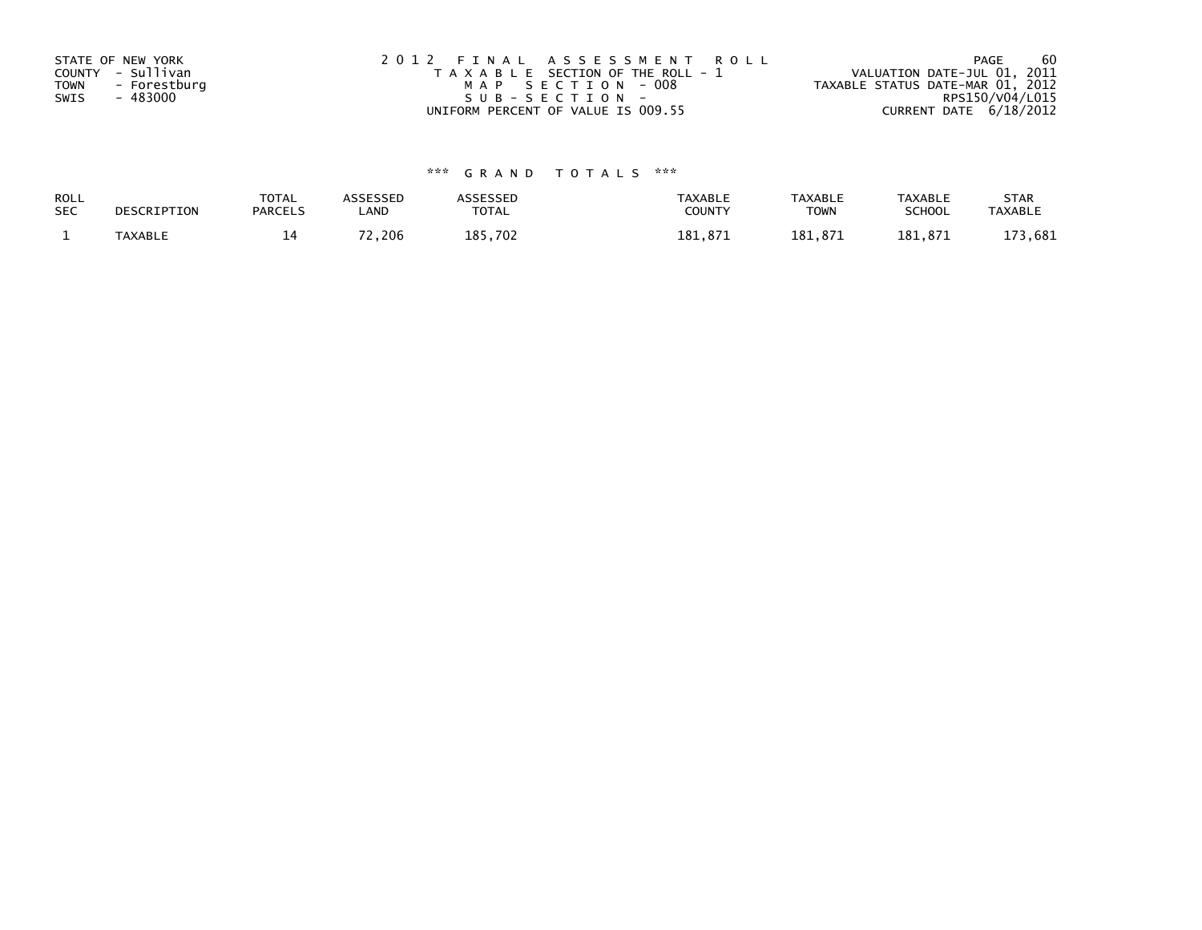| STATE OF NEW YORK           | 2012 FINAL ASSESSMENT ROLL            | -60<br>PAGE                      |
|-----------------------------|---------------------------------------|----------------------------------|
| COUNTY - Sullivan           | T A X A B L E SECTION OF THE ROLL - 1 | VALUATION DATE-JUL 01, 2011      |
| <b>TOWN</b><br>- Forestburg | MAP SECTION - 008                     | TAXABLE STATUS DATE-MAR 01, 2012 |
| - 483000<br>SWIS            | SUB-SECTION-                          | RPS150/V04/L015                  |
|                             | UNIFORM PERCENT OF VALUE IS 009.55    | CURRENT DATE $6/18/2012$         |

| <b>ROLL</b> | DESCRIPTION    | <b>TOTAL</b>   | ASSESSED     | <b>ASSESSED</b> | <b>TAXABLE</b> | <b>TAXABLE</b> | <b>TAXABLE</b> | <b>STAR</b>    |
|-------------|----------------|----------------|--------------|-----------------|----------------|----------------|----------------|----------------|
| <b>SEC</b>  |                | <b>PARCELS</b> | ∟AND         | TOTAL           | <b>COUNTY</b>  | TOWN           | <b>SCHOOL</b>  | <b>TAXABLE</b> |
|             | <b>TAXABLE</b> |                | רד<br>'2,206 | 185,702         | 181.871        | 181.871        | 181.871        | 3,681<br>173   |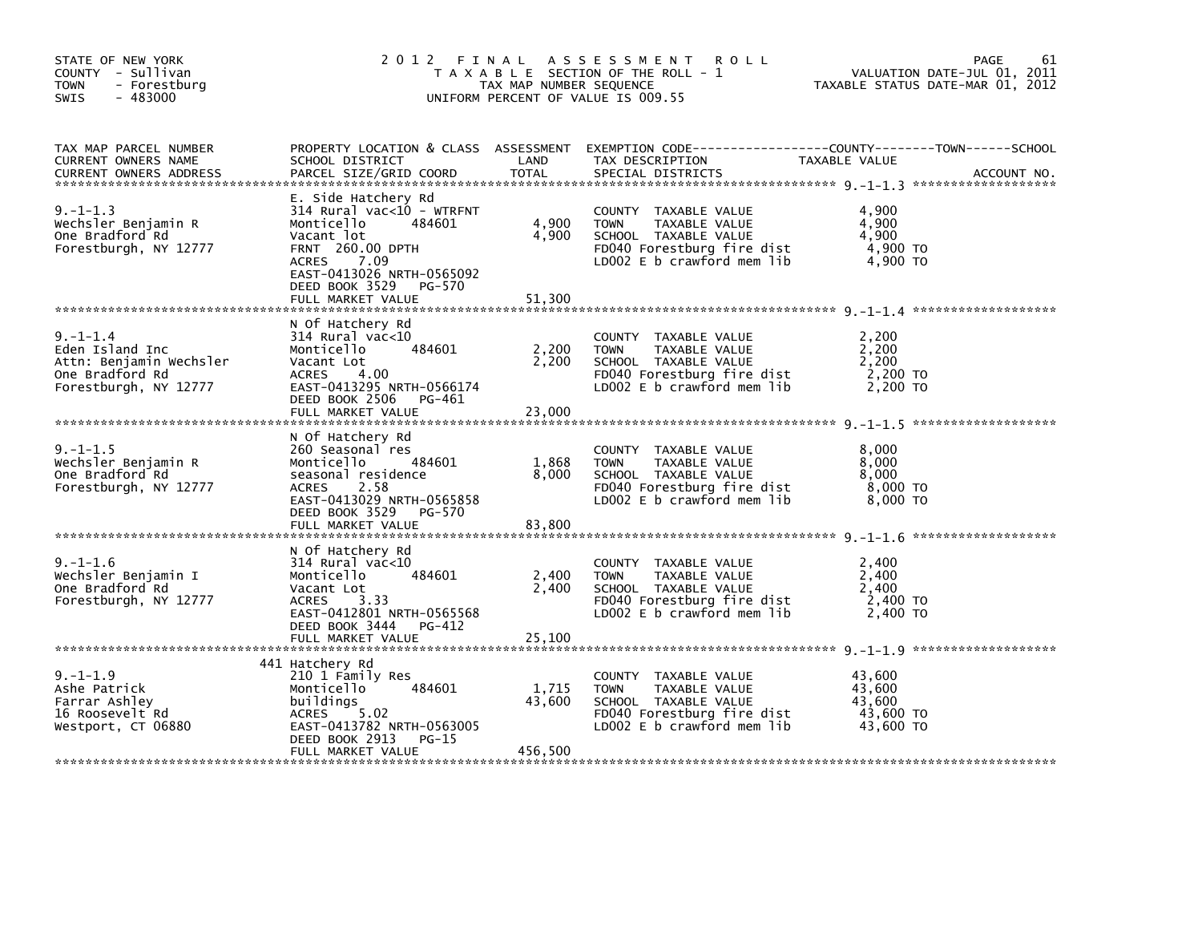| STATE OF NEW YORK<br>COUNTY - Sullivan<br><b>TOWN</b><br>- Forestburg<br>$-483000$<br><b>SWIS</b>        | 2012 FINAL                                                                                                                                                                                                       | TAX MAP NUMBER SEQUENCE    | A S S E S S M E N T<br><b>ROLL</b><br>T A X A B L E SECTION OF THE ROLL - 1<br>UNIFORM PERCENT OF VALUE IS 009.55                            |                                                      | 61<br>PAGE<br>VALUATION DATE-JUL 01, 2011<br>TAXABLE STATUS DATE-MAR 01, 2012 |
|----------------------------------------------------------------------------------------------------------|------------------------------------------------------------------------------------------------------------------------------------------------------------------------------------------------------------------|----------------------------|----------------------------------------------------------------------------------------------------------------------------------------------|------------------------------------------------------|-------------------------------------------------------------------------------|
| TAX MAP PARCEL NUMBER<br><b>CURRENT OWNERS NAME</b><br><b>CURRENT OWNERS ADDRESS</b>                     | SCHOOL DISTRICT<br>PARCEL SIZE/GRID COORD                                                                                                                                                                        | LAND<br>TOTAL              | PROPERTY LOCATION & CLASS ASSESSMENT EXEMPTION CODE----------------COUNTY-------TOWN------SCHOOL<br>TAX DESCRIPTION<br>SPECIAL DISTRICTS     | TAXABLE VALUE                                        | ACCOUNT NO.                                                                   |
| $9. -1 - 1.3$<br>Wechsler Benjamin R<br>One Bradford Rd<br>Forestburgh, NY 12777                         | E. Side Hatchery Rd<br>314 Rural vac<10 - WTRFNT<br>Monticello<br>484601<br>Vacant lot<br>FRNT 260.00 DPTH<br><b>ACRES</b><br>7.09<br>EAST-0413026 NRTH-0565092<br>DEED BOOK 3529<br>PG-570<br>FULL MARKET VALUE | 4,900<br>4,900<br>51,300   | COUNTY TAXABLE VALUE<br>TAXABLE VALUE<br><b>TOWN</b><br>SCHOOL TAXABLE VALUE<br>FD040 Forestburg fire dist<br>LD002 $E$ b crawford mem $lib$ | 4,900<br>4,900<br>4,900<br>4,900 TO<br>4,900 TO      |                                                                               |
| $9. - 1 - 1.4$<br>Eden Island Inc<br>Attn: Benjamin Wechsler<br>One Bradford Rd<br>Forestburgh, NY 12777 | N Of Hatchery Rd<br>314 Rural vac<10<br>484601<br>Monticello<br>Vacant Lot<br>4.00<br>ACRES<br>EAST-0413295 NRTH-0566174<br>DEED BOOK 2506<br>PG-461<br>FULL MARKET VALUE                                        | 2,200<br>2,200<br>23,000   | COUNTY TAXABLE VALUE<br><b>TOWN</b><br>TAXABLE VALUE<br>SCHOOL TAXABLE VALUE<br>FD040 Forestburg fire dist<br>LD002 E b crawford mem lib     | 2,200<br>2,200<br>2,200<br>$2,200$ TO<br>2,200 TO    |                                                                               |
| $9. -1 - 1.5$<br>Wechsler Benjamin R<br>One Bradford Rd<br>Forestburgh, NY 12777                         | N Of Hatchery Rd<br>260 Seasonal res<br>484601<br>Monticello<br>seasonal residence<br>2.58<br><b>ACRES</b><br>EAST-0413029 NRTH-0565858<br>DEED BOOK 3529 PG-570<br>FULL MARKET VALUE                            | 1,868<br>8,000<br>83,800   | COUNTY TAXABLE VALUE<br><b>TOWN</b><br>TAXABLE VALUE<br>SCHOOL TAXABLE VALUE<br>FD040 Forestburg fire dist<br>LD002 $E$ b crawford mem $lib$ | 8,000<br>8,000<br>8,000<br>8,000 TO<br>8,000 TO      |                                                                               |
| $9. - 1 - 1.6$<br>Wechsler Benjamin I<br>One Bradford Rd<br>Forestburgh, NY 12777                        | N Of Hatchery Rd<br>314 Rural vac<10<br>Monticello<br>484601<br>Vacant Lot<br><b>ACRES</b><br>3.33<br>EAST-0412801 NRTH-0565568<br>DEED BOOK 3444<br>PG-412<br>FULL MARKET VALUE                                 | 2,400<br>2,400<br>25,100   | COUNTY TAXABLE VALUE<br>TAXABLE VALUE<br><b>TOWN</b><br>SCHOOL TAXABLE VALUE<br>FD040 Forestburg fire dist<br>LD002 E b crawford mem lib     | 2,400<br>2,400<br>2,400<br>2,400 TO<br>2,400 TO      |                                                                               |
| $9. -1 - 1.9$<br>Ashe Patrick<br>Farrar Ashley<br>16 Roosevelt Rd<br>Westport, CT 06880                  | 441 Hatchery Rd<br>210 1 Family Res<br>Monticello<br>484601<br>buildings<br>5.02<br><b>ACRES</b><br>EAST-0413782 NRTH-0563005<br>DEED BOOK 2913<br>PG-15<br>FULL MARKET VALUE                                    | 1,715<br>43,600<br>456,500 | COUNTY TAXABLE VALUE<br>TAXABLE VALUE<br><b>TOWN</b><br>SCHOOL TAXABLE VALUE<br>FD040 Forestburg fire dist<br>LD002 E b crawford mem lib     | 43,600<br>43,600<br>43,600<br>43,600 TO<br>43,600 TO |                                                                               |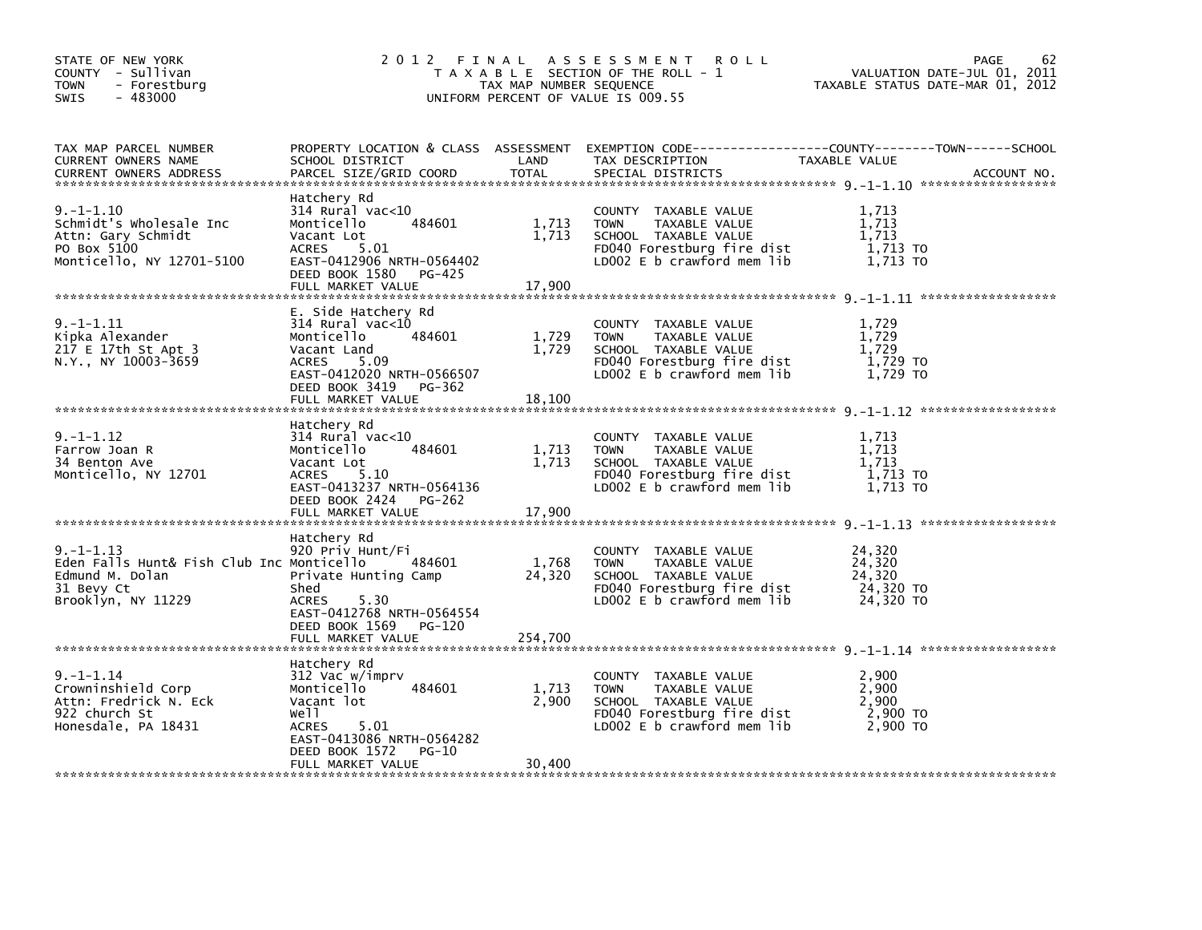| STATE OF NEW YORK<br>COUNTY - Sullivan<br>- Forestburg<br>TOWN<br>$-483000$<br><b>SWIS</b>                         | 2 0 1 2                                                                                                                                                                                 | FINAL<br>TAX MAP NUMBER SEQUENCE | A S S E S S M E N T<br><b>ROLL</b><br>T A X A B L E SECTION OF THE ROLL - 1<br>UNIFORM PERCENT OF VALUE IS 009.55                                  | 62<br>PAGE<br>VALUATION DATE-JUL 01,<br>2011<br>TAXABLE STATUS DATE-MAR 01, 2012                                                  |
|--------------------------------------------------------------------------------------------------------------------|-----------------------------------------------------------------------------------------------------------------------------------------------------------------------------------------|----------------------------------|----------------------------------------------------------------------------------------------------------------------------------------------------|-----------------------------------------------------------------------------------------------------------------------------------|
| TAX MAP PARCEL NUMBER<br>CURRENT OWNERS NAME<br><b>CURRENT OWNERS ADDRESS</b>                                      | SCHOOL DISTRICT<br>PARCEL SIZE/GRID COORD                                                                                                                                               | LAND<br><b>TOTAL</b>             | TAX DESCRIPTION<br>SPECIAL DISTRICTS                                                                                                               | PROPERTY LOCATION & CLASS ASSESSMENT EXEMPTION CODE-----------------COUNTY-------TOWN------SCHOOL<br>TAXABLE VALUE<br>ACCOUNT NO. |
| $9. - 1 - 1.10$<br>Schmidt's Wholesale Inc<br>Attn: Gary Schmidt<br>PO Box 5100<br>Monticello, NY 12701-5100       | Hatchery Rd<br>314 Rural vac<10<br>484601<br>Monticello<br>Vacant Lot<br>5.01<br><b>ACRES</b><br>EAST-0412906 NRTH-0564402<br>DEED BOOK 1580<br>PG-425<br>FULL MARKET VALUE             | 1,713<br>1,713<br>17,900         | COUNTY TAXABLE VALUE<br><b>TOWN</b><br>TAXABLE VALUE<br>SCHOOL TAXABLE VALUE<br>FD040 Forestburg fire dist<br>LD002 E b crawford mem lib           | 1,713<br>1,713<br>1,713<br>1,713 TO<br>1,713 TO                                                                                   |
| $9. -1 - 1.11$<br>Kipka Alexander<br>217 E 17th St Apt 3<br>N.Y., NY 10003-3659                                    | E. Side Hatchery Rd<br>$314$ Rural vac<10<br>484601<br>Monticello<br>Vacant Land<br>5.09<br><b>ACRES</b><br>EAST-0412020 NRTH-0566507<br>DEED BOOK 3419<br>PG-362<br>FULL MARKET VALUE  | 1,729<br>1,729<br>18,100         | COUNTY TAXABLE VALUE<br><b>TOWN</b><br>TAXABLE VALUE<br>SCHOOL TAXABLE VALUE<br>FD040 Forestburg fire dist<br>LD002 E b crawford mem lib           | 1,729<br>1,729<br>1,729<br>1,729 TO<br>1,729 TO                                                                                   |
| $9. -1 - 1.12$<br>Farrow Joan R<br>34 Benton Ave<br>Monticello, NY 12701                                           | Hatchery Rd<br>$314$ Rural vac< $10$<br>Monticello<br>484601<br>Vacant Lot<br>5.10<br><b>ACRES</b><br>EAST-0413237 NRTH-0564136<br>DEED BOOK 2424<br><b>PG-262</b><br>FULL MARKET VALUE | 1,713<br>1,713<br>17,900         | COUNTY TAXABLE VALUE<br><b>TOWN</b><br>TAXABLE VALUE<br>SCHOOL TAXABLE VALUE<br>FD040 Forestburg fire dist<br>LD002 E b crawford mem lib           | 1,713<br>1,713<br>1,713<br>1,713 TO<br>1,713 TO                                                                                   |
| $9. -1 - 1.13$<br>Eden Falls Hunt& Fish Club Inc Monticello<br>Edmund M. Dolan<br>31 Bevy Ct<br>Brooklyn, NY 11229 | Hatchery Rd<br>920 Priv Hunt/Fi<br>484601<br>Private Hunting Camp<br>Shed<br><b>ACRES</b><br>5.30<br>EAST-0412768 NRTH-0564554<br>DEED BOOK 1569<br>PG-120<br>FULL MARKET VALUE         | 1,768<br>24,320<br>254.700       | COUNTY TAXABLE VALUE<br><b>TOWN</b><br>TAXABLE VALUE<br>SCHOOL TAXABLE VALUE<br>FD040 Forestburg fire dist<br>LD002 E b crawford mem lib           | 24,320<br>24,320<br>24,320<br>24,320 TO<br>24,320 TO                                                                              |
| $9. - 1 - 1.14$<br>Crowninshield Corp<br>Attn: Fredrick N. Eck<br>922 church St<br>Honesdale, PA 18431             | Hatchery Rd<br>312 Vac w/imprv<br>Monticello<br>484601<br>Vacant lot<br>we11<br><b>ACRES</b><br>5.01<br>EAST-0413086 NRTH-0564282<br>DEED BOOK 1572<br>PG-10<br>FULL MARKET VALUE       | 1,713<br>2,900<br>30,400         | <b>COUNTY</b><br>TAXABLE VALUE<br>TAXABLE VALUE<br><b>TOWN</b><br>SCHOOL TAXABLE VALUE<br>FD040 Forestburg fire dist<br>LD002 E b crawford mem lib | 2,900<br>2,900<br>2,900<br>$2,900$ TO<br>2,900 TO                                                                                 |
|                                                                                                                    |                                                                                                                                                                                         |                                  |                                                                                                                                                    |                                                                                                                                   |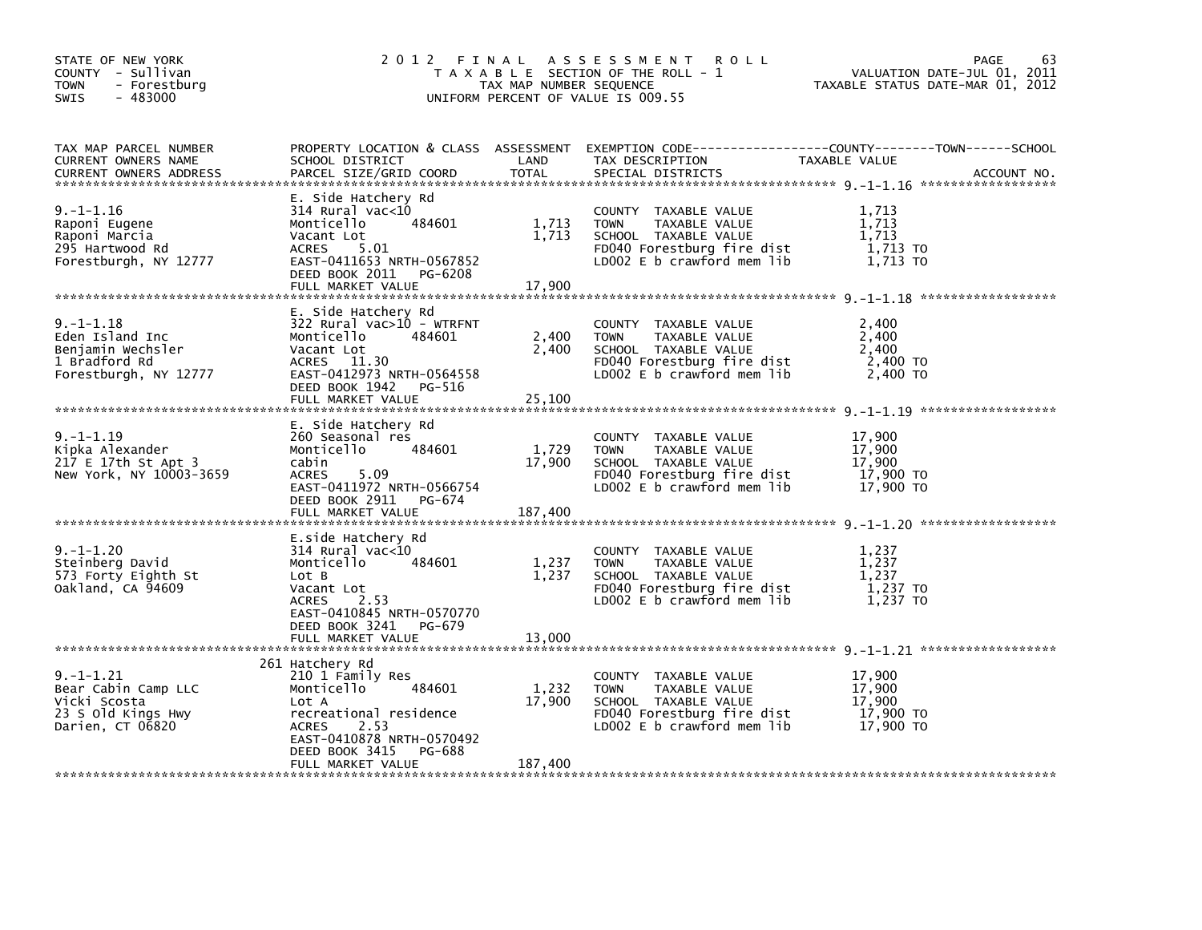|                                                                                                                                                                                               |                            | <b>ROLL</b>                                                                                                                                  | PAGE<br>VALUATION DATE-JUL 01, 2011<br>TAXABLE STATUS DATE-MAR 01, 2012                                                         | 63                                                                                                                      |
|-----------------------------------------------------------------------------------------------------------------------------------------------------------------------------------------------|----------------------------|----------------------------------------------------------------------------------------------------------------------------------------------|---------------------------------------------------------------------------------------------------------------------------------|-------------------------------------------------------------------------------------------------------------------------|
| SCHOOL DISTRICT<br>PARCEL SIZE/GRID COORD                                                                                                                                                     | LAND<br>TOTAL              | TAX DESCRIPTION<br>SPECIAL DISTRICTS                                                                                                         | ACCOUNT NO.                                                                                                                     |                                                                                                                         |
| E. Side Hatchery Rd<br>$314$ Rural vac<10<br>Monticello<br>484601<br>Vacant Lot<br>5.01<br>ACRES<br>EAST-0411653 NRTH-0567852<br>DEED BOOK 2011<br>PG-6208<br>FULL MARKET VALUE               | 1,713<br>1,713<br>17,900   | COUNTY TAXABLE VALUE<br><b>TOWN</b><br>TAXABLE VALUE<br>SCHOOL TAXABLE VALUE<br>FD040 Forestburg fire dist<br>LD002 $E$ b crawford mem lib   | 1,713<br>1,713<br>1,713<br>1,713 TO<br>1,713 TO                                                                                 |                                                                                                                         |
| E. Side Hatchery Rd<br>322 Rural vac>10 - WTRFNT<br>Monticello<br>484601<br>Vacant Lot<br>ACRES 11.30<br>EAST-0412973 NRTH-0564558<br>DEED BOOK 1942<br>PG-516<br>FULL MARKET VALUE           | 2,400<br>2,400<br>25,100   | COUNTY TAXABLE VALUE<br><b>TOWN</b><br>TAXABLE VALUE<br>SCHOOL TAXABLE VALUE<br>FD040 Forestburg fire dist<br>LD002 $E$ b crawford mem $lib$ | 2,400<br>2,400<br>2,400<br>2,400 TO<br>2,400 TO                                                                                 |                                                                                                                         |
| E. Side Hatchery Rd<br>260 Seasonal res<br>484601<br>Monticello<br>cabin<br><b>ACRES</b><br>5.09<br>EAST-0411972 NRTH-0566754<br>DEED BOOK 2911<br>PG-674<br>FULL MARKET VALUE                | 1,729<br>17,900<br>187,400 | COUNTY TAXABLE VALUE<br><b>TOWN</b><br>TAXABLE VALUE<br>SCHOOL TAXABLE VALUE<br>FD040 Forestburg fire dist<br>LD002 $E$ b crawford mem $lib$ | 17,900<br>17,900<br>17,900<br>17,900 TO<br>17,900 TO                                                                            |                                                                                                                         |
| E.side Hatchery Rd<br>$314$ Rural vac<10<br>484601<br>Monticello<br>Lot B<br>Vacant Lot<br>2.53<br><b>ACRES</b><br>EAST-0410845 NRTH-0570770<br>DEED BOOK 3241<br>PG-679<br>FULL MARKET VALUE | 1,237<br>1,237<br>13,000   | COUNTY TAXABLE VALUE<br><b>TOWN</b><br>TAXABLE VALUE<br>SCHOOL TAXABLE VALUE<br>FD040 Forestburg fire dist<br>LD002 E b crawford mem lib     | 1,237<br>1,237<br>1,237<br>1,237 TO<br>1,237 TO                                                                                 |                                                                                                                         |
| 210 1 Family Res<br>Monticello<br>484601<br>Lot A<br>recreational residence<br>2.53<br><b>ACRES</b><br>EAST-0410878 NRTH-0570492<br>DEED BOOK 3415<br>PG-688<br>FULL MARKET VALUE             | 1,232<br>17,900<br>187,400 | COUNTY TAXABLE VALUE<br><b>TOWN</b><br>TAXABLE VALUE<br>SCHOOL TAXABLE VALUE<br>FD040 Forestburg fire dist<br>LD002 $E$ b crawford mem lib   | 17,900<br>17,900<br>17,900<br>17,900 TO<br>$17,900$ TO                                                                          |                                                                                                                         |
|                                                                                                                                                                                               | 261 Hatchery Rd            |                                                                                                                                              | 2012 FINAL ASSESSMENT<br>T A X A B L E SECTION OF THE ROLL - 1<br>TAX MAP NUMBER SEQUENCE<br>UNIFORM PERCENT OF VALUE IS 009.55 | PROPERTY LOCATION & CLASS ASSESSMENT EXEMPTION CODE---------------COUNTY-------TOWN------SCHOOL<br><b>TAXABLE VALUE</b> |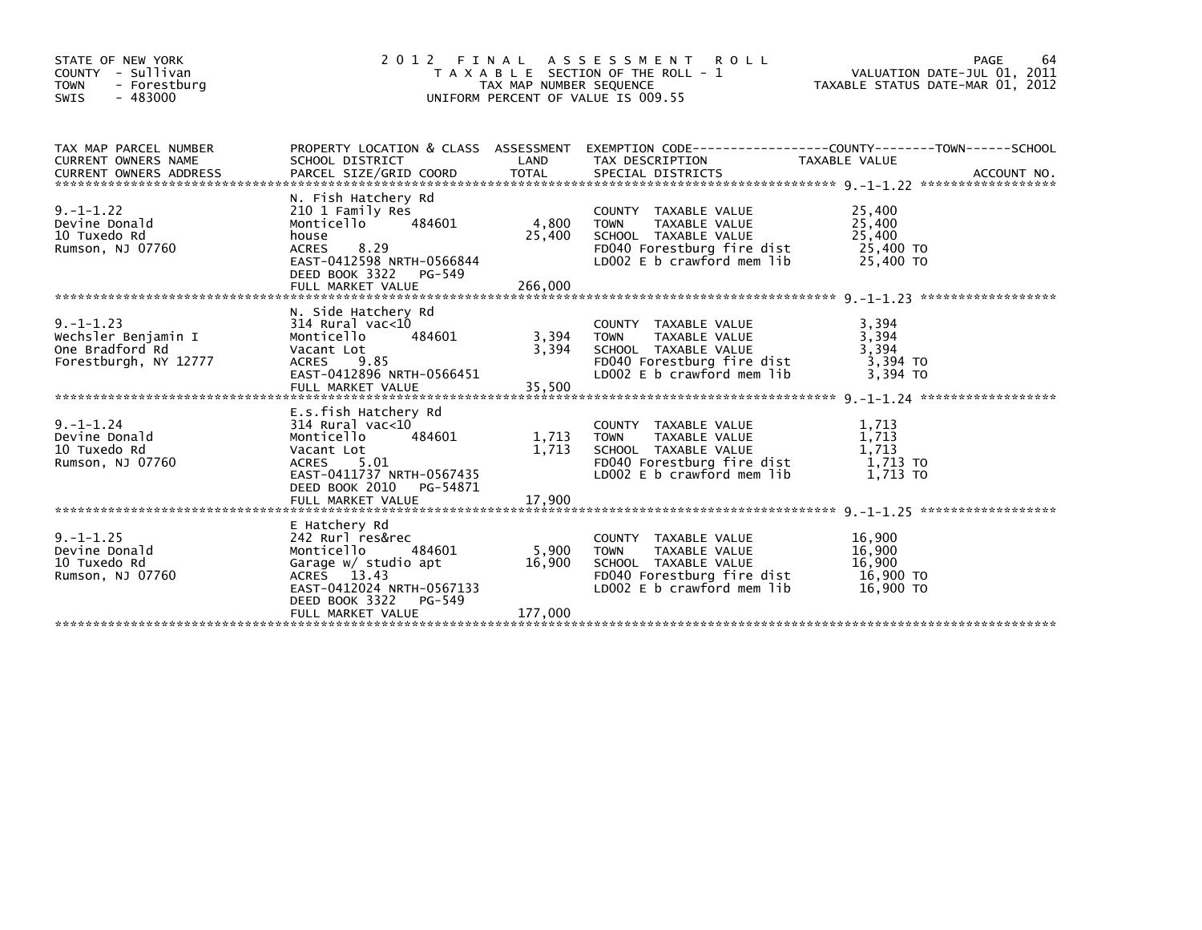| STATE OF NEW YORK<br>COUNTY - Sullivan<br><b>TOWN</b><br>- Forestburg<br>$-483000$<br><b>SWIS</b> | FINAL ASSESSMENT ROLL<br>2 0 1 2<br>T A X A B L E SECTION OF THE ROLL - 1<br>TAX MAP NUMBER SEQUENCE<br>UNIFORM PERCENT OF VALUE IS 009.55                                     | 64<br>PAGE<br>VALUATION DATE-JUL 01, 2011<br>TAXABLE STATUS DATE-MAR 01, 2012 |                                                                                                                                          |                                                      |  |
|---------------------------------------------------------------------------------------------------|--------------------------------------------------------------------------------------------------------------------------------------------------------------------------------|-------------------------------------------------------------------------------|------------------------------------------------------------------------------------------------------------------------------------------|------------------------------------------------------|--|
| TAX MAP PARCEL NUMBER<br>CURRENT OWNERS NAME                                                      | SCHOOL DISTRICT                                                                                                                                                                | LAND                                                                          | PROPERTY LOCATION & CLASS ASSESSMENT EXEMPTION CODE----------------COUNTY-------TOWN------SCHOOL<br>TAX DESCRIPTION                      | TAXABLE VALUE                                        |  |
| $9. -1 - 1.22$<br>Devine Donald<br>10 Tuxedo Rd<br>Rumson, NJ 07760                               | N. Fish Hatchery Rd<br>210 1 Family Res<br>484601<br>Monticello<br>house<br>8.29<br><b>ACRES</b><br>EAST-0412598 NRTH-0566844<br>DEED BOOK 3322 PG-549<br>FULL MARKET VALUE    | 4,800<br>25,400<br>266,000                                                    | COUNTY TAXABLE VALUE<br>TAXABLE VALUE<br><b>TOWN</b><br>SCHOOL TAXABLE VALUE<br>FD040 Forestburg fire dist<br>LD002 E b crawford mem lib | 25,400<br>25,400<br>25,400<br>25,400 TO<br>25,400 TO |  |
| $9. -1 - 1.23$<br>Wechsler Benjamin I<br>One Bradford Rd<br>Forestburgh, NY 12777                 | N. Side Hatchery Rd<br>$314$ Rural vac< $10$<br>Monticello<br>484601<br>Vacant Lot<br>ACRES 9.85<br>EAST-0412896 NRTH-0566451<br>FULL MARKET VALUE                             | 3,394<br>3,394<br>35,500                                                      | COUNTY TAXABLE VALUE<br><b>TAXABLE VALUE</b><br>TOWN<br>SCHOOL TAXABLE VALUE<br>FD040 Forestburg fire dist<br>LD002 E b crawford mem lib | 3,394<br>3,394<br>3,394<br>3.394 TO<br>3.394 TO      |  |
| $9. - 1 - 1.24$<br>Devine Donald<br>10 Tuxedo Rd<br>Rumson, NJ 07760                              | E.s.fish Hatchery Rd<br>314 Rural vac<10<br>484601<br>Monticello<br>Vacant Lot<br>ACRES 5.01<br>EAST-0411737 NRTH-0567435<br>DEED BOOK 2010 PG-54871<br>FULL MARKET VALUE      | 1,713<br>1,713<br>17,900                                                      | COUNTY TAXABLE VALUE<br>TAXABLE VALUE<br>TOWN<br>SCHOOL TAXABLE VALUE<br>FD040 Forestburg fire dist<br>LD002 E b crawford mem lib        | 1,713<br>1,713<br>1,713<br>1.713 TO<br>1.713 TO      |  |
| $9. -1 - 1.25$<br>Devine Donald<br>10 Tuxedo Rd<br>Rumson, NJ 07760                               | E Hatchery Rd<br>242 Rurl res&rec<br>Monticello<br>484601<br>Garage w/ studio apt<br>ACRES 13.43<br>EAST-0412024 NRTH-0567133<br>DEED BOOK 3322<br>PG-549<br>FULL MARKET VALUE | 5,900<br>16,900<br>177,000                                                    | COUNTY TAXABLE VALUE<br>TAXABLE VALUE<br><b>TOWN</b><br>SCHOOL TAXABLE VALUE<br>FD040 Forestburg fire dist<br>LD002 E b crawford mem lib | 16,900<br>16,900<br>16,900<br>16,900 TO<br>16,900 TO |  |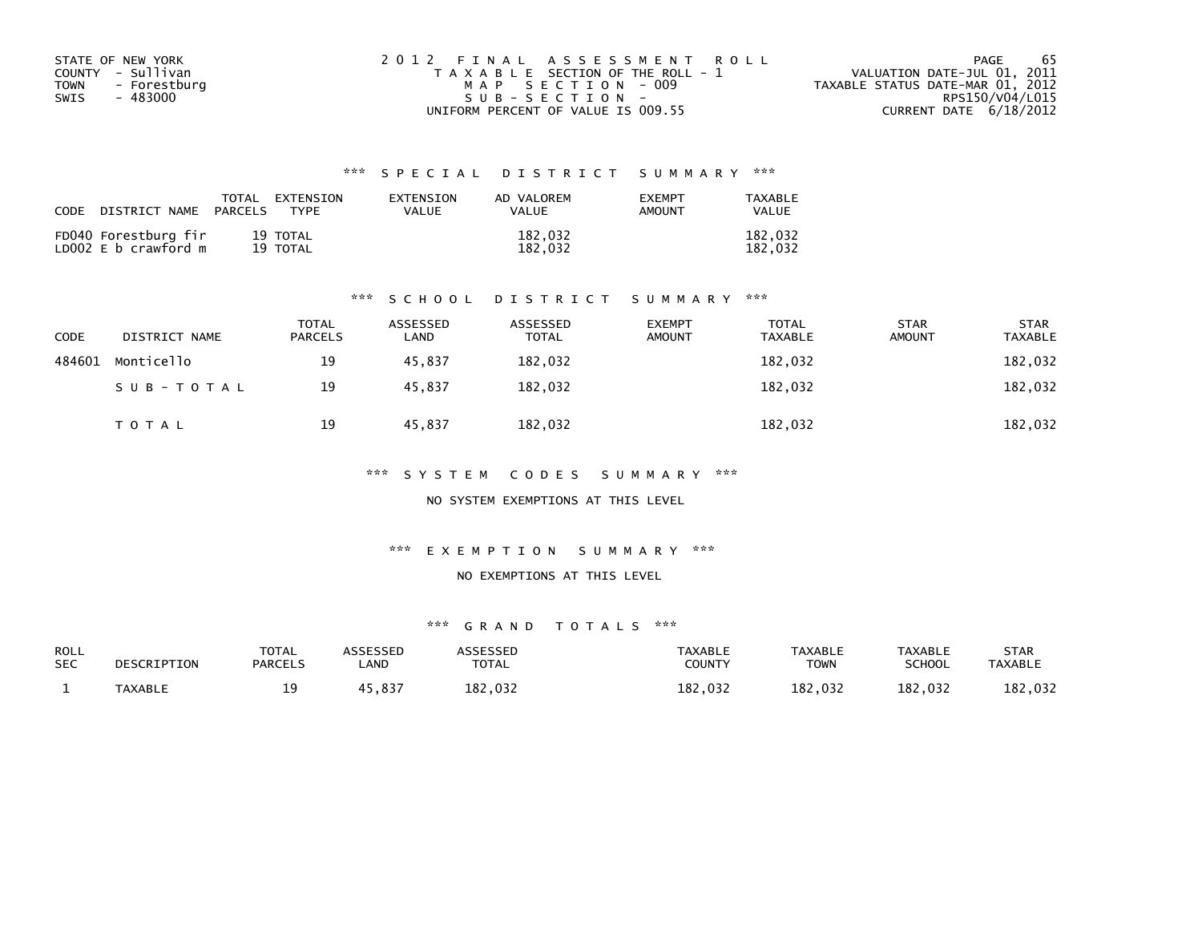| STATE OF NEW YORK           | 2012 FINAL ASSESSMENT ROLL            | -65<br>PAGE                      |
|-----------------------------|---------------------------------------|----------------------------------|
| COUNTY - Sullivan           | T A X A B L E SECTION OF THE ROLL - 1 | VALUATION DATE-JUL 01, 2011      |
| <b>TOWN</b><br>- Forestburg | MAP SECTION - 009                     | TAXABLE STATUS DATE-MAR 01, 2012 |
| SWIS<br>- 483000            | $SUB - SECTION -$                     | RPS150/V04/L015                  |
|                             | UNIFORM PERCENT OF VALUE IS 009.55    | CURRENT DATE 6/18/2012           |

| CODE | DISTRICT NAME                                | TOTAL<br>PARCELS | EXTENSION<br><b>TYPF</b> | EXTENSION<br><b>VALUE</b> | AD VALOREM<br><b>VALUE</b> | <b>EXEMPT</b><br><b>AMOUNT</b> | TAXABLE<br><b>VALUE</b> |
|------|----------------------------------------------|------------------|--------------------------|---------------------------|----------------------------|--------------------------------|-------------------------|
|      | FD040 Forestburg fir<br>LD002 E b crawford m |                  | 19 TOTAL<br>19 TOTAL     |                           | 182,032<br>182.032         |                                | 182,032<br>182.032      |

#### \*\*\* S C H O O L D I S T R I C T S U M M A R Y \*\*\*

| <b>CODE</b> | DISTRICT NAME | <b>TOTAL</b><br><b>PARCELS</b> | ASSESSED<br>LAND | ASSESSED<br><b>TOTAL</b> | <b>EXEMPT</b><br><b>AMOUNT</b> | <b>TOTAL</b><br><b>TAXABLE</b> | <b>STAR</b><br><b>AMOUNT</b> | <b>STAR</b><br><b>TAXABLE</b> |
|-------------|---------------|--------------------------------|------------------|--------------------------|--------------------------------|--------------------------------|------------------------------|-------------------------------|
| 484601      | Monticello    | 19                             | 45.837           | 182,032                  |                                | 182,032                        |                              | 182,032                       |
|             | SUB-TOTAL     | 19                             | 45,837           | 182,032                  |                                | 182,032                        |                              | 182,032                       |
|             | T O T A L     | 19                             | 45,837           | 182,032                  |                                | 182,032                        |                              | 182,032                       |

\*\*\* S Y S T E M C O D E S S U M M A R Y \*\*\*

NO SYSTEM EXEMPTIONS AT THIS LEVEL

\*\*\* E X E M P T I O N S U M M A R Y \*\*\*

#### NO EXEMPTIONS AT THIS LEVEL

| <b>ROLL</b><br><b>SEC</b> | DESCRIPTION    | <b>TOTAL</b><br><b>PARCELS</b> | <b>\SSESSED</b><br>_AND | <b>ARRESSED</b><br><b>TOTAL</b> | <b>TAXABLE</b><br><b>COUNTY</b> | <b>TAXABLE</b><br><b>TOWN</b> | <b>TAXABLE</b><br>SCHOOL | STAR<br><b>TAXABLE</b> |
|---------------------------|----------------|--------------------------------|-------------------------|---------------------------------|---------------------------------|-------------------------------|--------------------------|------------------------|
|                           | <b>TAXABLE</b> | ۰۵.<br>-- -                    | 5,837                   | 182,032                         | 182,032                         | 182,032                       | 182,032                  | 182,032                |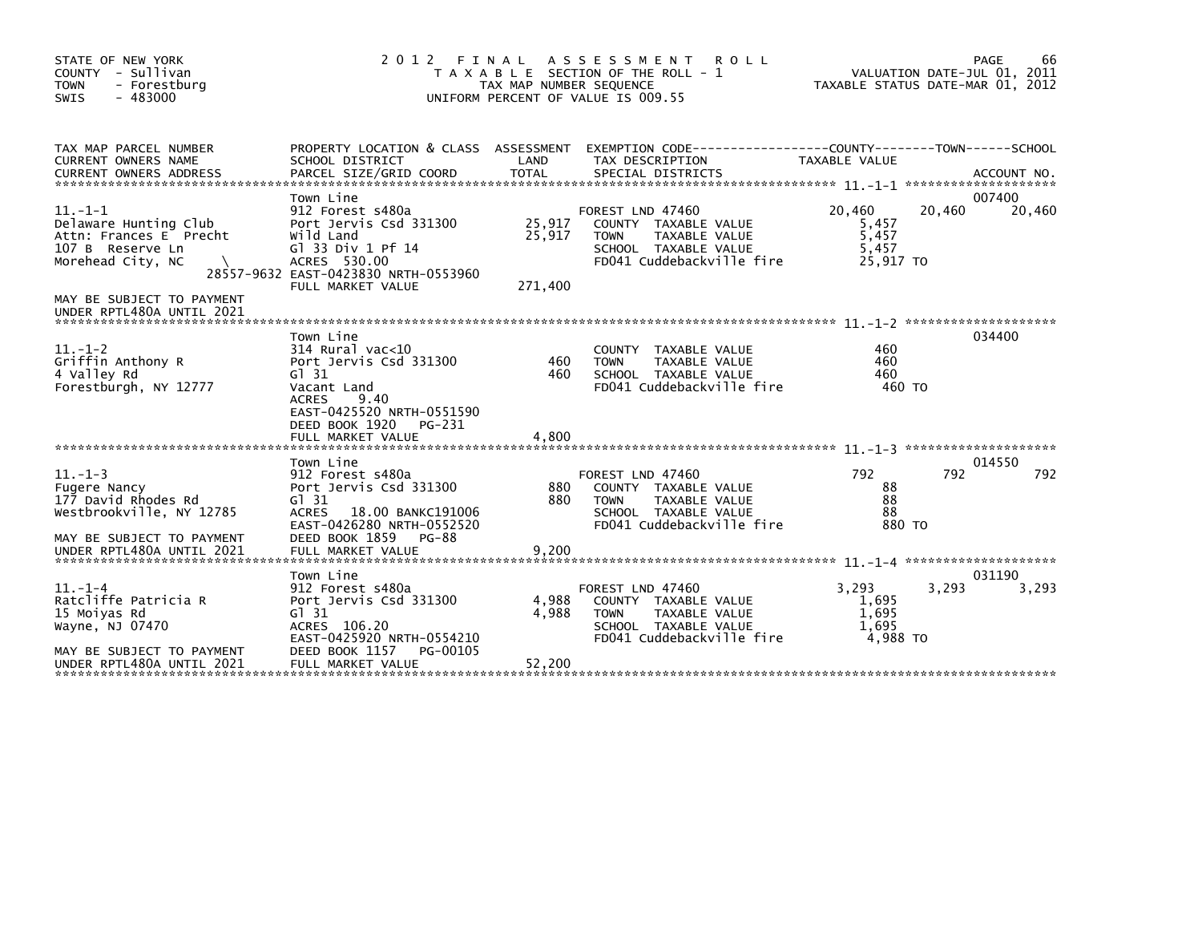| STATE OF NEW YORK<br>COUNTY - Sullivan<br><b>TOWN</b><br>- Forestburg<br><b>SWIS</b><br>- 483000                               | 2 0 1 2<br>FINAL<br>T A X A B L E SECTION OF THE ROLL - 1<br>TAX MAP NUMBER SEQUENCE<br>UNIFORM PERCENT OF VALUE IS 009.55                                             | 66<br>PAGE<br>VALUATION DATE-JUL 01, 2011<br>TAXABLE STATUS DATE-MAR 01, 2012 |                                                                                                                               |                                                |                            |
|--------------------------------------------------------------------------------------------------------------------------------|------------------------------------------------------------------------------------------------------------------------------------------------------------------------|-------------------------------------------------------------------------------|-------------------------------------------------------------------------------------------------------------------------------|------------------------------------------------|----------------------------|
| TAX MAP PARCEL NUMBER<br><b>CURRENT OWNERS NAME</b>                                                                            | SCHOOL DISTRICT                                                                                                                                                        | LAND                                                                          | PROPERTY LOCATION & CLASS ASSESSMENT EXEMPTION CODE----------------COUNTY-------TOWN-----SCHOOL<br>TAX DESCRIPTION            | TAXABLE VALUE                                  |                            |
| $11. - 1 - 1$<br>Delaware Hunting Club<br>Attn: Frances E Precht<br>107 B Reserve Ln<br>Morehead City, NC                      | Town Line<br>912 Forest s480a<br>Port Jervis Csd 331300<br>Wild Land<br>G1 33 Div 1 Pf 14<br>ACRES 530.00<br>28557-9632 EAST-0423830 NRTH-0553960<br>FULL MARKET VALUE | 25,917<br>25,917<br>271,400                                                   | FOREST LND 47460<br>COUNTY TAXABLE VALUE<br>TAXABLE VALUE<br><b>TOWN</b><br>SCHOOL TAXABLE VALUE<br>FD041 Cuddebackville fire | 20,460<br>5,457<br>5,457<br>5,457<br>25,917 TO | 007400<br>20,460<br>20,460 |
| MAY BE SUBJECT TO PAYMENT<br>UNDER RPTL480A UNTIL 2021                                                                         |                                                                                                                                                                        |                                                                               |                                                                                                                               |                                                |                            |
| $11. - 1 - 2$<br>Griffin Anthony R<br>4 Valley Rd<br>Forestburgh, NY 12777                                                     | Town Line<br>314 Rural vac<10<br>Port Jervis Csd 331300<br>$G1$ 31<br>Vacant Land<br><b>ACRES</b><br>9.40<br>EAST-0425520 NRTH-0551590<br>DEED BOOK 1920<br>PG-231     | 460<br>460                                                                    | <b>COUNTY</b><br>TAXABLE VALUE<br><b>TAXABLE VALUE</b><br><b>TOWN</b><br>SCHOOL TAXABLE VALUE<br>FD041 Cuddebackville fire    | 460<br>460<br>460<br>460 TO                    | 034400                     |
|                                                                                                                                |                                                                                                                                                                        |                                                                               |                                                                                                                               |                                                |                            |
| $11. - 1 - 3$<br>Fugere Nancy<br>177 David Rhodes Rd<br>Westbrookville, NY 12785<br>MAY BE SUBJECT TO PAYMENT                  | Town Line<br>912 Forest s480a<br>Port Jervis Csd 331300<br>$G1$ 31<br><b>ACRES</b><br>18.00 BANKC191006<br>EAST-0426280 NRTH-0552520<br>DEED BOOK 1859<br>PG-88        | 880<br>880                                                                    | FOREST LND 47460<br>COUNTY TAXABLE VALUE<br>TAXABLE VALUE<br><b>TOWN</b><br>SCHOOL TAXABLE VALUE<br>FD041 Cuddebackville fire | 792<br>88<br>88<br>88<br>880 TO                | 014550<br>792<br>792       |
| UNDER RPTL480A UNTIL 2021                                                                                                      | FULL MARKET VALUE                                                                                                                                                      | 9,200                                                                         |                                                                                                                               |                                                |                            |
| $11.-1-4$<br>Ratcliffe Patricia R<br>15 Moiyas Rd<br>Wayne, NJ 07470<br>MAY BE SUBJECT TO PAYMENT<br>UNDER RPTL480A UNTIL 2021 | Town Line<br>912 Forest s480a<br>Port Jervis Csd 331300<br>$G1$ 31<br>ACRES 106.20<br>EAST-0425920 NRTH-0554210<br>DEED BOOK 1157<br>PG-00105<br>FULL MARKET VALUE     | 4,988<br>4.988<br>52,200                                                      | FOREST LND 47460<br>COUNTY TAXABLE VALUE<br><b>TOWN</b><br>TAXABLE VALUE<br>SCHOOL TAXABLE VALUE<br>FD041 Cuddebackville fire | 3.293<br>1,695<br>1,695<br>1,695<br>4.988 TO   | 031190<br>3,293<br>3,293   |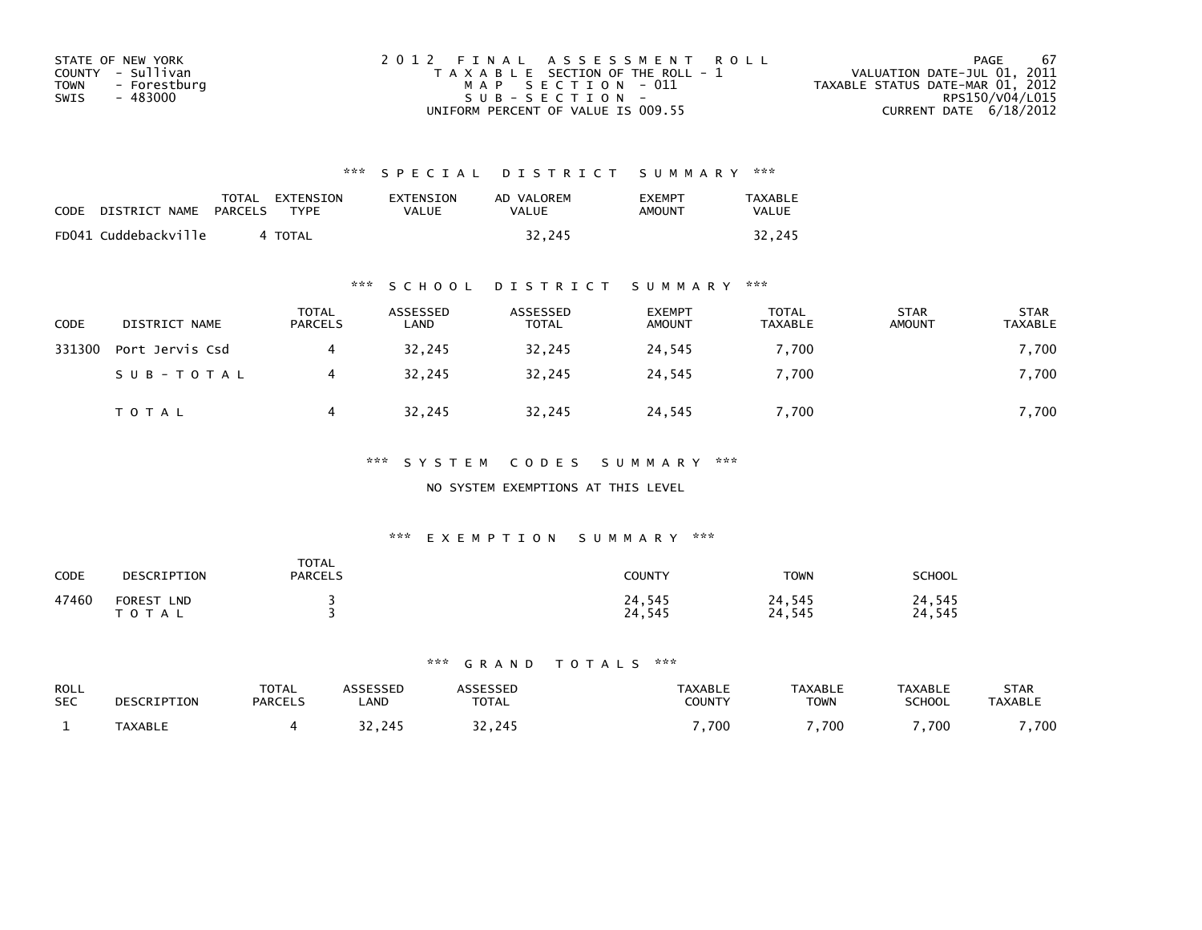| STATE OF NEW YORK    | 2012 FINAL ASSESSMENT ROLL            | -67<br>PAGE                      |
|----------------------|---------------------------------------|----------------------------------|
| COUNTY - Sullivan    | T A X A B L E SECTION OF THE ROLL - 1 | VALUATION DATE-JUL 01, 2011      |
| TOWN<br>- Forestburg | MAP SECTION - 011                     | TAXABLE STATUS DATE-MAR 01, 2012 |
| - 483000<br>SWIS     | SUB-SECTION-                          | RPS150/V04/L015                  |
|                      | UNIFORM PERCENT OF VALUE IS 009.55    | CURRENT DATE $6/18/2012$         |

| <b>CODE</b> | DISTRICT NAME        | <b>PARCELS</b> | TOTAL EXTENSION<br><b>TYPF</b> | EXTENSION<br><b>VALUE</b> | AD VALOREM<br>VALUE | <b>FXFMPT</b><br>AMOUNT | TAXABLE<br>VALUE |
|-------------|----------------------|----------------|--------------------------------|---------------------------|---------------------|-------------------------|------------------|
|             | FD041 Cuddebackville |                | 4 TOTAL                        |                           | 32.245              |                         | 32.245           |

### \*\*\* S C H O O L D I S T R I C T S U M M A R Y \*\*\*

| CODE   | DISTRICT NAME   | <b>TOTAL</b><br><b>PARCELS</b> | ASSESSED<br>LAND | ASSESSED<br>TOTAL | <b>EXEMPT</b><br><b>AMOUNT</b> | <b>TOTAL</b><br>TAXABLE | <b>STAR</b><br><b>AMOUNT</b> | <b>STAR</b><br>TAXABLE |
|--------|-----------------|--------------------------------|------------------|-------------------|--------------------------------|-------------------------|------------------------------|------------------------|
| 331300 | Port Jervis Csd |                                | 32,245           | 32,245            | 24,545                         | 7,700                   |                              | 7,700                  |
|        | SUB-TOTAL       |                                | 32.245           | 32.245            | 24.545                         | 7.700                   |                              | 7,700                  |
|        | <b>TOTAL</b>    |                                | 32,245           | 32,245            | 24,545                         | 7,700                   |                              | 7,700                  |

### \*\*\* S Y S T E M C O D E S S U M M A R Y \*\*\*

### NO SYSTEM EXEMPTIONS AT THIS LEVEL

### \*\*\* E X E M P T I O N S U M M A R Y \*\*\*

| CODE  | DESCRIPTION             | <b>TOTAL</b><br><b>PARCELS</b> | <b>COUNTY</b>    | <b>TOWN</b>      | <b>SCHOOL</b>    |
|-------|-------------------------|--------------------------------|------------------|------------------|------------------|
| 47460 | FOREST LND<br>T O T A L |                                | 24,545<br>24,545 | 24,545<br>24,545 | 24,545<br>24,545 |

| ROLL       | DESCRIPTION    | TOTAL          | <b>\SSESSED</b> | <b>ASSESSED</b> | <b>TAXABLE</b> | <b>TAXABLE</b> | <b>TAXABLE</b> | STAR           |
|------------|----------------|----------------|-----------------|-----------------|----------------|----------------|----------------|----------------|
| <b>SEC</b> |                | <b>PARCELS</b> | _AND            | <b>TOTAL</b>    | COUNTY         | <b>TOWN</b>    | <b>SCHOOL</b>  | <b>TAXABLE</b> |
|            | <b>TAXABLE</b> |                | 32.245          | 32.245          | ,700           | ,700           | ,700           | ,700           |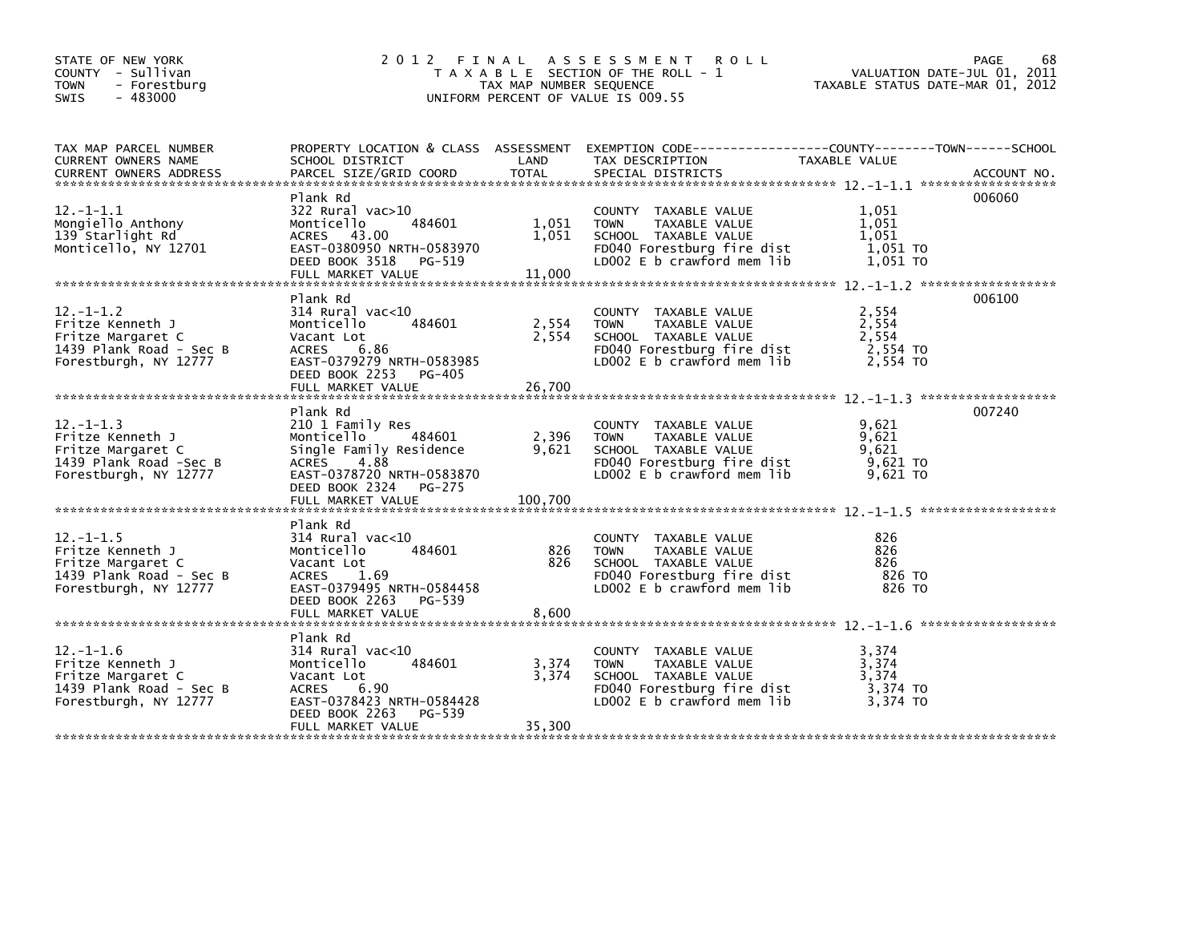| STATE OF NEW YORK<br>COUNTY - Sullivan<br><b>TOWN</b><br>- Forestburg<br>$-483000$<br><b>SWIS</b>            |                                                                                                                                                                          | TAX MAP NUMBER SEQUENCE   | 2012 FINAL ASSESSMENT ROLL<br>T A X A B L E SECTION OF THE ROLL - 1<br>UNIFORM PERCENT OF VALUE IS 009.55                                | TAXABLE STATUS DATE-MAR 01, 2012                | 68<br>PAGE<br>VALUATION DATE-JUL 01, 2011 |
|--------------------------------------------------------------------------------------------------------------|--------------------------------------------------------------------------------------------------------------------------------------------------------------------------|---------------------------|------------------------------------------------------------------------------------------------------------------------------------------|-------------------------------------------------|-------------------------------------------|
| TAX MAP PARCEL NUMBER<br>CURRENT OWNERS NAME<br><b>CURRENT OWNERS ADDRESS</b>                                | PROPERTY LOCATION & CLASS ASSESSMENT<br>SCHOOL DISTRICT<br>PARCEL SIZE/GRID COORD                                                                                        | LAND<br>TOTAL             | EXEMPTION CODE-----------------COUNTY--------TOWN------SCHOOL<br>TAX DESCRIPTION<br>SPECIAL DISTRICTS                                    | TAXABLE VALUE                                   | ACCOUNT NO.                               |
| $12. - 1 - 1.1$<br>Mongiello Anthony<br>139 Starlight Rd<br>Monticello, NY 12701                             | Plank Rd<br>322 Rural vac>10<br>484601<br>Monticello<br>ACRES 43.00<br>EAST-0380950 NRTH-0583970<br>DEED BOOK 3518<br>PG-519<br>FULL MARKET VALUE                        | 1,051<br>1,051<br>11,000  | COUNTY TAXABLE VALUE<br>TAXABLE VALUE<br><b>TOWN</b><br>SCHOOL TAXABLE VALUE<br>FD040 Forestburg fire dist<br>LDOO2 E b crawford mem lib | 1,051<br>1,051<br>1,051<br>1,051 TO<br>1,051 TO | 006060                                    |
| $12 - 1 - 1.2$<br>Fritze Kenneth J<br>Fritze Margaret C<br>1439 Plank Road - Sec B<br>Forestburgh, NY 12777  | Plank Rd<br>$314$ Rural vac< $10$<br>484601<br>Monticello<br>Vacant Lot<br>6.86<br>ACRES<br>EAST-0379279 NRTH-0583985<br>DEED BOOK 2253 PG-405<br>FULL MARKET VALUE      | 2,554<br>2,554<br>26,700  | COUNTY TAXABLE VALUE<br>TAXABLE VALUE<br><b>TOWN</b><br>SCHOOL TAXABLE VALUE<br>FD040 Forestburg fire dist<br>LD002 E b crawford mem lib | 2,554<br>2,554<br>2,554<br>2,554 TO<br>2,554 TO | 006100                                    |
| $12. - 1 - 1.3$<br>Fritze Kenneth J<br>Fritze Margaret C<br>1439 Plank Road -Sec B<br>Forestburgh, NY 12777  | Plank Rd<br>210 1 Family Res<br>Monticello 484601<br>Single Family Residence<br>ACRES<br>4.88<br>EAST-0378720 NRTH-0583870<br>DEED BOOK 2324 PG-275<br>FULL MARKET VALUE | 2,396<br>9,621<br>100,700 | COUNTY TAXABLE VALUE<br><b>TOWN</b><br>TAXABLE VALUE<br>SCHOOL TAXABLE VALUE<br>FD040 Forestburg fire dist<br>LD002 E b crawford mem lib | 9,621<br>9,621<br>9,621<br>9,621 TO<br>9,621 TO | 007240                                    |
| $12 - 1 - 1.5$<br>Fritze Kenneth J<br>Fritze Margaret C<br>1439 Plank Road - Sec B<br>Forestburgh, NY 12777  | Plank Rd<br>314 Rural vac<10<br>484601<br>Monticello<br>Vacant Lot<br>ACRES 1.69<br>EAST-0379495 NRTH-0584458<br>DEED BOOK 2263 PG-539<br>FULL MARKET VALUE              | 826<br>826<br>8,600       | COUNTY TAXABLE VALUE<br><b>TOWN</b><br>TAXABLE VALUE<br>SCHOOL TAXABLE VALUE<br>FD040 Forestburg fire dist<br>LD002 E b crawford mem lib | 826<br>826<br>826<br>826 TO<br>826 то           |                                           |
| $12. - 1 - 1.6$<br>Fritze Kenneth J<br>Fritze Margaret C<br>1439 Plank Road - Sec B<br>Forestburgh, NY 12777 | Plank Rd<br>314 Rural vac<10<br>Monticello<br>484601<br>Vacant Lot<br>6.90<br>ACRES<br>EAST-0378423 NRTH-0584428<br>DEED BOOK 2263<br>PG-539<br>FULL MARKET VALUE        | 3,374<br>3,374<br>35,300  | COUNTY TAXABLE VALUE<br>TAXABLE VALUE<br><b>TOWN</b><br>SCHOOL TAXABLE VALUE<br>FD040 Forestburg fire dist<br>LD002 E b crawford mem lib | 3.374<br>3,374<br>3,374<br>3,374 TO<br>3.374 TO |                                           |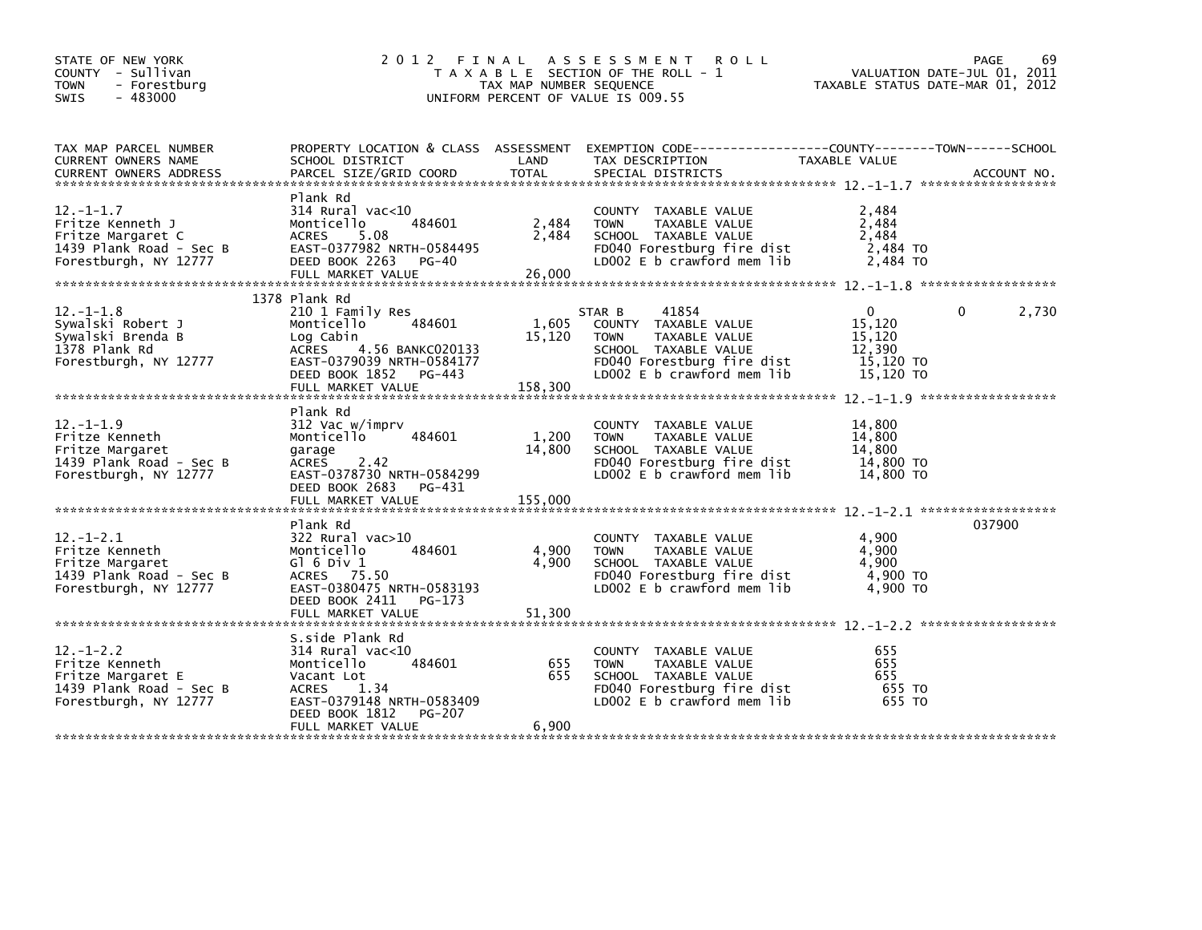| STATE OF NEW YORK<br>COUNTY - Sullivan<br><b>TOWN</b><br>- Forestburg<br>$-483000$<br><b>SWIS</b>            |                                                                                                                                                                                      | TAX MAP NUMBER SEQUENCE    | 2012 FINAL ASSESSMENT<br><b>ROLL</b><br>T A X A B L E SECTION OF THE ROLL - 1<br>UNIFORM PERCENT OF VALUE IS 009.55                                         | TAXABLE STATUS DATE-MAR 01, 2012                                     | 69<br>PAGE<br>VALUATION DATE-JUL 01, 2011 |
|--------------------------------------------------------------------------------------------------------------|--------------------------------------------------------------------------------------------------------------------------------------------------------------------------------------|----------------------------|-------------------------------------------------------------------------------------------------------------------------------------------------------------|----------------------------------------------------------------------|-------------------------------------------|
| TAX MAP PARCEL NUMBER<br>CURRENT OWNERS NAME                                                                 | SCHOOL DISTRICT                                                                                                                                                                      | LAND                       | PROPERTY_LOCATION & CLASS ASSESSMENT EXEMPTION_CODE----------------COUNTY--------TOWN------SCHOOL<br>TAX DESCRIPTION                                        | TAXABLE VALUE                                                        |                                           |
| $12. - 1 - 1.7$<br>Fritze Kenneth J<br>Fritze Margaret C<br>1439 Plank Road - Sec B<br>Forestburgh, NY 12777 | Plank Rd<br>314 Rural vac<10<br>Monticello<br>484601<br>ACRES<br>5.08<br>EAST-0377982 NRTH-0584495<br>DEED BOOK 2263<br>PG-40<br>FULL MARKET VALUE                                   | 2,484<br>2,484<br>26,000   | COUNTY TAXABLE VALUE<br>TAXABLE VALUE<br><b>TOWN</b><br>SCHOOL TAXABLE VALUE<br>FD040 Forestburg fire dist<br>LD002 E b crawford mem lib                    | 2,484<br>2,484<br>2,484<br>2,484 TO<br>2,484 TO                      |                                           |
| $12. - 1 - 1.8$<br>Sywalski Robert J<br>Sywalski Brenda B<br>1378 Plank Rd<br>Forestburgh, NY 12777          | 1378 Plank Rd<br>210 1 Family Res<br>Monticello<br>484601<br>Log Cabin<br>4.56 BANKC020133<br>ACRES<br>EAST-0379039 NRTH-0584177<br>DEED BOOK 1852 PG-443<br>FULL MARKET VALUE       | 1,605<br>15,120<br>158,300 | 41854<br>STAR B<br>COUNTY TAXABLE VALUE<br><b>TOWN</b><br>TAXABLE VALUE<br>SCHOOL TAXABLE VALUE<br>FD040 Forestburg fire dist<br>LD002 E b crawford mem lib | $\mathbf{0}$<br>15,120<br>15,120<br>12,390<br>15,120 TO<br>15.120 TO | 2,730<br>0                                |
| $12. - 1 - 1.9$<br>Fritze Kenneth<br>Fritze Margaret<br>1439 Plank Road - Sec B<br>Forestburgh, NY 12777     | Plank Rd<br>312 Vac w/imprv<br>Monticello<br>484601<br>garage<br>2.42<br>ACRES<br>EAST-0378730 NRTH-0584299<br>DEED BOOK 2683 PG-431<br>FULL MARKET VALUE                            | 1,200<br>14,800<br>155,000 | COUNTY TAXABLE VALUE<br><b>TOWN</b><br>TAXABLE VALUE<br>SCHOOL TAXABLE VALUE<br>FD040 Forestburg fire dist<br>LD002 E b crawford mem lib                    | 14,800<br>14,800<br>14,800<br>14,800 TO<br>14,800 TO                 |                                           |
| $12 - 1 - 2.1$<br>Fritze Kenneth<br>Fritze Margaret<br>1439 Plank Road - Sec B<br>Forestburgh, NY 12777      | Plank Rd<br>322 Rural vac>10<br>Monticello<br>484601<br>G $\overline{0}$ 6 Div 1<br>ACRES 75.50<br>EAST-0380475 NRTH-0583193<br>DEED BOOK 2411<br>PG-173                             | 4,900<br>4,900             | COUNTY TAXABLE VALUE<br>TAXABLE VALUE<br><b>TOWN</b><br>SCHOOL TAXABLE VALUE<br>FD040 Forestburg fire dist<br>LD002 E b crawford mem lib                    | 4,900<br>4,900<br>4,900<br>4,900 TO<br>4,900 TO                      | 037900                                    |
| $12 - 1 - 2.2$<br>Fritze Kenneth<br>Fritze Margaret E<br>1439 Plank Road - Sec B<br>Forestburgh, NY 12777    | S.side Plank Rd<br>$314$ Rural vac< $10$<br>484601<br>Monticello<br>Vacant Lot<br>1.34<br>ACRES<br>EAST-0379148 NRTH-0583409<br>DEED BOOK 1812<br><b>PG-207</b><br>FULL MARKET VALUE | 655<br>655<br>6,900        | COUNTY TAXABLE VALUE<br>TAXABLE VALUE<br><b>TOWN</b><br>SCHOOL TAXABLE VALUE<br>FD040 Forestburg fire dist<br>LD002 E b crawford mem lib                    | 655<br>655<br>655<br>655 TO<br>655 TO                                |                                           |
|                                                                                                              |                                                                                                                                                                                      |                            |                                                                                                                                                             |                                                                      |                                           |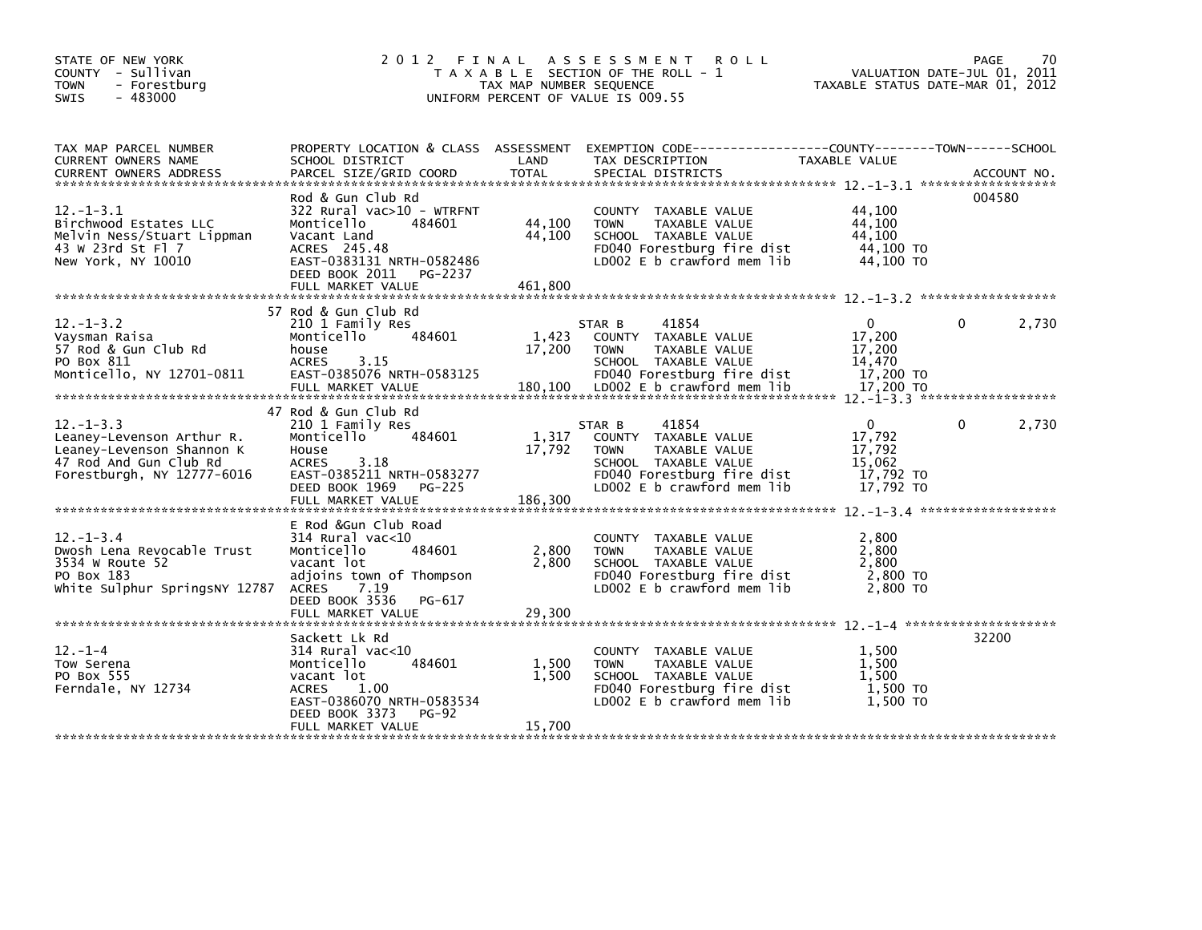| STATE OF NEW YORK<br>COUNTY - Sullivan<br><b>TOWN</b><br>- Forestburg<br>$-483000$<br><b>SWIS</b>                                 | 2012 FINAL                                                                                                                                                                               | TAX MAP NUMBER SEQUENCE     | A S S E S S M E N T R O L L<br>T A X A B L E SECTION OF THE ROLL - 1<br>UNIFORM PERCENT OF VALUE IS 009.55                                                  | VALUATION DATE-JUL 01, 2011<br>TAXABLE STATUS DATE-MAR 01, 2012        | PAGE   | 70    |
|-----------------------------------------------------------------------------------------------------------------------------------|------------------------------------------------------------------------------------------------------------------------------------------------------------------------------------------|-----------------------------|-------------------------------------------------------------------------------------------------------------------------------------------------------------|------------------------------------------------------------------------|--------|-------|
| TAX MAP PARCEL NUMBER<br>CURRENT OWNERS NAME                                                                                      | PROPERTY LOCATION & CLASS ASSESSMENT<br>SCHOOL DISTRICT                                                                                                                                  | LAND                        | EXEMPTION        CODE------------------COUNTY-------TOWN------SCHOOL<br>TAX DESCRIPTION                                                                     | TAXABLE VALUE                                                          |        |       |
| $12. - 1 - 3.1$<br>Birchwood Estates LLC<br>Melvin Ness/Stuart Lippman<br>43 W 23rd St F1 7<br>New York, NY 10010                 | Rod & Gun Club Rd<br>322 Rural vac>10 - WTRFNT<br>Monticello<br>484601<br>Vacant Land<br>ACRES 245.48<br>EAST-0383131 NRTH-0582486<br>DEED BOOK 2011 PG-2237<br>FULL MARKET VALUE        | 44,100<br>44,100<br>461,800 | COUNTY TAXABLE VALUE<br><b>TOWN</b><br>TAXABLE VALUE<br>SCHOOL TAXABLE VALUE<br>FD040 Forestburg fire dist<br>LD002 E b crawford mem lib                    | 44,100<br>44,100<br>44,100<br>44,100 TO<br>44,100 TO                   | 004580 |       |
| $12. - 1 - 3.2$<br>Vaysman Raisa<br>57 Rod & Gun Club Rd<br>PO Box 811<br>Monticello, NY 12701-0811                               | 57 Rod & Gun Club Rd<br>210 1 Family Res<br>484601<br>Monticello<br>house<br><b>ACRES</b><br>3.15<br>EAST-0385076 NRTH-0583125                                                           | 1,423<br>17,200             | 41854<br>STAR B<br>COUNTY TAXABLE VALUE<br>TAXABLE VALUE<br><b>TOWN</b><br>SCHOOL TAXABLE VALUE<br>FD040 Forestburg fire dist                               | $\overline{0}$<br>17,200<br>17,200<br>14.470<br>17,200 TO              | 0      | 2,730 |
| $12. - 1 - 3.3$<br>Leaney-Levenson Arthur R.<br>Leaney-Levenson Shannon K<br>47 Rod And Gun Club Rd<br>Forestburgh, NY 12777-6016 | 47 Rod & Gun Club Rd<br>210 1 Family Res<br>484601<br>Monticello<br>House<br>3.18<br><b>ACRES</b><br>EAST-0385211 NRTH-0583277<br>DEED BOOK 1969<br>PG-225<br>FULL MARKET VALUE          | 1,317<br>17,792<br>186,300  | 41854<br>STAR B<br>COUNTY TAXABLE VALUE<br>TAXABLE VALUE<br><b>TOWN</b><br>SCHOOL TAXABLE VALUE<br>FD040 Forestburg fire dist<br>LD002 E b crawford mem lib | $\overline{0}$<br>17,792<br>17,792<br>15.062<br>17,792 TO<br>17,792 TO | 0      | 2,730 |
| $12. - 1 - 3.4$<br>Dwosh Lena Revocable Trust<br>3534 W Route 52<br>PO Box 183<br>White Sulphur SpringsNY 12787                   | E Rod &Gun Club Road<br>$314$ Rural vac< $10$<br>Monticello<br>484601<br>vacant lot<br>adjoins town of Thompson<br>ACRES 7.19<br>DEED BOOK 3536<br>PG-617<br>FULL MARKET VALUE           | 2,800<br>2,800<br>29,300    | COUNTY TAXABLE VALUE<br><b>TOWN</b><br>TAXABLE VALUE<br>SCHOOL TAXABLE VALUE<br>FD040 Forestburg fire dist<br>LD002 E b crawford mem lib                    | 2,800<br>2,800<br>2,800<br>2,800 TO<br>2,800 TO                        |        |       |
| $12. - 1 - 4$<br>Tow Serena<br>PO Box 555<br>Ferndale, NY 12734                                                                   | Sackett Lk Rd<br>$314$ Rural vac< $10$<br>484601<br>Monticello<br>vacant lot<br><b>ACRES</b><br>1.00<br>EAST-0386070 NRTH-0583534<br>DEED BOOK 3373<br><b>PG-92</b><br>FULL MARKET VALUE | 1,500<br>1,500<br>15,700    | COUNTY TAXABLE VALUE<br><b>TOWN</b><br>TAXABLE VALUE<br>SCHOOL TAXABLE VALUE<br>FD040 Forestburg fire dist<br>LD002 E b crawford mem lib                    | 1,500<br>1.500<br>1.500<br>1,500 TO<br>1.500 TO                        | 32200  |       |
|                                                                                                                                   |                                                                                                                                                                                          |                             |                                                                                                                                                             |                                                                        |        |       |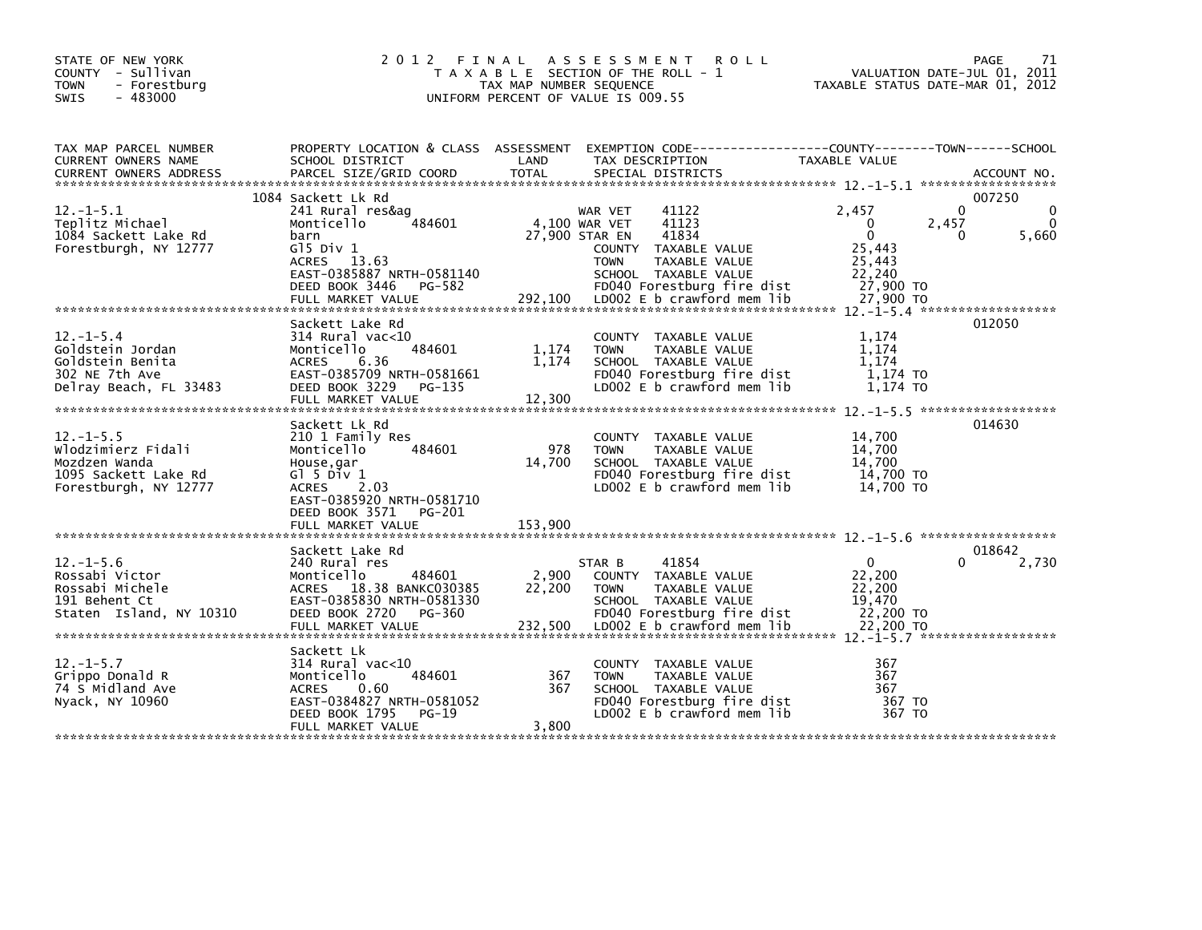| STATE OF NEW YORK<br>COUNTY - Sullivan<br><b>TOWN</b><br>- Forestburg<br>$-483000$<br><b>SWIS</b>      | 2 0 1 2                                                                                                                                                                            | TAX MAP NUMBER SEQUENCE  | FINAL ASSESSMENT<br><b>ROLL</b><br>T A X A B L E SECTION OF THE ROLL - 1<br>UNIFORM PERCENT OF VALUE IS 009.55                                                                                                    | TAXABLE STATUS DATE-MAR 01, 2012                                                            | PAGE<br>71<br>VALUATION DATE-JUL 01, 2011    |
|--------------------------------------------------------------------------------------------------------|------------------------------------------------------------------------------------------------------------------------------------------------------------------------------------|--------------------------|-------------------------------------------------------------------------------------------------------------------------------------------------------------------------------------------------------------------|---------------------------------------------------------------------------------------------|----------------------------------------------|
| TAX MAP PARCEL NUMBER<br>CURRENT OWNERS NAME                                                           | PROPERTY LOCATION & CLASS ASSESSMENT EXEMPTION CODE---------------COUNTY-------TOWN------SCHOOL<br>SCHOOL DISTRICT                                                                 | LAND                     | TAX DESCRIPTION                                                                                                                                                                                                   | <b>TAXABLE VALUE</b>                                                                        |                                              |
| $12. - 1 - 5.1$<br>Teplitz Michael<br>1084 Sackett Lake Rd<br>Forestburgh, NY 12777                    | 1084 Sackett Lk Rd<br>241 Rural res&ag<br>484601<br>Monticello<br>barn<br>$G15$ Div $1$<br>ACRES 13.63<br>EAST-0385887 NRTH-0581140<br>DEED BOOK 3446 PG-582<br>FULL MARKET VALUE  | 292,100                  | 41122<br>WAR VET<br>41123<br>4,100 WAR VET<br>41834<br>27,900 STAR EN<br>COUNTY TAXABLE VALUE<br><b>TOWN</b><br>TAXABLE VALUE<br>SCHOOL TAXABLE VALUE<br>FD040 Forestburg fire dist<br>LD002 E b crawford mem lib | 2,457<br>2,457<br>0<br>$\mathbf{0}$<br>25.443<br>25,443<br>22.240<br>27,900 TO<br>27,900 TO | 007250<br>$\Omega$<br>$\Omega$<br>5,660<br>0 |
| $12. - 1 - 5.4$<br>Goldstein Jordan<br>Goldstein Benita<br>302 NE 7th Ave<br>Delray Beach, FL 33483    | Sackett Lake Rd<br>$314$ Rural vac<10<br>484601<br>Monticello<br><b>ACRES</b><br>6.36<br>EAST-0385709 NRTH-0581661<br>DEED BOOK 3229<br>PG-135<br>FULL MARKET VALUE                | 1,174<br>1,174<br>12,300 | COUNTY TAXABLE VALUE<br><b>TOWN</b><br>TAXABLE VALUE<br>SCHOOL TAXABLE VALUE<br>FD040 Forestburg fire dist<br>LD002 E b crawford mem lib                                                                          | 1.174<br>1.174<br>1.174<br>1,174 TO<br>1.174 TO                                             | 012050                                       |
| $12. -1 - 5.5$<br>Wlodzimierz Fidali<br>Mozdzen Wanda<br>1095 Sackett Lake Rd<br>Forestburgh, NY 12777 | Sackett Lk Rd<br>210 1 Family Res<br>484601<br>Monticello<br>House,gar<br>$G1$ 5 Div 1<br>ACRES 2.03<br>EAST-0385920 NRTH-0581710<br>DEED BOOK 3571<br>PG-201<br>FULL MARKET VALUE | 978<br>14,700<br>153,900 | COUNTY TAXABLE VALUE<br><b>TOWN</b><br>TAXABLE VALUE<br>SCHOOL TAXABLE VALUE<br>FD040 Forestburg fire dist<br>LD002 E b crawford mem lib                                                                          | 14,700<br>14,700<br>14.700<br>14,700 TO<br>14,700 TO                                        | 014630                                       |
|                                                                                                        |                                                                                                                                                                                    |                          |                                                                                                                                                                                                                   |                                                                                             | 018642                                       |
| $12. - 1 - 5.6$<br>Rossabi Victor<br>Rossabi Michele<br>191 Behent Ct<br>Staten Island, NY 10310       | Sackett Lake Rd<br>240 Rural res<br>Monticello<br>484601<br>ACRES 18.38 BANKC030385<br>EAST-0385830 NRTH-0581330<br>DEED BOOK 2720<br>PG-360                                       | 2,900<br>22,200          | STAR B<br>41854<br>COUNTY TAXABLE VALUE<br>TAXABLE VALUE<br><b>TOWN</b><br>SCHOOL TAXABLE VALUE<br>FD040 Forestburg fire dist                                                                                     | $\mathbf 0$<br>22,200<br>22,200<br>19,470<br>22,200 TO                                      | 0<br>2,730                                   |
|                                                                                                        |                                                                                                                                                                                    |                          |                                                                                                                                                                                                                   |                                                                                             |                                              |
| $12. - 1 - 5.7$<br>Grippo Donald R<br>74 S Midland Ave<br>Nyack, NY 10960                              | Sackett Lk<br>$314$ Rural vac<10<br>484601<br>Monticello<br><b>ACRES</b><br>0.60<br>EAST-0384827 NRTH-0581052<br>DEED BOOK 1795<br>$PG-19$                                         | 367<br>367               | COUNTY TAXABLE VALUE<br>TAXABLE VALUE<br><b>TOWN</b><br>SCHOOL TAXABLE VALUE<br>FD040 Forestburg fire dist<br>LD002 E b crawford mem lib                                                                          | 367<br>367<br>367<br>367 TO<br>367 TO                                                       |                                              |
|                                                                                                        | FULL MARKET VALUE                                                                                                                                                                  | 3,800                    |                                                                                                                                                                                                                   |                                                                                             |                                              |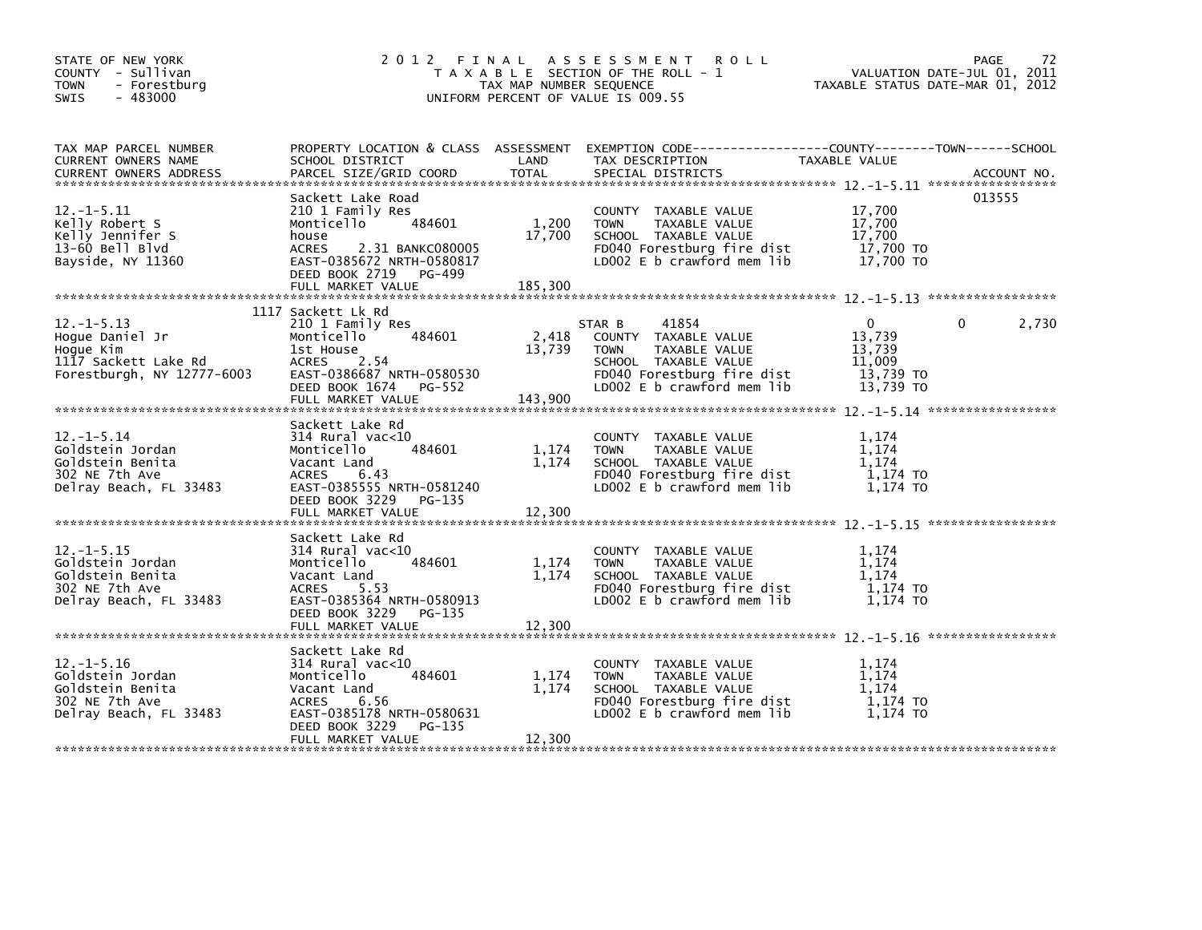| STATE OF NEW YORK<br>COUNTY - Sullivan<br><b>TOWN</b><br>- Forestburg<br>$-483000$<br>SWIS            |                                                                                                                                                                                       | TAX MAP NUMBER SEQUENCE    | 2012 FINAL ASSESSMENT ROLL<br>T A X A B L E SECTION OF THE ROLL - 1<br>UNIFORM PERCENT OF VALUE IS 009.55                                                   | TAXABLE STATUS DATE-MAR 01, 2012                                     | PAGE<br>-72<br>VALUATION DATE-JUL 01, 2011 |
|-------------------------------------------------------------------------------------------------------|---------------------------------------------------------------------------------------------------------------------------------------------------------------------------------------|----------------------------|-------------------------------------------------------------------------------------------------------------------------------------------------------------|----------------------------------------------------------------------|--------------------------------------------|
| TAX MAP PARCEL NUMBER<br>CURRENT OWNERS NAME<br><b>CURRENT OWNERS ADDRESS</b>                         | SCHOOL DISTRICT<br>PARCEL SIZE/GRID COORD                                                                                                                                             | LAND<br><b>TOTAL</b>       | PROPERTY LOCATION & CLASS ASSESSMENT EXEMPTION CODE---------------COUNTY-------TOWN-----SCHOOL<br>TAX DESCRIPTION<br>SPECIAL DISTRICTS                      | TAXABLE VALUE                                                        | ACCOUNT NO.                                |
| $12. -1 - 5.11$<br>Kelly Robert S<br>Kelly Jennifer S<br>13-60 Bell Blvd<br>Bayside, NY 11360         | Sackett Lake Road<br>210 1 Family Res<br>484601<br>Monticello<br>house<br><b>ACRES</b><br>2.31 BANKC080005<br>EAST-0385672 NRTH-0580817<br>DEED BOOK 2719 PG-499<br>FULL MARKET VALUE | 1,200<br>17,700<br>185,300 | COUNTY TAXABLE VALUE<br><b>TOWN</b><br>TAXABLE VALUE<br>SCHOOL TAXABLE VALUE<br>FD040 Forestburg fire dist<br>LD002 E b crawford mem lib                    | 17,700<br>17,700<br>17.700<br>17,700 TO<br>17.700 TO                 | 013555                                     |
|                                                                                                       | 1117 Sackett Lk Rd                                                                                                                                                                    |                            |                                                                                                                                                             |                                                                      |                                            |
| $12. -1 - 5.13$<br>Hoque Daniel Jr<br>Hoque Kim<br>1117 Sackett Lake Rd<br>Forestburgh, NY 12777-6003 | 210 1 Family Res<br>484601<br>Monticello<br>1st House<br>ACRES 2.54<br>EAST-0386687 NRTH-0580530<br>DEED BOOK 1674 PG-552<br>FULL MARKET VALUE                                        | 2,418<br>13,739<br>143,900 | STAR B<br>41854<br>COUNTY TAXABLE VALUE<br>TAXABLE VALUE<br><b>TOWN</b><br>SCHOOL TAXABLE VALUE<br>FD040 Forestburg fire dist<br>LD002 E b crawford mem lib | $\mathbf{0}$<br>13,739<br>13,739<br>11,009<br>13,739 TO<br>13,739 TO | $\Omega$<br>2,730                          |
|                                                                                                       | Sackett Lake Rd                                                                                                                                                                       |                            |                                                                                                                                                             |                                                                      |                                            |
| $12. - 1 - 5.14$<br>Goldstein Jordan<br>Goldstein Benita<br>302 NE 7th Ave<br>Delray Beach, FL 33483  | 314 Rural vac<10<br>484601<br>Monticello<br>Vacant Land<br>ACRES<br>6.43<br>EAST-0385555 NRTH-0581240<br>DEED BOOK 3229 PG-135                                                        | 1,174<br>1,174             | COUNTY TAXABLE VALUE<br>TAXABLE VALUE<br><b>TOWN</b><br>SCHOOL TAXABLE VALUE<br>FD040 Forestburg fire dist<br>LD002 E b crawford mem lib                    | 1.174<br>1.174<br>1.174<br>1,174 TO<br>1,174 TO                      |                                            |
|                                                                                                       |                                                                                                                                                                                       |                            |                                                                                                                                                             |                                                                      |                                            |
| $12. -1 - 5.15$<br>Goldstein Jordan<br>Goldstein Benita<br>302 NE 7th Ave<br>Delray Beach, FL 33483   | Sackett Lake Rd<br>314 Rural vac<10<br>484601<br>Monticello<br>Vacant Land<br>ACRES<br>5.53<br>EAST-0385364 NRTH-0580913<br>DEED BOOK 3229<br>PG-135                                  | 1,174<br>1,174             | COUNTY TAXABLE VALUE<br>TAXABLE VALUE<br><b>TOWN</b><br>SCHOOL TAXABLE VALUE<br>FD040 Forestburg fire dist<br>LD002 E b crawford mem lib                    | 1.174<br>1.174<br>1.174<br>1,174 TO<br>1.174 TO                      |                                            |
|                                                                                                       | FULL MARKET VALUE                                                                                                                                                                     | 12,300                     |                                                                                                                                                             |                                                                      |                                            |
| $12. - 1 - 5.16$<br>Goldstein Jordan<br>Goldstein Benita<br>302 NE 7th Ave<br>Delray Beach, FL 33483  | Sackett Lake Rd<br>$314$ Rural vac< $10$<br>484601<br>Monticello<br>Vacant Land<br>ACRES<br>6.56<br>EAST-0385178 NRTH-0580631<br>DEED BOOK 3229<br>PG-135                             | 1,174<br>1,174             | COUNTY TAXABLE VALUE<br><b>TOWN</b><br>TAXABLE VALUE<br>SCHOOL TAXABLE VALUE<br>FD040 Forestburg fire dist<br>LD002 E b crawford mem lib                    | 1.174<br>1,174<br>1.174<br>1,174 TO<br>1.174 TO                      |                                            |
|                                                                                                       | FULL MARKET VALUE                                                                                                                                                                     | 12,300                     |                                                                                                                                                             |                                                                      |                                            |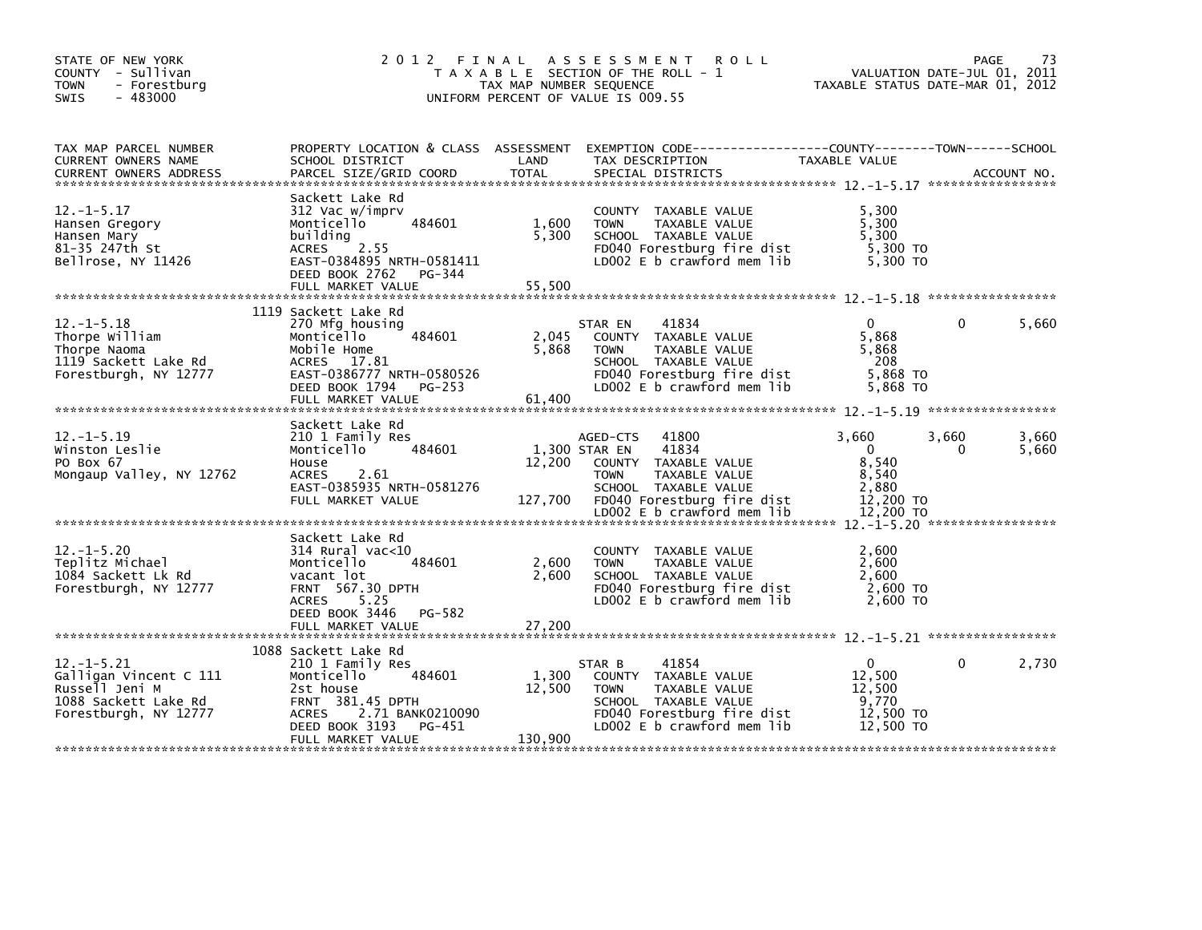| STATE OF NEW YORK<br>COUNTY - Sullivan<br><b>TOWN</b><br>- Forestburg<br>$-483000$<br><b>SWIS</b>             | 2 0 1 2                                                                                                                                                            | TAX MAP NUMBER SEQUENCE            | FINAL ASSESSMENT<br><b>ROLL</b><br>T A X A B L E SECTION OF THE ROLL - 1<br>UNIFORM PERCENT OF VALUE IS 009.55                                              | VALUATION DATE-JUL 01, 2011<br>TAXABLE STATUS DATE-MAR 01, 2012       | PAGE              | 73             |
|---------------------------------------------------------------------------------------------------------------|--------------------------------------------------------------------------------------------------------------------------------------------------------------------|------------------------------------|-------------------------------------------------------------------------------------------------------------------------------------------------------------|-----------------------------------------------------------------------|-------------------|----------------|
| TAX MAP PARCEL NUMBER<br>CURRENT OWNERS NAME<br><b>CURRENT OWNERS ADDRESS</b>                                 | SCHOOL DISTRICT<br>PARCEL SIZE/GRID COORD                                                                                                                          | LAND<br><b>TOTAL</b>               | PROPERTY LOCATION & CLASS ASSESSMENT EXEMPTION CODE----------------COUNTY-------TOWN------SCHOOL<br>TAX DESCRIPTION<br>SPECIAL DISTRICTS                    | TAXABLE VALUE                                                         |                   | ACCOUNT NO.    |
| $12. -1 - 5.17$<br>Hansen Gregory<br>Hansen Mary<br>81-35 247th St<br>Bellrose, NY 11426                      | Sackett Lake Rd<br>312 Vac w/imprv<br>484601<br>Monticello<br>building<br>ACRES 2.55<br>EAST-0384895 NRTH-0581411<br>DEED BOOK 2762<br>PG-344<br>FULL MARKET VALUE | 1,600<br>5,300<br>55,500           | COUNTY TAXABLE VALUE<br><b>TOWN</b><br>TAXABLE VALUE<br>SCHOOL TAXABLE VALUE<br>FD040 Forestburg fire dist<br>LD002 E b crawford mem lib                    | 5,300<br>5,300<br>5,300<br>5,300 TO<br>5.300 TO                       |                   |                |
| $12. - 1 - 5.18$<br>Thorpe William<br>Thorpe Naoma<br>1119 Sackett Lake Rd                                    | 1119 Sackett Lake Rd<br>270 Mfg housing<br>Monticello<br>484601<br>Mobile Home<br>ACRES 17.81                                                                      | 2,045<br>5,868                     | 41834<br>STAR EN<br>COUNTY TAXABLE VALUE<br><b>TOWN</b><br>TAXABLE VALUE<br>SCHOOL TAXABLE VALUE                                                            | $\Omega$<br>5.868<br>5,868<br>-208                                    | $\Omega$          | 5,660          |
| Forestburgh, NY 12777                                                                                         | EAST-0386777 NRTH-0580526<br>DEED BOOK 1794 PG-253<br>FULL MARKET VALUE                                                                                            | 61,400                             | FD040 Forestburg fire dist<br>LD002 E b crawford mem lib                                                                                                    | 5,868 TO<br>5,868 TO                                                  |                   |                |
| $12. -1 - 5.19$<br>Winston Leslie<br>PO Box 67<br>Mongaup Valley, NY 12762                                    | Sackett Lake Rd<br>210 1 Family Res<br>484601<br>Monticello<br>House<br>ACRES 2.61<br>EAST-0385935 NRTH-0581276<br>FULL MARKET VALUE                               | 1,300 STAR EN<br>12,200<br>127,700 | 41800<br>AGED-CTS<br>41834<br>COUNTY TAXABLE VALUE<br><b>TOWN</b><br>TAXABLE VALUE<br>SCHOOL TAXABLE VALUE<br>FD040 Forestburg fire dist                    | 3.660<br>$\overline{0}$<br>8,540<br>8,540<br>2,880<br>12,200 TO       | 3,660<br>$\Omega$ | 3,660<br>5,660 |
|                                                                                                               |                                                                                                                                                                    |                                    |                                                                                                                                                             |                                                                       |                   |                |
| $12. - 1 - 5.20$<br>Teplitz Michael<br>1084 Sackett Lk Rd<br>Forestburgh, NY 12777                            | Sackett Lake Rd<br>314 Rural vac<10<br>Monticello<br>484601<br>vacant lot<br>FRNT 567.30 DPTH<br>5.25<br>ACRES<br>PG-582<br>DEED BOOK 3446                         | 2,600<br>2,600                     | COUNTY TAXABLE VALUE<br><b>TOWN</b><br>TAXABLE VALUE<br>SCHOOL TAXABLE VALUE<br>FD040 Forestburg fire dist<br>LD002 E b crawford mem lib                    | 2,600<br>2,600<br>2,600<br>2,600 TO<br>2,600 TO                       |                   |                |
|                                                                                                               | FULL MARKET VALUE                                                                                                                                                  | 27,200                             |                                                                                                                                                             |                                                                       |                   |                |
| $12. - 1 - 5.21$<br>Galligan Vincent C 111<br>Russell Jeni M<br>1088 Sackett Lake Rd<br>Forestburgh, NY 12777 | 1088 Sackett Lake Rd<br>210 1 Family Res<br>484601<br>Monticello<br>2st house<br>FRNT 381.45 DPTH<br>ACRES 2.71 BANK0210090<br>DEED BOOK 3193<br>PG-451            | 1,300<br>12,500                    | 41854<br>STAR B<br>COUNTY TAXABLE VALUE<br><b>TOWN</b><br>TAXABLE VALUE<br>SCHOOL TAXABLE VALUE<br>FD040 Forestburg fire dist<br>LD002 E b crawford mem lib | $\overline{0}$<br>12,500<br>12.500<br>9,770<br>12,500 TO<br>12,500 TO | 0                 | 2,730          |
|                                                                                                               | FULL MARKET VALUE                                                                                                                                                  | 130,900                            |                                                                                                                                                             |                                                                       |                   |                |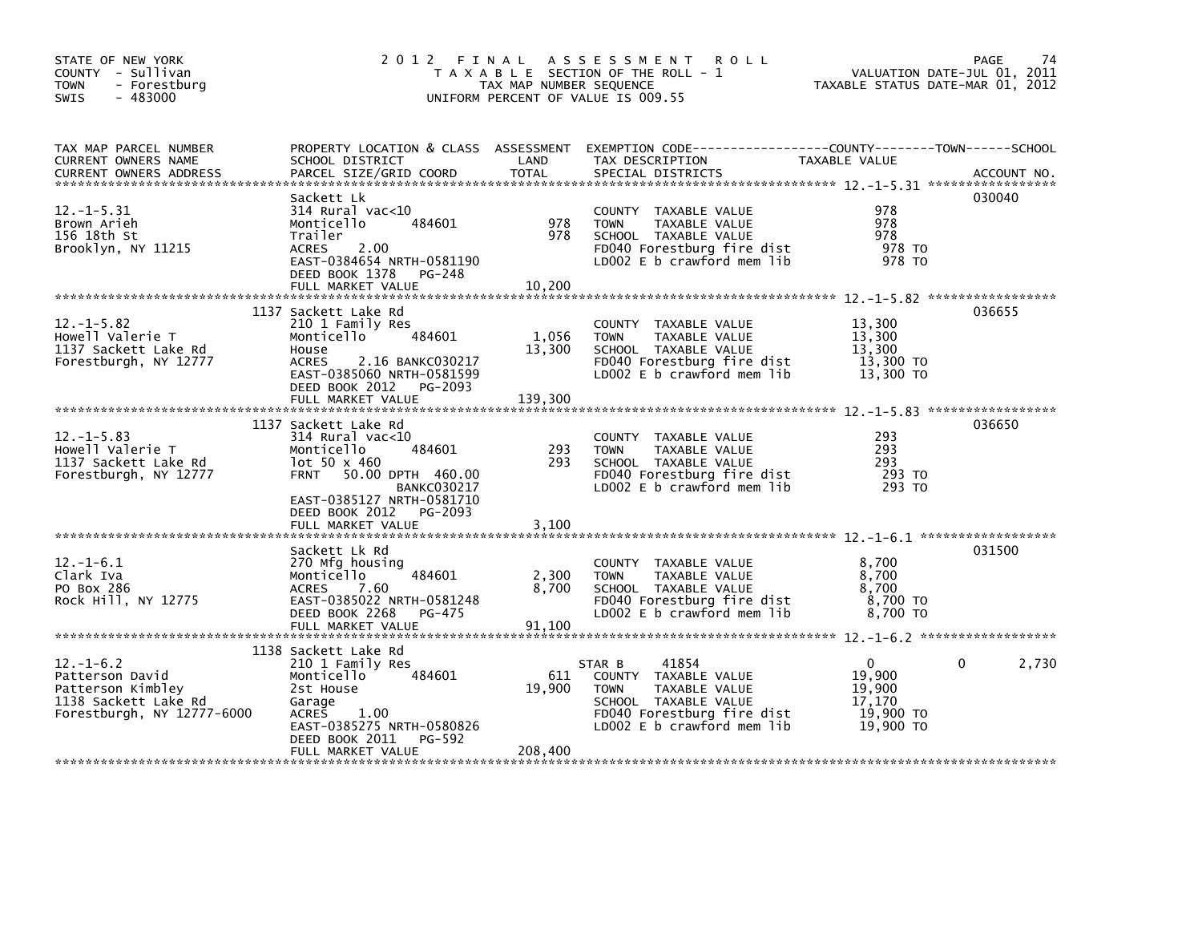| STATE OF NEW YORK<br>COUNTY - Sullivan<br><b>TOWN</b><br>- Forestburg<br>$-483000$<br><b>SWIS</b>             | 2012 FINAL                                                                                                                                                                                               | TAX MAP NUMBER SEQUENCE    | A S S E S S M E N T<br><b>ROLL</b><br>T A X A B L E SECTION OF THE ROLL - 1<br>UNIFORM PERCENT OF VALUE IS 009.55                                           | VALUATION DATE-JUL 01, 2011<br>TAXABLE STATUS DATE-MAR 01, 2012      | 74<br><b>PAGE</b> |
|---------------------------------------------------------------------------------------------------------------|----------------------------------------------------------------------------------------------------------------------------------------------------------------------------------------------------------|----------------------------|-------------------------------------------------------------------------------------------------------------------------------------------------------------|----------------------------------------------------------------------|-------------------|
| TAX MAP PARCEL NUMBER<br>CURRENT OWNERS NAME<br><b>CURRENT OWNERS ADDRESS</b>                                 | PROPERTY LOCATION & CLASS ASSESSMENT<br>SCHOOL DISTRICT<br>PARCEL SIZE/GRID COORD                                                                                                                        | LAND<br><b>TOTAL</b>       | EXEMPTION CODE-----------------COUNTY-------TOWN------SCHOOL<br>TAX DESCRIPTION<br>SPECIAL DISTRICTS                                                        | <b>TAXABLE VALUE</b>                                                 | ACCOUNT NO.       |
| $12. -1 - 5.31$<br>Brown Arieh<br>156 18th St<br>Brooklyn, NY 11215                                           | Sackett Lk<br>$314$ Rural vac<10<br>Monticello<br>484601<br>Trailer<br>2.00<br><b>ACRES</b><br>EAST-0384654 NRTH-0581190<br>DEED BOOK 1378<br>PG-248<br>FULL MARKET VALUE                                | 978<br>978<br>10,200       | COUNTY TAXABLE VALUE<br>TAXABLE VALUE<br><b>TOWN</b><br>SCHOOL TAXABLE VALUE<br>FD040 Forestburg fire dist<br>LD002 $E$ b crawford mem lib                  | 978<br>978<br>978<br>978 TO<br>978 TO                                | 030040            |
| $12. -1 - 5.82$<br>Howell Valerie T<br>1137 Sackett Lake Rd<br>Forestburgh, NY 12777                          | 1137 Sackett Lake Rd<br>210 1 Family Res<br>484601<br>Monticello<br>House<br>2.16 BANKC030217<br><b>ACRES</b><br>EAST-0385060 NRTH-0581599<br>DEED BOOK 2012<br>PG-2093<br>FULL MARKET VALUE             | 1,056<br>13,300<br>139,300 | COUNTY TAXABLE VALUE<br>TAXABLE VALUE<br><b>TOWN</b><br>SCHOOL TAXABLE VALUE<br>FD040 Forestburg fire dist<br>$LD002 E b$ crawford mem lib                  | 13,300<br>13,300<br>13,300<br>13.300 TO<br>13,300 TO                 | 036655            |
| $12. -1 - 5.83$<br>Howell Valerie T<br>1137 Sackett Lake Rd<br>Forestburgh, NY 12777                          | 1137 Sackett Lake Rd<br>$314$ Rural vac<10<br>Monticello<br>484601<br>$10t$ 50 x 460<br>50.00 DPTH 460.00<br><b>FRNT</b><br><b>BANKC030217</b><br>EAST-0385127 NRTH-0581710<br>DEED BOOK 2012<br>PG-2093 | 293<br>293                 | COUNTY TAXABLE VALUE<br>TAXABLE VALUE<br><b>TOWN</b><br>SCHOOL TAXABLE VALUE<br>FD040 Forestburg fire dist<br>LD002 E b crawford mem lib                    | 293<br>293<br>293<br>293 TO<br>293 TO                                | 036650            |
| $12 - 1 - 6.1$<br>Clark Iva<br>PO Box 286<br>Rock Hill, NY 12775                                              | Sackett Lk Rd<br>270 Mfg housing<br>Monticello<br>484601<br>7.60<br><b>ACRES</b><br>EAST-0385022 NRTH-0581248<br>DEED BOOK 2268<br>PG-475<br>FULL MARKET VALUE                                           | 2,300<br>8,700<br>91,100   | COUNTY TAXABLE VALUE<br>TAXABLE VALUE<br><b>TOWN</b><br>SCHOOL TAXABLE VALUE<br>FD040 Forestburg fire dist<br>LD002 E b crawford mem lib                    | 8.700<br>8,700<br>8,700<br>8,700 TO<br>8,700 TO                      | 031500            |
| $12. - 1 - 6.2$<br>Patterson David<br>Patterson Kimbley<br>1138 Sackett Lake Rd<br>Forestburgh, NY 12777-6000 | 1138 Sackett Lake Rd<br>210 1 Family Res<br>484601<br>Monticello<br>2st House<br>Garage<br>1.00<br><b>ACRES</b><br>EAST-0385275 NRTH-0580826<br>DEED BOOK 2011<br>PG-592<br>FULL MARKET VALUE            | 611<br>19,900<br>208,400   | 41854<br>STAR B<br>COUNTY TAXABLE VALUE<br>TAXABLE VALUE<br><b>TOWN</b><br>SCHOOL TAXABLE VALUE<br>FD040 Forestburg fire dist<br>LD002 E b crawford mem lib | $\mathbf{0}$<br>19,900<br>19,900<br>17,170<br>19,900 TO<br>19,900 TO | 0<br>2,730        |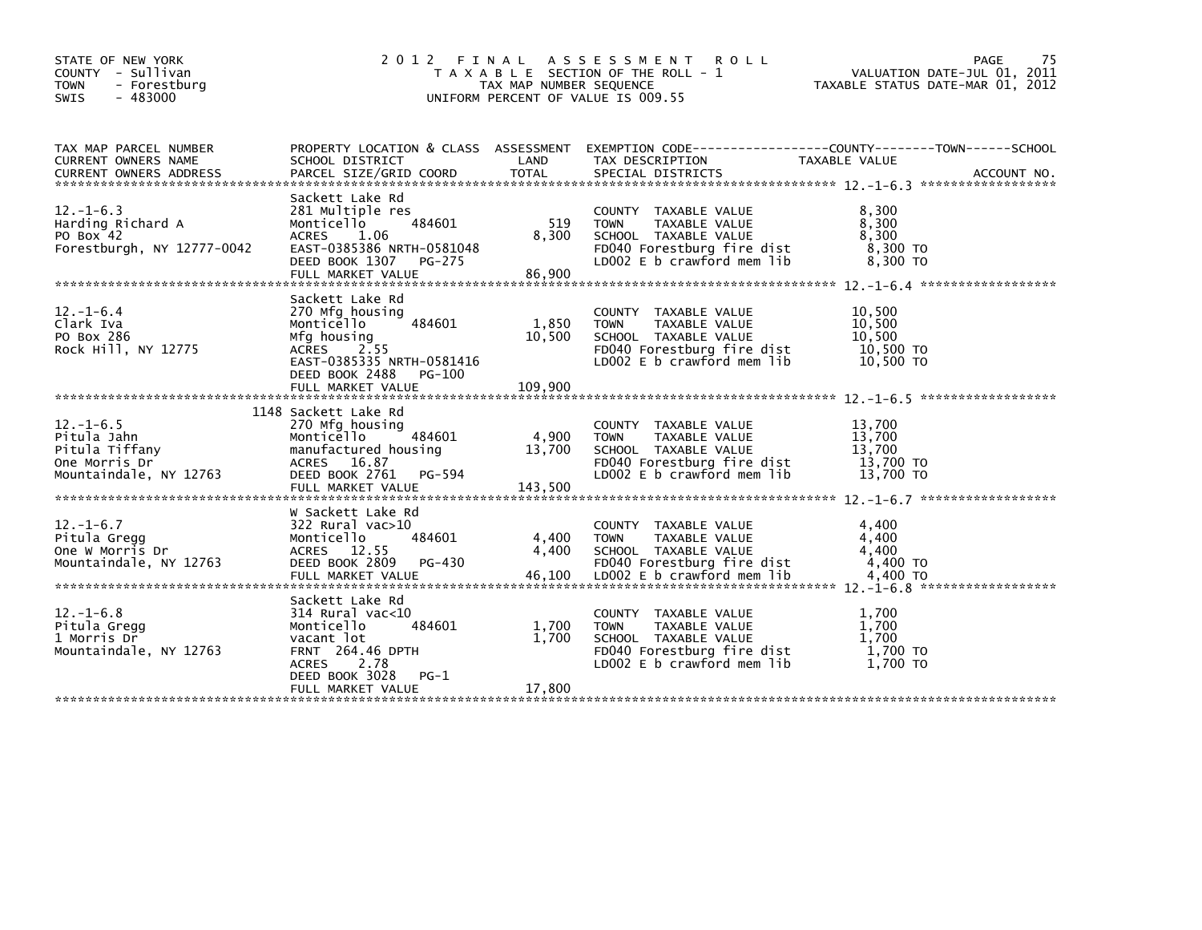| STATE OF NEW YORK<br>COUNTY - Sullivan<br><b>TOWN</b><br>- Forestburg<br>$-483000$<br><b>SWIS</b> | 2012 FINAL                                                                                                                                                                         | TAX MAP NUMBER SEQUENCE    | A S S E S S M E N T<br>R O L L<br>T A X A B L E SECTION OF THE ROLL - 1<br>UNIFORM PERCENT OF VALUE IS 009.55                            | PAGE<br>VALUATION DATE-JUL 01, 2011<br>TAXABLE STATUS DATE-MAR 01, 2012                                                        | 75 |
|---------------------------------------------------------------------------------------------------|------------------------------------------------------------------------------------------------------------------------------------------------------------------------------------|----------------------------|------------------------------------------------------------------------------------------------------------------------------------------|--------------------------------------------------------------------------------------------------------------------------------|----|
| TAX MAP PARCEL NUMBER<br>CURRENT OWNERS NAME<br><b>CURRENT OWNERS ADDRESS</b>                     | SCHOOL DISTRICT<br>PARCEL SIZE/GRID COORD                                                                                                                                          | LAND<br><b>TOTAL</b>       | TAX DESCRIPTION<br>SPECIAL DISTRICTS                                                                                                     | PROPERTY LOCATION & CLASS ASSESSMENT EXEMPTION CODE---------------COUNTY-------TOWN-----SCHOOL<br>TAXABLE VALUE<br>ACCOUNT NO. |    |
| $12. - 1 - 6.3$<br>Harding Richard A<br>PO Box 42<br>Forestburgh, NY 12777-0042                   | Sackett Lake Rd<br>281 Multiple res<br>484601<br>Monticello<br><b>ACRES</b><br>1.06<br>EAST-0385386 NRTH-0581048<br>DEED BOOK 1307<br>PG-275<br>FULL MARKET VALUE                  | 519<br>8,300<br>86,900     | COUNTY TAXABLE VALUE<br><b>TOWN</b><br>TAXABLE VALUE<br>SCHOOL TAXABLE VALUE<br>FD040 Forestburg fire dist<br>LD002 E b crawford mem lib | 8,300<br>8,300<br>8,300<br>8,300 TO<br>8,300 TO                                                                                |    |
| $12. - 1 - 6.4$<br>Clark Iva<br>PO Box 286<br>Rock Hill, NY 12775                                 | Sackett Lake Rd<br>270 Mfg housing<br>Monticello<br>484601<br>Mfg housing<br><b>ACRES</b><br>2.55<br>EAST-0385335 NRTH-0581416<br>DEED BOOK 2488<br>PG-100<br>FULL MARKET VALUE    | 1,850<br>10,500<br>109,900 | COUNTY TAXABLE VALUE<br><b>TOWN</b><br>TAXABLE VALUE<br>SCHOOL TAXABLE VALUE<br>FD040 Forestburg fire dist<br>LD002 E b crawford mem lib | 10,500<br>10,500<br>10.500<br>10,500 TO<br>10,500 TO                                                                           |    |
| $12.-1-6.5$<br>Pitula Jahn<br>Pitula Tiffany<br>One Morris Dr<br>Mountaindale, NY 12763           | 1148 Sackett Lake Rd<br>270 Mfg housing<br>Monticello<br>484601<br>manufactured housing<br>ACRES 16.87<br>DEED BOOK 2761<br>PG-594<br>FULL MARKET VALUE                            | 4,900<br>13,700<br>143,500 | COUNTY TAXABLE VALUE<br>TAXABLE VALUE<br><b>TOWN</b><br>SCHOOL TAXABLE VALUE<br>FD040 Forestburg fire dist<br>LD002 E b crawford mem lib | 13,700<br>13,700<br>13,700<br>13,700 TO<br>13,700 TO                                                                           |    |
| $12. - 1 - 6.7$<br>Pitula Gregg<br>One W Morris Dr<br>Mountaindale, NY 12763                      | W Sackett Lake Rd<br>322 Rural vac>10<br>484601<br>Monticello<br>ACRES 12.55<br>DEED BOOK 2809<br>PG-430<br>FULL MARKET VALUE                                                      | 4,400<br>4,400<br>46,100   | COUNTY TAXABLE VALUE<br><b>TOWN</b><br>TAXABLE VALUE<br>SCHOOL TAXABLE VALUE<br>FD040 Forestburg fire dist<br>LD002 E b crawford mem lib | 4,400<br>4,400<br>4,400<br>4,400 TO<br>4.400 TO                                                                                |    |
| $12. - 1 - 6.8$<br>Pitula Gregg<br>1 Morris Dr<br>Mountaindale, NY 12763                          | Sackett Lake Rd<br>$314$ Rural vac< $10$<br>484601<br>Monticello<br>vacant lot<br><b>FRNT 264.46 DPTH</b><br><b>ACRES</b><br>2.78<br>DEED BOOK 3028<br>$PG-1$<br>FULL MARKET VALUE | 1,700<br>1,700<br>17,800   | COUNTY TAXABLE VALUE<br><b>TOWN</b><br>TAXABLE VALUE<br>SCHOOL TAXABLE VALUE<br>FD040 Forestburg fire dist<br>LD002 E b crawford mem lib | 1,700<br>1,700<br>1.700<br>1,700 TO<br>1,700 TO                                                                                |    |
|                                                                                                   |                                                                                                                                                                                    |                            |                                                                                                                                          |                                                                                                                                |    |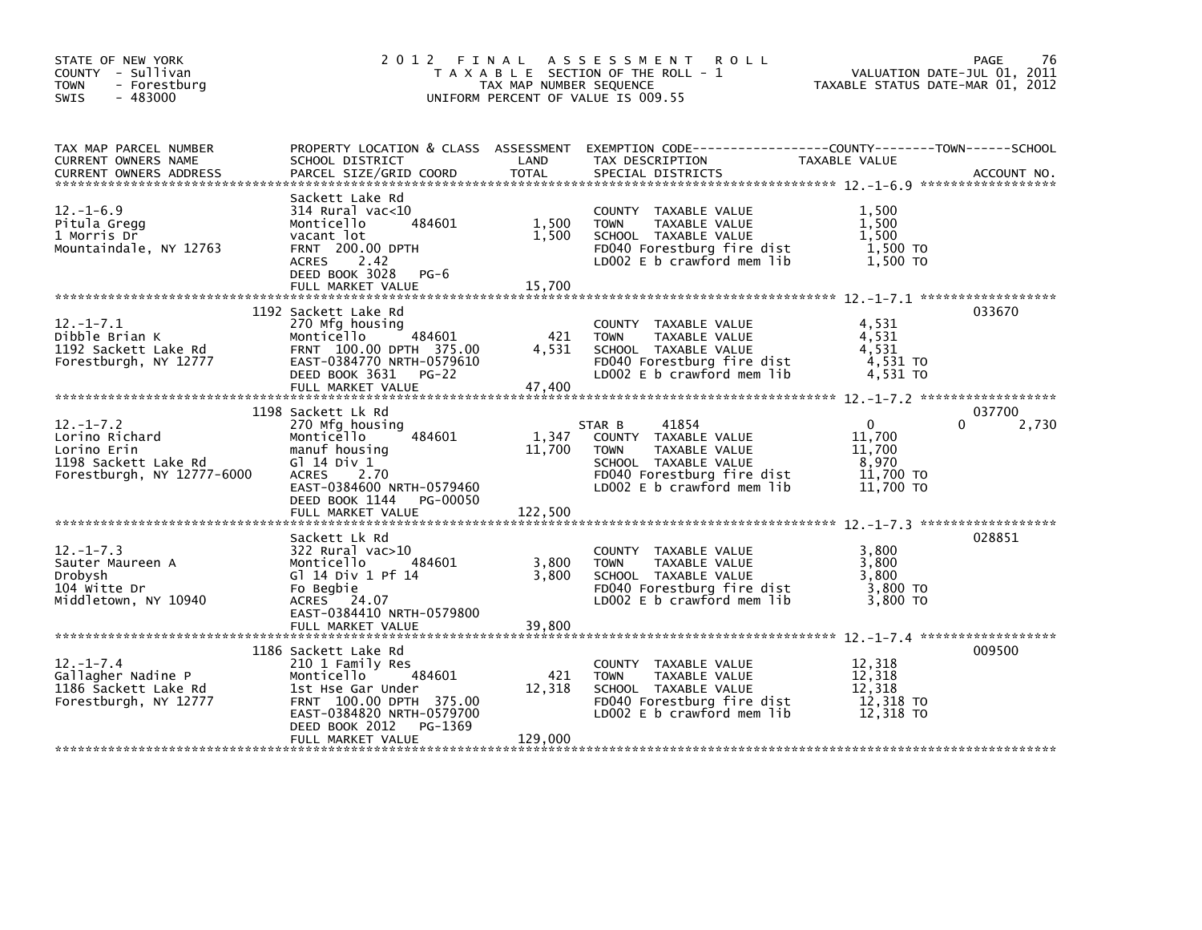| STATE OF NEW YORK<br>COUNTY - Sullivan<br><b>TOWN</b><br>- Forestburg<br>$-483000$<br><b>SWIS</b>      |                                                                                                                                                                                                       | TAX MAP NUMBER SEQUENCE    | 2012 FINAL ASSESSMENT<br><b>ROLL</b><br>T A X A B L E SECTION OF THE ROLL - 1<br>UNIFORM PERCENT OF VALUE IS 009.55                                         | TAXABLE STATUS DATE-MAR 01, 2012                                | <b>PAGE</b><br>76<br>VALUATION DATE-JUL 01, 2011 |
|--------------------------------------------------------------------------------------------------------|-------------------------------------------------------------------------------------------------------------------------------------------------------------------------------------------------------|----------------------------|-------------------------------------------------------------------------------------------------------------------------------------------------------------|-----------------------------------------------------------------|--------------------------------------------------|
| TAX MAP PARCEL NUMBER<br>CURRENT OWNERS NAME<br><b>CURRENT OWNERS ADDRESS</b>                          | SCHOOL DISTRICT<br>PARCEL SIZE/GRID COORD                                                                                                                                                             | LAND<br><b>TOTAL</b>       | PROPERTY LOCATION & CLASS ASSESSMENT EXEMPTION CODE----------------COUNTY-------TOWN-----SCHOOL<br>TAX DESCRIPTION<br>SPECIAL DISTRICTS                     | TAXABLE VALUE                                                   | ACCOUNT NO.                                      |
| $12.-1-6.9$<br>Pitula Gregg<br>1 Morris Dr<br>Mountaindale, NY 12763                                   | Sackett Lake Rd<br>$314$ Rural vac< $10$<br>484601<br>Monticello<br>vacant lot<br><b>FRNT 200.00 DPTH</b><br>2.42<br><b>ACRES</b><br>DEED BOOK 3028 PG-6<br>FULL MARKET VALUE                         | 1,500<br>1,500<br>15,700   | COUNTY TAXABLE VALUE<br><b>TOWN</b><br>TAXABLE VALUE<br>SCHOOL TAXABLE VALUE<br>FD040 Forestburg fire dist<br>LD002 E b crawford mem lib                    | 1,500<br>1.500<br>1,500<br>1,500 TO<br>1,500 TO                 |                                                  |
| $12. - 1 - 7.1$<br>Dibble Brian K<br>1192 Sackett Lake Rd<br>Forestburgh, NY 12777                     | 1192 Sackett Lake Rd<br>270 Mfg housing<br>484601<br>Monticello<br>FRNT 100.00 DPTH 375.00<br>EAST-0384770 NRTH-0579610<br>DEED BOOK 3631 PG-22                                                       | 421<br>4,531               | COUNTY TAXABLE VALUE<br><b>TOWN</b><br>TAXABLE VALUE<br>SCHOOL TAXABLE VALUE<br>FD040 Forestburg fire dist<br>LD002 E b crawford mem lib                    | 4,531<br>4,531<br>4,531<br>4,531 TO<br>4,531 TO                 | 033670                                           |
| $12. - 1 - 7.2$<br>Lorino Richard<br>Lorino Erin<br>1198 Sackett Lake Rd<br>Forestburgh, NY 12777-6000 | 1198 Sackett Lk Rd<br>270 Mfg housing<br>Monticello<br>484601<br>manuf housing<br>G1 14 Div 1<br><b>ACRES</b><br>2.70<br>EAST-0384600 NRTH-0579460<br>DEED BOOK 1144<br>PG-00050<br>FULL MARKET VALUE | 1,347<br>11,700<br>122,500 | STAR B<br>41854<br>COUNTY TAXABLE VALUE<br>TAXABLE VALUE<br><b>TOWN</b><br>SCHOOL TAXABLE VALUE<br>FD040 Forestburg fire dist<br>LD002 E b crawford mem lib | $\Omega$<br>11,700<br>11,700<br>8,970<br>11,700 TO<br>11,700 TO | 037700<br>0<br>2,730                             |
| $12. - 1 - 7.3$<br>Sauter Maureen A<br>Drobysh<br>104 witte Dr<br>Middletown, NY 10940                 | Sackett Lk Rd<br>322 Rural vac>10<br>484601<br>Monticello<br>G] 14 Div 1 Pf 14<br>Fo Begbie<br>ACRES 24.07<br>EAST-0384410 NRTH-0579800<br>FULL MARKET VALUE                                          | 3,800<br>3,800<br>39,800   | COUNTY TAXABLE VALUE<br><b>TOWN</b><br>TAXABLE VALUE<br>SCHOOL TAXABLE VALUE<br>FD040 Forestburg fire dist<br>LD002 E b crawford mem lib                    | 3,800<br>3,800<br>3,800<br>$3,800$ TO<br>3,800 TO               | 028851                                           |
| $12. - 1 - 7.4$<br>Gallagher Nadine P<br>1186 Sackett Lake Rd<br>Forestburgh, NY 12777                 | 1186 Sackett Lake Rd<br>210 1 Family Res<br>Monticello<br>484601<br>1st Hse Gar Under<br>FRNT 100.00 DPTH 375.00<br>EAST-0384820 NRTH-0579700<br>PG-1369<br>DEED BOOK 2012<br>FULL MARKET VALUE       | 421<br>12,318<br>129,000   | COUNTY TAXABLE VALUE<br><b>TOWN</b><br>TAXABLE VALUE<br>SCHOOL TAXABLE VALUE<br>FD040 Forestburg fire dist<br>LD002 E b crawford mem lib                    | 12,318<br>12.318<br>12,318<br>12,318 TO<br>12,318 TO            | 009500                                           |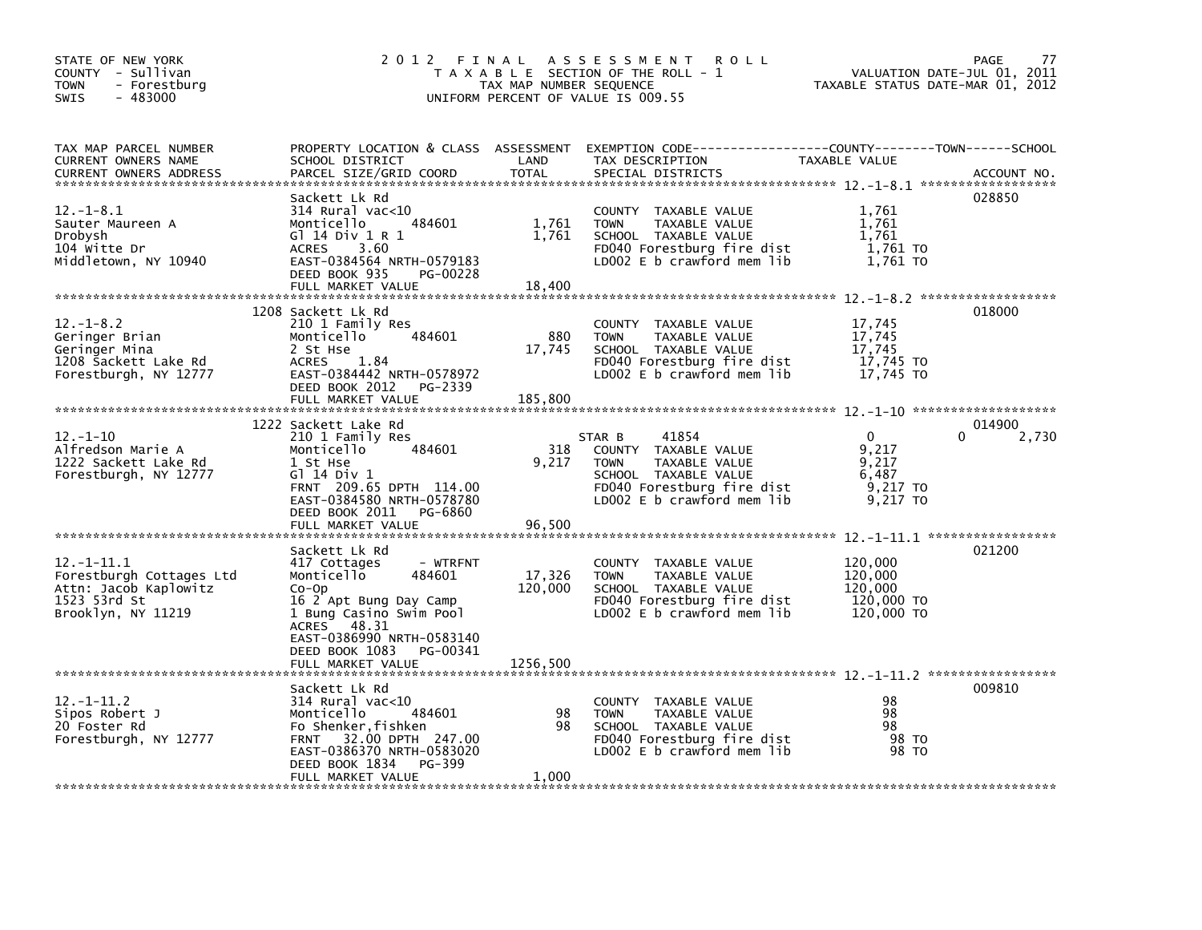| STATE OF NEW YORK<br>COUNTY - Sullivan<br>- Forestburg<br><b>TOWN</b><br>$-483000$<br><b>SWIS</b>          |                                                                                                                                                                                                    | TAX MAP NUMBER SEQUENCE  | 2012 FINAL ASSESSMENT<br><b>ROLL</b><br>T A X A B L E SECTION OF THE ROLL - 1<br>UNIFORM PERCENT OF VALUE IS 009.55                                         | TAXABLE STATUS DATE-MAR 01, 2012                            | <b>PAGE</b><br>77<br>VALUATION DATE-JUL 01, 2011 |
|------------------------------------------------------------------------------------------------------------|----------------------------------------------------------------------------------------------------------------------------------------------------------------------------------------------------|--------------------------|-------------------------------------------------------------------------------------------------------------------------------------------------------------|-------------------------------------------------------------|--------------------------------------------------|
| TAX MAP PARCEL NUMBER<br>CURRENT OWNERS NAME<br>CURRENT OWNERS ADDRESS                                     | SCHOOL DISTRICT<br>PARCEL SIZE/GRID COORD                                                                                                                                                          | LAND<br><b>TOTAL</b>     | PROPERTY LOCATION & CLASS ASSESSMENT EXEMPTION CODE----------------COUNTY-------TOWN------SCHOOL<br>TAX DESCRIPTION<br>SPECIAL DISTRICTS                    | TAXABLE VALUE                                               | ACCOUNT NO.                                      |
| $12.-1-8.1$<br>Sauter Maureen A<br>Drobysh<br>104 Witte Dr<br>Middletown, NY 10940                         | Sackett Lk Rd<br>314 Rural vac<10<br>Monticello<br>484601<br>G1 14 Div 1 R 1<br><b>ACRES</b><br>3.60<br>EAST-0384564 NRTH-0579183<br>DEED BOOK 935<br>PG-00228<br>FULL MARKET VALUE                | 1,761<br>1,761<br>18,400 | COUNTY TAXABLE VALUE<br>TAXABLE VALUE<br><b>TOWN</b><br>SCHOOL TAXABLE VALUE<br>FD040 Forestburg fire dist<br>LD002 E b crawford mem lib                    | 1,761<br>1,761<br>1,761<br>1,761 TO<br>1,761 TO             | 028850                                           |
|                                                                                                            | 1208 Sackett Lk Rd                                                                                                                                                                                 |                          |                                                                                                                                                             |                                                             | 018000                                           |
| $12. - 1 - 8.2$<br>Geringer Brian<br>Geringer Mina<br>1208 Šackett Lake Rd<br>Forestburgh, NY 12777        | 210 1 Family Res<br>484601<br>Monticello<br>2 St Hse<br><b>ACRES</b><br>1.84<br>EAST-0384442 NRTH-0578972<br>DEED BOOK 2012<br>PG-2339<br>FULL MARKET VALUE                                        | 880<br>17,745<br>185,800 | COUNTY TAXABLE VALUE<br>TAXABLE VALUE<br><b>TOWN</b><br>SCHOOL TAXABLE VALUE<br>FD040 Forestburg fire dist<br>LD002 E b crawford mem lib                    | 17,745<br>17,745<br>17,745<br>17,745 TO<br>17,745 TO        |                                                  |
|                                                                                                            | 1222 Sackett Lake Rd                                                                                                                                                                               |                          |                                                                                                                                                             |                                                             | 014900                                           |
| $12. - 1 - 10$<br>Alfredson Marie A<br>1222 Sackett Lake Rd<br>Forestburgh, NY 12777                       | 210 1 Family Res<br>Monticello<br>484601<br>1 St Hse<br>G1 14 Div 1<br>FRNT 209.65 DPTH 114.00<br>EAST-0384580 NRTH-0578780<br>DEED BOOK 2011<br>PG-6860                                           | 318<br>9.217             | 41854<br>STAR B<br>COUNTY TAXABLE VALUE<br>TAXABLE VALUE<br><b>TOWN</b><br>SCHOOL TAXABLE VALUE<br>FD040 Forestburg fire dist<br>LD002 E b crawford mem lib | $\Omega$<br>9.217<br>9,217<br>6,487<br>9,217 TO<br>9,217 TO | 0<br>2,730                                       |
|                                                                                                            | FULL MARKET VALUE                                                                                                                                                                                  | 96,500                   |                                                                                                                                                             |                                                             |                                                  |
| $12. -1 - 11.1$<br>Forestburgh Cottages Ltd<br>Attn: Jacob Kaplowitz<br>1523 53rd St<br>Brooklyn, NY 11219 | Sackett Lk Rd<br>417 Cottages<br>- WTRFNT<br>Monticello<br>484601<br>$Co-Op$<br>16 2 Apt Bung Day Camp<br>1 Bung Casino Swim Pool<br>48.31<br><b>ACRES</b><br>EAST-0386990 NRTH-0583140            | 17,326<br>120,000        | COUNTY TAXABLE VALUE<br>TAXABLE VALUE<br><b>TOWN</b><br>SCHOOL TAXABLE VALUE<br>FD040 Forestburg fire dist<br>$LD002 E b$ crawford mem lib                  | 120,000<br>120,000<br>120,000<br>120,000 TO<br>120,000 TO   | 021200                                           |
|                                                                                                            | DEED BOOK 1083<br>PG-00341<br>FULL MARKET VALUE                                                                                                                                                    | 1256,500                 |                                                                                                                                                             |                                                             |                                                  |
| $12 - 1 - 11.2$<br>Sipos Robert J<br>20 Foster Rd<br>Forestburgh, NY 12777                                 | Sackett Lk Rd<br>314 Rural vac<10<br>484601<br>Monticello<br>Fo Shenker, fishken<br>32.00 DPTH 247.00<br><b>FRNT</b><br>EAST-0386370 NRTH-0583020<br>DEED BOOK 1834<br>PG-399<br>FULL MARKET VALUE | 98<br>98<br>1,000        | COUNTY TAXABLE VALUE<br><b>TOWN</b><br>TAXABLE VALUE<br>SCHOOL TAXABLE VALUE<br>FD040 Forestburg fire dist<br>LD002 E b crawford mem lib                    | 98<br>98<br>98<br>98 TO<br>98 TO                            | 009810                                           |
|                                                                                                            |                                                                                                                                                                                                    |                          |                                                                                                                                                             |                                                             |                                                  |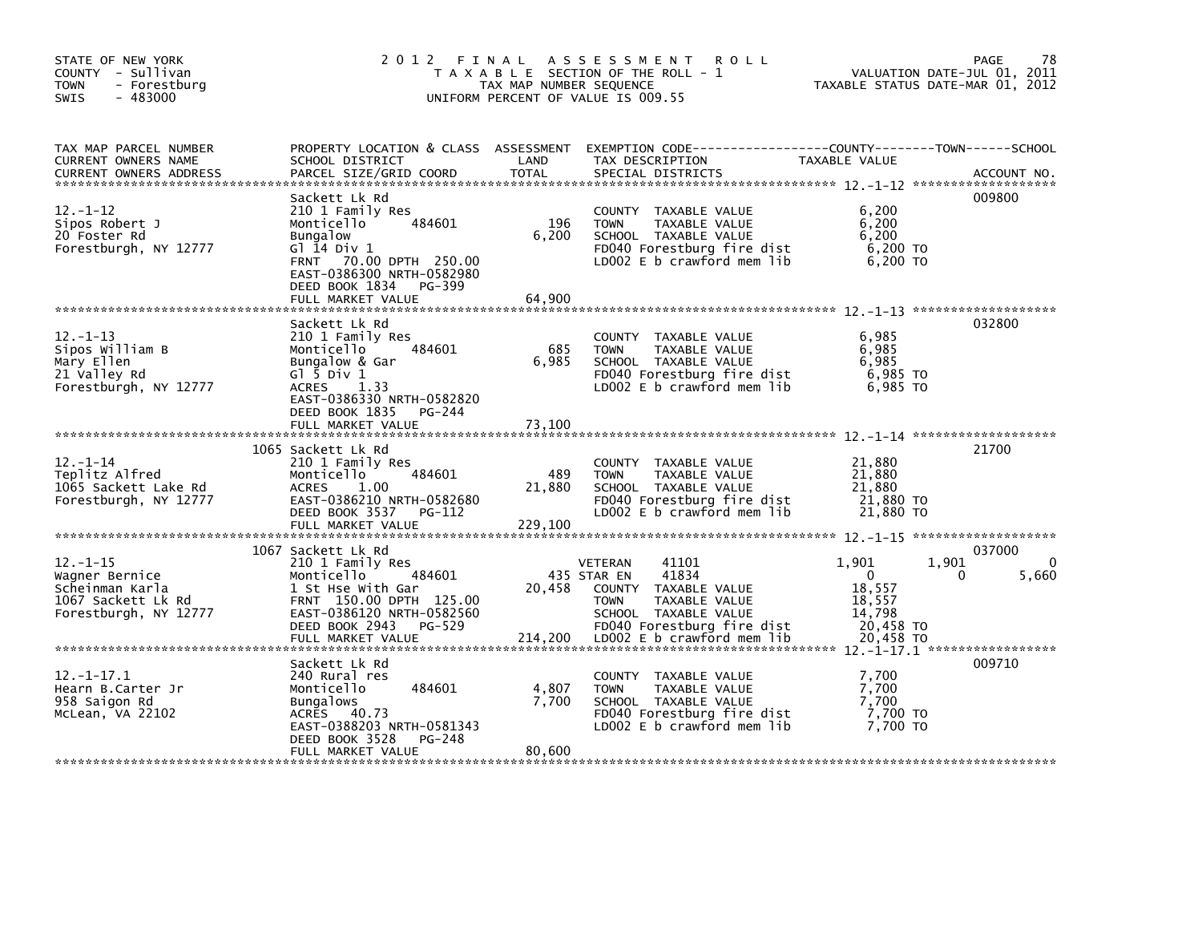| STATE OF NEW YORK<br>COUNTY - Sullivan<br>- Forestburg<br><b>TOWN</b><br>$-483000$<br>SWIS        |                                                                                                                                                                                                                      | TAX MAP NUMBER SEQUENCE          | 2012 FINAL ASSESSMENT<br><b>ROLL</b><br>T A X A B L E SECTION OF THE ROLL - 1<br>UNIFORM PERCENT OF VALUE IS 009.55                                           | TAXABLE STATUS DATE-MAR 01, 2012                                 | 78<br>PAGE<br>VALUATION DATE-JUL 01, 2011 |
|---------------------------------------------------------------------------------------------------|----------------------------------------------------------------------------------------------------------------------------------------------------------------------------------------------------------------------|----------------------------------|---------------------------------------------------------------------------------------------------------------------------------------------------------------|------------------------------------------------------------------|-------------------------------------------|
| TAX MAP PARCEL NUMBER<br>CURRENT OWNERS NAME<br><b>CURRENT OWNERS ADDRESS</b>                     | SCHOOL DISTRICT<br>PARCEL SIZE/GRID COORD                                                                                                                                                                            | LAND<br><b>TOTAL</b>             | PROPERTY LOCATION & CLASS ASSESSMENT EXEMPTION CODE---------------COUNTY-------TOWN------SCHOOL<br>TAX DESCRIPTION<br>SPECIAL DISTRICTS                       | TAXABLE VALUE                                                    | ACCOUNT NO.                               |
| $12 - 1 - 12$<br>Sipos Robert J<br>20 Foster Rd<br>Forestburgh, NY 12777                          | Sackett Lk Rd<br>210 1 Family Res<br>484601<br>Monticello<br><b>Bungalow</b><br>Gl 14 Div 1<br>FRNT 70.00 DPTH 250.00<br>EAST-0386300 NRTH-0582980<br>DEED BOOK 1834<br>PG-399                                       | 196<br>6,200                     | COUNTY TAXABLE VALUE<br>TAXABLE VALUE<br><b>TOWN</b><br>SCHOOL TAXABLE VALUE<br>FD040 Forestburg fire dist<br>LD002 E b crawford mem lib                      | 6,200<br>6,200<br>6,200<br>6,200 TO<br>6,200 TO                  | 009800                                    |
| $12. -1 - 13$<br>Sipos William B<br>Mary Ellen<br>21 Valley Rd<br>Forestburgh, NY 12777           | FULL MARKET VALUE<br>Sackett Lk Rd<br>210 1 Family Res<br>Monticello<br>484601<br>Bungalow & Gar<br>$G1$ $\bar{5}$ Div 1<br>ACRES 1.33<br>EAST-0386330 NRTH-0582820<br>DEED BOOK 1835<br>PG-244<br>FULL MARKET VALUE | 64,900<br>685<br>6,985<br>73,100 | COUNTY TAXABLE VALUE<br>TAXABLE VALUE<br><b>TOWN</b><br>SCHOOL TAXABLE VALUE<br>FD040 Forestburg fire dist<br>LD002 E b crawford mem lib                      | 6,985<br>6,985<br>6,985<br>6,985 TO<br>6,985 TO                  | 032800                                    |
|                                                                                                   |                                                                                                                                                                                                                      |                                  |                                                                                                                                                               |                                                                  |                                           |
| $12 - 1 - 14$<br>Teplitz Alfred<br>1065 Sackett Lake Rd<br>Forestburgh, NY 12777                  | 1065 Sackett Lk Rd<br>210 1 Family Res<br>484601<br>Monticello<br><b>ACRES</b><br>1.00<br>EAST-0386210 NRTH-0582680<br>DEED BOOK 3537 PG-112<br>FULL MARKET VALUE                                                    | 489<br>21,880<br>229,100         | COUNTY TAXABLE VALUE<br><b>TOWN</b><br>TAXABLE VALUE<br>SCHOOL TAXABLE VALUE<br>FD040 Forestburg fire dist<br>LD002 E b crawford mem lib                      | 21,880<br>21,880<br>21,880<br>21,880 TO<br>21,880 TO             | 21700                                     |
| $12 - 1 - 15$<br>Wagner Bernice<br>Scheinman Karla<br>1067 Sackett Lk Rd<br>Forestburgh, NY 12777 | 1067 Sackett Lk Rd<br>210 1 Family Res<br>484601<br>Monticello<br>1 St Hse With Gar<br>FRNT 150.00 DPTH 125.00<br>EAST-0386120 NRTH-0582560<br>DEED BOOK 2943<br>PG-529                                              | 20,458                           | 41101<br><b>VETERAN</b><br>41834<br>435 STAR EN<br>COUNTY TAXABLE VALUE<br><b>TOWN</b><br>TAXABLE VALUE<br>SCHOOL TAXABLE VALUE<br>FD040 Forestburg fire dist | 1,901<br>$\mathbf{0}$<br>18,557<br>18,557<br>14,798<br>20,458 TO | 037000<br>1,901<br>$\Omega$<br>0<br>5,660 |
| $12. - 1 - 17.1$<br>Hearn B.Carter Jr<br>958 Saigon Rd<br>McLean, VA 22102                        | Sackett Lk Rd<br>240 Rural res<br>484601<br>Monticello<br>Bungalows<br>ACRES 40.73<br>EAST-0388203 NRTH-0581343<br>DEED BOOK 3528<br>PG-248<br>FULL MARKET VALUE                                                     | 4,807<br>7,700<br>80,600         | COUNTY TAXABLE VALUE<br>TAXABLE VALUE<br><b>TOWN</b><br>SCHOOL TAXABLE VALUE<br>FD040 Forestburg fire dist<br>LD002 $E$ b crawford mem lib                    | 7.700<br>7,700<br>7,700<br>7,700 TO<br>7,700 TO                  | 009710                                    |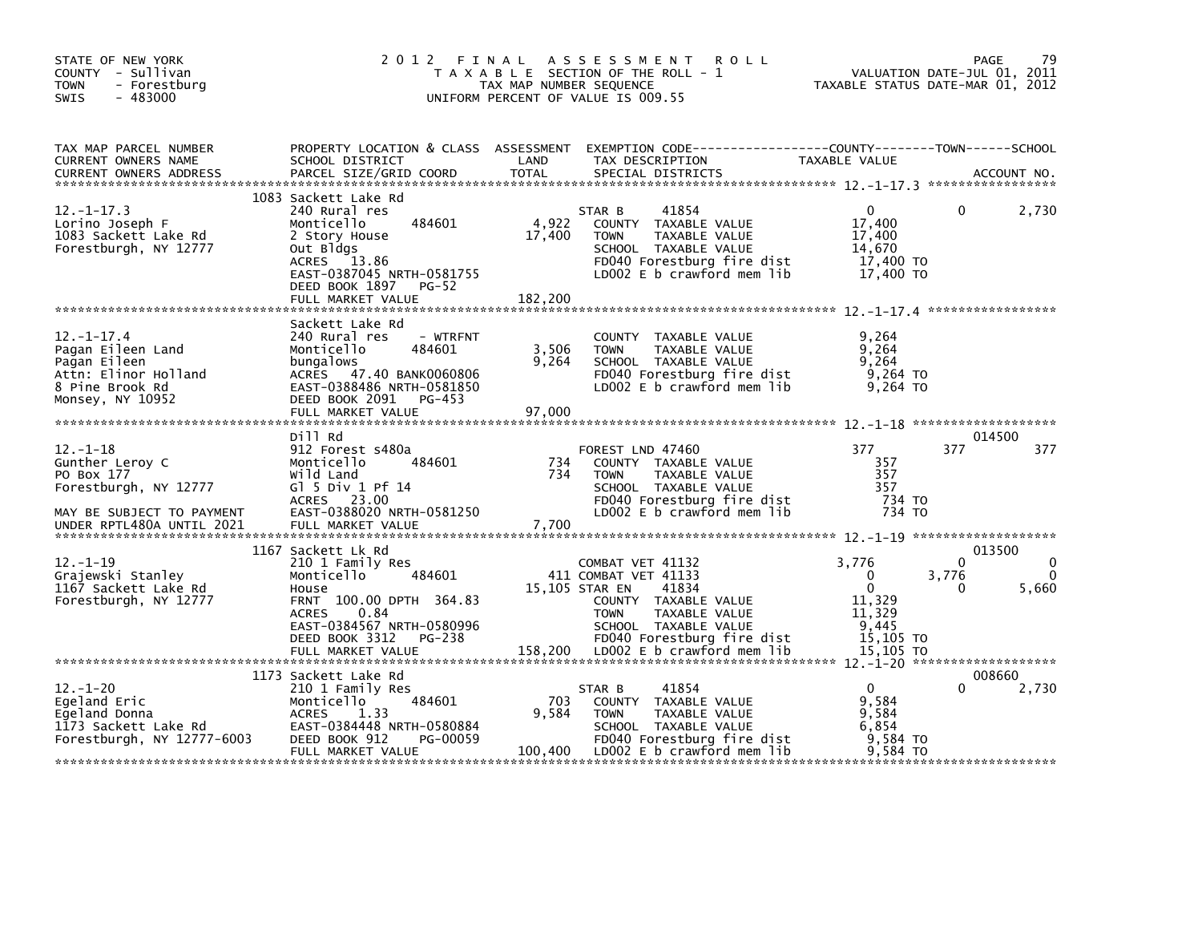| STATE OF NEW YORK<br>COUNTY - Sullivan<br><b>TOWN</b><br>- Forestburg<br>$-483000$<br><b>SWIS</b>                                  | 2 0 1 2                                                                                                                                                                                                  | FINAL<br>TAX MAP NUMBER SEQUENCE | A S S E S S M E N T<br><b>ROLL</b><br>T A X A B L E SECTION OF THE ROLL - 1<br>UNIFORM PERCENT OF VALUE IS 009.55                                                                                               |                                                                                   | 79<br><b>PAGE</b><br>VALUATION DATE-JUL 01, 2011<br>TAXABLE STATUS DATE-MAR 01, 2012 |
|------------------------------------------------------------------------------------------------------------------------------------|----------------------------------------------------------------------------------------------------------------------------------------------------------------------------------------------------------|----------------------------------|-----------------------------------------------------------------------------------------------------------------------------------------------------------------------------------------------------------------|-----------------------------------------------------------------------------------|--------------------------------------------------------------------------------------|
| TAX MAP PARCEL NUMBER<br>CURRENT OWNERS NAME<br><b>CURRENT OWNERS ADDRESS</b>                                                      | SCHOOL DISTRICT<br>PARCEL SIZE/GRID COORD                                                                                                                                                                | LAND<br>TOTAL                    | PROPERTY LOCATION & CLASS ASSESSMENT EXEMPTION CODE---------------COUNTY-------TOWN------SCHOOL<br>TAX DESCRIPTION<br>SPECIAL DISTRICTS                                                                         | TAXABLE VALUE                                                                     | ACCOUNT NO.                                                                          |
| $12. - 1 - 17.3$<br>Lorino Joseph F<br>1083 Sackett Lake Rd<br>Forestburgh, NY 12777                                               | 1083 Sackett Lake Rd<br>240 Rural res<br>Monticello<br>484601<br>2 Story House<br>Out Bldgs<br>13.86<br>ACRES<br>EAST-0387045 NRTH-0581755<br>DEED BOOK 1897<br><b>PG-52</b><br>FULL MARKET VALUE        | 4,922<br>17,400<br>182,200       | 41854<br>STAR B<br>COUNTY TAXABLE VALUE<br>TAXABLE VALUE<br><b>TOWN</b><br>SCHOOL TAXABLE VALUE<br>FD040 Forestburg fire dist<br>LD002 E b crawford mem lib                                                     | $\mathbf{0}$<br>17,400<br>17,400<br>14,670<br>17,400 TO<br>17,400 TO              | 0<br>2,730                                                                           |
| $12. - 1 - 17.4$<br>Pagan Eileen Land<br>Pagan Eileen<br>Attn: Elinor Holland<br>8 Pine Brook Rd<br>Monsey, NY 10952               | Sackett Lake Rd<br>240 Rural res<br>- WTRFNT<br>Monticello<br>484601<br>bungalows<br>ACRES 47.40 BANK0060806<br>EAST-0388486 NRTH-0581850<br>DEED BOOK 2091<br>PG-453<br>FULL MARKET VALUE               | 3,506<br>9,264<br>97,000         | COUNTY<br>TAXABLE VALUE<br>TAXABLE VALUE<br><b>TOWN</b><br>SCHOOL TAXABLE VALUE<br>FD040 Forestburg fire dist<br>LD002 $E$ b crawford mem $lib$                                                                 | 9,264<br>9,264<br>9.264<br>9,264 TO<br>9.264 TO                                   |                                                                                      |
| $12. - 1 - 18$<br>Gunther Leroy C<br>PO Box 177<br>Forestburgh, NY 12777<br>MAY BE SUBJECT TO PAYMENT<br>UNDER RPTL480A UNTIL 2021 | Dill Rd<br>912 Forest s480a<br>484601<br>Monticello<br>Wild Land<br>Gl 5 Div 1 Pf $14$<br>ACRES 23.00<br>EAST-0388020 NRTH-0581250<br>FULL MARKET VALUE                                                  | 734<br>734<br>7,700              | FOREST LND 47460<br>COUNTY TAXABLE VALUE<br><b>TOWN</b><br>TAXABLE VALUE<br>SCHOOL TAXABLE VALUE<br>FD040 Forestburg fire dist<br>LD002 E b crawford mem lib                                                    | 377<br>357<br>357<br>357<br>734 TO<br>734 TO                                      | 014500<br>377<br>377                                                                 |
| $12. - 1 - 19$<br>Grajewski Stanley<br>1167 Sackett Lake Rd<br>Forestburgh, NY 12777                                               | 1167 Sackett Lk Rd<br>210 1 Family Res<br>Monticello<br>484601<br>House<br>FRNT 100.00 DPTH 364.83<br>0.84<br><b>ACRES</b><br>EAST-0384567 NRTH-0580996<br>DEED BOOK 3312<br>PG-238<br>FULL MARKET VALUE | 158,200                          | COMBAT VET 41132<br>411 COMBAT VET 41133<br>15,105 STAR EN<br>41834<br>COUNTY TAXABLE VALUE<br>TAXABLE VALUE<br><b>TOWN</b><br>SCHOOL TAXABLE VALUE<br>FD040 Forestburg fire dist<br>LD002 E b crawford mem lib | 3,776<br>0<br>$\mathbf{0}$<br>11,329<br>11,329<br>9,445<br>15,105 TO<br>15.105 TO | 013500<br>$\Omega$<br>3,776<br>5,660<br>0                                            |
| $12. - 1 - 20$<br>Eqeland Eric<br>Egeland Donna<br>1173 Sackett Lake Rd<br>Forestburgh, NY 12777-6003                              | 1173 Sackett Lake Rd<br>210 1 Family Res<br>484601<br>Monticello<br><b>ACRES</b><br>1.33<br>EAST-0384448 NRTH-0580884<br>DEED BOOK 912<br>PG-00059<br>FULL MARKET VALUE                                  | 703<br>9.584<br>100,400          | 41854<br>STAR B<br>COUNTY TAXABLE VALUE<br>TAXABLE VALUE<br><b>TOWN</b><br>SCHOOL TAXABLE VALUE<br>FD040 Forestburg fire dist<br>LD002 $E$ b crawford mem $lib$                                                 | $\mathbf{0}$<br>9,584<br>9,584<br>6.854<br>9.584 TO<br>9.584 TO                   | 008660<br>2,730<br>0                                                                 |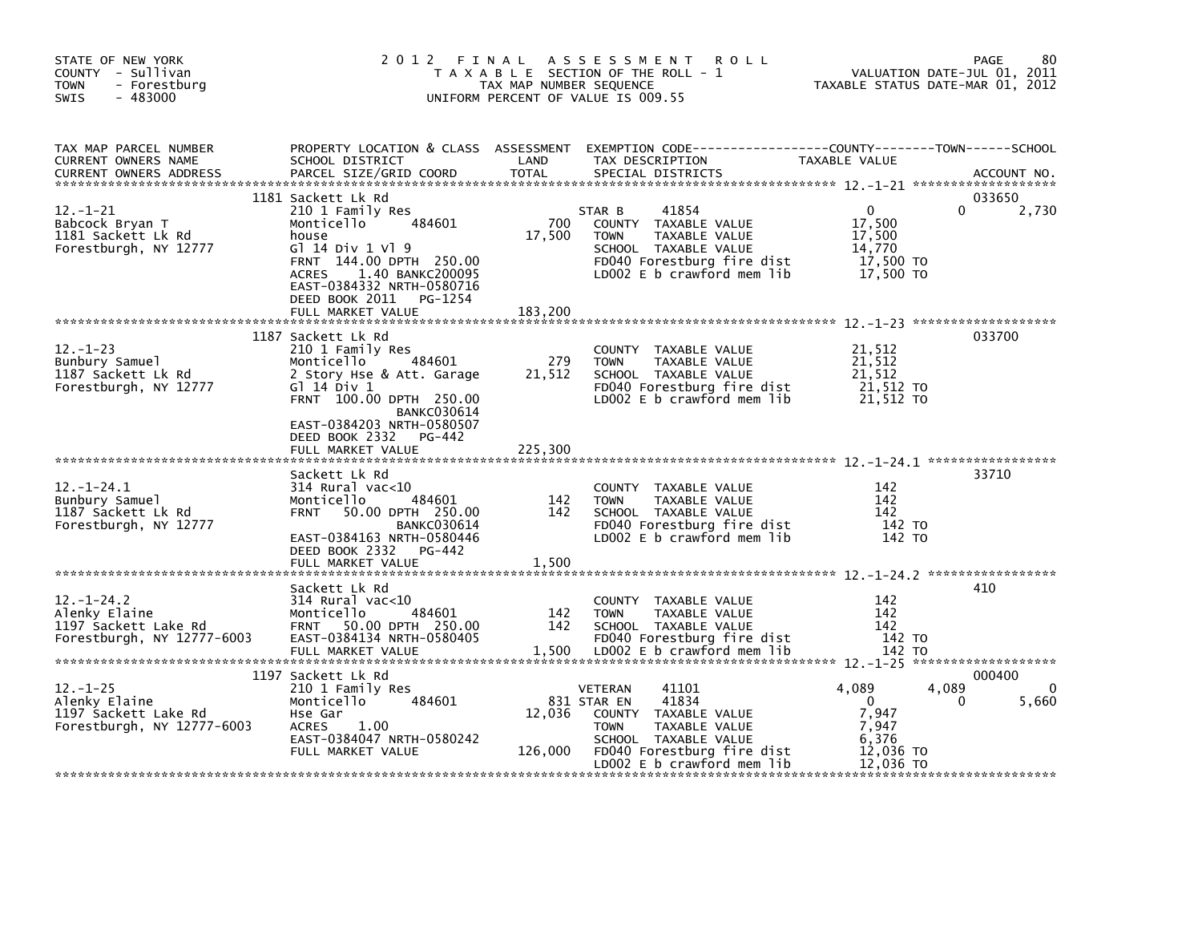| STATE OF NEW YORK<br>COUNTY - Sullivan<br>- Forestburg<br><b>TOWN</b><br>$-483000$<br><b>SWIS</b> | 2 0 1 2                                                                                                                                                                                                                                   | FINAL<br>TAX MAP NUMBER SEQUENCE | A S S E S S M E N T<br><b>ROLL</b><br>T A X A B L E SECTION OF THE ROLL - 1<br>UNIFORM PERCENT OF VALUE IS 009.55                                                                      |                                                                              | 80<br>PAGE<br>VALUATION DATE-JUL 01, 2011<br>TAXABLE STATUS DATE-MAR 01, 2012 |
|---------------------------------------------------------------------------------------------------|-------------------------------------------------------------------------------------------------------------------------------------------------------------------------------------------------------------------------------------------|----------------------------------|----------------------------------------------------------------------------------------------------------------------------------------------------------------------------------------|------------------------------------------------------------------------------|-------------------------------------------------------------------------------|
| TAX MAP PARCEL NUMBER<br>CURRENT OWNERS NAME<br><b>CURRENT OWNERS ADDRESS</b>                     | PROPERTY LOCATION & CLASS ASSESSMENT<br>SCHOOL DISTRICT<br>PARCEL SIZE/GRID COORD                                                                                                                                                         | LAND<br><b>TOTAL</b>             | EXEMPTION CODE-----------------COUNTY-------TOWN------SCHOOL<br>TAX DESCRIPTION<br>SPECIAL DISTRICTS                                                                                   | TAXABLE VALUE                                                                | ACCOUNT NO.                                                                   |
| $12 - 1 - 21$<br>Babcock Bryan T<br>1181 Sackett Lk Rd<br>Forestburgh, NY 12777                   | 1181 Sackett Lk Rd<br>210 1 Family Res<br>Monticello<br>484601<br>house<br>G1 14 Div 1 V1 9<br>FRNT 144.00 DPTH 250.00<br>1.40 BANKC200095<br><b>ACRES</b><br>EAST-0384332 NRTH-0580716<br>DEED BOOK 2011 PG-1254<br>FULL MARKET VALUE    | 700<br>17,500<br>183.200         | 41854<br>STAR B<br>COUNTY TAXABLE VALUE<br><b>TOWN</b><br>TAXABLE VALUE<br>SCHOOL TAXABLE VALUE<br>FD040 Forestburg fire dist<br>LD002 E b crawford mem lib                            | $\mathbf{0}$<br>17,500<br>17,500<br>14,770<br>17,500 TO<br>17,500 TO         | 033650<br>2,730                                                               |
| $12 - 1 - 23$<br>Bunbury Samuel<br>1187 Sackett Lk Rd<br>Forestburgh, NY 12777                    | 1187 Sackett Lk Rd<br>210 1 Family Res<br>484601<br>Monticello<br>2 Story Hse & Att. Garage<br>$G$ ] 14 Div 1<br>FRNT 100.00 DPTH 250.00<br><b>BANKC030614</b><br>EAST-0384203 NRTH-0580507<br>DEED BOOK 2332 PG-442<br>FULL MARKET VALUE | 279<br>21,512<br>225,300         | COUNTY TAXABLE VALUE<br><b>TOWN</b><br>TAXABLE VALUE<br>SCHOOL TAXABLE VALUE<br>FD040 Forestburg fire dist<br>LD002 E b crawford mem lib                                               | 21,512<br>21,512<br>21,512<br>21,512 TO<br>21,512 TO                         | 033700                                                                        |
| $12. - 1 - 24.1$<br>Bunbury Samuel<br>1187 Sackett Lk Rd<br>Forestburgh, NY 12777                 | Sackett Lk Rd<br>$314$ Rural vac<10<br>Monticello<br>484601<br><b>FRNT</b><br>50.00 DPTH 250.00<br><b>BANKC030614</b><br>EAST-0384163 NRTH-0580446<br>DEED BOOK 2332 PG-442<br>FULL MARKET VALUE                                          | 142<br>142<br>1,500              | COUNTY TAXABLE VALUE<br><b>TOWN</b><br>TAXABLE VALUE<br>SCHOOL TAXABLE VALUE<br>FD040 Forestburg fire dist<br>LD002 E b crawford mem lib                                               | 142<br>142<br>142<br>142 TO<br>142 TO                                        | 33710                                                                         |
| $12. - 1 - 24.2$<br>Alenky Elaine<br>1197 Sackett Lake Rd<br>Forestburgh, NY 12777-6003           | Sackett Lk Rd<br>$314$ Rural vac< $10$<br>484601<br>Monticello<br><b>FRNT</b><br>50.00 DPTH 250.00<br>EAST-0384134 NRTH-0580405<br>FULL MARKET VALUE                                                                                      | 142<br>142<br>1,500              | COUNTY TAXABLE VALUE<br><b>TOWN</b><br>TAXABLE VALUE<br>SCHOOL TAXABLE VALUE<br>FD040 Forestburg fire dist<br>LD002 E b crawford mem lib                                               | 142<br>142<br>142<br>142 TO<br>142 TO                                        | 410                                                                           |
| $12. - 1 - 25$<br>Alenky Elaine<br>1197 Sackett Lake Rd<br>Forestburgh, NY 12777-6003             | 1197 Sackett Lk Rd<br>210 1 Family Res<br>484601<br>Monticello<br>Hse Gar<br><b>ACRES</b><br>1.00<br>EAST-0384047 NRTH-0580242<br>FULL MARKET VALUE                                                                                       | 12,036<br>126,000                | 41101<br>VETERAN<br>831 STAR EN<br>41834<br>COUNTY TAXABLE VALUE<br>TAXABLE VALUE<br><b>TOWN</b><br>SCHOOL TAXABLE VALUE<br>FD040 Forestburg fire dist<br>LD002 $E$ b crawford mem lib | 4,089<br>$\overline{0}$<br>7,947<br>7,947<br>6,376<br>12,036 TO<br>12,036 TO | 000400<br>4,089<br>$\Omega$<br>5,660<br>0                                     |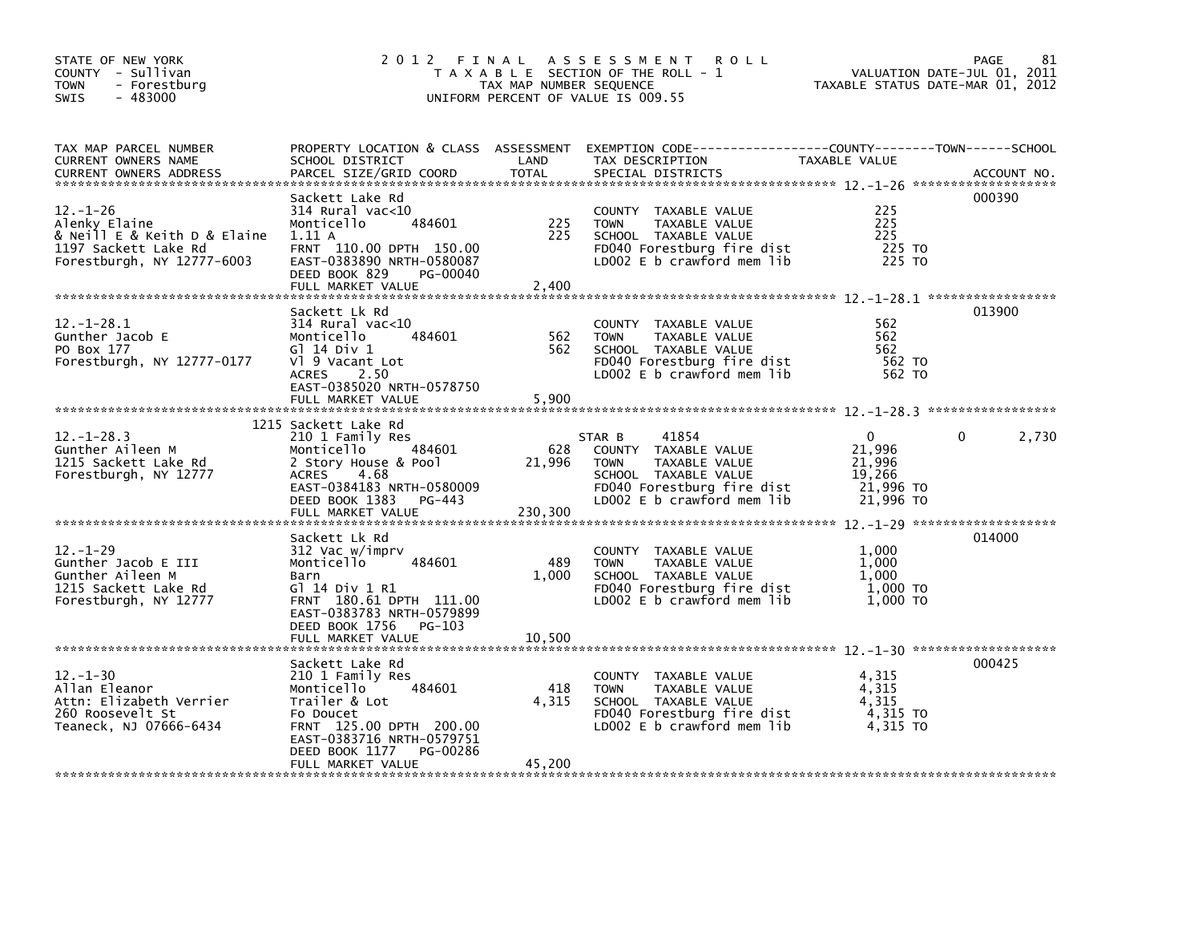| STATE OF NEW YORK<br>COUNTY - Sullivan<br>- Forestburg<br>TOWN<br>$-483000$<br><b>SWIS</b>                            | 2012 FINAL                                                                                                                                                                                           | TAX MAP NUMBER SEQUENCE  | A S S E S S M E N T<br><b>ROLL</b><br>T A X A B L E SECTION OF THE ROLL - 1<br>UNIFORM PERCENT OF VALUE IS 009.55                                           | VALUATION DATE-JUL 01, 2011<br>TAXABLE STATUS DATE-MAR 01, 2012 | 81<br>PAGE  |
|-----------------------------------------------------------------------------------------------------------------------|------------------------------------------------------------------------------------------------------------------------------------------------------------------------------------------------------|--------------------------|-------------------------------------------------------------------------------------------------------------------------------------------------------------|-----------------------------------------------------------------|-------------|
| TAX MAP PARCEL NUMBER<br>CURRENT OWNERS NAME<br><b>CURRENT OWNERS ADDRESS</b>                                         | SCHOOL DISTRICT<br>PARCEL SIZE/GRID COORD                                                                                                                                                            | LAND<br><b>TOTAL</b>     | PROPERTY LOCATION & CLASS ASSESSMENT EXEMPTION CODE---------------COUNTY-------TOWN------SCHOOL<br>TAX DESCRIPTION<br>SPECIAL DISTRICTS                     | TAXABLE VALUE                                                   | ACCOUNT NO. |
| $12. - 1 - 26$<br>Alenky Elaine<br>& Neill E & Keith D & Elaine<br>1197 Sackett Lake Rd<br>Forestburgh, NY 12777-6003 | Sackett Lake Rd<br>$314$ Rural vac<10<br>Monticello<br>484601<br>1.11A<br>FRNT 110.00 DPTH 150.00<br>EAST-0383890 NRTH-0580087<br>DEED BOOK 829<br>PG-00040<br>FULL MARKET VALUE                     | 225<br>225<br>2,400      | COUNTY TAXABLE VALUE<br><b>TOWN</b><br>TAXABLE VALUE<br>SCHOOL TAXABLE VALUE<br>FD040 Forestburg fire dist<br>LD002 E b crawford mem lib                    | 225<br>225<br>225<br>225 TO<br>225 TO                           | 000390      |
| $12. - 1 - 28.1$<br>Gunther Jacob E<br>PO Box 177<br>Forestburgh, NY 12777-0177                                       | Sackett Lk Rd<br>$314$ Rural vac<10<br>484601<br>Monticello<br>G] 14 Div 1<br>V1 9 Vacant Lot<br>2.50<br><b>ACRES</b><br>EAST-0385020 NRTH-0578750<br>FULL MARKET VALUE                              | 562<br>562<br>5,900      | COUNTY TAXABLE VALUE<br><b>TOWN</b><br>TAXABLE VALUE<br>SCHOOL TAXABLE VALUE<br>FD040 Forestburg fire dist<br>LD002 E b crawford mem lib                    | 562<br>562<br>562<br>562 TO<br>562 TO                           | 013900      |
| $12. - 1 - 28.3$<br>Gunther Aileen M<br>1215 Sackett Lake Rd<br>Forestburgh, NY 12777                                 | 1215 Sackett Lake Rd<br>210 1 Family Res<br>484601<br>Monticello<br>2 Story House & Pool<br><b>ACRES</b><br>- 4.68<br>EAST-0384183 NRTH-0580009<br>DEED BOOK 1383<br>PG-443<br>FULL MARKET VALUE     | 628<br>21,996<br>230,300 | 41854<br>STAR B<br>COUNTY TAXABLE VALUE<br><b>TOWN</b><br>TAXABLE VALUE<br>SCHOOL TAXABLE VALUE<br>FD040 Forestburg fire dist<br>LD002 E b crawford mem lib | 0<br>21,996<br>21,996<br>19,266<br>21,996 то<br>$21,996$ TO     | 2,730       |
| $12. - 1 - 29$<br>Gunther Jacob E III<br>Gunther Aileen M<br>1215 Sackett Lake Rd<br>Forestburgh, NY 12777            | Sackett Lk Rd<br>312 Vac w/imprv<br>Monticello<br>484601<br>Barn<br>G] 14 Div 1 R1<br>FRNT 180.61 DPTH 111.00<br>EAST-0383783 NRTH-0579899<br>DEED BOOK 1756<br>PG-103<br>FULL MARKET VALUE          | 489<br>1,000<br>10.500   | COUNTY TAXABLE VALUE<br><b>TOWN</b><br>TAXABLE VALUE<br>SCHOOL TAXABLE VALUE<br>FD040 Forestburg fire dist<br>LD002 E b crawford mem lib                    | 1.000<br>1,000<br>1.000<br>$1,000$ TO<br>1,000 TO               | 014000      |
| $12 - 1 - 30$<br>Allan Eleanor<br>Attn: Elizabeth Verrier<br>260 Roosevelt St<br>Teaneck, NJ 07666-6434               | Sackett Lake Rd<br>210 1 Family Res<br>484601<br>Monticello<br>Trailer & Lot<br>Fo Doucet<br>FRNT 125.00 DPTH 200.00<br>EAST-0383716 NRTH-0579751<br>PG-00286<br>DEED BOOK 1177<br>FULL MARKET VALUE | 418<br>4,315<br>45,200   | COUNTY TAXABLE VALUE<br><b>TOWN</b><br>TAXABLE VALUE<br>SCHOOL TAXABLE VALUE<br>FD040 Forestburg fire dist<br>LD002 E b crawford mem lib                    | 4,315<br>4.315<br>4,315<br>4,315 TO<br>4,315 TO                 | 000425      |
|                                                                                                                       |                                                                                                                                                                                                      |                          |                                                                                                                                                             |                                                                 |             |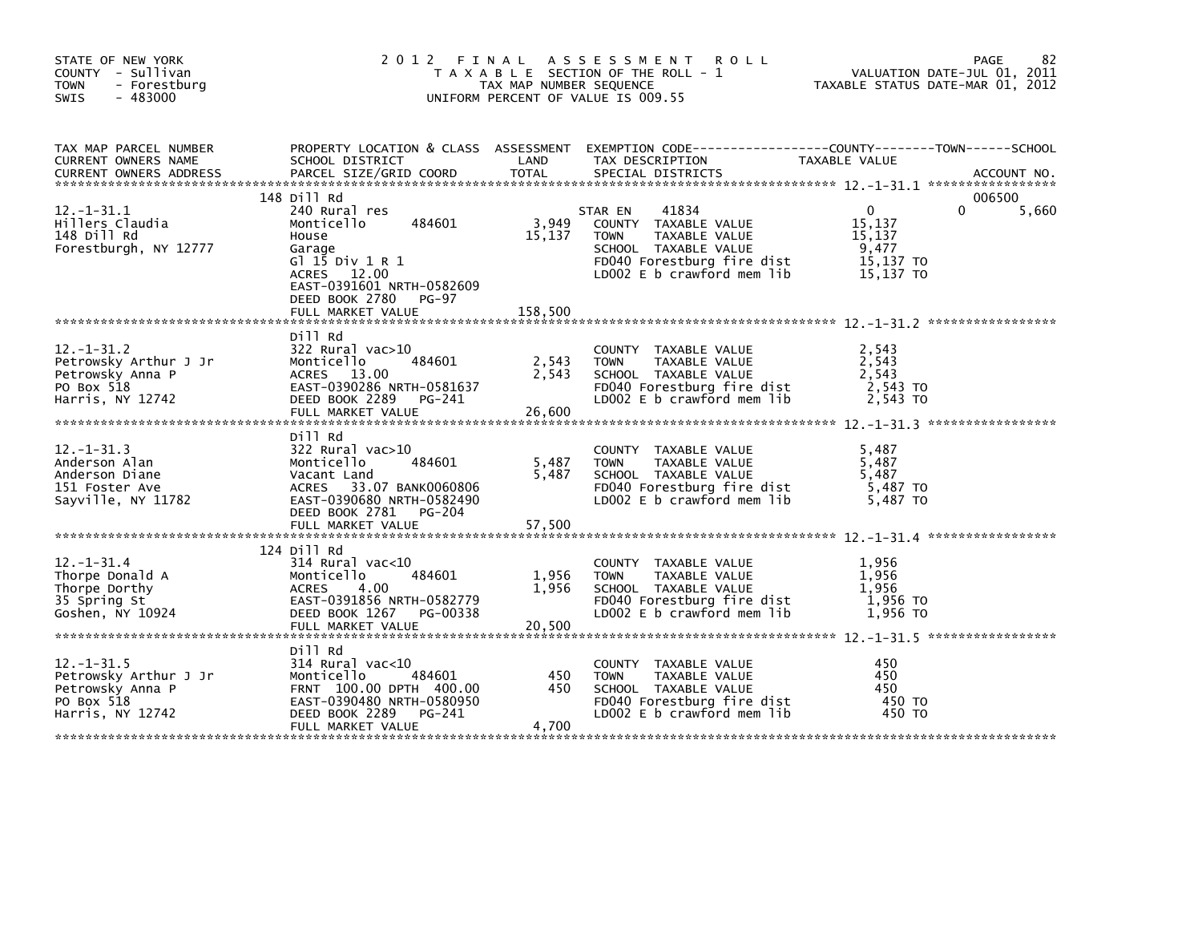| STATE OF NEW YORK<br>COUNTY - Sullivan<br><b>TOWN</b><br>- Forestburg<br>$-483000$<br><b>SWIS</b> | 2012 FINAL                                                                                                                                                                          | TAX MAP NUMBER SEQUENCE    | A S S E S S M E N T<br><b>ROLL</b><br>T A X A B L E SECTION OF THE ROLL - 1<br>UNIFORM PERCENT OF VALUE IS 009.55                                            | VALUATION DATE-JUL 01, 2011<br>TAXABLE STATUS DATE-MAR 01, 2012     | 82<br>PAGE      |
|---------------------------------------------------------------------------------------------------|-------------------------------------------------------------------------------------------------------------------------------------------------------------------------------------|----------------------------|--------------------------------------------------------------------------------------------------------------------------------------------------------------|---------------------------------------------------------------------|-----------------|
| TAX MAP PARCEL NUMBER<br>CURRENT OWNERS NAME<br><b>CURRENT OWNERS ADDRESS</b>                     | SCHOOL DISTRICT<br>PARCEL SIZE/GRID COORD                                                                                                                                           | LAND<br><b>TOTAL</b>       | PROPERTY LOCATION & CLASS ASSESSMENT EXEMPTION CODE---------------COUNTY-------TOWN-----SCHOOL<br>TAX DESCRIPTION<br>SPECIAL DISTRICTS                       | TAXABLE VALUE                                                       | ACCOUNT NO.     |
| $12. - 1 - 31.1$<br>Hillers Claudia<br>148 Dill Rd<br>Forestburgh, NY 12777                       | 148 Dill Rd<br>240 Rural res<br>484601<br>Monticello<br>House<br>Garage<br>G1 15 Div 1 R 1<br>ACRES 12.00<br>EAST-0391601 NRTH-0582609<br>DEED BOOK 2780 PG-97<br>FULL MARKET VALUE | 3,949<br>15,137<br>158,500 | 41834<br>STAR EN<br>COUNTY TAXABLE VALUE<br><b>TOWN</b><br>TAXABLE VALUE<br>SCHOOL TAXABLE VALUE<br>FD040 Forestburg fire dist<br>LD002 E b crawford mem lib | $\mathbf{0}$<br>15,137<br>15,137<br>9,477<br>15,137 TO<br>15.137 TO | 006500<br>5,660 |
|                                                                                                   |                                                                                                                                                                                     |                            |                                                                                                                                                              |                                                                     |                 |
| $12. - 1 - 31.2$<br>Petrowsky Arthur J Jr<br>Petrowsky Anna P<br>PO Box 518<br>Harris, NY 12742   | Dill Rd<br>$322$ Rural vac $>10$<br>484601<br>Monticello<br>ACRES 13.00<br>EAST-0390286 NRTH-0581637<br>DEED BOOK 2289 PG-241                                                       | 2,543<br>2,543             | COUNTY TAXABLE VALUE<br><b>TOWN</b><br>TAXABLE VALUE<br>SCHOOL TAXABLE VALUE<br>FD040 Forestburg fire dist<br>LD002 E b crawford mem lib                     | 2,543<br>2,543<br>2,543<br>2,543 TO<br>2,543 TO                     |                 |
| $12. -1 - 31.3$<br>Anderson Alan<br>Anderson Diane<br>151 Foster Ave<br>Sayville, NY 11782        | Dill Rd<br>322 Rural vac>10<br>484601<br>Monticello<br>Vacant Land<br>ACRES 33.07 BANK0060806<br>EAST-0390680 NRTH-0582490<br>DEED BOOK 2781<br>PG-204<br>FULL MARKET VALUE         | 5,487<br>5,487<br>57,500   | COUNTY TAXABLE VALUE<br><b>TOWN</b><br>TAXABLE VALUE<br>SCHOOL TAXABLE VALUE<br>FD040 Forestburg fire dist<br>LD002 E b crawford mem lib                     | 5,487<br>5,487<br>5.487<br>5,487 TO<br>5,487 TO                     |                 |
|                                                                                                   |                                                                                                                                                                                     |                            |                                                                                                                                                              |                                                                     |                 |
| $12. - 1 - 31.4$<br>Thorpe Donald A<br>Thorpe Dorthy<br>35 Spring St<br>Goshen, NY 10924          | 124 Dill Rd<br>$314$ Rural vac<10<br>Monticello<br>484601<br><b>ACRES</b><br>4.00<br>EAST-0391856 NRTH-0582779<br>DEED BOOK 1267<br>PG-00338<br>FULL MARKET VALUE                   | 1,956<br>1,956<br>20,500   | COUNTY TAXABLE VALUE<br>TAXABLE VALUE<br><b>TOWN</b><br>SCHOOL TAXABLE VALUE<br>FD040 Forestburg fire dist<br>LD002 E b crawford mem lib                     | 1,956<br>1.956<br>1,956<br>1,956 то<br>1.956 TO                     |                 |
|                                                                                                   | Dill Rd                                                                                                                                                                             |                            |                                                                                                                                                              |                                                                     |                 |
| $12. - 1 - 31.5$<br>Petrowsky Arthur J Jr<br>Petrowsky Anna P<br>PO Box 518<br>Harris, NY 12742   | $314$ Rural vac<10<br>Monticello<br>484601<br>FRNT 100.00 DPTH 400.00<br>EAST-0390480 NRTH-0580950<br>DEED BOOK 2289<br>PG-241                                                      | 450<br>450                 | COUNTY TAXABLE VALUE<br>TAXABLE VALUE<br>TOWN<br>SCHOOL TAXABLE VALUE<br>FD040 Forestburg fire dist<br>LD002 E b crawford mem lib                            | 450<br>450<br>450<br>450 TO<br>450 TO                               |                 |
|                                                                                                   | FULL MARKET VALUE                                                                                                                                                                   | 4,700                      |                                                                                                                                                              |                                                                     |                 |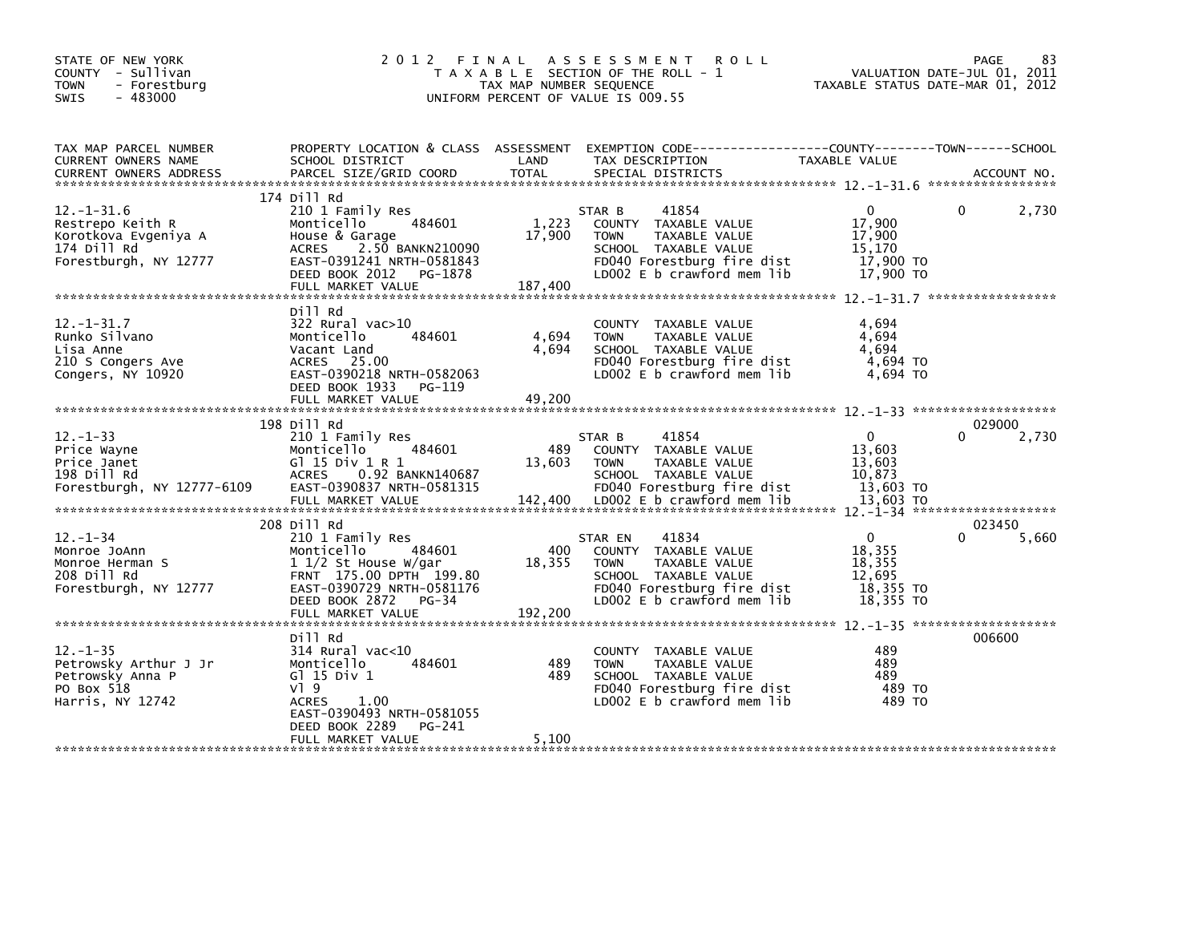| STATE OF NEW YORK<br>COUNTY - Sullivan<br><b>TOWN</b><br>- Forestburg<br>$-483000$<br><b>SWIS</b>    | 2012 FINAL                                                                                                                                                                                       | TAX MAP NUMBER SEQUENCE    | A S S E S S M E N T<br><b>ROLL</b><br>T A X A B L E SECTION OF THE ROLL - 1<br>UNIFORM PERCENT OF VALUE IS 009.55                                                  | VALUATION DATE-JUL 01, 2011<br>TAXABLE STATUS DATE-MAR 01, 2012  | PAGE     | 83          |
|------------------------------------------------------------------------------------------------------|--------------------------------------------------------------------------------------------------------------------------------------------------------------------------------------------------|----------------------------|--------------------------------------------------------------------------------------------------------------------------------------------------------------------|------------------------------------------------------------------|----------|-------------|
| TAX MAP PARCEL NUMBER<br>CURRENT OWNERS NAME<br><b>CURRENT OWNERS ADDRESS</b>                        | SCHOOL DISTRICT<br>PARCEL SIZE/GRID COORD                                                                                                                                                        | LAND<br><b>TOTAL</b>       | PROPERTY LOCATION & CLASS ASSESSMENT EXEMPTION CODE----------------COUNTY-------TOWN------SCHOOL<br>TAX DESCRIPTION<br>SPECIAL DISTRICTS                           | TAXABLE VALUE                                                    |          | ACCOUNT NO. |
| $12. - 1 - 31.6$<br>Restrepo Keith R<br>Korotkova Evgeniya A<br>174 Dill Rd<br>Forestburgh, NY 12777 | 174 Dill Rd<br>210 1 Family Res<br>484601<br>Monticello<br>House & Garage<br>2.50 BANKN210090<br><b>ACRES</b><br>EAST-0391241 NRTH-0581843<br>DEED BOOK 2012 PG-1878<br>FULL MARKET VALUE        | 1,223<br>17,900<br>187,400 | 41854<br>STAR B<br>COUNTY TAXABLE VALUE<br>TAXABLE VALUE<br><b>TOWN</b><br>SCHOOL TAXABLE VALUE<br>FD040 Forestburg fire dist<br>LD002 E b crawford mem lib        | 0<br>17.900<br>17,900<br>15,170<br>17,900 TO<br>17,900 TO        | $\Omega$ | 2,730       |
| $12. -1 - 31.7$<br>Runko Silvano<br>Lisa Anne<br>210 S Congers Ave<br>Congers, NY 10920              | Dill Rd<br>322 Rural vac>10<br>484601<br>Monticello<br>Vacant Land<br>ACRES 25.00<br>EAST-0390218 NRTH-0582063<br>DEED BOOK 1933<br>PG-119<br>FULL MARKET VALUE                                  | 4,694<br>4,694<br>49,200   | COUNTY TAXABLE VALUE<br>TAXABLE VALUE<br><b>TOWN</b><br>SCHOOL TAXABLE VALUE<br>FD040 Forestburg fire dist<br>LD002 E b crawford mem lib                           | 4,694<br>4.694<br>4,694<br>4,694 TO<br>4.694 TO                  |          |             |
| $12. - 1 - 33$<br>Price Wayne<br>Price Janet<br>198 Dill Rd<br>Forestburgh, NY 12777-6109            | 198 Dill Rd<br>210 1 Family Res<br>484601<br>Monticello<br>G $1$ 15 Div 1 R 1<br>0.92 BANKN140687<br><b>ACRES</b><br>EAST-0390837 NRTH-0581315<br>FULL MARKET VALUE                              | 489<br>13,603<br>142,400   | 41854<br>STAR B<br>COUNTY TAXABLE VALUE<br><b>TAXABLE VALUE</b><br><b>TOWN</b><br>SCHOOL TAXABLE VALUE<br>FD040 Forestburg fire dist<br>LD002 E b crawford mem lib | $\Omega$<br>13.603<br>13,603<br>10,873<br>13,603 TO<br>13,603 TO | 029000   | 2,730       |
| $12. - 1 - 34$<br>Monroe JoAnn<br>Monroe Herman S<br>208 Dill Rd<br>Forestburgh, NY 12777            | 208 Dill Rd<br>210 1 Family Res<br>Monticello<br>484601<br>$1\frac{1}{2}$ St House W/gar<br>FRNT 175.00 DPTH 199.80<br>EAST-0390729 NRTH-0581176<br>DEED BOOK 2872<br>PG-34<br>FULL MARKET VALUE | 400<br>18,355<br>192,200   | 41834<br>STAR EN<br>COUNTY TAXABLE VALUE<br><b>TOWN</b><br>TAXABLE VALUE<br>SCHOOL TAXABLE VALUE<br>FD040 Forestburg fire dist<br>LD002 E b crawford mem lib       | 0<br>18,355<br>18,355<br>12,695<br>18,355 TO<br>18,355 TO        | 023450   | 5,660       |
| $12. - 1 - 35$<br>Petrowsky Arthur J Jr<br>Petrowsky Anna P<br>PO Box 518<br>Harris, NY 12742        | Dill Rd<br>$314$ Rural vac<10<br>Monticello<br>484601<br>G $1$ 15 Div 1<br>$V$ ] 9<br><b>ACRES</b><br>1.00<br>EAST-0390493 NRTH-0581055                                                          | 489<br>489                 | COUNTY TAXABLE VALUE<br><b>TOWN</b><br>TAXABLE VALUE<br>SCHOOL TAXABLE VALUE<br>FD040 Forestburg fire dist<br>LD002 E b crawford mem lib                           | 489<br>489<br>489<br>489 TO<br>489 TO                            | 006600   |             |
|                                                                                                      | DEED BOOK 2289<br>PG-241<br>FULL MARKET VALUE                                                                                                                                                    | 5,100                      |                                                                                                                                                                    |                                                                  |          |             |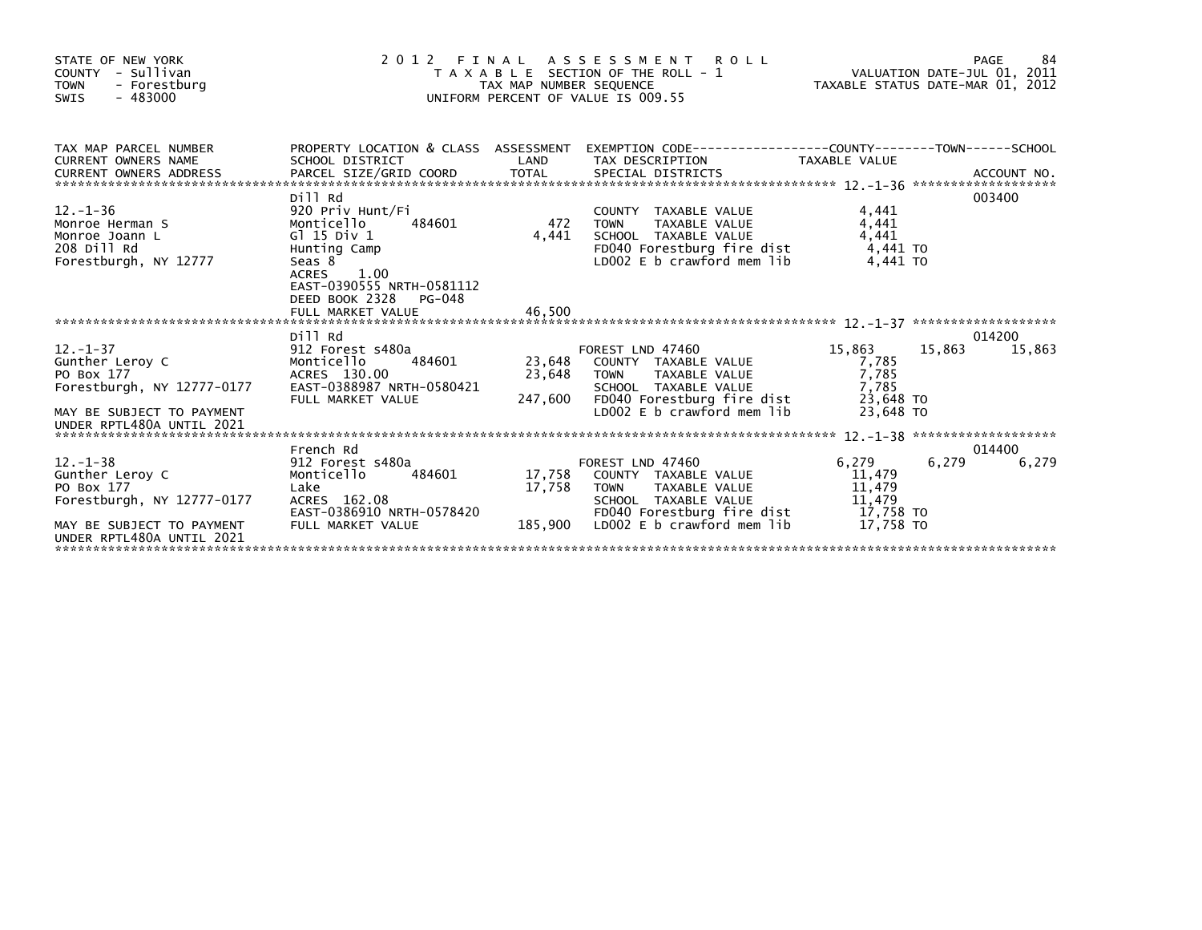| STATE OF NEW YORK<br>COUNTY - Sullivan<br><b>TOWN</b><br>- Forestburg<br>$-483000$<br><b>SWIS</b>                                      | FINAL<br>2 0 1 2                                                                                                                                                              |                             | A S S E S S M E N T<br><b>ROLL</b><br>T A X A B L E SECTION OF THE ROLL - 1<br>TAX MAP NUMBER SEQUENCE<br>TAXABLE STATUS DATE-MAR 01, 2012<br>UNIFORM PERCENT OF VALUE IS 009.55 |                                                               | PAGE             | 84     |
|----------------------------------------------------------------------------------------------------------------------------------------|-------------------------------------------------------------------------------------------------------------------------------------------------------------------------------|-----------------------------|----------------------------------------------------------------------------------------------------------------------------------------------------------------------------------|---------------------------------------------------------------|------------------|--------|
| TAX MAP PARCEL NUMBER<br><b>CURRENT OWNERS NAME</b>                                                                                    | SCHOOL DISTRICT                                                                                                                                                               | LAND                        | PROPERTY LOCATION & CLASS ASSESSMENT EXEMPTION CODE----------------COUNTY-------TOWN------SCHOOL<br>TAX DESCRIPTION                                                              | TAXABLE VALUE                                                 |                  |        |
| $12. - 1 - 36$<br>Monroe Herman S<br>Monroe Joann L<br>208 Dill Rd<br>Forestburgh, NY 12777                                            | Dill Rd<br>920 Priv Hunt/Fi<br>484601<br>Monticello<br>G1 15 Div 1<br>Hunting Camp<br>Seas 8<br><b>ACRES</b><br>1.00<br>EAST-0390555 NRTH-0581112<br>DEED BOOK 2328<br>PG-048 | 472<br>4.441                | COUNTY TAXABLE VALUE<br>TAXABLE VALUE<br><b>TOWN</b><br>SCHOOL TAXABLE VALUE<br>FD040 Forestburg fire dist<br>LD002 E b crawford mem lib                                         | 4,441<br>4,441<br>4,441<br>4.441 TO<br>4.441 TO               | 003400           |        |
|                                                                                                                                        |                                                                                                                                                                               |                             |                                                                                                                                                                                  |                                                               |                  |        |
| $12. - 1 - 37$<br>Gunther Leroy C<br>PO Box 177<br>Forestburgh, NY 12777-0177<br>MAY BE SUBJECT TO PAYMENT                             | Dill Rd<br>912 Forest s480a<br>484601<br>Monticello<br>ACRES 130.00<br>EAST-0388987 NRTH-0580421<br>FULL MARKET VALUE                                                         | 23,648<br>23,648<br>247,600 | FOREST LND 47460<br>COUNTY TAXABLE VALUE<br><b>TOWN</b><br>TAXABLE VALUE<br>SCHOOL TAXABLE VALUE<br>FD040 Forestburg fire dist<br>LD002 E b crawford mem lib                     | 15,863<br>7,785<br>7,785<br>7.785<br>23.648 TO<br>23.648 TO   | 014200<br>15.863 | 15,863 |
| UNDER RPTL480A UNTIL 2021                                                                                                              |                                                                                                                                                                               |                             |                                                                                                                                                                                  |                                                               |                  |        |
| $12 - 1 - 38$<br>Gunther Leroy C<br>PO Box 177<br>Forestburgh, NY 12777-0177<br>MAY BE SUBJECT TO PAYMENT<br>UNDER RPTL480A UNTIL 2021 | French Rd<br>912 Forest s480a<br>Monticello<br>484601<br>Lake<br>ACRES 162.08<br>EAST-0386910 NRTH-0578420<br>FULL MARKET VALUE                                               | 17,758<br>17.758<br>185,900 | FOREST LND 47460<br>COUNTY TAXABLE VALUE<br><b>TOWN</b><br><b>TAXABLE VALUE</b><br>SCHOOL TAXABLE VALUE<br>FD040 Forestburg fire dist<br>LD002 E b crawford mem lib              | 6,279<br>11,479<br>11,479<br>11,479<br>17.758 TO<br>17.758 TO | 014400<br>6,279  | 6,279  |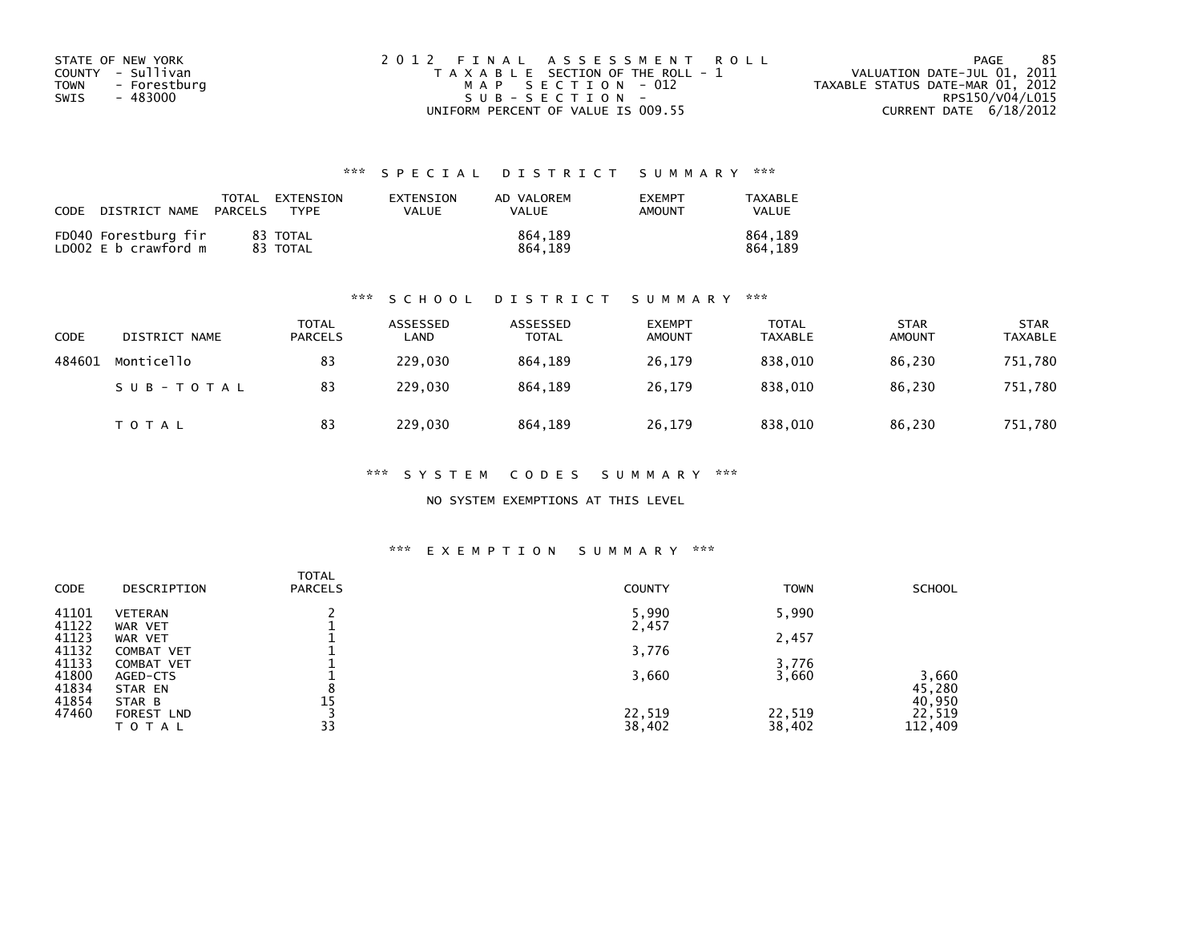| STATE OF NEW YORK           | 2012 FINAL ASSESSMENT ROLL            | -85<br>PAGE                      |
|-----------------------------|---------------------------------------|----------------------------------|
| COUNTY - Sullivan           | T A X A B L E SECTION OF THE ROLL - 1 | VALUATION DATE-JUL 01, 2011      |
| <b>TOWN</b><br>- Forestburg | MAP SECTION - 012                     | TAXABLE STATUS DATE-MAR 01, 2012 |
| SWIS<br>- 483000            | $SUB - SECTION -$                     | RPS150/V04/L015                  |
|                             | UNIFORM PERCENT OF VALUE IS 009.55    | CURRENT DATE 6/18/2012           |

## \*\*\* S P E C I A L D I S T R I C T S U M M A R Y \*\*\*

| <b>CODE</b><br>DISTRICT NAME                 | EXTENSION<br>TOTAL<br>PARCELS<br>TYPF | EXTENSION<br>VALUE | AD VALOREM<br>VALUE | <b>EXEMPT</b><br><b>AMOUNT</b> | TAXABLE<br>VALUE   |
|----------------------------------------------|---------------------------------------|--------------------|---------------------|--------------------------------|--------------------|
| FD040 Forestburg fir<br>LD002 E b crawford m | 83 TOTAL<br>83 TOTAL                  |                    | 864.189<br>864.189  |                                | 864.189<br>864.189 |

### \*\*\* S C H O O L D I S T R I C T S U M M A R Y \*\*\*

| CODE   | DISTRICT NAME | <b>TOTAL</b><br><b>PARCELS</b> | ASSESSED<br>LAND | ASSESSED<br><b>TOTAL</b> | <b>EXEMPT</b><br><b>AMOUNT</b> | <b>TOTAL</b><br><b>TAXABLE</b> | <b>STAR</b><br><b>AMOUNT</b> | <b>STAR</b><br><b>TAXABLE</b> |
|--------|---------------|--------------------------------|------------------|--------------------------|--------------------------------|--------------------------------|------------------------------|-------------------------------|
| 484601 | Monticello    | 83                             | 229,030          | 864.189                  | 26,179                         | 838,010                        | 86,230                       | 751,780                       |
|        | SUB-TOTAL     | 83                             | 229,030          | 864.189                  | 26,179                         | 838.010                        | 86,230                       | 751,780                       |
|        | T O T A L     | 83                             | 229,030          | 864,189                  | 26,179                         | 838,010                        | 86,230                       | 751,780                       |

\*\*\* S Y S T E M C O D E S S U M M A R Y \*\*\*

NO SYSTEM EXEMPTIONS AT THIS LEVEL

### \*\*\* E X E M P T I O N S U M M A R Y \*\*\*

| <b>CODE</b> | DESCRIPTION    | <b>TOTAL</b><br><b>PARCELS</b> | <b>COUNTY</b> | <b>TOWN</b> | <b>SCHOOL</b> |
|-------------|----------------|--------------------------------|---------------|-------------|---------------|
| 41101       | <b>VETERAN</b> |                                | 5,990         | 5,990       |               |
| 41122       | WAR VET        |                                | 2,457         |             |               |
| 41123       | WAR VET        |                                |               | 2,457       |               |
| 41132       | COMBAT VET     |                                | 3,776         |             |               |
| 41133       | COMBAT VET     |                                |               | 3,776       |               |
| 41800       | AGED-CTS       |                                | 3,660         | 3,660       | 3,660         |
| 41834       | STAR EN        | 8                              |               |             | 45,280        |
| 41854       | STAR B         | 15                             |               |             | 40,950        |
| 47460       | FOREST LND     |                                | 22,519        | 22,519      | 22,519        |
|             | T O T A L      | 33                             | 38,402        | 38,402      | 112,409       |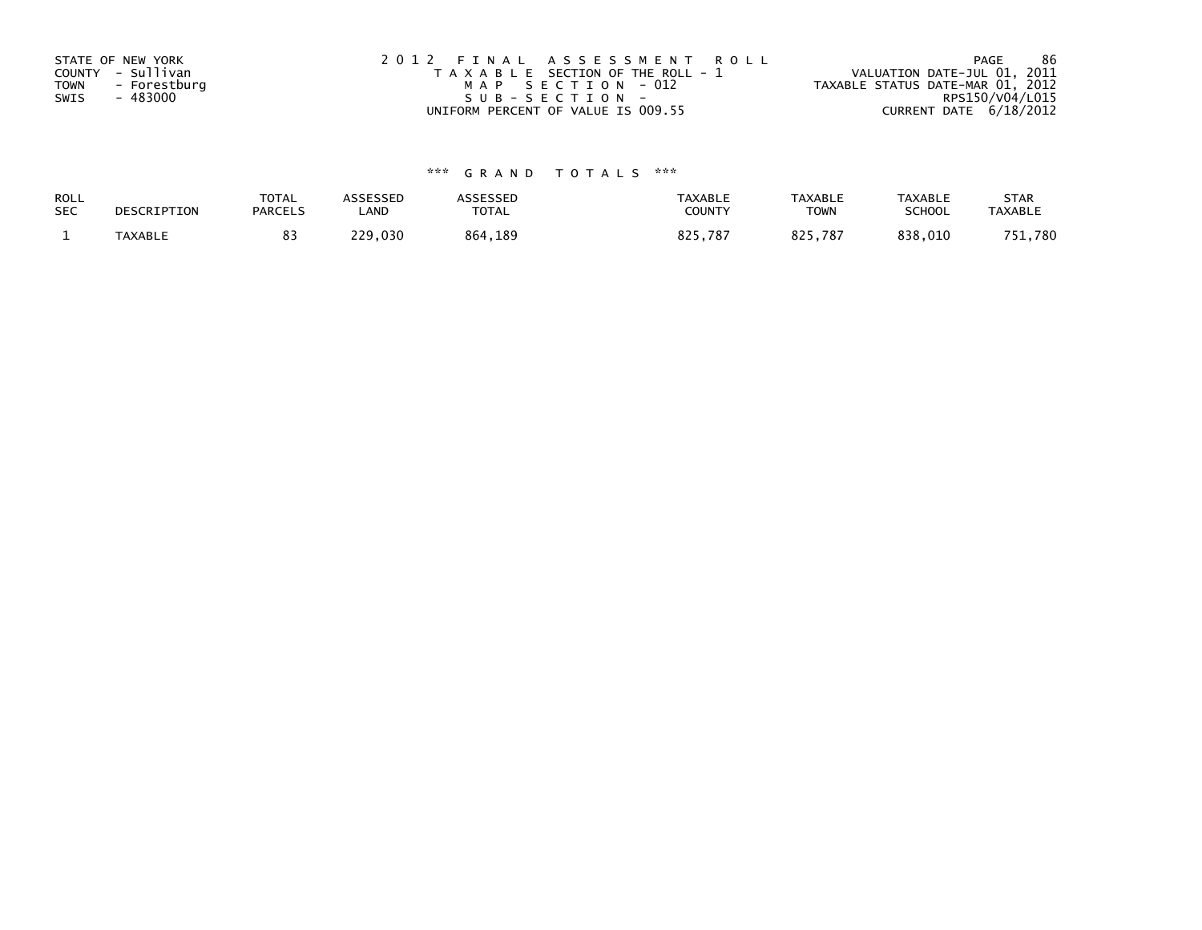| STATE OF NEW YORK           | 2012 FINAL ASSESSMENT ROLL            | -86<br>PAGE                      |
|-----------------------------|---------------------------------------|----------------------------------|
| COUNTY - Sullivan           | T A X A B L E SECTION OF THE ROLL - 1 | VALUATION DATE-JUL 01, 2011      |
| <b>TOWN</b><br>- Forestburg | MAP SECTION - 012                     | TAXABLE STATUS DATE-MAR 01, 2012 |
| - 483000<br>SWIS            | SUB-SECTION-                          | RPS150/V04/L015                  |
|                             | UNIFORM PERCENT OF VALUE IS 009.55    | CURRENT DATE 6/18/2012           |

# \*\*\* G R A N D T O T A L S \*\*\*

| <b>ROLL</b> | DESCRIPTION    | <b>TOTAL</b>   | ASSESSED | <b>ASSESSED</b> | <b>TAXABLE</b> | <b>TAXABLE</b> | <b>TAXABLE</b> | <b>STAR</b>    |
|-------------|----------------|----------------|----------|-----------------|----------------|----------------|----------------|----------------|
| <b>SEC</b>  |                | <b>PARCELS</b> | _AND     | <b>TOTAL</b>    | <b>COUNTY</b>  | ⊤OWN           | <b>SCHOOL</b>  | <b>TAXABLE</b> |
|             | <b>TAXABLE</b> |                | 229,030  | 864,189         | 825.787        | 825.787        | 838,010        | 751,780        |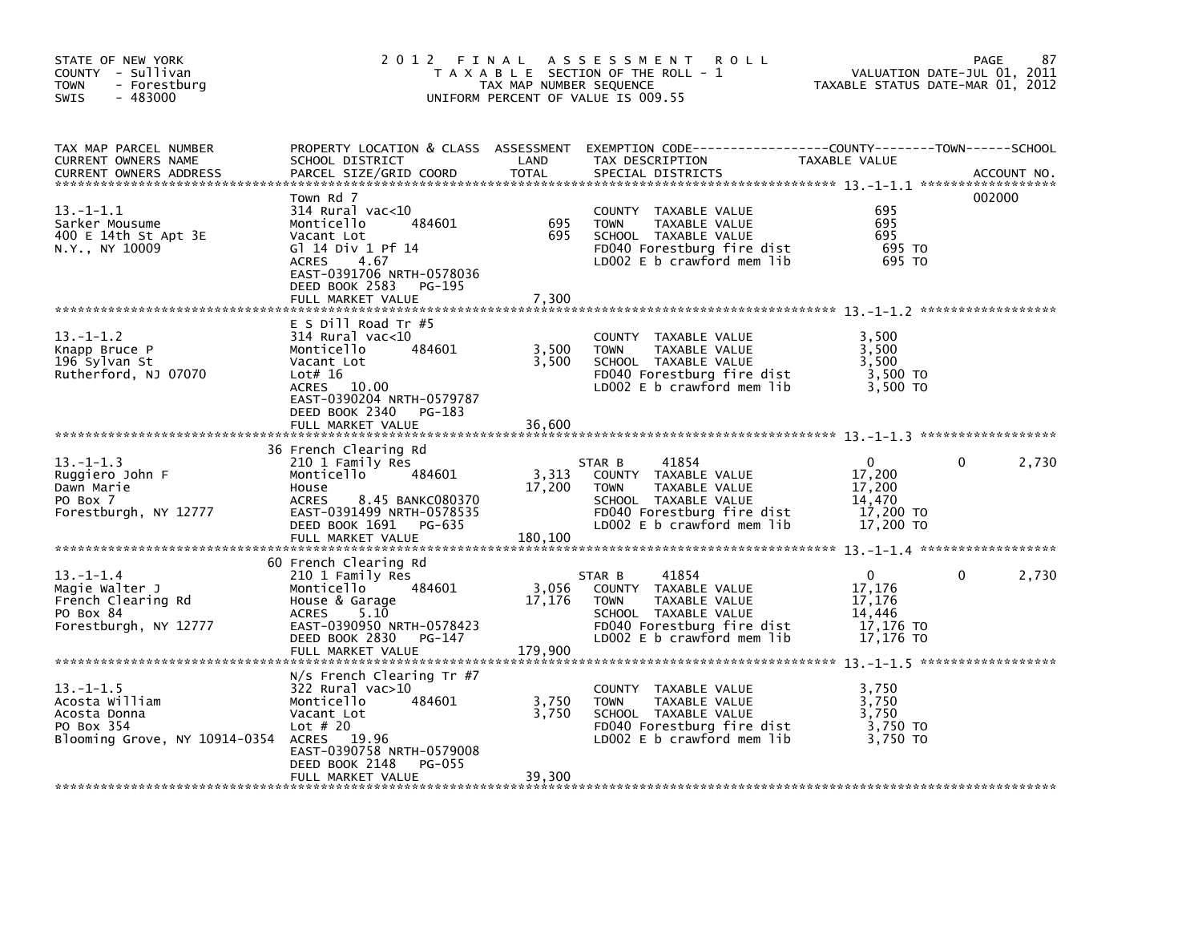| STATE OF NEW YORK<br>COUNTY - Sullivan<br>- Forestburg<br>TOWN<br>$-483000$<br><b>SWIS</b>                  |                                                                                                                                                                                           | TAX MAP NUMBER SEQUENCE    | 2012 FINAL ASSESSMENT ROLL<br>T A X A B L E SECTION OF THE ROLL - 1<br>UNIFORM PERCENT OF VALUE IS 009.55                                                   | VALUATION DATE-JUL 01, 2011<br>TAXABLE STATUS DATE-MAR 01, 2012        | 87<br>PAGE        |
|-------------------------------------------------------------------------------------------------------------|-------------------------------------------------------------------------------------------------------------------------------------------------------------------------------------------|----------------------------|-------------------------------------------------------------------------------------------------------------------------------------------------------------|------------------------------------------------------------------------|-------------------|
| TAX MAP PARCEL NUMBER<br>CURRENT OWNERS NAME<br><b>CURRENT OWNERS ADDRESS</b>                               | SCHOOL DISTRICT<br>PARCEL SIZE/GRID COORD                                                                                                                                                 | LAND<br>TOTAL              | PROPERTY LOCATION & CLASS ASSESSMENT EXEMPTION CODE-----------------COUNTY-------TOWN------SCHOOL<br>TAX DESCRIPTION<br>SPECIAL DISTRICTS                   | <b>TAXABLE VALUE</b>                                                   | ACCOUNT NO.       |
| $13.-1-1.1$<br>Sarker Mousume<br>400 E 14th St Apt 3E<br>N.Y., NY 10009                                     | Town Rd 7<br>$314$ Rural vac<10<br>484601<br>Monticello<br>Vacant Lot<br>G1 14 Div 1 Pf 14<br>4.67<br>ACRES<br>EAST-0391706 NRTH-0578036<br>DEED BOOK 2583<br>PG-195<br>FULL MARKET VALUE | 695<br>695<br>7,300        | COUNTY TAXABLE VALUE<br>TAXABLE VALUE<br><b>TOWN</b><br>SCHOOL TAXABLE VALUE<br>FD040 Forestburg fire dist<br>LD002 E b crawford mem lib                    | 695<br>695<br>695<br>695 TO<br>695 TO                                  | 002000            |
| $13.-1-1.2$<br>Knapp Bruce P<br>196 Sylvan St<br>Rutherford, NJ 07070                                       | $E$ S Dill Road Tr #5<br>314 Rural vac<10<br>484601<br>Monticello<br>Vacant Lot<br>Lot# 16<br>ACRES 10.00<br>EAST-0390204 NRTH-0579787<br>DEED BOOK 2340 PG-183<br>FULL MARKET VALUE      | 3,500<br>3,500<br>36,600   | COUNTY TAXABLE VALUE<br>TAXABLE VALUE<br><b>TOWN</b><br>SCHOOL TAXABLE VALUE<br>FD040 Forestburg fire dist<br>LD002 E b crawford mem lib                    | 3,500<br>3,500<br>3,500<br>3,500 TO<br>3,500 TO                        |                   |
| $13 - 1 - 1.3$<br>Ruggiero John F<br>Dawn Marie<br>PO Box 7<br>Forestburgh, NY 12777                        | 36 French Clearing Rd<br>210 1 Family Res<br>Monticello<br>484601<br>House<br>8.45 BANKC080370<br><b>ACRES</b><br>EAST-0391499 NRTH-0578535<br>DEED BOOK 1691 PG-635<br>FULL MARKET VALUE | 3,313<br>17,200<br>180,100 | 41854<br>STAR B<br>COUNTY TAXABLE VALUE<br><b>TOWN</b><br>TAXABLE VALUE<br>SCHOOL TAXABLE VALUE<br>FD040 Forestburg fire dist<br>LD002 E b crawford mem lib | $\Omega$<br>17,200<br>17,200<br>14,470<br>17,200 TO<br>17,200 TO       | $\Omega$<br>2,730 |
| $13.-1-1.4$<br>Magie Walter J<br>French Clearing Rd<br>PO Box 84<br>Forestburgh, NY 12777                   | 60 French Clearing Rd<br>210 1 Family Res<br>484601<br>Monticello<br>House & Garage<br>5.10<br>ACRES<br>EAST-0390950 NRTH-0578423<br>DEED BOOK 2830 PG-147<br>FULL MARKET VALUE           | 3,056<br>17,176<br>179,900 | 41854<br>STAR B<br>COUNTY TAXABLE VALUE<br>TAXABLE VALUE<br><b>TOWN</b><br>SCHOOL TAXABLE VALUE<br>FD040 Forestburg fire dist<br>LD002 E b crawford mem lib | $\overline{0}$<br>17,176<br>17,176<br>14,446<br>17,176 TO<br>17,176 TO | $\Omega$<br>2,730 |
| $13. -1 - 1.5$<br>Acosta William<br>Acosta Donna<br>PO Box 354<br>Blooming Grove, NY 10914-0354 ACRES 19.96 | $N/S$ French Clearing Tr #7<br>$322$ Rural vac $>10$<br>484601<br>Monticello<br>Vacant Lot<br>Lot $#20$<br>EAST-0390758 NRTH-0579008<br>DEED BOOK 2148<br>PG-055<br>FULL MARKET VALUE     | 3,750<br>3,750<br>39,300   | COUNTY TAXABLE VALUE<br><b>TOWN</b><br>TAXABLE VALUE<br>SCHOOL TAXABLE VALUE<br>FD040 Forestburg fire dist<br>LD002 E b crawford mem lib                    | 3,750<br>3,750<br>3,750<br>3,750 TO<br>3,750 TO                        |                   |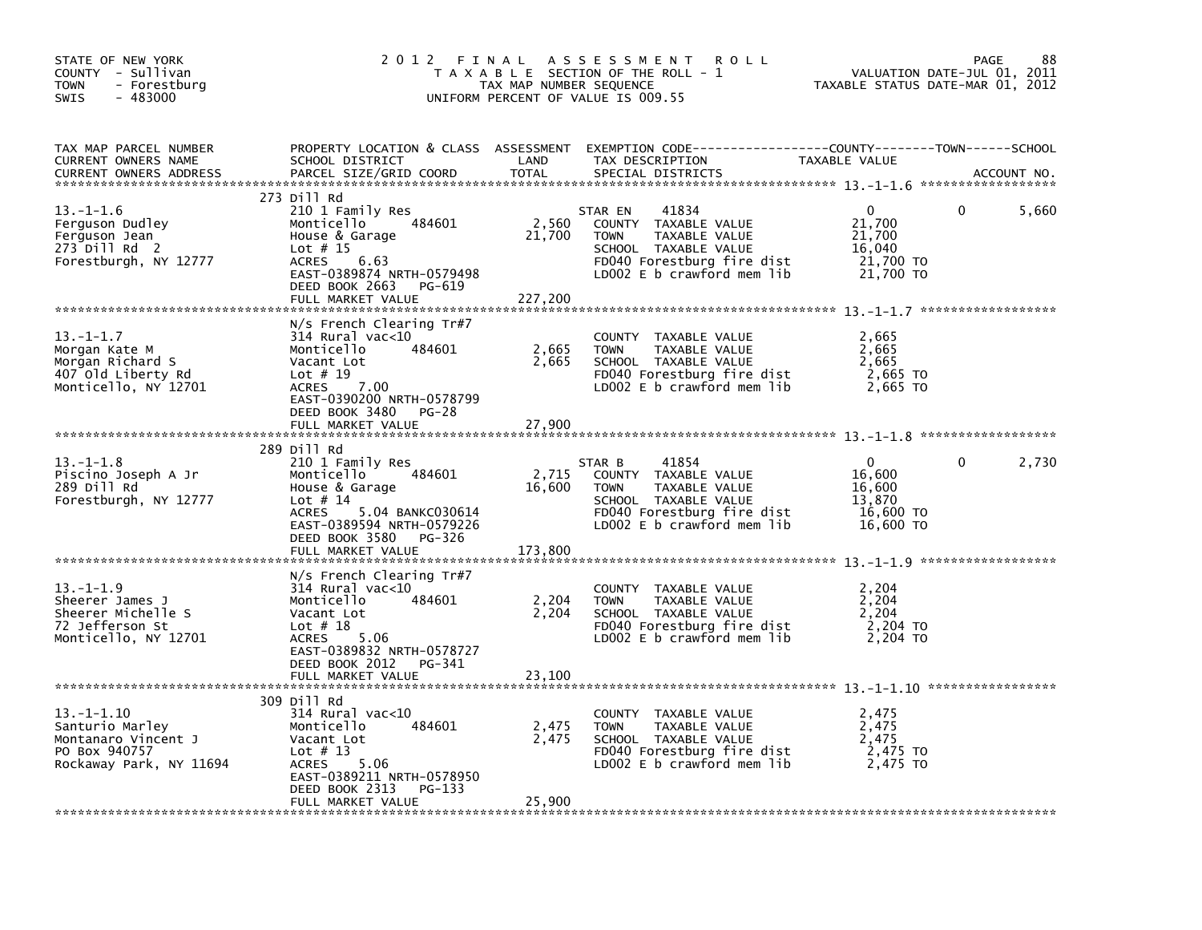| STATE OF NEW YORK<br>COUNTY - Sullivan<br><b>TOWN</b><br>- Forestburg<br>$-483000$<br><b>SWIS</b>   | 2012 FINAL                                                                                                                                                                                    | TAX MAP NUMBER SEQUENCE    | A S S E S S M E N T<br>R O L L<br>T A X A B L E SECTION OF THE ROLL - 1<br>UNIFORM PERCENT OF VALUE IS 009.55                                                | TAXABLE STATUS DATE-MAR 01, 2012                                 | 88<br>PAGE<br>VALUATION DATE-JUL 01, 2011 |
|-----------------------------------------------------------------------------------------------------|-----------------------------------------------------------------------------------------------------------------------------------------------------------------------------------------------|----------------------------|--------------------------------------------------------------------------------------------------------------------------------------------------------------|------------------------------------------------------------------|-------------------------------------------|
| TAX MAP PARCEL NUMBER<br>CURRENT OWNERS NAME<br><b>CURRENT OWNERS ADDRESS</b>                       | SCHOOL DISTRICT<br>PARCEL SIZE/GRID COORD                                                                                                                                                     | LAND<br>TOTAL              | PROPERTY LOCATION & CLASS ASSESSMENT EXEMPTION CODE----------------COUNTY-------TOWN-----SCHOOL<br>TAX DESCRIPTION<br>SPECIAL DISTRICTS                      | TAXABLE VALUE                                                    | ACCOUNT NO.                               |
| $13. - 1 - 1.6$<br>Ferguson Dudley<br>Ferguson Jean<br>273 Dill Rd 2<br>Forestburgh, NY 12777       | 273 Dill Rd<br>210 1 Family Res<br>484601<br>Monticello<br>House & Garage<br>Lot $# 15$<br><b>ACRES</b><br>6.63<br>EAST-0389874 NRTH-0579498<br>DEED BOOK 2663<br>PG-619<br>FULL MARKET VALUE | 2,560<br>21,700<br>227,200 | 41834<br>STAR EN<br>COUNTY TAXABLE VALUE<br>TAXABLE VALUE<br><b>TOWN</b><br>SCHOOL TAXABLE VALUE<br>FD040 Forestburg fire dist<br>LD002 E b crawford mem lib | $\Omega$<br>21,700<br>21,700<br>16,040<br>21,700 TO<br>21,700 TO | 5,660<br>0                                |
|                                                                                                     |                                                                                                                                                                                               |                            |                                                                                                                                                              |                                                                  |                                           |
| $13 - 1 - 1.7$<br>Morgan Kate M<br>Morgan Richard S<br>407 Old Liberty Rd<br>Monticello, NY 12701   | $N/S$ French Clearing Tr#7<br>$314$ Rural vac< $10$<br>Monticello<br>484601<br>Vacant Lot<br>Lot $# 19$<br><b>ACRES</b><br>7.00<br>EAST-0390200 NRTH-0578799                                  | 2,665<br>2,665             | COUNTY TAXABLE VALUE<br><b>TOWN</b><br>TAXABLE VALUE<br>SCHOOL TAXABLE VALUE<br>FD040 Forestburg fire dist<br>LD002 $E$ b crawford mem $lib$                 | 2,665<br>2,665<br>2,665<br>2,665 TO<br>2,665 TO                  |                                           |
|                                                                                                     | DEED BOOK 3480<br>PG-28<br>FULL MARKET VALUE                                                                                                                                                  | 27,900                     |                                                                                                                                                              |                                                                  |                                           |
|                                                                                                     | 289 Dill Rd                                                                                                                                                                                   |                            |                                                                                                                                                              |                                                                  |                                           |
| $13.-1-1.8$<br>Piscino Joseph A Jr<br>289 Dill Rd<br>Forestburgh, NY 12777                          | 210 1 Family Res<br>Monticello<br>484601<br>House & Garage<br>Lot $# 14$<br>5.04 BANKC030614<br><b>ACRES</b><br>EAST-0389594 NRTH-0579226<br>DEED BOOK 3580<br>PG-326                         | 2,715<br>16,600            | 41854<br>STAR B<br>COUNTY TAXABLE VALUE<br>TAXABLE VALUE<br><b>TOWN</b><br>SCHOOL TAXABLE VALUE<br>FD040 Forestburg fire dist<br>LD002 E b crawford mem lib  | 0<br>16,600<br>16,600<br>13,870<br>16,600 TO<br>16,600 TO        | 2,730<br>0                                |
|                                                                                                     | FULL MARKET VALUE                                                                                                                                                                             | 173,800                    |                                                                                                                                                              |                                                                  |                                           |
| $13. - 1 - 1.9$<br>Sheerer James J<br>Sheerer Michelle S<br>72 Jefferson St<br>Monticello, NY 12701 | $N/S$ French Clearing Tr#7<br>$314$ Rural vac< $10$<br>Monticello<br>484601<br>Vacant Lot<br>Lot $# 18$<br>5.06<br><b>ACRES</b><br>EAST-0389832 NRTH-0578727<br>DEED BOOK 2012 PG-341         | 2,204<br>2,204             | COUNTY TAXABLE VALUE<br>TAXABLE VALUE<br><b>TOWN</b><br>SCHOOL TAXABLE VALUE<br>FD040 Forestburg fire dist<br>LD002 E b crawford mem lib                     | 2,204<br>2,204<br>2,204<br>2,204 TO<br>2.204 TO                  |                                           |
|                                                                                                     | FULL MARKET VALUE                                                                                                                                                                             | 23,100                     |                                                                                                                                                              |                                                                  |                                           |
| $13.-1-1.10$<br>Santurio Marley<br>Montanaro Vincent J<br>PO Box 940757<br>Rockaway Park, NY 11694  | 309 Dill Rd<br>$314$ Rural vac< $10$<br>Monticello<br>484601<br>Vacant Lot<br>Lot $# 13$<br><b>ACRES</b><br>5.06<br>EAST-0389211 NRTH-0578950<br>DEED BOOK 2313<br>PG-133                     | 2,475<br>2.475             | COUNTY TAXABLE VALUE<br><b>TOWN</b><br>TAXABLE VALUE<br>SCHOOL TAXABLE VALUE<br>FD040 Forestburg fire dist<br>LD002 E b crawford mem lib                     | 2,475<br>2,475<br>2.475<br>2,475 TO<br>2.475 TO                  |                                           |
|                                                                                                     | FULL MARKET VALUE                                                                                                                                                                             | 25,900                     |                                                                                                                                                              |                                                                  |                                           |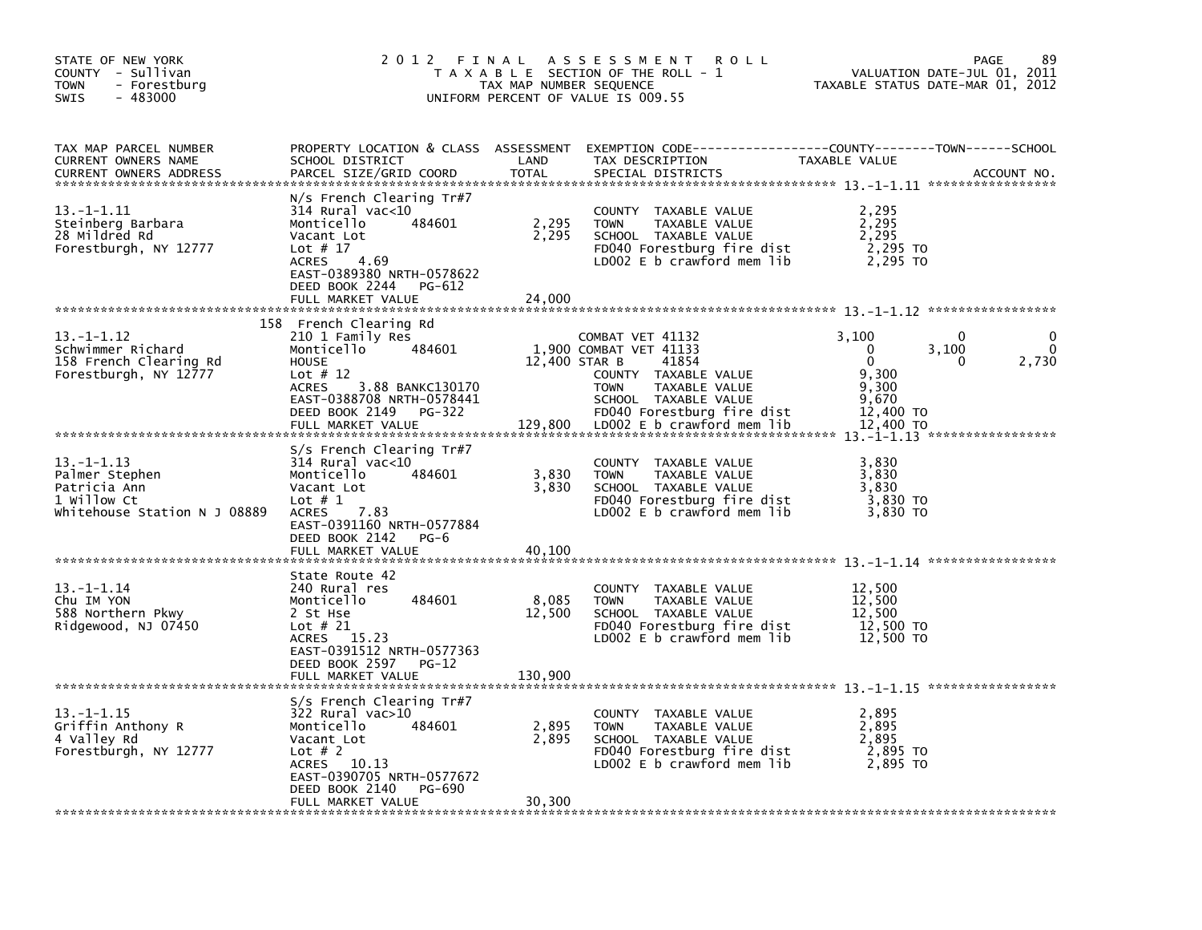| STATE OF NEW YORK<br>COUNTY - Sullivan<br><b>TOWN</b><br>- Forestburg<br>SWIS<br>$-483000$       | 2012 FINAL                                                                                                                                                                                           | TAX MAP NUMBER SEQUENCE    | A S S E S S M E N T<br><b>ROLL</b><br>T A X A B L E SECTION OF THE ROLL - 1<br>UNIFORM PERCENT OF VALUE IS 009.55                                  | TAXABLE STATUS DATE-MAR 01, 2012                         | 89<br>PAGE<br>VALUATION DATE-JUL 01, 2011 |
|--------------------------------------------------------------------------------------------------|------------------------------------------------------------------------------------------------------------------------------------------------------------------------------------------------------|----------------------------|----------------------------------------------------------------------------------------------------------------------------------------------------|----------------------------------------------------------|-------------------------------------------|
| TAX MAP PARCEL NUMBER<br>CURRENT OWNERS NAME<br><b>CURRENT OWNERS ADDRESS</b>                    | SCHOOL DISTRICT<br>PARCEL SIZE/GRID COORD                                                                                                                                                            | LAND<br><b>TOTAL</b>       | PROPERTY LOCATION & CLASS ASSESSMENT EXEMPTION CODE----------------COUNTY-------TOWN-----SCHOOL<br>TAX DESCRIPTION<br>SPECIAL DISTRICTS            | TAXABLE VALUE                                            | ACCOUNT NO.                               |
| 13. -1-1.11<br>Steinberg Barbara<br>28 Mildred Rd<br>Forestburgh, NY 12777                       | $N/s$ French Clearing Tr#7<br>$314$ Rural vac<10<br>Monticello<br>484601<br>Vacant Lot<br>Lot $# 17$<br>4.69<br><b>ACRES</b><br>EAST-0389380 NRTH-0578622<br>DEED BOOK 2244<br>PG-612                | 2,295<br>2,295             | COUNTY TAXABLE VALUE<br><b>TOWN</b><br>TAXABLE VALUE<br>SCHOOL TAXABLE VALUE<br>FD040 Forestburg fire dist<br>LD002 $E$ b crawford mem lib         | 2,295<br>2,295<br>2,295<br>2,295 TO<br>2,295 TO          |                                           |
|                                                                                                  | FULL MARKET VALUE                                                                                                                                                                                    | 24,000                     |                                                                                                                                                    |                                                          |                                           |
| 13. -1-1.12<br>Schwimmer Richard<br>158 French Clearing Rd<br>Forestburgh, NY 12777              | 158 French Clearing Rd<br>210 1 Family Res<br>484601<br>Monticello<br><b>HOUSE</b><br>Lot $# 12$<br>3.88 BANKC130170<br><b>ACRES</b><br>EAST-0388708 NRTH-0578441                                    | 12,400 STAR B              | COMBAT VET 41132<br>1,900 COMBAT VET 41133<br>41854<br>COUNTY TAXABLE VALUE<br>TAXABLE VALUE<br><b>TOWN</b><br>SCHOOL TAXABLE VALUE                | 3,100<br>$\Omega$<br>$\Omega$<br>9,300<br>9,300<br>9,670 | 0<br>$\Omega$<br>3,100<br>2,730<br>0      |
|                                                                                                  | DEED BOOK 2149<br>PG-322<br>FULL MARKET VALUE                                                                                                                                                        | 129,800                    | FD040 Forestburg fire dist<br>LD002 E b crawford mem lib                                                                                           | 12,400 TO<br>12,400 TO                                   |                                           |
| $13. -1 - 1.13$<br>Palmer Stephen<br>Patricia Ann<br>1 Willow Ct<br>Whitehouse Station N J 08889 | S/s French Clearing Tr#7<br>314 Rural vac<10<br>Monticello<br>484601<br>Vacant Lot<br>Lot $# 1$<br>7.83<br><b>ACRES</b><br>EAST-0391160 NRTH-0577884                                                 | 3,830<br>3,830             | <b>COUNTY</b><br>TAXABLE VALUE<br><b>TOWN</b><br>TAXABLE VALUE<br>SCHOOL TAXABLE VALUE<br>FD040 Forestburg fire dist<br>LD002 E b crawford mem lib | 3,830<br>3,830<br>3,830<br>3,830 TO<br>3,830 TO          |                                           |
|                                                                                                  | DEED BOOK 2142<br>$PG-6$<br>FULL MARKET VALUE                                                                                                                                                        | 40,100                     |                                                                                                                                                    |                                                          |                                           |
| $13. - 1 - 1.14$<br>Chu IM YON<br>588 Northern Pkwy<br>Ridgewood, NJ 07450                       | State Route 42<br>240 Rural res<br>Monticello<br>484601<br>2 St Hse<br>Lot $#21$<br>ACRES 15.23<br>EAST-0391512 NRTH-0577363<br>DEED BOOK 2597<br>$PG-12$<br>FULL MARKET VALUE                       | 8,085<br>12,500<br>130,900 | COUNTY TAXABLE VALUE<br><b>TOWN</b><br>TAXABLE VALUE<br>SCHOOL TAXABLE VALUE<br>FD040 Forestburg fire dist<br>LD002 E b crawford mem lib           | 12,500<br>12,500<br>12,500<br>12,500 TO<br>12,500 TO     |                                           |
|                                                                                                  |                                                                                                                                                                                                      |                            |                                                                                                                                                    |                                                          |                                           |
| $13. - 1 - 1.15$<br>Griffin Anthony R<br>4 Valley Rd<br>Forestburgh, NY 12777                    | S/s French Clearing Tr#7<br>$322$ Rural vac $>10$<br>Monticello<br>484601<br>Vacant Lot<br>Lot $# 2$<br>10.13<br>ACRES<br>EAST-0390705 NRTH-0577672<br>DEED BOOK 2140<br>PG-690<br>FULL MARKET VALUE | 2,895<br>2,895<br>30,300   | COUNTY TAXABLE VALUE<br><b>TOWN</b><br>TAXABLE VALUE<br>SCHOOL TAXABLE VALUE<br>FD040 Forestburg fire dist<br>LD002 $E$ b crawford mem lib         | 2,895<br>2,895<br>2,895<br>2,895 TO<br>2,895 TO          |                                           |
|                                                                                                  |                                                                                                                                                                                                      |                            |                                                                                                                                                    |                                                          |                                           |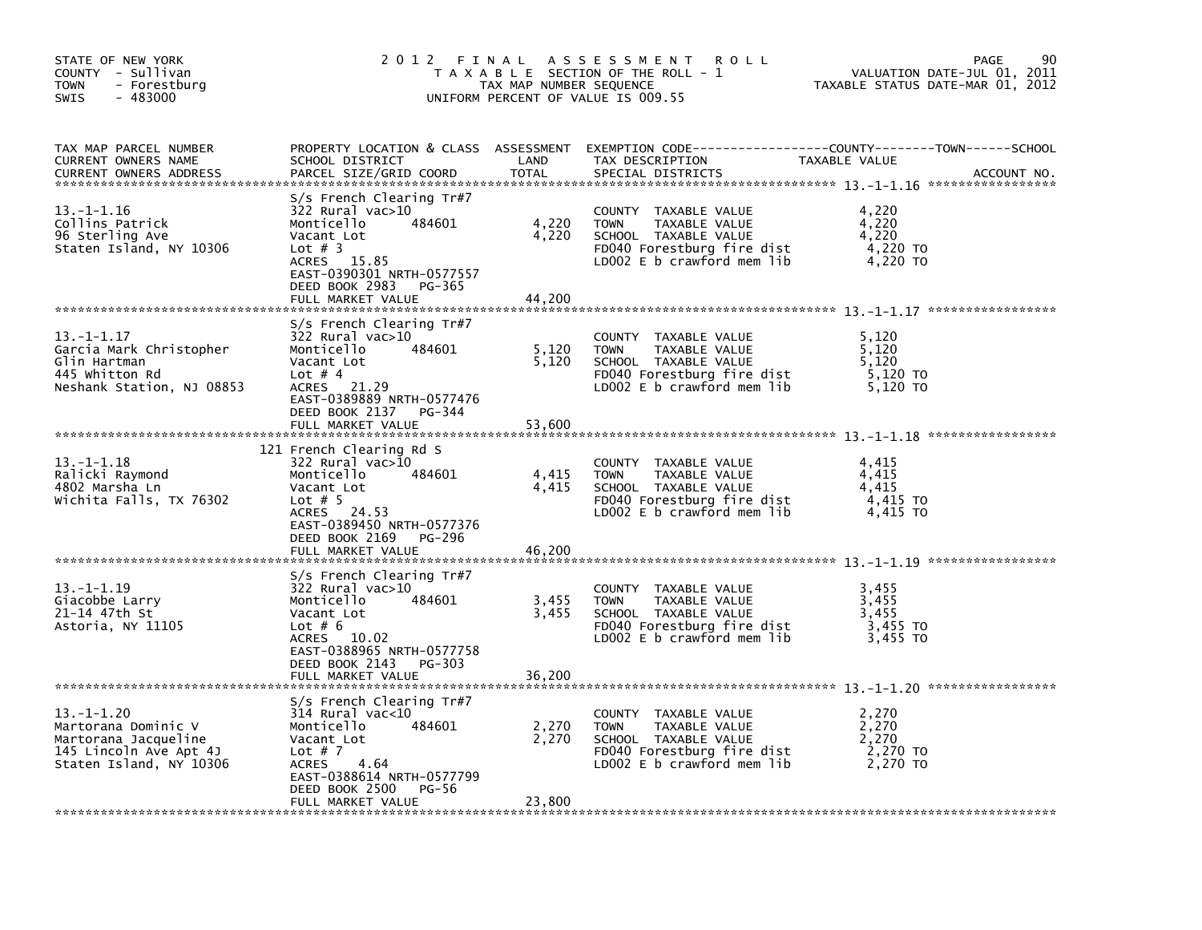| STATE OF NEW YORK<br>COUNTY - Sullivan<br><b>TOWN</b><br>- Forestburg<br>$-483000$<br><b>SWIS</b>                   | 2012 FINAL                                                                                                                                                                                                    | TAX MAP NUMBER SEQUENCE  | A S S E S S M E N T<br><b>ROLL</b><br>T A X A B L E SECTION OF THE ROLL - 1<br>UNIFORM PERCENT OF VALUE IS 009.55                            | VALUATION DATE-JUL 01, 2011<br>TAXABLE STATUS DATE-MAR 01, 2012 | 90<br>PAGE  |
|---------------------------------------------------------------------------------------------------------------------|---------------------------------------------------------------------------------------------------------------------------------------------------------------------------------------------------------------|--------------------------|----------------------------------------------------------------------------------------------------------------------------------------------|-----------------------------------------------------------------|-------------|
| TAX MAP PARCEL NUMBER<br>CURRENT OWNERS NAME<br><b>CURRENT OWNERS ADDRESS</b>                                       | SCHOOL DISTRICT<br>PARCEL SIZE/GRID COORD                                                                                                                                                                     | LAND<br><b>TOTAL</b>     | PROPERTY LOCATION & CLASS ASSESSMENT EXEMPTION CODE---------------COUNTY-------TOWN-----SCHOOL<br>TAX DESCRIPTION<br>SPECIAL DISTRICTS       | TAXABLE VALUE                                                   | ACCOUNT NO. |
| $13. - 1 - 1.16$<br>Collins Patrick<br>96 Sterling Ave<br>Staten Island, NY 10306                                   | $S/S$ French Clearing Tr#7<br>$322$ Rural vac $>10$<br>Monticello<br>484601<br>Vacant Lot<br>Lot $#$ 3<br><b>ACRES</b><br>15.85<br>EAST-0390301 NRTH-0577557<br>DEED BOOK 2983<br>PG-365<br>FULL MARKET VALUE | 4,220<br>4,220<br>44,200 | COUNTY TAXABLE VALUE<br>TAXABLE VALUE<br><b>TOWN</b><br>SCHOOL TAXABLE VALUE<br>FD040 Forestburg fire dist<br>LD002 E b crawford mem lib     | 4,220<br>4,220<br>4,220<br>4,220 TO<br>4,220 TO                 |             |
|                                                                                                                     |                                                                                                                                                                                                               |                          |                                                                                                                                              |                                                                 |             |
| $13. - 1 - 1.17$<br>Garcia Mark Christopher<br>Glin Hartman<br>445 Whitton Rd<br>Neshank Station, NJ 08853          | S/s French Clearing Tr#7<br>$322$ Rural vac $>10$<br>Monticello<br>484601<br>Vacant Lot<br>Lot $# 4$<br>ACRES 21.29<br>EAST-0389889 NRTH-0577476                                                              | 5,120<br>5,120           | COUNTY TAXABLE VALUE<br><b>TOWN</b><br>TAXABLE VALUE<br>SCHOOL TAXABLE VALUE<br>FD040 Forestburg fire dist<br>LD002 $E$ b crawford mem $lib$ | 5,120<br>5,120<br>5.120<br>5,120 TO<br>5,120 TO                 |             |
|                                                                                                                     | DEED BOOK 2137 PG-344<br>FULL MARKET VALUE                                                                                                                                                                    | 53,600                   |                                                                                                                                              |                                                                 |             |
| $13. - 1 - 1.18$<br>Ralicki Raymond<br>4802 Marsha Ln<br>Wichita Falls, TX 76302                                    | 121 French Clearing Rd S<br>$322$ Rural vac $>10$<br>Monticello<br>484601<br>Vacant Lot<br>Lot $# 5$<br>ACRES 24.53<br>EAST-0389450 NRTH-0577376                                                              | 4,415<br>4,415           | COUNTY TAXABLE VALUE<br>TAXABLE VALUE<br><b>TOWN</b><br>SCHOOL TAXABLE VALUE<br>FD040 Forestburg fire dist<br>LD002 E b crawford mem lib     | 4,415<br>4,415<br>4,415<br>4,415 TO<br>4.415 TO                 |             |
|                                                                                                                     | DEED BOOK 2169 PG-296<br>FULL MARKET VALUE                                                                                                                                                                    | 46,200                   |                                                                                                                                              |                                                                 |             |
| $13. - 1 - 1.19$<br>Giacobbe Larry<br>21–14 47th St<br>Astoria, NY 11105                                            | $S/S$ French Clearing Tr#7<br>322 Rural vac>10<br>Monticello<br>484601<br>Vacant Lot<br>Lot $# 6$<br>10.02<br>ACRES<br>EAST-0388965 NRTH-0577758<br>DEED BOOK 2143<br>PG-303<br>FULL MARKET VALUE             | 3,455<br>3,455<br>36,200 | COUNTY TAXABLE VALUE<br>TAXABLE VALUE<br><b>TOWN</b><br>SCHOOL TAXABLE VALUE<br>FD040 Forestburg fire dist<br>LD002 $E$ b crawford mem lib   | 3,455<br>3,455<br>3,455<br>3,455 TO<br>3,455 TO                 |             |
| ******************************                                                                                      |                                                                                                                                                                                                               |                          |                                                                                                                                              |                                                                 |             |
| $13. -1 - 1.20$<br>Martorana Dominic V<br>Martorana Jacqueline<br>145 Lincoln Ave Apt 4J<br>Staten Island, NY 10306 | S/s French Clearing Tr#7<br>$314$ Rural vac<10<br>Monticello<br>484601<br>Vacant Lot<br>Lot $# 7$<br>ACRES<br>4.64<br>EAST-0388614 NRTH-0577799<br>DEED BOOK 2500<br>PG-56                                    | 2,270<br>2,270           | COUNTY TAXABLE VALUE<br><b>TOWN</b><br>TAXABLE VALUE<br>SCHOOL TAXABLE VALUE<br>FD040 Forestburg fire dist<br>LD002 $E$ b crawford mem $lib$ | 2,270<br>2,270<br>2,270<br>2,270 TO<br>2,270 TO                 |             |
|                                                                                                                     | FULL MARKET VALUE                                                                                                                                                                                             | 23,800                   |                                                                                                                                              |                                                                 |             |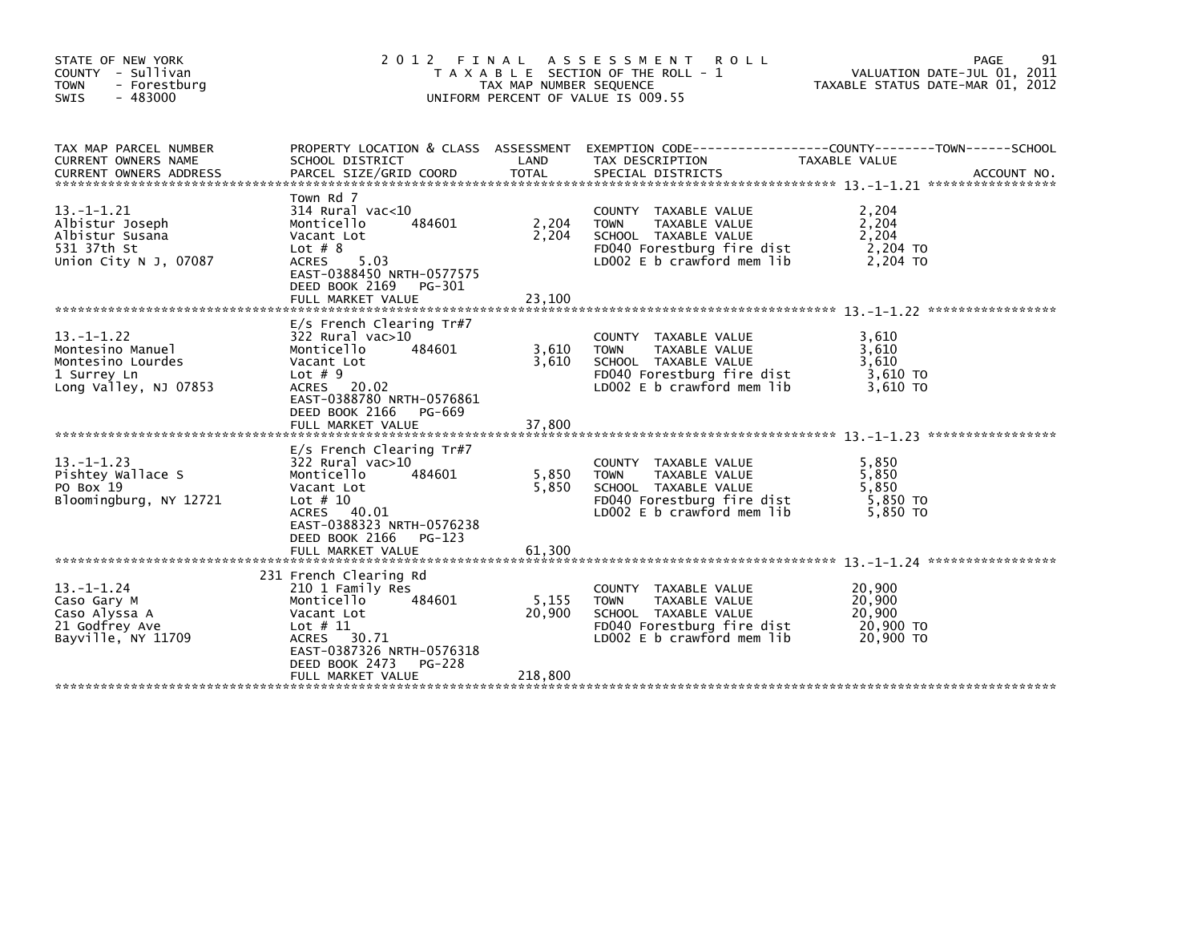| STATE OF NEW YORK<br>COUNTY - Sullivan<br>- Forestburg<br><b>TOWN</b><br>$-483000$<br><b>SWIS</b> | 2012                                                                                                                                                                                                | FINAL<br>TAX MAP NUMBER SEQUENCE | A S S E S S M E N T<br><b>ROLL</b><br>T A X A B L E SECTION OF THE ROLL - 1<br>UNIFORM PERCENT OF VALUE IS 009.55                          | PAGE<br>VALUATION DATE-JUL 01, 2011<br>TAXABLE STATUS DATE-MAR 01, 2012 | 91          |
|---------------------------------------------------------------------------------------------------|-----------------------------------------------------------------------------------------------------------------------------------------------------------------------------------------------------|----------------------------------|--------------------------------------------------------------------------------------------------------------------------------------------|-------------------------------------------------------------------------|-------------|
| TAX MAP PARCEL NUMBER<br>CURRENT OWNERS NAME                                                      | PROPERTY LOCATION & CLASS ASSESSMENT<br>SCHOOL DISTRICT                                                                                                                                             | LAND                             | TAX DESCRIPTION                                                                                                                            | TAXABLE VALUE<br>*****************                                      | ACCOUNT NO. |
| $13.-1-1.21$<br>Albistur Joseph<br>Albistur Susana<br>531 37th St<br>Union City $N$ J, 07087      | Town Rd 7<br>$314$ Rural vac< $10$<br>Monticello<br>484601<br>Vacant Lot<br>Lot $# 8$<br><b>ACRES</b><br>5.03<br>EAST-0388450 NRTH-0577575<br>DEED BOOK 2169<br>PG-301<br>FULL MARKET VALUE         | 2,204<br>2,204<br>23,100         | COUNTY TAXABLE VALUE<br><b>TOWN</b><br>TAXABLE VALUE<br>SCHOOL TAXABLE VALUE<br>FD040 Forestburg fire dist<br>LD002 E b crawford mem lib   | 2,204<br>2,204<br>2,204<br>2,204 TO<br>2.204 TO                         |             |
| $13. -1 - 1.22$<br>Montesino Manuel<br>Montesino Lourdes<br>1 Surrey Ln<br>Long Valley, NJ 07853  | $E/S$ French Clearing Tr#7<br>322 Rural vac>10<br>Monticello<br>484601<br>Vacant Lot<br>Lot $# 9$<br>ACRES 20.02<br>EAST-0388780 NRTH-0576861<br>DEED BOOK 2166<br>PG-669<br>FULL MARKET VALUE      | 3,610<br>3,610<br>37,800         | COUNTY TAXABLE VALUE<br><b>TOWN</b><br>TAXABLE VALUE<br>SCHOOL TAXABLE VALUE<br>FD040 Forestburg fire dist<br>LD002 E b crawford mem lib   | 3,610<br>3,610<br>3,610<br>3,610 TO<br>3.610 TO                         |             |
| $13. -1 - 1.23$<br>Pishtey Wallace S<br>PO Box 19<br>Bloomingburg, NY 12721                       | $E/S$ French Clearing Tr#7<br>$322$ Rural vac $>10$<br>Monticello<br>484601<br>Vacant Lot<br>Lot $#10$<br>ACRES 40.01<br>EAST-0388323 NRTH-0576238<br>DEED BOOK 2166<br>PG-123<br>FULL MARKET VALUE | 5,850<br>5.850<br>61,300         | COUNTY TAXABLE VALUE<br>TAXABLE VALUE<br><b>TOWN</b><br>SCHOOL TAXABLE VALUE<br>FD040 Forestburg fire dist<br>LD002 E b crawford mem lib   | 5,850<br>5,850<br>5.850<br>5.850 TO<br>5,850 TO                         |             |
| $13. - 1 - 1.24$<br>Caso Gary M<br>Caso Alyssa A<br>21 Godfrey Ave<br>Bayville, NY 11709          | 231 French Clearing Rd<br>210 1 Family Res<br>Monticello<br>484601<br>Vacant Lot<br>Lot $# 11$<br>30.71<br>ACRES<br>EAST-0387326 NRTH-0576318<br>DEED BOOK 2473<br>PG-228<br>FULL MARKET VALUE      | 5,155<br>20,900<br>218,800       | COUNTY TAXABLE VALUE<br><b>TOWN</b><br>TAXABLE VALUE<br>SCHOOL TAXABLE VALUE<br>FD040 Forestburg fire dist<br>$LD002 E b$ crawford mem lib | 20,900<br>20,900<br>20,900<br>20,900 TO<br>20,900 TO                    |             |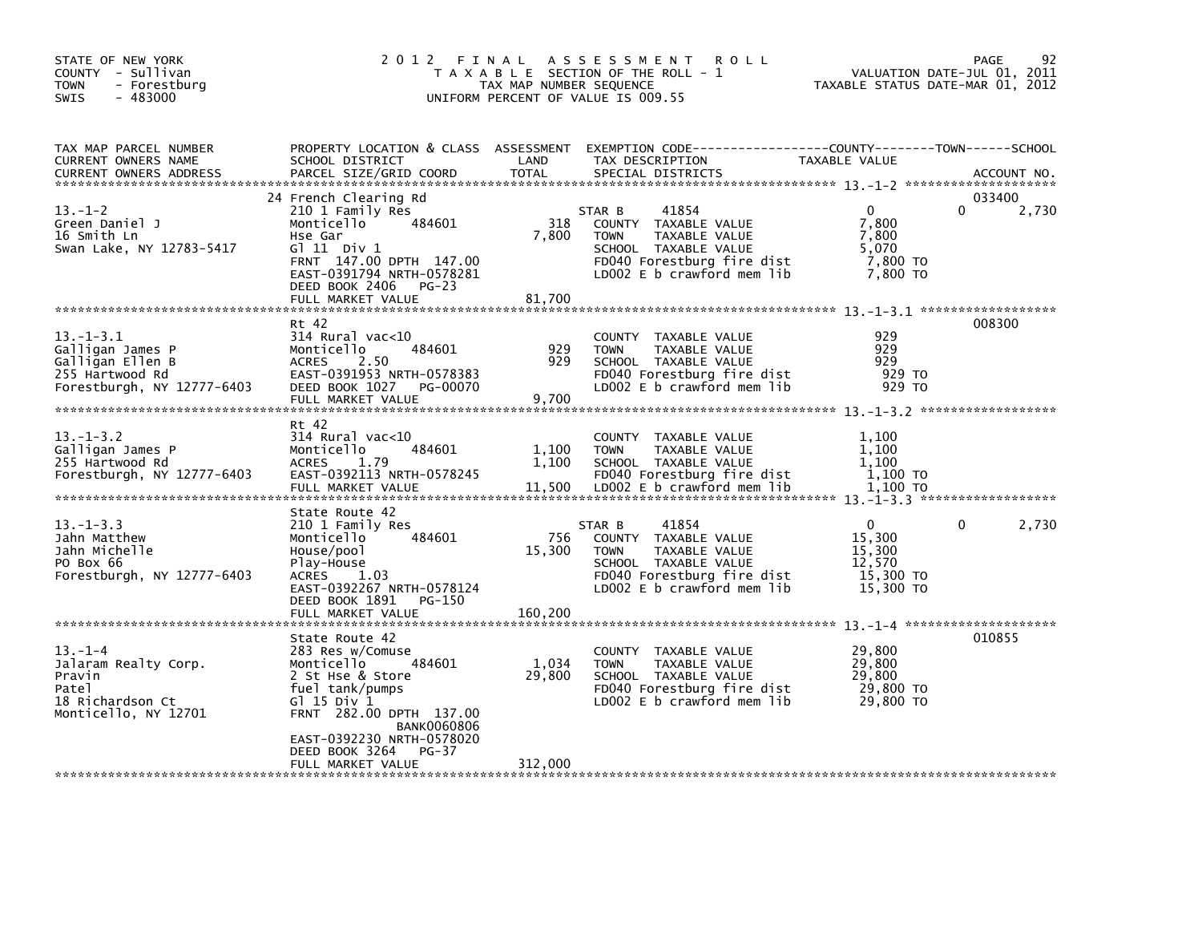| STATE OF NEW YORK<br>COUNTY - Sullivan<br><b>TOWN</b><br>- Forestburg<br>SWIS<br>$-483000$               | 2012 FINAL                                                                                                                                                                                                                                           | TAX MAP NUMBER SEQUENCE    | ASSESSMENT ROLL<br>T A X A B L E SECTION OF THE ROLL - 1<br>UNIFORM PERCENT OF VALUE IS 009.55                                                              | TAXABLE STATUS DATE-MAR 01, 2012                                     | 92<br>PAGE<br>VALUATION DATE-JUL 01, 2011 |
|----------------------------------------------------------------------------------------------------------|------------------------------------------------------------------------------------------------------------------------------------------------------------------------------------------------------------------------------------------------------|----------------------------|-------------------------------------------------------------------------------------------------------------------------------------------------------------|----------------------------------------------------------------------|-------------------------------------------|
| TAX MAP PARCEL NUMBER<br>CURRENT OWNERS NAME<br><b>CURRENT OWNERS ADDRESS</b>                            | PROPERTY LOCATION & CLASS ASSESSMENT<br>SCHOOL DISTRICT<br>PARCEL SIZE/GRID COORD                                                                                                                                                                    | LAND<br><b>TOTAL</b>       | EXEMPTION CODE------------------COUNTY--------TOWN------SCHOOL<br>TAX DESCRIPTION<br>SPECIAL DISTRICTS                                                      | TAXABLE VALUE                                                        | ACCOUNT NO.                               |
| $13.-1-2$<br>Green Daniel J<br>16 Smith Ln<br>Swan Lake, NY 12783-5417                                   | 24 French Clearing Rd<br>210 1 Family Res<br>484601<br>Monticello<br>Hse Gar<br>$G1 11$ Div $1$<br>FRNT 147.00 DPTH 147.00<br>EAST-0391794 NRTH-0578281<br>DEED BOOK 2406<br>$PG-23$<br>FULL MARKET VALUE                                            | 318<br>7,800<br>81,700     | 41854<br>STAR B<br>COUNTY TAXABLE VALUE<br>TAXABLE VALUE<br><b>TOWN</b><br>SCHOOL TAXABLE VALUE<br>FD040 Forestburg fire dist<br>LD002 E b crawford mem lib | $\Omega$<br>7,800<br>7,800<br>5,070<br>7,800 TO<br>7,800 TO          | 033400<br>2,730<br>0                      |
| $13. - 1 - 3.1$<br>Galligan James P<br>Galligan Ellen B<br>255 Hartwood Rd<br>Forestburgh, NY 12777-6403 | Rt 42<br>$314$ Rural vac<10<br>484601<br>Monticello<br><b>ACRES</b><br>2.50<br>EAST-0391953 NRTH-0578383<br>DEED BOOK 1027<br>PG-00070<br>FULL MARKET VALUE                                                                                          | 929<br>929<br>9.700        | COUNTY TAXABLE VALUE<br>TAXABLE VALUE<br><b>TOWN</b><br>SCHOOL TAXABLE VALUE<br>FD040 Forestburg fire dist<br>LD002 E b crawford mem lib                    | 929<br>929<br>929<br>929 TO<br>929 TO                                | 008300                                    |
| $13 - 1 - 3.2$<br>Galligan James P<br>255 Hartwood Rd<br>Forestburgh, NY 12777-6403                      | Rt 42<br>314 Rural vac<10<br>484601<br>Monticello<br><b>ACRES</b><br>1.79<br>EAST-0392113 NRTH-0578245<br>FULL MARKET VALUE                                                                                                                          | 1,100<br>1,100<br>11,500   | COUNTY TAXABLE VALUE<br><b>TOWN</b><br>TAXABLE VALUE<br>SCHOOL TAXABLE VALUE<br>FD040 Forestburg fire dist<br>LD002 E b crawford mem lib                    | 1,100<br>1,100<br>1.100<br>1,100 TO<br>1,100 TO                      |                                           |
| $13. -1 - 3.3$<br>Jahn Matthew<br>Jahn Michelle<br>PO Box 66<br>Forestburgh, NY 12777-6403               | State Route 42<br>210 1 Family Res<br>484601<br>Monticello<br>House/pool<br>Play-House<br>ACRES 1.03<br>EAST-0392267 NRTH-0578124<br>DEED BOOK 1891<br>PG-150<br>FULL MARKET VALUE                                                                   | 756<br>15,300<br>160,200   | 41854<br>STAR B<br>COUNTY TAXABLE VALUE<br>TAXABLE VALUE<br><b>TOWN</b><br>SCHOOL TAXABLE VALUE<br>FD040 Forestburg fire dist<br>LD002 E b crawford mem lib | $\mathbf{0}$<br>15,300<br>15,300<br>12,570<br>15,300 TO<br>15,300 TO | 0<br>2,730                                |
| $13. - 1 - 4$<br>Jalaram Realty Corp.<br>Pravin<br>Patel<br>18 Richardson Ct<br>Monticello, NY 12701     | State Route 42<br>283 Res w/Comuse<br>Monticello<br>484601<br>2 St Hse & Store<br>fuel tank/pumps<br>$G1$ 15 Div $1$<br>FRNT 282.00 DPTH 137.00<br><b>BANK0060806</b><br>EAST-0392230 NRTH-0578020<br>DEED BOOK 3264<br>$PG-37$<br>FULL MARKET VALUE | 1,034<br>29,800<br>312,000 | COUNTY TAXABLE VALUE<br>TAXABLE VALUE<br><b>TOWN</b><br>SCHOOL TAXABLE VALUE<br>FD040 Forestburg fire dist<br>$LD002 E b$ crawford mem lib                  | 29,800<br>29,800<br>29,800<br>29,800 TO<br>29,800 TO                 | 010855                                    |
|                                                                                                          |                                                                                                                                                                                                                                                      |                            |                                                                                                                                                             |                                                                      |                                           |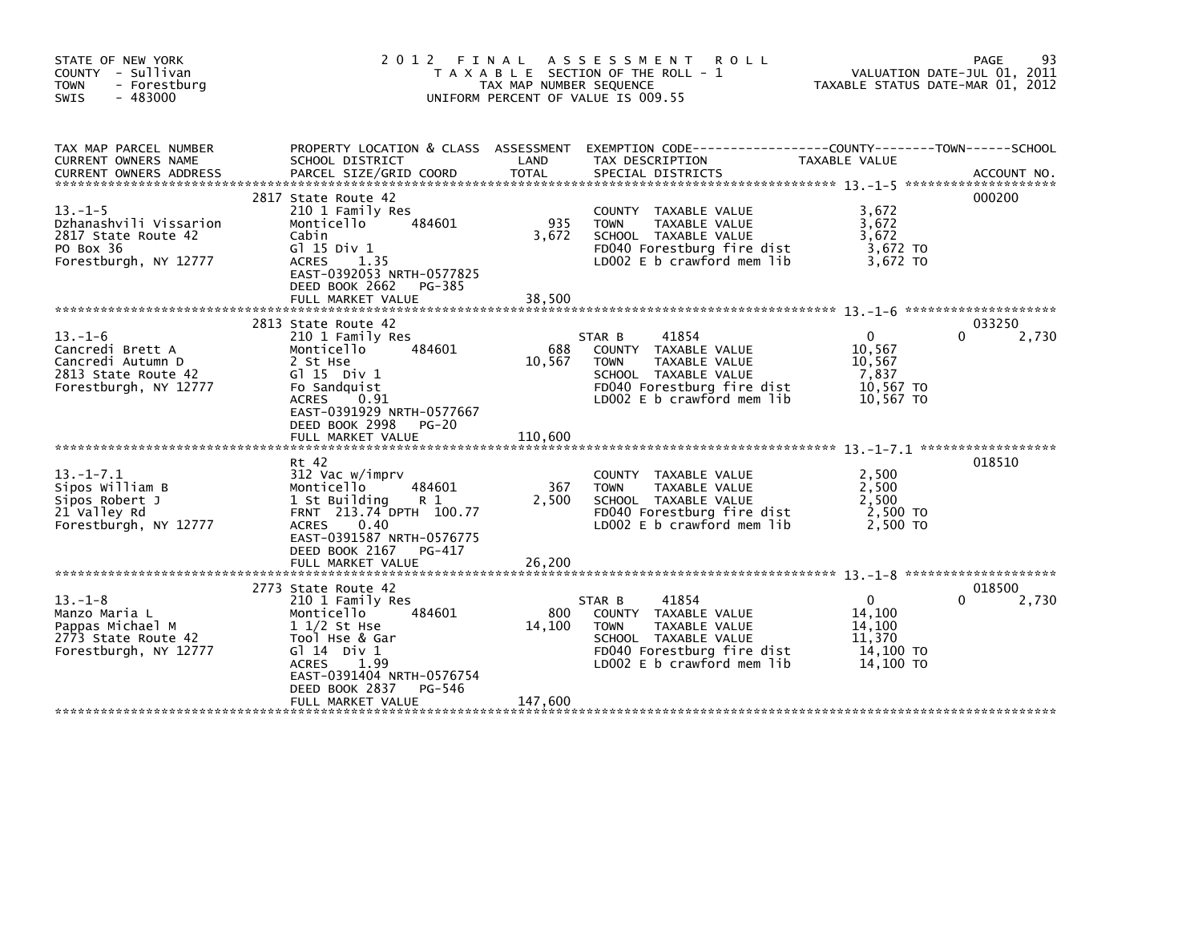| STATE OF NEW YORK<br>COUNTY - Sullivan<br>- Forestburg<br><b>TOWN</b><br>$-483000$<br><b>SWIS</b>      | 2012 FINAL                                                                                                                                                                                                                  | TAX MAP NUMBER SEQUENCE  | A S S E S S M E N T<br><b>ROLL</b><br>T A X A B L E SECTION OF THE ROLL -<br>UNIFORM PERCENT OF VALUE IS 009.55                                                       | TAXABLE STATUS DATE-MAR 01, 2012                                 | 93<br>PAGE<br>VALUATION DATE-JUL 01, 2011 |
|--------------------------------------------------------------------------------------------------------|-----------------------------------------------------------------------------------------------------------------------------------------------------------------------------------------------------------------------------|--------------------------|-----------------------------------------------------------------------------------------------------------------------------------------------------------------------|------------------------------------------------------------------|-------------------------------------------|
| TAX MAP PARCEL NUMBER<br>CURRENT OWNERS NAME<br><b>CURRENT OWNERS ADDRESS</b>                          | SCHOOL DISTRICT                                                                                                                                                                                                             | LAND                     | PROPERTY LOCATION & CLASS ASSESSMENT EXEMPTION CODE----------------COUNTY-------TOWN-----SCHOOL<br>TAX DESCRIPTION                                                    | <b>TAXABLE VALUE</b>                                             |                                           |
| $13. -1 - 5$<br>Dzhanashvili Vissarion<br>2817 State Route 42<br>PO Box 36<br>Forestburgh, NY 12777    | 2817 State Route 42<br>210 1 Family Res<br>Monticello<br>484601<br>Cabin<br>G1 15 Div 1<br><b>ACRES</b><br>1.35<br>EAST-0392053 NRTH-0577825<br>DEED BOOK 2662<br>PG-385<br>FULL MARKET VALUE                               | 935<br>3.672<br>38,500   | COUNTY TAXABLE VALUE<br>TAXABLE VALUE<br><b>TOWN</b><br>SCHOOL TAXABLE VALUE<br>FD040 Forestburg fire dist<br>LD002 E b crawford mem lib                              | 3,672<br>3,672<br>3,672<br>3,672 TO<br>3.672 TO                  | 000200                                    |
| $13. - 1 - 6$<br>Cancredi Brett A<br>Cancredi Autumn D<br>2813 State Route 42<br>Forestburgh, NY 12777 | 2813 State Route 42<br>210 1 Family Res<br>Monticello<br>484601<br>2 St Hse<br>G1 15 Div 1<br>Fo Sandquist<br>0.91<br><b>ACRES</b><br>EAST-0391929 NRTH-0577667<br>DEED BOOK 2998<br>PG-20                                  | 688<br>10,567            | STAR B<br>41854<br>COUNTY TAXABLE VALUE<br><b>TOWN</b><br><b>TAXABLE VALUE</b><br>SCHOOL TAXABLE VALUE<br>FD040 Forestburg fire dist<br>LD002 E b crawford mem lib    | 0<br>10,567<br>10,567<br>7,837<br>10,567 TO<br>10,567 TO         | 033250<br>0<br>2,730                      |
| $13. - 1 - 7.1$<br>Sipos William B<br>Sipos Robert J<br>21 Valley Rd<br>Forestburgh, NY 12777          | Rt 42<br>312 Vac w/imprv<br>Monticello<br>484601<br>1 St Building<br>R 1<br>FRNT 213.74 DPTH 100.77<br><b>ACRES</b><br>0.40<br>EAST-0391587 NRTH-0576775<br>DEED BOOK 2167<br>PG-417                                        | 367<br>2,500             | COUNTY TAXABLE VALUE<br><b>TOWN</b><br>TAXABLE VALUE<br>SCHOOL TAXABLE VALUE<br>FD040 Forestburg fire dist<br>LD002 E b crawford mem lib                              | 2,500<br>2,500<br>2,500<br>2,500 TO<br>2.500 TO                  | 018510                                    |
| $13 - 1 - 8$<br>Manzo Maria L<br>Pappas Michael M<br>2773 State Route 42<br>Forestburgh, NY 12777      | 2773 State Route 42<br>210 1 Family Res<br>Monticello<br>484601<br>$11/2$ St Hse<br>Tool Hse & Gar<br>$G1 14$ Div $1$<br>1.99<br><b>ACRES</b><br>EAST-0391404 NRTH-0576754<br>DEED BOOK 2837<br>PG-546<br>FULL MARKET VALUE | 800<br>14,100<br>147,600 | 41854<br>STAR B<br><b>COUNTY</b><br>TAXABLE VALUE<br>TAXABLE VALUE<br><b>TOWN</b><br>SCHOOL TAXABLE VALUE<br>FD040 Forestburg fire dist<br>LD002 E b crawford mem lib | $\Omega$<br>14.100<br>14,100<br>11.370<br>14,100 TO<br>14,100 TO | 018500<br>2,730<br>0                      |
|                                                                                                        |                                                                                                                                                                                                                             |                          |                                                                                                                                                                       |                                                                  |                                           |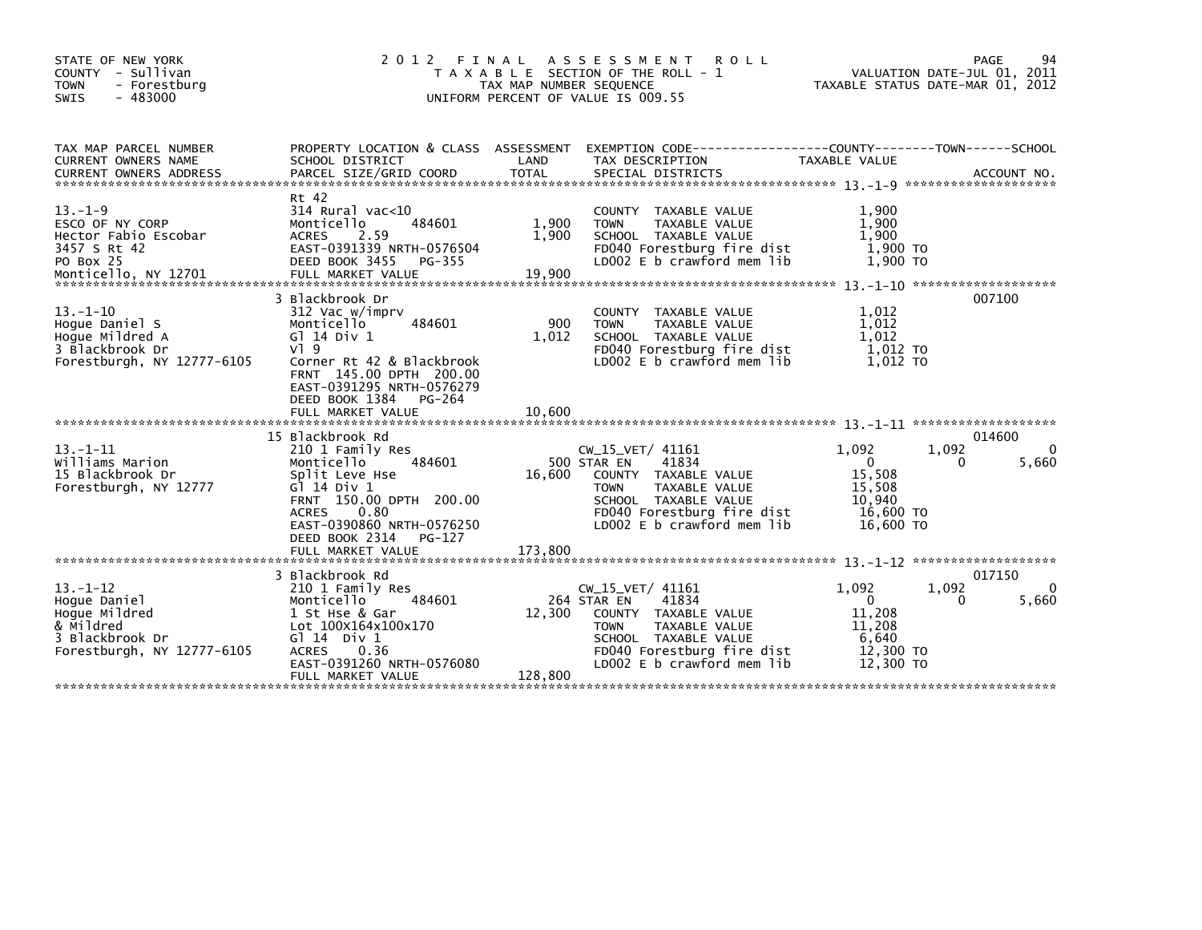| STATE OF NEW YORK<br>COUNTY - Sullivan<br><b>TOWN</b><br>- Forestburg<br>$-483000$<br><b>SWIS</b>             | 2 0 1 2                                                                                                                                                                                                          | FINAL<br>TAX MAP NUMBER SEQUENCE | A S S E S S M E N T<br><b>ROLL</b><br>T A X A B L E SECTION OF THE ROLL - 1<br>UNIFORM PERCENT OF VALUE IS 009.55                                                                     |                                                                              | 94<br>PAGE<br>VALUATION DATE-JUL 01, 2011<br>TAXABLE STATUS DATE-MAR 01, 2012 |
|---------------------------------------------------------------------------------------------------------------|------------------------------------------------------------------------------------------------------------------------------------------------------------------------------------------------------------------|----------------------------------|---------------------------------------------------------------------------------------------------------------------------------------------------------------------------------------|------------------------------------------------------------------------------|-------------------------------------------------------------------------------|
| TAX MAP PARCEL NUMBER<br><b>CURRENT OWNERS NAME</b>                                                           | PROPERTY LOCATION & CLASS ASSESSMENT<br>SCHOOL DISTRICT                                                                                                                                                          | LAND                             | TAX DESCRIPTION                                                                                                                                                                       | TAXABLE VALUE                                                                |                                                                               |
| $13. - 1 - 9$<br>ESCO OF NY CORP<br>Hector Fabio Escobar<br>3457 S Rt 42<br>PO Box 25                         | Rt 42<br>314 Rural vac<10<br>Monticello<br>484601<br>2.59<br><b>ACRES</b><br>EAST-0391339 NRTH-0576504<br>DEED BOOK 3455<br>PG-355                                                                               | 1,900<br>1,900                   | COUNTY TAXABLE VALUE<br>TAXABLE VALUE<br><b>TOWN</b><br>SCHOOL TAXABLE VALUE<br>FD040 Forestburg fire dist<br>LD002 E b crawford mem lib                                              | 1.900<br>1,900<br>1.900<br>1,900 TO<br>1,900 TO                              |                                                                               |
| $13 - 1 - 10$<br>Hoque Daniel S<br>Hoque Mildred A<br>3 Blackbrook Dr<br>Forestburgh, NY 12777-6105           | 3 Blackbrook Dr<br>312 Vac w/imprv<br>Monticello<br>484601<br>G1 14 Div 1<br>$V$ <sup>1</sup> 9<br>Corner Rt 42 & Blackbrook<br>FRNT 145.00 DPTH 200.00<br>EAST-0391295 NRTH-0576279<br>DEED BOOK 1384<br>PG-264 | 900<br>1.012                     | COUNTY TAXABLE VALUE<br><b>TOWN</b><br>TAXABLE VALUE<br>SCHOOL TAXABLE VALUE<br>FD040 Forestburg fire dist<br>LD002 E b crawford mem lib                                              | 1.012<br>1,012<br>1,012<br>1,012 TO<br>1.012 TO                              | 007100                                                                        |
|                                                                                                               | 15 Blackbrook Rd                                                                                                                                                                                                 |                                  |                                                                                                                                                                                       |                                                                              | 014600                                                                        |
| $13. - 1 - 11$<br>Williams Marion<br>15 Blackbrook Dr<br>Forestburgh, NY 12777                                | 210 1 Family Res<br>Monticello<br>484601<br>Split Leve Hse<br>G] 14 Div 1<br>FRNT 150.00 DPTH 200.00<br><b>ACRES</b><br>0.80<br>EAST-0390860 NRTH-0576250<br>DEED BOOK 2314<br>PG-127<br>FULL MARKET VALUE       | 16,600<br>173,800                | $CW_15_VET/41161$<br>41834<br>500 STAR EN<br>COUNTY TAXABLE VALUE<br><b>TOWN</b><br>TAXABLE VALUE<br>SCHOOL TAXABLE VALUE<br>FD040 Forestburg fire dist<br>LD002 E b crawford mem lib | 1,092<br>$\Omega$<br>15,508<br>15,508<br>10.940<br>16,600 TO<br>16,600 TO    | 1,092<br>0<br>5,660<br>0                                                      |
|                                                                                                               |                                                                                                                                                                                                                  |                                  |                                                                                                                                                                                       |                                                                              |                                                                               |
| $13. - 1 - 12$<br>Hoque Daniel<br>Hoque Mildred<br>& Mildred<br>3 Blackbrook Dr<br>Forestburgh, NY 12777-6105 | 3 Blackbrook Rd<br>210 1 Family Res<br>484601<br>Monticello<br>1 St Hse & Gar<br>Lot 100X164x100x170<br>G $\overline{1}$ 14 Div 1<br>0.36<br><b>ACRES</b><br>EAST-0391260 NRTH-0576080<br>FULL MARKET VALUE      | 12,300<br>128,800                | $CW_15_VET/41161$<br>41834<br>264 STAR EN<br>COUNTY TAXABLE VALUE<br>TAXABLE VALUE<br><b>TOWN</b><br>SCHOOL TAXABLE VALUE<br>FD040 Forestburg fire dist<br>LD002 E b crawford mem lib | 1,092<br>$\mathbf{0}$<br>11,208<br>11,208<br>6,640<br>12,300 TO<br>12,300 TO | 017150<br>1,092<br>$\mathbf{0}$<br>5,660<br>0                                 |
|                                                                                                               |                                                                                                                                                                                                                  |                                  |                                                                                                                                                                                       |                                                                              |                                                                               |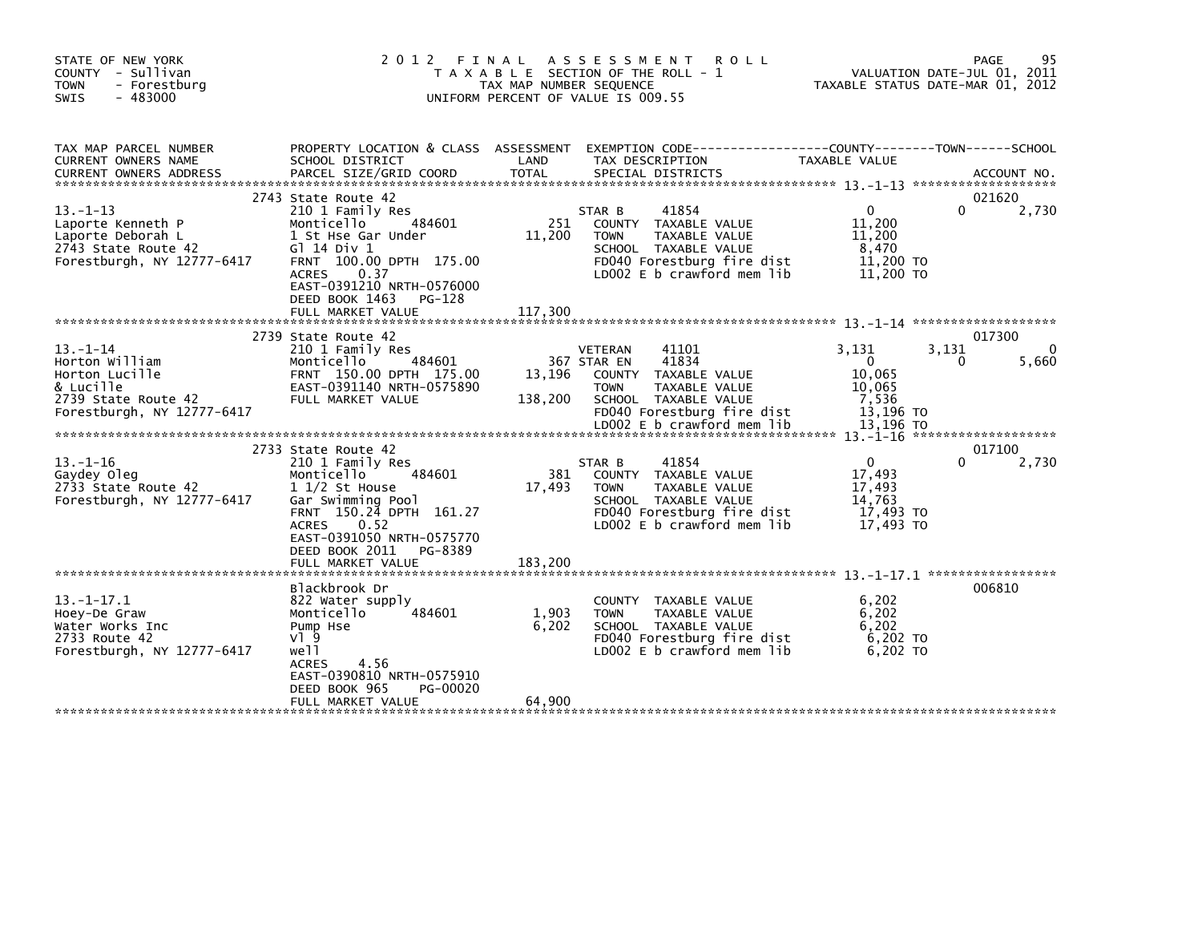| STATE OF NEW YORK<br>COUNTY - Sullivan<br><b>TOWN</b><br>- Forestburg<br><b>SWIS</b><br>- 483000                    | 2 0 1 2                                                                                                                                                                                                                               | FINAL<br>TAX MAP NUMBER SEQUENCE | A S S E S S M E N T<br><b>ROLL</b><br>T A X A B L E SECTION OF THE ROLL - 1<br>UNIFORM PERCENT OF VALUE IS 009.55                                                                    |                                                                             | 95<br>PAGE<br>VALUATION DATE-JUL 01, 2011<br>TAXABLE STATUS DATE-MAR 01, 2012 |
|---------------------------------------------------------------------------------------------------------------------|---------------------------------------------------------------------------------------------------------------------------------------------------------------------------------------------------------------------------------------|----------------------------------|--------------------------------------------------------------------------------------------------------------------------------------------------------------------------------------|-----------------------------------------------------------------------------|-------------------------------------------------------------------------------|
| TAX MAP PARCEL NUMBER<br>CURRENT OWNERS NAME<br><b>CURRENT OWNERS ADDRESS</b>                                       | PROPERTY LOCATION & CLASS ASSESSMENT<br>SCHOOL DISTRICT<br>PARCEL SIZE/GRID COORD                                                                                                                                                     | LAND<br><b>TOTAL</b>             | TAX DESCRIPTION<br>SPECIAL DISTRICTS                                                                                                                                                 | TAXABLE VALUE                                                               | ACCOUNT NO.                                                                   |
| $13. - 1 - 13$<br>Laporte Kenneth P<br>Laporte Deborah L<br>2743 State Route 42<br>Forestburgh, NY 12777-6417       | 2743 State Route 42<br>210 1 Family Res<br>484601<br>Monticello<br>1 St Hse Gar Under<br>G1 14 Div 1<br>FRNT 100.00 DPTH 175.00<br><b>ACRES</b><br>0.37<br>EAST-0391210 NRTH-0576000<br>DEED BOOK 1463<br>PG-128<br>FULL MARKET VALUE | 251<br>11,200<br>117,300         | 41854<br>STAR B<br>COUNTY TAXABLE VALUE<br><b>TOWN</b><br>TAXABLE VALUE<br>SCHOOL TAXABLE VALUE<br>FD040 Forestburg fire dist<br>LD002 E b crawford mem lib                          | $\Omega$<br>11,200<br>11,200<br>8,470<br>11,200 TO<br>11,200 TO             | 021620<br>2,730<br>$\Omega$                                                   |
|                                                                                                                     |                                                                                                                                                                                                                                       |                                  |                                                                                                                                                                                      |                                                                             |                                                                               |
| $13 - 1 - 14$<br>Horton William<br>Horton Lucille<br>& Lucille<br>2739 State Route 42<br>Forestburgh, NY 12777-6417 | 2739 State Route 42<br>210 1 Family Res<br>Monticello<br>484601<br>FRNT 150.00 DPTH 175.00<br>EAST-0391140 NRTH-0575890<br>FULL MARKET VALUE                                                                                          | 13,196<br>138,200                | 41101<br>VETERAN<br>41834<br>367 STAR EN<br>COUNTY TAXABLE VALUE<br><b>TOWN</b><br>TAXABLE VALUE<br>SCHOOL TAXABLE VALUE<br>FD040 Forestburg fire dist<br>LD002 E b crawford mem lib | 3.131<br>$\mathbf 0$<br>10,065<br>10,065<br>7,536<br>13,196 TO<br>13.196 TO | 017300<br>$\Omega$<br>3,131<br>5,660<br>0<br>*******************              |
|                                                                                                                     | 2733 State Route 42                                                                                                                                                                                                                   |                                  |                                                                                                                                                                                      |                                                                             | 017100                                                                        |
| $13 - 1 - 16$<br>Gaydey Oleg<br>2733 State Route 42<br>Forestburgh, NY 12777-6417                                   | 210 1 Family Res<br>Monticello<br>484601<br>$1\frac{1}{2}$ St House<br>Gar Swimming Pool<br>FRNT 150.24 DPTH 161.27<br>0.52<br><b>ACRES</b><br>EAST-0391050 NRTH-0575770<br>DEED BOOK 2011<br>PG-8389<br>FULL MARKET VALUE            | 381<br>17,493<br>183,200         | 41854<br>STAR B<br>COUNTY TAXABLE VALUE<br><b>TAXABLE VALUE</b><br><b>TOWN</b><br>SCHOOL TAXABLE VALUE<br>FD040 Forestburg fire dist<br>LD002 E b crawford mem lib                   | $\Omega$<br>17,493<br>17,493<br>14.763<br>17,493 TO<br>17,493 TO            | 2,730                                                                         |
|                                                                                                                     |                                                                                                                                                                                                                                       |                                  |                                                                                                                                                                                      |                                                                             | 006810                                                                        |
| $13. - 1 - 17.1$<br>Hoey-De Graw<br>Water Works Inc<br>2733 Route 42<br>Forestburgh, NY 12777-6417                  | Blackbrook Dr<br>822 Water supply<br>Monticello<br>484601<br>Pump Hse<br>$V$ ] 9<br>well<br>4.56<br><b>ACRES</b><br>EAST-0390810 NRTH-0575910<br>DEED BOOK 965<br>PG-00020                                                            | 1,903<br>6,202<br>64,900         | <b>COUNTY</b><br>TAXABLE VALUE<br><b>TOWN</b><br>TAXABLE VALUE<br>SCHOOL TAXABLE VALUE<br>FD040 Forestburg fire dist<br>LD002 $E$ b crawford mem $lib$                               | 6,202<br>6,202<br>6,202<br>6,202 TO<br>6.202 TO                             |                                                                               |
|                                                                                                                     | FULL MARKET VALUE                                                                                                                                                                                                                     |                                  |                                                                                                                                                                                      |                                                                             |                                                                               |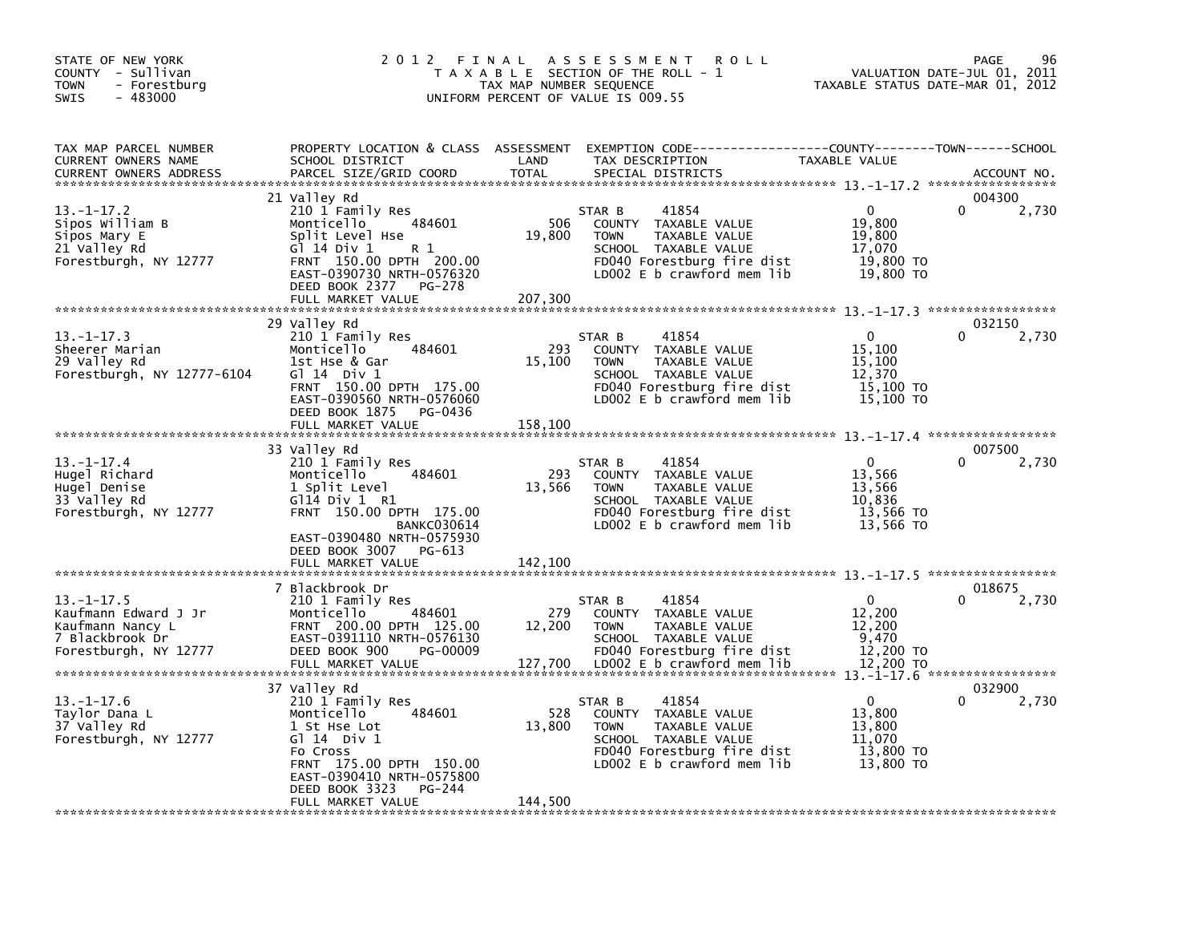| TAX MAP PARCEL NUMBER<br>PROPERTY LOCATION & CLASS ASSESSMENT<br>EXEMPTION CODE-----------------COUNTY-------TOWN------SCHOOL<br>LAND<br>TAXABLE VALUE<br>CURRENT OWNERS NAME<br>SCHOOL DISTRICT<br>TAX DESCRIPTION<br><b>CURRENT OWNERS ADDRESS</b><br>PARCEL SIZE/GRID COORD<br><b>TOTAL</b><br>SPECIAL DISTRICTS<br>21 Valley Rd<br>$13. - 1 - 17.2$<br>$\Omega$<br>0<br>210 1 Family Res<br>41854<br>STAR B<br>506<br>19,800<br>Sipos William B<br>484601<br>COUNTY TAXABLE VALUE<br>Monticello<br>19,800<br>19,800<br>Sipos Mary E<br>Split Level Hse<br><b>TOWN</b><br>TAXABLE VALUE<br>21 Valley Rd<br>G1 14 Div 1<br>SCHOOL TAXABLE VALUE<br>17,070<br>R 1<br>FRNT 150.00 DPTH 200.00<br>FD040 Forestburg fire dist<br>19,800 TO<br>Forestburgh, NY 12777<br>EAST-0390730 NRTH-0576320<br>LD002 E b crawford mem lib<br>19,800 TO<br>DEED BOOK 2377<br>PG-278<br>207,300<br>FULL MARKET VALUE<br>29 Valley Rd<br>$13. - 1 - 17.3$<br>210 1 Family Res<br>$\Omega$<br>41854<br>STAR B<br>484601<br>293<br>COUNTY TAXABLE VALUE | 96<br>PAGE<br>VALUATION DATE-JUL 01, 2011<br>TAXABLE STATUS DATE-MAR 01, 2012 |
|---------------------------------------------------------------------------------------------------------------------------------------------------------------------------------------------------------------------------------------------------------------------------------------------------------------------------------------------------------------------------------------------------------------------------------------------------------------------------------------------------------------------------------------------------------------------------------------------------------------------------------------------------------------------------------------------------------------------------------------------------------------------------------------------------------------------------------------------------------------------------------------------------------------------------------------------------------------------------------------------------------------------------------------|-------------------------------------------------------------------------------|
|                                                                                                                                                                                                                                                                                                                                                                                                                                                                                                                                                                                                                                                                                                                                                                                                                                                                                                                                                                                                                                       | ACCOUNT NO.                                                                   |
|                                                                                                                                                                                                                                                                                                                                                                                                                                                                                                                                                                                                                                                                                                                                                                                                                                                                                                                                                                                                                                       | 004300<br>2,730                                                               |
|                                                                                                                                                                                                                                                                                                                                                                                                                                                                                                                                                                                                                                                                                                                                                                                                                                                                                                                                                                                                                                       |                                                                               |
| Sheerer Marian<br>15,100<br>Monticello<br>29 Valley Rd<br>15,100<br>TAXABLE VALUE<br>15,100<br>1st Hse & Gar<br><b>TOWN</b><br>Forestburgh, NY 12777-6104<br>$G$ 14 Div 1<br>SCHOOL TAXABLE VALUE<br>12.370<br>15,100 TO<br>FRNT 150.00 DPTH 175.00<br>FD040 Forestburg fire dist<br>LD002 E b crawford mem lib<br>EAST-0390560 NRTH-0576060<br>15,100 TO<br>DEED BOOK 1875<br>PG-0436                                                                                                                                                                                                                                                                                                                                                                                                                                                                                                                                                                                                                                                | 032150<br>2,730                                                               |
| FULL MARKET VALUE<br>158,100                                                                                                                                                                                                                                                                                                                                                                                                                                                                                                                                                                                                                                                                                                                                                                                                                                                                                                                                                                                                          |                                                                               |
| 33 Valley Rd<br>$\Omega$<br>$13. - 1 - 17.4$<br>210 1 Family Res<br>41854<br>STAR B<br>Hugel Richard<br>293<br>13,566<br>Monticello<br>484601<br>COUNTY TAXABLE VALUE<br>Hugel Denise<br>1 Split Level<br>13,566<br>TAXABLE VALUE<br>13,566<br><b>TOWN</b><br>10,836<br>33 Valley Rd<br>$G$ 114 Div 1 R1<br>SCHOOL TAXABLE VALUE<br>Forestburgh, NY 12777<br>FRNT 150.00 DPTH 175.00<br>FD040 Forestburg fire dist<br>13,566 TO<br>LD002 E b crawford mem lib<br>13,566 TO<br><b>BANKC030614</b><br>EAST-0390480 NRTH-0575930<br>DEED BOOK 3007<br>PG-613                                                                                                                                                                                                                                                                                                                                                                                                                                                                             | 007500<br>2,730                                                               |
| FULL MARKET VALUE<br>142,100                                                                                                                                                                                                                                                                                                                                                                                                                                                                                                                                                                                                                                                                                                                                                                                                                                                                                                                                                                                                          |                                                                               |
| 7 Blackbrook Dr<br>$\mathbf{0}$<br>$13. - 1 - 17.5$<br>210 1 Family Res<br>41854<br>STAR B<br>279<br>Kaufmann Edward J Jr<br>484601<br>12,200<br>Monticello<br>COUNTY<br>TAXABLE VALUE<br>FRNT 200.00 DPTH 125.00<br>12,200<br>TAXABLE VALUE<br>12,200<br>Kaufmann Nancy L<br><b>TOWN</b><br>EAST-0391110 NRTH-0576130<br>9,470<br>7 Blackbrook Dr<br>SCHOOL TAXABLE VALUE<br>DEED BOOK 900<br>FD040 Forestburg fire dist<br>12,200 TO<br>Forestburgh, NY 12777<br>PG-00009<br>127,700<br>FULL MARKET VALUE<br>LD002 E b crawford mem lib<br>12,200 TO                                                                                                                                                                                                                                                                                                                                                                                                                                                                                | 018675<br>2,730                                                               |
| 37 Valley Rd<br>$13.-1-17.6$<br>210 1 Family Res<br>41854<br>0<br>STAR B<br>528<br>Taylor Dana L<br>484601<br>COUNTY TAXABLE VALUE<br>13,800<br>Monticello<br>37 Valley Rd<br>13,800<br>13,800<br>1 St Hse Lot<br><b>TOWN</b><br>TAXABLE VALUE<br>Forestburgh, NY 12777<br>G $114$ Div 1<br>SCHOOL TAXABLE VALUE<br>11,070<br>13,800 TO<br>Fo Cross<br>FD040 Forestburg fire dist<br>FRNT 175.00 DPTH 150.00<br>LD002 E b crawford mem lib<br>13,800 TO<br>EAST-0390410 NRTH-0575800<br>DEED BOOK 3323<br>PG-244<br>144,500<br>FULL MARKET VALUE                                                                                                                                                                                                                                                                                                                                                                                                                                                                                      | 032900<br>2,730                                                               |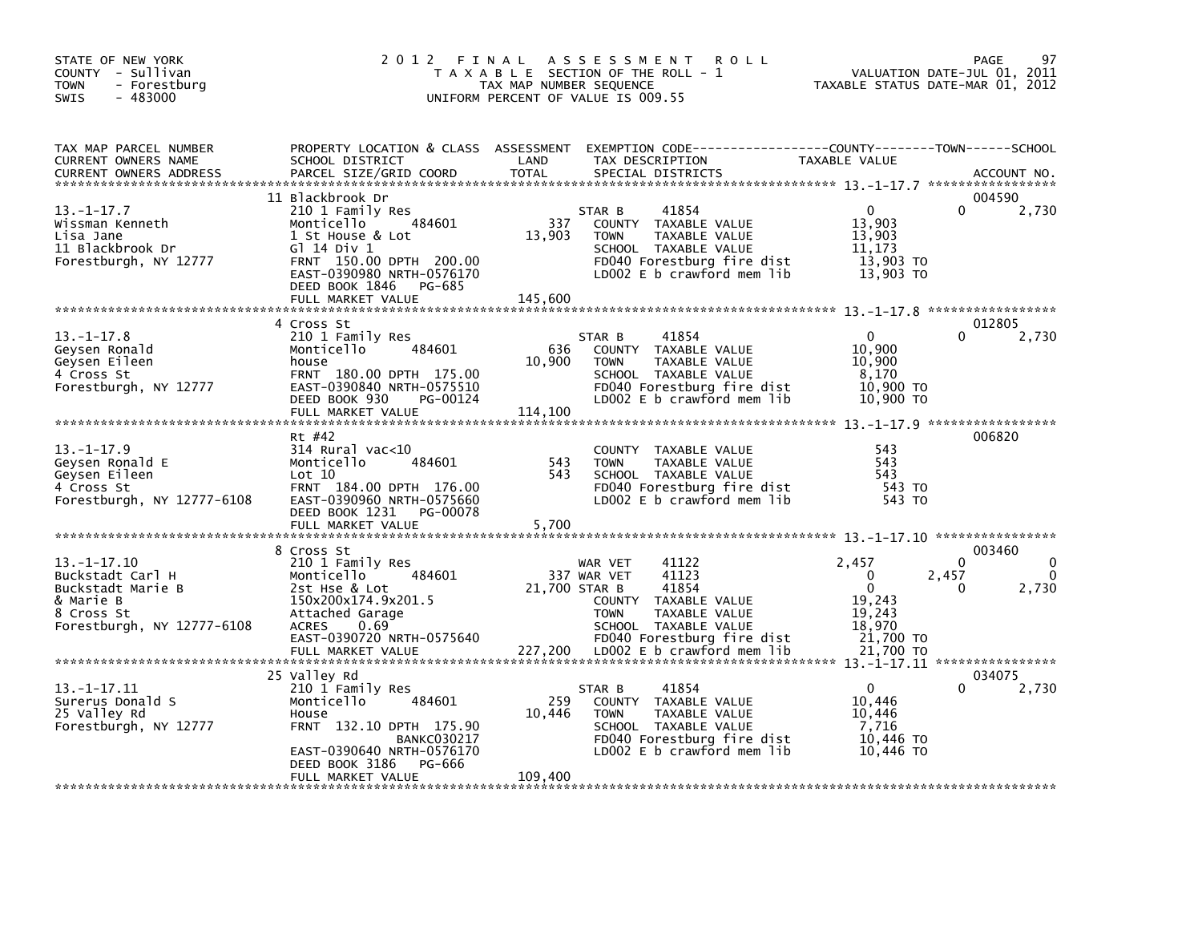| STATE OF NEW YORK<br>COUNTY - Sullivan<br>- Forestburg<br><b>TOWN</b><br>$-483000$<br><b>SWIS</b>                   |                                                                                                                                                                           | TAX MAP NUMBER SEQUENCE | 2012 FINAL ASSESSMENT<br><b>ROLL</b><br>T A X A B L E SECTION OF THE ROLL - 1<br>UNIFORM PERCENT OF VALUE IS 009.55                                             | VALUATION DATE-JUL 01, 2011<br>TAXABLE STATUS DATE-MAR 01, 2012          | 97<br>PAGE                                                           |
|---------------------------------------------------------------------------------------------------------------------|---------------------------------------------------------------------------------------------------------------------------------------------------------------------------|-------------------------|-----------------------------------------------------------------------------------------------------------------------------------------------------------------|--------------------------------------------------------------------------|----------------------------------------------------------------------|
| TAX MAP PARCEL NUMBER<br>CURRENT OWNERS NAME<br><b>CURRENT OWNERS ADDRESS</b>                                       | SCHOOL DISTRICT<br>PARCEL SIZE/GRID COORD                                                                                                                                 | LAND<br><b>TOTAL</b>    | PROPERTY LOCATION & CLASS ASSESSMENT EXEMPTION CODE---------------COUNTY-------TOWN------SCHOOL<br>TAX DESCRIPTION<br>SPECIAL DISTRICTS                         | TAXABLE VALUE                                                            | ACCOUNT NO.                                                          |
|                                                                                                                     | 11 Blackbrook Dr                                                                                                                                                          |                         |                                                                                                                                                                 |                                                                          | 004590                                                               |
| $13.-1-17.7$<br>Wissman Kenneth<br>Lisa Jane<br>11 Blackbrook Dr<br>Forestburgh, NY 12777                           | 210 1 Family Res<br>Monticello 484601<br>1 St House & Lot<br>G1 14 Div 1<br>FRNT 150.00 DPTH 200.00<br>EAST-0390980 NRTH-0576170<br>DEED BOOK 1846 PG-685                 | 337<br>13,903           | 41854<br>STAR B<br>COUNTY TAXABLE VALUE<br><b>TOWN</b><br>TAXABLE VALUE<br>SCHOOL TAXABLE VALUE<br>FD040 Forestburg fire dist<br>LD002 E b crawford mem lib     | $\mathbf{0}$<br>13,903<br>13,903<br>11,173<br>13,903 TO<br>$13,903$ TO   | 2,730                                                                |
|                                                                                                                     | FULL MARKET VALUE<br>4 Cross St                                                                                                                                           | 145,600                 |                                                                                                                                                                 |                                                                          | 012805                                                               |
| 13. –1–17.8<br>Geysen Ronald<br>Geysen Eileen<br>4 Cross St<br>Forestburgh, NY 12777                                | 210 1 Family Res<br>484601<br>Monticello<br>house<br>FRNT 180.00 DPTH 175.00<br>EAST-0390840 NRTH-0575510<br>DEED BOOK 930<br>PG-00124                                    | 636<br>10,900           | 41854<br>STAR B<br>COUNTY TAXABLE VALUE<br>TAXABLE VALUE<br><b>TOWN</b><br>SCHOOL TAXABLE VALUE<br>FD040 Forestburg fire dist<br>LD002 E b crawford mem lib     | $\mathbf{0}$<br>10,900<br>10,900<br>8,170<br>10,900 TO<br>10,900 TO      | 2,730                                                                |
|                                                                                                                     | FULL MARKET VALUE                                                                                                                                                         | 114,100                 |                                                                                                                                                                 |                                                                          |                                                                      |
| $13. -1 - 17.9$<br>Geysen Ronald E<br>Geysen Eileen<br>4 Cross St<br>Forestburgh, NY 12777-6108                     | Rt #42<br>$314$ Rural vac<10<br>Monticello<br>484601<br>Lot 10<br>FRNT 184.00 DPTH 176.00<br>EAST-0390960 NRTH-0575660<br>DEED BOOK 1231<br>PG-00078<br>FULL MARKET VALUE | 543<br>543<br>5,700     | COUNTY TAXABLE VALUE<br>TAXABLE VALUE<br><b>TOWN</b><br>SCHOOL TAXABLE VALUE<br>FD040 Forestburg fire dist<br>LD002 E b crawford mem lib                        | 543<br>543<br>543<br>543 TO<br>543 TO                                    | 006820                                                               |
|                                                                                                                     | 8 Cross St                                                                                                                                                                |                         |                                                                                                                                                                 |                                                                          | 003460                                                               |
| $13. - 1 - 17.10$<br>Buckstadt Carl H<br>Buckstadt Marie B<br>& Marie B<br>8 Cross St<br>Forestburgh, NY 12777-6108 | 210 1 Family Res<br>484601<br>Monticello<br>2st Hse & Lot<br>150x200x174.9x201.5<br>Attached Garage<br>ACRES 0.69<br>EAST-0390720 NRTH-0575640                            | 21,700 STAR B           | WAR VET<br>41122<br>41123<br>337 WAR VET<br>41854<br>COUNTY TAXABLE VALUE<br><b>TOWN</b><br>TAXABLE VALUE<br>SCHOOL TAXABLE VALUE<br>FD040 Forestburg fire dist | 2,457<br>$\Omega$<br>$\Omega$<br>19,243<br>19,243<br>18,970<br>21,700 TO | $\Omega$<br>$\mathbf 0$<br>2,457<br>$\mathbf 0$<br>$\Omega$<br>2,730 |
|                                                                                                                     | FULL MARKET VALUE                                                                                                                                                         |                         | 227,200 LD002 E b crawford mem lib                                                                                                                              | 21,700 TO                                                                |                                                                      |
|                                                                                                                     | 25 Valley Rd                                                                                                                                                              |                         |                                                                                                                                                                 |                                                                          | 034075                                                               |
| $13. - 1 - 17.11$<br>Surerus Donald S<br>25 Valley Rd<br>Forestburgh, NY 12777                                      | 210 1 Family Res<br>484601<br>Monticello<br>House<br>FRNT 132.10 DPTH 175.90<br><b>BANKC030217</b><br>EAST-0390640 NRTH-0576170<br>DEED BOOK 3186<br>PG-666               | 259<br>10,446           | 41854<br>STAR B<br>COUNTY TAXABLE VALUE<br>TAXABLE VALUE<br><b>TOWN</b><br>SCHOOL TAXABLE VALUE<br>FD040 Forestburg fire dist<br>LD002 E b crawford mem lib     | $\mathbf{0}$<br>10,446<br>10,446<br>7,716<br>10,446 TO<br>10,446 TO      | 2,730                                                                |
|                                                                                                                     | FULL MARKET VALUE                                                                                                                                                         | 109,400                 |                                                                                                                                                                 |                                                                          |                                                                      |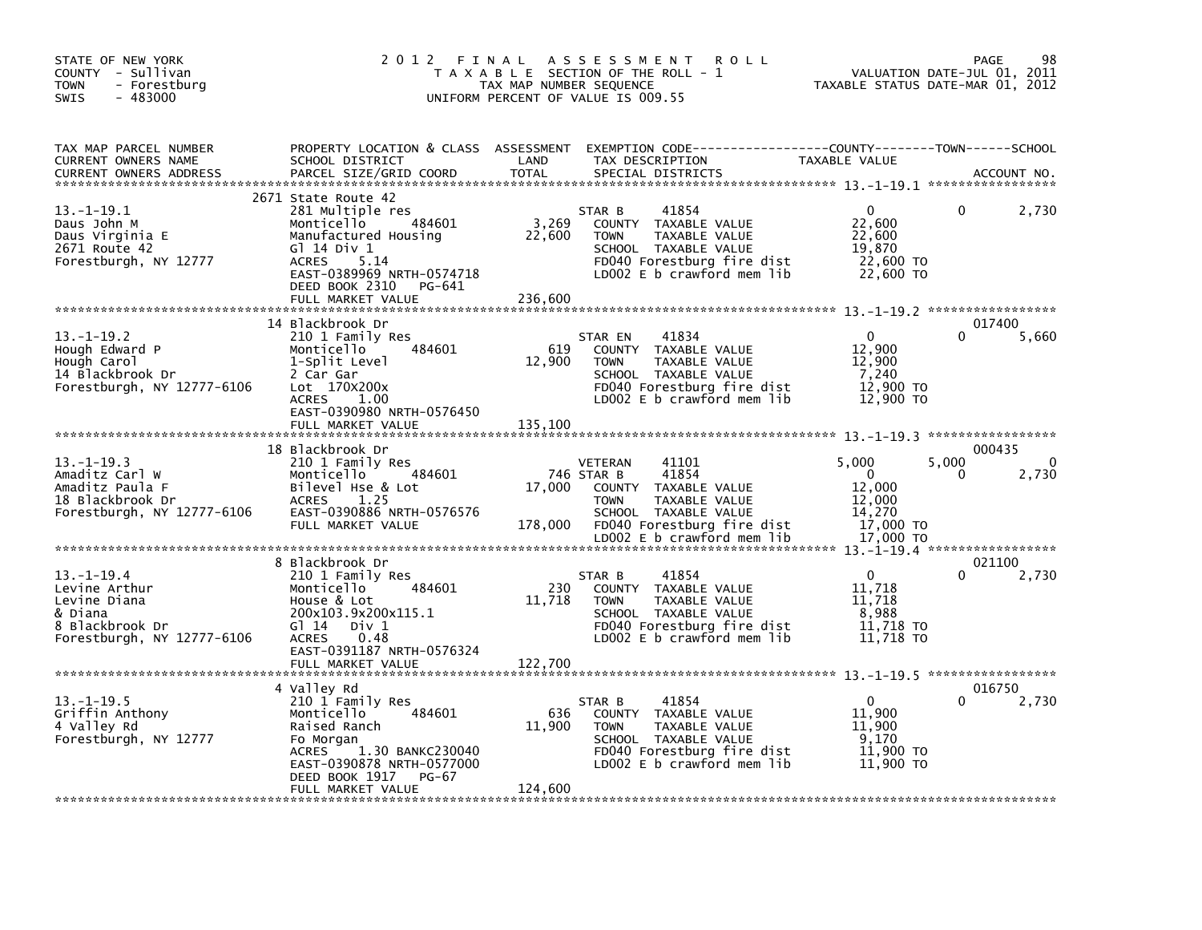| STATE OF NEW YORK<br>COUNTY - Sullivan<br>- Forestburg<br><b>TOWN</b><br>$-483000$<br><b>SWIS</b>            | 2012 FINAL                                                                                                                                                                                                   | TAX MAP NUMBER SEQUENCE    | A S S E S S M E N T<br><b>ROLL</b><br>T A X A B L E SECTION OF THE ROLL - 1<br>UNIFORM PERCENT OF VALUE IS 009.55                                                                          | TAXABLE STATUS DATE-MAR 01, 2012                                          | 98<br>PAGE<br>VALUATION DATE-JUL 01, 2011     |  |
|--------------------------------------------------------------------------------------------------------------|--------------------------------------------------------------------------------------------------------------------------------------------------------------------------------------------------------------|----------------------------|--------------------------------------------------------------------------------------------------------------------------------------------------------------------------------------------|---------------------------------------------------------------------------|-----------------------------------------------|--|
| TAX MAP PARCEL NUMBER<br>CURRENT OWNERS NAME<br><b>CURRENT OWNERS ADDRESS</b>                                | PROPERTY LOCATION & CLASS ASSESSMENT<br>SCHOOL DISTRICT<br>PARCEL SIZE/GRID COORD                                                                                                                            | LAND<br><b>TOTAL</b>       | EXEMPTION        CODE-----------------COUNTY-------TOWN------SCHOOL<br>TAX DESCRIPTION<br>SPECIAL DISTRICTS                                                                                | TAXABLE VALUE                                                             | ACCOUNT NO.                                   |  |
| $13.-1-19.1$<br>Daus John M<br>Daus Virginia E<br>2671 Route 42<br>Forestburgh, NY 12777                     | 2671 State Route 42<br>281 Multiple res<br>484601<br>Monticello<br>Manufactured Housing<br>G1 14 Div 1<br>5.14<br><b>ACRES</b><br>EAST-0389969 NRTH-0574718<br>DEED BOOK 2310<br>PG-641<br>FULL MARKET VALUE | 3,269<br>22,600<br>236.600 | 41854<br>STAR B<br>COUNTY TAXABLE VALUE<br>TAXABLE VALUE<br><b>TOWN</b><br>SCHOOL TAXABLE VALUE<br>FD040 Forestburg fire dist<br>LD002 E b crawford mem lib                                | $\Omega$<br>22,600<br>22,600<br>19,870<br>22,600 TO<br>22,600 TO          | 2,730                                         |  |
| $13. - 1 - 19.2$<br>Hough Edward P<br>Hough Carol<br>14 Blackbrook Dr<br>Forestburgh, NY 12777-6106          | 14 Blackbrook Dr<br>210 1 Family Res<br>Monticello<br>484601<br>1-Split Level<br>2 Car Gar<br>Lot 170X200x<br><b>ACRES</b><br>1.00<br>EAST-0390980 NRTH-0576450<br>FULL MARKET VALUE                         | 619<br>12,900<br>135,100   | 41834<br>STAR EN<br>COUNTY TAXABLE VALUE<br>TAXABLE VALUE<br><b>TOWN</b><br>SCHOOL TAXABLE VALUE<br>FD040 Forestburg fire dist<br>LD002 E b crawford mem lib                               | $\Omega$<br>12,900<br>12,900<br>7,240<br>12,900 TO<br>12,900 TO           | 017400<br>5,660                               |  |
| $13 - 1 - 19.3$<br>Amaditz Carl W<br>Amaditz Paula F<br>18 Blackbrook Dr<br>Forestburgh, NY 12777-6106       | 18 Blackbrook Dr<br>210 1 Family Res<br>484601<br>Monticello<br>Bilevel Hse & Lot<br>1.25<br><b>ACRES</b><br>EAST-0390886 NRTH-0576576<br>FULL MARKET VALUE                                                  | 17,000<br>178,000          | 41101<br><b>VETERAN</b><br>41854<br>746 STAR B<br>COUNTY TAXABLE VALUE<br><b>TOWN</b><br>TAXABLE VALUE<br>SCHOOL TAXABLE VALUE<br>FD040 Forestburg fire dist<br>LD002 E b crawford mem lib | 5,000<br>$\Omega$<br>12,000<br>12,000<br>14,270<br>17,000 TO<br>17,000 TO | 000435<br>5,000<br>$\mathbf{0}$<br>2,730<br>0 |  |
|                                                                                                              |                                                                                                                                                                                                              |                            |                                                                                                                                                                                            |                                                                           |                                               |  |
| $13 - 1 - 19.4$<br>Levine Arthur<br>Levine Diana<br>& Diana<br>8 Blackbrook Dr<br>Forestburgh, NY 12777-6106 | 8 Blackbrook Dr<br>210 1 Family Res<br>Monticello<br>484601<br>House & Lot<br>200x103.9x200x115.1<br>$G1 14$ Div 1<br><b>ACRES</b><br>0.48<br>EAST-0391187 NRTH-0576324<br>FULL MARKET VALUE                 | 230<br>11,718<br>122,700   | 41854<br>STAR B<br>COUNTY TAXABLE VALUE<br>TAXABLE VALUE<br><b>TOWN</b><br>SCHOOL TAXABLE VALUE<br>FD040 Forestburg fire dist<br>LD002 E b crawford mem lib                                | $\mathbf{0}$<br>11.718<br>11,718<br>8,988<br>11,718 TO<br>11,718 TO       | 021100<br>2,730                               |  |
|                                                                                                              | 4 Valley Rd                                                                                                                                                                                                  |                            |                                                                                                                                                                                            |                                                                           | 016750                                        |  |
| $13. - 1 - 19.5$<br>Griffin Anthony<br>4 Valley Rd<br>Forestburgh, NY 12777                                  | 210 1 Family Res<br>Monticello<br>484601<br>Raised Ranch<br>Fo Morgan<br>1.30 BANKC230040<br><b>ACRES</b><br>EAST-0390878 NRTH-0577000<br>DEED BOOK 1917<br><b>PG-67</b><br>FULL MARKET VALUE                | 636<br>11,900<br>124,600   | 41854<br>STAR B<br>COUNTY TAXABLE VALUE<br>TAXABLE VALUE<br><b>TOWN</b><br>SCHOOL TAXABLE VALUE<br>FD040 Forestburg fire dist<br>LD002 $E$ b crawford mem lib                              | $\Omega$<br>11,900<br>11,900<br>9.170<br>11,900 TO<br>11,900 TO           | 2,730                                         |  |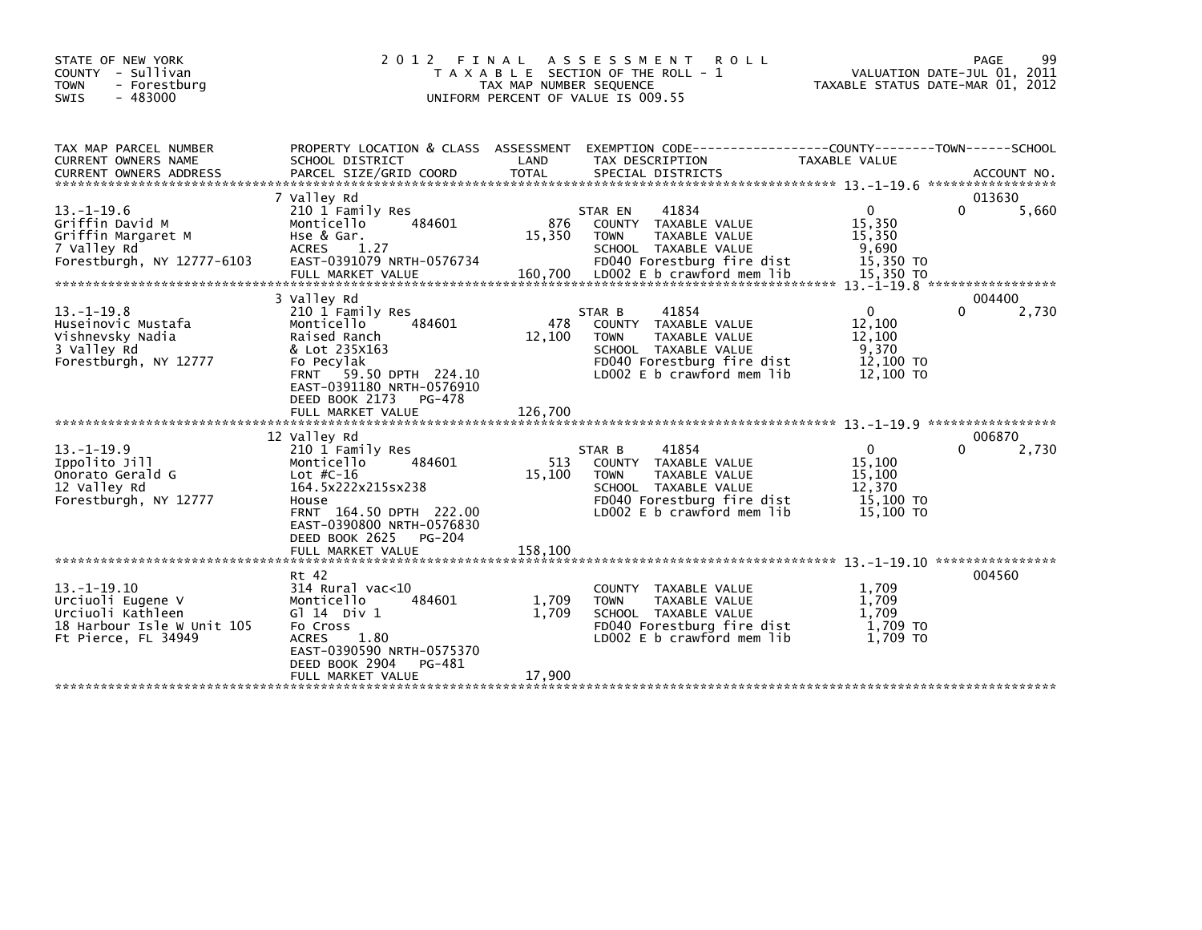| STATE OF NEW YORK<br>COUNTY - Sullivan<br>- Forestburg<br><b>TOWN</b><br>$-483000$<br><b>SWIS</b>               | 2 0 1 2<br>FINAL                                                                                                                                                                                               | TAX MAP NUMBER SEQUENCE  | ASSESSMENT ROLL<br>T A X A B L E SECTION OF THE ROLL - 1<br>UNIFORM PERCENT OF VALUE IS 009.55                                                              | TAXABLE STATUS DATE-MAR 01, 2012                                     | 99<br>PAGE<br>VALUATION DATE-JUL 01, 2011 |
|-----------------------------------------------------------------------------------------------------------------|----------------------------------------------------------------------------------------------------------------------------------------------------------------------------------------------------------------|--------------------------|-------------------------------------------------------------------------------------------------------------------------------------------------------------|----------------------------------------------------------------------|-------------------------------------------|
| TAX MAP PARCEL NUMBER<br>CURRENT OWNERS NAME                                                                    | PROPERTY LOCATION & CLASS ASSESSMENT<br>SCHOOL DISTRICT                                                                                                                                                        | LAND                     | EXEMPTION CODE-----------------COUNTY--------TOWN------SCHOOL<br>TAX DESCRIPTION                                                                            | <b>TAXABLE VALUE</b>                                                 | ACCOUNT NO.<br>*****************          |
| $13. - 1 - 19.6$<br>Griffin David M<br>Griffin Margaret M<br>7 Valley Rd<br>Forestburgh, NY 12777-6103          | 7 Valley Rd<br>210 1 Family Res<br>Monticello<br>484601<br>Hse & Gar.<br><b>ACRES</b><br>1.27<br>EAST-0391079 NRTH-0576734                                                                                     | 876<br>15,350            | 41834<br>STAR EN<br>TAXABLE VALUE<br><b>COUNTY</b><br><b>TOWN</b><br>TAXABLE VALUE<br>SCHOOL TAXABLE VALUE<br>FD040 Forestburg fire dist                    | $\Omega$<br>15,350<br>15,350<br>9,690<br>15,350 TO                   | 0<br>5,660                                |
| $13 - 1 - 19.8$<br>Huseinovic Mustafa<br>Vishnevsky Nadia<br>3 Valley Rd<br>Forestburgh, NY 12777               | 3 Valley Rd<br>210 1 Family Res<br>484601<br>Monticello<br>Raised Ranch<br>& Lot 235X163<br>Fo Pecylak<br>FRNT 59.50 DPTH 224.10<br>EAST-0391180 NRTH-0576910<br>DEED BOOK 2173<br>PG-478<br>FULL MARKET VALUE | 478<br>12,100<br>126.700 | 41854<br>STAR B<br>COUNTY TAXABLE VALUE<br><b>TOWN</b><br>TAXABLE VALUE<br>SCHOOL TAXABLE VALUE<br>FD040 Forestburg fire dist<br>LD002 E b crawford mem lib | $\mathbf{0}$<br>12,100<br>12,100<br>9,370<br>12,100 TO<br>12,100 TO  | 004400<br>0<br>2,730                      |
| $13. - 1 - 19.9$<br>Ippolito Jill<br>Onorato Gerald G<br>12 Valley Rd<br>Forestburgh, NY 12777                  | 12 Valley Rd<br>210 1 Family Res<br>Monticello<br>484601<br>Lot $#C-16$<br>164.5x222x215sx238<br>House<br>FRNT 164.50 DPTH 222.00<br>EAST-0390800 NRTH-0576830<br>DEED BOOK 2625<br><b>PG-204</b>              | 513<br>15,100            | 41854<br>STAR B<br>COUNTY TAXABLE VALUE<br><b>TOWN</b><br>TAXABLE VALUE<br>SCHOOL TAXABLE VALUE<br>FD040 Forestburg fire dist<br>LD002 E b crawford mem lib | $\mathbf{0}$<br>15,100<br>15,100<br>12,370<br>15,100 TO<br>15,100 TO | 006870<br>2,730                           |
| $13. -1 - 19.10$<br>Urciuoli Eugene V<br>Urciuoli Kathleen<br>18 Harbour Isle W Unit 105<br>Ft Pierce, FL 34949 | Rt 42<br>$314$ Rural vac<10<br>Monticello<br>484601<br>G $\overline{1}$ 14 Div 1<br>Fo Cross<br>1.80<br><b>ACRES</b><br>EAST-0390590 NRTH-0575370<br>DEED BOOK 2904<br>PG-481<br>FULL MARKET VALUE             | 1,709<br>1.709<br>17.900 | COUNTY TAXABLE VALUE<br><b>TOWN</b><br>TAXABLE VALUE<br>SCHOOL TAXABLE VALUE<br>FD040 Forestburg fire dist<br>LD002 E b crawford mem lib                    | 1,709<br>1,709<br>1,709<br>1.709 TO<br>1.709 TO                      | 004560                                    |
|                                                                                                                 | FULL MARKET VALUE                                                                                                                                                                                              | 158,100                  |                                                                                                                                                             |                                                                      | 013630                                    |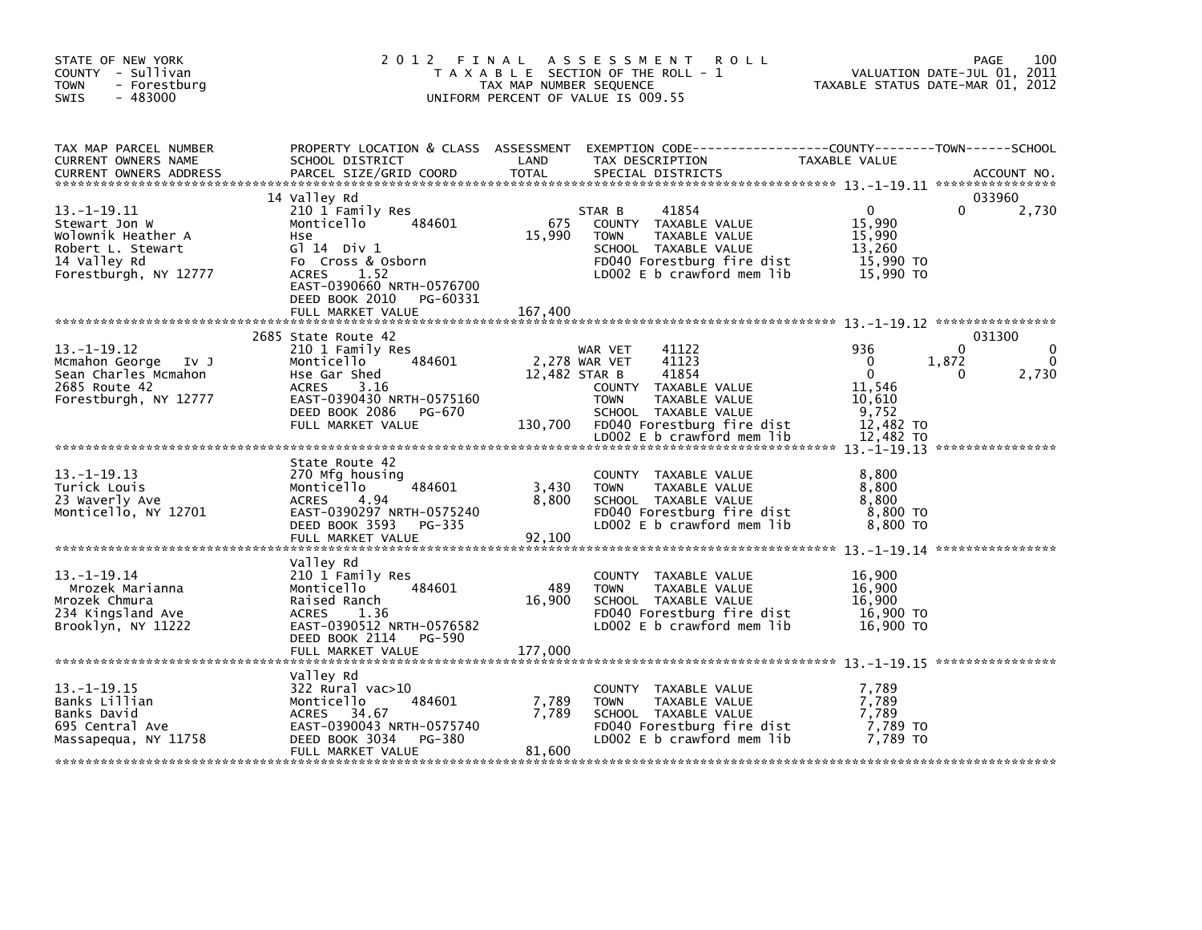| STATE OF NEW YORK<br>COUNTY - Sullivan<br><b>TOWN</b><br>- Forestburg<br>SWIS<br>$-483000$                             | 2 0 1 2                                                                                                                                                                                                       | FINAL<br>TAX MAP NUMBER SEQUENCE | A S S E S S M E N T<br><b>ROLL</b><br>T A X A B L E SECTION OF THE ROLL - 1<br>UNIFORM PERCENT OF VALUE IS 009.55                                                                               | TAXABLE STATUS DATE-MAR 01, 2012                                                   | 100<br>PAGE<br>VALUATION DATE-JUL 01, 2011 |
|------------------------------------------------------------------------------------------------------------------------|---------------------------------------------------------------------------------------------------------------------------------------------------------------------------------------------------------------|----------------------------------|-------------------------------------------------------------------------------------------------------------------------------------------------------------------------------------------------|------------------------------------------------------------------------------------|--------------------------------------------|
| TAX MAP PARCEL NUMBER<br>CURRENT OWNERS NAME<br><b>CURRENT OWNERS ADDRESS</b>                                          | PROPERTY LOCATION & CLASS ASSESSMENT<br>SCHOOL DISTRICT<br>PARCEL SIZE/GRID COORD                                                                                                                             | LAND<br><b>TOTAL</b>             | EXEMPTION CODE-----------------COUNTY-------TOWN------SCHOOL<br>TAX DESCRIPTION<br>SPECIAL DISTRICTS                                                                                            | TAXABLE VALUE                                                                      | ACCOUNT NO.                                |
| $13. - 1 - 19.11$<br>Stewart Jon W<br>Wolownik Heather A<br>Robert L. Stewart<br>14 Valley Rd<br>Forestburgh, NY 12777 | 14 Valley Rd<br>210 1 Family Res<br>484601<br>Monticello<br>Hse<br>$G1$ 14 Div 1<br>Fo Cross & Osborn<br><b>ACRES</b><br>1.52<br>EAST-0390660 NRTH-0576700<br>DEED BOOK 2010<br>PG-60331<br>FULL MARKET VALUE | 675<br>15,990<br>167,400         | 41854<br>STAR B<br>COUNTY TAXABLE VALUE<br>TAXABLE VALUE<br><b>TOWN</b><br>SCHOOL TAXABLE VALUE<br>FD040 Forestburg fire dist<br>LD002 E b crawford mem lib                                     | $\mathbf{0}$<br>15,990<br>15,990<br>13,260<br>15,990 TO<br>15,990 TO               | 033960<br>0<br>2,730                       |
| $13. -1 - 19.12$<br>Mcmahon George Iv J<br>Sean Charles Mcmahon<br>2685 Route 42<br>Forestburgh, NY 12777              | 2685 State Route 42<br>210 1 Family Res<br>484601<br>Monticello<br>Hse Gar Shed<br>ACRES<br>3.16<br>EAST-0390430 NRTH-0575160<br>DEED BOOK 2086 PG-670<br>FULL MARKET VALUE                                   | 12,482 STAR B<br>130,700         | 41122<br>WAR VET<br>2,278 WAR VET<br>41123<br>41854<br>COUNTY TAXABLE VALUE<br><b>TOWN</b><br>TAXABLE VALUE<br>SCHOOL TAXABLE VALUE<br>FD040 Forestburg fire dist<br>LD002 E b crawford mem lib | 936<br>$\Omega$<br>$\Omega$<br>11,546<br>10,610<br>9,752<br>12,482 TO<br>12,482 TO | 031300<br>$\Omega$<br>1,872<br>2,730<br>0  |
| $13. -1 - 19.13$<br>Turick Louis<br>23 Waverly Ave<br>Monticello, NY 12701                                             | State Route 42<br>270 Mfg housing<br>484601<br>Monticello<br>4.94<br>ACRES<br>EAST-0390297 NRTH-0575240<br>DEED BOOK 3593 PG-335<br>FULL MARKET VALUE                                                         | 3,430<br>8,800<br>92,100         | COUNTY TAXABLE VALUE<br><b>TOWN</b><br>TAXABLE VALUE<br>SCHOOL TAXABLE VALUE<br>FD040 Forestburg fire dist<br>LD002 E b crawford mem lib                                                        | 8,800<br>8,800<br>8.800<br>8,800 TO<br>8,800 TO                                    |                                            |
| $13. - 1 - 19.14$<br>Mrozek Marianna<br>Mrozek Chmura<br>234 Kingsland Ave<br>Brooklyn, NY 11222                       | Valley Rd<br>210 1 Family Res<br>484601<br>Monticello<br>Raised Ranch<br>ACRES<br>1.36<br>EAST-0390512 NRTH-0576582<br>DEED BOOK 2114 PG-590<br>FULL MARKET VALUE                                             | 489<br>16,900<br>177,000         | COUNTY TAXABLE VALUE<br>TAXABLE VALUE<br><b>TOWN</b><br>SCHOOL TAXABLE VALUE<br>FD040 Forestburg fire dist<br>LD002 E b crawford mem lib                                                        | 16,900<br>16,900<br>16,900<br>16,900 TO<br>16,900 TO                               |                                            |
| $13. -1 - 19.15$<br>Banks Lillian<br>Banks David<br>695 Central Ave<br>Massapequa, NY 11758                            | Valley Rd<br>322 Rural vac>10<br>484601<br>Monticello<br>34.67<br><b>ACRES</b><br>EAST-0390043 NRTH-0575740<br>DEED BOOK 3034<br>PG-380<br>FULL MARKET VALUE                                                  | 7,789<br>7,789<br>81,600         | COUNTY TAXABLE VALUE<br><b>TOWN</b><br>TAXABLE VALUE<br>SCHOOL TAXABLE VALUE<br>FD040 Forestburg fire dist<br>LD002 E b crawford mem lib                                                        | 7,789<br>7,789<br>7,789<br>7,789 то<br>7,789 то                                    |                                            |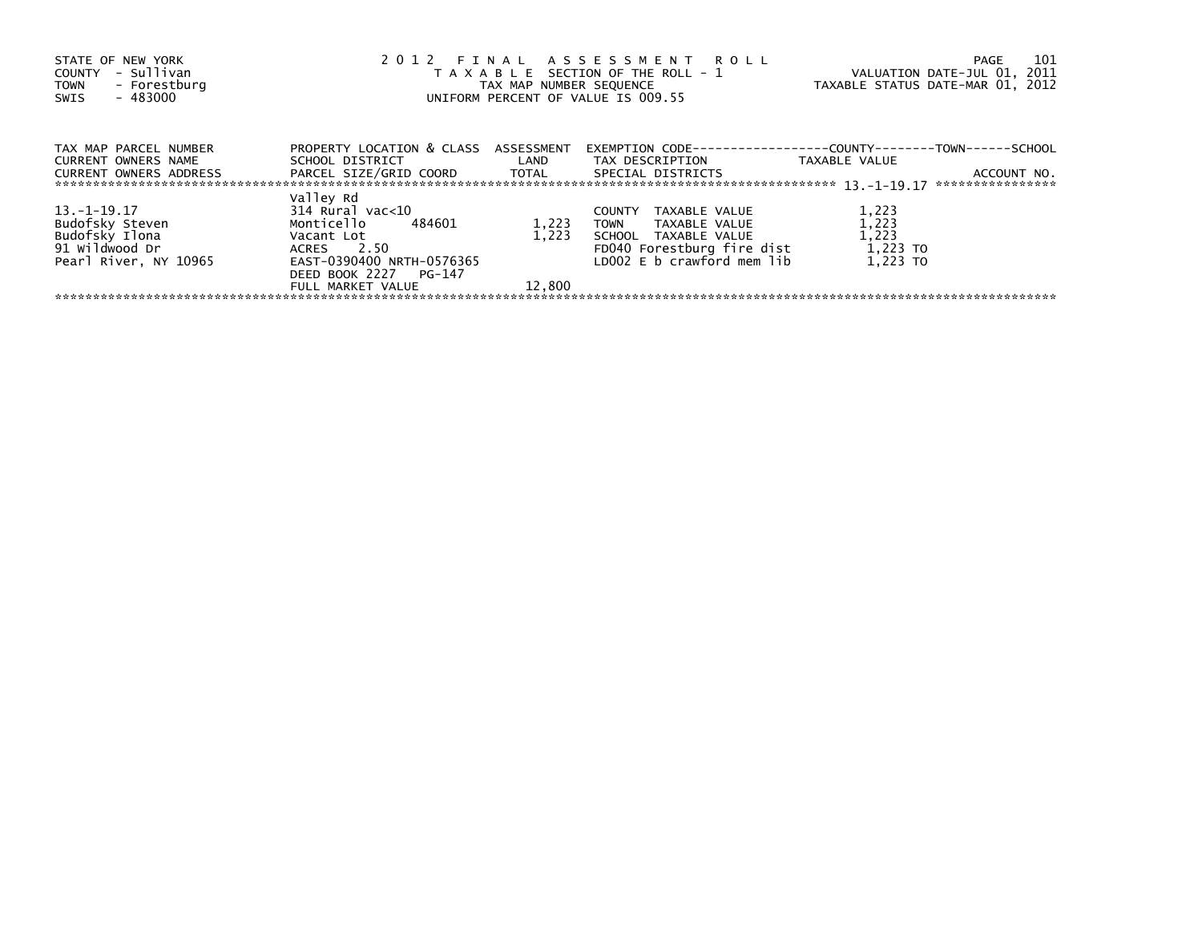| STATE OF NEW YORK<br>- Sullivan<br>COUNTY<br>- Forestburg<br><b>TOWN</b><br>$-483000$<br>SWIS | 2012 FINAL ASSESSMENT ROLL<br>T A X A B L E SECTION OF THE ROLL - 1<br>TAX MAP NUMBER SEQUENCE<br>UNIFORM PERCENT OF VALUE IS 009.55 | 101<br>PAGE<br>VALUATION DATE-JUL 01, 2011<br>TAXABLE STATUS DATE-MAR 01, 2012 |                                      |                                              |             |
|-----------------------------------------------------------------------------------------------|--------------------------------------------------------------------------------------------------------------------------------------|--------------------------------------------------------------------------------|--------------------------------------|----------------------------------------------|-------------|
| TAX MAP PARCEL NUMBER                                                                         | PROPERTY LOCATION & CLASS ASSESSMENT                                                                                                 |                                                                                | EXEMPTION CODE---                    | --------------COUNTY--------TOWN------SCHOOL |             |
| <b>CURRENT OWNERS NAME</b><br><b>CURRENT OWNERS ADDRESS</b>                                   | SCHOOL DISTRICT<br>PARCEL SIZE/GRID COORD TOTAL                                                                                      | <b>Example 12</b>                                                              | TAX DESCRIPTION<br>SPECIAL DISTRICTS | TAXABLE VALUE<br>****************            | ACCOUNT NO. |
|                                                                                               | Valley Rd                                                                                                                            |                                                                                |                                      |                                              |             |
| $13.-1-19.17$                                                                                 | 314 Rural vac<10                                                                                                                     |                                                                                | TAXABLE VALUE<br><b>COUNTY</b>       | 1,223                                        |             |
| Budofsky Steven                                                                               | Monticello<br>484601                                                                                                                 | 1,223                                                                          | TAXABLE VALUE<br><b>TOWN</b>         | 1,223                                        |             |
| Budofsky Ilona                                                                                | Vacant Lot                                                                                                                           | 1.223                                                                          | SCHOOL TAXABLE VALUE                 | 1,223                                        |             |
| 91 Wildwood Dr                                                                                | ACRES 2.50                                                                                                                           |                                                                                | FD040 Forestburg fire dist           | 1,223 TO                                     |             |
| Pearl River, NY 10965                                                                         | EAST-0390400 NRTH-0576365                                                                                                            |                                                                                | LD002 E b crawford mem lib           | 1.223 TO                                     |             |
|                                                                                               | DEED BOOK 2227 PG-147                                                                                                                |                                                                                |                                      |                                              |             |
|                                                                                               | FULL MARKET VALUE                                                                                                                    | 12,800                                                                         |                                      |                                              |             |
|                                                                                               |                                                                                                                                      |                                                                                |                                      |                                              |             |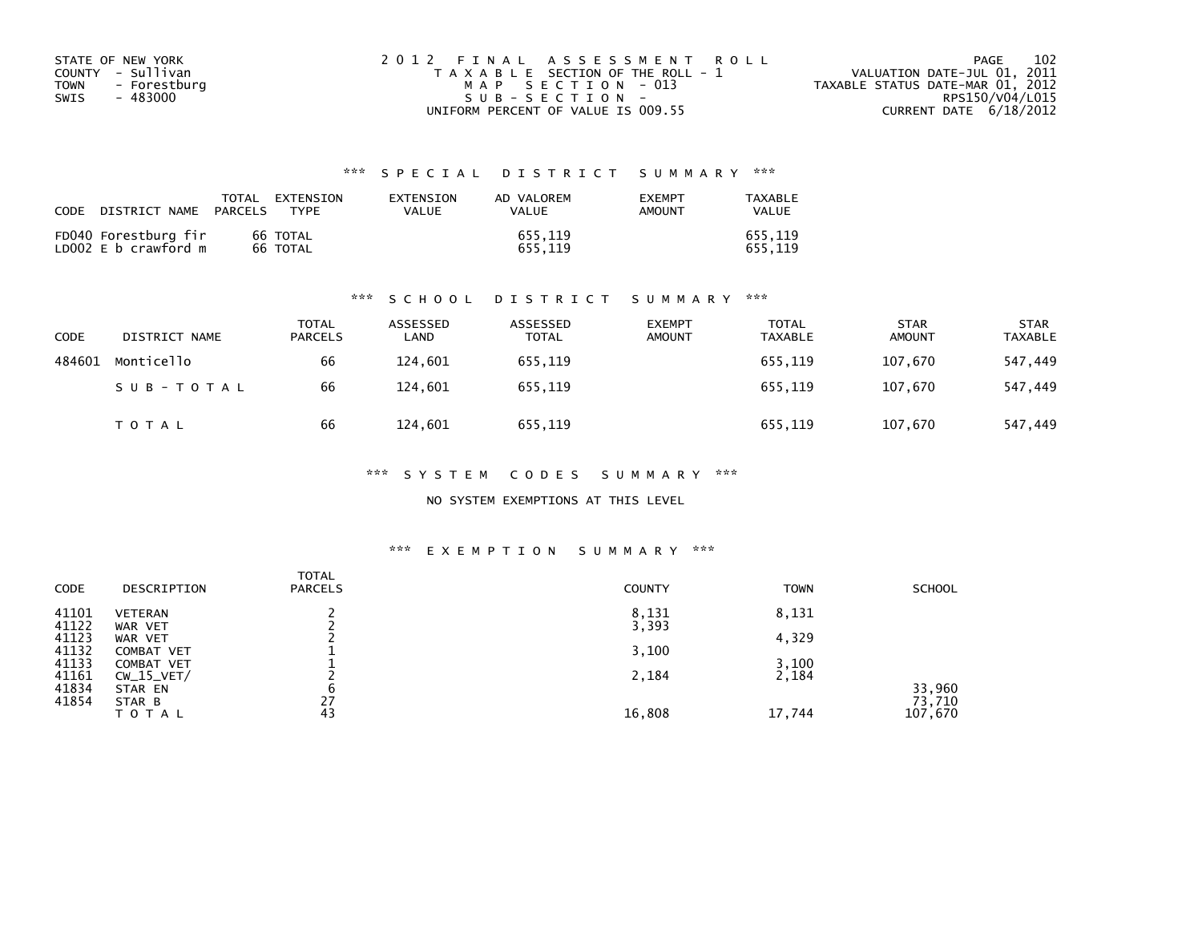| STATE OF NEW YORK           | 2012 FINAL ASSESSMENT ROLL            | 102<br>PAGE                      |
|-----------------------------|---------------------------------------|----------------------------------|
| COUNTY - Sullivan           | T A X A B L E SECTION OF THE ROLL - 1 | VALUATION DATE-JUL 01, 2011      |
| <b>TOWN</b><br>- Forestburg | MAP SECTION - 013                     | TAXABLE STATUS DATE-MAR 01, 2012 |
| SWIS<br>- 483000            | $SUB - SECTION -$                     | RPS150/V04/L015                  |
|                             | UNIFORM PERCENT OF VALUE IS 009.55    | CURRENT DATE 6/18/2012           |

## \*\*\* S P E C I A L D I S T R I C T S U M M A R Y \*\*\*

| CODE | DISTRICT NAME                                | TOTAL<br><b>PARCELS</b> | <b>FXTENSTON</b><br>TYPF | <b>FXTENSTON</b><br>VALUE | AD VALOREM<br><b>VALUE</b> | <b>EXEMPT</b><br>AMOUNT | TAXABLE<br>VALUE   |
|------|----------------------------------------------|-------------------------|--------------------------|---------------------------|----------------------------|-------------------------|--------------------|
|      | FD040 Forestburg fir<br>LD002 E b crawford m |                         | 66 TOTAL<br>66 TOTAL     |                           | 655.119<br>655.119         |                         | 655.119<br>655.119 |

### \*\*\* S C H O O L D I S T R I C T S U M M A R Y \*\*\*

| <b>CODE</b> | DISTRICT NAME | <b>TOTAL</b><br><b>PARCELS</b> | ASSESSED<br>LAND | ASSESSED<br><b>TOTAL</b> | <b>EXEMPT</b><br><b>AMOUNT</b> | TOTAL<br><b>TAXABLE</b> | <b>STAR</b><br><b>AMOUNT</b> | <b>STAR</b><br><b>TAXABLE</b> |
|-------------|---------------|--------------------------------|------------------|--------------------------|--------------------------------|-------------------------|------------------------------|-------------------------------|
| 484601      | Monticello    | 66                             | 124,601          | 655,119                  |                                | 655,119                 | 107.670                      | 547,449                       |
|             | SUB-TOTAL     | 66                             | 124,601          | 655,119                  |                                | 655,119                 | 107,670                      | 547,449                       |
|             | TOTAL         | 66                             | 124,601          | 655,119                  |                                | 655,119                 | 107,670                      | 547,449                       |

\*\*\* S Y S T E M C O D E S S U M M A R Y \*\*\*

NO SYSTEM EXEMPTIONS AT THIS LEVEL

### \*\*\* E X E M P T I O N S U M M A R Y \*\*\*

| <b>CODE</b> | DESCRIPTION    | <b>TOTAL</b><br><b>PARCELS</b> | <b>COUNTY</b> | <b>TOWN</b> | <b>SCHOOL</b> |
|-------------|----------------|--------------------------------|---------------|-------------|---------------|
| 41101       | <b>VETERAN</b> |                                | 8,131         | 8,131       |               |
| 41122       | WAR VET        |                                | 3,393         |             |               |
| 41123       | WAR VET        |                                |               | 4,329       |               |
| 41132       | COMBAT VET     |                                | 3,100         |             |               |
| 41133       | COMBAT VET     |                                |               | 3,100       |               |
| 41161       | $CW_15_VET/$   |                                | 2,184         | 2,184       |               |
| 41834       | STAR EN        | b                              |               |             | 33,960        |
| 41854       | STAR B         | 27                             |               |             | 73,710        |
|             | <b>TOTAL</b>   | 43                             | 16,808        | 17,744      | 107,670       |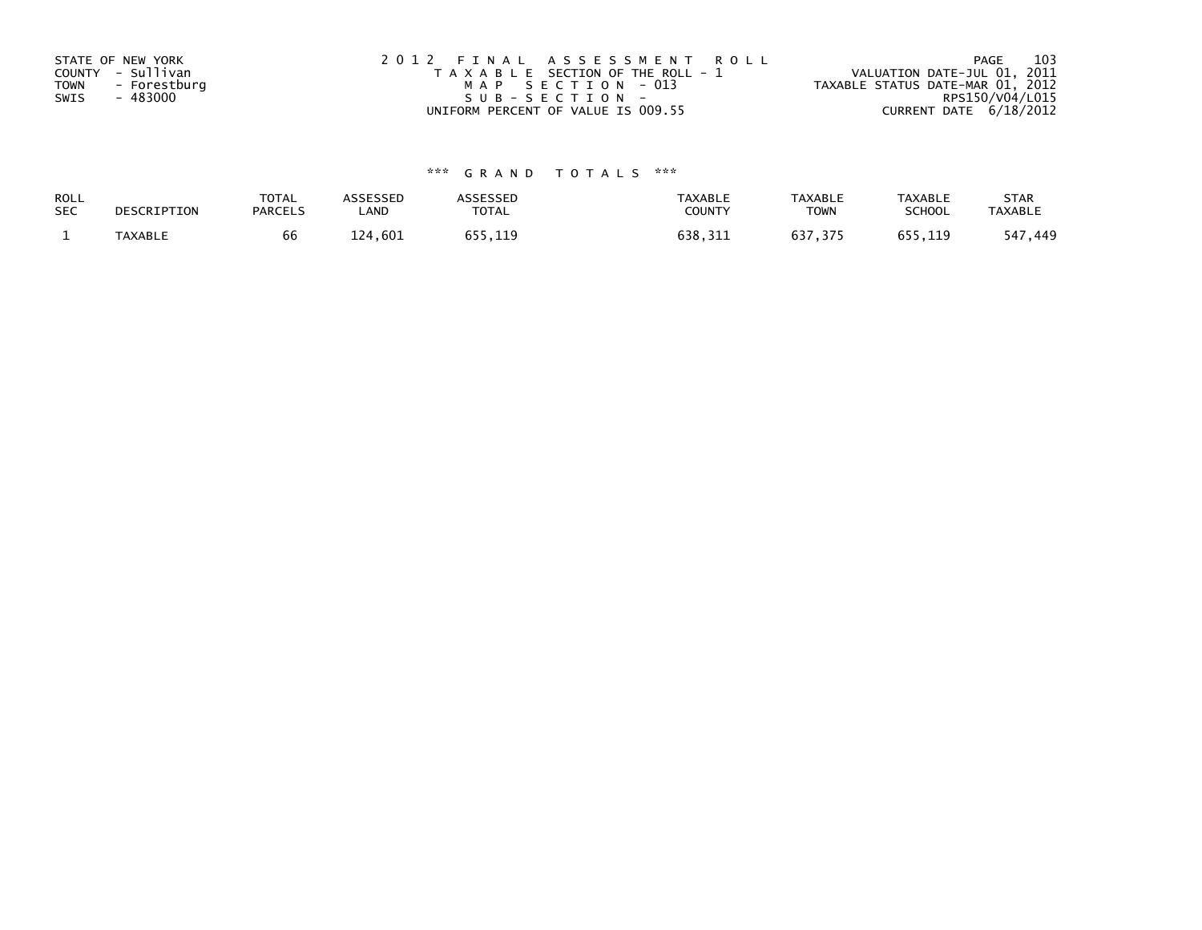| STATE OF NEW YORK<br>COUNTY - Sullivan<br><b>TOWN</b><br>- Forestburg<br>- 483000<br>SWIS | 2012 FINAL ASSESSMENT ROLL<br>T A X A B L E SECTION OF THE ROLL - 1<br>MAP SECTION - 013<br>SUB-SECTION- | - 103<br>PAGE<br>VALUATION DATE-JUL 01, 2011<br>TAXABLE STATUS DATE-MAR 01, 2012<br>RPS150/V04/L015 |
|-------------------------------------------------------------------------------------------|----------------------------------------------------------------------------------------------------------|-----------------------------------------------------------------------------------------------------|
|                                                                                           | UNIFORM PERCENT OF VALUE IS 009.55                                                                       | CURRENT DATE 6/18/2012                                                                              |

# \*\*\* G R A N D T O T A L S \*\*\*

| ROLL       | DESCRIPTION | <b>TOTAL</b>   | <b>ASSESSED</b> | <b>\SSESSED</b> | <b>TAXABLE</b> | <b>TAXABLE</b> | TAXABLE       | <b>STAR</b>    |
|------------|-------------|----------------|-----------------|-----------------|----------------|----------------|---------------|----------------|
| <b>SEC</b> |             | <b>PARCELS</b> | ∟AND            | <b>TOTAL</b>    | COUNTY         | TOWN           | <b>SCHOOL</b> | <b>TAXABLE</b> |
|            | TAXABLE     | 66             | 124,601         | 655,119         | 638,311        | 637,375        | 655.119       | 449,<br>547    |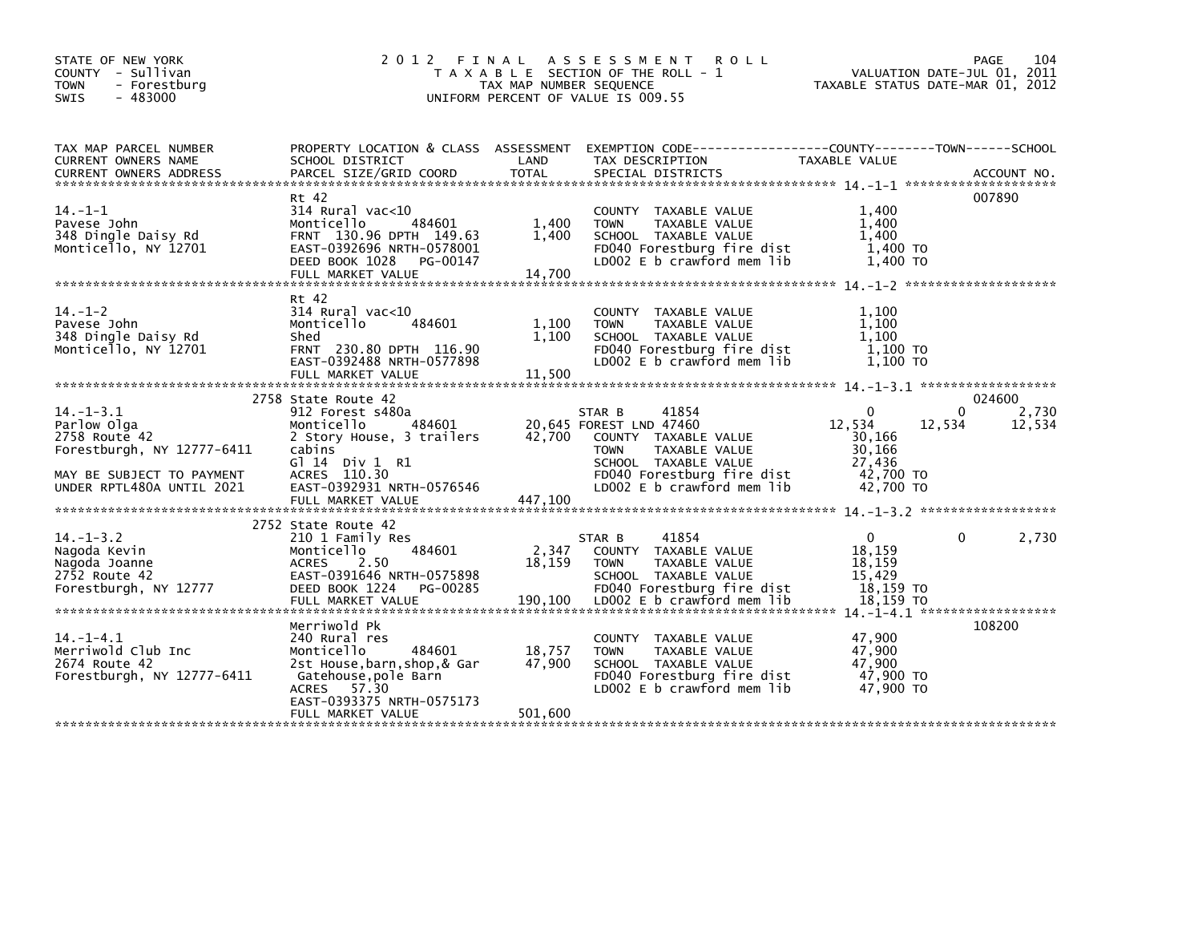| STATE OF NEW YORK<br>COUNTY - Sullivan                 |                                                      |                         | 2012 FINAL ASSESSMENT ROLL<br>T A X A B L E SECTION OF THE ROLL - 1                             | VALUATION DATE-JUL 01, 2011      | 104<br>PAGE |
|--------------------------------------------------------|------------------------------------------------------|-------------------------|-------------------------------------------------------------------------------------------------|----------------------------------|-------------|
| - Forestburg<br><b>TOWN</b>                            |                                                      | TAX MAP NUMBER SEQUENCE |                                                                                                 | TAXABLE STATUS DATE-MAR 01, 2012 |             |
| $-483000$<br><b>SWIS</b>                               |                                                      |                         | UNIFORM PERCENT OF VALUE IS 009.55                                                              |                                  |             |
| TAX MAP PARCEL NUMBER                                  |                                                      |                         | PROPERTY LOCATION & CLASS ASSESSMENT EXEMPTION CODE----------------COUNTY-------TOWN-----SCHOOL |                                  |             |
| CURRENT OWNERS NAME                                    | SCHOOL DISTRICT                                      | LAND                    | TAX DESCRIPTION                                                                                 | <b>TAXABLE VALUE</b>             |             |
|                                                        |                                                      |                         |                                                                                                 |                                  |             |
|                                                        | Rt 42                                                |                         |                                                                                                 |                                  | 007890      |
| $14. -1 -1$                                            | $314$ Rural vac<10                                   |                         | COUNTY TAXABLE VALUE                                                                            | 1.400                            |             |
| Pavese John                                            | Monticello<br>484601                                 | 1,400                   | <b>TOWN</b><br>TAXABLE VALUE                                                                    | 1,400                            |             |
| 348 Dingle Daisy Rd                                    | FRNT 130.96 DPTH 149.63                              | 1,400                   | SCHOOL TAXABLE VALUE                                                                            | 1.400                            |             |
| Monticello, NY 12701                                   | EAST-0392696 NRTH-0578001<br>DEED BOOK 1028 PG-00147 |                         | FD040 Forestburg fire dist<br>LD002 E b crawford mem lib                                        | 1,400 TO<br>1,400 TO             |             |
|                                                        | FULL MARKET VALUE                                    | 14,700                  |                                                                                                 |                                  |             |
|                                                        |                                                      |                         |                                                                                                 |                                  |             |
|                                                        | Rt 42                                                |                         |                                                                                                 |                                  |             |
| $14. - 1 - 2$                                          | $314$ Rural vac<10                                   |                         | COUNTY TAXABLE VALUE                                                                            | 1,100                            |             |
| Pavese John<br>348 Dingle Daisy Rd                     | Monticello<br>484601<br>Shed                         | 1,100<br>1,100          | TAXABLE VALUE<br><b>TOWN</b><br>SCHOOL TAXABLE VALUE                                            | 1.100<br>1.100                   |             |
| Monticello, NY 12701                                   | FRNT 230.80 DPTH 116.90                              |                         | FD040 Forestburg fire dist                                                                      | $1,100$ TO                       |             |
|                                                        | EAST-0392488 NRTH-0577898                            |                         | LD002 E b crawford mem lib                                                                      | $1.100$ TO                       |             |
|                                                        |                                                      |                         |                                                                                                 |                                  |             |
|                                                        | 2758 State Route 42                                  |                         |                                                                                                 |                                  | 024600      |
| $14. - 1 - 3.1$                                        | 912 Forest s480a                                     |                         | STAR B<br>41854                                                                                 | $\mathbf{0}$                     | 2,730<br>0  |
| Parlow Olga                                            | Monticello<br>484601                                 |                         | 20,645 FOREST LND 47460                                                                         | 12,534<br>12,534                 | 12,534      |
| 2758 Route 42                                          | 2 Story House, 3 trailers                            |                         | 42,700 COUNTY TAXABLE VALUE                                                                     | 30,166                           |             |
| Forestburgh, NY 12777-6411                             | cabins                                               |                         | <b>TOWN</b><br>TAXABLE VALUE                                                                    | 30,166                           |             |
|                                                        | $G$ ] 14 Div 1 R1<br>ACRES 110.30                    |                         | SCHOOL TAXABLE VALUE<br>FD040 Forestburg fire dist                                              | 27.436<br>42,700 TO              |             |
| MAY BE SUBJECT TO PAYMENT<br>UNDER RPTL480A UNTIL 2021 | EAST-0392931 NRTH-0576546                            |                         | LD002 E b crawford mem lib                                                                      | 42,700 TO                        |             |
|                                                        |                                                      |                         |                                                                                                 |                                  |             |
|                                                        |                                                      |                         |                                                                                                 |                                  |             |
|                                                        | 2752 State Route 42                                  |                         |                                                                                                 | $\Omega$                         |             |
| $14. -1 - 3.2$<br>Nagoda Kevin                         | 210 1 Family Res<br>Monticello<br>484601             | 2,347                   | STAR B<br>41854<br>COUNTY TAXABLE VALUE                                                         | 18.159                           | 2,730<br>0  |
| Nagoda Joanne                                          | <b>ACRES</b><br>2.50                                 | 18,159                  | <b>TOWN</b><br>TAXABLE VALUE                                                                    | 18,159                           |             |
| 2752 Route 42                                          | EAST-0391646 NRTH-0575898                            |                         | SCHOOL TAXABLE VALUE                                                                            | 15,429                           |             |
| Forestburgh, NY 12777                                  | DEED BOOK 1224<br>PG-00285                           |                         | FD040 Forestburg fire dist                                                                      | 18,159 TO                        |             |
|                                                        | FULL MARKET VALUE                                    | 190,100                 | LD002 E b crawford mem lib                                                                      | 18,159 TO                        |             |
|                                                        | Merriwold Pk                                         |                         |                                                                                                 |                                  | 108200      |
| $14. - 1 - 4.1$                                        | 240 Rural res                                        |                         | COUNTY TAXABLE VALUE                                                                            | 47,900                           |             |
| Merriwold Club Inc                                     | Monticello<br>484601                                 | 18,757                  | <b>TOWN</b><br>TAXABLE VALUE                                                                    | 47,900                           |             |
| 2674 Route 42                                          | 2st House, barn, shop, & Gar                         | 47,900                  | SCHOOL TAXABLE VALUE                                                                            | 47.900                           |             |
| Forestburgh, NY 12777-6411                             | Gatehouse,pole Barn                                  |                         | FD040 Forestburg fire dist                                                                      | 47,900 TO                        |             |
|                                                        | ACRES 57.30<br>EAST-0393375 NRTH-0575173             |                         | LD002 E b crawford mem lib                                                                      | 47,900 TO                        |             |
|                                                        | FULL MARKET VALUE                                    | 501,600                 |                                                                                                 |                                  |             |
|                                                        |                                                      |                         |                                                                                                 |                                  |             |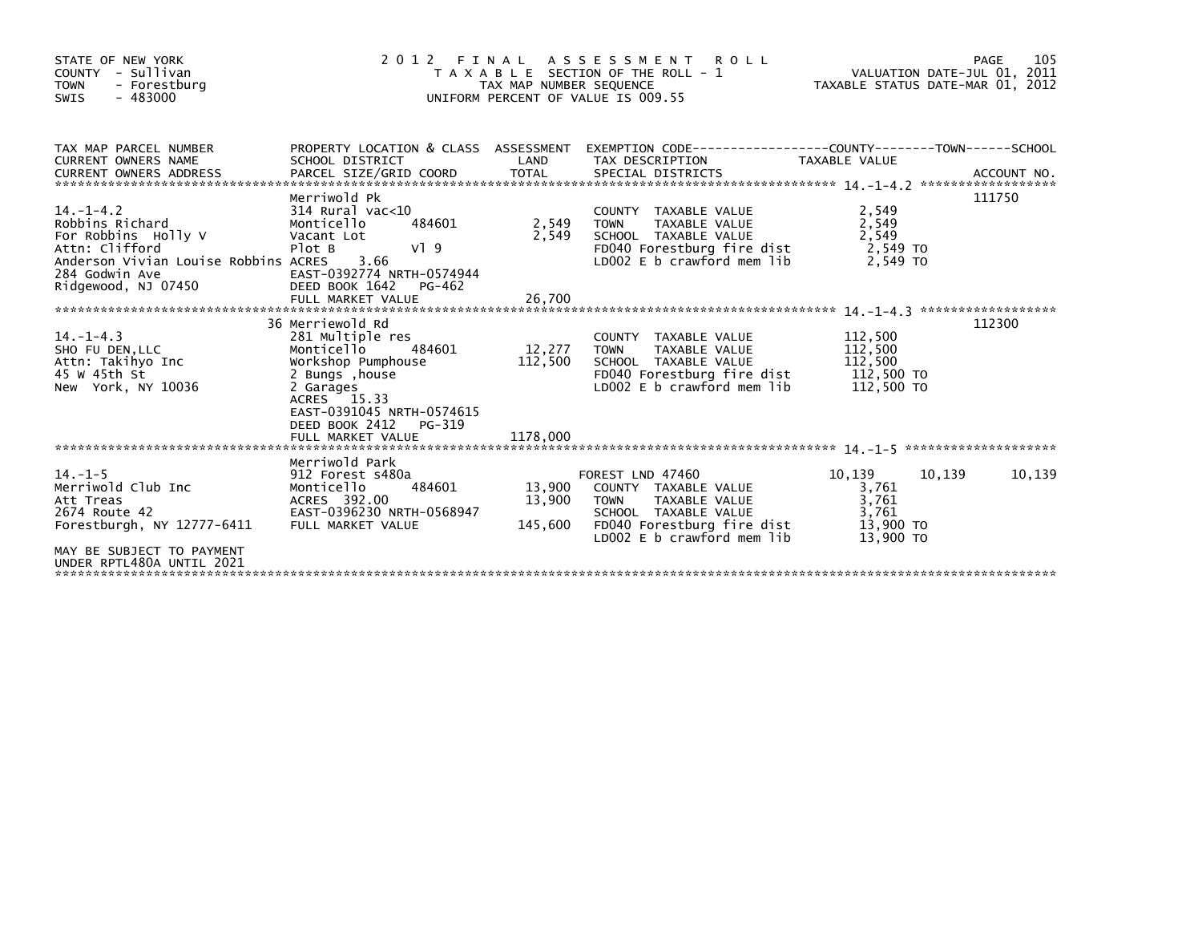| STATE OF NEW YORK<br>COUNTY - Sullivan<br>- Forestburg<br><b>TOWN</b><br>$-483000$<br>SWIS                                                                                                                                                                                    | 2012 FINAL                                                                                                                | TAX MAP NUMBER SEQUENCE | A S S E S S M E N T R O L L<br>T A X A B L E SECTION OF THE ROLL - 1<br>UNIFORM PERCENT OF VALUE IS 009.55                                                               | VALUATION DATE-JUL 01, 2011<br>ROLL - 1 VALUATION DATE-JUL 01, 2011<br>TAXABLE STATUS DATE-MAR 01, 2012 | 105<br>PAGE |
|-------------------------------------------------------------------------------------------------------------------------------------------------------------------------------------------------------------------------------------------------------------------------------|---------------------------------------------------------------------------------------------------------------------------|-------------------------|--------------------------------------------------------------------------------------------------------------------------------------------------------------------------|---------------------------------------------------------------------------------------------------------|-------------|
| TAX MAP PARCEL NUMBER<br><b>CURRENT OWNERS NAME</b><br>CURRENT OWNERS ADDRESS FARCEL SIZE/GRID COORD TOTAL SPECIAL DISTRICTS (2000) ACCOUNT NO.<br>EURRENT OWNERS ADDRESS PARCEL SIZE/GRID COORD TOTAL SPECIAL DISTRICTS (2000) 2014.1-1-4.2 ********************             | SCHOOL DISTRICT                                                                                                           |                         | PROPERTY LOCATION & CLASS ASSESSMENT EXEMPTION CODE----------------COUNTY-------TOWN-----SCHOOL<br>LAND TAX DESCRIPTION                                                  | TAXABLE VALUE                                                                                           |             |
| $14. - 1 - 4.2$<br>Robbins Richard<br>RODDINS RICHARD<br>For Robbins Holly V<br>Attn: Clifford<br>Anderson Vivian Louise Robbins ACRES 3.66<br>284 Godwin Ave                                                                                                                 | Merriwold Pk<br>314 Rural vac<10<br>484601<br>Monticello<br>Vacant Lot<br>V19<br>Plot B                                   | 2,549 TOWN<br>2,549     | COUNTY TAXABLE VALUE<br>TAXABLE VALUE<br>SCHOOL TAXABLE VALUE<br>FD040 Forestburg fire dist 2,549 TO<br>LDOO2 E b crawford mem lib                                       | 2,549<br>2,549<br>2.549 TO                                                                              | 111750      |
| $14. - 1 - 4.3$<br>14.1 THE CONFIDENTIES TO MONOGRAPH MONOGRAPH AND MONOGRAPH MUSIC MONOGRAPH AND MONOGRAPH MUSIC MEDICING MONOGR<br>Attn: Takihyo Inc Morkshop Pumphouse 112,500 SCHOOL TAXABLE VALUE<br>45 W 45th St 2 Bungs ,house 112,500 SCHOOL TA<br>New York, NY 10036 | 36 Merriewold Rd<br>281 Multiple res<br>2 Garages<br>ACRES 15.33<br>EAST-0391045 NRTH-0574615<br>DEED BOOK 2412<br>PG-319 |                         | COUNTY TAXABLE VALUE<br>TAXABLE VALUE<br>FD040 Forestburg fire dist           112,500 TO<br>LD002 E b crawford mem lib           112,500 TO                              | 112,500<br>112,500<br>112,500                                                                           | 112300      |
| MAY BE SUBJECT TO PAYMENT<br>UNDER RPTL480A UNTIL 2021                                                                                                                                                                                                                        | Merriwold Park                                                                                                            |                         | FOREST LND 47460<br>13,900 COUNTY TAXABLE VALUE<br>13,900 TOWN TAXABLE VALUE<br>SCHOOL TAXABLE VALUE<br>145,600 FD040 Forestburg fire dist<br>LD002 E b crawford mem lib | 10,139<br>10,139<br>3.761<br>3,761<br>3,761<br>13,900 TO<br>13,900 TO                                   | 10,139      |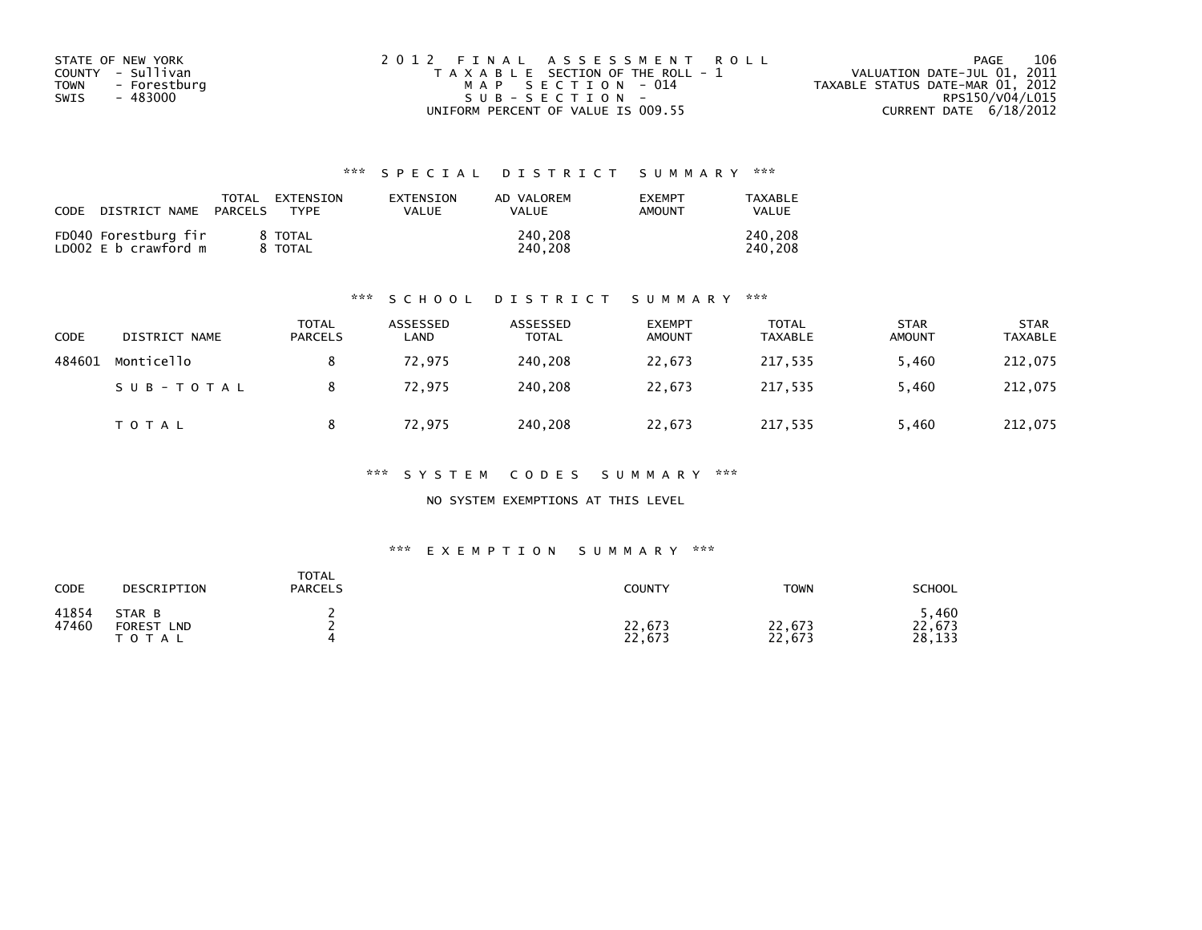| STATE OF NEW YORK    | 2012 FINAL ASSESSMENT ROLL            | 106<br>PAGE                      |
|----------------------|---------------------------------------|----------------------------------|
| COUNTY - Sullivan    | T A X A B L E SECTION OF THE ROLL - 1 | VALUATION DATE-JUL 01, 2011      |
| TOWN<br>- Forestburg | MAP SECTION - 014                     | TAXABLE STATUS DATE-MAR 01, 2012 |
| - 483000<br>SWIS     | $SUB - SECTION -$                     | RPS150/V04/L015                  |
|                      | UNIFORM PERCENT OF VALUE IS 009.55    | CURRENT DATE $6/18/2012$         |

## \*\*\* S P E C I A L D I S T R I C T S U M M A R Y \*\*\*

| CODE | DISTRICT NAME                                | TOTAL<br><b>PARCELS</b> | EXTENSION<br>TYPF       | <b>FXTENSTON</b><br>VALUE | AD VALOREM<br><b>VALUE</b> | <b>EXEMPT</b><br>AMOUNT | TAXABLE<br>VALUE   |
|------|----------------------------------------------|-------------------------|-------------------------|---------------------------|----------------------------|-------------------------|--------------------|
|      | FD040 Forestburg fir<br>LD002 E b crawford m |                         | 8 TOTAL<br><b>TOTAL</b> |                           | 240,208<br>240.208         |                         | 240,208<br>240.208 |

### \*\*\* S C H O O L D I S T R I C T S U M M A R Y \*\*\*

| CODE   | DISTRICT NAME | TOTAL<br><b>PARCELS</b> | ASSESSED<br>∟AND | ASSESSED<br>TOTAL | <b>EXEMPT</b><br><b>AMOUNT</b> | <b>TOTAL</b><br><b>TAXABLE</b> | <b>STAR</b><br><b>AMOUNT</b> | <b>STAR</b><br><b>TAXABLE</b> |
|--------|---------------|-------------------------|------------------|-------------------|--------------------------------|--------------------------------|------------------------------|-------------------------------|
| 484601 | Monticello    |                         | 72.975           | 240.208           | 22,673                         | 217,535                        | 5,460                        | 212,075                       |
|        | SUB-TOTAL     |                         | 72,975           | 240,208           | 22,673                         | 217,535                        | 5,460                        | 212,075                       |
|        | TOTAL         |                         | 72,975           | 240,208           | 22,673                         | 217,535                        | 5,460                        | 212,075                       |

\*\*\* S Y S T E M C O D E S S U M M A R Y \*\*\*

NO SYSTEM EXEMPTIONS AT THIS LEVEL

### \*\*\* E X E M P T I O N S U M M A R Y \*\*\*

| CODE           | DESCRIPTION                                 | <b>TOTAL</b><br><b>PARCELS</b> | <b>COUNTY</b>    | <b>TOWN</b>      | <b>SCHOOL</b>            |
|----------------|---------------------------------------------|--------------------------------|------------------|------------------|--------------------------|
| 41854<br>47460 | STAR B<br><b>FOREST</b><br>LND<br>T O T A L |                                | 22,673<br>22,673 | 22,673<br>22,673 | ,460<br>22,673<br>28,133 |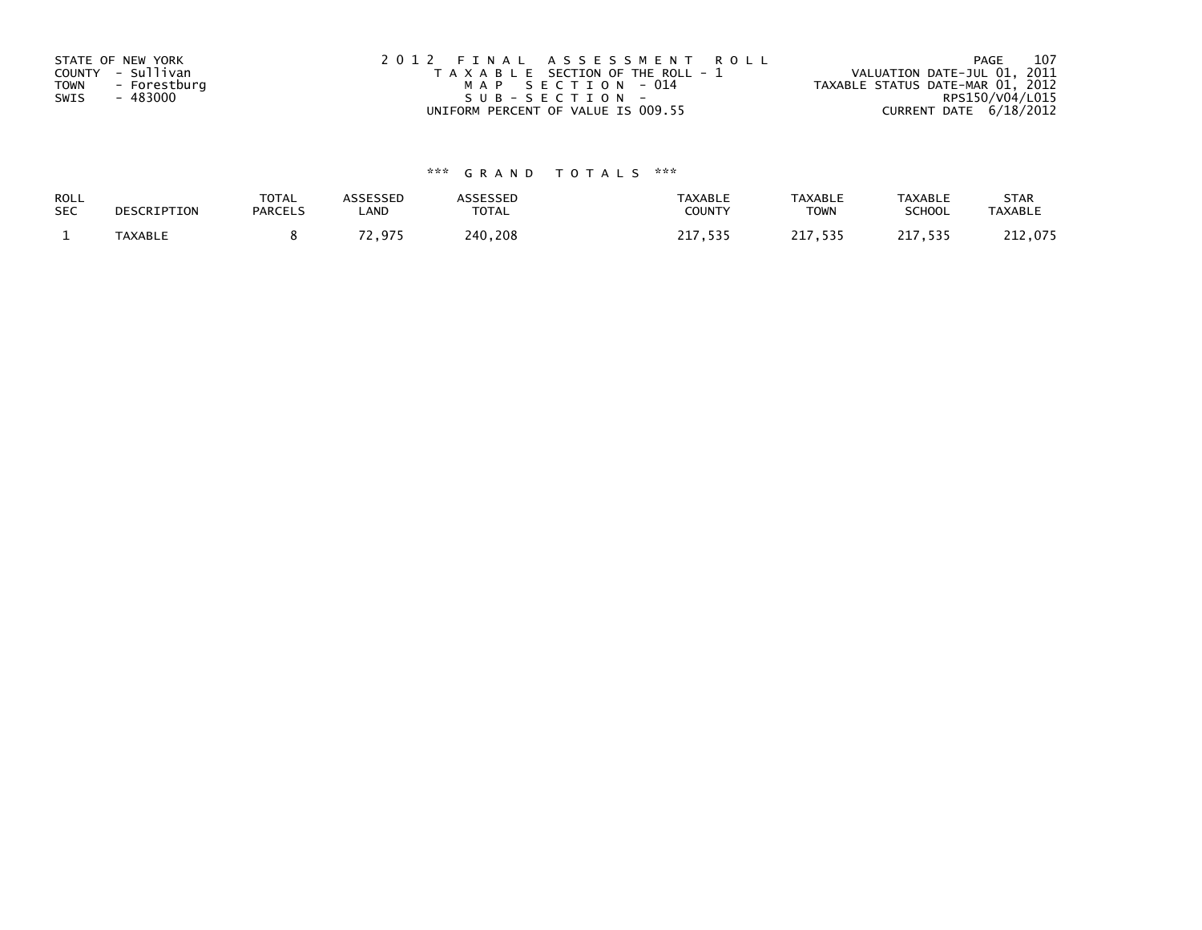| STATE OF NEW YORK<br>COUNTY - Sullivan<br>- Forestburg<br><b>TOWN</b><br>- 483000<br>SWIS | 2012 FINAL ASSESSMENT ROLL<br>T A X A B L E SECTION OF THE ROLL - 1<br>MAP SECTION - 014<br>SUB-SECTION- | - 107<br>PAGE<br>VALUATION DATE-JUL 01, 2011<br>TAXABLE STATUS DATE-MAR 01, 2012<br>RPS150/V04/L015 |
|-------------------------------------------------------------------------------------------|----------------------------------------------------------------------------------------------------------|-----------------------------------------------------------------------------------------------------|
|                                                                                           | UNIFORM PERCENT OF VALUE IS 009.55                                                                       | CURRENT DATE $6/18/2012$                                                                            |

# \*\*\* G R A N D T O T A L S \*\*\*

| ROLL       | DESCRIPTION    | <b>TOTAL</b>   | ASSESSED      | <b>ASSESSED</b> | <b>TAXABLE</b> | <b>TAXABLE</b> | <b>TAXABLE</b> | <b>STAR</b>    |
|------------|----------------|----------------|---------------|-----------------|----------------|----------------|----------------|----------------|
| <b>SEC</b> |                | <b>PARCELS</b> | LAND          | TOTAL           | <b>COUNTY</b>  | <b>TOWN</b>    | <b>SCHOOL</b>  | <b>TAXABLE</b> |
|            | <b>TAXABLE</b> |                | 70.<br>72.975 | 240,208         | 717<br>, 535   | 217,535        | 217,535        | 212,075        |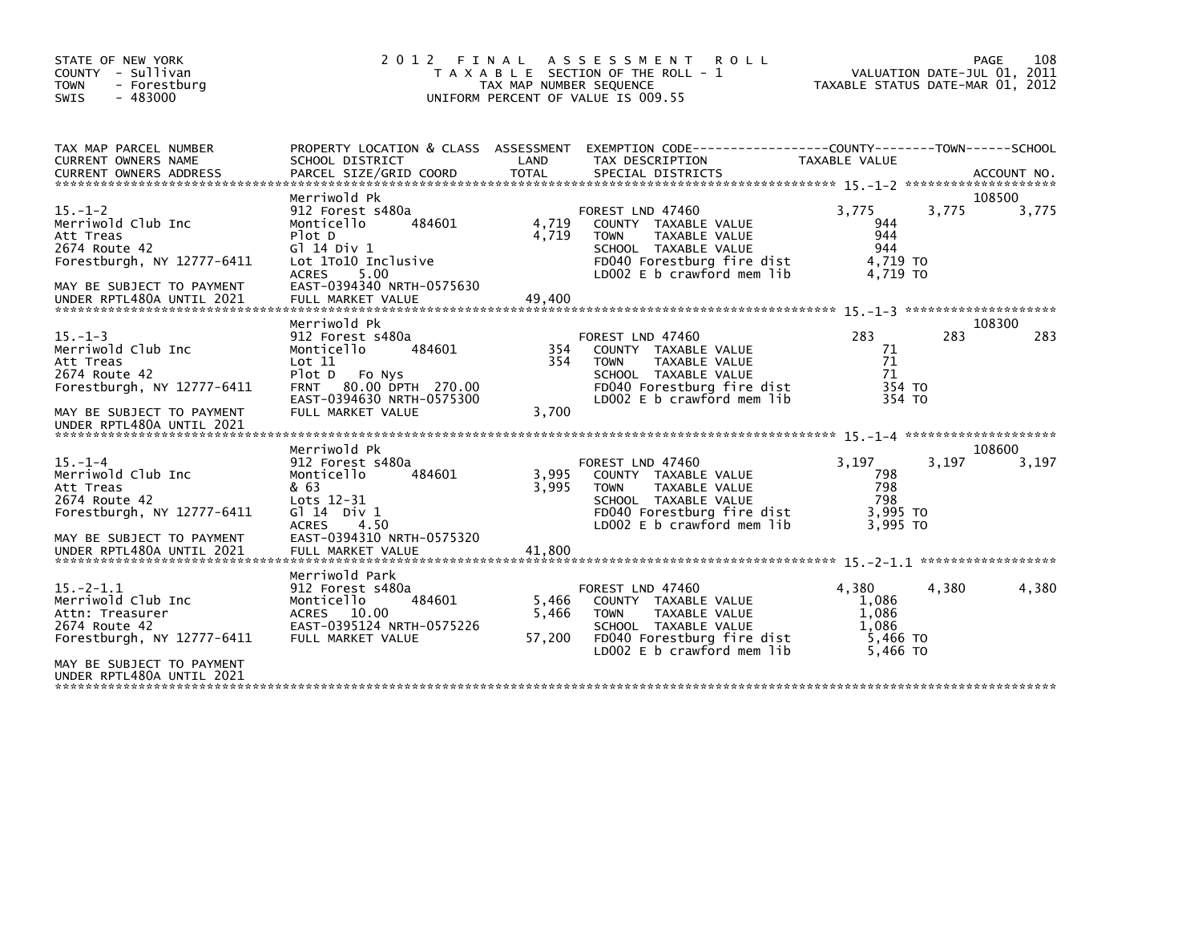| STATE OF NEW YORK<br>COUNTY - Sullivan<br><b>TOWN</b><br>- Forestburg<br>$-483000$<br><b>SWIS</b>                                                         | 2 0 1 2                                                                                                                                                                               | FINAL<br>TAX MAP NUMBER SEQUENCE | A S S E S S M E N T<br><b>ROLL</b><br>T A X A B L E SECTION OF THE ROLL - 1<br>UNIFORM PERCENT OF VALUE IS 009.55                                              |                                                          | 108<br>PAGE<br>VALUATION DATE-JUL 01, 2011<br>TAXABLE STATUS DATE-MAR 01, 2012 |
|-----------------------------------------------------------------------------------------------------------------------------------------------------------|---------------------------------------------------------------------------------------------------------------------------------------------------------------------------------------|----------------------------------|----------------------------------------------------------------------------------------------------------------------------------------------------------------|----------------------------------------------------------|--------------------------------------------------------------------------------|
| TAX MAP PARCEL NUMBER<br><b>CURRENT OWNERS NAME</b>                                                                                                       | PROPERTY LOCATION & CLASS ASSESSMENT<br>SCHOOL DISTRICT                                                                                                                               | LAND                             | EXEMPTION CODE-----------------COUNTY-------TOWN------SCHOOL<br>TAX DESCRIPTION                                                                                | TAXABLE VALUE                                            |                                                                                |
| $15. - 1 - 2$<br>Merriwold Club Inc<br>Att Treas<br>2674 Route 42<br>Forestburgh, NY 12777-6411<br>MAY BE SUBJECT TO PAYMENT<br>UNDER RPTL480A UNTIL 2021 | Merriwold Pk<br>912 Forest s480a<br>484601<br>Monticello<br>Plot D<br>$G$ ] 14 Div 1<br>Lot 1To10 Inclusive<br>5.00<br><b>ACRES</b><br>EAST-0394340 NRTH-0575630<br>FULL MARKET VALUE | 4,719<br>4,719<br>49,400         | FOREST LND 47460<br>COUNTY TAXABLE VALUE<br>TAXABLE VALUE<br><b>TOWN</b><br>SCHOOL TAXABLE VALUE<br>FD040 Forestburg fire dist<br>LD002 E b crawford mem lib   | 3.775<br>944<br>944<br>944<br>4,719 TO<br>4.719 TO       | 108500<br>3.775<br>3,775                                                       |
|                                                                                                                                                           |                                                                                                                                                                                       |                                  |                                                                                                                                                                |                                                          |                                                                                |
| $15. -1 - 3$<br>Merriwold Club Inc<br>Att Treas<br>2674 Route 42<br>Forestburgh, NY 12777-6411<br>MAY BE SUBJECT TO PAYMENT                               | Merriwold Pk<br>912 Forest s480a<br>Monticello<br>484601<br>Lot 11<br>Plot D Fo Nys<br>80.00 DPTH 270.00<br><b>FRNT</b><br>EAST-0394630 NRTH-0575300<br>FULL MARKET VALUE             | 354<br>354<br>3,700              | FOREST LND 47460<br>COUNTY TAXABLE VALUE<br><b>TOWN</b><br>TAXABLE VALUE<br>SCHOOL TAXABLE VALUE<br>FD040 Forestburg fire dist<br>LD002 E b crawford mem lib   | 283<br>71<br>71<br>71<br>354 TO<br>354 TO                | 108300<br>283<br>283                                                           |
| UNDER RPTL480A UNTIL 2021                                                                                                                                 |                                                                                                                                                                                       |                                  |                                                                                                                                                                |                                                          |                                                                                |
| $15. - 1 - 4$<br>Merriwold Club Inc<br>Att Treas<br>2674 Route 42<br>Forestburgh, NY 12777-6411                                                           | Merriwold Pk<br>912 Forest s480a<br>Monticello<br>484601<br>& 63<br>Lots 12-31<br>G $\overline{1}$ 14 Div 1<br>4.50<br><b>ACRES</b>                                                   | 3,995<br>3.995                   | FOREST LND 47460<br>COUNTY TAXABLE VALUE<br><b>TOWN</b><br>TAXABLE VALUE<br>SCHOOL TAXABLE VALUE<br>FD040 Forestburg fire dist<br>$LD002 E b$ crawford mem lib | 3,197<br>798<br>798<br>798<br>3,995 TO<br>3.995 TO       | 108600<br>3.197<br>3,197                                                       |
| MAY BE SUBJECT TO PAYMENT<br>UNDER RPTL480A UNTIL 2021                                                                                                    | EAST-0394310 NRTH-0575320<br>FULL MARKET VALUE                                                                                                                                        | 41.800                           |                                                                                                                                                                |                                                          |                                                                                |
| $15 - 2 - 1.1$<br>Merriwold Club Inc<br>Attn: Treasurer<br>2674 Route 42<br>Forestburgh, NY 12777-6411<br>MAY BE SUBJECT TO PAYMENT                       | Merriwold Park<br>912 Forest s480a<br>Monticello<br>484601<br>ACRES 10.00<br>EAST-0395124 NRTH-0575226<br>FULL MARKET VALUE                                                           | 5,466<br>5,466<br>57,200         | FOREST LND 47460<br>COUNTY TAXABLE VALUE<br><b>TOWN</b><br>TAXABLE VALUE<br>SCHOOL TAXABLE VALUE<br>FD040 Forestburg fire dist<br>LD002 E b crawford mem lib   | 4.380<br>1,086<br>1,086<br>1.086<br>5,466 TO<br>5,466 TO | 4,380<br>4,380                                                                 |
| UNDER RPTL480A UNTIL 2021                                                                                                                                 |                                                                                                                                                                                       |                                  |                                                                                                                                                                |                                                          |                                                                                |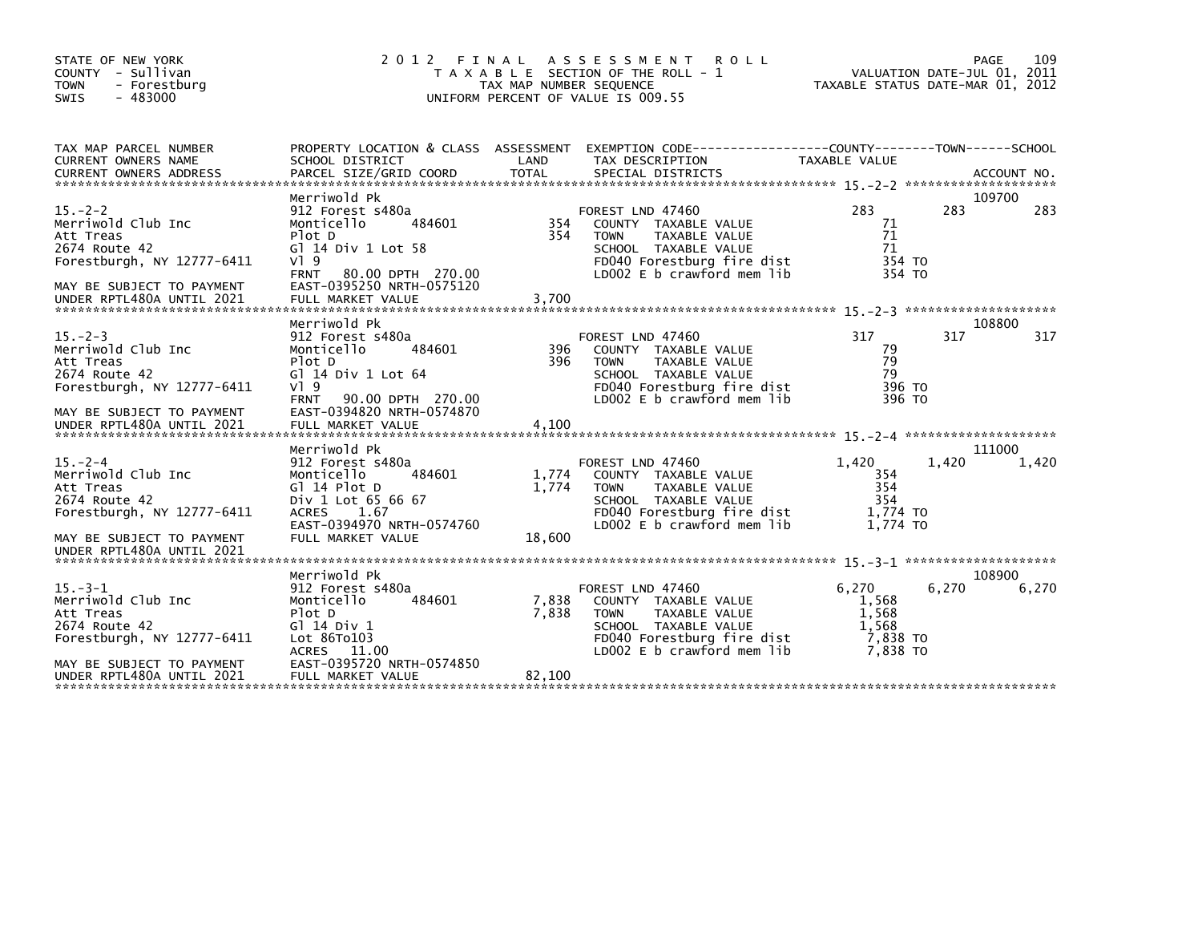| STATE OF NEW YORK<br>COUNTY - Sullivan<br><b>TOWN</b><br>- Forestburg<br>$-483000$<br><b>SWIS</b>                                                        | 2 0 1 2                                                                                                                                                                              | TAX MAP NUMBER SEQUENCE  | FINAL ASSESSMENT ROLL<br>T A X A B L E SECTION OF THE ROLL - 1<br>UNIFORM PERCENT OF VALUE IS 009.55                                                                | TAXABLE STATUS DATE-MAR 01, 2012                         | PAGE<br>VALUATION DATE-JUL 01, 2011 | 109             |
|----------------------------------------------------------------------------------------------------------------------------------------------------------|--------------------------------------------------------------------------------------------------------------------------------------------------------------------------------------|--------------------------|---------------------------------------------------------------------------------------------------------------------------------------------------------------------|----------------------------------------------------------|-------------------------------------|-----------------|
| TAX MAP PARCEL NUMBER<br>CURRENT OWNERS NAME                                                                                                             | SCHOOL DISTRICT                                                                                                                                                                      | LAND                     | PROPERTY LOCATION & CLASS ASSESSMENT EXEMPTION CODE----------------COUNTY-------TOWN------SCHOOL<br>TAX DESCRIPTION                                                 | TAXABLE VALUE                                            |                                     |                 |
| $15 - 2 - 2$<br>Merriwold Club Inc<br>Att Treas<br>2674 Route 42<br>Forestburgh, NY 12777-6411<br>MAY BE SUBJECT TO PAYMENT                              | Merriwold Pk<br>912 Forest s480a<br>484601<br>Monticello<br>Plot D<br>G] 14 Div 1 Lot 58<br>$V$ <sup>1</sup> 9<br><b>FRNT</b><br>80.00 DPTH 270.00<br>EAST-0395250 NRTH-0575120      | 354<br>354               | FOREST LND 47460<br>COUNTY TAXABLE VALUE<br>TAXABLE VALUE<br><b>TOWN</b><br>SCHOOL TAXABLE VALUE<br>FD040 Forestburg fire dist<br>LD002 E b crawford mem lib        | 283<br>71<br>71<br>71<br>354 TO<br>354 TO                | 283                                 | 109700<br>283   |
|                                                                                                                                                          | Merriwold Pk                                                                                                                                                                         |                          |                                                                                                                                                                     |                                                          |                                     | 108800          |
| $15. -2 - 3$<br>Merriwold Club Inc<br>Att Treas<br>2674 Route 42<br>Forestburgh, NY 12777-6411<br>MAY BE SUBJECT TO PAYMENT<br>UNDER RPTL480A UNTIL 2021 | 912 Forest s480a<br>Monticello<br>484601<br>Plot D<br>G] 14 Div 1 Lot 64<br>$V$ <sup>1</sup> 9<br><b>FRNT</b><br>90.00 DPTH 270.00<br>EAST-0394820 NRTH-0574870<br>FULL MARKET VALUE | 396<br>396<br>4,100      | FOREST LND 47460<br>COUNTY TAXABLE VALUE<br><b>TOWN</b><br><b>TAXABLE VALUE</b><br>SCHOOL TAXABLE VALUE<br>FD040 Forestburg fire dist<br>LD002 E b crawford mem lib | 317<br>79<br>79<br>79<br>396 TO<br>396 TO                | 317                                 | 317             |
| $15. -2 - 4$<br>Merriwold Club Inc<br>Att Treas<br>2674 Route 42<br>Forestburgh, NY $12777 - 6411$<br>MAY BE SUBJECT TO PAYMENT                          | Merriwold Pk<br>912 Forest s480a<br>Monticello<br>484601<br>Gl 14 Plot D<br>Div 1 Lot 65 66 67<br><b>ACRES</b><br>1.67<br>EAST-0394970 NRTH-0574760<br>FULL MARKET VALUE             | 1,774<br>1.774<br>18,600 | FOREST LND 47460<br>COUNTY TAXABLE VALUE<br><b>TOWN</b><br>TAXABLE VALUE<br>SCHOOL TAXABLE VALUE<br>FD040 Forestburg fire dist<br>LD002 E b crawford mem lib        | 1,420<br>354<br>354<br>354<br>1,774 TO<br>1.774 TO       | 1,420                               | 111000<br>1,420 |
| UNDER RPTL480A UNTIL 2021                                                                                                                                |                                                                                                                                                                                      |                          |                                                                                                                                                                     |                                                          |                                     |                 |
| $15. -3 - 1$<br>Merriwold Club Inc<br>Att Treas<br>2674 Route 42<br>Forestburgh, NY 12777-6411<br>MAY BE SUBJECT TO PAYMENT<br>UNDER RPTL480A UNTIL 2021 | Merriwold Pk<br>912 Forest s480a<br>Monticello<br>484601<br>Plot D<br>$G$ ] 14 Div 1<br>Lot 86To103<br>ACRES 11.00<br>EAST-0395720 NRTH-0574850<br>FULL MARKET VALUE                 | 7,838<br>7,838<br>82,100 | FOREST LND 47460<br>COUNTY TAXABLE VALUE<br><b>TOWN</b><br>TAXABLE VALUE<br>SCHOOL TAXABLE VALUE<br>FD040 Forestburg fire dist<br>LD002 E b crawford mem lib        | 6.270<br>1,568<br>1,568<br>1.568<br>7,838 TO<br>7,838 TO | 6,270                               | 108900<br>6,270 |
|                                                                                                                                                          |                                                                                                                                                                                      |                          |                                                                                                                                                                     |                                                          |                                     |                 |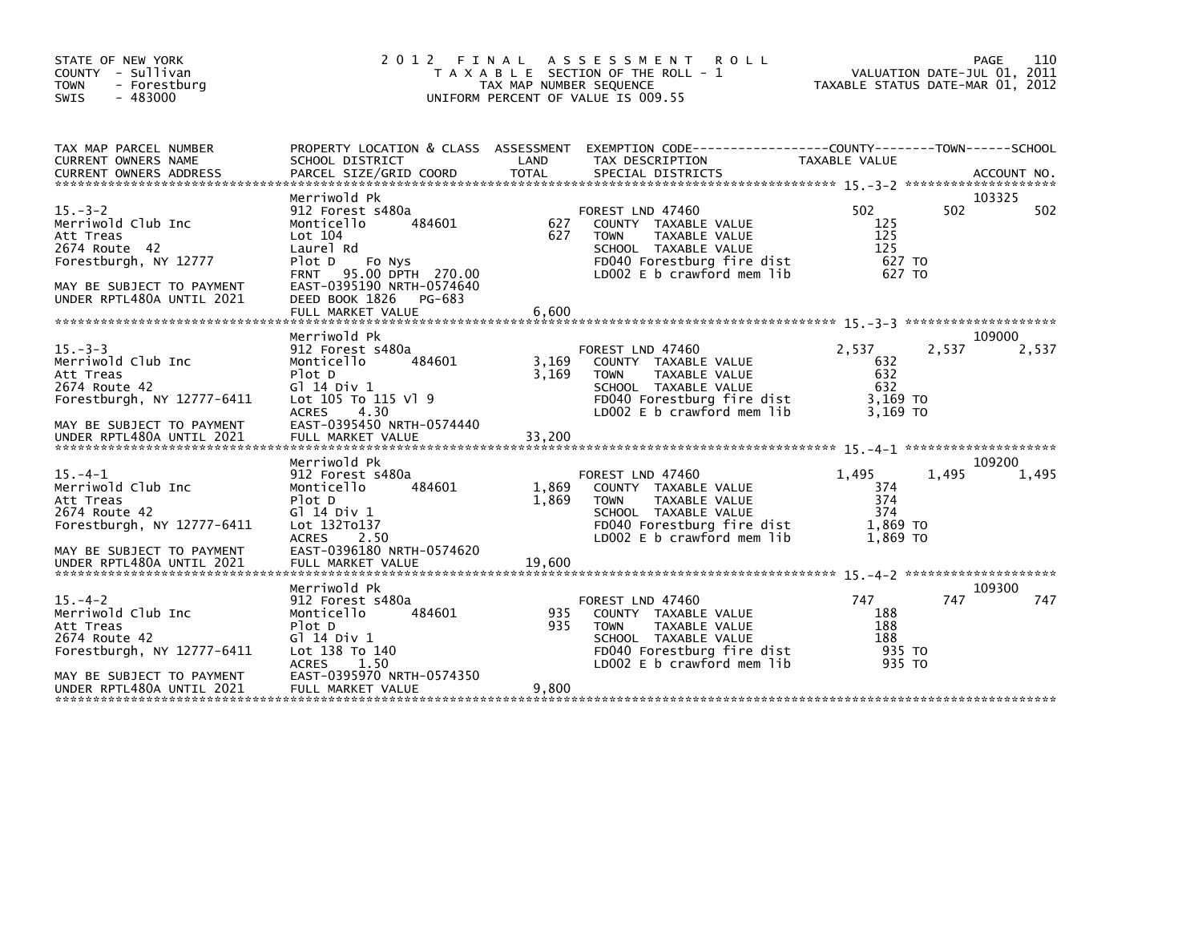| STATE OF NEW YORK<br>COUNTY - Sullivan<br>- Forestburg<br><b>TOWN</b><br>$-483000$<br>SWIS                                                                | 2 0 1 2<br>FINAL                                                                                                                                                                                                       | TAX MAP NUMBER SEQUENCE  | A S S E S S M E N T<br><b>ROLL</b><br>T A X A B L E SECTION OF THE ROLL - 1<br>UNIFORM PERCENT OF VALUE IS 009.55                                                      | VALUATION DATE-JUL 01, 2011<br>TAXABLE STATUS DATE-MAR 01, 2012 |       | PAGE<br>110     |
|-----------------------------------------------------------------------------------------------------------------------------------------------------------|------------------------------------------------------------------------------------------------------------------------------------------------------------------------------------------------------------------------|--------------------------|------------------------------------------------------------------------------------------------------------------------------------------------------------------------|-----------------------------------------------------------------|-------|-----------------|
| TAX MAP PARCEL NUMBER<br><b>CURRENT OWNERS NAME</b><br><b>CURRENT OWNERS ADDRESS</b>                                                                      | PROPERTY LOCATION & CLASS ASSESSMENT<br>SCHOOL DISTRICT<br>PARCEL SIZE/GRID COORD                                                                                                                                      | LAND<br><b>TOTAL</b>     | EXEMPTION        CODE-----------------COUNTY-------TOWN------SCHOOL<br>TAX DESCRIPTION<br>SPECIAL DISTRICTS                                                            | TAXABLE VALUE                                                   |       | ACCOUNT NO.     |
| $15. -3 - 2$<br>Merriwold Club Inc<br>Att Treas<br>2674 Route 42<br>Forestburgh, NY 12777<br>MAY BE SUBJECT TO PAYMENT<br>UNDER RPTL480A UNTIL 2021       | Merriwold Pk<br>912 Forest s480a<br>Monticello<br>484601<br>Lot 104<br>Laurel Rd<br>Plot D<br>Fo Nys<br>95.00 DPTH 270.00<br><b>FRNT</b><br>EAST-0395190 NRTH-0574640<br>DEED BOOK 1826<br>PG-683<br>FULL MARKET VALUE | 627<br>627<br>6,600      | FOREST LND 47460<br>COUNTY TAXABLE VALUE<br><b>TOWN</b><br><b>TAXABLE VALUE</b><br>SCHOOL TAXABLE VALUE<br>FD040 Forestburg fire dist<br>LD002 E b crawford mem lib    | 502<br>125<br>125<br>125<br>627 TO<br>627 TO                    | 502   | 103325<br>502   |
| $15. -3 - 3$<br>Merriwold Club Inc<br>Att Treas<br>2674 Route 42<br>Forestburgh, NY 12777-6411<br>MAY BE SUBJECT TO PAYMENT                               | Merriwold Pk<br>912 Forest s480a<br>Monticello<br>484601<br>Plot D<br>G1 14 Div 1<br>Lot 105 To 115 V] 9<br>4.30<br><b>ACRES</b><br>EAST-0395450 NRTH-0574440                                                          | 3,169<br>3,169           | FOREST LND 47460<br>COUNTY TAXABLE VALUE<br><b>TOWN</b><br><b>TAXABLE VALUE</b><br>SCHOOL TAXABLE VALUE<br>FD040 Forestburg fire dist<br>LD002 E b crawford mem lib    | 2,537<br>632<br>632<br>632<br>3,169 TO<br>3.169 TO              | 2,537 | 109000<br>2,537 |
| $15. -4 - 1$<br>Merriwold Club Inc<br>Att Treas<br>2674 Route 42<br>Forestburgh, NY 12777-6411<br>MAY BE SUBJECT TO PAYMENT<br>UNDER RPTL480A UNTIL 2021  | Merriwold Pk<br>912 Forest s480a<br>Monticello<br>484601<br>Plot D<br>G1 14 Div 1<br>Lot 132To137<br>2.50<br><b>ACRES</b><br>EAST-0396180 NRTH-0574620<br>FULL MARKET VALUE                                            | 1,869<br>1,869<br>19,600 | FOREST LND 47460<br>COUNTY TAXABLE VALUE<br>TAXABLE VALUE<br><b>TOWN</b><br>SCHOOL TAXABLE VALUE<br>FD040 Forestburg fire dist<br>LD002 E b crawford mem lib           | 1,495<br>374<br>374<br>374<br>1,869 TO<br>1,869 TO              | 1,495 | 109200<br>1,495 |
| $15. - 4 - 2$<br>Merriwold Club Inc<br>Att Treas<br>2674 Route 42<br>Forestburgh, NY 12777-6411<br>MAY BE SUBJECT TO PAYMENT<br>UNDER RPTL480A UNTIL 2021 | Merriwold Pk<br>912 Forest s480a<br>484601<br>Monticello<br>Plot D<br>G1 14 Div 1<br>Lot 138 To 140<br>1.50<br><b>ACRES</b><br>EAST-0395970 NRTH-0574350<br>FULL MARKET VALUE                                          | 935<br>935<br>9,800      | FOREST LND 47460<br>TAXABLE VALUE<br><b>COUNTY</b><br>TAXABLE VALUE<br><b>TOWN</b><br>SCHOOL TAXABLE VALUE<br>FD040 Forestburg fire dist<br>LD002 E b crawford mem lib | 747<br>188<br>188<br>188<br>935 TO<br>935 TO                    | 747   | 109300<br>747   |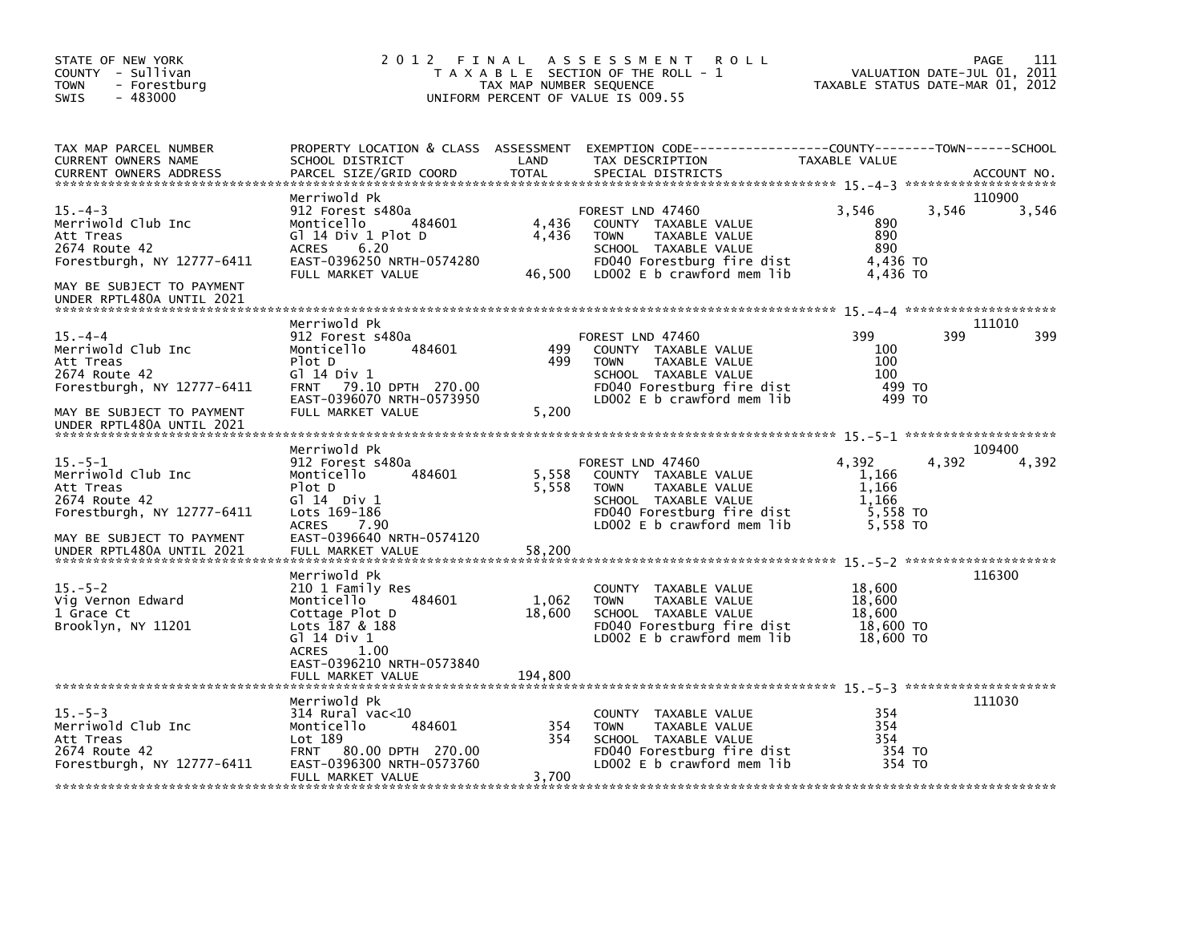| STATE OF NEW YORK<br>COUNTY - Sullivan<br>- Forestburg<br><b>TOWN</b><br>$-483000$<br><b>SWIS</b>                                                         | 2 0 1 2<br>FINAL                                                                                                                                                               | TAX MAP NUMBER SEQUENCE    | A S S E S S M E N T<br><b>ROLL</b><br>T A X A B L E SECTION OF THE ROLL - 1<br>UNIFORM PERCENT OF VALUE IS 009.55                                            | TAXABLE STATUS DATE-MAR 01, 2012                         | 111<br>PAGE<br>VALUATION DATE-JUL 01, 2011 |
|-----------------------------------------------------------------------------------------------------------------------------------------------------------|--------------------------------------------------------------------------------------------------------------------------------------------------------------------------------|----------------------------|--------------------------------------------------------------------------------------------------------------------------------------------------------------|----------------------------------------------------------|--------------------------------------------|
| TAX MAP PARCEL NUMBER<br>CURRENT OWNERS NAME<br><b>CURRENT OWNERS ADDRESS</b>                                                                             | SCHOOL DISTRICT<br>PARCEL SIZE/GRID COORD                                                                                                                                      | LAND<br><b>TOTAL</b>       | PROPERTY LOCATION & CLASS ASSESSMENT EXEMPTION CODE---------------COUNTY-------TOWN-----SCHOOL<br>TAX DESCRIPTION<br>SPECIAL DISTRICTS                       | TAXABLE VALUE                                            | ACCOUNT NO.                                |
| $15. -4 - 3$<br>Merriwold Club Inc<br>Att Treas<br>2674 Route 42<br>Forestburgh, NY 12777-6411<br>MAY BE SUBJECT TO PAYMENT                               | Merriwold Pk<br>912 Forest s480a<br>Monticello<br>484601<br>Gl 14 Div 1 Plot D<br>6.20<br><b>ACRES</b><br>EAST-0396250 NRTH-0574280<br>FULL MARKET VALUE                       | 4,436<br>4,436<br>46,500   | FOREST LND 47460<br>COUNTY TAXABLE VALUE<br>TAXABLE VALUE<br><b>TOWN</b><br>SCHOOL TAXABLE VALUE<br>FD040 Forestburg fire dist<br>LD002 E b crawford mem lib | 3,546<br>890<br>890<br>890<br>4,436 TO<br>4,436 TO       | 110900<br>3,546<br>3,546                   |
| UNDER RPTL480A UNTIL 2021                                                                                                                                 |                                                                                                                                                                                |                            |                                                                                                                                                              |                                                          |                                            |
| $15. -4 -4$<br>Merriwold Club Inc<br>Att Treas<br>2674 Route 42<br>Forestburgh, NY 12777-6411                                                             | Merriwold Pk<br>912 Forest s480a<br>484601<br>Monticello<br>Plot D<br>G] 14 Div 1<br>FRNT 79.10 DPTH 270.00                                                                    | 499<br>499                 | FOREST LND 47460<br>COUNTY TAXABLE VALUE<br><b>TOWN</b><br>TAXABLE VALUE<br>SCHOOL TAXABLE VALUE<br>FD040 Forestburg fire dist                               | 399<br>100<br>100<br>100<br>499 TO                       | 111010<br>399<br>399                       |
| MAY BE SUBJECT TO PAYMENT<br>UNDER RPTL480A UNTIL 2021                                                                                                    | EAST-0396070 NRTH-0573950<br>FULL MARKET VALUE                                                                                                                                 | 5,200                      | LD002 E b crawford mem lib                                                                                                                                   | 499 TO                                                   |                                            |
| $15. - 5 - 1$<br>Merriwold Club Inc<br>Att Treas<br>2674 Route 42<br>Forestburgh, NY 12777-6411<br>MAY BE SUBJECT TO PAYMENT<br>UNDER RPTL480A UNTIL 2021 | Merriwold Pk<br>912 Forest s480a<br>Monticello<br>484601<br>Plot D<br>$G1$ 14 Div 1<br>Lots 169-186<br><b>ACRES</b><br>7.90<br>EAST-0396640 NRTH-0574120<br>FULL MARKET VALUE  | 5,558<br>5,558<br>58,200   | FOREST LND 47460<br>COUNTY TAXABLE VALUE<br><b>TOWN</b><br>TAXABLE VALUE<br>SCHOOL TAXABLE VALUE<br>FD040 Forestburg fire dist<br>LD002 E b crawford mem lib | 4.392<br>1,166<br>1,166<br>1,166<br>5,558 TO<br>5,558 TO | 109400<br>4,392<br>4,392                   |
| $15. - 5 - 2$<br>Vig Vernon Edward<br>1 Grace Ct<br>Brooklyn, NY 11201                                                                                    | Merriwold Pk<br>210 1 Family Res<br>Monticello<br>484601<br>Cottage Plot D<br>Lots 187 & 188<br>G1 14 Div 1<br>ACRES<br>1.00<br>EAST-0396210 NRTH-0573840<br>FULL MARKET VALUE | 1,062<br>18,600<br>194,800 | COUNTY TAXABLE VALUE<br><b>TOWN</b><br>TAXABLE VALUE<br>SCHOOL TAXABLE VALUE<br>FD040 Forestburg fire dist<br>LD002 E b crawford mem lib                     | 18,600<br>18,600<br>18,600<br>18,600 TO<br>18,600 TO     | 116300                                     |
| $15. - 5 - 3$<br>Merriwold Club Inc<br>Att Treas<br>2674 Route 42<br>Forestburgh, NY 12777-6411                                                           | Merriwold Pk<br>314 Rural vac<10<br>Monticello<br>484601<br>Lot 189<br><b>FRNT</b><br>80.00 DPTH 270.00<br>EAST-0396300 NRTH-0573760<br>FULL MARKET VALUE                      | 354<br>354<br>3,700        | <b>COUNTY</b><br>TAXABLE VALUE<br>TAXABLE VALUE<br><b>TOWN</b><br>SCHOOL TAXABLE VALUE<br>FD040 Forestburg fire dist<br>LD002 E b crawford mem lib           | 354<br>354<br>354<br>354 TO<br>354 TO                    | 111030                                     |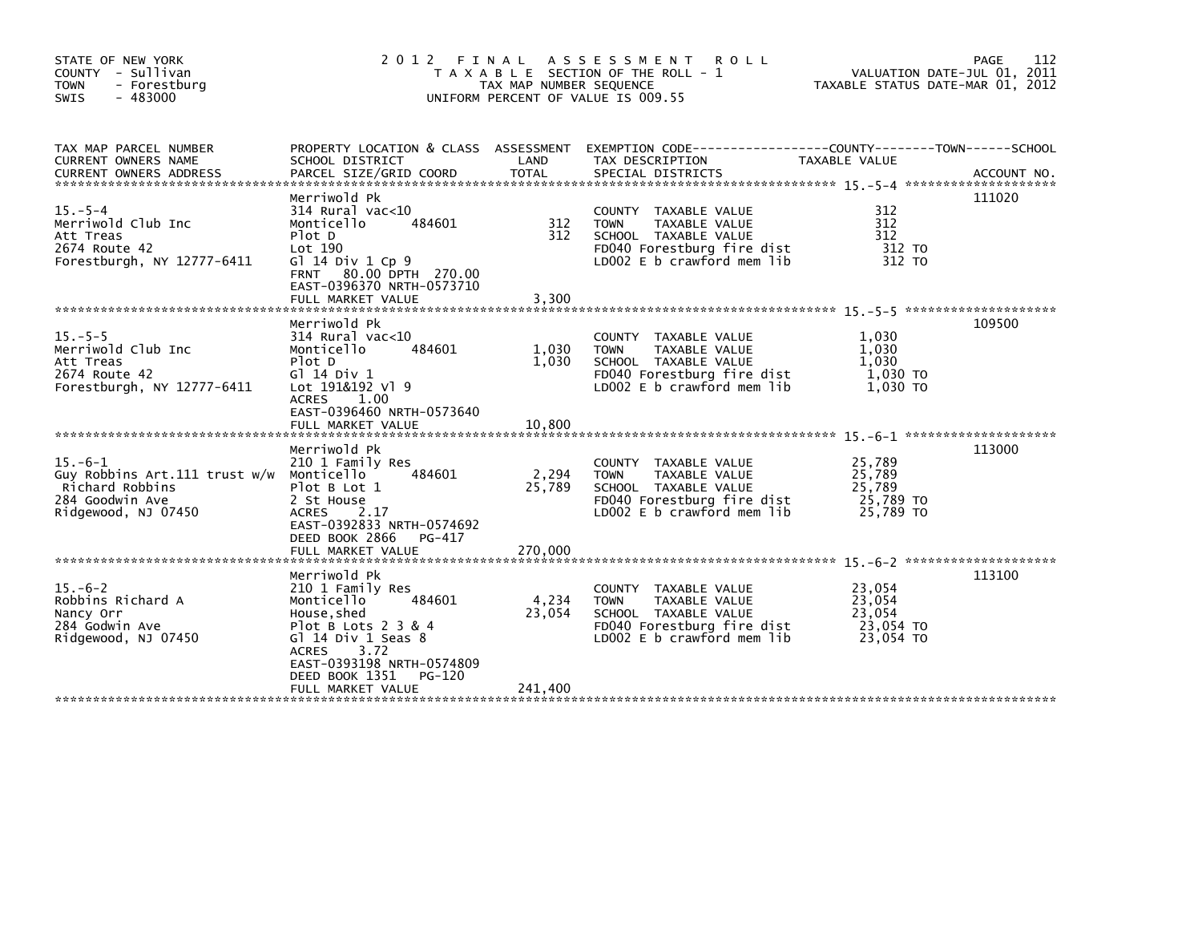| STATE OF NEW YORK<br>COUNTY - Sullivan<br><b>TOWN</b><br>- Forestburg<br>$-483000$<br><b>SWIS</b>                     | 2012 FINAL                                                                                                                                                                                                  | TAX MAP NUMBER SEQUENCE  | A S S E S S M E N T R O L L<br>T A X A B L E SECTION OF THE ROLL - 1<br>UNIFORM PERCENT OF VALUE IS 009.55                                 | VALUATION DATE-JUL 01, 2011<br>TAXABLE STATUS DATE-MAR 01, 2012 | 112<br>PAGE |
|-----------------------------------------------------------------------------------------------------------------------|-------------------------------------------------------------------------------------------------------------------------------------------------------------------------------------------------------------|--------------------------|--------------------------------------------------------------------------------------------------------------------------------------------|-----------------------------------------------------------------|-------------|
| TAX MAP PARCEL NUMBER<br>CURRENT OWNERS NAME                                                                          | SCHOOL DISTRICT                                                                                                                                                                                             | LAND                     | PROPERTY LOCATION & CLASS ASSESSMENT EXEMPTION CODE---------------COUNTY-------TOWN------SCHOOL<br>TAX DESCRIPTION                         | TAXABLE VALUE                                                   |             |
| $15. - 5 - 4$<br>Merriwold Club Inc<br>Att Treas<br>2674 Route 42<br>Forestburgh, NY 12777-6411                       | Merriwold Pk<br>$314$ Rural vac<10<br>Monticello<br>484601<br>Plot D<br>Lot 190<br>G1 14 Div 1 Cp 9<br>FRNT 80.00 DPTH 270.00<br>EAST-0396370 NRTH-0573710<br>FULL MARKET VALUE                             | 312<br>312<br>3,300      | COUNTY TAXABLE VALUE<br>TAXABLE VALUE<br><b>TOWN</b><br>SCHOOL TAXABLE VALUE<br>FD040 Forestburg fire dist<br>LD002 $E$ b crawford mem lib | 312<br>312<br>312<br>312 TO<br>312 TO                           | 111020      |
|                                                                                                                       |                                                                                                                                                                                                             |                          |                                                                                                                                            |                                                                 |             |
| $15. - 5 - 5$<br>Merriwold Club Inc<br>Att Treas<br>2674 Route 42<br>Forestburgh, NY 12777-6411                       | Merriwold Pk<br>$314$ Rural vac<10<br>Monticello<br>484601<br>Plot D<br>G1 14 Div 1<br>Lot 191&192 v1 9<br><b>ACRES</b><br>1.00<br>EAST-0396460 NRTH-0573640<br>FULL MARKET VALUE                           | 1,030<br>1,030<br>10,800 | COUNTY TAXABLE VALUE<br><b>TOWN</b><br>TAXABLE VALUE<br>SCHOOL TAXABLE VALUE<br>FD040 Forestburg fire dist<br>LD002 E b crawford mem lib   | 1,030<br>1,030<br>1,030<br>1,030 TO<br>1,030 TO                 | 109500      |
|                                                                                                                       |                                                                                                                                                                                                             |                          |                                                                                                                                            |                                                                 | 113000      |
| $15. -6 - 1$<br>Guy Robbins Art.111 trust w/w Monticello<br>Richard Robbins<br>284 Goodwin Ave<br>Ridgewood, NJ 07450 | Merriwold Pk<br>210 1 Family Res<br>484601<br>Plot B Lot 1<br>2 St House<br><b>ACRES</b><br>2.17<br>EAST-0392833 NRTH-0574692<br>DEED BOOK 2866<br>PG-417                                                   | 2,294<br>25,789          | COUNTY TAXABLE VALUE<br>TAXABLE VALUE<br><b>TOWN</b><br>SCHOOL TAXABLE VALUE<br>FD040 Forestburg fire dist<br>LD002 E b crawford mem lib   | 25,789<br>25,789<br>25,789<br>25,789 TO<br>25,789 TO            |             |
|                                                                                                                       |                                                                                                                                                                                                             |                          |                                                                                                                                            |                                                                 |             |
| $15. -6-2$<br>Robbins Richard A<br>Nancy Orr<br>284 Godwin Ave<br>Ridgewood, NJ 07450                                 | Merriwold Pk<br>210 1 Family Res<br>484601<br>Monticello<br>House, shed<br>Plot B Lots $2$ 3 & 4<br>Gl $14$ Div 1 Seas $8$<br>3.72<br><b>ACRES</b><br>EAST-0393198 NRTH-0574809<br>DEED BOOK 1351<br>PG-120 | 4,234<br>23,054          | COUNTY TAXABLE VALUE<br>TAXABLE VALUE<br><b>TOWN</b><br>SCHOOL TAXABLE VALUE<br>FD040 Forestburg fire dist<br>LD002 E b crawford mem lib   | 23,054<br>23,054<br>23,054<br>23,054 TO<br>23,054 TO            | 113100      |
|                                                                                                                       | FULL MARKET VALUE                                                                                                                                                                                           | 241.400                  |                                                                                                                                            |                                                                 |             |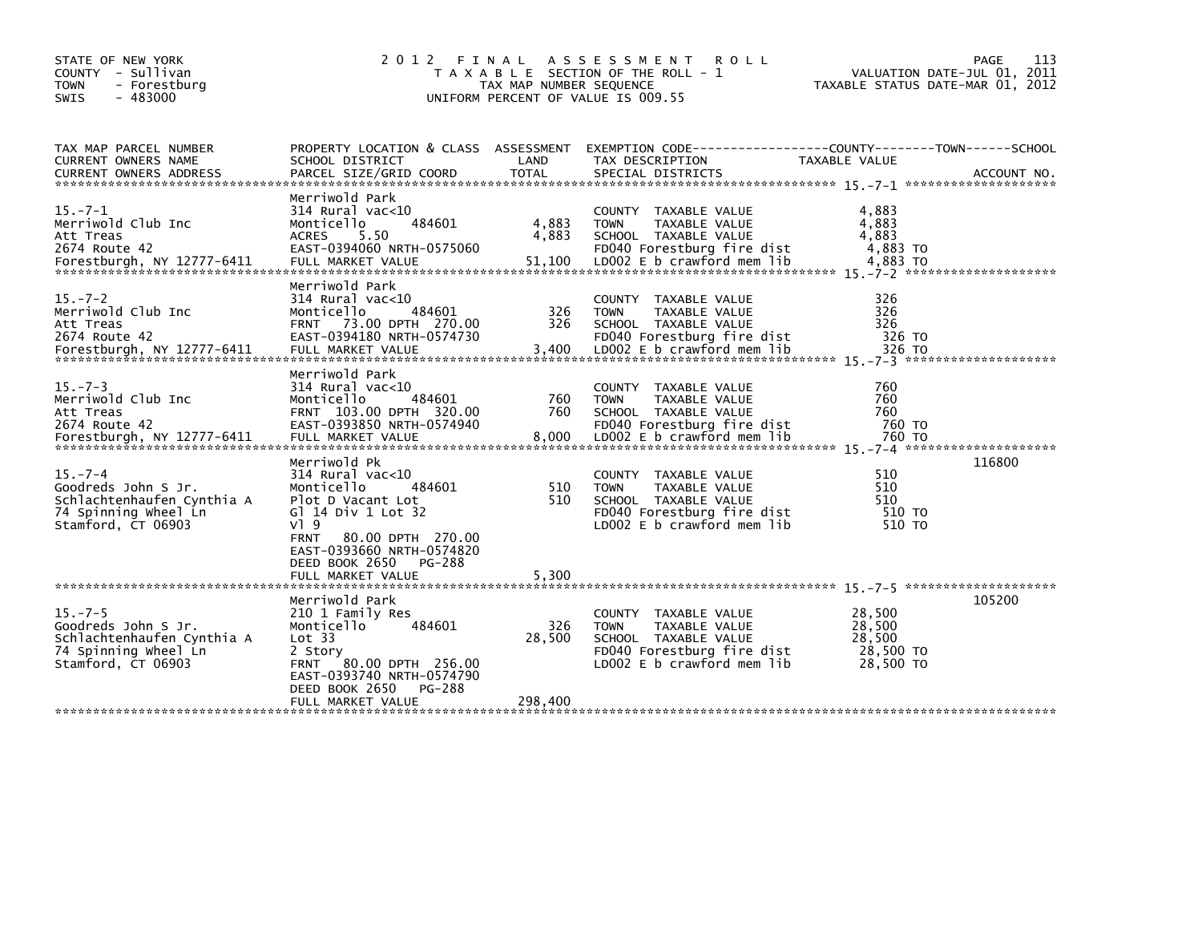| STATE OF NEW YORK<br>COUNTY - Sullivan<br><b>TOWN</b><br>- Forestburg<br>$-483000$<br><b>SWIS</b>               | 2 0 1 2                                                                                                                                                                                    | FINAL<br>TAX MAP NUMBER SEQUENCE | ASSESSMENT ROLL<br>T A X A B L E SECTION OF THE ROLL - 1<br>UNIFORM PERCENT OF VALUE IS 009.55                                           | <b>PAGE</b><br>VALUATION DATE-JUL 01, 2011<br>TAXABLE STATUS DATE-MAR 01, 2012                                   | 113 |
|-----------------------------------------------------------------------------------------------------------------|--------------------------------------------------------------------------------------------------------------------------------------------------------------------------------------------|----------------------------------|------------------------------------------------------------------------------------------------------------------------------------------|------------------------------------------------------------------------------------------------------------------|-----|
| TAX MAP PARCEL NUMBER<br>CURRENT OWNERS NAME                                                                    | SCHOOL DISTRICT                                                                                                                                                                            | LAND                             | TAX DESCRIPTION                                                                                                                          | PROPERTY LOCATION & CLASS ASSESSMENT EXEMPTION CODE---------------COUNTY-------TOWN------SCHOOL<br>TAXABLE VALUE |     |
| $15. -7 - 1$<br>Merriwold Club Inc<br>Att Treas<br>2674 Route 42                                                | Merriwold Park<br>$314$ Rural vac<10<br>Monticello<br>484601<br><b>ACRES</b><br>5.50<br>EAST-0394060 NRTH-0575060                                                                          | 4,883<br>4,883                   | COUNTY TAXABLE VALUE<br>TAXABLE VALUE<br><b>TOWN</b><br>SCHOOL TAXABLE VALUE<br>FD040 Forestburg fire dist                               | 4,883<br>4,883<br>4.883<br>4,883 TO                                                                              |     |
| $15. -7 - 2$<br>Merriwold Club Inc<br>Att Treas<br>2674 Route 42<br>Forestburgh, NY 12777-6411                  | Merriwold Park<br>$314$ Rural vac< $10$<br>Monticello<br>484601<br>FRNT 73.00 DPTH 270.00<br>EAST-0394180 NRTH-0574730<br>FULL MARKET VALUE                                                | 326<br>326<br>3,400              | COUNTY TAXABLE VALUE<br>TAXABLE VALUE<br><b>TOWN</b><br>SCHOOL TAXABLE VALUE<br>FD040 Forestburg fire dist<br>LD002 E b crawford mem lib | 326<br>326<br>326<br>326 TO<br>326 TO                                                                            |     |
| $15. - 7 - 3$<br>Merriwold Club Inc<br>Att Treas<br>2674 Route 42                                               | Merriwold Park<br>$314$ Rural vac<10<br>484601<br>Monticello<br>FRNT 103.00 DPTH 320.00<br>EAST-0393850 NRTH-0574940                                                                       | 760<br>760                       | COUNTY TAXABLE VALUE<br>TAXABLE VALUE<br><b>TOWN</b><br>SCHOOL TAXABLE VALUE<br>FD040 Forestburg fire dist                               | 760<br>760<br>760<br>760 TO                                                                                      |     |
| $15. -7 - 4$<br>Goodreds John S Jr.<br>Schlachtenhaufen Cynthia A<br>74 Spinning Wheel Ln<br>Stamford, CT 06903 | Merriwold Pk<br>314 Rural vac<10<br>Monticello<br>484601<br>Plot D Vacant Lot<br>GT 14 Div 1 Lot 32<br>$V$ <sup>1</sup> 9<br><b>FRNT</b><br>80.00 DPTH 270.00<br>EAST-0393660 NRTH-0574820 | 510<br>510                       | COUNTY TAXABLE VALUE<br><b>TOWN</b><br>TAXABLE VALUE<br>SCHOOL TAXABLE VALUE<br>FD040 Forestburg fire dist<br>LD002 E b crawford mem lib | 116800<br>510<br>510<br>510<br>510 TO<br>510 TO                                                                  |     |
|                                                                                                                 | DEED BOOK 2650<br>PG-288<br>FULL MARKET VALUE                                                                                                                                              | 5,300                            |                                                                                                                                          |                                                                                                                  |     |
| $15. -7-5$<br>Goodreds John S Jr.<br>Schlachtenhaufen Cynthia A<br>74 Spinning Wheel Ln<br>Stamford, CT 06903   | Merriwold Park<br>210 1 Family Res<br>Monticello<br>484601<br>Lot 33<br>2 Story<br>FRNT 80.00 DPTH 256.00<br>EAST-0393740 NRTH-0574790<br>DEED BOOK 2650<br>PG-288<br>FULL MARKET VALUE    | 326<br>28,500<br>298,400         | COUNTY TAXABLE VALUE<br>TAXABLE VALUE<br><b>TOWN</b><br>SCHOOL TAXABLE VALUE<br>FD040 Forestburg fire dist<br>LD002 E b crawford mem lib | 105200<br>28,500<br>28,500<br>28,500<br>28,500 TO<br>28,500 TO                                                   |     |
|                                                                                                                 |                                                                                                                                                                                            |                                  |                                                                                                                                          |                                                                                                                  |     |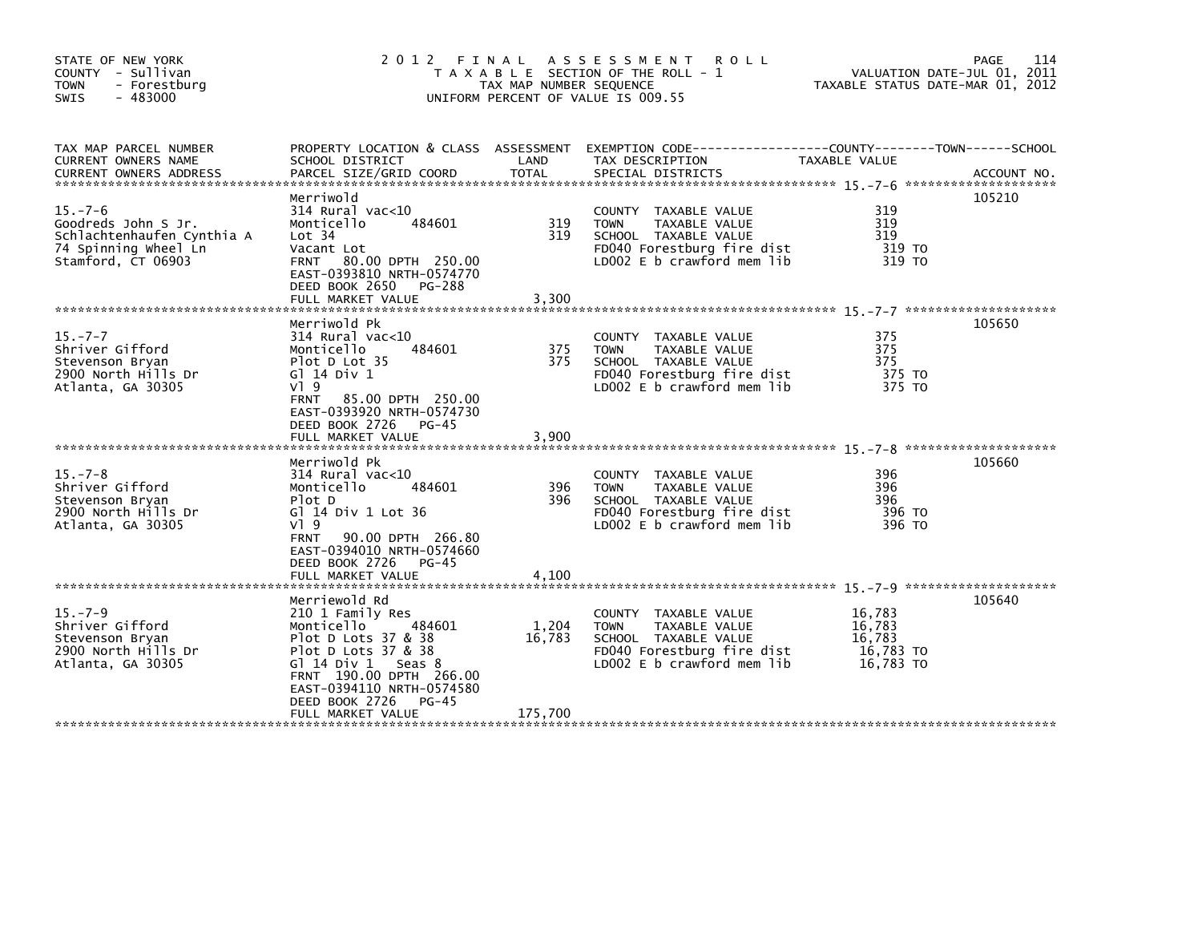| STATE OF NEW YORK<br>COUNTY - Sullivan<br>- Forestburg<br><b>TOWN</b><br><b>SWIS</b><br>$-483000$               | 2012 FINAL                                                                                                                                                                                                             | TAX MAP NUMBER SEQUENCE | A S S E S S M E N T<br><b>ROLL</b><br>T A X A B L E SECTION OF THE ROLL - 1<br>UNIFORM PERCENT OF VALUE IS 009.55                        | VALUATION DATE-JUL 01, 2011<br>TAXABLE STATUS DATE-MAR 01, 2012 | 114<br><b>PAGE</b> |
|-----------------------------------------------------------------------------------------------------------------|------------------------------------------------------------------------------------------------------------------------------------------------------------------------------------------------------------------------|-------------------------|------------------------------------------------------------------------------------------------------------------------------------------|-----------------------------------------------------------------|--------------------|
| TAX MAP PARCEL NUMBER<br>CURRENT OWNERS NAME<br><b>CURRENT OWNERS ADDRESS</b>                                   | SCHOOL DISTRICT<br>PARCEL SIZE/GRID COORD                                                                                                                                                                              | LAND<br><b>TOTAL</b>    | PROPERTY LOCATION & CLASS ASSESSMENT EXEMPTION CODE----------------COUNTY-------TOWN------SCHOOL<br>TAX DESCRIPTION<br>SPECIAL DISTRICTS | TAXABLE VALUE                                                   | ACCOUNT NO.        |
| $15. -7 - 6$<br>Goodreds John S Jr.<br>Schlachtenhaufen Cynthia A<br>74 Spinning Wheel Ln<br>Stamford, CT 06903 | Merriwold<br>314 Rural vac<10<br>Monticello<br>484601<br>Lot 34<br>Vacant Lot<br>80.00 DPTH 250.00<br><b>FRNT</b><br>EAST-0393810 NRTH-0574770<br>DEED BOOK 2650 PG-288<br>FULL MARKET VALUE                           | 319<br>319<br>3,300     | COUNTY TAXABLE VALUE<br><b>TOWN</b><br>TAXABLE VALUE<br>SCHOOL TAXABLE VALUE<br>FD040 Forestburg fire dist<br>LD002 E b crawford mem lib | 319<br>319<br>319<br>319 TO<br>319 TO                           | 105210             |
| $15. -7 - 7$<br>Shriver Gifford<br>Stevenson Bryan<br>2900 North Hills Dr<br>Atlanta, GA 30305                  | Merriwold Pk<br>$314$ Rural vac<10<br>Monticello<br>484601<br>Plot D Lot 35<br>G1 14 Div 1<br>$V$ ] 9<br><b>FRNT</b><br>85.00 DPTH 250.00<br>EAST-0393920 NRTH-0574730<br>DEED BOOK 2726<br>$PG-45$                    | 375<br>375              | COUNTY TAXABLE VALUE<br><b>TOWN</b><br>TAXABLE VALUE<br>SCHOOL TAXABLE VALUE<br>FD040 Forestburg fire dist<br>LD002 E b crawford mem lib | 375<br>375<br>375<br>375 TO<br>375 TO                           | 105650             |
|                                                                                                                 | FULL MARKET VALUE                                                                                                                                                                                                      | 3.900                   |                                                                                                                                          |                                                                 |                    |
| $15. - 7 - 8$<br>Shriver Gifford<br>Stevenson Bryan<br>2900 North Hills Dr<br>Atlanta, GA 30305                 | Merriwold Pk<br>$314$ Rural vac<10<br>Monticello<br>484601<br>Plot D<br>G] 14 Div 1 Lot 36<br>$V$ ] 9<br><b>FRNT</b><br>90.00 DPTH 266.80<br>EAST-0394010 NRTH-0574660<br>DEED BOOK 2726<br>PG-45<br>FULL MARKET VALUE | 396<br>396<br>4,100     | COUNTY TAXABLE VALUE<br>TAXABLE VALUE<br><b>TOWN</b><br>SCHOOL TAXABLE VALUE<br>FD040 Forestburg fire dist<br>LD002 E b crawford mem lib | 396<br>396<br>396<br>396 TO<br>396 TO                           | 105660             |
|                                                                                                                 | Merriewold Rd                                                                                                                                                                                                          |                         |                                                                                                                                          |                                                                 | 105640             |
| $15 - 7 - 9$<br>Shriver Gifford<br>Stevenson Bryan<br>2900 North Hills Dr<br>Atlanta, GA 30305                  | 210 1 Family Res<br>484601<br>Monticello<br>Plot D Lots 37 & 38<br>Plot D Lots 37 & 38<br>Gl $14$ Div $1$ Seas 8<br>FRNT 190.00 DPTH 266.00<br>EAST-0394110 NRTH-0574580<br>DEED BOOK 2726<br>PG-45                    | 1,204<br>16,783         | COUNTY TAXABLE VALUE<br>TAXABLE VALUE<br><b>TOWN</b><br>SCHOOL TAXABLE VALUE<br>FD040 Forestburg fire dist<br>LD002 E b crawford mem lib | 16,783<br>16,783<br>16.783<br>16,783 TO<br>16,783 TO            |                    |
|                                                                                                                 | FULL MARKET VALUE                                                                                                                                                                                                      | 175,700                 |                                                                                                                                          |                                                                 |                    |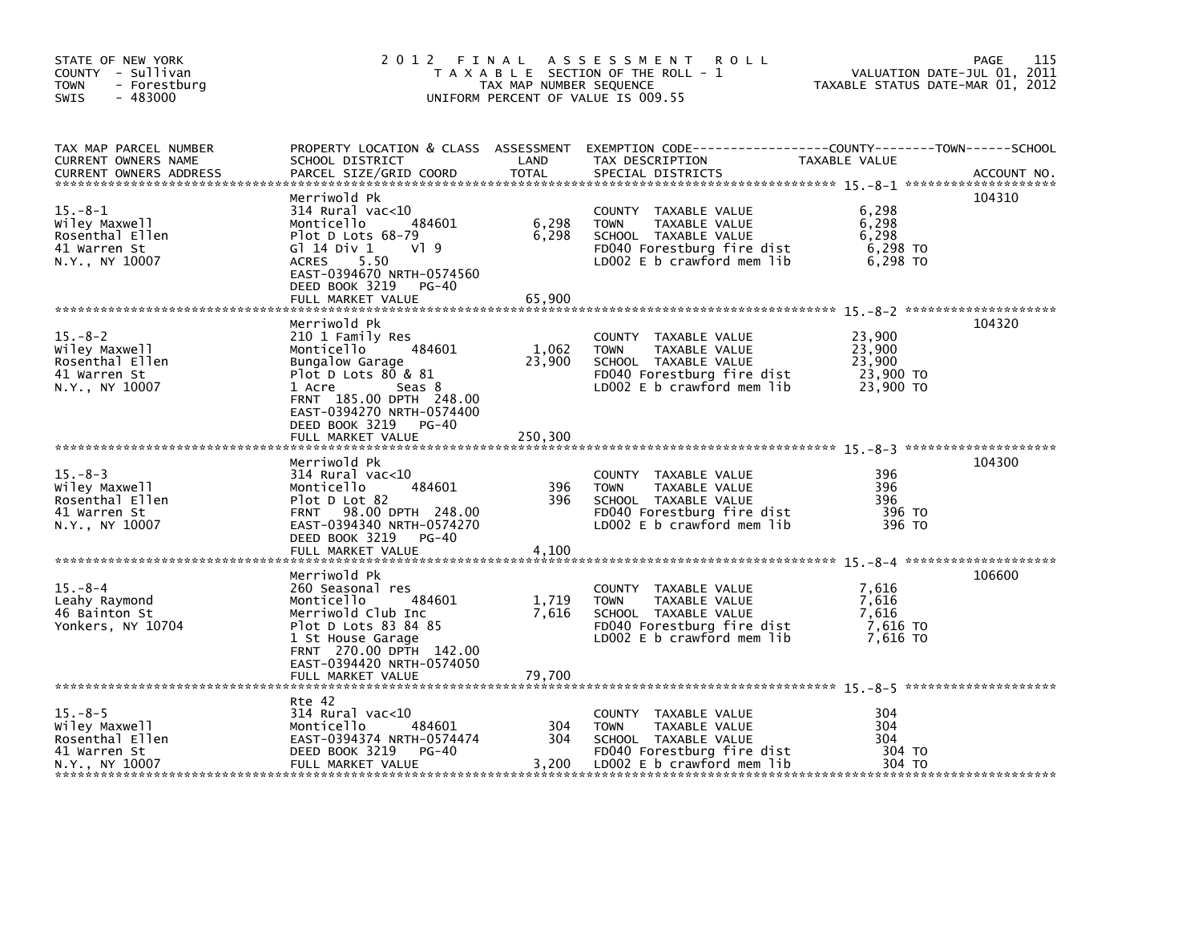| STATE OF NEW YORK<br>COUNTY - Sullivan<br><b>TOWN</b><br>- Forestburg<br>$-483000$<br>SWIS |                                                                                                                                                                                                                             | TAX MAP NUMBER SEQUENCE    | 2012 FINAL ASSESSMENT<br><b>ROLL</b><br>T A X A B L E SECTION OF THE ROLL - 1<br>UNIFORM PERCENT OF VALUE IS 009.55                      | VALUATION DATE-JUL 01, 2011<br>TAXABLE STATUS DATE-MAR 01, 2012 | 115<br>PAGE |
|--------------------------------------------------------------------------------------------|-----------------------------------------------------------------------------------------------------------------------------------------------------------------------------------------------------------------------------|----------------------------|------------------------------------------------------------------------------------------------------------------------------------------|-----------------------------------------------------------------|-------------|
| TAX MAP PARCEL NUMBER<br>CURRENT OWNERS NAME<br><b>CURRENT OWNERS ADDRESS</b>              | SCHOOL DISTRICT<br>PARCEL SIZE/GRID COORD                                                                                                                                                                                   | LAND<br>TOTAL              | PROPERTY LOCATION & CLASS ASSESSMENT EXEMPTION CODE---------------COUNTY-------TOWN------SCHOOL<br>TAX DESCRIPTION<br>SPECIAL DISTRICTS  | <b>TAXABLE VALUE</b>                                            | ACCOUNT NO. |
| $15. - 8 - 1$<br>Wiley Maxwell<br>Rosenthal Ellen<br>41 Warren St<br>N.Y., NY 10007        | Merriwold Pk<br>$314$ Rural vac<10<br>484601<br>Monticello<br>Plot D Lots 68-79<br>$V$ <sup>1</sup> 9<br>G $1$ 14 Div 1<br>5.50<br>ACRES<br>EAST-0394670 NRTH-0574560<br>DEED BOOK 3219<br>PG-40<br>FULL MARKET VALUE       | 6,298<br>6,298<br>65,900   | COUNTY TAXABLE VALUE<br><b>TOWN</b><br>TAXABLE VALUE<br>SCHOOL TAXABLE VALUE<br>FD040 Forestburg fire dist<br>LD002 E b crawford mem lib | 6,298<br>6,298<br>6,298<br>6.298 TO<br>6,298 TO                 | 104310      |
| $15. - 8 - 2$<br>Wiley Maxwell<br>Rosenthal Ellen<br>41 Warren St<br>N.Y., NY 10007        | Merriwold Pk<br>210 1 Family Res<br>484601<br>Monticello<br>Bungalow Garage<br>Plot D Lots 80 & 81<br>1 Acre<br>Seas 8<br>FRNT 185.00 DPTH 248.00<br>EAST-0394270 NRTH-0574400<br>DEED BOOK 3219 PG-40<br>FULL MARKET VALUE | 1,062<br>23,900<br>250,300 | COUNTY TAXABLE VALUE<br>TAXABLE VALUE<br><b>TOWN</b><br>SCHOOL TAXABLE VALUE<br>FD040 Forestburg fire dist<br>LD002 E b crawford mem lib | 23,900<br>23,900<br>23,900<br>23,900 TO<br>23,900 TO            | 104320      |
| $15. - 8 - 3$<br>Wiley Maxwell<br>Rosenthal Ellen<br>41 Warren St<br>N.Y., NY 10007        | Merriwold Pk<br>314 Rural vac<10<br>Monticello<br>484601<br>Plot D Lot 82<br>FRNT 98.00 DPTH 248.00<br>EAST-0394340 NRTH-0574270<br>DEED BOOK 3219<br>PG-40                                                                 | 396<br>396                 | COUNTY TAXABLE VALUE<br><b>TOWN</b><br>TAXABLE VALUE<br>SCHOOL TAXABLE VALUE<br>FD040 Forestburg fire dist<br>LD002 E b crawford mem lib | 396<br>396<br>396<br>396 TO<br>396 TO                           | 104300      |
| $15. - 8 - 4$<br>Leahy Raymond<br>46 Bainton St<br>Yonkers, NY 10704                       | Merriwold Pk<br>260 Seasonal res<br>Monticello<br>484601<br>Merriwold Club Inc<br>Plot D Lots 83 84 85<br>1 St House Garage<br>FRNT 270.00 DPTH 142.00<br>EAST-0394420 NRTH-0574050<br>FULL MARKET VALUE                    | 1,719<br>7,616<br>79,700   | COUNTY TAXABLE VALUE<br><b>TOWN</b><br>TAXABLE VALUE<br>SCHOOL TAXABLE VALUE<br>FD040 Forestburg fire dist<br>LD002 E b crawford mem lib | 7,616<br>7,616<br>7,616<br>7.616 то<br>7,616 TO                 | 106600      |
| $15. - 8 - 5$<br>Wiley Maxwell<br>Rosenthal Ellen<br>41 Warren St<br>N.Y., NY 10007        | Rte 42<br>$314$ Rural vac<10<br>Monticello<br>484601<br>EAST-0394374 NRTH-0574474<br>DEED BOOK 3219<br>PG-40<br>FULL MARKET VALUE                                                                                           | 304<br>304<br>3,200        | COUNTY TAXABLE VALUE<br><b>TOWN</b><br>TAXABLE VALUE<br>SCHOOL TAXABLE VALUE<br>FD040 Forestburg fire dist<br>LD002 E b crawford mem lib | 304<br>304<br>304<br>304 TO<br>304 TO                           |             |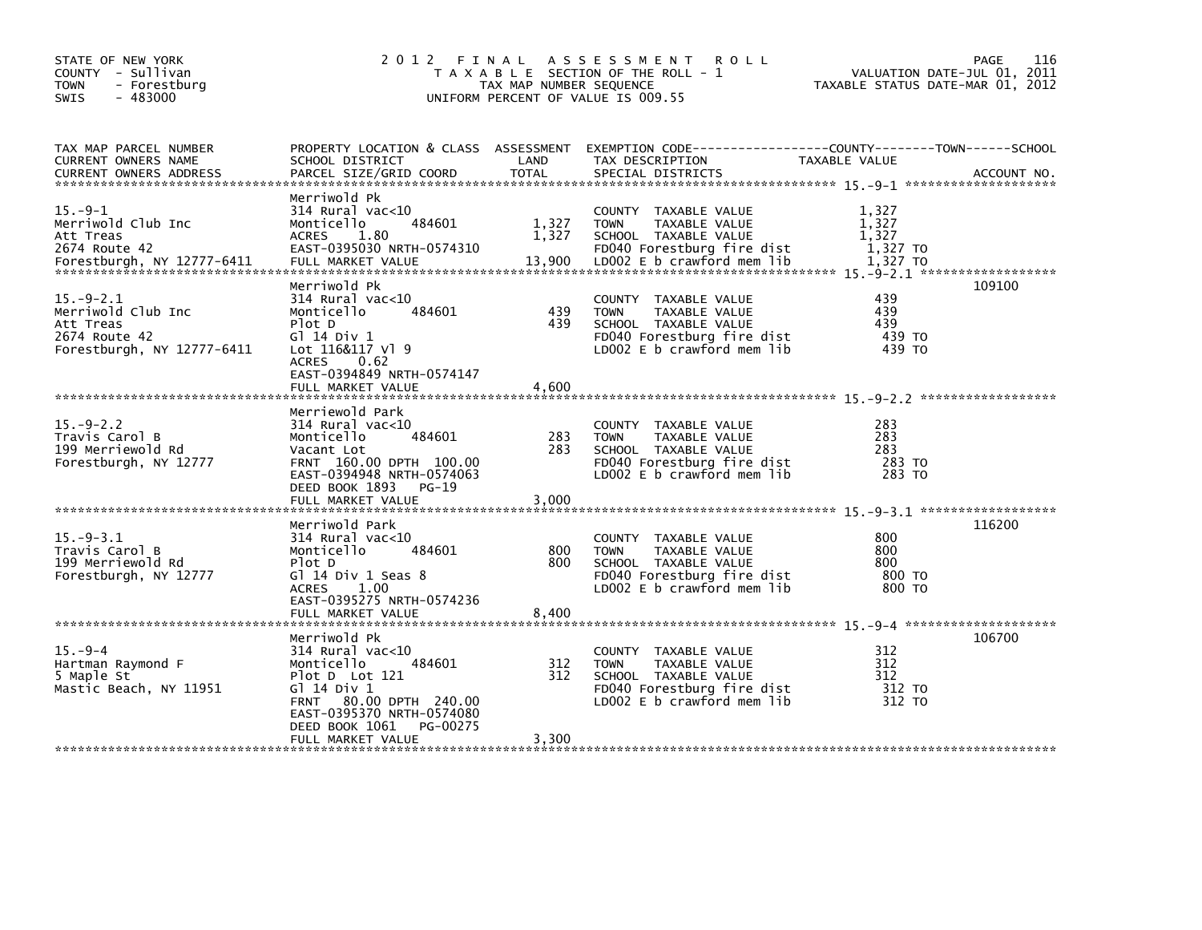| STATE OF NEW YORK<br>COUNTY - Sullivan<br>- Forestburg<br>TOWN<br>$-483000$<br>SWIS              | 2 0 1 2<br>FINAL                                                                                                                                                                                    | TAX MAP NUMBER SEQUENCE  | A S S E S S M E N T<br><b>ROLL</b><br>T A X A B L E SECTION OF THE ROLL - 1<br>UNIFORM PERCENT OF VALUE IS 009.55                                  | VALUATION DATE-JUL 01,<br>TAXABLE STATUS DATE-MAR 01, 2012 | 116<br><b>PAGE</b><br>2011 |
|--------------------------------------------------------------------------------------------------|-----------------------------------------------------------------------------------------------------------------------------------------------------------------------------------------------------|--------------------------|----------------------------------------------------------------------------------------------------------------------------------------------------|------------------------------------------------------------|----------------------------|
| TAX MAP PARCEL NUMBER<br>CURRENT OWNERS NAME<br><b>CURRENT OWNERS ADDRESS</b>                    | SCHOOL DISTRICT<br>PARCEL SIZE/GRID COORD                                                                                                                                                           | LAND<br><b>TOTAL</b>     | PROPERTY LOCATION & CLASS ASSESSMENT EXEMPTION CODE---------------COUNTY-------TOWN------SCHOOL<br>TAX DESCRIPTION<br>SPECIAL DISTRICTS            | TAXABLE VALUE                                              | ACCOUNT NO.                |
| $15. -9 - 1$<br>Merriwold Club Inc<br>Att Treas<br>2674 Route 42<br>Forestburgh, NY 12777-6411   | Merriwold Pk<br>$314$ Rural vac<10<br>484601<br>Monticello<br><b>ACRES</b><br>1.80<br>EAST-0395030 NRTH-0574310<br>FULL MARKET VALUE                                                                | 1,327<br>1,327<br>13,900 | COUNTY TAXABLE VALUE<br><b>TOWN</b><br>TAXABLE VALUE<br>SCHOOL TAXABLE VALUE<br>FD040 Forestburg fire dist<br>LD002 E b crawford mem lib           | 1,327<br>1,327<br>1,327<br>1,327 TO<br>1,327 TO            |                            |
| $15. -9 - 2.1$<br>Merriwold Club Inc<br>Att Treas<br>2674 Route 42<br>Forestburgh, NY 12777-6411 | Merriwold Pk<br>$314$ Rural vac<10<br>Monticello<br>484601<br>Plot D<br>G1 14 Div 1<br>Lot 116&117 Vl 9<br><b>ACRES</b><br>0.62<br>EAST-0394849 NRTH-0574147<br>FULL MARKET VALUE                   | 439<br>439<br>4.600      | COUNTY TAXABLE VALUE<br><b>TOWN</b><br>TAXABLE VALUE<br>SCHOOL TAXABLE VALUE<br>FD040 Forestburg fire dist<br>LD002 E b crawford mem lib           | 439<br>439<br>439<br>439 TO<br>439 TO                      | 109100                     |
| $15. - 9 - 2.2$<br>Travis Carol B<br>199 Merriewold Rd<br>Forestburgh, NY 12777                  | Merriewold Park<br>$314$ Rural vac<10<br>Monticello<br>484601<br>Vacant Lot<br>FRNT 160.00 DPTH 100.00<br>EAST-0394948 NRTH-0574063<br>DEED BOOK 1893<br>$PG-19$<br>FULL MARKET VALUE               | 283<br>283<br>3.000      | <b>COUNTY</b><br>TAXABLE VALUE<br><b>TOWN</b><br>TAXABLE VALUE<br>SCHOOL TAXABLE VALUE<br>FD040 Forestburg fire dist<br>LD002 E b crawford mem lib | 283<br>283<br>283<br>283 TO<br>283 TO                      |                            |
| $15. -9 - 3.1$<br>Travis Carol B<br>199 Merriewold Rd<br>Forestburgh, NY 12777                   | Merriwold Park<br>$314$ Rural vac< $10$<br>Monticello<br>484601<br>Plot D<br>Gl 14 Div 1 Seas 8<br>1.00<br><b>ACRES</b><br>EAST-0395275 NRTH-0574236<br>FULL MARKET VALUE                           | 800<br>800<br>8.400      | COUNTY TAXABLE VALUE<br>TAXABLE VALUE<br><b>TOWN</b><br>SCHOOL TAXABLE VALUE<br>FD040 Forestburg fire dist<br>LD002 E b crawford mem lib           | 800<br>800<br>800<br>800 TO<br>800 TO                      | 116200                     |
| $15. -9 - 4$<br>Hartman Raymond F<br>5 Maple St<br>Mastic Beach, NY 11951                        | Merriwold Pk<br>314 Rural vac<10<br>Monticello<br>484601<br>Plot D Lot 121<br>G1 14 Div 1<br>FRNT 80.00 DPTH 240.00<br>EAST-0395370 NRTH-0574080<br>DEED BOOK 1061<br>PG-00275<br>FULL MARKET VALUE | 312<br>312<br>3,300      | COUNTY TAXABLE VALUE<br><b>TOWN</b><br>TAXABLE VALUE<br>SCHOOL TAXABLE VALUE<br>FD040 Forestburg fire dist<br>LD002 $E$ b crawford mem $lib$       | 312<br>312<br>312<br>312 TO<br>312 TO                      | 106700                     |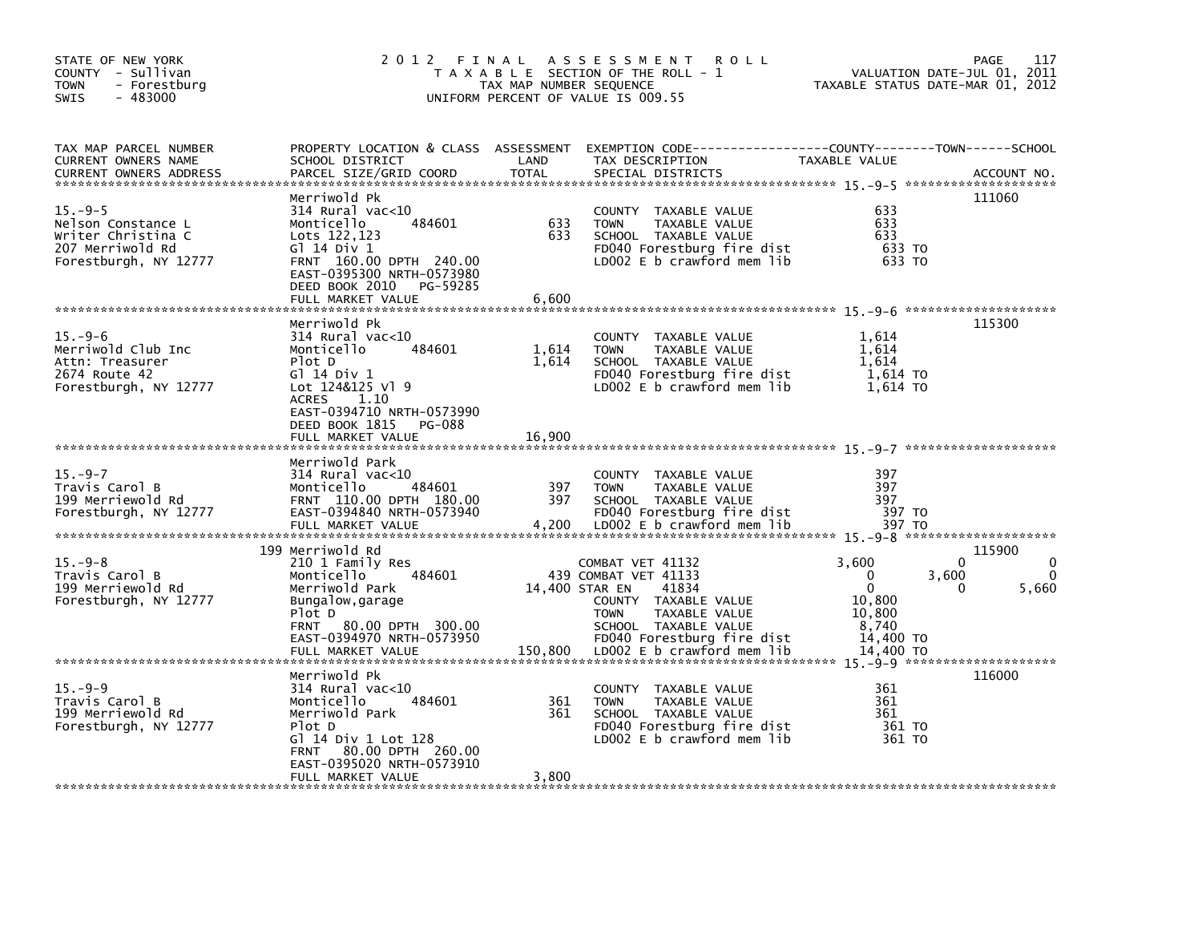| STATE OF NEW YORK<br>COUNTY - Sullivan<br><b>TOWN</b><br>- Forestburg<br>$-483000$<br><b>SWIS</b>   | 2 0 1 2                                                                                                                                                                                                     | FINAL<br>TAX MAP NUMBER SEQUENCE | A S S E S S M E N T<br><b>ROLL</b><br>T A X A B L E SECTION OF THE ROLL - 1<br>UNIFORM PERCENT OF VALUE IS 009.55                                                                                               | VALUATION DATE-JUL 01, 2011<br>TAXABLE STATUS DATE-MAR 01, 2012                                       | 117<br>PAGE               |
|-----------------------------------------------------------------------------------------------------|-------------------------------------------------------------------------------------------------------------------------------------------------------------------------------------------------------------|----------------------------------|-----------------------------------------------------------------------------------------------------------------------------------------------------------------------------------------------------------------|-------------------------------------------------------------------------------------------------------|---------------------------|
| TAX MAP PARCEL NUMBER<br>CURRENT OWNERS NAME<br><b>CURRENT OWNERS ADDRESS</b>                       | SCHOOL DISTRICT<br>PARCEL SIZE/GRID COORD                                                                                                                                                                   | LAND<br><b>TOTAL</b>             | PROPERTY LOCATION & CLASS ASSESSMENT EXEMPTION CODE----------------COUNTY-------TOWN------SCHOOL<br>TAX DESCRIPTION<br>SPECIAL DISTRICTS                                                                        | TAXABLE VALUE                                                                                         | ACCOUNT NO.               |
| $15. -9-5$<br>Nelson Constance L<br>Writer Christina C<br>207 Merriwold Rd<br>Forestburgh, NY 12777 | Merriwold Pk<br>314 Rural vac<10<br>Monticello<br>484601<br>Lots 122,123<br>G] 14 Div 1<br>FRNT 160.00 DPTH 240.00<br>EAST-0395300 NRTH-0573980<br>DEED BOOK 2010<br>PG-59285<br>FULL MARKET VALUE          | 633<br>633<br>6,600              | COUNTY TAXABLE VALUE<br>TAXABLE VALUE<br><b>TOWN</b><br>SCHOOL TAXABLE VALUE<br>FD040 Forestburg fire dist<br>LD002 E b crawford mem lib                                                                        | 633<br>633<br>633<br>633 TO<br>633 TO                                                                 | 111060                    |
| $15. -9-6$<br>Merriwold Club Inc<br>Attn: Treasurer<br>2674 Route 42<br>Forestburgh, NY 12777       | Merriwold Pk<br>314 Rural vac<10<br>484601<br>Monticello<br>Plot D<br>G1 14 Div 1<br>Lot 124&125 Vl 9<br><b>ACRES</b><br>1.10<br>EAST-0394710 NRTH-0573990<br>DEED BOOK 1815<br>PG-088<br>FULL MARKET VALUE | 1,614<br>1,614<br>16,900         | COUNTY TAXABLE VALUE<br><b>TOWN</b><br>TAXABLE VALUE<br>SCHOOL TAXABLE VALUE<br>FD040 Forestburg fire dist<br>LD002 E b crawford mem lib                                                                        | 1,614<br>1,614<br>1.614<br>1,614 TO<br>1,614 TO                                                       | 115300                    |
| $15. -9 - 7$<br>Travis Carol B<br>199 Merriewold Rd<br>Forestburgh, NY 12777                        | Merriwold Park<br>$314$ Rural vac<10<br>484601<br>Monticello<br>FRNT 110.00 DPTH 180.00<br>EAST-0394840 NRTH-0573940<br>FULL MARKET VALUE                                                                   | 397<br>397<br>4,200              | COUNTY TAXABLE VALUE<br><b>TOWN</b><br>TAXABLE VALUE<br>SCHOOL TAXABLE VALUE<br>FD040 Forestburg fire dist<br>LD002 $E$ b crawford mem $lib$                                                                    | 397<br>397<br>397<br>397 TO<br>397 TO                                                                 |                           |
| $15. -9 - 8$<br>Travis Carol B<br>199 Merriewold Rd<br>Forestburgh, NY 12777                        | 199 Merriwold Rd<br>210 1 Family Res<br>Monticello<br>484601<br>Merriwold Park<br>Bungalow, garage<br>Plot D<br>80.00 DPTH 300.00<br><b>FRNT</b><br>EAST-0394970 NRTH-0573950<br>FULL MARKET VALUE          | 150,800                          | COMBAT VET 41132<br>439 COMBAT VET 41133<br>41834<br>14,400 STAR EN<br>COUNTY TAXABLE VALUE<br><b>TOWN</b><br>TAXABLE VALUE<br>SCHOOL TAXABLE VALUE<br>FD040 Forestburg fire dist<br>LD002 E b crawford mem lib | 3,600<br>3,600<br>$\mathbf{0}$<br>$\mathbf{0}$<br>10,800<br>10,800<br>8,740<br>14,400 TO<br>14.400 TO | 115900<br>0<br>5,660<br>0 |
| $15. -9-9$<br>Travis Carol B<br>199 Merriewold Rd<br>Forestburgh, NY 12777                          | Merriwold Pk<br>$314$ Rural vac<10<br>Monticello<br>484601<br>Merriwold Park<br>Plot D<br>Gl 14 Div 1 Lot 128<br>80.00 DPTH 260.00<br><b>FRNT</b><br>EAST-0395020 NRTH-0573910<br>FULL MARKET VALUE         | 361<br>361<br>3,800              | COUNTY TAXABLE VALUE<br><b>TOWN</b><br>TAXABLE VALUE<br>SCHOOL TAXABLE VALUE<br>FD040 Forestburg fire dist<br>LD002 $E$ b crawford mem lib                                                                      | 361<br>361<br>361<br>361 TO<br>361 TO                                                                 | 116000                    |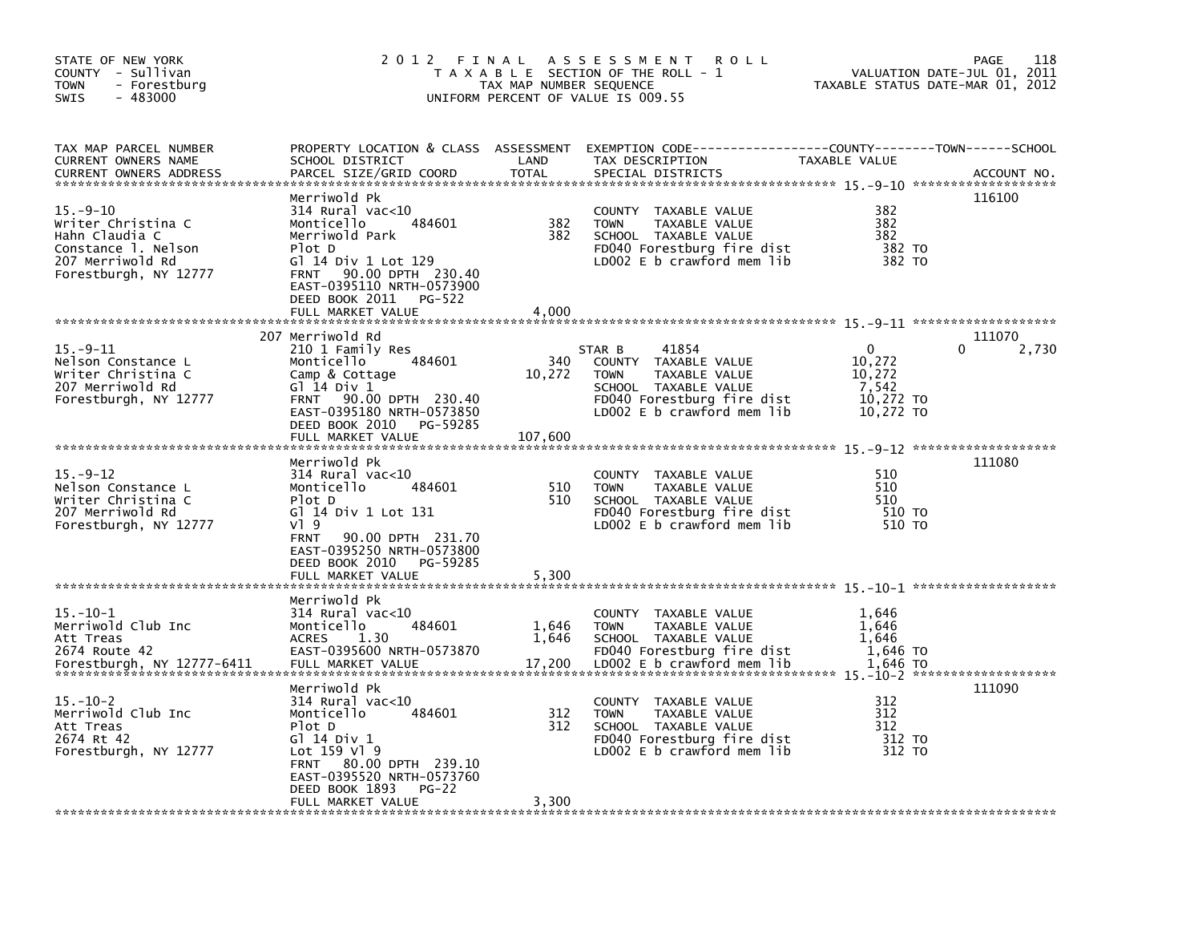| STATE OF NEW YORK<br>COUNTY - Sullivan<br><b>TOWN</b><br>- Forestburg<br>$-483000$<br><b>SWIS</b>                         | 2 0 1 2                                                                                                                                                                                                                              | FINAL<br>TAX MAP NUMBER SEQUENCE | A S S E S S M E N T<br>R O L L<br>T A X A B L E SECTION OF THE ROLL - 1<br>UNIFORM PERCENT OF VALUE IS 009.55                                               |                                                                     | 118<br><b>PAGE</b><br>VALUATION DATE-JUL 01, 2011<br>TAXABLE STATUS DATE-MAR 01, 2012 |
|---------------------------------------------------------------------------------------------------------------------------|--------------------------------------------------------------------------------------------------------------------------------------------------------------------------------------------------------------------------------------|----------------------------------|-------------------------------------------------------------------------------------------------------------------------------------------------------------|---------------------------------------------------------------------|---------------------------------------------------------------------------------------|
| TAX MAP PARCEL NUMBER<br><b>CURRENT OWNERS NAME</b><br><b>CURRENT OWNERS ADDRESS</b>                                      | PROPERTY LOCATION & CLASS ASSESSMENT<br>SCHOOL DISTRICT<br>PARCEL SIZE/GRID COORD                                                                                                                                                    | LAND<br><b>TOTAL</b>             | TAX DESCRIPTION<br>SPECIAL DISTRICTS                                                                                                                        | TAXABLE VALUE                                                       | ACCOUNT NO.                                                                           |
| $15. -9 - 10$<br>Writer Christina C<br>Hahn Claudia C<br>Constance 1. Nelson<br>207 Merriwold Rd<br>Forestburgh, NY 12777 | Merriwold Pk<br>314 Rural vac<10<br>Monticello<br>484601<br>Merriwold Park<br>Plot D<br>G] 14 Div 1 Lot 129<br>90.00 DPTH 230.40<br><b>FRNT</b><br>EAST-0395110 NRTH-0573900<br>DEED BOOK 2011<br><b>PG-522</b><br>FULL MARKET VALUE | 382<br>382<br>4,000              | <b>COUNTY</b><br>TAXABLE VALUE<br><b>TOWN</b><br>TAXABLE VALUE<br>SCHOOL TAXABLE VALUE<br>FD040 Forestburg fire dist<br>LD002 $E$ b crawford mem lib        | 382<br>382<br>382<br>382 TO<br>382 TO                               | 116100                                                                                |
|                                                                                                                           |                                                                                                                                                                                                                                      |                                  |                                                                                                                                                             |                                                                     |                                                                                       |
| $15. -9 - 11$<br>Nelson Constance L<br>Writer Christina C<br>207 Merriwold Rd<br>Forestburgh, NY 12777                    | 207 Merriwold Rd<br>210 1 Family Res<br>Monticello<br>484601<br>Camp & Cottage<br>G1 14 Div 1<br>90.00 DPTH 230.40<br><b>FRNT</b><br>EAST-0395180 NRTH-0573850<br>DEED BOOK 2010<br>PG-59285<br>FULL MARKET VALUE                    | 340<br>10,272<br>107,600         | STAR B<br>41854<br>COUNTY TAXABLE VALUE<br><b>TOWN</b><br>TAXABLE VALUE<br>SCHOOL TAXABLE VALUE<br>FD040 Forestburg fire dist<br>LD002 E b crawford mem lib | $\mathbf{0}$<br>10,272<br>10,272<br>7,542<br>10,272 TO<br>10,272 TO | 111070<br>2,730<br>0                                                                  |
| $15. -9 - 12$<br>Nelson Constance L<br>Writer Christina C<br>207 Merriwold Rd<br>Forestburgh, NY 12777                    | Merriwold Pk<br>$314$ Rural vac<10<br>484601<br>Monticello<br>Plot D<br>G] 14 Div 1 Lot 131<br>VI 9<br>90.00 DPTH 231.70<br><b>FRNT</b><br>EAST-0395250 NRTH-0573800<br>DEED BOOK 2010<br>PG-59285<br>FULL MARKET VALUE              | 510<br>510<br>5,300              | <b>COUNTY</b><br>TAXABLE VALUE<br><b>TOWN</b><br>TAXABLE VALUE<br>SCHOOL TAXABLE VALUE<br>FD040 Forestburg fire dist<br>LD002 $E$ b crawford mem lib        | 510<br>510<br>510<br>510 TO<br>510 TO                               | 111080                                                                                |
|                                                                                                                           |                                                                                                                                                                                                                                      |                                  |                                                                                                                                                             |                                                                     |                                                                                       |
| $15. - 10 - 1$<br>Merriwold Club Inc<br>Att Treas<br>2674 Route 42<br>Forestburgh, NY 12777-6411                          | Merriwold Pk<br>314 Rural vac<10<br>484601<br>Monticello<br>1.30<br><b>ACRES</b><br>EAST-0395600 NRTH-0573870<br>FULL MARKET VALUE                                                                                                   | 1,646<br>1,646<br>17,200         | COUNTY TAXABLE VALUE<br><b>TOWN</b><br>TAXABLE VALUE<br>SCHOOL TAXABLE VALUE<br>FD040 Forestburg fire dist<br>LD002 E b crawford mem lib                    | 1,646<br>1,646<br>1.646<br>1,646 TO<br>1.646 TO                     |                                                                                       |
| 15. –10–2<br>Merriwold Club Inc<br>Att Treas<br>2674 Rt 42<br>Forestburgh, NY 12777                                       | Merriwold Pk<br>314 Rural vac<10<br>Monticello<br>484601<br>Plot D<br>G1 14 Div 1<br>Lot $159$ V] $9$<br>80.00 DPTH 239.10<br><b>FRNT</b><br>EAST-0395520 NRTH-0573760<br>DEED BOOK 1893<br>PG-22<br>FULL MARKET VALUE               | 312<br>312<br>3,300              | <b>COUNTY</b><br>TAXABLE VALUE<br><b>TOWN</b><br>TAXABLE VALUE<br>SCHOOL TAXABLE VALUE<br>FD040 Forestburg fire dist<br>LD002 $E$ b crawford mem lib        | 312<br>312<br>312<br>312 TO<br>312 TO                               | 111090                                                                                |
|                                                                                                                           |                                                                                                                                                                                                                                      |                                  |                                                                                                                                                             |                                                                     |                                                                                       |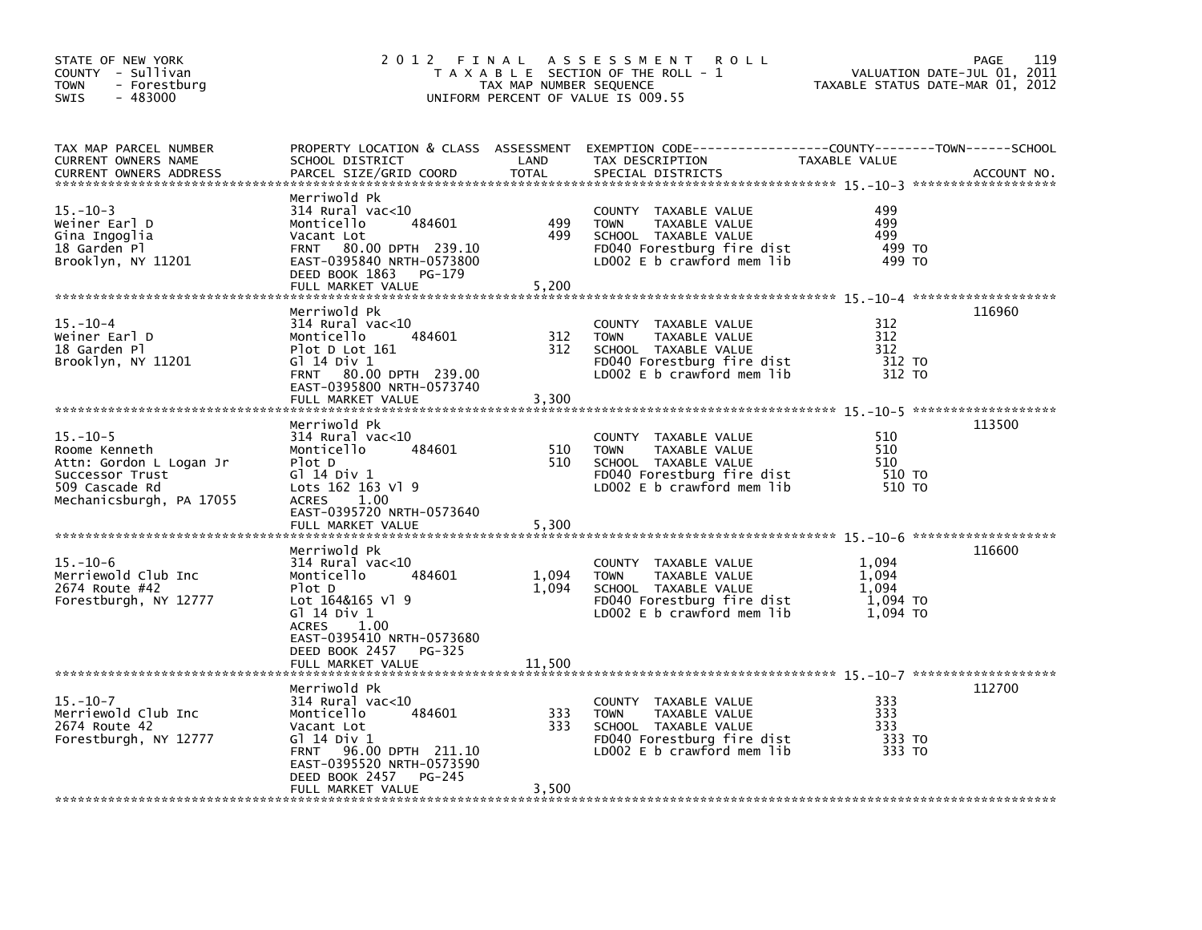| STATE OF NEW YORK<br>COUNTY - Sullivan<br><b>TOWN</b><br>- Forestburg<br>$-483000$<br><b>SWIS</b>                           | 2012<br>FINAL                                                                                                                                                                                           | TAX MAP NUMBER SEQUENCE  | A S S E S S M E N T<br>R O L L<br>T A X A B L E SECTION OF THE ROLL - 1<br>UNIFORM PERCENT OF VALUE IS 009.55                                |                                                 | 119<br>PAGE<br>VALUATION DATE-JUL 01, 2011<br>TAXABLE STATUS DATE-MAR 01, 2012 |
|-----------------------------------------------------------------------------------------------------------------------------|---------------------------------------------------------------------------------------------------------------------------------------------------------------------------------------------------------|--------------------------|----------------------------------------------------------------------------------------------------------------------------------------------|-------------------------------------------------|--------------------------------------------------------------------------------|
| TAX MAP PARCEL NUMBER<br>CURRENT OWNERS NAME<br><b>CURRENT OWNERS ADDRESS</b>                                               | SCHOOL DISTRICT<br>PARCEL SIZE/GRID COORD                                                                                                                                                               | LAND<br><b>TOTAL</b>     | PROPERTY LOCATION & CLASS ASSESSMENT EXEMPTION CODE----------------COUNTY-------TOWN------SCHOOL<br>TAX DESCRIPTION<br>SPECIAL DISTRICTS     | TAXABLE VALUE                                   | ACCOUNT NO.                                                                    |
| $15. - 10 - 3$<br>Weiner Earl D<br>Gina Ingoglia<br>18 Garden Pl<br>Brooklyn, NY 11201                                      | Merriwold Pk<br>$314$ Rural vac< $10$<br>Monticello<br>484601<br>Vacant Lot<br>FRNT 80.00 DPTH 239.10<br>EAST-0395840 NRTH-0573800<br>DEED BOOK 1863<br>PG-179<br>FULL MARKET VALUE                     | 499<br>499<br>5,200      | COUNTY TAXABLE VALUE<br><b>TOWN</b><br>TAXABLE VALUE<br>SCHOOL TAXABLE VALUE<br>FD040 Forestburg fire dist<br>LD002 $E$ b crawford mem lib   | 499<br>499<br>499<br>499 TO<br>499 TO           |                                                                                |
| $15. - 10 - 4$<br>Weiner Earl D<br>18 Garden Pl<br>Brooklyn, NY 11201                                                       | Merriwold Pk<br>$314$ Rural vac<10<br>484601<br>Monticello<br>Plot D Lot 161<br>G] 14 Div 1<br>FRNT 80.00 DPTH 239.00<br>EAST-0395800 NRTH-0573740<br>FULL MARKET VALUE                                 | 312<br>312<br>3,300      | COUNTY TAXABLE VALUE<br>TAXABLE VALUE<br><b>TOWN</b><br>SCHOOL TAXABLE VALUE<br>FD040 Forestburg fire dist<br>LD002 E b crawford mem lib     | 312<br>312<br>312<br>312 TO<br>312 TO           | 116960                                                                         |
| $15. - 10 - 5$<br>Roome Kenneth<br>Attn: Gordon L Logan Jr<br>Successor Trust<br>509 Cascade Rd<br>Mechanicsburgh, PA 17055 | Merriwold Pk<br>$314$ Rural vac<10<br>Monticello<br>484601<br>Plot D<br>Gl 14 Div 1<br>Lots 162 163 Vl 9<br><b>ACRES</b><br>1.00<br>EAST-0395720 NRTH-0573640<br>FULL MARKET VALUE                      | 510<br>510<br>5,300      | COUNTY TAXABLE VALUE<br><b>TOWN</b><br>TAXABLE VALUE<br>SCHOOL TAXABLE VALUE<br>FD040 Forestburg fire dist<br>LD002 E b crawford mem lib     | 510<br>510<br>510<br>510 TO<br>510 TO           | 113500                                                                         |
| $15. - 10 - 6$<br>Merriewold Club Inc<br>2674 Route #42<br>Forestburgh, NY 12777                                            | Merriwold Pk<br>$314$ Rural vac<10<br>484601<br>Monticello<br>Plot D<br>Lot 164&165 Vl 9<br>G1 14 Div 1<br>1.00<br>ACRES<br>EAST-0395410 NRTH-0573680<br>DEED BOOK 2457 PG-325<br>FULL MARKET VALUE     | 1,094<br>1,094<br>11,500 | COUNTY TAXABLE VALUE<br><b>TOWN</b><br>TAXABLE VALUE<br>SCHOOL TAXABLE VALUE<br>FD040 Forestburg fire dist<br>LD002 $E$ b crawford mem $lib$ | 1.094<br>1.094<br>1.094<br>1,094 TO<br>1.094 TO | 116600                                                                         |
| $15. - 10 - 7$<br>Merriewold Club Inc<br>2674 Route 42<br>Forestburgh, NY 12777                                             | Merriwold Pk<br>314 Rural vac<10<br>Monticello<br>484601<br>Vacant Lot<br>G1 14 Div 1<br>96.00 DPTH 211.10<br><b>FRNT</b><br>EAST-0395520 NRTH-0573590<br>DEED BOOK 2457<br>PG-245<br>FULL MARKET VALUE | 333<br>333<br>3,500      | COUNTY TAXABLE VALUE<br><b>TOWN</b><br>TAXABLE VALUE<br>SCHOOL TAXABLE VALUE<br>FD040 Forestburg fire dist<br>LD002 E b crawford mem lib     | 333<br>333<br>333<br>333 TO<br>333 TO           | 112700                                                                         |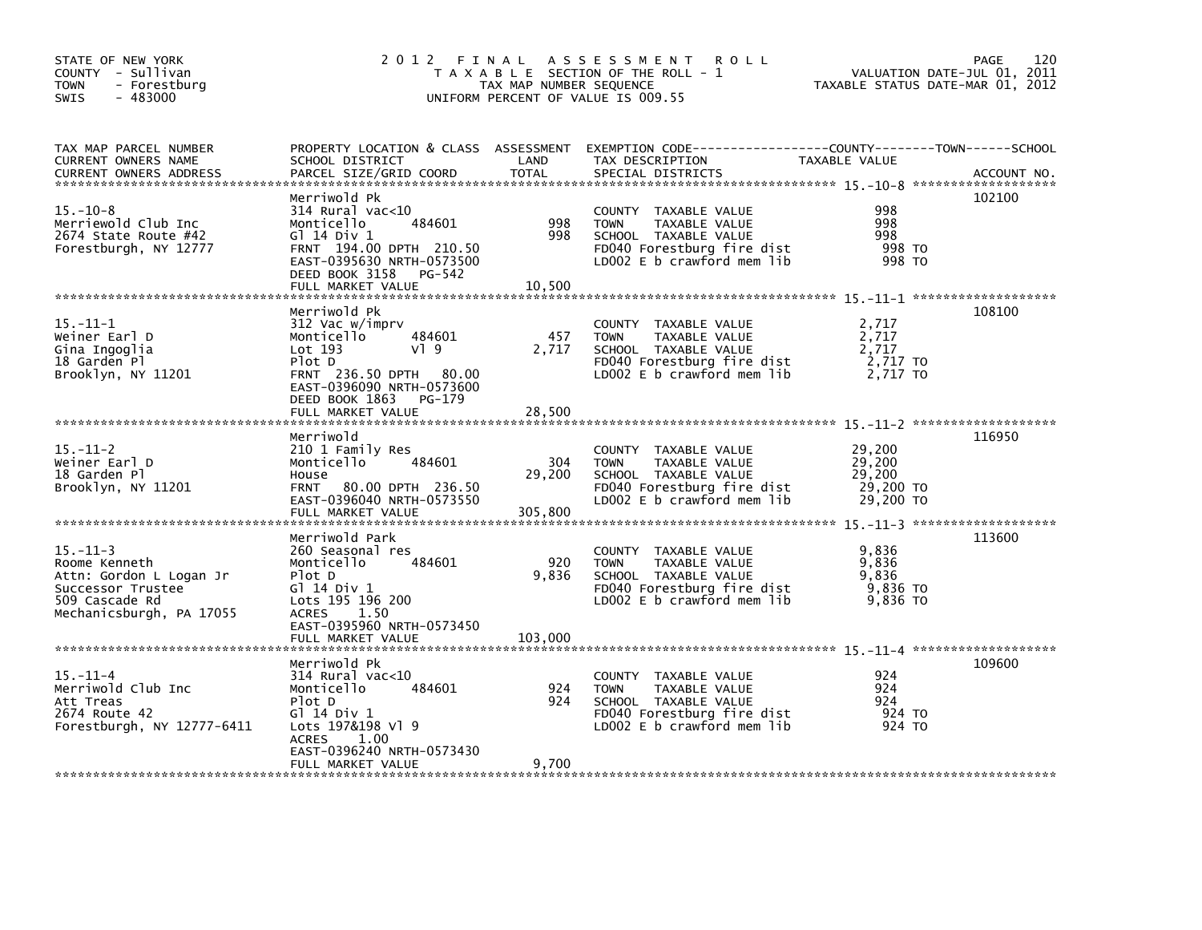| STATE OF NEW YORK<br>COUNTY - Sullivan<br>- Forestburg<br><b>TOWN</b><br>$-483000$<br><b>SWIS</b>                             | 2012 FINAL                                                                                                                                                                            | TAX MAP NUMBER SEQUENCE  | A S S E S S M E N T<br><b>ROLL</b><br>T A X A B L E SECTION OF THE ROLL - 1<br>UNIFORM PERCENT OF VALUE IS 009.55                          | VALUATION DATE-JUL 01,<br>TAXABLE STATUS DATE-MAR 01, 2012 | 120<br>PAGE<br>2011 |
|-------------------------------------------------------------------------------------------------------------------------------|---------------------------------------------------------------------------------------------------------------------------------------------------------------------------------------|--------------------------|--------------------------------------------------------------------------------------------------------------------------------------------|------------------------------------------------------------|---------------------|
| TAX MAP PARCEL NUMBER<br>CURRENT OWNERS NAME<br><b>CURRENT OWNERS ADDRESS</b>                                                 | SCHOOL DISTRICT<br>PARCEL SIZE/GRID COORD                                                                                                                                             | LAND<br><b>TOTAL</b>     | PROPERTY LOCATION & CLASS ASSESSMENT EXEMPTION CODE----------------COUNTY-------TOWN------SCHOOL<br>TAX DESCRIPTION<br>SPECIAL DISTRICTS   | TAXABLE VALUE                                              | ACCOUNT NO.         |
| $15. - 10 - 8$<br>Merriewold Club Inc<br>2674 State Route #42<br>Forestburgh, NY 12777                                        | Merriwold Pk<br>$314$ Rural vac< $10$<br>484601<br>Monticello<br>G1 14 Div 1<br>FRNT 194.00 DPTH 210.50<br>EAST-0395630 NRTH-0573500<br>DEED BOOK 3158<br>PG-542<br>FULL MARKET VALUE | 998<br>998<br>10,500     | COUNTY TAXABLE VALUE<br><b>TOWN</b><br>TAXABLE VALUE<br>SCHOOL TAXABLE VALUE<br>FD040 Forestburg fire dist<br>LD002 E b crawford mem lib   | 998<br>998<br>998<br>998 TO<br>998 TO                      | 102100              |
| $15. - 11 - 1$<br>Weiner Earl D<br>Gina Ingoglia<br>18 Garden Pl<br>Brooklyn, NY 11201                                        | Merriwold Pk<br>312 Vac w/imprv<br>484601<br>Monticello<br>$Lot$ 193<br>VI 9<br>Plot D<br>FRNT 236.50 DPTH 80.00<br>EAST-0396090 NRTH-0573600<br>DEED BOOK 1863<br>PG-179             | 457<br>2,717             | COUNTY TAXABLE VALUE<br><b>TOWN</b><br>TAXABLE VALUE<br>SCHOOL TAXABLE VALUE<br>FD040 Forestburg fire dist<br>LD002 $E$ b crawford mem lib | 2,717<br>2,717<br>2,717<br>2,717 TO<br>2,717 TO            | 108100              |
|                                                                                                                               | FULL MARKET VALUE                                                                                                                                                                     | 28,500                   |                                                                                                                                            |                                                            |                     |
| $15. - 11 - 2$<br>Weiner Earl D<br>18 Garden Pl<br>Brooklyn, NY 11201                                                         | Merriwold<br>210 1 Family Res<br>484601<br>Monticello<br>House<br><b>FRNT</b><br>80.00 DPTH 236.50<br>EAST-0396040 NRTH-0573550<br>FULL MARKET VALUE                                  | 304<br>29,200<br>305,800 | COUNTY TAXABLE VALUE<br><b>TOWN</b><br>TAXABLE VALUE<br>SCHOOL TAXABLE VALUE<br>FD040 Forestburg fire dist<br>LD002 $E$ b crawford mem lib | 29,200<br>29,200<br>29,200<br>29,200 TO<br>29,200 TO       | 116950              |
| $15. - 11 - 3$<br>Roome Kenneth<br>Attn: Gordon L Logan Jr<br>Successor Trustee<br>509 Cascade Rd<br>Mechanicsburgh, PA 17055 | Merriwold Park<br>260 Seasonal res<br>Monticello<br>484601<br>Plot D<br>G1 14 Div 1<br>Lots 195 196 200<br><b>ACRES</b><br>1.50<br>EAST-0395960 NRTH-0573450                          | 920<br>9,836             | COUNTY TAXABLE VALUE<br>TAXABLE VALUE<br><b>TOWN</b><br>SCHOOL TAXABLE VALUE<br>FD040 Forestburg fire dist<br>LD002 E b crawford mem lib   | 9,836<br>9,836<br>9,836<br>9,836 TO<br>9,836 TO            | 113600              |
|                                                                                                                               | FULL MARKET VALUE                                                                                                                                                                     | 103.000                  |                                                                                                                                            |                                                            |                     |
| $15. - 11 - 4$<br>Merriwold Club Inc<br>Att Treas<br>2674 Route 42<br>Forestburgh, NY 12777-6411                              | Merriwold Pk<br>$314$ Rural vac<10<br>Monticello<br>484601<br>Plot D<br>G] 14 Div 1<br>Lots 197&198 Vl 9<br><b>ACRES</b><br>1.00<br>EAST-0396240 NRTH-0573430                         | 924<br>924               | COUNTY TAXABLE VALUE<br>TAXABLE VALUE<br><b>TOWN</b><br>SCHOOL TAXABLE VALUE<br>FD040 Forestburg fire dist<br>LD002 $E$ b crawford mem lib | 924<br>924<br>924<br>924 TO<br>924 TO                      | 109600              |
|                                                                                                                               | FULL MARKET VALUE                                                                                                                                                                     | 9,700                    |                                                                                                                                            |                                                            |                     |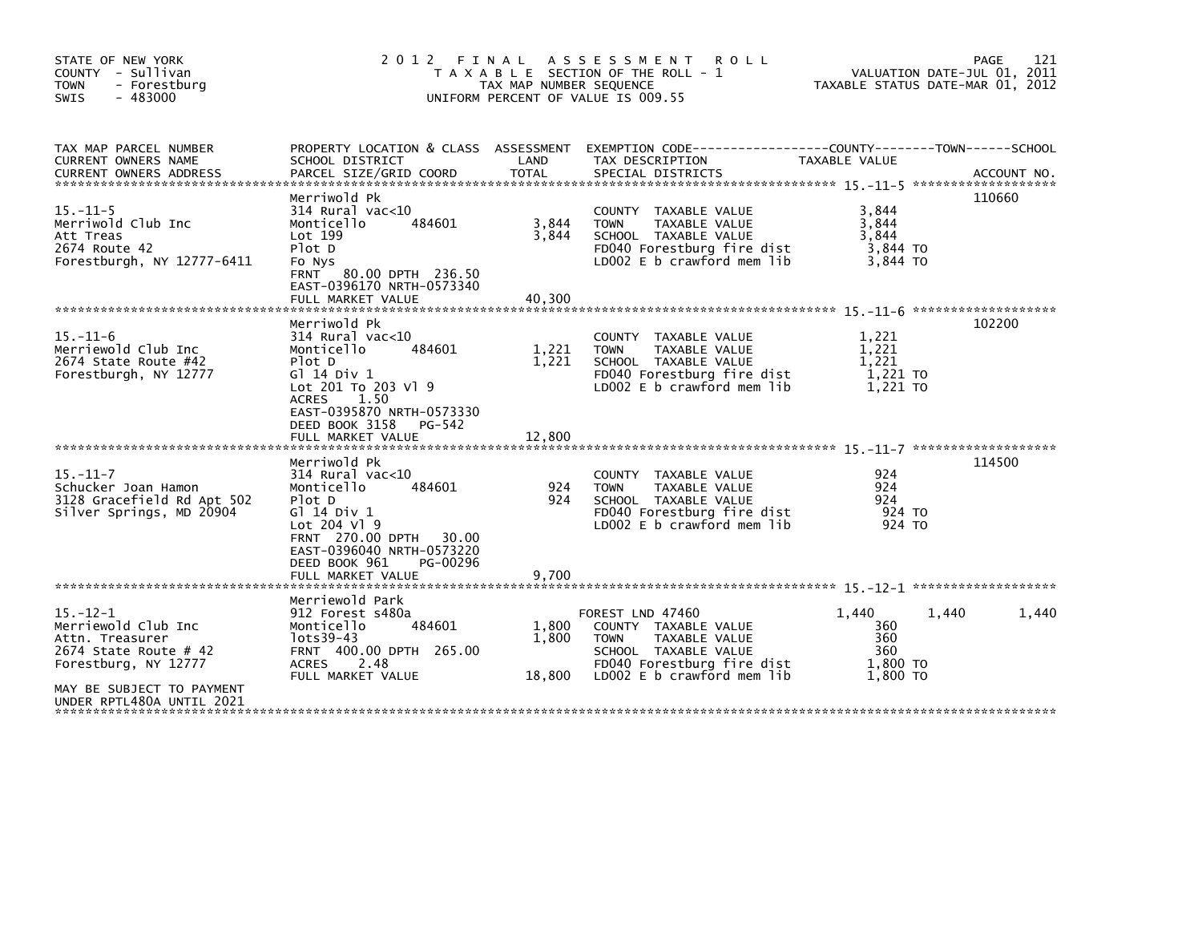| STATE OF NEW YORK<br>COUNTY - Sullivan<br><b>TOWN</b><br>- Forestburg<br>- 483000<br>SWIS                                                                             | 2 0 1 2                                                                                                                                                                                                              | FINAL<br>TAX MAP NUMBER SEQUENCE | A S S E S S M E N T<br><b>ROLL</b><br>T A X A B L E SECTION OF THE ROLL -<br>UNIFORM PERCENT OF VALUE IS 009.55                                              |                                                    | 121<br><b>PAGE</b><br>VALUATION DATE-JUL 01, 2011<br>TAXABLE STATUS DATE-MAR 01, 2012 |
|-----------------------------------------------------------------------------------------------------------------------------------------------------------------------|----------------------------------------------------------------------------------------------------------------------------------------------------------------------------------------------------------------------|----------------------------------|--------------------------------------------------------------------------------------------------------------------------------------------------------------|----------------------------------------------------|---------------------------------------------------------------------------------------|
| TAX MAP PARCEL NUMBER<br>CURRENT OWNERS NAME<br><b>CURRENT OWNERS ADDRESS</b>                                                                                         | PROPERTY LOCATION & CLASS ASSESSMENT EXEMPTION CODE-----<br>SCHOOL DISTRICT<br>PARCEL SIZE/GRID COORD                                                                                                                | LAND<br><b>TOTAL</b>             | TAX DESCRIPTION<br>SPECIAL DISTRICTS                                                                                                                         | TAXABLE VALUE                                      | -------------COUNTY--------TOWN------SCHOOL<br>ACCOUNT NO.                            |
| $15 - 11 - 5$<br>Merriwold Club Inc<br>Att Treas<br>2674 Route 42<br>Forestburgh, NY 12777-6411                                                                       | Merriwold Pk<br>$314$ Rural vac<10<br>484601<br>Monticello<br>Lot 199<br>Plot D<br>Fo Nys<br>FRNT 80.00 DPTH 236.50<br>EAST-0396170 NRTH-0573340<br>FULL MARKET VALUE                                                | 3,844<br>3,844<br>40,300         | COUNTY TAXABLE VALUE<br><b>TOWN</b><br>TAXABLE VALUE<br>SCHOOL TAXABLE VALUE<br>FD040 Forestburg fire dist<br>LD002 E b crawford mem lib                     | 3,844<br>3,844<br>3,844<br>3,844 TO<br>3,844 TO    | 110660                                                                                |
| $15. - 11 - 6$<br>Merriewold Club Inc<br>2674 State Route #42<br>Forestburgh, NY 12777                                                                                | Merriwold Pk<br>314 Rural vac<10<br>Monticello<br>484601<br>Plot D<br>G1 14 Div 1<br>Lot 201 To 203 V1 9<br><b>ACRES</b><br>1.50<br>EAST-0395870 NRTH-0573330<br>DEED BOOK 3158<br>PG-542<br>FULL MARKET VALUE       | 1,221<br>1,221<br>12,800         | COUNTY TAXABLE VALUE<br>TAXABLE VALUE<br><b>TOWN</b><br>SCHOOL TAXABLE VALUE<br>FD040 Forestburg fire dist<br>LD002 $E$ b crawford mem lib                   | 1,221<br>1,221<br>1.221<br>1,221 TO<br>1.221 TO    | 102200                                                                                |
| $15. - 11 - 7$<br>Schucker Joan Hamon<br>3128 Gracefield Rd Apt 502<br>Silver Springs, MD 20904                                                                       | Merriwold Pk<br>314 Rural vac<10<br>484601<br>Monticello<br>Plot D<br>G] 14 Div 1<br>Lot 204 V1 9<br><b>FRNT 270.00 DPTH</b><br>30.00<br>EAST-0396040 NRTH-0573220<br>DEED BOOK 961<br>PG-00296<br>FULL MARKET VALUE | 924<br>924<br>9,700              | COUNTY TAXABLE VALUE<br><b>TOWN</b><br>TAXABLE VALUE<br>SCHOOL TAXABLE VALUE<br>FD040 Forestburg fire dist<br>$LD002 E b$ crawford mem lib                   | 924<br>924<br>924<br>924 TO<br>924 TO              | 114500                                                                                |
| $15. - 12 - 1$<br>Merriewold Club Inc<br>Attn. Treasurer<br>2674 State Route $#$ 42<br>Forestburg, NY 12777<br>MAY BE SUBJECT TO PAYMENT<br>UNDER RPTL480A UNTIL 2021 | Merriewold Park<br>912 Forest s480a<br>Monticello<br>484601<br>lots39-43<br>FRNT 400.00 DPTH 265.00<br><b>ACRES</b><br>2.48<br>FULL MARKET VALUE                                                                     | 1,800<br>1.800<br>18,800         | FOREST LND 47460<br>COUNTY TAXABLE VALUE<br><b>TOWN</b><br>TAXABLE VALUE<br>SCHOOL TAXABLE VALUE<br>FD040 Forestburg fire dist<br>LD002 E b crawford mem lib | 1.440<br>360<br>360<br>360<br>1,800 TO<br>1.800 TO | 1,440<br>1,440                                                                        |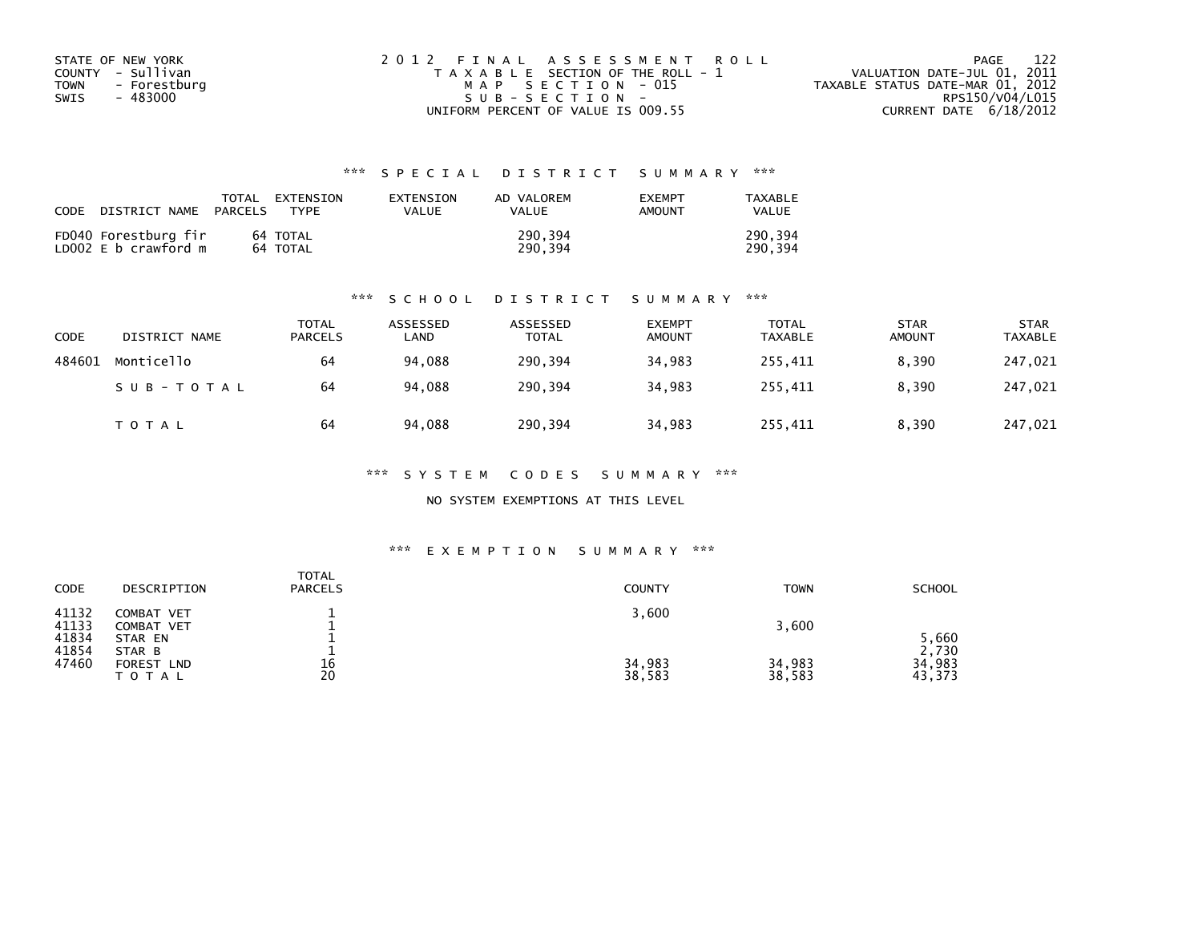| STATE OF NEW YORK    | 2012 FINAL ASSESSMENT ROLL            | 122<br>PAGE                      |
|----------------------|---------------------------------------|----------------------------------|
| COUNTY - Sullivan    | T A X A B L E SECTION OF THE ROLL - 1 | VALUATION DATE-JUL 01, 2011      |
| TOWN<br>- Forestburg | MAP SECTION - 015                     | TAXABLE STATUS DATE-MAR 01, 2012 |
| - 483000<br>SWIS     | $SUB - SECTION -$                     | RPS150/V04/L015                  |
|                      | UNIFORM PERCENT OF VALUE IS 009.55    | CURRENT DATE $6/18/2012$         |

## \*\*\* S P E C I A L D I S T R I C T S U M M A R Y \*\*\*

| CODE | DISTRICT NAME                                | PARCELS | TOTAL EXTENSION<br><b>TYPF</b> | EXTENSION<br>VALUE | AD VALOREM<br><b>VALUE</b> | <b>EXEMPT</b><br>AMOUNT | TAXABLE<br><b>VALUE</b> |
|------|----------------------------------------------|---------|--------------------------------|--------------------|----------------------------|-------------------------|-------------------------|
|      | FD040 Forestburg fir<br>LD002 E b crawford m |         | 64 TOTAL<br>64 TOTAL           |                    | 290.394<br>290.394         |                         | 290.394<br>290.394      |

### \*\*\* S C H O O L D I S T R I C T S U M M A R Y \*\*\*

| <b>CODE</b> | DISTRICT NAME | TOTAL<br><b>PARCELS</b> | ASSESSED<br>LAND | ASSESSED<br><b>TOTAL</b> | <b>EXEMPT</b><br><b>AMOUNT</b> | <b>TOTAL</b><br><b>TAXABLE</b> | <b>STAR</b><br><b>AMOUNT</b> | <b>STAR</b><br><b>TAXABLE</b> |
|-------------|---------------|-------------------------|------------------|--------------------------|--------------------------------|--------------------------------|------------------------------|-------------------------------|
| 484601      | Monticello    | 64                      | 94,088           | 290,394                  | 34,983                         | 255,411                        | 8,390                        | 247,021                       |
|             | SUB-TOTAL     | 64                      | 94.088           | 290.394                  | 34.983                         | 255.411                        | 8.390                        | 247,021                       |
|             | T O T A L     | 64                      | 94.088           | 290,394                  | 34,983                         | 255,411                        | 8,390                        | 247,021                       |

\*\*\* S Y S T E M C O D E S S U M M A R Y \*\*\*

NO SYSTEM EXEMPTIONS AT THIS LEVEL

### \*\*\* E X E M P T I O N S U M M A R Y \*\*\*

| CODE                    | DESCRIPTION                             | <b>TOTAL</b><br><b>PARCELS</b> | <b>COUNTY</b>    | <b>TOWN</b>      | <b>SCHOOL</b>             |
|-------------------------|-----------------------------------------|--------------------------------|------------------|------------------|---------------------------|
| 41132<br>41133<br>41834 | COMBAT VET<br>COMBAT VET<br>STAR EN     |                                | 3,600            | 3,600            | 5,660                     |
| 41854<br>47460          | STAR B<br>FOREST<br><b>LND</b><br>TOTAL | 16<br>20                       | 34,983<br>38,583 | 34,983<br>38,583 | 2,730<br>34,983<br>43,373 |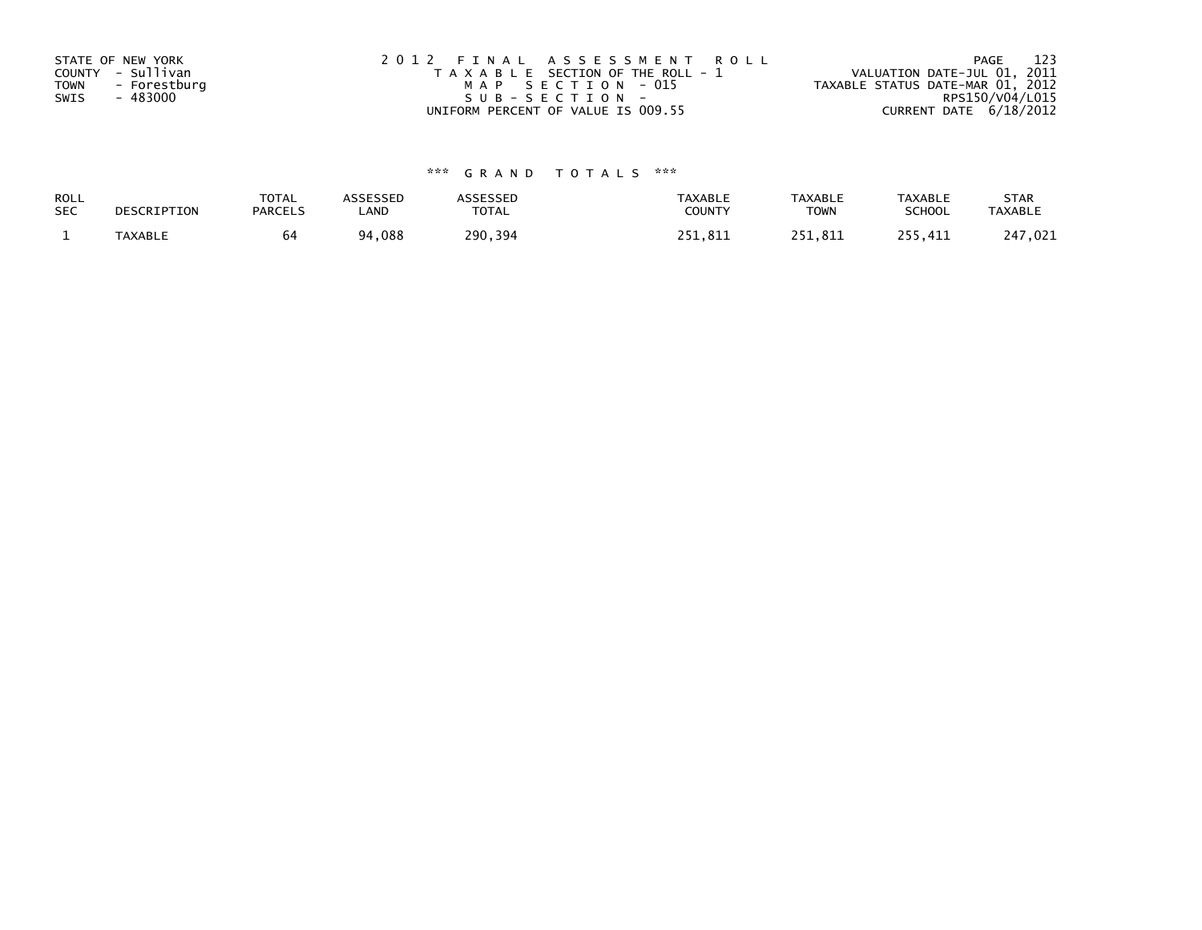| STATE OF NEW YORK<br>COUNTY - Sullivan<br><b>TOWN</b><br>- Forestburg<br>- 483000<br>SWIS | 2012 FINAL ASSESSMENT ROLL<br>T A X A B L E SECTION OF THE ROLL - 1<br>MAP SECTION - 015<br>SUB-SECTION- | 123<br>PAGE<br>VALUATION DATE-JUL 01, 2011<br>TAXABLE STATUS DATE-MAR 01, 2012<br>RPS150/V04/L015 |
|-------------------------------------------------------------------------------------------|----------------------------------------------------------------------------------------------------------|---------------------------------------------------------------------------------------------------|
|                                                                                           | UNIFORM PERCENT OF VALUE IS 009.55                                                                       | CURRENT DATE 6/18/2012                                                                            |

# \*\*\* G R A N D T O T A L S \*\*\*

| ROLL       | DESCRIPTION | <b>TOTAL</b>   | ASSESSED     | ASSESSED | <b>TAXABLE</b> | <b>TAXABLE</b> | <b>TAXABLE</b> | <b>STAR</b>    |
|------------|-------------|----------------|--------------|----------|----------------|----------------|----------------|----------------|
| <b>SEC</b> |             | <b>PARCELS</b> | ∟AND         | TOTAL    | <b>COUNTY</b>  | <b>TOWN</b>    | <b>SCHOOL</b>  | <b>TAXABLE</b> |
|            | TAXABLE     | 64             | 088ء ت<br>94 | 290.394  | 251.811        | 251.811        | 255.411        | 247,021        |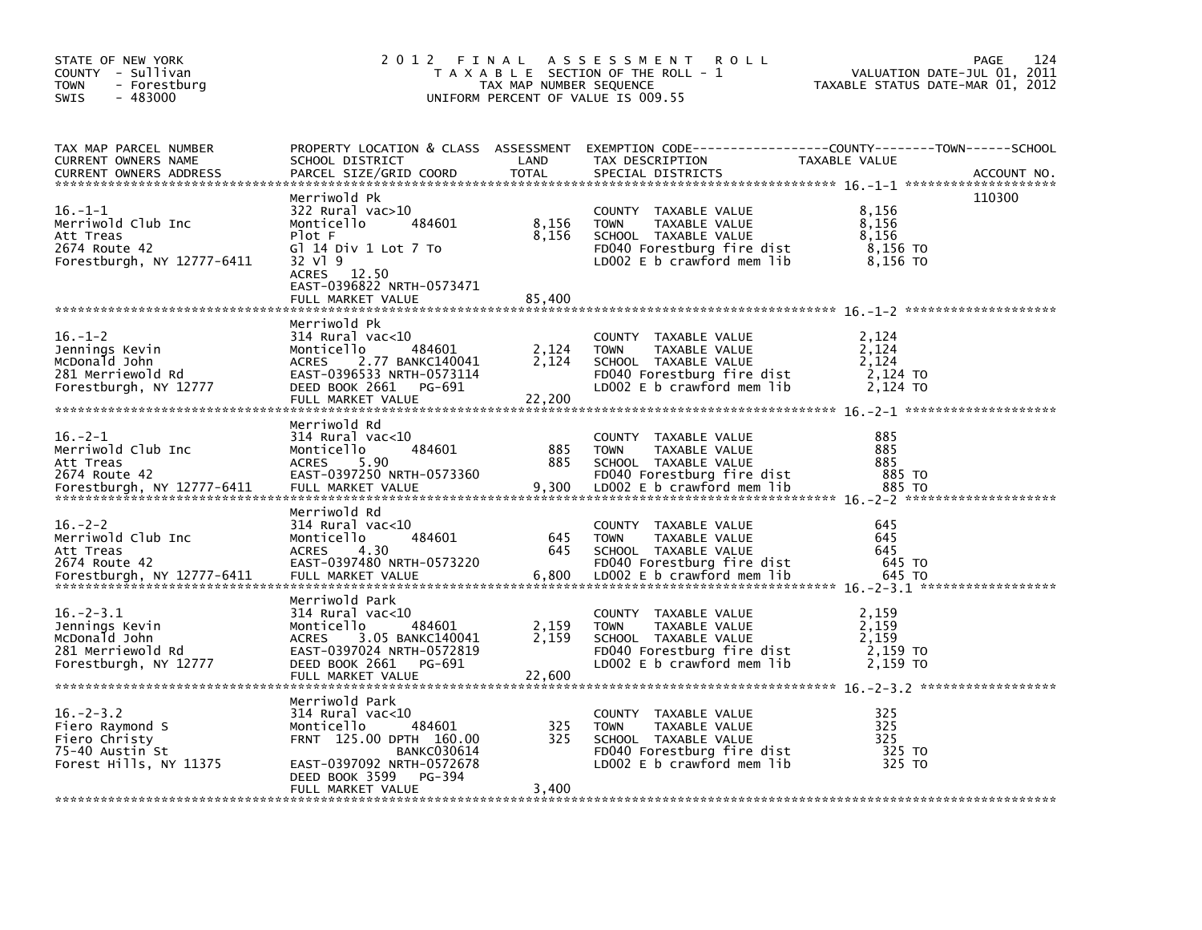| STATE OF NEW YORK<br>COUNTY - Sullivan<br><b>TOWN</b><br>- Forestburg<br>$-483000$<br>SWIS       | 2 0 1 2<br>FINAL                                                                                                                                                                               | TAX MAP NUMBER SEQUENCE  | A S S E S S M E N T<br><b>ROLL</b><br>T A X A B L E SECTION OF THE ROLL - 1<br>UNIFORM PERCENT OF VALUE IS 009.55                          | VALUATION DATE-JUL 01, 2011<br>TAXABLE STATUS DATE-MAR 01, 2012 | 124<br>PAGE |
|--------------------------------------------------------------------------------------------------|------------------------------------------------------------------------------------------------------------------------------------------------------------------------------------------------|--------------------------|--------------------------------------------------------------------------------------------------------------------------------------------|-----------------------------------------------------------------|-------------|
| TAX MAP PARCEL NUMBER<br>CURRENT OWNERS NAME<br><b>CURRENT OWNERS ADDRESS</b>                    | PROPERTY LOCATION & CLASS ASSESSMENT<br>SCHOOL DISTRICT<br>PARCEL SIZE/GRID COORD                                                                                                              | LAND<br><b>TOTAL</b>     | TAX DESCRIPTION<br>SPECIAL DISTRICTS                                                                                                       | TAXABLE VALUE                                                   | ACCOUNT NO. |
| $16. - 1 - 1$<br>Merriwold Club Inc<br>Att Treas<br>2674 Route 42<br>Forestburgh, NY 12777-6411  | Merriwold Pk<br>322 Rural vac>10<br>484601<br>Monticello<br>Plot F<br>GI 14 Div 1 Lot 7 To<br>32 V1 9<br>ACRES 12.50<br>EAST-0396822 NRTH-0573471<br>FULL MARKET VALUE                         | 8,156<br>8,156<br>85,400 | COUNTY TAXABLE VALUE<br><b>TOWN</b><br>TAXABLE VALUE<br>SCHOOL TAXABLE VALUE<br>FD040 Forestburg fire dist<br>LD002 $E$ b crawford mem lib | 8,156<br>8,156<br>8,156<br>8,156 TO<br>8,156 то                 | 110300      |
| $16. - 1 - 2$<br>Jennings Kevin<br>McDonald John<br>281 Merriewold Rd<br>Forestburgh, NY 12777   | Merriwold Pk<br>$314$ Rural vac< $10$<br>484601<br>Monticello<br><b>ACRES</b><br>2.77 BANKC140041<br>EAST-0396533 NRTH-0573114<br>DEED BOOK 2661<br>PG-691<br>FULL MARKET VALUE                | 2,124<br>2,124<br>22,200 | COUNTY TAXABLE VALUE<br><b>TOWN</b><br>TAXABLE VALUE<br>SCHOOL TAXABLE VALUE<br>FD040 Forestburg fire dist<br>LD002 E b crawford mem lib   | 2,124<br>2,124<br>2,124<br>2,124 TO<br>2,124 TO                 |             |
| $16. -2 - 1$<br>Merriwold Club Inc<br>Att Treas<br>2674 Route 42<br>Forestburgh, NY 12777-6411   | Merriwold Rd<br>314 Rural vac<10<br>484601<br>Monticello<br><b>ACRES</b><br>5.90<br>EAST-0397250 NRTH-0573360<br>FULL MARKET VALUE                                                             | 885<br>885<br>9,300      | COUNTY TAXABLE VALUE<br>TAXABLE VALUE<br><b>TOWN</b><br>SCHOOL TAXABLE VALUE<br>FD040 Forestburg fire dist<br>LDOO2 E b crawford mem lib   | 885<br>885<br>885<br>885 TO<br>885 TO                           |             |
| $16. -2 - 2$<br>Merriwold Club Inc<br>Att Treas<br>2674 Route 42<br>Forestburgh, NY 12777-6411   | Merriwold Rd<br>314 Rural vac<10<br>484601<br>Monticello<br>4.30<br><b>ACRES</b><br>EAST-0397480 NRTH-0573220<br>FULL MARKET VALUE                                                             | 645<br>645<br>6,800      | COUNTY TAXABLE VALUE<br><b>TOWN</b><br>TAXABLE VALUE<br>SCHOOL TAXABLE VALUE<br>FD040 Forestburg fire dist<br>LD002 E b crawford mem lib   | 645<br>645<br>645<br>645 TO<br>645 TO                           |             |
| 16. – 2 – 3.1<br>Jennings Kevin<br>McDonald John<br>281 Merriewold Rd<br>Forestburgh, NY 12777   | Merriwold Park<br>314 Rural vac<10<br>484601<br>Monticello<br><b>ACRES</b><br>3.05 BANKC140041<br>EAST-0397024 NRTH-0572819<br>DEED BOOK 2661<br>PG-691<br>FULL MARKET VALUE                   | 2,159<br>2,159<br>22,600 | COUNTY TAXABLE VALUE<br><b>TOWN</b><br>TAXABLE VALUE<br>SCHOOL TAXABLE VALUE<br>FD040 Forestburg fire dist<br>LD002 $E$ b crawford mem lib | 2,159<br>2,159<br>2,159<br>2,159 TO<br>2,159 TO                 |             |
| $16. - 2 - 3.2$<br>Fiero Raymond S<br>Fiero Christy<br>75-40 Austin St<br>Forest Hills, NY 11375 | Merriwold Park<br>$314$ Rural vac< $10$<br>484601<br>Monticello<br>FRNT 125.00 DPTH 160.00<br><b>BANKC030614</b><br>EAST-0397092 NRTH-0572678<br>DEED BOOK 3599<br>PG-394<br>FULL MARKET VALUE | 325<br>325<br>3,400      | COUNTY TAXABLE VALUE<br><b>TOWN</b><br>TAXABLE VALUE<br>SCHOOL TAXABLE VALUE<br>FD040 Forestburg fire dist<br>LD002 E b crawford mem lib   | 325<br>325<br>325<br>325 TO<br>325 TO                           |             |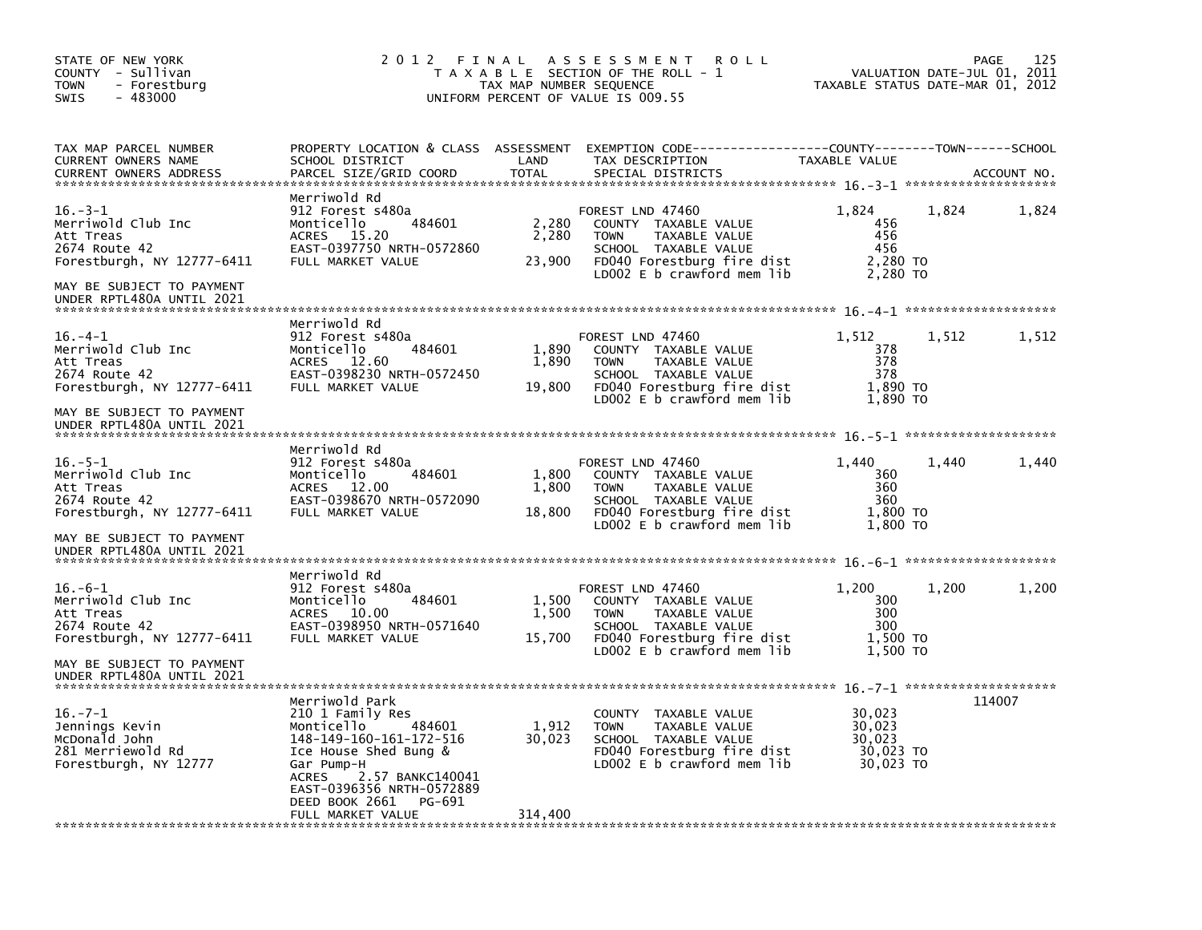| STATE OF NEW YORK<br>COUNTY - Sullivan<br>- Forestburg<br><b>TOWN</b><br>$-483000$<br><b>SWIS</b>                                                        | 2012 FINAL                                                                                                                                                                                                                              | TAX MAP NUMBER SEQUENCE    | A S S E S S M E N T<br><b>ROLL</b><br>T A X A B L E SECTION OF THE ROLL - 1<br>UNIFORM PERCENT OF VALUE IS 009.55                                              | TAXABLE STATUS DATE-MAR 01, 2012                     | VALUATION DATE-JUL 01, 2011 | 125<br>PAGE |
|----------------------------------------------------------------------------------------------------------------------------------------------------------|-----------------------------------------------------------------------------------------------------------------------------------------------------------------------------------------------------------------------------------------|----------------------------|----------------------------------------------------------------------------------------------------------------------------------------------------------------|------------------------------------------------------|-----------------------------|-------------|
| TAX MAP PARCEL NUMBER<br>CURRENT OWNERS NAME<br><b>CURRENT OWNERS ADDRESS</b>                                                                            | SCHOOL DISTRICT<br>PARCEL SIZE/GRID COORD                                                                                                                                                                                               | LAND<br>TOTAL              | PROPERTY LOCATION & CLASS ASSESSMENT EXEMPTION CODE----------------COUNTY-------TOWN------SCHOOL<br>TAX DESCRIPTION<br>SPECIAL DISTRICTS                       | TAXABLE VALUE                                        |                             | ACCOUNT NO. |
| $16. -3 - 1$<br>Merriwold Club Inc<br>Att Treas<br>2674 Route 42<br>Forestburgh, NY 12777-6411<br>MAY BE SUBJECT TO PAYMENT<br>UNDER RPTL480A UNTIL 2021 | Merriwold Rd<br>912 Forest s480a<br>Monticello<br>484601<br>ACRES<br>15.20<br>EAST-0397750 NRTH-0572860<br>FULL MARKET VALUE                                                                                                            | 2,280<br>2,280<br>23,900   | FOREST LND 47460<br>COUNTY TAXABLE VALUE<br><b>TOWN</b><br>TAXABLE VALUE<br>SCHOOL TAXABLE VALUE<br>FD040 Forestburg fire dist<br>LD002 $E$ b crawford mem lib | 1,824<br>456<br>456<br>456<br>2,280 TO<br>2,280 TO   | 1,824                       | 1,824       |
|                                                                                                                                                          |                                                                                                                                                                                                                                         |                            |                                                                                                                                                                |                                                      |                             |             |
| $16. -4-1$<br>Merriwold Club Inc<br>Att Treas<br>2674 Route 42<br>Forestburgh, NY 12777-6411                                                             | Merriwold Rd<br>912 Forest s480a<br>Monticello<br>484601<br><b>ACRES</b><br>12.60<br>EAST-0398230 NRTH-0572450<br>FULL MARKET VALUE                                                                                                     | 1,890<br>1,890<br>19,800   | FOREST LND 47460<br>COUNTY TAXABLE VALUE<br>TAXABLE VALUE<br><b>TOWN</b><br>SCHOOL TAXABLE VALUE<br>FD040 Forestburg fire dist<br>$LD002 E b$ crawford mem lib | 1,512<br>378<br>378<br>378<br>1,890 TO<br>1,890 TO   | 1,512                       | 1,512       |
| MAY BE SUBJECT TO PAYMENT<br>UNDER RPTL480A UNTIL 2021                                                                                                   |                                                                                                                                                                                                                                         |                            |                                                                                                                                                                |                                                      |                             |             |
|                                                                                                                                                          | Merriwold Rd                                                                                                                                                                                                                            |                            |                                                                                                                                                                |                                                      |                             |             |
| $16. - 5 - 1$<br>Merriwold Club Inc<br>Att Treas<br>2674 Route 42<br>Forestburgh, NY 12777-6411                                                          | 912 Forest s480a<br>Monticello<br>484601<br>12.00<br><b>ACRES</b><br>EAST-0398670 NRTH-0572090<br>FULL MARKET VALUE                                                                                                                     | 1,800<br>1,800<br>18,800   | FOREST LND 47460<br>COUNTY TAXABLE VALUE<br><b>TOWN</b><br>TAXABLE VALUE<br>SCHOOL TAXABLE VALUE<br>FD040 Forestburg fire dist<br>LD002 E b crawford mem lib   | 1.440<br>360<br>360<br>360<br>1,800 TO<br>1,800 TO   | 1.440                       | 1,440       |
| MAY BE SUBJECT TO PAYMENT<br>UNDER RPTL480A UNTIL 2021                                                                                                   |                                                                                                                                                                                                                                         |                            |                                                                                                                                                                |                                                      |                             |             |
| $16. -6 - 1$<br>Merriwold Club Inc<br>Att Treas<br>2674 Route 42<br>Forestburgh, NY 12777-6411                                                           | Merriwold Rd<br>912 Forest s480a<br>Monticello<br>484601<br>ACRES 10.00<br>EAST-0398950 NRTH-0571640<br>FULL MARKET VALUE                                                                                                               | 1,500<br>1,500<br>15,700   | FOREST LND 47460<br>COUNTY TAXABLE VALUE<br><b>TOWN</b><br>TAXABLE VALUE<br>SCHOOL TAXABLE VALUE<br>FD040 Forestburg fire dist                                 | 1,200<br>300<br>300<br>300<br>1,500 TO               | 1,200                       | 1,200       |
| MAY BE SUBJECT TO PAYMENT<br>UNDER RPTL480A UNTIL 2021                                                                                                   |                                                                                                                                                                                                                                         |                            | LD002 E b crawford mem lib                                                                                                                                     | 1,500 TO                                             |                             |             |
| $16. -7 - 1$<br>Jennings Kevin<br>McDonald John<br>281 Merriewold Rd<br>Forestburgh, NY 12777                                                            | Merriwold Park<br>210 1 Family Res<br>Monticello<br>484601<br>148-149-160-161-172-516<br>Ice House Shed Bung &<br>Gar Pump-H<br>ACRES<br>2.57 BANKC140041<br>EAST-0396356 NRTH-0572889<br>DEED BOOK 2661<br>PG-691<br>FULL MARKET VALUE | 1,912<br>30,023<br>314,400 | <b>COUNTY</b><br>TAXABLE VALUE<br>TAXABLE VALUE<br><b>TOWN</b><br>SCHOOL TAXABLE VALUE<br>FD040 Forestburg fire dist<br>LDOO2 E b crawford mem lib             | 30,023<br>30,023<br>30.023<br>30,023 TO<br>30,023 TO |                             | 114007      |
|                                                                                                                                                          |                                                                                                                                                                                                                                         |                            |                                                                                                                                                                |                                                      |                             |             |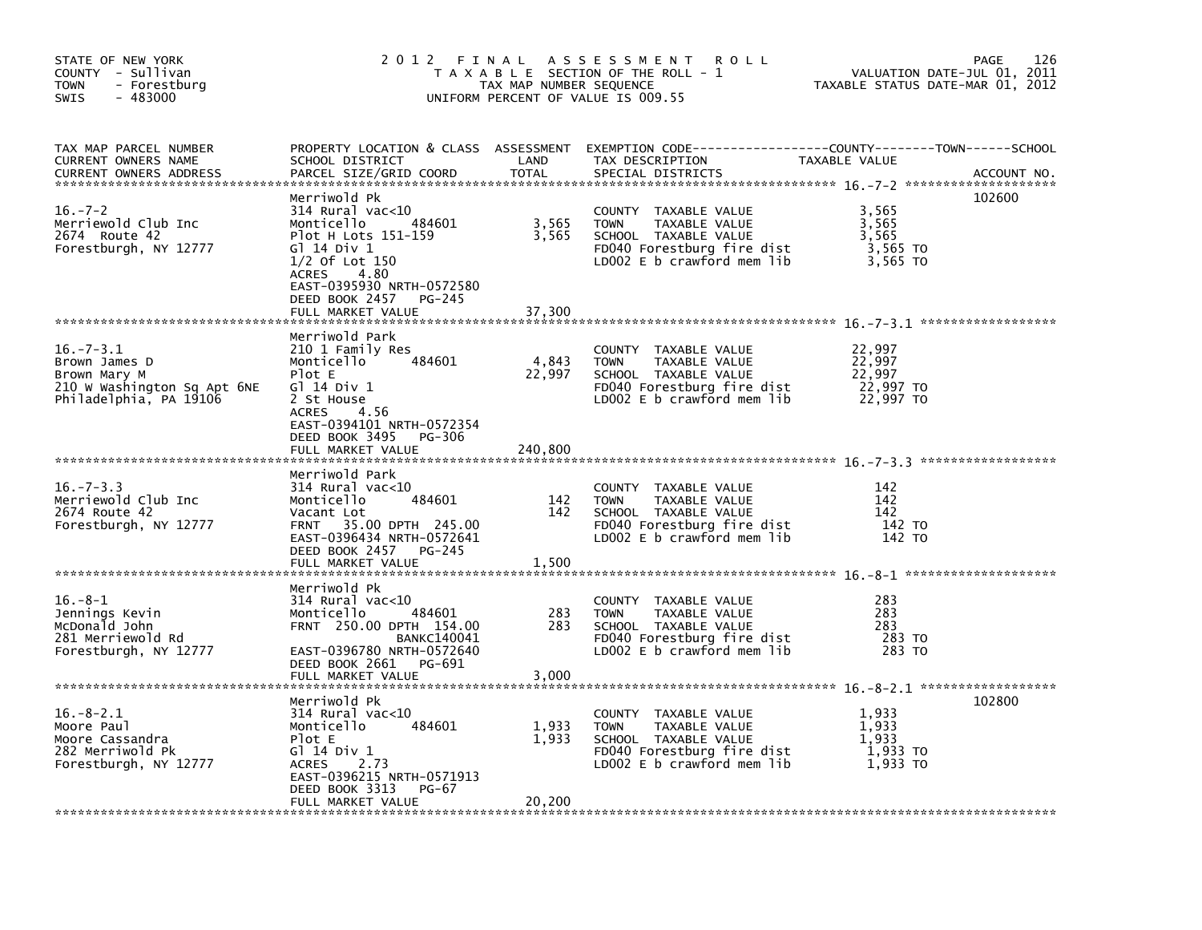| STATE OF NEW YORK<br>COUNTY - Sullivan<br><b>TOWN</b><br>- Forestburg<br>$-483000$<br>SWIS                |                                                                                                                                                                                                                       | TAX MAP NUMBER SEQUENCE    | 2012 FINAL ASSESSMENT<br><b>ROLL</b><br>T A X A B L E SECTION OF THE ROLL - 1<br>UNIFORM PERCENT OF VALUE IS 009.55                      | TAXABLE STATUS DATE-MAR 01, 2012                     | 126<br>PAGE<br>VALUATION DATE-JUL 01, 2011 |
|-----------------------------------------------------------------------------------------------------------|-----------------------------------------------------------------------------------------------------------------------------------------------------------------------------------------------------------------------|----------------------------|------------------------------------------------------------------------------------------------------------------------------------------|------------------------------------------------------|--------------------------------------------|
| TAX MAP PARCEL NUMBER<br>CURRENT OWNERS NAME<br><b>CURRENT OWNERS ADDRESS</b>                             | SCHOOL DISTRICT<br>PARCEL SIZE/GRID COORD                                                                                                                                                                             | LAND<br>TOTAL              | PROPERTY LOCATION & CLASS ASSESSMENT EXEMPTION CODE----------------COUNTY-------TOWN------SCHOOL<br>TAX DESCRIPTION<br>SPECIAL DISTRICTS | TAXABLE VALUE                                        | ACCOUNT NO.                                |
| $16. - 7 - 2$<br>Merriewold Club Inc<br>2674 Route 42<br>Forestburgh, NY 12777                            | Merriwold Pk<br>$314$ Rural vac<10<br>484601<br>Monticello<br>Plot H Lots 151-159<br>G1 14 Div 1<br>$1/2$ Of Lot $150$<br>ACRES<br>4.80<br>EAST-0395930 NRTH-0572580<br>DEED BOOK 2457<br>PG-245<br>FULL MARKET VALUE | 3,565<br>3,565<br>37,300   | COUNTY TAXABLE VALUE<br><b>TOWN</b><br>TAXABLE VALUE<br>SCHOOL TAXABLE VALUE<br>FD040 Forestburg fire dist<br>LD002 E b crawford mem lib | 3,565<br>3,565<br>3,565<br>3,565 TO<br>3,565 TO      | 102600                                     |
| $16. - 7 - 3.1$<br>Brown James D<br>Brown Mary M<br>210 W Washington Sq Apt 6NE<br>Philadelphia, PA 19106 | Merriwold Park<br>210 1 Family Res<br>Monticello<br>484601<br>Plot E<br>G1 14 Div 1<br>2 St House<br>4.56<br>ACRES<br>EAST-0394101 NRTH-0572354<br>DEED BOOK 3495<br>PG-306<br>FULL MARKET VALUE                      | 4,843<br>22,997<br>240,800 | COUNTY TAXABLE VALUE<br><b>TOWN</b><br>TAXABLE VALUE<br>SCHOOL TAXABLE VALUE<br>FD040 Forestburg fire dist<br>LD002 E b crawford mem lib | 22,997<br>22,997<br>22.997<br>22,997 TO<br>22,997 TO |                                            |
| $16. - 7 - 3.3$<br>Merriewold Club Inc<br>2674 Route 42<br>Forestburgh, NY 12777                          | Merriwold Park<br>314 Rural vac<10<br>484601<br>Monticello<br>Vacant Lot<br>35.00 DPTH 245.00<br><b>FRNT</b><br>EAST-0396434 NRTH-0572641<br>DEED BOOK 2457<br>PG-245<br>FULL MARKET VALUE                            | 142<br>142<br>1,500        | COUNTY TAXABLE VALUE<br>TAXABLE VALUE<br>TOWN<br>SCHOOL TAXABLE VALUE<br>FD040 Forestburg fire dist<br>LD002 E b crawford mem lib        | 142<br>142<br>142<br>142 TO<br>142 TO                |                                            |
| $16. -8 - 1$<br>Jennings Kevin<br>McDonald John<br>281 Merriewold Rd<br>Forestburgh, NY 12777             | Merriwold Pk<br>$314$ Rural vac<10<br>484601<br>Monticello<br>FRNT 250.00 DPTH 154.00<br><b>BANKC140041</b><br>EAST-0396780 NRTH-0572640<br>DEED BOOK 2661 PG-691<br>FULL MARKET VALUE                                | 283<br>283<br>3,000        | COUNTY TAXABLE VALUE<br>TAXABLE VALUE<br><b>TOWN</b><br>SCHOOL TAXABLE VALUE<br>FD040 Forestburg fire dist<br>LD002 E b crawford mem lib | 283<br>283<br>283<br>283 TO<br>283 TO                |                                            |
| $16.-8-2.1$<br>Moore Paul<br>Moore Cassandra<br>282 Merriwold Pk<br>Forestburgh, NY 12777                 | Merriwold Pk<br>$314$ Rural vac< $10$<br>Monticello<br>484601<br>Plot E<br>G1 14 Div 1<br>ACRES<br>2.73<br>EAST-0396215 NRTH-0571913<br>DEED BOOK 3313<br>PG-67<br>FULL MARKET VALUE                                  | 1,933<br>1,933<br>20,200   | COUNTY TAXABLE VALUE<br>TAXABLE VALUE<br><b>TOWN</b><br>SCHOOL TAXABLE VALUE<br>FD040 Forestburg fire dist<br>LD002 E b crawford mem lib | 1,933<br>1,933<br>1.933<br>1,933 TO<br>1.933 TO      | 102800                                     |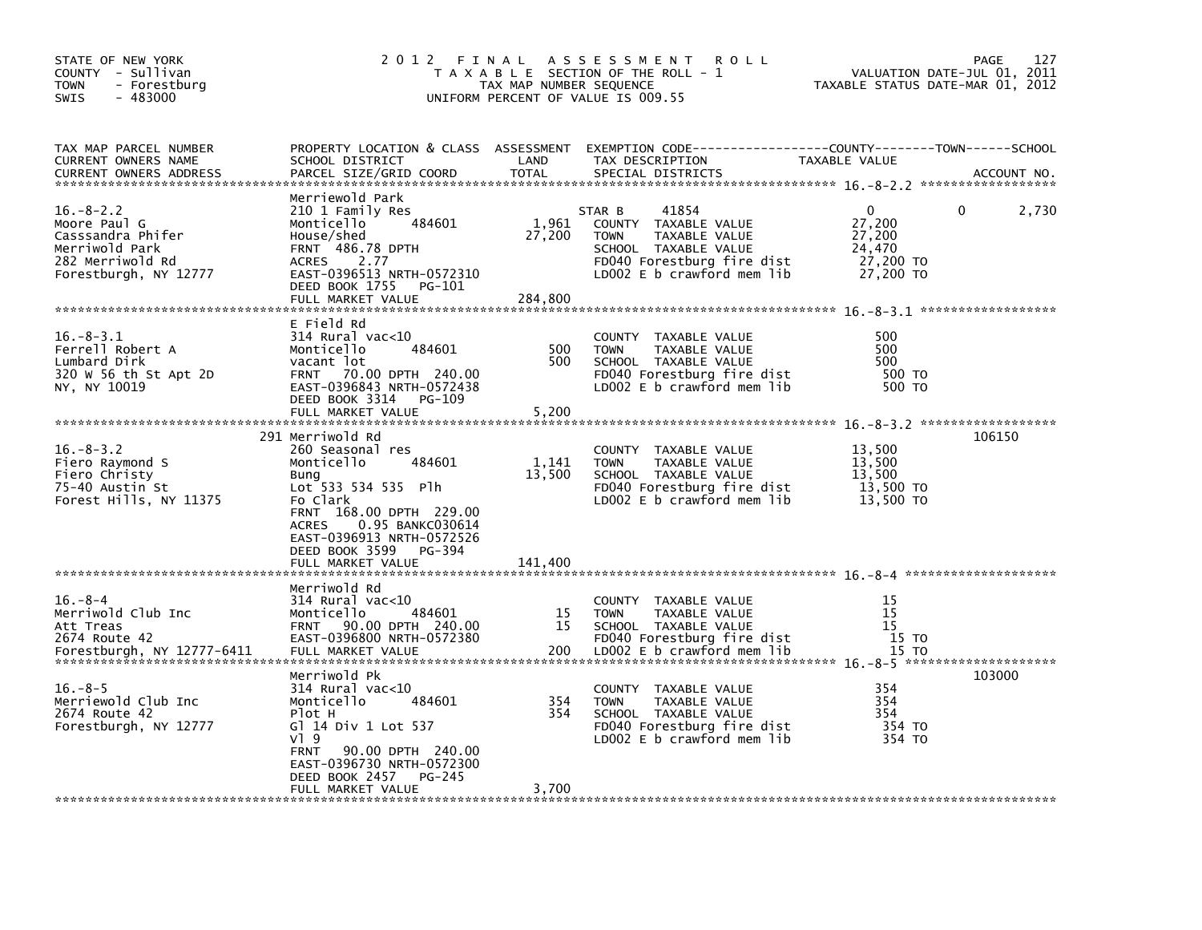| STATE OF NEW YORK<br>COUNTY - Sullivan<br><b>TOWN</b><br>- Forestburg<br>$-483000$<br>SWIS                          |                                                                                                                                                                                                                                                   | TAX MAP NUMBER SEQUENCE    | 2012 FINAL ASSESSMENT<br>R O L L<br>T A X A B L E SECTION OF THE ROLL - 1<br>UNIFORM PERCENT OF VALUE IS 009.55                                               | VALUATION DATE-JUL 01, 2011<br>TAXABLE STATUS DATE-MAR 01, 2012 | 127<br>PAGE |
|---------------------------------------------------------------------------------------------------------------------|---------------------------------------------------------------------------------------------------------------------------------------------------------------------------------------------------------------------------------------------------|----------------------------|---------------------------------------------------------------------------------------------------------------------------------------------------------------|-----------------------------------------------------------------|-------------|
| TAX MAP PARCEL NUMBER<br><b>CURRENT OWNERS NAME</b><br><b>CURRENT OWNERS ADDRESS</b>                                | SCHOOL DISTRICT<br>PARCEL SIZE/GRID COORD                                                                                                                                                                                                         | LAND<br><b>TOTAL</b>       | PROPERTY LOCATION & CLASS ASSESSMENT EXEMPTION CODE---------------COUNTY-------TOWN------SCHOOL<br>TAX DESCRIPTION<br>SPECIAL DISTRICTS                       | TAXABLE VALUE                                                   | ACCOUNT NO. |
| $16. - 8 - 2.2$<br>Moore Paul G<br>Casssandra Phifer<br>Merriwold Park<br>282 Merriwold Rd<br>Forestburgh, NY 12777 | Merriewold Park<br>210 1 Family Res<br>484601<br>Monticello<br>House/shed<br><b>FRNT 486.78 DPTH</b><br>2.77<br><b>ACRES</b><br>EAST-0396513 NRTH-0572310<br>DEED BOOK 1755<br>PG-101<br>FULL MARKET VALUE                                        | 1,961<br>27,200<br>284,800 | 41854<br>STAR B<br>COUNTY TAXABLE VALUE<br><b>TOWN</b><br>TAXABLE VALUE<br>SCHOOL TAXABLE VALUE<br>FD040 Forestburg fire dist<br>LD002 $E$ b crawford mem lib | 0<br>27,200<br>27,200<br>24,470<br>27,200 TO<br>27,200 TO       | 2,730<br>0  |
| $16. - 8 - 3.1$<br>Ferrell Robert A<br>Lumbard Dirk<br>320 W 56 th St Apt 2D<br>NY, NY 10019                        | E Field Rd<br>314 Rural vac<10<br>484601<br>Monticello<br>vacant lot<br><b>FRNT</b><br>70.00 DPTH 240.00<br>EAST-0396843 NRTH-0572438<br>DEED BOOK 3314<br>PG-109<br>FULL MARKET VALUE                                                            | 500<br>500<br>5,200        | COUNTY TAXABLE VALUE<br><b>TOWN</b><br>TAXABLE VALUE<br>SCHOOL TAXABLE VALUE<br>FD040 Forestburg fire dist<br>LD002 E b crawford mem lib                      | 500<br>500<br>500<br>500 TO<br>500 TO                           |             |
| $16. - 8 - 3.2$<br>Fiero Raymond S<br>Fiero Christy<br>75-40 Austin St<br>Forest Hills, NY 11375                    | 291 Merriwold Rd<br>260 Seasonal res<br>484601<br>Monticello<br>Bung<br>Lot 533 534 535 Plh<br>Fo Clark<br>FRNT 168.00 DPTH 229.00<br>0.95 BANKC030614<br><b>ACRES</b><br>EAST-0396913 NRTH-0572526<br>DEED BOOK 3599 PG-394<br>FULL MARKET VALUE | 1,141<br>13,500<br>141,400 | COUNTY TAXABLE VALUE<br><b>TOWN</b><br>TAXABLE VALUE<br>SCHOOL TAXABLE VALUE<br>FD040 Forestburg fire dist<br>LD002 E b crawford mem lib                      | 13,500<br>13,500<br>13,500<br>13,500 TO<br>13,500 TO            | 106150      |
| $16. - 8 - 4$<br>Merriwold Club Inc<br>Att Treas<br>2674 Route 42<br>Forestburgh, NY 12777-6411                     | Merriwold Rd<br>$314$ Rural vac<10<br>Monticello<br>484601<br><b>FRNT</b><br>90.00 DPTH 240.00<br>EAST-0396800 NRTH-0572380<br>FULL MARKET VALUE                                                                                                  | 15<br>15<br>200            | COUNTY TAXABLE VALUE<br><b>TOWN</b><br>TAXABLE VALUE<br>SCHOOL TAXABLE VALUE<br>FD040 Forestburg fire dist<br>LD002 E b crawford mem lib                      | 15<br>15<br>15<br>15 TO<br>15 TO                                |             |
| $16. -8-5$<br>Merriewold Club Inc<br>2674 Route 42<br>Forestburgh, NY 12777                                         | Merriwold Pk<br>314 Rural vac<10<br>484601<br>Monticello<br>Plot H<br>GT 14 Div 1 Lot 537<br>$V$ ] 9<br><b>FRNT</b><br>90.00 DPTH 240.00<br>EAST-0396730 NRTH-0572300                                                                             | 354<br>354                 | COUNTY TAXABLE VALUE<br><b>TOWN</b><br>TAXABLE VALUE<br>SCHOOL TAXABLE VALUE<br>FD040 Forestburg fire dist<br>LD002 E b crawford mem lib                      | 354<br>354<br>354<br>354 TO<br>354 TO                           | 103000      |
|                                                                                                                     | DEED BOOK 2457<br>PG-245<br>FULL MARKET VALUE                                                                                                                                                                                                     | 3,700                      |                                                                                                                                                               |                                                                 |             |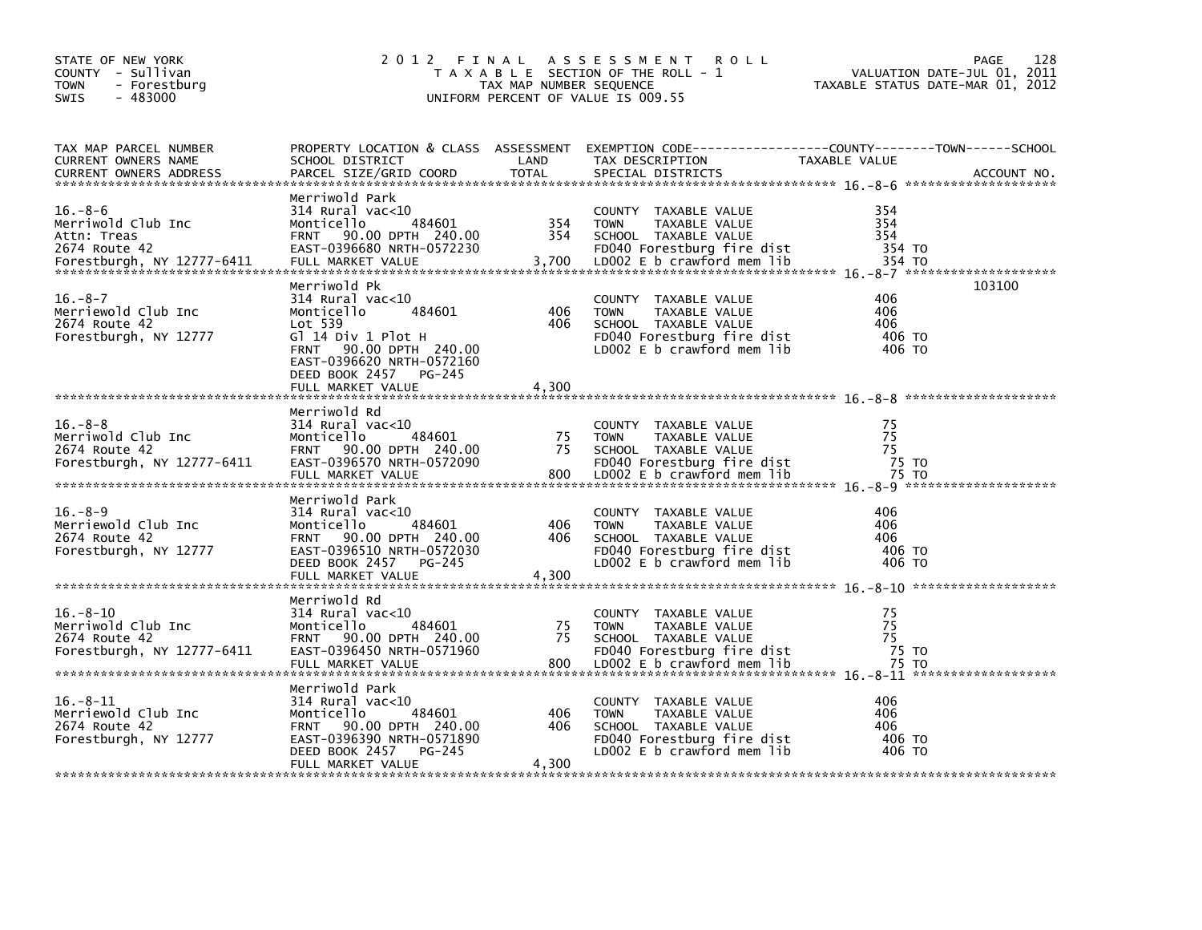| STATE OF NEW YORK<br>COUNTY - Sullivan<br><b>TOWN</b><br>- Forestburg<br>$-483000$<br><b>SWIS</b> | 2 0 1 2                                                                                                                                                                                             | FINAL<br>TAX MAP NUMBER SEQUENCE | A S S E S S M E N T<br><b>ROLL</b><br>T A X A B L E SECTION OF THE ROLL - 1<br>UNIFORM PERCENT OF VALUE IS 009.55                        | VALUATION DATE-JUL 01, 2011<br>TAXABLE STATUS DATE-MAR 01, 2012 | 128<br>PAGE |
|---------------------------------------------------------------------------------------------------|-----------------------------------------------------------------------------------------------------------------------------------------------------------------------------------------------------|----------------------------------|------------------------------------------------------------------------------------------------------------------------------------------|-----------------------------------------------------------------|-------------|
| TAX MAP PARCEL NUMBER<br>CURRENT OWNERS NAME<br><b>CURRENT OWNERS ADDRESS</b>                     | SCHOOL DISTRICT<br>PARCEL SIZE/GRID COORD                                                                                                                                                           | LAND<br><b>TOTAL</b>             | PROPERTY LOCATION & CLASS ASSESSMENT EXEMPTION CODE---------------COUNTY-------TOWN-----SCHOOL<br>TAX DESCRIPTION<br>SPECIAL DISTRICTS   | TAXABLE VALUE                                                   | ACCOUNT NO. |
| $16. - 8 - 6$<br>Merriwold Club Inc<br>Attn: Treas<br>2674 Route 42<br>Forestburgh, NY 12777-6411 | Merriwold Park<br>314 Rural vac<10<br>484601<br>Monticello<br>FRNT 90.00 DPTH 240.00<br>EAST-0396680 NRTH-0572230<br>FULL MARKET VALUE                                                              | 354<br>354<br>3,700              | COUNTY TAXABLE VALUE<br>TAXABLE VALUE<br><b>TOWN</b><br>SCHOOL TAXABLE VALUE<br>FD040 Forestburg fire dist<br>LD002 E b crawford mem lib | 354<br>354<br>354<br>354 TO<br>354 TO                           |             |
| $16. -8 - 7$<br>Merriewold Club Inc<br>2674 Route 42<br>Forestburgh, NY 12777                     | Merriwold Pk<br>$314$ Rural vac<10<br>484601<br>Monticello<br>Lot 539<br>Gl 14 Div 1 Plot H<br>FRNT 90.00 DPTH 240.00<br>EAST-0396620 NRTH-0572160<br>DEED BOOK 2457<br>PG-245<br>FULL MARKET VALUE | 406<br>406<br>4,300              | COUNTY TAXABLE VALUE<br><b>TOWN</b><br>TAXABLE VALUE<br>SCHOOL TAXABLE VALUE<br>FD040 Forestburg fire dist<br>LDOO2 E b crawford mem lib | 406<br>406<br>406<br>406 TO<br>406 TO                           | 103100      |
| $16. - 8 - 8$<br>Merriwold Club Inc<br>2674 Route 42<br>Forestburgh, NY 12777-6411                | Merriwold Rd<br>$314$ Rural vac<10<br>484601<br>Monticello<br>FRNT 90.00 DPTH 240.00<br>EAST-0396570 NRTH-0572090<br>FULL MARKET VALUE                                                              | 75<br>75<br>800                  | COUNTY TAXABLE VALUE<br><b>TOWN</b><br>TAXABLE VALUE<br>SCHOOL TAXABLE VALUE<br>FD040 Forestburg fire dist<br>LD002 E b crawford mem lib | 75<br>75<br>75<br>75 TO<br>75 TO                                |             |
| $16. -8 - 9$<br>Merriewold Club Inc<br>2674 Route 42<br>Forestburgh, NY 12777                     | Merriwold Park<br>314 Rural vac<10<br>484601<br>Monticello<br>FRNT 90.00 DPTH 240.00<br>EAST-0396510 NRTH-0572030<br>DEED BOOK 2457<br>PG-245<br>FULL MARKET VALUE                                  | 406<br>406<br>4,300              | COUNTY TAXABLE VALUE<br>TAXABLE VALUE<br><b>TOWN</b><br>SCHOOL TAXABLE VALUE<br>FD040 Forestburg fire dist<br>LD002 E b crawford mem lib | 406<br>406<br>406<br>406 TO<br>406 TO                           |             |
| $16. - 8 - 10$<br>Merriwold Club Inc<br>2674 Route 42<br>Forestburgh, NY 12777-6411               | Merriwold Rd<br>314 Rural vac<10<br>484601<br>Monticello<br>90.00 DPTH 240.00<br><b>FRNT</b><br>EAST-0396450 NRTH-0571960                                                                           | 75<br>75                         | COUNTY TAXABLE VALUE<br><b>TOWN</b><br>TAXABLE VALUE<br>SCHOOL TAXABLE VALUE<br>FD040 Forestburg fire dist                               | 75<br>75<br>75<br>75 TO                                         |             |
| $16. - 8 - 11$<br>Merriewold Club Inc<br>2674 Route 42<br>Forestburgh, NY 12777                   | Merriwold Park<br>314 Rural vac<10<br>Monticello<br>484601<br>90.00 DPTH 240.00<br><b>FRNT</b><br>EAST-0396390 NRTH-0571890<br>DEED BOOK 2457<br>PG-245<br>FULL MARKET VALUE                        | 406<br>406<br>4,300              | COUNTY TAXABLE VALUE<br><b>TOWN</b><br>TAXABLE VALUE<br>SCHOOL TAXABLE VALUE<br>FD040 Forestburg fire dist<br>LD002 E b crawford mem lib | 406<br>406<br>406<br>406 TO<br>406 TO                           |             |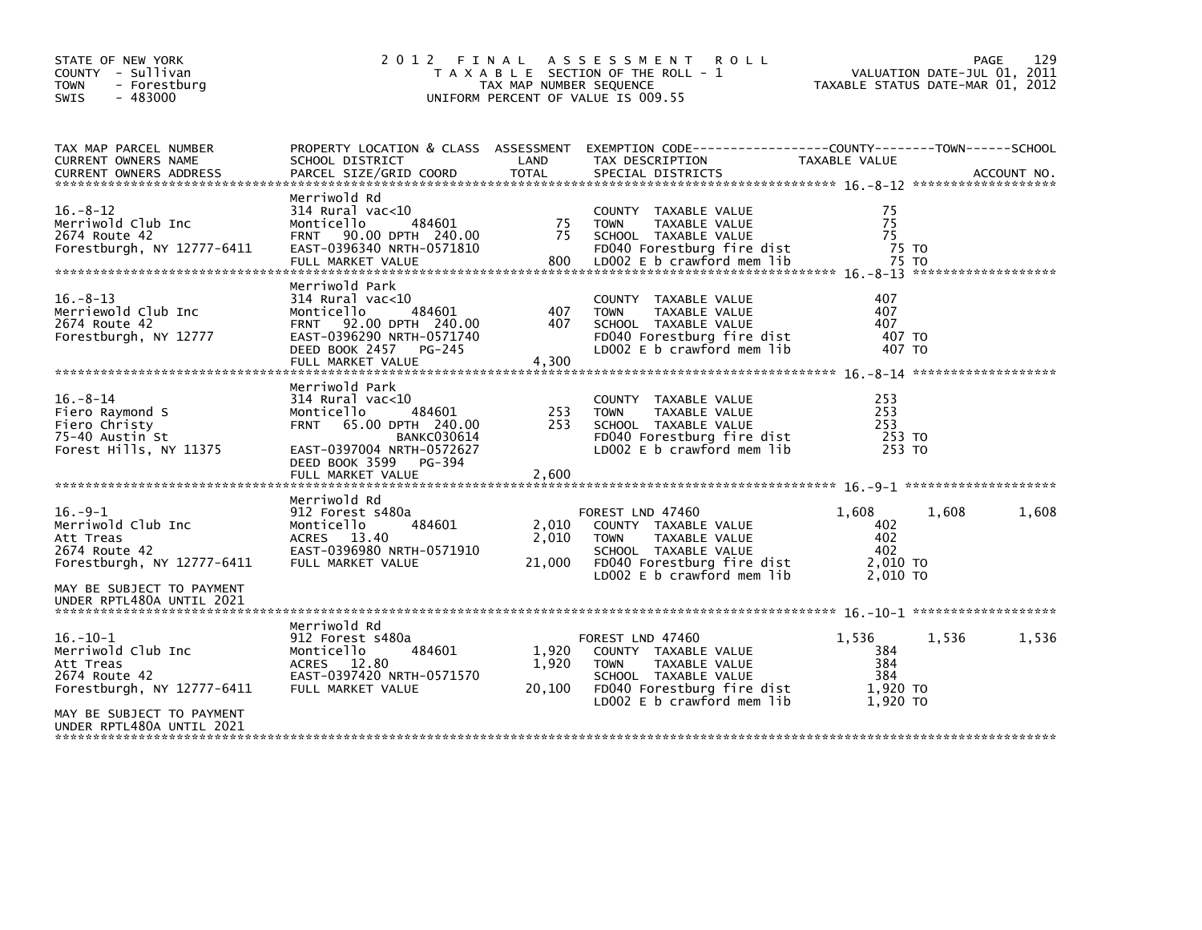| STATE OF NEW YORK<br>COUNTY - Sullivan<br><b>TOWN</b><br>- Forestburg<br>$-483000$<br><b>SWIS</b>                        |                                                                                                                                                                                               | TAX MAP NUMBER SEQUENCE  | 2012 FINAL ASSESSMENT<br><b>ROLL</b><br>T A X A B L E SECTION OF THE ROLL - 1<br>UNIFORM PERCENT OF VALUE IS 009.55                                          | VALUATION DATE-JUL 01, 2011<br>TAXABLE STATUS DATE-MAR 01, 2012 | 129<br>PAGE |
|--------------------------------------------------------------------------------------------------------------------------|-----------------------------------------------------------------------------------------------------------------------------------------------------------------------------------------------|--------------------------|--------------------------------------------------------------------------------------------------------------------------------------------------------------|-----------------------------------------------------------------|-------------|
| TAX MAP PARCEL NUMBER<br>CURRENT OWNERS NAME                                                                             | PROPERTY LOCATION & CLASS ASSESSMENT<br>SCHOOL DISTRICT                                                                                                                                       | LAND                     | EXEMPTION CODE------------------COUNTY--------TOWN------SCHOOL<br>TAX DESCRIPTION                                                                            | TAXABLE VALUE                                                   |             |
| $16. - 8 - 12$<br>Merriwold Club Inc<br>2674 Route 42<br>Forestburgh, NY 12777-6411                                      | Merriwold Rd<br>$314$ Rural vac< $10$<br>484601<br>Monticello<br>FRNT 90.00 DPTH 240.00<br>EAST-0396340 NRTH-0571810<br>FULL MARKET VALUE                                                     | 75<br>75<br>800          | COUNTY TAXABLE VALUE<br><b>TOWN</b><br>TAXABLE VALUE<br>SCHOOL TAXABLE VALUE<br>FD040 Forestburg fire dist<br>LD002 E b crawford mem lib                     | 75<br>75<br>75<br>75 TO<br>75 TO                                |             |
| $16. - 8 - 13$<br>Merriewold Club Inc<br>2674 Route 42<br>Forestburgh, NY 12777                                          | Merriwold Park<br>$314$ Rural vac< $10$<br>484601<br>Monticello<br>FRNT 92.00 DPTH 240.00<br>EAST-0396290 NRTH-0571740<br>DEED BOOK 2457<br>PG-245<br>FULL MARKET VALUE                       | 407<br>407<br>4,300      | COUNTY TAXABLE VALUE<br><b>TOWN</b><br>TAXABLE VALUE<br>SCHOOL TAXABLE VALUE<br>FD040 Forestburg fire dist<br>LD002 E b crawford mem lib                     | 407<br>407<br>407<br>407 TO<br>407 TO                           |             |
| $16. - 8 - 14$<br>Fiero Raymond S<br>Fiero Christy<br>75-40 Austin St<br>Forest Hills, NY 11375                          | Merriwold Park<br>$314$ Rural vac< $10$<br>484601<br>Monticello<br>FRNT 65.00 DPTH 240.00<br><b>BANKC030614</b><br>EAST-0397004 NRTH-0572627<br>DEED BOOK 3599<br>PG-394<br>FULL MARKET VALUE | 253<br>253<br>2,600      | COUNTY TAXABLE VALUE<br>TAXABLE VALUE<br><b>TOWN</b><br>SCHOOL TAXABLE VALUE<br>FD040 Forestburg fire dist<br>LD002 E b crawford mem lib                     | 253<br>253<br>253<br>253 TO<br>253 TO                           |             |
| $16.-9-1$<br>Merriwold Club Inc<br>Att Treas<br>2674 Route 42<br>Forestburgh, NY 12777-6411<br>MAY BE SUBJECT TO PAYMENT | Merriwold Rd<br>912 Forest s480a<br>Monticello<br>484601<br>ACRES 13.40<br>EAST-0396980 NRTH-0571910<br>FULL MARKET VALUE                                                                     | 2,010<br>2,010<br>21,000 | FOREST LND 47460<br>COUNTY TAXABLE VALUE<br><b>TOWN</b><br>TAXABLE VALUE<br>SCHOOL TAXABLE VALUE<br>FD040 Forestburg fire dist<br>LD002 E b crawford mem lib | 1,608<br>1,608<br>402<br>402<br>- 402<br>2,010 TO<br>2.010 TO   | 1,608       |
| UNDER RPTL480A UNTIL 2021                                                                                                |                                                                                                                                                                                               |                          |                                                                                                                                                              |                                                                 |             |
| 16. –10–1<br>Merriwold Club Inc<br>Att Treas<br>2674 Route 42<br>Forestburgh, NY 12777-6411                              | Merriwold Rd<br>912 Forest s480a<br>484601<br>Monticello<br>12.80<br><b>ACRES</b><br>EAST-0397420 NRTH-0571570<br>FULL MARKET VALUE                                                           | 1,920<br>1,920<br>20,100 | FOREST LND 47460<br>COUNTY TAXABLE VALUE<br><b>TOWN</b><br>TAXABLE VALUE<br>SCHOOL TAXABLE VALUE<br>FD040 Forestburg fire dist<br>LD002 E b crawford mem lib | 1,536<br>1,536<br>384<br>384<br>384<br>1,920 TO<br>1,920 TO     | 1,536       |
| MAY BE SUBJECT TO PAYMENT<br>UNDER RPTL480A UNTIL 2021                                                                   |                                                                                                                                                                                               |                          |                                                                                                                                                              |                                                                 |             |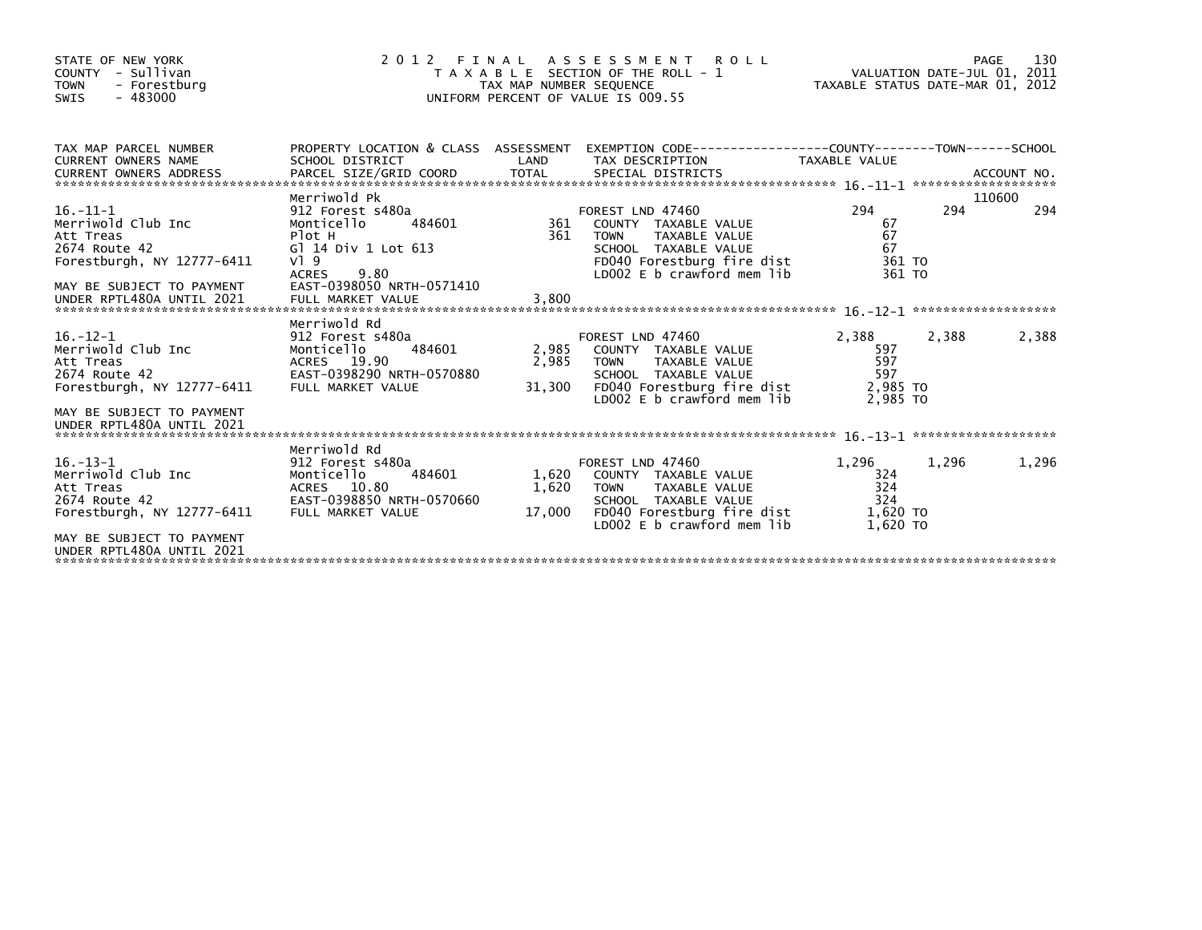| STATE OF NEW YORK<br>COUNTY - Sullivan<br>- Forestburg<br><b>TOWN</b><br>$-483000$<br>SWIS                                                                 | 2 0 1 2                                                                                                                                                       | FINAL<br>TAX MAP NUMBER SEQUENCE | ASSESSMENT ROLL<br>T A X A B L E SECTION OF THE ROLL - 1<br>UNIFORM PERCENT OF VALUE IS 009.55                                                                 | VALUATION DATE-JUL 01, 2011<br>TAXABLE STATUS DATE-MAR 01, 2012 |       | 130<br>PAGE |
|------------------------------------------------------------------------------------------------------------------------------------------------------------|---------------------------------------------------------------------------------------------------------------------------------------------------------------|----------------------------------|----------------------------------------------------------------------------------------------------------------------------------------------------------------|-----------------------------------------------------------------|-------|-------------|
| TAX MAP PARCEL NUMBER<br>CURRENT OWNERS NAME                                                                                                               | SCHOOL DISTRICT<br>Merriwold Pk                                                                                                                               | LAND                             | PROPERTY LOCATION & CLASS ASSESSMENT EXEMPTION CODE----------------COUNTY-------TOWN-----SCHOOL<br>TAX DESCRIPTION                                             | TAXABLE VALUE                                                   |       | 110600      |
| $16. - 11 - 1$<br>Merriwold Club Inc<br>Att Treas<br>2674 Route 42<br>Forestburgh, NY 12777-6411<br>MAY BE SUBJECT TO PAYMENT<br>UNDER RPTL480A UNTIL 2021 | 912 Forest s480a<br>484601<br>Monticello<br>Plot H<br>G] 14 Div 1 Lot 613<br>$V1$ 9<br>9.80<br><b>ACRES</b><br>EAST-0398050 NRTH-0571410<br>FULL MARKET VALUE | 361<br>361<br>3.800              | FOREST LND 47460<br>COUNTY TAXABLE VALUE<br>TAXABLE VALUE<br><b>TOWN</b><br>SCHOOL TAXABLE VALUE<br>FD040 Forestburg fire dist<br>LD002 E b crawford mem lib   | 294<br>67<br>67<br>67<br>361 TO<br>361 TO                       | 294   | 294         |
| $16. - 12 - 1$<br>Merriwold Club Inc<br>Att Treas<br>2674 Route 42<br>Forestburgh, NY 12777-6411<br>MAY BE SUBJECT TO PAYMENT<br>UNDER RPTL480A UNTIL 2021 | Merriwold Rd<br>912 Forest s480a<br>Monticello<br>484601<br>ACRES 19.90<br>EAST-0398290 NRTH-0570880<br>FULL MARKET VALUE                                     | 2,985<br>2,985<br>31,300         | FOREST LND 47460<br>COUNTY TAXABLE VALUE<br><b>TOWN</b><br>TAXABLE VALUE<br>SCHOOL TAXABLE VALUE<br>FD040 Forestburg fire dist<br>$LD002 E b$ crawford mem lib | 2,388<br>597<br>597<br>597<br>2,985 TO<br>2.985 TO              | 2,388 | 2,388       |
| $16. - 13 - 1$<br>Merriwold Club Inc<br>Att Treas<br>2674 Route 42<br>Forestburgh, NY 12777-6411<br>MAY BE SUBJECT TO PAYMENT<br>UNDER RPTL480A UNTIL 2021 | Merriwold Rd<br>912 Forest s480a<br>484601<br>Monticello<br>ACRES 10.80<br>EAST-0398850 NRTH-0570660<br>FULL MARKET VALUE                                     | 1,620<br>1,620<br>17,000         | FOREST LND 47460<br>COUNTY TAXABLE VALUE<br>TAXABLE VALUE<br><b>TOWN</b><br>SCHOOL TAXABLE VALUE<br>FD040 Forestburg fire dist<br>$LD002 E b$ crawford mem lib | 1,296<br>324<br>324<br>324<br>1,620 TO<br>1.620 TO              | 1,296 | 1,296       |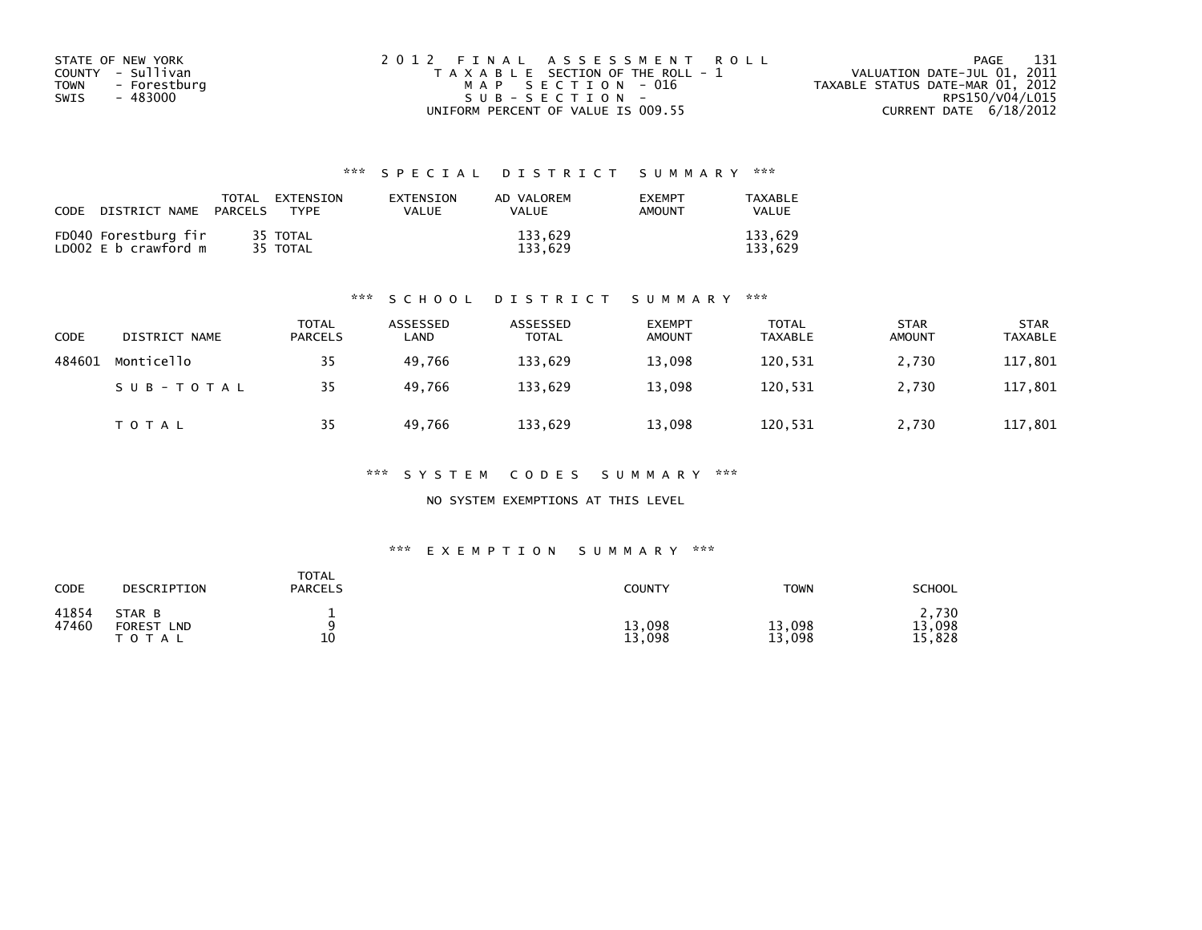| STATE OF NEW YORK           | 2012 FINAL ASSESSMENT ROLL            | - 131<br>PAGE                    |
|-----------------------------|---------------------------------------|----------------------------------|
| COUNTY - Sullivan           | T A X A B L E SECTION OF THE ROLL - 1 | VALUATION DATE-JUL 01, 2011      |
| <b>TOWN</b><br>- Forestburg | MAP SECTION - 016                     | TAXABLE STATUS DATE-MAR 01, 2012 |
| SWIS<br>- 483000            | $SUB - SECTION -$                     | RPS150/V04/L015                  |
|                             | UNIFORM PERCENT OF VALUE IS 009.55    | CURRENT DATE 6/18/2012           |

## \*\*\* S P E C I A L D I S T R I C T S U M M A R Y \*\*\*

| CODE | DISTRICT NAME PARCELS                        | TOTAL EXTENSION<br>TYPF | EXTENSION<br>VALUE | AD VALOREM<br>VALUE | <b>FXFMPT</b><br><b>AMOUNT</b> | TAXABLE<br>VALUE   |
|------|----------------------------------------------|-------------------------|--------------------|---------------------|--------------------------------|--------------------|
|      | FD040 Forestburg fir<br>LD002 E b crawford m | 35 TOTAL<br>35 TOTAL    |                    | 133.629<br>133.629  |                                | 133.629<br>133.629 |

### \*\*\* S C H O O L D I S T R I C T S U M M A R Y \*\*\*

| CODE   | DISTRICT NAME | <b>TOTAL</b><br>PARCELS | ASSESSED<br>LAND | ASSESSED<br><b>TOTAL</b> | <b>EXEMPT</b><br><b>AMOUNT</b> | <b>TOTAL</b><br><b>TAXABLE</b> | <b>STAR</b><br><b>AMOUNT</b> | <b>STAR</b><br><b>TAXABLE</b> |
|--------|---------------|-------------------------|------------------|--------------------------|--------------------------------|--------------------------------|------------------------------|-------------------------------|
| 484601 | Monticello    | 35                      | 49.766           | 133,629                  | 13,098                         | 120,531                        | 2,730                        | 117,801                       |
|        | SUB-TOTAL     | 35                      | 49.766           | 133,629                  | 13,098                         | 120,531                        | 2,730                        | 117,801                       |
|        | T O T A L     | 35                      | 49.766           | 133,629                  | 13,098                         | 120,531                        | 2,730                        | 117,801                       |

\*\*\* S Y S T E M C O D E S S U M M A R Y \*\*\*

NO SYSTEM EXEMPTIONS AT THIS LEVEL

### \*\*\* E X E M P T I O N S U M M A R Y \*\*\*

| CODE           | DESCRIPTION                                    | <b>TOTAL</b><br><b>PARCELS</b> | COUNTY           | <b>TOWN</b>      | SCHOOL                    |
|----------------|------------------------------------------------|--------------------------------|------------------|------------------|---------------------------|
| 41854<br>47460 | STAR B<br><b>FOREST</b><br>LND<br><b>TOTAL</b> | 10<br>∸                        | 13,098<br>13,098 | 13,098<br>13,098 | 2,730<br>13,098<br>15,828 |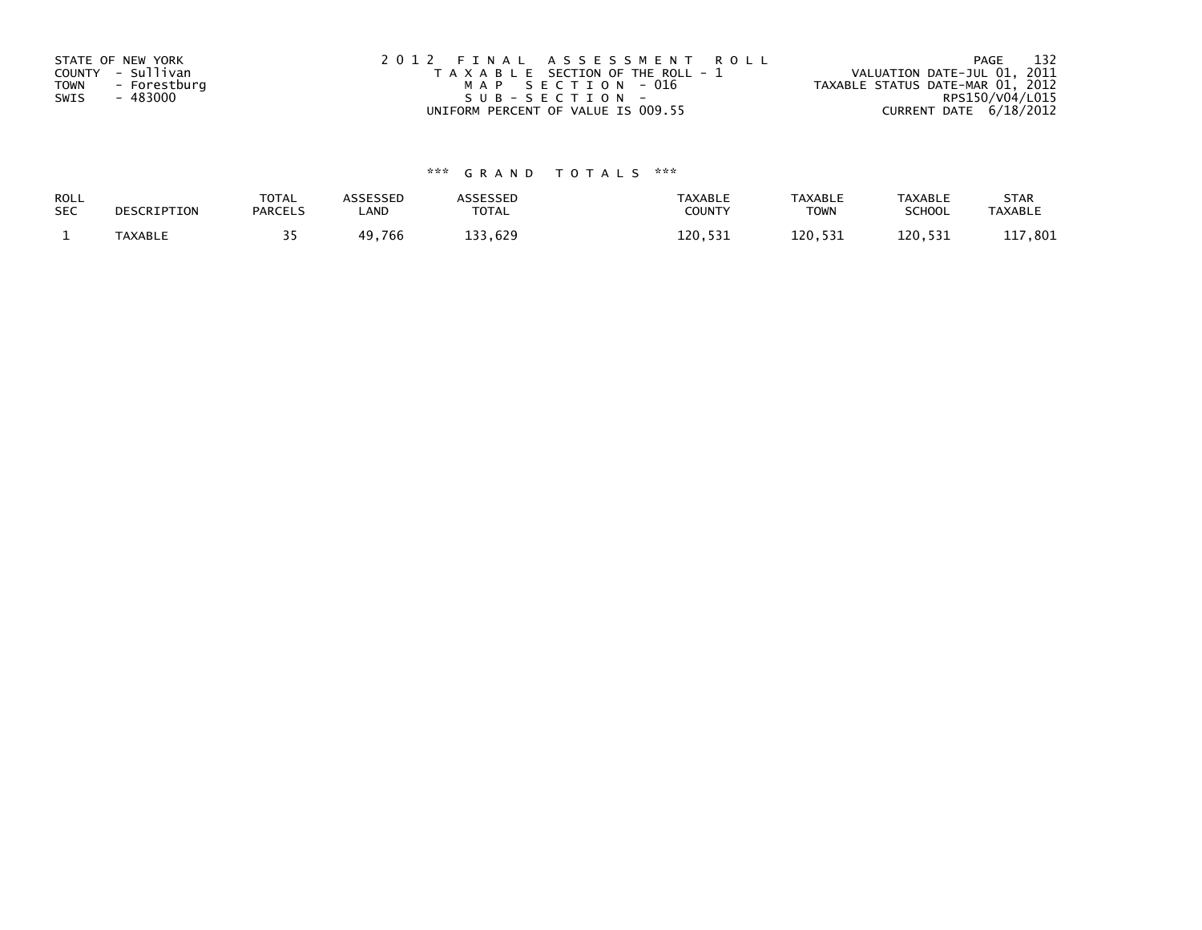| STATE OF NEW YORK<br>COUNTY - Sullivan<br>- Forestburg<br><b>TOWN</b> | 2012 FINAL ASSESSMENT ROLL<br>T A X A B L E SECTION OF THE ROLL - 1<br>MAP SECTION - 016 | 132<br>PAGE<br>VALUATION DATE-JUL 01, 2011<br>TAXABLE STATUS DATE-MAR 01, 2012 |
|-----------------------------------------------------------------------|------------------------------------------------------------------------------------------|--------------------------------------------------------------------------------|
| - 483000                                                              | SUB-SECTION-                                                                             | RPS150/V04/L015                                                                |
| SWIS                                                                  | UNIFORM PERCENT OF VALUE IS 009.55                                                       | CURRENT DATE $6/18/2012$                                                       |

# \*\*\* G R A N D T O T A L S \*\*\*

| <b>ROLL</b> | DESCRIPTION | <b>TOTAL</b>   | ASSESSED | <b>ASSESSED</b> | <b>TAXABLE</b> | <b>TAXABLE</b> | <b>TAXABLE</b> | <b>STAR</b>    |
|-------------|-------------|----------------|----------|-----------------|----------------|----------------|----------------|----------------|
| <b>SEC</b>  |             | <b>PARCELS</b> | ∟AND     | TOTAL           | <b>COUNTY</b>  | TOWN           | <b>SCHOOL</b>  | <b>TAXABLE</b> |
|             | TAXABLE     |                | 49,766   | 133,629         | 120.531        | 120.531        | 120.531        | 801. '<br>ᆂᆂ   |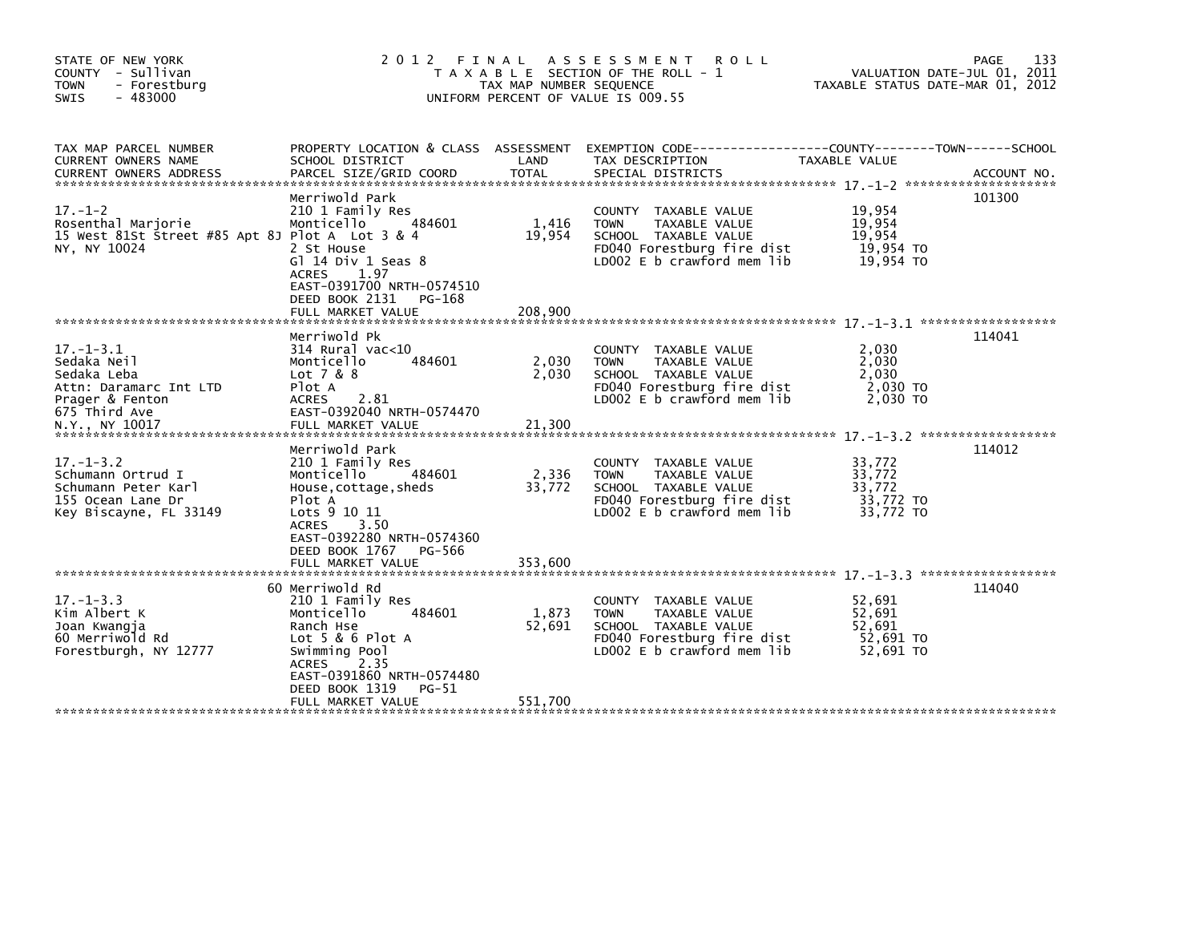| STATE OF NEW YORK<br>COUNTY - Sullivan<br><b>TOWN</b><br>- Forestburg<br>$-483000$<br><b>SWIS</b>                             |                                                                                                                                                                                                                      | TAX MAP NUMBER SEQUENCE    | 2012 FINAL ASSESSMENT ROLL<br>T A X A B L E SECTION OF THE ROLL - 1<br>UNIFORM PERCENT OF VALUE IS 009.55                                    | VALUATION DATE-JUL 01, 2011<br>TAXABLE STATUS DATE-MAR 01, 2012 | PAGE<br>133 |
|-------------------------------------------------------------------------------------------------------------------------------|----------------------------------------------------------------------------------------------------------------------------------------------------------------------------------------------------------------------|----------------------------|----------------------------------------------------------------------------------------------------------------------------------------------|-----------------------------------------------------------------|-------------|
| TAX MAP PARCEL NUMBER<br>CURRENT OWNERS NAME                                                                                  | SCHOOL DISTRICT                                                                                                                                                                                                      | LAND                       | PROPERTY LOCATION & CLASS ASSESSMENT EXEMPTION CODE----------------COUNTY-------TOWN-----SCHOOL<br>TAX DESCRIPTION                           | TAXABLE VALUE                                                   |             |
| $17. - 1 - 2$<br>Rosenthal Marjorie<br>15 West 81St Street #85 Apt 8J Plot A Lot 3 & 4<br>NY, NY 10024                        | Merriwold Park<br>210 1 Family Res<br>Monticello<br>484601<br>2 St House<br>G] $14$ Div 1 Seas $8$<br>1.97<br><b>ACRES</b><br>EAST-0391700 NRTH-0574510<br>DEED BOOK 2131<br>PG-168                                  | 1,416<br>19,954            | COUNTY TAXABLE VALUE<br>TAXABLE VALUE<br><b>TOWN</b><br>SCHOOL TAXABLE VALUE<br>FD040 Forestburg fire dist<br>LD002 E b crawford mem lib     | 19,954<br>19,954<br>19,954<br>19,954 TO<br>19,954 TO            | 101300      |
| $17. - 1 - 3.1$<br>Sedaka Neil<br>Sedaka Leba<br>Attn: Daramarc Int LTD<br>Prager & Fenton<br>675 Third Ave<br>N.Y., NY 10017 | Merriwold Pk<br>$314$ Rural vac<10<br>484601<br>Monticello<br>Lot 7 & 8<br>Plot A<br>ACRES 2.81<br>EAST-0392040 NRTH-0574470<br>FULL MARKET VALUE                                                                    | 2,030<br>2,030<br>21,300   | COUNTY TAXABLE VALUE<br>TAXABLE VALUE<br><b>TOWN</b><br>SCHOOL TAXABLE VALUE<br>FD040 Forestburg fire dist<br>LD002 E b crawford mem lib     | 2,030<br>2,030<br>2.030<br>2,030 TO<br>2,030 TO                 | 114041      |
| $17. - 1 - 3.2$<br>Schumann Ortrud I<br>Schumann Peter Karl<br>155 Ocean Lane Dr<br>Key Biscayne, FL 33149                    | Merriwold Park<br>210 1 Family Res<br>Monticello<br>484601<br>House, cottage, sheds<br>Plot A<br>Lots 9 10 11<br><b>ACRES</b><br>3.50<br>EAST-0392280 NRTH-0574360<br>DEED BOOK 1767<br>PG-566                       | 2,336<br>33,772            | COUNTY TAXABLE VALUE<br>TAXABLE VALUE<br><b>TOWN</b><br>SCHOOL TAXABLE VALUE<br>FD040 Forestburg fire dist<br>LD002 E b crawford mem lib     | 33,772<br>33,772<br>33,772<br>33,772 TO<br>33,772 TO            | 114012      |
| $17. - 1 - 3.3$<br>Kim Albert K<br>Joan Kwangja<br>60 Merriwold Rd<br>Forestburgh, NY 12777                                   | 60 Merriwold Rd<br>210 1 Family Res<br>484601<br>Monticello<br>Ranch Hse<br>Lot $5 & 6$ Plot A<br>Swimming Pool<br>2.35<br><b>ACRES</b><br>EAST-0391860 NRTH-0574480<br>DEED BOOK 1319<br>PG-51<br>FULL MARKET VALUE | 1,873<br>52,691<br>551,700 | COUNTY TAXABLE VALUE<br>TAXABLE VALUE<br><b>TOWN</b><br>SCHOOL TAXABLE VALUE<br>FD040 Forestburg fire dist<br>LD002 $E$ b crawford mem $lib$ | 52,691<br>52,691<br>52,691<br>52,691 TO<br>52.691 TO            | 114040      |
|                                                                                                                               |                                                                                                                                                                                                                      |                            |                                                                                                                                              |                                                                 |             |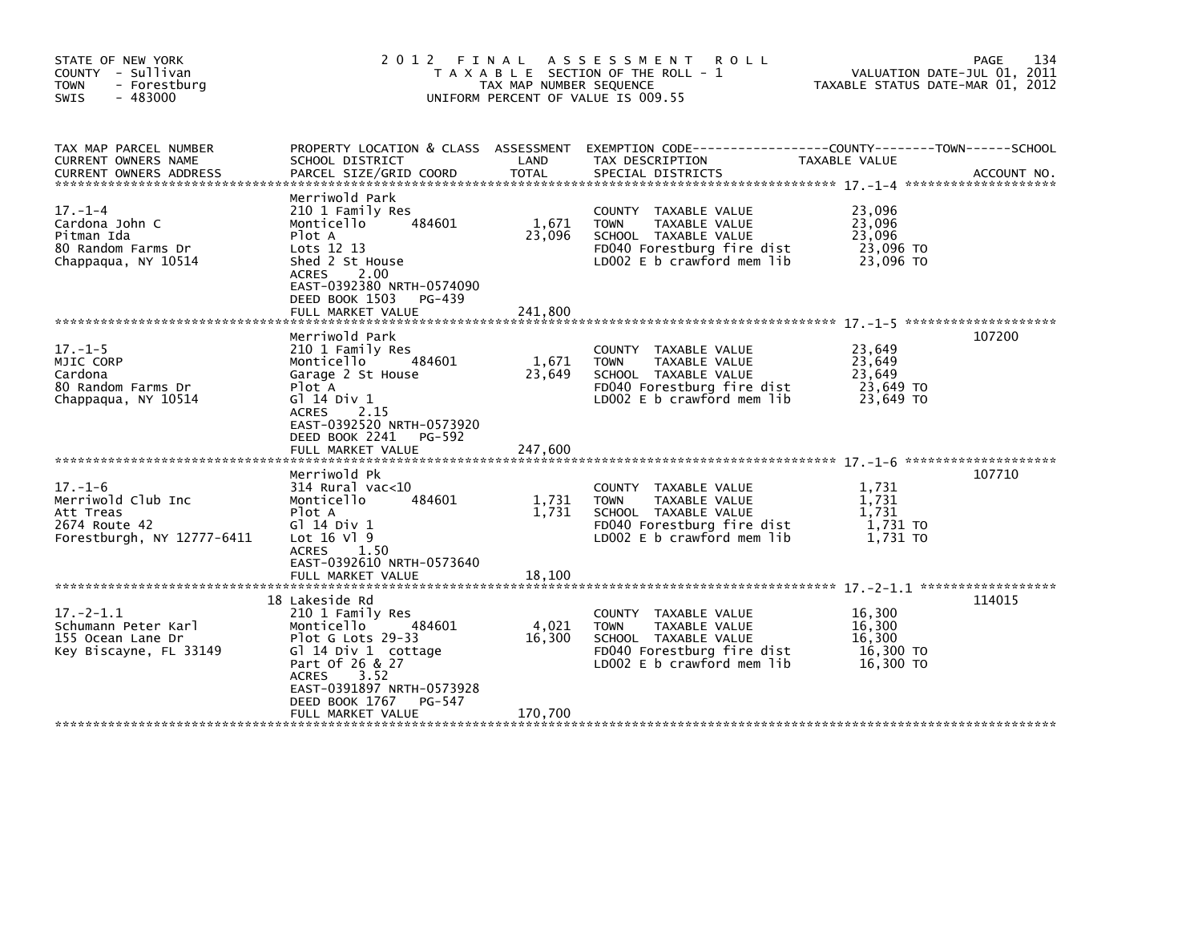| STATE OF NEW YORK<br>COUNTY - Sullivan<br>- Forestburg<br><b>TOWN</b><br><b>SWIS</b><br>$-483000$ | 2012 FINAL                                                                                                                                                                                                  | TAX MAP NUMBER SEQUENCE    | A S S E S S M E N T<br><b>ROLL</b><br>T A X A B L E SECTION OF THE ROLL - 1<br>UNIFORM PERCENT OF VALUE IS 009.55                          | VALUATION DATE-JUL 01, 2011<br>TAXABLE STATUS DATE-MAR 01, 2012 | 134<br>PAGE |
|---------------------------------------------------------------------------------------------------|-------------------------------------------------------------------------------------------------------------------------------------------------------------------------------------------------------------|----------------------------|--------------------------------------------------------------------------------------------------------------------------------------------|-----------------------------------------------------------------|-------------|
| TAX MAP PARCEL NUMBER<br>CURRENT OWNERS NAME<br><b>CURRENT OWNERS ADDRESS</b>                     | SCHOOL DISTRICT<br>PARCEL SIZE/GRID COORD                                                                                                                                                                   | LAND<br><b>TOTAL</b>       | PROPERTY LOCATION & CLASS ASSESSMENT EXEMPTION CODE----------------COUNTY-------TOWN------SCHOOL<br>TAX DESCRIPTION<br>SPECIAL DISTRICTS   | TAXABLE VALUE                                                   | ACCOUNT NO. |
| $17. - 1 - 4$<br>Cardona John C<br>Pitman Ida<br>80 Random Farms Dr<br>Chappagua, NY 10514        | Merriwold Park<br>210 1 Family Res<br>Monticello<br>484601<br>Plot A<br>Lots 12 13<br>Shed 2 St House<br>2.00<br><b>ACRES</b><br>EAST-0392380 NRTH-0574090<br>DEED BOOK 1503<br>PG-439<br>FULL MARKET VALUE | 1,671<br>23,096<br>241.800 | COUNTY TAXABLE VALUE<br><b>TOWN</b><br>TAXABLE VALUE<br>SCHOOL TAXABLE VALUE<br>FD040 Forestburg fire dist<br>LD002 E b crawford mem lib   | 23,096<br>23,096<br>23.096<br>23,096 TO<br>23.096 TO            |             |
|                                                                                                   | Merriwold Park                                                                                                                                                                                              |                            |                                                                                                                                            |                                                                 | 107200      |
| $17. - 1 - 5$<br>MJIC CORP<br>Cardona<br>80 Random Farms Dr<br>Chappagua, NY 10514                | 210 1 Family Res<br>484601<br>Monticello<br>Garage 2 St House<br>Plot A<br>G] 14 Div 1<br><b>ACRES</b><br>2.15<br>EAST-0392520 NRTH-0573920<br>DEED BOOK 2241<br>PG-592                                     | 1,671<br>23,649            | COUNTY TAXABLE VALUE<br><b>TOWN</b><br>TAXABLE VALUE<br>SCHOOL TAXABLE VALUE<br>FD040 Forestburg fire dist<br>$LD002 E b$ crawford mem lib | 23,649<br>23,649<br>23,649<br>23,649 TO<br>23.649 TO            |             |
|                                                                                                   | FULL MARKET VALUE                                                                                                                                                                                           | 247,600                    |                                                                                                                                            |                                                                 |             |
| $17. - 1 - 6$<br>Merriwold Club Inc<br>Att Treas<br>2674 Route 42<br>Forestburgh, NY 12777-6411   | Merriwold Pk<br>$314$ Rural vac<10<br>Monticello<br>484601<br>Plot A<br>G1 14 Div 1<br>Lot $16$ Vl $9$<br>ACRES 1.50<br>EAST-0392610 NRTH-0573640<br>FULL MARKET VALUE                                      | 1,731<br>1,731<br>18,100   | COUNTY TAXABLE VALUE<br>TAXABLE VALUE<br><b>TOWN</b><br>SCHOOL TAXABLE VALUE<br>FD040 Forestburg fire dist<br>LD002 E b crawford mem lib   | 1,731<br>1,731<br>1,731<br>1,731 TO<br>1,731 TO                 | 107710      |
|                                                                                                   | 18 Lakeside Rd                                                                                                                                                                                              |                            |                                                                                                                                            |                                                                 | 114015      |
| $17. - 2 - 1.1$<br>Schumann Peter Karl<br>155 Ocean Lane Dr<br>Key Biscayne, FL 33149             | 210 1 Family Res<br>484601<br>Monticello<br>Plot G Lots 29-33<br>Gl 14 Div 1 cottage<br>Part Of 26 & 27<br>3.52<br><b>ACRES</b><br>EAST-0391897 NRTH-0573928<br>PG-547                                      | 4,021<br>16,300            | COUNTY TAXABLE VALUE<br>TAXABLE VALUE<br><b>TOWN</b><br>SCHOOL TAXABLE VALUE<br>FD040 Forestburg fire dist<br>LD002 E b crawford mem lib   | 16,300<br>16,300<br>16,300<br>16,300 TO<br>16,300 TO            |             |
|                                                                                                   | DEED BOOK 1767<br>FULL MARKET VALUE                                                                                                                                                                         | 170,700                    |                                                                                                                                            |                                                                 |             |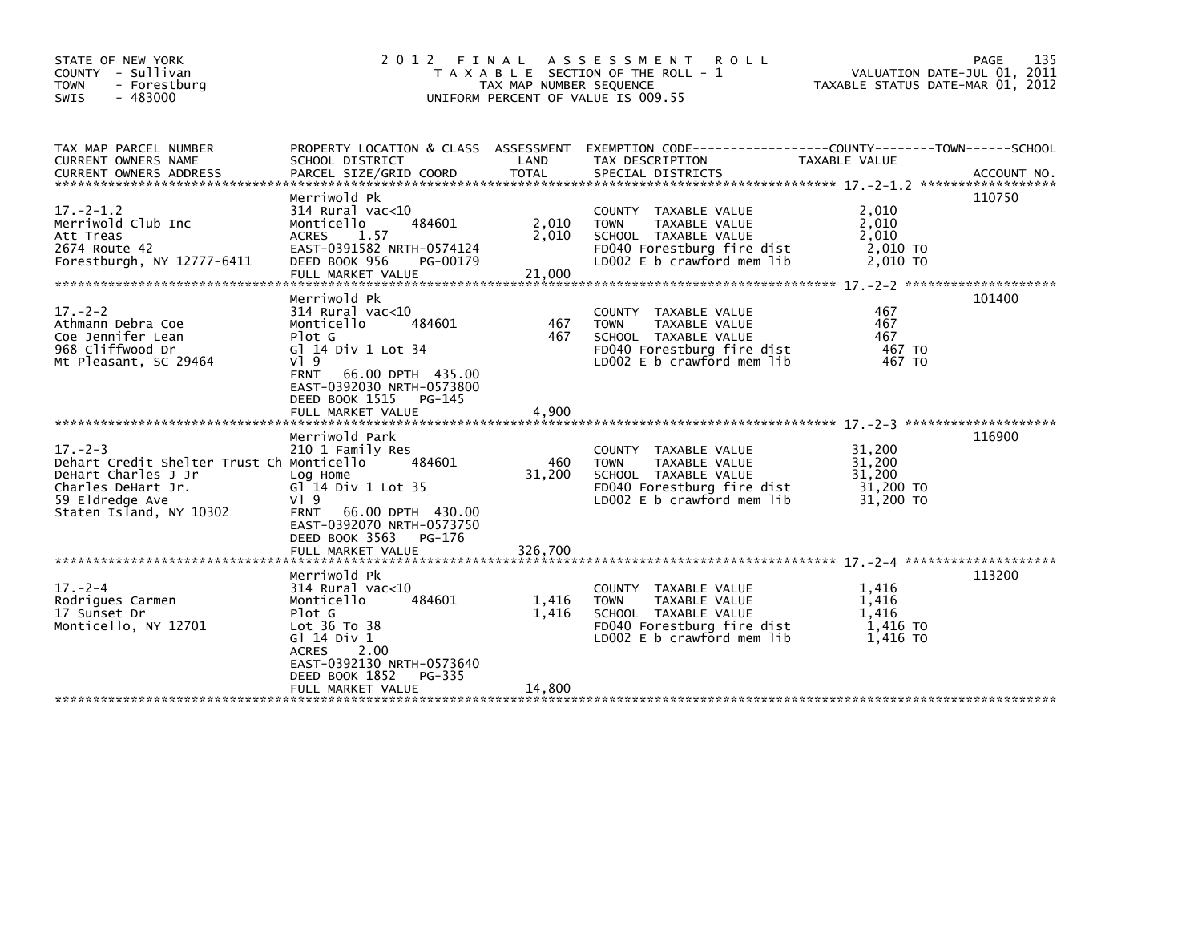| STATE OF NEW YORK<br>COUNTY - Sullivan<br><b>TOWN</b><br>- Forestburg<br>- 483000<br><b>SWIS</b>                                                      | 2 0 1 2                                                                                                                                                                                                   | TAX MAP NUMBER SEQUENCE  | FINAL ASSESSMENT ROLL<br>T A X A B L E SECTION OF THE ROLL - 1<br>UNIFORM PERCENT OF VALUE IS 009.55                                              | VALUATION DATE-JUL 01, 2011<br>TAXABLE STATUS DATE-MAR 01, 2012 | PAGE<br>135 |
|-------------------------------------------------------------------------------------------------------------------------------------------------------|-----------------------------------------------------------------------------------------------------------------------------------------------------------------------------------------------------------|--------------------------|---------------------------------------------------------------------------------------------------------------------------------------------------|-----------------------------------------------------------------|-------------|
| TAX MAP PARCEL NUMBER<br>CURRENT OWNERS NAME                                                                                                          | SCHOOL DISTRICT                                                                                                                                                                                           | LAND                     | PROPERTY LOCATION & CLASS ASSESSMENT EXEMPTION CODE----------------COUNTY-------TOWN------SCHOOL<br>TAX DESCRIPTION                               | TAXABLE VALUE                                                   |             |
| $17 - 2 - 1.2$<br>Merriwold Club Inc<br>Att Treas<br>2674 Route 42<br>Forestburgh, NY 12777-6411                                                      | Merriwold Pk<br>$314$ Rural vac<10<br>484601<br>Monticello<br>1.57<br><b>ACRES</b><br>EAST-0391582 NRTH-0574124<br>DEED BOOK 956<br>PG-00179                                                              | 2,010<br>2,010           | COUNTY TAXABLE VALUE<br>TAXABLE VALUE<br><b>TOWN</b><br>SCHOOL TAXABLE VALUE<br>FD040 Forestburg fire dist<br>LD002 E b crawford mem lib          | 2,010<br>2.010<br>2,010<br>2,010 TO<br>2.010 TO                 | 110750      |
| $17. - 2 - 2$<br>Athmann Debra Coe<br>Coe Jennifer Lean<br>968 Cliffwood Dr<br>Mt Pleasant, SC 29464                                                  | Merriwold Pk<br>$314$ Rural vac<10<br>Monticello<br>484601<br>Plot G<br>G] 14 Div 1 Lot 34<br>VI 9<br><b>FRNT</b><br>66.00 DPTH 435.00<br>EAST-0392030 NRTH-0573800<br>DEED BOOK 1515<br>PG-145           | 467<br>467               | COUNTY TAXABLE VALUE<br><b>TOWN</b><br>TAXABLE VALUE<br>SCHOOL TAXABLE VALUE<br>FD040 Forestburg fire dist<br>LD002 E b crawford mem lib          | 467<br>467<br>467<br>467 TO<br>467 TO                           | 101400      |
| $17. - 2 - 3$<br>Dehart Credit Shelter Trust Ch Monticello<br>DeHart Charles J Jr<br>Charles DeHart Jr.<br>59 Eldredge Ave<br>Staten Island, NY 10302 | Merriwold Park<br>210 1 Family Res<br>484601<br>Log Home<br>$GI^14$ Div 1 Lot 35<br>V19<br>66.00 DPTH 430.00<br><b>FRNT</b><br>EAST-0392070 NRTH-0573750<br>DEED BOOK 3563<br>PG-176                      | 460<br>31,200            | COUNTY TAXABLE VALUE<br>TAXABLE VALUE<br><b>TOWN</b><br>SCHOOL TAXABLE VALUE<br>FD040 Forestburg fire dist<br>$LD002 E b$ crawford mem lib        | 31,200<br>31,200<br>31,200<br>31,200 TO<br>31,200 TO            | 116900      |
| $17. - 2 - 4$<br>Rodrigues Carmen<br>17 Sunset Dr<br>Monticello, NY 12701                                                                             | Merriwold Pk<br>$314$ Rural vac<10<br>Monticello<br>484601<br>Plot G<br>Lot 36 To 38<br>G1 14 Div 1<br>2.00<br><b>ACRES</b><br>EAST-0392130 NRTH-0573640<br>DEED BOOK 1852<br>PG-335<br>FULL MARKET VALUE | 1,416<br>1.416<br>14.800 | COUNTY TAXABLE VALUE<br><b>TAXABLE VALUE</b><br><b>TOWN</b><br>SCHOOL TAXABLE VALUE<br>FD040 Forestburg fire dist<br>$LD002 E b$ crawford mem lib | 1.416<br>1.416<br>1.416<br>1,416 TO<br>1,416 TO                 | 113200      |
|                                                                                                                                                       |                                                                                                                                                                                                           |                          |                                                                                                                                                   |                                                                 |             |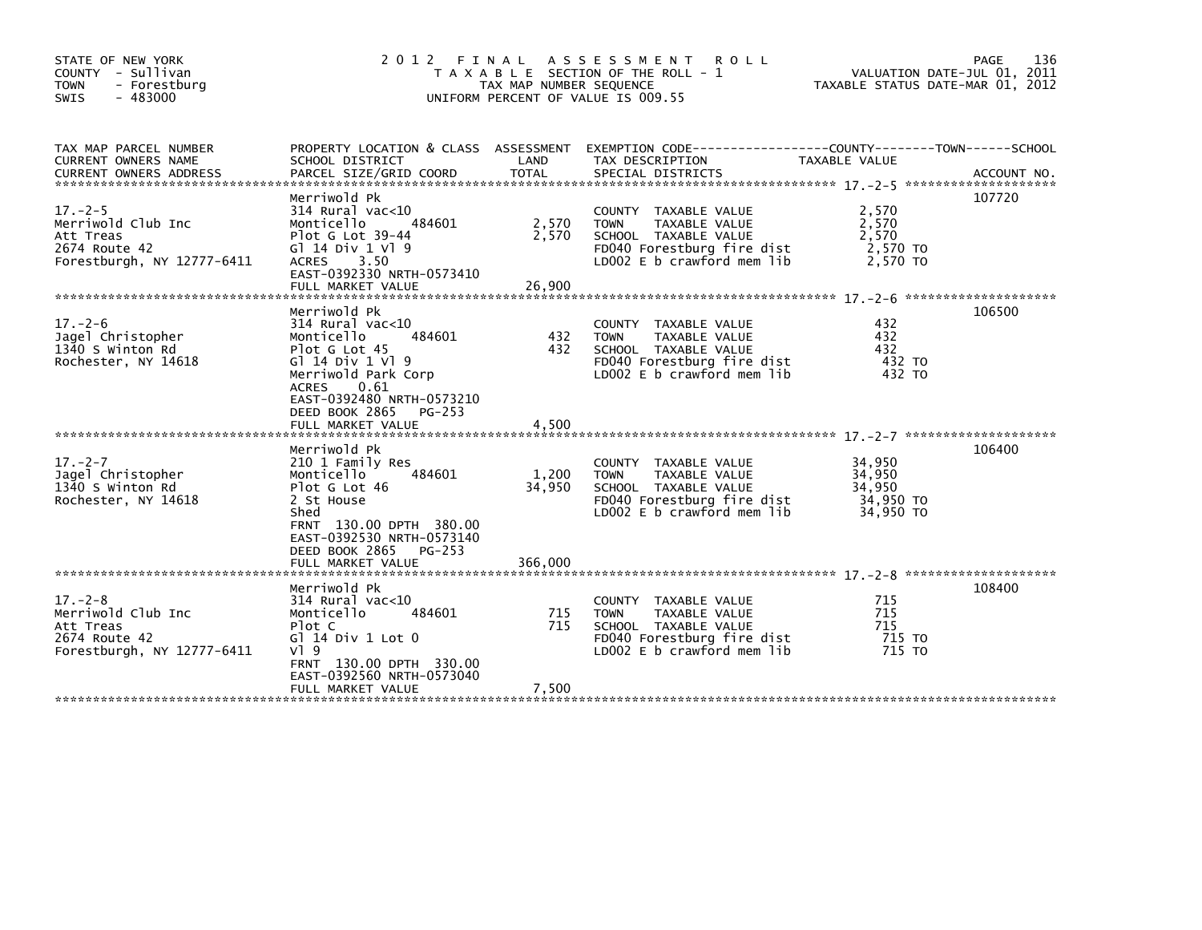| STATE OF NEW YORK<br>COUNTY - Sullivan<br>- Forestburg<br><b>TOWN</b><br>$-483000$<br><b>SWIS</b> |                                                                                                                                                                                                  | TAX MAP NUMBER SEQUENCE | 2012 FINAL ASSESSMENT ROLL<br>T A X A B L E SECTION OF THE ROLL - 1<br>UNIFORM PERCENT OF VALUE IS 009.55                                | VALUATION DATE-JUL 01, 2011<br>TAXABLE STATUS DATE-MAR 01, 2012 | 136<br>PAGE |
|---------------------------------------------------------------------------------------------------|--------------------------------------------------------------------------------------------------------------------------------------------------------------------------------------------------|-------------------------|------------------------------------------------------------------------------------------------------------------------------------------|-----------------------------------------------------------------|-------------|
| TAX MAP PARCEL NUMBER<br>CURRENT OWNERS NAME                                                      | SCHOOL DISTRICT                                                                                                                                                                                  | LAND                    | PROPERTY LOCATION & CLASS ASSESSMENT EXEMPTION CODE----------------COUNTY-------TOWN-----SCHOOL<br>TAX DESCRIPTION                       | <b>TAXABLE VALUE</b>                                            |             |
| $17. - 2 - 5$<br>Merriwold Club Inc<br>Att Treas<br>2674 Route 42<br>Forestburgh, NY 12777-6411   | Merriwold Pk<br>$314$ Rural vac<10<br>484601<br>Monticello<br>Plot G Lot 39-44<br>G1 14 Div 1 V1 9<br>ACRES 3.50<br>EAST-0392330 NRTH-0573410                                                    | 2,570<br>2,570          | COUNTY TAXABLE VALUE<br>TAXABLE VALUE<br><b>TOWN</b><br>SCHOOL TAXABLE VALUE<br>FD040 Forestburg fire dist<br>LD002 E b crawford mem lib | 2,570<br>2,570<br>2,570<br>2,570 TO<br>2,570 TO                 | 107720      |
| $17. - 2 - 6$<br>Jagel Christopher<br>1340 S Winton Rd<br>Rochester, NY 14618                     | Merriwold Pk<br>$314$ Rural vac<10<br>484601<br>Monticello<br>Plot G Lot 45<br>G1 14 Div 1 V1 9<br>Merriwold Park Corp<br>ACRES<br>0.61<br>EAST-0392480 NRTH-0573210<br>DEED BOOK 2865<br>PG-253 | 432<br>432              | COUNTY TAXABLE VALUE<br>TAXABLE VALUE<br><b>TOWN</b><br>SCHOOL TAXABLE VALUE<br>FD040 Forestburg fire dist<br>LD002 E b crawford mem lib | 432<br>432<br>432<br>432 TO<br>432 TO                           | 106500      |
| $17. - 2 - 7$<br>Jagel Christopher<br>1340 S Winton Rd<br>Rochester, NY 14618                     | Merriwold Pk<br>210 1 Family Res<br>484601<br>Monticello<br>Plot G Lot 46<br>2 St House<br>Shed<br>FRNT 130.00 DPTH 380.00<br>EAST-0392530 NRTH-0573140<br>DEED BOOK 2865 PG-253                 | 1,200<br>34,950         | COUNTY TAXABLE VALUE<br><b>TOWN</b><br>TAXABLE VALUE<br>SCHOOL TAXABLE VALUE<br>FD040 Forestburg fire dist<br>LD002 E b crawford mem lib | 34,950<br>34,950<br>34,950<br>34,950 TO<br>34,950 TO            | 106400      |
|                                                                                                   | FULL MARKET VALUE                                                                                                                                                                                | 366,000                 |                                                                                                                                          |                                                                 |             |
| $17. - 2 - 8$<br>Merriwold Club Inc<br>Att Treas<br>2674 Route 42<br>Forestburgh, NY 12777-6411   | Merriwold Pk<br>$314$ Rural vac<10<br>484601<br>Monticello<br>Plot C<br>$G1$ 14 Div 1 Lot 0<br>$V$ ] 9<br>FRNT 130.00 DPTH 330.00                                                                | 715<br>715              | COUNTY TAXABLE VALUE<br>TAXABLE VALUE<br><b>TOWN</b><br>SCHOOL TAXABLE VALUE<br>FD040 Forestburg fire dist<br>LD002 E b crawford mem lib | 715<br>715<br>715<br>715 TO<br>715 TO                           | 108400      |
|                                                                                                   | EAST-0392560 NRTH-0573040<br>FULL MARKET VALUE                                                                                                                                                   | 7,500                   |                                                                                                                                          |                                                                 |             |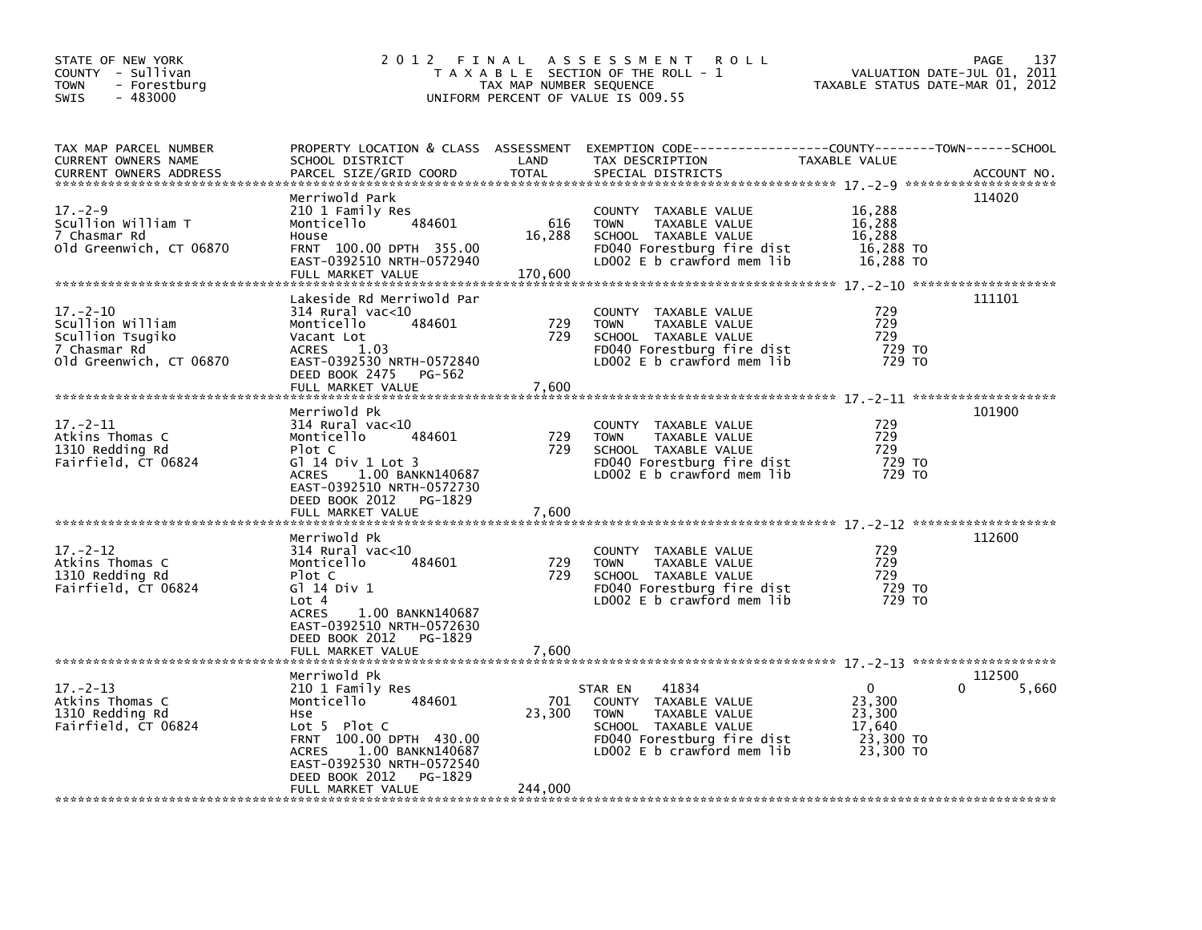| STATE OF NEW YORK<br>COUNTY - Sullivan<br><b>TOWN</b><br>- Forestburg<br>$-483000$<br><b>SWIS</b> | 2 0 1 2                                                                                                                                                                                                                       | TAX MAP NUMBER SEQUENCE  | FINAL ASSESSMENT ROLL<br>T A X A B L E SECTION OF THE ROLL - 1<br>UNIFORM PERCENT OF VALUE IS 009.55                                                         | TAXABLE STATUS DATE-MAR 01, 2012                                 | 137<br>PAGE<br>VALUATION DATE-JUL 01, 2011 |
|---------------------------------------------------------------------------------------------------|-------------------------------------------------------------------------------------------------------------------------------------------------------------------------------------------------------------------------------|--------------------------|--------------------------------------------------------------------------------------------------------------------------------------------------------------|------------------------------------------------------------------|--------------------------------------------|
| TAX MAP PARCEL NUMBER<br><b>CURRENT OWNERS NAME</b><br><b>CURRENT OWNERS ADDRESS</b>              | SCHOOL DISTRICT<br>PARCEL SIZE/GRID COORD                                                                                                                                                                                     | LAND<br><b>TOTAL</b>     | PROPERTY LOCATION & CLASS ASSESSMENT EXEMPTION CODE-----------------COUNTY-------TOWN------SCHOOL<br>TAX DESCRIPTION<br>SPECIAL DISTRICTS                    | TAXABLE VALUE                                                    | ACCOUNT NO.                                |
| $17. - 2 - 9$<br>Scullion William T<br>7 Chasmar Rd<br>old Greenwich, CT 06870                    | Merriwold Park<br>210 1 Family Res<br>Monticello<br>484601<br>House<br>FRNT 100.00 DPTH 355.00<br>EAST-0392510 NRTH-0572940<br>FULL MARKET VALUE                                                                              | 616<br>16,288<br>170,600 | COUNTY TAXABLE VALUE<br><b>TOWN</b><br>TAXABLE VALUE<br>SCHOOL TAXABLE VALUE<br>FD040 Forestburg fire dist<br>LD002 E b crawford mem lib                     | 16,288<br>16,288<br>16,288<br>16,288 TO<br>16,288 TO             | 114020                                     |
| $17. - 2 - 10$<br>Scullion William<br>Scullion Tsugiko<br>7 Chasmar Rd<br>old Greenwich, CT 06870 | Lakeside Rd Merriwold Par<br>314 Rural vac<10<br>Monticello<br>484601<br>Vacant Lot<br><b>ACRES</b><br>1.03<br>EAST-0392530 NRTH-0572840<br>DEED BOOK 2475 PG-562<br>FULL MARKET VALUE                                        | 729<br>729<br>7,600      | COUNTY TAXABLE VALUE<br>TAXABLE VALUE<br><b>TOWN</b><br>SCHOOL TAXABLE VALUE<br>FD040 Forestburg fire dist<br>LD002 E b crawford mem lib                     | 729<br>729<br>729<br>729 TO<br>729 TO                            | 111101                                     |
| $17. - 2 - 11$<br>Atkins Thomas C<br>1310 Redding Rd<br>Fairfield, CT 06824                       | Merriwold Pk<br>$314$ Rural vac<10<br>Monticello<br>484601<br>Plot C<br>G] 14 Div 1 Lot 3<br>ACRES 1.00 BANKN140687<br>EAST-0392510 NRTH-0572730<br>DEED BOOK 2012<br>PG-1829<br>FULL MARKET VALUE                            | 729<br>729<br>7,600      | COUNTY TAXABLE VALUE<br><b>TOWN</b><br>TAXABLE VALUE<br>SCHOOL TAXABLE VALUE<br>FD040 Forestburg fire dist<br>LD002 E b crawford mem lib                     | 729<br>729<br>729<br>729 TO<br>729 TO                            | 101900                                     |
| $17. - 2 - 12$<br>Atkins Thomas C<br>1310 Redding Rd<br>Fairfield, CT 06824                       | Merriwold Pk<br>$314$ Rural vac<10<br>Monticello<br>484601<br>Plot C<br>G1 14 Div 1<br>Lot 4<br>1.00 BANKN140687<br><b>ACRES</b><br>EAST-0392510 NRTH-0572630<br>DEED BOOK 2012<br>PG-1829<br>FULL MARKET VALUE               | 729<br>729<br>7,600      | <b>COUNTY</b><br>TAXABLE VALUE<br>TAXABLE VALUE<br><b>TOWN</b><br>SCHOOL TAXABLE VALUE<br>FD040 Forestburg fire dist<br>LD002 E b crawford mem lib           | 729<br>729<br>729<br>729 TO<br>729 TO                            | 112600                                     |
| $17 - 2 - 13$<br>Atkins Thomas C<br>1310 Redding Rd<br>Fairfield, CT 06824                        | Merriwold Pk<br>210 1 Family Res<br>Monticello<br>484601<br>Hse<br>Lot 5 Plot C<br>FRNT 100.00 DPTH 430.00<br><b>ACRES</b><br>1.00 BANKN140687<br>EAST-0392530 NRTH-0572540<br>DEED BOOK 2012<br>PG-1829<br>FULL MARKET VALUE | 701<br>23,300<br>244,000 | 41834<br>STAR EN<br>COUNTY TAXABLE VALUE<br><b>TOWN</b><br>TAXABLE VALUE<br>SCHOOL TAXABLE VALUE<br>FD040 Forestburg fire dist<br>LD002 E b crawford mem lib | $\Omega$<br>23,300<br>23,300<br>17,640<br>23,300 TO<br>23,300 TO | 112500<br>5,660                            |
|                                                                                                   |                                                                                                                                                                                                                               |                          |                                                                                                                                                              |                                                                  |                                            |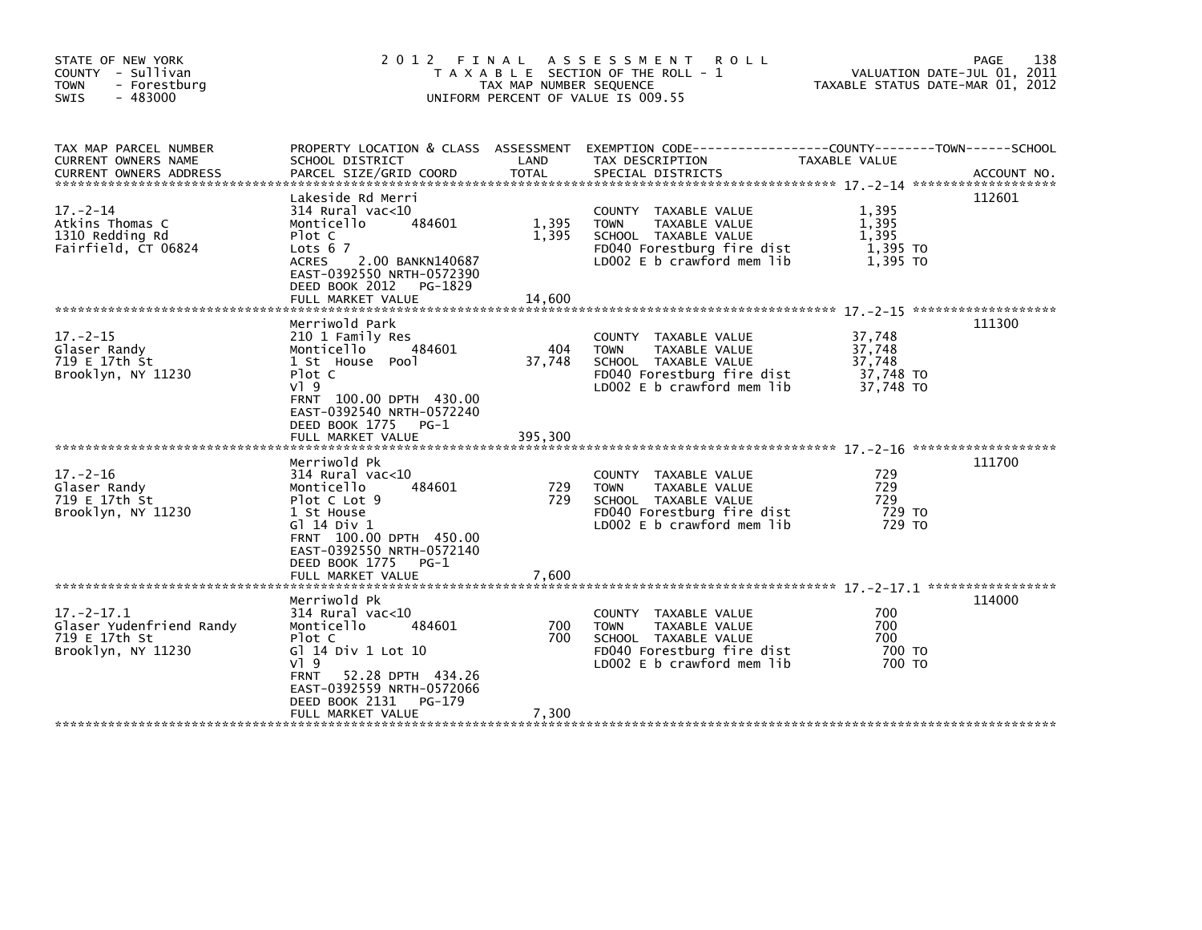| STATE OF NEW YORK<br>COUNTY - Sullivan<br>- Forestburg<br><b>TOWN</b><br>$-483000$<br><b>SWIS</b> | 2012 FINAL                                                                                                                                                                                                     | TAX MAP NUMBER SEQUENCE | ASSESSMENT ROLL<br>T A X A B L E SECTION OF THE ROLL - 1<br>UNIFORM PERCENT OF VALUE IS 009.55                                                  |                                                      | PAGE<br>138<br>VALUATION DATE-JUL 01, 2011<br>TAXABLE STATUS DATE-MAR 01, 2012 |
|---------------------------------------------------------------------------------------------------|----------------------------------------------------------------------------------------------------------------------------------------------------------------------------------------------------------------|-------------------------|-------------------------------------------------------------------------------------------------------------------------------------------------|------------------------------------------------------|--------------------------------------------------------------------------------|
| TAX MAP PARCEL NUMBER<br>CURRENT OWNERS NAME                                                      | SCHOOL DISTRICT                                                                                                                                                                                                | LAND                    | PROPERTY LOCATION & CLASS ASSESSMENT EXEMPTION CODE---------------COUNTY-------TOWN-----SCHOOL<br>TAX DESCRIPTION                               | TAXABLE VALUE                                        |                                                                                |
|                                                                                                   |                                                                                                                                                                                                                |                         |                                                                                                                                                 |                                                      |                                                                                |
| $17. - 2 - 14$<br>Atkins Thomas C<br>1310 Redding Rd<br>Fairfield, CT 06824                       | Lakeside Rd Merri<br>$314$ Rural vac<10<br>Monticello<br>484601<br>Plot C<br>Lots $67$<br><b>ACRES</b><br>2.00 BANKN140687<br>EAST-0392550 NRTH-0572390<br>DEED BOOK 2012 PG-1829                              | 1,395<br>1,395          | COUNTY TAXABLE VALUE<br><b>TOWN</b><br>TAXABLE VALUE<br>SCHOOL TAXABLE VALUE<br>FD040 Forestburg fire dist<br>LD002 E b crawford mem lib        | 1,395<br>1,395<br>1.395<br>1,395 TO<br>1.395 TO      | 112601                                                                         |
| $17. - 2 - 15$<br>Glaser Randy<br>719 E 17th St<br>Brooklyn, NY 11230                             | Merriwold Park<br>210 1 Family Res<br>Monticello<br>484601<br>1 St House Pool<br>Plot C<br>$V$ ] 9<br>FRNT 100.00 DPTH 430.00<br>EAST-0392540 NRTH-0572240<br>DEED BOOK 1775<br>$PG-1$                         | 404<br>37,748           | COUNTY TAXABLE VALUE<br>TAXABLE VALUE<br><b>TOWN</b><br>SCHOOL TAXABLE VALUE<br>FD040 Forestburg fire dist<br>LD002 E b crawford mem lib        | 37,748<br>37,748<br>37,748<br>37,748 TO<br>37.748 TO | 111300                                                                         |
|                                                                                                   | FULL MARKET VALUE                                                                                                                                                                                              | 395,300                 |                                                                                                                                                 |                                                      |                                                                                |
| $17. - 2 - 16$<br>Glaser Randy<br>719 E 17th St<br>Brooklyn, NY 11230                             | Merriwold Pk<br>$314$ Rural vac<10<br>Monticello<br>484601<br>Plot C Lot 9<br>1 St House<br>G1 14 Div 1<br>FRNT 100.00 DPTH 450.00<br>EAST-0392550 NRTH-0572140<br>DEED BOOK 1775<br>PG-1<br>FULL MARKET VALUE | 729<br>729<br>7,600     | COUNTY TAXABLE VALUE<br><b>TAXABLE VALUE</b><br><b>TOWN</b><br>SCHOOL TAXABLE VALUE<br>FD040 Forestburg fire dist<br>LD002 E b crawford mem lib | 729<br>729<br>729<br>729 TO<br>729 TO                | 111700                                                                         |
|                                                                                                   | Merriwold Pk                                                                                                                                                                                                   |                         |                                                                                                                                                 |                                                      | 114000                                                                         |
| $17 - 2 - 17.1$<br>Glaser Yudenfriend Randy<br>719 E 17th St<br>Brooklyn, NY 11230                | $314$ Rural vac<10<br>Monticello<br>484601<br>Plot C<br>G] 14 Div 1 Lot 10<br>$V$ ] 9<br>52.28 DPTH 434.26<br><b>FRNT</b><br>EAST-0392559 NRTH-0572066<br>DEED BOOK 2131<br>PG-179                             | 700<br>700              | COUNTY TAXABLE VALUE<br><b>TAXABLE VALUE</b><br><b>TOWN</b><br>SCHOOL TAXABLE VALUE<br>FD040 Forestburg fire dist<br>LD002 E b crawford mem lib | 700<br>700<br>700<br>700 TO<br>700 TO                |                                                                                |
|                                                                                                   | FULL MARKET VALUE                                                                                                                                                                                              | 7,300                   |                                                                                                                                                 |                                                      |                                                                                |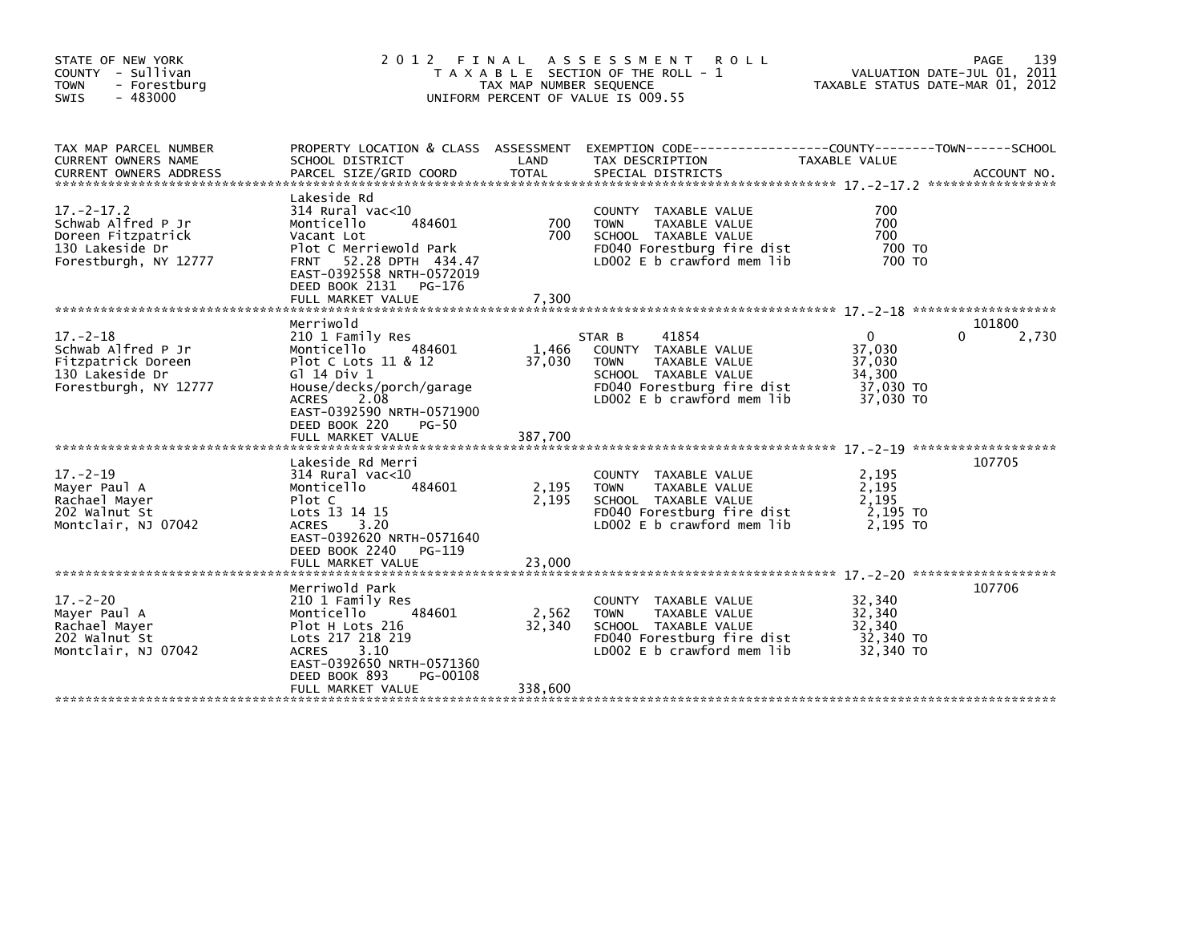| STATE OF NEW YORK<br>COUNTY - Sullivan<br>- Forestburg<br><b>TOWN</b><br>$-483000$<br><b>SWIS</b>        |                                                                                                                                                                                                                  | TAX MAP NUMBER SEQUENCE | 2012 FINAL ASSESSMENT ROLL<br>T A X A B L E SECTION OF THE ROLL - 1<br>UNIFORM PERCENT OF VALUE IS 009.55                                                             |                                                                      | 139<br>PAGE<br>VALUATION DATE-JUL 01, 2011<br>TAXABLE STATUS DATE-MAR 01, 2012 |
|----------------------------------------------------------------------------------------------------------|------------------------------------------------------------------------------------------------------------------------------------------------------------------------------------------------------------------|-------------------------|-----------------------------------------------------------------------------------------------------------------------------------------------------------------------|----------------------------------------------------------------------|--------------------------------------------------------------------------------|
| TAX MAP PARCEL NUMBER<br>CURRENT OWNERS NAME                                                             | SCHOOL DISTRICT                                                                                                                                                                                                  | LAND                    | PROPERTY LOCATION & CLASS ASSESSMENT EXEMPTION CODE-----------------COUNTY-------TOWN------SCHOOL<br>TAX DESCRIPTION                                                  | TAXABLE VALUE                                                        |                                                                                |
| $17. - 2 - 17.2$<br>Schwab Alfred P Jr<br>Doreen Fitzpatrick<br>130 Lakeside Dr<br>Forestburgh, NY 12777 | Lakeside Rd<br>$314$ Rural vac<10<br>Monticello<br>484601<br>Vacant Lot<br>Plot C Merriewold Park<br>52.28 DPTH 434.47<br><b>FRNT</b><br>EAST-0392558 NRTH-0572019<br>DEED BOOK 2131 PG-176<br>FULL MARKET VALUE | 700<br>700<br>7,300     | <b>COUNTY</b><br>TAXABLE VALUE<br>TAXABLE VALUE<br><b>TOWN</b><br>SCHOOL TAXABLE VALUE<br>FD040 Forestburg fire dist<br>LD002 E b crawford mem lib                    | 700<br>700<br>700<br>700 TO<br>700 TO                                |                                                                                |
|                                                                                                          |                                                                                                                                                                                                                  |                         |                                                                                                                                                                       |                                                                      |                                                                                |
| $17. - 2 - 18$<br>Schwab Alfred P Jr<br>Fitzpatrick Doreen<br>130 Lakeside Dr<br>Forestburgh, NY 12777   | Merriwold<br>210 1 Family Res<br>Monticello<br>484601<br>Plot C Lots 11 & 12<br>G1 14 Div 1<br>House/decks/porch/garage<br><b>ACRES</b><br>2.08<br>EAST-0392590 NRTH-0571900<br>DEED BOOK 220<br>PG-50           | 1,466<br>37,030         | 41854<br>STAR B<br><b>COUNTY</b><br>TAXABLE VALUE<br>TAXABLE VALUE<br><b>TOWN</b><br>SCHOOL TAXABLE VALUE<br>FD040 Forestburg fire dist<br>LD002 E b crawford mem lib | $\mathbf{0}$<br>37,030<br>37,030<br>34,300<br>37,030 TO<br>37,030 TO | 101800<br>2,730<br>0                                                           |
|                                                                                                          |                                                                                                                                                                                                                  |                         |                                                                                                                                                                       |                                                                      |                                                                                |
| $17. - 2 - 19$<br>Mayer Paul A<br>Rachael Mayer<br>202 Walnut St<br>Montclair, NJ 07042                  | Lakeside Rd Merri<br>$314$ Rural vac<10<br>484601<br>Monticello<br>Plot C<br>Lots 13 14 15<br><b>ACRES</b><br>3.20<br>EAST-0392620 NRTH-0571640                                                                  | 2,195<br>2,195          | COUNTY TAXABLE VALUE<br>TAXABLE VALUE<br><b>TOWN</b><br>SCHOOL TAXABLE VALUE<br>FD040 Forestburg fire dist<br>LD002 E b crawford mem lib                              | 2,195<br>2,195<br>2.195<br>2,195 TO<br>2,195 TO                      | 107705                                                                         |
|                                                                                                          | DEED BOOK 2240<br>PG-119<br>FULL MARKET VALUE                                                                                                                                                                    | 23,000                  |                                                                                                                                                                       |                                                                      |                                                                                |
| $17. - 2 - 20$<br>Mayer Paul A<br>Rachael Mayer<br>202 Walnut St<br>Montclair, NJ 07042                  | Merriwold Park<br>210 1 Family Res<br>Monticello<br>484601<br>Plot H Lots 216<br>Lots 217 218 219<br>3.10<br><b>ACRES</b><br>EAST-0392650 NRTH-0571360<br>DEED BOOK 893<br>PG-00108                              | 2,562<br>32,340         | COUNTY TAXABLE VALUE<br><b>TOWN</b><br>TAXABLE VALUE<br>SCHOOL TAXABLE VALUE<br>FD040 Forestburg fire dist<br>LD002 E b crawford mem lib                              | 32,340<br>32,340<br>32,340<br>32,340 TO<br>32,340 TO                 | 107706                                                                         |
|                                                                                                          | FULL MARKET VALUE                                                                                                                                                                                                | 338,600                 |                                                                                                                                                                       |                                                                      |                                                                                |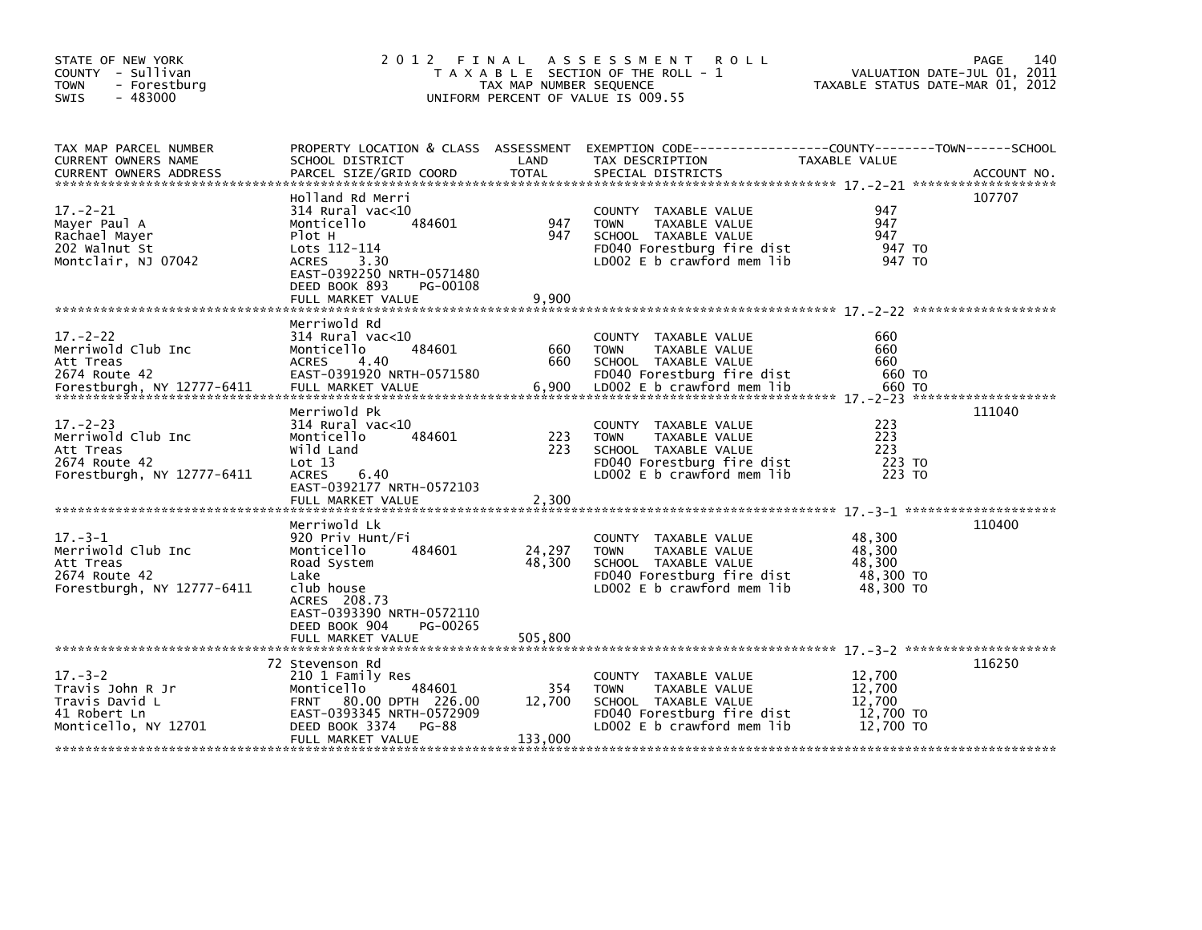| STATE OF NEW YORK<br>COUNTY - Sullivan<br><b>TOWN</b><br>- Forestburg<br>$-483000$<br>SWIS      | 2012 FINAL                                                                                                                                                                                         | TAX MAP NUMBER SEQUENCE     | A S S E S S M E N T<br><b>ROLL</b><br>T A X A B L E SECTION OF THE ROLL - 1<br>UNIFORM PERCENT OF VALUE IS 009.55                        |                                                      | 140<br>PAGE<br>VALUATION DATE-JUL 01, 2011<br>TAXABLE STATUS DATE-MAR 01, 2012 |
|-------------------------------------------------------------------------------------------------|----------------------------------------------------------------------------------------------------------------------------------------------------------------------------------------------------|-----------------------------|------------------------------------------------------------------------------------------------------------------------------------------|------------------------------------------------------|--------------------------------------------------------------------------------|
| TAX MAP PARCEL NUMBER<br>CURRENT OWNERS NAME                                                    | PROPERTY LOCATION & CLASS ASSESSMENT<br>SCHOOL DISTRICT                                                                                                                                            | LAND                        | EXEMPTION CODE-----------------COUNTY-------TOWN------SCHOOL<br>TAX DESCRIPTION                                                          | TAXABLE VALUE                                        |                                                                                |
| $17. - 2 - 21$<br>Mayer Paul A<br>Rachael Mayer<br>202 Walnut St<br>Montclair, NJ 07042         | Holland Rd Merri<br>$314$ Rural vac< $10$<br>484601<br>Monticello<br>Plot H<br>Lots 112-114<br><b>ACRES</b><br>3.30<br>EAST-0392250 NRTH-0571480<br>DEED BOOK 893<br>PG-00108<br>FULL MARKET VALUE | 947<br>947<br>9,900         | COUNTY TAXABLE VALUE<br><b>TOWN</b><br>TAXABLE VALUE<br>SCHOOL TAXABLE VALUE<br>FD040 Forestburg fire dist<br>LD002 E b crawford mem lib | 947<br>947<br>947<br>947 TO<br>947 TO                | 107707                                                                         |
| $17. - 2 - 22$<br>Merriwold Club Inc<br>Att Treas<br>2674 Route 42                              | Merriwold Rd<br>$314$ Rural vac< $10$<br>484601<br>Monticello<br><b>ACRES</b><br>4.40<br>EAST-0391920 NRTH-0571580                                                                                 | 660<br>660                  | COUNTY TAXABLE VALUE<br><b>TOWN</b><br>TAXABLE VALUE<br>SCHOOL TAXABLE VALUE<br>FD040 Forestburg fire dist                               | 660<br>660<br>660<br>660 TO                          |                                                                                |
| $17 - 2 - 23$<br>Merriwold Club Inc<br>Att Treas<br>2674 Route 42<br>Forestburgh, NY 12777-6411 | Merriwold Pk<br>$314$ Rural vac<10<br>484601<br>Monticello<br>Wild Land<br>Lot 13<br><b>ACRES</b><br>6.40<br>EAST-0392177 NRTH-0572103<br>FULL MARKET VALUE                                        | 223<br>223<br>2,300         | COUNTY TAXABLE VALUE<br><b>TOWN</b><br>TAXABLE VALUE<br>SCHOOL TAXABLE VALUE<br>FD040 Forestburg fire dist<br>LD002 E b crawford mem lib | 223<br>223<br>223<br>223 TO<br>223 TO                | 111040                                                                         |
| $17. - 3 - 1$<br>Merriwold Club Inc<br>Att Treas<br>2674 Route 42<br>Forestburgh, NY 12777-6411 | Merriwold Lk<br>920 Priv Hunt/Fi<br>484601<br>Monticello<br>Road System<br>Lake<br>club house<br>ACRES 208.73<br>EAST-0393390 NRTH-0572110<br>DEED BOOK 904<br>PG-00265<br>FULL MARKET VALUE       | 24,297<br>48,300<br>505,800 | COUNTY TAXABLE VALUE<br><b>TOWN</b><br>TAXABLE VALUE<br>SCHOOL TAXABLE VALUE<br>FD040 Forestburg fire dist<br>LD002 E b crawford mem lib | 48,300<br>48,300<br>48,300<br>48,300 TO<br>48,300 TO | 110400                                                                         |
| $17. - 3 - 2$<br>Travis John R Jr<br>Travis David L<br>41 Robert Ln<br>Monticello, NY 12701     | 72 Stevenson Rd<br>210 1 Family Res<br>484601<br>Monticello<br>FRNT 80.00 DPTH 226.00<br>EAST-0393345 NRTH-0572909<br>DEED BOOK 3374<br><b>PG-88</b><br>FULL MARKET VALUE                          | 354<br>12,700<br>133,000    | COUNTY TAXABLE VALUE<br><b>TOWN</b><br>TAXABLE VALUE<br>SCHOOL TAXABLE VALUE<br>FD040 Forestburg fire dist<br>LD002 E b crawford mem lib | 12,700<br>12,700<br>12,700<br>12,700 TO<br>12,700 TO | 116250                                                                         |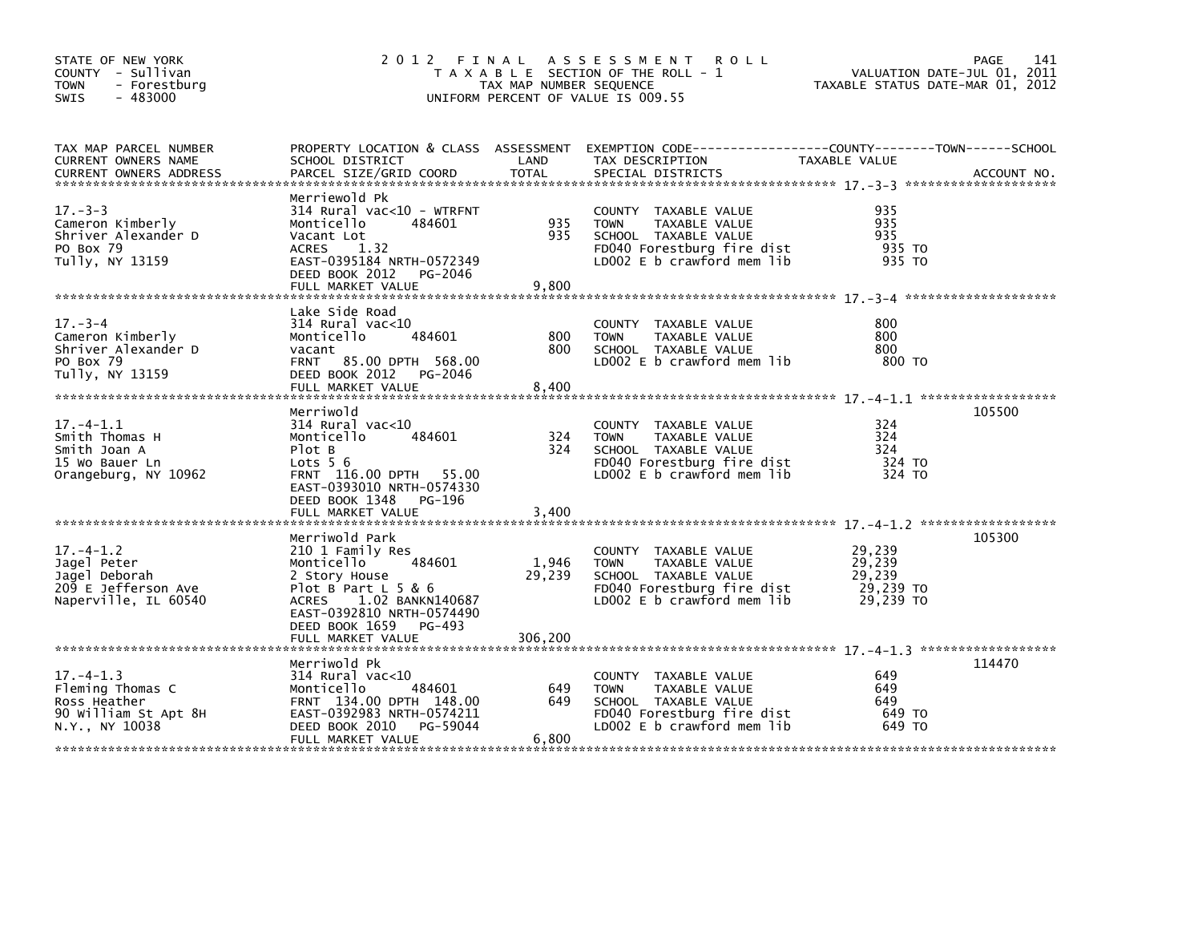| STATE OF NEW YORK<br>COUNTY - Sullivan<br><b>TOWN</b><br>- Forestburg<br>$-483000$<br><b>SWIS</b> |                                                                                                                                                                                                              | TAX MAP NUMBER SEQUENCE    | 2012 FINAL ASSESSMENT ROLL<br>T A X A B L E SECTION OF THE ROLL - 1<br>UNIFORM PERCENT OF VALUE IS 009.55                                    | VALUATION DATE-JUL 01, 2011<br>TAXABLE STATUS DATE-MAR 01, 2012 | 141<br>PAGE |
|---------------------------------------------------------------------------------------------------|--------------------------------------------------------------------------------------------------------------------------------------------------------------------------------------------------------------|----------------------------|----------------------------------------------------------------------------------------------------------------------------------------------|-----------------------------------------------------------------|-------------|
| TAX MAP PARCEL NUMBER<br><b>CURRENT OWNERS NAME</b><br><b>CURRENT OWNERS ADDRESS</b>              | SCHOOL DISTRICT<br>PARCEL SIZE/GRID COORD                                                                                                                                                                    | LAND<br>TOTAL              | PROPERTY LOCATION & CLASS ASSESSMENT EXEMPTION CODE----------------COUNTY-------TOWN------SCHOOL<br>TAX DESCRIPTION<br>SPECIAL DISTRICTS     | TAXABLE VALUE                                                   | ACCOUNT NO. |
| $17 - 3 - 3$<br>Cameron Kimberly<br>Shriver Alexander D<br>PO Box 79<br>Tully, NY 13159           | Merriewold Pk<br>314 Rural vac<10 - WTRFNT<br>Monticello<br>484601<br>Vacant Lot<br>ACRES 1.32<br>EAST-0395184 NRTH-0572349<br>DEED BOOK 2012 PG-2046<br>FULL MARKET VALUE                                   | 935<br>935<br>9,800        | COUNTY TAXABLE VALUE<br><b>TOWN</b><br>TAXABLE VALUE<br>SCHOOL TAXABLE VALUE<br>FD040 Forestburg fire dist<br>LD002 $E$ b crawford mem $lib$ | 935<br>935<br>935<br>935 TO<br>935 TO                           |             |
| $17 - 3 - 4$<br>Cameron Kimberly<br>Shriver Alexander D<br>PO Box 79<br>Tully, NY 13159           | Lake Side Road<br>$314$ Rural vac< $10$<br>484601<br>Monticello<br>vacant<br>FRNT 85.00 DPTH 568.00<br>DEED BOOK 2012 PG-2046<br>FULL MARKET VALUE                                                           | 800<br>800<br>8,400        | COUNTY TAXABLE VALUE<br>TAXABLE VALUE<br><b>TOWN</b><br>SCHOOL TAXABLE VALUE<br>LDOO2 E b crawford mem lib                                   | 800<br>800<br>800<br>800 TO                                     |             |
| $17. - 4 - 1.1$<br>Smith Thomas H<br>Smith Joan A<br>15 Wo Bauer Ln<br>Orangeburg, NY 10962       | Merriwold<br>314 Rural vac<10<br>484601<br>Monticello<br>Plot B<br>Lots $56$<br>FRNT 116.00 DPTH 55.00<br>EAST-0393010 NRTH-0574330<br>DEED BOOK 1348 PG-196<br>FULL MARKET VALUE                            | 324<br>324<br>3,400        | COUNTY TAXABLE VALUE<br><b>TOWN</b><br>TAXABLE VALUE<br>SCHOOL TAXABLE VALUE<br>FD040 Forestburg fire dist<br>LD002 E b crawford mem lib     | 324<br>324<br>324<br>324 TO<br>324 TO                           | 105500      |
| $17. - 4 - 1.2$<br>Jagel Peter<br>Jagel Deborah<br>209 E Jefferson Ave<br>Naperville, IL 60540    | Merriwold Park<br>210 1 Family Res<br>484601<br>Monticello<br>2 Story House<br>Plot B Part $L$ 5 & 6<br>ACRES<br>1.02 BANKN140687<br>EAST-0392810 NRTH-0574490<br>DEED BOOK 1659 PG-493<br>FULL MARKET VALUE | 1,946<br>29,239<br>306,200 | COUNTY TAXABLE VALUE<br><b>TOWN</b><br>TAXABLE VALUE<br>SCHOOL TAXABLE VALUE<br>FD040 Forestburg fire dist<br>LD002 E b crawford mem lib     | 29,239<br>29,239<br>29,239<br>29,239 TO<br>29,239 TO            | 105300      |
| $17. - 4 - 1.3$<br>Fleming Thomas C<br>Ross Heather<br>90 William St Apt 8H<br>N.Y., NY 10038     | Merriwold Pk<br>314 Rural vac<10<br>484601<br>Monticello<br>FRNT 134.00 DPTH 148.00<br>EAST-0392983 NRTH-0574211<br>DEED BOOK 2010<br>PG-59044<br>FULL MARKET VALUE                                          | 649<br>649<br>6,800        | COUNTY TAXABLE VALUE<br><b>TOWN</b><br>TAXABLE VALUE<br>SCHOOL TAXABLE VALUE<br>FD040 Forestburg fire dist<br>LD002 E b crawford mem lib     | 649<br>649<br>649<br>649 TO<br>649 TO                           | 114470      |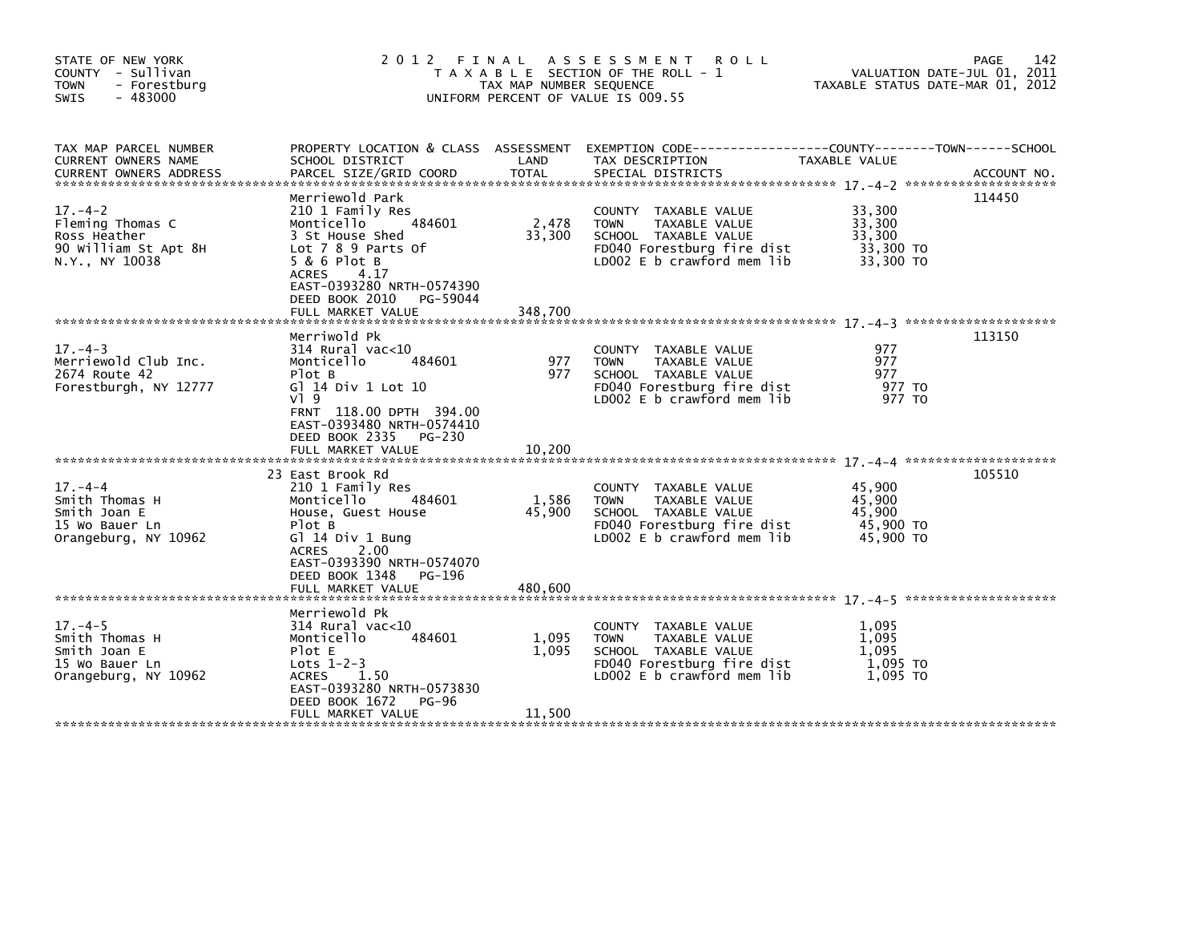| STATE OF NEW YORK<br>COUNTY - Sullivan<br>- Forestburg<br><b>TOWN</b><br>$-483000$<br><b>SWIS</b> | 2012 FINAL                                                                                                                                                                                                            | TAX MAP NUMBER SEQUENCE    | A S S E S S M E N T<br><b>ROLL</b><br>T A X A B L E SECTION OF THE ROLL - 1<br>UNIFORM PERCENT OF VALUE IS 009.55                            | VALUATION DATE-JUL 01, 2011<br>TAXABLE STATUS DATE-MAR 01, 2012 | 142<br>PAGE |
|---------------------------------------------------------------------------------------------------|-----------------------------------------------------------------------------------------------------------------------------------------------------------------------------------------------------------------------|----------------------------|----------------------------------------------------------------------------------------------------------------------------------------------|-----------------------------------------------------------------|-------------|
| TAX MAP PARCEL NUMBER<br>CURRENT OWNERS NAME<br><b>CURRENT OWNERS ADDRESS</b>                     | SCHOOL DISTRICT<br>PARCEL SIZE/GRID COORD                                                                                                                                                                             | LAND<br>TOTAL              | PROPERTY LOCATION & CLASS ASSESSMENT EXEMPTION CODE----------------COUNTY--------TOWN------SCHOOL<br>TAX DESCRIPTION<br>SPECIAL DISTRICTS    | TAXABLE VALUE                                                   | ACCOUNT NO. |
| $17. - 4 - 2$<br>Fleming Thomas C<br>Ross Heather<br>90 William St Apt 8H<br>N.Y., NY 10038       | Merriewold Park<br>210 1 Family Res<br>Monticello<br>484601<br>3 St House Shed<br>Lot 7 8 9 Parts Of<br>5 & 6 Plot B<br>ACRES<br>4.17<br>EAST-0393280 NRTH-0574390<br>DEED BOOK 2010<br>PG-59044<br>FULL MARKET VALUE | 2,478<br>33,300<br>348,700 | COUNTY TAXABLE VALUE<br>TAXABLE VALUE<br><b>TOWN</b><br>SCHOOL TAXABLE VALUE<br>FD040 Forestburg fire dist<br>LD002 E b crawford mem lib     | 33,300<br>33,300<br>33,300<br>33,300 TO<br>33,300 TO            | 114450      |
|                                                                                                   | Merriwold Pk                                                                                                                                                                                                          |                            |                                                                                                                                              |                                                                 | 113150      |
| $17. - 4 - 3$<br>Merriewold Club Inc.<br>2674 Route 42<br>Forestburgh, NY 12777                   | $314$ Rural vac< $10$<br>484601<br>Monticello<br>Plot B<br>G] 14 Div 1 Lot 10<br>$V$ ] 9<br>FRNT 118.00 DPTH 394.00<br>EAST-0393480 NRTH-0574410<br>DEED BOOK 2335<br>PG-230                                          | 977<br>977                 | COUNTY TAXABLE VALUE<br><b>TOWN</b><br>TAXABLE VALUE<br>SCHOOL TAXABLE VALUE<br>FD040 Forestburg fire dist<br>$LD002 E b$ crawford mem $lib$ | 977<br>977<br>977<br>977 TO<br>977 TO                           |             |
|                                                                                                   | FULL MARKET VALUE                                                                                                                                                                                                     | 10,200                     |                                                                                                                                              |                                                                 |             |
| $17. - 4 - 4$<br>Smith Thomas H<br>Smith Joan E<br>15 Wo Bauer Ln<br>Orangeburg, NY 10962         | 23 East Brook Rd<br>210 1 Family Res<br>Monticello<br>484601<br>House, Guest House<br>Plot B<br>G $1$ 14 Div 1 Bung<br>2.00<br>ACRES<br>EAST-0393390 NRTH-0574070<br>DEED BOOK 1348 PG-196                            | 1,586<br>45,900            | COUNTY TAXABLE VALUE<br><b>TOWN</b><br>TAXABLE VALUE<br>SCHOOL TAXABLE VALUE<br>FD040 Forestburg fire dist<br>$LD002 E b$ crawford mem lib   | 45,900<br>45,900<br>45.900<br>45,900 TO<br>45,900 TO            | 105510      |
|                                                                                                   | Merriewold Pk                                                                                                                                                                                                         |                            |                                                                                                                                              |                                                                 |             |
| $17. -4-5$<br>Smith Thomas H<br>Smith Joan E<br>15 Wo Bauer Ln<br>Orangeburg, NY 10962            | $314$ Rural vac<10<br>Monticello<br>484601<br>Plot E<br>Lots $1-2-3$<br>ACRES<br>1.50<br>EAST-0393280 NRTH-0573830<br>DEED BOOK 1672<br>PG-96                                                                         | 1,095<br>1.095             | COUNTY TAXABLE VALUE<br><b>TOWN</b><br>TAXABLE VALUE<br>SCHOOL TAXABLE VALUE<br>FD040 Forestburg fire dist<br>LD002 E b crawford mem lib     | 1,095<br>1,095<br>1.095<br>1,095 TO<br>1.095 TO                 |             |
|                                                                                                   | FULL MARKET VALUE                                                                                                                                                                                                     | 11,500                     |                                                                                                                                              |                                                                 |             |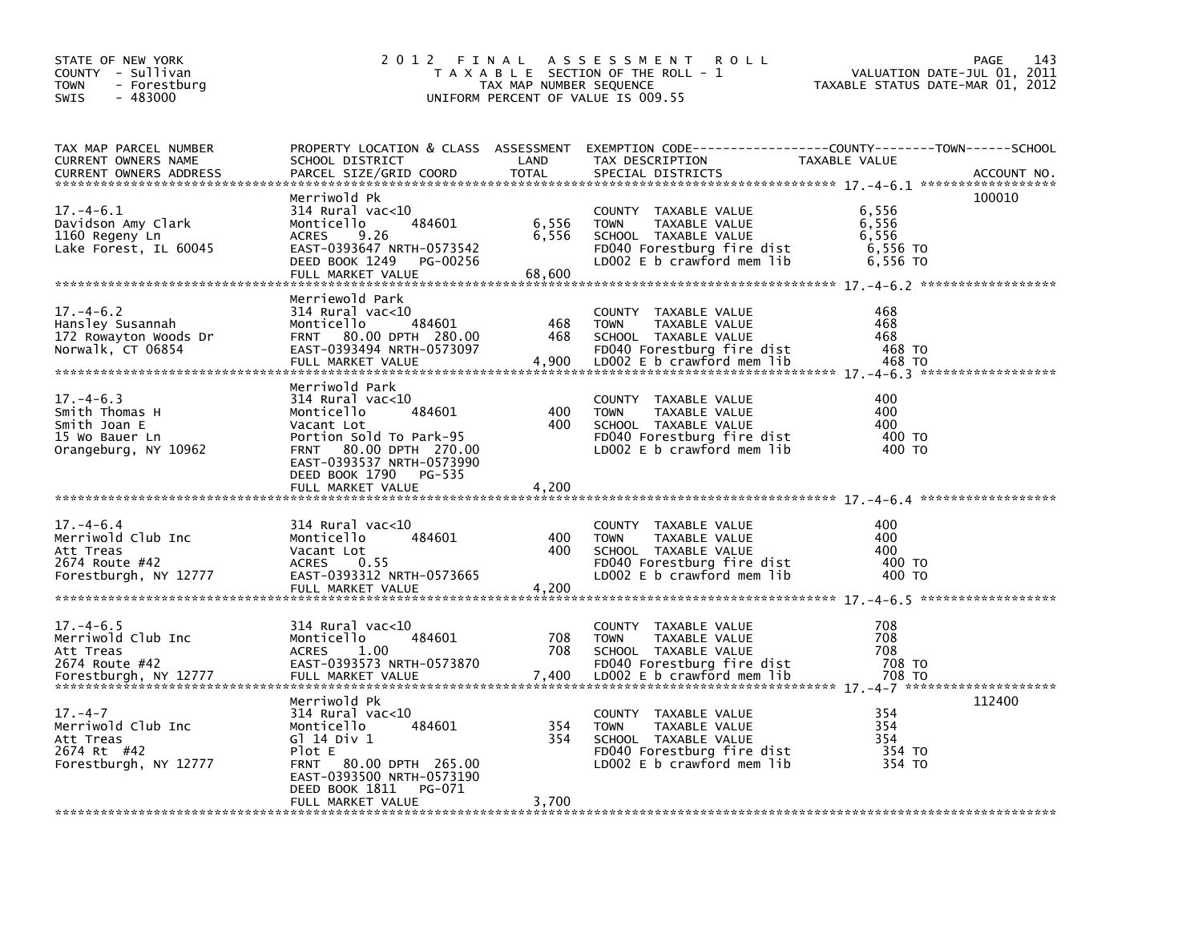| STATE OF NEW YORK<br>COUNTY - Sullivan<br><b>TOWN</b><br>- Forestburg<br>$-483000$<br>SWIS    |                                                                                                                                                                                           | TAX MAP NUMBER SEQUENCE  | 2012 FINAL ASSESSMENT<br><b>ROLL</b><br>T A X A B L E SECTION OF THE ROLL - 1<br>UNIFORM PERCENT OF VALUE IS 009.55                      | VALUATION DATE-JUL 01, 2011<br>TAXABLE STATUS DATE-MAR 01, 2012 | 143<br>PAGE |
|-----------------------------------------------------------------------------------------------|-------------------------------------------------------------------------------------------------------------------------------------------------------------------------------------------|--------------------------|------------------------------------------------------------------------------------------------------------------------------------------|-----------------------------------------------------------------|-------------|
| TAX MAP PARCEL NUMBER<br>CURRENT OWNERS NAME<br><b>CURRENT OWNERS ADDRESS</b>                 | SCHOOL DISTRICT<br>PARCEL SIZE/GRID COORD                                                                                                                                                 | LAND<br><b>TOTAL</b>     | PROPERTY LOCATION & CLASS ASSESSMENT EXEMPTION CODE----------------COUNTY-------TOWN-----SCHOOL<br>TAX DESCRIPTION<br>SPECIAL DISTRICTS  | TAXABLE VALUE                                                   | ACCOUNT NO. |
| $17. - 4 - 6.1$<br>Davidson Amy Clark<br>1160 Regeny Ln<br>Lake Forest, IL 60045              | Merriwold Pk<br>314 Rural vac<10<br>484601<br>Monticello<br>9.26<br><b>ACRES</b><br>EAST-0393647 NRTH-0573542<br>DEED BOOK 1249 PG-00256<br>FULL MARKET VALUE                             | 6,556<br>6,556<br>68,600 | COUNTY TAXABLE VALUE<br>TAXABLE VALUE<br><b>TOWN</b><br>SCHOOL TAXABLE VALUE<br>FD040 Forestburg fire dist<br>LD002 E b crawford mem lib | 6,556<br>6,556<br>6,556<br>6,556 TO<br>6,556 TO                 | 100010      |
| $17. - 4 - 6.2$<br>Hansley Susannah<br>172 Rowayton Woods Dr<br>Norwalk, CT 06854             | Merriewold Park<br>$314$ Rural vac<10<br>484601<br>Monticello<br>FRNT 80.00 DPTH 280.00<br>EAST-0393494 NRTH-0573097<br>FULL MARKET VALUE                                                 | 468<br>468<br>4,900      | COUNTY TAXABLE VALUE<br><b>TOWN</b><br>TAXABLE VALUE<br>SCHOOL TAXABLE VALUE<br>FD040 Forestburg fire dist<br>LD002 E b crawford mem lib | 468<br>468<br>468<br>468 TO<br>468 TO                           |             |
| $17. - 4 - 6.3$<br>Smith Thomas H<br>Smith Joan E<br>15 Wo Bauer Ln<br>Orangeburg, NY 10962   | Merriwold Park<br>$314$ Rural vac<10<br>Monticello<br>484601<br>Vacant Lot<br>Portion Sold To Park-95<br>FRNT 80.00 DPTH 270.00<br>EAST-0393537 NRTH-0573990<br>DEED BOOK 1790 PG-535     | 400<br>400               | COUNTY TAXABLE VALUE<br>TAXABLE VALUE<br><b>TOWN</b><br>SCHOOL TAXABLE VALUE<br>FD040 Forestburg fire dist<br>LD002 E b crawford mem lib | 400<br>400<br>400<br>400 TO<br>400 TO                           |             |
|                                                                                               | FULL MARKET VALUE                                                                                                                                                                         | 4,200                    |                                                                                                                                          |                                                                 |             |
| $17. - 4 - 6.4$<br>Merriwold Club Inc<br>Att Treas<br>2674 Route #42<br>Forestburgh, NY 12777 | $314$ Rural vac< $10$<br>484601<br>Monticello<br>Vacant Lot<br>0.55<br>ACRES<br>EAST-0393312 NRTH-0573665<br>FULL MARKET VALUE                                                            | 400<br>400<br>4,200      | COUNTY TAXABLE VALUE<br><b>TOWN</b><br>TAXABLE VALUE<br>SCHOOL TAXABLE VALUE<br>FD040 Forestburg fire dist<br>LD002 E b crawford mem lib | 400<br>400<br>400<br>400 TO<br>400 TO                           |             |
| $17. -4 - 6.5$<br>Merriwold Club Inc<br>Att Treas<br>2674 Route #42<br>Forestburgh, NY 12777  | $314$ Rural vac<10<br>Monticello<br>484601<br><b>ACRES</b><br>1.00<br>EAST-0393573 NRTH-0573870                                                                                           | 708<br>708               | COUNTY TAXABLE VALUE<br><b>TOWN</b><br>TAXABLE VALUE<br>SCHOOL TAXABLE VALUE<br>FD040 Forestburg fire dist                               | 708<br>708<br>708<br>708 TO                                     |             |
| $17. - 4 - 7$<br>Merriwold Club Inc<br>Att Treas<br>2674 Rt #42<br>Forestburgh, NY 12777      | Merriwold Pk<br>314 Rural vac<10<br>484601<br>Monticello<br>G1 14 Div 1<br>Plot E<br>FRNT 80.00 DPTH 265.00<br>EAST-0393500 NRTH-0573190<br>DEED BOOK 1811<br>PG-071<br>FULL MARKET VALUE | 354<br>354<br>3,700      | COUNTY TAXABLE VALUE<br><b>TOWN</b><br>TAXABLE VALUE<br>SCHOOL TAXABLE VALUE<br>FD040 Forestburg fire dist<br>LD002 E b crawford mem lib | 354<br>354<br>354<br>354 TO<br>354 TO                           | 112400      |
|                                                                                               |                                                                                                                                                                                           |                          |                                                                                                                                          |                                                                 |             |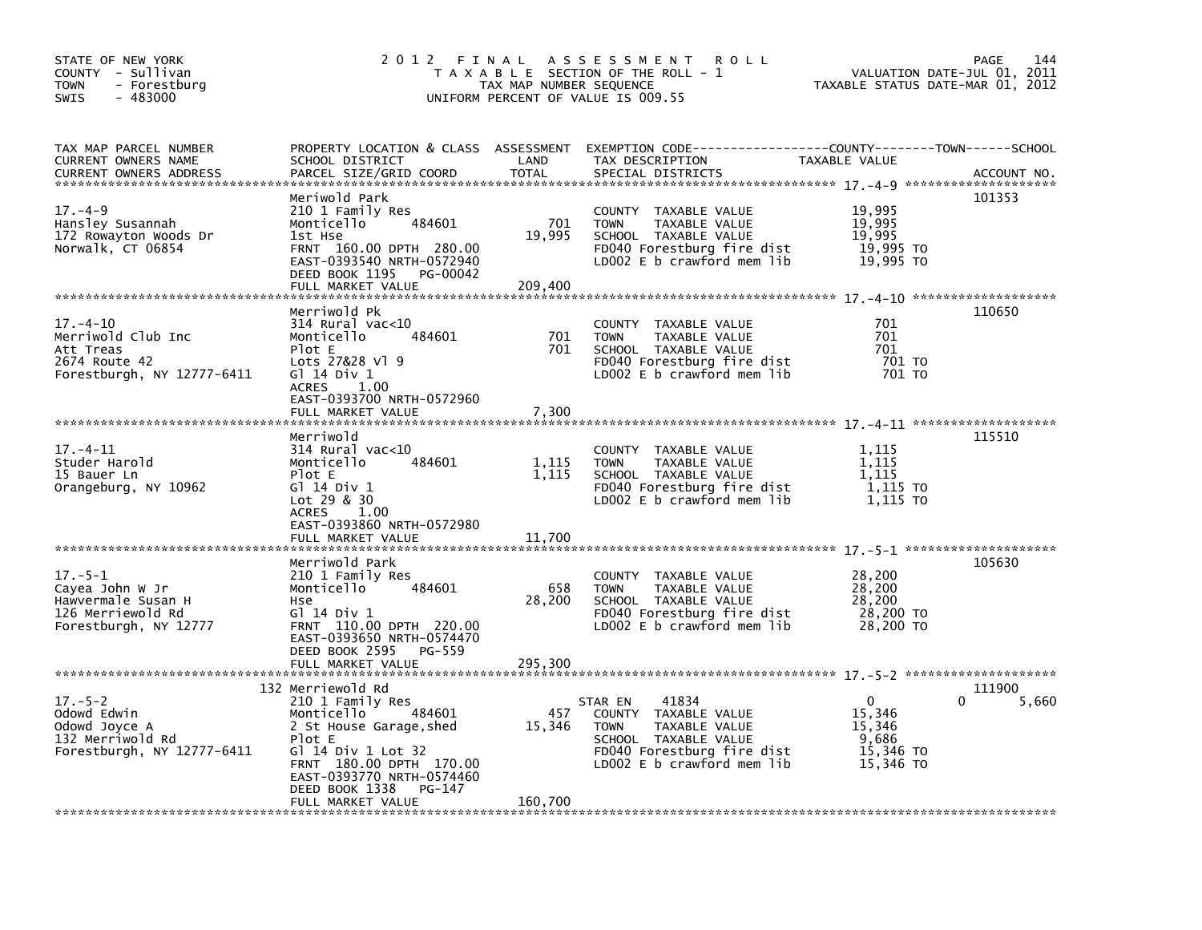| STATE OF NEW YORK<br>COUNTY - Sullivan<br>- Forestburg<br>TOWN<br>$-483000$<br><b>SWIS</b>           |                                                                                                                                                                                                                                   | TAX MAP NUMBER SEQUENCE  | 2012 FINAL ASSESSMENT<br><b>ROLL</b><br>T A X A B L E SECTION OF THE ROLL - 1<br>UNIFORM PERCENT OF VALUE IS 009.55                                          | TAXABLE STATUS DATE-MAR 01, 2012                         | 144<br><b>PAGE</b><br>VALUATION DATE-JUL 01, 2011 |
|------------------------------------------------------------------------------------------------------|-----------------------------------------------------------------------------------------------------------------------------------------------------------------------------------------------------------------------------------|--------------------------|--------------------------------------------------------------------------------------------------------------------------------------------------------------|----------------------------------------------------------|---------------------------------------------------|
| TAX MAP PARCEL NUMBER<br>CURRENT OWNERS NAME<br><b>CURRENT OWNERS ADDRESS</b>                        | SCHOOL DISTRICT<br>PARCEL SIZE/GRID COORD                                                                                                                                                                                         | LAND<br><b>TOTAL</b>     | PROPERTY LOCATION & CLASS ASSESSMENT EXEMPTION CODE---------------COUNTY-------TOWN------SCHOOL<br>TAX DESCRIPTION<br>SPECIAL DISTRICTS                      | <b>TAXABLE VALUE</b>                                     | ACCOUNT NO.                                       |
| $17. - 4 - 9$<br>Hansley Susannah<br>172 Rowayton Woods Dr<br>Norwalk, CT 06854                      | Meriwold Park<br>210 1 Family Res<br>484601<br>Monticello<br>1st Hse<br>FRNT 160.00 DPTH 280.00<br>EAST-0393540 NRTH-0572940<br>DEED BOOK 1195 PG-00042<br>FULL MARKET VALUE                                                      | 701<br>19,995<br>209,400 | COUNTY TAXABLE VALUE<br><b>TOWN</b><br>TAXABLE VALUE<br>SCHOOL TAXABLE VALUE<br>FD040 Forestburg fire dist<br>LD002 E b crawford mem lib                     | 19,995<br>19,995<br>19,995<br>19,995 TO<br>19,995 TO     | 101353                                            |
| $17. - 4 - 10$                                                                                       | Merriwold Pk<br>314 Rural vac<10                                                                                                                                                                                                  |                          | COUNTY TAXABLE VALUE                                                                                                                                         | 701                                                      | 110650                                            |
| Merriwold Club Inc<br>Att Treas<br>2674 Route 42<br>Forestburgh, NY 12777-6411                       | Monticello<br>484601<br>Plot E<br>Lots 27&28 Vl 9<br>G1 14 Div 1<br><b>ACRES</b><br>1.00                                                                                                                                          | 701<br>701               | <b>TOWN</b><br>TAXABLE VALUE<br>SCHOOL TAXABLE VALUE<br>FD040 Forestburg fire dist<br>LD002 E b crawford mem lib                                             | 701<br>701<br>701 TO<br>701 TO                           |                                                   |
|                                                                                                      | EAST-0393700 NRTH-0572960<br>FULL MARKET VALUE                                                                                                                                                                                    | 7,300                    |                                                                                                                                                              |                                                          |                                                   |
| $17. - 4 - 11$<br>Studer Harold<br>15 Bauer Ln<br>Orangeburg, NY 10962                               | Merriwold<br>$314$ Rural vac<10<br>Monticello<br>484601<br>Plot E<br>G1 14 Div 1<br>Lot 29 & 30<br><b>ACRES</b><br>1.00                                                                                                           | 1,115<br>1,115           | COUNTY TAXABLE VALUE<br><b>TOWN</b><br>TAXABLE VALUE<br>SCHOOL TAXABLE VALUE<br>FD040 Forestburg fire dist<br>LD002 E b crawford mem lib                     | 1.115<br>1,115<br>1,115<br>1,115 TO<br>1,115 TO          | 115510                                            |
|                                                                                                      | EAST-0393860 NRTH-0572980<br>FULL MARKET VALUE                                                                                                                                                                                    | 11,700                   |                                                                                                                                                              |                                                          |                                                   |
| $17. - 5 - 1$<br>Cayea John W Jr<br>Hawvermale Susan H<br>126 Merriewold Rd<br>Forestburgh, NY 12777 | Merriwold Park<br>210 1 Family Res<br>Monticello<br>484601<br>Hse<br>Gl 14 Div 1<br>FRNT 110.00 DPTH 220.00<br>EAST-0393650 NRTH-0574470<br>DEED BOOK 2595 PG-559                                                                 | 658<br>28,200            | COUNTY TAXABLE VALUE<br>TAXABLE VALUE<br><b>TOWN</b><br>SCHOOL TAXABLE VALUE<br>FD040 Forestburg fire dist<br>LD002 E b crawford mem lib                     | 28,200<br>28,200<br>28,200<br>28,200 TO<br>28,200 TO     | 105630                                            |
|                                                                                                      | FULL MARKET VALUE                                                                                                                                                                                                                 | 295,300                  |                                                                                                                                                              |                                                          |                                                   |
| $17. - 5 - 2$<br>Odowd Edwin<br>Odowd Joyce A<br>132 Merriwold Rd<br>Forestburgh, NY 12777-6411      | 132 Merriewold Rd<br>210 1 Family Res<br>484601<br>Monticello<br>2 St House Garage, shed<br>Plot E<br>G] 14 Div 1 Lot 32<br>FRNT 180.00 DPTH 170.00<br>EAST-0393770 NRTH-0574460<br>DEED BOOK 1338<br>PG-147<br>FULL MARKET VALUE | 457<br>15,346<br>160,700 | 41834<br>STAR EN<br>COUNTY TAXABLE VALUE<br><b>TOWN</b><br>TAXABLE VALUE<br>SCHOOL TAXABLE VALUE<br>FD040 Forestburg fire dist<br>LD002 E b crawford mem lib | 0<br>15,346<br>15,346<br>9,686<br>15,346 TO<br>15,346 TO | 111900<br>5,660<br>0                              |
|                                                                                                      |                                                                                                                                                                                                                                   |                          |                                                                                                                                                              |                                                          |                                                   |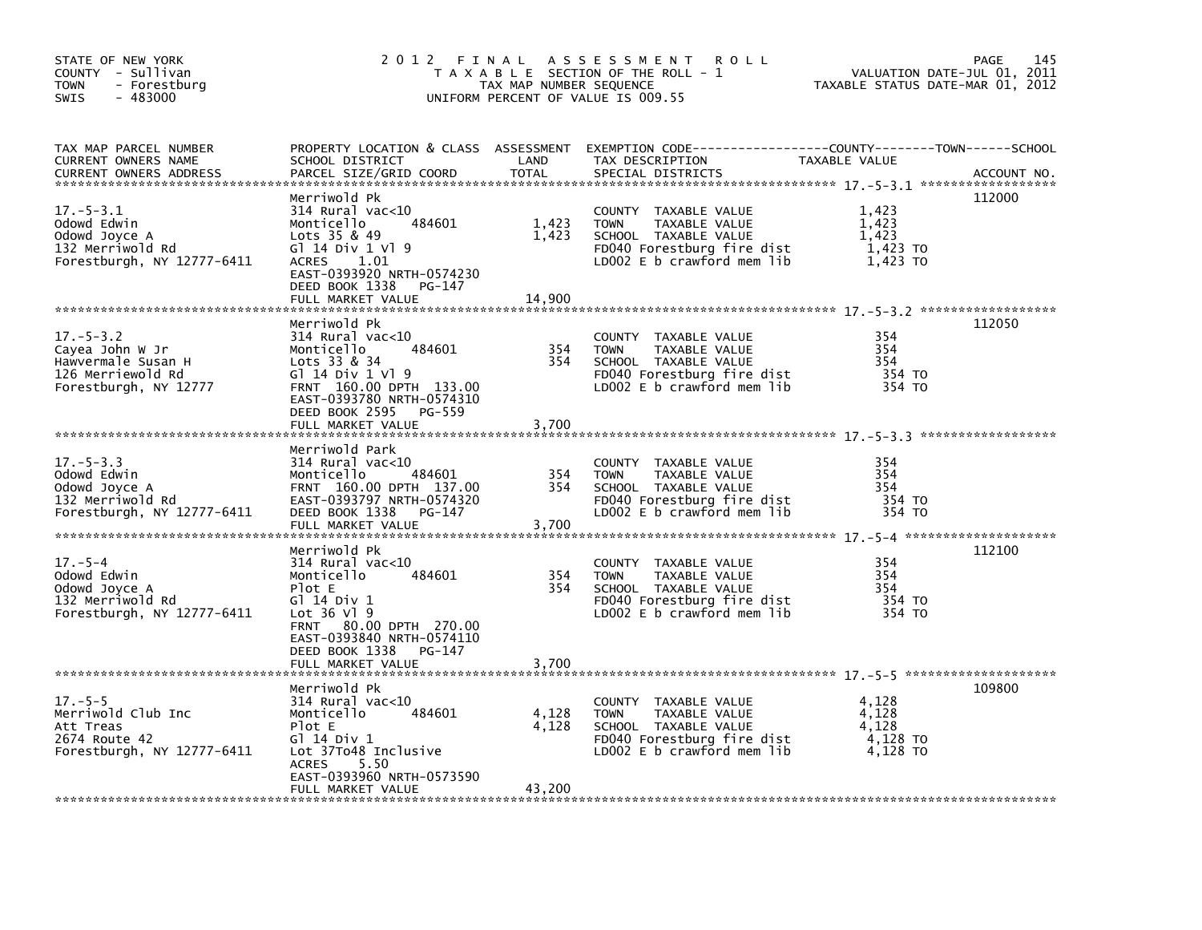| STATE OF NEW YORK<br>COUNTY - Sullivan<br><b>TOWN</b><br>- Forestburg<br>$-483000$<br><b>SWIS</b>      | 2012 FINAL                                                                                                                                                                                                       | TAX MAP NUMBER SEQUENCE  | ASSESSMENT ROLL<br>T A X A B L E SECTION OF THE ROLL - 1<br>UNIFORM PERCENT OF VALUE IS 009.55                                               | VALUATION DATE-JUL 01, 2011<br>TAXABLE STATUS DATE-MAR 01, 2012 | 145<br>PAGE |
|--------------------------------------------------------------------------------------------------------|------------------------------------------------------------------------------------------------------------------------------------------------------------------------------------------------------------------|--------------------------|----------------------------------------------------------------------------------------------------------------------------------------------|-----------------------------------------------------------------|-------------|
| TAX MAP PARCEL NUMBER<br>CURRENT OWNERS NAME<br><b>CURRENT OWNERS ADDRESS</b>                          | PROPERTY LOCATION & CLASS ASSESSMENT<br>SCHOOL DISTRICT<br>PARCEL SIZE/GRID COORD                                                                                                                                | LAND<br><b>TOTAL</b>     | EXEMPTION CODE-----------------COUNTY-------TOWN------SCHOOL<br>TAX DESCRIPTION<br>SPECIAL DISTRICTS                                         | TAXABLE VALUE                                                   | ACCOUNT NO. |
| $17. - 5 - 3.1$<br>Odowd Edwin<br>Odowd Joyce A<br>132 Merriwold Rd<br>Forestburgh, NY 12777-6411      | Merriwold Pk<br>$314$ Rural vac< $10$<br>484601<br>Monticello<br>Lots 35 & 49<br>$G1$ 14 Div 1 V1 9<br>1.01<br>ACRES<br>EAST-0393920 NRTH-0574230<br>DEED BOOK 1338<br>PG-147<br>FULL MARKET VALUE               | 1,423<br>1,423<br>14.900 | COUNTY TAXABLE VALUE<br><b>TOWN</b><br>TAXABLE VALUE<br>SCHOOL TAXABLE VALUE<br>FD040 Forestburg fire dist<br>LD002 $E$ b crawford mem $lib$ | 1,423<br>1,423<br>1.423<br>1,423 TO<br>1,423 TO                 | 112000      |
| $17. - 5 - 3.2$<br>Cayea John W Jr<br>Hawvermale Susan H<br>126 Merriewold Rd<br>Forestburgh, NY 12777 | Merriwold Pk<br>$314$ Rural vac< $10$<br>484601<br>Monticello<br>Lots $33 & 8 & 34$<br>G1 14 Div 1 V1 9<br>FRNT 160.00 DPTH 133.00<br>EAST-0393780 NRTH-0574310<br>DEED BOOK 2595<br>PG-559<br>FULL MARKET VALUE | 354<br>354<br>3,700      | COUNTY TAXABLE VALUE<br><b>TOWN</b><br>TAXABLE VALUE<br>SCHOOL TAXABLE VALUE<br>FD040 Forestburg fire dist<br>LD002 E b crawford mem lib     | 354<br>354<br>354<br>354 TO<br>354 TO                           | 112050      |
| $17. - 5 - 3.3$<br>Odowd Edwin<br>Odowd Joyce A<br>132 Merriwold Rd<br>Forestburgh, NY 12777-6411      | Merriwold Park<br>$314$ Rural vac<10<br>484601<br>Monticello<br>FRNT 160.00 DPTH 137.00<br>EAST-0393797 NRTH-0574320<br>DEED BOOK 1338<br>PG-147<br>FULL MARKET VALUE                                            | 354<br>354<br>3,700      | COUNTY TAXABLE VALUE<br>TAXABLE VALUE<br><b>TOWN</b><br>SCHOOL TAXABLE VALUE<br>FD040 Forestburg fire dist<br>LD002 E b crawford mem lib     | 354<br>354<br>354<br>354 TO<br>354 TO                           |             |
| $17. - 5 - 4$<br>Odowd Edwin<br>Odowd Joyce A<br>132 Merriwold Rd<br>Forestburgh, NY 12777-6411        | Merriwold Pk<br>$314$ Rural vac<10<br>484601<br>Monticello<br>Plot E<br>G1 14 Div 1<br>Lot 36 V1 9<br>FRNT 80.00 DPTH 270.00<br>EAST-0393840 NRTH-0574110<br>DEED BOOK 1338<br>PG-147<br>FULL MARKET VALUE       | 354<br>354<br>3,700      | COUNTY TAXABLE VALUE<br><b>TOWN</b><br>TAXABLE VALUE<br>SCHOOL TAXABLE VALUE<br>FD040 Forestburg fire dist<br>LD002 E b crawford mem lib     | 354<br>354<br>354<br>354 TO<br>354 TO                           | 112100      |
| $17. - 5 - 5$<br>Merriwold Club Inc<br>Att Treas<br>2674 Route 42<br>Forestburgh, NY 12777-6411        | Merriwold Pk<br>$314$ Rural vac<10<br>Monticello<br>484601<br>Plot E<br>G1 14 Div 1<br>Lot 37To48 Inclusive<br>5.50<br><b>ACRES</b><br>EAST-0393960 NRTH-0573590<br>FULL MARKET VALUE                            | 4,128<br>4,128<br>43,200 | COUNTY TAXABLE VALUE<br><b>TOWN</b><br>TAXABLE VALUE<br>SCHOOL TAXABLE VALUE<br>FD040 Forestburg fire dist<br>LD002 E b crawford mem lib     | 4,128<br>4,128<br>4,128<br>4,128 TO<br>4.128 TO                 | 109800      |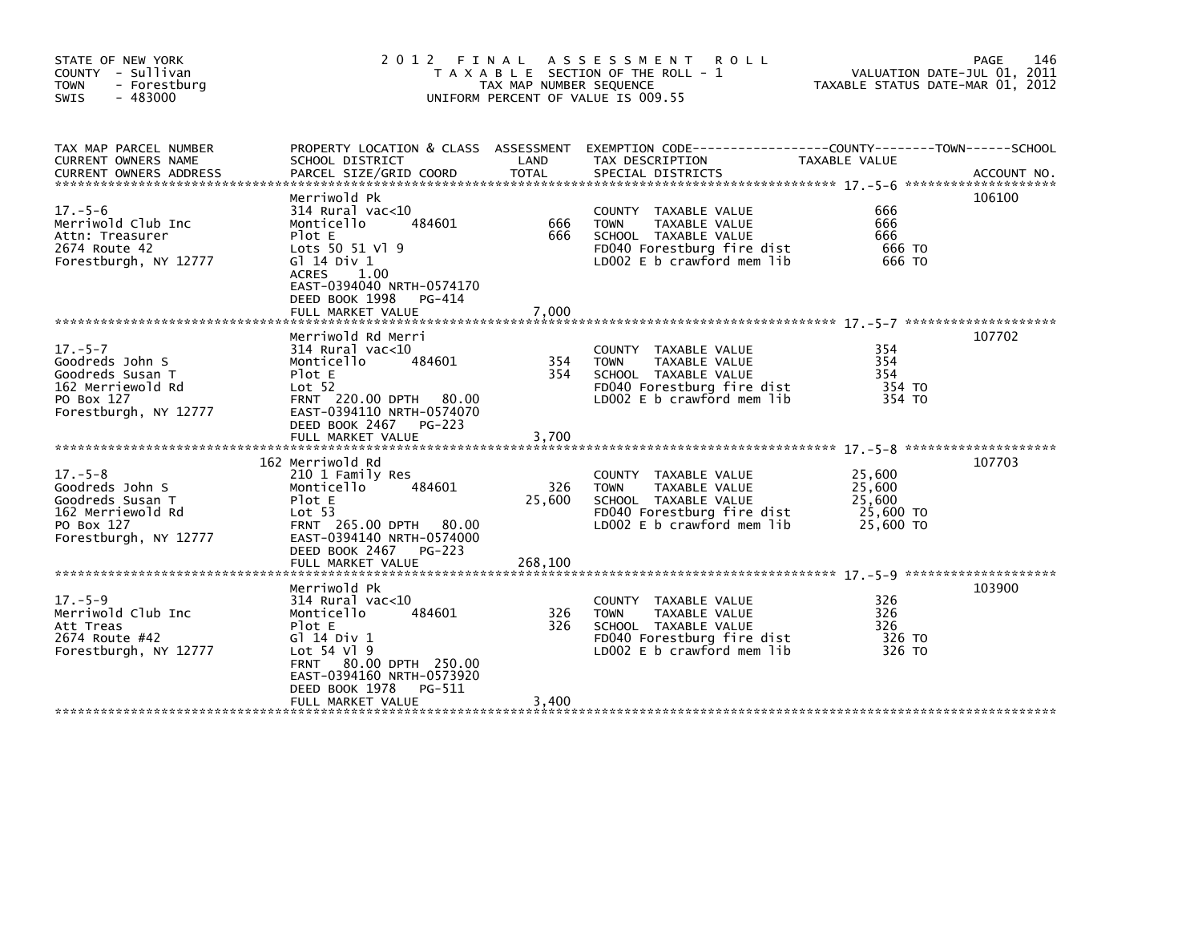| STATE OF NEW YORK<br>COUNTY - Sullivan<br>- Forestburg<br><b>TOWN</b><br>$-483000$<br><b>SWIS</b>                | 2 0 1 2                                                                                                                                                                                                              | FINAL<br>TAX MAP NUMBER SEQUENCE | A S S E S S M E N T R O L L<br>T A X A B L E SECTION OF THE ROLL - 1<br>UNIFORM PERCENT OF VALUE IS 009.55                               | VALUATION DATE-JUL 01, 2011<br>TAXABLE STATUS DATE-MAR 01, 2012 | 146<br>PAGE |
|------------------------------------------------------------------------------------------------------------------|----------------------------------------------------------------------------------------------------------------------------------------------------------------------------------------------------------------------|----------------------------------|------------------------------------------------------------------------------------------------------------------------------------------|-----------------------------------------------------------------|-------------|
| TAX MAP PARCEL NUMBER<br>CURRENT OWNERS NAME                                                                     | SCHOOL DISTRICT                                                                                                                                                                                                      | LAND                             | PROPERTY LOCATION & CLASS ASSESSMENT EXEMPTION CODE-----------------COUNTY-------TOWN------SCHOOL<br>TAX DESCRIPTION                     | TAXABLE VALUE                                                   |             |
| $17. - 5 - 6$<br>Merriwold Club Inc<br>Attn: Treasurer<br>2674 Route 42<br>Forestburgh, NY 12777                 | Merriwold Pk<br>$314$ Rural vac<10<br>484601<br>Monticello<br>Plot E<br>Lots 50 51 Vl 9<br>G $\overline{1}$ 14 Div 1<br><b>ACRES</b><br>1.00<br>EAST-0394040 NRTH-0574170<br>DEED BOOK 1998<br>PG-414                | 666<br>666                       | COUNTY TAXABLE VALUE<br><b>TOWN</b><br>TAXABLE VALUE<br>SCHOOL TAXABLE VALUE<br>FD040 Forestburg fire dist<br>LD002 E b crawford mem lib | 666<br>666<br>666<br>666 TO<br>666 TO                           | 106100      |
| $17. - 5 - 7$<br>Goodreds John S<br>Goodreds Susan T<br>162 Merriewold Rd<br>PO Box 127<br>Forestburgh, NY 12777 | Merriwold Rd Merri<br>$314$ Rural vac<10<br>484601<br>Monticello<br>Plot E<br>Lot <sub>52</sub><br>FRNT 220.00 DPTH 80.00<br>EAST-0394110 NRTH-0574070<br>DEED BOOK 2467<br>PG-223                                   | 354<br>354                       | COUNTY TAXABLE VALUE<br>TAXABLE VALUE<br><b>TOWN</b><br>SCHOOL TAXABLE VALUE<br>FD040 Forestburg fire dist<br>LD002 E b crawford mem lib | 354<br>354<br>354<br>354 TO<br>354 TO                           | 107702      |
| $17. - 5 - 8$<br>Goodreds John S<br>Goodreds Susan T<br>162 Merriewold Rd<br>PO Box 127<br>Forestburgh, NY 12777 | 162 Merriwold Rd<br>210 1 Family Res<br>Monticello<br>484601<br>Plot E<br>Lot 53<br>FRNT 265.00 DPTH 80.00<br>EAST-0394140 NRTH-0574000<br>DEED BOOK 2467<br>PG-223                                                  | 326<br>25,600                    | COUNTY TAXABLE VALUE<br>TAXABLE VALUE<br><b>TOWN</b><br>SCHOOL TAXABLE VALUE<br>FD040 Forestburg fire dist<br>LD002 E b crawford mem lib | 25,600<br>25,600<br>25,600<br>25,600 TO<br>25,600 TO            | 107703      |
| $17. - 5 - 9$<br>Merriwold Club Inc<br>Att Treas<br>2674 Route #42<br>Forestburgh, NY 12777                      | Merriwold Pk<br>$314$ Rural vac<10<br>Monticello<br>484601<br>Plot E<br>G1 14 Div 1<br>Lot 54 V1 9<br>80.00 DPTH 250.00<br><b>FRNT</b><br>EAST-0394160 NRTH-0573920<br>DEED BOOK 1978<br>PG-511<br>FULL MARKET VALUE | 326<br>326<br>3,400              | COUNTY TAXABLE VALUE<br>TAXABLE VALUE<br><b>TOWN</b><br>SCHOOL TAXABLE VALUE<br>FD040 Forestburg fire dist<br>LD002 E b crawford mem lib | 326<br>326<br>326<br>326 TO<br>326 TO                           | 103900      |
|                                                                                                                  |                                                                                                                                                                                                                      |                                  |                                                                                                                                          |                                                                 |             |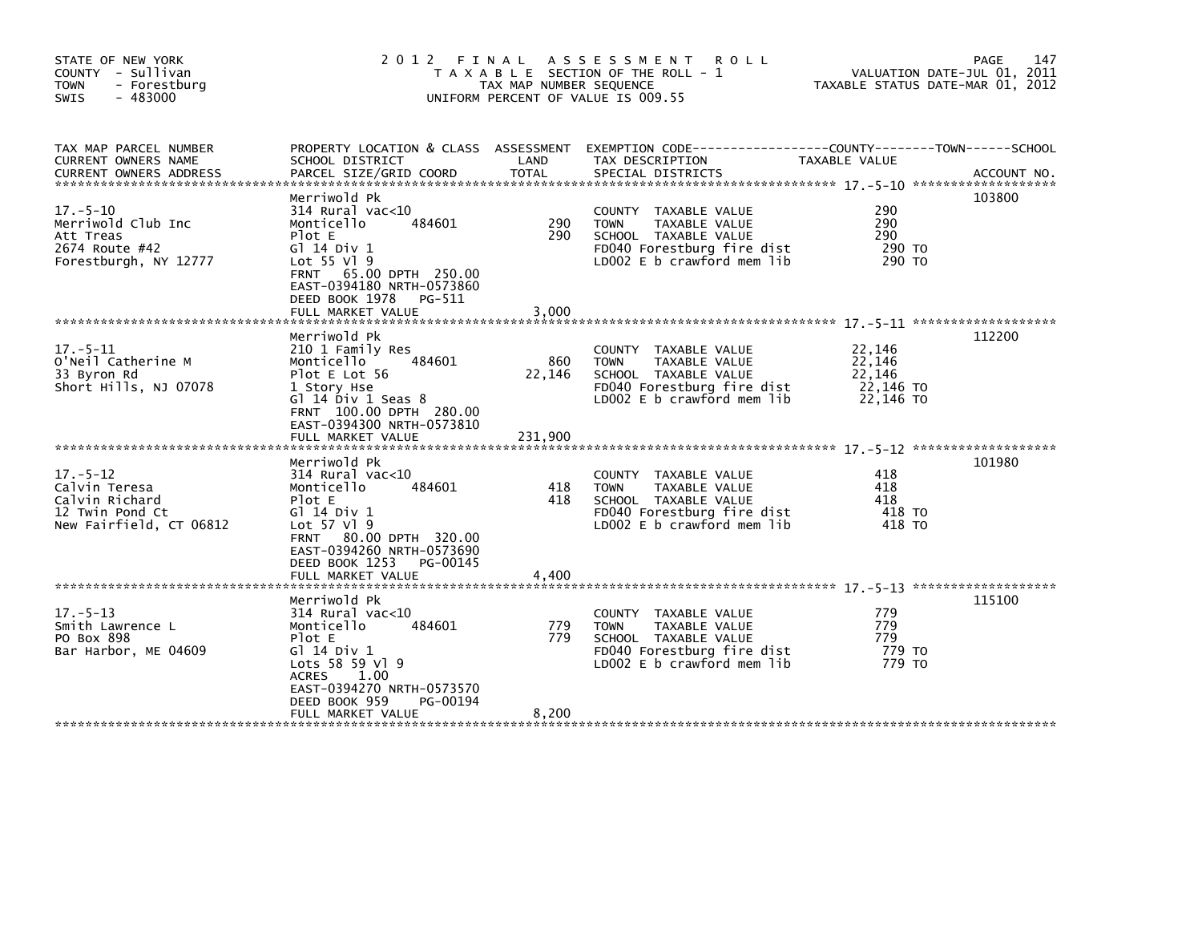| STATE OF NEW YORK<br>COUNTY - Sullivan<br>- Forestburg<br><b>TOWN</b><br>$-483000$<br><b>SWIS</b> | 2012 FINAL                                                                                                                                                                                                             | TAX MAP NUMBER SEQUENCE | ASSESSMENT ROLL<br>T A X A B L E SECTION OF THE ROLL - 1<br>UNIFORM PERCENT OF VALUE IS 009.55                                                     | VALUATION DATE-JUL 01, 2011<br>TAXABLE STATUS DATE-MAR 01, 2012 | 147<br>PAGE |
|---------------------------------------------------------------------------------------------------|------------------------------------------------------------------------------------------------------------------------------------------------------------------------------------------------------------------------|-------------------------|----------------------------------------------------------------------------------------------------------------------------------------------------|-----------------------------------------------------------------|-------------|
| TAX MAP PARCEL NUMBER<br>CURRENT OWNERS NAME<br><b>CURRENT OWNERS ADDRESS</b>                     | SCHOOL DISTRICT<br>PARCEL SIZE/GRID COORD                                                                                                                                                                              | LAND<br><b>TOTAL</b>    | PROPERTY LOCATION & CLASS ASSESSMENT EXEMPTION CODE----------------COUNTY-------TOWN-----SCHOOL<br>TAX DESCRIPTION<br>SPECIAL DISTRICTS            | TAXABLE VALUE                                                   | ACCOUNT NO. |
| $17. - 5 - 10$<br>Merriwold Club Inc<br>Att Treas<br>2674 Route #42<br>Forestburgh, NY 12777      | Merriwold Pk<br>$314$ Rural vac<10<br>Monticello<br>484601<br>Plot E<br>G1 14 Div 1<br>Lot 55 V1 9<br>65.00 DPTH 250.00<br><b>FRNT</b><br>EAST-0394180 NRTH-0573860<br>DEED BOOK 1978<br>PG-511<br>FULL MARKET VALUE   | 290<br>290<br>3,000     | COUNTY TAXABLE VALUE<br>TAXABLE VALUE<br><b>TOWN</b><br>SCHOOL TAXABLE VALUE<br>FD040 Forestburg fire dist<br>LD002 $E$ b crawford mem lib         | 290<br>290<br>290<br>290 TO<br>290 TO                           | 103800      |
| $17. - 5 - 11$<br>O'Neil Catherine M<br>33 Byron Rd<br>Short Hills, NJ 07078                      | Merriwold Pk<br>210 1 Family Res<br>Monticello<br>484601<br>Plot E Lot 56<br>1 Story Hse<br>Gl $14$ Div $1$ Seas $8$<br>FRNT 100.00 DPTH 280.00<br>EAST-0394300 NRTH-0573810                                           | 860<br>22,146           | COUNTY TAXABLE VALUE<br>TAXABLE VALUE<br><b>TOWN</b><br>SCHOOL TAXABLE VALUE<br>FD040 Forestburg fire dist<br>LD002 E b crawford mem lib           | 22,146<br>22,146<br>22,146<br>22,146 TO<br>22,146 TO            | 112200      |
|                                                                                                   | FULL MARKET VALUE                                                                                                                                                                                                      | 231,900                 |                                                                                                                                                    |                                                                 |             |
| $17. - 5 - 12$<br>Calvin Teresa<br>Calvin Richard<br>12 Twin Pond Ct<br>New Fairfield, CT 06812   | Merriwold Pk<br>$314$ Rural vac<10<br>Monticello<br>484601<br>Plot E<br>G1 14 Div 1<br>Lot 57 V1 9<br>80.00 DPTH 320.00<br><b>FRNT</b><br>EAST-0394260 NRTH-0573690<br>DEED BOOK 1253<br>PG-00145<br>FULL MARKET VALUE | 418<br>418<br>4,400     | COUNTY TAXABLE VALUE<br><b>TOWN</b><br>TAXABLE VALUE<br>SCHOOL TAXABLE VALUE<br>FD040 Forestburg fire dist<br>LD002 E b crawford mem lib           | 418<br>418<br>418<br>418 TO<br>418 TO                           | 101980      |
| $17. - 5 - 13$<br>Smith Lawrence L<br>PO Box 898<br>Bar Harbor, ME 04609                          | Merriwold Pk<br>$314$ Rural vac<10<br>484601<br>Monticello<br>Plot E<br>G1 14 Div 1<br>Lots 58 59 Vl 9<br><b>ACRES</b><br>1.00<br>EAST-0394270 NRTH-0573570<br>DEED BOOK 959<br>PG-00194<br>FULL MARKET VALUE          | 779<br>779<br>8,200     | TAXABLE VALUE<br><b>COUNTY</b><br>TAXABLE VALUE<br><b>TOWN</b><br>SCHOOL TAXABLE VALUE<br>FD040 Forestburg fire dist<br>LD002 E b crawford mem lib | 779<br>779<br>779<br>779 TO<br>779 TO                           | 115100      |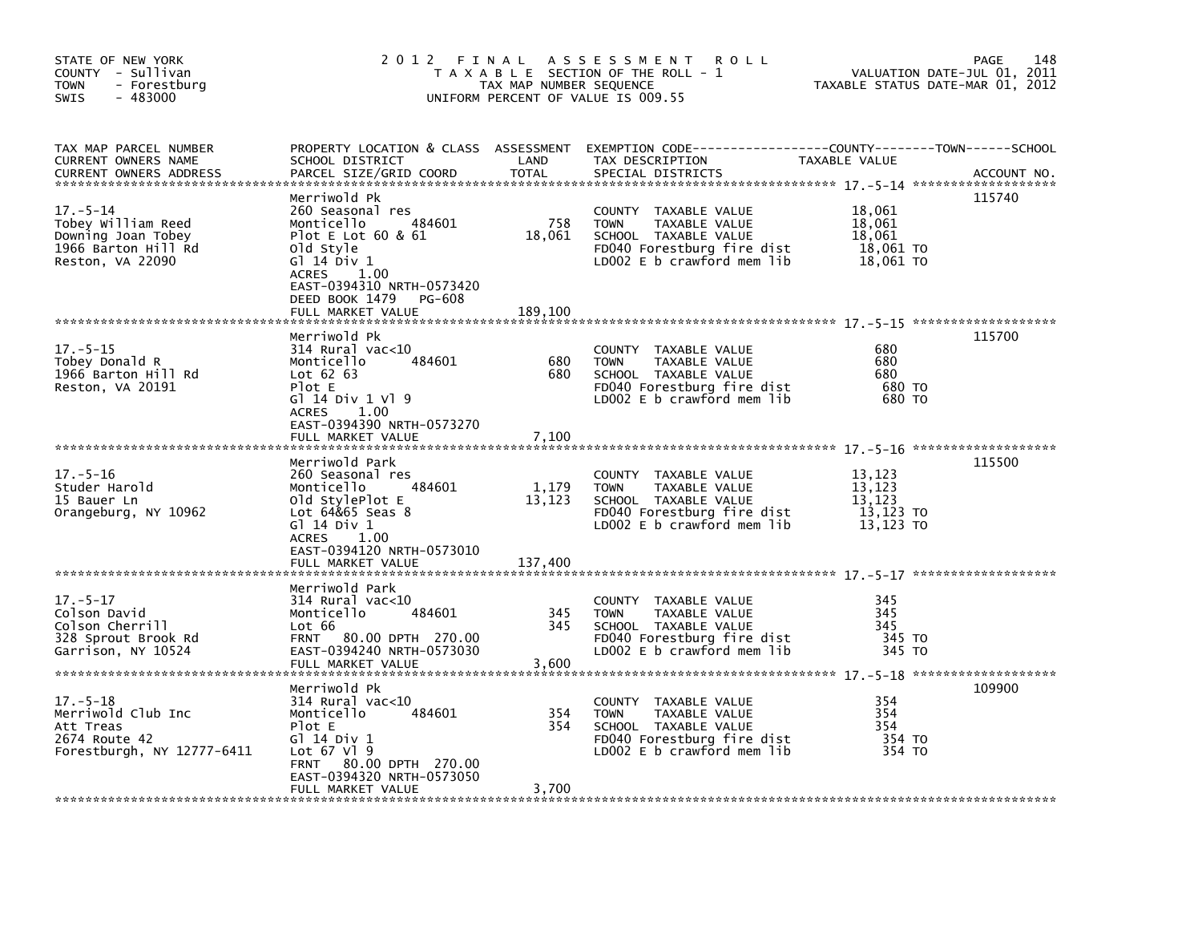| STATE OF NEW YORK<br>COUNTY - Sullivan<br><b>TOWN</b><br>- Forestburg<br>$-483000$<br>SWIS            | 2012 FINAL                                                                                                                                                                                                                  | TAX MAP NUMBER SEQUENCE  | A S S E S S M E N T<br><b>ROLL</b><br>T A X A B L E SECTION OF THE ROLL - 1<br>UNIFORM PERCENT OF VALUE IS 009.55                            |                                                      | 148<br>PAGE<br>VALUATION DATE-JUL 01, 2011<br>TAXABLE STATUS DATE-MAR 01, 2012 |
|-------------------------------------------------------------------------------------------------------|-----------------------------------------------------------------------------------------------------------------------------------------------------------------------------------------------------------------------------|--------------------------|----------------------------------------------------------------------------------------------------------------------------------------------|------------------------------------------------------|--------------------------------------------------------------------------------|
| TAX MAP PARCEL NUMBER<br>CURRENT OWNERS NAME<br><b>CURRENT OWNERS ADDRESS</b>                         | PROPERTY LOCATION & CLASS ASSESSMENT<br>SCHOOL DISTRICT<br>PARCEL SIZE/GRID COORD                                                                                                                                           | LAND<br><b>TOTAL</b>     | EXEMPTION CODE-----------------COUNTY-------TOWN------SCHOOL<br>TAX DESCRIPTION<br>SPECIAL DISTRICTS                                         | TAXABLE VALUE                                        | ACCOUNT NO.                                                                    |
| $17. - 5 - 14$<br>Tobey William Reed<br>Downing Joan Tobey<br>1966 Barton Hill Rd<br>Reston, VA 22090 | Merriwold Pk<br>260 Seasonal res<br>484601<br>Monticello<br>Plot E Lot $60 & 61$<br>old Style<br>$G1$ 14 Div 1<br><b>ACRES</b><br>1.00<br>EAST-0394310 NRTH-0573420<br>DEED BOOK 1479<br><b>PG-608</b><br>FULL MARKET VALUE | 758<br>18,061<br>189,100 | COUNTY TAXABLE VALUE<br><b>TOWN</b><br>TAXABLE VALUE<br>SCHOOL TAXABLE VALUE<br>FD040 Forestburg fire dist<br>LD002 E b crawford mem lib     | 18,061<br>18,061<br>18,061<br>18,061 TO<br>18,061 TO | 115740                                                                         |
|                                                                                                       | Merriwold Pk                                                                                                                                                                                                                |                          |                                                                                                                                              |                                                      | 115700                                                                         |
| $17. - 5 - 15$<br>Tobey Donald R<br>1966 Barton Hill Rd<br>Reston, VA 20191                           | $314$ Rural vac< $10$<br>484601<br>Monticello<br>Lot $62$ $63$<br>Plot E<br>G1 14 Div 1 V1 9<br>ACRES 1.00                                                                                                                  | 680<br>680               | COUNTY TAXABLE VALUE<br><b>TOWN</b><br>TAXABLE VALUE<br>SCHOOL TAXABLE VALUE<br>FD040 Forestburg fire dist<br>LD002 E b crawford mem lib     | 680<br>680<br>680<br>680 TO<br>680 TO                |                                                                                |
|                                                                                                       | EAST-0394390 NRTH-0573270<br>FULL MARKET VALUE                                                                                                                                                                              | 7,100                    |                                                                                                                                              |                                                      |                                                                                |
| $17. - 5 - 16$<br>Studer Harold<br>15 Bauer Ln<br>Orangeburg, NY 10962                                | Merriwold Park<br>260 Seasonal res<br>Monticello<br>484601<br>old StylePlot E<br>Lot 64&65 Seas 8<br>G1 14 Div 1                                                                                                            | 1,179<br>13,123          | COUNTY TAXABLE VALUE<br>TAXABLE VALUE<br><b>TOWN</b><br>SCHOOL TAXABLE VALUE<br>FD040 Forestburg fire dist<br>LD002 $E$ b crawford mem $lib$ | 13,123<br>13,123<br>13,123<br>13,123 TO<br>13,123 TO | 115500                                                                         |
|                                                                                                       | <b>ACRES</b><br>1.00<br>EAST-0394120 NRTH-0573010<br>FULL MARKET VALUE                                                                                                                                                      | 137,400                  |                                                                                                                                              |                                                      |                                                                                |
| $17. - 5 - 17$<br>Colson David<br>Colson Cherrill<br>328 Sprout Brook Rd<br>Garrison, NY 10524        | Merriwold Park<br>$314$ Rural vac<10<br>Monticello<br>484601<br>Lot 66<br>FRNT 80.00 DPTH 270.00<br>EAST-0394240 NRTH-0573030<br>FULL MARKET VALUE                                                                          | 345<br>345<br>3,600      | COUNTY TAXABLE VALUE<br>TAXABLE VALUE<br><b>TOWN</b><br>SCHOOL TAXABLE VALUE<br>FD040 Forestburg fire dist<br>LD002 $E$ b crawford mem lib   | 345<br>345<br>345<br>345 TO<br>345 TO                |                                                                                |
|                                                                                                       | Merriwold Pk                                                                                                                                                                                                                |                          |                                                                                                                                              |                                                      | 109900                                                                         |
| $17. - 5 - 18$<br>Merriwold Club Inc<br>Att Treas<br>2674 Route 42<br>Forestburgh, NY 12777-6411      | $314$ Rural vac< $10$<br>Monticello<br>484601<br>Plot E<br>G1 14 Div 1<br>Lot 67 Vl 9<br>FRNT 80.00 DPTH 270.00<br>EAST-0394320 NRTH-0573050                                                                                | 354<br>354               | COUNTY TAXABLE VALUE<br>TAXABLE VALUE<br><b>TOWN</b><br>SCHOOL TAXABLE VALUE<br>FD040 Forestburg fire dist<br>LD002 E b crawford mem lib     | 354<br>354<br>354<br>354 TO<br>354 TO                |                                                                                |
|                                                                                                       | FULL MARKET VALUE                                                                                                                                                                                                           | 3,700                    |                                                                                                                                              |                                                      |                                                                                |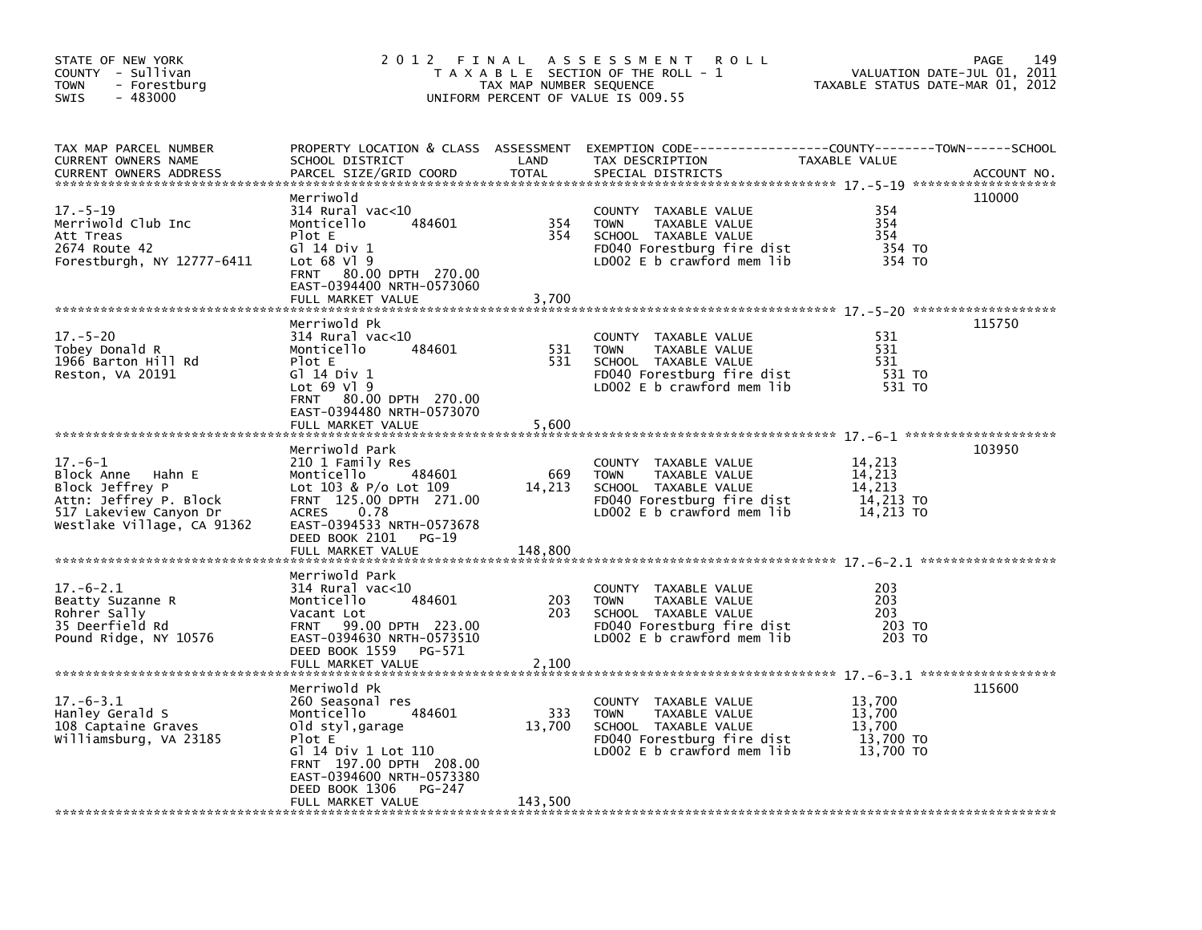| STATE OF NEW YORK<br>COUNTY - Sullivan<br><b>TOWN</b><br>- Forestburg<br>$-483000$<br><b>SWIS</b>                                   | 2012 FINAL                                                                                                                                                                                  | TAX MAP NUMBER SEQUENCE | A S S E S S M E N T<br><b>ROLL</b><br>T A X A B L E SECTION OF THE ROLL - 1<br>UNIFORM PERCENT OF VALUE IS 009.55                           | VALUATION DATE-JUL 01, 2011<br>TAXABLE STATUS DATE-MAR 01, 2012 | 149<br>PAGE |
|-------------------------------------------------------------------------------------------------------------------------------------|---------------------------------------------------------------------------------------------------------------------------------------------------------------------------------------------|-------------------------|---------------------------------------------------------------------------------------------------------------------------------------------|-----------------------------------------------------------------|-------------|
| TAX MAP PARCEL NUMBER<br><b>CURRENT OWNERS NAME</b><br><b>CURRENT OWNERS ADDRESS</b>                                                | SCHOOL DISTRICT<br>PARCEL SIZE/GRID COORD                                                                                                                                                   | LAND<br><b>TOTAL</b>    | PROPERTY LOCATION & CLASS ASSESSMENT EXEMPTION CODE---------------COUNTY-------TOWN-----SCHOOL<br>TAX DESCRIPTION<br>SPECIAL DISTRICTS      | TAXABLE VALUE                                                   | ACCOUNT NO. |
| $17. - 5 - 19$<br>Merriwold Club Inc<br>Att Treas<br>2674 Route 42<br>Forestburgh, NY 12777-6411                                    | Merriwold<br>$314$ Rural vac<10<br>Monticello<br>484601<br>Plot E<br>Gl 14 Div 1<br>Lot $68$ Vl $9$<br>80.00 DPTH 270.00<br><b>FRNT</b><br>EAST-0394400 NRTH-0573060                        | 354<br>354              | COUNTY TAXABLE VALUE<br><b>TOWN</b><br>TAXABLE VALUE<br>SCHOOL TAXABLE VALUE<br>FD040 Forestburg fire dist<br>LD002 $E$ b crawford mem lib  | 354<br>354<br>354<br>354 TO<br>354 TO                           | 110000      |
|                                                                                                                                     | FULL MARKET VALUE                                                                                                                                                                           | 3,700                   |                                                                                                                                             |                                                                 |             |
| $17. - 5 - 20$<br>Tobey Donald R<br>1966 Barton Hill Rd<br>Reston, VA 20191                                                         | Merriwold Pk<br>$314$ Rural vac<10<br>484601<br>Monticello<br>Plot E<br>Gl 14 Div 1<br>Lot $69$ Vl $9$<br>FRNT 80.00 DPTH 270.00<br>EAST-0394480 NRTH-0573070                               | 531<br>531              | COUNTY TAXABLE VALUE<br><b>TOWN</b><br>TAXABLE VALUE<br>SCHOOL TAXABLE VALUE<br>FD040 Forestburg fire dist<br>LD002 $E$ b crawford mem lib  | 531<br>531<br>531<br>531 TO<br>531 TO                           | 115750      |
|                                                                                                                                     | FULL MARKET VALUE                                                                                                                                                                           | 5,600                   |                                                                                                                                             |                                                                 |             |
| $17.-6-1$<br>Block Anne Hahn E<br>Block Jeffrey P<br>Attn: Jeffrey P. Block<br>517 Lakeview Canyon Dr<br>Westlake Village, CA 91362 | Merriwold Park<br>210 1 Family Res<br>Monticello<br>484601<br>Lot 103 & P/o Lot 109<br>FRNT 125.00 DPTH 271.00<br>0.78<br><b>ACRES</b><br>EAST-0394533 NRTH-0573678<br>DEED BOOK 2101 PG-19 | 669<br>14,213           | COUNTY<br>TAXABLE VALUE<br><b>TOWN</b><br>TAXABLE VALUE<br>SCHOOL TAXABLE VALUE<br>FD040 Forestburg fire dist<br>LD002 E b crawford mem lib | 14,213<br>14,213<br>14,213<br>14,213 TO<br>14.213 TO            | 103950      |
|                                                                                                                                     | FULL MARKET VALUE                                                                                                                                                                           | 148,800                 |                                                                                                                                             |                                                                 |             |
| $17.-6-2.1$<br>Beatty Suzanne R<br>Rohrer Sally<br>35 Deerfield Rd<br>Pound Ridge, NY 10576                                         | Merriwold Park<br>314 Rural vac<10<br>Monticello<br>484601<br>Vacant Lot<br>99.00 DPTH 223.00<br><b>FRNT</b><br>EAST-0394630 NRTH-0573510<br>DEED BOOK 1559<br>PG-571<br>FULL MARKET VALUE  | 203<br>203<br>2,100     | COUNTY TAXABLE VALUE<br>TAXABLE VALUE<br><b>TOWN</b><br>SCHOOL TAXABLE VALUE<br>FD040 Forestburg fire dist<br>LD002 E b crawford mem lib    | 203<br>203<br>203<br>203 TO<br>203 TO                           |             |
|                                                                                                                                     | Merriwold Pk                                                                                                                                                                                |                         |                                                                                                                                             |                                                                 | 115600      |
| $17. -6 - 3.1$<br>Hanley Gerald S<br>108 Captaine Graves<br>Williamsburg, VA 23185                                                  | 260 Seasonal res<br>484601<br>Monticello<br>old styl,garage<br>Plot E<br>Gl 14 Div 1 Lot 110<br>FRNT 197.00 DPTH 208.00<br>EAST-0394600 NRTH-0573380<br>DEED BOOK 1306<br>PG-247            | 333<br>13,700           | COUNTY TAXABLE VALUE<br><b>TOWN</b><br>TAXABLE VALUE<br>SCHOOL TAXABLE VALUE<br>FD040 Forestburg fire dist<br>LD002 E b crawford mem lib    | 13,700<br>13,700<br>13,700<br>13,700 TO<br>13,700 TO            |             |
|                                                                                                                                     | FULL MARKET VALUE                                                                                                                                                                           | 143,500                 |                                                                                                                                             |                                                                 |             |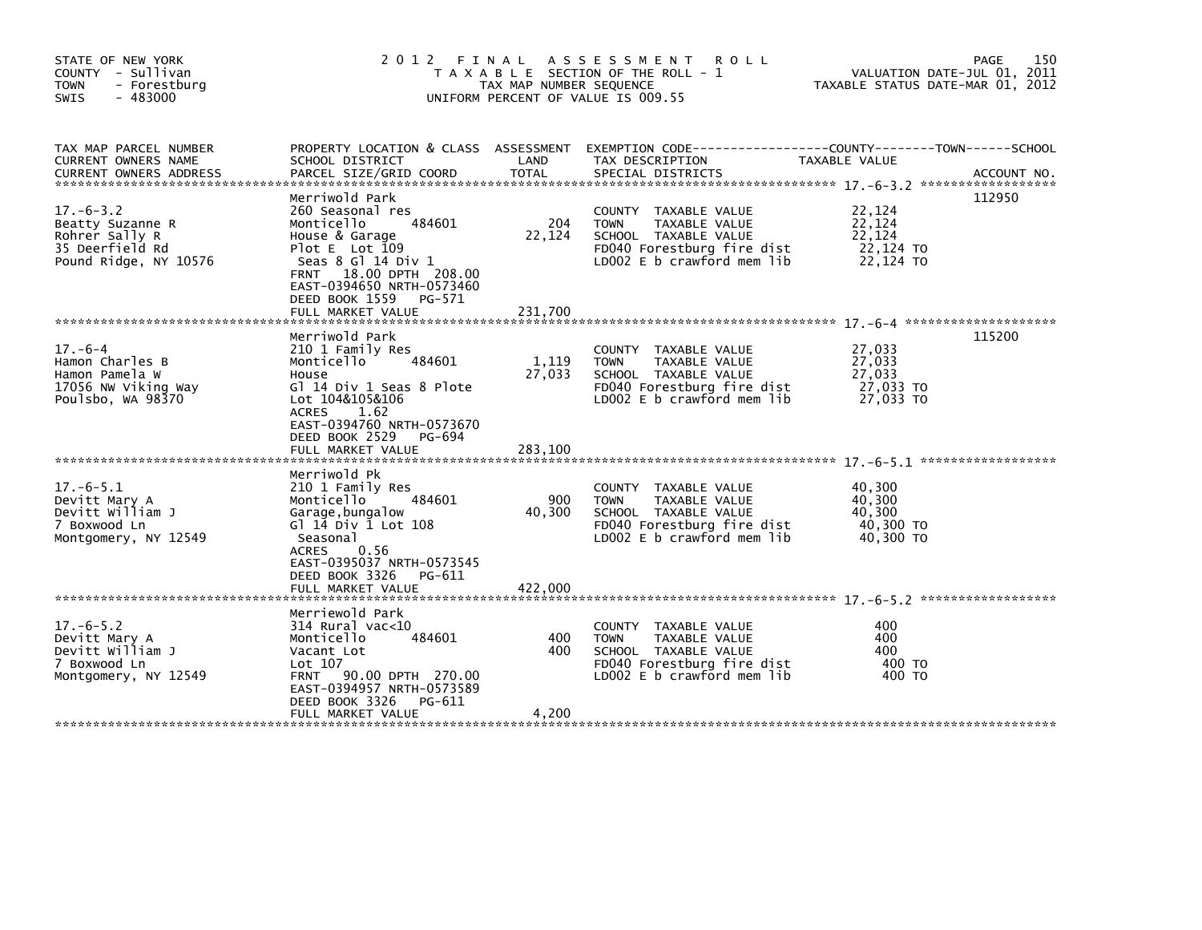| STATE OF NEW YORK<br>COUNTY - Sullivan<br>- Forestburg<br><b>TOWN</b><br>$-483000$<br><b>SWIS</b> | 2 0 1 2                                                                                                                                                                                                                                  | FINAL<br>TAX MAP NUMBER SEQUENCE | A S S E S S M E N T<br><b>ROLL</b><br>T A X A B L E SECTION OF THE ROLL - 1<br>UNIFORM PERCENT OF VALUE IS 009.55                                  | TAXABLE STATUS DATE-MAR 01, 2012                     | 150<br>PAGE<br>VALUATION DATE-JUL 01, 2011 |
|---------------------------------------------------------------------------------------------------|------------------------------------------------------------------------------------------------------------------------------------------------------------------------------------------------------------------------------------------|----------------------------------|----------------------------------------------------------------------------------------------------------------------------------------------------|------------------------------------------------------|--------------------------------------------|
| TAX MAP PARCEL NUMBER<br>CURRENT OWNERS NAME<br><b>CURRENT OWNERS ADDRESS</b>                     | SCHOOL DISTRICT<br>PARCEL SIZE/GRID COORD                                                                                                                                                                                                | LAND<br>TOTAL                    | PROPERTY LOCATION & CLASS ASSESSMENT EXEMPTION CODE----------------COUNTY-------TOWN------SCHOOL<br>TAX DESCRIPTION<br>SPECIAL DISTRICTS           | TAXABLE VALUE                                        | ACCOUNT NO.                                |
| $17. - 6 - 3.2$<br>Beatty Suzanne R<br>Rohrer Sally R<br>35 Deerfield Rd<br>Pound Ridge, NY 10576 | Merriwold Park<br>260 Seasonal res<br>Monticello<br>484601<br>House & Garage<br>Plot $E$ Lot 109<br>Seas 8 Gl 14 Div 1<br>18.00 DPTH 208.00<br><b>FRNT</b><br>EAST-0394650 NRTH-0573460<br>DEED BOOK 1559<br>PG-571<br>FULL MARKET VALUE | 204<br>22,124<br>231,700         | COUNTY TAXABLE VALUE<br>TAXABLE VALUE<br><b>TOWN</b><br>SCHOOL TAXABLE VALUE<br>FD040 Forestburg fire dist<br>LD002 E b crawford mem lib           | 22,124<br>22,124<br>22,124<br>22,124 TO<br>22,124 TO | 112950                                     |
|                                                                                                   |                                                                                                                                                                                                                                          |                                  |                                                                                                                                                    |                                                      | 115200                                     |
| $17. -6 - 4$<br>Hamon Charles B<br>Hamon Pamela W<br>17056 NW Viking Way<br>Poulsbo, WA 98370     | Merriwold Park<br>210 1 Family Res<br>484601<br>Monticello<br>House<br>Gl 14 Div 1 Seas 8 Plote<br>Lot 104&105&106<br><b>ACRES</b><br>1.62<br>EAST-0394760 NRTH-0573670<br>DEED BOOK 2529<br>PG-694<br>FULL MARKET VALUE                 | 1,119<br>27,033<br>283,100       | COUNTY TAXABLE VALUE<br><b>TOWN</b><br>TAXABLE VALUE<br>SCHOOL TAXABLE VALUE<br>FD040 Forestburg fire dist<br>LD002 E b crawford mem lib           | 27,033<br>27,033<br>27,033<br>27,033 TO<br>27,033 TO |                                            |
|                                                                                                   | Merriwold Pk                                                                                                                                                                                                                             |                                  |                                                                                                                                                    |                                                      |                                            |
| $17.-6-5.1$<br>Devitt Mary A<br>Devitt William J<br>7 Boxwood Ln<br>Montgomery, NY 12549          | 210 1 Family Res<br>Monticello<br>484601<br>Garage, bungalow<br>G] 14 Div 1 Lot 108<br>Seasonal<br>0.56<br><b>ACRES</b><br>EAST-0395037 NRTH-0573545<br>DEED BOOK 3326<br>PG-611<br>FULL MARKET VALUE                                    | 900<br>40,300<br>422,000         | COUNTY TAXABLE VALUE<br><b>TOWN</b><br>TAXABLE VALUE<br>SCHOOL TAXABLE VALUE<br>FD040 Forestburg fire dist<br>LD002 E b crawford mem lib           | 40,300<br>40,300<br>40.300<br>40,300 TO<br>40.300 TO |                                            |
|                                                                                                   | Merriewold Park                                                                                                                                                                                                                          |                                  |                                                                                                                                                    |                                                      |                                            |
| $17. - 6 - 5.2$<br>Devitt Mary A<br>Devitt William J<br>7 Boxwood Ln<br>Montgomery, NY 12549      | $314$ Rural vac<10<br>484601<br>Monticello<br>Vacant Lot<br>Lot 107<br>FRNT 90.00 DPTH 270.00<br>EAST-0394957 NRTH-0573589<br>DEED BOOK 3326<br>PG-611                                                                                   | 400<br>400                       | <b>COUNTY</b><br>TAXABLE VALUE<br><b>TOWN</b><br>TAXABLE VALUE<br>SCHOOL TAXABLE VALUE<br>FD040 Forestburg fire dist<br>LD002 E b crawford mem lib | 400<br>400<br>400<br>400 TO<br>400 TO                |                                            |
|                                                                                                   | FULL MARKET VALUE                                                                                                                                                                                                                        | 4,200                            |                                                                                                                                                    |                                                      |                                            |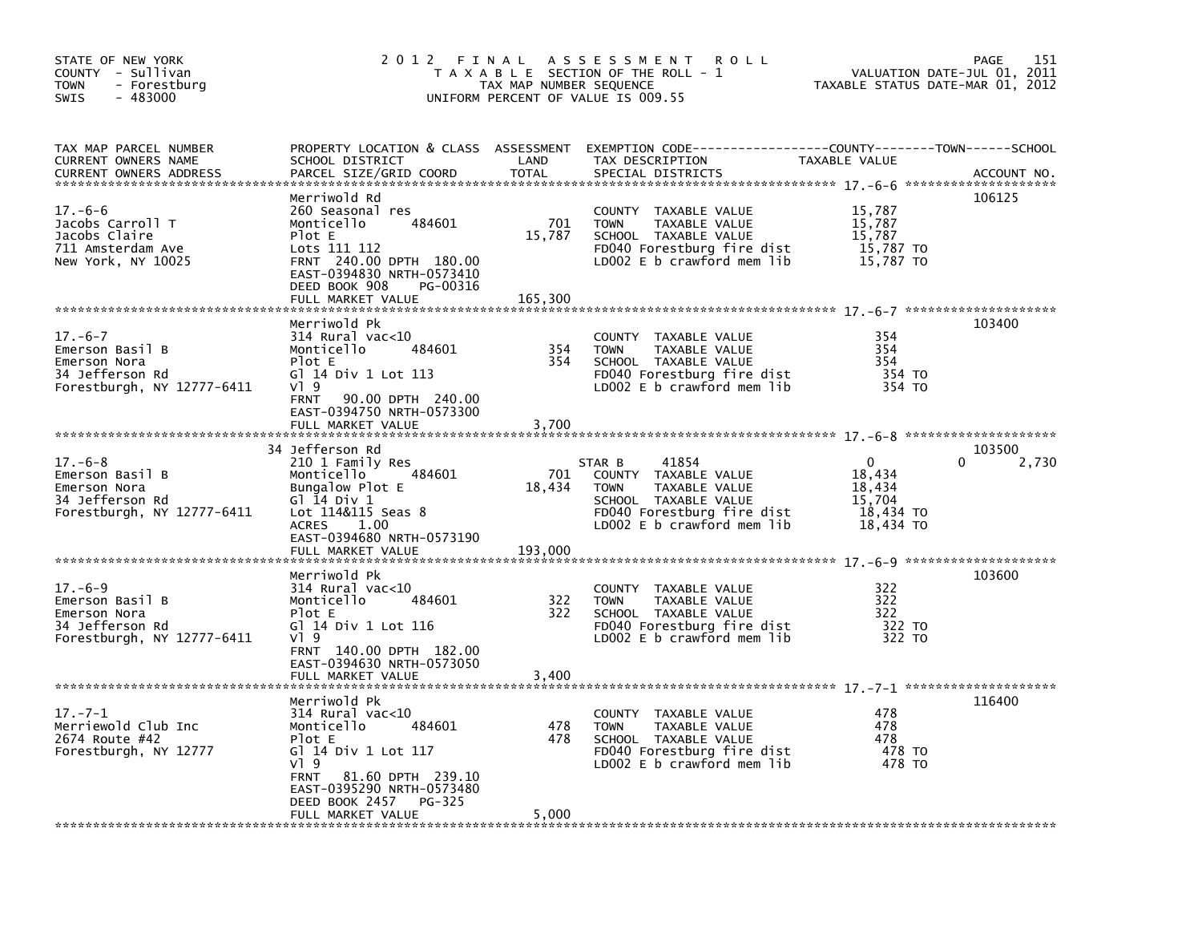| STATE OF NEW YORK<br>COUNTY - Sullivan<br><b>TOWN</b><br>- Forestburg<br>$-483000$<br><b>SWIS</b> |                                                                                                                                                                                                                           | TAX MAP NUMBER SEQUENCE  | 2012 FINAL ASSESSMENT ROLL<br>T A X A B L E SECTION OF THE ROLL - 1<br>UNIFORM PERCENT OF VALUE IS 009.55                                            | TAXABLE STATUS DATE-MAR 01, 2012                                 | PAGE<br>151<br>VALUATION DATE-JUL 01, 2011 |
|---------------------------------------------------------------------------------------------------|---------------------------------------------------------------------------------------------------------------------------------------------------------------------------------------------------------------------------|--------------------------|------------------------------------------------------------------------------------------------------------------------------------------------------|------------------------------------------------------------------|--------------------------------------------|
| TAX MAP PARCEL NUMBER<br>CURRENT OWNERS NAME<br><b>CURRENT OWNERS ADDRESS</b>                     | SCHOOL DISTRICT<br>PARCEL SIZE/GRID COORD                                                                                                                                                                                 | LAND<br><b>TOTAL</b>     | PROPERTY LOCATION & CLASS ASSESSMENT EXEMPTION CODE-----------------COUNTY-------TOWN------SCHOOL<br>TAX DESCRIPTION<br>SPECIAL DISTRICTS            | TAXABLE VALUE                                                    | ACCOUNT NO.                                |
| $17.-6-6$<br>Jacobs Carroll T<br>Jacobs Claire<br>711 Amsterdam Ave<br>New York, NY 10025         | Merriwold Rd<br>260 Seasonal res<br>484601<br>Monticello<br>Plot E<br>Lots 111 112<br>FRNT 240.00 DPTH 180.00<br>EAST-0394830 NRTH-0573410<br>DEED BOOK 908<br>PG-00316<br>FULL MARKET VALUE                              | 701<br>15,787<br>165,300 | COUNTY TAXABLE VALUE<br><b>TOWN</b><br>TAXABLE VALUE<br>SCHOOL TAXABLE VALUE<br>FD040 Forestburg fire dist<br>LD002 E b crawford mem lib             | 15,787<br>15,787<br>15,787<br>15,787 TO<br>15,787 TO             | 106125                                     |
| $17. - 6 - 7$<br>Emerson Basil B<br>Emerson Nora<br>34 Jefferson Rd<br>Forestburgh, NY 12777-6411 | Merriwold Pk<br>314 Rural vac<10<br>Monticello<br>484601<br>Plot E<br>G] 14 Div 1 Lot 113<br>$V$ <sup>1</sup> 9<br>90.00 DPTH 240.00<br><b>FRNT</b><br>EAST-0394750 NRTH-0573300<br>FULL MARKET VALUE                     | 354<br>354<br>3,700      | COUNTY TAXABLE VALUE<br><b>TOWN</b><br>TAXABLE VALUE<br>SCHOOL TAXABLE VALUE<br>FD040 Forestburg fire dist<br>LD002 E b crawford mem lib             | 354<br>354<br>354<br>354 TO<br>354 TO                            | 103400                                     |
| $17. -6 - 8$<br>Emerson Basil B<br>Emerson Nora<br>34 Jefferson Rd<br>Forestburgh, NY 12777-6411  | 34 Jefferson Rd<br>210 1 Family Res<br>484601<br>Monticello<br>Bungalow Plot E<br>G $\overline{1}$ $\overline{1}$ 4 Div 1<br>Lot 114&115 Seas 8<br>1.00<br><b>ACRES</b><br>EAST-0394680 NRTH-0573190<br>FULL MARKET VALUE | 701<br>18,434<br>193,000 | 41854<br>STAR B<br>COUNTY TAXABLE VALUE<br>TAXABLE VALUE<br>TOWN<br>SCHOOL TAXABLE VALUE<br>FD040 Forestburg fire dist<br>LD002 E b crawford mem lib | $\Omega$<br>18,434<br>18,434<br>15,704<br>18,434 TO<br>18,434 TO | 103500<br>0<br>2,730                       |
| $17. -6 - 9$<br>Emerson Basil B<br>Emerson Nora<br>34 Jefferson Rd<br>Forestburgh, NY 12777-6411  | Merriwold Pk<br>$314$ Rural vac< $10$<br>Monticello<br>484601<br>Plot E<br>G] 14 Div 1 Lot 116<br>VI 9<br>FRNT 140.00 DPTH 182.00<br>EAST-0394630 NRTH-0573050                                                            | 322<br>322               | COUNTY TAXABLE VALUE<br><b>TOWN</b><br>TAXABLE VALUE<br>SCHOOL TAXABLE VALUE<br>FD040 Forestburg fire dist<br>LD002 E b crawford mem lib             | 322<br>322<br>322<br>322 TO<br>322 TO                            | 103600                                     |
| $17. - 7 - 1$                                                                                     | FULL MARKET VALUE<br>Merriwold Pk                                                                                                                                                                                         | 3,400                    |                                                                                                                                                      | 478                                                              | 116400                                     |
| Merriewold Club Inc<br>2674 Route #42<br>Forestburgh, NY 12777                                    | $314$ Rural vac< $10$<br>Monticello<br>484601<br>Plot E<br>GT 14 Div 1 Lot 117<br>$V$ <sup>1</sup> 9<br>81.60 DPTH 239.10<br><b>FRNT</b><br>EAST-0395290 NRTH-0573480<br>DEED BOOK 2457<br>PG-325<br>FULL MARKET VALUE    | 478<br>478<br>5,000      | COUNTY TAXABLE VALUE<br><b>TOWN</b><br>TAXABLE VALUE<br>SCHOOL TAXABLE VALUE<br>FD040 Forestburg fire dist<br>LD002 E b crawford mem lib             | 478<br>478<br>478 TO<br>478 TO                                   |                                            |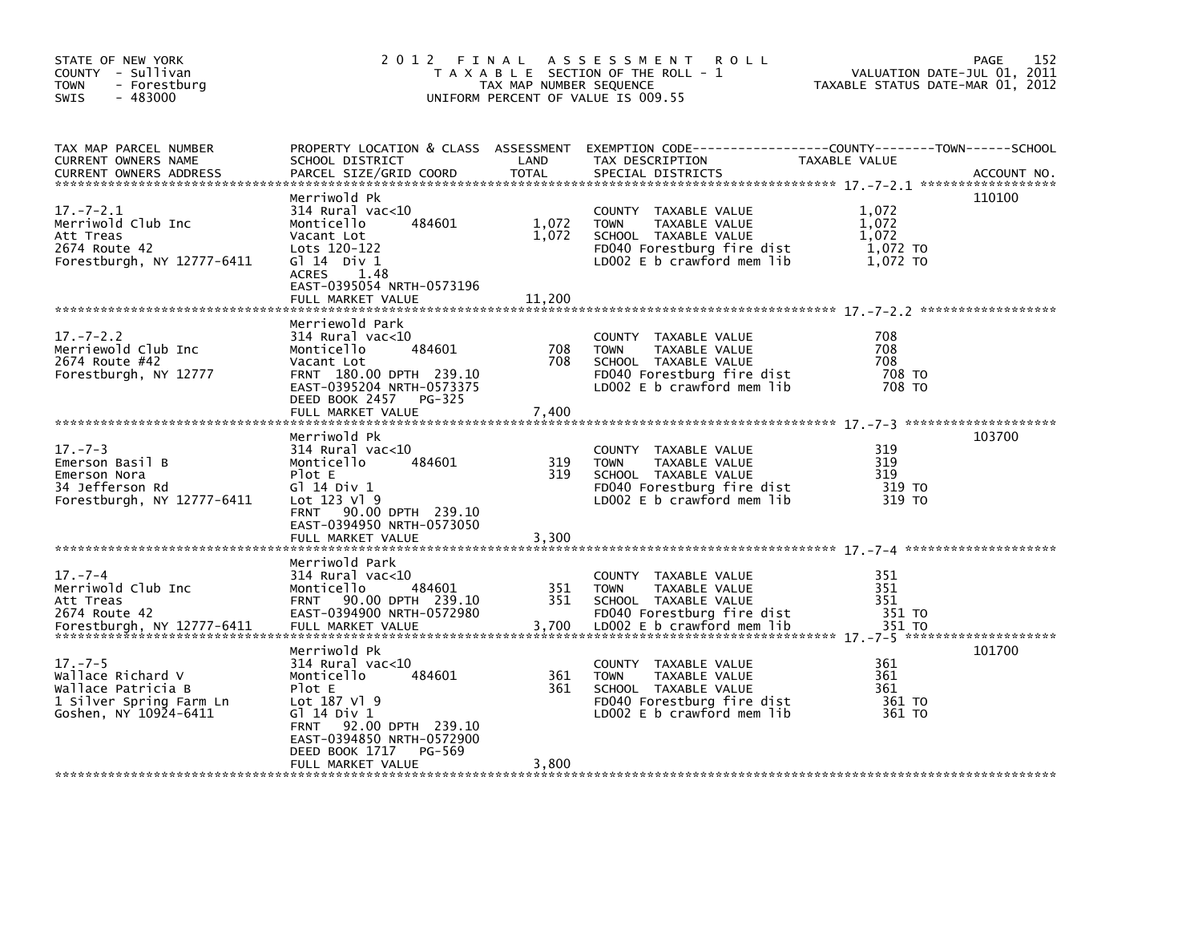| STATE OF NEW YORK<br>COUNTY - Sullivan<br><b>TOWN</b><br>- Forestburg<br>$-483000$<br><b>SWIS</b>            |                                                                                                                                                                                                             | TAX MAP NUMBER SEQUENCE | 2012 FINAL ASSESSMENT ROLL<br>T A X A B L E SECTION OF THE ROLL - 1<br>UNIFORM PERCENT OF VALUE IS 009.55                                | VALUATION DATE-JUL 01, 2011<br>TAXABLE STATUS DATE-MAR 01, 2012 | 152<br>PAGE |
|--------------------------------------------------------------------------------------------------------------|-------------------------------------------------------------------------------------------------------------------------------------------------------------------------------------------------------------|-------------------------|------------------------------------------------------------------------------------------------------------------------------------------|-----------------------------------------------------------------|-------------|
| TAX MAP PARCEL NUMBER<br>CURRENT OWNERS NAME                                                                 | SCHOOL DISTRICT                                                                                                                                                                                             | LAND                    | PROPERTY LOCATION & CLASS ASSESSMENT EXEMPTION CODE---------------COUNTY-------TOWN-----SCHOOL<br>TAX DESCRIPTION                        | TAXABLE VALUE                                                   |             |
| $17. - 7 - 2.1$<br>Merriwold Club Inc<br>Att Treas<br>2674 Route 42<br>Forestburgh, NY 12777-6411            | Merriwold Pk<br>$314$ Rural vac<10<br>484601<br>Monticello<br>Vacant Lot<br>Lots 120-122<br>$G1 14$ Div $1$<br>1.48<br><b>ACRES</b><br>EAST-0395054 NRTH-0573196                                            | 1,072<br>1,072          | COUNTY TAXABLE VALUE<br>TAXABLE VALUE<br><b>TOWN</b><br>SCHOOL TAXABLE VALUE<br>FD040 Forestburg fire dist<br>LD002 E b crawford mem lib | 1,072<br>1,072<br>1,072<br>1,072 TO<br>1,072 TO                 | 110100      |
|                                                                                                              | FULL MARKET VALUE                                                                                                                                                                                           | 11,200                  |                                                                                                                                          |                                                                 |             |
| $17. - 7 - 2.2$<br>Merriewold Club Inc<br>2674 Route #42<br>Forestburgh, NY 12777                            | Merriewold Park<br>$314$ Rural vac< $10$<br>Monticello<br>484601<br>Vacant Lot<br>FRNT 180.00 DPTH 239.10<br>EAST-0395204 NRTH-0573375<br>DEED BOOK 2457 PG-325                                             | 708<br>708              | COUNTY TAXABLE VALUE<br>TAXABLE VALUE<br><b>TOWN</b><br>SCHOOL TAXABLE VALUE<br>FD040 Forestburg fire dist<br>LD002 E b crawford mem lib | 708<br>708<br>708<br>708 TO<br>708 TO                           |             |
|                                                                                                              |                                                                                                                                                                                                             |                         |                                                                                                                                          |                                                                 |             |
| $17. - 7 - 3$<br>Emerson Basil B<br>Emerson Nora<br>34 Jefferson Rd<br>Forestburgh, NY 12777-6411            | Merriwold Pk<br>$314$ Rural vac<10<br>484601<br>Monticello<br>Plot E<br>G1 14 Div 1<br>Lot 123 Vl 9<br>FRNT 90.00 DPTH 239.10<br>EAST-0394950 NRTH-0573050<br>FULL MARKET VALUE                             | 319<br>319<br>3,300     | COUNTY TAXABLE VALUE<br>TAXABLE VALUE<br><b>TOWN</b><br>SCHOOL TAXABLE VALUE<br>FD040 Forestburg fire dist<br>LD002 E b crawford mem lib | 319<br>319<br>319<br>319 TO<br>319 TO                           | 103700      |
| $17 - 7 - 4$<br>Merriwold Club Inc<br>Att Treas                                                              | Merriwold Park<br>$314$ Rural vac<10<br>484601<br>Monticello<br>FRNT 90.00 DPTH 239.10                                                                                                                      | 351<br>351              | COUNTY TAXABLE VALUE<br>TAXABLE VALUE<br><b>TOWN</b><br>SCHOOL TAXABLE VALUE                                                             | 351<br>351<br>351                                               |             |
| $17. - 7 - 5$<br>Wallace Richard V<br>Wallace Patricia B<br>1 Silver Spring Farm Ln<br>Goshen, NY 10924-6411 | Merriwold Pk<br>$314$ Rural vac<10<br>Monticello<br>484601<br>Plot E<br>Lot 187 V1 9<br>G1 14 Div 1<br>FRNT 92.00 DPTH 239.10<br>EAST-0394850 NRTH-0572900<br>DEED BOOK 1717<br>PG-569<br>FULL MARKET VALUE | 361<br>361<br>3.800     | COUNTY TAXABLE VALUE<br><b>TOWN</b><br>TAXABLE VALUE<br>SCHOOL TAXABLE VALUE<br>FD040 Forestburg fire dist<br>LD002 E b crawford mem lib | 361<br>361<br>361<br>361 TO<br>361 TO                           | 101700      |
|                                                                                                              |                                                                                                                                                                                                             |                         |                                                                                                                                          |                                                                 |             |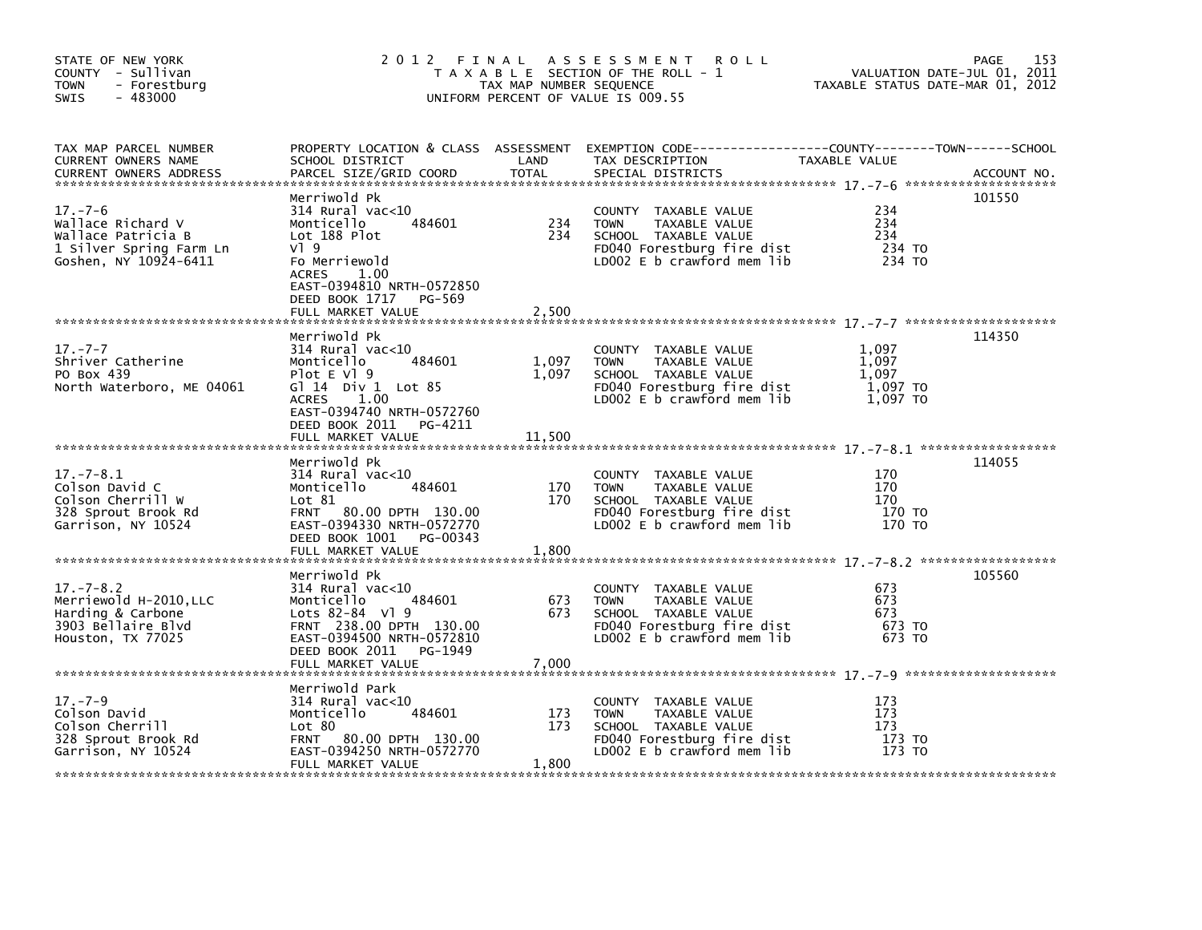| STATE OF NEW YORK<br>COUNTY - Sullivan<br>- Forestburg<br>TOWN<br>- 483000<br>SWIS                                                                                                                                                                       |                                                                                                                                                                                    | TAX MAP NUMBER SEQUENCE  | 2012 FINAL ASSESSMENT ROLL<br>T A X A B L E SECTION OF THE ROLL - 1<br>UNIFORM PERCENT OF VALUE IS 009.55                                | VALUATION DATE-JUL 01, 2011<br>TAXABLE STATUS DATE-MAR 01, 2012 | 153<br>PAGE |
|----------------------------------------------------------------------------------------------------------------------------------------------------------------------------------------------------------------------------------------------------------|------------------------------------------------------------------------------------------------------------------------------------------------------------------------------------|--------------------------|------------------------------------------------------------------------------------------------------------------------------------------|-----------------------------------------------------------------|-------------|
| TAX MAP PARCEL NUMBER<br>CURRENT OWNERS NAME<br>CUNNENT UNITING THE TRANSPORT OF THE COORD TOTAL SPECIAL DISTRICTS (2008) ACCOUNT NO .<br>CURRENT OWNERS ADDRESS PARCEL SIZE/GRID COORD TOTAL SPECIAL DISTRICTS (2008) 79-7-6 ************************** | SCHOOL DISTRICT<br>PARCEL SIZE/GRID COORD TOTAL                                                                                                                                    |                          | PROPERTY LOCATION & CLASS ASSESSMENT EXEMPTION CODE----------------COUNTY-------TOWN------SCHOOL<br>TAX DESCRIPTION                      | TAXABLE VALUE                                                   |             |
| $17. - 7 - 6$<br>Wallace Richard V<br>Wallace Patricia B<br>1 Silver Spring Farm Ln<br>Goshen, NY 10924-6411                                                                                                                                             | Merriwold Pk<br>314 Rural vac<10<br>484601<br>Monticello<br>Lot 188 Plot<br>$V$ ] 9<br>Fo Merriewold<br><b>ACRES</b><br>1.00<br>EAST-0394810 NRTH-0572850<br>DEED BOOK 1717 PG-569 | 234<br>234               | COUNTY TAXABLE VALUE<br>TAXABLE VALUE<br>TOWN<br>SCHOOL TAXABLE VALUE<br>FD040 Forestburg fire dist<br>LDOO2 E b crawford mem lib        | 234<br>234<br>234<br>234 TO<br>234 TO                           | 101550      |
|                                                                                                                                                                                                                                                          | Merriwold Pk                                                                                                                                                                       |                          |                                                                                                                                          |                                                                 | 114350      |
| 17. – 7 – 7<br>Shriver Catherine<br>PO Box 439<br>North Waterboro, ME 04061                                                                                                                                                                              | 314 Rural vac<10<br>Monticello<br>484601<br>Plot $E$ Vl $9$<br>G] 14 Div 1 Lot 85<br>ACRES 1.00<br>EAST-0394740 NRTH-0572760<br>DEED BOOK 2011 PG-4211<br>FULL MARKET VALUE        | 1,097<br>1,097<br>11,500 | COUNTY TAXABLE VALUE<br>TAXABLE VALUE<br><b>TOWN</b><br>SCHOOL TAXABLE VALUE<br>FD040 Forestburg fire dist<br>LD002 E b crawford mem lib | 1,097<br>1,097<br>1.097<br>$1,097$ TO<br>1,097 TO               |             |
|                                                                                                                                                                                                                                                          | Merriwold Pk                                                                                                                                                                       |                          |                                                                                                                                          |                                                                 | 114055      |
| $17. - 7 - 8.1$<br>Colson David C<br>Colson Cherrill W<br>328 Sprout Brook Rd<br>Garrison, NY 10524                                                                                                                                                      | 314 Rural vac<10<br>484601<br>Monticello<br>Lot 81<br>FRNT 80.00 DPTH 130.00<br>EAST-0394330 NRTH-0572770<br>DEED BOOK 1001 PG-00343                                               | 170<br>170               | COUNTY TAXABLE VALUE<br><b>TOWN</b><br>TAXABLE VALUE<br>SCHOOL TAXABLE VALUE<br>FD040 Forestburg fire dist<br>LD002 E b crawford mem lib | 170<br>170<br>170<br>170 TO<br>170 то                           |             |
|                                                                                                                                                                                                                                                          |                                                                                                                                                                                    |                          |                                                                                                                                          |                                                                 |             |
| $17. - 7 - 8.2$<br>Merriewold H-2010, LLC<br>Harding & Carbone<br>3903 Bellaire Blvd<br>Houston, TX 77025                                                                                                                                                | Merriwold Pk<br>314 Rural vac<10<br>484601<br>Monticello<br>Lots 82-84 Vl 9<br>FRNT 238.00 DPTH 130.00<br>EAST-0394500 NRTH-0572810<br>DEED BOOK 2011 PG-1949                      | 673<br>673               | COUNTY TAXABLE VALUE<br>TAXABLE VALUE<br><b>TOWN</b><br>SCHOOL TAXABLE VALUE<br>FD040 Forestburg fire dist<br>LD002 E b crawford mem lib | 673<br>673<br>673<br>673 TO<br>673 TO                           | 105560      |
|                                                                                                                                                                                                                                                          |                                                                                                                                                                                    |                          |                                                                                                                                          |                                                                 |             |
| $17. - 7 - 9$<br>Colson David<br>Colson Cherrill<br>328 Sprout Brook Rd<br>Garrison, NY 10524                                                                                                                                                            | Merriwold Park<br>314 Rural vac<10<br>484601<br>Monticello<br>Lot 80<br>FRNT 80.00 DPTH 130.00<br>EAST-0394250 NRTH-0572770<br>FULL MARKET VALUE                                   | 173<br>173<br>1,800      | COUNTY TAXABLE VALUE<br><b>TOWN</b><br>TAXABLE VALUE<br>SCHOOL TAXABLE VALUE<br>FD040 Forestburg fire dist<br>LD002 E b crawford mem lib | 173<br>173<br>173<br>173 TO<br>173 TO                           |             |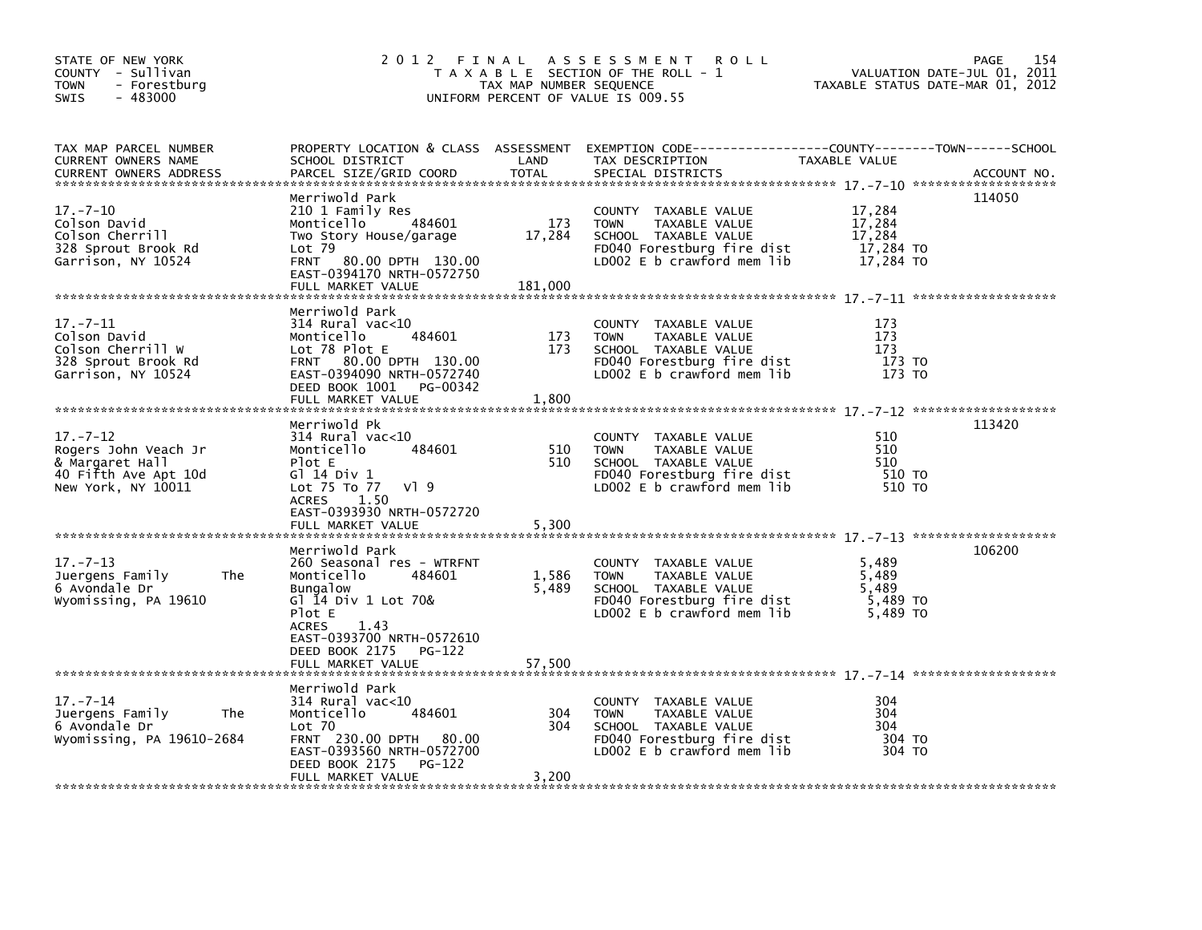| STATE OF NEW YORK<br>COUNTY - Sullivan<br>- Forestburg<br>TOWN<br>$-483000$<br>SWIS                     | 2012 FINAL                                                                                                                                                                              | TAX MAP NUMBER SEQUENCE  | A S S E S S M E N T<br><b>ROLL</b><br>T A X A B L E SECTION OF THE ROLL - 1<br>UNIFORM PERCENT OF VALUE IS 009.55                        | TAXABLE STATUS DATE-MAR 01, 2012                     | 154<br>PAGE<br>VALUATION DATE-JUL 01, 2011 |
|---------------------------------------------------------------------------------------------------------|-----------------------------------------------------------------------------------------------------------------------------------------------------------------------------------------|--------------------------|------------------------------------------------------------------------------------------------------------------------------------------|------------------------------------------------------|--------------------------------------------|
| TAX MAP PARCEL NUMBER<br>CURRENT OWNERS NAME<br><b>CURRENT OWNERS ADDRESS</b>                           | SCHOOL DISTRICT<br>PARCEL SIZE/GRID COORD                                                                                                                                               | LAND<br><b>TOTAL</b>     | PROPERTY LOCATION & CLASS ASSESSMENT EXEMPTION CODE----------------COUNTY-------TOWN------SCHOOL<br>TAX DESCRIPTION<br>SPECIAL DISTRICTS | TAXABLE VALUE                                        | ACCOUNT NO.                                |
| $17. - 7 - 10$<br>Colson David<br>Colson Cherrill<br>328 Sprout Brook Rd<br>Garrison, NY 10524          | Merriwold Park<br>210 1 Family Res<br>484601<br>Monticello<br>Two Story House/garage<br>$Lot$ 79<br><b>FRNT</b><br>80.00 DPTH 130.00<br>EAST-0394170 NRTH-0572750<br>FULL MARKET VALUE  | 173<br>17,284<br>181,000 | COUNTY TAXABLE VALUE<br><b>TOWN</b><br>TAXABLE VALUE<br>SCHOOL TAXABLE VALUE<br>FD040 Forestburg fire dist<br>LD002 E b crawford mem lib | 17,284<br>17,284<br>17,284<br>17,284 TO<br>17,284 TO | 114050                                     |
| $17. - 7 - 11$<br>Colson David<br>Colson Cherrill W<br>328 Sprout Brook Rd<br>Garrison, NY 10524        | Merriwold Park<br>$314$ Rural vac<10<br>484601<br>Monticello<br>Lot 78 Plot E<br>FRNT 80.00 DPTH 130.00<br>EAST-0394090 NRTH-0572740<br>DEED BOOK 1001<br>PG-00342<br>FULL MARKET VALUE | 173<br>173<br>1,800      | COUNTY TAXABLE VALUE<br><b>TOWN</b><br>TAXABLE VALUE<br>SCHOOL TAXABLE VALUE<br>FD040 Forestburg fire dist<br>LD002 E b crawford mem lib | 173<br>173<br>173<br>173 TO<br>173 TO                |                                            |
| $17. - 7 - 12$<br>Rogers John Veach Jr<br>& Margaret Hall<br>40 Fifth Ave Apt 10d<br>New York, NY 10011 | Merriwold Pk<br>$314$ Rural vac<10<br>Monticello<br>484601<br>Plot E<br>G1 14 Div 1<br>Lot 75 To 77<br>VI 9<br><b>ACRES</b><br>1.50                                                     | 510<br>510               | COUNTY TAXABLE VALUE<br><b>TOWN</b><br>TAXABLE VALUE<br>SCHOOL TAXABLE VALUE<br>FD040 Forestburg fire dist<br>LD002 E b crawford mem lib | 510<br>510<br>510<br>510 TO<br>510 TO                | 113420                                     |
|                                                                                                         | EAST-0393930 NRTH-0572720<br>FULL MARKET VALUE<br>Merriwold Park                                                                                                                        | 5,300                    |                                                                                                                                          |                                                      | 106200                                     |
| $17. - 7 - 13$<br>Juergens Family<br>The<br>6 Avondale Dr<br>Wyomissing, PA 19610                       | 260 Seasonal res - WTRFNT<br>Monticello<br>484601<br><b>Bungalow</b><br>Gl 14 Div 1 Lot 70&<br>Plot E<br><b>ACRES</b><br>1.43                                                           | 1,586<br>5,489           | COUNTY TAXABLE VALUE<br>TAXABLE VALUE<br><b>TOWN</b><br>SCHOOL TAXABLE VALUE<br>FD040 Forestburg fire dist<br>LD002 E b crawford mem lib | 5,489<br>5,489<br>5,489<br>5,489 TO<br>5,489 TO      |                                            |
|                                                                                                         | EAST-0393700 NRTH-0572610<br>DEED BOOK 2175<br><b>PG-122</b><br>FULL MARKET VALUE                                                                                                       | 57,500                   |                                                                                                                                          |                                                      |                                            |
| $17. - 7 - 14$<br>Juergens Family<br>The<br>6 Avondale Dr<br>Wyomissing, PA 19610-2684                  | Merriwold Park<br>$314$ Rural vac<10<br>484601<br>Monticello<br>$Lot$ $70$<br>FRNT 230.00 DPTH 80.00<br>EAST-0393560 NRTH-0572700<br>DEED BOOK 2175<br>PG-122                           | 304<br>304               | COUNTY TAXABLE VALUE<br><b>TOWN</b><br>TAXABLE VALUE<br>SCHOOL TAXABLE VALUE<br>FD040 Forestburg fire dist<br>LD002 E b crawford mem lib | 304<br>304<br>304<br>304 TO<br>304 TO                |                                            |
|                                                                                                         | FULL MARKET VALUE                                                                                                                                                                       | 3,200                    |                                                                                                                                          |                                                      |                                            |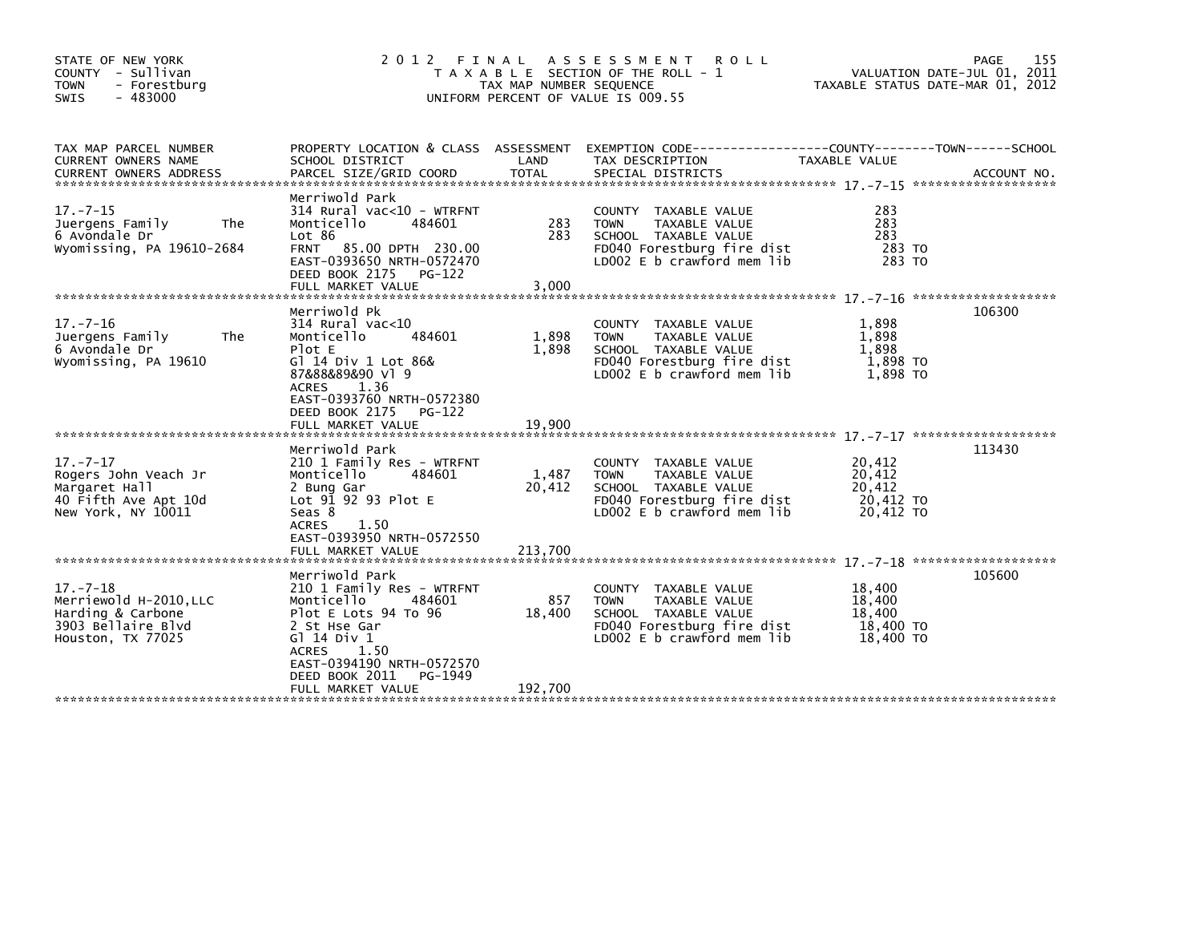| STATE OF NEW YORK<br>COUNTY - Sullivan<br><b>TOWN</b><br>- Forestburg<br>$-483000$<br><b>SWIS</b>        | 2 0 1 2                                                                                                                                                                                                                                         | TAX MAP NUMBER SEQUENCE  | FINAL ASSESSMENT<br><b>ROLL</b><br>T A X A B L E SECTION OF THE ROLL - 1<br>UNIFORM PERCENT OF VALUE IS 009.55                                  |                                                      | 155<br>PAGE<br>VALUATION DATE-JUL 01, 2011<br>TAXABLE STATUS DATE-MAR 01, 2012 |
|----------------------------------------------------------------------------------------------------------|-------------------------------------------------------------------------------------------------------------------------------------------------------------------------------------------------------------------------------------------------|--------------------------|-------------------------------------------------------------------------------------------------------------------------------------------------|------------------------------------------------------|--------------------------------------------------------------------------------|
| TAX MAP PARCEL NUMBER<br>CURRENT OWNERS NAME<br><b>CURRENT OWNERS ADDRESS</b>                            | SCHOOL DISTRICT<br>PARCEL SIZE/GRID COORD                                                                                                                                                                                                       | LAND<br><b>TOTAL</b>     | PROPERTY LOCATION & CLASS ASSESSMENT EXEMPTION CODE----------------COUNTY-------TOWN------SCHOOL<br>TAX DESCRIPTION<br>SPECIAL DISTRICTS        | TAXABLE VALUE                                        | ACCOUNT NO.                                                                    |
| $17. - 7 - 15$<br>Juergens Family<br><b>The</b><br>6 Avondale Dr<br>Wyomissing, PA 19610-2684            | Merriwold Park<br>314 Rural vac<10 - WTRFNT<br>Monticello<br>484601<br>Lot 86<br>FRNT 85.00 DPTH 230.00<br>EAST-0393650 NRTH-0572470<br>DEED BOOK 2175 PG-122<br>FULL MARKET VALUE                                                              | 283<br>283<br>3,000      | COUNTY TAXABLE VALUE<br>TAXABLE VALUE<br><b>TOWN</b><br>SCHOOL TAXABLE VALUE<br>FD040 Forestburg fire dist<br>LD002 E b crawford mem lib        | 283<br>283<br>283<br>283 TO<br>283 TO                |                                                                                |
| $17. - 7 - 16$<br>Juergens Family<br>The<br>6 Avondale Dr<br>Wyomissing, PA 19610                        | Merriwold Pk<br>$314$ Rural vac<10<br>Monticello<br>484601<br>Plot E<br>G] 14 Div 1 Lot 86&<br>87&88&89&90 v1 9<br>1.36<br><b>ACRES</b><br>EAST-0393760 NRTH-0572380<br>DEED BOOK 2175<br>PG-122<br>FULL MARKET VALUE                           | 1,898<br>1,898<br>19,900 | COUNTY TAXABLE VALUE<br>TAXABLE VALUE<br><b>TOWN</b><br>SCHOOL TAXABLE VALUE<br>FD040 Forestburg fire dist<br>LD002 E b crawford mem lib        | 1,898<br>1,898<br>1,898<br>1,898 TO<br>1,898 TO      | 106300                                                                         |
| $17. - 7 - 17$<br>Rogers John Veach Jr<br>Margaret Hall<br>40 Fifth Ave Apt 10d<br>New York, NY 10011    | Merriwold Park<br>210 1 Family Res - WTRFNT<br>Monticello<br>484601<br>2 Bung Gar<br>Lot $9\overline{1}$ $92$ $93$ Plot E<br>Seas 8<br><b>ACRES</b><br>1.50<br>EAST-0393950 NRTH-0572550                                                        | 1,487<br>20,412          | COUNTY TAXABLE VALUE<br>TAXABLE VALUE<br><b>TOWN</b><br>SCHOOL TAXABLE VALUE<br>FD040 Forestburg fire dist<br>LD002 E b crawford mem lib        | 20,412<br>20,412<br>20,412<br>20,412 TO<br>20,412 TO | 113430                                                                         |
| $17. - 7 - 18$<br>Merriewold H-2010, LLC<br>Harding & Carbone<br>3903 Bellaire Blvd<br>Houston, TX 77025 | Merriwold Park<br>210 1 Family Res - WTRFNT<br>Monticello<br>484601<br>Plot E Lots 94 To 96<br>2 St Hse Gar<br>G $\overline{1}$ 14 Div 1<br><b>ACRES</b><br>1.50<br>EAST-0394190 NRTH-0572570<br>DEED BOOK 2011<br>PG-1949<br>FULL MARKET VALUE | 857<br>18,400<br>192,700 | TAXABLE VALUE<br>COUNTY<br><b>TOWN</b><br>TAXABLE VALUE<br>SCHOOL TAXABLE VALUE<br>FD040 Forestburg fire dist<br>LD002 $E$ b crawford mem $lib$ | 18,400<br>18,400<br>18,400<br>18,400 TO<br>18,400 TO | 105600                                                                         |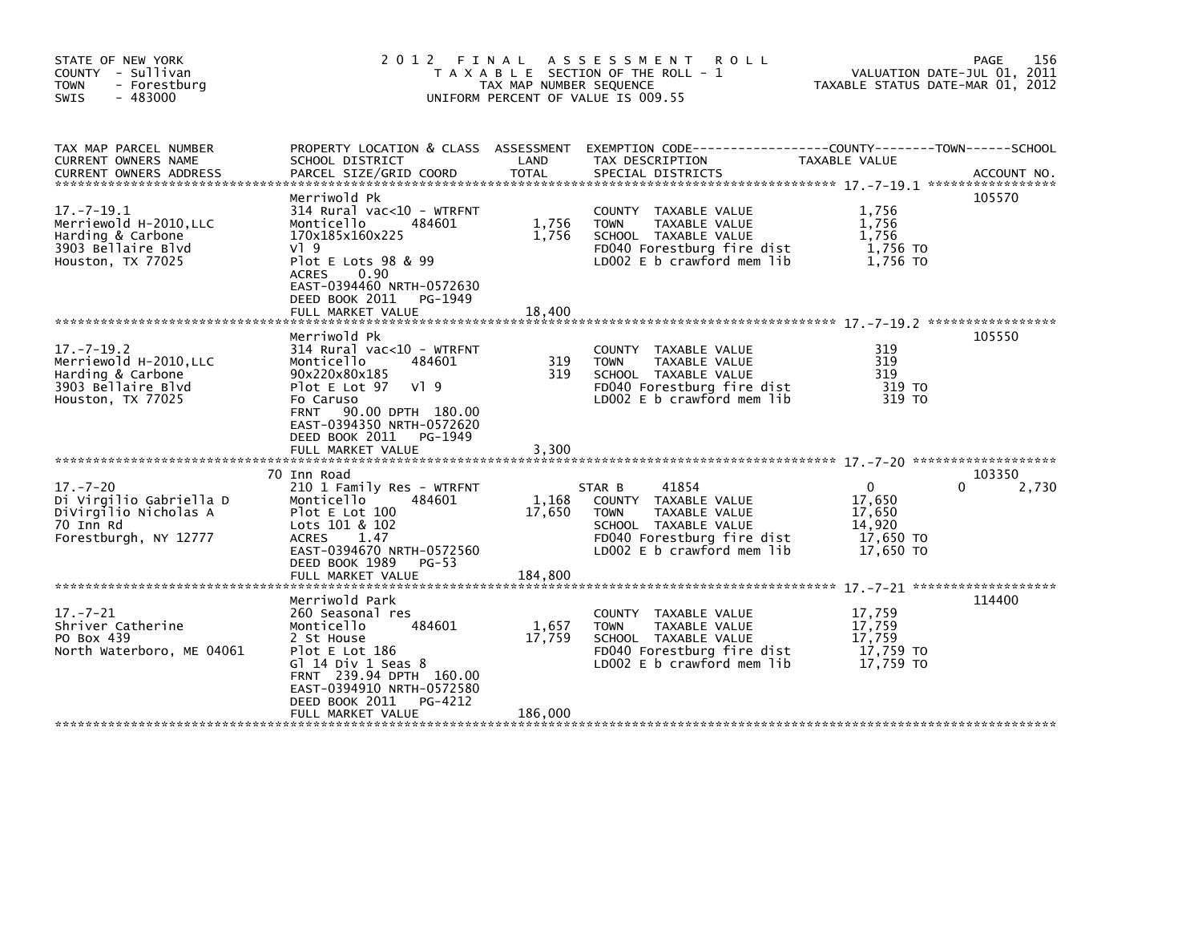| STATE OF NEW YORK<br>COUNTY - Sullivan<br>- Forestburg<br><b>TOWN</b><br>$-483000$<br><b>SWIS</b>          | 2 0 1 2                                                                                                                                                                                                                       | FINAL<br>TAX MAP NUMBER SEQUENCE | A S S E S S M E N T<br><b>ROLL</b><br>T A X A B L E SECTION OF THE ROLL - 1<br>UNIFORM PERCENT OF VALUE IS 009.55                                           | TAXABLE STATUS DATE-MAR 01, 2012                                     | 156<br>PAGE<br>VALUATION DATE-JUL 01, 2011 |
|------------------------------------------------------------------------------------------------------------|-------------------------------------------------------------------------------------------------------------------------------------------------------------------------------------------------------------------------------|----------------------------------|-------------------------------------------------------------------------------------------------------------------------------------------------------------|----------------------------------------------------------------------|--------------------------------------------|
| TAX MAP PARCEL NUMBER<br>CURRENT OWNERS NAME<br><b>CURRENT OWNERS ADDRESS</b>                              | SCHOOL DISTRICT<br>PARCEL SIZE/GRID COORD                                                                                                                                                                                     | LAND<br><b>TOTAL</b>             | PROPERTY LOCATION & CLASS ASSESSMENT EXEMPTION CODE----------------COUNTY-------TOWN------SCHOOL<br>TAX DESCRIPTION<br>SPECIAL DISTRICTS                    | TAXABLE VALUE                                                        | ACCOUNT NO.                                |
| $17. - 7 - 19.1$<br>Merriewold H-2010, LLC<br>Harding & Carbone<br>3903 Bellaire Blvd<br>Houston, TX 77025 | Merriwold Pk<br>314 Rural vac<10 - WTRFNT<br>Monticello<br>484601<br>170x185x160x225<br>$V$ ] 9<br>Plot E Lots 98 & 99<br>0.90<br><b>ACRES</b><br>EAST-0394460 NRTH-0572630<br>DEED BOOK 2011<br>PG-1949<br>FULL MARKET VALUE | 1,756<br>1,756<br>18,400         | COUNTY TAXABLE VALUE<br><b>TOWN</b><br>TAXABLE VALUE<br>SCHOOL TAXABLE VALUE<br>FD040 Forestburg fire dist<br>LD002 E b crawford mem lib                    | 1,756<br>1,756<br>1.756<br>1,756 TO<br>1.756 TO                      | 105570                                     |
| $17. - 7 - 19.2$<br>Merriewold H-2010, LLC<br>Harding & Carbone<br>3903 Bellaire Blvd<br>Houston, TX 77025 | Merriwold Pk<br>314 Rural vac<10 - WTRFNT<br>Monticello<br>484601<br>90x220x80x185<br>Plot E Lot 97<br>VI 9<br>Fo Caruso<br>90.00 DPTH 180.00<br><b>FRNT</b><br>EAST-0394350 NRTH-0572620<br>DEED BOOK 2011<br>PG-1949        | 319<br>319                       | COUNTY TAXABLE VALUE<br><b>TOWN</b><br>TAXABLE VALUE<br>SCHOOL TAXABLE VALUE<br>FD040 Forestburg fire dist<br>LD002 E b crawford mem lib                    | 319<br>319<br>319<br>319 TO<br>319 TO                                | 105550                                     |
|                                                                                                            | FULL MARKET VALUE                                                                                                                                                                                                             | 3,300                            |                                                                                                                                                             |                                                                      |                                            |
| $17. - 7 - 20$<br>Di Virgilio Gabriella D<br>DiVirgilio Nicholas A<br>70 Inn Rd<br>Forestburgh, NY 12777   | 70 Inn Road<br>210 1 Family Res - WTRFNT<br>Monticello<br>484601<br>Plot E Lot 100<br>Lots 101 & 102<br><b>ACRES</b><br>1.47<br>EAST-0394670 NRTH-0572560<br>DEED BOOK 1989<br>$PG-53$<br>FULL MARKET VALUE                   | 1,168<br>17,650<br>184,800       | 41854<br>STAR B<br>COUNTY TAXABLE VALUE<br><b>TOWN</b><br>TAXABLE VALUE<br>SCHOOL TAXABLE VALUE<br>FD040 Forestburg fire dist<br>LD002 E b crawford mem lib | $\mathbf{0}$<br>17,650<br>17,650<br>14,920<br>17,650 TO<br>17,650 TO | 103350<br>2,730                            |
|                                                                                                            | Merriwold Park                                                                                                                                                                                                                |                                  |                                                                                                                                                             |                                                                      | 114400                                     |
| $17. - 7 - 21$<br>Shriver Catherine<br>PO Box 439<br>North Waterboro, ME 04061                             | 260 Seasonal res<br>Monticello<br>484601<br>2 St House<br>Plot E Lot 186<br>Gl 14 Div 1 Seas 8<br>FRNT 239.94 DPTH 160.00<br>EAST-0394910 NRTH-0572580<br>DEED BOOK 2011<br>PG-4212                                           | 1,657<br>17,759                  | TAXABLE VALUE<br><b>COUNTY</b><br>TAXABLE VALUE<br><b>TOWN</b><br>SCHOOL TAXABLE VALUE<br>FD040 Forestburg fire dist<br>LD002 E b crawford mem lib          | 17,759<br>17,759<br>17.759<br>17,759 TO<br>17,759 TO                 |                                            |
|                                                                                                            | FULL MARKET VALUE                                                                                                                                                                                                             | 186,000                          |                                                                                                                                                             |                                                                      |                                            |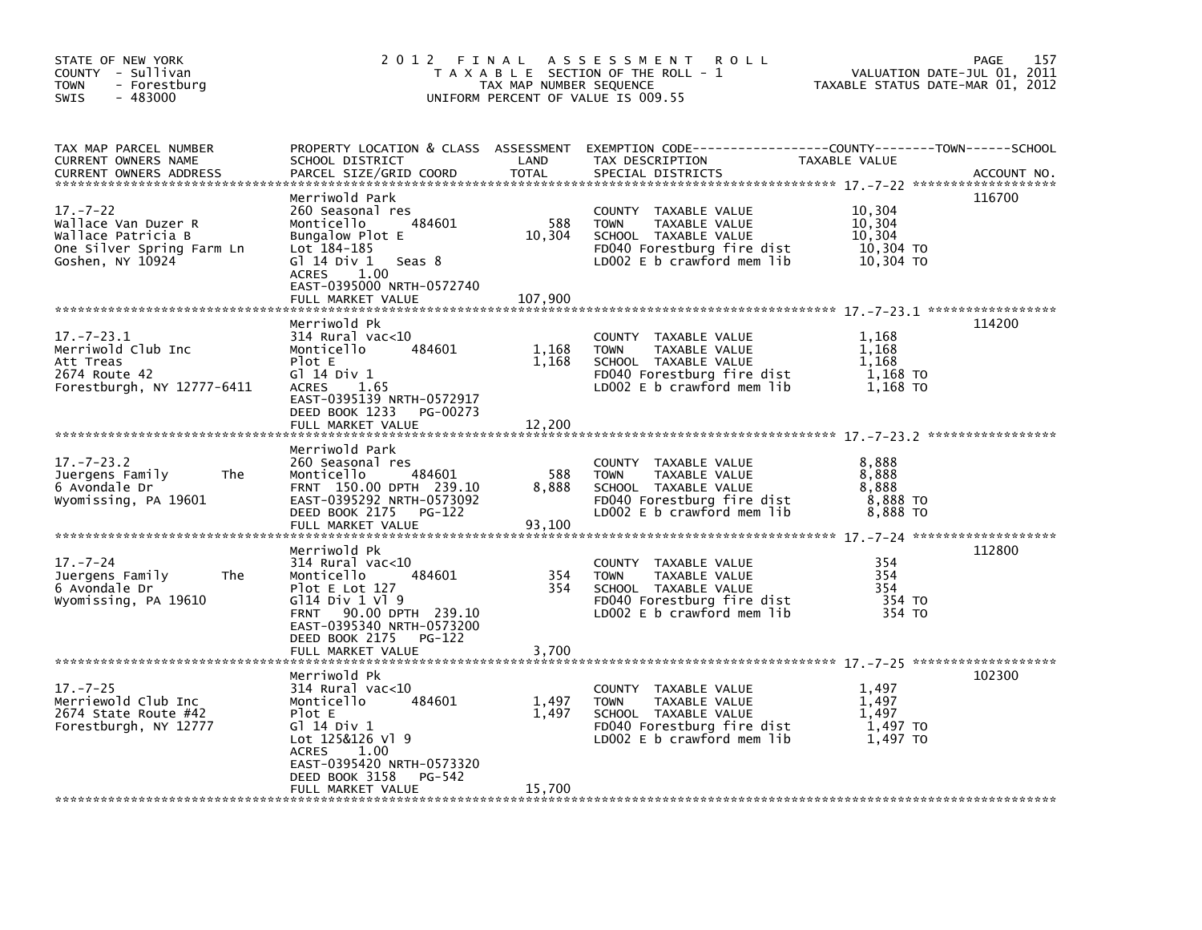| STATE OF NEW YORK<br>COUNTY - Sullivan<br><b>TOWN</b><br>- Forestburg<br>$-483000$<br>SWIS                                           |                                                                                                                                                                                                             | TAX MAP NUMBER SEQUENCE  | 2012 FINAL ASSESSMENT ROLL<br>T A X A B L E SECTION OF THE ROLL - 1<br>UNIFORM PERCENT OF VALUE IS 009.55                                | VALUATION DATE-JUL 01, 2011<br>TAXABLE STATUS DATE-MAR 01, 2012 | <b>PAGE</b><br>157 |
|--------------------------------------------------------------------------------------------------------------------------------------|-------------------------------------------------------------------------------------------------------------------------------------------------------------------------------------------------------------|--------------------------|------------------------------------------------------------------------------------------------------------------------------------------|-----------------------------------------------------------------|--------------------|
| TAX MAP PARCEL NUMBER<br>CURRENT OWNERS NAME<br>CURRENT OWNERS ADDRESS                                                               | SCHOOL DISTRICT<br>PARCEL SIZE/GRID COORD                                                                                                                                                                   | LAND<br><b>TOTAL</b>     | PROPERTY LOCATION & CLASS ASSESSMENT EXEMPTION CODE---------------COUNTY-------TOWN-----SCHOOL<br>TAX DESCRIPTION<br>SPECIAL DISTRICTS   | TAXABLE VALUE                                                   | ACCOUNT NO.        |
| $17. - 7 - 22$<br>Wallace Van Duzer R<br>Wallace Patricia B<br>One Silver Spring Farm Ln<br>Goshen, NY 10924                         | Merriwold Park<br>260 Seasonal res<br>484601<br>Monticello<br>Bungalow Plot E<br>Lot 184-185<br>G $1$ 14 Div 1 Seas 8<br>ACRES 1.00<br>EAST-0395000 NRTH-0572740<br>FULL MARKET VALUE                       | 588<br>10,304<br>107,900 | COUNTY TAXABLE VALUE<br><b>TOWN</b><br>TAXABLE VALUE<br>SCHOOL TAXABLE VALUE<br>FD040 Forestburg fire dist<br>LD002 E b crawford mem lib | 10,304<br>10,304<br>10,304<br>10,304 то<br>10,304 TO            | 116700             |
| $17. - 7 - 23.1$<br>Merriwold Club Inc<br>Att Treas<br>2674 Route 42<br>Forestburgh, NY 12777-6411<br>****************************** | Merriwold Pk<br>$314$ Rural vac< $10$<br>Monticello<br>484601<br>Plot E<br>G1 14 Div 1<br><b>ACRES</b><br>1.65<br>EAST-0395139 NRTH-0572917<br>DEED BOOK 1233 PG-00273<br>FULL MARKET VALUE                 | 1,168<br>1,168<br>12,200 | COUNTY TAXABLE VALUE<br><b>TOWN</b><br>TAXABLE VALUE<br>SCHOOL TAXABLE VALUE<br>FD040 Forestburg fire dist<br>LD002 E b crawford mem lib | 1,168<br>1,168<br>1,168<br>1,168 TO<br>1,168 TO                 | 114200             |
| $17. - 7 - 23.2$<br>Juergens Family<br>The<br>6 Avondale Dr<br>Wyomissing, PA 19601                                                  | Merriwold Park<br>260 Seasonal res<br>Monticello<br>484601<br>FRNT 150.00 DPTH 239.10<br>EAST-0395292 NRTH-0573092<br>DEED BOOK 2175 PG-122                                                                 | 588<br>8,888             | COUNTY TAXABLE VALUE<br>TAXABLE VALUE<br><b>TOWN</b><br>SCHOOL TAXABLE VALUE<br>FD040 Forestburg fire dist<br>LD002 E b crawford mem lib | 8,888<br>8,888<br>8,888<br>8,888 TO<br>8,888 TO                 |                    |
| $17. - 7 - 24$<br>Juergens Family<br><b>The</b><br>6 Avondale Dr<br>Wyomissing, PA 19610                                             | Merriwold Pk<br>$314$ Rural vac< $10$<br>484601<br>Monticello<br>Plot $E$ Lot 127<br>$G114$ Div 1 V1 9<br>FRNT 90.00 DPTH 239.10<br>EAST-0395340 NRTH-0573200<br>DEED BOOK 2175 PG-122<br>FULL MARKET VALUE | 354<br>354<br>3,700      | COUNTY TAXABLE VALUE<br>TAXABLE VALUE<br><b>TOWN</b><br>SCHOOL TAXABLE VALUE<br>FD040 Forestburg fire dist<br>LD002 E b crawford mem lib | 354<br>354<br>354<br>354 TO<br>354 TO                           | 112800             |
| $17. - 7 - 25$<br>Merriewold Club Inc<br>2674 State Route #42<br>Forestburgh, NY 12777                                               | Merriwold Pk<br>$314$ Rural vac<10<br>Monticello<br>484601<br>Plot E<br>G1 14 Div 1<br>Lot 125&126 Vl 9<br>1.00<br>ACRES<br>EAST-0395420 NRTH-0573320<br>DEED BOOK 3158<br>PG-542<br>FULL MARKET VALUE      | 1,497<br>1,497<br>15,700 | COUNTY TAXABLE VALUE<br>TAXABLE VALUE<br><b>TOWN</b><br>SCHOOL TAXABLE VALUE<br>FD040 Forestburg fire dist<br>LD002 E b crawford mem lib | 1,497<br>1,497<br>1,497<br>1,497 TO<br>1,497 TO                 | 102300             |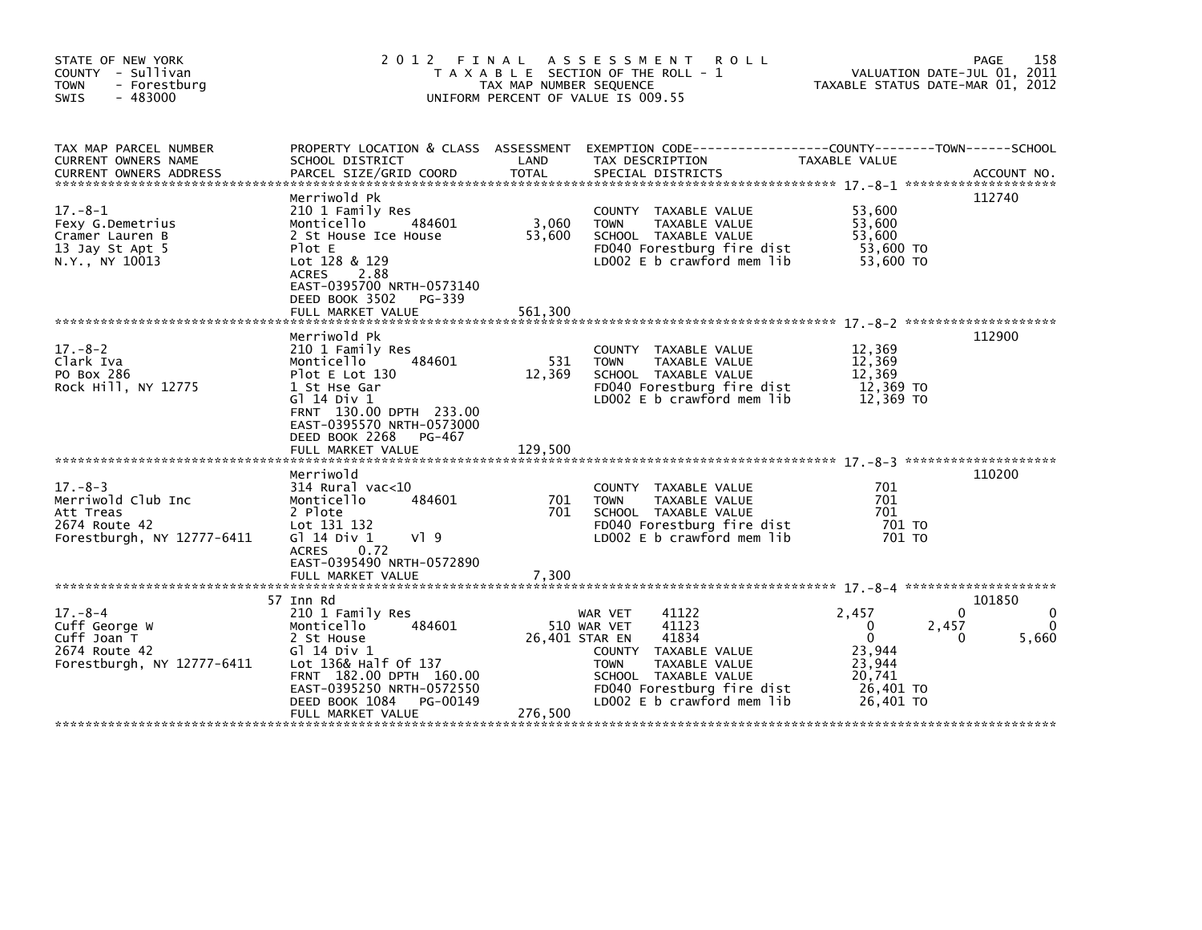| STATE OF NEW YORK<br>COUNTY - Sullivan<br>- Forestburg<br><b>TOWN</b><br>$-483000$<br><b>SWIS</b> | 2012 FINAL                                                                                                                                                                                                            | TAX MAP NUMBER SEQUENCE    | A S S E S S M E N T<br><b>ROLL</b><br>T A X A B L E SECTION OF THE ROLL - 1<br>UNIFORM PERCENT OF VALUE IS 009.55                                                                             | VALUATION DATE-JUL 01, 2011<br>TAXABLE STATUS DATE-MAR 01, 2012                                    | 158<br>PAGE               |
|---------------------------------------------------------------------------------------------------|-----------------------------------------------------------------------------------------------------------------------------------------------------------------------------------------------------------------------|----------------------------|-----------------------------------------------------------------------------------------------------------------------------------------------------------------------------------------------|----------------------------------------------------------------------------------------------------|---------------------------|
| TAX MAP PARCEL NUMBER<br>CURRENT OWNERS NAME<br><b>CURRENT OWNERS ADDRESS</b>                     | SCHOOL DISTRICT<br>PARCEL SIZE/GRID COORD                                                                                                                                                                             | LAND<br>TOTAL              | PROPERTY LOCATION & CLASS ASSESSMENT EXEMPTION CODE---------------COUNTY-------TOWN------SCHOOL<br>TAX DESCRIPTION<br>SPECIAL DISTRICTS                                                       | TAXABLE VALUE                                                                                      | ACCOUNT NO.               |
| $17.-8-1$<br>Fexy G.Demetrius<br>Cramer Lauren B<br>13 Jay St Apt 5<br>N.Y., NY 10013             | Merriwold Pk<br>210 1 Family Res<br>Monticello<br>484601<br>2 St House Ice House<br>Plot E<br>Lot 128 & 129<br><b>ACRES</b><br>2.88<br>EAST-0395700 NRTH-0573140<br>DEED BOOK 3502<br>PG-339<br>FULL MARKET VALUE     | 3,060<br>53,600<br>561,300 | COUNTY TAXABLE VALUE<br>TAXABLE VALUE<br><b>TOWN</b><br>SCHOOL TAXABLE VALUE<br>FD040 Forestburg fire dist<br>LD002 E b crawford mem lib                                                      | 53,600<br>53,600<br>53,600<br>53,600 TO<br>53,600 TO                                               | 112740                    |
| $17 - 8 - 2$<br>Clark Iva<br>PO Box 286<br>Rock Hill, NY 12775                                    | Merriwold Pk<br>210 1 Family Res<br>484601<br>Monticello<br>Plot E Lot 130<br>1 St Hse Gar<br>$G$ ] 14 Div 1<br>FRNT 130.00 DPTH 233.00<br>EAST-0395570 NRTH-0573000<br>DEED BOOK 2268<br>PG-467<br>FULL MARKET VALUE | 531<br>12,369<br>129,500   | COUNTY TAXABLE VALUE<br><b>TOWN</b><br>TAXABLE VALUE<br>SCHOOL TAXABLE VALUE<br>FD040 Forestburg fire dist<br>$LD002 E b$ crawford mem $lib$                                                  | 12,369<br>12,369<br>12,369<br>12,369 TO<br>12,369 TO                                               | 112900                    |
| $17. - 8 - 3$<br>Merriwold Club Inc<br>Att Treas<br>2674 Route 42<br>Forestburgh, NY 12777-6411   | Merriwold<br>314 Rural vac<10<br>Monticello<br>484601<br>2 Plote<br>Lot 131 132<br>G] 14 Div 1<br>VI 9<br>ACRES 0.72<br>EAST-0395490 NRTH-0572890<br>FULL MARKET VALUE                                                | 701<br>701<br>7,300        | COUNTY TAXABLE VALUE<br>TAXABLE VALUE<br><b>TOWN</b><br>SCHOOL TAXABLE VALUE<br>FD040 Forestburg fire dist<br>LD002 E b crawford mem lib                                                      | 701<br>701<br>701<br>701 TO<br>701 TO                                                              | 110200                    |
| $17 - 8 - 4$<br>Cuff George W<br>Cuff Joan T<br>2674 Route 42<br>Forestburgh, NY 12777-6411       | 57 Inn Rd<br>210 1 Family Res<br>Monticello<br>484601<br>2 St House<br>G1 14 Div 1<br>Lot 136& Half Of 137<br>FRNT 182.00 DPTH 160.00<br>EAST-0395250 NRTH-0572550<br>DEED BOOK 1084<br>PG-00149<br>FULL MARKET VALUE | 26,401 STAR EN<br>276,500  | 41122<br>WAR VET<br>41123<br>510 WAR VET<br>41834<br>COUNTY TAXABLE VALUE<br>TAXABLE VALUE<br><b>TOWN</b><br>SCHOOL TAXABLE VALUE<br>FD040 Forestburg fire dist<br>LD002 E b crawford mem lib | 2,457<br>2,457<br>$\Omega$<br>$\mathbf{0}$<br>23,944<br>23,944<br>20,741<br>26,401 TO<br>26,401 TO | 101850<br>0<br>5,660<br>0 |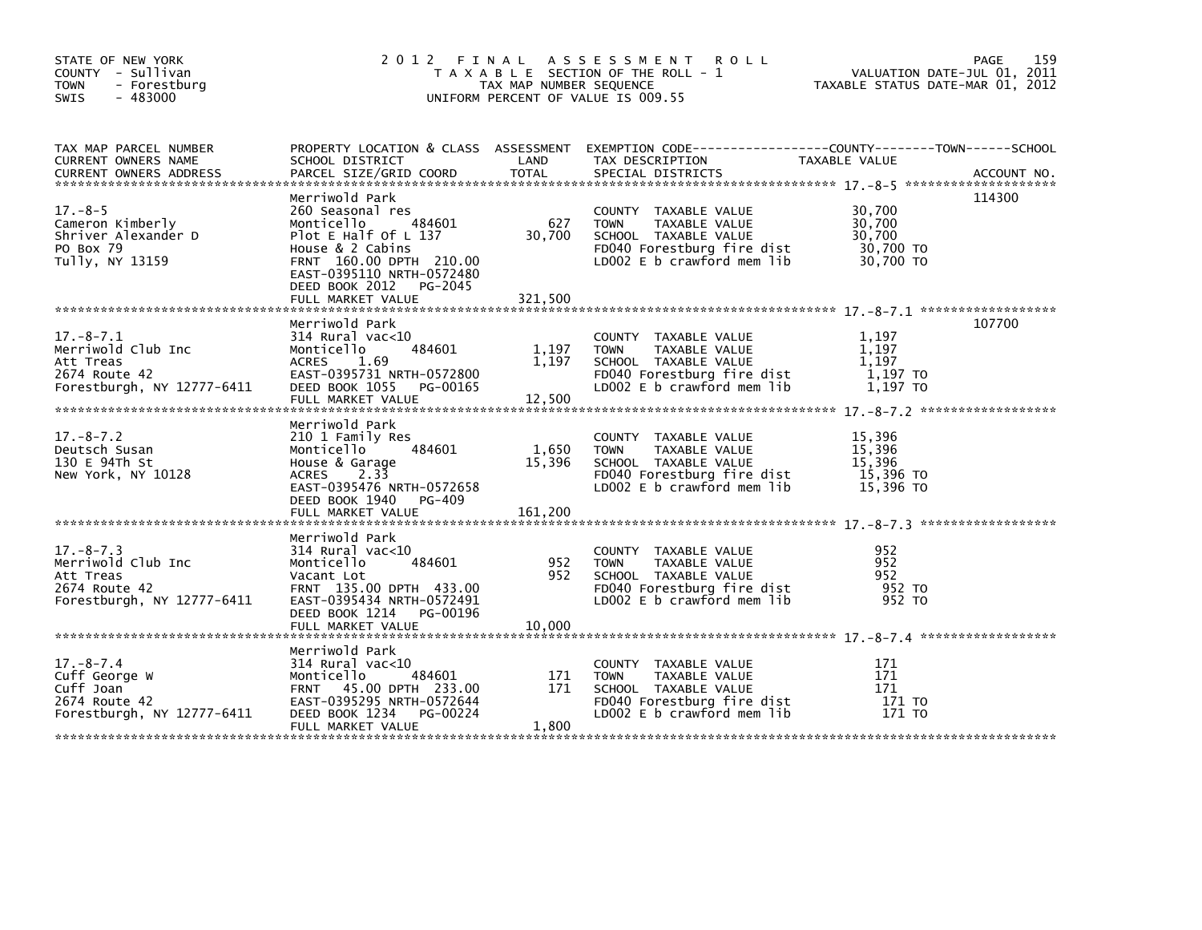| STATE OF NEW YORK<br>COUNTY - Sullivan<br><b>TOWN</b><br>- Forestburg<br>$-483000$<br><b>SWIS</b> |                                                                                                                                                                                            | TAX MAP NUMBER SEQUENCE    | 2012 FINAL ASSESSMENT<br><b>ROLL</b><br>T A X A B L E SECTION OF THE ROLL - 1<br>UNIFORM PERCENT OF VALUE IS 009.55                      | VALUATION DATE-JUL 01, 2011<br>TAXABLE STATUS DATE-MAR 01, 2012 | PAGE<br>159 |
|---------------------------------------------------------------------------------------------------|--------------------------------------------------------------------------------------------------------------------------------------------------------------------------------------------|----------------------------|------------------------------------------------------------------------------------------------------------------------------------------|-----------------------------------------------------------------|-------------|
| TAX MAP PARCEL NUMBER<br>CURRENT OWNERS NAME                                                      | SCHOOL DISTRICT                                                                                                                                                                            | LAND                       | PROPERTY LOCATION & CLASS ASSESSMENT EXEMPTION CODE-----------------COUNTY-------TOWN-----SCHOOL<br>TAX DESCRIPTION                      | TAXABLE VALUE                                                   |             |
| $17. - 8 - 5$<br>Cameron Kimberly<br>Shriver Alexander D<br>PO Box 79<br>Tully, NY 13159          | Merriwold Park<br>260 Seasonal res<br>Monticello<br>484601<br>Plot E Half Of L 137<br>House $& 2$ Cabins<br>FRNT 160.00 DPTH 210.00<br>EAST-0395110 NRTH-0572480<br>DEED BOOK 2012 PG-2045 | 627<br>30,700              | COUNTY TAXABLE VALUE<br>TAXABLE VALUE<br><b>TOWN</b><br>SCHOOL TAXABLE VALUE<br>FD040 Forestburg fire dist<br>LD002 E b crawford mem lib | 30,700<br>30,700<br>30,700<br>30,700 TO<br>30,700 TO            | 114300      |
| $17.-8-7.1$<br>Merriwold Club Inc<br>Att Treas<br>2674 Route 42<br>Forestburgh, NY 12777-6411     | Merriwold Park<br>$314$ Rural vac< $10$<br>484601<br>Monticello<br><b>ACRES</b><br>1.69<br>EAST-0395731 NRTH-0572800<br>DEED BOOK 1055 PG-00165<br>FULL MARKET VALUE                       | 1,197<br>1,197<br>12,500   | COUNTY TAXABLE VALUE<br><b>TOWN</b><br>TAXABLE VALUE<br>SCHOOL TAXABLE VALUE<br>FD040 Forestburg fire dist<br>LD002 E b crawford mem lib | 1,197<br>1.197<br>1.197<br>1,197 TO<br>1,197 TO                 | 107700      |
| $17. - 8 - 7.2$<br>Deutsch Susan<br>130 E 94Th St<br>New York, NY 10128                           | Merriwold Park<br>210 1 Family Res<br>484601<br>Monticello<br>House & Garage<br>ACRES 2.33<br>EAST-0395476 NRTH-0572658<br>DEED BOOK 1940 PG-409<br>FULL MARKET VALUE                      | 1,650<br>15,396<br>161,200 | COUNTY TAXABLE VALUE<br><b>TOWN</b><br>TAXABLE VALUE<br>SCHOOL TAXABLE VALUE<br>FD040 Forestburg fire dist<br>LD002 E b crawford mem lib | 15,396<br>15,396<br>15,396<br>15,396 TO<br>$15,396$ TO          |             |
| $17. - 8 - 7.3$<br>Merriwold Club Inc<br>Att Treas<br>2674 Route 42<br>Forestburgh, NY 12777-6411 | Merriwold Park<br>$314$ Rural vac< $10$<br>484601<br>Monticello<br>Vacant Lot<br>FRNT 135.00 DPTH 433.00<br>EAST-0395434 NRTH-0572491<br>DEED BOOK 1214 PG-00196                           | 952<br>952                 | COUNTY TAXABLE VALUE<br><b>TOWN</b><br>TAXABLE VALUE<br>SCHOOL TAXABLE VALUE<br>FD040 Forestburg fire dist<br>LD002 E b crawford mem lib | 952<br>952<br>952<br>952 TO<br>952 TO                           |             |
|                                                                                                   | FULL MARKET VALUE                                                                                                                                                                          | 10,000                     |                                                                                                                                          |                                                                 |             |
| $17. - 8 - 7.4$<br>Cuff George W<br>Cuff Joan<br>2674 Route 42<br>Forestburgh, NY 12777-6411      | Merriwold Park<br>314 Rural vac<10<br>484601<br>Monticello<br>FRNT 45.00 DPTH 233.00<br>EAST-0395295 NRTH-0572644<br>DEED BOOK 1234<br>PG-00224<br>FULL MARKET VALUE                       | 171<br>171<br>1,800        | COUNTY TAXABLE VALUE<br><b>TOWN</b><br>TAXABLE VALUE<br>SCHOOL TAXABLE VALUE<br>FD040 Forestburg fire dist<br>LD002 E b crawford mem lib | 171<br>171<br>171<br>171 TO<br>171 TO                           |             |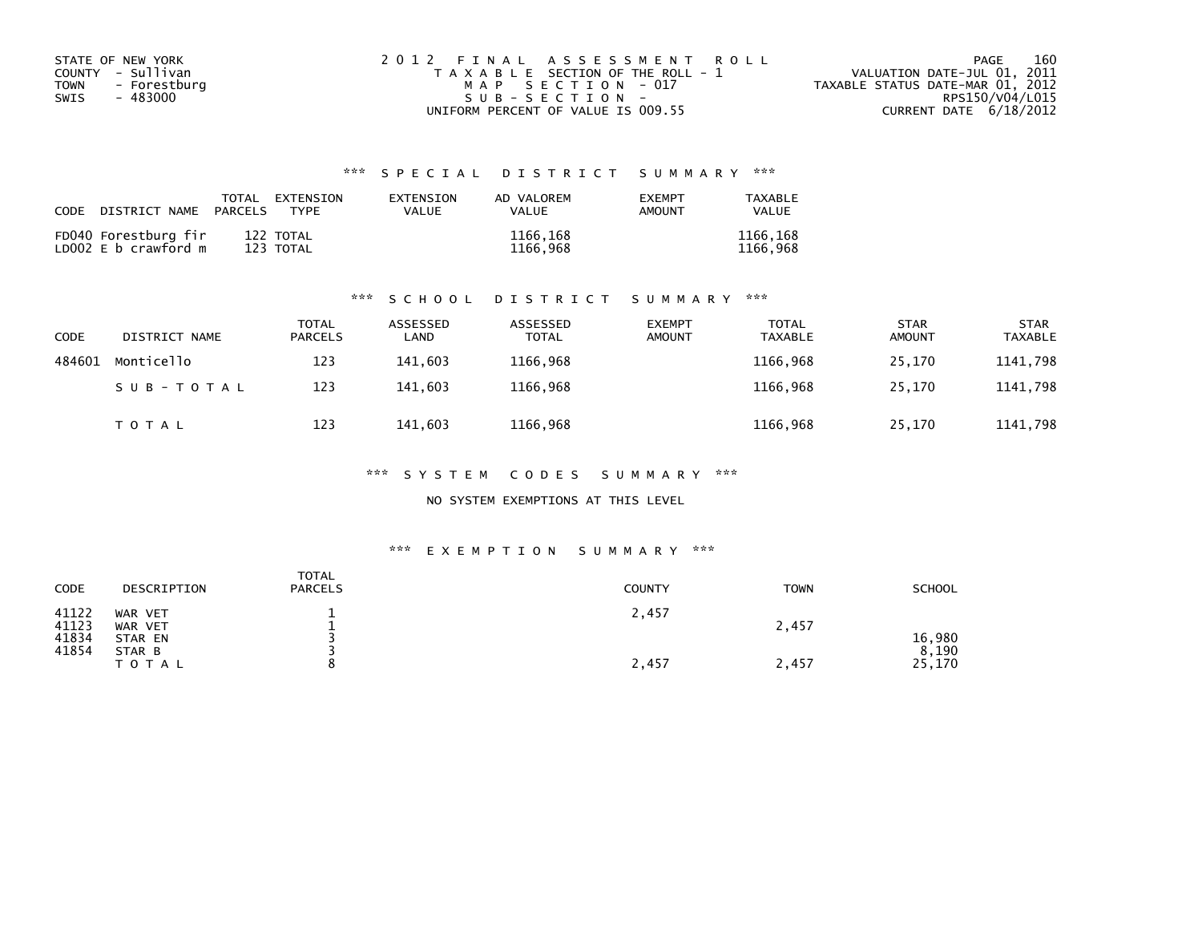| STATE OF NEW YORK    | 2012 FINAL ASSESSMENT ROLL            | 160<br>PAGE                      |
|----------------------|---------------------------------------|----------------------------------|
| COUNTY - Sullivan    | T A X A B L E SECTION OF THE ROLL - 1 | VALUATION DATE-JUL 01, 2011      |
| TOWN<br>- Forestburg | MAP SECTION - 017                     | TAXABLE STATUS DATE-MAR 01, 2012 |
| - 483000<br>SWIS     | $SUB - SECTION -$                     | RPS150/V04/L015                  |
|                      | UNIFORM PERCENT OF VALUE IS 009.55    | CURRENT DATE $6/18/2012$         |

| CODE | DISTRICT NAME                                | PARCELS | TOTAL EXTENSION<br>TYPF | EXTENSION<br>VALUE | AD VALOREM<br><b>VALUE</b> | <b>EXEMPT</b><br>AMOUNT | TAXABLE<br><b>VALUE</b> |
|------|----------------------------------------------|---------|-------------------------|--------------------|----------------------------|-------------------------|-------------------------|
|      | FD040 Forestburg fir<br>LD002 E b crawford m |         | 122 TOTAL<br>123 TOTAL  |                    | 1166,168<br>1166,968       |                         | 1166,168<br>1166.968    |

#### \*\*\* S C H O O L D I S T R I C T S U M M A R Y \*\*\*

| CODE   | DISTRICT NAME | <b>TOTAL</b><br>PARCELS | ASSESSED<br>∟AND | ASSESSED<br><b>TOTAL</b> | <b>EXEMPT</b><br><b>AMOUNT</b> | <b>TOTAL</b><br><b>TAXABLE</b> | <b>STAR</b><br><b>AMOUNT</b> | <b>STAR</b><br><b>TAXABLE</b> |
|--------|---------------|-------------------------|------------------|--------------------------|--------------------------------|--------------------------------|------------------------------|-------------------------------|
| 484601 | Monticello    | 123                     | 141.603          | 1166,968                 |                                | 1166,968                       | 25.170                       | 1141,798                      |
|        | SUB-TOTAL     | 123                     | 141.603          | 1166,968                 |                                | 1166,968                       | 25.170                       | 1141,798                      |
|        | <b>TOTAL</b>  | 123                     | 141,603          | 1166,968                 |                                | 1166,968                       | 25,170                       | 1141,798                      |

#### \*\*\* S Y S T E M C O D E S S U M M A R Y \*\*\*

#### NO SYSTEM EXEMPTIONS AT THIS LEVEL

#### \*\*\* E X E M P T I O N S U M M A R Y \*\*\*

| CODE                             | DESCRIPTION                             | <b>TOTAL</b><br><b>PARCELS</b> | <b>COUNTY</b> | <b>TOWN</b> | <b>SCHOOL</b>   |
|----------------------------------|-----------------------------------------|--------------------------------|---------------|-------------|-----------------|
| 41122<br>41123<br>41834<br>41854 | WAR VET<br>WAR VET<br>STAR EN<br>STAR B |                                | 2,457         | 2,457       | 16,980<br>8,190 |
|                                  | T O T A L                               |                                | 2,457         | 2,457       | 25,170          |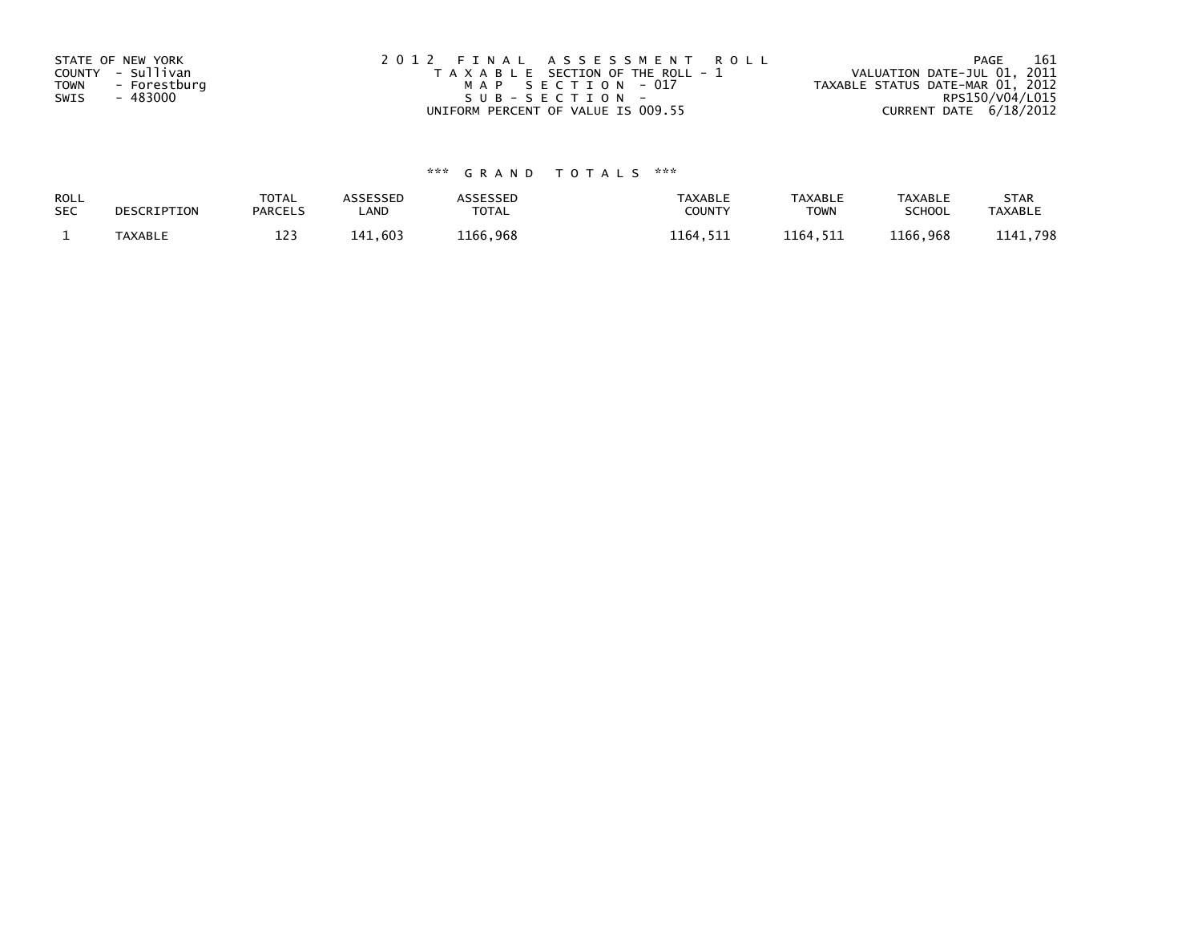| STATE OF NEW YORK | 2012 FINAL ASSESSMENT ROLL            | 161<br>PAGE                      |
|-------------------|---------------------------------------|----------------------------------|
| COUNTY - Sullivan | T A X A B L E SECTION OF THE ROLL - 1 | VALUATION DATE-JUL 01, 2011      |
| TOWN - Forestburg | MAP SECTION - 017                     | TAXABLE STATUS DATE-MAR 01, 2012 |
| - 483000<br>SWIS  | SUB-SECTION-                          | RPS150/V04/L015                  |
|                   | UNIFORM PERCENT OF VALUE IS 009.55    | CURRENT DATE 6/18/2012           |

| ROLL       | DESCRIPTION    | <b>TOTAL</b>   | <b>ASSESSED</b> | ASSESSED | <b>TAXABLE</b> | <b>TAXABLE</b> | <b>TAXABLE</b> | <b>STAR</b>    |
|------------|----------------|----------------|-----------------|----------|----------------|----------------|----------------|----------------|
| <b>SEC</b> |                | <b>PARCELS</b> | _AND            | TOTAL    | <b>COUNTY</b>  | <b>TOWN</b>    | <b>SCHOOL</b>  | <b>TAXABLE</b> |
|            | <b>TAXABLE</b> | 1 7 7<br>ᆂᅀ    | 141,603         | 1166.968 | 1164,511       | 1164.511       | 1166,968       | 1141,798       |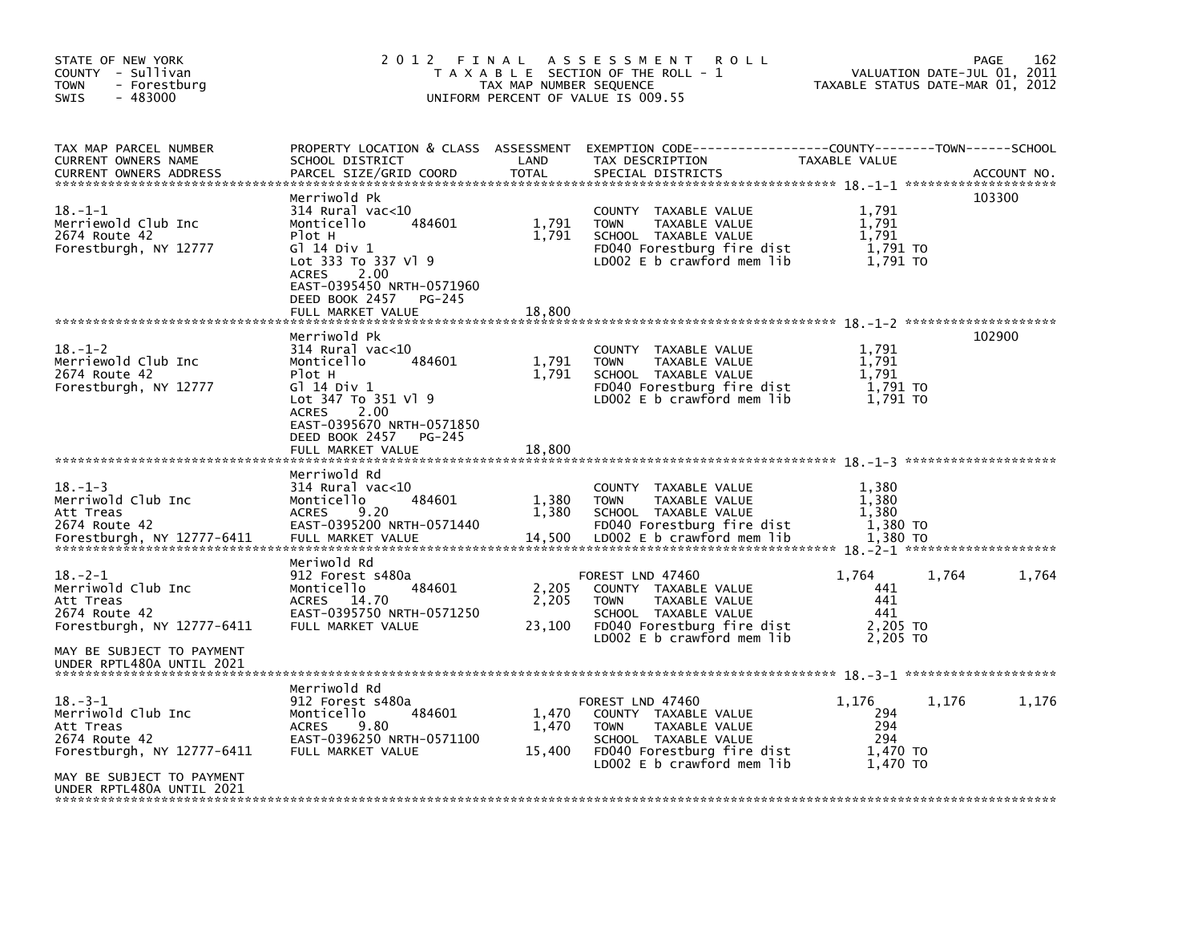| STATE OF NEW YORK<br>COUNTY - Sullivan<br><b>TOWN</b><br>- Forestburg<br>$-483000$<br><b>SWIS</b> | 2012                                                                                                                                                                                                             | FINAL<br>TAX MAP NUMBER SEQUENCE | A S S E S S M E N T<br><b>ROLL</b><br>T A X A B L E SECTION OF THE ROLL - 1<br>UNIFORM PERCENT OF VALUE IS 009.55                                              | TAXABLE STATUS DATE-MAR 01, 2012                   | VALUATION DATE-JUL 01, 2011 | 162<br>PAGE |
|---------------------------------------------------------------------------------------------------|------------------------------------------------------------------------------------------------------------------------------------------------------------------------------------------------------------------|----------------------------------|----------------------------------------------------------------------------------------------------------------------------------------------------------------|----------------------------------------------------|-----------------------------|-------------|
| TAX MAP PARCEL NUMBER<br>CURRENT OWNERS NAME<br><b>CURRENT OWNERS ADDRESS</b>                     | PROPERTY LOCATION & CLASS ASSESSMENT<br>SCHOOL DISTRICT<br>PARCEL SIZE/GRID COORD                                                                                                                                | LAND<br><b>TOTAL</b>             | EXEMPTION        CODE-----------------COUNTY-------TOWN------SCHOOL<br>TAX DESCRIPTION<br>SPECIAL DISTRICTS                                                    | TAXABLE VALUE                                      |                             | ACCOUNT NO. |
| $18. - 1 - 1$<br>Merriewold Club Inc<br>2674 Route 42<br>Forestburgh, NY 12777                    | Merriwold Pk<br>$314$ Rural vac<10<br>Monticello<br>484601<br>Plot H<br>G1 14 Div 1<br>Lot 333 To 337 V1 9<br>2.00<br><b>ACRES</b><br>EAST-0395450 NRTH-0571960<br>DEED BOOK 2457<br>PG-245                      | 1,791<br>1,791                   | COUNTY<br>TAXABLE VALUE<br><b>TOWN</b><br>TAXABLE VALUE<br>SCHOOL TAXABLE VALUE<br>FD040 Forestburg fire dist<br>LD002 E b crawford mem lib                    | 1,791<br>1,791<br>1.791<br>1,791 TO<br>1,791 TO    |                             | 103300      |
|                                                                                                   | FULL MARKET VALUE                                                                                                                                                                                                | 18,800                           |                                                                                                                                                                |                                                    |                             |             |
| $18. - 1 - 2$<br>Merriewold Club Inc<br>2674 Route 42<br>Forestburgh, NY 12777                    | Merriwold Pk<br>$314$ Rural vac<10<br>Monticello<br>484601<br>Plot H<br>G1 14 Div 1<br>Lot 347 To 351 Vl 9<br><b>ACRES</b><br>2.00<br>EAST-0395670 NRTH-0571850<br>DEED BOOK 2457<br>PG-245<br>FULL MARKET VALUE | 1,791<br>1,791<br>18,800         | COUNTY<br>TAXABLE VALUE<br>TAXABLE VALUE<br><b>TOWN</b><br>SCHOOL TAXABLE VALUE<br>FD040 Forestburg fire dist<br>LD002 E b crawford mem lib                    | 1,791<br>1,791<br>1,791<br>1,791 TO<br>1,791 TO    |                             | 102900      |
|                                                                                                   |                                                                                                                                                                                                                  |                                  |                                                                                                                                                                |                                                    |                             |             |
| $18. - 1 - 3$<br>Merriwold Club Inc<br>Att Treas<br>2674 Route 42<br>Forestburgh, NY 12777-6411   | Merriwold Rd<br>$314$ Rural vac<10<br>Monticello<br>484601<br>9.20<br><b>ACRES</b><br>EAST-0395200 NRTH-0571440<br>FULL MARKET VALUE                                                                             | 1,380<br>1,380<br>14,500         | <b>COUNTY</b><br>TAXABLE VALUE<br>TAXABLE VALUE<br><b>TOWN</b><br>SCHOOL TAXABLE VALUE<br>FD040 Forestburg fire dist<br>$LD002 E b$ crawford mem lib           | 1,380<br>1,380<br>1,380<br>1,380 TO<br>1,380 TO    |                             |             |
| $18. - 2 - 1$<br>Merriwold Club Inc<br>Att Treas<br>2674 Route 42<br>Forestburgh, NY 12777-6411   | Meriwold Rd<br>912 Forest s480a<br>Monticello<br>484601<br><b>ACRES</b><br>14.70<br>EAST-0395750 NRTH-0571250<br>FULL MARKET VALUE                                                                               | 2,205<br>2,205<br>23,100         | FOREST LND 47460<br>COUNTY TAXABLE VALUE<br><b>TOWN</b><br>TAXABLE VALUE<br>SCHOOL TAXABLE VALUE<br>FD040 Forestburg fire dist<br>$LD002 E b$ crawford mem lib | 1,764<br>441<br>441<br>441<br>2,205 TO<br>2,205 TO | 1,764                       | 1,764       |
| MAY BE SUBJECT TO PAYMENT<br>UNDER RPTL480A UNTIL 2021                                            |                                                                                                                                                                                                                  |                                  |                                                                                                                                                                |                                                    |                             |             |
| $18. - 3 - 1$<br>Merriwold Club Inc<br>Att Treas<br>2674 Route 42<br>Forestburgh, NY 12777-6411   | Merriwold Rd<br>912 Forest s480a<br>Monticello<br>484601<br><b>ACRES</b><br>9.80<br>EAST-0396250 NRTH-0571100<br>FULL MARKET VALUE                                                                               | 1,470<br>1,470<br>15,400         | FOREST LND 47460<br>COUNTY TAXABLE VALUE<br>TAXABLE VALUE<br><b>TOWN</b><br>SCHOOL TAXABLE VALUE<br>FD040 Forestburg fire dist                                 | 1.176<br>294<br>294<br>294<br>1,470 TO             | 1,176                       | 1,176       |
| MAY BE SUBJECT TO PAYMENT<br>UNDER RPTL480A UNTIL 2021                                            |                                                                                                                                                                                                                  |                                  | LD002 E b crawford mem lib                                                                                                                                     | 1,470 TO                                           |                             |             |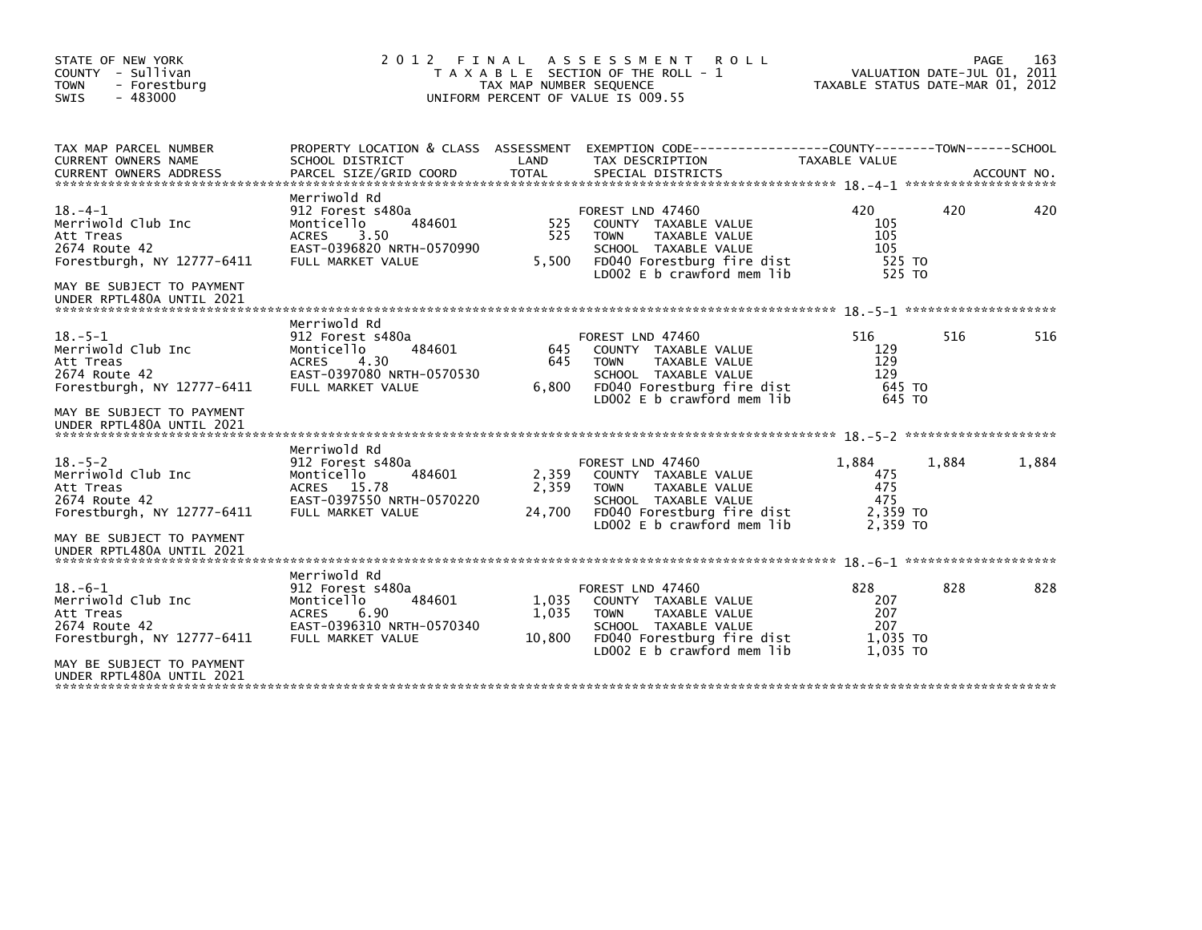| STATE OF NEW YORK<br>COUNTY - Sullivan<br><b>TOWN</b><br>- Forestburg<br>SWIS<br>$-483000$                                                               | 2012 FINAL                                                                                                                         | TAX MAP NUMBER SEQUENCE  | A S S E S S M E N T<br><b>ROLL</b><br>T A X A B L E SECTION OF THE ROLL - 1<br>UNIFORM PERCENT OF VALUE IS 009.55                                            | TAXABLE STATUS DATE-MAR 01, 2012                 |       | 163<br>PAGE<br>VALUATION DATE-JUL 01, 2011 |
|----------------------------------------------------------------------------------------------------------------------------------------------------------|------------------------------------------------------------------------------------------------------------------------------------|--------------------------|--------------------------------------------------------------------------------------------------------------------------------------------------------------|--------------------------------------------------|-------|--------------------------------------------|
| TAX MAP PARCEL NUMBER<br><b>CURRENT OWNERS NAME</b><br><b>CURRENT OWNERS ADDRESS</b>                                                                     | SCHOOL DISTRICT<br>PARCEL SIZE/GRID COORD                                                                                          | LAND<br><b>TOTAL</b>     | PROPERTY LOCATION & CLASS ASSESSMENT EXEMPTION CODE----------------COUNTY-------TOWN------SCHOOL<br>TAX DESCRIPTION<br>SPECIAL DISTRICTS                     | TAXABLE VALUE                                    |       | ACCOUNT NO.                                |
| $18. -4 - 1$<br>Merriwold Club Inc<br>Att Treas<br>2674 Route 42<br>Forestburgh, NY 12777-6411<br>MAY BE SUBJECT TO PAYMENT<br>UNDER RPTL480A UNTIL 2021 | Merriwold Rd<br>912 Forest s480a<br>484601<br>Monticello<br>3.50<br><b>ACRES</b><br>EAST-0396820 NRTH-0570990<br>FULL MARKET VALUE | 525<br>525<br>5,500      | FOREST LND 47460<br>COUNTY TAXABLE VALUE<br>TAXABLE VALUE<br><b>TOWN</b><br>SCHOOL TAXABLE VALUE<br>FD040 Forestburg fire dist<br>LD002 E b crawford mem lib | 420<br>105<br>105<br>105<br>525 TO<br>525 TO     | 420   | 420                                        |
| $18. - 5 - 1$<br>Merriwold Club Inc<br>Att Treas<br>2674 Route 42<br>Forestburgh, NY 12777-6411<br>MAY BE SUBJECT TO PAYMENT                             | Merriwold Rd<br>912 Forest s480a<br>484601<br>Monticello<br>4.30<br><b>ACRES</b><br>EAST-0397080 NRTH-0570530<br>FULL MARKET VALUE | 645<br>645<br>6,800      | FOREST LND 47460<br>COUNTY TAXABLE VALUE<br>TAXABLE VALUE<br><b>TOWN</b><br>SCHOOL TAXABLE VALUE<br>FD040 Forestburg fire dist<br>LD002 E b crawford mem lib | 516<br>129<br>129<br>129<br>645 TO<br>645 TO     | 516   | 516                                        |
| UNDER RPTL480A UNTIL 2021<br>$18. - 5 - 2$<br>Merriwold Club Inc<br>Att Treas                                                                            | Merriwold Rd<br>912 Forest s480a<br>Monticello<br>484601<br>ACRES 15.78                                                            | 2,359<br>2,359           | FOREST LND 47460<br>COUNTY TAXABLE VALUE<br><b>TOWN</b><br>TAXABLE VALUE                                                                                     | 1,884<br>475<br>475                              | 1,884 | 1,884                                      |
| 2674 Route 42<br>Forestburgh, NY 12777-6411<br>MAY BE SUBJECT TO PAYMENT<br>UNDER RPTL480A UNTIL 2021                                                    | EAST-0397550 NRTH-0570220<br>FULL MARKET VALUE                                                                                     | 24,700                   | SCHOOL TAXABLE VALUE<br>FD040 Forestburg fire dist<br>LD002 E b crawford mem lib                                                                             | 475<br>2,359 TO<br>2.359 TO                      |       |                                            |
| $18. -6 - 1$<br>Merriwold Club Inc<br>Att Treas<br>2674 Route 42<br>Forestburgh, NY 12777-6411                                                           | Merriwold Rd<br>912 Forest s480a<br>484601<br>Monticello<br><b>ACRES</b><br>6.90<br>EAST-0396310 NRTH-0570340<br>FULL MARKET VALUE | 1,035<br>1,035<br>10,800 | FOREST LND 47460<br>COUNTY TAXABLE VALUE<br>TAXABLE VALUE<br><b>TOWN</b><br>SCHOOL TAXABLE VALUE<br>FD040 Forestburg fire dist<br>LD002 E b crawford mem lib | 828<br>207<br>207<br>207<br>1,035 TO<br>1,035 TO | 828   | 828                                        |
| MAY BE SUBJECT TO PAYMENT<br>UNDER RPTL480A UNTIL 2021                                                                                                   |                                                                                                                                    |                          |                                                                                                                                                              |                                                  |       |                                            |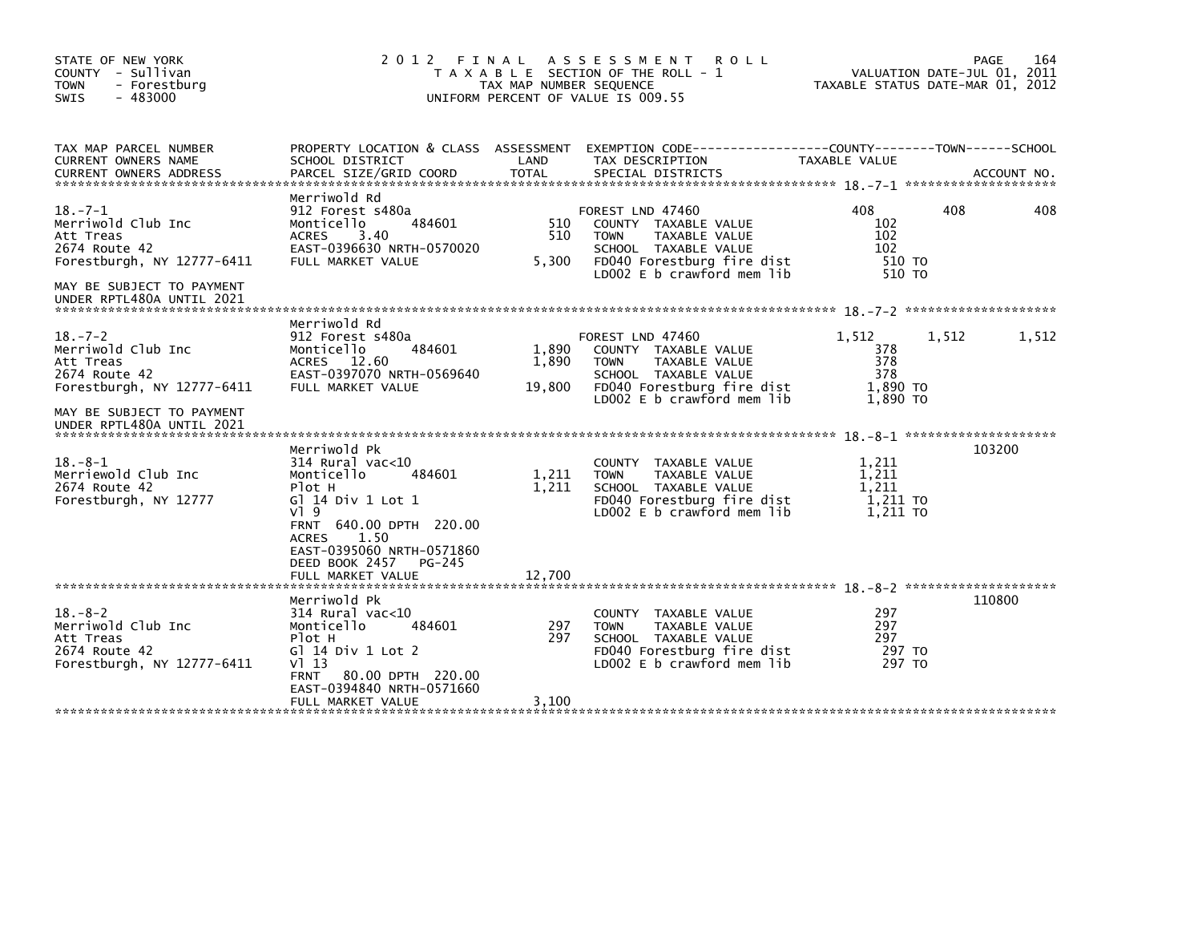| STATE OF NEW YORK<br>COUNTY - Sullivan<br><b>TOWN</b><br>- Forestburg<br>SWIS<br>- 483000                                                                 | 2012 FINAL                                                                                                                                                                                                       | TAX MAP NUMBER SEQUENCE  | A S S E S S M E N T<br><b>ROLL</b><br>T A X A B L E SECTION OF THE ROLL - 1<br>UNIFORM PERCENT OF VALUE IS 009.55                                            | TAXABLE STATUS DATE-MAR 01, 2012                   | VALUATION DATE-JUL 01, 2011 | 164<br>PAGE |
|-----------------------------------------------------------------------------------------------------------------------------------------------------------|------------------------------------------------------------------------------------------------------------------------------------------------------------------------------------------------------------------|--------------------------|--------------------------------------------------------------------------------------------------------------------------------------------------------------|----------------------------------------------------|-----------------------------|-------------|
| TAX MAP PARCEL NUMBER<br><b>CURRENT OWNERS NAME</b><br><b>CURRENT OWNERS ADDRESS</b>                                                                      | SCHOOL DISTRICT<br>PARCEL SIZE/GRID COORD                                                                                                                                                                        | LAND<br><b>TOTAL</b>     | PROPERTY LOCATION & CLASS ASSESSMENT EXEMPTION CODE----------------COUNTY-------TOWN------SCHOOL<br>TAX DESCRIPTION<br>SPECIAL DISTRICTS                     | TAXABLE VALUE                                      |                             | ACCOUNT NO. |
| $18. - 7 - 1$<br>Merriwold Club Inc<br>Att Treas<br>2674 Route 42<br>Forestburgh, NY 12777-6411<br>MAY BE SUBJECT TO PAYMENT                              | Merriwold Rd<br>912 Forest s480a<br>484601<br>Monticello<br><b>ACRES</b><br>3.40<br>EAST-0396630 NRTH-0570020<br>FULL MARKET VALUE                                                                               | 510<br>510<br>5,300      | FOREST LND 47460<br>COUNTY TAXABLE VALUE<br><b>TOWN</b><br>TAXABLE VALUE<br>SCHOOL TAXABLE VALUE<br>FD040 Forestburg fire dist<br>LD002 E b crawford mem lib | 408<br>102<br>102<br>102<br>510 TO<br>510 TO       | 408                         | 408         |
| UNDER RPTL480A UNTIL 2021                                                                                                                                 |                                                                                                                                                                                                                  |                          |                                                                                                                                                              |                                                    |                             |             |
| $18. - 7 - 2$<br>Merriwold Club Inc<br>Att Treas<br>2674 Route 42<br>Forestburgh, NY 12777-6411<br>MAY BE SUBJECT TO PAYMENT<br>UNDER RPTL480A UNTIL 2021 | Merriwold Rd<br>912 Forest s480a<br>Monticello<br>484601<br>ACRES 12.60<br>EAST-0397070 NRTH-0569640<br>FULL MARKET VALUE                                                                                        | 1,890<br>1,890<br>19,800 | FOREST LND 47460<br>COUNTY TAXABLE VALUE<br><b>TOWN</b><br>TAXABLE VALUE<br>SCHOOL TAXABLE VALUE<br>FD040 Forestburg fire dist<br>LD002 E b crawford mem lib | 1.512<br>378<br>378<br>378<br>1,890 TO<br>1,890 TO | 1,512                       | 1,512       |
| $18. - 8 - 1$<br>Merriewold Club Inc<br>2674 Route 42<br>Forestburgh, NY 12777                                                                            | Merriwold Pk<br>$314$ Rural vac<10<br>Monticello<br>484601<br>Plot H<br>G] 14 Div 1 Lot 1<br>$V$ ] 9<br>FRNT 640.00 DPTH 220.00<br>1.50<br><b>ACRES</b><br>EAST-0395060 NRTH-0571860<br>DEED BOOK 2457<br>PG-245 | 1,211<br>1,211           | <b>COUNTY</b><br>TAXABLE VALUE<br><b>TOWN</b><br>TAXABLE VALUE<br>SCHOOL TAXABLE VALUE<br>FD040 Forestburg fire dist<br>LD002 $E$ b crawford mem lib         | 1,211<br>1,211<br>1,211<br>1,211 TO<br>1.211 TO    |                             | 103200      |
|                                                                                                                                                           | FULL MARKET VALUE                                                                                                                                                                                                | 12,700                   |                                                                                                                                                              |                                                    |                             |             |
| $18. - 8 - 2$<br>Merriwold Club Inc<br>Att Treas<br>2674 Route 42<br>Forestburgh, NY 12777-6411                                                           | Merriwold Pk<br>$314$ Rural vac<10<br>Monticello<br>484601<br>Plot H<br>G $1$ 14 Div 1 Lot 2<br>V113<br><b>FRNT</b><br>80.00 DPTH 220.00<br>EAST-0394840 NRTH-0571660                                            | 297<br>297               | <b>COUNTY</b><br>TAXABLE VALUE<br><b>TOWN</b><br>TAXABLE VALUE<br>SCHOOL TAXABLE VALUE<br>FD040 Forestburg fire dist<br>LD002 E b crawford mem lib           | 297<br>297<br>297<br>297 TO<br>297 TO              |                             | 110800      |
|                                                                                                                                                           | FULL MARKET VALUE                                                                                                                                                                                                | 3,100                    |                                                                                                                                                              |                                                    |                             |             |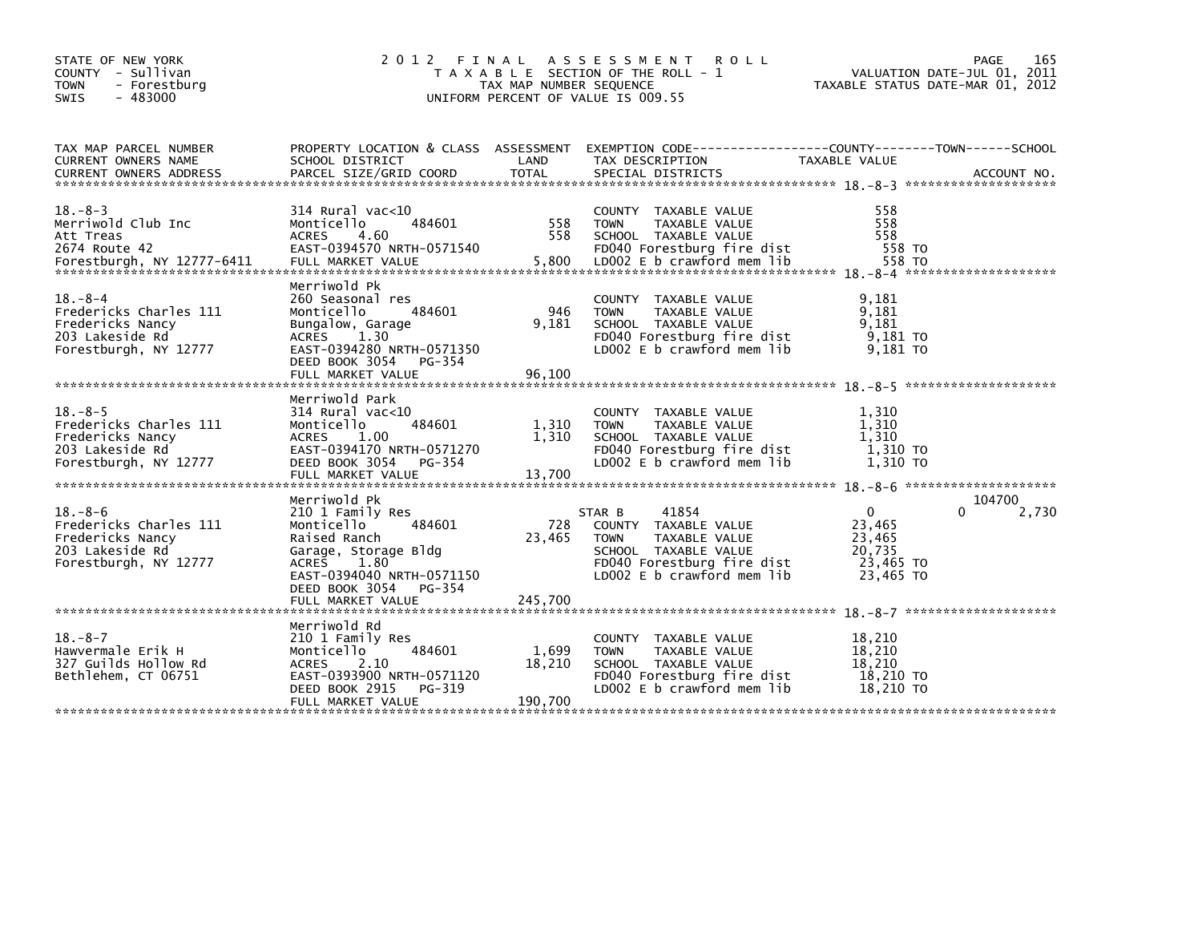| STATE OF NEW YORK<br>COUNTY - Sullivan<br><b>TOWN</b><br>- Forestburg<br>SWIS<br>$-483000$              | 2012                                                                                                                                                                        | FINAL<br>TAX MAP NUMBER SEQUENCE | A S S E S S M E N T<br><b>ROLL</b><br>T A X A B L E SECTION OF THE ROLL - 1<br>UNIFORM PERCENT OF VALUE IS 009.55                                           | TAXABLE STATUS DATE-MAR 01, 2012                                 | 165<br>PAGE<br>VALUATION DATE-JUL 01, 2011 |
|---------------------------------------------------------------------------------------------------------|-----------------------------------------------------------------------------------------------------------------------------------------------------------------------------|----------------------------------|-------------------------------------------------------------------------------------------------------------------------------------------------------------|------------------------------------------------------------------|--------------------------------------------|
| TAX MAP PARCEL NUMBER<br><b>CURRENT OWNERS NAME</b><br><b>CURRENT OWNERS ADDRESS</b>                    | SCHOOL DISTRICT<br>PARCEL SIZE/GRID COORD                                                                                                                                   | LAND<br><b>TOTAL</b>             | PROPERTY LOCATION & CLASS ASSESSMENT EXEMPTION CODE---------------COUNTY-------TOWN-----SCHOOL<br>TAX DESCRIPTION<br>SPECIAL DISTRICTS                      | TAXABLE VALUE                                                    | ACCOUNT NO.                                |
| $18. - 8 - 3$<br>Merriwold Club Inc<br>Att Treas<br>2674 Route 42<br>Forestburgh, NY 12777-6411         | 314 Rural vac<10<br>Monticello<br>484601<br><b>ACRES</b><br>4.60<br>EAST-0394570 NRTH-0571540<br>FULL MARKET VALUE                                                          | 558<br>558<br>5,800              | COUNTY TAXABLE VALUE<br>TAXABLE VALUE<br><b>TOWN</b><br>SCHOOL TAXABLE VALUE<br>FD040 Forestburg fire dist<br>LD002 E b crawford mem lib                    | 558<br>558<br>558<br>558 TO<br>558 TO                            |                                            |
| $18. - 8 - 4$<br>Fredericks Charles 111<br>Fredericks Nancy<br>203 Lakeside Rd<br>Forestburgh, NY 12777 | Merriwold Pk<br>260 Seasonal res<br>Monticello<br>484601<br>Bungalow, Garage<br>1.30<br>ACRES<br>EAST-0394280 NRTH-0571350<br>DEED BOOK 3054<br>PG-354<br>FULL MARKET VALUE | 946<br>9,181<br>96,100           | COUNTY TAXABLE VALUE<br>TAXABLE VALUE<br><b>TOWN</b><br>SCHOOL TAXABLE VALUE<br>FD040 Forestburg fire dist<br>LD002 E b crawford mem lib                    | 9,181<br>9.181<br>9,181<br>9,181 TO<br>9,181 TO                  |                                            |
| $18. - 8 - 5$<br>Fredericks Charles 111<br>Fredericks Nancy<br>203 Lakeside Rd<br>Forestburgh, NY 12777 | Merriwold Park<br>314 Rural vac<10<br>484601<br>Monticello<br><b>ACRES</b><br>1.00<br>EAST-0394170 NRTH-0571270<br>DEED BOOK 3054<br>PG-354<br>FULL MARKET VALUE            | 1,310<br>1,310<br>13,700         | COUNTY TAXABLE VALUE<br>TAXABLE VALUE<br><b>TOWN</b><br>SCHOOL TAXABLE VALUE<br>FD040 Forestburg fire dist<br>LD002 E b crawford mem lib                    | 1,310<br>1,310<br>1,310<br>1,310 TO<br>1,310 TO                  |                                            |
| $18. - 8 - 6$<br>Fredericks Charles 111<br>Fredericks Nancy<br>203 Lakeside Rd<br>Forestburgh, NY 12777 | Merriwold Pk<br>210 1 Family Res<br>Monticello<br>484601<br>Raised Ranch<br>Garage, Storage Bldg<br>ACRES 1.80<br>EAST-0394040 NRTH-0571150<br>DEED BOOK 3054<br>PG-354     | 728<br>23,465                    | 41854<br>STAR B<br>COUNTY TAXABLE VALUE<br><b>TOWN</b><br>TAXABLE VALUE<br>SCHOOL TAXABLE VALUE<br>FD040 Forestburg fire dist<br>LD002 E b crawford mem lib | $\Omega$<br>23,465<br>23,465<br>20,735<br>23,465 TO<br>23,465 TO | 104700<br>0<br>2,730                       |
|                                                                                                         | FULL MARKET VALUE                                                                                                                                                           | 245,700                          |                                                                                                                                                             |                                                                  |                                            |
| $18. - 8 - 7$<br>Hawvermale Erik H<br>327 Guilds Hollow Rd<br>Bethlehem, CT 06751                       | Merriwold Rd<br>210 1 Family Res<br>484601<br>Monticello<br><b>ACRES</b><br>2.10<br>EAST-0393900 NRTH-0571120<br>DEED BOOK 2915<br>PG-319<br>FULL MARKET VALUE              | 1,699<br>18,210<br>190,700       | COUNTY TAXABLE VALUE<br><b>TOWN</b><br>TAXABLE VALUE<br>SCHOOL TAXABLE VALUE<br>FD040 Forestburg fire dist<br>LD002 E b crawford mem lib                    | 18,210<br>18,210<br>18,210<br>18,210 TO<br>18,210 TO             |                                            |
|                                                                                                         |                                                                                                                                                                             |                                  |                                                                                                                                                             |                                                                  |                                            |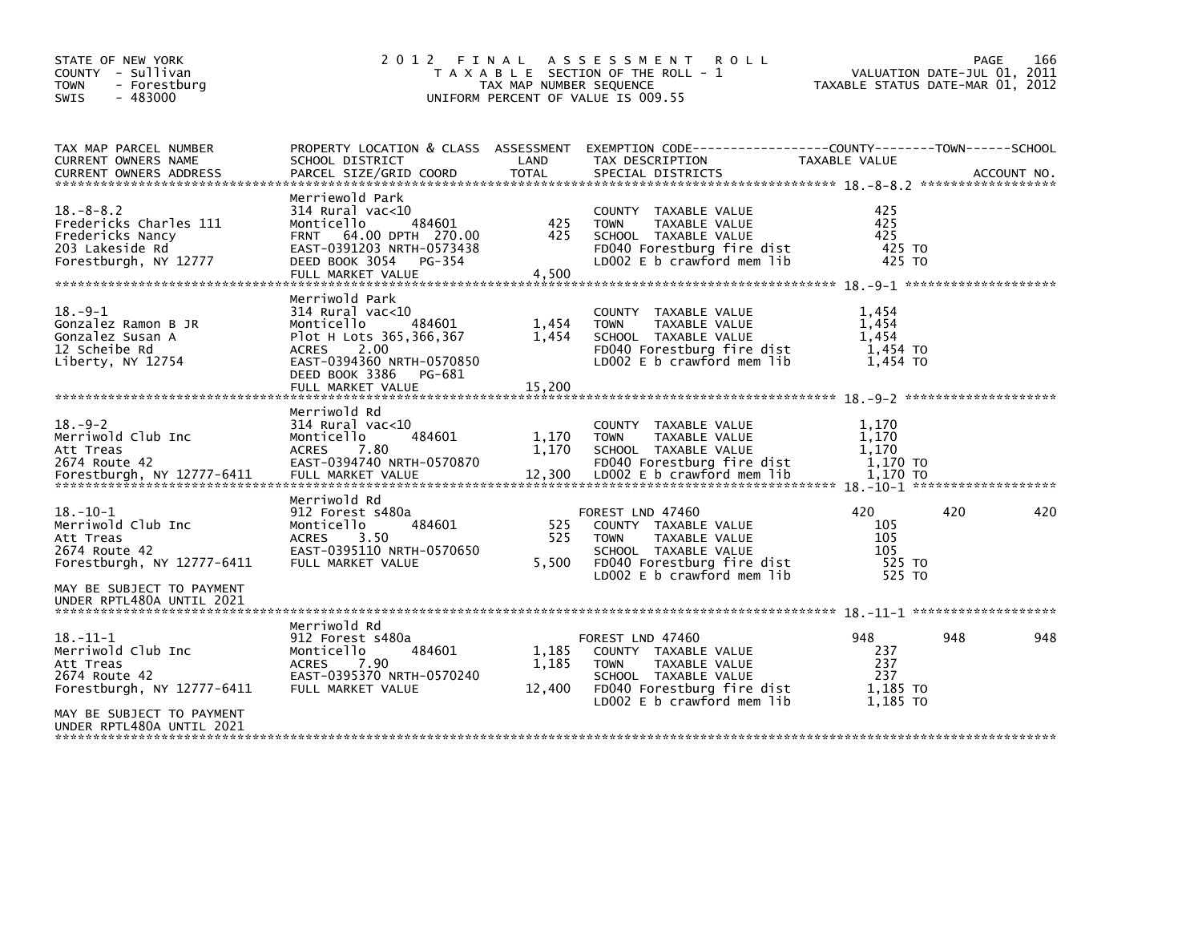| STATE OF NEW YORK<br>COUNTY - Sullivan<br><b>TOWN</b><br>- Forestburg<br>$-483000$<br><b>SWIS</b>         | 2012                                                                                                                                                                                             | TAX MAP NUMBER SEQUENCE  | FINAL ASSESSMENT<br><b>ROLL</b><br>T A X A B L E SECTION OF THE ROLL - 1<br>UNIFORM PERCENT OF VALUE IS 009.55                                               | VALUATION DATE-JUL 01, 2011<br>TAXABLE STATUS DATE-MAR 01, 2012 | <b>PAGE</b> | 166 |
|-----------------------------------------------------------------------------------------------------------|--------------------------------------------------------------------------------------------------------------------------------------------------------------------------------------------------|--------------------------|--------------------------------------------------------------------------------------------------------------------------------------------------------------|-----------------------------------------------------------------|-------------|-----|
| TAX MAP PARCEL NUMBER<br>CURRENT OWNERS NAME                                                              | PROPERTY LOCATION & CLASS ASSESSMENT<br>SCHOOL DISTRICT                                                                                                                                          | LAND                     | EXEMPTION        CODE-----------------COUNTY-------TOWN------SCHOOL<br>TAX DESCRIPTION                                                                       | TAXABLE VALUE                                                   |             |     |
| $18. - 8 - 8.2$<br>Fredericks Charles 111<br>Fredericks Nancy<br>203 Lakeside Rd<br>Forestburgh, NY 12777 | Merriewold Park<br>$314$ Rural vac<10<br>Monticello<br>484601<br>FRNT 64.00 DPTH 270.00<br>EAST-0391203 NRTH-0573438<br>DEED BOOK 3054<br>PG-354<br>FULL MARKET VALUE                            | 425<br>425<br>4.500      | COUNTY TAXABLE VALUE<br><b>TOWN</b><br>TAXABLE VALUE<br>SCHOOL TAXABLE VALUE<br>FD040 Forestburg fire dist<br>LD002 E b crawford mem lib                     | 425<br>425<br>425<br>425 TO<br>425 TO                           |             |     |
| $18. - 9 - 1$<br>Gonzalez Ramon B JR<br>Gonzalez Susan A<br>12 Scheibe Rd<br>Liberty, NY 12754            | Merriwold Park<br>$314$ Rural vac< $10$<br>Monticello<br>484601<br>Plot H Lots 365,366,367<br>2.00<br><b>ACRES</b><br>EAST-0394360 NRTH-0570850<br>DEED BOOK 3386<br>PG-681<br>FULL MARKET VALUE | 1,454<br>1,454<br>15,200 | COUNTY TAXABLE VALUE<br><b>TOWN</b><br>TAXABLE VALUE<br>SCHOOL TAXABLE VALUE<br>FD040 Forestburg fire dist<br>LD002 E b crawford mem lib                     | 1,454<br>1,454<br>1,454<br>1,454 TO<br>1,454 TO                 |             |     |
| $18. - 9 - 2$<br>Merriwold Club Inc<br>Att Treas<br>2674 Route 42                                         | Merriwold Rd<br>$314$ Rural vac< $10$<br>484601<br>Monticello<br><b>ACRES</b><br>7.80<br>EAST-0394740 NRTH-0570870                                                                               | 1,170<br>1,170           | COUNTY TAXABLE VALUE<br>TAXABLE VALUE<br><b>TOWN</b><br>SCHOOL TAXABLE VALUE<br>FD040 Forestburg fire dist                                                   | 1,170<br>1,170<br>1.170<br>1.170 TO                             |             |     |
| $18.-10-1$<br>Merriwold Club Inc<br>Att Treas<br>2674 Route 42<br>Forestburgh, NY 12777-6411              | Merriwold Rd<br>912 Forest s480a<br>Monticello<br>484601<br>3.50<br><b>ACRES</b><br>EAST-0395110 NRTH-0570650<br>FULL MARKET VALUE                                                               | 525<br>525<br>5,500      | FOREST LND 47460<br>COUNTY TAXABLE VALUE<br><b>TOWN</b><br>TAXABLE VALUE<br>SCHOOL TAXABLE VALUE<br>FD040 Forestburg fire dist<br>LD002 E b crawford mem lib | 420<br>105<br>105<br>105<br>525 TO<br>525 TO                    | 420         | 420 |
| MAY BE SUBJECT TO PAYMENT<br>UNDER RPTL480A UNTIL 2021                                                    |                                                                                                                                                                                                  |                          |                                                                                                                                                              |                                                                 |             |     |
| 18. –11–1<br>Merriwold Club Inc<br>Att Treas<br>2674 Route 42<br>Forestburgh, NY 12777-6411               | Merriwold Rd<br>912 Forest s480a<br>484601<br>Monticello<br>7.90<br><b>ACRES</b><br>EAST-0395370 NRTH-0570240<br>FULL MARKET VALUE                                                               | 1,185<br>1,185<br>12,400 | FOREST LND 47460<br>COUNTY TAXABLE VALUE<br><b>TOWN</b><br>TAXABLE VALUE<br>SCHOOL TAXABLE VALUE<br>FD040 Forestburg fire dist<br>LD002 E b crawford mem lib | 948<br>237<br>237<br>237<br>1.185 TO<br>1,185 TO                | 948         | 948 |
| MAY BE SUBJECT TO PAYMENT<br>UNDER RPTL480A UNTIL 2021                                                    |                                                                                                                                                                                                  |                          |                                                                                                                                                              |                                                                 |             |     |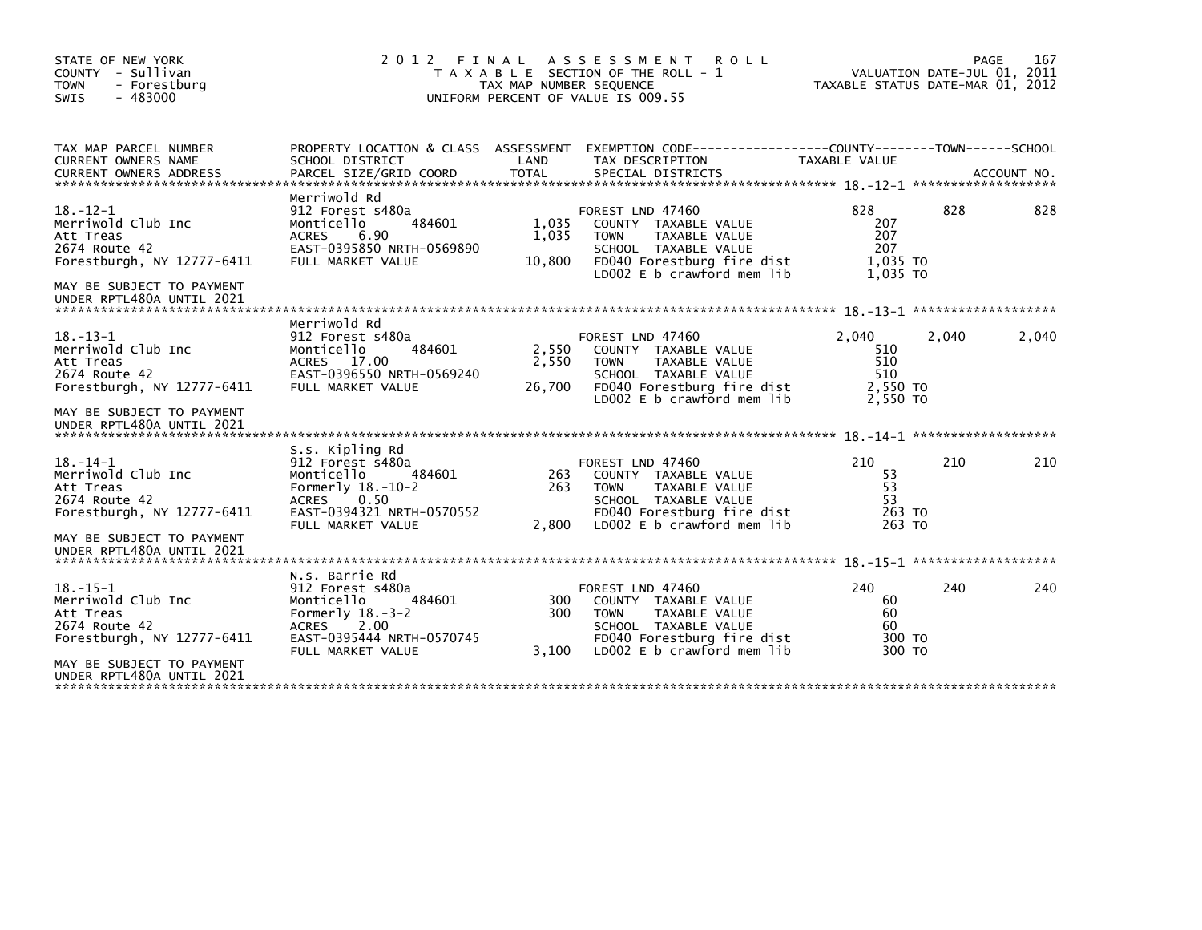| STATE OF NEW YORK<br>COUNTY - Sullivan<br><b>TOWN</b><br>- Forestburg<br>SWIS<br>$-483000$                                                                 | 2 0 1 2                                                                                                                                                      | FINAL<br>TAX MAP NUMBER SEQUENCE | A S S E S S M E N T<br><b>ROLL</b><br>T A X A B L E SECTION OF THE ROLL - 1<br>UNIFORM PERCENT OF VALUE IS 009.55                                                   | TAXABLE STATUS DATE-MAR 01, 2012                   |       | 167<br>PAGE<br>VALUATION DATE-JUL 01, 2011 |
|------------------------------------------------------------------------------------------------------------------------------------------------------------|--------------------------------------------------------------------------------------------------------------------------------------------------------------|----------------------------------|---------------------------------------------------------------------------------------------------------------------------------------------------------------------|----------------------------------------------------|-------|--------------------------------------------|
| TAX MAP PARCEL NUMBER<br><b>CURRENT OWNERS NAME</b><br><b>CURRENT OWNERS ADDRESS</b>                                                                       | SCHOOL DISTRICT<br>PARCEL SIZE/GRID COORD                                                                                                                    | LAND<br><b>TOTAL</b>             | PROPERTY LOCATION & CLASS ASSESSMENT EXEMPTION CODE----------------COUNTY-------TOWN------SCHOOL<br>TAX DESCRIPTION<br>SPECIAL DISTRICTS                            | TAXABLE VALUE                                      |       | ACCOUNT NO.                                |
| $18. - 12 - 1$<br>Merriwold Club Inc<br>Att Treas<br>2674 Route 42<br>Forestburgh, NY 12777-6411<br>MAY BE SUBJECT TO PAYMENT<br>UNDER RPTL480A UNTIL 2021 | Merriwold Rd<br>912 Forest s480a<br>484601<br>Monticello<br><b>ACRES</b><br>6.90<br>EAST-0395850 NRTH-0569890<br>FULL MARKET VALUE                           | 1,035<br>1,035<br>10,800         | FOREST LND 47460<br>COUNTY TAXABLE VALUE<br><b>TOWN</b><br>TAXABLE VALUE<br>SCHOOL TAXABLE VALUE<br>FD040 Forestburg fire dist<br>LD002 E b crawford mem lib        | 828<br>207<br>207<br>207<br>1,035 TO<br>1.035 TO   | 828   | 828                                        |
| $18. - 13 - 1$<br>Merriwold Club Inc<br>Att Treas<br>2674 Route 42<br>Forestburgh, NY 12777-6411<br>MAY BE SUBJECT TO PAYMENT<br>UNDER RPTL480A UNTIL 2021 | Merriwold Rd<br>912 Forest s480a<br>Monticello<br>484601<br>ACRES 17.00<br>EAST-0396550 NRTH-0569240<br>FULL MARKET VALUE                                    | 2,550<br>2,550<br>26,700         | FOREST LND 47460<br>COUNTY TAXABLE VALUE<br>TAXABLE VALUE<br><b>TOWN</b><br>SCHOOL TAXABLE VALUE<br>FD040 Forestburg fire dist<br>LD002 E b crawford mem lib        | 2,040<br>510<br>510<br>510<br>2,550 TO<br>2,550 TO | 2,040 | 2,040                                      |
| $18. - 14 - 1$<br>Merriwold Club Inc<br>Att Treas<br>2674 Route 42<br>Forestburgh, NY 12777-6411<br>MAY BE SUBJECT TO PAYMENT<br>UNDER RPTL480A UNTIL 2021 | S.s. Kipling Rd<br>912 Forest s480a<br>Monticello<br>484601<br>Formerly $18.-10-2$<br>0.50<br><b>ACRES</b><br>EAST-0394321 NRTH-0570552<br>FULL MARKET VALUE | 263<br>263<br>2,800              | FOREST LND 47460<br>COUNTY TAXABLE VALUE<br><b>TOWN</b><br>TAXABLE VALUE<br>SCHOOL TAXABLE VALUE<br>FD040 Forestburg fire dist<br>LD002 E b crawford mem lib        | 210<br>53<br>53<br>53<br>263 TO<br>263 TO          | 210   | 210                                        |
| $18. - 15 - 1$<br>Merriwold Club Inc<br>Att Treas<br>2674 Route 42<br>Forestburgh, NY 12777-6411<br>MAY BE SUBJECT TO PAYMENT<br>UNDER RPTL480A UNTIL 2021 | N.s. Barrie Rd<br>912 Forest s480a<br>Monticello<br>484601<br>Formerly $18.-3-2$<br><b>ACRES</b><br>2.00<br>EAST-0395444 NRTH-0570745<br>FULL MARKET VALUE   | 300<br>300<br>3,100              | FOREST LND 47460<br>COUNTY TAXABLE VALUE<br><b>TAXABLE VALUE</b><br><b>TOWN</b><br>SCHOOL TAXABLE VALUE<br>FD040 Forestburg fire dist<br>LD002 E b crawford mem lib | 240<br>60<br>60<br>60<br>300 TO<br>300 TO          | 240   | 240                                        |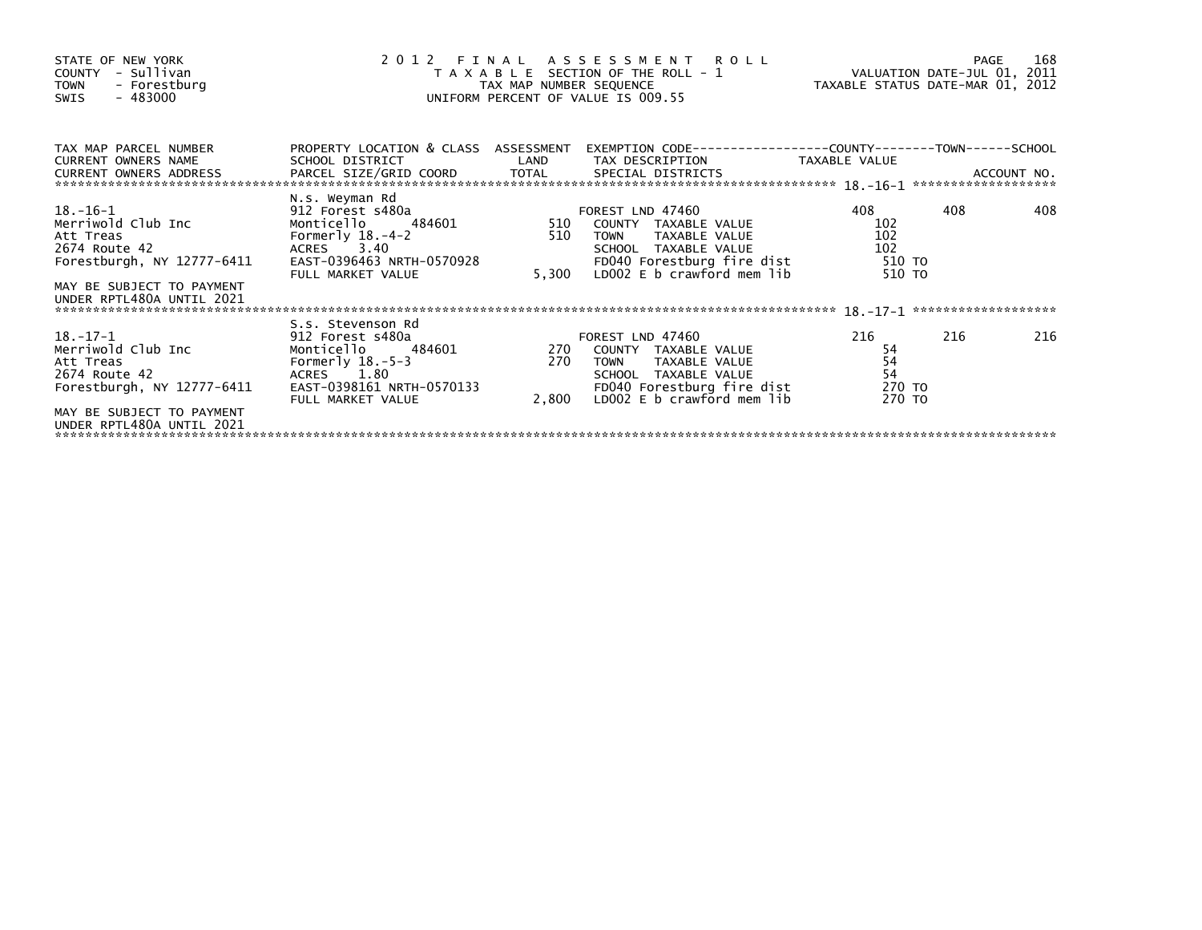| STATE OF NEW YORK<br>COUNTY - Sullivan<br>- Forestburg<br><b>TOWN</b><br>- 483000<br>SWIS                                                                  |                                                                                                                                                     | TAX MAP NUMBER SEQUENCE | 2012 FINAL ASSESSMENT ROLL<br>T A X A B L E SECTION OF THE ROLL - 1<br>UNIFORM PERCENT OF VALUE IS 009.55                                                              | VALUATION DATE-JUL 01, 2011<br>TAXABLE STATUS DATE-MAR 01, 2012 |     | 168<br>PAGE |
|------------------------------------------------------------------------------------------------------------------------------------------------------------|-----------------------------------------------------------------------------------------------------------------------------------------------------|-------------------------|------------------------------------------------------------------------------------------------------------------------------------------------------------------------|-----------------------------------------------------------------|-----|-------------|
| TAX MAP PARCEL NUMBER<br><b>CURRENT OWNERS NAME</b><br>CURRENT OWNERS ADDRESS                                                                              | PROPERTY LOCATION & CLASS ASSESSMENT<br>SCHOOL DISTRICT                                                                                             | LAND                    | EXEMPTION CODE-----------------COUNTY-------TOWN------SCHOOL<br>TAX DESCRIPTION                                                                                        | TAXABLE VALUE                                                   |     |             |
| 18.–16–1<br>Merriwold Club Inc<br>Att Treas<br>2674 Route 42<br>Forestburgh, NY 12777-6411                                                                 | N.s. Weyman Rd<br>912 Forest s480a<br>484601<br>Monticello<br>Formerly $18.-4-2$<br>ACRES 3.40<br>EAST-0396463 NRTH-0570928<br>FULL MARKET VALUE    | 510<br>510<br>5,300     | FOREST LND 47460<br>COUNTY TAXABLE VALUE<br>TAXABLE VALUE<br><b>TOWN</b><br>SCHOOL TAXABLE VALUE<br>FD040 Forestburg fire dist<br>LDOO2 E b crawford mem lib           | 408<br>102<br>102<br>102<br>510 TO<br>510 TO                    | 408 | 408         |
| MAY BE SUBJECT TO PAYMENT<br>UNDER RPTL480A UNTIL 2021                                                                                                     |                                                                                                                                                     |                         |                                                                                                                                                                        |                                                                 |     |             |
| $18. - 17 - 1$<br>Merriwold Club Inc<br>Att Treas<br>2674 Route 42<br>Forestburgh, NY 12777-6411<br>MAY BE SUBJECT TO PAYMENT<br>UNDER RPTL480A UNTIL 2021 | S.s. Stevenson Rd<br>912 Forest s480a<br>484601<br>Monticello<br>Formerly $18.-5-3$<br>ACRES 1.80<br>EAST-0398161 NRTH-0570133<br>FULL MARKET VALUE | 270                     | FOREST LND 47460<br>270 COUNTY TAXABLE VALUE<br>TAXABLE VALUE<br><b>TOWN</b><br>SCHOOL TAXABLE VALUE<br>FD040 Forestburg fire dist<br>2,800 LDOO2 E b crawford mem lib | 216<br>54<br>54<br>54<br>270 TO<br>270 TO                       | 216 | 216         |
|                                                                                                                                                            |                                                                                                                                                     |                         |                                                                                                                                                                        |                                                                 |     |             |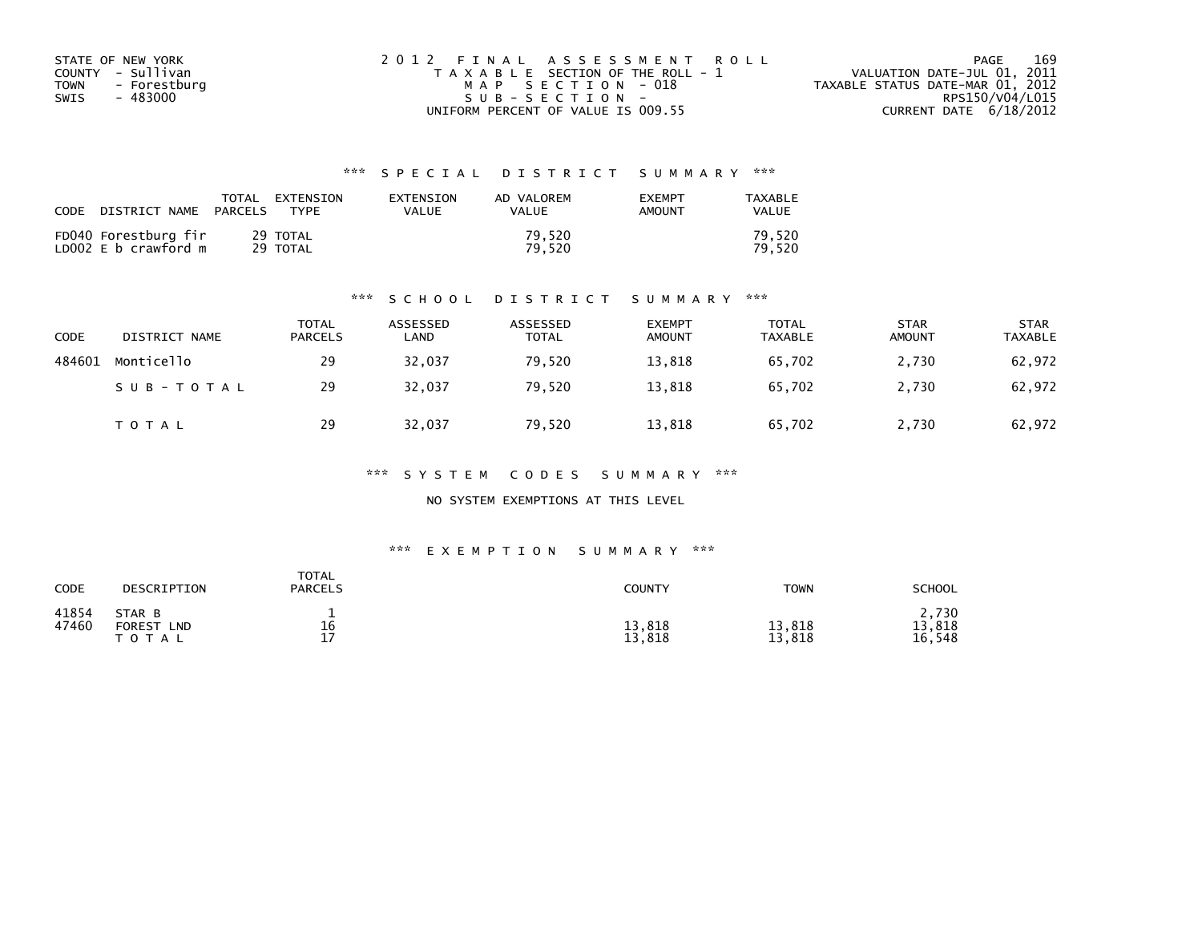| STATE OF NEW YORK    | 2012 FINAL ASSESSMENT ROLL            | 169<br>PAGE                      |
|----------------------|---------------------------------------|----------------------------------|
| COUNTY - Sullivan    | T A X A B L E SECTION OF THE ROLL - 1 | VALUATION DATE-JUL 01, 2011      |
| TOWN<br>- Forestburg | MAP SECTION - 018                     | TAXABLE STATUS DATE-MAR 01, 2012 |
| - 483000<br>SWIS     | SUB-SECTION-                          | RPS150/V04/L015                  |
|                      | UNIFORM PERCENT OF VALUE IS 009.55    | CURRENT DATE $6/18/2012$         |

| CODE | DISTRICT NAME                                | TOTAL<br>PARCELS | EXTENSION<br><b>TYPF</b> | <b>FXTENSTON</b><br>VALUE | AD VALOREM<br>VALUE | <b>EXEMPT</b><br>AMOUNT | TAXABLE<br>VALUE |
|------|----------------------------------------------|------------------|--------------------------|---------------------------|---------------------|-------------------------|------------------|
|      | FD040 Forestburg fir<br>LD002 E b crawford m |                  | 29 TOTAL<br>29 TOTAL     |                           | 79.520<br>79.520    |                         | 79.520<br>79.520 |

#### \*\*\* S C H O O L D I S T R I C T S U M M A R Y \*\*\*

| <b>CODE</b> | DISTRICT NAME | <b>TOTAL</b><br><b>PARCELS</b> | ASSESSED<br>LAND | ASSESSED<br><b>TOTAL</b> | <b>EXEMPT</b><br><b>AMOUNT</b> | TOTAL<br><b>TAXABLE</b> | <b>STAR</b><br><b>AMOUNT</b> | <b>STAR</b><br>TAXABLE |
|-------------|---------------|--------------------------------|------------------|--------------------------|--------------------------------|-------------------------|------------------------------|------------------------|
| 484601      | Monticello    | 29                             | 32,037           | 79,520                   | 13,818                         | 65,702                  | 2,730                        | 62,972                 |
|             | SUB-TOTAL     | 29                             | 32.037           | 79.520                   | 13,818                         | 65.702                  | 2,730                        | 62,972                 |
|             | TOTAL         | 29                             | 32,037           | 79,520                   | 13,818                         | 65,702                  | 2,730                        | 62,972                 |

\*\*\* S Y S T E M C O D E S S U M M A R Y \*\*\*

NO SYSTEM EXEMPTIONS AT THIS LEVEL

#### \*\*\* E X E M P T I O N S U M M A R Y \*\*\*

| CODE           | DESCRIPTION                                  | <b>TOTAL</b><br><b>PARCELS</b> | <b>COUNTY</b>    | <b>TOWN</b>      | SCHOOL                    |
|----------------|----------------------------------------------|--------------------------------|------------------|------------------|---------------------------|
| 41854<br>47460 | STAR B<br><b>FOREST</b><br>LND<br>тот<br>A L | 16<br>17                       | 13,818<br>13,818 | 13,818<br>13,818 | 2,730<br>13,818<br>16.548 |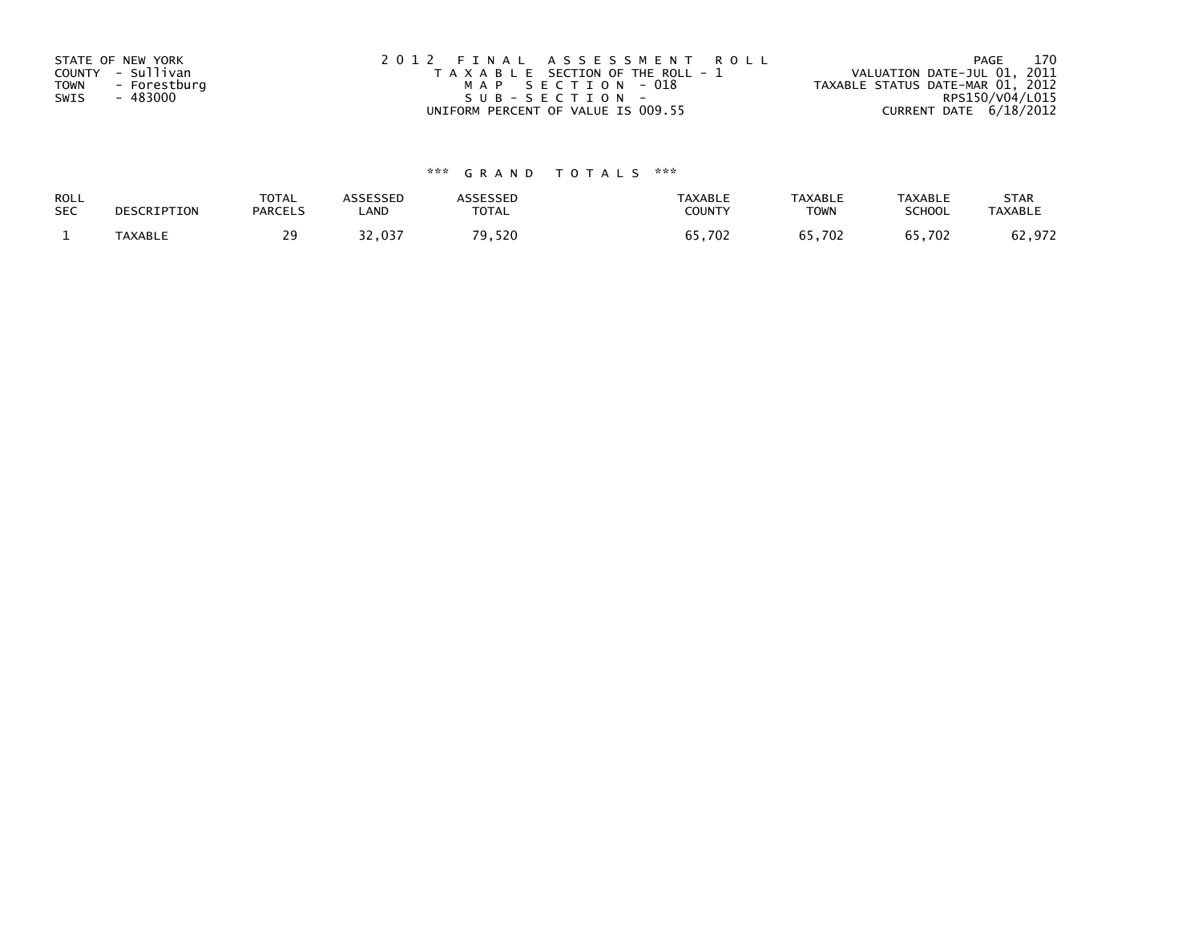| STATE OF NEW YORK    | 2012 FINAL ASSESSMENT ROLL            | 170<br>PAGE                      |
|----------------------|---------------------------------------|----------------------------------|
| COUNTY - Sullivan    | T A X A B L E SECTION OF THE ROLL - 1 | VALUATION DATE-JUL 01, 2011      |
| TOWN<br>- Forestburg | MAP SECTION - 018                     | TAXABLE STATUS DATE-MAR 01, 2012 |
| - 483000<br>SWIS     | SUB-SECTION-                          | RPS150/V04/L015                  |
|                      | UNIFORM PERCENT OF VALUE IS 009.55    | CURRENT DATE $6/18/2012$         |

| ROLL       | DESCRIPTION    | TOTAL          | <b>ASSESSED</b> | <b>\SSESSED</b> | <b>TAXABLE</b> | <b>TAXABLE</b> | <b>TAXABLE</b> | <b>STAR</b>    |
|------------|----------------|----------------|-----------------|-----------------|----------------|----------------|----------------|----------------|
| <b>SEC</b> |                | <b>PARCELS</b> | LAND            | TOTAL           | COUNTY         | <b>TOWN</b>    | SCHOOL         | <b>TAXABLE</b> |
|            | <b>TAXABLE</b> | 29             | 32,037          | 70.<br>9,520    | 65,702         | 65.702         | 65,702         | 62,972         |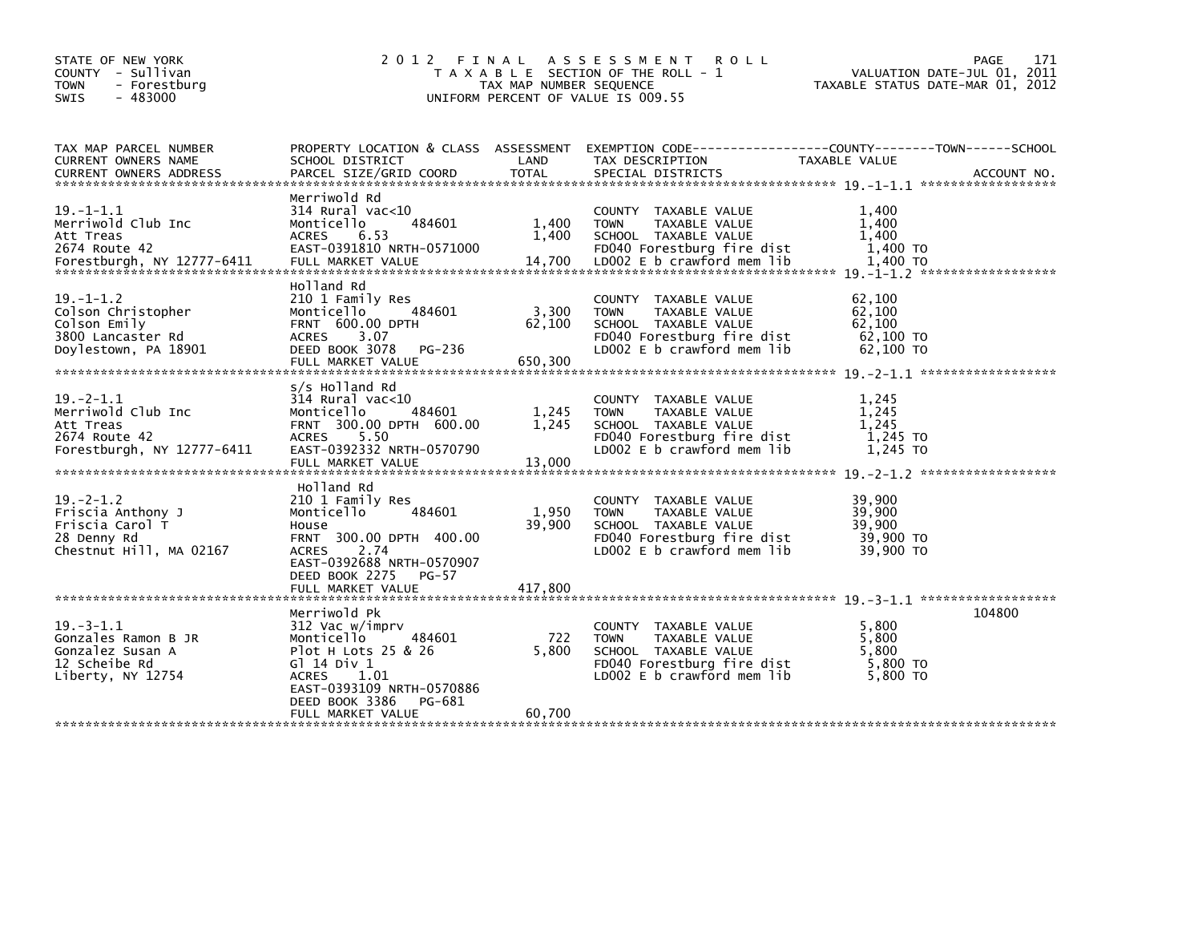| STATE OF NEW YORK<br>COUNTY - Sullivan<br><b>TOWN</b><br>- Forestburg<br>$-483000$<br><b>SWIS</b>  | 2 0 1 2                                                                                                                                                                                   | FINAL<br>TAX MAP NUMBER SEQUENCE | A S S E S S M E N T R O L L<br>T A X A B L E SECTION OF THE ROLL - 1<br>UNIFORM PERCENT OF VALUE IS 009.55                                   | TAXABLE STATUS DATE-MAR 01, 2012                     | 171<br>PAGE<br>VALUATION DATE-JUL 01, 2011 |
|----------------------------------------------------------------------------------------------------|-------------------------------------------------------------------------------------------------------------------------------------------------------------------------------------------|----------------------------------|----------------------------------------------------------------------------------------------------------------------------------------------|------------------------------------------------------|--------------------------------------------|
| TAX MAP PARCEL NUMBER<br>CURRENT OWNERS NAME<br><b>CURRENT OWNERS ADDRESS</b>                      | PROPERTY LOCATION & CLASS ASSESSMENT<br>SCHOOL DISTRICT<br>PARCEL SIZE/GRID COORD                                                                                                         | LAND<br><b>TOTAL</b>             | EXEMPTION CODE-----------------COUNTY-------TOWN------SCHOOL<br>TAX DESCRIPTION<br>SPECIAL DISTRICTS                                         | TAXABLE VALUE                                        | ACCOUNT NO.                                |
| $19. -1 - 1.1$<br>Merriwold Club Inc<br>Att Treas<br>2674 Route 42                                 | Merriwold Rd<br>$314$ Rural vac<10<br>484601<br>Monticello<br><b>ACRES</b><br>6.53<br>EAST-0391810 NRTH-0571000                                                                           | 1,400<br>1.400                   | COUNTY TAXABLE VALUE<br>TAXABLE VALUE<br><b>TOWN</b><br>SCHOOL TAXABLE VALUE<br>FD040 Forestburg fire dist                                   | 1,400<br>1,400<br>1.400<br>1,400 TO                  |                                            |
| $19. - 1 - 1.2$<br>Colson Christopher<br>Colson Emily<br>3800 Lancaster Rd<br>Doylestown, PA 18901 | Holland Rd<br>210 1 Family Res<br>484601<br>Monticello<br>FRNT 600.00 DPTH<br>ACRES<br>3.07<br>DEED BOOK 3078<br>PG-236<br>FULL MARKET VALUE                                              | 3,300<br>62,100<br>650,300       | COUNTY TAXABLE VALUE<br>TAXABLE VALUE<br><b>TOWN</b><br>SCHOOL TAXABLE VALUE<br>FD040 Forestburg fire dist<br>LD002 E b crawford mem lib     | 62,100<br>62,100<br>62,100<br>62,100 TO<br>62,100 TO |                                            |
| $19. -2 - 1.1$<br>Merriwold Club Inc<br>Att Treas<br>2674 Route 42<br>Forestburgh, NY 12777-6411   | s/s Holland Rd<br>314 Rural vac<10<br>484601<br>Monticello<br>FRNT 300.00 DPTH 600.00<br><b>ACRES</b><br>5.50<br>EAST-0392332 NRTH-0570790<br>FULL MARKET VALUE                           | 1,245<br>1,245<br>13,000         | COUNTY TAXABLE VALUE<br>TAXABLE VALUE<br><b>TOWN</b><br>SCHOOL TAXABLE VALUE<br>FD040 Forestburg fire dist<br>LD002 E b crawford mem lib     | 1,245<br>1,245<br>1.245<br>1,245 TO<br>1,245 TO      |                                            |
| $19 - 2 - 1.2$<br>Friscia Anthony J<br>Friscia Carol T<br>28 Denny Rd<br>Chestnut Hill, MA 02167   | Holland Rd<br>210 1 Family Res<br>Monticello<br>484601<br>House<br>FRNT 300.00 DPTH 400.00<br><b>ACRES</b><br>2.74<br>EAST-0392688 NRTH-0570907<br>DEED BOOK 2275<br><b>PG-57</b>         | 1,950<br>39,900                  | COUNTY TAXABLE VALUE<br>TAXABLE VALUE<br><b>TOWN</b><br>SCHOOL TAXABLE VALUE<br>FD040 Forestburg fire dist<br>LD002 E b crawford mem lib     | 39,900<br>39,900<br>39,900<br>39,900 TO<br>39,900 TO |                                            |
| $19. - 3 - 1.1$<br>Gonzales Ramon B JR<br>Gonzalez Susan A<br>12 Scheibe Rd<br>Liberty, NY 12754   | Merriwold Pk<br>312 Vac w/imprv<br>Monticello<br>484601<br>Plot H Lots 25 & 26<br>G1 14 Div 1<br>ACRES 1.01<br>EAST-0393109 NRTH-0570886<br>DEED BOOK 3386<br>PG-681<br>FULL MARKET VALUE | 722<br>5,800<br>60,700           | COUNTY TAXABLE VALUE<br><b>TOWN</b><br>TAXABLE VALUE<br>SCHOOL TAXABLE VALUE<br>FD040 Forestburg fire dist<br>LD002 $E$ b crawford mem $lib$ | 5,800<br>5,800<br>5.800<br>5,800 TO<br>5,800 TO      | 104800                                     |
|                                                                                                    |                                                                                                                                                                                           |                                  |                                                                                                                                              |                                                      |                                            |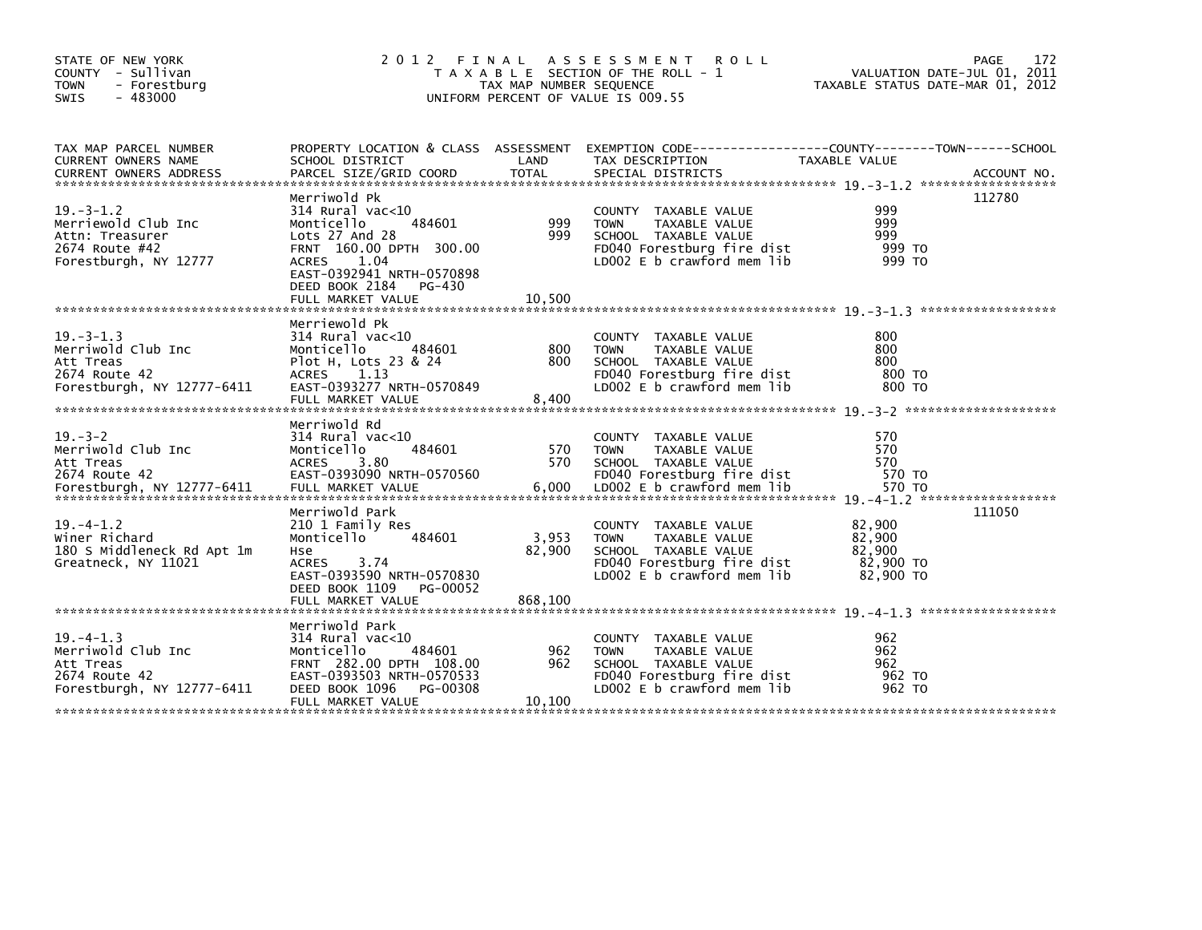| STATE OF NEW YORK<br>COUNTY - Sullivan<br><b>TOWN</b><br>- Forestburg<br>$-483000$<br><b>SWIS</b>    | 2012 FINAL                                                                                                                                                                                                    | TAX MAP NUMBER SEQUENCE | A S S E S S M E N T R O L L<br>T A X A B L E SECTION OF THE ROLL - 1<br>UNIFORM PERCENT OF VALUE IS 009.55                                   | PAGE<br>VALUATION DATE-JUL 01, 2011<br>TAXABLE STATUS DATE-MAR 01, 2012                                          | 172 |
|------------------------------------------------------------------------------------------------------|---------------------------------------------------------------------------------------------------------------------------------------------------------------------------------------------------------------|-------------------------|----------------------------------------------------------------------------------------------------------------------------------------------|------------------------------------------------------------------------------------------------------------------|-----|
| TAX MAP PARCEL NUMBER<br>CURRENT OWNERS NAME                                                         | SCHOOL DISTRICT                                                                                                                                                                                               | LAND                    | TAX DESCRIPTION                                                                                                                              | PROPERTY LOCATION & CLASS ASSESSMENT EXEMPTION CODE----------------COUNTY-------TOWN-----SCHOOL<br>TAXABLE VALUE |     |
| $19. - 3 - 1.2$<br>Merriewold Club Inc<br>Attn: Treasurer<br>2674 Route #42<br>Forestburgh, NY 12777 | Merriwold Pk<br>$314$ Rural vac<10<br>Monticello<br>484601<br>Lots 27 And 28<br>FRNT 160.00 DPTH 300.00<br><b>ACRES</b><br>1.04<br>EAST-0392941 NRTH-0570898<br>DEED BOOK 2184<br>PG-430<br>FULL MARKET VALUE | 999<br>999<br>10,500    | COUNTY TAXABLE VALUE<br><b>TOWN</b><br>TAXABLE VALUE<br>SCHOOL TAXABLE VALUE<br>FD040 Forestburg fire dist<br>LD002 $E$ b crawford mem $lib$ | 112780<br>999<br>999<br>999<br>999 TO<br>999 TO                                                                  |     |
| $19 - 3 - 1.3$<br>Merriwold Club Inc<br>Att Treas<br>2674 Route 42<br>Forestburgh, NY 12777-6411     | Merriewold Pk<br>$314$ Rural vac< $10$<br>484601<br>Monticello<br>Plot H, Lots 23 & 24<br>ACRES 1.13<br>EAST-0393277 NRTH-0570849<br>FULL MARKET VALUE                                                        | 800<br>800<br>8,400     | COUNTY TAXABLE VALUE<br><b>TOWN</b><br>TAXABLE VALUE<br>SCHOOL TAXABLE VALUE<br>FD040 Forestburg fire dist<br>LD002 E b crawford mem lib     | 800<br>800<br>800<br>800 TO<br>800 TO                                                                            |     |
| $19. - 3 - 2$<br>Merriwold Club Inc<br>Att Treas<br>2674 Route 42                                    | Merriwold Rd<br>314 Rural vac<10<br>Monticello<br>484601<br><b>ACRES</b><br>3.80<br>EAST-0393090 NRTH-0570560                                                                                                 | 570<br>570              | COUNTY TAXABLE VALUE<br><b>TOWN</b><br>TAXABLE VALUE<br>SCHOOL TAXABLE VALUE<br>FD040 Forestburg fire dist                                   | 570<br>570<br>570<br>570 TO                                                                                      |     |
| $19. -4 - 1.2$<br>Winer Richard<br>180 S Middleneck Rd Apt 1m<br>Greatneck, NY 11021                 | Merriwold Park<br>210 1 Family Res<br>Monticello<br>484601<br>Hse<br><b>ACRES</b><br>3.74<br>EAST-0393590 NRTH-0570830<br>DEED BOOK 1109<br>PG-00052                                                          | 3,953<br>82,900         | COUNTY TAXABLE VALUE<br>TAXABLE VALUE<br><b>TOWN</b><br>SCHOOL TAXABLE VALUE<br>FD040 Forestburg fire dist<br>LD002 E b crawford mem lib     | 111050<br>82,900<br>82,900<br>82,900<br>82,900 TO<br>82,900 TO                                                   |     |
| $19. -4 - 1.3$<br>Merriwold Club Inc<br>Att Treas<br>2674 Route 42<br>Forestburgh, NY 12777-6411     | Merriwold Park<br>$314$ Rural vac<10<br>484601<br>Monticello<br>FRNT 282.00 DPTH 108.00<br>EAST-0393503 NRTH-0570533<br>DEED BOOK 1096<br>PG-00308<br>FULL MARKET VALUE                                       | 962<br>962<br>10,100    | COUNTY TAXABLE VALUE<br>TAXABLE VALUE<br><b>TOWN</b><br>SCHOOL TAXABLE VALUE<br>FD040 Forestburg fire dist<br>LD002 E b crawford mem lib     | 962<br>962<br>962<br>962 TO<br>962 TO                                                                            |     |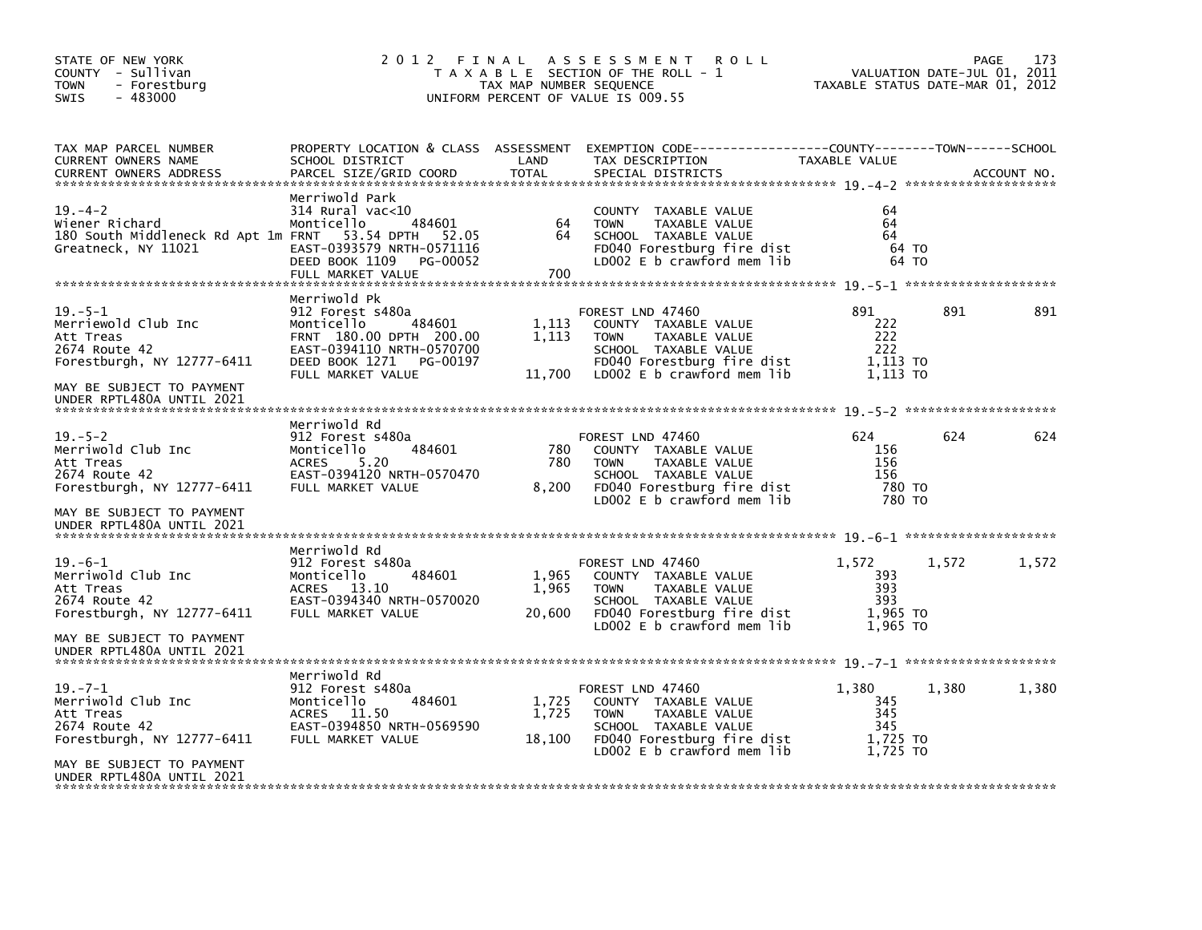| STATE OF NEW YORK<br>COUNTY - Sullivan<br><b>TOWN</b><br>- Forestburg<br>$-483000$<br><b>SWIS</b> | 2012 FINAL                                                                                                                                                          | TAX MAP NUMBER SEQUENCE  | A S S E S S M E N T<br><b>ROLL</b><br>T A X A B L E SECTION OF THE ROLL - 1<br>UNIFORM PERCENT OF VALUE IS 009.55                                              | TAXABLE STATUS DATE-MAR 01, 2012                   | VALUATION DATE-JUL 01, 2011 | 173<br>PAGE |
|---------------------------------------------------------------------------------------------------|---------------------------------------------------------------------------------------------------------------------------------------------------------------------|--------------------------|----------------------------------------------------------------------------------------------------------------------------------------------------------------|----------------------------------------------------|-----------------------------|-------------|
| TAX MAP PARCEL NUMBER<br>CURRENT OWNERS NAME<br>CURRENT OWNERS ADDRESS                            | PROPERTY LOCATION & CLASS ASSESSMENT<br>SCHOOL DISTRICT<br>PARCEL SIZE/GRID COORD                                                                                   | LAND<br><b>TOTAL</b>     | TAX DESCRIPTION<br>SPECIAL DISTRICTS                                                                                                                           | TAXABLE VALUE                                      |                             | ACCOUNT NO. |
| $19. - 4 - 2$<br>Wiener Richard<br>180 South Middleneck Rd Apt 1m FRNT<br>Greatneck, NY 11021     | Merriwold Park<br>$314$ Rural vac<10<br>484601<br>Monticello<br>53.54 DPTH<br>52.05<br>EAST-0393579 NRTH-0571116<br>DEED BOOK 1109<br>PG-00052<br>FULL MARKET VALUE | 64<br>64<br>700          | COUNTY TAXABLE VALUE<br><b>TOWN</b><br>TAXABLE VALUE<br>SCHOOL TAXABLE VALUE<br>FD040 Forestburg fire dist<br>LD002 E b crawford mem lib                       | 64<br>64<br>64<br>64 TO<br>64 TO                   |                             |             |
| $19. - 5 - 1$<br>Merriewold Club Inc<br>Att Treas<br>2674 Route 42<br>Forestburgh, NY 12777-6411  | Merriwold Pk<br>912 Forest s480a<br>Monticello<br>484601<br>FRNT 180.00 DPTH 200.00<br>EAST-0394110 NRTH-0570700<br>DEED BOOK 1271<br>PG-00197<br>FULL MARKET VALUE | 1,113<br>1,113<br>11,700 | FOREST LND 47460<br>COUNTY TAXABLE VALUE<br><b>TOWN</b><br>TAXABLE VALUE<br>SCHOOL TAXABLE VALUE<br>FD040 Forestburg fire dist<br>LD002 E b crawford mem lib   | 891<br>222<br>222<br>222<br>1,113 TO<br>1,113 TO   | 891                         | 891         |
| MAY BE SUBJECT TO PAYMENT<br>UNDER RPTL480A UNTIL 2021                                            |                                                                                                                                                                     |                          |                                                                                                                                                                |                                                    |                             |             |
| $19. - 5 - 2$<br>Merriwold Club Inc<br>Att Treas<br>2674 Route 42<br>Forestburgh, NY 12777-6411   | Merriwold Rd<br>912 Forest s480a<br>Monticello<br>484601<br>5.20<br><b>ACRES</b><br>EAST-0394120 NRTH-0570470<br>FULL MARKET VALUE                                  | 780<br>780<br>8,200      | FOREST LND 47460<br>COUNTY TAXABLE VALUE<br>TAXABLE VALUE<br><b>TOWN</b><br>SCHOOL TAXABLE VALUE<br>FD040 Forestburg fire dist<br>LD002 E b crawford mem lib   | 624<br>156<br>156<br>156<br>780 TO<br>780 TO       | 624                         | 624         |
| MAY BE SUBJECT TO PAYMENT<br>UNDER RPTL480A UNTIL 2021                                            |                                                                                                                                                                     |                          |                                                                                                                                                                |                                                    |                             |             |
| $19. -6 - 1$<br>Merriwold Club Inc<br>Att Treas<br>2674 Route 42<br>Forestburgh, NY 12777-6411    | Merriwold Rd<br>912 Forest s480a<br>Monticello<br>484601<br>ACRES 13.10<br>EAST-0394340 NRTH-0570020<br>FULL MARKET VALUE                                           | 1,965<br>1,965<br>20,600 | FOREST LND 47460<br>COUNTY TAXABLE VALUE<br>TAXABLE VALUE<br><b>TOWN</b><br>SCHOOL TAXABLE VALUE<br>FD040 Forestburg fire dist<br>LD002 E b crawford mem lib   | 1,572<br>393<br>393<br>393<br>1,965 TO             | 1.572                       | 1,572       |
| MAY BE SUBJECT TO PAYMENT<br>UNDER RPTL480A UNTIL 2021                                            |                                                                                                                                                                     |                          |                                                                                                                                                                | 1.965 TO                                           |                             |             |
| $19. - 7 - 1$<br>Merriwold Club Inc<br>Att Treas<br>2674 Route 42<br>Forestburgh, NY 12777-6411   | Merriwold Rd<br>912 Forest s480a<br>Monticello<br>484601<br>ACRES 11.50<br>EAST-0394850 NRTH-0569590<br>FULL MARKET VALUE                                           | 1,725<br>1,725<br>18,100 | FOREST LND 47460<br>COUNTY TAXABLE VALUE<br><b>TOWN</b><br>TAXABLE VALUE<br>SCHOOL TAXABLE VALUE<br>FD040 Forestburg fire dist<br>$LD002 E b$ crawford mem lib | 1,380<br>345<br>345<br>345<br>1,725 TO<br>1.725 TO | 1,380                       | 1,380       |
| MAY BE SUBJECT TO PAYMENT<br>UNDER RPTL480A UNTIL 2021                                            |                                                                                                                                                                     |                          |                                                                                                                                                                |                                                    |                             |             |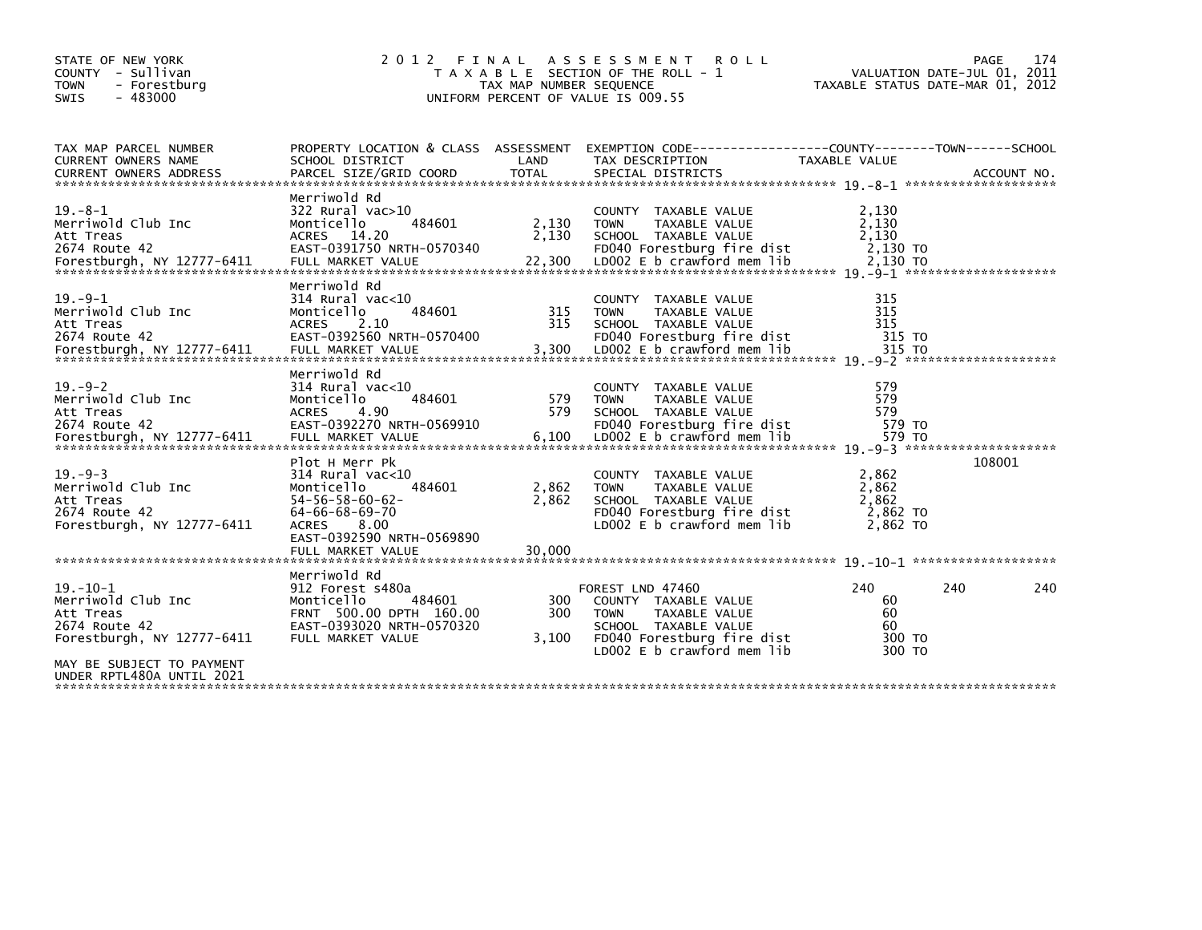| STATE OF NEW YORK<br>COUNTY - Sullivan<br><b>TOWN</b><br>- Forestburg<br>$-483000$<br><b>SWIS</b>                             | 2 0 1 2                                                                                                                                                                                        | FINAL<br>TAX MAP NUMBER SEQUENCE | A S S E S S M E N T<br><b>ROLL</b><br>T A X A B L E SECTION OF THE ROLL - 1<br>UNIFORM PERCENT OF VALUE IS 009.55                                                   | TAXABLE STATUS DATE-MAR 01, 2012                | 174<br><b>PAGE</b><br>VALUATION DATE-JUL 01, 2011 |
|-------------------------------------------------------------------------------------------------------------------------------|------------------------------------------------------------------------------------------------------------------------------------------------------------------------------------------------|----------------------------------|---------------------------------------------------------------------------------------------------------------------------------------------------------------------|-------------------------------------------------|---------------------------------------------------|
| TAX MAP PARCEL NUMBER<br>CURRENT OWNERS NAME                                                                                  | PROPERTY LOCATION & CLASS ASSESSMENT<br>SCHOOL DISTRICT                                                                                                                                        | LAND                             | EXEMPTION CODE-----------------COUNTY-------TOWN------SCHOOL<br>TAX DESCRIPTION                                                                                     | TAXABLE VALUE                                   |                                                   |
| $19. - 8 - 1$<br>Merriwold Club Inc<br>Att Treas<br>2674 Route 42                                                             | Merriwold Rd<br>$322$ Rural vac $>10$<br>Monticello<br>484601<br>ACRES 14.20<br>EAST-0391750 NRTH-0570340                                                                                      | 2,130<br>2,130                   | COUNTY TAXABLE VALUE<br><b>TOWN</b><br>TAXABLE VALUE<br>SCHOOL TAXABLE VALUE<br>FD040 Forestburg fire dist                                                          | 2,130<br>2,130<br>2,130<br>2,130 TO             |                                                   |
| $19. -9 - 1$<br>Merriwold Club Inc<br>Att Treas<br>2674 Route 42                                                              | Merriwold Rd<br>$314$ Rural vac<10<br>484601<br>Monticello<br><b>ACRES</b><br>2.10<br>EAST-0392560 NRTH-0570400                                                                                | 315<br>315                       | COUNTY TAXABLE VALUE<br><b>TOWN</b><br>TAXABLE VALUE<br>SCHOOL TAXABLE VALUE<br>FD040 Forestburg fire dist                                                          | 315<br>315<br>315<br>315 TO                     |                                                   |
| $19. - 9 - 2$<br>Merriwold Club Inc<br>Att Treas<br>2674 Route 42                                                             | Merriwold Rd<br>$314$ Rural vac<10<br>Monticello<br>484601<br>4.90<br><b>ACRES</b><br>EAST-0392270 NRTH-0569910                                                                                | 579<br>579                       | COUNTY TAXABLE VALUE<br>TAXABLE VALUE<br><b>TOWN</b><br>SCHOOL TAXABLE VALUE<br>FD040 Forestburg fire dist                                                          | 579<br>579<br>579<br>579 TO                     |                                                   |
| $19. - 9 - 3$<br>Merriwold Club Inc<br>Att Treas<br>2674 Route 42<br>Forestburgh, NY 12777-6411                               | Plot H Merr Pk<br>$314$ Rural vac<10<br>Monticello<br>484601<br>$54 - 56 - 58 - 60 - 62$<br>$64 - 66 - 68 - 69 - 70$<br>8.00<br><b>ACRES</b><br>EAST-0392590 NRTH-0569890<br>FULL MARKET VALUE | 2,862<br>2,862<br>30.000         | COUNTY TAXABLE VALUE<br>TAXABLE VALUE<br><b>TOWN</b><br>SCHOOL TAXABLE VALUE<br>FD040 Forestburg fire dist<br>LD002 E b crawford mem lib                            | 2,862<br>2,862<br>2,862<br>2,862 TO<br>2,862 TO | 108001                                            |
| $19. - 10 - 1$<br>Merriwold Club Inc<br>Att Treas<br>2674 Route 42<br>Forestburgh, NY 12777-6411<br>MAY BE SUBJECT TO PAYMENT | Merriwold Rd<br>912 Forest s480a<br>Monticello<br>484601<br>FRNT 500.00 DPTH 160.00<br>EAST-0393020 NRTH-0570320<br>FULL MARKET VALUE                                                          | 300<br>300<br>3,100              | FOREST LND 47460<br>COUNTY TAXABLE VALUE<br><b>TOWN</b><br><b>TAXABLE VALUE</b><br>SCHOOL TAXABLE VALUE<br>FD040 Forestburg fire dist<br>LD002 E b crawford mem lib | 240<br>60<br>60<br>60<br>300 TO<br>300 TO       | 240<br>240                                        |
| UNDER RPTL480A UNTIL 2021                                                                                                     |                                                                                                                                                                                                |                                  |                                                                                                                                                                     |                                                 |                                                   |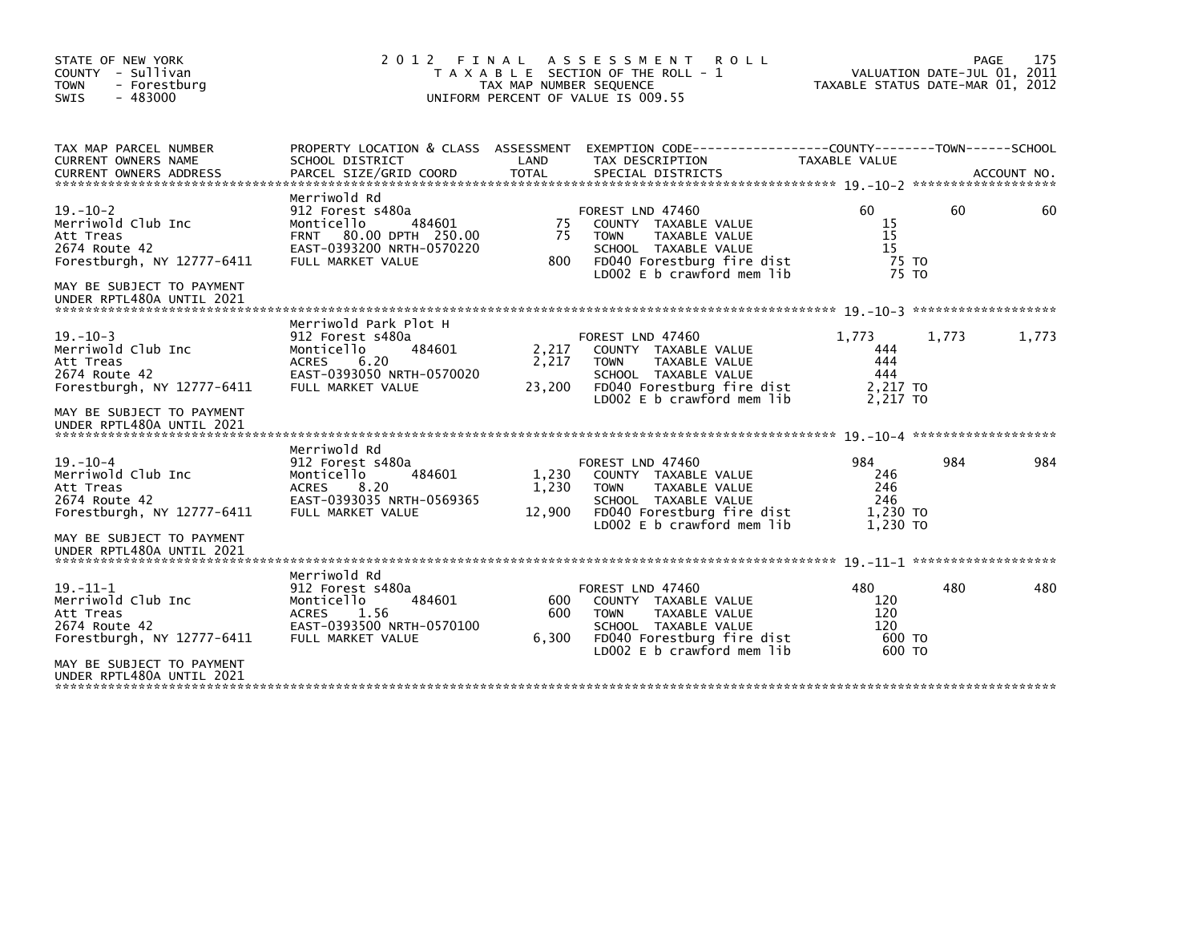| STATE OF NEW YORK<br>COUNTY - Sullivan<br><b>TOWN</b><br>- Forestburg<br>$-483000$<br><b>SWIS</b>                                                          |                                                                                                                                                | TAX MAP NUMBER SEQUENCE  | 2012 FINAL ASSESSMENT<br><b>ROLL</b><br>T A X A B L E SECTION OF THE ROLL - 1<br>UNIFORM PERCENT OF VALUE IS 009.55                                          | TAXABLE STATUS DATE-MAR 01, 2012                   | VALUATION DATE-JUL 01, 2011 | 175<br><b>PAGE</b> |
|------------------------------------------------------------------------------------------------------------------------------------------------------------|------------------------------------------------------------------------------------------------------------------------------------------------|--------------------------|--------------------------------------------------------------------------------------------------------------------------------------------------------------|----------------------------------------------------|-----------------------------|--------------------|
| TAX MAP PARCEL NUMBER<br><b>CURRENT OWNERS NAME</b><br><b>CURRENT OWNERS ADDRESS</b>                                                                       | SCHOOL DISTRICT<br>PARCEL SIZE/GRID COORD                                                                                                      | LAND<br><b>TOTAL</b>     | PROPERTY LOCATION & CLASS ASSESSMENT EXEMPTION CODE----------------COUNTY-------TOWN------SCHOOL<br>TAX DESCRIPTION<br>SPECIAL DISTRICTS                     | TAXABLE VALUE                                      |                             | ACCOUNT NO.        |
| $19. - 10 - 2$<br>Merriwold Club Inc<br>Att Treas<br>2674 Route 42<br>Forestburgh, NY 12777-6411<br>MAY BE SUBJECT TO PAYMENT<br>UNDER RPTL480A UNTIL 2021 | Merriwold Rd<br>912 Forest s480a<br>484601<br>Monticello<br>80.00 DPTH 250.00<br><b>FRNT</b><br>EAST-0393200 NRTH-0570220<br>FULL MARKET VALUE | 75<br>75<br>800          | FOREST LND 47460<br>COUNTY TAXABLE VALUE<br>TAXABLE VALUE<br><b>TOWN</b><br>SCHOOL TAXABLE VALUE<br>FD040 Forestburg fire dist<br>LD002 E b crawford mem lib | 60.<br>15<br>15<br>15<br>75 TO<br>75 TO            | 60                          | 60                 |
| $19. - 10 - 3$<br>Merriwold Club Inc<br>Att Treas<br>2674 Route 42<br>Forestburgh, NY 12777-6411<br>MAY BE SUBJECT TO PAYMENT<br>UNDER RPTL480A UNTIL 2021 | Merriwold Park Plot H<br>912 Forest s480a<br>Monticello<br>484601<br>6.20<br><b>ACRES</b><br>EAST-0393050 NRTH-0570020<br>FULL MARKET VALUE    | 2,217<br>2,217<br>23,200 | FOREST LND 47460<br>COUNTY TAXABLE VALUE<br>TAXABLE VALUE<br><b>TOWN</b><br>SCHOOL TAXABLE VALUE<br>FD040 Forestburg fire dist<br>LD002 E b crawford mem lib | 1.773<br>444<br>444<br>444<br>2,217 TO<br>2.217 TO | 1,773                       | 1,773              |
| $19. - 10 - 4$<br>Merriwold Club Inc<br>Att Treas<br>2674 Route 42<br>Forestburgh, NY 12777-6411<br>MAY BE SUBJECT TO PAYMENT<br>UNDER RPTL480A UNTIL 2021 | Merriwold Rd<br>912 Forest s480a<br>484601<br>Monticello<br><b>ACRES</b><br>8.20<br>EAST-0393035 NRTH-0569365<br>FULL MARKET VALUE             | 1.230<br>1,230<br>12,900 | FOREST LND 47460<br>COUNTY TAXABLE VALUE<br><b>TOWN</b><br>TAXABLE VALUE<br>SCHOOL TAXABLE VALUE<br>FD040 Forestburg fire dist<br>LD002 E b crawford mem lib | 984<br>246<br>246<br>246<br>1.230 TO<br>1.230 TO   | 984                         | 984                |
| $19. - 11 - 1$<br>Merriwold Club Inc<br>Att Treas<br>2674 Route 42<br>Forestburgh, NY 12777-6411<br>MAY BE SUBJECT TO PAYMENT<br>UNDER RPTL480A UNTIL 2021 | Merriwold Rd<br>912 Forest s480a<br>484601<br>Monticello<br><b>ACRES</b><br>1.56<br>EAST-0393500 NRTH-0570100<br>FULL MARKET VALUE             | 600<br>600<br>6,300      | FOREST LND 47460<br>COUNTY TAXABLE VALUE<br>TAXABLE VALUE<br><b>TOWN</b><br>SCHOOL TAXABLE VALUE<br>FD040 Forestburg fire dist<br>LD002 E b crawford mem lib | 480<br>120<br>120<br>120<br>600 TO<br>600 TO       | 480                         | 480                |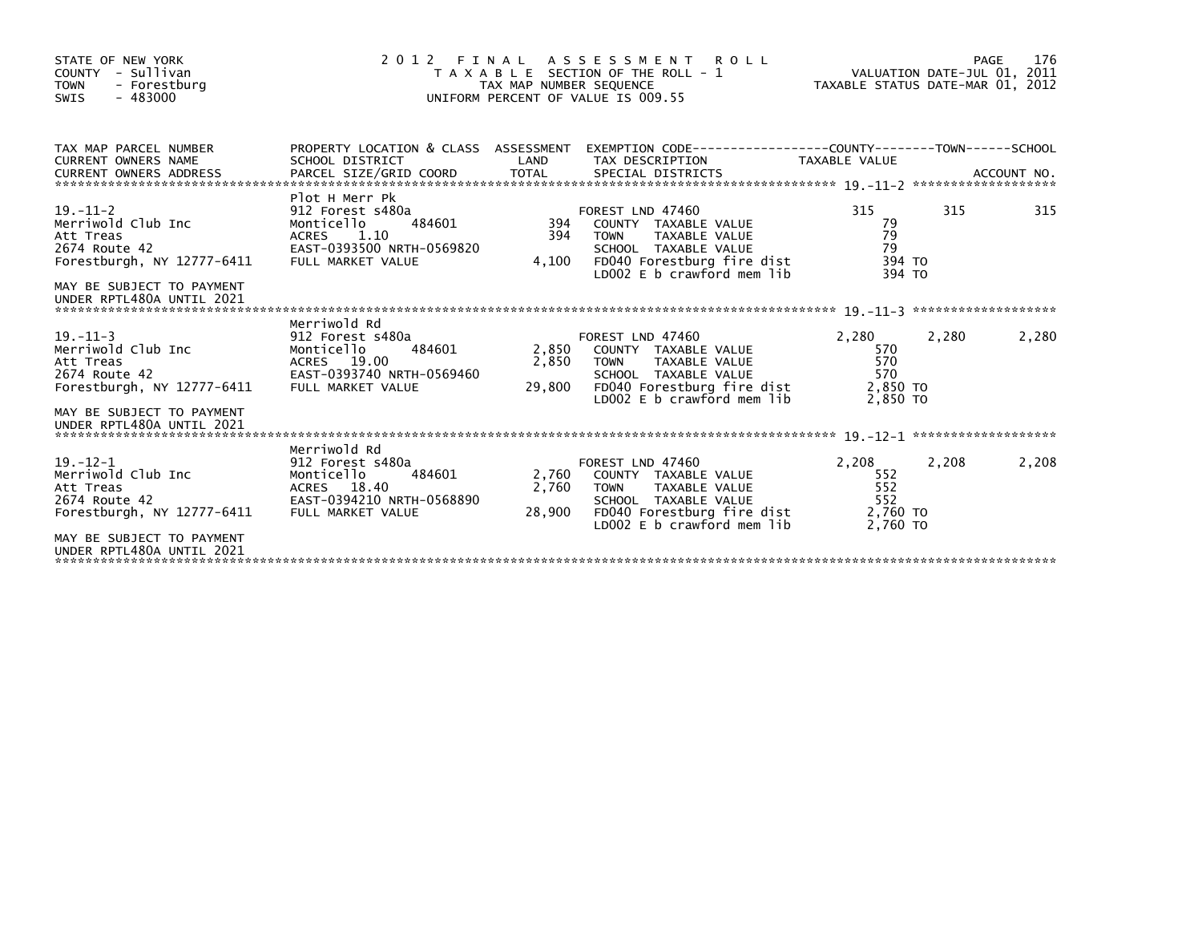| STATE OF NEW YORK<br>COUNTY - Sullivan<br><b>TOWN</b><br>- Forestburg<br>$-483000$<br>SWIS       | 2 0 1 2                                                                                                                       | TAX MAP NUMBER SEQUENCE  | FINAL ASSESSMENT ROLL<br>T A X A B L E SECTION OF THE ROLL - 1<br>UNIFORM PERCENT OF VALUE IS 009.55                                                         | TAXABLE STATUS DATE-MAR 01, 2012                   | PAGE<br>VALUATION DATE-JUL 01, 2011 | 176   |
|--------------------------------------------------------------------------------------------------|-------------------------------------------------------------------------------------------------------------------------------|--------------------------|--------------------------------------------------------------------------------------------------------------------------------------------------------------|----------------------------------------------------|-------------------------------------|-------|
| TAX MAP PARCEL NUMBER<br><b>CURRENT OWNERS NAME</b><br><b>CURRENT OWNERS ADDRESS</b>             | SCHOOL DISTRICT                                                                                                               | LAND                     | PROPERTY LOCATION & CLASS ASSESSMENT EXEMPTION CODE----------------COUNTY-------TOWN-----SCHOOL<br>TAX DESCRIPTION                                           | <b>TAXABLE VALUE</b>                               |                                     |       |
| $19. - 11 - 2$<br>Merriwold Club Inc<br>Att Treas<br>2674 Route 42<br>Forestburgh, NY 12777-6411 | Plot H Merr Pk<br>912 Forest s480a<br>Monticello<br>484601<br>ACRES<br>1.10<br>EAST-0393500 NRTH-0569820<br>FULL MARKET VALUE | 394<br>394<br>4,100      | FOREST LND 47460<br>COUNTY TAXABLE VALUE<br>TAXABLE VALUE<br><b>TOWN</b><br>SCHOOL TAXABLE VALUE<br>FD040 Forestburg fire dist<br>LD002 E b crawford mem lib | 315<br>79<br>79<br>79<br>394 TO<br>394 TO          | 315                                 | 315   |
| MAY BE SUBJECT TO PAYMENT<br>UNDER RPTL480A UNTIL 2021                                           |                                                                                                                               |                          |                                                                                                                                                              |                                                    |                                     |       |
| $19. - 11 - 3$<br>Merriwold Club Inc<br>Att Treas<br>2674 Route 42<br>Forestburgh, NY 12777-6411 | Merriwold Rd<br>912 Forest s480a<br>484601<br>Monticello<br>ACRES 19.00<br>EAST-0393740 NRTH-0569460<br>FULL MARKET VALUE     | 2,850<br>2,850<br>29,800 | FOREST LND 47460<br>COUNTY TAXABLE VALUE<br><b>TOWN</b><br>TAXABLE VALUE<br>SCHOOL TAXABLE VALUE<br>FD040 Forestburg fire dist<br>LD002 E b crawford mem lib | 2,280<br>570<br>570<br>570<br>2,850 TO<br>2.850 TO | 2,280                               | 2,280 |
| MAY BE SUBJECT TO PAYMENT<br>UNDER RPTL480A UNTIL 2021                                           |                                                                                                                               |                          |                                                                                                                                                              |                                                    |                                     |       |
| $19 - 12 - 1$<br>Merriwold Club Inc<br>Att Treas<br>2674 Route 42<br>Forestburgh, NY 12777-6411  | Merriwold Rd<br>912 Forest s480a<br>484601<br>Monticello<br>ACRES 18.40<br>EAST-0394210 NRTH-0568890<br>FULL MARKET VALUE     | 2,760<br>2,760<br>28,900 | FOREST LND 47460<br>COUNTY TAXABLE VALUE<br>TAXABLE VALUE<br><b>TOWN</b><br>SCHOOL TAXABLE VALUE<br>FD040 Forestburg fire dist<br>LD002 E b crawford mem lib | 2,208<br>552<br>552<br>552<br>2,760 TO<br>2,760 TO | 2,208                               | 2,208 |
| MAY BE SUBJECT TO PAYMENT<br>UNDER RPTL480A UNTIL 2021                                           |                                                                                                                               |                          |                                                                                                                                                              |                                                    |                                     |       |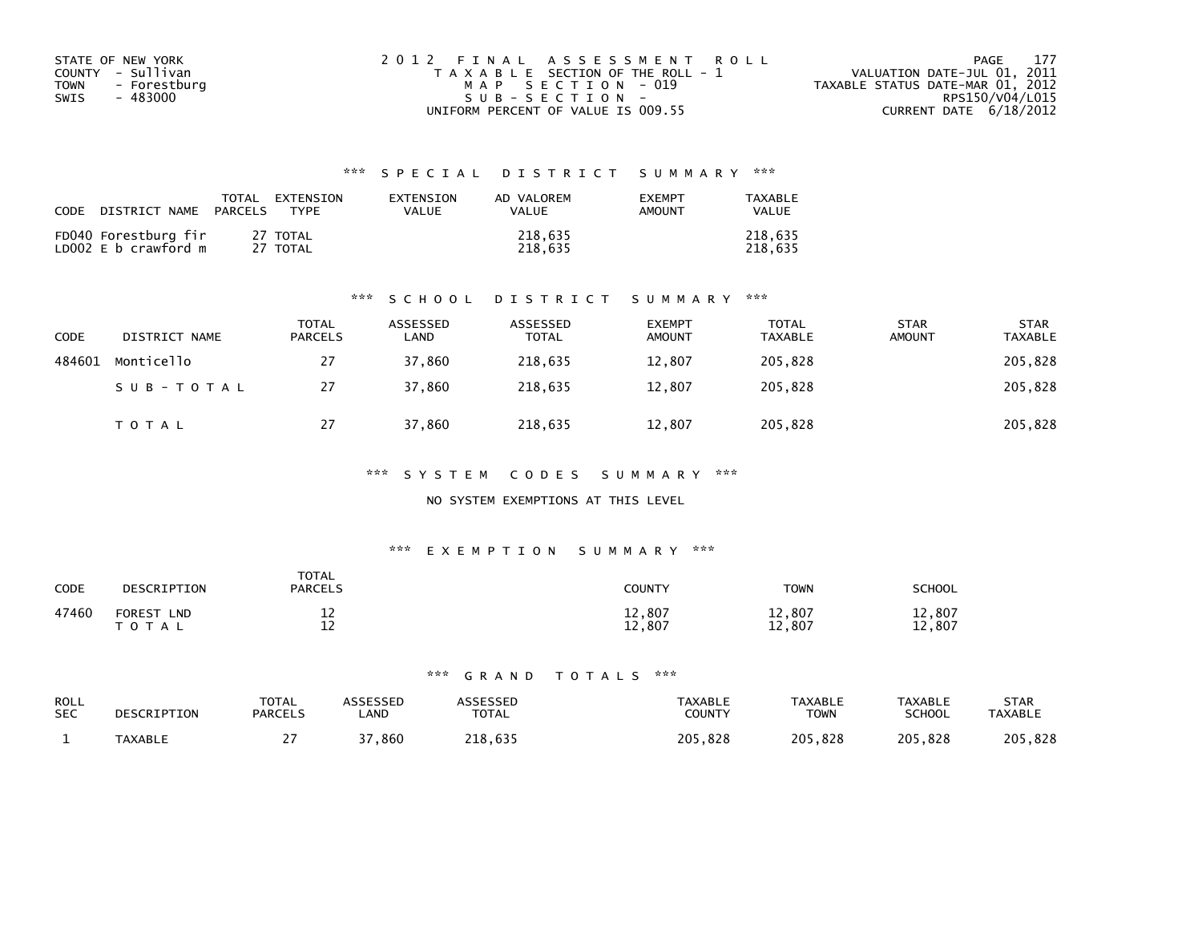| STATE OF NEW YORK           | 2012 FINAL ASSESSMENT ROLL            | 177<br>PAGE                      |
|-----------------------------|---------------------------------------|----------------------------------|
| COUNTY - Sullivan           | T A X A B L E SECTION OF THE ROLL - 1 | VALUATION DATE-JUL 01, 2011      |
| <b>TOWN</b><br>- Forestburg | MAP SECTION - 019                     | TAXABLE STATUS DATE-MAR 01, 2012 |
| SWIS<br>- 483000            | $SUB - SECTION -$                     | RPS150/V04/L015                  |
|                             | UNIFORM PERCENT OF VALUE IS 009.55    | CURRENT DATE 6/18/2012           |

| <b>CODE</b><br>DISTRICT NAME                 | EXTENSION<br>TOTAL<br><b>PARCELS</b><br><b>TYPF</b> | <b>FXTENSTON</b><br>VALUE | AD VALOREM<br>VALUE | <b>EXEMPT</b><br>AMOUNT | TAXARI F<br><b>VALUE</b> |
|----------------------------------------------|-----------------------------------------------------|---------------------------|---------------------|-------------------------|--------------------------|
| FD040 Forestburg fir<br>LD002 E b crawford m | 27 TOTAL<br>27 TOTAL                                |                           | 218,635<br>218.635  |                         | 218.635<br>218.635       |

#### \*\*\* S C H O O L D I S T R I C T S U M M A R Y \*\*\*

| <b>CODE</b> | DISTRICT NAME | <b>TOTAL</b><br>PARCELS | ASSESSED<br>LAND | ASSESSED<br><b>TOTAL</b> | <b>EXEMPT</b><br><b>AMOUNT</b> | TOTAL<br><b>TAXABLE</b> | <b>STAR</b><br><b>AMOUNT</b> | <b>STAR</b><br><b>TAXABLE</b> |
|-------------|---------------|-------------------------|------------------|--------------------------|--------------------------------|-------------------------|------------------------------|-------------------------------|
| 484601      | Monticello    | 27                      | 37,860           | 218,635                  | 12,807                         | 205,828                 |                              | 205,828                       |
|             | SUB-TOTAL     | 27                      | 37.860           | 218.635                  | 12.807                         | 205,828                 |                              | 205,828                       |
|             | <b>TOTAL</b>  | 27                      | 37,860           | 218,635                  | 12,807                         | 205,828                 |                              | 205,828                       |

#### \*\*\* S Y S T E M C O D E S S U M M A R Y \*\*\*

### NO SYSTEM EXEMPTIONS AT THIS LEVEL

#### \*\*\* E X E M P T I O N S U M M A R Y \*\*\*

| CODE  | DESCRIPTION                                 | <b>TOTAL</b><br><b>PARCELS</b> | <b>COUNTY</b>    | <b>TOWN</b>      | <b>SCHOOL</b>    |
|-------|---------------------------------------------|--------------------------------|------------------|------------------|------------------|
| 47460 | <b>FOREST</b><br><b>LND</b><br><b>TOTAL</b> | ᅩᄼ<br>1 n<br>--                | 12,807<br>708.∠⊥ | 12,807<br>12,807 | 12,807<br>12,807 |

| ROLL       | DESCRIPTION    | <b>TOTAL</b>   | ASSESSED    | <b>\SSESSED</b> | <b>TAXABLE</b> | <b>TAXABLE</b> | <b>TAXABLE</b> | <b>STAR</b>    |
|------------|----------------|----------------|-------------|-----------------|----------------|----------------|----------------|----------------|
| <b>SEC</b> |                | <b>PARCELS</b> | <b>_AND</b> | TOTAL           | COUNTY         | <b>TOWN</b>    | SCHOOL         | <b>TAXABLE</b> |
|            | <b>TAXABLE</b> | . .            | .860        | 218.635         | 205.828        | 205,828        | 205.828        | 205,828        |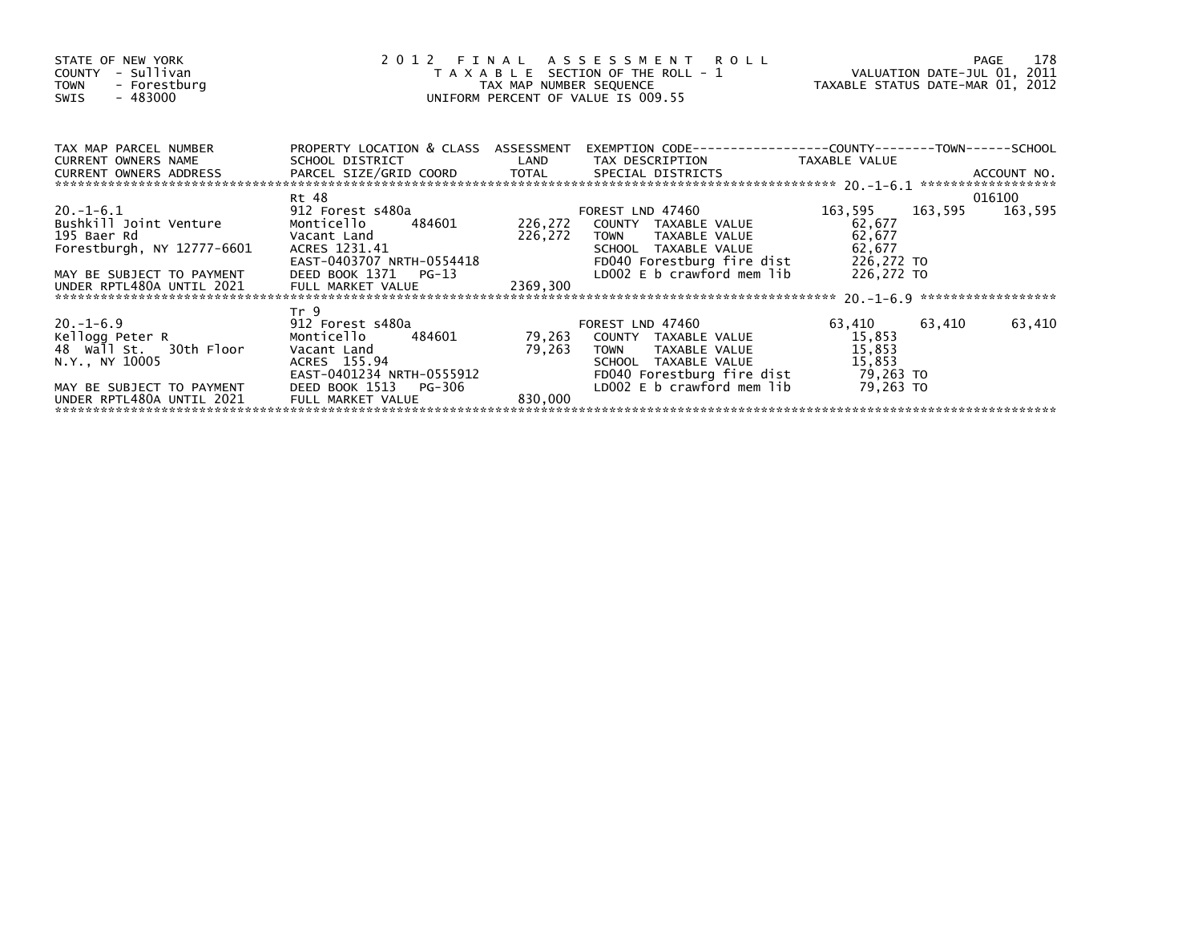| STATE OF NEW YORK<br>COUNTY - Sullivan<br>TOWN - Forestburg<br>- 483000<br>SWIS                                                                                                   |                                                                                                                                                                                                                                                                                | 2012 FINAL ASSESSMENT ROLL PAGE 178<br>TAXABLE SECTION OF THE ROLL - 1 VALUATION DATE-JUL 01, 2011<br>TAX MAP NUMBER SEQUENCE TAXABLE STATUS DATE-MAR 01, 2012<br>UNIFORM PERCENT OF VALUE IS 009.55 |                                                                                                                                                                                                   |                                             |        |
|-----------------------------------------------------------------------------------------------------------------------------------------------------------------------------------|--------------------------------------------------------------------------------------------------------------------------------------------------------------------------------------------------------------------------------------------------------------------------------|------------------------------------------------------------------------------------------------------------------------------------------------------------------------------------------------------|---------------------------------------------------------------------------------------------------------------------------------------------------------------------------------------------------|---------------------------------------------|--------|
| TAX MAP PARCEL NUMBER<br>CURRENT OWNERS NAME                                                                                                                                      |                                                                                                                                                                                                                                                                                |                                                                                                                                                                                                      | PROPERTY LOCATION & CLASS ASSESSMENT EXEMPTION CODE----------------COUNTY-------TOWN------SCHOOL<br>SCHOOL DISTRICT                      LAND        TAX DESCRIPTION                TAXABLE VALUE |                                             |        |
|                                                                                                                                                                                   | Rt 48                                                                                                                                                                                                                                                                          |                                                                                                                                                                                                      |                                                                                                                                                                                                   |                                             | 016100 |
| 20.-1-6.1<br>Bushkill Joint Venture<br>195 Baer Rd<br><b>Solution State Contract Cand</b><br>Forestburgh, NY 12777-6601<br>MAY BE SUBJECT TO PAYMENT<br>UNDER RPTL480A UNTIL 2021 | 912 Forest s480a contract to the set of the set of the set of the set of the set of the set of the set of the<br>DEED BOOK 1371 PG-13                                                                                                                                          | 226,272 TOWN                                                                                                                                                                                         | FOREST LND 47460<br>Monticello 484601 226,272 COUNTY TAXABLE VALUE<br>TAXABLE VALUE                                                                                                               | 163,595 163,595 163,595<br>62,677<br>62,677 |        |
|                                                                                                                                                                                   |                                                                                                                                                                                                                                                                                |                                                                                                                                                                                                      |                                                                                                                                                                                                   |                                             |        |
| $20. -1 - 6.9$<br>Kellogg Peter R<br>48 Wall St. 30th Floor<br>N.Y., NY 10005<br>MAY BE SUBJECT TO PAYMENT                                                                        | Tr <sub>9</sub><br>912 Forest s480a and the state of the state of the state of the state of the state of the state of the state o<br>Monticello 484601<br>Vacant Land<br>ACRES 155.94<br>$\frac{1}{2}$<br>EAST-0401234 NRTH-0555912<br>DEED BOOK 1513<br>DEED BOOK 1513 PG-306 |                                                                                                                                                                                                      | FOREST LND 47460<br>79,263 COUNTY TAXABLE VALUE<br>79,263 TOWN TAXABLE_VALUE<br>LD002 E b crawford mem $lib$ 79,263 TO                                                                            | 63,410 63,410<br>15,853<br>15,853           | 63,410 |
|                                                                                                                                                                                   | FULL MARKET VALUE                                                                                                                                                                                                                                                              | 830,000                                                                                                                                                                                              |                                                                                                                                                                                                   |                                             |        |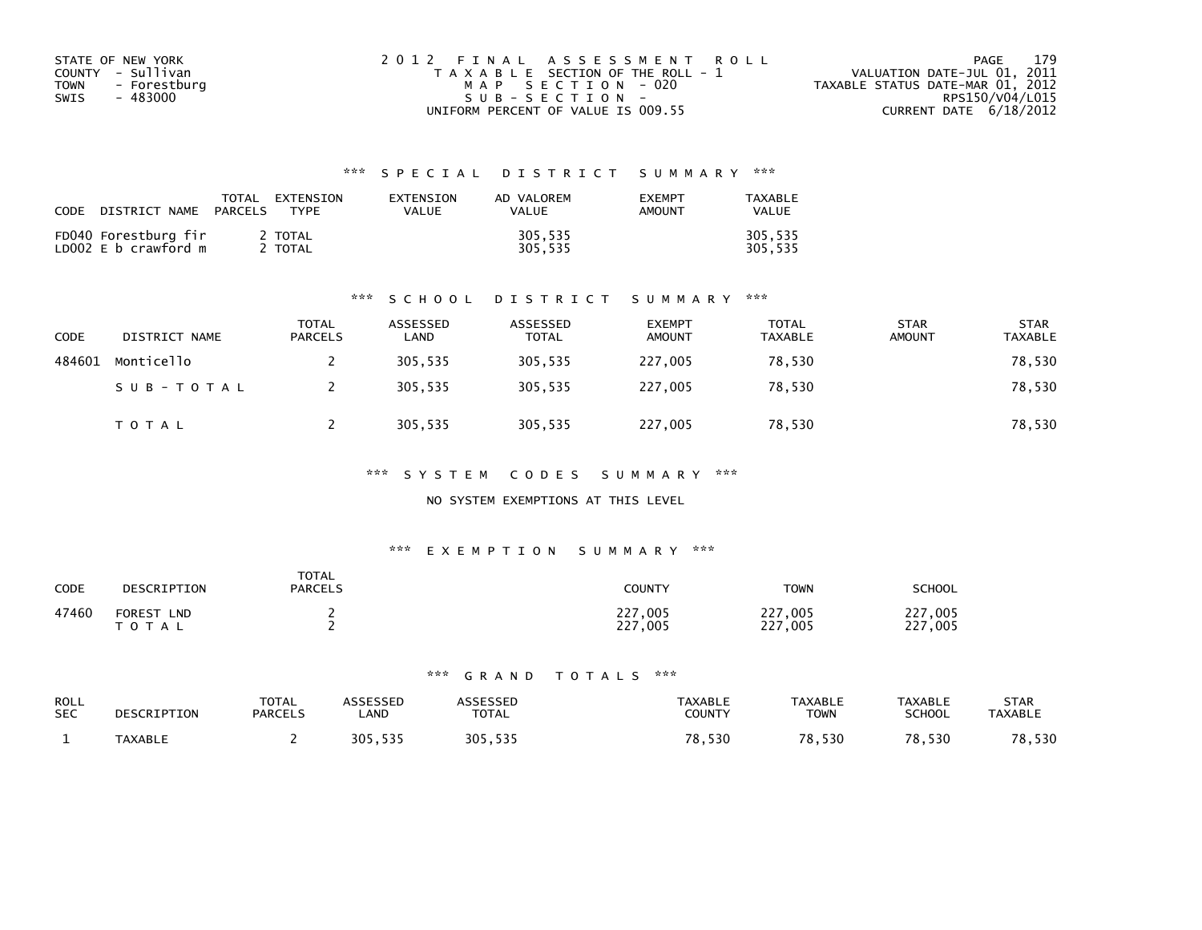| STATE OF NEW YORK           | 2012 FINAL ASSESSMENT ROLL            | 179<br>PAGE                      |
|-----------------------------|---------------------------------------|----------------------------------|
| COUNTY - Sullivan           | T A X A B L E SECTION OF THE ROLL - 1 | VALUATION DATE-JUL 01, 2011      |
| <b>TOWN</b><br>- Forestburg | MAP SECTION - 020                     | TAXABLE STATUS DATE-MAR 01, 2012 |
| SWIS<br>- 483000            | $SUB - SECTION -$                     | RPS150/V04/L015                  |
|                             | UNIFORM PERCENT OF VALUE IS 009.55    | CURRENT DATE 6/18/2012           |

| <b>CODE</b> | DISTRICT NAME                                | TOTAL<br>PARCELS | EXTENSION<br><b>TYPF</b> | <b>FXTENSTON</b><br>VALUE | AD VALOREM<br>VALUE | <b>FXFMPT</b><br>AMOUNT | TAXABLE<br><b>VALUE</b> |
|-------------|----------------------------------------------|------------------|--------------------------|---------------------------|---------------------|-------------------------|-------------------------|
|             | FD040 Forestburg fir<br>LD002 E b crawford m |                  | 2 TOTAL<br>TOTAL         |                           | 305,535<br>305,535  |                         | 305.535<br>305.535      |

#### \*\*\* S C H O O L D I S T R I C T S U M M A R Y \*\*\*

| <b>CODE</b> | DISTRICT NAME | <b>TOTAL</b><br><b>PARCELS</b> | ASSESSED<br>LAND | ASSESSED<br><b>TOTAL</b> | <b>EXEMPT</b><br><b>AMOUNT</b> | TOTAL<br><b>TAXABLE</b> | <b>STAR</b><br><b>AMOUNT</b> | <b>STAR</b><br><b>TAXABLE</b> |
|-------------|---------------|--------------------------------|------------------|--------------------------|--------------------------------|-------------------------|------------------------------|-------------------------------|
| 484601      | Monticello    |                                | 305.535          | 305.535                  | 227,005                        | 78.530                  |                              | 78,530                        |
|             | SUB-TOTAL     |                                | 305,535          | 305,535                  | 227,005                        | 78,530                  |                              | 78,530                        |
|             | TOTAL         |                                | 305,535          | 305,535                  | 227,005                        | 78,530                  |                              | 78,530                        |

\*\*\* S Y S T E M C O D E S S U M M A R Y \*\*\*

### NO SYSTEM EXEMPTIONS AT THIS LEVEL

#### \*\*\* E X E M P T I O N S U M M A R Y \*\*\*

| <b>CODE</b> | DESCRIPTION                              | <b>TOTAL</b><br><b>PARCELS</b> | COUNTY                     | <b>TOWN</b>             | <b>SCHOOL</b>      |
|-------------|------------------------------------------|--------------------------------|----------------------------|-------------------------|--------------------|
| 47460       | <b>FOREST</b><br><b>LND</b><br>T O T A L |                                | ,005<br>227<br>227<br>.005 | 227,005<br>227.<br>,005 | 227,005<br>227,005 |

| ROLL<br><b>SEC</b> | DESCRIPTION    | <b>TOTAL</b><br><b>PARCELS</b> | ASSESSED<br><b>_AND</b> | <b>\SSESSED</b><br>TOTAL | <b>TAXABLE</b><br>COUNTY | <b>TAXABLE</b><br><b>TOWN</b> | <b>TAXABLE</b><br><b>SCHOOL</b> | <b>STAR</b><br><b>TAXABLE</b> |
|--------------------|----------------|--------------------------------|-------------------------|--------------------------|--------------------------|-------------------------------|---------------------------------|-------------------------------|
|                    | <b>TAXABLE</b> |                                | 535<br>305,535          | 305,535                  | 8.530<br>70              | 78,530                        | 78,530                          | 78,530                        |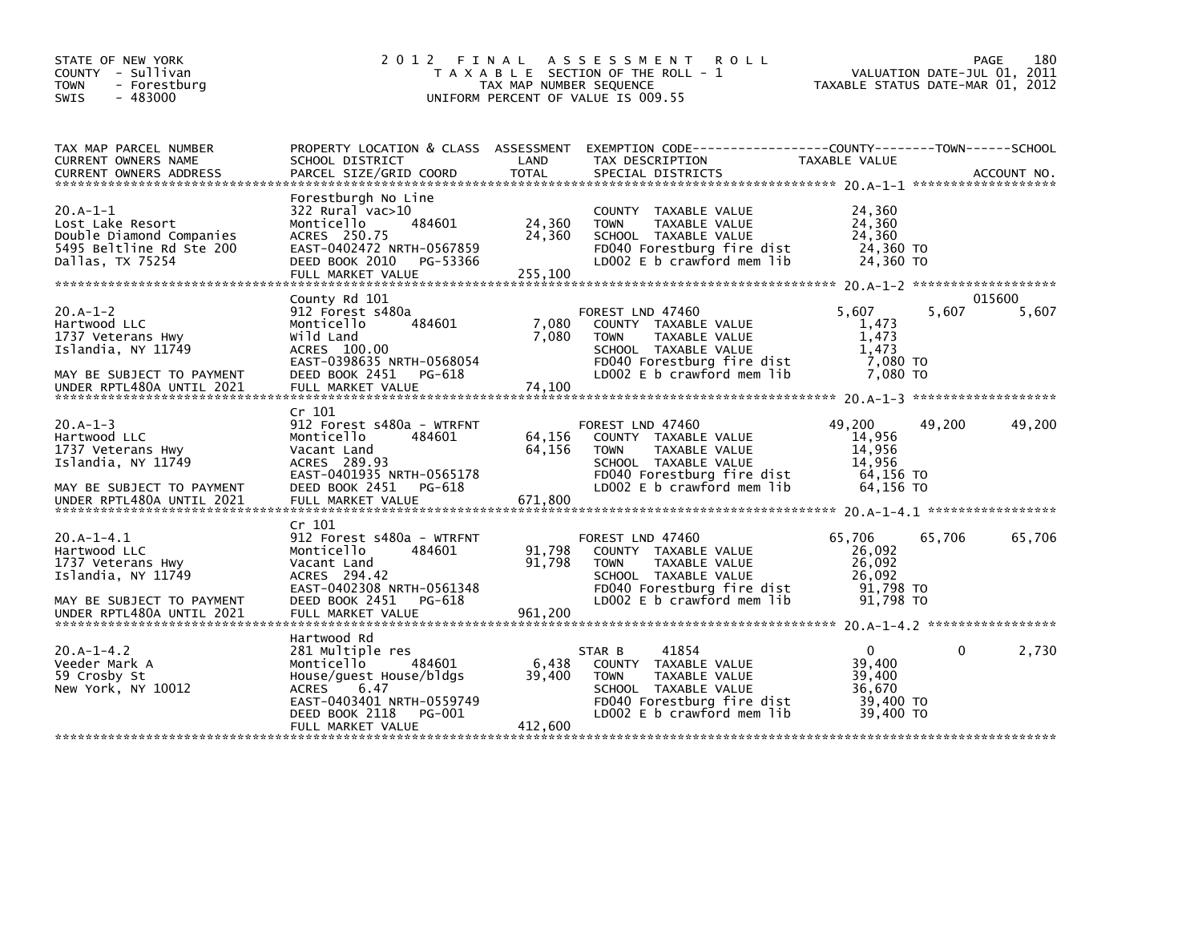| STATE OF NEW YORK<br>COUNTY - Sullivan<br><b>TOWN</b><br>- Forestburg<br>$-483000$<br><b>SWIS</b>                                 | 2 0 1 2<br>FINAL                                                                                                                                                                         | TAX MAP NUMBER SEQUENCE     | A S S E S S M E N T R O L L<br>T A X A B L E SECTION OF THE ROLL - 1<br>UNIFORM PERCENT OF VALUE IS 009.55                                                       | TAXABLE STATUS DATE-MAR 01, 2012                                     |        | 180<br>PAGE<br>VALUATION DATE-JUL 01, 2011 |
|-----------------------------------------------------------------------------------------------------------------------------------|------------------------------------------------------------------------------------------------------------------------------------------------------------------------------------------|-----------------------------|------------------------------------------------------------------------------------------------------------------------------------------------------------------|----------------------------------------------------------------------|--------|--------------------------------------------|
| TAX MAP PARCEL NUMBER<br>CURRENT OWNERS NAME<br><b>CURRENT OWNERS ADDRESS</b>                                                     | PROPERTY LOCATION & CLASS ASSESSMENT<br>SCHOOL DISTRICT<br>PARCEL SIZE/GRID COORD                                                                                                        | LAND<br><b>TOTAL</b>        | TAX DESCRIPTION<br>SPECIAL DISTRICTS                                                                                                                             | TAXABLE VALUE                                                        |        | ACCOUNT NO.                                |
| $20.A-1-1$<br>Lost Lake Resort<br>Double Diamond Companies<br>5495 Beltline Rd Ste 200<br>Dallas, TX 75254                        | Forestburgh No Line<br>322 Rural vac>10<br>484601<br>Monticello<br>ACRES 250.75<br>EAST-0402472 NRTH-0567859<br>DEED BOOK 2010<br>PG-53366<br>FULL MARKET VALUE                          | 24,360<br>24,360<br>255,100 | COUNTY TAXABLE VALUE<br>TAXABLE VALUE<br><b>TOWN</b><br>SCHOOL TAXABLE VALUE<br>FD040 Forestburg fire dist<br>LD002 E b crawford mem lib                         | 24,360<br>24,360<br>24,360<br>24,360 TO<br>24,360 TO                 |        |                                            |
| $20.A-1-2$<br>Hartwood LLC<br>1737 Veterans Hwy<br>Islandia, NY 11749<br>MAY BE SUBJECT TO PAYMENT<br>UNDER RPTL480A UNTIL 2021   | County Rd 101<br>912 Forest s480a<br>484601<br>Monticello<br>Wild Land<br>ACRES 100.00<br>EAST-0398635 NRTH-0568054<br>DEED BOOK 2451<br>PG-618<br>FULL MARKET VALUE                     | 7,080<br>7,080<br>74,100    | FOREST LND 47460<br>COUNTY TAXABLE VALUE<br>TAXABLE VALUE<br><b>TOWN</b><br>SCHOOL TAXABLE VALUE<br>FD040 Forestburg fire dist<br>LD002 E b crawford mem lib     | 5,607<br>1,473<br>1,473<br>1,473<br>7,080 TO<br>7.080 TO             | 5,607  | 015600<br>5,607                            |
| $20.A-1-3$<br>Hartwood LLC<br>1737 Veterans Hwy<br>Islandia, NY 11749<br>MAY BE SUBJECT TO PAYMENT<br>UNDER RPTL480A UNTIL 2021   | Cr 101<br>912 Forest s480a - WTRFNT<br>Monticello<br>484601<br>Vacant Land<br>ACRES 289.93<br>EAST-0401935 NRTH-0565178<br>DEED BOOK 2451<br>PG-618<br>FULL MARKET VALUE                 | 64,156<br>64,156<br>671,800 | FOREST LND 47460<br>COUNTY TAXABLE VALUE<br><b>TOWN</b><br>TAXABLE VALUE<br>SCHOOL TAXABLE VALUE<br>FD040 Forestburg fire dist<br>LD002 $E$ b crawford mem $lib$ | 49,200<br>14,956<br>14,956<br>14,956<br>64,156 TO<br>64,156 TO       | 49,200 | 49,200                                     |
| $20.A-1-4.1$<br>Hartwood LLC<br>1737 Veterans Hwy<br>Islandia, NY 11749<br>MAY BE SUBJECT TO PAYMENT<br>UNDER RPTL480A UNTIL 2021 | Cr 101<br>912 Forest s480a - WTRFNT<br>484601<br>Monticello<br>Vacant Land<br>ACRES 294.42<br>EAST-0402308 NRTH-0561348<br>DEED BOOK 2451 PG-618<br>FULL MARKET VALUE                    | 91,798<br>91,798<br>961,200 | FOREST LND 47460<br>COUNTY TAXABLE VALUE<br><b>TOWN</b><br>TAXABLE VALUE<br>SCHOOL TAXABLE VALUE<br>FD040 Forestburg fire dist<br>LD002 E b crawford mem lib     | 65,706<br>26,092<br>26,092<br>26,092<br>91,798 TO<br>91,798 TO       | 65,706 | 65,706                                     |
| $20.A-1-4.2$<br>Veeder Mark A<br>59 Crosby St<br>New York, NY 10012                                                               | Hartwood Rd<br>281 Multiple res<br>484601<br>Monticello<br>House/quest House/bldgs<br><b>ACRES</b><br>6.47<br>EAST-0403401 NRTH-0559749<br>DEED BOOK 2118<br>PG-001<br>FULL MARKET VALUE | 6,438<br>39,400<br>412,600  | 41854<br>STAR B<br>COUNTY TAXABLE VALUE<br>TAXABLE VALUE<br><b>TOWN</b><br>SCHOOL TAXABLE VALUE<br>FD040 Forestburg fire dist<br>LD002 E b crawford mem lib      | $\mathbf{0}$<br>39,400<br>39,400<br>36,670<br>39,400 TO<br>39,400 TO | 0      | 2,730                                      |
|                                                                                                                                   |                                                                                                                                                                                          |                             |                                                                                                                                                                  |                                                                      |        |                                            |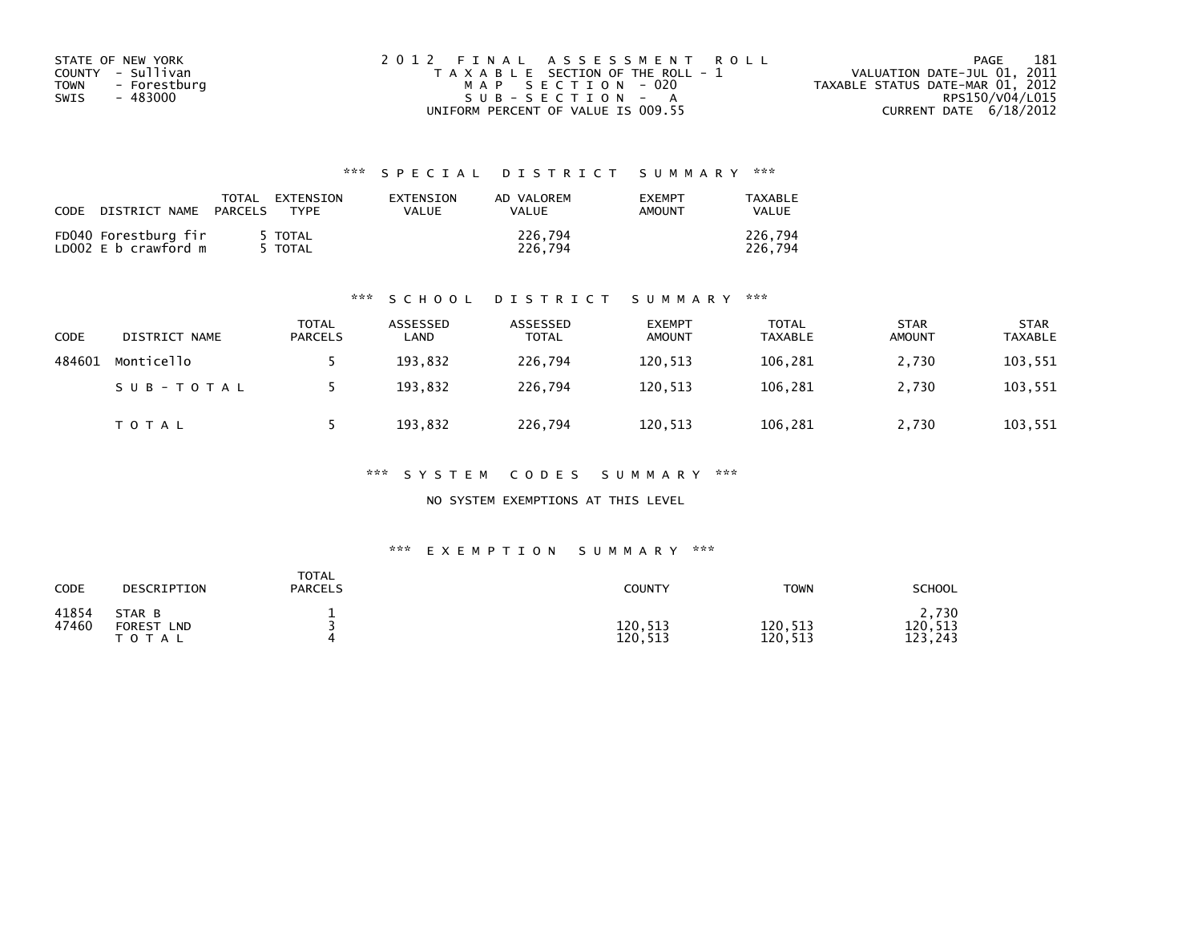| STATE OF NEW YORK    | 2012 FINAL ASSESSMENT ROLL            | 181<br>PAGE                      |
|----------------------|---------------------------------------|----------------------------------|
| COUNTY - Sullivan    | T A X A B L E SECTION OF THE ROLL - 1 | VALUATION DATE-JUL 01, 2011      |
| TOWN<br>- Forestburg | MAP SECTION - 020                     | TAXABLE STATUS DATE-MAR 01, 2012 |
| - 483000<br>SWIS     | $SUB - SECTION - A$                   | RPS150/V04/L015                  |
|                      | UNIFORM PERCENT OF VALUE IS 009.55    | CURRENT DATE $6/18/2012$         |

| CODE | DISTRICT NAME                                | TOTAL<br>PARCELS | EXTENSION<br><b>TYPF</b>    | EXTENSION<br>VALUE | AD VALOREM<br>VALUE | <b>EXEMPT</b><br>AMOUNT | TAXABLE<br>VALUE   |
|------|----------------------------------------------|------------------|-----------------------------|--------------------|---------------------|-------------------------|--------------------|
|      | FD040 Forestburg fir<br>LD002 E b crawford m |                  | TOTAL <sup>.</sup><br>TOTAL |                    | 226,794<br>226.794  |                         | 226.794<br>226.794 |

## \*\*\* S C H O O L D I S T R I C T S U M M A R Y \*\*\*

| CODE   | DISTRICT NAME | TOTAL<br>PARCELS | ASSESSED<br>∟AND | ASSESSED<br>TOTAL | <b>EXEMPT</b><br><b>AMOUNT</b> | <b>TOTAL</b><br><b>TAXABLE</b> | <b>STAR</b><br><b>AMOUNT</b> | <b>STAR</b><br><b>TAXABLE</b> |
|--------|---------------|------------------|------------------|-------------------|--------------------------------|--------------------------------|------------------------------|-------------------------------|
| 484601 | Monticello    |                  | 193,832          | 226.794           | 120,513                        | 106,281                        | 2,730                        | 103,551                       |
|        | SUB-TOTAL     |                  | 193,832          | 226.794           | 120,513                        | 106,281                        | 2,730                        | 103,551                       |
|        | <b>TOTAL</b>  |                  | 193,832          | 226,794           | 120,513                        | 106,281                        | 2,730                        | 103,551                       |

\*\*\* S Y S T E M C O D E S S U M M A R Y \*\*\*

NO SYSTEM EXEMPTIONS AT THIS LEVEL

## \*\*\* E X E M P T I O N S U M M A R Y \*\*\*

| CODE           | DESCRIPTION                                 | <b>TOTAL</b><br><b>PARCELS</b> | <b>COUNTY</b>      | <b>TOWN</b>             | <b>SCHOOL</b>               |
|----------------|---------------------------------------------|--------------------------------|--------------------|-------------------------|-----------------------------|
| 41854<br>47460 | STAR B<br><b>FOREST</b><br>LND<br>T O T A L |                                | 120,513<br>120,513 | 120,513<br>120.<br>,513 | 2,730<br>120,513<br>123,243 |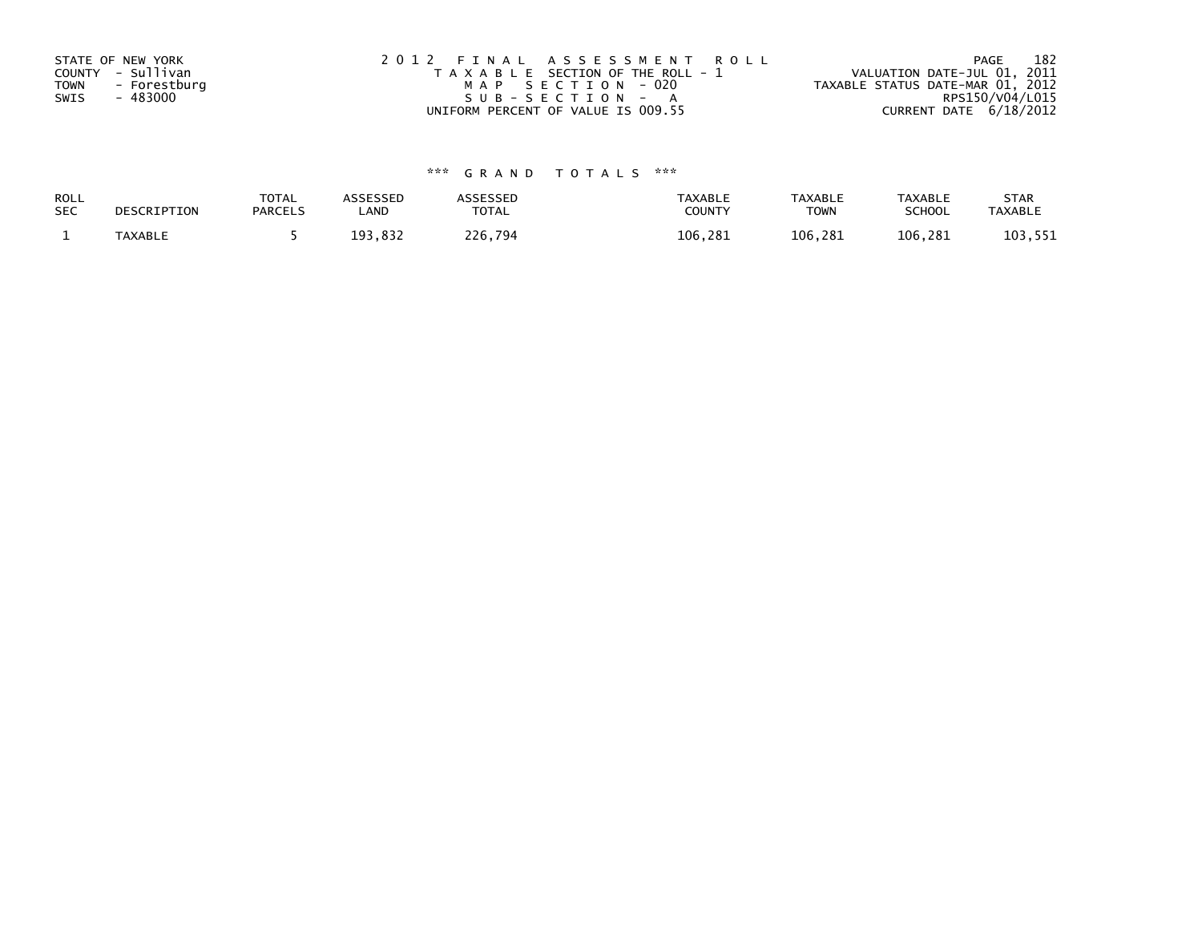| STATE OF NEW YORK    | 2012 FINAL ASSESSMENT ROLL            | 182<br>PAGE                      |
|----------------------|---------------------------------------|----------------------------------|
| COUNTY - Sullivan    | T A X A B L E SECTION OF THE ROLL - 1 | VALUATION DATE-JUL 01, 2011      |
| - Forestburg<br>TOWN | MAP SECTION - 020                     | TAXABLE STATUS DATE-MAR 01, 2012 |
| - 483000<br>SWIS     | $SUB - SECTION - A$                   | RPS150/V04/L015                  |
|                      | UNIFORM PERCENT OF VALUE IS 009.55    | CURRENT DATE 6/18/2012           |

| ROLL       | DESCRIPTION | <b>TOTAL</b>   | ASSESSED | <b>ASSESSED</b> | <b>TAXABLE</b> | <b>TAXABLE</b> | <b>TAXABLE</b> | <b>STAR</b>    |
|------------|-------------|----------------|----------|-----------------|----------------|----------------|----------------|----------------|
| <b>SEC</b> |             | <b>PARCELS</b> | _AND     | TOTAL           | <b>COUNTY</b>  | ⊤OWN           | <b>SCHOOL</b>  | <b>TAXABLE</b> |
|            | TAXABLE     |                | 193,832  | 226,794         | 106.281        | 106.281        | 106.281        | 103,551        |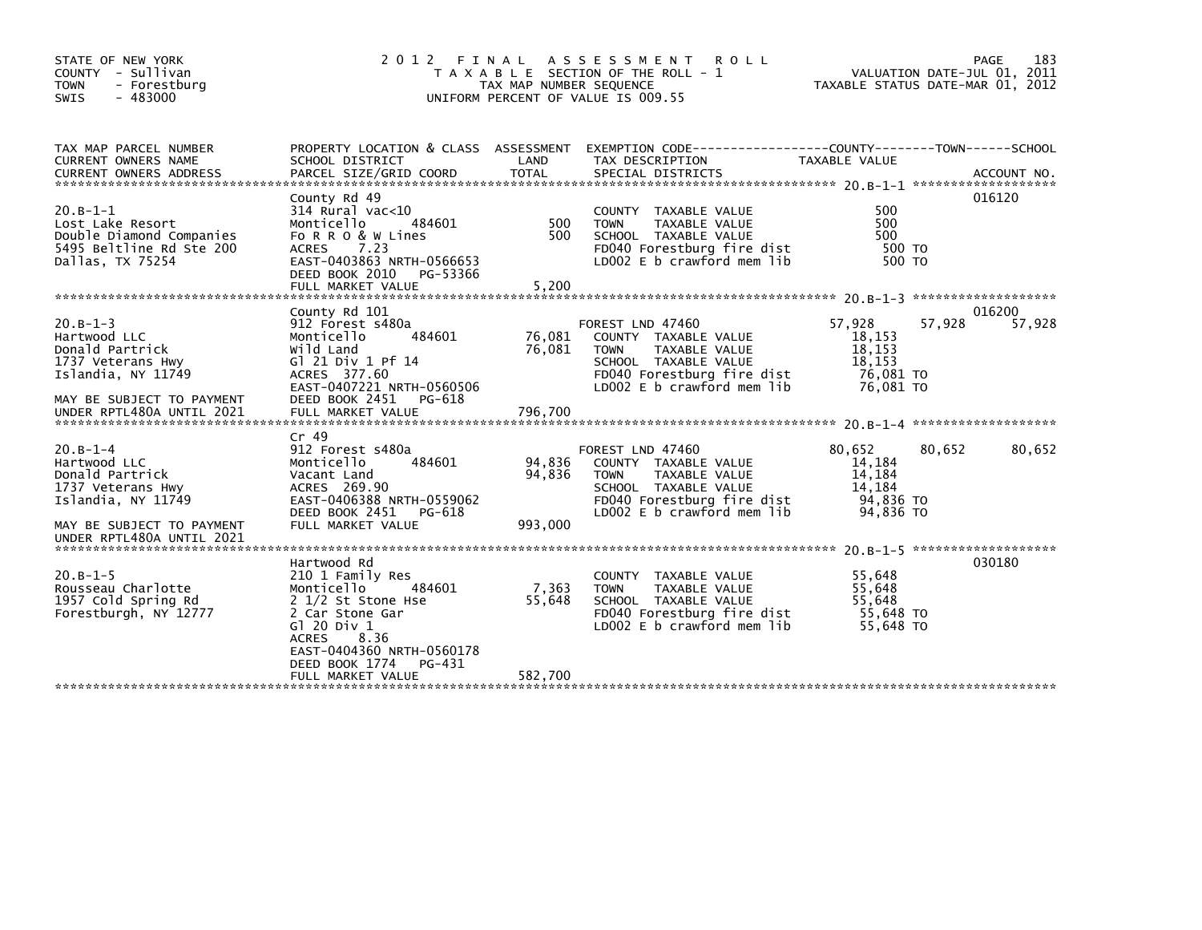| STATE OF NEW YORK<br>COUNTY - Sullivan<br><b>TOWN</b><br>- Forestburg<br>$-483000$<br><b>SWIS</b>                         | 2 0 1 2                                                                                                                                                                                          | FINAL<br>TAX MAP NUMBER SEQUENCE | A S S E S S M E N T<br><b>ROLL</b><br>T A X A B L E SECTION OF THE ROLL - 1<br>UNIFORM PERCENT OF VALUE IS 009.55                                            | TAXABLE STATUS DATE-MAR 01, 2012                               |        | 183<br>PAGE<br>VALUATION DATE-JUL 01, 2011 |
|---------------------------------------------------------------------------------------------------------------------------|--------------------------------------------------------------------------------------------------------------------------------------------------------------------------------------------------|----------------------------------|--------------------------------------------------------------------------------------------------------------------------------------------------------------|----------------------------------------------------------------|--------|--------------------------------------------|
| TAX MAP PARCEL NUMBER<br>CURRENT OWNERS NAME                                                                              | SCHOOL DISTRICT                                                                                                                                                                                  | LAND                             | PROPERTY LOCATION & CLASS ASSESSMENT EXEMPTION CODE----------------COUNTY-------TOWN------SCHOOL<br>TAX DESCRIPTION                                          | TAXABLE VALUE                                                  |        |                                            |
| $20.B-1-1$<br>Lost Lake Resort<br>Double Diamond Companies<br>5495 Beltline Rd Ste 200<br>Dallas, TX 75254                | County Rd 49<br>$314$ Rural vac<10<br>Monticello<br>484601<br>FORRO & W Lines<br><b>ACRES</b><br>7.23<br>EAST-0403863 NRTH-0566653<br>DEED BOOK 2010<br>PG-53366<br>FULL MARKET VALUE            | 500<br>500<br>5,200              | COUNTY TAXABLE VALUE<br><b>TOWN</b><br><b>TAXABLE VALUE</b><br>SCHOOL TAXABLE VALUE<br>FD040 Forestburg fire dist<br>LD002 E b crawford mem lib              | 500<br>500<br>500<br>500 TO<br>500 TO                          |        | 016120                                     |
|                                                                                                                           | County Rd 101                                                                                                                                                                                    |                                  |                                                                                                                                                              |                                                                |        | 016200                                     |
| $20.B - 1 - 3$<br>Hartwood LLC<br>Donald Partrick<br>1737 Veterans Hwy<br>Islandia, NY 11749<br>MAY BE SUBJECT TO PAYMENT | 912 Forest s480a<br>Monticello<br>484601<br>Wild Land<br>G1 21 Div 1 Pf 14<br>ACRES 377.60<br>EAST-0407221 NRTH-0560506<br>DEED BOOK 2451<br>PG-618                                              | 76,081<br>76,081                 | FOREST LND 47460<br>COUNTY TAXABLE VALUE<br><b>TOWN</b><br>TAXABLE VALUE<br>SCHOOL TAXABLE VALUE<br>FD040 Forestburg fire dist<br>LD002 E b crawford mem lib | 57.928<br>18,153<br>18,153<br>18,153<br>76,081 TO<br>76,081 TO | 57,928 | 57,928                                     |
|                                                                                                                           | $Cr$ 49                                                                                                                                                                                          |                                  |                                                                                                                                                              |                                                                |        |                                            |
| $20.B-1-4$<br>Hartwood LLC<br>Donald Partrick<br>1737 Veterans Hwy<br>Islandia, NY 11749                                  | 912 Forest s480a<br>Monticello<br>484601<br>Vacant Land<br>ACRES 269.90<br>EAST-0406388 NRTH-0559062<br>DEED BOOK 2451<br>PG-618                                                                 | 94,836<br>94.836                 | FOREST LND 47460<br>COUNTY TAXABLE VALUE<br>TAXABLE VALUE<br><b>TOWN</b><br>SCHOOL TAXABLE VALUE<br>FD040 Forestburg fire dist<br>LD002 E b crawford mem lib | 80,652<br>14,184<br>14,184<br>14,184<br>94,836 TO<br>94,836 TO | 80,652 | 80,652                                     |
| MAY BE SUBJECT TO PAYMENT<br>UNDER RPTL480A UNTIL 2021                                                                    | FULL MARKET VALUE                                                                                                                                                                                | 993,000                          |                                                                                                                                                              |                                                                |        |                                            |
| $20.B-1-5$<br>Rousseau Charlotte<br>1957 Cold Spring Rd<br>Forestburgh, NY 12777                                          | Hartwood Rd<br>210 1 Family Res<br>Monticello<br>484601<br>2 1/2 St Stone Hse<br>2 Car Stone Gar<br>G1 20 Div 1<br>8.36<br><b>ACRES</b><br>EAST-0404360 NRTH-0560178<br>DEED BOOK 1774<br>PG-431 | 7,363<br>55,648                  | COUNTY TAXABLE VALUE<br><b>TOWN</b><br>TAXABLE VALUE<br>SCHOOL TAXABLE VALUE<br>FD040 Forestburg fire dist<br>LD002 E b crawford mem lib                     | 55,648<br>55,648<br>55,648<br>55,648 TO<br>55,648 TO           |        | 20.8-1-5 *********************<br>030180   |
|                                                                                                                           | FULL MARKET VALUE                                                                                                                                                                                | 582,700                          |                                                                                                                                                              |                                                                |        |                                            |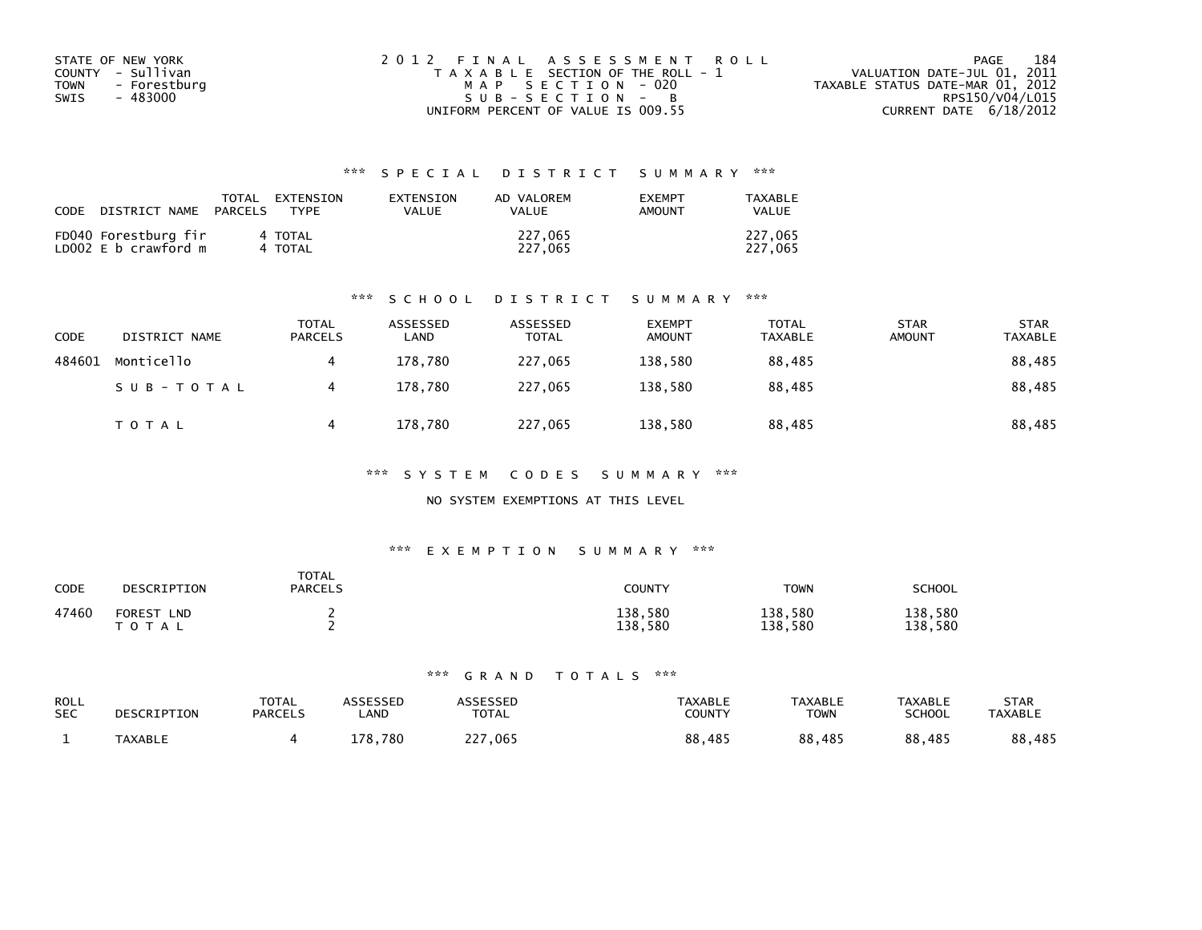| STATE OF NEW YORK    | 2012 FINAL ASSESSMENT ROLL            | 184<br>PAGE                      |
|----------------------|---------------------------------------|----------------------------------|
| COUNTY - Sullivan    | T A X A B L E SECTION OF THE ROLL - 1 | VALUATION DATE-JUL 01, 2011      |
| - Forestburg<br>TOWN | MAP SECTION - 020                     | TAXABLE STATUS DATE-MAR 01, 2012 |
| - 483000<br>SWIS     | $SUB - SECTION - B$                   | RPS150/V04/L015                  |
|                      | UNIFORM PERCENT OF VALUE IS 009.55    | CURRENT DATE 6/18/2012           |

| CODE | DISTRICT NAME                                | TOTAL<br>PARCELS | FXTFNSTON<br><b>TYPF</b> | <b>FXTENSTON</b><br>VALUE | AD VALOREM<br>VALUE | <b>EXEMPT</b><br>AMOUNT | TAXARI F<br>VALUE  |
|------|----------------------------------------------|------------------|--------------------------|---------------------------|---------------------|-------------------------|--------------------|
|      | FD040 Forestburg fir<br>LD002 E b crawford m |                  | 4 TOTAL<br>4 TOTAL       |                           | 227,065<br>227.065  |                         | 227,065<br>227,065 |

## \*\*\* S C H O O L D I S T R I C T S U M M A R Y \*\*\*

| <b>CODE</b> | DISTRICT NAME | <b>TOTAL</b><br>PARCELS | ASSESSED<br>LAND | ASSESSED<br><b>TOTAL</b> | <b>EXEMPT</b><br><b>AMOUNT</b> | TOTAL<br><b>TAXABLE</b> | <b>STAR</b><br><b>AMOUNT</b> | <b>STAR</b><br><b>TAXABLE</b> |
|-------------|---------------|-------------------------|------------------|--------------------------|--------------------------------|-------------------------|------------------------------|-------------------------------|
| 484601      | Monticello    | 4                       | 178,780          | 227,065                  | 138,580                        | 88,485                  |                              | 88,485                        |
|             | SUB-TOTAL     | 4                       | 178.780          | 227,065                  | 138.580                        | 88.485                  |                              | 88,485                        |
|             | <b>TOTAL</b>  | 4                       | 178,780          | 227,065                  | 138,580                        | 88,485                  |                              | 88,485                        |

\*\*\* S Y S T E M C O D E S S U M M A R Y \*\*\*

## NO SYSTEM EXEMPTIONS AT THIS LEVEL

## \*\*\* E X E M P T I O N S U M M A R Y \*\*\*

| CODE  | DESCRIPTION                              | <b>TOTAL</b><br><b>PARCELS</b> | COUNTY             | <b>TOWN</b>        | SCHOOL             |
|-------|------------------------------------------|--------------------------------|--------------------|--------------------|--------------------|
| 47460 | <b>FOREST</b><br><b>LND</b><br>T O T A L |                                | 138,580<br>138,580 | 138,580<br>138,580 | 138,580<br>138,580 |

| <b>ROLL</b><br><b>SEC</b> | DESCRIPTION    | TOTAL<br><b>PARCELS</b> | <b>\SSESSED</b><br>.AND | <b>\SSESSED</b><br><b>TOTAL</b> | <b>TAXABLE</b><br><b>COUNTY</b> | <b>TAXABLE</b><br><b>TOWN</b> | <b>TAXABLE</b><br><b>SCHOOL</b> | <b>STAR</b><br><b>TAXABLE</b> |
|---------------------------|----------------|-------------------------|-------------------------|---------------------------------|---------------------------------|-------------------------------|---------------------------------|-------------------------------|
|                           | <b>TAXABLE</b> |                         | 780<br>178.             | つつつ<br>,065<br>ر ے              | 88<br>485.                      | 88,485                        | 88,485                          | 88,485                        |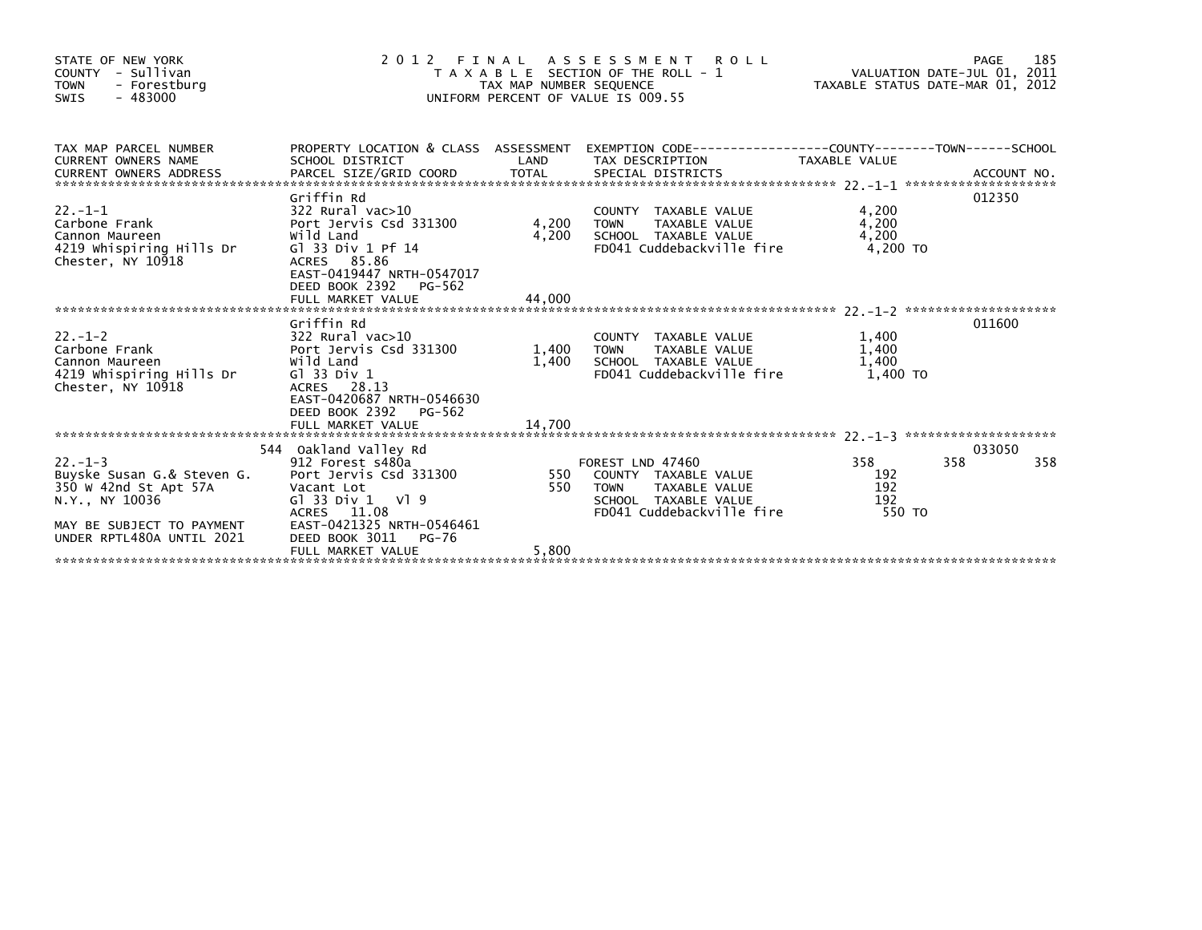| STATE OF NEW YORK<br>COUNTY - Sullivan<br><b>TOWN</b><br>- Forestburg<br>$-483000$<br>SWIS                                                      |                                                                                                                                                                                                                                       |       | PAGE 185<br>TAXABLE SECTION OF THE ROLL - 1<br>TAX MAP NUMBER SEQUENCE<br>JNIFORM PFRCENT OF VALUE TS ONG 55<br>2012 FINAL ASSESSMENT ROLL<br>UNIFORM PERCENT OF VALUE IS 009.55 |                                     |                      |
|-------------------------------------------------------------------------------------------------------------------------------------------------|---------------------------------------------------------------------------------------------------------------------------------------------------------------------------------------------------------------------------------------|-------|----------------------------------------------------------------------------------------------------------------------------------------------------------------------------------|-------------------------------------|----------------------|
| TAX MAP PARCEL NUMBER                                                                                                                           |                                                                                                                                                                                                                                       |       | PROPERTY LOCATION & CLASS ASSESSMENT EXEMPTION CODE---------------COUNTY-------TOWN-----SCHOOL                                                                                   |                                     |                      |
| 22.-1-1<br>Carbone Frank<br>Cannon Maureen<br>4219 Whispiring Hills Dr<br>Chester, NY 10918                                                     | Griffin Rd<br>322 Rural vac>10<br>Port Jervis Csd 331300       4,200<br>wild Land         4 200<br>Wild Land<br>G1 33 Div 1 Pf 14<br>ACRES 85.86<br>EAST-0419447 NRTH-0547017                                                         | 4,200 | COUNTY TAXABLE VALUE<br>TAXABLE VALUE<br><b>TOWN</b><br>SCHOOL TAXABLE VALUE<br>FD041 Cuddebackville fire                                                                        | 4,200<br>4,200<br>4.200<br>4,200 TO | 012350               |
|                                                                                                                                                 | DEED BOOK 2392<br>PG-562                                                                                                                                                                                                              |       |                                                                                                                                                                                  |                                     |                      |
| Cannon Maureen<br>4219 whispiring Hills Dr<br>Chester, NY 10918                                                                                 | Griffin Rd<br>Wild Land<br>G1 33 Div 1<br>ACRES 28.13<br>EAST-0420687 NRTH-0546630<br>DEED BOOK 2392 PG-562                                                                                                                           |       | COUNTY TAXABLE VALUE<br>TOWN     TAXABLE VALUE<br>1,400 SCHOOL TAXABLE VALUE<br>FD041 Cuddebackville fire                                                                        | 1,400<br>1,400<br>1.400<br>1.400 TO | 011600               |
|                                                                                                                                                 |                                                                                                                                                                                                                                       |       |                                                                                                                                                                                  |                                     |                      |
| $22 - 1 - 3$<br>Buyske Susan G.& Steven G.<br>350 W 42nd St Apt 57A<br>N.Y., NY 10036<br>MAY BE SUBJECT TO PAYMENT<br>UNDER RPTL480A UNTIL 2021 | 544 Oakland Valley Rd<br>912 Forest مسجد 912 Forest<br>G.& Steven G. Port Jervis Csd 331300<br>منابعة<br>Vacant Lot<br>$G1$ 33 Div 1 V1 9<br>ACRES 11.08<br>EAST-0421325 NRTH-0546461<br>DEED BOOK 3011<br>PG-76<br>FULL MARKET VALUE | 5,800 | FOREST LND 47460<br>550 COUNTY TAXABLE VALUE<br>550 TOWN TAXABLE VALUE<br>SCHOOL TAXABLE VALUE<br>2001 Cuddebackville fire                                                       | 358<br>192<br>192<br>192<br>550 TO  | 033050<br>358<br>358 |
|                                                                                                                                                 |                                                                                                                                                                                                                                       |       |                                                                                                                                                                                  |                                     |                      |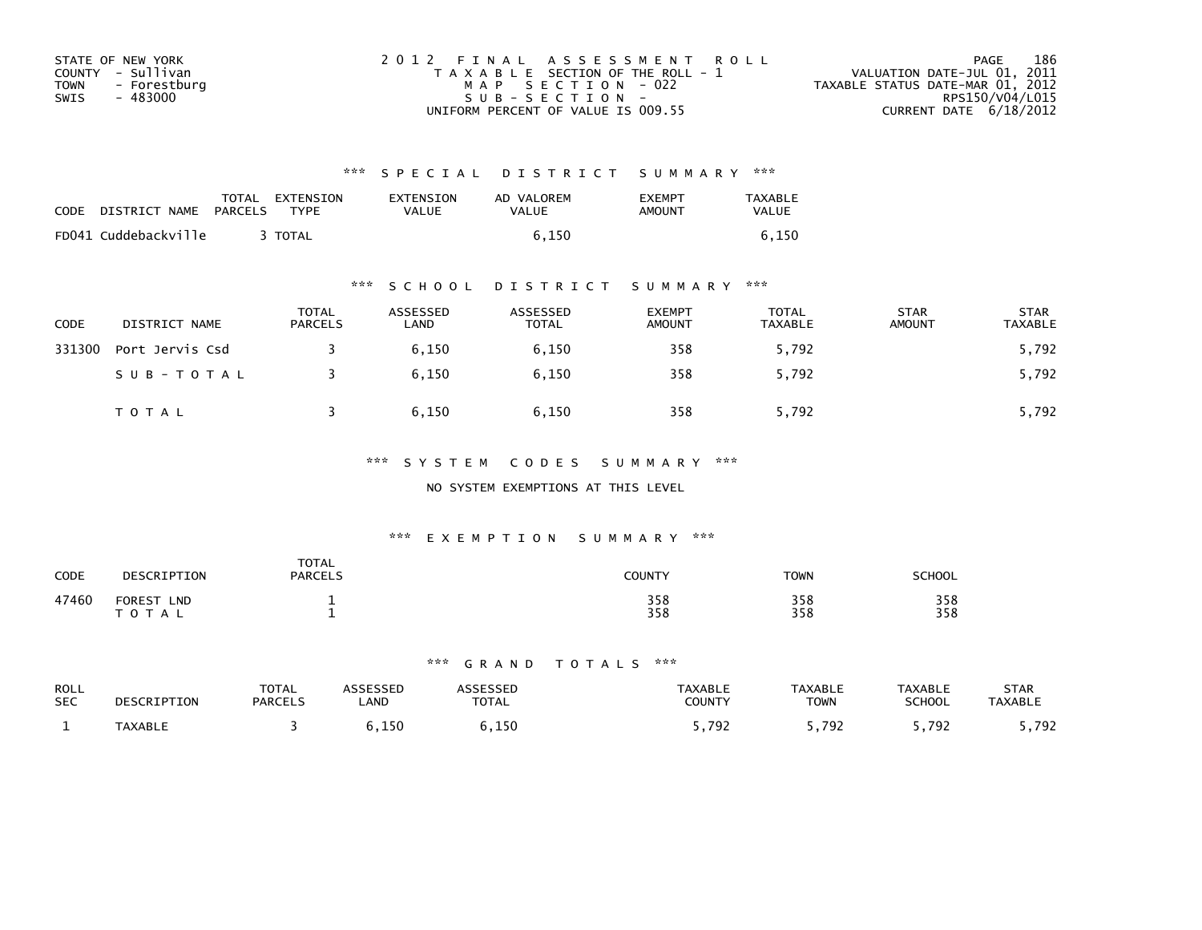| STATE OF NEW YORK    | 2012 FINAL ASSESSMENT ROLL            | 186<br>PAGE                      |
|----------------------|---------------------------------------|----------------------------------|
| COUNTY - Sullivan    | T A X A B L E SECTION OF THE ROLL - 1 | VALUATION DATE-JUL 01, 2011      |
| TOWN<br>- Forestburg | MAP SECTION - 022                     | TAXABLE STATUS DATE-MAR 01, 2012 |
| - 483000<br>SWIS     | SUB-SECTION-                          | RPS150/V04/L015                  |
|                      | UNIFORM PERCENT OF VALUE IS 009.55    | CURRENT DATE $6/18/2012$         |

| <b>CODE</b> | DISTRICT NAME        | TOTAL<br><b>PARCELS</b> | EXTENSION<br><b>TYPF</b> | EXTENSION<br>VALUE | AD VALOREM<br>VALUE | <b>EXEMPT</b><br>AMOUNT | <b>TAXABLE</b><br>VALUE |
|-------------|----------------------|-------------------------|--------------------------|--------------------|---------------------|-------------------------|-------------------------|
|             | FD041 Cuddebackville |                         | <b>TOTAL</b>             |                    | 6.150               |                         |                         |

## \*\*\* S C H O O L D I S T R I C T S U M M A R Y \*\*\*

| CODE   | DISTRICT NAME   | TOTAL<br>PARCELS | ASSESSED<br>LAND | ASSESSED<br>TOTAL | <b>EXEMPT</b><br><b>AMOUNT</b> | <b>TOTAL</b><br>TAXABLE | <b>STAR</b><br><b>AMOUNT</b> | <b>STAR</b><br>TAXABLE |
|--------|-----------------|------------------|------------------|-------------------|--------------------------------|-------------------------|------------------------------|------------------------|
| 331300 | Port Jervis Csd |                  | 6,150            | 6,150             | 358                            | 5,792                   |                              | 5,792                  |
|        | SUB-TOTAL       |                  | 6.150            | 6.150             | 358                            | 5,792                   |                              | 5,792                  |
|        | <b>TOTAL</b>    |                  | 6,150            | 6,150             | 358                            | 5,792                   |                              | 5,792                  |

## \*\*\* S Y S T E M C O D E S S U M M A R Y \*\*\*

## NO SYSTEM EXEMPTIONS AT THIS LEVEL

## \*\*\* E X E M P T I O N S U M M A R Y \*\*\*

| <b>CODE</b> | DESCRIPTION                              | <b>TOTAL</b><br><b>PARCELS</b> | <b>COUNTY</b> | <b>TOWN</b> | <b>SCHOOL</b> |
|-------------|------------------------------------------|--------------------------------|---------------|-------------|---------------|
| 47460       | <b>FOREST</b><br><b>LND</b><br>T O T A L |                                | 358<br>358    | 358<br>358  | 358<br>358    |

| <b>ROLL</b><br><b>SEC</b> | DESCRIPTION    | <b>TOTAL</b><br><b>PARCELS</b> | <b>_AND</b> | TOTAL  | <b>TAXABLE</b><br>COUNTY | <b>TAXABLE</b><br><b>TOWN</b> | <b>TAXABLE</b><br><b>SCHOOL</b> | STAR<br><b>TAXABLE</b> |
|---------------------------|----------------|--------------------------------|-------------|--------|--------------------------|-------------------------------|---------------------------------|------------------------|
|                           | <b>TAXABLL</b> |                                | ח ו<br>⊥⊃ບ  | 150. ز | 791<br>.                 | 792                           | 70.                             | 792<br>.               |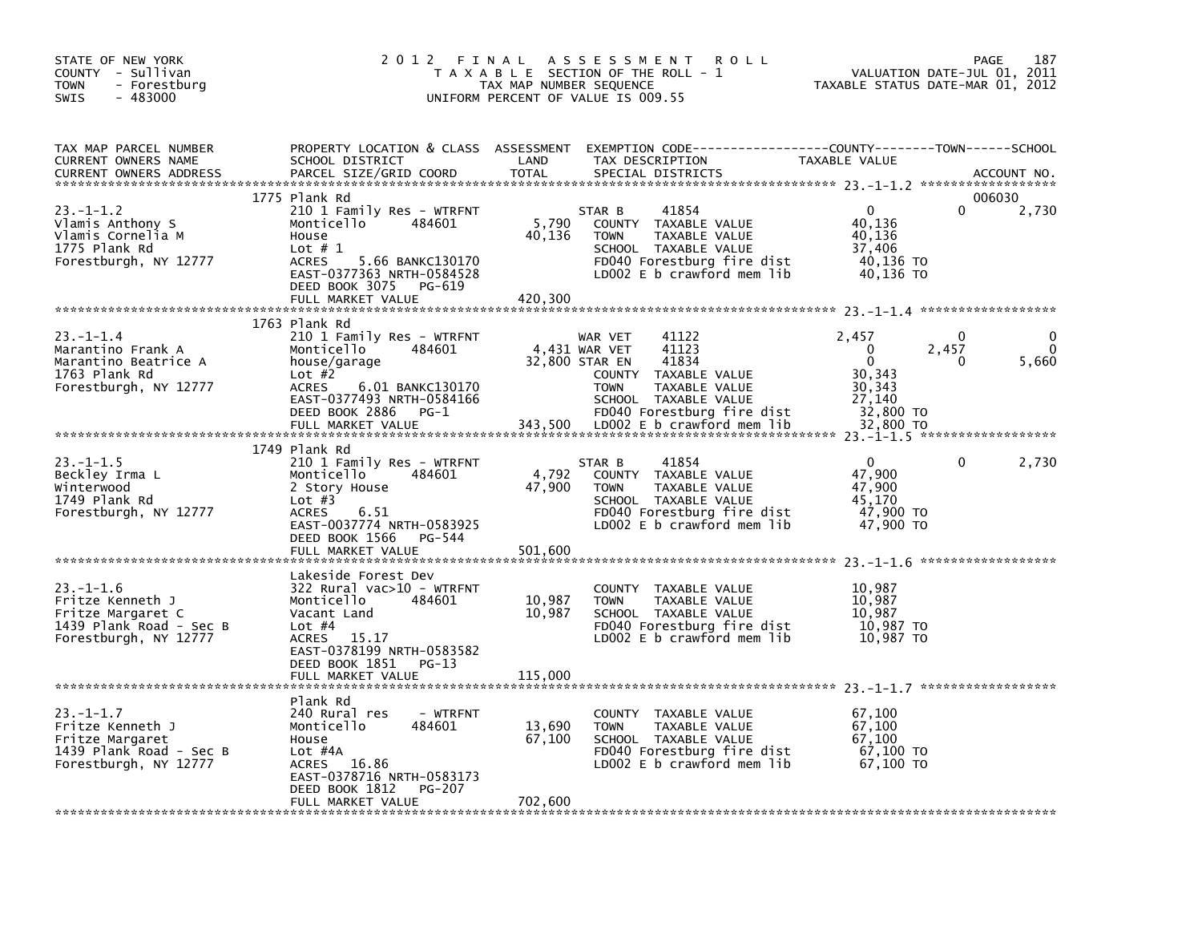| STATE OF NEW YORK<br>COUNTY - Sullivan<br><b>TOWN</b><br>- Forestburg<br>SWIS<br>$-483000$                   | 2012 FINAL                                                                                                                                                                                                       | A S S E S S M E N T<br><b>ROLL</b><br>T A X A B L E SECTION OF THE ROLL - 1<br>TAX MAP NUMBER SEQUENCE<br>UNIFORM PERCENT OF VALUE IS 009.55                                                                                 | 187<br>PAGE<br>VALUATION DATE-JUL 01, 2011<br>TAXABLE STATUS DATE-MAR 01, 2012                                                           |
|--------------------------------------------------------------------------------------------------------------|------------------------------------------------------------------------------------------------------------------------------------------------------------------------------------------------------------------|------------------------------------------------------------------------------------------------------------------------------------------------------------------------------------------------------------------------------|------------------------------------------------------------------------------------------------------------------------------------------|
| TAX MAP PARCEL NUMBER<br>CURRENT OWNERS NAME<br><b>CURRENT OWNERS ADDRESS</b>                                | PROPERTY LOCATION & CLASS ASSESSMENT<br>SCHOOL DISTRICT<br>PARCEL SIZE/GRID COORD                                                                                                                                | LAND<br>TAX DESCRIPTION<br><b>TOTAL</b><br>SPECIAL DISTRICTS                                                                                                                                                                 | TAXABLE VALUE<br>ACCOUNT NO.                                                                                                             |
| $23. -1 - 1.2$<br>Vlamis Anthony S<br>Vlamis Cornelia M<br>1775 Plank Rd<br>Forestburgh, NY 12777            | 1775 Plank Rd<br>210 1 Family Res - WTRFNT<br>484601<br>Monticello<br>House<br>Lot $# 1$<br>5.66 BANKC130170<br><b>ACRES</b><br>EAST-0377363 NRTH-0584528<br>DEED BOOK 3075<br>PG-619<br>FULL MARKET VALUE       | 41854<br>STAR B<br>5,790<br>COUNTY TAXABLE VALUE<br>40,136<br><b>TOWN</b><br>TAXABLE VALUE<br>SCHOOL TAXABLE VALUE<br>FD040 Forestburg fire dist<br>LD002 E b crawford mem lib<br>420,300                                    | 006030<br>$\mathbf{0}$<br>2,730<br>0<br>40.136<br>40,136<br>37,406<br>40,136 TO<br>40,136 TO                                             |
| $23 - 1 - 1.4$<br>Marantino Frank A<br>Marantino Beatrice A<br>1763 Plank Rd<br>Forestburgh, NY 12777        | 1763 Plank Rd<br>210 1 Family Res - WTRFNT<br>Monticello<br>484601<br>house/garage<br>Lot $#2$<br><b>ACRES</b><br>6.01 BANKC130170<br>EAST-0377493 NRTH-0584166<br>DEED BOOK 2886<br>$PG-1$<br>FULL MARKET VALUE | 41122<br>WAR VET<br>4,431 WAR VET<br>41123<br>32,800 STAR EN<br>41834<br>COUNTY TAXABLE VALUE<br><b>TOWN</b><br>TAXABLE VALUE<br>SCHOOL TAXABLE VALUE<br>FD040 Forestburg fire dist<br>343,500<br>LD002 E b crawford mem lib | 2,457<br>0<br>$\Omega$<br>2,457<br>$\Omega$<br>$\mathbf{0}$<br>$\Omega$<br>5,660<br>30,343<br>30,343<br>27,140<br>32,800 TO<br>32,800 TO |
| $23. - 1 - 1.5$<br>Beckley Irma L<br>Winterwood<br>1749 Plank Rd<br>Forestburgh, NY 12777                    | 1749 Plank Rd<br>210 1 Family Res - WTRFNT<br>Monticello<br>484601<br>2 Story House<br>Lot $#3$<br><b>ACRES</b><br>6.51<br>EAST-0037774 NRTH-0583925<br>DEED BOOK 1566<br>PG-544<br>FULL MARKET VALUE            | 41854<br>STAR B<br>4,792<br>COUNTY TAXABLE VALUE<br>47,900<br>TAXABLE VALUE<br><b>TOWN</b><br>SCHOOL TAXABLE VALUE<br>FD040 Forestburg fire dist<br>LD002 E b crawford mem lib<br>501.600                                    | $\Omega$<br>2,730<br>$\Omega$<br>47,900<br>47,900<br>45.170<br>47,900 TO<br>47,900 TO                                                    |
| $23. - 1 - 1.6$<br>Fritze Kenneth J<br>Fritze Margaret C<br>1439 Plank Road - Sec B<br>Forestburgh, NY 12777 | Lakeside Forest Dev<br>$322$ Rural vac $>10$ - WTRFNT<br>Monticello<br>484601<br>Vacant Land<br>Lot $#4$<br>15.17<br>ACRES<br>EAST-0378199 NRTH-0583582<br>DEED BOOK 1851 PG-13<br>FULL MARKET VALUE             | COUNTY TAXABLE VALUE<br>10,987<br><b>TOWN</b><br>TAXABLE VALUE<br>10,987<br>SCHOOL TAXABLE VALUE<br>FD040 Forestburg fire dist<br>LDOO2 E b crawford mem lib<br>115,000                                                      | 10,987<br>10,987<br>10,987<br>10,987 TO<br>10,987 TO                                                                                     |
| $23 - 1 - 1.7$<br>Fritze Kenneth J<br>Fritze Margaret<br>1439 Plank Road - Sec B<br>Forestburgh, NY 12777    | Plank Rd<br>240 Rural res<br>- WTRFNT<br>Monticello<br>484601<br>House<br>Lot $#4A$<br>16.86<br>ACRES<br>EAST-0378716 NRTH-0583173<br>DEED BOOK 1812<br>PG-207<br>FULL MARKET VALUE                              | COUNTY TAXABLE VALUE<br>13,690<br>TAXABLE VALUE<br><b>TOWN</b><br>67,100<br>SCHOOL TAXABLE VALUE<br>FD040 Forestburg fire dist<br>LD002 E b crawford mem lib<br>702,600                                                      | 67,100<br>67,100<br>67.100<br>67,100 TO<br>67,100 TO                                                                                     |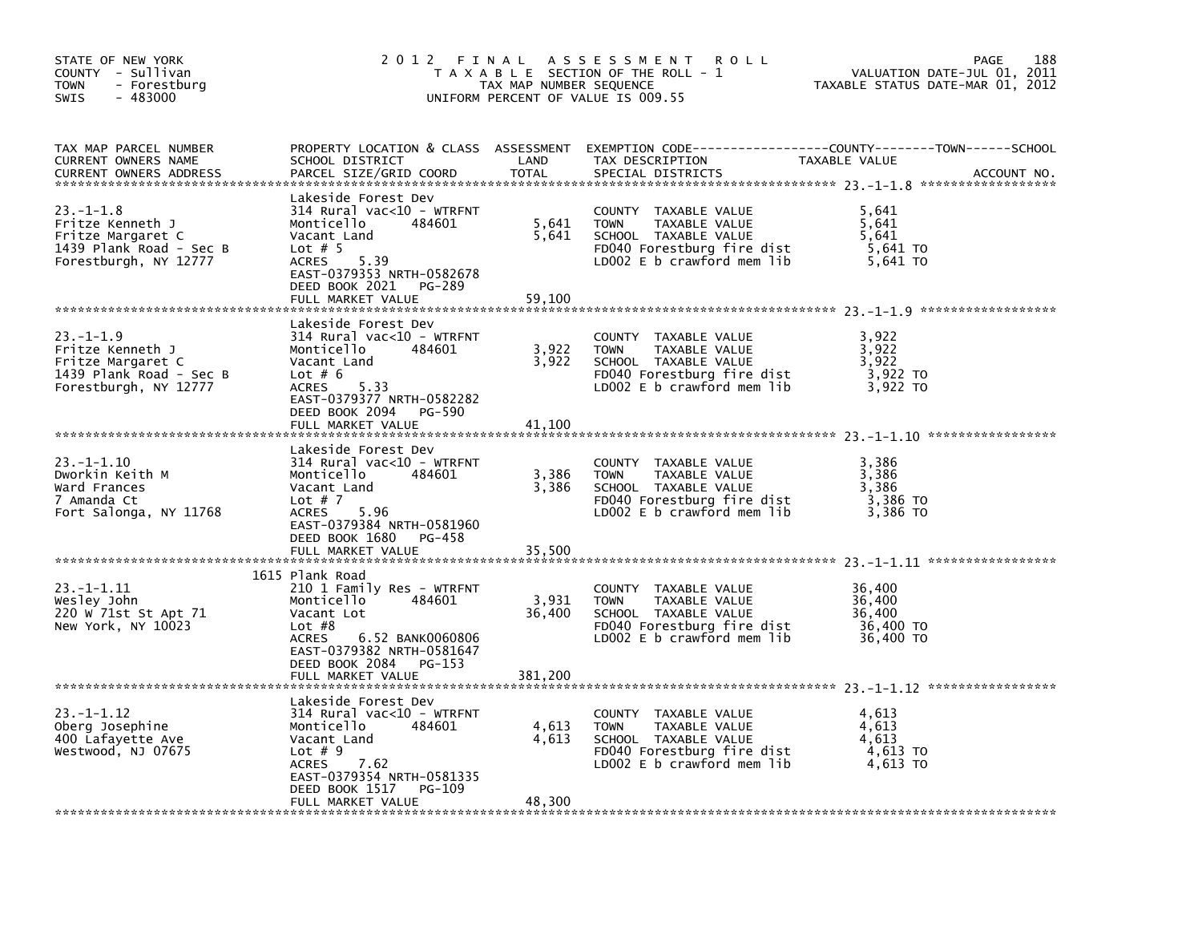| STATE OF NEW YORK<br>COUNTY - Sullivan<br><b>TOWN</b><br>- Forestburg<br>$-483000$<br><b>SWIS</b>            |                                                                                                                                                                                                            | TAX MAP NUMBER SEQUENCE    | 2012 FINAL ASSESSMENT<br>R O L L<br>T A X A B L E SECTION OF THE ROLL - 1<br>UNIFORM PERCENT OF VALUE IS 009.55                              | VALUATION DATE-JUL 01, 2011<br>TAXABLE STATUS DATE-MAR 01, 2012 | 188<br>PAGE |
|--------------------------------------------------------------------------------------------------------------|------------------------------------------------------------------------------------------------------------------------------------------------------------------------------------------------------------|----------------------------|----------------------------------------------------------------------------------------------------------------------------------------------|-----------------------------------------------------------------|-------------|
| TAX MAP PARCEL NUMBER<br>CURRENT OWNERS NAME<br><b>CURRENT OWNERS ADDRESS</b>                                | SCHOOL DISTRICT<br>PARCEL SIZE/GRID COORD                                                                                                                                                                  | LAND<br><b>TOTAL</b>       | PROPERTY LOCATION & CLASS ASSESSMENT EXEMPTION CODE---------------COUNTY-------TOWN-----SCHOOL<br>TAX DESCRIPTION<br>SPECIAL DISTRICTS       | TAXABLE VALUE                                                   | ACCOUNT NO. |
| $23. -1 - 1.8$<br>Fritze Kenneth J<br>Fritze Margaret C<br>1439 Plank Road - Sec B<br>Forestburgh, NY 12777  | Lakeside Forest Dev<br>314 Rural vac<10 - WTRFNT<br>Monticello<br>484601<br>Vacant Land<br>Lot $# 5$<br>5.39<br><b>ACRES</b><br>EAST-0379353 NRTH-0582678<br>DEED BOOK 2021<br>PG-289<br>FULL MARKET VALUE | 5,641<br>5,641<br>59,100   | COUNTY TAXABLE VALUE<br><b>TOWN</b><br>TAXABLE VALUE<br>SCHOOL TAXABLE VALUE<br>FD040 Forestburg fire dist<br>LD002 $E$ b crawford mem $lib$ | 5,641<br>5,641<br>5,641<br>5,641 TO<br>5,641 TO                 |             |
|                                                                                                              |                                                                                                                                                                                                            |                            |                                                                                                                                              |                                                                 |             |
| $23. - 1 - 1.9$<br>Fritze Kenneth J<br>Fritze Margaret C<br>1439 Plank Road - Sec B<br>Forestburgh, NY 12777 | Lakeside Forest Dev<br>314 Rural vac<10 - WTRFNT<br>Monticello<br>484601<br>Vacant Land<br>Lot $# 6$<br>5.33<br><b>ACRES</b><br>EAST-0379377 NRTH-0582282                                                  | 3,922<br>3,922             | COUNTY TAXABLE VALUE<br><b>TOWN</b><br>TAXABLE VALUE<br>SCHOOL TAXABLE VALUE<br>FD040 Forestburg fire dist<br>LD002 E b crawford mem lib     | 3,922<br>3,922<br>3,922<br>3,922 TO<br>3,922 TO                 |             |
|                                                                                                              | DEED BOOK 2094<br>PG-590<br>FULL MARKET VALUE                                                                                                                                                              | 41.100                     |                                                                                                                                              |                                                                 |             |
| $23. -1 - 1.10$<br>Dworkin Keith M<br>Ward Frances<br>7 Amanda Ct<br>Fort Salonga, NY 11768                  | Lakeside Forest Dev<br>$314$ Rural vac<10 - WTRFNT<br>Monticello<br>484601<br>Vacant Land<br>Lot $# 7$<br>5.96<br><b>ACRES</b><br>EAST-0379384 NRTH-0581960<br>PG-458                                      | 3,386<br>3,386             | COUNTY TAXABLE VALUE<br>TAXABLE VALUE<br><b>TOWN</b><br>SCHOOL TAXABLE VALUE<br>FD040 Forestburg fire dist<br>LD002 $E$ b crawford mem $lib$ | 3,386<br>3,386<br>3,386<br>3,386 TO<br>3,386 TO                 |             |
|                                                                                                              | DEED BOOK 1680<br>FULL MARKET VALUE                                                                                                                                                                        | 35,500                     |                                                                                                                                              |                                                                 |             |
| $23. -1 - 1.11$<br>Wesley John<br>220 W 71st St Apt 71<br>New York, NY 10023                                 | 1615 Plank Road<br>210 1 Family Res - WTRFNT<br>Monticello<br>484601<br>Vacant Lot<br>Lot $#8$<br>6.52 BANK0060806<br>ACRES<br>EAST-0379382 NRTH-0581647<br>DEED BOOK 2084<br>PG-153<br>FULL MARKET VALUE  | 3,931<br>36,400<br>381,200 | COUNTY TAXABLE VALUE<br><b>TOWN</b><br>TAXABLE VALUE<br>SCHOOL TAXABLE VALUE<br>FD040 Forestburg fire dist<br>LD002 $E$ b crawford mem lib   | 36,400<br>36,400<br>36,400<br>36,400 TO<br>36,400 TO            |             |
|                                                                                                              | Lakeside Forest Dev                                                                                                                                                                                        |                            |                                                                                                                                              |                                                                 |             |
| $23. -1 - 1.12$<br>Oberg Josephine<br>400 Lafayette Ave<br>Westwood, NJ 07675                                | $314$ Rural vac<10 - WTRFNT<br>Monticello<br>484601<br>Vacant Land<br>Lot $# 9$<br>ACRES<br>7.62<br>EAST-0379354 NRTH-0581335<br>DEED BOOK 1517<br>PG-109<br>FULL MARKET VALUE                             | 4,613<br>4,613<br>48,300   | COUNTY TAXABLE VALUE<br><b>TOWN</b><br>TAXABLE VALUE<br>SCHOOL TAXABLE VALUE<br>FD040 Forestburg fire dist<br>LD002 $E$ b crawford mem $lib$ | 4,613<br>4,613<br>4,613<br>4,613 TO<br>4,613 TO                 |             |
|                                                                                                              |                                                                                                                                                                                                            |                            |                                                                                                                                              |                                                                 |             |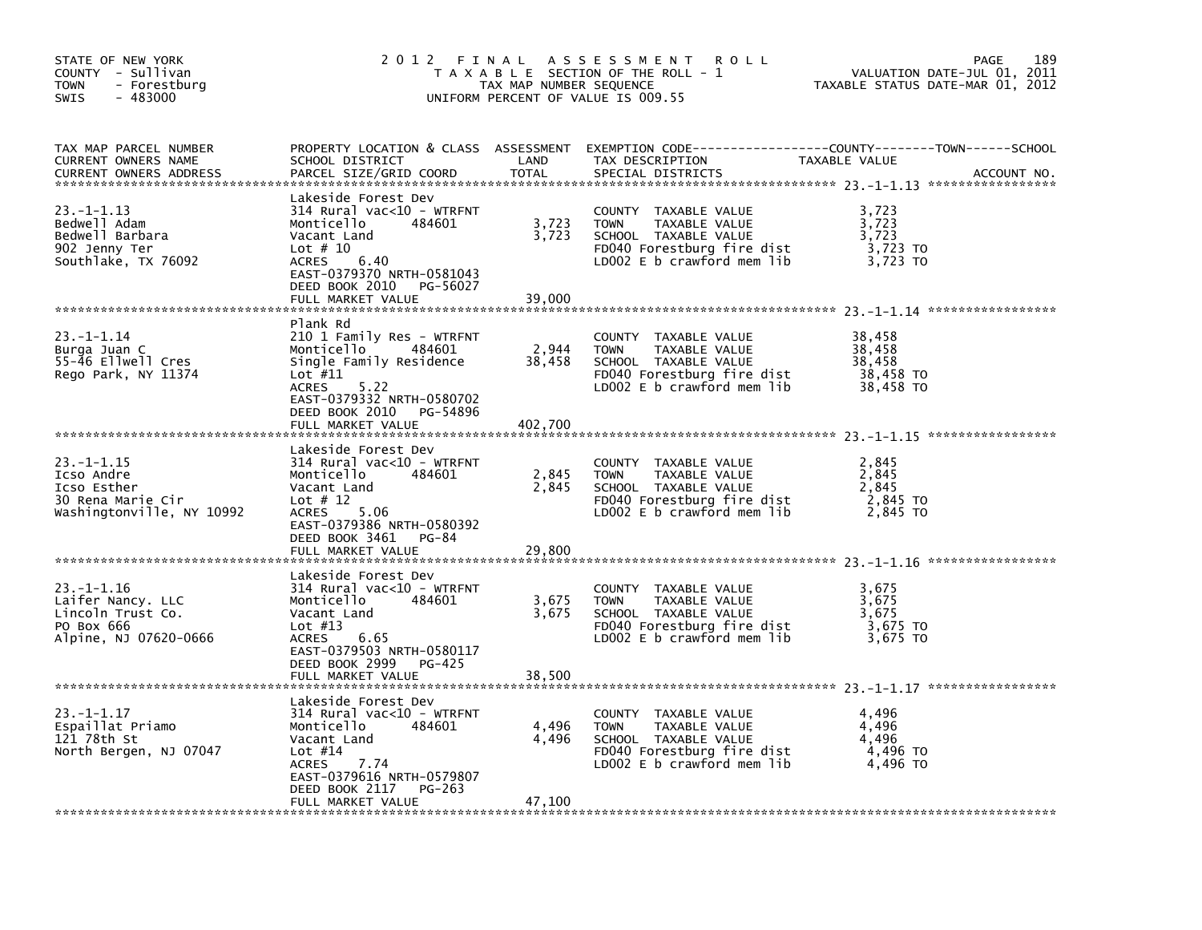| STATE OF NEW YORK<br>COUNTY - Sullivan<br><b>TOWN</b><br>- Forestburg<br>$-483000$<br><b>SWIS</b> | 2012 FINAL                                                                                                                                                                                                 | TAX MAP NUMBER SEQUENCE  | A S S E S S M E N T<br><b>ROLL</b><br>T A X A B L E SECTION OF THE ROLL - 1<br>UNIFORM PERCENT OF VALUE IS 009.55                            | VALUATION DATE-JUL 01, 2011<br>TAXABLE STATUS DATE-MAR 01, 2012 | 189<br>PAGE |
|---------------------------------------------------------------------------------------------------|------------------------------------------------------------------------------------------------------------------------------------------------------------------------------------------------------------|--------------------------|----------------------------------------------------------------------------------------------------------------------------------------------|-----------------------------------------------------------------|-------------|
| TAX MAP PARCEL NUMBER<br>CURRENT OWNERS NAME<br><b>CURRENT OWNERS ADDRESS</b>                     | SCHOOL DISTRICT<br>PARCEL SIZE/GRID COORD                                                                                                                                                                  | LAND<br>TOTAL            | PROPERTY LOCATION & CLASS ASSESSMENT EXEMPTION CODE---------------COUNTY-------TOWN-----SCHOOL<br>TAX DESCRIPTION<br>SPECIAL DISTRICTS       | TAXABLE VALUE                                                   | ACCOUNT NO. |
| $23. -1 - 1.13$<br>Bedwell Adam<br>Bedwell Barbara<br>902 Jenny Ter<br>Southlake, TX 76092        | Lakeside Forest Dev<br>314 Rural vac<10 - WTRFNT<br>484601<br>Monticello<br>Vacant Land<br>Lot $# 10$<br><b>ACRES</b><br>6.40<br>EAST-0379370 NRTH-0581043<br>DEED BOOK 2010<br>PG-56027                   | 3,723<br>3,723           | COUNTY TAXABLE VALUE<br>TAXABLE VALUE<br><b>TOWN</b><br>SCHOOL TAXABLE VALUE<br>FD040 Forestburg fire dist<br>LD002 E b crawford mem lib     | 3,723<br>3,723<br>3,723<br>3,723 TO<br>3,723 TO                 |             |
|                                                                                                   | FULL MARKET VALUE                                                                                                                                                                                          | 39,000                   |                                                                                                                                              |                                                                 |             |
| $23. - 1 - 1.14$<br>Burga Juan C<br>55-46 Ellwell Cres<br>Rego Park, NY 11374                     | Plank Rd<br>210 1 Family Res - WTRFNT<br>484601<br>Monticello<br>Single Family Residence<br>Lot $#11$<br>ACRES<br>5.22<br>EAST-0379332 NRTH-0580702                                                        | 2,944<br>38,458          | COUNTY TAXABLE VALUE<br><b>TOWN</b><br>TAXABLE VALUE<br>SCHOOL TAXABLE VALUE<br>FD040 Forestburg fire dist<br>LD002 E b crawford mem lib     | 38,458<br>38,458<br>38,458<br>38,458 TO<br>38,458 TO            |             |
|                                                                                                   | DEED BOOK 2010<br>PG-54896<br>FULL MARKET VALUE                                                                                                                                                            | 402,700                  |                                                                                                                                              |                                                                 |             |
| $23. -1 - 1.15$<br>Icso Andre<br>Icso Esther<br>30 Rena Marie Cir<br>Washingtonville, NY 10992    | Lakeside Forest Dev<br>$314$ Rural vac<10 - WTRFNT<br>Monticello<br>484601<br>Vacant Land<br>Lot $# 12$<br><b>ACRES</b><br>5.06<br>EAST-0379386 NRTH-0580392                                               | 2,845<br>2,845           | COUNTY TAXABLE VALUE<br>TAXABLE VALUE<br><b>TOWN</b><br>SCHOOL TAXABLE VALUE<br>FD040 Forestburg fire dist<br>LD002 E b crawford mem lib     | 2,845<br>2,845<br>2,845<br>2,845 TO<br>2.845 TO                 |             |
|                                                                                                   | DEED BOOK 3461 PG-84<br>FULL MARKET VALUE                                                                                                                                                                  | 29,800                   |                                                                                                                                              |                                                                 |             |
| $23. -1 - 1.16$<br>Laifer Nancy. LLC<br>Lincoln Trust Co.<br>PO Box 666<br>Alpine, NJ 07620-0666  | Lakeside Forest Dev<br>314 Rural vac<10 - WTRFNT<br>484601<br>Monticello<br>Vacant Land<br>Lot $#13$<br><b>ACRES</b><br>6.65<br>EAST-0379503 NRTH-0580117<br>DEED BOOK 2999<br>PG-425<br>FULL MARKET VALUE | 3,675<br>3,675<br>38,500 | COUNTY TAXABLE VALUE<br><b>TOWN</b><br>TAXABLE VALUE<br>SCHOOL TAXABLE VALUE<br>FD040 Forestburg fire dist<br>LD002 $E$ b crawford mem lib   | 3,675<br>3,675<br>3,675<br>3,675 TO<br>3,675 TO                 |             |
|                                                                                                   |                                                                                                                                                                                                            |                          |                                                                                                                                              |                                                                 |             |
| $23. -1 - 1.17$<br>Espaillat Priamo<br>121 78th St<br>North Bergen, NJ 07047                      | Lakeside Forest Dev<br>$314$ Rural vac<10 - WTRFNT<br>Monticello<br>484601<br>Vacant Land<br>Lot $#14$<br>ACRES<br>7.74<br>EAST-0379616 NRTH-0579807<br>DEED BOOK 2117<br>PG-263<br>FULL MARKET VALUE      | 4,496<br>4,496<br>47,100 | COUNTY TAXABLE VALUE<br><b>TOWN</b><br>TAXABLE VALUE<br>SCHOOL TAXABLE VALUE<br>FD040 Forestburg fire dist<br>LD002 $E$ b crawford mem $lib$ | 4,496<br>4,496<br>4,496<br>4,496 TO<br>4,496 TO                 |             |
|                                                                                                   |                                                                                                                                                                                                            |                          |                                                                                                                                              |                                                                 |             |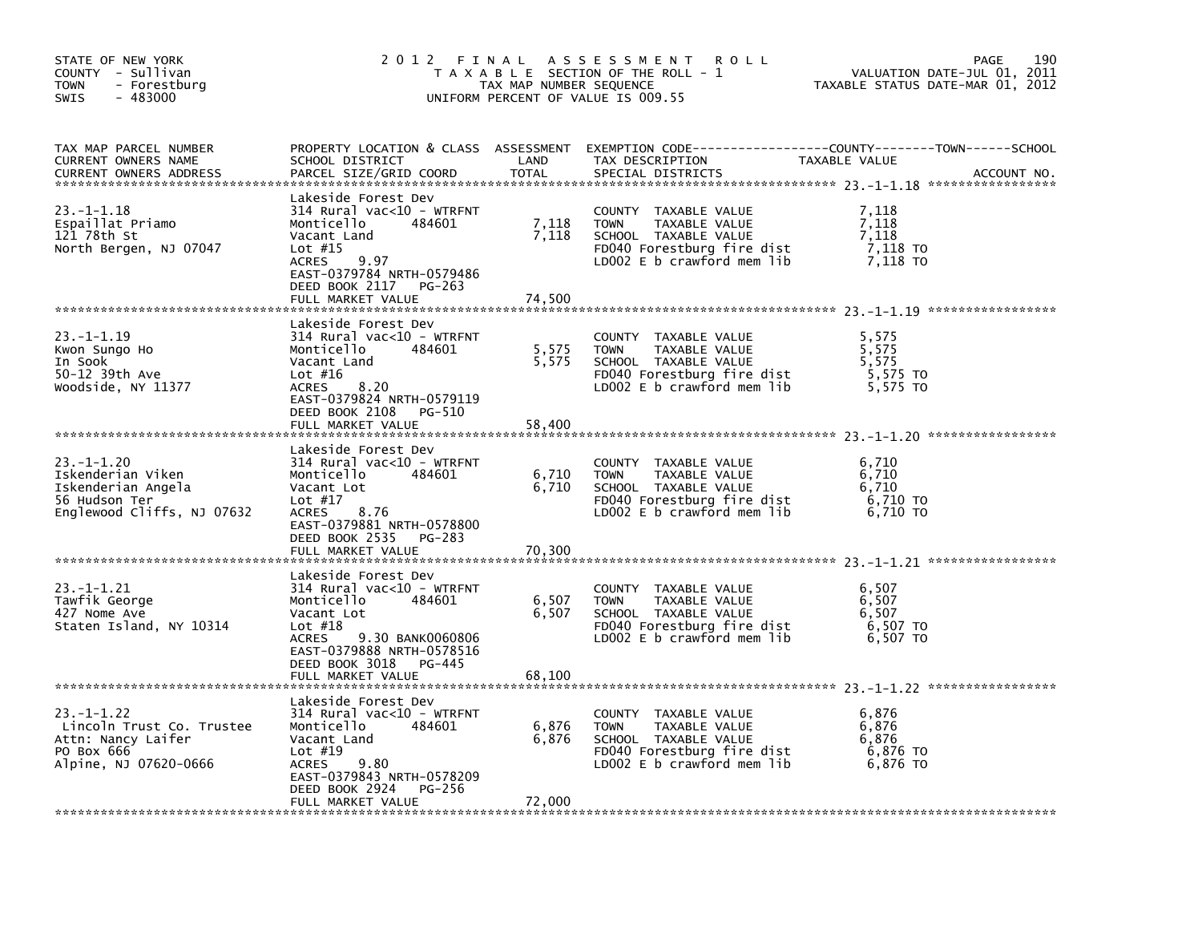| STATE OF NEW YORK<br>COUNTY - Sullivan<br><b>TOWN</b><br>- Forestburg<br>$-483000$<br><b>SWIS</b>         | 2012 FINAL                                                                                                                                                                                                     | TAX MAP NUMBER SEQUENCE  | A S S E S S M E N T<br><b>ROLL</b><br>T A X A B L E SECTION OF THE ROLL - 1<br>UNIFORM PERCENT OF VALUE IS 009.55                            | 190<br>PAGE<br>VALUATION DATE-JUL 01, 2011<br>TAXABLE STATUS DATE-MAR 01, 2012                                                 |
|-----------------------------------------------------------------------------------------------------------|----------------------------------------------------------------------------------------------------------------------------------------------------------------------------------------------------------------|--------------------------|----------------------------------------------------------------------------------------------------------------------------------------------|--------------------------------------------------------------------------------------------------------------------------------|
| TAX MAP PARCEL NUMBER<br>CURRENT OWNERS NAME<br><b>CURRENT OWNERS ADDRESS</b>                             | SCHOOL DISTRICT<br>PARCEL SIZE/GRID COORD                                                                                                                                                                      | LAND<br>TOTAL            | TAX DESCRIPTION<br>SPECIAL DISTRICTS                                                                                                         | PROPERTY LOCATION & CLASS ASSESSMENT EXEMPTION CODE---------------COUNTY-------TOWN-----SCHOOL<br>TAXABLE VALUE<br>ACCOUNT NO. |
| 23. -1-1.18<br>Espaillat Priamo<br>121 78th St<br>North Bergen, NJ 07047                                  | Lakeside Forest Dev<br>314 Rural vac<10 - WTRFNT<br>484601<br>Monticello<br>Vacant Land<br>Lot $#15$<br><b>ACRES</b><br>9.97<br>EAST-0379784 NRTH-0579486<br>DEED BOOK 2117<br>PG-263                          | 7,118<br>7,118           | COUNTY TAXABLE VALUE<br>TAXABLE VALUE<br><b>TOWN</b><br>SCHOOL TAXABLE VALUE<br>FD040 Forestburg fire dist<br>LD002 E b crawford mem lib     | 7.118<br>7,118<br>7,118<br>7,118 то<br>7,118 TO                                                                                |
|                                                                                                           | FULL MARKET VALUE                                                                                                                                                                                              | 74,500                   |                                                                                                                                              |                                                                                                                                |
| $23. -1 - 1.19$<br>Kwon Sungo Ho<br>In Sook<br>50-12 39th Ave<br>Woodside, NY 11377                       | Lakeside Forest Dev<br>$314$ Rural vac<10 - WTRFNT<br>Monticello<br>484601<br>Vacant Land<br>Lot $#16$<br>8.20<br>ACRES<br>EAST-0379824 NRTH-0579119                                                           | 5,575<br>5,575           | COUNTY TAXABLE VALUE<br><b>TOWN</b><br>TAXABLE VALUE<br>SCHOOL TAXABLE VALUE<br>FD040 Forestburg fire dist<br>LD002 $E$ b crawford mem $lib$ | 5,575<br>5,575<br>5,575<br>5,575 TO<br>5,575 TO                                                                                |
|                                                                                                           | DEED BOOK 2108<br>PG-510<br>FULL MARKET VALUE                                                                                                                                                                  | 58,400                   |                                                                                                                                              |                                                                                                                                |
| $23. -1 - 1.20$<br>Iskenderian Viken<br>Iskenderian Angela<br>56 Hudson Ter<br>Englewood Cliffs, NJ 07632 | Lakeside Forest Dev<br>$314$ Rural vac<10 - WTRFNT<br>484601<br>Monticello<br>Vacant Lot<br>Lot $#17$<br><b>ACRES</b><br>8.76<br>EAST-0379881 NRTH-0578800<br>DEED BOOK 2535<br>PG-283                         | 6,710<br>6,710           | COUNTY TAXABLE VALUE<br>TAXABLE VALUE<br><b>TOWN</b><br>SCHOOL TAXABLE VALUE<br>FD040 Forestburg fire dist<br>LD002 E b crawford mem lib     | 6,710<br>6,710<br>6,710<br>6,710 TO<br>6.710 TO                                                                                |
|                                                                                                           | FULL MARKET VALUE                                                                                                                                                                                              | 70,300                   |                                                                                                                                              |                                                                                                                                |
| $23. -1 - 1.21$<br>Tawfik George<br>427 Nome Ave<br>Staten Island, NY 10314                               | Lakeside Forest Dev<br>314 Rural vac<10 - WTRFNT<br>Monticello<br>484601<br>Vacant Lot<br>Lot $#18$<br>9.30 BANK0060806<br>ACRES<br>EAST-0379888 NRTH-0578516<br>DEED BOOK 3018<br>PG-445<br>FULL MARKET VALUE | 6,507<br>6,507<br>68,100 | COUNTY TAXABLE VALUE<br><b>TOWN</b><br>TAXABLE VALUE<br>SCHOOL TAXABLE VALUE<br>FD040 Forestburg fire dist<br>LD002 E b crawford mem lib     | 6,507<br>6,507<br>6,507<br>6,507 TO<br>6,507 TO                                                                                |
| $23. -1 - 1.22$<br>Lincoln Trust Co. Trustee<br>Attn: Nancy Laiter<br>PO Box 666<br>Alpine, NJ 07620-0666 | Lakeside Forest Dev<br>$314$ Rural vac<10 - WTRFNT<br>Monticello<br>484601<br>Vacant Land<br>Lot $#19$<br>ACRES<br>9.80<br>EAST-0379843 NRTH-0578209<br>DEED BOOK 2924<br>PG-256<br>FULL MARKET VALUE          | 6,876<br>6,876<br>72,000 | COUNTY TAXABLE VALUE<br><b>TOWN</b><br>TAXABLE VALUE<br>SCHOOL TAXABLE VALUE<br>FD040 Forestburg fire dist<br>LD002 $E$ b crawford mem $lib$ | 6,876<br>6,876<br>6,876<br>6,876 TO<br>6,876 TO                                                                                |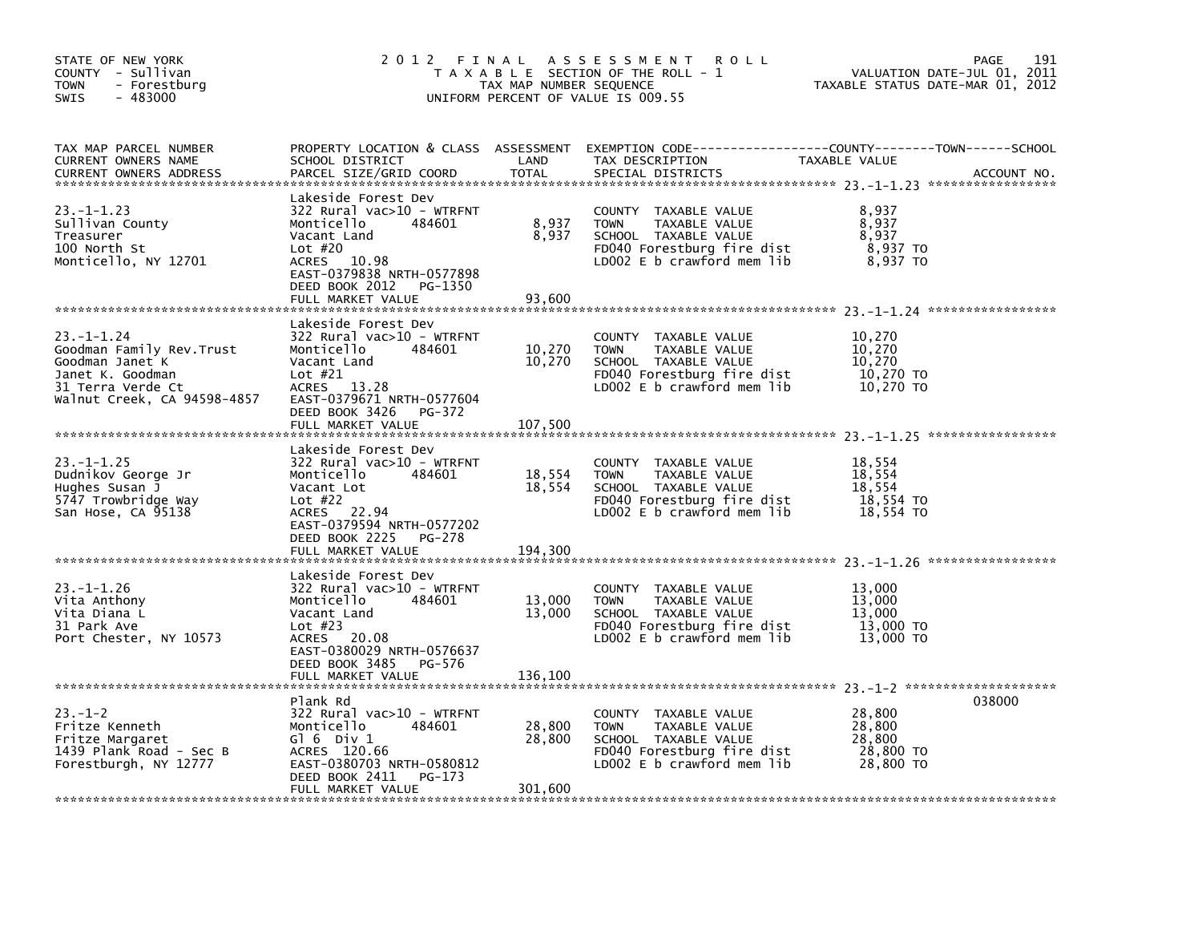| STATE OF NEW YORK<br>COUNTY - Sullivan<br><b>TOWN</b><br>- Forestburg<br>$-483000$<br>SWIS                                             | 2012 FINAL<br>T A X A B L E SECTION OF THE ROLL - 1<br>TAX MAP NUMBER SEQUENCE<br>UNIFORM PERCENT OF VALUE IS 009.55                                                                                        | 191<br>PAGE<br>VALUATION DATE-JUL 01, 2011<br>TAXABLE STATUS DATE-MAR 01, 2012 |                                                                                                                                            |                                                      |             |
|----------------------------------------------------------------------------------------------------------------------------------------|-------------------------------------------------------------------------------------------------------------------------------------------------------------------------------------------------------------|--------------------------------------------------------------------------------|--------------------------------------------------------------------------------------------------------------------------------------------|------------------------------------------------------|-------------|
| TAX MAP PARCEL NUMBER<br>CURRENT OWNERS NAME<br><b>CURRENT OWNERS ADDRESS</b>                                                          | PROPERTY LOCATION & CLASS ASSESSMENT<br>SCHOOL DISTRICT<br>PARCEL SIZE/GRID COORD                                                                                                                           | LAND<br><b>TOTAL</b>                                                           | TAX DESCRIPTION<br>SPECIAL DISTRICTS                                                                                                       | TAXABLE VALUE                                        | ACCOUNT NO. |
| $23. -1 - 1.23$<br>Sullivan County<br>Treasurer<br>100 North St<br>Monticello, NY 12701                                                | Lakeside Forest Dev<br>$322$ Rural vac $>10$ - WTRFNT<br>Monticello<br>484601<br>Vacant Land<br>Lot $#20$<br>ACRES 10.98<br>EAST-0379838 NRTH-0577898<br>DEED BOOK 2012<br>PG-1350<br>FULL MARKET VALUE     | 8,937<br>8,937<br>93,600                                                       | COUNTY TAXABLE VALUE<br><b>TOWN</b><br>TAXABLE VALUE<br>SCHOOL TAXABLE VALUE<br>FD040 Forestburg fire dist<br>LD002 E b crawford mem lib   | 8,937<br>8,937<br>8,937<br>$8,937$ TO<br>8,937 TO    |             |
| $23 - 1 - 1.24$<br>Goodman Family Rev.Trust<br>Goodman Janet K<br>Janet K. Goodman<br>31 Terra Verde Ct<br>Walnut Creek, CA 94598-4857 | Lakeside Forest Dev<br>322 Rural vac>10 - WTRFNT<br>Monticello<br>484601<br>Vacant Land<br>Lot $#21$<br>13.28<br><b>ACRES</b><br>EAST-0379671 NRTH-0577604<br>DEED BOOK 3426<br>PG-372<br>FULL MARKET VALUE | 10,270<br>10,270<br>107.500                                                    | COUNTY TAXABLE VALUE<br><b>TOWN</b><br>TAXABLE VALUE<br>SCHOOL TAXABLE VALUE<br>FD040 Forestburg fire dist<br>LD002 $E$ b crawford mem lib | 10,270<br>10,270<br>10,270<br>10,270 TO<br>10,270 TO |             |
| $23. - 1 - 1.25$<br>Dudnikov George Jr<br>Hughes Susan J<br>5747 Trowbridge Way<br>San Hose, CA 95138                                  | Lakeside Forest Dev<br>322 Rural vac>10 - WTRFNT<br>Monticello<br>484601<br>Vacant Lot<br>Lot $#22$<br>22.94<br>ACRES<br>EAST-0379594 NRTH-0577202<br>DEED BOOK 2225<br>PG-278<br>FULL MARKET VALUE         | 18,554<br>18,554<br>194,300                                                    | COUNTY TAXABLE VALUE<br><b>TOWN</b><br>TAXABLE VALUE<br>SCHOOL TAXABLE VALUE<br>FD040 Forestburg fire dist<br>LD002 E b crawford mem lib   | 18,554<br>18,554<br>18,554<br>18,554 TO<br>18,554 TO |             |
| $23. - 1 - 1.26$<br>Vita Anthony<br>Vita Diana L<br>31 Park Ave<br>Port Chester, NY 10573                                              | Lakeside Forest Dev<br>322 Rural vac>10 - WTRFNT<br>Monticello<br>484601<br>Vacant Land<br>Lot $#23$<br><b>ACRES</b><br>20.08<br>EAST-0380029 NRTH-0576637<br>DEED BOOK 3485<br>PG-576<br>FULL MARKET VALUE | 13,000<br>13,000<br>136,100                                                    | COUNTY TAXABLE VALUE<br><b>TOWN</b><br>TAXABLE VALUE<br>SCHOOL TAXABLE VALUE<br>FD040 Forestburg fire dist<br>LD002 E b crawford mem lib   | 13,000<br>13,000<br>13,000<br>13,000 TO<br>13,000 TO |             |
| $23 - 1 - 2$<br>Fritze Kenneth<br>Fritze Margaret<br>1439 Plank Road - Sec B<br>Forestburgh, NY 12777                                  | Plank Rd<br>322 Rural vac>10 - WTRFNT<br>Monticello<br>484601<br>G $\overline{0}$ 6 Div 1<br>ACRES 120.66<br>EAST-0380703 NRTH-0580812<br>DEED BOOK 2411<br>PG-173<br>FULL MARKET VALUE                     | 28,800<br>28,800<br>301,600                                                    | COUNTY TAXABLE VALUE<br><b>TOWN</b><br>TAXABLE VALUE<br>SCHOOL TAXABLE VALUE<br>FD040 Forestburg fire dist<br>LD002 E b crawford mem lib   | 28,800<br>28,800<br>28,800<br>28,800 TO<br>28,800 TO | 038000      |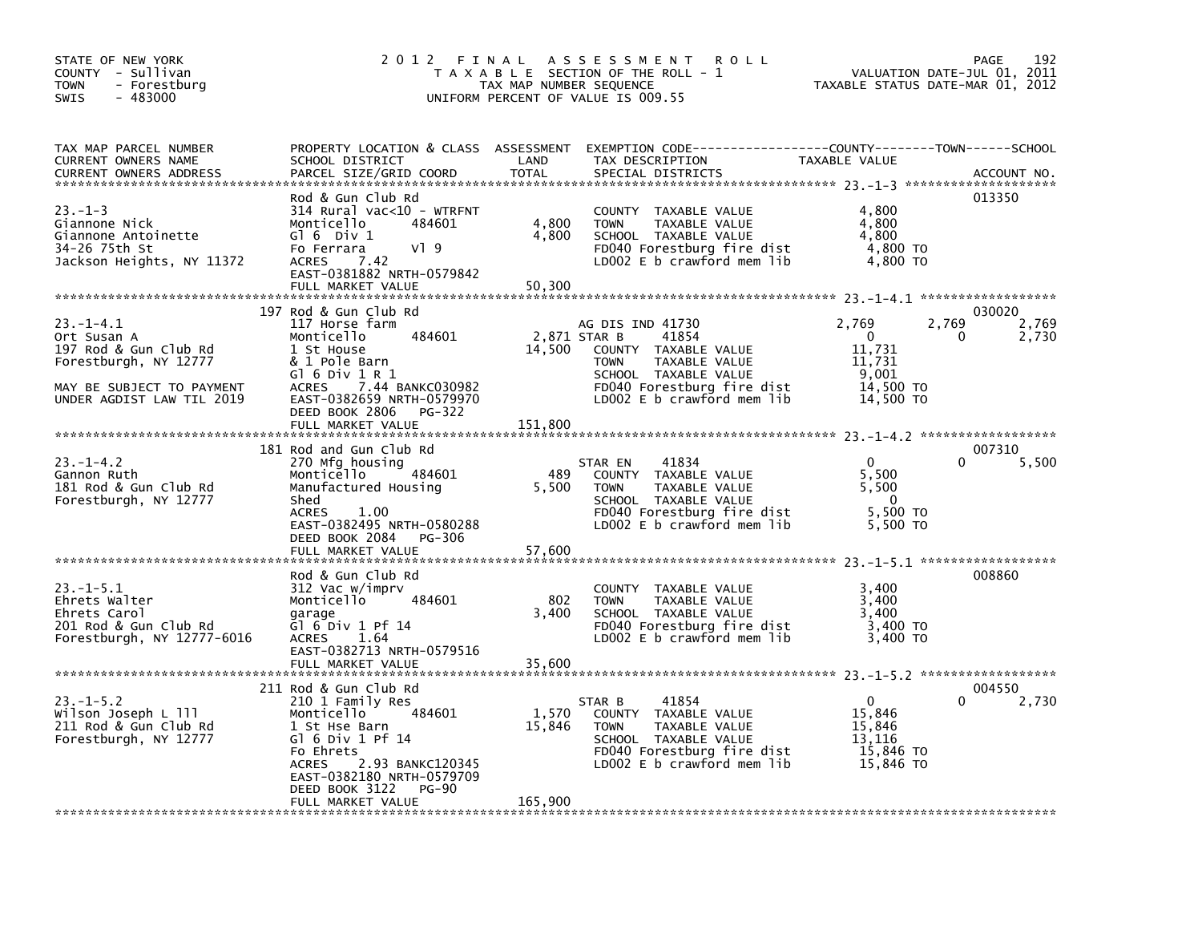| STATE OF NEW YORK<br>COUNTY - Sullivan<br><b>TOWN</b><br>- Forestburg<br>$-483000$<br>SWIS                                                | 2 0 1 2<br>FINAL                                                                                                                                                                                                                              | TAX MAP NUMBER SEQUENCE    | A S S E S S M E N T<br><b>ROLL</b><br>T A X A B L E SECTION OF THE ROLL - 1<br>UNIFORM PERCENT OF VALUE IS 009.55                                                                     | VALUATION DATE-JUL 01,<br>TAXABLE STATUS DATE-MAR 01, 2012                     | 192<br>PAGE<br>2011                    |
|-------------------------------------------------------------------------------------------------------------------------------------------|-----------------------------------------------------------------------------------------------------------------------------------------------------------------------------------------------------------------------------------------------|----------------------------|---------------------------------------------------------------------------------------------------------------------------------------------------------------------------------------|--------------------------------------------------------------------------------|----------------------------------------|
| TAX MAP PARCEL NUMBER<br>CURRENT OWNERS NAME<br><b>CURRENT OWNERS ADDRESS</b>                                                             | PROPERTY LOCATION & CLASS ASSESSMENT<br>SCHOOL DISTRICT<br>PARCEL SIZE/GRID COORD                                                                                                                                                             | LAND<br><b>TOTAL</b>       | TAX DESCRIPTION<br>SPECIAL DISTRICTS                                                                                                                                                  | TAXABLE VALUE                                                                  | ACCOUNT NO.                            |
| $23. - 1 - 3$<br>Giannone Nick<br>Giannone Antoinette<br>34-26 75th St<br>Jackson Heights, NY 11372                                       | Rod & Gun Club Rd<br>$314$ Rural vac<10 - WTRFNT<br>484601<br>Monticello<br>$G1 6$ Div $1$<br>Fo Ferrara<br>$V$ ] 9<br>7.42<br><b>ACRES</b><br>EAST-0381882 NRTH-0579842<br>FULL MARKET VALUE                                                 | 4,800<br>4,800<br>50,300   | COUNTY TAXABLE VALUE<br>TAXABLE VALUE<br><b>TOWN</b><br>SCHOOL TAXABLE VALUE<br>FD040 Forestburg fire dist<br>LD002 E b crawford mem lib                                              | 4,800<br>4,800<br>4,800<br>4,800 TO<br>4,800 TO                                | 013350                                 |
| $23 - 1 - 4.1$<br>Ort Susan A<br>197 Rod & Gun Club Rd<br>Forestburgh, NY 12777<br>MAY BE SUBJECT TO PAYMENT<br>UNDER AGDIST LAW TIL 2019 | 197 Rod & Gun Club Rd<br>117 Horse farm<br>Monticello<br>484601<br>1 St House<br>& 1 Pole Barn<br>$G1$ 6 Div 1 R 1<br>7.44 BANKC030982<br><b>ACRES</b><br>EAST-0382659 NRTH-0579970<br>DEED BOOK 2806<br>PG-322<br>FULL MARKET VALUE          | 14,500<br>151,800          | AG DIS IND 41730<br>2,871 STAR B<br>41854<br>COUNTY TAXABLE VALUE<br>TAXABLE VALUE<br><b>TOWN</b><br>SCHOOL TAXABLE VALUE<br>FD040 Forestburg fire dist<br>LD002 E b crawford mem lib | 2,769<br>$\overline{0}$<br>11,731<br>11,731<br>9,001<br>14,500 TO<br>14,500 TO | 030020<br>2,769<br>2,769<br>0<br>2,730 |
| 23. – 1–4.2<br>Gannon Ruth<br>181 Rod & Gun Club Rd<br>Forestburgh, NY 12777                                                              | 181 Rod and Gun Club Rd<br>270 Mfg housing<br>Monticello<br>484601<br>Manufactured Housing<br>Shed<br><b>ACRES</b><br>1.00<br>EAST-0382495 NRTH-0580288<br>DEED BOOK 2084<br>PG-306<br>FULL MARKET VALUE                                      | 489<br>5,500<br>57,600     | 41834<br>STAR EN<br>COUNTY TAXABLE VALUE<br>TAXABLE VALUE<br><b>TOWN</b><br>SCHOOL TAXABLE VALUE<br>FD040 Forestburg fire dist<br>LD002 E b crawford mem lib                          | $\mathbf 0$<br>5,500<br>5,500<br>$\Omega$<br>5,500 TO<br>5,500 TO              | 007310<br>5,500<br>0                   |
| 23.-1-5.1<br>Ehrets Walter<br>Ehrets Carol<br>201 Rod & Gun Club Rd<br>Forestburgh, NY 12777-6016                                         | Rod & Gun Club Rd<br>312 Vac w/imprv<br>Monticello<br>484601<br>garage<br>$G1$ 6 Div 1 Pf 14<br>1.64<br><b>ACRES</b><br>EAST-0382713 NRTH-0579516<br>FULL MARKET VALUE                                                                        | 802<br>3,400<br>35,600     | COUNTY TAXABLE VALUE<br><b>TOWN</b><br>TAXABLE VALUE<br>SCHOOL TAXABLE VALUE<br>FD040 Forestburg fire dist<br>LD002 E b crawford mem lib                                              | 3,400<br>3.400<br>3,400<br>3,400 TO<br>3,400 TO                                | 008860                                 |
| $23. - 1 - 5.2$<br>Wilson Joseph L 111<br>211 Rod & Gun Club Rd<br>Forestburgh, NY 12777                                                  | 211 Rod & Gun Club Rd<br>210 1 Family Res<br>Monticello<br>484601<br>1 St Hse Barn<br>Gl $6$ Div 1 Pf 14<br>Fo Ehrets<br>2.93 BANKC120345<br><b>ACRES</b><br>EAST-0382180 NRTH-0579709<br>DEED BOOK 3122<br><b>PG-90</b><br>FULL MARKET VALUE | 1,570<br>15,846<br>165,900 | 41854<br>STAR B<br>COUNTY TAXABLE VALUE<br>TAXABLE VALUE<br><b>TOWN</b><br>SCHOOL TAXABLE VALUE<br>FD040 Forestburg fire dist<br>LD002 E b crawford mem lib                           | $\mathbf{0}$<br>15,846<br>15,846<br>13,116<br>15,846 TO<br>15,846 TO           | 004550<br>$\Omega$<br>2,730            |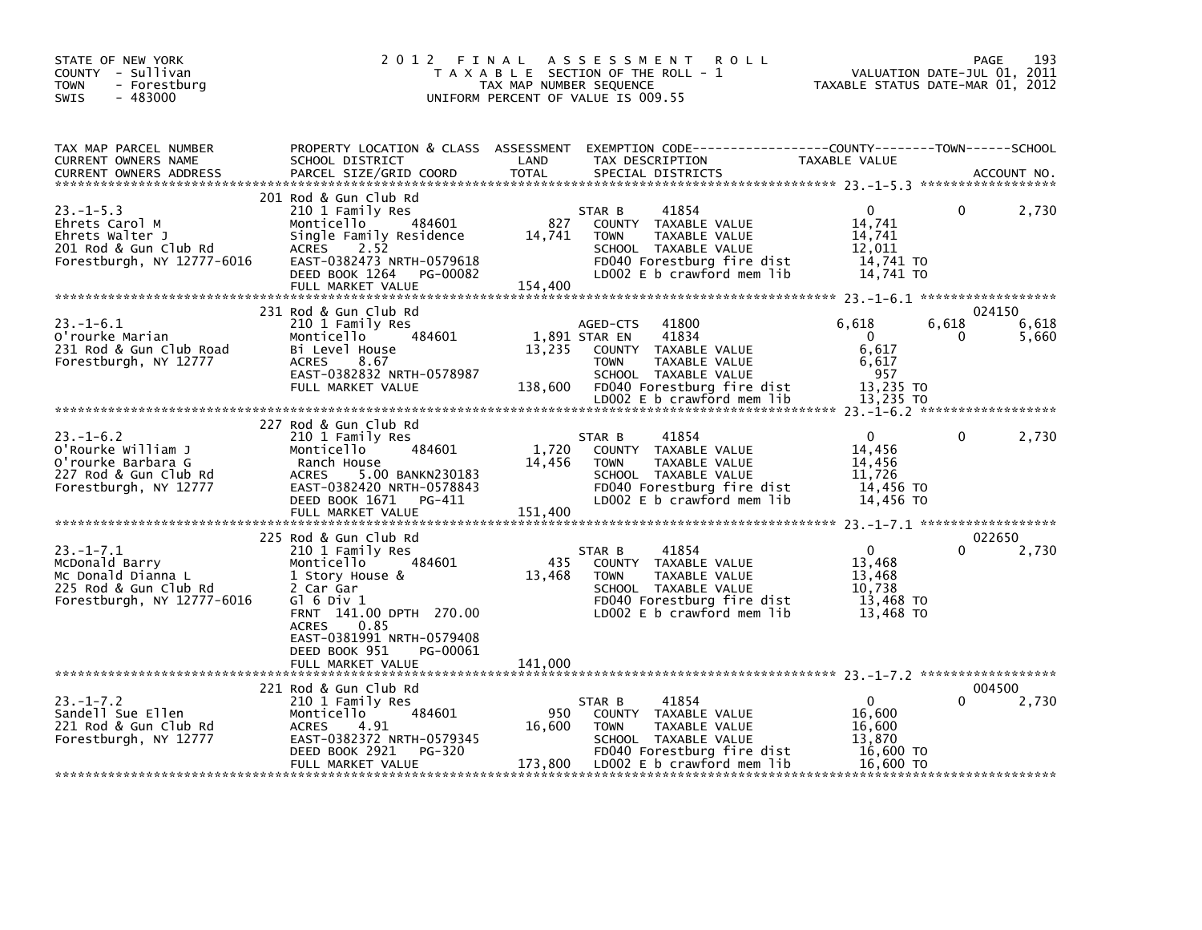| STATE OF NEW YORK<br>COUNTY - Sullivan<br><b>TOWN</b><br>- Forestburg<br>$-483000$<br>SWIS                    | 2 0 1 2<br>FINAL                                                                                                                                                                                                                                    | TAX MAP NUMBER SEQUENCE    | A S S E S S M E N T<br><b>ROLL</b><br>T A X A B L E SECTION OF THE ROLL - 1<br>UNIFORM PERCENT OF VALUE IS 009.55                                                                               | VALUATION DATE-JUL 01, 2011<br>TAXABLE STATUS DATE-MAR 01, 2012      |                 | 193<br>PAGE              |
|---------------------------------------------------------------------------------------------------------------|-----------------------------------------------------------------------------------------------------------------------------------------------------------------------------------------------------------------------------------------------------|----------------------------|-------------------------------------------------------------------------------------------------------------------------------------------------------------------------------------------------|----------------------------------------------------------------------|-----------------|--------------------------|
| TAX MAP PARCEL NUMBER<br>CURRENT OWNERS NAME<br><b>CURRENT OWNERS ADDRESS</b>                                 | SCHOOL DISTRICT<br>PARCEL SIZE/GRID COORD                                                                                                                                                                                                           | LAND<br><b>TOTAL</b>       | PROPERTY LOCATION & CLASS ASSESSMENT EXEMPTION CODE---------------COUNTY-------TOWN------SCHOOL<br>TAX DESCRIPTION<br>SPECIAL DISTRICTS                                                         | TAXABLE VALUE                                                        |                 | ACCOUNT NO.              |
| $23 - 1 - 5.3$<br>Ehrets Carol M<br>Ehrets Walter J<br>201 Rod & Gun Club Rd<br>Forestburgh, NY 12777-6016    | 201 Rod & Gun Club Rd<br>210 1 Family Res<br>484601<br>Monticello<br>Single Family Residence<br>2.52<br>ACRES<br>EAST-0382473 NRTH-0579618<br>DEED BOOK 1264<br>PG-00082<br>FULL MARKET VALUE                                                       | 827<br>14,741<br>154,400   | 41854<br>STAR B<br>COUNTY TAXABLE VALUE<br><b>TOWN</b><br>TAXABLE VALUE<br>SCHOOL TAXABLE VALUE<br>FD040 Forestburg fire dist<br>LD002 E b crawford mem lib                                     | $\Omega$<br>14,741<br>14,741<br>12.011<br>14,741 TO<br>14,741 TO     | 0               | 2,730                    |
| $23. - 1 - 6.1$<br>O'rourke Marian<br>231 Rod & Gun Club Road<br>Forestburgh, NY 12777                        | 231 Rod & Gun Club Rd<br>210 1 Family Res<br>484601<br>Monticello<br>Bi Level House<br>8.67<br><b>ACRES</b><br>EAST-0382832 NRTH-0578987<br>FULL MARKET VALUE                                                                                       | 13,235                     | 41800<br>AGED-CTS<br>1,891 STAR EN<br>41834<br>COUNTY TAXABLE VALUE<br><b>TOWN</b><br>TAXABLE VALUE<br>SCHOOL TAXABLE VALUE<br>138,600 FD040 Forestburg fire dist<br>LD002 E b crawford mem lib | 6,618<br>$\Omega$<br>6,617<br>6,617<br>957<br>13,235 TO<br>13,235 TO | 6,618<br>$_{0}$ | 024150<br>6,618<br>5,660 |
| $23. - 1 - 6.2$<br>o'Rourke William J<br>O'rourke Barbara G<br>227 Rod & Gun Club Rd<br>Forestburgh, NY 12777 | 227 Rod & Gun Club Rd<br>210 1 Family Res<br>484601<br>Monticello<br>Ranch House<br>5.00 BANKN230183<br>ACRES<br>EAST-0382420 NRTH-0578843<br>DEED BOOK 1671<br>PG-411<br>FULL MARKET VALUE                                                         | 1,720<br>14,456<br>151,400 | 41854<br>STAR B<br>COUNTY TAXABLE VALUE<br><b>TOWN</b><br>TAXABLE VALUE<br>SCHOOL TAXABLE VALUE<br>FD040 Forestburg fire dist<br>LD002 E b crawford mem lib                                     | $\mathbf{0}$<br>14,456<br>14,456<br>11,726<br>14,456 TO<br>14,456 TO | 0               | 2,730                    |
| $23. -1 - 7.1$<br>McDonald Barry<br>Mc Donald Dianna L<br>225 Rod & Gun Club Rd<br>Forestburgh, NY 12777-6016 | 225 Rod & Gun Club Rd<br>210 1 Family Res<br>484601<br>Monticello<br>1 Story House &<br>2 Car Gar<br>$G1$ 6 Div 1<br>FRNT 141.00 DPTH 270.00<br><b>ACRES</b><br>0.85<br>EAST-0381991 NRTH-0579408<br>DEED BOOK 951<br>PG-00061<br>FULL MARKET VALUE | 435<br>13,468<br>141,000   | 41854<br>STAR B<br>COUNTY TAXABLE VALUE<br><b>TOWN</b><br>TAXABLE VALUE<br>SCHOOL TAXABLE VALUE<br>FD040 Forestburg fire dist<br>LD002 E b crawford mem lib                                     | $\mathbf{0}$<br>13,468<br>13,468<br>10,738<br>13,468 TO<br>13,468 TO | 0               | 022650<br>2,730          |
| $23. - 1 - 7.2$<br>Sandell Sue Ellen<br>221 Rod & Gun Club Rd<br>Forestburgh, NY 12777                        | 221 Rod & Gun Club Rd<br>210 1 Family Res<br>484601<br>Monticello<br>4.91<br><b>ACRES</b><br>EAST-0382372 NRTH-0579345<br>DEED BOOK 2921<br>PG-320<br>FULL MARKET VALUE                                                                             | 950<br>16,600<br>173,800   | 41854<br>STAR B<br>COUNTY TAXABLE VALUE<br><b>TOWN</b><br>TAXABLE VALUE<br>SCHOOL TAXABLE VALUE<br>FD040 Forestburg fire dist<br>LD002 E b crawford mem lib                                     | $\mathbf 0$<br>16,600<br>16,600<br>13,870<br>16,600 TO<br>16,600 TO  |                 | 004500<br>2,730          |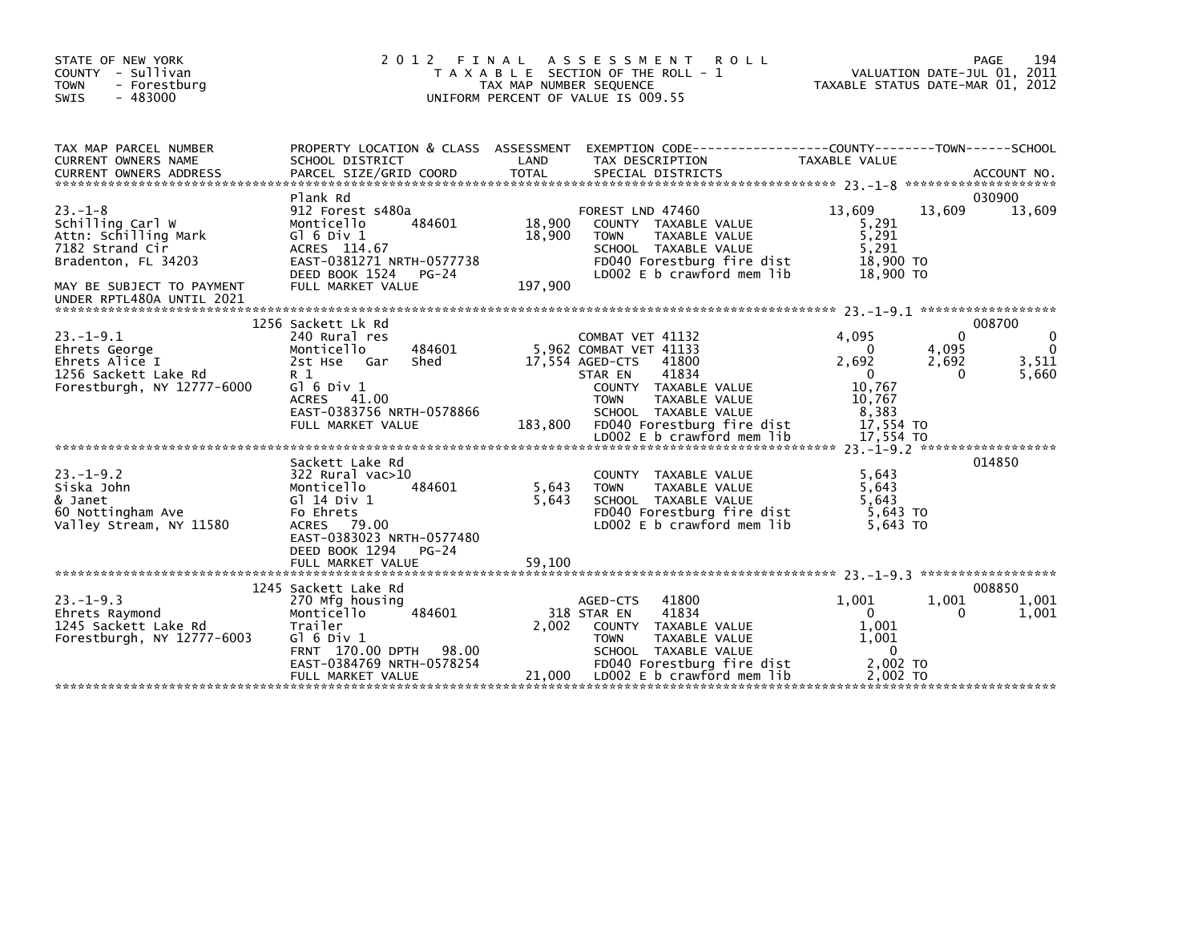| STATE OF NEW YORK<br>COUNTY - Sullivan<br><b>TOWN</b><br>- Forestburg<br>$-483000$<br>SWIS                                                                   | 2 0 1 2                                                                                                                                                                                | FINAL<br>TAX MAP NUMBER SEQUENCE | A S S E S S M E N T<br><b>ROLL</b><br>T A X A B L E SECTION OF THE ROLL - 1<br>UNIFORM PERCENT OF VALUE IS 009.55                                                                                        |                                                                           | 194<br>PAGE<br>VALUATION DATE-JUL 01, 2011<br>TAXABLE STATUS DATE-MAR 01, 2012 |
|--------------------------------------------------------------------------------------------------------------------------------------------------------------|----------------------------------------------------------------------------------------------------------------------------------------------------------------------------------------|----------------------------------|----------------------------------------------------------------------------------------------------------------------------------------------------------------------------------------------------------|---------------------------------------------------------------------------|--------------------------------------------------------------------------------|
| TAX MAP PARCEL NUMBER<br>CURRENT OWNERS NAME                                                                                                                 | PROPERTY LOCATION & CLASS ASSESSMENT<br>SCHOOL DISTRICT                                                                                                                                | LAND                             | EXEMPTION CODE-----------------COUNTY-------TOWN------SCHOOL<br>TAX DESCRIPTION                                                                                                                          | TAXABLE VALUE                                                             |                                                                                |
| $23 - 1 - 8$<br>Schilling Carl W<br>Attn: Schilling Mark<br>7182 Strand Cir<br>Bradenton, FL 34203<br>MAY BE SUBJECT TO PAYMENT<br>UNDER RPTL480A UNTIL 2021 | Plank Rd<br>912 Forest s480a<br>484601<br>Monticello<br>$G$ ] 6 Div 1<br>ACRES 114.67<br>EAST-0381271 NRTH-0577738<br>DEED BOOK 1524 PG-24<br>FULL MARKET VALUE                        | 18,900<br>18,900<br>197,900      | FOREST LND 47460<br>COUNTY TAXABLE VALUE<br>TAXABLE VALUE<br><b>TOWN</b><br>SCHOOL TAXABLE VALUE<br>FD040 Forestburg fire dist<br>LD002 E b crawford mem lib                                             | 13,609<br>5,291<br>5,291<br>5,291<br>18,900 TO<br>18,900 TO               | 030900<br>13,609<br>13,609                                                     |
| $23 - 1 - 9.1$<br>Ehrets George<br>Ehrets Alice I<br>1256 Sackett Lake Rd<br>Forestburgh, NY 12777-6000                                                      | 1256 Sackett Lk Rd<br>240 Rural res<br>484601<br>Monticello<br>2st Hse Gar<br>Shed<br>R 1<br>G $\overline{0}$ 6 Div 1<br>ACRES 41.00<br>EAST-0383756 NRTH-0578866<br>FULL MARKET VALUE | 183,800                          | COMBAT VET 41132<br>5,962 COMBAT VET 41133<br>17,554 AGED-CTS<br>41800<br>41834<br>STAR EN<br>COUNTY TAXABLE VALUE<br><b>TOWN</b><br>TAXABLE VALUE<br>SCHOOL TAXABLE VALUE<br>FD040 Forestburg fire dist | 4,095<br>0<br>2,692<br>$\Omega$<br>10,767<br>10,767<br>8,383<br>17,554 TO | 008700<br>$\Omega$<br>$\mathbf 0$<br>4,095<br>3,511<br>2,692<br>5,660<br>0     |
|                                                                                                                                                              |                                                                                                                                                                                        |                                  |                                                                                                                                                                                                          |                                                                           |                                                                                |
| $23. - 1 - 9.2$<br>Siska John<br>& Janet<br>60 Nottingham Ave<br>Valley Stream, NY 11580                                                                     | Sackett Lake Rd<br>322 Rural vac>10<br>Monticello<br>484601<br>G] 14 Div 1<br>Fo Ehrets<br>ACRES 79.00<br>EAST-0383023 NRTH-0577480<br>DEED BOOK 1294<br>$PG-24$                       | 5,643<br>5,643                   | COUNTY TAXABLE VALUE<br>TAXABLE VALUE<br><b>TOWN</b><br>SCHOOL TAXABLE VALUE<br>FD040 Forestburg fire dist<br>LD002 E b crawford mem lib                                                                 | 5,643<br>5,643<br>5.643<br>5,643 TO<br>5.643 TO                           | 014850                                                                         |
|                                                                                                                                                              | FULL MARKET VALUE                                                                                                                                                                      | 59.100                           |                                                                                                                                                                                                          |                                                                           |                                                                                |
| $23. - 1 - 9.3$<br>Ehrets Raymond<br>1245 Sackett Lake Rd<br>Forestburgh, NY 12777-6003                                                                      | 1245 Sackett Lake Rd<br>270 Mfg housing<br>Monticello<br>484601<br>Trailer<br>$G1$ 6 Div 1<br>FRNT 170.00 DPTH 98.00<br>EAST-0384769 NRTH-0578254                                      | 2,002                            | 41800<br>AGED-CTS<br>318 STAR EN<br>41834<br>COUNTY TAXABLE VALUE<br><b>TOWN</b><br>TAXABLE VALUE<br>SCHOOL TAXABLE VALUE<br>FD040 Forestburg fire dist                                                  | 1,001<br>$\mathbf{0}$<br>1,001<br>1,001<br>$\Omega$<br>2.002 TO           | 008850<br>1,001<br>1,001<br>1,001<br>$\Omega$                                  |
|                                                                                                                                                              | FULL MARKET VALUE                                                                                                                                                                      | 21,000                           | LDOO2 E b crawford mem lib                                                                                                                                                                               | 2,002 TO                                                                  |                                                                                |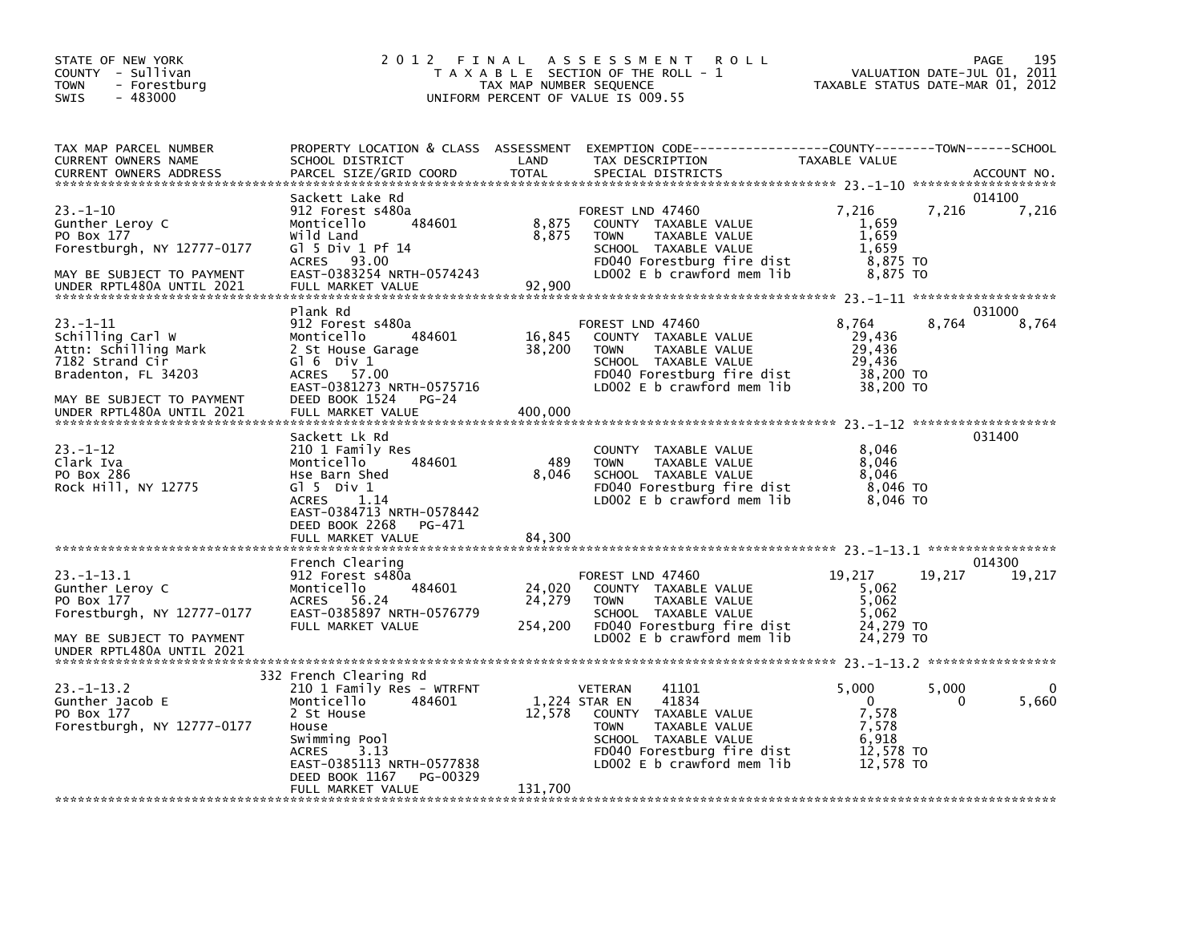| STATE OF NEW YORK<br>COUNTY - Sullivan<br><b>TOWN</b><br>- Forestburg<br>$-483000$<br><b>SWIS</b> | 2 0 1 2                                              | FINAL<br>TAX MAP NUMBER SEQUENCE | A S S E S S M E N T<br><b>ROLL</b><br>T A X A B L E SECTION OF THE ROLL - 1<br>UNIFORM PERCENT OF VALUE IS 009.55 | VALUATION DATE-JUL 01,<br>TAXABLE STATUS DATE-MAR 01, 2012 |        | PAGE<br>195<br>2011 |
|---------------------------------------------------------------------------------------------------|------------------------------------------------------|----------------------------------|-------------------------------------------------------------------------------------------------------------------|------------------------------------------------------------|--------|---------------------|
| TAX MAP PARCEL NUMBER                                                                             | PROPERTY LOCATION & CLASS ASSESSMENT                 |                                  | EXEMPTION CODE-----------------COUNTY-------TOWN------SCHOOL                                                      |                                                            |        |                     |
| CURRENT OWNERS NAME                                                                               | SCHOOL DISTRICT                                      | LAND                             | TAX DESCRIPTION                                                                                                   | TAXABLE VALUE                                              |        |                     |
| <b>CURRENT OWNERS ADDRESS</b>                                                                     | PARCEL SIZE/GRID COORD                               | <b>TOTAL</b>                     | SPECIAL DISTRICTS                                                                                                 |                                                            |        | ACCOUNT NO.         |
|                                                                                                   | Sackett Lake Rd                                      |                                  |                                                                                                                   |                                                            |        | 014100              |
| $23. - 1 - 10$                                                                                    | 912 Forest s480a                                     |                                  | FOREST LND 47460                                                                                                  | 7,216                                                      | 7,216  | 7,216               |
| Gunther Leroy C                                                                                   | Monticello<br>484601                                 | 8,875                            | COUNTY TAXABLE VALUE                                                                                              | 1,659                                                      |        |                     |
| PO Box 177                                                                                        | Wild Land                                            | 8,875                            | TAXABLE VALUE<br><b>TOWN</b>                                                                                      | 1,659                                                      |        |                     |
| Forestburgh, NY 12777-0177                                                                        | G1 5 Div 1 Pf 14<br>ACRES 93.00                      |                                  | SCHOOL TAXABLE VALUE<br>FD040 Forestburg fire dist                                                                | 1,659<br>8,875 TO                                          |        |                     |
| MAY BE SUBJECT TO PAYMENT                                                                         | EAST-0383254 NRTH-0574243                            |                                  | LD002 E b crawford mem lib                                                                                        | 8,875 TO                                                   |        |                     |
| UNDER RPTL480A UNTIL 2021                                                                         | FULL MARKET VALUE                                    | 92,900                           |                                                                                                                   |                                                            |        |                     |
|                                                                                                   |                                                      |                                  |                                                                                                                   |                                                            |        |                     |
| $23 - 1 - 11$                                                                                     | Plank Rd<br>912 Forest s480a                         |                                  | FOREST LND 47460                                                                                                  | 8,764                                                      | 8.764  | 031000              |
| Schilling Carl W                                                                                  | 484601<br>Monticello                                 | 16,845                           | COUNTY TAXABLE VALUE                                                                                              | 29,436                                                     |        | 8,764               |
| Attn: Schilling Mark                                                                              | 2 St House Garage                                    | 38,200                           | TAXABLE VALUE<br><b>TOWN</b>                                                                                      | 29,436                                                     |        |                     |
| 7182 Strand Cir                                                                                   | Gl 6 Div 1                                           |                                  | SCHOOL TAXABLE VALUE                                                                                              | 29,436                                                     |        |                     |
| Bradenton, FL 34203                                                                               | ACRES 57.00                                          |                                  | FD040 Forestburg fire dist                                                                                        | 38,200 TO                                                  |        |                     |
| MAY BE SUBJECT TO PAYMENT                                                                         | EAST-0381273 NRTH-0575716<br>DEED BOOK 1524<br>PG-24 |                                  | LD002 E b crawford mem lib                                                                                        | 38,200 TO                                                  |        |                     |
| UNDER RPTL480A UNTIL 2021                                                                         | FULL MARKET VALUE                                    | 400.000                          |                                                                                                                   |                                                            |        |                     |
|                                                                                                   |                                                      |                                  |                                                                                                                   |                                                            |        |                     |
|                                                                                                   | Sackett Lk Rd                                        |                                  |                                                                                                                   |                                                            |        | 031400              |
| $23. - 1 - 12$<br>Clark Iva                                                                       | 210 1 Family Res<br>484601<br>Monticello             | 489                              | COUNTY TAXABLE VALUE<br><b>TOWN</b><br>TAXABLE VALUE                                                              | 8,046<br>8,046                                             |        |                     |
| PO Box 286                                                                                        | Hse Barn Shed                                        | 8,046                            | SCHOOL TAXABLE VALUE                                                                                              | 8,046                                                      |        |                     |
| Rock Hill, NY 12775                                                                               | $G$ ] 5 Div 1                                        |                                  | FD040 Forestburg fire dist                                                                                        | 8,046 TO                                                   |        |                     |
|                                                                                                   | 1.14<br><b>ACRES</b>                                 |                                  | LD002 $E$ b crawford mem lib                                                                                      | 8,046 TO                                                   |        |                     |
|                                                                                                   | EAST-0384713 NRTH-0578442                            |                                  |                                                                                                                   |                                                            |        |                     |
|                                                                                                   | DEED BOOK 2268<br>PG-471<br>FULL MARKET VALUE        | 84,300                           |                                                                                                                   |                                                            |        |                     |
|                                                                                                   |                                                      |                                  |                                                                                                                   |                                                            |        |                     |
|                                                                                                   | French Clearing                                      |                                  |                                                                                                                   |                                                            |        | 014300              |
| $23. -1 - 13.1$                                                                                   | 912 Forest s480a                                     |                                  | FOREST LND 47460                                                                                                  | 19,217                                                     | 19.217 | 19,217              |
| Gunther Leroy C<br>PO Box 177                                                                     | Monticello<br>484601<br><b>ACRES</b><br>- 56.24      | 24,020<br>24,279                 | COUNTY TAXABLE VALUE<br><b>TOWN</b><br>TAXABLE VALUE                                                              | 5,062<br>5,062                                             |        |                     |
| Forestburgh, NY 12777-0177                                                                        | EAST-0385897 NRTH-0576779                            |                                  | SCHOOL TAXABLE VALUE                                                                                              | 5,062                                                      |        |                     |
|                                                                                                   | FULL MARKET VALUE                                    | 254,200                          | FD040 Forestburg fire dist                                                                                        | 24,279 TO                                                  |        |                     |
| MAY BE SUBJECT TO PAYMENT                                                                         |                                                      |                                  | LD002 E b crawford mem lib                                                                                        | 24,279 TO                                                  |        |                     |
| UNDER RPTL480A UNTIL 2021                                                                         |                                                      |                                  |                                                                                                                   |                                                            |        |                     |
|                                                                                                   | 332 French Clearing Rd                               |                                  |                                                                                                                   |                                                            |        |                     |
| $23 - 1 - 13.2$                                                                                   | 210 1 Family Res - WTRFNT                            |                                  | <b>VETERAN</b><br>41101                                                                                           | 5,000                                                      | 5,000  | 0                   |
| Gunther Jacob E                                                                                   | Monticello<br>484601                                 |                                  | 41834<br>1,224 STAR EN                                                                                            | $\mathbf{0}$                                               | 0      | 5,660               |
| PO Box 177                                                                                        | 2 St House                                           | 12,578                           | <b>COUNTY</b><br>TAXABLE VALUE                                                                                    | 7,578                                                      |        |                     |
| Forestburgh, NY 12777-0177                                                                        | House<br>Swimming Pool                               |                                  | TAXABLE VALUE<br><b>TOWN</b><br>SCHOOL TAXABLE VALUE                                                              | 7,578<br>6,918                                             |        |                     |
|                                                                                                   | 3.13<br><b>ACRES</b>                                 |                                  | FD040 Forestburg fire dist                                                                                        | 12.578 TO                                                  |        |                     |
|                                                                                                   | EAST-0385113 NRTH-0577838                            |                                  | LD002 $E$ b crawford mem lib                                                                                      | 12,578 TO                                                  |        |                     |
|                                                                                                   | DEED BOOK 1167<br>PG-00329                           |                                  |                                                                                                                   |                                                            |        |                     |
|                                                                                                   | FULL MARKET VALUE                                    | 131,700                          |                                                                                                                   |                                                            |        |                     |
|                                                                                                   |                                                      |                                  |                                                                                                                   |                                                            |        |                     |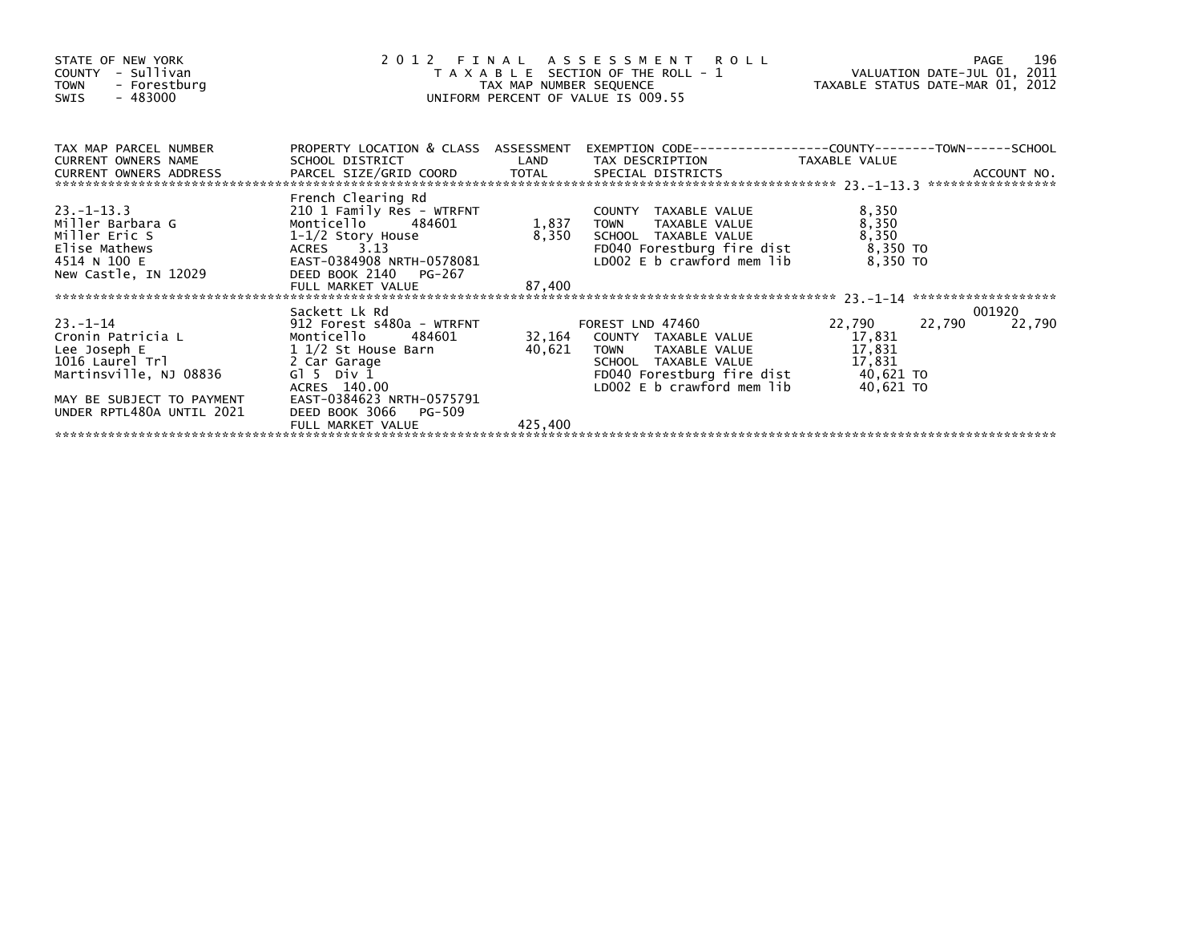| STATE OF NEW YORK<br>COUNTY - Sullivan<br>- Forestburg<br>TOWN<br>- 483000<br>SWIS                                                                                                                                                                                                     |                                                                                                       |         | 2012 FINAL ASSESSMENT ROLL<br>TAXABLE SECTION OF THE ROLL - 1 VALUATION DATE-JUL 01, 2011<br>TAXABLE STATUS DATE-MAR 01, 2012<br>UNIFORM PERCENT OF VALUE IS 009.55                                                     |                                     |                  |        |
|----------------------------------------------------------------------------------------------------------------------------------------------------------------------------------------------------------------------------------------------------------------------------------------|-------------------------------------------------------------------------------------------------------|---------|-------------------------------------------------------------------------------------------------------------------------------------------------------------------------------------------------------------------------|-------------------------------------|------------------|--------|
| TAX MAP PARCEL NUMBER                                                                                                                                                                                                                                                                  | PROPERTY LOCATION & CLASS ASSESSMENT                                                                  |         |                                                                                                                                                                                                                         |                                     |                  |        |
| $23 - 1 - 13.3$<br>Miller Barbara G<br>Miller Eric S<br>Elise Mathews<br>4514 N 100 E<br>New Castle, IN 12029                                                                                                                                                                          | French Clearing Rd<br>210 1 Family Res - WTRFNT<br>EAST-0384908 NRTH-0578081<br>DEED BOOK 2140 PG-267 |         | COUNTY TAXABLE VALUE<br>TOWN     TAXABLE VALUE<br>G<br>Anonticello 484601 1,837 TOWN TAXABLE VALUE<br>1-1/2 Story House 8,350 SCHOOL TAXABLE VALUE<br>ACRES 2013<br>ACRES 2013<br>LD002 E $b$ crawford mem lib 8,350 TO | 8,350<br>8,350<br>8,350<br>8,350 TO |                  |        |
| 23.-1-14<br>Cronin Patricia L<br>Lee Joseph E<br>1016 Laurel Trl and 08836<br>1016 Laurel Trl and 08836<br>Cross 140.00<br>10002<br>Cross 140.00<br>Cross 140.00<br>Cross 140.00<br>Cross 140.00<br>Cross 140.00<br>Cross 140.00<br>Cross 140.00<br>Cross<br>UNDER RPTL480A UNTIL 2021 | DEED BOOK 3066<br>PG-509                                                                              |         | TAXABLE VALUE 17,831<br>LDOO2 E b crawford mem lib                                                                                                                                                                      | 22,790<br>17,831<br>40,621 TO       | 001920<br>22,790 | 22,790 |
|                                                                                                                                                                                                                                                                                        | FULL MARKET VALUE                                                                                     | 425,400 |                                                                                                                                                                                                                         |                                     |                  |        |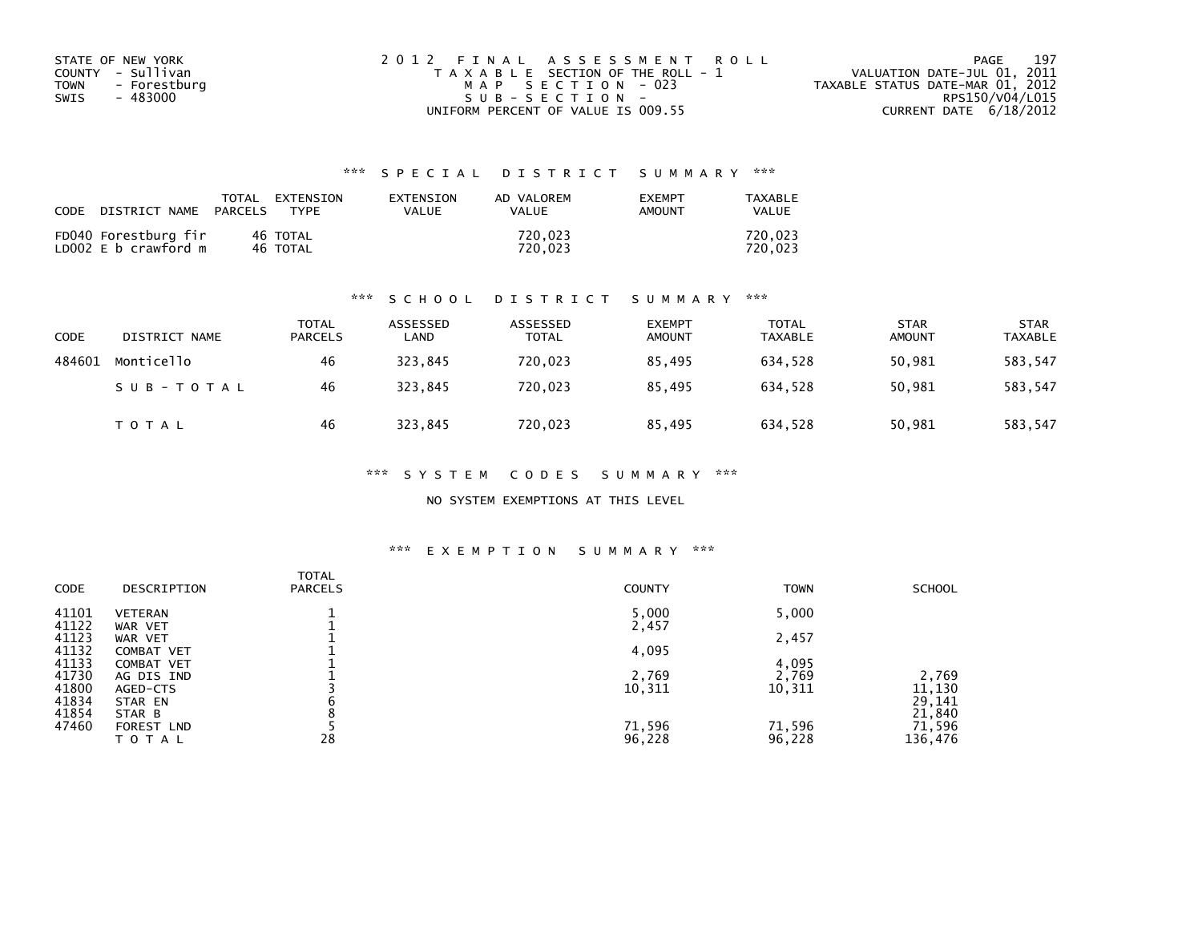| STATE OF NEW YORK           | 2012 FINAL ASSESSMENT ROLL            | 197<br>PAGE                      |
|-----------------------------|---------------------------------------|----------------------------------|
| COUNTY - Sullivan           | T A X A B L E SECTION OF THE ROLL - 1 | VALUATION DATE-JUL 01, 2011      |
| - Forestburg<br><b>TOWN</b> | MAP SECTION - 023                     | TAXABLE STATUS DATE-MAR 01, 2012 |
| - 483000<br>SWIS            | $SUB - SECTION -$                     | RPS150/V04/L015                  |
|                             | UNIFORM PERCENT OF VALUE IS 009.55    | CURRENT DATE 6/18/2012           |

| CODE | DISTRICT NAME                                | TOTAL<br>PARCELS | FXTFNSTON<br><b>TYPF</b> | <b>FXTENSTON</b><br>VALUE | AD VALOREM<br>VALUE | <b>EXEMPT</b><br>AMOUNT | TAXARI F<br><b>VALUE</b> |
|------|----------------------------------------------|------------------|--------------------------|---------------------------|---------------------|-------------------------|--------------------------|
|      | FD040 Forestburg fir<br>LD002 E b crawford m |                  | 46 TOTAL<br>46 TOTAL     |                           | 720.023<br>720.023  |                         | 720.023<br>720.023       |

## \*\*\* S C H O O L D I S T R I C T S U M M A R Y \*\*\*

| <b>CODE</b> | DISTRICT NAME | <b>TOTAL</b><br><b>PARCELS</b> | ASSESSED<br>LAND | ASSESSED<br><b>TOTAL</b> | <b>EXEMPT</b><br><b>AMOUNT</b> | <b>TOTAL</b><br>TAXABLE | <b>STAR</b><br><b>AMOUNT</b> | <b>STAR</b><br><b>TAXABLE</b> |
|-------------|---------------|--------------------------------|------------------|--------------------------|--------------------------------|-------------------------|------------------------------|-------------------------------|
| 484601      | Monticello    | 46                             | 323,845          | 720,023                  | 85.495                         | 634,528                 | 50,981                       | 583,547                       |
|             | SUB-TOTAL     | 46                             | 323.845          | 720.023                  | 85.495                         | 634.528                 | 50,981                       | 583,547                       |
|             | T O T A L     | 46                             | 323,845          | 720,023                  | 85,495                         | 634,528                 | 50,981                       | 583,547                       |

## \*\*\* S Y S T E M C O D E S S U M M A R Y \*\*\*

## NO SYSTEM EXEMPTIONS AT THIS LEVEL

## \*\*\* E X E M P T I O N S U M M A R Y \*\*\*

| <b>CODE</b>    | DESCRIPTION                            | <b>TOTAL</b><br><b>PARCELS</b> | <b>COUNTY</b>   | <b>TOWN</b>     | <b>SCHOOL</b>    |
|----------------|----------------------------------------|--------------------------------|-----------------|-----------------|------------------|
| 41101<br>41122 | <b>VETERAN</b><br>WAR VET              |                                | 5,000<br>2,457  | 5,000           |                  |
| 41123          | WAR VET                                |                                |                 | 2,457           |                  |
| 41132<br>41133 | <b>COMBAT VET</b><br><b>COMBAT VET</b> |                                | 4,095           | 4,095           |                  |
| 41730<br>41800 | AG DIS IND<br>AGED-CTS                 |                                | 2,769<br>10,311 | 2,769<br>10,311 | 2,769<br>11,130  |
| 41834          | STAR EN                                | b                              |                 |                 | 29,141           |
| 41854<br>47460 | STAR B<br>FOREST LND                   |                                | 71,596          | 71,596          | 21,840<br>71,596 |
|                | TOTAL                                  | 28                             | 96,228          | 96,228          | 136,476          |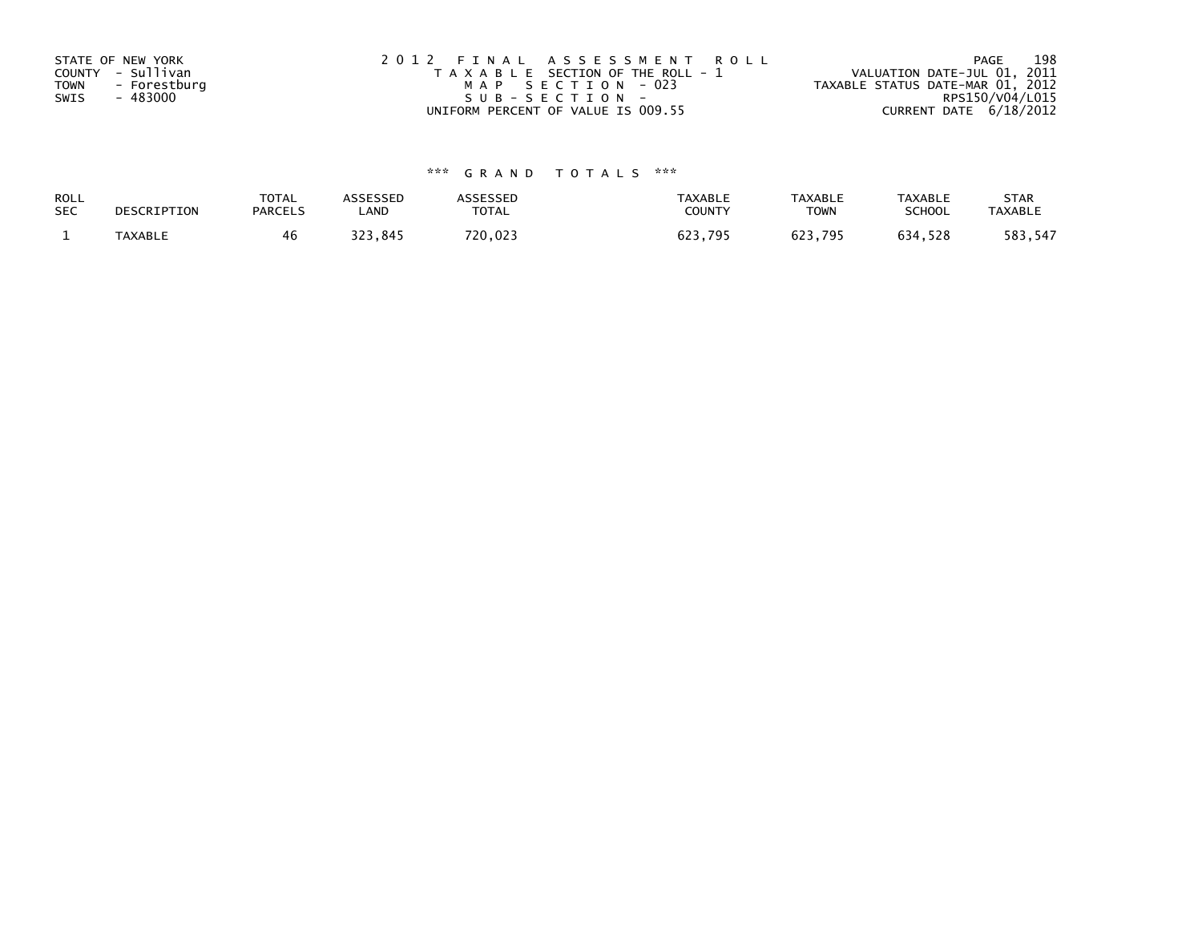| STATE OF NEW YORK<br>COUNTY - Sullivan<br>TOWN<br>- Forestburg<br>- 483000<br>SWIS | 2012 FINAL ASSESSMENT ROLL<br>T A X A B L E SECTION OF THE ROLL - 1<br>MAP SECTION - 023<br>SUB-SECTION- | 198<br>PAGE<br>VALUATION DATE-JUL 01, 2011<br>TAXABLE STATUS DATE-MAR 01, 2012<br>RPS150/V04/L015 |
|------------------------------------------------------------------------------------|----------------------------------------------------------------------------------------------------------|---------------------------------------------------------------------------------------------------|
|                                                                                    | UNIFORM PERCENT OF VALUE IS 009.55                                                                       | CURRENT DATE 6/18/2012                                                                            |

| ROLL       | DESCRIPTION | <b>TOTAL</b>   | <b>ASSESSED</b> | <b>\SSESSED</b> | <b>TAXABLE</b> | <b>TAXABLE</b> | <b>TAXABLE</b> | <b>STAR</b>    |
|------------|-------------|----------------|-----------------|-----------------|----------------|----------------|----------------|----------------|
| <b>SEC</b> |             | <b>PARCELS</b> | LAND            | <b>TOTAL</b>    | COUNTY         | <b>TOWN</b>    | <b>SCHOOL</b>  | <b>TAXABLE</b> |
|            | TAXABLE     | 46             | つつつ<br>323.845  | 720,023         | 623,795        | 623.795        | 634,528        | 583,547        |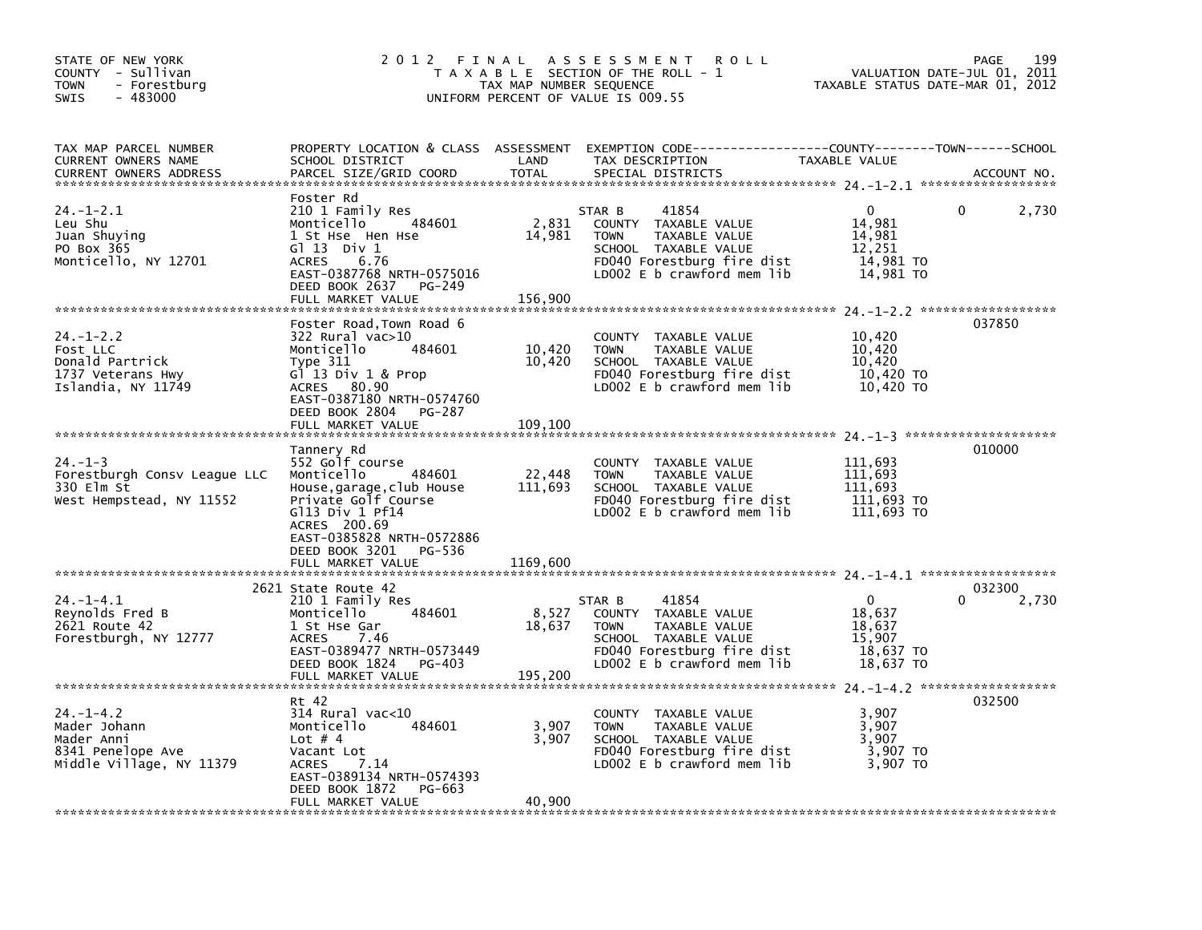| STATE OF NEW YORK<br>COUNTY - Sullivan<br>- Forestburg<br><b>TOWN</b><br>$-483000$<br>SWIS     | 2012 FINAL                                                                                                                                                                                                                   | TAX MAP NUMBER SEQUENCE       | A S S E S S M E N T<br><b>ROLL</b><br>T A X A B L E SECTION OF THE ROLL - 1<br>UNIFORM PERCENT OF VALUE IS 009.55                                           | VALUATION DATE-JUL 01, 2011<br>TAXABLE STATUS DATE-MAR 01, 2012      | 199<br><b>PAGE</b> |
|------------------------------------------------------------------------------------------------|------------------------------------------------------------------------------------------------------------------------------------------------------------------------------------------------------------------------------|-------------------------------|-------------------------------------------------------------------------------------------------------------------------------------------------------------|----------------------------------------------------------------------|--------------------|
| TAX MAP PARCEL NUMBER<br>CURRENT OWNERS NAME<br><b>CURRENT OWNERS ADDRESS</b>                  | SCHOOL DISTRICT<br>PARCEL SIZE/GRID COORD                                                                                                                                                                                    | LAND<br>TOTAL                 | PROPERTY LOCATION & CLASS ASSESSMENT EXEMPTION CODE---------------COUNTY-------TOWN-----SCHOOL<br>TAX DESCRIPTION<br>SPECIAL DISTRICTS                      | TAXABLE VALUE                                                        | ACCOUNT NO.        |
| $24. - 1 - 2.1$<br>Leu Shu<br>Juan Shuying<br>PO Box 365<br>Monticello, NY 12701               | Foster Rd<br>210 1 Family Res<br>484601<br>Monticello<br>1 St Hse Hen Hse<br>$G1$ 13 Div 1<br>6.76<br><b>ACRES</b><br>EAST-0387768 NRTH-0575016<br>DEED BOOK 2637<br>PG-249<br>FULL MARKET VALUE                             | 2,831<br>14,981<br>156.900    | STAR B<br>41854<br>COUNTY TAXABLE VALUE<br>TAXABLE VALUE<br><b>TOWN</b><br>SCHOOL TAXABLE VALUE<br>FD040 Forestburg fire dist<br>LD002 E b crawford mem lib | 0<br>14,981<br>14,981<br>12,251<br>14,981 TO<br>14,981 TO            | 2,730<br>0         |
| $24. - 1 - 2.2$<br>Fost LLC<br>Donald Partrick<br>1737 Veterans Hwy<br>Islandia, NY 11749      | Foster Road,Town Road 6<br>322 Rural vac>10<br>Monticello<br>484601<br>Type 311<br>$G^{\dagger}$ 13 Div 1 & Prop<br>ACRES 80.90<br>EAST-0387180 NRTH-0574760<br>DEED BOOK 2804<br>PG-287<br>FULL MARKET VALUE                | 10,420<br>10,420<br>109,100   | COUNTY TAXABLE VALUE<br>TAXABLE VALUE<br><b>TOWN</b><br>SCHOOL TAXABLE VALUE<br>FD040 Forestburg fire dist<br>LDOO2 E b crawford mem lib                    | 10,420<br>10,420<br>10,420<br>10,420 TO<br>10,420 TO                 | 037850             |
| $24. -1 - 3$<br>Forestburgh Consv League LLC<br>330 Elm St<br>West Hempstead, NY 11552         | Tannery Rd<br>552 Golf course<br>Monticello<br>484601<br>House, garage, club House<br>Private Golf Course<br>$G113$ Div 1 Pf14<br>ACRES 200.69<br>EAST-0385828 NRTH-0572886<br>DEED BOOK 3201<br>PG-536<br>FULL MARKET VALUE | 22,448<br>111,693<br>1169.600 | COUNTY TAXABLE VALUE<br>TAXABLE VALUE<br><b>TOWN</b><br>SCHOOL TAXABLE VALUE<br>FD040 Forestburg fire dist<br>LD002 E b crawford mem lib                    | 111,693<br>111,693<br>111,693<br>111,693 TO<br>111,693 TO            | 010000             |
| $24. -1 - 4.1$<br>Reynolds Fred B<br>2621 Route 42<br>Forestburgh, NY 12777                    | 2621 State Route 42<br>210 1 Family Res<br>484601<br>Monticello<br>1 St Hse Gar<br><b>ACRES</b><br>7.46<br>EAST-0389477 NRTH-0573449<br>DEED BOOK 1824 PG-403<br>FULL MARKET VALUE                                           | 8,527<br>18,637<br>195,200    | 41854<br>STAR B<br>COUNTY TAXABLE VALUE<br><b>TOWN</b><br>TAXABLE VALUE<br>SCHOOL TAXABLE VALUE<br>FD040 Forestburg fire dist<br>LD002 E b crawford mem lib | $\mathbf{0}$<br>18,637<br>18,637<br>15,907<br>18,637 TO<br>18,637 TO | 032300<br>2,730    |
| $24. - 1 - 4.2$<br>Mader Johann<br>Mader Anni<br>8341 Penelope Ave<br>Middle Village, NY 11379 | Rt 42<br>$314$ Rural vac< $10$<br>Monticello<br>484601<br>Lot $# 4$<br>Vacant Lot<br><b>ACRES</b><br>7.14<br>EAST-0389134 NRTH-0574393<br>DEED BOOK 1872<br>PG-663<br>FULL MARKET VALUE                                      | 3,907<br>3,907<br>40.900      | COUNTY TAXABLE VALUE<br><b>TOWN</b><br>TAXABLE VALUE<br>SCHOOL TAXABLE VALUE<br>FD040 Forestburg fire dist<br>LDOO2 E b crawford mem lib                    | 3,907<br>3,907<br>3,907<br>3,907 TO<br>3,907 TO                      | 032500             |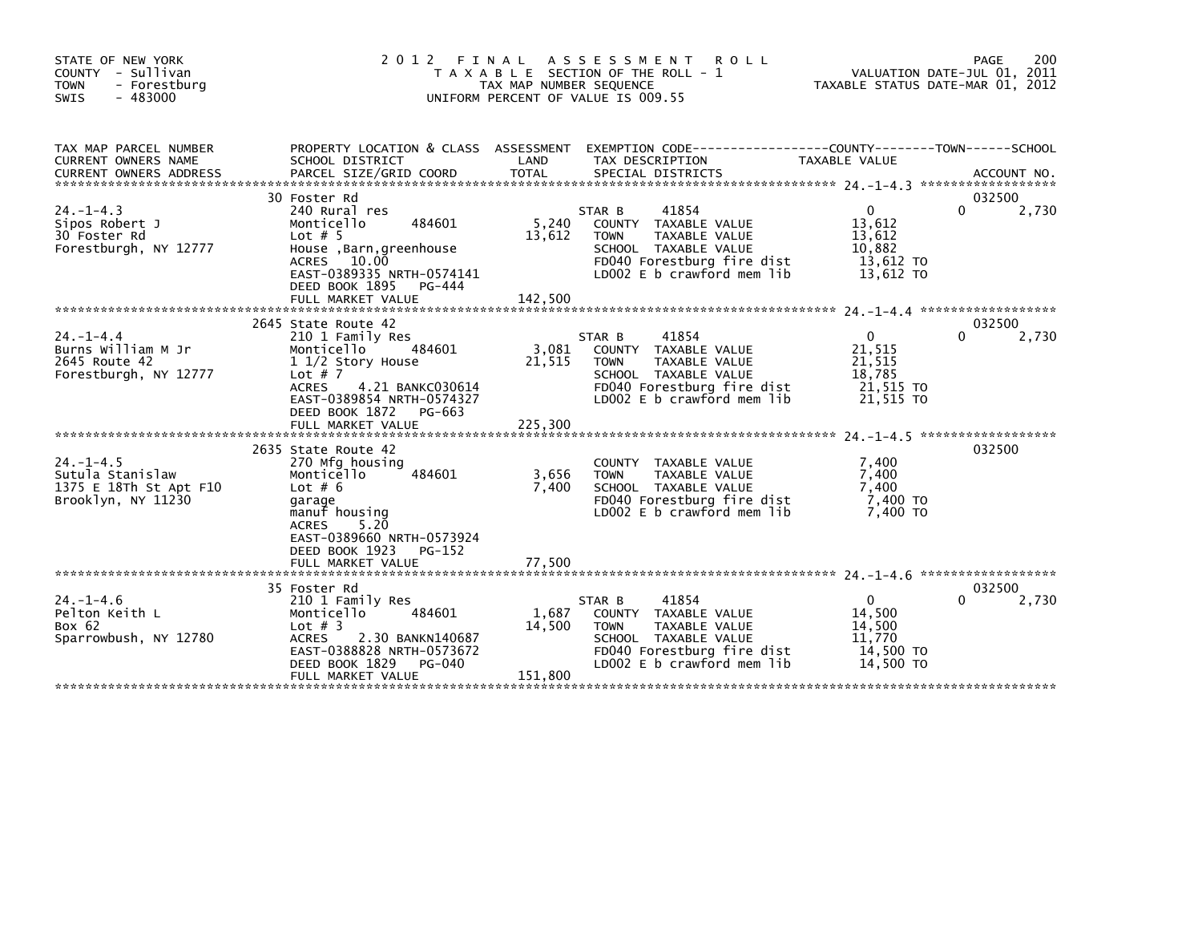| STATE OF NEW YORK<br>COUNTY - Sullivan<br>- Forestburg<br><b>TOWN</b><br>$-483000$<br>SWIS | 2 0 1 2                                                                                                                                                                                                             | FINAL<br>TAX MAP NUMBER SEQUENCE | A S S E S S M E N T<br><b>ROLL</b><br>T A X A B L E SECTION OF THE ROLL - 1<br>UNIFORM PERCENT OF VALUE IS 009.55                                           | TAXABLE STATUS DATE-MAR 01, 2012                                       | 200<br>PAGE<br>VALUATION DATE-JUL 01, 2011 |
|--------------------------------------------------------------------------------------------|---------------------------------------------------------------------------------------------------------------------------------------------------------------------------------------------------------------------|----------------------------------|-------------------------------------------------------------------------------------------------------------------------------------------------------------|------------------------------------------------------------------------|--------------------------------------------|
| TAX MAP PARCEL NUMBER<br>CURRENT OWNERS NAME                                               | PROPERTY LOCATION & CLASS ASSESSMENT<br>SCHOOL DISTRICT                                                                                                                                                             | LAND                             | TAX DESCRIPTION                                                                                                                                             | TAXABLE VALUE                                                          |                                            |
| $24. - 1 - 4.3$<br>Sipos Robert J<br>30 Foster Rd<br>Forestburgh, NY 12777                 | 30 Foster Rd<br>240 Rural res<br>484601<br>Monticello<br>Lot $# 5$<br>House, Barn, greenhouse<br>ACRES 10.00<br>EAST-0389335 NRTH-0574141<br>DEED BOOK 1895<br>PG-444<br>FULL MARKET VALUE                          | 5,240<br>13,612<br>142.500       | 41854<br>STAR B<br>COUNTY TAXABLE VALUE<br>TAXABLE VALUE<br><b>TOWN</b><br>SCHOOL TAXABLE VALUE<br>FD040 Forestburg fire dist<br>LD002 E b crawford mem lib | $\mathbf{0}$<br>13,612<br>13,612<br>10,882<br>13,612 TO<br>13,612 TO   | 032500<br>0<br>2,730                       |
| $24. - 1 - 4.4$<br>Burns William M Jr<br>2645 Route 42<br>Forestburgh, NY 12777            | 2645 State Route 42<br>210 1 Family Res<br>Monticello<br>484601<br>1 1/2 Story House<br>Lot $# 7$<br><b>ACRES</b><br>4.21 BANKC030614<br>EAST-0389854 NRTH-0574327<br>DEED BOOK 1872<br>PG-663<br>FULL MARKET VALUE | 3,081<br>21,515<br>225,300       | 41854<br>STAR B<br>COUNTY TAXABLE VALUE<br>TAXABLE VALUE<br><b>TOWN</b><br>SCHOOL TAXABLE VALUE<br>FD040 Forestburg fire dist<br>LD002 E b crawford mem lib | $\overline{0}$<br>21,515<br>21,515<br>18.785<br>21,515 TO<br>21,515 TO | 032500<br>2,730<br>0                       |
| $24. -1 - 4.5$<br>Sutula Stanislaw<br>1375 E 18Th St Apt F10<br>Brooklyn, NY 11230         | 2635 State Route 42<br>270 Mfg housing<br>Monticello<br>484601<br>Lot $# 6$<br>garage<br>manuf housing<br><b>ACRES</b><br>5.20<br>EAST-0389660 NRTH-0573924<br>DEED BOOK 1923<br>PG-152<br>FULL MARKET VALUE        | 3,656<br>7,400<br>77,500         | COUNTY TAXABLE VALUE<br>TAXABLE VALUE<br><b>TOWN</b><br>SCHOOL TAXABLE VALUE<br>FD040 Forestburg fire dist<br>LD002 E b crawford mem lib                    | 7,400<br>7,400<br>7,400<br>7,400 TO<br>7.400 TO                        | 032500                                     |
| $24. - 1 - 4.6$<br>Pelton Keith L<br>Box 62<br>Sparrowbush, NY 12780                       | 35 Foster Rd<br>210 1 Family Res<br>Monticello<br>484601<br>Lot $#$ 3<br><b>ACRES</b><br>2.30 BANKN140687<br>EAST-0388828 NRTH-0573672<br>DEED BOOK 1829<br>PG-040<br>FULL MARKET VALUE                             | 1,687<br>14,500<br>151,800       | 41854<br>STAR B<br>COUNTY TAXABLE VALUE<br>TAXABLE VALUE<br><b>TOWN</b><br>SCHOOL TAXABLE VALUE<br>FD040 Forestburg fire dist<br>LD002 E b crawford mem lib | $\mathbf{0}$<br>14,500<br>14,500<br>11,770<br>14,500 TO<br>14.500 TO   | 032500<br>2,730                            |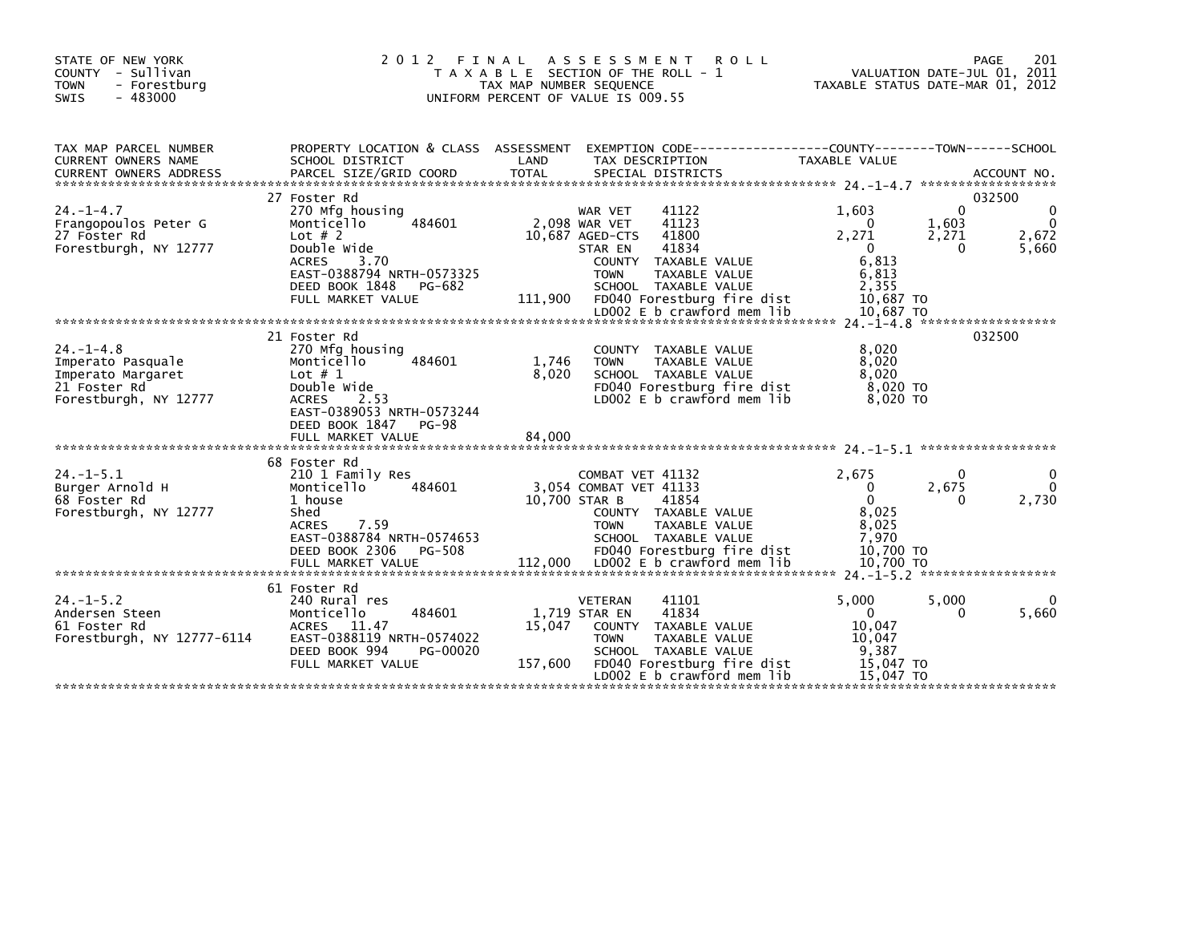| STATE OF NEW YORK<br>- Sullivan<br><b>COUNTY</b><br><b>TOWN</b><br>- Forestburg<br>$-483000$<br>SWIS | 2 0 1 2<br>FINAL<br><b>TAXABLE</b>                                                                                                                                                         | TAX MAP NUMBER SEQUENCE  | A S S E S S M E N T<br><b>ROLL</b><br>SECTION OF THE ROLL - 1<br>UNIFORM PERCENT OF VALUE IS 009.55                                                                                                                                           | TAXABLE STATUS DATE-MAR 01, 2012                                                            | VALUATION DATE-JUL 01, 2011 | 201<br><b>PAGE</b>                        |
|------------------------------------------------------------------------------------------------------|--------------------------------------------------------------------------------------------------------------------------------------------------------------------------------------------|--------------------------|-----------------------------------------------------------------------------------------------------------------------------------------------------------------------------------------------------------------------------------------------|---------------------------------------------------------------------------------------------|-----------------------------|-------------------------------------------|
| TAX MAP PARCEL NUMBER<br><b>CURRENT OWNERS NAME</b>                                                  | PROPERTY LOCATION & CLASS ASSESSMENT<br>SCHOOL DISTRICT                                                                                                                                    | LAND                     | EXEMPTION CODE--<br>TAX DESCRIPTION                                                                                                                                                                                                           | --------------COUNTY--------TOWN------SCHOOL<br>TAXABLE VALUE                               | ******************          | ACCOUNT NO.                               |
| $24. - 1 - 4.7$<br>Frangopoulos Peter G<br>27 Foster Rd<br>Forestburgh, NY 12777                     | 27 Foster Rd<br>270 Mfg housing<br>Monticello<br>484601<br>Lot $# 2$<br>Double Wide<br>3.70<br><b>ACRES</b><br>EAST-0388794 NRTH-0573325<br>DEED BOOK 1848<br>PG-682<br>FULL MARKET VALUE  | 111,900                  | 41122<br><b>WAR VET</b><br>41123<br>2,098 WAR VET<br>41800<br>10,687 AGED-CTS<br>41834<br>STAR EN<br>COUNTY TAXABLE VALUE<br>TAXABLE VALUE<br><b>TOWN</b><br>SCHOOL TAXABLE VALUE<br>FD040 Forestburg fire dist<br>LD002 E b crawford mem lib | 1.603<br>$\Omega$<br>2,271<br>$\Omega$<br>6,813<br>6,813<br>2,355<br>10,687 TO<br>10,687 TO | 0<br>1,603<br>2,271<br>0    | 032500<br>0<br>$\Omega$<br>2,672<br>5,660 |
|                                                                                                      |                                                                                                                                                                                            |                          |                                                                                                                                                                                                                                               |                                                                                             |                             |                                           |
| $24. - 1 - 4.8$<br>Imperato Pasquale<br>Imperato Margaret<br>21 Foster Rd<br>Forestburgh, NY 12777   | 21 Foster Rd<br>270 Mfg housing<br>Monticello<br>484601<br>Lot $# 1$<br>Double Wide<br><b>ACRES</b><br>2.53<br>EAST-0389053 NRTH-0573244<br>DEED BOOK 1847<br>$PG-98$<br>FULL MARKET VALUE | 1,746<br>8.020<br>84,000 | <b>COUNTY</b><br>TAXABLE VALUE<br><b>TOWN</b><br>TAXABLE VALUE<br>SCHOOL TAXABLE VALUE<br>FD040 Forestburg fire dist<br>LD002 E b crawford mem lib                                                                                            | 8,020<br>8,020<br>8.020<br>8,020 TO<br>8.020 TO                                             |                             | 032500                                    |
|                                                                                                      | 68 Foster Rd                                                                                                                                                                               |                          |                                                                                                                                                                                                                                               |                                                                                             |                             |                                           |
| $24. -1 - 5.1$<br>Burger Arnold H<br>68 Foster Rd<br>Forestburgh, NY 12777                           | 210 1 Family Res<br>484601<br>Monticello<br>1 house<br>Shed<br>7.59<br><b>ACRES</b><br>EAST-0388784 NRTH-0574653<br>PG-508<br>DEED BOOK 2306<br>FULL MARKET VALUE                          | 10,700 STAR B<br>112,000 | COMBAT VET 41132<br>3.054 COMBAT VET 41133<br>41854<br>COUNTY TAXABLE VALUE<br>TAXABLE VALUE<br><b>TOWN</b><br>SCHOOL TAXABLE VALUE<br>FD040 Forestburg fire dist<br>LD002 E b crawford mem lib                                               | 2,675<br>$\Omega$<br>$\Omega$<br>8,025<br>8,025<br>7.970<br>10,700 TO<br>10.700 TO          | 0<br>2,675<br>0             | 0<br>$\Omega$<br>2,730                    |
|                                                                                                      |                                                                                                                                                                                            |                          |                                                                                                                                                                                                                                               |                                                                                             |                             |                                           |
| $24. -1 - 5.2$<br>Andersen Steen<br>61 Foster Rd<br>Forestburgh, NY 12777-6114                       | 61 Foster Rd<br>240 Rural res<br>Monticello<br>484601<br>11.47<br><b>ACRES</b><br>EAST-0388119 NRTH-0574022<br>DEED BOOK 994<br>PG-00020<br>FULL MARKET VALUE                              | 15,047<br>157,600        | <b>VETERAN</b><br>41101<br>41834<br>1,719 STAR EN<br>COUNTY TAXABLE VALUE<br>TAXABLE VALUE<br><b>TOWN</b><br>SCHOOL TAXABLE VALUE<br>FD040 Forestburg fire dist<br>LD002 E b crawford mem lib                                                 | 5,000<br>$\Omega$<br>10.047<br>10.047<br>9,387<br>15.047 TO<br>15.047 TO                    | 5,000<br>0                  | 0<br>5,660                                |
|                                                                                                      |                                                                                                                                                                                            |                          |                                                                                                                                                                                                                                               |                                                                                             |                             |                                           |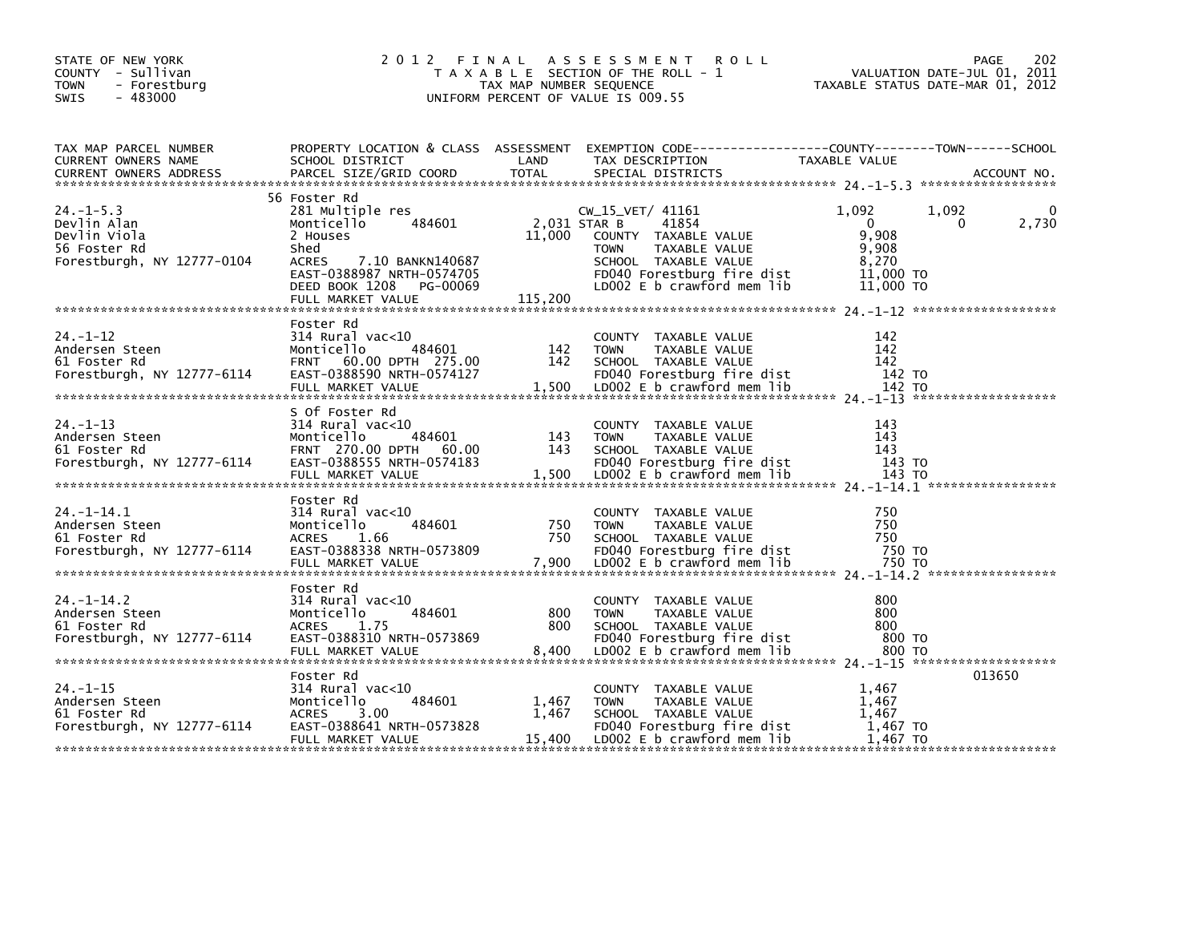| TAXABLE STATUS DATE-MAR 01, 2012<br><b>TOWN</b><br>- Forestburg<br>TAX MAP NUMBER SEQUENCE<br><b>SWIS</b><br>$-483000$<br>UNIFORM PERCENT OF VALUE IS 009.55<br>TAX MAP PARCEL NUMBER<br>PROPERTY LOCATION & CLASS ASSESSMENT<br>CURRENT OWNERS NAME<br>SCHOOL DISTRICT<br>LAND<br>TAX DESCRIPTION<br>TAXABLE VALUE<br>56 Foster Rd<br>$24. -1 - 5.3$<br>281 Multiple res<br>CW_15_VET/ 41161<br>1.092<br>1,092<br>Devlin Alan<br>2,031 STAR B<br>41854<br>484601<br>$\Omega$<br>Monticello<br>0<br>9.908<br>11,000<br>Devlin Viola<br>2 Houses<br>COUNTY TAXABLE VALUE<br>9,908<br>56 Foster Rd<br>Shed<br>TAXABLE VALUE<br><b>TOWN</b><br>Forestburgh, NY 12777-0104<br>SCHOOL TAXABLE VALUE<br>8,270<br>ACRES<br>7.10 BANKN140687<br>EAST-0388987 NRTH-0574705<br>FD040 Forestburg fire dist<br>11.000 TO<br>LD002 E b crawford mem lib<br>DEED BOOK 1208<br>11,000 TO<br>PG-00069<br>115,200<br>FULL MARKET VALUE<br>Foster Rd<br>24. –1–12<br>314 Rural vac<10<br>142<br>COUNTY TAXABLE VALUE<br>484601<br>142<br>Monticello<br>142<br>Andersen Steen<br><b>TOWN</b><br>TAXABLE VALUE<br>142<br>60.00 DPTH 275.00<br>142<br>61 Foster Rd<br><b>FRNT</b><br>SCHOOL TAXABLE VALUE<br>Forestburgh, NY 12777-6114<br>EAST-0388590 NRTH-0574127<br>FD040 Forestburg fire dist<br>1,500 LD002 E b crawford mem lib<br>142 TO | 0<br>2,730 |
|-----------------------------------------------------------------------------------------------------------------------------------------------------------------------------------------------------------------------------------------------------------------------------------------------------------------------------------------------------------------------------------------------------------------------------------------------------------------------------------------------------------------------------------------------------------------------------------------------------------------------------------------------------------------------------------------------------------------------------------------------------------------------------------------------------------------------------------------------------------------------------------------------------------------------------------------------------------------------------------------------------------------------------------------------------------------------------------------------------------------------------------------------------------------------------------------------------------------------------------------------------------------------------------------------------------------------------|------------|
|                                                                                                                                                                                                                                                                                                                                                                                                                                                                                                                                                                                                                                                                                                                                                                                                                                                                                                                                                                                                                                                                                                                                                                                                                                                                                                                             |            |
|                                                                                                                                                                                                                                                                                                                                                                                                                                                                                                                                                                                                                                                                                                                                                                                                                                                                                                                                                                                                                                                                                                                                                                                                                                                                                                                             |            |
|                                                                                                                                                                                                                                                                                                                                                                                                                                                                                                                                                                                                                                                                                                                                                                                                                                                                                                                                                                                                                                                                                                                                                                                                                                                                                                                             |            |
|                                                                                                                                                                                                                                                                                                                                                                                                                                                                                                                                                                                                                                                                                                                                                                                                                                                                                                                                                                                                                                                                                                                                                                                                                                                                                                                             |            |
|                                                                                                                                                                                                                                                                                                                                                                                                                                                                                                                                                                                                                                                                                                                                                                                                                                                                                                                                                                                                                                                                                                                                                                                                                                                                                                                             |            |
|                                                                                                                                                                                                                                                                                                                                                                                                                                                                                                                                                                                                                                                                                                                                                                                                                                                                                                                                                                                                                                                                                                                                                                                                                                                                                                                             |            |
|                                                                                                                                                                                                                                                                                                                                                                                                                                                                                                                                                                                                                                                                                                                                                                                                                                                                                                                                                                                                                                                                                                                                                                                                                                                                                                                             |            |
|                                                                                                                                                                                                                                                                                                                                                                                                                                                                                                                                                                                                                                                                                                                                                                                                                                                                                                                                                                                                                                                                                                                                                                                                                                                                                                                             |            |
|                                                                                                                                                                                                                                                                                                                                                                                                                                                                                                                                                                                                                                                                                                                                                                                                                                                                                                                                                                                                                                                                                                                                                                                                                                                                                                                             |            |
|                                                                                                                                                                                                                                                                                                                                                                                                                                                                                                                                                                                                                                                                                                                                                                                                                                                                                                                                                                                                                                                                                                                                                                                                                                                                                                                             |            |
|                                                                                                                                                                                                                                                                                                                                                                                                                                                                                                                                                                                                                                                                                                                                                                                                                                                                                                                                                                                                                                                                                                                                                                                                                                                                                                                             |            |
|                                                                                                                                                                                                                                                                                                                                                                                                                                                                                                                                                                                                                                                                                                                                                                                                                                                                                                                                                                                                                                                                                                                                                                                                                                                                                                                             |            |
|                                                                                                                                                                                                                                                                                                                                                                                                                                                                                                                                                                                                                                                                                                                                                                                                                                                                                                                                                                                                                                                                                                                                                                                                                                                                                                                             |            |
|                                                                                                                                                                                                                                                                                                                                                                                                                                                                                                                                                                                                                                                                                                                                                                                                                                                                                                                                                                                                                                                                                                                                                                                                                                                                                                                             |            |
|                                                                                                                                                                                                                                                                                                                                                                                                                                                                                                                                                                                                                                                                                                                                                                                                                                                                                                                                                                                                                                                                                                                                                                                                                                                                                                                             |            |
|                                                                                                                                                                                                                                                                                                                                                                                                                                                                                                                                                                                                                                                                                                                                                                                                                                                                                                                                                                                                                                                                                                                                                                                                                                                                                                                             |            |
|                                                                                                                                                                                                                                                                                                                                                                                                                                                                                                                                                                                                                                                                                                                                                                                                                                                                                                                                                                                                                                                                                                                                                                                                                                                                                                                             |            |
|                                                                                                                                                                                                                                                                                                                                                                                                                                                                                                                                                                                                                                                                                                                                                                                                                                                                                                                                                                                                                                                                                                                                                                                                                                                                                                                             |            |
| FULL MARKET VALUE 1,500 LD002 E b crawford mem 1ib 142 TO بالمستخدم بين FULL MARKET VALUE 1,500 LD002 E b crawford mem 1ib 142 TO 147 TO 147 TO 1,500 PERSON 1,500 LD002 E b crawford mem 1ib 142 TO 142 TO 14. The material                                                                                                                                                                                                                                                                                                                                                                                                                                                                                                                                                                                                                                                                                                                                                                                                                                                                                                                                                                                                                                                                                                |            |
| S Of Foster Rd                                                                                                                                                                                                                                                                                                                                                                                                                                                                                                                                                                                                                                                                                                                                                                                                                                                                                                                                                                                                                                                                                                                                                                                                                                                                                                              |            |
| $24. - 1 - 13$<br>314 Rural vac<10<br>COUNTY TAXABLE VALUE<br>143                                                                                                                                                                                                                                                                                                                                                                                                                                                                                                                                                                                                                                                                                                                                                                                                                                                                                                                                                                                                                                                                                                                                                                                                                                                           |            |
| 484601<br>Andersen Steen<br>Monticello<br>143<br>143<br><b>TOWN</b><br>TAXABLE VALUE<br>143<br>FRNT 270.00 DPTH 60.00<br>143<br>61 Foster Rd<br>SCHOOL TAXABLE VALUE                                                                                                                                                                                                                                                                                                                                                                                                                                                                                                                                                                                                                                                                                                                                                                                                                                                                                                                                                                                                                                                                                                                                                        |            |
| EAST-0388555 NRTH-0574183<br>Forestburgh, NY 12777-6114<br>FD040 Forestburg fire dist<br>143 TO                                                                                                                                                                                                                                                                                                                                                                                                                                                                                                                                                                                                                                                                                                                                                                                                                                                                                                                                                                                                                                                                                                                                                                                                                             |            |
|                                                                                                                                                                                                                                                                                                                                                                                                                                                                                                                                                                                                                                                                                                                                                                                                                                                                                                                                                                                                                                                                                                                                                                                                                                                                                                                             |            |
|                                                                                                                                                                                                                                                                                                                                                                                                                                                                                                                                                                                                                                                                                                                                                                                                                                                                                                                                                                                                                                                                                                                                                                                                                                                                                                                             |            |
| Foster Rd                                                                                                                                                                                                                                                                                                                                                                                                                                                                                                                                                                                                                                                                                                                                                                                                                                                                                                                                                                                                                                                                                                                                                                                                                                                                                                                   |            |
| $24 - 1 - 14.1$<br>750<br>$314$ Rural vac< $10$<br>COUNTY TAXABLE VALUE                                                                                                                                                                                                                                                                                                                                                                                                                                                                                                                                                                                                                                                                                                                                                                                                                                                                                                                                                                                                                                                                                                                                                                                                                                                     |            |
| 750<br>484601<br>750<br>Andersen Steen<br>Monticello<br><b>TOWN</b><br>TAXABLE VALUE<br>750                                                                                                                                                                                                                                                                                                                                                                                                                                                                                                                                                                                                                                                                                                                                                                                                                                                                                                                                                                                                                                                                                                                                                                                                                                 |            |
| 750<br>61 Foster Rd<br><b>ACRES</b><br>1.66<br>SCHOOL TAXABLE VALUE<br>Forestburgh, NY 12777-6114<br>EAST-0388338 NRTH-0573809<br>FD040 Forestburg fire dist<br>750 TO                                                                                                                                                                                                                                                                                                                                                                                                                                                                                                                                                                                                                                                                                                                                                                                                                                                                                                                                                                                                                                                                                                                                                      |            |
| LD002 E b crawford mem lib<br>7,900<br>750 TO<br>FULL MARKET VALUE                                                                                                                                                                                                                                                                                                                                                                                                                                                                                                                                                                                                                                                                                                                                                                                                                                                                                                                                                                                                                                                                                                                                                                                                                                                          |            |
|                                                                                                                                                                                                                                                                                                                                                                                                                                                                                                                                                                                                                                                                                                                                                                                                                                                                                                                                                                                                                                                                                                                                                                                                                                                                                                                             |            |
| Foster Rd                                                                                                                                                                                                                                                                                                                                                                                                                                                                                                                                                                                                                                                                                                                                                                                                                                                                                                                                                                                                                                                                                                                                                                                                                                                                                                                   |            |
| $24. - 1 - 14.2$<br>800<br>314 Rural vac<10<br>COUNTY TAXABLE VALUE                                                                                                                                                                                                                                                                                                                                                                                                                                                                                                                                                                                                                                                                                                                                                                                                                                                                                                                                                                                                                                                                                                                                                                                                                                                         |            |
| 800<br>800<br>Andersen Steen<br>Monticello<br>484601<br>TAXABLE VALUE<br><b>TOWN</b>                                                                                                                                                                                                                                                                                                                                                                                                                                                                                                                                                                                                                                                                                                                                                                                                                                                                                                                                                                                                                                                                                                                                                                                                                                        |            |
| 800<br><b>ACRES</b><br>800<br>61 Foster Rd<br>1.75<br>SCHOOL TAXABLE VALUE                                                                                                                                                                                                                                                                                                                                                                                                                                                                                                                                                                                                                                                                                                                                                                                                                                                                                                                                                                                                                                                                                                                                                                                                                                                  |            |
| Forestburgh, NY 12777-6114<br>FD040 Forestburg fire dist<br>EAST-0388310 NRTH-0573869<br>800 то<br>LD002 E b crawford mem lib<br>8,400<br>800 TO                                                                                                                                                                                                                                                                                                                                                                                                                                                                                                                                                                                                                                                                                                                                                                                                                                                                                                                                                                                                                                                                                                                                                                            |            |
| FULL MARKET VALUE                                                                                                                                                                                                                                                                                                                                                                                                                                                                                                                                                                                                                                                                                                                                                                                                                                                                                                                                                                                                                                                                                                                                                                                                                                                                                                           |            |
| 013650<br>Foster Rd                                                                                                                                                                                                                                                                                                                                                                                                                                                                                                                                                                                                                                                                                                                                                                                                                                                                                                                                                                                                                                                                                                                                                                                                                                                                                                         |            |
| $24. -1 - 15$<br>$314$ Rural vac< $10$<br>1,467<br>COUNTY TAXABLE VALUE                                                                                                                                                                                                                                                                                                                                                                                                                                                                                                                                                                                                                                                                                                                                                                                                                                                                                                                                                                                                                                                                                                                                                                                                                                                     |            |
| Andersen Steen<br>484601<br>TAXABLE VALUE<br>1,467<br>Monticello<br>1,467<br><b>TOWN</b>                                                                                                                                                                                                                                                                                                                                                                                                                                                                                                                                                                                                                                                                                                                                                                                                                                                                                                                                                                                                                                                                                                                                                                                                                                    |            |
| 1,467<br>1,467<br>61 Foster Rd<br><b>ACRES</b><br>3.00<br>SCHOOL TAXABLE VALUE                                                                                                                                                                                                                                                                                                                                                                                                                                                                                                                                                                                                                                                                                                                                                                                                                                                                                                                                                                                                                                                                                                                                                                                                                                              |            |
| Forestburgh, NY 12777-6114<br>EAST-0388641 NRTH-0573828<br>FD040 Forestburg fire dist<br>1,467 TO                                                                                                                                                                                                                                                                                                                                                                                                                                                                                                                                                                                                                                                                                                                                                                                                                                                                                                                                                                                                                                                                                                                                                                                                                           |            |
| 15,400<br>LD002 E b crawford mem lib<br>1,467 TO<br>FULL MARKET VALUE                                                                                                                                                                                                                                                                                                                                                                                                                                                                                                                                                                                                                                                                                                                                                                                                                                                                                                                                                                                                                                                                                                                                                                                                                                                       |            |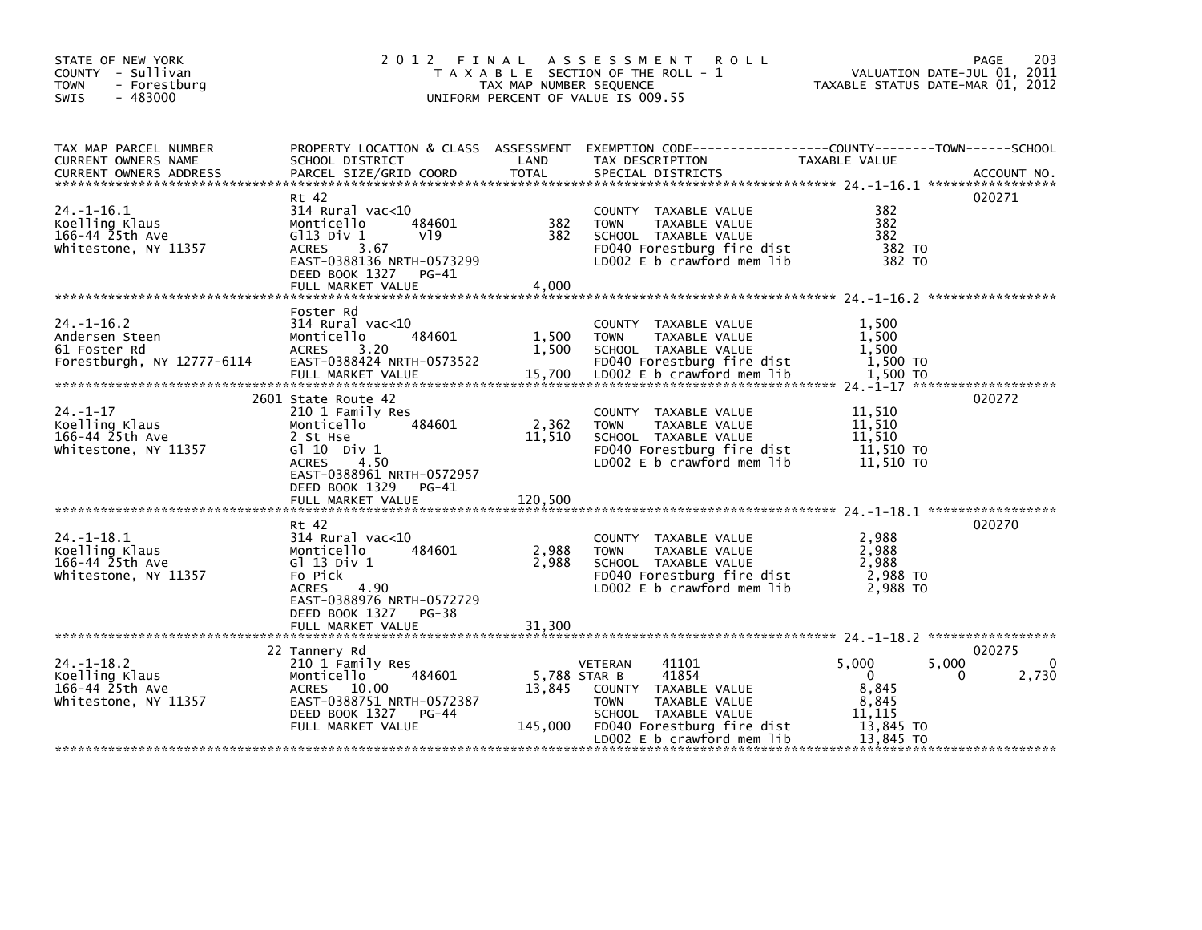| STATE OF NEW YORK<br>COUNTY - Sullivan<br><b>TOWN</b><br>- Forestbura<br>$-483000$<br><b>SWIS</b> | 2 0 1 2                                                                                                                                                                                       | FINAL<br>TAX MAP NUMBER SEQUENCE  | A S S E S S M E N T<br><b>ROLL</b><br>T A X A B L E SECTION OF THE ROLL - 1<br>UNIFORM PERCENT OF VALUE IS 009.55                              | VALUATION DATE-JUL 01, 2011<br>TAXABLE STATUS DATE-MAR 01, 2012     | 203<br>PAGE |
|---------------------------------------------------------------------------------------------------|-----------------------------------------------------------------------------------------------------------------------------------------------------------------------------------------------|-----------------------------------|------------------------------------------------------------------------------------------------------------------------------------------------|---------------------------------------------------------------------|-------------|
| TAX MAP PARCEL NUMBER<br>CURRENT OWNERS NAME<br><b>CURRENT OWNERS ADDRESS</b>                     | PROPERTY LOCATION & CLASS ASSESSMENT<br>SCHOOL DISTRICT<br>PARCEL SIZE/GRID COORD                                                                                                             | LAND<br><b>TOTAL</b>              | TAX DESCRIPTION<br>SPECIAL DISTRICTS                                                                                                           | TAXABLE VALUE                                                       | ACCOUNT NO. |
| $24. -1 - 16.1$<br>Koelling Klaus<br>166-44 25th Ave<br>Whitestone, NY 11357                      | Rt 42<br>$314$ Rural vac< $10$<br>Monticello<br>484601<br>$G113$ Div $1$<br>V <sub>19</sub><br><b>ACRES</b><br>3.67<br>EAST-0388136 NRTH-0573299<br>DEED BOOK 1327 PG-41<br>FULL MARKET VALUE | 382<br>382<br>4,000               | COUNTY TAXABLE VALUE<br><b>TOWN</b><br>TAXABLE VALUE<br>SCHOOL TAXABLE VALUE<br>FD040 Forestburg fire dist<br>LD002 E b crawford mem lib       | 382<br>382<br>382<br>382 TO<br>382 TO                               | 020271      |
| $24. -1 - 16.2$<br>Andersen Steen<br>61 Foster Rd<br>Forestburgh, NY 12777-6114                   | Foster Rd<br>314 Rural vac<10<br>484601<br>Monticello<br><b>ACRES</b><br>3.20<br>EAST-0388424 NRTH-0573522<br>FULL MARKET VALUE                                                               | 1,500<br>1,500<br>15,700          | COUNTY TAXABLE VALUE<br><b>TOWN</b><br>TAXABLE VALUE<br>SCHOOL TAXABLE VALUE<br>FD040 Forestburg fire dist<br>LD002 E b crawford mem lib       | 1.500<br>1.500<br>1.500<br>1,500 TO<br>1.500 TO                     |             |
| $24. - 1 - 17$<br>Koelling Klaus<br>166-44 25th Ave<br>Whitestone, NY 11357                       | 2601 State Route 42<br>210 1 Family Res<br>Monticello<br>484601<br>2 St Hse<br>G $110$ Div 1<br>4.50<br><b>ACRES</b><br>EAST-0388961 NRTH-0572957                                             | 2,362<br>11,510                   | COUNTY TAXABLE VALUE<br><b>TOWN</b><br>TAXABLE VALUE<br>SCHOOL TAXABLE VALUE<br>FD040 Forestburg fire dist<br>LD002 E b crawford mem lib       | 11,510<br>11,510<br>11,510<br>11,510 TO<br>11,510 TO                | 020272      |
|                                                                                                   | DEED BOOK 1329<br>PG-41<br>FULL MARKET VALUE                                                                                                                                                  | 120,500                           |                                                                                                                                                |                                                                     |             |
| $24. - 1 - 18.1$<br>Koelling Klaus<br>166-44 25th Ave<br>Whitestone, NY 11357                     | Rt 42<br>314 Rural vac<10<br>Monticello<br>484601<br>G1 13 Div 1<br>Fo Pick<br>4.90<br><b>ACRES</b><br>EAST-0388976 NRTH-0572729<br>DEED BOOK 1327<br>PG-38                                   | 2,988<br>2,988                    | COUNTY TAXABLE VALUE<br>TAXABLE VALUE<br><b>TOWN</b><br>SCHOOL TAXABLE VALUE<br>FD040 Forestburg fire dist<br>LD002 E b crawford mem lib       | 2,988<br>2,988<br>2,988<br>2,988 TO<br>2.988 TO                     | 020270      |
|                                                                                                   | FULL MARKET VALUE                                                                                                                                                                             | 31,300                            |                                                                                                                                                |                                                                     | 020275      |
| $24. - 1 - 18.2$<br>Koelling Klaus<br>166-44 25th Ave<br>Whitestone, NY 11357                     | 22 Tannery Rd<br>210 1 Family Res<br>484601<br>Monticello<br>ACRES 10.00<br>EAST-0388751 NRTH-0572387<br>DEED BOOK 1327<br>PG-44<br>FULL MARKET VALUE                                         | 5.788 STAR B<br>13,845<br>145,000 | 41101<br><b>VETERAN</b><br>41854<br>COUNTY TAXABLE VALUE<br>TAXABLE VALUE<br><b>TOWN</b><br>SCHOOL TAXABLE VALUE<br>FD040 Forestburg fire dist | 5,000<br>5,000<br>$\Omega$<br>8,845<br>8,845<br>11.115<br>13,845 TO | 0<br>2,730  |
|                                                                                                   |                                                                                                                                                                                               |                                   | LD002 E b crawford mem lib                                                                                                                     | 13,845 TO                                                           |             |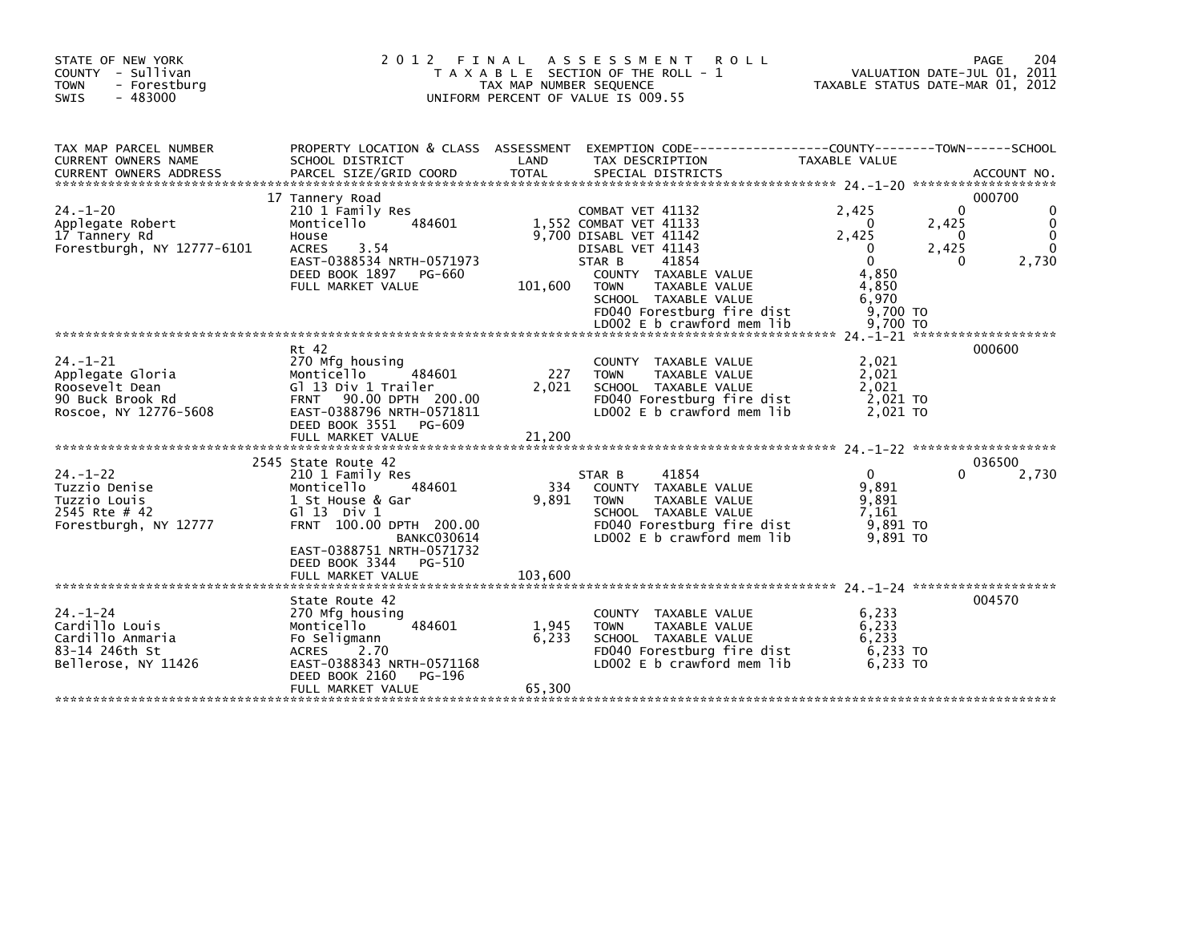| STATE OF NEW YORK<br>COUNTY - Sullivan<br><b>TOWN</b><br>- Forestburg<br>SWIS<br>$-483000$        | 2 0 1 2                                                                                                                                                                                                                               | FINAL<br>TAX MAP NUMBER SEQUENCE | A S S E S S M E N T<br><b>ROLL</b><br>T A X A B L E SECTION OF THE ROLL - 1<br>UNIFORM PERCENT OF VALUE IS 009.55                                                                                                         | TAXABLE STATUS DATE-MAR 01, 2012                                                       |                                      | PAGE<br>204<br>VALUATION DATE-JUL 01, 2011 |
|---------------------------------------------------------------------------------------------------|---------------------------------------------------------------------------------------------------------------------------------------------------------------------------------------------------------------------------------------|----------------------------------|---------------------------------------------------------------------------------------------------------------------------------------------------------------------------------------------------------------------------|----------------------------------------------------------------------------------------|--------------------------------------|--------------------------------------------|
| TAX MAP PARCEL NUMBER<br>CURRENT OWNERS NAME<br><b>CURRENT OWNERS ADDRESS</b>                     | SCHOOL DISTRICT<br>PARCEL SIZE/GRID COORD                                                                                                                                                                                             | LAND<br><b>TOTAL</b>             | PROPERTY LOCATION & CLASS ASSESSMENT EXEMPTION CODE----------------COUNTY-------TOWN------SCHOOL<br>TAX DESCRIPTION<br>SPECIAL DISTRICTS                                                                                  | TAXABLE VALUE                                                                          |                                      | ACCOUNT NO.                                |
| $24. - 1 - 20$<br>Applegate Robert<br>17 Tannery Rd<br>Forestburgh, NY 12777-6101                 | 17 Tannery Road<br>210 1 Family Res<br>Monticello<br>484601<br>House<br>3.54<br><b>ACRES</b><br>EAST-0388534 NRTH-0571973<br>DEED BOOK 1897 PG-660<br>FULL MARKET VALUE                                                               | 101,600                          | COMBAT VET 41132<br>1,552 COMBAT VET 41133<br>9,700 DISABL VET 41142<br>DISABL VET 41143<br>STAR B<br>41854<br>COUNTY TAXABLE VALUE<br><b>TOWN</b><br>TAXABLE VALUE<br>SCHOOL TAXABLE VALUE<br>FD040 Forestburg fire dist | 2.425<br>$\Omega$<br>2,425<br>0<br>$\mathbf{0}$<br>4,850<br>4,850<br>6,970<br>9.700 TO | $\Omega$<br>2,425<br>0<br>2,425<br>0 | 000700<br>2,730                            |
| $24. - 1 - 21$<br>Applegate Gloria<br>Roosevelt Dean<br>90 Buck Brook Rd<br>Roscoe, NY 12776-5608 | Rt 42<br>270 Mfg housing<br>484601<br>Monticello<br>Gl 13 Div 1 Trailer<br>FRNT 90.00 DPTH 200.00<br>EAST-0388796 NRTH-0571811<br>DEED BOOK 3551 PG-609<br>FULL MARKET VALUE                                                          | 227<br>2,021<br>21.200           | COUNTY TAXABLE VALUE<br>TAXABLE VALUE<br><b>TOWN</b><br>SCHOOL TAXABLE VALUE<br>FD040 Forestburg fire dist<br>LD002 E b crawford mem lib                                                                                  | 2,021<br>2,021<br>2,021<br>2,021 TO<br>2,021 TO                                        |                                      | 000600                                     |
| $24. - 1 - 22$<br>Tuzzio Denise<br>Tuzzio Louis<br>2545 Rte # 42<br>Forestburgh, NY 12777         | 2545 State Route 42<br>210 1 Family Res<br>484601<br>Monticello<br>1 St House & Gar<br>$G1 13$ Div $1$<br>FRNT 100.00 DPTH 200.00<br><b>BANKC030614</b><br>EAST-0388751 NRTH-0571732<br>DEED BOOK 3344<br>PG-510<br>FULL MARKET VALUE | 334<br>9,891<br>103.600          | 41854<br>STAR B<br>COUNTY TAXABLE VALUE<br>TAXABLE VALUE<br><b>TOWN</b><br>SCHOOL TAXABLE VALUE<br>FD040 Forestburg fire dist<br>LD002 E b crawford mem lib                                                               | $\mathbf{0}$<br>9,891<br>9,891<br>7,161<br>9,891 то<br>9.891 TO                        | 0                                    | 036500<br>2,730                            |
| $24. - 1 - 24$<br>Cardillo Louis<br>Cardillo Anmaria<br>83-14 246th St<br>Bellerose, NY 11426     | State Route 42<br>270 Mfg housing<br>484601<br>Monticello<br>Fo Seligmann<br><b>ACRES</b><br>2.70<br>EAST-0388343 NRTH-0571168<br>DEED BOOK 2160<br>PG-196<br>FULL MARKET VALUE                                                       | 1,945<br>6,233<br>65,300         | COUNTY TAXABLE VALUE<br><b>TOWN</b><br>TAXABLE VALUE<br>SCHOOL TAXABLE VALUE<br>FD040 Forestburg fire dist<br>LD002 E b crawford mem lib                                                                                  | 6,233<br>6,233<br>6,233<br>6,233 TO<br>6.233 TO                                        |                                      | 004570                                     |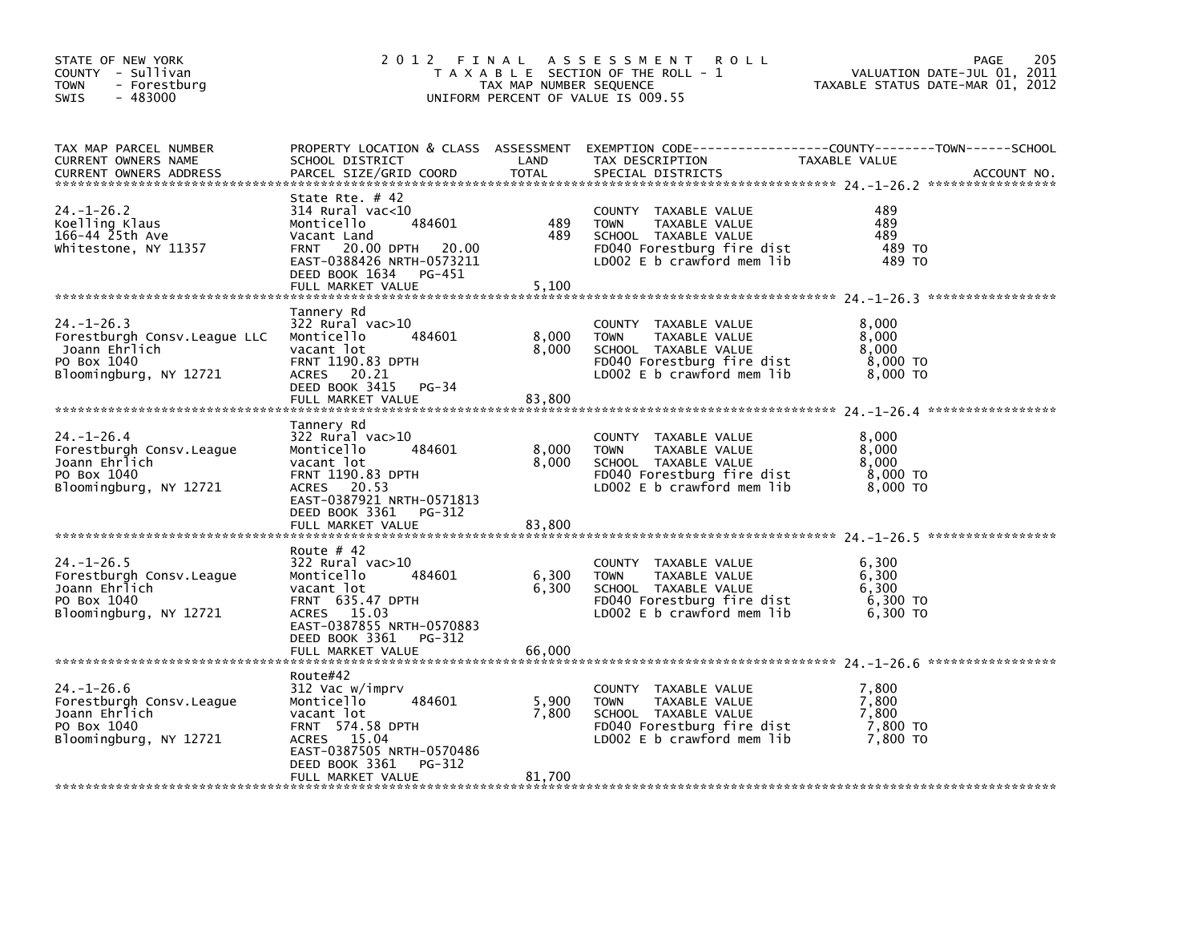| STATE OF NEW YORK<br>COUNTY - Sullivan<br><b>TOWN</b><br>- Forestburg<br>$-483000$<br><b>SWIS</b>           |                                                                                                                                                                                    | TAX MAP NUMBER SEQUENCE  | 2012 FINAL ASSESSMENT<br><b>ROLL</b><br>T A X A B L E SECTION OF THE ROLL - 1<br>UNIFORM PERCENT OF VALUE IS 009.55                        | VALUATION DATE-JUL 01, 2011<br>TAXABLE STATUS DATE-MAR 01, 2012 | 205<br><b>PAGE</b> |
|-------------------------------------------------------------------------------------------------------------|------------------------------------------------------------------------------------------------------------------------------------------------------------------------------------|--------------------------|--------------------------------------------------------------------------------------------------------------------------------------------|-----------------------------------------------------------------|--------------------|
| TAX MAP PARCEL NUMBER<br>CURRENT OWNERS NAME<br><b>CURRENT OWNERS ADDRESS</b>                               | SCHOOL DISTRICT<br>PARCEL SIZE/GRID COORD                                                                                                                                          | LAND<br><b>TOTAL</b>     | PROPERTY LOCATION & CLASS ASSESSMENT EXEMPTION CODE----------------COUNTY-------TOWN------SCHOOL<br>TAX DESCRIPTION<br>SPECIAL DISTRICTS   | TAXABLE VALUE                                                   | ACCOUNT NO.        |
| 24. –1–26.2<br>Koelling Klaus<br>166-44 25th Ave<br>Whitestone, NY 11357                                    | State Rte. # 42<br>314 Rural vac<10<br>484601<br>Monticello<br>Vacant Land<br>FRNT 20.00 DPTH 20.00<br>EAST-0388426 NRTH-0573211<br>DEED BOOK 1634<br>PG-451<br>FULL MARKET VALUE  | 489<br>489<br>5,100      | COUNTY TAXABLE VALUE<br>TAXABLE VALUE<br><b>TOWN</b><br>SCHOOL TAXABLE VALUE<br>FD040 Forestburg fire dist<br>LD002 $E$ b crawford mem lib | 489<br>489<br>489<br>489 TO<br>489 TO                           |                    |
| $24. - 1 - 26.3$<br>Forestburgh Consy. League LLC<br>Joann Ehrlich<br>PO Box 1040<br>Bloomingburg, NY 12721 | Tannery Rd<br>$322$ Rural vac $>10$<br>484601<br>Monticello<br>vacant lot<br><b>FRNT 1190.83 DPTH</b><br>ACRES 20.21<br>DEED BOOK 3415 PG-34<br>FULL MARKET VALUE                  | 8,000<br>8,000<br>83,800 | COUNTY TAXABLE VALUE<br><b>TOWN</b><br>TAXABLE VALUE<br>SCHOOL TAXABLE VALUE<br>FD040 Forestburg fire dist<br>LDOO2 E b crawford mem lib   | 8,000<br>8,000<br>8,000<br>8,000 TO<br>8,000 TO                 |                    |
| $24. - 1 - 26.4$<br>Forestburgh Consy. League<br>Joann Ehrlich<br>PO Box 1040<br>Bloomingburg, NY 12721     | Tannery Rd<br>322 Rural vac>10<br>484601<br>Monticello<br>vacant lot<br>FRNT 1190.83 DPTH<br>ACRES 20.53<br>EAST-0387921 NRTH-0571813<br>DEED BOOK 3361<br>PG-312                  | 8,000<br>8,000           | COUNTY TAXABLE VALUE<br><b>TOWN</b><br>TAXABLE VALUE<br>SCHOOL TAXABLE VALUE<br>FD040 Forestburg fire dist<br>LD002 $E$ b crawford mem lib | 8,000<br>8,000<br>8,000<br>8,000 TO<br>8,000 TO                 |                    |
|                                                                                                             | FULL MARKET VALUE                                                                                                                                                                  | 83,800                   |                                                                                                                                            |                                                                 |                    |
| $24. - 1 - 26.5$<br>Forestburgh Consy. League<br>Joann Ehrlich<br>PO Box 1040<br>Bloomingburg, NY 12721     | Route $# 42$<br>322 Rural vac>10<br>484601<br>Monticello<br>vacant lot<br>FRNT 635.47 DPTH<br>ACRES 15.03<br>EAST-0387855 NRTH-0570883                                             | 6,300<br>6,300           | COUNTY TAXABLE VALUE<br>TAXABLE VALUE<br><b>TOWN</b><br>SCHOOL TAXABLE VALUE<br>FD040 Forestburg fire dist<br>LD002 $E$ b crawford mem lib | 6,300<br>6,300<br>6,300<br>6,300 TO<br>6,300 TO                 |                    |
|                                                                                                             | DEED BOOK 3361<br>PG-312<br>FULL MARKET VALUE                                                                                                                                      | 66,000                   |                                                                                                                                            |                                                                 |                    |
| $24. - 1 - 26.6$<br>Forestburgh Consv. League<br>Joann Ehrlich<br>PO Box 1040<br>Bloomingburg, NY 12721     | Route#42<br>312 Vac w/imprv<br>Monticello<br>484601<br>vacant lot<br>FRNT 574.58 DPTH<br>ACRES 15.04<br>EAST-0387505 NRTH-0570486<br>DEED BOOK 3361<br>PG-312<br>FULL MARKET VALUE | 5.900<br>7,800<br>81,700 | COUNTY TAXABLE VALUE<br><b>TOWN</b><br>TAXABLE VALUE<br>SCHOOL TAXABLE VALUE<br>FD040 Forestburg fire dist<br>LDOO2 E b crawford mem lib   | 7,800<br>7.800<br>7,800<br>7,800 TO<br>7,800 TO                 |                    |
|                                                                                                             |                                                                                                                                                                                    |                          |                                                                                                                                            |                                                                 |                    |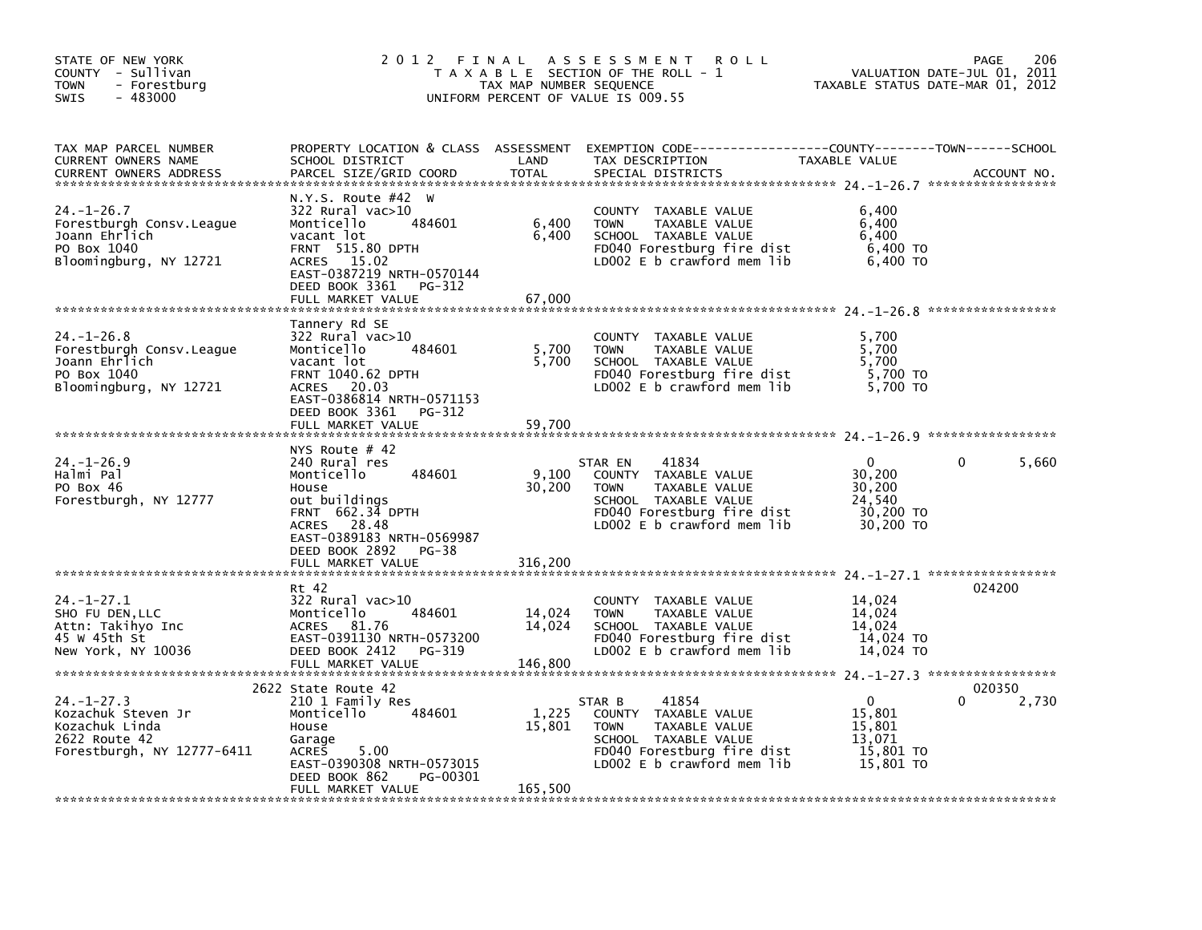| STATE OF NEW YORK<br>COUNTY - Sullivan<br><b>TOWN</b><br>- Forestburg<br>$-483000$<br><b>SWIS</b>       |                                                                                                                                                                                       | TAX MAP NUMBER SEQUENCE     | 2012 FINAL ASSESSMENT<br><b>ROLL</b><br>T A X A B L E SECTION OF THE ROLL - 1<br>UNIFORM PERCENT OF VALUE IS 009.55                                          | TAXABLE STATUS DATE-MAR 01, 2012                                 | 206<br><b>PAGE</b><br>VALUATION DATE-JUL 01, 2011 |
|---------------------------------------------------------------------------------------------------------|---------------------------------------------------------------------------------------------------------------------------------------------------------------------------------------|-----------------------------|--------------------------------------------------------------------------------------------------------------------------------------------------------------|------------------------------------------------------------------|---------------------------------------------------|
| TAX MAP PARCEL NUMBER<br>CURRENT OWNERS NAME<br><b>CURRENT OWNERS ADDRESS</b>                           | SCHOOL DISTRICT<br>PARCEL SIZE/GRID COORD                                                                                                                                             | LAND<br><b>TOTAL</b>        | PROPERTY LOCATION & CLASS ASSESSMENT EXEMPTION CODE----------------COUNTY-------TOWN------SCHOOL<br>TAX DESCRIPTION<br>SPECIAL DISTRICTS                     | TAXABLE VALUE                                                    | ACCOUNT NO.                                       |
| 24. –1–26.7<br>Forestburgh Consy. League<br>Joann Ehrlich<br>PO Box 1040<br>Bloomingburg, NY 12721      | N.Y.S. Route #42 W<br>322 Rural vac>10<br>484601<br>Monticello<br>vacant lot<br>FRNT 515.80 DPTH<br>ACRES 15.02<br>EAST-0387219 NRTH-0570144<br>DEED BOOK 3361 PG-312                 | 6,400<br>6,400              | COUNTY TAXABLE VALUE<br>TAXABLE VALUE<br><b>TOWN</b><br>SCHOOL TAXABLE VALUE<br>FD040 Forestburg fire dist<br>LD002 E b crawford mem lib                     | 6,400<br>6,400<br>6.400<br>6,400 TO<br>6,400 TO                  |                                                   |
|                                                                                                         | FULL MARKET VALUE                                                                                                                                                                     | 67,000                      |                                                                                                                                                              |                                                                  |                                                   |
| $24. - 1 - 26.8$<br>Forestburgh Consv.League<br>Joann Ehrlich<br>PO Box 1040<br>Bloomingburg, NY 12721  | Tannery Rd SE<br>322 Rural vac>10<br>Monticello<br>484601<br>vacant lot<br>FRNT 1040.62 DPTH<br>ACRES 20.03<br>EAST-0386814 NRTH-0571153                                              | 5,700<br>5,700              | COUNTY TAXABLE VALUE<br><b>TOWN</b><br>TAXABLE VALUE<br>SCHOOL TAXABLE VALUE<br>FD040 Forestburg fire dist<br>LDOO2 E b crawford mem lib                     | 5,700<br>5,700<br>5,700<br>5,700 TO<br>5,700 TO                  |                                                   |
|                                                                                                         | DEED BOOK 3361 PG-312                                                                                                                                                                 |                             |                                                                                                                                                              |                                                                  |                                                   |
|                                                                                                         |                                                                                                                                                                                       |                             |                                                                                                                                                              |                                                                  |                                                   |
| $24. - 1 - 26.9$<br>Halmi Pal<br>PO Box 46<br>Forestburgh, NY 12777                                     | NYS Route $#$ 42<br>240 Rural res<br>484601<br>Monticello<br>House<br>out buildings<br>FRNT 662.34 DPTH<br><b>ACRES</b><br>28.48<br>EAST-0389183 NRTH-0569987<br>DEED BOOK 2892 PG-38 | 9,100<br>30,200             | 41834<br>STAR EN<br>COUNTY TAXABLE VALUE<br>TAXABLE VALUE<br><b>TOWN</b><br>SCHOOL TAXABLE VALUE<br>FD040 Forestburg fire dist<br>LD002 E b crawford mem lib | $\Omega$<br>30,200<br>30,200<br>24,540<br>30,200 TO<br>30,200 TO | $\Omega$<br>5,660                                 |
|                                                                                                         | FULL MARKET VALUE                                                                                                                                                                     | 316,200                     |                                                                                                                                                              |                                                                  |                                                   |
| $24. - 1 - 27.1$<br>SHO FU DEN, LLC<br>Attn: Takihyo Inc<br>45 W 45th St<br>New York, NY 10036          | Rt 42<br>322 Rural vac>10<br>484601<br>Monticello<br><b>ACRES</b><br>81.76<br>EAST-0391130 NRTH-0573200<br>DEED BOOK 2412<br>PG-319<br>FULL MARKET VALUE                              | 14,024<br>14,024<br>146,800 | COUNTY TAXABLE VALUE<br><b>TOWN</b><br>TAXABLE VALUE<br>SCHOOL TAXABLE VALUE<br>FD040 Forestburg fire dist<br>LD002 E b crawford mem lib                     | 14,024<br>14,024<br>14,024<br>14,024 TO<br>14,024 TO             | 024200                                            |
|                                                                                                         |                                                                                                                                                                                       |                             |                                                                                                                                                              |                                                                  |                                                   |
| $24. - 1 - 27.3$<br>Kozachuk Steven Jr<br>Kozachuk Linda<br>2622 Route 42<br>Forestburgh, NY 12777-6411 | 2622 State Route 42<br>210 1 Family Res<br>484601<br>Monticello<br>House<br>Garage<br>5.00<br>ACRES<br>EAST-0390308 NRTH-0573015<br>DEED BOOK 862<br>PG-00301<br>FULL MARKET VALUE    | 1,225<br>15,801<br>165,500  | 41854<br>STAR B<br>COUNTY TAXABLE VALUE<br><b>TOWN</b><br>TAXABLE VALUE<br>SCHOOL TAXABLE VALUE<br>FD040 Forestburg fire dist<br>LD002 E b crawford mem lib  | $\Omega$<br>15,801<br>15,801<br>13,071<br>15,801 TO<br>15,801 TO | 020350<br>0<br>2,730                              |
|                                                                                                         |                                                                                                                                                                                       |                             |                                                                                                                                                              |                                                                  |                                                   |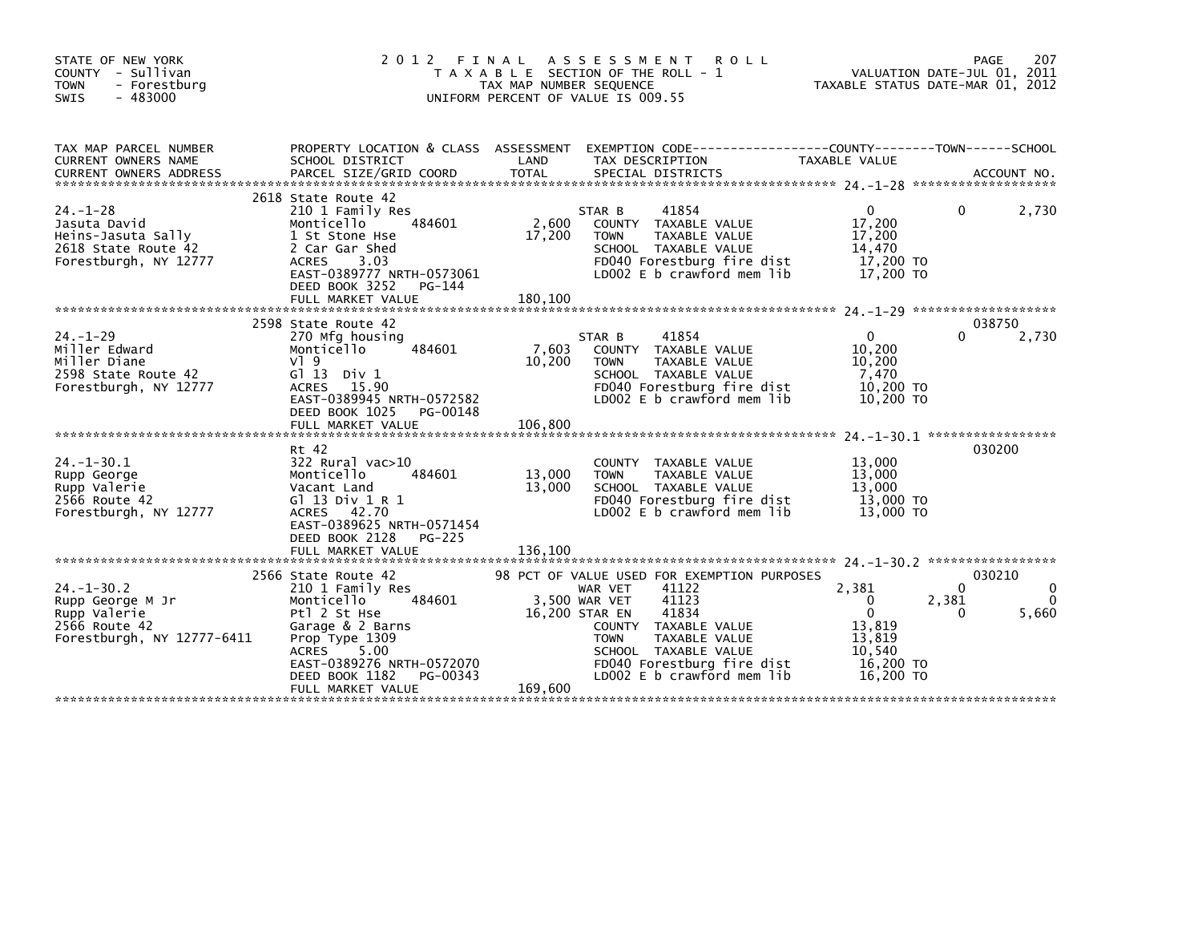|                                                                                                                                                                                                                     |                            | <b>ROLL</b>                                                                                                                                                                    |                                                                                                                                                                  | 207<br>PAGE<br>VALUATION DATE-JUL 01, 2011<br>TAXABLE STATUS DATE-MAR 01, 2012                                                                  |
|---------------------------------------------------------------------------------------------------------------------------------------------------------------------------------------------------------------------|----------------------------|--------------------------------------------------------------------------------------------------------------------------------------------------------------------------------|------------------------------------------------------------------------------------------------------------------------------------------------------------------|-------------------------------------------------------------------------------------------------------------------------------------------------|
| SCHOOL DISTRICT                                                                                                                                                                                                     | LAND                       | TAX DESCRIPTION                                                                                                                                                                | TAXABLE VALUE                                                                                                                                                    |                                                                                                                                                 |
| 2618 State Route 42<br>210 1 Family Res<br>484601<br>Monticello<br>1 St Stone Hse<br>2 Car Gar Shed<br><b>ACRES</b><br>3.03<br>EAST-0389777 NRTH-0573061<br>DEED BOOK 3252<br>PG-144<br>FULL MARKET VALUE           | 2,600<br>17,200<br>180,100 | 41854<br>STAR B<br>COUNTY TAXABLE VALUE<br><b>TAXABLE VALUE</b><br><b>TOWN</b><br>SCHOOL TAXABLE VALUE<br>FD040 Forestburg fire dist<br>LD002 E b crawford mem lib             | $\Omega$<br>17,200<br>17,200<br>14,470<br>17,200 TO<br>17,200 TO                                                                                                 | 2,730<br>0                                                                                                                                      |
| 2598 State Route 42<br>270 Mfg housing<br>Monticello<br>484601<br>$V$ <sup>1</sup> 9<br>$G1$ 13 Div 1<br>ACRES 15.90<br>EAST-0389945 NRTH-0572582<br>DEED BOOK 1025<br>PG-00148<br>FULL MARKET VALUE                | 7.603<br>10,200<br>106,800 | 41854<br>STAR B<br>COUNTY TAXABLE VALUE<br>TAXABLE VALUE<br><b>TOWN</b><br>SCHOOL TAXABLE VALUE<br>FD040 Forestburg fire dist<br>LD002 E b crawford mem lib                    | $\Omega$<br>10,200<br>10,200<br>7.470<br>10,200 TO<br>10,200 TO                                                                                                  | 038750<br>2,730<br>0                                                                                                                            |
| Rt 42<br>$322$ Rural vac $>10$<br>Monticello<br>484601<br>Vacant Land<br>G1 13 Div 1 R 1<br>ACRES 42.70<br>EAST-0389625 NRTH-0571454<br>DEED BOOK 2128<br><b>PG-225</b>                                             | 13,000<br>13,000           | TAXABLE VALUE<br><b>COUNTY</b><br>TAXABLE VALUE<br><b>TOWN</b><br>SCHOOL TAXABLE VALUE<br>FD040 Forestburg fire dist<br>LD002 E b crawford mem lib                             | 13,000<br>13,000<br>13,000<br>13,000 TO<br>13,000 TO                                                                                                             | 030200                                                                                                                                          |
| 2566 State Route 42<br>210 1 Family Res<br>484601<br>Monticello<br>Ptl 2 St Hse<br>Garage & 2 Barns<br>Prop Type 1309<br>ACRES 5.00<br>EAST-0389276 NRTH-0572070<br>DEED BOOK 1182<br>PG-00343<br>FULL MARKET VALUE | 169,600                    | 41122<br>WAR VET<br>41123<br>41834<br>COUNTY TAXABLE VALUE<br>TAXABLE VALUE<br><b>TOWN</b><br>SCHOOL TAXABLE VALUE<br>FD040 Forestburg fire dist<br>LD002 E b crawford mem lib | 2,381<br>$\Omega$<br>$\Omega$<br>13,819<br>13.819<br>10,540<br>16.200 TO<br>16,200 TO                                                                            | 030210<br>$\Omega$<br>2,381<br>$\Omega$<br>5,660<br>0                                                                                           |
|                                                                                                                                                                                                                     |                            | 2012 FINAL                                                                                                                                                                     | A S S E S S M E N T<br>T A X A B L E SECTION OF THE ROLL - 1<br>TAX MAP NUMBER SEQUENCE<br>UNIFORM PERCENT OF VALUE IS 009.55<br>3.500 WAR VET<br>16,200 STAR EN | PROPERTY LOCATION & CLASS ASSESSMENT EXEMPTION CODE----------------COUNTY-------TOWN------SCHOOL<br>98 PCT OF VALUE USED FOR EXEMPTION PURPOSES |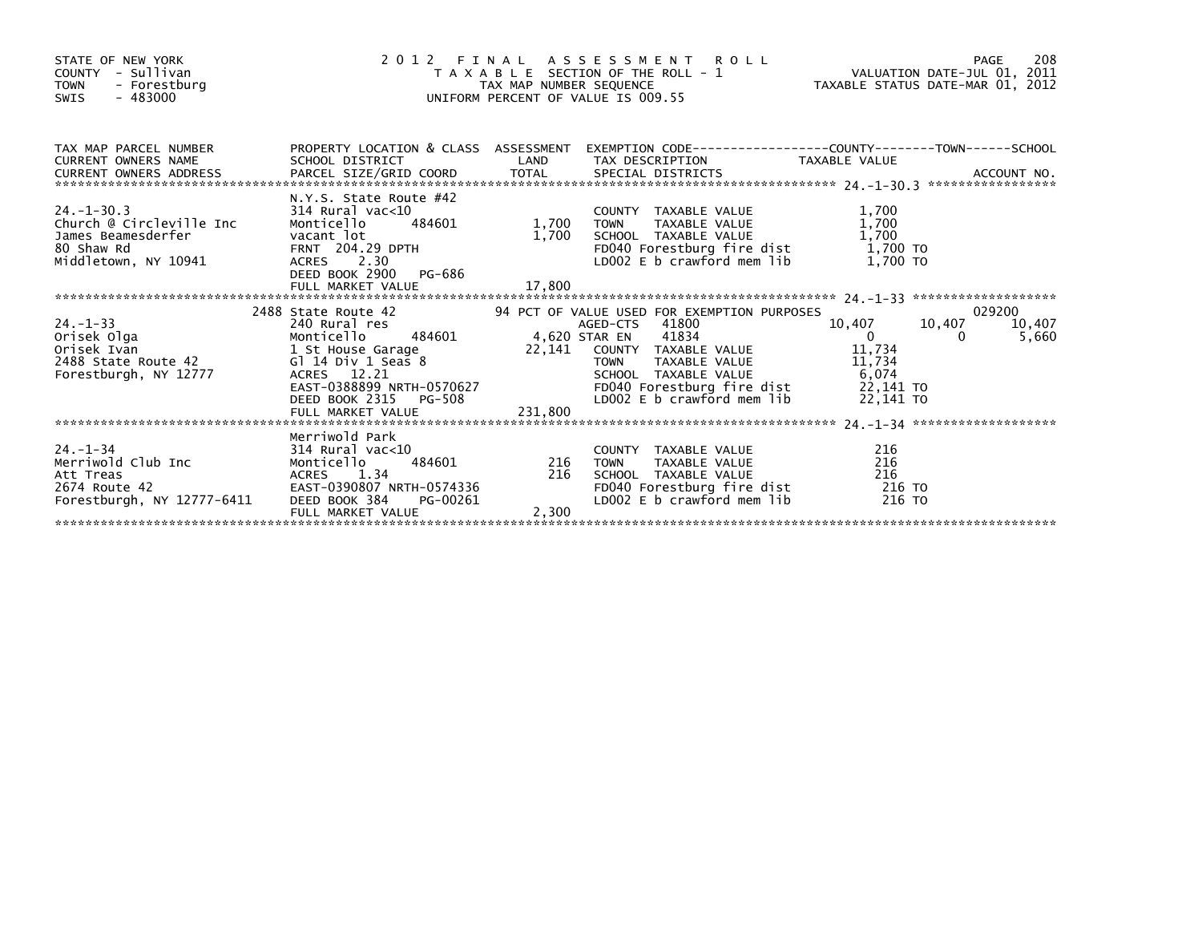| STATE OF NEW YORK<br>COUNTY - Sullivan<br>- Forestburg<br><b>TOWN</b><br>$-483000$<br>SWIS                                                                                                                                                                                                                                               | $\frac{1}{2}$ 0   |       | T A X A B L E SECTION OF THE ROLL - 1<br>TAX MAP NUMBER SEQUENCE TAX A B L E SECTION OF THE ROLL - 1<br>UNIFORM PERCENT OF VALUE IS 009.55<br>2012 FINAL ASSESSMENT ROLL         |                    |                 |
|------------------------------------------------------------------------------------------------------------------------------------------------------------------------------------------------------------------------------------------------------------------------------------------------------------------------------------------|-------------------|-------|----------------------------------------------------------------------------------------------------------------------------------------------------------------------------------|--------------------|-----------------|
| TAX MAP PARCEL NUMBER PROPERTY LOCATION & CLASS ASSESSMENT EXEMPTION CODE--------------COUNTY-------TOWN-----SCHOOL<br>12. MAP PARCEL NUMBER SCHOOL DISTRICT<br>CURRENT OWNERS ADDRESS BARCEL SIZE/GRID COORD TOTAL SPECIAL DISTRICTS TAXABLE VALUE<br>CURRENT OWNERS ADDRESS PARCEL SIZE/GRID COORD TOTAL SPECIAL DISTRICTS ACCOUNT NO. |                   |       |                                                                                                                                                                                  |                    |                 |
| 24.-1-30.3<br>24.-1-30.3<br>24.-1-30.3<br>24.1-30.3<br>24.1-30.3<br>24.1-30.3<br>24.1-30.3<br>24.1-30.3<br>24.1-30.3<br>24.1-30.3<br>24.1-30.3<br>314 Rural vac<10<br>24.29 DPTH<br>204.29 DPTH<br>204.29 DPTH<br>204.29 DPTH<br>204.29 DPTH<br>204.29 DPTH<br>200                                                                       |                   |       |                                                                                                                                                                                  |                    |                 |
|                                                                                                                                                                                                                                                                                                                                          |                   |       |                                                                                                                                                                                  |                    | 029200          |
| 10,407<br>2468 State Route 42<br>2468 State Route 42<br>2468 State Route 42<br>2468 State Route 42<br>2468 State Route 42<br>2476 Monticello 484601<br>22,141 COUNTY TAXABLE VALUE<br>22,141 COUNTY TAXABLE VALUE<br>22,141 COUNTY TAXABLE VALUE                                                                                         |                   |       | 94 PCT OF VALUE USED FOR EXEMPTION PURPOSES<br>AGED-CTS 41800 10,407 10,407                                                                                                      | 10,407<br>$\Omega$ | 10,407<br>5,660 |
|                                                                                                                                                                                                                                                                                                                                          |                   |       |                                                                                                                                                                                  |                    |                 |
| 24.-1-34 Merriwold Park<br>Merriwold Club Inc 314 Rural vac<10 COUNT<br>Merriwold Club Inc Monticello 484601 216 TOWN<br>216 TOWN Att Treas ACRES 1.34 216 SCHOOL<br>20674 Route 42 EAST-0390807 NRTH-0574336 FD040<br>Forestburgh, NY 1                                                                                                 | FULL MARKET VALUE | 2,300 | COUNTY TAXABLE VALUE 216<br>TOWN TAXABLE VALUE 216<br>SCHOOL TAXABLE VALUE 216<br>FDO40 Forestburg fire dist 216 TO<br>LDO02 E b crawford mem lib 216 TO<br>SCHOOL TAXABLE VALUE |                    |                 |
|                                                                                                                                                                                                                                                                                                                                          |                   |       |                                                                                                                                                                                  |                    |                 |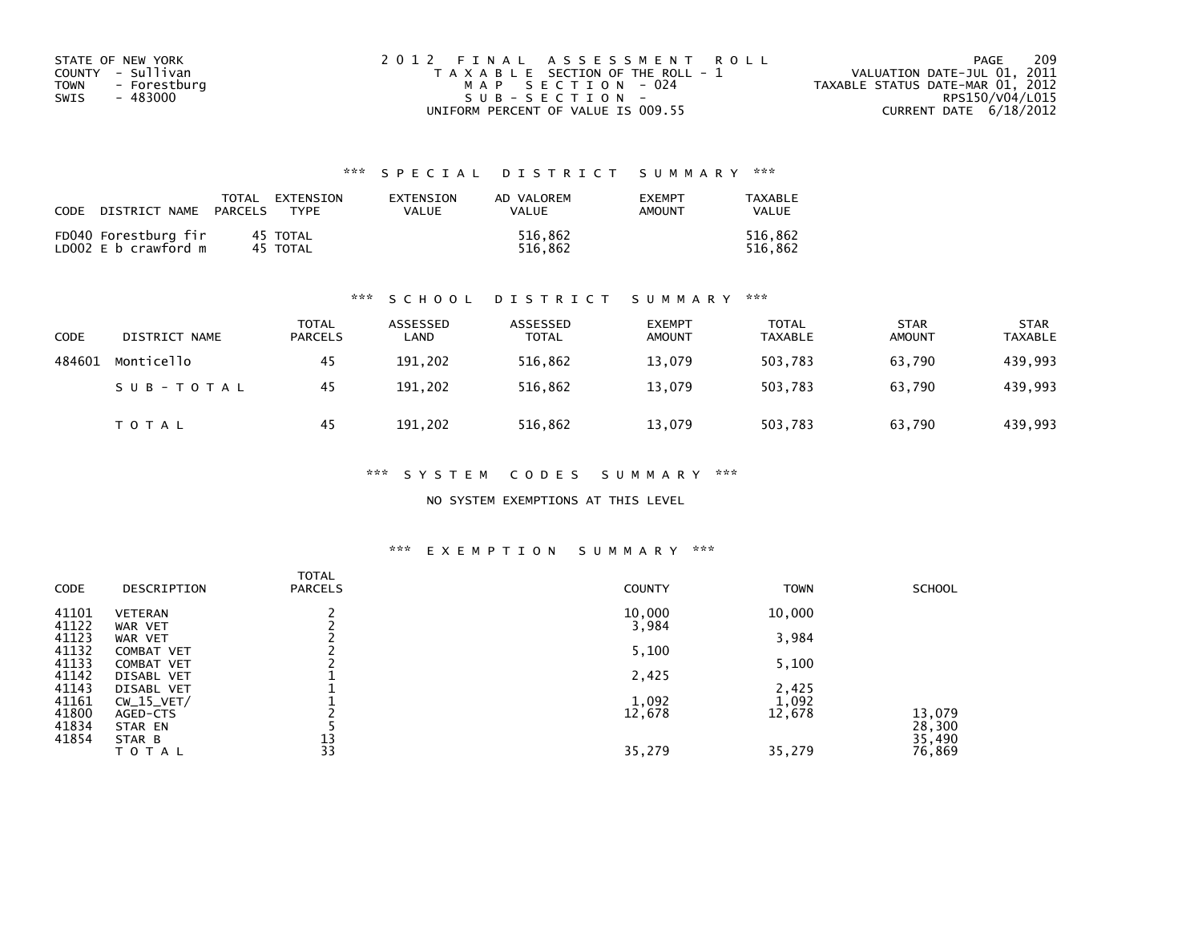| STATE OF NEW YORK    | 2012 FINAL ASSESSMENT ROLL            | 209<br>PAGE                      |
|----------------------|---------------------------------------|----------------------------------|
| COUNTY - Sullivan    | T A X A B L E SECTION OF THE ROLL - 1 | VALUATION DATE-JUL 01, 2011      |
| TOWN<br>- Forestburg | MAP SECTION - 024                     | TAXABLE STATUS DATE-MAR 01, 2012 |
| - 483000<br>SWIS     | $SUB - SECTION -$                     | RPS150/V04/L015                  |
|                      | UNIFORM PERCENT OF VALUE IS 009.55    | CURRENT DATE $6/18/2012$         |

| CODE | DISTRICT NAME                                | TOTAL<br>PARCELS | EXTENSION<br><b>TYPF</b> | EXTENSION<br>VALUE | AD VALOREM<br><b>VALUE</b> | <b>EXEMPT</b><br>AMOUNT | TAXABLE<br>VALUE   |
|------|----------------------------------------------|------------------|--------------------------|--------------------|----------------------------|-------------------------|--------------------|
|      | FD040 Forestburg fir<br>LD002 E b crawford m |                  | 45 TOTAL<br>45 TOTAL     |                    | 516.862<br>516.862         |                         | 516.862<br>516.862 |

## \*\*\* S C H O O L D I S T R I C T S U M M A R Y \*\*\*

| CODE   | DISTRICT NAME | <b>TOTAL</b><br><b>PARCELS</b> | ASSESSED<br>LAND | ASSESSED<br><b>TOTAL</b> | <b>EXEMPT</b><br><b>AMOUNT</b> | <b>TOTAL</b><br>TAXABLE | <b>STAR</b><br><b>AMOUNT</b> | <b>STAR</b><br><b>TAXABLE</b> |
|--------|---------------|--------------------------------|------------------|--------------------------|--------------------------------|-------------------------|------------------------------|-------------------------------|
| 484601 | Monticello    | 45                             | 191,202          | 516,862                  | 13,079                         | 503.783                 | 63,790                       | 439,993                       |
|        | SUB-TOTAL     | 45                             | 191.202          | 516.862                  | 13,079                         | 503.783                 | 63.790                       | 439,993                       |
|        | T O T A L     | 45                             | 191.202          | 516,862                  | 13,079                         | 503,783                 | 63,790                       | 439,993                       |

\*\*\* S Y S T E M C O D E S S U M M A R Y \*\*\*

NO SYSTEM EXEMPTIONS AT THIS LEVEL

## \*\*\* E X E M P T I O N S U M M A R Y \*\*\*

| CODE  | DESCRIPTION       | <b>TOTAL</b><br><b>PARCELS</b> | <b>COUNTY</b> | <b>TOWN</b> | <b>SCHOOL</b> |
|-------|-------------------|--------------------------------|---------------|-------------|---------------|
| 41101 | <b>VETERAN</b>    |                                | 10,000        | 10,000      |               |
| 41122 | WAR VET           |                                | 3,984         |             |               |
| 41123 | WAR VET           |                                |               | 3,984       |               |
| 41132 | <b>COMBAT VET</b> |                                | 5,100         |             |               |
| 41133 | COMBAT VET        |                                |               | 5,100       |               |
| 41142 | DISABL VET        |                                | 2,425         |             |               |
| 41143 | DISABL VET        |                                |               | 2,425       |               |
| 41161 | $CW_15_VET/$      |                                | 1,092         | 1,092       |               |
| 41800 | AGED-CTS          |                                | 12,678        | 12,678      | 13,079        |
| 41834 | STAR EN           |                                |               |             | 28,300        |
| 41854 | STAR B            | 13                             |               |             | 35,490        |
|       | TOTAL             | 33                             | 35,279        | 35,279      | 76,869        |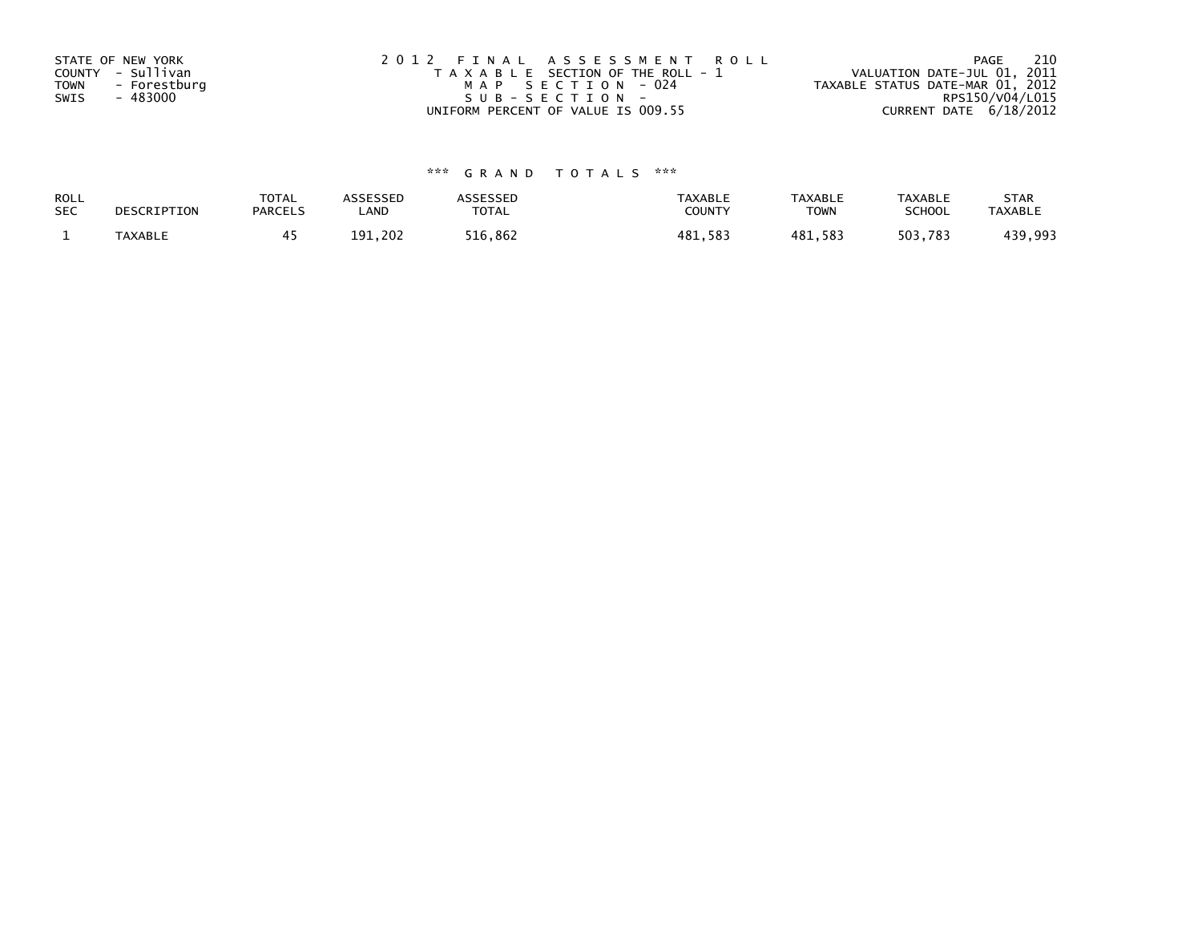| STATE OF NEW YORK<br>COUNTY - Sullivan<br><b>TOWN</b><br>- Forestburg<br>- 483000<br>SWIS | 2012 FINAL ASSESSMENT ROLL<br>T A X A B L E SECTION OF THE ROLL - 1<br>MAP SECTION - 024<br>SUB-SECTION- | - 210<br>PAGE<br>VALUATION DATE-JUL 01, 2011<br>TAXABLE STATUS DATE-MAR 01, 2012<br>RPS150/V04/L015 |
|-------------------------------------------------------------------------------------------|----------------------------------------------------------------------------------------------------------|-----------------------------------------------------------------------------------------------------|
|                                                                                           | UNIFORM PERCENT OF VALUE IS 009.55                                                                       | CURRENT DATE 6/18/2012                                                                              |

| ROLL       | DESCRIPTION | <b>TOTAL</b>   | ASSESSED | <b>ASSESSED</b> | <b>TAXABLE</b> | <b>TAXABLE</b> | <b>TAXABLE</b> | <b>STAR</b>    |
|------------|-------------|----------------|----------|-----------------|----------------|----------------|----------------|----------------|
| <b>SEC</b> |             | <b>PARCELS</b> | ∟AND     | TOTAL           | <b>COUNTY</b>  | TOWN           | <b>SCHOOL</b>  | <b>TAXABLE</b> |
|            | TAXABLE     |                | 191.202  | 516,862         | 481,583        | 481,583        | 503,783        | 439,993        |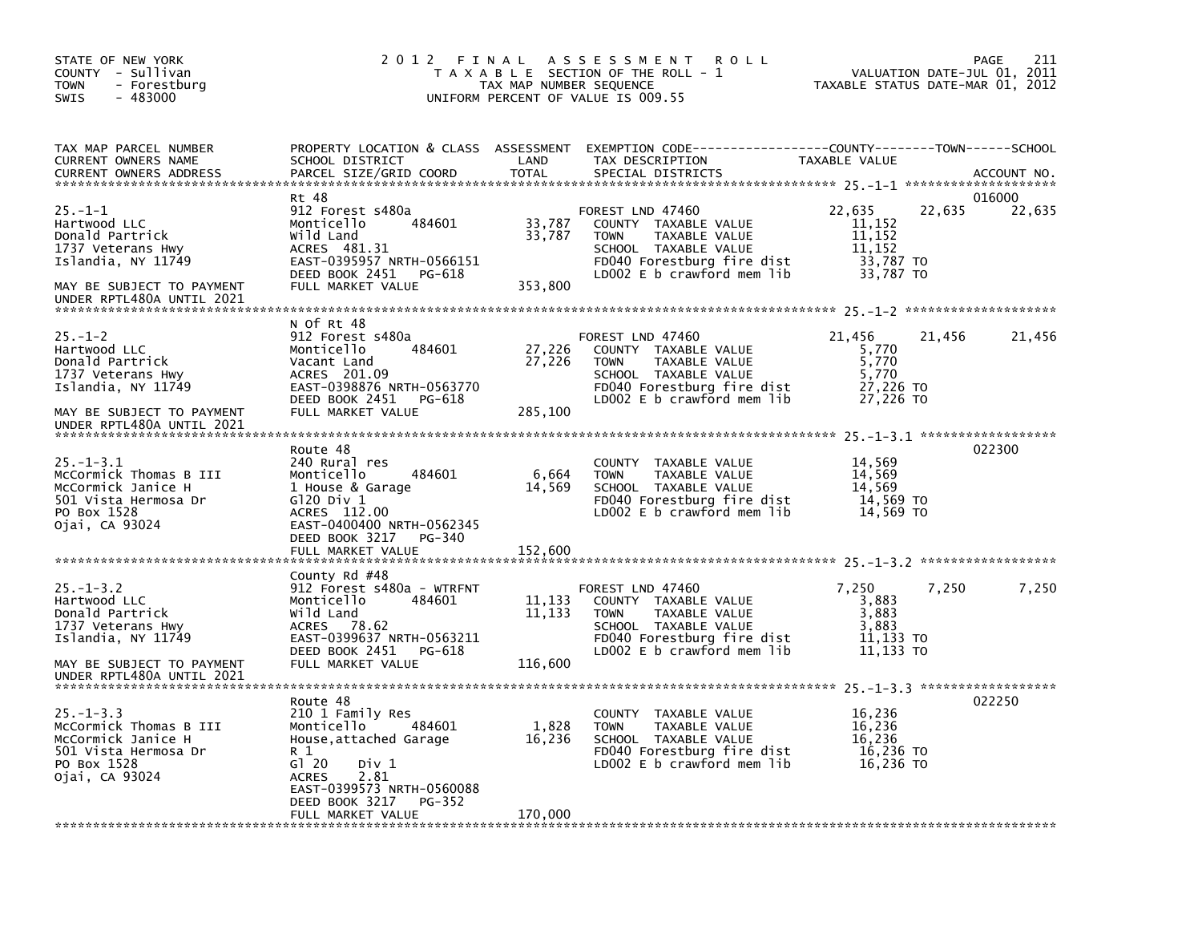| STATE OF NEW YORK<br>COUNTY - Sullivan<br><b>TOWN</b><br>- Forestburg<br>$-483000$<br><b>SWIS</b>                                                       |                                                                                                                                                                                                              | TAX MAP NUMBER SEQUENCE     | 2012 FINAL ASSESSMENT<br><b>ROLL</b><br>T A X A B L E SECTION OF THE ROLL - 1<br>UNIFORM PERCENT OF VALUE IS 009.55                                            | TAXABLE STATUS DATE-MAR 01, 2012                                         | 211<br>PAGE<br>VALUATION DATE-JUL 01, 2011 |
|---------------------------------------------------------------------------------------------------------------------------------------------------------|--------------------------------------------------------------------------------------------------------------------------------------------------------------------------------------------------------------|-----------------------------|----------------------------------------------------------------------------------------------------------------------------------------------------------------|--------------------------------------------------------------------------|--------------------------------------------|
| TAX MAP PARCEL NUMBER<br>CURRENT OWNERS NAME<br><b>CURRENT OWNERS ADDRESS</b>                                                                           | SCHOOL DISTRICT<br>PARCEL SIZE/GRID COORD                                                                                                                                                                    | LAND<br>TOTAL               | PROPERTY LOCATION & CLASS ASSESSMENT EXEMPTION CODE---------------COUNTY-------TOWN-----SCHOOL<br>TAX DESCRIPTION<br>SPECIAL DISTRICTS                         | TAXABLE VALUE                                                            | ACCOUNT NO.                                |
| $25. -1 - 1$<br>Hartwood LLC<br>Donald Partrick<br>1737 Veterans Hwy<br>Islandia, NY 11749<br>MAY BE SUBJECT TO PAYMENT                                 | Rt 48<br>912 Forest s480a<br>484601<br>Monticello<br>Wild Land<br>ACRES 481.31<br>EAST-0395957 NRTH-0566151<br>DEED BOOK 2451 PG-618<br>FULL MARKET VALUE                                                    | 33,787<br>33,787<br>353,800 | FOREST LND 47460<br>COUNTY TAXABLE VALUE<br><b>TOWN</b><br>TAXABLE VALUE<br>SCHOOL TAXABLE VALUE<br>FD040 Forestburg fire dist<br>LD002 $E$ b crawford mem lib | 22,635<br>22,635<br>11,152<br>11,152<br>11,152<br>33,787 TO<br>33,787 TO | 016000<br>22,635                           |
| UNDER RPTL480A UNTIL 2021                                                                                                                               |                                                                                                                                                                                                              |                             |                                                                                                                                                                |                                                                          |                                            |
| $25. - 1 - 2$<br>Hartwood LLC<br>Donald Partrick<br>1737 Veterans Hwy<br>Islandia, NY 11749<br>MAY BE SUBJECT TO PAYMENT                                | N Of Rt 48<br>912 Forest s480a<br>484601<br>Monticello<br>Vacant Land<br>ACRES 201.09<br>EAST-0398876 NRTH-0563770<br>DEED BOOK 2451 PG-618<br>FULL MARKET VALUE                                             | 27,226<br>27,226<br>285,100 | FOREST LND 47460<br>COUNTY TAXABLE VALUE<br>TAXABLE VALUE<br><b>TOWN</b><br>SCHOOL TAXABLE VALUE<br>FD040 Forestburg fire dist<br>LD002 E b crawford mem lib   | 21,456<br>21,456<br>5,770<br>5,770<br>5.770<br>27,226 TO<br>27,226 TO    | 21,456                                     |
| UNDER RPTL480A UNTIL 2021                                                                                                                               |                                                                                                                                                                                                              |                             |                                                                                                                                                                |                                                                          |                                            |
| $25. - 1 - 3.1$<br>McCormick Thomas B III<br>McCormick Janice H<br>501 Vista Hermosa Dr<br>PO Box 1528<br>Ojai, CA 93024                                | Route 48<br>240 Rural res<br>Monticello<br>484601<br>1 House & Garage<br>G120 Div 1<br>ACRES 112.00<br>EAST-0400400 NRTH-0562345<br>DEED BOOK 3217<br>PG-340<br>FULL MARKET VALUE                            | 6,664<br>14,569<br>152,600  | COUNTY TAXABLE VALUE<br>TAXABLE VALUE<br><b>TOWN</b><br>SCHOOL TAXABLE VALUE<br>FD040 Forestburg fire dist<br>LD002 E b crawford mem lib                       | 14,569<br>14,569<br>14,569<br>14,569 TO<br>14,569 TO                     | 022300                                     |
| $25. - 1 - 3.2$<br>Hartwood LLC<br>Donald Partrick<br>1737 Veterans Hwy<br>Islandia, NY 11749<br>MAY BE SUBJECT TO PAYMENT<br>UNDER RPTL480A UNTIL 2021 | County Rd #48<br>912 Forest s480a - WTRFNT<br>Monticello<br>484601<br>Wild Land<br>ACRES 78.62<br>EAST-0399637 NRTH-0563211<br>DEED BOOK 2451 PG-618<br>FULL MARKET VALUE                                    | 11,133<br>11,133<br>116,600 | FOREST LND 47460<br>COUNTY TAXABLE VALUE<br><b>TOWN</b><br>TAXABLE VALUE<br>SCHOOL TAXABLE VALUE<br>FD040 Forestburg fire dist<br>LD002 $E$ b crawford mem lib | 7,250<br>7,250<br>3,883<br>3,883<br>3,883<br>11,133 TO<br>11,133 TO      | 7,250                                      |
| $25. - 1 - 3.3$<br>McCormick Thomas B III<br>McCormick Janice H<br>501 Vista Hermosa Dr<br>PO Box 1528<br>Ojai, CA 93024                                | Route 48<br>210 1 Family Res<br>Monticello<br>484601<br>House, attached Garage<br>R 1<br>G120<br>Div 1<br>2.81<br><b>ACRES</b><br>EAST-0399573 NRTH-0560088<br>DEED BOOK 3217<br>PG-352<br>FULL MARKET VALUE | 1,828<br>16,236<br>170,000  | COUNTY TAXABLE VALUE<br><b>TOWN</b><br>TAXABLE VALUE<br>SCHOOL TAXABLE VALUE<br>FD040 Forestburg fire dist<br>LD002 $E$ b crawford mem $1$ ib                  | 16,236<br>16,236<br>16,236<br>16,236 TO<br>16.236 TO                     | 022250                                     |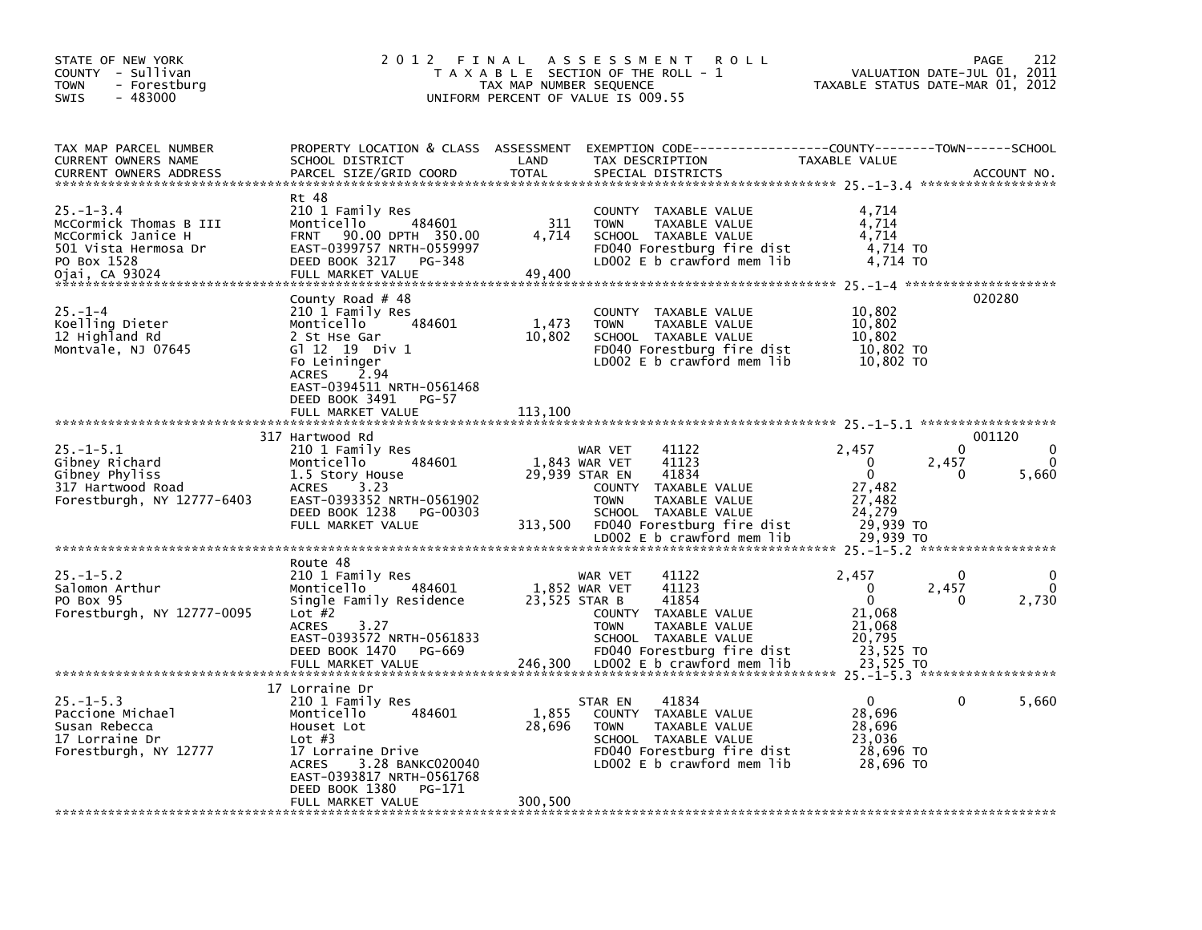| STATE OF NEW YORK<br>COUNTY - Sullivan<br>TOWN<br>- Forestburg<br>$-483000$<br>SWIS                                     | 2 0 1 2                                                                                                                                                                                                                     | FINAL<br>TAX MAP NUMBER SEQUENCE | A S S E S S M E N T<br><b>ROLL</b><br>T A X A B L E SECTION OF THE ROLL - 1<br>UNIFORM PERCENT OF VALUE IS 009.55                                                                                                           | VALUATION DATE-JUL 01,<br>TAXABLE STATUS DATE-MAR 01, 2012                                  | 212<br>PAGE<br>2011                               |
|-------------------------------------------------------------------------------------------------------------------------|-----------------------------------------------------------------------------------------------------------------------------------------------------------------------------------------------------------------------------|----------------------------------|-----------------------------------------------------------------------------------------------------------------------------------------------------------------------------------------------------------------------------|---------------------------------------------------------------------------------------------|---------------------------------------------------|
| TAX MAP PARCEL NUMBER<br>CURRENT OWNERS NAME<br><b>CURRENT OWNERS ADDRESS</b>                                           | PROPERTY LOCATION & CLASS ASSESSMENT<br>SCHOOL DISTRICT<br>PARCEL SIZE/GRID COORD                                                                                                                                           | LAND<br><b>TOTAL</b>             | TAX DESCRIPTION<br>SPECIAL DISTRICTS                                                                                                                                                                                        | TAXABLE VALUE                                                                               | ACCOUNT NO.                                       |
| $25 - 1 - 3.4$<br>McCormick Thomas B III<br>McCormick Janice H<br>501 Vista Hermosa Dr<br>PO Box 1528<br>Ojai, CA 93024 | Rt 48<br>210 1 Family Res<br>Monticello<br>484601<br>90.00 DPTH 350.00<br><b>FRNT</b><br>EAST-0399757 NRTH-0559997<br>DEED BOOK 3217<br>PG-348<br>FULL MARKET VALUE                                                         | 311<br>4,714<br>49,400           | COUNTY TAXABLE VALUE<br><b>TOWN</b><br>TAXABLE VALUE<br>SCHOOL TAXABLE VALUE<br>FD040 Forestburg fire dist<br>LD002 $E$ b crawford mem lib                                                                                  | 4,714<br>4,714<br>4,714<br>4,714 TO<br>4,714 TO                                             |                                                   |
| $25. - 1 - 4$<br>Koelling Dieter<br>12 Highland Rd<br>Montvale, NJ 07645                                                | County Road $#$ 48<br>210 1 Family Res<br>Monticello<br>484601<br>2 St Hse Gar<br>G1 12 19 Div 1<br>Fo Leininger<br><b>ACRES</b><br>2.94<br>EAST-0394511 NRTH-0561468<br>DEED BOOK 3491<br>PG-57                            | 1,473<br>10,802                  | COUNTY TAXABLE VALUE<br>TAXABLE VALUE<br><b>TOWN</b><br>SCHOOL TAXABLE VALUE<br>FD040 Forestburg fire dist<br>LD002 $E$ b crawford mem $lib$                                                                                | 10,802<br>10,802<br>10,802<br>10,802 TO<br>10.802 TO                                        | 020280                                            |
|                                                                                                                         | FULL MARKET VALUE                                                                                                                                                                                                           | 113,100                          |                                                                                                                                                                                                                             |                                                                                             |                                                   |
| $25. - 1 - 5.1$<br>Gibney Richard<br>Gibney Phyliss<br>317 Hartwood Road<br>Forestburgh, NY 12777-6403                  | 317 Hartwood Rd<br>210 1 Family Res<br>484601<br>Monticello<br>1.5 Story House<br>3.23<br><b>ACRES</b><br>EAST-0393352 NRTH-0561902<br>DEED BOOK 1238<br>PG-00303<br>FULL MARKET VALUE                                      | 313,500                          | 41122<br>WAR VET<br>1,843 WAR VET<br>41123<br>41834<br>29,939 STAR EN<br><b>COUNTY</b><br>TAXABLE VALUE<br>TAXABLE VALUE<br><b>TOWN</b><br>SCHOOL TAXABLE VALUE<br>FD040 Forestburg fire dist<br>LD002 E b crawford mem lib | 2,457<br>0<br>2,457<br>$\mathbf{0}$<br>27,482<br>27,482<br>24,279<br>29,939 TO<br>29,939 TO | 001120<br>0<br>$\Omega$<br>$\Omega$<br>0<br>5,660 |
|                                                                                                                         |                                                                                                                                                                                                                             |                                  |                                                                                                                                                                                                                             |                                                                                             |                                                   |
| $25. - 1 - 5.2$<br>Salomon Arthur<br>PO Box 95<br>Forestburgh, NY 12777-0095                                            | Route 48<br>210 1 Family Res<br>Monticello<br>484601<br>Single Family Residence<br>Lot $#2$<br>3.27<br><b>ACRES</b><br>EAST-0393572 NRTH-0561833<br>DEED BOOK 1470<br>PG-669<br>FULL MARKET VALUE                           | 23,525 STAR B<br>246,300         | 41122<br>WAR VET<br>41123<br>1,852 WAR VET<br>41854<br>COUNTY TAXABLE VALUE<br><b>TOWN</b><br>TAXABLE VALUE<br>SCHOOL TAXABLE VALUE<br>FD040 Forestburg fire dist<br>LD002 E b crawford mem lib                             | 2,457<br>0<br>2,457<br>0<br>21,068<br>21,068<br>20,795<br>23,525 TO<br>23,525 TO            | 0<br>0<br>$\mathbf{0}$<br>2,730<br>0              |
| $25. - 1 - 5.3$<br>Paccione Michael<br>Susan Rebecca<br>17 Lorraine Dr<br>Forestburgh, NY 12777                         | 17 Lorraine Dr<br>210 1 Family Res<br>484601<br>Monticello<br>Houset Lot<br>Lot $#3$<br>17 Lorraine Drive<br>3.28 BANKC020040<br><b>ACRES</b><br>EAST-0393817 NRTH-0561768<br>DEED BOOK 1380<br>PG-171<br>FULL MARKET VALUE | 1,855<br>28,696<br>300,500       | 41834<br>STAR EN<br>COUNTY TAXABLE VALUE<br><b>TOWN</b><br>TAXABLE VALUE<br>SCHOOL TAXABLE VALUE<br>FD040 Forestburg fire dist<br>LD002 E b crawford mem lib                                                                | 0<br>28,696<br>28,696<br>23,036<br>28,696 TO<br>28,696 TO                                   | 0<br>5,660                                        |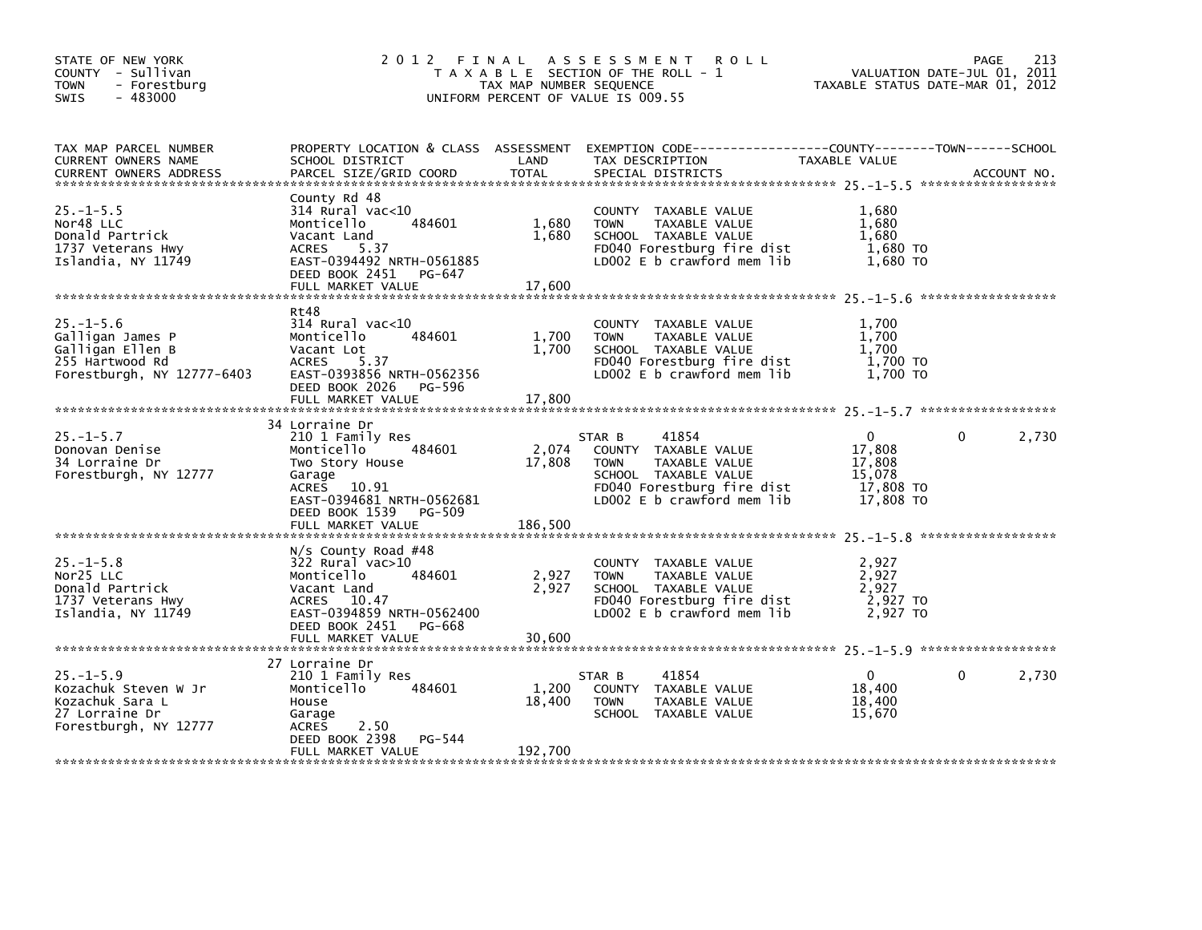| STATE OF NEW YORK<br>COUNTY - Sullivan<br>- Forestburg<br><b>TOWN</b><br>$-483000$<br>SWIS               |                                                                                                                                                                                 | TAX MAP NUMBER SEQUENCE    | 2012 FINAL ASSESSMENT<br><b>ROLL</b><br>T A X A B L E SECTION OF THE ROLL - 1<br>UNIFORM PERCENT OF VALUE IS 009.55                                         | VALUATION DATE-JUL 01, 2011<br>TAXABLE STATUS DATE-MAR 01, 2012      | 213<br><b>PAGE</b> |
|----------------------------------------------------------------------------------------------------------|---------------------------------------------------------------------------------------------------------------------------------------------------------------------------------|----------------------------|-------------------------------------------------------------------------------------------------------------------------------------------------------------|----------------------------------------------------------------------|--------------------|
| TAX MAP PARCEL NUMBER<br><b>CURRENT OWNERS NAME</b><br><b>CURRENT OWNERS ADDRESS</b>                     | SCHOOL DISTRICT<br>PARCEL SIZE/GRID COORD                                                                                                                                       | LAND<br><b>TOTAL</b>       | PROPERTY LOCATION & CLASS ASSESSMENT EXEMPTION CODE----------------COUNTY-------TOWN------SCHOOL<br>TAX DESCRIPTION<br>SPECIAL DISTRICTS                    | <b>TAXABLE VALUE</b>                                                 | ACCOUNT NO.        |
| $25. - 1 - 5.5$<br>Nor48 LLC<br>Donald Partrick<br>1737 Veterans Hwy<br>Islandia, NY 11749               | County Rd 48<br>314 Rural vac<10<br>484601<br>Monticello<br>Vacant Land<br>5.37<br><b>ACRES</b><br>EAST-0394492 NRTH-0561885<br>DEED BOOK 2451<br>PG-647<br>FULL MARKET VALUE   | 1,680<br>1,680<br>17,600   | COUNTY TAXABLE VALUE<br><b>TOWN</b><br>TAXABLE VALUE<br>SCHOOL TAXABLE VALUE<br>FD040 Forestburg fire dist<br>LD002 E b crawford mem lib                    | 1,680<br>1,680<br>1.680<br>1,680 TO<br>1,680 TO                      |                    |
| $25. - 1 - 5.6$<br>Galligan James P<br>Galligan Ellen B<br>255 Hartwood Rd<br>Forestburgh, NY 12777-6403 | Rt48<br>$314$ Rural vac<10<br>484601<br>Monticello<br>Vacant Lot<br><b>ACRES</b><br>5.37<br>EAST-0393856 NRTH-0562356<br>DEED BOOK 2026 PG-596<br>FULL MARKET VALUE             | 1,700<br>1,700<br>17,800   | COUNTY TAXABLE VALUE<br><b>TOWN</b><br>TAXABLE VALUE<br>SCHOOL TAXABLE VALUE<br>FD040 Forestburg fire dist<br>LD002 E b crawford mem lib                    | 1,700<br>1,700<br>1,700<br>1,700 TO<br>1,700 TO                      |                    |
| $25. - 1 - 5.7$<br>Donovan Denise<br>34 Lorraine Dr<br>Forestburgh, NY 12777                             | 34 Lorraine Dr<br>210 1 Family Res<br>484601<br>Monticello<br>Two Story House<br>Garage<br>ACRES 10.91<br>EAST-0394681 NRTH-0562681<br>PG-509<br>DEED BOOK 1539                 | 2,074<br>17,808            | STAR B<br>41854<br>COUNTY TAXABLE VALUE<br>TAXABLE VALUE<br><b>TOWN</b><br>SCHOOL TAXABLE VALUE<br>FD040 Forestburg fire dist<br>LD002 E b crawford mem lib | $\mathbf{0}$<br>17,808<br>17,808<br>15,078<br>17,808 TO<br>17,808 TO | 2,730<br>0         |
| $25. - 1 - 5.8$<br>Nor25 LLC<br>Donald Partrick<br>1737 Veterans Hwy<br>Islandia, NY 11749               | FULL MARKET VALUE<br>$N/S$ County Road #48<br>$322$ Rural vac $>10$<br>484601<br>Monticello<br>Vacant Land<br>ACRES 10.47<br>EAST-0394859 NRTH-0562400<br>DEED BOOK 2451 PG-668 | 186,500<br>2,927<br>2,927  | COUNTY TAXABLE VALUE<br><b>TOWN</b><br>TAXABLE VALUE<br>SCHOOL TAXABLE VALUE<br>FD040 Forestburg fire dist<br>LD002 E b crawford mem lib                    | 2,927<br>2,927<br>2,927<br>2,927 TO<br>2,927 TO                      |                    |
| $25. - 1 - 5.9$<br>Kozachuk Steven W Jr<br>Kozachuk Sara L<br>27 Lorraine Dr<br>Forestburgh, NY 12777    | 27 Lorraine Dr<br>210 1 Family Res<br>Monticello<br>484601<br>House<br>Garage<br>2.50<br><b>ACRES</b><br>DEED BOOK 2398<br>PG-544<br>FULL MARKET VALUE                          | 1,200<br>18,400<br>192,700 | 41854<br>STAR B<br><b>COUNTY</b><br>TAXABLE VALUE<br>TAXABLE VALUE<br><b>TOWN</b><br>SCHOOL TAXABLE VALUE                                                   | $\Omega$<br>18,400<br>18,400<br>15,670                               | 2,730<br>0         |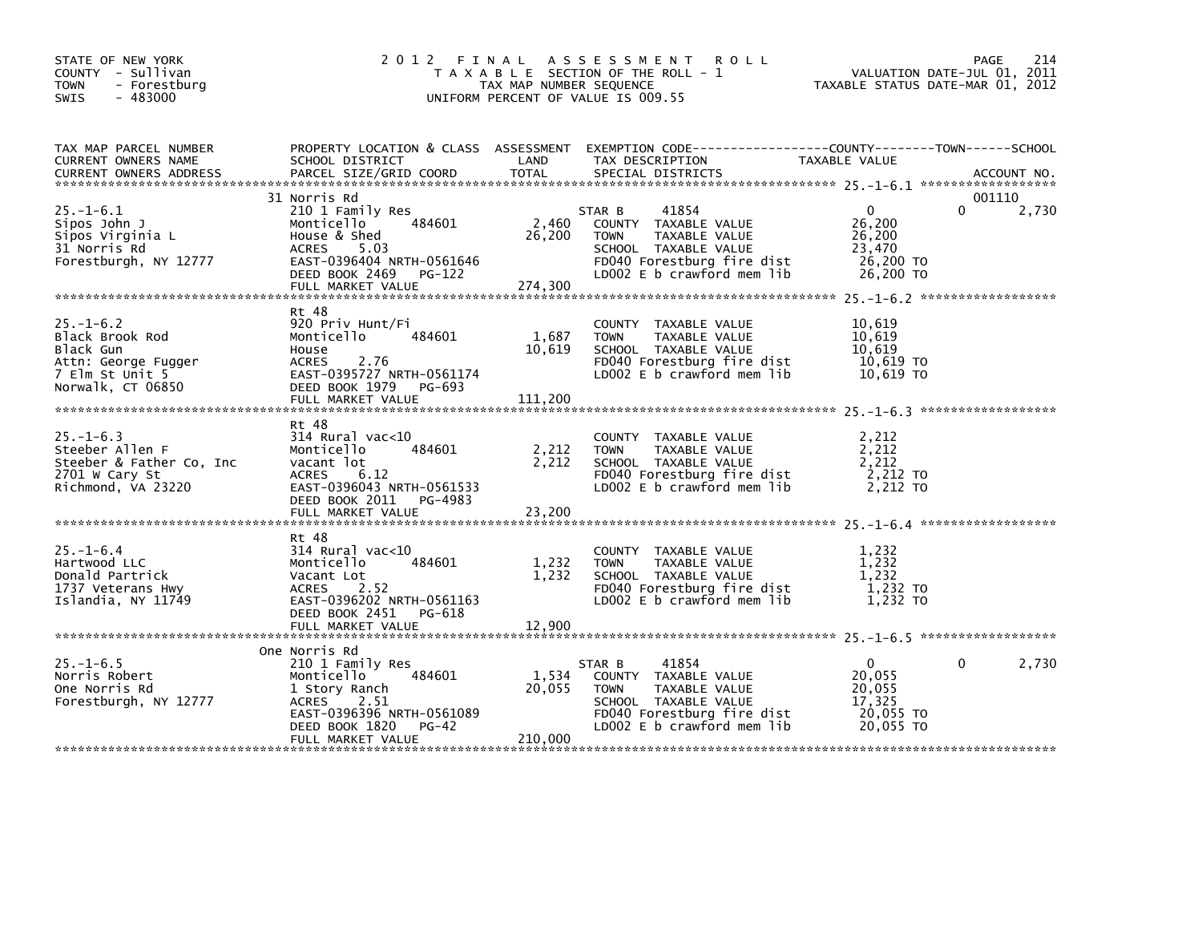| STATE OF NEW YORK<br>COUNTY - Sullivan<br><b>TOWN</b><br>- Forestburg<br>$-483000$<br><b>SWIS</b>              |                                                                                                                                                                                 | TAX MAP NUMBER SEQUENCE    | 2012 FINAL ASSESSMENT ROLL<br>T A X A B L E SECTION OF THE ROLL - 1<br>UNIFORM PERCENT OF VALUE IS 009.55                                                   | TAXABLE STATUS DATE-MAR 01, 2012                                    | 214<br>PAGE<br>VALUATION DATE-JUL 01, 2011 |
|----------------------------------------------------------------------------------------------------------------|---------------------------------------------------------------------------------------------------------------------------------------------------------------------------------|----------------------------|-------------------------------------------------------------------------------------------------------------------------------------------------------------|---------------------------------------------------------------------|--------------------------------------------|
| TAX MAP PARCEL NUMBER<br>CURRENT OWNERS NAME                                                                   | SCHOOL DISTRICT                                                                                                                                                                 | LAND                       | PROPERTY LOCATION & CLASS ASSESSMENT EXEMPTION CODE---------------COUNTY-------TOWN------SCHOOL<br>TAX DESCRIPTION                                          | TAXABLE VALUE                                                       |                                            |
| $25. - 1 - 6.1$<br>Sipos John J<br>Sipos Virginia L<br>31 Norris Rd<br>Forestburgh, NY 12777                   | 31 Norris Rd<br>210 1 Family Res<br>484601<br>Monticello<br>House & Shed<br>5.03<br><b>ACRES</b><br>EAST-0396404 NRTH-0561646<br>DEED BOOK 2469 PG-122<br>FULL MARKET VALUE     | 2,460<br>26,200<br>274,300 | 41854<br>STAR B<br>COUNTY TAXABLE VALUE<br><b>TOWN</b><br>TAXABLE VALUE<br>SCHOOL TAXABLE VALUE<br>FD040 Forestburg fire dist<br>LD002 E b crawford mem lib | $\mathbf 0$<br>26.200<br>26,200<br>23,470<br>26,200 TO<br>26,200 TO | 001110<br>$\Omega$<br>2,730                |
| $25. - 1 - 6.2$<br>Black Brook Rod<br>Black Gun<br>Attn: George Fugger<br>7 Elm St Unit 5<br>Norwalk, CT 06850 | Rt 48<br>920 Priv Hunt/Fi<br>Monticello<br>484601<br>House<br>2.76<br><b>ACRES</b><br>EAST-0395727 NRTH-0561174<br>DEED BOOK 1979 PG-693<br>FULL MARKET VALUE                   | 1,687<br>10,619<br>111,200 | COUNTY TAXABLE VALUE<br>TAXABLE VALUE<br><b>TOWN</b><br>SCHOOL TAXABLE VALUE<br>FD040 Forestburg fire dist<br>LD002 E b crawford mem lib                    | 10,619<br>10,619<br>10,619<br>10,619 то<br>10,619 TO                |                                            |
| $25. - 1 - 6.3$<br>Steeber Allen F<br>Steeber & Father Co, Inc<br>2701 W Cary St<br>Richmond, VA 23220         | Rt 48<br>$314$ Rural vac<10<br>484601<br>Monticello<br>vacant lot<br>6.12<br>ACRES<br>EAST-0396043 NRTH-0561533<br>DEED BOOK 2011 PG-4983                                       | 2,212<br>2,212             | COUNTY TAXABLE VALUE<br><b>TOWN</b><br>TAXABLE VALUE<br>SCHOOL TAXABLE VALUE<br>FD040 Forestburg fire dist<br>LD002 E b crawford mem lib                    | 2,212<br>2,212<br>2,212<br>2,212 TO<br>2,212 TO                     |                                            |
|                                                                                                                |                                                                                                                                                                                 |                            |                                                                                                                                                             |                                                                     |                                            |
| $25. - 1 - 6.4$<br>Hartwood LLC<br>Donald Partrick<br>1737 Veterans Hwy<br>Islandia, NY 11749                  | Rt 48<br>$314$ Rural vac<10<br>484601<br>Monticello<br>Vacant Lot<br>2.52<br>ACRES<br>EAST-0396202 NRTH-0561163<br>DEED BOOK 2451<br>PG-618                                     | 1,232<br>1,232             | COUNTY TAXABLE VALUE<br><b>TOWN</b><br>TAXABLE VALUE<br>SCHOOL TAXABLE VALUE<br>FD040 Forestburg fire dist<br>LD002 E b crawford mem lib                    | 1,232<br>1,232<br>1,232<br>1,232 TO<br>$1,232$ TO                   |                                            |
|                                                                                                                |                                                                                                                                                                                 |                            |                                                                                                                                                             |                                                                     |                                            |
| $25. - 1 - 6.5$<br>Norris Robert<br>One Norris Rd<br>Forestburgh, NY 12777                                     | One Norris Rd<br>210 1 Family Res<br>484601<br>Monticello<br>1 Story Ranch<br>ACRES<br>2.51<br>EAST-0396396 NRTH-0561089<br><b>PG-42</b><br>DEED BOOK 1820<br>FULL MARKET VALUE | 1,534<br>20,055<br>210,000 | 41854<br>STAR B<br>COUNTY TAXABLE VALUE<br>TAXABLE VALUE<br><b>TOWN</b><br>SCHOOL TAXABLE VALUE<br>FD040 Forestburg fire dist<br>LD002 E b crawford mem lib | $\Omega$<br>20,055<br>20.055<br>17,325<br>20,055 TO<br>20,055 TO    | 0<br>2,730                                 |
|                                                                                                                |                                                                                                                                                                                 |                            |                                                                                                                                                             |                                                                     |                                            |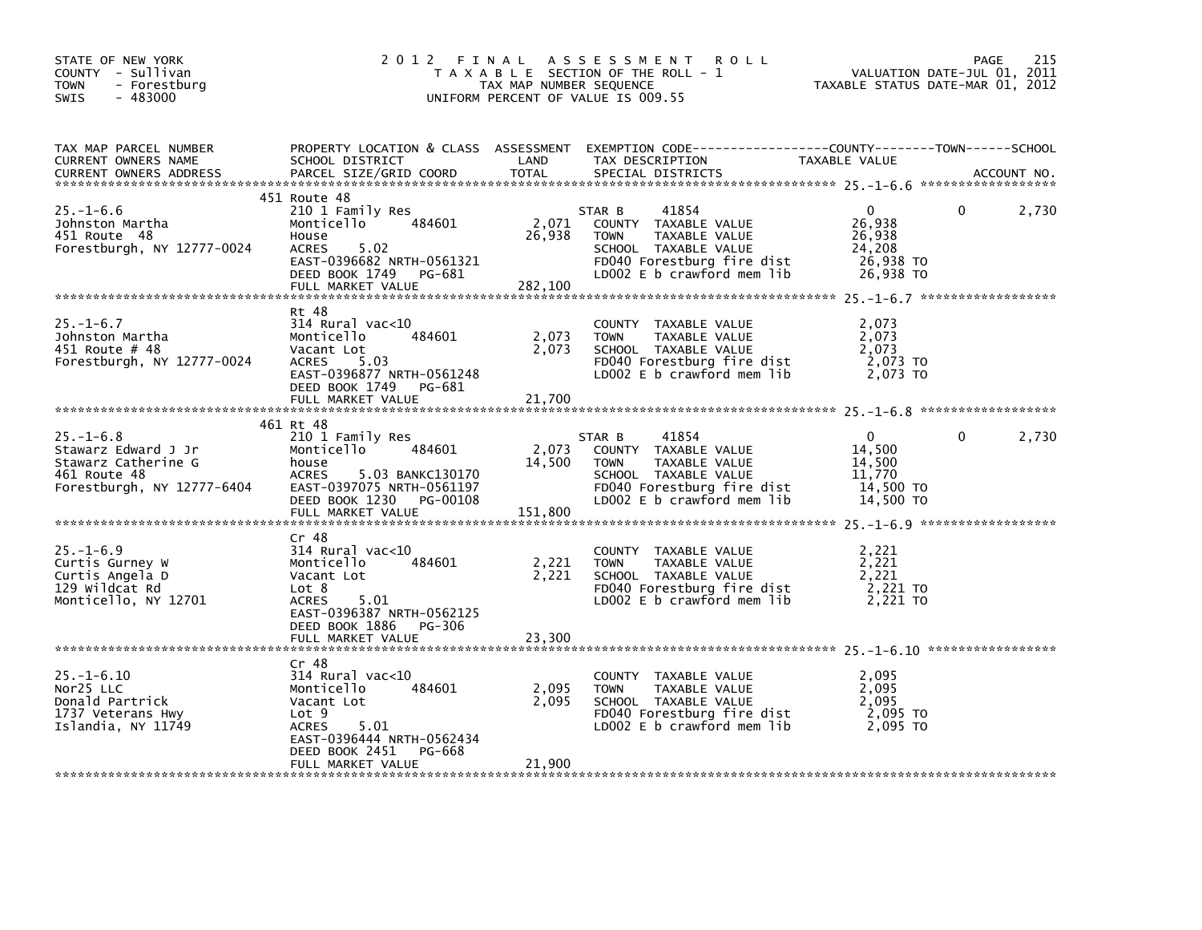| STATE OF NEW YORK<br>COUNTY - Sullivan<br>- Forestburg<br><b>TOWN</b><br>$-483000$<br><b>SWIS</b>           | 2012 FINAL                                                                                                                                                                          | TAX MAP NUMBER SEQUENCE    | A S S E S S M E N T<br><b>ROLL</b><br>T A X A B L E SECTION OF THE ROLL - 1<br>UNIFORM PERCENT OF VALUE IS 009.55                                           | VALUATION DATE-JUL 01, 2011<br>TAXABLE STATUS DATE-MAR 01, 2012      | PAGE | 215         |
|-------------------------------------------------------------------------------------------------------------|-------------------------------------------------------------------------------------------------------------------------------------------------------------------------------------|----------------------------|-------------------------------------------------------------------------------------------------------------------------------------------------------------|----------------------------------------------------------------------|------|-------------|
| TAX MAP PARCEL NUMBER<br>CURRENT OWNERS NAME<br>CURRENT OWNERS ADDRESS                                      | SCHOOL DISTRICT<br>PARCEL SIZE/GRID COORD                                                                                                                                           | LAND<br><b>TOTAL</b>       | PROPERTY LOCATION & CLASS ASSESSMENT EXEMPTION CODE----------------COUNTY-------TOWN------SCHOOL<br>TAX DESCRIPTION<br>SPECIAL DISTRICTS                    | TAXABLE VALUE                                                        |      | ACCOUNT NO. |
| $25. - 1 - 6.6$<br>Johnston Martha<br>451 Route 48<br>Forestburgh, NY 12777-0024                            | 451 Route 48<br>210 1 Family Res<br>484601<br>Monticello<br>House<br>5.02<br><b>ACRES</b><br>EAST-0396682 NRTH-0561321<br>DEED BOOK 1749 PG-681<br>FULL MARKET VALUE                | 2,071<br>26,938<br>282,100 | 41854<br>STAR B<br>COUNTY TAXABLE VALUE<br>TAXABLE VALUE<br><b>TOWN</b><br>SCHOOL TAXABLE VALUE<br>FD040 Forestburg fire dist<br>LD002 E b crawford mem lib | 0<br>26,938<br>26,938<br>24,208<br>26,938 TO<br>26,938 TO            | 0    | 2,730       |
| $25. - 1 - 6.7$<br>Johnston Martha<br>451 Route # 48<br>Forestburgh, NY 12777-0024                          | Rt 48<br>$314$ Rural vac<10<br>Monticello<br>484601<br>Vacant Lot<br><b>ACRES</b><br>5.03<br>EAST-0396877 NRTH-0561248<br>DEED BOOK 1749<br>PG-681<br>FULL MARKET VALUE             | 2,073<br>2,073<br>21,700   | COUNTY TAXABLE VALUE<br>TAXABLE VALUE<br><b>TOWN</b><br>SCHOOL TAXABLE VALUE<br>FD040 Forestburg fire dist<br>LDOO2 E b crawford mem lib                    | 2,073<br>2.073<br>2,073<br>2,073 TO<br>2,073 TO                      |      |             |
| $25. - 1 - 6.8$<br>Stawarz Edward J Jr<br>Stawarz Catherine G<br>461 Route 48<br>Forestburgh, NY 12777-6404 | 461 Rt 48<br>210 1 Family Res<br>484601<br>Monticello<br>house<br><b>ACRES</b><br>5.03 BANKC130170<br>EAST-0397075 NRTH-0561197<br>DEED BOOK 1230<br>PG-00108<br>FULL MARKET VALUE  | 2,073<br>14,500<br>151,800 | STAR B<br>41854<br>COUNTY TAXABLE VALUE<br>TAXABLE VALUE<br><b>TOWN</b><br>SCHOOL TAXABLE VALUE<br>FD040 Forestburg fire dist<br>LD002 E b crawford mem lib | $\mathbf{0}$<br>14,500<br>14,500<br>11,770<br>14,500 TO<br>14,500 TO | 0    | 2,730       |
| $25. - 1 - 6.9$<br>Curtis Gurney W<br>Curtis Angela D<br>129 wildcat Rd<br>Monticello, NY 12701             | $Cr$ 48<br>$314$ Rural vac<10<br>484601<br>Monticello<br>Vacant Lot<br>Lot 8<br><b>ACRES</b><br>5.01<br>EAST-0396387 NRTH-0562125<br>DEED BOOK 1886<br>PG-306<br>FULL MARKET VALUE  | 2,221<br>2,221<br>23,300   | COUNTY TAXABLE VALUE<br><b>TOWN</b><br>TAXABLE VALUE<br>SCHOOL TAXABLE VALUE<br>FD040 Forestburg fire dist<br>LD002 $E$ b crawford mem $lib$                | 2,221<br>2,221<br>2,221<br>2,221 TO<br>2,221 TO                      |      |             |
| $25. - 1 - 6.10$<br>Nor25 LLC<br>Donald Partrick<br>1737 Veterans Hwy<br>Islandia, NY 11749                 | Cr 48<br>$314$ Rural vac< $10$<br>Monticello<br>484601<br>Vacant Lot<br>Lot 9<br>5.01<br><b>ACRES</b><br>EAST-0396444 NRTH-0562434<br>DEED BOOK 2451<br>PG-668<br>FULL MARKET VALUE | 2,095<br>2,095<br>21,900   | COUNTY TAXABLE VALUE<br><b>TOWN</b><br>TAXABLE VALUE<br>SCHOOL TAXABLE VALUE<br>FD040 Forestburg fire dist<br>LD002 E b crawford mem lib                    | 2,095<br>2,095<br>2,095<br>2,095 TO<br>2.095 TO                      |      |             |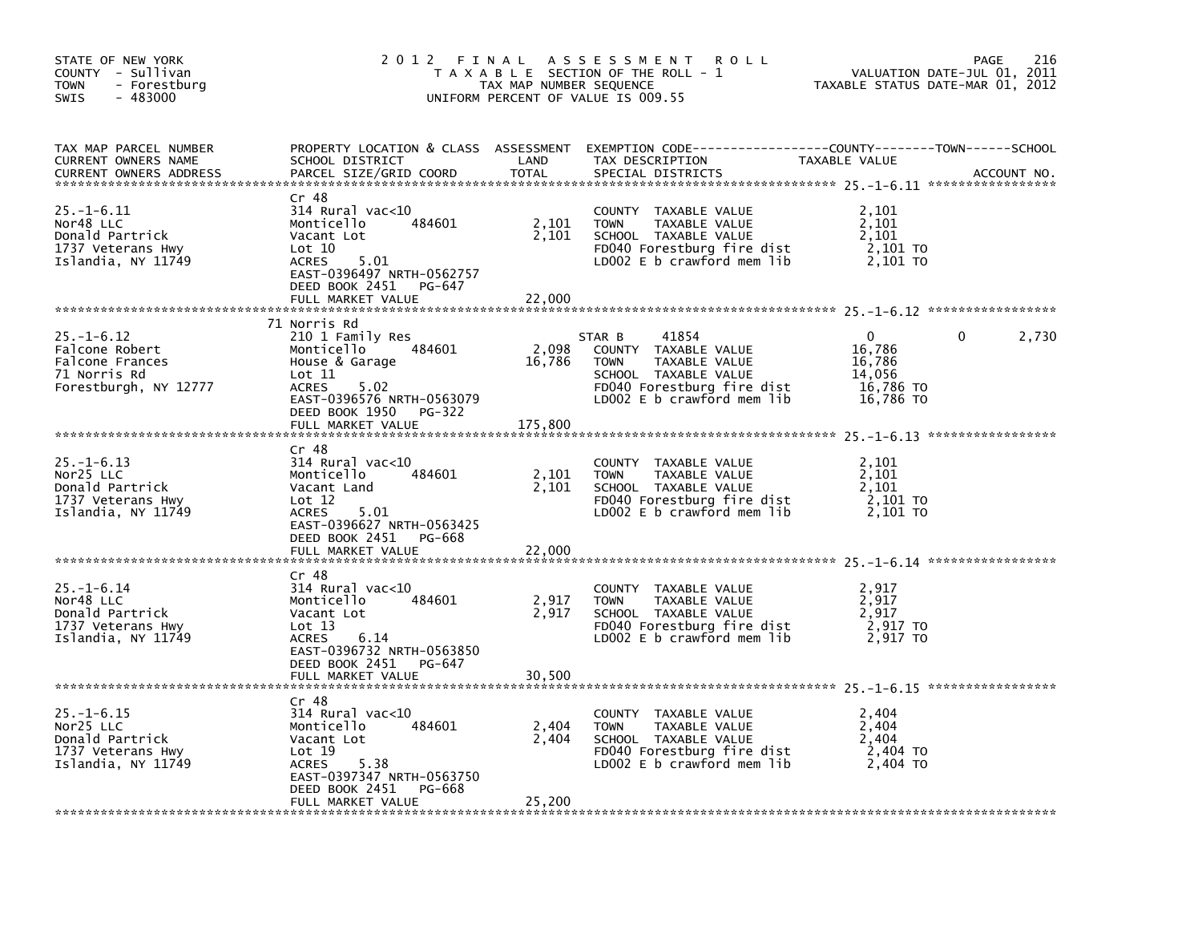| STATE OF NEW YORK<br>COUNTY - Sullivan<br><b>TOWN</b><br>- Forestburg<br>$-483000$<br><b>SWIS</b> | 2 0 1 2<br>FINAL                                                                                                                                                        | TAX MAP NUMBER SEQUENCE | A S S E S S M E N T<br><b>ROLL</b><br>T A X A B L E SECTION OF THE ROLL - 1<br>UNIFORM PERCENT OF VALUE IS 009.55                                           | TAXABLE STATUS DATE-MAR 01, 2012                                 | 216<br>PAGE<br>VALUATION DATE-JUL 01, 2011 |
|---------------------------------------------------------------------------------------------------|-------------------------------------------------------------------------------------------------------------------------------------------------------------------------|-------------------------|-------------------------------------------------------------------------------------------------------------------------------------------------------------|------------------------------------------------------------------|--------------------------------------------|
| TAX MAP PARCEL NUMBER<br>CURRENT OWNERS NAME<br><b>CURRENT OWNERS ADDRESS</b>                     | SCHOOL DISTRICT<br>PARCEL SIZE/GRID COORD                                                                                                                               | LAND<br><b>TOTAL</b>    | PROPERTY LOCATION & CLASS ASSESSMENT EXEMPTION CODE---------------COUNTY-------TOWN-----SCHOOL<br>TAX DESCRIPTION<br>SPECIAL DISTRICTS                      | TAXABLE VALUE                                                    | ACCOUNT NO.                                |
| $25. - 1 - 6.11$<br>Nor48 LLC<br>Donald Partrick<br>1737 Veterans Hwy<br>Islandia, NY 11749       | Cr 48<br>$314$ Rural vac< $10$<br>Monticello<br>484601<br>Vacant Lot<br>Lot 10<br>5.01<br><b>ACRES</b><br>EAST-0396497 NRTH-0562757<br>DEED BOOK 2451<br>PG-647         | 2,101<br>2,101          | COUNTY TAXABLE VALUE<br><b>TOWN</b><br>TAXABLE VALUE<br>SCHOOL TAXABLE VALUE<br>FD040 Forestburg fire dist<br>LD002 $E$ b crawford mem lib                  | 2,101<br>2,101<br>2,101<br>2,101 TO<br>2,101 TO                  |                                            |
|                                                                                                   | FULL MARKET VALUE                                                                                                                                                       | 22,000                  |                                                                                                                                                             |                                                                  |                                            |
| $25. - 1 - 6.12$<br>Falcone Robert<br>Falcone Frances<br>71 Norris Rd<br>Forestburgh, NY 12777    | 71 Norris Rd<br>210 1 Family Res<br>484601<br>Monticello<br>House & Garage<br>$\text{Lot} 11$<br>ACRES<br>5.02<br>EAST-0396576 NRTH-0563079<br>DEED BOOK 1950<br>PG-322 | 2,098<br>16,786         | 41854<br>STAR B<br>COUNTY TAXABLE VALUE<br>TAXABLE VALUE<br><b>TOWN</b><br>SCHOOL TAXABLE VALUE<br>FD040 Forestburg fire dist<br>LD002 E b crawford mem lib | $\Omega$<br>16,786<br>16,786<br>14,056<br>16,786 TO<br>16,786 TO | 0<br>2,730                                 |
|                                                                                                   | FULL MARKET VALUE                                                                                                                                                       | 175,800                 |                                                                                                                                                             |                                                                  |                                            |
| $25. - 1 - 6.13$<br>Nor25 LLC<br>Donald Partrick<br>1737 Veterans Hwy<br>Islandia, NY 11749       | Cr 48<br>$314$ Rural vac<10<br>Monticello<br>484601<br>Vacant Land<br>Lot 12<br>5.01<br>ACRES<br>EAST-0396627 NRTH-0563425                                              | 2,101<br>2,101          | COUNTY TAXABLE VALUE<br><b>TOWN</b><br>TAXABLE VALUE<br>SCHOOL TAXABLE VALUE<br>FD040 Forestburg fire dist<br>LD002 E b crawford mem lib                    | 2,101<br>2,101<br>2,101<br>2,101 TO<br>2.101 TO                  |                                            |
|                                                                                                   | DEED BOOK 2451 PG-668<br>FULL MARKET VALUE                                                                                                                              | 22,000                  |                                                                                                                                                             |                                                                  |                                            |
|                                                                                                   |                                                                                                                                                                         |                         |                                                                                                                                                             |                                                                  |                                            |
| $25. - 1 - 6.14$<br>Nor48 LLC<br>Donald Partrick<br>1737 Veterans Hwy<br>Islandia, NY 11749       | Cr 48<br>$314$ Rural vac<10<br>Monticello<br>484601<br>Vacant Lot<br>Lot 13<br><b>ACRES</b><br>6.14<br>EAST-0396732 NRTH-0563850<br>DEED BOOK 2451<br>PG-647            | 2,917<br>2,917          | COUNTY TAXABLE VALUE<br><b>TOWN</b><br>TAXABLE VALUE<br>SCHOOL TAXABLE VALUE<br>FD040 Forestburg fire dist<br>LDOO2 E b crawford mem lib                    | 2,917<br>2,917<br>2,917<br>2,917 TO<br>2.917 TO                  |                                            |
|                                                                                                   | FULL MARKET VALUE                                                                                                                                                       | 30,500                  |                                                                                                                                                             |                                                                  |                                            |
| $25. - 1 - 6.15$<br>Nor25 LLC<br>Donald Partrick<br>1737 Veterans Hwy<br>Islandia, NY 11749       | Cr 48<br>$314$ Rural vac< $10$<br>Monticello<br>484601<br>Vacant Lot<br>Lot 19<br><b>ACRES</b><br>5.38<br>EAST-0397347 NRTH-0563750<br>DEED BOOK 2451<br>PG-668         | 2,404<br>2,404          | COUNTY TAXABLE VALUE<br><b>TOWN</b><br>TAXABLE VALUE<br>SCHOOL TAXABLE VALUE<br>FD040 Forestburg fire dist<br>LD002 E b crawford mem lib                    | 2,404<br>2,404<br>2,404<br>2,404 TO<br>2.404 TO                  |                                            |
|                                                                                                   | FULL MARKET VALUE                                                                                                                                                       | 25,200                  |                                                                                                                                                             |                                                                  |                                            |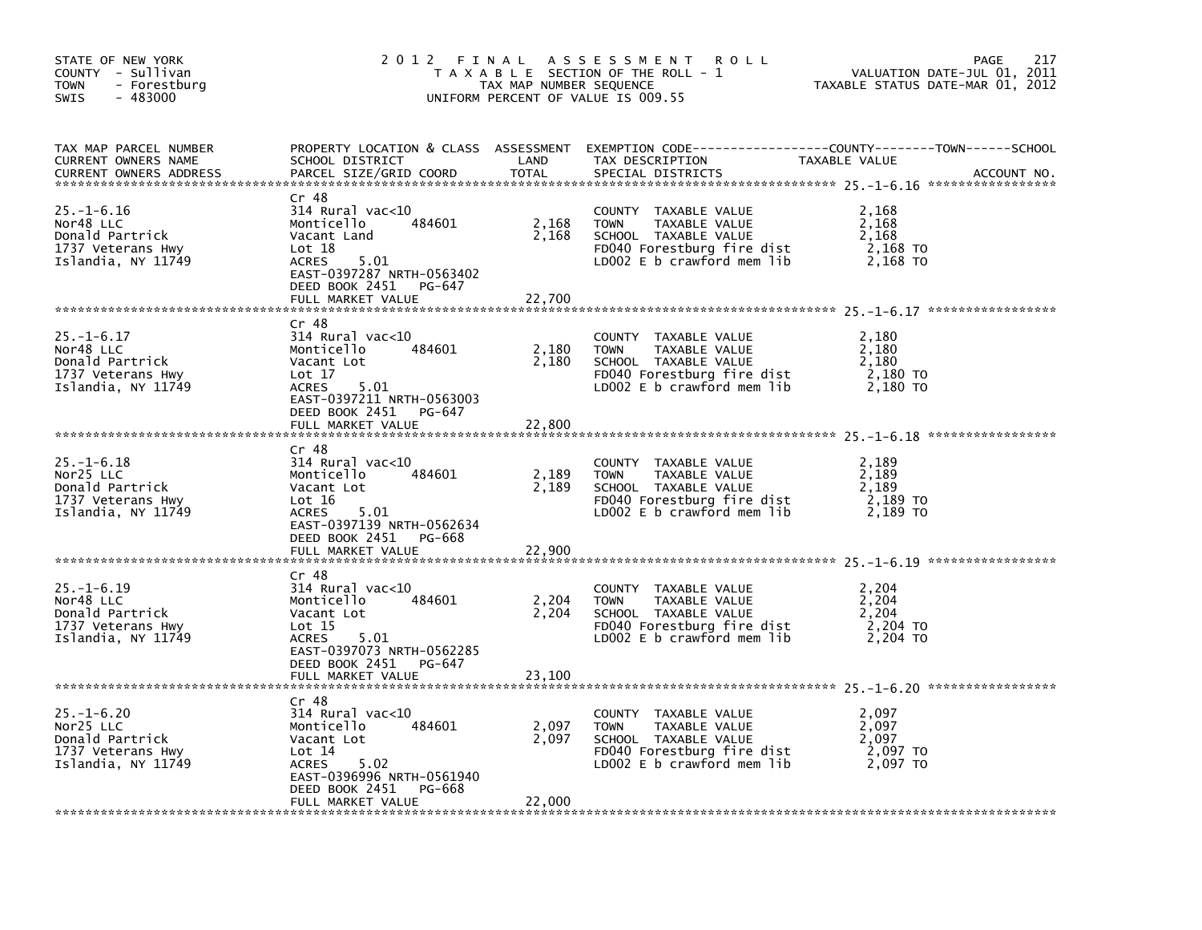| STATE OF NEW YORK<br>COUNTY - Sullivan<br><b>TOWN</b><br>- Forestburg<br>$-483000$<br><b>SWIS</b> | 2012 FINAL                                                                                                                                                     | TAX MAP NUMBER SEQUENCE | A S S E S S M E N T<br><b>ROLL</b><br>T A X A B L E SECTION OF THE ROLL - 1<br>UNIFORM PERCENT OF VALUE IS 009.55                           | 217<br>PAGE<br>VALUATION DATE-JUL 01, 2011<br>TAXABLE STATUS DATE-MAR 01, 2012                                                 |
|---------------------------------------------------------------------------------------------------|----------------------------------------------------------------------------------------------------------------------------------------------------------------|-------------------------|---------------------------------------------------------------------------------------------------------------------------------------------|--------------------------------------------------------------------------------------------------------------------------------|
| TAX MAP PARCEL NUMBER<br>CURRENT OWNERS NAME<br><b>CURRENT OWNERS ADDRESS</b>                     | SCHOOL DISTRICT<br>PARCEL SIZE/GRID COORD                                                                                                                      | LAND<br>TOTAL           | TAX DESCRIPTION<br>SPECIAL DISTRICTS                                                                                                        | PROPERTY LOCATION & CLASS ASSESSMENT EXEMPTION CODE---------------COUNTY-------TOWN-----SCHOOL<br>TAXABLE VALUE<br>ACCOUNT NO. |
| $25. - 1 - 6.16$<br>Nor48 LLC<br>Donald Partrick<br>1737 Veterans Hwy<br>Islandia, NY 11749       | $Cr$ 48<br>314 Rural vac<10<br>484601<br>Monticello<br>Vacant Land<br>Lot 18<br><b>ACRES</b><br>5.01<br>EAST-0397287 NRTH-0563402<br>DEED BOOK 2451<br>PG-647  | 2,168<br>2,168          | COUNTY TAXABLE VALUE<br><b>TOWN</b><br>TAXABLE VALUE<br>SCHOOL TAXABLE VALUE<br>FD040 Forestburg fire dist<br>LD002 E b crawford mem lib    | 2,168<br>2,168<br>2,168<br>2,168 TO<br>2,168 TO                                                                                |
|                                                                                                   | FULL MARKET VALUE                                                                                                                                              | 22,700                  |                                                                                                                                             |                                                                                                                                |
| $25. - 1 - 6.17$<br>Nor48 LLC<br>Donald Partrick<br>1737 Veterans Hwy<br>Islandia, NY 11749       | Cr 48<br>314 Rural vac<10<br>484601<br>Monticello<br>Vacant Lot<br>Lot 17<br>ACRES<br>5.01<br>EAST-0397211 NRTH-0563003                                        | 2,180<br>2,180          | COUNTY TAXABLE VALUE<br><b>TOWN</b><br>TAXABLE VALUE<br>SCHOOL TAXABLE VALUE<br>FD040 Forestburg fire dist<br>LDOO2 E b crawford mem lib    | 2,180<br>2,180<br>2,180<br>2,180 TO<br>2,180 TO                                                                                |
|                                                                                                   | DEED BOOK 2451<br>PG-647<br>FULL MARKET VALUE                                                                                                                  | 22,800                  |                                                                                                                                             |                                                                                                                                |
| $25. - 1 - 6.18$<br>Nor25 LLC<br>Donald Partrick<br>1737 Veterans Hwy<br>Islandia, NY 11749       | Cr 48<br>314 Rural vac<10<br>484601<br>Monticello<br>Vacant Lot<br>Lot $16$<br>5.01<br><b>ACRES</b><br>EAST-0397139 NRTH-0562634                               | 2,189<br>2,189          | TAXABLE VALUE<br>COUNTY<br>TAXABLE VALUE<br><b>TOWN</b><br>SCHOOL TAXABLE VALUE<br>FD040 Forestburg fire dist<br>LD002 E b crawford mem lib | 2,189<br>2,189<br>2,189<br>2,189 TO<br>2.189 TO                                                                                |
|                                                                                                   | DEED BOOK 2451 PG-668<br>FULL MARKET VALUE                                                                                                                     | 22,900                  |                                                                                                                                             |                                                                                                                                |
|                                                                                                   | Cr 48                                                                                                                                                          |                         |                                                                                                                                             |                                                                                                                                |
| $25. - 1 - 6.19$<br>Nor48 LLC<br>Donald Partrick<br>1737 Veterans Hwy<br>Islandia, NY 11749       | $314$ Rural vac< $10$<br>Monticello<br>484601<br>Vacant Lot<br>Lot 15<br>5.01<br>ACRES<br>EAST-0397073 NRTH-0562285<br>DEED BOOK 2451<br>PG-647                | 2,204<br>2,204          | COUNTY TAXABLE VALUE<br>TAXABLE VALUE<br><b>TOWN</b><br>SCHOOL TAXABLE VALUE<br>FD040 Forestburg fire dist<br>LD002 $E$ b crawford mem lib  | 2,204<br>2,204<br>2,204<br>2,204 TO<br>2,204 TO                                                                                |
|                                                                                                   | FULL MARKET VALUE                                                                                                                                              | 23,100                  |                                                                                                                                             |                                                                                                                                |
| $25. - 1 - 6.20$<br>Nor25 LLC<br>Donald Partrick<br>1737 Veterans Hwy<br>Islandia, NY 11749       | $Cr$ 48<br>$314$ Rural vac<10<br>484601<br>Monticello<br>Vacant Lot<br>Lot 14<br><b>ACRES</b><br>5.02<br>EAST-0396996 NRTH-0561940<br>DEED BOOK 2451<br>PG-668 | 2,097<br>2,097          | COUNTY TAXABLE VALUE<br>TAXABLE VALUE<br><b>TOWN</b><br>SCHOOL TAXABLE VALUE<br>FD040 Forestburg fire dist<br>LD002 E b crawford mem lib    | 2,097<br>2,097<br>2.097<br>2,097 TO<br>2,097 TO                                                                                |
|                                                                                                   | FULL MARKET VALUE                                                                                                                                              | 22,000                  |                                                                                                                                             |                                                                                                                                |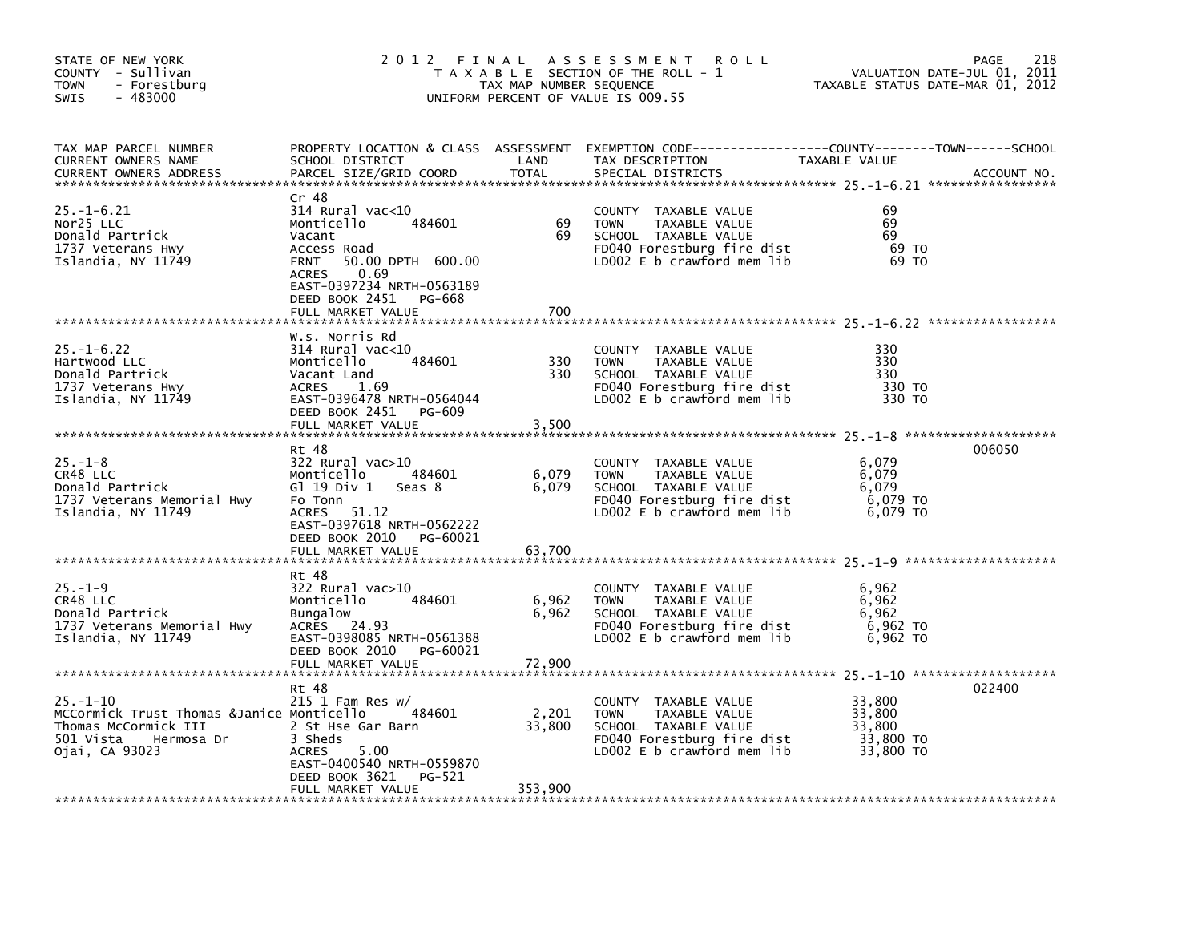| STATE OF NEW YORK<br>COUNTY - Sullivan<br><b>TOWN</b><br>- Forestburg<br>$-483000$<br>SWIS                                       | 2012 FINAL                                                                                                                                                                                                           | TAX MAP NUMBER SEQUENCE    | A S S E S S M E N T<br><b>ROLL</b><br>T A X A B L E SECTION OF THE ROLL - 1<br>UNIFORM PERCENT OF VALUE IS 009.55                          | TAXABLE STATUS DATE-MAR 01, 2012                     | 218<br>PAGE<br>VALUATION DATE-JUL 01, 2011 |
|----------------------------------------------------------------------------------------------------------------------------------|----------------------------------------------------------------------------------------------------------------------------------------------------------------------------------------------------------------------|----------------------------|--------------------------------------------------------------------------------------------------------------------------------------------|------------------------------------------------------|--------------------------------------------|
| TAX MAP PARCEL NUMBER<br>CURRENT OWNERS NAME<br><b>CURRENT OWNERS ADDRESS</b>                                                    | SCHOOL DISTRICT<br>PARCEL SIZE/GRID COORD                                                                                                                                                                            | LAND<br><b>TOTAL</b>       | PROPERTY LOCATION & CLASS ASSESSMENT EXEMPTION CODE----------------COUNTY-------TOWN------SCHOOL<br>TAX DESCRIPTION<br>SPECIAL DISTRICTS   | TAXABLE VALUE                                        | ACCOUNT NO.                                |
| $25. - 1 - 6.21$<br>Nor25 LLC<br>Donald Partrick<br>1737 Veterans Hwy<br>Islandia, NY 11749                                      | Cr 48<br>314 Rural vac<10<br>484601<br>Monticello<br>Vacant<br>Access Road<br>50.00 DPTH 600.00<br><b>FRNT</b><br>0.69<br><b>ACRES</b><br>EAST-0397234 NRTH-0563189<br>DEED BOOK 2451<br>PG-668<br>FULL MARKET VALUE | 69<br>69<br>700            | COUNTY TAXABLE VALUE<br><b>TOWN</b><br>TAXABLE VALUE<br>SCHOOL TAXABLE VALUE<br>FD040 Forestburg fire dist<br>LD002 E b crawford mem lib   | 69<br>69<br>69<br>69 TO<br>69 TO                     |                                            |
| $25. - 1 - 6.22$<br>Hartwood LLC<br>Donald Partrick<br>1737 Veterans Hwy<br>Islandia, NY 11749                                   | W.s. Norris Rd<br>$314$ Rural vac< $10$<br>484601<br>Monticello<br>Vacant Land<br><b>ACRES</b><br>1.69<br>EAST-0396478 NRTH-0564044<br>DEED BOOK 2451 PG-609<br>FULL MARKET VALUE                                    | 330<br>330<br>3,500        | COUNTY TAXABLE VALUE<br><b>TOWN</b><br>TAXABLE VALUE<br>SCHOOL TAXABLE VALUE<br>FD040 Forestburg fire dist<br>LDOO2 E b crawford mem lib   | 330<br>330<br>330<br>330 TO<br>330 TO                |                                            |
| $25. - 1 - 8$<br>CR48 LLC<br>Donald Partrick<br>1737 Veterans Memorial Hwy<br>Islandia, NY 11749                                 | Rt 48<br>322 Rural vac>10<br>Monticello<br>484601<br>Gl 19 Div 1<br>seas 8<br>Fo Tonn<br>ACRES<br>51.12<br>EAST-0397618 NRTH-0562222<br>DEED BOOK 2010<br>PG-60021<br>FULL MARKET VALUE                              | 6,079<br>6,079<br>63,700   | COUNTY TAXABLE VALUE<br><b>TOWN</b><br>TAXABLE VALUE<br>SCHOOL TAXABLE VALUE<br>FD040 Forestburg fire dist<br>LD002 E b crawford mem lib   | 6,079<br>6,079<br>6.079<br>6,079 TO<br>6,079 TO      | 006050                                     |
| $25. - 1 - 9$<br>CR48 LLC<br>Donald Partrick<br>1737 Veterans Memorial Hwy<br>Islandia, NY 11749                                 | Rt 48<br>322 Rural vac>10<br>484601<br>Monticello<br><b>Bungalow</b><br>ACRES 24.93<br>EAST-0398085 NRTH-0561388<br>DEED BOOK 2010 PG-60021                                                                          | 6,962<br>6,962             | COUNTY TAXABLE VALUE<br><b>TOWN</b><br>TAXABLE VALUE<br>SCHOOL TAXABLE VALUE<br>FD040 Forestburg fire dist<br>LD002 E b crawford mem lib   | 6,962<br>6,962<br>6,962<br>6,962 TO<br>6,962 TO      |                                            |
| $25. - 1 - 10$<br>MCCormick Trust Thomas &Janice Monticello<br>Thomas McCormick III<br>501 Vista<br>Hermosa Dr<br>Ojai, CA 93023 | Rt 48<br>$215$ 1 Fam Res w/<br>484601<br>2 St Hse Gar Barn<br>3 Sheds<br>5.00<br><b>ACRES</b><br>EAST-0400540 NRTH-0559870<br>DEED BOOK 3621<br>PG-521<br>FULL MARKET VALUE                                          | 2,201<br>33,800<br>353,900 | COUNTY TAXABLE VALUE<br><b>TOWN</b><br>TAXABLE VALUE<br>SCHOOL TAXABLE VALUE<br>FD040 Forestburg fire dist<br>LD002 $E$ b crawford mem lib | 33,800<br>33,800<br>33.800<br>33,800 TO<br>33,800 TO | 022400                                     |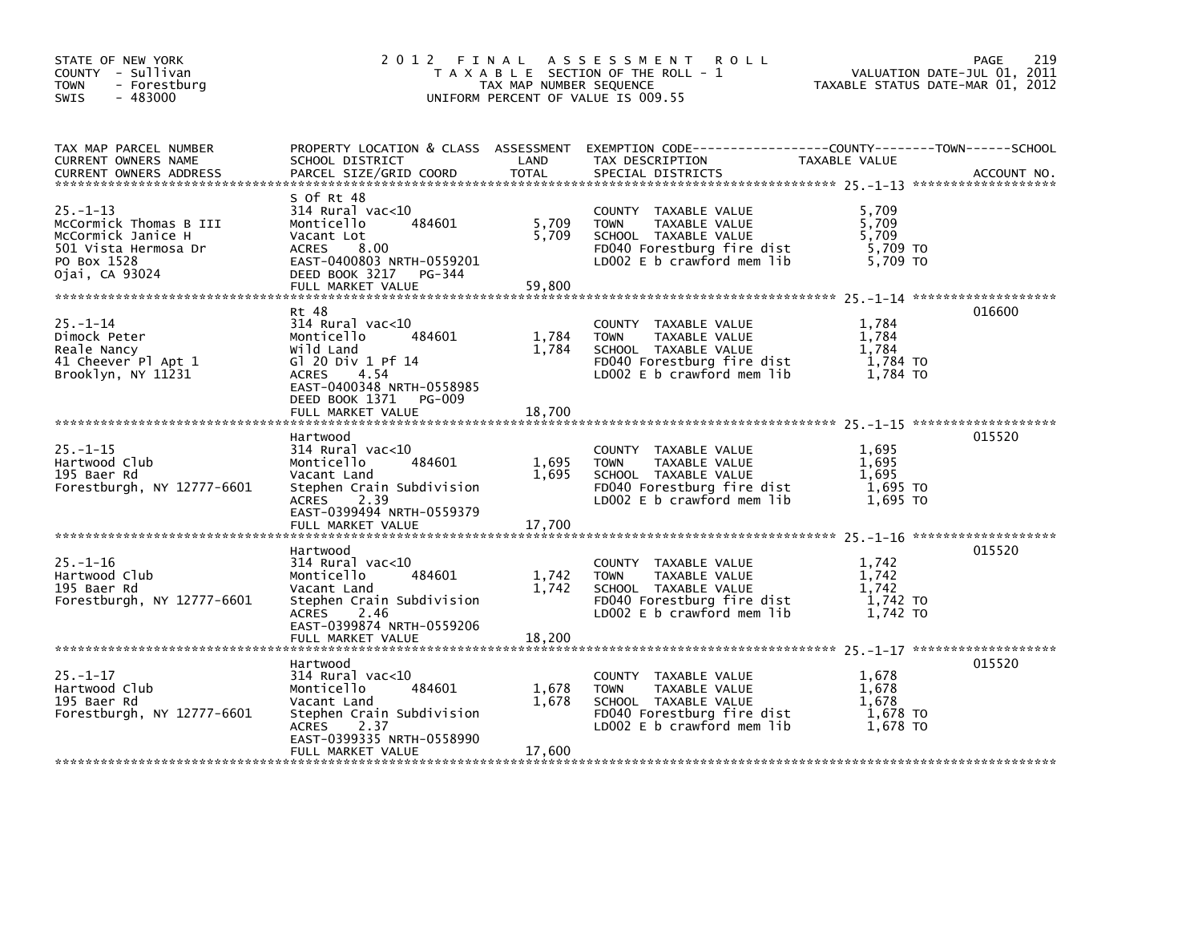| STATE OF NEW YORK<br>COUNTY - Sullivan<br>TOWN<br>- Forestburg<br>$-483000$<br>SWIS                                     | 2 0 1 2                                                                                                                                                                                        | TAX MAP NUMBER SEQUENCE  | FINAL ASSESSMENT<br>R O L L<br>T A X A B L E SECTION OF THE ROLL - 1<br>UNIFORM PERCENT OF VALUE IS 009.55                                |                                                 | 219<br>PAGE<br>VALUATION DATE-JUL 01, 2011<br>TAXABLE STATUS DATE-MAR 01, 2012 |
|-------------------------------------------------------------------------------------------------------------------------|------------------------------------------------------------------------------------------------------------------------------------------------------------------------------------------------|--------------------------|-------------------------------------------------------------------------------------------------------------------------------------------|-------------------------------------------------|--------------------------------------------------------------------------------|
| TAX MAP PARCEL NUMBER<br>CURRENT OWNERS NAME<br><b>CURRENT OWNERS ADDRESS</b>                                           | SCHOOL DISTRICT<br>PARCEL SIZE/GRID COORD                                                                                                                                                      | LAND<br><b>TOTAL</b>     | PROPERTY LOCATION & CLASS ASSESSMENT EXEMPTION CODE-----------------COUNTY-------TOWN------SCHOOL<br>TAX DESCRIPTION<br>SPECIAL DISTRICTS | TAXABLE VALUE                                   | ACCOUNT NO.                                                                    |
| $25. - 1 - 13$<br>McCormick Thomas B III<br>McCormick Janice H<br>501 Vista Hermosa Dr<br>PO Box 1528<br>Ojai, CA 93024 | S Of Rt 48<br>314 Rural vac<10<br>484601<br>Monticello<br>Vacant Lot<br>8.00<br><b>ACRES</b><br>EAST-0400803 NRTH-0559201<br>DEED BOOK 3217<br>PG-344<br>FULL MARKET VALUE                     | 5,709<br>5,709<br>59,800 | COUNTY TAXABLE VALUE<br><b>TOWN</b><br>TAXABLE VALUE<br>SCHOOL TAXABLE VALUE<br>FD040 Forestburg fire dist<br>LD002 E b crawford mem lib  | 5,709<br>5,709<br>5,709<br>5,709 TO<br>5,709 TO |                                                                                |
| $25. - 1 - 14$<br>Dimock Peter<br>Reale Nancy<br>41 Cheever Pl Apt 1<br>Brooklyn, NY 11231                              | Rt 48<br>$314$ Rural vac< $10$<br>Monticello<br>484601<br>Wild Land<br>G1 20 Div 1 Pf 14<br>4.54<br><b>ACRES</b><br>EAST-0400348 NRTH-0558985<br>DEED BOOK 1371<br>PG-009<br>FULL MARKET VALUE | 1,784<br>1,784<br>18,700 | COUNTY TAXABLE VALUE<br>TAXABLE VALUE<br><b>TOWN</b><br>SCHOOL TAXABLE VALUE<br>FD040 Forestburg fire dist<br>LD002 E b crawford mem lib  | 1,784<br>1,784<br>1,784<br>1,784 то<br>1,784 TO | 016600                                                                         |
| $25. - 1 - 15$<br>Hartwood Club<br>195 Baer Rd<br>Forestburgh, NY 12777-6601                                            | Hartwood<br>$314$ Rural vac<10<br>484601<br>Monticello<br>Vacant Land<br>Stephen Crain Subdivision<br>2.39<br><b>ACRES</b><br>EAST-0399494 NRTH-0559379<br>FULL MARKET VALUE                   | 1,695<br>1,695<br>17,700 | COUNTY TAXABLE VALUE<br><b>TOWN</b><br>TAXABLE VALUE<br>SCHOOL TAXABLE VALUE<br>FD040 Forestburg fire dist<br>LD002 E b crawford mem lib  | 1,695<br>1,695<br>1,695<br>1,695 TO<br>1,695 TO | 015520                                                                         |
| $25. - 1 - 16$<br>Hartwood Club<br>195 Baer Rd<br>Forestburgh, NY 12777-6601                                            | Hartwood<br>$314$ Rural vac< $10$<br>Monticello<br>484601<br>Vacant Land<br>Stephen Crain Subdivision<br><b>ACRES</b><br>2.46<br>EAST-0399874 NRTH-0559206<br>FULL MARKET VALUE                | 1,742<br>1,742<br>18,200 | COUNTY TAXABLE VALUE<br><b>TOWN</b><br>TAXABLE VALUE<br>SCHOOL TAXABLE VALUE<br>FD040 Forestburg fire dist<br>LD002 E b crawford mem lib  | 1,742<br>1,742<br>1.742<br>1,742 TO<br>1.742 TO | 015520                                                                         |
| $25. - 1 - 17$<br>Hartwood Club<br>195 Baer Rd<br>Forestburgh, NY 12777-6601                                            | Hartwood<br>$314$ Rural vac<10<br>484601<br>Monticello<br>Vacant Land<br>Stephen Crain Subdivision<br><b>ACRES</b><br>2.37<br>EAST-0399335 NRTH-0558990<br>FULL MARKET VALUE                   | 1,678<br>1,678<br>17,600 | COUNTY TAXABLE VALUE<br><b>TOWN</b><br>TAXABLE VALUE<br>SCHOOL TAXABLE VALUE<br>FD040 Forestburg fire dist<br>LD002 E b crawford mem lib  | 1,678<br>1,678<br>1,678<br>1,678 TO<br>1,678 TO | 015520                                                                         |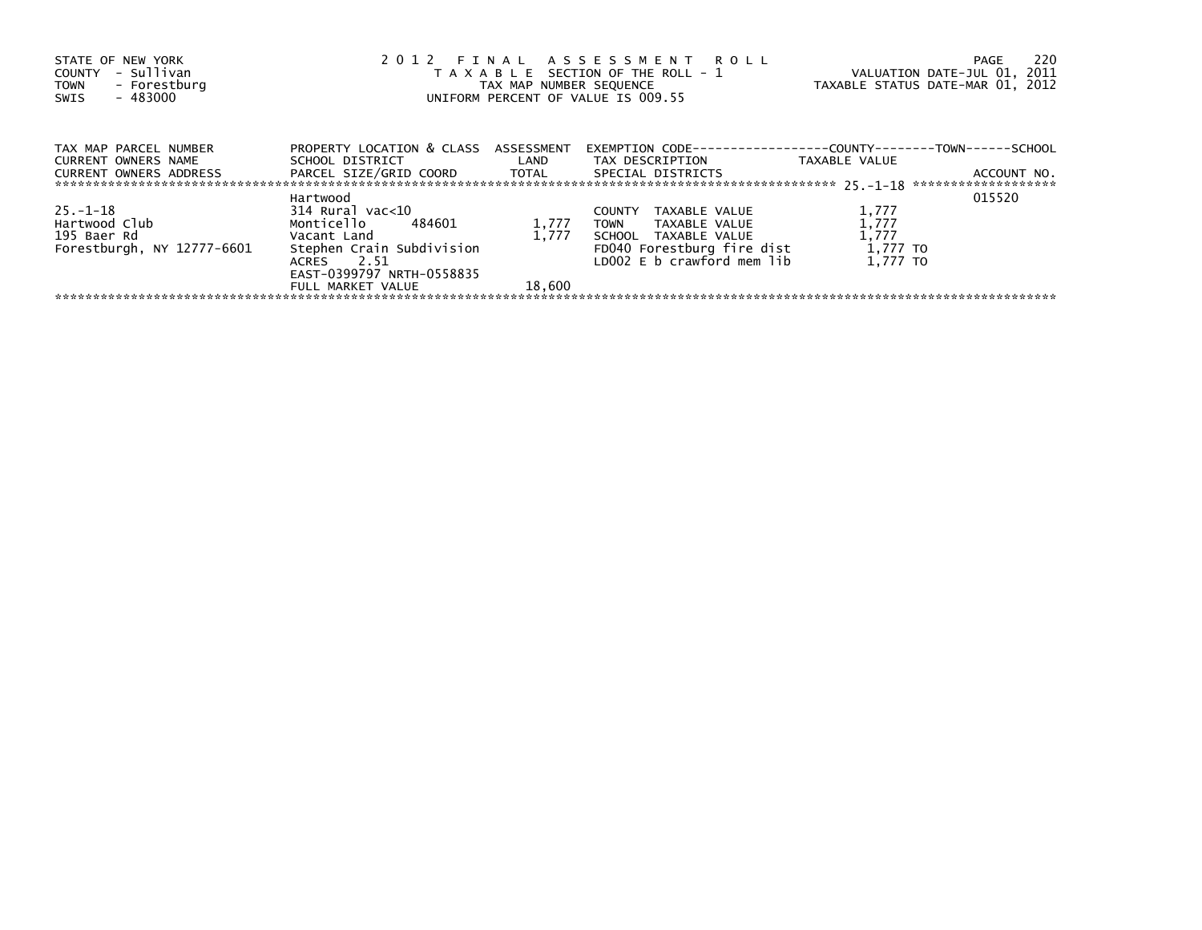| STATE OF NEW YORK<br>- Sullivan<br>COUNTY<br>- Forestburg<br><b>TOWN</b><br>- 483000<br>SWIS | 2012 FINAL ASSESSMENT ROLL<br>T A X A B L E SECTION OF THE ROLL - 1<br>TAX MAP NUMBER SEOUENCE<br>UNIFORM PERCENT OF VALUE IS 009.55 |        |                                                                                         | VALUATION DATE-JUL 01, 2011<br>TAXABLE STATUS DATE-MAR 01, 2012 | -220<br>PAGE |
|----------------------------------------------------------------------------------------------|--------------------------------------------------------------------------------------------------------------------------------------|--------|-----------------------------------------------------------------------------------------|-----------------------------------------------------------------|--------------|
| TAX MAP PARCEL NUMBER<br>CURRENT OWNERS NAME                                                 | PROPERTY LOCATION & CLASS ASSESSMENT<br>SCHOOL DISTRICT LAND                                                                         |        | EXEMPTION        CODE-----------------COUNTY--------TOWN------SCHOOL<br>TAX DESCRIPTION | TAXABLE VALUE                                                   |              |
| CURRENT OWNERS ADDRESS                                                                       | PARCEL SIZE/GRID COORD TOTAL                                                                                                         |        | SPECIAL DISTRICTS                                                                       |                                                                 | ACCOUNT NO.  |
|                                                                                              | Hartwood                                                                                                                             |        |                                                                                         |                                                                 | 015520       |
| $25. - 1 - 18$                                                                               | 314 Rural vac<10                                                                                                                     |        | <b>COUNTY</b><br>TAXABLE VALUE                                                          | 1,777                                                           |              |
| Hartwood Club                                                                                | Monticello 484601                                                                                                                    | 1,777  | TOWN<br>TAXABLE VALUE                                                                   | 1,777                                                           |              |
| 195 Baer Rd                                                                                  | Vacant Land                                                                                                                          | 1,777  | SCHOOL TAXABLE VALUE                                                                    | 1,777                                                           |              |
| Forestburgh, NY 12777-6601                                                                   | Stephen Crain Subdivision                                                                                                            |        | FD040 Forestburg fire dist                                                              | 1,777 TO                                                        |              |
|                                                                                              | ACRES 2.51                                                                                                                           |        | LD002 E b crawford mem lib                                                              | 1.777 TO                                                        |              |
|                                                                                              | EAST-0399797 NRTH-0558835                                                                                                            |        |                                                                                         |                                                                 |              |
|                                                                                              | FULL MARKET VALUE                                                                                                                    | 18,600 |                                                                                         |                                                                 |              |
|                                                                                              |                                                                                                                                      |        |                                                                                         |                                                                 |              |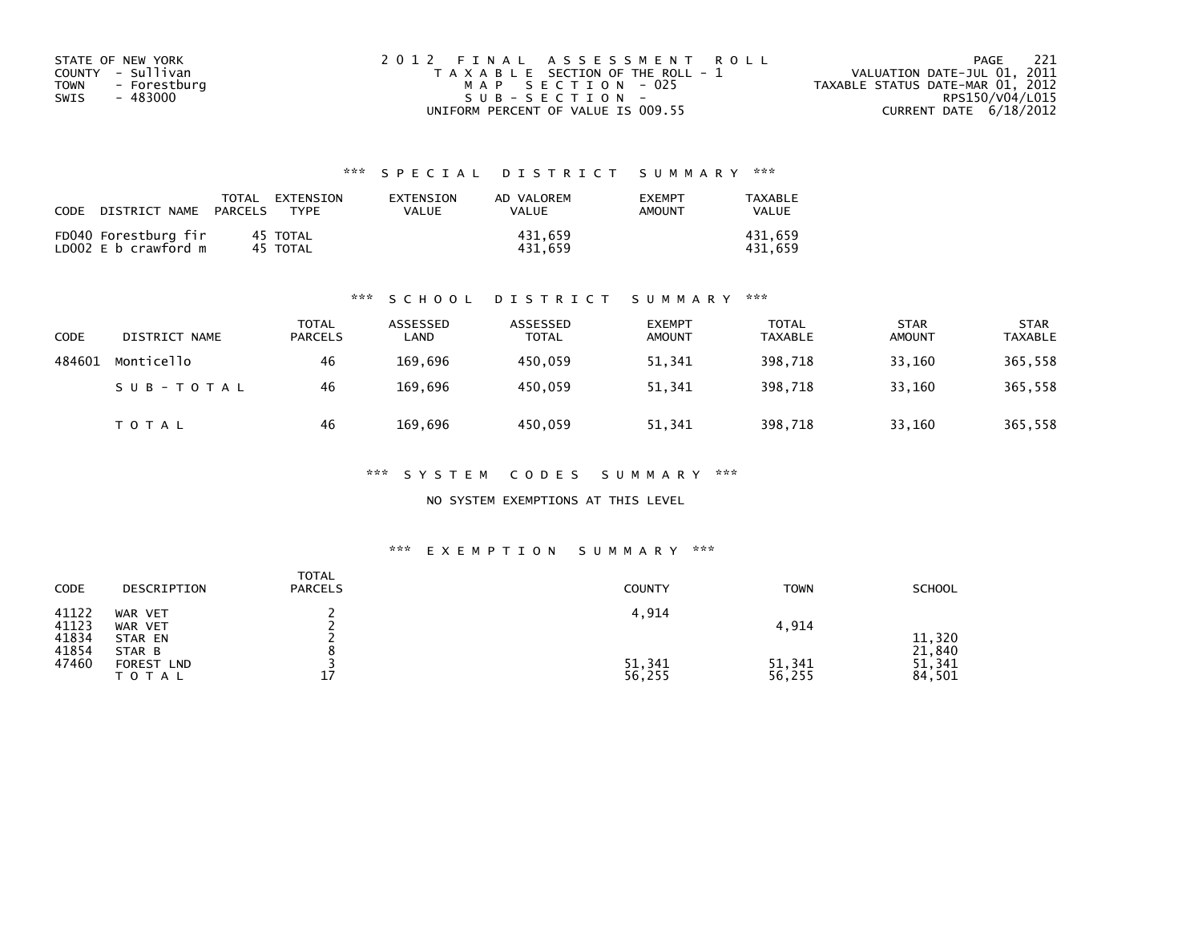| STATE OF NEW YORK           | 2012 FINAL ASSESSMENT ROLL            | - 221<br>PAGE                    |
|-----------------------------|---------------------------------------|----------------------------------|
| COUNTY - Sullivan           | T A X A B L E SECTION OF THE ROLL - 1 | VALUATION DATE-JUL 01, 2011      |
| <b>TOWN</b><br>- Forestburg | MAP SECTION - 025                     | TAXABLE STATUS DATE-MAR 01, 2012 |
| SWIS<br>- 483000            | $SUB - SECTION -$                     | RPS150/V04/L015                  |
|                             | UNIFORM PERCENT OF VALUE IS 009.55    | CURRENT DATE 6/18/2012           |

| CODE | DISTRICT NAME                                | TOTAL<br>PARCELS | EXTENSION<br><b>TYPF</b> | EXTENSION<br>VALUE | AD VALOREM<br>VALUE | <b>EXEMPT</b><br>AMOUNT | TAXABLE<br><b>VALUE</b> |
|------|----------------------------------------------|------------------|--------------------------|--------------------|---------------------|-------------------------|-------------------------|
|      | FD040 Forestburg fir<br>LD002 E b crawford m |                  | 45 TOTAL<br>45 TOTAL     |                    | 431.659<br>431.659  |                         | 431.659<br>431.659      |

#### \*\*\* S C H O O L D I S T R I C T S U M M A R Y \*\*\*

| <b>CODE</b> | DISTRICT NAME | TOTAL<br><b>PARCELS</b> | ASSESSED<br>LAND | ASSESSED<br><b>TOTAL</b> | <b>EXEMPT</b><br><b>AMOUNT</b> | <b>TOTAL</b><br>TAXABLE | <b>STAR</b><br><b>AMOUNT</b> | <b>STAR</b><br><b>TAXABLE</b> |
|-------------|---------------|-------------------------|------------------|--------------------------|--------------------------------|-------------------------|------------------------------|-------------------------------|
| 484601      | Monticello    | 46                      | 169,696          | 450.059                  | 51,341                         | 398,718                 | 33,160                       | 365,558                       |
|             | SUB-TOTAL     | 46                      | 169.696          | 450.059                  | 51,341                         | 398.718                 | 33.160                       | 365,558                       |
|             | T O T A L     | 46                      | 169.696          | 450,059                  | 51,341                         | 398,718                 | 33,160                       | 365,558                       |

\*\*\* S Y S T E M C O D E S S U M M A R Y \*\*\*

NO SYSTEM EXEMPTIONS AT THIS LEVEL

| CODE                    | DESCRIPTION                                            | <b>TOTAL</b><br><b>PARCELS</b> | <b>COUNTY</b>    | <b>TOWN</b>      | <b>SCHOOL</b>                        |
|-------------------------|--------------------------------------------------------|--------------------------------|------------------|------------------|--------------------------------------|
| 41122<br>41123          | WAR VET<br>WAR VET                                     |                                | 4,914            | 4,914            |                                      |
| 41834<br>41854<br>47460 | STAR EN<br>STAR B<br>FOREST<br><b>LND</b><br>T O T A L | 17                             | 51,341<br>56,255 | 51,341<br>56,255 | 11,320<br>21,840<br>51,341<br>84,501 |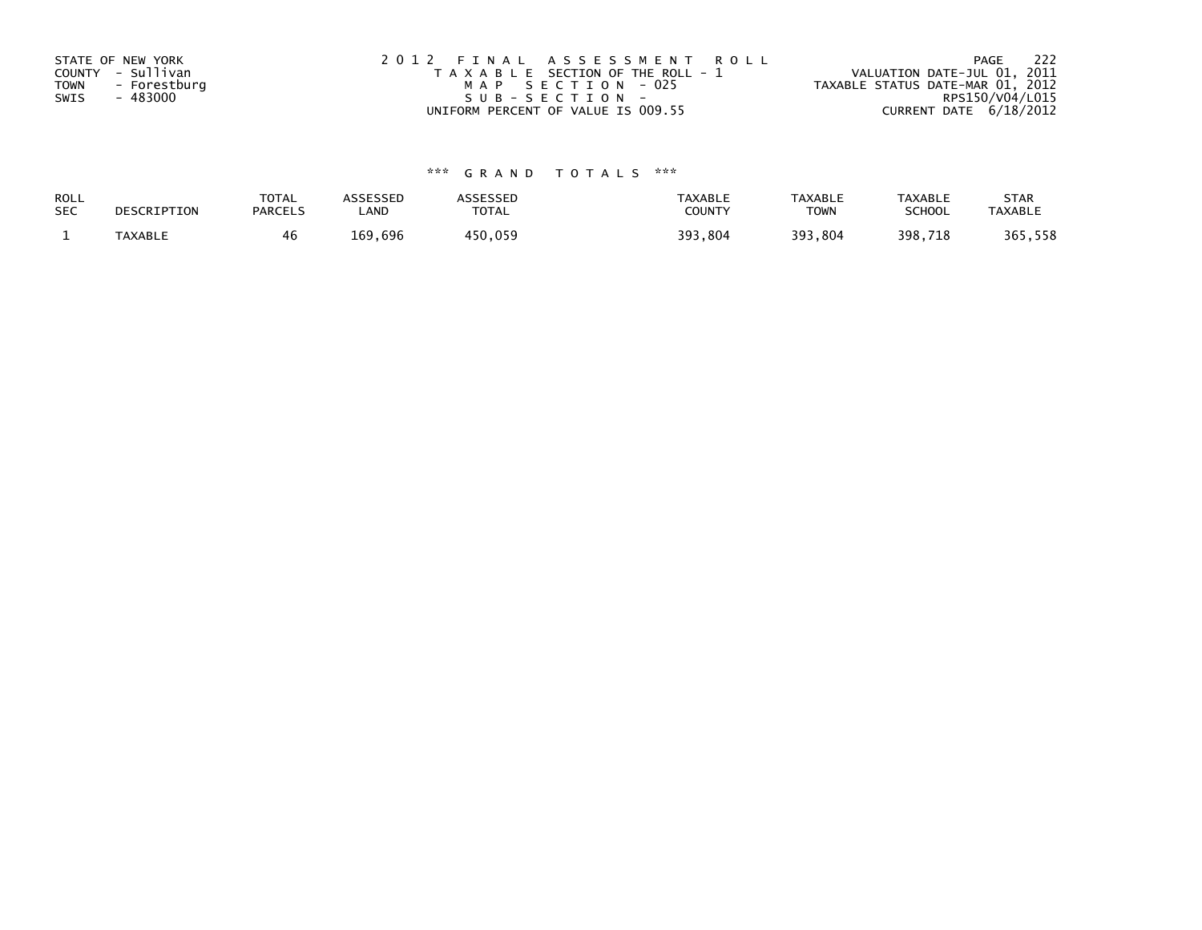| STATE OF NEW YORK           | 2012 FINAL ASSESSMENT ROLL            | 222<br>PAGE                      |
|-----------------------------|---------------------------------------|----------------------------------|
| COUNTY - Sullivan           | T A X A B L E SECTION OF THE ROLL - 1 | VALUATION DATE-JUL 01, 2011      |
| <b>TOWN</b><br>- Forestburg | MAP SECTION - 025                     | TAXABLE STATUS DATE-MAR 01, 2012 |
| - 483000<br>SWIS            | SUB-SECTION-                          | RPS150/V04/L015                  |
|                             | UNIFORM PERCENT OF VALUE IS 009.55    | CURRENT DATE 6/18/2012           |

| ROLL       | DESCRIPTION | <b>TOTAL</b>   | <b>ASSESSED</b> | <b>\SSESSED</b> | TAXABLE | <b>TAXABLE</b> | <b>TAXABLE</b> | <b>STAR</b>    |
|------------|-------------|----------------|-----------------|-----------------|---------|----------------|----------------|----------------|
| <b>SEC</b> |             | <b>PARCELS</b> | LAND            | <b>TOTAL</b>    | COUNTY  | <b>TOWN</b>    | <b>SCHOOL</b>  | <b>TAXABLE</b> |
|            | TAXABLE     |                | 169,696         | 450,059         | 393,804 | 393,804        | 398,718        | 365,558        |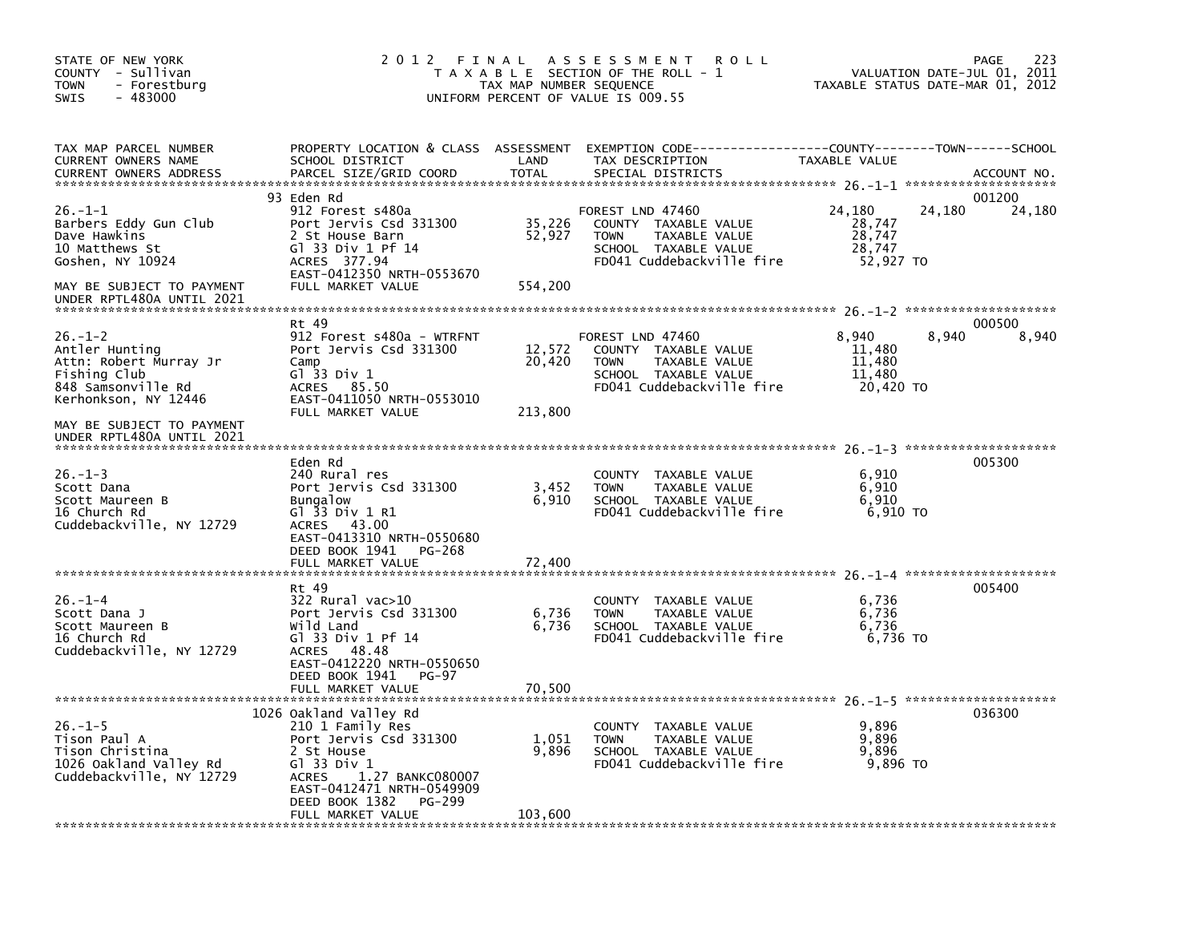| STATE OF NEW YORK<br>COUNTY - Sullivan<br><b>TOWN</b><br>- Forestburg<br>$-483000$<br><b>SWIS</b>                                                    | 2012 FINAL                                                                                                                                                                                                                               | TAX MAP NUMBER SEQUENCE             | A S S E S S M E N T<br><b>ROLL</b><br>T A X A B L E SECTION OF THE ROLL - 1<br>UNIFORM PERCENT OF VALUE IS 009.55                          | VALUATION DATE-JUL 01, 2011<br>TAXABLE STATUS DATE-MAR 01, 2012 | 223<br>PAGE      |
|------------------------------------------------------------------------------------------------------------------------------------------------------|------------------------------------------------------------------------------------------------------------------------------------------------------------------------------------------------------------------------------------------|-------------------------------------|--------------------------------------------------------------------------------------------------------------------------------------------|-----------------------------------------------------------------|------------------|
| TAX MAP PARCEL NUMBER<br>CURRENT OWNERS NAME<br><b>CURRENT OWNERS ADDRESS</b>                                                                        | SCHOOL DISTRICT<br>PARCEL SIZE/GRID COORD                                                                                                                                                                                                | LAND<br><b>TOTAL</b>                | PROPERTY LOCATION & CLASS ASSESSMENT EXEMPTION CODE-----------------COUNTY--------TOWN------SCHOOL<br>TAX DESCRIPTION<br>SPECIAL DISTRICTS | TAXABLE VALUE                                                   | ACCOUNT NO.      |
| $26. -1 - 1$<br>Barbers Eddy Gun Club<br>Dave Hawkins<br>10 Matthews St<br>Goshen, NY 10924                                                          | 93 Eden Rd<br>912 Forest s480a<br>Port Jervis Csd 331300<br>2 St House Barn<br>G1 33 Div 1 Pf 14<br>ACRES 377.94<br>EAST-0412350 NRTH-0553670                                                                                            | 35,226<br>52,927                    | FOREST LND 47460<br>COUNTY TAXABLE VALUE<br><b>TOWN</b><br>TAXABLE VALUE<br>SCHOOL TAXABLE VALUE<br>FD041 Cuddebackville fire              | 24,180<br>24,180<br>28,747<br>28,747<br>28,747<br>52.927 TO     | 001200<br>24,180 |
| MAY BE SUBJECT TO PAYMENT<br>UNDER RPTL480A UNTIL 2021                                                                                               | FULL MARKET VALUE                                                                                                                                                                                                                        | 554,200                             |                                                                                                                                            |                                                                 |                  |
| $26. - 1 - 2$<br>Antler Hunting<br>Attn: Robert Murray Jr<br>Fishing Club<br>848 Samsonville Rd<br>Kerhonkson, NY 12446<br>MAY BE SUBJECT TO PAYMENT | Rt 49<br>912 Forest s480a - WTRFNT<br>Port Jervis Csd 331300<br>Camp<br>Gl 33 Div 1<br>85.50<br>ACRES<br>EAST-0411050 NRTH-0553010<br>FULL MARKET VALUE                                                                                  | 12,572<br>20,420<br>213,800         | FOREST LND 47460<br>COUNTY TAXABLE VALUE<br>TAXABLE VALUE<br><b>TOWN</b><br>SCHOOL TAXABLE VALUE<br>FD041 Cuddebackville fire              | 8.940<br>8,940<br>11,480<br>11,480<br>11,480<br>20,420 TO       | 000500<br>8,940  |
| UNDER RPTL480A UNTIL 2021<br>$26. - 1 - 3$<br>Scott Dana<br>Scott Maureen B<br>16 Church Rd<br>Cuddebackville, NY 12729                              | Eden Rd<br>240 Rural res<br>Port Jervis Csd 331300<br><b>Bungalow</b><br>Gl 33 Div 1 R1<br>43.00<br>ACRES<br>EAST-0413310 NRTH-0550680<br>DEED BOOK 1941<br>PG-268<br>FULL MARKET VALUE                                                  | 3,452<br>6,910<br>72,400            | COUNTY TAXABLE VALUE<br><b>TOWN</b><br>TAXABLE VALUE<br>SCHOOL TAXABLE VALUE<br>FD041 Cuddebackville fire                                  | 6,910<br>6,910<br>6.910<br>6,910 TO                             | 005300           |
| $26. - 1 - 4$<br>Scott Dana J<br>Scott Maureen B<br>16 Church Rd<br>Cuddebackville, NY 12729                                                         | Rt 49<br>322 Rural vac>10<br>Port Jervis Csd 331300<br>Wild Land<br>G1 33 Div 1 Pf 14<br>ACRES 48.48<br>EAST-0412220 NRTH-0550650<br>DEED BOOK 1941<br>PG-97                                                                             | 6,736<br>6,736                      | COUNTY TAXABLE VALUE<br>TAXABLE VALUE<br><b>TOWN</b><br>SCHOOL TAXABLE VALUE<br>FD041 Cuddebackville fire                                  | 6,736<br>6,736<br>6,736<br>6,736 TO                             | 005400           |
| $26. - 1 - 5$<br>Tison Paul A<br>Tison Christina<br>1026 Oakland Valley Rd<br>Cuddebackville, NY 12729                                               | FULL MARKET VALUE<br>1026 Oakland Valley Rd<br>210 1 Family Res<br>Port Jervis Csd 331300<br>2 St House<br>Gl 33 Div 1<br>1.27 BANKC080007<br><b>ACRES</b><br>EAST-0412471 NRTH-0549909<br>DEED BOOK 1382<br>PG-299<br>FULL MARKET VALUE | 70,500<br>1,051<br>9,896<br>103,600 | COUNTY TAXABLE VALUE<br>TAXABLE VALUE<br><b>TOWN</b><br>SCHOOL TAXABLE VALUE<br>FD041 Cuddebackville fire                                  | 9,896<br>9,896<br>9,896<br>9,896 TO                             | 036300           |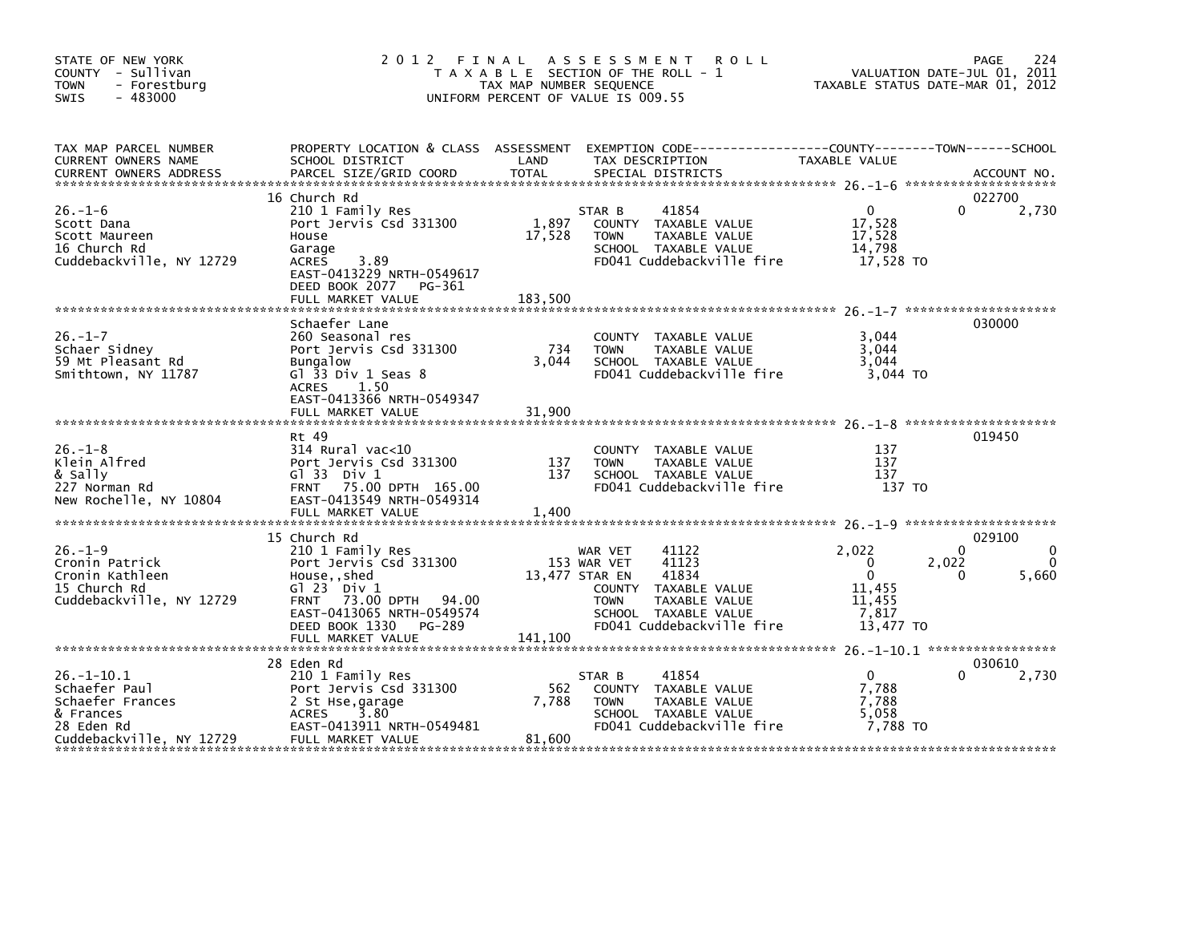| STATE OF NEW YORK<br>COUNTY - Sullivan<br><b>TOWN</b><br>- Forestburg<br>$-483000$<br>SWIS                   | 2012                                                                                                                                                                                                        | TAX MAP NUMBER SEQUENCE    | FINAL ASSESSMENT ROLL<br>T A X A B L E SECTION OF THE ROLL - 1<br>UNIFORM PERCENT OF VALUE IS 009.55                                                                             |                                                                                 | 224<br>PAGE<br>VALUATION DATE-JUL 01, 2011<br>TAXABLE STATUS DATE-MAR 01, 2012 |
|--------------------------------------------------------------------------------------------------------------|-------------------------------------------------------------------------------------------------------------------------------------------------------------------------------------------------------------|----------------------------|----------------------------------------------------------------------------------------------------------------------------------------------------------------------------------|---------------------------------------------------------------------------------|--------------------------------------------------------------------------------|
| TAX MAP PARCEL NUMBER<br>CURRENT OWNERS NAME                                                                 | PROPERTY LOCATION & CLASS ASSESSMENT EXEMPTION CODE---------------COUNTY-------TOWN------SCHOOL<br>SCHOOL DISTRICT                                                                                          | LAND<br><b>TOTAL</b>       | TAX DESCRIPTION                                                                                                                                                                  | TAXABLE VALUE                                                                   |                                                                                |
| $26. - 1 - 6$<br>Scott Dana<br>Scott Maureen<br>16 Church Rd<br>Cuddebackville, NY 12729                     | 16 Church Rd<br>210 1 Family Res<br>Port Jervis Csd 331300<br>House<br>Garage<br>3.89<br><b>ACRES</b><br>EAST-0413229 NRTH-0549617<br>DEED BOOK 2077<br>PG-361<br>FULL MARKET VALUE                         | 1,897<br>17,528<br>183,500 | 41854<br>STAR B<br>COUNTY TAXABLE VALUE<br>TAXABLE VALUE<br><b>TOWN</b><br>SCHOOL TAXABLE VALUE<br>FD041 Cuddebackville fire                                                     | $\overline{0}$<br>17,528<br>17,528<br>14,798<br>17,528 TO                       | 022700<br>2,730<br>0                                                           |
| $26. - 1 - 7$<br>Schaer Sidney<br>59 Mt Pleasant Rd<br>Smithtown, NY 11787                                   | Schaefer Lane<br>260 Seasonal res<br>Port Jervis Csd 331300<br><b>Bungalow</b><br>Gl $33$ Div 1 Seas $8$<br>ACRES 1.50<br>EAST-0413366 NRTH-0549347<br>FULL MARKET VALUE                                    | 734<br>3.044<br>31,900     | COUNTY TAXABLE VALUE<br><b>TOWN</b><br>TAXABLE VALUE<br>SCHOOL TAXABLE VALUE<br>FD041 Cuddebackville fire                                                                        | 3,044<br>3,044<br>3.044<br>3,044 TO                                             | 030000                                                                         |
| $26. - 1 - 8$<br>Klein Alfred<br>& Sally<br>227 Norman Rd<br>New Rochelle, NY 10804                          | Rt 49<br>314 Rural vac<10<br>Port Jervis Csd 331300<br>$G1$ 33 Div 1<br>FRNT 75.00 DPTH 165.00<br>EAST-0413549 NRTH-0549314                                                                                 | 137<br>137                 | COUNTY TAXABLE VALUE<br>TAXABLE VALUE<br><b>TOWN</b><br>SCHOOL TAXABLE VALUE<br>FD041 Cuddebackville fire                                                                        | 137<br>137<br>137<br>137 TO                                                     | 019450                                                                         |
| $26. - 1 - 9$<br>Cronin Patrick<br>Cronin Kathleen<br>15 Church Rd<br>Cuddebackville, NY 12729               | 15 Church Rd<br>210 1 Family Res<br>Port Jervis Csd 331300<br>House,, shed<br>$G1 23$ Div $1$<br>73.00 DPTH 94.00<br><b>FRNT</b><br>EAST-0413065 NRTH-0549574<br>DEED BOOK 1330 PG-289<br>FULL MARKET VALUE | 141,100                    | 41122<br>WAR VET<br>153 WAR VET<br>41123<br>13,477 STAR EN<br>41834<br>COUNTY TAXABLE VALUE<br><b>TOWN</b><br>TAXABLE VALUE<br>SCHOOL TAXABLE VALUE<br>FD041 Cuddebackville fire | 2,022<br>$\mathbf{0}$<br>$\mathbf{0}$<br>11,455<br>11,455<br>7,817<br>13,477 TO | 029100<br>0<br>2,022<br>5,660<br>$\Omega$                                      |
| $26. - 1 - 10.1$<br>Schaefer Paul<br>Schaefer Frances<br>& Frances<br>28 Eden Rd<br>Cuddebackville, NY 12729 | 28 Eden Rd<br>210 1 Family Res<br>Port Jervis Csd 331300<br>2 St Hse, garage<br>ACRES<br>3.80<br>EAST-0413911 NRTH-0549481<br>FULL MARKET VALUE                                                             | 562<br>7,788<br>81,600     | 41854<br>STAR B<br>COUNTY TAXABLE VALUE<br>TAXABLE VALUE<br><b>TOWN</b><br>SCHOOL TAXABLE VALUE<br>FD041 Cuddebackville fire                                                     | $\overline{0}$<br>7,788<br>7,788<br>5,058<br>7,788 TO                           | 030610<br>2,730                                                                |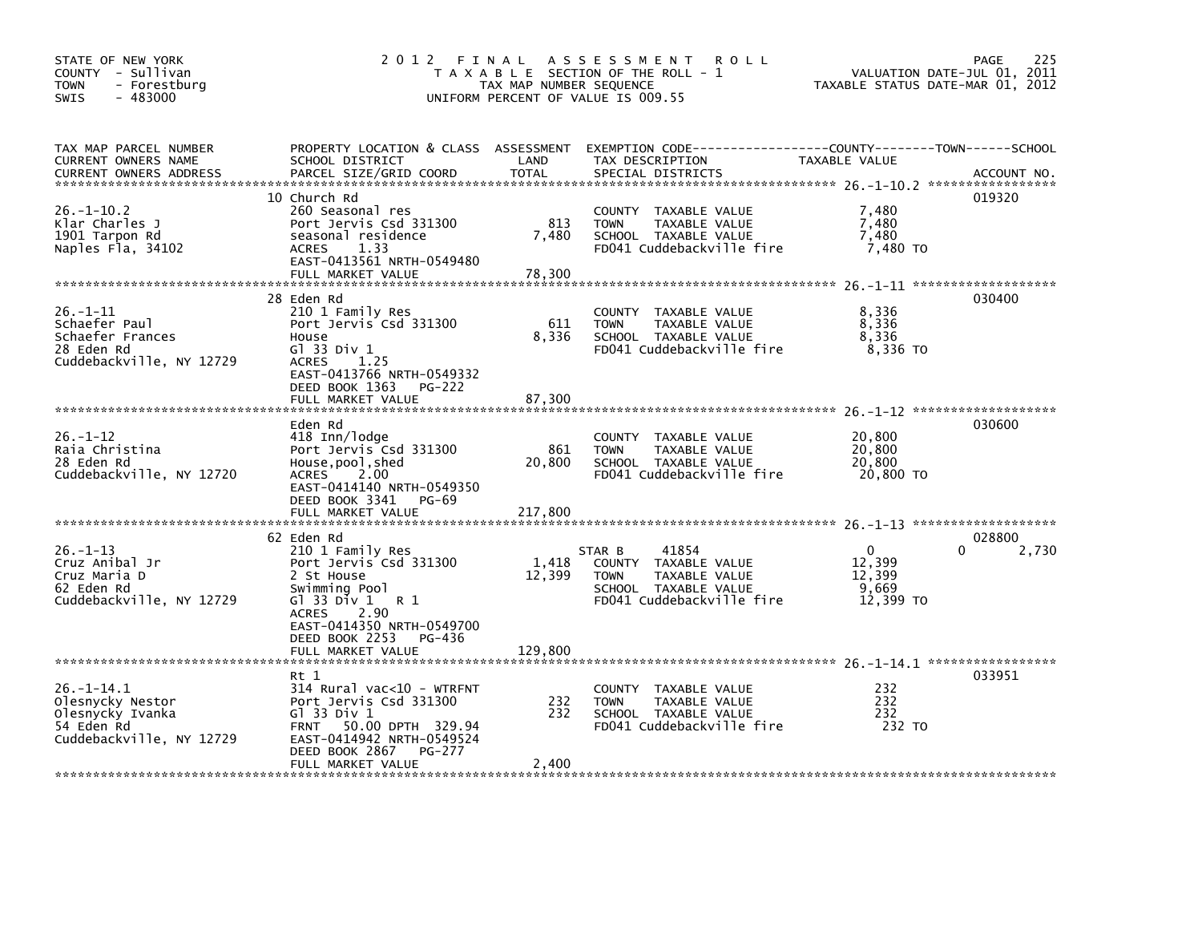| STATE OF NEW YORK<br>COUNTY - Sullivan<br>- Forestburg<br><b>TOWN</b><br>$-483000$<br>SWIS         |                                                                                                                                                                                        | TAX MAP NUMBER SEQUENCE | 2012 FINAL ASSESSMENT ROLL<br>T A X A B L E SECTION OF THE ROLL - 1<br>UNIFORM PERCENT OF VALUE IS 009.55                                 | VALUATION DATE-JUL 01, 2011<br>TAXABLE STATUS DATE-MAR 01, 2012 | 225<br><b>PAGE</b> |
|----------------------------------------------------------------------------------------------------|----------------------------------------------------------------------------------------------------------------------------------------------------------------------------------------|-------------------------|-------------------------------------------------------------------------------------------------------------------------------------------|-----------------------------------------------------------------|--------------------|
| TAX MAP PARCEL NUMBER<br>CURRENT OWNERS NAME<br>CURRENT OWNERS ADDRESS                             | SCHOOL DISTRICT<br>PARCEL SIZE/GRID COORD                                                                                                                                              | LAND<br><b>TOTAL</b>    | PROPERTY LOCATION & CLASS ASSESSMENT EXEMPTION CODE-----------------COUNTY-------TOWN------SCHOOL<br>TAX DESCRIPTION<br>SPECIAL DISTRICTS | TAXABLE VALUE                                                   | ACCOUNT NO.        |
| $26. - 1 - 10.2$<br>Klar Charles J<br>1901 Tarpon Rd<br>Naples Fla, 34102                          | 10 Church Rd<br>260 Seasonal res<br>Port Jervis Csd 331300<br>seasonal residence<br><b>ACRES</b><br>1.33<br>EAST-0413561 NRTH-0549480<br>FULL MARKET VALUE                             | 813<br>7,480<br>78,300  | COUNTY TAXABLE VALUE<br><b>TOWN</b><br>TAXABLE VALUE<br>SCHOOL TAXABLE VALUE<br>FD041 Cuddebackville fire                                 | 7,480<br>7,480<br>7,480<br>7,480 TO                             | 019320             |
| $26. - 1 - 11$<br>Schaefer Paul<br>Schaefer Frances<br>28 Eden Rd<br>Cuddebackville, NY 12729      | 28 Eden Rd<br>210 1 Family Res<br>Port Jervis Csd 331300<br>House<br>G1 33 Div 1<br><b>ACRES</b><br>1.25<br>EAST-0413766 NRTH-0549332<br>DEED BOOK 1363<br>PG-222<br>FULL MARKET VALUE | 611<br>8,336<br>87,300  | COUNTY TAXABLE VALUE<br>TAXABLE VALUE<br><b>TOWN</b><br>SCHOOL TAXABLE VALUE<br>FD041 Cuddebackville fire                                 | 8,336<br>8,336<br>8,336<br>8,336 TO                             | 030400             |
| $26. - 1 - 12$<br>Raia Christina<br>28 Eden Rd<br>Cuddebackville, NY 12720                         | Eden Rd<br>418 Inn/lodge<br>Port Jervis Csd 331300<br>House, pool, shed<br>2.00<br><b>ACRES</b><br>EAST-0414140 NRTH-0549350<br>DEED BOOK 3341 PG-69                                   | 861<br>20,800           | COUNTY TAXABLE VALUE<br>TAXABLE VALUE<br><b>TOWN</b><br>SCHOOL TAXABLE VALUE<br>FD041 Cuddebackville fire                                 | 20,800<br>20,800<br>20,800<br>20,800 TO                         | 030600             |
| $26. - 1 - 13$<br>Cruz Anibal Jr<br>Cruz Maria D<br>62 Eden Rd                                     | 62 Eden Rd<br>210 1 Family Res<br>Port Jervis Csd 331300<br>2 St House<br>Swimming Pool                                                                                                | 1,418<br>12,399         | 41854<br>STAR B<br>COUNTY TAXABLE VALUE<br><b>TOWN</b><br>TAXABLE VALUE<br>SCHOOL TAXABLE VALUE                                           | $\mathbf{0}$<br>0<br>12,399<br>12,399<br>9.669                  | 028800<br>2,730    |
| Cuddebackville, NY 12729                                                                           | G1 33 D <sub>1</sub> V 1 R 1<br>2.90<br><b>ACRES</b><br>EAST-0414350 NRTH-0549700<br>DEED BOOK 2253 PG-436<br>FULL MARKET VALUE<br>Rt 1                                                | 129,800                 | FD041 Cuddebackville fire                                                                                                                 | 12,399 TO                                                       | 033951             |
| $26. - 1 - 14.1$<br>Olesnycky Nestor<br>Olesnycky Ivanka<br>54 Eden Rd<br>Cuddebackville, NY 12729 | $314$ Rural vac<10 - WTRFNT<br>Port Jervis Csd 331300<br>$G1$ 33 Div 1<br>FRNT 50.00 DPTH 329.94<br>EAST-0414942 NRTH-0549524<br>DEED BOOK 2867<br>PG-277                              | 232<br>232              | COUNTY TAXABLE VALUE<br>TAXABLE VALUE<br><b>TOWN</b><br>SCHOOL TAXABLE VALUE<br>FD041 Cuddebackville fire                                 | 232<br>232<br>232<br>232 TO                                     |                    |
|                                                                                                    | FULL MARKET VALUE                                                                                                                                                                      | 2.400                   |                                                                                                                                           |                                                                 |                    |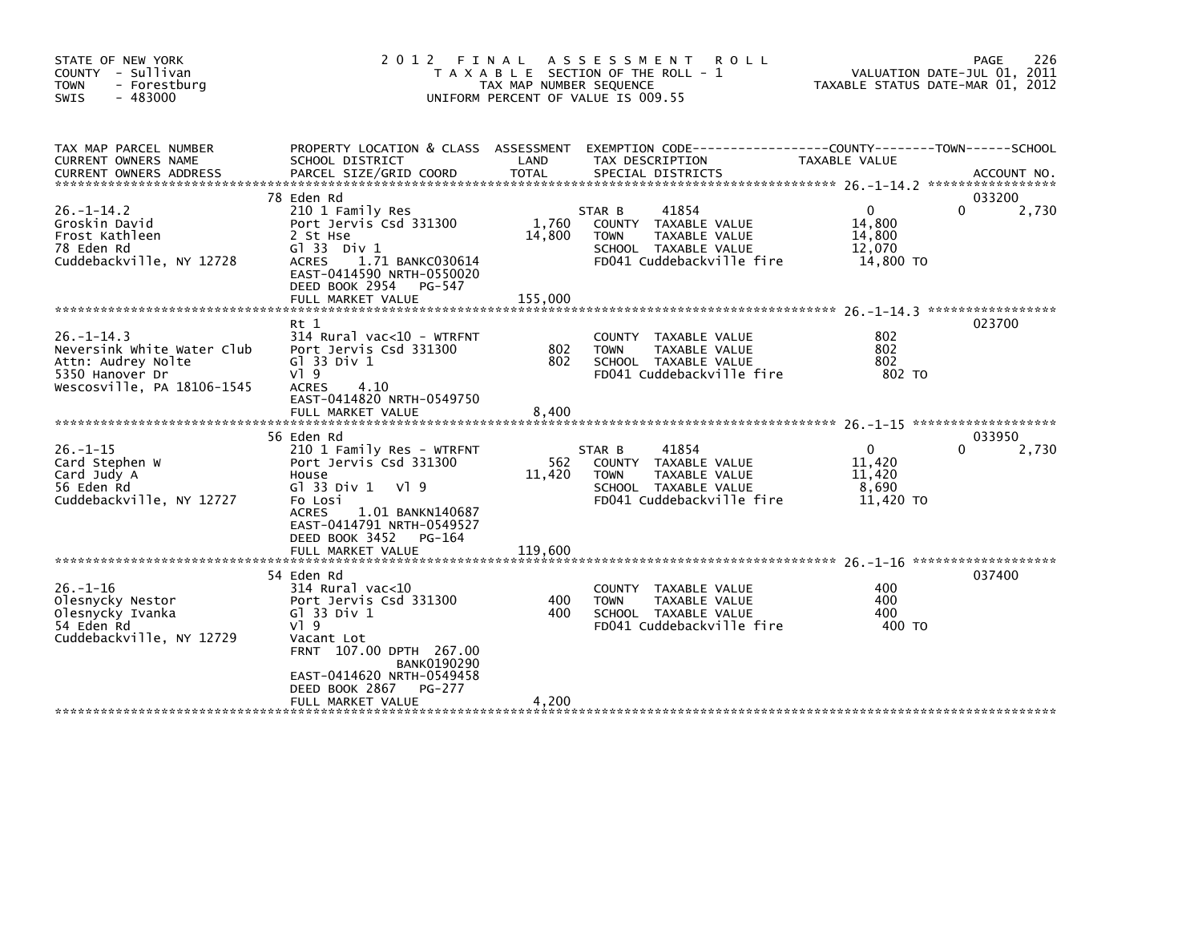| STATE OF NEW YORK<br>COUNTY - Sullivan<br>- Forestburg<br><b>TOWN</b><br>$-483000$<br><b>SWIS</b>                    | 2 0 1 2                                                                                                                                                                                                                                                         | FINAL<br>TAX MAP NUMBER SEQUENCE | A S S E S S M E N T<br><b>ROLL</b><br>T A X A B L E SECTION OF THE ROLL - 1<br>UNIFORM PERCENT OF VALUE IS 009.55            | TAXABLE STATUS DATE-MAR 01, 2012                              | 226<br>PAGE<br>VALUATION DATE-JUL 01, 2011 |
|----------------------------------------------------------------------------------------------------------------------|-----------------------------------------------------------------------------------------------------------------------------------------------------------------------------------------------------------------------------------------------------------------|----------------------------------|------------------------------------------------------------------------------------------------------------------------------|---------------------------------------------------------------|--------------------------------------------|
| TAX MAP PARCEL NUMBER<br>CURRENT OWNERS NAME                                                                         | PROPERTY LOCATION & CLASS ASSESSMENT EXEMPTION CODE----<br>SCHOOL DISTRICT                                                                                                                                                                                      | LAND                             | TAX DESCRIPTION                                                                                                              | --------------COUNTY--------TOWN------SCHOOL<br>TAXABLE VALUE |                                            |
| $26. - 1 - 14.2$<br>Groskin David<br>Frost Kathleen<br>78 Eden Rd<br>Cuddebackville, NY 12728                        | 78 Eden Rd<br>210 1 Family Res<br>Port Jervis Csd 331300<br>2 St Hse<br>G1 33 Div 1<br><b>ACRES</b><br>1.71 BANKC030614<br>EAST-0414590 NRTH-0550020<br>DEED BOOK 2954<br>PG-547<br>FULL MARKET VALUE                                                           | 1,760<br>14,800<br>155,000       | 41854<br>STAR B<br>COUNTY TAXABLE VALUE<br><b>TOWN</b><br>TAXABLE VALUE<br>SCHOOL TAXABLE VALUE<br>FD041 Cuddebackville fire | $\Omega$<br>14,800<br>14,800<br>12,070<br>14,800 TO           | 033200<br>$\Omega$<br>2,730                |
| $26 - 1 - 14.3$<br>Neversink White Water Club<br>Attn: Audrey Nolte<br>5350 Hanover Dr<br>Wescosville, PA 18106-1545 | $Rt$ 1<br>314 Rural vac<10 - WTRFNT<br>Port Jervis Csd 331300<br>G1 33 Div 1<br>$V$ ] 9<br><b>ACRES</b><br>4.10<br>EAST-0414820 NRTH-0549750<br>FULL MARKET VALUE                                                                                               | 802<br>802<br>8.400              | TAXABLE VALUE<br><b>COUNTY</b><br>TAXABLE VALUE<br><b>TOWN</b><br>SCHOOL TAXABLE VALUE<br>FD041 Cuddebackville fire          | 802<br>802<br>802<br>802 TO                                   | 023700                                     |
| $26. - 1 - 15$<br>Card Stephen W<br>Card Judy A<br>56 Eden Rd<br>Cuddebackville, NY 12727                            | 56 Eden Rd<br>210 1 Family Res - WTRFNT<br>Port Jervis Csd 331300<br>House<br>G $\overline{3}$ 33 Div 1<br>VI 9<br>Fo Losi<br><b>ACRES</b><br>1.01 BANKN140687<br>EAST-0414791 NRTH-0549527<br>DEED BOOK 3452<br>PG-164<br>FULL MARKET VALUE                    | 562<br>11,420<br>119,600         | 41854<br>STAR B<br>COUNTY TAXABLE VALUE<br>TAXABLE VALUE<br><b>TOWN</b><br>SCHOOL TAXABLE VALUE<br>FD041 Cuddebackville fire | $\mathbf{0}$<br>11,420<br>11,420<br>8,690<br>11,420 TO        | 033950<br>2,730<br>0                       |
| $26. - 1 - 16$<br>Olesnycky Nestor<br>Olesnycky Ivanka<br>54 Eden Rd<br>Cuddebackville, NY 12729                     | 54 Eden Rd<br>314 Rural vac<10<br>Port Jervis Csd 331300<br>G $\overline{1}$ 33 Div 1<br>$V$ <sup>1</sup> 9<br>Vacant Lot<br>FRNT 107.00 DPTH 267.00<br><b>BANK0190290</b><br>EAST-0414620 NRTH-0549458<br>DEED BOOK 2867<br><b>PG-277</b><br>FULL MARKET VALUE | 400<br>400<br>4,200              | COUNTY TAXABLE VALUE<br><b>TOWN</b><br>TAXABLE VALUE<br>SCHOOL TAXABLE VALUE<br>FD041 Cuddebackville fire                    | 400<br>400<br>400<br>400 TO                                   | 037400                                     |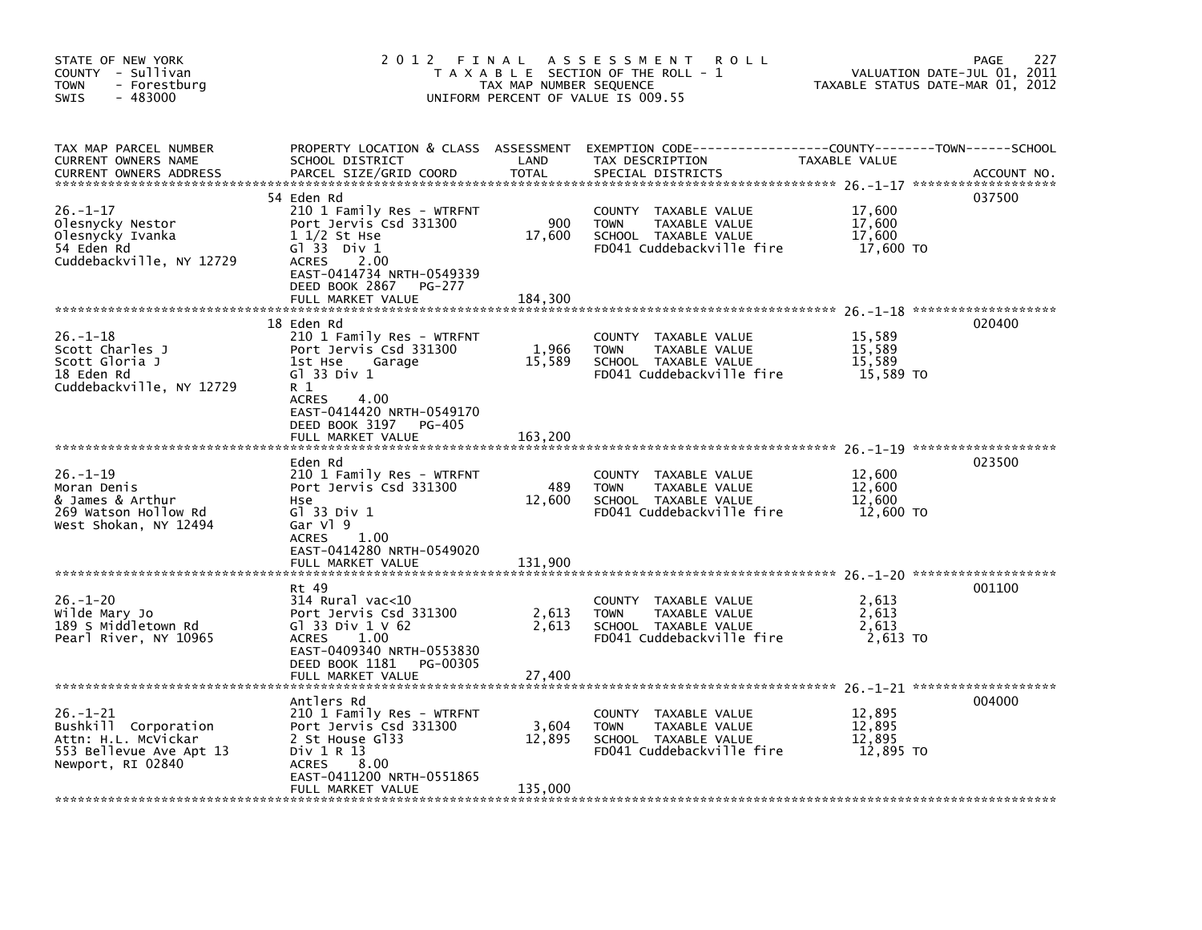| STATE OF NEW YORK<br>COUNTY - Sullivan<br>- Forestburg<br><b>TOWN</b><br>$-483000$<br><b>SWIS</b>             | 2012                                                                                                                                                                                                | FINAL<br>TAX MAP NUMBER SEQUENCE | A S S E S S M E N T<br><b>ROLL</b><br>T A X A B L E SECTION OF THE ROLL - 1<br>UNIFORM PERCENT OF VALUE IS 009.55 | TAXABLE STATUS DATE-MAR 01, 2012        | 227<br>PAGE<br>VALUATION DATE-JUL 01, 2011 |
|---------------------------------------------------------------------------------------------------------------|-----------------------------------------------------------------------------------------------------------------------------------------------------------------------------------------------------|----------------------------------|-------------------------------------------------------------------------------------------------------------------|-----------------------------------------|--------------------------------------------|
| TAX MAP PARCEL NUMBER<br><b>CURRENT OWNERS NAME</b><br><b>CURRENT OWNERS ADDRESS</b>                          | PROPERTY LOCATION & CLASS ASSESSMENT<br>SCHOOL DISTRICT<br>PARCEL SIZE/GRID COORD                                                                                                                   | LAND<br><b>TOTAL</b>             | EXEMPTION CODE-----------------COUNTY-------TOWN------SCHOOL<br>TAX DESCRIPTION<br>SPECIAL DISTRICTS              | TAXABLE VALUE                           | ACCOUNT NO.                                |
| $26. - 1 - 17$<br>Olesnycky Nestor<br>Olesnycky Ivanka<br>54 Eden Rd<br>Cuddebackville, NY 12729              | 54 Eden Rd<br>210 1 Family Res - WTRFNT<br>Port Jervis Csd 331300<br>$1\frac{1}{2}$ St Hse<br>$G1$ 33 Div 1<br><b>ACRES</b><br>2.00<br>EAST-0414734 NRTH-0549339<br>DEED BOOK 2867<br><b>PG-277</b> | 900<br>17,600                    | COUNTY TAXABLE VALUE<br>TAXABLE VALUE<br><b>TOWN</b><br>SCHOOL TAXABLE VALUE<br>FD041 Cuddebackville fire         | 17,600<br>17,600<br>17,600<br>17,600 TO | 037500                                     |
|                                                                                                               | FULL MARKET VALUE<br>18 Eden Rd                                                                                                                                                                     | 184,300                          |                                                                                                                   |                                         | 020400                                     |
| $26. - 1 - 18$<br>Scott Charles J<br>Scott Gloria J<br>18 Eden Rd<br>Cuddebackville, NY 12729                 | 210 1 Family Res - WTRFNT<br>Port Jervis Csd 331300<br>1st Hse<br>Garage<br>G1 33 Div 1<br>R 1<br><b>ACRES</b><br>4.00                                                                              | 1,966<br>15,589                  | TAXABLE VALUE<br>COUNTY<br>TAXABLE VALUE<br><b>TOWN</b><br>SCHOOL TAXABLE VALUE<br>FD041 Cuddebackville fire      | 15,589<br>15,589<br>15,589<br>15,589 TO |                                            |
|                                                                                                               | EAST-0414420 NRTH-0549170<br>DEED BOOK 3197<br><b>PG-405</b><br>FULL MARKET VALUE                                                                                                                   | 163,200                          |                                                                                                                   |                                         |                                            |
| $26. - 1 - 19$<br>Moran Denis<br>& James & Arthur<br>269 Watson Hollow Rd<br>West Shokan, NY 12494            | Eden Rd<br>210 1 Family Res - WTRFNT<br>Port Jervis Csd 331300<br>Hse<br>G1 33 Div 1<br>Gar Vl 9<br>1.00<br><b>ACRES</b>                                                                            | 489<br>12,600                    | COUNTY TAXABLE VALUE<br>TAXABLE VALUE<br><b>TOWN</b><br>SCHOOL TAXABLE VALUE<br>FD041 Cuddebackville fire         | 12,600<br>12,600<br>12,600<br>12,600 TO | 023500                                     |
|                                                                                                               | EAST-0414280 NRTH-0549020<br>FULL MARKET VALUE                                                                                                                                                      | 131,900                          |                                                                                                                   |                                         |                                            |
| $26. - 1 - 20$<br>wilde Mary Jo<br>189 S Middletown Rd<br>Pearl River, NY 10965                               | Rt 49<br>$314$ Rural vac<10<br>Port Jervis Csd 331300<br>GT 33 Div $1 \vee 62$<br>1.00<br><b>ACRES</b><br>EAST-0409340 NRTH-0553830<br>DEED BOOK 1181<br>PG-00305                                   | 2,613<br>2,613                   | COUNTY TAXABLE VALUE<br><b>TOWN</b><br>TAXABLE VALUE<br>SCHOOL TAXABLE VALUE<br>FD041 Cuddebackville fire         | 2,613<br>2,613<br>2,613<br>2,613 TO     | 001100                                     |
|                                                                                                               | FULL MARKET VALUE                                                                                                                                                                                   | 27,400                           |                                                                                                                   |                                         |                                            |
| $26. - 1 - 21$<br>Bushkill Corporation<br>Attn: H.L. McVickar<br>553 Bellevue Ave Apt 13<br>Newport, RI 02840 | Antlers Rd<br>210 1 Family Res - WTRFNT<br>Port Jervis Csd 331300<br>2 St House G133<br>Div 1 R 13<br>ACRES<br>8.00<br>EAST-0411200 NRTH-0551865<br>FULL MARKET VALUE                               | 3,604<br>12,895<br>135,000       | COUNTY<br>TAXABLE VALUE<br><b>TOWN</b><br>TAXABLE VALUE<br>SCHOOL TAXABLE VALUE<br>FD041 Cuddebackville fire      | 12,895<br>12,895<br>12,895<br>12,895 TO | 004000                                     |
|                                                                                                               |                                                                                                                                                                                                     |                                  |                                                                                                                   |                                         |                                            |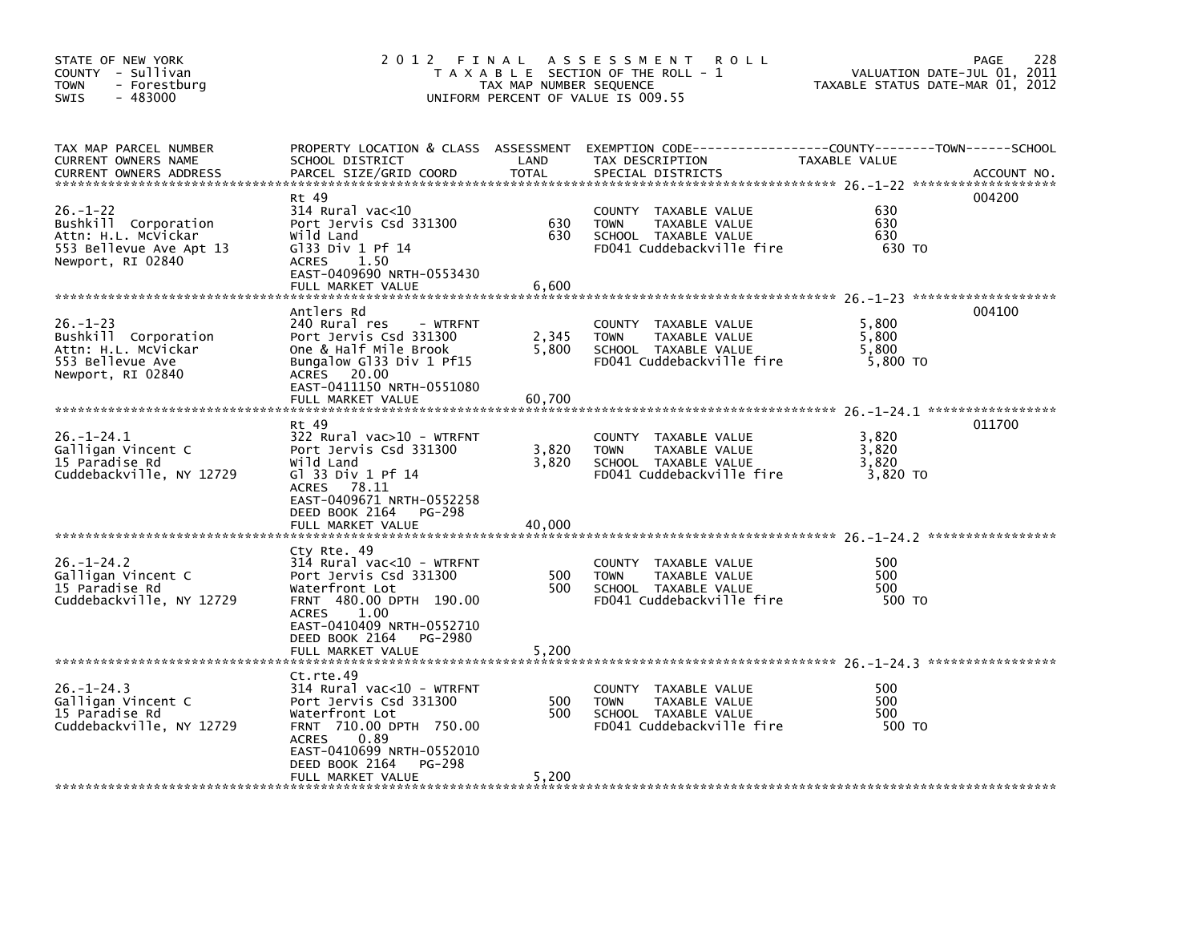| STATE OF NEW YORK<br>COUNTY - Sullivan<br><b>TOWN</b><br>- Forestburg<br>$-483000$<br><b>SWIS</b>             |                                                                                                                                                                                           | TAX MAP NUMBER SEQUENCE | 2012 FINAL ASSESSMENT ROLL<br>T A X A B L E SECTION OF THE ROLL - 1<br>UNIFORM PERCENT OF VALUE IS 009.55                                 | VALUATION DATE-JUL 01, 2011<br>TAXABLE STATUS DATE-MAR 01, 2012 | 228<br>PAGE |
|---------------------------------------------------------------------------------------------------------------|-------------------------------------------------------------------------------------------------------------------------------------------------------------------------------------------|-------------------------|-------------------------------------------------------------------------------------------------------------------------------------------|-----------------------------------------------------------------|-------------|
| TAX MAP PARCEL NUMBER<br>CURRENT OWNERS NAME<br><b>CURRENT OWNERS ADDRESS</b>                                 | SCHOOL DISTRICT<br>PARCEL SIZE/GRID COORD                                                                                                                                                 | LAND<br><b>TOTAL</b>    | PROPERTY LOCATION & CLASS ASSESSMENT EXEMPTION CODE-----------------COUNTY-------TOWN------SCHOOL<br>TAX DESCRIPTION<br>SPECIAL DISTRICTS | TAXABLE VALUE                                                   | ACCOUNT NO. |
| $26. - 1 - 22$<br>Bushkill Corporation<br>Attn: H.L. McVickar<br>553 Bellevue Ave Apt 13<br>Newport, RI 02840 | Rt 49<br>314 Rural vac<10<br>Port Jervis Csd 331300<br>Wild Land<br>$G$ 33 Div 1 Pf 14<br>ACRES 1.50<br>EAST-0409690 NRTH-0553430<br>FULL MARKET VALUE                                    | 630<br>630<br>6,600     | COUNTY TAXABLE VALUE<br>TAXABLE VALUE<br><b>TOWN</b><br>SCHOOL TAXABLE VALUE<br>FD041 Cuddebackville fire                                 | 630<br>630<br>630<br>630 TO                                     | 004200      |
| $26. - 1 - 23$<br>Bushkill Corporation<br>Attn: H.L. McVickar<br>553 Bellevue Ave<br>Newport, RI 02840        | Antlers Rd<br>240 Rural res<br>- WTRFNT<br>Port Jervis Csd 331300<br>One & Half Mile Brook<br>Bungalow Gl33 Div 1 Pf15<br>ACRES 20.00<br>EAST-0411150 NRTH-0551080                        | 2,345<br>5,800          | COUNTY TAXABLE VALUE<br>TAXABLE VALUE<br><b>TOWN</b><br>SCHOOL TAXABLE VALUE<br>FD041 Cuddebackville fire                                 | 5,800<br>5,800<br>5,800<br>5,800 TO                             | 004100      |
|                                                                                                               | FULL MARKET VALUE                                                                                                                                                                         | 60,700                  |                                                                                                                                           |                                                                 |             |
| $26. - 1 - 24.1$<br>Galligan Vincent C<br>15 Paradise Rd<br>Cuddebackville, NY 12729                          | Rt 49<br>322 Rural vac>10 - WTRFNT<br>Port Jervis Csd 331300<br>Wild Land<br>G1 33 Div 1 Pf 14<br>ACRES 78.11<br>EAST-0409671 NRTH-0552258                                                | 3,820<br>3,820          | COUNTY TAXABLE VALUE<br>TAXABLE VALUE<br><b>TOWN</b><br>SCHOOL TAXABLE VALUE<br>FD041 Cuddebackville fire                                 | 3,820<br>3,820<br>3,820<br>3,820 TO                             | 011700      |
|                                                                                                               | DEED BOOK 2164<br>PG-298<br>FULL MARKET VALUE                                                                                                                                             | 40,000                  |                                                                                                                                           |                                                                 |             |
| $26. - 1 - 24.2$<br>Galligan Vincent C<br>15 Paradise Rd<br>Cuddebackville, NY 12729                          | Cty Rte. 49<br>314 Rural vac<10 - WTRFNT<br>Port Jervis Csd 331300<br>Waterfront Lot<br>FRNT 480.00 DPTH 190.00<br><b>ACRES</b><br>1.00<br>EAST-0410409 NRTH-0552710                      | 500<br>500              | COUNTY TAXABLE VALUE<br>TAXABLE VALUE<br><b>TOWN</b><br>SCHOOL TAXABLE VALUE<br>FD041 Cuddebackville fire                                 | 500<br>500<br>500<br>500 TO                                     |             |
|                                                                                                               | DEED BOOK 2164<br>PG-2980<br>FULL MARKET VALUE                                                                                                                                            | 5,200                   |                                                                                                                                           |                                                                 |             |
| $26. - 1 - 24.3$<br>Galligan Vincent C<br>15 Paradise Rd<br>Cuddebackville, NY 12729                          | Ct.rte.49<br>$314$ Rural vac<10 - WTRFNT<br>Port Jervis Csd 331300<br>Waterfront Lot<br>FRNT 710.00 DPTH 750.00<br>ACRES<br>0.89<br>EAST-0410699 NRTH-0552010<br>DEED BOOK 2164<br>PG-298 | 500<br>500              | COUNTY TAXABLE VALUE<br><b>TOWN</b><br>TAXABLE VALUE<br>SCHOOL TAXABLE VALUE<br>FD041 Cuddebackville fire                                 | 500<br>500<br>500<br>500 TO                                     |             |
|                                                                                                               | FULL MARKET VALUE                                                                                                                                                                         | 5,200                   |                                                                                                                                           |                                                                 |             |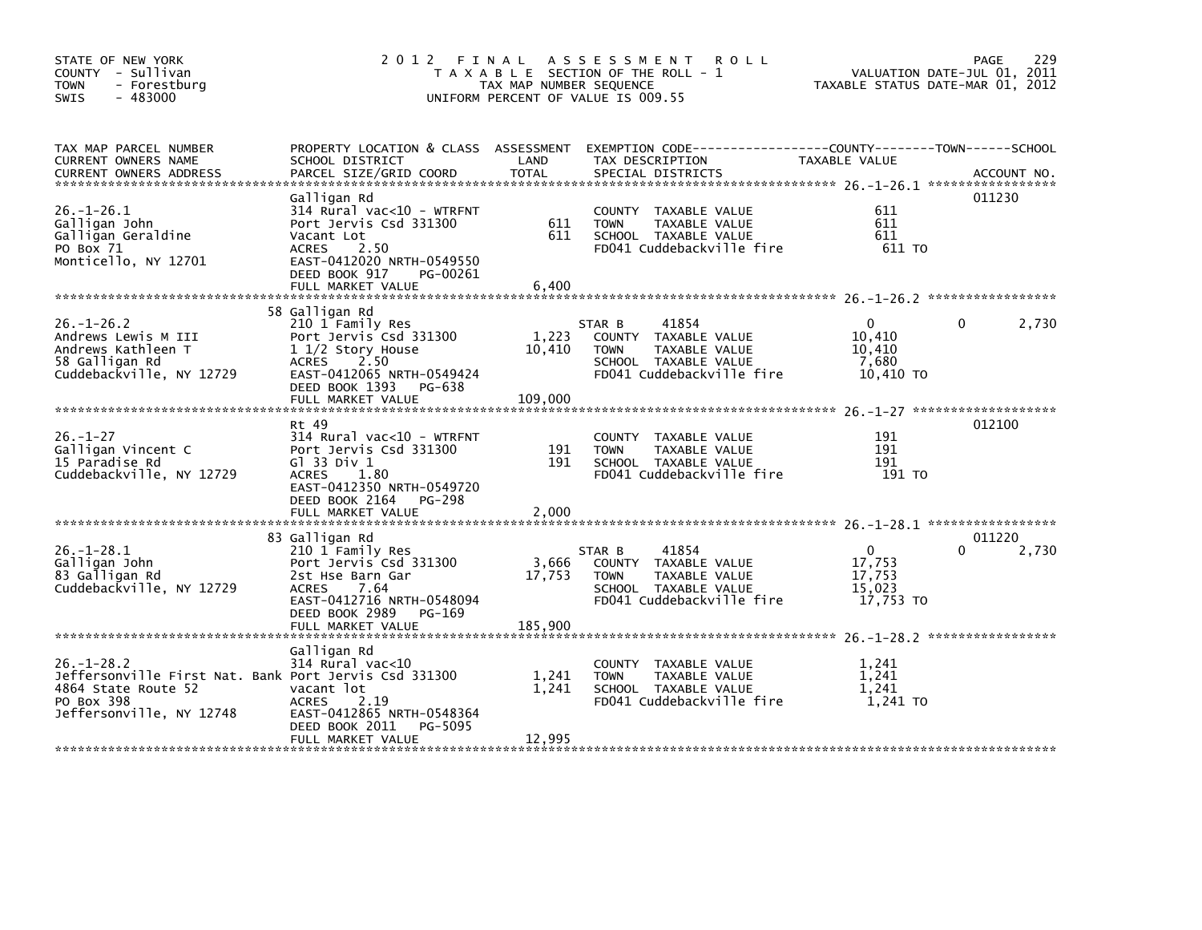| STATE OF NEW YORK<br>COUNTY - Sullivan<br><b>TOWN</b><br>- Forestburg<br>$-483000$<br><b>SWIS</b>                                          |                                                                                                                                                                                  | TAX MAP NUMBER SEQUENCE | 2012 FINAL ASSESSMENT<br><b>ROLL</b><br>T A X A B L E SECTION OF THE ROLL - 1<br>UNIFORM PERCENT OF VALUE IS 009.55                     | VALUATION DATE-JUL 01, 2011<br>TAXABLE STATUS DATE-MAR 01, 2012 | 229<br>PAGE                 |
|--------------------------------------------------------------------------------------------------------------------------------------------|----------------------------------------------------------------------------------------------------------------------------------------------------------------------------------|-------------------------|-----------------------------------------------------------------------------------------------------------------------------------------|-----------------------------------------------------------------|-----------------------------|
| TAX MAP PARCEL NUMBER<br>CURRENT OWNERS NAME<br><b>CURRENT OWNERS ADDRESS</b>                                                              | SCHOOL DISTRICT<br>PARCEL SIZE/GRID COORD                                                                                                                                        | LAND<br><b>TOTAL</b>    | PROPERTY LOCATION & CLASS ASSESSMENT EXEMPTION CODE----------------COUNTY-------TOWN-----SCHOOL<br>TAX DESCRIPTION<br>SPECIAL DISTRICTS | TAXABLE VALUE                                                   | ACCOUNT NO.                 |
| $26. - 1 - 26.1$<br>Galligan John<br>Galligan Geraldine<br>PO Box 71<br>Monticello, NY 12701                                               | Galligan Rd<br>314 Rural vac<10 - WTRFNT<br>Port Jervis Csd 331300<br>Vacant Lot<br>ACRES<br>2.50<br>EAST-0412020 NRTH-0549550<br>DEED BOOK 917<br>PG-00261<br>FULL MARKET VALUE | 611<br>611<br>6,400     | COUNTY TAXABLE VALUE<br><b>TOWN</b><br>TAXABLE VALUE<br>SCHOOL TAXABLE VALUE<br>FD041 Cuddebackville fire                               | 611<br>611<br>611<br>611 TO                                     | 011230                      |
|                                                                                                                                            | 58 Galligan Rd                                                                                                                                                                   |                         |                                                                                                                                         |                                                                 |                             |
| $26. - 1 - 26.2$<br>Andrews Lewis M III<br>Andrews Kathleen T<br>58 Galligan Rd<br>Cuddebackville, NY 12729                                | 210 1 Family Res<br>Port Jervis Csd 331300<br>$11/2$ Story House<br>ACRES 2.50<br>EAST-0412065 NRTH-0549424                                                                      | 1,223<br>10,410         | 41854<br>STAR B<br>COUNTY TAXABLE VALUE<br>TAXABLE VALUE<br><b>TOWN</b><br>SCHOOL TAXABLE VALUE<br>FD041 Cuddebackville fire            | $\mathbf{0}$<br>10.410<br>10,410<br>7,680<br>10,410 TO          | 2,730<br>$\Omega$           |
|                                                                                                                                            | DEED BOOK 1393 PG-638<br>FULL MARKET VALUE                                                                                                                                       | 109,000                 |                                                                                                                                         |                                                                 |                             |
| $26. - 1 - 27$<br>Galligan Vincent C<br>15 Paradise Rd<br>Cuddebackville, NY 12729                                                         | Rt 49<br>314 Rural vac<10 - WTRFNT<br>Port Jervis Csd 331300<br>$G1$ 33 Div 1<br><b>ACRES</b><br>1.80<br>EAST-0412350 NRTH-0549720<br>DEED BOOK 2164 PG-298<br>FULL MARKET VALUE | 191<br>191<br>2,000     | COUNTY TAXABLE VALUE<br><b>TOWN</b><br>TAXABLE VALUE<br>SCHOOL TAXABLE VALUE<br>FD041 Cuddebackville fire                               | 191<br>191<br>191<br>191 TO                                     | 012100                      |
| $26. - 1 - 28.1$<br>Galligan John<br>83 Galligan Rd<br>Cuddebackville, NY 12729                                                            | 83 Galligan Rd<br>210 1 Family Res<br>Port Jervis Csd 331300<br>2st Hse Barn Gar<br>7.64<br>ACRES<br>EAST-0412716 NRTH-0548094<br>DEED BOOK 2989 PG-169                          | 3,666<br>17,753         | 41854<br>STAR B<br>COUNTY TAXABLE VALUE<br><b>TOWN</b><br><b>TAXABLE VALUE</b><br>SCHOOL TAXABLE VALUE<br>FD041 Cuddebackville fire     | $\mathbf{0}$<br>17,753<br>17,753<br>15,023<br>17,753 TO         | 011220<br>$\Omega$<br>2,730 |
| $26. - 1 - 28.2$<br>Jeffersonville First Nat. Bank Port Jervis Csd 331300<br>4864 State Route 52<br>PO Box 398<br>Jeffersonville, NY 12748 | Galligan Rd<br>314 Rural vac<10<br>vacant lot<br><b>ACRES</b><br>2.19<br>EAST-0412865 NRTH-0548364<br>DEED BOOK 2011<br>PG-5095                                                  | 1,241<br>1,241          | COUNTY TAXABLE VALUE<br><b>TOWN</b><br>TAXABLE VALUE<br>SCHOOL TAXABLE VALUE<br>FD041 Cuddebackville fire                               | 1,241<br>1.241<br>1.241<br>1,241 TO                             |                             |
|                                                                                                                                            |                                                                                                                                                                                  |                         |                                                                                                                                         |                                                                 |                             |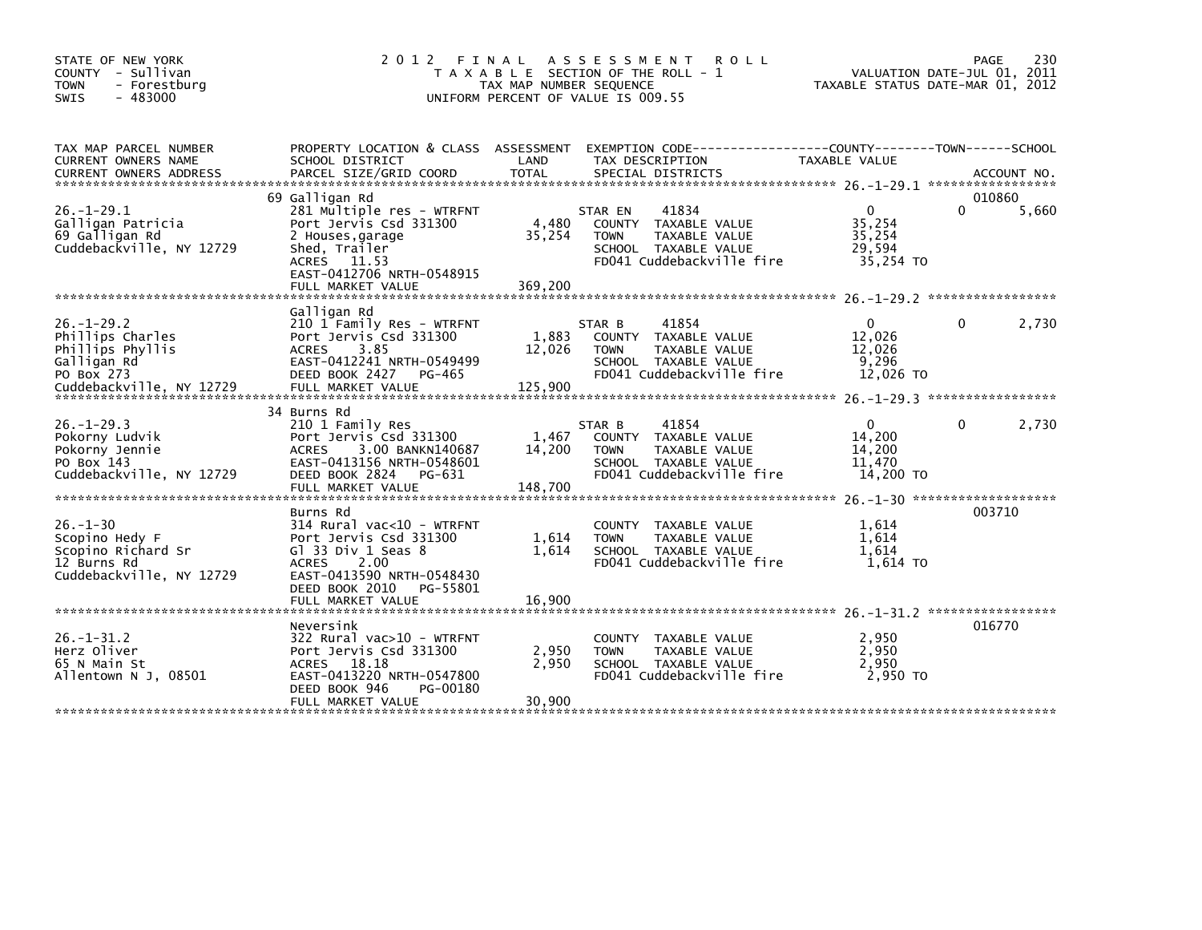| STATE OF NEW YORK<br>- Sullivan<br>COUNTY<br>- Forestburg<br><b>TOWN</b><br>$-483000$<br><b>SWIS</b> | 2 0 1 2                                                                                                                                                                     | FINAL<br>TAX MAP NUMBER SEQUENCE | A S S E S S M E N T<br><b>ROLL</b><br>T A X A B L E SECTION OF THE ROLL - 1<br>UNIFORM PERCENT OF VALUE IS 009.55             | VALUATION DATE-JUL 01, 2011<br>TAXABLE STATUS DATE-MAR 01, 2012 | PAGE               | 230   |
|------------------------------------------------------------------------------------------------------|-----------------------------------------------------------------------------------------------------------------------------------------------------------------------------|----------------------------------|-------------------------------------------------------------------------------------------------------------------------------|-----------------------------------------------------------------|--------------------|-------|
| TAX MAP PARCEL NUMBER<br>CURRENT OWNERS NAME                                                         | PROPERTY LOCATION & CLASS ASSESSMENT<br>SCHOOL DISTRICT                                                                                                                     | LAND                             | TAX DESCRIPTION                                                                                                               | <b>TAXABLE VALUE</b>                                            |                    |       |
|                                                                                                      |                                                                                                                                                                             |                                  |                                                                                                                               |                                                                 |                    |       |
| $26. - 1 - 29.1$<br>Galligan Patricia<br>69 Galligan Rd<br>Cuddebackville, NY 12729                  | 69 Galligan Rd<br>281 Multiple res - WTRFNT<br>Port Jervis Csd 331300<br>2 Houses, garage<br>Shed, Trailer<br>ACRES 11.53<br>EAST-0412706 NRTH-0548915<br>FULL MARKET VALUE | 4,480<br>35,254<br>369,200       | 41834<br>STAR EN<br>COUNTY TAXABLE VALUE<br><b>TOWN</b><br>TAXABLE VALUE<br>SCHOOL TAXABLE VALUE<br>FD041 Cuddebackville fire | $\mathbf{0}$<br>35,254<br>35,254<br>29,594<br>35,254 TO         | 010860<br>$\Omega$ | 5,660 |
| $26. - 1 - 29.2$<br>Phillips Charles<br>Phillips Phyllis                                             | Galligan Rd<br>210 1 Family Res - WTRFNT<br>Port Jervis Csd 331300<br><b>ACRES</b><br>3.85                                                                                  | 1,883                            | 41854<br>STAR B<br>COUNTY TAXABLE VALUE<br>TAXABLE VALUE<br><b>TOWN</b>                                                       | $\mathbf{0}$<br>12,026<br>12,026                                | 0                  | 2,730 |
| Galligan Rd<br>PO Box 273                                                                            | EAST-0412241 NRTH-0549499<br>DEED BOOK 2427<br>PG-465                                                                                                                       | 12,026                           | SCHOOL TAXABLE VALUE<br>FD041 Cuddebackville fire                                                                             | 9,296<br>12,026 TO                                              |                    |       |
|                                                                                                      | 34 Burns Rd                                                                                                                                                                 |                                  |                                                                                                                               |                                                                 |                    |       |
| $26. - 1 - 29.3$<br>Pokorny Ludvik<br>Pokorny Jennie<br>PO Box 143<br>Cuddebackville, NY 12729       | 210 1 Family Res<br>Port Jervis Csd 331300<br>3.00 BANKN140687<br><b>ACRES</b><br>EAST-0413156 NRTH-0548601<br>DEED BOOK 2824<br>PG-631                                     | 1,467<br>14,200                  | 41854<br>STAR B<br>COUNTY TAXABLE VALUE<br>TAXABLE VALUE<br><b>TOWN</b><br>SCHOOL TAXABLE VALUE<br>FD041 Cuddebackville fire  | $\mathbf{0}$<br>14,200<br>14,200<br>11.470<br>14,200 TO         | 0                  | 2,730 |
|                                                                                                      | FULL MARKET VALUE                                                                                                                                                           | 148,700                          |                                                                                                                               |                                                                 |                    |       |
| $26. - 1 - 30$<br>Scopino Hedy F<br>Scopino Richard Sr<br>12 Burns Rd<br>Cuddebackville, NY 12729    | Burns Rd<br>314 Rural vac<10 - WTRFNT<br>Port Jervis Csd 331300<br>$G1$ 33 Div 1 Seas 8<br>2.00<br><b>ACRES</b><br>EAST-0413590 NRTH-0548430                                | 1,614<br>1,614                   | <b>COUNTY</b><br>TAXABLE VALUE<br>TAXABLE VALUE<br><b>TOWN</b><br>SCHOOL TAXABLE VALUE<br>FD041 Cuddebackville fire           | 1.614<br>1,614<br>1,614<br>1,614 TO                             | 003710             |       |
|                                                                                                      | DEED BOOK 2010<br>PG-55801<br>FULL MARKET VALUE                                                                                                                             | 16,900                           |                                                                                                                               |                                                                 |                    |       |
| $26 - 1 - 31.2$<br>Herz Oliver<br>65 N Main St<br>Allentown N J. 08501                               | Neversink<br>322 Rural vac>10 - WTRFNT<br>Port Jervis Csd 331300<br>ACRES 18.18<br>EAST-0413220 NRTH-0547800<br>DEED BOOK 946<br>PG-00180                                   | 2,950<br>2,950                   | TAXABLE VALUE<br><b>COUNTY</b><br>TAXABLE VALUE<br><b>TOWN</b><br>SCHOOL TAXABLE VALUE<br>FD041 Cuddebackville fire           | 2,950<br>2.950<br>2,950<br>2.950 TO                             | 016770             |       |
|                                                                                                      | FULL MARKET VALUE                                                                                                                                                           | 30,900                           |                                                                                                                               |                                                                 |                    |       |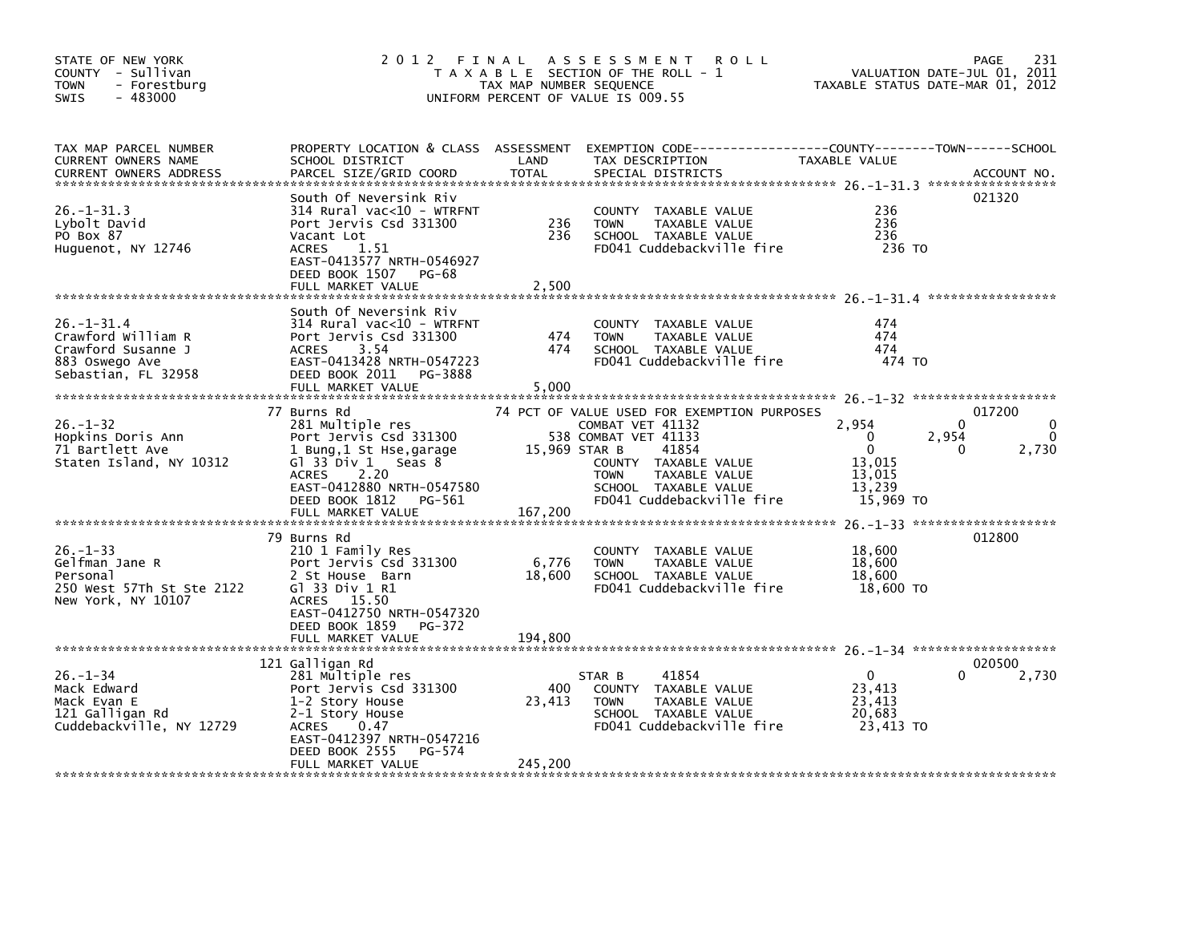| STATE OF NEW YORK<br>COUNTY - Sullivan<br>- Forestburg<br>TOWN<br>$-483000$<br><b>SWIS</b>       | 2 0 1 2                                                                                                                                                                                                            | FINAL<br>TAX MAP NUMBER SEQUENCE | A S S E S S M E N T<br><b>ROLL</b><br>T A X A B L E SECTION OF THE ROLL - 1<br>UNIFORM PERCENT OF VALUE IS 009.55                                                                                             | VALUATION DATE-JUL 01, 2011<br>TAXABLE STATUS DATE-MAR 01, 2012                      | 231<br><b>PAGE</b>                                |
|--------------------------------------------------------------------------------------------------|--------------------------------------------------------------------------------------------------------------------------------------------------------------------------------------------------------------------|----------------------------------|---------------------------------------------------------------------------------------------------------------------------------------------------------------------------------------------------------------|--------------------------------------------------------------------------------------|---------------------------------------------------|
| TAX MAP PARCEL NUMBER<br>CURRENT OWNERS NAME<br>CURRENT OWNERS ADDRESS                           | PROPERTY LOCATION & CLASS ASSESSMENT<br>SCHOOL DISTRICT<br>PARCEL SIZE/GRID COORD                                                                                                                                  | LAND<br><b>TOTAL</b>             | EXEMPTION        CODE-----------------COUNTY-------TOWN------SCHOOL<br>TAX DESCRIPTION<br>SPECIAL DISTRICTS                                                                                                   | <b>TAXABLE VALUE</b>                                                                 | ACCOUNT NO.                                       |
| 26. –1–31.3<br>Lybolt David<br>PO Box 87<br>Huguenot, NY 12746                                   | South Of Neversink Riv<br>314 Rural vac<10 - WTRFNT<br>Port Jervis Csd 331300<br>Vacant Lot<br>1.51<br><b>ACRES</b><br>EAST-0413577 NRTH-0546927<br>DEED BOOK 1507<br>PG-68<br>FULL MARKET VALUE                   | 236<br>236<br>2.500              | <b>COUNTY</b><br>TAXABLE VALUE<br>TAXABLE VALUE<br><b>TOWN</b><br>SCHOOL TAXABLE VALUE<br>FD041 Cuddebackville fire                                                                                           | 236<br>236<br>236<br>236 TO                                                          | 021320                                            |
| 26. -1-31.4<br>Crawford William R<br>Crawford Susanne J<br>883 Oswego Ave<br>Sebastian, FL 32958 | South Of Neversink Riv<br>314 Rural vac<10 - WTRFNT<br>Port Jervis Csd 331300<br>3.54<br><b>ACRES</b><br>EAST-0413428 NRTH-0547223<br>DEED BOOK 2011<br>PG-3888<br>FULL MARKET VALUE                               | 474<br>474<br>5,000              | COUNTY TAXABLE VALUE<br><b>TOWN</b><br>TAXABLE VALUE<br>SCHOOL TAXABLE VALUE<br>FD041 Cuddebackville fire                                                                                                     | 474<br>474<br>474<br>474 TO                                                          |                                                   |
| $26. - 1 - 32$<br>Hopkins Doris Ann<br>71 Bartlett Ave<br>Staten Island, NY 10312                | 77 Burns Rd<br>281 Multiple res<br>Port Jervis Csd 331300<br>1 Bung,1 St Hse,garage<br>Gl 33 Div 1<br>Seas 8<br>2.20<br><b>ACRES</b><br>EAST-0412880 NRTH-0547580<br>DEED BOOK 1812<br>PG-561<br>FULL MARKET VALUE | 15,969 STAR B<br>167,200         | 74 PCT OF VALUE USED FOR EXEMPTION PURPOSES<br>COMBAT VET 41132<br>538 COMBAT VET 41133<br>41854<br>COUNTY TAXABLE VALUE<br>TAXABLE VALUE<br><b>TOWN</b><br>SCHOOL TAXABLE VALUE<br>FD041 Cuddebackville fire | 2,954<br>$\Omega$<br>2,954<br>$\mathbf 0$<br>13,015<br>13,015<br>13,239<br>15,969 TO | 017200<br>0<br>$\Omega$<br>$\Omega$<br>2,730<br>0 |
| $26. - 1 - 33$<br>Gelfman Jane R<br>Personal<br>250 West 57Th St Ste 2122<br>New York, NY 10107  | 79 Burns Rd<br>210 1 Family Res<br>Port Jervis Csd 331300<br>2 St House Barn<br>G1 33 Div 1 R1<br>ACRES 15.50<br>EAST-0412750 NRTH-0547320<br>DEED BOOK 1859<br>PG-372<br>FULL MARKET VALUE                        | 6,776<br>18,600<br>194.800       | <b>COUNTY</b><br>TAXABLE VALUE<br><b>TOWN</b><br>TAXABLE VALUE<br>SCHOOL TAXABLE VALUE<br>FD041 Cuddebackville fire                                                                                           | 18,600<br>18,600<br>18,600<br>18,600 TO                                              | 012800                                            |
| $26. - 1 - 34$<br>Mack Edward<br>Mack Evan E<br>121 Galligan Rd<br>Cuddebackville, NY 12729      | 121 Galligan Rd<br>281 Multiple res<br>Port Jervis Csd 331300<br>1-2 Story House<br>2-1 Story House<br><b>ACRES</b><br>0.47<br>EAST-0412397 NRTH-0547216<br>DEED BOOK 2555<br>PG-574<br>FULL MARKET VALUE          | 400<br>23,413<br>245,200         | STAR B<br>41854<br>COUNTY TAXABLE VALUE<br>TAXABLE VALUE<br><b>TOWN</b><br>SCHOOL TAXABLE VALUE<br>FD041 Cuddebackville fire                                                                                  | $\mathbf 0$<br>23,413<br>23,413<br>20,683<br>23,413 TO                               | 020500<br>2,730                                   |
|                                                                                                  |                                                                                                                                                                                                                    |                                  |                                                                                                                                                                                                               |                                                                                      |                                                   |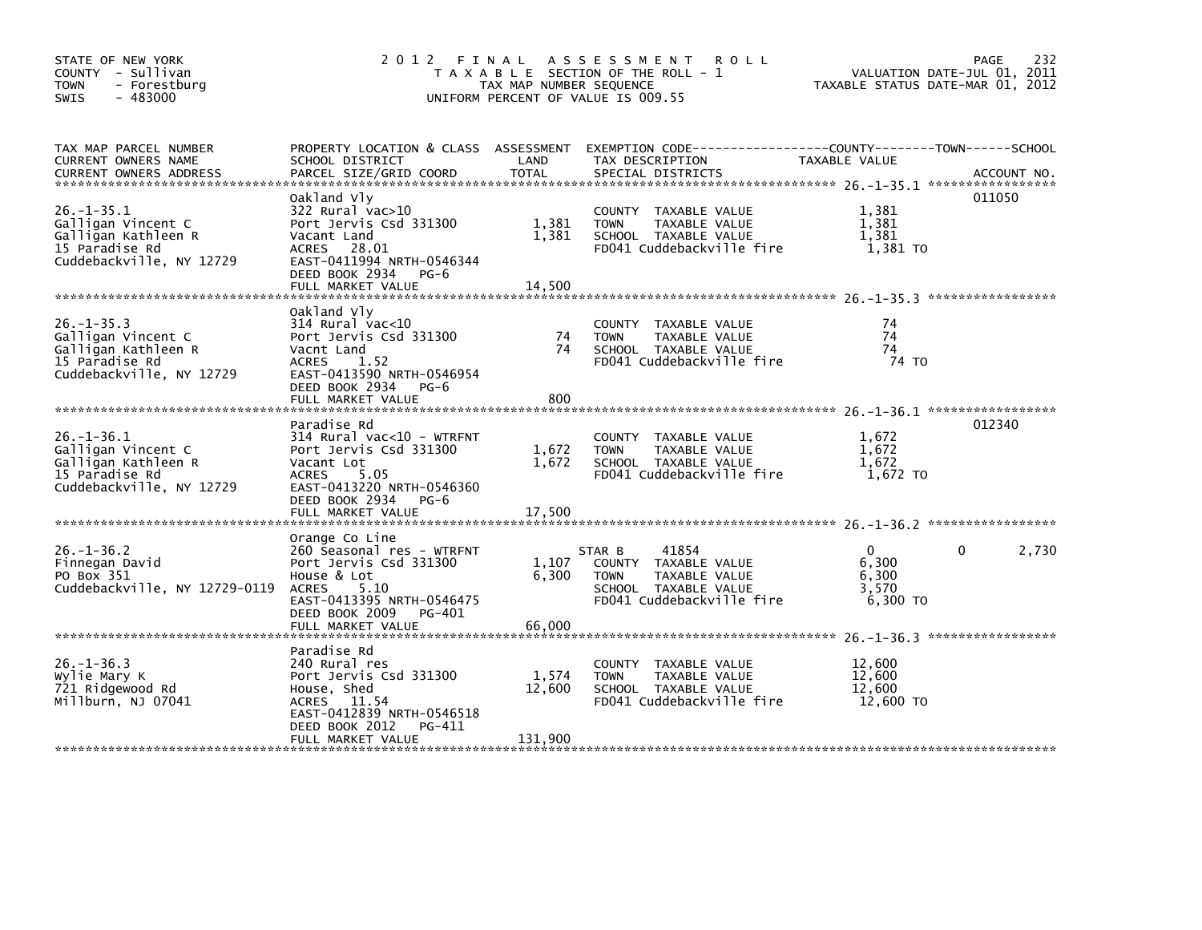| STATE OF NEW YORK<br>COUNTY - Sullivan<br><b>TOWN</b><br>- Forestburg<br>$-483000$<br>SWIS                  | 2012 FINAL ASSESSMENT                                                                                                                                                                   | T A X A B L E SECTION OF THE ROLL - 1<br>TAX MAP NUMBER SEQUENCE<br>UNIFORM PERCENT OF VALUE IS 009.55 | VALUATION DATE-JUL 01, 2011<br>TAXABLE STATUS DATE-MAR 01, 2012                                                                         | PAGE<br>232                                         |                       |
|-------------------------------------------------------------------------------------------------------------|-----------------------------------------------------------------------------------------------------------------------------------------------------------------------------------------|--------------------------------------------------------------------------------------------------------|-----------------------------------------------------------------------------------------------------------------------------------------|-----------------------------------------------------|-----------------------|
| TAX MAP PARCEL NUMBER<br>CURRENT OWNERS NAME<br><b>CURRENT OWNERS ADDRESS</b>                               | SCHOOL DISTRICT<br>PARCEL SIZE/GRID COORD                                                                                                                                               | LAND<br><b>TOTAL</b>                                                                                   | PROPERTY LOCATION & CLASS ASSESSMENT EXEMPTION CODE---------------COUNTY-------TOWN------SCHOOL<br>TAX DESCRIPTION<br>SPECIAL DISTRICTS | TAXABLE VALUE                                       | ACCOUNT NO.           |
| $26. - 1 - 35.1$<br>Galligan Vincent C<br>Galligan Kathleen R<br>15 Paradise Rd<br>Cuddebackville, NY 12729 | Oakland Vly<br>322 Rural vac>10<br>Port Jervis Csd 331300<br>Vacant Land<br>ACRES 28.01<br>EAST-0411994 NRTH-0546344<br>DEED BOOK 2934 PG-6<br>FULL MARKET VALUE                        | 1,381<br>1,381<br>14,500                                                                               | COUNTY TAXABLE VALUE<br>TAXABLE VALUE<br><b>TOWN</b><br>SCHOOL TAXABLE VALUE<br>FD041 Cuddebackville fire                               | 1,381<br>1.381<br>1,381<br>1,381 TO                 | 011050                |
| $26. -1 - 35.3$<br>Galligan Vincent C<br>Galligan Kathleen R<br>15 Paradise Rd<br>Cuddebackville, NY 12729  | Oakland Vly<br>$314$ Rural vac<10<br>Port Jervis Csd 331300<br>Vacnt Land<br><b>ACRES</b><br>1.52<br>EAST-0413590 NRTH-0546954<br>DEED BOOK 2934<br>PG-6<br>FULL MARKET VALUE           | 74<br>74<br>800                                                                                        | COUNTY TAXABLE VALUE<br>TAXABLE VALUE<br><b>TOWN</b><br>SCHOOL TAXABLE VALUE<br>FD041 Cuddebackville fire                               | 74<br>74<br>74<br>74 TO                             |                       |
| $26. - 1 - 36.1$<br>Galligan Vincent C<br>Galligan Kathleen R<br>15 Paradise Rd<br>Cuddebackville, NY 12729 | Paradise Rd<br>$314$ Rural vac<10 - WTRFNT<br>Port Jervis Csd 331300<br>Vacant Lot<br><b>ACRES</b><br>5.05<br>EAST-0413220 NRTH-0546360<br>DEED BOOK 2934 PG-6<br>FULL MARKET VALUE     | 1,672<br>1,672<br>17,500                                                                               | COUNTY TAXABLE VALUE<br><b>TOWN</b><br>TAXABLE VALUE<br>SCHOOL TAXABLE VALUE<br>FD041 Cuddebackville fire                               | 1,672<br>1,672<br>1,672<br>1,672 TO                 | 012340                |
| $26. - 1 - 36.2$<br>Finnegan David<br>PO Box 351<br>Cuddebackville, NY 12729-0119                           | Orange Co Line<br>260 Seasonal res - WTRFNT<br>Port Jervis Csd 331300<br>House & Lot<br><b>ACRES</b><br>5.10<br>EAST-0413395 NRTH-0546475<br>DEED BOOK 2009 PG-401<br>FULL MARKET VALUE | 1,107<br>6,300<br>66,000                                                                               | 41854<br>STAR B<br>COUNTY TAXABLE VALUE<br>TAXABLE VALUE<br><b>TOWN</b><br>SCHOOL TAXABLE VALUE<br>FD041 Cuddebackville fire            | $\mathbf{0}$<br>6,300<br>6,300<br>3,570<br>6,300 TO | $\mathbf{0}$<br>2,730 |
| $26. - 1 - 36.3$<br>Wylie Mary K<br>721 Ridgewood Rd<br>Millburn, NJ 07041                                  | Paradise Rd<br>240 Rural res<br>Port Jervis Csd 331300<br>House, Shed<br>ACRES 11.54<br>EAST-0412839 NRTH-0546518<br>DEED BOOK 2012<br>PG-411<br>FULL MARKET VALUE                      | 1,574<br>12,600<br>131,900                                                                             | COUNTY TAXABLE VALUE<br>TAXABLE VALUE<br><b>TOWN</b><br>SCHOOL TAXABLE VALUE<br>FD041 Cuddebackville fire                               | 12.600<br>12,600<br>12,600<br>12,600 TO             |                       |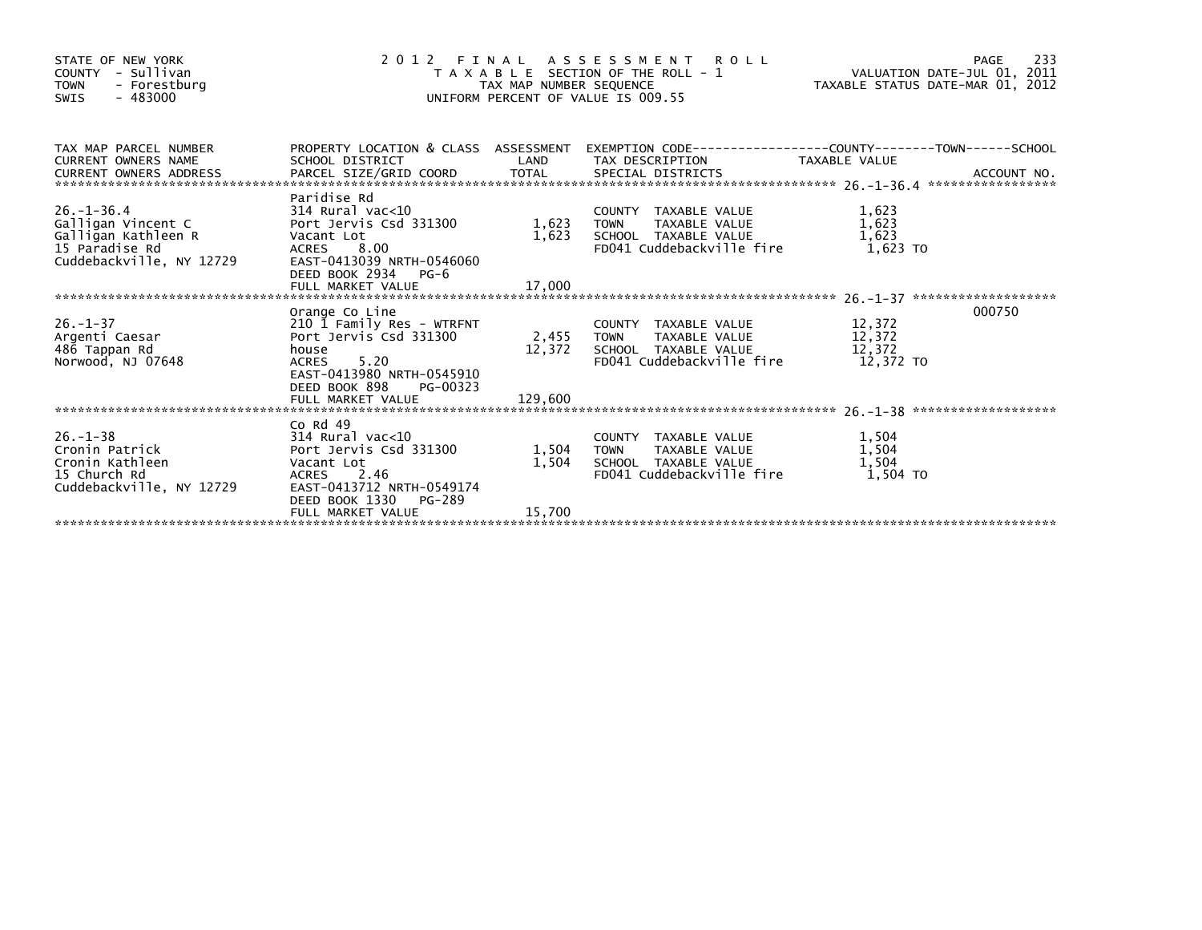| STATE OF NEW YORK<br>COUNTY - Sullivan<br><b>TOWN</b><br>- Forestburg<br>$-483000$<br><b>SWIS</b>           | UNIFORM PERCENT OF VALUE IS 009.55                                                                                                                               | 2 0 1 2 F I N A L A S S E S S M E N T R O L L<br>T A X A B L E SECTION OF THE ROLL - 1<br>TAXABLE STATUS DATE-MAR 01, 2012 |                                                                                                                     |                                         |        |
|-------------------------------------------------------------------------------------------------------------|------------------------------------------------------------------------------------------------------------------------------------------------------------------|----------------------------------------------------------------------------------------------------------------------------|---------------------------------------------------------------------------------------------------------------------|-----------------------------------------|--------|
| TAX MAP PARCEL NUMBER<br><b>CURRENT OWNERS NAME</b>                                                         | SCHOOL DISTRICT                                                                                                                                                  | LAND                                                                                                                       | PROPERTY LOCATION & CLASS ASSESSMENT EXEMPTION CODE----------------COUNTY-------TOWN------SCHOOL<br>TAX DESCRIPTION | TAXABLE VALUE                           |        |
| $26. - 1 - 36.4$<br>Galligan Vincent C<br>Galligan Kathleen R<br>15 Paradise Rd<br>Cuddebackville, NY 12729 | Paridise Rd<br>314 Rural vac<10<br>Port Jervis Csd 331300<br>Vacant Lot<br>ACRES 8.00<br>EAST-0413039 NRTH-0546060<br>DEED BOOK 2934 PG-6                        | 1,623 TOWN                                                                                                                 | COUNTY TAXABLE VALUE<br>TAXABLE VALUE<br>1,623 SCHOOL TAXABLE VALUE<br>FD041 Cuddebackville fire                    | 1,623<br>1,623<br>1,623<br>1,623 TO     |        |
|                                                                                                             |                                                                                                                                                                  |                                                                                                                            |                                                                                                                     |                                         |        |
| $26. - 1 - 37$<br>Argenti Caesar<br>486 Tappan Rd<br>Norwood, NJ 07648                                      | Orange Co Line<br>210 1 Family Res - WTRFNT<br>Port Jervis Csd 331300<br>house<br>5.20<br><b>ACRES</b><br>EAST-0413980 NRTH-0545910<br>DEED BOOK 898<br>PG-00323 | 2,455 TOWN                                                                                                                 | COUNTY TAXABLE VALUE<br>TAXABLE VALUE<br>12,372 SCHOOL TAXABLE VALUE<br>FD041 Cuddebackville fire                   | 12,372<br>12,372<br>12,372<br>12.372 TO | 000750 |
|                                                                                                             |                                                                                                                                                                  |                                                                                                                            |                                                                                                                     |                                         |        |
| $26. - 1 - 38$<br>Cronin Patrick<br>Cronin Kathleen<br>15 Church Rd<br>Cuddebackville, NY 12729             | Co Rd 49<br>$314$ Rural vac<10<br>Port Jervis Csd 331300<br>Vacant Lot<br>ACRES 2.46<br>EAST-0413712 NRTH-0549174<br>DEED BOOK 1330<br>PG-289                    | 1,504 TOWN<br>1,504                                                                                                        | COUNTY TAXABLE VALUE<br>TOWN     TAXABLE VALUE<br>SCHOOL TAXABLE VALUE<br>FD041 Cuddebackville fire                 | 1,504<br>1,504<br>1,504<br>1,504 TO     |        |
|                                                                                                             | FULL MARKET VALUE                                                                                                                                                | 15,700                                                                                                                     |                                                                                                                     |                                         |        |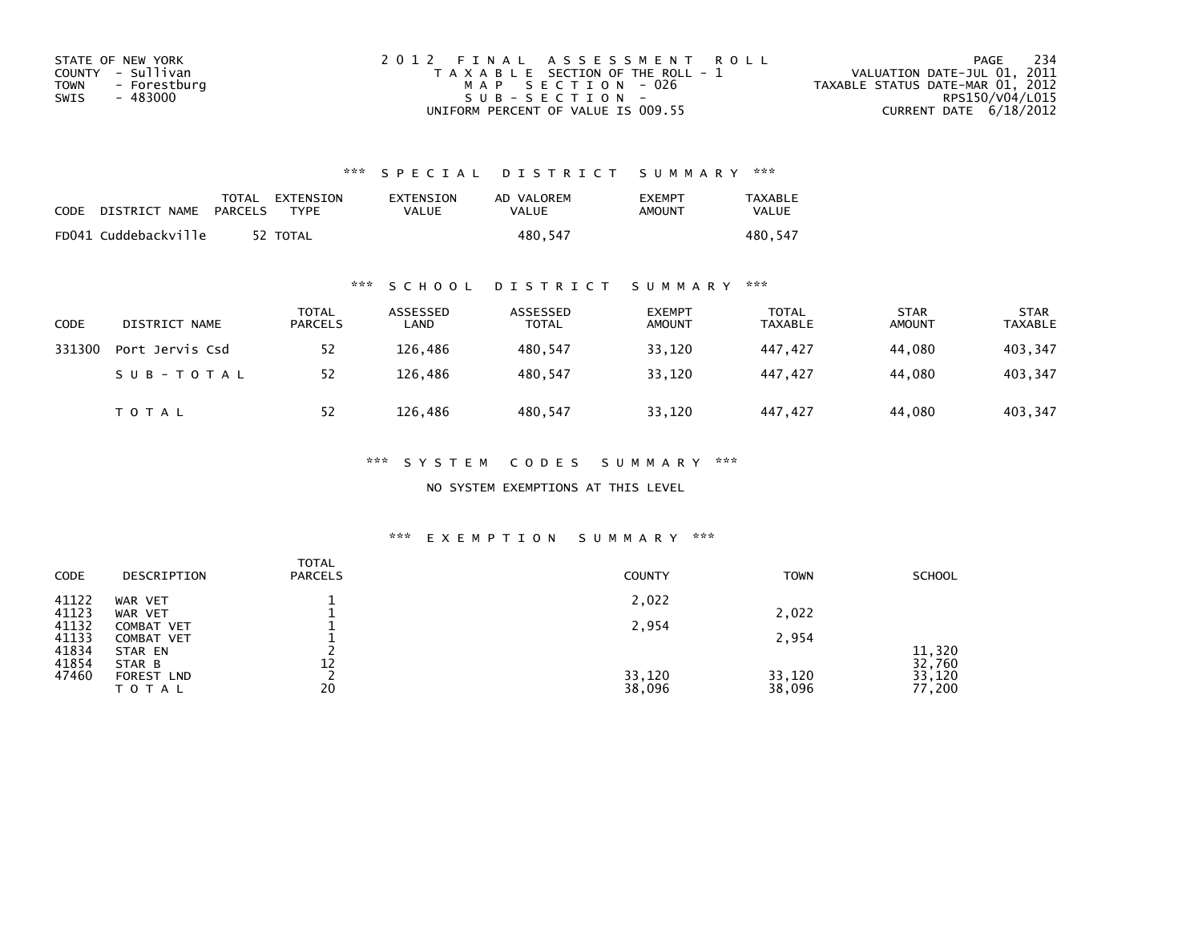| STATE OF NEW YORK    | 2012 FINAL ASSESSMENT ROLL            | - 234<br>PAGE                    |
|----------------------|---------------------------------------|----------------------------------|
| COUNTY - Sullivan    | T A X A B L E SECTION OF THE ROLL - 1 | VALUATION DATE-JUL 01, 2011      |
| TOWN<br>- Forestburg | MAP SECTION - 026                     | TAXABLE STATUS DATE-MAR 01, 2012 |
| - 483000<br>SWIS     | $SUB - SECTION -$                     | RPS150/V04/L015                  |
|                      | UNIFORM PERCENT OF VALUE IS 009.55    | CURRENT DATE $6/18/2012$         |

| CODE | DISTRICT NAME        | PARCELS | TOTAL EXTENSION<br>TYPF | <b>EXTENSION</b><br>VALUE | AD VALOREM<br>VALUE | <b>EXEMPT</b><br>AMOUNT | <b>TAXABLE</b><br><b>VALUE</b> |
|------|----------------------|---------|-------------------------|---------------------------|---------------------|-------------------------|--------------------------------|
|      | FD041 Cuddebackville |         | 52 TOTAL                |                           | 480.547             |                         | 480.547                        |

## \*\*\* S C H O O L D I S T R I C T S U M M A R Y \*\*\*

| CODE   | DISTRICT NAME   | <b>TOTAL</b><br><b>PARCELS</b> | ASSESSED<br>LAND | ASSESSED<br><b>TOTAL</b> | <b>EXEMPT</b><br><b>AMOUNT</b> | <b>TOTAL</b><br>TAXABLE | <b>STAR</b><br><b>AMOUNT</b> | <b>STAR</b><br><b>TAXABLE</b> |
|--------|-----------------|--------------------------------|------------------|--------------------------|--------------------------------|-------------------------|------------------------------|-------------------------------|
| 331300 | Port Jervis Csd | 52                             | 126.486          | 480,547                  | 33,120                         | 447.427                 | 44,080                       | 403,347                       |
|        | SUB-TOTAL       | 52                             | 126.486          | 480.547                  | 33,120                         | 447.427                 | 44.080                       | 403,347                       |
|        | <b>TOTAL</b>    | 52                             | 126,486          | 480,547                  | 33,120                         | 447.427                 | 44,080                       | 403,347                       |

### \*\*\* S Y S T E M C O D E S S U M M A R Y \*\*\*

NO SYSTEM EXEMPTIONS AT THIS LEVEL

| <b>CODE</b>    | DESCRIPTION        | <b>TOTAL</b><br><b>PARCELS</b> | <b>COUNTY</b> | <b>TOWN</b> | <b>SCHOOL</b>    |
|----------------|--------------------|--------------------------------|---------------|-------------|------------------|
| 41122<br>41123 | WAR VET<br>WAR VET |                                | 2,022         | 2,022       |                  |
| 41132          | COMBAT VET         |                                | 2,954         |             |                  |
| 41133          | COMBAT VET         |                                |               | 2,954       |                  |
| 41834<br>41854 | STAR EN<br>STAR B  | 12                             |               |             | 11,320<br>32,760 |
| 47460          | <b>FOREST LND</b>  |                                | 33,120        | 33,120      | 33,120           |
|                | ΤΟΤΑΙ              | 20                             | 38,096        | 38,096      | 77,200           |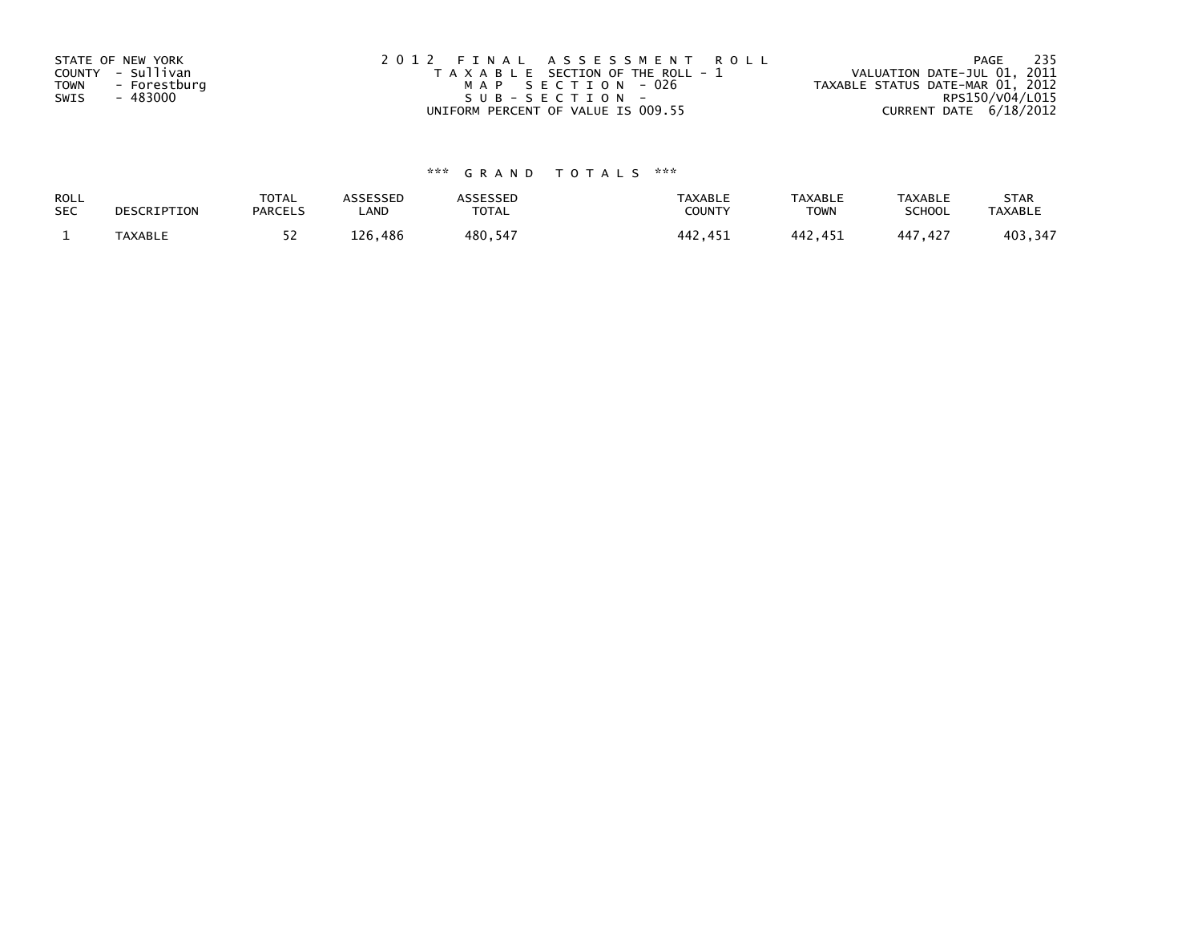| STATE OF NEW YORK<br>COUNTY - Sullivan<br><b>TOWN</b><br>- Forestburg | 2012 FINAL ASSESSMENT ROLL<br>T A X A B L E SECTION OF THE ROLL - 1<br>MAP SECTION - 026 | 235<br>PAGE<br>VALUATION DATE-JUL 01, 2011<br>TAXABLE STATUS DATE-MAR 01, 2012 |
|-----------------------------------------------------------------------|------------------------------------------------------------------------------------------|--------------------------------------------------------------------------------|
| - 483000<br>SWIS                                                      | SUB-SECTION-                                                                             | RPS150/V04/L015                                                                |
|                                                                       | UNIFORM PERCENT OF VALUE IS 009.55                                                       | CURRENT DATE $6/18/2012$                                                       |

| ROLL       | DESCRIPTION | <b>TOTAL</b>   | ASSESSED | <b>ASSESSED</b> | <b>TAXABLE</b> | <b>TAXABLE</b> | <b>TAXABLE</b> | <b>STAR</b>    |
|------------|-------------|----------------|----------|-----------------|----------------|----------------|----------------|----------------|
| <b>SEC</b> |             | <b>PARCELS</b> | ∟AND     | TOTAL           | <b>COUNTY</b>  | TOWN           | <b>SCHOOL</b>  | <b>TAXABLE</b> |
|            | TAXABLE     | ے ر            | 126,486  | 480.547         | 442.451        | 442.451        | 447,427        | 403,347        |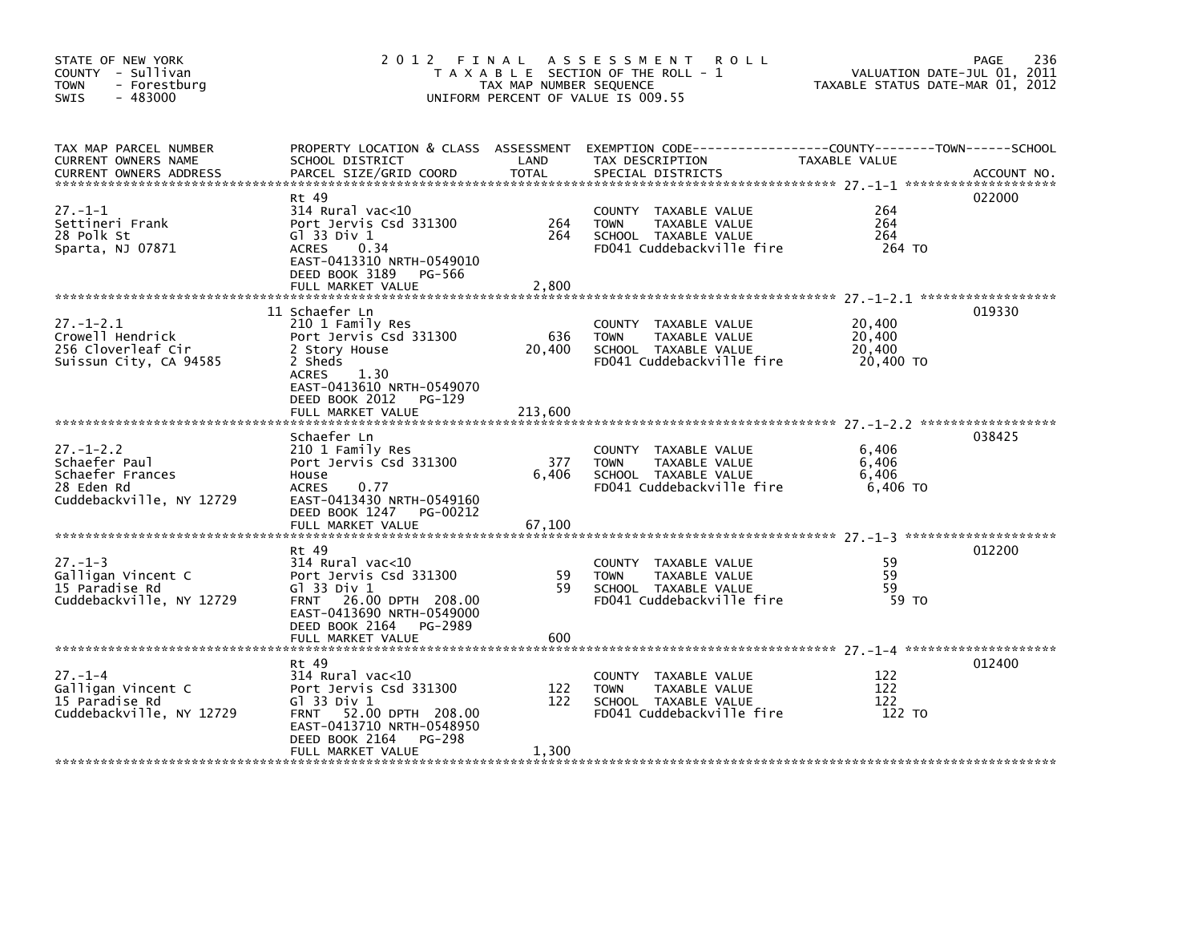| STATE OF NEW YORK<br>COUNTY - Sullivan<br><b>TOWN</b><br>- Forestburg<br>$-483000$<br><b>SWIS</b> | 2012 FINAL ASSESSMENT<br>T A X A B L E SECTION OF THE ROLL - 1<br>TAX MAP NUMBER SEQUENCE<br>UNIFORM PERCENT OF VALUE IS 009.55                                                         | 236<br>PAGE<br>VALUATION DATE-JUL 01, 2011<br>TAXABLE STATUS DATE-MAR 01, 2012 |                                                                                                                                        |                                         |             |
|---------------------------------------------------------------------------------------------------|-----------------------------------------------------------------------------------------------------------------------------------------------------------------------------------------|--------------------------------------------------------------------------------|----------------------------------------------------------------------------------------------------------------------------------------|-----------------------------------------|-------------|
| TAX MAP PARCEL NUMBER<br>CURRENT OWNERS NAME<br><b>CURRENT OWNERS ADDRESS</b>                     | SCHOOL DISTRICT<br>PARCEL SIZE/GRID COORD                                                                                                                                               | LAND<br><b>TOTAL</b>                                                           | PROPERTY LOCATION & CLASS ASSESSMENT EXEMPTION CODE---------------COUNTY-------TOWN-----SCHOOL<br>TAX DESCRIPTION<br>SPECIAL DISTRICTS | TAXABLE VALUE                           | ACCOUNT NO. |
| $27 - 1 - 1$<br>Settineri Frank<br>28 Polk St<br>Sparta, NJ 07871                                 | Rt 49<br>$314$ Rural vac< $10$<br>Port Jervis Csd 331300<br>G1 33 Div 1<br>0.34<br>ACRES<br>EAST-0413310 NRTH-0549010<br>DEED BOOK 3189<br>PG-566<br>FULL MARKET VALUE                  | 264<br>264<br>2,800                                                            | COUNTY TAXABLE VALUE<br><b>TOWN</b><br>TAXABLE VALUE<br>SCHOOL TAXABLE VALUE<br>FD041 Cuddebackville fire                              | 264<br>264<br>264<br>264 TO             | 022000      |
| $27. - 1 - 2.1$<br>Crowell Hendrick<br>256 Cloverleaf Cir<br>Suissun City, CA 94585               | 11 Schaefer Ln<br>210 1 Family Res<br>Port Jervis Csd 331300<br>2 Story House<br>2 Sheds<br>ACRES<br>1.30<br>EAST-0413610 NRTH-0549070<br>DEED BOOK 2012<br>PG-129<br>FULL MARKET VALUE | 636<br>20,400<br>213,600                                                       | COUNTY TAXABLE VALUE<br><b>TOWN</b><br>TAXABLE VALUE<br>SCHOOL TAXABLE VALUE<br>FD041 Cuddebackville fire                              | 20,400<br>20,400<br>20,400<br>20,400 TO | 019330      |
| $27. - 1 - 2.2$<br>Schaefer Paul<br>Schaefer Frances<br>28 Eden Rd<br>Cuddebackville, NY 12729    | Schaefer Ln<br>210 1 Family Res<br>Port Jervis Csd 331300<br>House<br>0.77<br><b>ACRES</b><br>EAST-0413430 NRTH-0549160<br>DEED BOOK 1247 PG-00212<br>FULL MARKET VALUE                 | 377<br>6,406<br>67,100                                                         | COUNTY TAXABLE VALUE<br><b>TOWN</b><br>TAXABLE VALUE<br>SCHOOL TAXABLE VALUE<br>FD041 Cuddebackville fire                              | 6,406<br>6,406<br>6.406<br>6,406 TO     | 038425      |
| $27. - 1 - 3$<br>Galligan Vincent C<br>15 Paradise Rd<br>Cuddebackville, NY 12729                 | Rt 49<br>$314$ Rural vac<10<br>Port Jervis Csd 331300<br>G1 33 Div 1<br>FRNT 26.00 DPTH 208.00<br>EAST-0413690 NRTH-0549000<br>DEED BOOK 2164<br>PG-2989<br>FULL MARKET VALUE           | 59<br>59<br>600                                                                | COUNTY TAXABLE VALUE<br><b>TOWN</b><br>TAXABLE VALUE<br>SCHOOL TAXABLE VALUE<br>FD041 Cuddebackville fire                              | 59<br>59<br>59<br>59 TO                 | 012200      |
| $27. - 1 - 4$<br>Galligan Vincent C<br>15 Paradise Rd<br>Cuddebackville, NY 12729                 | Rt 49<br>$314$ Rural vac<10<br>Port Jervis Csd 331300<br>G1 33 Div 1<br>FRNT 52.00 DPTH 208.00<br>EAST-0413710 NRTH-0548950<br>DEED BOOK 2164<br>PG-298<br>FULL MARKET VALUE            | 122<br>122<br>1,300                                                            | COUNTY TAXABLE VALUE<br><b>TOWN</b><br>TAXABLE VALUE<br>SCHOOL TAXABLE VALUE<br>FD041 Cuddebackville fire                              | 122<br>122<br>122<br>122 TO             | 012400      |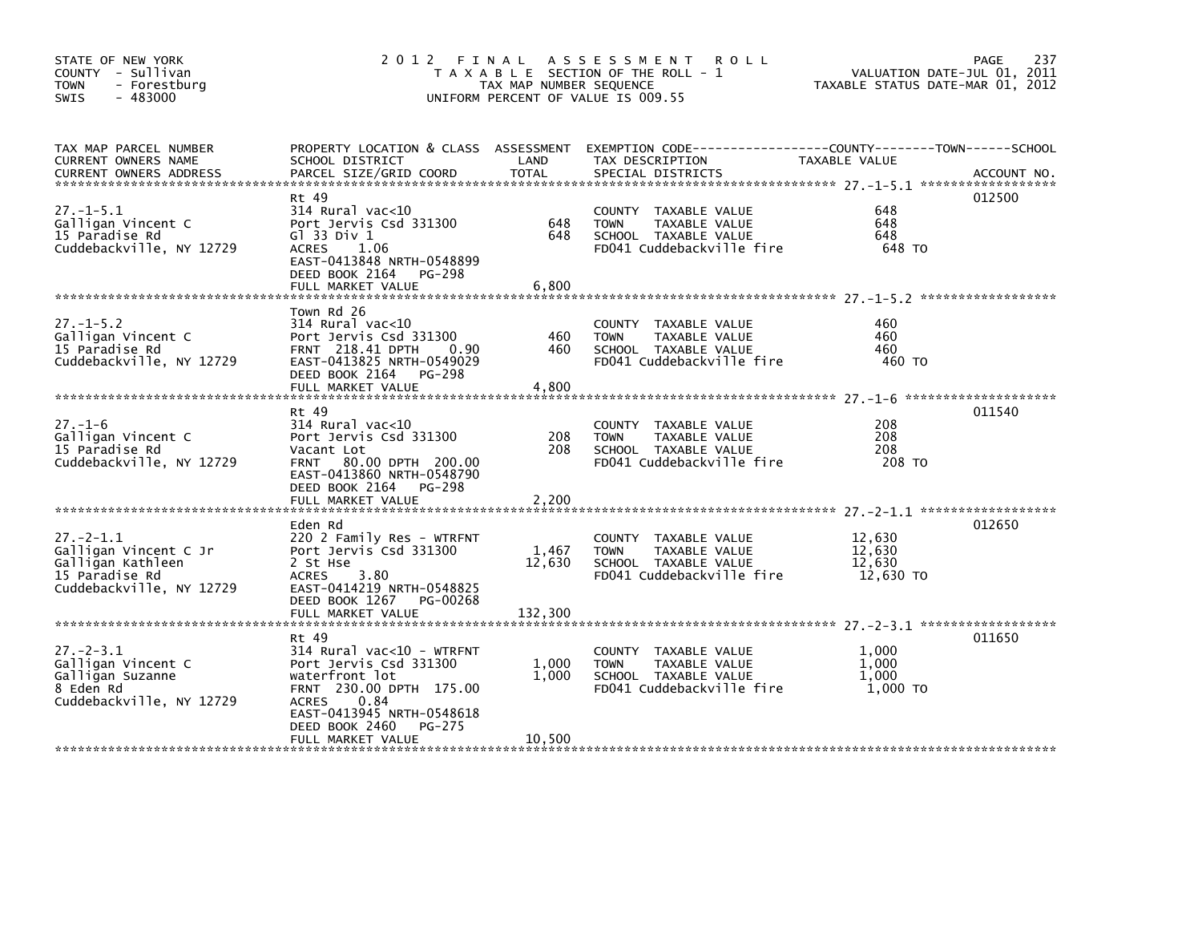| STATE OF NEW YORK<br>COUNTY - Sullivan<br><b>TOWN</b><br>- Forestburg<br>$-483000$<br><b>SWIS</b>          |                                                                                                                                                                                            | TAX MAP NUMBER SEQUENCE    | 2012 FINAL ASSESSMENT<br><b>ROLL</b><br>T A X A B L E SECTION OF THE ROLL - 1<br>UNIFORM PERCENT OF VALUE IS 009.55                       | VALUATION DATE-JUL 01,<br>TAXABLE STATUS DATE-MAR 01, 2012 | 237<br>PAGE<br>2011 |
|------------------------------------------------------------------------------------------------------------|--------------------------------------------------------------------------------------------------------------------------------------------------------------------------------------------|----------------------------|-------------------------------------------------------------------------------------------------------------------------------------------|------------------------------------------------------------|---------------------|
| TAX MAP PARCEL NUMBER<br>CURRENT OWNERS NAME<br><b>CURRENT OWNERS ADDRESS</b>                              | SCHOOL DISTRICT<br>PARCEL SIZE/GRID COORD                                                                                                                                                  | LAND<br><b>TOTAL</b>       | PROPERTY LOCATION & CLASS ASSESSMENT EXEMPTION CODE-----------------COUNTY-------TOWN------SCHOOL<br>TAX DESCRIPTION<br>SPECIAL DISTRICTS | TAXABLE VALUE                                              | ACCOUNT NO.         |
| $27. - 1 - 5.1$<br>Galligan Vincent C<br>15 Paradise Rd<br>Cuddebackville, NY 12729                        | Rt 49<br>$314$ Rural vac< $10$<br>Port Jervis Csd 331300<br>$G$ ] 33 Div 1<br>ACRES<br>1.06<br>EAST-0413848 NRTH-0548899<br>DEED BOOK 2164<br>PG-298<br>FULL MARKET VALUE                  | 648<br>648<br>6,800        | COUNTY TAXABLE VALUE<br><b>TOWN</b><br>TAXABLE VALUE<br>SCHOOL TAXABLE VALUE<br>FD041 Cuddebackville fire                                 | 648<br>648<br>648<br>648 TO                                | 012500              |
| $27. - 1 - 5.2$<br>Galligan Vincent C<br>15 Paradise Rd<br>Cuddebackville, NY 12729                        | Town Rd 26<br>$314$ Rural vac<10<br>Port Jervis Csd 331300<br><b>FRNT</b> 218.41 DPTH<br>0.90<br>EAST-0413825 NRTH-0549029<br>DEED BOOK 2164 PG-298<br>FULL MARKET VALUE                   | 460<br>460<br>4,800        | COUNTY TAXABLE VALUE<br><b>TOWN</b><br>TAXABLE VALUE<br>SCHOOL TAXABLE VALUE<br>FD041 Cuddebackville fire                                 | 460<br>460<br>460<br>460 TO                                |                     |
| $27. - 1 - 6$<br>Galligan Vincent C<br>15 Paradise Rd<br>Cuddebackville, NY 12729                          | Rt 49<br>314 Rural vac<10<br>Port Jervis Csd 331300<br>Vacant Lot<br>FRNT 80.00 DPTH 200.00<br>EAST-0413860 NRTH-0548790<br>DEED BOOK 2164 PG-298                                          | 208<br>208                 | COUNTY TAXABLE VALUE<br><b>TOWN</b><br>TAXABLE VALUE<br>SCHOOL TAXABLE VALUE<br>FD041 Cuddebackville fire                                 | 208<br>208<br>208<br>208 TO                                | 011540              |
| $27 - 2 - 1.1$<br>Galligan Vincent C Jr<br>Galligan Kathleen<br>15 Paradise Rd<br>Cuddebackville, NY 12729 | Eden Rd<br>220 2 Family Res - WTRFNT<br>Port Jervis Csd 331300<br>2 St Hse<br>3.80<br><b>ACRES</b><br>EAST-0414219 NRTH-0548825<br>DEED BOOK 1267 PG-00268<br>FULL MARKET VALUE            | 1,467<br>12,630<br>132,300 | COUNTY TAXABLE VALUE<br>TAXABLE VALUE<br><b>TOWN</b><br>SCHOOL TAXABLE VALUE<br>FD041 Cuddebackville fire                                 | 12,630<br>12,630<br>12,630<br>12,630 TO                    | 012650              |
| $27 - 2 - 3.1$<br>Galligan Vincent C<br>Galligan Suzanne<br>8 Eden Rd<br>Cuddebackville, NY 12729          | Rt 49<br>314 Rural vac<10 - WTRFNT<br>Port Jervis Csd 331300<br>waterfront lot<br>FRNT 230.00 DPTH 175.00<br>0.84<br><b>ACRES</b><br>EAST-0413945 NRTH-0548618<br>DEED BOOK 2460<br>PG-275 | 1,000<br>1,000             | COUNTY TAXABLE VALUE<br><b>TOWN</b><br>TAXABLE VALUE<br>SCHOOL TAXABLE VALUE<br>FD041 Cuddebackville fire                                 | 1,000<br>1,000<br>1.000<br>1.000 TO                        | 011650              |
|                                                                                                            | FULL MARKET VALUE                                                                                                                                                                          | 10,500                     |                                                                                                                                           |                                                            |                     |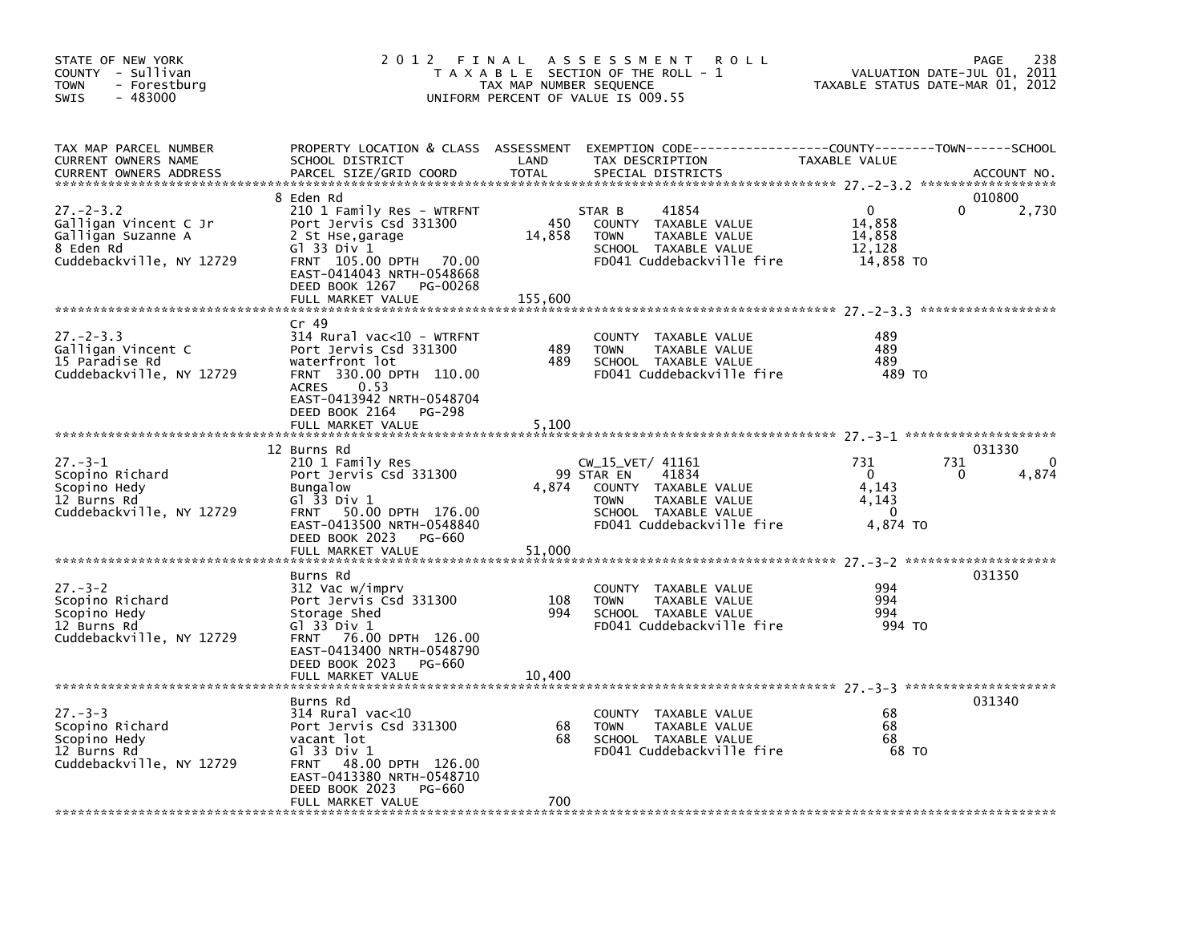| STATE OF NEW YORK<br>COUNTY - Sullivan<br><b>TOWN</b><br>- Forestburg<br>$-483000$<br><b>SWIS</b>       | 2012 FINAL                                                                                                                                                                                   | TAX MAP NUMBER SEQUENCE | A S S E S S M E N T<br>R O L L<br>T A X A B L E SECTION OF THE ROLL - 1<br>UNIFORM PERCENT OF VALUE IS 009.55                                        | TAXABLE STATUS DATE-MAR 01, 2012                              | 238<br>PAGE<br>VALUATION DATE-JUL 01, 2011 |
|---------------------------------------------------------------------------------------------------------|----------------------------------------------------------------------------------------------------------------------------------------------------------------------------------------------|-------------------------|------------------------------------------------------------------------------------------------------------------------------------------------------|---------------------------------------------------------------|--------------------------------------------|
| TAX MAP PARCEL NUMBER<br>CURRENT OWNERS NAME<br><b>CURRENT OWNERS ADDRESS</b>                           | SCHOOL DISTRICT<br>PARCEL SIZE/GRID COORD                                                                                                                                                    | LAND<br><b>TOTAL</b>    | PROPERTY LOCATION & CLASS ASSESSMENT EXEMPTION CODE---------------COUNTY-------TOWN-----SCHOOL<br>TAX DESCRIPTION<br>SPECIAL DISTRICTS               | TAXABLE VALUE                                                 | ACCOUNT NO.                                |
| $27. - 2 - 3.2$<br>Galligan Vincent C Jr<br>Galligan Suzanne A<br>8 Eden Rd<br>Cuddebackville, NY 12729 | 8 Eden Rd<br>210 1 Family Res - WTRFNT<br>Port Jervis Csd 331300<br>2 St Hse,garage<br>G1 33 Div 1<br>FRNT 105.00 DPTH 70.00<br>EAST-0414043 NRTH-0548668<br>DEED BOOK 1267<br>PG-00268      | 450<br>14,858           | 41854<br>STAR B<br>COUNTY TAXABLE VALUE<br><b>TOWN</b><br>TAXABLE VALUE<br>SCHOOL TAXABLE VALUE<br>FD041 Cuddebackville fire                         | $\mathbf{0}$<br>14,858<br>14,858<br>12,128<br>14,858 TO       | 010800<br>2,730<br>0                       |
|                                                                                                         | FULL MARKET VALUE                                                                                                                                                                            | 155,600                 |                                                                                                                                                      |                                                               |                                            |
| $27 - 2 - 3.3$<br>Galligan Vincent C<br>15 Paradise Rd<br>Cuddebackville, NY 12729                      | $Cr$ 49<br>314 Rural vac<10 - WTRFNT<br>Port Jervis Csd 331300<br>waterfront lot<br>FRNT 330.00 DPTH 110.00<br>0.53<br><b>ACRES</b><br>EAST-0413942 NRTH-0548704                             | 489<br>489              | COUNTY TAXABLE VALUE<br><b>TOWN</b><br>TAXABLE VALUE<br>SCHOOL TAXABLE VALUE<br>FD041 Cuddebackville fire                                            | 489<br>489<br>489<br>489 TO                                   |                                            |
|                                                                                                         | DEED BOOK 2164<br>PG-298<br>FULL MARKET VALUE                                                                                                                                                | 5.100                   |                                                                                                                                                      |                                                               |                                            |
| $27 - 3 - 1$<br>Scopino Richard<br>Scopino Hedy<br>12 Burns Rd<br>Cuddebackville, NY 12729              | 12 Burns Rd<br>210 1 Family Res<br>Port Jervis Csd 331300<br><b>Bungalow</b><br>Gl 33 Div 1<br>FRNT 50.00 DPTH 176.00<br>EAST-0413500 NRTH-0548840                                           | 4,874                   | CW_15_VET/ 41161<br>99 STAR EN<br>41834<br>COUNTY TAXABLE VALUE<br><b>TOWN</b><br>TAXABLE VALUE<br>SCHOOL TAXABLE VALUE<br>FD041 Cuddebackville fire | 731<br>$\mathbf{0}$<br>4,143<br>4,143<br>$\Omega$<br>4,874 TO | 031330<br>731<br>4,874<br><sup>0</sup>     |
|                                                                                                         | DEED BOOK 2023<br>PG-660                                                                                                                                                                     |                         |                                                                                                                                                      |                                                               |                                            |
|                                                                                                         | FULL MARKET VALUE                                                                                                                                                                            | 51,000                  |                                                                                                                                                      |                                                               | 031350                                     |
| $27 - 3 - 2$<br>Scopino Richard<br>Scopino Hedy<br>12 Burns Rd<br>Cuddebackville, NY 12729              | Burns Rd<br>312 Vac w/imprv<br>Port Jervis Csd 331300<br>Storage Shed<br>G1 33 Div 1<br>FRNT 76.00 DPTH 126.00<br>EAST-0413400 NRTH-0548790<br>DEED BOOK 2023<br>PG-660<br>FULL MARKET VALUE | 108<br>994<br>10,400    | COUNTY TAXABLE VALUE<br><b>TOWN</b><br>TAXABLE VALUE<br>SCHOOL TAXABLE VALUE<br>FD041 Cuddebackville fire                                            | 994<br>994<br>994<br>994 TO                                   |                                            |
|                                                                                                         |                                                                                                                                                                                              |                         |                                                                                                                                                      |                                                               |                                            |
| $27 - 3 - 3$<br>Scopino Richard<br>Scopino Hedy<br>12 Burns Rd<br>Cuddebackville, NY 12729              | Burns Rd<br>$314$ Rural vac< $10$<br>Port Jervis Csd 331300<br>vacant lot<br>G1 33 Div 1<br>FRNT 48.00 DPTH 126.00<br>EAST-0413380 NRTH-0548710<br>DEED BOOK 2023<br>PG-660                  | 68<br>68                | COUNTY TAXABLE VALUE<br>TAXABLE VALUE<br><b>TOWN</b><br>SCHOOL TAXABLE VALUE<br>FD041 Cuddebackville fire                                            | 68<br>68<br>68<br>68 TO                                       | 031340                                     |
|                                                                                                         | FULL MARKET VALUE                                                                                                                                                                            | 700                     |                                                                                                                                                      |                                                               |                                            |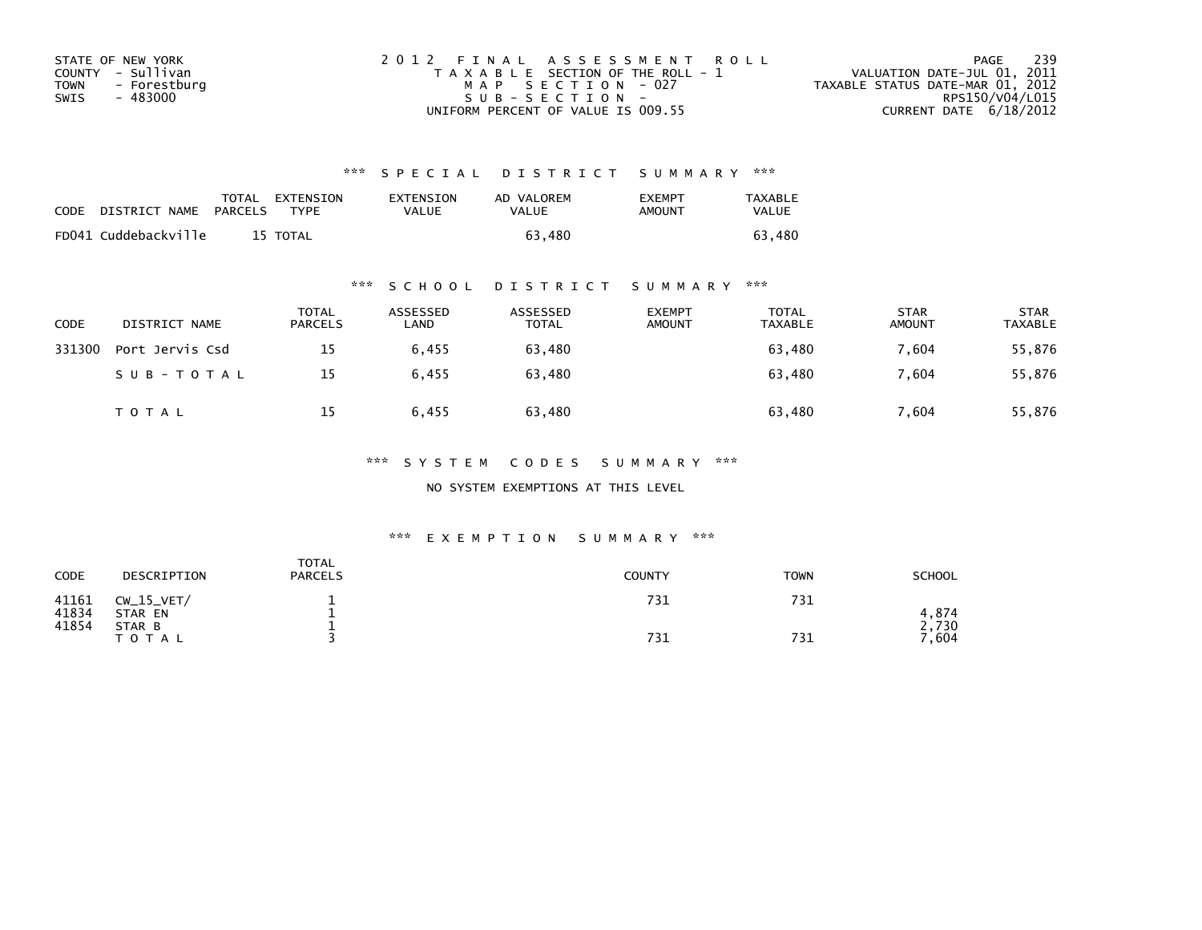| STATE OF NEW YORK    | 2012 FINAL ASSESSMENT ROLL            | - 239<br>PAGE                    |
|----------------------|---------------------------------------|----------------------------------|
| COUNTY - Sullivan    | T A X A B L E SECTION OF THE ROLL - 1 | VALUATION DATE-JUL 01, 2011      |
| TOWN<br>- Forestburg | MAP SECTION - 027                     | TAXABLE STATUS DATE-MAR 01, 2012 |
| - 483000<br>SWIS     | $SUB - SECTION -$                     | RPS150/V04/L015                  |
|                      | UNIFORM PERCENT OF VALUE IS 009.55    | CURRENT DATE $6/18/2012$         |

| CODE | DISTRICT NAME        | <b>PARCELS</b> | TOTAL EXTENSION<br><b>TYPF</b> | <b>EXTENSION</b><br>VALUE | AD VALOREM<br>VALUE | <b>FXFMPT</b><br>AMOUNT | <b>TAXABLE</b><br>VALUE |
|------|----------------------|----------------|--------------------------------|---------------------------|---------------------|-------------------------|-------------------------|
|      | FD041 Cuddebackville |                | 15 TOTAL                       |                           | 63.480              |                         | 63.<br>480              |

## \*\*\* S C H O O L D I S T R I C T S U M M A R Y \*\*\*

| CODE   | DISTRICT NAME   | <b>TOTAL</b><br><b>PARCELS</b> | ASSESSED<br>LAND | ASSESSED<br>TOTAL | <b>EXEMPT</b><br><b>AMOUNT</b> | TOTAL<br>TAXABLE | <b>STAR</b><br><b>AMOUNT</b> | <b>STAR</b><br>TAXABLE |
|--------|-----------------|--------------------------------|------------------|-------------------|--------------------------------|------------------|------------------------------|------------------------|
| 331300 | Port Jervis Csd | 15                             | 6,455            | 63,480            |                                | 63,480           | 7.604                        | 55,876                 |
|        | SUB-TOTAL       | 15                             | 6.455            | 63.480            |                                | 63.480           | 7.604                        | 55,876                 |
|        | <b>TOTAL</b>    | 15                             | 6.455            | 63,480            |                                | 63,480           | 7.604                        | 55,876                 |

### \*\*\* S Y S T E M C O D E S S U M M A R Y \*\*\*

NO SYSTEM EXEMPTIONS AT THIS LEVEL

| CODE           | DESCRIPTION             | <b>TOTAL</b><br><b>PARCELS</b> | <b>COUNTY</b> | <b>TOWN</b> | <b>SCHOOL</b>           |
|----------------|-------------------------|--------------------------------|---------------|-------------|-------------------------|
| 41161<br>41834 | $CW_15_VET/$<br>STAR EN |                                | 731           | 731         | 4.874                   |
| 41854          | STAR B<br><b>TOTAL</b>  |                                | 731           | 731         | 730<br>$^{\prime}$ ,604 |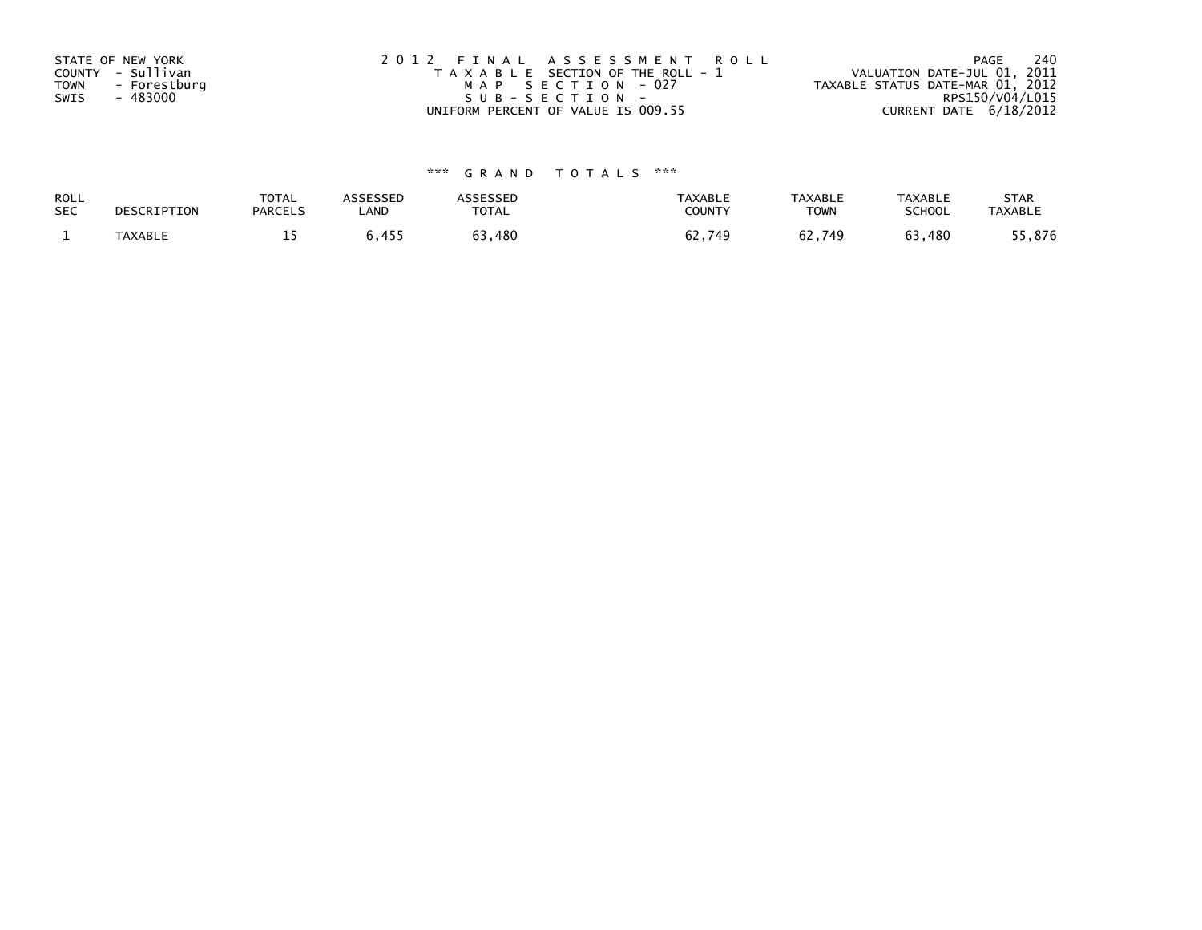| STATE OF NEW YORK<br>COUNTY - Sullivan<br>TOWN<br>- Forestburg<br>- 483000<br>SWIS | 2012 FINAL ASSESSMENT ROLL<br>T A X A B L E SECTION OF THE ROLL - 1<br>MAP SECTION - 027<br>SUB-SECTION- | 240<br>PAGE<br>VALUATION DATE-JUL 01, 2011<br>TAXABLE STATUS DATE-MAR 01, 2012<br>RPS150/V04/L015 |
|------------------------------------------------------------------------------------|----------------------------------------------------------------------------------------------------------|---------------------------------------------------------------------------------------------------|
|                                                                                    | UNIFORM PERCENT OF VALUE IS 009.55                                                                       | CURRENT DATE 6/18/2012                                                                            |

| ROLL       | DESCRIPTION    | <b>TOTAL</b>   | <b>ASSESSED</b> | <b><i>ASSESSED</i></b> | <b>TAXABLE</b> | <b>TAXABLE</b> | <b>TAXABLE</b> | <b>STAR</b>    |
|------------|----------------|----------------|-----------------|------------------------|----------------|----------------|----------------|----------------|
| <b>SEC</b> |                | <b>PARCELS</b> | LAND            | TOTAL                  | COUNTY         | <b>TOWN</b>    | SCHOOL         | <b>TAXABLE</b> |
|            | <b>TAXABLE</b> | -- -           | 6,455           | 63,480                 | 62,749         | 62,749         | 63,480         | .5,876         |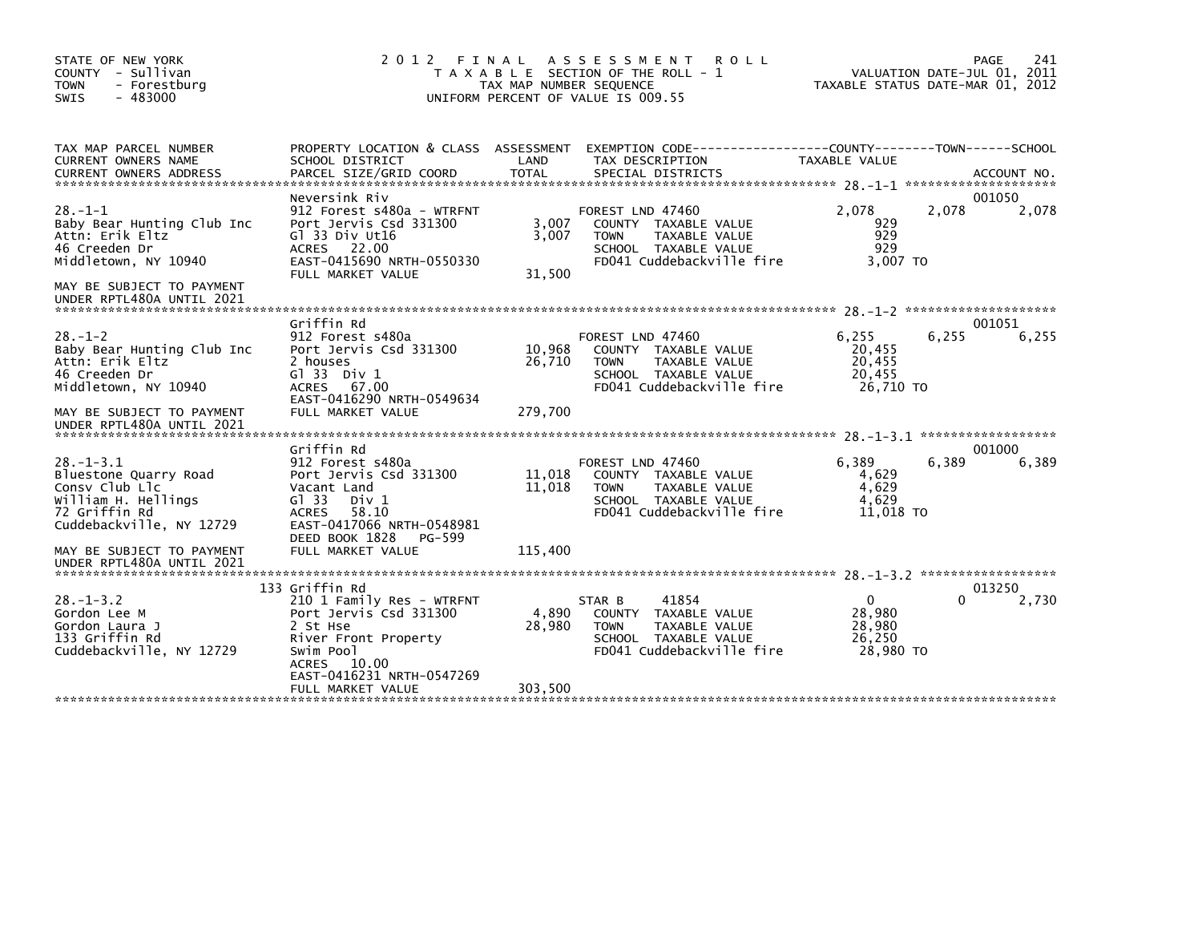| STATE OF NEW YORK<br>COUNTY - Sullivan<br><b>TOWN</b><br>- Forestburg<br>$-483000$<br><b>SWIS</b>                                                                                        | 2 0 1 2<br>FINAL<br>T A X A B L E SECTION OF THE ROLL - 1<br>TAX MAP NUMBER SEQUENCE<br>UNIFORM PERCENT OF VALUE IS 009.55                                                                       | PAGE<br>241<br>VALUATION DATE-JUL 01, 2011<br>TAXABLE STATUS DATE-MAR 01, 2012 |                                                                                                                               |                                                           |                             |                 |
|------------------------------------------------------------------------------------------------------------------------------------------------------------------------------------------|--------------------------------------------------------------------------------------------------------------------------------------------------------------------------------------------------|--------------------------------------------------------------------------------|-------------------------------------------------------------------------------------------------------------------------------|-----------------------------------------------------------|-----------------------------|-----------------|
| TAX MAP PARCEL NUMBER<br>CURRENT OWNERS NAME                                                                                                                                             | SCHOOL DISTRICT                                                                                                                                                                                  | LAND                                                                           | PROPERTY LOCATION & CLASS ASSESSMENT EXEMPTION CODE----------------COUNTY-------TOWN------SCHOOL<br>TAX DESCRIPTION           | TAXABLE VALUE                                             |                             |                 |
| $28. - 1 - 1$<br>Baby Bear Hunting Club Inc<br>Attn: Erik Eltz<br>46 Creeden Dr<br>Middletown, NY 10940<br>MAY BE SUBJECT TO PAYMENT<br>UNDER RPTL480A UNTIL 2021                        | Neversink Riv<br>912 Forest s480a - WTRFNT<br>Port Jervis Csd 331300<br>Gl 33 Div Ut16<br>ACRES 22.00<br>EAST-0415690 NRTH-0550330<br>FULL MARKET VALUE                                          | 3,007<br>3,007<br>31.500                                                       | FOREST LND 47460<br>COUNTY TAXABLE VALUE<br>TAXABLE VALUE<br><b>TOWN</b><br>SCHOOL TAXABLE VALUE<br>FD041 Cuddebackville fire | 2,078<br>929<br>929<br>929<br>3.007 TO                    | 2,078                       | 001050<br>2,078 |
| $28. - 1 - 2$<br>Baby Bear Hunting Club Inc<br>Attn: Erik Eltz<br>46 Creeden Dr<br>Middletown, NY 10940<br>MAY BE SUBJECT TO PAYMENT<br>UNDER RPTL480A UNTIL 2021                        | Griffin Rd<br>912 Forest s480a<br>Port Jervis Csd 331300<br>2 houses<br>$G1$ 33 Div 1<br>67.00<br><b>ACRES</b><br>EAST-0416290 NRTH-0549634<br>FULL MARKET VALUE                                 | 10,968<br>26,710<br>279,700                                                    | FOREST LND 47460<br>COUNTY TAXABLE VALUE<br>TAXABLE VALUE<br><b>TOWN</b><br>SCHOOL TAXABLE VALUE<br>FD041 Cuddebackville fire | 6,255<br>20,455<br>20,455<br>20,455<br>26,710 TO          | 6,255                       | 001051<br>6,255 |
| $28. - 1 - 3.1$<br>Bluestone Quarry Road<br>Consy Club Llc<br>William H. Hellings<br>72 Griffin Rd<br>Cuddebackville, NY 12729<br>MAY BE SUBJECT TO PAYMENT<br>UNDER RPTL480A UNTIL 2021 | Griffin Rd<br>912 Forest s480a<br>Port Jervis Csd 331300<br>Vacant Land<br>GI 33<br>Div 1<br><b>ACRES</b><br>58.10<br>EAST-0417066 NRTH-0548981<br>DEED BOOK 1828<br>PG-599<br>FULL MARKET VALUE | 11,018<br>11,018<br>115,400                                                    | FOREST LND 47460<br>COUNTY TAXABLE VALUE<br><b>TOWN</b><br>TAXABLE VALUE<br>SCHOOL TAXABLE VALUE<br>FD041 Cuddebackville fire | 6.389<br>4,629<br>4.629<br>4,629<br>11,018 TO             | ******************<br>6,389 | 001000<br>6,389 |
| $28 - 1 - 3.2$<br>Gordon Lee M<br>Gordon Laura J<br>133 Griffin Rd<br>Cuddebackville, NY 12729                                                                                           | 133 Griffin Rd<br>210 1 Family Res - WTRFNT<br>Port Jervis Csd 331300<br>2 St Hse<br>River Front Property<br>Swim Pool<br>ACRES 10.00<br>EAST-0416231 NRTH-0547269<br>FULL MARKET VALUE          | 4,890<br>28,980<br>303,500                                                     | 41854<br>STAR B<br>COUNTY TAXABLE VALUE<br>TAXABLE VALUE<br><b>TOWN</b><br>SCHOOL TAXABLE VALUE<br>FD041 Cuddebackville fire  | $\overline{0}$<br>28,980<br>28,980<br>26,250<br>28,980 TO | 0                           | 013250<br>2,730 |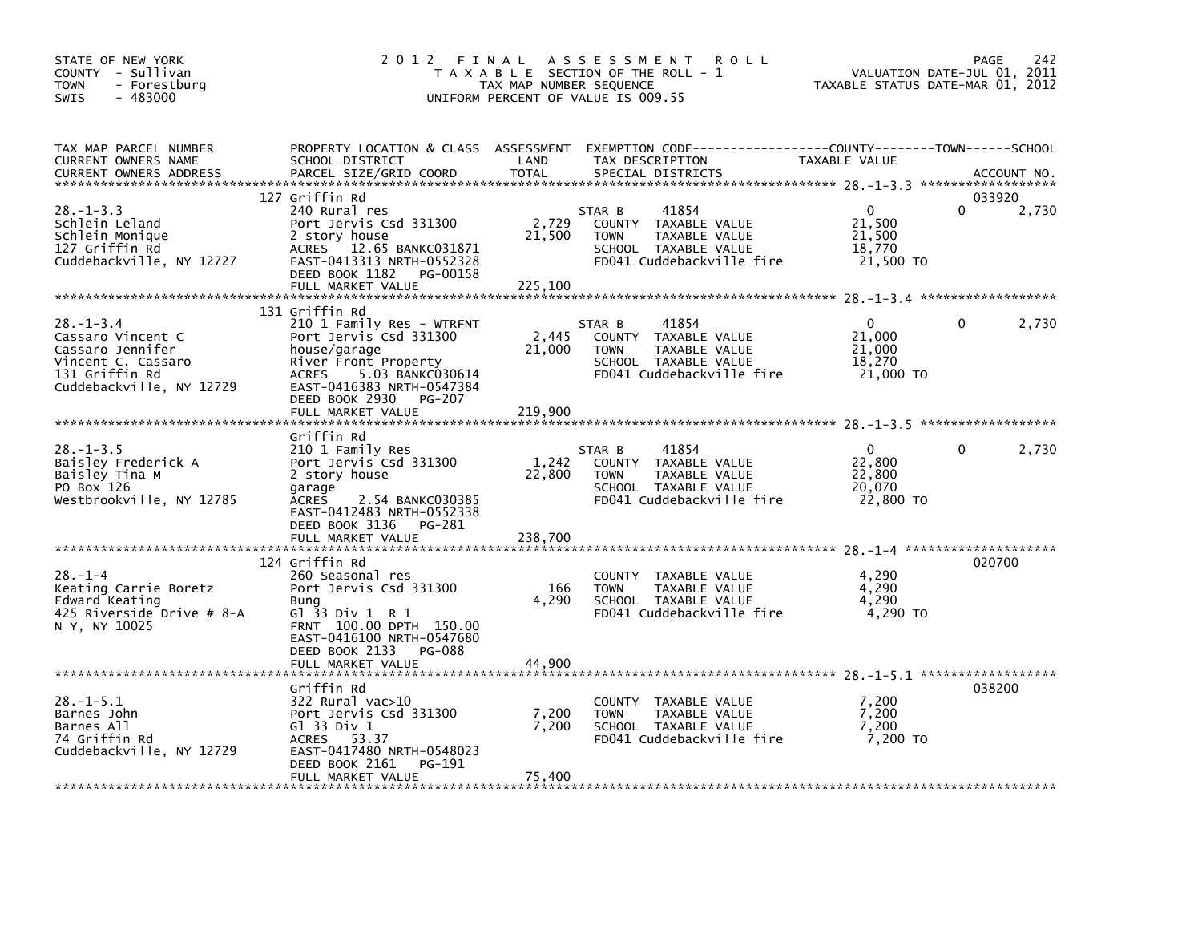| STATE OF NEW YORK<br>COUNTY - Sullivan<br>- Forestburg<br>TOWN<br>$-483000$<br>SWIS                                         | 2012 FINAL                                                                                                                                                                                                               | TAX MAP NUMBER SEQUENCE            | A S S E S S M E N T<br><b>ROLL</b><br>T A X A B L E SECTION OF THE ROLL - 1<br>UNIFORM PERCENT OF VALUE IS 009.55                        | TAXABLE STATUS DATE-MAR 01, 2012                        | 242<br>PAGE<br>VALUATION DATE-JUL 01, 2011 |
|-----------------------------------------------------------------------------------------------------------------------------|--------------------------------------------------------------------------------------------------------------------------------------------------------------------------------------------------------------------------|------------------------------------|------------------------------------------------------------------------------------------------------------------------------------------|---------------------------------------------------------|--------------------------------------------|
| TAX MAP PARCEL NUMBER<br>CURRENT OWNERS NAME<br><b>CURRENT OWNERS ADDRESS</b>                                               | SCHOOL DISTRICT<br>PARCEL SIZE/GRID COORD                                                                                                                                                                                | LAND<br><b>TOTAL</b>               | PROPERTY LOCATION & CLASS ASSESSMENT EXEMPTION CODE----------------COUNTY-------TOWN------SCHOOL<br>TAX DESCRIPTION<br>SPECIAL DISTRICTS | TAXABLE VALUE                                           | ACCOUNT NO.                                |
| $28. - 1 - 3.3$<br>Schlein Leland<br>Schlein Monique<br>127 Griffin Rd<br>Cuddebackville, NY 12727                          | 127 Griffin Rd<br>240 Rural res<br>Port Jervis Csd 331300<br>2 story house<br>ACRES 12.65 BANKC031871<br>EAST-0413313 NRTH-0552328<br>DEED BOOK 1182<br>PG-00158<br>FULL MARKET VALUE                                    | 2,729<br>21,500<br>225,100         | 41854<br>STAR B<br>COUNTY TAXABLE VALUE<br>TAXABLE VALUE<br>TOWN<br>SCHOOL TAXABLE VALUE<br>FD041 Cuddebackville fire                    | $\mathbf{0}$<br>21,500<br>21,500<br>18,770<br>21,500 TO | 033920<br>2,730                            |
| $28 - 1 - 3.4$<br>Cassaro Vincent C<br>Cassaro Jennifer<br>Vincent C. Cassaro<br>131 Griffin Rd<br>Cuddebackville, NY 12729 | 131 Griffin Rd<br>210 1 Family Res - WTRFNT<br>Port Jervis Csd 331300<br>house/garage<br>River Front Property<br>ACRES<br>5.03 BANKC030614<br>EAST-0416383 NRTH-0547384<br>DEED BOOK 2930<br>PG-207<br>FULL MARKET VALUE | 2,445<br>21,000<br>219,900         | STAR B<br>41854<br>COUNTY TAXABLE VALUE<br><b>TOWN</b><br>TAXABLE VALUE<br>SCHOOL TAXABLE VALUE<br>FD041 Cuddebackville fire             | $\Omega$<br>21,000<br>21,000<br>18,270<br>21,000 TO     | 0<br>2,730                                 |
| $28. -1 - 3.5$<br>Baisley Frederick A<br>Baisley Tina M<br>PO Box 126<br>Westbrookville, NY 12785                           | Griffin Rd<br>210 1 Family Res<br>Port Jervis Csd 331300<br>2 story house<br>garage<br>ACRES<br>2.54 BANKC030385<br>EAST-0412483 NRTH-0552338<br>DEED BOOK 3136<br>PG-281<br>FULL MARKET VALUE                           | 1,242<br>22,800<br>238,700         | 41854<br>STAR B<br>COUNTY TAXABLE VALUE<br>TAXABLE VALUE<br><b>TOWN</b><br>SCHOOL TAXABLE VALUE<br>FD041 Cuddebackville fire             | $\Omega$<br>22,800<br>22,800<br>20.070<br>22,800 TO     | 2,730<br>0                                 |
| $28. - 1 - 4$<br>Keating Carrie Boretz<br>Edward Keating<br>425 Riverside Drive # 8-A<br>N Y, NY 10025                      | 124 Griffin Rd<br>260 Seasonal res<br>Port Jervis Csd 331300<br>Bung<br>G $1$ 33 Div 1 R 1<br>FRNT 100.00 DPTH 150.00<br>EAST-0416100 NRTH-0547680<br>DEED BOOK 2133<br><b>PG-088</b>                                    | 166<br>4,290                       | COUNTY<br>TAXABLE VALUE<br>TAXABLE VALUE<br><b>TOWN</b><br>SCHOOL TAXABLE VALUE<br>FD041 Cuddebackville fire                             | 4,290<br>4,290<br>4,290<br>4,290 TO                     | 020700                                     |
| $28. - 1 - 5.1$<br>Barnes John<br>Barnes All<br>74 Griffin Rd<br>Cuddebackville, NY 12729                                   | FULL MARKET VALUE<br>Griffin Rd<br>322 Rural vac>10<br>Port Jervis Csd 331300<br>G1 33 Div 1<br>53.37<br><b>ACRES</b><br>EAST-0417480 NRTH-0548023<br>DEED BOOK 2161<br>PG-191<br>FULL MARKET VALUE                      | 44,900<br>7,200<br>7,200<br>75,400 | COUNTY TAXABLE VALUE<br><b>TOWN</b><br>TAXABLE VALUE<br>SCHOOL TAXABLE VALUE<br>FD041 Cuddebackville fire                                | 7,200<br>7,200<br>7,200<br>7,200 TO                     | 038200                                     |
|                                                                                                                             |                                                                                                                                                                                                                          |                                    |                                                                                                                                          |                                                         |                                            |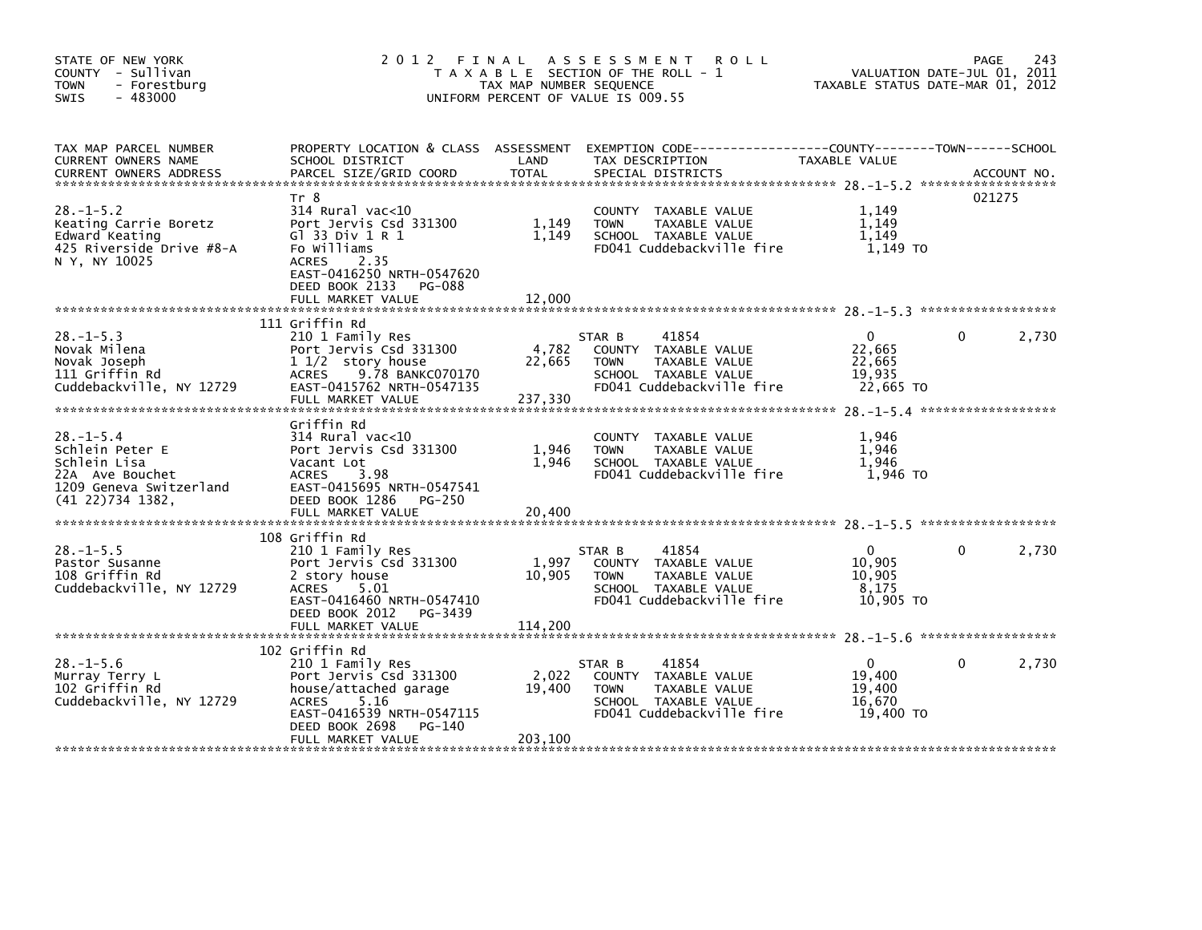| STATE OF NEW YORK<br>COUNTY - Sullivan<br><b>TOWN</b><br>- Forestburg<br>$-483000$<br><b>SWIS</b>                    | 2012 FINAL                                                                                                                                                                                | TAX MAP NUMBER SEQUENCE   | ASSESSMENT ROLL<br>T A X A B L E SECTION OF THE ROLL - 1<br>UNIFORM PERCENT OF VALUE IS 009.55                                          | VALUATION DATE-JUL 01, 2011<br>TAXABLE STATUS DATE-MAR 01, 2012 | 243<br>PAGE           |
|----------------------------------------------------------------------------------------------------------------------|-------------------------------------------------------------------------------------------------------------------------------------------------------------------------------------------|---------------------------|-----------------------------------------------------------------------------------------------------------------------------------------|-----------------------------------------------------------------|-----------------------|
| TAX MAP PARCEL NUMBER<br>CURRENT OWNERS NAME<br><b>CURRENT OWNERS ADDRESS</b>                                        | SCHOOL DISTRICT<br>PARCEL SIZE/GRID COORD TOTAL                                                                                                                                           | <b>Example 12 DE LAND</b> | PROPERTY LOCATION & CLASS ASSESSMENT EXEMPTION CODE----------------COUNTY-------TOWN-----SCHOOL<br>TAX DESCRIPTION<br>SPECIAL DISTRICTS | TAXABLE VALUE                                                   | ACCOUNT NO.           |
| $28. - 1 - 5.2$<br>Keating Carrie Boretz<br>Edward Keating<br>425 Riverside Drive #8-A<br>N Y, NY 10025              | Tr 8<br>314 Rural vac<10<br>Port Jervis Csd 331300<br>GT 33 Div $1 R 1$<br>Fo Williams<br><b>ACRES</b><br>2.35<br>EAST-0416250 NRTH-0547620<br>DEED BOOK 2133 PG-088<br>FULL MARKET VALUE | 1,149<br>1,149<br>12,000  | COUNTY TAXABLE VALUE<br><b>TOWN</b><br>TAXABLE VALUE<br>SCHOOL TAXABLE VALUE<br>FD041 Cuddebackville fire                               | 1,149<br>1.149<br>1,149<br>1,149 то                             | 021275                |
|                                                                                                                      | 111 Griffin Rd                                                                                                                                                                            |                           |                                                                                                                                         |                                                                 |                       |
| $28. - 1 - 5.3$<br>Novak Milena<br>Novak Joseph<br>111 Griffin Rd<br>Cuddebackville, NY 12729                        | 210 1 Family Res<br>Port Jervis Csd 331300<br>1 1/2 story house<br>ACRES 9.78 BANKC070170<br>EAST-0415762 NRTH-0547135<br>FULL MARKET VALUE                                               | 22,665<br>237,330         | 41854<br>STAR B<br>4,782 COUNTY TAXABLE VALUE<br><b>TOWN</b><br>TAXABLE VALUE<br>SCHOOL TAXABLE VALUE<br>FD041 Cuddebackville fire      | $\Omega$<br>22,665<br>22,665<br>19,935<br>22,665 TO             | 2,730<br>$\mathbf{0}$ |
| $28. - 1 - 5.4$<br>Schlein Peter E<br>Schlein Lisa<br>22A Ave Bouchet<br>1209 Geneva Switzerland<br>(41 22)734 1382, | Griffin Rd<br>314 Rural vac<10<br>Port Jervis Csd 331300<br>Vacant Lot<br>ACRES 3.98<br>EAST-0415695 NRTH-0547541<br>DEED BOOK 1286 PG-250                                                | 1,946<br>1,946            | COUNTY TAXABLE VALUE<br>TAXABLE VALUE<br><b>TOWN</b><br>SCHOOL TAXABLE VALUE<br>FD041 Cuddebackville fire                               | 1,946<br>1.946<br>1.946<br>1,946 то                             |                       |
| $28. -1 - 5.5$<br>Pastor Susanne<br>108 Griffin Rd<br>Cuddebackville, NY 12729                                       | 108 Griffin Rd<br>210 1 Family Res<br>Port Jervis Csd 331300<br>2 story house<br>ACRES 5.01<br>EAST-0416460 NRTH-0547410<br>DEED BOOK 2012    PG-3439                                     | 1,997<br>10,905           | 41854<br>STAR B<br>COUNTY TAXABLE VALUE<br>TAXABLE VALUE<br><b>TOWN</b><br>SCHOOL TAXABLE VALUE<br>FD041 Cuddebackville fire            | $\Omega$<br>10,905<br>10,905<br>8,175<br>10,905 TO              | $\Omega$<br>2,730     |
|                                                                                                                      |                                                                                                                                                                                           |                           |                                                                                                                                         |                                                                 |                       |
| $28. - 1 - 5.6$<br>Murray Terry L<br>102 Griffin Rd<br>Cuddebackville, NY 12729                                      | 102 Griffin Rd<br>210 1 Family Res<br>Port Jervis Csd 331300<br>house/attached garage<br>ACRES 5.16<br>EAST-0416539 NRTH-0547115<br>PG-140<br>DEED BOOK 2698                              | 2,022<br>19,400           | 41854<br>STAR B<br>COUNTY TAXABLE VALUE<br>TAXABLE VALUE<br><b>TOWN</b><br>SCHOOL TAXABLE VALUE<br>FD041 Cuddebackville fire            | $\mathbf{0}$<br>19,400<br>19,400<br>16,670<br>19.400 TO         | $\mathbf{0}$<br>2,730 |
|                                                                                                                      | FULL MARKET VALUE                                                                                                                                                                         | 203,100                   |                                                                                                                                         |                                                                 |                       |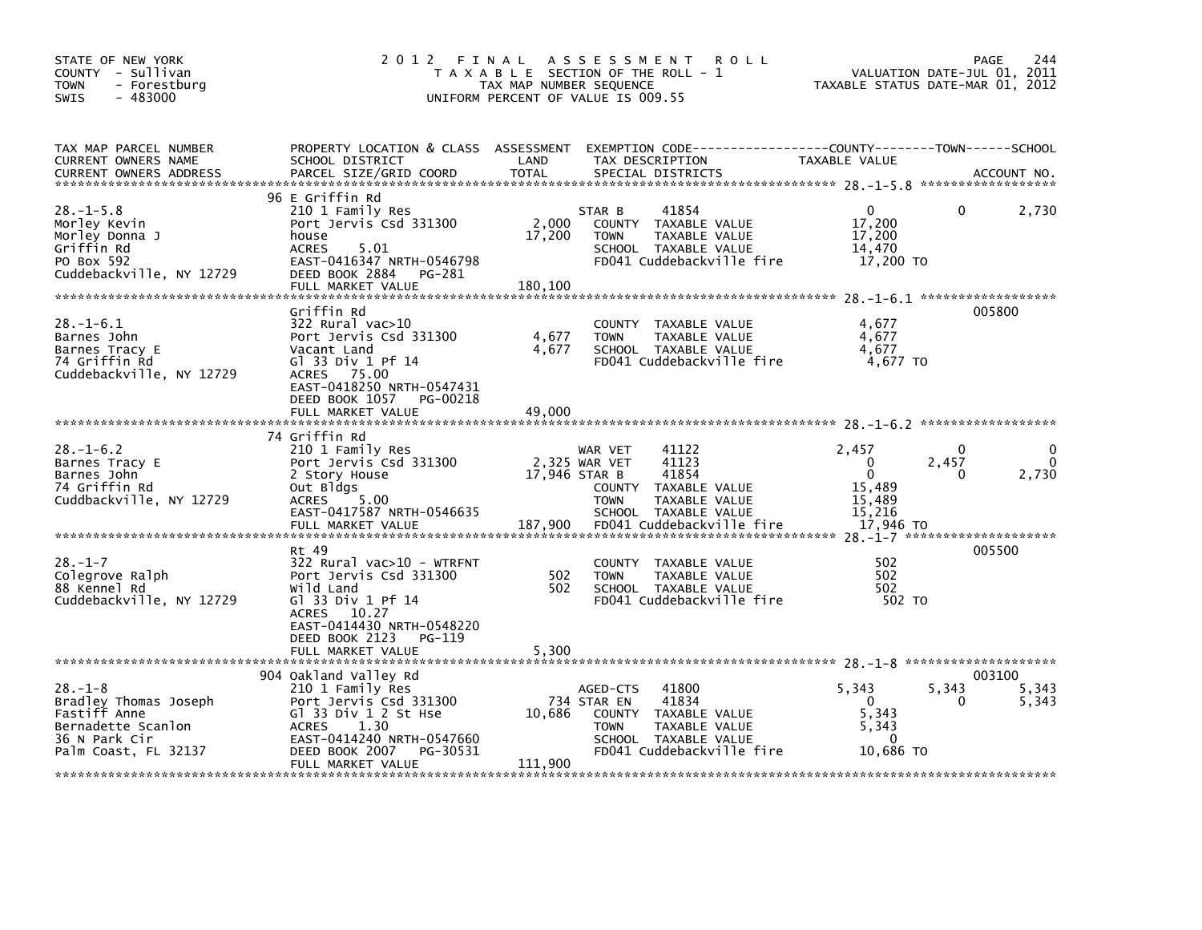| STATE OF NEW YORK<br>COUNTY - Sullivan<br>- Forestburg<br><b>TOWN</b><br>$-483000$<br><b>SWIS</b>                     | 2012 FINAL                                                                                                                                                                               | TAX MAP NUMBER SEQUENCE                     | A S S E S S M E N T<br><b>ROLL</b><br>T A X A B L E SECTION OF THE ROLL - 1<br>UNIFORM PERCENT OF VALUE IS 009.55                                      | VALUATION DATE-JUL 01, 2011<br>TAXABLE STATUS DATE-MAR 01, 2012              | 244<br>PAGE                              |
|-----------------------------------------------------------------------------------------------------------------------|------------------------------------------------------------------------------------------------------------------------------------------------------------------------------------------|---------------------------------------------|--------------------------------------------------------------------------------------------------------------------------------------------------------|------------------------------------------------------------------------------|------------------------------------------|
| TAX MAP PARCEL NUMBER<br>CURRENT OWNERS NAME                                                                          | SCHOOL DISTRICT                                                                                                                                                                          | LAND                                        | PROPERTY LOCATION & CLASS ASSESSMENT EXEMPTION CODE----------------COUNTY-------TOWN------SCHOOL<br>TAX DESCRIPTION                                    | TAXABLE VALUE                                                                |                                          |
| $28. -1 - 5.8$<br>Morley Kevin<br>Morley Donna J<br>Griffin Rd<br>PO Box 592<br>Cuddebackville, NY 12729              | 96 E Griffin Rd<br>210 1 Family Res<br>Port Jervis Csd 331300<br>house<br>5.01<br><b>ACRES</b><br>EAST-0416347 NRTH-0546798<br>DEED BOOK 2884 PG-281<br>FULL MARKET VALUE                | 2,000<br>17,200<br>180.100                  | 41854<br>STAR B<br>COUNTY TAXABLE VALUE<br>TAXABLE VALUE<br><b>TOWN</b><br>SCHOOL TAXABLE VALUE<br>FD041 Cuddebackville fire                           | $\mathbf{0}$<br>17,200<br>17,200<br>14,470<br>17,200 TO                      | 2,730<br>0                               |
| $28. - 1 - 6.1$<br>Barnes John<br>Barnes Tracy E<br>74 Griffin Rd<br>Cuddebackville, NY 12729                         | Griffin Rd<br>322 Rural vac>10<br>Port Jervis Csd 331300<br>Vacant Land<br>G1 33 Div 1 Pf 14<br>ACRES 75.00<br>EAST-0418250 NRTH-0547431<br>DEED BOOK 1057 PG-00218                      | 4,677<br>4,677                              | COUNTY TAXABLE VALUE<br><b>TOWN</b><br>TAXABLE VALUE<br>SCHOOL TAXABLE VALUE<br>FD041 Cuddebackville fire                                              | 4,677<br>4,677<br>4,677<br>4,677 TO                                          | 005800                                   |
|                                                                                                                       | FULL MARKET VALUE                                                                                                                                                                        | 49,000                                      |                                                                                                                                                        |                                                                              |                                          |
| $28. - 1 - 6.2$<br>Barnes Tracy E<br>Barnes John<br>74 Griffin Rd<br>Cuddbackville, NY 12729                          | 74 Griffin Rd<br>210 1 Family Res<br>Port Jervis Csd 331300<br>2 Story House<br>Out Bldgs<br>ACRES 5.00<br>EAST-0417587 NRTH-0546635<br>FULL MARKET VALUE                                | 2,325 WAR VET<br>$17,946$ STAR B<br>187,900 | 41122<br>WAR VET<br>41123<br>41854<br>COUNTY TAXABLE VALUE<br><b>TOWN</b><br>TAXABLE VALUE<br>SCHOOL TAXABLE VALUE<br>FD041 Cuddebackville fire        | 2,457<br>$\Omega$<br>$\mathbf{0}$<br>15,489<br>15,489<br>15,216<br>17,946 TO | 0<br>0<br>$\mathbf{0}$<br>2,457<br>2,730 |
| $28. - 1 - 7$<br>Colegrove Ralph<br>88 Kennel Rd<br>Cuddebackville, NY 12729                                          | Rt 49<br>322 Rural vac>10 - WTRFNT<br>Port Jervis Csd 331300<br>Wild Land<br>G1 33 Div 1 Pf 14<br>ACRES 10.27<br>EAST-0414430 NRTH-0548220<br>DEED BOOK 2123 PG-119<br>FULL MARKET VALUE | 502<br>502<br>5,300                         | COUNTY TAXABLE VALUE<br>TAXABLE VALUE<br><b>TOWN</b><br>SCHOOL TAXABLE VALUE<br>FD041 Cuddebackville fire                                              | 502<br>502<br>502<br>502 TO                                                  | 005500                                   |
| $28. - 1 - 8$<br>Bradley Thomas Joseph<br>Fastiff Anne<br>Bernadette Scanlon<br>36 N Park Cir<br>Palm Coast, FL 32137 | 904 Oakland Valley Rd<br>210 1 Family Res<br>Port Jervis Csd 331300<br>Gl 33 Div 1 2 St Hse<br>ACRES 1.30<br>EAST-0414240 NRTH-0547660<br>DEED BOOK 2007 PG-30531<br>FULL MARKET VALUE   | 10,686<br>111,900                           | 41800<br>AGED-CTS<br>41834<br>734 STAR EN<br>COUNTY TAXABLE VALUE<br><b>TOWN</b><br>TAXABLE VALUE<br>SCHOOL TAXABLE VALUE<br>FD041 Cuddebackville fire | 5,343<br>$\overline{0}$<br>5,343<br>5,343<br>$\Omega$<br>10,686 TO           | 003100<br>5,343<br>5,343<br>5,343        |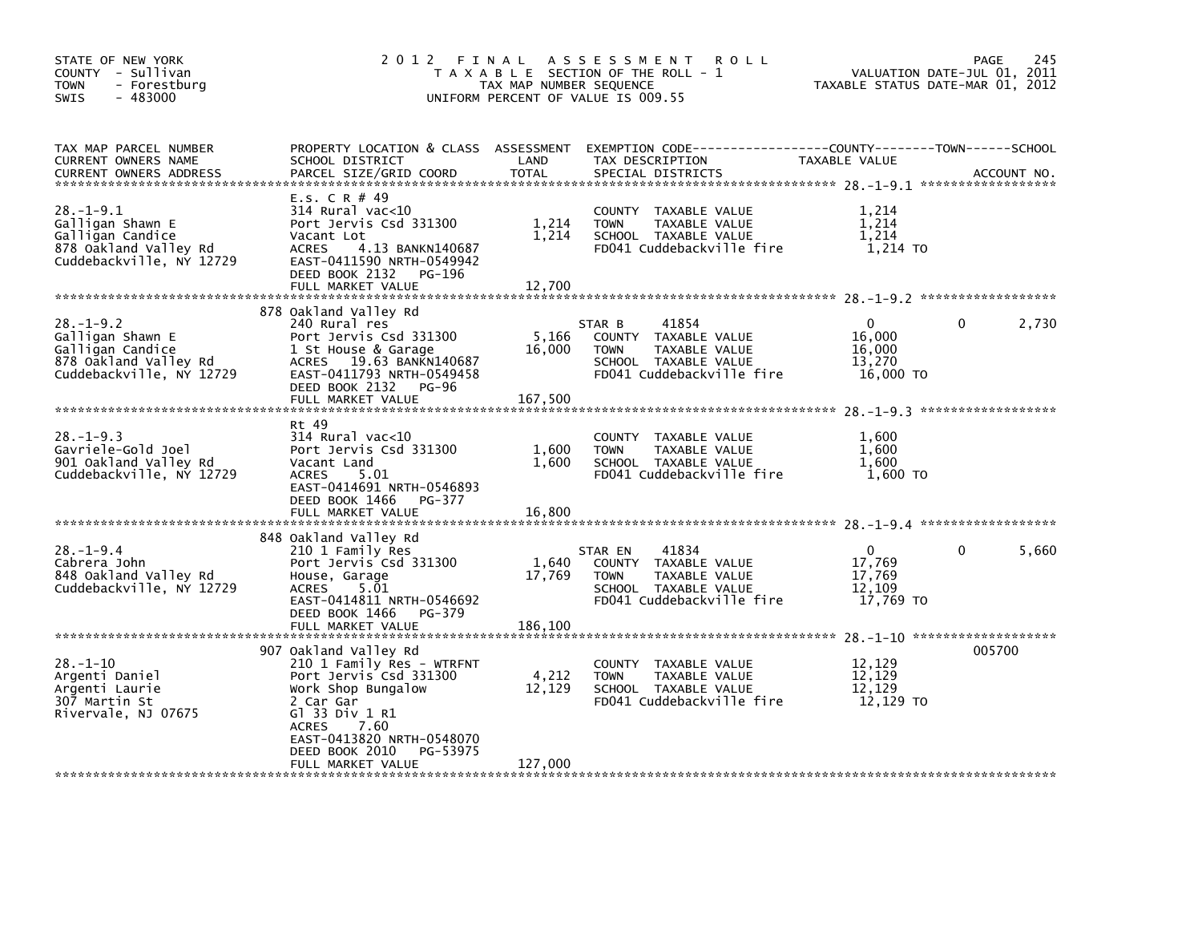| STATE OF NEW YORK<br>COUNTY - Sullivan<br>- Forestburg<br><b>TOWN</b><br>$-483000$<br><b>SWIS</b>            | 2012 FINAL<br><b>ROLL</b><br>A S S E S S M E N T<br>T A X A B L E SECTION OF THE ROLL - 1<br>TAX MAP NUMBER SEQUENCE<br>UNIFORM PERCENT OF VALUE IS 009.55                                                                                |                            |                                                                                                                               | PAGE<br>245<br>VALUATION DATE-JUL 01, 2011<br>TAXABLE STATUS DATE-MAR 01, 2012 |                                                |  |
|--------------------------------------------------------------------------------------------------------------|-------------------------------------------------------------------------------------------------------------------------------------------------------------------------------------------------------------------------------------------|----------------------------|-------------------------------------------------------------------------------------------------------------------------------|--------------------------------------------------------------------------------|------------------------------------------------|--|
| TAX MAP PARCEL NUMBER<br>CURRENT OWNERS NAME<br><b>CURRENT OWNERS ADDRESS</b>                                | PROPERTY LOCATION & CLASS ASSESSMENT<br>SCHOOL DISTRICT<br>PARCEL SIZE/GRID COORD                                                                                                                                                         | LAND<br><b>TOTAL</b>       | EXEMPTION CODE-----------------COUNTY-------TOWN------SCHOOL<br>TAX DESCRIPTION<br>SPECIAL DISTRICTS                          | TAXABLE VALUE                                                                  | ACCOUNT NO.                                    |  |
| $28. - 1 - 9.1$<br>Galligan Shawn E<br>Galligan Candice<br>878 Oakland Valley Rd<br>Cuddebackville, NY 12729 | E.S. C R $#$ 49<br>$314$ Rural vac<10<br>Port Jervis Csd 331300<br>Vacant Lot<br><b>ACRES</b><br>4.13 BANKN140687<br>EAST-0411590 NRTH-0549942<br>DEED BOOK 2132<br>PG-196<br>FULL MARKET VALUE                                           | 1,214<br>1,214<br>12,700   | COUNTY TAXABLE VALUE<br>TAXABLE VALUE<br><b>TOWN</b><br>SCHOOL TAXABLE VALUE<br>FD041 Cuddebackville fire                     | 1,214<br>1,214<br>1,214<br>1,214 TO                                            |                                                |  |
| $28. - 1 - 9.2$<br>Galligan Shawn E<br>Galligan Candice<br>878 Oakland Valley Rd<br>Cuddebackville, NY 12729 | 878 Oakland Valley Rd<br>240 Rural res<br>Port Jervis Csd 331300<br>1 St House & Garage<br>ACRES 19.63 BANKN140687<br>EAST-0411793 NRTH-0549458<br>DEED BOOK 2132<br>PG-96<br>FULL MARKET VALUE                                           | 5,166<br>16,000<br>167,500 | STAR B<br>41854<br>COUNTY TAXABLE VALUE<br>TAXABLE VALUE<br><b>TOWN</b><br>SCHOOL TAXABLE VALUE<br>FD041 Cuddebackville fire  | $\Omega$<br>16,000<br>16,000<br>13,270<br>16,000 TO                            | 2,730<br>0                                     |  |
| $28. - 1 - 9.3$<br>Gavriele-Gold Joel<br>901 Oakland Valley Rd<br>Cuddebackville, NY 12729                   | Rt 49<br>$314$ Rural vac<10<br>Port Jervis Csd 331300<br>Vacant Land<br><b>ACRES</b><br>5.01<br>EAST-0414691 NRTH-0546893<br>DEED BOOK 1466<br>PG-377<br>FULL MARKET VALUE                                                                | 1,600<br>1,600<br>16,800   | COUNTY TAXABLE VALUE<br><b>TOWN</b><br>TAXABLE VALUE<br>SCHOOL TAXABLE VALUE<br>FD041 Cuddebackville fire                     | 1.600<br>1,600<br>1.600<br>1,600 TO                                            |                                                |  |
| $28. - 1 - 9.4$<br>Cabrera John<br>848 Oakland Valley Rd<br>Cuddebackville, NY 12729                         | 848 Oakland Valley Rd<br>210 1 Family Res<br>Port Jervis Csd 331300<br>House, Garage<br><b>ACRES</b><br>5.01<br>EAST-0414811 NRTH-0546692<br>PG-379<br>DEED BOOK 1466<br>FULL MARKET VALUE                                                | 1,640<br>17,769<br>186,100 | 41834<br>STAR EN<br>COUNTY TAXABLE VALUE<br>TAXABLE VALUE<br><b>TOWN</b><br>SCHOOL TAXABLE VALUE<br>FD041 Cuddebackville fire | $\Omega$<br>17,769<br>17,769<br>12,109<br>17.769 TO                            | 0<br>5,660                                     |  |
| $28. - 1 - 10$<br>Argenti Daniel<br>Argenti Laurie<br>307 Martin St<br>Rivervale, NJ 07675                   | 907 Oakland Valley Rd<br>210 1 Family Res - WTRFNT<br>Port Jervis Csd 331300<br>Work Shop Bungalow<br>2 Car Gar<br>G] 33 Div 1 R1<br><b>ACRES</b><br>7.60<br>EAST-0413820 NRTH-0548070<br>DEED BOOK 2010<br>PG-53975<br>FULL MARKET VALUE | 4,212<br>12,129<br>127,000 | COUNTY TAXABLE VALUE<br><b>TOWN</b><br>TAXABLE VALUE<br>SCHOOL TAXABLE VALUE<br>FD041 Cuddebackville fire                     | 12,129<br>12,129<br>12.129<br>12,129 TO                                        | $28. - 1 - 10$ *********************<br>005700 |  |
|                                                                                                              |                                                                                                                                                                                                                                           |                            |                                                                                                                               |                                                                                |                                                |  |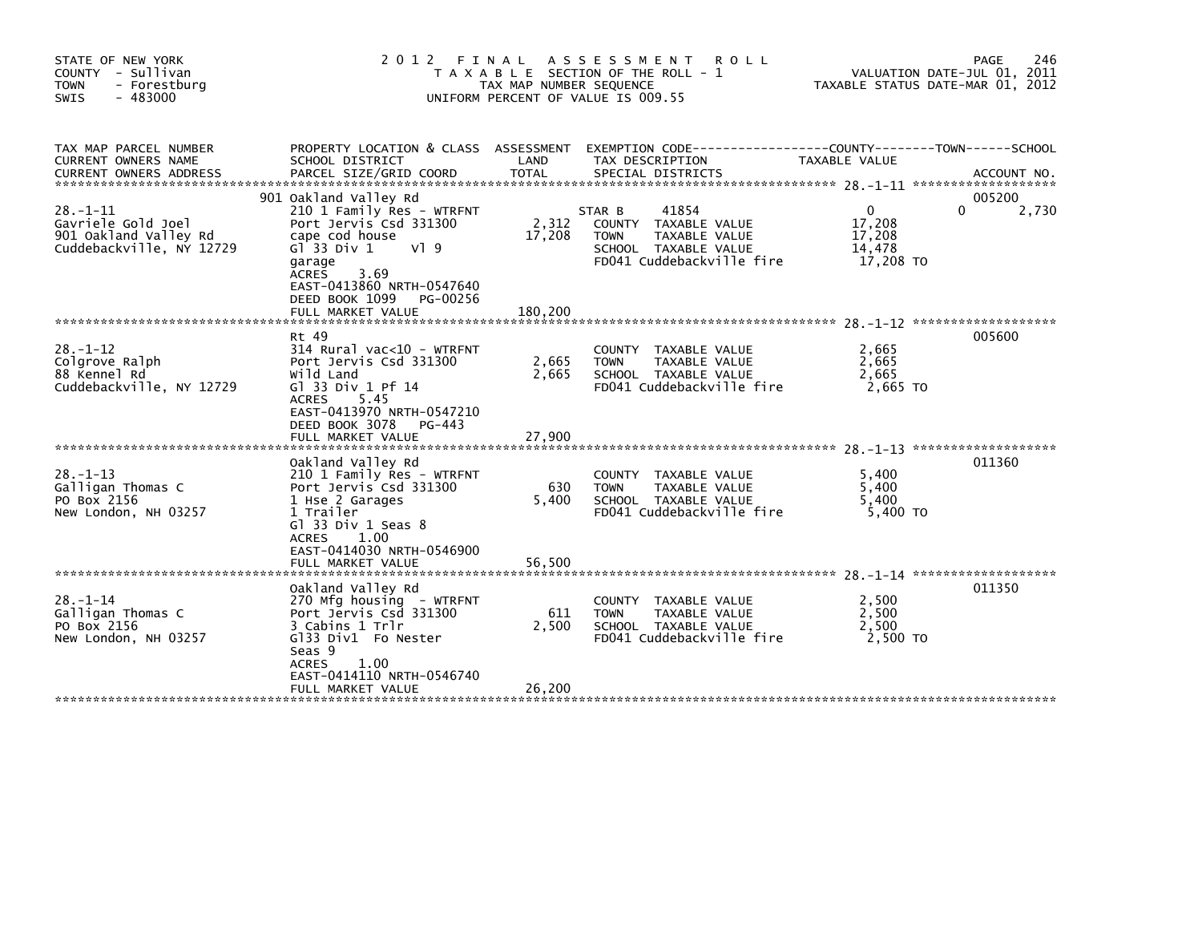| STATE OF NEW YORK<br>COUNTY - Sullivan<br><b>TOWN</b><br>- Forestburg<br>$-483000$<br><b>SWIS</b> | 2 0 1 2<br>FINAL<br>A S S E S S M E N T<br><b>ROLL</b><br>PAGE<br>VALUATION DATE-JUL 01, 2011<br>T A X A B L E SECTION OF THE ROLL - 1<br>TAX MAP NUMBER SEQUENCE<br>TAXABLE STATUS DATE-MAR 01, 2012<br>UNIFORM PERCENT OF VALUE IS 009.55        |                            |                                                                                                                              |                                                     |                      |  |
|---------------------------------------------------------------------------------------------------|----------------------------------------------------------------------------------------------------------------------------------------------------------------------------------------------------------------------------------------------------|----------------------------|------------------------------------------------------------------------------------------------------------------------------|-----------------------------------------------------|----------------------|--|
| TAX MAP PARCEL NUMBER<br>CURRENT OWNERS NAME<br><b>CURRENT OWNERS ADDRESS</b>                     | PROPERTY LOCATION & CLASS ASSESSMENT<br>SCHOOL DISTRICT<br>PARCEL SIZE/GRID COORD                                                                                                                                                                  | LAND<br><b>TOTAL</b>       | TAX DESCRIPTION<br>SPECIAL DISTRICTS                                                                                         | TAXABLE VALUE                                       | ACCOUNT NO.          |  |
| $28. - 1 - 11$<br>Gavriele Gold Joel<br>901 Oakland Valley Rd<br>Cuddebackville, NY 12729         | 901 Oakland Valley Rd<br>210 1 Family Res - WTRFNT<br>Port Jervis Csd 331300<br>cape cod house<br>$G$ <sup>33</sup> Div 1<br>V19<br>garage<br><b>ACRES</b><br>3.69<br>EAST-0413860 NRTH-0547640<br>DEED BOOK 1099<br>PG-00256<br>FULL MARKET VALUE | 2,312<br>17,208<br>180,200 | 41854<br>STAR B<br>COUNTY TAXABLE VALUE<br><b>TOWN</b><br>TAXABLE VALUE<br>SCHOOL TAXABLE VALUE<br>FD041 Cuddebackville fire | $\Omega$<br>17,208<br>17,208<br>14,478<br>17,208 TO | 005200<br>0<br>2,730 |  |
| $28. - 1 - 12$<br>Colgrove Ralph<br>88 Kennel Rd<br>Cuddebackville, NY 12729                      | Rt 49<br>314 Rural vac<10 - WTRFNT<br>Port Jervis Csd 331300<br>Wild Land<br>GT 33 Div 1 Pf 14<br>5.45<br><b>ACRES</b><br>EAST-0413970 NRTH-0547210<br>DEED BOOK 3078 PG-443<br>FULL MARKET VALUE                                                  | 2,665<br>2,665<br>27,900   | COUNTY TAXABLE VALUE<br>TAXABLE VALUE<br><b>TOWN</b><br>SCHOOL TAXABLE VALUE<br>FD041 Cuddebackville fire                    | 2,665<br>2,665<br>2,665<br>2,665 TO                 | 005600               |  |
| $28. - 1 - 13$<br>Galligan Thomas C<br>PO Box 2156<br>New London, NH 03257                        | Oakland Valley Rd<br>210 1 Family Res - WTRFNT<br>Port Jervis Csd 331300<br>1 Hse 2 Garages<br>1 Trailer<br>Gl 33 Div 1 Seas 8<br>1.00<br>ACRES<br>EAST-0414030 NRTH-0546900<br>FULL MARKET VALUE                                                  | 630<br>5,400<br>56,500     | COUNTY TAXABLE VALUE<br><b>TOWN</b><br>TAXABLE VALUE<br>SCHOOL TAXABLE VALUE<br>FD041 Cuddebackville fire                    | 5,400<br>5,400<br>5,400<br>5,400 TO                 | 011360               |  |
| $28. - 1 - 14$<br>Galligan Thomas C<br>PO Box 2156<br>New London, NH 03257                        | Oakland Valley Rd<br>270 Mfg housing - WTRFNT<br>Port Jervis Csd 331300<br>3 Cabins 1 Trlr<br>G133 Div1 Fo Nester<br>Seas 9<br><b>ACRES</b><br>1.00<br>EAST-0414110 NRTH-0546740<br>FULL MARKET VALUE                                              | 611<br>2,500<br>26,200     | COUNTY TAXABLE VALUE<br>TAXABLE VALUE<br><b>TOWN</b><br>SCHOOL TAXABLE VALUE<br>FD041 Cuddebackville fire                    | 2.500<br>2,500<br>2,500<br>2,500 TO                 | 011350               |  |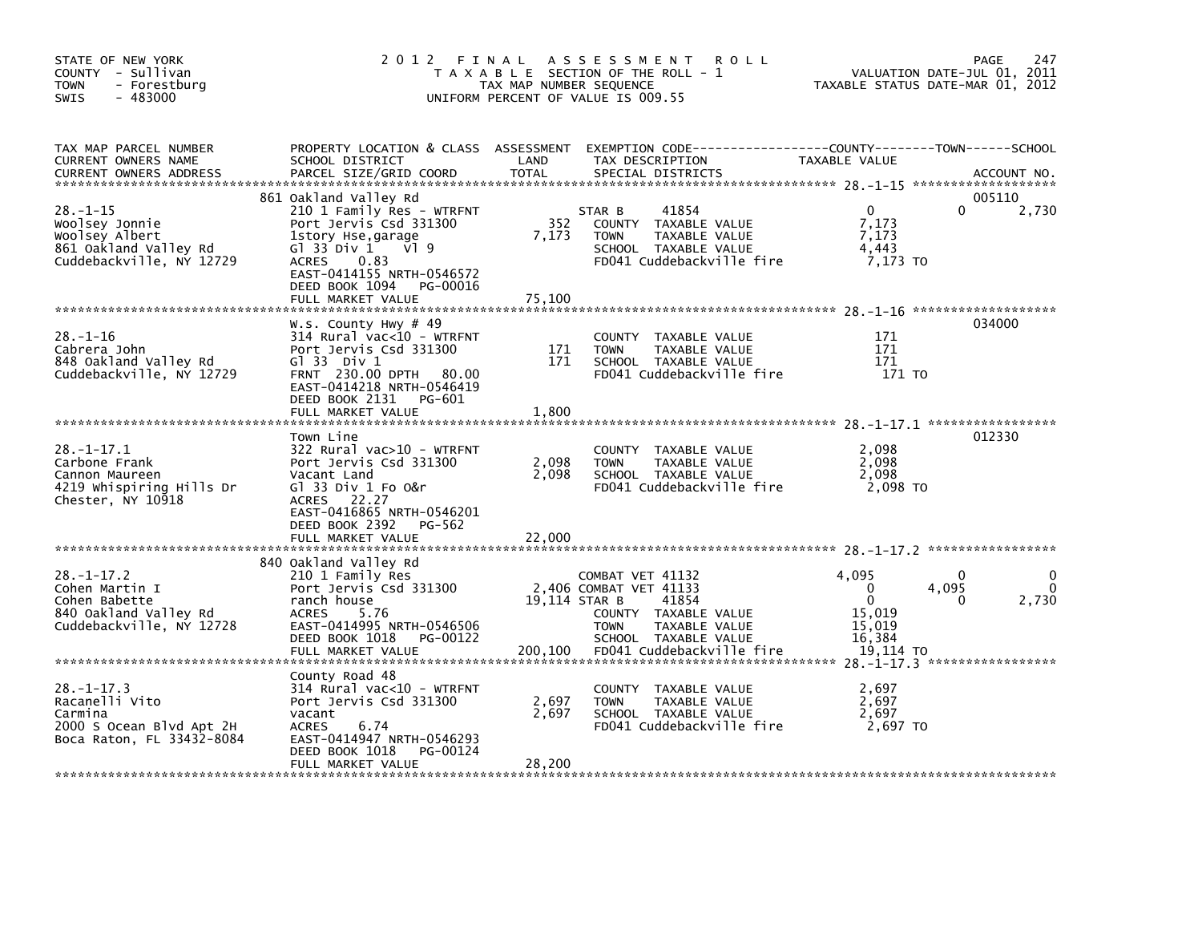| STATE OF NEW YORK<br>COUNTY - Sullivan<br><b>TOWN</b><br>- Forestburg<br>$-483000$<br>SWIS               | 2012 FINAL                                                                                                                                                                                                                       | TAX MAP NUMBER SEQUENCE  | A S S E S S M E N T<br>R O L L<br>T A X A B L E SECTION OF THE ROLL - 1<br>UNIFORM PERCENT OF VALUE IS 009.55                                                                     |                                                                                 | 247<br>PAGE<br>VALUATION DATE-JUL 01, 2011<br>TAXABLE STATUS DATE-MAR 01, 2012 |
|----------------------------------------------------------------------------------------------------------|----------------------------------------------------------------------------------------------------------------------------------------------------------------------------------------------------------------------------------|--------------------------|-----------------------------------------------------------------------------------------------------------------------------------------------------------------------------------|---------------------------------------------------------------------------------|--------------------------------------------------------------------------------|
| TAX MAP PARCEL NUMBER<br>CURRENT OWNERS NAME<br><b>CURRENT OWNERS ADDRESS</b>                            | PROPERTY LOCATION & CLASS ASSESSMENT<br>SCHOOL DISTRICT<br>PARCEL SIZE/GRID COORD                                                                                                                                                | LAND<br><b>TOTAL</b>     | TAX DESCRIPTION<br>SPECIAL DISTRICTS                                                                                                                                              | TAXABLE VALUE                                                                   | ACCOUNT NO.                                                                    |
| $28. - 1 - 15$<br>Woolsey Jonnie<br>Woolsey Albert<br>861 Oakland Valley Rd<br>Cuddebackville, NY 12729  | 861 Oakland Valley Rd<br>210 1 Family Res - WTRFNT<br>Port Jervis Csd 331300<br>1story Hse,garage<br>G1 33 Div 1<br>VI 9<br>0.83<br><b>ACRES</b><br>EAST-0414155 NRTH-0546572<br>DEED BOOK 1094<br>PG-00016<br>FULL MARKET VALUE | 352<br>7,173<br>75,100   | 41854<br>STAR B<br>COUNTY TAXABLE VALUE<br>TAXABLE VALUE<br><b>TOWN</b><br>SCHOOL TAXABLE VALUE<br>FD041 Cuddebackville fire                                                      | $\mathbf{0}$<br>7,173<br>7,173<br>4,443<br>7,173 TO                             | 005110<br>0<br>2,730                                                           |
| $28. - 1 - 16$<br>Cabrera John<br>848 Oakland Valley Rd<br>Cuddebackville, NY 12729                      | W.s. County Hwy $\#$ 49<br>$314$ Rural vac<10 - WTRFNT<br>Port Jervis Csd 331300<br>$G1$ 33 Div 1<br>FRNT 230.00 DPTH 80.00<br>EAST-0414218 NRTH-0546419<br>DEED BOOK 2131 PG-601<br>FULL MARKET VALUE                           | 171<br>171<br>1,800      | COUNTY TAXABLE VALUE<br>TAXABLE VALUE<br><b>TOWN</b><br>SCHOOL TAXABLE VALUE<br>FD041 Cuddebackville fire                                                                         | 171<br>171<br>171<br>171 TO                                                     | 034000                                                                         |
| $28. - 1 - 17.1$<br>Carbone Frank<br>Cannon Maureen<br>4219 Whispiring Hills Dr<br>Chester, NY 10918     | Town Line<br>322 Rural vac>10 - WTRFNT<br>Port Jervis Csd 331300<br>Vacant Land<br>G1 33 Div 1 Fo O&r<br>ACRES 22.27<br>EAST-0416865 NRTH-0546201<br>DEED BOOK 2392<br>PG-562<br>FULL MARKET VALUE                               | 2,098<br>2,098<br>22,000 | <b>COUNTY</b><br>TAXABLE VALUE<br>TAXABLE VALUE<br><b>TOWN</b><br>SCHOOL TAXABLE VALUE<br>FD041 Cuddebackville fire                                                               | 2,098<br>2,098<br>2,098<br>2,098 TO                                             | 012330                                                                         |
| $28. - 1 - 17.2$<br>Cohen Martin I<br>Cohen Babette<br>840 Oakland Valley Rd<br>Cuddebackville, NY 12728 | 840 Oakland Valley Rd<br>210 1 Family Res<br>Port Jervis Csd 331300<br>ranch house<br>5.76<br><b>ACRES</b><br>EAST-0414995 NRTH-0546506<br>DEED BOOK 1018<br>PG-00122<br>FULL MARKET VALUE                                       | 200,100                  | COMBAT VET 41132<br>2,406 COMBAT VET 41133<br>19,114 STAR B<br>41854<br>COUNTY TAXABLE VALUE<br><b>TOWN</b><br>TAXABLE VALUE<br>SCHOOL TAXABLE VALUE<br>FD041 Cuddebackville fire | 4,095<br>$\mathbf 0$<br>$\mathbf{0}$<br>15,019<br>15,019<br>16,384<br>19,114 TO | 0<br>4,095<br>2,730<br>0                                                       |
| 28. –1–17.3<br>Racanelli Vito<br>Carmina<br>2000 S Ocean Blvd Apt 2H<br>Boca Raton, FL 33432-8084        | County Road 48<br>314 Rural vac<10 - WTRFNT<br>Port Jervis Csd 331300<br>vacant<br><b>ACRES</b><br>6.74<br>EAST-0414947 NRTH-0546293<br>DEED BOOK 1018<br>PG-00124<br>FULL MARKET VALUE                                          | 2,697<br>2,697<br>28,200 | TAXABLE VALUE<br>COUNTY<br><b>TOWN</b><br>TAXABLE VALUE<br>SCHOOL TAXABLE VALUE<br>FD041 Cuddebackville fire                                                                      | 2,697<br>2,697<br>2,697<br>2,697 TO                                             |                                                                                |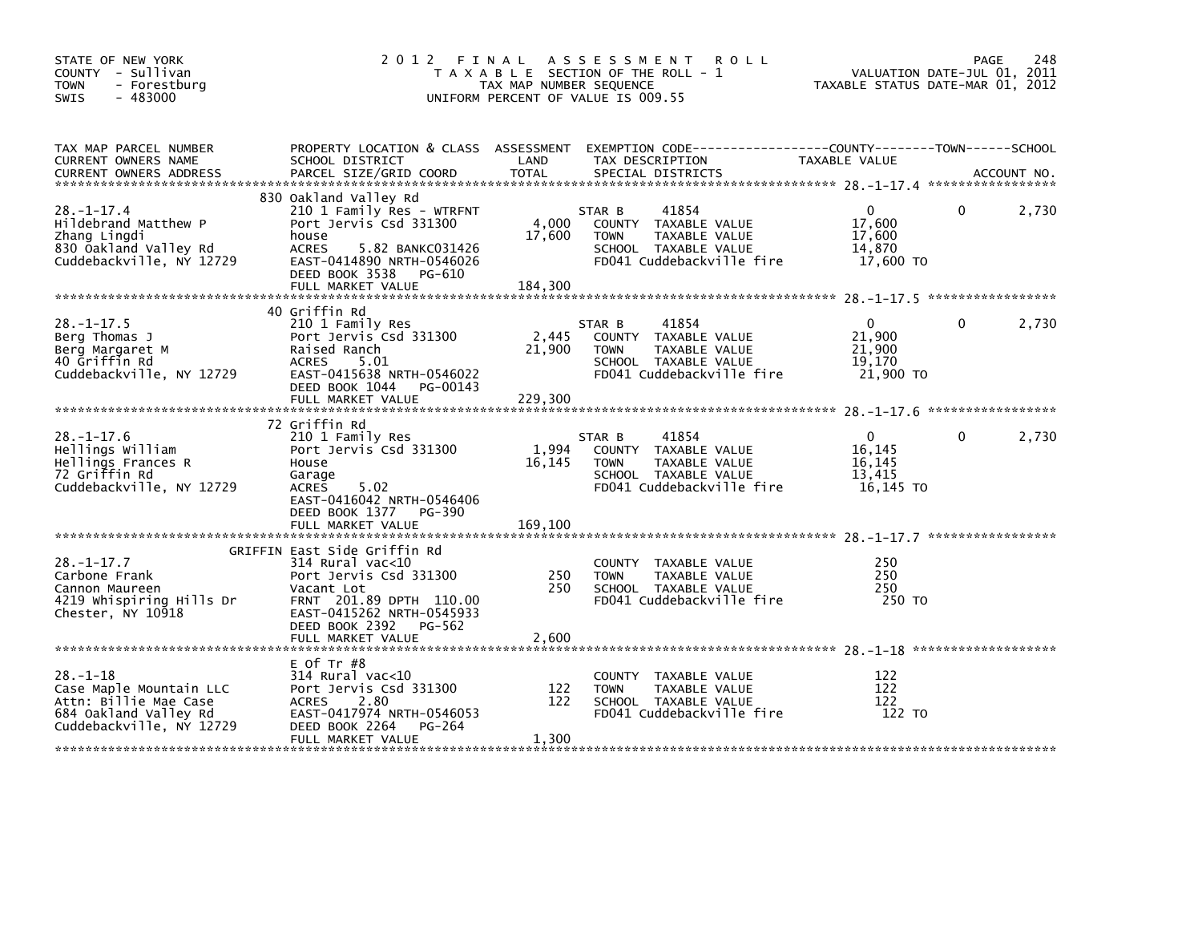| STATE OF NEW YORK<br>COUNTY - Sullivan<br><b>TOWN</b><br>- Forestburg<br>$-483000$<br>SWIS                              | 2012 FINAL ASSESSMENT<br>T A X A B L E SECTION OF THE ROLL - 1<br>TAX MAP NUMBER SEQUENCE<br>UNIFORM PERCENT OF VALUE IS 009.55                                                 | VALUATION DATE-JUL 01, 2011<br>TAXABLE STATUS DATE-MAR 01, 2012 | PAGE                                                                                                                         | 248                                                       |          |       |
|-------------------------------------------------------------------------------------------------------------------------|---------------------------------------------------------------------------------------------------------------------------------------------------------------------------------|-----------------------------------------------------------------|------------------------------------------------------------------------------------------------------------------------------|-----------------------------------------------------------|----------|-------|
| TAX MAP PARCEL NUMBER<br>CURRENT OWNERS NAME                                                                            | SCHOOL DISTRICT                                                                                                                                                                 | LAND                                                            | PROPERTY LOCATION & CLASS ASSESSMENT EXEMPTION CODE----------------COUNTY-------TOWN------SCHOOL<br>TAX DESCRIPTION          | TAXABLE VALUE                                             |          |       |
| $28. - 1 - 17.4$<br>Hildebrand Matthew P<br>Zhang Lingdi<br>830 Oakland Valley Rd<br>Cuddebackville, NY 12729           | 830 Oakland Valley Rd<br>210 1 Family Res - WTRFNT<br>Port Jervis Csd 331300<br>house<br><b>ACRES</b><br>5.82 BANKC031426<br>EAST-0414890 NRTH-0546026<br>DEED BOOK 3538 PG-610 | 4,000<br>17,600                                                 | 41854<br>STAR B<br>COUNTY TAXABLE VALUE<br>TAXABLE VALUE<br><b>TOWN</b><br>SCHOOL TAXABLE VALUE<br>FD041 Cuddebackville fire | $\overline{0}$<br>17,600<br>17,600<br>14,870<br>17,600 TO | $\Omega$ | 2,730 |
|                                                                                                                         | FULL MARKET VALUE                                                                                                                                                               | 184,300                                                         |                                                                                                                              |                                                           |          |       |
| $28. -1 - 17.5$<br>Berg Thomas J<br>Berg Margaret M<br>40 Griffin Rd<br>Cuddebackville, NY 12729                        | 40 Griffin Rd<br>210 1 Family Res<br>Port Jervis Csd 331300<br>Raised Ranch<br>ACRES<br>5.01<br>EAST-0415638 NRTH-0546022<br>DEED BOOK 1044 PG-00143                            | 2,445<br>21,900                                                 | 41854<br>STAR B<br>COUNTY TAXABLE VALUE<br><b>TOWN</b><br>TAXABLE VALUE<br>SCHOOL TAXABLE VALUE<br>FD041 Cuddebackville fire | $\mathbf{0}$<br>21,900<br>21,900<br>19.170<br>21,900 TO   | $\Omega$ | 2,730 |
|                                                                                                                         | FULL MARKET VALUE                                                                                                                                                               | 229,300                                                         |                                                                                                                              |                                                           |          |       |
|                                                                                                                         | 72 Griffin Rd                                                                                                                                                                   |                                                                 |                                                                                                                              |                                                           |          |       |
| $28. - 1 - 17.6$<br>Hellings William<br>Hellings Frances R<br>72 Griffin Rd<br>Cuddebackville, NY 12729                 | 210 1 Family Res<br>Port Jervis Csd 331300<br>House<br>Garage<br>5.02<br>ACRES<br>EAST-0416042 NRTH-0546406<br>DEED BOOK 1377 PG-390<br>FULL MARKET VALUE                       | 1,994<br>16,145<br>169,100                                      | 41854<br>STAR B<br>COUNTY TAXABLE VALUE<br><b>TOWN</b><br>TAXABLE VALUE<br>SCHOOL TAXABLE VALUE<br>FD041 Cuddebackville fire | $\mathbf{0}$<br>16,145<br>16,145<br>13,415<br>16,145 TO   | $\Omega$ | 2,730 |
|                                                                                                                         | GRIFFIN East Side Griffin Rd                                                                                                                                                    |                                                                 |                                                                                                                              |                                                           |          |       |
| $28. - 1 - 17.7$<br>Carbone Frank<br>Cannon Maureen<br>4219 whispiring Hills Dr<br>Chester, NY 10918                    | $314$ Rural vac< $10$<br>Port Jervis Csd 331300<br>Vacant Lot<br>FRNT 201.89 DPTH 110.00<br>EAST-0415262 NRTH-0545933<br>DEED BOOK 2392 PG-562                                  | 250<br>250                                                      | COUNTY TAXABLE VALUE<br><b>TOWN</b><br>TAXABLE VALUE<br>SCHOOL TAXABLE VALUE<br>FD041 Cuddebackville fire                    | 250<br>250<br>250<br>250 TO                               |          |       |
|                                                                                                                         | FULL MARKET VALUE                                                                                                                                                               | 2,600                                                           |                                                                                                                              |                                                           |          |       |
| $28. - 1 - 18$<br>Case Maple Mountain LLC<br>Attn: Billie Mae Case<br>684 Oakland Valley Rd<br>Cuddebackville, NY 12729 | $E$ Of Tr $#8$<br>314 Rural vac<10<br>Port Jervis Csd 331300<br>2.80<br>ACRES<br>EAST-0417974 NRTH-0546053<br>DEED BOOK 2264<br>PG-264<br>FULL MARKET VALUE                     | 122<br>122<br>1,300                                             | COUNTY TAXABLE VALUE<br><b>TOWN</b><br>TAXABLE VALUE<br>SCHOOL TAXABLE VALUE<br>FD041 Cuddebackville fire                    | 122<br>122<br>122<br>122 TO                               |          |       |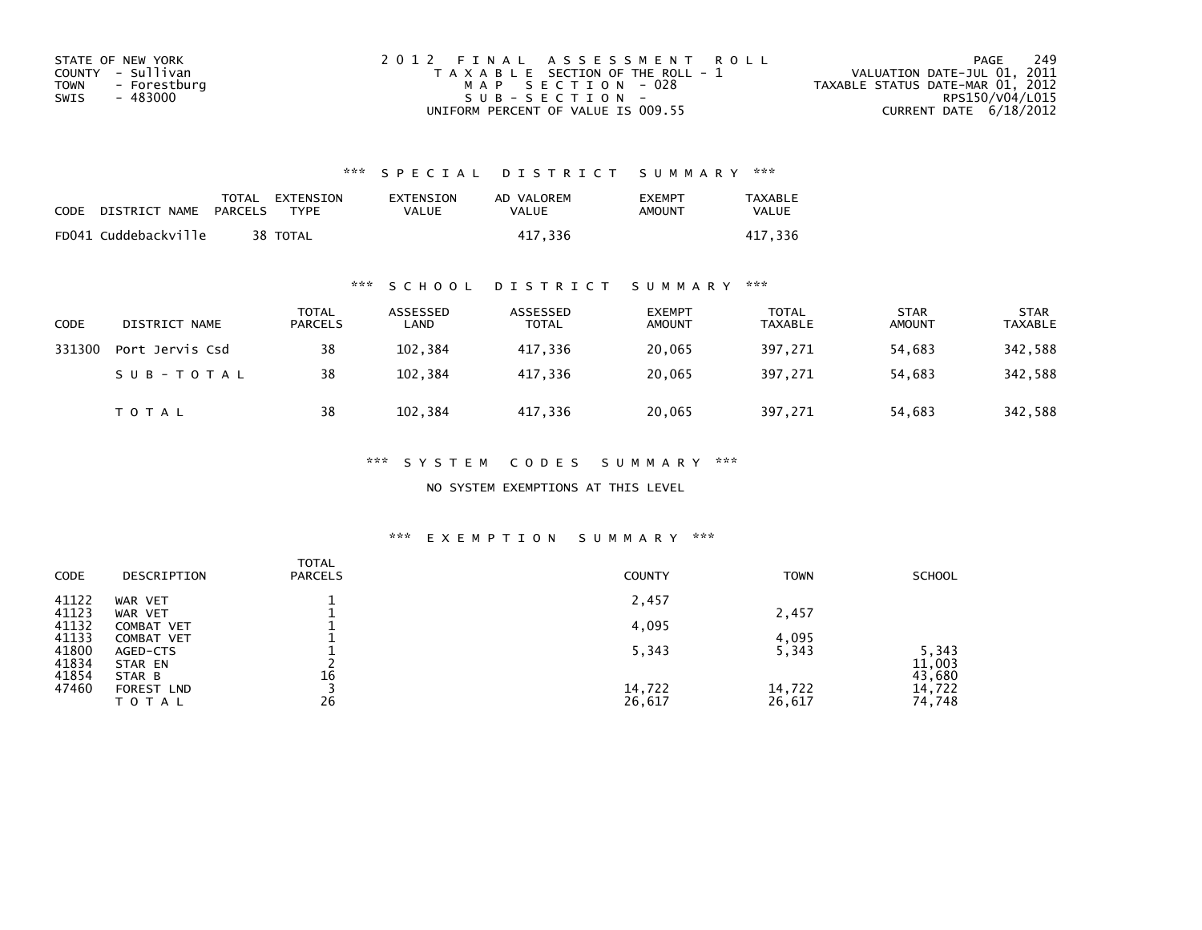| STATE OF NEW YORK    | 2012 FINAL ASSESSMENT ROLL            | 249<br>PAGE                      |
|----------------------|---------------------------------------|----------------------------------|
| COUNTY - Sullivan    | T A X A B L E SECTION OF THE ROLL - 1 | VALUATION DATE-JUL 01, 2011      |
| TOWN<br>- Forestburg | MAP SECTION - 028                     | TAXABLE STATUS DATE-MAR 01, 2012 |
| - 483000<br>SWIS     | SUB-SECTION-                          | RPS150/V04/L015                  |
|                      | UNIFORM PERCENT OF VALUE IS 009.55    | CURRENT DATE $6/18/2012$         |

| CODE | DISTRICT NAME        | PARCELS | TOTAL EXTENSION<br>TYPF | EXTENSION<br>VALUE | AD VALOREM<br>VALUE | <b>EXEMPT</b><br>AMOUNT | <b>TAXABLE</b><br><b>VALUE</b> |
|------|----------------------|---------|-------------------------|--------------------|---------------------|-------------------------|--------------------------------|
|      | FD041 Cuddebackville |         | 38 TOTAL                |                    | 417.336             |                         | 417.336                        |

## \*\*\* S C H O O L D I S T R I C T S U M M A R Y \*\*\*

| <b>CODE</b> | DISTRICT NAME   | <b>TOTAL</b><br><b>PARCELS</b> | ASSESSED<br>LAND | ASSESSED<br>TOTAL | <b>EXEMPT</b><br><b>AMOUNT</b> | TOTAL<br><b>TAXABLE</b> | <b>STAR</b><br><b>AMOUNT</b> | <b>STAR</b><br><b>TAXABLE</b> |
|-------------|-----------------|--------------------------------|------------------|-------------------|--------------------------------|-------------------------|------------------------------|-------------------------------|
| 331300      | Port Jervis Csd | 38                             | 102,384          | 417,336           | 20,065                         | 397,271                 | 54,683                       | 342,588                       |
|             | SUB-TOTAL       | 38                             | 102.384          | 417.336           | 20.065                         | 397.271                 | 54.683                       | 342,588                       |
|             | <b>TOTAL</b>    | 38                             | 102,384          | 417,336           | 20,065                         | 397,271                 | 54,683                       | 342,588                       |

### \*\*\* S Y S T E M C O D E S S U M M A R Y \*\*\*

NO SYSTEM EXEMPTIONS AT THIS LEVEL

| CODE           | DESCRIPTION              | <b>TOTAL</b><br><b>PARCELS</b> | <b>COUNTY</b> | <b>TOWN</b> | <b>SCHOOL</b>    |
|----------------|--------------------------|--------------------------------|---------------|-------------|------------------|
| 41122<br>41123 | WAR VET<br>WAR VET       |                                | 2,457         | 2,457       |                  |
| 41132<br>41133 | COMBAT VET<br>COMBAT VET |                                | 4,095         | 4,095       |                  |
| 41800<br>41834 | AGED-CTS<br>STAR EN      |                                | 5,343         | 5,343       | 5,343<br>11,003  |
| 41854<br>47460 | STAR B<br>FOREST LND     | 16                             | 14,722        | 14,722      | 43,680<br>14,722 |
|                | <b>TOTAL</b>             | 26                             | 26,617        | 26,617      | 74,748           |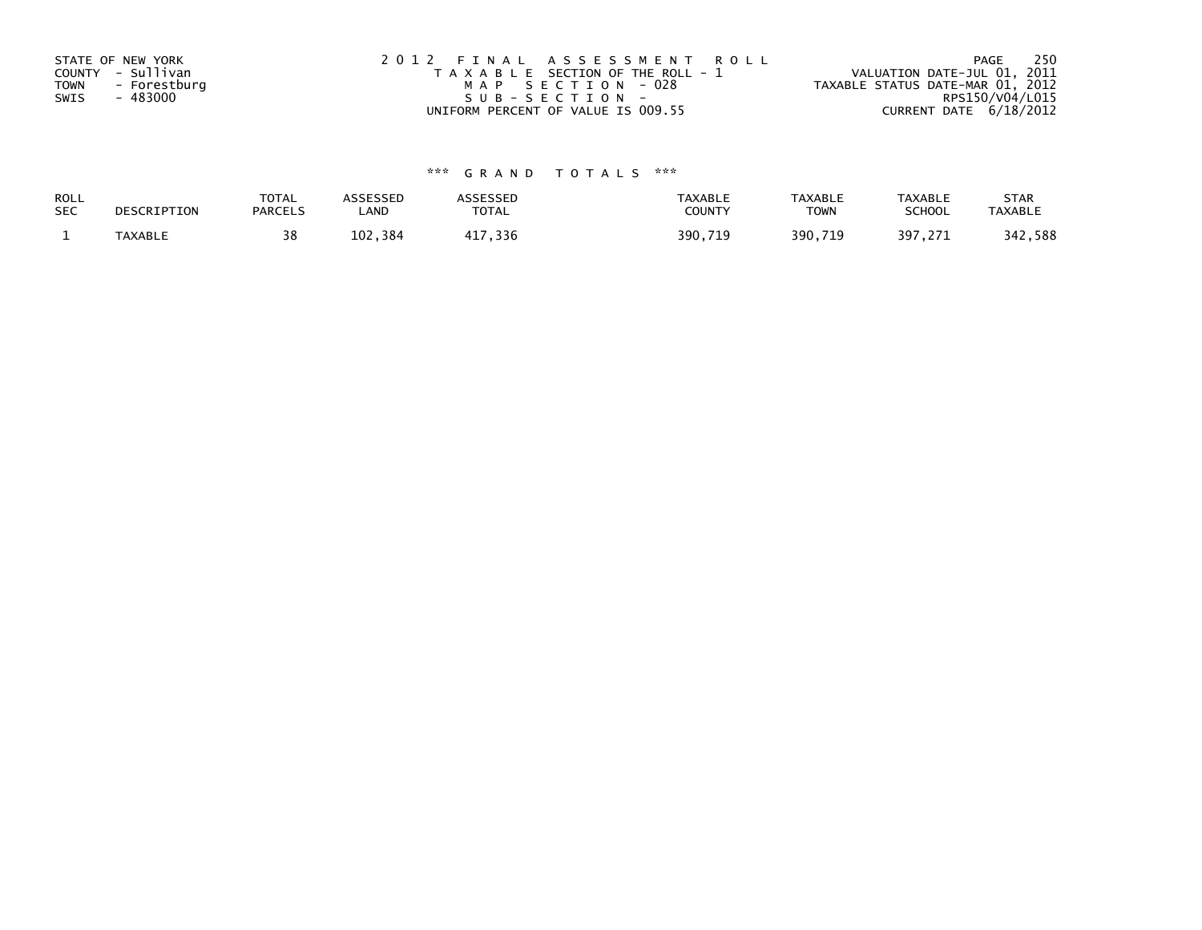| STATE OF NEW YORK    | 2012 FINAL ASSESSMENT ROLL            | 250<br>PAGE                      |
|----------------------|---------------------------------------|----------------------------------|
| COUNTY - Sullivan    | T A X A B L E SECTION OF THE ROLL - 1 | VALUATION DATE-JUL 01, 2011      |
| TOWN<br>- Forestburg | MAP SECTION - 028                     | TAXABLE STATUS DATE-MAR 01, 2012 |
| - 483000<br>SWIS     | SUB-SECTION-                          | RPS150/V04/L015                  |
|                      | UNIFORM PERCENT OF VALUE IS 009.55    | CURRENT DATE $6/18/2012$         |

| ROLL<br><b>SEC</b> | DESCRIPTION | <b>TOTAL</b><br><b>PARCELS</b> | ASSESSED<br>_AND | <b>TOTA</b><br>UIAL | <b>TAXABLE</b><br><b>COUNT)</b> | <b>TAXABLE</b><br><b>TOWN</b> | <b>TAXABLE</b><br><b>SCHOOL</b> | <b>STAR</b><br>TAXABL. |
|--------------------|-------------|--------------------------------|------------------|---------------------|---------------------------------|-------------------------------|---------------------------------|------------------------|
|                    | TAYARI F    | 30                             | 384<br>ר חו      | 336                 | 390.71                          | 390.                          | 397                             | 588<br>217             |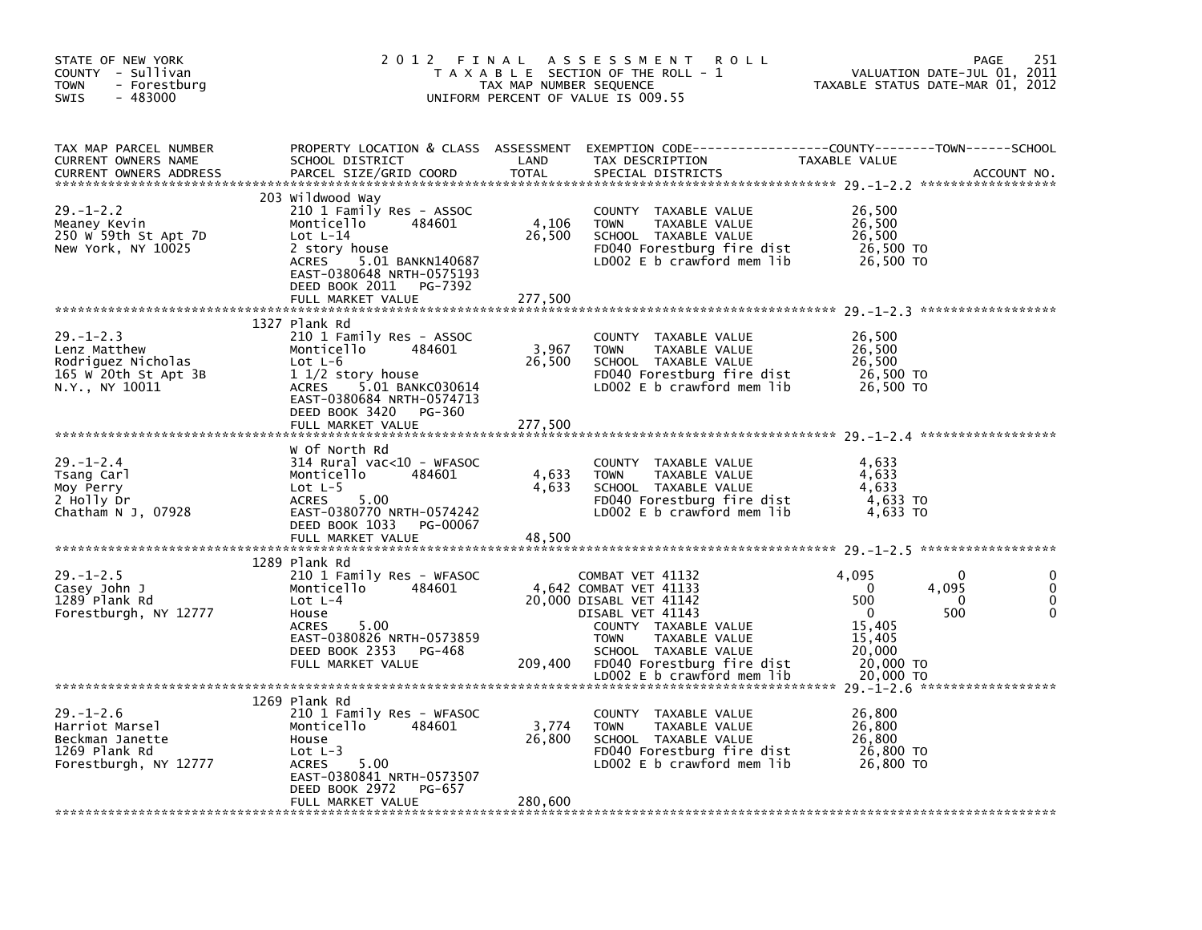| STATE OF NEW YORK<br>COUNTY - Sullivan<br><b>TOWN</b><br>- Forestburg<br>$-483000$<br><b>SWIS</b> | 2 0 1 2                                                                                                                                                                                                                | FINAL<br>TAX MAP NUMBER SEQUENCE | A S S E S S M E N T<br><b>ROLL</b><br>T A X A B L E SECTION OF THE ROLL - 1<br>UNIFORM PERCENT OF VALUE IS 009.55                                                                                                                     | VALUATION DATE-JUL 01, 2011<br>TAXABLE STATUS DATE-MAR 01, 2012                                                                             | 251<br><b>PAGE</b> |
|---------------------------------------------------------------------------------------------------|------------------------------------------------------------------------------------------------------------------------------------------------------------------------------------------------------------------------|----------------------------------|---------------------------------------------------------------------------------------------------------------------------------------------------------------------------------------------------------------------------------------|---------------------------------------------------------------------------------------------------------------------------------------------|--------------------|
| TAX MAP PARCEL NUMBER<br>CURRENT OWNERS NAME<br><b>CURRENT OWNERS ADDRESS</b>                     | PROPERTY LOCATION & CLASS ASSESSMENT<br>SCHOOL DISTRICT<br>PARCEL SIZE/GRID COORD                                                                                                                                      | LAND<br><b>TOTAL</b>             | EXEMPTION CODE-----------------COUNTY-------TOWN------SCHOOL<br>TAX DESCRIPTION<br>SPECIAL DISTRICTS                                                                                                                                  | TAXABLE VALUE                                                                                                                               | ACCOUNT NO.        |
| $29. - 1 - 2.2$<br>Meaney Kevin<br>250 W 59th St Apt 7D<br>New York, NY 10025                     | 203 Wildwood Way<br>210 1 Family Res - ASSOC<br>Monticello<br>484601<br>Lot $L-14$<br>2 story house<br>5.01 BANKN140687<br>ACRES<br>EAST-0380648 NRTH-0575193<br>DEED BOOK 2011<br>PG-7392<br>FULL MARKET VALUE        | 4,106<br>26,500<br>277,500       | COUNTY TAXABLE VALUE<br><b>TOWN</b><br>TAXABLE VALUE<br>SCHOOL TAXABLE VALUE<br>FD040 Forestburg fire dist<br>LD002 $E$ b crawford mem lib                                                                                            | 26,500<br>26,500<br>26,500<br>26,500 TO<br>26,500 TO                                                                                        |                    |
| $29. - 1 - 2.3$<br>Lenz Matthew<br>Rodriguez Nicholas<br>165 W 20th St Apt 3B<br>N.Y., NY 10011   | 1327 Plank Rd<br>210 1 Family Res - ASSOC<br>Monticello<br>484601<br>Lot $L-6$<br>$11/2$ story house<br>5.01 BANKC030614<br><b>ACRES</b><br>EAST-0380684 NRTH-0574713<br>DEED BOOK 3420<br>PG-360<br>FULL MARKET VALUE | 3,967<br>26,500<br>277,500       | COUNTY<br>TAXABLE VALUE<br>TAXABLE VALUE<br><b>TOWN</b><br>SCHOOL TAXABLE VALUE<br>FD040 Forestburg fire dist<br>LD002 E b crawford mem lib                                                                                           | 26,500<br>26,500<br>26,500<br>26,500 TO<br>26,500 TO                                                                                        |                    |
| $29. - 1 - 2.4$<br>Tsang Carl<br>Moy Perry<br>2 Holly Dr<br>Chatham N J, 07928                    | w Of North Rd<br>$314$ Rural vac<10 - WFASOC<br>Monticello<br>484601<br>$Lot L-5$<br><b>ACRES</b><br>5.00<br>EAST-0380770 NRTH-0574242<br>DEED BOOK 1033<br>PG-00067<br>FULL MARKET VALUE                              | 4,633<br>4,633<br>48,500         | COUNTY TAXABLE VALUE<br><b>TOWN</b><br>TAXABLE VALUE<br>SCHOOL TAXABLE VALUE<br>FD040 Forestburg fire dist<br>LD002 $E$ b crawford mem $lib$                                                                                          | 4,633<br>4,633<br>4,633<br>4,633 TO<br>4.633 TO                                                                                             |                    |
| $29. - 1 - 2.5$<br>Casey John J<br>1289 Plank Rd<br>Forestburgh, NY 12777                         | 1289 Plank Rd<br>210 1 Family Res - WFASOC<br>Monticello<br>484601<br>$Lot L-4$<br>House<br><b>ACRES</b><br>5.00<br>EAST-0380826 NRTH-0573859<br>DEED BOOK 2353<br>PG-468<br>FULL MARKET VALUE                         | 209,400                          | COMBAT VET 41132<br>4.642 COMBAT VET 41133<br>20,000 DISABL VET 41142<br>DISABL VET 41143<br>COUNTY TAXABLE VALUE<br><b>TOWN</b><br>TAXABLE VALUE<br>SCHOOL TAXABLE VALUE<br>FD040 Forestburg fire dist<br>LD002 E b crawford mem lib | $\mathbf{0}$<br>4,095<br>4,095<br>$\mathbf 0$<br>500<br>$\Omega$<br>500<br>$\Omega$<br>15,405<br>15,405<br>20,000<br>20,000 TO<br>20,000 TO |                    |
| $29. - 1 - 2.6$<br>Harriot Marsel<br>Beckman Janette<br>1269 Plank Rd<br>Forestburgh, NY 12777    | 1269 Plank Rd<br>210 1 Family Res - WFASOC<br>Monticello<br>484601<br>House<br>$Lot L-3$<br><b>ACRES</b><br>5.00<br>EAST-0380841 NRTH-0573507<br>DEED BOOK 2972<br>PG-657<br>FULL MARKET VALUE                         | 3,774<br>26,800<br>280,600       | COUNTY TAXABLE VALUE<br><b>TOWN</b><br>TAXABLE VALUE<br>SCHOOL TAXABLE VALUE<br>FD040 Forestburg fire dist<br>LD002 E b crawford mem lib                                                                                              | 26,800<br>26,800<br>26,800<br>26,800 TO<br>26,800 TO                                                                                        |                    |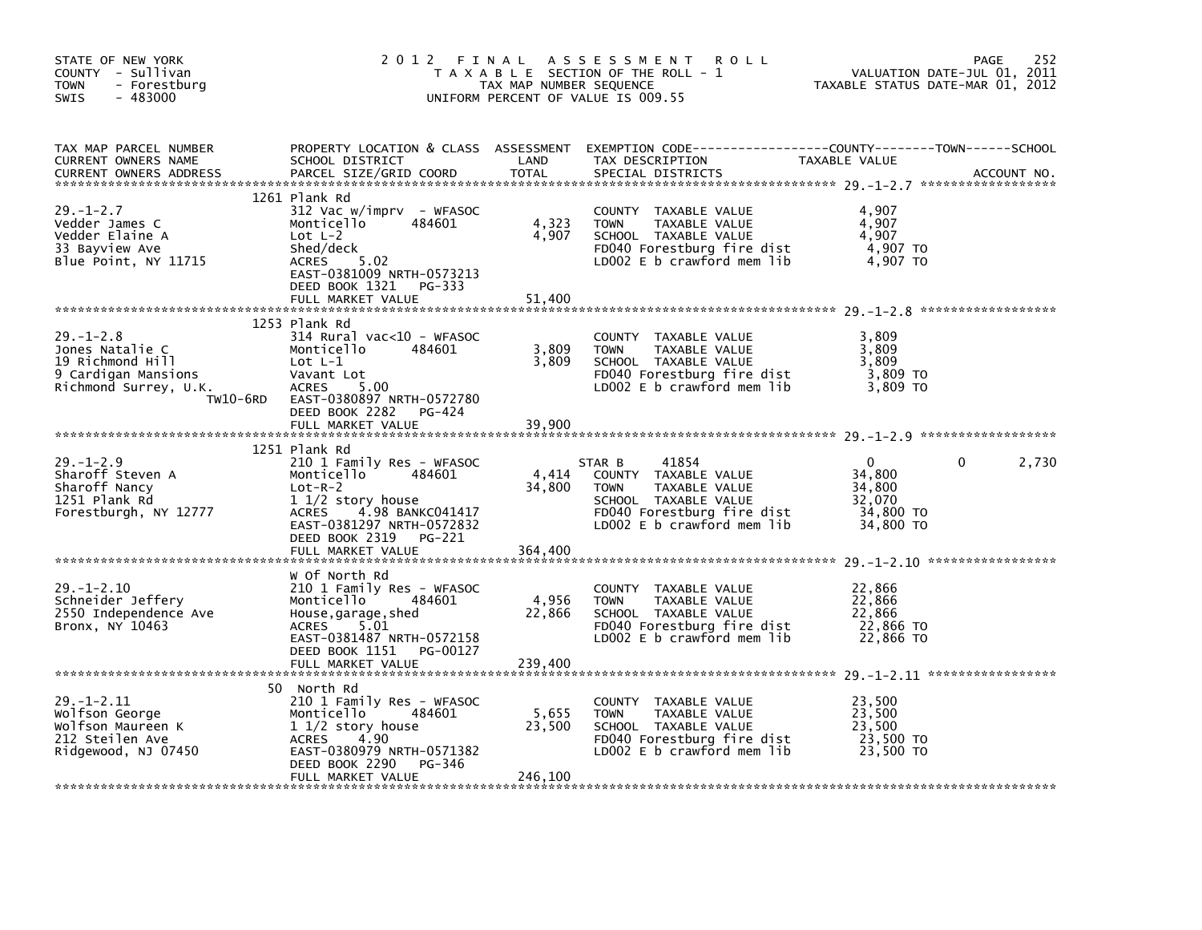| STATE OF NEW YORK<br>COUNTY - Sullivan<br><b>TOWN</b><br>- Forestburg<br>$-483000$<br><b>SWIS</b>                  | 2 0 1 2                                                                                                                                                                                                                | FINAL<br>TAX MAP NUMBER SEQUENCE | A S S E S S M E N T<br><b>ROLL</b><br>T A X A B L E SECTION OF THE ROLL - 1<br>UNIFORM PERCENT OF VALUE IS 009.55                                           | TAXABLE STATUS DATE-MAR 01, 2012                                 | 252<br>PAGE<br>VALUATION DATE-JUL 01, 2011 |
|--------------------------------------------------------------------------------------------------------------------|------------------------------------------------------------------------------------------------------------------------------------------------------------------------------------------------------------------------|----------------------------------|-------------------------------------------------------------------------------------------------------------------------------------------------------------|------------------------------------------------------------------|--------------------------------------------|
| TAX MAP PARCEL NUMBER<br>CURRENT OWNERS NAME<br>CURRENT OWNERS ADDRESS                                             | SCHOOL DISTRICT<br>PARCEL SIZE/GRID COORD                                                                                                                                                                              | LAND<br>TOTAL                    | PROPERTY LOCATION & CLASS ASSESSMENT EXEMPTION CODE---------------COUNTY-------TOWN-----SCHOOL<br>TAX DESCRIPTION<br>SPECIAL DISTRICTS                      | TAXABLE VALUE                                                    | ACCOUNT NO.                                |
| $29. - 1 - 2.7$<br>Vedder James C<br>Vedder Elaine A<br>33 Bayview Ave<br>Blue Point, NY 11715                     | 1261 Plank Rd<br>312 Vac w/imprv - WFASOC<br>484601<br>Monticello<br>Lot $L-2$<br>Shed/deck<br>ACRES 5.02<br>EAST-0381009 NRTH-0573213<br>DEED BOOK 1321<br>PG-333<br>FULL MARKET VALUE                                | 4,323<br>4,907<br>51,400         | COUNTY TAXABLE VALUE<br><b>TOWN</b><br>TAXABLE VALUE<br>SCHOOL TAXABLE VALUE<br>FD040 Forestburg fire dist<br>LD002 $E$ b crawford mem lib                  | 4,907<br>4,907<br>4,907<br>4,907 TO<br>4,907 TO                  |                                            |
| $29. - 1 - 2.8$<br>Jones Natalie C<br>19 Richmond Hill<br>9 Cardigan Mansions<br>Richmond Surrey, U.K.<br>TW10-6RD | 1253 Plank Rd<br>314 Rural vac<10 - WFASOC<br>Monticello<br>484601<br>Lot $L-1$<br>Vavant Lot<br>5.00<br><b>ACRES</b><br>EAST-0380897 NRTH-0572780<br>DEED BOOK 2282<br>PG-424<br>FULL MARKET VALUE                    | 3,809<br>3,809<br>39.900         | COUNTY TAXABLE VALUE<br><b>TOWN</b><br>TAXABLE VALUE<br>SCHOOL TAXABLE VALUE<br>FD040 Forestburg fire dist<br>LD002 $E$ b crawford mem lib                  | 3,809<br>3,809<br>3.809<br>3,809 TO<br>3.809 TO                  |                                            |
| $29. - 1 - 2.9$<br>Sharoff Steven A<br>Sharoff Nancy<br>1251 Plank Rd<br>Forestburgh, NY 12777                     | 1251 Plank Rd<br>210 1 Family Res - WFASOC<br>Monticello<br>484601<br>$Lot-R-2$<br>1 1/2 story house<br>4.98 BANKC041417<br><b>ACRES</b><br>EAST-0381297 NRTH-0572832<br>DEED BOOK 2319<br>PG-221<br>FULL MARKET VALUE | 4,414<br>34,800<br>364,400       | STAR B<br>41854<br>COUNTY TAXABLE VALUE<br>TAXABLE VALUE<br><b>TOWN</b><br>SCHOOL TAXABLE VALUE<br>FD040 Forestburg fire dist<br>LD002 E b crawford mem lib | $\Omega$<br>34,800<br>34,800<br>32,070<br>34,800 TO<br>34,800 TO | 2,730<br>0                                 |
| $29. - 1 - 2.10$<br>Schneider Jeffery<br>2550 Independence Ave<br>Bronx, NY 10463                                  | W Of North Rd<br>210 1 Family Res - WFASOC<br>Monticello<br>484601<br>House, garage, shed<br>5.01<br>ACRES<br>EAST-0381487 NRTH-0572158<br>DEED BOOK 1151<br>PG-00127<br>FULL MARKET VALUE                             | 4,956<br>22,866<br>239,400       | COUNTY<br>TAXABLE VALUE<br><b>TOWN</b><br>TAXABLE VALUE<br>SCHOOL TAXABLE VALUE<br>FD040 Forestburg fire dist<br>LD002 $E$ b crawford mem lib               | 22,866<br>22,866<br>22,866<br>22,866 TO<br>22,866 TO             |                                            |
| $29. - 1 - 2.11$<br>Wolfson George<br>Wolfson Maureen K<br>212 Steilen Ave<br>Ridgewood, NJ 07450                  | 50 North Rd<br>210 1 Family Res - WFASOC<br>484601<br>Monticello<br>$11/2$ story house<br>4.90<br><b>ACRES</b><br>EAST-0380979 NRTH-0571382<br>DEED BOOK 2290<br>PG-346<br>FULL MARKET VALUE                           | 5,655<br>23,500<br>246,100       | COUNTY<br>TAXABLE VALUE<br><b>TOWN</b><br>TAXABLE VALUE<br>SCHOOL TAXABLE VALUE<br>FD040 Forestburg fire dist<br>LD002 $E$ b crawford mem lib               | 23,500<br>23,500<br>23,500<br>23,500 TO<br>23,500 TO             |                                            |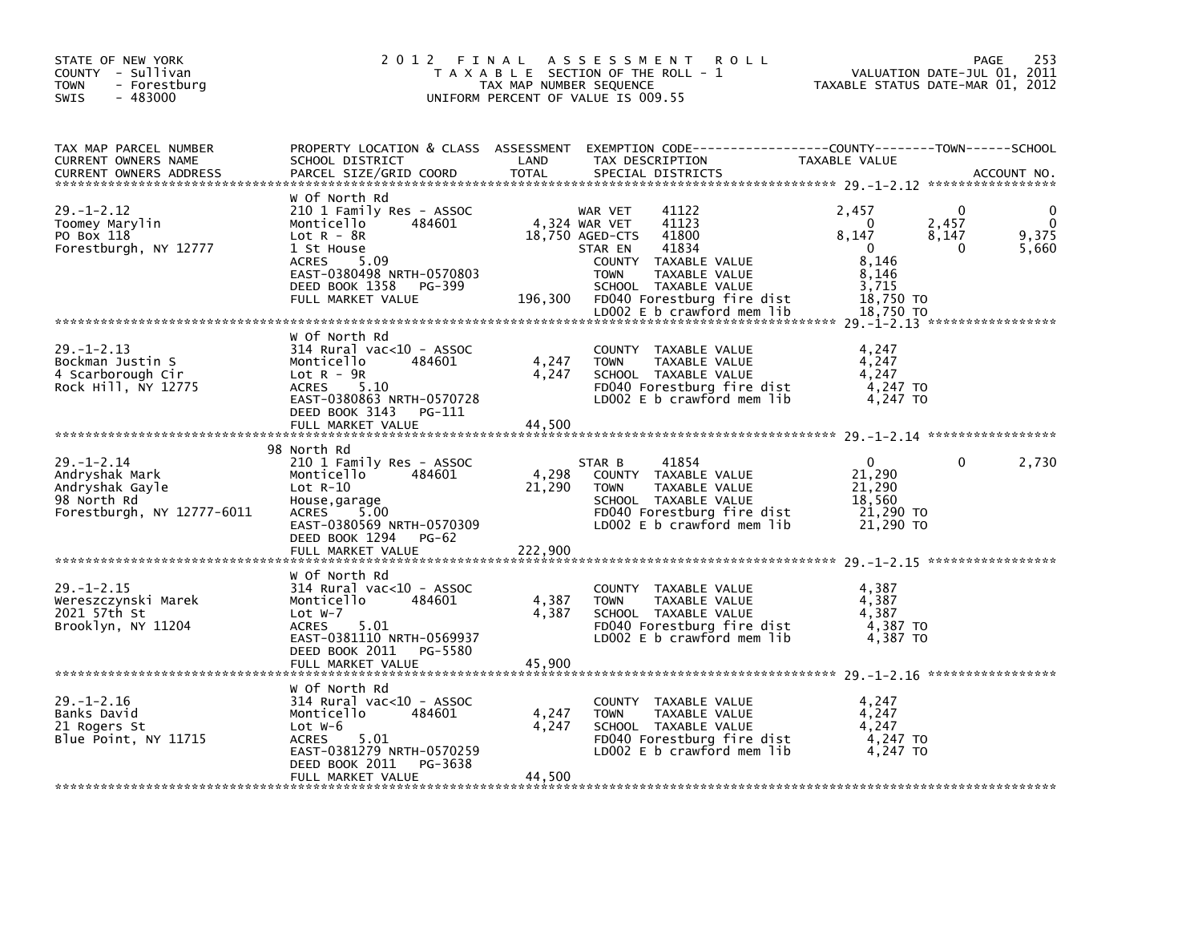| STATE OF NEW YORK<br>COUNTY - Sullivan<br>- Forestburg<br><b>TOWN</b><br>$-483000$<br><b>SWIS</b>  | 2012 FINAL                                                                                                                                                                                            | TAX MAP NUMBER SEQUENCE                            | A S S E S S M E N T<br>T A X A B L E SECTION OF THE ROLL - 1<br>UNIFORM PERCENT OF VALUE IS 009.55                                                        | <b>ROLL</b>                                                               | TAXABLE STATUS DATE-MAR 01, 2012                                                     | PAGE<br>VALUATION DATE-JUL 01, 2011 | 253                 |
|----------------------------------------------------------------------------------------------------|-------------------------------------------------------------------------------------------------------------------------------------------------------------------------------------------------------|----------------------------------------------------|-----------------------------------------------------------------------------------------------------------------------------------------------------------|---------------------------------------------------------------------------|--------------------------------------------------------------------------------------|-------------------------------------|---------------------|
| TAX MAP PARCEL NUMBER<br>CURRENT OWNERS NAME<br><b>CURRENT OWNERS ADDRESS</b>                      | PROPERTY LOCATION & CLASS ASSESSMENT EXEMPTION CODE---------------COUNTY-------TOWN-----SCHOOL<br>SCHOOL DISTRICT<br>PARCEL SIZE/GRID COORD                                                           | LAND<br><b>TOTAL</b>                               | TAX DESCRIPTION<br>SPECIAL DISTRICTS                                                                                                                      |                                                                           | TAXABLE VALUE                                                                        |                                     | ACCOUNT NO.         |
| $29. - 1 - 2.12$<br>Toomey Marylin<br>PO Box 118<br>Forestburgh, NY 12777                          | w Of North Rd<br>210 1 Family Res - ASSOC<br>Monticello<br>484601<br>Lot $R - 8R$<br>1 St House<br><b>ACRES</b><br>5.09<br>EAST-0380498 NRTH-0570803<br>DEED BOOK 1358<br>PG-399<br>FULL MARKET VALUE | 196,300                                            | WAR VET<br>41122<br>41123<br>4,324 WAR VET<br>18,750 AGED-CTS<br>41800<br>41834<br>STAR EN<br>COUNTY TAXABLE VALUE<br><b>TOWN</b><br>SCHOOL TAXABLE VALUE | TAXABLE VALUE<br>FD040 Forestburg fire dist<br>LD002 E b crawford mem lib | 2,457<br>0<br>8,147<br>$\Omega$<br>8.146<br>8,146<br>3,715<br>18,750 TO<br>18,750 TO | 0<br>2,457<br>8,147<br>0            | 0<br>9,375<br>5,660 |
| $29. - 1 - 2.13$<br>Bockman Justin S<br>4 Scarborough Cir<br>Rock Hill, NY 12775                   | w of North Rd<br>$314$ Rural vac< $10$ - ASSOC<br>Monticello<br>484601<br>$Lot R - 9R$<br>5.10<br><b>ACRES</b><br>EAST-0380863 NRTH-0570728<br>DEED BOOK 3143<br>PG-111<br>FULL MARKET VALUE          | 4,247<br>4,247<br>44,500                           | COUNTY TAXABLE VALUE<br><b>TOWN</b><br>SCHOOL TAXABLE VALUE                                                                                               | TAXABLE VALUE<br>FD040 Forestburg fire dist<br>LD002 E b crawford mem lib | 4,247<br>4,247<br>4,247<br>4,247 TO<br>4,247 TO                                      |                                     |                     |
| $29. - 1 - 2.14$<br>Andryshak Mark<br>Andryshak Gayle<br>98 North Rd<br>Forestburgh, NY 12777-6011 | 98 North Rd<br>210 1 Family Res - ASSOC<br>Monticello<br>484601<br>$Lot R-10$<br>House, garage<br>5.00<br>ACRES<br>EAST-0380569 NRTH-0570309<br>DEED BOOK 1294<br>PG-62<br>FULL MARKET VALUE          | 4,298<br>21,290<br>222,900                         | 41854<br>STAR B<br>COUNTY TAXABLE VALUE<br><b>TOWN</b><br>SCHOOL TAXABLE VALUE                                                                            | TAXABLE VALUE<br>FD040 Forestburg fire dist<br>LD002 E b crawford mem lib | 0<br>21,290<br>21,290<br>18,560<br>21,290 TO<br>21,290 TO                            | 0                                   | 2,730               |
| $29. - 1 - 2.15$<br>Wereszczynski Marek<br>2021 57th St<br>Brooklyn, NY 11204                      | w Of North Rd<br>$314$ Rural vac< $10$ - ASSOC<br>Monticello<br>484601<br>Lot $W-7$<br><b>ACRES</b><br>5.01<br>EAST-0381110 NRTH-0569937<br>DEED BOOK 2011<br>PG-5580<br>FULL MARKET VALUE            | 4,387<br>4,387<br>45.900                           | COUNTY TAXABLE VALUE<br><b>TOWN</b><br>SCHOOL TAXABLE VALUE                                                                                               | TAXABLE VALUE<br>FD040 Forestburg fire dist<br>LD002 E b crawford mem lib | 4,387<br>4,387<br>4,387<br>4,387 TO<br>4,387 TO                                      |                                     |                     |
| $29. - 1 - 2.16$<br>Banks David<br>21 Rogers St<br>Blue Point, NY 11715                            | w Of North Rd<br>314 Rural vac<10 - ASSOC<br>Monticello<br>484601<br>Lot $W-6$<br><b>ACRES</b><br>5.01<br>EAST-0381279 NRTH-0570259<br>DEED BOOK 2011<br>PG-3638<br>FULL MARKET VALUE                 | 4,247<br>4,247<br>44,500<br>ای باید باید باید باید | COUNTY TAXABLE VALUE<br><b>TOWN</b><br>SCHOOL TAXABLE VALUE                                                                                               | TAXABLE VALUE<br>FD040 Forestburg fire dist<br>LD002 E b crawford mem lib | 4,247<br>4,247<br>4,247<br>4,247 TO<br>4.247 TO                                      |                                     |                     |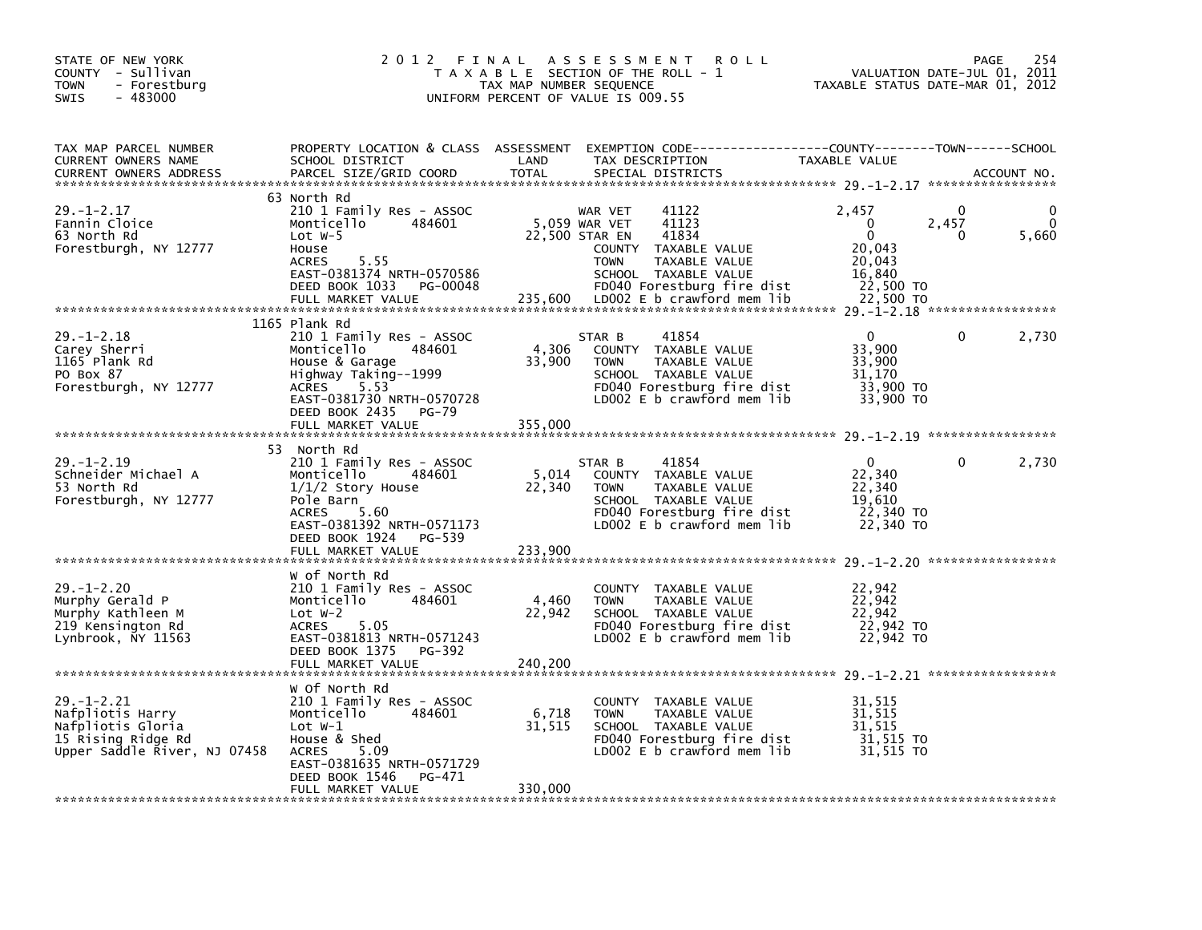| STATE OF NEW YORK<br>COUNTY - Sullivan<br><b>TOWN</b><br>- Forestburg<br>$-483000$<br><b>SWIS</b>               | 2 0 1 2                                                                                                                                                                                                       | FINAL<br>A S S E S S M E N T<br><b>ROLL</b><br>T A X A B L E SECTION OF THE ROLL - 1<br>TAX MAP NUMBER SEQUENCE<br>UNIFORM PERCENT OF VALUE IS 009.55                                                                        | 254<br>PAGE<br>VALUATION DATE-JUL 01, 2011<br>TAXABLE STATUS DATE-MAR 01, 2012                                            |
|-----------------------------------------------------------------------------------------------------------------|---------------------------------------------------------------------------------------------------------------------------------------------------------------------------------------------------------------|------------------------------------------------------------------------------------------------------------------------------------------------------------------------------------------------------------------------------|---------------------------------------------------------------------------------------------------------------------------|
| TAX MAP PARCEL NUMBER<br>CURRENT OWNERS NAME<br><b>CURRENT OWNERS ADDRESS</b>                                   | SCHOOL DISTRICT<br>PARCEL SIZE/GRID COORD                                                                                                                                                                     | PROPERTY LOCATION & CLASS ASSESSMENT EXEMPTION CODE----------------COUNTY-------TOWN-----SCHOOL<br>LAND<br>TAX DESCRIPTION<br><b>TOTAL</b><br>SPECIAL DISTRICTS                                                              | TAXABLE VALUE<br>ACCOUNT NO.                                                                                              |
| $29. - 1 - 2.17$<br>Fannin Cloice<br>63 North Rd<br>Forestburgh, NY 12777                                       | 63 North Rd<br>210 1 Family Res - ASSOC<br>484601<br>Monticello<br>Lot $W-5$<br>House<br>5.55<br><b>ACRES</b><br>EAST-0381374 NRTH-0570586<br>DEED BOOK 1033<br>PG-00048<br>FULL MARKET VALUE                 | 41122<br>WAR VET<br>5,059 WAR VET<br>41123<br>22,500 STAR EN<br>41834<br>COUNTY TAXABLE VALUE<br><b>TOWN</b><br>TAXABLE VALUE<br>SCHOOL TAXABLE VALUE<br>FD040 Forestburg fire dist<br>235,600<br>LD002 E b crawford mem lib | 2,457<br>0<br>$\mathbf{0}$<br>2,457<br>$\mathbf{0}$<br>5,660<br>0<br>20.043<br>20,043<br>16,840<br>22,500 TO<br>22,500 TO |
| $29. - 1 - 2.18$<br>Carey Sherri<br>1165 Plank Rd<br>PO Box 87<br>Forestburgh, NY 12777                         | 1165 Plank Rd<br>210 1 Family Res - ASSOC<br>Monticello<br>484601<br>House & Garage<br>Highway Taking--1999<br>5.53<br><b>ACRES</b><br>EAST-0381730 NRTH-0570728<br>DEED BOOK 2435 PG-79<br>FULL MARKET VALUE | 41854<br>STAR B<br>4,306<br>COUNTY TAXABLE VALUE<br>33,900<br><b>TOWN</b><br>TAXABLE VALUE<br>SCHOOL TAXABLE VALUE<br>FD040 Forestburg fire dist<br>LD002 E b crawford mem lib<br>355,000                                    | $\Omega$<br>2,730<br>0<br>33,900<br>33,900<br>31,170<br>33,900 TO<br>33,900 TO                                            |
| $29. - 1 - 2.19$<br>Schneider Michael A<br>53 North Rd<br>Forestburgh, NY 12777                                 | 53 North Rd<br>210 1 Family Res - ASSOC<br>Monticello<br>484601<br>$1/1/2$ Story House<br>Pole Barn<br>5.60<br><b>ACRES</b><br>EAST-0381392 NRTH-0571173<br>DEED BOOK 1924 PG-539<br>FULL MARKET VALUE        | 41854<br>STAR B<br>5,014<br>COUNTY TAXABLE VALUE<br>22,340<br>TAXABLE VALUE<br><b>TOWN</b><br>SCHOOL TAXABLE VALUE<br>FD040 Forestburg fire dist<br>LD002 $E$ b crawford mem $lib$<br>233,900                                | $\mathbf{0}$<br>2,730<br>0<br>22,340<br>22,340<br>19,610<br>22,340 TO<br>22,340 TO                                        |
| $29. - 1 - 2.20$<br>Murphy Gerald P<br>Murphy Kathleen M<br>219 Kensington Rd<br>Lynbrook, NY 11563             | W of North Rd<br>210 1 Family Res - ASSOC<br>Monticello<br>484601<br>Lot $W-2$<br>5.05<br><b>ACRES</b><br>EAST-0381813 NRTH-0571243<br>DEED BOOK 1375<br>PG-392<br>FULL MARKET VALUE                          | COUNTY<br>TAXABLE VALUE<br>4,460<br><b>TOWN</b><br>TAXABLE VALUE<br>22,942<br>SCHOOL TAXABLE VALUE<br>FD040 Forestburg fire dist<br>LD002 E b crawford mem lib<br>240.200                                                    | 22,942<br>22,942<br>22,942<br>22,942 TO<br>22,942 TO                                                                      |
| $29. - 1 - 2.21$<br>Nafpliotis Harry<br>Nafpliotis Gloria<br>15 Rising Ridge Rd<br>Upper Saddle River, NJ 07458 | W Of North Rd<br>210 1 Family Res - ASSOC<br>Monticello<br>484601<br>Lot $W-1$<br>House & Shed<br><b>ACRES</b><br>5.09<br>EAST-0381635 NRTH-0571729<br>DEED BOOK 1546<br>PG-471<br>FULL MARKET VALUE          | COUNTY TAXABLE VALUE<br>6,718<br><b>TOWN</b><br>TAXABLE VALUE<br>31,515<br>SCHOOL TAXABLE VALUE<br>FD040 Forestburg fire dist<br>LD002 $E$ b crawford mem lib<br>330,000                                                     | 31,515<br>31,515<br>31,515<br>31,515 TO<br>31.515 TO                                                                      |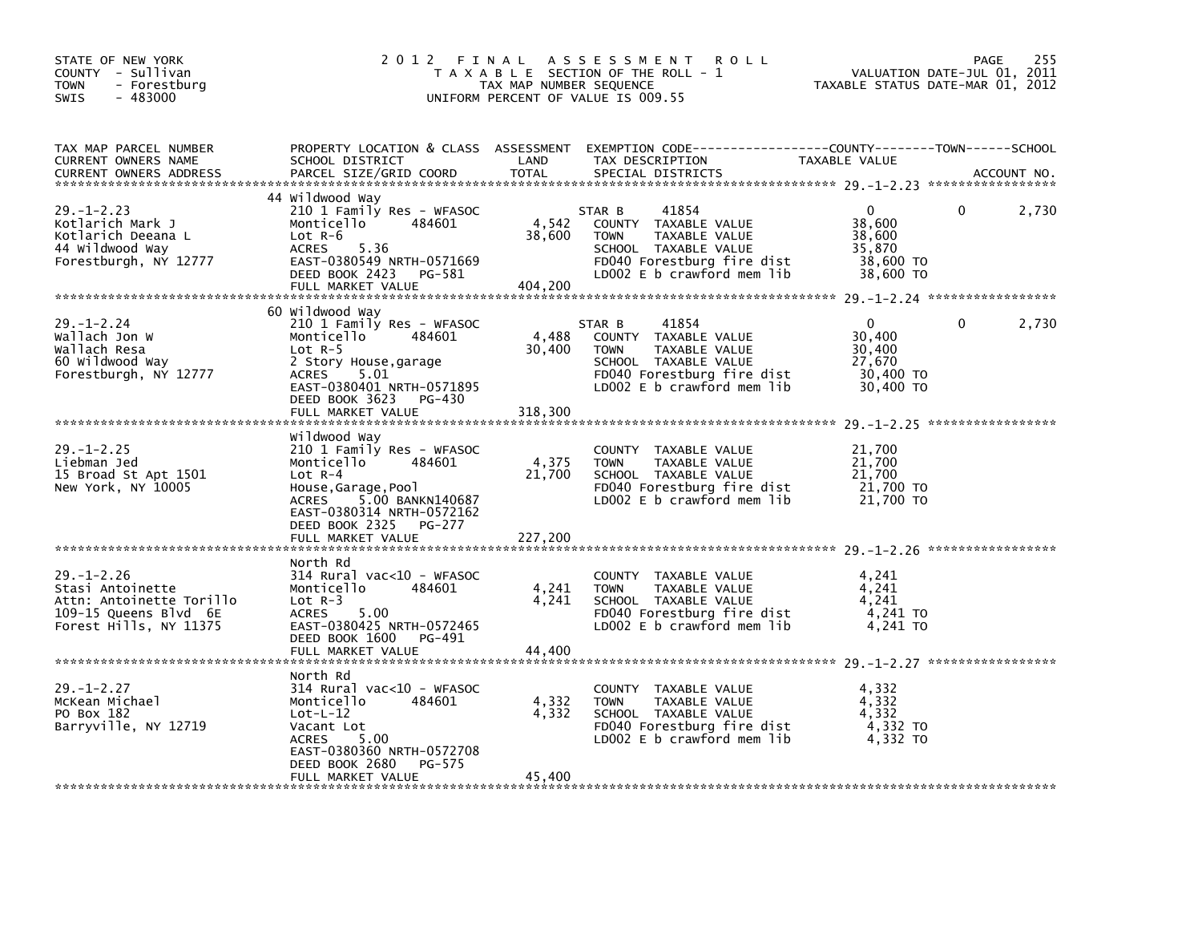| STATE OF NEW YORK<br>COUNTY - Sullivan<br><b>TOWN</b><br>- Forestburg<br>$-483000$<br>SWIS                          | 2012 FINAL                                                                                                                                                                                                       | TAX MAP NUMBER SEQUENCE    | A S S E S S M E N T<br><b>ROLL</b><br>T A X A B L E SECTION OF THE ROLL - 1<br>UNIFORM PERCENT OF VALUE IS 009.55                                           | VALUATION DATE-JUL 01, 2011<br>TAXABLE STATUS DATE-MAR 01, 2012  | PAGE | 255         |
|---------------------------------------------------------------------------------------------------------------------|------------------------------------------------------------------------------------------------------------------------------------------------------------------------------------------------------------------|----------------------------|-------------------------------------------------------------------------------------------------------------------------------------------------------------|------------------------------------------------------------------|------|-------------|
| TAX MAP PARCEL NUMBER<br>CURRENT OWNERS NAME<br><b>CURRENT OWNERS ADDRESS</b>                                       | SCHOOL DISTRICT<br>PARCEL SIZE/GRID COORD                                                                                                                                                                        | LAND<br><b>TOTAL</b>       | PROPERTY LOCATION & CLASS ASSESSMENT EXEMPTION CODE----------------COUNTY-------TOWN------SCHOOL<br>TAX DESCRIPTION<br>SPECIAL DISTRICTS                    | TAXABLE VALUE                                                    |      | ACCOUNT NO. |
| $29. - 1 - 2.23$<br>Kotlarich Mark J<br>Kotlarich Deeana L<br>44 Wildwood Way<br>Forestburgh, NY 12777              | 44 Wildwood Way<br>210 1 Family Res - WFASOC<br>Monticello<br>484601<br>$Lot R-6$<br><b>ACRES</b><br>5.36<br>EAST-0380549 NRTH-0571669<br>DEED BOOK 2423<br>PG-581<br>FULL MARKET VALUE                          | 4,542<br>38,600<br>404,200 | 41854<br>STAR B<br>COUNTY TAXABLE VALUE<br><b>TOWN</b><br>TAXABLE VALUE<br>SCHOOL TAXABLE VALUE<br>FD040 Forestburg fire dist<br>LD002 E b crawford mem lib | $\Omega$<br>38,600<br>38,600<br>35,870<br>38,600 TO<br>38,600 TO | 0    | 2,730       |
| $29. - 1 - 2.24$<br>Wallach Jon W<br>Wallach Resa<br>60 Wildwood Way<br>Forestburgh, NY 12777                       | 60 Wildwood Way<br>210 1 Family Res - WFASOC<br>Monticello<br>484601<br>Lot $R-5$<br>2 Story House, garage<br>ACRES<br>5.01<br>EAST-0380401 NRTH-0571895<br>DEED BOOK 3623<br>PG-430<br>FULL MARKET VALUE        | 4,488<br>30,400<br>318,300 | 41854<br>STAR B<br>COUNTY TAXABLE VALUE<br>TAXABLE VALUE<br><b>TOWN</b><br>SCHOOL TAXABLE VALUE<br>FD040 Forestburg fire dist<br>LD002 E b crawford mem lib | $\Omega$<br>30,400<br>30,400<br>27,670<br>30,400 TO<br>30,400 TO | 0    | 2,730       |
| $29. - 1 - 2.25$<br>Liebman Jed<br>15 Broad St Apt 1501<br>New York, NY 10005                                       | Wildwood Way<br>210 1 Family Res - WFASOC<br>Monticello<br>484601<br>$Lot R-4$<br>House, Garage, Pool<br>5.00 BANKN140687<br>ACRES<br>EAST-0380314 NRTH-0572162<br>DEED BOOK 2325<br>PG-277<br>FULL MARKET VALUE | 4,375<br>21,700<br>227,200 | COUNTY TAXABLE VALUE<br><b>TOWN</b><br>TAXABLE VALUE<br>SCHOOL TAXABLE VALUE<br>FD040 Forestburg fire dist<br>LD002 E b crawford mem lib                    | 21,700<br>21,700<br>21,700<br>21,700 TO<br>21,700 TO             |      |             |
| $29. - 1 - 2.26$<br>Stasi Antoinette<br>Attn: Antoinette Torillo<br>109-15 Queens Blvd 6E<br>Forest Hills, NY 11375 | North Rd<br>$314$ Rural vac<10 - WFASOC<br>484601<br>Monticello<br>Lot $R-3$<br>5.00<br><b>ACRES</b><br>EAST-0380425 NRTH-0572465<br>DEED BOOK 1600<br>PG-491<br>FULL MARKET VALUE                               | 4,241<br>4,241<br>44,400   | COUNTY TAXABLE VALUE<br>TAXABLE VALUE<br><b>TOWN</b><br>SCHOOL TAXABLE VALUE<br>FD040 Forestburg fire dist<br>LD002 E b crawford mem lib                    | 4.241<br>4.241<br>4,241<br>$4,241$ TO<br>4.241 TO                |      |             |
| $29. - 1 - 2.27$<br>McKean Michael<br>PO Box 182<br>Barryville, NY 12719                                            | North Rd<br>314 Rural vac<10 - WFASOC<br>Monticello<br>484601<br>$Lot-L-12$<br>Vacant Lot<br><b>ACRES</b><br>5.00<br>EAST-0380360 NRTH-0572708<br>DEED BOOK 2680<br>PG-575<br>FULL MARKET VALUE                  | 4,332<br>4,332<br>45,400   | COUNTY TAXABLE VALUE<br>TAXABLE VALUE<br><b>TOWN</b><br>SCHOOL TAXABLE VALUE<br>FD040 Forestburg fire dist<br>LD002 $E$ b crawford mem $lib$                | 4,332<br>4,332<br>4,332<br>4,332 TO<br>4,332 TO                  |      |             |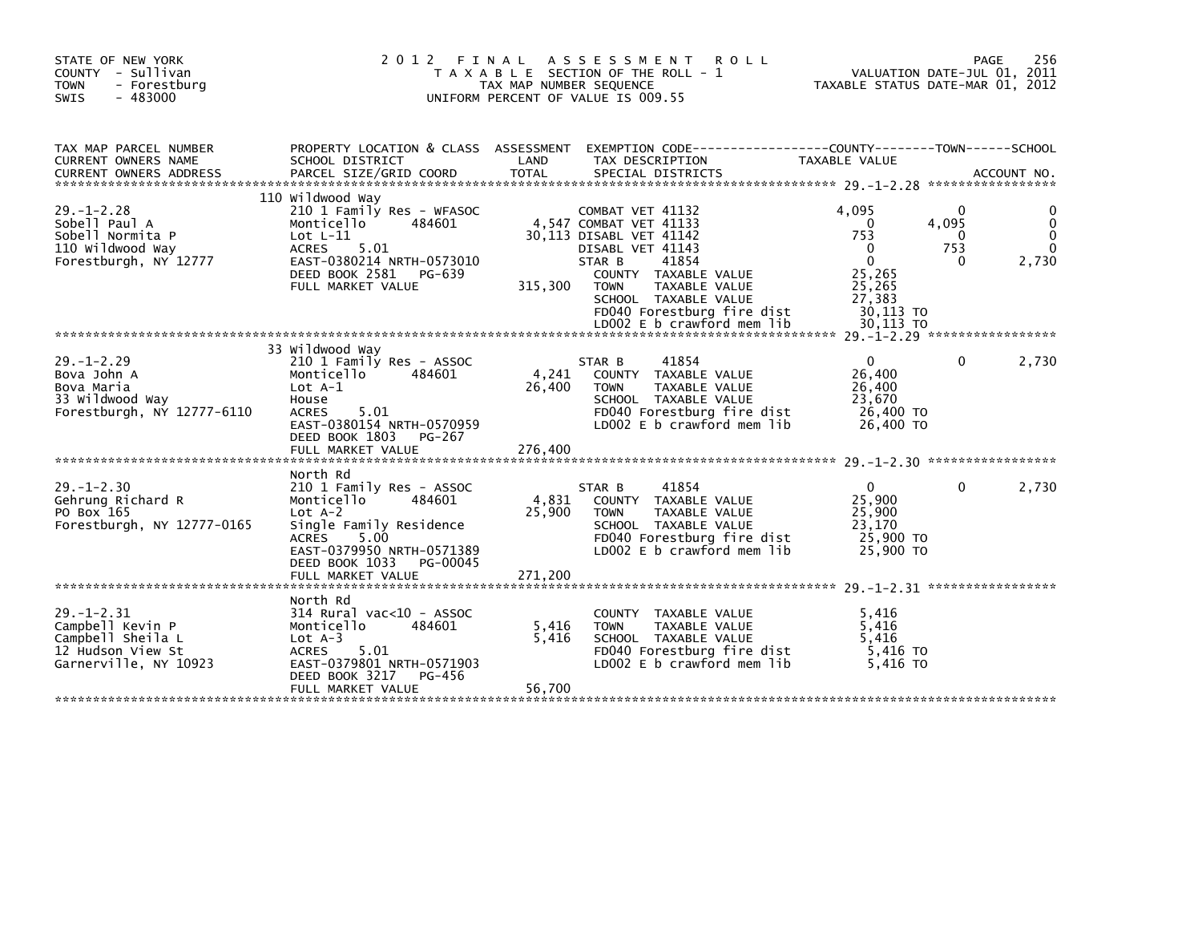| STATE OF NEW YORK<br>COUNTY - Sullivan<br>- Forestburg<br><b>TOWN</b><br>$-483000$<br><b>SWIS</b>       | 2 0 1 2                                                                                                                                                                                                      | FINAL<br>A S S E S S M E N T<br><b>ROLL</b><br>T A X A B L E SECTION OF THE ROLL - 1<br>TAX MAP NUMBER SEQUENCE<br>UNIFORM PERCENT OF VALUE IS 009.55                                                                                 | VALUATION DATE-JUL 01, 2011<br>TAXABLE STATUS DATE-MAR 01, 2012                                      | 256<br>PAGE                 |
|---------------------------------------------------------------------------------------------------------|--------------------------------------------------------------------------------------------------------------------------------------------------------------------------------------------------------------|---------------------------------------------------------------------------------------------------------------------------------------------------------------------------------------------------------------------------------------|------------------------------------------------------------------------------------------------------|-----------------------------|
| TAX MAP PARCEL NUMBER<br>CURRENT OWNERS NAME<br><b>CURRENT OWNERS ADDRESS</b>                           | SCHOOL DISTRICT<br>PARCEL SIZE/GRID COORD                                                                                                                                                                    | PROPERTY LOCATION & CLASS ASSESSMENT EXEMPTION CODE---------------COUNTY-------TOWN------SCHOOL<br>LAND<br>TAX DESCRIPTION<br><b>TOTAL</b><br>SPECIAL DISTRICTS                                                                       | TAXABLE VALUE                                                                                        | ACCOUNT NO.                 |
| $29. - 1 - 2.28$<br>Sobell Paul A<br>Sobell Normita P<br>110 Wildwood Way<br>Forestburgh, NY 12777      | 110 Wildwood Way<br>210 1 Family Res - WFASOC<br>Monticello<br>484601<br>Lot $L-11$<br>5.01<br><b>ACRES</b><br>EAST-0380214 NRTH-0573010<br>DEED BOOK 2581<br>PG-639<br>FULL MARKET VALUE                    | COMBAT VET 41132<br>4,547 COMBAT VET 41133<br>30,113 DISABL VET 41142<br>DISABL VET 41143<br>STAR B<br>41854<br>COUNTY TAXABLE VALUE<br>315,300<br><b>TOWN</b><br>TAXABLE VALUE<br>SCHOOL TAXABLE VALUE<br>FD040 Forestburg fire dist | 4.095<br>4,095<br>0<br>753<br>753<br>$\Omega$<br>$\Omega$<br>25,265<br>25,265<br>27,383<br>30,113 TO | 0<br>0<br>2,730<br>$\Omega$ |
| $29. - 1 - 2.29$<br>Bova John A<br>Bova Maria<br>33 Wildwood Way<br>Forestburgh, NY 12777-6110          | 33 Wildwood Way<br>210 1 Family Res - ASSOC<br>Monticello<br>484601<br>Lot $A-1$<br>House<br>5.01<br><b>ACRES</b><br>EAST-0380154 NRTH-0570959<br>DEED BOOK 1803<br>PG-267                                   | 41854<br>STAR B<br>4,241<br>COUNTY TAXABLE VALUE<br>26,400<br>TAXABLE VALUE<br><b>TOWN</b><br>SCHOOL TAXABLE VALUE<br>FD040 Forestburg fire dist<br>LD002 E b crawford mem lib                                                        | $\mathbf{0}$<br>26,400<br>26,400<br>23,670<br>26,400 TO<br>26,400 TO                                 | 2,730<br>0                  |
| $29. - 1 - 2.30$<br>Gehrung Richard R<br>PO Box 165<br>Forestburgh, NY 12777-0165                       | North Rd<br>210 1 Family Res - ASSOC<br>Monticello<br>484601<br>$Lot A-2$<br>Single Family Residence<br>5.00<br><b>ACRES</b><br>EAST-0379950 NRTH-0571389<br>DEED BOOK 1033<br>PG-00045<br>FULL MARKET VALUE | 41854<br>STAR B<br>4,831<br>COUNTY TAXABLE VALUE<br>25,900<br><b>TOWN</b><br>TAXABLE VALUE<br>SCHOOL TAXABLE VALUE<br>FD040 Forestburg fire dist<br>LD002 E b crawford mem lib<br>271.200                                             | $\mathbf{0}$<br>25,900<br>25,900<br>23,170<br>25,900 TO<br>25,900 TO                                 | 2,730<br>0                  |
| $29. - 1 - 2.31$<br>Campbell Kevin P<br>Campbell Sheila L<br>12 Hudson View St<br>Garnerville, NY 10923 | North Rd<br>314 Rural vac<10 - ASSOC<br>Monticello<br>484601<br>Lot $A-3$<br>5.01<br><b>ACRES</b><br>EAST-0379801 NRTH-0571903<br>DEED BOOK 3217<br>PG-456<br>FULL MARKET VALUE                              | COUNTY TAXABLE VALUE<br>5,416<br><b>TOWN</b><br>TAXABLE VALUE<br>5,416<br>SCHOOL TAXABLE VALUE<br>FD040 Forestburg fire dist<br>LD002 E b crawford mem lib<br>56,700                                                                  | 5,416<br>5,416<br>5.416<br>5,416 TO<br>5.416 TO                                                      |                             |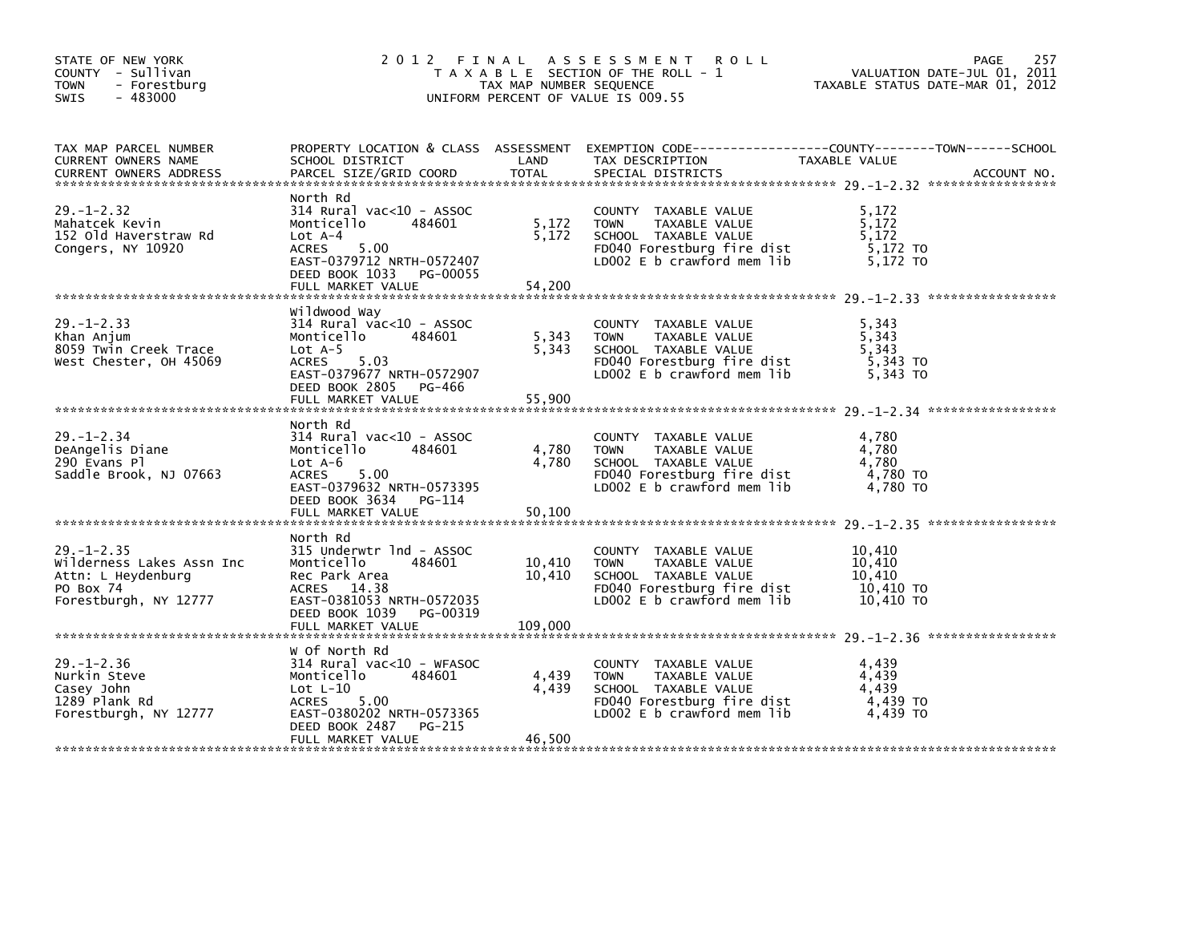| STATE OF NEW YORK<br>COUNTY - Sullivan<br><b>TOWN</b><br>- Forestburg<br>$-483000$<br><b>SWIS</b>         |                                                                                                                                                                            | TAX MAP NUMBER SEQUENCE     | 2012 FINAL ASSESSMENT ROLL<br>T A X A B L E SECTION OF THE ROLL - 1<br>UNIFORM PERCENT OF VALUE IS 009.55                                | 257<br>PAGE<br>VALUATION DATE-JUL 01, 2011<br>TAXABLE STATUS DATE-MAR 01, 2012 |
|-----------------------------------------------------------------------------------------------------------|----------------------------------------------------------------------------------------------------------------------------------------------------------------------------|-----------------------------|------------------------------------------------------------------------------------------------------------------------------------------|--------------------------------------------------------------------------------|
| TAX MAP PARCEL NUMBER<br>CURRENT OWNERS NAME                                                              | SCHOOL DISTRICT LAND<br>PARCEL SIZE/GRID COORD TOTAL                                                                                                                       |                             |                                                                                                                                          |                                                                                |
| $29. - 1 - 2.32$<br>Mahatcek Kevin<br>152 Old Haverstraw Rd<br>Congers, NY 10920                          | North Rd<br>$314$ Rural vac< $10$ - ASSOC<br>484601<br>Monticello<br>Lot A-4<br>ACRES 5.00<br>EAST-0379712 NRTH-0572407<br>DEED BOOK 1033 PG-00055                         | 5,172<br>5,172              | COUNTY TAXABLE VALUE<br>TAXABLE VALUE<br><b>TOWN</b><br>SCHOOL TAXABLE VALUE<br>FD040 Forestburg fire dist<br>LD002 E b crawford mem lib | 5,172<br>5,172<br>5,172<br>5,172 TO<br>5.172 TO                                |
| $29. - 1 - 2.33$<br>Khan Anjum<br>8059 Twin Creek Trace<br>West Chester, OH 45069                         | Wildwood Way<br>$314$ Rural vac< $10$ - ASSOC<br>484601<br>Monticello<br>$Lot A-5$<br>ACRES 5.03<br>EAST-0379677 NRTH-0572907<br>DEED BOOK 2805 PG-466                     | 5,343<br>5,343              | COUNTY TAXABLE VALUE<br><b>TOWN</b><br>TAXABLE VALUE<br>SCHOOL TAXABLE VALUE<br>FD040 Forestburg fire dist<br>LD002 E b crawford mem lib | 5,343<br>5,343<br>5,343<br>5,343 TO<br>5,343 TO                                |
| $29. - 1 - 2.34$<br>DeAngelis Diane<br>290 Evans Pl<br>Saddle Brook, NJ 07663                             | North Rd<br>$314$ Rural vac< $10$ - ASSOC<br>Monticello<br>484601<br>Lot $A-6$<br>ACRES 5.00<br>EAST-0379632 NRTH-0573395<br>DEED BOOK 3634 PG-114                         | 4,780<br>4,780              | COUNTY TAXABLE VALUE<br><b>TOWN</b><br>TAXABLE VALUE<br>SCHOOL TAXABLE VALUE<br>FD040 Forestburg fire dist<br>LD002 E b crawford mem lib | 4,780<br>4,780<br>4,780<br>4,780 TO<br>4,780 TO                                |
| $29. - 1 - 2.35$<br>Wilderness Lakes Assn Inc<br>Attn: L Heydenburg<br>PO Box 74<br>Forestburgh, NY 12777 | North Rd<br>315 Underwtr 1nd - ASSOC<br>Monticello<br>484601<br>Rec Park Area<br>ACRES 14.38<br>EAST-0381053 NRTH-0572035<br>DEED BOOK 1039 PG-00319<br>FULL MARKET VALUE  | 10,410<br>10,410<br>109,000 | COUNTY TAXABLE VALUE<br><b>TOWN</b><br>TAXABLE VALUE<br>SCHOOL TAXABLE VALUE<br>FD040 Forestburg fire dist<br>LD002 E b crawford mem lib | 10,410<br>10,410<br>10.410<br>10,410 TO<br>10,410 TO                           |
| $29. - 1 - 2.36$<br>Nurkin Steve<br>Casey John<br>1289 Plank Rd<br>Forestburgh, NY 12777                  | W Of North Rd<br>314 Rural vac<10 - WFASOC<br>Monticello<br>484601<br>Lot L-10<br>ACRES 5.00<br>EAST-0380202 NRTH-0573365<br>PG-215<br>DEED BOOK 2487<br>FULL MARKET VALUE | 4,439<br>4,439<br>46,500    | COUNTY TAXABLE VALUE<br><b>TOWN</b><br>TAXABLE VALUE<br>SCHOOL TAXABLE VALUE<br>FD040 Forestburg fire dist<br>LD002 E b crawford mem lib | 4,439<br>4,439<br>4,439<br>4,439 TO<br>4,439 TO                                |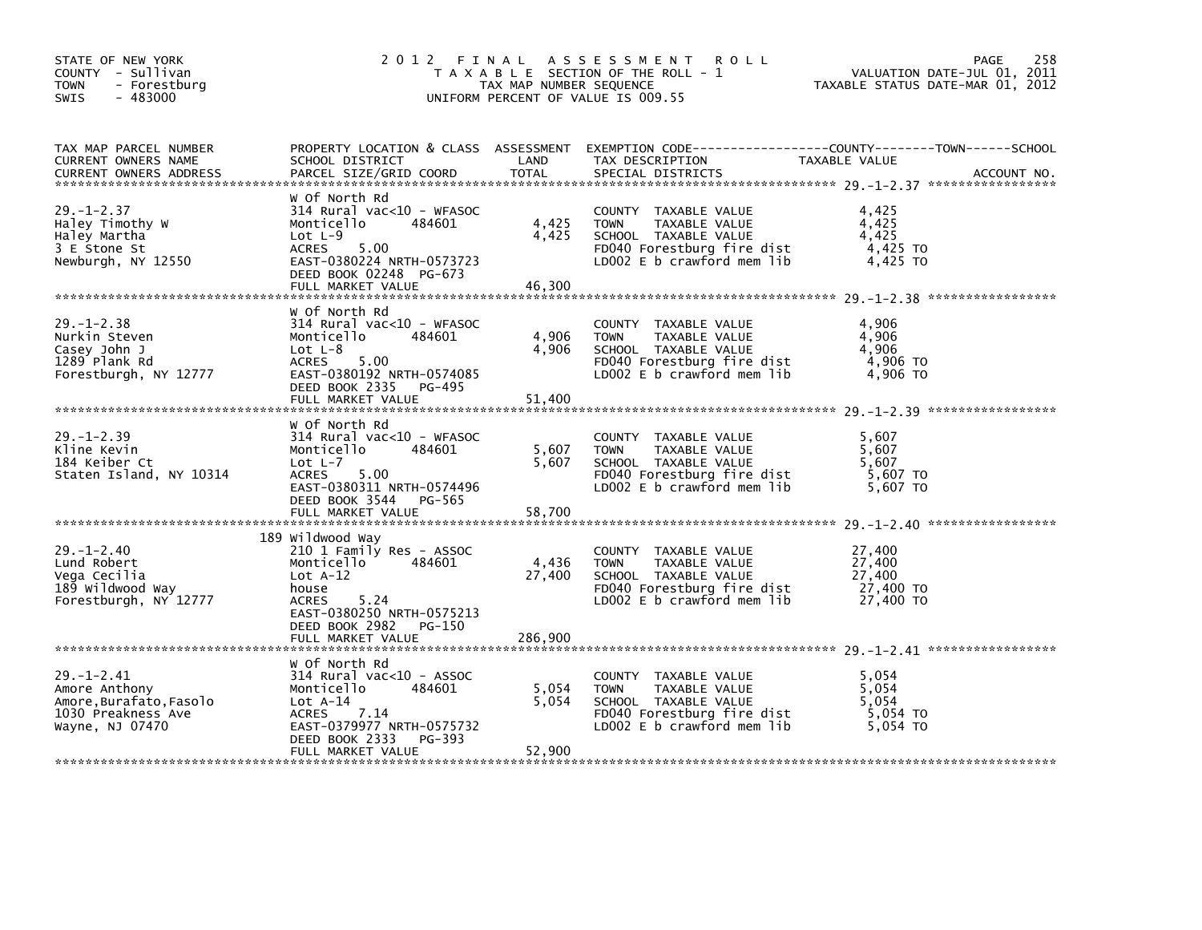| STATE OF NEW YORK<br>COUNTY - Sullivan<br>- Forestburg<br>TOWN<br>$-483000$<br><b>SWIS</b>          |                                                                                                                                                                                            | TAX MAP NUMBER SEQUENCE  | 2012 FINAL ASSESSMENT ROLL<br>T A X A B L E SECTION OF THE ROLL - 1<br>UNIFORM PERCENT OF VALUE IS 009.55                                | PAGE<br>258<br>VALUATION DATE-JUL 01, 2011<br>TAXABLE STATUS DATE-MAR 01, 2012                                                  |  |
|-----------------------------------------------------------------------------------------------------|--------------------------------------------------------------------------------------------------------------------------------------------------------------------------------------------|--------------------------|------------------------------------------------------------------------------------------------------------------------------------------|---------------------------------------------------------------------------------------------------------------------------------|--|
| TAX MAP PARCEL NUMBER<br>CURRENT OWNERS NAME<br><b>CURRENT OWNERS ADDRESS</b>                       | SCHOOL DISTRICT<br>PARCEL SIZE/GRID COORD                                                                                                                                                  | LAND<br><b>TOTAL</b>     | TAX DESCRIPTION<br>SPECIAL DISTRICTS                                                                                                     | PROPERTY LOCATION & CLASS ASSESSMENT EXEMPTION CODE---------------COUNTY-------TOWN------SCHOOL<br>TAXABLE VALUE<br>ACCOUNT NO. |  |
| $29. - 1 - 2.37$<br>Haley Timothy W<br>Haley Martha<br>3 E Stone St<br>Newburgh, NY 12550           | W Of North Rd<br>$314$ Rural vac<10 - WFASOC<br>Monticello<br>484601<br>$Lot L-9$<br>5.00<br><b>ACRES</b><br>EAST-0380224 NRTH-0573723<br>DEED BOOK 02248 PG-673<br>FULL MARKET VALUE      | 4,425<br>4,425<br>46,300 | COUNTY TAXABLE VALUE<br>TAXABLE VALUE<br><b>TOWN</b><br>SCHOOL TAXABLE VALUE<br>FD040 Forestburg fire dist<br>LD002 E b crawford mem lib | 4,425<br>4,425<br>4.425<br>4,425 TO<br>4,425 TO                                                                                 |  |
|                                                                                                     | W Of North Rd                                                                                                                                                                              |                          |                                                                                                                                          |                                                                                                                                 |  |
| $29. - 1 - 2.38$<br>Nurkin Steven<br>Casey John J<br>1289 Plank Rd<br>Forestburgh, NY 12777         | $314$ Rural vac< $10$ - WFASOC<br>Monticello<br>484601<br>$Lot L-8$<br>5.00<br>ACRES<br>EAST-0380192 NRTH-0574085<br>DEED BOOK 2335<br>PG-495                                              | 4,906<br>4,906           | COUNTY TAXABLE VALUE<br><b>TOWN</b><br>TAXABLE VALUE<br>SCHOOL TAXABLE VALUE<br>FD040 Forestburg fire dist<br>LD002 E b crawford mem lib | 4,906<br>4,906<br>4.906<br>4,906 TO<br>4,906 TO                                                                                 |  |
|                                                                                                     | FULL MARKET VALUE                                                                                                                                                                          | 51,400                   |                                                                                                                                          |                                                                                                                                 |  |
| $29. - 1 - 2.39$<br>Kline Kevin<br>184 Keiber Ct<br>Staten Island, NY 10314                         | w of North Rd<br>$314$ Rural vac< $10$ - WFASOC<br>Monticello<br>484601<br>Lot $L-7$<br><b>ACRES</b><br>5.00<br>EAST-0380311 NRTH-0574496<br>DEED BOOK 3544<br>PG-565<br>FULL MARKET VALUE | 5,607<br>5.607<br>58,700 | COUNTY TAXABLE VALUE<br><b>TOWN</b><br>TAXABLE VALUE<br>SCHOOL TAXABLE VALUE<br>FD040 Forestburg fire dist<br>LD002 E b crawford mem lib | 5,607<br>5,607<br>5.607<br>5,607 TO<br>5,607 TO                                                                                 |  |
|                                                                                                     |                                                                                                                                                                                            |                          |                                                                                                                                          |                                                                                                                                 |  |
| $29. - 1 - 2.40$<br>Lund Robert<br>Vega Cecilia<br>189 wildwood Way<br>Forestburgh, NY 12777        | 189 Wildwood Way<br>210 1 Family Res - ASSOC<br>484601<br>Monticello<br>Lot $A-12$<br>house<br>5.24<br><b>ACRES</b><br>EAST-0380250 NRTH-0575213                                           | 4,436<br>27,400          | COUNTY TAXABLE VALUE<br><b>TOWN</b><br>TAXABLE VALUE<br>SCHOOL TAXABLE VALUE<br>FD040 Forestburg fire dist<br>LD002 E b crawford mem lib | 27,400<br>27,400<br>27,400<br>27,400 TO<br>27,400 TO                                                                            |  |
|                                                                                                     | DEED BOOK 2982<br>PG-150<br>FULL MARKET VALUE                                                                                                                                              | 286,900                  |                                                                                                                                          |                                                                                                                                 |  |
| $29. - 1 - 2.41$<br>Amore Anthony<br>Amore,Burafato,Fasolo<br>1030 Preakness Ave<br>Wayne, NJ 07470 | W Of North Rd<br>$314$ Rural vac< $10$ - ASSOC<br>484601<br>Monticello<br>$Lot A-14$<br>7.14<br>ACRES<br>EAST-0379977 NRTH-0575732<br>PG-393<br>DEED BOOK 2333<br>FULL MARKET VALUE        | 5,054<br>5,054<br>52,900 | COUNTY TAXABLE VALUE<br>TAXABLE VALUE<br><b>TOWN</b><br>SCHOOL TAXABLE VALUE<br>FD040 Forestburg fire dist<br>LD002 E b crawford mem lib | 5.054<br>5,054<br>5.054<br>5,054 TO<br>5.054 TO                                                                                 |  |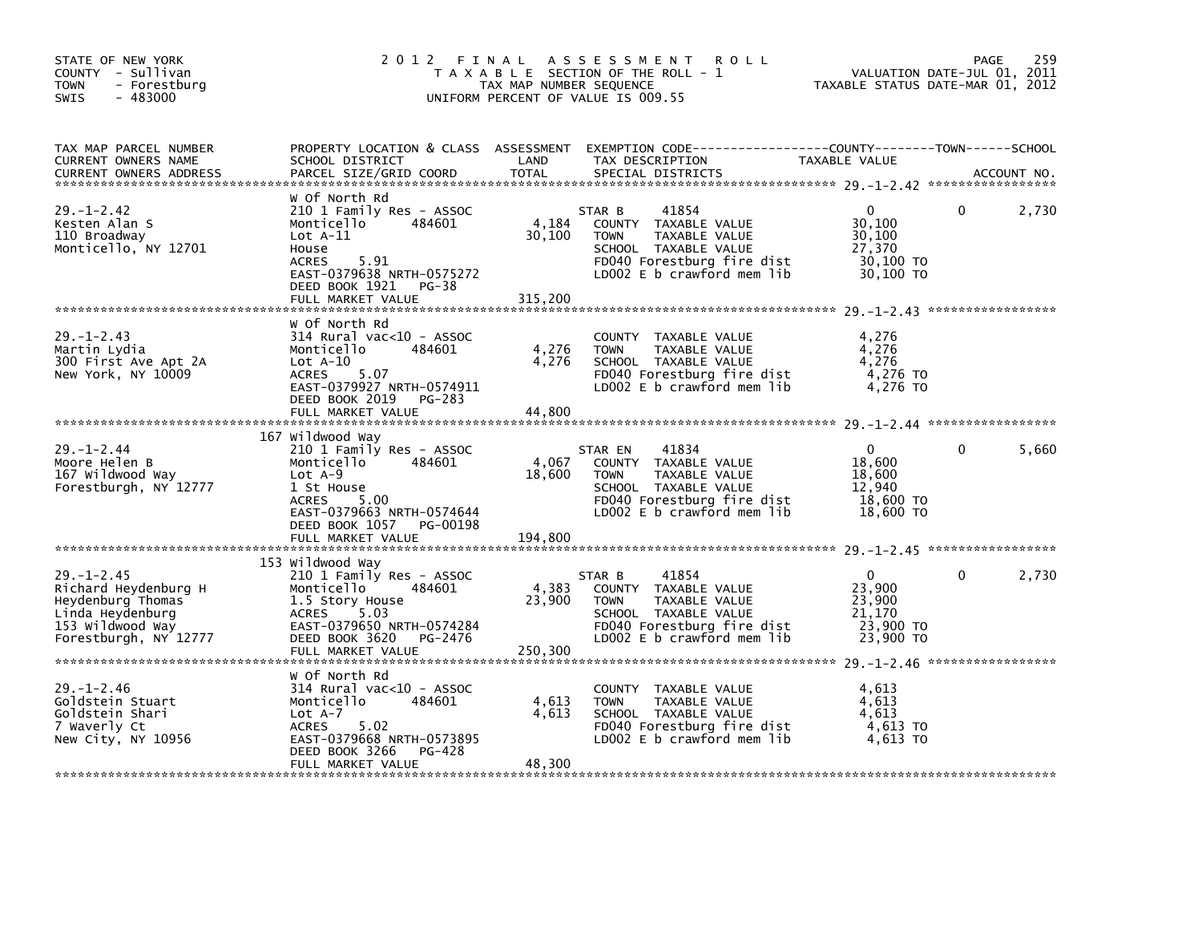| STATE OF NEW YORK<br>COUNTY - Sullivan<br><b>TOWN</b><br>- Forestburg<br>$-483000$<br>SWIS            | 2 0 1 2                                                                                                                                                                                       | FINAL<br>TAX MAP NUMBER SEQUENCE | A S S E S S M E N T<br><b>ROLL</b><br>T A X A B L E SECTION OF THE ROLL - 1<br>UNIFORM PERCENT OF VALUE IS 009.55                                            | VALUATION DATE-JUL 01, 2011<br>TAXABLE STATUS DATE-MAR 01, 2012      | PAGE     | 259         |
|-------------------------------------------------------------------------------------------------------|-----------------------------------------------------------------------------------------------------------------------------------------------------------------------------------------------|----------------------------------|--------------------------------------------------------------------------------------------------------------------------------------------------------------|----------------------------------------------------------------------|----------|-------------|
| TAX MAP PARCEL NUMBER<br>CURRENT OWNERS NAME<br><b>CURRENT OWNERS ADDRESS</b>                         | PROPERTY LOCATION & CLASS ASSESSMENT<br>SCHOOL DISTRICT<br>PARCEL SIZE/GRID COORD                                                                                                             | LAND<br>TOTAL                    | TAX DESCRIPTION<br>SPECIAL DISTRICTS                                                                                                                         | <b>TAXABLE VALUE</b>                                                 |          | ACCOUNT NO. |
| $29. - 1 - 2.42$<br>Kesten Alan S<br>110 Broadway<br>Monticello, NY 12701                             | w Of North Rd<br>210 1 Family Res - ASSOC<br>484601<br>Monticello<br>$Lot A-11$<br>House<br>5.91<br><b>ACRES</b><br>EAST-0379638 NRTH-0575272<br>DEED BOOK 1921<br>PG-38<br>FULL MARKET VALUE | 4,184<br>30,100<br>315,200       | 41854<br>STAR B<br>COUNTY TAXABLE VALUE<br>TAXABLE VALUE<br><b>TOWN</b><br>SCHOOL TAXABLE VALUE<br>FD040 Forestburg fire dist<br>LD002 E b crawford mem lib  | 0<br>30,100<br>30,100<br>27,370<br>30,100 TO<br>30,100 TO            | 0        | 2,730       |
| $29. - 1 - 2.43$<br>Martin Lydia<br>300 First Ave Apt 2A<br>New York, NY 10009                        | w Of North Rd<br>$314$ Rural vac< $10$ - ASSOC<br>484601<br>Monticello<br>$Lot A-10$<br>5.07<br><b>ACRES</b><br>EAST-0379927 NRTH-0574911<br>DEED BOOK 2019 PG-283<br>FULL MARKET VALUE       | 4,276<br>4,276<br>44,800         | COUNTY TAXABLE VALUE<br><b>TOWN</b><br>TAXABLE VALUE<br>SCHOOL TAXABLE VALUE<br>FD040 Forestburg fire dist<br>LD002 E b crawford mem lib                     | 4,276<br>4,276<br>4,276<br>4,276 TO<br>4,276 TO                      |          |             |
| $29. - 1 - 2.44$<br>Moore Helen B<br>167 wildwood way<br>Forestburgh, NY 12777                        | 167 Wildwood Way<br>210 1 Family Res - ASSOC<br>Monticello<br>484601<br>$Lot A-9$<br>1 St House<br>ACRES<br>5.00<br>EAST-0379663 NRTH-0574644<br>DEED BOOK 1057 PG-00198<br>FULL MARKET VALUE | 4,067<br>18,600<br>194,800       | 41834<br>STAR EN<br>COUNTY TAXABLE VALUE<br>TAXABLE VALUE<br><b>TOWN</b><br>SCHOOL TAXABLE VALUE<br>FD040 Forestburg fire dist<br>LD002 E b crawford mem lib | $\mathbf{0}$<br>18,600<br>18,600<br>12,940<br>18,600 TO<br>18,600 TO | $\Omega$ | 5,660       |
|                                                                                                       |                                                                                                                                                                                               |                                  |                                                                                                                                                              |                                                                      |          |             |
| $29. - 1 - 2.45$<br>Richard Heydenburg H<br>Heydenburg Thomas<br>Linda Heydenburg<br>153 Wildwood Way | 153 Wildwood Way<br>210 1 Family Res - ASSOC<br>Monticello<br>484601<br>1.5 Story House<br>ACRES<br>5.03<br>EAST-0379650 NRTH-0574284                                                         | 4,383<br>23,900                  | STAR B<br>41854<br>COUNTY TAXABLE VALUE<br>TAXABLE VALUE<br><b>TOWN</b><br>SCHOOL TAXABLE VALUE<br>FD040 Forestburg fire dist                                | $\mathbf{0}$<br>23,900<br>23,900<br>21,170<br>23,900 TO              | $\Omega$ | 2,730       |
| Forestburgh, NY 12777                                                                                 | DEED BOOK 3620<br>PG-2476<br>FULL MARKET VALUE                                                                                                                                                | 250,300                          | LD002 E b crawford mem lib                                                                                                                                   | 23,900 TO                                                            |          |             |
| $29. - 1 - 2.46$<br>Goldstein Stuart<br>Goldstein Shari<br>7 Waverly Ct<br>New City, NY 10956         | w Of North Rd<br>$314$ Rural vac< $10$ - ASSOC<br>484601<br>Monticello<br>$Lot A-7$<br><b>ACRES</b><br>5.02<br>EAST-0379668 NRTH-0573895<br>DEED BOOK 3266<br>PG-428<br>FULL MARKET VALUE     | 4,613<br>4,613<br>48,300         | COUNTY TAXABLE VALUE<br>TAXABLE VALUE<br><b>TOWN</b><br>SCHOOL TAXABLE VALUE<br>FD040 Forestburg fire dist<br>LD002 E b crawford mem lib                     | 4,613<br>4,613<br>4,613<br>4,613 TO<br>4,613 TO                      |          |             |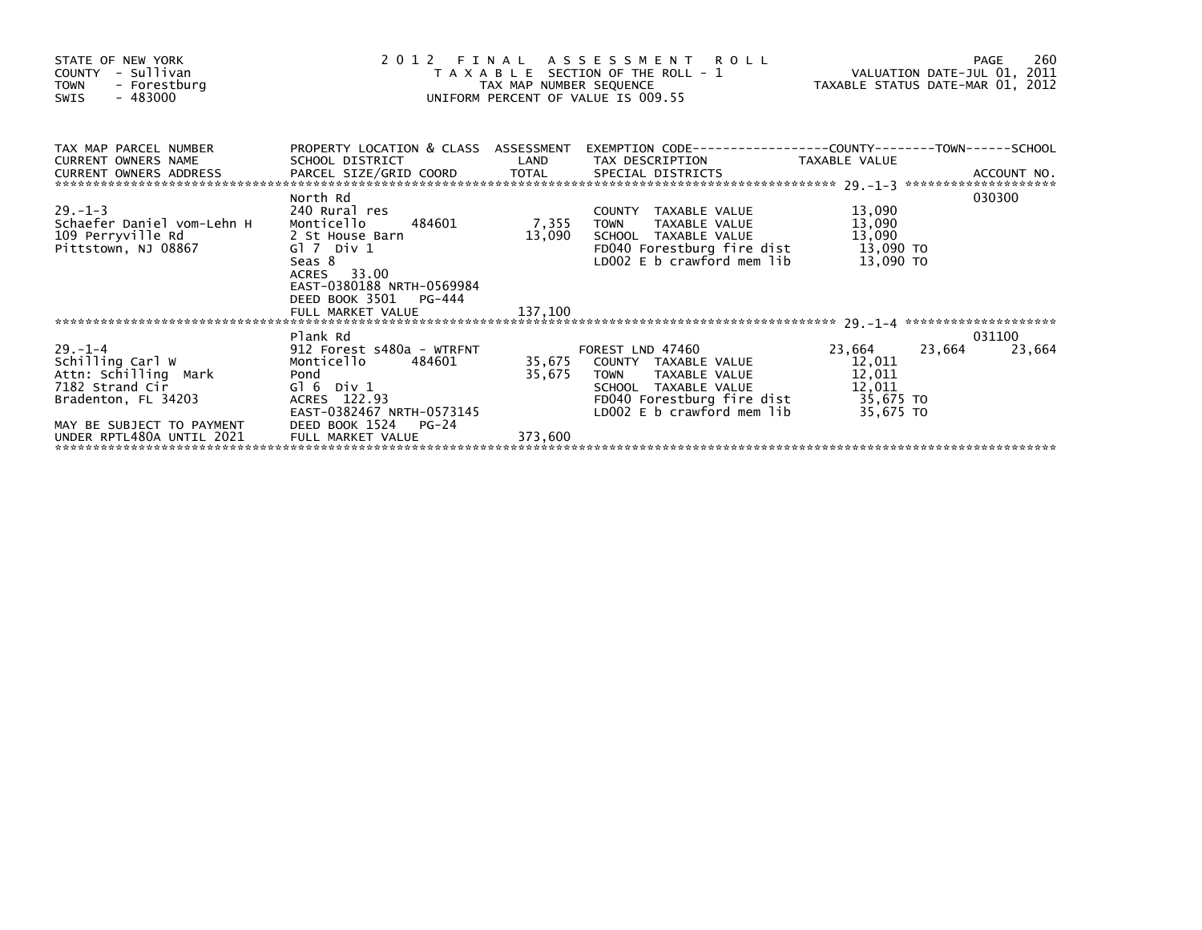| STATE OF NEW YORK<br>COUNTY - Sullivan<br>TOWN - Forestburg<br>- 483000<br>SWIS                                                                              | UNIFORM PERCENT OF VALUE IS 009.55                                                                                              | 2012 FINAL ASSESSMENT ROLL PAGE 260<br>TAXABLE SECTION OF THE ROLL - 1 VALUATION DATE-JUL 01, 2011<br>TAX MAP NUMBER SEQUENCE TAXABLE STATUS DATE-MAR 01, 2012 |                                                                                                                                                                                                                     |                                      |                  |
|--------------------------------------------------------------------------------------------------------------------------------------------------------------|---------------------------------------------------------------------------------------------------------------------------------|----------------------------------------------------------------------------------------------------------------------------------------------------------------|---------------------------------------------------------------------------------------------------------------------------------------------------------------------------------------------------------------------|--------------------------------------|------------------|
| TAX MAP PARCEL NUMBER PROPERTY LOCATION & CLASS ASSESSMENT EXEMPTION CODE---------------COUNTY--------TOWN------SCHOOL<br><b>CURRENT OWNERS NAME</b>         | SCHOOL DISTRICT                                                                                                                 |                                                                                                                                                                | LAND TAX DESCRIPTION TAXABLE VALUE                                                                                                                                                                                  |                                      |                  |
| $29. -1 - 3$<br>Schaefer Daniel vom-Lehn H Monticello 484601<br>109 Perryville Rd 2 St House Barn<br>Pittstown, NJ 08867                                     | North Rd<br>240 Rural res<br>Gl 7 Div 1<br>Seas 8<br>ACRES 33.00<br>EAST-0380188 NRTH-0569984<br>DEED BOOK 3501<br>PG-444       | 13,090                                                                                                                                                         | COUNTY TAXABLE VALUE 13,090<br>7,355 TOWN TAXABLE VALUE 13,090<br>LD002 E b crawford mem lib                                                                                                                        | 13,090 TO                            | 030300           |
|                                                                                                                                                              |                                                                                                                                 |                                                                                                                                                                |                                                                                                                                                                                                                     |                                      |                  |
| $29. -1 - 4$<br>Schilling Carl W<br>Attn: Schilling Mark<br>7182 Strand Cir<br>Bradenton, FL 34203<br>MAY BE SUBJECT TO PAYMENT<br>UNDER RPTL480A UNTIL 2021 | Plank Rd<br>Pond<br>$G1 6$ Div $1$<br>ACRES 122.93<br>EAST-0382467 NRTH-0573145<br>DEED BOOK 1524<br>PG-24<br>FULL MARKET VALUE | 35,675<br>373,600                                                                                                                                              | FOREST LND 47460<br>35,675 COUNTY TAXABLE VALUE<br>TAXABLE VALUE 12,011<br><b>TOWN</b><br>SCHOOL TAXABLE VALUE<br>SCHOOL TAXABLE VALUE 12,011<br>FD040 Forestburg fire dist 35,675 TO<br>LD002 E b crawford mem lib | 23,664 23,664<br>12,011<br>35,675 TO | 031100<br>23,664 |
|                                                                                                                                                              |                                                                                                                                 |                                                                                                                                                                |                                                                                                                                                                                                                     |                                      |                  |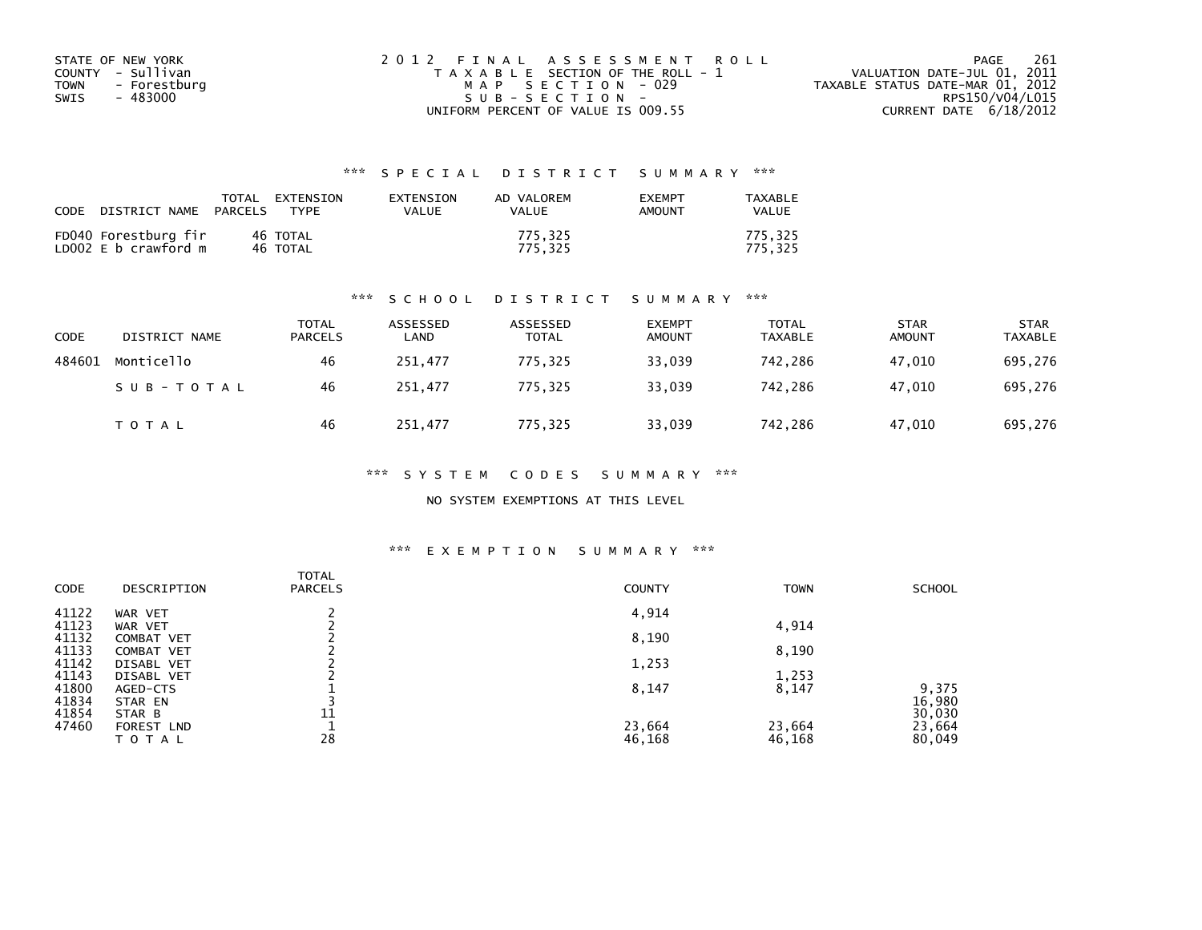| STATE OF NEW YORK    | 2012 FINAL ASSESSMENT ROLL            | 261<br>PAGE                      |
|----------------------|---------------------------------------|----------------------------------|
| COUNTY - Sullivan    | T A X A B L E SECTION OF THE ROLL - 1 | VALUATION DATE-JUL 01, 2011      |
| TOWN<br>- Forestburg | MAP SECTION - 029                     | TAXABLE STATUS DATE-MAR 01, 2012 |
| - 483000<br>SWIS     | SUB-SECTION-                          | RPS150/V04/L015                  |
|                      | UNIFORM PERCENT OF VALUE IS 009.55    | CURRENT DATE $6/18/2012$         |

| <b>CODE</b> | DISTRICT NAME                                | TOTAL<br>PARCELS | EXTENSION<br><b>TYPF</b> | <b>FXTENSTON</b><br>VALUE | AD VALOREM<br>VALUE | <b>FXFMPT</b><br>AMOUNT | TAXABLE<br><b>VALUE</b> |
|-------------|----------------------------------------------|------------------|--------------------------|---------------------------|---------------------|-------------------------|-------------------------|
|             | FD040 Forestburg fir<br>LD002 E b crawford m |                  | 46 TOTAL<br>46 TOTAL     |                           | 775.325<br>775.325  |                         | 775,325<br>775.325      |

#### \*\*\* S C H O O L D I S T R I C T S U M M A R Y \*\*\*

| <b>CODE</b> | DISTRICT NAME | <b>TOTAL</b><br><b>PARCELS</b> | ASSESSED<br>LAND | ASSESSED<br><b>TOTAL</b> | <b>EXEMPT</b><br><b>AMOUNT</b> | TOTAL<br><b>TAXABLE</b> | <b>STAR</b><br><b>AMOUNT</b> | <b>STAR</b><br><b>TAXABLE</b> |
|-------------|---------------|--------------------------------|------------------|--------------------------|--------------------------------|-------------------------|------------------------------|-------------------------------|
| 484601      | Monticello    | 46                             | 251,477          | 775,325                  | 33,039                         | 742,286                 | 47,010                       | 695,276                       |
|             | SUB-TOTAL     | 46                             | 251.477          | 775.325                  | 33,039                         | 742.286                 | 47.010                       | 695,276                       |
|             | <b>TOTAL</b>  | 46                             | 251,477          | 775,325                  | 33,039                         | 742,286                 | 47,010                       | 695,276                       |

\*\*\* S Y S T E M C O D E S S U M M A R Y \*\*\*

NO SYSTEM EXEMPTIONS AT THIS LEVEL

#### \*\*\* E X E M P T I O N S U M M A R Y \*\*\*

| CODE           | DESCRIPTION                     | <b>TOTAL</b><br><b>PARCELS</b> | <b>COUNTY</b> | <b>TOWN</b> | <b>SCHOOL</b>   |
|----------------|---------------------------------|--------------------------------|---------------|-------------|-----------------|
| 41122          | WAR VET                         |                                | 4,914         |             |                 |
| 41123          | WAR VET                         |                                |               | 4,914       |                 |
| 41132<br>41133 | <b>COMBAT VET</b><br>COMBAT VET |                                | 8,190         | 8,190       |                 |
| 41142          | <b>DISABL VET</b>               |                                | 1,253         |             |                 |
| 41143          | DISABL VET                      |                                |               | 1,253       |                 |
| 41800<br>41834 | AGED-CTS<br>STAR EN             |                                | 8,147         | 8,147       | 9,375<br>16,980 |
| 41854          | STAR B                          | 11                             |               |             | 30,030          |
| 47460          | FOREST LND                      |                                | 23,664        | 23,664      | 23,664          |
|                | TOTAL                           | 28                             | 46,168        | 46,168      | 80,049          |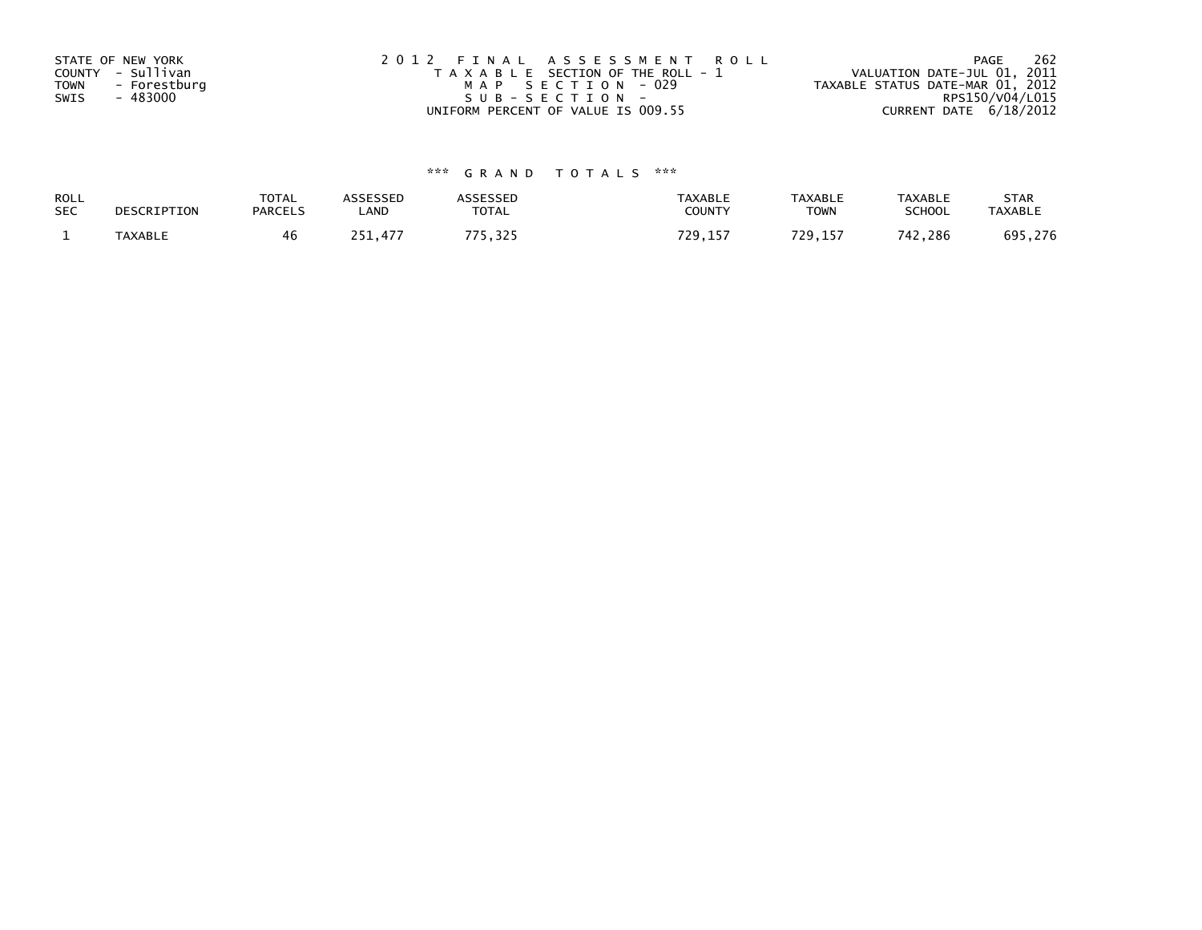| STATE OF NEW YORK    | 2012 FINAL ASSESSMENT ROLL            | 262<br>PAGE                      |
|----------------------|---------------------------------------|----------------------------------|
| COUNTY - Sullivan    | T A X A B L E SECTION OF THE ROLL - 1 | VALUATION DATE-JUL 01, 2011      |
| TOWN<br>- Forestburg | MAP SECTION - 029                     | TAXABLE STATUS DATE-MAR 01, 2012 |
| - 483000<br>SWIS     | SUB-SECTION-                          | RPS150/V04/L015                  |
|                      | UNIFORM PERCENT OF VALUE IS 009.55    | CURRENT DATE $6/18/2012$         |

| ROLL       | DESCRIPTION    | TOTAL          | <b>ASSESSED</b> | <b><i>ASSESSED</i></b> | <b>TAXABLE</b> | <b>TAXABLE</b> | <b>TAXABLE</b> | <b>STAR</b>    |
|------------|----------------|----------------|-----------------|------------------------|----------------|----------------|----------------|----------------|
| <b>SEC</b> |                | <b>PARCELS</b> | LAND            | TOTAL                  | COUNTY         | <b>TOWN</b>    | <b>SCHOOL</b>  | <b>TAXABLE</b> |
|            | <b>TAXABLE</b> | 46             | 251.477         | フフロ<br>5.325           | 729<br>29,157  | 72 Q<br>29.157 | 742,286        | 695,276        |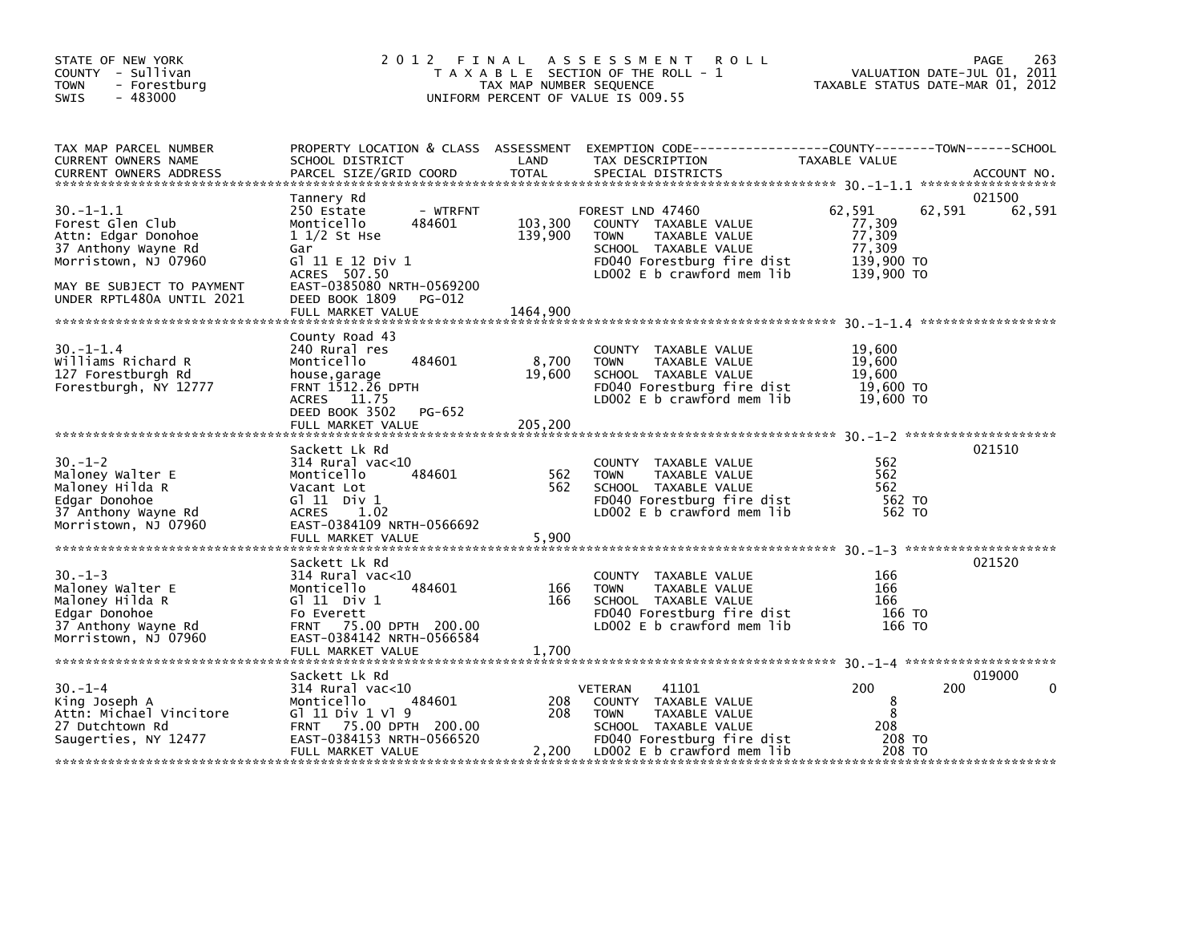| STATE OF NEW YORK<br>COUNTY - Sullivan<br>TOWN<br>- Forestburg<br>$-483000$<br><b>SWIS</b>                                                                         | 2012 FINAL                                                                                                                                                                                             | TAX MAP NUMBER SEQUENCE        | ASSESSMENT ROLL<br>T A X A B L E SECTION OF THE ROLL - 1<br>UNIFORM PERCENT OF VALUE IS 009.55                                                                       | VALUATION DATE-JUL 01, 2011<br>VALUATION DATE-JUL 01, 2011<br>TAXABLE STATUS DATE-MAR 01, 2012 | <b>PAGE</b><br>263 |
|--------------------------------------------------------------------------------------------------------------------------------------------------------------------|--------------------------------------------------------------------------------------------------------------------------------------------------------------------------------------------------------|--------------------------------|----------------------------------------------------------------------------------------------------------------------------------------------------------------------|------------------------------------------------------------------------------------------------|--------------------|
| TAX MAP PARCEL NUMBER<br>CURRENT OWNERS NAME<br><b>CURRENT OWNERS ADDRESS</b>                                                                                      | SCHOOL DISTRICT<br>PARCEL SIZE/GRID COORD                                                                                                                                                              | LAND<br>TOTAL                  | PROPERTY LOCATION & CLASS ASSESSMENT EXEMPTION CODE-----------------COUNTY-------TOWN-----SCHOOL<br>TAX DESCRIPTION<br>SPECIAL DISTRICTS                             | TAXABLE VALUE                                                                                  | ACCOUNT NO.        |
| $30. -1 - 1.1$<br>Forest Glen Club<br>Attn: Edgar Donohoe<br>37 Anthony Wayne Rd<br>Morristown, NJ 07960<br>MAY BE SUBJECT TO PAYMENT<br>UNDER RPTL480A UNTIL 2021 | Tannery Rd<br>250 Estate<br>- WTRFNT<br>484601<br>Monticello<br>$11/2$ St Hse<br>Gar<br>G] 11 E 12 Div 1<br>ACRES 507.50<br>EAST-0385080 NRTH-0569200<br>DEED BOOK 1809<br>PG-012<br>FULL MARKET VALUE | 103,300<br>139,900<br>1464,900 | FOREST LND 47460<br>COUNTY TAXABLE VALUE<br><b>TOWN</b><br>TAXABLE VALUE<br>SCHOOL TAXABLE VALUE<br>FD040 Forestburg fire dist<br>LD002 E b crawford mem lib         | 62,591<br>62,591<br>77,309<br>77,309<br>77,309<br>139,900 TO<br>139,900 TO                     | 021500<br>62,591   |
| $30. -1 - 1.4$<br>Williams Richard R<br>127 Forestburgh Rd<br>Forestburgh, NY 12777                                                                                | County Road 43<br>240 Rural res<br>484601<br>Monticello<br>house,garage<br>FRNT 1512.26 DPTH<br>ACRES 11.75<br>DEED BOOK 3502 PG-652<br>FULL MARKET VALUE                                              | 8,700<br>19,600<br>205,200     | COUNTY TAXABLE VALUE<br><b>TOWN</b><br>TAXABLE VALUE<br>SCHOOL TAXABLE VALUE<br>FD040 Forestburg fire dist<br>LD002 E b crawford mem lib                             | 19,600<br>19,600<br>19,600<br>19,600 TO<br>19,600 TO                                           |                    |
| $30. - 1 - 2$<br>Maloney Walter E<br>Maloney Walter<br>Edgar Donohoe<br>Edgar Donohoe<br>37 Anthony Wayne Rd<br>Morristown, NJ 07960<br>Morristown, NJ 07960       | Sackett Lk Rd<br>$314$ Rural vac< $10$<br>484601<br>Monticello<br>Vacant Lot<br>$G1$ 11 Div 1<br>ACRES 1.02<br>EAST-0384109 NRTH-0566692<br>FULL MARKET VALUE                                          | 562<br>562<br>5,900            | COUNTY TAXABLE VALUE<br><b>TOWN</b><br>TAXABLE VALUE<br>SCHOOL TAXABLE VALUE<br>FD040 Forestburg fire dist<br>LD002 E b crawford mem lib                             | 562<br>562<br>562<br>562 TO<br>562 TO                                                          | 021510             |
| $30. -1 - 3$<br>Maloney Walter E<br>Maloney Hilda R<br>Edgar Donohoe<br>Morristown, NJ 07960                                                                       | Sackett Lk Rd<br>314 Rural vac<10<br>484601<br>Monticello<br>$G1$ 11 Div 1<br>EAST-0384142 NRTH-0566584<br>FULL MARKET VALUE                                                                           | 166<br>166<br>1,700            | COUNTY TAXABLE VALUE<br>TOWN<br>TAXABLE VALUE<br>SCHOOL TAXABLE VALUE<br>FD040 Forestburg fire dist<br>LD002 E b crawford mem lib                                    | 166<br>166<br>166<br>166 то<br>166 TO                                                          | 021520             |
| $30. - 1 - 4$<br>King Joseph A<br>Attn: Michael Vincitore<br>27 Dutchtown Rd<br>Saugerties, NY 12477                                                               | Sackett Lk Rd<br>314 Rural vac<10<br>484601<br>Monticello<br>G1 11 Div 1 V1 9<br>FRNT 75.00 DPTH 200.00<br>EAST-0384153 NRTH-0566520<br>FULL MARKET VALUE                                              | 208<br>208                     | VETERAN<br>41101<br>COUNTY TAXABLE VALUE<br><b>TOWN</b><br>TAXABLE VALUE<br>SCHOOL TAXABLE VALUE<br>FD040 Forestburg fire dist<br>$2,200$ LD002 E b crawford mem lib | 200<br>200<br>8<br>8<br>208<br>208 TO<br>208 TO                                                | 019000<br>0        |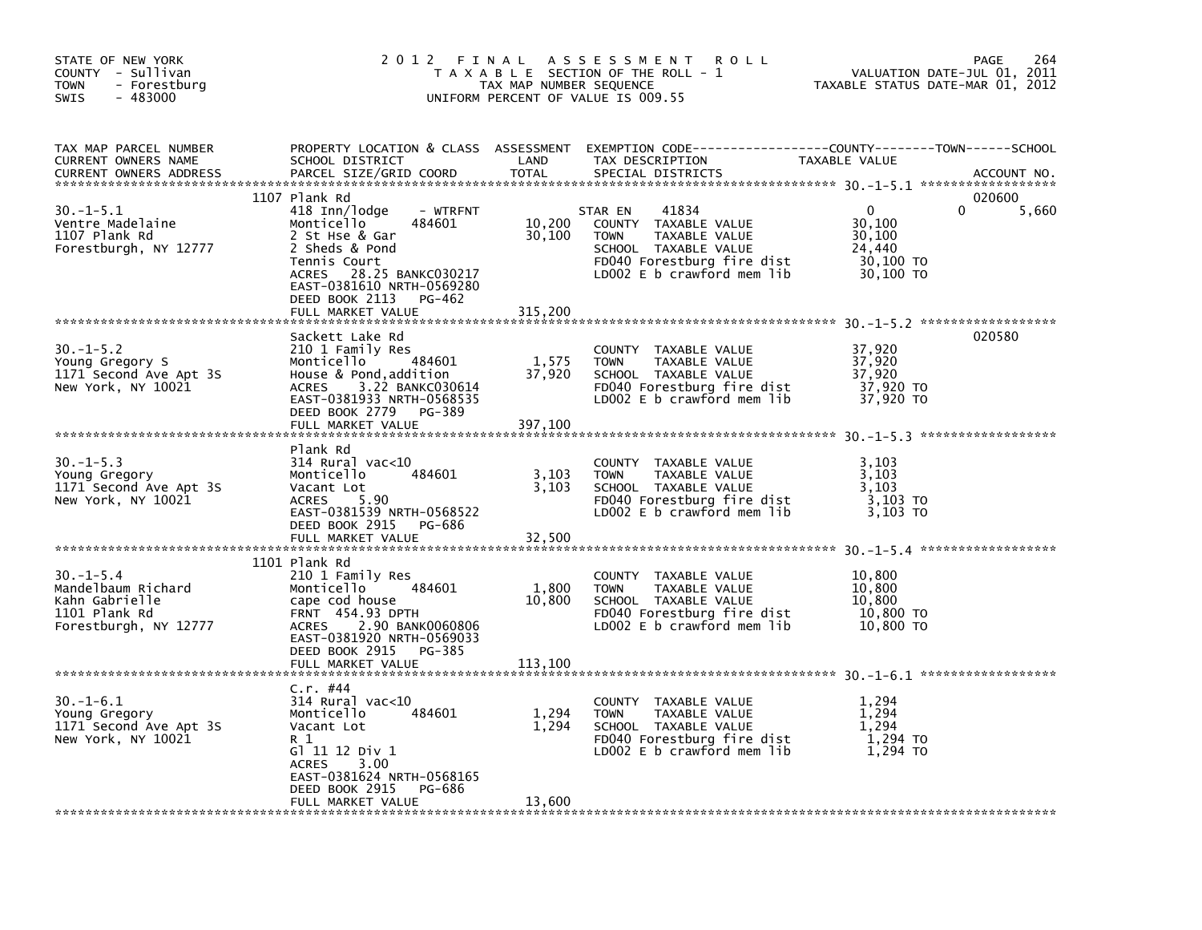| STATE OF NEW YORK<br>COUNTY - Sullivan<br><b>TOWN</b><br>- Forestburg<br><b>SWIS</b><br>$-483000$ | 2 0 1 2                                                                                                                                                                                                                            | FINAL<br>TAX MAP NUMBER SEQUENCE | A S S E S S M E N T<br><b>ROLL</b><br>T A X A B L E SECTION OF THE ROLL - 1<br>UNIFORM PERCENT OF VALUE IS 009.55                                               | TAXABLE STATUS DATE-MAR 01, 2012                                 | 264<br>PAGE<br>VALUATION DATE-JUL 01, 2011 |
|---------------------------------------------------------------------------------------------------|------------------------------------------------------------------------------------------------------------------------------------------------------------------------------------------------------------------------------------|----------------------------------|-----------------------------------------------------------------------------------------------------------------------------------------------------------------|------------------------------------------------------------------|--------------------------------------------|
| TAX MAP PARCEL NUMBER<br>CURRENT OWNERS NAME<br><b>CURRENT OWNERS ADDRESS</b>                     | PROPERTY LOCATION & CLASS ASSESSMENT<br>SCHOOL DISTRICT<br>PARCEL SIZE/GRID COORD                                                                                                                                                  | LAND<br><b>TOTAL</b>             | TAX DESCRIPTION<br>SPECIAL DISTRICTS                                                                                                                            | TAXABLE VALUE                                                    | ACCOUNT NO.                                |
| $30. -1 - 5.1$<br>Ventre Madelaine<br>1107 Plank Rd<br>Forestburgh, NY 12777                      | 1107 Plank Rd<br>418 Inn/lodge<br>- WTRFNT<br>Monticello<br>484601<br>2 St Hse & Gar<br>2 Sheds & Pond<br>Tennis Court<br>28.25 BANKC030217<br>ACRES<br>EAST-0381610 NRTH-0569280<br>DEED BOOK 2113<br>PG-462<br>FULL MARKET VALUE | 10,200<br>30,100<br>315,200      | 41834<br>STAR EN<br>COUNTY<br>TAXABLE VALUE<br><b>TOWN</b><br>TAXABLE VALUE<br>SCHOOL TAXABLE VALUE<br>FD040 Forestburg fire dist<br>LD002 E b crawford mem lib | $\Omega$<br>30,100<br>30,100<br>24,440<br>30,100 TO<br>30,100 TO | 020600<br>0<br>5,660                       |
| $30. -1 - 5.2$<br>Young Gregory S<br>1171 Second Ave Apt 3S<br>New York, NY 10021                 | Sackett Lake Rd<br>210 1 Family Res<br>Monticello<br>484601<br>House & Pond, addition<br>3.22 BANKC030614<br><b>ACRES</b><br>EAST-0381933 NRTH-0568535<br>DEED BOOK 2779<br>PG-389<br>FULL MARKET VALUE                            | 1,575<br>37,920<br>397,100       | COUNTY TAXABLE VALUE<br><b>TOWN</b><br>TAXABLE VALUE<br>SCHOOL TAXABLE VALUE<br>FD040 Forestburg fire dist<br>LD002 $E$ b crawford mem lib                      | 37,920<br>37,920<br>37,920<br>37,920 TO<br>37,920 TO             | 020580                                     |
| $30. -1 - 5.3$<br>Young Gregory<br>1171 Second Ave Apt 3S<br>New York, NY 10021                   | Plank Rd<br>$314$ Rural vac< $10$<br>484601<br>Monticello<br>Vacant Lot<br>5.90<br><b>ACRES</b><br>EAST-0381539 NRTH-0568522<br>DEED BOOK 2915<br>PG-686<br>FULL MARKET VALUE                                                      | 3,103<br>3,103<br>32,500         | <b>COUNTY</b><br>TAXABLE VALUE<br><b>TAXABLE VALUE</b><br><b>TOWN</b><br>SCHOOL TAXABLE VALUE<br>FD040 Forestburg fire dist<br>LD002 E b crawford mem lib       | 3,103<br>3,103<br>3,103<br>3,103 TO<br>3.103 TO                  |                                            |
| $30. - 1 - 5.4$<br>Mandelbaum Richard<br>Kahn Gabrielle<br>1101 Plank Rd<br>Forestburgh, NY 12777 | 1101 Plank Rd<br>210 1 Family Res<br>Monticello<br>484601<br>cape cod house<br><b>FRNT 454.93 DPTH</b><br>2.90 BANK0060806<br><b>ACRES</b><br>EAST-0381920 NRTH-0569033<br>DEED BOOK 2915<br>PG-385<br>FULL MARKET VALUE           | 1,800<br>10,800<br>113,100       | COUNTY TAXABLE VALUE<br>TAXABLE VALUE<br><b>TOWN</b><br>SCHOOL TAXABLE VALUE<br>FD040 Forestburg fire dist<br>LD002 E b crawford mem lib                        | 10,800<br>10,800<br>10.800<br>10,800 TO<br>10,800 TO             |                                            |
| $30. - 1 - 6.1$<br>Young Gregory<br>1171 Second Ave Apt 3S<br>New York, NY 10021                  | C.r. #44<br>$314$ Rural vac<10<br>Monticello<br>484601<br>Vacant Lot<br>R 1<br>G1 11 12 Div 1<br><b>ACRES</b><br>3.00<br>EAST-0381624 NRTH-0568165<br>DEED BOOK 2915<br>PG-686<br>FULL MARKET VALUE                                | 1,294<br>1,294<br>13,600         | <b>COUNTY</b><br>TAXABLE VALUE<br><b>TOWN</b><br>TAXABLE VALUE<br>SCHOOL TAXABLE VALUE<br>FD040 Forestburg fire dist<br>LD002 E b crawford mem lib              | 1,294<br>1,294<br>1.294<br>1,294 TO<br>1.294 TO                  |                                            |
|                                                                                                   |                                                                                                                                                                                                                                    |                                  |                                                                                                                                                                 |                                                                  |                                            |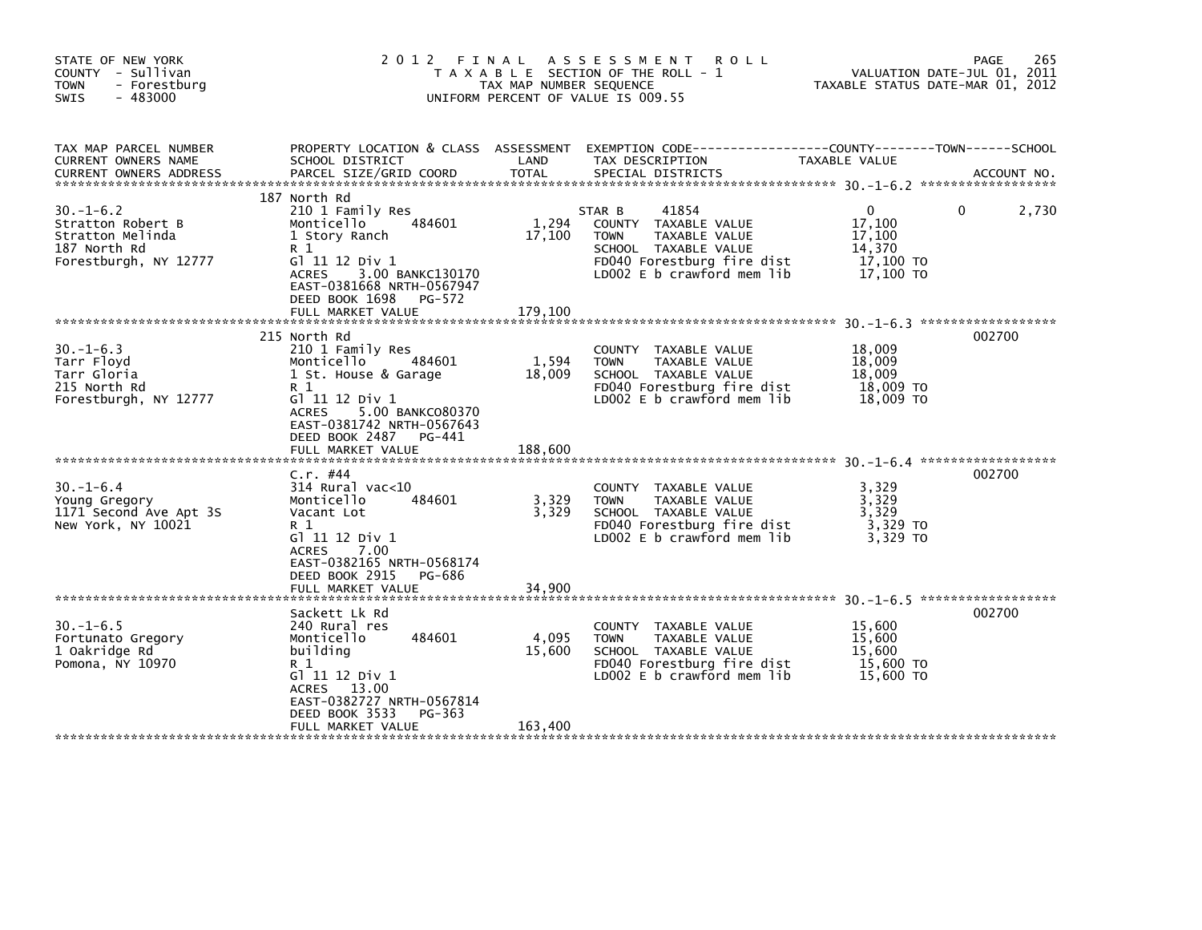| STATE OF NEW YORK<br>COUNTY - Sullivan<br><b>TOWN</b><br>- Forestburg<br>$-483000$<br><b>SWIS</b> | 2 0 1 2                                                                                                                                                                                                                  | FINAL<br>TAX MAP NUMBER SEQUENCE | A S S E S S M E N T<br><b>ROLL</b><br>T A X A B L E SECTION OF THE ROLL - 1<br>UNIFORM PERCENT OF VALUE IS 009.55                                           | TAXABLE STATUS DATE-MAR 01, 2012                                 | 265<br>PAGE<br>VALUATION DATE-JUL 01, 2011 |
|---------------------------------------------------------------------------------------------------|--------------------------------------------------------------------------------------------------------------------------------------------------------------------------------------------------------------------------|----------------------------------|-------------------------------------------------------------------------------------------------------------------------------------------------------------|------------------------------------------------------------------|--------------------------------------------|
| TAX MAP PARCEL NUMBER<br>CURRENT OWNERS NAME                                                      | PROPERTY LOCATION & CLASS ASSESSMENT<br>SCHOOL DISTRICT                                                                                                                                                                  | LAND                             | EXEMPTION CODE-----------------COUNTY-------TOWN------SCHOOL<br>TAX DESCRIPTION                                                                             | TAXABLE VALUE                                                    |                                            |
| $30. - 1 - 6.2$<br>Stratton Robert B<br>Stratton Melinda<br>187 North Rd<br>Forestburgh, NY 12777 | 187 North Rd<br>210 1 Family Res<br>Monticello<br>484601<br>1 Story Ranch<br>R 1<br>G] 11 12 Div 1<br><b>ACRES</b><br>3.00 BANKC130170<br>EAST-0381668 NRTH-0567947<br>DEED BOOK 1698 PG-572<br>FULL MARKET VALUE        | 1,294<br>17,100<br>179.100       | 41854<br>STAR B<br>COUNTY TAXABLE VALUE<br><b>TOWN</b><br>TAXABLE VALUE<br>SCHOOL TAXABLE VALUE<br>FD040 Forestburg fire dist<br>LD002 E b crawford mem lib | $\Omega$<br>17,100<br>17,100<br>14,370<br>17,100 TO<br>17,100 TO | 2,730<br>$\Omega$                          |
| $30. -1 - 6.3$<br>Tarr Floyd<br>Tarr Gloria<br>215 North Rd<br>Forestburgh, NY 12777              | 215 North Rd<br>210 1 Family Res<br>484601<br>Monticello<br>1 St. House & Garage<br>R 1<br>G1 11 12 Div 1<br>5.00 BANKC080370<br><b>ACRES</b><br>EAST-0381742 NRTH-0567643<br>DEED BOOK 2487 PG-441<br>FULL MARKET VALUE | 1,594<br>18,009<br>188,600       | COUNTY TAXABLE VALUE<br><b>TOWN</b><br>TAXABLE VALUE<br>SCHOOL TAXABLE VALUE<br>FD040 Forestburg fire dist<br>LD002 E b crawford mem lib                    | 18,009<br>18,009<br>18,009<br>18,009 TO<br>18,009 TO             | 002700                                     |
| $30. - 1 - 6.4$<br>Young Gregory<br>1171 Second Ave Apt 3S<br>New York, NY 10021                  | $C.r.$ #44<br>$314$ Rural vac< $10$<br>484601<br>Monticello<br>Vacant Lot<br>R 1<br>G1 11 12 Div 1<br>7.00<br><b>ACRES</b><br>EAST-0382165 NRTH-0568174<br>DEED BOOK 2915<br>PG-686<br>FULL MARKET VALUE                 | 3,329<br>3,329<br>34,900         | COUNTY TAXABLE VALUE<br>TAXABLE VALUE<br><b>TOWN</b><br>SCHOOL TAXABLE VALUE<br>FD040 Forestburg fire dist<br>$LD002 E b$ crawford mem lib                  | 3,329<br>3,329<br>3,329<br>3,329 TO<br>3.329 TO                  | 002700                                     |
| $30. -1 - 6.5$<br>Fortunato Gregory<br>1 Oakridge Rd<br>Pomona, NY 10970                          | Sackett Lk Rd<br>240 Rural res<br>484601<br>Monticello<br>building<br>R 1<br>G1 11 12 Div 1<br>ACRES 13.00<br>EAST-0382727 NRTH-0567814<br>DEED BOOK 3533<br>PG-363<br>FULL MARKET VALUE                                 | 4,095<br>15,600<br>163,400       | COUNTY TAXABLE VALUE<br><b>TOWN</b><br>TAXABLE VALUE<br>SCHOOL TAXABLE VALUE<br>FD040 Forestburg fire dist<br>LD002 $E$ b crawford mem lib                  | 15,600<br>15,600<br>15,600<br>15,600 TO<br>15,600 TO             | 002700                                     |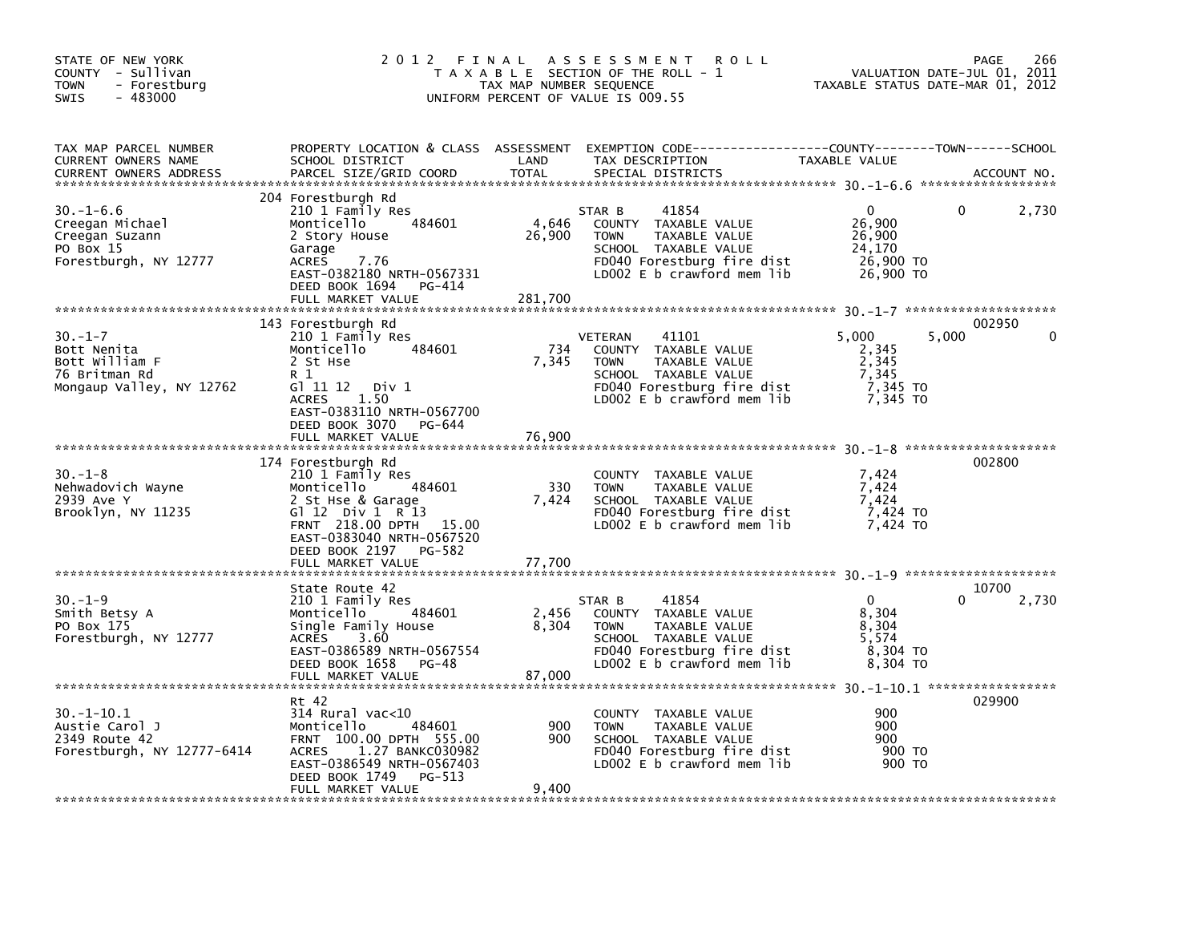| STATE OF NEW YORK<br>COUNTY - Sullivan<br><b>TOWN</b><br>- Forestburg<br>$-483000$<br><b>SWIS</b> | 2012 FINAL                                                                                                                                                                                                    | TAX MAP NUMBER SEQUENCE    | A S S E S S M E N T<br><b>ROLL</b><br>T A X A B L E SECTION OF THE ROLL - 1<br>UNIFORM PERCENT OF VALUE IS 009.55                                                   |                                                                        | 266<br>PAGE<br>VALUATION DATE-JUL 01, 2011<br>TAXABLE STATUS DATE-MAR 01, 2012 |
|---------------------------------------------------------------------------------------------------|---------------------------------------------------------------------------------------------------------------------------------------------------------------------------------------------------------------|----------------------------|---------------------------------------------------------------------------------------------------------------------------------------------------------------------|------------------------------------------------------------------------|--------------------------------------------------------------------------------|
| TAX MAP PARCEL NUMBER<br>CURRENT OWNERS NAME<br><b>CURRENT OWNERS ADDRESS</b>                     | SCHOOL DISTRICT<br>PARCEL SIZE/GRID COORD                                                                                                                                                                     | LAND<br><b>TOTAL</b>       | PROPERTY LOCATION & CLASS ASSESSMENT EXEMPTION CODE---------------COUNTY-------TOWN------SCHOOL<br>TAX DESCRIPTION<br>SPECIAL DISTRICTS                             | TAXABLE VALUE                                                          | ACCOUNT NO.                                                                    |
| $30. - 1 - 6.6$<br>Creegan Michael<br>Creegan Suzann<br>PO Box 15<br>Forestburgh, NY 12777        | 204 Forestburgh Rd<br>210 1 Family Res<br>484601<br>Monticello<br>2 Story House<br>Garage<br><b>ACRES</b><br>7.76<br>EAST-0382180 NRTH-0567331<br>DEED BOOK 1694<br>PG-414<br>FULL MARKET VALUE               | 4,646<br>26,900<br>281.700 | 41854<br>STAR B<br>COUNTY TAXABLE VALUE<br>TAXABLE VALUE<br><b>TOWN</b><br>SCHOOL TAXABLE VALUE<br>FD040 Forestburg fire dist<br>LD002 E b crawford mem lib         | $\Omega$<br>26,900<br>26,900<br>24,170<br>26,900 TO<br>26,900 TO       | 2,730<br>0                                                                     |
| $30. -1 - 7$<br>Bott Nenita<br>Bott William F<br>76 Britman Rd<br>Mongaup Valley, NY 12762        | 143 Forestburgh Rd<br>210 1 Family Res<br>484601<br>Monticello<br>2 St Hse<br>R 1<br>G1 11 12<br>Div 1<br>1.50<br><b>ACRES</b><br>EAST-0383110 NRTH-0567700<br>DEED BOOK 3070<br>PG-644<br>FULL MARKET VALUE  | 734<br>7,345<br>76,900     | 41101<br><b>VETERAN</b><br>COUNTY TAXABLE VALUE<br><b>TOWN</b><br>TAXABLE VALUE<br>SCHOOL TAXABLE VALUE<br>FD040 Forestburg fire dist<br>LD002 E b crawford mem lib | 5.000<br>2,345<br>$\frac{2}{ }$ , 345<br>7,345<br>7,345 TO<br>7,345 TO | 002950<br>5,000                                                                |
| $30. -1 - 8$<br>Nehwadovich Wayne<br>2939 Ave Y<br>Brooklyn, NY 11235                             | 174 Forestburgh Rd<br>210 1 Family Res<br>Monticello<br>484601<br>2 St Hse & Garage<br>G $12$ Div 1 R 13<br>FRNT 218.00 DPTH 15.00<br>EAST-0383040 NRTH-0567520<br>DEED BOOK 2197 PG-582<br>FULL MARKET VALUE | 330<br>7,424<br>77.700     | COUNTY TAXABLE VALUE<br>TAXABLE VALUE<br><b>TOWN</b><br>SCHOOL TAXABLE VALUE<br>FD040 Forestburg fire dist<br>LD002 E b crawford mem lib                            | 7,424<br>7,424<br>7.424<br>7,424 TO<br>7.424 TO                        | 002800                                                                         |
| $30. - 1 - 9$<br>Smith Betsy A<br>PO Box 175<br>Forestburgh, NY 12777                             | State Route 42<br>210 1 Family Res<br>484601<br>Monticello<br>Single Family House<br><b>ACRES</b><br>3.60<br>EAST-0386589 NRTH-0567554<br>DEED BOOK 1658<br>PG-48<br>FULL MARKET VALUE                        | 2,456<br>8,304<br>87.000   | 41854<br>STAR B<br>COUNTY TAXABLE VALUE<br>TAXABLE VALUE<br><b>TOWN</b><br>SCHOOL TAXABLE VALUE<br>FD040 Forestburg fire dist<br>LD002 E b crawford mem lib         | $\overline{0}$<br>8,304<br>8,304<br>5,574<br>8,304 TO<br>8,304 TO      | 10700<br>2,730<br>$\Omega$                                                     |
| $30. - 1 - 10.1$<br>Austie Carol J<br>2349 Route 42<br>Forestburgh, NY 12777-6414                 | Rt 42<br>$314$ Rural vac< $10$<br>484601<br>Monticello<br>FRNT 100.00 DPTH 555.00<br>1.27 BANKC030982<br><b>ACRES</b><br>EAST-0386549 NRTH-0567403<br>DEED BOOK 1749<br>PG-513<br>FULL MARKET VALUE           | 900<br>900<br>9,400        | COUNTY TAXABLE VALUE<br><b>TOWN</b><br>TAXABLE VALUE<br>SCHOOL TAXABLE VALUE<br>FD040 Forestburg fire dist<br>LD002 E b crawford mem lib                            | 900<br>900<br>900<br>900 TO<br>900 TO                                  | 029900                                                                         |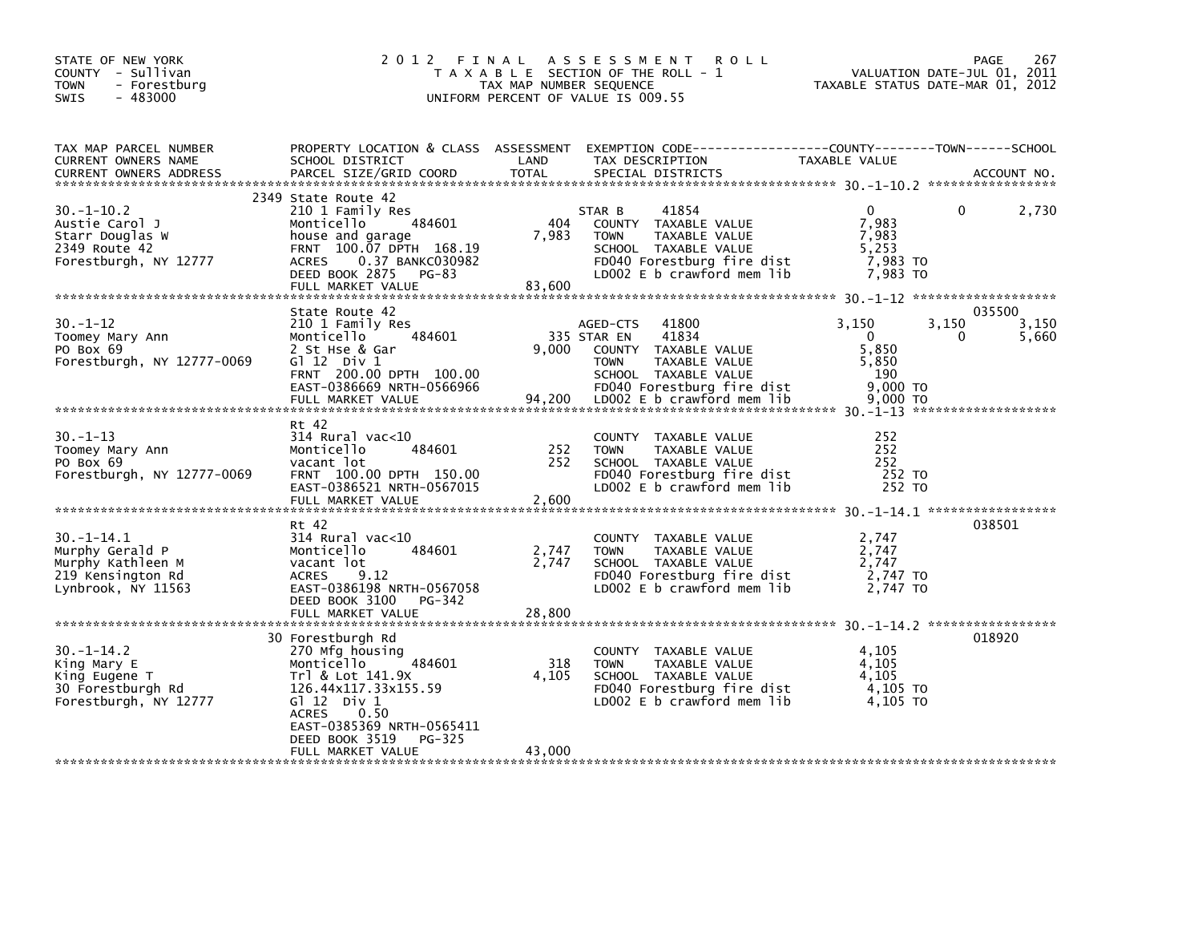| STATE OF NEW YORK<br>COUNTY - Sullivan<br>- Forestburg<br><b>TOWN</b><br>$-483000$<br><b>SWIS</b>  |                                                                                                                                                                                                                              | TAX MAP NUMBER SEQUENCE  | <b>ROLL</b><br>2012 FINAL ASSESSMENT<br>T A X A B L E SECTION OF THE ROLL - 1<br>UNIFORM PERCENT OF VALUE IS 009.55                                         | VALUATION DATE-JUL 01, 2011<br>TAXABLE STATUS DATE-MAR 01, 2012         | PAGE<br>267                   |
|----------------------------------------------------------------------------------------------------|------------------------------------------------------------------------------------------------------------------------------------------------------------------------------------------------------------------------------|--------------------------|-------------------------------------------------------------------------------------------------------------------------------------------------------------|-------------------------------------------------------------------------|-------------------------------|
| TAX MAP PARCEL NUMBER<br>CURRENT OWNERS NAME<br><b>CURRENT OWNERS ADDRESS</b>                      | SCHOOL DISTRICT<br>PARCEL SIZE/GRID COORD                                                                                                                                                                                    | LAND<br><b>TOTAL</b>     | PROPERTY LOCATION & CLASS ASSESSMENT EXEMPTION CODE---------------COUNTY-------TOWN-----SCHOOL<br>TAX DESCRIPTION<br>SPECIAL DISTRICTS                      | TAXABLE VALUE                                                           | ACCOUNT NO.                   |
| $30. -1 - 10.2$<br>Austie Carol J<br>Starr Douglas W<br>2349 Route 42<br>Forestburgh, NY 12777     | 2349 State Route 42<br>210 1 Family Res<br>484601<br>Monticello<br>house and garage<br>FRNT 100.07 DPTH 168.19<br><b>ACRES</b><br>0.37 BANKC030982<br>DEED BOOK 2875<br>PG-83<br>FULL MARKET VALUE                           | 404<br>7,983<br>83,600   | 41854<br>STAR B<br>COUNTY TAXABLE VALUE<br><b>TOWN</b><br>TAXABLE VALUE<br>SCHOOL TAXABLE VALUE<br>FD040 Forestburg fire dist<br>LD002 E b crawford mem lib | $\mathbf{0}$<br>7,983<br>7,983<br>5,253<br>7,983 то<br>7,983 TO         | 0<br>2,730                    |
| $30. -1 - 12$<br>Toomey Mary Ann<br>PO Box 69<br>Forestburgh, NY 12777-0069                        | State Route 42<br>210 1 Family Res<br>484601<br>Monticello<br>2 St Hse & Gar<br>G $12$ Div 1<br>FRNT 200.00 DPTH 100.00<br>EAST-0386669 NRTH-0566966                                                                         | 9.000                    | 41800<br>AGED-CTS<br>335 STAR EN<br>41834<br>COUNTY TAXABLE VALUE<br><b>TOWN</b><br>TAXABLE VALUE<br>SCHOOL TAXABLE VALUE<br>FD040 Forestburg fire dist     | 3,150<br>3,150<br>$\overline{0}$<br>5,850<br>5.850<br>- 190<br>9,000 TO | 035500<br>3,150<br>0<br>5,660 |
| $30. -1 - 13$<br>Toomey Mary Ann<br>PO Box 69<br>Forestburgh, NY 12777-0069                        | Rt 42<br>$314$ Rural vac< $10$<br>Monticello<br>484601<br>vacant lot<br>FRNT 100.00 DPTH 150.00<br>EAST-0386521 NRTH-0567015<br>FULL MARKET VALUE                                                                            | 252<br>252<br>2,600      | COUNTY TAXABLE VALUE<br>TAXABLE VALUE<br><b>TOWN</b><br>SCHOOL TAXABLE VALUE<br>FD040 Forestburg fire dist<br>LD002 E b crawford mem lib                    | 252<br>252<br>252<br>252 TO<br>252 TO                                   |                               |
| $30. -1 - 14.1$<br>Murphy Gerald P<br>Murphy Kathleen M<br>219 Kensington Rd<br>Lynbrook, NY 11563 | Rt 42<br>314 Rural vac<10<br>484601<br>Monticello<br>vacant lot<br><b>ACRES</b><br>9.12<br>EAST-0386198 NRTH-0567058<br>DEED BOOK 3100 PG-342<br>FULL MARKET VALUE                                                           | 2,747<br>2,747<br>28,800 | COUNTY TAXABLE VALUE<br>TAXABLE VALUE<br><b>TOWN</b><br>SCHOOL TAXABLE VALUE<br>FD040 Forestburg fire dist<br>LD002 E b crawford mem lib                    | 2,747<br>2,747<br>2,747<br>2,747 TO<br>2,747 TO                         | 038501                        |
| $30. -1 - 14.2$<br>King Mary E<br>King Eugene T<br>30 Forestburgh Rd<br>Forestburgh, NY 12777      | 30 Forestburgh Rd<br>270 Mfg housing<br>484601<br>Monticello<br>Trl & Lot 141.9X<br>126.44x117.33x155.59<br>$G1 12$ Div 1<br>0.50<br><b>ACRES</b><br>EAST-0385369 NRTH-0565411<br>DEED BOOK 3519 PG-325<br>FULL MARKET VALUE | 318<br>4,105<br>43.000   | COUNTY TAXABLE VALUE<br><b>TOWN</b><br>TAXABLE VALUE<br>SCHOOL TAXABLE VALUE<br>FD040 Forestburg fire dist<br>LD002 E b crawford mem lib                    | 4,105<br>4,105<br>4,105<br>4,105 TO<br>4.105 TO                         | 018920                        |
|                                                                                                    |                                                                                                                                                                                                                              |                          |                                                                                                                                                             |                                                                         |                               |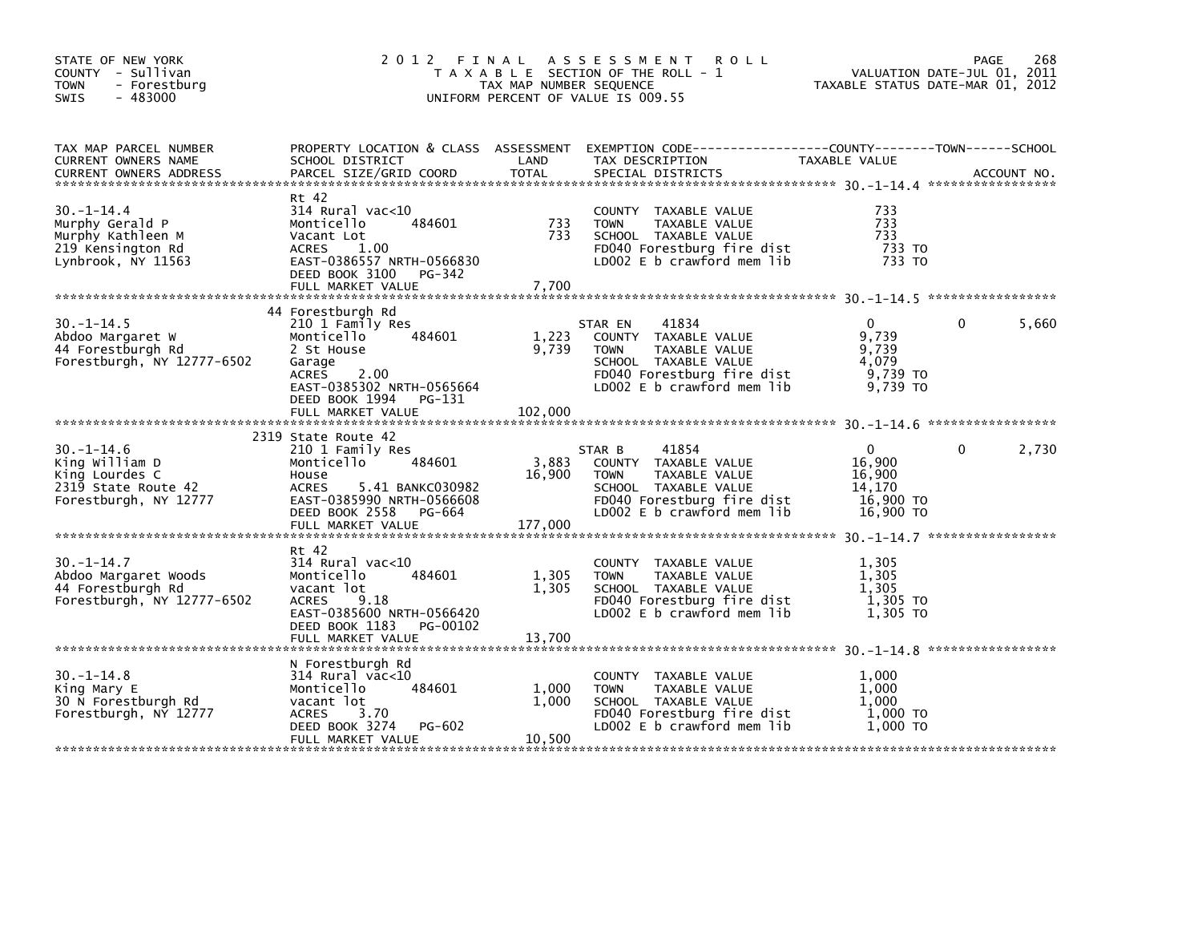| STATE OF NEW YORK<br>COUNTY - Sullivan<br>- Forestburg<br>TOWN<br>$-483000$<br><b>SWIS</b>          | 2 0 1 2                                                                                                                                                                        | TAX MAP NUMBER SEQUENCE    | FINAL ASSESSMENT ROLL<br>T A X A B L E SECTION OF THE ROLL - 1<br>UNIFORM PERCENT OF VALUE IS 009.55                                                         | PAGE 268<br>VALUATION DATE-JUL 01, 2011<br>TAXABLE STATUS DATE-MAR 01, 2012 |              |             |
|-----------------------------------------------------------------------------------------------------|--------------------------------------------------------------------------------------------------------------------------------------------------------------------------------|----------------------------|--------------------------------------------------------------------------------------------------------------------------------------------------------------|-----------------------------------------------------------------------------|--------------|-------------|
| TAX MAP PARCEL NUMBER<br>CURRENT OWNERS NAME<br><b>CURRENT OWNERS ADDRESS</b>                       | SCHOOL DISTRICT<br>PARCEL SIZE/GRID COORD                                                                                                                                      | LAND<br><b>TOTAL</b>       | PROPERTY LOCATION & CLASS ASSESSMENT EXEMPTION CODE----------------COUNTY-------TOWN------SCHOOL<br>TAX DESCRIPTION<br>SPECIAL DISTRICTS                     | TAXABLE VALUE                                                               |              | ACCOUNT NO. |
| $30. -1 - 14.4$<br>Murphy Gerald P<br>Murphy Kathleen M<br>219 Kensington Rd<br>Lynbrook, NY 11563  | Rt 42<br>314 Rural vac<10<br>484601<br>Monticello<br>Vacant Lot<br>ACRES 1.00<br>EAST-0386557 NRTH-0566830<br>DEED BOOK 3100 PG-342                                            | 733<br>733                 | COUNTY TAXABLE VALUE<br><b>TOWN</b><br>TAXABLE VALUE<br>SCHOOL TAXABLE VALUE<br>FD040 Forestburg fire dist<br>LD002 E b crawford mem lib                     | 733<br>733<br>733<br>733 TO<br>733 TO                                       |              |             |
| $30. -1 - 14.5$<br>Abdoo Margaret W<br>44 Forestburgh Rd<br>Forestburgh, NY 12777-6502              | 44 Forestburgh Rd<br>210 1 Family Res<br>484601<br>Monticello<br>2 St House<br>Garage<br>ACRES 2.00<br>EAST-0385302 NRTH-0565664<br>DEED BOOK 1994 PG-131<br>FULL MARKET VALUE | 1,223<br>9,739<br>102,000  | 41834<br>STAR EN<br>COUNTY TAXABLE VALUE<br>TAXABLE VALUE<br><b>TOWN</b><br>SCHOOL TAXABLE VALUE<br>FD040 Forestburg fire dist<br>LD002 E b crawford mem lib | $\mathbf{0}$<br>9,739<br>9,739<br>4,079<br>9,739 TO<br>9,739 TO             | $\mathbf{0}$ | 5,660       |
| $30. -1 - 14.6$<br>King William D<br>King Lourdes C<br>2319 State Route 42<br>Forestburgh, NY 12777 | 2319 State Route 42<br>210 1 Family Res<br>484601<br>Monticello<br>House<br>ACRES 5.41 BANKC030982<br>EAST-0385990 NRTH-0566608<br>DEED BOOK 2558 PG-664<br>FULL MARKET VALUE  | 3,883<br>16,900<br>177,000 | 41854<br>STAR B<br>COUNTY TAXABLE VALUE<br><b>TOWN</b><br>TAXABLE VALUE<br>SCHOOL TAXABLE VALUE<br>FD040 Forestburg fire dist<br>LD002 E b crawford mem lib  | $\Omega$<br>16,900<br>16,900<br>14,170<br>16,900 TO<br>16,900 TO            | $\Omega$     | 2,730       |
| $30. -1 - 14.7$<br>Abdoo Margaret Woods<br>44 Forestburgh Rd<br>Forestburgh, NY 12777-6502          | Rt 42<br>314 Rural vac<10<br>Monticello<br>484601<br>vacant lot<br><b>ACRES</b><br>9.18<br>EAST-0385600 NRTH-0566420<br>DEED BOOK 1183 PG-00102<br>FULL MARKET VALUE           | 1,305<br>1,305<br>13,700   | COUNTY TAXABLE VALUE<br><b>TOWN</b><br>TAXABLE VALUE<br>SCHOOL TAXABLE VALUE<br>FD040 Forestburg fire dist<br>LD002 E b crawford mem lib                     | 1,305<br>1,305<br>1.305<br>1,305 TO<br>1,305 TO                             |              |             |
| $30. -1 - 14.8$<br>King Mary E<br>30 N Forestburgh Rd<br>Forestburgh, NY 12777                      | N Forestburgh Rd<br>314 Rural vac<10<br>484601<br>Monticello<br>vacant lot<br><b>ACRES</b><br>3.70<br>DEED BOOK 3274<br>PG-602<br>FULL MARKET VALUE                            | 1,000<br>1,000<br>10,500   | COUNTY TAXABLE VALUE<br><b>TOWN</b><br>TAXABLE VALUE<br>SCHOOL TAXABLE VALUE<br>FD040 Forestburg fire dist<br>LD002 E b crawford mem lib                     | 1.000<br>1,000<br>1,000<br>1,000 TO<br>1,000 TO                             |              |             |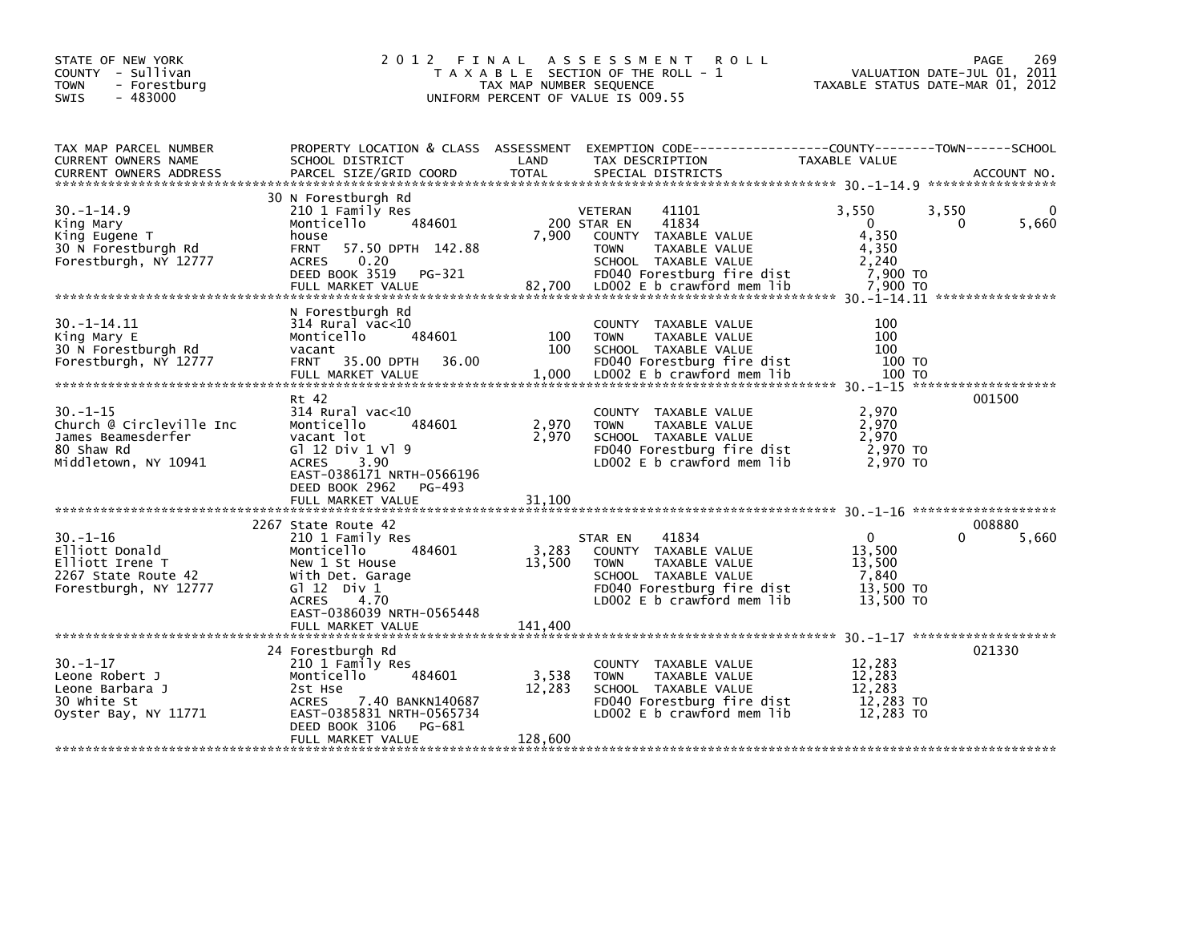| STATE OF NEW YORK<br>COUNTY - Sullivan<br><b>TOWN</b><br>- Forestburg<br>$-483000$<br><b>SWIS</b>      | 2012 FINAL                                                                                                                                                                                | TAX MAP NUMBER SEQUENCE  | <b>ROLL</b><br>A S S E S S M E N T<br>T A X A B L E SECTION OF THE ROLL - 1<br>UNIFORM PERCENT OF VALUE IS 009.55                                                                                  |                                                                      | 269<br>PAGE<br>VALUATION DATE-JUL 01, 2011<br>TAXABLE STATUS DATE-MAR 01, 2012 |
|--------------------------------------------------------------------------------------------------------|-------------------------------------------------------------------------------------------------------------------------------------------------------------------------------------------|--------------------------|----------------------------------------------------------------------------------------------------------------------------------------------------------------------------------------------------|----------------------------------------------------------------------|--------------------------------------------------------------------------------|
| TAX MAP PARCEL NUMBER<br>CURRENT OWNERS NAME<br><b>CURRENT OWNERS ADDRESS</b>                          | PROPERTY LOCATION & CLASS ASSESSMENT<br>SCHOOL DISTRICT<br>PARCEL SIZE/GRID COORD                                                                                                         | LAND<br><b>TOTAL</b>     | EXEMPTION        CODE------------------COUNTY-------TOWN------SCHOOL<br>TAX DESCRIPTION<br>SPECIAL DISTRICTS                                                                                       | TAXABLE VALUE                                                        | ACCOUNT NO.                                                                    |
| $30. -1 - 14.9$<br>King Mary<br>King Eugene T<br>30 N Forestburgh Rd<br>Forestburgh, NY 12777          | 30 N Forestburgh Rd<br>210 1 Family Res<br>Monticello<br>484601<br>house<br><b>FRNT</b><br>57.50 DPTH 142.88<br>0.20<br>ACRES<br>DEED BOOK 3519<br>PG-321<br>FULL MARKET VALUE            | 7,900                    | <b>VETERAN</b><br>41101<br>41834<br>200 STAR EN<br>COUNTY TAXABLE VALUE<br><b>TOWN</b><br>TAXABLE VALUE<br>SCHOOL TAXABLE VALUE<br>FD040 Forestburg fire dist<br>82,700 LD002 E b crawford mem lib | 3,550<br>$\Omega$<br>4,350<br>4,350<br>2.240<br>7,900 TO<br>7.900 TO | $\mathbf{0}$<br>3,550<br>5,660<br>$\Omega$                                     |
| $30. -1 - 14.11$<br>King Mary E<br>30 N Forestburgh Rd<br>Forestburgh, NY 12777                        | N Forestburgh Rd<br>$314$ Rural vac<10<br>484601<br>Monticello<br>vacant<br>35.00 DPTH<br>36.00<br><b>FRNT</b><br>FULL MARKET VALUE                                                       | 100<br>100<br>1,000      | COUNTY TAXABLE VALUE<br><b>TOWN</b><br>TAXABLE VALUE<br>SCHOOL TAXABLE VALUE<br>FD040 Forestburg fire dist<br>LD002 E b crawford mem lib                                                           | 100<br>100<br>100<br>100 TO<br>100 TO                                |                                                                                |
| $30. - 1 - 15$<br>Church @ Circleville Inc<br>James Beamesderfer<br>80 Shaw Rd<br>Middletown, NY 10941 | Rt 42<br>314 Rural vac<10<br>Monticello<br>484601<br>vacant lot<br>G1 12 Div 1 V1 9<br>3.90<br><b>ACRES</b><br>EAST-0386171 NRTH-0566196<br>DEED BOOK 2962<br>PG-493<br>FULL MARKET VALUE | 2,970<br>2,970<br>31,100 | COUNTY TAXABLE VALUE<br><b>TOWN</b><br>TAXABLE VALUE<br>SCHOOL TAXABLE VALUE<br>FD040 Forestburg fire dist<br>LD002 E b crawford mem lib                                                           | 2,970<br>2,970<br>2,970<br>2,970 TO<br>2,970 TO                      | 001500                                                                         |
|                                                                                                        |                                                                                                                                                                                           |                          |                                                                                                                                                                                                    |                                                                      |                                                                                |
| $30. - 1 - 16$<br>Elliott Donald<br>Elliott Irene T<br>2267 State Route 42<br>Forestburgh, NY 12777    | 2267 State Route 42<br>210 1 Family Res<br>Monticello<br>484601<br>New 1 St House<br>With Det. Garage<br>G $\overline{1}$ 12 Div 1<br><b>ACRES</b><br>4.70<br>EAST-0386039 NRTH-0565448   | 3,283<br>13,500          | 41834<br>STAR EN<br>COUNTY TAXABLE VALUE<br><b>TOWN</b><br>TAXABLE VALUE<br>SCHOOL TAXABLE VALUE<br>FD040 Forestburg fire dist<br>$LD002 E b$ crawford mem lib                                     | $\mathbf{0}$<br>13,500<br>13,500<br>7,840<br>13,500 TO<br>13,500 TO  | 008880<br>5,660                                                                |
|                                                                                                        |                                                                                                                                                                                           |                          |                                                                                                                                                                                                    |                                                                      |                                                                                |
| $30. - 1 - 17$<br>Leone Robert J<br>Leone Barbara J<br>30 white St<br>Oyster Bay, NY 11771             | 24 Forestburgh Rd<br>210 1 Family Res<br>Monticello<br>484601<br>2st Hse<br>7.40 BANKN140687<br><b>ACRES</b><br>EAST-0385831 NRTH-0565734<br>DEED BOOK 3106<br>PG-681                     | 3,538<br>12,283          | COUNTY TAXABLE VALUE<br><b>TOWN</b><br>TAXABLE VALUE<br>SCHOOL TAXABLE VALUE<br>FD040 Forestburg fire dist<br>LD002 E b crawford mem lib                                                           | 12,283<br>12,283<br>12.283<br>12,283 TO<br>12.283 TO                 | 021330                                                                         |
|                                                                                                        | FULL MARKET VALUE                                                                                                                                                                         | 128,600                  |                                                                                                                                                                                                    |                                                                      |                                                                                |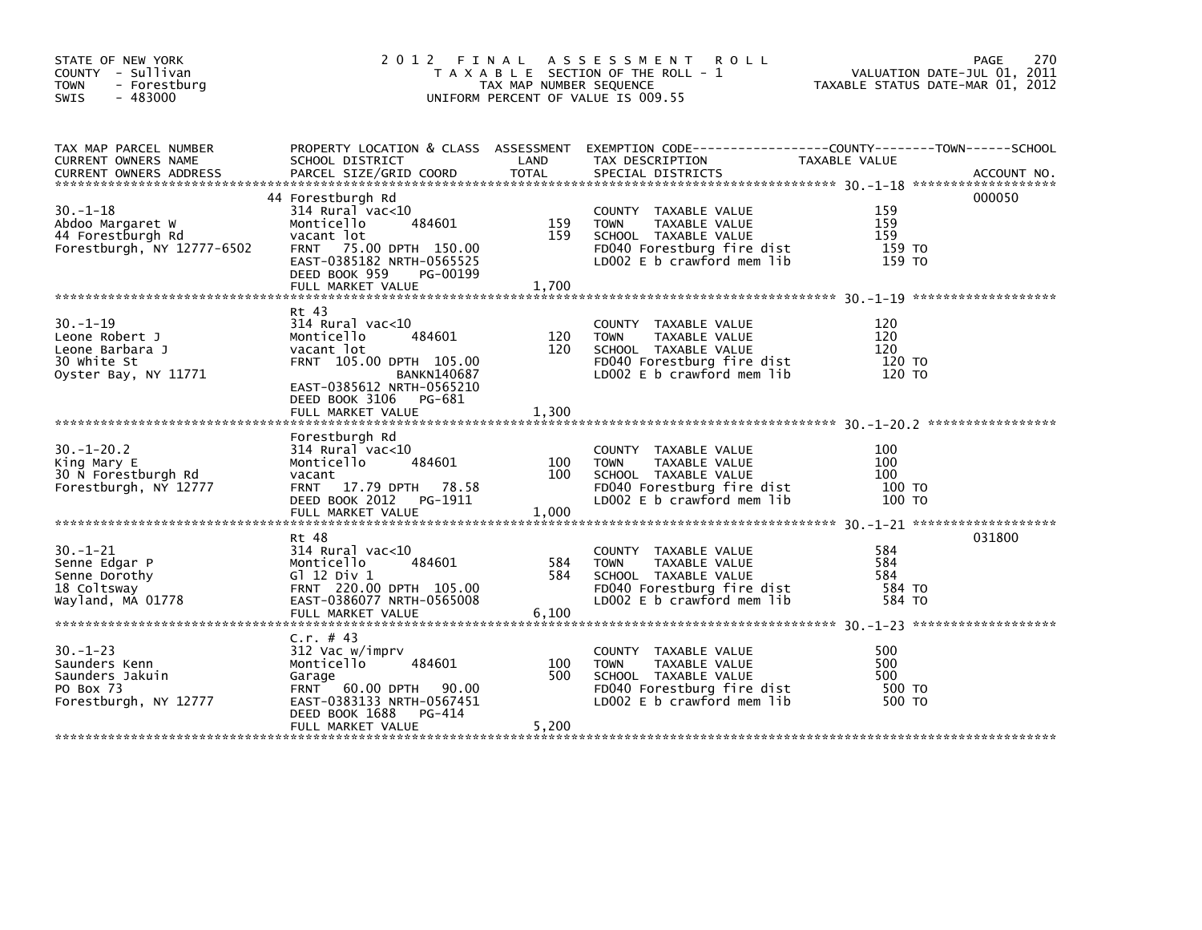| STATE OF NEW YORK<br>COUNTY - Sullivan<br><b>TOWN</b><br>- Forestburg<br>$-483000$<br><b>SWIS</b> | 2012 FINAL                                                                                                                                                                                       | TAX MAP NUMBER SEQUENCE | A S S E S S M E N T<br><b>ROLL</b><br>T A X A B L E SECTION OF THE ROLL - 1<br>UNIFORM PERCENT OF VALUE IS 009.55                            | TAXABLE STATUS DATE-MAR 01, 2012      | 270<br>PAGE<br>VALUATION DATE-JUL 01, 2011 |
|---------------------------------------------------------------------------------------------------|--------------------------------------------------------------------------------------------------------------------------------------------------------------------------------------------------|-------------------------|----------------------------------------------------------------------------------------------------------------------------------------------|---------------------------------------|--------------------------------------------|
| TAX MAP PARCEL NUMBER<br>CURRENT OWNERS NAME                                                      | PROPERTY LOCATION & CLASS ASSESSMENT<br>SCHOOL DISTRICT                                                                                                                                          | LAND                    | EXEMPTION CODE-----------------COUNTY-------TOWN------SCHOOL<br>TAX DESCRIPTION                                                              | TAXABLE VALUE                         |                                            |
| $30. - 1 - 18$<br>Abdoo Margaret W<br>44 Forestburgh Rd<br>Forestburgh, NY 12777-6502             | 44 Forestburgh Rd<br>$314$ Rural vac< $10$<br>Monticello<br>484601<br>vacant lot<br>FRNT 75.00 DPTH 150.00<br>EAST-0385182 NRTH-0565525<br>DEED BOOK 959<br>PG-00199<br>FULL MARKET VALUE        | 159<br>159<br>1,700     | COUNTY TAXABLE VALUE<br><b>TOWN</b><br>TAXABLE VALUE<br>SCHOOL TAXABLE VALUE<br>FD040 Forestburg fire dist<br>LD002 $E$ b crawford mem $lib$ | 159<br>159<br>159<br>159 то<br>159 TO | 000050                                     |
| $30. - 1 - 19$<br>Leone Robert J<br>Leone Barbara J<br>30 white St<br>Oyster Bay, NY 11771        | Rt 43<br>$314$ Rural vac<10<br>484601<br>Monticello<br>vacant lot<br>FRNT 105.00 DPTH 105.00<br><b>BANKN140687</b><br>EAST-0385612 NRTH-0565210<br>DEED BOOK 3106<br>PG-681<br>FULL MARKET VALUE | 120<br>120<br>1,300     | COUNTY TAXABLE VALUE<br><b>TOWN</b><br>TAXABLE VALUE<br>SCHOOL TAXABLE VALUE<br>FD040 Forestburg fire dist<br>LD002 $E$ b crawford mem $lib$ | 120<br>120<br>120<br>120 TO<br>120 TO |                                            |
| $30. - 1 - 20.2$<br>King Mary E<br>30 N Forestburgh Rd<br>Forestburgh, NY 12777                   | Forestburgh Rd<br>$314$ Rural vac< $10$<br>Monticello<br>484601<br>vacant<br>FRNT 17.79 DPTH 78.58<br>DEED BOOK 2012<br>PG-1911<br>FULL MARKET VALUE                                             | 100<br>100<br>1,000     | COUNTY TAXABLE VALUE<br>TAXABLE VALUE<br><b>TOWN</b><br>SCHOOL TAXABLE VALUE<br>FD040 Forestburg fire dist<br>LD002 E b crawford mem lib     | 100<br>100<br>100<br>100 TO<br>100 TO |                                            |
| $30. - 1 - 21$<br>Senne Edgar P<br>Senne Dorothy<br>18 Coltsway<br>Wayland, MA 01778              | Rt 48<br>314 Rural vac<10<br>Monticello<br>484601<br>G $1$ 12 Div 1<br>FRNT 220.00 DPTH 105.00<br>EAST-0386077 NRTH-0565008<br>FULL MARKET VALUE                                                 | 584<br>584<br>6,100     | COUNTY TAXABLE VALUE<br>TAXABLE VALUE<br><b>TOWN</b><br>SCHOOL TAXABLE VALUE<br>FD040 Forestburg fire dist<br>LD002 E b crawford mem lib     | 584<br>584<br>584<br>584 TO<br>584 TO | 031800                                     |
| $30. - 1 - 23$<br>Saunders Kenn<br>Saunders Jakuin<br>PO Box 73<br>Forestburgh, NY 12777          | C.r. # 43<br>312 Vac w/imprv<br>Monticello<br>484601<br>Garage<br>FRNT 60.00 DPTH 90.00<br>EAST-0383133 NRTH-0567451<br>DEED BOOK 1688<br>PG-414<br>FULL MARKET VALUE                            | 100<br>500<br>5,200     | COUNTY TAXABLE VALUE<br><b>TOWN</b><br>TAXABLE VALUE<br>SCHOOL TAXABLE VALUE<br>FD040 Forestburg fire dist<br>LD002 E b crawford mem lib     | 500<br>500<br>500<br>500 TO<br>500 TO |                                            |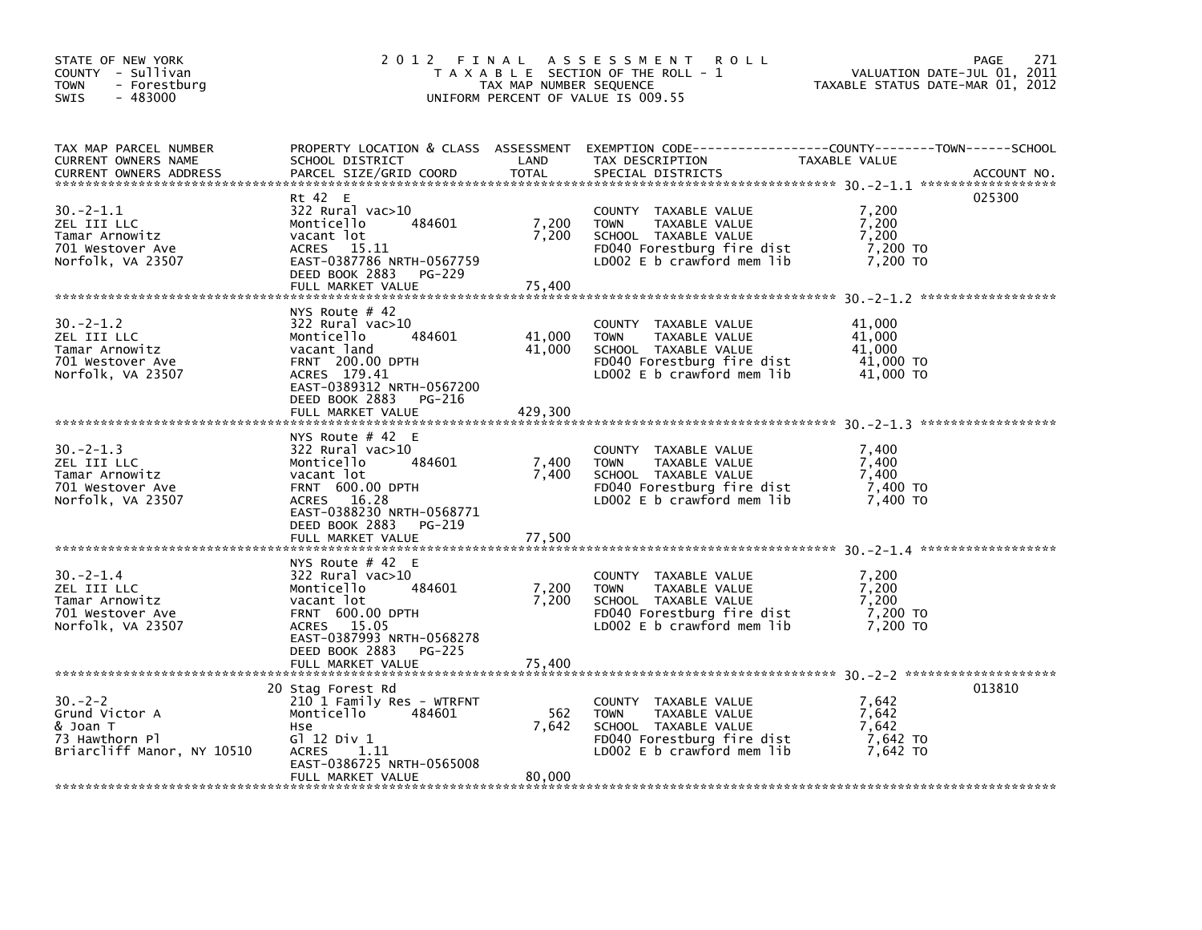| STATE OF NEW YORK<br>COUNTY - Sullivan<br><b>TOWN</b><br>- Forestburg<br>$-483000$<br>SWIS | 2012 FINAL                                                                                                                                                                                                | TAX MAP NUMBER SEQUENCE     | A S S E S S M E N T<br><b>ROLL</b><br>T A X A B L E SECTION OF THE ROLL - 1<br>UNIFORM PERCENT OF VALUE IS 009.55                        | VALUATION DATE-JUL 01, 2011<br>TAXABLE STATUS DATE-MAR 01, 2012 | 271<br>PAGE |
|--------------------------------------------------------------------------------------------|-----------------------------------------------------------------------------------------------------------------------------------------------------------------------------------------------------------|-----------------------------|------------------------------------------------------------------------------------------------------------------------------------------|-----------------------------------------------------------------|-------------|
| TAX MAP PARCEL NUMBER<br>CURRENT OWNERS NAME<br><b>CURRENT OWNERS ADDRESS</b>              | SCHOOL DISTRICT<br>PARCEL SIZE/GRID COORD                                                                                                                                                                 | LAND<br><b>TOTAL</b>        | PROPERTY LOCATION & CLASS ASSESSMENT EXEMPTION CODE----------------COUNTY-------TOWN------SCHOOL<br>TAX DESCRIPTION<br>SPECIAL DISTRICTS | TAXABLE VALUE                                                   | ACCOUNT NO. |
| $30 - 2 - 1.1$<br>ZEL III LLC<br>Tamar Arnowitz<br>701 Westover Ave<br>Norfolk, VA 23507   | Rt 42 E<br>$322$ Rural vac $>10$<br>484601<br>Monticello<br>vacant lot<br>ACRES<br>15.11<br>EAST-0387786 NRTH-0567759<br>DEED BOOK 2883<br>PG-229<br>FULL MARKET VALUE                                    | 7,200<br>7,200<br>75,400    | COUNTY TAXABLE VALUE<br><b>TOWN</b><br>TAXABLE VALUE<br>SCHOOL TAXABLE VALUE<br>FD040 Forestburg fire dist<br>LD002 E b crawford mem lib | 7,200<br>7,200<br>7,200<br>7,200 TO<br>7,200 TO                 | 025300      |
| $30 - 2 - 1.2$<br>ZEL III LLC<br>Tamar Arnowitz<br>701 Westover Ave<br>Norfolk, VA 23507   | NYS Route $#$ 42<br>$322$ Rural vac $>10$<br>484601<br>Monticello<br>vacant land<br><b>FRNT 200.00 DPTH</b><br>ACRES 179.41<br>EAST-0389312 NRTH-0567200<br>DEED BOOK 2883<br>PG-216<br>FULL MARKET VALUE | 41,000<br>41,000<br>429,300 | COUNTY TAXABLE VALUE<br><b>TOWN</b><br>TAXABLE VALUE<br>SCHOOL TAXABLE VALUE<br>FD040 Forestburg fire dist<br>LD002 E b crawford mem lib | 41.000<br>41,000<br>41,000<br>41,000 TO<br>41,000 TO            |             |
| $30 - 2 - 1.3$<br>ZEL III LLC<br>Tamar Arnowitz<br>701 Westover Ave<br>Norfolk, VA 23507   | NYS Route $#$ 42 E<br>322 Rural vac>10<br>Monticello<br>484601<br>vacant lot<br><b>FRNT 600.00 DPTH</b><br>ACRES 16.28<br>EAST-0388230 NRTH-0568771<br>DEED BOOK 2883<br>PG-219                           | 7,400<br>7,400              | COUNTY TAXABLE VALUE<br><b>TOWN</b><br>TAXABLE VALUE<br>SCHOOL TAXABLE VALUE<br>FD040 Forestburg fire dist<br>LD002 E b crawford mem lib | 7,400<br>7,400<br>7.400<br>7,400 TO<br>7.400 TO                 |             |
|                                                                                            | FULL MARKET VALUE                                                                                                                                                                                         | 77,500                      |                                                                                                                                          |                                                                 |             |
| $30 - 2 - 1.4$<br>ZEL III LLC<br>Tamar Arnowitz<br>701 Westover Ave<br>Norfolk, VA 23507   | NYS Route $#$ 42 E<br>322 Rural vac>10<br>Monticello<br>484601<br>vacant lot<br><b>FRNT 600.00 DPTH</b><br>ACRES 15.05<br>EAST-0387993 NRTH-0568278<br>DEED BOOK 2883<br><b>PG-225</b>                    | 7,200<br>7,200              | COUNTY TAXABLE VALUE<br>TAXABLE VALUE<br><b>TOWN</b><br>SCHOOL TAXABLE VALUE<br>FD040 Forestburg fire dist<br>LD002 E b crawford mem lib | 7,200<br>7,200<br>7.200<br>7,200 TO<br>7,200 TO                 |             |
|                                                                                            | FULL MARKET VALUE                                                                                                                                                                                         | 75.400                      |                                                                                                                                          |                                                                 |             |
| $30 - 2 - 2$<br>Grund Victor A<br>& Joan T<br>73 Hawthorn Pl<br>Briarcliff Manor, NY 10510 | 20 Stag Forest Rd<br>210 1 Family Res - WTRFNT<br>Monticello<br>484601<br>Hse<br>G1 12 Div 1<br><b>ACRES</b><br>1.11<br>EAST-0386725 NRTH-0565008<br>FULL MARKET VALUE                                    | 562<br>7,642<br>80,000      | COUNTY TAXABLE VALUE<br><b>TOWN</b><br>TAXABLE VALUE<br>SCHOOL TAXABLE VALUE<br>FD040 Forestburg fire dist<br>LDOO2 E b crawford mem lib | 7,642<br>7,642<br>7,642<br>7,642 TO<br>7,642 TO                 | 013810      |
|                                                                                            |                                                                                                                                                                                                           |                             |                                                                                                                                          |                                                                 |             |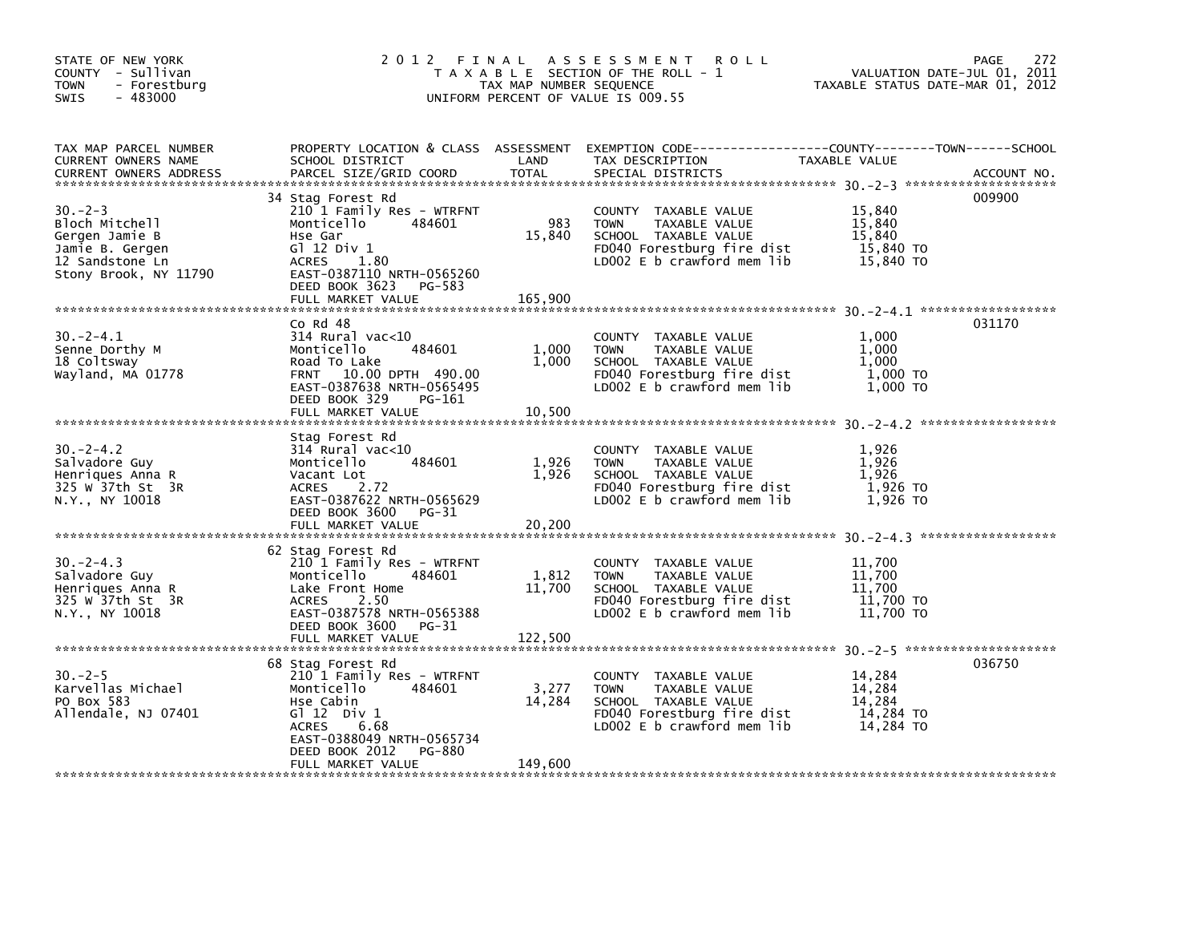| STATE OF NEW YORK<br>COUNTY - Sullivan<br><b>TOWN</b><br>- Forestburg<br>$-483000$<br><b>SWIS</b>               |                                                                                                                                                                              | TAX MAP NUMBER SEQUENCE | 2012 FINAL ASSESSMENT ROLL<br>T A X A B L E SECTION OF THE ROLL - 1<br>UNIFORM PERCENT OF VALUE IS 009.55                                    | VALUATION DATE-JUL 01, 2011<br>TAXABLE STATUS DATE-MAR 01, 2012 | 272<br>PAGE |
|-----------------------------------------------------------------------------------------------------------------|------------------------------------------------------------------------------------------------------------------------------------------------------------------------------|-------------------------|----------------------------------------------------------------------------------------------------------------------------------------------|-----------------------------------------------------------------|-------------|
| TAX MAP PARCEL NUMBER<br>CURRENT OWNERS NAME<br><b>CURRENT OWNERS ADDRESS</b>                                   | SCHOOL DISTRICT<br>PARCEL SIZE/GRID COORD                                                                                                                                    | LAND<br><b>TOTAL</b>    | PROPERTY LOCATION & CLASS ASSESSMENT EXEMPTION CODE---------------COUNTY-------TOWN-----SCHOOL<br>TAX DESCRIPTION<br>SPECIAL DISTRICTS       | <b>TAXABLE VALUE</b>                                            | ACCOUNT NO. |
| $30 - 2 - 3$<br>Bloch Mitchell<br>Gergen Jamie B<br>Jamie B. Gergen<br>12 Sandstone Ln<br>Stony Brook, NY 11790 | 34 Stag Forest Rd<br>210 1 Family Res - WTRFNT<br>Monticello<br>484601<br>Hse Gar<br>$G1$ 12 Div 1<br>1.80<br>ACRES<br>EAST-0387110 NRTH-0565260<br>DEED BOOK 3623<br>PG-583 | 983<br>15,840           | COUNTY TAXABLE VALUE<br><b>TOWN</b><br>TAXABLE VALUE<br>SCHOOL TAXABLE VALUE<br>FD040 Forestburg fire dist<br>LD002 E b crawford mem lib     | 15,840<br>15,840<br>15,840<br>15,840 TO<br>15,840 TO            | 009900      |
|                                                                                                                 |                                                                                                                                                                              |                         |                                                                                                                                              |                                                                 |             |
| $30 - 2 - 4.1$<br>Senne Dorthy M<br>18 Coltsway<br>Wayland, MA 01778                                            | $Co$ Rd $48$<br>$314$ Rural vac<10<br>484601<br>Monticello<br>Road To Lake<br>FRNT 10.00 DPTH 490.00<br>EAST-0387638 NRTH-0565495<br>DEED BOOK 329<br>PG-161                 | 1,000<br>1,000          | COUNTY TAXABLE VALUE<br>TOWN<br>TAXABLE VALUE<br>SCHOOL TAXABLE VALUE<br>FD040 Forestburg fire dist<br>LD002 E b crawford mem lib            | 1.000<br>1,000<br>1,000<br>1,000 TO<br>1,000 TO                 | 031170      |
|                                                                                                                 |                                                                                                                                                                              |                         |                                                                                                                                              |                                                                 |             |
| $30 - 2 - 4.2$<br>Salvadore Guy<br>Henriques Anna R<br>325 W 37th St 3R<br>N.Y., NY 10018                       | Stag Forest Rd<br>$314$ Rural vac< $10$<br>484601<br>Monticello<br>Vacant Lot<br>ACRES<br>2.72<br>EAST-0387622 NRTH-0565629<br>DEED BOOK 3600<br>PG-31                       | 1,926<br>1,926          | COUNTY TAXABLE VALUE<br><b>TOWN</b><br>TAXABLE VALUE<br>SCHOOL TAXABLE VALUE<br>FD040 Forestburg fire dist<br>LD002 E b crawford mem lib     | 1,926<br>1,926<br>1,926<br>$1,926$ TO<br>1,926 TO               |             |
|                                                                                                                 | FULL MARKET VALUE                                                                                                                                                            | 20,200                  |                                                                                                                                              |                                                                 |             |
| $30 - 2 - 4.3$<br>Salvadore Guy<br>Henriques Anna R<br>325 W 37th St 3R<br>N.Y., NY 10018                       | 62 Stag Forest Rd<br>210 1 Family Res - WTRFNT<br>484601<br>Monticello<br>Lake Front Home<br>2.50<br><b>ACRES</b><br>EAST-0387578 NRTH-0565388<br>DEED BOOK 3600<br>PG-31    | 1,812<br>11,700         | COUNTY TAXABLE VALUE<br><b>TOWN</b><br>TAXABLE VALUE<br>SCHOOL TAXABLE VALUE<br>FD040 Forestburg fire dist<br>LD002 E b crawford mem lib     | 11,700<br>11,700<br>11,700<br>11,700 TO<br>11,700 TO            |             |
|                                                                                                                 | FULL MARKET VALUE                                                                                                                                                            | 122,500                 |                                                                                                                                              |                                                                 |             |
|                                                                                                                 | 68 Stag Forest Rd                                                                                                                                                            |                         |                                                                                                                                              |                                                                 | 036750      |
| $30 - 2 - 5$<br>Karvellas Michael<br>PO Box 583<br>Allendale, NJ 07401                                          | 210 1 Family Res - WTRFNT<br>Monticello<br>484601<br>Hse Cabin<br>$G1 12$ Div $1$<br><b>ACRES</b><br>6.68<br>EAST-0388049 NRTH-0565734                                       | 3,277<br>14,284         | COUNTY TAXABLE VALUE<br>TAXABLE VALUE<br><b>TOWN</b><br>SCHOOL TAXABLE VALUE<br>FD040 Forestburg fire dist<br>LD002 $E$ b crawford mem $lib$ | 14,284<br>14.284<br>14,284<br>14,284 TO<br>14,284 TO            |             |
|                                                                                                                 | DEED BOOK 2012<br>PG-880<br>FULL MARKET VALUE                                                                                                                                | 149,600                 |                                                                                                                                              |                                                                 |             |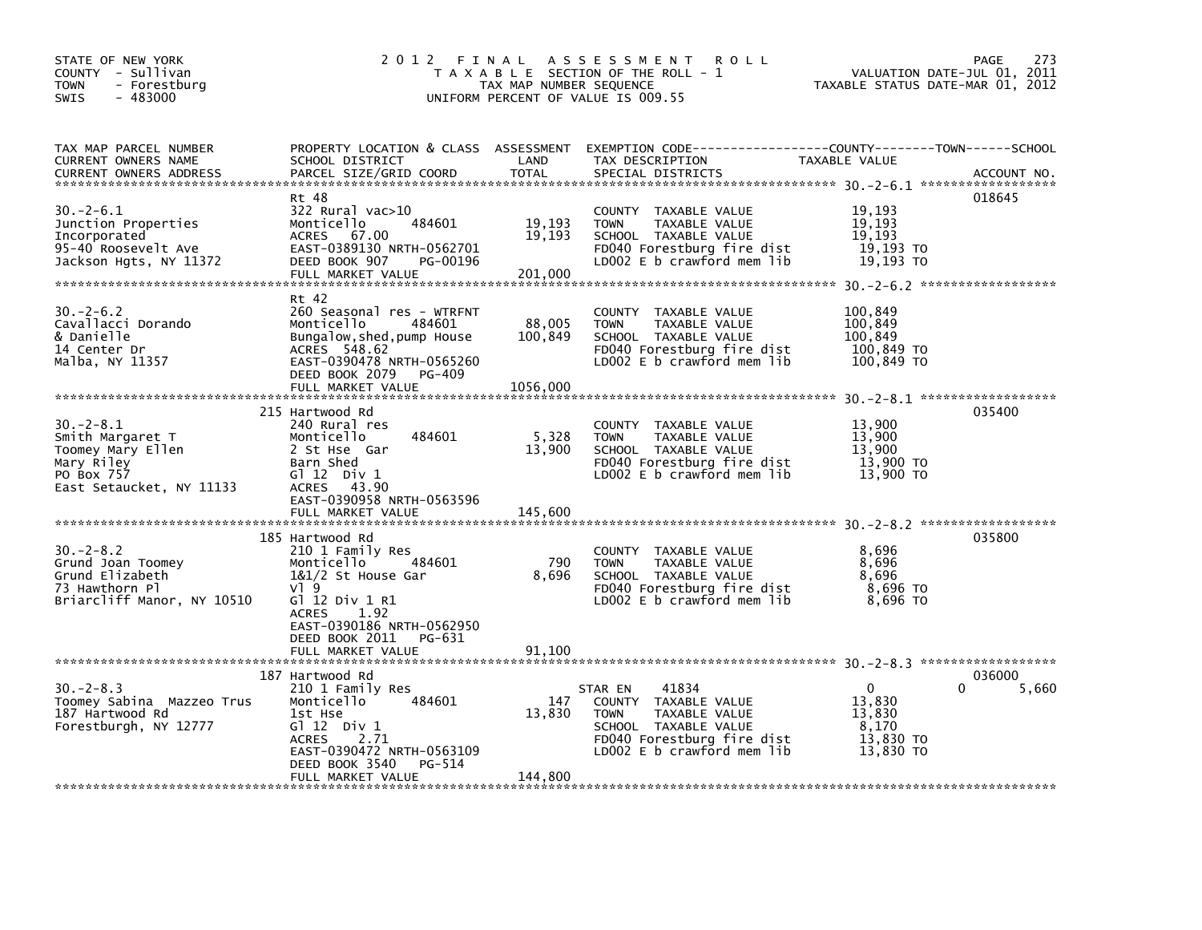| STATE OF NEW YORK<br>COUNTY - Sullivan<br><b>TOWN</b><br>- Forestburg<br>$-483000$<br>SWIS                      | 2 0 1 2<br>FINAL                                                                                                                                                                                                  | TAX MAP NUMBER SEQUENCE       | A S S E S S M E N T<br><b>ROLL</b><br>T A X A B L E SECTION OF THE ROLL - 1<br>UNIFORM PERCENT OF VALUE IS 009.55                                            | VALUATION DATE-JUL 01, 2011<br>TAXABLE STATUS DATE-MAR 01, 2012 | 273<br>PAGE          |
|-----------------------------------------------------------------------------------------------------------------|-------------------------------------------------------------------------------------------------------------------------------------------------------------------------------------------------------------------|-------------------------------|--------------------------------------------------------------------------------------------------------------------------------------------------------------|-----------------------------------------------------------------|----------------------|
| TAX MAP PARCEL NUMBER<br>CURRENT OWNERS NAME<br><b>CURRENT OWNERS ADDRESS</b>                                   | PROPERTY LOCATION & CLASS ASSESSMENT<br>SCHOOL DISTRICT<br>PARCEL SIZE/GRID COORD                                                                                                                                 | LAND<br><b>TOTAL</b>          | EXEMPTION CODE-----------------COUNTY-------TOWN------SCHOOL<br>TAX DESCRIPTION<br>SPECIAL DISTRICTS                                                         | TAXABLE VALUE                                                   | ACCOUNT NO.          |
| $30 - 2 - 6.1$<br>Junction Properties<br>Incorporated<br>95-40 Roosevelt Ave<br>Jackson Hgts, NY 11372          | Rt 48<br>$322$ Rural vac $>10$<br>484601<br>Monticello<br><b>ACRES</b><br>67.00<br>EAST-0389130 NRTH-0562701<br>DEED BOOK 907<br>PG-00196<br>FULL MARKET VALUE                                                    | 19,193<br>19,193<br>201,000   | COUNTY TAXABLE VALUE<br><b>TOWN</b><br>TAXABLE VALUE<br>SCHOOL TAXABLE VALUE<br>FD040 Forestburg fire dist<br>LD002 E b crawford mem lib                     | 19.193<br>19,193<br>19,193<br>19,193 TO<br>19,193 TO            | 018645               |
| $30 - 2 - 6.2$<br>Cavallacci Dorando<br>& Danielle<br>14 Center Dr<br>Malba, NY 11357                           | Rt 42<br>260 Seasonal res - WTRFNT<br>Monticello<br>484601<br>Bungalow, shed, pump House<br>ACRES 548.62<br>EAST-0390478 NRTH-0565260<br>DEED BOOK 2079<br>PG-409<br>FULL MARKET VALUE                            | 88,005<br>100,849<br>1056,000 | COUNTY TAXABLE VALUE<br>TAXABLE VALUE<br><b>TOWN</b><br>SCHOOL TAXABLE VALUE<br>FD040 Forestburg fire dist<br>LD002 $E$ b crawford mem $lib$                 | 100,849<br>100,849<br>100,849<br>100,849 TO<br>100,849 TO       |                      |
| $30 - 2 - 8.1$<br>Smith Margaret T<br>Toomey Mary Ellen<br>Mary Riley<br>PO Box 757<br>East Setaucket, NY 11133 | 215 Hartwood Rd<br>240 Rural res<br>Monticello<br>484601<br>2 St Hse Gar<br>Barn Shed<br>G1 12 Div 1<br>43.90<br><b>ACRES</b><br>EAST-0390958 NRTH-0563596<br>FULL MARKET VALUE                                   | 5,328<br>13,900<br>145,600    | COUNTY TAXABLE VALUE<br><b>TOWN</b><br>TAXABLE VALUE<br>SCHOOL TAXABLE VALUE<br>FD040 Forestburg fire dist<br>LD002 E b crawford mem lib                     | 13,900<br>13,900<br>13,900<br>13,900 TO<br>13,900 TO            | 035400               |
| $30 - 2 - 8.2$<br>Grund Joan Toomey<br>Grund Elizabeth<br>73 Hawthorn Pl<br>Briarcliff Manor, NY 10510          | 185 Hartwood Rd<br>210 1 Family Res<br>Monticello<br>484601<br>1&1/2 St House Gar<br>VI 9<br>G] 12 Div 1 R1<br>1.92<br><b>ACRES</b><br>EAST-0390186 NRTH-0562950<br>DEED BOOK 2011<br>PG-631<br>FULL MARKET VALUE | 790<br>8,696<br>91.100        | COUNTY TAXABLE VALUE<br>TAXABLE VALUE<br><b>TOWN</b><br>SCHOOL TAXABLE VALUE<br>FD040 Forestburg fire dist<br>LD002 $E$ b crawford mem lib                   | 8,696<br>8,696<br>8,696<br>8,696 TO<br>8,696 TO                 | 035800               |
| $30 - 2 - 8.3$<br>Toomey Sabina Mazzeo Trus<br>187 Hartwood Rd<br>Forestburgh, NY 12777                         | 187 Hartwood Rd<br>210 1 Family Res<br>Monticello<br>484601<br>1st Hse<br>G $12$ Div 1<br><b>ACRES</b><br>2.71<br>EAST-0390472 NRTH-0563109<br>DEED BOOK 3540<br>PG-514<br>FULL MARKET VALUE                      | 147<br>13,830<br>144,800      | STAR EN<br>41834<br>COUNTY TAXABLE VALUE<br><b>TOWN</b><br>TAXABLE VALUE<br>SCHOOL TAXABLE VALUE<br>FD040 Forestburg fire dist<br>LDOO2 E b crawford mem lib | $\Omega$<br>13,830<br>13,830<br>8,170<br>13,830 TO<br>13,830 TO | 036000<br>0<br>5,660 |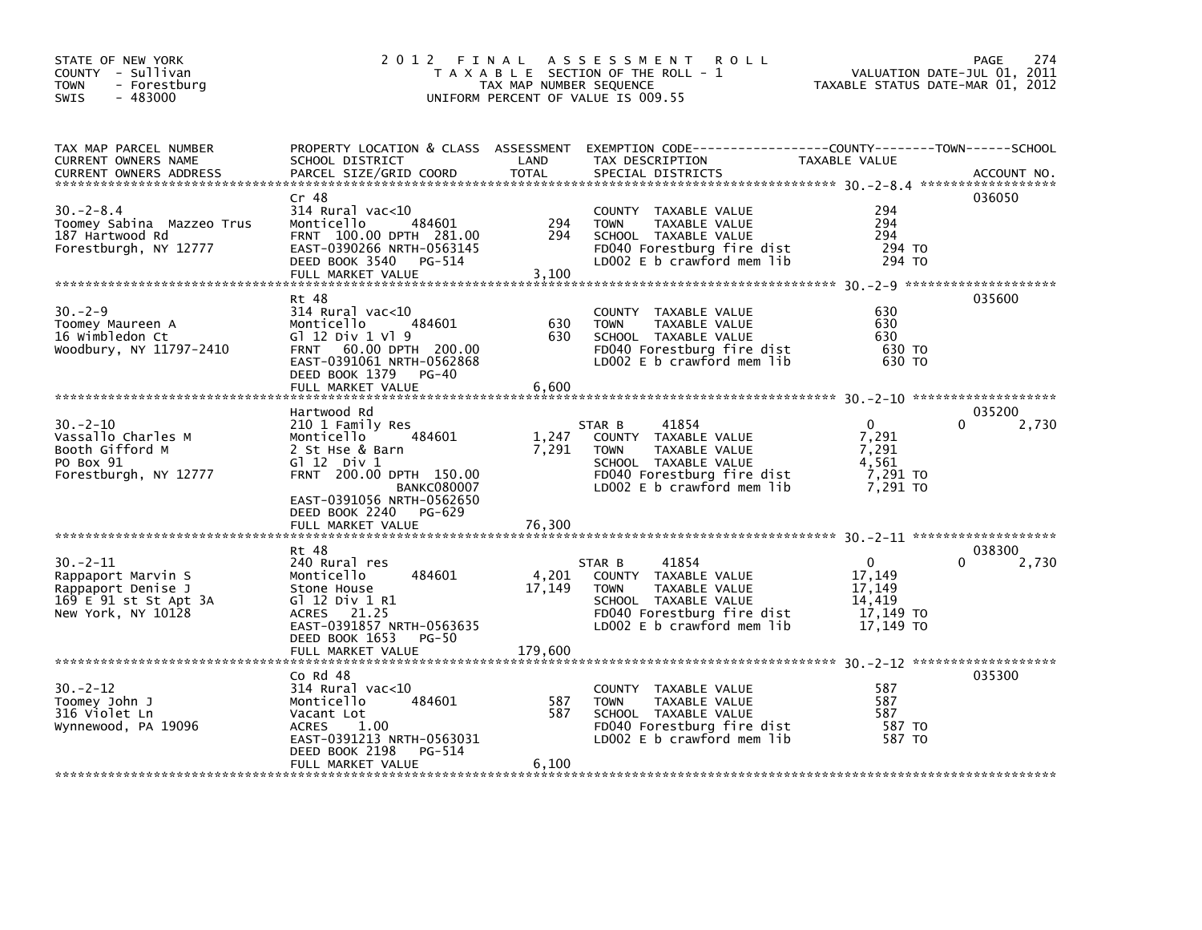| STATE OF NEW YORK<br>COUNTY - Sullivan<br>TOWN<br>- Forestburg<br>$-483000$<br><b>SWIS</b>               | 2 0 1 2                                                                                                                                                                                                                      | TAX MAP NUMBER SEQUENCE  | FINAL ASSESSMENT<br><b>ROLL</b><br>T A X A B L E SECTION OF THE ROLL - 1<br>UNIFORM PERCENT OF VALUE IS 009.55                                              | VALUATION DATE-JUL 01, 2011<br>TAXABLE STATUS DATE-MAR 01, 2012  | 274<br><b>PAGE</b>   |
|----------------------------------------------------------------------------------------------------------|------------------------------------------------------------------------------------------------------------------------------------------------------------------------------------------------------------------------------|--------------------------|-------------------------------------------------------------------------------------------------------------------------------------------------------------|------------------------------------------------------------------|----------------------|
| TAX MAP PARCEL NUMBER<br>CURRENT OWNERS NAME<br><b>CURRENT OWNERS ADDRESS</b>                            | SCHOOL DISTRICT<br>PARCEL SIZE/GRID COORD                                                                                                                                                                                    | LAND<br><b>TOTAL</b>     | PROPERTY LOCATION & CLASS ASSESSMENT EXEMPTION CODE----------------COUNTY-------TOWN------SCHOOL<br>TAX DESCRIPTION<br>SPECIAL DISTRICTS                    | TAXABLE VALUE                                                    | ACCOUNT NO.          |
| $30 - 2 - 8.4$<br>Toomey Sabina Mazzeo Trus<br>187 Hartwood Rd<br>Forestburgh, NY 12777                  | Cr 48<br>$314$ Rural vac<10<br>Monticello<br>484601<br>FRNT 100.00 DPTH 281.00<br>EAST-0390266 NRTH-0563145<br>DEED BOOK 3540 PG-514<br>FULL MARKET VALUE                                                                    | 294<br>294<br>3.100      | COUNTY TAXABLE VALUE<br>TAXABLE VALUE<br><b>TOWN</b><br>SCHOOL TAXABLE VALUE<br>FD040 Forestburg fire dist<br>LD002 $E$ b crawford mem $lib$                | 294<br>294<br>294<br>294 TO<br>294 TO                            | 036050               |
|                                                                                                          |                                                                                                                                                                                                                              |                          |                                                                                                                                                             |                                                                  |                      |
| $30 - 2 - 9$<br>Toomey Maureen A<br>16 Wimbledon Ct<br>Woodbury, NY 11797-2410                           | Rt 48<br>$314$ Rural vac<10<br>Monticello<br>484601<br>G1 12 Div 1 V1 9<br>FRNT 60.00 DPTH 200.00<br>EAST-0391061 NRTH-0562868<br>DEED BOOK 1379<br>PG-40                                                                    | 630<br>630               | COUNTY TAXABLE VALUE<br><b>TOWN</b><br>TAXABLE VALUE<br>SCHOOL TAXABLE VALUE<br>FD040 Forestburg fire dist<br>LD002 E b crawford mem lib                    | 630<br>630<br>630<br>630 TO<br>630 TO                            | 035600               |
|                                                                                                          | FULL MARKET VALUE                                                                                                                                                                                                            | 6,600                    |                                                                                                                                                             |                                                                  |                      |
| $30 - 2 - 10$<br>Vassallo Charles M<br>Booth Gifford M<br>PO Box 91<br>Forestburgh, NY 12777             | Hartwood Rd<br>210 1 Family Res<br>484601<br>Monticello<br>2 St Hse & Barn<br>$G1 12$ Div $1$<br>FRNT 200.00 DPTH 150.00<br><b>BANKC080007</b><br>EAST-0391056 NRTH-0562650<br>DEED BOOK 2240<br>PG-629<br>FULL MARKET VALUE | 1,247<br>7,291<br>76,300 | 41854<br>STAR B<br>COUNTY TAXABLE VALUE<br>TAXABLE VALUE<br><b>TOWN</b><br>SCHOOL TAXABLE VALUE<br>FD040 Forestburg fire dist<br>LD002 E b crawford mem lib | $\Omega$<br>7,291<br>7,291<br>4,561<br>7,291 TO<br>7,291 TO      | 035200<br>2,730<br>0 |
|                                                                                                          |                                                                                                                                                                                                                              |                          |                                                                                                                                                             |                                                                  |                      |
| $30 - 2 - 11$<br>Rappaport Marvin S<br>Rappaport Denise J<br>169 E 91 st St Apt 3A<br>New York, NY 10128 | Rt 48<br>240 Rural res<br>484601<br>Monticello<br>Stone House<br>G1 12 Div 1 R1<br>21.25<br><b>ACRES</b><br>EAST-0391857 NRTH-0563635<br>DEED BOOK 1653<br>PG-50                                                             | 4,201<br>17,149          | 41854<br>STAR B<br>COUNTY TAXABLE VALUE<br>TAXABLE VALUE<br><b>TOWN</b><br>SCHOOL TAXABLE VALUE<br>FD040 Forestburg fire dist<br>LD002 E b crawford mem lib | $\Omega$<br>17,149<br>17,149<br>14,419<br>17,149 TO<br>17,149 TO | 038300<br>2,730<br>0 |
|                                                                                                          |                                                                                                                                                                                                                              |                          |                                                                                                                                                             |                                                                  |                      |
| $30 - 2 - 12$<br>Toomey John J<br>316 Violet Ln<br>Wynnewood, PA 19096                                   | $CO$ Rd $48$<br>$314$ Rural vac< $10$<br>484601<br>Monticello<br>Vacant Lot<br><b>ACRES</b><br>1.00<br>EAST-0391213 NRTH-0563031<br>DEED BOOK 2198<br>PG-514                                                                 | 587<br>587               | <b>COUNTY</b><br>TAXABLE VALUE<br><b>TOWN</b><br><b>TAXABLE VALUE</b><br>SCHOOL TAXABLE VALUE<br>FD040 Forestburg fire dist<br>LD002 E b crawford mem lib   | 587<br>587<br>587<br>587 TO<br>587 TO                            | 035300               |
|                                                                                                          | FULL MARKET VALUE                                                                                                                                                                                                            | 6.100                    |                                                                                                                                                             |                                                                  |                      |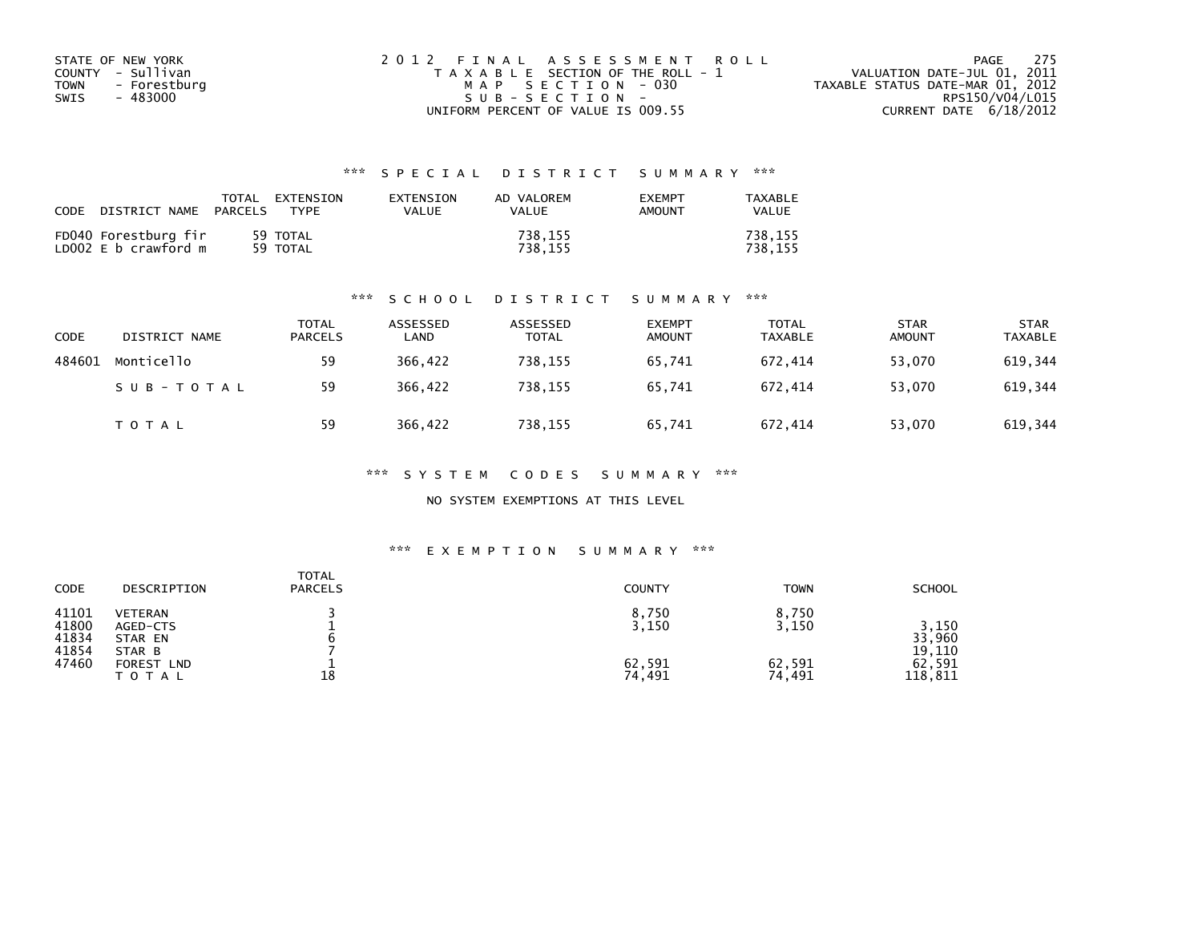| STATE OF NEW YORK    | 2012 FINAL ASSESSMENT ROLL            | 275<br>PAGE                      |
|----------------------|---------------------------------------|----------------------------------|
| COUNTY - Sullivan    | T A X A B L E SECTION OF THE ROLL - 1 | VALUATION DATE-JUL 01, 2011      |
| TOWN<br>- Forestburg | MAP SECTION - 030                     | TAXABLE STATUS DATE-MAR 01, 2012 |
| - 483000<br>SWIS     | SUB-SECTION-                          | RPS150/V04/L015                  |
|                      | UNIFORM PERCENT OF VALUE IS 009.55    | CURRENT DATE $6/18/2012$         |

| CODE | DISTRICT NAME                                | TOTAL<br>PARCELS | FXTFNSTON<br><b>TYPF</b> | <b>FXTENSTON</b><br>VALUE | AD VALOREM<br>VALUE | <b>EXEMPT</b><br>AMOUNT | TAXARI F<br>VALUE  |
|------|----------------------------------------------|------------------|--------------------------|---------------------------|---------------------|-------------------------|--------------------|
|      | FD040 Forestburg fir<br>LD002 E b crawford m |                  | 59 TOTAL<br>59 TOTAL     |                           | 738,155<br>738.155  |                         | 738.155<br>738.155 |

#### \*\*\* S C H O O L D I S T R I C T S U M M A R Y \*\*\*

| CODE   | DISTRICT NAME | TOTAL<br><b>PARCELS</b> | ASSESSED<br>∟AND | ASSESSED<br>TOTAL | <b>EXEMPT</b><br><b>AMOUNT</b> | <b>TOTAL</b><br><b>TAXABLE</b> | <b>STAR</b><br><b>AMOUNT</b> | <b>STAR</b><br><b>TAXABLE</b> |
|--------|---------------|-------------------------|------------------|-------------------|--------------------------------|--------------------------------|------------------------------|-------------------------------|
| 484601 | Monticello    | 59                      | 366,422          | 738.155           | 65.741                         | 672.414                        | 53,070                       | 619,344                       |
|        | SUB-TOTAL     | 59                      | 366.422          | 738.155           | 65.741                         | 672.414                        | 53,070                       | 619,344                       |
|        | <b>TOTAL</b>  | 59                      | 366,422          | 738,155           | 65,741                         | 672,414                        | 53,070                       | 619,344                       |

\*\*\* S Y S T E M C O D E S S U M M A R Y \*\*\*

NO SYSTEM EXEMPTIONS AT THIS LEVEL

#### \*\*\* E X E M P T I O N S U M M A R Y \*\*\*

| <b>SCHOOL</b>                                     |
|---------------------------------------------------|
| 3,150<br>33,960<br>19,110<br>62,591<br>118,811    |
| <b>TOWN</b><br>8,750<br>3,150<br>62,591<br>74,491 |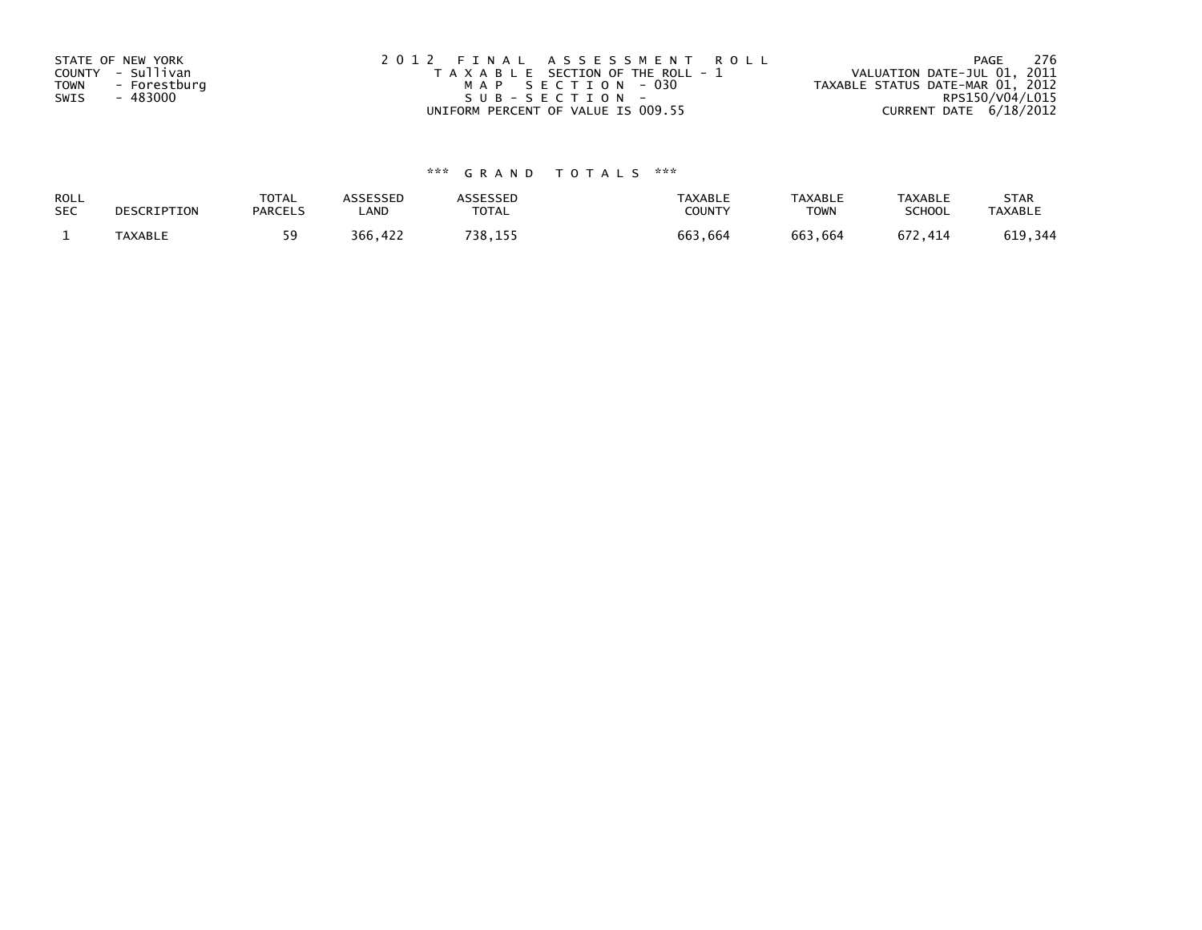| STATE OF NEW YORK<br>COUNTY - Sullivan<br><b>TOWN</b><br>- Forestburg<br>- 483000<br>SWIS | 2012 FINAL ASSESSMENT ROLL<br>T A X A B L E SECTION OF THE ROLL - 1<br>MAP SECTION - 030<br>SUB-SECTION- | - 276<br>PAGE<br>VALUATION DATE-JUL 01, 2011<br>TAXABLE STATUS DATE-MAR 01, 2012<br>RPS150/V04/L015 |
|-------------------------------------------------------------------------------------------|----------------------------------------------------------------------------------------------------------|-----------------------------------------------------------------------------------------------------|
|                                                                                           | UNIFORM PERCENT OF VALUE IS 009.55                                                                       | CURRENT DATE 6/18/2012                                                                              |

| ROLL       | DESCRIPTION    | <b>TOTAL</b>   | ASSESSED | ASSESSED | <b>TAXABLE</b> | <b>TAXABLE</b> | <b>TAXABLE</b> | <b>STAR</b>    |
|------------|----------------|----------------|----------|----------|----------------|----------------|----------------|----------------|
| <b>SEC</b> |                | <b>PARCELS</b> | _AND     | TOTAL    | <b>COUNT</b>   | <b>TOWN</b>    | <b>SCHOOL</b>  | <b>TAXABLE</b> |
|            | <b>TAXABLE</b> |                | 366,422  | 738,155  | 663,664        | 663,664        | 672.414        | 619,344        |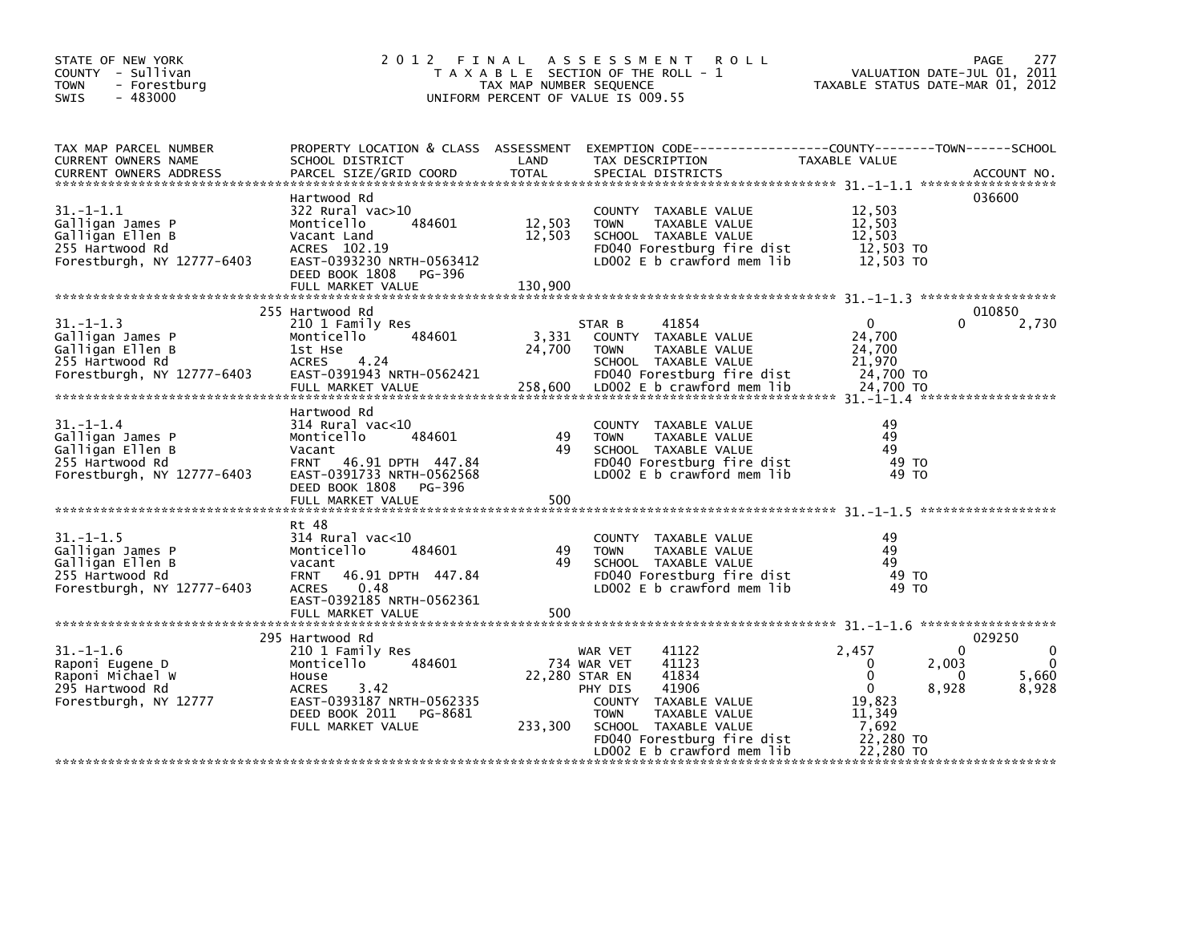| STATE OF NEW YORK<br>COUNTY - Sullivan<br>- Forestburg<br><b>TOWN</b><br>$-483000$<br><b>SWIS</b>        | 2 0 1 2                                                                                                                                                                     | TAX MAP NUMBER SEQUENCE     | FINAL ASSESSMENT ROLL<br>T A X A B L E SECTION OF THE ROLL - 1<br>UNIFORM PERCENT OF VALUE IS 009.55                                                                                                                  | VALUATION DATE-JUL 01, 2011<br>TAXABLE STATUS DATE-MAR 01, 2012                                                         | <b>PAGE</b><br>277                                   |
|----------------------------------------------------------------------------------------------------------|-----------------------------------------------------------------------------------------------------------------------------------------------------------------------------|-----------------------------|-----------------------------------------------------------------------------------------------------------------------------------------------------------------------------------------------------------------------|-------------------------------------------------------------------------------------------------------------------------|------------------------------------------------------|
| TAX MAP PARCEL NUMBER<br>CURRENT OWNERS NAME<br><b>CURRENT OWNERS ADDRESS</b>                            | SCHOOL DISTRICT<br>PARCEL SIZE/GRID COORD                                                                                                                                   | LAND<br><b>TOTAL</b>        | PROPERTY LOCATION & CLASS ASSESSMENT EXEMPTION CODE---------------COUNTY-------TOWN-----SCHOOL<br>TAX DESCRIPTION<br>SPECIAL DISTRICTS                                                                                | TAXABLE VALUE                                                                                                           | ACCOUNT NO.                                          |
| 31. -1-1.1<br>Galligan James P<br>Galligan Ellen B<br>255 Hartwood Rd<br>Forestburgh, NY 12777-6403      | Hartwood Rd<br>322 Rural vac>10<br>484601<br>Monticello<br>Vacant Land<br>ACRES 102.19<br>EAST-0393230 NRTH-0563412<br>DEED BOOK 1808<br>PG-396<br>FULL MARKET VALUE        | 12,503<br>12,503<br>130,900 | COUNTY TAXABLE VALUE<br><b>TOWN</b><br>TAXABLE VALUE<br>SCHOOL TAXABLE VALUE<br>FD040 Forestburg fire dist<br>LD002 E b crawford mem lib                                                                              | 12,503<br>12,503<br>12,503<br>12,503 TO<br>12,503 TO                                                                    | 036600                                               |
| $31. - 1 - 1.3$<br>Galligan James P<br>Galligan Ellen B<br>255 Hartwood Rd<br>Forestburgh, NY 12777-6403 | 255 Hartwood Rd<br>210 1 Family Res<br>Monticello<br>484601<br>1st Hse<br>ACRES 4.24<br>EAST-0391943 NRTH-0562421<br>FULL MARKET VALUE                                      | 3,331<br>24,700             | 41854<br>STAR B<br>COUNTY TAXABLE VALUE<br>TAXABLE VALUE<br><b>TOWN</b><br>SCHOOL TAXABLE VALUE<br>FD040 Forestburg fire dist<br>258,600 LDO02 E b crawford mem lib                                                   | $\mathbf{0}$<br>$\Omega$<br>24,700<br>24,700<br>21,970<br>24,700 TO<br>24,700 TO                                        | 010850<br>2,730                                      |
| $31. - 1 - 1.4$<br>Galligan James P<br>Galligan Ellen B<br>255 Hartwood Rd<br>Forestburgh, NY 12777-6403 | Hartwood Rd<br>$314$ Rural vac<10<br>484601<br>Monticello<br>Vacant<br>FRNT 46.91 DPTH 447.84<br>EAST-0391733 NRTH-0562568<br>DEED BOOK 1808 PG-396<br>FULL MARKET VALUE    | 49<br>49<br>500             | COUNTY TAXABLE VALUE<br><b>TOWN</b><br>TAXABLE VALUE<br>SCHOOL TAXABLE VALUE<br>FD040 Forestburg fire dist<br>LD002 E b crawford mem lib                                                                              | 49<br>49<br>49<br>49 TO<br>49 TO                                                                                        |                                                      |
| $31. - 1 - 1.5$<br>Galligan James P<br>Galligan Ellen B<br>255 Hartwood Rd<br>Forestburgh, NY 12777-6403 | Rt 48<br>$314$ Rural vac<10<br>484601<br>Monticello<br>vacant<br>FRNT 46.91 DPTH 447.84<br>0.48<br><b>ACRES</b><br>EAST-0392185 NRTH-0562361<br>FULL MARKET VALUE           | 49<br>49<br>500             | COUNTY TAXABLE VALUE<br>TAXABLE VALUE<br><b>TOWN</b><br>SCHOOL TAXABLE VALUE<br>FD040 Forestburg fire dist<br>LD002 E b crawford mem lib                                                                              | 49<br>49<br>49<br>49 TO<br>49 TO                                                                                        |                                                      |
| 31. –1–1.6<br>Raponi Eugene D<br>Raponi Michael W<br>295 Hartwood Rd<br>Forestburgh, NY 12777            | 295 Hartwood Rd<br>210 1 Family Res<br>484601<br>Monticello<br>House<br><b>ACRES</b><br>3.42<br>EAST-0393187 NRTH-0562335<br>DEED BOOK 2011<br>PG-8681<br>FULL MARKET VALUE | 22,280 STAR EN<br>233,300   | WAR VET<br>41122<br>41123<br>734 WAR VET<br>41834<br>41906<br>PHY DIS<br>COUNTY TAXABLE VALUE<br><b>TOWN</b><br>TAXABLE VALUE<br>SCHOOL TAXABLE VALUE<br>FD040 Forestburg fire dist<br>LD002 $E$ b crawford mem $lib$ | 2,457<br>$\Omega$<br>0<br>2,003<br>$\Omega$<br>$\Omega$<br>8,928<br>19,823<br>11,349<br>7,692<br>22,280 TO<br>22.280 TO | 029250<br>$\mathbf{0}$<br>$\Omega$<br>5,660<br>8,928 |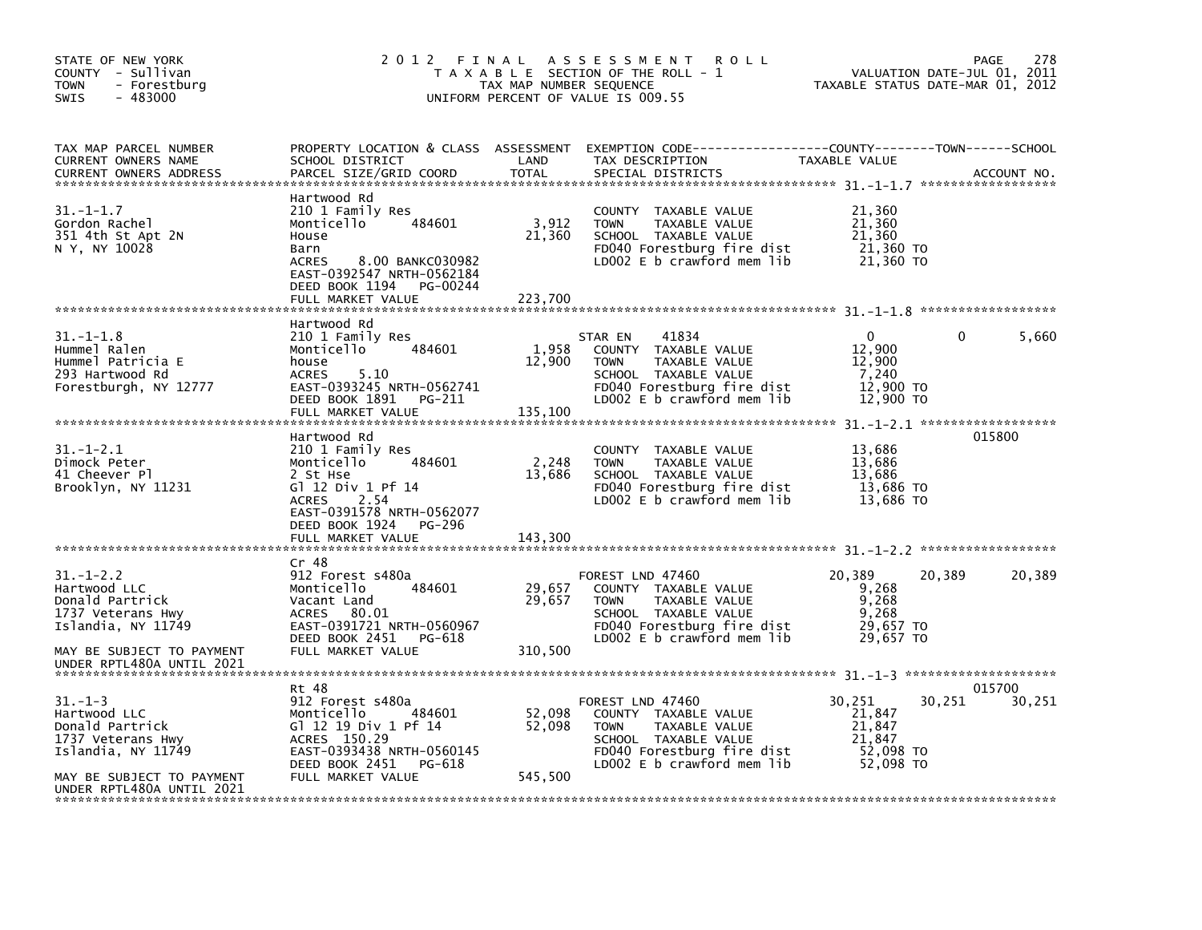| STATE OF NEW YORK<br>COUNTY - Sullivan<br>- Forestburg<br><b>TOWN</b><br>$-483000$<br><b>SWIS</b>                                                     | 2012 FINAL<br>T A X A B L E SECTION OF THE ROLL - 1<br>TAX MAP NUMBER SEQUENCE<br>UNIFORM PERCENT OF VALUE IS 009.55                                                                           | 278<br>PAGE<br>VALUATION DATE-JUL 01, 2011<br>TAXABLE STATUS DATE-MAR 01, 2012 |                                                                                                                                                              |                                                                 |                            |
|-------------------------------------------------------------------------------------------------------------------------------------------------------|------------------------------------------------------------------------------------------------------------------------------------------------------------------------------------------------|--------------------------------------------------------------------------------|--------------------------------------------------------------------------------------------------------------------------------------------------------------|-----------------------------------------------------------------|----------------------------|
| TAX MAP PARCEL NUMBER<br>CURRENT OWNERS NAME<br><b>CURRENT OWNERS ADDRESS</b>                                                                         | SCHOOL DISTRICT<br>PARCEL SIZE/GRID COORD                                                                                                                                                      | LAND<br><b>TOTAL</b>                                                           | PROPERTY LOCATION & CLASS ASSESSMENT EXEMPTION CODE----------------COUNTY-------TOWN------SCHOOL<br>TAX DESCRIPTION<br>SPECIAL DISTRICTS                     | TAXABLE VALUE                                                   | ACCOUNT NO.                |
| $31. - 1 - 1.7$<br>Gordon Rachel<br>351 4th St Apt 2N<br>N Y, NY 10028                                                                                | Hartwood Rd<br>210 1 Family Res<br>484601<br>Monticello<br>House<br>Barn<br>8.00 BANKC030982<br><b>ACRES</b><br>EAST-0392547 NRTH-0562184<br>DEED BOOK 1194<br>PG-00244<br>FULL MARKET VALUE   | 3,912<br>21,360<br>223.700                                                     | COUNTY TAXABLE VALUE<br><b>TOWN</b><br>TAXABLE VALUE<br>SCHOOL TAXABLE VALUE<br>FD040 Forestburg fire dist<br>LD002 E b crawford mem lib                     | 21,360<br>21,360<br>21,360<br>21,360 TO<br>21,360 TO            |                            |
| $31. - 1 - 1.8$<br>Hummel Ralen<br>Hummel Patricia E<br>293 Hartwood Rd<br>Forestburgh, NY 12777                                                      | Hartwood Rd<br>210 1 Family Res<br>Monticello<br>484601<br>house<br><b>ACRES</b><br>5.10<br>EAST-0393245 NRTH-0562741<br>DEED BOOK 1891<br>PG-211<br>FULL MARKET VALUE                         | 1,958<br>12,900<br>135,100                                                     | 41834<br>STAR EN<br>COUNTY TAXABLE VALUE<br><b>TOWN</b><br>TAXABLE VALUE<br>SCHOOL TAXABLE VALUE<br>FD040 Forestburg fire dist<br>LD002 E b crawford mem lib | $\Omega$<br>12,900<br>12,900<br>7,240<br>12,900 TO<br>12,900 TO | 5,660<br>0                 |
| $31. - 1 - 2.1$<br>Dimock Peter<br>41 Cheever Pl<br>Brooklyn, NY 11231                                                                                | Hartwood Rd<br>210 1 Family Res<br>Monticello<br>484601<br>2 St Hse<br>G1 12 Div 1 Pf 14<br>2.54<br><b>ACRES</b><br>EAST-0391578 NRTH-0562077<br>DEED BOOK 1924<br>PG-296<br>FULL MARKET VALUE | 2,248<br>13,686<br>143,300                                                     | COUNTY<br>TAXABLE VALUE<br><b>TOWN</b><br>TAXABLE VALUE<br>SCHOOL TAXABLE VALUE<br>FD040 Forestburg fire dist<br>LD002 E b crawford mem lib                  | 13,686<br>13,686<br>13,686<br>13,686 TO<br>13,686 TO            | 015800                     |
|                                                                                                                                                       | Cr 48                                                                                                                                                                                          |                                                                                |                                                                                                                                                              |                                                                 |                            |
| $31. - 1 - 2.2$<br>Hartwood LLC<br>Donald Partrick<br>1737 Veterans Hwy<br>Islandia, NY 11749<br>MAY BE SUBJECT TO PAYMENT                            | 912 Forest s480a<br>Monticello<br>484601<br>Vacant Land<br>ACRES 80.01<br>EAST-0391721 NRTH-0560967<br>DEED BOOK 2451<br>PG-618<br>FULL MARKET VALUE                                           | 29,657<br>29,657<br>310,500                                                    | FOREST LND 47460<br>COUNTY TAXABLE VALUE<br>TAXABLE VALUE<br><b>TOWN</b><br>SCHOOL TAXABLE VALUE<br>FD040 Forestburg fire dist<br>LD002 E b crawford mem lib | 20,389<br>9,268<br>9,268<br>9,268<br>29,657 TO<br>29,657 TO     | 20,389<br>20,389           |
| UNDER RPTL480A UNTIL 2021                                                                                                                             |                                                                                                                                                                                                |                                                                                |                                                                                                                                                              |                                                                 |                            |
| $31. - 1 - 3$<br>Hartwood LLC<br>Donald Partrick<br>1737 Veterans Hwy<br>Islandia, NY 11749<br>MAY BE SUBJECT TO PAYMENT<br>UNDER RPTL480A UNTIL 2021 | Rt 48<br>912 Forest s480a<br>484601<br>Monticello<br>G] 12 19 Div 1 Pf 14<br>ACRES 150.29<br>EAST-0393438 NRTH-0560145<br>DEED BOOK 2451 PG-618<br>FULL MARKET VALUE                           | 52,098<br>52,098<br>545,500                                                    | FOREST LND 47460<br>COUNTY TAXABLE VALUE<br><b>TOWN</b><br>TAXABLE VALUE<br>SCHOOL TAXABLE VALUE<br>FD040 Forestburg fire dist<br>LD002 E b crawford mem lib | 30,251<br>21,847<br>21,847<br>21.847<br>52,098 TO<br>52,098 TO  | 015700<br>30,251<br>30,251 |
|                                                                                                                                                       |                                                                                                                                                                                                |                                                                                |                                                                                                                                                              |                                                                 |                            |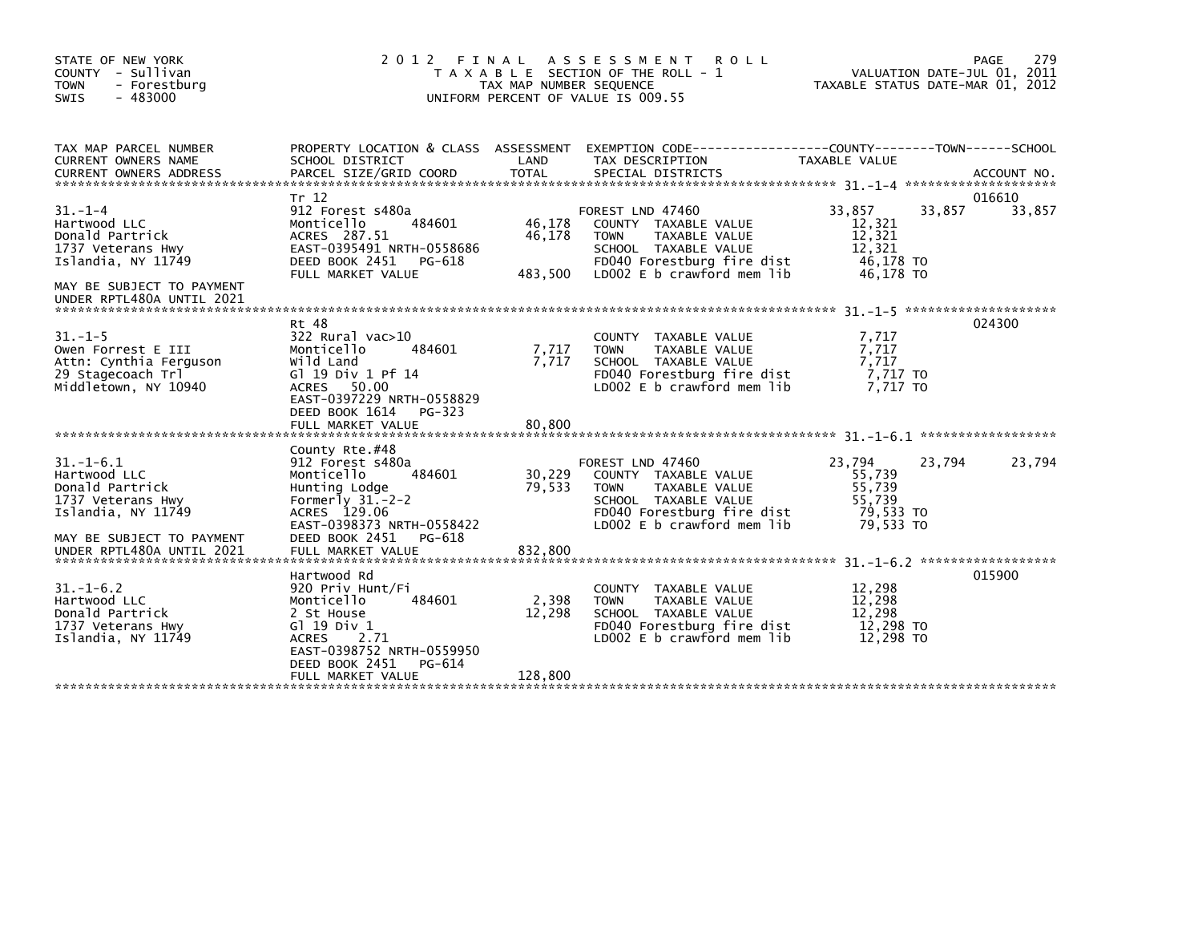| STATE OF NEW YORK<br>COUNTY - Sullivan<br><b>TOWN</b><br>- Forestburg<br><b>SWIS</b><br>- 483000                                                                                                                                                                                      | 2012 FINAL                                                                                                                                                                                      | TAX MAP NUMBER SEQUENCE     | A S S E S S M E N T<br><b>ROLL</b><br>T A X A B L E SECTION OF THE ROLL - 1<br>UNIFORM PERCENT OF VALUE IS 009.55                                            | TAXABLE STATUS DATE-MAR 01, 2012                               |        | 279<br>PAGE<br>VALUATION DATE-JUL 01, 2011 |
|---------------------------------------------------------------------------------------------------------------------------------------------------------------------------------------------------------------------------------------------------------------------------------------|-------------------------------------------------------------------------------------------------------------------------------------------------------------------------------------------------|-----------------------------|--------------------------------------------------------------------------------------------------------------------------------------------------------------|----------------------------------------------------------------|--------|--------------------------------------------|
| TAX MAP PARCEL NUMBER<br><b>CURRENT OWNERS NAME</b><br>.CURRENT OWNERS ADDRESS PARCEL SIZE/GRID COORD TOTAL SPECIAL DISTRICTS AND MESS AND ACCOUNT NO ACCOUNT NO ACCOUNT AND MANUSCRIPT OF A SERVER'S SERVER AND RELATION ASSEMBLY AND RELATION OF THE SERVER OF THE SERVER AND THE S | PROPERTY LOCATION & CLASS ASSESSMENT<br>SCHOOL DISTRICT                                                                                                                                         | LAND                        | EXEMPTION CODE------------------COUNTY--------TOWN------SCHOOL<br>TAX DESCRIPTION                                                                            | <b>TAXABLE VALUE</b>                                           |        |                                            |
| $31 - 1 - 4$<br>Hartwood LLC<br>Donald Partrick<br>1737 Veterans Hwy<br>Islandia, NY 11749<br>MAY BE SUBJECT TO PAYMENT<br>UNDER RPTL480A UNTIL 2021                                                                                                                                  | Tr 12<br>912 Forest s480a<br>Monticello<br>484601<br>ACRES 287.51<br>EAST-0395491 NRTH-0558686<br>DEED BOOK 2451<br>PG-618<br>FULL MARKET VALUE                                                 | 46,178<br>46,178<br>483,500 | FOREST LND 47460<br>COUNTY TAXABLE VALUE<br><b>TOWN</b><br>TAXABLE VALUE<br>SCHOOL TAXABLE VALUE<br>FD040 Forestburg fire dist<br>LD002 E b crawford mem lib | 33,857<br>12,321<br>12,321<br>12,321<br>46,178 TO<br>46.178 TO | 33,857 | 016610<br>33,857                           |
| $31. - 1 - 5$<br>Owen Forrest E III<br>Attn: Cynthia Ferguson<br>29 Stagecoach Trl<br>Middletown, NY 10940                                                                                                                                                                            | Rt 48<br>322 Rural vac>10<br>Monticello<br>484601<br>Wild Land<br>G] 19 Div 1 Pf 14<br>ACRES 50.00<br>EAST-0397229 NRTH-0558829<br>DEED BOOK 1614<br>$PG-323$<br>FULL MARKET VALUE              | 7,717<br>7.717<br>80,800    | COUNTY TAXABLE VALUE<br>TAXABLE VALUE<br><b>TOWN</b><br>SCHOOL TAXABLE VALUE<br>FD040 Forestburg fire dist<br>LD002 E b crawford mem lib                     | 7,717<br>7,717<br>7,717<br>7,717 TO<br>7.717 TO                |        | 024300                                     |
| $31. - 1 - 6.1$<br>Hartwood LLC<br>Donald Partrick<br>1737 Veterans Hwy<br>Islandia, NY 11749<br>MAY BE SUBJECT TO PAYMENT<br>UNDER RPTL480A UNTIL 2021                                                                                                                               | County Rte.#48<br>912 Forest s480a<br>Monticello<br>484601<br>Hunting Lodge<br>Formerly $31.-2-2$<br>ACRES 129.06<br>EAST-0398373 NRTH-0558422<br>DEED BOOK 2451<br>PG-618<br>FULL MARKET VALUE | 30,229<br>79,533<br>832,800 | FOREST LND 47460<br>COUNTY TAXABLE VALUE<br><b>TOWN</b><br>TAXABLE VALUE<br>SCHOOL TAXABLE VALUE<br>FD040 Forestburg fire dist<br>LD002 E b crawford mem lib | 23,794<br>55,739<br>55,739<br>55.739<br>79,533 TO<br>79.533 TO | 23,794 | 23,794                                     |
| $31. - 1 - 6.2$<br>Hartwood LLC<br>Donald Partrick<br>1737 Veterans Hwy<br>Islandia, NY 11749                                                                                                                                                                                         | Hartwood Rd<br>920 Priv Hunt/Fi<br>Monticello<br>484601<br>2 St House<br>G $1$ 19 Div 1<br><b>ACRES</b><br>2.71<br>EAST-0398752 NRTH-0559950<br>DEED BOOK 2451<br>PG-614<br>FULL MARKET VALUE   | 2,398<br>12,298<br>128,800  | COUNTY TAXABLE VALUE<br><b>TOWN</b><br>TAXABLE VALUE<br>SCHOOL TAXABLE VALUE<br>FD040 Forestburg fire dist<br>LD002 E b crawford mem lib                     | 12,298<br>12,298<br>12.298<br>12,298 TO<br>12,298 TO           |        | 015900                                     |
|                                                                                                                                                                                                                                                                                       |                                                                                                                                                                                                 |                             |                                                                                                                                                              |                                                                |        |                                            |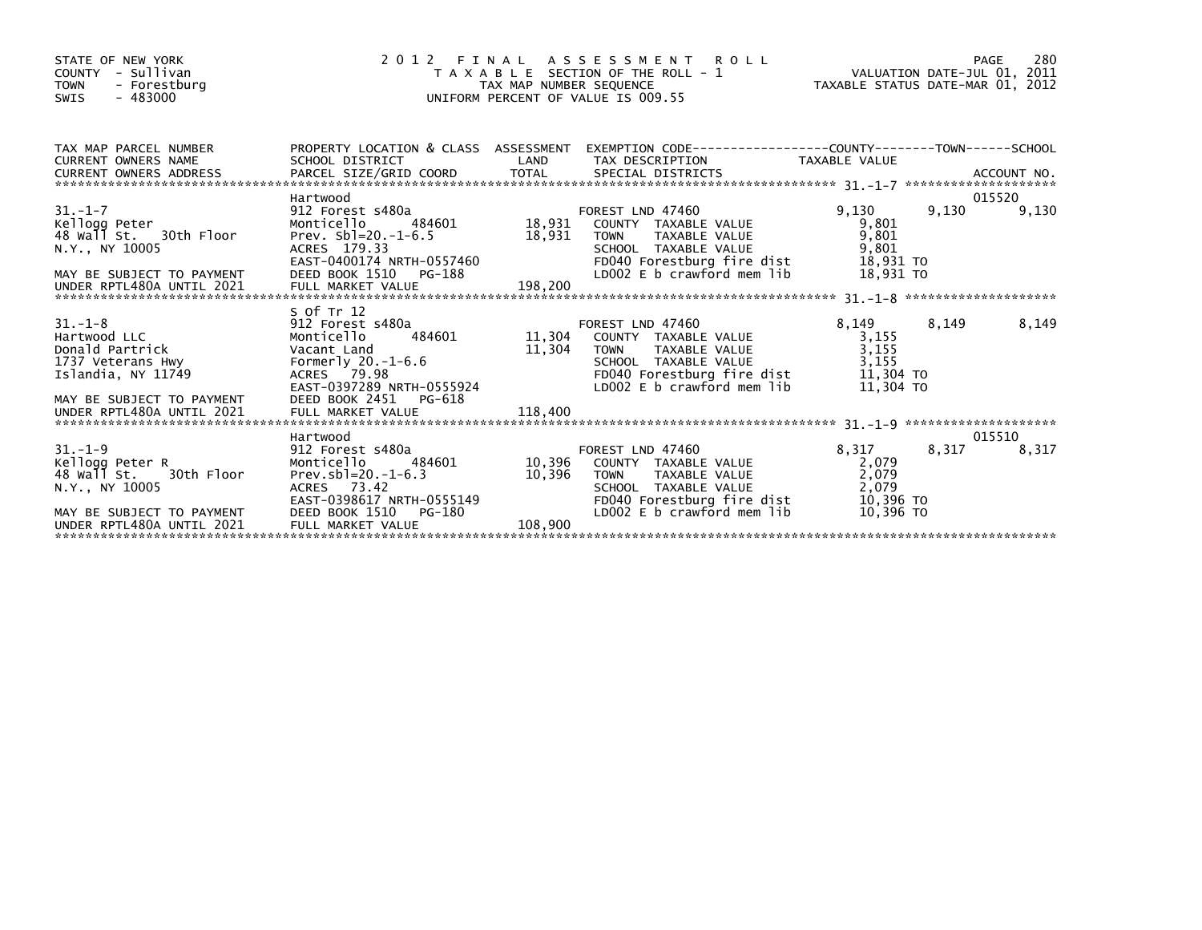| STATE OF NEW YORK<br>COUNTY - Sullivan<br><b>TOWN</b><br>- Forestburg<br>$-483000$<br>SWIS                                             | 2 0 1 2                                                                                                                                    |         | PAGE 280<br>TAXABLE SECTION OF THE ROLL - 1 VALUATION DATE-JUL 01, 2011<br>TAXABLE SECTION OF THE ROLL - 1 TAXABLE STATUS DATE-MAR 01, 2012<br>UNIFORM PERCENT OF VALUE IS 009.55          |                                                                  |                 |
|----------------------------------------------------------------------------------------------------------------------------------------|--------------------------------------------------------------------------------------------------------------------------------------------|---------|--------------------------------------------------------------------------------------------------------------------------------------------------------------------------------------------|------------------------------------------------------------------|-----------------|
| TAX MAP PARCEL NUMBER<br>CURRENT OWNERS NAME                                                                                           | SCHOOL DISTRICT                                                                                                                            |         | PROPERTY LOCATION & CLASS ASSESSMENT EXEMPTION CODE----------------COUNTY-------TOWN------SCHOOL<br>LAND TAX DESCRIPTION TAXABLE VALUE                                                     |                                                                  |                 |
|                                                                                                                                        | Hartwood                                                                                                                                   |         |                                                                                                                                                                                            |                                                                  | 015520          |
| $31. - 1 - 7$<br>Kellogg Peter<br>48 Wall St.   30th Floor<br>N.Y., NY 10005<br>MAY BE SUBJECT TO PAYMENT<br>UNDER RPTL480A UNTIL 2021 | Prev. $Sb1=20.-1-6.5$<br><br>ACRES 179.33<br>EAST-0400174 NRTH-0557460<br>DEED BOOK 1510 PG-188<br>FULL MARKET VALUE 198,200<br>S Of Tr 12 | 18,931  | TAXABLE VALUE<br><b>TOWN</b><br>TOWN TAANDLE WALL<br>SCHOOL TAXABLE VALUE<br>FDO40 Forestburg fire dist<br>FROALE historyWord mem lib                                                      | 9,130 9,130<br>9,801<br>9,801<br>9,801<br>18,931 TO<br>18,931 TO | 9,130           |
| $31. - 1 - 8$<br>Hartwood LLC<br>Donald Partrick<br>1737 Veterans Hwy<br>Islandia, NY 11749<br>MAY BE SUBJECT TO PAYMENT               | 912 Forest s480a<br>Monticello<br>Vacant Land<br>Formerly 20.-1-6.6<br>DEED BOOK 2451 PG-618                                               | 11,304  | TOWN TAXABLE VALUE<br>SCHOOL TAXABLE VALUE<br>FD040 Forestburg fire dist 11,304 TO<br>LDOO2 E b crawford mem lib                                                                           | 8,149 8,149<br>3,155<br>3,155<br>3,155<br>11,304 TO              | 8,149           |
|                                                                                                                                        |                                                                                                                                            |         |                                                                                                                                                                                            |                                                                  |                 |
| $31 - 1 - 9$                                                                                                                           | Hartwood<br>912 Forest s480a                                                                                                               |         | FOREST LND 47460                                                                                                                                                                           | 8,317 8,317                                                      | 015510<br>8,317 |
| Kellogg Peter R<br>48 Wall St. 30th Floor<br>N.Y., NY 10005<br>MAY BE SUBJECT TO PAYMENT<br>UNDER RPTL480A UNTTL 2021                  | 484601 10,396<br>Monticello<br>Prev.sbl=20.-1-6.3<br>ACRES 73.42<br>EAST-0398617 NRTH-0555149<br>DEED BOOK 1510 PG-180                     | 10,396  | COUNTY TAXABLE VALUE<br><b>TOWN</b><br>TAXABLE VALUE<br>SCHOOL TAXABLE VALUE<br>FOO40 Forestburg fire dist 10,396 TO<br>LD002 E b crawford mem lib 10,396 TO<br>LD002 E b crawford mem lib | 2,079<br>2,079<br>2,079                                          |                 |
| UNDER RPTL480A UNTIL 2021                                                                                                              | DEED BOOK 1510 PG-180<br>FULL MARKET VALUE                                                                                                 | 108,900 |                                                                                                                                                                                            |                                                                  |                 |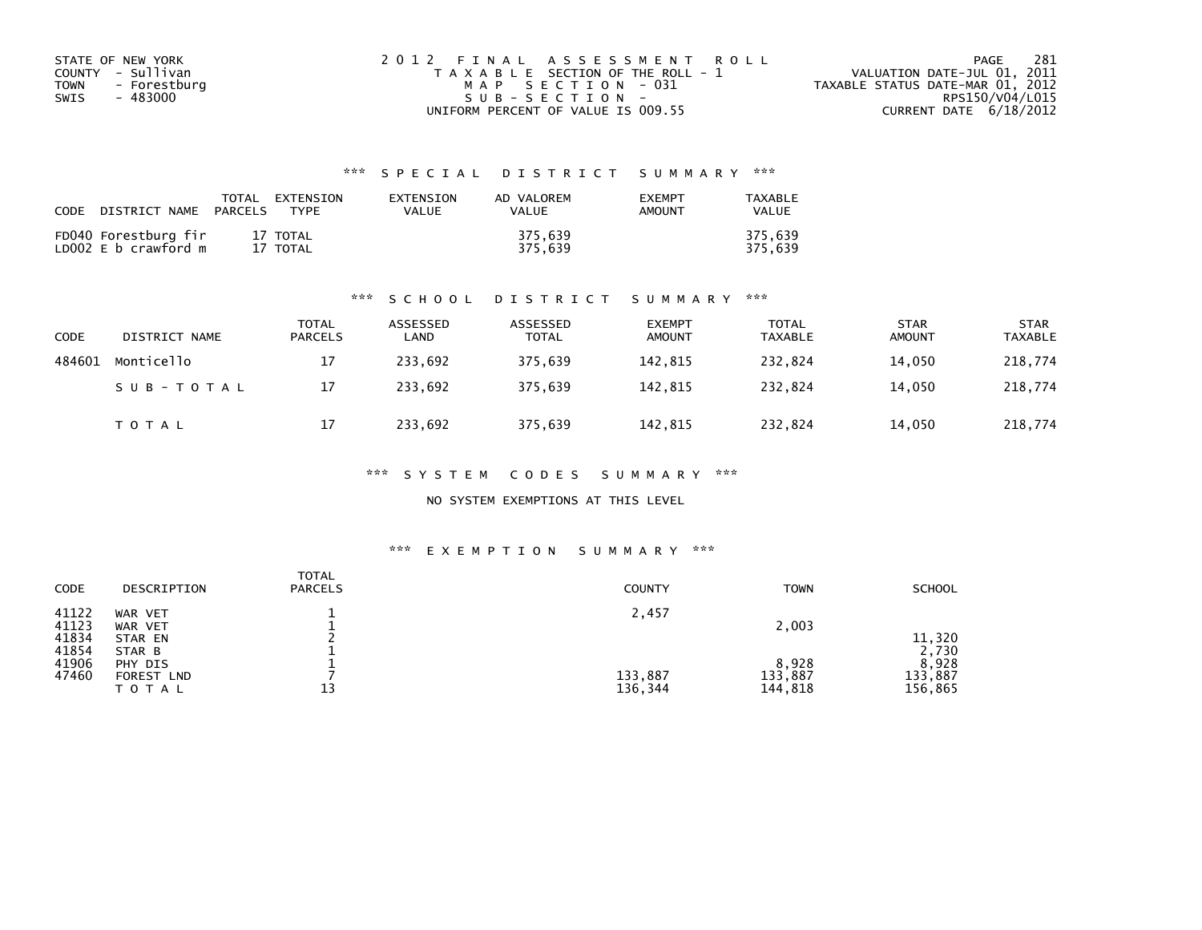| STATE OF NEW YORK           | 2012 FINAL ASSESSMENT ROLL            | -281<br>PAGE                     |
|-----------------------------|---------------------------------------|----------------------------------|
| COUNTY - Sullivan           | T A X A B L E SECTION OF THE ROLL - 1 | VALUATION DATE-JUL 01, 2011      |
| <b>TOWN</b><br>- Forestburg | MAP SECTION - 031                     | TAXABLE STATUS DATE-MAR 01, 2012 |
| SWIS<br>- 483000            | $SUB - SECTION -$                     | RPS150/V04/L015                  |
|                             | UNIFORM PERCENT OF VALUE IS 009.55    | CURRENT DATE 6/18/2012           |

| CODE | DISTRICT NAME                                | TOTAL<br>PARCELS | <b>FXTENSTON</b><br><b>TYPF</b> | <b>FXTENSTON</b><br>VALUE | AD VALOREM<br>VALUE | <b>EXEMPT</b><br><b>AMOUNT</b> | TAXARI F<br>VALUE  |
|------|----------------------------------------------|------------------|---------------------------------|---------------------------|---------------------|--------------------------------|--------------------|
|      | FD040 Forestburg fir<br>LD002 E b crawford m |                  | 17 TOTAL<br>17 TOTAL            |                           | 375.639<br>375.639  |                                | 375.639<br>375.639 |

#### \*\*\* S C H O O L D I S T R I C T S U M M A R Y \*\*\*

| CODE   | DISTRICT NAME | <b>TOTAL</b><br><b>PARCELS</b> | ASSESSED<br>LAND | ASSESSED<br><b>TOTAL</b> | <b>EXEMPT</b><br><b>AMOUNT</b> | <b>TOTAL</b><br>TAXABLE | <b>STAR</b><br><b>AMOUNT</b> | <b>STAR</b><br><b>TAXABLE</b> |
|--------|---------------|--------------------------------|------------------|--------------------------|--------------------------------|-------------------------|------------------------------|-------------------------------|
| 484601 | Monticello    | 17                             | 233,692          | 375,639                  | 142,815                        | 232.824                 | 14,050                       | 218,774                       |
|        | SUB-TOTAL     | 17                             | 233.692          | 375.639                  | 142.815                        | 232.824                 | 14,050                       | 218,774                       |
|        | <b>TOTAL</b>  | 17                             | 233,692          | 375,639                  | 142,815                        | 232,824                 | 14,050                       | 218,774                       |

\*\*\* S Y S T E M C O D E S S U M M A R Y \*\*\*

NO SYSTEM EXEMPTIONS AT THIS LEVEL

#### \*\*\* E X E M P T I O N S U M M A R Y \*\*\*

| <b>CODE</b>             | DESCRIPTION                                            | <b>TOTAL</b><br><b>PARCELS</b> | <b>COUNTY</b>      | <b>TOWN</b>                 | <b>SCHOOL</b>                        |
|-------------------------|--------------------------------------------------------|--------------------------------|--------------------|-----------------------------|--------------------------------------|
| 41122<br>41123<br>41834 | WAR VET<br>WAR VET<br>STAR EN                          |                                | 2,457              | 2,003                       | 11,320                               |
| 41854<br>41906<br>47460 | STAR B<br>PHY DIS<br>FOREST<br><b>LND</b><br>T O T A L | 13                             | 133,887<br>136,344 | 8,928<br>133,887<br>144,818 | 2,730<br>8,928<br>133,887<br>156,865 |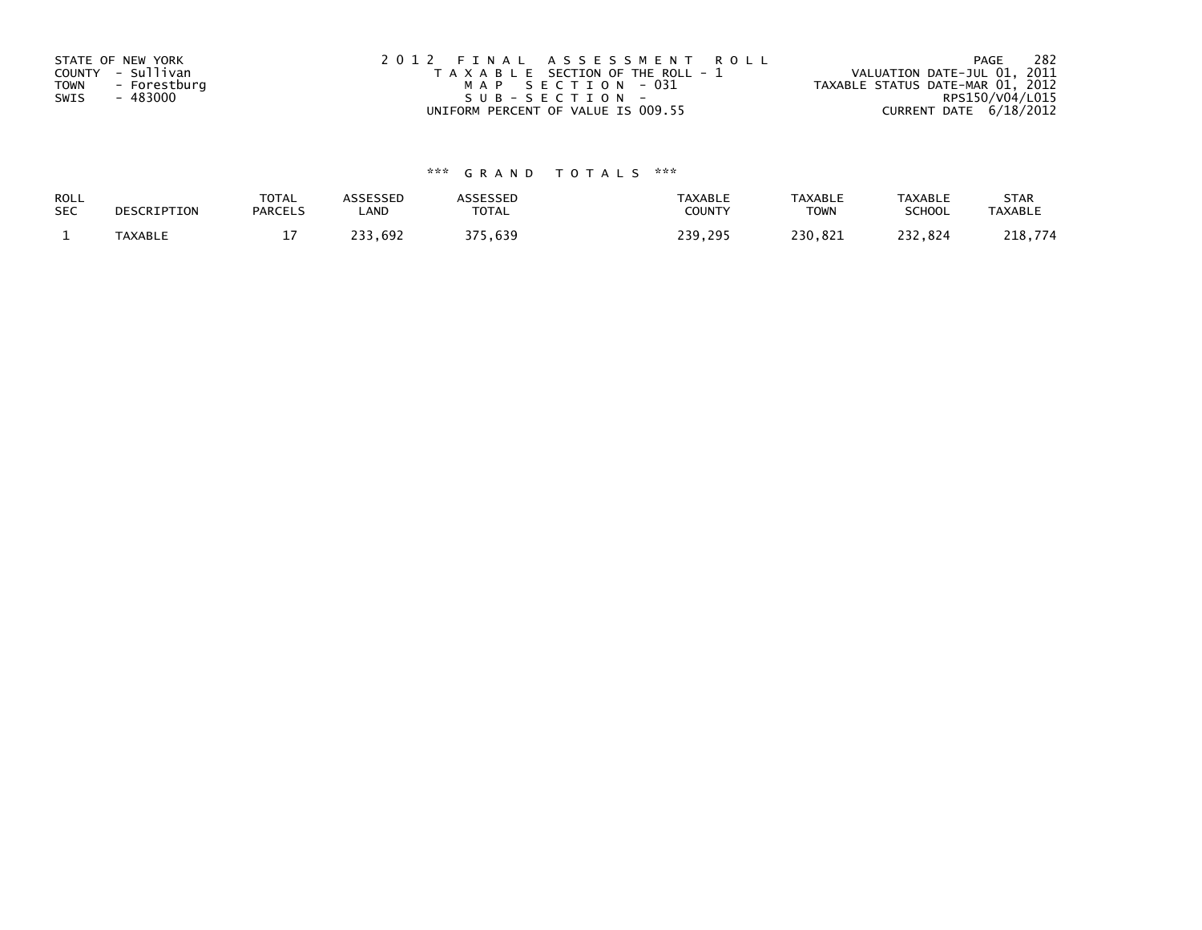| STATE OF NEW YORK           | 2012 FINAL ASSESSMENT ROLL            | 282<br>PAGE                      |
|-----------------------------|---------------------------------------|----------------------------------|
| COUNTY - Sullivan           | T A X A B L E SECTION OF THE ROLL - 1 | VALUATION DATE-JUL 01, 2011      |
| - Forestburg<br><b>TOWN</b> | MAP SECTION - 031                     | TAXABLE STATUS DATE-MAR 01, 2012 |
| - 483000<br>SWIS            | SUB-SECTION-                          | RPS150/V04/L015                  |
|                             | UNIFORM PERCENT OF VALUE IS 009.55    | CURRENT DATE 6/18/2012           |

| ROLL       | DESCRIPTION | <b>TOTAL</b>   | ASSESSED | ASSESSED | <b>TAXABLE</b> | <b>TAXABLE</b> | <b>TAXABLE</b> | <b>STAR</b>    |
|------------|-------------|----------------|----------|----------|----------------|----------------|----------------|----------------|
| <b>SEC</b> |             | <b>PARCELS</b> | ∟AND     | TOTAL    | <b>COUNTY</b>  | TOWN           | <b>SCHOOL</b>  | <b>TAXABLE</b> |
|            | TAXABLE     |                | 233,692  | 375,639  | ววด<br>239.295 | 230.821        | 232,824        | 218,774        |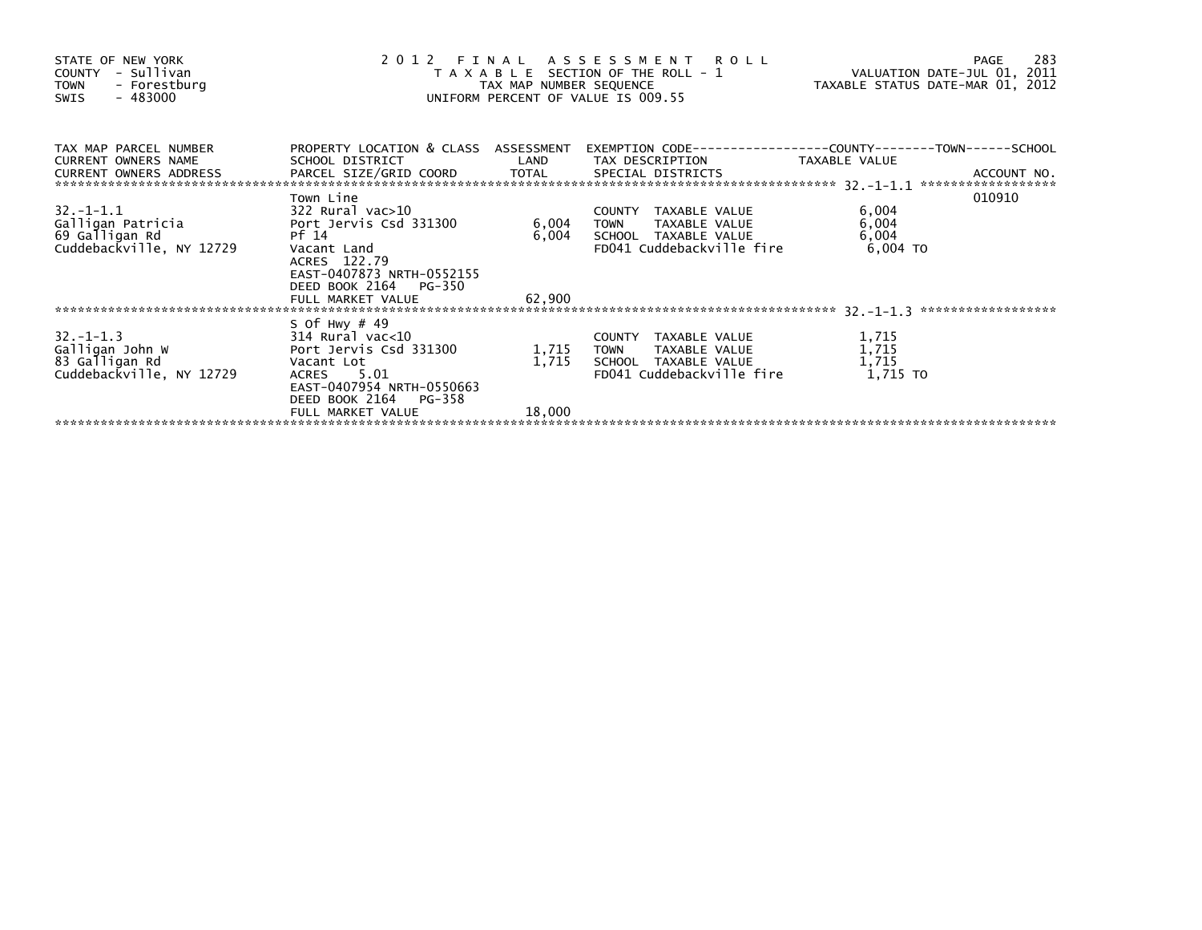| STATE OF NEW YORK<br>COUNTY - Sullivan<br><b>TOWN</b><br>- Forestburg<br>$-483000$<br>SWIS | 2 0 1 2<br>FINAL ASSESSMENT ROLL<br>T A X A B L E SECTION OF THE ROLL - 1<br>TAX MAP NUMBER SEQUENCE<br>UNIFORM PERCENT OF VALUE IS 009.55 | VALUATION DATE-JUL 01, 2011<br>TAXABLE STATUS DATE-MAR 01, 2012 | 283<br>PAGE                                          |                |                                   |
|--------------------------------------------------------------------------------------------|--------------------------------------------------------------------------------------------------------------------------------------------|-----------------------------------------------------------------|------------------------------------------------------|----------------|-----------------------------------|
| TAX MAP PARCEL NUMBER<br>CURRENT OWNERS NAME<br>CURRENT OWNERS ADDRESS                     | PROPERTY LOCATION & CLASS ASSESSMENT<br>SCHOOL DISTRICT                                                                                    |                                                                 | LAND TAX DESCRIPTION                                 | TAXABLE VALUE  | ACCOUNT NO.<br>****************** |
|                                                                                            | Town Line                                                                                                                                  |                                                                 |                                                      |                | 010910                            |
|                                                                                            |                                                                                                                                            | 6,004                                                           | COUNTY TAXABLE VALUE                                 | 6,004          |                                   |
| 69 Galligan Rd                                                                             | Pf 14                                                                                                                                      | 6,004                                                           | <b>TOWN</b><br>TAXABLE VALUE<br>SCHOOL TAXABLE VALUE | 6,004<br>6,004 |                                   |
| Cuddebackville, NY 12729                                                                   | Vacant Land<br>ACRES 122.79<br>EAST-0407873 NRTH-0552155<br>DEED BOOK 2164 PG-350                                                          |                                                                 | FD041 Cuddebackville fire                            | 6,004 TO       |                                   |
|                                                                                            | FULL MARKET VALUE                                                                                                                          | 62,900                                                          |                                                      |                |                                   |
|                                                                                            | S Of Hwy $#49$                                                                                                                             |                                                                 |                                                      |                |                                   |
| $32 - 1 - 1.3$                                                                             | 314 Rural vac<10                                                                                                                           |                                                                 | COUNTY TAXABLE VALUE                                 | 1,715          |                                   |
| Galligan John W                                                                            | Port Jervis Csd 331300                                                                                                                     | 1,715                                                           | TAXABLE VALUE<br><b>TOWN</b>                         | 1,715          |                                   |
| 83 Galligan Rd                                                                             | Vacant Lot                                                                                                                                 | 1,715                                                           | SCHOOL TAXABLE VALUE                                 | 1,715          |                                   |
| Cuddebackville, NY 12729                                                                   | ACRES 5.01<br>EAST-0407954 NRTH-0550663<br>DEED BOOK 2164 PG-358                                                                           |                                                                 | FD041 Cuddebackville fire                            | 1,715 TO       |                                   |
|                                                                                            | FULL MARKET VALUE                                                                                                                          | 18,000                                                          |                                                      |                |                                   |
|                                                                                            |                                                                                                                                            |                                                                 |                                                      |                |                                   |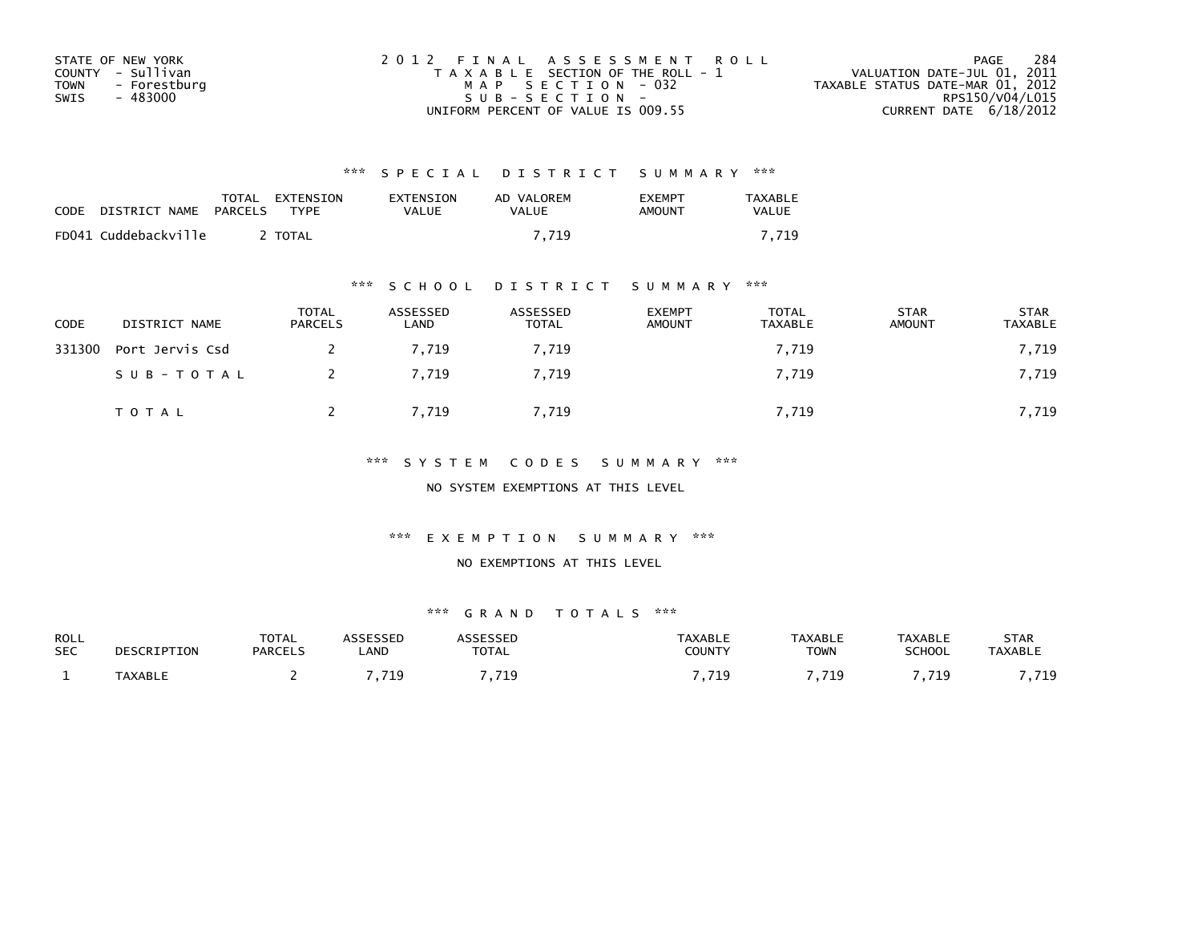| STATE OF NEW YORK    | 2012 FINAL ASSESSMENT ROLL            | 284<br>PAGE                      |
|----------------------|---------------------------------------|----------------------------------|
| COUNTY - Sullivan    | T A X A B L E SECTION OF THE ROLL - 1 | VALUATION DATE-JUL 01, 2011      |
| TOWN<br>- Forestburg | MAP SECTION - 032                     | TAXABLE STATUS DATE-MAR 01, 2012 |
| - 483000<br>SWIS     | SUB-SECTION-                          | RPS150/V04/L015                  |
|                      | UNIFORM PERCENT OF VALUE IS 009.55    | CURRENT DATE $6/18/2012$         |

| <b>CODE</b> | DISTRICT NAME PARCELS | TOTAL EXTENSION<br><b>TYPF</b> | EXTENSION<br>VALUE | AD VALOREM<br>VALUE | <b>FXFMPT</b><br>AMOUNT | TAXABLE<br><b>VALUE</b> |
|-------------|-----------------------|--------------------------------|--------------------|---------------------|-------------------------|-------------------------|
|             | FD041 Cuddebackville  | <b>TOTAL</b>                   |                    | 7.719               |                         | 7.719                   |

## \*\*\* S C H O O L D I S T R I C T S U M M A R Y \*\*\*

| <b>CODE</b> | DISTRICT NAME   | <b>TOTAL</b><br><b>PARCELS</b> | ASSESSED<br>LAND | ASSESSED<br><b>TOTAL</b> | <b>EXEMPT</b><br>AMOUNT | TOTAL<br>TAXABLE | <b>STAR</b><br>AMOUNT | <b>STAR</b><br>TAXABLE |
|-------------|-----------------|--------------------------------|------------------|--------------------------|-------------------------|------------------|-----------------------|------------------------|
| 331300      | Port Jervis Csd |                                | 7.719            | 7.719                    |                         | 7,719            |                       | 7,719                  |
|             | SUB-TOTAL       |                                | 7.719            | 7,719                    |                         | 7,719            |                       | 7,719                  |
|             | TOTAL           |                                | 7,719            | 7,719                    |                         | 7,719            |                       | 7,719                  |

## \*\*\* S Y S T E M C O D E S S U M M A R Y \*\*\*

NO SYSTEM EXEMPTIONS AT THIS LEVEL

#### \*\*\* E X E M P T I O N S U M M A R Y \*\*\*

### NO EXEMPTIONS AT THIS LEVEL

| ROLL       | DESCRIPTION    | TOTAL          | ASSESSED | <b>ASSESSED</b> | <b>TAXABLE</b> | <b>TAXABLE</b> | TAXABLE       | <b>STAR</b>    |
|------------|----------------|----------------|----------|-----------------|----------------|----------------|---------------|----------------|
| <b>SEC</b> |                | <b>PARCELS</b> | _AND     | <b>TOTAL</b>    | COUNTY         | <b>TOWN</b>    | <b>SCHOOL</b> | <b>TAXABLE</b> |
|            | <b>TAXABLE</b> |                | 719      | . 719           | 719<br>.       | 719<br>.       | ,719          | 719<br>.       |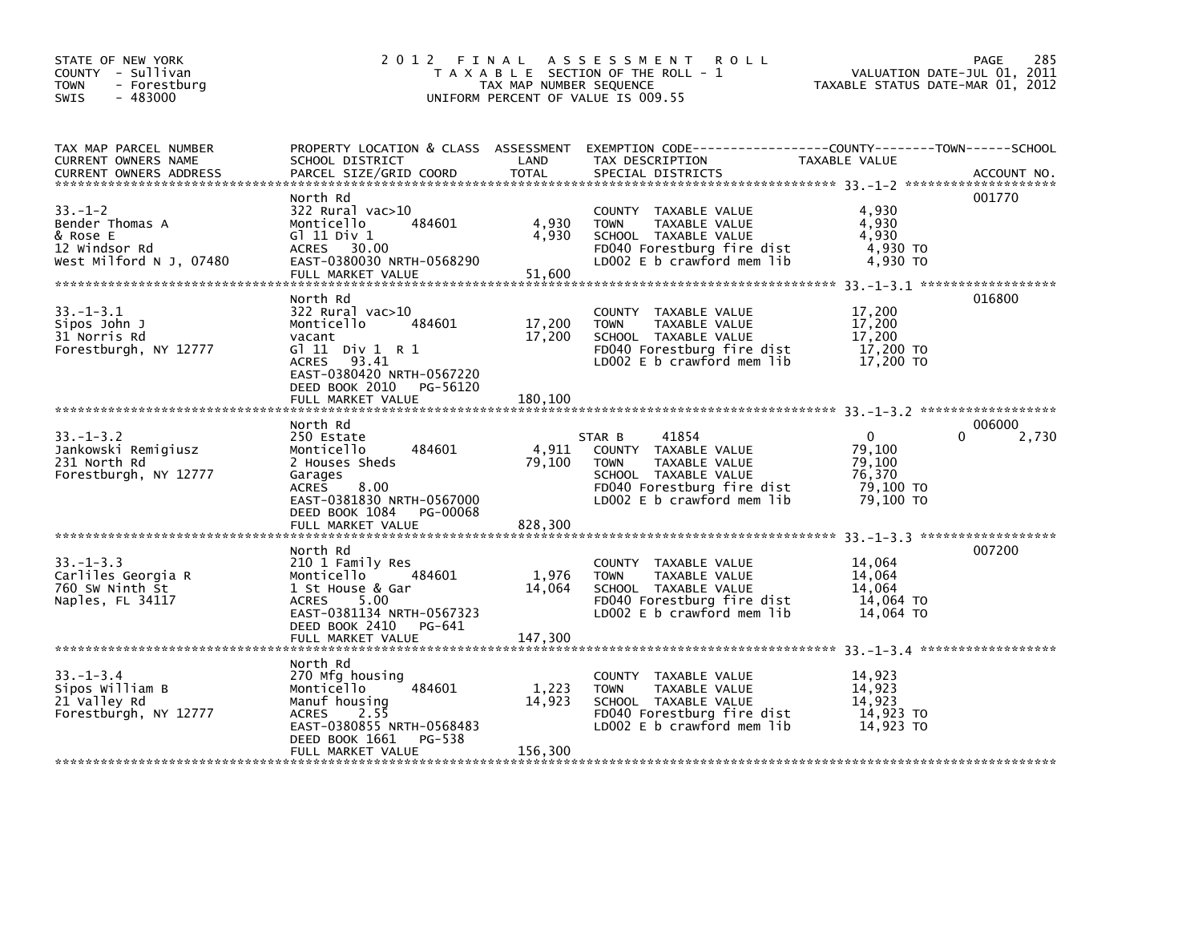| STATE OF NEW YORK<br>COUNTY - Sullivan<br><b>TOWN</b><br>- Forestburg<br>$-483000$<br><b>SWIS</b> | 2 0 1 2                                                                                                                                                                               | TAX MAP NUMBER SEQUENCE     | FINAL ASSESSMENT ROLL<br>T A X A B L E SECTION OF THE ROLL - 1<br>UNIFORM PERCENT OF VALUE IS 009.55                                                        | TAXABLE STATUS DATE-MAR 01, 2012                                 | 285<br>PAGE<br>VALUATION DATE-JUL 01, 2011 |
|---------------------------------------------------------------------------------------------------|---------------------------------------------------------------------------------------------------------------------------------------------------------------------------------------|-----------------------------|-------------------------------------------------------------------------------------------------------------------------------------------------------------|------------------------------------------------------------------|--------------------------------------------|
| TAX MAP PARCEL NUMBER<br><b>CURRENT OWNERS NAME</b><br><b>CURRENT OWNERS ADDRESS</b>              | SCHOOL DISTRICT<br>PARCEL SIZE/GRID COORD                                                                                                                                             | LAND<br><b>TOTAL</b>        | PROPERTY LOCATION & CLASS ASSESSMENT EXEMPTION CODE----------------COUNTY-------TOWN------SCHOOL<br>TAX DESCRIPTION<br>SPECIAL DISTRICTS                    | TAXABLE VALUE                                                    | ACCOUNT NO.                                |
| $33. - 1 - 2$<br>Bender Thomas A<br>& Rose E<br>12 Windsor Rd<br>West Milford N J, 07480          | North Rd<br>322 Rural vac>10<br>484601<br>Monticello<br>$G$ ] 11 Div 1<br>ACRES 30.00<br>EAST-0380030 NRTH-0568290<br>FULL MARKET VALUE                                               | 4,930<br>4,930<br>51,600    | COUNTY TAXABLE VALUE<br><b>TOWN</b><br>TAXABLE VALUE<br>SCHOOL TAXABLE VALUE<br>FD040 Forestburg fire dist<br>LD002 $E$ b crawford mem lib                  | 4,930<br>4,930<br>4.930<br>4,930 TO<br>4,930 TO                  | 001770                                     |
| $33. - 1 - 3.1$<br>Sipos John J<br>31 Norris Rd<br>Forestburgh, NY 12777                          | North Rd<br>322 Rural vac>10<br>Monticello<br>484601<br>vacant<br>G $11$ Div $1$ R $1$<br>ACRES 93.41<br>EAST-0380420 NRTH-0567220<br>DEED BOOK 2010<br>PG-56120<br>FULL MARKET VALUE | 17,200<br>17,200<br>180,100 | COUNTY TAXABLE VALUE<br><b>TOWN</b><br>TAXABLE VALUE<br>SCHOOL TAXABLE VALUE<br>FD040 Forestburg fire dist<br>LD002 E b crawford mem lib                    | 17,200<br>17,200<br>17,200<br>17,200 TO<br>17,200 TO             | 016800                                     |
| $33. - 1 - 3.2$<br>Jankowski Remigiusz<br>231 North Rd<br>Forestburgh, NY 12777                   | North Rd<br>250 Estate<br>484601<br>Monticello<br>2 Houses Sheds<br>Garages<br>8.00<br><b>ACRES</b><br>EAST-0381830 NRTH-0567000<br>DEED BOOK 1084<br>PG-00068<br>FULL MARKET VALUE   | 4,911<br>79,100<br>828,300  | 41854<br>STAR B<br>COUNTY TAXABLE VALUE<br><b>TOWN</b><br>TAXABLE VALUE<br>SCHOOL TAXABLE VALUE<br>FD040 Forestburg fire dist<br>LD002 E b crawford mem lib | $\Omega$<br>79,100<br>79,100<br>76,370<br>79,100 TO<br>79,100 TO | 006000<br>$\Omega$<br>2,730                |
|                                                                                                   |                                                                                                                                                                                       |                             |                                                                                                                                                             |                                                                  |                                            |
| $33. - 1 - 3.3$<br>Carliles Georgia R<br>760 SW Ninth St<br>Naples, FL 34117                      | North Rd<br>210 1 Family Res<br>484601<br>Monticello<br>1 St House & Gar<br>5.00<br>ACRES<br>EAST-0381134 NRTH-0567323<br>DEED BOOK 2410<br>PG-641                                    | 1,976<br>14,064             | COUNTY TAXABLE VALUE<br>TAXABLE VALUE<br><b>TOWN</b><br>SCHOOL TAXABLE VALUE<br>FD040 Forestburg fire dist<br>LD002 E b crawford mem lib                    | 14,064<br>14,064<br>14,064<br>$14,064$ TO<br>14.064 TO           | 007200                                     |
|                                                                                                   | FULL MARKET VALUE                                                                                                                                                                     | 147,300                     |                                                                                                                                                             |                                                                  |                                            |
| $33. - 1 - 3.4$<br>Sipos William B<br>21 Valley Rd<br>Forestburgh, NY 12777                       | North Rd<br>270 Mfg housing<br>484601<br>Monticello<br>Manuf housing<br><b>ACRES</b><br>2.55<br>EAST-0380855 NRTH-0568483<br>PG-538<br>DEED BOOK 1661                                 | 1,223<br>14,923             | COUNTY TAXABLE VALUE<br>TAXABLE VALUE<br><b>TOWN</b><br>SCHOOL TAXABLE VALUE<br>FD040 Forestburg fire dist<br>LD002 E b crawford mem lib                    | 14,923<br>14,923<br>14.923<br>14,923 TO<br>14,923 TO             |                                            |
|                                                                                                   | FULL MARKET VALUE                                                                                                                                                                     | 156,300                     |                                                                                                                                                             |                                                                  |                                            |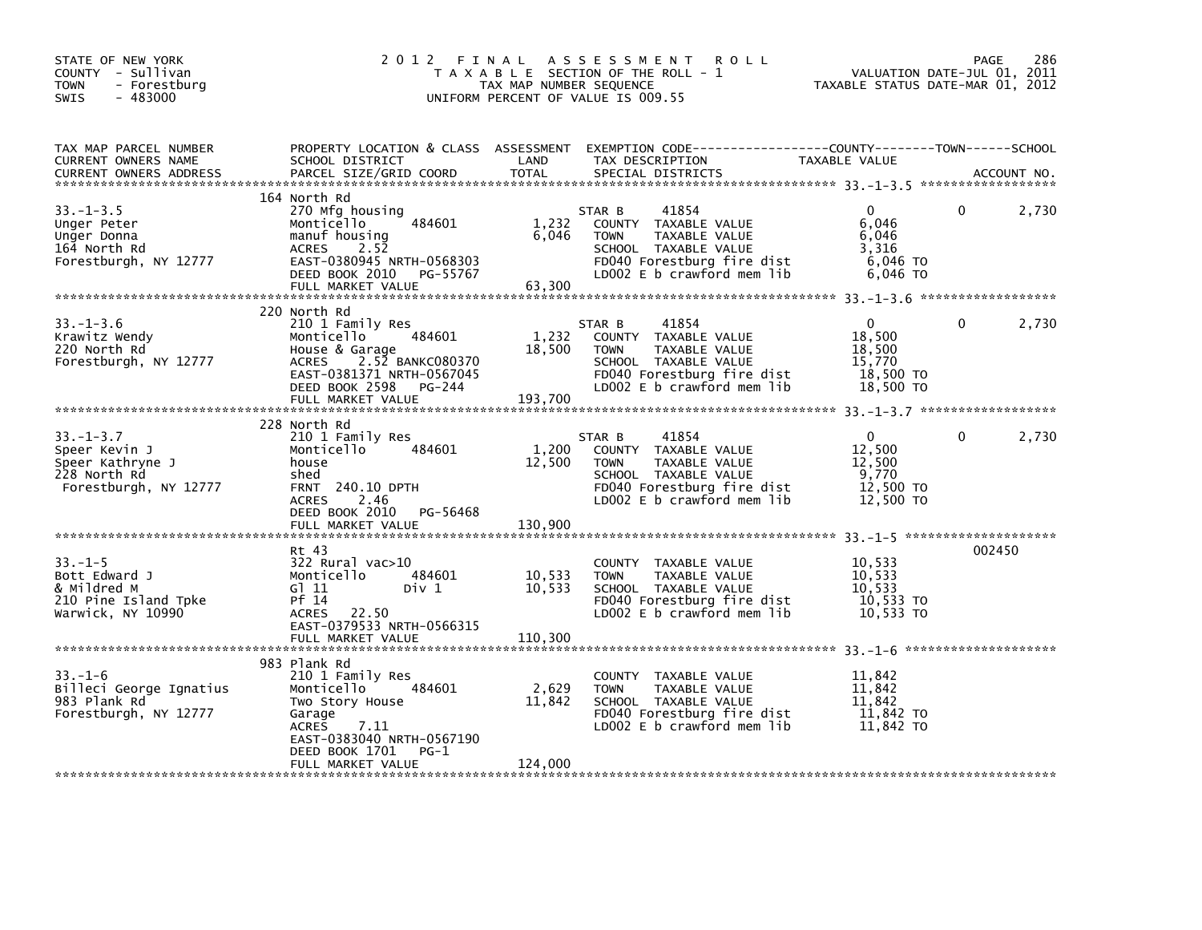| STATE OF NEW YORK<br>COUNTY - Sullivan<br><b>TOWN</b><br>- Forestburg<br>$-483000$<br>SWIS    | 2012 FINAL                                                                                                                                                                                | TAX MAP NUMBER SEQUENCE     | ASSESSMENT ROLL<br>T A X A B L E SECTION OF THE ROLL - 1<br>UNIFORM PERCENT OF VALUE IS 009.55                                                              | VALUATION DATE-JUL 01, 2011<br>TAXABLE STATUS DATE-MAR 01, 2012       | PAGE   | 286         |
|-----------------------------------------------------------------------------------------------|-------------------------------------------------------------------------------------------------------------------------------------------------------------------------------------------|-----------------------------|-------------------------------------------------------------------------------------------------------------------------------------------------------------|-----------------------------------------------------------------------|--------|-------------|
| TAX MAP PARCEL NUMBER<br>CURRENT OWNERS NAME<br><b>CURRENT OWNERS ADDRESS</b>                 | SCHOOL DISTRICT<br>PARCEL SIZE/GRID COORD                                                                                                                                                 | LAND<br>TOTAL               | PROPERTY LOCATION & CLASS ASSESSMENT EXEMPTION CODE---------------COUNTY-------TOWN-----SCHOOL<br>TAX DESCRIPTION<br>SPECIAL DISTRICTS                      | TAXABLE VALUE                                                         |        | ACCOUNT NO. |
| $33. - 1 - 3.5$<br>Unger Peter<br>Unger Donna<br>164 North Rd<br>Forestburgh, NY 12777        | 164 North Rd<br>270 Mfg housing<br>484601<br>Monticello<br>manuf housing<br>2.52<br><b>ACRES</b><br>EAST-0380945 NRTH-0568303<br>DEED BOOK 2010 PG-55767<br>FULL MARKET VALUE             | 1,232<br>6,046<br>63,300    | 41854<br>STAR B<br>COUNTY TAXABLE VALUE<br>TAXABLE VALUE<br><b>TOWN</b><br>SCHOOL TAXABLE VALUE<br>FD040 Forestburg fire dist<br>LD002 E b crawford mem lib | $\Omega$<br>6,046<br>6,046<br>3,316<br>6,046 TO<br>6,046 TO           | 0      | 2,730       |
| $33. - 1 - 3.6$<br>Krawitz Wendy<br>220 North Rd<br>Forestburgh, NY 12777                     | 220 North Rd<br>210 1 Family Res<br>484601<br>Monticello<br>House & Garage<br>ACRES 2.52 BANKC080370<br>EAST-0381371 NRTH-0567045<br>DEED BOOK 2598<br>PG-244<br>FULL MARKET VALUE        | 1,232<br>18,500<br>193.700  | STAR B<br>41854<br>COUNTY TAXABLE VALUE<br><b>TOWN</b><br>TAXABLE VALUE<br>SCHOOL TAXABLE VALUE<br>FD040 Forestburg fire dist<br>LD002 E b crawford mem lib | $\mathbf{0}$<br>18,500<br>18,500<br>15,770<br>18,500 TO<br>18,500 TO  | 0      | 2,730       |
| $33. - 1 - 3.7$<br>Speer Kevin J<br>Speer Kathryne J<br>228 North Rd<br>Forestburgh, NY 12777 | 228 North Rd<br>210 1 Family Res<br>484601<br>Monticello<br>house<br>shed<br><b>FRNT 240.10 DPTH</b><br><b>ACRES</b><br>2.46<br>DEED BOOK 2010 PG-56468<br>FULL MARKET VALUE              | 1,200<br>12,500<br>130,900  | 41854<br>STAR B<br>COUNTY TAXABLE VALUE<br>TAXABLE VALUE<br><b>TOWN</b><br>SCHOOL TAXABLE VALUE<br>FD040 Forestburg fire dist<br>LD002 E b crawford mem lib | $\overline{0}$<br>12,500<br>12,500<br>9,770<br>12,500 TO<br>12,500 TO | 0      | 2,730       |
| $33 - 1 - 5$<br>Bott Edward J<br>& Mildred M<br>210 Pine Island Tpke<br>Warwick, NY 10990     | Rt 43<br>322 Rural vac>10<br>484601<br>Monticello<br>G1 11<br>Div 1<br>Pf 14<br>ACRES 22.50<br>EAST-0379533 NRTH-0566315<br>FULL MARKET VALUE                                             | 10,533<br>10,533<br>110,300 | COUNTY TAXABLE VALUE<br><b>TOWN</b><br>TAXABLE VALUE<br>SCHOOL TAXABLE VALUE<br>FD040 Forestburg fire dist<br>LD002 E b crawford mem lib                    | 10,533<br>10,533<br>10,533<br>10,533 TO<br>10,533 TO                  | 002450 |             |
| $33. - 1 - 6$<br>Billeci George Ignatius<br>983 Plank Rd<br>Forestburgh, NY 12777             | 983 Plank Rd<br>210 1 Family Res<br>484601<br>Monticello<br>Two Story House<br>Garage<br>7.11<br><b>ACRES</b><br>EAST-0383040 NRTH-0567190<br>DEED BOOK 1701<br>PG-1<br>FULL MARKET VALUE | 2,629<br>11,842<br>124,000  | COUNTY TAXABLE VALUE<br><b>TOWN</b><br>TAXABLE VALUE<br>SCHOOL TAXABLE VALUE<br>FD040 Forestburg fire dist<br>LD002 E b crawford mem lib                    | 11,842<br>11,842<br>11,842<br>11,842 TO<br>11,842 TO                  |        |             |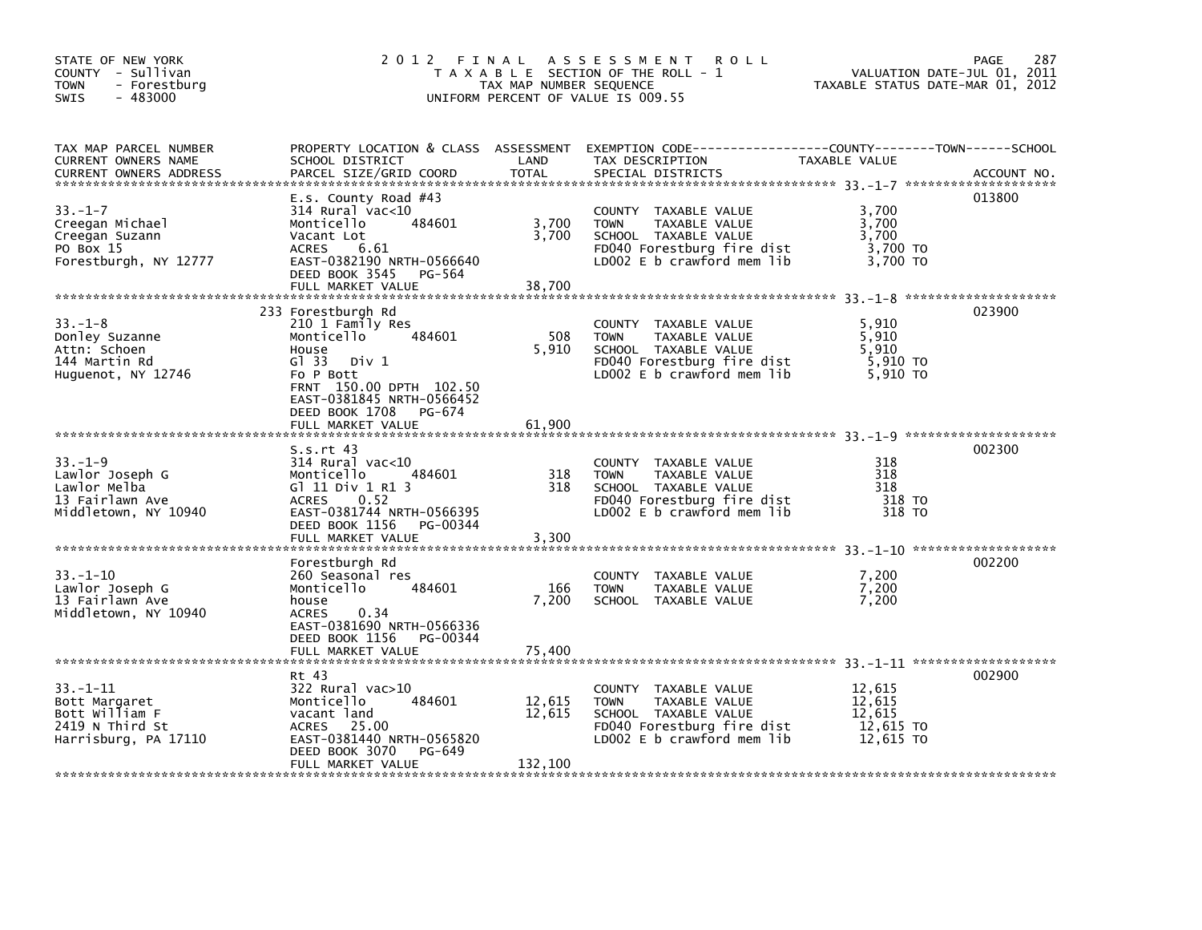| STATE OF NEW YORK<br>COUNTY - Sullivan<br>- Forestburg<br>TOWN<br>$-483000$<br><b>SWIS</b>   | 2012                                                                                                                                                                                       | FINAL<br>TAX MAP NUMBER SEQUENCE | A S S E S S M E N T<br><b>ROLL</b><br>T A X A B L E SECTION OF THE ROLL - 1<br>UNIFORM PERCENT OF VALUE IS 009.55                                    | VALUATION DATE-JUL 01, 2011<br>TAXABLE STATUS DATE-MAR 01, 2012 | 287<br><b>PAGE</b> |
|----------------------------------------------------------------------------------------------|--------------------------------------------------------------------------------------------------------------------------------------------------------------------------------------------|----------------------------------|------------------------------------------------------------------------------------------------------------------------------------------------------|-----------------------------------------------------------------|--------------------|
| TAX MAP PARCEL NUMBER<br>CURRENT OWNERS NAME<br><b>CURRENT OWNERS ADDRESS</b>                | PROPERTY LOCATION & CLASS ASSESSMENT<br>SCHOOL DISTRICT<br>PARCEL SIZE/GRID COORD                                                                                                          | LAND<br><b>TOTAL</b>             | TAX DESCRIPTION<br>SPECIAL DISTRICTS                                                                                                                 | TAXABLE VALUE                                                   | ACCOUNT NO.        |
| $33. - 1 - 7$<br>Creegan Michael<br>Creegan Suzann<br>PO Box 15<br>Forestburgh, NY 12777     | E.s. County Road $#43$<br>314 Rural vac<10<br>484601<br>Monticello<br>Vacant Lot<br><b>ACRES</b><br>6.61<br>EAST-0382190 NRTH-0566640<br>DEED BOOK 3545<br>PG-564<br>FULL MARKET VALUE     | 3,700<br>3,700<br>38,700         | COUNTY TAXABLE VALUE<br>TAXABLE VALUE<br><b>TOWN</b><br>SCHOOL TAXABLE VALUE<br>FD040 Forestburg fire dist<br>LD002 E b crawford mem lib             | 3,700<br>3,700<br>3,700<br>3,700 TO<br>3,700 TO                 | 013800             |
| $33 - 1 - 8$<br>Donley Suzanne<br>Attn: Schoen<br>144 Martin Rd<br>Huguenot, NY 12746        | 233 Forestburgh Rd<br>210 1 Family Res<br>484601<br>Monticello<br>House<br>G1 33<br>Div 1<br>Fo P Bott<br>FRNT 150.00 DPTH 102.50<br>EAST-0381845 NRTH-0566452<br>DEED BOOK 1708<br>PG-674 | 508<br>5,910                     | COUNTY TAXABLE VALUE<br>TAXABLE VALUE<br><b>TOWN</b><br>SCHOOL TAXABLE VALUE<br>FD040 Forestburg fire dist<br>LD002 $E$ b crawford mem lib           | 5,910<br>5,910<br>5,910<br>5,910 TO<br>5,910 TO                 | 023900             |
|                                                                                              | FULL MARKET VALUE                                                                                                                                                                          | 61,900                           |                                                                                                                                                      |                                                                 |                    |
| $33 - 1 - 9$<br>Lawlor Joseph G<br>Lawlor Melba<br>13 Fairlawn Ave<br>Middletown, NY 10940   | S.s.rt 43<br>$314$ Rural vac<10<br>Monticello<br>484601<br>G1 11 Div 1 R1 3<br>0.52<br><b>ACRES</b><br>EAST-0381744 NRTH-0566395<br>DEED BOOK 1156<br>PG-00344                             | 318<br>318                       | <b>COUNTY</b><br>TAXABLE VALUE<br>TAXABLE VALUE<br><b>TOWN</b><br>SCHOOL TAXABLE VALUE<br>FD040 Forestburg fire dist<br>LD002 $E$ b crawford mem lib | 318<br>318<br>318<br>318 TO<br>318 TO                           | 002300             |
|                                                                                              | FULL MARKET VALUE                                                                                                                                                                          | 3,300                            |                                                                                                                                                      |                                                                 |                    |
| 33.–1–10<br>Lawlor Joseph G<br>13 Fairlawn Ave<br>Middletown, NY 10940                       | Forestburgh Rd<br>260 Seasonal res<br>484601<br>Monticello<br>house<br>0.34<br><b>ACRES</b><br>EAST-0381690 NRTH-0566336<br>DEED BOOK 1156<br>PG-00344                                     | 166<br>7,200                     | COUNTY TAXABLE VALUE<br>TAXABLE VALUE<br><b>TOWN</b><br>SCHOOL TAXABLE VALUE                                                                         | 7,200<br>7,200<br>7,200                                         | 002200             |
|                                                                                              | FULL MARKET VALUE                                                                                                                                                                          | 75,400                           |                                                                                                                                                      |                                                                 |                    |
| $33. - 1 - 11$<br>Bott Margaret<br>Bott William F<br>2419 N Third St<br>Harrisburg, PA 17110 | Rt 43<br>$322$ Rural vac $>10$<br>484601<br>Monticello<br>vacant land<br>ACRES 25.00<br>EAST-0381440 NRTH-0565820<br>DEED BOOK 3070<br>PG-649<br>FULL MARKET VALUE                         | 12,615<br>12,615<br>132,100      | COUNTY TAXABLE VALUE<br>TAXABLE VALUE<br><b>TOWN</b><br>SCHOOL TAXABLE VALUE<br>FD040 Forestburg fire dist<br>LD002 $E$ b crawford mem lib           | 12,615<br>12,615<br>12,615<br>12,615 TO<br>12,615 TO            | 002900             |
|                                                                                              |                                                                                                                                                                                            |                                  |                                                                                                                                                      |                                                                 |                    |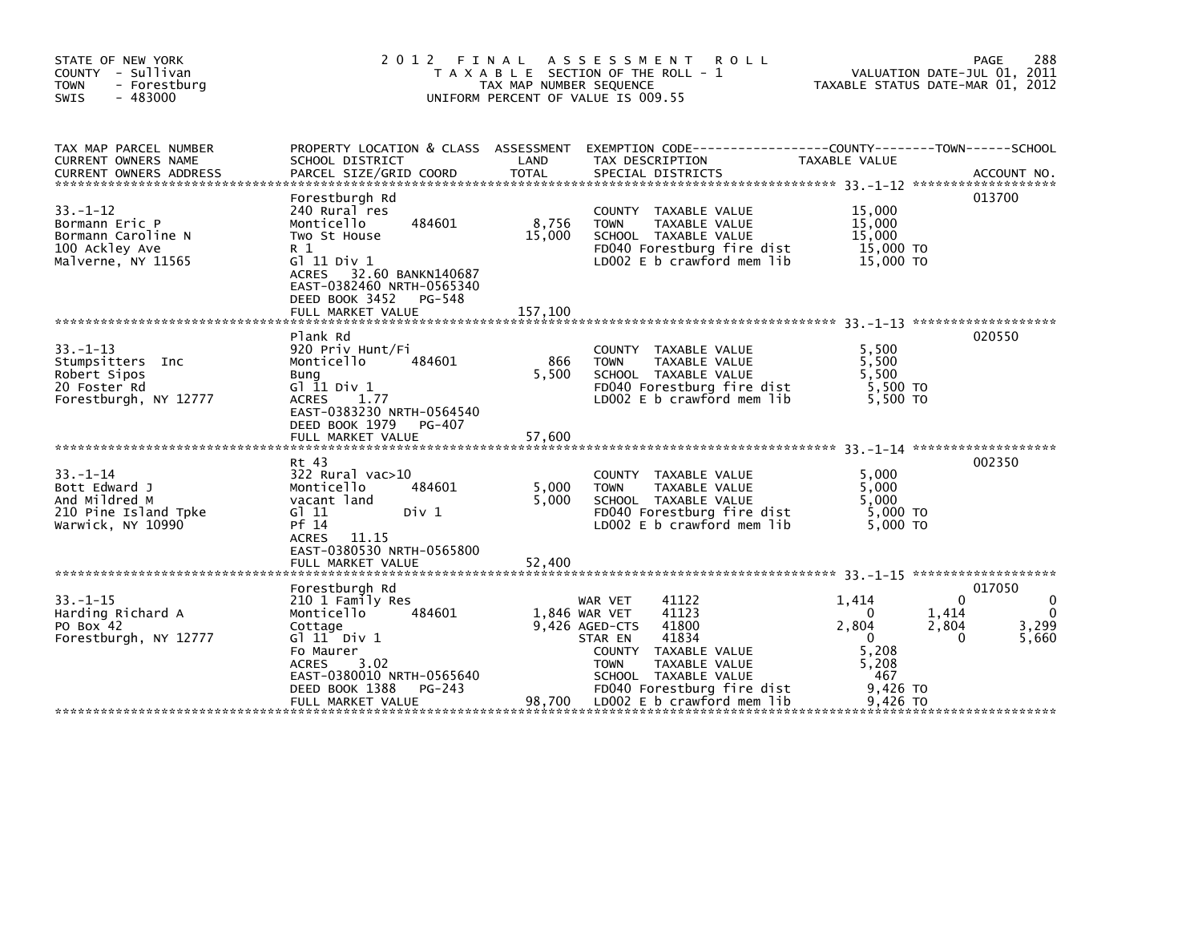| STATE OF NEW YORK<br>COUNTY - Sullivan<br>- Forestburg<br><b>TOWN</b><br><b>SWIS</b><br>- 483000 | 2012 FINAL                                                                                                                                                                                                | TAX MAP NUMBER SEQUENCE  | ASSESSMENT ROLL<br>T A X A B L E SECTION OF THE ROLL - 1<br>UNIFORM PERCENT OF VALUE IS 009.55                                                                                                                              | VALUATION DATE-JUL 01, 2011<br>TAXABLE STATUS DATE-MAR 01, 2012                                                            | 288<br>PAGE                                   |
|--------------------------------------------------------------------------------------------------|-----------------------------------------------------------------------------------------------------------------------------------------------------------------------------------------------------------|--------------------------|-----------------------------------------------------------------------------------------------------------------------------------------------------------------------------------------------------------------------------|----------------------------------------------------------------------------------------------------------------------------|-----------------------------------------------|
| TAX MAP PARCEL NUMBER<br>CURRENT OWNERS NAME<br><b>CURRENT OWNERS ADDRESS</b>                    | SCHOOL DISTRICT<br>PARCEL SIZE/GRID COORD                                                                                                                                                                 | LAND<br><b>TOTAL</b>     | PROPERTY LOCATION & CLASS ASSESSMENT EXEMPTION CODE----------------COUNTY-------TOWN------SCHOOL<br>TAX DESCRIPTION<br>SPECIAL DISTRICTS                                                                                    | TAXABLE VALUE                                                                                                              | ACCOUNT NO.                                   |
| $33. - 1 - 12$<br>Bormann Eric P<br>Bormann Caroline N<br>100 Ackley Ave<br>Malverne, NY 11565   | Forestburgh Rd<br>240 Rural res<br>Monticello<br>484601<br>Two St House<br>R 1<br>G $11$ Div $1$<br>ACRES 32.60 BANKN140687<br>EAST-0382460 NRTH-0565340<br>DEED BOOK 3452<br>PG-548                      | 8,756<br>15,000          | COUNTY TAXABLE VALUE<br>TAXABLE VALUE<br><b>TOWN</b><br>SCHOOL TAXABLE VALUE<br>FD040 Forestburg fire dist<br>LD002 E b crawford mem lib                                                                                    | 15,000<br>15,000<br>15,000<br>15,000 TO<br>15,000 TO                                                                       | 013700                                        |
| $33. - 1 - 13$<br>Stumpsitters Inc<br>Robert Sipos<br>20 Foster Rd<br>Forestburgh, NY 12777      | Plank Rd<br>920 Priv Hunt/Fi<br>Monticello<br>484601<br>Bung<br>G $11$ Div $1$<br>1.77<br><b>ACRES</b><br>EAST-0383230 NRTH-0564540<br>DEED BOOK 1979<br>PG-407                                           | 866<br>5,500             | COUNTY TAXABLE VALUE<br><b>TOWN</b><br>TAXABLE VALUE<br>SCHOOL TAXABLE VALUE<br>FD040 Forestburg fire dist<br>LD002 E b crawford mem lib                                                                                    | 5,500<br>5,500<br>5.500<br>5,500 TO<br>5.500 TO                                                                            | 020550                                        |
| $33. - 1 - 14$<br>Bott Edward J<br>And Mildred M<br>210 Pine Island Tpke<br>Warwick, NY 10990    | Rt 43<br>322 Rural vac>10<br>Monticello<br>484601<br>vacant land<br>$G$ ] 11<br>Div 1<br>Pf 14<br>ACRES 11.15<br>EAST-0380530 NRTH-0565800<br>FULL MARKET VALUE                                           | 5,000<br>5.000<br>52,400 | COUNTY TAXABLE VALUE<br><b>TOWN</b><br>TAXABLE VALUE<br>SCHOOL TAXABLE VALUE<br>FD040 Forestburg fire dist<br>LD002 E b crawford mem lib                                                                                    | 5,000<br>5,000<br>5.000<br>5,000 TO<br>$5.000$ TO                                                                          | 002350                                        |
| $33 - 1 - 15$<br>Harding Richard A<br>PO Box 42<br>Forestburgh, NY 12777                         | Forestburgh Rd<br>210 1 Family Res<br>Monticello<br>484601<br>Cottage<br>$G1$ 11 Div 1<br>Fo Maurer<br>3.02<br><b>ACRES</b><br>EAST-0380010 NRTH-0565640<br>DEED BOOK 1388<br>PG-243<br>FULL MARKET VALUE | 1,846 WAR VET            | 41122<br>WAR VET<br>41123<br>9.426 AGED-CTS<br>41800<br>41834<br>STAR EN<br>COUNTY TAXABLE VALUE<br><b>TOWN</b><br>TAXABLE VALUE<br>SCHOOL TAXABLE VALUE<br>FD040 Forestburg fire dist<br>98,700 LD002 E b crawford mem lib | 1.414<br>$\Omega$<br>1,414<br>$\Omega$<br>2,804<br>2,804<br>0<br>$\Omega$<br>5,208<br>5,208<br>467<br>9,426 TO<br>9.426 TO | 017050<br>0<br>$\mathbf{0}$<br>3,299<br>5,660 |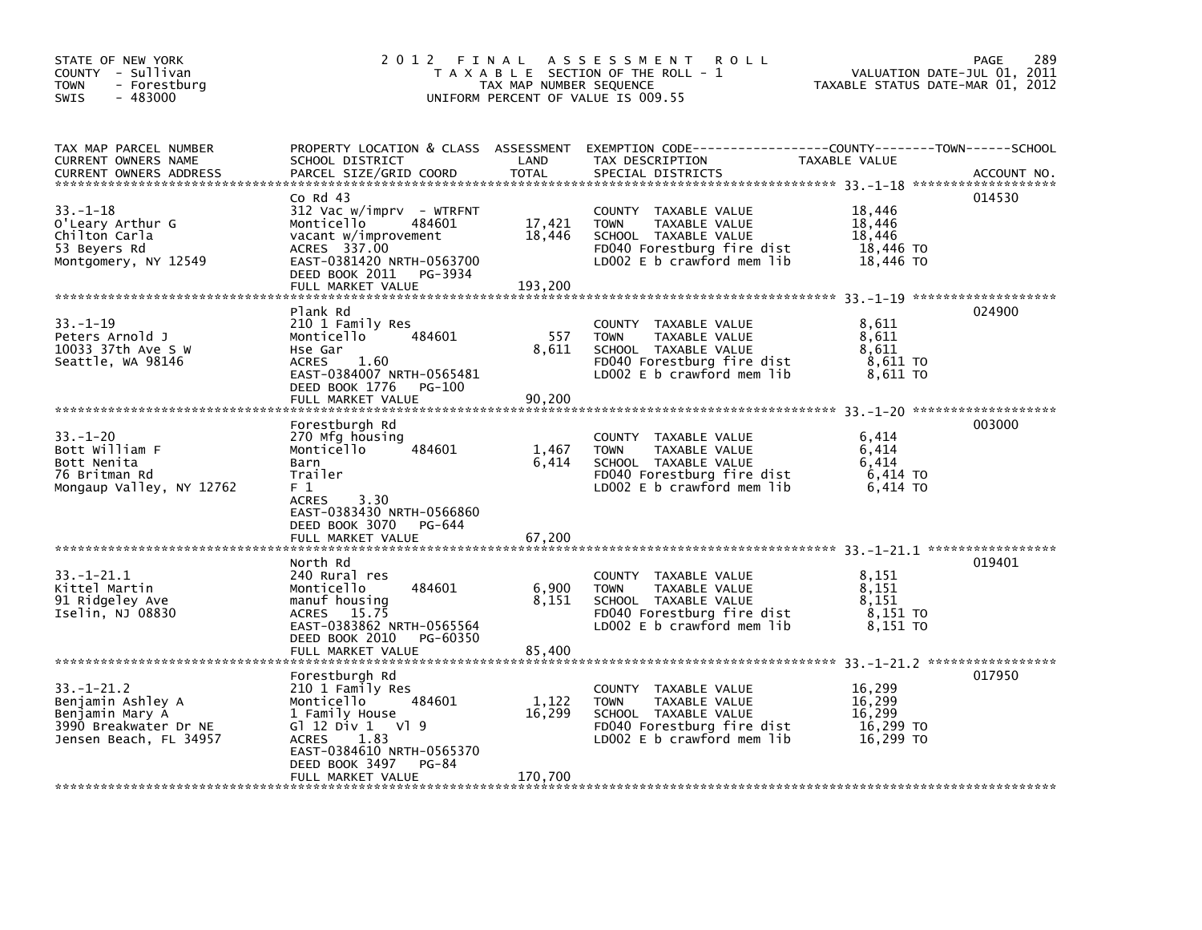| STATE OF NEW YORK<br>COUNTY - Sullivan<br><b>TOWN</b><br>- Forestburg<br>$-483000$<br><b>SWIS</b> | 2012 FINAL                                              | TAX MAP NUMBER SEQUENCE | A S S E S S M E N T<br><b>ROLL</b><br>T A X A B L E SECTION OF THE ROLL - 1<br>UNIFORM PERCENT OF VALUE IS 009.55 | VALUATION DATE-JUL 01,<br>TAXABLE STATUS DATE-MAR 01, 2012 | 289<br><b>PAGE</b><br>2011 |
|---------------------------------------------------------------------------------------------------|---------------------------------------------------------|-------------------------|-------------------------------------------------------------------------------------------------------------------|------------------------------------------------------------|----------------------------|
| TAX MAP PARCEL NUMBER<br>CURRENT OWNERS NAME                                                      | PROPERTY LOCATION & CLASS ASSESSMENT<br>SCHOOL DISTRICT | LAND                    | TAX DESCRIPTION                                                                                                   | TAXABLE VALUE                                              |                            |
|                                                                                                   |                                                         |                         |                                                                                                                   |                                                            |                            |
|                                                                                                   | $Co$ Rd $43$                                            |                         |                                                                                                                   |                                                            | 014530                     |
| 33. –1–18<br>O'Leary Arthur G                                                                     | $312$ Vac w/imprv - WTRFNT<br>Monticello<br>484601      | 17,421                  | COUNTY TAXABLE VALUE<br>TAXABLE VALUE<br><b>TOWN</b>                                                              | 18.446<br>18,446                                           |                            |
| Chilton Carla                                                                                     | vacant w/improvement                                    | 18,446                  | SCHOOL TAXABLE VALUE                                                                                              | 18,446                                                     |                            |
| 53 Beyers Rd<br>Montgomery, NY 12549                                                              | ACRES 337.00<br>EAST-0381420 NRTH-0563700               |                         | FD040 Forestburg fire dist<br>LD002 $E$ b crawford mem lib                                                        | 18,446 TO<br>18,446 TO                                     |                            |
|                                                                                                   | DEED BOOK 2011<br>PG-3934                               |                         |                                                                                                                   |                                                            |                            |
|                                                                                                   | FULL MARKET VALUE                                       | 193,200                 |                                                                                                                   |                                                            |                            |
|                                                                                                   | Plank Rd                                                |                         |                                                                                                                   |                                                            | 024900                     |
| $33. - 1 - 19$                                                                                    | 210 1 Family Res                                        |                         | COUNTY TAXABLE VALUE                                                                                              | 8,611                                                      |                            |
| Peters Arnold J<br>10033 37th Ave S W                                                             | Monticello<br>484601<br>Hse Gar                         | 557<br>8,611            | TAXABLE VALUE<br><b>TOWN</b>                                                                                      | 8,611<br>8,611                                             |                            |
| Seattle, WA 98146                                                                                 | <b>ACRES</b><br>1.60                                    |                         | SCHOOL TAXABLE VALUE<br>FD040 Forestburg fire dist                                                                | 8,611 TO                                                   |                            |
|                                                                                                   | EAST-0384007 NRTH-0565481                               |                         | LD002 E b crawford mem lib                                                                                        | 8,611 TO                                                   |                            |
|                                                                                                   | DEED BOOK 1776<br>PG-100<br>FULL MARKET VALUE           | 90,200                  |                                                                                                                   |                                                            |                            |
|                                                                                                   |                                                         |                         |                                                                                                                   |                                                            |                            |
|                                                                                                   | Forestburgh Rd                                          |                         |                                                                                                                   |                                                            | 003000                     |
| $33. - 1 - 20$<br>Bott William F                                                                  | 270 Mfg housing<br>Monticello<br>484601                 | 1,467                   | COUNTY TAXABLE VALUE<br>TAXABLE VALUE<br><b>TOWN</b>                                                              | 6,414<br>6.414                                             |                            |
| Bott Nenita                                                                                       | Barn                                                    | 6,414                   | SCHOOL TAXABLE VALUE                                                                                              | 6.414                                                      |                            |
| 76 Britman Rd                                                                                     | Trailer                                                 |                         | FD040 Forestburg fire dist                                                                                        | 6,414 TO                                                   |                            |
| Mongaup Valley, NY 12762                                                                          | F 1<br>3.30<br><b>ACRES</b>                             |                         | LD002 E b crawford mem lib                                                                                        | 6,414 TO                                                   |                            |
|                                                                                                   | EAST-0383430 NRTH-0566860                               |                         |                                                                                                                   |                                                            |                            |
|                                                                                                   | DEED BOOK 3070<br>PG-644                                |                         |                                                                                                                   |                                                            |                            |
|                                                                                                   | FULL MARKET VALUE                                       | 67,200                  |                                                                                                                   |                                                            |                            |
|                                                                                                   | North Rd                                                |                         |                                                                                                                   |                                                            | 019401                     |
| $33. - 1 - 21.1$<br>Kittel Martin                                                                 | 240 Rural res<br>Monticello<br>484601                   |                         | COUNTY TAXABLE VALUE<br>TAXABLE VALUE<br><b>TOWN</b>                                                              | 8,151<br>8,151                                             |                            |
| 91 Ridgeley Ave                                                                                   | manuf housing                                           | 6,900<br>8,151          | SCHOOL TAXABLE VALUE                                                                                              | 8.151                                                      |                            |
| Iselin, NJ 08830                                                                                  | 15.75<br><b>ACRES</b>                                   |                         | FD040 Forestburg fire dist                                                                                        | 8,151 TO                                                   |                            |
|                                                                                                   | EAST-0383862 NRTH-0565564<br>DEED BOOK 2010<br>PG-60350 |                         | LD002 E b crawford mem lib                                                                                        | 8,151 TO                                                   |                            |
|                                                                                                   | FULL MARKET VALUE                                       | 85,400                  |                                                                                                                   |                                                            |                            |
|                                                                                                   |                                                         |                         |                                                                                                                   |                                                            |                            |
| $33. - 1 - 21.2$                                                                                  | Forestburgh Rd<br>210 1 Family Res                      |                         | <b>COUNTY</b><br>TAXABLE VALUE                                                                                    | 16.299                                                     | 017950                     |
| Benjamin Ashley A                                                                                 | Monticello<br>484601                                    | 1,122                   | <b>TOWN</b><br>TAXABLE VALUE                                                                                      | 16,299                                                     |                            |
| Benjamin Mary A                                                                                   | 1 Family House                                          | 16,299                  | SCHOOL TAXABLE VALUE                                                                                              | 16,299                                                     |                            |
| 3990 Breakwater Dr NE<br>Jensen Beach, FL 34957                                                   | G1 12 Div 1 V1 9<br><b>ACRES</b><br>1.83                |                         | FD040 Forestburg fire dist<br>LD002 E b crawford mem lib                                                          | 16,299 TO<br>16,299 TO                                     |                            |
|                                                                                                   | EAST-0384610 NRTH-0565370                               |                         |                                                                                                                   |                                                            |                            |
|                                                                                                   | DEED BOOK 3497<br><b>PG-84</b>                          |                         |                                                                                                                   |                                                            |                            |
|                                                                                                   | FULL MARKET VALUE                                       | 170,700                 |                                                                                                                   |                                                            |                            |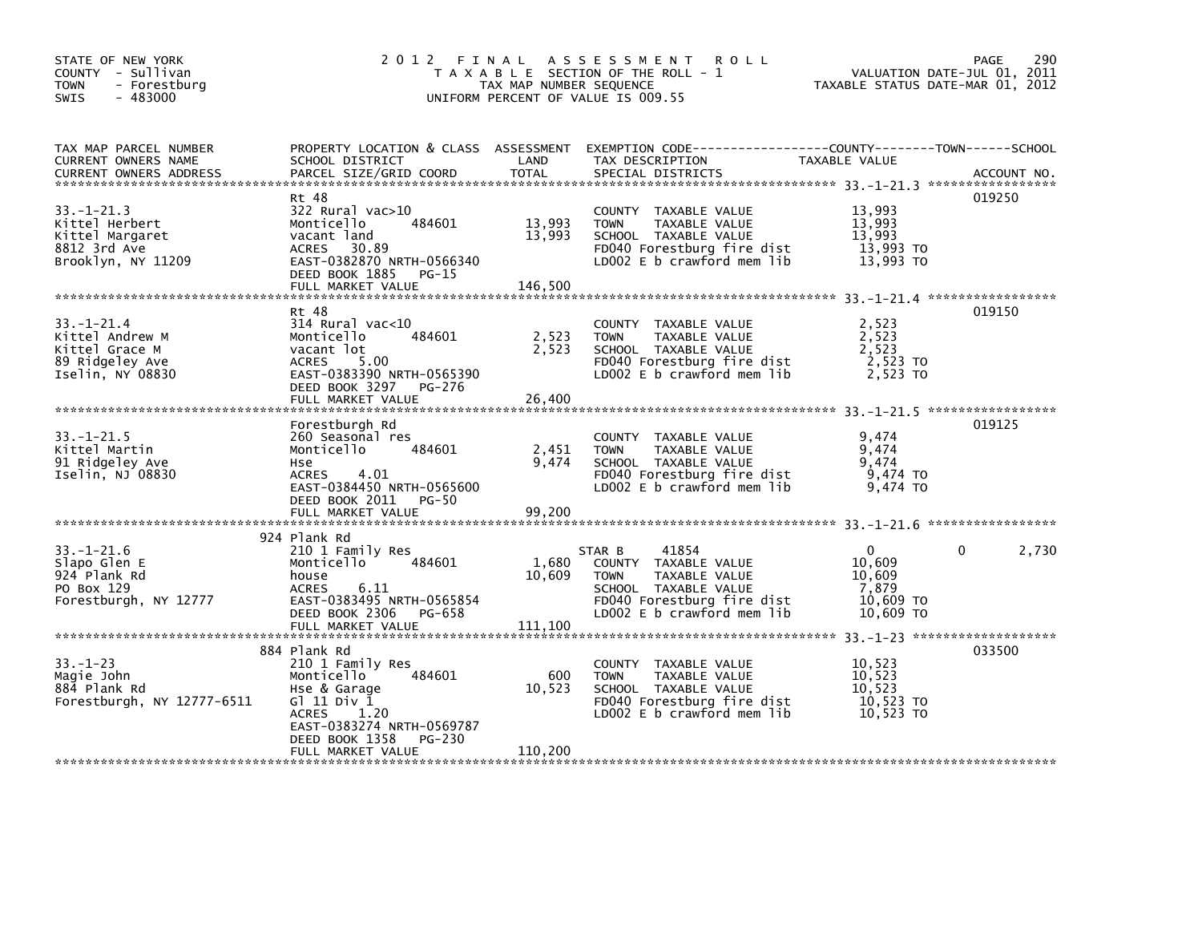| STATE OF NEW YORK<br>COUNTY - Sullivan<br><b>TOWN</b><br>- Forestburg<br>$-483000$<br>SWIS   |                                                                                                                                                                         | TAX MAP NUMBER SEQUENCE    | 2012 FINAL ASSESSMENT<br><b>ROLL</b><br>T A X A B L E SECTION OF THE ROLL - 1<br>UNIFORM PERCENT OF VALUE IS 009.55                                         | VALUATION DATE-JUL 01, 2011<br>TAXABLE STATUS DATE-MAR 01, 2012     | 290<br>PAGE |
|----------------------------------------------------------------------------------------------|-------------------------------------------------------------------------------------------------------------------------------------------------------------------------|----------------------------|-------------------------------------------------------------------------------------------------------------------------------------------------------------|---------------------------------------------------------------------|-------------|
| TAX MAP PARCEL NUMBER<br>CURRENT OWNERS NAME<br><b>CURRENT OWNERS ADDRESS</b>                | SCHOOL DISTRICT<br>PARCEL SIZE/GRID COORD                                                                                                                               | LAND<br><b>TOTAL</b>       | PROPERTY LOCATION & CLASS ASSESSMENT EXEMPTION CODE---------------COUNTY-------TOWN-----SCHOOL<br>TAX DESCRIPTION<br>SPECIAL DISTRICTS                      | TAXABLE VALUE                                                       | ACCOUNT NO. |
| $33. - 1 - 21.3$<br>Kittel Herbert<br>Kittel Margaret<br>8812 3rd Ave<br>Brooklyn, NY 11209  | Rt 48<br>322 Rural vac>10<br>484601<br>Monticello<br>vacant land<br><b>ACRES</b><br>30.89<br>EAST-0382870 NRTH-0566340<br>DEED BOOK 1885<br>PG-15                       | 13,993<br>13.993           | COUNTY TAXABLE VALUE<br><b>TOWN</b><br>TAXABLE VALUE<br>SCHOOL TAXABLE VALUE<br>FD040 Forestburg fire dist<br>LDOO2 E b crawford mem lib                    | 13,993<br>13,993<br>13.993<br>13,993 TO<br>13,993 TO                | 019250      |
|                                                                                              | FULL MARKET VALUE                                                                                                                                                       | 146,500                    |                                                                                                                                                             |                                                                     |             |
| $33. - 1 - 21.4$<br>Kittel Andrew M<br>Kittel Grace M<br>89 Ridgeley Ave<br>Iselin, NY 08830 | Rt 48<br>$314$ Rural vac< $10$<br>484601<br>Monticello<br>vacant lot<br><b>ACRES</b><br>5.00<br>EAST-0383390 NRTH-0565390<br>DEED BOOK 3297 PG-276                      | 2,523<br>2,523             | COUNTY TAXABLE VALUE<br><b>TOWN</b><br>TAXABLE VALUE<br>SCHOOL TAXABLE VALUE<br>FD040 Forestburg fire dist<br>LD002 E b crawford mem lib                    | 2,523<br>2,523<br>2,523<br>2,523 TO<br>2,523 TO                     | 019150      |
|                                                                                              | FULL MARKET VALUE                                                                                                                                                       | 26,400                     |                                                                                                                                                             |                                                                     |             |
| $33. - 1 - 21.5$<br>Kittel Martin<br>91 Ridgeley Ave<br>Iselin, NJ 08830                     | Forestburgh Rd<br>260 Seasonal res<br>Monticello<br>484601<br>Hse.<br>4.01<br><b>ACRES</b><br>EAST-0384450 NRTH-0565600<br>DEED BOOK 2011<br>PG-50                      | 2,451<br>9.474             | <b>COUNTY</b><br>TAXABLE VALUE<br><b>TOWN</b><br>TAXABLE VALUE<br>SCHOOL TAXABLE VALUE<br>FD040 Forestburg fire dist<br>$LD002 E b$ crawford mem lib        | 9,474<br>9,474<br>9,474<br>9,474 TO<br>9,474 TO                     | 019125      |
|                                                                                              | FULL MARKET VALUE                                                                                                                                                       | 99.200                     |                                                                                                                                                             |                                                                     |             |
| $33. - 1 - 21.6$<br>Slapo Glen E<br>924 Plank Rd<br>PO Box 129<br>Forestburgh, NY 12777      | 924 Plank Rd<br>210 1 Family Res<br>484601<br>Monticello<br>house<br><b>ACRES</b><br>6.11<br>EAST-0383495 NRTH-0565854<br>DEED BOOK 2306<br>PG-658<br>FULL MARKET VALUE | 1,680<br>10,609<br>111,100 | 41854<br>STAR B<br>COUNTY TAXABLE VALUE<br><b>TOWN</b><br>TAXABLE VALUE<br>SCHOOL TAXABLE VALUE<br>FD040 Forestburg fire dist<br>LD002 E b crawford mem lib | $\mathbf{0}$<br>10,609<br>10,609<br>7,879<br>10,609 TO<br>10,609 TO | 2,730<br>0  |
|                                                                                              | 884 Plank Rd                                                                                                                                                            |                            |                                                                                                                                                             |                                                                     | 033500      |
| $33. - 1 - 23$<br>Magie John<br>884 Plank Rd<br>Forestburgh, NY 12777-6511                   | 210 1 Family Res<br>484601<br>Monticello<br>Hse & Garage<br>G1 11 Div 1<br>1.20<br><b>ACRES</b><br>EAST-0383274 NRTH-0569787                                            | 600<br>10,523              | COUNTY TAXABLE VALUE<br><b>TOWN</b><br>TAXABLE VALUE<br>SCHOOL TAXABLE VALUE<br>FD040 Forestburg fire dist<br>LD002 E b crawford mem lib                    | 10,523<br>10,523<br>10,523<br>10,523 TO<br>10,523 TO                |             |
|                                                                                              | DEED BOOK 1358<br>PG-230<br>FULL MARKET VALUE                                                                                                                           | 110,200                    |                                                                                                                                                             |                                                                     |             |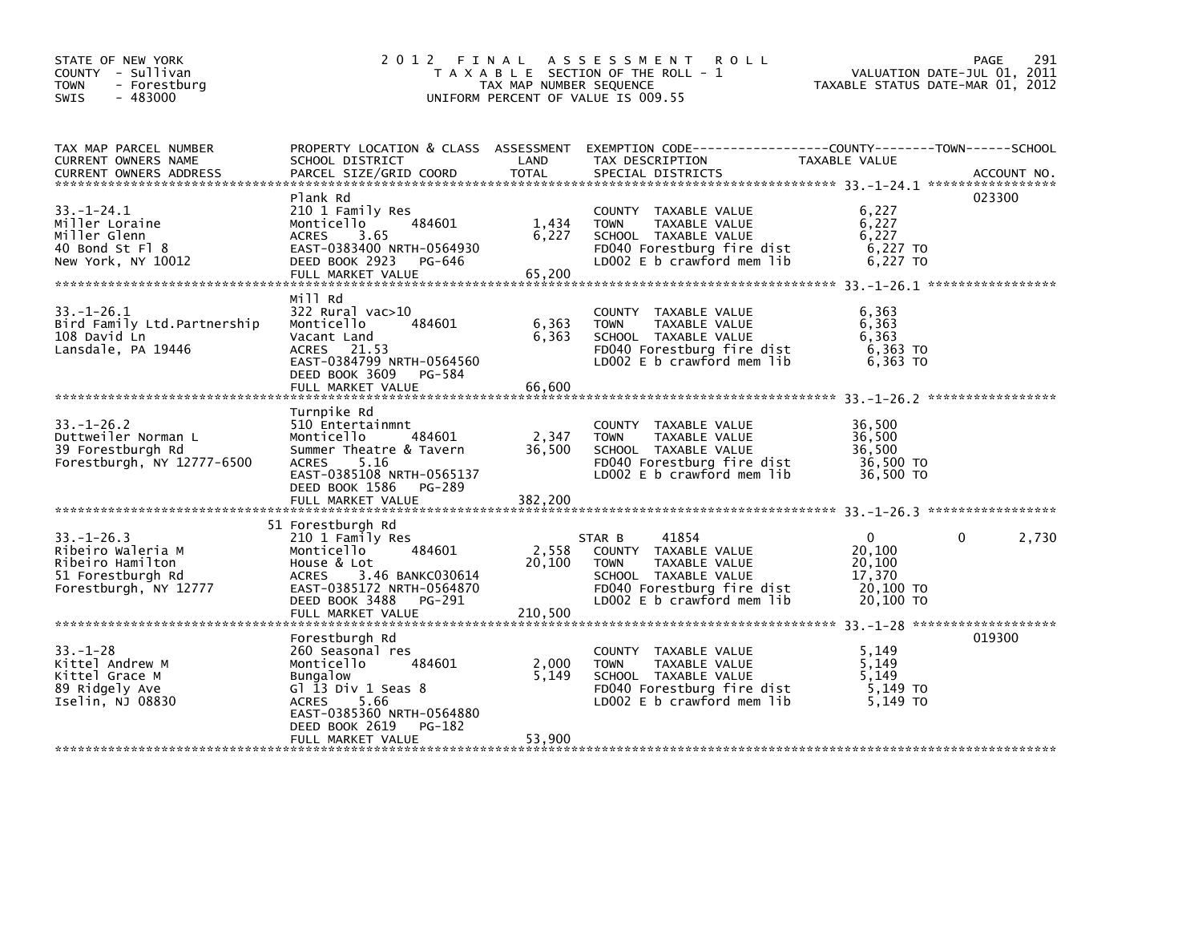| STATE OF NEW YORK<br>COUNTY - Sullivan<br><b>TOWN</b><br>- Forestburg<br>$-483000$<br><b>SWIS</b>      | 2 0 1 2                                                                                                                                                                                        | TAX MAP NUMBER SEQUENCE    | FINAL ASSESSMENT ROLL<br>T A X A B L E SECTION OF THE ROLL - 1<br>UNIFORM PERCENT OF VALUE IS 009.55                                                        | TAXABLE STATUS DATE-MAR 01, 2012                          | 291<br>PAGE<br>VALUATION DATE-JUL 01, 2011 |
|--------------------------------------------------------------------------------------------------------|------------------------------------------------------------------------------------------------------------------------------------------------------------------------------------------------|----------------------------|-------------------------------------------------------------------------------------------------------------------------------------------------------------|-----------------------------------------------------------|--------------------------------------------|
| TAX MAP PARCEL NUMBER<br>CURRENT OWNERS NAME<br><b>CURRENT OWNERS ADDRESS</b>                          | SCHOOL DISTRICT<br>PARCEL SIZE/GRID COORD                                                                                                                                                      | LAND<br><b>TOTAL</b>       | PROPERTY LOCATION & CLASS ASSESSMENT EXEMPTION CODE-----------------COUNTY-------TOWN-----SCHOOL<br>TAX DESCRIPTION<br>SPECIAL DISTRICTS                    | TAXABLE VALUE                                             | ACCOUNT NO.                                |
| $33. - 1 - 24.1$<br>Miller Loraine<br>Miller Glenn<br>40 Bond St Fl 8<br>New York, NY 10012            | Plank Rd<br>210 1 Family Res<br>484601<br>Monticello<br><b>ACRES</b><br>3.65<br>EAST-0383400 NRTH-0564930<br>DEED BOOK 2923<br>PG-646<br>FULL MARKET VALUE                                     | 1,434<br>6,227<br>65,200   | COUNTY TAXABLE VALUE<br>TAXABLE VALUE<br><b>TOWN</b><br>SCHOOL TAXABLE VALUE<br>FD040 Forestburg fire dist<br>LD002 E b crawford mem lib                    | 6,227<br>6,227<br>6,227<br>6,227 TO<br>6,227 TO           | 023300                                     |
| $33. - 1 - 26.1$<br>Bird Family Ltd.Partnership<br>108 David Ln<br>Lansdale, PA 19446                  | Mill Rd<br>$322$ Rural vac $>10$<br>484601<br>Monticello<br>Vacant Land<br>ACRES 21.53<br>EAST-0384799 NRTH-0564560<br>DEED BOOK 3609<br>PG-584                                                | 6,363<br>6,363             | COUNTY TAXABLE VALUE<br><b>TOWN</b><br>TAXABLE VALUE<br>SCHOOL TAXABLE VALUE<br>FD040 Forestburg fire dist<br>LD002 E b crawford mem lib                    | 6,363<br>6,363<br>6,363<br>6,363 TO<br>$6,363$ TO         |                                            |
| $33. - 1 - 26.2$<br>Duttweiler Norman L<br>39 Forestburgh Rd<br>Forestburgh, NY 12777-6500             | Turnpike Rd<br>510 Entertainmnt<br>Monticello<br>484601<br>Summer Theatre & Tavern<br>5.16<br><b>ACRES</b><br>EAST-0385108 NRTH-0565137<br>DEED BOOK 1586<br>PG-289                            | 2,347<br>36,500            | COUNTY TAXABLE VALUE<br><b>TOWN</b><br>TAXABLE VALUE<br>SCHOOL TAXABLE VALUE<br>FD040 Forestburg fire dist<br>LD002 $E$ b crawford mem lib                  | 36,500<br>36,500<br>36,500<br>36,500 TO<br>36,500 TO      |                                            |
| $33 - 1 - 26.3$<br>Ribeiro Waleria M<br>Ribeiro Hamilton<br>51 Forestburgh Rd<br>Forestburgh, NY 12777 | 51 Forestburgh Rd<br>210 1 Family Res<br>484601<br>Monticello<br>House & Lot<br>3.46 BANKC030614<br><b>ACRES</b><br>EAST-0385172 NRTH-0564870<br>DEED BOOK 3488<br>PG-291<br>FULL MARKET VALUE | 2,558<br>20,100<br>210,500 | 41854<br>STAR B<br>COUNTY TAXABLE VALUE<br>TAXABLE VALUE<br><b>TOWN</b><br>SCHOOL TAXABLE VALUE<br>FD040 Forestburg fire dist<br>LD002 E b crawford mem lib | 0<br>20,100<br>20,100<br>17,370<br>20,100 TO<br>20,100 TO | 2,730                                      |
| $33. - 1 - 28$<br>Kittel Andrew M<br>Kittel Grace M<br>89 Ridgely Ave<br>Iselin, NJ 08830              | Forestburgh Rd<br>260 Seasonal res<br>Monticello<br>484601<br><b>Bungalow</b><br>Gl 13 Div 1 Seas 8<br>5.66<br><b>ACRES</b><br>EAST-0385360 NRTH-0564880<br>DEED BOOK 2619<br>PG-182           | 2,000<br>5,149             | <b>COUNTY</b><br>TAXABLE VALUE<br>TAXABLE VALUE<br><b>TOWN</b><br>SCHOOL TAXABLE VALUE<br>FD040 Forestburg fire dist<br>LD002 $E$ b crawford mem lib        | 5,149<br>5,149<br>5.149<br>5,149 TO<br>5.149 TO           | 019300                                     |
|                                                                                                        | FULL MARKET VALUE                                                                                                                                                                              | 53,900                     |                                                                                                                                                             |                                                           |                                            |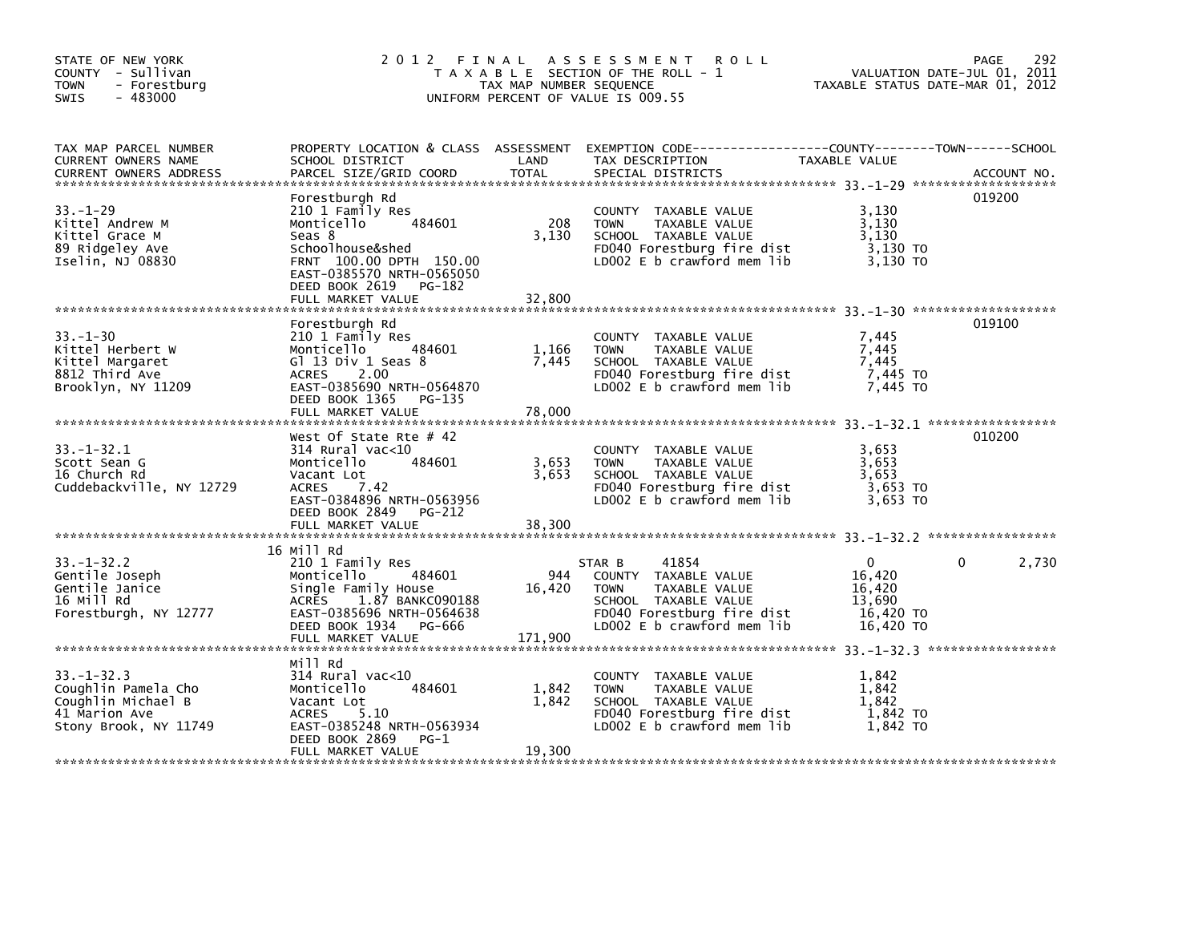| STATE OF NEW YORK<br>COUNTY - Sullivan<br><b>TOWN</b><br>- Forestburg<br>$-483000$<br><b>SWIS</b>       | 2 0 1 2                                                                                                                                                                                           | TAX MAP NUMBER SEQUENCE  | FINAL ASSESSMENT<br><b>ROLL</b><br>T A X A B L E SECTION OF THE ROLL - 1<br>UNIFORM PERCENT OF VALUE IS 009.55                               | TAXABLE STATUS DATE-MAR 01, 2012                | 292<br>PAGE<br>VALUATION DATE-JUL 01, 2011 |
|---------------------------------------------------------------------------------------------------------|---------------------------------------------------------------------------------------------------------------------------------------------------------------------------------------------------|--------------------------|----------------------------------------------------------------------------------------------------------------------------------------------|-------------------------------------------------|--------------------------------------------|
| TAX MAP PARCEL NUMBER<br>CURRENT OWNERS NAME<br><b>CURRENT OWNERS ADDRESS</b>                           | SCHOOL DISTRICT<br>PARCEL SIZE/GRID COORD                                                                                                                                                         | LAND<br><b>TOTAL</b>     | PROPERTY LOCATION & CLASS ASSESSMENT EXEMPTION CODE---------------COUNTY-------TOWN-----SCHOOL<br>TAX DESCRIPTION<br>SPECIAL DISTRICTS       | TAXABLE VALUE                                   | ACCOUNT NO.                                |
| $33. - 1 - 29$<br>Kittel Andrew M<br>Kittel Grace M<br>89 Ridgeley Ave<br>Iselin, NJ 08830              | Forestburgh Rd<br>210 1 Family Res<br>Monticello<br>484601<br>Seas 8<br>Schoolhouse&shed<br>FRNT 100.00 DPTH 150.00<br>EAST-0385570 NRTH-0565050<br>DEED BOOK 2619<br>PG-182<br>FULL MARKET VALUE | 208<br>3,130<br>32,800   | COUNTY TAXABLE VALUE<br>TAXABLE VALUE<br><b>TOWN</b><br>SCHOOL TAXABLE VALUE<br>FD040 Forestburg fire dist<br>LD002 $E$ b crawford mem $lib$ | 3,130<br>3,130<br>3,130<br>3,130 TO<br>3.130 TO | 019200                                     |
|                                                                                                         |                                                                                                                                                                                                   |                          |                                                                                                                                              |                                                 |                                            |
| $33. - 1 - 30$<br>Kittel Herbert W<br>Kittel Margaret<br>8812 Third Ave<br>Brooklyn, NY 11209           | Forestburgh Rd<br>210 1 Family Res<br>484601<br>Monticello<br>G $1$ 13 Div 1 Seas 8<br><b>ACRES</b><br>2.00<br>EAST-0385690 NRTH-0564870<br>DEED BOOK 1365<br>PG-135<br>FULL MARKET VALUE         | 1,166<br>7,445<br>78,000 | COUNTY TAXABLE VALUE<br><b>TOWN</b><br>TAXABLE VALUE<br>SCHOOL TAXABLE VALUE<br>FD040 Forestburg fire dist<br>LD002 $E$ b crawford mem $lib$ | 7,445<br>7,445<br>7,445<br>7,445 TO<br>7.445 TO | 019100                                     |
|                                                                                                         | West Of State Rte $#$ 42                                                                                                                                                                          |                          |                                                                                                                                              |                                                 | 010200                                     |
| $33. - 1 - 32.1$<br>Scott Sean G<br>16 Church Rd<br>Cuddebackville, NY 12729                            | $314$ Rural vac< $10$<br>Monticello<br>484601<br>Vacant Lot<br><b>ACRES</b><br>7.42<br>EAST-0384896 NRTH-0563956<br>DEED BOOK 2849<br>PG-212                                                      | 3,653<br>3,653           | COUNTY TAXABLE VALUE<br><b>TOWN</b><br>TAXABLE VALUE<br>SCHOOL TAXABLE VALUE<br>FD040 Forestburg fire dist<br>LD002 $E$ b crawford mem lib   | 3,653<br>3,653<br>3.653<br>3,653 TO<br>3.653 TO |                                            |
|                                                                                                         | FULL MARKET VALUE                                                                                                                                                                                 | 38,300                   |                                                                                                                                              |                                                 |                                            |
|                                                                                                         | 16 Mill Rd                                                                                                                                                                                        |                          |                                                                                                                                              |                                                 |                                            |
| $33. - 1 - 32.2$<br>Gentile Joseph<br>Gentile Janice<br>16 Mill Rd<br>Forestburgh, NY 12777             | 210 1 Family Res<br>Monticello<br>484601<br>Single Family House<br>1.87 BANKC090188<br>ACRES<br>EAST-0385696 NRTH-0564638                                                                         | 944<br>16,420            | 41854<br>STAR B<br>COUNTY TAXABLE VALUE<br><b>TOWN</b><br>TAXABLE VALUE<br>SCHOOL TAXABLE VALUE<br>FD040 Forestburg fire dist                | 0<br>16,420<br>16.420<br>13,690<br>16,420 TO    | 0<br>2,730                                 |
|                                                                                                         | DEED BOOK 1934<br>PG-666<br>FULL MARKET VALUE                                                                                                                                                     | 171,900                  | LD002 E b crawford mem lib                                                                                                                   | 16,420 TO                                       |                                            |
|                                                                                                         | Mill Rd                                                                                                                                                                                           |                          |                                                                                                                                              |                                                 |                                            |
| $33. - 1 - 32.3$<br>Coughlin Pamela Cho<br>Coughlin Michael B<br>41 Marion Ave<br>Stony Brook, NY 11749 | 314 Rural vac<10<br>484601<br>Monticello<br>Vacant Lot<br>5.10<br>ACRES<br>EAST-0385248 NRTH-0563934<br>DEED BOOK 2869<br>$PG-1$                                                                  | 1,842<br>1,842           | COUNTY TAXABLE VALUE<br><b>TOWN</b><br>TAXABLE VALUE<br>SCHOOL TAXABLE VALUE<br>FD040 Forestburg fire dist<br>LD002 E b crawford mem lib     | 1,842<br>1,842<br>1,842<br>1,842 TO<br>1,842 TO |                                            |
|                                                                                                         | FULL MARKET VALUE                                                                                                                                                                                 | 19,300                   |                                                                                                                                              |                                                 |                                            |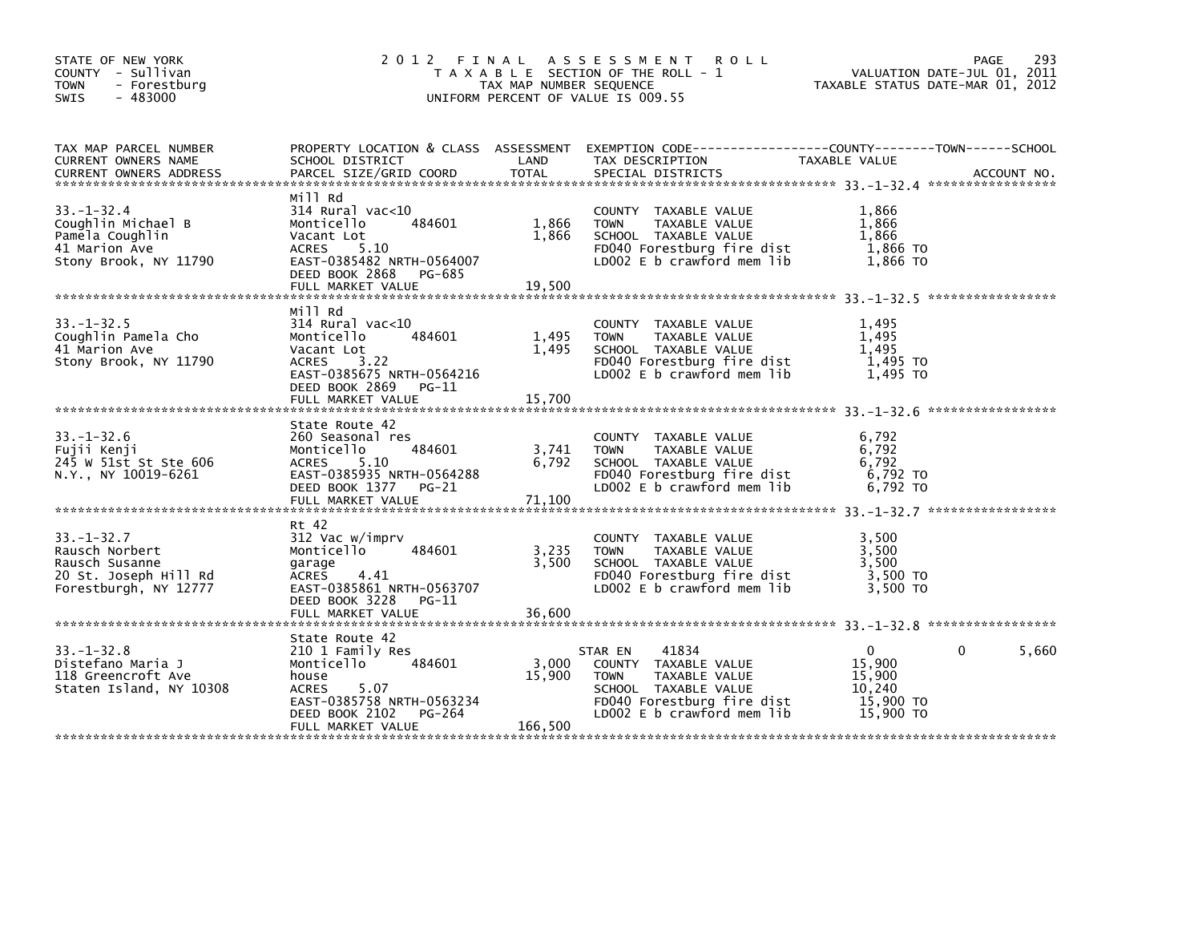| STATE OF NEW YORK<br>COUNTY - Sullivan<br><b>TOWN</b><br>- Forestburg<br>$-483000$<br><b>SWIS</b>      |                                                                                                                                                                        | TAX MAP NUMBER SEQUENCE         | 2012 FINAL ASSESSMENT ROLL<br>T A X A B L E SECTION OF THE ROLL - 1<br>UNIFORM PERCENT OF VALUE IS 009.55                                                    | VALUATION DATE-JUL 01, 2011<br>TAXABLE STATUS DATE-MAR 01, 2012  | 293<br>PAGE       |
|--------------------------------------------------------------------------------------------------------|------------------------------------------------------------------------------------------------------------------------------------------------------------------------|---------------------------------|--------------------------------------------------------------------------------------------------------------------------------------------------------------|------------------------------------------------------------------|-------------------|
| TAX MAP PARCEL NUMBER<br>CURRENT OWNERS NAME                                                           | SCHOOL DISTRICT                                                                                                                                                        | <b>Example 12 Decision CAND</b> | PROPERTY LOCATION & CLASS ASSESSMENT EXEMPTION CODE---------------COUNTY-------TOWN------SCHOOL<br>TAX DESCRIPTION                                           | TAXABLE VALUE                                                    |                   |
| $33 - 1 - 32.4$<br>Coughlin Michael B<br>Pamela Coughlin<br>41 Marion Ave<br>Stony Brook, NY 11790     | Mill Rd<br>314 Rural vac<10<br>484601<br>Monticello<br>Vacant Lot<br>ACRES 5.10<br>EAST-0385482 NRTH-0564007<br>DEED BOOK 2868 PG-685                                  | 1,866<br>1,866                  | COUNTY TAXABLE VALUE<br>TAXABLE VALUE<br><b>TOWN</b><br>SCHOOL TAXABLE VALUE<br>FD040 Forestburg fire dist<br>LD002 E b crawford mem lib                     | 1.866<br>1,866<br>1,866<br>1,866 TO<br>1.866 TO                  |                   |
| $33 - 1 - 32.5$<br>Coughlin Pamela Cho<br>41 Marion Ave<br>Stony Brook, NY 11790                       | Mill Rd<br>$314$ Rural vac< $10$<br>484601<br>Monticello<br>Vacant Lot<br>3.22<br>ACRES<br>EAST-0385675 NRTH-0564216<br>DEED BOOK 2869 PG-11<br>FULL MARKET VALUE      | 1,495<br>1,495<br>15,700        | COUNTY TAXABLE VALUE<br><b>TOWN</b><br>TAXABLE VALUE<br>SCHOOL TAXABLE VALUE<br>FD040 Forestburg fire dist<br>LD002 E b crawford mem lib                     | 1,495<br>1,495<br>1.495<br>1,495 TO<br>1.495 TO                  |                   |
| $33. - 1 - 32.6$<br>Fujii Kenji<br>245 W 51st St Ste 606<br>N.Y., NY 10019-6261                        | State Route 42<br>260 Seasonal res<br>Monticello<br>484601<br>5.10<br>ACRES<br>EAST-0385935 NRTH-0564288<br>DEED BOOK 1377 PG-21<br>FULL MARKET VALUE                  | 3,741<br>6,792<br>71,100        | COUNTY TAXABLE VALUE<br>TAXABLE VALUE<br><b>TOWN</b><br>SCHOOL TAXABLE VALUE<br>FD040 Forestburg fire dist<br>LD002 E b crawford mem lib                     | 6,792<br>6,792<br>6,792<br>6,792 TO<br>6.792 TO                  |                   |
| $33. - 1 - 32.7$<br>Rausch Norbert<br>Rausch Susanne<br>20 St. Joseph Hill Rd<br>Forestburgh, NY 12777 | Rt 42<br>312 Vac w/imprv<br>Monticello<br>484601<br>garage<br>ACRES 4.41<br>EAST-0385861 NRTH-0563707<br>DEED BOOK 3228 PG-11<br>FULL MARKET VALUE                     | 3,235<br>3.500<br>36,600        | COUNTY TAXABLE VALUE<br>TAXABLE VALUE<br><b>TOWN</b><br>SCHOOL TAXABLE VALUE<br>FD040 Forestburg fire dist<br>LD002 E b crawford mem lib                     | 3,500<br>3,500<br>3.500<br>3,500 TO<br>3.500 TO                  |                   |
| $33. - 1 - 32.8$<br>Distefano Maria J<br>118 Greencroft Ave<br>Staten Island, NY 10308                 | State Route 42<br>210 1 Family Res<br>484601<br>Monticello<br>house<br><b>ACRES</b><br>5.07<br>EAST-0385758 NRTH-0563234<br>DEED BOOK 2102 PG-264<br>FULL MARKET VALUE | 3,000<br>15,900<br>166,500      | 41834<br>STAR EN<br>COUNTY TAXABLE VALUE<br>TAXABLE VALUE<br><b>TOWN</b><br>SCHOOL TAXABLE VALUE<br>FD040 Forestburg fire dist<br>LD002 E b crawford mem lib | $\Omega$<br>15,900<br>15,900<br>10,240<br>15,900 TO<br>15,900 TO | $\Omega$<br>5,660 |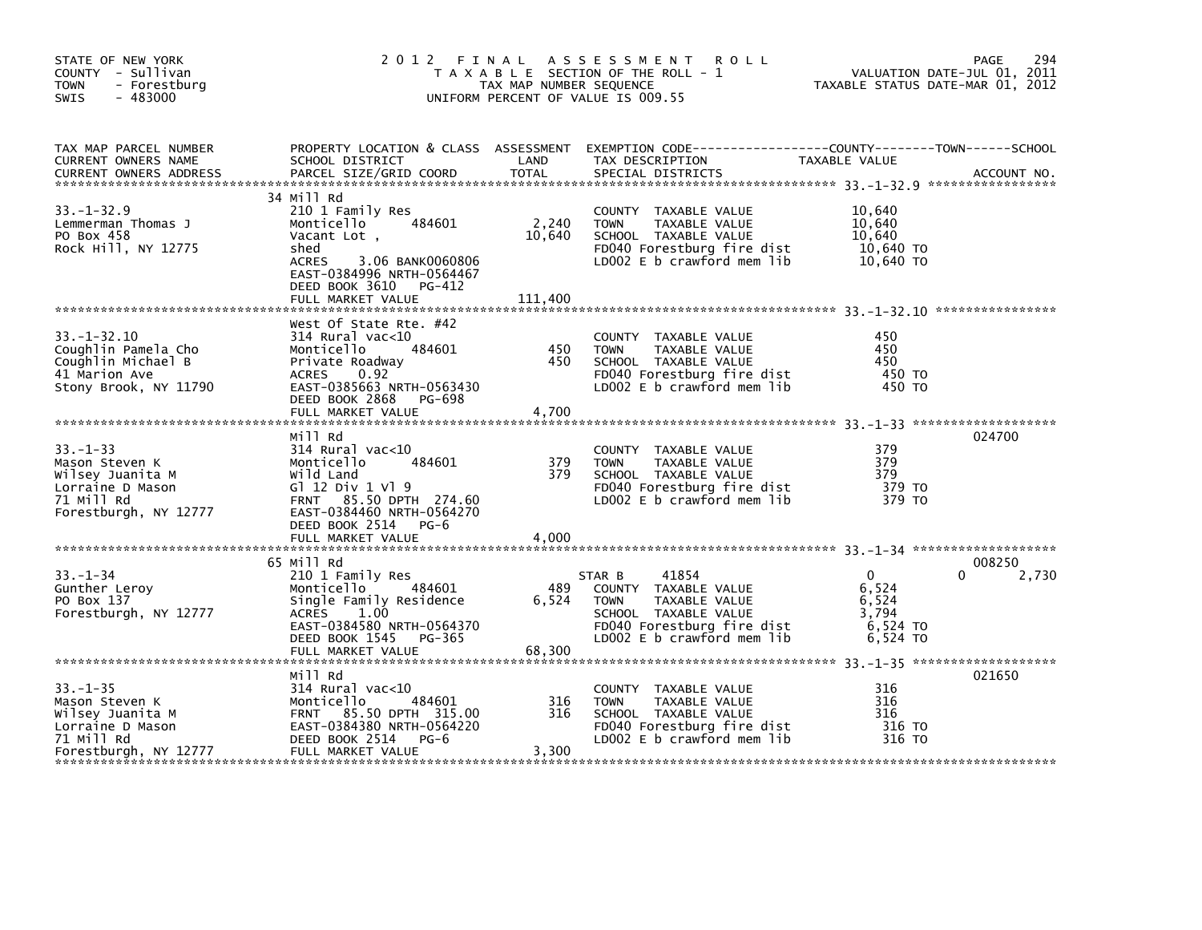| STATE OF NEW YORK<br>COUNTY - Sullivan<br>- Forestburg<br><b>TOWN</b><br>$-483000$<br><b>SWIS</b> |                                                                                                      | TAX MAP NUMBER SEQUENCE | 2012 FINAL ASSESSMENT<br><b>ROLL</b><br>T A X A B L E SECTION OF THE ROLL - 1<br>UNIFORM PERCENT OF VALUE IS 009.55                      | TAXABLE STATUS DATE-MAR 01, 2012 | 294<br>PAGE<br>VALUATION DATE-JUL 01, 2011 |
|---------------------------------------------------------------------------------------------------|------------------------------------------------------------------------------------------------------|-------------------------|------------------------------------------------------------------------------------------------------------------------------------------|----------------------------------|--------------------------------------------|
| TAX MAP PARCEL NUMBER<br>CURRENT OWNERS NAME<br><b>CURRENT OWNERS ADDRESS</b>                     | SCHOOL DISTRICT<br>PARCEL SIZE/GRID COORD                                                            | LAND<br>TOTAL           | PROPERTY LOCATION & CLASS ASSESSMENT EXEMPTION CODE----------------COUNTY-------TOWN------SCHOOL<br>TAX DESCRIPTION<br>SPECIAL DISTRICTS | TAXABLE VALUE                    | ACCOUNT NO.                                |
|                                                                                                   | 34 Mill Rd                                                                                           |                         |                                                                                                                                          |                                  |                                            |
| $33. - 1 - 32.9$                                                                                  | 210 1 Family Res<br>484601                                                                           | 2,240                   | COUNTY TAXABLE VALUE<br>TAXABLE VALUE                                                                                                    | 10,640<br>10,640                 |                                            |
| Lemmerman Thomas J<br>PO Box 458                                                                  | Monticello<br>Vacant Lot,                                                                            | 10,640                  | <b>TOWN</b><br>SCHOOL TAXABLE VALUE                                                                                                      | 10,640                           |                                            |
| Rock Hill, NY 12775                                                                               | shed                                                                                                 |                         | FD040 Forestburg fire dist                                                                                                               | 10,640 TO                        |                                            |
|                                                                                                   | ACRES<br>3.06 BANK0060806<br>EAST-0384996 NRTH-0564467<br>DEED BOOK 3610 PG-412<br>FULL MARKET VALUE | 111,400                 | LD002 E b crawford mem lib                                                                                                               | 10,640 TO                        |                                            |
|                                                                                                   |                                                                                                      |                         |                                                                                                                                          |                                  |                                            |
|                                                                                                   | West Of State Rte. #42                                                                               |                         |                                                                                                                                          |                                  |                                            |
| $33. - 1 - 32.10$                                                                                 | $314$ Rural vac< $10$                                                                                |                         | COUNTY TAXABLE VALUE                                                                                                                     | 450                              |                                            |
| Coughlin Pamela Cho                                                                               | 484601<br>Monticello                                                                                 | 450<br>450              | TAXABLE VALUE<br><b>TOWN</b>                                                                                                             | 450<br>450                       |                                            |
| Coughlin Michael B<br>41 Marion Ave                                                               | Private Roadway<br><b>ACRES</b><br>0.92                                                              |                         | SCHOOL TAXABLE VALUE<br>FD040 Forestburg fire dist                                                                                       | 450 TO                           |                                            |
| Stony Brook, NY 11790                                                                             | EAST-0385663 NRTH-0563430                                                                            |                         | LD002 E b crawford mem lib                                                                                                               | 450 TO                           |                                            |
|                                                                                                   | DEED BOOK 2868<br>PG-698                                                                             |                         |                                                                                                                                          |                                  |                                            |
|                                                                                                   | FULL MARKET VALUE                                                                                    | 4,700                   |                                                                                                                                          |                                  |                                            |
|                                                                                                   | Mill Rd                                                                                              |                         |                                                                                                                                          |                                  | 024700                                     |
| $33 - 1 - 33$                                                                                     | 314 Rural vac<10                                                                                     |                         | COUNTY TAXABLE VALUE                                                                                                                     | 379                              |                                            |
| Mason Steven K                                                                                    | Monticello<br>484601                                                                                 | 379                     | <b>TOWN</b><br>TAXABLE VALUE                                                                                                             | 379                              |                                            |
| Wilsey Juanita M                                                                                  | Wild Land                                                                                            | 379                     | SCHOOL TAXABLE VALUE                                                                                                                     | 379                              |                                            |
| Lorraine D Mason                                                                                  | G1 12 Div 1 V1 9                                                                                     |                         | FD040 Forestburg fire dist                                                                                                               | 379 TO                           |                                            |
| 71 Mill Rd                                                                                        | FRNT 85.50 DPTH 274.60                                                                               |                         | LD002 $E$ b crawford mem $lib$                                                                                                           | 379 TO                           |                                            |
| Forestburgh, NY 12777                                                                             | EAST-0384460 NRTH-0564270<br>DEED BOOK 2514 PG-6                                                     |                         |                                                                                                                                          |                                  |                                            |
|                                                                                                   |                                                                                                      |                         |                                                                                                                                          |                                  |                                            |
|                                                                                                   |                                                                                                      |                         |                                                                                                                                          |                                  |                                            |
|                                                                                                   | 65 Mill Rd                                                                                           |                         |                                                                                                                                          |                                  | 008250                                     |
| $33 - 1 - 34$                                                                                     | 210 1 Family Res                                                                                     |                         | 41854<br>STAR B                                                                                                                          | $\mathbf{0}$                     | 2,730<br>0                                 |
| Gunther Leroy                                                                                     | 484601<br>Monticello                                                                                 | 489                     | COUNTY TAXABLE VALUE                                                                                                                     | 6,524                            |                                            |
| PO Box 137<br>Forestburgh, NY 12777                                                               | Single Family Residence<br>ACRES<br>1.00                                                             | 6,524                   | <b>TOWN</b><br>TAXABLE VALUE<br>SCHOOL TAXABLE VALUE                                                                                     | 6,524<br>3,794                   |                                            |
|                                                                                                   | EAST-0384580 NRTH-0564370                                                                            |                         | FD040 Forestburg fire dist                                                                                                               | 6,524 TO                         |                                            |
|                                                                                                   | DEED BOOK 1545 PG-365                                                                                |                         | LD002 $E$ b crawford mem $lib$                                                                                                           | 6,524 TO                         |                                            |
|                                                                                                   | FULL MARKET VALUE                                                                                    | 68,300                  |                                                                                                                                          |                                  |                                            |
|                                                                                                   |                                                                                                      |                         |                                                                                                                                          |                                  |                                            |
| $33. - 1 - 35$                                                                                    | Mill Rd<br>$314$ Rural vac<10                                                                        |                         | COUNTY TAXABLE VALUE                                                                                                                     | 316                              | 021650                                     |
| Mason Steven K                                                                                    | 484601<br>Monticello                                                                                 | 316                     | <b>TOWN</b><br>TAXABLE VALUE                                                                                                             | 316                              |                                            |
| Wilsey Juanita M                                                                                  | FRNT 85.50 DPTH 315.00                                                                               | 316                     | SCHOOL TAXABLE VALUE                                                                                                                     | 316                              |                                            |
| Lorraine D Mason                                                                                  | EAST-0384380 NRTH-0564220                                                                            |                         | FD040 Forestburg fire dist                                                                                                               | 316 TO                           |                                            |
| 71 Mill Rd                                                                                        | DEED BOOK 2514<br>$PG-6$                                                                             |                         | LD002 E b crawford mem lib                                                                                                               | 316 TO                           |                                            |
| Forestburgh, NY 12777                                                                             | FULL MARKET VALUE                                                                                    | 3,300                   |                                                                                                                                          |                                  |                                            |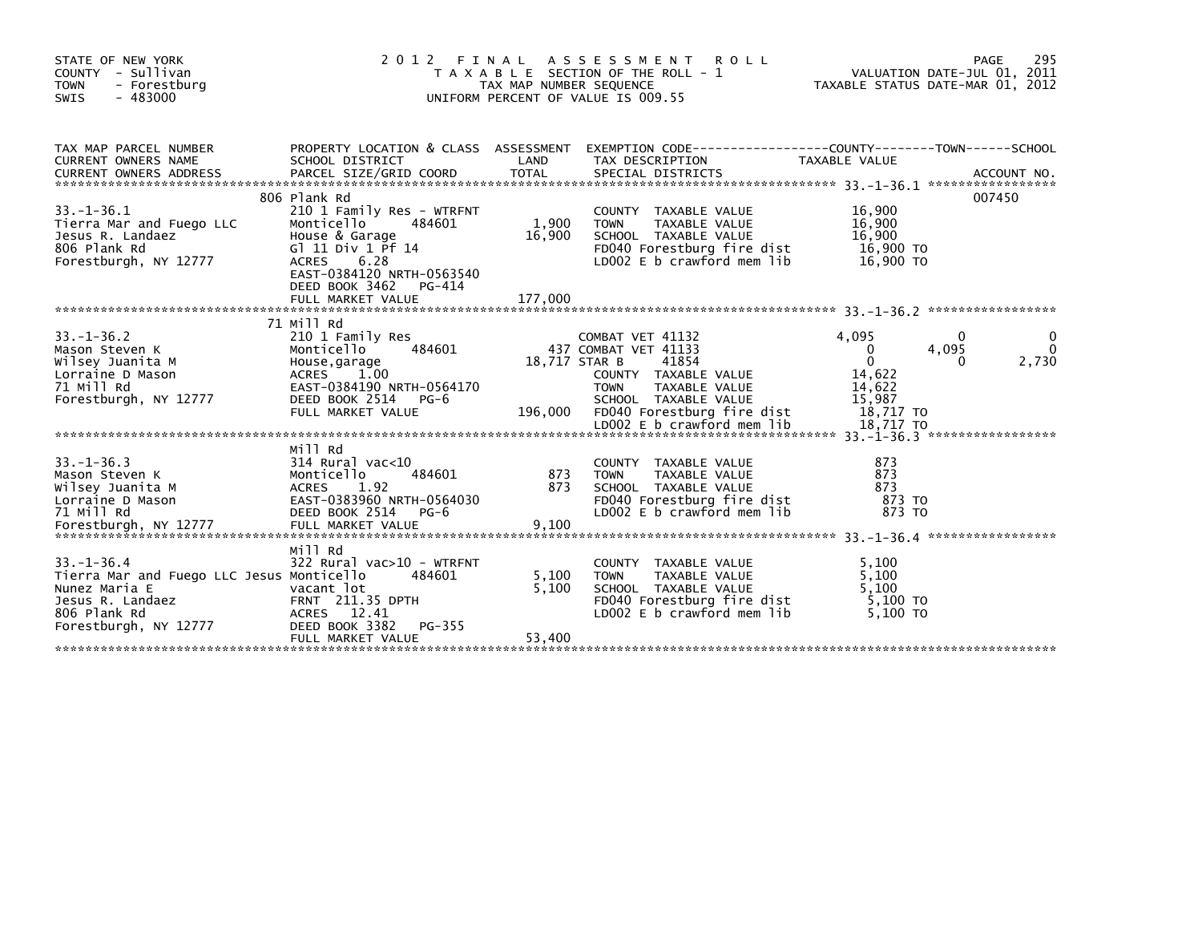| STATE OF NEW YORK<br>COUNTY - Sullivan<br>- Forestburg<br><b>TOWN</b><br>$-483000$<br><b>SWIS</b> | 2012                                                                          | FINAL<br>TAX MAP NUMBER SEQUENCE | A S S E S S M E N T<br><b>ROLL</b><br>T A X A B L E SECTION OF THE ROLL - 1<br>UNIFORM PERCENT OF VALUE IS 009.55 |                       | 295<br>PAGE<br>VALUATION DATE-JUL $01$ , $2011$<br>TAXABLE STATUS DATE-MAR 01, 2012 |
|---------------------------------------------------------------------------------------------------|-------------------------------------------------------------------------------|----------------------------------|-------------------------------------------------------------------------------------------------------------------|-----------------------|-------------------------------------------------------------------------------------|
| TAX MAP PARCEL NUMBER                                                                             |                                                                               | LAND                             | PROPERTY LOCATION & CLASS ASSESSMENT EXEMPTION CODE----------------COUNTY-------TOWN-----SCHOOL                   |                       |                                                                                     |
| CURRENT OWNERS NAME                                                                               | SCHOOL DISTRICT                                                               |                                  | TAX DESCRIPTION                                                                                                   | TAXABLE VALUE         |                                                                                     |
|                                                                                                   | 806 Plank Rd                                                                  |                                  |                                                                                                                   |                       | 007450                                                                              |
| $33. - 1 - 36.1$<br>Tierra Mar and Fuego LLC                                                      | 210 1 Family Res - WTRFNT<br>484601                                           | 1,900                            | COUNTY TAXABLE VALUE<br>TAXABLE VALUE<br><b>TOWN</b>                                                              | 16,900<br>16,900      |                                                                                     |
| Jesus R. Landaez<br>806 Plank Rd                                                                  | Montice<br>House & Garage<br>Gl 11 Div 1 Pf<br>Gl 11 Div 1 Pf 14              | 16,900                           | SCHOOL TAXABLE VALUE<br>FD040 Forestburg fire dist 16,900 TO                                                      | 16,900                |                                                                                     |
| Forestburgh, NY 12777                                                                             | 6.28<br><b>ACRES</b><br>EAST-0384120 NRTH-0563540<br>DEED BOOK 3462<br>PG-414 |                                  | LD002 E b crawford mem lib                                                                                        | 16,900 TO             |                                                                                     |
|                                                                                                   |                                                                               |                                  |                                                                                                                   |                       |                                                                                     |
|                                                                                                   | 71 Mill Rd                                                                    |                                  |                                                                                                                   |                       |                                                                                     |
| $33. - 1 - 36.2$<br>Mason Steven K                                                                | 210 1 Family Res<br>484601<br>Monticello                                      |                                  | COMBAT VET 41132<br>437 COMBAT VET 41133                                                                          | 4.095<br>$\mathbf{0}$ | 0<br>4,095<br>0                                                                     |
| Wilsey Juanita M<br>Lorraine D Mason                                                              | House,garage<br>House,garage<br>ACRES 1.00<br>ACRES 1.00                      | 18,717 STAR B                    | 41854<br>COUNTY TAXABLE VALUE                                                                                     | $\Omega$<br>14,622    | 2,730<br>0                                                                          |
| 71 Mill Rd                                                                                        | EAST-0384190 NRTH-0564170                                                     |                                  | TAXABLE VALUE<br><b>TOWN</b>                                                                                      | 14,622                |                                                                                     |
| Forestburgh, NY 12777                                                                             | DEED BOOK 2514 PG-6<br>FULL MARKET VALUE                                      |                                  | SCHOOL TAXABLE VALUE<br>196,000 FD040 Forestburg fire dist                                                        | 15,987<br>18,717 TO   |                                                                                     |
|                                                                                                   |                                                                               |                                  |                                                                                                                   |                       |                                                                                     |
|                                                                                                   | Mill Rd                                                                       |                                  |                                                                                                                   |                       |                                                                                     |
| $33. - 1 - 36.3$<br>Mason Steven K                                                                | 314 Rural vac<10<br>484601<br>Monticello                                      | 873                              | COUNTY TAXABLE VALUE<br>TAXABLE VALUE<br>TOWN                                                                     | 873<br>873            |                                                                                     |
| Wilsey Juanita M                                                                                  | ACRES 1.92                                                                    | 873                              | SCHOOL TAXABLE VALUE                                                                                              | 873                   |                                                                                     |
| Lorraine D Mason<br>71 Mill Rd                                                                    | EAST-0383960 NRTH-0564030<br>DEED BOOK 2514 PG-6                              |                                  | FD040 Forestburg fire dist<br>LD002 E b crawford mem lib                                                          | 873 TO<br>873 TO      |                                                                                     |
| Forestburgh, NY 12777                                                                             | FULL MARKET VALUE                                                             | 9,100                            |                                                                                                                   |                       |                                                                                     |
|                                                                                                   | Mill Rd                                                                       |                                  |                                                                                                                   |                       |                                                                                     |
| $33. - 1 - 36.4$                                                                                  | 322 Rural vac>10 - WTRFNT<br>484601                                           | 5,100                            | COUNTY TAXABLE VALUE<br><b>TOWN</b><br>TAXABLE VALUE                                                              | 5,100<br>5,100        |                                                                                     |
| Tierra Mar and Fuego LLC Jesus Monticello<br>Nunez Maria E                                        | vacant lot                                                                    | 5,100                            | SCHOOL TAXABLE VALUE                                                                                              | 5,100                 |                                                                                     |
| Jesus R. Landaez<br>806 Plank Rd                                                                  | vacant lot<br>FRNT 211.35 DPTH<br>ACRES 12.41<br>ACRES 12.41                  |                                  | FD040 Forestburg fire dist<br>LD002 E b crawford mem lib                                                          | 5,100 TO<br>5,100 TO  |                                                                                     |
| Forestburgh, NY 12777                                                                             | PG-355<br>DEED BOOK 3382                                                      |                                  |                                                                                                                   |                       |                                                                                     |
|                                                                                                   | FULL MARKET VALUE                                                             | 53,400                           |                                                                                                                   |                       |                                                                                     |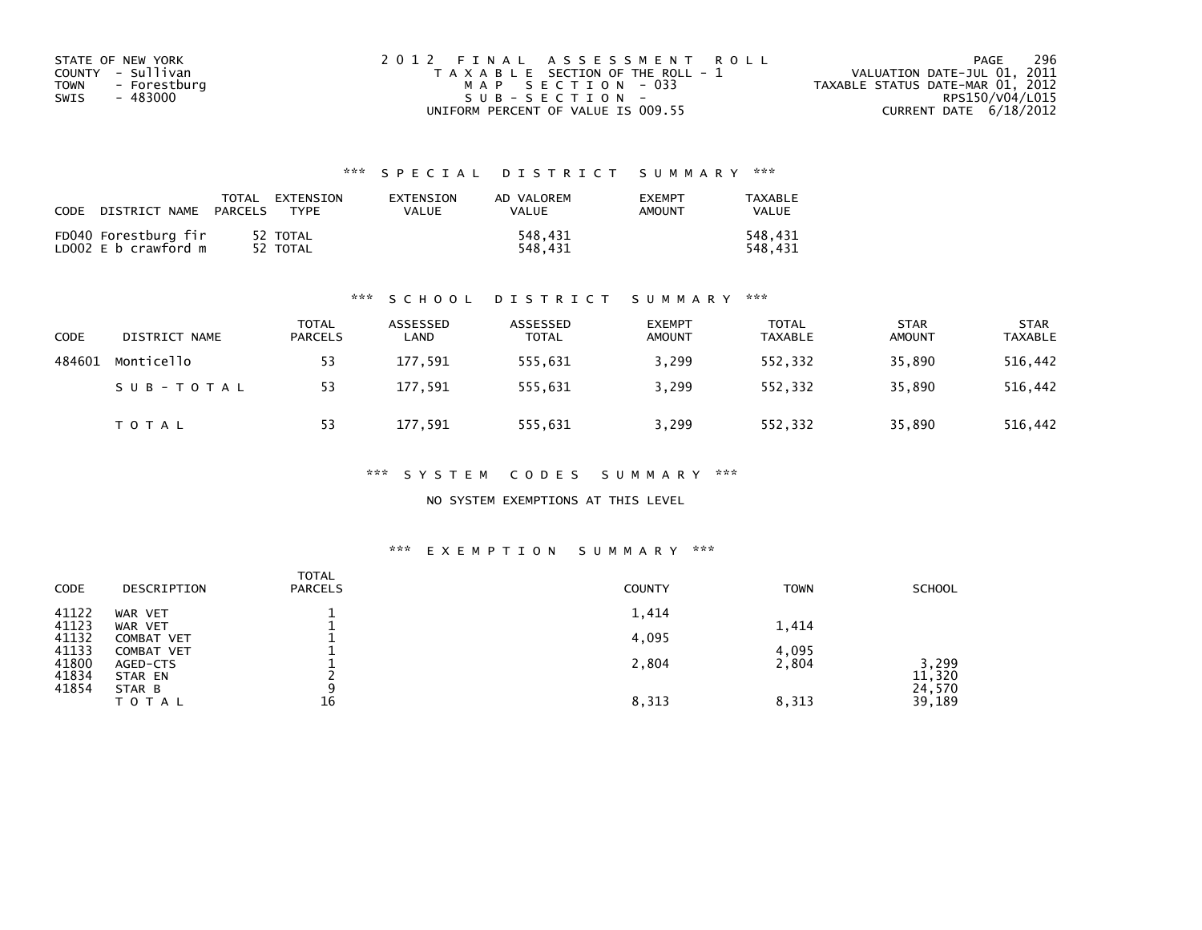| STATE OF NEW YORK    | 2012 FINAL ASSESSMENT ROLL            | 296<br>PAGE                      |
|----------------------|---------------------------------------|----------------------------------|
| COUNTY - Sullivan    | T A X A B L E SECTION OF THE ROLL - 1 | VALUATION DATE-JUL 01, 2011      |
| TOWN<br>- Forestburg | MAP SECTION - 033                     | TAXABLE STATUS DATE-MAR 01, 2012 |
| - 483000<br>SWIS     | $SUB - SECTION -$                     | RPS150/V04/L015                  |
|                      | UNIFORM PERCENT OF VALUE IS 009.55    | CURRENT DATE $6/18/2012$         |

| CODE | DISTRICT NAME                                | TOTAL<br>PARCELS | EXTENSION<br><b>TYPF</b> | <b>FXTENSTON</b><br>VALUE | AD VALOREM<br>VALUE | <b>EXEMPT</b><br>AMOUNT | TAXARI F<br>VALUE  |
|------|----------------------------------------------|------------------|--------------------------|---------------------------|---------------------|-------------------------|--------------------|
|      | FD040 Forestburg fir<br>LD002 E b crawford m |                  | 52 TOTAL<br>52 TOTAL     |                           | 548.431<br>548.431  |                         | 548,431<br>548.431 |

#### \*\*\* S C H O O L D I S T R I C T S U M M A R Y \*\*\*

| CODE   | DISTRICT NAME | <b>TOTAL</b><br><b>PARCELS</b> | ASSESSED<br>LAND | ASSESSED<br><b>TOTAL</b> | <b>EXEMPT</b><br><b>AMOUNT</b> | <b>TOTAL</b><br><b>TAXABLE</b> | <b>STAR</b><br><b>AMOUNT</b> | <b>STAR</b><br><b>TAXABLE</b> |
|--------|---------------|--------------------------------|------------------|--------------------------|--------------------------------|--------------------------------|------------------------------|-------------------------------|
| 484601 | Monticello    | 53                             | 177,591          | 555,631                  | 3,299                          | 552,332                        | 35,890                       | 516,442                       |
|        | SUB-TOTAL     | 53                             | 177,591          | 555,631                  | 3,299                          | 552.332                        | 35,890                       | 516,442                       |
|        | <b>TOTAL</b>  | 53                             | 177,591          | 555,631                  | 3,299                          | 552,332                        | 35,890                       | 516,442                       |

\*\*\* S Y S T E M C O D E S S U M M A R Y \*\*\*

NO SYSTEM EXEMPTIONS AT THIS LEVEL

| <b>CODE</b>    | DESCRIPTION                            | TOTAL<br><b>PARCELS</b> | <b>COUNTY</b> | <b>TOWN</b> | <b>SCHOOL</b>    |
|----------------|----------------------------------------|-------------------------|---------------|-------------|------------------|
| 41122<br>41123 | WAR VET<br>WAR VET                     |                         | 1,414         | 1,414       |                  |
| 41132<br>41133 | <b>COMBAT VET</b><br><b>COMBAT VET</b> |                         | 4,095         | 4,095       |                  |
| 41800<br>41834 | AGED-CTS<br>STAR EN                    |                         | 2,804         | 2,804       | 3,299<br>11,320  |
| 41854          | STAR B<br>T O T A L                    | 16                      | 8,313         | 8,313       | 24,570<br>39,189 |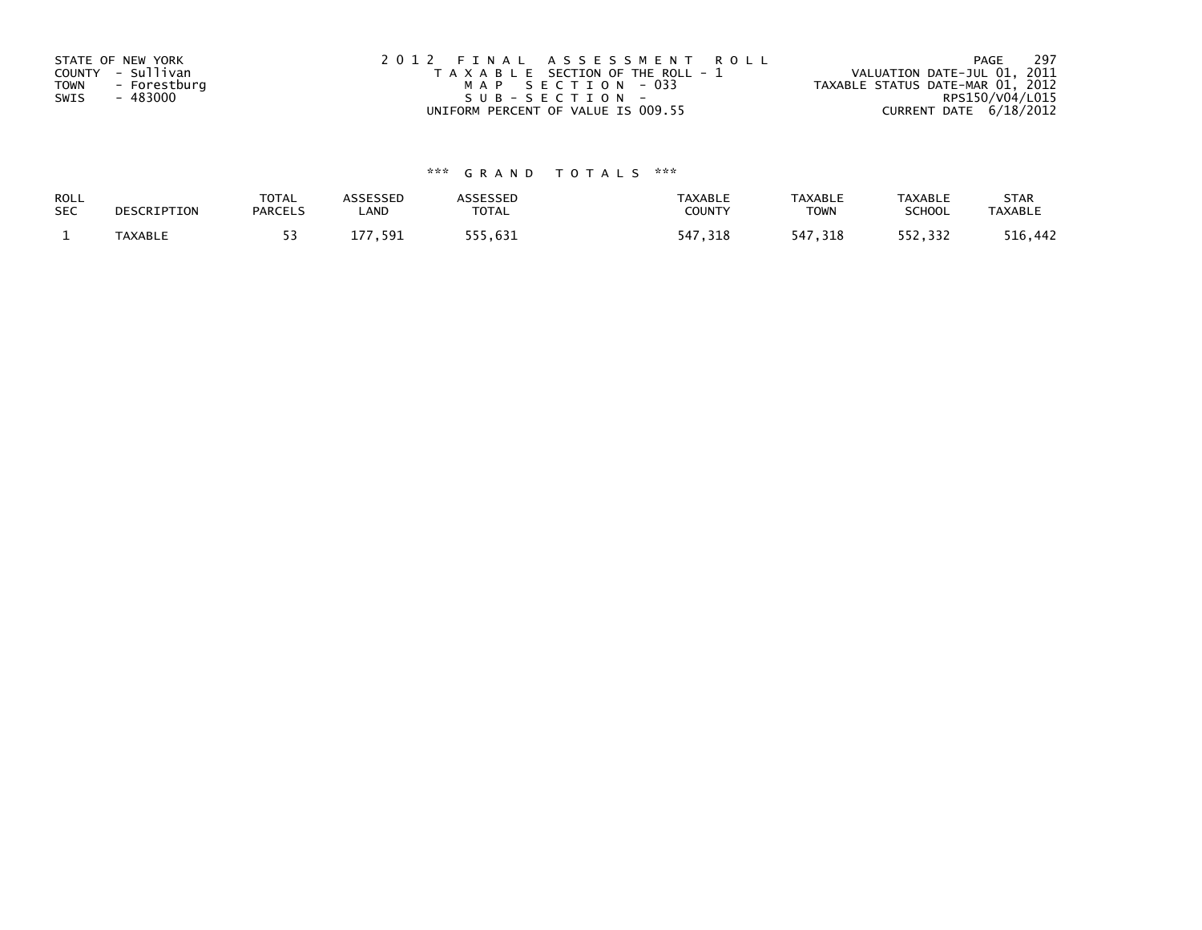| STATE OF NEW YORK<br>COUNTY - Sullivan<br><b>TOWN</b><br>- Forestburg | 2012 FINAL ASSESSMENT ROLL<br>T A X A B L E SECTION OF THE ROLL - 1<br>MAP SECTION - 033 | - 297<br>PAGE<br>VALUATION DATE-JUL 01, 2011<br>TAXABLE STATUS DATE-MAR 01, 2012 |
|-----------------------------------------------------------------------|------------------------------------------------------------------------------------------|----------------------------------------------------------------------------------|
| - 483000<br>SWIS                                                      | SUB-SECTION-                                                                             | RPS150/V04/L015                                                                  |
|                                                                       | UNIFORM PERCENT OF VALUE IS 009.55                                                       | CURRENT DATE $6/18/2012$                                                         |

| ROLL       | DESCRIPTION    | <b>TOTAL</b>   | ASSESSED    | <b>ASSESSED</b> | <b>TAXABLE</b> | <b>TAXABLE</b> | <b>TAXABLE</b> | <b>STAR</b>    |
|------------|----------------|----------------|-------------|-----------------|----------------|----------------|----------------|----------------|
| <b>SEC</b> |                | <b>PARCELS</b> | LAND        | TOTAL           | <b>COUNTY</b>  | <b>TOWN</b>    | <b>SCHOOL</b>  | <b>TAXABLE</b> |
|            | <b>TAXABLE</b> |                | 591 ،<br>77 | 555,631         | 547,318        | 547,318        | 552,332        | 516,442        |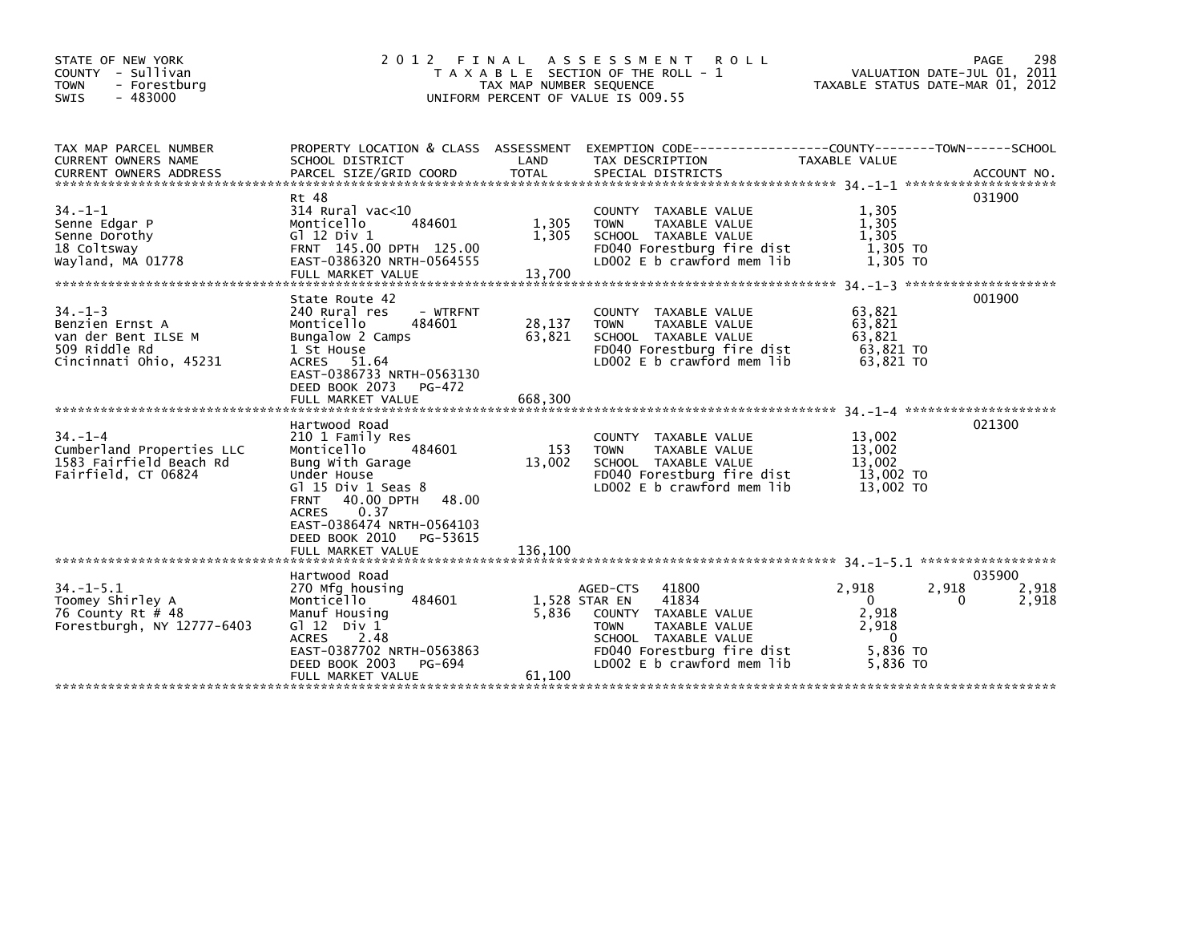| STATE OF NEW YORK<br>COUNTY - Sullivan<br><b>TOWN</b><br>- Forestburg<br>$-483000$<br>SWIS        | 2 0 1 2                                                                                                                                                                                                                                                             | FINAL<br>TAX MAP NUMBER SEQUENCE | A S S E S S M E N T<br><b>ROLL</b><br>T A X A B L E SECTION OF THE ROLL - 1<br>UNIFORM PERCENT OF VALUE IS 009.55                                                                       | VALUATION DATE-JUL 01, 2011<br>TAXABLE STATUS DATE-MAR 01, 2012                | 298<br>PAGE              |
|---------------------------------------------------------------------------------------------------|---------------------------------------------------------------------------------------------------------------------------------------------------------------------------------------------------------------------------------------------------------------------|----------------------------------|-----------------------------------------------------------------------------------------------------------------------------------------------------------------------------------------|--------------------------------------------------------------------------------|--------------------------|
| TAX MAP PARCEL NUMBER<br>CURRENT OWNERS NAME                                                      | PROPERTY LOCATION & CLASS ASSESSMENT<br>SCHOOL DISTRICT                                                                                                                                                                                                             | LAND                             | TAX DESCRIPTION                                                                                                                                                                         | TAXABLE VALUE                                                                  |                          |
| $34. -1 - 1$<br>Senne Edgar P<br>Senne Dorothy<br>18 Coltsway<br>Wayland, MA 01778                | Rt 48<br>$314$ Rural vac< $10$<br>Monticello<br>484601<br>G1 12 Div 1<br>FRNT 145.00 DPTH 125.00<br>EAST-0386320 NRTH-0564555<br>FULL MARKET VALUE                                                                                                                  | 1,305<br>1,305<br>13.700         | COUNTY TAXABLE VALUE<br><b>TOWN</b><br>TAXABLE VALUE<br>SCHOOL TAXABLE VALUE<br>FD040 Forestburg fire dist<br>LD002 E b crawford mem lib                                                | 1,305<br>1,305<br>1,305<br>1,305 TO<br>1,305 TO                                | 031900                   |
| $34. -1 - 3$<br>Benzien Ernst A<br>van der Bent ILSE M<br>509 Riddle Rd<br>Cincinnati Ohio, 45231 | State Route 42<br>240 Rural res<br>- WTRFNT<br>Monticello<br>484601<br>Bungalow 2 Camps<br>1 St House<br>ACRES 51.64<br>EAST-0386733 NRTH-0563130<br>DEED BOOK 2073<br>PG-472<br>FULL MARKET VALUE                                                                  | 28,137<br>63,821<br>668,300      | COUNTY TAXABLE VALUE<br><b>TOWN</b><br>TAXABLE VALUE<br>SCHOOL TAXABLE VALUE<br>FD040 Forestburg fire dist<br>LD002 E b crawford mem lib                                                | 63,821<br>63,821<br>63,821<br>63,821 TO<br>63.821 TO                           | 001900                   |
| $34. - 1 - 4$<br>Cumberland Properties LLC<br>1583 Fairfield Beach Rd<br>Fairfield, CT 06824      | Hartwood Road<br>210 1 Family Res<br>Monticello<br>484601<br>Bung With Garage<br>Under House<br>G $l$ 15 Div 1 Seas 8<br>40.00 DPTH<br>48.00<br><b>FRNT</b><br>0.37<br><b>ACRES</b><br>EAST-0386474 NRTH-0564103<br>DEED BOOK 2010<br>PG-53615<br>FULL MARKET VALUE | 153<br>13,002<br>136,100         | COUNTY TAXABLE VALUE<br><b>TAXABLE VALUE</b><br><b>TOWN</b><br>SCHOOL TAXABLE VALUE<br>FD040 Forestburg fire dist<br>LD002 E b crawford mem lib                                         | 13,002<br>13,002<br>13,002<br>13,002 TO<br>13,002 TO                           | 021300                   |
| $34. -1 - 5.1$<br>Toomey Shirley A<br>76 County Rt # 48<br>Forestburgh, NY 12777-6403             | Hartwood Road<br>270 Mfg housing<br>484601<br>Monticello<br>Manuf Housing<br>G $12$ Div $1$<br><b>ACRES</b><br>2.48<br>EAST-0387702 NRTH-0563863<br>DEED BOOK 2003<br>PG-694<br>FULL MARKET VALUE                                                                   | 5,836<br>61,100                  | 41800<br>AGED-CTS<br>41834<br>1,528 STAR EN<br>COUNTY TAXABLE VALUE<br>TAXABLE VALUE<br><b>TOWN</b><br>SCHOOL TAXABLE VALUE<br>FD040 Forestburg fire dist<br>LD002 E b crawford mem lib | 2,918<br>2,918<br>0<br>0<br>2,918<br>2,918<br>$\Omega$<br>5,836 TO<br>5,836 TO | 035900<br>2,918<br>2,918 |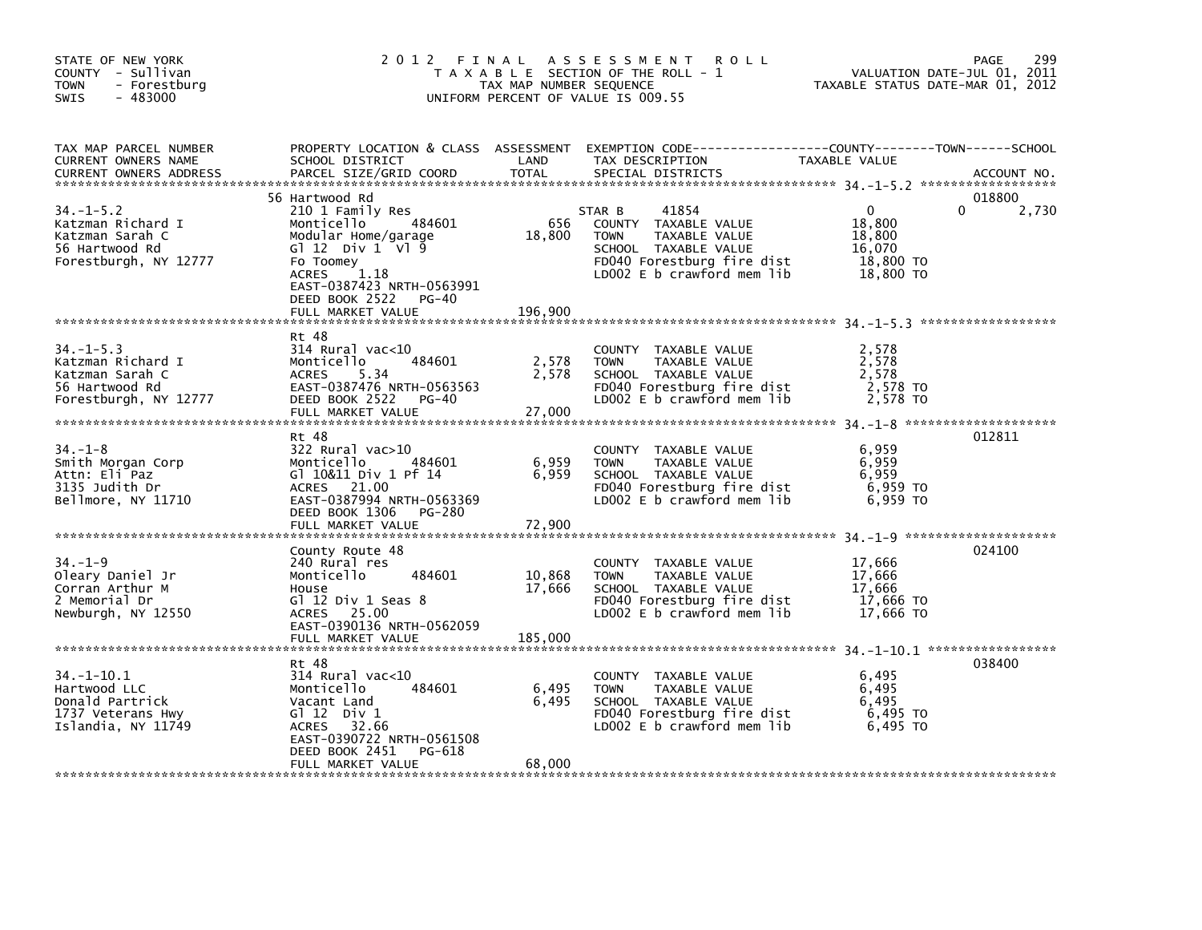| STATE OF NEW YORK<br>COUNTY - Sullivan<br><b>TOWN</b><br>- Forestburg<br>$-483000$<br>SWIS         | 2012 FINAL                                                                                                                                                                                                            | TAX MAP NUMBER SEQUENCE     | A S S E S S M E N T<br><b>ROLL</b><br>T A X A B L E SECTION OF THE ROLL - 1<br>UNIFORM PERCENT OF VALUE IS 009.55                                               | TAXABLE STATUS DATE-MAR 01, 2012                                     | 299<br>PAGE<br>VALUATION DATE-JUL 01, 2011 |
|----------------------------------------------------------------------------------------------------|-----------------------------------------------------------------------------------------------------------------------------------------------------------------------------------------------------------------------|-----------------------------|-----------------------------------------------------------------------------------------------------------------------------------------------------------------|----------------------------------------------------------------------|--------------------------------------------|
| TAX MAP PARCEL NUMBER<br>CURRENT OWNERS NAME<br><b>CURRENT OWNERS ADDRESS</b>                      | SCHOOL DISTRICT<br>PARCEL SIZE/GRID COORD                                                                                                                                                                             | LAND<br>TOTAL               | PROPERTY LOCATION & CLASS ASSESSMENT EXEMPTION CODE---------------COUNTY-------TOWN-----SCHOOL<br>TAX DESCRIPTION<br>SPECIAL DISTRICTS                          | TAXABLE VALUE                                                        | ACCOUNT NO.                                |
| $34. - 1 - 5.2$<br>Katzman Richard I<br>Katzman Sarah C<br>56 Hartwood Rd<br>Forestburgh, NY 12777 | 56 Hartwood Rd<br>210 1 Family Res<br>484601<br>Monticello<br>Modular Home/garage<br>G $12$ Div $1$ V $19$<br>Fo Toomey<br>1.18<br>ACRES<br>EAST-0387423 NRTH-0563991<br>DEED BOOK 2522<br>PG-40<br>FULL MARKET VALUE | 656<br>18,800<br>196,900    | 41854<br>STAR B<br>COUNTY TAXABLE VALUE<br><b>TOWN</b><br>TAXABLE VALUE<br>SCHOOL TAXABLE VALUE<br>FD040 Forestburg fire dist<br>LD002 $E$ b crawford mem $lib$ | $\mathbf{0}$<br>18,800<br>18,800<br>16,070<br>18,800 TO<br>18,800 TO | 018800<br>0<br>2,730                       |
| $34. - 1 - 5.3$<br>Katzman Richard I<br>Katzman Sarah C<br>56 Hartwood Rd<br>Forestburgh, NY 12777 | Rt 48<br>$314$ Rural vac< $10$<br>484601<br>Monticello<br><b>ACRES</b><br>5.34<br>EAST-0387476 NRTH-0563563<br>DEED BOOK 2522 PG-40<br>FULL MARKET VALUE                                                              | 2,578<br>2,578<br>27,000    | COUNTY TAXABLE VALUE<br>TAXABLE VALUE<br><b>TOWN</b><br>SCHOOL TAXABLE VALUE<br>FD040 Forestburg fire dist<br>LD002 E b crawford mem lib                        | 2,578<br>2,578<br>2,578<br>2,578 TO<br>2,578 TO                      |                                            |
| $34. - 1 - 8$<br>Smith Morgan Corp<br>Attn: Eli Paz<br>3135 Judith Dr<br>Bellmore, NY 11710        | Rt 48<br>$322$ Rural vac $>10$<br>Monticello<br>484601<br>Gl 10&11 Div 1 Pf 14<br>ACRES 21.00<br>EAST-0387994 NRTH-0563369<br>DEED BOOK 1306<br>PG-280                                                                | 6,959<br>6,959              | COUNTY TAXABLE VALUE<br>TAXABLE VALUE<br><b>TOWN</b><br>SCHOOL TAXABLE VALUE<br>FD040 Forestburg fire dist<br>$LD002 E b$ crawford mem lib                      | 6,959<br>6,959<br>6,959<br>6,959 TO<br>6.959 TO                      | 012811                                     |
| $34. - 1 - 9$<br>Oleary Daniel Jr<br>Corran Arthur M<br>2 Memorial Dr<br>Newburgh, NY 12550        | County Route 48<br>240 Rural res<br>Monticello<br>484601<br>House<br>Gl $12$ Div $1$ Seas $8$<br>ACRES 25.00<br>EAST-0390136 NRTH-0562059<br>FULL MARKET VALUE                                                        | 10,868<br>17,666<br>185,000 | COUNTY TAXABLE VALUE<br>TAXABLE VALUE<br><b>TOWN</b><br>SCHOOL TAXABLE VALUE<br>FD040 Forestburg fire dist<br>LD002 E b crawford mem lib                        | 17,666<br>17,666<br>17,666<br>17,666 TO<br>17,666 TO                 | 024100                                     |
| $34. - 1 - 10.1$<br>Hartwood LLC<br>Donald Partrick<br>1737 Veterans Hwy<br>Islandia, NY 11749     | Rt 48<br>$314$ Rural vac< $10$<br>Monticello<br>484601<br>Vacant Land<br>G $112$ Div 1<br>ACRES 32.66<br>EAST-0390722 NRTH-0561508<br>DEED BOOK 2451<br>PG-618<br>FULL MARKET VALUE                                   | 6,495<br>6,495<br>68,000    | COUNTY TAXABLE VALUE<br><b>TOWN</b><br>TAXABLE VALUE<br>SCHOOL TAXABLE VALUE<br>FD040 Forestburg fire dist<br>LD002 $E$ b crawford mem lib                      | 6,495<br>6,495<br>6,495<br>6,495 TO<br>6.495 TO                      | 038400                                     |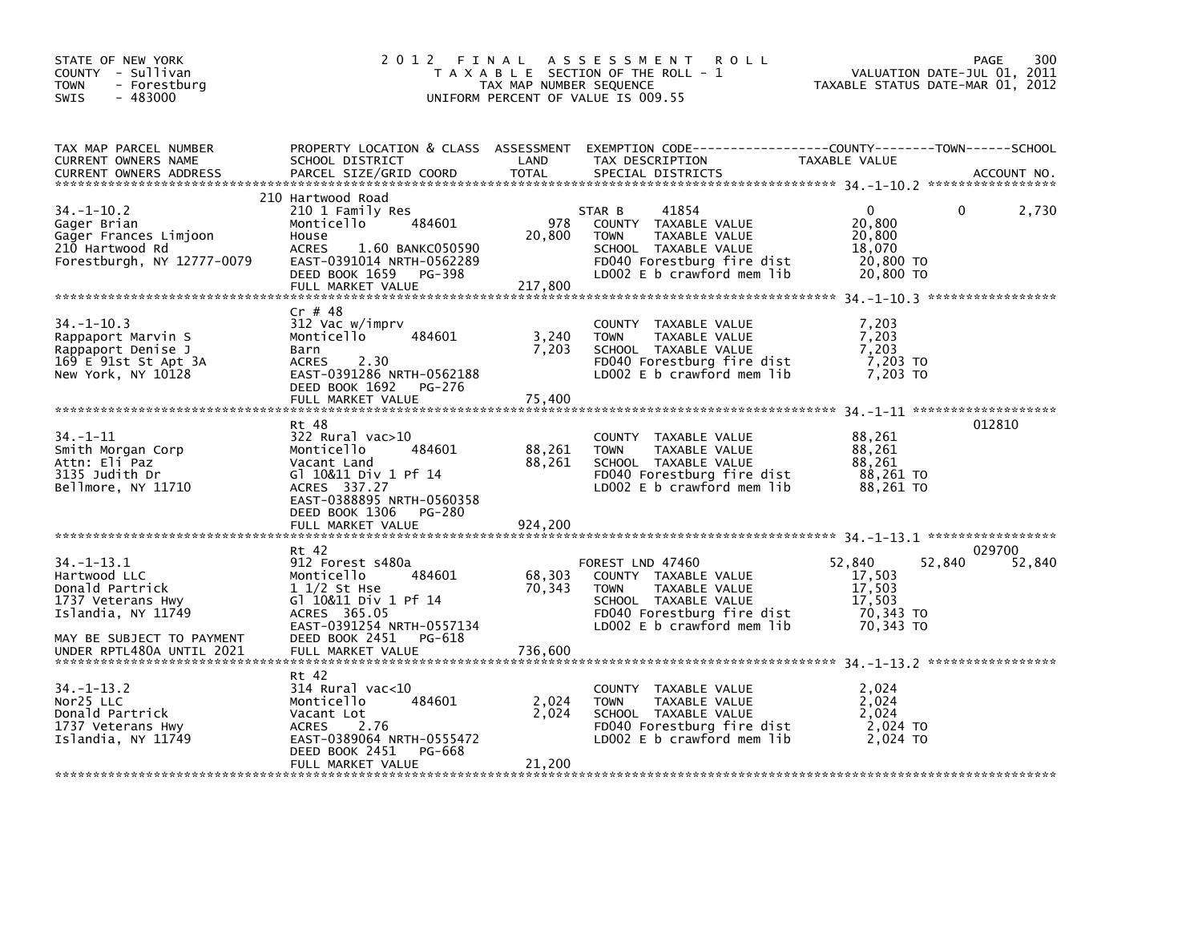| STATE OF NEW YORK<br>COUNTY - Sullivan<br>- Forestburg<br><b>TOWN</b><br>$-483000$<br>SWIS                 | 2 0 1 2                                                                                                                                                                                  | FINAL<br>TAX MAP NUMBER SEQUENCE | A S S E S S M E N T<br><b>ROLL</b><br>T A X A B L E SECTION OF THE ROLL - 1<br>UNIFORM PERCENT OF VALUE IS 009.55                                              | TAXABLE STATUS DATE-MAR 01, 2012                               | 300<br>PAGE<br>VALUATION DATE-JUL 01, 2011 |
|------------------------------------------------------------------------------------------------------------|------------------------------------------------------------------------------------------------------------------------------------------------------------------------------------------|----------------------------------|----------------------------------------------------------------------------------------------------------------------------------------------------------------|----------------------------------------------------------------|--------------------------------------------|
| TAX MAP PARCEL NUMBER<br>CURRENT OWNERS NAME<br><b>CURRENT OWNERS ADDRESS</b>                              | PROPERTY LOCATION & CLASS ASSESSMENT<br>SCHOOL DISTRICT<br>PARCEL SIZE/GRID COORD                                                                                                        | LAND<br>TOTAL                    | EXEMPTION CODE-----------------COUNTY-------TOWN------SCHOOL<br>TAX DESCRIPTION<br>SPECIAL DISTRICTS                                                           | TAXABLE VALUE                                                  | ACCOUNT NO.                                |
| $34. - 1 - 10.2$<br>Gager Brian<br>Gager Frances Limjoon<br>210 Hartwood Rd<br>Forestburgh, NY 12777-0079  | 210 Hartwood Road<br>210 1 Family Res<br>484601<br>Monticello<br>House<br>1.60 BANKC050590<br><b>ACRES</b><br>EAST-0391014 NRTH-0562289<br>DEED BOOK 1659<br>PG-398<br>FULL MARKET VALUE | 978<br>20,800<br>217,800         | 41854<br>STAR B<br>COUNTY TAXABLE VALUE<br><b>TOWN</b><br>TAXABLE VALUE<br>SCHOOL TAXABLE VALUE<br>FD040 Forestburg fire dist<br>LD002 E b crawford mem lib    | 0<br>20,800<br>20,800<br>18,070<br>20,800 TO<br>20,800 TO      | 2,730<br>0                                 |
| $34. - 1 - 10.3$<br>Rappaport Marvin S<br>Rappaport Denise J<br>169 E 91st St Apt 3A<br>New York, NY 10128 | $Cr$ # 48<br>312 Vac w/imprv<br>Monticello<br>484601<br>Barn<br><b>ACRES</b><br>2.30<br>EAST-0391286 NRTH-0562188<br>DEED BOOK 1692<br>PG-276<br>FULL MARKET VALUE                       | 3,240<br>7,203<br>75,400         | COUNTY TAXABLE VALUE<br>TAXABLE VALUE<br><b>TOWN</b><br>SCHOOL TAXABLE VALUE<br>FD040 Forestburg fire dist<br>LD002 E b crawford mem lib                       | 7,203<br>7,203<br>7,203<br>7,203 TO<br>7,203 TO                |                                            |
| $34. - 1 - 11$<br>Smith Morgan Corp<br>Attn: Eli Paz<br>3135 Judith Dr<br>Bellmore, NY 11710               | Rt 48<br>$322$ Rural vac $>10$<br>Monticello<br>484601<br>Vacant Land<br>Gl 10&11 Div 1 Pf 14<br>ACRES 337.27<br>EAST-0388895 NRTH-0560358<br>DEED BOOK 1306<br>PG-280                   | 88,261<br>88,261                 | COUNTY TAXABLE VALUE<br><b>TOWN</b><br>TAXABLE VALUE<br>SCHOOL TAXABLE VALUE<br>FD040 Forestburg fire dist<br>LD002 E b crawford mem lib                       | 88,261<br>88,261<br>88,261<br>88,261 TO<br>88,261 TO           | 012810                                     |
|                                                                                                            | FULL MARKET VALUE                                                                                                                                                                        | 924,200                          |                                                                                                                                                                |                                                                |                                            |
| $34. - 1 - 13.1$<br>Hartwood LLC<br>Donald Partrick<br>1737 Veterans Hwy<br>Islandia, NY 11749             | Rt 42<br>912 Forest s480a<br>Monticello<br>484601<br>$11/2$ St Hse<br>G1 10&11 Div 1 Pf 14<br>ACRES 365.05<br>EAST-0391254 NRTH-0557134                                                  | 68,303<br>70,343                 | FOREST LND 47460<br>COUNTY TAXABLE VALUE<br>TAXABLE VALUE<br><b>TOWN</b><br>SCHOOL TAXABLE VALUE<br>FD040 Forestburg fire dist<br>LD002 $E$ b crawford mem lib | 52,840<br>17,503<br>17,503<br>17,503<br>70,343 TO<br>70,343 TO | 029700<br>52,840<br>52,840                 |
| MAY BE SUBJECT TO PAYMENT<br>UNDER RPTL480A UNTIL 2021                                                     | DEED BOOK 2451<br>PG-618<br>FULL MARKET VALUE                                                                                                                                            | 736,600                          |                                                                                                                                                                |                                                                |                                            |
| $34. - 1 - 13.2$<br>Nor25 LLC<br>Donald Partrick<br>1737 Veterans Hwy<br>Islandia, NY 11749                | Rt 42<br>314 Rural vac<10<br>Monticello<br>484601<br>Vacant Lot<br><b>ACRES</b><br>2.76<br>EAST-0389064 NRTH-0555472<br>DEED BOOK 2451<br>PG-668<br>FULL MARKET VALUE                    | 2,024<br>2,024<br>21,200         | COUNTY TAXABLE VALUE<br><b>TOWN</b><br>TAXABLE VALUE<br>SCHOOL TAXABLE VALUE<br>FD040 Forestburg fire dist<br>LD002 $E$ b crawford mem $lib$                   | 2,024<br>2,024<br>2.024<br>2,024 TO<br>2,024 TO                |                                            |
|                                                                                                            |                                                                                                                                                                                          |                                  |                                                                                                                                                                |                                                                |                                            |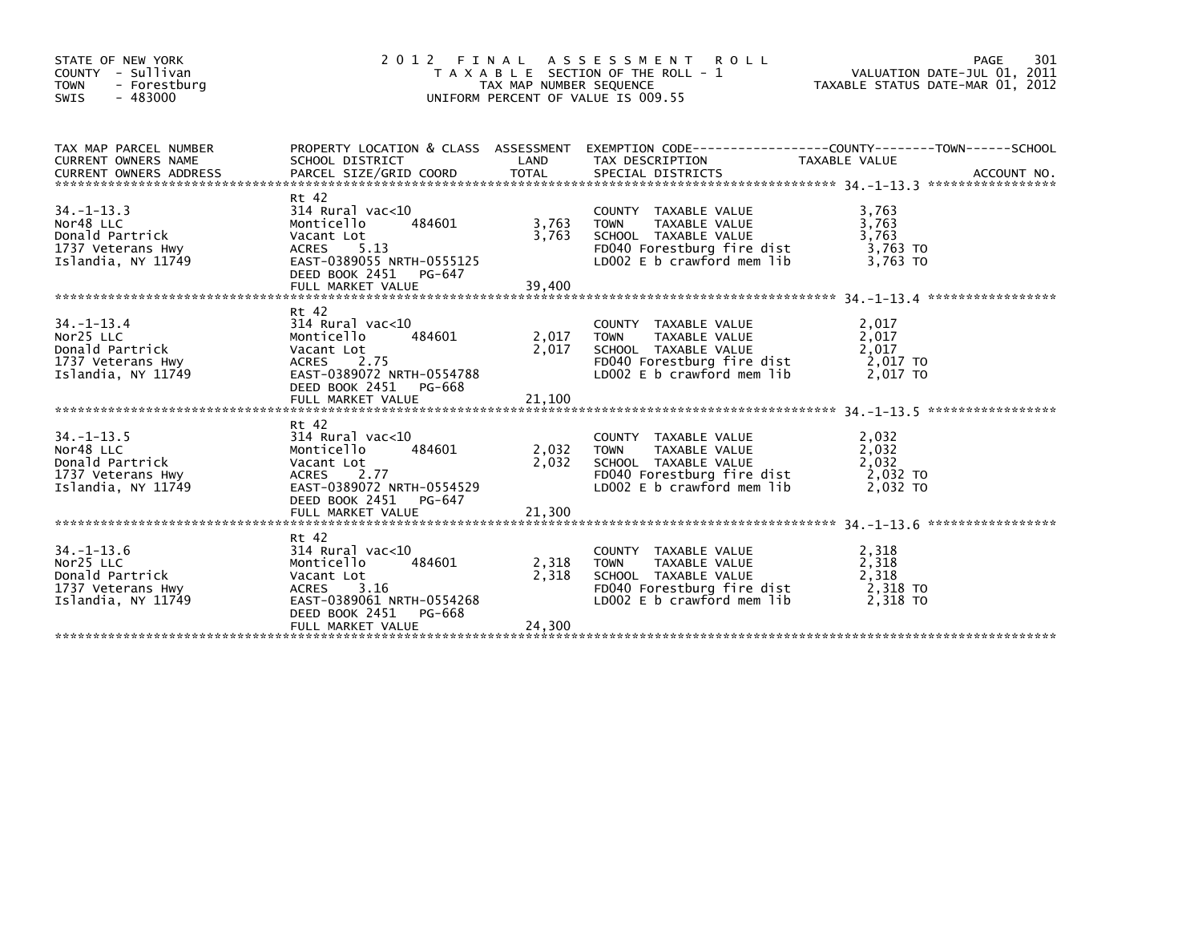| STATE OF NEW YORK<br>COUNTY - Sullivan<br><b>TOWN</b><br>- Forestburg<br>SWIS<br>- 483000   | 2012                                                                                                                                                        | TAX MAP NUMBER SEQUENCE  | FINAL ASSESSMENT ROLL<br>T A X A B L E SECTION OF THE ROLL - 1<br>UNIFORM PERCENT OF VALUE IS 009.55                                     | VALUATION DATE-JUL 01, 2011<br>TAXABLE STATUS DATE-MAR 01, 2012 | PAGE<br>301 |
|---------------------------------------------------------------------------------------------|-------------------------------------------------------------------------------------------------------------------------------------------------------------|--------------------------|------------------------------------------------------------------------------------------------------------------------------------------|-----------------------------------------------------------------|-------------|
| TAX MAP PARCEL NUMBER<br>CURRENT OWNERS NAME<br>CURRENT OWNERS ADDRESS                      | SCHOOL DISTRICT                                                                                                                                             | LAND                     | PROPERTY LOCATION & CLASS ASSESSMENT EXEMPTION CODE----------------COUNTY-------TOWN-----SCHOOL<br>TAX DESCRIPTION                       | TAXABLE VALUE                                                   |             |
| $34. -1 - 13.3$<br>Nor48 LLC<br>Donald Partrick<br>1737 Veterans Hwy<br>Islandia, NY 11749  | Rt 42<br>314 Rural vac<10<br>Monticello<br>484601<br>Vacant Lot<br>ACRES 5.13<br>EAST-0389055 NRTH-0555125<br>DEED BOOK 2451 PG-647                         | 3,763<br>3,763           | COUNTY TAXABLE VALUE<br>TAXABLE VALUE<br><b>TOWN</b><br>SCHOOL TAXABLE VALUE<br>FD040 Forestburg fire dist<br>LD002 E b crawford mem lib | 3,763<br>3,763<br>3.763<br>3,763 TO<br>3,763 TO                 |             |
| $34. - 1 - 13.4$<br>Nor25 LLC<br>Donald Partrick<br>1737 Veterans Hwy<br>Islandia, NY 11749 | Rt 42<br>314 Rural vac<10<br>484601<br>Monticello<br>Vacant Lot<br>ACRES 2.75<br>EAST-0389072 NRTH-0554788<br>DEED BOOK 2451<br>PG-668<br>FULL MARKET VALUE | 2,017<br>2,017<br>21,100 | COUNTY TAXABLE VALUE<br><b>TOWN</b><br>TAXABLE VALUE<br>SCHOOL TAXABLE VALUE<br>FD040 Forestburg fire dist<br>LD002 E b crawford mem lib | 2,017<br>2,017<br>2,017<br>2,017 TO<br>2,017 TO                 |             |
| $34. -1 - 13.5$<br>Nor48 LLC<br>Donald Partrick<br>1737 Veterans Hwy<br>Islandia, NY 11749  | Rt 42<br>314 Rural vac<10<br>484601<br>Monticello<br>Vacant Lot<br>ACRES 2.77<br>EAST-0389072 NRTH-0554529<br>DEED BOOK 2451 PG-647<br>FULL MARKET VALUE    | 2,032<br>2,032<br>21,300 | COUNTY TAXABLE VALUE<br>TAXABLE VALUE<br>TOWN<br>SCHOOL TAXABLE VALUE<br>FD040 Forestburg fire dist<br>LD002 E b crawford mem lib        | 2,032<br>2,032<br>2,032<br>2,032 TO<br>2.032 TO                 |             |
| $34. - 1 - 13.6$<br>Nor25 LLC<br>Donald Partrick<br>1737 Veterans Hwy<br>Islandia, NY 11749 | Rt 42<br>314 Rural vac<10<br>Monticello<br>484601<br>Vacant Lot<br>ACRES 3.16<br>EAST-0389061 NRTH-0554268<br>DEED BOOK 2451<br>PG-668<br>FULL MARKET VALUE | 2,318<br>2,318<br>24,300 | COUNTY TAXABLE VALUE<br>TAXABLE VALUE<br><b>TOWN</b><br>SCHOOL TAXABLE VALUE<br>FD040 Forestburg fire dist<br>LD002 E b crawford mem lib | 2,318<br>2,318<br>2,318<br>2,318 TO<br>2,318 TO                 |             |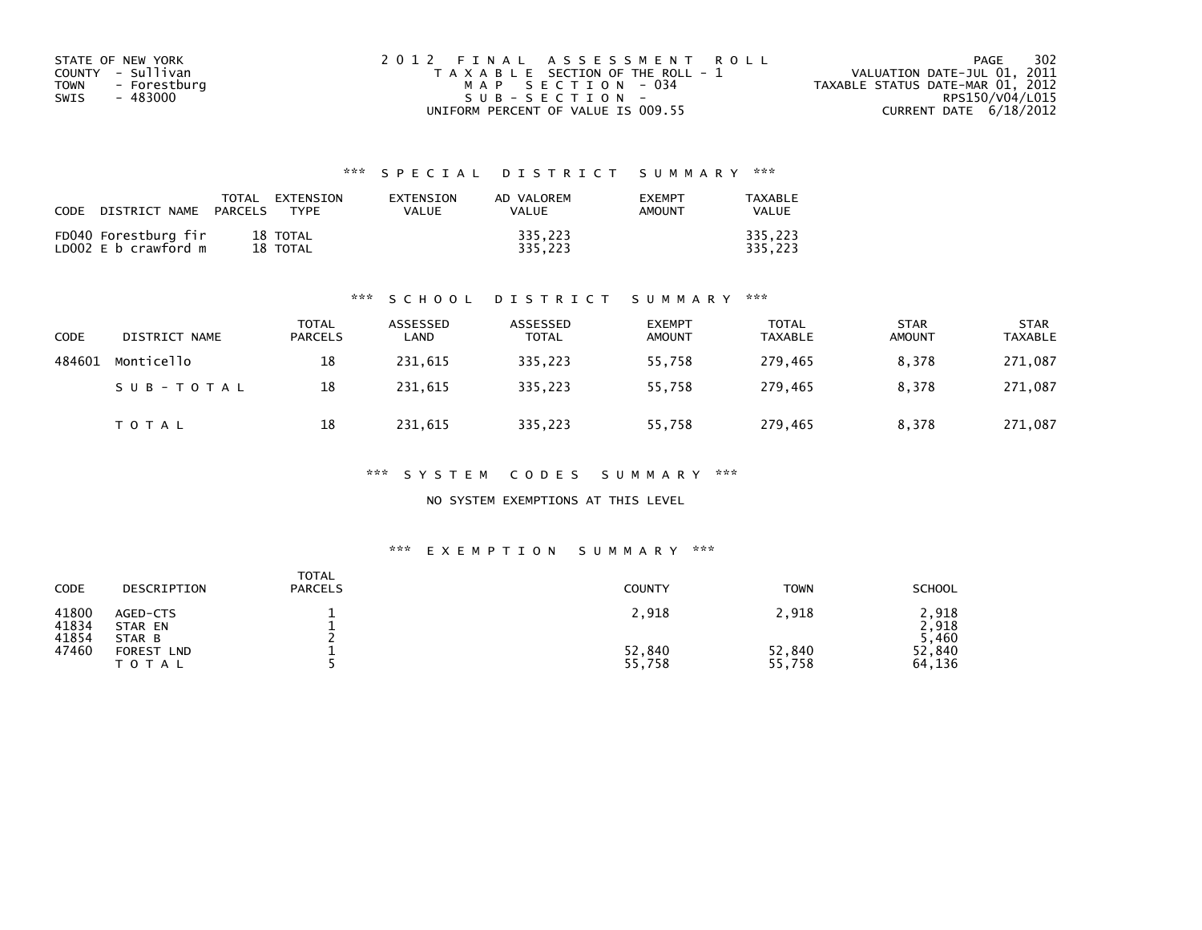| STATE OF NEW YORK    | 2012 FINAL ASSESSMENT ROLL            | 302<br>PAGE                      |
|----------------------|---------------------------------------|----------------------------------|
| COUNTY - Sullivan    | T A X A B L E SECTION OF THE ROLL - 1 | VALUATION DATE-JUL 01, 2011      |
| TOWN<br>- Forestburg | MAP SECTION - 034                     | TAXABLE STATUS DATE-MAR 01, 2012 |
| - 483000<br>SWIS     | $SUB - SECTION -$                     | RPS150/V04/L015                  |
|                      | UNIFORM PERCENT OF VALUE IS 009.55    | CURRENT DATE $6/18/2012$         |

| CODE | DISTRICT NAME                                | TOTAL<br>PARCELS | <b>FXTENSTON</b><br>TYPF | <b>FXTENSTON</b><br>VALUE | AD VALOREM<br>VALUE | <b>EXEMPT</b><br>AMOUNT | TAXARI F<br>VALUE  |
|------|----------------------------------------------|------------------|--------------------------|---------------------------|---------------------|-------------------------|--------------------|
|      | FD040 Forestburg fir<br>LD002 E b crawford m |                  | 18 TOTAL<br>18 TOTAL     |                           | 335.223<br>335.223  |                         | 335.223<br>335.223 |

#### \*\*\* S C H O O L D I S T R I C T S U M M A R Y \*\*\*

| CODE   | DISTRICT NAME | TOTAL<br><b>PARCELS</b> | ASSESSED<br>LAND | ASSESSED<br>TOTAL | <b>EXEMPT</b><br><b>AMOUNT</b> | <b>TOTAL</b><br><b>TAXABLE</b> | <b>STAR</b><br><b>AMOUNT</b> | <b>STAR</b><br><b>TAXABLE</b> |
|--------|---------------|-------------------------|------------------|-------------------|--------------------------------|--------------------------------|------------------------------|-------------------------------|
| 484601 | Monticello    | 18                      | 231,615          | 335,223           | 55,758                         | 279,465                        | 8,378                        | 271,087                       |
|        | SUB-TOTAL     | 18                      | 231.615          | 335.223           | 55.758                         | 279.465                        | 8.378                        | 271,087                       |
|        | <b>TOTAL</b>  | 18                      | 231,615          | 335,223           | 55,758                         | 279,465                        | 8.378                        | 271,087                       |

\*\*\* S Y S T E M C O D E S S U M M A R Y \*\*\*

NO SYSTEM EXEMPTIONS AT THIS LEVEL

| CODE                    | DESCRIPTION                   | <b>TOTAL</b><br><b>PARCELS</b> | <b>COUNTY</b>    | <b>TOWN</b>      | <b>SCHOOL</b>         |
|-------------------------|-------------------------------|--------------------------------|------------------|------------------|-----------------------|
| 41800<br>41834<br>41854 | AGED-CTS<br>STAR EN<br>STAR B |                                | 2,918            | 2,918            | .918<br>2,918<br>,460 |
| 47460                   | FOREST<br><b>LND</b><br>TOTAL |                                | 52,840<br>55,758 | 52,840<br>55,758 | 52,840<br>64,136      |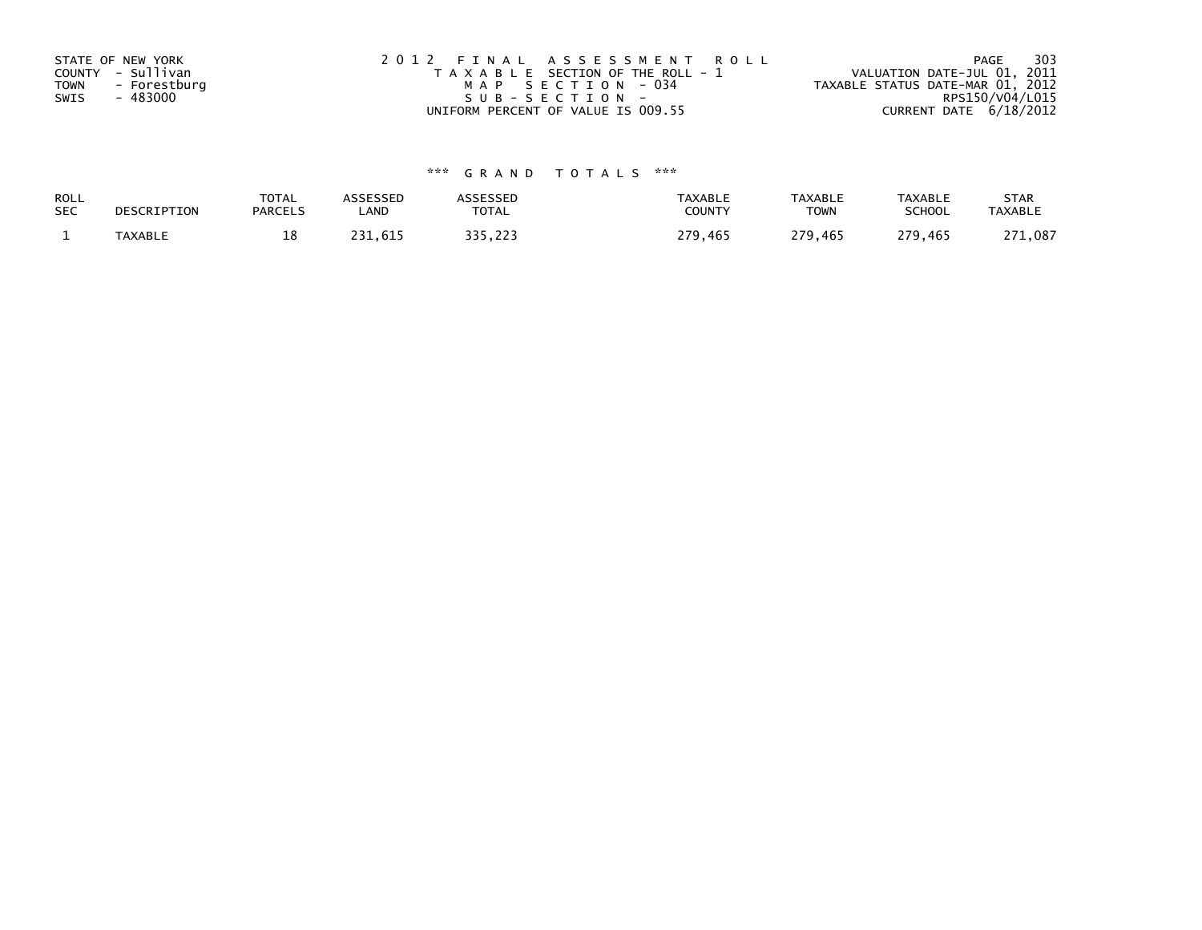| STATE OF NEW YORK<br>COUNTY - Sullivan<br>- Forestburg<br>TOWN<br>- 483000<br>SWIS | 2012 FINAL ASSESSMENT ROLL<br>T A X A B L E SECTION OF THE ROLL - 1<br>MAP SECTION - 034<br>SUB-SECTION- | - 303<br>PAGE<br>VALUATION DATE-JUL 01, 2011<br>TAXABLE STATUS DATE-MAR 01, 2012<br>RPS150/V04/L015 |
|------------------------------------------------------------------------------------|----------------------------------------------------------------------------------------------------------|-----------------------------------------------------------------------------------------------------|
|                                                                                    | UNIFORM PERCENT OF VALUE IS 009.55                                                                       | CURRENT DATE $6/18/2012$                                                                            |

| <b>ROLL</b> | DESCRIPTION | <b>TOTAL</b>   | ASSESSED | ASSESSED | <b>TAXABLE</b> | <b>TAXABLE</b> | <b>TAXABLE</b> | <b>STAR</b>    |
|-------------|-------------|----------------|----------|----------|----------------|----------------|----------------|----------------|
| <b>SEC</b>  |             | <b>PARCELS</b> | ∟AND     | TOTAL    | <b>COUNTY</b>  | <b>TOWN</b>    | <b>SCHOOL</b>  | <b>TAXABLE</b> |
|             | TAXABLE     | ∸              | 231.615  | 335.223  | 279.465        | 279,465        | 279.465        | 271,087<br>271 |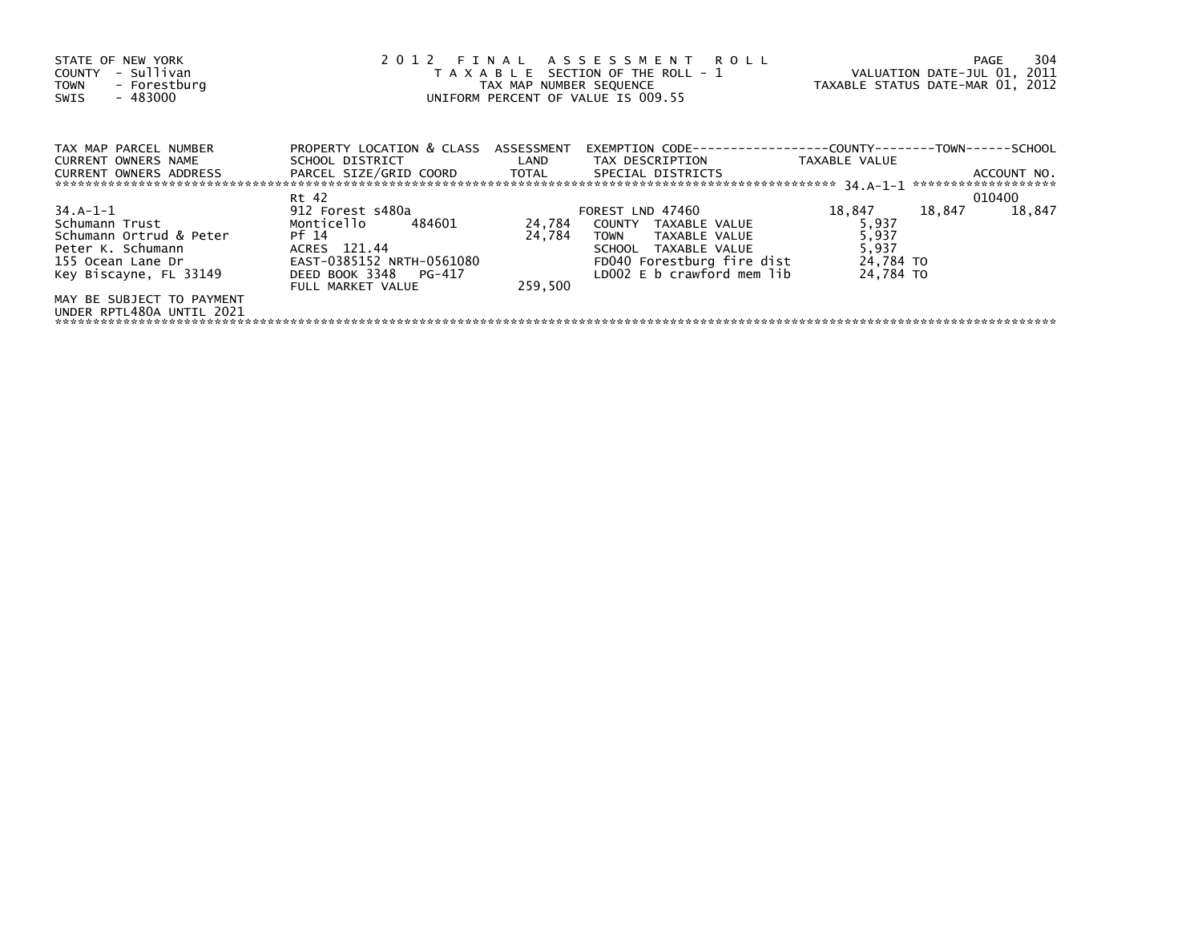| STATE OF NEW YORK<br>- Sullivan<br>COUNTY<br>- Forestburg<br><b>TOWN</b><br>- 483000<br>SWIS                              | 2012 FINAL ASSESSMENT ROLL<br>T A X A B L E SECTION OF THE ROLL - 1<br>TAX MAP NUMBER SEQUENCE<br>UNIFORM PERCENT OF VALUE IS 009.55      |                             |                                                                                                                                                              | VALUATION DATE-JUL 01, 2011<br>TAXABLE STATUS DATE-MAR 01, 2012 |        | PAGE        | 304 |
|---------------------------------------------------------------------------------------------------------------------------|-------------------------------------------------------------------------------------------------------------------------------------------|-----------------------------|--------------------------------------------------------------------------------------------------------------------------------------------------------------|-----------------------------------------------------------------|--------|-------------|-----|
| TAX MAP PARCEL NUMBER<br>CURRENT OWNERS NAME                                                                              | PROPERTY LOCATION & CLASS ASSESSMENT                                                                                                      |                             |                                                                                                                                                              | TAXABLE VALUE                                                   |        | ACCOUNT NO. |     |
|                                                                                                                           | Rt 42                                                                                                                                     |                             |                                                                                                                                                              |                                                                 |        | 010400      |     |
| 34.A-1-1<br>Schumann Trust<br>Schumann Ortrud & Peter<br>Peter K. Schumann<br>155 Ocean Lane Dr<br>Key Biscayne, FL 33149 | 912 Forest s480a<br>Monticello 484601<br>Pf 14<br>ACRES 121.44<br>EAST-0385152 NRTH-0561080<br>DEED BOOK 3348 PG-417<br>FULL MARKET VALUE | 24,784<br>24,784<br>259,500 | FOREST LND 47460<br>COUNTY TAXABLE VALUE<br><b>TOWN</b><br>TAXABLE VALUE<br>SCHOOL TAXABLE VALUE<br>FD040 Forestburg fire dist<br>LD002 E b crawford mem lib | 18,847<br>5,937<br>5,937<br>5,937<br>24,784 TO<br>24.784 TO     | 18,847 | 18,847      |     |
| MAY BE SUBJECT TO PAYMENT<br>UNDER RPTL480A UNTIL 2021                                                                    |                                                                                                                                           |                             |                                                                                                                                                              |                                                                 |        |             |     |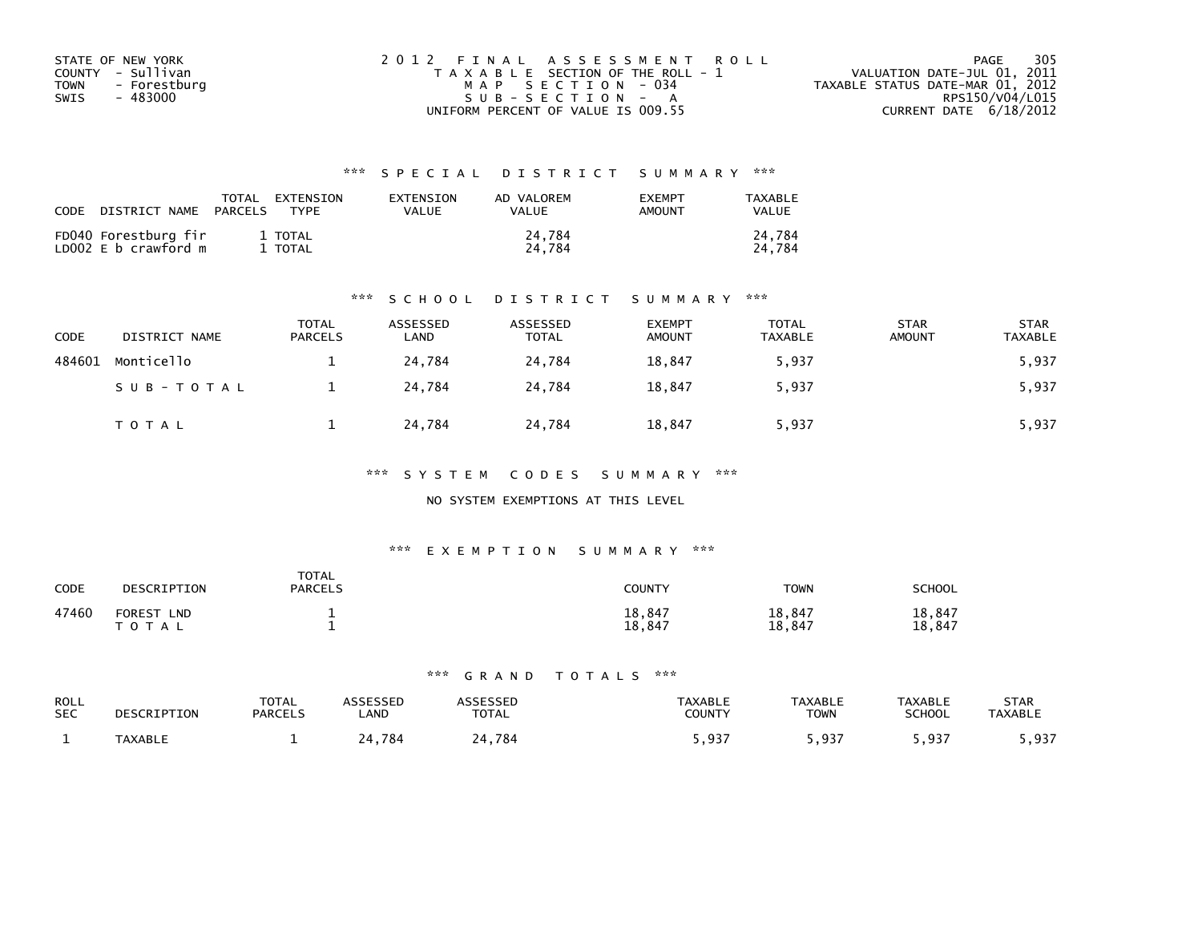| STATE OF NEW YORK    | 2012 FINAL ASSESSMENT ROLL            | - 305<br>PAGE                    |
|----------------------|---------------------------------------|----------------------------------|
| COUNTY - Sullivan    | T A X A B L E SECTION OF THE ROLL - 1 | VALUATION DATE-JUL 01, 2011      |
| - Forestburg<br>TOWN | MAP SECTION - 034                     | TAXABLE STATUS DATE-MAR 01, 2012 |
| - 483000<br>SWIS     | $SUB - SECTION - A$                   | RPS150/V04/L015                  |
|                      | UNIFORM PERCENT OF VALUE IS 009.55    | CURRENT DATE 6/18/2012           |

| CODE | DISTRICT NAME                                | TOTAL<br>PARCELS | EXTENSION<br><b>TYPF</b> | <b>FXTENSTON</b><br>VALUE | AD VALOREM<br>VALUE | <b>EXEMPT</b><br><b>AMOUNT</b> | TAXABLE<br>VALUE |
|------|----------------------------------------------|------------------|--------------------------|---------------------------|---------------------|--------------------------------|------------------|
|      | FD040 Forestburg fir<br>LD002 E b crawford m |                  | 1 TOTAL<br>TOTAL         |                           | 24.784<br>24.784    |                                | 24.784<br>24.784 |

#### \*\*\* S C H O O L D I S T R I C T S U M M A R Y \*\*\*

| CODE   | DISTRICT NAME | TOTAL<br><b>PARCELS</b> | ASSESSED<br>LAND | ASSESSED<br><b>TOTAL</b> | <b>EXEMPT</b><br><b>AMOUNT</b> | <b>TOTAL</b><br><b>TAXABLE</b> | <b>STAR</b><br><b>AMOUNT</b> | <b>STAR</b><br><b>TAXABLE</b> |
|--------|---------------|-------------------------|------------------|--------------------------|--------------------------------|--------------------------------|------------------------------|-------------------------------|
| 484601 | Monticello    |                         | 24,784           | 24,784                   | 18,847                         | 5,937                          |                              | 5,937                         |
|        | SUB-TOTAL     |                         | 24.784           | 24.784                   | 18,847                         | 5,937                          |                              | 5,937                         |
|        | <b>TOTAL</b>  |                         | 24,784           | 24,784                   | 18,847                         | 5,937                          |                              | 5,937                         |

#### \*\*\* S Y S T E M C O D E S S U M M A R Y \*\*\*

### NO SYSTEM EXEMPTIONS AT THIS LEVEL

#### \*\*\* E X E M P T I O N S U M M A R Y \*\*\*

| CODE  | DESCRIPTION                        | <b>TOTAL</b><br><b>PARCELS</b> | COUNTY           | TOWN             | SCHOOL           |
|-------|------------------------------------|--------------------------------|------------------|------------------|------------------|
| 47460 | <b>FOREST</b><br><b>LND</b><br>A L |                                | 18,847<br>18,847 | 18,847<br>18,847 | 18,847<br>18,847 |

| ROLL<br><b>SEC</b> | DESCRIPTION    | <b>TOTAL</b><br><b>PARCELS</b> | <b>SSESSED</b><br>.AND | <b>TOTAL</b> | <b>TAXABLE</b><br>COUNTY | <b>TAXABLE</b><br><b>TOWN</b> | <b>TAXABLE</b><br>SCHOOL | STAR<br><b>TAXABLE</b> |
|--------------------|----------------|--------------------------------|------------------------|--------------|--------------------------|-------------------------------|--------------------------|------------------------|
|                    | <b>TAXABLE</b> |                                | 784                    | .784         | <b>Q37</b><br>، د د ,    | ຸດຊ=                          | 5,937                    | . 937<br>.             |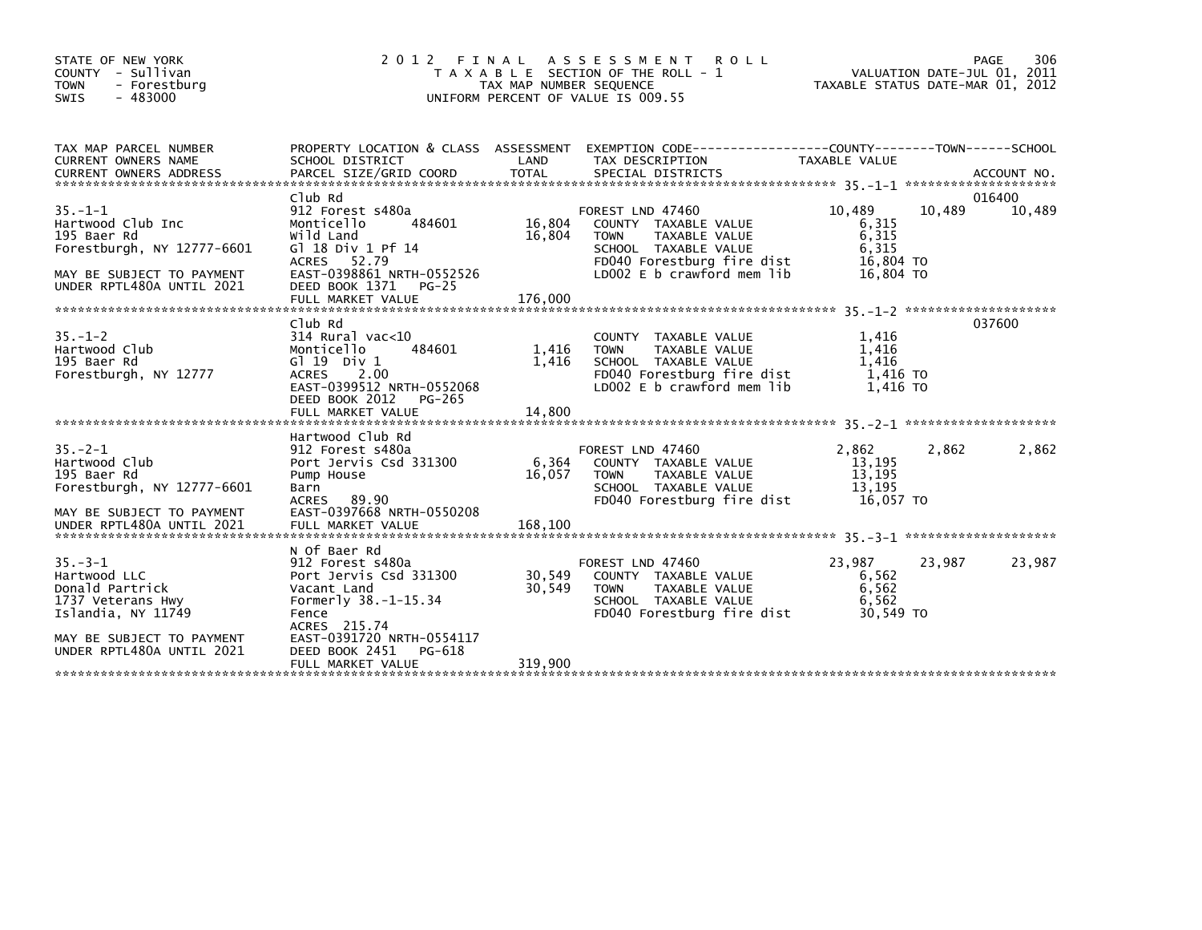| STATE OF NEW YORK<br>COUNTY - Sullivan<br>- Forestburg<br><b>TOWN</b><br>$-483000$<br><b>SWIS</b>                                                     | 2 0 1 2                                                                                                                                                                                                  | FINAL<br>TAX MAP NUMBER SEQUENCE | A S S E S S M E N T<br><b>ROLL</b><br>T A X A B L E SECTION OF THE ROLL - 1<br>UNIFORM PERCENT OF VALUE IS 009.55                                            | VALUATION DATE-JUL 01, 2011<br>TAXABLE STATUS DATE-MAR 01, 2012       | PAGE<br>306      |
|-------------------------------------------------------------------------------------------------------------------------------------------------------|----------------------------------------------------------------------------------------------------------------------------------------------------------------------------------------------------------|----------------------------------|--------------------------------------------------------------------------------------------------------------------------------------------------------------|-----------------------------------------------------------------------|------------------|
| TAX MAP PARCEL NUMBER<br><b>CURRENT OWNERS NAME</b>                                                                                                   | PROPERTY LOCATION & CLASS ASSESSMENT<br>SCHOOL DISTRICT                                                                                                                                                  | LAND                             | TAX DESCRIPTION                                                                                                                                              | TAXABLE VALUE                                                         |                  |
| $35. -1 - 1$<br>Hartwood Club Inc<br>195 Baer Rd<br>Forestburgh, NY 12777-6601<br>MAY BE SUBJECT TO PAYMENT<br>UNDER RPTL480A UNTIL 2021              | Club Rd<br>912 Forest s480a<br>Monticello<br>484601<br>Wild Land<br>G] 18 Div 1 Pf 14<br>ACRES 52.79<br>EAST-0398861 NRTH-0552526<br>DEED BOOK 1371<br>PG-25                                             | 16,804<br>16,804                 | FOREST LND 47460<br>COUNTY TAXABLE VALUE<br><b>TOWN</b><br>TAXABLE VALUE<br>SCHOOL TAXABLE VALUE<br>FD040 Forestburg fire dist<br>LD002 E b crawford mem lib | 10,489<br>10,489<br>6,315<br>6,315<br>6,315<br>16,804 TO<br>16,804 TO | 016400<br>10,489 |
| $35 - 1 - 2$<br>Hartwood Club<br>195 Baer Rd<br>Forestburgh, NY 12777                                                                                 | Club Rd<br>$314$ Rural vac<10<br>Monticello<br>484601<br>G1 19 Div 1<br><b>ACRES</b><br>2.00<br>EAST-0399512 NRTH-0552068<br>DEED BOOK 2012<br>PG-265<br>FULL MARKET VALUE                               | 1,416<br>1,416<br>14,800         | COUNTY TAXABLE VALUE<br>TAXABLE VALUE<br><b>TOWN</b><br>SCHOOL TAXABLE VALUE<br>FD040 Forestburg fire dist<br>LD002 E b crawford mem lib                     | 1,416<br>1,416<br>1,416<br>1,416 TO<br>1,416 TO                       | 037600           |
| $35. -2 - 1$<br>Hartwood Club<br>195 Baer Rd<br>Forestburgh, NY 12777-6601<br>MAY BE SUBJECT TO PAYMENT<br>UNDER RPTL480A UNTIL 2021                  | Hartwood Club Rd<br>912 Forest s480a<br>Port Jervis Csd 331300<br>Pump House<br>Barn<br><b>ACRES</b><br>89.90<br>EAST-0397668 NRTH-0550208<br>FULL MARKET VALUE                                          | 6,364<br>16,057<br>168,100       | FOREST LND 47460<br>COUNTY TAXABLE VALUE<br><b>TOWN</b><br>TAXABLE VALUE<br>SCHOOL TAXABLE VALUE<br>FD040 Forestburg fire dist                               | 2,862<br>2,862<br>13,195<br>13.195<br>13,195<br>16,057 TO             | 2,862            |
| $35. - 3 - 1$<br>Hartwood LLC<br>Donald Partrick<br>1737 Veterans Hwy<br>Islandia, NY 11749<br>MAY BE SUBJECT TO PAYMENT<br>UNDER RPTL480A UNTIL 2021 | N Of Baer Rd<br>912 Forest s480a<br>Port Jervis Csd 331300<br>Vacant Land<br>Formerly 38.-1-15.34<br>Fence<br>ACRES 215.74<br>EAST-0391720 NRTH-0554117<br>DEED BOOK 2451<br>PG-618<br>FULL MARKET VALUE | 30,549<br>30,549<br>319,900      | FOREST LND 47460<br>COUNTY TAXABLE VALUE<br><b>TOWN</b><br>TAXABLE VALUE<br>SCHOOL TAXABLE VALUE<br>FD040 Forestburg fire dist                               | 23,987<br>23,987<br>6,562<br>6,562<br>6.562<br>30,549 TO              | 23,987           |
|                                                                                                                                                       |                                                                                                                                                                                                          |                                  |                                                                                                                                                              |                                                                       |                  |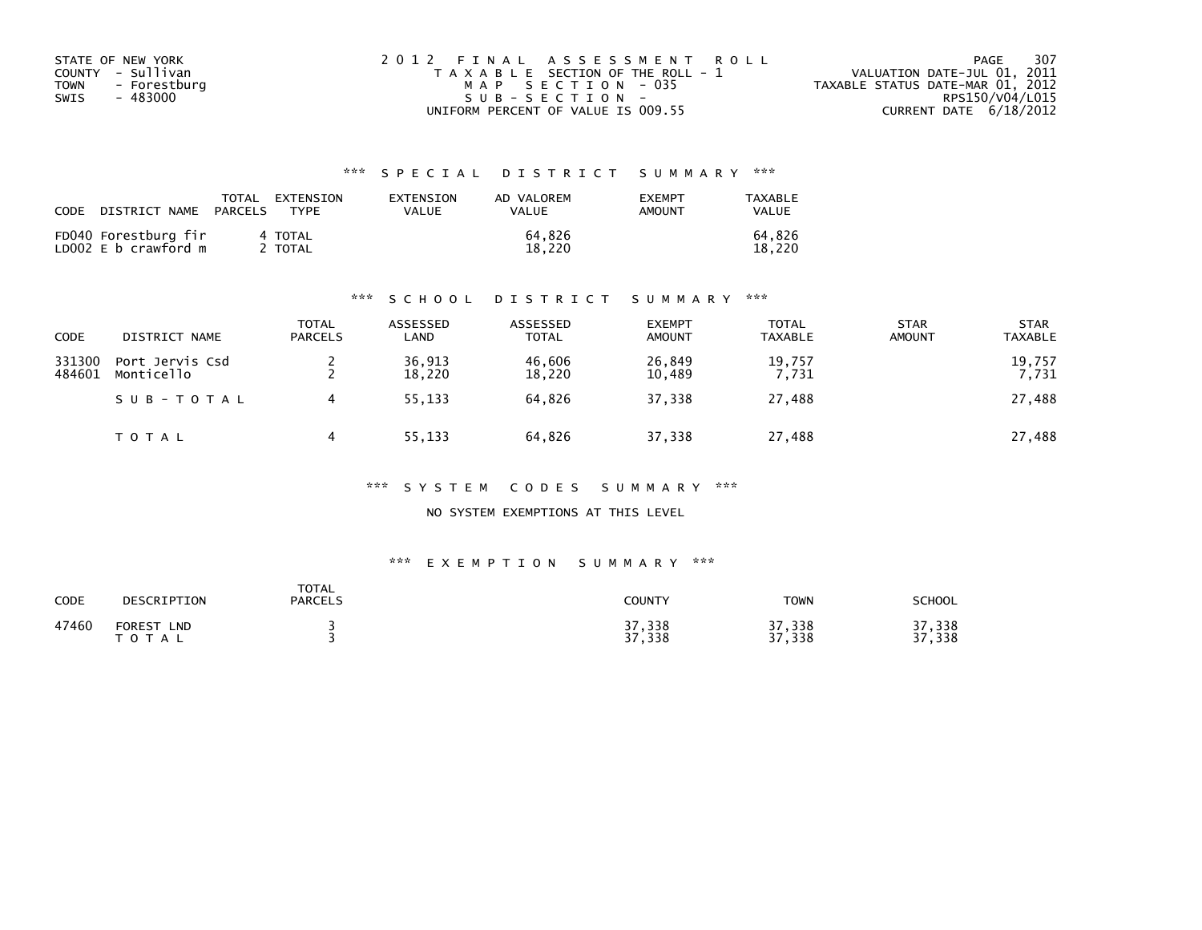| STATE OF NEW YORK    | 2012 FINAL ASSESSMENT ROLL            | -307<br>PAGE                     |
|----------------------|---------------------------------------|----------------------------------|
| COUNTY - Sullivan    | T A X A B L E SECTION OF THE ROLL - 1 | VALUATION DATE-JUL 01, 2011      |
| TOWN<br>- Forestburg | MAP SECTION - 035                     | TAXABLE STATUS DATE-MAR 01, 2012 |
| - 483000<br>SWIS     | SUB-SECTION-                          | RPS150/V04/L015                  |
|                      | UNIFORM PERCENT OF VALUE IS 009.55    | CURRENT DATE $6/18/2012$         |

| CODE | DISTRICT NAME                                | TOTAL<br>PARCELS | EXTENSION<br><b>TYPF</b> | EXTENSION<br>VALUE | AD VALOREM<br><b>VALUE</b> | <b>EXEMPT</b><br>AMOUNT | TAXABLE<br>VALUE |
|------|----------------------------------------------|------------------|--------------------------|--------------------|----------------------------|-------------------------|------------------|
|      | FD040 Forestburg fir<br>LD002 E b crawford m |                  | 4 TOTAL<br>TOTAL         |                    | 64.826<br>18.220           |                         | 64.826<br>18.220 |

#### \*\*\* S C H O O L D I S T R I C T S U M M A R Y \*\*\*

| <b>CODE</b>      | DISTRICT NAME                 | <b>TOTAL</b><br><b>PARCELS</b> | ASSESSED<br>LAND | ASSESSED<br><b>TOTAL</b> | <b>EXEMPT</b><br><b>AMOUNT</b> | <b>TOTAL</b><br><b>TAXABLE</b> | <b>STAR</b><br><b>AMOUNT</b> | <b>STAR</b><br><b>TAXABLE</b> |
|------------------|-------------------------------|--------------------------------|------------------|--------------------------|--------------------------------|--------------------------------|------------------------------|-------------------------------|
| 331300<br>484601 | Port Jervis Csd<br>Monticello |                                | 36,913<br>18,220 | 46,606<br>18,220         | 26,849<br>10,489               | 19,757<br>7,731                |                              | 19,757<br>7,731               |
|                  | SUB-TOTAL                     |                                | 55,133           | 64.826                   | 37,338                         | 27,488                         |                              | 27,488                        |
|                  | TOTAL                         |                                | 55,133           | 64,826                   | 37,338                         | 27,488                         |                              | 27,488                        |

#### \*\*\* S Y S T E M C O D E S S U M M A R Y \*\*\*

NO SYSTEM EXEMPTIONS AT THIS LEVEL

| CODE  | DESCRIPTION                        | <b>TOTAL</b><br><b>PARCELS</b> | COUNTY           | TOWN             | <b>SCHOOL</b>        |
|-------|------------------------------------|--------------------------------|------------------|------------------|----------------------|
| 47460 | <b>FOREST</b><br><b>LND</b><br>тот |                                | 37,338<br>37,338 | 37,338<br>37,338 | ,338<br>っっ<br>37,338 |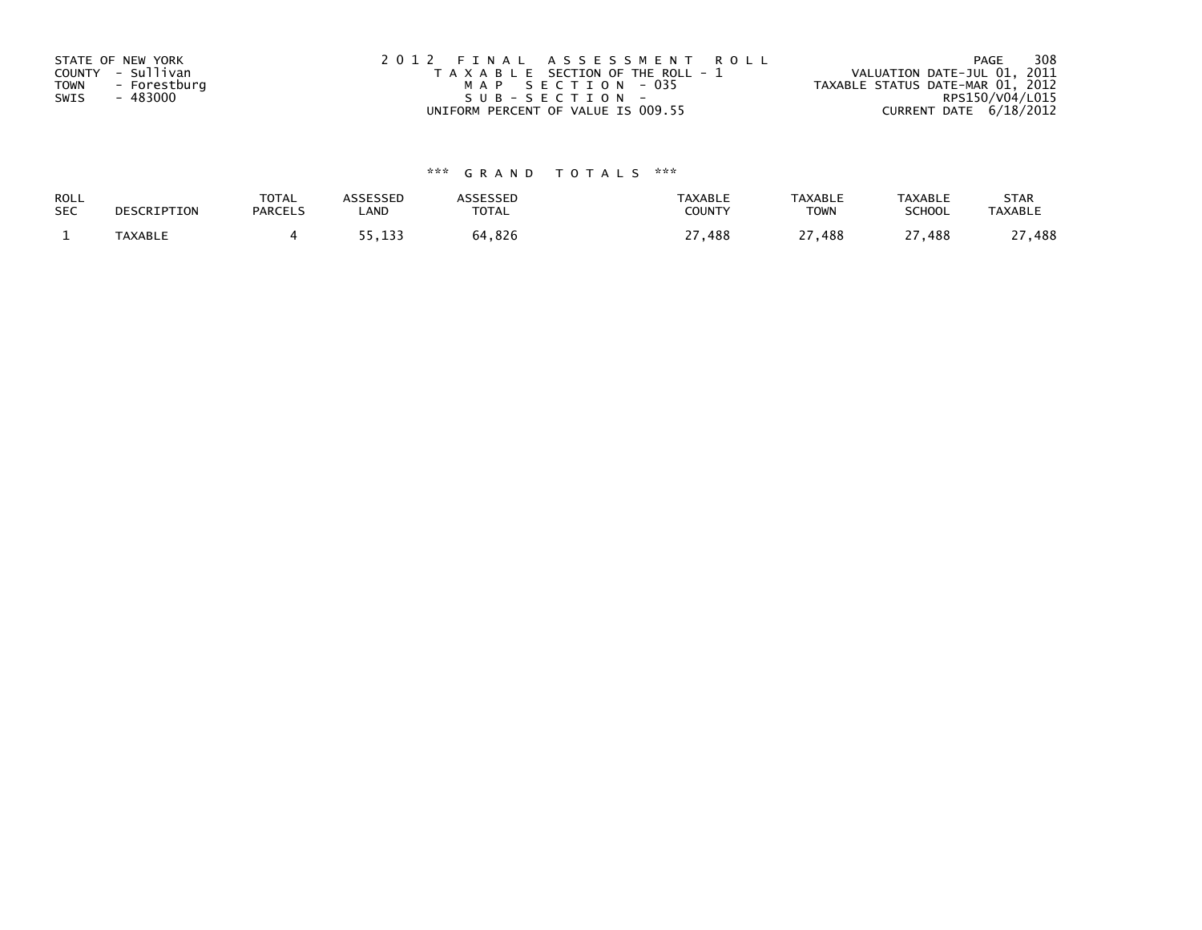| STATE OF NEW YORK<br>COUNTY - Sullivan<br>TOWN<br>- Forestburg<br>- 483000<br>SWIS | 2012 FINAL ASSESSMENT ROLL<br>T A X A B L E SECTION OF THE ROLL - 1<br>MAP SECTION - 035<br>$SUB - SECTION -$ | 308<br>PAGE<br>VALUATION DATE-JUL 01, 2011<br>TAXABLE STATUS DATE-MAR 01, 2012<br>RPS150/V04/L015 |
|------------------------------------------------------------------------------------|---------------------------------------------------------------------------------------------------------------|---------------------------------------------------------------------------------------------------|
|                                                                                    | UNIFORM PERCENT OF VALUE IS 009.55                                                                            | CURRENT DATE 6/18/2012                                                                            |

| ROLL       | DESCRIPTION    | TOTAL          | <b>ASSESSED</b>        | <b>ASSESSED</b> | <b>TAXABLE</b> | <b>TAXABLE</b>          | TAXABLE           | <b>STAR</b>    |
|------------|----------------|----------------|------------------------|-----------------|----------------|-------------------------|-------------------|----------------|
| <b>SEC</b> |                | <b>PARCELS</b> | LAND                   | TOTAL           | <b>COUNT</b>   | <b>TOWN</b>             | <b>SCHOOL</b>     | <b>TAXABLE</b> |
|            | <b>TAXABLE</b> |                | 133<br>,, <b>,</b> ,,, | 64,826          | --<br>488      | $\sim$ $\sim$<br>27,488 | $\lnot$<br>27,488 | ,488           |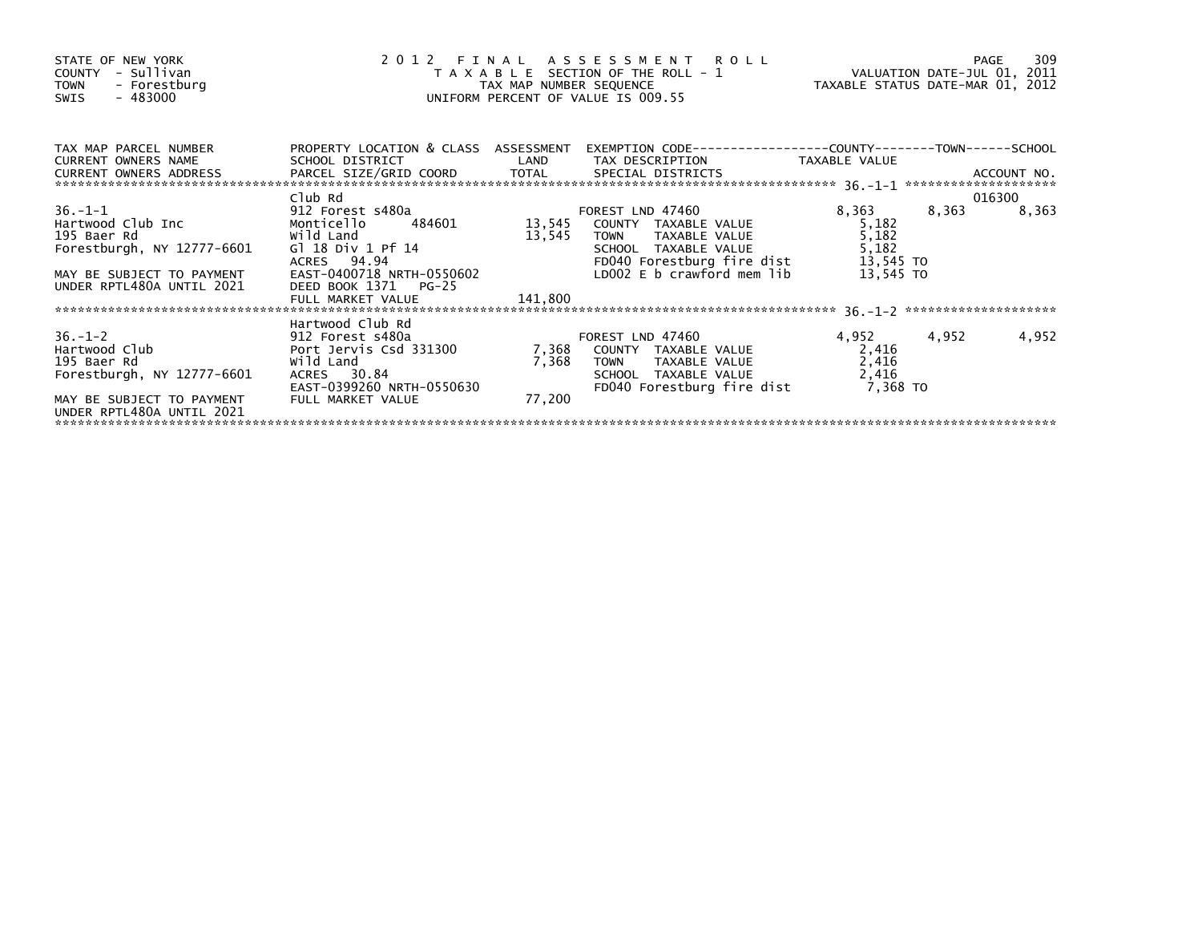| STATE OF NEW YORK<br>COUNTY - Sullivan<br>- Forestburg<br><b>TOWN</b><br>$-483000$<br>SWIS                                                                                                                                                                                               | $\overline{a}$                                                                                             |                 | 2012 FINAL ASSESSMENT ROLL<br>∠ FINAL ASSESSMENI KULL<br>TAXABLE SECTIONOFTHE ROLL-1 VALUATIONDATE-JUL01, 2011<br>TAXMAP NUMBER SEQUENCE TAXABLE STATUS DATE-MAR01, 2012<br>UNIFORM PERCENT OF VALUE IS 009.55 |                                                            |       | 309<br>PAGE |
|------------------------------------------------------------------------------------------------------------------------------------------------------------------------------------------------------------------------------------------------------------------------------------------|------------------------------------------------------------------------------------------------------------|-----------------|----------------------------------------------------------------------------------------------------------------------------------------------------------------------------------------------------------------|------------------------------------------------------------|-------|-------------|
| TAX MAP PARCEL NUMBER<br>CURRENT OWNERS NAME                                                                                                                                                                                                                                             | <b>Example 12 DE LAND</b><br>SCHOOL DISTRICT                                                               |                 | PROPERTY LOCATION & CLASS ASSESSMENT EXEMPTION CODE----------------COUNTY-------TOWN------SCHOOL<br>TAX DESCRIPTION TAXABLE VALUE                                                                              |                                                            |       |             |
|                                                                                                                                                                                                                                                                                          |                                                                                                            |                 |                                                                                                                                                                                                                |                                                            |       |             |
|                                                                                                                                                                                                                                                                                          | Club Rd                                                                                                    |                 |                                                                                                                                                                                                                |                                                            |       | 016300      |
| COMORATOR MANUSICAL CHE MANUSICAL CONSUMING SURFUP OF SAMPLE VALUE MANUSICAL MANUSICAL MANUSICAL SURFUP OF SAMPLE VALUE MANUSICAL MANUSICAL CONTROVIDE SCHOOL TAXABLE VALUE FOREST LND AND MANUSICAL MANUSICAL CONTROVIDE SCHO<br>MAY BE SUBJECT TO PAYMENT<br>UNDER RPTL480A UNTIL 2021 | G1 18 Div 1 Pf 14<br>ACRES 94.94<br>EAST-0400718 NRTH-0550602<br>DEED BOOK 1371 PG-25<br>FULL MARKET VALUE | 141,800         | FOREST LND 47460<br>TAXABLE VALUE<br>TAXABLE VALUE<br>TAXABLE VALUE<br>FD040 Forestburg fire dist<br>LD002 E b crawford mem lib                                                                                | 8,363<br>5,182<br>5,182<br>5,182<br>13,545 TO<br>13,545 TO | 8,363 | 8,363       |
| 195 Baer Rd<br>Forestburgh, NY 12777-6601<br>MAY BE SUBJECT TO PAYMENT<br>UNDER RPTL480A UNTIL 2021                                                                                                                                                                                      | Hartwood Club Rd<br>wild Land<br>ACRES 30.84<br>EAST-0399260 NRTH-0550630<br>FULL MARKET VALUE             | 7,368<br>77,200 | TAXABLE VALUE<br><b>TOWN</b><br>SCHOOL TAXABLE VALUE<br>FD040 Forestburg fire dist                                                                                                                             | 4,952<br>2,416<br>2,416<br>2,416<br>7,368 TO               | 4,952 | 4,952       |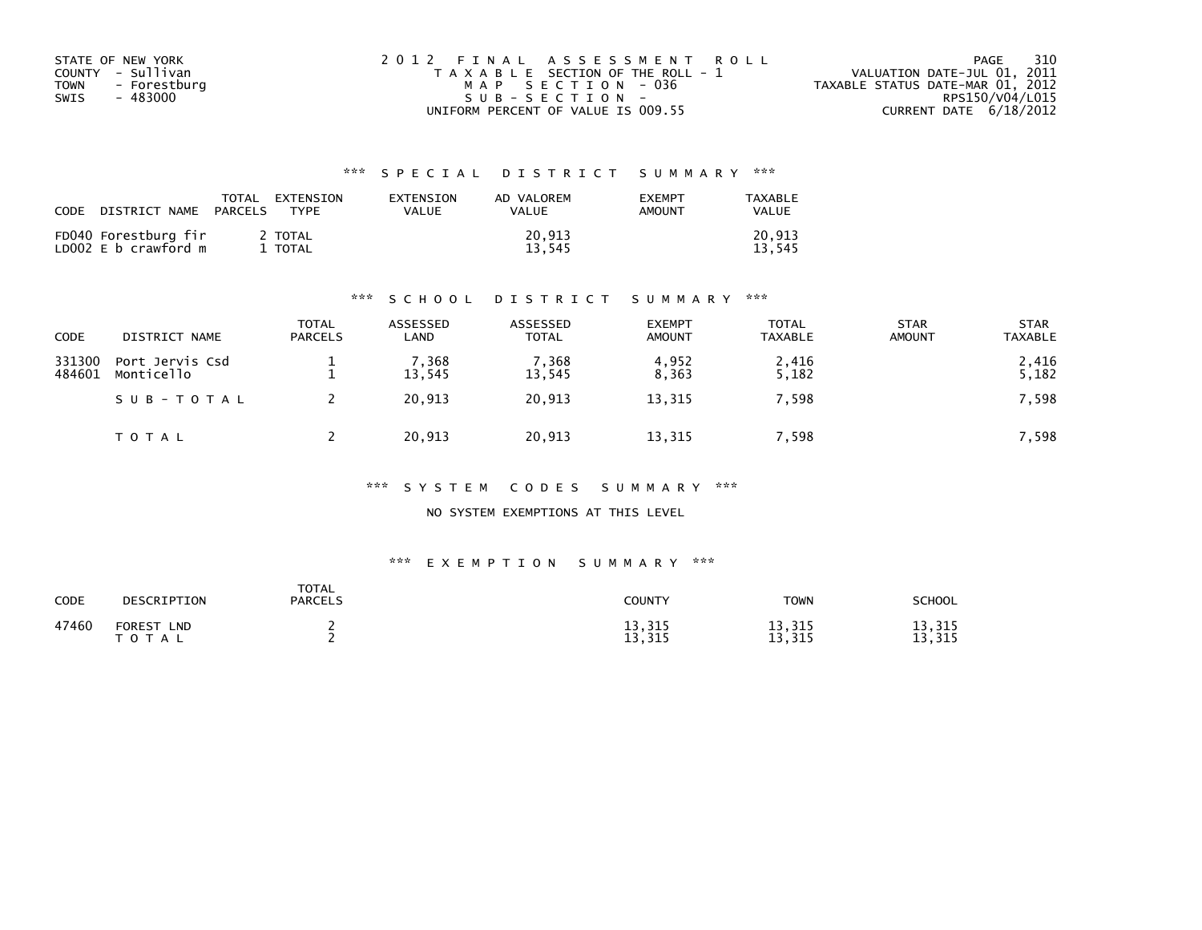| STATE OF NEW YORK    | 2012 FINAL ASSESSMENT ROLL            | 310<br>PAGE                      |
|----------------------|---------------------------------------|----------------------------------|
| COUNTY - Sullivan    | T A X A B L E SECTION OF THE ROLL - 1 | VALUATION DATE-JUL 01, 2011      |
| TOWN<br>- Forestburg | MAP SECTION - 036                     | TAXABLE STATUS DATE-MAR 01, 2012 |
| - 483000<br>SWIS     | SUB-SECTION-                          | RPS150/V04/L015                  |
|                      | UNIFORM PERCENT OF VALUE IS 009.55    | CURRENT DATE $6/18/2012$         |

| CODE | DISTRICT NAME                                | TOTAL<br>PARCELS | EXTENSION<br>TYPF | EXTENSION<br>VALUE | AD VALOREM<br>VALUE | <b>EXEMPT</b><br>AMOUNT | TAXABLE<br>VALUE |
|------|----------------------------------------------|------------------|-------------------|--------------------|---------------------|-------------------------|------------------|
|      | FD040 Forestburg fir<br>LD002 E b crawford m |                  | 2 TOTAL<br>TOTAL  |                    | 20.913<br>13.545    |                         | 20.913<br>13.545 |

#### \*\*\* S C H O O L D I S T R I C T S U M M A R Y \*\*\*

| CODE             | DISTRICT NAME                 | <b>TOTAL</b><br><b>PARCELS</b> | ASSESSED<br>LAND | ASSESSED<br><b>TOTAL</b> | <b>EXEMPT</b><br><b>AMOUNT</b> | <b>TOTAL</b><br><b>TAXABLE</b> | <b>STAR</b><br><b>AMOUNT</b> | <b>STAR</b><br><b>TAXABLE</b> |
|------------------|-------------------------------|--------------------------------|------------------|--------------------------|--------------------------------|--------------------------------|------------------------------|-------------------------------|
| 331300<br>484601 | Port Jervis Csd<br>Monticello |                                | 7,368<br>13,545  | 7.368<br>13,545          | 4,952<br>8,363                 | 2,416<br>5,182                 |                              | 2,416<br>5,182                |
|                  | SUB-TOTAL                     |                                | 20.913           | 20,913                   | 13,315                         | 7,598                          |                              | 7,598                         |
|                  | T O T A L                     |                                | 20,913           | 20,913                   | 13,315                         | ',598                          |                              | 7,598                         |

#### \*\*\* S Y S T E M C O D E S S U M M A R Y \*\*\*

NO SYSTEM EXEMPTIONS AT THIS LEVEL

| <b>CODE</b> | DESCRIPTION                              | <b>TOTAL</b><br><b>PARCELS</b> | COUNTY           | <b>TOWN</b>      | <b>SCHOOL</b>    |
|-------------|------------------------------------------|--------------------------------|------------------|------------------|------------------|
| 47460       | <b>FOREST</b><br><b>LND</b><br>T O T A L |                                | 13,315<br>13,315 | 13,315<br>13,315 | 13,315<br>13,315 |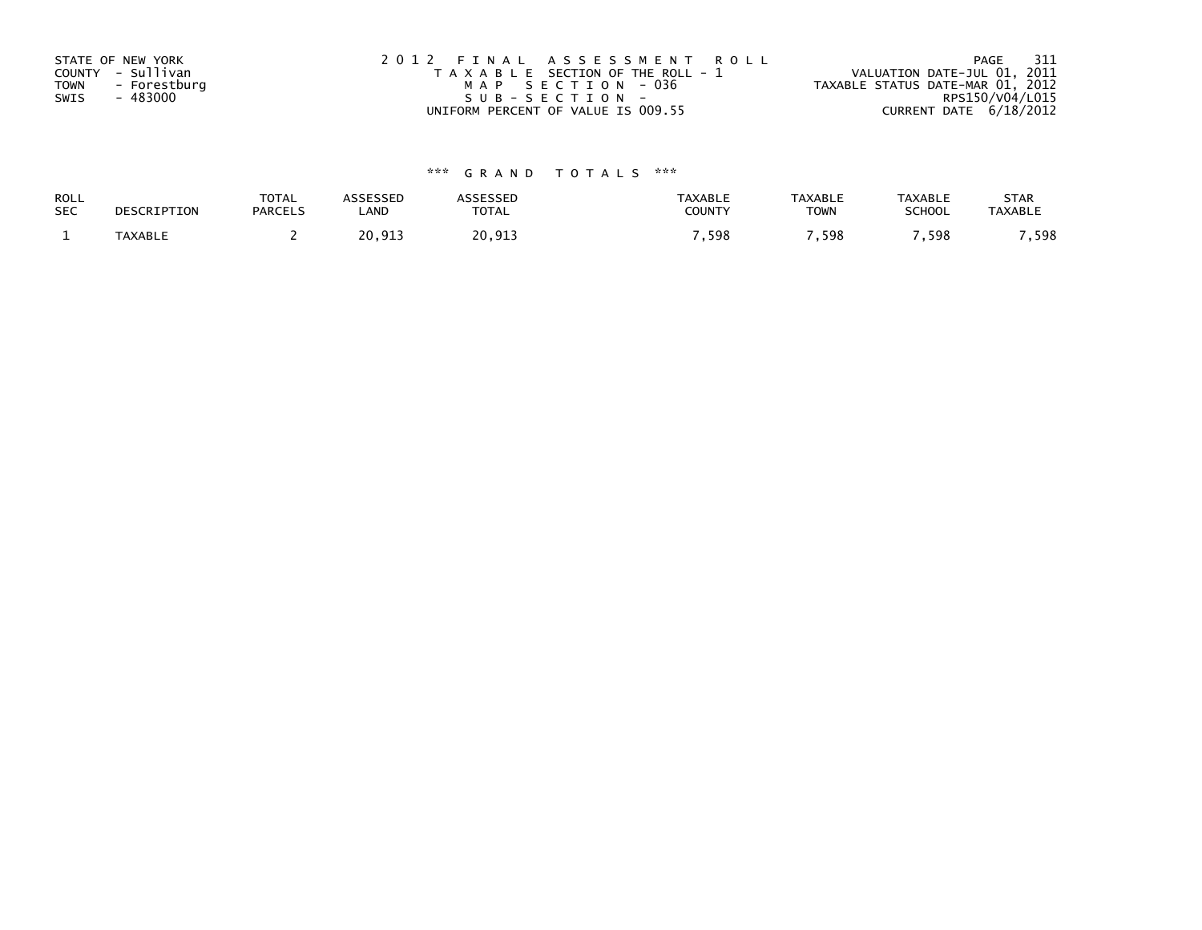| STATE OF NEW YORK<br>COUNTY - Sullivan<br><b>TOWN</b><br>- Forestburg<br>- 483000<br>SWIS | 2012 FINAL ASSESSMENT ROLL<br>T A X A B L E SECTION OF THE ROLL - 1<br>MAP SECTION - 036<br>SUB-SECTION- | 311<br>PAGE<br>VALUATION DATE-JUL 01, 2011<br>TAXABLE STATUS DATE-MAR 01, 2012<br>RPS150/V04/L015 |
|-------------------------------------------------------------------------------------------|----------------------------------------------------------------------------------------------------------|---------------------------------------------------------------------------------------------------|
|                                                                                           | UNIFORM PERCENT OF VALUE IS 009.55                                                                       | CURRENT DATE 6/18/2012                                                                            |

| ROLL       | DESCRIPTION    | <b>TOTAL</b>   | <b>ASSESSED</b> | <b>SSESSED</b> | <b>TAXABLE</b> | <b>TAXABLE</b> | <b>TAXABLE</b> | <b>STAR</b>    |
|------------|----------------|----------------|-----------------|----------------|----------------|----------------|----------------|----------------|
| <b>SEC</b> |                | <b>PARCELS</b> | LAND            | TOTAL          | COUNTY         | <b>TOWN</b>    | <b>SCHOOL</b>  | <b>TAXABLE</b> |
|            | <b>TAXABLE</b> |                | 20,913          | 20,913         | ,598           | .598           | .598           | 598            |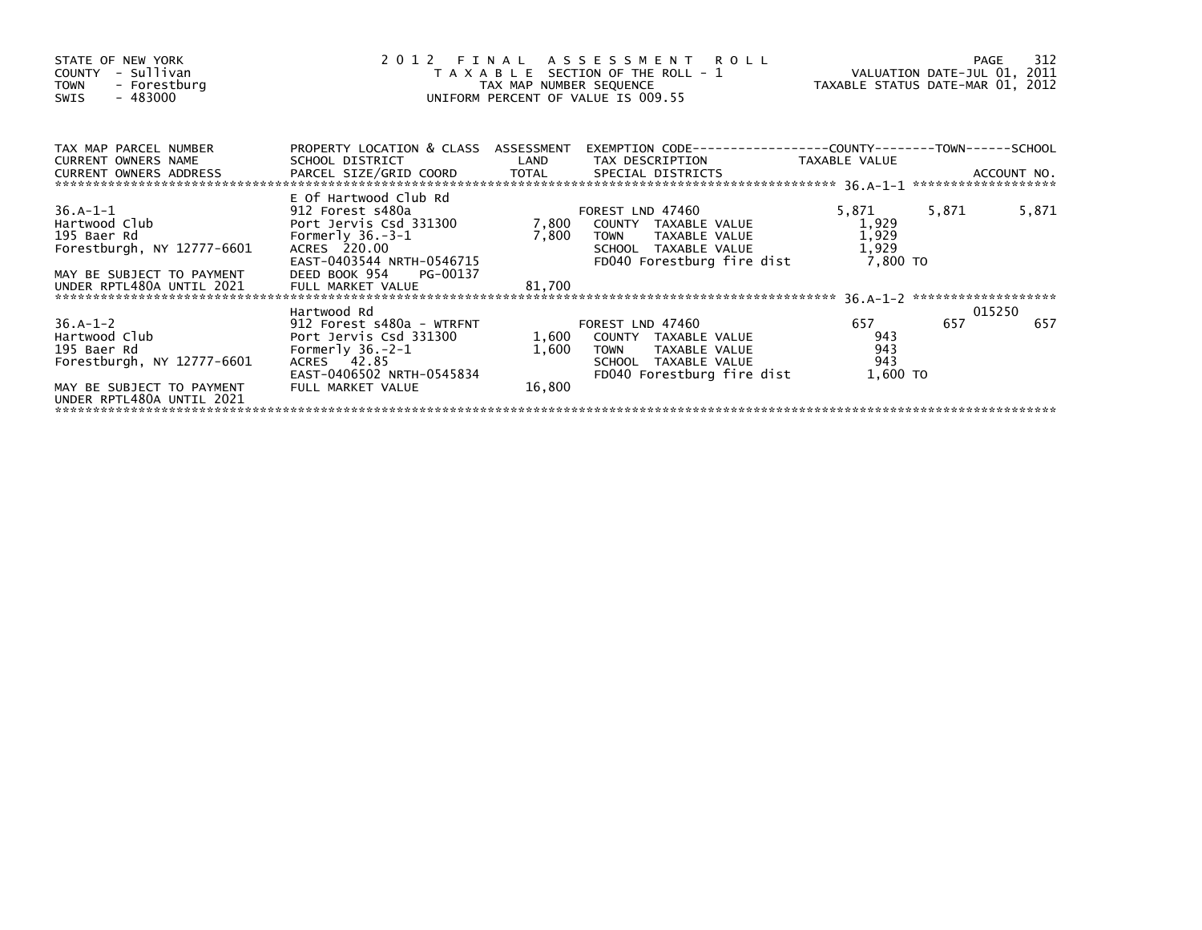| STATE OF NEW YORK<br>COUNTY - Sullivan<br>- Forestburg<br><b>TOWN</b><br>$-483000$<br>SWIS                                                                                                                                                               |                                                                                                                                                                  | TAX MAP NUMBER SEQUENCE  | 2012 FINAL ASSESSMENT ROLL<br>T A X A B L E SECTION OF THE ROLL - 1<br>UNIFORM PERCENT OF VALUE IS 009.55                            | VALUATION DATE-JUL 01, 2011<br>TAXABLE STATUS DATE-MAR 01, 2012 |       | 312<br>PAGE |
|----------------------------------------------------------------------------------------------------------------------------------------------------------------------------------------------------------------------------------------------------------|------------------------------------------------------------------------------------------------------------------------------------------------------------------|--------------------------|--------------------------------------------------------------------------------------------------------------------------------------|-----------------------------------------------------------------|-------|-------------|
| TAX MAP PARCEL NUMBER<br>CURRENT OWNERS NAME<br>CURRENT OWNERS ADDRESS FARCEL SIZE/GRID COORD TOTAL SPECIAL DISTRICTS (AND ACCOUNT NO.<br>EURRENT OWNERS ADDRESS PARCEL SIZE/GRID COORD TOTAL SPECIAL DISTRICTS (ALL-1 ********************************* | PROPERTY LOCATION & CLASS ASSESSMENT<br>SCHOOL DISTRICT LAND                                                                                                     |                          | TAX DESCRIPTION TAXABLE VALUE                                                                                                        |                                                                 |       |             |
|                                                                                                                                                                                                                                                          |                                                                                                                                                                  |                          |                                                                                                                                      |                                                                 |       |             |
| 36.A-1-1<br>Hartwood Club <b>Example 201</b><br>195 Baer Rd<br>Forestburgh, NY 12777-6601<br>MAY BE SUBJECT TO PAYMENT<br>UNDER RPTL480A UNTIL 2021                                                                                                      | E Of Hartwood Club Rd<br>912 Forest s480a<br>Port Jervis Csd 331300<br>Formerly $36.-3-1$<br>ACRES 220.00<br>EAST-0403544 NRTH-0546715<br>DEED BOOK 954 PG-00137 | 7,800                    | FOREST LND 47460<br>7,800 COUNTY TAXABLE VALUE<br>TAXABLE VALUE<br><b>TOWN</b><br>SCHOOL TAXABLE VALUE<br>FD040 Forestburg fire dist | 5,871<br>1,929<br>1,929<br>1,929<br>7,800 TO                    | 5,871 | 5,871       |
|                                                                                                                                                                                                                                                          | FULL MARKET VALUE                                                                                                                                                | 81,700                   |                                                                                                                                      |                                                                 |       |             |
|                                                                                                                                                                                                                                                          | Hartwood Rd                                                                                                                                                      |                          |                                                                                                                                      |                                                                 |       | 015250      |
| $36.A-1-2$<br>Hartwood Club <b>Example 2018</b><br>195 Baer Rd<br>Forestburgh, NY 12777-6601<br>MAY BE SUBJECT TO PAYMENT                                                                                                                                | 912 Forest s480a - WTRFNT<br>Port Jervis Csd 331300<br>Formerly $36.-2-1$<br>ACRES 42.85<br>EAST-0406502 NRTH-0545834<br>FULL MARKET VALUE                       | 1,600<br>1,600<br>16,800 | FOREST LND 47460<br>COUNTY TAXABLE VALUE<br><b>TOWN</b><br>TAXABLE VALUE<br>SCHOOL TAXABLE VALUE<br>FD040 Forestburg fire dist       | 657<br>943<br>943<br>943<br>1,600 TO                            | 657   | 657         |
| UNDER RPTL480A UNTIL 2021                                                                                                                                                                                                                                |                                                                                                                                                                  |                          |                                                                                                                                      |                                                                 |       |             |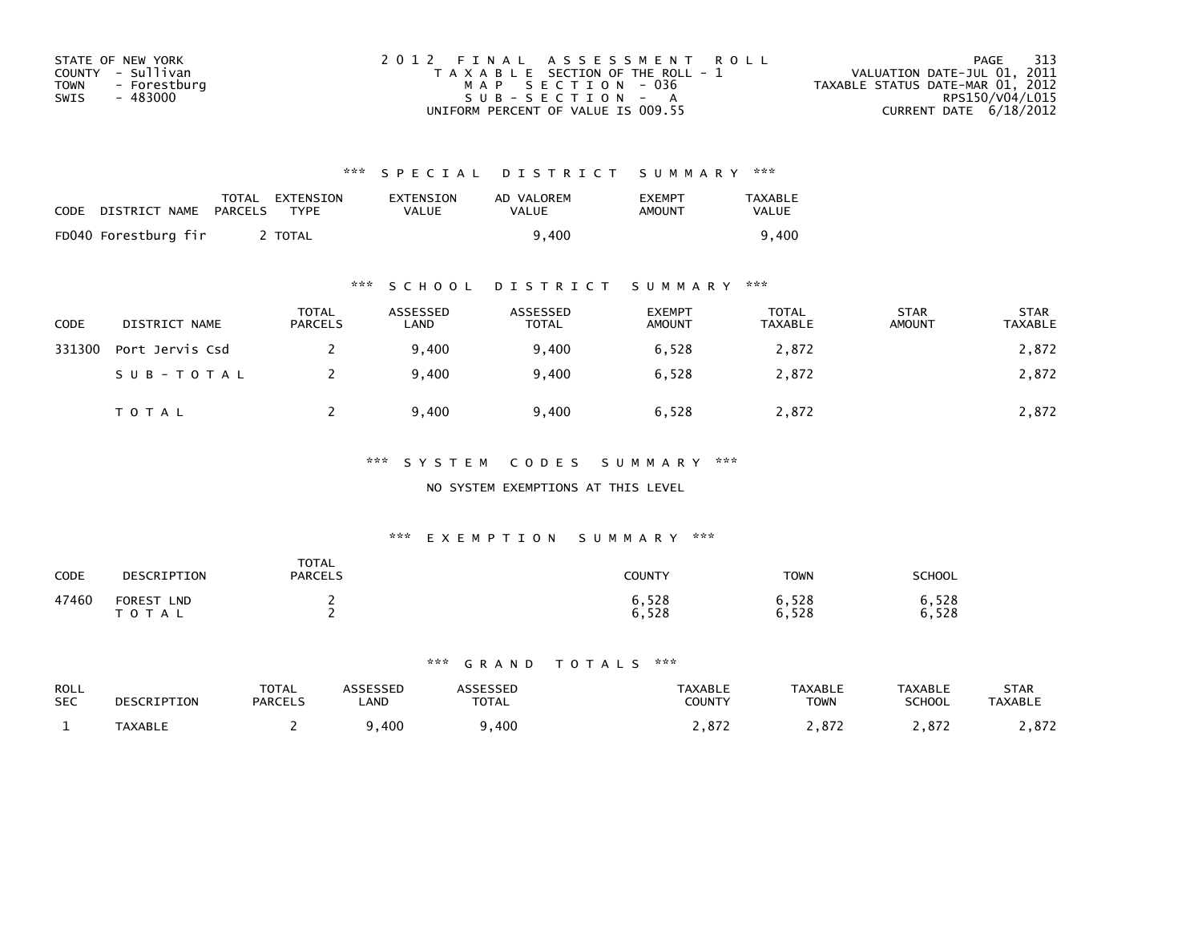| STATE OF NEW YORK    | 2012 FINAL ASSESSMENT ROLL            | 313<br>PAGE                      |
|----------------------|---------------------------------------|----------------------------------|
| COUNTY - Sullivan    | T A X A B L E SECTION OF THE ROLL - 1 | VALUATION DATE-JUL 01, 2011      |
| TOWN<br>- Forestburg | MAP SECTION - 036                     | TAXABLE STATUS DATE-MAR 01, 2012 |
| - 483000<br>SWIS     | SUB-SECTION - A                       | RPS150/V04/L015                  |
|                      | UNIFORM PERCENT OF VALUE IS 009.55    | CURRENT DATE $6/18/2012$         |

| CODE | DISTRICT NAME        | PARCELS | TOTAL EXTENSION<br>TYPF. | EXTENSION<br>VALUE | AD VALOREM<br>VALUE | <b>EXEMPT</b><br>AMOUNT | <b>TAXABLE</b><br><b>VALUE</b> |
|------|----------------------|---------|--------------------------|--------------------|---------------------|-------------------------|--------------------------------|
|      | FD040 Forestburg fir |         | <b>TOTAL</b>             |                    | 9.400               |                         | 400. (                         |

## \*\*\* S C H O O L D I S T R I C T S U M M A R Y \*\*\*

| CODE   | DISTRICT NAME   | <b>TOTAL</b><br><b>PARCELS</b> | ASSESSED<br>LAND | ASSESSED<br><b>TOTAL</b> | <b>EXEMPT</b><br><b>AMOUNT</b> | <b>TOTAL</b><br>TAXABLE | <b>STAR</b><br>AMOUNT | <b>STAR</b><br>TAXABLE |
|--------|-----------------|--------------------------------|------------------|--------------------------|--------------------------------|-------------------------|-----------------------|------------------------|
| 331300 | Port Jervis Csd |                                | 9.400            | 9.400                    | 6,528                          | 2,872                   |                       | 2,872                  |
|        | SUB-TOTAL       |                                | 9,400            | 9,400                    | 6,528                          | 2,872                   |                       | 2,872                  |
|        | <b>TOTAL</b>    |                                | 9,400            | 9,400                    | 6,528                          | 2,872                   |                       | 2,872                  |

### \*\*\* S Y S T E M C O D E S S U M M A R Y \*\*\*

### NO SYSTEM EXEMPTIONS AT THIS LEVEL

### \*\*\* E X E M P T I O N S U M M A R Y \*\*\*

| CODE  | DESCRIPTION                      | <b>TOTAL</b><br><b>PARCELS</b> | COUNTY         | <b>TOWN</b>    | <b>SCHOOL</b>  |
|-------|----------------------------------|--------------------------------|----------------|----------------|----------------|
| 47460 | <b>FOREST</b><br><b>LND</b><br>A |                                | 6,528<br>6,528 | 6,528<br>6,528 | 6,528<br>6,528 |

| <b>ROLL</b><br><b>SEC</b> | DESCRIPTION    | $T\cap T$ $\wedge$<br>UIAL<br><b>PARCELS</b> | LAND | TOTAL | TAXABLE<br>COUNTY | <b>TAXABLE</b><br><b>TOWN</b> | TAXABLE<br><b>SCHOOL</b> | STAR<br><b>TAXABLE</b> |
|---------------------------|----------------|----------------------------------------------|------|-------|-------------------|-------------------------------|--------------------------|------------------------|
|                           | <b>TAXABLL</b> |                                              | 400  | 400   | 07'<br>.012       | 07 <sup>2</sup>               |                          | 0.77<br>. . o . z      |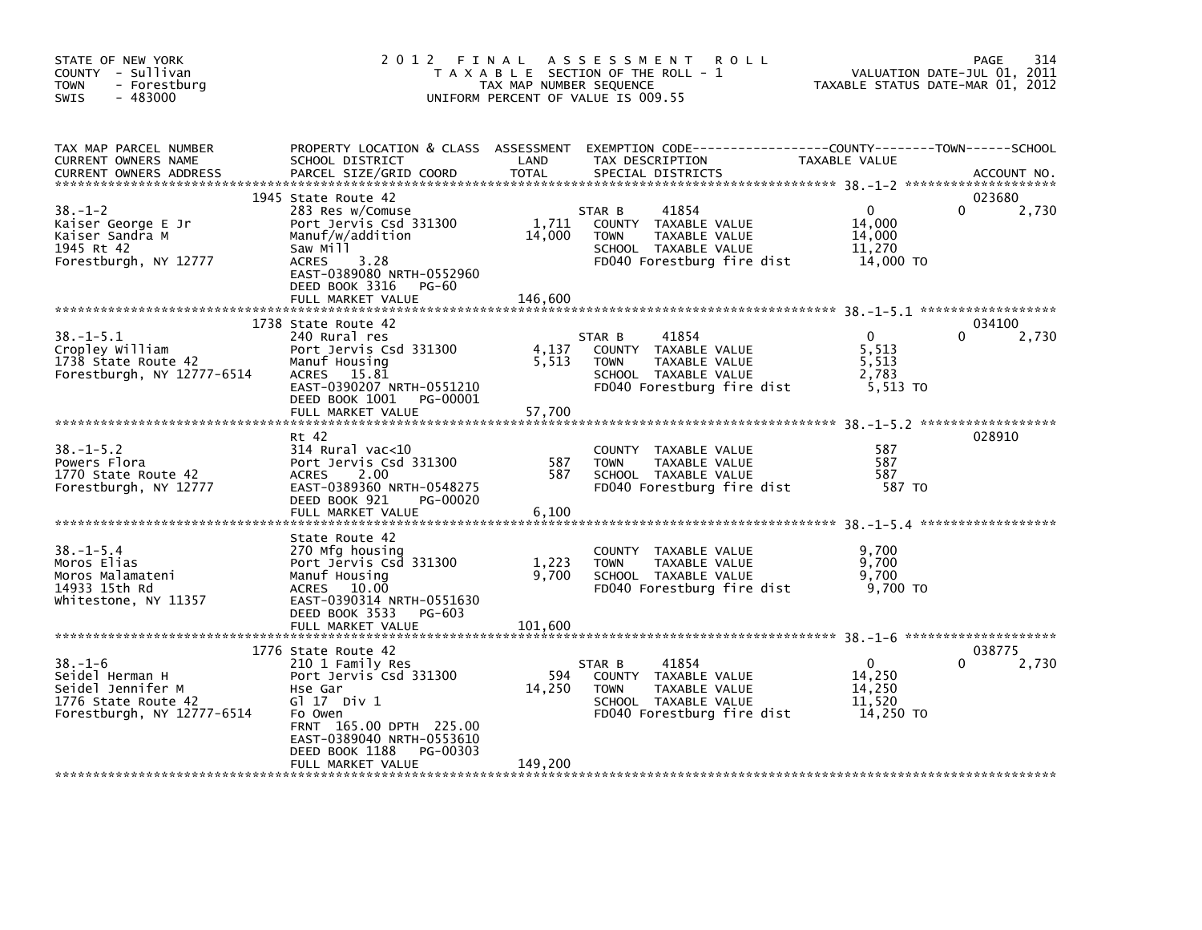| STATE OF NEW YORK<br>COUNTY - Sullivan<br>- Forestburg<br><b>TOWN</b><br>$-483000$<br>SWIS                 | 2012 FINAL                                                                                                                                                                                                          | TAX MAP NUMBER SEQUENCE    | A S S E S S M E N T<br><b>ROLL</b><br>T A X A B L E SECTION OF THE ROLL - 1<br>UNIFORM PERCENT OF VALUE IS 009.55                       | TAXABLE STATUS DATE-MAR 01, 2012                        | 314<br>PAGE<br>VALUATION DATE-JUL 01, 2011 |
|------------------------------------------------------------------------------------------------------------|---------------------------------------------------------------------------------------------------------------------------------------------------------------------------------------------------------------------|----------------------------|-----------------------------------------------------------------------------------------------------------------------------------------|---------------------------------------------------------|--------------------------------------------|
| TAX MAP PARCEL NUMBER<br>CURRENT OWNERS NAME<br><b>CURRENT OWNERS ADDRESS</b>                              | SCHOOL DISTRICT<br>PARCEL SIZE/GRID COORD                                                                                                                                                                           | LAND<br><b>TOTAL</b>       | PROPERTY LOCATION & CLASS ASSESSMENT EXEMPTION CODE----------------COUNTY-------TOWN-----SCHOOL<br>TAX DESCRIPTION<br>SPECIAL DISTRICTS | TAXABLE VALUE                                           | ACCOUNT NO.                                |
| $38. - 1 - 2$<br>Kaiser George E Jr<br>Kaiser Sandra M<br>1945 Rt 42<br>Forestburgh, NY 12777              | 1945 State Route 42<br>283 Res w/Comuse<br>Port Jervis Csd 331300<br>Manuf/w/addition<br>Saw Mill<br><b>ACRES</b><br>3.28<br>EAST-0389080 NRTH-0552960<br>DEED BOOK 3316<br>PG-60<br>FULL MARKET VALUE              | 1,711<br>14,000<br>146,600 | 41854<br>STAR B<br>COUNTY TAXABLE VALUE<br>TAXABLE VALUE<br><b>TOWN</b><br>SCHOOL TAXABLE VALUE<br>FD040 Forestburg fire dist           | $\mathbf{0}$<br>14,000<br>14,000<br>11,270<br>14,000 TO | 023680<br>2,730<br>0                       |
| $38. -1 - 5.1$<br>Cropley William<br>1738 State Route 42<br>Forestburgh, NY 12777-6514                     | 1738 State Route 42<br>240 Rural res<br>Port Jervis Csd 331300<br>Manuf Housing<br>ACRES 15.81<br>EAST-0390207 NRTH-0551210<br>DEED BOOK 1001 PG-00001<br>FULL MARKET VALUE                                         | 4,137<br>5,513<br>57,700   | 41854<br>STAR B<br>COUNTY TAXABLE VALUE<br>TAXABLE VALUE<br><b>TOWN</b><br>SCHOOL TAXABLE VALUE<br>FD040 Forestburg fire dist           | $\mathbf{0}$<br>5,513<br>5,513<br>2.783<br>5,513 TO     | 034100<br>2,730                            |
| $38. - 1 - 5.2$<br>Powers Flora<br>1770 State Route 42<br>Forestburgh, NY 12777                            | Rt 42<br>314 Rural vac<10<br>Port Jervis Csd 331300<br><b>ACRES</b><br>2.00<br>EAST-0389360 NRTH-0548275<br>DEED BOOK 921<br>PG-00020<br>FULL MARKET VALUE                                                          | 587<br>587<br>6,100        | COUNTY TAXABLE VALUE<br>TAXABLE VALUE<br><b>TOWN</b><br>SCHOOL TAXABLE VALUE<br>FD040 Forestburg fire dist                              | 587<br>587<br>587<br>587 TO                             | 028910                                     |
| $38. - 1 - 5.4$<br>Moros Elias<br>Moros Malamateni<br>14933 15th Rd<br>Whitestone, NY 11357                | State Route 42<br>270 Mfg housing<br>Port Jervis Csd 331300<br>Manuf Housing<br>ACRES 10.00<br>EAST-0390314 NRTH-0551630<br>DEED BOOK 3533 PG-603<br>FULL MARKET VALUE                                              | 1,223<br>9,700<br>101,600  | COUNTY TAXABLE VALUE<br><b>TOWN</b><br>TAXABLE VALUE<br>SCHOOL TAXABLE VALUE<br>FD040 Forestburg fire dist                              | 9,700<br>9,700<br>9,700<br>9,700 TO                     |                                            |
| $38. - 1 - 6$<br>Seidel Herman H<br>Seidel Jennifer M<br>1776 State Route 42<br>Forestburgh, NY 12777-6514 | 1776 State Route 42<br>210 1 Family Res<br>Port Jervis Csd 331300<br>Hse Gar<br>G $117$ Div 1<br>Fo Owen<br>FRNT 165.00 DPTH 225.00<br>EAST-0389040 NRTH-0553610<br>DEED BOOK 1188<br>PG-00303<br>FULL MARKET VALUE | 594<br>14,250<br>149,200   | 41854<br>STAR B<br>COUNTY TAXABLE VALUE<br>TAXABLE VALUE<br><b>TOWN</b><br>SCHOOL TAXABLE VALUE<br>FD040 Forestburg fire dist           | $\mathbf{0}$<br>14,250<br>14,250<br>11,520<br>14,250 TO | 038775<br>2,730<br>0                       |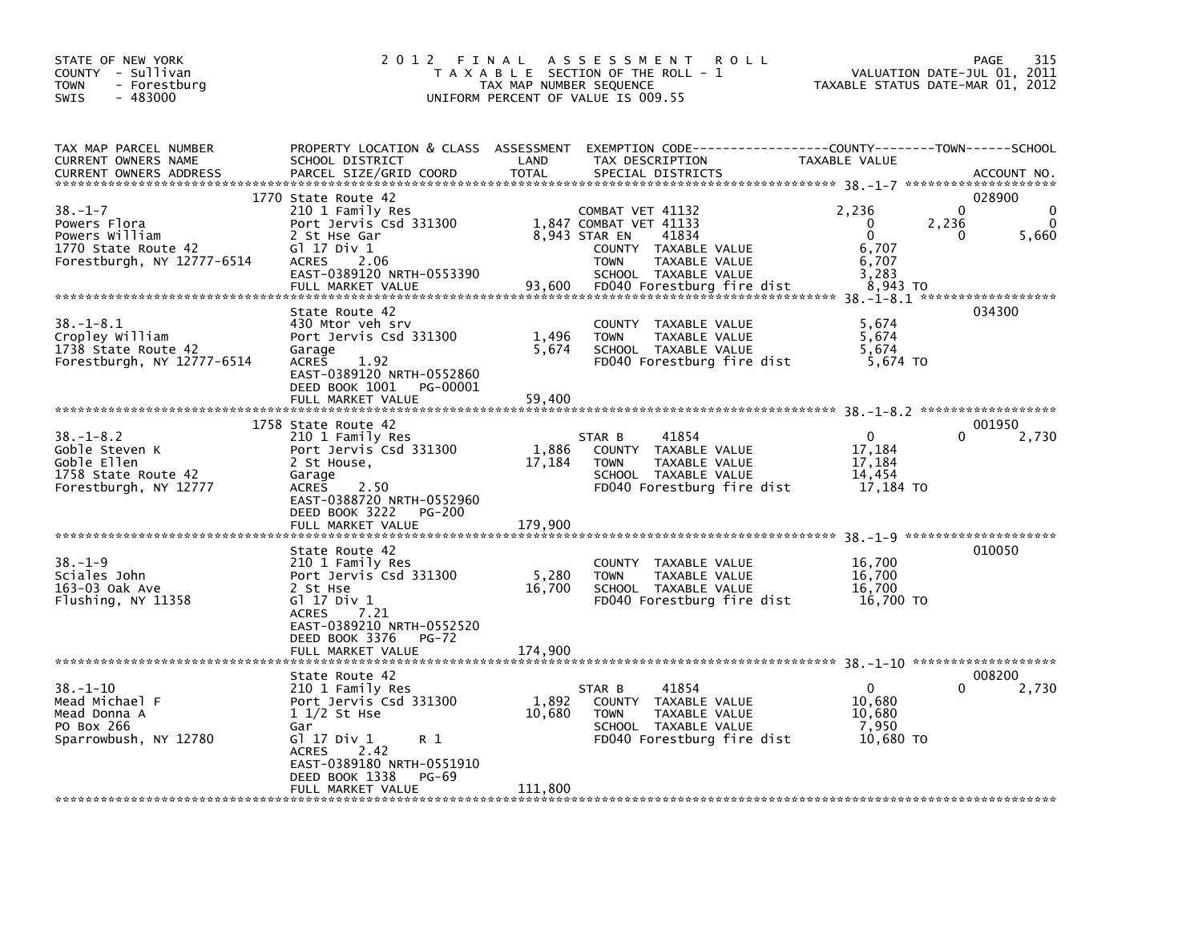| STATE OF NEW YORK<br>COUNTY - Sullivan<br><b>TOWN</b><br>- Forestburg<br>$-483000$<br><b>SWIS</b>    | 2012 FINAL                                                                                                                                                                                                      | A S S E S S M E N T<br><b>ROLL</b><br>T A X A B L E SECTION OF THE ROLL - 1<br>TAX MAP NUMBER SEQUENCE<br>UNIFORM PERCENT OF VALUE IS 009.55                                                 | 315<br>PAGE<br>VALUATION DATE-JUL 01,<br>2011<br>TAXABLE STATUS DATE-MAR 01, 2012                                                         |
|------------------------------------------------------------------------------------------------------|-----------------------------------------------------------------------------------------------------------------------------------------------------------------------------------------------------------------|----------------------------------------------------------------------------------------------------------------------------------------------------------------------------------------------|-------------------------------------------------------------------------------------------------------------------------------------------|
| TAX MAP PARCEL NUMBER<br>CURRENT OWNERS NAME<br><b>CURRENT OWNERS ADDRESS</b>                        | PROPERTY LOCATION & CLASS ASSESSMENT<br>SCHOOL DISTRICT<br>PARCEL SIZE/GRID COORD                                                                                                                               | LAND<br>TAX DESCRIPTION<br><b>TOTAL</b><br>SPECIAL DISTRICTS                                                                                                                                 | EXEMPTION CODE-----------------COUNTY-------TOWN------SCHOOL<br><b>TAXABLE VALUE</b><br>ACCOUNT NO.                                       |
| $38. - 1 - 7$<br>Powers Flora<br>Powers William<br>1770 State Route 42<br>Forestburgh, NY 12777-6514 | 1770 State Route 42<br>210 1 Family Res<br>Port Jervis Csd 331300<br>2 St Hse Gar<br>G1 17 Div 1<br><b>ACRES</b><br>2.06<br>EAST-0389120 NRTH-0553390<br>FULL MARKET VALUE                                      | COMBAT VET 41132<br>1,847 COMBAT VET 41133<br>8.943 STAR EN<br>41834<br>COUNTY TAXABLE VALUE<br>TAXABLE VALUE<br><b>TOWN</b><br>SCHOOL TAXABLE VALUE<br>93,600<br>FD040 Forestburg fire dist | 028900<br>$\Omega$<br>2,236<br>$\Omega$<br>$\Omega$<br>$\Omega$<br>2,236<br>$\Omega$<br>5,660<br>0<br>6,707<br>6,707<br>3,283<br>8,943 TO |
| 38. –1–8.1<br>Cropley William<br>1738 State Route 42<br>Forestburgh, NY 12777-6514                   | State Route 42<br>430 Mtor veh srv<br>Port Jervis Csd 331300<br>Garage<br><b>ACRES</b><br>1.92<br>EAST-0389120 NRTH-0552860<br>DEED BOOK 1001<br>PG-00001<br>FULL MARKET VALUE                                  | COUNTY TAXABLE VALUE<br>1,496<br><b>TOWN</b><br>TAXABLE VALUE<br>5,674<br>SCHOOL TAXABLE VALUE<br>FD040 Forestburg fire dist<br>59,400                                                       | 034300<br>5,674<br>5,674<br>5,674<br>5,674 TO                                                                                             |
| $38. - 1 - 8.2$<br>Goble Steven K<br>Goble Ellen<br>1758 State Route 42<br>Forestburgh, NY 12777     | 1758 State Route 42<br>210 1 Family Res<br>Port Jervis Csd 331300<br>2 St House,<br>Garage<br><b>ACRES</b><br>2.50<br>EAST-0388720 NRTH-0552960<br>DEED BOOK 3222<br>PG-200<br>FULL MARKET VALUE                | 41854<br>STAR B<br>1,886<br>COUNTY TAXABLE VALUE<br>17,184<br>TAXABLE VALUE<br><b>TOWN</b><br>SCHOOL TAXABLE VALUE<br>FD040 Forestburg fire dist<br>179,900                                  | 001950<br>$\Omega$<br>2,730<br>17,184<br>17,184<br>14,454<br>17,184 TO                                                                    |
| $38. - 1 - 9$<br>Sciales John<br>163-03 Oak Ave<br>Flushing, NY 11358                                | State Route 42<br>210 1 Family Res<br>Port Jervis Csd 331300<br>2 St Hse<br>$G1$ 17 Div 1<br><b>ACRES</b><br>7.21<br>EAST-0389210 NRTH-0552520<br>DEED BOOK 3376<br>$PG-72$<br>FULL MARKET VALUE                | COUNTY TAXABLE VALUE<br>5,280<br>TAXABLE VALUE<br><b>TOWN</b><br>16.700<br>SCHOOL TAXABLE VALUE<br>FD040 Forestburg fire dist<br>174,900                                                     | $38. -1 - 9$ **********************<br>010050<br>16,700<br>16,700<br>16.700<br>16,700 TO                                                  |
| $38. - 1 - 10$<br>Mead Michael F<br>Mead Donna A<br>PO Box 266<br>Sparrowbush, NY 12780              | State Route 42<br>210 1 Family Res<br>Port Jervis Csd 331300<br>$11/2$ St Hse<br>Gar<br>G1 17 Div 1<br>R 1<br>2.42<br><b>ACRES</b><br>EAST-0389180 NRTH-0551910<br>DEED BOOK 1338<br>PG-69<br>FULL MARKET VALUE | 41854<br>STAR B<br>1,892<br>COUNTY TAXABLE VALUE<br>10,680<br><b>TOWN</b><br>TAXABLE VALUE<br>SCHOOL TAXABLE VALUE<br>FD040 Forestburg fire dist<br>111,800                                  | 008200<br>$\Omega$<br>2,730<br>10,680<br>10,680<br>7,950<br>10.680 TO                                                                     |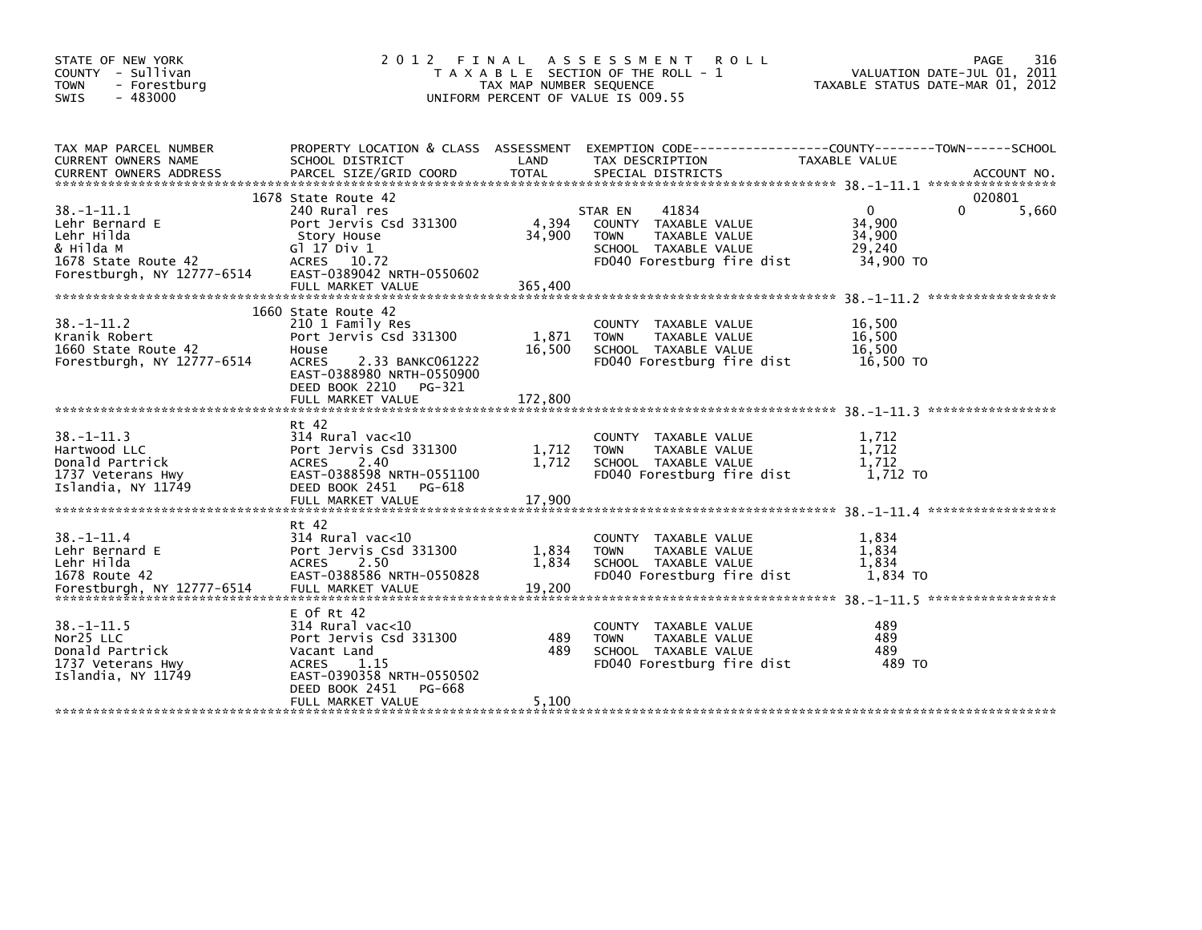| STATE OF NEW YORK<br>COUNTY - Sullivan<br>- Forestburg<br><b>TOWN</b><br>$-483000$<br><b>SWIS</b>                  | 2 0 1 2                                                                                                                                                                                      | FINAL<br>TAX MAP NUMBER SEQUENCE | A S S E S S M E N T<br><b>ROLL</b><br>T A X A B L E SECTION OF THE ROLL - 1<br>UNIFORM PERCENT OF VALUE IS 009.55              | TAXABLE STATUS DATE-MAR 01, 2012                        | 316<br>PAGE<br>VALUATION DATE-JUL 01, 2011 |
|--------------------------------------------------------------------------------------------------------------------|----------------------------------------------------------------------------------------------------------------------------------------------------------------------------------------------|----------------------------------|--------------------------------------------------------------------------------------------------------------------------------|---------------------------------------------------------|--------------------------------------------|
| TAX MAP PARCEL NUMBER<br><b>CURRENT OWNERS NAME</b><br><b>CURRENT OWNERS ADDRESS</b>                               | PROPERTY LOCATION & CLASS ASSESSMENT<br>SCHOOL DISTRICT<br>PARCEL SIZE/GRID COORD                                                                                                            | LAND<br><b>TOTAL</b>             | TAX DESCRIPTION<br>SPECIAL DISTRICTS                                                                                           | TAXABLE VALUE                                           | ACCOUNT NO.                                |
| $38. - 1 - 11.1$<br>Lehr Bernard E<br>Lehr Hilda<br>& Hilda M<br>1678 State Route 42<br>Forestburgh, NY 12777-6514 | 1678 State Route 42<br>240 Rural res<br>Port Jervis Csd 331300<br>Story House<br>G1 17 Div 1<br>ACRES 10.72<br>EAST-0389042 NRTH-0550602<br>FULL MARKET VALUE                                | 4,394<br>34,900<br>365.400       | 41834<br>STAR EN<br>COUNTY TAXABLE VALUE<br>TAXABLE VALUE<br><b>TOWN</b><br>SCHOOL TAXABLE VALUE<br>FD040 Forestburg fire dist | $\mathbf{0}$<br>34,900<br>34,900<br>29,240<br>34,900 TO | 020801<br>5,660<br>$\Omega$                |
| $38. - 1 - 11.2$<br>Kranik Robert<br>1660 State Route 42<br>Forestburgh, NY 12777-6514                             | 1660 State Route 42<br>210 1 Family Res<br>Port Jervis Csd 331300<br>House<br><b>ACRES</b><br>2.33 BANKC061222<br>EAST-0388980 NRTH-0550900<br>DEED BOOK 2210<br>PG-321<br>FULL MARKET VALUE | 1,871<br>16,500<br>172,800       | COUNTY TAXABLE VALUE<br>TAXABLE VALUE<br><b>TOWN</b><br>SCHOOL TAXABLE VALUE<br>FD040 Forestburg fire dist                     | 16,500<br>16,500<br>16.500<br>16,500 TO                 | *****************                          |
| $38. -1 - 11.3$<br>Hartwood LLC<br>Donald Partrick<br>1737 Veterans Hwy<br>Islandia, NY 11749                      | Rt 42<br>$314$ Rural vac<10<br>Port Jervis Csd 331300<br><b>ACRES</b><br>2.40<br>EAST-0388598 NRTH-0551100<br>DEED BOOK 2451<br>PG-618<br>FULL MARKET VALUE                                  | 1,712<br>1.712<br>17,900         | COUNTY TAXABLE VALUE<br><b>TOWN</b><br>TAXABLE VALUE<br>SCHOOL TAXABLE VALUE<br>FD040 Forestburg fire dist                     | 1,712<br>1,712<br>1.712<br>1,712 TO                     |                                            |
| $38. - 1 - 11.4$<br>Lehr Bernard E<br>Lehr Hilda<br>1678 Route 42<br>Forestburgh, NY 12777-6514                    | Rt 42<br>314 Rural vac<10<br>Port Jervis Csd 331300<br>2.50<br><b>ACRES</b><br>EAST-0388586 NRTH-0550828<br>FULL MARKET VALUE                                                                | 1,834<br>1,834<br>19,200         | COUNTY TAXABLE VALUE<br>TAXABLE VALUE<br><b>TOWN</b><br>SCHOOL TAXABLE VALUE<br>FD040 Forestburg fire dist                     | 1,834<br>1,834<br>1,834<br>1,834 TO                     |                                            |
| $38. - 1 - 11.5$<br>Nor25 LLC<br>Donald Partrick<br>1737 Veterans Hwy<br>Islandia, NY 11749                        | $E$ Of Rt 42<br>314 Rural vac<10<br>Port Jervis Csd 331300<br>Vacant Land<br>ACRES<br>1.15<br>EAST-0390358 NRTH-0550502<br>DEED BOOK 2451<br>PG-668                                          | 489<br>489                       | COUNTY TAXABLE VALUE<br>TAXABLE VALUE<br><b>TOWN</b><br>SCHOOL TAXABLE VALUE<br>FD040 Forestburg fire dist                     | 489<br>489<br>489<br>489 TO                             |                                            |
|                                                                                                                    | FULL MARKET VALUE                                                                                                                                                                            | 5,100                            |                                                                                                                                |                                                         |                                            |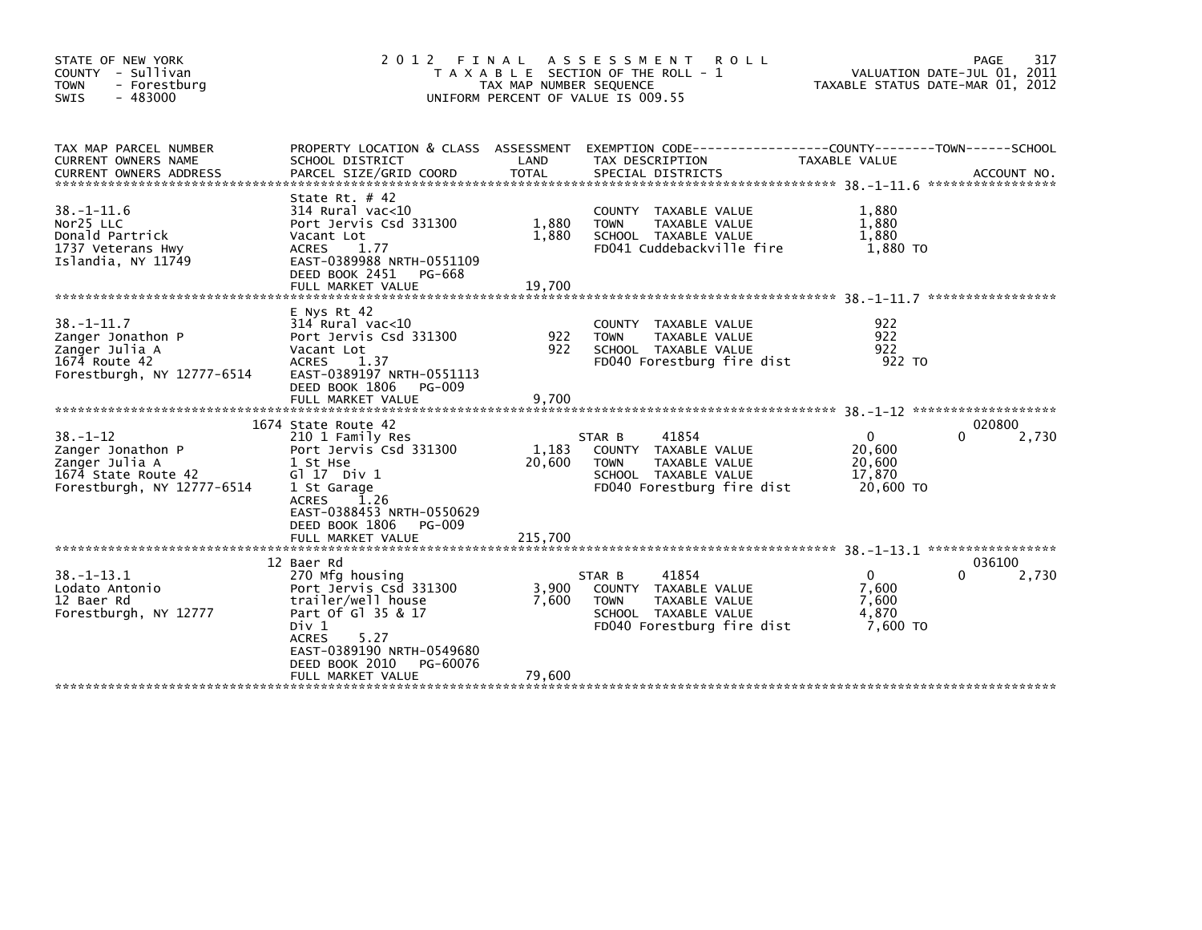| STATE OF NEW YORK<br>COUNTY - Sullivan<br><b>TOWN</b><br>- Forestburg<br>$-483000$<br>SWIS                 | 2 0 1 2<br>FINAL                                                                                                                                                                                                      | TAX MAP NUMBER SEQUENCE    | A S S E S S M E N T<br>R O L L<br>T A X A B L E SECTION OF THE ROLL - 1<br>UNIFORM PERCENT OF VALUE IS 009.55                            | TAXABLE STATUS DATE-MAR 01, 2012                    | 317<br>PAGE<br>VALUATION DATE-JUL 01, 2011 |
|------------------------------------------------------------------------------------------------------------|-----------------------------------------------------------------------------------------------------------------------------------------------------------------------------------------------------------------------|----------------------------|------------------------------------------------------------------------------------------------------------------------------------------|-----------------------------------------------------|--------------------------------------------|
| TAX MAP PARCEL NUMBER<br>CURRENT OWNERS NAME<br><b>CURRENT OWNERS ADDRESS</b>                              | SCHOOL DISTRICT<br>PARCEL SIZE/GRID COORD                                                                                                                                                                             | LAND<br><b>TOTAL</b>       | PROPERTY LOCATION & CLASS ASSESSMENT EXEMPTION CODE----------------COUNTY-------TOWN------SCHOOL<br>TAX DESCRIPTION<br>SPECIAL DISTRICTS | TAXABLE VALUE                                       | ACCOUNT NO.                                |
| $38 - 1 - 11.6$<br>Nor25 LLC<br>Donald Partrick<br>1737 Veterans Hwy<br>Islandia, NY 11749                 | State Rt. $#$ 42<br>314 Rural vac<10<br>Port Jervis Csd 331300<br>Vacant Lot<br><b>ACRES</b><br>1.77<br>EAST-0389988 NRTH-0551109<br>DEED BOOK 2451<br>PG-668<br>FULL MARKET VALUE                                    | 1,880<br>1.880<br>19,700   | COUNTY TAXABLE VALUE<br><b>TOWN</b><br>TAXABLE VALUE<br>SCHOOL TAXABLE VALUE<br>FD041 Cuddebackville fire                                | 1,880<br>1,880<br>1.880<br>1,880 TO                 |                                            |
| 38.–1–11.7<br>Zanger Jonathon P<br>Zanger Julia A<br>1674 Route 42<br>Forestburgh, NY 12777-6514           | E Nys Rt 42<br>$314$ Rural vac< $10$<br>Port Jervis Csd 331300<br>Vacant Lot<br>1.37<br><b>ACRES</b><br>EAST-0389197 NRTH-0551113<br>DEED BOOK 1806<br>PG-009<br>FULL MARKET VALUE                                    | 922<br>922<br>9,700        | COUNTY TAXABLE VALUE<br>TAXABLE VALUE<br><b>TOWN</b><br>SCHOOL TAXABLE VALUE<br>FD040 Forestburg fire dist                               | 922<br>922<br>922<br>922 TO                         |                                            |
|                                                                                                            |                                                                                                                                                                                                                       |                            |                                                                                                                                          |                                                     |                                            |
| $38. - 1 - 12$<br>Zanger Jonathon P<br>Zanger Julia A<br>1674 State Route 42<br>Forestburgh, NY 12777-6514 | 1674 State Route 42<br>210 1 Family Res<br>Port Jervis Csd 331300<br>1 St Hse<br>$G1 17$ Div $1$<br>1 St Garage<br>1.26<br><b>ACRES</b><br>EAST-0388453 NRTH-0550629<br>DEED BOOK 1806<br>PG-009<br>FULL MARKET VALUE | 1,183<br>20,600<br>215,700 | 41854<br>STAR B<br>COUNTY TAXABLE VALUE<br><b>TOWN</b><br>TAXABLE VALUE<br>SCHOOL TAXABLE VALUE<br>FD040 Forestburg fire dist            | $\Omega$<br>20,600<br>20,600<br>17,870<br>20,600 TO | 020800<br>$\Omega$<br>2,730                |
|                                                                                                            |                                                                                                                                                                                                                       |                            |                                                                                                                                          |                                                     |                                            |
| $38. - 1 - 13.1$<br>Lodato Antonio<br>12 Baer Rd<br>Forestburgh, NY 12777                                  | 12 Baer Rd<br>270 Mfg housing<br>Port Jervis Csd 331300<br>trailer/well house<br>Part Of G1 35 & 17<br>Div 1<br>5.27<br><b>ACRES</b><br>EAST-0389190 NRTH-0549680<br>DEED BOOK 2010<br>PG-60076<br>FULL MARKET VALUE  | 3,900<br>7.600<br>79.600   | 41854<br>STAR B<br>COUNTY TAXABLE VALUE<br>TAXABLE VALUE<br><b>TOWN</b><br>SCHOOL TAXABLE VALUE<br>FD040 Forestburg fire dist            | $\Omega$<br>7,600<br>7.600<br>4,870<br>7,600 TO     | 036100<br>0<br>2,730                       |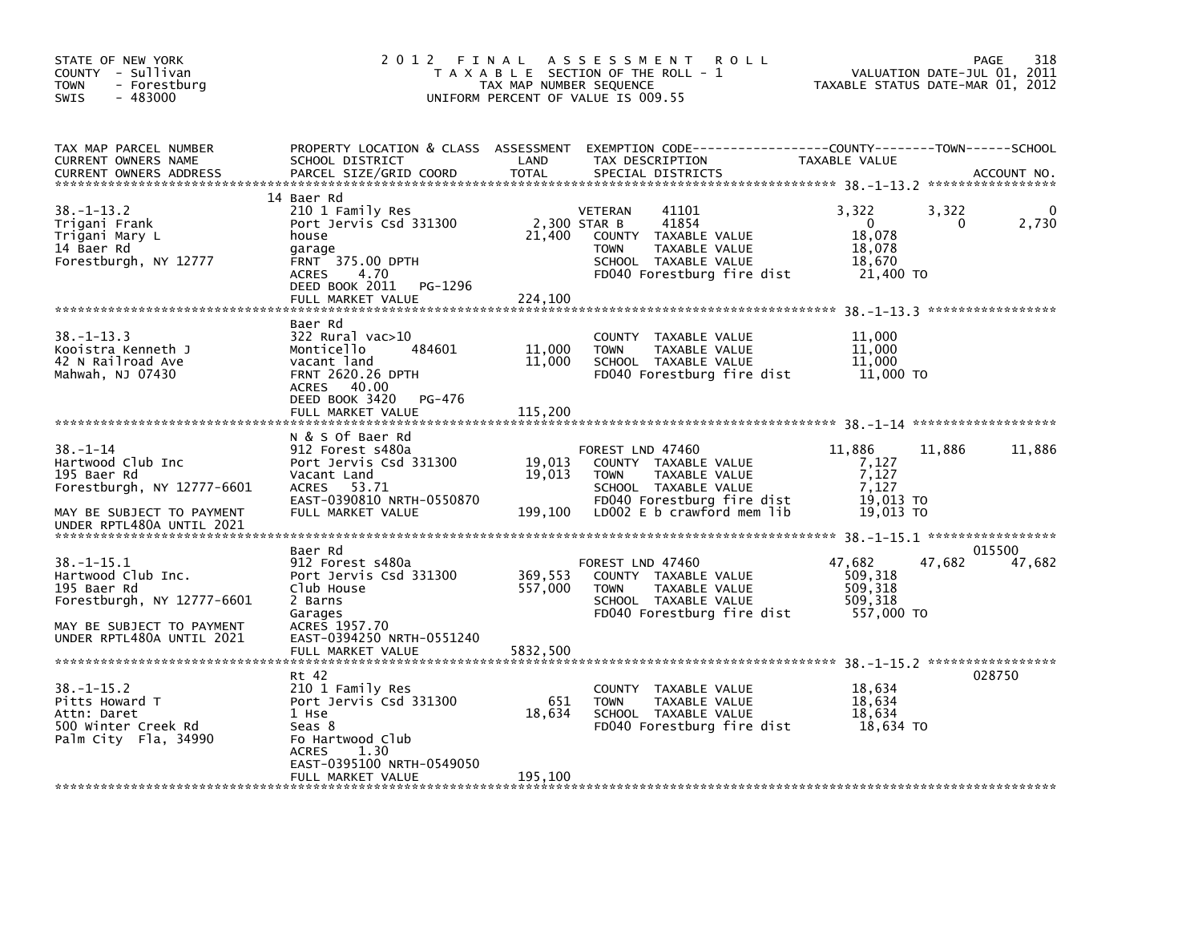| STATE OF NEW YORK<br>COUNTY - Sullivan<br>- Forestburg<br><b>TOWN</b><br>$-483000$<br>SWIS                                                    | 2 0 1 2                                                                                                                                                                   | FINAL<br>TAX MAP NUMBER SEQUENCE | A S S E S S M E N T<br><b>ROLL</b><br>T A X A B L E SECTION OF THE ROLL - 1<br>UNIFORM PERCENT OF VALUE IS 009.55                                              |                                                                  | 318<br>PAGE<br>VALUATION DATE-JUL 01, 2011<br>TAXABLE STATUS DATE-MAR 01, 2012 |
|-----------------------------------------------------------------------------------------------------------------------------------------------|---------------------------------------------------------------------------------------------------------------------------------------------------------------------------|----------------------------------|----------------------------------------------------------------------------------------------------------------------------------------------------------------|------------------------------------------------------------------|--------------------------------------------------------------------------------|
| TAX MAP PARCEL NUMBER<br>CURRENT OWNERS NAME<br><b>CURRENT OWNERS ADDRESS</b>                                                                 | PROPERTY LOCATION & CLASS ASSESSMENT<br>SCHOOL DISTRICT<br>PARCEL SIZE/GRID COORD                                                                                         | LAND<br><b>TOTAL</b>             | TAX DESCRIPTION<br>SPECIAL DISTRICTS                                                                                                                           | TAXABLE VALUE                                                    | ACCOUNT NO.                                                                    |
| $38. - 1 - 13.2$<br>Trigani Frank<br>Trigani Mary L<br>14 Baer Rd<br>Forestburgh, NY 12777                                                    | 14 Baer Rd<br>210 1 Family Res<br>Port Jervis Csd 331300<br>house<br>garage<br>FRNT 375.00 DPTH<br>4.70<br><b>ACRES</b><br>PG-1296<br>DEED BOOK 2011<br>FULL MARKET VALUE | 21,400<br>224,100                | VETERAN<br>41101<br>41854<br>2,300 STAR B<br>COUNTY TAXABLE VALUE<br>TAXABLE VALUE<br><b>TOWN</b><br>SCHOOL TAXABLE VALUE<br>FD040 Forestburg fire dist        | 3,322<br>$\mathbf{0}$<br>18,078<br>18,078<br>18,670<br>21,400 TO | 3,322<br>2,730<br>0                                                            |
| $38. -1 - 13.3$<br>Kooistra Kenneth J<br>42 N Railroad Ave<br>Mahwah, NJ 07430                                                                | Baer Rd<br>$322$ Rural vac $>10$<br>Monticello<br>484601<br>vacant land<br><b>FRNT 2620.26 DPTH</b><br>ACRES 40.00<br>DEED BOOK 3420<br>PG-476<br>FULL MARKET VALUE       | 11,000<br>11,000<br>115,200      | COUNTY TAXABLE VALUE<br><b>TOWN</b><br>TAXABLE VALUE<br>SCHOOL TAXABLE VALUE<br>FD040 Forestburg fire dist                                                     | 11,000<br>11,000<br>11,000<br>11,000 TO                          |                                                                                |
| $38 - 1 - 14$<br>Hartwood Club Inc<br>195 Baer Rd<br>Forestburgh, NY 12777-6601<br>MAY BE SUBJECT TO PAYMENT<br>UNDER RPTL480A UNTIL 2021     | N & S Of Baer Rd<br>912 Forest s480a<br>Port Jervis Csd 331300<br>Vacant Land<br>53.71<br>ACRES<br>EAST-0390810 NRTH-0550870<br>FULL MARKET VALUE                         | 19,013<br>19,013<br>199,100      | FOREST LND 47460<br>COUNTY TAXABLE VALUE<br><b>TOWN</b><br>TAXABLE VALUE<br>SCHOOL TAXABLE VALUE<br>FD040 Forestburg fire dist<br>LD002 $E$ b crawford mem lib | 11,886<br>7,127<br>7,127<br>7.127<br>19.013 TO<br>19,013 TO      | 11,886<br>11,886                                                               |
| $38. - 1 - 15.1$<br>Hartwood Club Inc.<br>195 Baer Rd<br>Forestburgh, NY 12777-6601<br>MAY BE SUBJECT TO PAYMENT<br>UNDER RPTL480A UNTIL 2021 | Baer Rd<br>912 Forest s480a<br>Port Jervis Csd 331300<br>Club House<br>2 Barns<br>Garages<br>ACRES 1957.70<br>EAST-0394250 NRTH-0551240<br>FULL MARKET VALUE              | 369,553<br>557,000<br>5832.500   | FOREST LND 47460<br>COUNTY TAXABLE VALUE<br>TAXABLE VALUE<br><b>TOWN</b><br>SCHOOL TAXABLE VALUE<br>FD040 Forestburg fire dist                                 | 47,682<br>509,318<br>509,318<br>509,318<br>557,000 TO            | 015500<br>47,682<br>47,682                                                     |
| $38. - 1 - 15.2$<br>Pitts Howard T<br>Attn: Daret<br>500 Winter Creek Rd<br>Palm City Fla, 34990                                              | Rt 42<br>210 1 Family Res<br>Port Jervis Csd 331300<br>1 Hse<br>Seas 8<br>Fo Hartwood Club<br>1.30<br><b>ACRES</b><br>EAST-0395100 NRTH-0549050<br>FULL MARKET VALUE      | 651<br>18,634<br>195,100         | COUNTY TAXABLE VALUE<br><b>TOWN</b><br>TAXABLE VALUE<br>SCHOOL TAXABLE VALUE<br>FD040 Forestburg fire dist                                                     | 18,634<br>18,634<br>18,634<br>18,634 TO                          | 028750                                                                         |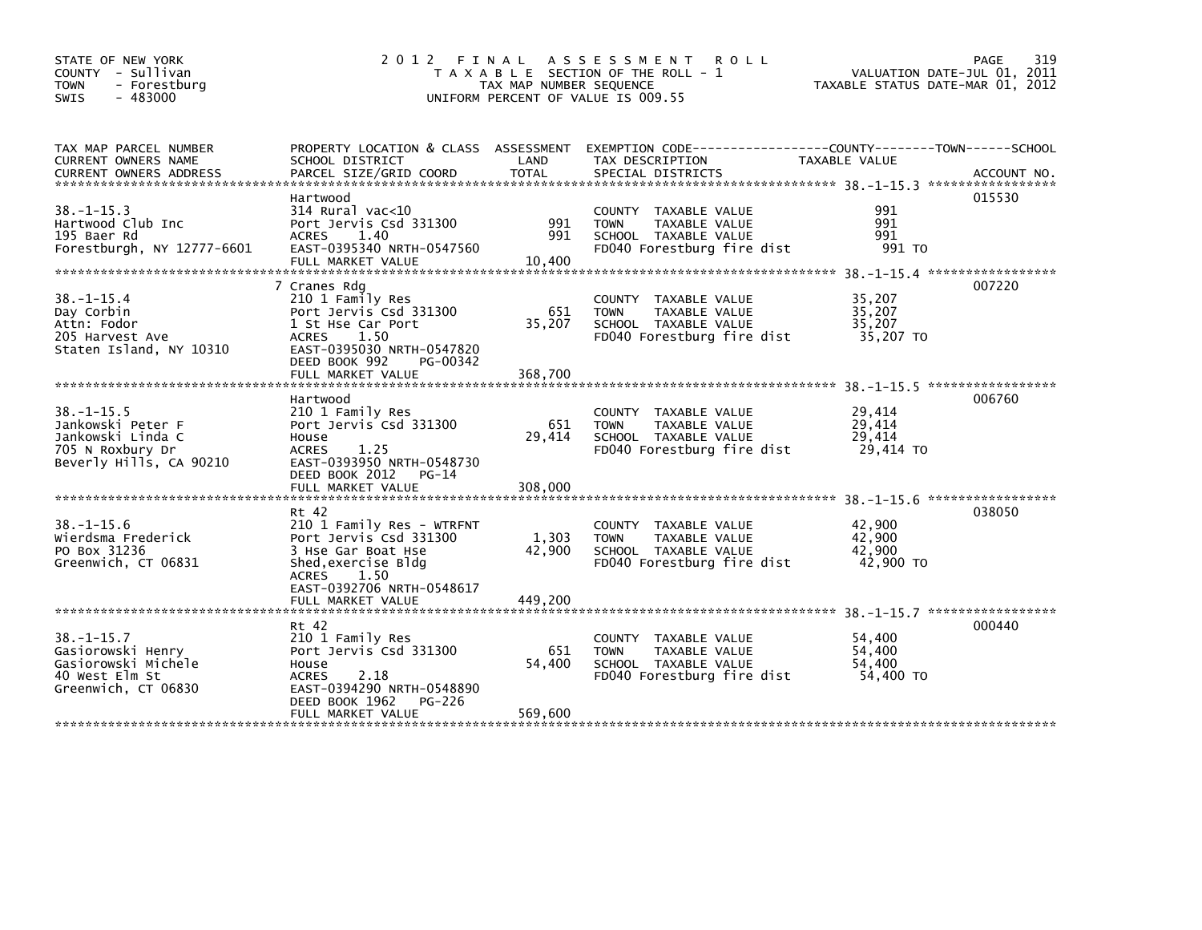| STATE OF NEW YORK<br>COUNTY - Sullivan<br>- Forestburg<br><b>TOWN</b><br>$-483000$<br><b>SWIS</b>        |                                                                                                                                                                    | TAX MAP NUMBER SEQUENCE  | 2012 FINAL ASSESSMENT<br><b>ROLL</b><br>T A X A B L E SECTION OF THE ROLL - 1<br>UNIFORM PERCENT OF VALUE IS 009.55  | VALUATION DATE-JUL 01, 2011<br>TAXABLE STATUS DATE-MAR 01, 2012 | 319<br><b>PAGE</b> |
|----------------------------------------------------------------------------------------------------------|--------------------------------------------------------------------------------------------------------------------------------------------------------------------|--------------------------|----------------------------------------------------------------------------------------------------------------------|-----------------------------------------------------------------|--------------------|
| TAX MAP PARCEL NUMBER<br>CURRENT OWNERS NAME                                                             | SCHOOL DISTRICT                                                                                                                                                    | LAND                     | PROPERTY LOCATION & CLASS ASSESSMENT EXEMPTION CODE----------------COUNTY-------TOWN------SCHOOL<br>TAX DESCRIPTION  | TAXABLE VALUE                                                   |                    |
| $38. - 1 - 15.3$<br>Hartwood Club Inc<br>195 Baer Rd<br>Forestburgh, NY 12777-6601                       | Hartwood<br>$314$ Rural vac<10<br>Port Jervis Csd 331300<br>ACRES 1.40<br>EAST-0395340 NRTH-0547560<br>FULL MARKET VALUE                                           | 991<br>991<br>10,400     | COUNTY TAXABLE VALUE<br><b>TOWN</b><br>TAXABLE VALUE<br>SCHOOL TAXABLE VALUE<br>FD040 Forestburg fire dist           | 991<br>991<br>991<br>991 TO                                     | 015530             |
| $38. - 1 - 15.4$<br>Day Corbin<br>Attn: Fodor<br>205 Harvest Ave<br>Staten Island, NY 10310              | 7 Cranes Rdg<br>210 1 Family Res<br>Port Jervis Csd 331300<br>1 St Hse Car Port<br>ACRES<br>1.50<br>EAST-0395030 NRTH-0547820<br>DEED BOOK 992<br>PG-00342         | 651<br>35,207            | <b>COUNTY</b><br>TAXABLE VALUE<br><b>TOWN</b><br>TAXABLE VALUE<br>SCHOOL TAXABLE VALUE<br>FD040 Forestburg fire dist | 35,207<br>35,207<br>35,207<br>35,207 TO                         | 007220             |
|                                                                                                          |                                                                                                                                                                    |                          |                                                                                                                      |                                                                 |                    |
| $38. -1 - 15.5$<br>Jankowski Peter F<br>Jankowski Linda C<br>705 N Roxbury Dr<br>Beverly Hills, CA 90210 | Hartwood<br>210 1 Family Res<br>Port Jervis Csd 331300<br>House<br><b>ACRES</b><br>1.25<br>EAST-0393950 NRTH-0548730<br>DEED BOOK 2012<br>$PG-14$                  | 651<br>29,414            | COUNTY TAXABLE VALUE<br><b>TOWN</b><br>TAXABLE VALUE<br>SCHOOL TAXABLE VALUE<br>FD040 Forestburg fire dist           | 29,414<br>29,414<br>29,414<br>29,414 TO                         | 006760             |
|                                                                                                          |                                                                                                                                                                    |                          |                                                                                                                      |                                                                 |                    |
| $38. - 1 - 15.6$<br>Wierdsma Frederick<br>PO Box 31236<br>Greenwich, CT 06831                            | Rt 42<br>210 1 Family Res - WTRFNT<br>Port Jervis Csd 331300<br>3 Hse Gar Boat Hse<br>Shed, exercise Bldg<br><b>ACRES</b><br>1.50<br>EAST-0392706 NRTH-0548617     | 1,303<br>42,900          | COUNTY TAXABLE VALUE<br>TAXABLE VALUE<br><b>TOWN</b><br>SCHOOL TAXABLE VALUE<br>FD040 Forestburg fire dist           | 42,900<br>42,900<br>42,900<br>42,900 TO                         | 038050             |
|                                                                                                          | FULL MARKET VALUE                                                                                                                                                  | 449,200                  |                                                                                                                      |                                                                 |                    |
| $38. - 1 - 15.7$<br>Gasiorowski Henry<br>Gasiorowski Michele<br>40 West Elm St<br>Greenwich, CT 06830    | Rt 42<br>210 1 Family Res<br>Port Jervis Csd 331300<br>House<br>2.18<br><b>ACRES</b><br>EAST-0394290 NRTH-0548890<br>DEED BOOK 1962<br>PG-226<br>FULL MARKET VALUE | 651<br>54,400<br>569,600 | COUNTY TAXABLE VALUE<br><b>TAXABLE VALUE</b><br><b>TOWN</b><br>SCHOOL TAXABLE VALUE<br>FD040 Forestburg fire dist    | 54,400<br>54,400<br>54,400<br>54,400 TO                         | 000440             |
|                                                                                                          |                                                                                                                                                                    |                          |                                                                                                                      |                                                                 |                    |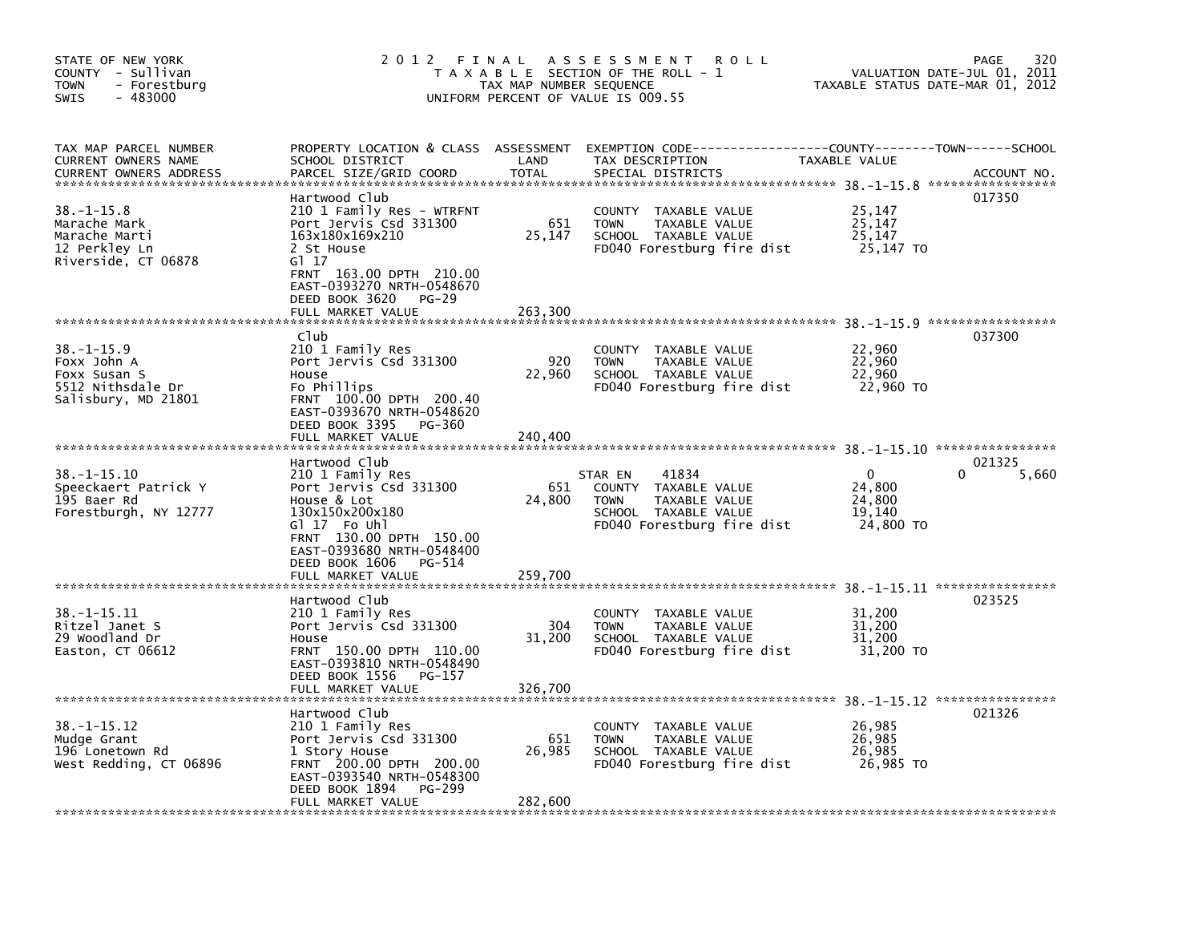| STATE OF NEW YORK<br>COUNTY - Sullivan<br><b>TOWN</b><br>- Forestburg<br>$-483000$<br>SWIS  | 2 0 1 2                                                                                                                                                                                                                | FINAL<br>TAX MAP NUMBER SEQUENCE | A S S E S S M E N T<br>ROLL<br>T A X A B L E SECTION OF THE ROLL - 1<br>UNIFORM PERCENT OF VALUE IS 009.55                               | VALUATION DATE-JUL 01,<br>TAXABLE STATUS DATE-MAR 01, 2012                | 320<br><b>PAGE</b><br>2011 |
|---------------------------------------------------------------------------------------------|------------------------------------------------------------------------------------------------------------------------------------------------------------------------------------------------------------------------|----------------------------------|------------------------------------------------------------------------------------------------------------------------------------------|---------------------------------------------------------------------------|----------------------------|
| TAX MAP PARCEL NUMBER<br>CURRENT OWNERS NAME<br><b>CURRENT OWNERS ADDRESS</b>               | SCHOOL DISTRICT<br>PARCEL SIZE/GRID COORD                                                                                                                                                                              | LAND<br><b>TOTAL</b>             | PROPERTY LOCATION & CLASS ASSESSMENT EXEMPTION CODE----------------COUNTY-------TOWN------SCHOOL<br>TAX DESCRIPTION<br>SPECIAL DISTRICTS | <b>TAXABLE VALUE</b>                                                      | ACCOUNT NO.                |
| $38. - 1 - 15.8$<br>Marache Mark<br>Marache Marti<br>12 Perkley Ln<br>Riverside, CT 06878   | Hartwood Club<br>210 1 Family Res - WTRFNT<br>Port Jervis Csd 331300<br>163x180x169x210<br>2 St House<br>G1 17<br>FRNT 163.00 DPTH 210.00<br>EAST-0393270 NRTH-0548670<br>DEED BOOK 3620<br>PG-29                      | 651<br>25,147                    | COUNTY TAXABLE VALUE<br>TAXABLE VALUE<br><b>TOWN</b><br>SCHOOL TAXABLE VALUE<br>FD040 Forestburg fire dist                               | 25,147<br>25,147<br>25,147<br>25,147 TO                                   | 017350                     |
|                                                                                             | FULL MARKET VALUE                                                                                                                                                                                                      | 263,300                          |                                                                                                                                          |                                                                           |                            |
| $38. - 1 - 15.9$<br>Foxx John A<br>Foxx Susan S<br>5512 Nithsdale Dr<br>Salisbury, MD 21801 | Club<br>210 1 Family Res<br>Port Jervis Csd 331300<br>House<br>Fo Phillips<br>FRNT 100.00 DPTH 200.40<br>EAST-0393670 NRTH-0548620<br>DEED BOOK 3395<br>PG-360<br>FULL MARKET VALUE                                    | 920<br>22,960<br>240,400         | COUNTY TAXABLE VALUE<br>TAXABLE VALUE<br><b>TOWN</b><br>SCHOOL TAXABLE VALUE<br>FD040 Forestburg fire dist                               | 22,960<br>22,960<br>22,960<br>22,960 TO                                   | 037300                     |
|                                                                                             |                                                                                                                                                                                                                        |                                  |                                                                                                                                          |                                                                           |                            |
| $38. -1 - 15.10$<br>Speeckaert Patrick Y<br>195 Baer Rd<br>Forestburgh, NY 12777            | Hartwood Club<br>210 1 Family Res<br>Port Jervis Csd 331300<br>House & Lot<br>130x150x200x180<br>GI 17 Fo Uhl<br>FRNT 130.00 DPTH 150.00<br>EAST-0393680 NRTH-0548400<br>DEED BOOK 1606<br>PG-514<br>FULL MARKET VALUE | 651<br>24,800                    | 41834<br>STAR EN<br>COUNTY<br>TAXABLE VALUE<br>TAXABLE VALUE<br><b>TOWN</b><br>SCHOOL TAXABLE VALUE<br>FD040 Forestburg fire dist        | $\Omega$<br>24,800<br>24,800<br>19,140<br>24,800 TO                       | 021325<br>5,660            |
|                                                                                             |                                                                                                                                                                                                                        | 259,700                          |                                                                                                                                          | 38. -1-15. 11 *****************                                           |                            |
| 38. -1-15.11<br>Ritzel Janet S<br>29 Woodland Dr<br>Easton, CT 06612                        | Hartwood Club<br>210 1 Family Res<br>Port Jervis Csd 331300<br>House<br>FRNT 150.00 DPTH 110.00<br>EAST-0393810 NRTH-0548490                                                                                           | 304<br>31,200                    | TAXABLE VALUE<br>COUNTY<br><b>TOWN</b><br>TAXABLE VALUE<br>SCHOOL TAXABLE VALUE<br>FD040 Forestburg fire dist                            | 31,200<br>31,200<br>31,200<br>31,200 TO                                   | 023525                     |
|                                                                                             | DEED BOOK 1556<br>PG-157<br>FULL MARKET VALUE                                                                                                                                                                          | 326,700                          |                                                                                                                                          |                                                                           |                            |
| $38. -1 - 15.12$<br>Mudge Grant<br>196 Lonetown Rd<br>West Redding, CT 06896                | Hartwood Club<br>210 1 Family Res<br>Port Jervis Csd 331300<br>1 Story House<br>FRNT 200.00 DPTH 200.00<br>EAST-0393540 NRTH-0548300<br>DEED BOOK 1894<br>PG-299<br>FULL MARKET VALUE                                  | 651<br>26,985<br>282,600         | COUNTY<br>TAXABLE VALUE<br>TAXABLE VALUE<br><b>TOWN</b><br>SCHOOL TAXABLE VALUE<br>FD040 Forestburg fire dist                            | 38. -1-15.12 *****************<br>26,985<br>26,985<br>26,985<br>26,985 TO | 021326                     |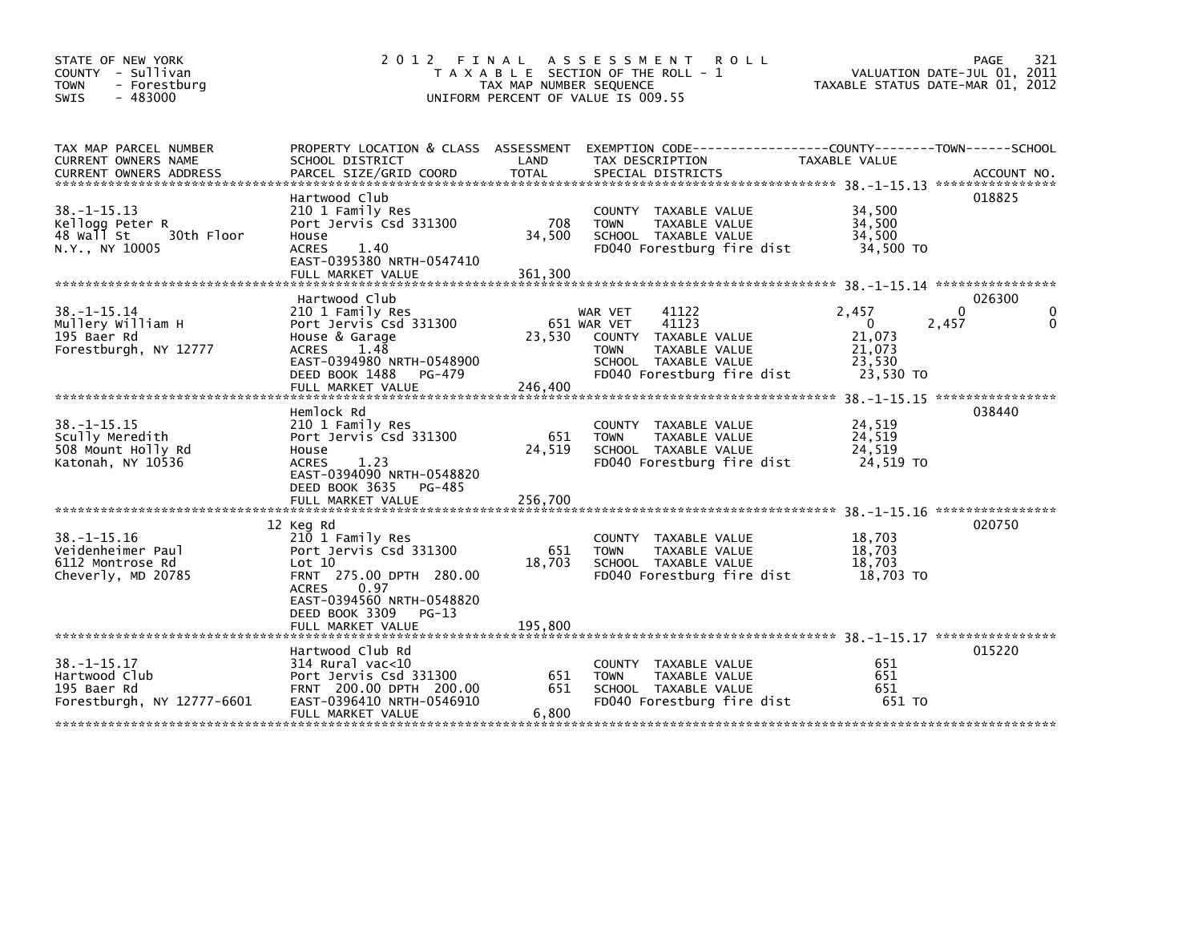| STATE OF NEW YORK<br>COUNTY - Sullivan<br>- Forestburg<br><b>TOWN</b><br>$-483000$<br><b>SWIS</b>       | 2 0 1 2<br>FINAL                                                                                                                                                                                  | TAX MAP NUMBER SEQUENCE  | A S S E S S M E N T<br><b>ROLL</b><br>T A X A B L E SECTION OF THE ROLL - 1<br>UNIFORM PERCENT OF VALUE IS 009.55                                      | VALUATION DATE-JUL 01, 2011<br>TAXABLE STATUS DATE-MAR 01, 2012           | 321<br>PAGE             |
|---------------------------------------------------------------------------------------------------------|---------------------------------------------------------------------------------------------------------------------------------------------------------------------------------------------------|--------------------------|--------------------------------------------------------------------------------------------------------------------------------------------------------|---------------------------------------------------------------------------|-------------------------|
| TAX MAP PARCEL NUMBER<br>CURRENT OWNERS NAME<br>CURRENT OWNERS ADDRESS<br>***************************** | PROPERTY LOCATION & CLASS ASSESSMENT<br>SCHOOL DISTRICT<br>PARCEL SIZE/GRID COORD                                                                                                                 | LAND<br><b>TOTAL</b>     | TAX DESCRIPTION<br>SPECIAL DISTRICTS                                                                                                                   | TAXABLE VALUE                                                             | ACCOUNT NO.             |
| $38. -1 - 15.13$<br>Kellogg Peter R<br>48 Wall St<br>30th Floor<br>N.Y., NY 10005                       | Hartwood Club<br>210 1 Family Res<br>Port Jervis Csd 331300<br>House<br><b>ACRES</b><br>1.40<br>EAST-0395380 NRTH-0547410<br>FULL MARKET VALUE                                                    | 708<br>34,500<br>361,300 | COUNTY TAXABLE VALUE<br><b>TOWN</b><br>TAXABLE VALUE<br>SCHOOL TAXABLE VALUE<br>FD040 Forestburg fire dist                                             | 34,500<br>34,500<br>34.500<br>34,500 TO                                   | 018825                  |
| $38. - 1 - 15.14$<br>Mullery William H<br>195 Baer Rd<br>Forestburgh, NY 12777                          | Hartwood Club<br>210 1 Family Res<br>Port Jervis Csd 331300<br>House & Garage<br><b>ACRES</b><br>1.48<br>EAST-0394980 NRTH-0548900<br>DEED BOOK 1488<br>PG-479<br>FULL MARKET VALUE               | 23,530<br>246,400        | 41122<br>WAR VET<br>41123<br>651 WAR VET<br>COUNTY TAXABLE VALUE<br>TAXABLE VALUE<br><b>TOWN</b><br>SCHOOL TAXABLE VALUE<br>FD040 Forestburg fire dist | 2,457<br>$\mathbf{0}$<br>2,457<br>21,073<br>21,073<br>23,530<br>23,530 TO | 026300<br>0<br>$\Omega$ |
| $38. -1 - 15.15$<br>Scully Meredith<br>508 Mount Holly Rd<br>Katonah, NY 10536                          | Hemlock Rd<br>210 1 Family Res<br>Port Jervis Csd 331300<br>House<br>1.23<br><b>ACRES</b><br>EAST-0394090 NRTH-0548820<br>DEED BOOK 3635<br>PG-485                                                | 651<br>24,519            | COUNTY TAXABLE VALUE<br>TAXABLE VALUE<br><b>TOWN</b><br>SCHOOL TAXABLE VALUE<br>FD040 Forestburg fire dist                                             | 38. -1-15.15 *****************<br>24,519<br>24,519<br>24,519<br>24,519 TO | 038440                  |
| $38. - 1 - 15.16$<br>Veidenheimer Paul<br>6112 Montrose Rd<br>Cheverly, MD 20785                        | 12 Keg Rd<br>210 1 Family Res<br>Port Jervis Csd 331300<br>Lot 10<br>FRNT 275.00 DPTH 280.00<br><b>ACRES</b><br>0.97<br>EAST-0394560 NRTH-0548820<br>DEED BOOK 3309<br>PG-13<br>FULL MARKET VALUE | 651<br>18,703<br>195,800 | COUNTY TAXABLE VALUE<br><b>TOWN</b><br>TAXABLE VALUE<br>SCHOOL TAXABLE VALUE<br>FD040 Forestburg fire dist                                             | 18,703<br>18,703<br>18.703<br>18,703 TO                                   | 020750                  |
| $38. - 1 - 15.17$<br>Hartwood Club<br>195 Baer Rd<br>Forestburgh, NY 12777-6601                         | Hartwood Club Rd<br>314 Rural vac<10<br>Port Jervis Csd 331300<br>FRNT 200.00 DPTH 200.00<br>EAST-0396410 NRTH-0546910<br>FULL MARKET VALUE                                                       | 651<br>651<br>6,800      | COUNTY TAXABLE VALUE<br><b>TOWN</b><br><b>TAXABLE VALUE</b><br>SCHOOL TAXABLE VALUE<br>FD040 Forestburg fire dist                                      | 651<br>651<br>651<br>651 TO                                               | 015220                  |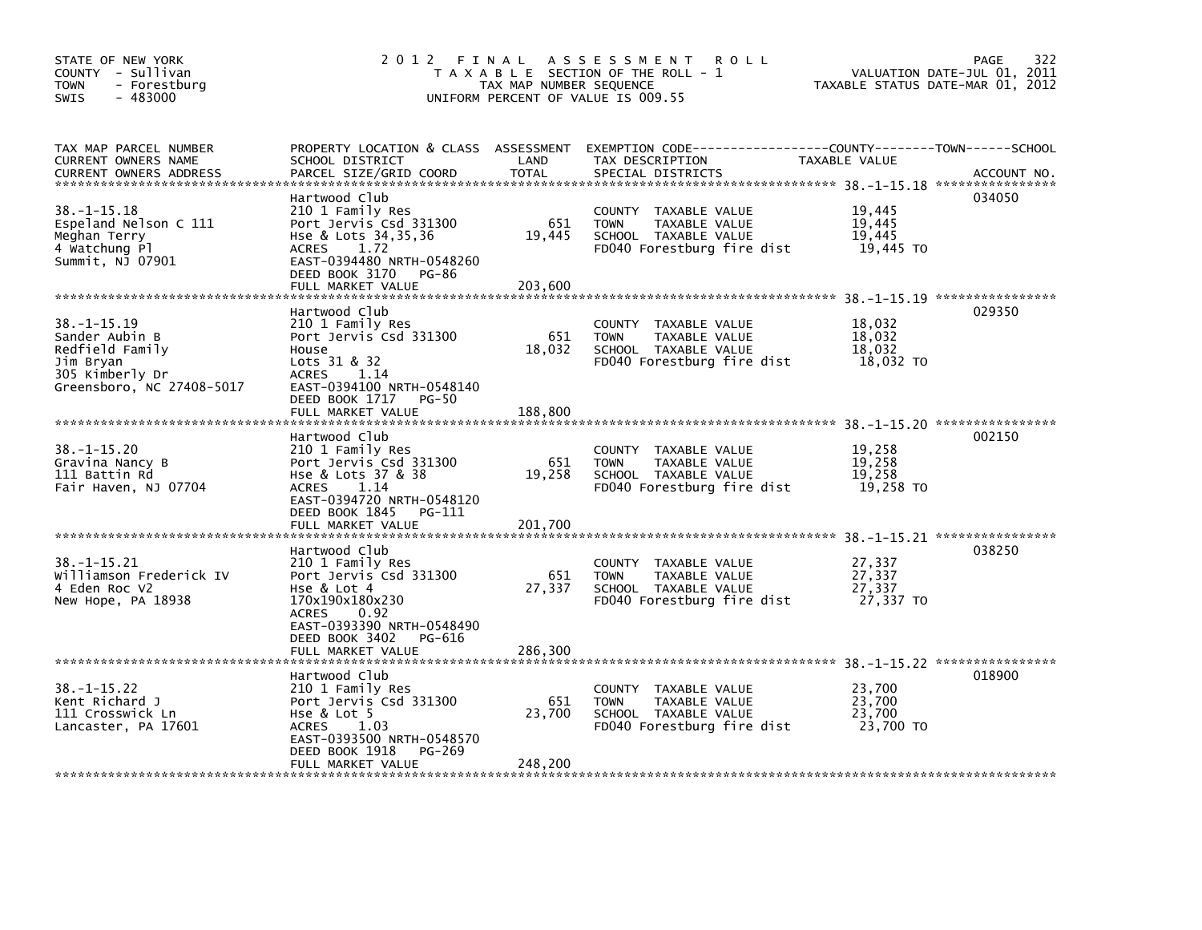| STATE OF NEW YORK<br>COUNTY - Sullivan<br><b>TOWN</b><br>- Forestburg<br>$-483000$<br><b>SWIS</b>              | 2012 FINAL                                                                                                                                                                              | TAX MAP NUMBER SEQUENCE  | A S S E S S M E N T<br><b>ROLL</b><br>T A X A B L E SECTION OF THE ROLL - 1<br>UNIFORM PERCENT OF VALUE IS 009.55 | VALUATION DATE-JUL 01, 2011<br>TAXABLE STATUS DATE-MAR 01, 2012 | 322<br><b>PAGE</b> |
|----------------------------------------------------------------------------------------------------------------|-----------------------------------------------------------------------------------------------------------------------------------------------------------------------------------------|--------------------------|-------------------------------------------------------------------------------------------------------------------|-----------------------------------------------------------------|--------------------|
| TAX MAP PARCEL NUMBER<br>CURRENT OWNERS NAME<br><b>CURRENT OWNERS ADDRESS</b>                                  | PROPERTY LOCATION & CLASS ASSESSMENT<br>SCHOOL DISTRICT<br>PARCEL SIZE/GRID COORD                                                                                                       | LAND<br><b>TOTAL</b>     | EXEMPTION CODE-----------------COUNTY-------TOWN------SCHOOL<br>TAX DESCRIPTION<br>SPECIAL DISTRICTS              | TAXABLE VALUE                                                   | ACCOUNT NO.        |
| $38. -1 - 15.18$<br>Espeland Nelson C 111<br>Meghan Terry<br>4 Watchung Pl<br>Summit, NJ 07901                 | Hartwood Club<br>210 1 Family Res<br>Port Jervis Csd 331300<br>Hse & Lots 34,35,36<br>1.72<br><b>ACRES</b><br>EAST-0394480 NRTH-0548260<br>DEED BOOK 3170<br>PG-86<br>FULL MARKET VALUE | 651<br>19,445<br>203.600 | COUNTY TAXABLE VALUE<br><b>TOWN</b><br>TAXABLE VALUE<br>SCHOOL TAXABLE VALUE<br>FD040 Forestburg fire dist        | 19,445<br>19,445<br>19,445<br>19,445 TO                         | 034050             |
| 38. -1-15.19<br>Sander Aubin B<br>Redfield Family<br>Jim Bryan<br>305 Kimberly Dr<br>Greensboro, NC 27408-5017 | Hartwood Club<br>210 1 Family Res<br>Port Jervis Csd 331300<br>House<br>Lots $31 & 8 & 32$<br><b>ACRES</b><br>1.14<br>EAST-0394100 NRTH-0548140<br>DEED BOOK 1717<br>PG-50              | 651<br>18,032            | COUNTY TAXABLE VALUE<br><b>TOWN</b><br>TAXABLE VALUE<br>SCHOOL TAXABLE VALUE<br>FD040 Forestburg fire dist        | 18,032<br>18,032<br>18,032<br>18,032 TO                         | 029350             |
|                                                                                                                | FULL MARKET VALUE                                                                                                                                                                       | 188,800                  |                                                                                                                   |                                                                 |                    |
| $38. - 1 - 15.20$<br>Gravina Nancy B<br>111 Battin Rd<br>Fair Haven, NJ 07704                                  | Hartwood Club<br>210 1 Family Res<br>Port Jervis Csd 331300<br>Hse & Lots 37 & 38<br><b>ACRES</b><br>1.14<br>EAST-0394720 NRTH-0548120<br>DEED BOOK 1845<br>PG-111<br>FULL MARKET VALUE | 651<br>19,258<br>201,700 | COUNTY TAXABLE VALUE<br><b>TAXABLE VALUE</b><br><b>TOWN</b><br>SCHOOL TAXABLE VALUE<br>FD040 Forestburg fire dist | 19,258<br>19.258<br>19,258<br>19,258 TO                         | 002150             |
|                                                                                                                | Hartwood Club                                                                                                                                                                           |                          |                                                                                                                   | 38. -1-15.21 *****************                                  | 038250             |
| $38. -1 - 15.21$<br>Williamson Frederick IV<br>4 Eden Roc V2<br>New Hope, PA 18938                             | 210 1 Family Res<br>Port Jervis Csd 331300<br>Hse & Lot 4<br>170x190x180x230<br><b>ACRES</b><br>0.92                                                                                    | 651<br>27,337            | COUNTY TAXABLE VALUE<br><b>TAXABLE VALUE</b><br><b>TOWN</b><br>SCHOOL TAXABLE VALUE<br>FD040 Forestburg fire dist | 27,337<br>27,337<br>27,337<br>27,337 TO                         |                    |
|                                                                                                                | EAST-0393390 NRTH-0548490<br>DEED BOOK 3402<br>PG-616<br>FULL MARKET VALUE                                                                                                              | 286,300                  |                                                                                                                   |                                                                 |                    |
| $38. - 1 - 15.22$<br>Kent Richard J<br>111 Crosswick Ln<br>Lancaster, PA 17601                                 | Hartwood Club<br>210 1 Family Res<br>Port Jervis Csd 331300<br>Hse & Lot 5<br><b>ACRES</b><br>1.03<br>EAST-0393500 NRTH-0548570<br>DEED BOOK 1918<br>PG-269<br>FULL MARKET VALUE        | 651<br>23,700<br>248,200 | COUNTY TAXABLE VALUE<br><b>TOWN</b><br>TAXABLE VALUE<br>SCHOOL TAXABLE VALUE<br>FD040 Forestburg fire dist        | 23,700<br>23,700<br>23,700<br>23,700 TO                         | 018900             |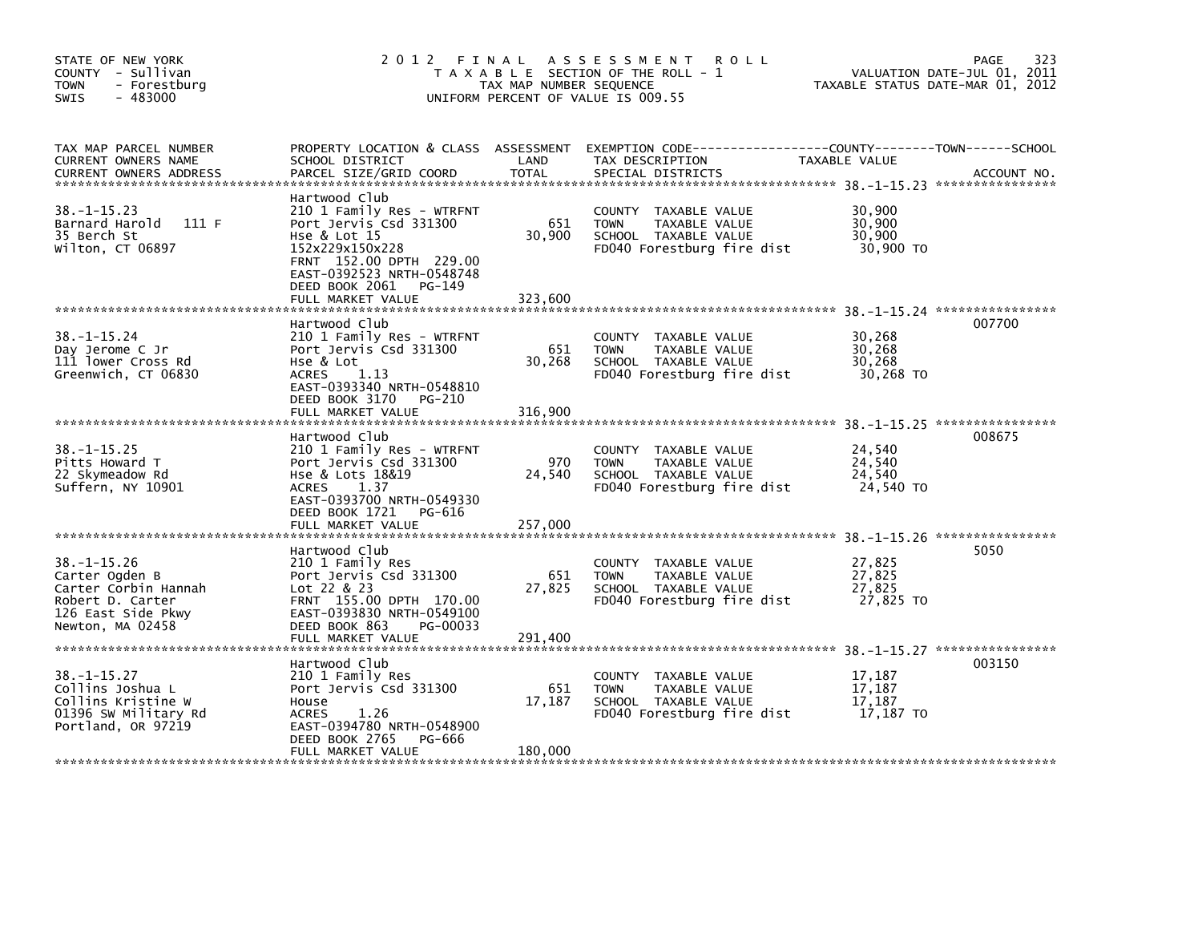| STATE OF NEW YORK<br>COUNTY - Sullivan<br><b>TOWN</b><br>- Forestburg<br>$-483000$<br><b>SWIS</b>                         | 2012 FINAL                                                                                                                                                                                                       | TAX MAP NUMBER SEQUENCE  | A S S E S S M E N T<br>R O L L<br>T A X A B L E SECTION OF THE ROLL - 1<br>UNIFORM PERCENT OF VALUE IS 009.55 |                                         | 323<br>PAGE<br>VALUATION DATE-JUL 01, 2011<br>TAXABLE STATUS DATE-MAR 01, 2012 |
|---------------------------------------------------------------------------------------------------------------------------|------------------------------------------------------------------------------------------------------------------------------------------------------------------------------------------------------------------|--------------------------|---------------------------------------------------------------------------------------------------------------|-----------------------------------------|--------------------------------------------------------------------------------|
| TAX MAP PARCEL NUMBER<br>CURRENT OWNERS NAME<br><b>CURRENT OWNERS ADDRESS</b>                                             | PROPERTY LOCATION & CLASS ASSESSMENT<br>SCHOOL DISTRICT<br>PARCEL SIZE/GRID COORD                                                                                                                                | LAND<br><b>TOTAL</b>     | EXEMPTION CODE-----------------COUNTY-------TOWN------SCHOOL<br>TAX DESCRIPTION<br>SPECIAL DISTRICTS          | TAXABLE VALUE                           | ACCOUNT NO.                                                                    |
| $38. -1 - 15.23$<br>Barnard Harold<br>111F<br>35 Berch St<br>Wilton, CT 06897                                             | Hartwood Club<br>210 1 Family Res - WTRFNT<br>Port Jervis Csd 331300<br>Hse & Lot 15<br>152x229x150x228<br>FRNT 152.00 DPTH 229.00<br>EAST-0392523 NRTH-0548748<br>DEED BOOK 2061<br>PG-149<br>FULL MARKET VALUE | 651<br>30,900<br>323,600 | COUNTY TAXABLE VALUE<br>TAXABLE VALUE<br><b>TOWN</b><br>SCHOOL TAXABLE VALUE<br>FD040 Forestburg fire dist    | 30,900<br>30,900<br>30,900<br>30,900 TO |                                                                                |
| $38. - 1 - 15.24$<br>Day Jerome C Jr<br>111 lower Cross Rd<br>Greenwich, CT 06830                                         | Hartwood Club<br>210 1 Family Res - WTRFNT<br>Port Jervis Csd 331300<br>Hse & Lot<br>ACRES<br>1.13<br>EAST-0393340 NRTH-0548810<br>DEED BOOK 3170 PG-210<br>FULL MARKET VALUE                                    | 651<br>30,268<br>316,900 | COUNTY TAXABLE VALUE<br><b>TOWN</b><br>TAXABLE VALUE<br>SCHOOL TAXABLE VALUE<br>FD040 Forestburg fire dist    | 30,268<br>30,268<br>30,268<br>30,268 TO | 007700                                                                         |
| $38. - 1 - 15.25$<br>Pitts Howard T<br>22 Skymeadow Rd<br>Suffern, NY 10901                                               | Hartwood Club<br>210 1 Family Res - WTRFNT<br>Port Jervis Csd 331300<br>Hse & Lots 18&19<br>1.37<br><b>ACRES</b><br>EAST-0393700 NRTH-0549330<br>DEED BOOK 1721<br>PG-616<br>FULL MARKET VALUE                   | 970<br>24,540<br>257,000 | COUNTY TAXABLE VALUE<br>TAXABLE VALUE<br><b>TOWN</b><br>SCHOOL TAXABLE VALUE<br>FD040 Forestburg fire dist    | 24,540<br>24,540<br>24.540<br>24,540 TO | 008675                                                                         |
| $38. - 1 - 15.26$<br>Carter Ogden B<br>Carter Corbin Hannah<br>Robert D. Carter<br>126 East Side Pkwy<br>Newton, MA 02458 | Hartwood Club<br>210 1 Family Res<br>Port Jervis Csd 331300<br>Lot 22 & 23<br>FRNT 155.00 DPTH 170.00<br>EAST-0393830 NRTH-0549100<br>DEED BOOK 863<br>PG-00033<br>FULL MARKET VALUE                             | 651<br>27,825<br>291,400 | COUNTY TAXABLE VALUE<br>TAXABLE VALUE<br><b>TOWN</b><br>SCHOOL TAXABLE VALUE<br>FD040 Forestburg fire dist    | 27,825<br>27,825<br>27,825<br>27,825 TO | 5050                                                                           |
| $38. - 1 - 15.27$<br>Collins Joshua L<br>Collins Kristine W<br>01396 SW Military Rd<br>Portland, OR 97219                 | Hartwood Club<br>210 1 Family Res<br>Port Jervis Csd 331300<br>House<br>1.26<br><b>ACRES</b><br>EAST-0394780 NRTH-0548900<br>DEED BOOK 2765<br>PG-666<br>FULL MARKET VALUE                                       | 651<br>17,187<br>180,000 | COUNTY TAXABLE VALUE<br><b>TOWN</b><br>TAXABLE VALUE<br>SCHOOL TAXABLE VALUE<br>FD040 Forestburg fire dist    | 17,187<br>17,187<br>17,187<br>17,187 TO | 003150                                                                         |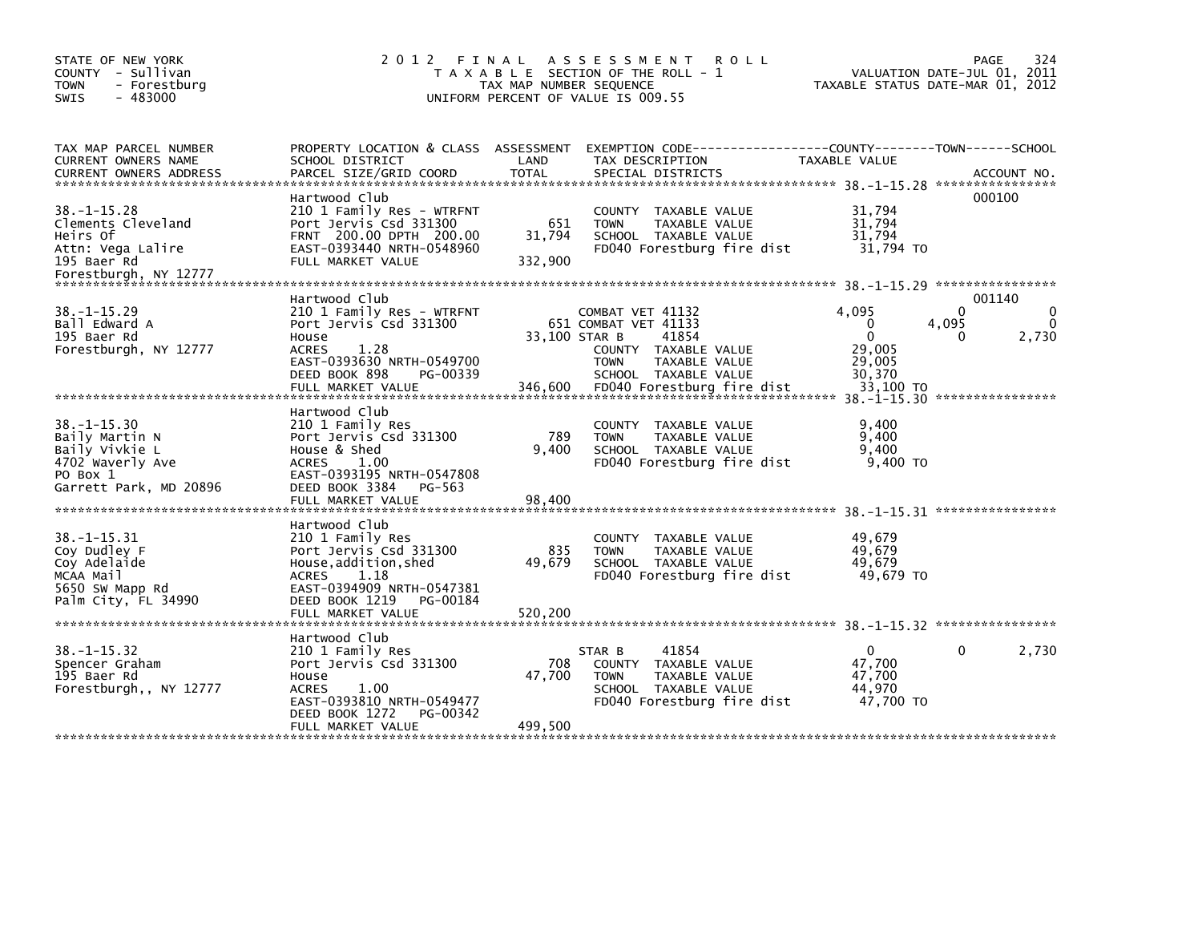| STATE OF NEW YORK<br>COUNTY - Sullivan<br>- Forestburg<br><b>TOWN</b><br>$-483000$<br>SWIS                       | 2 0 1 2                                                                                                                                                                                      | FINAL<br>TAX MAP NUMBER SEQUENCE | A S S E S S M E N T<br><b>ROLL</b><br>T A X A B L E SECTION OF THE ROLL - 1<br>UNIFORM PERCENT OF VALUE IS 009.55                                               | TAXABLE STATUS DATE-MAR 01, 2012                                             | 324<br>PAGE<br>VALUATION DATE-JUL 01, 2011                        |
|------------------------------------------------------------------------------------------------------------------|----------------------------------------------------------------------------------------------------------------------------------------------------------------------------------------------|----------------------------------|-----------------------------------------------------------------------------------------------------------------------------------------------------------------|------------------------------------------------------------------------------|-------------------------------------------------------------------|
| TAX MAP PARCEL NUMBER<br>CURRENT OWNERS NAME                                                                     | PROPERTY LOCATION & CLASS ASSESSMENT<br>SCHOOL DISTRICT                                                                                                                                      | LAND                             | EXEMPTION CODE-----------<br>TAX DESCRIPTION                                                                                                                    | -------COUNTY--------TOWN------SCHOOL<br>TAXABLE VALUE                       | ACCOUNT NO.<br>****************                                   |
| $38. - 1 - 15.28$<br>Clements Cleveland<br>Heirs Of<br>Attn: Vega Lalire<br>195 Baer Rd<br>Forestburgh, NY 12777 | Hartwood Club<br>210 1 Family Res - WTRFNT<br>Port Jervis Csd 331300<br>FRNT 200.00 DPTH 200.00<br>EAST-0393440 NRTH-0548960<br>FULL MARKET VALUE                                            | 651<br>31,794<br>332,900         | COUNTY TAXABLE VALUE<br>TAXABLE VALUE<br><b>TOWN</b><br>SCHOOL TAXABLE VALUE<br>FD040 Forestburg fire dist                                                      | 31.794<br>31,794<br>31,794<br>31,794 TO                                      | 000100                                                            |
| $38. -1 - 15.29$<br>Ball Edward A<br>195 Baer Rd<br>Forestburgh, NY 12777                                        | Hartwood Club<br>210 1 Family Res - WTRFNT<br>Port Jervis Csd 331300<br>House<br><b>ACRES</b><br>1.28<br>EAST-0393630 NRTH-0549700<br>DEED BOOK 898<br>PG-00339<br>FULL MARKET VALUE         | 33,100 STAR B<br>346,600         | COMBAT VET 41132<br>651 COMBAT VET 41133<br>41854<br>COUNTY TAXABLE VALUE<br>TAXABLE VALUE<br><b>TOWN</b><br>SCHOOL TAXABLE VALUE<br>FD040 Forestburg fire dist | 4.095<br>$\Omega$<br>$\mathbf{0}$<br>29,005<br>29,005<br>30,370<br>33,100 TO | 001140<br>$\Omega$<br>$\Omega$<br>$\Omega$<br>4,095<br>2,730<br>0 |
| $38. - 1 - 15.30$<br>Baily Martin N<br>Baily Vivkie L<br>4702 Waverly Ave<br>PO Box 1<br>Garrett Park, MD 20896  | Hartwood Club<br>210 1 Family Res<br>Port Jervis Csd 331300<br>House & Shed<br><b>ACRES</b><br>1.00<br>EAST-0393195 NRTH-0547808<br>DEED BOOK 3384<br>PG-563<br>FULL MARKET VALUE            | 789<br>9.400<br>98,400           | COUNTY TAXABLE VALUE<br><b>TOWN</b><br>TAXABLE VALUE<br>SCHOOL TAXABLE VALUE<br>FD040 Forestburg fire dist                                                      | 9,400<br>9,400<br>9.400<br>9.400 TO                                          |                                                                   |
| $38. - 1 - 15.31$<br>Coy Dudley F<br>Coy Adelaide<br>MCAA Mail<br>5650 SW Mapp Rd<br>Palm City, FL 34990         | Hartwood Club<br>210 1 Family Res<br>Port Jervis Csd 331300<br>House, addition, shed<br><b>ACRES</b><br>1.18<br>EAST-0394909 NRTH-0547381<br>DEED BOOK 1219<br>PG-00184<br>FULL MARKET VALUE | 835<br>49,679<br>520,200         | COUNTY TAXABLE VALUE<br><b>TAXABLE VALUE</b><br><b>TOWN</b><br>SCHOOL TAXABLE VALUE<br>FD040 Forestburg fire dist                                               | 49,679<br>49.679<br>49,679<br>49,679 TO                                      |                                                                   |
| $38. - 1 - 15.32$<br>Spencer Graham<br>195 Baer Rd<br>Forestburgh,, NY 12777                                     | Hartwood Club<br>210 1 Family Res<br>Port Jervis Csd 331300<br>House<br><b>ACRES</b><br>1.00<br>EAST-0393810 NRTH-0549477<br>DEED BOOK 1272<br>PG-00342<br>FULL MARKET VALUE                 | 708<br>47,700<br>499,500         | 41854<br>STAR B<br>COUNTY TAXABLE VALUE<br>TAXABLE VALUE<br><b>TOWN</b><br>SCHOOL TAXABLE VALUE<br>FD040 Forestburg fire dist                                   | $\mathbf{0}$<br>47.700<br>47,700<br>44,970<br>47,700 TO                      | 0<br>2,730                                                        |
|                                                                                                                  |                                                                                                                                                                                              |                                  |                                                                                                                                                                 |                                                                              |                                                                   |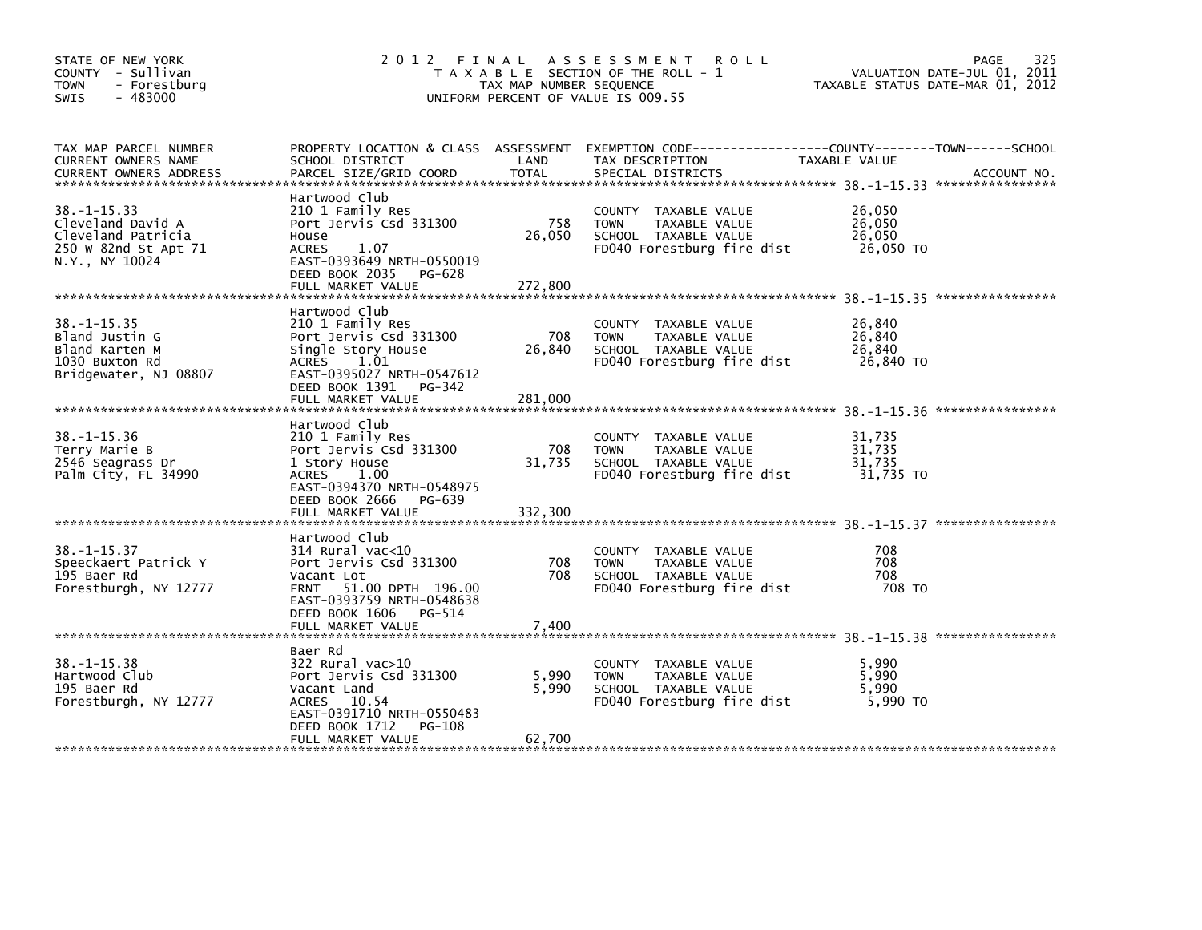| STATE OF NEW YORK<br>COUNTY - Sullivan<br><b>TOWN</b><br>- Forestburg<br>- 483000<br><b>SWIS</b>       | 2012 FINAL ASSESSMENT ROLL                                                                                                                                                          | T A X A B L E SECTION OF THE ROLL - 1<br>TAX MAP NUMBER SEQUENCE<br>UNIFORM PERCENT OF VALUE IS 009.55 | TAXABLE STATUS DATE-MAR 01, 2012                                                                                                          | PAGE<br>325<br>VALUATION DATE-JUL 01, 2011 |             |
|--------------------------------------------------------------------------------------------------------|-------------------------------------------------------------------------------------------------------------------------------------------------------------------------------------|--------------------------------------------------------------------------------------------------------|-------------------------------------------------------------------------------------------------------------------------------------------|--------------------------------------------|-------------|
| TAX MAP PARCEL NUMBER<br>CURRENT OWNERS NAME<br><b>CURRENT OWNERS ADDRESS</b>                          | SCHOOL DISTRICT<br>PARCEL SIZE/GRID COORD                                                                                                                                           | LAND<br><b>TOTAL</b>                                                                                   | PROPERTY LOCATION & CLASS ASSESSMENT EXEMPTION CODE-----------------COUNTY-------TOWN------SCHOOL<br>TAX DESCRIPTION<br>SPECIAL DISTRICTS | TAXABLE VALUE                              | ACCOUNT NO. |
| $38. - 1 - 15.33$<br>Cleveland David A<br>Cleveland Patricia<br>250 W 82nd St Apt 71<br>N.Y., NY 10024 | Hartwood Club<br>210 1 Family Res<br>Port Jervis Csd 331300<br>House<br>1.07<br><b>ACRES</b><br>EAST-0393649 NRTH-0550019<br>DEED BOOK 2035<br>PG-628<br>FULL MARKET VALUE          | 758<br>26,050<br>272,800                                                                               | COUNTY TAXABLE VALUE<br><b>TOWN</b><br>TAXABLE VALUE<br>SCHOOL TAXABLE VALUE<br>FD040 Forestburg fire dist                                | 26,050<br>26,050<br>26,050<br>26,050 TO    |             |
| $38. - 1 - 15.35$<br>Bland Justin G<br>Bland Karten M<br>1030 Buxton Rd<br>Bridgewater, NJ 08807       | Hartwood Club<br>210 1 Family Res<br>Port Jervis Csd 331300<br>Single Story House<br>ACRES 1.01<br>EAST-0395027 NRTH-0547612<br>DEED BOOK 1391 PG-342<br>FULL MARKET VALUE          | 708<br>26,840<br>281,000                                                                               | COUNTY TAXABLE VALUE<br><b>TOWN</b><br>TAXABLE VALUE<br>SCHOOL TAXABLE VALUE<br>FD040 Forestburg fire dist                                | 26,840<br>26,840<br>26,840<br>26,840 TO    |             |
| $38. - 1 - 15.36$<br>Terry Marie B<br>2546 Seagrass Dr<br>Palm City, FL 34990                          | Hartwood Club<br>210 1 Family Res<br>Port Jervis Csd 331300<br>1 Story House<br>ACRES 1.00<br>EAST-0394370 NRTH-0548975<br>DEED BOOK 2666<br>PG-639<br>FULL MARKET VALUE            | 708<br>31,735<br>332,300                                                                               | COUNTY TAXABLE VALUE<br><b>TOWN</b><br>TAXABLE VALUE<br>SCHOOL TAXABLE VALUE<br>FD040 Forestburg fire dist                                | 31,735<br>31.735<br>31,735<br>31,735 TO    |             |
| $38. -1 - 15.37$<br>Speeckaert Patrick Y<br>195 Baer Rd<br>Forestburgh, NY 12777                       | Hartwood Club<br>$314$ Rural vac< $10$<br>Port Jervis Csd 331300<br>Vacant Lot<br>FRNT 51.00 DPTH 196.00<br>EAST-0393759 NRTH-0548638<br>DEED BOOK 1606 PG-514<br>FULL MARKET VALUE | 708<br>708<br>7,400                                                                                    | COUNTY TAXABLE VALUE<br><b>TOWN</b><br>TAXABLE VALUE<br>SCHOOL TAXABLE VALUE<br>FD040 Forestburg fire dist                                | 708<br>708<br>708<br>708 TO                |             |
| $38. - 1 - 15.38$<br>Hartwood Club<br>195 Baer Rd<br>Forestburgh, NY 12777                             | Baer Rd<br>$322$ Rural vac $>10$<br>Port Jervis Csd 331300<br>Vacant Land<br>ACRES 10.54<br>EAST-0391710 NRTH-0550483<br>DEED BOOK 1712<br>PG-108<br>FULL MARKET VALUE              | 5,990<br>5,990<br>62,700                                                                               | COUNTY TAXABLE VALUE<br><b>TOWN</b><br>TAXABLE VALUE<br>SCHOOL TAXABLE VALUE<br>FD040 Forestburg fire dist                                | 5,990<br>5.990<br>5,990<br>5,990 TO        |             |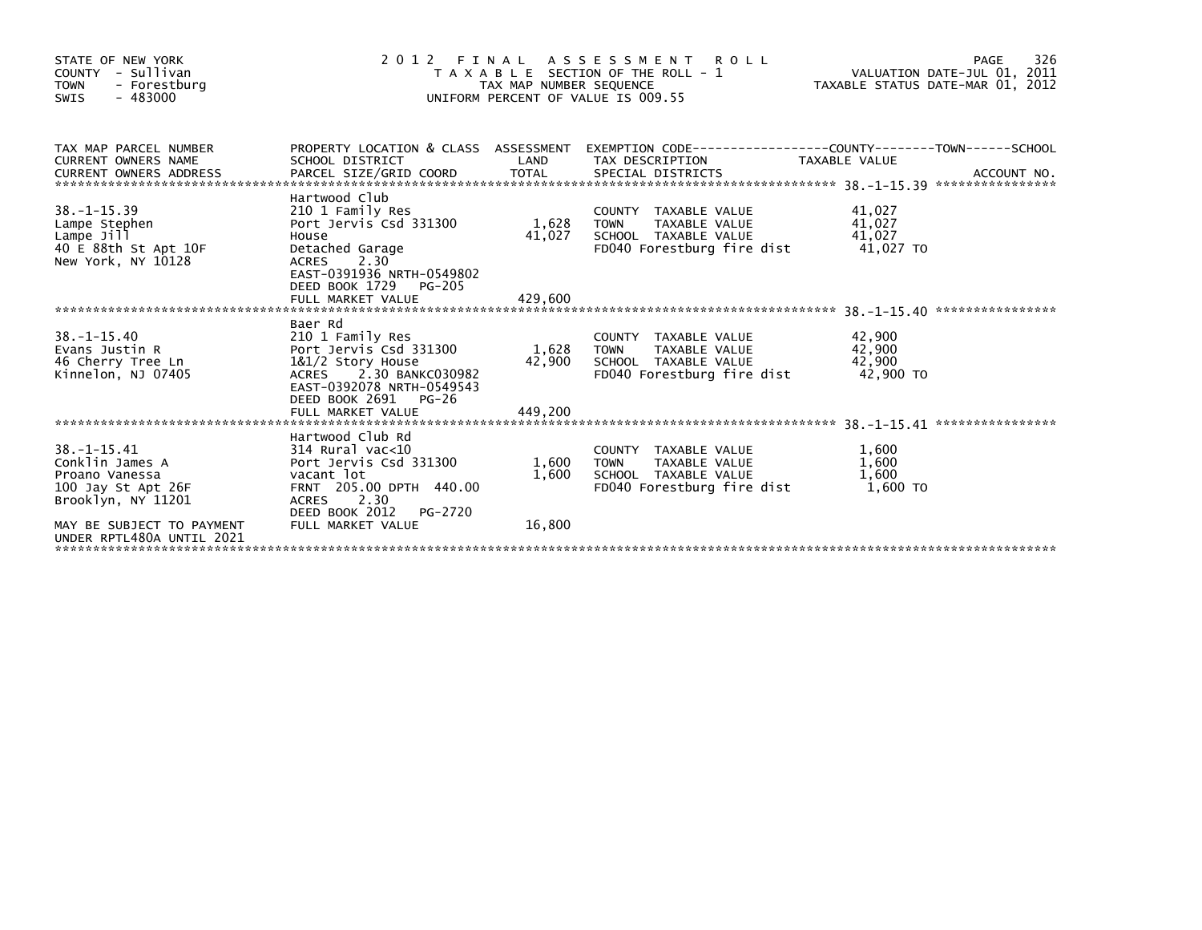| STATE OF NEW YORK<br>COUNTY - Sullivan<br><b>TOWN</b><br>- Forestburg<br>$-483000$<br>SWIS         |                                                                                                                                                                                      | TAX MAP NUMBER SEQUENCE    | 2012 FINAL ASSESSMENT<br><b>ROLL</b><br>T A X A B L E SECTION OF THE ROLL - 1<br>UNIFORM PERCENT OF VALUE IS 009.55 | VALUATION DATE-JUL 01, 2011<br>TAXABLE STATUS DATE-MAR 01, 2012 | 326<br>PAGE |
|----------------------------------------------------------------------------------------------------|--------------------------------------------------------------------------------------------------------------------------------------------------------------------------------------|----------------------------|---------------------------------------------------------------------------------------------------------------------|-----------------------------------------------------------------|-------------|
| TAX MAP PARCEL NUMBER<br>CURRENT OWNERS NAME<br><b>CURRENT OWNERS ADDRESS</b>                      | SCHOOL DISTRICT                                                                                                                                                                      | LAND                       | PROPERTY LOCATION & CLASS ASSESSMENT EXEMPTION CODE----------------COUNTY-------TOWN-----SCHOOL<br>TAX DESCRIPTION  | TAXABLE VALUE                                                   |             |
| $38. -1 - 15.39$<br>Lampe Stephen<br>Lampe Jill<br>40 E 88th St Apt 10F<br>New York, NY 10128      | Hartwood Club<br>210 1 Family Res<br>Port Jervis Csd 331300<br>House<br>Detached Garage<br>2.30<br>ACRES<br>EAST-0391936 NRTH-0549802<br>DEED BOOK 1729<br>PG-205                    | 1,628<br>41,027            | COUNTY TAXABLE VALUE<br><b>TOWN</b><br>TAXABLE VALUE<br>SCHOOL TAXABLE VALUE<br>FD040 Forestburg fire dist          | 41,027<br>41,027<br>41,027<br>41,027 TO                         |             |
|                                                                                                    |                                                                                                                                                                                      |                            |                                                                                                                     |                                                                 |             |
| $38. - 1 - 15.40$<br>Evans Justin R<br>46 Cherry Tree Ln<br>Kinnelon, NJ 07405                     | Baer Rd<br>210 1 Family Res<br>Port Jervis Csd 331300<br>1&1/2 Story House<br>ACRES<br>2.30 BANKC030982<br>EAST-0392078 NRTH-0549543<br>DEED BOOK 2691<br>PG-26<br>FULL MARKET VALUE | 1,628<br>42,900<br>449.200 | COUNTY TAXABLE VALUE<br>TAXABLE VALUE<br><b>TOWN</b><br>SCHOOL TAXABLE VALUE<br>FD040 Forestburg fire dist          | 42,900<br>42,900<br>42,900<br>42,900 TO                         |             |
|                                                                                                    |                                                                                                                                                                                      |                            |                                                                                                                     |                                                                 |             |
| $38. - 1 - 15.41$<br>Conklin James A<br>Proano Vanessa<br>100 Jay St Apt 26F<br>Brooklyn, NY 11201 | Hartwood Club Rd<br>314 Rural vac<10<br>Port Jervis Csd 331300<br>vacant lot<br>FRNT 205.00 DPTH 440.00<br><b>ACRES</b><br>2.30<br>DEED BOOK 2012<br>PG-2720                         | 1,600<br>1,600             | COUNTY TAXABLE VALUE<br>TAXABLE VALUE<br><b>TOWN</b><br>SCHOOL TAXABLE VALUE<br>FD040 Forestburg fire dist          | 1,600<br>1,600<br>1,600<br>1.600 TO                             |             |
| MAY BE SUBJECT TO PAYMENT<br>UNDER RPTL480A UNTIL 2021                                             | FULL MARKET VALUE                                                                                                                                                                    | 16,800                     |                                                                                                                     |                                                                 |             |
|                                                                                                    |                                                                                                                                                                                      |                            |                                                                                                                     |                                                                 |             |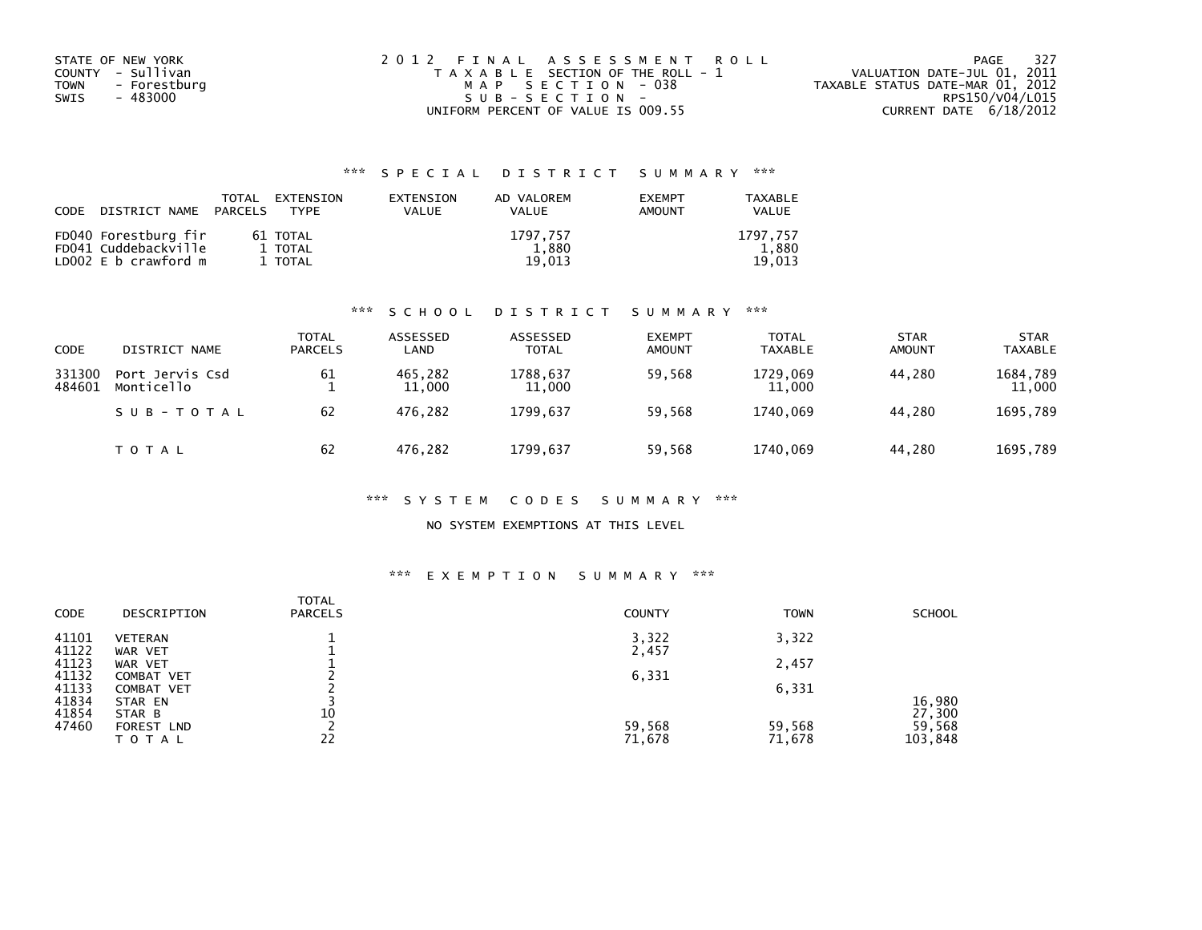| STATE OF NEW YORK    | 2012 FINAL ASSESSMENT ROLL            | - 327<br>PAGE                    |
|----------------------|---------------------------------------|----------------------------------|
| COUNTY - Sullivan    | T A X A B L E SECTION OF THE ROLL - 1 | VALUATION DATE-JUL 01, 2011      |
| TOWN<br>- Forestburg | MAP SECTION - 038                     | TAXABLE STATUS DATE-MAR 01, 2012 |
| - 483000<br>SWIS     | SUB-SECTION-                          | RPS150/V04/L015                  |
|                      | UNIFORM PERCENT OF VALUE IS 009.55    | CURRENT DATE $6/18/2012$         |

| <b>CODE</b> | DISTRICT NAME                                                        | TOTAL<br>PARCELS | EXTENSION<br><b>TYPF</b>       | EXTENSION<br>VALUE | AD VALOREM<br><b>VALUE</b>  | <b>EXEMPT</b><br><b>AMOUNT</b> | <b>TAXABLE</b><br>VALUE     |
|-------------|----------------------------------------------------------------------|------------------|--------------------------------|--------------------|-----------------------------|--------------------------------|-----------------------------|
|             | FD040 Forestburg fir<br>FD041 Cuddebackville<br>LD002 E b crawford m |                  | 61 TOTAL<br>1 TOTAL<br>1 TOTAL |                    | 1797.757<br>1,880<br>19.013 |                                | 1797.757<br>1.880<br>19.013 |

#### \*\*\* S C H O O L D I S T R I C T S U M M A R Y \*\*\*

| CODE             | DISTRICT NAME                 | <b>TOTAL</b><br><b>PARCELS</b> | ASSESSED<br>LAND  | ASSESSED<br><b>TOTAL</b> | <b>EXEMPT</b><br><b>AMOUNT</b> | <b>TOTAL</b><br><b>TAXABLE</b> | <b>STAR</b><br><b>AMOUNT</b> | <b>STAR</b><br><b>TAXABLE</b> |
|------------------|-------------------------------|--------------------------------|-------------------|--------------------------|--------------------------------|--------------------------------|------------------------------|-------------------------------|
| 331300<br>484601 | Port Jervis Csd<br>Monticello | 61                             | 465.282<br>11,000 | 1788.637<br>11,000       | 59,568                         | 1729.069<br>11,000             | 44.280                       | 1684,789<br>11,000            |
|                  | SUB-TOTAL                     | 62                             | 476.282           | 1799.637                 | 59,568                         | 1740.069                       | 44.280                       | 1695,789                      |
|                  | T O T A L                     | 62                             | 476,282           | 1799,637                 | 59,568                         | 1740,069                       | 44.280                       | 1695,789                      |

#### \*\*\* S Y S T E M C O D E S S U M M A R Y \*\*\*

### NO SYSTEM EXEMPTIONS AT THIS LEVEL

# \*\*\* E X E M P T I O N S U M M A R Y \*\*\*

| <b>CODE</b> | DESCRIPTION       | <b>TOTAL</b><br><b>PARCELS</b> | <b>COUNTY</b> | <b>TOWN</b> | <b>SCHOOL</b> |
|-------------|-------------------|--------------------------------|---------------|-------------|---------------|
| 41101       | <b>VETERAN</b>    |                                | 3,322         | 3,322       |               |
| 41122       | WAR VET           |                                | 2,457         |             |               |
| 41123       | WAR VET           |                                |               | 2,457       |               |
| 41132       | COMBAT VET        |                                | 6,331         |             |               |
| 41133       | <b>COMBAT VET</b> |                                |               | 6,331       |               |
| 41834       | STAR EN           |                                |               |             | 16,980        |
| 41854       | STAR B            | 10                             |               |             | 27,300        |
| 47460       | <b>FOREST LND</b> |                                | 59,568        | 59,568      | 59,568        |
|             | ΤΟΤΑΙ             | 22                             | 71,678        | 71,678      | 103,848       |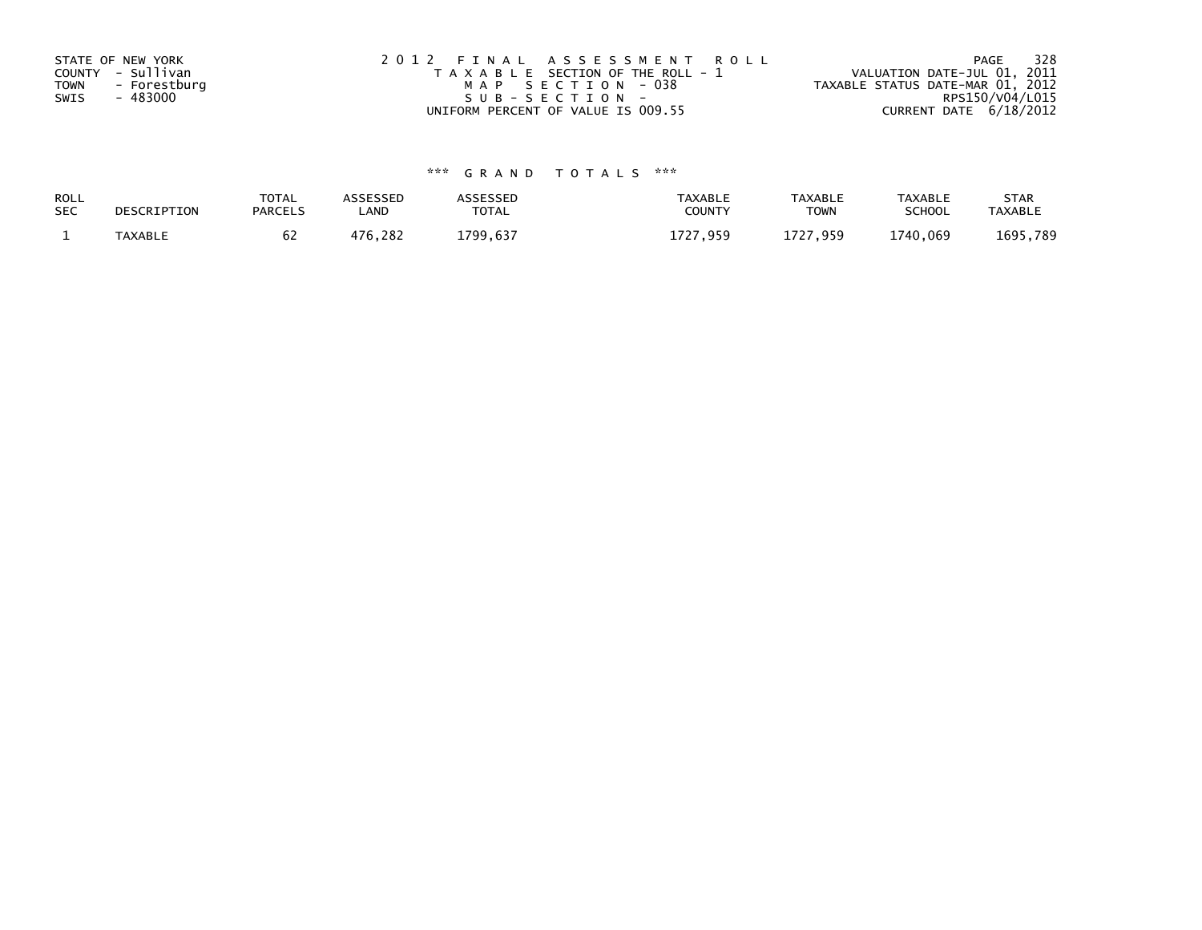| STATE OF NEW YORK           | 2012 FINAL ASSESSMENT ROLL            | - 328<br>PAGE                    |
|-----------------------------|---------------------------------------|----------------------------------|
| COUNTY - Sullivan           | T A X A B L E SECTION OF THE ROLL - 1 | VALUATION DATE-JUL 01, 2011      |
| <b>TOWN</b><br>- Forestburg | MAP SECTION - 038                     | TAXABLE STATUS DATE-MAR 01, 2012 |
| - 483000<br>SWIS            | SUB-SECTION-                          | RPS150/V04/L015                  |
|                             | UNIFORM PERCENT OF VALUE IS 009.55    | CURRENT DATE $6/18/2012$         |

| ROLL<br><b>SEC</b> | DESCRIPTION | <b>TOTAL</b><br><b>PARCELS</b> | ASSESSEP<br><b>_AND</b> | <b>\SSESSED</b><br>TOTAL | <b>TAXABLE</b><br><b>COUNT</b> | <b>TAXABLE</b><br><b>TOWN</b> | <b>TAXABLE</b><br><b>SCHOOL</b> | <b>STAR</b><br>TAXABLI |
|--------------------|-------------|--------------------------------|-------------------------|--------------------------|--------------------------------|-------------------------------|---------------------------------|------------------------|
|                    | TAYARI F    | υ۷                             | 176<br>282              | 700<br>. 637             | 1727<br>959                    | ,959                          | 1740.069                        | 1695<br>. 789          |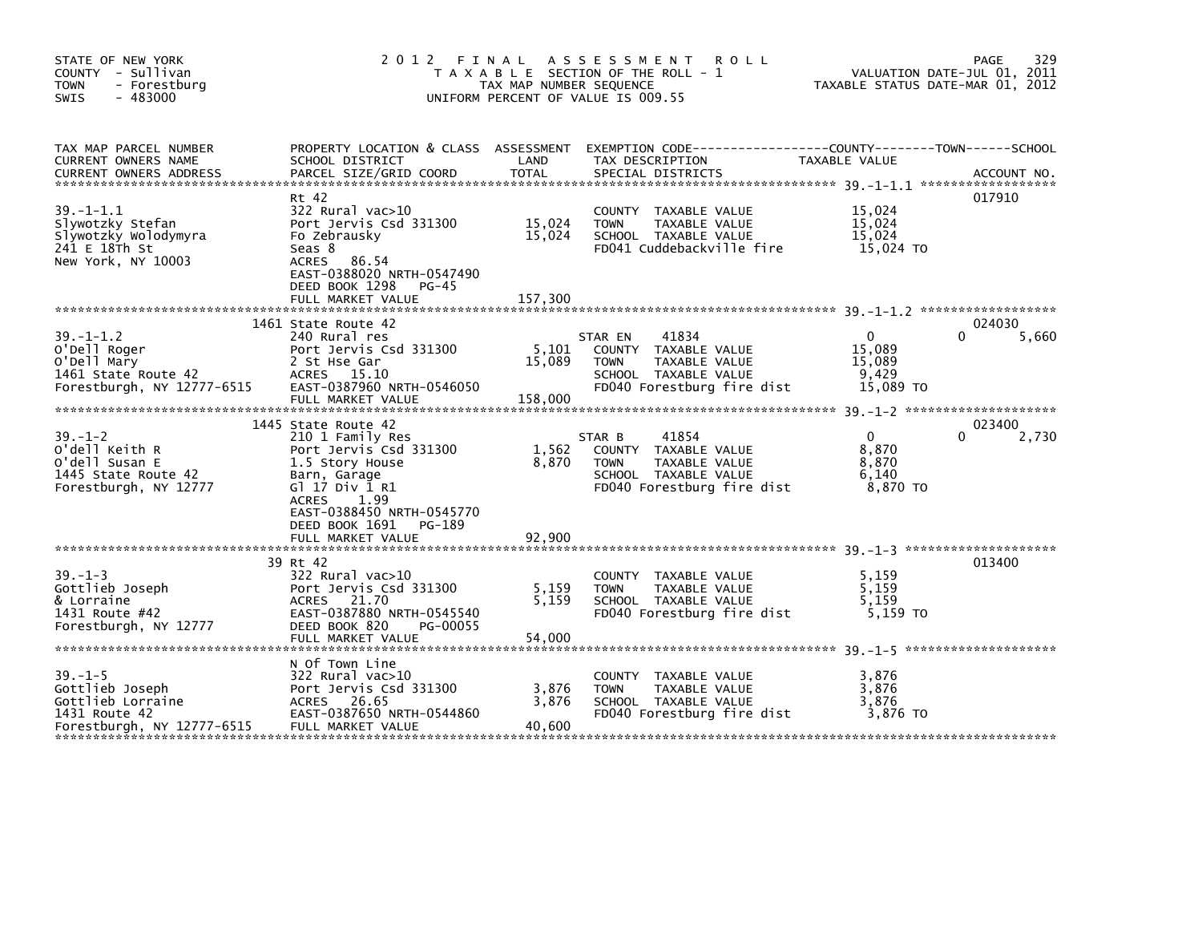| STATE OF NEW YORK<br>COUNTY - Sullivan<br><b>TOWN</b><br>- Forestburg<br>$-483000$<br><b>SWIS</b>    | 2 0 1 2                                                                                                                                                                                          | FINAL ASSESSMENT<br>T A X A B L E SECTION OF THE ROLL - 1<br>TAX MAP NUMBER SEQUENCE<br>UNIFORM PERCENT OF VALUE IS 009.55 |                        | R O L L                                                                                              |                                                        | 329<br><b>PAGE</b><br>VALUATION DATE-JUL 01, 2011<br>TAXABLE STATUS DATE-MAR 01, 2012 |
|------------------------------------------------------------------------------------------------------|--------------------------------------------------------------------------------------------------------------------------------------------------------------------------------------------------|----------------------------------------------------------------------------------------------------------------------------|------------------------|------------------------------------------------------------------------------------------------------|--------------------------------------------------------|---------------------------------------------------------------------------------------|
| TAX MAP PARCEL NUMBER<br>CURRENT OWNERS NAME<br><b>CURRENT OWNERS ADDRESS</b>                        | PROPERTY LOCATION & CLASS ASSESSMENT EXEMPTION CODE---------------COUNTY-------TOWN------SCHOOL<br>SCHOOL DISTRICT<br>PARCEL SIZE/GRID COORD                                                     | LAND<br><b>TOTAL</b>                                                                                                       | TAX DESCRIPTION        | SPECIAL DISTRICTS                                                                                    | TAXABLE VALUE                                          | ACCOUNT NO.                                                                           |
| $39. -1 - 1.1$<br>Slywotzky Stefan<br>Slywotzky Wolodymyra<br>241 E 18Th St<br>New York, NY 10003    | Rt 42<br>$322$ Rural vac $>10$<br>Port Jervis Csd 331300<br>Fo Zebrausky<br>Seas 8<br>ACRES 86.54<br>EAST-0388020 NRTH-0547490<br>DEED BOOK 1298<br><b>PG-45</b><br>FULL MARKET VALUE            | 15,024<br>15,024<br>157,300                                                                                                | <b>TOWN</b>            | COUNTY TAXABLE VALUE<br>TAXABLE VALUE<br>SCHOOL TAXABLE VALUE<br>FD041 Cuddebackville fire           | 15,024<br>15,024<br>15,024<br>15,024 TO                | 017910                                                                                |
|                                                                                                      |                                                                                                                                                                                                  |                                                                                                                            |                        |                                                                                                      |                                                        |                                                                                       |
| $39. - 1 - 1.2$<br>O'Dell Roger<br>O'Dell Mary<br>1461 State Route 42<br>Forestburgh, NY 12777-6515  | 1461 State Route 42<br>240 Rural res<br>Port Jervis Csd 331300<br>2 St Hse Gar<br>ACRES 15.10<br>EAST-0387960 NRTH-0546050<br>FULL MARKET VALUE                                                  | 5,101<br>15,089<br>158,000                                                                                                 | STAR EN<br><b>TOWN</b> | 41834<br>COUNTY TAXABLE VALUE<br>TAXABLE VALUE<br>SCHOOL TAXABLE VALUE<br>FD040 Forestburg fire dist | $\mathbf{0}$<br>15.089<br>15,089<br>9.429<br>15,089 TO | 024030<br>0<br>5,660                                                                  |
| $39 - 1 - 2$<br>O'dell Keith R<br>O'dell Susan E<br>1445 State Route 42<br>Forestburgh, NY 12777     | 1445 State Route 42<br>210 1 Family Res<br>Port Jervis Csd 331300<br>1.5 Story House<br>Barn, Garage<br>G1 17 Div 1 R1<br>1.99<br>ACRES<br>EAST-0388450 NRTH-0545770<br>DEED BOOK 1691<br>PG-189 | 1,562<br>8,870                                                                                                             | STAR B<br><b>TOWN</b>  | 41854<br>COUNTY TAXABLE VALUE<br>TAXABLE VALUE<br>SCHOOL TAXABLE VALUE<br>FD040 Forestburg fire dist | $\Omega$<br>8.870<br>8,870<br>6.140<br>8,870 TO        | 023400<br>2,730                                                                       |
|                                                                                                      |                                                                                                                                                                                                  |                                                                                                                            |                        |                                                                                                      |                                                        | 013400                                                                                |
| $39. - 1 - 3$<br>Gottlieb Joseph<br>& Lorraine<br>1431 Route #42<br>Forestburgh, NY 12777            | 39 Rt 42<br>322 Rural vac>10<br>Port Jervis Csd 331300<br>ACRES 21.70<br>EAST-0387880 NRTH-0545540<br>DEED BOOK 820<br>PG-00055<br>FULL MARKET VALUE                                             | 5,159<br>5.159<br>54,000                                                                                                   | <b>TOWN</b>            | COUNTY TAXABLE VALUE<br>TAXABLE VALUE<br>SCHOOL TAXABLE VALUE<br>FD040 Forestburg fire dist          | 5,159<br>5.159<br>5.159<br>5.159 TO                    |                                                                                       |
| $39. - 1 - 5$<br>Gottlieb Joseph<br>Gottlieb Lorraine<br>1431 Route 42<br>Forestburgh, NY 12777-6515 | N Of Town Line<br>322 Rural vac>10<br>Port Jervis Csd 331300<br>ACRES 26.65<br>EAST-0387650 NRTH-0544860<br>FULL MARKET VALUE                                                                    | 3,876<br>3,876<br>40,600                                                                                                   | <b>TOWN</b>            | COUNTY TAXABLE VALUE<br>TAXABLE VALUE<br>SCHOOL TAXABLE VALUE<br>FD040 Forestburg fire dist          | 3,876<br>3.876<br>3,876<br>3,876 TO                    |                                                                                       |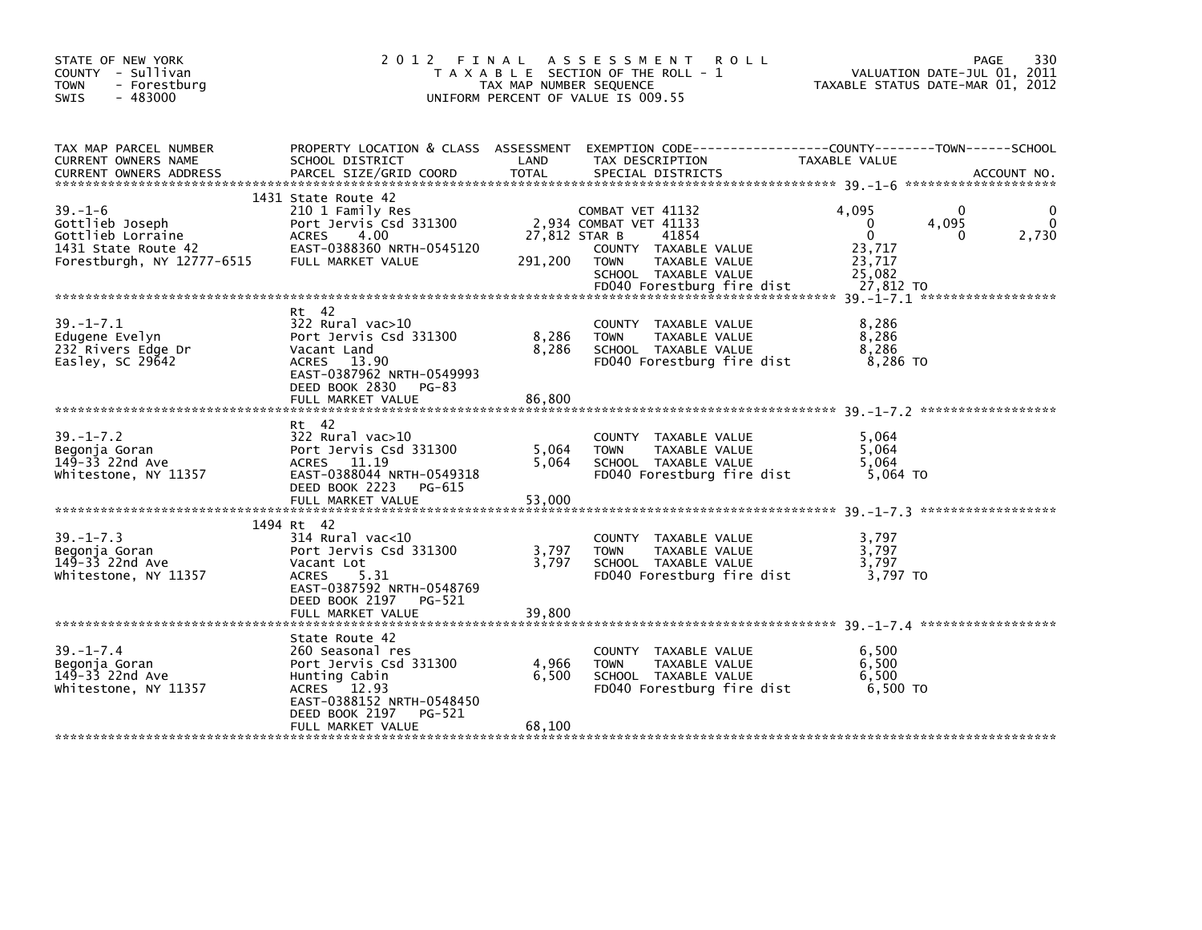| STATE OF NEW YORK<br>COUNTY - Sullivan<br><b>TOWN</b><br>- Forestburg<br>$-483000$<br><b>SWIS</b>          |                                                                                                                                                                            | TAX MAP NUMBER SEQUENCE  | 2012 FINAL ASSESSMENT<br><b>ROLL</b><br>T A X A B L E SECTION OF THE ROLL - 1<br>UNIFORM PERCENT OF VALUE IS 009.55          | VALUATION DATE-JUL 01, 2011<br>TAXABLE STATUS DATE-MAR 01, 2012                                                   | 330<br>PAGE |
|------------------------------------------------------------------------------------------------------------|----------------------------------------------------------------------------------------------------------------------------------------------------------------------------|--------------------------|------------------------------------------------------------------------------------------------------------------------------|-------------------------------------------------------------------------------------------------------------------|-------------|
| TAX MAP PARCEL NUMBER<br>CURRENT OWNERS NAME                                                               | SCHOOL DISTRICT                                                                                                                                                            | LAND                     | TAX DESCRIPTION                                                                                                              | PROPERTY LOCATION & CLASS ASSESSMENT EXEMPTION CODE----------------COUNTY-------TOWN------SCHOOL<br>TAXABLE VALUE |             |
| $39. - 1 - 6$<br>Gottlieb Joseph<br>Gottlieb Lorraine<br>1431 State Route 42<br>Forestburgh, NY 12777-6515 | 1431 State Route 42<br>210 1 Family Res<br>Port Jervis Csd 331300<br>ACRES 4.00<br>EAST-0388360 NRTH-0545120<br>FULL MARKET VALUE                                          | 27,812 STAR B<br>291,200 | COMBAT VET 41132<br>2,934 COMBAT VET 41133<br>41854<br>COUNTY TAXABLE VALUE<br>TOWN<br>TAXABLE VALUE<br>SCHOOL TAXABLE VALUE | $\Omega$<br>4.095<br>4,095<br>0<br>$\mathbf{0}$<br>0<br>23,717<br>23,717<br>25,082                                | 2,730       |
| $39. - 1 - 7.1$<br>Edugene Evelyn<br>232 Rivers Edge Dr<br>Easley, SC $29642$                              | Rt 42<br>322 Rural vac>10<br>Port Jervis Csd 331300<br>Vacant Land<br>ACRES 13.90<br>EAST-0387962 NRTH-0549993<br>DEED BOOK 2830<br>PG-83<br>FULL MARKET VALUE             | 8,286<br>8,286<br>86,800 | COUNTY TAXABLE VALUE<br><b>TOWN</b><br>TAXABLE VALUE<br>SCHOOL TAXABLE VALUE<br>FD040 Forestburg fire dist                   | 8,286<br>8,286<br>8,286<br>8,286 TO                                                                               |             |
| $39. - 1 - 7.2$<br>Begonja Goran<br>149-33 22nd Ave<br>Whitestone, NY 11357                                | Rt 42<br>322 Rural vac>10<br>Port Jervis Csd 331300<br>ACRES 11.19<br>EAST-0388044 NRTH-0549318<br>DEED BOOK 2223 PG-615<br>FULL MARKET VALUE                              | 5,064<br>5,064<br>53,000 | COUNTY TAXABLE VALUE<br><b>TOWN</b><br>TAXABLE VALUE<br>SCHOOL TAXABLE VALUE<br>FD040 Forestburg fire dist                   | 5,064<br>5.064<br>5.064<br>5,064 TO                                                                               |             |
| $39. - 1 - 7.3$<br>Begonja Goran<br>149-33 22nd Ave<br>Whitestone, NY 11357                                | 1494 Rt 42<br>$314$ Rural vac<10<br>Port Jervis Csd 331300<br>Vacant Lot<br>ACRES 5.31<br>EAST-0387592 NRTH-0548769<br>DEED BOOK 2197<br>PG-521<br>FULL MARKET VALUE       | 3,797<br>3.797<br>39,800 | COUNTY TAXABLE VALUE<br><b>TOWN</b><br>TAXABLE VALUE<br>SCHOOL TAXABLE VALUE<br>FD040 Forestburg fire dist                   | 3,797<br>3.797<br>3,797<br>3,797 TO                                                                               |             |
| $39. - 1 - 7.4$<br>Begonja Goran<br>149-33 22nd Ave<br>Whitestone, NY 11357                                | State Route 42<br>260 Seasonal res<br>Port Jervis Csd 331300<br>Hunting Cabin<br>ACRES 12.93<br>EAST-0388152 NRTH-0548450<br>DEED BOOK 2197<br>PG-521<br>FULL MARKET VALUE | 4,966<br>6,500<br>68,100 | COUNTY TAXABLE VALUE<br>TAXABLE VALUE<br><b>TOWN</b><br>SCHOOL TAXABLE VALUE<br>FD040 Forestburg fire dist                   | 6,500<br>6,500<br>6,500<br>6,500 TO                                                                               |             |
|                                                                                                            |                                                                                                                                                                            |                          |                                                                                                                              |                                                                                                                   |             |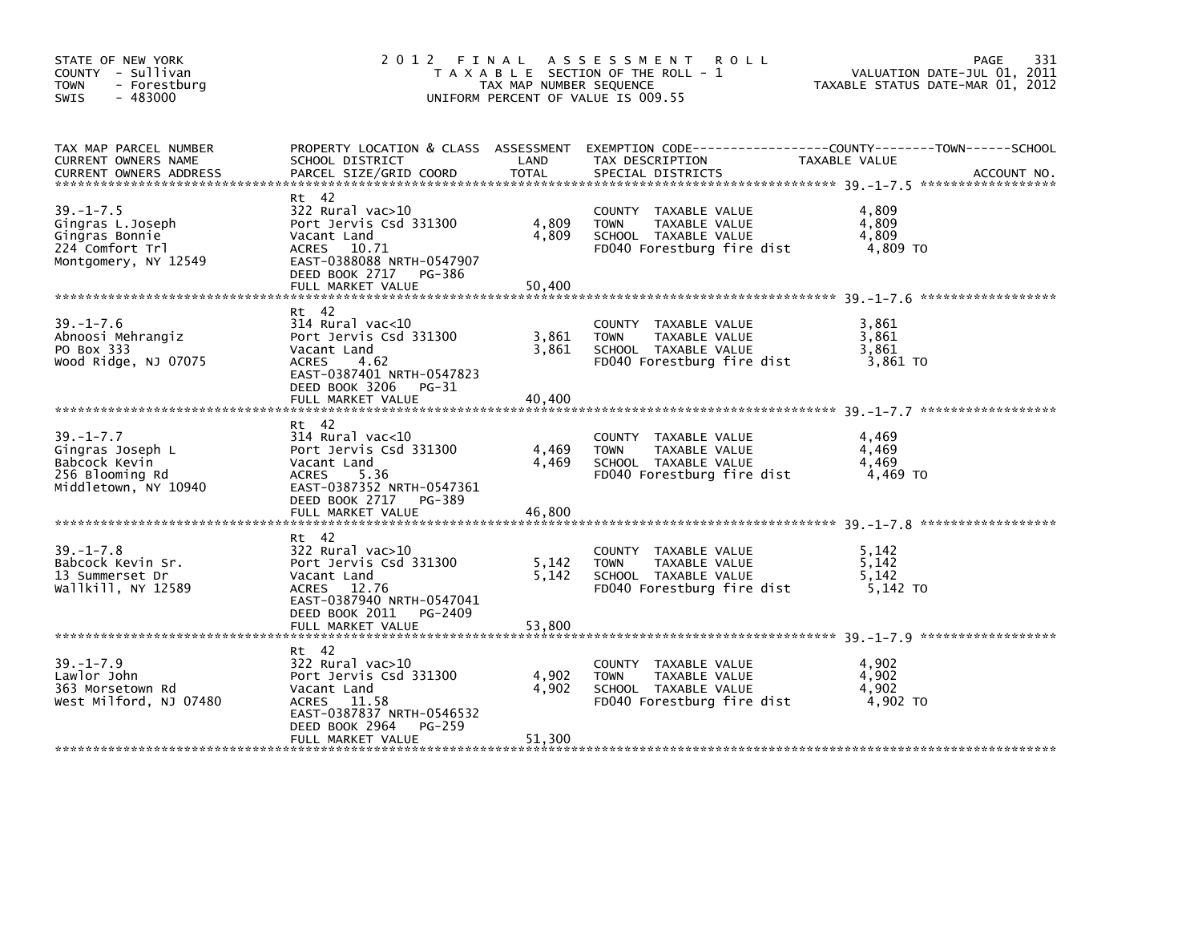| STATE OF NEW YORK<br>COUNTY - Sullivan<br><b>TOWN</b><br>- Forestburg<br>$-483000$<br><b>SWIS</b> | 2012 FINAL ASSESSMENT ROLL<br>T A X A B L E SECTION OF THE ROLL - 1<br>TAX MAP NUMBER SEQUENCE<br>UNIFORM PERCENT OF VALUE IS 009.55                                 | PAGE<br>331<br>VALUATION DATE-JUL 01, 2011<br>TAXABLE STATUS DATE-MAR 01, 2012 |                                                                                                            |                                                                                                                                |
|---------------------------------------------------------------------------------------------------|----------------------------------------------------------------------------------------------------------------------------------------------------------------------|--------------------------------------------------------------------------------|------------------------------------------------------------------------------------------------------------|--------------------------------------------------------------------------------------------------------------------------------|
| TAX MAP PARCEL NUMBER<br>CURRENT OWNERS NAME<br><b>CURRENT OWNERS ADDRESS</b>                     | SCHOOL DISTRICT<br>PARCEL SIZE/GRID COORD                                                                                                                            | LAND<br>TOTAL                                                                  | TAX DESCRIPTION<br>SPECIAL DISTRICTS                                                                       | PROPERTY LOCATION & CLASS ASSESSMENT EXEMPTION CODE---------------COUNTY-------TOWN-----SCHOOL<br>TAXABLE VALUE<br>ACCOUNT NO. |
| $39. - 1 - 7.5$<br>Gingras L.Joseph<br>Gingras Bonnie<br>224 Comfort Trl<br>Montgomery, NY 12549  | Rt 42<br>$322$ Rural vac $>10$<br>Port Jervis Csd 331300<br>Vacant Land<br>ACRES 10.71<br>EAST-0388088 NRTH-0547907<br>DEED BOOK 2717 PG-386<br>FULL MARKET VALUE    | 4,809<br>4,809<br>50,400                                                       | COUNTY TAXABLE VALUE<br><b>TOWN</b><br>TAXABLE VALUE<br>SCHOOL TAXABLE VALUE<br>FD040 Forestburg fire dist | 4,809<br>4,809<br>4,809<br>4,809 TO                                                                                            |
| $39. - 1 - 7.6$<br>Abnoosi Mehrangiz<br>PO Box 333<br>Wood Ridge, NJ 07075                        | Rt 42<br>314 Rural vac<10<br>Port Jervis Csd 331300<br>Vacant Land<br>ACRES<br>4.62<br>EAST-0387401 NRTH-0547823<br>DEED BOOK 3206 PG-31                             | 3,861<br>3,861                                                                 | COUNTY TAXABLE VALUE<br>TAXABLE VALUE<br><b>TOWN</b><br>SCHOOL TAXABLE VALUE<br>FD040 Forestburg fire dist | 3.861<br>3,861<br>3,861<br>3,861 TO                                                                                            |
|                                                                                                   | FULL MARKET VALUE                                                                                                                                                    | 40,400                                                                         |                                                                                                            |                                                                                                                                |
| $39. - 1 - 7.7$<br>Gingras Joseph L<br>Babcock Kevin<br>256 Blooming Rd<br>Middletown, NY 10940   | Rt 42<br>$314$ Rural vac< $10$<br>Port Jervis Csd 331300<br>Vacant Land<br>ACRES<br>5.36<br>EAST-0387352 NRTH-0547361<br>DEED BOOK 2717 PG-389                       | 4,469<br>4.469                                                                 | COUNTY TAXABLE VALUE<br>TAXABLE VALUE<br><b>TOWN</b><br>SCHOOL TAXABLE VALUE<br>FD040 Forestburg fire dist | 4.469<br>4,469<br>4,469<br>4,469 TO                                                                                            |
|                                                                                                   | FULL MARKET VALUE                                                                                                                                                    | 46,800                                                                         |                                                                                                            |                                                                                                                                |
| $39. - 1 - 7.8$<br>Babcock Kevin Sr.<br>13 Summerset Dr<br>Wallkill, NY 12589                     | Rt 42<br>322 Rural vac>10<br>Port Jervis Csd 331300<br>Vacant Land<br>ACRES 12.76<br>EAST-0387940 NRTH-0547041<br>DEED BOOK 2011 PG-2409                             | 5,142<br>5,142                                                                 | COUNTY TAXABLE VALUE<br>TAXABLE VALUE<br><b>TOWN</b><br>SCHOOL TAXABLE VALUE<br>FD040 Forestburg fire dist | 5.142<br>5,142<br>5,142<br>5,142 TO                                                                                            |
|                                                                                                   |                                                                                                                                                                      |                                                                                |                                                                                                            |                                                                                                                                |
| $39. - 1 - 7.9$<br>Lawlor John<br>363 Morsetown Rd<br>West Milford, NJ 07480                      | Rt 42<br>$322$ Rural vac $>10$<br>Port Jervis Csd 331300<br>Vacant Land<br>ACRES 11.58<br>EAST-0387837 NRTH-0546532<br>DEED BOOK 2964<br>PG-259<br>FULL MARKET VALUE | 4,902<br>4,902<br>51,300                                                       | COUNTY TAXABLE VALUE<br>TAXABLE VALUE<br><b>TOWN</b><br>SCHOOL TAXABLE VALUE<br>FD040 Forestburg fire dist | 4,902<br>4,902<br>4,902<br>4.902 TO                                                                                            |
|                                                                                                   |                                                                                                                                                                      |                                                                                |                                                                                                            |                                                                                                                                |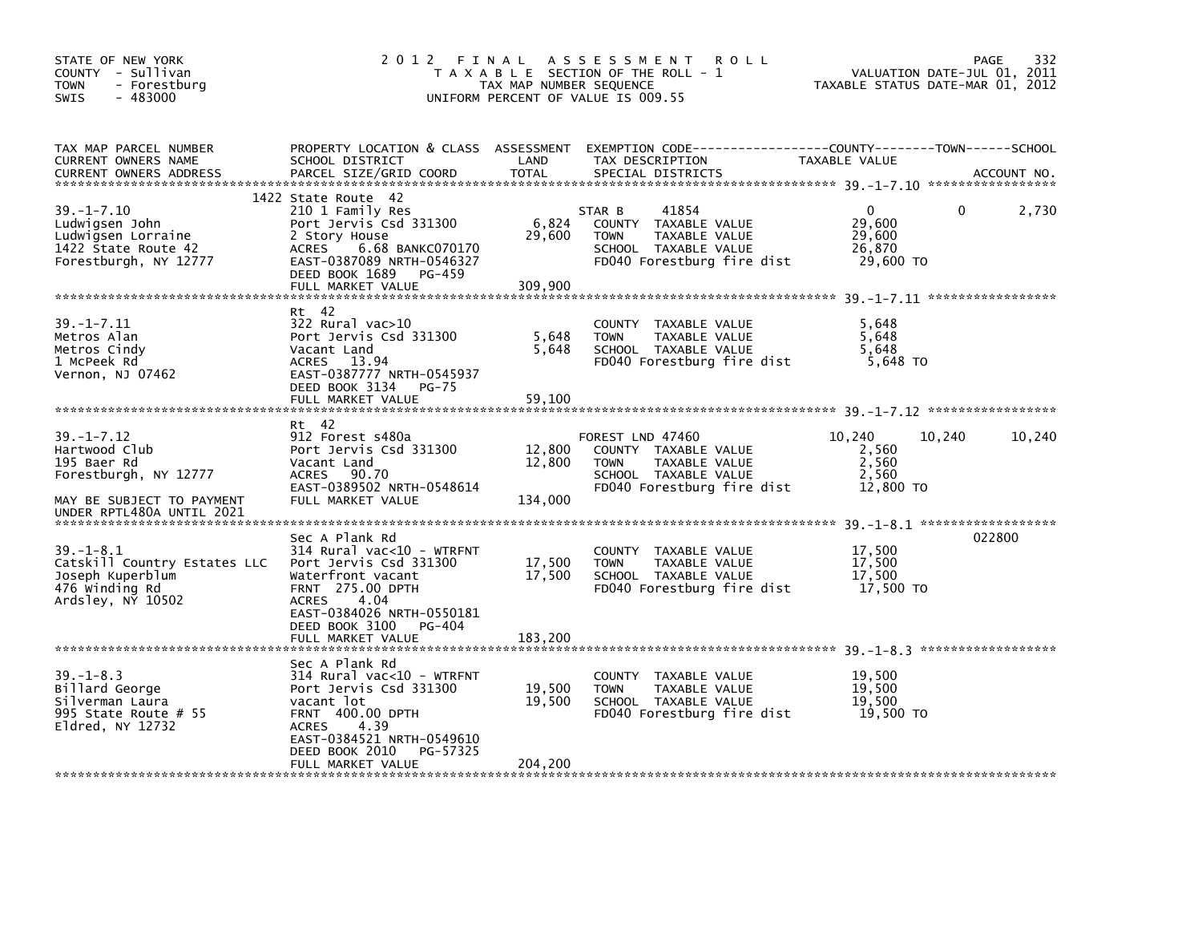| STATE OF NEW YORK<br>COUNTY - Sullivan<br><b>TOWN</b><br>- Forestburg<br>$-483000$<br>SWIS                                          | 2012 FINAL                                                                                                                                                                                        | TAX MAP NUMBER SEQUENCE     | A S S E S S M E N T<br><b>ROLL</b><br>T A X A B L E SECTION OF THE ROLL - 1<br>UNIFORM PERCENT OF VALUE IS 009.55              | VALUATION DATE-JUL 01, 2011<br>TAXABLE STATUS DATE-MAR 01, 2012 | 332<br>PAGE |
|-------------------------------------------------------------------------------------------------------------------------------------|---------------------------------------------------------------------------------------------------------------------------------------------------------------------------------------------------|-----------------------------|--------------------------------------------------------------------------------------------------------------------------------|-----------------------------------------------------------------|-------------|
| TAX MAP PARCEL NUMBER<br>CURRENT OWNERS NAME<br><b>CURRENT OWNERS ADDRESS</b>                                                       | PROPERTY LOCATION & CLASS ASSESSMENT<br>SCHOOL DISTRICT<br>PARCEL SIZE/GRID COORD                                                                                                                 | LAND<br><b>TOTAL</b>        | EXEMPTION CODE-----------------COUNTY-------TOWN------SCHOOL<br>TAX DESCRIPTION<br>SPECIAL DISTRICTS                           | TAXABLE VALUE                                                   | ACCOUNT NO. |
| $39. - 1 - 7.10$<br>Ludwigsen John<br>Ludwigsen Lorraine<br>1422 State Route 42<br>Forestburgh, NY 12777                            | 1422 State Route 42<br>210 1 Family Res<br>Port Jervis Csd 331300<br>2 Story House<br>6.68 BANKC070170<br><b>ACRES</b><br>EAST-0387089 NRTH-0546327<br>DEED BOOK 1689<br>PG-459                   | 6,824<br>29,600             | 41854<br>STAR B<br>COUNTY TAXABLE VALUE<br><b>TOWN</b><br>TAXABLE VALUE<br>SCHOOL TAXABLE VALUE<br>FD040 Forestburg fire dist  | $\Omega$<br>29,600<br>29,600<br>26,870<br>29,600 TO             | 2,730<br>0  |
|                                                                                                                                     | FULL MARKET VALUE                                                                                                                                                                                 | 309,900                     |                                                                                                                                |                                                                 |             |
| $39. - 1 - 7.11$<br>Metros Alan<br>Metros Cindy<br>1 McPeek Rd<br>Vernon, NJ 07462                                                  | Rt 42<br>322 Rural vac>10<br>Port Jervis Csd 331300<br>Vacant Land<br>ACRES 13.94<br>EAST-0387777 NRTH-0545937<br>DEED BOOK 3134<br><b>PG-75</b><br>FULL MARKET VALUE                             | 5,648<br>5,648<br>59,100    | COUNTY TAXABLE VALUE<br><b>TOWN</b><br>TAXABLE VALUE<br>SCHOOL TAXABLE VALUE<br>FD040 Forestburg fire dist                     | 5,648<br>5,648<br>5.648<br>5,648 TO                             |             |
|                                                                                                                                     |                                                                                                                                                                                                   |                             |                                                                                                                                |                                                                 |             |
| $39. - 1 - 7.12$<br>Hartwood Club<br>195 Baer Rd<br>Forestburgh, NY 12777<br>MAY BE SUBJECT TO PAYMENT<br>UNDER RPTL480A UNTIL 2021 | Rt 42<br>912 Forest s480a<br>Port Jervis Csd 331300<br>Vacant Land<br>ACRES 90.70<br>EAST-0389502 NRTH-0548614<br>FULL MARKET VALUE                                                               | 12,800<br>12,800<br>134,000 | FOREST LND 47460<br>COUNTY TAXABLE VALUE<br>TAXABLE VALUE<br><b>TOWN</b><br>SCHOOL TAXABLE VALUE<br>FD040 Forestburg fire dist | 10,240<br>10,240<br>2,560<br>2,560<br>2,560<br>12,800 TO        | 10,240      |
| $39. - 1 - 8.1$<br>Catskill Country Estates LLC<br>Joseph Kuperblum<br>476 Winding Rd<br>Ardsley, NY 10502                          | Sec A Plank Rd<br>314 Rural vac<10 - WTRFNT<br>Port Jervis Csd 331300<br>Waterfront vacant<br>FRNT 275.00 DPTH<br><b>ACRES</b><br>4.04<br>EAST-0384026 NRTH-0550181<br>DEED BOOK 3100<br>PG-404   | 17,500<br>17,500            | COUNTY TAXABLE VALUE<br><b>TOWN</b><br>TAXABLE VALUE<br>SCHOOL TAXABLE VALUE<br>FD040 Forestburg fire dist                     | 17,500<br>17,500<br>17,500<br>17,500 TO                         | 022800      |
|                                                                                                                                     | FULL MARKET VALUE                                                                                                                                                                                 | 183,200                     |                                                                                                                                |                                                                 |             |
| $39. - 1 - 8.3$<br>Billard George<br>Silverman Laura<br>995 State Route $# 55$<br>Eldred, NY 12732                                  | Sec A Plank Rd<br>314 Rural vac<10 - WTRFNT<br>Port Jervis Csd 331300<br>vacant lot<br><b>FRNT 400.00 DPTH</b><br>4.39<br><b>ACRES</b><br>EAST-0384521 NRTH-0549610<br>DEED BOOK 2010<br>PG-57325 | 19,500<br>19,500            | COUNTY TAXABLE VALUE<br><b>TOWN</b><br>TAXABLE VALUE<br>SCHOOL TAXABLE VALUE<br>FD040 Forestburg fire dist                     | 19,500<br>19,500<br>19,500<br>19,500 TO                         |             |
|                                                                                                                                     | FULL MARKET VALUE                                                                                                                                                                                 | 204,200                     |                                                                                                                                |                                                                 |             |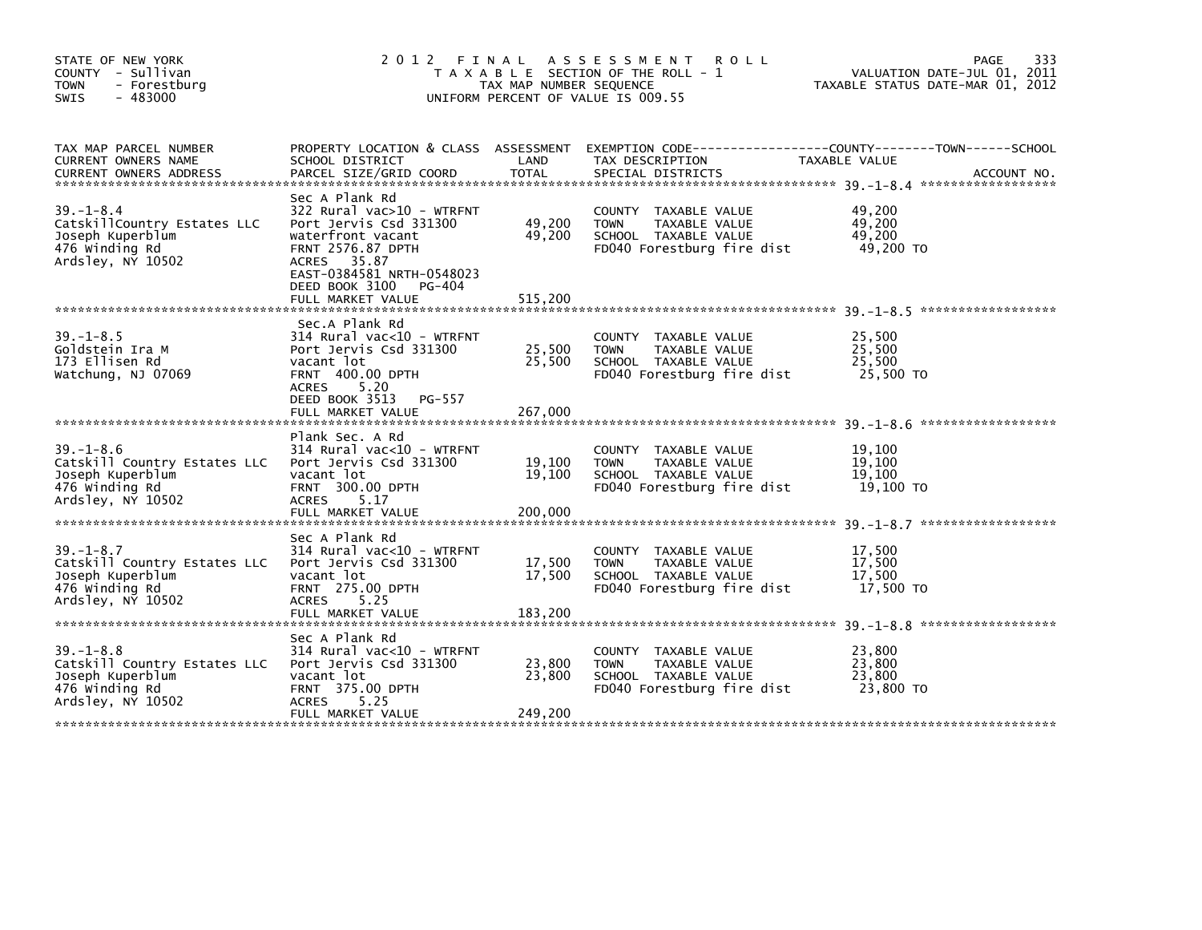| STATE OF NEW YORK<br>COUNTY - Sullivan<br>- Forestburg<br>TOWN<br>$-483000$<br><b>SWIS</b>                 | 2 0 1 2                                                                                                                                                               | TAX MAP NUMBER SEQUENCE     | FINAL ASSESSMENT<br><b>ROLL</b><br>T A X A B L E SECTION OF THE ROLL - 1<br>UNIFORM PERCENT OF VALUE IS 009.55              | 333<br>PAGE<br>VALUATION DATE-JUL 01, 2011<br>TAXABLE STATUS DATE-MAR 01, 2012                                                   |
|------------------------------------------------------------------------------------------------------------|-----------------------------------------------------------------------------------------------------------------------------------------------------------------------|-----------------------------|-----------------------------------------------------------------------------------------------------------------------------|----------------------------------------------------------------------------------------------------------------------------------|
|                                                                                                            |                                                                                                                                                                       |                             |                                                                                                                             |                                                                                                                                  |
| TAX MAP PARCEL NUMBER<br>CURRENT OWNERS NAME<br>CURRENT OWNERS ADDRESS                                     | SCHOOL DISTRICT<br>PARCEL SIZE/GRID COORD                                                                                                                             | LAND<br><b>TOTAL</b>        | TAX DESCRIPTION<br>SPECIAL DISTRICTS                                                                                        | PROPERTY LOCATION & CLASS ASSESSMENT EXEMPTION CODE----------------COUNTY-------TOWN------SCHOOL<br>TAXABLE VALUE<br>ACCOUNT NO. |
|                                                                                                            | Sec A Plank Rd                                                                                                                                                        |                             |                                                                                                                             |                                                                                                                                  |
| $39. - 1 - 8.4$<br>CatskillCountry Estates LLC<br>Joseph Kuperblum<br>476 winding Rd<br>Ardsley, NY 10502  | 322 Rural vac>10 - WTRFNT<br>Port Jervis Csd 331300<br>waterfront vacant<br>FRNT 2576.87 DPTH<br>ACRES 35.87<br>EAST-0384581 NRTH-0548023<br>DEED BOOK 3100<br>PG-404 | 49,200<br>49,200            | COUNTY TAXABLE VALUE<br><b>TOWN</b><br>TAXABLE VALUE<br>SCHOOL TAXABLE VALUE<br>FD040 Forestburg fire dist                  | 49,200<br>49,200<br>49.200<br>49,200 TO                                                                                          |
|                                                                                                            | FULL MARKET VALUE                                                                                                                                                     | 515,200                     |                                                                                                                             |                                                                                                                                  |
|                                                                                                            | Sec.A Plank Rd                                                                                                                                                        |                             |                                                                                                                             |                                                                                                                                  |
| $39. - 1 - 8.5$<br>Goldstein Ira M<br>173 Ellisen Rd<br>Watchung, NJ 07069                                 | 314 Rural vac<10 - WTRFNT<br>Port Jervis Csd 331300<br>vacant lot<br><b>FRNT 400.00 DPTH</b><br>ACRES<br>5.20                                                         | 25,500<br>25,500            | COUNTY TAXABLE VALUE<br>TAXABLE VALUE<br><b>TOWN</b><br>SCHOOL TAXABLE VALUE<br>FD040 Forestburg fire dist                  | 25,500<br>25,500<br>25,500<br>25,500 TO                                                                                          |
|                                                                                                            | DEED BOOK 3513<br>PG-557<br>FULL MARKET VALUE                                                                                                                         | 267,000                     |                                                                                                                             |                                                                                                                                  |
| $39. - 1 - 8.6$<br>Catskill Country Estates LLC<br>Joseph Kuperblum<br>476 winding Rd<br>Ardsley, NY 10502 | Plank Sec. A Rd<br>314 Rural vac<10 - WTRFNT<br>Port Jervis Csd 331300<br>vacant lot<br>FRNT 300.00 DPTH<br><b>ACRES</b><br>5.17                                      | 19,100<br>19,100            | <b>COUNTY</b><br>TAXABLE VALUE<br>TAXABLE VALUE<br><b>TOWN</b><br>SCHOOL TAXABLE VALUE<br>FD040 Forestburg fire dist        | 19,100<br>19,100<br>19.100<br>19,100 TO                                                                                          |
|                                                                                                            | FULL MARKET VALUE                                                                                                                                                     | 200,000                     |                                                                                                                             |                                                                                                                                  |
| $39. - 1 - 8.7$<br>Catskill Country Estates LLC<br>Joseph Kuperblum<br>476 winding Rd<br>Ardsley, NY 10502 | Sec A Plank Rd<br>314 Rural vac<10 - WTRFNT<br>Port Jervis Csd 331300<br>vacant lot<br><b>FRNT 275.00 DPTH</b><br>5.25<br><b>ACRES</b>                                | 17,500<br>17,500            | COUNTY TAXABLE VALUE<br><b>TOWN</b><br>TAXABLE VALUE<br>SCHOOL TAXABLE VALUE<br>FD040 Forestburg fire dist                  | 17,500<br>17,500<br>17,500<br>17,500 TO                                                                                          |
|                                                                                                            |                                                                                                                                                                       |                             |                                                                                                                             |                                                                                                                                  |
| $39 - 1 - 8.8$<br>Catskill Country Estates LLC<br>Joseph Kuperblum<br>476 winding Rd<br>Ardsley, NY 10502  | Sec A Plank Rd<br>314 Rural vac<10 - WTRFNT<br>Port Jervis Csd 331300<br>vacant lot<br><b>FRNT 375.00 DPTH</b><br><b>ACRES</b><br>5.25<br>FULL MARKET VALUE           | 23,800<br>23,800<br>249,200 | TAXABLE VALUE<br><b>COUNTY</b><br><b>TAXABLE VALUE</b><br><b>TOWN</b><br>SCHOOL TAXABLE VALUE<br>FD040 Forestburg fire dist | 23,800<br>23,800<br>23,800<br>23,800 TO                                                                                          |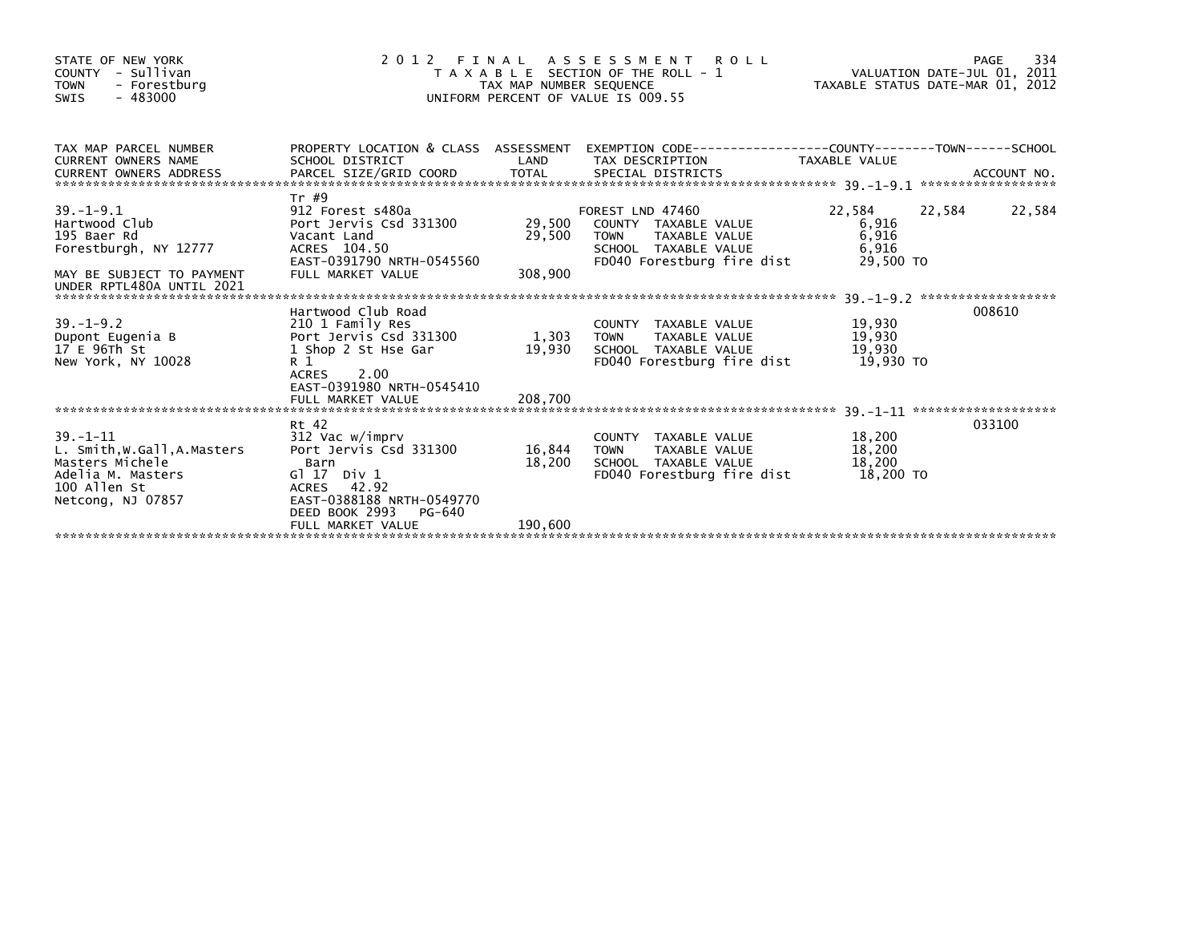| STATE OF NEW YORK<br>COUNTY - Sullivan<br>- Forestburg<br><b>TOWN</b><br>$-483000$<br><b>SWIS</b>                          | 2012 FINAL                                                                                                                                   | TAX MAP NUMBER SEQUENCE | ASSESSMENT ROLL<br>T A X A B L E SECTION OF THE ROLL - 1<br>UNIFORM PERCENT OF VALUE IS 009.55             | VALUATION DATE-JUL 01, 2011<br>TAXABLE STATUS DATE-MAR 01, 2012 | PAGE   | 334    |
|----------------------------------------------------------------------------------------------------------------------------|----------------------------------------------------------------------------------------------------------------------------------------------|-------------------------|------------------------------------------------------------------------------------------------------------|-----------------------------------------------------------------|--------|--------|
| TAX MAP PARCEL NUMBER                                                                                                      |                                                                                                                                              |                         | PROPERTY LOCATION & CLASS ASSESSMENT EXEMPTION CODE----------------COUNTY-------TOWN-----SCHOOL            |                                                                 |        |        |
| <b>CURRENT OWNERS NAME</b>                                                                                                 | SCHOOL DISTRICT                                                                                                                              | LAND                    | TAX DESCRIPTION                                                                                            | TAXABLE VALUE                                                   |        |        |
| $39. - 1 - 9.1$                                                                                                            | Tr #9<br>912 Forest s480a                                                                                                                    |                         | FOREST LND 47460                                                                                           | 22,584                                                          | 22,584 | 22,584 |
| Hartwood Club<br>195 Baer Rd<br>Forestburgh, NY 12777                                                                      | Port Jervis Csd 331300<br>Vacant Land<br>ACRES 104.50                                                                                        | 29,500                  | 29,500 COUNTY TAXABLE VALUE<br>TAXABLE VALUE<br><b>TOWN</b><br>SCHOOL TAXABLE VALUE                        | 6,916<br>6,916<br>6,916                                         |        |        |
| MAY BE SUBJECT TO PAYMENT<br>UNDER RPTL480A UNTIL 2021                                                                     | EAST-0391790 NRTH-0545560<br>FULL MARKET VALUE                                                                                               | 308,900                 | FD040 Forestburg fire dist                                                                                 | 29,500 TO                                                       |        |        |
|                                                                                                                            | Hartwood Club Road                                                                                                                           |                         |                                                                                                            |                                                                 | 008610 |        |
| $39. - 1 - 9.2$<br>Dupont Eugenia B<br>17 E 96Th St<br>New York, NY 10028                                                  | 210 1 Family Res<br>Port Jervis Csd 331300<br>1 Shop 2 St Hse Gar<br>R <sub>1</sub><br>2.00<br>ACRES<br>EAST-0391980 NRTH-0545410            | 1,303<br>19,930         | COUNTY TAXABLE VALUE<br>TAXABLE VALUE<br><b>TOWN</b><br>SCHOOL TAXABLE VALUE<br>FD040 Forestburg fire dist | 19,930<br>19,930<br>19,930<br>19.930 TO                         |        |        |
|                                                                                                                            | FULL MARKET VALUE                                                                                                                            | 208,700                 |                                                                                                            |                                                                 |        |        |
|                                                                                                                            | Rt 42                                                                                                                                        |                         |                                                                                                            |                                                                 | 033100 |        |
| $39. - 1 - 11$<br>L. Smith, W.Gall, A.Masters<br>Masters Michele<br>Adelia M. Masters<br>100 Allen St<br>Netcong, NJ 07857 | 312 Vac w/imprv<br>Port Jervis Csd 331300<br>Barn<br>$G1 17$ Div $1$<br>ACRES 42.92<br>EAST-0388188 NRTH-0549770<br>DEED BOOK 2993<br>PG-640 | 16,844<br>18,200        | COUNTY TAXABLE VALUE<br><b>TOWN</b><br>TAXABLE VALUE<br>SCHOOL TAXABLE VALUE<br>FD040 Forestburg fire dist | 18,200<br>18,200<br>18,200<br>18,200 TO                         |        |        |
|                                                                                                                            | FULL MARKET VALUE                                                                                                                            | 190,600                 |                                                                                                            |                                                                 |        |        |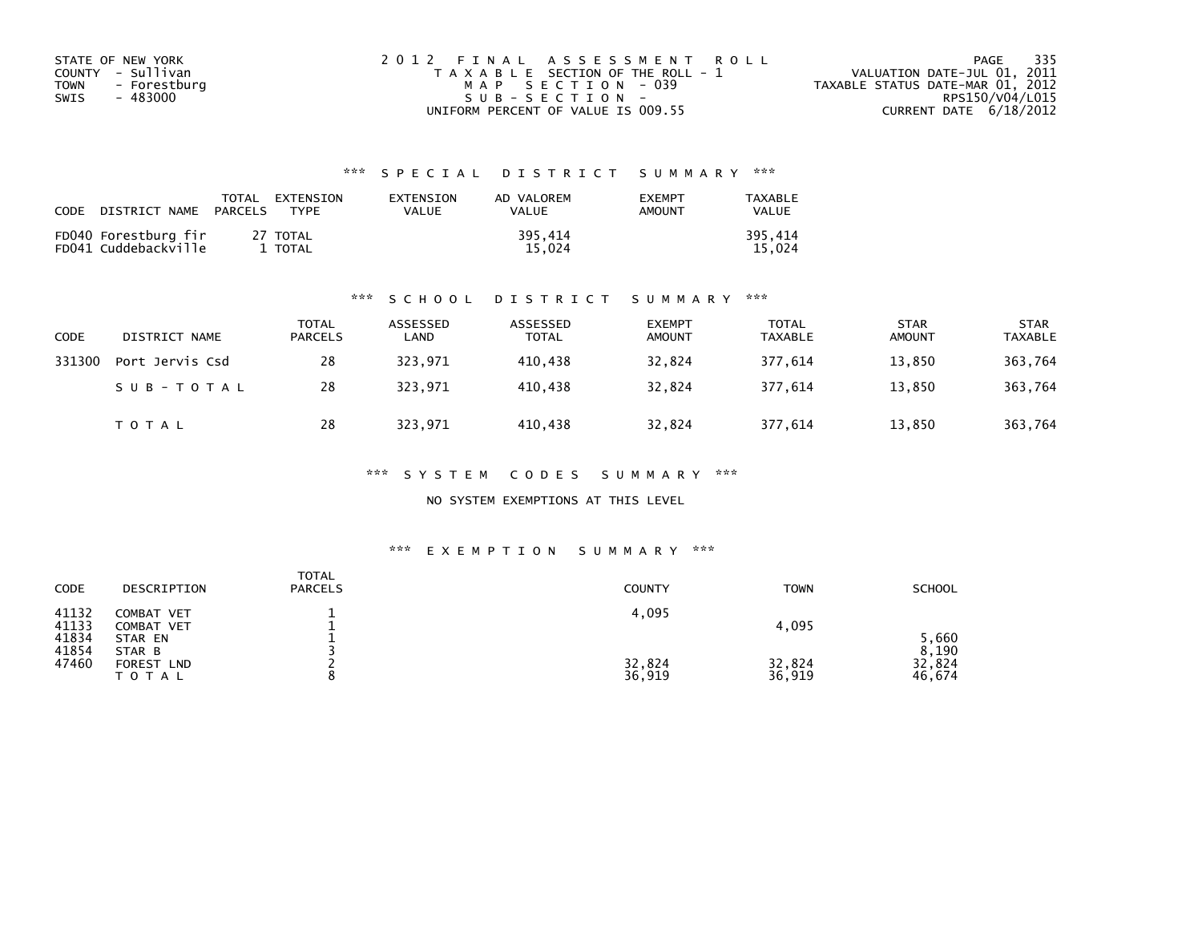| STATE OF NEW YORK    | 2012 FINAL ASSESSMENT ROLL            | 335<br>PAGE                      |
|----------------------|---------------------------------------|----------------------------------|
| COUNTY - Sullivan    | T A X A B L E SECTION OF THE ROLL - 1 | VALUATION DATE-JUL 01, 2011      |
| TOWN<br>- Forestburg | MAP SECTION - 039                     | TAXABLE STATUS DATE-MAR 01, 2012 |
| - 483000<br>SWIS     | SUB-SECTION-                          | RPS150/V04/L015                  |
|                      | UNIFORM PERCENT OF VALUE IS 009.55    | CURRENT DATE $6/18/2012$         |

| CODE | DISTRICT NAME                                | TOTAL<br>PARCELS | <b>FXTENSTON</b><br><b>TYPF</b> | <b>FXTENSTON</b><br>VALUE | AD VALOREM<br>VALUE | <b>EXEMPT</b><br>AMOUNT | <b>TAXABLE</b><br>VALUE |
|------|----------------------------------------------|------------------|---------------------------------|---------------------------|---------------------|-------------------------|-------------------------|
|      | FD040 Forestburg fir<br>FD041 Cuddebackville |                  | 27 TOTAL<br>TOTAL               |                           | 395.414<br>15.024   |                         | 395.414<br>15.024       |

#### \*\*\* S C H O O L D I S T R I C T S U M M A R Y \*\*\*

| <b>CODE</b> | DISTRICT NAME   | <b>TOTAL</b><br><b>PARCELS</b> | ASSESSED<br>LAND | ASSESSED<br><b>TOTAL</b> | <b>EXEMPT</b><br><b>AMOUNT</b> | <b>TOTAL</b><br><b>TAXABLE</b> | <b>STAR</b><br><b>AMOUNT</b> | <b>STAR</b><br><b>TAXABLE</b> |
|-------------|-----------------|--------------------------------|------------------|--------------------------|--------------------------------|--------------------------------|------------------------------|-------------------------------|
| 331300      | Port Jervis Csd | 28                             | 323,971          | 410,438                  | 32,824                         | 377,614                        | 13,850                       | 363,764                       |
|             | SUB-TOTAL       | 28                             | 323.971          | 410.438                  | 32,824                         | 377.614                        | 13,850                       | 363,764                       |
|             | T O T A L       | 28                             | 323,971          | 410,438                  | 32,824                         | 377,614                        | 13,850                       | 363,764                       |

\*\*\* S Y S T E M C O D E S S U M M A R Y \*\*\*

NO SYSTEM EXEMPTIONS AT THIS LEVEL

#### \*\*\* E X E M P T I O N S U M M A R Y \*\*\*

| CODE                    | DESCRIPTION                            | <b>TOTAL</b><br><b>PARCELS</b> | <b>COUNTY</b> | <b>TOWN</b> | SCHOOL                   |
|-------------------------|----------------------------------------|--------------------------------|---------------|-------------|--------------------------|
| 41132<br>41133          | <b>COMBAT VET</b><br><b>COMBAT VET</b> |                                | 4,095         | 4,095       |                          |
| 41834<br>41854<br>47460 | STAR EN<br>STAR B<br>FOREST LND        |                                | 32,824        | 32,824      | 5,660<br>8,190<br>32,824 |
|                         | TOTAL                                  | $\circ$                        | 36,919        | 36,919      | 46,674                   |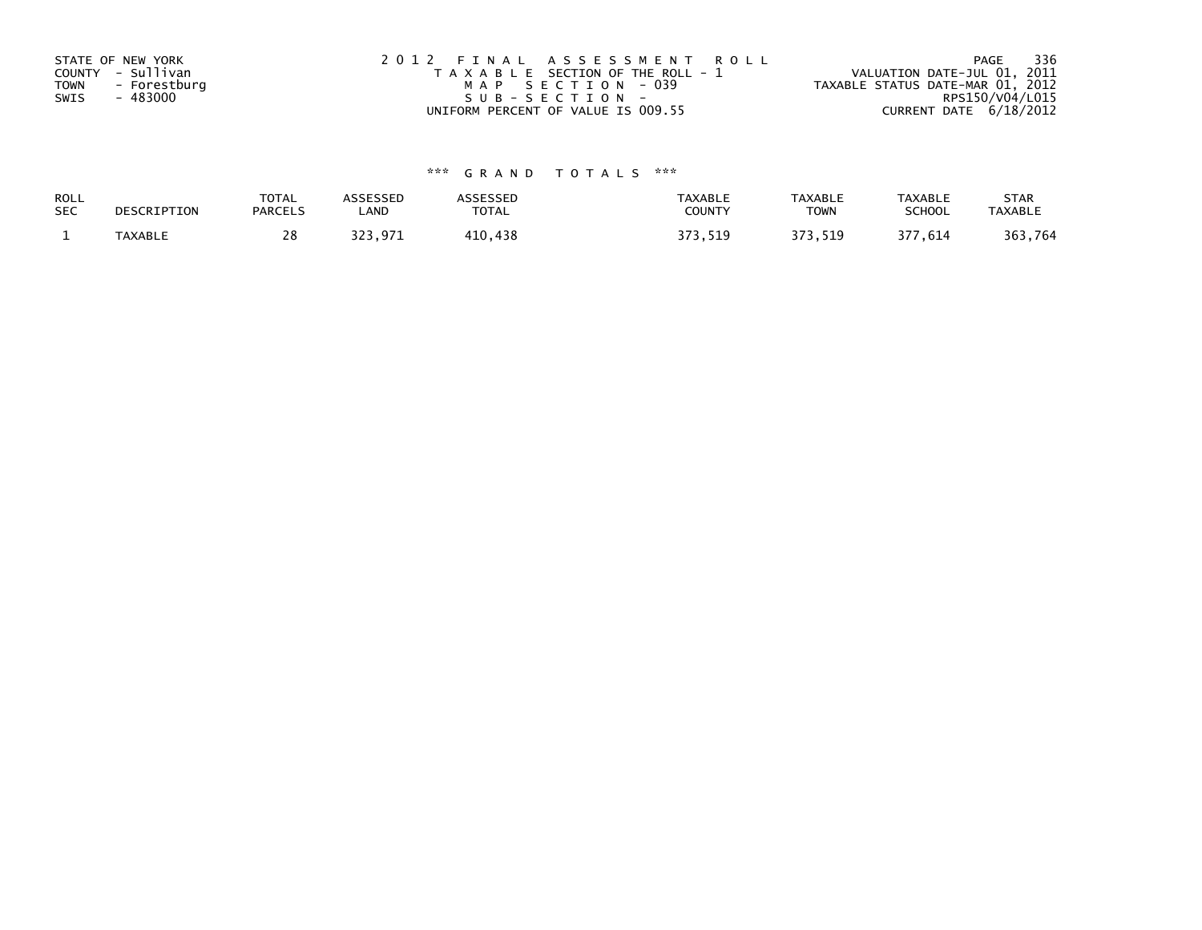| STATE OF NEW YORK<br>COUNTY - Sullivan<br>TOWN<br>- Forestburg<br>- 483000<br>SWIS | 2012 FINAL ASSESSMENT ROLL<br>T A X A B L E SECTION OF THE ROLL - 1<br>MAP SECTION - 039<br>SUB-SECTION- | - 336<br>PAGE<br>VALUATION DATE-JUL 01, 2011<br>TAXABLE STATUS DATE-MAR 01, 2012<br>RPS150/V04/L015 |
|------------------------------------------------------------------------------------|----------------------------------------------------------------------------------------------------------|-----------------------------------------------------------------------------------------------------|
|                                                                                    | UNIFORM PERCENT OF VALUE IS 009.55                                                                       | CURRENT DATE 6/18/2012                                                                              |

| ROLL       | DESCRIPTION | <b>TOTAL</b>   | ASSESSED | ASSESSED | <b>TAXABLE</b> | <b>TAXABLE</b> | <b>TAXABLE</b> | <b>STAR</b>    |
|------------|-------------|----------------|----------|----------|----------------|----------------|----------------|----------------|
| <b>SEC</b> |             | <b>PARCELS</b> | ∟AND     | TOTAL    | <b>COUNTY</b>  | <b>TOWN</b>    | <b>SCHOOL</b>  | <b>TAXABLE</b> |
|            | TAXABLE     |                | 323.971  | 410,438  | 373.519        | 373,519        | 377,614        | 363,764        |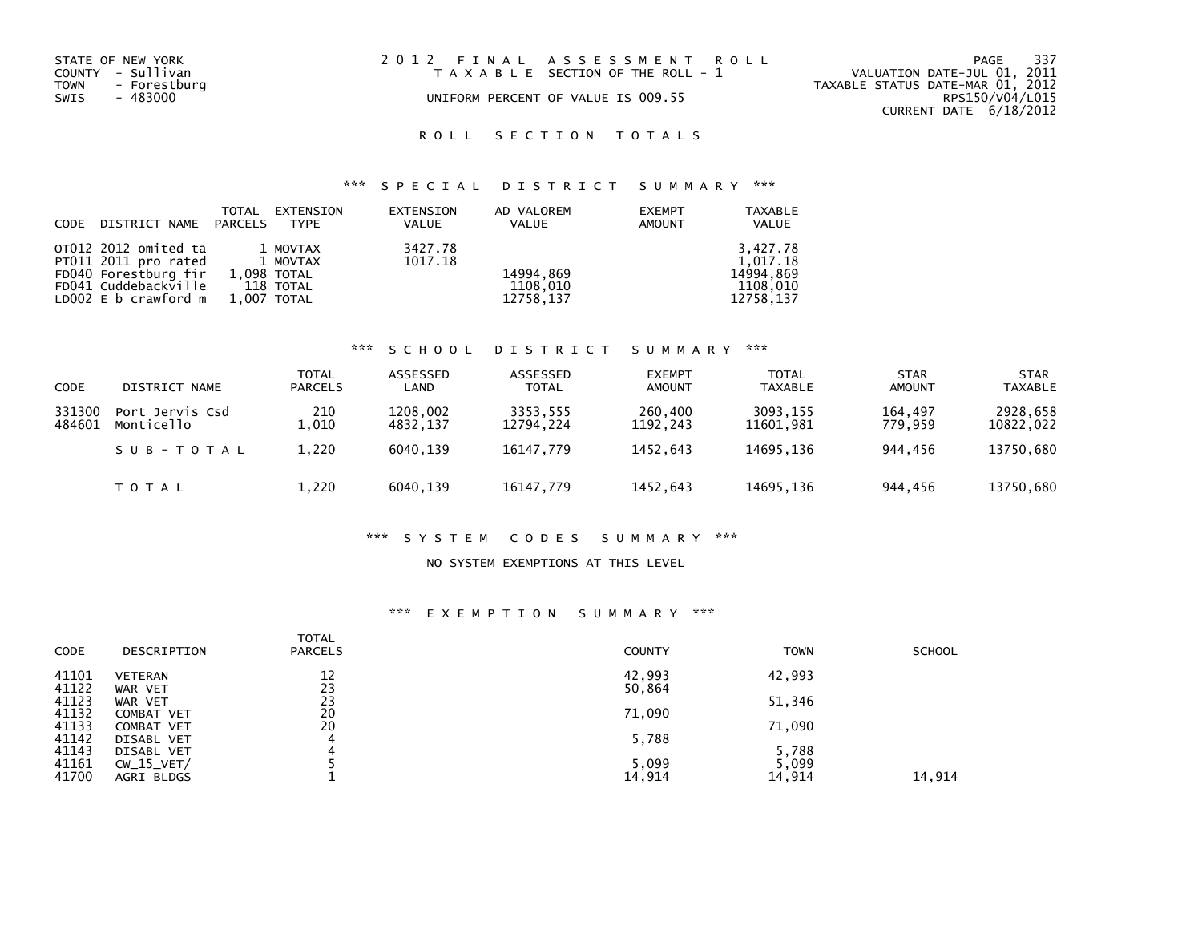| STATE OF NEW YORK<br>COUNTY - Sullivan<br>TOWN<br>- Forestburg<br>SWIS<br>- 483000 | 2012 FINAL ASSESSMENT ROLL<br>T A X A B L E SECTION OF THE ROLL - 1<br>UNIFORM PERCENT OF VALUE IS 009.55 | -337<br>PAGE<br>VALUATION DATE-JUL 01, 2011<br>TAXABLE STATUS DATE-MAR 01, 2012<br>RPS150/V04/L015<br>CURRENT DATE $6/18/2012$ |
|------------------------------------------------------------------------------------|-----------------------------------------------------------------------------------------------------------|--------------------------------------------------------------------------------------------------------------------------------|
|                                                                                    |                                                                                                           |                                                                                                                                |

# ROLL SECTION TOTALS

# \*\*\* S P E C I A L D I S T R I C T S U M M A R Y \*\*\*

| CODE | DISTRICT NAME PARCELS                                                | TOTAL       | EXTENSION<br><b>TYPE</b> | EXTENSION<br><b>VALUE</b> | AD VALOREM<br>VALUE   | <b>EXEMPT</b><br><b>AMOUNT</b> | <b>TAXABLE</b><br>VALUE           |
|------|----------------------------------------------------------------------|-------------|--------------------------|---------------------------|-----------------------|--------------------------------|-----------------------------------|
|      | OT012 2012 omited ta<br>PT011 2011 pro rated<br>FD040 Forestburg fir | 1,098 TOTAL | 1 MOVTAX<br>1 MOVTAX     | 3427.78<br>1017.18        | 14994,869             |                                | 3,427.78<br>1.017.18<br>14994,869 |
|      | FD041 Cuddebackville<br>LD002 E b crawford m                         | 1,007 TOTAL | 118 TOTAL                |                           | 1108.010<br>12758,137 |                                | 1108.010<br>12758,137             |

### \*\*\* S C H O O L D I S T R I C T S U M M A R Y \*\*\*

| <b>CODE</b>      | DISTRICT NAME                 | <b>TOTAL</b><br><b>PARCELS</b> | ASSESSED<br>LAND     | ASSESSED<br><b>TOTAL</b> | <b>EXEMPT</b><br><b>AMOUNT</b> | <b>TOTAL</b><br><b>TAXABLE</b> | <b>STAR</b><br><b>AMOUNT</b> | <b>STAR</b><br><b>TAXABLE</b> |
|------------------|-------------------------------|--------------------------------|----------------------|--------------------------|--------------------------------|--------------------------------|------------------------------|-------------------------------|
| 331300<br>484601 | Port Jervis Csd<br>Monticello | 210<br>010                     | 1208,002<br>4832.137 | 3353,555<br>12794.224    | 260,400<br>1192.243            | 3093.155<br>11601.981          | 164.497<br>779.959           | 2928,658<br>10822,022         |
|                  | SUB-TOTAL                     | 1,220                          | 6040.139             | 16147.779                | 1452.643                       | 14695.136                      | 944.456                      | 13750,680                     |
|                  | T O T A L                     | 1,220                          | 6040.139             | 16147,779                | 1452.643                       | 14695.136                      | 944.456                      | 13750,680                     |

#### \*\*\* S Y S T E M C O D E S S U M M A R Y \*\*\*

#### NO SYSTEM EXEMPTIONS AT THIS LEVEL

#### \*\*\* E X E M P T I O N S U M M A R Y \*\*\*

| <b>CODE</b> | DESCRIPTION    | <b>TOTAL</b><br><b>PARCELS</b> | <b>COUNTY</b> | <b>TOWN</b> | <b>SCHOOL</b> |
|-------------|----------------|--------------------------------|---------------|-------------|---------------|
| 41101       | <b>VETERAN</b> | 12                             | 42,993        | 42,993      |               |
| 41122       | WAR VET        | 23                             | 50,864        |             |               |
| 41123       | WAR VET        | 23                             |               | 51,346      |               |
| 41132       | COMBAT VET     | 20                             | 71,090        |             |               |
| 41133       | COMBAT VET     | 20                             |               | 71,090      |               |
| 41142       | DISABL VET     | 4                              | 5,788         |             |               |
| 41143       | DISABL VET     | 4                              |               | 5,788       |               |
| 41161       | $CW_15_VET/$   |                                | 5,099         | 5,099       |               |
| 41700       | AGRI BLDGS     |                                | 14,914        | 14,914      | 14,914        |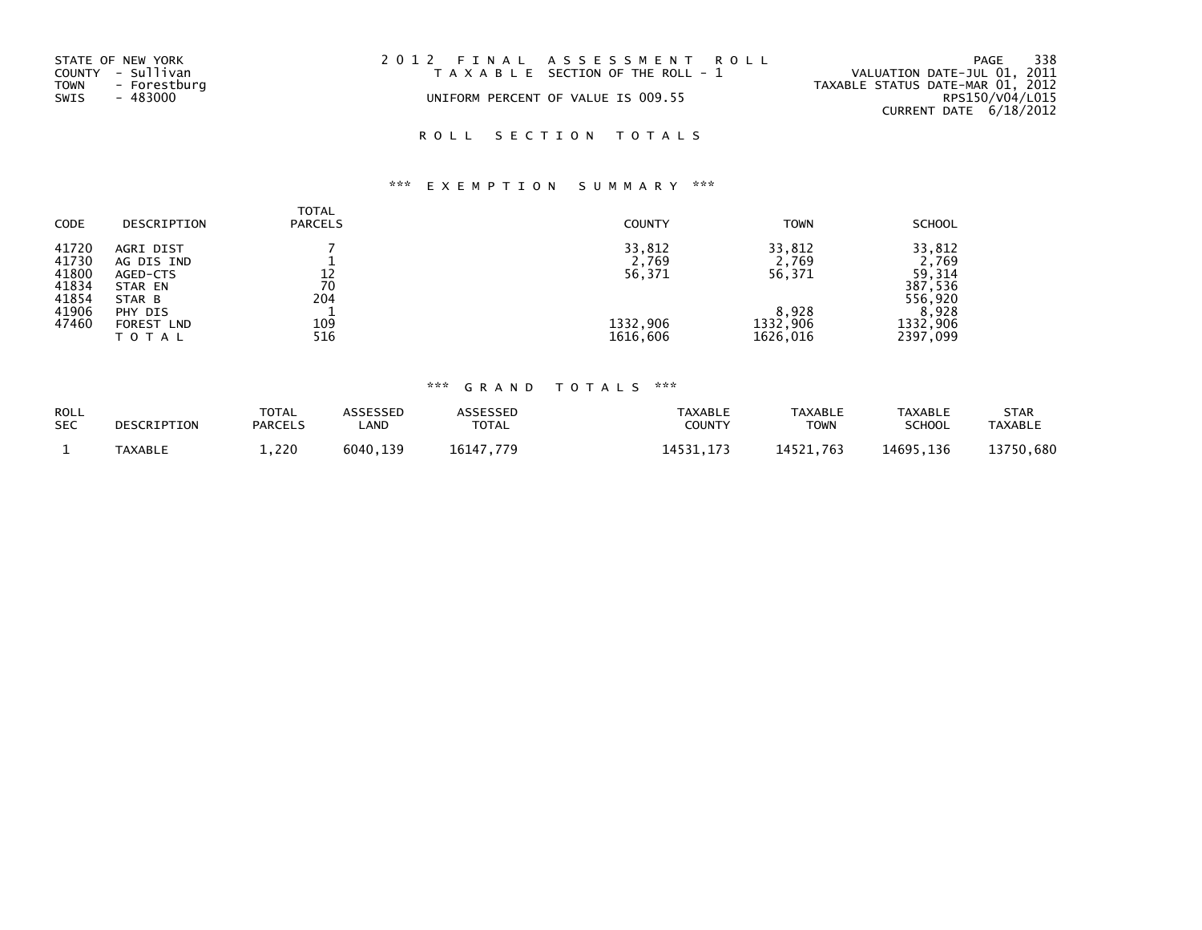| STATE OF NEW YORK<br>COUNTY - Sullivan<br>TOWN<br>- Forestburg<br>SWIS<br>- 483000 | 2012 FINAL ASSESSMENT ROLL<br>T A X A B L E SECTION OF THE ROLL - 1<br>UNIFORM PERCENT OF VALUE IS 009.55 | 338<br>PAGE<br>VALUATION DATE-JUL 01, 2011<br>TAXABLE STATUS DATE-MAR 01, 2012<br>RPS150/V04/L015<br>CURRENT DATE 6/18/2012 |
|------------------------------------------------------------------------------------|-----------------------------------------------------------------------------------------------------------|-----------------------------------------------------------------------------------------------------------------------------|
|                                                                                    |                                                                                                           |                                                                                                                             |

# ROLL SECTION TOTALS

# \*\*\* E X E M P T I O N S U M M A R Y \*\*\*

| <b>CODE</b>                                                 | DESCRIPTION                                                                              | <b>TOTAL</b><br><b>PARCELS</b> | <b>COUNTY</b>                         | <b>TOWN</b>                                    | <b>SCHOOL</b>                                                        |
|-------------------------------------------------------------|------------------------------------------------------------------------------------------|--------------------------------|---------------------------------------|------------------------------------------------|----------------------------------------------------------------------|
| 41720<br>41730<br>41800<br>41834<br>41854<br>41906<br>47460 | AGRI DIST<br>AG DIS IND<br>AGED-CTS<br>STAR EN<br>STAR B<br>PHY DIS<br><b>FOREST LND</b> | 12<br>70<br>204<br>109         | 33,812<br>2,769<br>56,371<br>1332,906 | 33.812<br>2,769<br>56,371<br>8,928<br>1332,906 | 33,812<br>2,769<br>59,314<br>387,536<br>556,920<br>8,928<br>1332,906 |
|                                                             | TOTAL                                                                                    | 516                            | 1616,606                              | 1626,016                                       | 2397,099                                                             |

| <b>ROLL</b><br><b>SEC</b> | DESCRIPTION    | <b>TOTAL</b><br><b>PARCELS</b> | <b>\SSESSED</b><br><b>_AND</b> | ASSESSED<br><b>TOTAL</b> | TAXABLE<br>COUNTY | <b>TAXABLE</b><br>TOWN | <b>TAXABLE</b><br>SCHOOL | <b>STAR</b><br><b>TAXABLE</b> |
|---------------------------|----------------|--------------------------------|--------------------------------|--------------------------|-------------------|------------------------|--------------------------|-------------------------------|
|                           | <b>TAXABLE</b> | 1,220                          | 6040<br>139                    | 6117<br>77 Q             | 4531<br>17.7      | 11571<br>14521.763     | 14695.136                | 13750.680                     |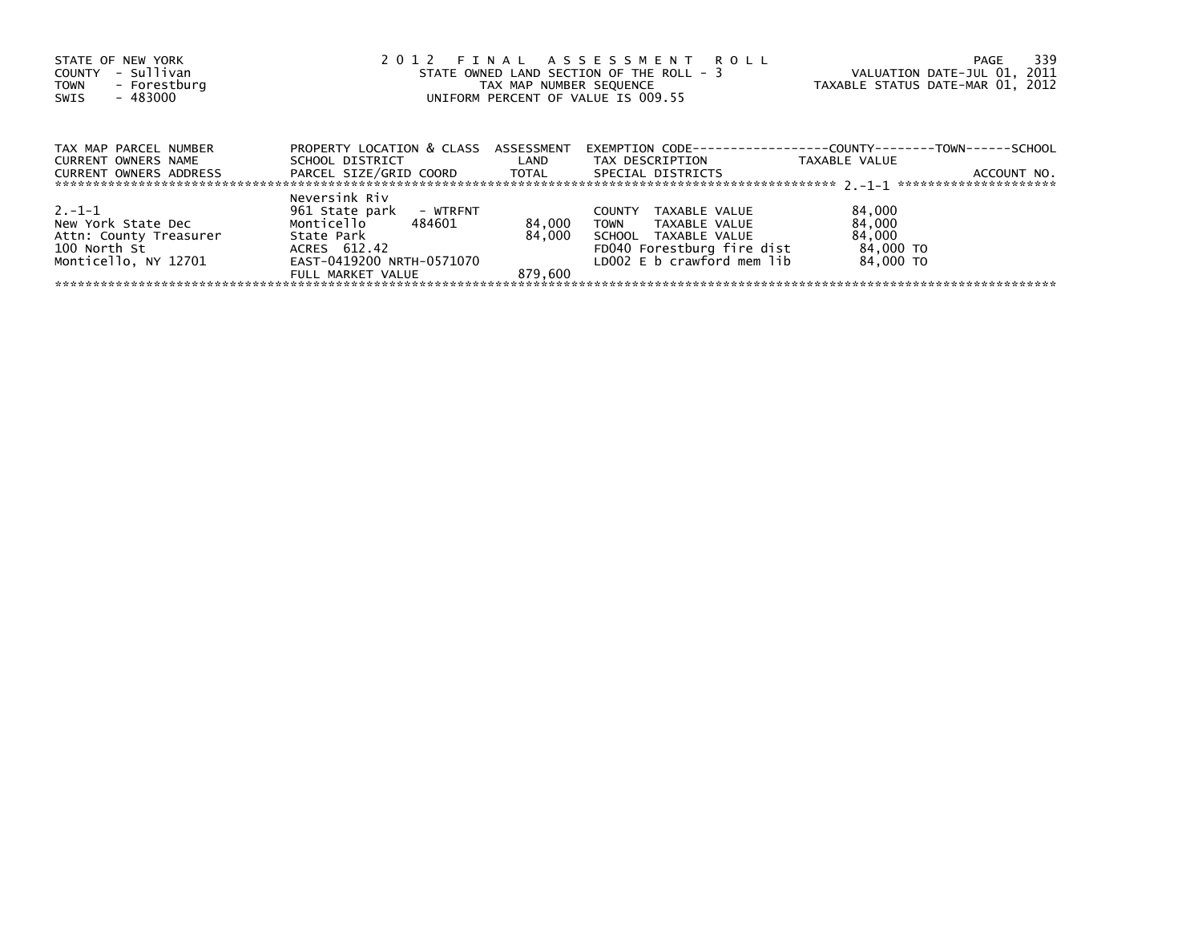| STATE OF NEW YORK<br>- Sullivan<br>COUNTY<br>TOWN - Forestburg<br>- 483000<br>SWIS | 2012 FINAL ASSESSMENT ROLL<br>STATE OWNED LAND SECTION OF THE ROLL - 3<br>TAX MAP NUMBER SEQUENCE<br>UNIFORM PERCENT OF VALUE IS 009.55 | VALUATION DATE-JUL 01, 2011<br>TAXABLE STATUS DATE-MAR 01, 2012 | 339<br>PAGE                                                                                                  |                                  |             |
|------------------------------------------------------------------------------------|-----------------------------------------------------------------------------------------------------------------------------------------|-----------------------------------------------------------------|--------------------------------------------------------------------------------------------------------------|----------------------------------|-------------|
| TAX MAP PARCEL NUMBER<br>CURRENT OWNERS NAME<br>CURRENT OWNERS ADDRESS             | PROPERTY LOCATION & CLASS ASSESSMENT<br>SCHOOL DISTRICT<br>PARCEL SIZE/GRID COORD       TOTAL                                           | <b>Example 12</b>                                               | EXEMPTION        CODE-----------------COUNTY--------TOWN------SCHOOL<br>TAX DESCRIPTION<br>SPECIAL DISTRICTS | TAXABLE VALUE                    | ACCOUNT NO. |
| $2 - 1 - 1$<br>New York State Dec                                                  | Neversink Riv<br>961 State park - WTRFNT<br>Monticello 484601                                                                           | 84,000                                                          | TAXABLE VALUE<br><b>COUNTY</b><br><b>TOWN</b><br>TAXABLE VALUE                                               | 84,000<br>84,000                 |             |
| Attn: County Treasurer<br>100 North St<br>Monticello, NY 12701                     | State Park<br>ACRES 612.42<br>EAST-0419200 NRTH-0571070                                                                                 | 84.000                                                          | SCHOOL TAXABLE VALUE<br>FD040 Forestburg fire dist<br>LD002 E b crawford mem lib                             | 84,000<br>84,000 TO<br>84.000 TO |             |
|                                                                                    | FULL MARKET VALUE                                                                                                                       | 879.600                                                         |                                                                                                              |                                  |             |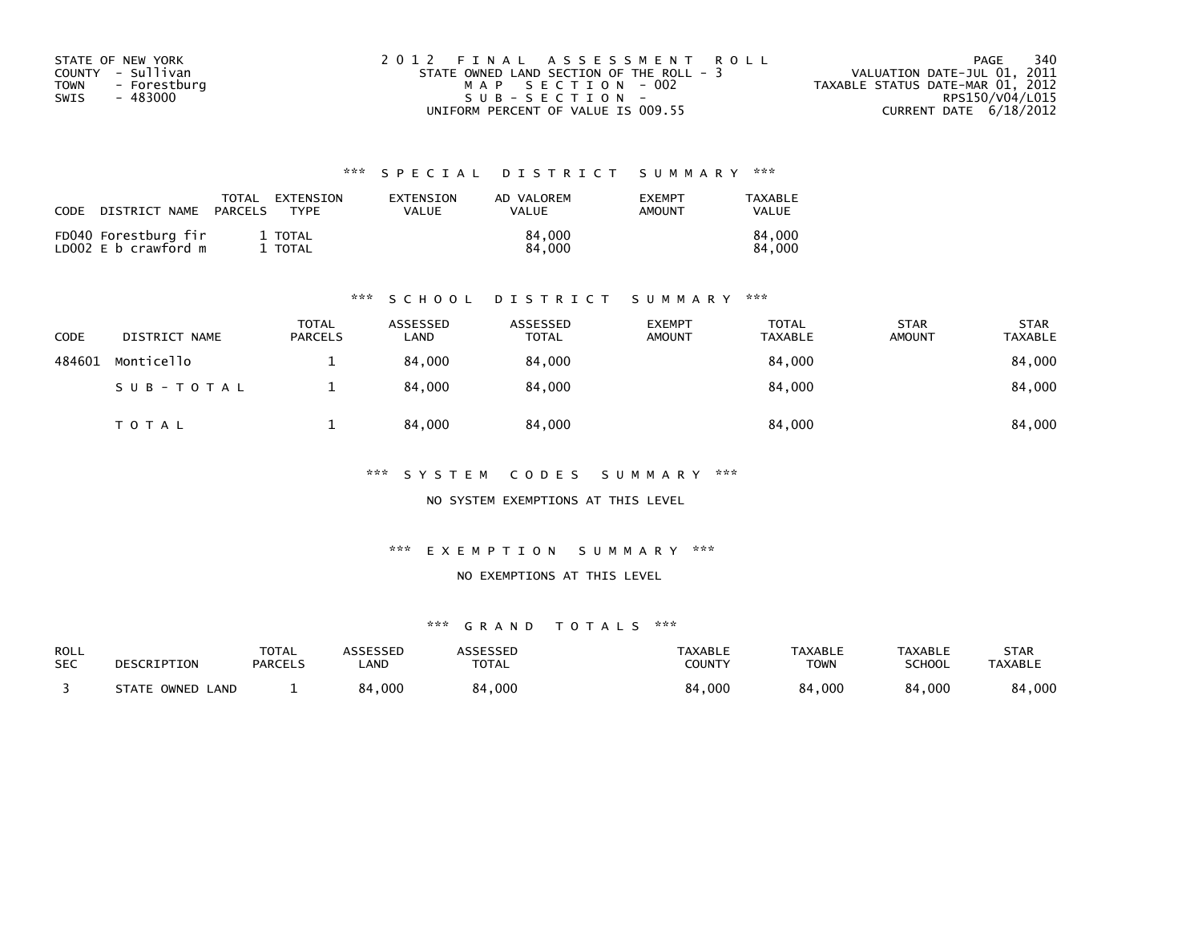| STATE OF NEW YORK           | 2012 FINAL ASSESSMENT ROLL               | 340<br>PAGE                      |
|-----------------------------|------------------------------------------|----------------------------------|
| COUNTY - Sullivan           | STATE OWNED LAND SECTION OF THE ROLL - 3 | VALUATION DATE-JUL 01, 2011      |
| <b>TOWN</b><br>- Forestburg | MAP SECTION - 002                        | TAXABLE STATUS DATE-MAR 01, 2012 |
| SWIS<br>- 483000            | $SUB - SECTION -$                        | RPS150/V04/L015                  |
|                             | UNIFORM PERCENT OF VALUE IS 009.55       | CURRENT DATE 6/18/2012           |

| CODE | DISTRICT NAME                                | TOTAL<br>PARCELS | EXTENSION<br>TYPF | EXTENSION<br>VALUE | AD VALOREM<br><b>VALUE</b> | <b>FXFMPT</b><br>AMOUNT | TAXABLE<br>VALUE |
|------|----------------------------------------------|------------------|-------------------|--------------------|----------------------------|-------------------------|------------------|
|      | FD040 Forestburg fir<br>LD002 E b crawford m |                  | 1 TOTAL<br>TOTAL  |                    | 84,000<br>84,000           |                         | 84.000<br>84.000 |

#### \*\*\* S C H O O L D I S T R I C T S U M M A R Y \*\*\*

| CODE   | DISTRICT NAME | <b>TOTAL</b><br><b>PARCELS</b> | ASSESSED<br>LAND | ASSESSED<br><b>TOTAL</b> | <b>EXEMPT</b><br><b>AMOUNT</b> | <b>TOTAL</b><br>TAXABLE | <b>STAR</b><br><b>AMOUNT</b> | <b>STAR</b><br>TAXABLE |
|--------|---------------|--------------------------------|------------------|--------------------------|--------------------------------|-------------------------|------------------------------|------------------------|
| 484601 | Monticello    |                                | 84.000           | 84,000                   |                                | 84,000                  |                              | 84,000                 |
|        | SUB-TOTAL     |                                | 84.000           | 84,000                   |                                | 84,000                  |                              | 84,000                 |
|        | <b>TOTAL</b>  |                                | 84.000           | 84,000                   |                                | 84,000                  |                              | 84,000                 |

\*\*\* S Y S T E M C O D E S S U M M A R Y \*\*\*

NO SYSTEM EXEMPTIONS AT THIS LEVEL

\*\*\* E X E M P T I O N S U M M A R Y \*\*\*

NO EXEMPTIONS AT THIS LEVEL

| ROLL       | DESCRIPTION      | <b>TOTAL</b>   | ASSESSED   | <b>ASSESSED</b> | TAXABLE       | <b>TAXABLE</b> | <b>TAXABLE</b> | STAR           |
|------------|------------------|----------------|------------|-----------------|---------------|----------------|----------------|----------------|
| <b>SEC</b> |                  | <b>PARCELS</b> | <b>AND</b> | <b>TOTAL</b>    | <b>COUNTY</b> | <b>TOWN</b>    | <b>SCHOOL</b>  | <b>TAXABLE</b> |
|            | STATE OWNED LAND |                | 84,000     | 84,000          | 84,000        | 84,000         | 84,000         | 84,000         |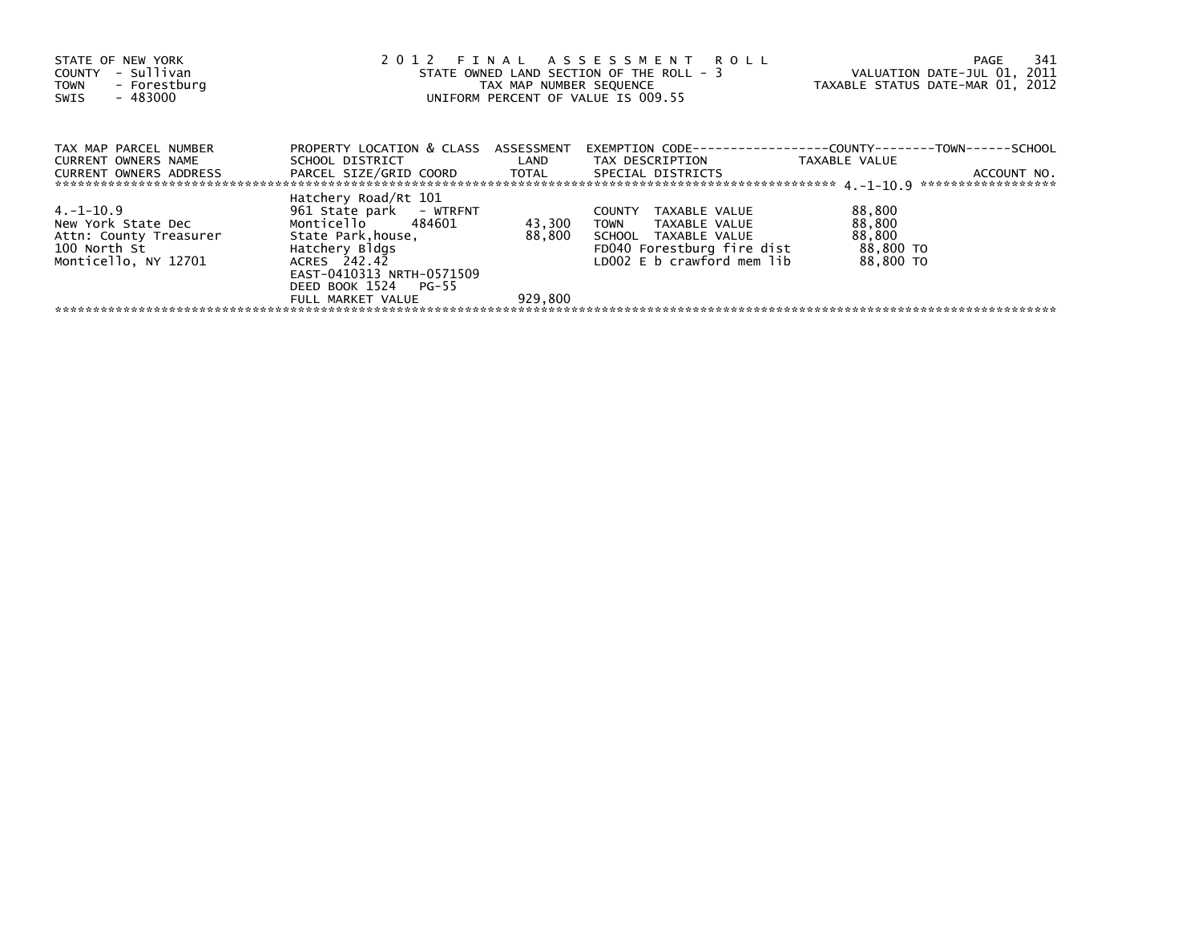| STATE OF NEW YORK<br>- Sullivan<br>COUNTY<br>- Forestburg<br><b>TOWN</b><br>- 483000<br>SWIS       | 2012 FINAL ASSESSMENT ROLL<br>STATE OWNED LAND SECTION OF THE ROLL - 3<br>TAX MAP NUMBER SEQUENCE<br>UNIFORM PERCENT OF VALUE IS 009.55                  | VALUATION DATE-JUL 01, 2011<br>TAXABLE STATUS DATE-MAR 01, 2012 | 341<br>PAGE                                                                                                                           |                                                      |             |
|----------------------------------------------------------------------------------------------------|----------------------------------------------------------------------------------------------------------------------------------------------------------|-----------------------------------------------------------------|---------------------------------------------------------------------------------------------------------------------------------------|------------------------------------------------------|-------------|
| TAX MAP PARCEL NUMBER<br>CURRENT OWNERS NAME<br>CURRENT OWNERS ADDRESS                             | PROPERTY LOCATION & CLASS ASSESSMENT<br>PARCEL SIZE/GRID COORD TOTAL SPECIAL DISTRICTS                                                                   |                                                                 |                                                                                                                                       | TAXABLE VALUE                                        | ACCOUNT NO. |
| 4. –1–10.9<br>New York State Dec<br>Attn: County Treasurer<br>100 North St<br>Monticello, NY 12701 | Hatchery Road/Rt 101<br>961 State park - WTRFNT<br>Monticello 484601<br>State Park.house.<br>Hatchery Bldgs<br>ACRES 242.42<br>EAST-0410313 NRTH-0571509 | 43,300                                                          | COUNTY TAXABLE VALUE<br>TOWN TAXABLE VALUE<br>88,800 SCHOOL TAXABLE VALUE<br>FD040 Forestburg fire dist<br>LD002 E b crawford mem lib | 88,800<br>88,800<br>88,800<br>88,800 TO<br>88,800 TO |             |
|                                                                                                    | DEED BOOK 1524 PG-55<br>FULL MARKET VALUE                                                                                                                | 929,800                                                         |                                                                                                                                       |                                                      |             |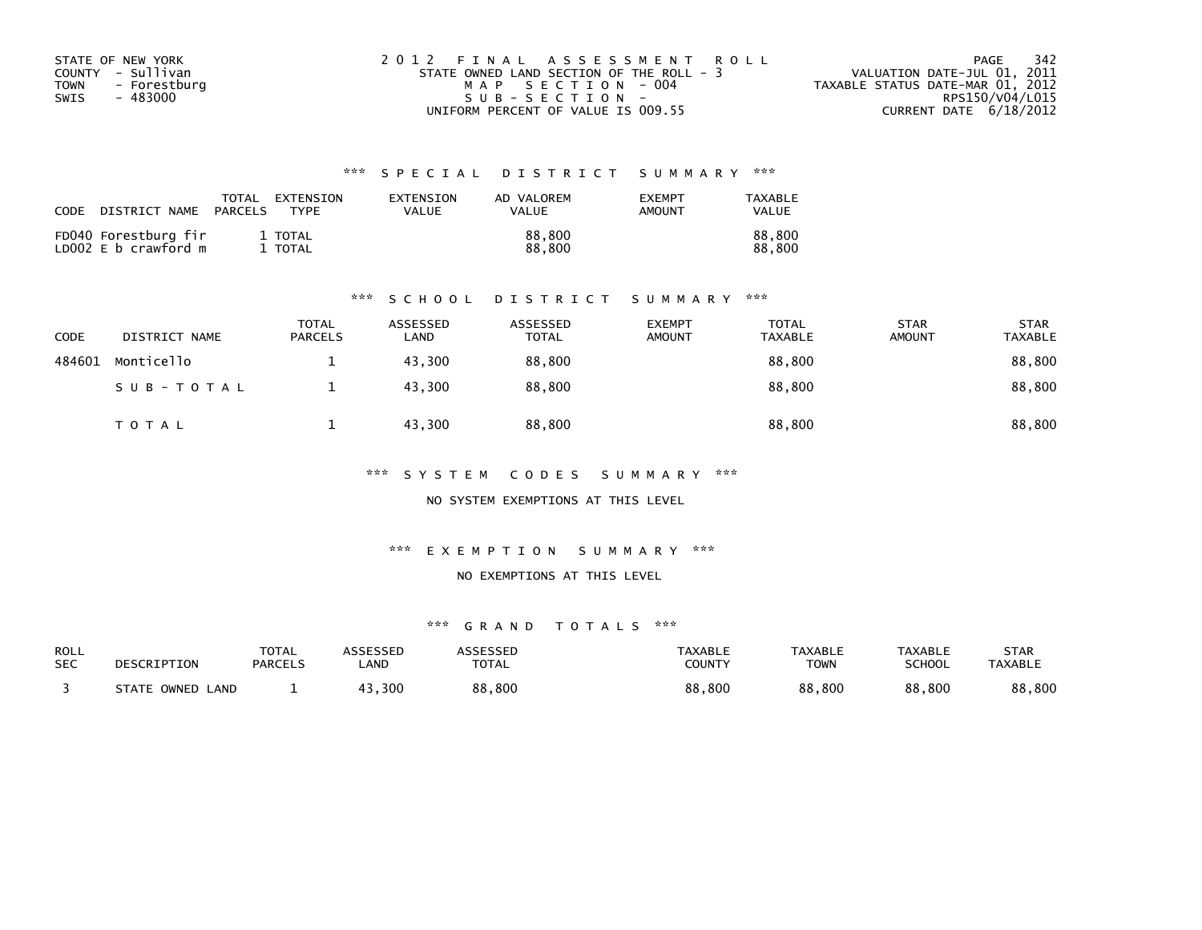| STATE OF NEW YORK    | 2012 FINAL ASSESSMENT ROLL               | - 342<br>PAGE                    |
|----------------------|------------------------------------------|----------------------------------|
| COUNTY - Sullivan    | STATE OWNED LAND SECTION OF THE ROLL - 3 | VALUATION DATE-JUL 01, 2011      |
| - Forestburg<br>TOWN | MAP SECTION - 004                        | TAXABLE STATUS DATE-MAR 01, 2012 |
| SWIS<br>- 483000     | $SUB - SECTION -$                        | RPS150/V04/L015                  |
|                      | UNIFORM PERCENT OF VALUE IS 009.55       | CURRENT DATE 6/18/2012           |

| <b>CODE</b> | DISTRICT NAME                                | TOTAL<br>PARCELS | EXTENSION<br><b>TYPF</b> | <b>FXTENSTON</b><br>VALUE | AD VALOREM<br><b>VALUE</b> | <b>EXEMPT</b><br>AMOUNT | TAXABLE<br>VALUE |
|-------------|----------------------------------------------|------------------|--------------------------|---------------------------|----------------------------|-------------------------|------------------|
|             | FD040 Forestburg fir<br>LD002 E b crawford m |                  | 1 TOTAL<br>1 TOTAL       |                           | 88,800<br>88,800           |                         | 88.800<br>88.800 |

#### \*\*\* S C H O O L D I S T R I C T S U M M A R Y \*\*\*

| CODE   | DISTRICT NAME | TOTAL<br><b>PARCELS</b> | ASSESSED<br>LAND | ASSESSED<br><b>TOTAL</b> | <b>EXEMPT</b><br><b>AMOUNT</b> | TOTAL<br><b>TAXABLE</b> | <b>STAR</b><br><b>AMOUNT</b> | <b>STAR</b><br><b>TAXABLE</b> |
|--------|---------------|-------------------------|------------------|--------------------------|--------------------------------|-------------------------|------------------------------|-------------------------------|
| 484601 | Monticello    |                         | 43,300           | 88,800                   |                                | 88,800                  |                              | 88,800                        |
|        | SUB-TOTAL     |                         | 43,300           | 88,800                   |                                | 88,800                  |                              | 88,800                        |
|        | T O T A L     |                         | 43,300           | 88,800                   |                                | 88,800                  |                              | 88,800                        |

\*\*\* S Y S T E M C O D E S S U M M A R Y \*\*\*

NO SYSTEM EXEMPTIONS AT THIS LEVEL

\*\*\* E X E M P T I O N S U M M A R Y \*\*\*

#### NO EXEMPTIONS AT THIS LEVEL

| ROLL       | DESCRIPTION      | <b>TOTAL</b>   | ASSESSED    | <b>ASSESSED</b> | TAXABLE       | <b>TAXABLE</b> | <b>TAXABLE</b> | STAR           |
|------------|------------------|----------------|-------------|-----------------|---------------|----------------|----------------|----------------|
| <b>SEC</b> |                  | <b>PARCELS</b> | <b>_AND</b> | <b>TOTAL</b>    | <b>COUNTY</b> | <b>TOWN</b>    | <b>SCHOOL</b>  | <b>TAXABLE</b> |
|            | STATE OWNED LAND |                | 43,300      | 88,800          | 88,800        | 88,800         | 88,800         | 88,800         |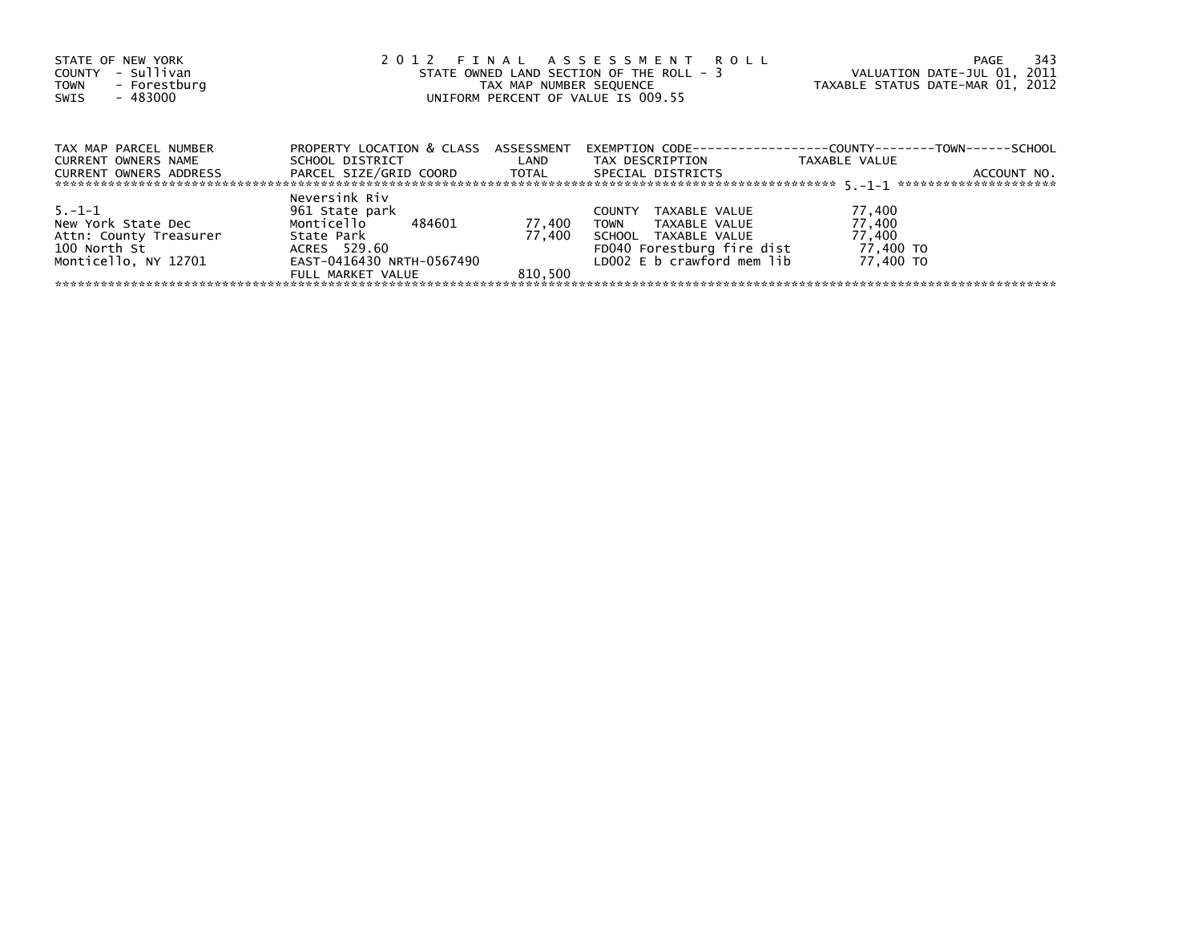| STATE OF NEW YORK<br>- Sullivan<br>COUNTY<br>- Forestburg<br><b>TOWN</b><br>- 483000<br>SWIS         | 2012 FINAL ASSESSMENT ROLL<br>STATE OWNED LAND SECTION OF THE ROLL - 3<br>TAX MAP NUMBER SEQUENCE<br>UNIFORM PERCENT OF VALUE IS 009.55 | VALUATION DATE-JUL 01, 2011<br>TAXABLE STATUS DATE-MAR 01, 2012 | 343<br>PAGE                                                                                                                                        |                                                      |             |
|------------------------------------------------------------------------------------------------------|-----------------------------------------------------------------------------------------------------------------------------------------|-----------------------------------------------------------------|----------------------------------------------------------------------------------------------------------------------------------------------------|------------------------------------------------------|-------------|
| TAX MAP PARCEL NUMBER<br><b>CURRENT OWNERS NAME</b><br><b>CURRENT OWNERS ADDRESS</b>                 | PROPERTY LOCATION & CLASS ASSESSMENT<br>SCHOOL DISTRICT<br>PARCEL SIZE/GRID COORD TOTAL                                                 | LAND                                                            | EXEMPTION        CODE-----------------COUNTY--------TOWN------SCHOOL<br>TAX DESCRIPTION<br>SPECIAL DISTRICTS                                       | TAXABLE VALUE                                        | ACCOUNT NO. |
| $5. - 1 - 1$<br>New York State Dec<br>Attn: County Treasurer<br>100 North St<br>Monticello, NY 12701 | Neversink Riv<br>961 State park<br>Monticello<br>484601<br>State Park<br>ACRES 529.60<br>EAST-0416430 NRTH-0567490<br>FULL MARKET VALUE | 77,400<br>77.400<br>810.500                                     | TAXABLE VALUE<br><b>COUNTY</b><br><b>TOWN</b><br>TAXABLE VALUE<br>SCHOOL TAXABLE VALUE<br>FD040 Forestburg fire dist<br>LD002 E b crawford mem lib | 77,400<br>77,400<br>77,400<br>77,400 TO<br>77.400 TO |             |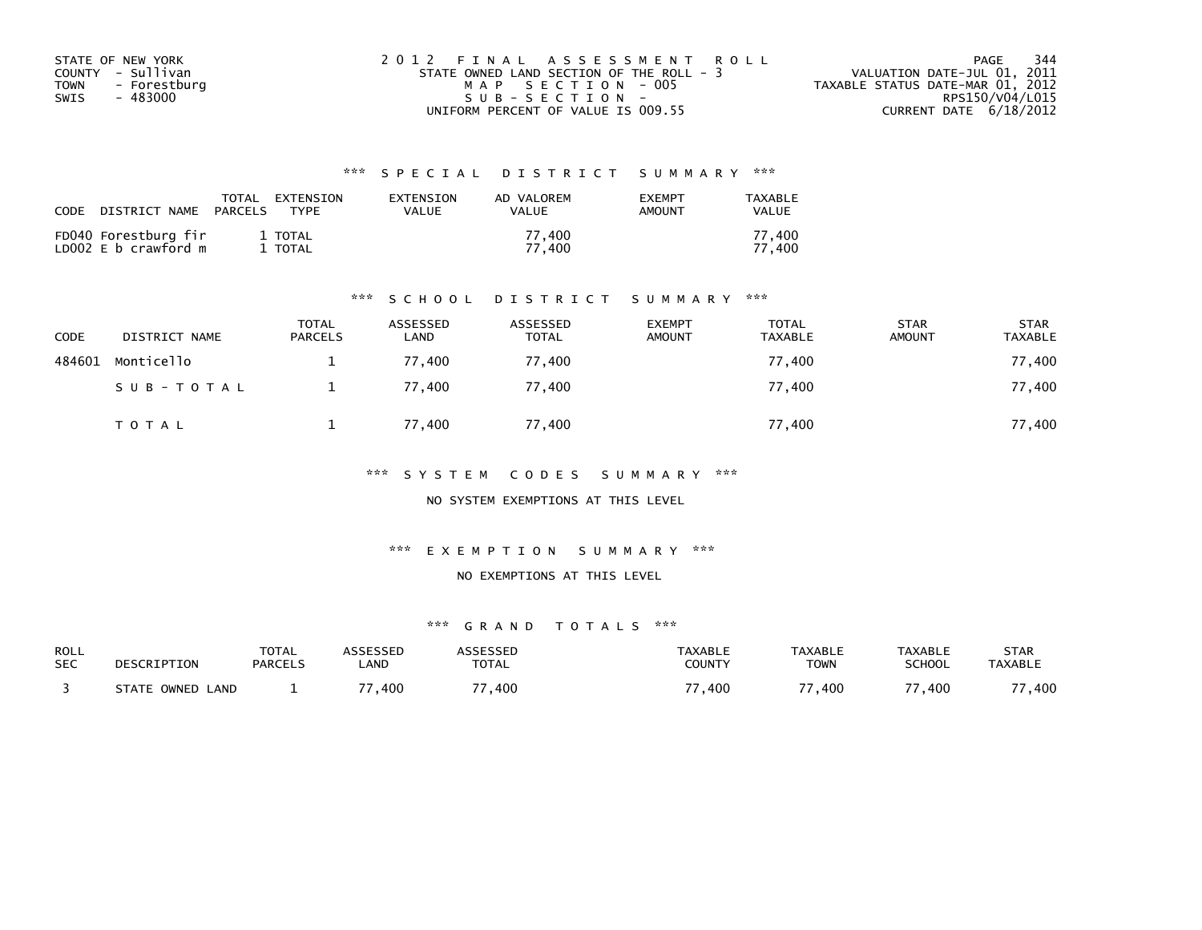| STATE OF NEW YORK           | 2012 FINAL ASSESSMENT ROLL               | 344<br>PAGE                      |
|-----------------------------|------------------------------------------|----------------------------------|
| COUNTY - Sullivan           | STATE OWNED LAND SECTION OF THE ROLL - 3 | VALUATION DATE-JUL 01, 2011      |
| <b>TOWN</b><br>- Forestburg | MAP SECTION - 005                        | TAXABLE STATUS DATE-MAR 01, 2012 |
| SWIS<br>- 483000            | SUB-SECTION-                             | RPS150/V04/L015                  |
|                             | UNIFORM PERCENT OF VALUE IS 009.55       | CURRENT DATE 6/18/2012           |

| <b>CODE</b> | DISTRICT NAME                                | TOTAL<br>PARCELS | EXTENSION<br><b>TYPF</b> | EXTENSION<br>VALUE | AD VALOREM<br>VALUE | <b>FXFMPT</b><br>AMOUNT | TAXABLE<br><b>VALUE</b> |
|-------------|----------------------------------------------|------------------|--------------------------|--------------------|---------------------|-------------------------|-------------------------|
|             | FD040 Forestburg fir<br>LD002 E b crawford m |                  | 1 TOTAL<br>TOTAL         |                    | 77.400<br>77.400    |                         | 77.400<br>77.400        |

#### \*\*\* S C H O O L D I S T R I C T S U M M A R Y \*\*\*

| CODE   | DISTRICT NAME | <b>TOTAL</b><br><b>PARCELS</b> | ASSESSED<br>LAND | ASSESSED<br><b>TOTAL</b> | <b>EXEMPT</b><br><b>AMOUNT</b> | <b>TOTAL</b><br><b>TAXABLE</b> | <b>STAR</b><br><b>AMOUNT</b> | <b>STAR</b><br><b>TAXABLE</b> |
|--------|---------------|--------------------------------|------------------|--------------------------|--------------------------------|--------------------------------|------------------------------|-------------------------------|
| 484601 | Monticello    |                                | 77.400           | 77,400                   |                                | 77,400                         |                              | 77,400                        |
|        | SUB-TOTAL     |                                | 77.400           | 77,400                   |                                | 77,400                         |                              | 77,400                        |
|        | T O T A L     |                                | 77,400           | 77,400                   |                                | 77,400                         |                              | 77,400                        |

\*\*\* S Y S T E M C O D E S S U M M A R Y \*\*\*

NO SYSTEM EXEMPTIONS AT THIS LEVEL

\*\*\* E X E M P T I O N S U M M A R Y \*\*\*

NO EXEMPTIONS AT THIS LEVEL

| ROLL       | DESCRIPTION      | <b>TOTAL</b>   | ASSESSED | ASSESSED     | <b>TAXABLE</b> | <b>TAXABLE</b> | <b>TAXABLE</b> | STAR           |
|------------|------------------|----------------|----------|--------------|----------------|----------------|----------------|----------------|
| <b>SEC</b> |                  | <b>PARCELS</b> | _AND     | <b>TOTAL</b> | COUNTY         | TOWN           | <b>SCHOOL</b>  | <b>TAXABLE</b> |
|            | STATE OWNED LAND |                | 77,400   | , 400        | 77<br>.400     | .400           | 400 '          | ,400           |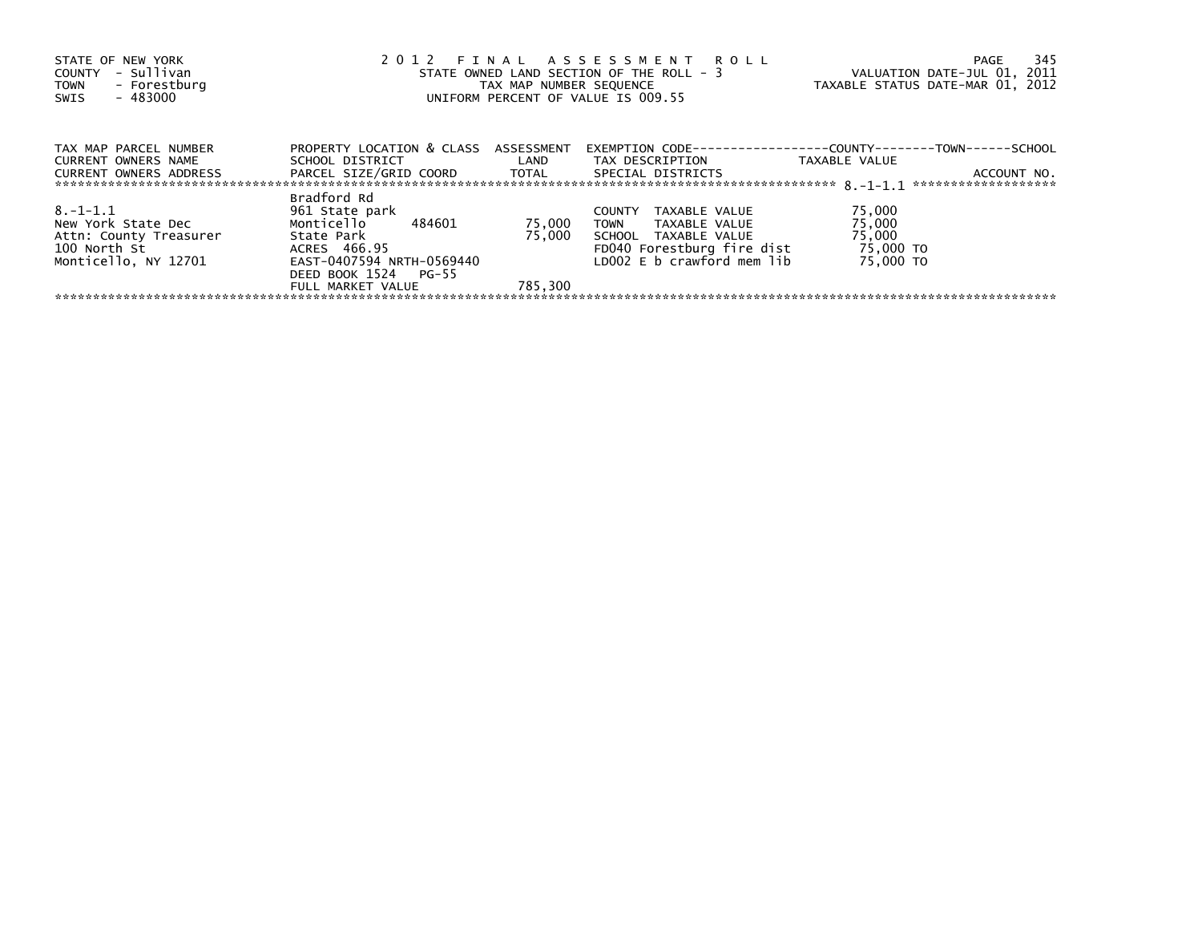| STATE OF NEW YORK<br>- Sullivan<br>COUNTY<br>- Forestburg<br><b>TOWN</b><br>$-483000$<br>SWIS | 2012 FINAL ASSESSMENT ROLL<br>STATE OWNED LAND SECTION OF THE ROLL - 3<br>TAX MAP NUMBER SEQUENCE<br>UNIFORM PERCENT OF VALUE IS 009.55 | VALUATION DATE-JUL 01, 2011<br>TAXABLE STATUS DATE-MAR 01, 2012 | 345<br>PAGE                                                                             |                     |             |
|-----------------------------------------------------------------------------------------------|-----------------------------------------------------------------------------------------------------------------------------------------|-----------------------------------------------------------------|-----------------------------------------------------------------------------------------|---------------------|-------------|
| TAX MAP PARCEL NUMBER<br><b>CURRENT OWNERS NAME</b>                                           | PROPERTY LOCATION & CLASS ASSESSMENT<br>SCHOOL DISTRICT                                                                                 | <b>Example 12</b>                                               | EXEMPTION        CODE-----------------COUNTY--------TOWN------SCHOOL<br>TAX DESCRIPTION | TAXABLE VALUE       |             |
| <b>CURRENT OWNERS ADDRESS</b>                                                                 | PARCEL SIZE/GRID COORD TOTAL                                                                                                            |                                                                 | SPECIAL DISTRICTS                                                                       |                     | ACCOUNT NO. |
| $8. -1 - 1.1$                                                                                 | Bradford Rd<br>961 State park                                                                                                           |                                                                 | <b>COUNTY</b><br>TAXABLE VALUE                                                          | 75,000              |             |
| New York State Dec                                                                            | 484601<br>Monticello                                                                                                                    | 75,000                                                          | <b>TOWN</b><br>TAXABLE VALUE                                                            | 75,000              |             |
| Attn: County Treasurer<br>100 North St                                                        | State Park<br>ACRES 466.95                                                                                                              | 75.000                                                          | SCHOOL TAXABLE VALUE<br>FD040 Forestburg fire dist                                      | 75,000<br>75,000 TO |             |
| Monticello, NY 12701                                                                          | EAST-0407594 NRTH-0569440<br>DEED BOOK 1524 PG-55                                                                                       |                                                                 | LD002 E b crawford mem lib                                                              | 75,000 TO           |             |
|                                                                                               | FULL MARKET VALUE                                                                                                                       | 785,300                                                         |                                                                                         |                     |             |
|                                                                                               |                                                                                                                                         |                                                                 |                                                                                         |                     |             |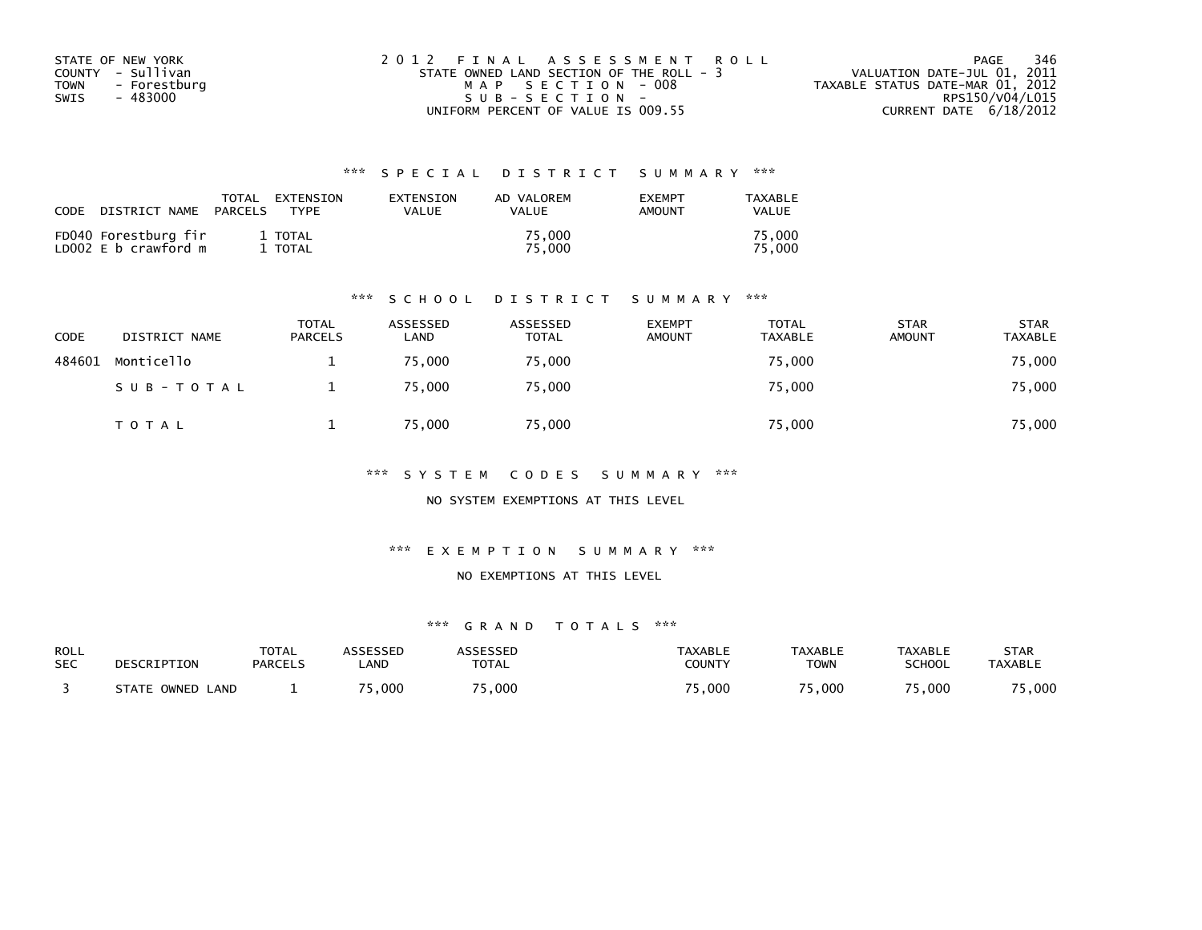| STATE OF NEW YORK |              | 2012 FINAL ASSESSMENT ROLL               |                                  | PAGE            | 346 |
|-------------------|--------------|------------------------------------------|----------------------------------|-----------------|-----|
| COUNTY - Sullivan |              | STATE OWNED LAND SECTION OF THE ROLL - 3 | VALUATION DATE-JUL 01, 2011      |                 |     |
| TOWN              | - Forestburg | MAP SECTION - 008                        | TAXABLE STATUS DATE-MAR 01, 2012 |                 |     |
| SWIS              | - 483000     | $SUB - SECTION -$                        |                                  | RPS150/V04/L015 |     |
|                   |              | UNIFORM PERCENT OF VALUE IS 009.55       | CURRENT DATE 6/18/2012           |                 |     |

| CODE | DISTRICT NAME                                | TOTAL<br>PARCELS | EXTENSION<br><b>TYPF</b> | EXTENSION<br><b>VALUE</b> | AD VALOREM<br>VALUE | <b>EXEMPT</b><br>AMOUNT | TAXABLE<br><b>VALUE</b> |
|------|----------------------------------------------|------------------|--------------------------|---------------------------|---------------------|-------------------------|-------------------------|
|      | FD040 Forestburg fir<br>LD002 E b crawford m |                  | 1 TOTAL<br>TOTAL         |                           | 75.000<br>75.000    |                         | 75.000<br>75.000        |

#### \*\*\* S C H O O L D I S T R I C T S U M M A R Y \*\*\*

| CODE   | DISTRICT NAME | <b>TOTAL</b><br><b>PARCELS</b> | ASSESSED<br>LAND | ASSESSED<br><b>TOTAL</b> | <b>EXEMPT</b><br><b>AMOUNT</b> | <b>TOTAL</b><br><b>TAXABLE</b> | <b>STAR</b><br><b>AMOUNT</b> | <b>STAR</b><br><b>TAXABLE</b> |
|--------|---------------|--------------------------------|------------------|--------------------------|--------------------------------|--------------------------------|------------------------------|-------------------------------|
| 484601 | Monticello    |                                | 75.000           | 75,000                   |                                | 75,000                         |                              | 75,000                        |
|        | SUB-TOTAL     |                                | 75.000           | 75,000                   |                                | 75,000                         |                              | 75,000                        |
|        | TOTAL         |                                | 75,000           | 75,000                   |                                | 75,000                         |                              | 75,000                        |

\*\*\* S Y S T E M C O D E S S U M M A R Y \*\*\*

NO SYSTEM EXEMPTIONS AT THIS LEVEL

\*\*\* E X E M P T I O N S U M M A R Y \*\*\*

#### NO EXEMPTIONS AT THIS LEVEL

| ROLL       | DESCRIPTION      | <b>TOTAL</b>   | ASSESSED   | <b>ASSESSED</b> | TAXABLE       | <b>TAXABLE</b> | <b>TAXABLE</b> | STAR           |
|------------|------------------|----------------|------------|-----------------|---------------|----------------|----------------|----------------|
| <b>SEC</b> |                  | <b>PARCELS</b> | <b>AND</b> | <b>TOTAL</b>    | <b>COUNTY</b> | <b>TOWN</b>    | <b>SCHOOL</b>  | <b>TAXABLE</b> |
|            | STATE OWNED LAND |                | 75,000     | 5,000           | ,000          | 000. د         | 5,000          | 75,000         |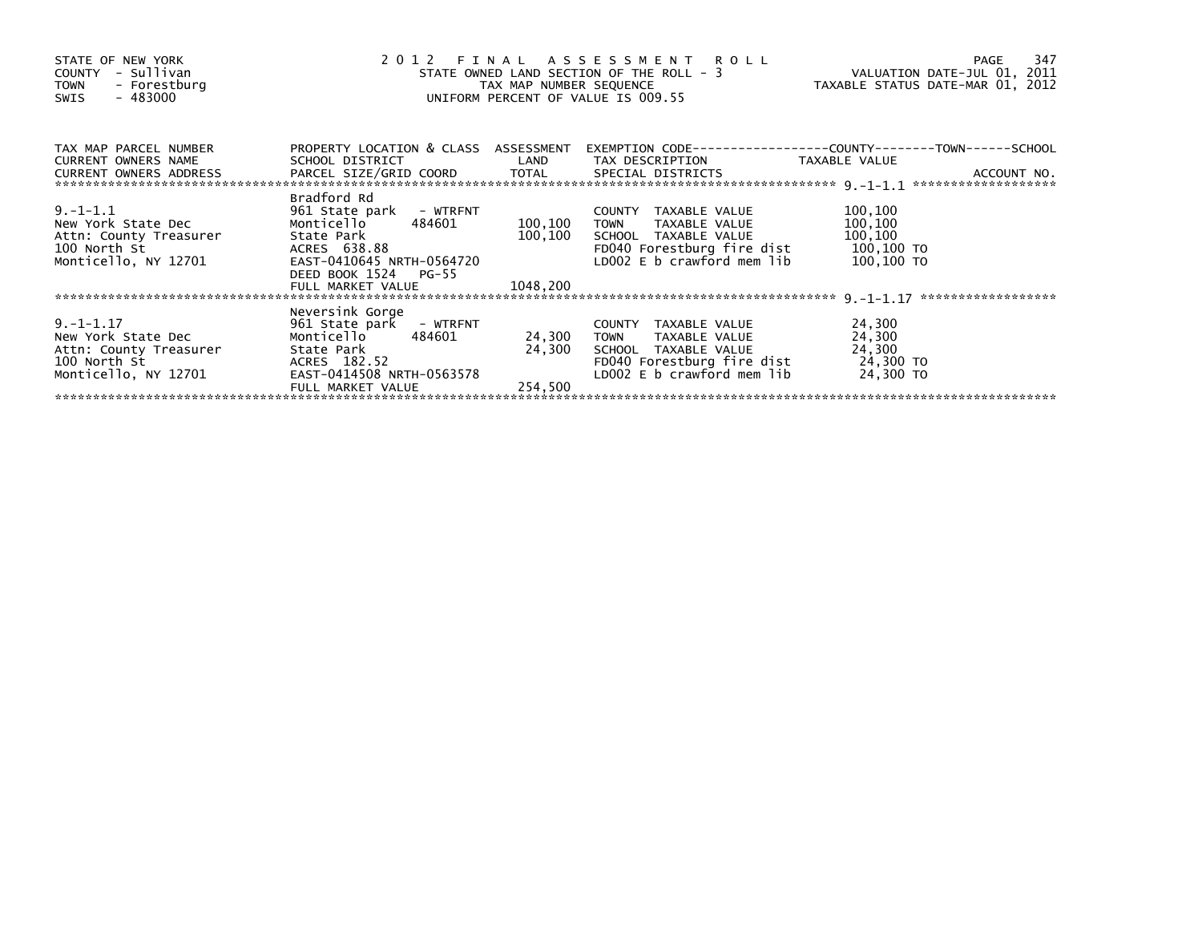| STATE OF NEW YORK<br>COUNTY - Sullivan<br>- Forestburg<br><b>TOWN</b><br>- 483000<br>SWIS              | 2 0 1 2                                                                                                                                                             | TAX MAP NUMBER SEQUENCE        | FINAL ASSESSMENT ROLL<br>STATE OWNED LAND SECTION OF THE ROLL - 3<br>UNIFORM PERCENT OF VALUE IS 009.55                                             | VALUATION DATE-JUL 01, 2011<br>TAXABLE STATUS DATE-MAR 01, 2012 | 347<br>PAGE |
|--------------------------------------------------------------------------------------------------------|---------------------------------------------------------------------------------------------------------------------------------------------------------------------|--------------------------------|-----------------------------------------------------------------------------------------------------------------------------------------------------|-----------------------------------------------------------------|-------------|
| TAX MAP PARCEL NUMBER<br>CURRENT OWNERS NAME                                                           | PROPERTY LOCATION & CLASS ASSESSMENT<br>SCHOOL DISTRICT                                                                                                             |                                | LAND TAX DESCRIPTION                                                                                                                                | TAXABLE VALUE                                                   |             |
|                                                                                                        |                                                                                                                                                                     |                                |                                                                                                                                                     |                                                                 |             |
| $9. -1 - 1.1$<br>New York State Dec<br>Attn: County Treasurer<br>100 North St<br>Monticello, NY 12701  | Bradford Rd<br>961 State park - WTRFNT<br>Monticello 484601<br>State Park<br>ACRES 638.88<br>EAST-0410645 NRTH-0564720<br>DEED BOOK 1524 PG-55<br>FULL MARKET VALUE | 100,100<br>100,100<br>1048,200 | COUNTY TAXABLE VALUE<br>TAXABLE VALUE<br><b>TOWN</b><br>SCHOOL TAXABLE VALUE<br>FD040 Forestburg fire dist 100,100 TO<br>LD002 E b crawford mem lib | 100,100<br>100,100<br>100,100<br>100,100 TO                     |             |
|                                                                                                        | Neversink Gorge                                                                                                                                                     |                                |                                                                                                                                                     |                                                                 |             |
| $9. -1 - 1.17$<br>New York State Dec<br>Attn: County Treasurer<br>100 North St<br>Monticello, NY 12701 | 961 State park - WTRFNT<br>Monticello<br>484601<br>State Park<br>ACRES 182.52<br>EAST-0414508 NRTH-0563578                                                          | 24,300                         | COUNTY TAXABLE VALUE<br>24,300 TOWN<br>TAXABLE VALUE<br>SCHOOL TAXABLE VALUE<br>FD040 Forestburg fire dist<br>LD002 E b crawford mem lib            | 24,300<br>24,300<br>24,300<br>24,300 TO<br>24,300 TO            |             |
|                                                                                                        | FULL MARKET VALUE                                                                                                                                                   | 254.500                        |                                                                                                                                                     |                                                                 |             |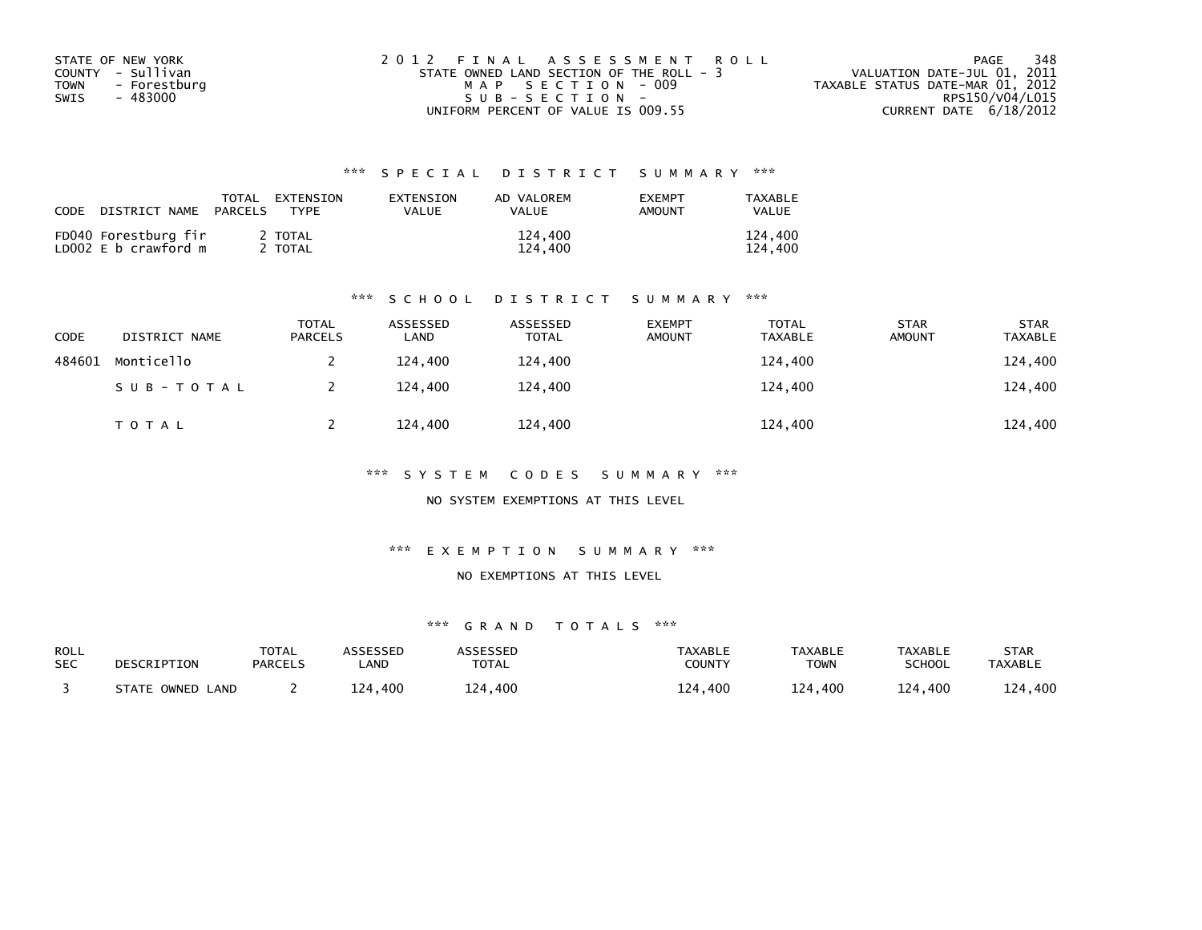| STATE OF NEW YORK    | 2012 FINAL ASSESSMENT ROLL               | 348<br>PAGE                      |
|----------------------|------------------------------------------|----------------------------------|
| COUNTY - Sullivan    | STATE OWNED LAND SECTION OF THE ROLL - 3 | VALUATION DATE-JUL 01, 2011      |
| - Forestburg<br>TOWN | MAP SECTION - 009                        | TAXABLE STATUS DATE-MAR 01, 2012 |
| SWIS<br>- 483000     | $SUB - SECTION -$                        | RPS150/V04/L015                  |
|                      | UNIFORM PERCENT OF VALUE IS 009.55       | CURRENT DATE 6/18/2012           |

| CODE | DISTRICT NAME                                | TOTAL<br>PARCELS | EXTENSION<br>TYPF  | EXTENSION<br>VALUE | AD VALOREM<br><b>VALUE</b> | <b>EXEMPT</b><br>AMOUNT | TAXABLE<br>VALUE   |
|------|----------------------------------------------|------------------|--------------------|--------------------|----------------------------|-------------------------|--------------------|
|      | FD040 Forestburg fir<br>LD002 E b crawford m |                  | 2 TOTAL<br>2 TOTAL |                    | 124,400<br>124,400         |                         | 124,400<br>124,400 |

#### \*\*\* S C H O O L D I S T R I C T S U M M A R Y \*\*\*

| CODE   | DISTRICT NAME | <b>TOTAL</b><br><b>PARCELS</b> | ASSESSED<br>LAND | ASSESSED<br><b>TOTAL</b> | <b>EXEMPT</b><br><b>AMOUNT</b> | <b>TOTAL</b><br><b>TAXABLE</b> | <b>STAR</b><br><b>AMOUNT</b> | <b>STAR</b><br><b>TAXABLE</b> |
|--------|---------------|--------------------------------|------------------|--------------------------|--------------------------------|--------------------------------|------------------------------|-------------------------------|
| 484601 | Monticello    |                                | 124,400          | 124,400                  |                                | 124,400                        |                              | 124,400                       |
|        | SUB-TOTAL     |                                | 124,400          | 124,400                  |                                | 124,400                        |                              | 124,400                       |
|        | <b>TOTAL</b>  |                                | 124,400          | 124,400                  |                                | 124,400                        |                              | 124,400                       |

\*\*\* S Y S T E M C O D E S S U M M A R Y \*\*\*

NO SYSTEM EXEMPTIONS AT THIS LEVEL

\*\*\* E X E M P T I O N S U M M A R Y \*\*\*

NO EXEMPTIONS AT THIS LEVEL

| ROLL       | DESCRIPTION      | <b>TOTAL</b>   | ASSESSED   | ASSESSED     | TAXABLE       | <b>TAXABLE</b> | TAXABLE       | STAR           |
|------------|------------------|----------------|------------|--------------|---------------|----------------|---------------|----------------|
| <b>SEC</b> |                  | <b>PARCELS</b> | <b>AND</b> | <b>TOTAL</b> | <b>COUNTY</b> | TOWN           | <b>SCHOOL</b> | <b>TAXABLE</b> |
|            | STATE OWNED LAND |                | 124.400    | 124,400      | 400،<br>124   | 124,400        | 124,400       | 124,400        |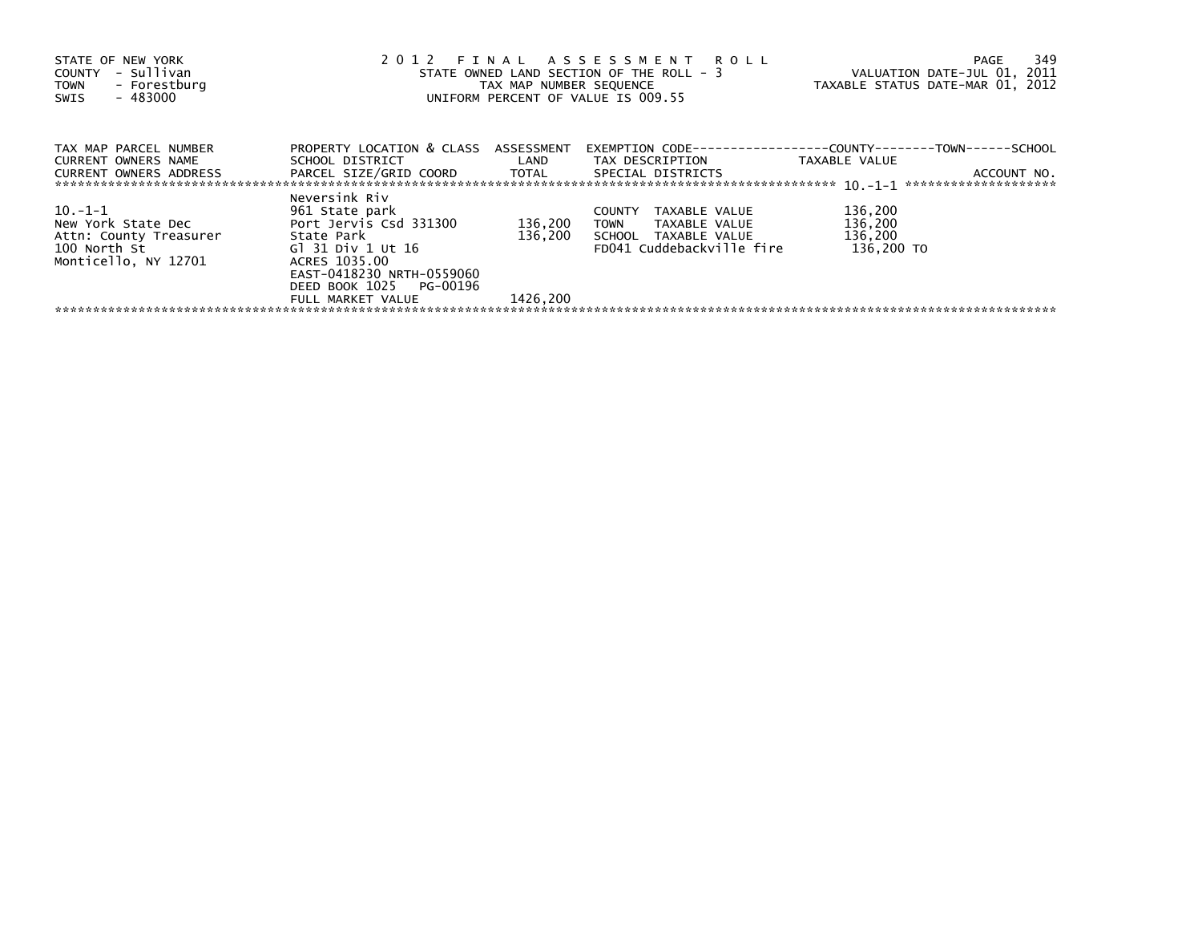| STATE OF NEW YORK<br>- Sullivan<br>COUNTY<br>- Forestburg<br><b>TOWN</b><br>$-483000$<br>SWIS   | 2012 FINAL ASSESSMENT ROLL<br>STATE OWNED LAND SECTION OF THE ROLL - 3<br>TAX MAP NUMBER SEQUENCE<br>UNIFORM PERCENT OF VALUE IS 009.55    | 349<br>PAGE<br>VALUATION DATE-JUL 01, 2011<br>TAXABLE STATUS DATE-MAR 01, 2012 |                                                                                                           |                                             |
|-------------------------------------------------------------------------------------------------|--------------------------------------------------------------------------------------------------------------------------------------------|--------------------------------------------------------------------------------|-----------------------------------------------------------------------------------------------------------|---------------------------------------------|
| TAX MAP PARCEL NUMBER<br>CURRENT OWNERS NAME<br><b>CURRENT OWNERS ADDRESS</b>                   | PROPERTY LOCATION & CLASS ASSESSMENT<br>PARCEL SIZE/GRID COORD TOTAL SPECIAL DISTRICTS                                                     |                                                                                |                                                                                                           | TAXABLE VALUE<br>ACCOUNT NO.                |
| 10.-1-1<br>New York State Dec<br>Attn: County Treasurer<br>100 North St<br>Monticello, NY 12701 | Neversink Riv<br>961 State park<br>Port Jervis Csd 331300<br>State Park<br>Gl 31 Div 1 Ut 16<br>ACRES 1035.00<br>EAST-0418230 NRTH-0559060 | 136,200<br>136.200                                                             | TAXABLE VALUE<br><b>COUNTY</b><br>TOWN TAXABLE VALUE<br>SCHOOL TAXABLE VALUE<br>FD041 Cuddebackville fire | 136,200<br>136,200<br>136,200<br>136.200 TO |
|                                                                                                 | DEED BOOK 1025 PG-00196<br>FULL MARKET VALUE                                                                                               | 1426,200                                                                       |                                                                                                           |                                             |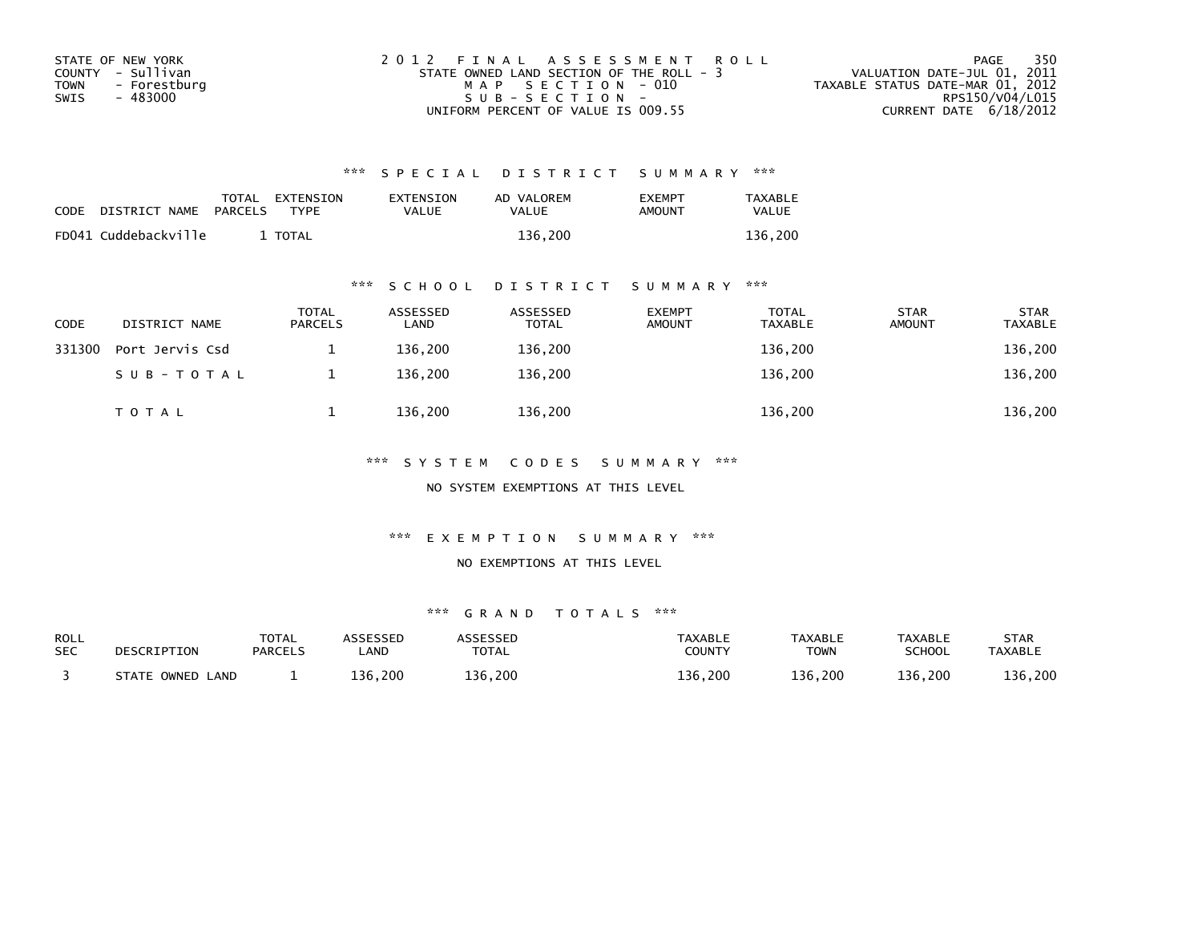| STATE OF NEW YORK    | 2012 FINAL ASSESSMENT ROLL               | - 350<br>PAGE                    |
|----------------------|------------------------------------------|----------------------------------|
| COUNTY - Sullivan    | STATE OWNED LAND SECTION OF THE ROLL - 3 | VALUATION DATE-JUL 01, 2011      |
| - Forestburg<br>TOWN | MAP SECTION - 010                        | TAXABLE STATUS DATE-MAR 01, 2012 |
| SWIS<br>- 483000     | SUB-SECTION-                             | RPS150/V04/L015                  |
|                      | UNIFORM PERCENT OF VALUE IS 009.55       | CURRENT DATE 6/18/2012           |

| CODE | DISTRICT NAME        | PARCELS | TOTAL EXTENSION<br>TYPF | EXTENSION<br>VALUE | AD VALOREM<br>VALUE | <b>FXFMPT</b><br>AMOUNT | TAXABLE<br><b>VALUE</b> |
|------|----------------------|---------|-------------------------|--------------------|---------------------|-------------------------|-------------------------|
|      | FD041 Cuddebackville |         | TOTAL                   |                    | 136.200             |                         | 136.200                 |

### \*\*\* S C H O O L D I S T R I C T S U M M A R Y \*\*\*

| <b>CODE</b> | DISTRICT NAME   | <b>TOTAL</b><br><b>PARCELS</b> | ASSESSED<br>LAND | ASSESSED<br><b>TOTAL</b> | <b>EXEMPT</b><br>AMOUNT | <b>TOTAL</b><br><b>TAXABLE</b> | <b>STAR</b><br>AMOUNT | <b>STAR</b><br><b>TAXABLE</b> |
|-------------|-----------------|--------------------------------|------------------|--------------------------|-------------------------|--------------------------------|-----------------------|-------------------------------|
| 331300      | Port Jervis Csd |                                | 136.200          | 136,200                  |                         | 136,200                        |                       | 136,200                       |
|             | SUB-TOTAL       |                                | 136.200          | 136,200                  |                         | 136,200                        |                       | 136,200                       |
|             | <b>TOTAL</b>    |                                | 136,200          | 136,200                  |                         | 136,200                        |                       | 136,200                       |

\*\*\* S Y S T E M C O D E S S U M M A R Y \*\*\*

NO SYSTEM EXEMPTIONS AT THIS LEVEL

\*\*\* E X E M P T I O N S U M M A R Y \*\*\*

#### NO EXEMPTIONS AT THIS LEVEL

| <b>ROLL</b> | DESCRIPTION      | <b>TOTAL</b>   | <b>ASSESSED</b> | <b>ASSESSED</b> | <b>TAXABLE</b> | <b>TAXABLE</b> | <b>TAXABLE</b> | <b>STAR</b>    |
|-------------|------------------|----------------|-----------------|-----------------|----------------|----------------|----------------|----------------|
| <b>SEC</b>  |                  | <b>PARCELS</b> | <b>AND</b>      | <b>TOTAL</b>    | COUNTY         | <b>TOWN</b>    | <b>SCHOOL</b>  | <b>TAXABLE</b> |
|             | STATE OWNED LAND |                | 136.200         | 136,200         | 136.200        | 136,200        | 136,200        | 136,200        |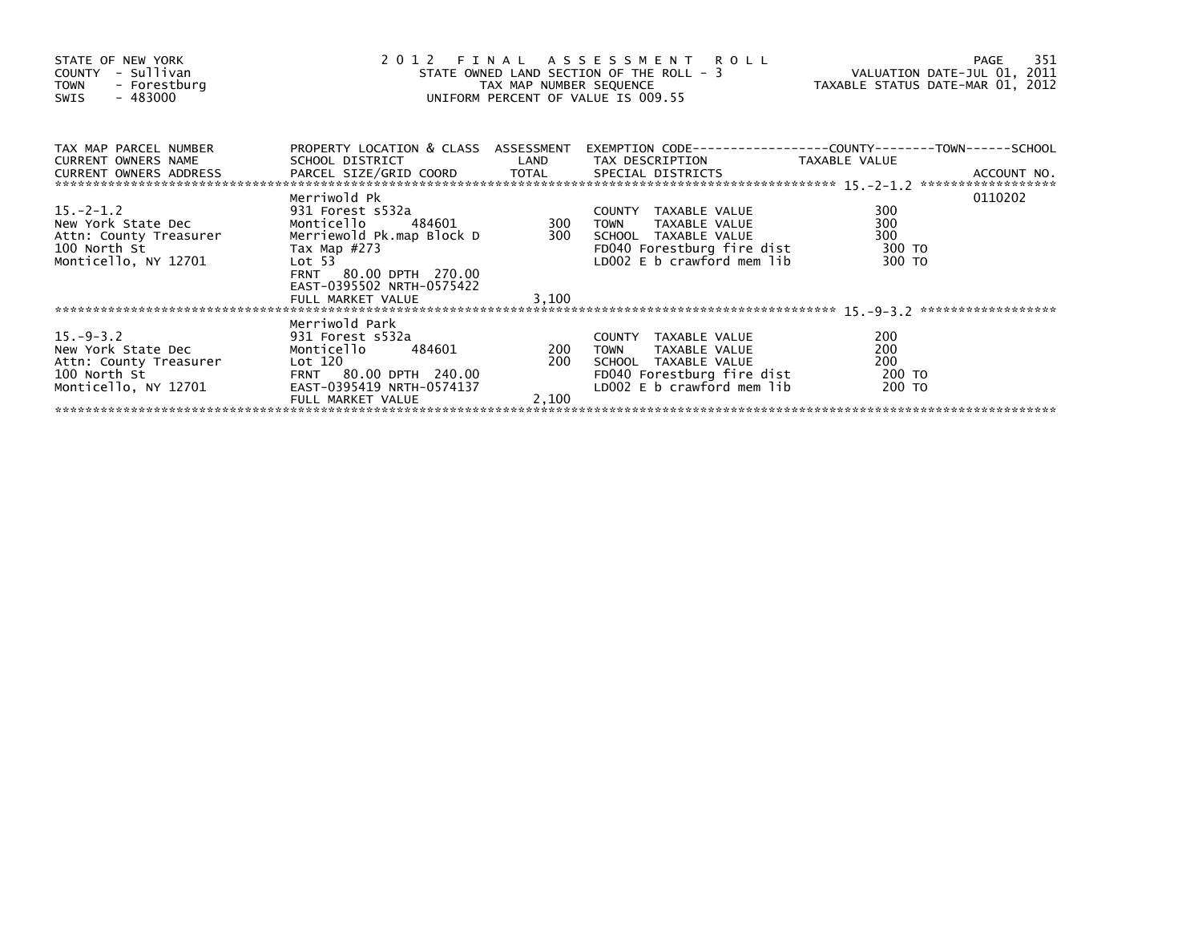| STATE OF NEW YORK<br>COUNTY - Sullivan<br>TOWN - Forestburg<br>$-483000$<br>SWIS                       | $\frac{1}{2}$ 0                                                                                                                                                | 2012 FINAL ASSESSMENT ROLL<br>STATE OWNED LAND SECTION OF THE ROLL - 3<br>TAX MAP NUMBER SEQUENCE TAXABLE STATUS DATE-JUL 01, 2011<br>UNIFORM PERCENT OF VALUE IS 009.55 |                                                                                                                                                                                                          |                                       |         |
|--------------------------------------------------------------------------------------------------------|----------------------------------------------------------------------------------------------------------------------------------------------------------------|--------------------------------------------------------------------------------------------------------------------------------------------------------------------------|----------------------------------------------------------------------------------------------------------------------------------------------------------------------------------------------------------|---------------------------------------|---------|
| TAX MAP PARCEL NUMBER<br>CURRENT OWNERS NAME                                                           |                                                                                                                                                                |                                                                                                                                                                          | PROPERTY LOCATION & CLASS ASSESSMENT EXEMPTION CODE----------------COUNTY-------TOWN------SCHOOL<br>SCHOOL DISTRICT                         LAND         TAX DESCRIPTION                   TAXABLE VALUE |                                       |         |
| $15.-2-1.2$<br>New York State Dec<br>Attn: County Treasurer<br>100 North St<br>Monticello, NY 12701    | Merriwold Pk<br>Merriewold Pk.map Block D<br>Tax Map #273<br>FD040 Forestburg fire<br>Lot <sub>53</sub><br>FRNT 80.00 DPTH 270.00<br>EAST-0395502 NRTH-0575422 |                                                                                                                                                                          | SCHOOL TAXABLE VALUE<br>FDO4O Forestburg fire dist<br>LD002 E b crawford mem lib                                                                                                                         | 300<br>300<br>300<br>300 TO<br>300 TO | 0110202 |
|                                                                                                        |                                                                                                                                                                |                                                                                                                                                                          |                                                                                                                                                                                                          |                                       |         |
| $15. -9 - 3.2$<br>New York State Dec<br>Attn: County Treasurer<br>100 North St<br>Monticello, NY 12701 | Merriwold Park<br>Lot 120<br>FRNT 80.00 DPTH 240.00<br>EAST-0395419 NRTH-0574137                                                                               | 200                                                                                                                                                                      | SCHOOL TAXABLE VALUE<br>FD040 Forestburg fire dist 200 TO<br>LDOO2 E b crawford mem lib                                                                                                                  | 200<br>200<br>200<br>200 то           |         |
|                                                                                                        | FULL MARKET VALUE                                                                                                                                              | 2.100                                                                                                                                                                    |                                                                                                                                                                                                          |                                       |         |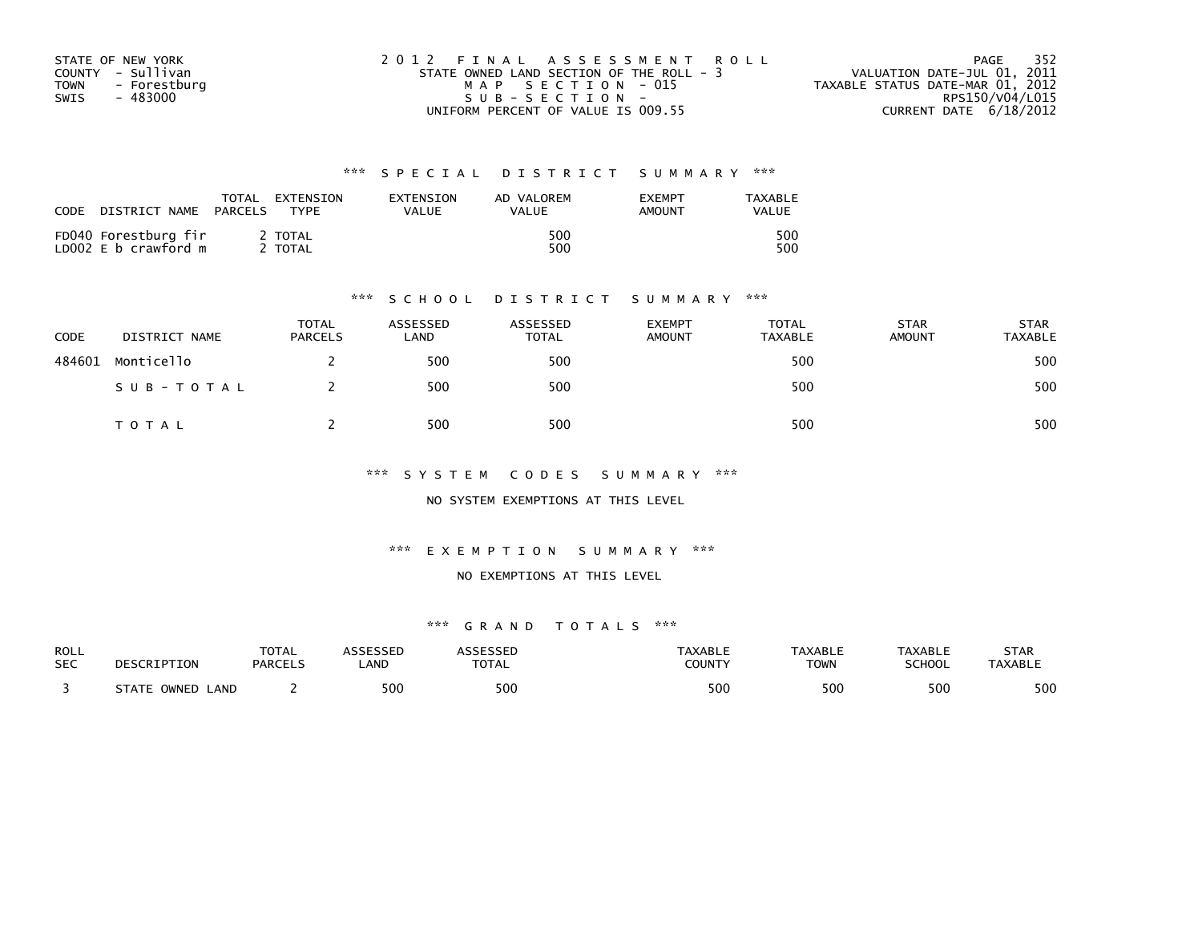| STATE OF NEW YORK    | 2012 FINAL ASSESSMENT ROLL               | 352<br>PAGE                      |
|----------------------|------------------------------------------|----------------------------------|
| COUNTY - Sullivan    | STATE OWNED LAND SECTION OF THE ROLL - 3 | VALUATION DATE-JUL 01, 2011      |
| - Forestburg<br>TOWN | MAP SECTION - 015                        | TAXABLE STATUS DATE-MAR 01, 2012 |
| SWIS<br>- 483000     | $SUB - SECTION -$                        | RPS150/V04/L015                  |
|                      | UNIFORM PERCENT OF VALUE IS 009.55       | CURRENT DATE 6/18/2012           |

| CODE | DISTRICT NAME                                | TOTAL<br>PARCELS | EXTENSION<br><b>TYPF</b>     | EXTENSION<br>VALUE | AD VALOREM<br><b>VALUE</b> | <b>EXEMPT</b><br>AMOUNT | TAXABLE<br>VALUE |
|------|----------------------------------------------|------------------|------------------------------|--------------------|----------------------------|-------------------------|------------------|
|      | FD040 Forestburg fir<br>LD002 E b crawford m |                  | <b>TOTAL</b><br><b>TOTAL</b> |                    | 500<br>500                 |                         | 500<br>500       |

#### \*\*\* S C H O O L D I S T R I C T S U M M A R Y \*\*\*

| CODE   | DISTRICT NAME | <b>TOTAL</b><br><b>PARCELS</b> | ASSESSED<br>LAND | ASSESSED<br><b>TOTAL</b> | <b>EXEMPT</b><br><b>AMOUNT</b> | TOTAL<br><b>TAXABLE</b> | <b>STAR</b><br><b>AMOUNT</b> | <b>STAR</b><br>TAXABLE |
|--------|---------------|--------------------------------|------------------|--------------------------|--------------------------------|-------------------------|------------------------------|------------------------|
| 484601 | Monticello    |                                | 500              | 500                      |                                | 500                     |                              | 500                    |
|        | SUB-TOTAL     |                                | 500              | 500                      |                                | 500                     |                              | 500                    |
|        | T O T A L     |                                | 500              | 500                      |                                | 500                     |                              | 500                    |

\*\*\* S Y S T E M C O D E S S U M M A R Y \*\*\*

NO SYSTEM EXEMPTIONS AT THIS LEVEL

\*\*\* E X E M P T I O N S U M M A R Y \*\*\*

#### NO EXEMPTIONS AT THIS LEVEL

| ROLL       | DESCRIPTION                     | <b>TOTAL</b>   | <b>\SSESSED</b> | ASSESSED     | <b>TAXABLE</b> | <b>TAXABLE</b> | TAXABLE       | STAR           |
|------------|---------------------------------|----------------|-----------------|--------------|----------------|----------------|---------------|----------------|
| <b>SEC</b> |                                 | <b>PARCELS</b> | _AND            | <b>TOTAL</b> | COUNTY         | <b>TOWN</b>    | <b>SCHOOL</b> | <b>TAXABLE</b> |
|            | <b>STATE L</b><br>LAND<br>OWNED |                | 500             | 500          | 500            | 500            | 500           | 500            |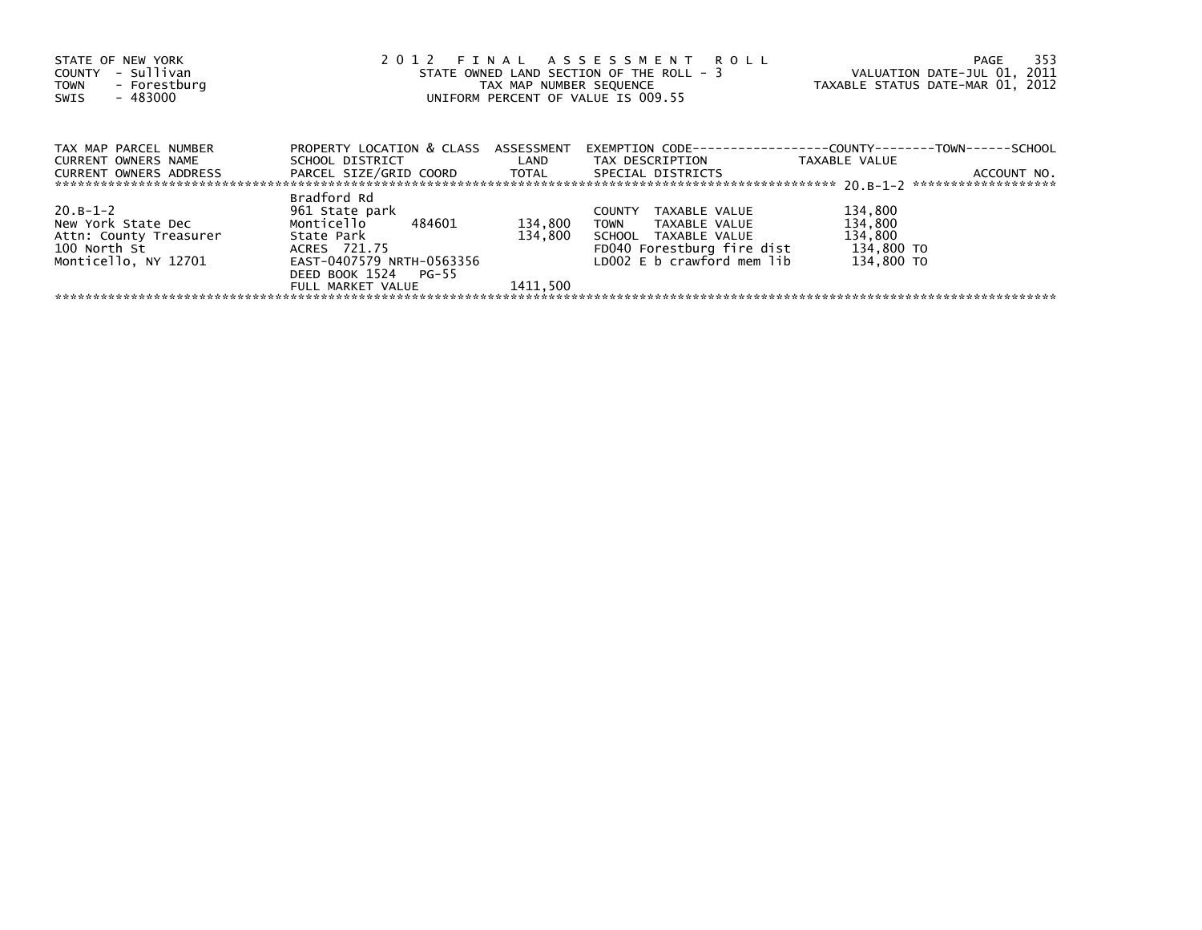| STATE OF NEW YORK<br>- Sullivan<br>COUNTY<br>- Forestburg<br><b>TOWN</b><br>- 483000<br>SWIS | 2012 FINAL ASSESSMENT ROLL<br>STATE OWNED LAND SECTION OF THE ROLL - 3<br>TAX MAP NUMBER SEQUENCE<br>UNIFORM PERCENT OF VALUE IS 009.55 | 353<br>PAGE<br>VALUATION DATE-JUL 01, 2011<br>TAXABLE STATUS DATE-MAR 01, 2012 |                                      |                                                                      |
|----------------------------------------------------------------------------------------------|-----------------------------------------------------------------------------------------------------------------------------------------|--------------------------------------------------------------------------------|--------------------------------------|----------------------------------------------------------------------|
| TAX MAP PARCEL NUMBER                                                                        | PROPERTY LOCATION & CLASS ASSESSMENT                                                                                                    |                                                                                |                                      | EXEMPTION        CODE-----------------COUNTY--------TOWN------SCHOOL |
| CURRENT OWNERS NAME<br>CURRENT OWNERS ADDRESS                                                | SCHOOL DISTRICT LAND<br>PARCEL SIZE/GRID COORD TOTAL                                                                                    |                                                                                | TAX DESCRIPTION<br>SPECIAL DISTRICTS | TAXABLE VALUE<br>ACCOUNT NO.                                         |
|                                                                                              | Bradford Rd                                                                                                                             |                                                                                |                                      |                                                                      |
| $20. B - 1 - 2$                                                                              | 961 State park                                                                                                                          |                                                                                | TAXABLE VALUE<br>COUNTY              | 134,800                                                              |
| New York State Dec                                                                           | Monticello 484601                                                                                                                       | 134,800                                                                        | TOWN TAXABLE VALUE                   | 134,800                                                              |
| Attn: County Treasurer                                                                       | State Park                                                                                                                              | 134,800                                                                        | SCHOOL TAXABLE VALUE                 | 134,800                                                              |
| 100 North St                                                                                 | ACRES 721.75                                                                                                                            |                                                                                | FD040 Forestburg fire dist           | 134,800 TO                                                           |
| Monticello, NY 12701                                                                         | EAST-0407579 NRTH-0563356                                                                                                               |                                                                                | LD002 E b crawford mem lib           | 134,800 TO                                                           |
|                                                                                              | DEED BOOK 1524 PG-55                                                                                                                    |                                                                                |                                      |                                                                      |
|                                                                                              | FULL MARKET VALUE                                                                                                                       | 1411.500                                                                       |                                      |                                                                      |
|                                                                                              |                                                                                                                                         |                                                                                |                                      |                                                                      |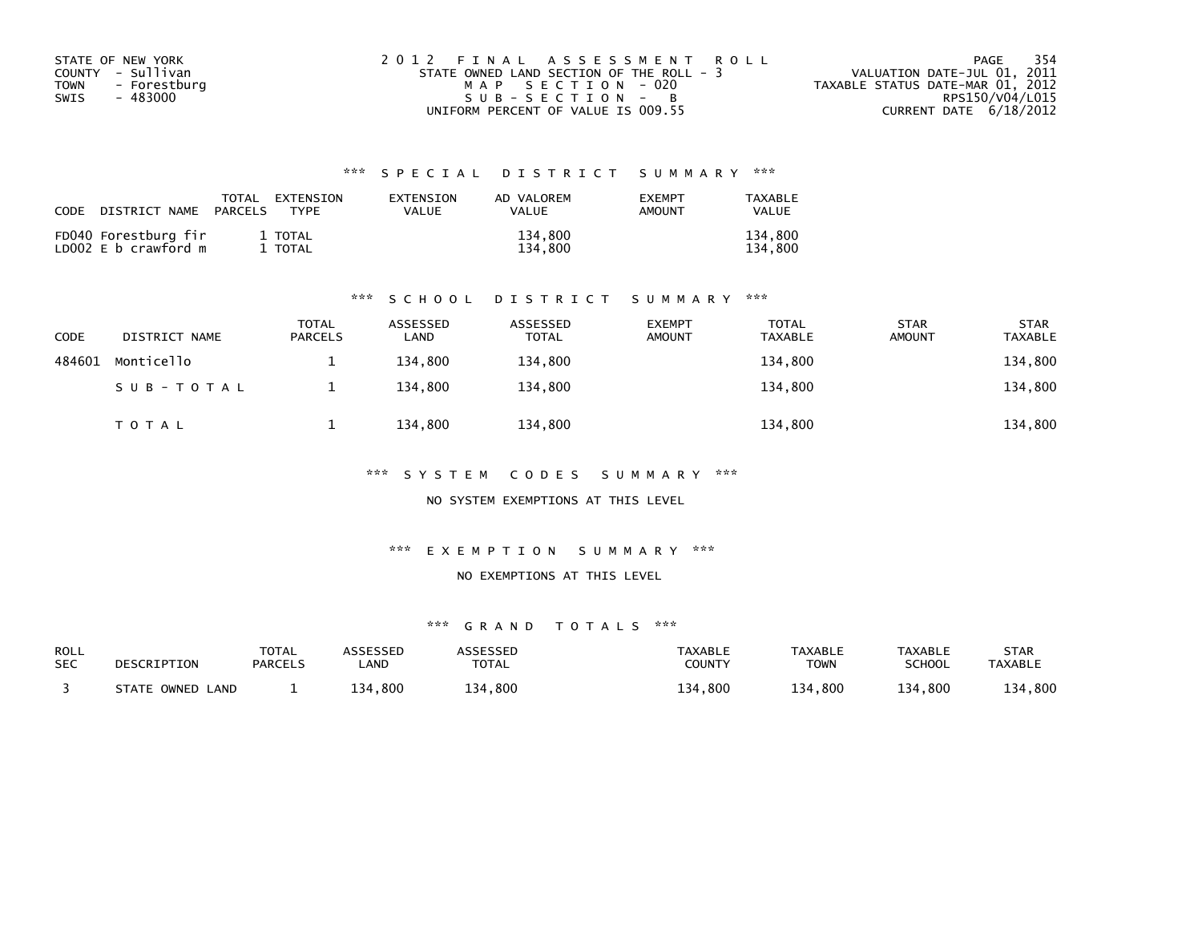| STATE OF NEW YORK    | 2012 FINAL ASSESSMENT ROLL               | - 354<br>PAGE                    |
|----------------------|------------------------------------------|----------------------------------|
| COUNTY - Sullivan    | STATE OWNED LAND SECTION OF THE ROLL - 3 | VALUATION DATE-JUL 01, 2011      |
| - Forestburg<br>TOWN | MAP SECTION - 020                        | TAXABLE STATUS DATE-MAR 01, 2012 |
| - 483000<br>SWIS     | SUB-SECTION - B                          | RPS150/V04/L015                  |
|                      | UNIFORM PERCENT OF VALUE IS 009.55       | CURRENT DATE 6/18/2012           |

| CODE | DISTRICT NAME                                | TOTAL<br>PARCELS | EXTENSION<br>TYPF  | EXTENSION<br>VALUE | AD VALOREM<br><b>VALUE</b> | <b>EXEMPT</b><br><b>AMOUNT</b> | <b>TAXABLE</b><br>VALUE |
|------|----------------------------------------------|------------------|--------------------|--------------------|----------------------------|--------------------------------|-------------------------|
|      | FD040 Forestburg fir<br>LD002 E b crawford m |                  | 1 TOTAL<br>1 TOTAL |                    | 134,800<br>134.800         |                                | 134,800<br>134,800      |

#### \*\*\* S C H O O L D I S T R I C T S U M M A R Y \*\*\*

| CODE   | DISTRICT NAME | TOTAL<br><b>PARCELS</b> | ASSESSED<br>LAND | ASSESSED<br><b>TOTAL</b> | <b>EXEMPT</b><br><b>AMOUNT</b> | TOTAL<br><b>TAXABLE</b> | <b>STAR</b><br><b>AMOUNT</b> | <b>STAR</b><br><b>TAXABLE</b> |
|--------|---------------|-------------------------|------------------|--------------------------|--------------------------------|-------------------------|------------------------------|-------------------------------|
| 484601 | Monticello    |                         | 134.800          | 134,800                  |                                | 134,800                 |                              | 134,800                       |
|        | SUB-TOTAL     |                         | 134.800          | 134.800                  |                                | 134,800                 |                              | 134,800                       |
|        | TOTAL         |                         | 134.800          | 134,800                  |                                | 134,800                 |                              | 134,800                       |

\*\*\* S Y S T E M C O D E S S U M M A R Y \*\*\*

NO SYSTEM EXEMPTIONS AT THIS LEVEL

\*\*\* E X E M P T I O N S U M M A R Y \*\*\*

NO EXEMPTIONS AT THIS LEVEL

| <b>ROLL</b><br><b>SEC</b> | DESCRIPTION         | <b>TOTAL</b><br><b>PARCELS</b> | <b>ASSESSED</b><br>_AND | <b>ARRESSED</b><br><b>TOTAL</b> | <b>TAXABLE</b><br><b>COUNTY</b> | <b>TAXABLE</b><br><b>TOWN</b> | <b>TAXABLE</b><br>SCHOOL | STAR<br><b>TAXABLE</b> |
|---------------------------|---------------------|--------------------------------|-------------------------|---------------------------------|---------------------------------|-------------------------------|--------------------------|------------------------|
|                           | STATE OWNED<br>LAND |                                | 134.800                 | 134,800                         | ,800<br>134                     | 134,800                       | 134,800                  | 134,800                |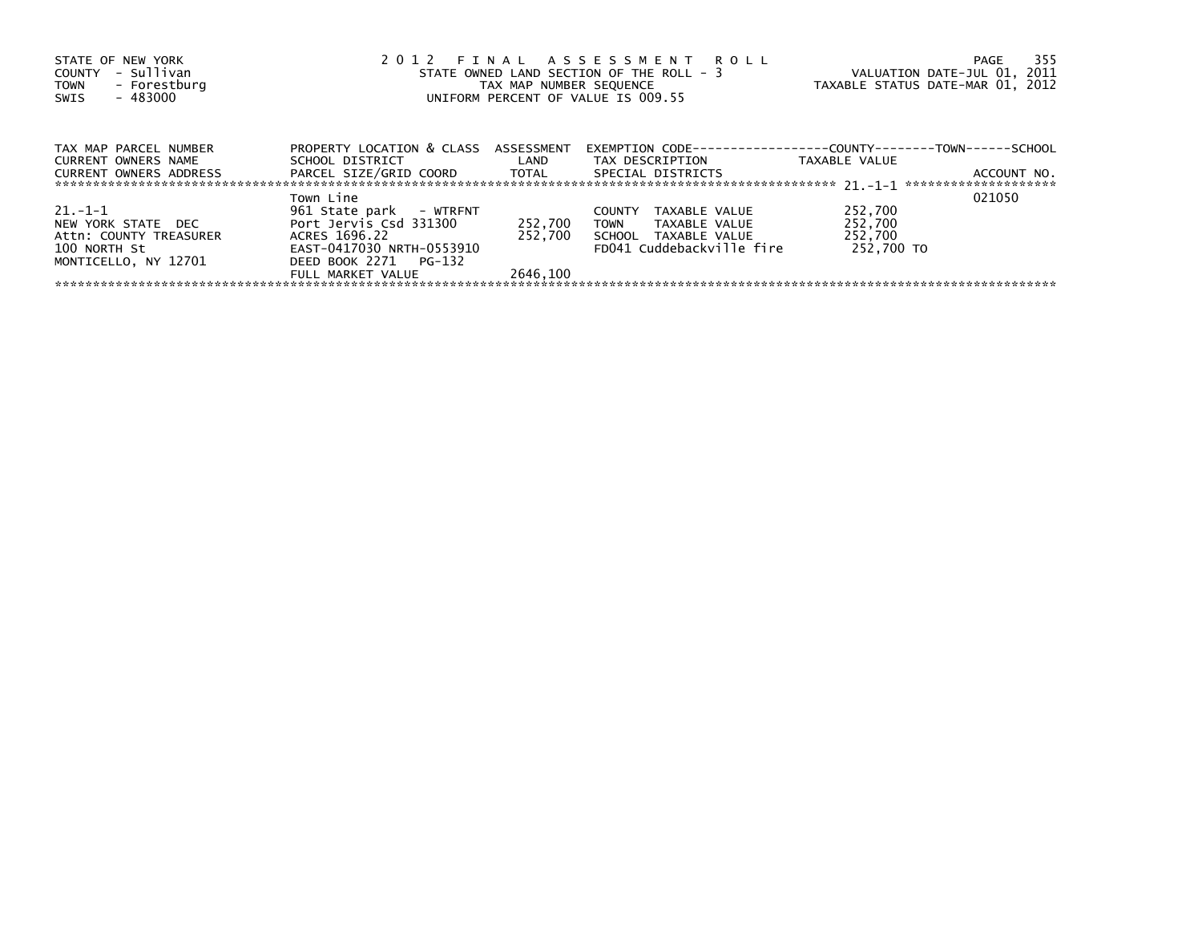| STATE OF NEW YORK<br>- Sullivan<br>COUNTY<br>- Forestburg<br><b>TOWN</b><br>- 483000<br>SWIS | 2012 FINAL ASSESSMENT ROLL<br>STATE OWNED LAND SECTION OF THE ROLL - 3<br>TAX MAP NUMBER SEQUENCE<br>UNIFORM PERCENT OF VALUE IS 009.55 | VALUATION DATE-JUL 01, 2011<br>TAXABLE STATUS DATE-MAR 01, 2012 | - 355<br>PAGE                                                        |               |             |
|----------------------------------------------------------------------------------------------|-----------------------------------------------------------------------------------------------------------------------------------------|-----------------------------------------------------------------|----------------------------------------------------------------------|---------------|-------------|
| TAX MAP PARCEL NUMBER                                                                        | PROPERTY LOCATION & CLASS ASSESSMENT                                                                                                    |                                                                 | EXEMPTION        CODE-----------------COUNTY--------TOWN------SCHOOL |               |             |
| <b>CURRENT OWNERS NAME</b>                                                                   | SCHOOL DISTRICT                                                                                                                         | <b>Example 12</b>                                               | TAX DESCRIPTION                                                      | TAXABLE VALUE |             |
| CURRENT OWNERS ADDRESS                                                                       | PARCEL SIZE/GRID COORD       TOTAL                                                                                                      |                                                                 | SPECIAL DISTRICTS                                                    |               | ACCOUNT NO. |
|                                                                                              | Town Line                                                                                                                               |                                                                 |                                                                      |               | 021050      |
| $21. - 1 - 1$                                                                                | 961 State park - WTRFNT                                                                                                                 |                                                                 | <b>COUNTY</b><br>TAXABLE VALUE                                       | 252,700       |             |
| NEW YORK STATE DEC                                                                           | Port Jervis Csd 331300                                                                                                                  | 252,700                                                         | TOWN<br>TAXABLE VALUE                                                | 252,700       |             |
| Attn: COUNTY TREASURER                                                                       | ACRES 1696.22                                                                                                                           | 252.700                                                         | SCHOOL TAXABLE VALUE                                                 | 252,700       |             |
| 100 NORTH St                                                                                 | EAST-0417030 NRTH-0553910                                                                                                               |                                                                 | FD041 Cuddebackville fire                                            | 252.700 TO    |             |
| MONTICELLO, NY 12701                                                                         | DEED BOOK 2271 PG-132                                                                                                                   |                                                                 |                                                                      |               |             |
|                                                                                              | FULL MARKET VALUE                                                                                                                       | 2646.100                                                        |                                                                      |               |             |
|                                                                                              |                                                                                                                                         |                                                                 |                                                                      |               |             |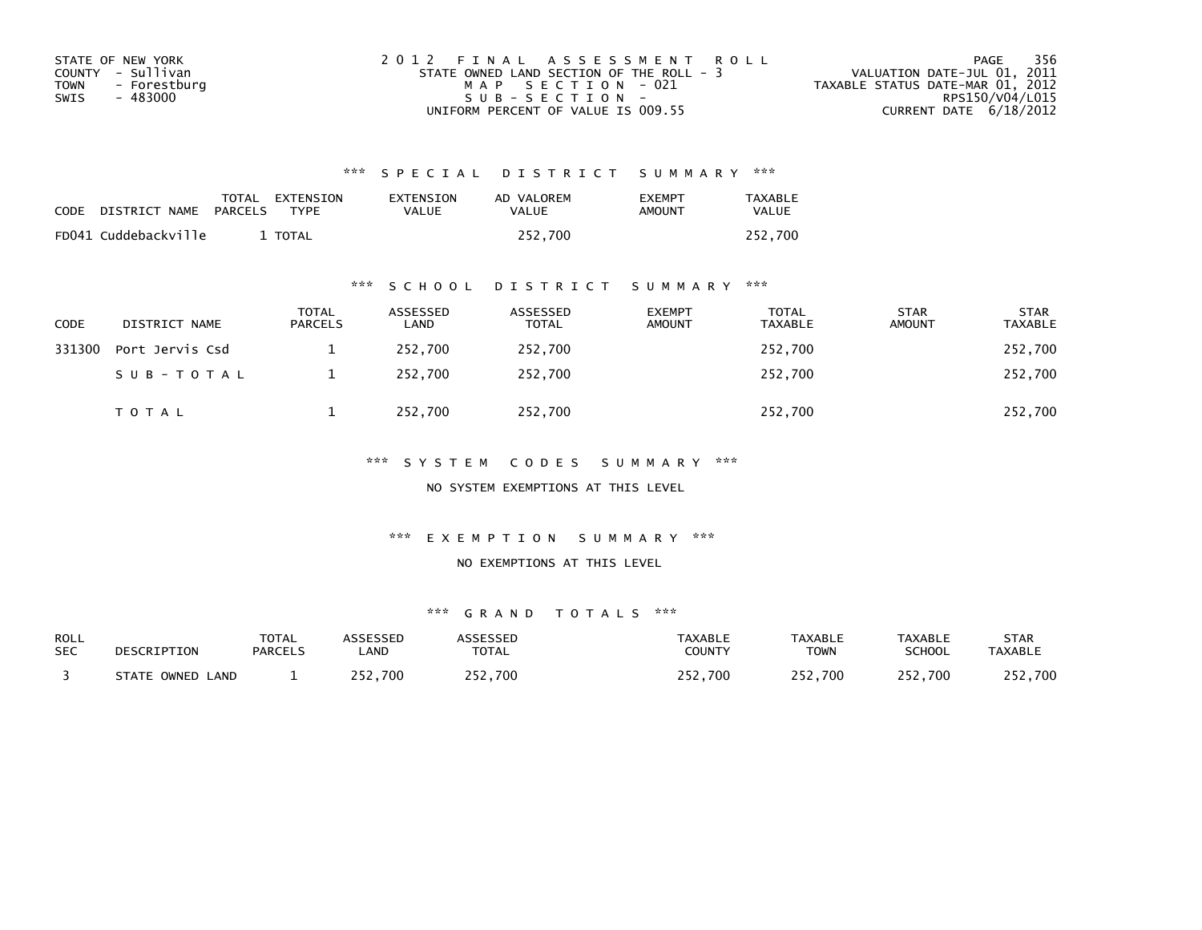| STATE OF NEW YORK           | 2012 FINAL ASSESSMENT ROLL               | - 356<br>PAGE                    |
|-----------------------------|------------------------------------------|----------------------------------|
| COUNTY - Sullivan           | STATE OWNED LAND SECTION OF THE ROLL - 3 | VALUATION DATE-JUL 01, 2011      |
| <b>TOWN</b><br>- Forestburg | MAP SECTION - 021                        | TAXABLE STATUS DATE-MAR 01, 2012 |
| SWIS<br>- 483000            | SUB-SECTION-                             | RPS150/V04/L015                  |
|                             | UNIFORM PERCENT OF VALUE IS 009.55       | CURRENT DATE 6/18/2012           |

| CODE | DISTRICT NAME PARCELS | TOTAL EXTENSION<br><b>TYPF</b> | EXTENSION<br>VALUE | AD VALOREM<br>VALUE | <b>FXFMPT</b><br>AMOUNT | TAXABLE<br><b>VALUE</b> |
|------|-----------------------|--------------------------------|--------------------|---------------------|-------------------------|-------------------------|
|      | FD041 Cuddebackville  | <b>TOTAL</b>                   |                    | 252.700             |                         | 252.700                 |

### \*\*\* S C H O O L D I S T R I C T S U M M A R Y \*\*\*

| CODE   | DISTRICT NAME   | <b>TOTAL</b><br>PARCELS | ASSESSED<br>LAND | ASSESSED<br><b>TOTAL</b> | <b>EXEMPT</b><br><b>AMOUNT</b> | <b>TOTAL</b><br><b>TAXABLE</b> | <b>STAR</b><br><b>AMOUNT</b> | <b>STAR</b><br><b>TAXABLE</b> |
|--------|-----------------|-------------------------|------------------|--------------------------|--------------------------------|--------------------------------|------------------------------|-------------------------------|
| 331300 | Port Jervis Csd |                         | 252,700          | 252,700                  |                                | 252,700                        |                              | 252,700                       |
|        | SUB-TOTAL       |                         | 252.700          | 252,700                  |                                | 252,700                        |                              | 252,700                       |
|        | <b>TOTAL</b>    |                         | 252,700          | 252,700                  |                                | 252,700                        |                              | 252,700                       |

### \*\*\* S Y S T E M C O D E S S U M M A R Y \*\*\*

NO SYSTEM EXEMPTIONS AT THIS LEVEL

#### \*\*\* E X E M P T I O N S U M M A R Y \*\*\*

#### NO EXEMPTIONS AT THIS LEVEL

| <b>ROLL</b> | DESCRIPTION      | <b>TOTAL</b>   | <b>ASSESSED</b> | <b>ASSESSED</b> | <b>TAXABLE</b> | <b>TAXABLE</b> | <b>TAXABLE</b> | <b>STAR</b>    |
|-------------|------------------|----------------|-----------------|-----------------|----------------|----------------|----------------|----------------|
| <b>SEC</b>  |                  | <b>PARCELS</b> | <b>AND</b>      | <b>TOTAL</b>    | COUNTY         | <b>TOWN</b>    | <b>SCHOOL</b>  | <b>TAXABLE</b> |
|             | STATE OWNED LAND |                | つにつ<br>252.700  | 252,700         | 252,700        | 252,700        | 252,700        | 252,700        |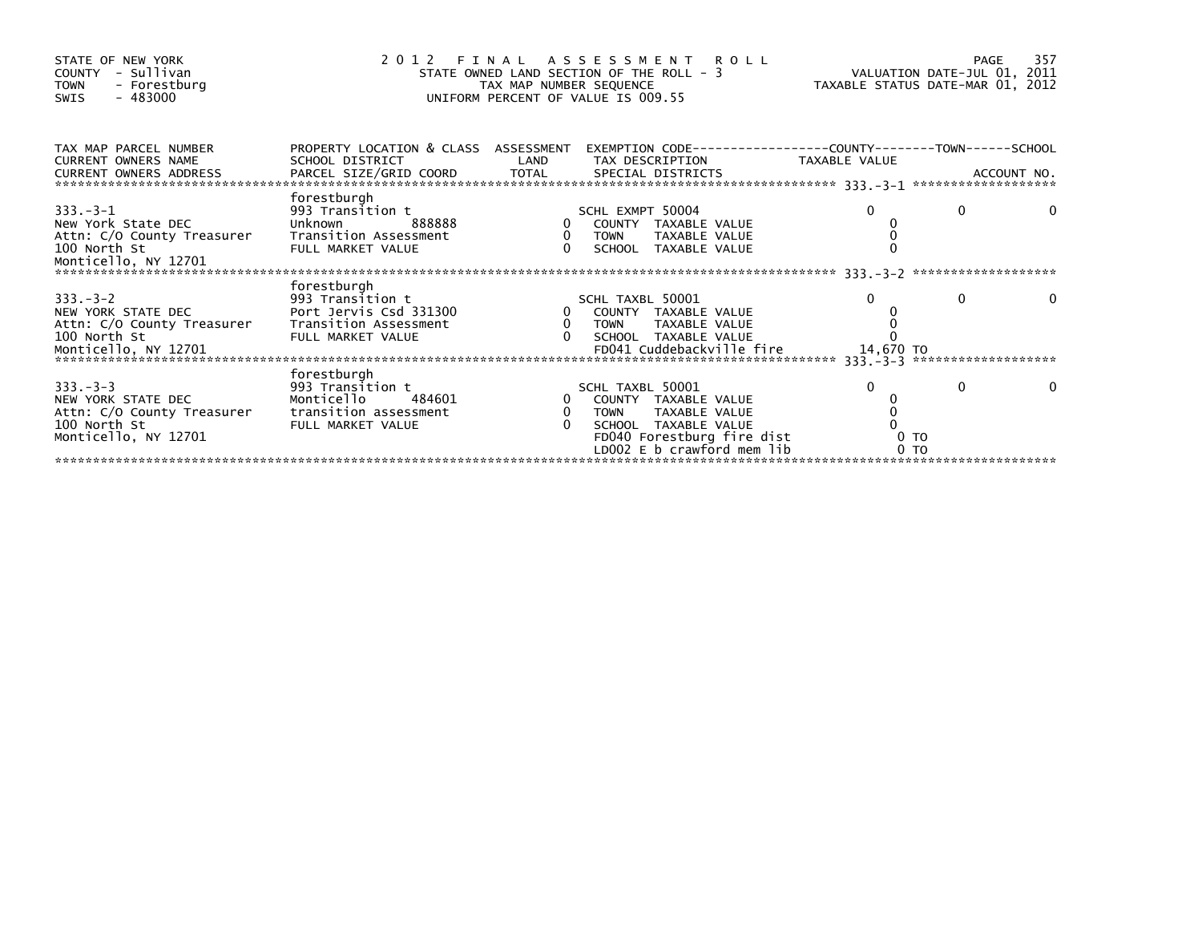| STATE OF NEW YORK<br>COUNTY - Sullivan<br><b>TOWN</b><br>- Forestburg<br>$-483000$<br>SWIS                                                                                                                                        | FINAL ASSESSMENT ROLL<br>2012<br>STATE OWNED LAND SECTION OF THE ROLL - 3<br>TAX MAP NUMBER SEQUENCE<br>UNIFORM PERCENT OF VALUE IS 009.55 | 357<br>PAGE<br>VALUATION DATE-JUL 01, 2011<br>TAXABLE STATUS DATE-MAR 01, 2012 |                                                                       |                |          |  |
|-----------------------------------------------------------------------------------------------------------------------------------------------------------------------------------------------------------------------------------|--------------------------------------------------------------------------------------------------------------------------------------------|--------------------------------------------------------------------------------|-----------------------------------------------------------------------|----------------|----------|--|
| TAX MAP PARCEL NUMBER<br>CURRENT OWNERS NAME                                                                                                                                                                                      | PROPERTY LOCATION & CLASS ASSESSMENT<br>SCHOOL DISTRICT                                                                                    | LAND                                                                           | EXEMPTION        CODE------------------COUNTY--------TOWN------SCHOOL |                |          |  |
| CUNNERS ADDRESS FOR THE SECTAL SECTAL SECTAL DISTRICTS FOR A SECTAL PRESS ACCOUNT NO.<br>TECHAL SECTAL DISTRICTS AND ACCOUNT NO. ACCOUNT AND A SECTAL SECTAL DISTRICTS AND A SECTAL SECTAL SECTAL SECTA<br>CURRENT OWNERS ADDRESS |                                                                                                                                            |                                                                                |                                                                       |                |          |  |
| $333. - 3 - 1$                                                                                                                                                                                                                    | forestburgh<br>993 Transition t                                                                                                            |                                                                                | SCHL EXMPT 50004                                                      | $\Omega$       | 0        |  |
| New York State DEC                                                                                                                                                                                                                | Unknown 888888                                                                                                                             |                                                                                | 0 COUNTY TAXABLE VALUE                                                |                |          |  |
| Attn: C/O County Treasurer                                                                                                                                                                                                        | Transition Assessment                                                                                                                      |                                                                                | 0 TOWN<br>TAXABLE VALUE                                               |                |          |  |
| 100 North St                                                                                                                                                                                                                      | FULL MARKET VALUE                                                                                                                          |                                                                                | SCHOOL TAXABLE VALUE                                                  |                |          |  |
|                                                                                                                                                                                                                                   |                                                                                                                                            |                                                                                |                                                                       |                |          |  |
|                                                                                                                                                                                                                                   | forestburgh                                                                                                                                |                                                                                |                                                                       |                |          |  |
| $333. - 3 - 2$                                                                                                                                                                                                                    | 993 Transition t                                                                                                                           |                                                                                | SCHL TAXBL 50001                                                      |                | $\Omega$ |  |
| NEW YORK STATE DEC <b>Fig. 19 POPE Jervis Csd</b> 331300                                                                                                                                                                          |                                                                                                                                            |                                                                                | 0 COUNTY TAXABLE VALUE                                                |                |          |  |
| Attn: C/O County Treasurer Transition Assessment                                                                                                                                                                                  |                                                                                                                                            | $0$ COUNT                                                                      | TAXABLE VALUE                                                         |                |          |  |
| 100 North St                                                                                                                                                                                                                      | FULL MARKET VALUE                                                                                                                          |                                                                                | 0 SCHOOL TAXABLE VALUE                                                |                |          |  |
|                                                                                                                                                                                                                                   |                                                                                                                                            |                                                                                | FD041 Cuddebackville fire 14,670 TO                                   |                |          |  |
|                                                                                                                                                                                                                                   | forestburgh                                                                                                                                |                                                                                |                                                                       |                |          |  |
| $333. -3 -3$                                                                                                                                                                                                                      | 993 Transition t                                                                                                                           |                                                                                | SCHL TAXBL 50001                                                      | $\Omega$       | $\Omega$ |  |
| NEW YORK STATE DEC                                                                                                                                                                                                                | Monticello<br>484601                                                                                                                       |                                                                                | 0 COUNTY TAXABLE VALUE                                                |                |          |  |
| Attn: C/O County Treasurer                                                                                                                                                                                                        | transition assessment                                                                                                                      |                                                                                | 0 TOWN<br>TAXABLE VALUE                                               |                |          |  |
| 100 North St                                                                                                                                                                                                                      | FULL MARKET VALUE                                                                                                                          | $\Omega$                                                                       | SCHOOL TAXABLE VALUE                                                  |                |          |  |
| Monticello, NY 12701                                                                                                                                                                                                              |                                                                                                                                            |                                                                                | FD040 Forestburg fire dist                                            | 0 <sub>T</sub> |          |  |
|                                                                                                                                                                                                                                   |                                                                                                                                            |                                                                                | LD002 E b crawford mem lib                                            | 0 <sub>T</sub> |          |  |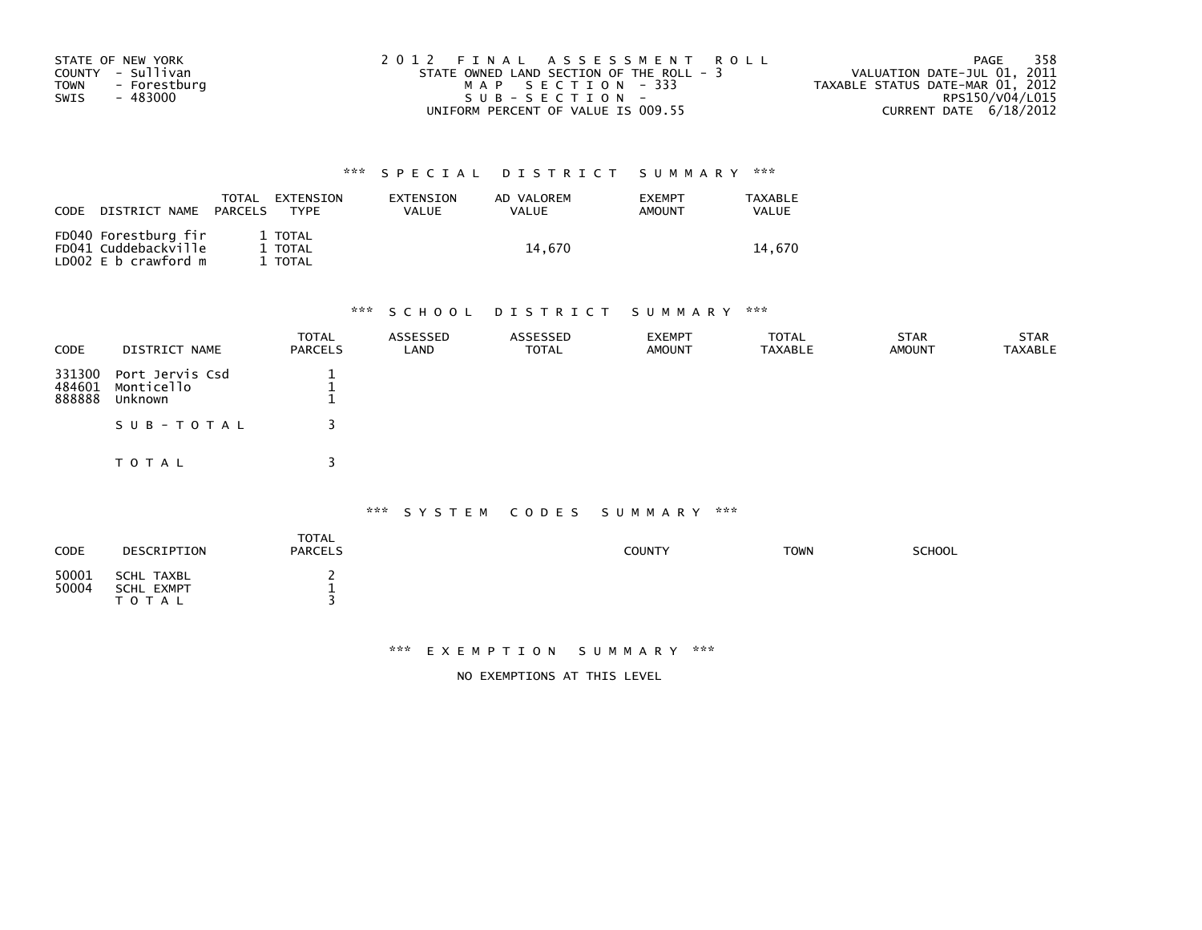| STATE OF NEW YORK           | 2012 FINAL ASSESSMENT ROLL               | 358<br>PAGE                      |
|-----------------------------|------------------------------------------|----------------------------------|
| COUNTY - Sullivan           | STATE OWNED LAND SECTION OF THE ROLL - 3 | VALUATION DATE-JUL 01, 2011      |
| <b>TOWN</b><br>- Forestburg | MAP SECTION - 333                        | TAXABLE STATUS DATE-MAR 01, 2012 |
| - 483000<br>SWIS            | SUB-SECTION-                             | RPS150/V04/L015                  |
|                             | UNIFORM PERCENT OF VALUE IS 009.55       | CURRENT DATE $6/18/2012$         |

| CODE | DISTRICT NAME                                                        | TOTAL<br>PARCELS | EXTENSION<br><b>TYPF</b>      | EXTENSION<br>VALUE | AD VALOREM<br>VALUE | <b>EXEMPT</b><br>AMOUNT | TAXABLE<br><b>VALUE</b> |
|------|----------------------------------------------------------------------|------------------|-------------------------------|--------------------|---------------------|-------------------------|-------------------------|
|      | FD040 Forestburg fir<br>FD041 Cuddebackville<br>LD002 E b crawford m |                  | 1 TOTAL<br>1 TOTAL<br>1 TOTAL |                    | 14.670              |                         | 14.670                  |

# \*\*\* S C H O O L D I S T R I C T S U M M A R Y \*\*\*

| <b>CODE</b>                | DISTRICT NAME                            | <b>TOTAL</b><br><b>PARCELS</b> | ASSESSED<br>LAND | ASSESSED<br><b>TOTAL</b> | <b>EXEMPT</b><br><b>AMOUNT</b> | <b>TOTAL</b><br><b>TAXABLE</b> | <b>STAR</b><br><b>AMOUNT</b> | <b>STAR</b><br><b>TAXABLE</b> |
|----------------------------|------------------------------------------|--------------------------------|------------------|--------------------------|--------------------------------|--------------------------------|------------------------------|-------------------------------|
| 331300<br>484601<br>888888 | Port Jervis Csd<br>Monticello<br>Unknown |                                |                  |                          |                                |                                |                              |                               |
|                            | SUB-TOTAL                                |                                |                  |                          |                                |                                |                              |                               |
|                            | TOTAL                                    |                                |                  |                          |                                |                                |                              |                               |

#### \*\*\* S Y S T E M C O D E S S U M M A R Y \*\*\*

| CODE           | DESCRIPTION                                  | <b>TOTAL</b><br><b>PARCELS</b> | COUNTY | <b>TOWN</b> | <b>SCHOOL</b> |
|----------------|----------------------------------------------|--------------------------------|--------|-------------|---------------|
| 50001<br>50004 | SCHL TAXBL<br><b>SCHL EXMPT</b><br>T O T A L | -                              |        |             |               |

### \*\*\* E X E M P T I O N S U M M A R Y \*\*\*

NO EXEMPTIONS AT THIS LEVEL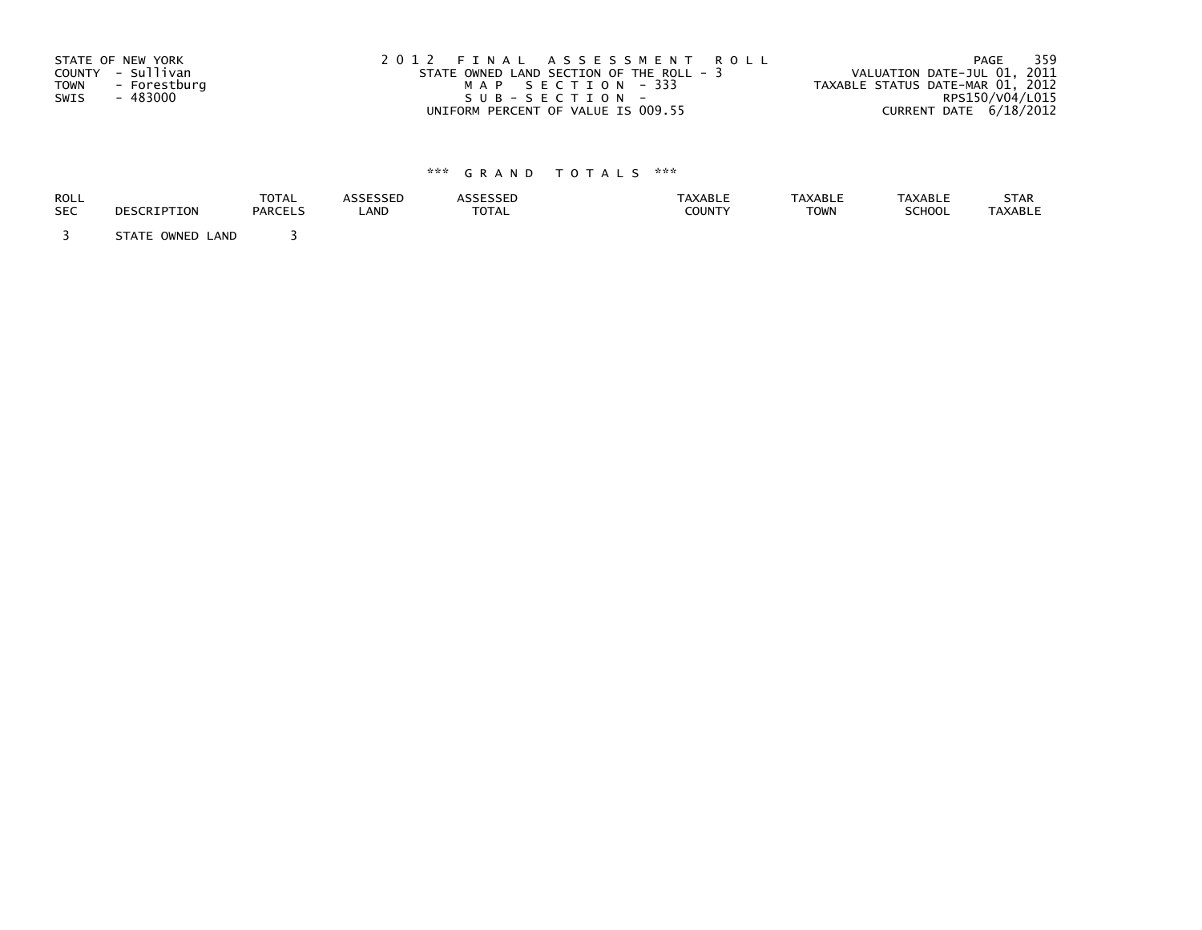| STATE OF NEW YORK           | 2012 FINAL ASSESSMENT ROLL               | 359<br>PAGE                      |
|-----------------------------|------------------------------------------|----------------------------------|
| COUNTY - Sullivan           | STATE OWNED LAND SECTION OF THE ROLL - 3 | VALUATION DATE-JUL 01, 2011      |
| <b>TOWN</b><br>- Forestburg | MAP SECTION - 333                        | TAXABLE STATUS DATE-MAR 01, 2012 |
| SWIS<br>- 483000            | $SUB - SECTION -$                        | RPS150/V04/L015                  |
|                             | UNIFORM PERCENT OF VALUE IS 009.55       | CURRENT DATE 6/18/2012           |

| ROLL       | DESCRIPTION         | <b>TOTAL</b>   | <b>ASSESSED</b> | <b>ASSESSED</b> | <b>TAXABLE</b> | <b>TAXABLE</b> | <b>TAXABLE</b> | STAR           |
|------------|---------------------|----------------|-----------------|-----------------|----------------|----------------|----------------|----------------|
| <b>SEC</b> |                     | <b>PARCELS</b> | LAND            | <b>TOTAL</b>    | <b>COUNTY</b>  | <b>TOWN</b>    | <b>SCHOOL</b>  | <b>TAXABLE</b> |
|            | STATE OWNED<br>LAND |                |                 |                 |                |                |                |                |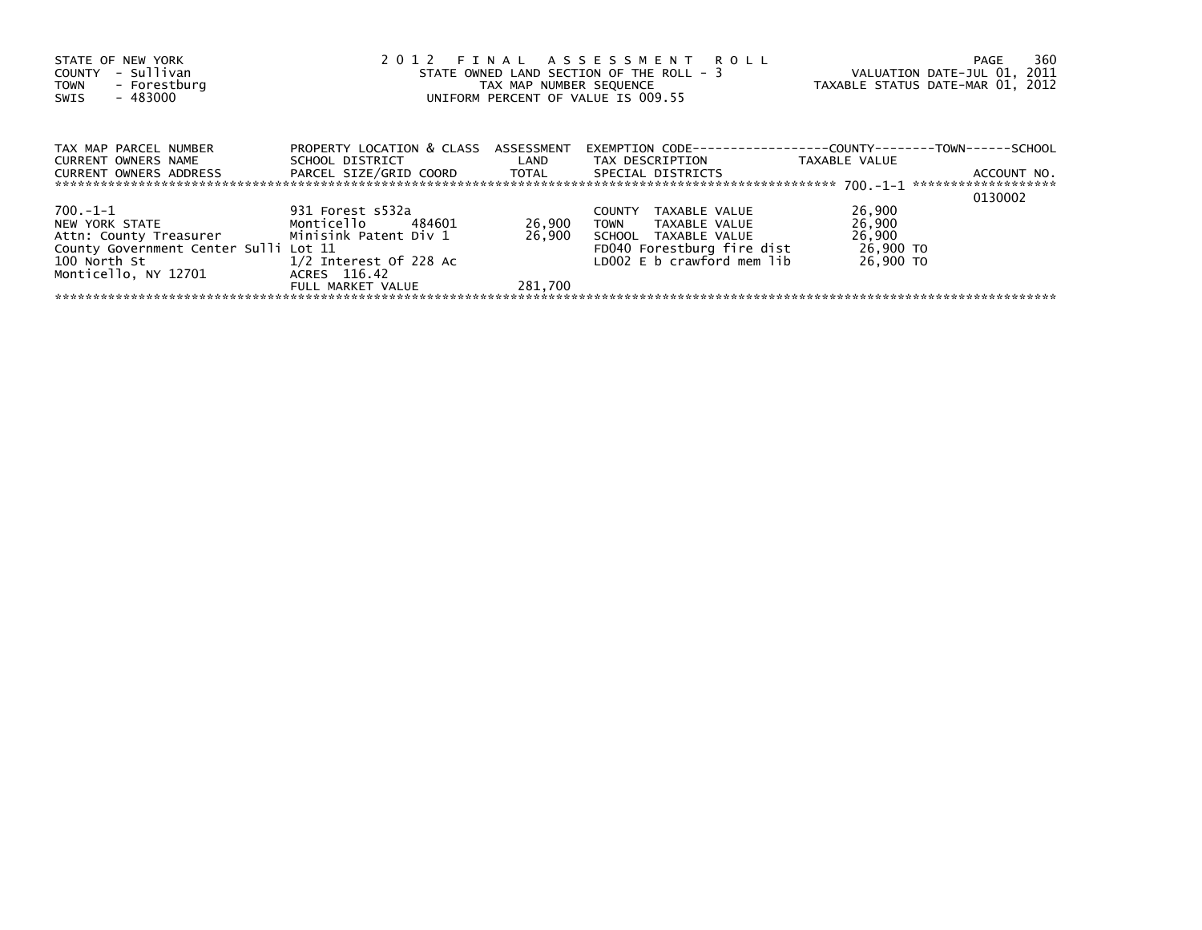| STATE OF NEW YORK<br>COUNTY - Sullivan<br>- Forestburg<br>TOWN<br>- 483000<br>SWIS | 2012 FINAL ASSESSMENT ROLL<br>STATE OWNED LAND SECTION OF THE ROLL - 3<br>TAX MAP NUMBER SEQUENCE<br>UNIFORM PERCENT OF VALUE IS 009.55 | VALUATION DATE-JUL 01, 2011<br>TAXABLE STATUS DATE-MAR 01, 2012 | 360<br>PAGE                                                                             |               |             |
|------------------------------------------------------------------------------------|-----------------------------------------------------------------------------------------------------------------------------------------|-----------------------------------------------------------------|-----------------------------------------------------------------------------------------|---------------|-------------|
| TAX MAP PARCEL NUMBER<br>CURRENT OWNERS NAME                                       | PROPERTY LOCATION & CLASS ASSESSMENT<br>SCHOOL DISTRICT LAND                                                                            |                                                                 | EXEMPTION        CODE-----------------COUNTY--------TOWN------SCHOOL<br>TAX DESCRIPTION | TAXABLE VALUE |             |
|                                                                                    |                                                                                                                                         |                                                                 | SPECIAL DISTRICTS                                                                       |               | ACCOUNT NO. |
|                                                                                    |                                                                                                                                         |                                                                 |                                                                                         |               | 0130002     |
| 700.-1-1                                                                           | 931 Forest s532a                                                                                                                        |                                                                 | TAXABLE VALUE<br>COUNTY                                                                 | 26,900        |             |
| NEW YORK STATE NEW YORK                                                            | Monticello 484601                                                                                                                       | 26,900                                                          | TOWN<br>TAXABLE VALUE                                                                   | 26,900        |             |
| Attn: County Treasurer Minisink Patent Div 1                                       |                                                                                                                                         | 26.900                                                          | SCHOOL TAXABLE VALUE                                                                    | 26,900        |             |
| County Government Center Sulli Lot 11                                              |                                                                                                                                         |                                                                 | FD040 Forestburg fire dist                                                              | 26,900 TO     |             |
| 100 North St                                                                       | 1/2 Interest Of 228 Ac                                                                                                                  |                                                                 | LD002 E b crawford mem lib                                                              | 26,900 TO     |             |
| Monticello, NY 12701                                                               | ACRES 116.42                                                                                                                            |                                                                 |                                                                                         |               |             |
|                                                                                    | FULL MARKET VALUE                                                                                                                       | 281.700                                                         |                                                                                         |               |             |
|                                                                                    |                                                                                                                                         |                                                                 |                                                                                         |               |             |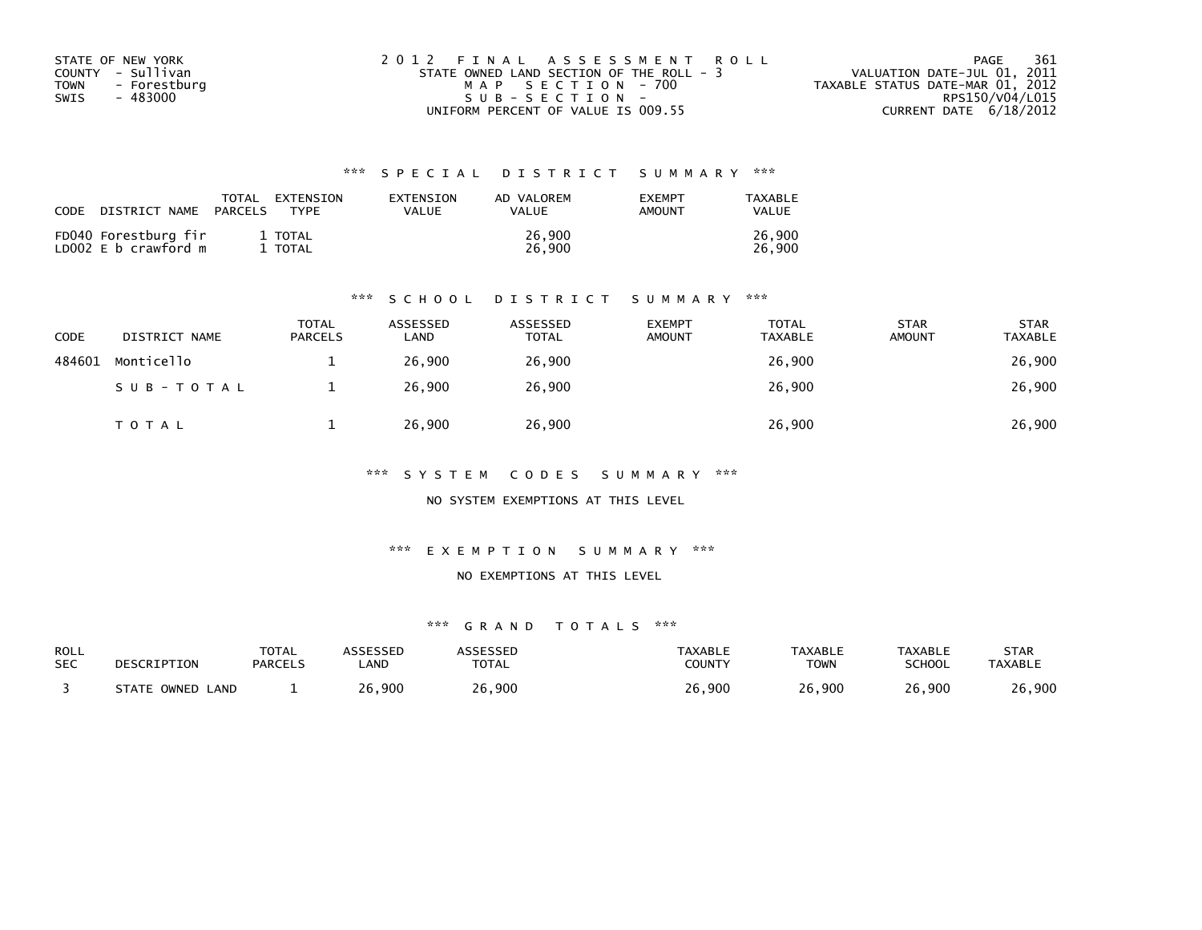| STATE OF NEW YORK    | 2012 FINAL ASSESSMENT ROLL               | - 361<br>PAGE                    |
|----------------------|------------------------------------------|----------------------------------|
| COUNTY - Sullivan    | STATE OWNED LAND SECTION OF THE ROLL - 3 | VALUATION DATE-JUL 01, 2011      |
| - Forestburg<br>TOWN | MAP SECTION - 700                        | TAXABLE STATUS DATE-MAR 01, 2012 |
| SWIS<br>- 483000     | $SUB - SECTION -$                        | RPS150/V04/L015                  |
|                      | UNIFORM PERCENT OF VALUE IS 009.55       | CURRENT DATE 6/18/2012           |

| CODE | DISTRICT NAME                                | TOTAL<br>PARCELS | EXTENSION<br><b>TYPF</b> | EXTENSION<br>VALUE | AD VALOREM<br>VALUE | <b>EXEMPT</b><br><b>AMOUNT</b> | TAXABLE<br><b>VALUE</b> |
|------|----------------------------------------------|------------------|--------------------------|--------------------|---------------------|--------------------------------|-------------------------|
|      | FD040 Forestburg fir<br>LD002 E b crawford m |                  | 1 TOTAL<br>1 TOTAL       |                    | 26,900<br>26,900    |                                | 26,900<br>26,900        |

#### \*\*\* S C H O O L D I S T R I C T S U M M A R Y \*\*\*

| CODE   | DISTRICT NAME | <b>TOTAL</b><br><b>PARCELS</b> | ASSESSED<br>LAND | ASSESSED<br><b>TOTAL</b> | <b>EXEMPT</b><br><b>AMOUNT</b> | <b>TOTAL</b><br><b>TAXABLE</b> | <b>STAR</b><br><b>AMOUNT</b> | <b>STAR</b><br><b>TAXABLE</b> |
|--------|---------------|--------------------------------|------------------|--------------------------|--------------------------------|--------------------------------|------------------------------|-------------------------------|
| 484601 | Monticello    |                                | 26.900           | 26,900                   |                                | 26,900                         |                              | 26,900                        |
|        | SUB-TOTAL     |                                | 26,900           | 26,900                   |                                | 26,900                         |                              | 26,900                        |
|        | T O T A L     |                                | 26,900           | 26,900                   |                                | 26,900                         |                              | 26,900                        |

\*\*\* S Y S T E M C O D E S S U M M A R Y \*\*\*

NO SYSTEM EXEMPTIONS AT THIS LEVEL

\*\*\* E X E M P T I O N S U M M A R Y \*\*\*

#### NO EXEMPTIONS AT THIS LEVEL

| ROLL       | DESCRIPTION         | <b>TOTAL</b>   | <b>ASSESSED</b> | <b>ASSESSED</b> | <b>TAXABLE</b> | <b>TAXABLE</b> | <b>TAXABLE</b> | STAR           |
|------------|---------------------|----------------|-----------------|-----------------|----------------|----------------|----------------|----------------|
| <b>SEC</b> |                     | <b>PARCELS</b> | _AND            | <b>TOTAL</b>    | COUNTY         | TOWN           | <b>SCHOOL</b>  | <b>TAXABLE</b> |
|            | STATE OWNED<br>LAND |                | 26,900          | 26,900          | 26,900         | 26,900         | 26,900         | 26,900         |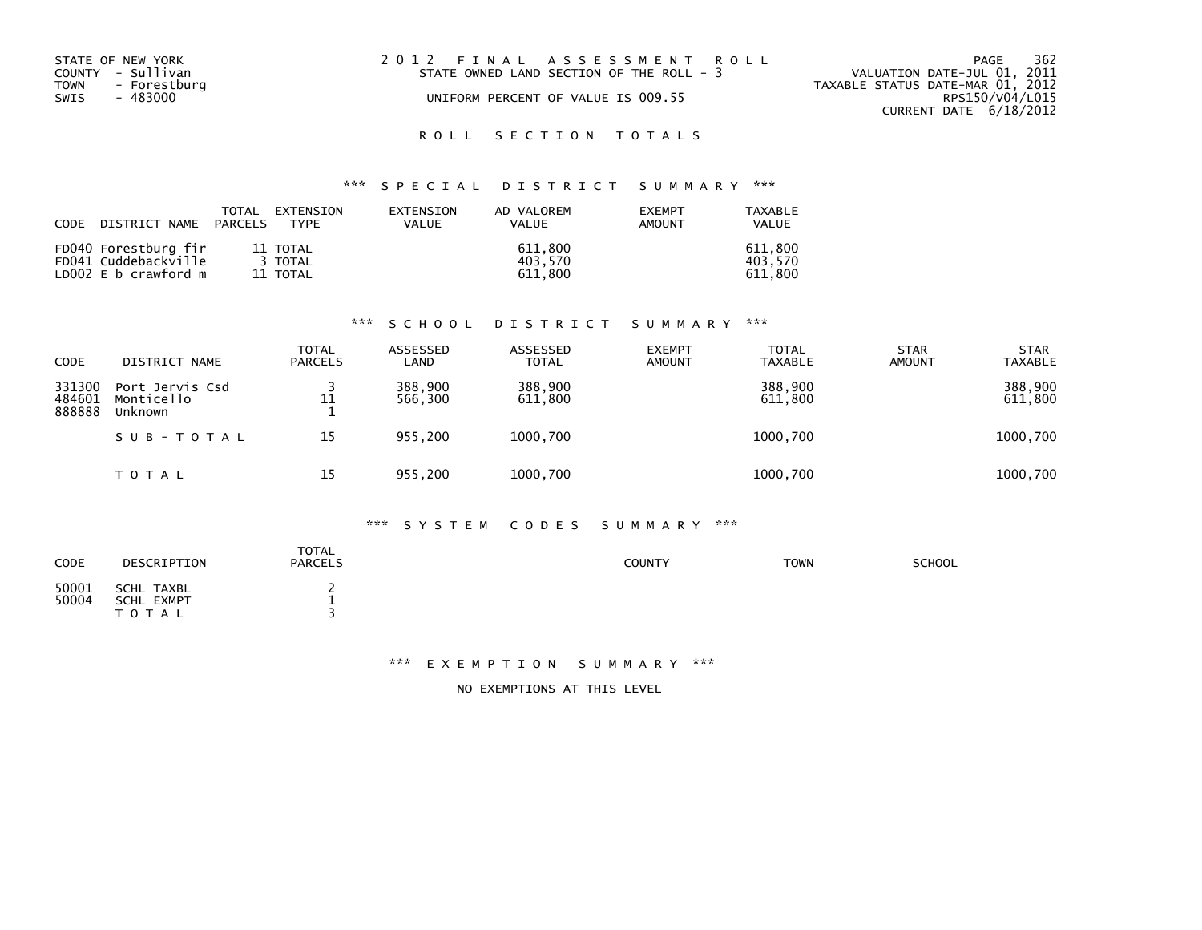| STATE OF NEW YORK<br>COUNTY - Sullivan<br>TOWN - Forestburg<br>SWIS<br>- 483000 | 2012 FINAL ASSESSMENT ROLL<br>STATE OWNED LAND SECTION OF THE ROLL - 3<br>UNIFORM PERCENT OF VALUE IS 009.55 | 362<br>PAGE<br>VALUATION DATE-JUL 01, 2011<br>TAXABLE STATUS DATE-MAR 01, 2012<br>RPS150/V04/L015 |
|---------------------------------------------------------------------------------|--------------------------------------------------------------------------------------------------------------|---------------------------------------------------------------------------------------------------|
|                                                                                 |                                                                                                              | CURRENT DATE 6/18/2012                                                                            |

# \*\*\* S P E C I A L D I S T R I C T S U M M A R Y \*\*\*

| CODE | DISTRICT NAME PARCELS | TOTAL | EXTENSION<br>TYPF | EXTENSION<br>VALUE | AD VALOREM<br>VALUE | <b>FXFMPT</b><br>AMOUNT | TAXABLE<br>VALUE |
|------|-----------------------|-------|-------------------|--------------------|---------------------|-------------------------|------------------|
|      | FD040 Forestburg fir  |       | 11 TOTAL          |                    | 611.800             |                         | 611,800          |
|      | FD041 Cuddebackville  |       | 3 TOTAL           |                    | 403.570             |                         | 403.570          |
|      | LD002 E b crawford m  |       | 11 TOTAL          |                    | 611,800             |                         | 611,800          |

#### \*\*\* S C H O O L D I S T R I C T S U M M A R Y \*\*\*

| CODE                       | DISTRICT NAME                            | TOTAL<br><b>PARCELS</b> | ASSESSED<br>LAND   | <b>ASSESSED</b><br><b>TOTAL</b> | <b>EXEMPT</b><br><b>AMOUNT</b> | <b>TOTAL</b><br><b>TAXABLE</b> | <b>STAR</b><br><b>AMOUNT</b> | <b>STAR</b><br><b>TAXABLE</b> |
|----------------------------|------------------------------------------|-------------------------|--------------------|---------------------------------|--------------------------------|--------------------------------|------------------------------|-------------------------------|
| 331300<br>484601<br>888888 | Port Jervis Csd<br>Monticello<br>Unknown | 11                      | 388,900<br>566.300 | 388,900<br>611,800              |                                | 388,900<br>611,800             |                              | 388,900<br>611,800            |
|                            | SUB-TOTAL                                | 15                      | 955,200            | 1000,700                        |                                | 1000,700                       |                              | 1000,700                      |
|                            | TOTAL                                    | 15                      | 955,200            | 1000,700                        |                                | 1000,700                       |                              | 1000,700                      |

### \*\*\* S Y S T E M C O D E S S U M M A R Y \*\*\*

| CODE           | DESCRIPTION                                  | <b>TOTAL</b><br><b>PARCELS</b> | <b>COUNTY</b> | <b>TOWN</b> | <b>SCHOOL</b> |
|----------------|----------------------------------------------|--------------------------------|---------------|-------------|---------------|
| 50001<br>50004 | SCHL TAXBL<br><b>SCHL EXMPT</b><br>T O T A L | <b></b>                        |               |             |               |

#### \*\*\* E X E M P T I O N S U M M A R Y \*\*\*

NO EXEMPTIONS AT THIS LEVEL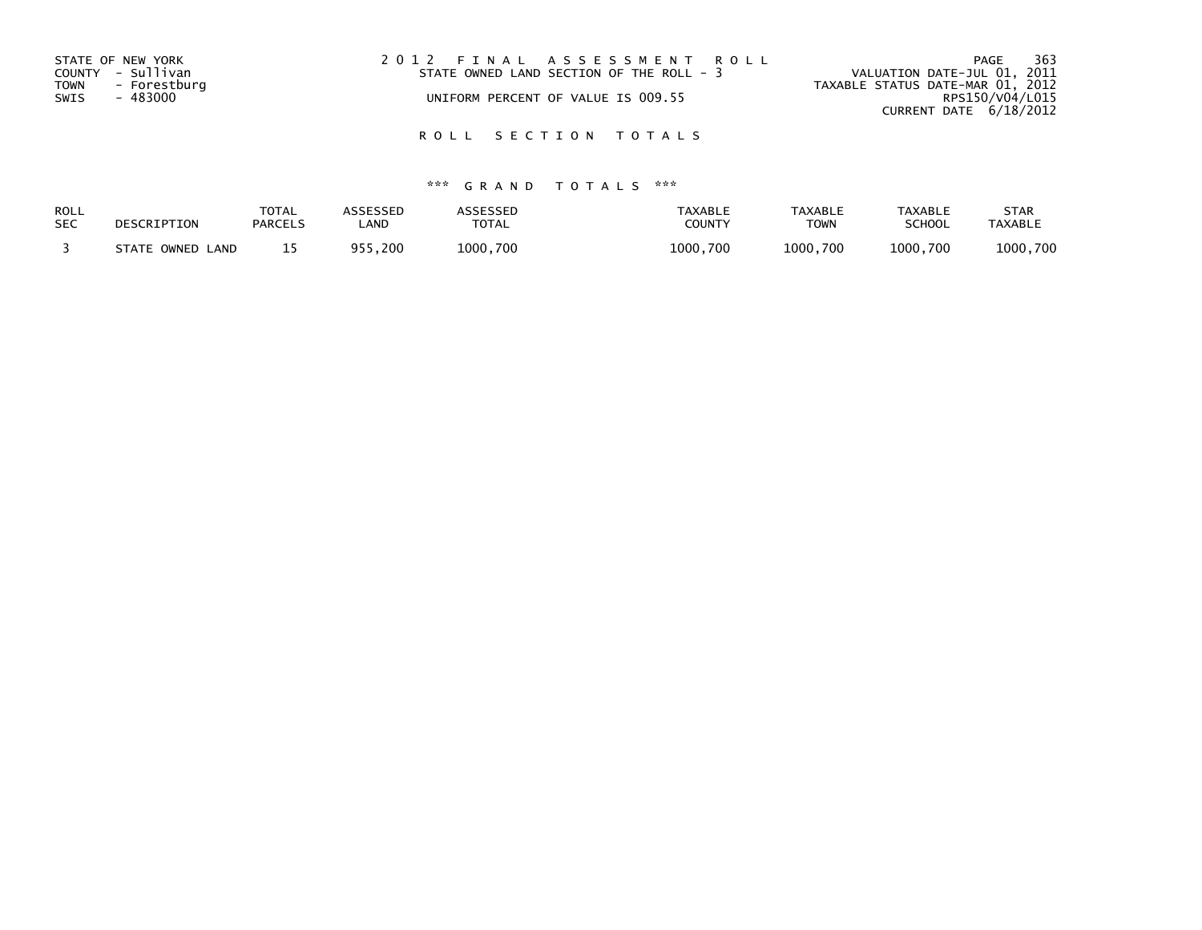| STATE OF NEW YORK<br>COUNTY - Sullivan<br><b>TOWN</b><br>SWIS | - Forestburg<br>- 483000 | 2012 FINAL ASSESSMENT ROLL | STATE OWNED LAND SECTION OF THE ROLL - 3<br>UNIFORM PERCENT OF VALUE IS 009.55 | VALUATION DATE-JUL 01, 2011<br>TAXABLE STATUS DATE-MAR 01, 2012 | PAGE<br>RPS150/V04/L015 | 363 |
|---------------------------------------------------------------|--------------------------|----------------------------|--------------------------------------------------------------------------------|-----------------------------------------------------------------|-------------------------|-----|
|                                                               |                          |                            |                                                                                | CURRENT DATE 6/18/2012                                          |                         |     |

| ROLL       | DESCRIPTION         | <b>TOTAL</b>   | <b>\SSESSED</b> | <b>ASSESSED</b> | <b>TAXABLE</b> | TAXABLE     | <b>TAXABLE</b> | <b>STAR</b>    |
|------------|---------------------|----------------|-----------------|-----------------|----------------|-------------|----------------|----------------|
| <b>SEC</b> |                     | <b>PARCELS</b> | ∟AND            | TOTAL           | COUNTY         | <b>TOWN</b> | <b>SCHOOL</b>  | <b>TAXABLE</b> |
|            | STATE OWNED<br>LAND |                | ,200<br>QE      | 1000,700        | 1000,700       | 1000,700    | 1000.700       | 1000,700       |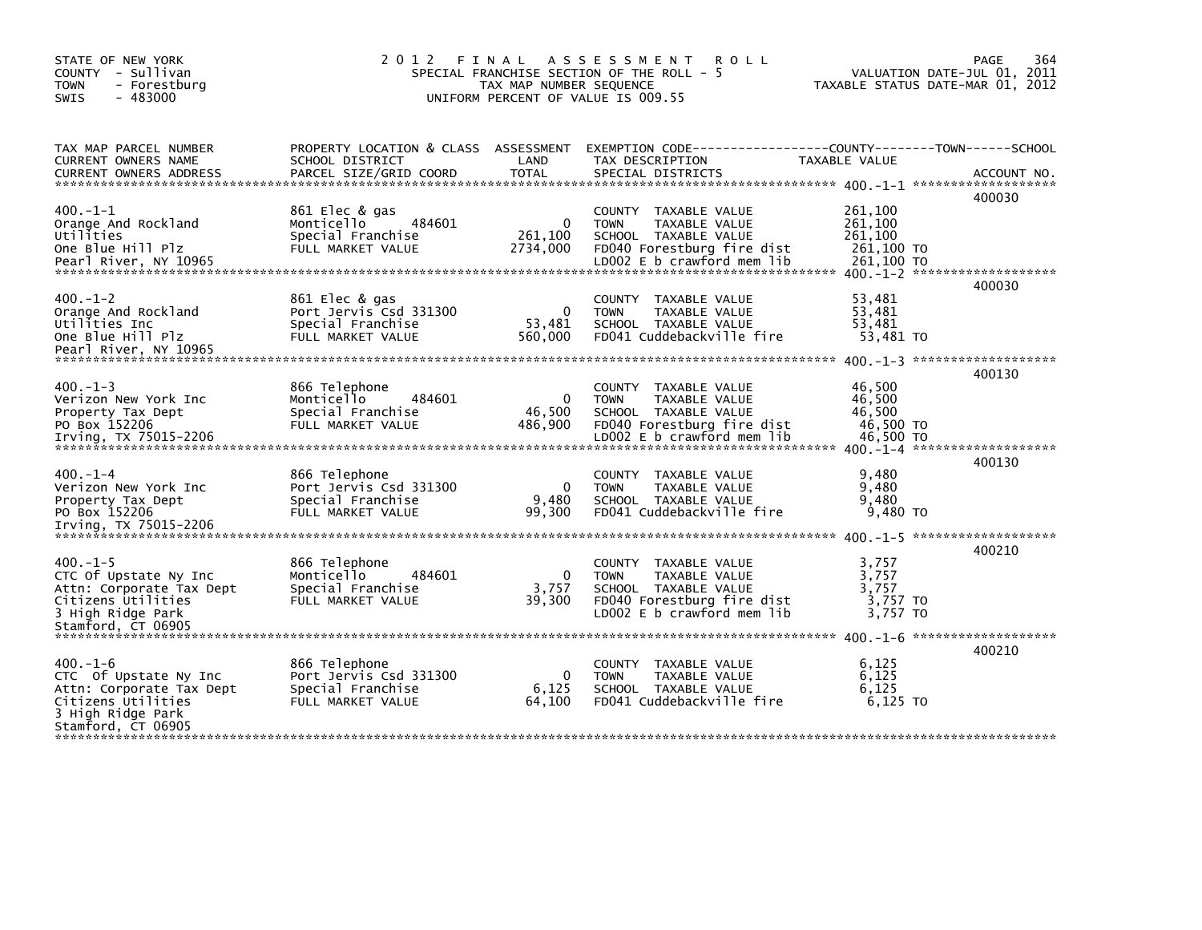| STATE OF NEW YORK<br>COUNTY - Sullivan<br>- Forestburg<br><b>TOWN</b><br><b>SWIS</b><br>$-483000$                                   | 2012 FINAL                                                                         | TAX MAP NUMBER SEQUENCE           | <b>ROLL</b><br>A S S E S S M E N T<br>SPECIAL FRANCHISE SECTION OF THE ROLL -<br>-5<br>UNIFORM PERCENT OF VALUE IS 009.55                |                                                      | 364<br>PAGE<br>VALUATION DATE-JUL 01, 2011<br>TAXABLE STATUS DATE-MAR 01, 2012 |
|-------------------------------------------------------------------------------------------------------------------------------------|------------------------------------------------------------------------------------|-----------------------------------|------------------------------------------------------------------------------------------------------------------------------------------|------------------------------------------------------|--------------------------------------------------------------------------------|
| TAX MAP PARCEL NUMBER<br>CURRENT OWNERS NAME<br><b>CURRENT OWNERS ADDRESS</b>                                                       | PROPERTY LOCATION & CLASS ASSESSMENT<br>SCHOOL DISTRICT<br>PARCEL SIZE/GRID COORD  | LAND<br><b>TOTAL</b>              | TAX DESCRIPTION<br>SPECIAL DISTRICTS                                                                                                     | TAXABLE VALUE                                        | ACCOUNT NO.                                                                    |
|                                                                                                                                     |                                                                                    |                                   |                                                                                                                                          |                                                      | 400030                                                                         |
| $400. -1 - 1$<br>Orange And Rockland<br>Utilities<br>One Blue Hill Plz                                                              | 861 Elec & gas<br>484601<br>Monticello<br>Special Franchise<br>FULL MARKET VALUE   | $\Omega$<br>261,100<br>2734,000   | COUNTY TAXABLE VALUE<br><b>TOWN</b><br>TAXABLE VALUE<br>SCHOOL TAXABLE VALUE<br>FD040 Forestburg fire dist                               | 261,100<br>261,100<br>261.100<br>261,100 TO          |                                                                                |
| $400 - 1 - 2$<br>Orange And Rockland<br>Utilities Inc<br>One Blue Hill Plz                                                          | 861 Elec & gas<br>Port Jervis Csd 331300<br>Special Franchise<br>FULL MARKET VALUE | $\mathbf{0}$<br>53,481<br>560,000 | COUNTY TAXABLE VALUE<br><b>TOWN</b><br>TAXABLE VALUE<br>SCHOOL TAXABLE VALUE<br>FD041 Cuddebackville fire                                | 53,481<br>53.481<br>53,481<br>53,481 TO              | 400030                                                                         |
| Pearl River, NY 10965                                                                                                               |                                                                                    |                                   |                                                                                                                                          |                                                      |                                                                                |
| $400 - 1 - 3$<br>Verizon New York Inc<br>Property Tax Dept<br>PO Box 152206<br>Irving, TX 75015-2206                                | 866 Telephone<br>484601<br>Monticello<br>Special Franchise<br>FULL MARKET VALUE    | 0<br>46,500<br>486,900            | COUNTY TAXABLE VALUE<br><b>TOWN</b><br>TAXABLE VALUE<br>SCHOOL TAXABLE VALUE<br>FD040 Forestburg fire dist<br>LD002 E b crawford mem lib | 46,500<br>46,500<br>46,500<br>46,500 TO<br>46,500 TO | 400130                                                                         |
| $400 - 1 - 4$<br>Verizon New York Inc<br>Property Tax Dept<br>PO Box 152206                                                         | 866 Telephone<br>Port Jervis Csd 331300<br>Special Franchise<br>FULL MARKET VALUE  | $\Omega$<br>9,480<br>99.300       | <b>COUNTY</b><br>TAXABLE VALUE<br>TAXABLE VALUE<br><b>TOWN</b><br>SCHOOL TAXABLE VALUE<br>FD041 Cuddebackville fire                      | 9,480<br>9,480<br>9.480<br>9,480 TO                  | 400130                                                                         |
|                                                                                                                                     |                                                                                    |                                   |                                                                                                                                          |                                                      |                                                                                |
| $400. -1 - 5$<br>CTC Of Upstate Ny Inc<br>Attn: Corporate Tax Dept<br>Citizens Utilities<br>3 High Ridge Park<br>Stamford, CT 06905 | 866 Telephone<br>Monticello<br>484601<br>Special Franchise<br>FULL MARKET VALUE    | $\mathbf{0}$<br>3,757<br>39,300   | COUNTY TAXABLE VALUE<br><b>TOWN</b><br>TAXABLE VALUE<br>SCHOOL TAXABLE VALUE<br>FD040 Forestburg fire dist<br>LD002 E b crawford mem lib | 3,757<br>3,757<br>3.757<br>3,757 TO<br>3.757 TO      | 400210                                                                         |
|                                                                                                                                     |                                                                                    |                                   |                                                                                                                                          |                                                      |                                                                                |
| $400. -1 - 6$<br>CTC Of Upstate Ny Inc<br>Attn: Corporate Tax Dept<br>Citizens Utilities<br>3 High Ridge Park                       | 866 Telephone<br>Port Jervis Csd 331300<br>Special Franchise<br>FULL MARKET VALUE  | $\mathbf{0}$<br>6,125<br>64,100   | COUNTY TAXABLE VALUE<br>TAXABLE VALUE<br><b>TOWN</b><br>SCHOOL TAXABLE VALUE<br>FD041 Cuddebackville fire                                | 6,125<br>6,125<br>6.125<br>$6,125$ TO                | 400210                                                                         |
| Stamford, CT 06905                                                                                                                  |                                                                                    |                                   |                                                                                                                                          |                                                      |                                                                                |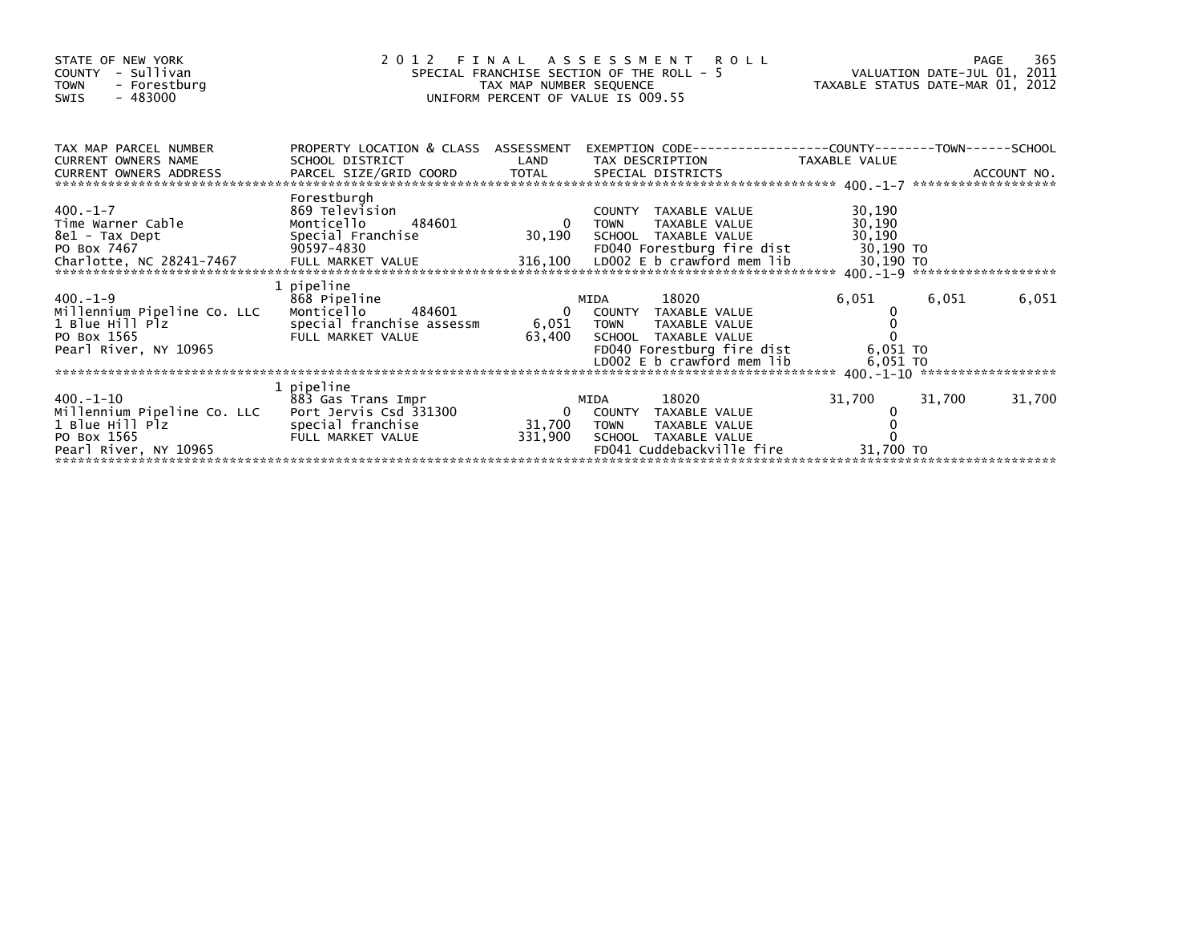| STATE OF NEW YORK<br>- Sullivan<br>COUNTY<br><b>TOWN</b><br>- Forestburg<br>$-483000$<br><b>SWIS</b>                       |                                                                                                               | SPECIAL FRANCHISE SECTION OF THE ROLL - 5<br>TAX MAP NUMBER SEQUENCE<br>UNIFORM PERCENT OF VALUE IS 009.55 |              | 2012 FINAL ASSESSMENT ROLL                                                                                                           | VALUATION DATE-JUL 01, 2011<br>TAXABLE STATUS DATE-MAR 01, 2012 |        | 365<br>PAGE |
|----------------------------------------------------------------------------------------------------------------------------|---------------------------------------------------------------------------------------------------------------|------------------------------------------------------------------------------------------------------------|--------------|--------------------------------------------------------------------------------------------------------------------------------------|-----------------------------------------------------------------|--------|-------------|
| TAX MAP PARCEL NUMBER<br><b>CURRENT OWNERS NAME</b><br>CURRENT OWNERS ADDRESS                                              | PROPERTY LOCATION & CLASS ASSESSMENT<br>SCHOOL DISTRICT                                                       | LAND                                                                                                       |              | TAX DESCRIPTION                                                                                                                      | TAXABLE VALUE                                                   |        |             |
| $400 - 1 - 7$<br>Time Warner Cable<br>8e1 - Tax Dept<br>PO Box 7467<br>Charlotte, NC 28241-7467                            | Forestburgh<br>869 Television<br>484601<br>Monticello<br>Special Franchise<br>90597-4830<br>FULL MARKET VALUE | $\overline{0}$<br>30,190<br>316,100                                                                        | <b>TOWN</b>  | COUNTY TAXABLE VALUE<br>TAXABLE VALUE<br>SCHOOL TAXABLE VALUE<br>FD040 Forestburg fire dist<br>LDOO2 E b crawford mem lib            | 30,190<br>30,190<br>30,190<br>30,190 TO<br>30,190 TO            |        |             |
| $400.-1-9$<br>Millennium Pipeline Co. LLC<br>1 Blue Hill Plz<br>PO Box 1565<br>Pearl River, NY 10965                       | 1 pipeline<br>868 Pipeline<br>Monticello<br>484601<br>special franchise assessm<br>FULL MARKET VALUE          | 6,051 TOWN<br>63,400                                                                                       | MIDA         | 18020<br>0 COUNTY TAXABLE VALUE<br>TAXABLE VALUE<br>SCHOOL TAXABLE VALUE<br>FD040 Forestburg fire dist<br>LD002 E b crawford mem lib | 6,051<br>6,051 TO<br>6,051 TO                                   | 6,051  | 6,051       |
| 400.-1-10<br>Millennium Pipeline Co. LLC Port Jervis Csd 331300<br>1 Blue Hill Plz<br>PO Box 1565<br>Pearl River, NY 10965 | 1 pipeline<br>883 Gas Trans Impr<br>special franchise<br>FULL MARKET VALUE                                    | $\Omega$<br>31,700<br>331,900                                                                              | MIDA<br>TOWN | 18020<br>COUNTY TAXABLE VALUE<br>TAXABLE VALUE<br>SCHOOL TAXABLE VALUE<br>FD041 Cuddebackville fire                                  | 31,700<br>31,700 TO                                             | 31,700 | 31,700      |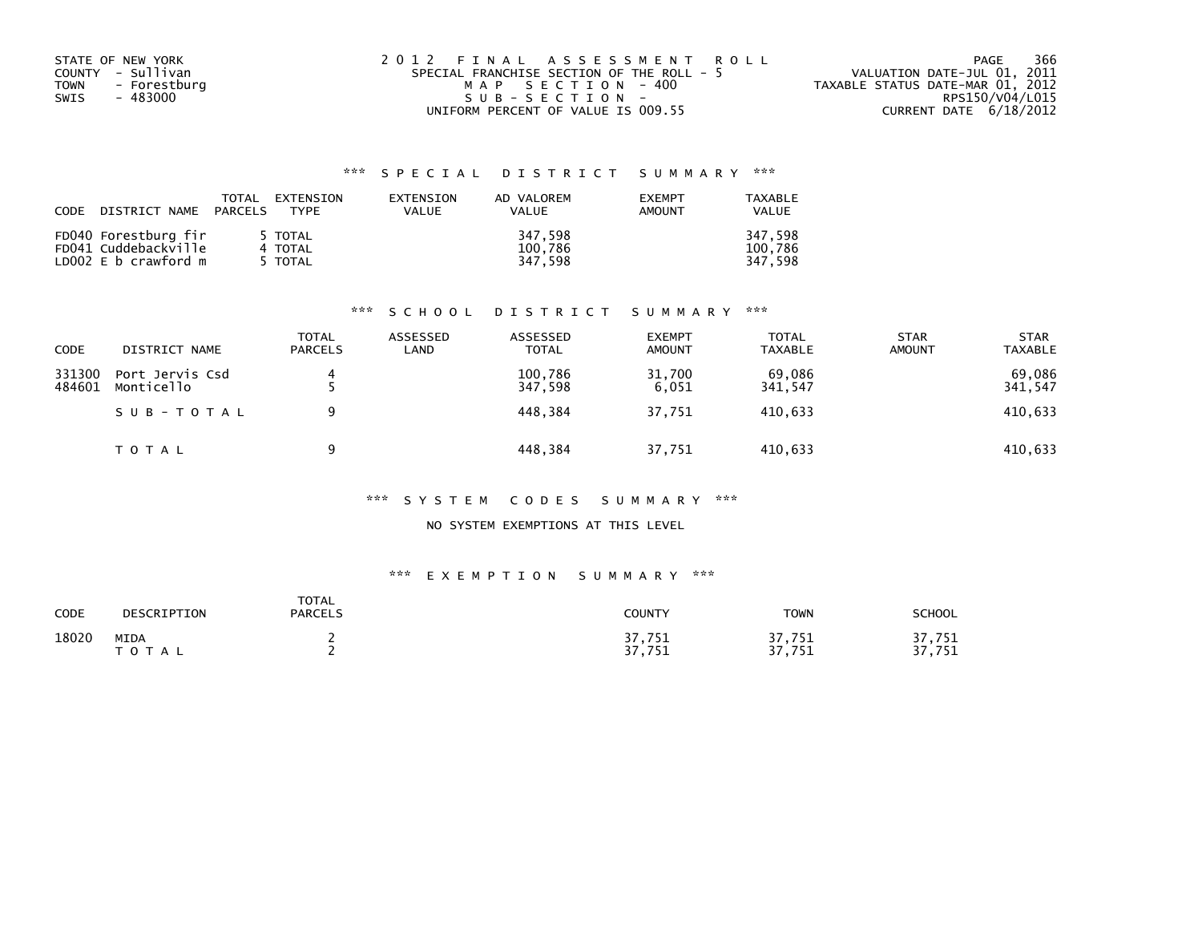| STATE OF NEW YORK    | 2012 FINAL ASSESSMENT ROLL                | 366<br>PAGE                      |
|----------------------|-------------------------------------------|----------------------------------|
| COUNTY - Sullivan    | SPECIAL FRANCHISE SECTION OF THE ROLL - 5 | VALUATION DATE-JUL 01, 2011      |
| - Forestburg<br>TOWN | MAP SECTION -400                          | TAXABLE STATUS DATE-MAR 01, 2012 |
| - 483000<br>SWIS     | $SUB - SECTION -$                         | RPS150/V04/L015                  |
|                      | UNIFORM PERCENT OF VALUE IS 009.55        | CURRENT DATE 6/18/2012           |

| CODE | DISTRICT NAME PARCELS                                                | TOTAL | EXTENSION<br>TYPF             | EXTENSION<br>VALUE | AD VALOREM<br><b>VALUE</b>    | <b>EXEMPT</b><br><b>AMOUNT</b> | <b>TAXABLE</b><br><b>VALUE</b> |
|------|----------------------------------------------------------------------|-------|-------------------------------|--------------------|-------------------------------|--------------------------------|--------------------------------|
|      | FD040 Forestburg fir<br>FD041 Cuddebackville<br>LD002 E b crawford m |       | 5 TOTAL<br>4 TOTAL<br>5 TOTAL |                    | 347.598<br>100,786<br>347.598 |                                | 347.598<br>100.786<br>347.598  |

#### \*\*\* S C H O O L D I S T R I C T S U M M A R Y \*\*\*

| CODE             | DISTRICT NAME                 | TOTAL<br><b>PARCELS</b> | ASSESSED<br>LAND | ASSESSED<br><b>TOTAL</b> | <b>EXEMPT</b><br><b>AMOUNT</b> | <b>TOTAL</b><br><b>TAXABLE</b> | <b>STAR</b><br><b>AMOUNT</b> | <b>STAR</b><br><b>TAXABLE</b> |
|------------------|-------------------------------|-------------------------|------------------|--------------------------|--------------------------------|--------------------------------|------------------------------|-------------------------------|
| 331300<br>484601 | Port Jervis Csd<br>Monticello | 4                       |                  | 100.786<br>347.598       | 31,700<br>6.051                | 69.086<br>341,547              |                              | 69,086<br>341,547             |
|                  | SUB-TOTAL                     | a                       |                  | 448.384                  | 37.751                         | 410.633                        |                              | 410,633                       |
|                  | T O T A L                     | a                       |                  | 448,384                  | 37,751                         | 410,633                        |                              | 410,633                       |

#### \*\*\* S Y S T E M C O D E S S U M M A R Y \*\*\*

### NO SYSTEM EXEMPTIONS AT THIS LEVEL

# \*\*\* E X E M P T I O N S U M M A R Y \*\*\*

| CODE  | DESCRIPTION   | <b>TOTAL</b><br><b>PARCELS</b> | COUNTY                          | <b>TOWN</b>            | <b>SCHOOL</b>                                  |
|-------|---------------|--------------------------------|---------------------------------|------------------------|------------------------------------------------|
| 18020 | MIDA<br>TOTAL |                                | 7,751<br>ר ר<br>751<br>.<br>J 1 | 37,751<br>っっ<br>37,751 | '.751<br>- 1<br>77<br>751<br>7 J T<br><u>.</u> |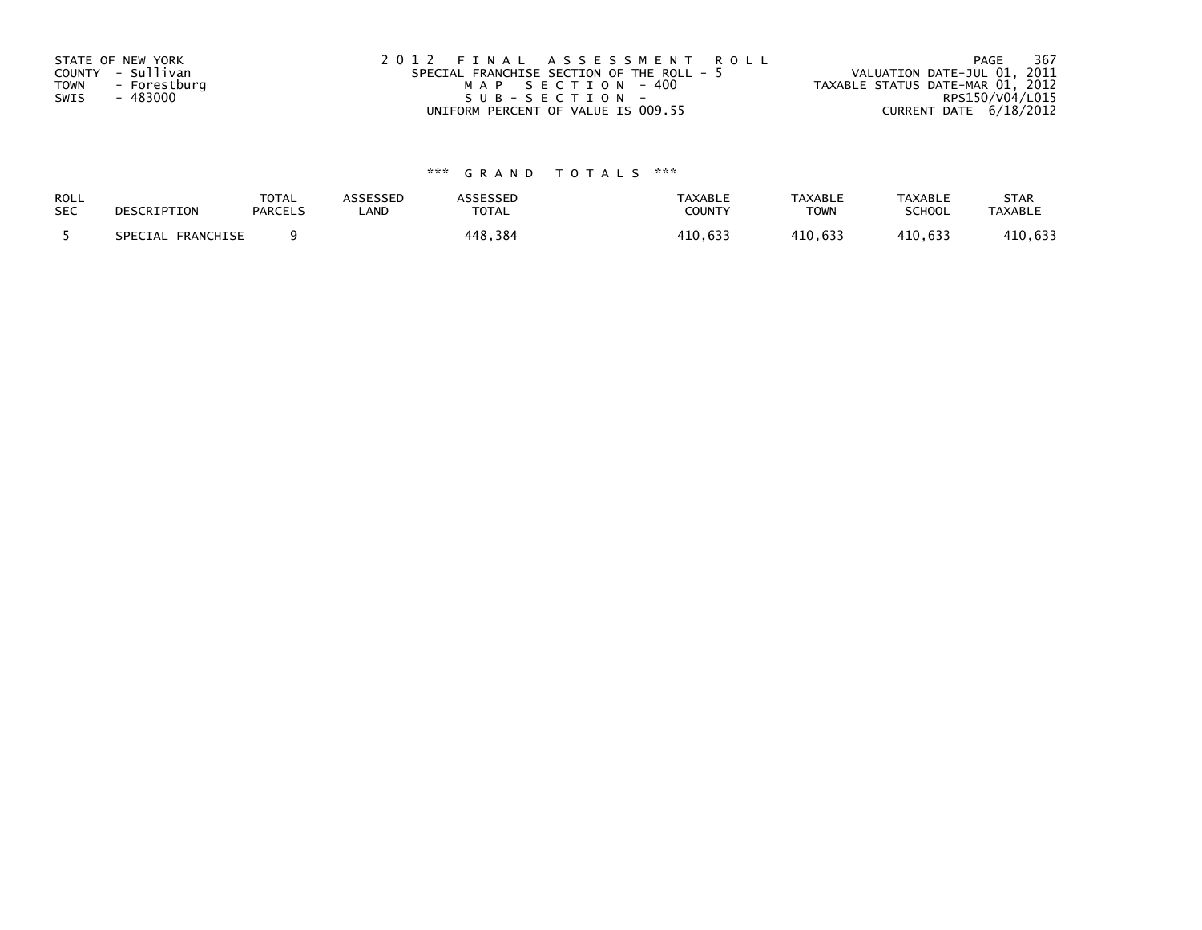| STATE OF NEW YORK<br>COUNTY - Sullivan<br>TOWN<br>- Forestburg<br>- 483000<br>SWIS | 2012 FINAL ASSESSMENT ROLL<br>SPECIAL FRANCHISE SECTION OF THE ROLL - 5<br>MAP SECTION - 400<br>$SUB - SECTION -$ | 367<br>PAGE<br>VALUATION DATE-JUL 01, 2011<br>TAXABLE STATUS DATE-MAR 01, 2012<br>RPS150/V04/L015 |
|------------------------------------------------------------------------------------|-------------------------------------------------------------------------------------------------------------------|---------------------------------------------------------------------------------------------------|
|                                                                                    | UNIFORM PERCENT OF VALUE IS 009.55                                                                                | CURRENT DATE $6/18/2012$                                                                          |

| ROLL       | DESCRIPTION       | <b>TOTAL</b>   | ASSESSED | <b>ASSESSED</b> | <b>TAXABLE</b> | <b>TAXABLE</b> | <b>TAXABLE</b> | <b>STAR</b>    |
|------------|-------------------|----------------|----------|-----------------|----------------|----------------|----------------|----------------|
| <b>SEC</b> |                   | <b>PARCELS</b> | _AND     | <b>TOTAL</b>    | COUNTY         | <b>TOWN</b>    | <b>SCHOOL</b>  | <b>TAXABLE</b> |
|            | SPECIAL FRANCHISE |                |          | 448,384         | 410.633        | 410.633        | 410.633        | 410,633        |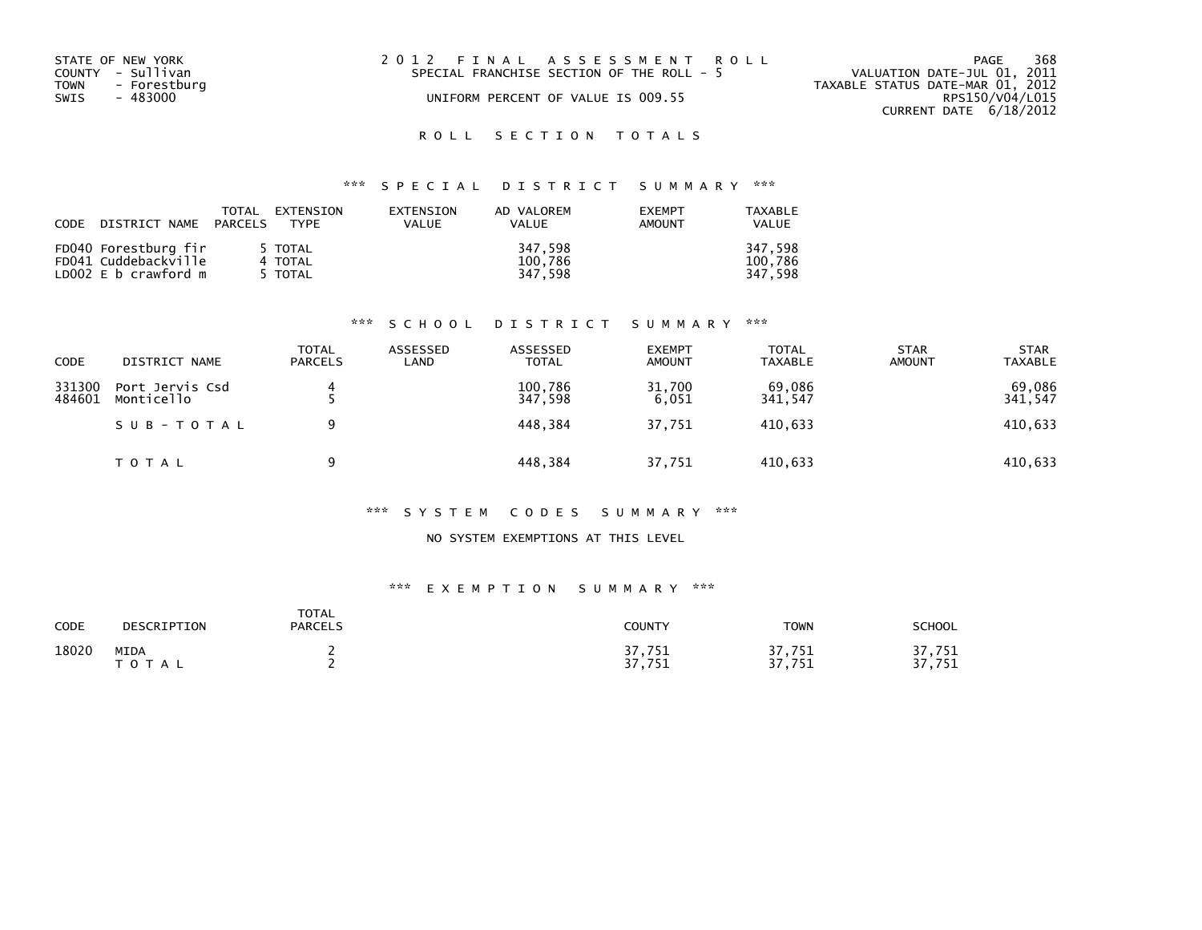| STATE OF NEW YORK<br>COUNTY - Sullivan<br>TOWN<br>- Forestburg<br>SWIS<br>- 483000 | 2012 FINAL ASSESSMENT ROLL<br>SPECIAL FRANCHISE SECTION OF THE ROLL - 5<br>UNIFORM PERCENT OF VALUE IS 009.55 | 368<br>PAGE<br>VALUATION DATE-JUL 01, 2011<br>TAXABLE STATUS DATE-MAR 01, 2012<br>RPS150/V04/L015<br>CURRENT DATE 6/18/2012 |
|------------------------------------------------------------------------------------|---------------------------------------------------------------------------------------------------------------|-----------------------------------------------------------------------------------------------------------------------------|
|                                                                                    |                                                                                                               |                                                                                                                             |

# \*\*\* S P E C I A L D I S T R I C T S U M M A R Y \*\*\*

| CODE | DISTRICT NAME PARCELS | TOTAL<br>EXTENSION<br>TYPE | EXTENSION<br><b>VALUE</b> | AD VALOREM<br><b>VALUE</b> | <b>FXFMPT</b><br><b>AMOUNT</b> | TAXABLE<br><b>VALUE</b> |
|------|-----------------------|----------------------------|---------------------------|----------------------------|--------------------------------|-------------------------|
|      | FD040 Forestburg fir  | 5 TOTAL                    |                           | 347,598                    |                                | 347.598                 |
|      | FD041 Cuddebackville  | 4 TOTAL                    |                           | 100,786                    |                                | 100.786                 |
|      | LD002 E b crawford m  | 5 TOTAL                    |                           | 347.598                    |                                | 347.598                 |

#### \*\*\* S C H O O L D I S T R I C T S U M M A R Y \*\*\*

| <b>CODE</b>      | DISTRICT NAME                 | <b>TOTAL</b><br><b>PARCELS</b> | ASSESSED<br>LAND | ASSESSED<br><b>TOTAL</b> | <b>EXEMPT</b><br><b>AMOUNT</b> | <b>TOTAL</b><br>TAXABLE | <b>STAR</b><br><b>AMOUNT</b> | <b>STAR</b><br><b>TAXABLE</b> |
|------------------|-------------------------------|--------------------------------|------------------|--------------------------|--------------------------------|-------------------------|------------------------------|-------------------------------|
| 331300<br>484601 | Port Jervis Csd<br>Monticello |                                |                  | 100.786<br>347,598       | 31.700<br>6,051                | 69,086<br>341,547       |                              | 69,086<br>341,547             |
|                  | SUB-TOTAL                     | 9                              |                  | 448.384                  | 37.751                         | 410.633                 |                              | 410,633                       |
|                  | T O T A L                     | a                              |                  | 448,384                  | 37,751                         | 410,633                 |                              | 410,633                       |

#### \*\*\* S Y S T E M C O D E S S U M M A R Y \*\*\*

### NO SYSTEM EXEMPTIONS AT THIS LEVEL

#### \*\*\* E X E M P T I O N S U M M A R Y \*\*\*

| CODE  | DESCRIPTION       | <b>TOTAL</b><br><b>PARCELS</b> | COUNTY           | <b>TOWN</b>            | <b>SCHOOL</b>        |
|-------|-------------------|--------------------------------|------------------|------------------------|----------------------|
| 18020 | MIDA<br>T O T A L |                                | 37,751<br>37,751 | 37,751<br>27<br>37,751 | 37,751<br>751<br>37. |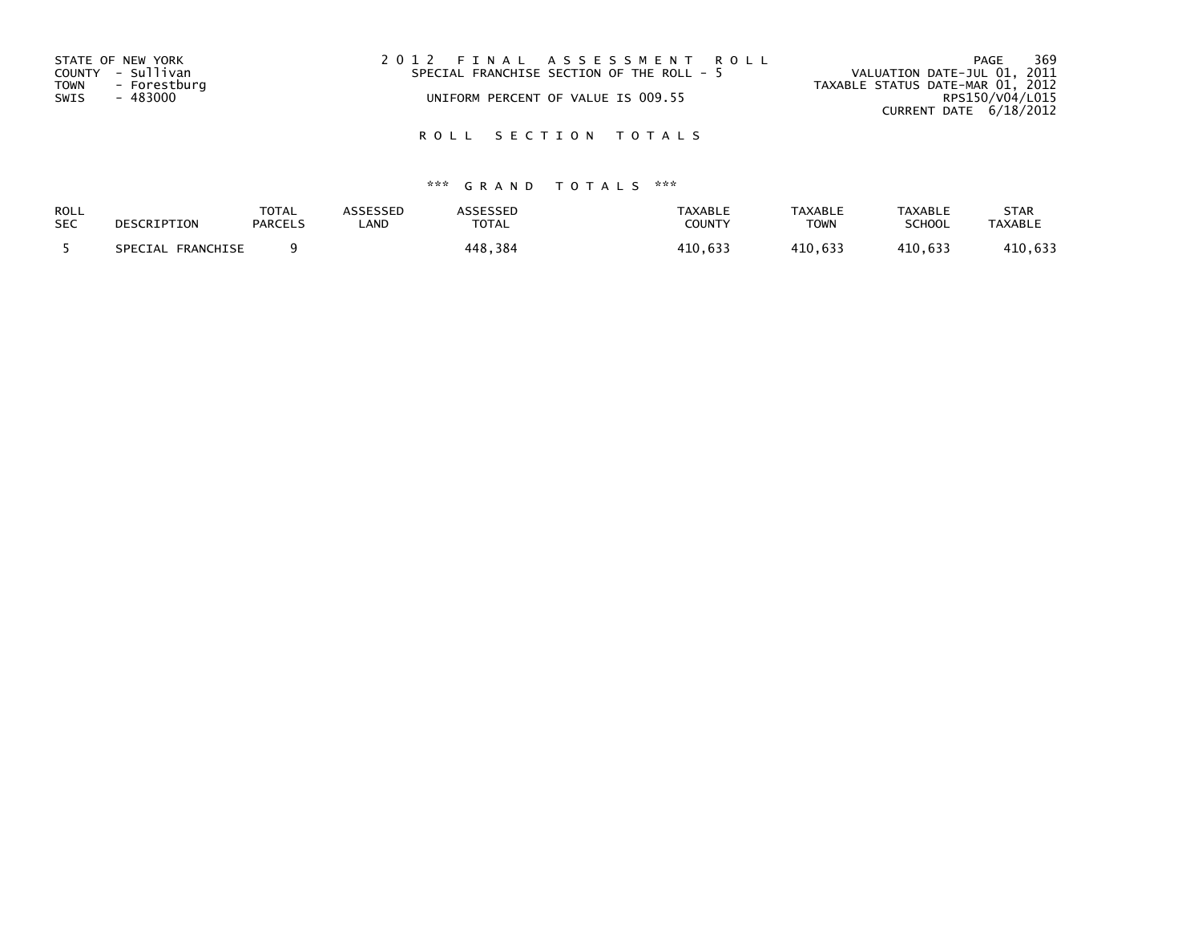| 2012 FINAL ASSESSMENT ROLL<br>STATE OF NEW YORK<br>COUNTY - Sullivan<br>SPECIAL FRANCHISE SECTION OF THE ROLL - 5<br>- Forestburg<br><b>TOWN</b><br>- 483000<br>UNIFORM PERCENT OF VALUE IS 009.55<br>SWIS | 369<br>PAGE<br>VALUATION DATE-JUL 01, 2011<br>TAXABLE STATUS DATE-MAR 01, 2012<br>RPS150/V04/L015<br>CURRENT DATE 6/18/2012 |
|------------------------------------------------------------------------------------------------------------------------------------------------------------------------------------------------------------|-----------------------------------------------------------------------------------------------------------------------------|
|------------------------------------------------------------------------------------------------------------------------------------------------------------------------------------------------------------|-----------------------------------------------------------------------------------------------------------------------------|

| ROLL       | DESCRIPTION       | <b>TOTAL</b>   | <b>ASSESSED</b> | <b>ASSESSED</b> | <b>TAXABLE</b> | <b>TAXABLE</b> | <b>TAXABLE</b> | <b>STAR</b>    |
|------------|-------------------|----------------|-----------------|-----------------|----------------|----------------|----------------|----------------|
| <b>SEC</b> |                   | <b>PARCELS</b> | _AND            | TOTAL           | COUNTY         | <b>TOWN</b>    | SCHOOL         | <b>TAXABLE</b> |
|            | SPECIAL FRANCHISE |                |                 | 448,384         | 410,633        | 410.633        | 410.633        | 410,633        |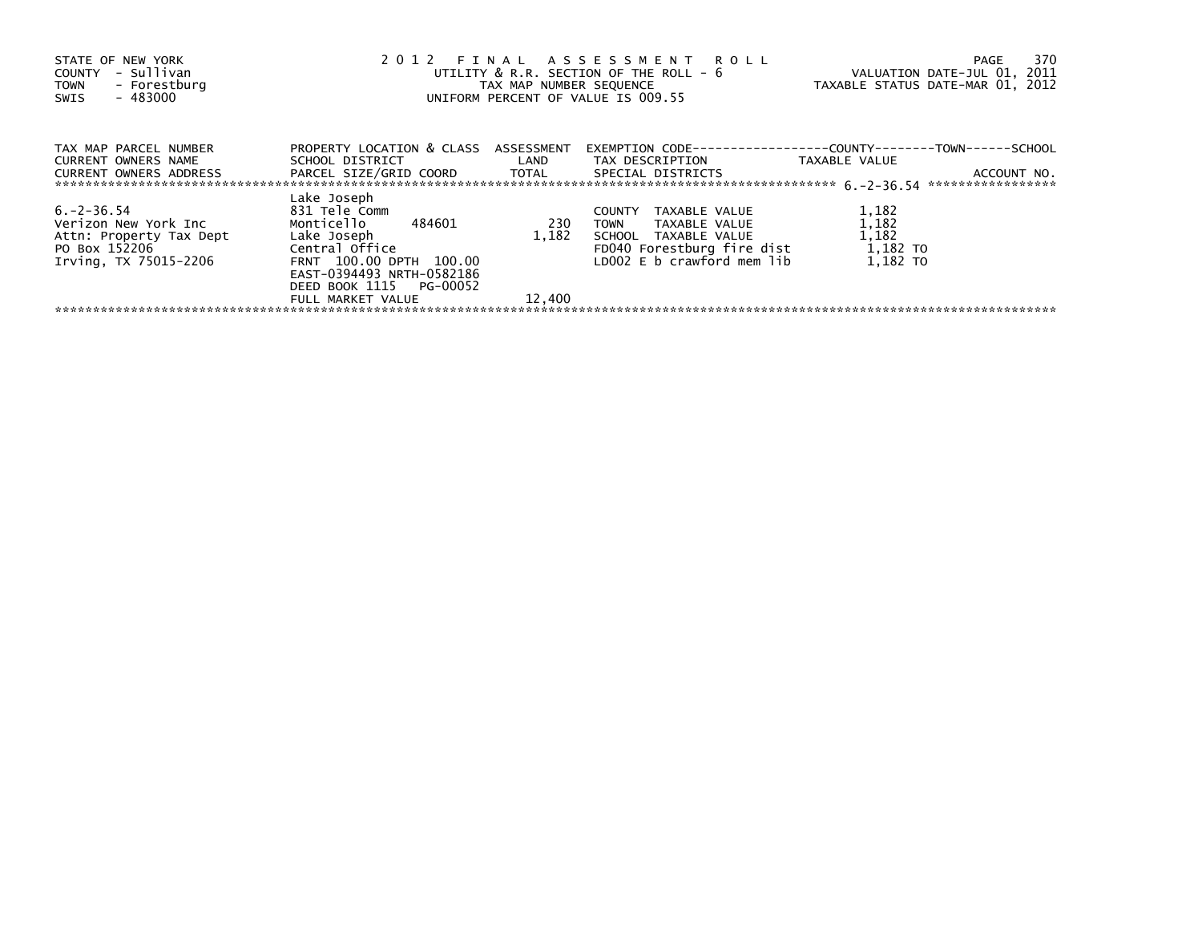| STATE OF NEW YORK<br>COUNTY - Sullivan<br>- Forestburg<br>TOWN<br>$-483000$<br>SWIS                                   |                                                                                                                                                                                            |                        | 2012 FINAL ASSESSMENT ROLL<br>UTILITY & R.R. SECTION OF THE ROLL - 6<br>UNIFORM PERCENT OF VALUE IS 009.55                                           | 370<br>PAGE<br>VALUATION DATE-JUL 01, 2011<br>TAX MAP NUMBER SEQUENCE TAXABLE STATUS DATE-MAR 01, 2012 |
|-----------------------------------------------------------------------------------------------------------------------|--------------------------------------------------------------------------------------------------------------------------------------------------------------------------------------------|------------------------|------------------------------------------------------------------------------------------------------------------------------------------------------|--------------------------------------------------------------------------------------------------------|
| TAX MAP PARCEL NUMBER<br>CURRENT OWNERS NAME<br>CURRENT OWNERS ADDRESS FARCEL SIZE/GRID COORD TOTAL SPECIAL DISTRICTS | PROPERTY LOCATION & CLASS ASSESSMENT                                                                                                                                                       |                        | SCHOOL DISTRICT                         LAND         TAX DESCRIPTION                   TAXABLE VALUE                                                 | ACCOUNT NO.                                                                                            |
| 6.–2–36.54<br>Verizon New York Inc<br>Attn: Property Tax Dept<br>PO Box 152206<br>Irving, TX 75015-2206               | Lake Joseph<br>831 Tele Comm<br>Monticello 484601<br>Lake Joseph<br>Central Office<br>FRNT 100.00 DPTH 100.00<br>EAST-0394493 NRTH-0582186<br>DEED BOOK 1115 PG-00052<br>FULL MARKET VALUE | 230<br>1.182<br>12,400 | TAXABLE VALUE<br><b>COUNTY</b><br>TOWN<br>TAXABLE VALUE<br>SCHOOL TAXABLE VALUE<br>FD040 Forestburg fire dist 1,182 TO<br>LD002 E b crawford mem lib | 1,182<br>1,182<br>1,182<br>1.182 TO                                                                    |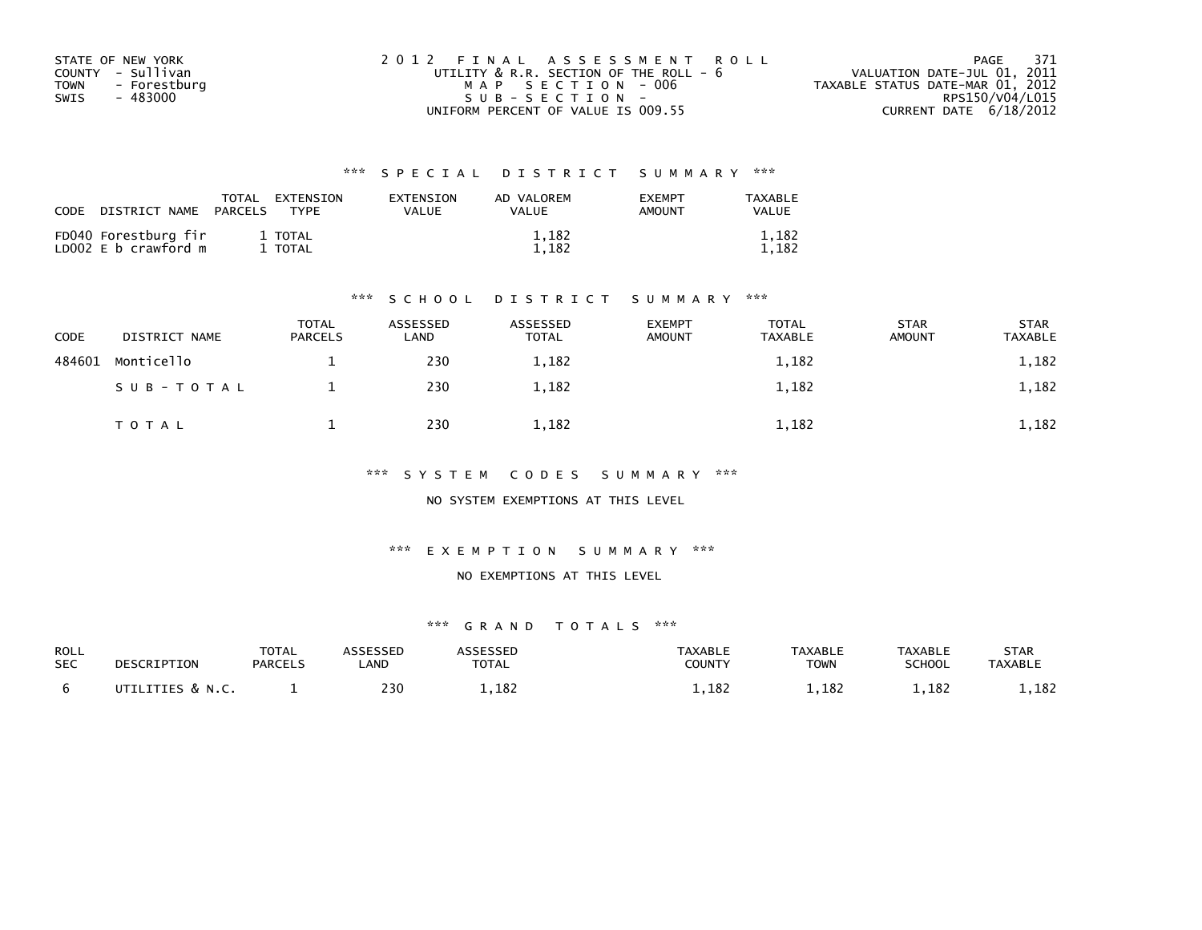| STATE OF NEW YORK    | 2012 FINAL ASSESSMENT ROLL             | 371<br>PAGE                      |
|----------------------|----------------------------------------|----------------------------------|
| COUNTY - Sullivan    | UTILITY & R.R. SECTION OF THE ROLL - 6 | VALUATION DATE-JUL 01, 2011      |
| - Forestburg<br>TOWN | MAP SECTION - 006                      | TAXABLE STATUS DATE-MAR 01, 2012 |
| - 483000<br>SWIS     | $SUB - SECTION -$                      | RPS150/V04/L015                  |
|                      | UNIFORM PERCENT OF VALUE IS 009.55     | CURRENT DATE 6/18/2012           |

| CODE | DISTRICT NAME                                | TOTAL<br><b>PARCELS</b> | EXTENSION<br>TYPF. | EXTENSION<br>VALUE | AD VALOREM<br><b>VALUE</b> | <b>EXEMPT</b><br><b>AMOUNT</b> | TAXABLE<br><b>VALUE</b> |
|------|----------------------------------------------|-------------------------|--------------------|--------------------|----------------------------|--------------------------------|-------------------------|
|      | FD040 Forestburg fir<br>LD002 E b crawford m |                         | 1 TOTAL<br>1 TOTAL |                    | 1,182<br>1.182             |                                | 1,182<br>1,182          |

#### \*\*\* S C H O O L D I S T R I C T S U M M A R Y \*\*\*

| CODE   | DISTRICT NAME | <b>TOTAL</b><br><b>PARCELS</b> | ASSESSED<br>LAND | ASSESSED<br><b>TOTAL</b> | <b>EXEMPT</b><br><b>AMOUNT</b> | <b>TOTAL</b><br><b>TAXABLE</b> | <b>STAR</b><br><b>AMOUNT</b> | <b>STAR</b><br><b>TAXABLE</b> |
|--------|---------------|--------------------------------|------------------|--------------------------|--------------------------------|--------------------------------|------------------------------|-------------------------------|
| 484601 | Monticello    |                                | 230              | 1,182                    |                                | 1,182                          |                              | 1,182                         |
|        | SUB-TOTAL     |                                | 230              | 1,182                    |                                | 1,182                          |                              | 1,182                         |
|        | T O T A L     |                                | 230              | 1,182                    |                                | 1,182                          |                              | 1,182                         |

\*\*\* S Y S T E M C O D E S S U M M A R Y \*\*\*

NO SYSTEM EXEMPTIONS AT THIS LEVEL

\*\*\* E X E M P T I O N S U M M A R Y \*\*\*

#### NO EXEMPTIONS AT THIS LEVEL

| <b>ROLL</b><br><b>SEC</b> | DESCRIPTION       | <b>TOTAL</b><br><b>PARCELS</b> | <b>\SSESSED</b><br>_AND | <b>TOTAL</b> | <b>TAXABLE</b><br>COUNTY | <b>TAXABLE</b><br>TOWN | <b>TAXABLE</b><br>SCHOOL | <b>STAR</b><br><b>TAXABLE</b> |
|---------------------------|-------------------|--------------------------------|-------------------------|--------------|--------------------------|------------------------|--------------------------|-------------------------------|
|                           | UTTI TTTES & N.C. |                                | 230                     | 1,182        | .182                     | 1,182                  | 1,182                    | ,182                          |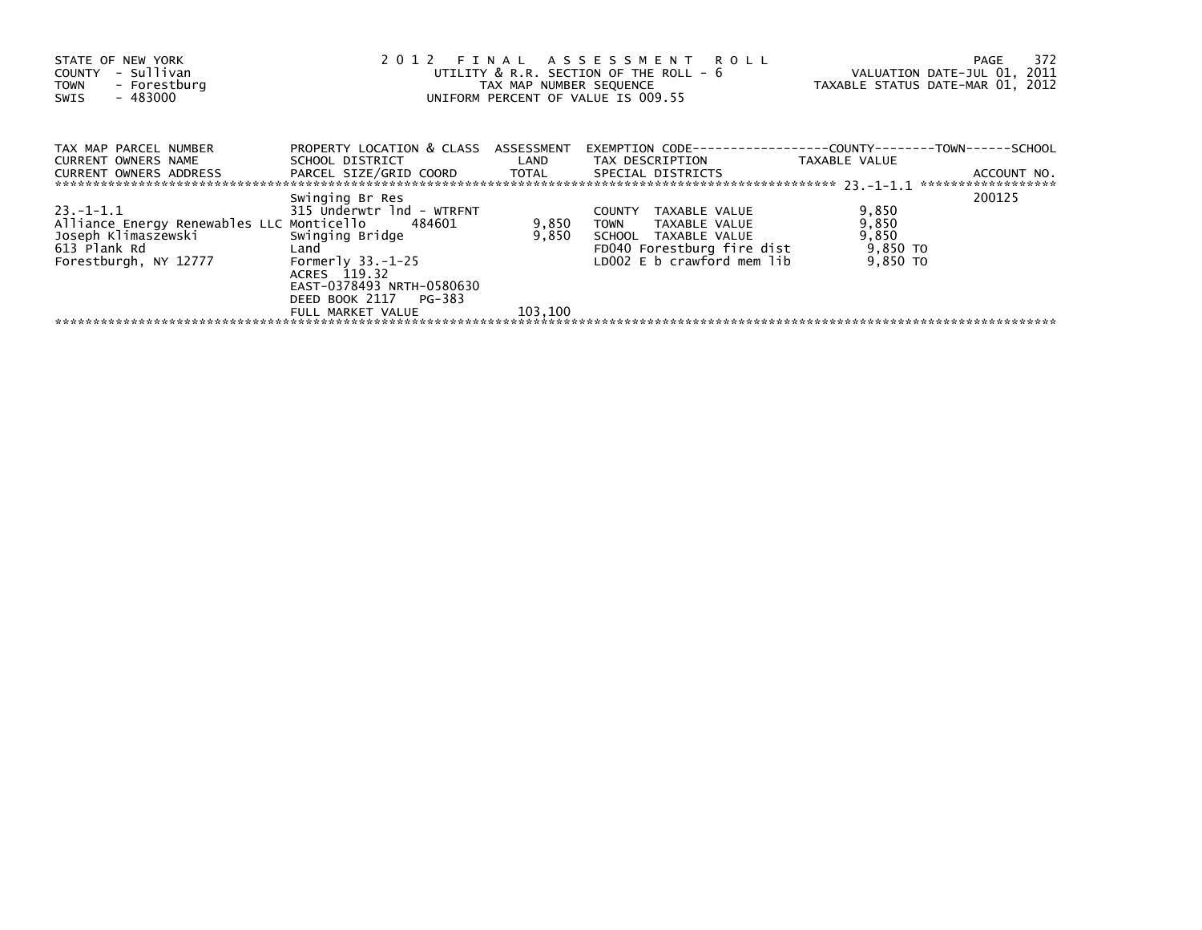| STATE OF NEW YORK<br>- Sullivan<br>COUNTY<br>- Forestburg<br><b>TOWN</b><br>$-483000$<br>SWIS                                  |                                                                                                                                                                      |                | 2012 FINAL ASSESSMENT ROLL<br>UTILITY & R.R. SECTION OF THE ROLL - 6<br>TAX MAP NUMBER SEQUENCE<br>UNIFORM PERCENT OF VALUE IS 009.55              | VALUATION DATE-JUL 01, 2011<br>TAXABLE STATUS DATE-MAR 01, 2012 | 372<br>PAGE                       |
|--------------------------------------------------------------------------------------------------------------------------------|----------------------------------------------------------------------------------------------------------------------------------------------------------------------|----------------|----------------------------------------------------------------------------------------------------------------------------------------------------|-----------------------------------------------------------------|-----------------------------------|
| TAX MAP PARCEL NUMBER<br><b>CURRENT OWNERS NAME</b><br>CURRENT OWNERS ADDRESS                                                  | PROPERTY LOCATION & CLASS ASSESSMENT<br>SCHOOL DISTRICT NOTES<br>PARCEL SIZE/GRID COORD TOTAL SPECIAL DISTRICTS                                                      | LAND           | TAX DESCRIPTION                                                                                                                                    | TAXABLE VALUE                                                   | ACCOUNT NO.<br>****************** |
| 23. –1–1.1<br>Alliance Energy Renewables LLC Monticello 484601<br>Joseph Klimaszewski<br>613 Plank Rd<br>Forestburgh, NY 12777 | Swinging Br Res<br>315 Underwtr 1nd - WTRFNT<br>Swinging Bridge<br>Land<br>Formerly $33.-1-25$<br>ACRES 119.32<br>EAST-0378493 NRTH-0580630<br>DEED BOOK 2117 PG-383 | 9,850<br>9,850 | TAXABLE VALUE<br><b>COUNTY</b><br><b>TOWN</b><br>TAXABLE VALUE<br>SCHOOL TAXABLE VALUE<br>FD040 Forestburg fire dist<br>LD002 E b crawford mem lib | 9,850<br>9,850<br>9,850<br>9,850 TO<br>9,850 TO                 | 200125                            |
|                                                                                                                                | FULL MARKET VALUE                                                                                                                                                    | 103,100        |                                                                                                                                                    |                                                                 |                                   |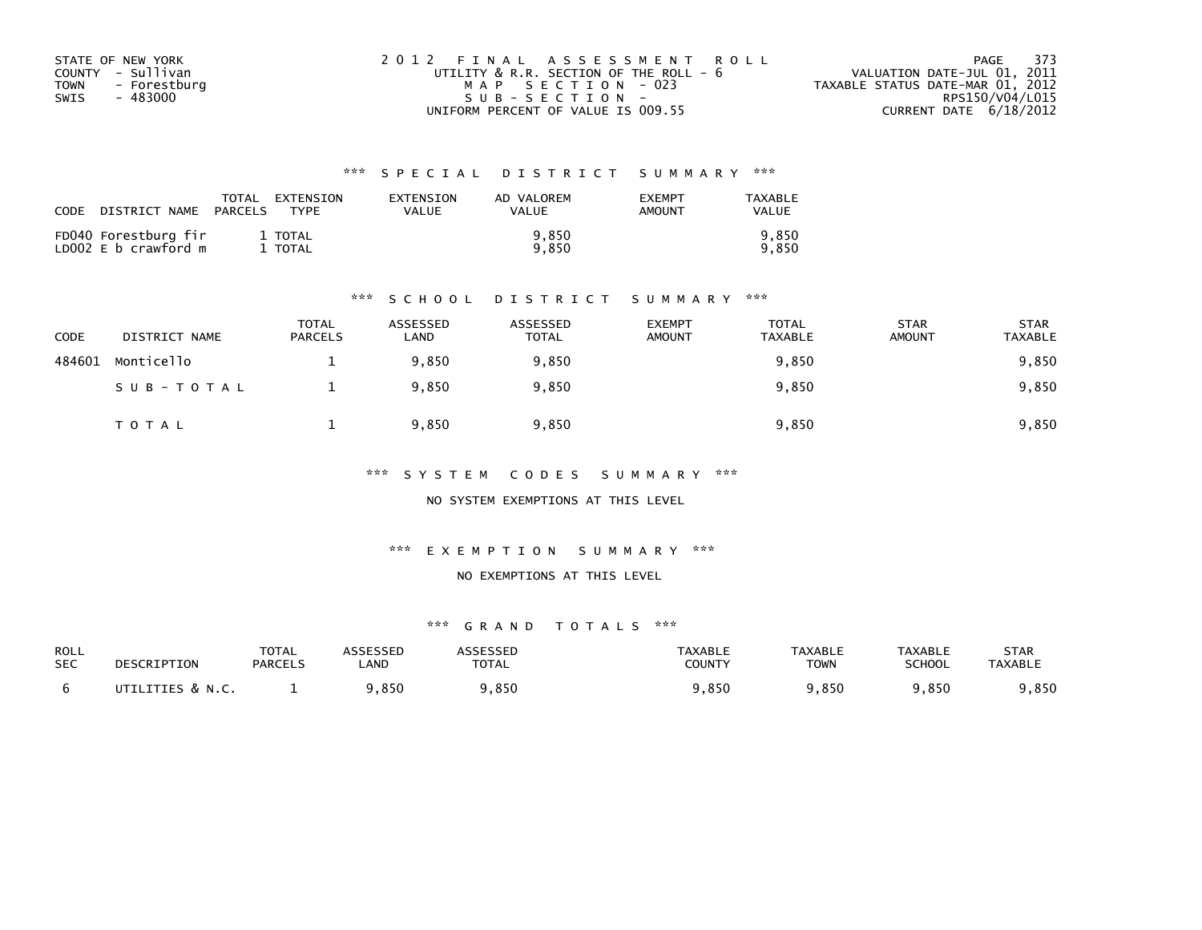| STATE OF NEW YORK    | 2012 FINAL ASSESSMENT ROLL         |                                        | PAGE 373                         |
|----------------------|------------------------------------|----------------------------------------|----------------------------------|
| COUNTY - Sullivan    |                                    | UTILITY & R.R. SECTION OF THE ROLL - 6 | VALUATION DATE-JUL 01, 2011      |
| - Forestburg<br>TOWN | MAP SECTION - 023                  |                                        | TAXABLE STATUS DATE-MAR 01, 2012 |
| - 483000<br>SWIS     | $SUB - SECTION -$                  |                                        | RPS150/V04/L015                  |
|                      | UNIFORM PERCENT OF VALUE IS 009.55 |                                        | CURRENT DATE 6/18/2012           |

| CODE | DISTRICT NAME                                | TOTAL<br>PARCELS | EXTENSION<br><b>TYPF</b> | EXTENSION<br>VALUE | AD VALOREM<br>VALUE | <b>EXEMPT</b><br><b>AMOUNT</b> | TAXABLE<br><b>VALUE</b> |
|------|----------------------------------------------|------------------|--------------------------|--------------------|---------------------|--------------------------------|-------------------------|
|      | FD040 Forestburg fir<br>LD002 E b crawford m |                  | 1 TOTAL<br>1 TOTAL       |                    | 9.850<br>9.850      |                                | 9.850<br>9.850          |

#### \*\*\* S C H O O L D I S T R I C T S U M M A R Y \*\*\*

| CODE   | DISTRICT NAME | <b>TOTAL</b><br><b>PARCELS</b> | ASSESSED<br>LAND | ASSESSED<br><b>TOTAL</b> | <b>EXEMPT</b><br><b>AMOUNT</b> | <b>TOTAL</b><br><b>TAXABLE</b> | <b>STAR</b><br><b>AMOUNT</b> | <b>STAR</b><br><b>TAXABLE</b> |
|--------|---------------|--------------------------------|------------------|--------------------------|--------------------------------|--------------------------------|------------------------------|-------------------------------|
| 484601 | Monticello    |                                | 9.850            | 9,850                    |                                | 9,850                          |                              | 9,850                         |
|        | SUB-TOTAL     |                                | 9,850            | 9,850                    |                                | 9,850                          |                              | 9,850                         |
|        | T O T A L     |                                | 9,850            | 9,850                    |                                | 9,850                          |                              | 9,850                         |

\*\*\* S Y S T E M C O D E S S U M M A R Y \*\*\*

NO SYSTEM EXEMPTIONS AT THIS LEVEL

\*\*\* E X E M P T I O N S U M M A R Y \*\*\*

#### NO EXEMPTIONS AT THIS LEVEL

| ROLL       | DESCRIPTION      | <b>TOTAL</b>   | ASSESSED   | <b>ASSESSED</b> | TAXABLE       | <b>TAXABLE</b> | <b>TAXABLE</b> | STAR           |
|------------|------------------|----------------|------------|-----------------|---------------|----------------|----------------|----------------|
| <b>SEC</b> |                  | <b>PARCELS</b> | <b>AND</b> | <b>TOTAL</b>    | <b>COUNTY</b> | TOWN           | <b>SCHOOL</b>  | <b>TAXABLE</b> |
|            | UTILITIES & N.C. |                | 9,850      | ,850            | 9,850         | 9,850          | 9,850          | ,850           |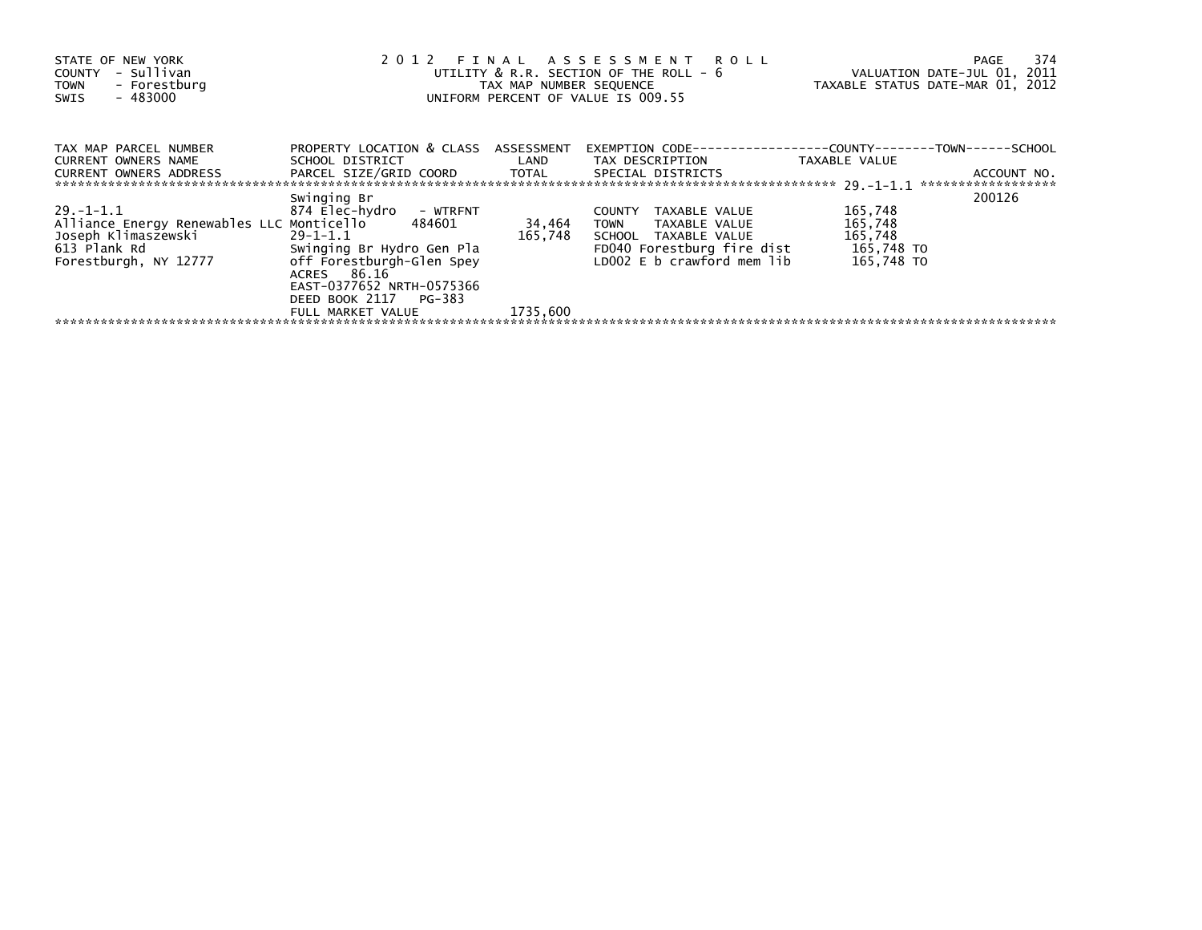| STATE OF NEW YORK<br>- Sullivan<br>COUNTY<br>- Forestburg<br><b>TOWN</b><br>$-483000$<br>SWIS                                  |                                                                                                                                                                                          | TAX MAP NUMBER SEQUENCE | 2012 FINAL ASSESSMENT ROLL<br>UTILITY & R.R. SECTION OF THE ROLL - 6<br>UNIFORM PERCENT OF VALUE IS 009.55                                  | VALUATION DATE-JUL 01, 2011<br>TAXABLE STATUS DATE-MAR 01, 2012 | 374<br>PAGE                       |
|--------------------------------------------------------------------------------------------------------------------------------|------------------------------------------------------------------------------------------------------------------------------------------------------------------------------------------|-------------------------|---------------------------------------------------------------------------------------------------------------------------------------------|-----------------------------------------------------------------|-----------------------------------|
| TAX MAP PARCEL NUMBER<br>CURRENT OWNERS NAME<br>CURRENT OWNERS ADDRESS                                                         | PROPERTY LOCATION & CLASS ASSESSMENT<br>SCHOOL DISTRICT NAMES<br>PARCEL SIZE/GRID COORD TOTAL SPECIAL DISTRICTS                                                                          | LAND                    | TAX DESCRIPTION                                                                                                                             | TAXABLE VALUE                                                   | ACCOUNT NO.<br>****************** |
| 29. –1–1.1<br>Alliance Energy Renewables LLC Monticello 484601<br>Joseph Klimaszewski<br>613 Plank Rd<br>Forestburgh, NY 12777 | Swinging Br<br>874 Elec-hydro  – WTRFNT<br>$29 - 1 - 1.1$<br>Swinging Br Hydro Gen Pla<br>off Forestburgh-Glen Spey<br>ACRES 86.16<br>EAST-0377652 NRTH-0575366<br>DEED BOOK 2117 PG-383 | 34,464<br>165,748       | COUNTY<br>TAXABLE VALUE<br><b>TOWN</b><br>TAXABLE VALUE<br>SCHOOL TAXABLE VALUE<br>FD040 Forestburg fire dist<br>LD002 E b crawford mem lib | 165,748<br>165,748<br>165,748<br>165,748 TO<br>165,748 TO       | 200126                            |
|                                                                                                                                | FULL MARKET VALUE                                                                                                                                                                        | 1735.600                |                                                                                                                                             |                                                                 |                                   |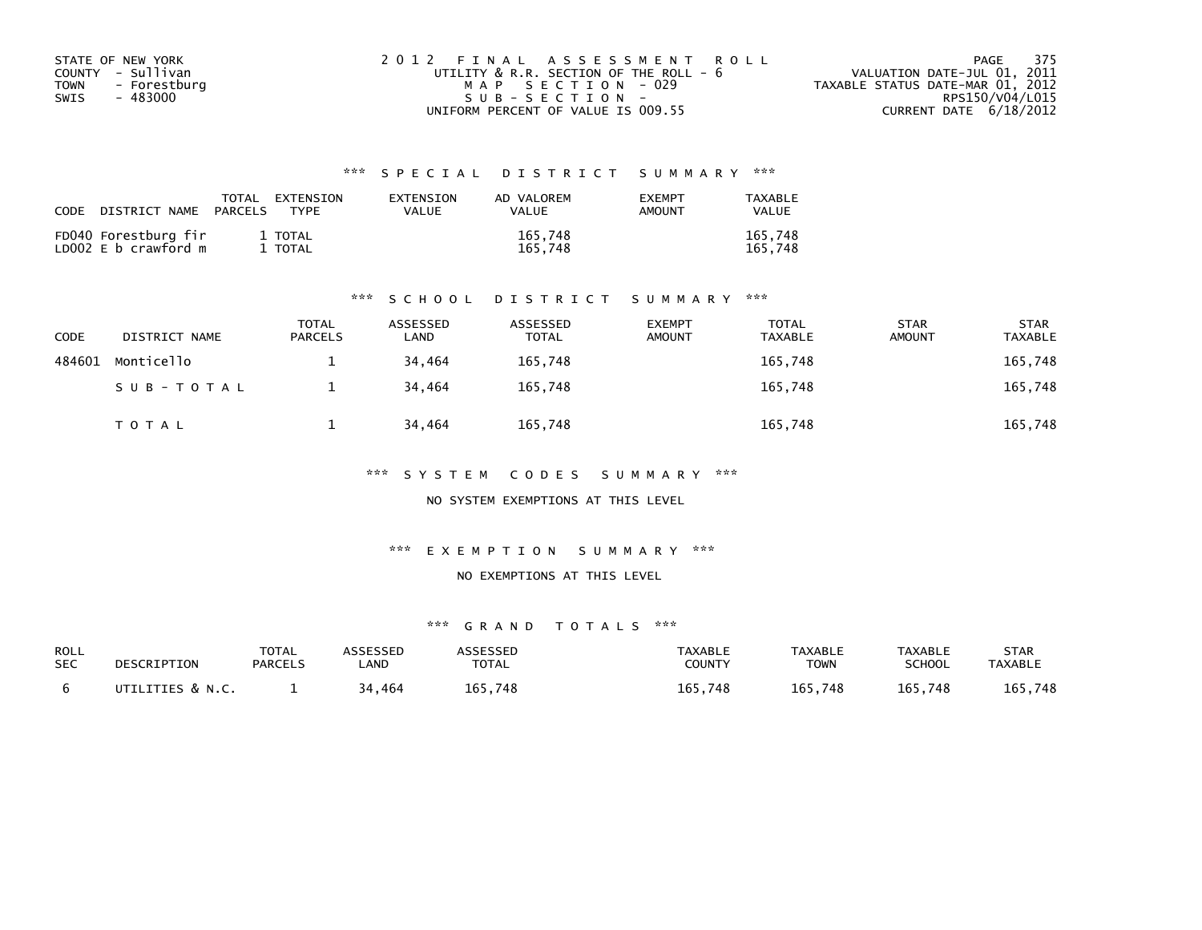| STATE OF NEW YORK    | 2012 FINAL ASSESSMENT ROLL             | PAGE 375                         |
|----------------------|----------------------------------------|----------------------------------|
| COUNTY - Sullivan    | UTILITY & R.R. SECTION OF THE ROLL - 6 | VALUATION DATE-JUL 01, 2011      |
| - Forestburg<br>TOWN | MAP SECTION - 029                      | TAXABLE STATUS DATE-MAR 01, 2012 |
| - 483000<br>SWIS     | $SUB - SECTION -$                      | RPS150/V04/L015                  |
|                      | UNIFORM PERCENT OF VALUE IS 009.55     | CURRENT DATE 6/18/2012           |

| CODE | DISTRICT NAME                                | TOTAL<br>PARCELS | EXTENSION<br>TYPF  | EXTENSION<br>VALUE | AD VALOREM<br><b>VALUE</b> | <b>EXEMPT</b><br>AMOUNT | TAXABLE<br>VALUE   |
|------|----------------------------------------------|------------------|--------------------|--------------------|----------------------------|-------------------------|--------------------|
|      | FD040 Forestburg fir<br>LD002 E b crawford m |                  | 1 TOTAL<br>1 TOTAL |                    | 165,748<br>165.748         |                         | 165,748<br>165.748 |

#### \*\*\* S C H O O L D I S T R I C T S U M M A R Y \*\*\*

| CODE   | DISTRICT NAME | <b>TOTAL</b><br><b>PARCELS</b> | ASSESSED<br>LAND | ASSESSED<br><b>TOTAL</b> | <b>EXEMPT</b><br><b>AMOUNT</b> | <b>TOTAL</b><br><b>TAXABLE</b> | <b>STAR</b><br><b>AMOUNT</b> | <b>STAR</b><br><b>TAXABLE</b> |
|--------|---------------|--------------------------------|------------------|--------------------------|--------------------------------|--------------------------------|------------------------------|-------------------------------|
| 484601 | Monticello    |                                | 34.464           | 165.748                  |                                | 165,748                        |                              | 165,748                       |
|        | SUB-TOTAL     |                                | 34,464           | 165,748                  |                                | 165,748                        |                              | 165,748                       |
|        | T O T A L     |                                | 34,464           | 165,748                  |                                | 165,748                        |                              | 165,748                       |

\*\*\* S Y S T E M C O D E S S U M M A R Y \*\*\*

NO SYSTEM EXEMPTIONS AT THIS LEVEL

\*\*\* E X E M P T I O N S U M M A R Y \*\*\*

#### NO EXEMPTIONS AT THIS LEVEL

| ROLL<br><b>SEC</b> | DESCRIPTION      | <b>TOTAL</b><br><b>PARCELS</b> | ASSESSED<br>.AND | ASSESSED<br><b>TOTAL</b> | <b>TAXABLE</b><br>COUNTY | <b>TAXABLE</b><br>TOWN | TAXABLE<br><b>SCHOOL</b> | STAR<br><b>TAXABLE</b> |
|--------------------|------------------|--------------------------------|------------------|--------------------------|--------------------------|------------------------|--------------------------|------------------------|
|                    | UTILITIES & N.C. |                                | 34,464           | 165.748                  | 165,748                  | 165,748                | 165,748                  | 165,748                |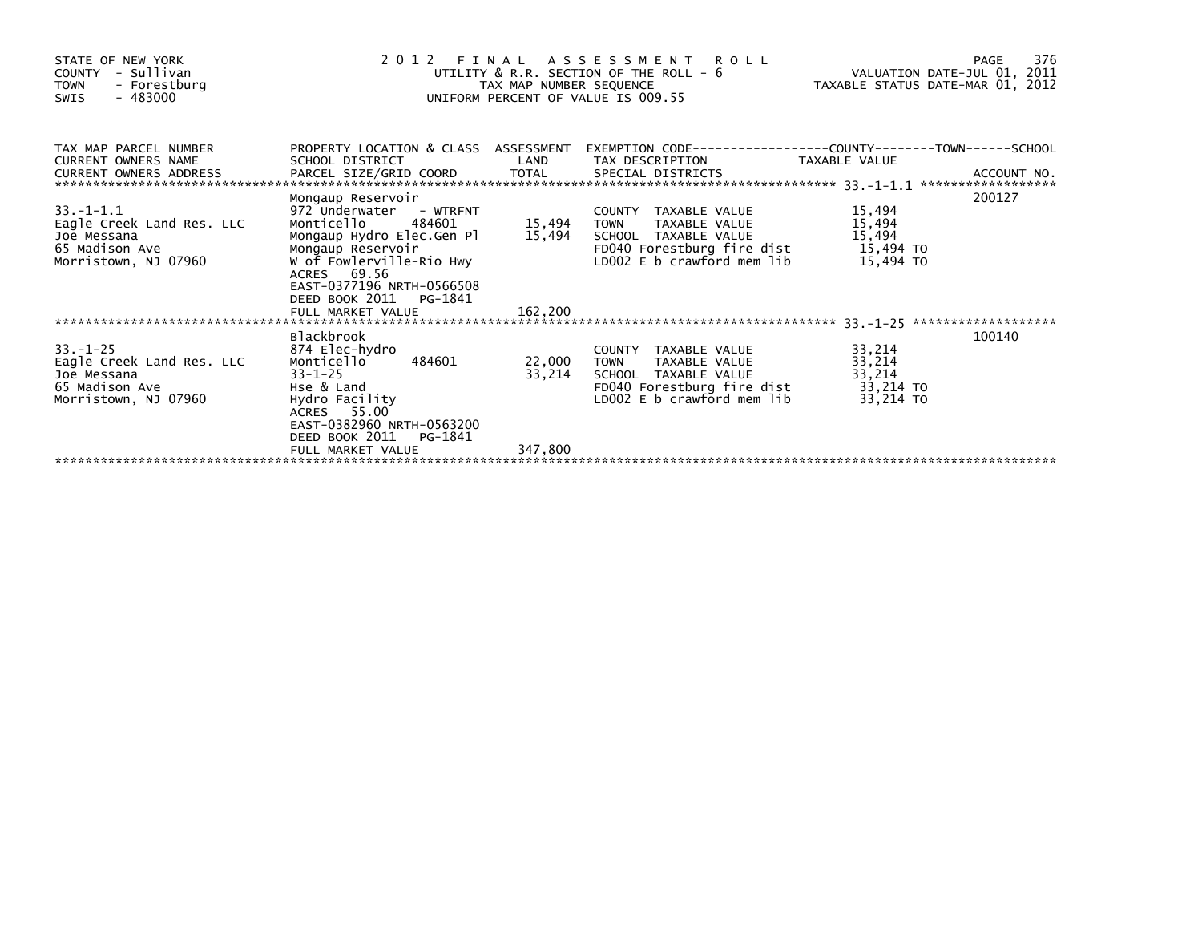| STATE OF NEW YORK<br>- Sullivan<br>COUNTY<br><b>TOWN</b><br>- Forestburg<br>$-483000$<br>SWIS | 2 0 1 2<br>FINAL ASSESSMENT ROLL<br>UTILITY & R.R. SECTION OF THE ROLL - 6<br>TAX MAP NUMBER SEQUENCE<br>UNIFORM PERCENT OF VALUE IS 009.55 | 7/4 FAGE<br>VALUATION DATE-JUL 01, 2011<br>TAYARLE CIATUR ALT<br>TAXABLE STATUS DATE-MAR 01, 2012 | 376<br>PAGE                           |                  |        |
|-----------------------------------------------------------------------------------------------|---------------------------------------------------------------------------------------------------------------------------------------------|---------------------------------------------------------------------------------------------------|---------------------------------------|------------------|--------|
| TAX MAP PARCEL NUMBER<br>CURRENT OWNERS NAME<br>CURRENT OWNERS ADDRESS                        | PROPERTY LOCATION & CLASS ASSESSMENT<br>SCHOOL DISTRICT                                                                                     | LAND                                                                                              | TAX DESCRIPTION                       | TAXABLE VALUE    |        |
|                                                                                               | Mongaup Reservoir                                                                                                                           |                                                                                                   |                                       |                  | 200127 |
| $33. - 1 - 1.1$<br>Eagle Creek Land Res. LLC                                                  | 972 Underwater - WTRFNT<br>484601<br>Monticello                                                                                             | 15,494                                                                                            | COUNTY TAXABLE VALUE<br><b>TOWN</b>   | 15,494<br>15,494 |        |
| Joe Messana                                                                                   | Mongaup Hydro Elec.Gen Pl                                                                                                                   | 15,494                                                                                            | TAXABLE VALUE<br>SCHOOL TAXABLE VALUE | 15,494           |        |
| 65 Madison Ave                                                                                | Mongaup Reservoir                                                                                                                           |                                                                                                   | FD040 Forestburg fire dist 15,494 TO  |                  |        |
| Morristown, NJ 07960                                                                          | W of Fowlerville-Rio Hwy<br>ACRES 69.56<br>EAST-0377196 NRTH-0566508<br>DEED BOOK 2011 PG-1841                                              |                                                                                                   | LD002 E b crawford mem lib            | 15,494 TO        |        |
|                                                                                               | FULL MARKET VALUE                                                                                                                           | 162,200                                                                                           |                                       |                  |        |
|                                                                                               | <b>Blackbrook</b>                                                                                                                           |                                                                                                   |                                       |                  | 100140 |
| $33 - 1 - 25$                                                                                 | 874 Elec-hydro                                                                                                                              |                                                                                                   | COUNTY TAXABLE VALUE                  | 33,214           |        |
| Eagle Creek Land Res. LLC                                                                     | 484601<br>Monticello                                                                                                                        | 22,000                                                                                            | TAXABLE VALUE<br><b>TOWN</b>          | 33,214           |        |
| Joe Messana                                                                                   | $33 - 1 - 25$                                                                                                                               | 33,214                                                                                            | SCHOOL TAXABLE VALUE                  | 33,214           |        |
| 65 Madison Ave                                                                                | Hse & Land                                                                                                                                  |                                                                                                   | FD040 Forestburg fire dist            | 33,214 TO        |        |
| Morristown, NJ 07960                                                                          | Hydro Facility<br>ACRES 55.00<br>EAST-0382960 NRTH-0563200<br>DEED BOOK 2011<br>PG-1841                                                     |                                                                                                   | LD002 E b crawford mem lib            | 33,214 TO        |        |
|                                                                                               | FULL MARKET VALUE                                                                                                                           | 347,800                                                                                           |                                       |                  |        |
|                                                                                               |                                                                                                                                             |                                                                                                   |                                       |                  |        |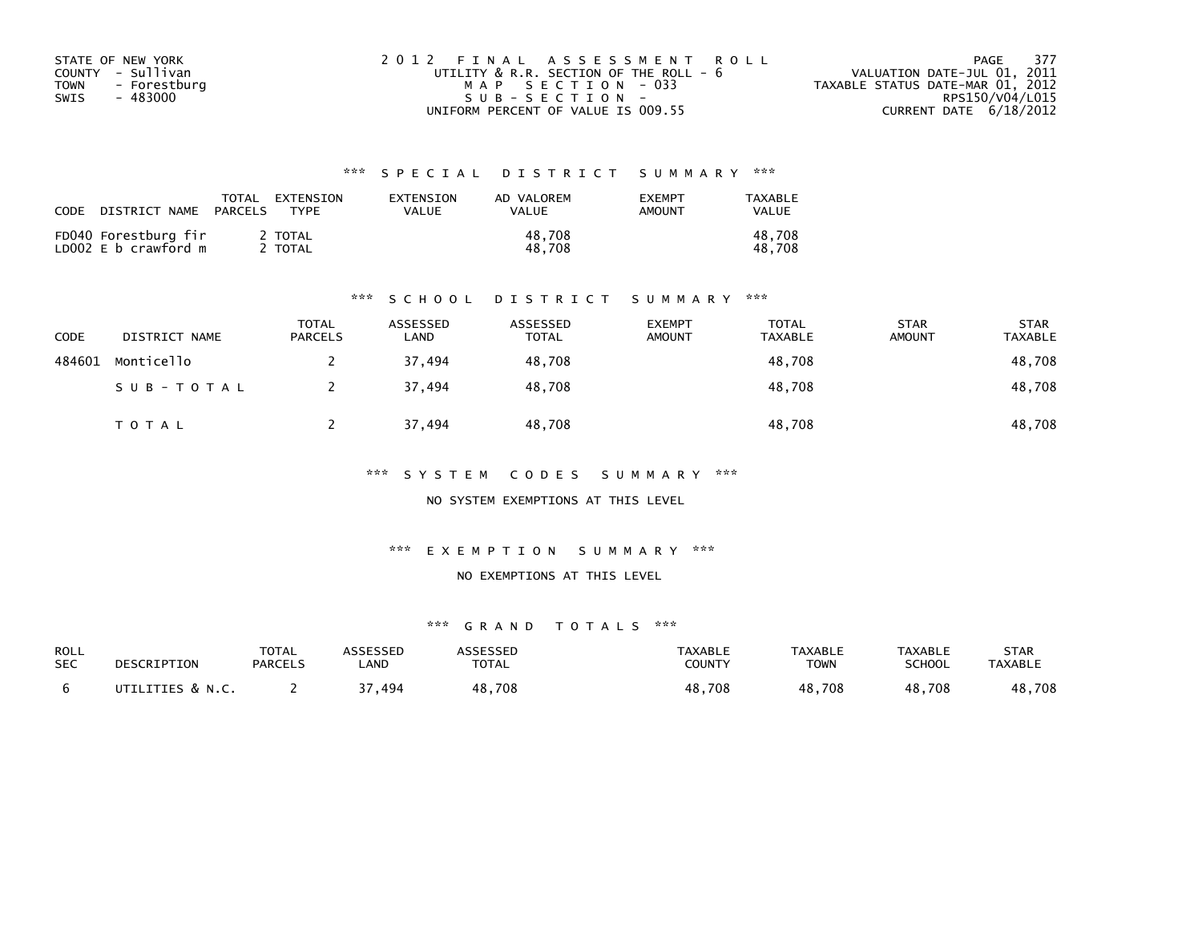| STATE OF NEW YORK    | 2012 FINAL ASSESSMENT ROLL                  | 377<br>PAGE                      |
|----------------------|---------------------------------------------|----------------------------------|
| COUNTY - Sullivan    | UTILITY $\&$ R.R. SECTION OF THE ROLL - $6$ | VALUATION DATE-JUL 01, 2011      |
| TOWN<br>- Forestburg | MAP SECTION - 033                           | TAXABLE STATUS DATE-MAR 01, 2012 |
| - 483000<br>SWIS     | SUB-SECTION-                                | RPS150/V04/L015                  |
|                      | UNIFORM PERCENT OF VALUE IS 009.55          | CURRENT DATE $6/18/2012$         |

| CODE | DISTRICT NAME                                | TOTAL<br>PARCELS | EXTENSION<br><b>TYPF</b> | EXTENSION<br>VALUE | AD VALOREM<br><b>VALUE</b> | <b>EXEMPT</b><br>AMOUNT | TAXABLE<br>VALUE |
|------|----------------------------------------------|------------------|--------------------------|--------------------|----------------------------|-------------------------|------------------|
|      | FD040 Forestburg fir<br>LD002 E b crawford m |                  | 2 TOTAL<br>' TOTAL       |                    | 48.708<br>48.708           |                         | 48,708<br>48.708 |

#### \*\*\* S C H O O L D I S T R I C T S U M M A R Y \*\*\*

| CODE   | DISTRICT NAME | <b>TOTAL</b><br><b>PARCELS</b> | ASSESSED<br>LAND | ASSESSED<br><b>TOTAL</b> | <b>EXEMPT</b><br><b>AMOUNT</b> | <b>TOTAL</b><br><b>TAXABLE</b> | <b>STAR</b><br><b>AMOUNT</b> | <b>STAR</b><br><b>TAXABLE</b> |
|--------|---------------|--------------------------------|------------------|--------------------------|--------------------------------|--------------------------------|------------------------------|-------------------------------|
| 484601 | Monticello    |                                | 37.494           | 48,708                   |                                | 48,708                         |                              | 48,708                        |
|        | SUB-TOTAL     |                                | 37,494           | 48,708                   |                                | 48,708                         |                              | 48,708                        |
|        | T O T A L     |                                | 37,494           | 48,708                   |                                | 48,708                         |                              | 48,708                        |

\*\*\* S Y S T E M C O D E S S U M M A R Y \*\*\*

NO SYSTEM EXEMPTIONS AT THIS LEVEL

\*\*\* E X E M P T I O N S U M M A R Y \*\*\*

#### NO EXEMPTIONS AT THIS LEVEL

| ROLL<br><b>SEC</b> | DESCRIPTION      | <b>TOTAL</b><br><b>PARCELS</b> | ASSESSED<br><b>AND</b> | ASSESSED<br><b>TOTAL</b> | <b>TAXABLE</b><br><b>COUNTY</b> | <b>TAXABLE</b><br><b>TOWN</b> | TAXABLE<br><b>SCHOOL</b> | STAR<br><b>TAXABLE</b> |
|--------------------|------------------|--------------------------------|------------------------|--------------------------|---------------------------------|-------------------------------|--------------------------|------------------------|
|                    | UTILITIES & N.C. |                                | 494                    | 48,708                   | 48,708                          | 48,708                        | 48,708                   | 48,708                 |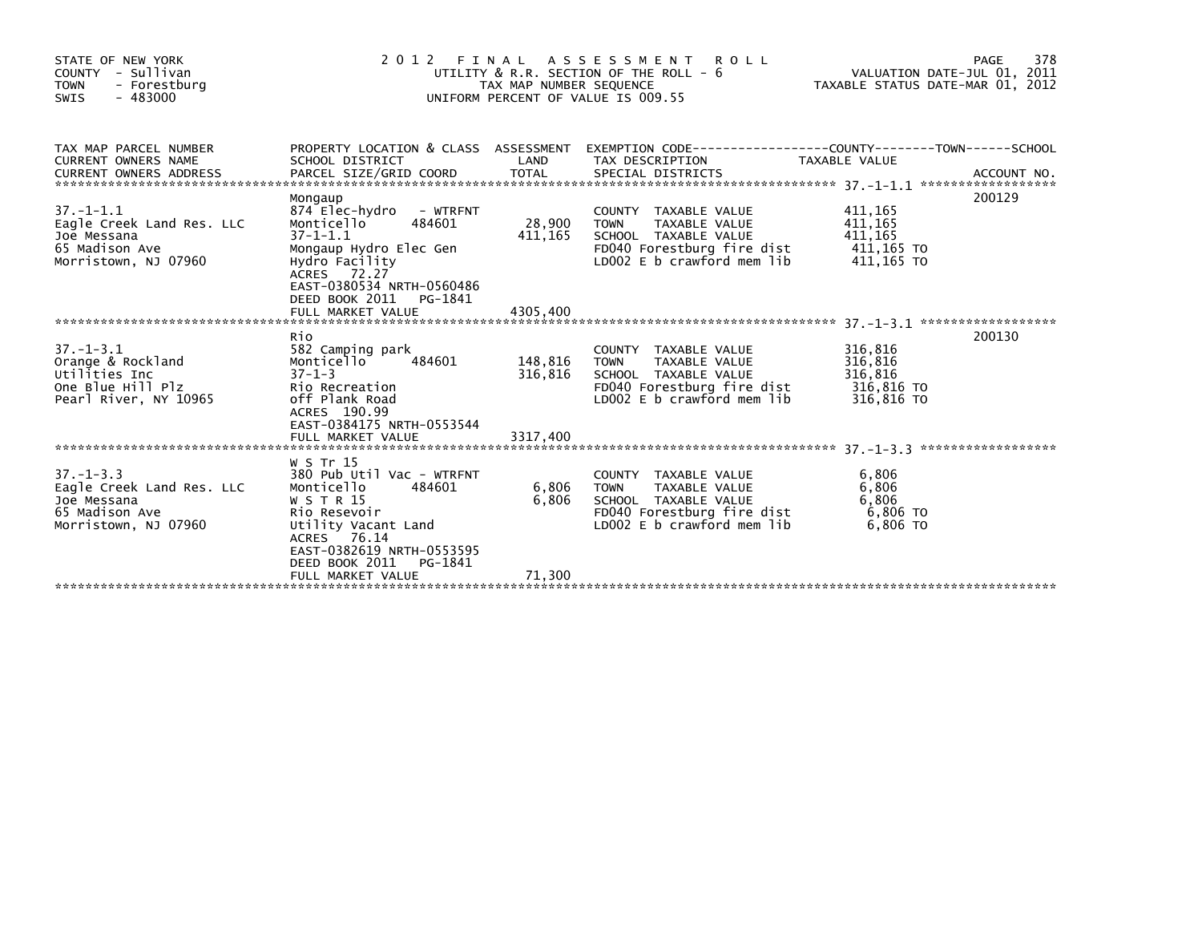| STATE OF NEW YORK<br>COUNTY - Sullivan<br><b>TOWN</b><br>- Forestburg<br>$-483000$<br><b>SWIS</b>     |                                                                                                                                                                                              | TAX MAP NUMBER SEQUENCE | 2012 FINAL ASSESSMENT<br>R O L L<br>UTILITY & R.R. SECTION OF THE ROLL - 6<br>UNIFORM PERCENT OF VALUE IS 009.55                                | VALUATION DATE-JUL 01, 2011<br>TAXABLE STATUS DATE-MAR 01, 2012 | 378<br>PAGE |
|-------------------------------------------------------------------------------------------------------|----------------------------------------------------------------------------------------------------------------------------------------------------------------------------------------------|-------------------------|-------------------------------------------------------------------------------------------------------------------------------------------------|-----------------------------------------------------------------|-------------|
| TAX MAP PARCEL NUMBER<br>CURRENT OWNERS NAME<br>$37. - 1 - 1.1$                                       | SCHOOL DISTRICT<br>Mongaup<br>874 Elec-hydro<br>- WTRFNT                                                                                                                                     | LAND                    | PROPERTY LOCATION & CLASS ASSESSMENT EXEMPTION CODE----------------COUNTY-------TOWN-----SCHOOL<br>TAX DESCRIPTION<br>COUNTY TAXABLE VALUE      | TAXABLE VALUE<br>411,165                                        | 200129      |
| Eagle Creek Land Res. LLC<br>Joe Messana<br>65 Madison Ave<br>Morristown, NJ 07960                    | 484601<br>Monticello<br>$37 - 1 - 1.1$<br>Mongaup Hydro Elec Gen<br>Hydro Facility<br>ACRES 72.27<br>EAST-0380534 NRTH-0560486<br>DEED BOOK 2011 PG-1841                                     | 28,900<br>411,165       | <b>TOWN</b><br>TAXABLE VALUE<br>SCHOOL TAXABLE VALUE<br>FD040 Forestburg fire dist<br>LD002 E b crawford mem lib                                | 411,165<br>411,165<br>411,165 TO<br>411,165 TO                  |             |
|                                                                                                       | FULL MARKET VALUE                                                                                                                                                                            | 4305.400                |                                                                                                                                                 |                                                                 |             |
| $37. - 1 - 3.1$<br>Orange & Rockland<br>Utilities Inc<br>One Blue Hill Plz<br>Pearl River, NY 10965   | Rio<br>582 Camping park<br>484601<br>Monticello<br>$37 - 1 - 3$<br>Rio Recreation<br>off Plank Road<br>ACRES 190.99<br>EAST-0384175 NRTH-0553544                                             | 148,816<br>316,816      | COUNTY TAXABLE VALUE<br><b>TOWN</b><br>TAXABLE VALUE<br>SCHOOL TAXABLE VALUE<br>FD040 Forestburg fire dist<br>LD002 E b crawford mem lib        | 316,816<br>316,816<br>316,816<br>316,816 TO<br>316,816 TO       | 200130      |
|                                                                                                       | FULL MARKET VALUE                                                                                                                                                                            | 3317,400                |                                                                                                                                                 |                                                                 |             |
| $37. - 1 - 3.3$<br>Eagle Creek Land Res. LLC<br>Joe Messana<br>65 Madison Ave<br>Morristown, NJ 07960 | W S Tr 15<br>380 Pub Util Vac - WTRFNT<br>484601<br>Monticello<br>W S T R 15<br>Rio Resevoir<br>Utility Vacant Land<br>ACRES 76.14<br>EAST-0382619 NRTH-0553595<br>DEED BOOK 2011<br>PG-1841 | 6,806<br>6,806          | COUNTY TAXABLE VALUE<br><b>TAXABLE VALUE</b><br><b>TOWN</b><br>SCHOOL TAXABLE VALUE<br>FD040 Forestburg fire dist<br>LD002 E b crawford mem lib | 6,806<br>6,806<br>6,806<br>6.806 TO<br>6,806 TO                 |             |
|                                                                                                       | FULL MARKET VALUE                                                                                                                                                                            | 71,300                  |                                                                                                                                                 |                                                                 |             |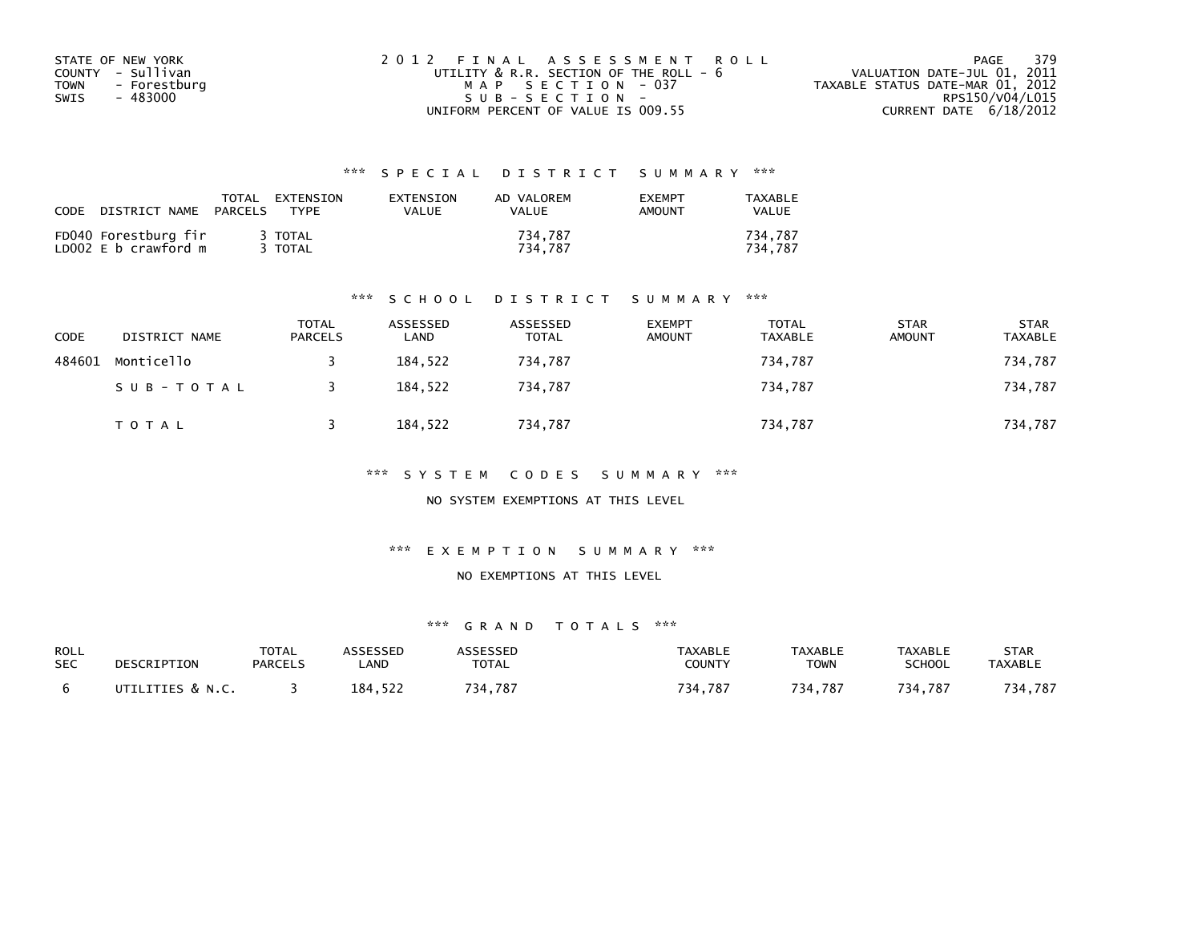| STATE OF NEW YORK    | 2012 FINAL ASSESSMENT ROLL             | - 379<br>PAGE                    |
|----------------------|----------------------------------------|----------------------------------|
| COUNTY - Sullivan    | UTILITY & R.R. SECTION OF THE ROLL - 6 | VALUATION DATE-JUL 01, 2011      |
| - Forestburg<br>TOWN | MAP SECTION - 037                      | TAXABLE STATUS DATE-MAR 01, 2012 |
| - 483000<br>SWIS     | $SUB - SECTION -$                      | RPS150/V04/L015                  |
|                      | UNIFORM PERCENT OF VALUE IS 009.55     | CURRENT DATE 6/18/2012           |

| CODE | DISTRICT NAME                                | TOTAL<br>PARCELS | EXTENSION<br><b>TYPF</b> | EXTENSION<br>VALUE | AD VALOREM<br><b>VALUE</b> | <b>EXEMPT</b><br><b>AMOUNT</b> | TAXABLE<br><b>VALUE</b> |
|------|----------------------------------------------|------------------|--------------------------|--------------------|----------------------------|--------------------------------|-------------------------|
|      | FD040 Forestburg fir<br>LD002 E b crawford m |                  | 3 TOTAL<br>3 TOTAL       |                    | 734,787<br>734.787         |                                | 734.787<br>734.787      |

#### \*\*\* S C H O O L D I S T R I C T S U M M A R Y \*\*\*

| CODE   | DISTRICT NAME | <b>TOTAL</b><br><b>PARCELS</b> | ASSESSED<br>LAND | ASSESSED<br><b>TOTAL</b> | <b>EXEMPT</b><br><b>AMOUNT</b> | <b>TOTAL</b><br><b>TAXABLE</b> | <b>STAR</b><br><b>AMOUNT</b> | <b>STAR</b><br><b>TAXABLE</b> |
|--------|---------------|--------------------------------|------------------|--------------------------|--------------------------------|--------------------------------|------------------------------|-------------------------------|
| 484601 | Monticello    |                                | 184.522          | 734,787                  |                                | 734,787                        |                              | 734,787                       |
|        | SUB-TOTAL     |                                | 184,522          | 734,787                  |                                | 734,787                        |                              | 734,787                       |
|        | T O T A L     |                                | 184,522          | 734,787                  |                                | 734,787                        |                              | 734,787                       |

\*\*\* S Y S T E M C O D E S S U M M A R Y \*\*\*

NO SYSTEM EXEMPTIONS AT THIS LEVEL

\*\*\* E X E M P T I O N S U M M A R Y \*\*\*

#### NO EXEMPTIONS AT THIS LEVEL

| ROLL       | DESCRIPTION      | <b>TOTAL</b>   | ASSESSED | ASSESSED     | TAXABLE       | <b>TAXABLE</b> | TAXABLE       | STAR           |
|------------|------------------|----------------|----------|--------------|---------------|----------------|---------------|----------------|
| <b>SEC</b> |                  | <b>PARCELS</b> | _AND     | <b>TOTAL</b> | <b>COUNTY</b> | TOWN           | <b>SCHOOL</b> | <b>TAXABLE</b> |
|            | UTILITIES & N.C. |                | 184.522  | 734.787      | 734,787       | 734.787        | 734.787       | 734,787        |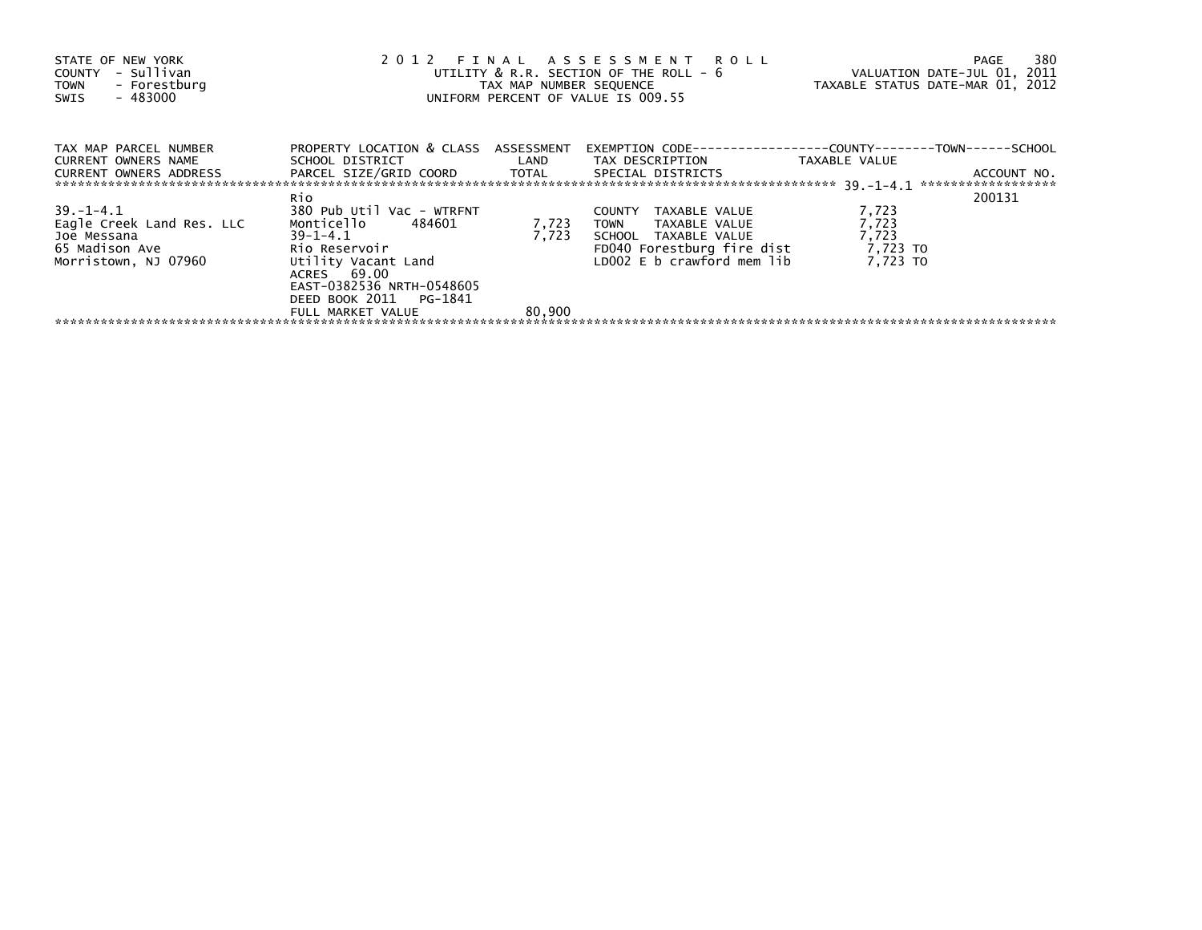| STATE OF NEW YORK<br>COUNTY - Sullivan<br>TOWN - Forestburg<br>- 483000<br>SWIS                                | 2012 FINAL ASSESSMENT ROLL<br>UTILITY & R.R. SECTION OF THE ROLL - 6<br>TAX MAP NUMBER SEQUENCE<br>UNIFORM PERCENT OF VALUE IS 009.55 | VALUATION DATE-JUL 01, 2011<br>TAXABLE STATUS DATE-MAR 01, 2012 | 380<br>PAGE                                                                                    |          |             |
|----------------------------------------------------------------------------------------------------------------|---------------------------------------------------------------------------------------------------------------------------------------|-----------------------------------------------------------------|------------------------------------------------------------------------------------------------|----------|-------------|
| TAX MAP PARCEL NUMBER<br>CURRENT OWNERS NAME                                                                   | PROPERTY LOCATION & CLASS ASSESSMENT                                                                                                  |                                                                 | SCHOOL DISTRICT                      LAND        TAX DESCRIPTION                 TAXABLE VALUE |          |             |
| CURRENT OWNERS ADDRESS TARCEL SIZE/GRID COORD TOTAL SPECIAL DISTRICTS                                          |                                                                                                                                       |                                                                 |                                                                                                |          | ACCOUNT NO. |
|                                                                                                                | Rio                                                                                                                                   |                                                                 |                                                                                                |          | 200131      |
| $39. -1 - 4.1$                                                                                                 | 380 Pub Util Vac - WTRFNT                                                                                                             |                                                                 | TAXABLE VALUE<br>COUNTY                                                                        | 7,723    |             |
| Eagle Creek Land Res. LLC                                                                                      | Monticello 484601                                                                                                                     | 7,723                                                           | TOWN TAXABLE VALUE                                                                             | 7,723    |             |
| Joe Messana and the manufacturer of the manufacturer of the manufacturer of the manufacturer of the manufactur | $39 - 1 - 4.1$                                                                                                                        | 7,723                                                           | SCHOOL TAXABLE VALUE                                                                           | 7,723    |             |
| 65 Madison Ave <b>Servey Area</b>                                                                              | Rio Reservoir <b>comparato a contra a contra a contra</b>                                                                             |                                                                 | FD040 Forestburg fire dist $7,723$ TO                                                          |          |             |
| Morristown, NJ 07960                                                                                           | Utility Vacant Land<br>ACRES 69.00<br>EAST-0382536 NRTH-0548605<br>DEED BOOK 2011 PG-1841                                             |                                                                 | LD002 E b crawford mem lib                                                                     | 7.723 TO |             |
|                                                                                                                | FULL MARKET VALUE                                                                                                                     | 80,900                                                          |                                                                                                |          |             |
|                                                                                                                |                                                                                                                                       |                                                                 |                                                                                                |          |             |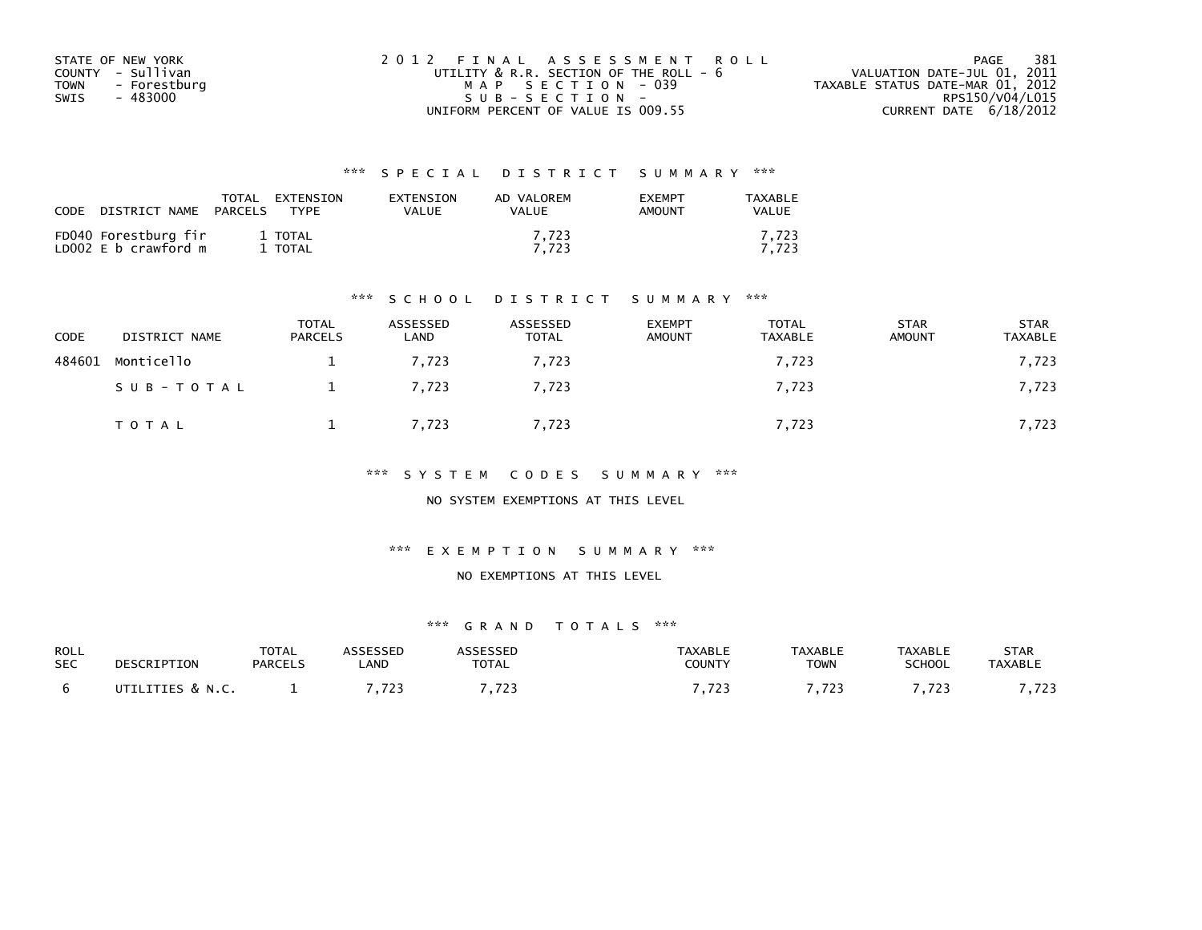| STATE OF NEW YORK           | 2012 FINAL ASSESSMENT ROLL                  |                                  | - 381<br>PAGE   |
|-----------------------------|---------------------------------------------|----------------------------------|-----------------|
| COUNTY - Sullivan           | UTILITY $\&$ R.R. SECTION OF THE ROLL – $6$ | VALUATION DATE-JUL 01, 2011      |                 |
| - Forestburg<br><b>TOWN</b> | MAP SECTION - 039                           | TAXABLE STATUS DATE-MAR 01, 2012 |                 |
| SWIS<br>- 483000            | SUB-SECTION-                                |                                  | RPS150/V04/L015 |
|                             | UNIFORM PERCENT OF VALUE IS 009.55          | CURRENT DATE 6/18/2012           |                 |

| <b>CODE</b> | DISTRICT NAME                                | TOTAL<br>PARCELS | EXTENSION<br><b>TYPE</b> | EXTENSION<br>VALUE | AD VALOREM<br>VALUE | <b>FXFMPT</b><br><b>AMOUNT</b> | TAXABLE<br><b>VALUE</b> |
|-------------|----------------------------------------------|------------------|--------------------------|--------------------|---------------------|--------------------------------|-------------------------|
|             | FD040 Forestburg fir<br>LD002 E b crawford m |                  | 1 TOTAL<br>1 TOTAL       |                    | 7.723<br>7.723      |                                | 7,723<br>7.723          |

#### \*\*\* S C H O O L D I S T R I C T S U M M A R Y \*\*\*

| <b>CODE</b> | DISTRICT NAME | <b>TOTAL</b><br><b>PARCELS</b> | ASSESSED<br>LAND | ASSESSED<br><b>TOTAL</b> | <b>EXEMPT</b><br><b>AMOUNT</b> | <b>TOTAL</b><br><b>TAXABLE</b> | <b>STAR</b><br><b>AMOUNT</b> | <b>STAR</b><br><b>TAXABLE</b> |
|-------------|---------------|--------------------------------|------------------|--------------------------|--------------------------------|--------------------------------|------------------------------|-------------------------------|
| 484601      | Monticello    |                                | 7.723            | 7.723                    |                                | 7,723                          |                              | 7,723                         |
|             | SUB-TOTAL     |                                | 7,723            | 7,723                    |                                | 7,723                          |                              | 7,723                         |
|             | T O T A L     |                                | 7,723            | 7,723                    |                                | 7,723                          |                              | 7,723                         |

\*\*\* S Y S T E M C O D E S S U M M A R Y \*\*\*

NO SYSTEM EXEMPTIONS AT THIS LEVEL

\*\*\* E X E M P T I O N S U M M A R Y \*\*\*

#### NO EXEMPTIONS AT THIS LEVEL

| ROLL       | DESCRIPTION      | TOTAL          | <b>ASSESSED</b> | ASSESSED        | <b>TAXABLE</b> | <b>TAXABLE</b> | <b>TAXABLE</b> | <b>STAR</b>    |
|------------|------------------|----------------|-----------------|-----------------|----------------|----------------|----------------|----------------|
| <b>SEC</b> |                  | <b>PARCELS</b> | _AND            | <b>TOTAL</b>    | COUNTY         | <b>TOWN</b>    | <b>SCHOOL</b>  | <b>TAXABLE</b> |
|            | UTILITIES & N.C. |                | 722<br>.        | 7733<br>ر ے ہیں | ,723           | , 723          | フつつ<br>.       | - 723<br>.     |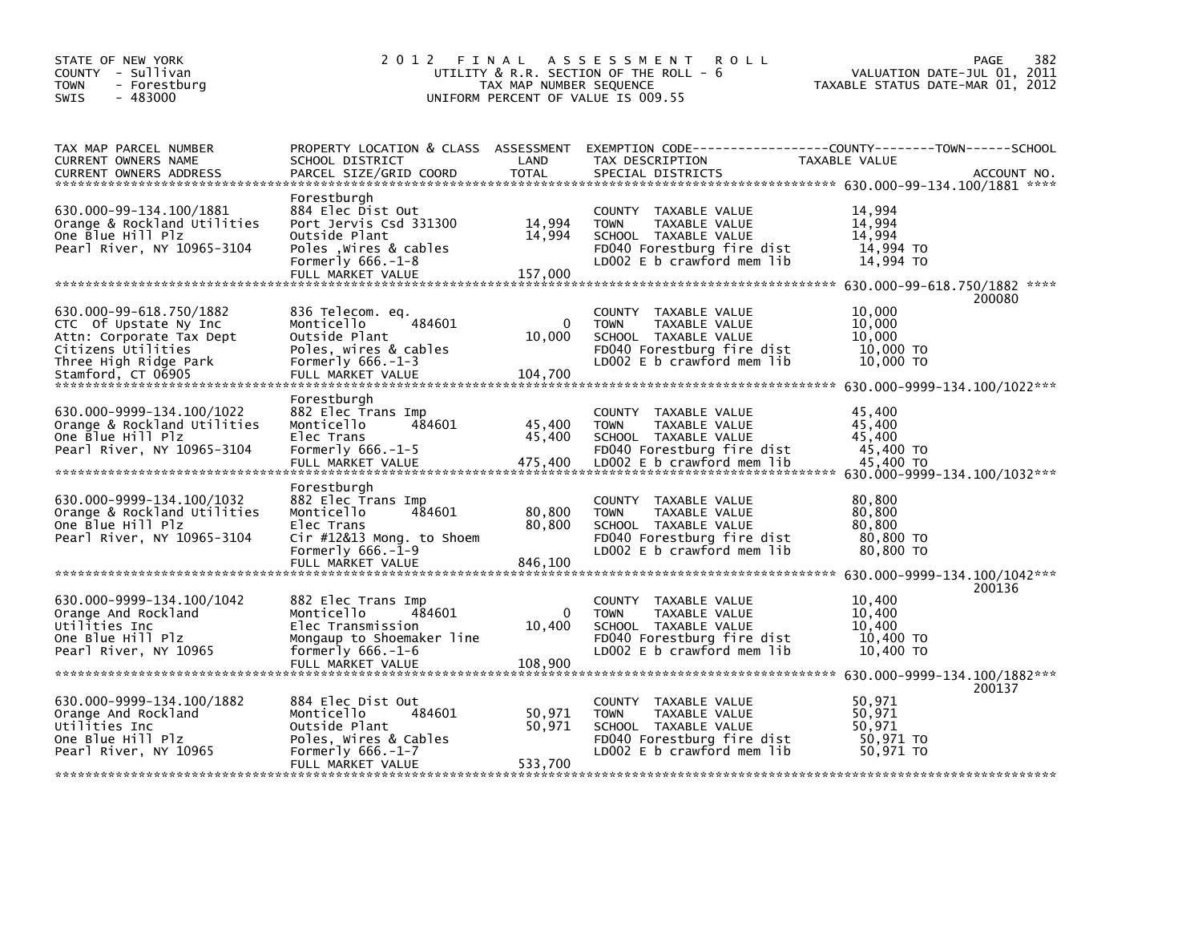| STATE OF NEW YORK<br>COUNTY - Sullivan<br><b>TOWN</b><br>- Forestburg<br>$-483000$<br><b>SWIS</b>                      | 2 0 1 2                                                                                                                                                  | TAX MAP NUMBER SEQUENCE           | FINAL ASSESSMENT<br><b>ROLL</b><br>UTILITY & R.R. SECTION OF THE ROLL - 6<br>UNIFORM PERCENT OF VALUE IS 009.55                             | VALUATION DATE-JUL 01, 2011<br>TAXABLE STATUS DATE-MAR 01, 2012 | 382<br>PAGE |
|------------------------------------------------------------------------------------------------------------------------|----------------------------------------------------------------------------------------------------------------------------------------------------------|-----------------------------------|---------------------------------------------------------------------------------------------------------------------------------------------|-----------------------------------------------------------------|-------------|
| TAX MAP PARCEL NUMBER<br>CURRENT OWNERS NAME<br><b>CURRENT OWNERS ADDRESS</b>                                          | SCHOOL DISTRICT<br>PARCEL SIZE/GRID COORD                                                                                                                | LAND<br><b>TOTAL</b>              | PROPERTY LOCATION & CLASS ASSESSMENT EXEMPTION CODE----------------COUNTY-------TOWN------SCHOOL<br>TAX DESCRIPTION<br>SPECIAL DISTRICTS    | TAXABLE VALUE                                                   | ACCOUNT NO. |
| 630.000-99-134.100/1881<br>Orange & Rockland Utilities<br>One Blue Hill Plz<br>Pearl River, NY 10965-3104              | Forestburgh<br>884 Elec Dist Out<br>Port Jervis Csd 331300<br>Outside Plant<br>Poles , wires & cables<br>Formerly $666.-1-8$<br>FULL MARKET VALUE        | 14,994<br>14,994<br>157,000       | COUNTY TAXABLE VALUE<br><b>TOWN</b><br>TAXABLE VALUE<br>SCHOOL TAXABLE VALUE<br>FD040 Forestburg fire dist<br>LD002 E b crawford mem lib    | 14,994<br>14,994<br>14,994<br>14,994 TO<br>14,994 TO            |             |
| 630.000-99-618.750/1882                                                                                                | 836 Telecom. eq.                                                                                                                                         |                                   | COUNTY TAXABLE VALUE                                                                                                                        | 10,000                                                          | 200080      |
| CTC Of Upstate Ny Inc<br>Attn: Corporate Tax Dept<br>Citizens Utilities<br>Three High Ridge Park<br>Stamford, CT 06905 | 484601<br>Monticello<br>Outside Plant<br>Poles, wires & cables<br>Formerly $666.-1-3$<br>FULL MARKET VALUE                                               | $\mathbf{0}$<br>10,000<br>104,700 | TAXABLE VALUE<br><b>TOWN</b><br>SCHOOL TAXABLE VALUE<br>FD040 Forestburg fire dist<br>LD002 E b crawford mem lib                            | 10.000<br>10,000<br>10,000 TO<br>10,000 TO                      |             |
| 630.000-9999-134.100/1022<br>Orange & Rockland Utilities<br>One Blue Hill Plz<br>Pearl River, NY 10965-3104            | Forestburgh<br>882 Elec Trans Imp<br>484601<br>Monticello<br>Elec Trans<br>Formerly $666.-1-5$<br>FULL MARKET VALUE                                      | 45,400<br>45,400<br>475,400       | TAXABLE VALUE<br>COUNTY<br>TAXABLE VALUE<br><b>TOWN</b><br>SCHOOL TAXABLE VALUE<br>FD040 Forestburg fire dist<br>LD002 E b crawford mem lib | 45.400<br>45,400<br>45,400<br>45,400 TO<br>45,400 TO            |             |
| 630.000-9999-134.100/1032<br>Orange & Rockland Utilities<br>One Blue Hill Plz<br>Pearl River, NY 10965-3104            | Forestburgh<br>882 Elec Trans Imp<br>Monticello<br>484601<br>Elec Trans<br>Cir #12&13 Mong. to Shoem<br>Formerly $666.-\tilde{1}-9$<br>FULL MARKET VALUE | 80,800<br>80,800<br>846,100       | COUNTY TAXABLE VALUE<br><b>TOWN</b><br>TAXABLE VALUE<br>SCHOOL TAXABLE VALUE<br>FD040 Forestburg fire dist<br>LD002 E b crawford mem lib    | 80,800<br>80,800<br>80,800<br>80,800 TO<br>80,800 TO            |             |
|                                                                                                                        |                                                                                                                                                          |                                   |                                                                                                                                             |                                                                 | 200136      |
| 630.000-9999-134.100/1042<br>Orange And Rockland<br>Utilities Inc<br>One Blue Hill Plz<br>Pearl River, NY 10965        | 882 Elec Trans Imp<br>Monticello<br>484601<br>Elec Transmission<br>Mongaup to Shoemaker line<br>formerly $666.-1-6$<br>FULL MARKET VALUE                 | $\Omega$<br>10,400<br>108,900     | COUNTY TAXABLE VALUE<br><b>TOWN</b><br>TAXABLE VALUE<br>SCHOOL TAXABLE VALUE<br>FD040 Forestburg fire dist<br>LD002 E b crawford mem lib    | 10,400<br>10,400<br>10,400<br>10,400 TO<br>10,400 TO            |             |
|                                                                                                                        |                                                                                                                                                          |                                   |                                                                                                                                             |                                                                 | 200137      |
| 630.000-9999-134.100/1882<br>Orange And Rockland<br>Utilities Inc<br>One Blue Hill Plz<br>Pearl River, NY 10965        | 884 Elec Dist Out<br>Monticello<br>484601<br>Outside Plant<br>Poles, Wires & Cables<br>Formerly $666. -1 - 7$<br>FULL MARKET VALUE                       | 50,971<br>50,971<br>533,700       | COUNTY TAXABLE VALUE<br><b>TOWN</b><br>TAXABLE VALUE<br>SCHOOL TAXABLE VALUE<br>FD040 Forestburg fire dist<br>LD002 E b crawford mem lib    | 50,971<br>50,971<br>50,971<br>50,971 TO<br>50.971 TO            |             |
|                                                                                                                        |                                                                                                                                                          |                                   | ا میں ایک میں ایک میں ایک میں ایک میں ایک میں ایک میں ایک میں ایک میں ایک میں ایک میں ایک میں ایک میں ایک میں                               |                                                                 |             |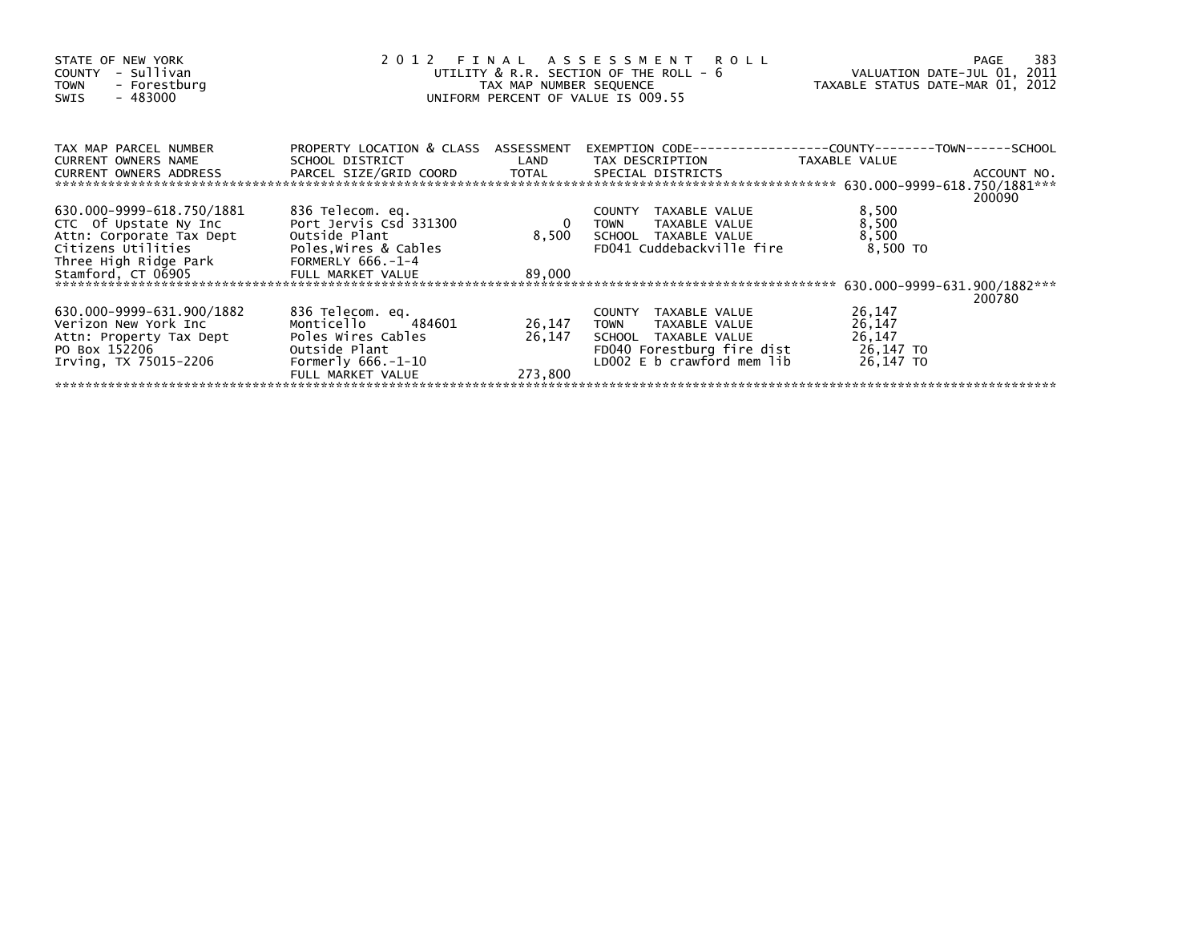| STATE OF NEW YORK<br>- Sullivan<br><b>COUNTY</b><br>- Forestburg<br><b>TOWN</b><br>$-483000$<br>SWIS | 2012 FINAL ASSESSMENT ROLL<br>UTILITY & R.R. SECTION OF THE ROLL - 6<br>TAX MAP NUMBER SEQUENCE<br>UNIFORM PERCENT OF VALUE IS 009.55 | VALUATION DATE-JUL 01, 2011<br>TAXABLE STATUS DATE-MAR 01, 2012 | 383<br>PAGE                                       |                   |        |
|------------------------------------------------------------------------------------------------------|---------------------------------------------------------------------------------------------------------------------------------------|-----------------------------------------------------------------|---------------------------------------------------|-------------------|--------|
| TAX MAP PARCEL NUMBER<br><b>CURRENT OWNERS NAME</b><br>CURRENT OWNERS ADDRESS                        | PROPERTY LOCATION & CLASS ASSESSMENT<br>SCHOOL DISTRICT                                                                               | LAND                                                            | TAX DESCRIPTION                                   | TAXABLE VALUE     |        |
|                                                                                                      |                                                                                                                                       |                                                                 |                                                   |                   | 200090 |
| 630.000-9999-618.750/1881                                                                            | 836 Telecom. eq.                                                                                                                      |                                                                 | COUNTY TAXABLE VALUE                              | 8,500             |        |
| CTC Of Upstate Ny Inc                                                                                | Port Jervis Csd 331300                                                                                                                | - 0                                                             | TAXABLE VALUE<br>TOWN                             | 8,500             |        |
| Attn: Corporate Tax Dept<br>Citizens Utilities                                                       | Outside Plant<br>Poles, Wires & Cables                                                                                                | 8,500                                                           | SCHOOL TAXABLE VALUE<br>FD041 Cuddebackville fire | 8,500<br>8,500 TO |        |
| Three High Ridge Park                                                                                | FORMERLY 666.-1-4                                                                                                                     |                                                                 |                                                   |                   |        |
| Stamford, CT 06905                                                                                   | FULL MARKET VALUE                                                                                                                     | 89,000                                                          |                                                   |                   |        |
|                                                                                                      |                                                                                                                                       |                                                                 |                                                   |                   | 200780 |
| 630.000-9999-631.900/1882                                                                            | 836 Telecom. eq.                                                                                                                      |                                                                 | COUNTY TAXABLE VALUE                              | 26,147            |        |
| Verizon New York Inc                                                                                 | 484601<br>Monticello                                                                                                                  | 26,147                                                          | TOWN<br>TAXABLE VALUE                             | 26,147            |        |
| Attn: Property Tax Dept                                                                              | Poles Wires Cables                                                                                                                    | 26,147                                                          | SCHOOL TAXABLE VALUE                              | 26,147            |        |
| PO Box 152206                                                                                        | Outside Plant                                                                                                                         |                                                                 | FD040 Forestburg fire dist                        | 26,147 TO         |        |
| Irving, TX 75015-2206                                                                                | Formerly $666.-1-10$                                                                                                                  |                                                                 | LD002 E b crawford mem lib                        | 26,147 TO         |        |
|                                                                                                      | FULL MARKET VALUE                                                                                                                     | 273,800                                                         |                                                   |                   |        |
|                                                                                                      |                                                                                                                                       |                                                                 |                                                   |                   |        |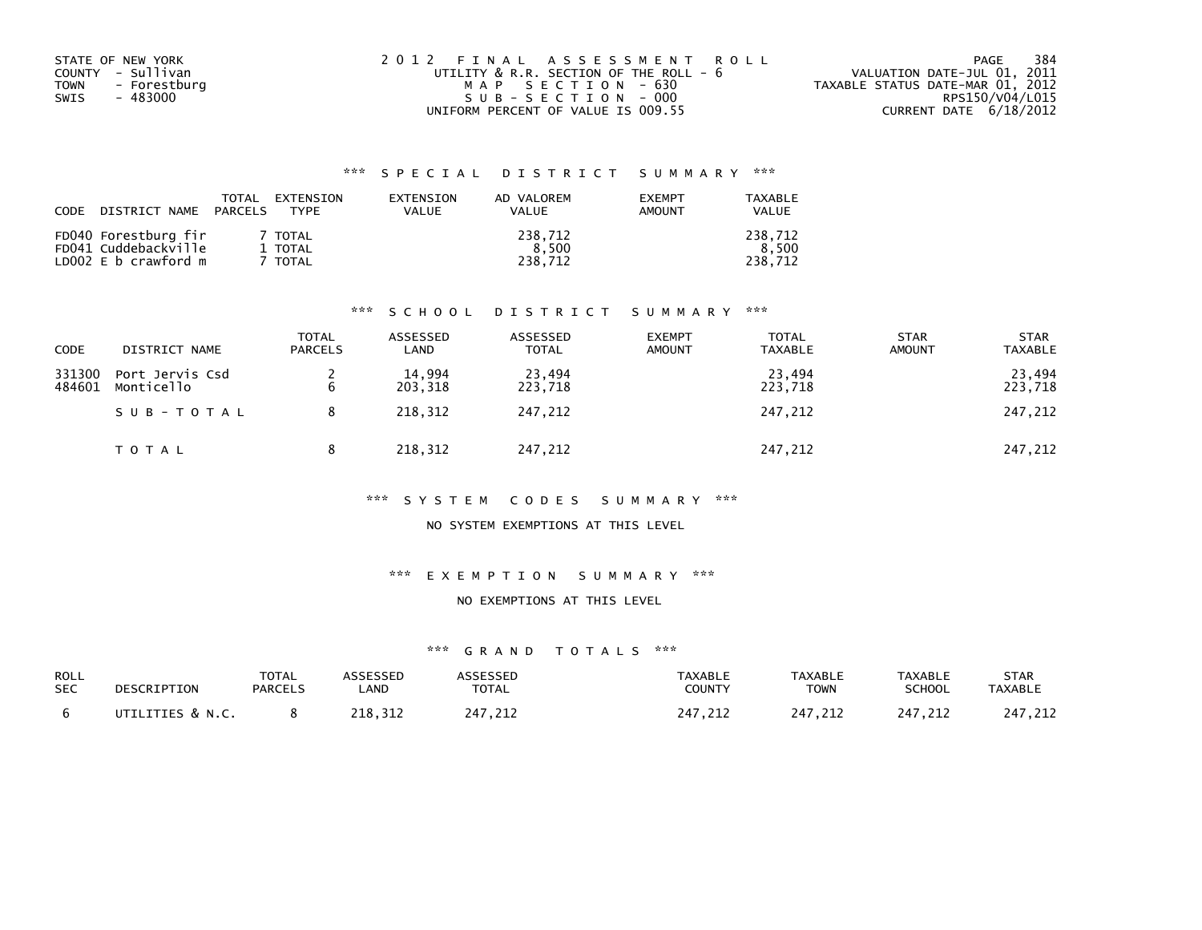| STATE OF NEW YORK    | 2012 FINAL ASSESSMENT ROLL             | 384<br>PAGE                      |
|----------------------|----------------------------------------|----------------------------------|
| COUNTY - Sullivan    | UTILITY & R.R. SECTION OF THE ROLL - 6 | VALUATION DATE-JUL 01, 2011      |
| - Forestburg<br>TOWN | MAP SECTION - 630                      | TAXABLE STATUS DATE-MAR 01, 2012 |
| - 483000<br>SWIS     | SUB-SECTION - 000                      | RPS150/V04/L015                  |
|                      | UNIFORM PERCENT OF VALUE IS 009.55     | CURRENT DATE 6/18/2012           |

| CODE | DISTRICT NAME                                                        | <b>TOTAL</b><br>PARCELS | EXTENSION<br><b>TYPF</b>      | EXTENSION<br>VALUE | AD VALOREM<br><b>VALUE</b>  | <b>EXEMPT</b><br><b>AMOUNT</b> | <b>TAXABLE</b><br><b>VALUE</b> |
|------|----------------------------------------------------------------------|-------------------------|-------------------------------|--------------------|-----------------------------|--------------------------------|--------------------------------|
|      | FD040 Forestburg fir<br>FD041 Cuddebackville<br>LD002 E b crawford m |                         | 7 TOTAL<br>1 TOTAL<br>' TOTAL |                    | 238,712<br>8.500<br>238.712 |                                | 238.712<br>8.500<br>238.712    |

### \*\*\* S C H O O L D I S T R I C T S U M M A R Y \*\*\*

| CODE             | DISTRICT NAME                 | <b>TOTAL</b><br><b>PARCELS</b> | ASSESSED<br>LAND  | ASSESSED<br><b>TOTAL</b> | <b>EXEMPT</b><br><b>AMOUNT</b> | <b>TOTAL</b><br><b>TAXABLE</b> | <b>STAR</b><br><b>AMOUNT</b> | <b>STAR</b><br><b>TAXABLE</b> |
|------------------|-------------------------------|--------------------------------|-------------------|--------------------------|--------------------------------|--------------------------------|------------------------------|-------------------------------|
| 331300<br>484601 | Port Jervis Csd<br>Monticello | 6                              | 14,994<br>203,318 | 23,494<br>223,718        |                                | 23.494<br>223,718              |                              | 23,494<br>223,718             |
|                  | SUB-TOTAL                     | 8                              | 218,312           | 247.212                  |                                | 247,212                        |                              | 247,212                       |
|                  | T O T A L                     | 8                              | 218,312           | 247,212                  |                                | 247,212                        |                              | 247,212                       |

#### \*\*\* S Y S T E M C O D E S S U M M A R Y \*\*\*

### NO SYSTEM EXEMPTIONS AT THIS LEVEL

#### \*\*\* E X E M P T I O N S U M M A R Y \*\*\*

#### NO EXEMPTIONS AT THIS LEVEL

| <b>ROLL</b> | DESCRIPTION      | <b>TOTAL</b>   | ASSESSED | <b>ASSESSED</b> | TAXABLE | <b>TAXABLE</b> | TAXABLE       | <b>STAR</b>    |
|-------------|------------------|----------------|----------|-----------------|---------|----------------|---------------|----------------|
| <b>SEC</b>  |                  | <b>PARCELS</b> | _AND     | <b>TOTAL</b>    | COUNTY  | <b>TOWN</b>    | <b>SCHOOL</b> | <b>TAXABLE</b> |
|             | UTILITIES & N.C. |                | 218,312  | 247,212         | 247,212 | 247.212        | 247.212       | 247.212        |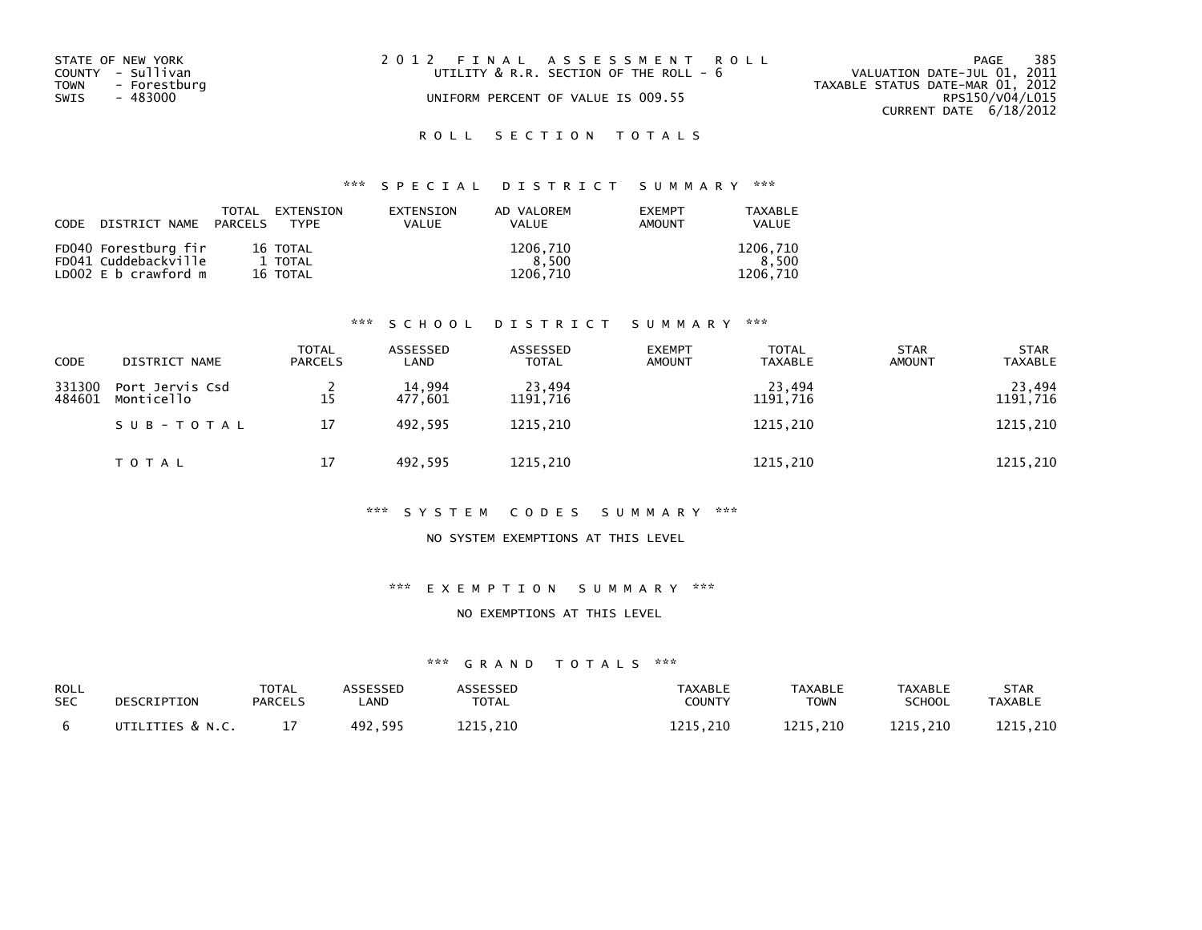| STATE OF NEW YORK<br>COUNTY - Sullivan<br>TOWN<br>- Forestburg<br>SWIS<br>- 483000 | 2012 FINAL ASSESSMENT ROLL<br>UTILITY $\&$ R.R. SECTION OF THE ROLL - $6$<br>UNIFORM PERCENT OF VALUE IS 009.55 | 385<br>PAGE<br>VALUATION DATE-JUL 01, 2011<br>TAXABLE STATUS DATE-MAR 01, 2012<br>RPS150/V04/L015<br>CURRENT DATE 6/18/2012 |
|------------------------------------------------------------------------------------|-----------------------------------------------------------------------------------------------------------------|-----------------------------------------------------------------------------------------------------------------------------|
|                                                                                    |                                                                                                                 |                                                                                                                             |

# \*\*\* S P E C I A L D I S T R I C T S U M M A R Y \*\*\*

| CODE DISTRICT NAME PARCELS | TOTAL | EXTENSION<br><b>TYPF</b> | <b>FXTENSTON</b><br><b>VALUE</b> | AD VALOREM<br><b>VALUE</b> | <b>FXFMPT</b><br>AMOUNT | TAXABLE<br>VALUE |
|----------------------------|-------|--------------------------|----------------------------------|----------------------------|-------------------------|------------------|
| FD040 Forestburg fir       |       | 16 TOTAL                 |                                  | 1206.710                   |                         | 1206.710         |
| FD041 Cuddebackville       |       | 1 TOTAL                  |                                  | 8.500                      |                         | 8.500            |
| LD002 E b crawford m       |       | 16 TOTAL                 |                                  | 1206.710                   |                         | 1206.710         |

### \*\*\* S C H O O L D I S T R I C T S U M M A R Y \*\*\*

| <b>CODE</b>      | DISTRICT NAME                 | <b>TOTAL</b><br><b>PARCELS</b> | ASSESSED<br>LAND  | ASSESSED<br><b>TOTAL</b> | <b>EXEMPT</b><br><b>AMOUNT</b> | <b>TOTAL</b><br><b>TAXABLE</b> | <b>STAR</b><br><b>AMOUNT</b> | <b>STAR</b><br><b>TAXABLE</b> |
|------------------|-------------------------------|--------------------------------|-------------------|--------------------------|--------------------------------|--------------------------------|------------------------------|-------------------------------|
| 331300<br>484601 | Port Jervis Csd<br>Monticello | 15                             | 14,994<br>477,601 | 23,494<br>1191,716       |                                | 23,494<br>1191,716             |                              | 23,494<br>1191,716            |
|                  | SUB-TOTAL                     | 17                             | 492.595           | 1215,210                 |                                | 1215,210                       |                              | 1215,210                      |
|                  | T O T A L                     | 17                             | 492,595           | 1215,210                 |                                | 1215,210                       |                              | 1215,210                      |

#### \*\*\* S Y S T E M C O D E S S U M M A R Y \*\*\*

#### NO SYSTEM EXEMPTIONS AT THIS LEVEL

### \*\*\* E X E M P T I O N S U M M A R Y \*\*\*

#### NO EXEMPTIONS AT THIS LEVEL

| ROLL       | DESCRIPTION      | TOTAL          | ASSESSED | ASSESSED     | TAXABLE  | <b>TAXABLE</b> | <b>TAXABLE</b> | STAR     |
|------------|------------------|----------------|----------|--------------|----------|----------------|----------------|----------|
| <b>SEC</b> |                  | <b>PARCELS</b> | _AND     | <b>TOTAL</b> | COUNTY   | <b>TOWN</b>    | <b>SCHOOL</b>  | TAXABLE  |
|            | UTILITIES & N.C. |                | 492.595  | 1215.210     | 1215.210 | 1215.210       | 1215.210       | 1215.210 |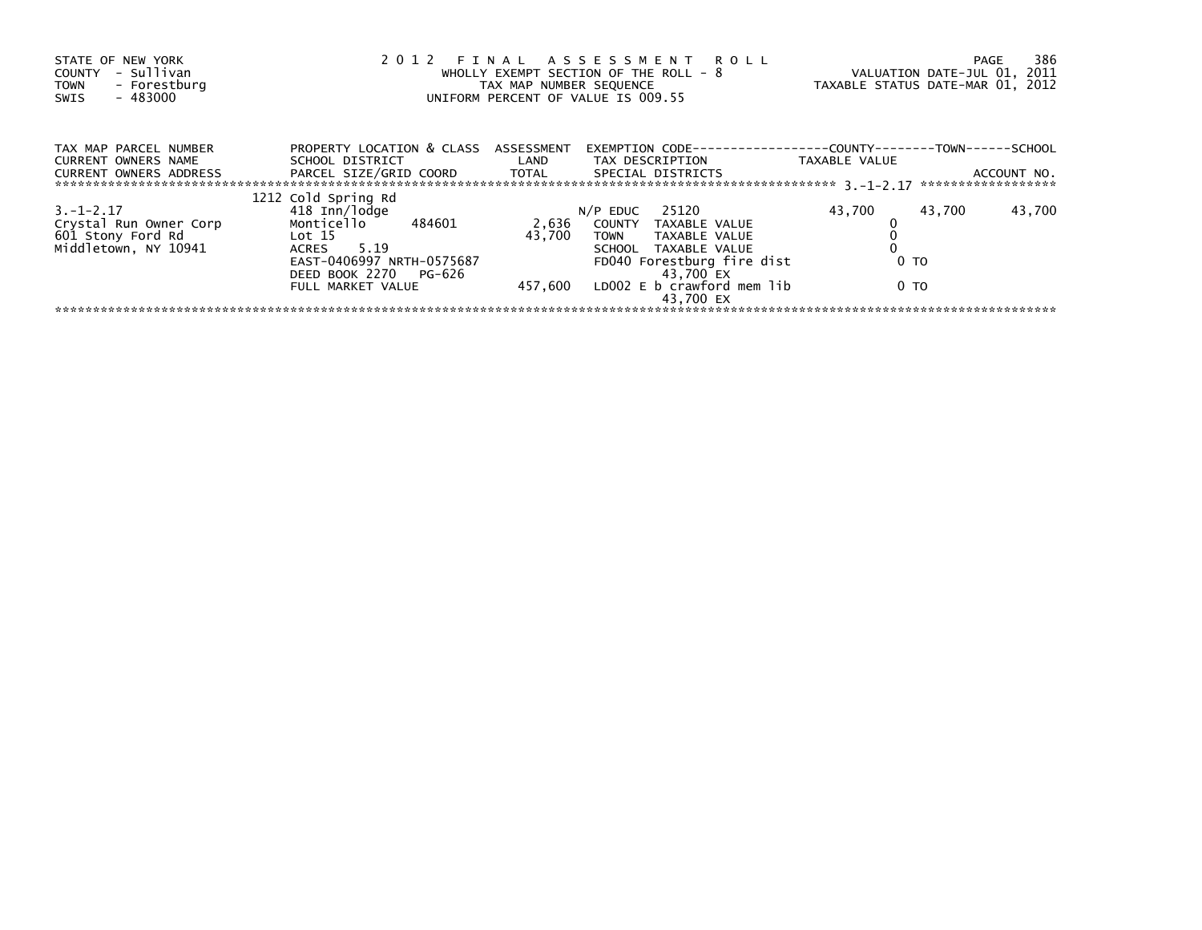| STATE OF NEW YORK<br>- Sullivan<br>COUNTY<br>- Forestburg<br><b>TOWN</b><br>$-483000$<br>SWIS |                                                                                                                                                              | TAX MAP NUMBER SEQUENCE    | 2012 FINAL ASSESSMENT ROLL<br>WHOLLY EXEMPT SECTION OF THE ROLL - 8<br>UNIFORM PERCENT OF VALUE IS 009.55                                                                             | VALUATION DATE-JUL 01, 2011<br>TAXABLE STATUS DATE-MAR 01, 2012 | 386<br>PAGE                       |
|-----------------------------------------------------------------------------------------------|--------------------------------------------------------------------------------------------------------------------------------------------------------------|----------------------------|---------------------------------------------------------------------------------------------------------------------------------------------------------------------------------------|-----------------------------------------------------------------|-----------------------------------|
| TAX MAP PARCEL NUMBER<br><b>CURRENT OWNERS NAME</b><br><b>CURRENT OWNERS ADDRESS</b>          | PROPERTY LOCATION & CLASS ASSESSMENT<br>SCHOOL DISTRICT<br>PARCEL SIZE/GRID COORD TOTAL                                                                      | <b>Example 18 The LAND</b> | EXEMPTION CODE---<br>TAX DESCRIPTION<br>SPECIAL DISTRICTS                                                                                                                             | --------------COUNTY--------TOWN------SCHOOL<br>TAXABLE VALUE   | ACCOUNT NO.<br>****************** |
| $3. -1 - 2.17$<br>Crystal Run Owner Corp<br>601 Stony Ford Rd<br>Middletown, NY 10941         | 1212 Cold Spring Rd<br>418 Inn/lodge<br>Monticello 484601<br>Lot 15<br>ACRES 5.19<br>EAST-0406997 NRTH-0575687<br>DEED BOOK 2270 PG-626<br>FULL MARKET VALUE | 43.700<br>457,600          | $N/P$ EDUC 25120<br>2,636 COUNTY TAXABLE VALUE<br>TAXABLE VALUE<br>TOWN<br>SCHOOL TAXABLE VALUE<br>FD040 Forestburg fire dist<br>43,700 EX<br>LDOO2 E b crawford mem lib<br>43.700 EX | 43,700<br>43,700<br>0 TO<br>0 TO                                | 43,700                            |
|                                                                                               |                                                                                                                                                              |                            |                                                                                                                                                                                       |                                                                 |                                   |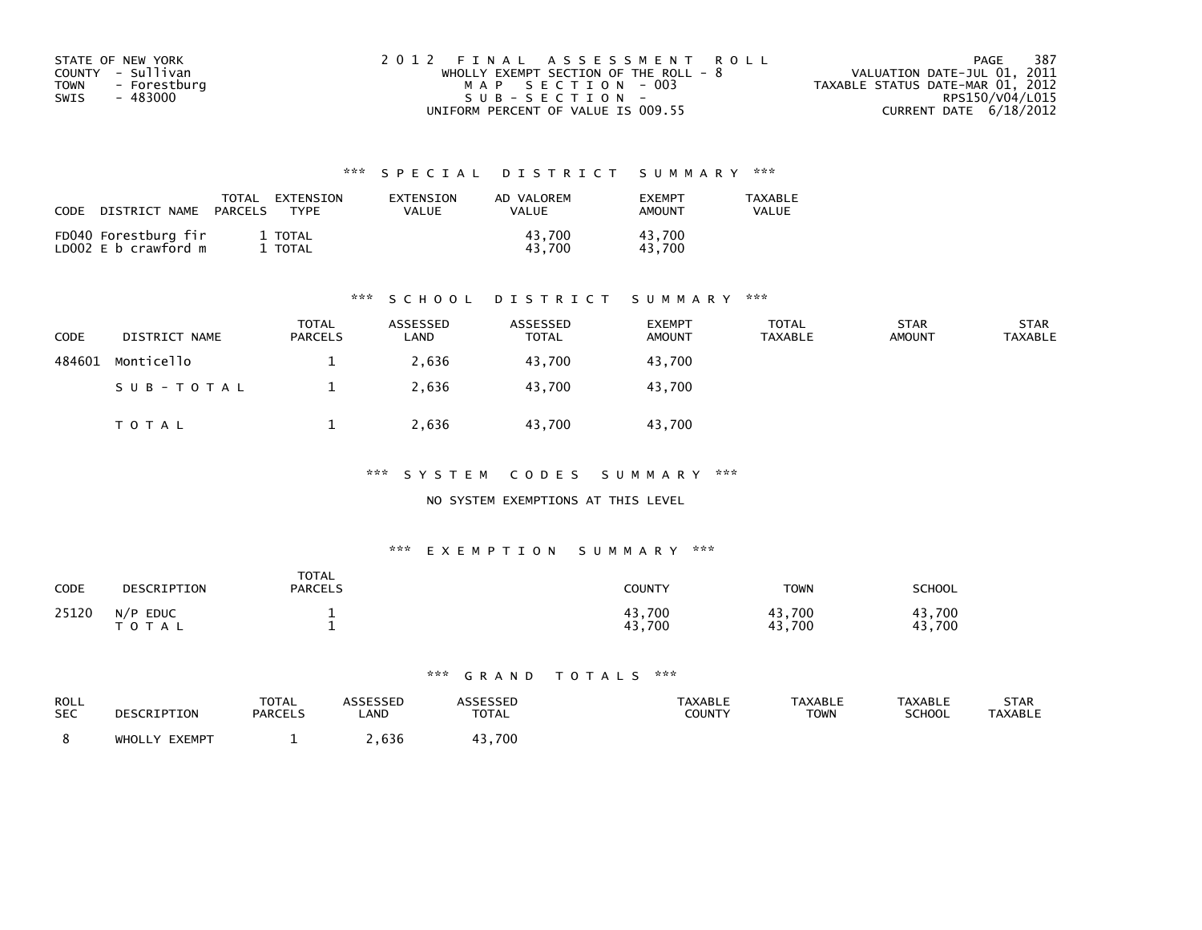| STATE OF NEW YORK           | 2012 FINAL ASSESSMENT ROLL            | - 387<br>PAGE                    |
|-----------------------------|---------------------------------------|----------------------------------|
| COUNTY - Sullivan           | WHOLLY EXEMPT SECTION OF THE ROLL - 8 | VALUATION DATE-JUL 01, 2011      |
| <b>TOWN</b><br>- Forestburg | MAP SECTION - 003                     | TAXABLE STATUS DATE-MAR 01, 2012 |
| SWIS<br>- 483000            | $SUB - SECTION -$                     | RPS150/V04/L015                  |
|                             | UNIFORM PERCENT OF VALUE IS 009.55    | CURRENT DATE 6/18/2012           |

| CODE                                         | TOTAL   | EXTENSION        | EXTENSION | AD VALOREM       | <b>FXFMPT</b>    | <b>TAXABLE</b> |
|----------------------------------------------|---------|------------------|-----------|------------------|------------------|----------------|
| DISTRICT NAME                                | PARCELS | <b>TYPF</b>      | VALUE     | VALUE            | <b>AMOUNT</b>    | VALUE          |
| FD040 Forestburg fir<br>LD002 E b crawford m |         | 1 TOTAL<br>TOTAL |           | 43.700<br>43.700 | 43.700<br>43.700 |                |

#### \*\*\* S C H O O L D I S T R I C T S U M M A R Y \*\*\*

| <b>CODE</b> | DISTRICT NAME | <b>TOTAL</b><br><b>PARCELS</b> | ASSESSED<br>LAND | ASSESSED<br><b>TOTAL</b> | <b>EXEMPT</b><br><b>AMOUNT</b> | <b>TOTAL</b><br>TAXABLE | <b>STAR</b><br><b>AMOUNT</b> | <b>STAR</b><br><b>TAXABLE</b> |
|-------------|---------------|--------------------------------|------------------|--------------------------|--------------------------------|-------------------------|------------------------------|-------------------------------|
| 484601      | Monticello    |                                | 2,636            | 43.700                   | 43.700                         |                         |                              |                               |
|             | SUB-TOTAL     |                                | 2,636            | 43.700                   | 43.700                         |                         |                              |                               |
|             | T O T A L     |                                | 2,636            | 43,700                   | 43,700                         |                         |                              |                               |

\*\*\* S Y S T E M C O D E S S U M M A R Y \*\*\*

### NO SYSTEM EXEMPTIONS AT THIS LEVEL

#### \*\*\* E X E M P T I O N S U M M A R Y \*\*\*

| CODE  | DESCRIPTION             | <b>TOTAL</b><br><b>PARCELS</b> | <b>COUNTY</b>    | <b>TOWN</b>      | SCHOOL           |
|-------|-------------------------|--------------------------------|------------------|------------------|------------------|
| 25120 | $N/P$ EDUC<br>T O T A L |                                | 43,700<br>43,700 | 43,700<br>43,700 | 43.700<br>43,700 |

| ROLL       | DESCRIPTION   | <b>TOTAL</b>   | <b>ASSESSED</b> | <b>ASSESSED</b> | <b>TAXABLE</b> | <b>TAXABLE</b> | <b>TAXABLE</b> | <b>STAR</b>    |
|------------|---------------|----------------|-----------------|-----------------|----------------|----------------|----------------|----------------|
| <b>SEC</b> |               | <b>PARCELS</b> | LAND            | <b>TOTAL</b>    | COUNTY         | TOWN           | <b>SCHOOL</b>  | <b>TAXABLE</b> |
|            | WHOLLY EXEMPT |                | .636            | 43.700          |                |                |                |                |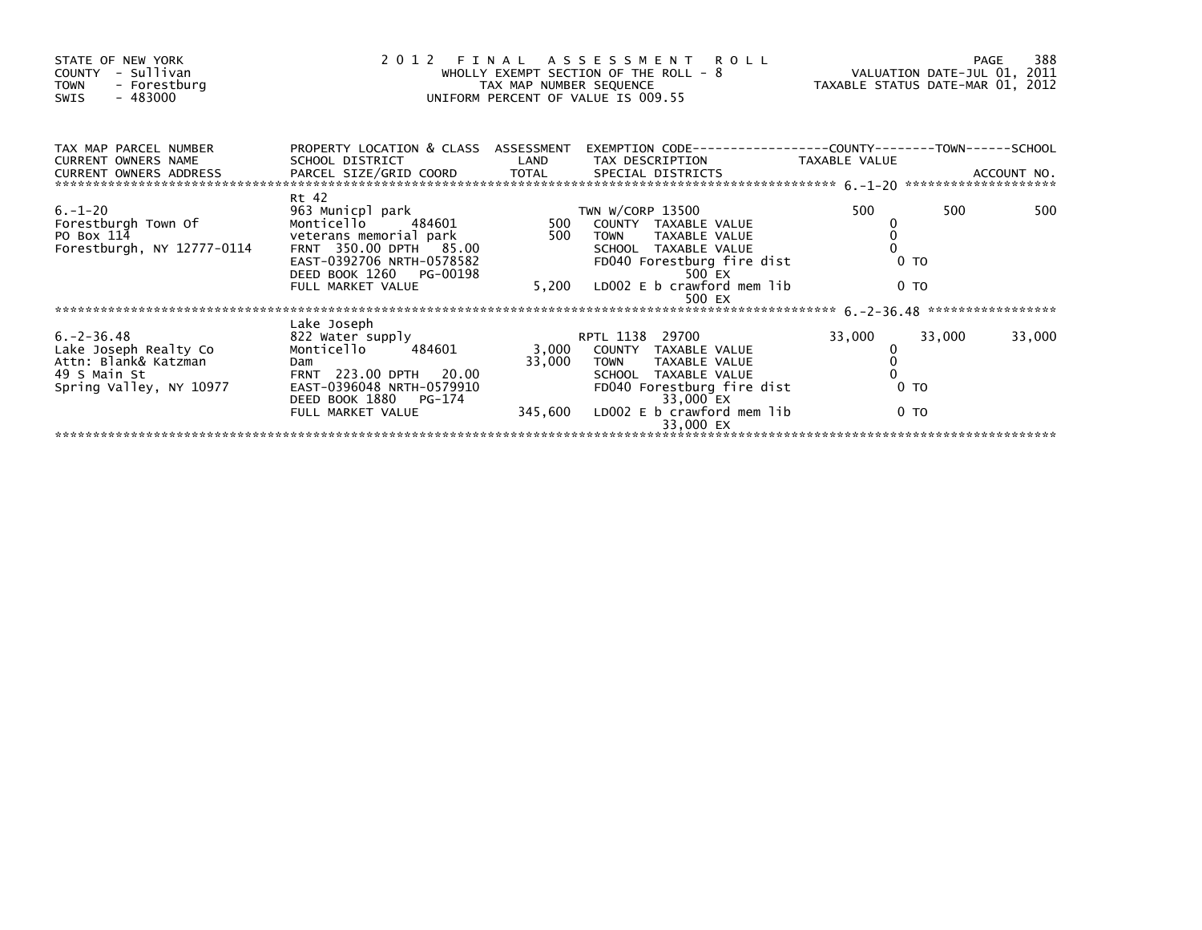| PROPERTY LOCATION & CLASS ASSESSMENT<br>TAX MAP PARCEL NUMBER<br>EXEMPTION        CODE-----------------COUNTY-------TOWN------SCHOOL<br><b>CURRENT OWNERS NAME</b><br>SCHOOL DISTRICT<br>LAND<br>TAX DESCRIPTION TAXABLE VALUE<br>CURRENT OWNERS ADDRESS<br>Rt 42<br>$6. - 1 - 20$<br>500<br>963 Municpl park<br>$500$ <sup>TV</sup><br>TWN W/CORP 13500<br>500<br>500<br>6.-1-20<br>Forestburgh Town Of<br>Monticello 484601<br>COUNTY TAXABLE VALUE<br>500<br>veterans memorial park<br>PO Box 114<br>TOWN TAXABLE VALUE<br>Forestburgh, NY 12777-0114<br>FRNT 350.00 DPTH 85.00<br>SCHOOL TAXABLE VALUE<br>EAST-0392706 NRTH-0578582<br>FD040 Forestburg fire dist<br>0 <sub>T</sub><br>DEED BOOK 1260 PG-00198<br>500 EX<br>5,200 LD002 E b crawford mem lib<br>0 <sub>T</sub><br>FULL MARKET VALUE<br>500 EX<br>Lake Joseph<br>33,000<br>33,000<br>$6. -2 - 36.48$<br>33,000<br>822 Water supply<br>RPTL 1138 29700<br>3,000<br>Monticello 484601<br>Lake Joseph Realty Co<br>COUNTY TAXABLE VALUE<br>0<br>33,000<br>Attn: Blank& Katzman<br>Dam and the contract of the contract of the contract of the contract of the contract of the contract of the contract of the contract of the contract of the contract of the contract of the contract of the contract of the co<br>TOWN TAXABLE VALUE<br>FRNT 223.00 DPTH 20.00<br>49 S Main St<br>SCHOOL TAXABLE VALUE<br>EAST-0396048 NRTH-0579910<br>Spring Valley, NY 10977<br>FD040 Forestburg fire dist<br>0 <sub>T</sub><br>DEED BOOK 1880 PG-174<br>33,000 EX | STATE OF NEW YORK<br>- Sullivan<br>COUNTY<br><b>TOWN</b><br>- Forestburg<br>- 483000<br>SWIS |                   | TAX MAP NUMBER SEQUENCE | 2012 FINAL ASSESSMENT ROLL<br>WHOLLY EXEMPT SECTION OF THE ROLL - 8<br>WHOLLY EXEMPT SECTION OF THE ROLL - 8<br>UNIFORM PERCENT OF VALUE IS 009.55 | TAXABLE STATUS DATE-MAR 01, 2012 | 388<br>PAGE |
|------------------------------------------------------------------------------------------------------------------------------------------------------------------------------------------------------------------------------------------------------------------------------------------------------------------------------------------------------------------------------------------------------------------------------------------------------------------------------------------------------------------------------------------------------------------------------------------------------------------------------------------------------------------------------------------------------------------------------------------------------------------------------------------------------------------------------------------------------------------------------------------------------------------------------------------------------------------------------------------------------------------------------------------------------------------------------------------------------------------------------------------------------------------------------------------------------------------------------------------------------------------------------------------------------------------------------------------------------------------------------------------------------------------------------------------------------------------------------------------------------------------------|----------------------------------------------------------------------------------------------|-------------------|-------------------------|----------------------------------------------------------------------------------------------------------------------------------------------------|----------------------------------|-------------|
|                                                                                                                                                                                                                                                                                                                                                                                                                                                                                                                                                                                                                                                                                                                                                                                                                                                                                                                                                                                                                                                                                                                                                                                                                                                                                                                                                                                                                                                                                                                        |                                                                                              |                   |                         |                                                                                                                                                    |                                  |             |
|                                                                                                                                                                                                                                                                                                                                                                                                                                                                                                                                                                                                                                                                                                                                                                                                                                                                                                                                                                                                                                                                                                                                                                                                                                                                                                                                                                                                                                                                                                                        |                                                                                              |                   |                         |                                                                                                                                                    |                                  |             |
|                                                                                                                                                                                                                                                                                                                                                                                                                                                                                                                                                                                                                                                                                                                                                                                                                                                                                                                                                                                                                                                                                                                                                                                                                                                                                                                                                                                                                                                                                                                        |                                                                                              |                   |                         |                                                                                                                                                    |                                  |             |
| $345,600$ LD002 E b crawford mem lib<br>0 <sub>T</sub><br>33,000 EX                                                                                                                                                                                                                                                                                                                                                                                                                                                                                                                                                                                                                                                                                                                                                                                                                                                                                                                                                                                                                                                                                                                                                                                                                                                                                                                                                                                                                                                    |                                                                                              | FULL MARKET VALUE |                         |                                                                                                                                                    |                                  |             |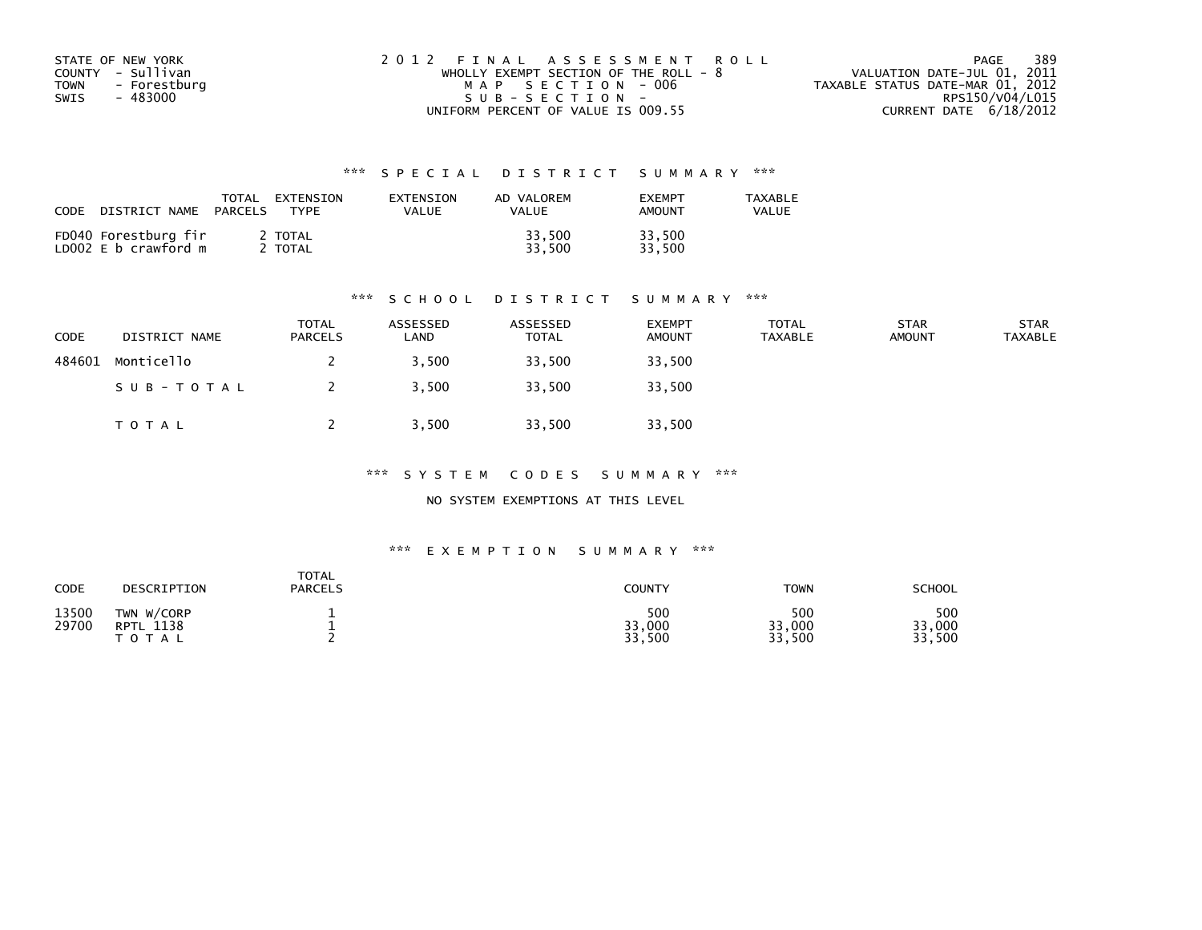| STATE OF NEW YORK           | 2012 FINAL ASSESSMENT ROLL              | 389<br>PAGE                      |
|-----------------------------|-----------------------------------------|----------------------------------|
| COUNTY - Sullivan           | WHOLLY EXEMPT SECTION OF THE ROLL - $8$ | VALUATION DATE-JUL 01, 2011      |
| <b>TOWN</b><br>- Forestburg | MAP SECTION - 006                       | TAXABLE STATUS DATE-MAR 01, 2012 |
| SWIS<br>- 483000            | $SUB - SECTION -$                       | RPS150/V04/L015                  |
|                             | UNIFORM PERCENT OF VALUE IS 009.55      | CURRENT DATE 6/18/2012           |

| CODE<br>DISTRICT NAME                        | TOTAL<br>EXTENSION<br><b>TYPF</b><br>PARCELS | EXTENSION<br>VALUE | AD VALOREM<br>VALUE | <b>FXFMPT</b><br><b>AMOUNT</b> | <b>TAXABLE</b><br>VALUE |
|----------------------------------------------|----------------------------------------------|--------------------|---------------------|--------------------------------|-------------------------|
| FD040 Forestburg fir<br>LD002 E b crawford m | 2 TOTAL<br>TOTAL                             |                    | 33,500<br>33.500    | 33,500<br>33.500               |                         |

#### \*\*\* S C H O O L D I S T R I C T S U M M A R Y \*\*\*

| <b>CODE</b> | DISTRICT NAME | <b>TOTAL</b><br><b>PARCELS</b> | ASSESSED<br>∟AND | ASSESSED<br>TOTAL | <b>EXEMPT</b><br><b>AMOUNT</b> | <b>TOTAL</b><br><b>TAXABLE</b> | <b>STAR</b><br><b>AMOUNT</b> | <b>STAR</b><br><b>TAXABLE</b> |
|-------------|---------------|--------------------------------|------------------|-------------------|--------------------------------|--------------------------------|------------------------------|-------------------------------|
| 484601      | Monticello    |                                | 3.500            | 33,500            | 33,500                         |                                |                              |                               |
|             | SUB-TOTAL     |                                | 3,500            | 33,500            | 33,500                         |                                |                              |                               |
|             | T O T A L     |                                | 3,500            | 33,500            | 33,500                         |                                |                              |                               |

\*\*\* S Y S T E M C O D E S S U M M A R Y \*\*\*

NO SYSTEM EXEMPTIONS AT THIS LEVEL

#### \*\*\* E X E M P T I O N S U M M A R Y \*\*\*

| CODE           | DESCRIPTION                                       | <b>TOTAL</b><br><b>PARCELS</b> | COUNTY                  | <b>TOWN</b>             | <b>SCHOOL</b>           |
|----------------|---------------------------------------------------|--------------------------------|-------------------------|-------------------------|-------------------------|
| 13500<br>29700 | TWN W/CORP<br>1138<br><b>RPTL</b><br><b>TOTAL</b> |                                | 500<br>33,000<br>33,500 | 500<br>33,000<br>33,500 | 500<br>33,000<br>33,500 |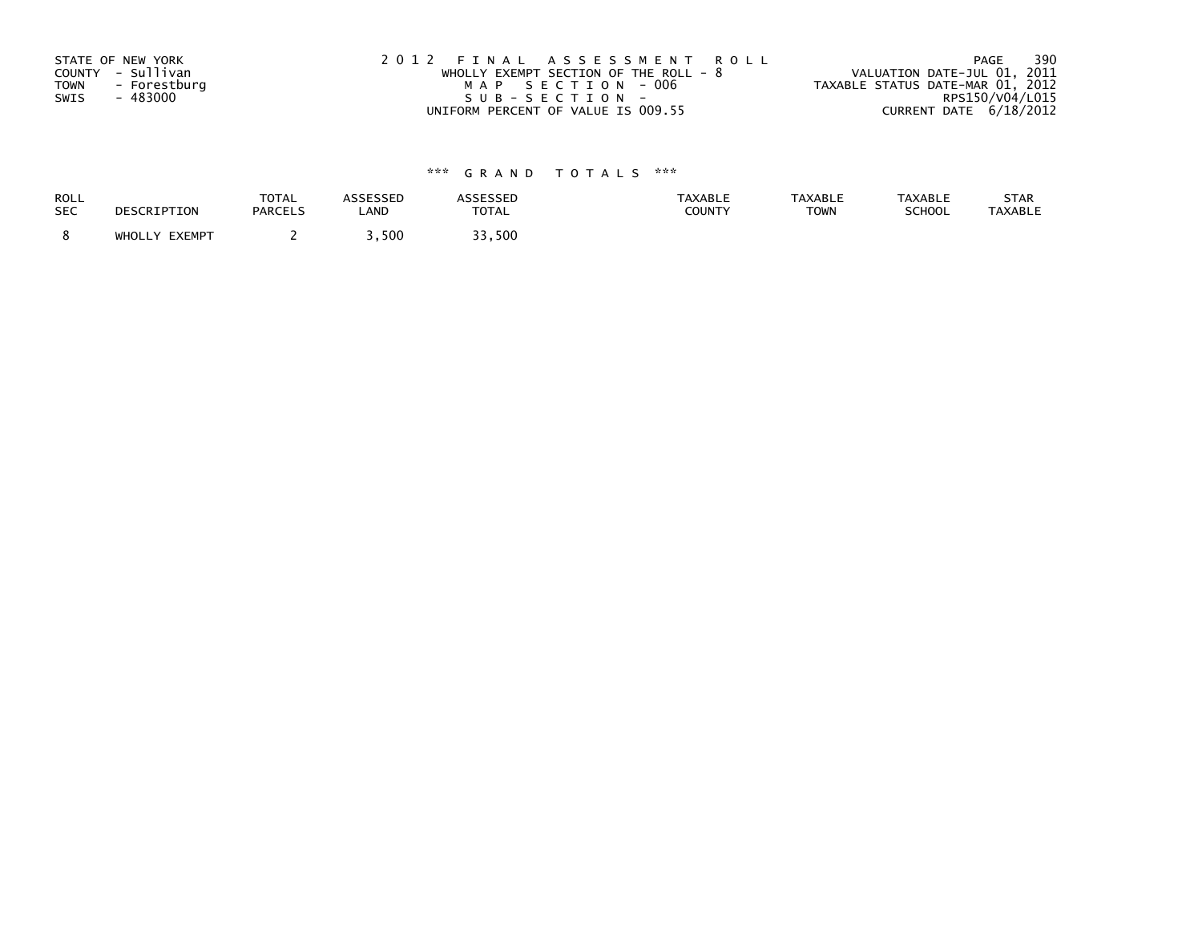| STATE OF NEW YORK           | 2012 FINAL ASSESSMENT ROLL            | 390<br>PAGE                      |
|-----------------------------|---------------------------------------|----------------------------------|
| COUNTY - Sullivan           | WHOLLY EXEMPT SECTION OF THE ROLL - 8 | VALUATION DATE-JUL 01, 2011      |
| <b>TOWN</b><br>- Forestburg | MAP SECTION - 006                     | TAXABLE STATUS DATE-MAR 01, 2012 |
| - 483000<br>SWIS            | SUB-SECTION-                          | RPS150/V04/L015                  |
|                             | UNIFORM PERCENT OF VALUE IS 009.55    | CURRENT DATE 6/18/2012           |

| <b>ROLL</b> | DESCRIPTION   | <b>TOTAL</b>   | <b>ASSESSED</b> | ASSESSED     | <b>TAXABLE</b> | <b>TAXABLE</b> | <b>TAXABLE</b> | STAR           |
|-------------|---------------|----------------|-----------------|--------------|----------------|----------------|----------------|----------------|
| <b>SEC</b>  |               | <b>PARCELS</b> | LAND            | <b>TOTAL</b> | <b>COUNTY</b>  | <b>TOWN</b>    | SCHOOL         | <b>TAXABLE</b> |
|             | WHOLLY EXEMPT |                | .500            | っっ<br>33,500 |                |                |                |                |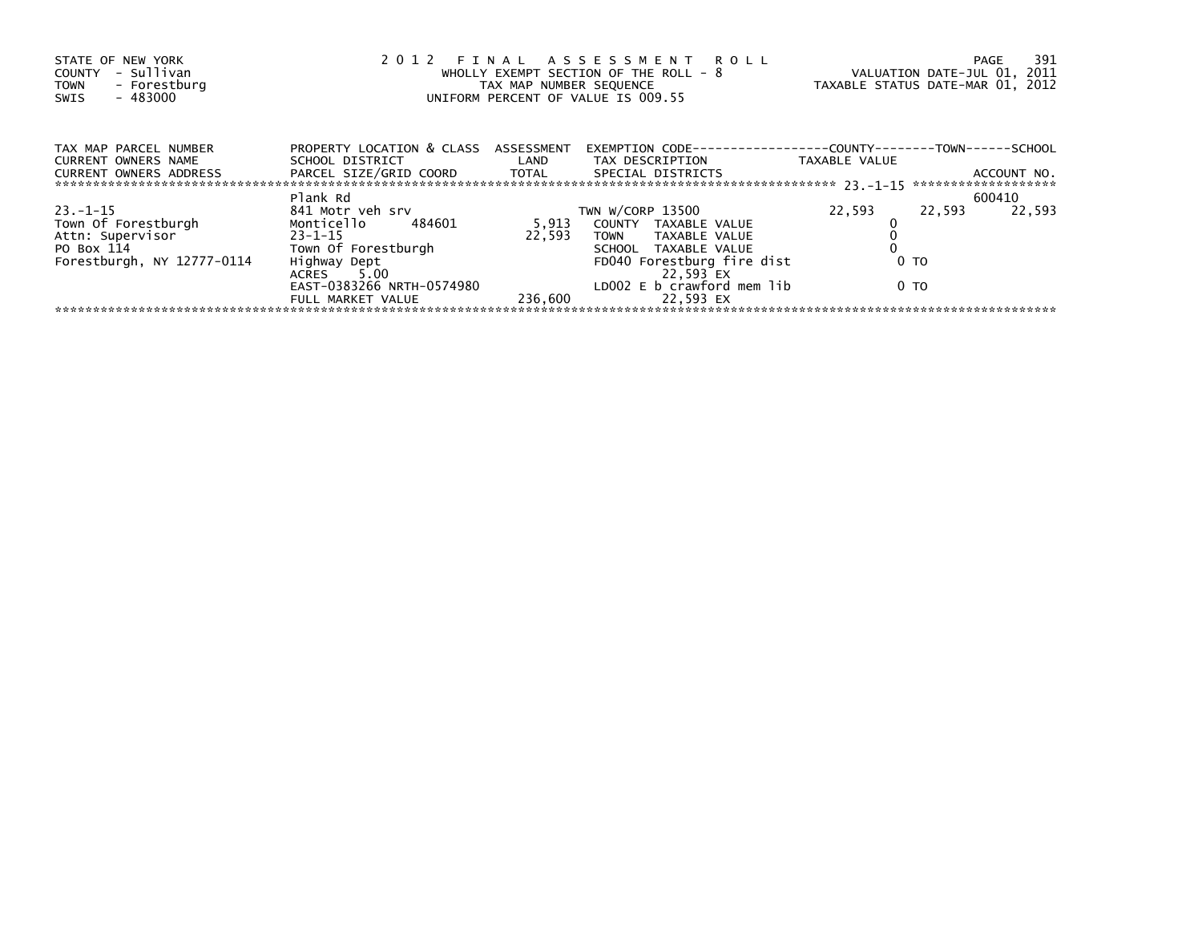| STATE OF NEW YORK<br>- Sullivan<br>COUNTY<br>- Forestburg<br><b>TOWN</b><br>$-483000$<br>SWIS | 2 0 1 2<br>FINAL ASSESSMENT ROLL<br>WHOLLY EXEMPT SECTION OF THE ROLL - 8<br>TAX MAP NUMBER SEQUENCE<br>UNIFORM PERCENT OF VALUE IS 009.55 |         |                                         |                | 391<br>PAGE<br>VALUATION DATE-JUL 01, 2011<br>TAXABLE STATUS DATE-MAR 01, 2012 |
|-----------------------------------------------------------------------------------------------|--------------------------------------------------------------------------------------------------------------------------------------------|---------|-----------------------------------------|----------------|--------------------------------------------------------------------------------|
| TAX MAP PARCEL NUMBER                                                                         | PROPERTY LOCATION & CLASS ASSESSMENT                                                                                                       |         |                                         |                |                                                                                |
| CURRENT OWNERS NAME<br><b>CURRENT OWNERS ADDRESS</b>                                          | PARCEL SIZE/GRID COORD TOTAL SPECIAL DISTRICTS                                                                                             |         |                                         | TAXABLE VALUE  | ACCOUNT NO.                                                                    |
|                                                                                               | Plank Rd                                                                                                                                   |         |                                         |                | 600410                                                                         |
| $23.-1-15$                                                                                    | 841 Motr veh srv                                                                                                                           |         | TWN W/CORP 13500                        | 22,593         | 22,593<br>22.593                                                               |
| Town Of Forestburgh<br>Attn: Supervisor                                                       | Monticello 484601                                                                                                                          |         | 5,913 COUNTY TAXABLE VALUE              |                |                                                                                |
|                                                                                               | $23 - 1 - 15$                                                                                                                              | 22.593  | TOWN TAXABLE VALUE                      |                |                                                                                |
| PO Box 114                                                                                    | Town Of Forestburgh                                                                                                                        |         | SCHOOL TAXABLE VALUE                    |                |                                                                                |
| Forestburgh, NY 12777-0114                                                                    | Highway Dept<br>ACRES 5.00                                                                                                                 |         | FD040 Forestburg fire dist<br>22,593 EX | 0 <sub>T</sub> |                                                                                |
|                                                                                               | EAST-0383266 NRTH-0574980<br>FULL MARKET VALUE                                                                                             | 236,600 | LDOO2 E b crawford mem lib<br>22.593 EX | 0 TO           |                                                                                |
|                                                                                               |                                                                                                                                            |         |                                         |                |                                                                                |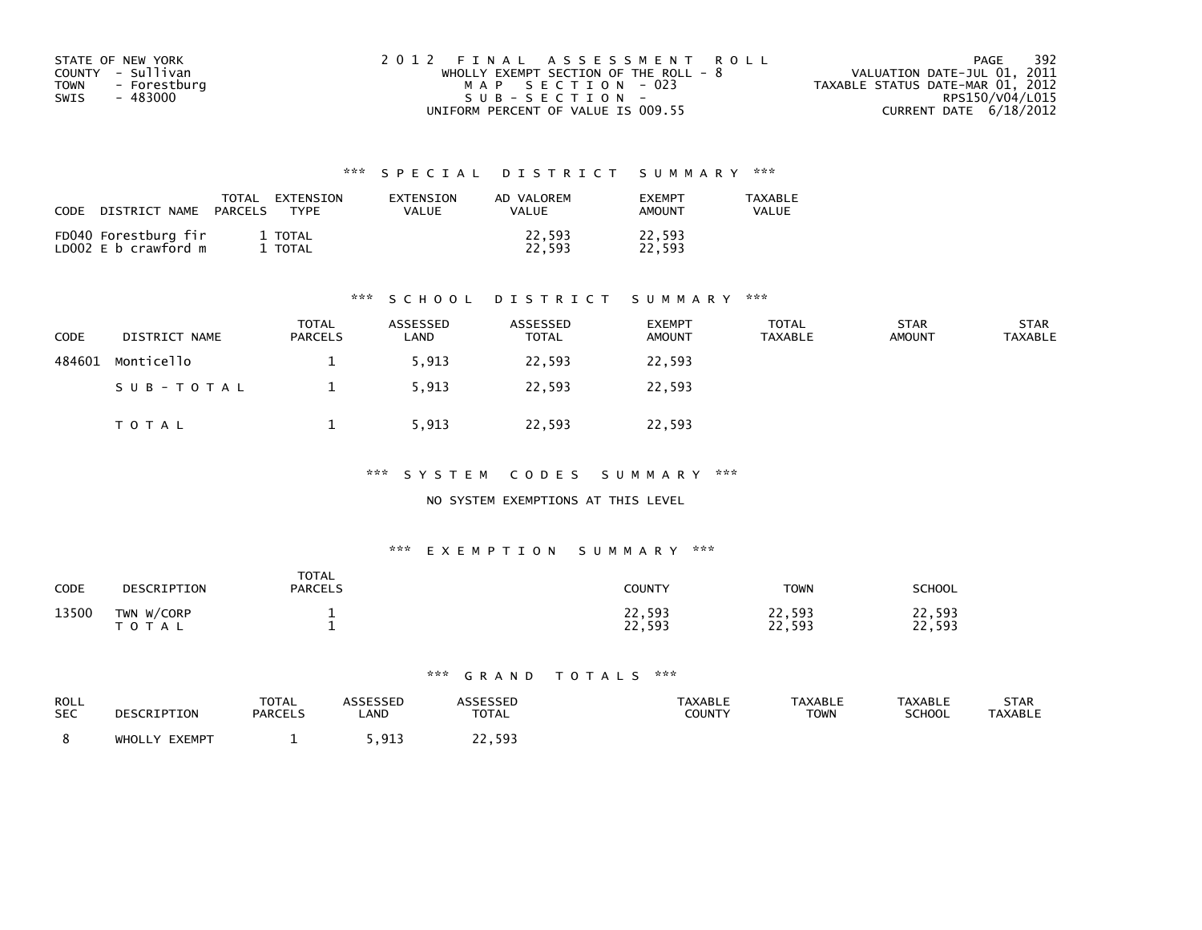| STATE OF NEW YORK           | 2012 FINAL ASSESSMENT ROLL            | -392<br>PAGE                     |
|-----------------------------|---------------------------------------|----------------------------------|
| COUNTY - Sullivan           | WHOLLY EXEMPT SECTION OF THE ROLL - 8 | VALUATION DATE-JUL 01, 2011      |
| <b>TOWN</b><br>- Forestburg | MAP SECTION - 023                     | TAXABLE STATUS DATE-MAR 01, 2012 |
| SWIS<br>- 483000            | $SUB - SECTION -$                     | RPS150/V04/L015                  |
|                             | UNIFORM PERCENT OF VALUE IS 009.55    | CURRENT DATE 6/18/2012           |

| CODE<br>DISTRICT NAME                        | <b>TOTAL</b><br>EXTENSION<br>PARCELS<br><b>TYPF</b> | EXTENSION<br>VALUE | AD VALOREM<br>VALUE | <b>FXFMPT</b><br>AMOUNT | <b>TAXABLE</b><br>VALUE |
|----------------------------------------------|-----------------------------------------------------|--------------------|---------------------|-------------------------|-------------------------|
| FD040 Forestburg fir<br>LD002 E b crawford m | 1 TOTAL<br>TOTAL                                    |                    | 22,593<br>22.593    | 22,593<br>22.593        |                         |

#### \*\*\* S C H O O L D I S T R I C T S U M M A R Y \*\*\*

| <b>CODE</b> | DISTRICT NAME | <b>TOTAL</b><br><b>PARCELS</b> | ASSESSED<br>∟AND | ASSESSED<br><b>TOTAL</b> | <b>EXEMPT</b><br><b>AMOUNT</b> | <b>TOTAL</b><br>TAXABLE | <b>STAR</b><br><b>AMOUNT</b> | <b>STAR</b><br><b>TAXABLE</b> |
|-------------|---------------|--------------------------------|------------------|--------------------------|--------------------------------|-------------------------|------------------------------|-------------------------------|
| 484601      | Monticello    |                                | 5,913            | 22,593                   | 22,593                         |                         |                              |                               |
|             | SUB-TOTAL     |                                | 5,913            | 22,593                   | 22,593                         |                         |                              |                               |
|             | T O T A L     |                                | 5,913            | 22,593                   | 22,593                         |                         |                              |                               |

\*\*\* S Y S T E M C O D E S S U M M A R Y \*\*\*

NO SYSTEM EXEMPTIONS AT THIS LEVEL

#### \*\*\* E X E M P T I O N S U M M A R Y \*\*\*

| CODE  | DESCRIPTION             | <b>TOTAL</b><br><b>PARCELS</b> | <b>COUNTY</b>    | <b>TOWN</b>      | SCHOOL           |
|-------|-------------------------|--------------------------------|------------------|------------------|------------------|
| 13500 | TWN W/CORP<br>T O T A L |                                | 22,593<br>22,593 | 22,593<br>22,593 | 22,593<br>22,593 |

| ROLL       | DESCRIPTION   | TOTAL          | <b>ASSESSED</b>   | <b>ASSESSED</b> | <b>TAXABLE</b> | <b>TAXABLE</b> | <b>TAXABLE</b> | STAR           |
|------------|---------------|----------------|-------------------|-----------------|----------------|----------------|----------------|----------------|
| <b>SEC</b> |               | <b>PARCELS</b> | LAND              | <b>TOTAL</b>    | COUNTY         | TOWN           | <b>SCHOOL</b>  | <b>TAXABLE</b> |
|            | WHOLLY EXEMPT |                | _ 91 ર<br><b></b> | 22.593<br>າາ    |                |                |                |                |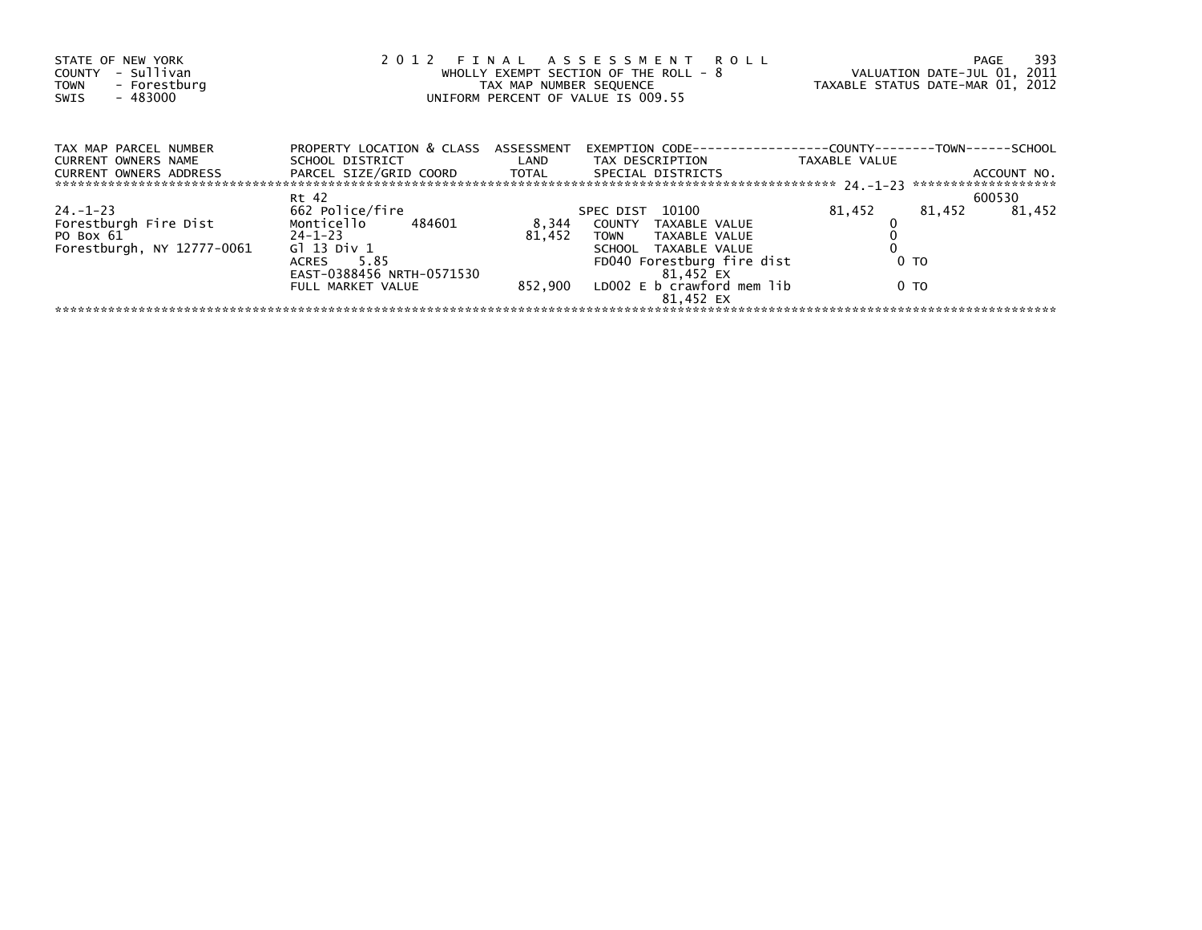| STATE OF NEW YORK<br>- Sullivan<br>COUNTY<br>- Forestburg<br><b>TOWN</b><br>$-483000$<br>SWIS | 2012                                    | TAX MAP NUMBER SEQUENCE | FINAL ASSESSMENT ROLL<br>WHOLLY EXEMPT SECTION OF THE ROLL - 8<br>UNIFORM PERCENT OF VALUE IS 009.55 |                | -393<br>PAGE<br>VALUATION DATE-JUL 01, 2011<br>TAXABLE STATUS DATE-MAR 01, 2012 |
|-----------------------------------------------------------------------------------------------|-----------------------------------------|-------------------------|------------------------------------------------------------------------------------------------------|----------------|---------------------------------------------------------------------------------|
| TAX MAP PARCEL NUMBER<br>CURRENT OWNERS NAME                                                  | PROPERTY LOCATION & CLASS ASSESSMENT    |                         | EXEMPTION        CODE-----------------COUNTY--------TOWN------SCHOOL                                 | TAXABLE VALUE  |                                                                                 |
| <b>CURRENT OWNERS ADDRESS</b>                                                                 | PARCEL SIZE/GRID COORD TOTAL            |                         | SPECIAL DISTRICTS                                                                                    |                | ACCOUNT NO.                                                                     |
|                                                                                               | Rt 42                                   |                         |                                                                                                      |                | 600530                                                                          |
| 24. –1–23                                                                                     | 662 Police/fire                         |                         | SPEC DIST 10100                                                                                      | 81,452         | 81,452<br>81,452                                                                |
| Forestburgh Fire Dist                                                                         | Monticello 484601                       | 8,344                   | COUNTY TAXABLE VALUE                                                                                 |                |                                                                                 |
| $24-1-23$<br>PO Box 61                                                                        |                                         | 81,452                  | TOWN TAXABLE VALUE                                                                                   |                |                                                                                 |
| Forestburgh, NY 12777-0061                                                                    | Gl 13 Div 1                             |                         | SCHOOL TAXABLE VALUE                                                                                 |                |                                                                                 |
|                                                                                               | ACRES 5.85<br>EAST-0388456 NRTH-0571530 |                         | FD040 Forestburg fire dist<br>81,452 EX                                                              | 0 <sub>T</sub> |                                                                                 |
|                                                                                               | FULL MARKET VALUE                       |                         | 852,900 LDOO2 E b crawford mem lib<br>81.452 EX                                                      | 0 TO           |                                                                                 |
|                                                                                               |                                         |                         |                                                                                                      |                |                                                                                 |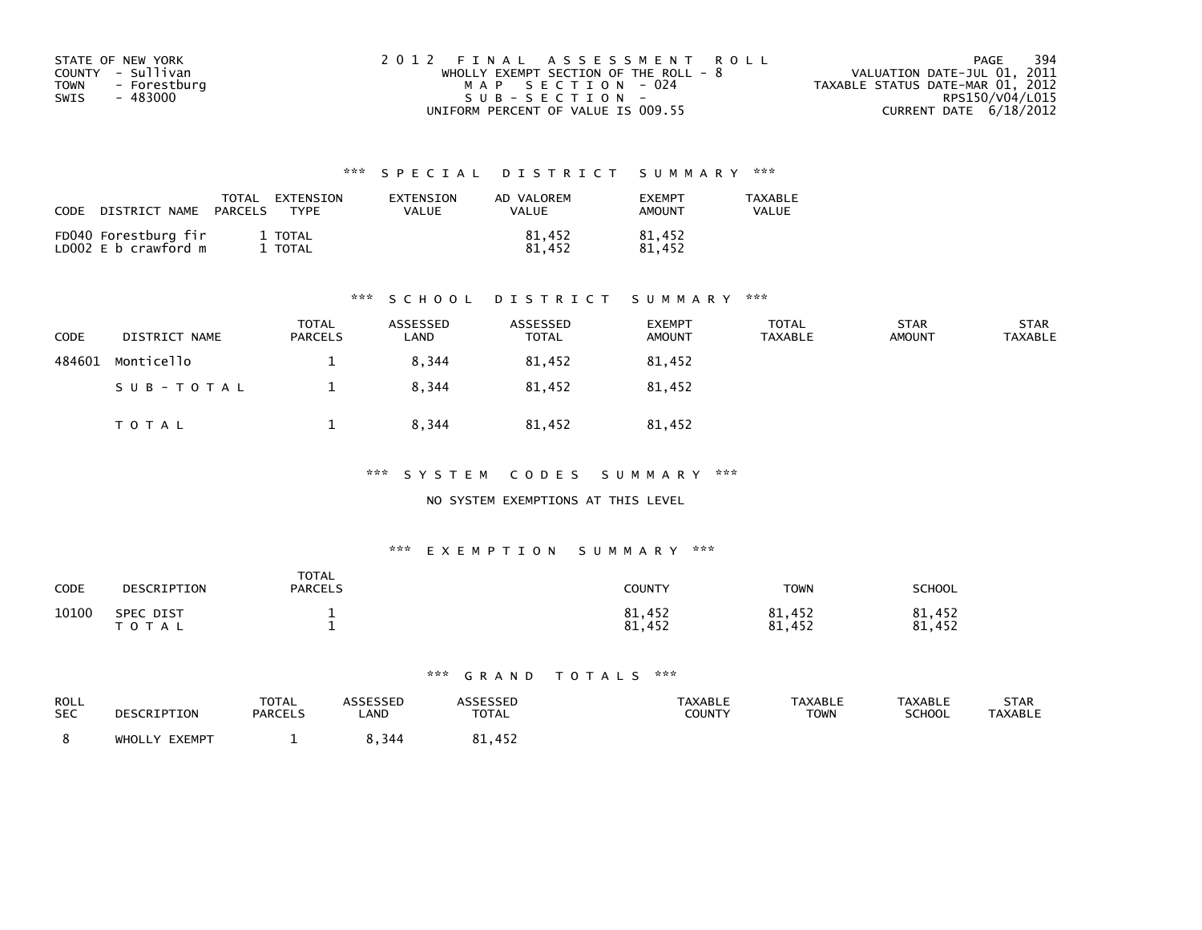| STATE OF NEW YORK           | 2012 FINAL ASSESSMENT ROLL              | 394<br>PAGE                      |
|-----------------------------|-----------------------------------------|----------------------------------|
| COUNTY - Sullivan           | WHOLLY EXEMPT SECTION OF THE ROLL - $8$ | VALUATION DATE-JUL 01, 2011      |
| <b>TOWN</b><br>- Forestburg | MAP SECTION - 024                       | TAXABLE STATUS DATE-MAR 01, 2012 |
| SWIS<br>- 483000            | $SUB - SECTION -$                       | RPS150/V04/L015                  |
|                             | UNIFORM PERCENT OF VALUE IS 009.55      | CURRENT DATE 6/18/2012           |

| CODE<br>DISTRICT NAME                        | TOTAL<br>EXTENSION<br>PARCELS<br><b>TYPF</b> | EXTENSION<br>VALUE | AD VALOREM<br>VALUE | <b>FXFMPT</b><br><b>AMOUNT</b> | <b>TAXABLE</b><br>VALUE |
|----------------------------------------------|----------------------------------------------|--------------------|---------------------|--------------------------------|-------------------------|
| FD040 Forestburg fir<br>LD002 E b crawford m | 1 TOTAL<br>TOTAL                             |                    | 81,452<br>81.452    | 81,452<br>81.452               |                         |

#### \*\*\* S C H O O L D I S T R I C T S U M M A R Y \*\*\*

| CODE   | DISTRICT NAME | <b>TOTAL</b><br><b>PARCELS</b> | ASSESSED<br>∟AND | ASSESSED<br><b>TOTAL</b> | <b>EXEMPT</b><br><b>AMOUNT</b> | <b>TOTAL</b><br><b>TAXABLE</b> | <b>STAR</b><br><b>AMOUNT</b> | <b>STAR</b><br><b>TAXABLE</b> |
|--------|---------------|--------------------------------|------------------|--------------------------|--------------------------------|--------------------------------|------------------------------|-------------------------------|
| 484601 | Monticello    |                                | 8,344            | 81,452                   | 81,452                         |                                |                              |                               |
|        | SUB-TOTAL     |                                | 8,344            | 81.452                   | 81.452                         |                                |                              |                               |
|        | TOTAL         |                                | 8,344            | 81,452                   | 81,452                         |                                |                              |                               |

\*\*\* S Y S T E M C O D E S S U M M A R Y \*\*\*

NO SYSTEM EXEMPTIONS AT THIS LEVEL

#### \*\*\* E X E M P T I O N S U M M A R Y \*\*\*

| CODE  | DESCRIPTION               | <b>TOTAL</b><br><b>PARCELS</b> | <b>COUNTY</b>    | <b>TOWN</b>      | SCHOOL                |
|-------|---------------------------|--------------------------------|------------------|------------------|-----------------------|
| 10100 | SPEC DIST<br><b>TOTAL</b> |                                | 81,452<br>81,452 | 81,452<br>81,452 | 81,452<br>.452<br>81. |

| ROLL       | DESCRIPTION   | TOTAL          | <b>ASSESSED</b> | <b>ASSESSED</b> | <b>TAXABLE</b> | TAXABLE | <b>TAXABLE</b> | STAR           |
|------------|---------------|----------------|-----------------|-----------------|----------------|---------|----------------|----------------|
| <b>SEC</b> |               | <b>PARCELS</b> | LAND            | <b>TOTAL</b>    | COUNTY         | TOWN    | <b>SCHOOL</b>  | <b>TAXABLE</b> |
|            | WHOLLY EXEMPT |                | 8.344           | 81,452          |                |         |                |                |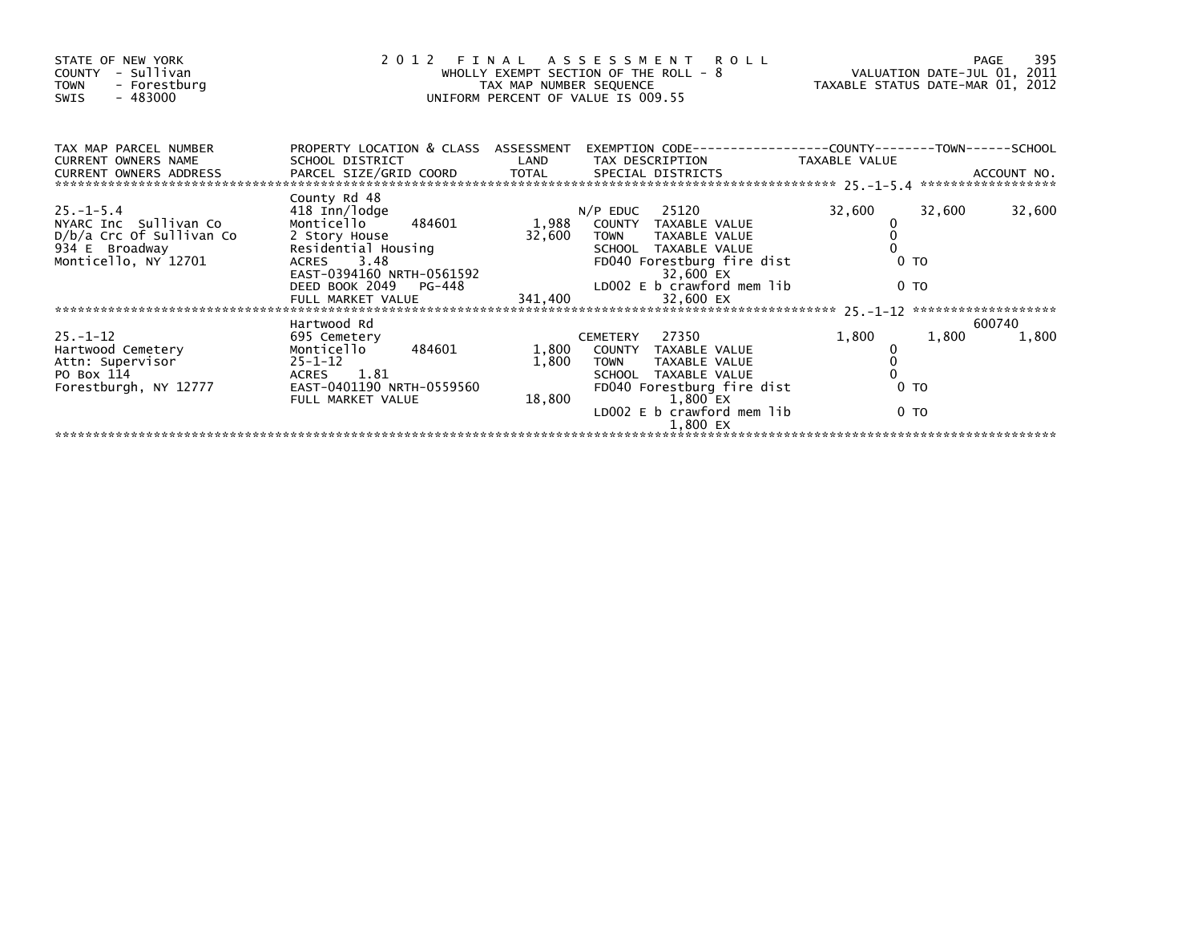| STATE OF NEW YORK<br>- Sullivan<br>COUNTY<br><b>TOWN</b><br>- Forestburg<br>- 483000<br>SWIS | 2012 FINAL                                                                              | TAX MAP NUMBER SEQUENCE | ASSESSMENT ROLL<br>WHOLLY EXEMPT SECTION OF THE ROLL - 8<br>UNIFORM PERCENT OF VALUE IS 009.55 | VALUATION DATE-JUL 01, 2011<br>TAXABLE STATUS DATE-MAR 01, 2012 |                | 395<br>PAGE     |
|----------------------------------------------------------------------------------------------|-----------------------------------------------------------------------------------------|-------------------------|------------------------------------------------------------------------------------------------|-----------------------------------------------------------------|----------------|-----------------|
| TAX MAP PARCEL NUMBER<br><b>CURRENT OWNERS NAME</b>                                          | PROPERTY LOCATION & CLASS ASSESSMENT<br>SCHOOL DISTRICT                                 | LAND                    | EXEMPTION CODE-----------------COUNTY-------TOWN------SCHOOL<br>TAX DESCRIPTION                | TAXABLE VALUE                                                   |                |                 |
|                                                                                              |                                                                                         |                         |                                                                                                |                                                                 |                |                 |
| $25. - 1 - 5.4$                                                                              | County Rd 48<br>418 Inn/lodge                                                           |                         | $N/P$ EDUC 25120                                                                               | 32,600                                                          | 32,600         | 32,600          |
| NYARC Inc Sullivan Co                                                                        | 484601<br>Monticello                                                                    | 1,988                   | COUNTY TAXABLE VALUE                                                                           |                                                                 |                |                 |
| D/b/a Crc Of Sullivan Co                                                                     | 2 Story House                                                                           | 32,600                  | TAXABLE VALUE<br><b>TOWN</b>                                                                   |                                                                 |                |                 |
| 934 E Broadway<br>Monticello, NY 12701                                                       | Residential Housing<br>ACRES 3.48<br>EAST-0394160 NRTH-0561592<br>DEED BOOK 2049 PG-448 |                         | SCHOOL TAXABLE VALUE<br>FD040 Forestburg fire dist                                             |                                                                 | 0 <sub>T</sub> |                 |
|                                                                                              |                                                                                         |                         | 32,600 EX                                                                                      |                                                                 |                |                 |
|                                                                                              |                                                                                         |                         | LDOO2 E b crawford mem lib                                                                     |                                                                 | 0 <sub>T</sub> |                 |
|                                                                                              | FULL MARKET VALUE                                                                       | 341,400                 | 32,600 EX                                                                                      |                                                                 |                |                 |
|                                                                                              |                                                                                         |                         |                                                                                                |                                                                 |                |                 |
| $25. - 1 - 12$                                                                               | Hartwood Rd<br>695 Cemetery                                                             |                         | CEMETERY 27350                                                                                 | 1,800                                                           | 1,800          | 600740<br>1,800 |
| Hartwood Cemetery                                                                            | Monticello<br>484601                                                                    | 1,800                   | COUNTY TAXABLE VALUE                                                                           |                                                                 |                |                 |
| Attn: Supervisor                                                                             | 25-1-12                                                                                 | 1,800                   | <b>TOWN</b><br>TAXABLE VALUE                                                                   |                                                                 |                |                 |
| PO Box 114                                                                                   | ACRES 1.81                                                                              |                         | TAXABLE VALUE<br>SCHOOL                                                                        |                                                                 |                |                 |
| Forestburgh, NY 12777                                                                        | EAST-0401190 NRTH-0559560                                                               |                         | FD040 Forestburg fire dist                                                                     |                                                                 | 0 <sub>T</sub> |                 |
|                                                                                              | FULL MARKET VALUE                                                                       | 18,800                  | 1,800 EX                                                                                       |                                                                 |                |                 |
|                                                                                              |                                                                                         |                         | LD002 E b crawford mem lib<br>1,800 EX                                                         |                                                                 | 0 <sub>T</sub> |                 |
|                                                                                              |                                                                                         |                         |                                                                                                |                                                                 |                |                 |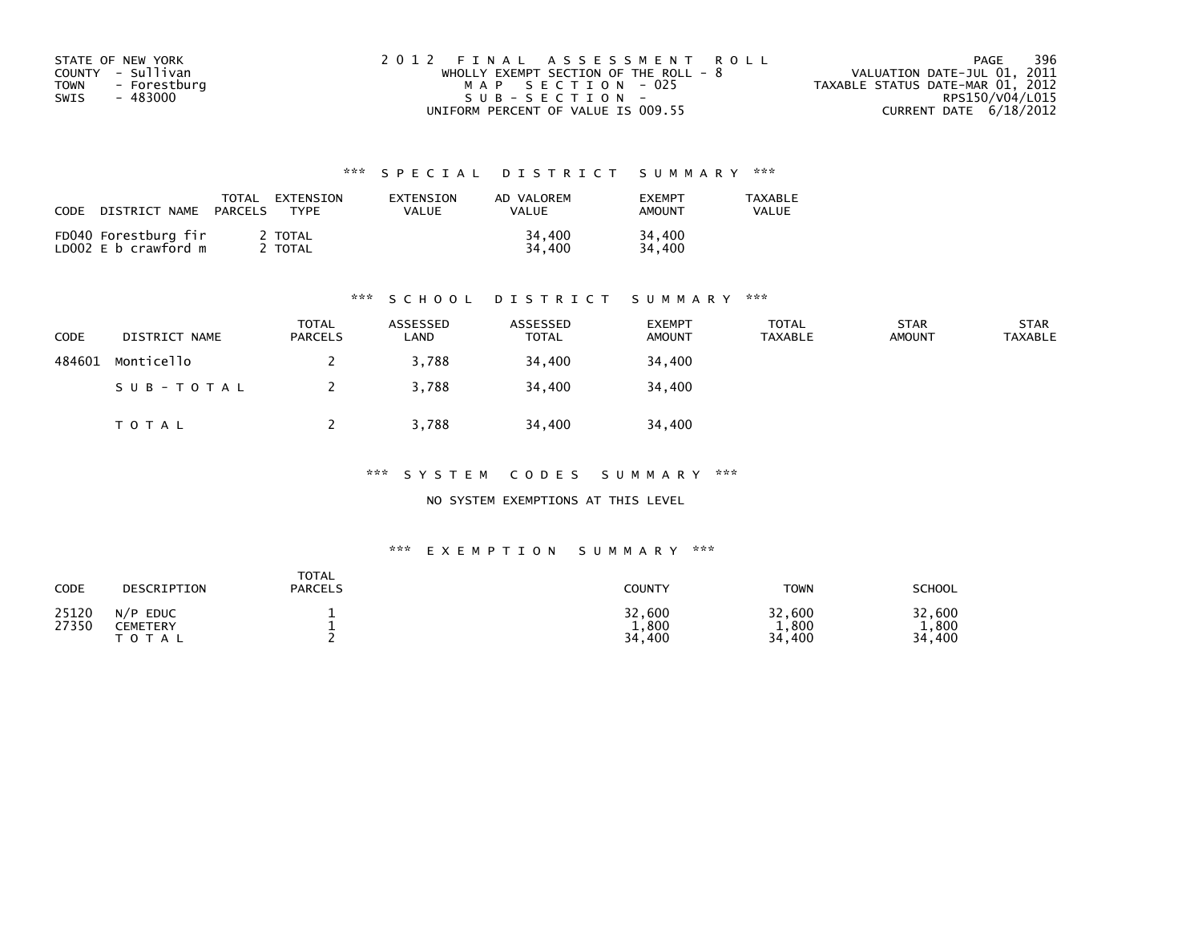| STATE OF NEW YORK           | 2012 FINAL ASSESSMENT ROLL            | 396<br>PAGE                      |
|-----------------------------|---------------------------------------|----------------------------------|
| COUNTY - Sullivan           | WHOLLY EXEMPT SECTION OF THE ROLL - 8 | VALUATION DATE-JUL 01, 2011      |
| <b>TOWN</b><br>- Forestburg | MAP SECTION - 025                     | TAXABLE STATUS DATE-MAR 01, 2012 |
| - 483000<br>SWIS            | $SUB - SECTION -$                     | RPS150/V04/L015                  |
|                             | UNIFORM PERCENT OF VALUE IS 009.55    | CURRENT DATE 6/18/2012           |

| CODE<br>DISTRICT NAME                        | TOTAL<br>EXTENSION<br><b>TYPF</b><br>PARCELS | EXTENSION<br>VALUE | AD VALOREM<br>VALUE | <b>FXFMPT</b><br><b>AMOUNT</b> | <b>TAXABLE</b><br>VALUE |
|----------------------------------------------|----------------------------------------------|--------------------|---------------------|--------------------------------|-------------------------|
| FD040 Forestburg fir<br>LD002 E b crawford m | 2 TOTAL<br>TOTAL                             |                    | 34,400<br>34,400    | 34,400<br>34,400               |                         |

#### \*\*\* S C H O O L D I S T R I C T S U M M A R Y \*\*\*

| CODE   | DISTRICT NAME | <b>TOTAL</b><br><b>PARCELS</b> | ASSESSED<br>∟AND | ASSESSED<br><b>TOTAL</b> | <b>EXEMPT</b><br><b>AMOUNT</b> | <b>TOTAL</b><br><b>TAXABLE</b> | <b>STAR</b><br><b>AMOUNT</b> | <b>STAR</b><br><b>TAXABLE</b> |
|--------|---------------|--------------------------------|------------------|--------------------------|--------------------------------|--------------------------------|------------------------------|-------------------------------|
| 484601 | Monticello    |                                | 3,788            | 34,400                   | 34,400                         |                                |                              |                               |
|        | SUB-TOTAL     |                                | 3.788            | 34,400                   | 34,400                         |                                |                              |                               |
|        | T O T A L     |                                | 3.788            | 34,400                   | 34,400                         |                                |                              |                               |

\*\*\* S Y S T E M C O D E S S U M M A R Y \*\*\*

NO SYSTEM EXEMPTIONS AT THIS LEVEL

#### \*\*\* E X E M P T I O N S U M M A R Y \*\*\*

| CODE           | DESCRIPTION                                         | <b>TOTAL</b><br><b>PARCELS</b> | COUNTY                    | <b>TOWN</b>               | <b>SCHOOL</b>                 |
|----------------|-----------------------------------------------------|--------------------------------|---------------------------|---------------------------|-------------------------------|
| 25120<br>27350 | N/P<br><b>EDUC</b><br><b>CEMETERY</b><br>тот<br>A L |                                | 32,600<br>1,800<br>34,400 | 32,600<br>1,800<br>34,400 | 32,600<br>1,800<br>400<br>34. |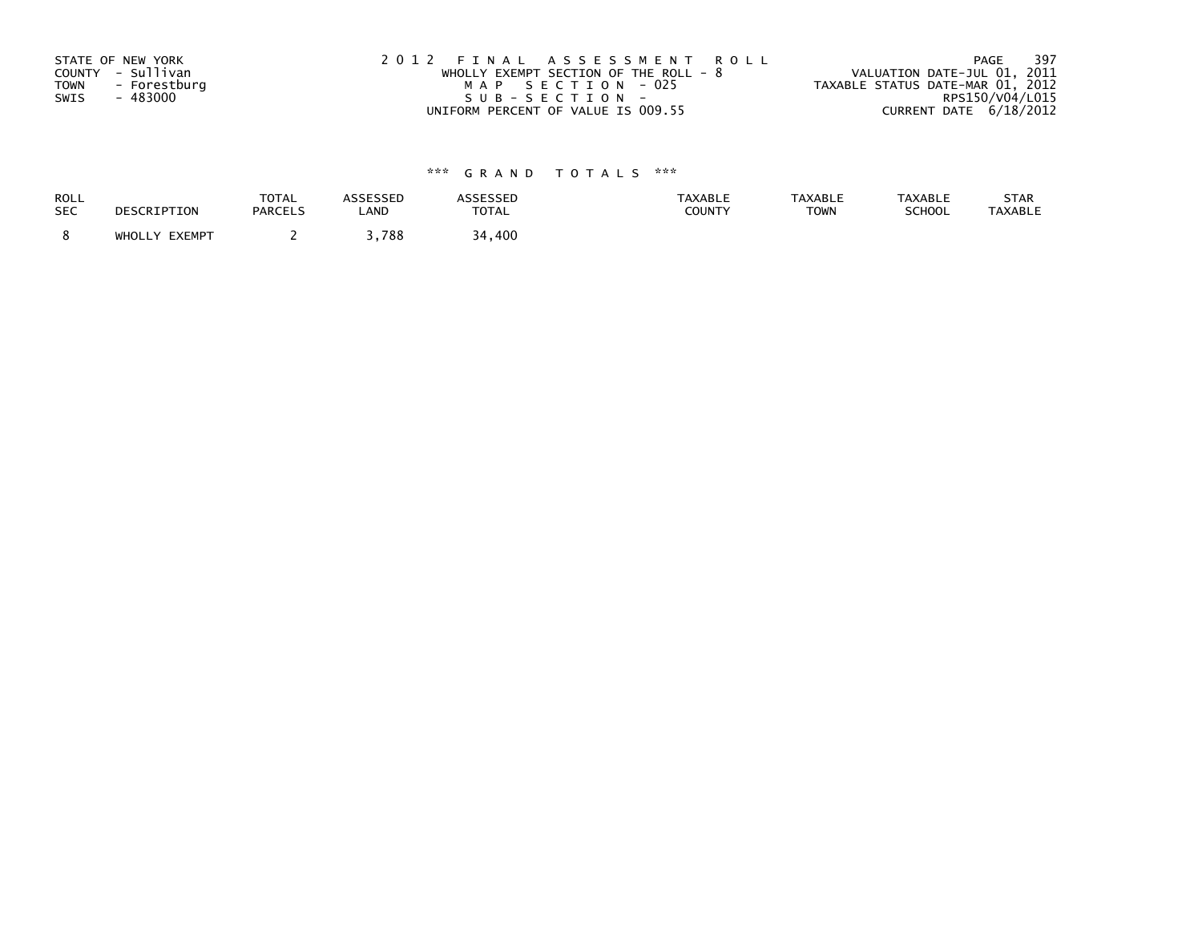| STATE OF NEW YORK           | 2012 FINAL ASSESSMENT ROLL              | - 397<br>PAGE                    |
|-----------------------------|-----------------------------------------|----------------------------------|
| COUNTY - Sullivan           | WHOLLY EXEMPT SECTION OF THE ROLL - $8$ | VALUATION DATE-JUL 01, 2011      |
| <b>TOWN</b><br>- Forestburg | MAP SECTION - 025                       | TAXABLE STATUS DATE-MAR 01, 2012 |
| SWIS<br>- 483000            | SUB-SECTION-                            | RPS150/V04/L015                  |
|                             | UNIFORM PERCENT OF VALUE IS 009.55      | CURRENT DATE 6/18/2012           |

| <b>ROLL</b> | DESCRIPTION   | <b>TOTAL</b>   | <b>ASSESSED</b> | <b>ASSESSED</b> | <b>TAXABLE</b> | <b>TAXABLE</b> | <b>TAXABLE</b> | STAR           |
|-------------|---------------|----------------|-----------------|-----------------|----------------|----------------|----------------|----------------|
| <b>SEC</b>  |               | <b>PARCELS</b> | LAND            | <b>TOTAL</b>    | <b>COUNTY</b>  | <b>TOWN</b>    | <b>SCHOOL</b>  | <b>TAXABLE</b> |
|             | WHOLLY EXEMPT |                | ,788            | 34,400          |                |                |                |                |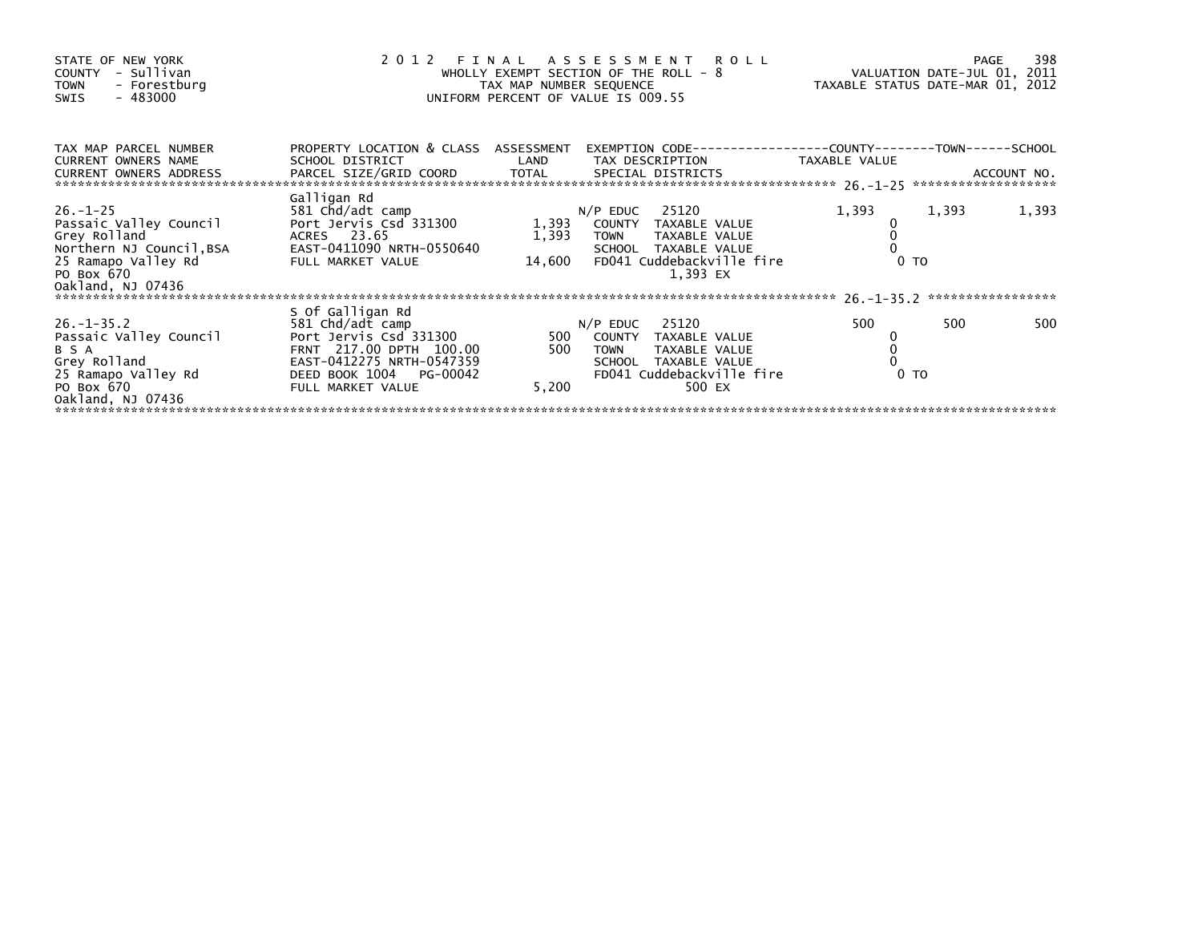|                                                                                                                                                    |                                                     | <b>PAGE</b><br>VALUATION DATE-JUL 01, 2011<br>TAXABLE STATUS DATE-MAR 01, 2012 |                                                   |                                                                                                                                                                                                                                                                                      |                                                        |                                  |
|----------------------------------------------------------------------------------------------------------------------------------------------------|-----------------------------------------------------|--------------------------------------------------------------------------------|---------------------------------------------------|--------------------------------------------------------------------------------------------------------------------------------------------------------------------------------------------------------------------------------------------------------------------------------------|--------------------------------------------------------|----------------------------------|
| SCHOOL DISTRICT                                                                                                                                    | LAND                                                |                                                                                |                                                   | TAXABLE VALUE                                                                                                                                                                                                                                                                        |                                                        |                                  |
| Galligan Rd<br>581 Chd/adt camp<br>Port Jervis Csd 331300<br>ACRES 23.65<br>EAST-0411090 NRTH-0550640<br>FULL MARKET VALUE                         | 1,393<br>1,393                                      |                                                                                | 25120<br>TAXABLE VALUE<br>1.393 EX                | 1,393                                                                                                                                                                                                                                                                                | 1,393                                                  | 1,393                            |
|                                                                                                                                                    |                                                     |                                                                                |                                                   |                                                                                                                                                                                                                                                                                      |                                                        | *****************                |
| 581 Chd/adt camp<br>Port Jervis Csd 331300<br>FRNT 217.00 DPTH 100.00<br>EAST-0412275 NRTH-0547359<br>DEED BOOK 1004 PG-00042<br>FULL MARKET VALUE | 500<br>500<br>5,200                                 | <b>TOWN</b>                                                                    | 25120<br>TAXABLE VALUE<br>TAXABLE VALUE<br>500 EX | 500                                                                                                                                                                                                                                                                                  | 500                                                    | 500                              |
|                                                                                                                                                    | *******************************<br>S Of Galligan Rd |                                                                                | PROPERTY LOCATION & CLASS ASSESSMENT<br>14,600    | 2012 FINAL ASSESSMENT ROLL<br>WHOLLY EXEMPT SECTION OF THE ROLL - 8<br>TAX MAP NUMBER SEQUENCE<br>UNIFORM PERCENT OF VALUE IS 009.55<br>TAX DESCRIPTION<br>$N/P$ EDUC<br>COUNTY TAXABLE VALUE<br><b>TOWN</b><br>SCHOOL TAXABLE VALUE<br>$N/P$ EDUC<br>COUNTY TAXABLE VALUE<br>SCHOOL | FD041 Cuddebackville fire<br>FD041 Cuddebackville fire | 0 <sub>T</sub><br>0 <sub>T</sub> |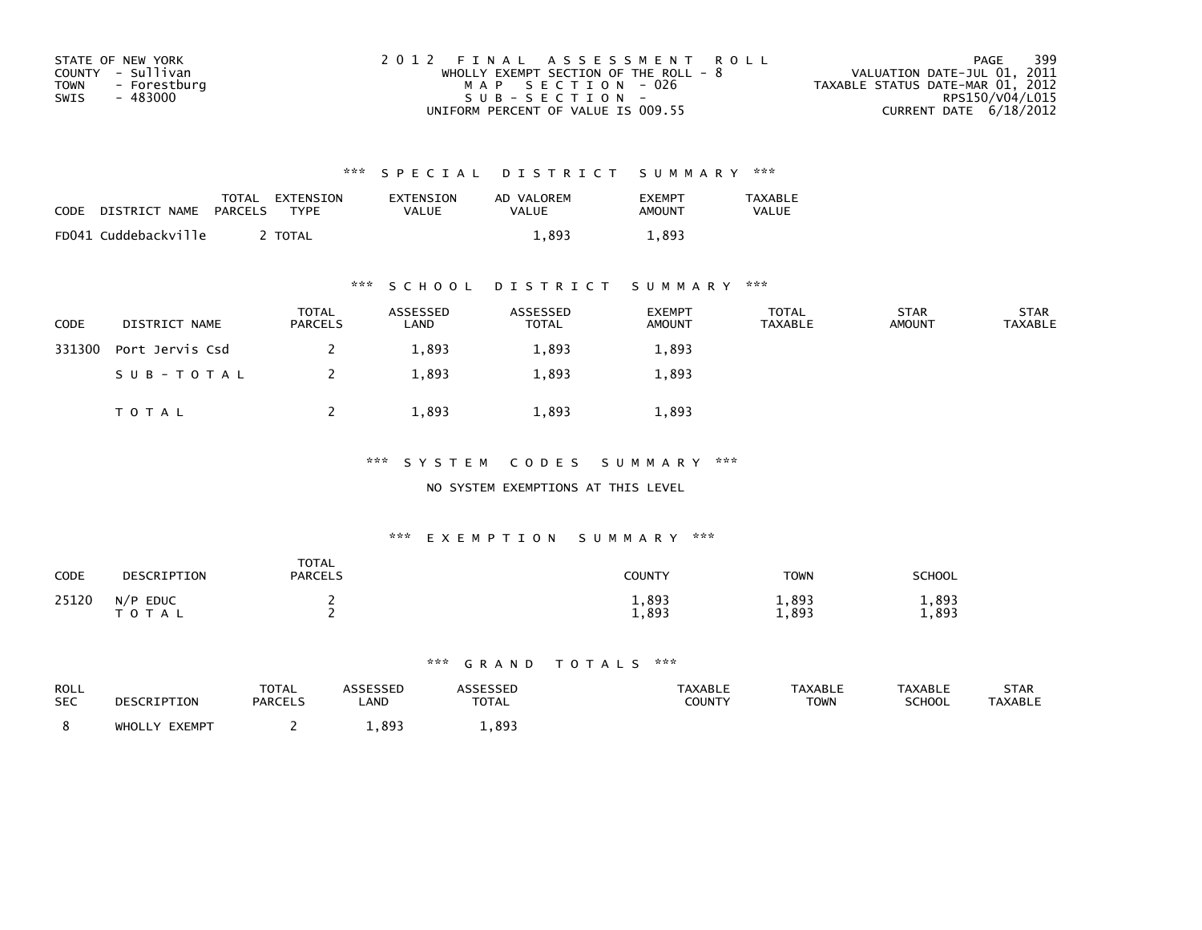| STATE OF NEW YORK    | 2012 FINAL ASSESSMENT ROLL              | 399<br>PAGE                      |
|----------------------|-----------------------------------------|----------------------------------|
| COUNTY - Sullivan    | WHOLLY EXEMPT SECTION OF THE ROLL - $8$ | VALUATION DATE-JUL 01, 2011      |
| TOWN<br>- Forestburg | MAP SECTION - 026                       | TAXABLE STATUS DATE-MAR 01, 2012 |
| - 483000<br>SWIS     | $SUB - SECTION -$                       | RPS150/V04/L015                  |
|                      | UNIFORM PERCENT OF VALUE IS 009.55      | CURRENT DATE $6/18/2012$         |

| CODE | DISTRICT NAME        | TOTAL<br>PARCELS | EXTENSION<br>TYPF | EXTENSION<br><b>VALUE</b> | AD VALOREM<br>VALUE | <b>FXFMPT</b><br>AMOUNT | <b>TAXABLE</b><br><b>VALUE</b> |
|------|----------------------|------------------|-------------------|---------------------------|---------------------|-------------------------|--------------------------------|
|      | FD041 Cuddebackville |                  | <b>TOTAL</b>      |                           | 1.893               | 1,893                   |                                |

### \*\*\* S C H O O L D I S T R I C T S U M M A R Y \*\*\*

| CODE   | DISTRICT NAME   | <b>TOTAL</b><br>PARCELS | ASSESSED<br>LAND | ASSESSED<br><b>TOTAL</b> | <b>EXEMPT</b><br><b>AMOUNT</b> | TOTAL<br>TAXABLE | <b>STAR</b><br><b>AMOUNT</b> | <b>STAR</b><br><b>TAXABLE</b> |
|--------|-----------------|-------------------------|------------------|--------------------------|--------------------------------|------------------|------------------------------|-------------------------------|
| 331300 | Port Jervis Csd |                         | 1,893            | 1,893                    | 1,893                          |                  |                              |                               |
|        | SUB-TOTAL       |                         | 1,893            | 1,893                    | 1,893                          |                  |                              |                               |
|        | TOTAL           |                         | 1,893            | 1,893                    | 1,893                          |                  |                              |                               |

\*\*\* S Y S T E M C O D E S S U M M A R Y \*\*\*

NO SYSTEM EXEMPTIONS AT THIS LEVEL

### \*\*\* E X E M P T I O N S U M M A R Y \*\*\*

| CODE  | DESCRIPTION                               | <b>TOTAL</b><br><b>PARCELS</b> | COUNTY         | <b>TOWN</b>    | SCHOOL         |
|-------|-------------------------------------------|--------------------------------|----------------|----------------|----------------|
| 25120 | N/P<br><b>EDUC</b><br><b>T O T</b><br>A L |                                | 1,893<br>1,893 | 1,893<br>1,893 | 1,893<br>1,893 |

| ROLL<br><b>SEC</b> | DESCRIPTION      | <b>TOTAL</b><br><b>PARCELS</b> | ASSESSED<br>∟AND | <b>ASSESSED</b><br><b>TOTAL</b> | <b>TAXABLE</b><br>COUNTY | <b>TAXABLE</b><br><b>TOWN</b> | <b>TAXABLE</b><br><b>SCHOOL</b> | STAR<br><b>TAXABLE</b> |
|--------------------|------------------|--------------------------------|------------------|---------------------------------|--------------------------|-------------------------------|---------------------------------|------------------------|
|                    | EXEMPT<br>WHOLLY |                                | .893             | . 893                           |                          |                               |                                 |                        |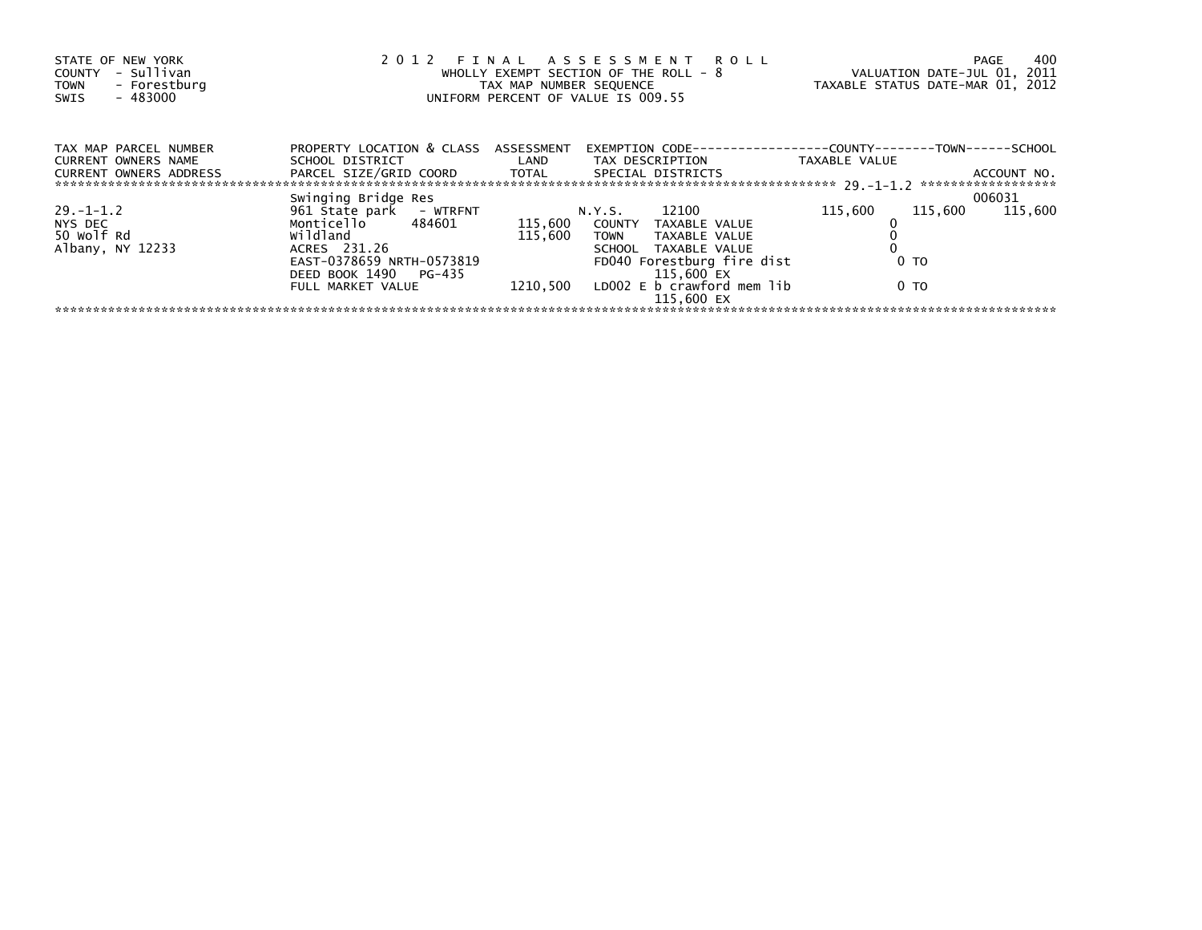| STATE OF NEW YORK<br>- Sullivan<br>COUNTY<br>- Forestburg<br><b>TOWN</b><br>$-483000$<br>SWIS | 2012 FINAL ASSESSMENT ROLL<br>WHOLLY EXEMPT SECTION OF THE ROLL - 8<br>TAX MAP NUMBER SEQUENCE<br>UNIFORM PERCENT OF VALUE IS 009.55 |         |                                                                                                                                                                             | VALUATION DATE-JUL 01, 2011<br>TAXABLE STATUS DATE-MAR 01, 2012 | 400<br>PAGE |
|-----------------------------------------------------------------------------------------------|--------------------------------------------------------------------------------------------------------------------------------------|---------|-----------------------------------------------------------------------------------------------------------------------------------------------------------------------------|-----------------------------------------------------------------|-------------|
| TAX MAP PARCEL NUMBER<br>CURRENT OWNERS NAME                                                  | PROPERTY LOCATION & CLASS ASSESSMENT                                                                                                 |         | EXEMPTION        CODE-----------------COUNTY--------TOWN------SCHOOL<br>SCHOOL DISTRICT                        LAND         TAX DESCRIPTION                   TAXABLE VALUE |                                                                 |             |
| <b>CURRENT OWNERS ADDRESS</b>                                                                 | PARCEL SIZE/GRID COORD TOTAL SPECIAL DISTRICTS                                                                                       |         |                                                                                                                                                                             |                                                                 | ACCOUNT NO. |
|                                                                                               | Swinging Bridge Res                                                                                                                  |         |                                                                                                                                                                             |                                                                 | 006031      |
| $29. - 1 - 1.2$                                                                               | 961 Štate park - WTRFNT                                                                                                              |         | N.Y.S. 12100                                                                                                                                                                | 115,600<br>115,600                                              | 115,600     |
| NYS DEC                                                                                       | Monticello 484601 115,600 COUNTY TAXABLE VALUE                                                                                       |         |                                                                                                                                                                             |                                                                 |             |
| 50 Wolf Rd                                                                                    | wildland                                                                                                                             | 115.600 | TOWN TAXABLE VALUE                                                                                                                                                          |                                                                 |             |
| Albany, NY 12233                                                                              | ACRES 231.26                                                                                                                         |         | SCHOOL TAXABLE VALUE                                                                                                                                                        |                                                                 |             |
|                                                                                               | EAST-0378659 NRTH-0573819                                                                                                            |         | FD040 Forestburg fire dist                                                                                                                                                  | 0 <sub>T</sub>                                                  |             |
|                                                                                               | DEED BOOK 1490 PG-435                                                                                                                |         | 115,600 EX                                                                                                                                                                  |                                                                 |             |
|                                                                                               | FULL MARKET VALUE                                                                                                                    |         | $1210,500$ LD002 E b crawford mem lib<br>115,600 EX                                                                                                                         | 0 TO                                                            |             |
|                                                                                               |                                                                                                                                      |         |                                                                                                                                                                             |                                                                 |             |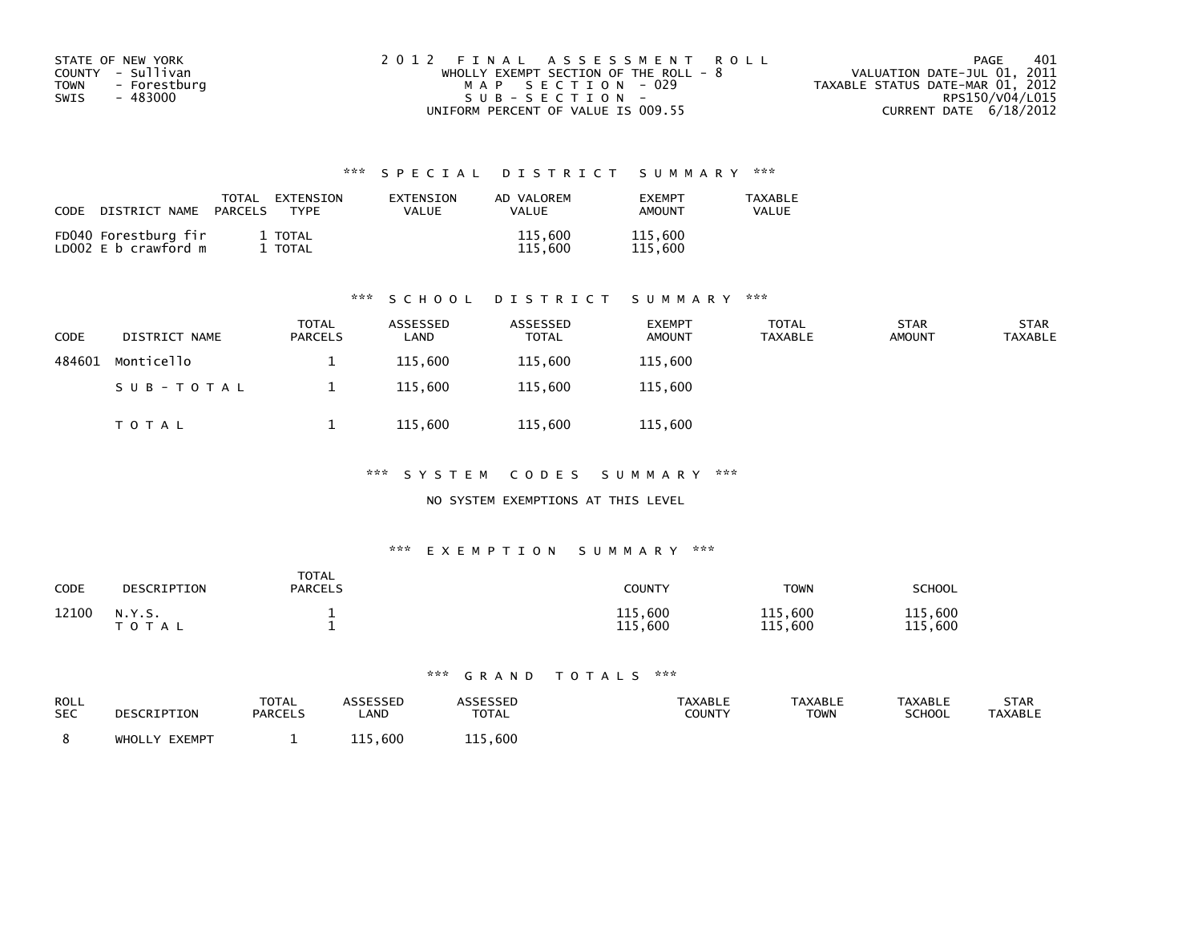| STATE OF NEW YORK           | 2012 FINAL ASSESSMENT ROLL            | 401<br>PAGE                      |
|-----------------------------|---------------------------------------|----------------------------------|
| COUNTY - Sullivan           | WHOLLY EXEMPT SECTION OF THE ROLL - 8 | VALUATION DATE-JUL 01, 2011      |
| <b>TOWN</b><br>- Forestburg | MAP SECTION - 029                     | TAXABLE STATUS DATE-MAR 01, 2012 |
| SWIS<br>- 483000            | SUB-SECTION-                          | RPS150/V04/L015                  |
|                             | UNIFORM PERCENT OF VALUE IS 009.55    | CURRENT DATE 6/18/2012           |

| CODE<br>DISTRICT NAME                        | <b>TOTAL</b><br>EXTENSION<br>PARCELS<br>TYPF | EXTENSION<br>VALUE | AD VALOREM<br>VALUE | <b>FXFMPT</b><br><b>AMOUNT</b> | <b>TAXABLE</b><br>VALUE |
|----------------------------------------------|----------------------------------------------|--------------------|---------------------|--------------------------------|-------------------------|
| FD040 Forestburg fir<br>LD002 E b crawford m | 1 TOTAL<br>TOTAL                             |                    | 115,600<br>115,600  | 115,600<br>115,600             |                         |

### \*\*\* S C H O O L D I S T R I C T S U M M A R Y \*\*\*

| <b>CODE</b> | DISTRICT NAME | <b>TOTAL</b><br><b>PARCELS</b> | ASSESSED<br>LAND | ASSESSED<br>TOTAL | <b>EXEMPT</b><br><b>AMOUNT</b> | <b>TOTAL</b><br>TAXABLE | <b>STAR</b><br><b>AMOUNT</b> | <b>STAR</b><br>TAXABLE |
|-------------|---------------|--------------------------------|------------------|-------------------|--------------------------------|-------------------------|------------------------------|------------------------|
| 484601      | Monticello    |                                | 115,600          | 115.600           | 115,600                        |                         |                              |                        |
|             | SUB-TOTAL     |                                | 115,600          | 115,600           | 115,600                        |                         |                              |                        |
|             | TOTAL         |                                | 115,600          | 115,600           | 115,600                        |                         |                              |                        |

\*\*\* S Y S T E M C O D E S S U M M A R Y \*\*\*

### NO SYSTEM EXEMPTIONS AT THIS LEVEL

### \*\*\* E X E M P T I O N S U M M A R Y \*\*\*

| CODE  | DESCRIPTION         | <b>TOTAL</b><br><b>PARCELS</b> | COUNTY                 | <b>TOWN</b>        | <b>SCHOOL</b>      |
|-------|---------------------|--------------------------------|------------------------|--------------------|--------------------|
| 12100 | N.Y.S.<br>T O T A L |                                | 115,600<br>.600<br>115 | 115,600<br>115,600 | 115,600<br>115,600 |

| ROLL<br><b>SEC</b> | DESCRIPTION   | <b>TOTAL</b><br><b>PARCELS</b> | <b>_AND</b>          | <b>SESSED</b><br><b>TOTAL</b> | TAXABLE<br>COUNTY | <b>TAXABLE</b><br>TOWN | <b>TAXABLE</b><br><b>SCHOOL</b> | <b>STAR</b><br><b>TAXABLE</b> |
|--------------------|---------------|--------------------------------|----------------------|-------------------------------|-------------------|------------------------|---------------------------------|-------------------------------|
|                    | WHOLLY EXEMPT |                                | 600,<br>11 E L<br>ᅩᅩ | 115,600                       |                   |                        |                                 |                               |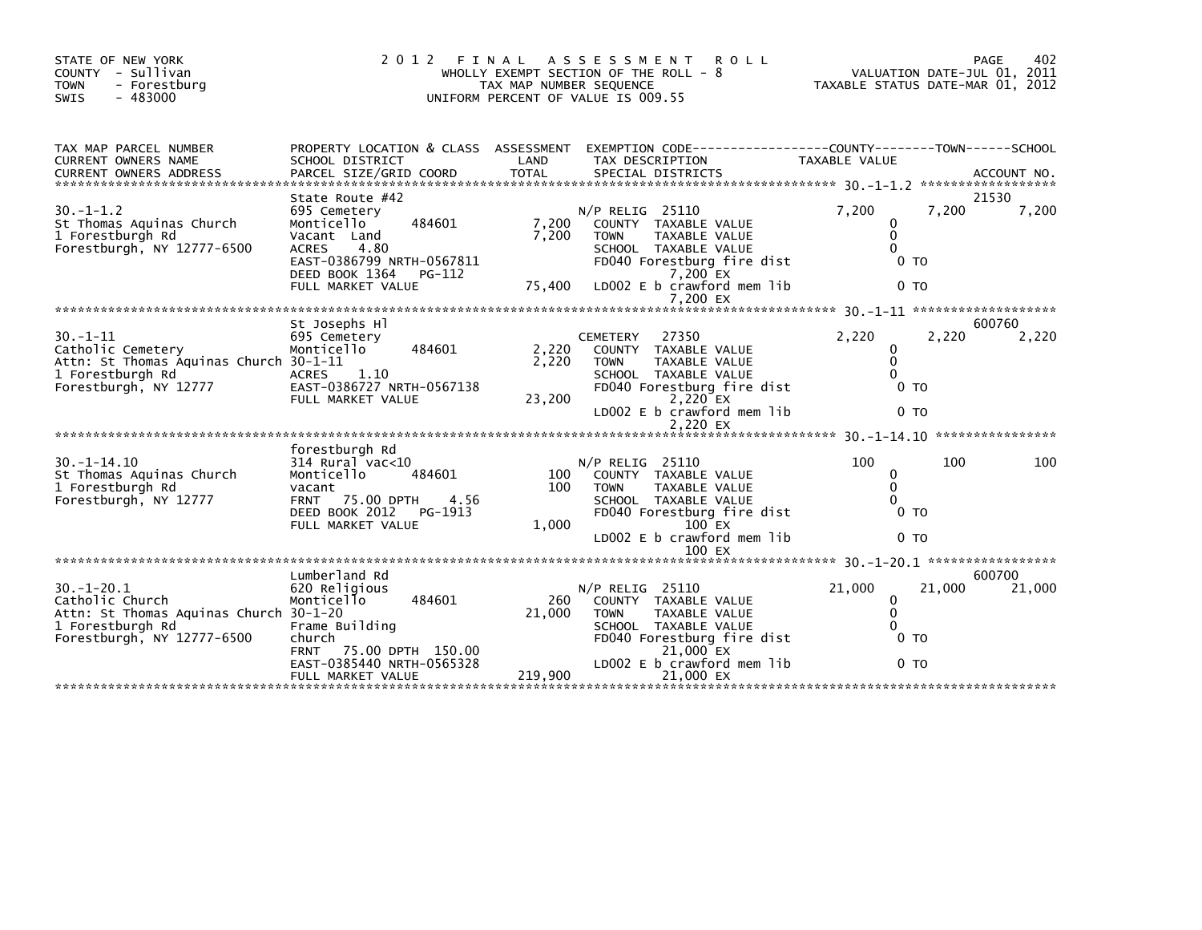| STATE OF NEW YORK<br>COUNTY - Sullivan<br>- Forestburg<br><b>TOWN</b><br>$-483000$<br><b>SWIS</b>                               | 2 0 1 2                                                                                                                                                                      | FINAL<br>TAX MAP NUMBER SEQUENCE | ASSESSMENT<br><b>ROLL</b><br>WHOLLY EXEMPT SECTION OF THE ROLL - 8<br>UNIFORM PERCENT OF VALUE IS 009.55                                                                                       | TAXABLE STATUS DATE-MAR 01, 2012                                    |        | PAGE<br>402<br>VALUATION DATE-JUL 01, 2011 |
|---------------------------------------------------------------------------------------------------------------------------------|------------------------------------------------------------------------------------------------------------------------------------------------------------------------------|----------------------------------|------------------------------------------------------------------------------------------------------------------------------------------------------------------------------------------------|---------------------------------------------------------------------|--------|--------------------------------------------|
| TAX MAP PARCEL NUMBER<br>CURRENT OWNERS NAME                                                                                    | PROPERTY LOCATION & CLASS ASSESSMENT<br>SCHOOL DISTRICT                                                                                                                      | LAND                             | EXEMPTION CODE-----------------COUNTY-------TOWN------SCHOOL<br>TAX DESCRIPTION                                                                                                                | <b>TAXABLE VALUE</b>                                                |        | ACCOUNT NO.<br>******************          |
| $30. -1 - 1.2$<br>St Thomas Aquinas Church<br>1 Forestburgh Rd<br>Forestburgh, NY 12777-6500                                    | State Route #42<br>695 Cemetery<br>484601<br>Monticello<br>Vacant Land<br>4.80<br><b>ACRES</b><br>EAST-0386799 NRTH-0567811<br>DEED BOOK 1364<br>PG-112<br>FULL MARKET VALUE | 7,200<br>7,200<br>75,400         | $N/P$ RELIG 25110<br>COUNTY TAXABLE VALUE<br><b>TAXABLE VALUE</b><br><b>TOWN</b><br>SCHOOL TAXABLE VALUE<br>FD040 Forestburg fire dist<br>7.200 EX<br>LD002 E b crawford mem lib<br>7.200 EX   | 7,200<br>0<br>$\mathbf{0}$<br>0<br>0 <sub>T</sub><br>0 <sub>T</sub> | 7,200  | 21530<br>7,200                             |
|                                                                                                                                 |                                                                                                                                                                              |                                  |                                                                                                                                                                                                |                                                                     |        |                                            |
| $30. -1 - 11$<br>Catholic Cemetery<br>Attn: St Thomas Aquinas Church 30-1-11<br>1 Forestburgh Rd<br>Forestburgh, NY 12777       | St Josephs Hl<br>695 Cemetery<br>484601<br>Monticello<br>1.10<br><b>ACRES</b><br>EAST-0386727 NRTH-0567138<br>FULL MARKET VALUE                                              | 2,220<br>2,220<br>23,200         | 27350<br><b>CEMETERY</b><br>COUNTY TAXABLE VALUE<br>TAXABLE VALUE<br><b>TOWN</b><br>SCHOOL TAXABLE VALUE<br>FD040 Forestburg fire dist<br>2,220 EX<br>LD002 E b crawford mem lib<br>2.220 EX   | 2,220<br>$\Omega$<br>$\mathbf{0}$<br>0 TO<br>0 <sub>T</sub>         | 2,220  | 600760<br>2,220                            |
|                                                                                                                                 |                                                                                                                                                                              |                                  |                                                                                                                                                                                                |                                                                     |        |                                            |
| $30. -1 - 14.10$<br>St Thomas Aquinas Church<br>1 Forestburgh Rd<br>Forestburgh, NY 12777                                       | forestburgh Rd<br>$314$ Rural vac<10<br>Monticello<br>484601<br>vacant<br>75.00 DPTH<br>4.56<br><b>FRNT</b><br>DEED BOOK 2012<br>PG-1913<br>FULL MARKET VALUE                | 100<br>100<br>1.000              | $N/P$ RELIG 25110<br>COUNTY TAXABLE VALUE<br><b>TOWN</b><br>TAXABLE VALUE<br>SCHOOL TAXABLE VALUE<br>FD040 Forestburg fire dist<br>100 EX<br>LD002 E b crawford mem lib<br>100 EX              | 100<br>0<br>$\mathbf{0}$<br>$\Omega$<br>0 <sub>T</sub><br>0 то      | 100    | 100                                        |
|                                                                                                                                 |                                                                                                                                                                              |                                  |                                                                                                                                                                                                |                                                                     |        |                                            |
| $30. - 1 - 20.1$<br>Catholic Church<br>Attn: St Thomas Aquinas Church 30-1-20<br>1 Forestburgh Rd<br>Forestburgh, NY 12777-6500 | Lumberland Rd<br>620 Religious<br>Monticello<br>484601<br>Frame Building<br>church<br><b>FRNT</b><br>75.00 DPTH 150.00<br>EAST-0385440 NRTH-0565328<br>FULL MARKET VALUE     | 260<br>21,000<br>219,900         | $N/P$ RELIG 25110<br>COUNTY TAXABLE VALUE<br><b>TAXABLE VALUE</b><br><b>TOWN</b><br>SCHOOL TAXABLE VALUE<br>FD040 Forestburg fire dist<br>21,000 EX<br>LD002 E b crawford mem lib<br>21,000 EX | 21,000<br>0<br>$\mathbf{0}$<br>$\Omega$<br>0 TO<br>0 то             | 21,000 | 600700<br>21,000                           |
|                                                                                                                                 |                                                                                                                                                                              |                                  |                                                                                                                                                                                                |                                                                     |        |                                            |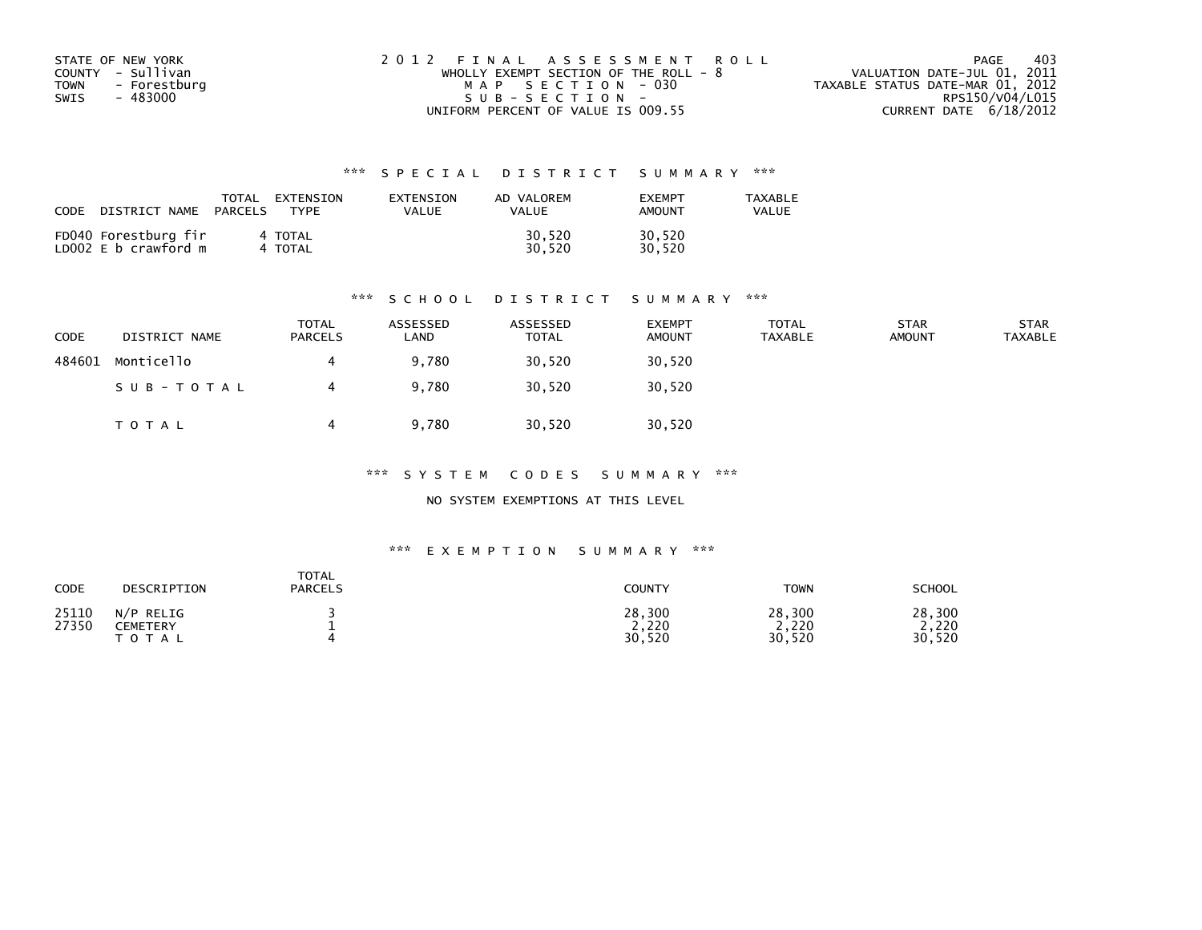| STATE OF NEW YORK    | 2012 FINAL ASSESSMENT ROLL              | 403<br>PAGE                      |
|----------------------|-----------------------------------------|----------------------------------|
| COUNTY - Sullivan    | WHOLLY EXEMPT SECTION OF THE ROLL - $8$ | VALUATION DATE-JUL 01, 2011      |
| TOWN<br>- Forestburg | MAP SECTION - 030                       | TAXABLE STATUS DATE-MAR 01, 2012 |
| - 483000<br>SWIS     | $SUB - SECTION -$                       | RPS150/V04/L015                  |
|                      | UNIFORM PERCENT OF VALUE IS 009.55      | CURRENT DATE $6/18/2012$         |

| CODE<br>DISTRICT NAME                        | TOTAL<br>EXTENSION<br>TYPF<br>PARCELS | EXTENSION<br>VALUE | AD VALOREM<br><b>VALUE</b> | <b>FXFMPT</b><br>AMOUNT | <b>TAXABLE</b><br>VALUE |
|----------------------------------------------|---------------------------------------|--------------------|----------------------------|-------------------------|-------------------------|
| FD040 Forestburg fir<br>LD002 E b crawford m | 4 TOTAL<br>4 TOTAL                    |                    | 30,520<br>30.520           | 30,520<br>30.520        |                         |

### \*\*\* S C H O O L D I S T R I C T S U M M A R Y \*\*\*

| <b>CODE</b> | DISTRICT NAME | TOTAL<br><b>PARCELS</b> | ASSESSED<br>LAND | ASSESSED<br><b>TOTAL</b> | <b>EXEMPT</b><br><b>AMOUNT</b> | <b>TOTAL</b><br><b>TAXABLE</b> | <b>STAR</b><br><b>AMOUNT</b> | <b>STAR</b><br><b>TAXABLE</b> |
|-------------|---------------|-------------------------|------------------|--------------------------|--------------------------------|--------------------------------|------------------------------|-------------------------------|
| 484601      | Monticello    |                         | 9,780            | 30,520                   | 30,520                         |                                |                              |                               |
|             | SUB-TOTAL     |                         | 9.780            | 30,520                   | 30,520                         |                                |                              |                               |
|             | <b>TOTAL</b>  |                         | 9.780            | 30,520                   | 30,520                         |                                |                              |                               |

\*\*\* S Y S T E M C O D E S S U M M A R Y \*\*\*

NO SYSTEM EXEMPTIONS AT THIS LEVEL

| CODE           | DESCRIPTION                                      | <b>TOTAL</b><br><b>PARCELS</b> | COUNTY                    | <b>TOWN</b>               | SCHOOL                        |
|----------------|--------------------------------------------------|--------------------------------|---------------------------|---------------------------|-------------------------------|
| 25110<br>27350 | N/P<br>RELIG<br><b>CEMETERY</b><br>тот.<br>־ A ∟ |                                | 28,300<br>2,220<br>30,520 | 28,300<br>2,220<br>30,520 | 28,300<br>,220<br>.520<br>30. |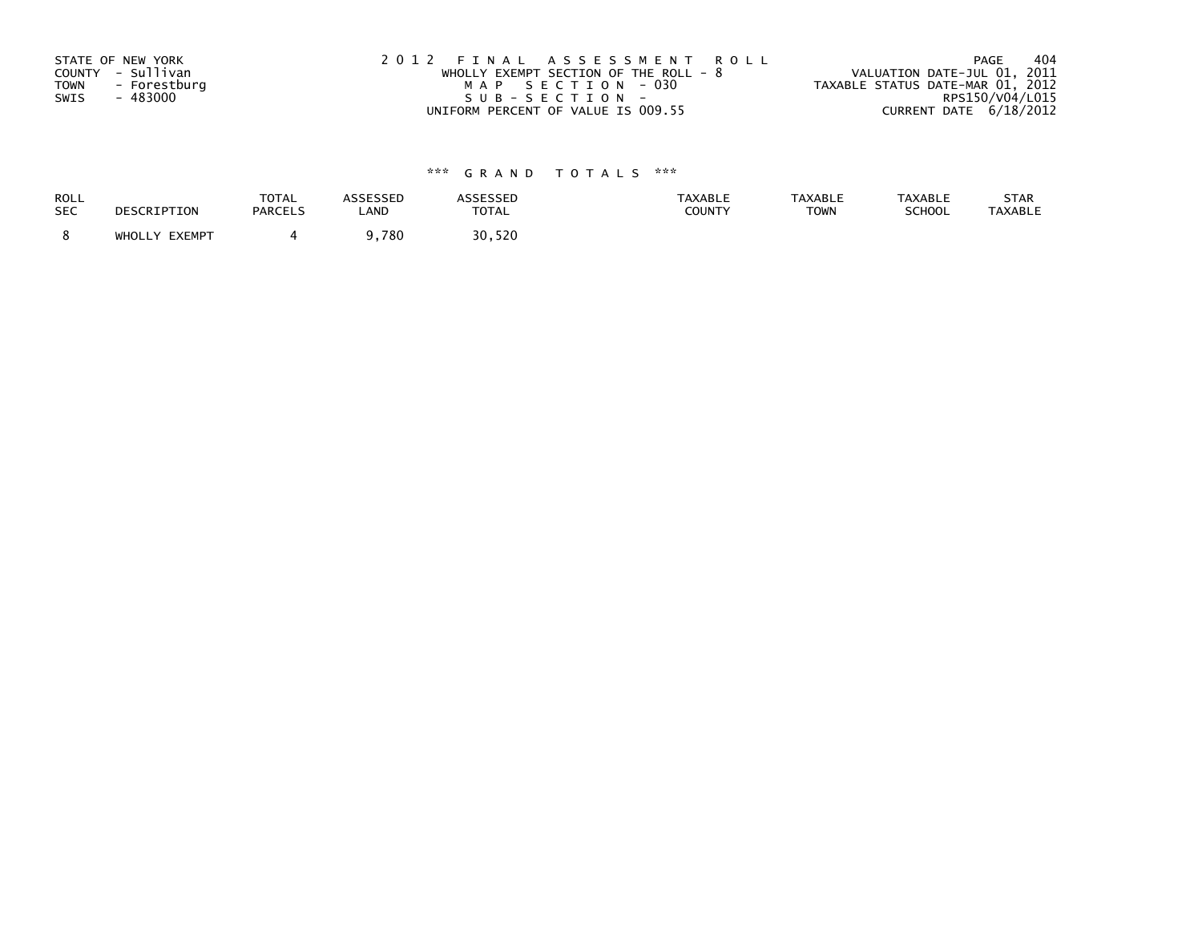| STATE OF NEW YORK           | 2012 FINAL ASSESSMENT ROLL              | 404<br>PAGE                      |
|-----------------------------|-----------------------------------------|----------------------------------|
| COUNTY - Sullivan           | WHOLLY EXEMPT SECTION OF THE ROLL - $8$ | VALUATION DATE-JUL 01, 2011      |
| <b>TOWN</b><br>- Forestburg | MAP SECTION - 030                       | TAXABLE STATUS DATE-MAR 01, 2012 |
| SWIS<br>- 483000            | SUB-SECTION-                            | RPS150/V04/L015                  |
|                             | UNIFORM PERCENT OF VALUE IS 009.55      | CURRENT DATE 6/18/2012           |

| <b>ROLL</b> | DESCRIPTION   | <b>TOTAL</b>   | <b>ASSESSED</b> | <b>ASSESSED</b> | <b>TAXABLE</b> | <b>TAXABLE</b> | <b>TAXABLE</b> | STAR           |
|-------------|---------------|----------------|-----------------|-----------------|----------------|----------------|----------------|----------------|
| <b>SEC</b>  |               | <b>PARCELS</b> | LAND            | <b>TOTAL</b>    | <b>COUNTY</b>  | <b>TOWN</b>    | <b>SCHOOL</b>  | <b>TAXABLE</b> |
|             | WHOLLY EXEMPT |                | ,780            | 30,520          |                |                |                |                |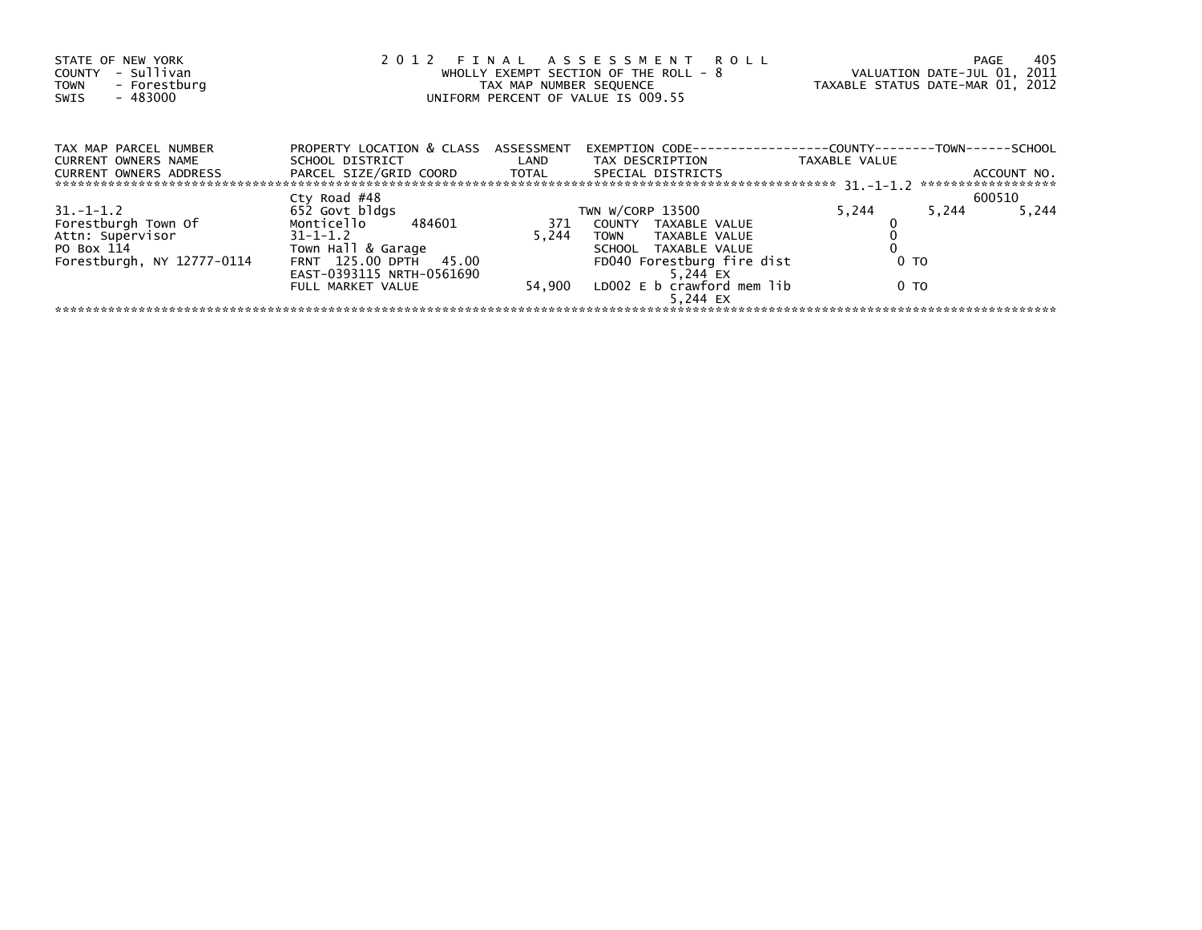| STATE OF NEW YORK<br>- Sullivan<br>COUNTY<br>- Forestburg<br><b>TOWN</b><br>$-483000$<br>SWIS | 2012 FINAL ASSESSMENT ROLL<br>WHOLLY EXEMPT SECTION OF THE ROLL - 8<br>TAX MAP NUMBER SEQUENCE<br>UNIFORM PERCENT OF VALUE IS 009.55 |       |                                                                    |       | 405<br>PAGE<br>VALUATION DATE-JUL 01, 2011<br>TAXABLE STATUS DATE-MAR 01, 2012 |
|-----------------------------------------------------------------------------------------------|--------------------------------------------------------------------------------------------------------------------------------------|-------|--------------------------------------------------------------------|-------|--------------------------------------------------------------------------------|
| TAX MAP PARCEL NUMBER<br><b>CURRENT OWNERS NAME</b><br>CURRENT OWNERS ADDRESS                 | PROPERTY LOCATION & CLASS ASSESSMENT<br>SCHOOL DISTRICT<br>PARCEL SIZE/GRID COORD TOTAL SPECIAL DISTRICTS                            |       |                                                                    |       | ACCOUNT NO.                                                                    |
|                                                                                               |                                                                                                                                      |       |                                                                    |       | ******************                                                             |
| $31. -1 - 1.2$<br>Forestburgh Town Of<br>Attn: Supervisor                                     | Cty Road #48<br>652 Govt bldgs<br>Monticello 484601<br>$31 - 1 - 1.2$                                                                | 5.244 | TWN W/CORP 13500<br>371 COUNTY TAXABLE VALUE<br>TOWN TAXABLE VALUE | 5,244 | 600510<br>5,244<br>5,244                                                       |
| PO Box 114<br>Forestburgh, NY 12777-0114                                                      | Town Hall & Garage<br>FRNT 125.00 DPTH 45.00<br>EAST-0393115 NRTH-0561690                                                            |       | SCHOOL TAXABLE VALUE<br>FD040 Forestburg fire dist<br>5.244 EX     | 0 TO  |                                                                                |
|                                                                                               | FULL MARKET VALUE                                                                                                                    |       | 54,900 LD002 E b crawford mem lib<br>5.244 EX                      | 0 TO  |                                                                                |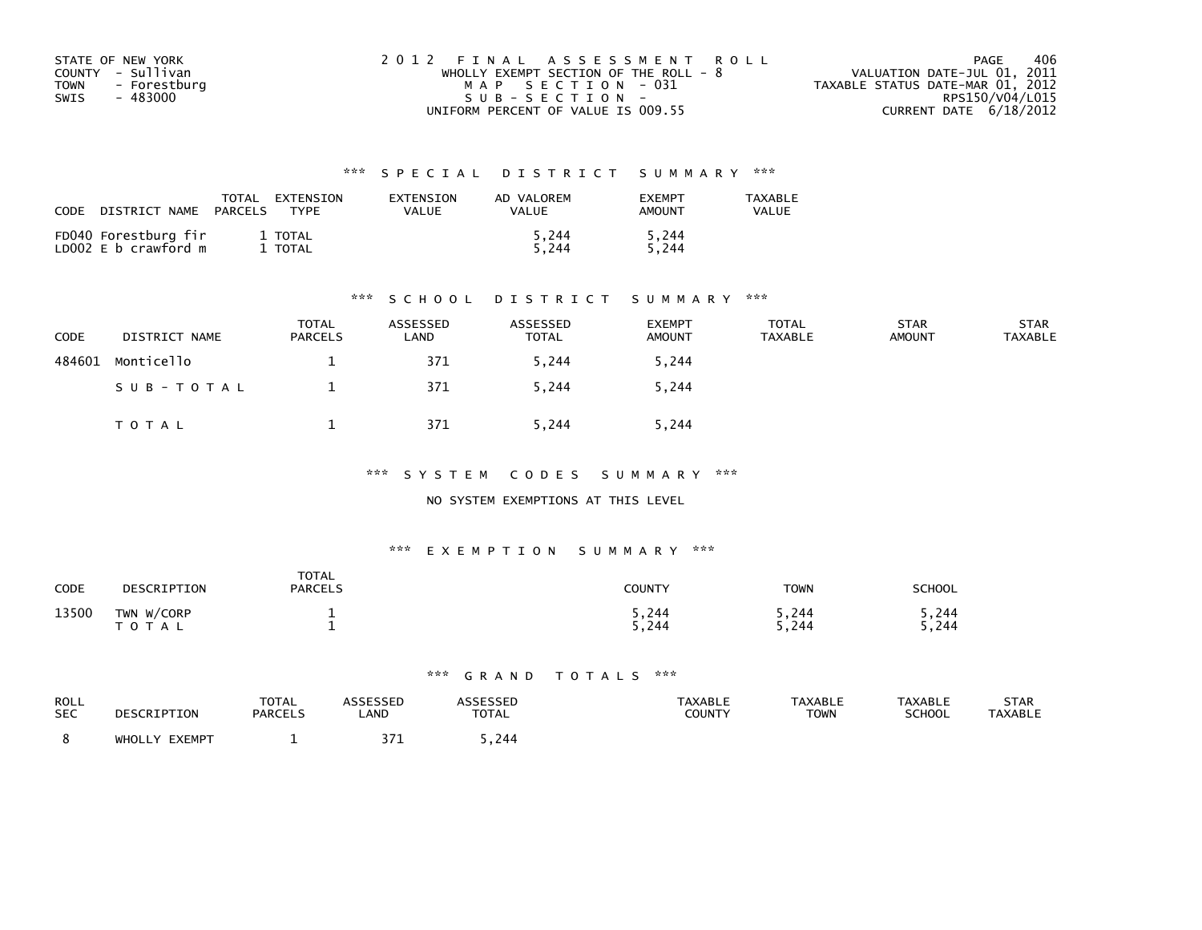| STATE OF NEW YORK    | 2012 FINAL ASSESSMENT ROLL              | 406<br>PAGE                      |
|----------------------|-----------------------------------------|----------------------------------|
| COUNTY - Sullivan    | WHOLLY EXEMPT SECTION OF THE ROLL - $8$ | VALUATION DATE-JUL 01, 2011      |
| TOWN<br>- Forestburg | MAP SECTION - 031                       | TAXABLE STATUS DATE-MAR 01, 2012 |
| - 483000<br>SWIS     | $SUB - SECTION -$                       | RPS150/V04/L015                  |
|                      | UNIFORM PERCENT OF VALUE IS 009.55      | CURRENT DATE $6/18/2012$         |

| CODE<br>DISTRICT NAME                        | TOTAL<br>EXTENSION<br><b>TYPF</b><br>PARCELS | EXTENSION<br>VALUE | AD VALOREM<br>VALUE | <b>FXFMPT</b><br>AMOUNT | <b>TAXABLE</b><br>VALUE |
|----------------------------------------------|----------------------------------------------|--------------------|---------------------|-------------------------|-------------------------|
| FD040 Forestburg fir<br>LD002 E b crawford m | 1 TOTAL<br>TOTAL                             |                    | 5.244<br>5.244      | 5.244<br>5.244          |                         |

### \*\*\* S C H O O L D I S T R I C T S U M M A R Y \*\*\*

| CODE   | DISTRICT NAME | <b>TOTAL</b><br><b>PARCELS</b> | ASSESSED<br>LAND | ASSESSED<br><b>TOTAL</b> | <b>EXEMPT</b><br><b>AMOUNT</b> | <b>TOTAL</b><br>TAXABLE | <b>STAR</b><br><b>AMOUNT</b> | <b>STAR</b><br><b>TAXABLE</b> |
|--------|---------------|--------------------------------|------------------|--------------------------|--------------------------------|-------------------------|------------------------------|-------------------------------|
| 484601 | Monticello    |                                | 371              | 5,244                    | 5,244                          |                         |                              |                               |
|        | SUB-TOTAL     |                                | 371              | 5,244                    | 5,244                          |                         |                              |                               |
|        | TOTAL         |                                | 371              | 5,244                    | 5,244                          |                         |                              |                               |

\*\*\* S Y S T E M C O D E S S U M M A R Y \*\*\*

NO SYSTEM EXEMPTIONS AT THIS LEVEL

### \*\*\* E X E M P T I O N S U M M A R Y \*\*\*

| CODE  | DESCRIPTION                | <b>TOTAL</b><br><b>PARCELS</b> | COUNTY         | <b>TOWN</b>    | <b>SCHOOL</b>   |
|-------|----------------------------|--------------------------------|----------------|----------------|-----------------|
| 13500 | TWN W/CORP<br><b>TOTAL</b> |                                | 5,244<br>5,244 | 5,244<br>5,244 | 5,244<br>244. د |

| ROLL       | DESCRIPTION   | <b>TOTAL</b>   | <b>ASSESSED</b> | ASSESSED | <b>TAXABLE</b> | <b>TAXABLE</b> | <b>TAXABLE</b> | <b>STAR</b>    |
|------------|---------------|----------------|-----------------|----------|----------------|----------------|----------------|----------------|
| <b>SEC</b> |               | <b>PARCELS</b> | LAND            | TOTAL    | COUNTY         | TOWN           | <b>SCHOOL</b>  | <b>TAXABLE</b> |
|            | WHOLLY EXEMPT |                |                 | .244     |                |                |                |                |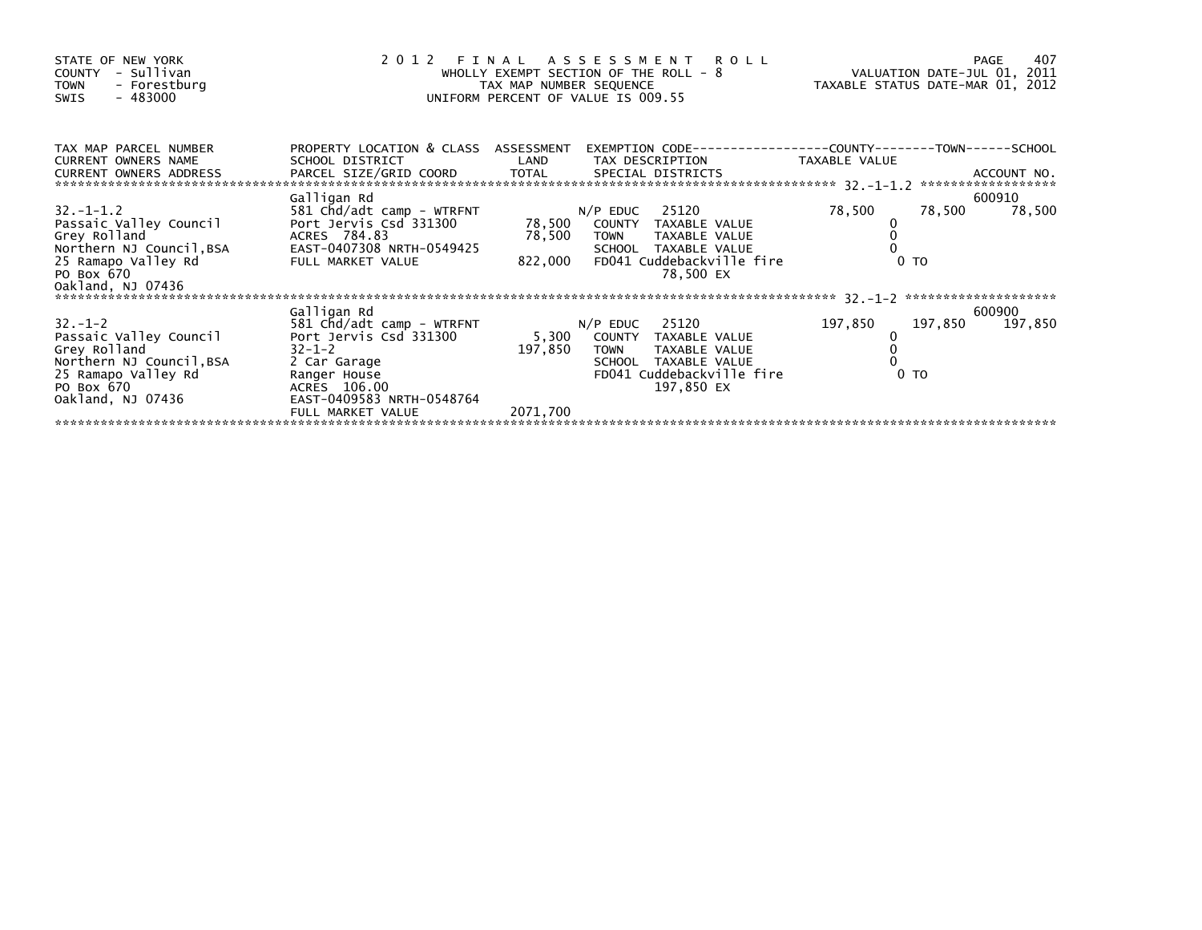| STATE OF NEW YORK<br>- Sullivan<br>COUNTY<br>- Forestburg<br><b>TOWN</b><br>- 483000<br>SWIS                                                 | 2 0 1 2<br>ASSESSMENT ROLL<br>FINAL<br>WHOLLY EXEMPT SECTION OF THE ROLL - 8<br>TAX MAP NUMBER SEQUENCE<br>UNIFORM PERCENT OF VALUE IS 009.55    |                             |                                 |                                                                                                                   |               |                           | 407<br>PAGE<br>VALUATION DATE-JUL 01, 2011<br>TAXABLE STATUS DATE-MAR 01, 2012 |
|----------------------------------------------------------------------------------------------------------------------------------------------|--------------------------------------------------------------------------------------------------------------------------------------------------|-----------------------------|---------------------------------|-------------------------------------------------------------------------------------------------------------------|---------------|---------------------------|--------------------------------------------------------------------------------|
| TAX MAP PARCEL NUMBER<br>CURRENT OWNERS NAME<br><b>CURRENT OWNERS ADDRESS</b>                                                                | PROPERTY LOCATION & CLASS ASSESSMENT<br>SCHOOL DISTRICT<br>PARCEL SIZE/GRID COORD                                                                | LAND<br>TOTAL               |                                 | TAX DESCRIPTION<br>SPECIAL DISTRICTS                                                                              | TAXABLE VALUE |                           | ACCOUNT NO.                                                                    |
|                                                                                                                                              | Galligan Rd                                                                                                                                      |                             |                                 |                                                                                                                   |               |                           | 600910                                                                         |
| $32. - 1 - 1.2$<br>Passaic Valley Council<br>Grey Rolland<br>Northern NJ Council, BSA<br>25 Ramapo Valley Rd<br>PO Box 670                   | 581 Chd/adt camp - WTRFNT<br>Port Jervis Csd 331300<br>ACRES 784.83<br>EAST-0407308 NRTH-0549425<br>FULL MARKET VALUE                            | 78,500<br>78,500<br>822,000 | $N/P$ EDUC 25120<br><b>TOWN</b> | COUNTY TAXABLE VALUE<br>TAXABLE VALUE<br>SCHOOL TAXABLE VALUE<br>FD041 Cuddebackville fire<br>78,500 EX           | 78,500        | 78,500<br>0 <sub>T</sub>  | 78,500                                                                         |
| Oakland, NJ 07436                                                                                                                            |                                                                                                                                                  |                             |                                 |                                                                                                                   |               |                           |                                                                                |
|                                                                                                                                              | Galligan Rd                                                                                                                                      |                             |                                 |                                                                                                                   |               |                           | 600900                                                                         |
| $32 - 1 - 2$<br>Passaic Valley Council<br>Grey Rolland<br>Northern NJ Council, BSA<br>25 Ramapo Valley Rd<br>PO Box 670<br>Oakland, NJ 07436 | 581 Chd/adt camp - WTRFNT<br>Port Jervis Csd 331300<br>$32 - 1 - 2$<br>2 Car Garage<br>Ranger House<br>ACRES 106.00<br>EAST-0409583 NRTH-0548764 | 5,300<br>197,850            | N/P EDUC<br><b>TOWN</b>         | 25120<br>COUNTY TAXABLE VALUE<br>TAXABLE VALUE<br>SCHOOL TAXABLE VALUE<br>FD041 Cuddebackville fire<br>197,850 EX | 197,850       | 197,850<br>0 <sub>T</sub> | 197,850                                                                        |
|                                                                                                                                              | FULL MARKET VALUE                                                                                                                                | 2071,700                    |                                 |                                                                                                                   |               |                           |                                                                                |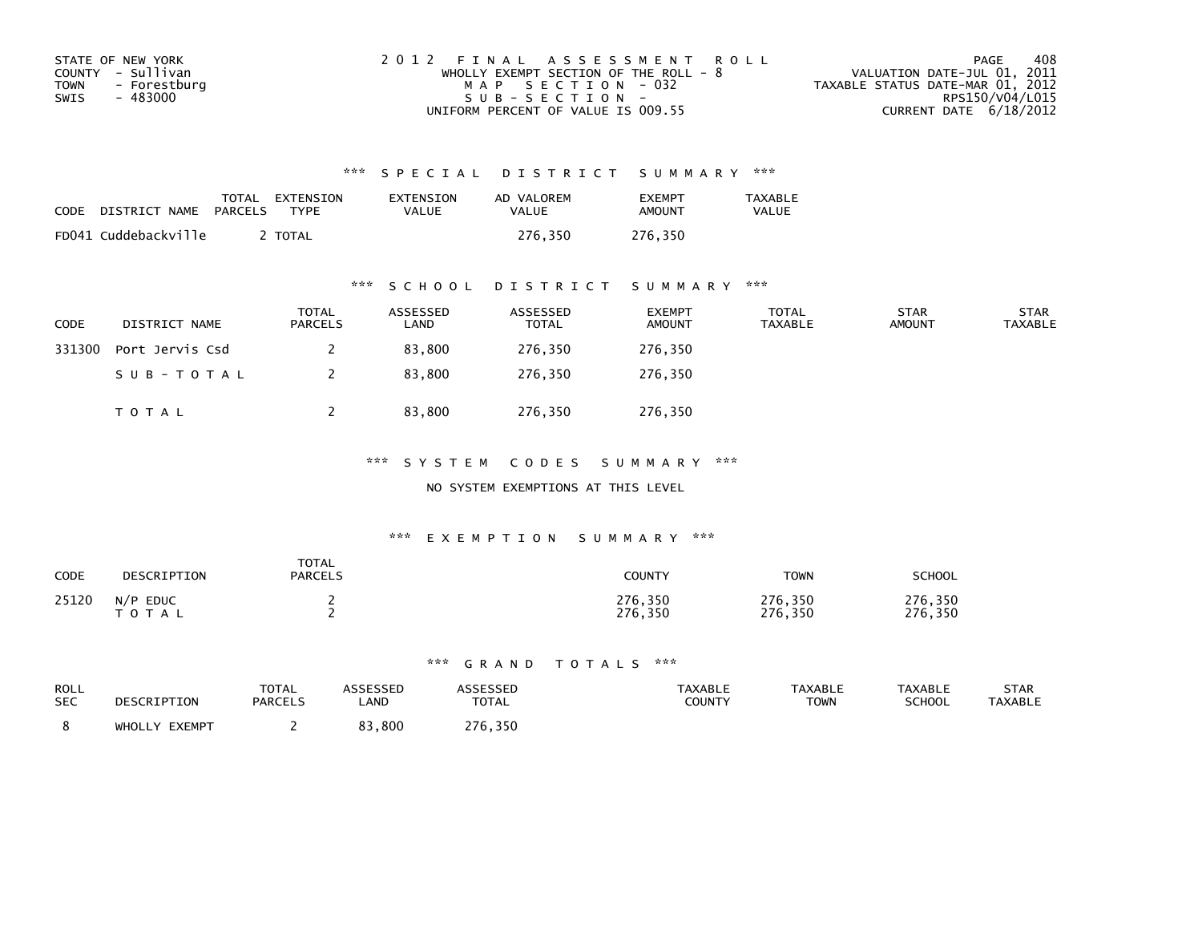| STATE OF NEW YORK    | 2012 FINAL ASSESSMENT ROLL              | 408<br>PAGE                      |
|----------------------|-----------------------------------------|----------------------------------|
| COUNTY - Sullivan    | WHOLLY EXEMPT SECTION OF THE ROLL - $8$ | VALUATION DATE-JUL 01, 2011      |
| TOWN<br>- Forestburg | MAP SECTION - 032                       | TAXABLE STATUS DATE-MAR 01, 2012 |
| - 483000<br>SWIS     | $SUB - SECTION -$                       | RPS150/V04/L015                  |
|                      | UNIFORM PERCENT OF VALUE IS 009.55      | CURRENT DATE $6/18/2012$         |

| CODE | DISTRICT NAME        | TOTAL<br>PARCELS | EXTENSION<br><b>TYPF</b> | EXTENSION<br>VALUE | AD VALOREM<br>VALUE | <b>FXFMPT</b><br>AMOUNT | <b>TAXABLE</b><br>VALUE |
|------|----------------------|------------------|--------------------------|--------------------|---------------------|-------------------------|-------------------------|
|      | FD041 Cuddebackville |                  | <b>TOTAL</b>             |                    | 276.350             | 276,350                 |                         |

### \*\*\* S C H O O L D I S T R I C T S U M M A R Y \*\*\*

| CODE   | DISTRICT NAME   | <b>TOTAL</b><br><b>PARCELS</b> | ASSESSED<br>LAND | ASSESSED<br><b>TOTAL</b> | <b>EXEMPT</b><br><b>AMOUNT</b> | <b>TOTAL</b><br><b>TAXABLE</b> | <b>STAR</b><br><b>AMOUNT</b> | <b>STAR</b><br><b>TAXABLE</b> |
|--------|-----------------|--------------------------------|------------------|--------------------------|--------------------------------|--------------------------------|------------------------------|-------------------------------|
| 331300 | Port Jervis Csd |                                | 83,800           | 276,350                  | 276,350                        |                                |                              |                               |
|        | SUB-TOTAL       |                                | 83,800           | 276.350                  | 276,350                        |                                |                              |                               |
|        | <b>TOTAL</b>    |                                | 83,800           | 276,350                  | 276,350                        |                                |                              |                               |

\*\*\* S Y S T E M C O D E S S U M M A R Y \*\*\*

NO SYSTEM EXEMPTIONS AT THIS LEVEL

### \*\*\* E X E M P T I O N S U M M A R Y \*\*\*

| <b>CODE</b> | DESCRIPTION                     | <b>TOTAL</b><br><b>PARCELS</b> | COUNTY             | <b>TOWN</b>        | SCHOOL             |
|-------------|---------------------------------|--------------------------------|--------------------|--------------------|--------------------|
| 25120       | <b>EDUC</b><br>N/P<br>T O T A L |                                | 276,350<br>276,350 | 276,350<br>276,350 | 276,350<br>276,350 |

| ROLL<br><b>SEC</b> | DESCRIPTION      | <b>TOTAL</b><br><b>PARCELS</b> | ASSESSED<br>_AND | <b>ASSESSED</b><br>TOTAL | <b>TAXABLE</b><br>COUNTY | <b>TAXABLE</b><br><b>TOWN</b> | <b>TAXABLE</b><br><b>SCHOOL</b> | <b>STAR</b><br><b>TAXABLE</b> |
|--------------------|------------------|--------------------------------|------------------|--------------------------|--------------------------|-------------------------------|---------------------------------|-------------------------------|
|                    | EXEMPT<br>WHOLLY |                                | 83,800           | 276,350                  |                          |                               |                                 |                               |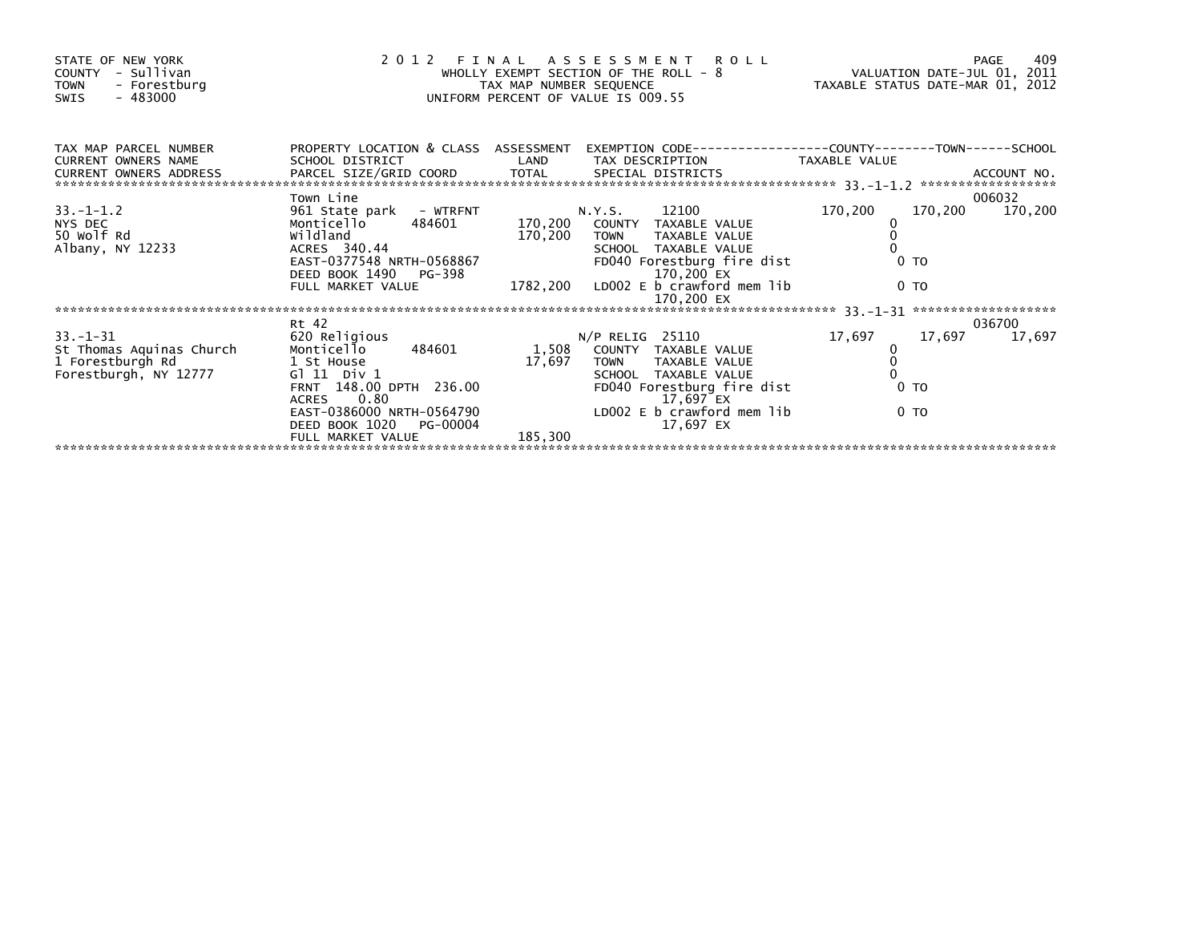| STATE OF NEW YORK<br>- Sullivan<br>COUNTY<br><b>TOWN</b><br>- Forestburg<br>$-483000$<br>SWIS | 2012                                                                                                                                                                                                                                                                                                            | FINAL ASSESSMENI KULL<br>WHOLLY EXEMPT SECTION OF THE ROLL - 8<br>TAXABLE STATUS DATE-MAR 01, 2012<br>UNIFORM PERCENT OF VALUE IS 009.55 |                                                                                                                                                                                                                                                                                                                         |                                                      |                           |  |
|-----------------------------------------------------------------------------------------------|-----------------------------------------------------------------------------------------------------------------------------------------------------------------------------------------------------------------------------------------------------------------------------------------------------------------|------------------------------------------------------------------------------------------------------------------------------------------|-------------------------------------------------------------------------------------------------------------------------------------------------------------------------------------------------------------------------------------------------------------------------------------------------------------------------|------------------------------------------------------|---------------------------|--|
| TAX MAP PARCEL NUMBER<br><b>CURRENT OWNERS NAME</b>                                           | SCHOOL DISTRICT                                                                                                                                                                                                                                                                                                 |                                                                                                                                          | PROPERTY LOCATION & CLASS ASSESSMENT EXEMPTION CODE----------------COUNTY-------TOWN------SCHOOL<br>LAND TAX DESCRIPTION TAXABLE VALUE                                                                                                                                                                                  |                                                      |                           |  |
| $33. - 1 - 1.2$<br>NYS DEC<br>50 Wolf Rd<br>Albany, NY 12233                                  | Town Line<br>961 State park - WTRFNT<br>Monticello 484601<br>wildland<br>ACRES 340.44                                                                                                                                                                                                                           | 170,200                                                                                                                                  | N.Y.S. 12100<br>170,200 COUNTY TAXABLE VALUE<br><b>TOWN</b><br>TAXABLE VALUE<br>SCHOOL TAXABLE VALUE<br>ACRES 340.44 SCHOOL TAXABLE VALUE<br>EAST-0377548 NRTH-0568867 FD040 Forestburg fire dist<br>DEED BOOK 1490 PG-398 1782,200 LD002 E b_crawford mem lib<br>FULL MARKET VALUE 1782,200 LD002 E b_crawford mem lib | 170,200<br>0 <sub>T</sub><br>0 <sub>T</sub>          | 006032<br>170,200 170,200 |  |
|                                                                                               |                                                                                                                                                                                                                                                                                                                 |                                                                                                                                          |                                                                                                                                                                                                                                                                                                                         |                                                      |                           |  |
| $33 - 1 - 31$<br>St Thomas Aquinas Church<br>1 Forestburgh Rd<br>Forestburgh, NY 12777        | Rt 42<br>620 Religious<br>Monticello 484601<br>1 St House that the state of the state of the state of the state of the state of the state of the state of the<br>G1 11 Div 1<br>FRNT 148.00 DPTH 236.00<br>0.80<br><b>ACRES</b><br>EAST-0386000 NRTH-0564790<br>DEED BOOK 1020<br>PG-00004<br>FULL MARKET VALUE | 1,508<br>17,697<br>185,300                                                                                                               | $N/P$ RELIG 25110<br>COUNTY TAXABLE VALUE<br>TOWN TAXABLE VALUE<br>SCHOOL TAXABLE VALUE<br>FD040 Forestburg fire dist<br>17,697 EX<br>LD002 E b crawford mem lib<br>17,697 EX                                                                                                                                           | 17,697<br>17,697<br>0 <sub>T</sub><br>0 <sub>T</sub> | 036700<br>17,697          |  |
|                                                                                               |                                                                                                                                                                                                                                                                                                                 |                                                                                                                                          |                                                                                                                                                                                                                                                                                                                         |                                                      |                           |  |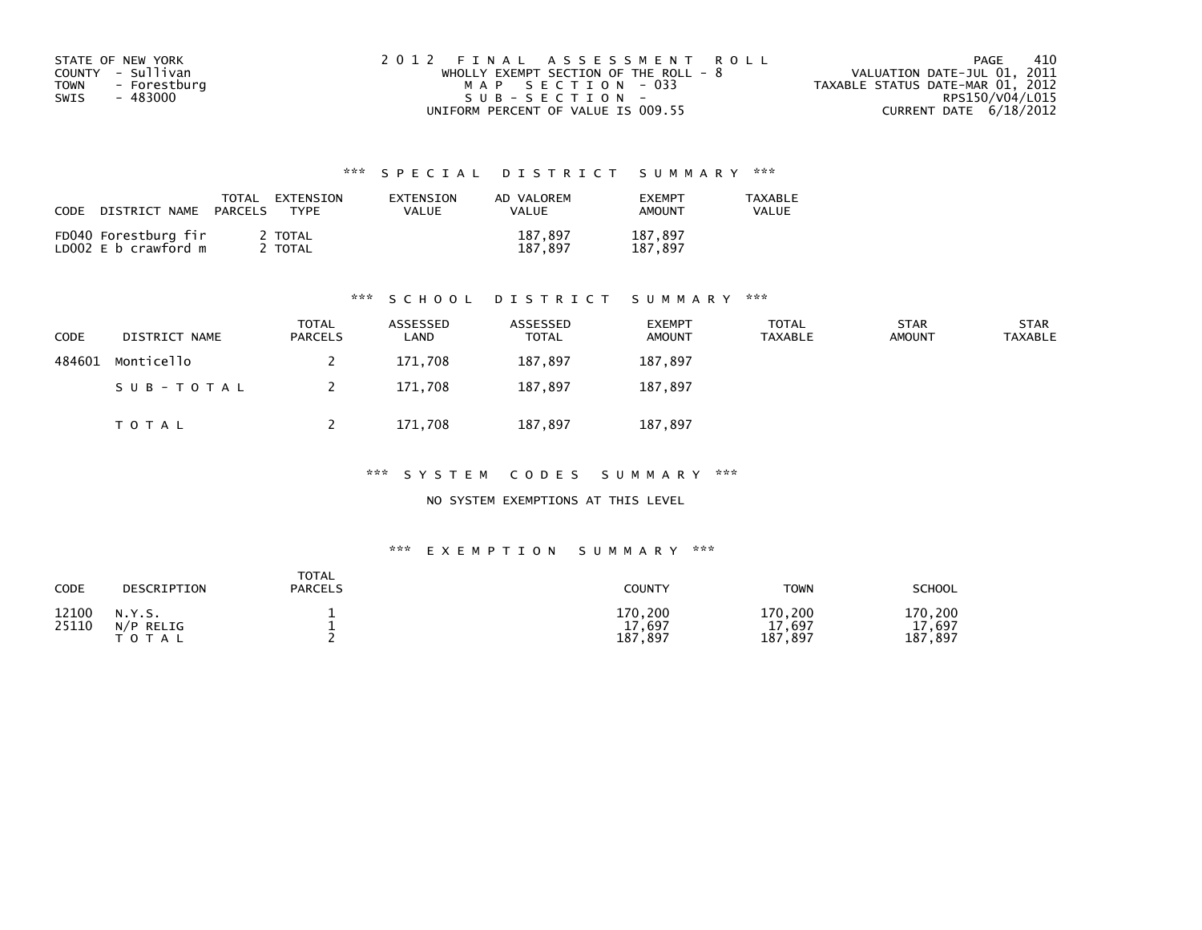| STATE OF NEW YORK    | 2012 FINAL ASSESSMENT ROLL            | -410<br>PAGE                     |
|----------------------|---------------------------------------|----------------------------------|
| COUNTY - Sullivan    | WHOLLY EXEMPT SECTION OF THE ROLL - 8 | VALUATION DATE-JUL 01, 2011      |
| TOWN<br>- Forestburg | MAP SECTION - 033                     | TAXABLE STATUS DATE-MAR 01, 2012 |
| - 483000<br>SWIS     | $SUB - SECTION -$                     | RPS150/V04/L015                  |
|                      | UNIFORM PERCENT OF VALUE IS 009.55    | CURRENT DATE $6/18/2012$         |

| CODE<br>DISTRICT NAME                        | TOTAL<br>EXTENSION<br><b>TYPF</b><br>PARCELS | EXTENSION<br>VALUE | AD VALOREM<br><b>VALUE</b> | <b>FXFMPT</b><br>AMOUNT | <b>TAXABLE</b><br>VALUE |
|----------------------------------------------|----------------------------------------------|--------------------|----------------------------|-------------------------|-------------------------|
| FD040 Forestburg fir<br>LD002 E b crawford m | 2 TOTAL<br>TOTAL                             |                    | 187.897<br>187.897         | 187,897<br>187.897      |                         |

### \*\*\* S C H O O L D I S T R I C T S U M M A R Y \*\*\*

| <b>CODE</b> | DISTRICT NAME | <b>TOTAL</b><br><b>PARCELS</b> | ASSESSED<br>∟AND | ASSESSED<br><b>TOTAL</b> | <b>EXEMPT</b><br><b>AMOUNT</b> | TOTAL<br><b>TAXABLE</b> | <b>STAR</b><br><b>AMOUNT</b> | <b>STAR</b><br><b>TAXABLE</b> |
|-------------|---------------|--------------------------------|------------------|--------------------------|--------------------------------|-------------------------|------------------------------|-------------------------------|
| 484601      | Monticello    |                                | 171,708          | 187.897                  | 187,897                        |                         |                              |                               |
|             | SUB-TOTAL     |                                | 171,708          | 187,897                  | 187,897                        |                         |                              |                               |
|             | T O T A L     |                                | 171,708          | 187,897                  | 187,897                        |                         |                              |                               |

\*\*\* S Y S T E M C O D E S S U M M A R Y \*\*\*

NO SYSTEM EXEMPTIONS AT THIS LEVEL

| CODE           | DESCRIPTION                      | TOTAL<br><b>PARCELS</b> | <b>COUNTY</b>                | TOWN                             | SCHOOL                       |
|----------------|----------------------------------|-------------------------|------------------------------|----------------------------------|------------------------------|
| 12100<br>25110 | N.Y.S.<br>N/P RELIG<br>T O T A L |                         | 170,200<br>17,697<br>187,897 | 170,200<br>17,697<br>.897<br>187 | 170,200<br>17,697<br>187,897 |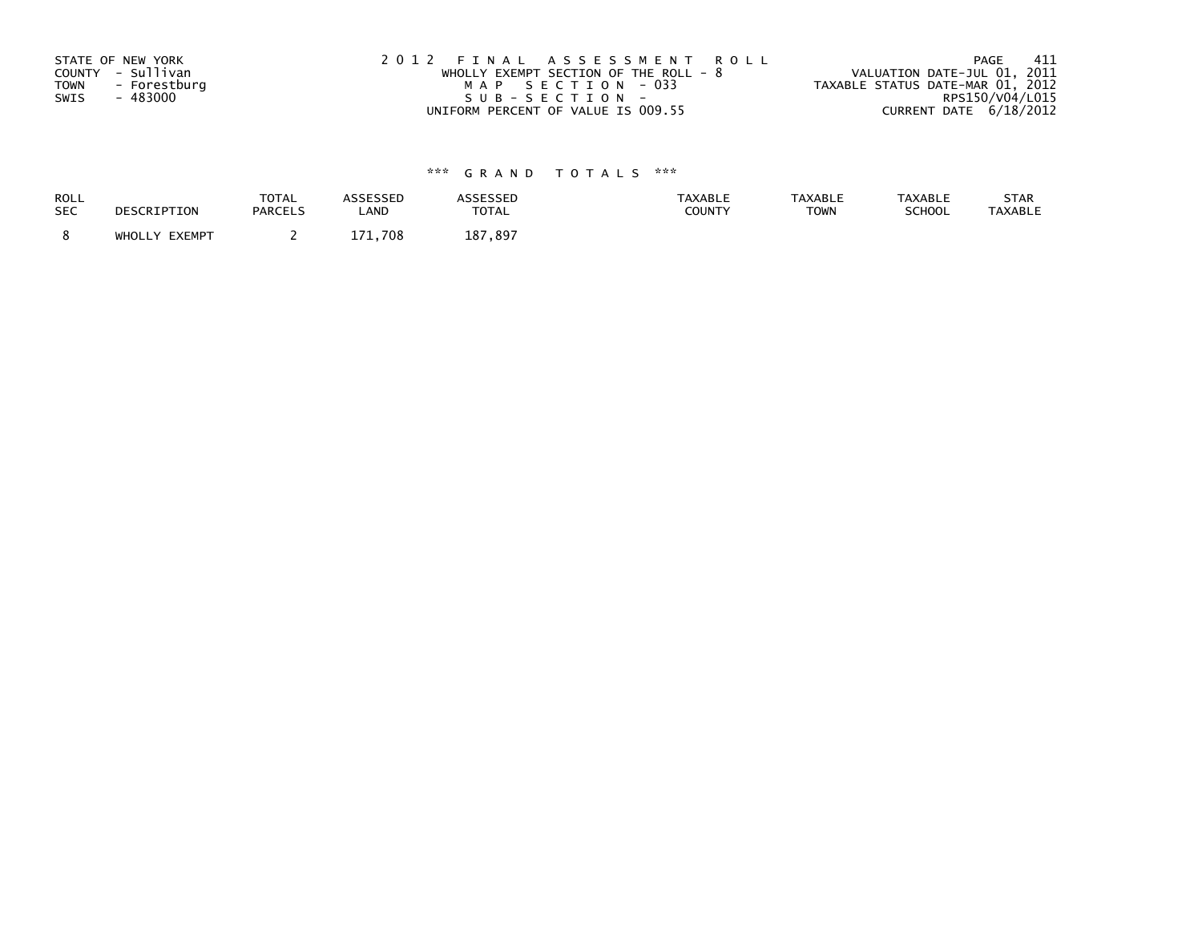| STATE OF NEW YORK           | 2012 FINAL ASSESSMENT ROLL              | 411<br>PAGE                      |
|-----------------------------|-----------------------------------------|----------------------------------|
| COUNTY - Sullivan           | WHOLLY EXEMPT SECTION OF THE ROLL - $8$ | VALUATION DATE-JUL 01, 2011      |
| <b>TOWN</b><br>- Forestburg | MAP SECTION - 033                       | TAXABLE STATUS DATE-MAR 01, 2012 |
| SWIS<br>- 483000            | SUB-SECTION-                            | RPS150/V04/L015                  |
|                             | UNIFORM PERCENT OF VALUE IS 009.55      | CURRENT DATE 6/18/2012           |

| <b>ROLL</b> | DESCRIPTION   | <b>TOTAL</b>   | <b>ASSESSED</b> | ASSESSED     | <b>TAXABLE</b> | <b>TAXABLE</b> | <b>TAXABLE</b> | STAR           |
|-------------|---------------|----------------|-----------------|--------------|----------------|----------------|----------------|----------------|
| <b>SEC</b>  |               | <b>PARCELS</b> | LAND            | <b>TOTAL</b> | COUNTY         | <b>TOWN</b>    | SCHOOL         | <b>TAXABLE</b> |
|             | WHOLLY EXEMPT |                | 171.708         | 187,897      |                |                |                |                |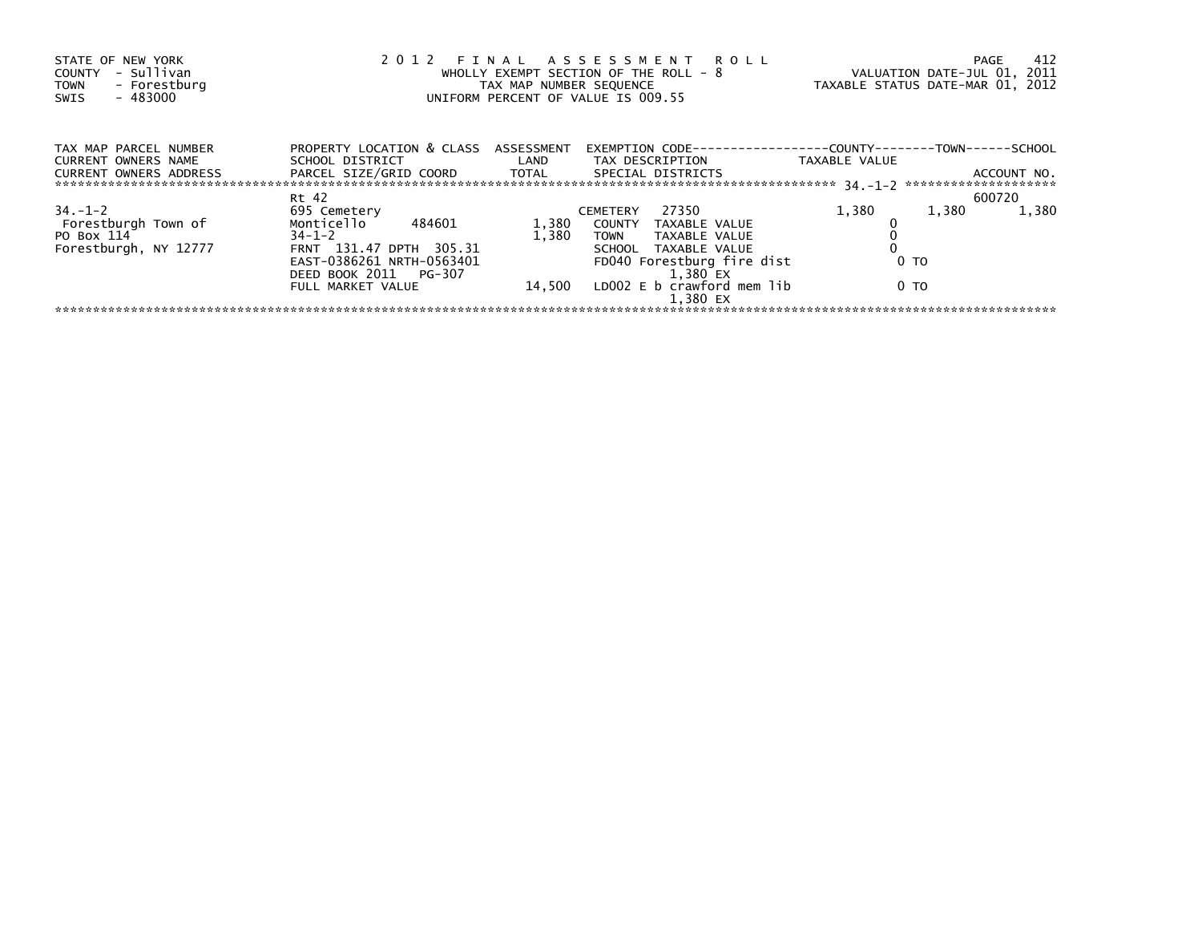| STATE OF NEW YORK<br>- Sullivan<br>COUNTY<br>- Forestburg<br><b>TOWN</b><br>$-483000$<br>SWIS |                                                                                                           | TAX MAP NUMBER SEQUENCE | 2012 FINAL ASSESSMENT ROLL<br>WHOLLY EXEMPT SECTION OF THE ROLL - 8<br>UNIFORM PERCENT OF VALUE IS 009.55 |               | 412<br>PAGE<br>VALUATION DATE-JUL 01, 2011<br>TAXABLE STATUS DATE-MAR 01, 2012 |
|-----------------------------------------------------------------------------------------------|-----------------------------------------------------------------------------------------------------------|-------------------------|-----------------------------------------------------------------------------------------------------------|---------------|--------------------------------------------------------------------------------|
| TAX MAP PARCEL NUMBER<br><b>CURRENT OWNERS NAME</b><br>CURRENT OWNERS ADDRESS                 | PROPERTY LOCATION & CLASS ASSESSMENT<br>SCHOOL DISTRICT<br>PARCEL SIZE/GRID COORD TOTAL SPECIAL DISTRICTS |                         | LAND TAX DESCRIPTION                                                                                      | TAXABLE VALUE | ACCOUNT NO.                                                                    |
|                                                                                               |                                                                                                           |                         |                                                                                                           |               |                                                                                |
|                                                                                               | Rt 42                                                                                                     |                         |                                                                                                           |               | 600720                                                                         |
| $34. - 1 - 2$                                                                                 | 695 Cemetery                                                                                              |                         | 27350<br><b>CEMETERY</b>                                                                                  | 1,380         | 1,380<br>1,380                                                                 |
| Forestburgh Town of                                                                           | Monticello 484601                                                                                         | 1,380                   | COUNTY TAXABLE VALUE                                                                                      |               |                                                                                |
| PO Box 114                                                                                    | $34 - 1 - 2$                                                                                              | 1,380                   | TOWN TAXABLE VALUE                                                                                        |               |                                                                                |
| Forestburgh, NY 12777                                                                         | FRNT 131.47 DPTH 305.31                                                                                   |                         | SCHOOL TAXABLE VALUE                                                                                      |               |                                                                                |
|                                                                                               | EAST-0386261 NRTH-0563401                                                                                 |                         | FD040 Forestburg fire dist                                                                                | 0 TO          |                                                                                |
|                                                                                               | DEED BOOK 2011 PG-307                                                                                     |                         | 1.380 EX                                                                                                  |               |                                                                                |
|                                                                                               | FULL MARKET VALUE                                                                                         |                         | 14,500 LD002 E b crawford mem lib                                                                         | 0 TO          |                                                                                |
|                                                                                               |                                                                                                           |                         | 1.380 EX                                                                                                  |               |                                                                                |
|                                                                                               |                                                                                                           |                         |                                                                                                           |               |                                                                                |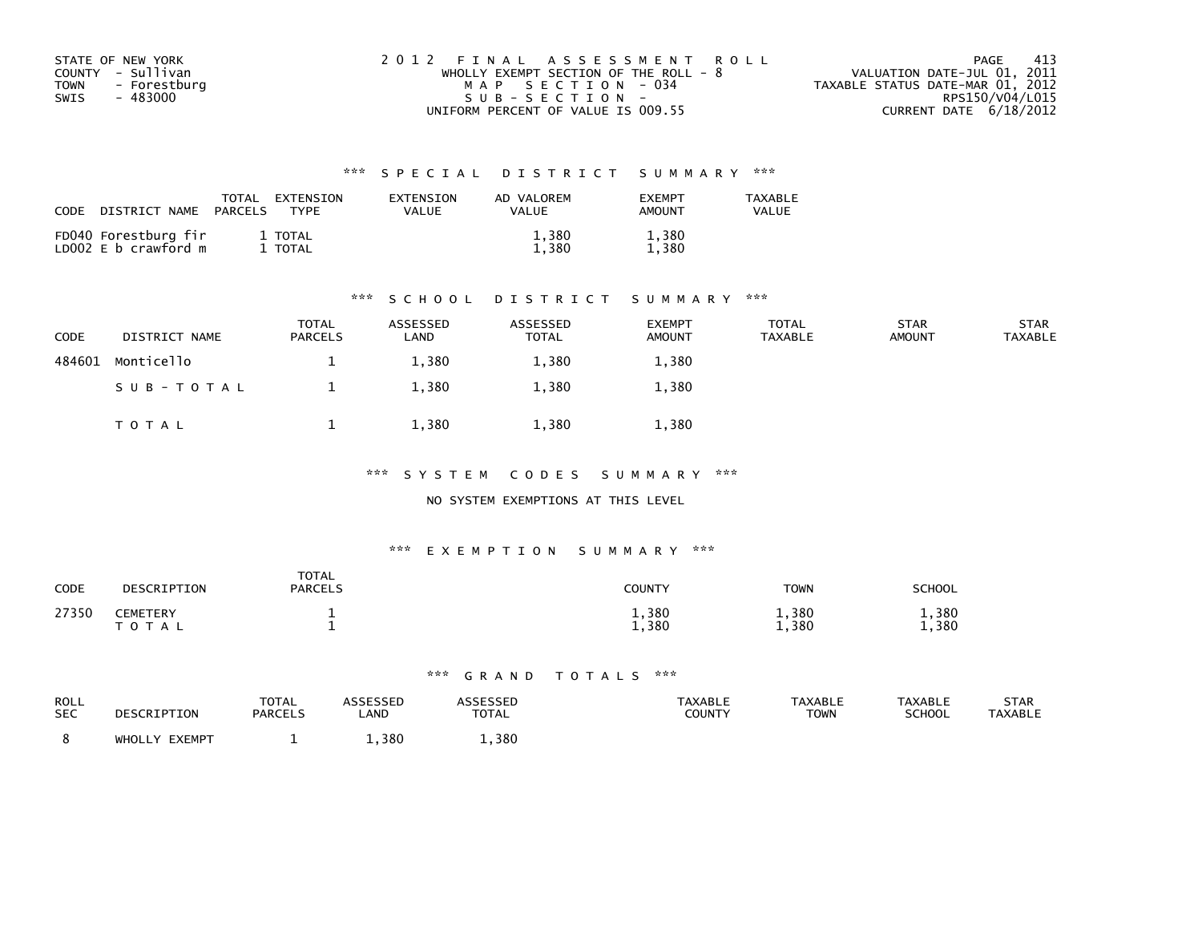| STATE OF NEW YORK           | 2012 FINAL ASSESSMENT ROLL            | - 413<br>PAGE                    |
|-----------------------------|---------------------------------------|----------------------------------|
| COUNTY - Sullivan           | WHOLLY EXEMPT SECTION OF THE ROLL - 8 | VALUATION DATE-JUL 01, 2011      |
| <b>TOWN</b><br>- Forestburg | MAP SECTION - 034                     | TAXABLE STATUS DATE-MAR 01, 2012 |
| SWIS<br>- 483000            | $SUB - SECTION -$                     | RPS150/V04/L015                  |
|                             | UNIFORM PERCENT OF VALUE IS 009.55    | CURRENT DATE 6/18/2012           |

| CODE | DISTRICT NAME                                | TOTAL<br>PARCELS | EXTENSION<br><b>TYPF</b> | EXTENSION<br>VALUE | AD VALOREM<br>VALUE | <b>FXFMPT</b><br>AMOUNT | TAXABLE<br>VALUE |
|------|----------------------------------------------|------------------|--------------------------|--------------------|---------------------|-------------------------|------------------|
|      | FD040 Forestburg fir<br>LD002 E b crawford m |                  | 1 TOTAL<br>TOTAL         |                    | 1,380<br>. . 380    | 1,380<br>1,380          |                  |

### \*\*\* S C H O O L D I S T R I C T S U M M A R Y \*\*\*

| <b>CODE</b> | DISTRICT NAME | <b>TOTAL</b><br><b>PARCELS</b> | ASSESSED<br>LAND | ASSESSED<br><b>TOTAL</b> | <b>EXEMPT</b><br><b>AMOUNT</b> | TOTAL<br>TAXABLE | <b>STAR</b><br><b>AMOUNT</b> | <b>STAR</b><br>TAXABLE |
|-------------|---------------|--------------------------------|------------------|--------------------------|--------------------------------|------------------|------------------------------|------------------------|
| 484601      | Monticello    |                                | 1,380            | 1,380                    | 1,380                          |                  |                              |                        |
|             | SUB-TOTAL     |                                | 1,380            | 1,380                    | 1,380                          |                  |                              |                        |
|             | T O T A L     |                                | 1,380            | 1,380                    | 1,380                          |                  |                              |                        |

\*\*\* S Y S T E M C O D E S S U M M A R Y \*\*\*

### NO SYSTEM EXEMPTIONS AT THIS LEVEL

### \*\*\* E X E M P T I O N S U M M A R Y \*\*\*

| <b>CODE</b> | DESCRIPTION                  | <b>TOTAL</b><br><b>PARCELS</b> | <b>COUNTY</b>  | <b>TOWN</b>    | <b>SCHOOL</b>  |
|-------------|------------------------------|--------------------------------|----------------|----------------|----------------|
| 27350       | <b>CEMETERY</b><br>T O T A L |                                | 1,380<br>1,380 | 1,380<br>1,380 | 1,380<br>1,380 |

| ROLL       | DESCRIPTION   | <b>TOTAL</b>   | ASSESSED | ASSESSED     | TAXABLE | <b>TAXABLE</b> | <b>TAXABLE</b> | STAR           |
|------------|---------------|----------------|----------|--------------|---------|----------------|----------------|----------------|
| <b>SEC</b> |               | <b>PARCELS</b> | LAND     | <b>TOTAL</b> | COUNTY  | TOWN           | <b>SCHOOL</b>  | <b>TAXABLE</b> |
|            | WHOLLY EXEMPT |                | 1,380    | ⊥,380        |         |                |                |                |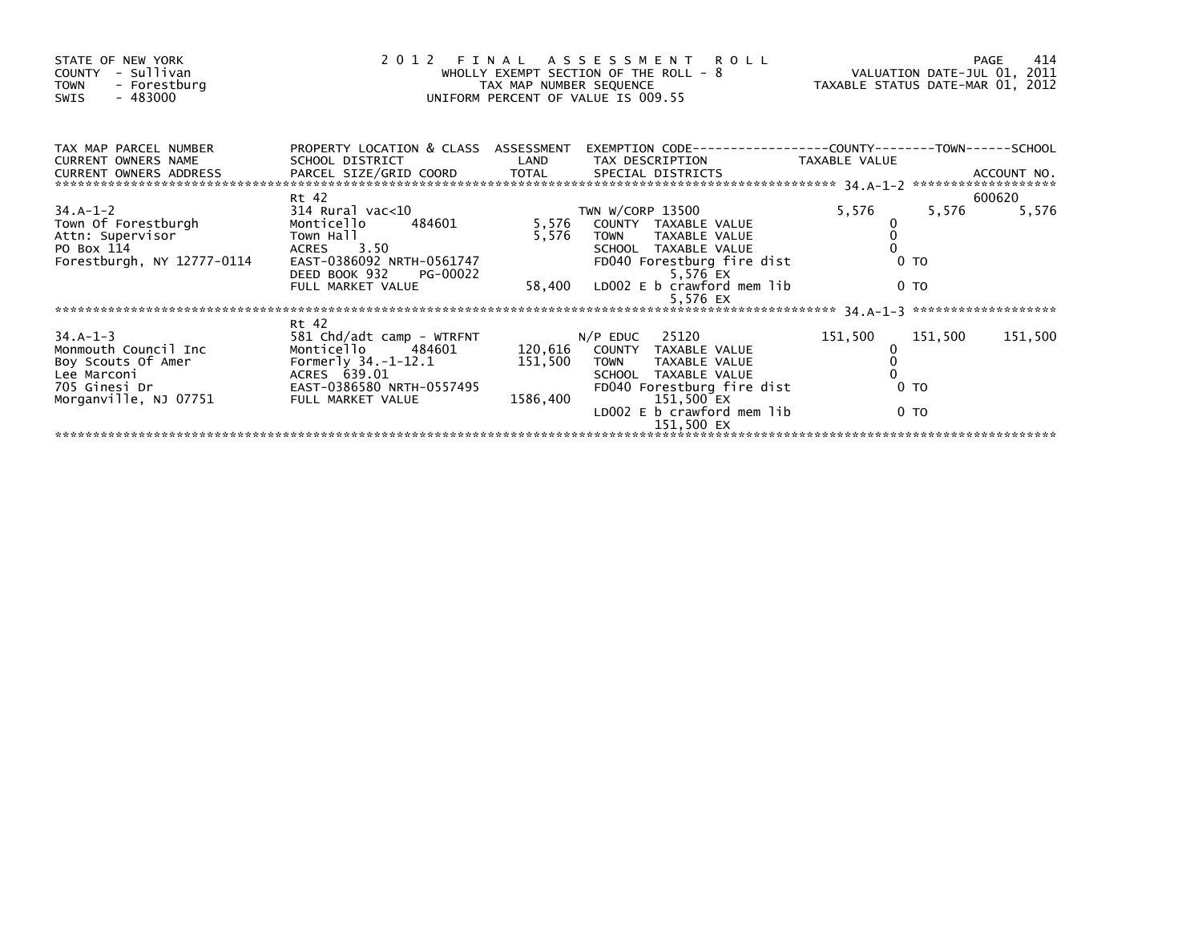| STATE OF NEW YORK<br>- Sullivan<br>COUNTY<br>- Forestburg<br><b>TOWN</b><br>- 483000<br>SWIS | 2012 FINAL                                              | TAX MAP NUMBER SEQUENCE | ASSESSMENT ROLL<br>WHOLLY EXEMPT SECTION OF THE ROLL - 8<br>UNIFORM PERCENT OF VALUE IS 009.55 | VALUATION DATE-JUL 01, 2011<br>TAXABLE STATUS DATE-MAR 01, 2012 |                | 414<br>PAGE |
|----------------------------------------------------------------------------------------------|---------------------------------------------------------|-------------------------|------------------------------------------------------------------------------------------------|-----------------------------------------------------------------|----------------|-------------|
| TAX MAP PARCEL NUMBER<br><b>CURRENT OWNERS NAME</b>                                          | PROPERTY LOCATION & CLASS ASSESSMENT<br>SCHOOL DISTRICT | LAND                    | EXEMPTION CODE-----------------COUNTY-------TOWN------SCHOOL<br>TAX DESCRIPTION                | TAXABLE VALUE                                                   |                |             |
|                                                                                              | Rt 42                                                   |                         |                                                                                                |                                                                 |                | 600620      |
| $34.A-1-2$                                                                                   | 314 Rural vac<10                                        |                         | TWN W/CORP 13500                                                                               | 5,576                                                           | 5,576          | 5,576       |
| Town Of Forestburgh                                                                          | Monticello<br>484601                                    | 5,576                   | COUNTY TAXABLE VALUE                                                                           |                                                                 |                |             |
| Attn: Supervisor                                                                             | Town Hall                                               | 5,576                   | TOWN TAXABLE VALUE                                                                             |                                                                 |                |             |
| PO Box 114                                                                                   | ACRES 3.50                                              |                         | SCHOOL TAXABLE VALUE                                                                           |                                                                 |                |             |
| Forestburgh, NY 12777-0114                                                                   | EAST-0386092 NRTH-0561747<br>DEED BOOK 932<br>PG-00022  |                         | FD040 Forestburg fire dist<br>5,576 EX                                                         |                                                                 | 0 <sub>T</sub> |             |
|                                                                                              | FULL MARKET VALUE                                       |                         | 58,400 LD002 E b crawford mem lib<br>5,576 EX                                                  |                                                                 | 0 <sub>T</sub> |             |
|                                                                                              |                                                         |                         |                                                                                                |                                                                 |                |             |
| $34.A-1-3$                                                                                   | Rt 42                                                   |                         | $N/P$ EDUC 25120                                                                               |                                                                 |                | 151,500     |
| Monmouth Council Inc                                                                         | 581 Chd/adt camp - WTRFNT<br>Monticello 484601          | 120,616                 | COUNTY TAXABLE VALUE                                                                           | 151,500                                                         | 151,500        |             |
| Boy Scouts Of Amer                                                                           | Formerly 34.-1-12.1                                     | 151,500                 | TAXABLE VALUE<br><b>TOWN</b>                                                                   |                                                                 |                |             |
| Lee Marconi                                                                                  | ACRES 639.01                                            |                         | SCHOOL TAXABLE VALUE                                                                           |                                                                 |                |             |
| 705 Ginesi Dr                                                                                | EAST-0386580 NRTH-0557495                               |                         | FD040 Forestburg fire dist                                                                     |                                                                 | 0 <sub>T</sub> |             |
| Morganville, NJ 07751                                                                        | FULL MARKET VALUE                                       | 1586,400                | 151,500 EX                                                                                     |                                                                 |                |             |
|                                                                                              |                                                         |                         | LD002 E b crawford mem lib                                                                     |                                                                 | 0 <sub>T</sub> |             |
|                                                                                              |                                                         |                         | 151,500 EX                                                                                     |                                                                 |                |             |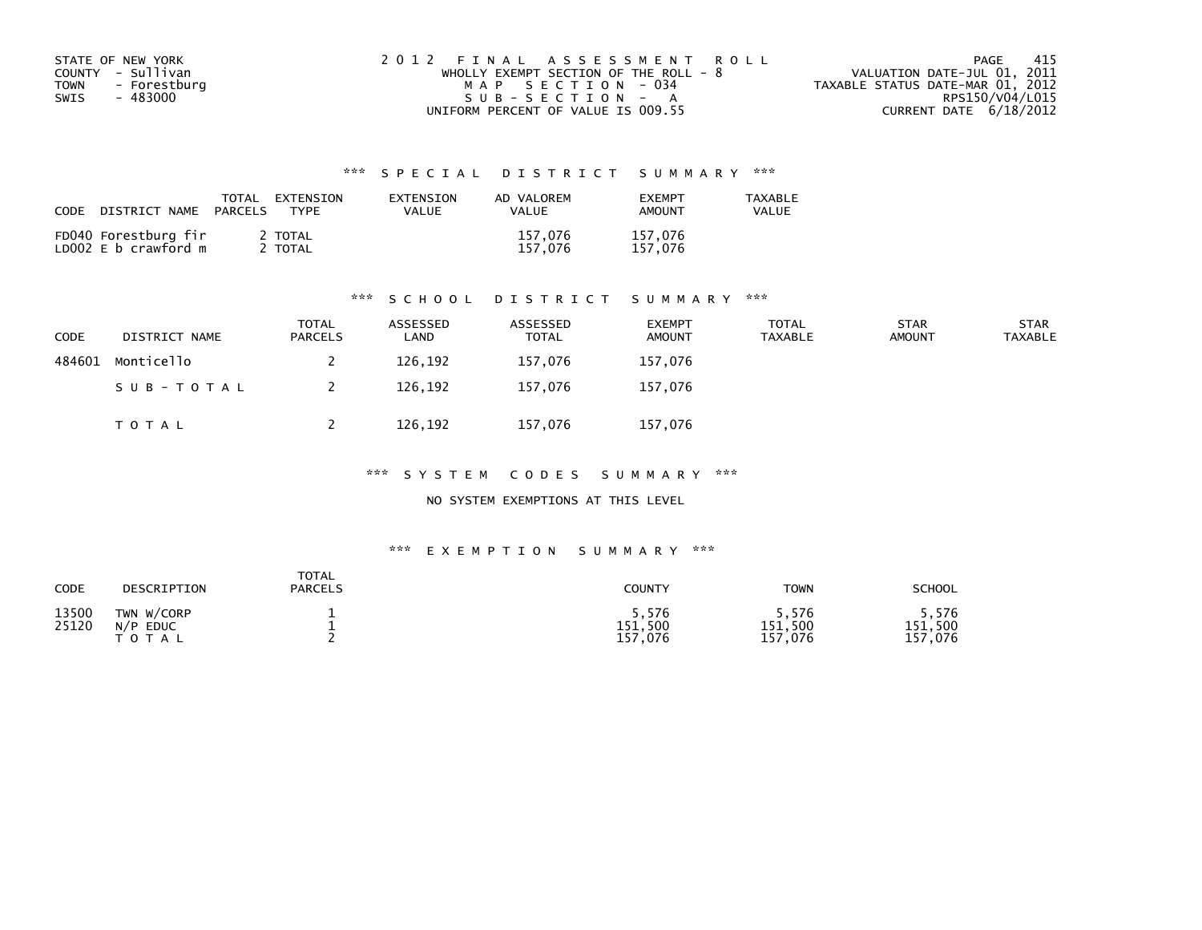| STATE OF NEW YORK           | 2012 FINAL ASSESSMENT ROLL            | - 415<br>PAGE                    |
|-----------------------------|---------------------------------------|----------------------------------|
| COUNTY - Sullivan           | WHOLLY EXEMPT SECTION OF THE ROLL - 8 | VALUATION DATE-JUL 01, 2011      |
| <b>TOWN</b><br>- Forestburg | MAP SECTION - 034                     | TAXABLE STATUS DATE-MAR 01, 2012 |
| - 483000<br>SWIS            | $SUB - SECTION - A$                   | RPS150/V04/L015                  |
|                             | UNIFORM PERCENT OF VALUE IS 009.55    | CURRENT DATE $6/18/2012$         |

| CODE<br>DISTRICT NAME                        | TOTAL<br>EXTENSION<br>PARCELS<br>TYPF | EXTENSION<br>VALUE | AD VALOREM<br><b>VALUE</b> | <b>FXFMPT</b><br>AMOUNT | TAXABLE<br>VALUE |
|----------------------------------------------|---------------------------------------|--------------------|----------------------------|-------------------------|------------------|
| FD040 Forestburg fir<br>LD002 E b crawford m | 2 TOTAL<br>2 TOTAL                    |                    | 157.076<br>157.076         | 157,076<br>157,076      |                  |

### \*\*\* S C H O O L D I S T R I C T S U M M A R Y \*\*\*

| CODE   | DISTRICT NAME | <b>TOTAL</b><br><b>PARCELS</b> | ASSESSED<br>∟AND | ASSESSED<br><b>TOTAL</b> | <b>EXEMPT</b><br><b>AMOUNT</b> | <b>TOTAL</b><br><b>TAXABLE</b> | <b>STAR</b><br><b>AMOUNT</b> | <b>STAR</b><br><b>TAXABLE</b> |
|--------|---------------|--------------------------------|------------------|--------------------------|--------------------------------|--------------------------------|------------------------------|-------------------------------|
| 484601 | Monticello    |                                | 126,192          | 157,076                  | 157,076                        |                                |                              |                               |
|        | SUB-TOTAL     |                                | 126,192          | 157.076                  | 157,076                        |                                |                              |                               |
|        | T O T A L     |                                | 126,192          | 157,076                  | 157,076                        |                                |                              |                               |

\*\*\* S Y S T E M C O D E S S U M M A R Y \*\*\*

### NO SYSTEM EXEMPTIONS AT THIS LEVEL

| CODE           | DESCRIPTION                               | <b>TOTAL</b><br><b>PARCELS</b> | <b>COUNTY</b>               | <b>TOWN</b>                     | <b>SCHOOL</b>                   |
|----------------|-------------------------------------------|--------------------------------|-----------------------------|---------------------------------|---------------------------------|
| 13500<br>25120 | TWN W/CORP<br>N/P<br><b>EDUC</b><br>TOTAL |                                | 5,576<br>151,500<br>157,076 | , 576<br>151,500<br>.076<br>157 | 5,576<br>151,500<br>,076<br>157 |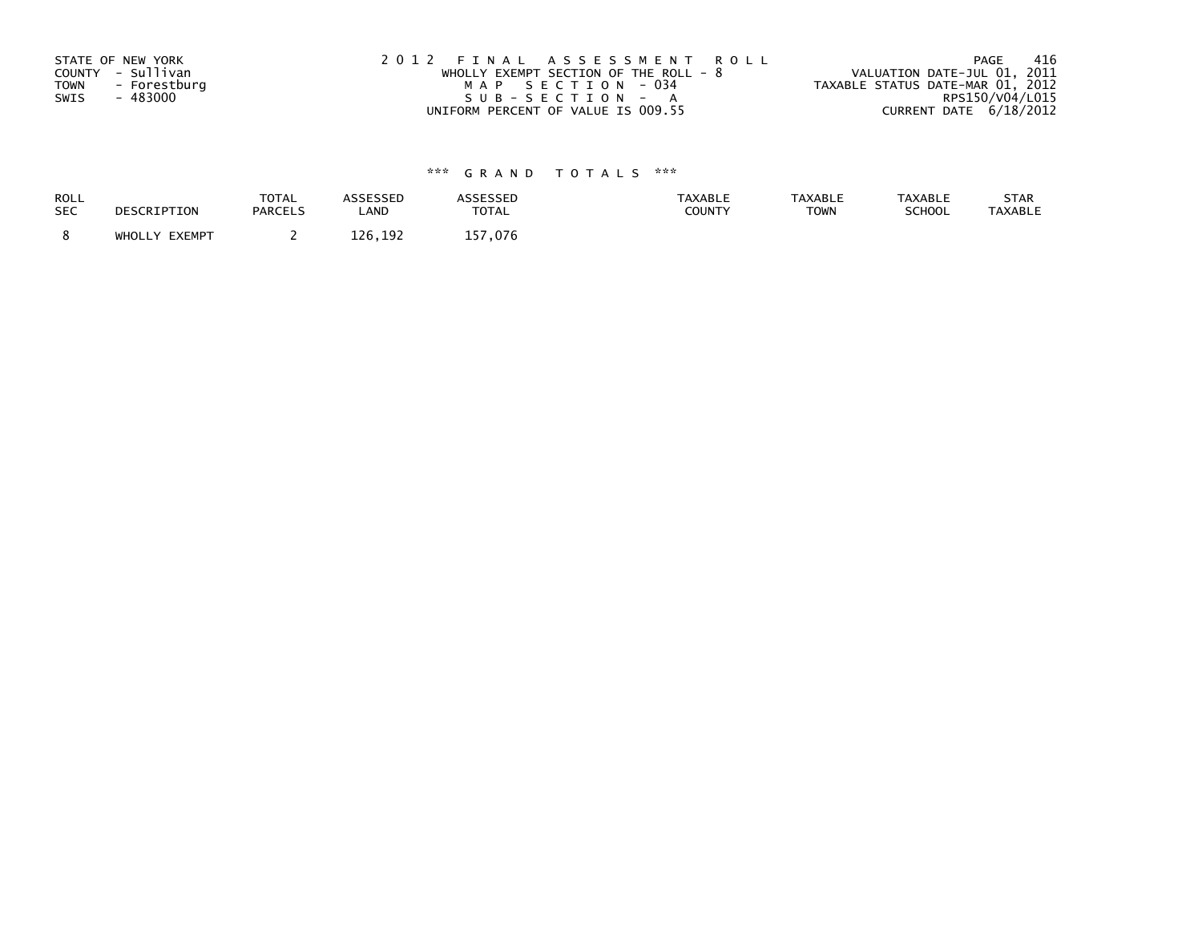| STATE OF NEW YORK           | 2012 FINAL ASSESSMENT ROLL              | -416<br>PAGE                     |
|-----------------------------|-----------------------------------------|----------------------------------|
| COUNTY - Sullivan           | WHOLLY EXEMPT SECTION OF THE ROLL - $8$ | VALUATION DATE-JUL 01, 2011      |
| <b>TOWN</b><br>- Forestburg | MAP SECTION - 034                       | TAXABLE STATUS DATE-MAR 01, 2012 |
| SWIS<br>- 483000            | SUB-SECTION - A                         | RPS150/V04/L015                  |
|                             | UNIFORM PERCENT OF VALUE IS 009.55      | CURRENT DATE 6/18/2012           |

| <b>ROLL</b> | DESCRIPTION   | <b>TOTAL</b>   | ASSESSED | <b>ASSESSED</b> | <b>TAXABLE</b> | <b>TAXABLE</b> | <b>TAXABLE</b> | STAR           |
|-------------|---------------|----------------|----------|-----------------|----------------|----------------|----------------|----------------|
| <b>SEC</b>  |               | <b>PARCELS</b> | LAND     | <b>TOTAL</b>    | <b>COUNTY</b>  | <b>TOWN</b>    | <b>SCHOOL</b>  | <b>TAXABLE</b> |
|             | WHOLLY EXEMPT |                | 126,192  | 157.076         |                |                |                |                |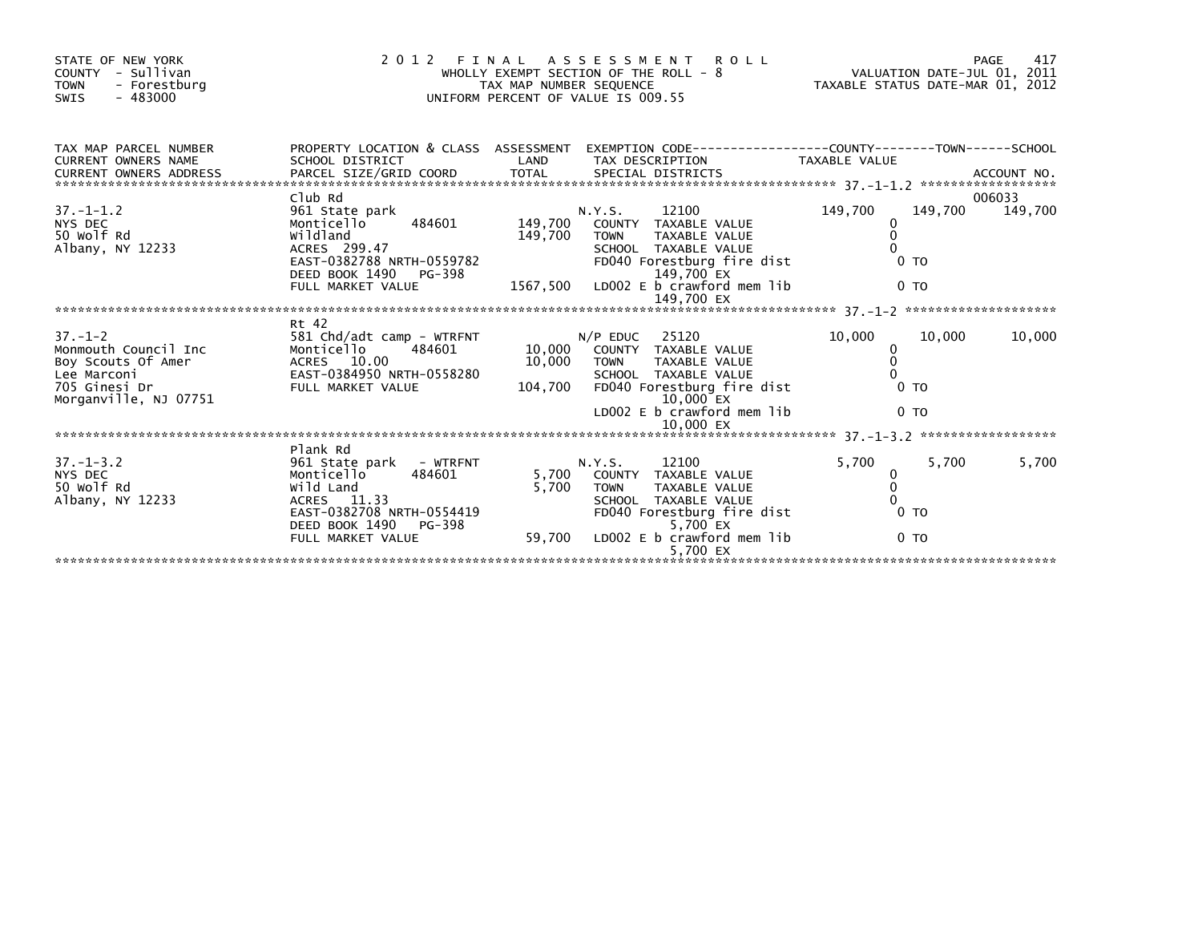| STATE OF NEW YORK<br>COUNTY - Sullivan<br><b>TOWN</b><br>- Forestburg<br>$-483000$<br>SWIS                           | 2 0 1 2                                                                                                                                             | FINAL<br>TAX MAP NUMBER SEQUENCE | <b>ROLL</b><br>ASSESSMENT<br>WHOLLY EXEMPT SECTION OF THE ROLL - 8<br>UNIFORM PERCENT OF VALUE IS 009.55                                                                               | VALUATION DATE-JUL 01, 2011<br>TAXABLE STATUS DATE-MAR 01, 2012           | 417<br>PAGE       |
|----------------------------------------------------------------------------------------------------------------------|-----------------------------------------------------------------------------------------------------------------------------------------------------|----------------------------------|----------------------------------------------------------------------------------------------------------------------------------------------------------------------------------------|---------------------------------------------------------------------------|-------------------|
| TAX MAP PARCEL NUMBER<br><b>CURRENT OWNERS NAME</b><br><b>CURRENT OWNERS ADDRESS</b>                                 | SCHOOL DISTRICT                                                                                                                                     | LAND                             | PROPERTY LOCATION & CLASS ASSESSMENT EXEMPTION CODE----------------COUNTY-------TOWN-----SCHOOL<br>TAX DESCRIPTION                                                                     | <b>TAXABLE VALUE</b>                                                      |                   |
| $37. - 1 - 1.2$<br>NYS DEC<br>50 Wolf Rd<br>Albany, NY 12233                                                         | Club Rd<br>961 State park<br>484601<br>Monticello<br>wildland<br>ACRES 299.47<br>EAST-0382788 NRTH-0559782<br>DEED BOOK 1490<br>PG-398              | 149,700<br>149,700               | 12100<br>N.Y.S.<br>COUNTY TAXABLE VALUE<br><b>TOWN</b><br>TAXABLE VALUE<br>SCHOOL TAXABLE VALUE<br>FD040 Forestburg fire dist<br>149,700 EX                                            | 149,700<br>149,700<br>0<br>$\Omega$<br>0<br>0 <sub>T</sub>                | 006033<br>149,700 |
|                                                                                                                      | FULL MARKET VALUE                                                                                                                                   |                                  | 1567,500 LDOO2 E b crawford mem lib<br>149,700 EX                                                                                                                                      | 0 <sub>T</sub>                                                            |                   |
|                                                                                                                      | Rt 42                                                                                                                                               |                                  |                                                                                                                                                                                        |                                                                           |                   |
| $37. - 1 - 2$<br>Monmouth Council Inc<br>Boy Scouts Of Amer<br>Lee Marconi<br>705 Ginesi Dr<br>Morganville, NJ 07751 | 581 Chd/adt camp - WTRFNT<br>Monticello<br>484601<br>ACRES 10.00<br>EAST-0384950 NRTH-0558280<br>FULL MARKET VALUE                                  | 10,000<br>104,700                | $N/P$ EDUC<br>25120<br>10,000 COUNTY<br>TAXABLE VALUE<br><b>TOWN</b><br>TAXABLE VALUE<br>SCHOOL TAXABLE VALUE<br>FD040 Forestburg fire dist<br>10,000 EX<br>LD002 E b crawford mem lib | 10,000<br>10.000<br>0<br>$\mathbf{0}$<br>0 <sub>T</sub><br>0 <sub>T</sub> | 10,000            |
|                                                                                                                      |                                                                                                                                                     |                                  |                                                                                                                                                                                        |                                                                           |                   |
| $37. - 1 - 3.2$<br>NYS DEC<br>50 Wolf Rd<br>Albany, NY 12233                                                         | Plank Rd<br>961 State park<br>- WTRFNT<br>484601<br>Monticello<br>Wild Land<br>ACRES 11.33<br>EAST-0382708 NRTH-0554419<br>DEED BOOK 1490<br>PG-398 | 5,700<br>5,700                   | 12100<br>N.Y.S.<br>COUNTY TAXABLE VALUE<br><b>TOWN</b><br>TAXABLE VALUE<br>SCHOOL TAXABLE VALUE<br>FD040 Forestburg fire dist<br>5,700 EX                                              | 5,700<br>5,700<br>0<br>$\Omega$<br>0 <sub>T</sub>                         | 5,700             |
|                                                                                                                      | FULL MARKET VALUE                                                                                                                                   | 59,700                           | LD002 E b crawford mem lib<br>5,700 EX                                                                                                                                                 | 0 <sub>T</sub>                                                            |                   |
|                                                                                                                      |                                                                                                                                                     |                                  |                                                                                                                                                                                        |                                                                           |                   |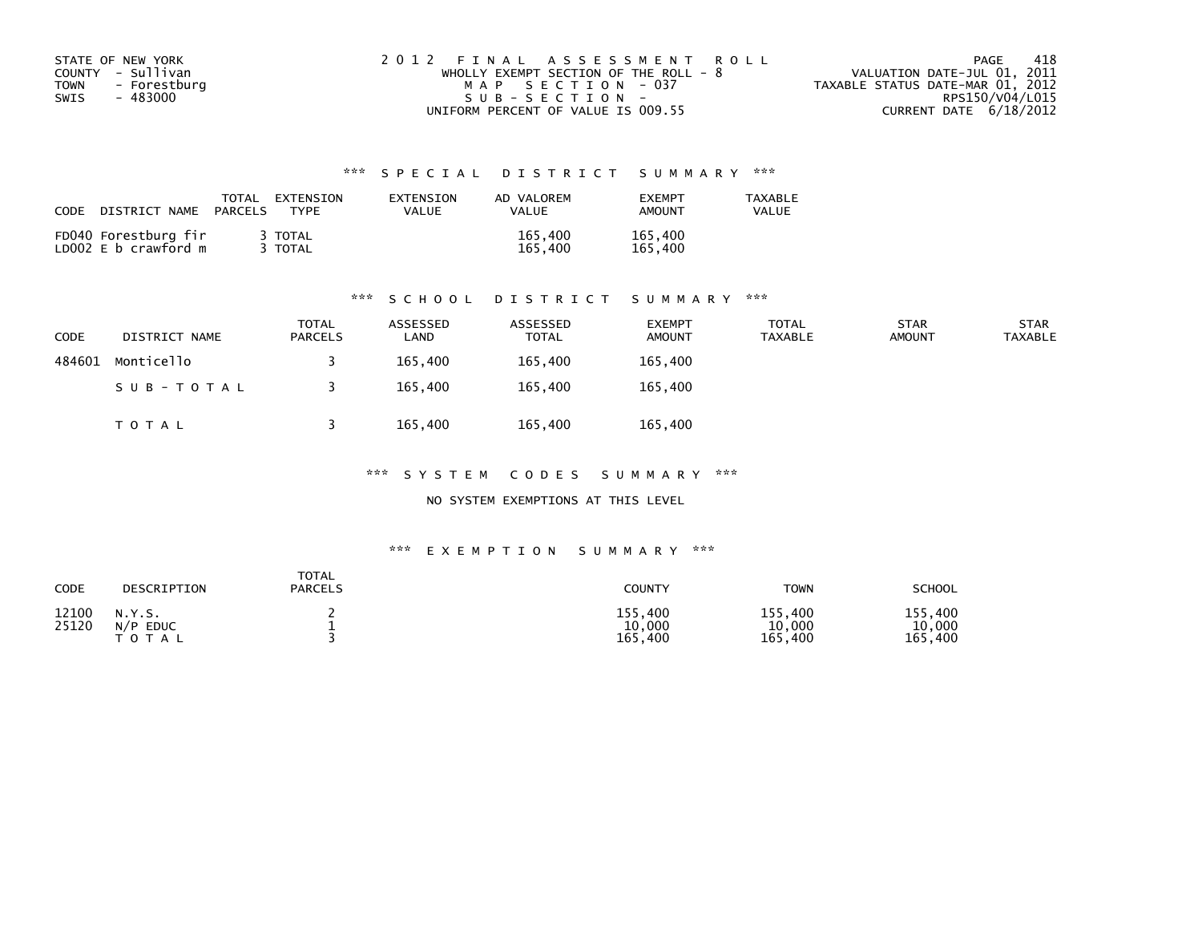| STATE OF NEW YORK           | 2012 FINAL ASSESSMENT ROLL            | -418<br>PAGE                     |
|-----------------------------|---------------------------------------|----------------------------------|
| COUNTY - Sullivan           | WHOLLY EXEMPT SECTION OF THE ROLL - 8 | VALUATION DATE-JUL 01, 2011      |
| <b>TOWN</b><br>- Forestburg | MAP SECTION - 037                     | TAXABLE STATUS DATE-MAR 01, 2012 |
| - 483000<br>SWIS            | $SUB - SECTION -$                     | RPS150/V04/L015                  |
|                             | UNIFORM PERCENT OF VALUE IS 009.55    | CURRENT DATE 6/18/2012           |

| CODE<br>DISTRICT NAME                        | TOTAL<br>EXTENSION<br>TYPF<br><b>PARCELS</b> | EXTENSION<br>VALUE | AD VALOREM<br><b>VALUE</b> | <b>FXFMPT</b><br><b>AMOUNT</b> | <b>TAXABLE</b><br>VALUE |
|----------------------------------------------|----------------------------------------------|--------------------|----------------------------|--------------------------------|-------------------------|
| FD040 Forestburg fir<br>LD002 E b crawford m | 3 TOTAL<br>3 TOTAL                           |                    | 165,400<br>165.400         | 165,400<br>165,400             |                         |

### \*\*\* S C H O O L D I S T R I C T S U M M A R Y \*\*\*

| <b>CODE</b> | DISTRICT NAME | <b>TOTAL</b><br><b>PARCELS</b> | ASSESSED<br>LAND | ASSESSED<br><b>TOTAL</b> | <b>EXEMPT</b><br><b>AMOUNT</b> | <b>TOTAL</b><br>TAXABLE | <b>STAR</b><br><b>AMOUNT</b> | <b>STAR</b><br>TAXABLE |
|-------------|---------------|--------------------------------|------------------|--------------------------|--------------------------------|-------------------------|------------------------------|------------------------|
| 484601      | Monticello    |                                | 165,400          | 165,400                  | 165,400                        |                         |                              |                        |
|             | SUB-TOTAL     |                                | 165,400          | 165,400                  | 165,400                        |                         |                              |                        |
|             | T O T A L     |                                | 165,400          | 165,400                  | 165,400                        |                         |                              |                        |

\*\*\* S Y S T E M C O D E S S U M M A R Y \*\*\*

NO SYSTEM EXEMPTIONS AT THIS LEVEL

| CODE           | DESCRIPTION                          | TOTAL<br><b>PARCELS</b> | COUNTY                       | TOWN                             | <b>SCHOOL</b>                |
|----------------|--------------------------------------|-------------------------|------------------------------|----------------------------------|------------------------------|
| 12100<br>25120 | N.Y.S.<br>$N/P$ EDUC<br><b>TOTAL</b> |                         | 155,400<br>10,000<br>165,400 | 155,400<br>10,000<br>165<br>.400 | 155,400<br>10,000<br>165,400 |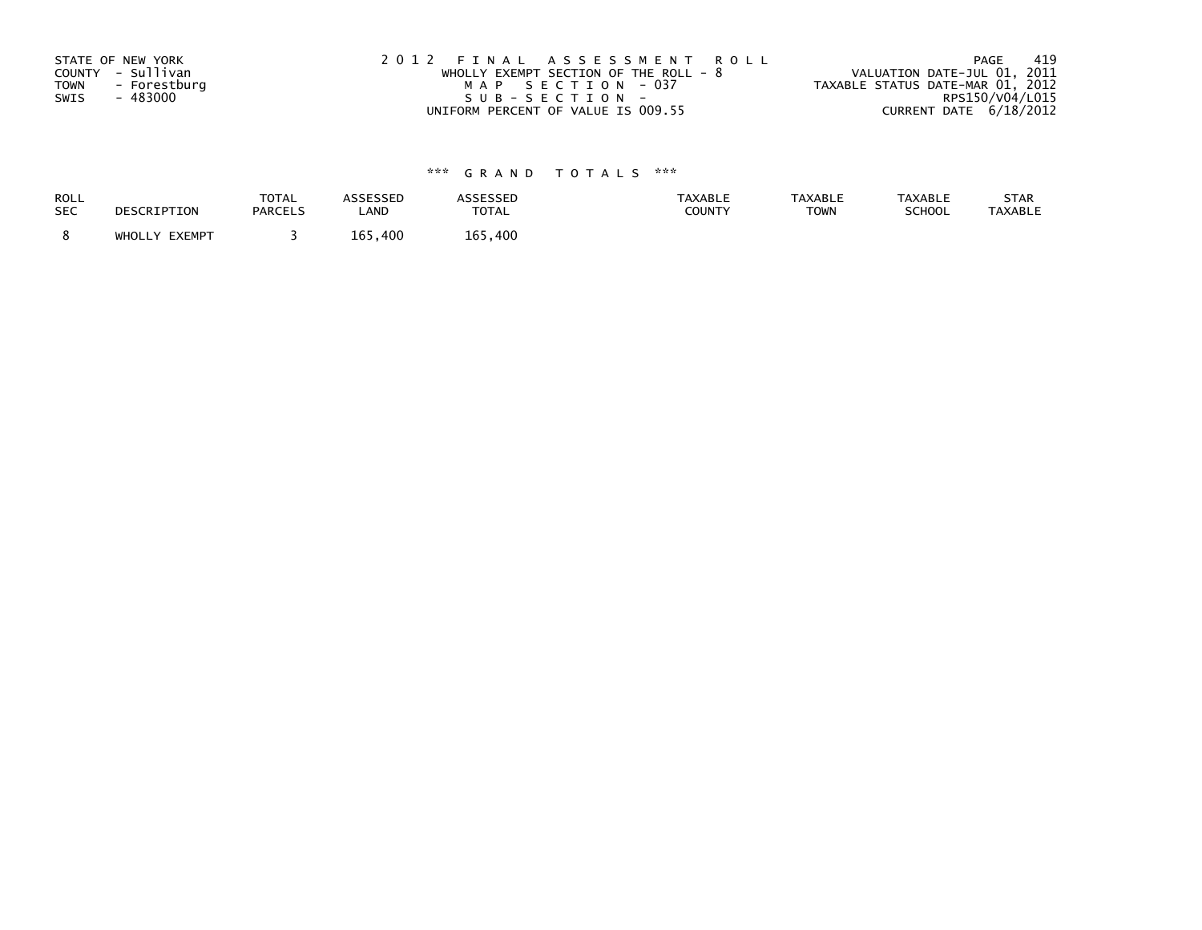| STATE OF NEW YORK    | 2012 FINAL ASSESSMENT ROLL              | - 419<br>PAGE                    |
|----------------------|-----------------------------------------|----------------------------------|
| COUNTY - Sullivan    | WHOLLY EXEMPT SECTION OF THE ROLL - $8$ | VALUATION DATE-JUL 01, 2011      |
| TOWN<br>- Forestburg | MAP SECTION - 037                       | TAXABLE STATUS DATE-MAR 01, 2012 |
| SWIS<br>- 483000     | SUB-SECTION-                            | RPS150/V04/L015                  |
|                      | UNIFORM PERCENT OF VALUE IS 009.55      | CURRENT DATE 6/18/2012           |

| ROLL       | DESCRIPTION   | <b>TOTAL</b>   | ASSESSED | <b>ASSESSED</b> | <b>TAXABLE</b> | <b>TAXABLE</b> | <b>TAXABLE</b> | STAR           |
|------------|---------------|----------------|----------|-----------------|----------------|----------------|----------------|----------------|
| <b>SEC</b> |               | <b>PARCELS</b> | LAND     | <b>TOTAL</b>    | <b>COUNTY</b>  | <b>TOWN</b>    | SCHOOL         | <b>TAXABLE</b> |
|            | WHOLLY EXEMPT |                | 165.400  | 165.400         |                |                |                |                |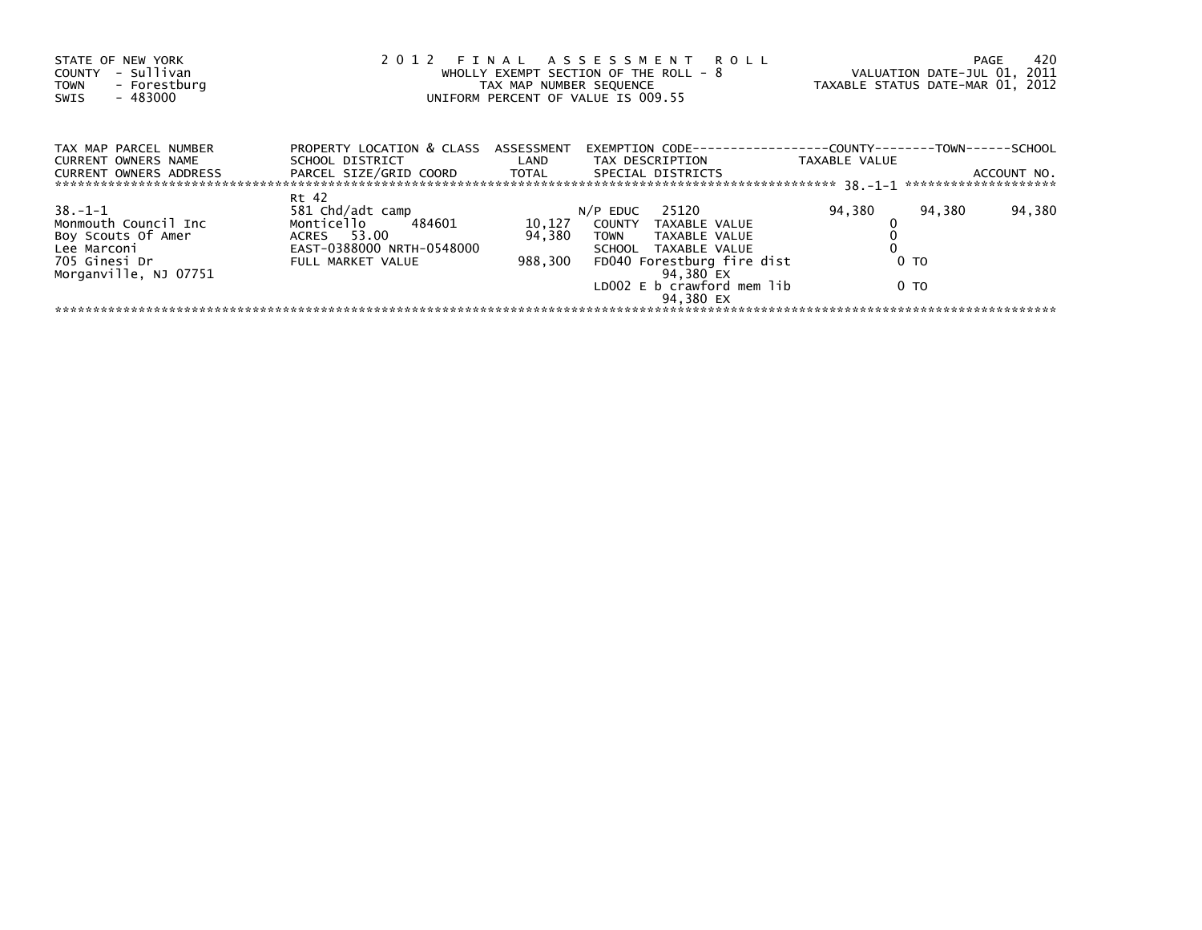| STATE OF NEW YORK<br>- Sullivan<br><b>COUNTY</b><br>- Forestburg<br><b>TOWN</b><br>$-483000$<br><b>SWIS</b>          |                                                                                                                    | TAX MAP NUMBER SEQUENCE     | 2012 FINAL ASSESSMENT ROLL<br>WHOLLY EXEMPT SECTION OF THE ROLL - 8<br>UNIFORM PERCENT OF VALUE IS 009.55                                                                                    | TAXABLE STATUS DATE-MAR 01, 2012           | 420<br>PAGE<br>VALUATION DATE-JUL 01, 2011 |
|----------------------------------------------------------------------------------------------------------------------|--------------------------------------------------------------------------------------------------------------------|-----------------------------|----------------------------------------------------------------------------------------------------------------------------------------------------------------------------------------------|--------------------------------------------|--------------------------------------------|
| TAX MAP PARCEL NUMBER<br><b>CURRENT OWNERS NAME</b><br><b>CURRENT OWNERS ADDRESS</b>                                 | PROPERTY LOCATION & CLASS ASSESSMENT<br>SCHOOL DISTRICT<br>PARCEL SIZE/GRID COORD                                  | LAND<br>TOTAL               | <b>EXEMPTION CODE-</b><br>TAX DESCRIPTION<br>SPECIAL DISTRICTS                                                                                                                               | ----------COUNTY-----<br>TAXABLE VALUE     | $-TOWN---$<br>--SCHOOL<br>ACCOUNT NO.      |
| $38. - 1 - 1$<br>Monmouth Council Inc<br>Boy Scouts Of Amer<br>Lee Marconi<br>705 Ginesi Dr<br>Morganville, NJ 07751 | Rt 42<br>581 Chd/adt camp<br>Monticello<br>484601<br>ACRES 53.00<br>EAST-0388000 NRTH-0548000<br>FULL MARKET VALUE | 10,127<br>94,380<br>988.300 | 25120<br>$N/P$ EDUC<br>COUNTY<br>TAXABLE VALUE<br><b>TOWN</b><br>TAXABLE VALUE<br>SCHOOL TAXABLE VALUE<br>FD040 Forestburg fire dist<br>94,380 EX<br>LD002 E b crawford mem lib<br>94.380 EX | 94,380<br>94,380<br>0 <sub>T</sub><br>0 TO | 94,380                                     |
|                                                                                                                      |                                                                                                                    |                             |                                                                                                                                                                                              |                                            |                                            |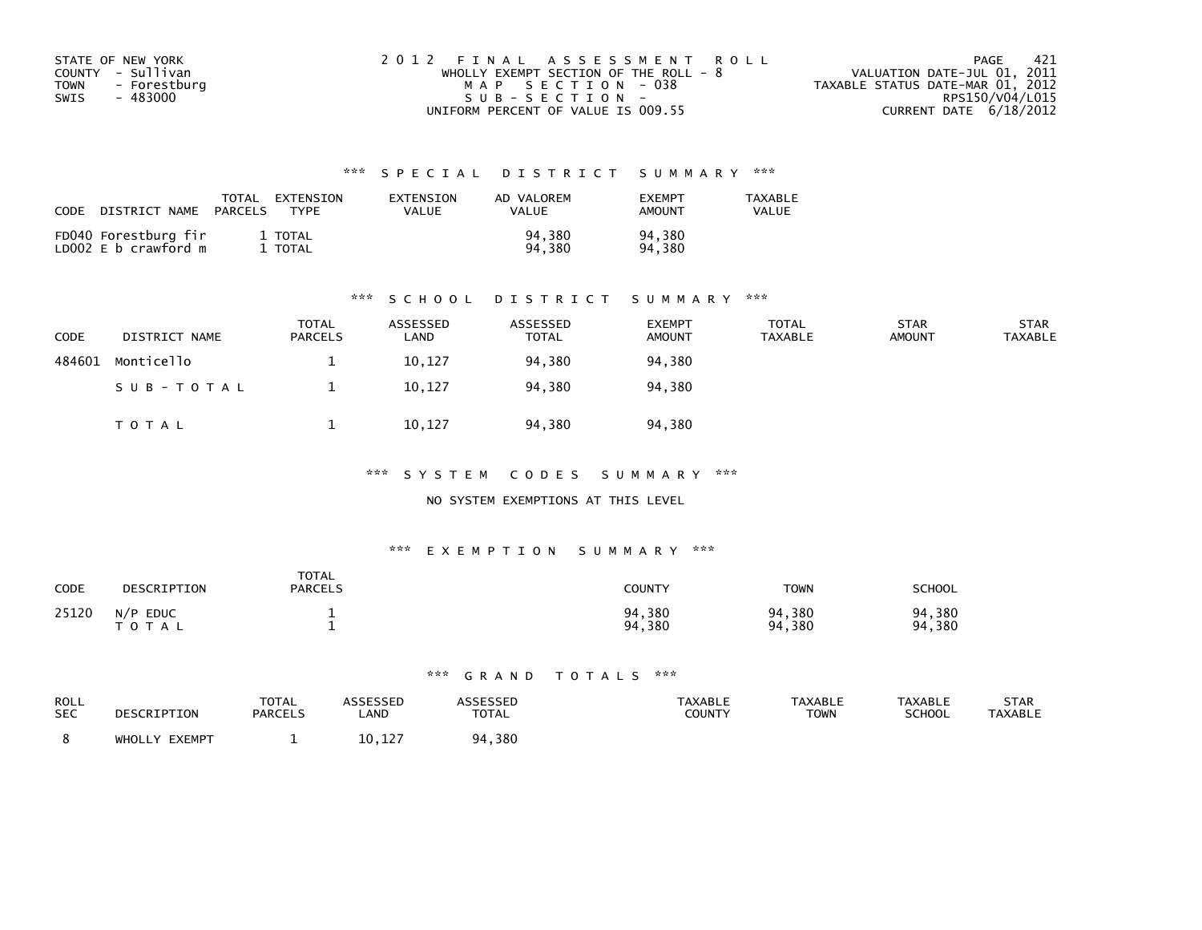| STATE OF NEW YORK    | 2012 FINAL ASSESSMENT ROLL              | -421<br>PAGE                     |
|----------------------|-----------------------------------------|----------------------------------|
| COUNTY - Sullivan    | WHOLLY EXEMPT SECTION OF THE ROLL - $8$ | VALUATION DATE-JUL 01, 2011      |
| TOWN<br>- Forestburg | MAP SECTION - 038                       | TAXABLE STATUS DATE-MAR 01, 2012 |
| - 483000<br>SWIS     | $SUB - SECTION -$                       | RPS150/V04/L015                  |
|                      | UNIFORM PERCENT OF VALUE IS 009.55      | CURRENT DATE $6/18/2012$         |

| CODE | DISTRICT NAME                                | TOTAL<br>PARCELS | EXTENSION<br><b>TYPF</b> | EXTENSION<br>VALUE | AD VALOREM<br>VALUE | <b>FXFMPT</b><br>AMOUNT | <b>TAXABLE</b><br>VALUE |
|------|----------------------------------------------|------------------|--------------------------|--------------------|---------------------|-------------------------|-------------------------|
|      | FD040 Forestburg fir<br>LD002 E b crawford m |                  | 1 TOTAL<br>TOTAL         |                    | 94.380<br>94.380    | 94,380<br>94.380        |                         |

### \*\*\* S C H O O L D I S T R I C T S U M M A R Y \*\*\*

| <b>CODE</b> | DISTRICT NAME | <b>TOTAL</b><br><b>PARCELS</b> | ASSESSED<br>∟AND | ASSESSED<br>TOTAL | <b>EXEMPT</b><br><b>AMOUNT</b> | <b>TOTAL</b><br>TAXABLE | <b>STAR</b><br><b>AMOUNT</b> | <b>STAR</b><br><b>TAXABLE</b> |
|-------------|---------------|--------------------------------|------------------|-------------------|--------------------------------|-------------------------|------------------------------|-------------------------------|
| 484601      | Monticello    |                                | 10,127           | 94,380            | 94,380                         |                         |                              |                               |
|             | SUB-TOTAL     |                                | 10,127           | 94,380            | 94,380                         |                         |                              |                               |
|             | TOTAL         |                                | 10,127           | 94,380            | 94,380                         |                         |                              |                               |

\*\*\* S Y S T E M C O D E S S U M M A R Y \*\*\*

NO SYSTEM EXEMPTIONS AT THIS LEVEL

### \*\*\* E X E M P T I O N S U M M A R Y \*\*\*

| CODE  | DESCRIPTION                        | <b>TOTAL</b><br><b>PARCELS</b> | COUNTY           | <b>TOWN</b>      | SCHOOL           |
|-------|------------------------------------|--------------------------------|------------------|------------------|------------------|
| 25120 | N/P<br><b>EDUC</b><br><b>TOTAL</b> |                                | 94,380<br>94,380 | 94,380<br>94,380 | 94,380<br>94,380 |

| ROLL       | DESCRIPTION   | TOTAL          | <b>ASSESSED</b> | <b>ASSESSED</b> | <b>TAXABLE</b> | TAXABLE | <b>TAXABLE</b> | STAR           |
|------------|---------------|----------------|-----------------|-----------------|----------------|---------|----------------|----------------|
| <b>SEC</b> |               | <b>PARCELS</b> | LAND            | <b>TOTAL</b>    | COUNTY         | TOWN    | <b>SCHOOL</b>  | <b>TAXABLE</b> |
|            | WHOLLY EXEMPT |                | 10,127          | 94,380          |                |         |                |                |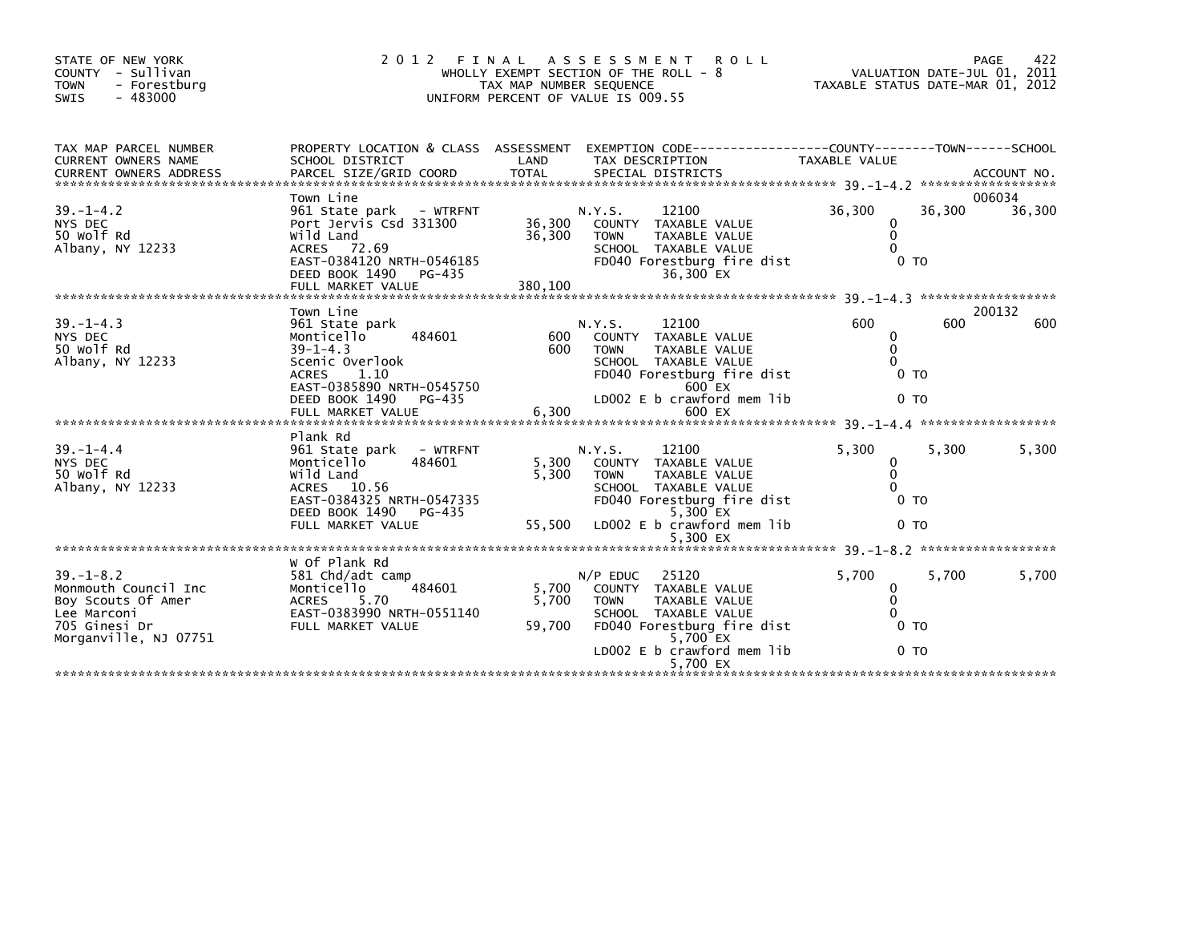| STATE OF NEW YORK<br>COUNTY - Sullivan<br>- Forestburg<br><b>TOWN</b><br>$-483000$<br><b>SWIS</b>                      | 2 0 1 2<br>FINAL                                                                                                                                                         | TAX MAP NUMBER SEQUENCE     | A S S E S S M E N T<br><b>ROLL</b><br>WHOLLY EXEMPT SECTION OF THE ROLL $-8$<br>UNIFORM PERCENT OF VALUE IS 009.55                                                          | TAXABLE STATUS DATE-MAR 01, 2012                                     | PAGE<br>VALUATION DATE-JUL 01, 2011 | 422    |
|------------------------------------------------------------------------------------------------------------------------|--------------------------------------------------------------------------------------------------------------------------------------------------------------------------|-----------------------------|-----------------------------------------------------------------------------------------------------------------------------------------------------------------------------|----------------------------------------------------------------------|-------------------------------------|--------|
| TAX MAP PARCEL NUMBER<br>CURRENT OWNERS NAME                                                                           | SCHOOL DISTRICT                                                                                                                                                          | LAND                        | PROPERTY LOCATION & CLASS ASSESSMENT EXEMPTION CODE----------------COUNTY-------TOWN------SCHOOL<br>TAX DESCRIPTION                                                         | <b>TAXABLE VALUE</b>                                                 |                                     |        |
| $39. - 1 - 4.2$<br>NYS DEC<br>50 Wolf Rd<br>Albany, NY 12233                                                           | Town Line<br>961 State park - WTRFNT<br>Port Jervis Csd 331300<br>Wild Land<br>ACRES 72.69<br>EAST-0384120 NRTH-0546185<br>DEED BOOK 1490<br>PG-435<br>FULL MARKET VALUE | 36,300<br>36,300<br>380.100 | 12100<br>N.Y.S.<br>COUNTY TAXABLE VALUE<br><b>TOWN</b><br>TAXABLE VALUE<br>SCHOOL TAXABLE VALUE<br>FD040 Forestburg fire dist<br>36,300 EX                                  | 36,300<br>$\mathbf{0}$<br>$\mathbf{0}$<br>$\Omega$<br>0 <sub>T</sub> | 006034<br>36,300                    | 36,300 |
|                                                                                                                        | Town Line                                                                                                                                                                |                             |                                                                                                                                                                             |                                                                      | 200132                              |        |
| $39. - 1 - 4.3$<br>NYS DEC<br>50 Wolf Rd<br>Albany, NY 12233                                                           | 961 State park<br>484601<br>Monticello<br>$39 - 1 - 4.3$<br>Scenic Overlook<br><b>ACRES</b><br>1.10<br>EAST-0385890 NRTH-0545750<br>DEED BOOK 1490<br>PG-435             | 600<br>600                  | 12100<br>N.Y.S.<br>COUNTY TAXABLE VALUE<br>TAXABLE VALUE<br><b>TOWN</b><br>SCHOOL TAXABLE VALUE<br>FD040 Forestburg fire dist<br>600 EX<br>LD002 E b crawford mem lib       | 600<br>0<br>$\Omega$<br>0<br>0 <sub>T</sub><br>0 <sub>T</sub>        | 600                                 | 600    |
|                                                                                                                        | FULL MARKET VALUE                                                                                                                                                        | 6,300                       | 600 EX                                                                                                                                                                      |                                                                      |                                     |        |
|                                                                                                                        | Plank Rd                                                                                                                                                                 |                             |                                                                                                                                                                             |                                                                      |                                     |        |
| $39. - 1 - 4.4$<br>NYS DEC<br>50 Wolf Rd<br>Albany, NY 12233                                                           | 961 State park<br>- WTRFNT<br>Monticello<br>484601<br>Wild Land<br>ACRES 10.56<br>EAST-0384325 NRTH-0547335<br>DEED BOOK 1490<br>PG-435                                  | 5.300<br>5.300              | 12100<br>N.Y.S.<br>COUNTY TAXABLE VALUE<br><b>TOWN</b><br>TAXABLE VALUE<br>SCHOOL TAXABLE VALUE<br>FD040 Forestburg fire dist<br>5,300 EX                                   | 5,300<br>0<br>$\mathbf{0}$<br>$\Omega$<br>0 <sub>T</sub>             | 5,300                               | 5,300  |
|                                                                                                                        | FULL MARKET VALUE                                                                                                                                                        | 55,500                      | LD002 E b crawford mem lib<br>5,300 EX                                                                                                                                      | 0 TO                                                                 |                                     |        |
|                                                                                                                        |                                                                                                                                                                          |                             |                                                                                                                                                                             |                                                                      |                                     |        |
| $39. - 1 - 8.2$<br>Monmouth Council Inc<br>Boy Scouts Of Amer<br>Lee Marconi<br>705 Ginesi Dr<br>Morganville, NJ 07751 | W Of Plank Rd<br>581 Chd/adt camp<br>484601<br>Monticello<br><b>ACRES</b><br>5.70<br>EAST-0383990 NRTH-0551140<br>FULL MARKET VALUE                                      | 5.700<br>5,700<br>59,700    | 25120<br>$N/P$ EDUC<br>COUNTY TAXABLE VALUE<br><b>TOWN</b><br>TAXABLE VALUE<br>SCHOOL TAXABLE VALUE<br>FD040 Forestburg fire dist<br>5,700 EX<br>LD002 E b crawford mem lib | 5,700<br>0<br>$\mathbf{0}$<br>$\Omega$<br>0 TO<br>0 <sub>T</sub>     | 5,700                               | 5,700  |
|                                                                                                                        |                                                                                                                                                                          |                             | 5,700 EX                                                                                                                                                                    |                                                                      |                                     |        |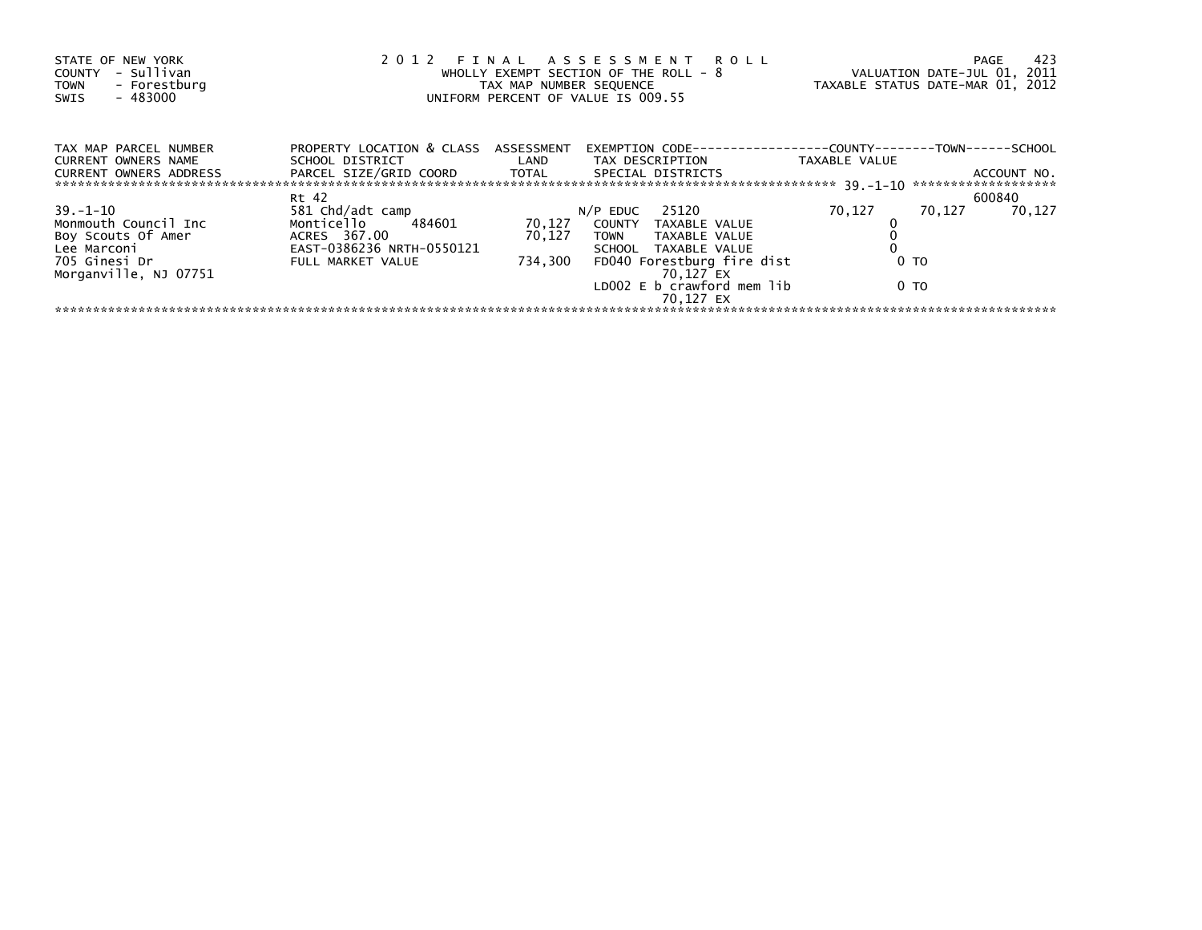| STATE OF NEW YORK<br>- Sullivan<br>COUNTY<br>- Forestburg<br><b>TOWN</b><br>$-483000$<br><b>SWIS</b> |                                                         | TAX MAP NUMBER SEQUENCE | 2012 FINAL ASSESSMENT ROLL<br>WHOLLY EXEMPT SECTION OF THE ROLL - 8<br>UNIFORM PERCENT OF VALUE IS 009.55 |                                          | 423<br>PAGE<br>VALUATION DATE-JUL 01, 2011<br>TAXABLE STATUS DATE-MAR 01, 2012 |
|------------------------------------------------------------------------------------------------------|---------------------------------------------------------|-------------------------|-----------------------------------------------------------------------------------------------------------|------------------------------------------|--------------------------------------------------------------------------------|
| TAX MAP PARCEL NUMBER<br>CURRENT OWNERS NAME                                                         | PROPERTY LOCATION & CLASS ASSESSMENT<br>SCHOOL DISTRICT | LAND                    | EXEMPTION CODE-<br>TAX DESCRIPTION                                                                        | -----------COUNTY------<br>TAXABLE VALUE | ---TOWN------SCHOOL                                                            |
| <b>CURRENT OWNERS ADDRESS</b>                                                                        | PARCEL SIZE/GRID COORD                                  | TOTAL                   | SPECIAL DISTRICTS                                                                                         |                                          | ACCOUNT NO.<br>*******************                                             |
|                                                                                                      | Rt 42                                                   |                         |                                                                                                           |                                          | 600840                                                                         |
| $39 - 1 - 10$                                                                                        | 581 Chd/adt camp                                        |                         | 25120<br>N/P EDUC                                                                                         | 70,127                                   | 70.127<br>70.127                                                               |
| Monmouth Council Inc                                                                                 | Monticello<br>484601                                    | 70,127                  | COUNTY TAXABLE VALUE                                                                                      |                                          |                                                                                |
| Boy Scouts Of Amer                                                                                   | ACRES 367.00<br>EAST-0386236 NRTH-0550121               | 70,127                  | TOWN TAXABLE VALUE                                                                                        |                                          |                                                                                |
| Lee Marconi<br>705 Ginesi Dr                                                                         |                                                         |                         | SCHOOL TAXABLE VALUE                                                                                      |                                          |                                                                                |
| Morganville, NJ 07751                                                                                | FULL MARKET VALUE                                       | 734,300                 | FD040 Forestburg fire dist<br>70.127 EX                                                                   | 0 то                                     |                                                                                |
|                                                                                                      |                                                         |                         | LD002 E b crawford mem lib<br>70.127 EX                                                                   | 0 TO                                     |                                                                                |
|                                                                                                      |                                                         |                         |                                                                                                           |                                          |                                                                                |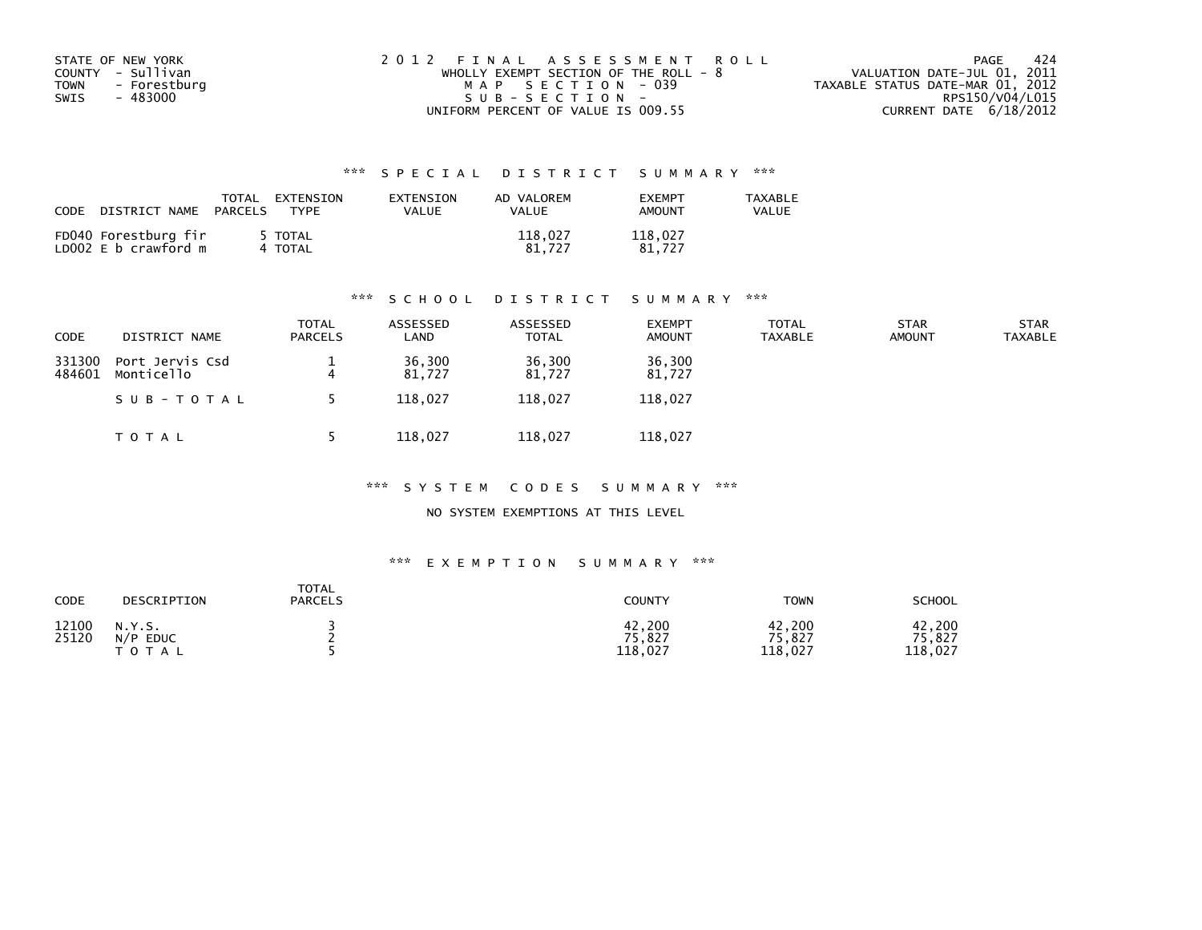| STATE OF NEW YORK    | 2012 FINAL ASSESSMENT ROLL            | -424<br>PAGE                     |
|----------------------|---------------------------------------|----------------------------------|
| COUNTY - Sullivan    | WHOLLY EXEMPT SECTION OF THE ROLL - 8 | VALUATION DATE-JUL 01, 2011      |
| TOWN<br>- Forestburg | MAP SECTION - 039                     | TAXABLE STATUS DATE-MAR 01, 2012 |
| - 483000<br>SWIS     | $SUB - SECTION -$                     | RPS150/V04/L015                  |
|                      | UNIFORM PERCENT OF VALUE IS 009.55    | CURRENT DATE $6/18/2012$         |

| CODE | DISTRICT NAME                                | TOTAL<br>PARCELS | EXTENSION<br><b>TYPF</b> | EXTENSION<br>VALUE | AD VALOREM<br>VALUE | <b>FXFMPT</b><br><b>AMOUNT</b> | <b>TAXABLE</b><br>VALUE |
|------|----------------------------------------------|------------------|--------------------------|--------------------|---------------------|--------------------------------|-------------------------|
|      | FD040 Forestburg fir<br>LD002 E b crawford m |                  | 5 TOTAL<br>4 TOTAL       |                    | 118.027<br>81.727   | 118.027<br>81.727              |                         |

### \*\*\* S C H O O L D I S T R I C T S U M M A R Y \*\*\*

| CODE             | DISTRICT NAME                 | <b>TOTAL</b><br><b>PARCELS</b> | ASSESSED<br>LAND | ASSESSED<br><b>TOTAL</b> | <b>EXEMPT</b><br><b>AMOUNT</b> | <b>TOTAL</b><br><b>TAXABLE</b> | <b>STAR</b><br><b>AMOUNT</b> | <b>STAR</b><br><b>TAXABLE</b> |
|------------------|-------------------------------|--------------------------------|------------------|--------------------------|--------------------------------|--------------------------------|------------------------------|-------------------------------|
| 331300<br>484601 | Port Jervis Csd<br>Monticello | 4                              | 36,300<br>81.727 | 36,300<br>81.727         | 36,300<br>81,727               |                                |                              |                               |
|                  | SUB-TOTAL                     |                                | 118,027          | 118,027                  | 118,027                        |                                |                              |                               |
|                  | T O T A L                     |                                | 118,027          | 118,027                  | 118,027                        |                                |                              |                               |

### \*\*\* S Y S T E M C O D E S S U M M A R Y \*\*\*

NO SYSTEM EXEMPTIONS AT THIS LEVEL

| CODE           | DESCRIPTION                               | <b>TOTAL</b><br><b>PARCELS</b> | <b>COUNTY</b>               | <b>TOWN</b>                 | <b>SCHOOL</b>               |
|----------------|-------------------------------------------|--------------------------------|-----------------------------|-----------------------------|-----------------------------|
| 12100<br>25120 | N.Y.S.<br>N/P<br><b>EDUC</b><br>T O T A L |                                | 42,200<br>75,827<br>118,027 | 42,200<br>75,827<br>118,027 | 42,200<br>75,827<br>118,027 |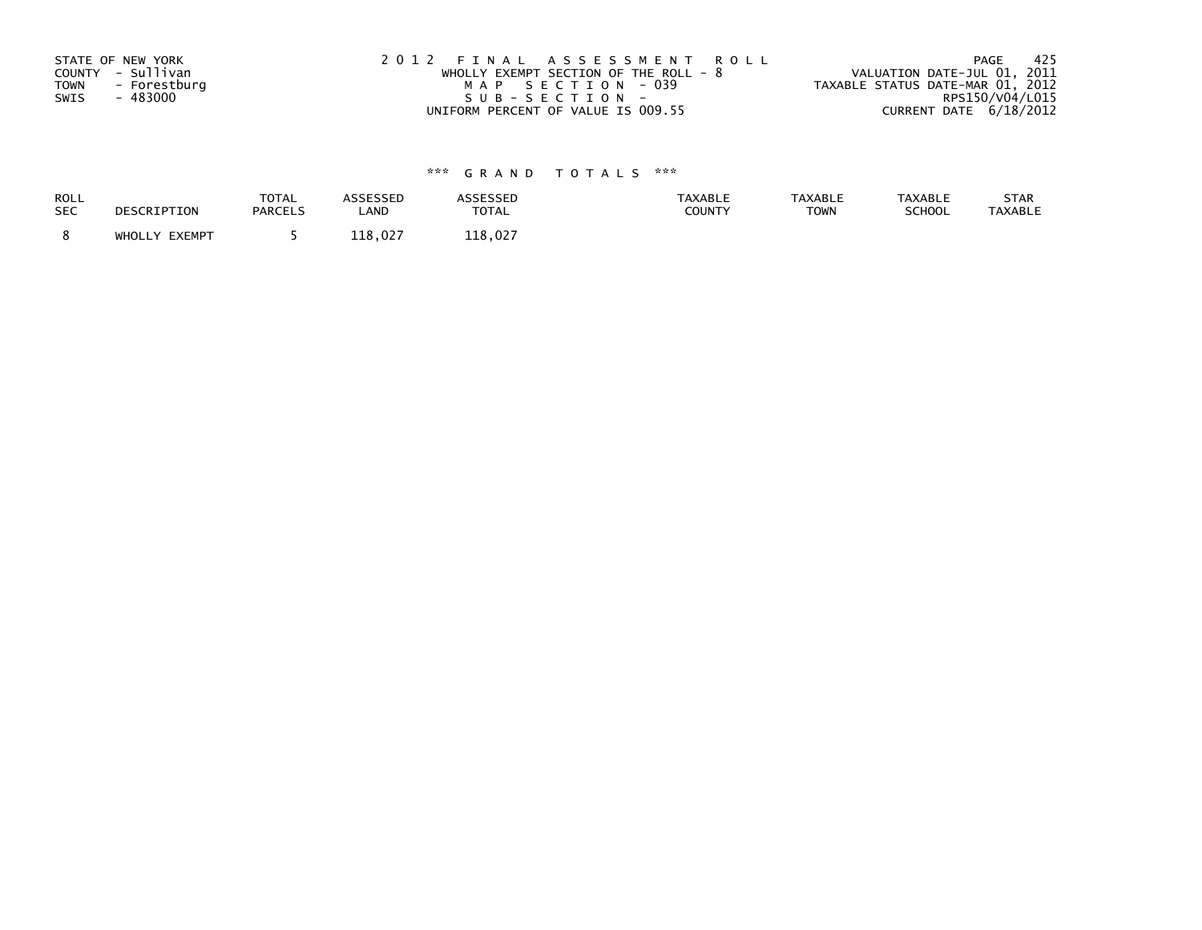| STATE OF NEW YORK           | 2012 FINAL ASSESSMENT ROLL             | - 425<br>PAGE                    |
|-----------------------------|----------------------------------------|----------------------------------|
| COUNTY - Sullivan           | WHOLLY EXEMPT SECTION OF THE ROLL $-8$ | VALUATION DATE-JUL 01, 2011      |
| <b>TOWN</b><br>- Forestburg | MAP SECTION - 039                      | TAXABLE STATUS DATE-MAR 01, 2012 |
| SWIS<br>- 483000            | SUB-SECTION-                           | RPS150/V04/L015                  |
|                             | UNIFORM PERCENT OF VALUE IS 009.55     | CURRENT DATE 6/18/2012           |

| <b>ROLL</b> | DESCRIPTION   | <b>TOTAL</b>   | <b>ASSESSED</b> | ASSESSED     | <b>TAXABLE</b> | <b>TAXABLE</b> | <b>TAXABLE</b> | STAR           |
|-------------|---------------|----------------|-----------------|--------------|----------------|----------------|----------------|----------------|
| <b>SEC</b>  |               | <b>PARCELS</b> | LAND            | <b>TOTAL</b> | COUNTY         | <b>TOWN</b>    | SCHOOL         | <b>TAXABLE</b> |
|             | WHOLLY EXEMPT |                | 118.027         | 118.027      |                |                |                |                |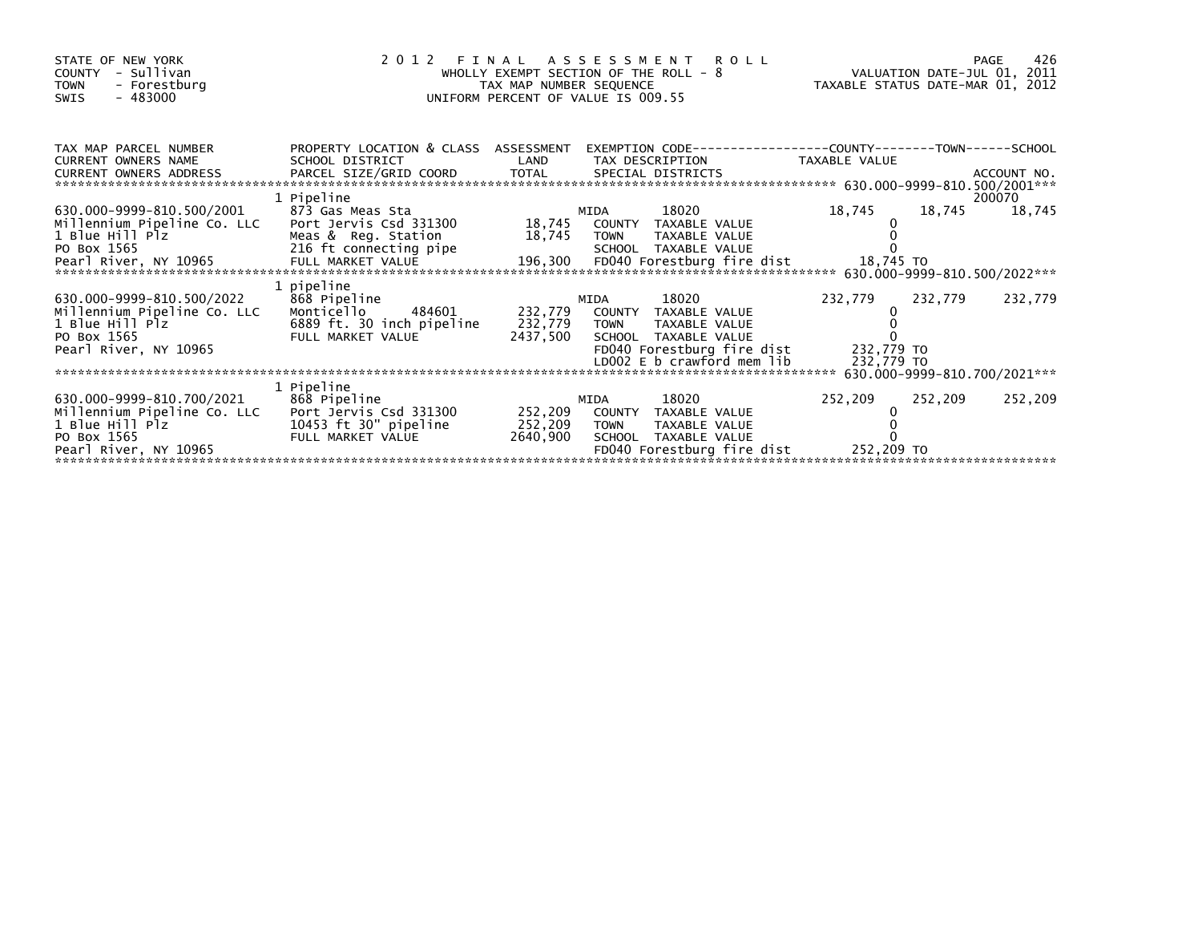| STATE OF NEW YORK<br>COUNTY - Sullivan<br><b>TOWN</b><br>- Forestburg<br>- 483000<br>SWIS                                                                                                                                                      |                                                                                         | WHOLLY EXEMPT SECTION OF THE ROLL - 8<br>TAX MAP NUMBER SEQUENCE<br>UNIFORM PERCENT OF VALUE IS 009.55 |             | 2012 FINAL ASSESSMENT ROLL                                                                           | VALUATION DATE-JUL 01, 2011<br>TAXABLE STATUS DATE-MAR 01, 2012 |         | 426<br>PAGE      |
|------------------------------------------------------------------------------------------------------------------------------------------------------------------------------------------------------------------------------------------------|-----------------------------------------------------------------------------------------|--------------------------------------------------------------------------------------------------------|-------------|------------------------------------------------------------------------------------------------------|-----------------------------------------------------------------|---------|------------------|
| TAX MAP PARCEL NUMBER<br><b>CURRENT OWNERS NAME</b><br><b>CURRENT OWNERS ADDRESS</b>                                                                                                                                                           | PROPERTY LOCATION & CLASS ASSESSMENT<br>SCHOOL DISTRICT<br>PARCEL SIZE/GRID COORD TOTAL | LAND                                                                                                   |             | EXEMPTION CODE-----------------COUNTY-------TOWN------SCHOOL<br>TAX DESCRIPTION<br>SPECIAL DISTRICTS | <b>TAXABLE VALUE</b>                                            |         | ACCOUNT NO.      |
| 630.000-9999-810.500/2001<br>Millennium Pipeline Co. LLC                                                                                                                                                                                       | 1 Pipeline<br>873 Gas Meas Sta<br>Port Jervis Csd 331300                                |                                                                                                        | MIDA        | 18020<br>18,745 COUNTY TAXABLE VALUE                                                                 | 18,745                                                          | 18,745  | 200070<br>18,745 |
| 1 Blue Hill Plz<br>PO Box 1565<br>- Pearl River, NY 10965 - FULL MARKET VALUE 196,300 FD040 Forestburg fire dist 18,745 TO<br>- Annual River, NY 10965 - FULL MARKET VALUE 196,300 - FD040 Forestburg fire dist 18,745 TO 1999-810.500/2022*** | Meas & Reg. Station<br>216 ft connecting pipe                                           |                                                                                                        | 18,745 TOWN | TAXABLE VALUE<br>SCHOOL TAXABLE VALUE                                                                |                                                                 |         |                  |
| 630.000-9999-810.500/2022<br>Millennium Pipeline Co. LLC<br>1 Blue Hill Plz                                                                                                                                                                    | 1 pipeline<br>868 Pipeline<br>Monticello<br>484601<br>6889 ft. 30 inch pipeline         |                                                                                                        | MIDA        | 18020<br>232,779 COUNTY TAXABLE VALUE<br>232,779 TOWN TAXABLE VALUE                                  | 232,779                                                         | 232,779 | 232,779          |
| PO Box 1565<br>Pearl River, NY 10965                                                                                                                                                                                                           | FULL MARKET VALUE                                                                       |                                                                                                        |             | 2437,500 SCHOOL TAXABLE VALUE<br>FD040 Forestburg fire dist<br>LD002 E b crawford mem lib            | 232,779 TO<br>232,779 TO                                        |         |                  |
| 630.000-9999-810.700/2021<br>Millennium Pipeline Co. LLC                                                                                                                                                                                       | 1 Pipeline<br>868 Pipeline<br>Port Jervis Csd 331300                                    |                                                                                                        | MIDA        | 18020<br>252,209 COUNTY TAXABLE VALUE                                                                | 252,209                                                         | 252,209 | 252,209          |
| 1 Blue Hill Plz<br>PO Box 1565<br>Pearl River, NY 10965                                                                                                                                                                                        | 10453 ft 30" pipeline<br>FULL MARKET VALUE                                              | 252,209<br>2640,900                                                                                    | <b>TOWN</b> | TAXABLE VALUE<br>SCHOOL TAXABLE VALUE<br>FD040 Forestburg fire dist                                  | 252,209 TO                                                      |         |                  |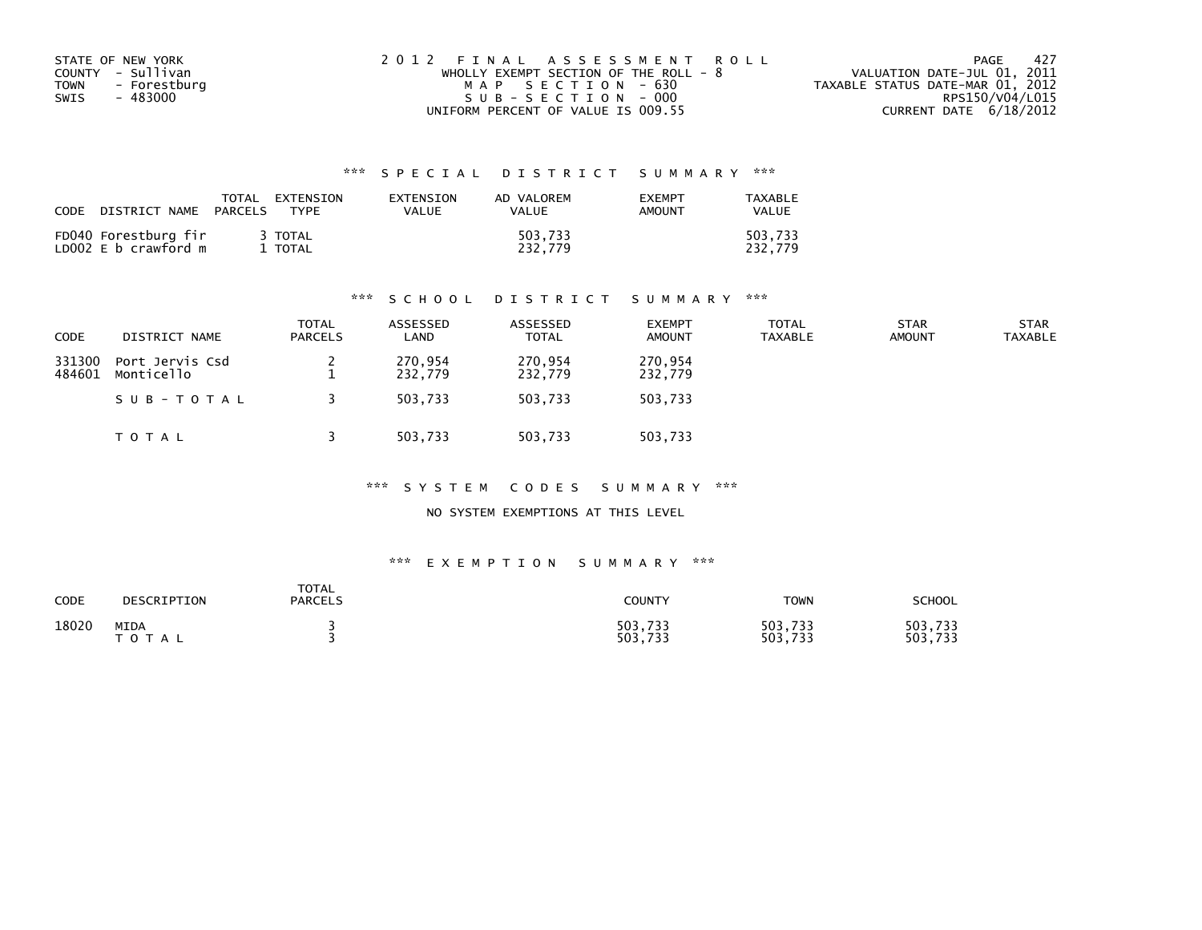| STATE OF NEW YORK    | 2012 FINAL ASSESSMENT ROLL              | - 427<br>PAGE                    |
|----------------------|-----------------------------------------|----------------------------------|
| COUNTY - Sullivan    | WHOLLY EXEMPT SECTION OF THE ROLL - $8$ | VALUATION DATE-JUL 01, 2011      |
| - Forestburg<br>TOWN | MAP SECTION - 630                       | TAXABLE STATUS DATE-MAR 01, 2012 |
| - 483000<br>SWIS     | SUB-SECTION - 000                       | RPS150/V04/L015                  |
|                      | UNIFORM PERCENT OF VALUE IS 009.55      | CURRENT DATE 6/18/2012           |

| CODE | DISTRICT NAME                                | TOTAL<br>PARCELS | EXTENSION<br><b>TYPF</b> | EXTENSION<br>VALUE | AD VALOREM<br><b>VALUE</b> | <b>EXEMPT</b><br>AMOUNT | TAXABLE<br><b>VALUE</b> |
|------|----------------------------------------------|------------------|--------------------------|--------------------|----------------------------|-------------------------|-------------------------|
|      | FD040 Forestburg fir<br>LD002 E b crawford m |                  | 3 TOTAL<br>l TOTAL       |                    | 503.733<br>232.779         |                         | 503.733<br>232.779      |

### \*\*\* S C H O O L D I S T R I C T S U M M A R Y \*\*\*

| <b>CODE</b>      | DISTRICT NAME                 | <b>TOTAL</b><br><b>PARCELS</b> | ASSESSED<br>LAND   | ASSESSED<br><b>TOTAL</b> | <b>EXEMPT</b><br><b>AMOUNT</b> | <b>TOTAL</b><br><b>TAXABLE</b> | <b>STAR</b><br><b>AMOUNT</b> | <b>STAR</b><br><b>TAXABLE</b> |
|------------------|-------------------------------|--------------------------------|--------------------|--------------------------|--------------------------------|--------------------------------|------------------------------|-------------------------------|
| 331300<br>484601 | Port Jervis Csd<br>Monticello |                                | 270,954<br>232,779 | 270,954<br>232,779       | 270,954<br>232,779             |                                |                              |                               |
|                  | SUB-TOTAL                     |                                | 503.733            | 503.733                  | 503,733                        |                                |                              |                               |
|                  | T O T A L                     |                                | 503,733            | 503,733                  | 503,733                        |                                |                              |                               |

\*\*\* S Y S T E M C O D E S S U M M A R Y \*\*\*

NO SYSTEM EXEMPTIONS AT THIS LEVEL

| CODE  | DESCRIPTION              | TOTAL<br><b>PARCELS</b> | COUNTY             | <b>TOWN</b>        | SCHOOL             |
|-------|--------------------------|-------------------------|--------------------|--------------------|--------------------|
| 18020 | MIDA<br>тот<br><b>AL</b> |                         | 503,733<br>503,733 | 503,733<br>503,733 | 503,733<br>503,733 |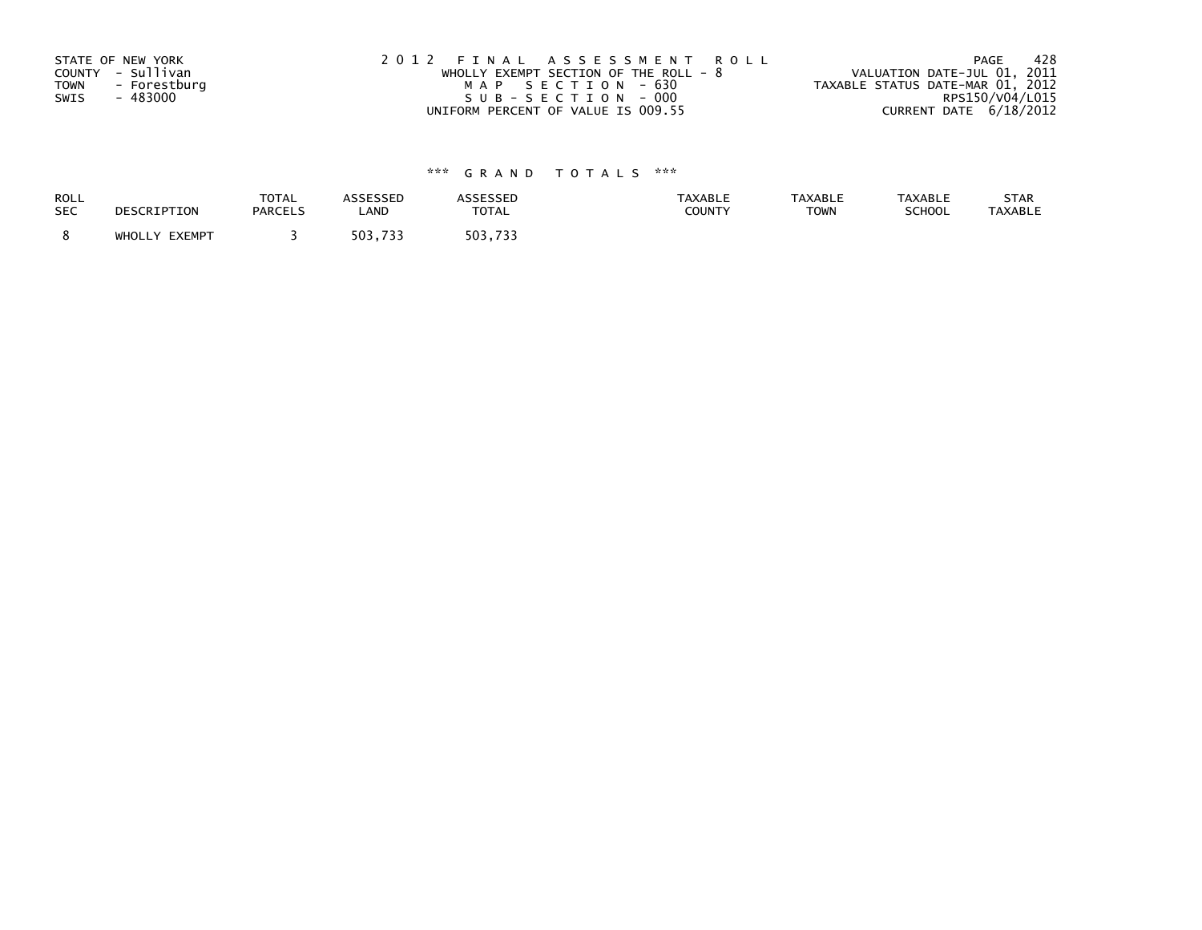| STATE OF NEW YORK           | 2012 FINAL ASSESSMENT ROLL              | - 428<br>PAGE                    |
|-----------------------------|-----------------------------------------|----------------------------------|
| COUNTY - Sullivan           | WHOLLY EXEMPT SECTION OF THE ROLL - $8$ | VALUATION DATE-JUL 01, 2011      |
| <b>TOWN</b><br>- Forestburg | MAP SECTION - 630                       | TAXABLE STATUS DATE-MAR 01, 2012 |
| - 483000<br>SWIS            | SUB-SECTION-000                         | RPS150/V04/L015                  |
|                             | UNIFORM PERCENT OF VALUE IS 009.55      | CURRENT DATE 6/18/2012           |

| <b>ROLL</b> | DESCRIPTION   | <b>TOTAL</b>   | ASSESSED | <b>ASSESSED</b> | <b>TAXABLE</b> | <b>TAXABLE</b> | <b>TAXABLE</b> | STAR           |
|-------------|---------------|----------------|----------|-----------------|----------------|----------------|----------------|----------------|
| <b>SEC</b>  |               | <b>PARCELS</b> | LAND     | <b>TOTAL</b>    | COUNTY         | <b>TOWN</b>    | SCHOOL         | <b>TAXABLE</b> |
|             | WHOLLY EXEMPT |                | 503,733  | 503.733         |                |                |                |                |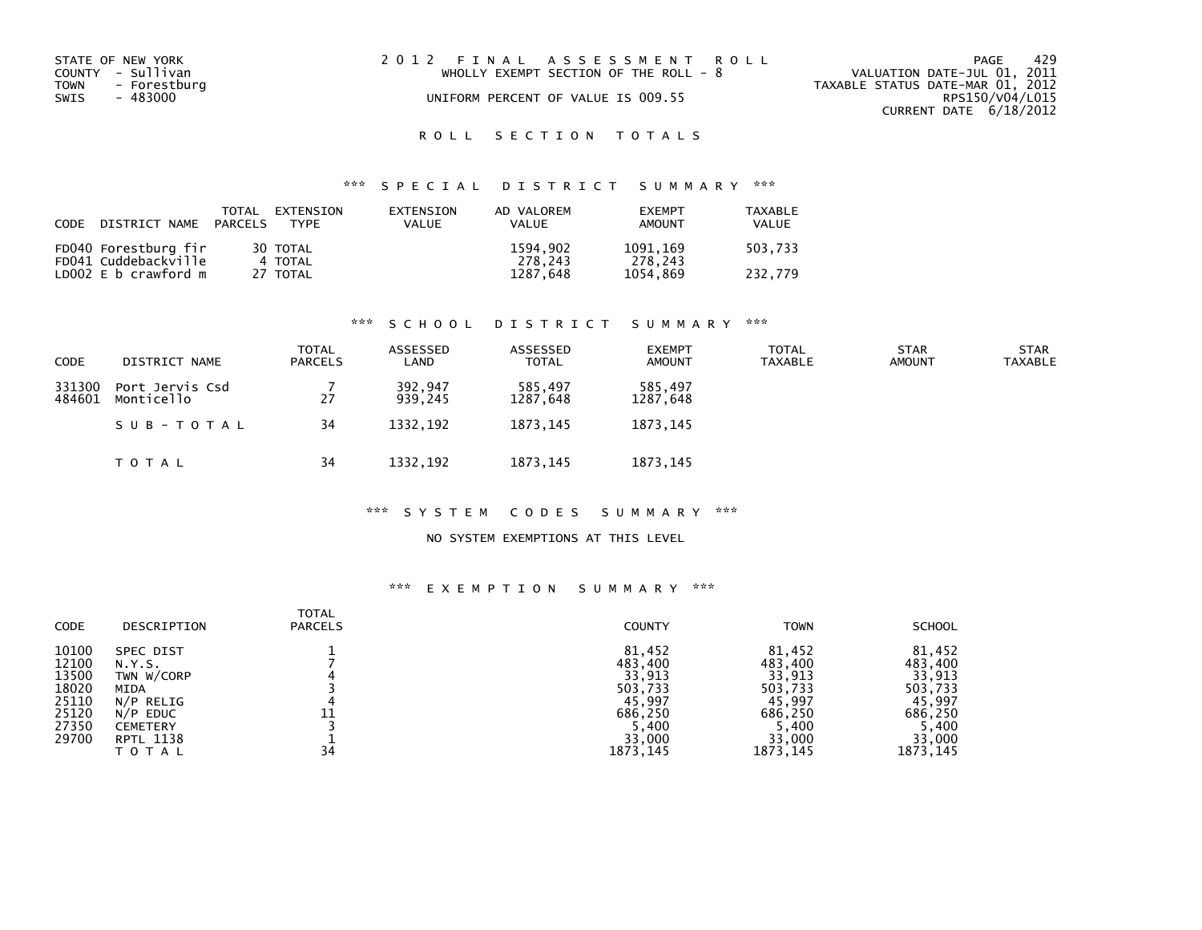| STATE OF NEW YORK<br>COUNTY - Sullivan<br>TOWN<br>- Forestburg<br>SWIS<br>- 483000 | 2012 FINAL ASSESSMENT ROLL<br>WHOLLY EXEMPT SECTION OF THE ROLL - $8$<br>UNIFORM PERCENT OF VALUE IS 009.55 | 429<br>PAGE<br>VALUATION DATE-JUL 01, 2011<br>TAXABLE STATUS DATE-MAR 01, 2012<br>RPS150/V04/L015<br>CURRENT DATE 6/18/2012 |
|------------------------------------------------------------------------------------|-------------------------------------------------------------------------------------------------------------|-----------------------------------------------------------------------------------------------------------------------------|
|                                                                                    |                                                                                                             |                                                                                                                             |

## ROLL SECTION TOTALS

## \*\*\* S P E C I A L D I S T R I C T S U M M A R Y \*\*\*

| CODE | DISTRICT NAME PARCELS | TOTAL | EXTENSION<br>TYPF | EXTENSION<br>VALUE | AD VALOREM<br><b>VALUE</b> | <b>FXFMPT</b><br>AMOUNT | <b>TAXABLE</b><br>VALUE |
|------|-----------------------|-------|-------------------|--------------------|----------------------------|-------------------------|-------------------------|
|      | FD040 Forestburg fir  |       | 30 TOTAL          |                    | 1594,902                   | 1091.169                | 503,733                 |
|      | FD041 Cuddebackville  |       | 4 TOTAL           |                    | 278.243                    | 278.243                 |                         |
|      | LD002 E b crawford m  |       | 27 TOTAL          |                    | 1287,648                   | 1054.869                | 232.779                 |

### \*\*\* S C H O O L D I S T R I C T S U M M A R Y \*\*\*

| <b>CODE</b>      | DISTRICT NAME                 | TOTAL<br><b>PARCELS</b> | ASSESSED<br>LAND   | ASSESSED<br>TOTAL   | <b>EXEMPT</b><br><b>AMOUNT</b> | <b>TOTAL</b><br><b>TAXABLE</b> | <b>STAR</b><br><b>AMOUNT</b> | <b>STAR</b><br><b>TAXABLE</b> |
|------------------|-------------------------------|-------------------------|--------------------|---------------------|--------------------------------|--------------------------------|------------------------------|-------------------------------|
| 331300<br>484601 | Port Jervis Csd<br>Monticello | 27                      | 392,947<br>939.245 | 585,497<br>1287.648 | 585,497<br>1287,648            |                                |                              |                               |
|                  | SUB-TOTAL                     | 34                      | 1332.192           | 1873.145            | 1873.145                       |                                |                              |                               |
|                  | T O T A L                     | 34                      | 1332,192           | 1873, 145           | 1873, 145                      |                                |                              |                               |

### \*\*\* S Y S T E M C O D E S S U M M A R Y \*\*\*

### NO SYSTEM EXEMPTIONS AT THIS LEVEL

| CODE                                                                 | DESCRIPTION                                                                                                   | <b>TOTAL</b><br><b>PARCELS</b> | <b>COUNTY</b>                                                                  | <b>TOWN</b>                                                                    | <b>SCHOOL</b>                                                                  |
|----------------------------------------------------------------------|---------------------------------------------------------------------------------------------------------------|--------------------------------|--------------------------------------------------------------------------------|--------------------------------------------------------------------------------|--------------------------------------------------------------------------------|
| 10100<br>12100<br>13500<br>18020<br>25110<br>25120<br>27350<br>29700 | SPEC DIST<br>N.Y.S.<br>TWN W/CORP<br>MIDA<br>$N/P$ RELIG<br>$N/P$ EDUC<br><b>CEMETERY</b><br><b>RPTL 1138</b> |                                | 81,452<br>483,400<br>33,913<br>503,733<br>45,997<br>686,250<br>5,400<br>33,000 | 81,452<br>483,400<br>33,913<br>503,733<br>45,997<br>686.250<br>5,400<br>33,000 | 81,452<br>483,400<br>33,913<br>503,733<br>45,997<br>686,250<br>5,400<br>33,000 |
|                                                                      | ΤΟΤΑΙ                                                                                                         | 34                             | 1873, 145                                                                      | 1873, 145                                                                      | 1873, 145                                                                      |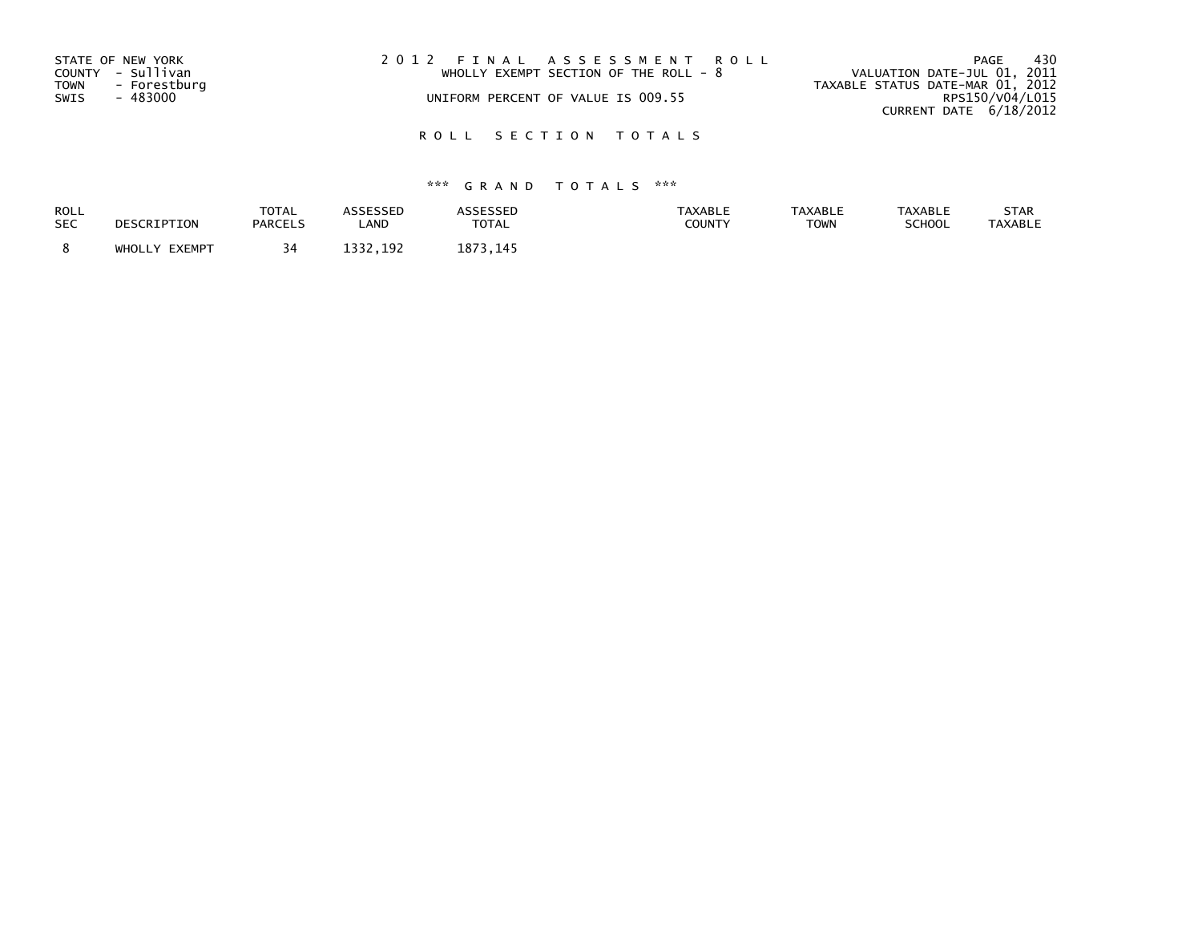| STATE OF NEW YORK<br>COUNTY - Sullivan<br>TOWN<br>- Forestburg<br>SWIS<br>- 483000 | 2012 FINAL ASSESSMENT ROLL<br>WHOLLY EXEMPT SECTION OF THE ROLL - 8<br>UNIFORM PERCENT OF VALUE IS 009.55 | 430<br>PAGE<br>VALUATION DATE-JUL 01, 2011<br>TAXABLE STATUS DATE-MAR 01, 2012<br>RPS150/V04/L015<br>CURRENT DATE 6/18/2012 |
|------------------------------------------------------------------------------------|-----------------------------------------------------------------------------------------------------------|-----------------------------------------------------------------------------------------------------------------------------|
|                                                                                    |                                                                                                           |                                                                                                                             |

## ROLL SECTION TOTALS

| ROLL       | DESCRIPTION   | TOTAL          | ASSESSED     | <b>ASSESSED</b> | <b>TAXABLE</b> | <b>TAXABLE</b> | <b>TAXABLE</b> | STAR           |
|------------|---------------|----------------|--------------|-----------------|----------------|----------------|----------------|----------------|
| <b>SEC</b> |               | <b>PARCELS</b> | ∟AND         | TOTAL           | <b>COUNTY</b>  | <b>TOWN</b>    | SCHOOL         | <b>TAXABLE</b> |
|            | WHOLLY EXEMPT | 34             | 1222<br>.192 | 1873, 145       |                |                |                |                |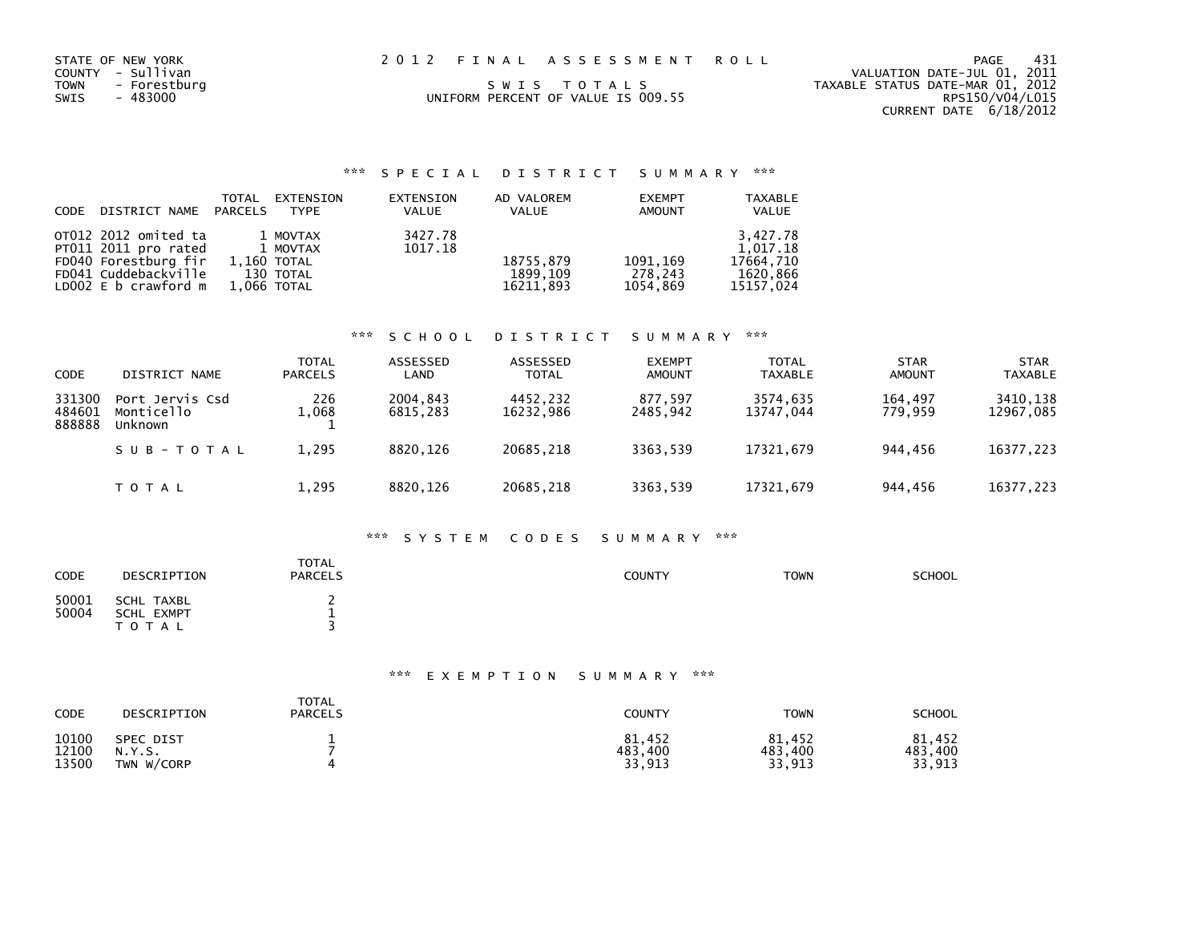| STATE OF NEW YORK<br>COUNTY - Sullivan<br>TOWN - Forestburg<br>SWIS<br>- 483000 | 2012 FINAL ASSESSMENT ROLL<br>SWIS TOTALS<br>UNIFORM PERCENT OF VALUE IS 009.55 | PAGE<br>VALUATION DATE-JUL 01, 2011<br>TAXABLE STATUS DATE-MAR 01, 2012<br>RPS150/V04/L015 | - 431 |
|---------------------------------------------------------------------------------|---------------------------------------------------------------------------------|--------------------------------------------------------------------------------------------|-------|
|                                                                                 |                                                                                 | CURRENT DATE 6/18/2012                                                                     |       |

|                            | TOTAL       | EXTENSION     | EXTENSION | AD VALOREM   | <b>EXEMPT</b> | <b>TAXABLE</b> |
|----------------------------|-------------|---------------|-----------|--------------|---------------|----------------|
| CODE DISTRICT NAME PARCELS |             | TYPF          | VALUE     | <b>VALUE</b> | <b>AMOUNT</b> | <b>VALUE</b>   |
| OT012 2012 omited ta       |             | 1 MOVTAX      | 3427.78   |              |               | 3.427.78       |
| PT011 2011 pro rated       |             | 1 MOVTAX      | 1017.18   |              |               | 1.017.18       |
| FD040 Forestburg fir       |             | $1.160$ TOTAL |           | 18755,879    | 1091,169      | 17664.710      |
| FD041 Cuddebackville       |             | 130 TOTAL     |           | 1899.109     | 278,243       | 1620,866       |
| LD002 $E$ b crawford $m$   | 1,066 TOTAL |               |           | 16211.893    | 1054.869      | 15157.024      |

### \*\*\* S C H O O L D I S T R I C T S U M M A R Y \*\*\*

| <b>CODE</b>                | DISTRICT NAME                            | <b>TOTAL</b><br><b>PARCELS</b> | ASSESSED<br>LAND     | ASSESSED<br><b>TOTAL</b> | <b>EXEMPT</b><br><b>AMOUNT</b> | <b>TOTAL</b><br><b>TAXABLE</b> | <b>STAR</b><br><b>AMOUNT</b> | <b>STAR</b><br><b>TAXABLE</b> |
|----------------------------|------------------------------------------|--------------------------------|----------------------|--------------------------|--------------------------------|--------------------------------|------------------------------|-------------------------------|
| 331300<br>484601<br>888888 | Port Jervis Csd<br>Monticello<br>Unknown | 226<br>1,068                   | 2004.843<br>6815,283 | 4452.232<br>16232,986    | 877.597<br>2485,942            | 3574.635<br>13747,044          | 164.497<br>779.959           | 3410.138<br>12967,085         |
|                            | SUB-TOTAL                                | 1,295                          | 8820.126             | 20685.218                | 3363.539                       | 17321.679                      | 944.456                      | 16377,223                     |
|                            | TOTAL                                    | 1,295                          | 8820.126             | 20685,218                | 3363,539                       | 17321,679                      | 944,456                      | 16377,223                     |

### \*\*\* S Y S T E M C O D E S S U M M A R Y \*\*\*

| <b>CODE</b>    | DESCRIPTION                                  | <b>TOTAL</b><br><b>PARCELS</b> | <b>COUNTY</b> | <b>TOWN</b> | <b>SCHOOL</b> |
|----------------|----------------------------------------------|--------------------------------|---------------|-------------|---------------|
| 50001<br>50004 | SCHL TAXBL<br><b>SCHL EXMPT</b><br>T O T A L | -                              |               |             |               |

| CODE  | DESCRIPTION      | <b>TOTAL</b><br><b>PARCELS</b> | <b>COUNTY</b> | <b>TOWN</b> | <b>SCHOOL</b> |
|-------|------------------|--------------------------------|---------------|-------------|---------------|
| 10100 | <b>SPEC DIST</b> |                                | 81,452        | 81,452      | 81,452        |
| 12100 | N.Y.S.           |                                | 483,400       | 483,400     | 483.400       |
| 13500 | TWN W/CORP       |                                | 33,913        | 33,913      | 33,913        |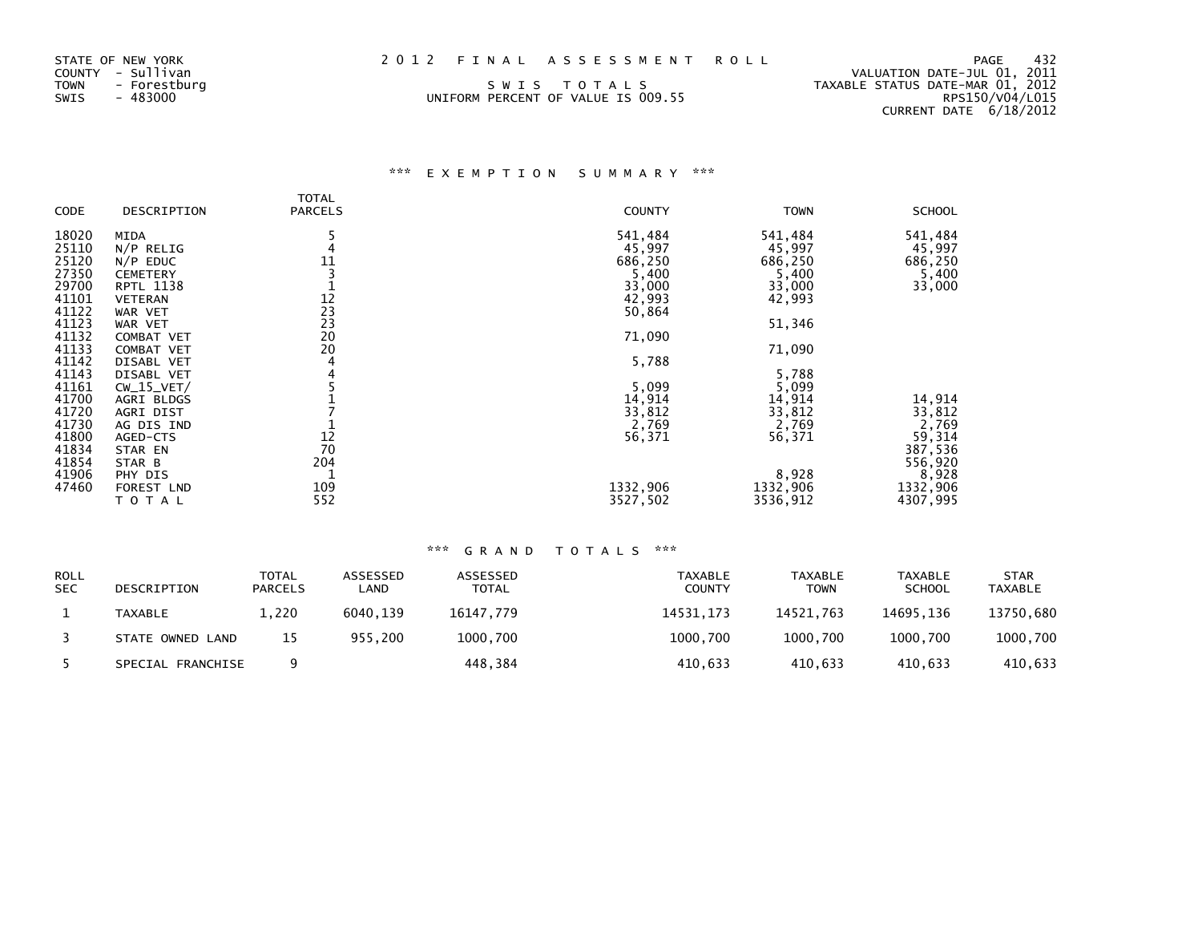| STATE OF NEW YORK<br>COUNTY - Sullivan<br>TOWN<br>- Forestburg | 2012 FINAL ASSESSMENT ROLL<br>SWIS TOTALS | 432<br>PAGE<br>VALUATION DATE-JUL 01, 2011<br>TAXABLE STATUS DATE-MAR 01, 2012 |
|----------------------------------------------------------------|-------------------------------------------|--------------------------------------------------------------------------------|
| SWIS<br>- 483000                                               | UNIFORM PERCENT OF VALUE IS 009.55        | RPS150/V04/L015                                                                |
|                                                                |                                           | CURRENT DATE 6/18/2012                                                         |

## \*\*\* E X E M P T I O N S U M M A R Y \*\*\*

|       |                  | <b>TOTAL</b>               |               |             |               |
|-------|------------------|----------------------------|---------------|-------------|---------------|
| CODE  | DESCRIPTION      | <b>PARCELS</b>             | <b>COUNTY</b> | <b>TOWN</b> | <b>SCHOOL</b> |
| 18020 | MIDA             |                            | 541,484       | 541,484     | 541,484       |
| 25110 | $N/P$ RELIG      |                            | 45,997        | 45,997      | 45,997        |
| 25120 | $N/P$ EDUC       | $\frac{11}{3}$             | 686,250       | 686,250     | 686,250       |
| 27350 | <b>CEMETERY</b>  |                            | 5,400         | 5,400       | 5,400         |
| 29700 | <b>RPTL 1138</b> |                            | 33,000        | 33,000      | 33,000        |
| 41101 | <b>VETERAN</b>   |                            | 42,993        | 42,993      |               |
| 41122 | WAR VET          |                            | 50,864        |             |               |
| 41123 | WAR VET          | 12<br>23<br>23<br>20<br>20 |               | 51,346      |               |
| 41132 | COMBAT VET       |                            | 71,090        |             |               |
| 41133 | COMBAT VET       |                            |               | 71,090      |               |
| 41142 | DISABL VET       | 4                          | 5,788         |             |               |
| 41143 | DISABL VET       |                            |               | 5,788       |               |
| 41161 | $CW_15_VET/$     |                            | 5,099         | 5,099       |               |
| 41700 | AGRI BLDGS       |                            | 14,914        | 14,914      | 14,914        |
| 41720 | AGRI DIST        |                            | 33,812        | 33,812      | 33,812        |
| 41730 | AG DIS IND       |                            | 2,769         | 2,769       | 2,769         |
| 41800 | AGED-CTS         | 12                         | 56,371        | 56,371      | 59,314        |
| 41834 | STAR EN          | 70                         |               |             | 387,536       |
| 41854 | STAR B           | 204                        |               |             | 556,920       |
| 41906 | PHY DIS          |                            |               | 8,928       | 8,928         |
| 47460 | FOREST LND       | 109                        | 1332,906      | 1332,906    | 1332,906      |
|       | TOTAL            | 552                        | 3527,502      | 3536,912    | 4307,995      |

| <b>ROLL</b><br><b>SEC</b> | DESCRIPTION       | <b>TOTAL</b><br><b>PARCELS</b> | ASSESSED<br>_AND | ASSESSED<br>TOTAL | TAXABLE<br><b>COUNTY</b> | <b>TAXABLE</b><br><b>TOWN</b> | <b>TAXABLE</b><br><b>SCHOOL</b> | <b>STAR</b><br><b>TAXABLE</b> |
|---------------------------|-------------------|--------------------------------|------------------|-------------------|--------------------------|-------------------------------|---------------------------------|-------------------------------|
|                           | TAXABLE           | 1.220                          | 6040.139         | 16147,779         | 14531.173                | 14521.763                     | 14695.136                       | 13750,680                     |
|                           | STATE OWNED LAND  | 15                             | 955,200          | 1000.700          | 1000.700                 | 1000.700                      | 1000.700                        | 1000,700                      |
|                           | SPECIAL FRANCHISE |                                |                  | 448,384           | 410,633                  | 410.633                       | 410.633                         | 410,633                       |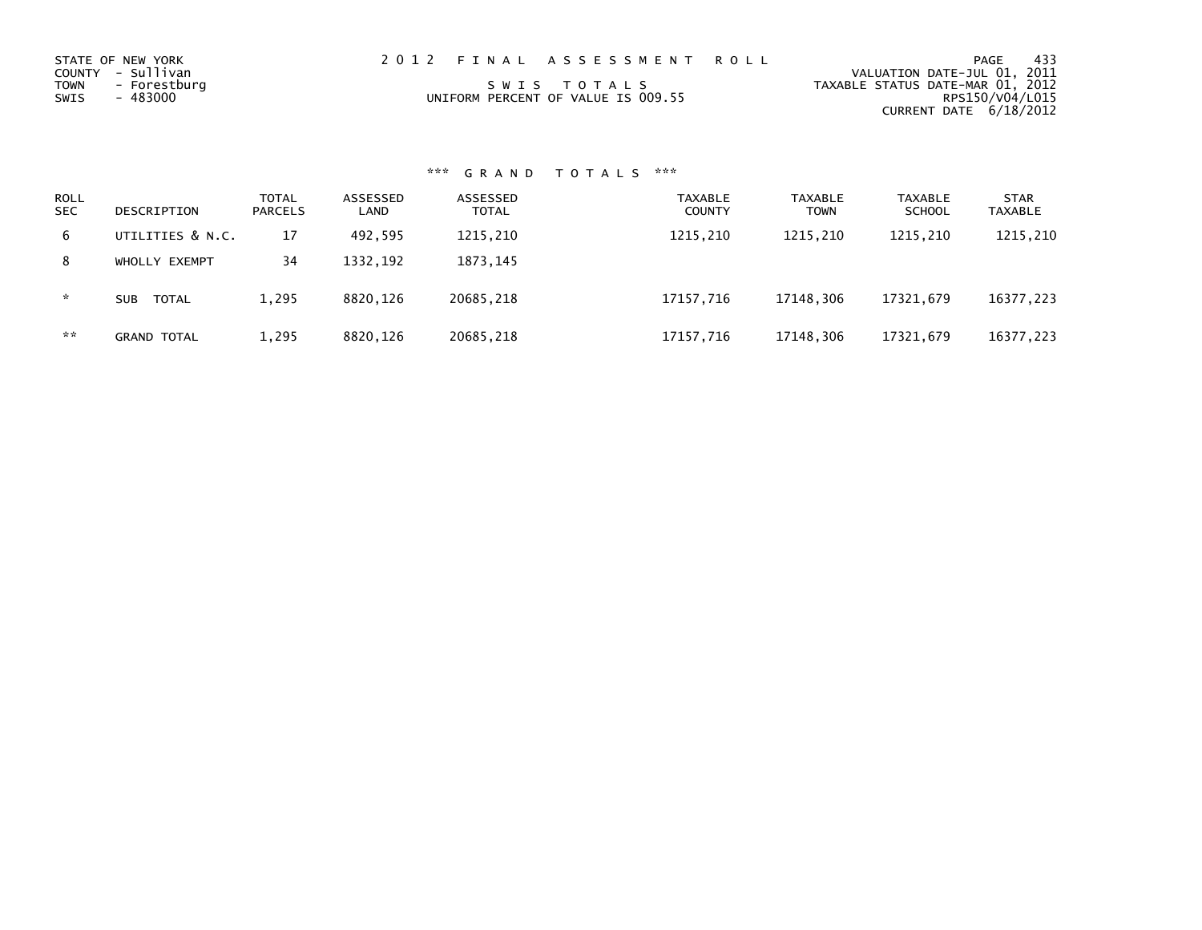| STATE OF NEW YORK    | 2012 FINAL ASSESSMENT ROLL         | - 433<br>PAGE                    |
|----------------------|------------------------------------|----------------------------------|
| COUNTY - Sullivan    |                                    | VALUATION DATE-JUL 01, 2011      |
| TOWN<br>- Forestburg | SWIS TOTALS                        | TAXABLE STATUS DATE-MAR 01, 2012 |
| - 483000<br>SWIS     | UNIFORM PERCENT OF VALUE IS 009.55 | RPS150/V04/L015                  |
|                      |                                    | CURRENT DATE 6/18/2012           |

# \*\*\* G R A N D T O T A L S \*\*\*

| <b>ROLL</b><br><b>SEC</b> | DESCRIPTION        | <b>TOTAL</b><br><b>PARCELS</b> | ASSESSED<br>LAND | ASSESSED<br><b>TOTAL</b> | <b>TAXABLE</b><br><b>COUNTY</b> | <b>TAXABLE</b><br>TOWN | <b>TAXABLE</b><br><b>SCHOOL</b> | <b>STAR</b><br>TAXABLE |
|---------------------------|--------------------|--------------------------------|------------------|--------------------------|---------------------------------|------------------------|---------------------------------|------------------------|
| 6                         | UTILITIES & N.C.   | 17                             | 492.595          | 1215,210                 | 1215,210                        | 1215,210               | 1215,210                        | 1215,210               |
| 8                         | WHOLLY EXEMPT      | 34                             | 1332,192         | 1873, 145                |                                 |                        |                                 |                        |
| *.                        | TOTAL<br>SUB       | 1,295                          | 8820.126         | 20685,218                | 17157,716                       | 17148.306              | 17321,679                       | 16377,223              |
| **                        | <b>GRAND TOTAL</b> | 1,295                          | 8820,126         | 20685,218                | 17157,716                       | 17148,306              | 17321,679                       | 16377,223              |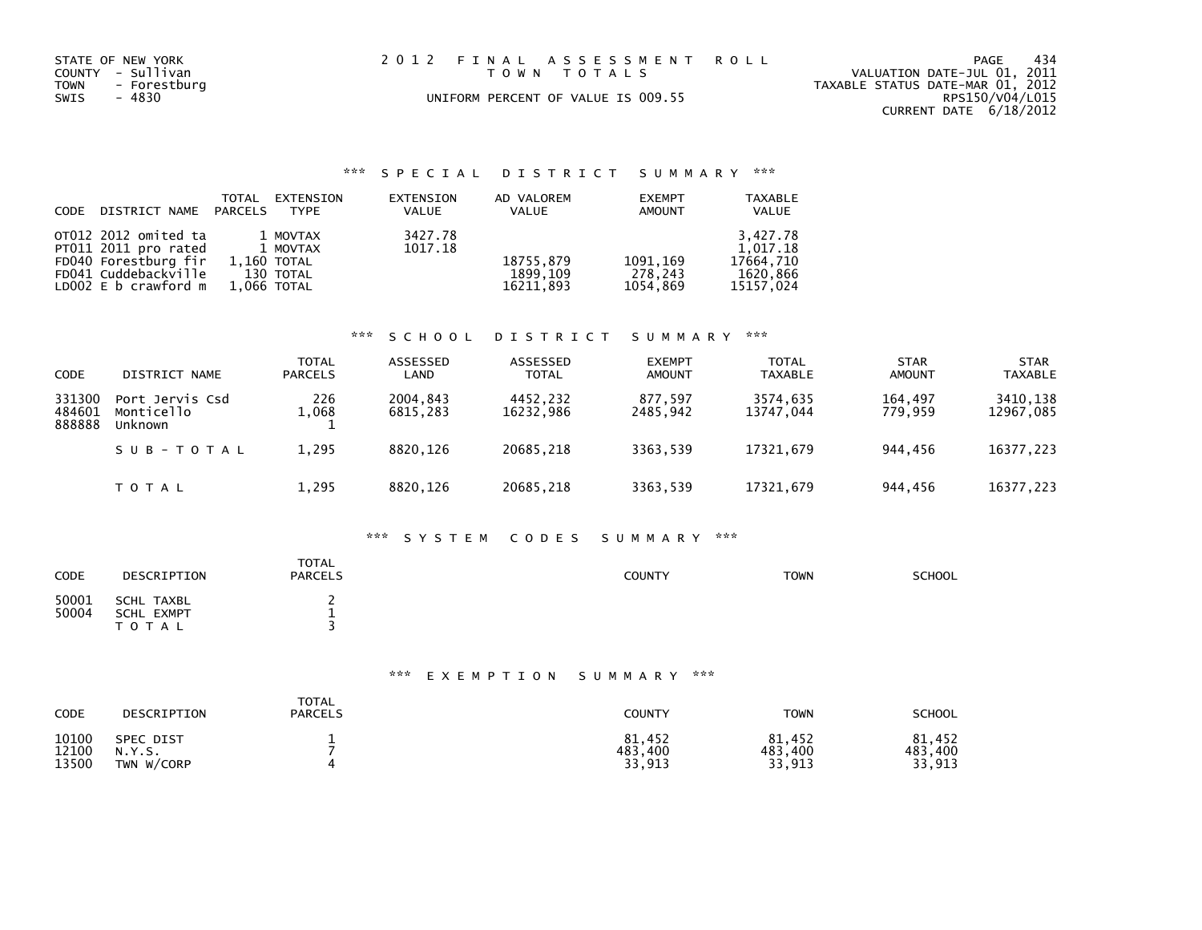| STATE OF NEW YORK<br>COUNTY - Sullivan<br>- Forestburg<br><b>TOWN</b><br>- 4830<br>SWIS | 2012 FINAL ASSESSMENT ROLL<br>TOWN TOTALS<br>UNIFORM PERCENT OF VALUE IS 009.55 | - 434<br>PAGE<br>VALUATION DATE-JUL 01, 2011<br>TAXABLE STATUS DATE-MAR 01, 2012<br>RPS150/V04/L015 |
|-----------------------------------------------------------------------------------------|---------------------------------------------------------------------------------|-----------------------------------------------------------------------------------------------------|
|                                                                                         |                                                                                 | CURRENT DATE 6/18/2012                                                                              |

## \*\*\* S P E C I A L D I S T R I C T S U M M A R Y \*\*\*

| CODE DISTRICT NAME PARCELS                                                                                                 | TOTAL                      | EXTENSION<br><b>TYPF</b>          | EXTENSION<br>VALUE | AD VALOREM<br>VALUE                | <b>EXEMPT</b><br><b>AMOUNT</b>   | <b>TAXABLE</b><br>VALUE                                    |
|----------------------------------------------------------------------------------------------------------------------------|----------------------------|-----------------------------------|--------------------|------------------------------------|----------------------------------|------------------------------------------------------------|
| OT012 2012 omited ta<br>PT011 2011 pro rated<br>FD040 Forestburg fir<br>FD041 Cuddebackville<br>LD $002 \, E$ b crawford m | 1,160 TOTAL<br>1,066 TOTAL | 1 MOVTAX<br>1 MOVTAX<br>130 TOTAL | 3427.78<br>1017.18 | 18755,879<br>1899.109<br>16211.893 | 1091, 169<br>278,243<br>1054.869 | 3.427.78<br>1.017.18<br>17664.710<br>1620,866<br>15157,024 |

## \*\*\* S C H O O L D I S T R I C T S U M M A R Y \*\*\*

| <b>CODE</b>                | DISTRICT NAME                            | <b>TOTAL</b><br><b>PARCELS</b> | ASSESSED<br>LAND     | ASSESSED<br><b>TOTAL</b> | <b>EXEMPT</b><br><b>AMOUNT</b> | <b>TOTAL</b><br><b>TAXABLE</b> | <b>STAR</b><br><b>AMOUNT</b> | <b>STAR</b><br><b>TAXABLE</b> |
|----------------------------|------------------------------------------|--------------------------------|----------------------|--------------------------|--------------------------------|--------------------------------|------------------------------|-------------------------------|
| 331300<br>484601<br>888888 | Port Jervis Csd<br>Monticello<br>Unknown | 226<br>1,068                   | 2004.843<br>6815.283 | 4452,232<br>16232,986    | 877.597<br>2485,942            | 3574.635<br>13747.044          | 164.497<br>779.959           | 3410,138<br>12967,085         |
|                            | SUB-TOTAL                                | 1,295                          | 8820.126             | 20685.218                | 3363.539                       | 17321.679                      | 944.456                      | 16377,223                     |
|                            | TOTAL                                    | 1,295                          | 8820.126             | 20685,218                | 3363.539                       | 17321,679                      | 944,456                      | 16377,223                     |

#### \*\*\* S Y S T E M C O D E S S U M M A R Y \*\*\*

| <b>CODE</b>    | DESCRIPTION                                  | <b>TOTAL</b><br><b>PARCELS</b> | <b>COUNTY</b> | <b>TOWN</b> | <b>SCHOOL</b> |
|----------------|----------------------------------------------|--------------------------------|---------------|-------------|---------------|
| 50001<br>50004 | SCHL TAXBL<br><b>SCHL EXMPT</b><br>T O T A L | -                              |               |             |               |

## \*\*\* E X E M P T I O N S U M M A R Y \*\*\*

| CODE  | DESCRIPTION | <b>TOTAL</b><br><b>PARCELS</b> | COUNTY  | <b>TOWN</b> | <b>SCHOOL</b> |
|-------|-------------|--------------------------------|---------|-------------|---------------|
| 10100 | SPEC DIST   |                                | 81.452  | 81,452      | 81.452        |
| 12100 | N.Y.S.      |                                | 483,400 | 483,400     | 483,400       |
| 13500 | TWN W/CORP  |                                | 33,913  | 33,913      | 33,913        |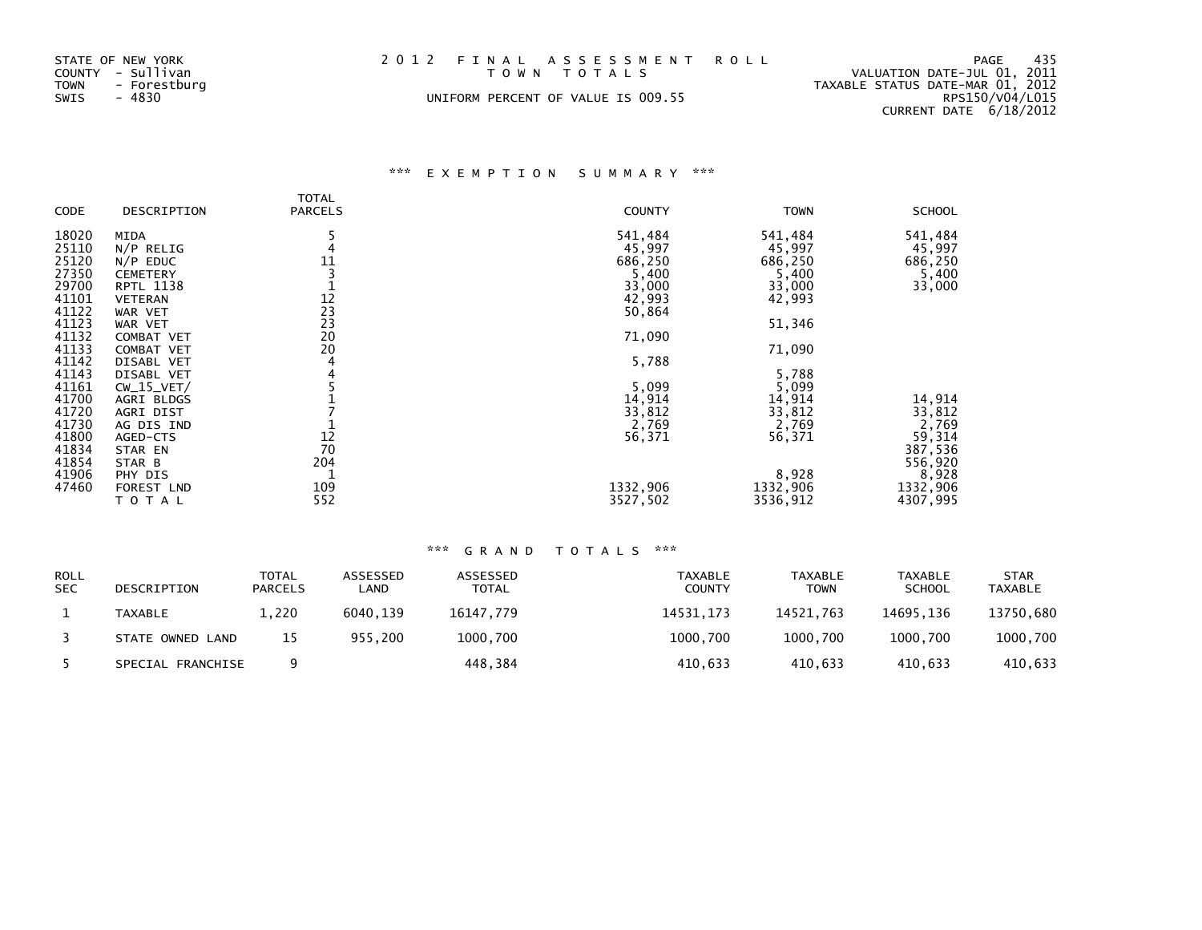| STATE OF NEW YORK<br>COUNTY - Sullivan<br><b>TOWN</b><br>- Forestburg<br>- 4830<br>SWIS | 2012 FINAL ASSESSMENT ROLL<br>TOWN TOTALS<br>UNIFORM PERCENT OF VALUE IS 009.55 | 435<br>PAGE<br>VALUATION DATE-JUL 01, 2011<br>TAXABLE STATUS DATE-MAR 01, 2012<br>RPS150/V04/L015 |
|-----------------------------------------------------------------------------------------|---------------------------------------------------------------------------------|---------------------------------------------------------------------------------------------------|
|                                                                                         |                                                                                 | CURRENT DATE 6/18/2012                                                                            |

# \*\*\* E X E M P T I O N S U M M A R Y \*\*\*

| <b>CODE</b>    | DESCRIPTION           | <b>TOTAL</b><br><b>PARCELS</b>     | <b>COUNTY</b> | <b>TOWN</b>       | <b>SCHOOL</b>     |
|----------------|-----------------------|------------------------------------|---------------|-------------------|-------------------|
|                |                       |                                    |               |                   |                   |
| 18020          | <b>MIDA</b>           |                                    | 541,484       | 541,484           | 541,484           |
| 25110          | $N/P$ RELIG           |                                    | 45,997        | 45,997            | 45,997            |
| 25120          | $N/P$ EDUC            | 11                                 | 686,250       | 686,250           | 686,250           |
| 27350          | <b>CEMETERY</b>       |                                    | 5,400         | 5,400             | 5,400             |
| 29700          | RPTL 1138             |                                    | 33,000        | 33,000            | 33,000            |
| 41101          | <b>VETERAN</b>        | $\frac{12}{23}$<br>$\frac{23}{20}$ | 42,993        | 42,993            |                   |
| 41122          | WAR VET               |                                    | 50,864        |                   |                   |
| 41123          | WAR VET               |                                    |               | 51,346            |                   |
| 41132          | COMBAT VET            |                                    | 71,090        |                   |                   |
| 41133          | <b>COMBAT VET</b>     | 20                                 |               | 71,090            |                   |
| 41142          | DISABL VET            |                                    | 5,788         |                   |                   |
| 41143          | DISABL VET            |                                    |               | 5,788             |                   |
| 41161          | $CW_15_VET/$          |                                    | 5,099         | 5,099             |                   |
| 41700          | AGRI BLDGS            |                                    | 14,914        | 14,914            | 14,914            |
| 41720          | AGRI DIST             |                                    | 33,812        | 33,812            | 33,812            |
| 41730          | AG DIS IND            |                                    | 2,769         | 2,769             | 2,769             |
| 41800          | AGED-CTS              | 12                                 | 56,371        | 56,371            | 59,314            |
| 41834          | STAR EN               | 70                                 |               |                   | 387,536           |
| 41854<br>41906 | STAR B                | 204                                |               |                   | 556,920           |
| 47460          | PHY DIS<br>FOREST LND | 109                                | 1332,906      | 8,928<br>1332,906 | 8,928<br>1332,906 |
|                | TOTAL                 | 552                                | 3527,502      | 3536,912          | 4307,995          |
|                |                       |                                    |               |                   |                   |

## \*\*\* G R A N D T O T A L S \*\*\*

| <b>ROLL</b><br><b>SEC</b> | DESCRIPTION       | <b>TOTAL</b><br><b>PARCELS</b> | ASSESSED<br>LAND | ASSESSED<br>TOTAL | TAXABLE<br><b>COUNTY</b> | TAXABLE<br><b>TOWN</b> | <b>TAXABLE</b><br><b>SCHOOL</b> | <b>STAR</b><br><b>TAXABLE</b> |
|---------------------------|-------------------|--------------------------------|------------------|-------------------|--------------------------|------------------------|---------------------------------|-------------------------------|
|                           | <b>TAXABLE</b>    | 1.220                          | 6040.139         | 16147.779         | 14531.173                | 14521.763              | 14695.136                       | 13750,680                     |
|                           | STATE OWNED LAND  | 15                             | 955.200          | 1000,700          | 1000,700                 | 1000.700               | 1000.700                        | 1000,700                      |
|                           | SPECIAL FRANCHISE |                                |                  | 448,384           | 410,633                  | 410.633                | 410.633                         | 410,633                       |